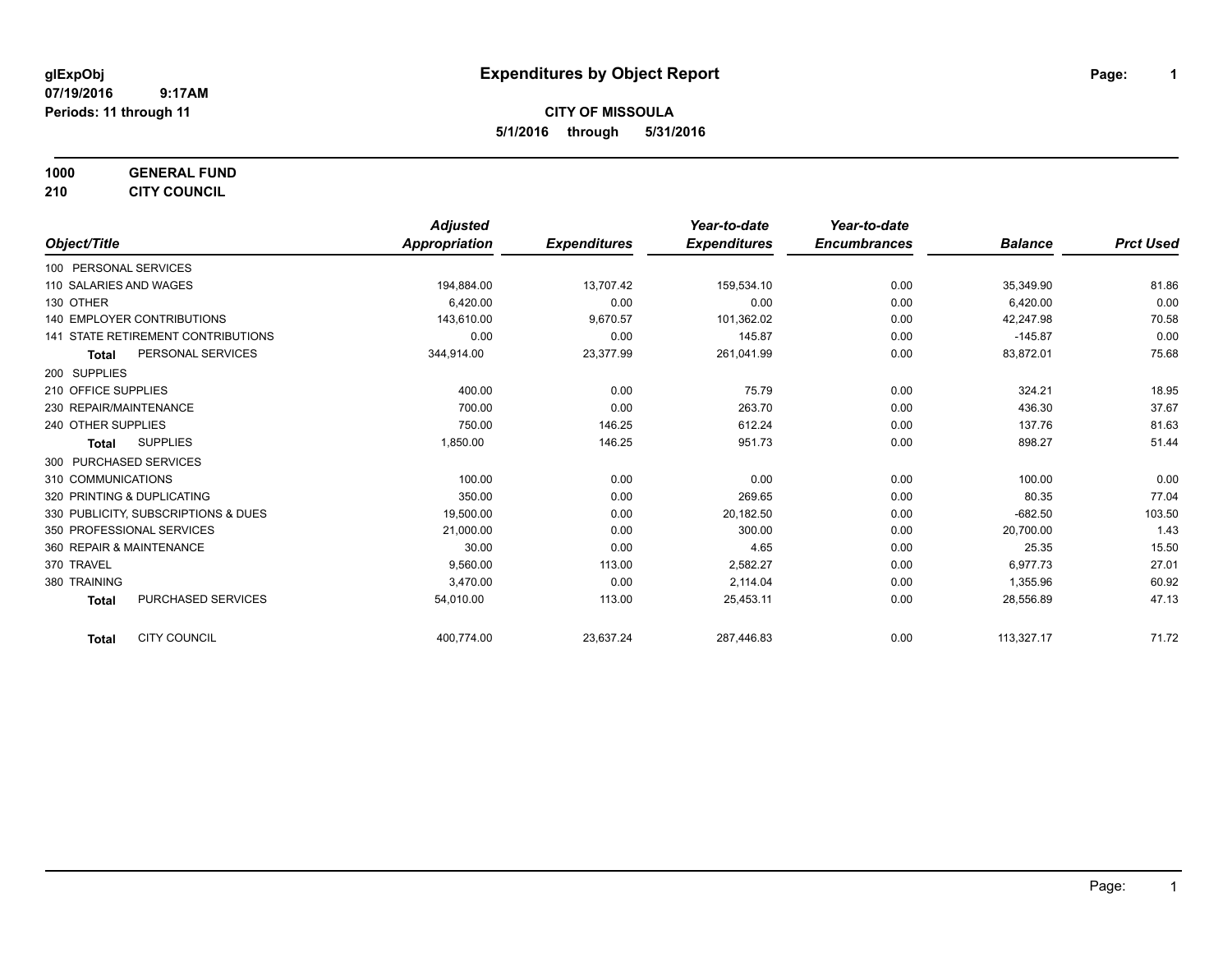**1000 GENERAL FUND**

**210 CITY COUNCIL**

|                                           | <b>Adjusted</b> |                     | Year-to-date        | Year-to-date        |                |                  |
|-------------------------------------------|-----------------|---------------------|---------------------|---------------------|----------------|------------------|
| Object/Title                              | Appropriation   | <b>Expenditures</b> | <b>Expenditures</b> | <b>Encumbrances</b> | <b>Balance</b> | <b>Prct Used</b> |
| 100 PERSONAL SERVICES                     |                 |                     |                     |                     |                |                  |
| 110 SALARIES AND WAGES                    | 194,884.00      | 13,707.42           | 159,534.10          | 0.00                | 35,349.90      | 81.86            |
| 130 OTHER                                 | 6,420.00        | 0.00                | 0.00                | 0.00                | 6,420.00       | 0.00             |
| <b>140 EMPLOYER CONTRIBUTIONS</b>         | 143,610.00      | 9,670.57            | 101,362.02          | 0.00                | 42.247.98      | 70.58            |
| <b>141 STATE RETIREMENT CONTRIBUTIONS</b> | 0.00            | 0.00                | 145.87              | 0.00                | $-145.87$      | 0.00             |
| PERSONAL SERVICES<br><b>Total</b>         | 344,914.00      | 23,377.99           | 261,041.99          | 0.00                | 83,872.01      | 75.68            |
| 200 SUPPLIES                              |                 |                     |                     |                     |                |                  |
| 210 OFFICE SUPPLIES                       | 400.00          | 0.00                | 75.79               | 0.00                | 324.21         | 18.95            |
| 230 REPAIR/MAINTENANCE                    | 700.00          | 0.00                | 263.70              | 0.00                | 436.30         | 37.67            |
| 240 OTHER SUPPLIES                        | 750.00          | 146.25              | 612.24              | 0.00                | 137.76         | 81.63            |
| <b>SUPPLIES</b><br>Total                  | 1,850.00        | 146.25              | 951.73              | 0.00                | 898.27         | 51.44            |
| 300 PURCHASED SERVICES                    |                 |                     |                     |                     |                |                  |
| 310 COMMUNICATIONS                        | 100.00          | 0.00                | 0.00                | 0.00                | 100.00         | 0.00             |
| 320 PRINTING & DUPLICATING                | 350.00          | 0.00                | 269.65              | 0.00                | 80.35          | 77.04            |
| 330 PUBLICITY, SUBSCRIPTIONS & DUES       | 19,500.00       | 0.00                | 20,182.50           | 0.00                | $-682.50$      | 103.50           |
| 350 PROFESSIONAL SERVICES                 | 21,000.00       | 0.00                | 300.00              | 0.00                | 20,700.00      | 1.43             |
| 360 REPAIR & MAINTENANCE                  | 30.00           | 0.00                | 4.65                | 0.00                | 25.35          | 15.50            |
| 370 TRAVEL                                | 9,560.00        | 113.00              | 2,582.27            | 0.00                | 6,977.73       | 27.01            |
| 380 TRAINING                              | 3,470.00        | 0.00                | 2,114.04            | 0.00                | 1,355.96       | 60.92            |
| PURCHASED SERVICES<br><b>Total</b>        | 54,010.00       | 113.00              | 25,453.11           | 0.00                | 28,556.89      | 47.13            |
| <b>CITY COUNCIL</b><br><b>Total</b>       | 400,774.00      | 23,637.24           | 287,446.83          | 0.00                | 113,327.17     | 71.72            |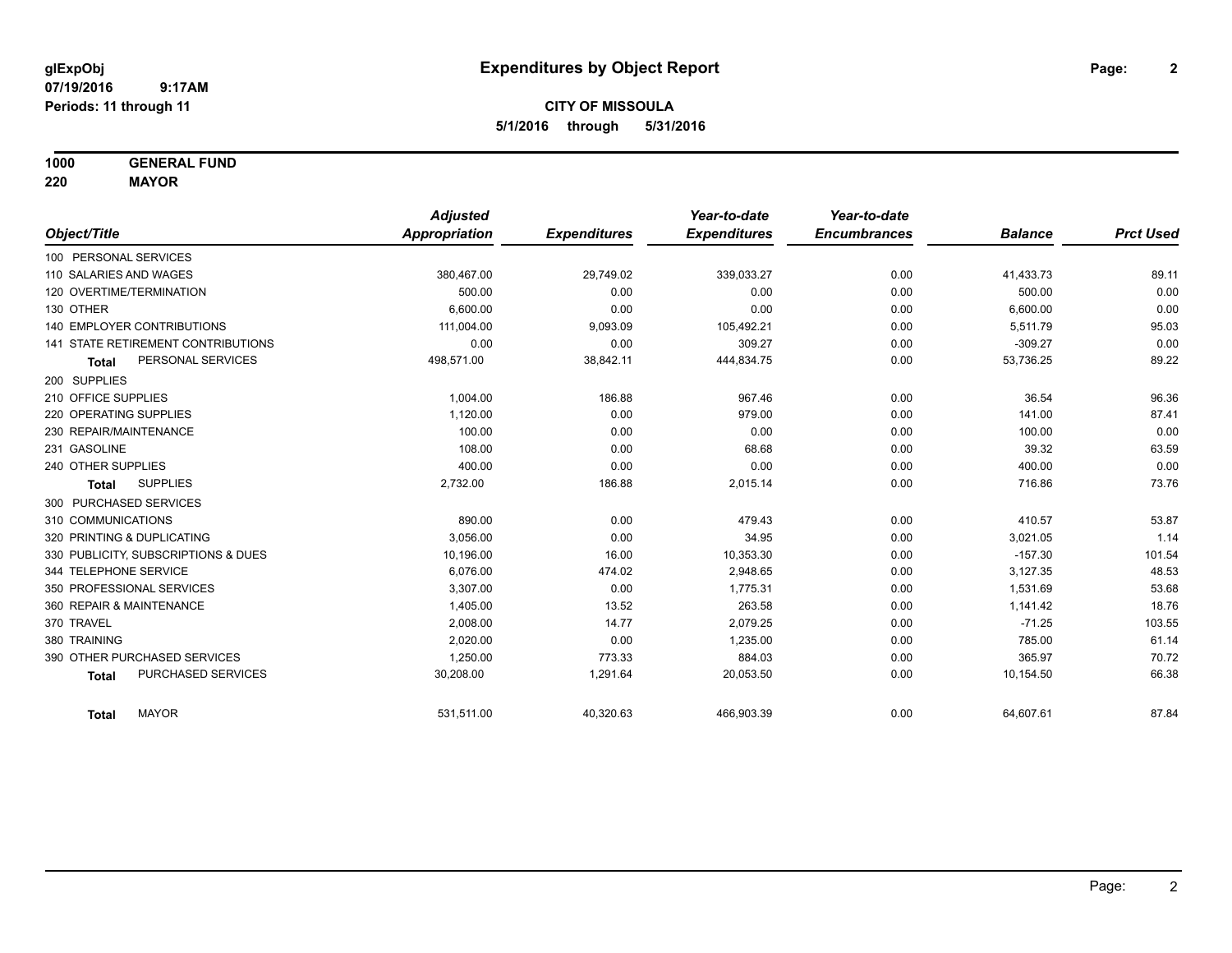**1000 GENERAL FUND**

**220 MAYOR**

|                                     | <b>Adjusted</b> |                     | Year-to-date        | Year-to-date        |                |                  |
|-------------------------------------|-----------------|---------------------|---------------------|---------------------|----------------|------------------|
| Object/Title                        | Appropriation   | <b>Expenditures</b> | <b>Expenditures</b> | <b>Encumbrances</b> | <b>Balance</b> | <b>Prct Used</b> |
| 100 PERSONAL SERVICES               |                 |                     |                     |                     |                |                  |
| 110 SALARIES AND WAGES              | 380,467.00      | 29,749.02           | 339,033.27          | 0.00                | 41,433.73      | 89.11            |
| 120 OVERTIME/TERMINATION            | 500.00          | 0.00                | 0.00                | 0.00                | 500.00         | 0.00             |
| 130 OTHER                           | 6.600.00        | 0.00                | 0.00                | 0.00                | 6,600.00       | 0.00             |
| <b>140 EMPLOYER CONTRIBUTIONS</b>   | 111,004.00      | 9,093.09            | 105,492.21          | 0.00                | 5,511.79       | 95.03            |
| 141 STATE RETIREMENT CONTRIBUTIONS  | 0.00            | 0.00                | 309.27              | 0.00                | $-309.27$      | 0.00             |
| PERSONAL SERVICES<br><b>Total</b>   | 498,571.00      | 38,842.11           | 444,834.75          | 0.00                | 53,736.25      | 89.22            |
| 200 SUPPLIES                        |                 |                     |                     |                     |                |                  |
| 210 OFFICE SUPPLIES                 | 1.004.00        | 186.88              | 967.46              | 0.00                | 36.54          | 96.36            |
| 220 OPERATING SUPPLIES              | 1,120.00        | 0.00                | 979.00              | 0.00                | 141.00         | 87.41            |
| 230 REPAIR/MAINTENANCE              | 100.00          | 0.00                | 0.00                | 0.00                | 100.00         | 0.00             |
| 231 GASOLINE                        | 108.00          | 0.00                | 68.68               | 0.00                | 39.32          | 63.59            |
| 240 OTHER SUPPLIES                  | 400.00          | 0.00                | 0.00                | 0.00                | 400.00         | 0.00             |
| <b>SUPPLIES</b><br><b>Total</b>     | 2,732.00        | 186.88              | 2,015.14            | 0.00                | 716.86         | 73.76            |
| 300 PURCHASED SERVICES              |                 |                     |                     |                     |                |                  |
| 310 COMMUNICATIONS                  | 890.00          | 0.00                | 479.43              | 0.00                | 410.57         | 53.87            |
| 320 PRINTING & DUPLICATING          | 3.056.00        | 0.00                | 34.95               | 0.00                | 3,021.05       | 1.14             |
| 330 PUBLICITY, SUBSCRIPTIONS & DUES | 10,196.00       | 16.00               | 10,353.30           | 0.00                | $-157.30$      | 101.54           |
| 344 TELEPHONE SERVICE               | 6.076.00        | 474.02              | 2,948.65            | 0.00                | 3,127.35       | 48.53            |
| 350 PROFESSIONAL SERVICES           | 3,307.00        | 0.00                | 1,775.31            | 0.00                | 1,531.69       | 53.68            |
| 360 REPAIR & MAINTENANCE            | 1,405.00        | 13.52               | 263.58              | 0.00                | 1,141.42       | 18.76            |
| 370 TRAVEL                          | 2,008.00        | 14.77               | 2,079.25            | 0.00                | $-71.25$       | 103.55           |
| 380 TRAINING                        | 2.020.00        | 0.00                | 1,235.00            | 0.00                | 785.00         | 61.14            |
| 390 OTHER PURCHASED SERVICES        | 1,250.00        | 773.33              | 884.03              | 0.00                | 365.97         | 70.72            |
| PURCHASED SERVICES<br><b>Total</b>  | 30,208.00       | 1,291.64            | 20,053.50           | 0.00                | 10,154.50      | 66.38            |
| <b>MAYOR</b><br><b>Total</b>        | 531,511.00      | 40,320.63           | 466,903.39          | 0.00                | 64,607.61      | 87.84            |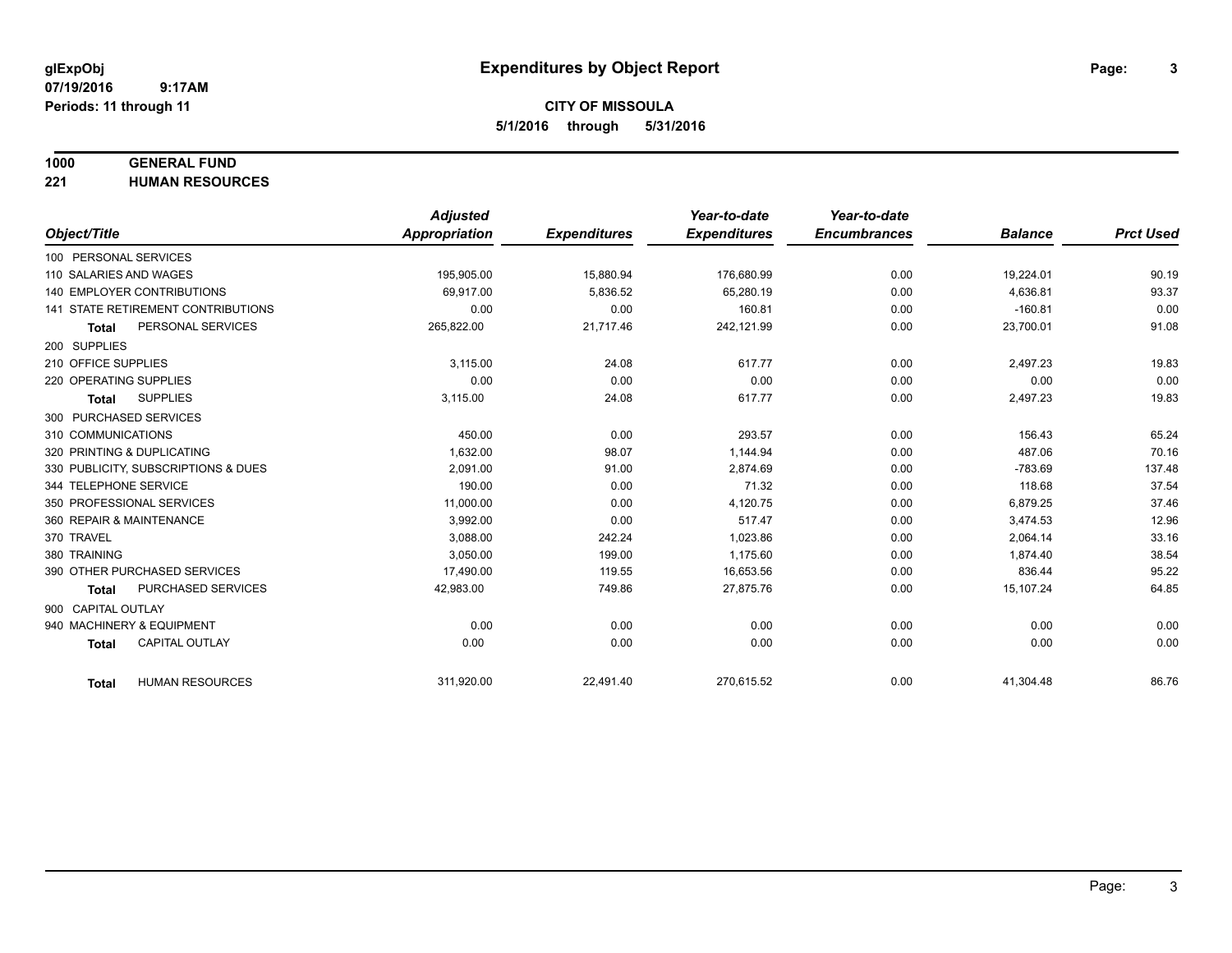### **1000 GENERAL FUND**

**221 HUMAN RESOURCES**

|                                           | <b>Adjusted</b>      |                     | Year-to-date        | Year-to-date        |                |                  |
|-------------------------------------------|----------------------|---------------------|---------------------|---------------------|----------------|------------------|
| Object/Title                              | <b>Appropriation</b> | <b>Expenditures</b> | <b>Expenditures</b> | <b>Encumbrances</b> | <b>Balance</b> | <b>Prct Used</b> |
| 100 PERSONAL SERVICES                     |                      |                     |                     |                     |                |                  |
| 110 SALARIES AND WAGES                    | 195,905.00           | 15,880.94           | 176,680.99          | 0.00                | 19,224.01      | 90.19            |
| <b>140 EMPLOYER CONTRIBUTIONS</b>         | 69.917.00            | 5,836.52            | 65,280.19           | 0.00                | 4,636.81       | 93.37            |
| <b>141 STATE RETIREMENT CONTRIBUTIONS</b> | 0.00                 | 0.00                | 160.81              | 0.00                | $-160.81$      | 0.00             |
| PERSONAL SERVICES<br><b>Total</b>         | 265,822.00           | 21,717.46           | 242,121.99          | 0.00                | 23,700.01      | 91.08            |
| 200 SUPPLIES                              |                      |                     |                     |                     |                |                  |
| 210 OFFICE SUPPLIES                       | 3.115.00             | 24.08               | 617.77              | 0.00                | 2,497.23       | 19.83            |
| 220 OPERATING SUPPLIES                    | 0.00                 | 0.00                | 0.00                | 0.00                | 0.00           | 0.00             |
| <b>SUPPLIES</b><br><b>Total</b>           | 3,115.00             | 24.08               | 617.77              | 0.00                | 2,497.23       | 19.83            |
| 300 PURCHASED SERVICES                    |                      |                     |                     |                     |                |                  |
| 310 COMMUNICATIONS                        | 450.00               | 0.00                | 293.57              | 0.00                | 156.43         | 65.24            |
| 320 PRINTING & DUPLICATING                | 1.632.00             | 98.07               | 1.144.94            | 0.00                | 487.06         | 70.16            |
| 330 PUBLICITY, SUBSCRIPTIONS & DUES       | 2,091.00             | 91.00               | 2,874.69            | 0.00                | $-783.69$      | 137.48           |
| 344 TELEPHONE SERVICE                     | 190.00               | 0.00                | 71.32               | 0.00                | 118.68         | 37.54            |
| 350 PROFESSIONAL SERVICES                 | 11,000.00            | 0.00                | 4,120.75            | 0.00                | 6,879.25       | 37.46            |
| 360 REPAIR & MAINTENANCE                  | 3,992.00             | 0.00                | 517.47              | 0.00                | 3,474.53       | 12.96            |
| 370 TRAVEL                                | 3.088.00             | 242.24              | 1.023.86            | 0.00                | 2,064.14       | 33.16            |
| 380 TRAINING                              | 3,050.00             | 199.00              | 1,175.60            | 0.00                | 1,874.40       | 38.54            |
| 390 OTHER PURCHASED SERVICES              | 17,490.00            | 119.55              | 16,653.56           | 0.00                | 836.44         | 95.22            |
| <b>PURCHASED SERVICES</b><br><b>Total</b> | 42,983.00            | 749.86              | 27,875.76           | 0.00                | 15,107.24      | 64.85            |
| 900 CAPITAL OUTLAY                        |                      |                     |                     |                     |                |                  |
| 940 MACHINERY & EQUIPMENT                 | 0.00                 | 0.00                | 0.00                | 0.00                | 0.00           | 0.00             |
| <b>CAPITAL OUTLAY</b><br><b>Total</b>     | 0.00                 | 0.00                | 0.00                | 0.00                | 0.00           | 0.00             |
|                                           |                      |                     |                     |                     |                |                  |
| <b>HUMAN RESOURCES</b><br><b>Total</b>    | 311,920.00           | 22,491.40           | 270,615.52          | 0.00                | 41,304.48      | 86.76            |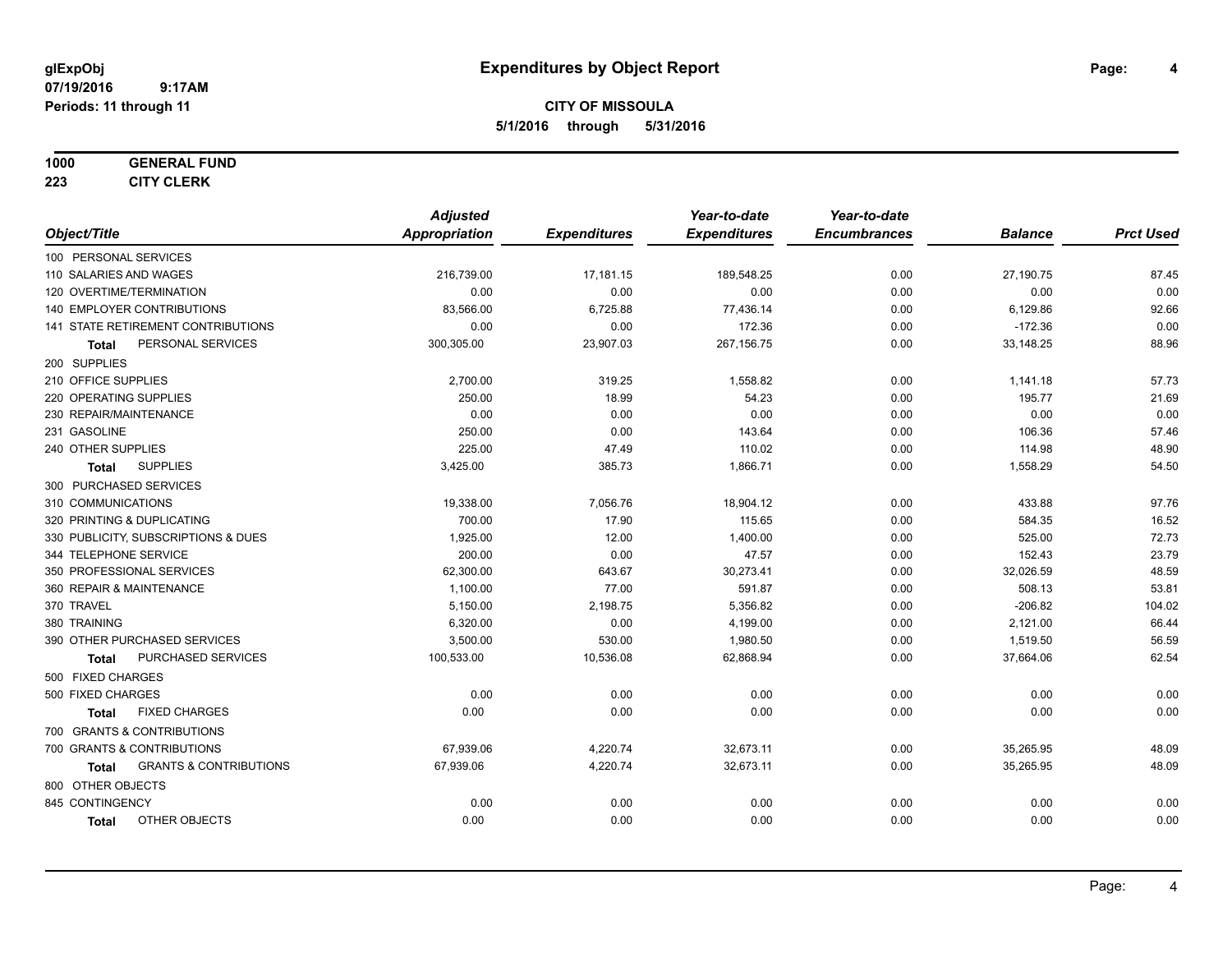# **CITY OF MISSOULA 5/1/2016 through 5/31/2016**

### **1000 GENERAL FUND**

**223 CITY CLERK**

|                                            | <b>Adjusted</b>      |                     | Year-to-date        | Year-to-date        |                |                  |
|--------------------------------------------|----------------------|---------------------|---------------------|---------------------|----------------|------------------|
| Object/Title                               | <b>Appropriation</b> | <b>Expenditures</b> | <b>Expenditures</b> | <b>Encumbrances</b> | <b>Balance</b> | <b>Prct Used</b> |
| 100 PERSONAL SERVICES                      |                      |                     |                     |                     |                |                  |
| 110 SALARIES AND WAGES                     | 216,739.00           | 17,181.15           | 189,548.25          | 0.00                | 27,190.75      | 87.45            |
| 120 OVERTIME/TERMINATION                   | 0.00                 | 0.00                | 0.00                | 0.00                | 0.00           | 0.00             |
| 140 EMPLOYER CONTRIBUTIONS                 | 83,566.00            | 6,725.88            | 77,436.14           | 0.00                | 6,129.86       | 92.66            |
| 141 STATE RETIREMENT CONTRIBUTIONS         | 0.00                 | 0.00                | 172.36              | 0.00                | $-172.36$      | 0.00             |
| PERSONAL SERVICES<br>Total                 | 300,305.00           | 23,907.03           | 267,156.75          | 0.00                | 33,148.25      | 88.96            |
| 200 SUPPLIES                               |                      |                     |                     |                     |                |                  |
| 210 OFFICE SUPPLIES                        | 2,700.00             | 319.25              | 1,558.82            | 0.00                | 1,141.18       | 57.73            |
| 220 OPERATING SUPPLIES                     | 250.00               | 18.99               | 54.23               | 0.00                | 195.77         | 21.69            |
| 230 REPAIR/MAINTENANCE                     | 0.00                 | 0.00                | 0.00                | 0.00                | 0.00           | 0.00             |
| 231 GASOLINE                               | 250.00               | 0.00                | 143.64              | 0.00                | 106.36         | 57.46            |
| 240 OTHER SUPPLIES                         | 225.00               | 47.49               | 110.02              | 0.00                | 114.98         | 48.90            |
| <b>SUPPLIES</b><br><b>Total</b>            | 3,425.00             | 385.73              | 1,866.71            | 0.00                | 1,558.29       | 54.50            |
| 300 PURCHASED SERVICES                     |                      |                     |                     |                     |                |                  |
| 310 COMMUNICATIONS                         | 19,338.00            | 7,056.76            | 18,904.12           | 0.00                | 433.88         | 97.76            |
| 320 PRINTING & DUPLICATING                 | 700.00               | 17.90               | 115.65              | 0.00                | 584.35         | 16.52            |
| 330 PUBLICITY, SUBSCRIPTIONS & DUES        | 1,925.00             | 12.00               | 1,400.00            | 0.00                | 525.00         | 72.73            |
| 344 TELEPHONE SERVICE                      | 200.00               | 0.00                | 47.57               | 0.00                | 152.43         | 23.79            |
| 350 PROFESSIONAL SERVICES                  | 62,300.00            | 643.67              | 30,273.41           | 0.00                | 32,026.59      | 48.59            |
| 360 REPAIR & MAINTENANCE                   | 1,100.00             | 77.00               | 591.87              | 0.00                | 508.13         | 53.81            |
| 370 TRAVEL                                 | 5,150.00             | 2,198.75            | 5,356.82            | 0.00                | $-206.82$      | 104.02           |
| 380 TRAINING                               | 6,320.00             | 0.00                | 4,199.00            | 0.00                | 2,121.00       | 66.44            |
| 390 OTHER PURCHASED SERVICES               | 3,500.00             | 530.00              | 1,980.50            | 0.00                | 1,519.50       | 56.59            |
| PURCHASED SERVICES<br><b>Total</b>         | 100,533.00           | 10,536.08           | 62,868.94           | 0.00                | 37,664.06      | 62.54            |
| 500 FIXED CHARGES                          |                      |                     |                     |                     |                |                  |
| 500 FIXED CHARGES                          | 0.00                 | 0.00                | 0.00                | 0.00                | 0.00           | 0.00             |
| <b>FIXED CHARGES</b><br><b>Total</b>       | 0.00                 | 0.00                | 0.00                | 0.00                | 0.00           | 0.00             |
| 700 GRANTS & CONTRIBUTIONS                 |                      |                     |                     |                     |                |                  |
| 700 GRANTS & CONTRIBUTIONS                 | 67,939.06            | 4,220.74            | 32,673.11           | 0.00                | 35,265.95      | 48.09            |
| <b>GRANTS &amp; CONTRIBUTIONS</b><br>Total | 67,939.06            | 4,220.74            | 32,673.11           | 0.00                | 35,265.95      | 48.09            |
| 800 OTHER OBJECTS                          |                      |                     |                     |                     |                |                  |
| 845 CONTINGENCY                            | 0.00                 | 0.00                | 0.00                | 0.00                | 0.00           | 0.00             |
| OTHER OBJECTS<br><b>Total</b>              | 0.00                 | 0.00                | 0.00                | 0.00                | 0.00           | 0.00             |
|                                            |                      |                     |                     |                     |                |                  |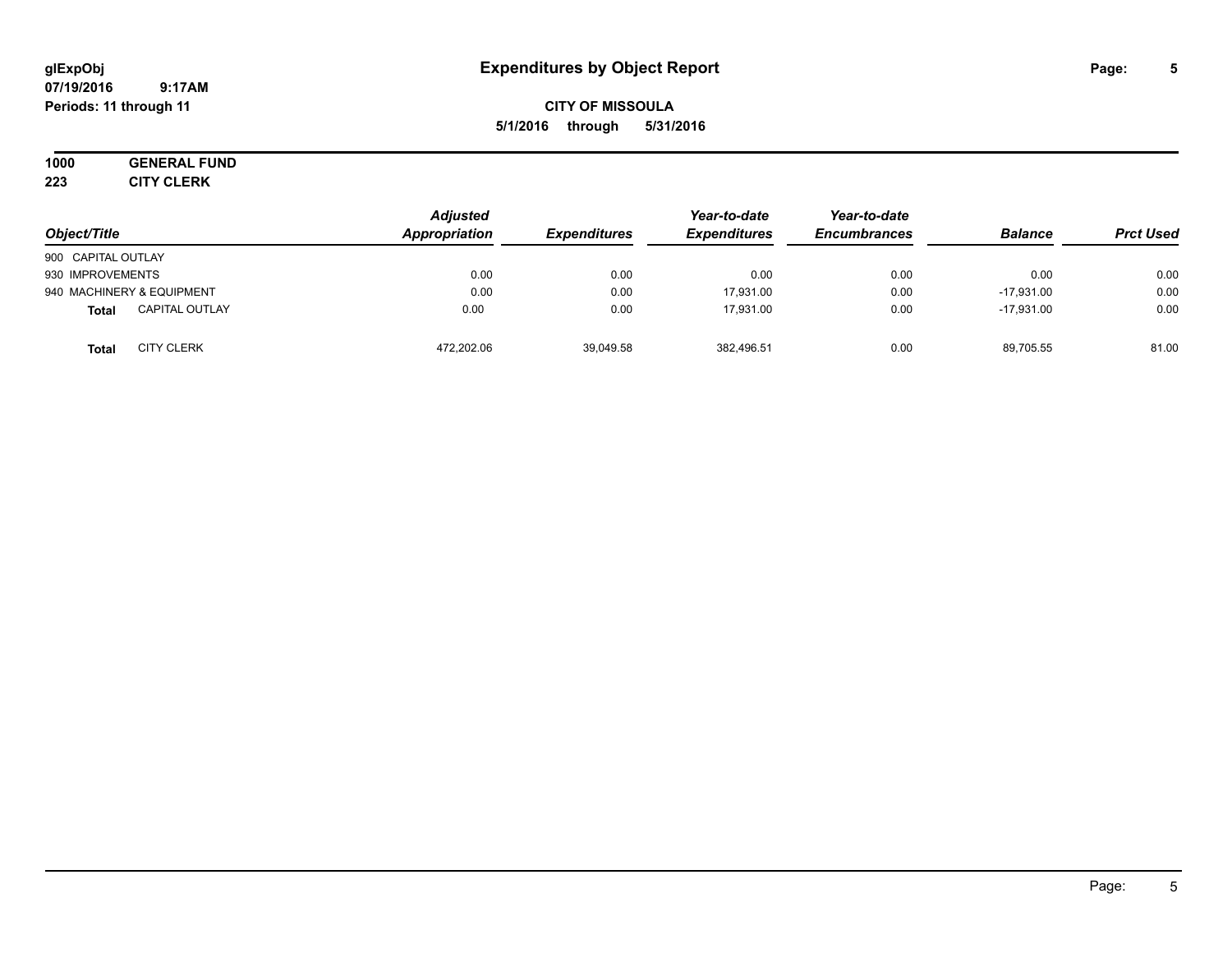# **CITY OF MISSOULA 5/1/2016 through 5/31/2016**

# **1000 GENERAL FUND**

**223 CITY CLERK**

| Object/Title                      | <b>Adjusted</b><br>Appropriation | <b>Expenditures</b> | Year-to-date<br><b>Expenditures</b> | Year-to-date<br><b>Encumbrances</b> | <b>Balance</b> | <b>Prct Used</b> |
|-----------------------------------|----------------------------------|---------------------|-------------------------------------|-------------------------------------|----------------|------------------|
| 900 CAPITAL OUTLAY                |                                  |                     |                                     |                                     |                |                  |
| 930 IMPROVEMENTS                  | 0.00                             | 0.00                | 0.00                                | 0.00                                | 0.00           | 0.00             |
| 940 MACHINERY & EQUIPMENT         | 0.00                             | 0.00                | 17,931.00                           | 0.00                                | $-17.931.00$   | 0.00             |
| <b>CAPITAL OUTLAY</b><br>Total    | 0.00                             | 0.00                | 17.931.00                           | 0.00                                | $-17.931.00$   | 0.00             |
| <b>CITY CLERK</b><br><b>Total</b> | 472,202.06                       | 39,049.58           | 382,496.51                          | 0.00                                | 89,705.55      | 81.00            |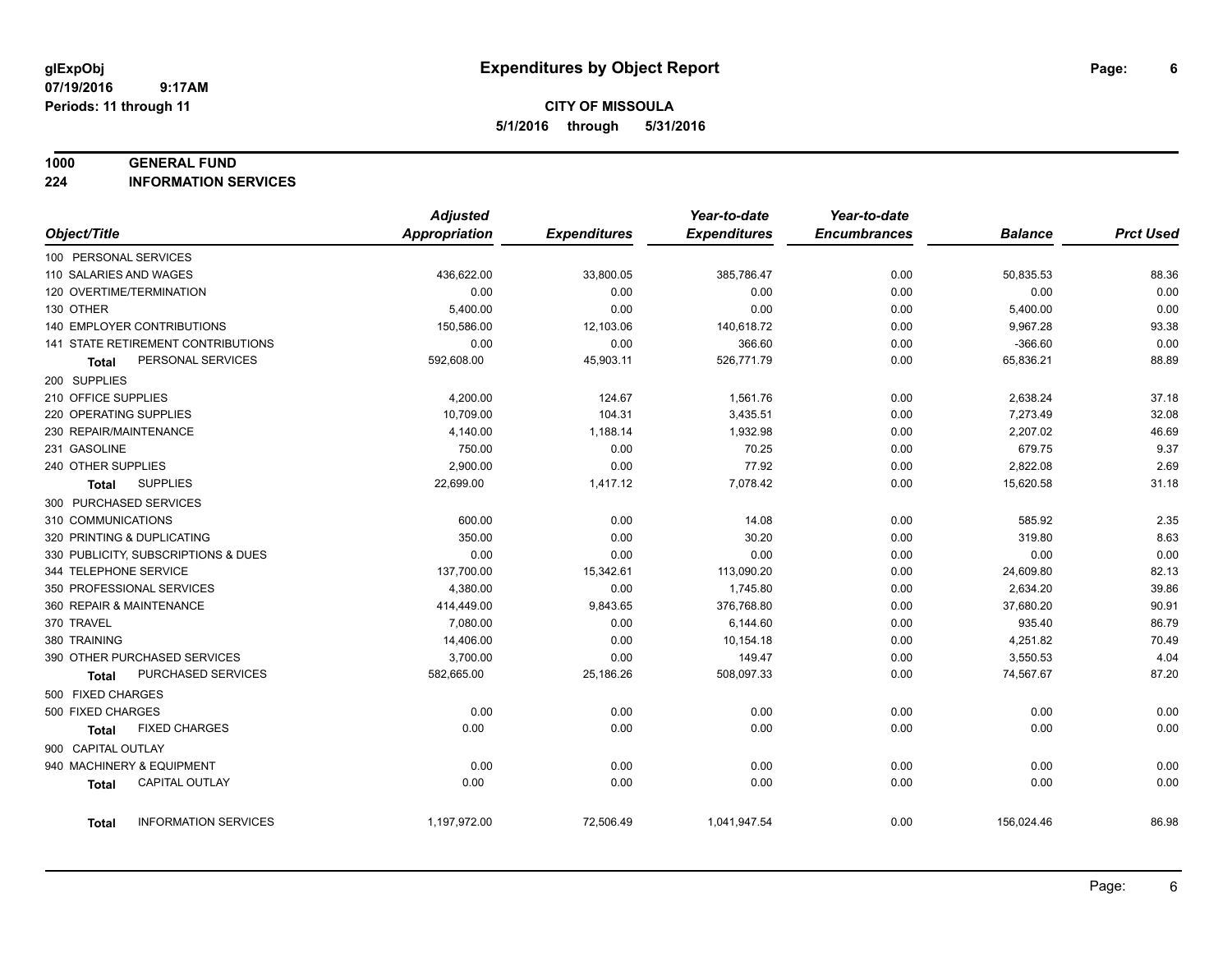# **CITY OF MISSOULA 5/1/2016 through 5/31/2016**

#### **1000 GENERAL FUND**

**224 INFORMATION SERVICES**

|                                       | <b>Adjusted</b>      |                     | Year-to-date        | Year-to-date        |                |                  |
|---------------------------------------|----------------------|---------------------|---------------------|---------------------|----------------|------------------|
| Object/Title                          | <b>Appropriation</b> | <b>Expenditures</b> | <b>Expenditures</b> | <b>Encumbrances</b> | <b>Balance</b> | <b>Prct Used</b> |
| 100 PERSONAL SERVICES                 |                      |                     |                     |                     |                |                  |
| 110 SALARIES AND WAGES                | 436,622.00           | 33,800.05           | 385,786.47          | 0.00                | 50,835.53      | 88.36            |
| 120 OVERTIME/TERMINATION              | 0.00                 | 0.00                | 0.00                | 0.00                | 0.00           | 0.00             |
| 130 OTHER                             | 5,400.00             | 0.00                | 0.00                | 0.00                | 5,400.00       | 0.00             |
| 140 EMPLOYER CONTRIBUTIONS            | 150,586.00           | 12,103.06           | 140,618.72          | 0.00                | 9,967.28       | 93.38            |
| 141 STATE RETIREMENT CONTRIBUTIONS    | 0.00                 | 0.00                | 366.60              | 0.00                | $-366.60$      | 0.00             |
| PERSONAL SERVICES<br>Total            | 592,608.00           | 45,903.11           | 526,771.79          | 0.00                | 65,836.21      | 88.89            |
| 200 SUPPLIES                          |                      |                     |                     |                     |                |                  |
| 210 OFFICE SUPPLIES                   | 4,200.00             | 124.67              | 1,561.76            | 0.00                | 2,638.24       | 37.18            |
| 220 OPERATING SUPPLIES                | 10,709.00            | 104.31              | 3,435.51            | 0.00                | 7,273.49       | 32.08            |
| 230 REPAIR/MAINTENANCE                | 4,140.00             | 1,188.14            | 1,932.98            | 0.00                | 2,207.02       | 46.69            |
| 231 GASOLINE                          | 750.00               | 0.00                | 70.25               | 0.00                | 679.75         | 9.37             |
| 240 OTHER SUPPLIES                    | 2,900.00             | 0.00                | 77.92               | 0.00                | 2,822.08       | 2.69             |
| <b>SUPPLIES</b><br>Total              | 22,699.00            | 1,417.12            | 7,078.42            | 0.00                | 15,620.58      | 31.18            |
| 300 PURCHASED SERVICES                |                      |                     |                     |                     |                |                  |
| 310 COMMUNICATIONS                    | 600.00               | 0.00                | 14.08               | 0.00                | 585.92         | 2.35             |
| 320 PRINTING & DUPLICATING            | 350.00               | 0.00                | 30.20               | 0.00                | 319.80         | 8.63             |
| 330 PUBLICITY, SUBSCRIPTIONS & DUES   | 0.00                 | 0.00                | 0.00                | 0.00                | 0.00           | 0.00             |
| 344 TELEPHONE SERVICE                 | 137,700.00           | 15,342.61           | 113,090.20          | 0.00                | 24,609.80      | 82.13            |
| 350 PROFESSIONAL SERVICES             | 4,380.00             | 0.00                | 1,745.80            | 0.00                | 2,634.20       | 39.86            |
| 360 REPAIR & MAINTENANCE              | 414,449.00           | 9,843.65            | 376,768.80          | 0.00                | 37,680.20      | 90.91            |
| 370 TRAVEL                            | 7,080.00             | 0.00                | 6,144.60            | 0.00                | 935.40         | 86.79            |
| 380 TRAINING                          | 14,406.00            | 0.00                | 10,154.18           | 0.00                | 4,251.82       | 70.49            |
| 390 OTHER PURCHASED SERVICES          | 3,700.00             | 0.00                | 149.47              | 0.00                | 3,550.53       | 4.04             |
| PURCHASED SERVICES<br>Total           | 582,665.00           | 25,186.26           | 508,097.33          | 0.00                | 74,567.67      | 87.20            |
| 500 FIXED CHARGES                     |                      |                     |                     |                     |                |                  |
| 500 FIXED CHARGES                     | 0.00                 | 0.00                | 0.00                | 0.00                | 0.00           | 0.00             |
| <b>FIXED CHARGES</b><br>Total         | 0.00                 | 0.00                | 0.00                | 0.00                | 0.00           | 0.00             |
| 900 CAPITAL OUTLAY                    |                      |                     |                     |                     |                |                  |
| 940 MACHINERY & EQUIPMENT             | 0.00                 | 0.00                | 0.00                | 0.00                | 0.00           | 0.00             |
| <b>CAPITAL OUTLAY</b><br><b>Total</b> | 0.00                 | 0.00                | 0.00                | 0.00                | 0.00           | 0.00             |
|                                       |                      |                     |                     |                     |                |                  |
| <b>INFORMATION SERVICES</b><br>Total  | 1,197,972.00         | 72,506.49           | 1,041,947.54        | 0.00                | 156,024.46     | 86.98            |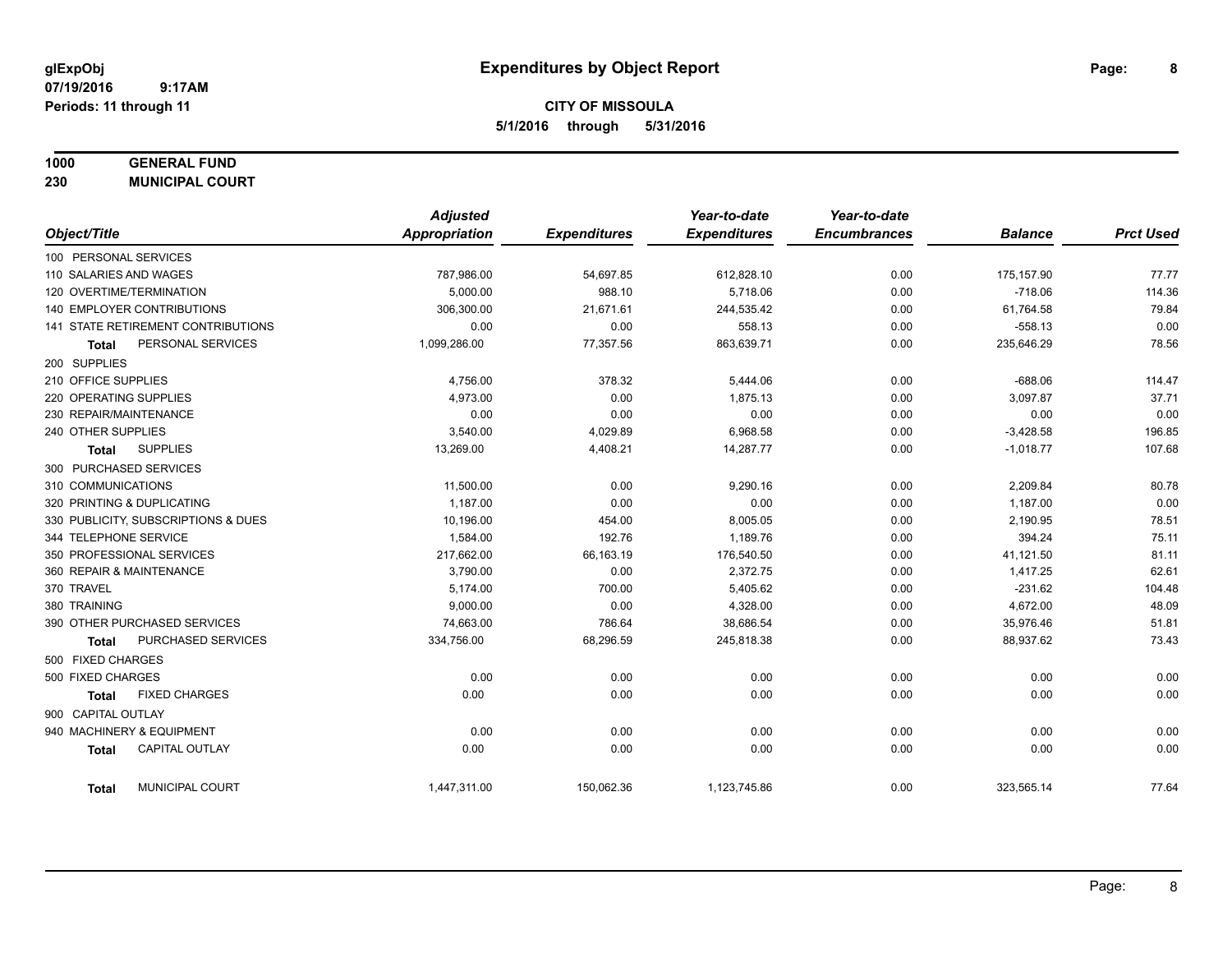# **CITY OF MISSOULA 5/1/2016 through 5/31/2016**

### **1000 GENERAL FUND**

**230 MUNICIPAL COURT**

|                     |                                     | <b>Adjusted</b>      |                     | Year-to-date        | Year-to-date        |                |                  |
|---------------------|-------------------------------------|----------------------|---------------------|---------------------|---------------------|----------------|------------------|
| Object/Title        |                                     | <b>Appropriation</b> | <b>Expenditures</b> | <b>Expenditures</b> | <b>Encumbrances</b> | <b>Balance</b> | <b>Prct Used</b> |
|                     | 100 PERSONAL SERVICES               |                      |                     |                     |                     |                |                  |
|                     | 110 SALARIES AND WAGES              | 787,986.00           | 54,697.85           | 612,828.10          | 0.00                | 175,157.90     | 77.77            |
|                     | 120 OVERTIME/TERMINATION            | 5,000.00             | 988.10              | 5,718.06            | 0.00                | $-718.06$      | 114.36           |
|                     | <b>140 EMPLOYER CONTRIBUTIONS</b>   | 306,300.00           | 21,671.61           | 244,535.42          | 0.00                | 61,764.58      | 79.84            |
|                     | 141 STATE RETIREMENT CONTRIBUTIONS  | 0.00                 | 0.00                | 558.13              | 0.00                | $-558.13$      | 0.00             |
| <b>Total</b>        | PERSONAL SERVICES                   | 1,099,286.00         | 77,357.56           | 863,639.71          | 0.00                | 235,646.29     | 78.56            |
| 200 SUPPLIES        |                                     |                      |                     |                     |                     |                |                  |
| 210 OFFICE SUPPLIES |                                     | 4,756.00             | 378.32              | 5,444.06            | 0.00                | $-688.06$      | 114.47           |
|                     | 220 OPERATING SUPPLIES              | 4,973.00             | 0.00                | 1,875.13            | 0.00                | 3,097.87       | 37.71            |
|                     | 230 REPAIR/MAINTENANCE              | 0.00                 | 0.00                | 0.00                | 0.00                | 0.00           | 0.00             |
| 240 OTHER SUPPLIES  |                                     | 3,540.00             | 4,029.89            | 6,968.58            | 0.00                | $-3,428.58$    | 196.85           |
| Total               | <b>SUPPLIES</b>                     | 13,269.00            | 4,408.21            | 14,287.77           | 0.00                | $-1,018.77$    | 107.68           |
|                     | 300 PURCHASED SERVICES              |                      |                     |                     |                     |                |                  |
| 310 COMMUNICATIONS  |                                     | 11,500.00            | 0.00                | 9.290.16            | 0.00                | 2,209.84       | 80.78            |
|                     | 320 PRINTING & DUPLICATING          | 1,187.00             | 0.00                | 0.00                | 0.00                | 1,187.00       | 0.00             |
|                     | 330 PUBLICITY, SUBSCRIPTIONS & DUES | 10,196.00            | 454.00              | 8,005.05            | 0.00                | 2,190.95       | 78.51            |
|                     | 344 TELEPHONE SERVICE               | 1,584.00             | 192.76              | 1,189.76            | 0.00                | 394.24         | 75.11            |
|                     | 350 PROFESSIONAL SERVICES           | 217,662.00           | 66,163.19           | 176,540.50          | 0.00                | 41,121.50      | 81.11            |
|                     | 360 REPAIR & MAINTENANCE            | 3,790.00             | 0.00                | 2,372.75            | 0.00                | 1,417.25       | 62.61            |
| 370 TRAVEL          |                                     | 5,174.00             | 700.00              | 5,405.62            | 0.00                | $-231.62$      | 104.48           |
| 380 TRAINING        |                                     | 9,000.00             | 0.00                | 4,328.00            | 0.00                | 4,672.00       | 48.09            |
|                     | 390 OTHER PURCHASED SERVICES        | 74,663.00            | 786.64              | 38,686.54           | 0.00                | 35,976.46      | 51.81            |
| <b>Total</b>        | PURCHASED SERVICES                  | 334,756.00           | 68,296.59           | 245,818.38          | 0.00                | 88,937.62      | 73.43            |
| 500 FIXED CHARGES   |                                     |                      |                     |                     |                     |                |                  |
| 500 FIXED CHARGES   |                                     | 0.00                 | 0.00                | 0.00                | 0.00                | 0.00           | 0.00             |
| <b>Total</b>        | <b>FIXED CHARGES</b>                | 0.00                 | 0.00                | 0.00                | 0.00                | 0.00           | 0.00             |
| 900 CAPITAL OUTLAY  |                                     |                      |                     |                     |                     |                |                  |
|                     | 940 MACHINERY & EQUIPMENT           | 0.00                 | 0.00                | 0.00                | 0.00                | 0.00           | 0.00             |
| <b>Total</b>        | <b>CAPITAL OUTLAY</b>               | 0.00                 | 0.00                | 0.00                | 0.00                | 0.00           | 0.00             |
| <b>Total</b>        | <b>MUNICIPAL COURT</b>              | 1,447,311.00         | 150,062.36          | 1,123,745.86        | 0.00                | 323,565.14     | 77.64            |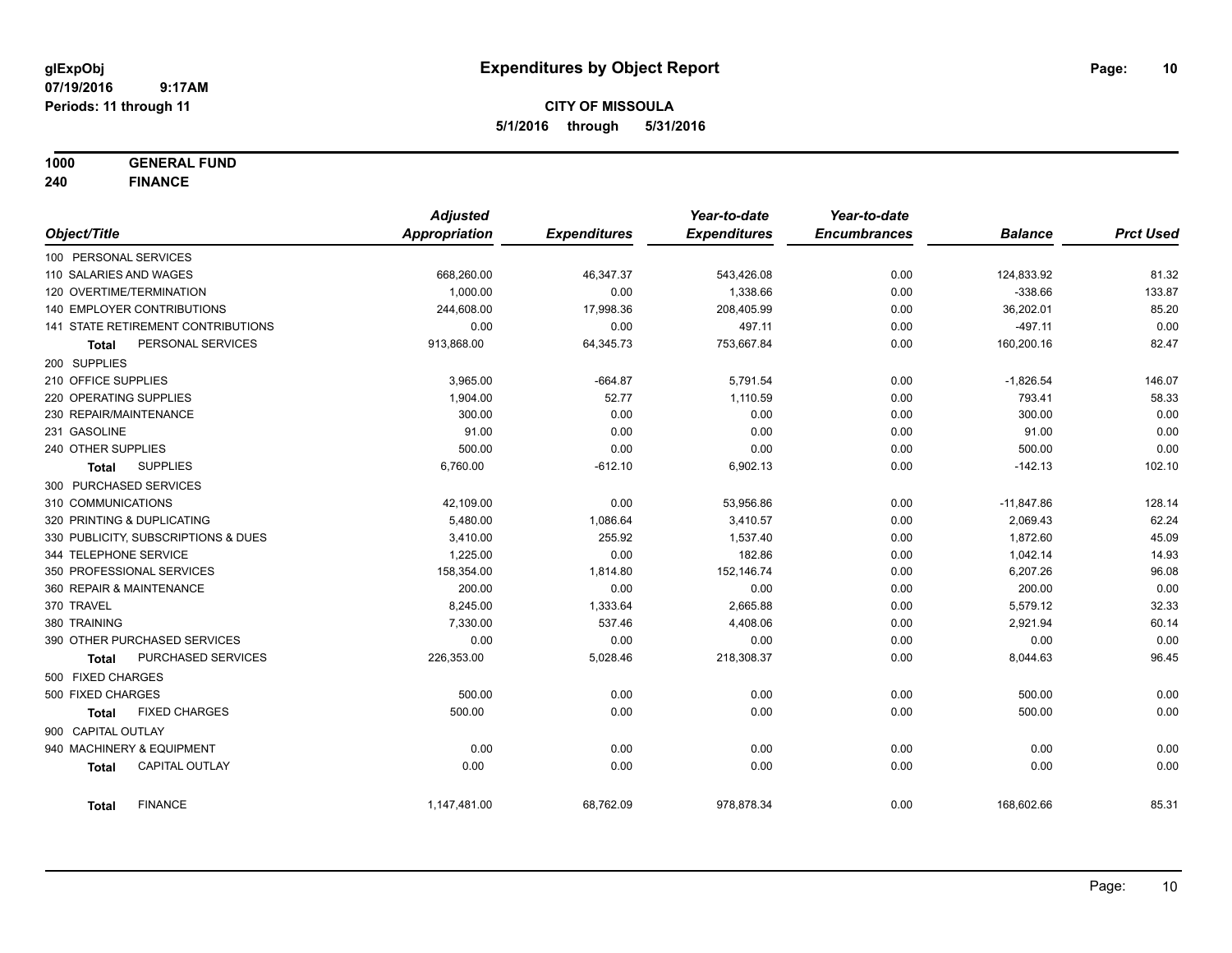**1000 GENERAL FUND**

**240 FINANCE**

|                            |                                     | <b>Adjusted</b> |                     | Year-to-date        | Year-to-date        |                |                  |
|----------------------------|-------------------------------------|-----------------|---------------------|---------------------|---------------------|----------------|------------------|
| Object/Title               |                                     | Appropriation   | <b>Expenditures</b> | <b>Expenditures</b> | <b>Encumbrances</b> | <b>Balance</b> | <b>Prct Used</b> |
| 100 PERSONAL SERVICES      |                                     |                 |                     |                     |                     |                |                  |
| 110 SALARIES AND WAGES     |                                     | 668,260.00      | 46,347.37           | 543,426.08          | 0.00                | 124,833.92     | 81.32            |
| 120 OVERTIME/TERMINATION   |                                     | 1,000.00        | 0.00                | 1,338.66            | 0.00                | $-338.66$      | 133.87           |
|                            | 140 EMPLOYER CONTRIBUTIONS          | 244,608.00      | 17,998.36           | 208,405.99          | 0.00                | 36,202.01      | 85.20            |
|                            | 141 STATE RETIREMENT CONTRIBUTIONS  | 0.00            | 0.00                | 497.11              | 0.00                | $-497.11$      | 0.00             |
| <b>Total</b>               | PERSONAL SERVICES                   | 913,868.00      | 64,345.73           | 753,667.84          | 0.00                | 160,200.16     | 82.47            |
| 200 SUPPLIES               |                                     |                 |                     |                     |                     |                |                  |
| 210 OFFICE SUPPLIES        |                                     | 3,965.00        | $-664.87$           | 5,791.54            | 0.00                | $-1,826.54$    | 146.07           |
| 220 OPERATING SUPPLIES     |                                     | 1,904.00        | 52.77               | 1,110.59            | 0.00                | 793.41         | 58.33            |
| 230 REPAIR/MAINTENANCE     |                                     | 300.00          | 0.00                | 0.00                | 0.00                | 300.00         | 0.00             |
| 231 GASOLINE               |                                     | 91.00           | 0.00                | 0.00                | 0.00                | 91.00          | 0.00             |
| 240 OTHER SUPPLIES         |                                     | 500.00          | 0.00                | 0.00                | 0.00                | 500.00         | 0.00             |
| <b>Total</b>               | <b>SUPPLIES</b>                     | 6,760.00        | $-612.10$           | 6,902.13            | 0.00                | $-142.13$      | 102.10           |
| 300 PURCHASED SERVICES     |                                     |                 |                     |                     |                     |                |                  |
| 310 COMMUNICATIONS         |                                     | 42,109.00       | 0.00                | 53,956.86           | 0.00                | $-11,847.86$   | 128.14           |
| 320 PRINTING & DUPLICATING |                                     | 5,480.00        | 1,086.64            | 3,410.57            | 0.00                | 2,069.43       | 62.24            |
|                            | 330 PUBLICITY, SUBSCRIPTIONS & DUES | 3,410.00        | 255.92              | 1,537.40            | 0.00                | 1,872.60       | 45.09            |
| 344 TELEPHONE SERVICE      |                                     | 1,225.00        | 0.00                | 182.86              | 0.00                | 1,042.14       | 14.93            |
| 350 PROFESSIONAL SERVICES  |                                     | 158,354.00      | 1,814.80            | 152,146.74          | 0.00                | 6,207.26       | 96.08            |
| 360 REPAIR & MAINTENANCE   |                                     | 200.00          | 0.00                | 0.00                | 0.00                | 200.00         | 0.00             |
| 370 TRAVEL                 |                                     | 8,245.00        | 1,333.64            | 2,665.88            | 0.00                | 5,579.12       | 32.33            |
| 380 TRAINING               |                                     | 7,330.00        | 537.46              | 4,408.06            | 0.00                | 2,921.94       | 60.14            |
|                            | 390 OTHER PURCHASED SERVICES        | 0.00            | 0.00                | 0.00                | 0.00                | 0.00           | 0.00             |
| <b>Total</b>               | PURCHASED SERVICES                  | 226,353.00      | 5,028.46            | 218,308.37          | 0.00                | 8,044.63       | 96.45            |
| 500 FIXED CHARGES          |                                     |                 |                     |                     |                     |                |                  |
| 500 FIXED CHARGES          |                                     | 500.00          | 0.00                | 0.00                | 0.00                | 500.00         | 0.00             |
| <b>Total</b>               | <b>FIXED CHARGES</b>                | 500.00          | 0.00                | 0.00                | 0.00                | 500.00         | 0.00             |
| 900 CAPITAL OUTLAY         |                                     |                 |                     |                     |                     |                |                  |
|                            | 940 MACHINERY & EQUIPMENT           | 0.00            | 0.00                | 0.00                | 0.00                | 0.00           | 0.00             |
| <b>Total</b>               | <b>CAPITAL OUTLAY</b>               | 0.00            | 0.00                | 0.00                | 0.00                | 0.00           | 0.00             |
| <b>Total</b>               | <b>FINANCE</b>                      | 1,147,481.00    | 68,762.09           | 978,878.34          | 0.00                | 168,602.66     | 85.31            |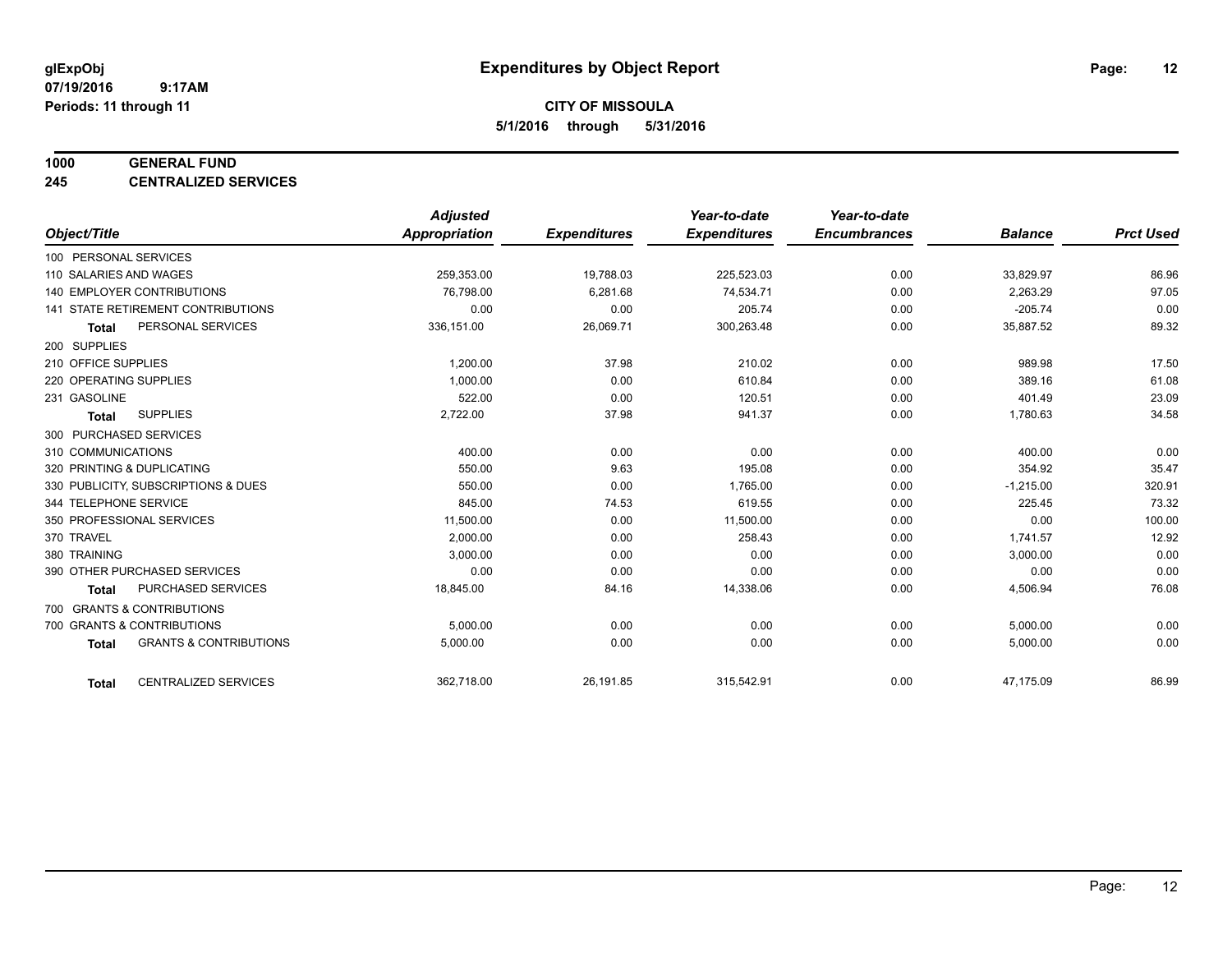#### **1000 GENERAL FUND**

**245 CENTRALIZED SERVICES**

|                                                   | <b>Adjusted</b>      |                     | Year-to-date        | Year-to-date        |                |                  |
|---------------------------------------------------|----------------------|---------------------|---------------------|---------------------|----------------|------------------|
| Object/Title                                      | <b>Appropriation</b> | <b>Expenditures</b> | <b>Expenditures</b> | <b>Encumbrances</b> | <b>Balance</b> | <b>Prct Used</b> |
| 100 PERSONAL SERVICES                             |                      |                     |                     |                     |                |                  |
| 110 SALARIES AND WAGES                            | 259,353.00           | 19,788.03           | 225,523.03          | 0.00                | 33,829.97      | 86.96            |
| <b>140 EMPLOYER CONTRIBUTIONS</b>                 | 76,798.00            | 6,281.68            | 74,534.71           | 0.00                | 2,263.29       | 97.05            |
| <b>141 STATE RETIREMENT CONTRIBUTIONS</b>         | 0.00                 | 0.00                | 205.74              | 0.00                | $-205.74$      | 0.00             |
| PERSONAL SERVICES<br><b>Total</b>                 | 336,151.00           | 26,069.71           | 300,263.48          | 0.00                | 35,887.52      | 89.32            |
| 200 SUPPLIES                                      |                      |                     |                     |                     |                |                  |
| 210 OFFICE SUPPLIES                               | 1,200.00             | 37.98               | 210.02              | 0.00                | 989.98         | 17.50            |
| 220 OPERATING SUPPLIES                            | 1.000.00             | 0.00                | 610.84              | 0.00                | 389.16         | 61.08            |
| 231 GASOLINE                                      | 522.00               | 0.00                | 120.51              | 0.00                | 401.49         | 23.09            |
| <b>SUPPLIES</b><br><b>Total</b>                   | 2,722.00             | 37.98               | 941.37              | 0.00                | 1,780.63       | 34.58            |
| 300 PURCHASED SERVICES                            |                      |                     |                     |                     |                |                  |
| 310 COMMUNICATIONS                                | 400.00               | 0.00                | 0.00                | 0.00                | 400.00         | 0.00             |
| 320 PRINTING & DUPLICATING                        | 550.00               | 9.63                | 195.08              | 0.00                | 354.92         | 35.47            |
| 330 PUBLICITY, SUBSCRIPTIONS & DUES               | 550.00               | 0.00                | 1,765.00            | 0.00                | $-1,215.00$    | 320.91           |
| 344 TELEPHONE SERVICE                             | 845.00               | 74.53               | 619.55              | 0.00                | 225.45         | 73.32            |
| 350 PROFESSIONAL SERVICES                         | 11,500.00            | 0.00                | 11,500.00           | 0.00                | 0.00           | 100.00           |
| 370 TRAVEL                                        | 2,000.00             | 0.00                | 258.43              | 0.00                | 1,741.57       | 12.92            |
| 380 TRAINING                                      | 3,000.00             | 0.00                | 0.00                | 0.00                | 3,000.00       | 0.00             |
| 390 OTHER PURCHASED SERVICES                      | 0.00                 | 0.00                | 0.00                | 0.00                | 0.00           | 0.00             |
| PURCHASED SERVICES<br><b>Total</b>                | 18,845.00            | 84.16               | 14,338.06           | 0.00                | 4,506.94       | 76.08            |
| 700 GRANTS & CONTRIBUTIONS                        |                      |                     |                     |                     |                |                  |
| 700 GRANTS & CONTRIBUTIONS                        | 5,000.00             | 0.00                | 0.00                | 0.00                | 5,000.00       | 0.00             |
| <b>GRANTS &amp; CONTRIBUTIONS</b><br><b>Total</b> | 5,000.00             | 0.00                | 0.00                | 0.00                | 5,000.00       | 0.00             |
|                                                   |                      |                     |                     |                     |                |                  |
| <b>CENTRALIZED SERVICES</b><br><b>Total</b>       | 362,718.00           | 26,191.85           | 315,542.91          | 0.00                | 47,175.09      | 86.99            |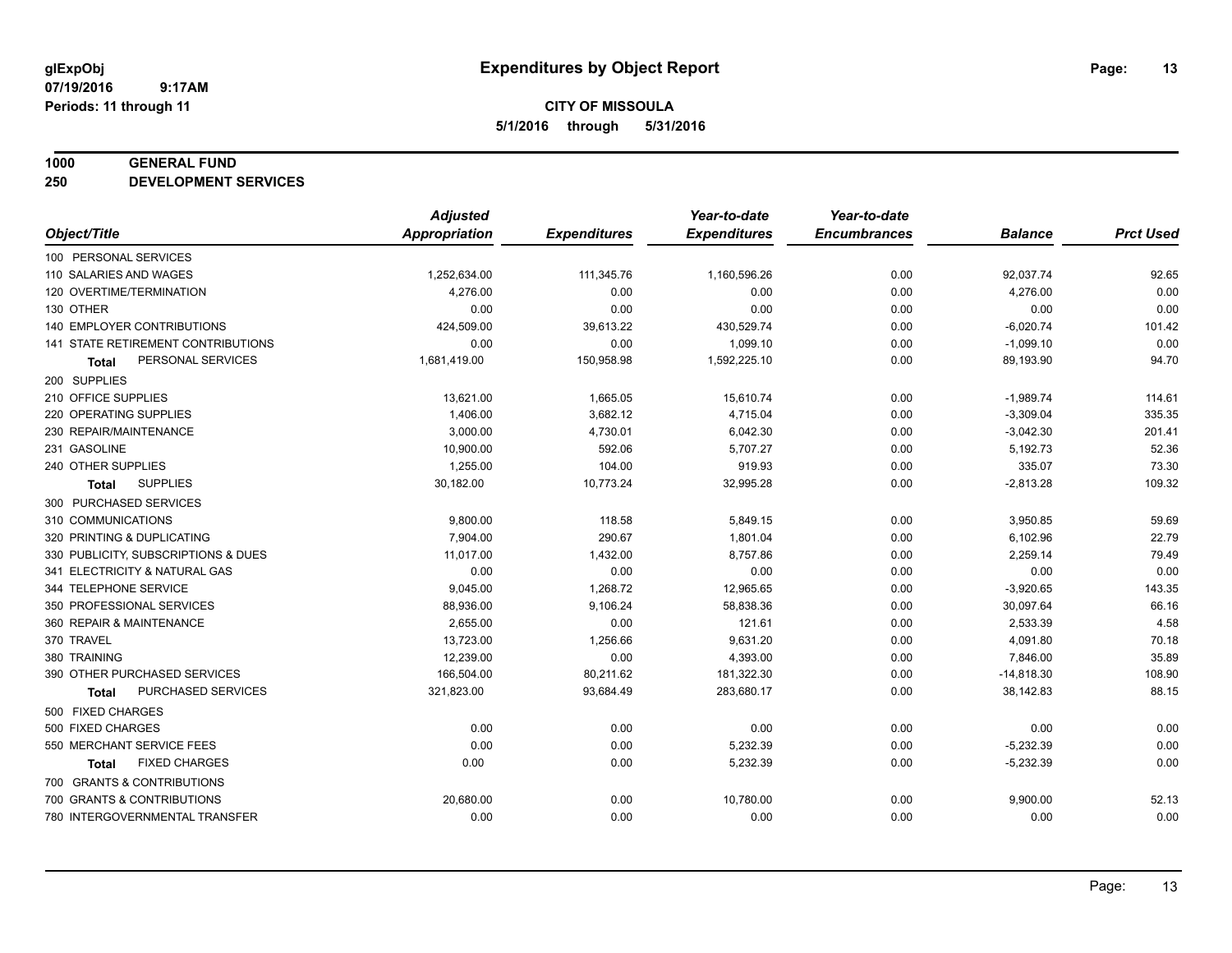#### **1000 GENERAL FUND**

**250 DEVELOPMENT SERVICES**

|                                      | <b>Adjusted</b>      |                     | Year-to-date        | Year-to-date        |                |                  |
|--------------------------------------|----------------------|---------------------|---------------------|---------------------|----------------|------------------|
| Object/Title                         | <b>Appropriation</b> | <b>Expenditures</b> | <b>Expenditures</b> | <b>Encumbrances</b> | <b>Balance</b> | <b>Prct Used</b> |
| 100 PERSONAL SERVICES                |                      |                     |                     |                     |                |                  |
| 110 SALARIES AND WAGES               | 1,252,634.00         | 111,345.76          | 1,160,596.26        | 0.00                | 92,037.74      | 92.65            |
| 120 OVERTIME/TERMINATION             | 4.276.00             | 0.00                | 0.00                | 0.00                | 4,276.00       | 0.00             |
| 130 OTHER                            | 0.00                 | 0.00                | 0.00                | 0.00                | 0.00           | 0.00             |
| 140 EMPLOYER CONTRIBUTIONS           | 424,509.00           | 39,613.22           | 430,529.74          | 0.00                | $-6,020.74$    | 101.42           |
| 141 STATE RETIREMENT CONTRIBUTIONS   | 0.00                 | 0.00                | 1,099.10            | 0.00                | $-1,099.10$    | 0.00             |
| PERSONAL SERVICES<br>Total           | 1,681,419.00         | 150,958.98          | 1,592,225.10        | 0.00                | 89,193.90      | 94.70            |
| 200 SUPPLIES                         |                      |                     |                     |                     |                |                  |
| 210 OFFICE SUPPLIES                  | 13,621.00            | 1,665.05            | 15,610.74           | 0.00                | $-1,989.74$    | 114.61           |
| 220 OPERATING SUPPLIES               | 1,406.00             | 3,682.12            | 4,715.04            | 0.00                | $-3,309.04$    | 335.35           |
| 230 REPAIR/MAINTENANCE               | 3,000.00             | 4,730.01            | 6,042.30            | 0.00                | $-3,042.30$    | 201.41           |
| 231 GASOLINE                         | 10,900.00            | 592.06              | 5,707.27            | 0.00                | 5,192.73       | 52.36            |
| 240 OTHER SUPPLIES                   | 1,255.00             | 104.00              | 919.93              | 0.00                | 335.07         | 73.30            |
| <b>SUPPLIES</b><br>Total             | 30,182.00            | 10,773.24           | 32,995.28           | 0.00                | $-2,813.28$    | 109.32           |
| 300 PURCHASED SERVICES               |                      |                     |                     |                     |                |                  |
| 310 COMMUNICATIONS                   | 9,800.00             | 118.58              | 5,849.15            | 0.00                | 3,950.85       | 59.69            |
| 320 PRINTING & DUPLICATING           | 7.904.00             | 290.67              | 1,801.04            | 0.00                | 6,102.96       | 22.79            |
| 330 PUBLICITY, SUBSCRIPTIONS & DUES  | 11,017.00            | 1,432.00            | 8,757.86            | 0.00                | 2,259.14       | 79.49            |
| 341 ELECTRICITY & NATURAL GAS        | 0.00                 | 0.00                | 0.00                | 0.00                | 0.00           | 0.00             |
| 344 TELEPHONE SERVICE                | 9,045.00             | 1,268.72            | 12,965.65           | 0.00                | $-3,920.65$    | 143.35           |
| 350 PROFESSIONAL SERVICES            | 88,936.00            | 9,106.24            | 58,838.36           | 0.00                | 30,097.64      | 66.16            |
| 360 REPAIR & MAINTENANCE             | 2,655.00             | 0.00                | 121.61              | 0.00                | 2,533.39       | 4.58             |
| 370 TRAVEL                           | 13,723.00            | 1,256.66            | 9,631.20            | 0.00                | 4,091.80       | 70.18            |
| 380 TRAINING                         | 12,239.00            | 0.00                | 4,393.00            | 0.00                | 7,846.00       | 35.89            |
| 390 OTHER PURCHASED SERVICES         | 166,504.00           | 80,211.62           | 181,322.30          | 0.00                | $-14,818.30$   | 108.90           |
| PURCHASED SERVICES<br><b>Total</b>   | 321,823.00           | 93,684.49           | 283,680.17          | 0.00                | 38,142.83      | 88.15            |
| 500 FIXED CHARGES                    |                      |                     |                     |                     |                |                  |
| 500 FIXED CHARGES                    | 0.00                 | 0.00                | 0.00                | 0.00                | 0.00           | 0.00             |
| 550 MERCHANT SERVICE FEES            | 0.00                 | 0.00                | 5,232.39            | 0.00                | $-5,232.39$    | 0.00             |
| <b>FIXED CHARGES</b><br><b>Total</b> | 0.00                 | 0.00                | 5,232.39            | 0.00                | $-5,232.39$    | 0.00             |
| 700 GRANTS & CONTRIBUTIONS           |                      |                     |                     |                     |                |                  |
| 700 GRANTS & CONTRIBUTIONS           | 20,680.00            | 0.00                | 10,780.00           | 0.00                | 9,900.00       | 52.13            |
| 780 INTERGOVERNMENTAL TRANSFER       | 0.00                 | 0.00                | 0.00                | 0.00                | 0.00           | 0.00             |
|                                      |                      |                     |                     |                     |                |                  |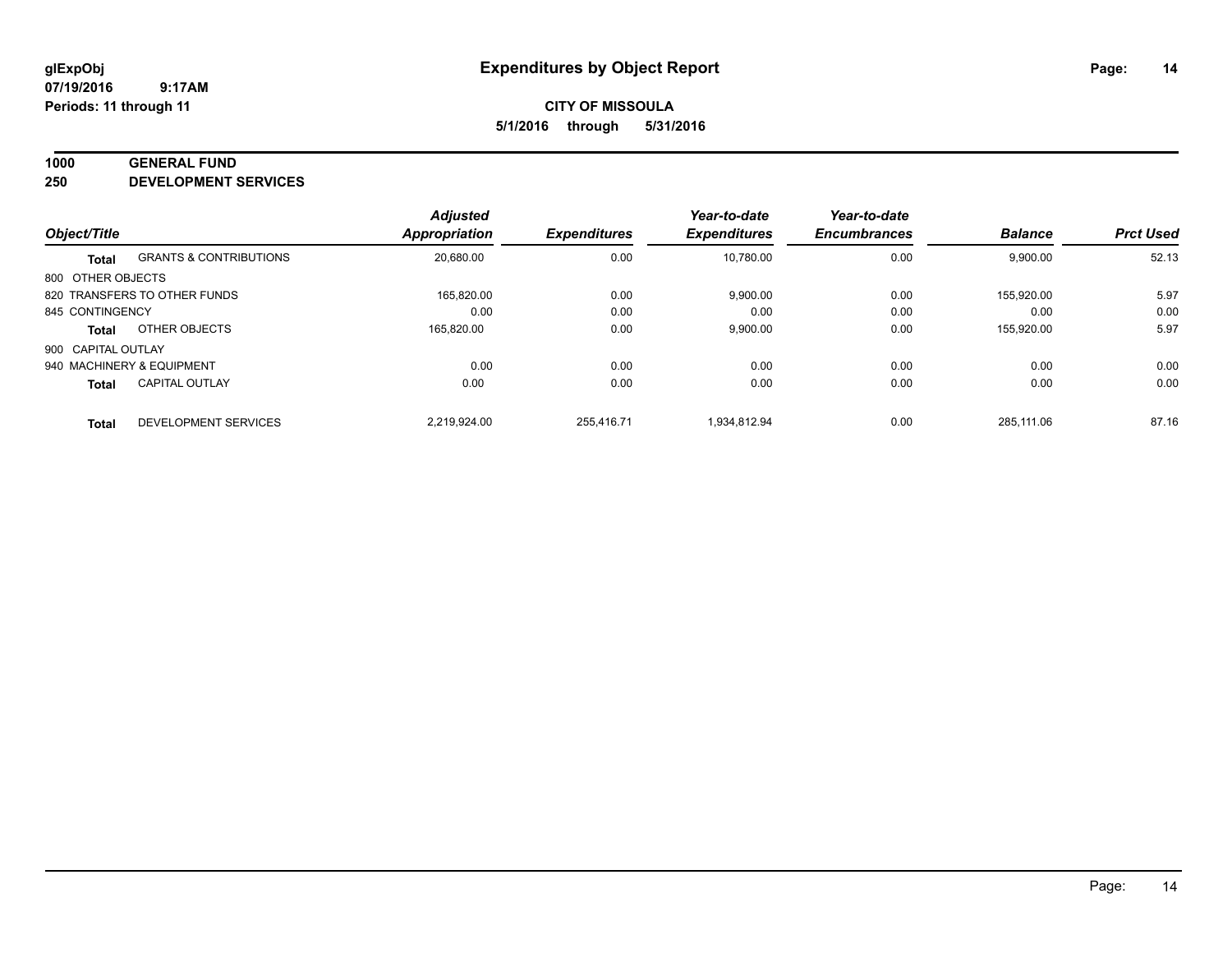#### **1000 GENERAL FUND**

**250 DEVELOPMENT SERVICES**

|                    |                                   | <b>Adjusted</b>      |                     | Year-to-date        | Year-to-date        |                |                  |
|--------------------|-----------------------------------|----------------------|---------------------|---------------------|---------------------|----------------|------------------|
| Object/Title       |                                   | <b>Appropriation</b> | <b>Expenditures</b> | <b>Expenditures</b> | <b>Encumbrances</b> | <b>Balance</b> | <b>Prct Used</b> |
| <b>Total</b>       | <b>GRANTS &amp; CONTRIBUTIONS</b> | 20,680.00            | 0.00                | 10.780.00           | 0.00                | 9,900.00       | 52.13            |
| 800 OTHER OBJECTS  |                                   |                      |                     |                     |                     |                |                  |
|                    | 820 TRANSFERS TO OTHER FUNDS      | 165.820.00           | 0.00                | 9,900.00            | 0.00                | 155.920.00     | 5.97             |
| 845 CONTINGENCY    |                                   | 0.00                 | 0.00                | 0.00                | 0.00                | 0.00           | 0.00             |
| <b>Total</b>       | OTHER OBJECTS                     | 165,820.00           | 0.00                | 9,900.00            | 0.00                | 155,920.00     | 5.97             |
| 900 CAPITAL OUTLAY |                                   |                      |                     |                     |                     |                |                  |
|                    | 940 MACHINERY & EQUIPMENT         | 0.00                 | 0.00                | 0.00                | 0.00                | 0.00           | 0.00             |
| <b>Total</b>       | <b>CAPITAL OUTLAY</b>             | 0.00                 | 0.00                | 0.00                | 0.00                | 0.00           | 0.00             |
| <b>Total</b>       | DEVELOPMENT SERVICES              | 2.219.924.00         | 255.416.71          | 1.934.812.94        | 0.00                | 285.111.06     | 87.16            |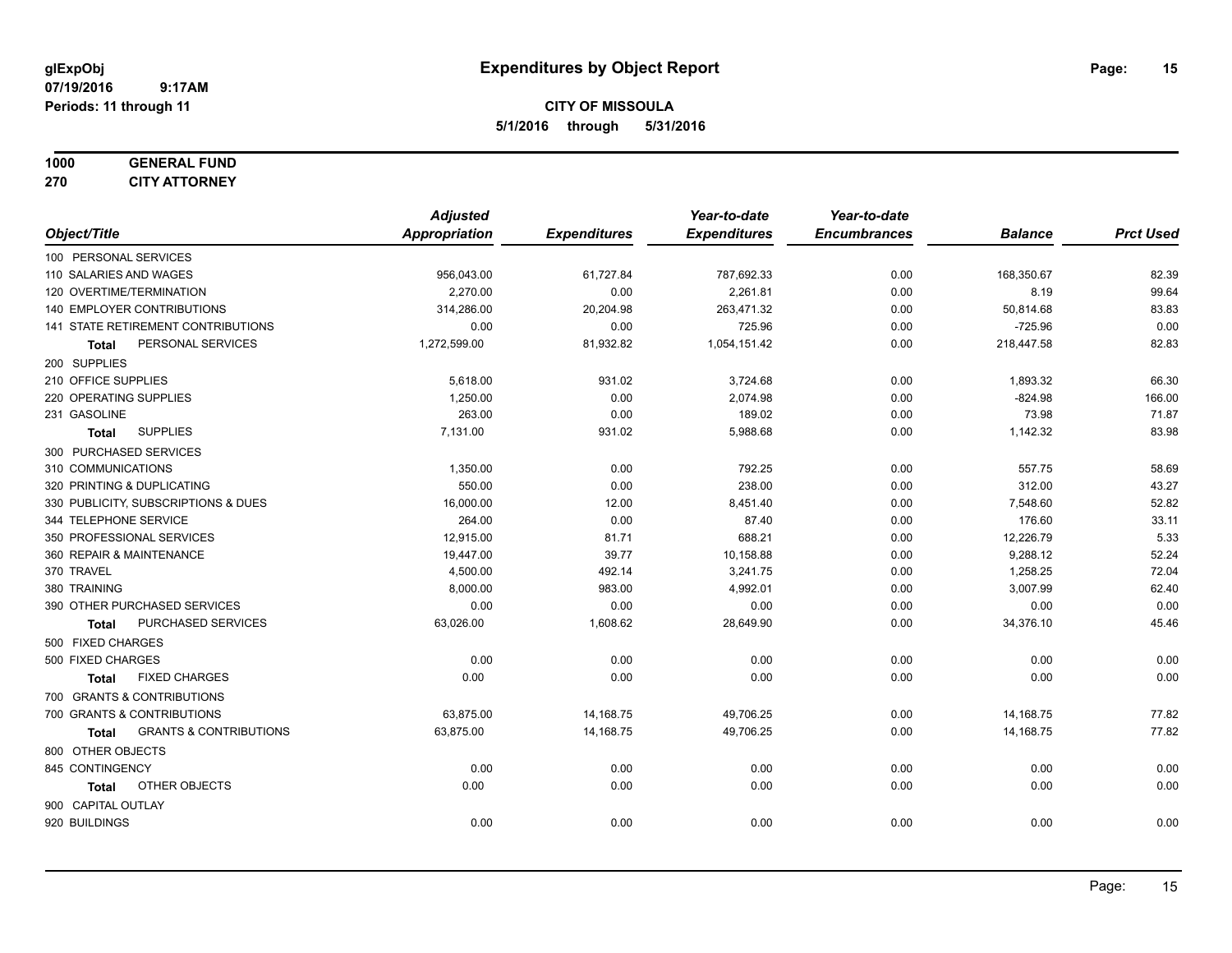**CITY OF MISSOULA 5/1/2016 through 5/31/2016**

# **1000 GENERAL FUND**

**270 CITY ATTORNEY**

|                                                   | <b>Adjusted</b>      |                     | Year-to-date        | Year-to-date        |                |                  |
|---------------------------------------------------|----------------------|---------------------|---------------------|---------------------|----------------|------------------|
| Object/Title                                      | <b>Appropriation</b> | <b>Expenditures</b> | <b>Expenditures</b> | <b>Encumbrances</b> | <b>Balance</b> | <b>Prct Used</b> |
| 100 PERSONAL SERVICES                             |                      |                     |                     |                     |                |                  |
| 110 SALARIES AND WAGES                            | 956,043.00           | 61,727.84           | 787,692.33          | 0.00                | 168,350.67     | 82.39            |
| 120 OVERTIME/TERMINATION                          | 2.270.00             | 0.00                | 2,261.81            | 0.00                | 8.19           | 99.64            |
| 140 EMPLOYER CONTRIBUTIONS                        | 314,286.00           | 20,204.98           | 263,471.32          | 0.00                | 50,814.68      | 83.83            |
| 141 STATE RETIREMENT CONTRIBUTIONS                | 0.00                 | 0.00                | 725.96              | 0.00                | $-725.96$      | 0.00             |
| PERSONAL SERVICES<br>Total                        | 1,272,599.00         | 81,932.82           | 1,054,151.42        | 0.00                | 218,447.58     | 82.83            |
| 200 SUPPLIES                                      |                      |                     |                     |                     |                |                  |
| 210 OFFICE SUPPLIES                               | 5,618.00             | 931.02              | 3,724.68            | 0.00                | 1,893.32       | 66.30            |
| 220 OPERATING SUPPLIES                            | 1,250.00             | 0.00                | 2,074.98            | 0.00                | $-824.98$      | 166.00           |
| 231 GASOLINE                                      | 263.00               | 0.00                | 189.02              | 0.00                | 73.98          | 71.87            |
| <b>SUPPLIES</b><br>Total                          | 7,131.00             | 931.02              | 5,988.68            | 0.00                | 1,142.32       | 83.98            |
| 300 PURCHASED SERVICES                            |                      |                     |                     |                     |                |                  |
| 310 COMMUNICATIONS                                | 1,350.00             | 0.00                | 792.25              | 0.00                | 557.75         | 58.69            |
| 320 PRINTING & DUPLICATING                        | 550.00               | 0.00                | 238.00              | 0.00                | 312.00         | 43.27            |
| 330 PUBLICITY, SUBSCRIPTIONS & DUES               | 16,000.00            | 12.00               | 8,451.40            | 0.00                | 7,548.60       | 52.82            |
| 344 TELEPHONE SERVICE                             | 264.00               | 0.00                | 87.40               | 0.00                | 176.60         | 33.11            |
| 350 PROFESSIONAL SERVICES                         | 12,915.00            | 81.71               | 688.21              | 0.00                | 12,226.79      | 5.33             |
| 360 REPAIR & MAINTENANCE                          | 19,447.00            | 39.77               | 10,158.88           | 0.00                | 9,288.12       | 52.24            |
| 370 TRAVEL                                        | 4,500.00             | 492.14              | 3,241.75            | 0.00                | 1,258.25       | 72.04            |
| 380 TRAINING                                      | 8,000.00             | 983.00              | 4,992.01            | 0.00                | 3,007.99       | 62.40            |
| 390 OTHER PURCHASED SERVICES                      | 0.00                 | 0.00                | 0.00                | 0.00                | 0.00           | 0.00             |
| PURCHASED SERVICES<br>Total                       | 63,026.00            | 1,608.62            | 28,649.90           | 0.00                | 34,376.10      | 45.46            |
| 500 FIXED CHARGES                                 |                      |                     |                     |                     |                |                  |
| 500 FIXED CHARGES                                 | 0.00                 | 0.00                | 0.00                | 0.00                | 0.00           | 0.00             |
| <b>FIXED CHARGES</b><br><b>Total</b>              | 0.00                 | 0.00                | 0.00                | 0.00                | 0.00           | 0.00             |
| 700 GRANTS & CONTRIBUTIONS                        |                      |                     |                     |                     |                |                  |
| 700 GRANTS & CONTRIBUTIONS                        | 63,875.00            | 14,168.75           | 49,706.25           | 0.00                | 14,168.75      | 77.82            |
| <b>GRANTS &amp; CONTRIBUTIONS</b><br><b>Total</b> | 63,875.00            | 14,168.75           | 49,706.25           | 0.00                | 14,168.75      | 77.82            |
| 800 OTHER OBJECTS                                 |                      |                     |                     |                     |                |                  |
| 845 CONTINGENCY                                   | 0.00                 | 0.00                | 0.00                | 0.00                | 0.00           | 0.00             |
| OTHER OBJECTS<br><b>Total</b>                     | 0.00                 | 0.00                | 0.00                | 0.00                | 0.00           | 0.00             |
| 900 CAPITAL OUTLAY                                |                      |                     |                     |                     |                |                  |
| 920 BUILDINGS                                     | 0.00                 | 0.00                | 0.00                | 0.00                | 0.00           | 0.00             |
|                                                   |                      |                     |                     |                     |                |                  |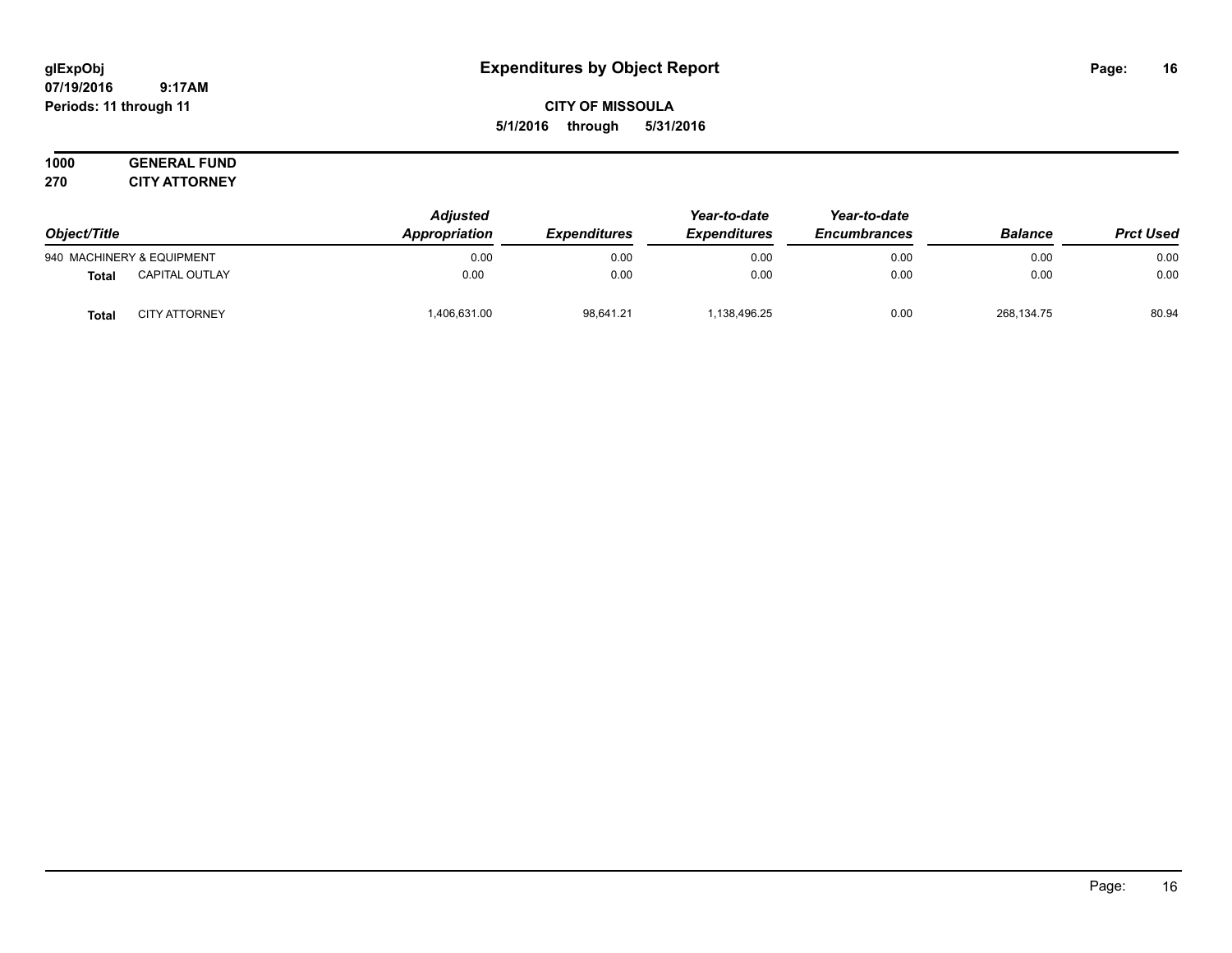# **CITY OF MISSOULA 5/1/2016 through 5/31/2016**

### **1000 GENERAL FUND 270 CITY ATTORNEY**

| Object/Title              |                       | <b>Adjusted</b><br><b>Appropriation</b> | <b>Expenditures</b> | Year-to-date<br><i><b>Expenditures</b></i> | Year-to-date<br><b>Encumbrances</b> | <b>Balance</b> | <b>Prct Used</b> |
|---------------------------|-----------------------|-----------------------------------------|---------------------|--------------------------------------------|-------------------------------------|----------------|------------------|
| 940 MACHINERY & EQUIPMENT |                       | 0.00                                    | 0.00                | 0.00                                       | 0.00                                | 0.00           | 0.00             |
| Total                     | <b>CAPITAL OUTLAY</b> | 0.00                                    | 0.00                | 0.00                                       | 0.00                                | 0.00           | 0.00             |
| <b>Total</b>              | <b>CITY ATTORNEY</b>  | ,406,631.00                             | 98,641.21           | .138,496.25                                | 0.00                                | 268,134.75     | 80.94            |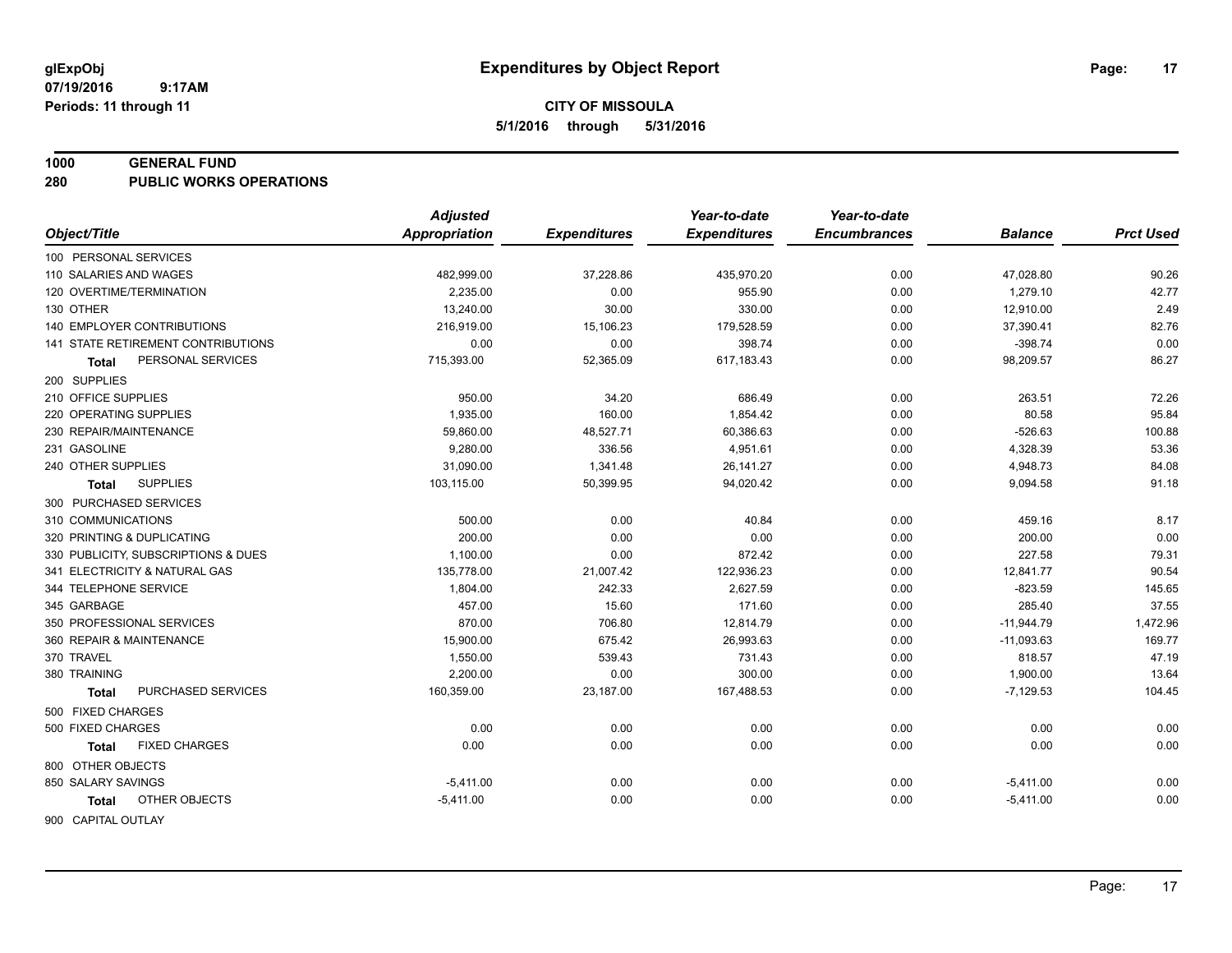#### **1000 GENERAL FUND**

**280 PUBLIC WORKS OPERATIONS**

| <b>Appropriation</b><br>Object/Title<br><b>Expenditures</b><br><b>Expenditures</b><br><b>Encumbrances</b><br><b>Prct Used</b><br><b>Balance</b><br>100 PERSONAL SERVICES<br>0.00<br>110 SALARIES AND WAGES<br>482,999.00<br>37,228.86<br>435,970.20<br>47,028.80<br>90.26<br>42.77<br>120 OVERTIME/TERMINATION<br>2.235.00<br>0.00<br>955.90<br>0.00<br>1,279.10<br>2.49<br>130 OTHER<br>13,240.00<br>30.00<br>330.00<br>0.00<br>12,910.00<br><b>140 EMPLOYER CONTRIBUTIONS</b><br>82.76<br>216,919.00<br>15,106.23<br>179,528.59<br>0.00<br>37,390.41<br>0.00<br>141 STATE RETIREMENT CONTRIBUTIONS<br>0.00<br>0.00<br>398.74<br>0.00<br>$-398.74$<br>52,365.09<br>98,209.57<br>86.27<br>PERSONAL SERVICES<br>715,393.00<br>617,183.43<br>0.00<br>Total<br>200 SUPPLIES<br>210 OFFICE SUPPLIES<br>950.00<br>34.20<br>686.49<br>0.00<br>263.51<br>72.26<br>80.58<br>220 OPERATING SUPPLIES<br>1,935.00<br>160.00<br>1,854.42<br>0.00<br>95.84<br>230 REPAIR/MAINTENANCE<br>59,860.00<br>48,527.71<br>60,386.63<br>0.00<br>$-526.63$<br>100.88<br>53.36<br>231 GASOLINE<br>9,280.00<br>336.56<br>4,951.61<br>0.00<br>4,328.39<br>31,090.00<br>1,341.48<br>26,141.27<br>84.08<br>240 OTHER SUPPLIES<br>0.00<br>4,948.73<br><b>SUPPLIES</b><br>103,115.00<br>50,399.95<br>94,020.42<br>0.00<br>9,094.58<br>91.18<br>Total<br>300 PURCHASED SERVICES<br>8.17<br>500.00<br>0.00<br>310 COMMUNICATIONS<br>40.84<br>0.00<br>459.16<br>0.00<br>200.00<br>0.00<br>0.00<br>200.00<br>320 PRINTING & DUPLICATING<br>0.00<br>0.00<br>227.58<br>79.31<br>330 PUBLICITY, SUBSCRIPTIONS & DUES<br>1,100.00<br>872.42<br>0.00<br>90.54<br>341 ELECTRICITY & NATURAL GAS<br>135,778.00<br>21,007.42<br>122,936.23<br>0.00<br>12,841.77<br>2,627.59<br>145.65<br>344 TELEPHONE SERVICE<br>1,804.00<br>242.33<br>0.00<br>$-823.59$<br>457.00<br>171.60<br>37.55<br>345 GARBAGE<br>15.60<br>0.00<br>285.40<br>350 PROFESSIONAL SERVICES<br>870.00<br>12,814.79<br>1,472.96<br>706.80<br>0.00<br>$-11,944.79$<br>360 REPAIR & MAINTENANCE<br>15,900.00<br>675.42<br>26,993.63<br>0.00<br>$-11,093.63$<br>169.77<br>370 TRAVEL<br>539.43<br>47.19<br>1,550.00<br>731.43<br>0.00<br>818.57<br>13.64<br>380 TRAINING<br>2,200.00<br>0.00<br>300.00<br>0.00<br>1,900.00<br>PURCHASED SERVICES<br>160,359.00<br>$-7,129.53$<br>104.45<br>23,187.00<br>167,488.53<br>0.00<br><b>Total</b><br>500 FIXED CHARGES<br>0.00<br>0.00<br>0.00<br>500 FIXED CHARGES<br>0.00<br>0.00<br>0.00<br>0.00<br><b>FIXED CHARGES</b><br>0.00<br>0.00<br>0.00<br>0.00<br>0.00<br>Total<br>800 OTHER OBJECTS<br>850 SALARY SAVINGS<br>0.00<br>$-5,411.00$<br>0.00<br>0.00<br>0.00<br>$-5,411.00$<br>OTHER OBJECTS<br>0.00<br>0.00<br>0.00<br>0.00<br>$-5,411.00$<br>$-5,411.00$<br>Total | <b>Adjusted</b> | Year-to-date | Year-to-date |  |
|--------------------------------------------------------------------------------------------------------------------------------------------------------------------------------------------------------------------------------------------------------------------------------------------------------------------------------------------------------------------------------------------------------------------------------------------------------------------------------------------------------------------------------------------------------------------------------------------------------------------------------------------------------------------------------------------------------------------------------------------------------------------------------------------------------------------------------------------------------------------------------------------------------------------------------------------------------------------------------------------------------------------------------------------------------------------------------------------------------------------------------------------------------------------------------------------------------------------------------------------------------------------------------------------------------------------------------------------------------------------------------------------------------------------------------------------------------------------------------------------------------------------------------------------------------------------------------------------------------------------------------------------------------------------------------------------------------------------------------------------------------------------------------------------------------------------------------------------------------------------------------------------------------------------------------------------------------------------------------------------------------------------------------------------------------------------------------------------------------------------------------------------------------------------------------------------------------------------------------------------------------------------------------------------------------------------------------------------------------------------------------------------------------------------------------------------------------------------------------------------------------------------------------------------------------------------------------------------------------------------------------------------------------------------------------------------------------------------------------------------|-----------------|--------------|--------------|--|
|                                                                                                                                                                                                                                                                                                                                                                                                                                                                                                                                                                                                                                                                                                                                                                                                                                                                                                                                                                                                                                                                                                                                                                                                                                                                                                                                                                                                                                                                                                                                                                                                                                                                                                                                                                                                                                                                                                                                                                                                                                                                                                                                                                                                                                                                                                                                                                                                                                                                                                                                                                                                                                                                                                                                            |                 |              |              |  |
|                                                                                                                                                                                                                                                                                                                                                                                                                                                                                                                                                                                                                                                                                                                                                                                                                                                                                                                                                                                                                                                                                                                                                                                                                                                                                                                                                                                                                                                                                                                                                                                                                                                                                                                                                                                                                                                                                                                                                                                                                                                                                                                                                                                                                                                                                                                                                                                                                                                                                                                                                                                                                                                                                                                                            |                 |              |              |  |
|                                                                                                                                                                                                                                                                                                                                                                                                                                                                                                                                                                                                                                                                                                                                                                                                                                                                                                                                                                                                                                                                                                                                                                                                                                                                                                                                                                                                                                                                                                                                                                                                                                                                                                                                                                                                                                                                                                                                                                                                                                                                                                                                                                                                                                                                                                                                                                                                                                                                                                                                                                                                                                                                                                                                            |                 |              |              |  |
|                                                                                                                                                                                                                                                                                                                                                                                                                                                                                                                                                                                                                                                                                                                                                                                                                                                                                                                                                                                                                                                                                                                                                                                                                                                                                                                                                                                                                                                                                                                                                                                                                                                                                                                                                                                                                                                                                                                                                                                                                                                                                                                                                                                                                                                                                                                                                                                                                                                                                                                                                                                                                                                                                                                                            |                 |              |              |  |
|                                                                                                                                                                                                                                                                                                                                                                                                                                                                                                                                                                                                                                                                                                                                                                                                                                                                                                                                                                                                                                                                                                                                                                                                                                                                                                                                                                                                                                                                                                                                                                                                                                                                                                                                                                                                                                                                                                                                                                                                                                                                                                                                                                                                                                                                                                                                                                                                                                                                                                                                                                                                                                                                                                                                            |                 |              |              |  |
|                                                                                                                                                                                                                                                                                                                                                                                                                                                                                                                                                                                                                                                                                                                                                                                                                                                                                                                                                                                                                                                                                                                                                                                                                                                                                                                                                                                                                                                                                                                                                                                                                                                                                                                                                                                                                                                                                                                                                                                                                                                                                                                                                                                                                                                                                                                                                                                                                                                                                                                                                                                                                                                                                                                                            |                 |              |              |  |
|                                                                                                                                                                                                                                                                                                                                                                                                                                                                                                                                                                                                                                                                                                                                                                                                                                                                                                                                                                                                                                                                                                                                                                                                                                                                                                                                                                                                                                                                                                                                                                                                                                                                                                                                                                                                                                                                                                                                                                                                                                                                                                                                                                                                                                                                                                                                                                                                                                                                                                                                                                                                                                                                                                                                            |                 |              |              |  |
|                                                                                                                                                                                                                                                                                                                                                                                                                                                                                                                                                                                                                                                                                                                                                                                                                                                                                                                                                                                                                                                                                                                                                                                                                                                                                                                                                                                                                                                                                                                                                                                                                                                                                                                                                                                                                                                                                                                                                                                                                                                                                                                                                                                                                                                                                                                                                                                                                                                                                                                                                                                                                                                                                                                                            |                 |              |              |  |
|                                                                                                                                                                                                                                                                                                                                                                                                                                                                                                                                                                                                                                                                                                                                                                                                                                                                                                                                                                                                                                                                                                                                                                                                                                                                                                                                                                                                                                                                                                                                                                                                                                                                                                                                                                                                                                                                                                                                                                                                                                                                                                                                                                                                                                                                                                                                                                                                                                                                                                                                                                                                                                                                                                                                            |                 |              |              |  |
|                                                                                                                                                                                                                                                                                                                                                                                                                                                                                                                                                                                                                                                                                                                                                                                                                                                                                                                                                                                                                                                                                                                                                                                                                                                                                                                                                                                                                                                                                                                                                                                                                                                                                                                                                                                                                                                                                                                                                                                                                                                                                                                                                                                                                                                                                                                                                                                                                                                                                                                                                                                                                                                                                                                                            |                 |              |              |  |
|                                                                                                                                                                                                                                                                                                                                                                                                                                                                                                                                                                                                                                                                                                                                                                                                                                                                                                                                                                                                                                                                                                                                                                                                                                                                                                                                                                                                                                                                                                                                                                                                                                                                                                                                                                                                                                                                                                                                                                                                                                                                                                                                                                                                                                                                                                                                                                                                                                                                                                                                                                                                                                                                                                                                            |                 |              |              |  |
|                                                                                                                                                                                                                                                                                                                                                                                                                                                                                                                                                                                                                                                                                                                                                                                                                                                                                                                                                                                                                                                                                                                                                                                                                                                                                                                                                                                                                                                                                                                                                                                                                                                                                                                                                                                                                                                                                                                                                                                                                                                                                                                                                                                                                                                                                                                                                                                                                                                                                                                                                                                                                                                                                                                                            |                 |              |              |  |
|                                                                                                                                                                                                                                                                                                                                                                                                                                                                                                                                                                                                                                                                                                                                                                                                                                                                                                                                                                                                                                                                                                                                                                                                                                                                                                                                                                                                                                                                                                                                                                                                                                                                                                                                                                                                                                                                                                                                                                                                                                                                                                                                                                                                                                                                                                                                                                                                                                                                                                                                                                                                                                                                                                                                            |                 |              |              |  |
|                                                                                                                                                                                                                                                                                                                                                                                                                                                                                                                                                                                                                                                                                                                                                                                                                                                                                                                                                                                                                                                                                                                                                                                                                                                                                                                                                                                                                                                                                                                                                                                                                                                                                                                                                                                                                                                                                                                                                                                                                                                                                                                                                                                                                                                                                                                                                                                                                                                                                                                                                                                                                                                                                                                                            |                 |              |              |  |
|                                                                                                                                                                                                                                                                                                                                                                                                                                                                                                                                                                                                                                                                                                                                                                                                                                                                                                                                                                                                                                                                                                                                                                                                                                                                                                                                                                                                                                                                                                                                                                                                                                                                                                                                                                                                                                                                                                                                                                                                                                                                                                                                                                                                                                                                                                                                                                                                                                                                                                                                                                                                                                                                                                                                            |                 |              |              |  |
|                                                                                                                                                                                                                                                                                                                                                                                                                                                                                                                                                                                                                                                                                                                                                                                                                                                                                                                                                                                                                                                                                                                                                                                                                                                                                                                                                                                                                                                                                                                                                                                                                                                                                                                                                                                                                                                                                                                                                                                                                                                                                                                                                                                                                                                                                                                                                                                                                                                                                                                                                                                                                                                                                                                                            |                 |              |              |  |
|                                                                                                                                                                                                                                                                                                                                                                                                                                                                                                                                                                                                                                                                                                                                                                                                                                                                                                                                                                                                                                                                                                                                                                                                                                                                                                                                                                                                                                                                                                                                                                                                                                                                                                                                                                                                                                                                                                                                                                                                                                                                                                                                                                                                                                                                                                                                                                                                                                                                                                                                                                                                                                                                                                                                            |                 |              |              |  |
|                                                                                                                                                                                                                                                                                                                                                                                                                                                                                                                                                                                                                                                                                                                                                                                                                                                                                                                                                                                                                                                                                                                                                                                                                                                                                                                                                                                                                                                                                                                                                                                                                                                                                                                                                                                                                                                                                                                                                                                                                                                                                                                                                                                                                                                                                                                                                                                                                                                                                                                                                                                                                                                                                                                                            |                 |              |              |  |
|                                                                                                                                                                                                                                                                                                                                                                                                                                                                                                                                                                                                                                                                                                                                                                                                                                                                                                                                                                                                                                                                                                                                                                                                                                                                                                                                                                                                                                                                                                                                                                                                                                                                                                                                                                                                                                                                                                                                                                                                                                                                                                                                                                                                                                                                                                                                                                                                                                                                                                                                                                                                                                                                                                                                            |                 |              |              |  |
|                                                                                                                                                                                                                                                                                                                                                                                                                                                                                                                                                                                                                                                                                                                                                                                                                                                                                                                                                                                                                                                                                                                                                                                                                                                                                                                                                                                                                                                                                                                                                                                                                                                                                                                                                                                                                                                                                                                                                                                                                                                                                                                                                                                                                                                                                                                                                                                                                                                                                                                                                                                                                                                                                                                                            |                 |              |              |  |
|                                                                                                                                                                                                                                                                                                                                                                                                                                                                                                                                                                                                                                                                                                                                                                                                                                                                                                                                                                                                                                                                                                                                                                                                                                                                                                                                                                                                                                                                                                                                                                                                                                                                                                                                                                                                                                                                                                                                                                                                                                                                                                                                                                                                                                                                                                                                                                                                                                                                                                                                                                                                                                                                                                                                            |                 |              |              |  |
|                                                                                                                                                                                                                                                                                                                                                                                                                                                                                                                                                                                                                                                                                                                                                                                                                                                                                                                                                                                                                                                                                                                                                                                                                                                                                                                                                                                                                                                                                                                                                                                                                                                                                                                                                                                                                                                                                                                                                                                                                                                                                                                                                                                                                                                                                                                                                                                                                                                                                                                                                                                                                                                                                                                                            |                 |              |              |  |
|                                                                                                                                                                                                                                                                                                                                                                                                                                                                                                                                                                                                                                                                                                                                                                                                                                                                                                                                                                                                                                                                                                                                                                                                                                                                                                                                                                                                                                                                                                                                                                                                                                                                                                                                                                                                                                                                                                                                                                                                                                                                                                                                                                                                                                                                                                                                                                                                                                                                                                                                                                                                                                                                                                                                            |                 |              |              |  |
|                                                                                                                                                                                                                                                                                                                                                                                                                                                                                                                                                                                                                                                                                                                                                                                                                                                                                                                                                                                                                                                                                                                                                                                                                                                                                                                                                                                                                                                                                                                                                                                                                                                                                                                                                                                                                                                                                                                                                                                                                                                                                                                                                                                                                                                                                                                                                                                                                                                                                                                                                                                                                                                                                                                                            |                 |              |              |  |
|                                                                                                                                                                                                                                                                                                                                                                                                                                                                                                                                                                                                                                                                                                                                                                                                                                                                                                                                                                                                                                                                                                                                                                                                                                                                                                                                                                                                                                                                                                                                                                                                                                                                                                                                                                                                                                                                                                                                                                                                                                                                                                                                                                                                                                                                                                                                                                                                                                                                                                                                                                                                                                                                                                                                            |                 |              |              |  |
|                                                                                                                                                                                                                                                                                                                                                                                                                                                                                                                                                                                                                                                                                                                                                                                                                                                                                                                                                                                                                                                                                                                                                                                                                                                                                                                                                                                                                                                                                                                                                                                                                                                                                                                                                                                                                                                                                                                                                                                                                                                                                                                                                                                                                                                                                                                                                                                                                                                                                                                                                                                                                                                                                                                                            |                 |              |              |  |
|                                                                                                                                                                                                                                                                                                                                                                                                                                                                                                                                                                                                                                                                                                                                                                                                                                                                                                                                                                                                                                                                                                                                                                                                                                                                                                                                                                                                                                                                                                                                                                                                                                                                                                                                                                                                                                                                                                                                                                                                                                                                                                                                                                                                                                                                                                                                                                                                                                                                                                                                                                                                                                                                                                                                            |                 |              |              |  |
|                                                                                                                                                                                                                                                                                                                                                                                                                                                                                                                                                                                                                                                                                                                                                                                                                                                                                                                                                                                                                                                                                                                                                                                                                                                                                                                                                                                                                                                                                                                                                                                                                                                                                                                                                                                                                                                                                                                                                                                                                                                                                                                                                                                                                                                                                                                                                                                                                                                                                                                                                                                                                                                                                                                                            |                 |              |              |  |
|                                                                                                                                                                                                                                                                                                                                                                                                                                                                                                                                                                                                                                                                                                                                                                                                                                                                                                                                                                                                                                                                                                                                                                                                                                                                                                                                                                                                                                                                                                                                                                                                                                                                                                                                                                                                                                                                                                                                                                                                                                                                                                                                                                                                                                                                                                                                                                                                                                                                                                                                                                                                                                                                                                                                            |                 |              |              |  |
|                                                                                                                                                                                                                                                                                                                                                                                                                                                                                                                                                                                                                                                                                                                                                                                                                                                                                                                                                                                                                                                                                                                                                                                                                                                                                                                                                                                                                                                                                                                                                                                                                                                                                                                                                                                                                                                                                                                                                                                                                                                                                                                                                                                                                                                                                                                                                                                                                                                                                                                                                                                                                                                                                                                                            |                 |              |              |  |
|                                                                                                                                                                                                                                                                                                                                                                                                                                                                                                                                                                                                                                                                                                                                                                                                                                                                                                                                                                                                                                                                                                                                                                                                                                                                                                                                                                                                                                                                                                                                                                                                                                                                                                                                                                                                                                                                                                                                                                                                                                                                                                                                                                                                                                                                                                                                                                                                                                                                                                                                                                                                                                                                                                                                            |                 |              |              |  |
|                                                                                                                                                                                                                                                                                                                                                                                                                                                                                                                                                                                                                                                                                                                                                                                                                                                                                                                                                                                                                                                                                                                                                                                                                                                                                                                                                                                                                                                                                                                                                                                                                                                                                                                                                                                                                                                                                                                                                                                                                                                                                                                                                                                                                                                                                                                                                                                                                                                                                                                                                                                                                                                                                                                                            |                 |              |              |  |
|                                                                                                                                                                                                                                                                                                                                                                                                                                                                                                                                                                                                                                                                                                                                                                                                                                                                                                                                                                                                                                                                                                                                                                                                                                                                                                                                                                                                                                                                                                                                                                                                                                                                                                                                                                                                                                                                                                                                                                                                                                                                                                                                                                                                                                                                                                                                                                                                                                                                                                                                                                                                                                                                                                                                            |                 |              |              |  |
| 900 CAPITAL OUTLAY                                                                                                                                                                                                                                                                                                                                                                                                                                                                                                                                                                                                                                                                                                                                                                                                                                                                                                                                                                                                                                                                                                                                                                                                                                                                                                                                                                                                                                                                                                                                                                                                                                                                                                                                                                                                                                                                                                                                                                                                                                                                                                                                                                                                                                                                                                                                                                                                                                                                                                                                                                                                                                                                                                                         |                 |              |              |  |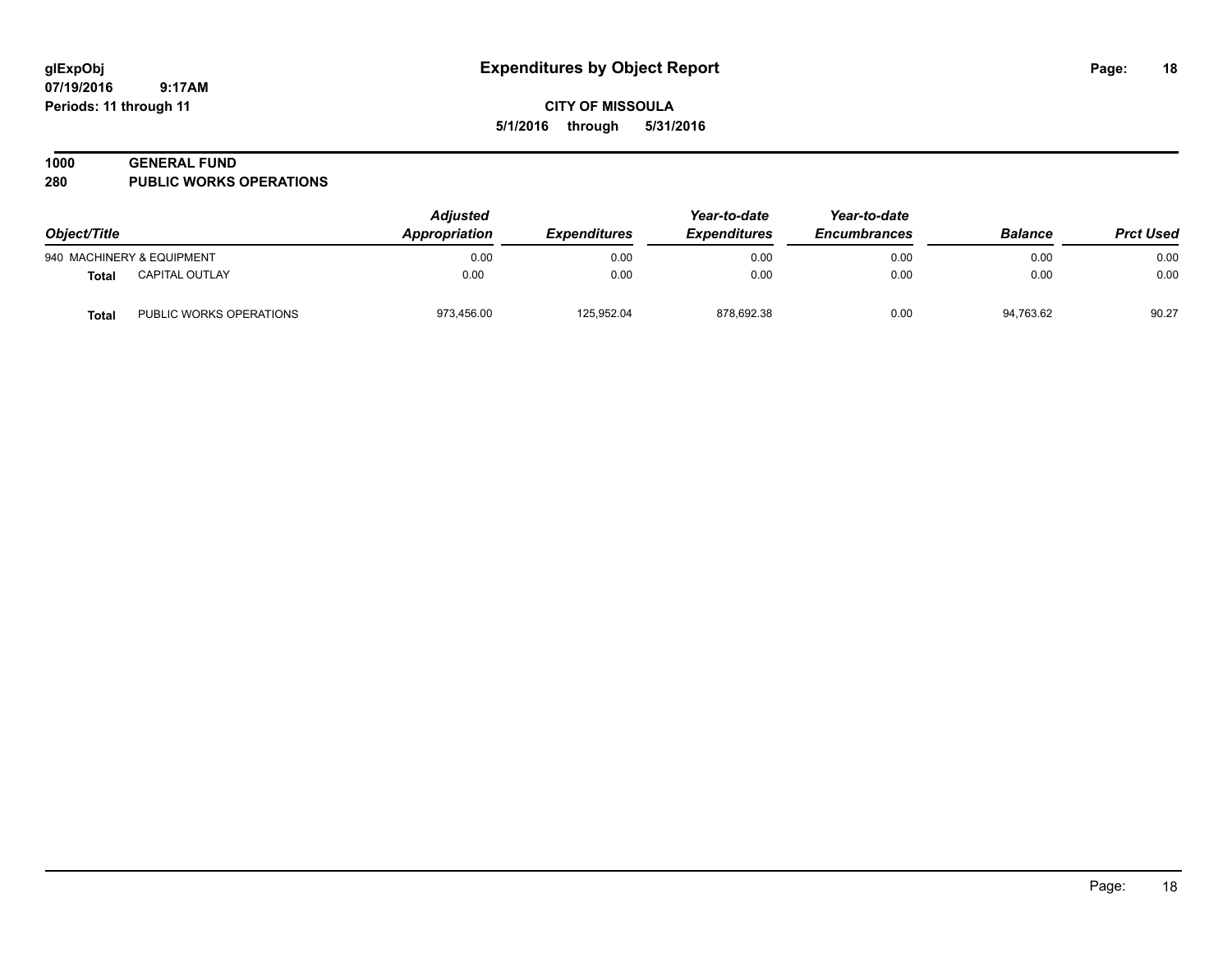### **1000 GENERAL FUND**

**280 PUBLIC WORKS OPERATIONS**

| Object/Title |                           | Adjusted<br>Appropriation | <i><b>Expenditures</b></i> | Year-to-date<br><b>Expenditures</b> | Year-to-date<br><b>Encumbrances</b> | <b>Balance</b> | <b>Prct Used</b> |
|--------------|---------------------------|---------------------------|----------------------------|-------------------------------------|-------------------------------------|----------------|------------------|
|              | 940 MACHINERY & EQUIPMENT | 0.00                      | 0.00                       | 0.00                                | 0.00                                | 0.00           | 0.00             |
| Total        | CAPITAL OUTLAY            | 0.00                      | 0.00                       | 0.00                                | 0.00                                | 0.00           | 0.00             |
| Total        | PUBLIC WORKS OPERATIONS   | 973,456.00                | 125,952.04                 | 878,692.38                          | 0.00                                | 94,763.62      | 90.27            |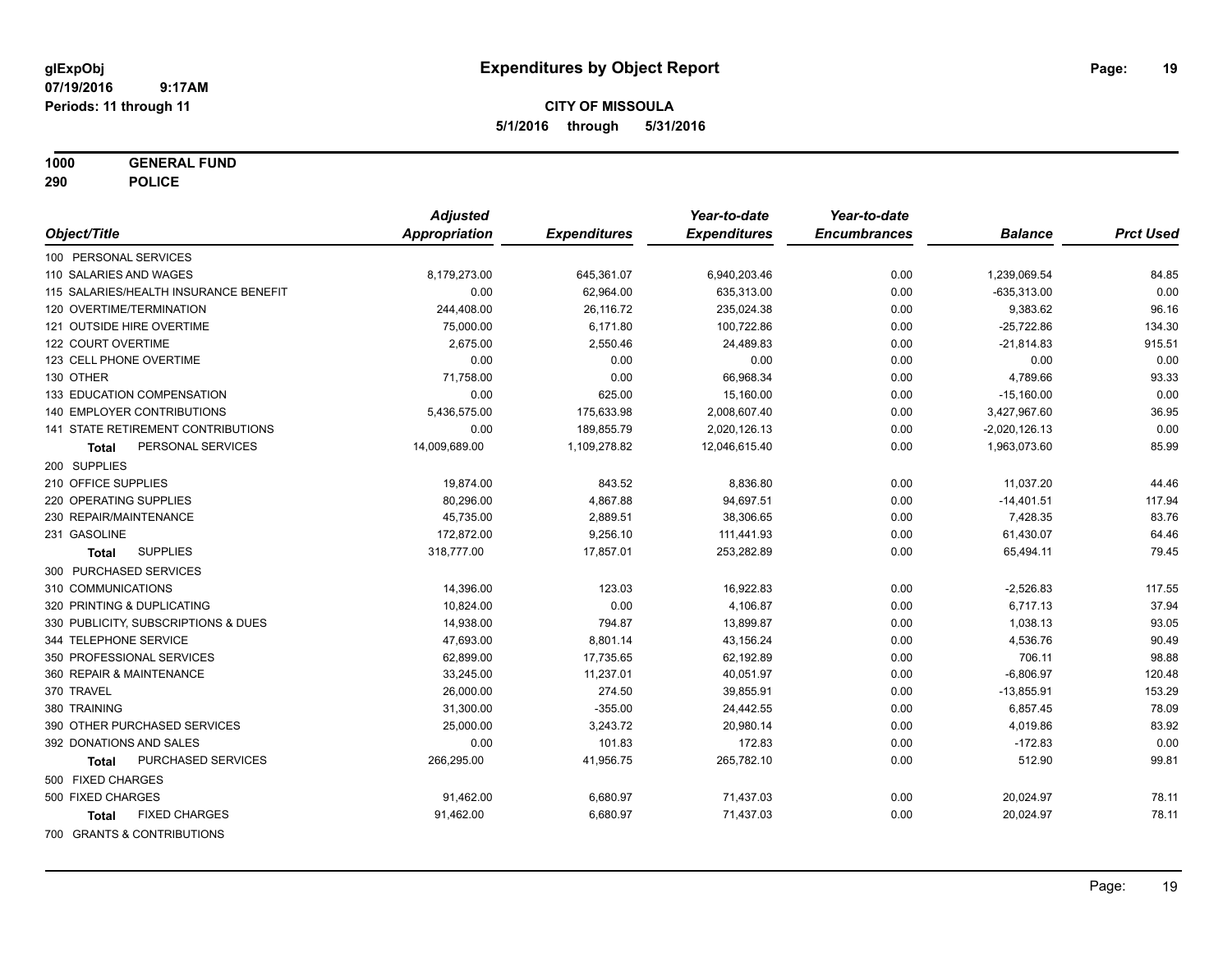**1000 GENERAL FUND**

**290 POLICE**

|                                       | <b>Adjusted</b> |                     | Year-to-date        | Year-to-date        |                 |                  |
|---------------------------------------|-----------------|---------------------|---------------------|---------------------|-----------------|------------------|
| Object/Title                          | Appropriation   | <b>Expenditures</b> | <b>Expenditures</b> | <b>Encumbrances</b> | <b>Balance</b>  | <b>Prct Used</b> |
| 100 PERSONAL SERVICES                 |                 |                     |                     |                     |                 |                  |
| 110 SALARIES AND WAGES                | 8,179,273.00    | 645,361.07          | 6,940,203.46        | 0.00                | 1,239,069.54    | 84.85            |
| 115 SALARIES/HEALTH INSURANCE BENEFIT | 0.00            | 62,964.00           | 635,313.00          | 0.00                | $-635,313.00$   | 0.00             |
| 120 OVERTIME/TERMINATION              | 244,408.00      | 26,116.72           | 235,024.38          | 0.00                | 9,383.62        | 96.16            |
| 121 OUTSIDE HIRE OVERTIME             | 75,000.00       | 6,171.80            | 100,722.86          | 0.00                | $-25,722.86$    | 134.30           |
| 122 COURT OVERTIME                    | 2,675.00        | 2,550.46            | 24,489.83           | 0.00                | $-21,814.83$    | 915.51           |
| 123 CELL PHONE OVERTIME               | 0.00            | 0.00                | 0.00                | 0.00                | 0.00            | 0.00             |
| 130 OTHER                             | 71,758.00       | 0.00                | 66,968.34           | 0.00                | 4,789.66        | 93.33            |
| 133 EDUCATION COMPENSATION            | 0.00            | 625.00              | 15,160.00           | 0.00                | $-15,160.00$    | 0.00             |
| 140 EMPLOYER CONTRIBUTIONS            | 5,436,575.00    | 175,633.98          | 2,008,607.40        | 0.00                | 3,427,967.60    | 36.95            |
| 141 STATE RETIREMENT CONTRIBUTIONS    | 0.00            | 189,855.79          | 2,020,126.13        | 0.00                | $-2,020,126.13$ | 0.00             |
| PERSONAL SERVICES<br>Total            | 14,009,689.00   | 1,109,278.82        | 12,046,615.40       | 0.00                | 1,963,073.60    | 85.99            |
| 200 SUPPLIES                          |                 |                     |                     |                     |                 |                  |
| 210 OFFICE SUPPLIES                   | 19,874.00       | 843.52              | 8,836.80            | 0.00                | 11,037.20       | 44.46            |
| 220 OPERATING SUPPLIES                | 80,296.00       | 4,867.88            | 94,697.51           | 0.00                | $-14,401.51$    | 117.94           |
| 230 REPAIR/MAINTENANCE                | 45,735.00       | 2,889.51            | 38,306.65           | 0.00                | 7,428.35        | 83.76            |
| 231 GASOLINE                          | 172,872.00      | 9,256.10            | 111,441.93          | 0.00                | 61,430.07       | 64.46            |
| <b>SUPPLIES</b><br>Total              | 318,777.00      | 17,857.01           | 253,282.89          | 0.00                | 65,494.11       | 79.45            |
| 300 PURCHASED SERVICES                |                 |                     |                     |                     |                 |                  |
| 310 COMMUNICATIONS                    | 14,396.00       | 123.03              | 16,922.83           | 0.00                | $-2,526.83$     | 117.55           |
| 320 PRINTING & DUPLICATING            | 10,824.00       | 0.00                | 4,106.87            | 0.00                | 6,717.13        | 37.94            |
| 330 PUBLICITY, SUBSCRIPTIONS & DUES   | 14,938.00       | 794.87              | 13,899.87           | 0.00                | 1,038.13        | 93.05            |
| 344 TELEPHONE SERVICE                 | 47,693.00       | 8,801.14            | 43,156.24           | 0.00                | 4,536.76        | 90.49            |
| 350 PROFESSIONAL SERVICES             | 62,899.00       | 17,735.65           | 62,192.89           | 0.00                | 706.11          | 98.88            |
| 360 REPAIR & MAINTENANCE              | 33,245.00       | 11,237.01           | 40,051.97           | 0.00                | $-6,806.97$     | 120.48           |
| 370 TRAVEL                            | 26,000.00       | 274.50              | 39,855.91           | 0.00                | $-13,855.91$    | 153.29           |
| 380 TRAINING                          | 31,300.00       | $-355.00$           | 24,442.55           | 0.00                | 6,857.45        | 78.09            |
| 390 OTHER PURCHASED SERVICES          | 25,000.00       | 3,243.72            | 20,980.14           | 0.00                | 4,019.86        | 83.92            |
| 392 DONATIONS AND SALES               | 0.00            | 101.83              | 172.83              | 0.00                | $-172.83$       | 0.00             |
| PURCHASED SERVICES<br><b>Total</b>    | 266,295.00      | 41,956.75           | 265,782.10          | 0.00                | 512.90          | 99.81            |
| 500 FIXED CHARGES                     |                 |                     |                     |                     |                 |                  |
| 500 FIXED CHARGES                     | 91,462.00       | 6,680.97            | 71,437.03           | 0.00                | 20,024.97       | 78.11            |
| <b>FIXED CHARGES</b><br><b>Total</b>  | 91.462.00       | 6,680.97            | 71,437.03           | 0.00                | 20,024.97       | 78.11            |
| 700 GRANTS & CONTRIBUTIONS            |                 |                     |                     |                     |                 |                  |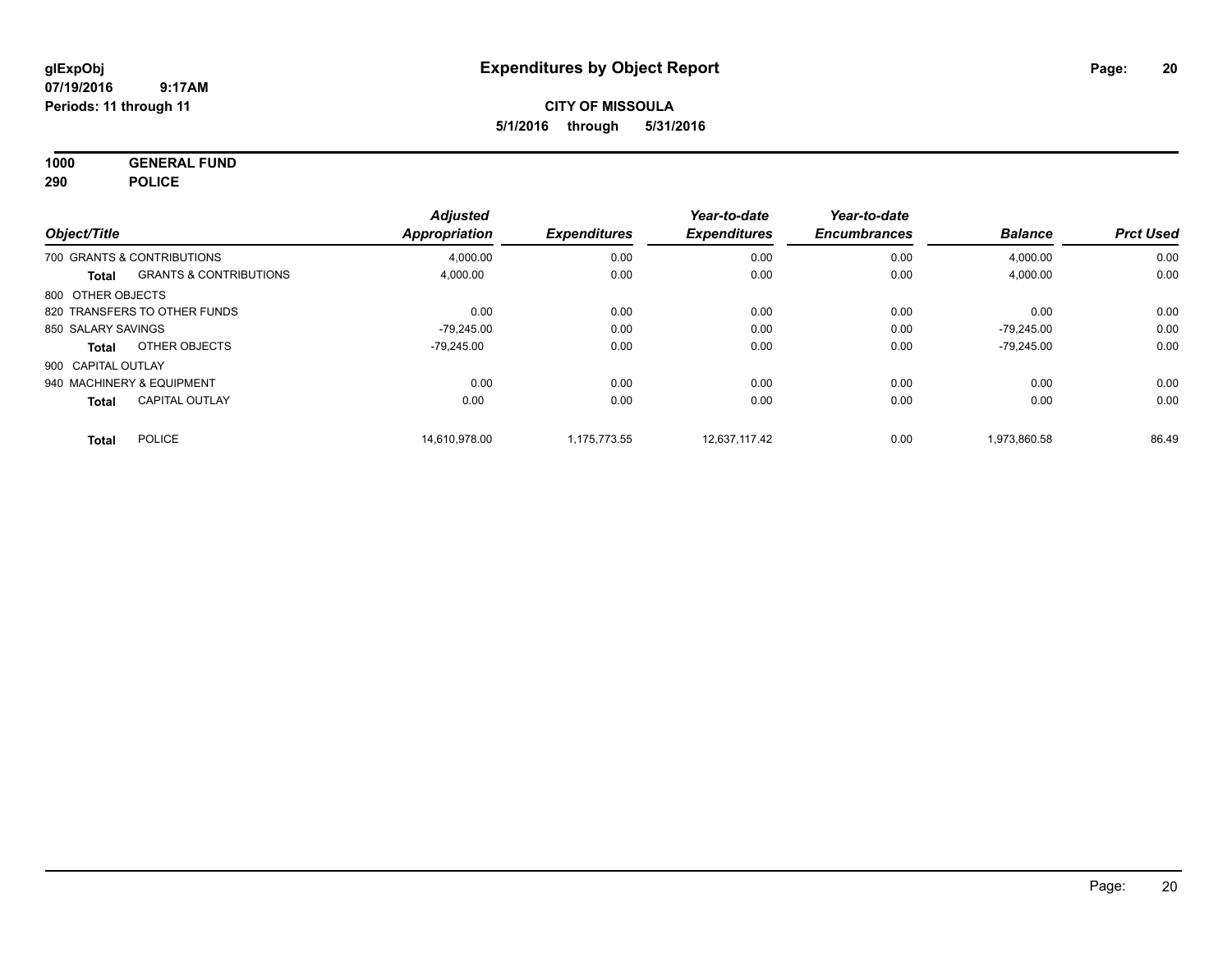**1000 GENERAL FUND 290 POLICE**

|                    |                                   | <b>Adjusted</b> |                     | Year-to-date        | Year-to-date        |                |                  |
|--------------------|-----------------------------------|-----------------|---------------------|---------------------|---------------------|----------------|------------------|
| Object/Title       |                                   | Appropriation   | <b>Expenditures</b> | <b>Expenditures</b> | <b>Encumbrances</b> | <b>Balance</b> | <b>Prct Used</b> |
|                    | 700 GRANTS & CONTRIBUTIONS        | 4,000.00        | 0.00                | 0.00                | 0.00                | 4,000.00       | 0.00             |
| Total              | <b>GRANTS &amp; CONTRIBUTIONS</b> | 4,000.00        | 0.00                | 0.00                | 0.00                | 4,000.00       | 0.00             |
| 800 OTHER OBJECTS  |                                   |                 |                     |                     |                     |                |                  |
|                    | 820 TRANSFERS TO OTHER FUNDS      | 0.00            | 0.00                | 0.00                | 0.00                | 0.00           | 0.00             |
| 850 SALARY SAVINGS |                                   | $-79.245.00$    | 0.00                | 0.00                | 0.00                | $-79,245.00$   | 0.00             |
| Total              | OTHER OBJECTS                     | $-79.245.00$    | 0.00                | 0.00                | 0.00                | $-79.245.00$   | 0.00             |
| 900 CAPITAL OUTLAY |                                   |                 |                     |                     |                     |                |                  |
|                    | 940 MACHINERY & EQUIPMENT         | 0.00            | 0.00                | 0.00                | 0.00                | 0.00           | 0.00             |
| <b>Total</b>       | <b>CAPITAL OUTLAY</b>             | 0.00            | 0.00                | 0.00                | 0.00                | 0.00           | 0.00             |
| Total              | <b>POLICE</b>                     | 14.610.978.00   | 1.175.773.55        | 12.637.117.42       | 0.00                | 1.973.860.58   | 86.49            |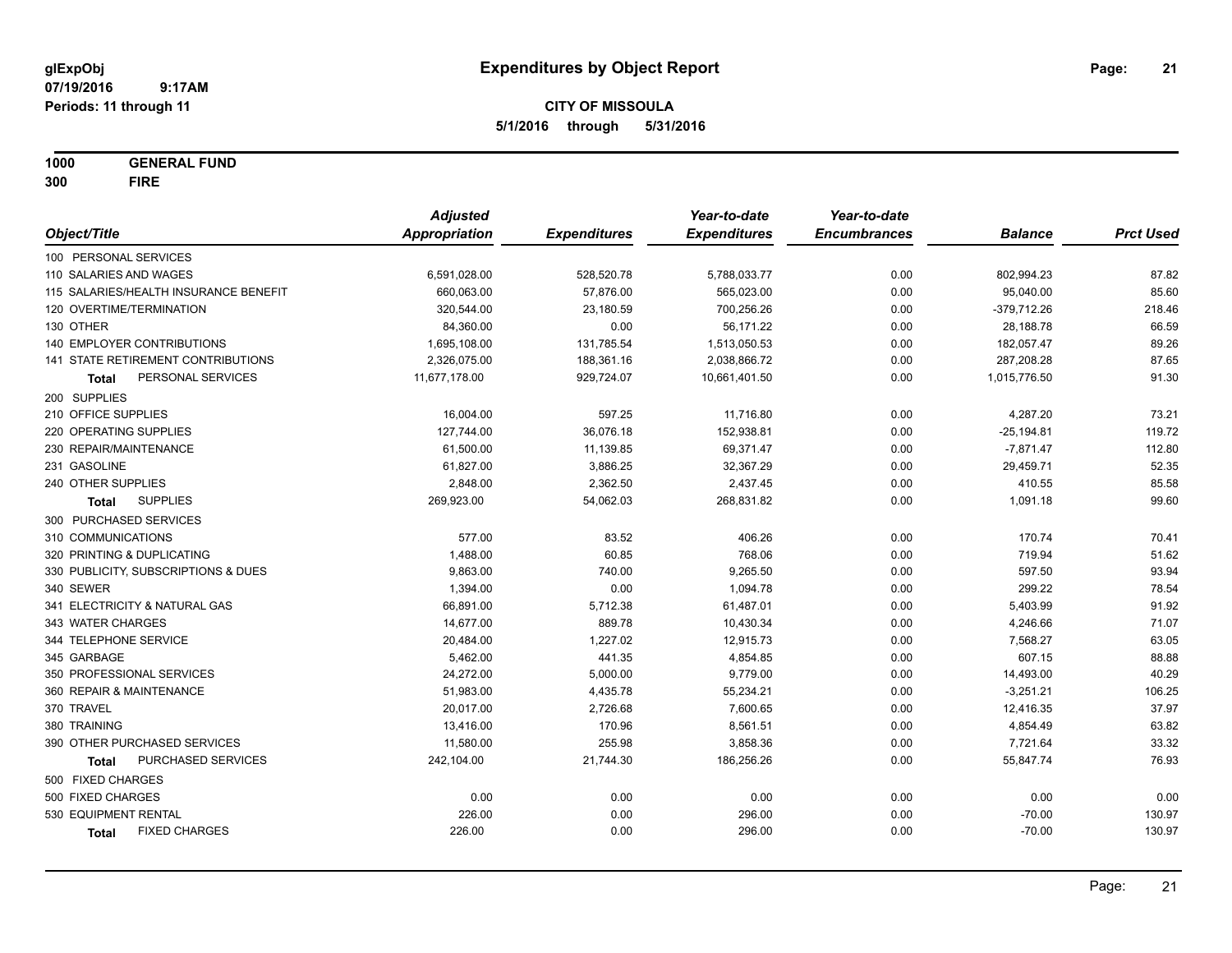**1000 GENERAL FUND**

**300 FIRE**

|                                       | <b>Adjusted</b>      |                     | Year-to-date        | Year-to-date        |                |                  |
|---------------------------------------|----------------------|---------------------|---------------------|---------------------|----------------|------------------|
| Object/Title                          | <b>Appropriation</b> | <b>Expenditures</b> | <b>Expenditures</b> | <b>Encumbrances</b> | <b>Balance</b> | <b>Prct Used</b> |
| 100 PERSONAL SERVICES                 |                      |                     |                     |                     |                |                  |
| 110 SALARIES AND WAGES                | 6,591,028.00         | 528,520.78          | 5,788,033.77        | 0.00                | 802,994.23     | 87.82            |
| 115 SALARIES/HEALTH INSURANCE BENEFIT | 660,063.00           | 57,876.00           | 565,023.00          | 0.00                | 95,040.00      | 85.60            |
| 120 OVERTIME/TERMINATION              | 320,544.00           | 23,180.59           | 700,256.26          | 0.00                | $-379,712.26$  | 218.46           |
| 130 OTHER                             | 84,360.00            | 0.00                | 56,171.22           | 0.00                | 28,188.78      | 66.59            |
| 140 EMPLOYER CONTRIBUTIONS            | 1,695,108.00         | 131,785.54          | 1,513,050.53        | 0.00                | 182,057.47     | 89.26            |
| 141 STATE RETIREMENT CONTRIBUTIONS    | 2,326,075.00         | 188,361.16          | 2,038,866.72        | 0.00                | 287,208.28     | 87.65            |
| PERSONAL SERVICES<br>Total            | 11,677,178.00        | 929,724.07          | 10,661,401.50       | 0.00                | 1,015,776.50   | 91.30            |
| 200 SUPPLIES                          |                      |                     |                     |                     |                |                  |
| 210 OFFICE SUPPLIES                   | 16,004.00            | 597.25              | 11,716.80           | 0.00                | 4,287.20       | 73.21            |
| 220 OPERATING SUPPLIES                | 127,744.00           | 36,076.18           | 152,938.81          | 0.00                | $-25,194.81$   | 119.72           |
| 230 REPAIR/MAINTENANCE                | 61,500.00            | 11,139.85           | 69,371.47           | 0.00                | $-7,871.47$    | 112.80           |
| 231 GASOLINE                          | 61,827.00            | 3,886.25            | 32,367.29           | 0.00                | 29,459.71      | 52.35            |
| 240 OTHER SUPPLIES                    | 2,848.00             | 2,362.50            | 2,437.45            | 0.00                | 410.55         | 85.58            |
| <b>SUPPLIES</b><br>Total              | 269,923.00           | 54,062.03           | 268,831.82          | 0.00                | 1,091.18       | 99.60            |
| 300 PURCHASED SERVICES                |                      |                     |                     |                     |                |                  |
| 310 COMMUNICATIONS                    | 577.00               | 83.52               | 406.26              | 0.00                | 170.74         | 70.41            |
| 320 PRINTING & DUPLICATING            | 1,488.00             | 60.85               | 768.06              | 0.00                | 719.94         | 51.62            |
| 330 PUBLICITY, SUBSCRIPTIONS & DUES   | 9,863.00             | 740.00              | 9,265.50            | 0.00                | 597.50         | 93.94            |
| 340 SEWER                             | 1,394.00             | 0.00                | 1,094.78            | 0.00                | 299.22         | 78.54            |
| 341 ELECTRICITY & NATURAL GAS         | 66,891.00            | 5,712.38            | 61,487.01           | 0.00                | 5,403.99       | 91.92            |
| 343 WATER CHARGES                     | 14,677.00            | 889.78              | 10,430.34           | 0.00                | 4,246.66       | 71.07            |
| 344 TELEPHONE SERVICE                 | 20,484.00            | 1,227.02            | 12,915.73           | 0.00                | 7,568.27       | 63.05            |
| 345 GARBAGE                           | 5,462.00             | 441.35              | 4,854.85            | 0.00                | 607.15         | 88.88            |
| 350 PROFESSIONAL SERVICES             | 24,272.00            | 5,000.00            | 9,779.00            | 0.00                | 14,493.00      | 40.29            |
| 360 REPAIR & MAINTENANCE              | 51,983.00            | 4,435.78            | 55,234.21           | 0.00                | $-3,251.21$    | 106.25           |
| 370 TRAVEL                            | 20,017.00            | 2,726.68            | 7,600.65            | 0.00                | 12,416.35      | 37.97            |
| 380 TRAINING                          | 13,416.00            | 170.96              | 8,561.51            | 0.00                | 4,854.49       | 63.82            |
| 390 OTHER PURCHASED SERVICES          | 11,580.00            | 255.98              | 3,858.36            | 0.00                | 7,721.64       | 33.32            |
| PURCHASED SERVICES<br><b>Total</b>    | 242,104.00           | 21,744.30           | 186,256.26          | 0.00                | 55,847.74      | 76.93            |
| 500 FIXED CHARGES                     |                      |                     |                     |                     |                |                  |
| 500 FIXED CHARGES                     | 0.00                 | 0.00                | 0.00                | 0.00                | 0.00           | 0.00             |
| 530 EQUIPMENT RENTAL                  | 226.00               | 0.00                | 296.00              | 0.00                | $-70.00$       | 130.97           |
| <b>FIXED CHARGES</b><br><b>Total</b>  | 226.00               | 0.00                | 296.00              | 0.00                | $-70.00$       | 130.97           |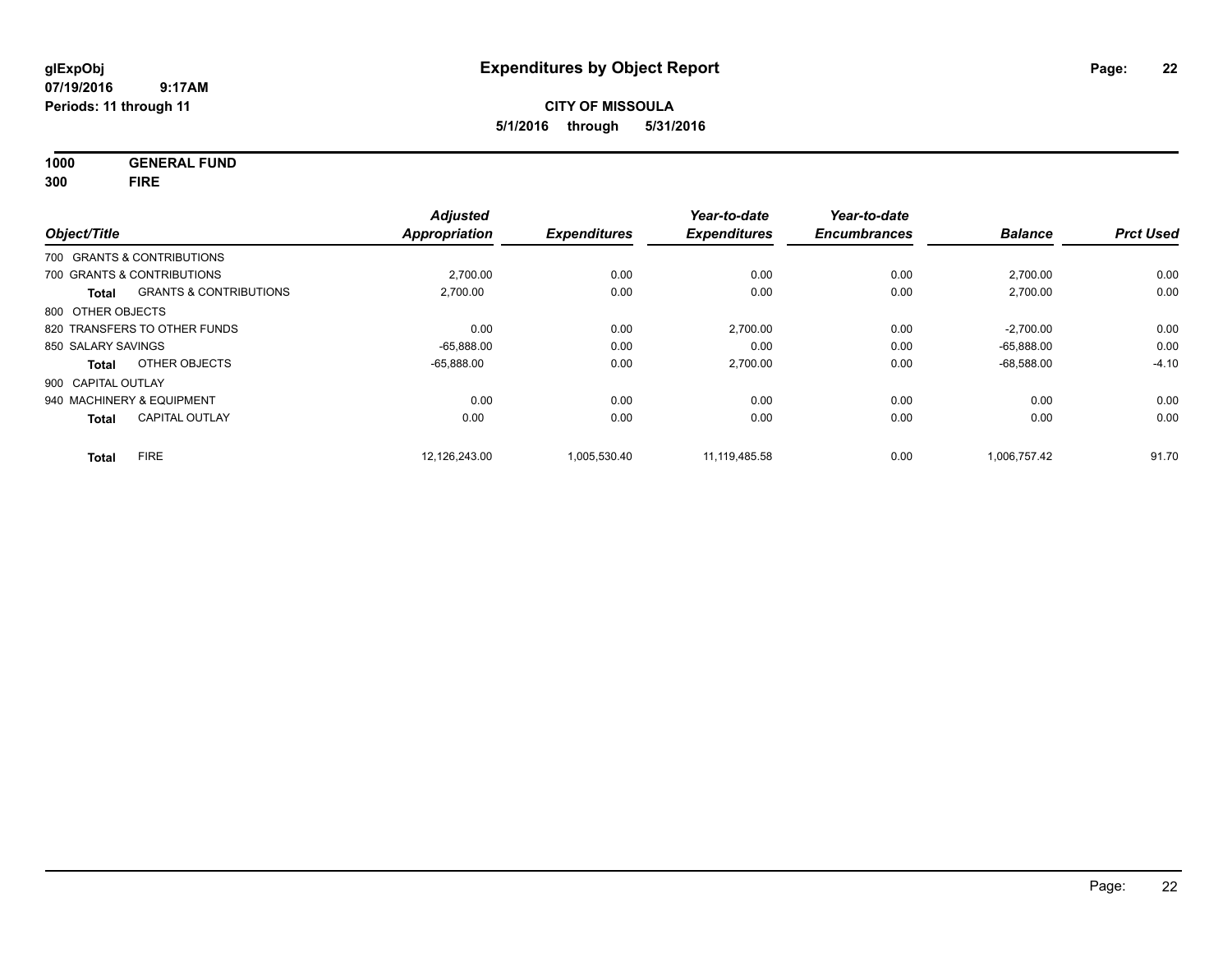**1000 GENERAL FUND**

**300 FIRE**

| Object/Title       |                                   | <b>Adjusted</b><br><b>Appropriation</b> | <b>Expenditures</b> | Year-to-date<br><b>Expenditures</b> | Year-to-date<br><b>Encumbrances</b> | <b>Balance</b> | <b>Prct Used</b> |
|--------------------|-----------------------------------|-----------------------------------------|---------------------|-------------------------------------|-------------------------------------|----------------|------------------|
|                    | 700 GRANTS & CONTRIBUTIONS        |                                         |                     |                                     |                                     |                |                  |
|                    | 700 GRANTS & CONTRIBUTIONS        | 2,700.00                                | 0.00                | 0.00                                | 0.00                                | 2,700.00       | 0.00             |
| <b>Total</b>       | <b>GRANTS &amp; CONTRIBUTIONS</b> | 2,700.00                                | 0.00                | 0.00                                | 0.00                                | 2,700.00       | 0.00             |
| 800 OTHER OBJECTS  |                                   |                                         |                     |                                     |                                     |                |                  |
|                    | 820 TRANSFERS TO OTHER FUNDS      | 0.00                                    | 0.00                | 2,700.00                            | 0.00                                | $-2,700.00$    | 0.00             |
| 850 SALARY SAVINGS |                                   | $-65,888.00$                            | 0.00                | 0.00                                | 0.00                                | $-65.888.00$   | 0.00             |
| <b>Total</b>       | OTHER OBJECTS                     | $-65.888.00$                            | 0.00                | 2,700.00                            | 0.00                                | $-68.588.00$   | $-4.10$          |
| 900 CAPITAL OUTLAY |                                   |                                         |                     |                                     |                                     |                |                  |
|                    | 940 MACHINERY & EQUIPMENT         | 0.00                                    | 0.00                | 0.00                                | 0.00                                | 0.00           | 0.00             |
| <b>Total</b>       | <b>CAPITAL OUTLAY</b>             | 0.00                                    | 0.00                | 0.00                                | 0.00                                | 0.00           | 0.00             |
| <b>Total</b>       | <b>FIRE</b>                       | 12.126.243.00                           | 1.005.530.40        | 11.119.485.58                       | 0.00                                | 1.006.757.42   | 91.70            |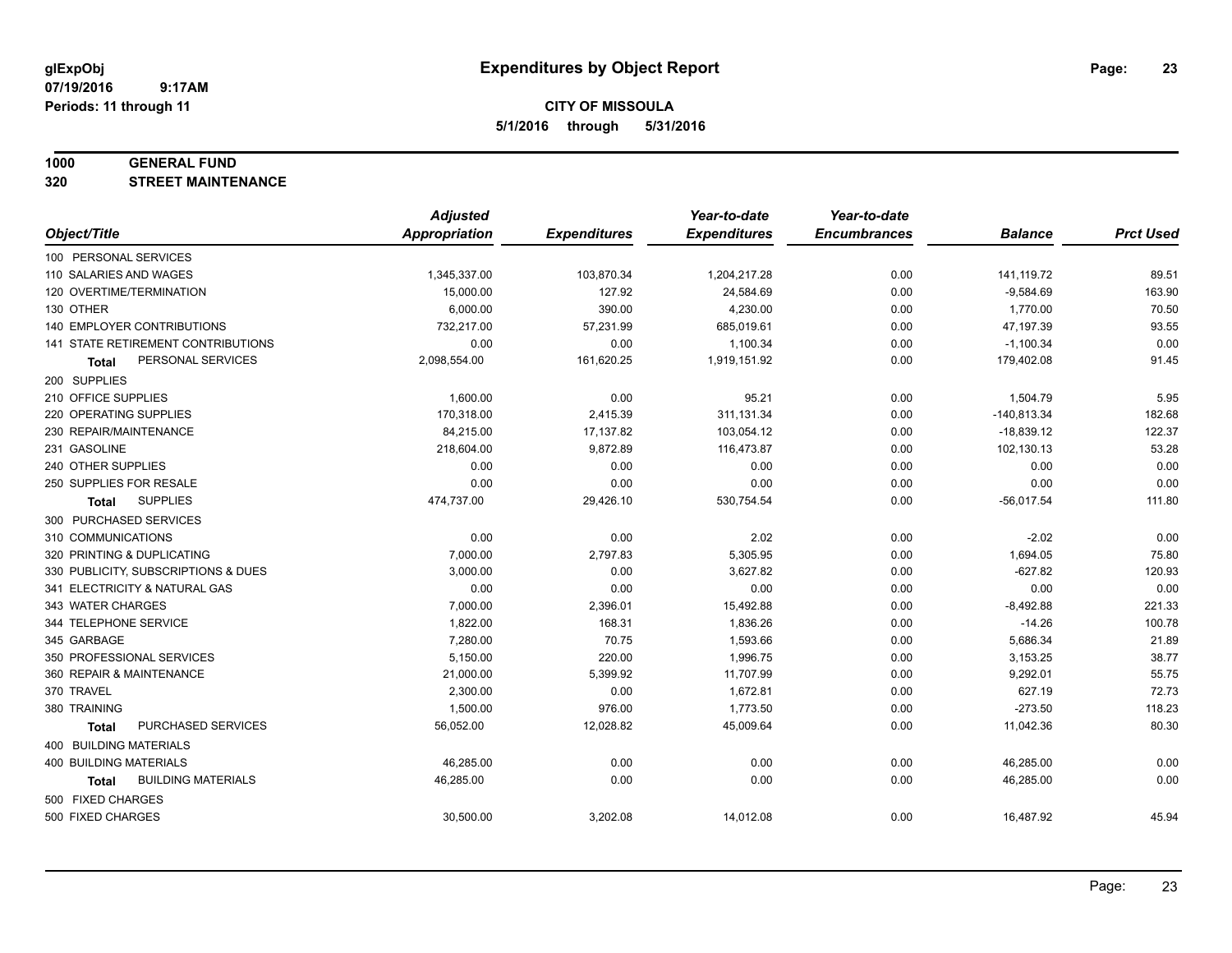**Periods: 11 through 11**

**CITY OF MISSOULA 5/1/2016 through 5/31/2016**

### **1000 GENERAL FUND**

**320 STREET MAINTENANCE**

 **9:17AM**

|                                     | <b>Adjusted</b>      |                     | Year-to-date        | Year-to-date        |                |                  |
|-------------------------------------|----------------------|---------------------|---------------------|---------------------|----------------|------------------|
| Object/Title                        | <b>Appropriation</b> | <b>Expenditures</b> | <b>Expenditures</b> | <b>Encumbrances</b> | <b>Balance</b> | <b>Prct Used</b> |
| 100 PERSONAL SERVICES               |                      |                     |                     |                     |                |                  |
| 110 SALARIES AND WAGES              | 1,345,337.00         | 103,870.34          | 1,204,217.28        | 0.00                | 141,119.72     | 89.51            |
| 120 OVERTIME/TERMINATION            | 15,000.00            | 127.92              | 24,584.69           | 0.00                | $-9,584.69$    | 163.90           |
| 130 OTHER                           | 6,000.00             | 390.00              | 4,230.00            | 0.00                | 1,770.00       | 70.50            |
| <b>140 EMPLOYER CONTRIBUTIONS</b>   | 732,217.00           | 57,231.99           | 685,019.61          | 0.00                | 47,197.39      | 93.55            |
| 141 STATE RETIREMENT CONTRIBUTIONS  | 0.00                 | 0.00                | 1,100.34            | 0.00                | $-1,100.34$    | 0.00             |
| PERSONAL SERVICES<br>Total          | 2,098,554.00         | 161,620.25          | 1,919,151.92        | 0.00                | 179,402.08     | 91.45            |
| 200 SUPPLIES                        |                      |                     |                     |                     |                |                  |
| 210 OFFICE SUPPLIES                 | 1,600.00             | 0.00                | 95.21               | 0.00                | 1,504.79       | 5.95             |
| 220 OPERATING SUPPLIES              | 170,318.00           | 2,415.39            | 311,131.34          | 0.00                | $-140,813.34$  | 182.68           |
| 230 REPAIR/MAINTENANCE              | 84,215.00            | 17,137.82           | 103,054.12          | 0.00                | $-18,839.12$   | 122.37           |
| 231 GASOLINE                        | 218,604.00           | 9,872.89            | 116,473.87          | 0.00                | 102,130.13     | 53.28            |
| 240 OTHER SUPPLIES                  | 0.00                 | 0.00                | 0.00                | 0.00                | 0.00           | 0.00             |
| 250 SUPPLIES FOR RESALE             | 0.00                 | 0.00                | 0.00                | 0.00                | 0.00           | 0.00             |
| <b>SUPPLIES</b><br>Total            | 474,737.00           | 29,426.10           | 530,754.54          | 0.00                | $-56,017.54$   | 111.80           |
| 300 PURCHASED SERVICES              |                      |                     |                     |                     |                |                  |
| 310 COMMUNICATIONS                  | 0.00                 | 0.00                | 2.02                | 0.00                | $-2.02$        | 0.00             |
| 320 PRINTING & DUPLICATING          | 7,000.00             | 2,797.83            | 5,305.95            | 0.00                | 1,694.05       | 75.80            |
| 330 PUBLICITY, SUBSCRIPTIONS & DUES | 3,000.00             | 0.00                | 3,627.82            | 0.00                | $-627.82$      | 120.93           |
| 341 ELECTRICITY & NATURAL GAS       | 0.00                 | 0.00                | 0.00                | 0.00                | 0.00           | 0.00             |
| 343 WATER CHARGES                   | 7,000.00             | 2,396.01            | 15,492.88           | 0.00                | $-8,492.88$    | 221.33           |
| 344 TELEPHONE SERVICE               | 1,822.00             | 168.31              | 1,836.26            | 0.00                | $-14.26$       | 100.78           |
| 345 GARBAGE                         | 7,280.00             | 70.75               | 1,593.66            | 0.00                | 5,686.34       | 21.89            |
| 350 PROFESSIONAL SERVICES           | 5,150.00             | 220.00              | 1,996.75            | 0.00                | 3,153.25       | 38.77            |
| 360 REPAIR & MAINTENANCE            | 21,000.00            | 5,399.92            | 11,707.99           | 0.00                | 9,292.01       | 55.75            |
| 370 TRAVEL                          | 2,300.00             | 0.00                | 1,672.81            | 0.00                | 627.19         | 72.73            |
| 380 TRAINING                        | 1,500.00             | 976.00              | 1,773.50            | 0.00                | $-273.50$      | 118.23           |
| PURCHASED SERVICES<br><b>Total</b>  | 56,052.00            | 12,028.82           | 45,009.64           | 0.00                | 11,042.36      | 80.30            |
| <b>400 BUILDING MATERIALS</b>       |                      |                     |                     |                     |                |                  |
| <b>400 BUILDING MATERIALS</b>       | 46,285.00            | 0.00                | 0.00                | 0.00                | 46,285.00      | 0.00             |
| <b>BUILDING MATERIALS</b><br>Total  | 46,285.00            | 0.00                | 0.00                | 0.00                | 46,285.00      | 0.00             |
| 500 FIXED CHARGES                   |                      |                     |                     |                     |                |                  |
| 500 FIXED CHARGES                   | 30,500.00            | 3,202.08            | 14,012.08           | 0.00                | 16,487.92      | 45.94            |
|                                     |                      |                     |                     |                     |                |                  |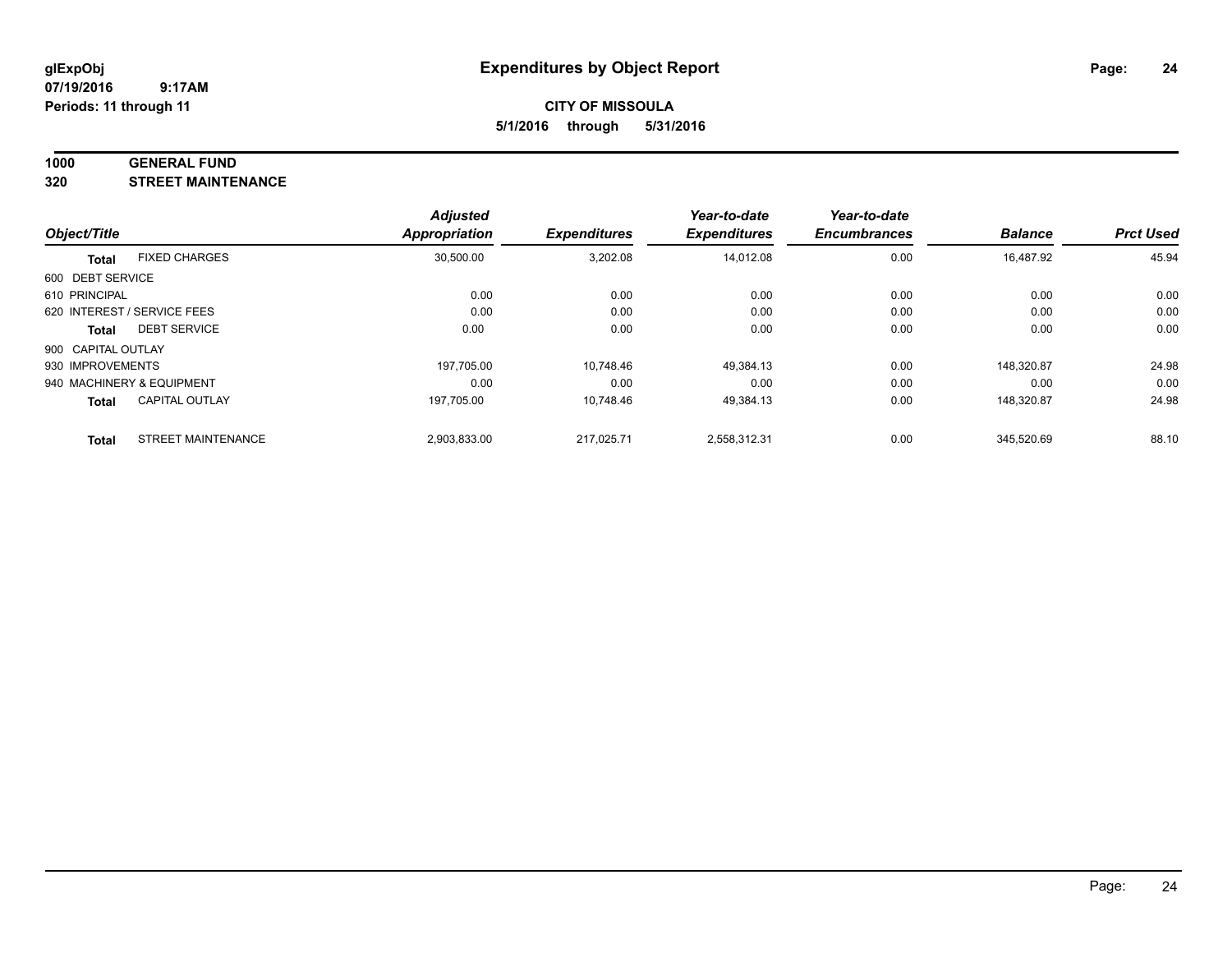#### **1000 GENERAL FUND**

**320 STREET MAINTENANCE**

|                    |                             | <b>Adjusted</b> |                     | Year-to-date        | Year-to-date        |                |                  |
|--------------------|-----------------------------|-----------------|---------------------|---------------------|---------------------|----------------|------------------|
| Object/Title       |                             | Appropriation   | <b>Expenditures</b> | <b>Expenditures</b> | <b>Encumbrances</b> | <b>Balance</b> | <b>Prct Used</b> |
| <b>Total</b>       | <b>FIXED CHARGES</b>        | 30,500.00       | 3,202.08            | 14,012.08           | 0.00                | 16,487.92      | 45.94            |
| 600 DEBT SERVICE   |                             |                 |                     |                     |                     |                |                  |
| 610 PRINCIPAL      |                             | 0.00            | 0.00                | 0.00                | 0.00                | 0.00           | 0.00             |
|                    | 620 INTEREST / SERVICE FEES | 0.00            | 0.00                | 0.00                | 0.00                | 0.00           | 0.00             |
| Total              | <b>DEBT SERVICE</b>         | 0.00            | 0.00                | 0.00                | 0.00                | 0.00           | 0.00             |
| 900 CAPITAL OUTLAY |                             |                 |                     |                     |                     |                |                  |
| 930 IMPROVEMENTS   |                             | 197.705.00      | 10.748.46           | 49,384.13           | 0.00                | 148.320.87     | 24.98            |
|                    | 940 MACHINERY & EQUIPMENT   | 0.00            | 0.00                | 0.00                | 0.00                | 0.00           | 0.00             |
| <b>Total</b>       | <b>CAPITAL OUTLAY</b>       | 197.705.00      | 10,748.46           | 49,384.13           | 0.00                | 148.320.87     | 24.98            |
| <b>Total</b>       | <b>STREET MAINTENANCE</b>   | 2,903,833.00    | 217.025.71          | 2,558,312.31        | 0.00                | 345.520.69     | 88.10            |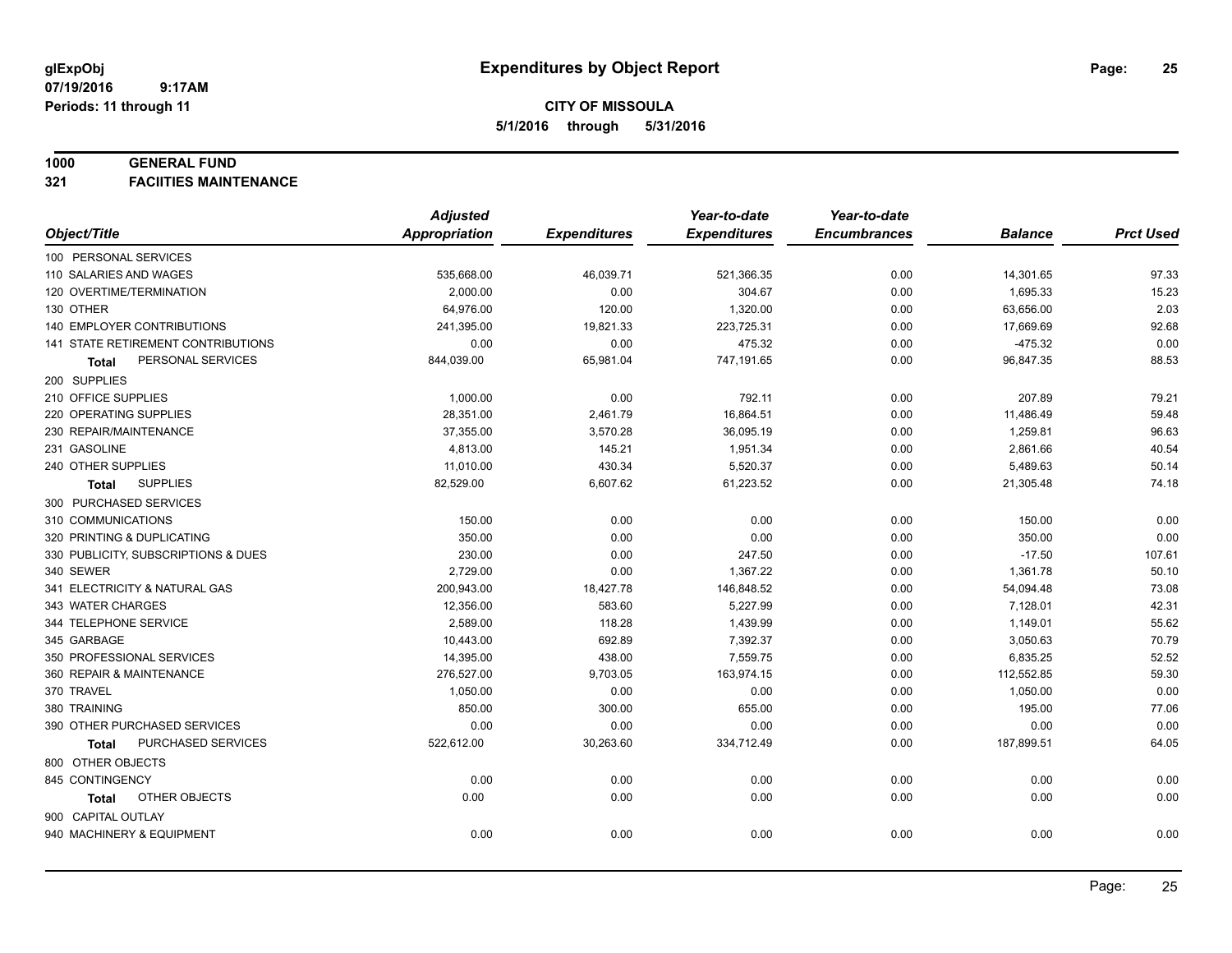#### **1000 GENERAL FUND**

**321 FACIITIES MAINTENANCE**

|                                     | <b>Adjusted</b>      |                     | Year-to-date        | Year-to-date        |                |                  |
|-------------------------------------|----------------------|---------------------|---------------------|---------------------|----------------|------------------|
| Object/Title                        | <b>Appropriation</b> | <b>Expenditures</b> | <b>Expenditures</b> | <b>Encumbrances</b> | <b>Balance</b> | <b>Prct Used</b> |
| 100 PERSONAL SERVICES               |                      |                     |                     |                     |                |                  |
| 110 SALARIES AND WAGES              | 535,668.00           | 46,039.71           | 521,366.35          | 0.00                | 14,301.65      | 97.33            |
| 120 OVERTIME/TERMINATION            | 2,000.00             | 0.00                | 304.67              | 0.00                | 1,695.33       | 15.23            |
| 130 OTHER                           | 64,976.00            | 120.00              | 1,320.00            | 0.00                | 63,656.00      | 2.03             |
| 140 EMPLOYER CONTRIBUTIONS          | 241,395.00           | 19,821.33           | 223,725.31          | 0.00                | 17,669.69      | 92.68            |
| 141 STATE RETIREMENT CONTRIBUTIONS  | 0.00                 | 0.00                | 475.32              | 0.00                | $-475.32$      | 0.00             |
| PERSONAL SERVICES<br>Total          | 844,039.00           | 65,981.04           | 747,191.65          | 0.00                | 96,847.35      | 88.53            |
| 200 SUPPLIES                        |                      |                     |                     |                     |                |                  |
| 210 OFFICE SUPPLIES                 | 1,000.00             | 0.00                | 792.11              | 0.00                | 207.89         | 79.21            |
| 220 OPERATING SUPPLIES              | 28,351.00            | 2,461.79            | 16,864.51           | 0.00                | 11,486.49      | 59.48            |
| 230 REPAIR/MAINTENANCE              | 37,355.00            | 3,570.28            | 36,095.19           | 0.00                | 1,259.81       | 96.63            |
| 231 GASOLINE                        | 4,813.00             | 145.21              | 1,951.34            | 0.00                | 2,861.66       | 40.54            |
| 240 OTHER SUPPLIES                  | 11,010.00            | 430.34              | 5,520.37            | 0.00                | 5,489.63       | 50.14            |
| <b>SUPPLIES</b><br>Total            | 82,529.00            | 6,607.62            | 61,223.52           | 0.00                | 21,305.48      | 74.18            |
| 300 PURCHASED SERVICES              |                      |                     |                     |                     |                |                  |
| 310 COMMUNICATIONS                  | 150.00               | 0.00                | 0.00                | 0.00                | 150.00         | 0.00             |
| 320 PRINTING & DUPLICATING          | 350.00               | 0.00                | 0.00                | 0.00                | 350.00         | 0.00             |
| 330 PUBLICITY, SUBSCRIPTIONS & DUES | 230.00               | 0.00                | 247.50              | 0.00                | $-17.50$       | 107.61           |
| 340 SEWER                           | 2,729.00             | 0.00                | 1,367.22            | 0.00                | 1,361.78       | 50.10            |
| 341 ELECTRICITY & NATURAL GAS       | 200,943.00           | 18,427.78           | 146,848.52          | 0.00                | 54,094.48      | 73.08            |
| 343 WATER CHARGES                   | 12,356.00            | 583.60              | 5,227.99            | 0.00                | 7,128.01       | 42.31            |
| 344 TELEPHONE SERVICE               | 2,589.00             | 118.28              | 1,439.99            | 0.00                | 1,149.01       | 55.62            |
| 345 GARBAGE                         | 10,443.00            | 692.89              | 7,392.37            | 0.00                | 3,050.63       | 70.79            |
| 350 PROFESSIONAL SERVICES           | 14,395.00            | 438.00              | 7,559.75            | 0.00                | 6,835.25       | 52.52            |
| 360 REPAIR & MAINTENANCE            | 276,527.00           | 9,703.05            | 163,974.15          | 0.00                | 112,552.85     | 59.30            |
| 370 TRAVEL                          | 1,050.00             | 0.00                | 0.00                | 0.00                | 1,050.00       | 0.00             |
| 380 TRAINING                        | 850.00               | 300.00              | 655.00              | 0.00                | 195.00         | 77.06            |
| 390 OTHER PURCHASED SERVICES        | 0.00                 | 0.00                | 0.00                | 0.00                | 0.00           | 0.00             |
| PURCHASED SERVICES<br>Total         | 522,612.00           | 30,263.60           | 334,712.49          | 0.00                | 187,899.51     | 64.05            |
| 800 OTHER OBJECTS                   |                      |                     |                     |                     |                |                  |
| 845 CONTINGENCY                     | 0.00                 | 0.00                | 0.00                | 0.00                | 0.00           | 0.00             |
| OTHER OBJECTS<br>Total              | 0.00                 | 0.00                | 0.00                | 0.00                | 0.00           | 0.00             |
| 900 CAPITAL OUTLAY                  |                      |                     |                     |                     |                |                  |
| 940 MACHINERY & EQUIPMENT           | 0.00                 | 0.00                | 0.00                | 0.00                | 0.00           | 0.00             |
|                                     |                      |                     |                     |                     |                |                  |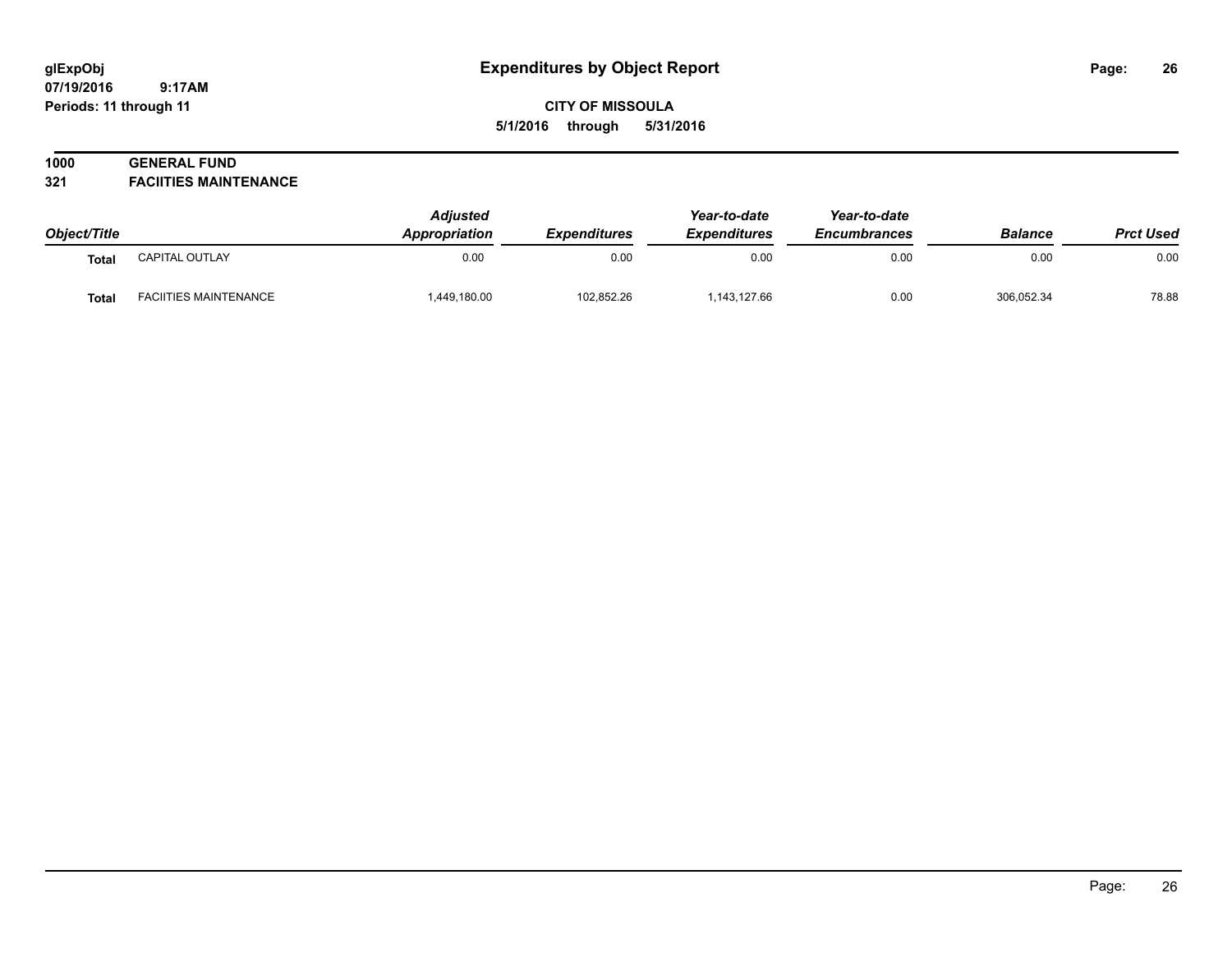**CITY OF MISSOULA 5/1/2016 through 5/31/2016**

# **1000 GENERAL FUND**

**321 FACIITIES MAINTENANCE**

| Object/Title |                              | <b>Adiusted</b><br>Appropriation | <b>Expenditures</b> | Year-to-date<br><b>Expenditures</b> | Year-to-date<br><b>Encumbrances</b> | <b>Balance</b> | <b>Prct Used</b> |
|--------------|------------------------------|----------------------------------|---------------------|-------------------------------------|-------------------------------------|----------------|------------------|
| Total        | CAPITAL OUTLAY               | 0.00                             | 0.00                | 0.00                                | 0.00                                | 0.00           | 0.00             |
| Total        | <b>FACIITIES MAINTENANCE</b> | 449,180.00                       | 102.852.26          | 1,143,127.66                        | 0.00                                | 306,052.34     | 78.88            |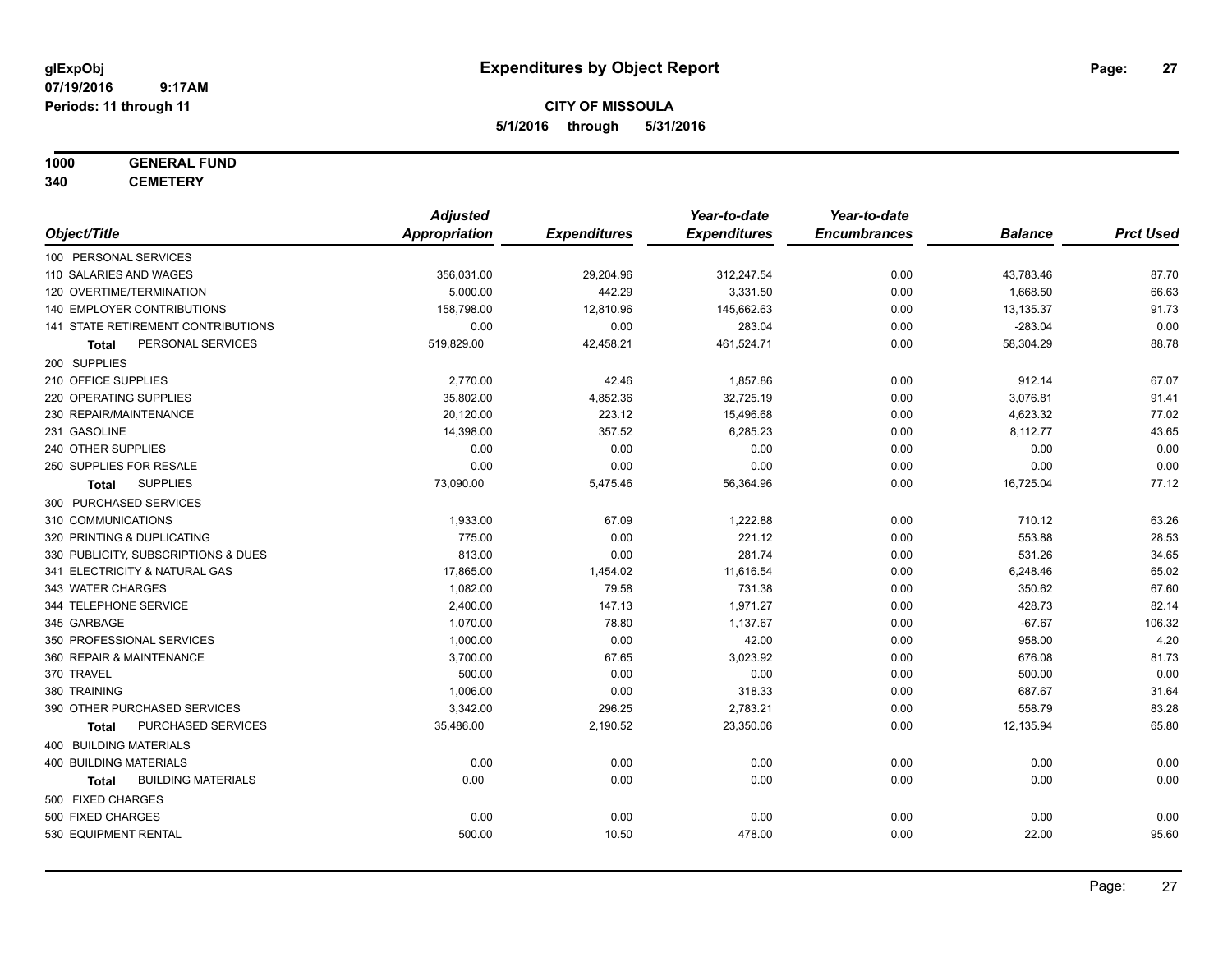**CITY OF MISSOULA 5/1/2016 through 5/31/2016**

### **1000 GENERAL FUND**

**340 CEMETERY**

|                                     | <b>Adjusted</b>      |                     | Year-to-date        | Year-to-date        |                |                  |
|-------------------------------------|----------------------|---------------------|---------------------|---------------------|----------------|------------------|
| Object/Title                        | <b>Appropriation</b> | <b>Expenditures</b> | <b>Expenditures</b> | <b>Encumbrances</b> | <b>Balance</b> | <b>Prct Used</b> |
| 100 PERSONAL SERVICES               |                      |                     |                     |                     |                |                  |
| 110 SALARIES AND WAGES              | 356,031.00           | 29,204.96           | 312,247.54          | 0.00                | 43,783.46      | 87.70            |
| 120 OVERTIME/TERMINATION            | 5,000.00             | 442.29              | 3,331.50            | 0.00                | 1,668.50       | 66.63            |
| 140 EMPLOYER CONTRIBUTIONS          | 158,798.00           | 12,810.96           | 145,662.63          | 0.00                | 13,135.37      | 91.73            |
| 141 STATE RETIREMENT CONTRIBUTIONS  | 0.00                 | 0.00                | 283.04              | 0.00                | $-283.04$      | 0.00             |
| PERSONAL SERVICES<br>Total          | 519,829.00           | 42,458.21           | 461,524.71          | 0.00                | 58,304.29      | 88.78            |
| 200 SUPPLIES                        |                      |                     |                     |                     |                |                  |
| 210 OFFICE SUPPLIES                 | 2,770.00             | 42.46               | 1,857.86            | 0.00                | 912.14         | 67.07            |
| 220 OPERATING SUPPLIES              | 35,802.00            | 4,852.36            | 32,725.19           | 0.00                | 3,076.81       | 91.41            |
| 230 REPAIR/MAINTENANCE              | 20,120.00            | 223.12              | 15,496.68           | 0.00                | 4,623.32       | 77.02            |
| 231 GASOLINE                        | 14,398.00            | 357.52              | 6,285.23            | 0.00                | 8,112.77       | 43.65            |
| 240 OTHER SUPPLIES                  | 0.00                 | 0.00                | 0.00                | 0.00                | 0.00           | 0.00             |
| 250 SUPPLIES FOR RESALE             | 0.00                 | 0.00                | 0.00                | 0.00                | 0.00           | 0.00             |
| <b>SUPPLIES</b><br>Total            | 73,090.00            | 5,475.46            | 56,364.96           | 0.00                | 16,725.04      | 77.12            |
| 300 PURCHASED SERVICES              |                      |                     |                     |                     |                |                  |
| 310 COMMUNICATIONS                  | 1,933.00             | 67.09               | 1,222.88            | 0.00                | 710.12         | 63.26            |
| 320 PRINTING & DUPLICATING          | 775.00               | 0.00                | 221.12              | 0.00                | 553.88         | 28.53            |
| 330 PUBLICITY, SUBSCRIPTIONS & DUES | 813.00               | 0.00                | 281.74              | 0.00                | 531.26         | 34.65            |
| 341 ELECTRICITY & NATURAL GAS       | 17,865.00            | 1,454.02            | 11,616.54           | 0.00                | 6,248.46       | 65.02            |
| 343 WATER CHARGES                   | 1,082.00             | 79.58               | 731.38              | 0.00                | 350.62         | 67.60            |
| 344 TELEPHONE SERVICE               | 2,400.00             | 147.13              | 1,971.27            | 0.00                | 428.73         | 82.14            |
| 345 GARBAGE                         | 1,070.00             | 78.80               | 1,137.67            | 0.00                | $-67.67$       | 106.32           |
| 350 PROFESSIONAL SERVICES           | 1,000.00             | 0.00                | 42.00               | 0.00                | 958.00         | 4.20             |
| 360 REPAIR & MAINTENANCE            | 3,700.00             | 67.65               | 3,023.92            | 0.00                | 676.08         | 81.73            |
| 370 TRAVEL                          | 500.00               | 0.00                | 0.00                | 0.00                | 500.00         | 0.00             |
| 380 TRAINING                        | 1,006.00             | 0.00                | 318.33              | 0.00                | 687.67         | 31.64            |
| 390 OTHER PURCHASED SERVICES        | 3,342.00             | 296.25              | 2,783.21            | 0.00                | 558.79         | 83.28            |
| PURCHASED SERVICES<br>Total         | 35,486.00            | 2,190.52            | 23,350.06           | 0.00                | 12,135.94      | 65.80            |
| 400 BUILDING MATERIALS              |                      |                     |                     |                     |                |                  |
| <b>400 BUILDING MATERIALS</b>       | 0.00                 | 0.00                | 0.00                | 0.00                | 0.00           | 0.00             |
| <b>BUILDING MATERIALS</b><br>Total  | 0.00                 | 0.00                | 0.00                | 0.00                | 0.00           | 0.00             |
| 500 FIXED CHARGES                   |                      |                     |                     |                     |                |                  |
| 500 FIXED CHARGES                   | 0.00                 | 0.00                | 0.00                | 0.00                | 0.00           | 0.00             |
| 530 EQUIPMENT RENTAL                | 500.00               | 10.50               | 478.00              | 0.00                | 22.00          | 95.60            |
|                                     |                      |                     |                     |                     |                |                  |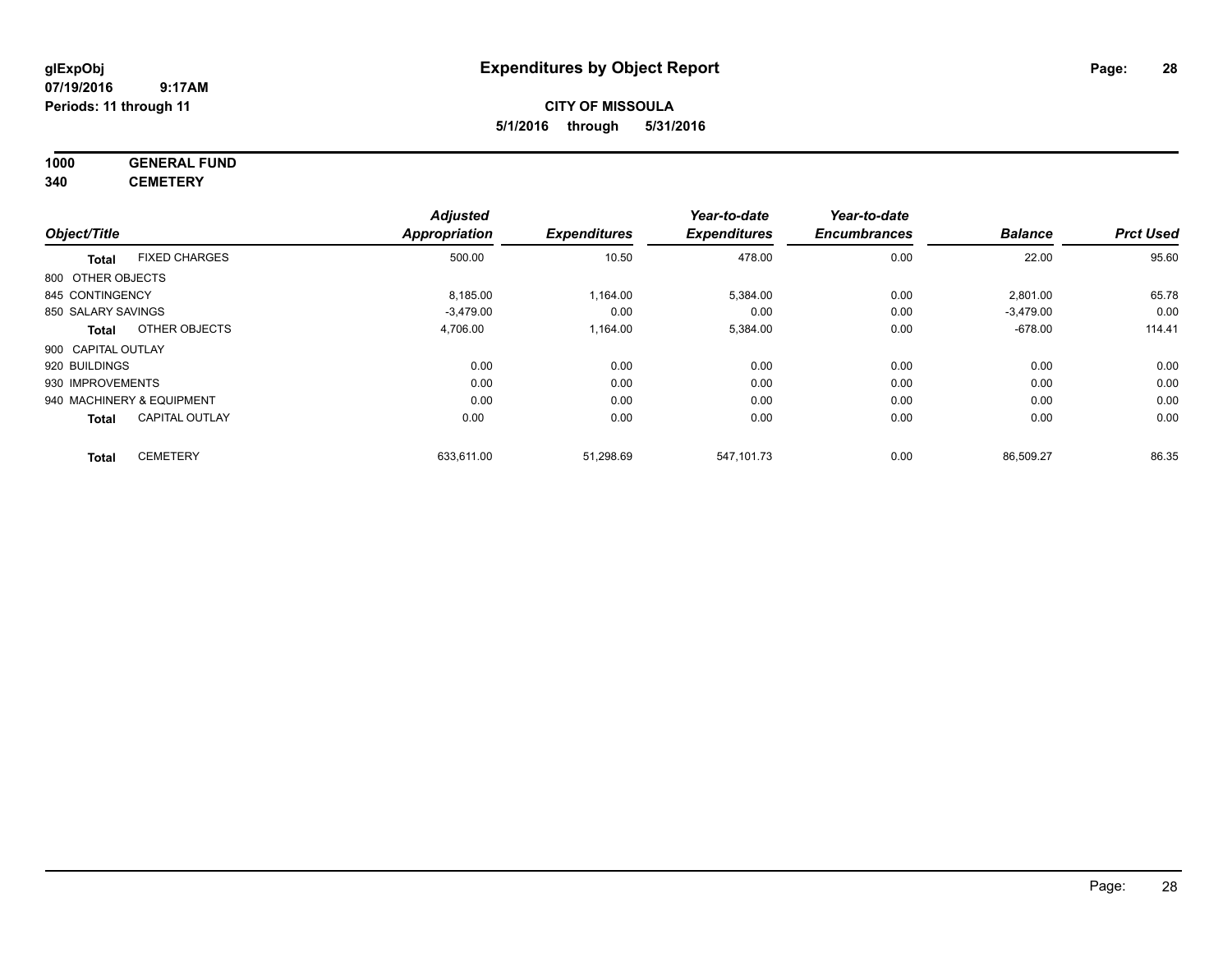# **CITY OF MISSOULA 5/1/2016 through 5/31/2016**

# **1000 GENERAL FUND**

**340 CEMETERY**

|                                 |                       | <b>Adjusted</b>      |                     | Year-to-date        | Year-to-date        |                |                  |
|---------------------------------|-----------------------|----------------------|---------------------|---------------------|---------------------|----------------|------------------|
| Object/Title                    |                       | <b>Appropriation</b> | <b>Expenditures</b> | <b>Expenditures</b> | <b>Encumbrances</b> | <b>Balance</b> | <b>Prct Used</b> |
| <b>Total</b>                    | <b>FIXED CHARGES</b>  | 500.00               | 10.50               | 478.00              | 0.00                | 22.00          | 95.60            |
| 800 OTHER OBJECTS               |                       |                      |                     |                     |                     |                |                  |
| 845 CONTINGENCY                 |                       | 8,185.00             | 1,164.00            | 5,384.00            | 0.00                | 2,801.00       | 65.78            |
| 850 SALARY SAVINGS              |                       | $-3.479.00$          | 0.00                | 0.00                | 0.00                | $-3,479.00$    | 0.00             |
| <b>Total</b>                    | OTHER OBJECTS         | 4,706.00             | 1,164.00            | 5,384.00            | 0.00                | $-678.00$      | 114.41           |
| 900 CAPITAL OUTLAY              |                       |                      |                     |                     |                     |                |                  |
| 920 BUILDINGS                   |                       | 0.00                 | 0.00                | 0.00                | 0.00                | 0.00           | 0.00             |
| 930 IMPROVEMENTS                |                       | 0.00                 | 0.00                | 0.00                | 0.00                | 0.00           | 0.00             |
| 940 MACHINERY & EQUIPMENT       |                       | 0.00                 | 0.00                | 0.00                | 0.00                | 0.00           | 0.00             |
| <b>Total</b>                    | <b>CAPITAL OUTLAY</b> | 0.00                 | 0.00                | 0.00                | 0.00                | 0.00           | 0.00             |
| <b>CEMETERY</b><br><b>Total</b> |                       | 633,611.00           | 51,298.69           | 547,101.73          | 0.00                | 86,509.27      | 86.35            |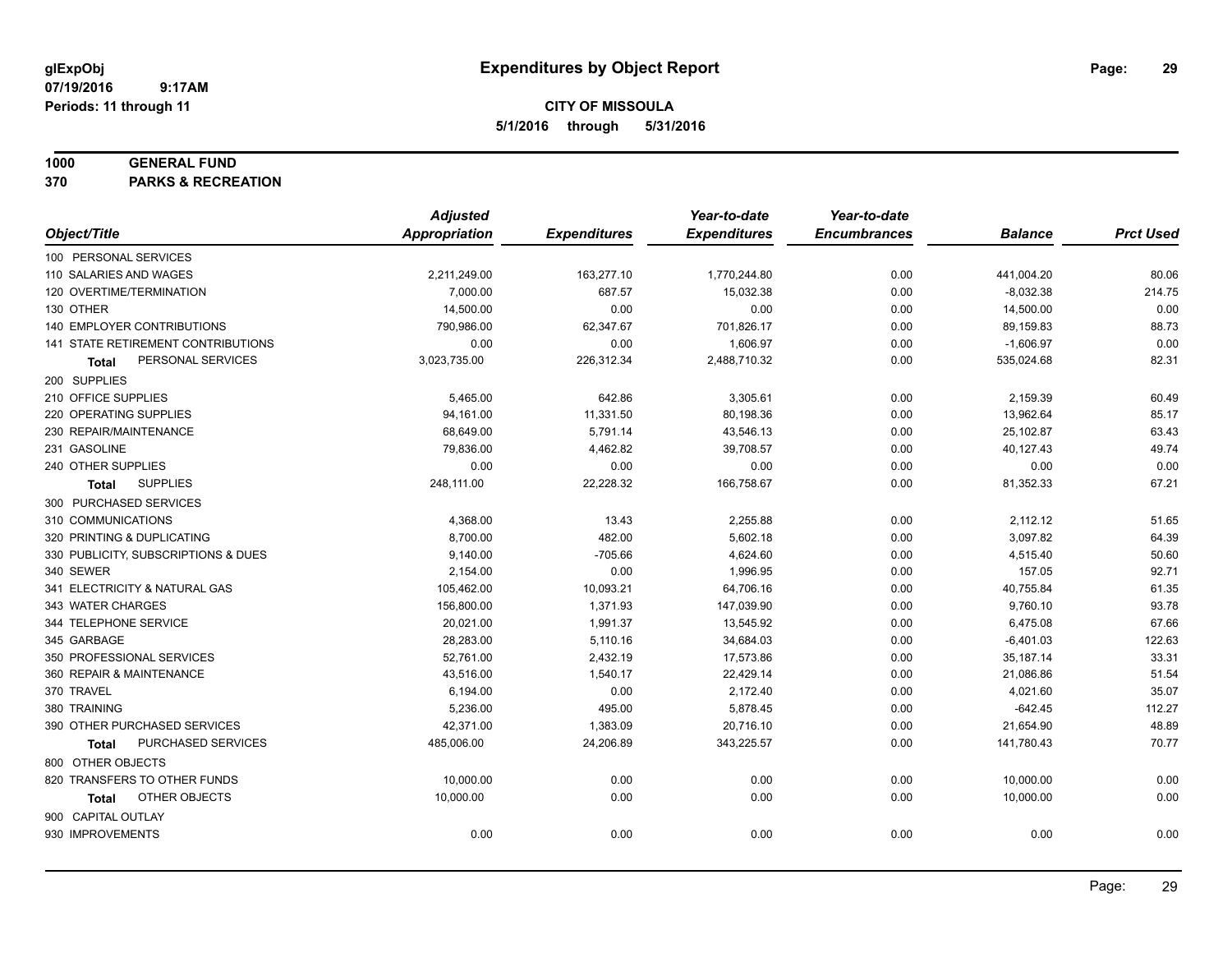**Periods: 11 through 11**

**CITY OF MISSOULA 5/1/2016 through 5/31/2016**

### **1000 GENERAL FUND**

**370 PARKS & RECREATION**

|                                     | <b>Adjusted</b>      |                     | Year-to-date        | Year-to-date        |                |                  |
|-------------------------------------|----------------------|---------------------|---------------------|---------------------|----------------|------------------|
| Object/Title                        | <b>Appropriation</b> | <b>Expenditures</b> | <b>Expenditures</b> | <b>Encumbrances</b> | <b>Balance</b> | <b>Prct Used</b> |
| 100 PERSONAL SERVICES               |                      |                     |                     |                     |                |                  |
| 110 SALARIES AND WAGES              | 2,211,249.00         | 163,277.10          | 1,770,244.80        | 0.00                | 441,004.20     | 80.06            |
| 120 OVERTIME/TERMINATION            | 7,000.00             | 687.57              | 15,032.38           | 0.00                | $-8,032.38$    | 214.75           |
| 130 OTHER                           | 14,500.00            | 0.00                | 0.00                | 0.00                | 14,500.00      | 0.00             |
| 140 EMPLOYER CONTRIBUTIONS          | 790,986.00           | 62,347.67           | 701,826.17          | 0.00                | 89,159.83      | 88.73            |
| 141 STATE RETIREMENT CONTRIBUTIONS  | 0.00                 | 0.00                | 1,606.97            | 0.00                | $-1,606.97$    | 0.00             |
| PERSONAL SERVICES<br>Total          | 3,023,735.00         | 226,312.34          | 2,488,710.32        | 0.00                | 535,024.68     | 82.31            |
| 200 SUPPLIES                        |                      |                     |                     |                     |                |                  |
| 210 OFFICE SUPPLIES                 | 5,465.00             | 642.86              | 3,305.61            | 0.00                | 2,159.39       | 60.49            |
| 220 OPERATING SUPPLIES              | 94,161.00            | 11,331.50           | 80,198.36           | 0.00                | 13,962.64      | 85.17            |
| 230 REPAIR/MAINTENANCE              | 68,649.00            | 5,791.14            | 43,546.13           | 0.00                | 25,102.87      | 63.43            |
| 231 GASOLINE                        | 79,836.00            | 4,462.82            | 39,708.57           | 0.00                | 40,127.43      | 49.74            |
| 240 OTHER SUPPLIES                  | 0.00                 | 0.00                | 0.00                | 0.00                | 0.00           | 0.00             |
| <b>SUPPLIES</b><br>Total            | 248,111.00           | 22,228.32           | 166,758.67          | 0.00                | 81,352.33      | 67.21            |
| 300 PURCHASED SERVICES              |                      |                     |                     |                     |                |                  |
| 310 COMMUNICATIONS                  | 4,368.00             | 13.43               | 2,255.88            | 0.00                | 2,112.12       | 51.65            |
| 320 PRINTING & DUPLICATING          | 8,700.00             | 482.00              | 5,602.18            | 0.00                | 3,097.82       | 64.39            |
| 330 PUBLICITY, SUBSCRIPTIONS & DUES | 9,140.00             | $-705.66$           | 4,624.60            | 0.00                | 4,515.40       | 50.60            |
| 340 SEWER                           | 2,154.00             | 0.00                | 1,996.95            | 0.00                | 157.05         | 92.71            |
| 341 ELECTRICITY & NATURAL GAS       | 105,462.00           | 10,093.21           | 64,706.16           | 0.00                | 40,755.84      | 61.35            |
| 343 WATER CHARGES                   | 156,800.00           | 1,371.93            | 147,039.90          | 0.00                | 9,760.10       | 93.78            |
| 344 TELEPHONE SERVICE               | 20,021.00            | 1,991.37            | 13,545.92           | 0.00                | 6,475.08       | 67.66            |
| 345 GARBAGE                         | 28,283.00            | 5,110.16            | 34,684.03           | 0.00                | $-6,401.03$    | 122.63           |
| 350 PROFESSIONAL SERVICES           | 52,761.00            | 2,432.19            | 17,573.86           | 0.00                | 35,187.14      | 33.31            |
| 360 REPAIR & MAINTENANCE            | 43,516.00            | 1,540.17            | 22,429.14           | 0.00                | 21,086.86      | 51.54            |
| 370 TRAVEL                          | 6,194.00             | 0.00                | 2,172.40            | 0.00                | 4,021.60       | 35.07            |
| 380 TRAINING                        | 5,236.00             | 495.00              | 5,878.45            | 0.00                | $-642.45$      | 112.27           |
| 390 OTHER PURCHASED SERVICES        | 42,371.00            | 1,383.09            | 20,716.10           | 0.00                | 21,654.90      | 48.89            |
| PURCHASED SERVICES<br>Total         | 485,006.00           | 24,206.89           | 343,225.57          | 0.00                | 141,780.43     | 70.77            |
| 800 OTHER OBJECTS                   |                      |                     |                     |                     |                |                  |
| 820 TRANSFERS TO OTHER FUNDS        | 10,000.00            | 0.00                | 0.00                | 0.00                | 10,000.00      | 0.00             |
| OTHER OBJECTS<br>Total              | 10,000.00            | 0.00                | 0.00                | 0.00                | 10,000.00      | 0.00             |
| 900 CAPITAL OUTLAY                  |                      |                     |                     |                     |                |                  |
| 930 IMPROVEMENTS                    | 0.00                 | 0.00                | 0.00                | 0.00                | 0.00           | 0.00             |
|                                     |                      |                     |                     |                     |                |                  |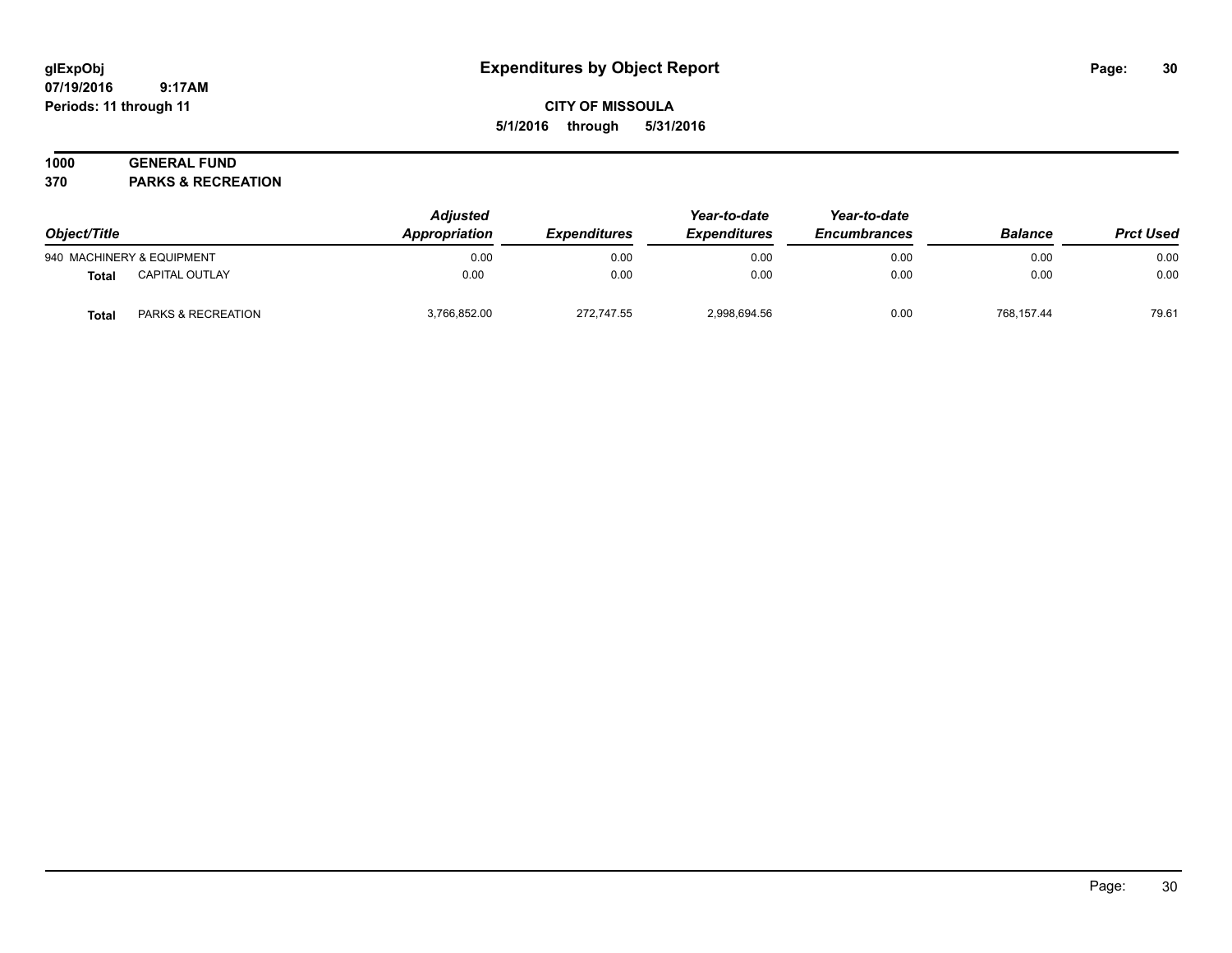# **CITY OF MISSOULA 5/1/2016 through 5/31/2016**

# **1000 GENERAL FUND**

**370 PARKS & RECREATION**

| Object/Title |                           | <b>Adjusted</b><br>Appropriation<br><b>Expenditures</b> | Year-to-date<br><b>Expenditures</b> | Year-to-date<br><b>Encumbrances</b> | <b>Balance</b> | <b>Prct Used</b> |       |
|--------------|---------------------------|---------------------------------------------------------|-------------------------------------|-------------------------------------|----------------|------------------|-------|
|              | 940 MACHINERY & EQUIPMENT | 0.00                                                    | 0.00                                | 0.00                                | 0.00           | 0.00             | 0.00  |
| Total        | <b>CAPITAL OUTLAY</b>     | 0.00                                                    | 0.00                                | 0.00                                | 0.00           | 0.00             | 0.00  |
| Total        | PARKS & RECREATION        | 3,766,852.00                                            | 272.747.55                          | 2,998,694.56                        | 0.00           | 768.157.44       | 79.61 |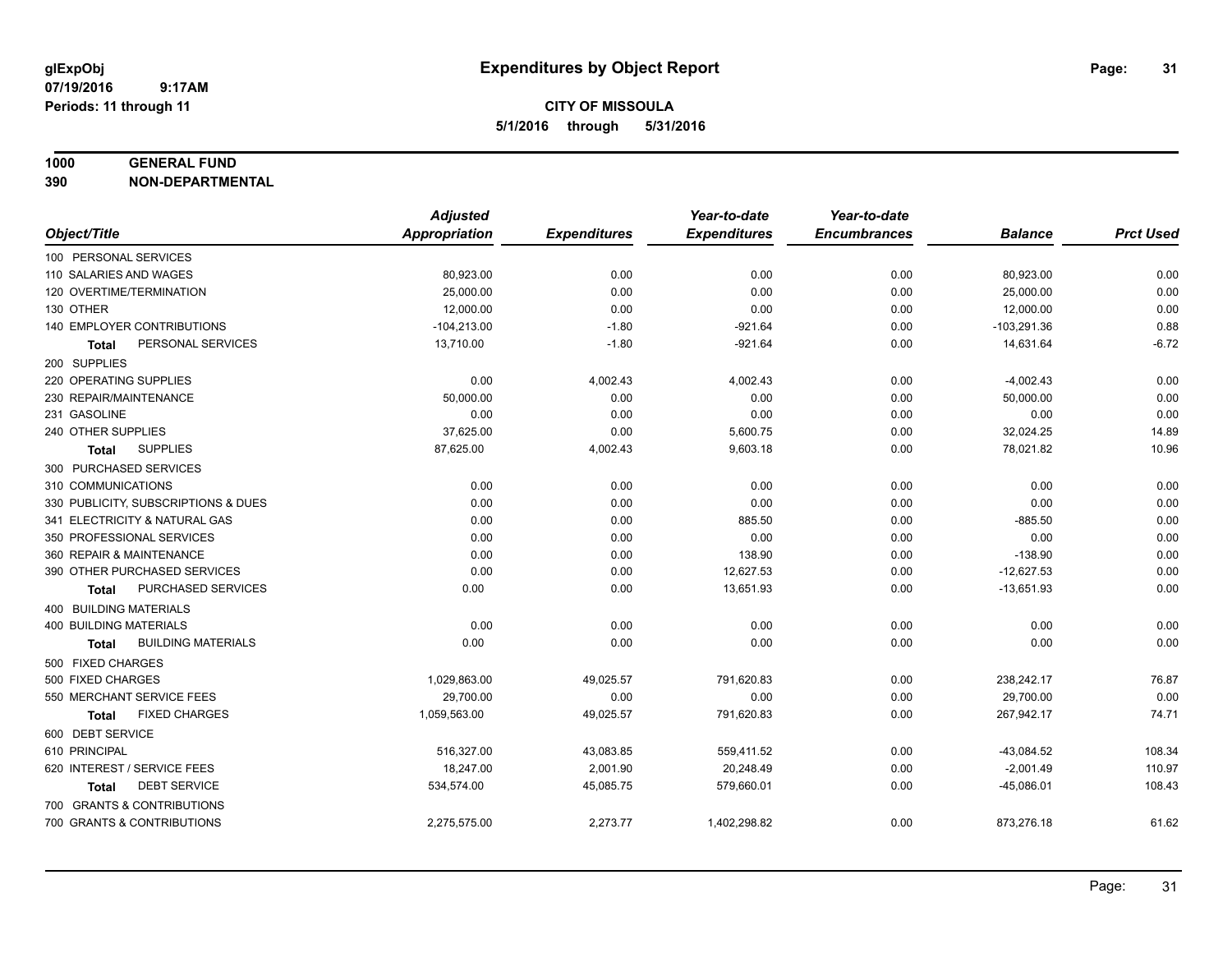#### **1000 GENERAL FUND**

**390 NON-DEPARTMENTAL**

|                                           | <b>Adjusted</b>      |                     | Year-to-date        | Year-to-date        |                |                  |
|-------------------------------------------|----------------------|---------------------|---------------------|---------------------|----------------|------------------|
| Object/Title                              | <b>Appropriation</b> | <b>Expenditures</b> | <b>Expenditures</b> | <b>Encumbrances</b> | <b>Balance</b> | <b>Prct Used</b> |
| 100 PERSONAL SERVICES                     |                      |                     |                     |                     |                |                  |
| 110 SALARIES AND WAGES                    | 80,923.00            | 0.00                | 0.00                | 0.00                | 80,923.00      | 0.00             |
| 120 OVERTIME/TERMINATION                  | 25,000.00            | 0.00                | 0.00                | 0.00                | 25,000.00      | 0.00             |
| 130 OTHER                                 | 12,000.00            | 0.00                | 0.00                | 0.00                | 12,000.00      | 0.00             |
| 140 EMPLOYER CONTRIBUTIONS                | $-104,213.00$        | $-1.80$             | $-921.64$           | 0.00                | $-103,291.36$  | 0.88             |
| PERSONAL SERVICES<br>Total                | 13,710.00            | $-1.80$             | $-921.64$           | 0.00                | 14,631.64      | $-6.72$          |
| 200 SUPPLIES                              |                      |                     |                     |                     |                |                  |
| 220 OPERATING SUPPLIES                    | 0.00                 | 4,002.43            | 4,002.43            | 0.00                | $-4,002.43$    | 0.00             |
| 230 REPAIR/MAINTENANCE                    | 50,000.00            | 0.00                | 0.00                | 0.00                | 50,000.00      | 0.00             |
| 231 GASOLINE                              | 0.00                 | 0.00                | 0.00                | 0.00                | 0.00           | 0.00             |
| 240 OTHER SUPPLIES                        | 37,625.00            | 0.00                | 5,600.75            | 0.00                | 32,024.25      | 14.89            |
| <b>SUPPLIES</b><br>Total                  | 87,625.00            | 4,002.43            | 9,603.18            | 0.00                | 78,021.82      | 10.96            |
| 300 PURCHASED SERVICES                    |                      |                     |                     |                     |                |                  |
| 310 COMMUNICATIONS                        | 0.00                 | 0.00                | 0.00                | 0.00                | 0.00           | 0.00             |
| 330 PUBLICITY, SUBSCRIPTIONS & DUES       | 0.00                 | 0.00                | 0.00                | 0.00                | 0.00           | 0.00             |
| 341 ELECTRICITY & NATURAL GAS             | 0.00                 | 0.00                | 885.50              | 0.00                | $-885.50$      | 0.00             |
| 350 PROFESSIONAL SERVICES                 | 0.00                 | 0.00                | 0.00                | 0.00                | 0.00           | 0.00             |
| 360 REPAIR & MAINTENANCE                  | 0.00                 | 0.00                | 138.90              | 0.00                | $-138.90$      | 0.00             |
| 390 OTHER PURCHASED SERVICES              | 0.00                 | 0.00                | 12,627.53           | 0.00                | $-12,627.53$   | 0.00             |
| PURCHASED SERVICES<br><b>Total</b>        | 0.00                 | 0.00                | 13,651.93           | 0.00                | $-13,651.93$   | 0.00             |
| 400 BUILDING MATERIALS                    |                      |                     |                     |                     |                |                  |
| <b>400 BUILDING MATERIALS</b>             | 0.00                 | 0.00                | 0.00                | 0.00                | 0.00           | 0.00             |
| <b>BUILDING MATERIALS</b><br><b>Total</b> | 0.00                 | 0.00                | 0.00                | 0.00                | 0.00           | 0.00             |
| 500 FIXED CHARGES                         |                      |                     |                     |                     |                |                  |
| 500 FIXED CHARGES                         | 1,029,863.00         | 49,025.57           | 791,620.83          | 0.00                | 238,242.17     | 76.87            |
| 550 MERCHANT SERVICE FEES                 | 29,700.00            | 0.00                | 0.00                | 0.00                | 29,700.00      | 0.00             |
| <b>FIXED CHARGES</b><br><b>Total</b>      | 1,059,563.00         | 49,025.57           | 791,620.83          | 0.00                | 267,942.17     | 74.71            |
| 600 DEBT SERVICE                          |                      |                     |                     |                     |                |                  |
| 610 PRINCIPAL                             | 516,327.00           | 43,083.85           | 559,411.52          | 0.00                | $-43,084.52$   | 108.34           |
| 620 INTEREST / SERVICE FEES               | 18,247.00            | 2,001.90            | 20,248.49           | 0.00                | $-2,001.49$    | 110.97           |
| <b>DEBT SERVICE</b><br>Total              | 534,574.00           | 45,085.75           | 579,660.01          | 0.00                | $-45,086.01$   | 108.43           |
| 700 GRANTS & CONTRIBUTIONS                |                      |                     |                     |                     |                |                  |
| 700 GRANTS & CONTRIBUTIONS                | 2,275,575.00         | 2,273.77            | 1,402,298.82        | 0.00                | 873,276.18     | 61.62            |
|                                           |                      |                     |                     |                     |                |                  |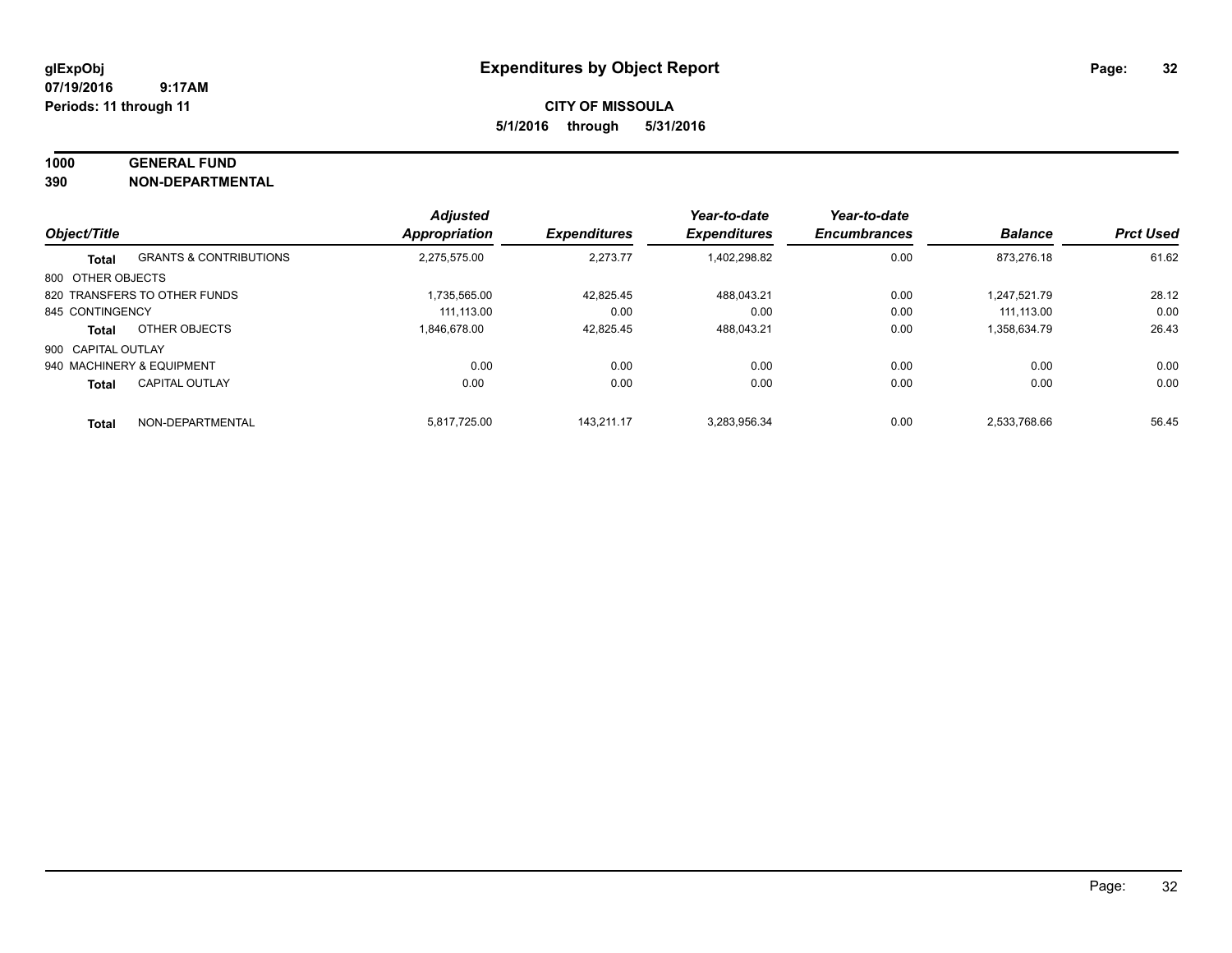### **1000 GENERAL FUND**

**390 NON-DEPARTMENTAL**

|                    |                                   | <b>Adjusted</b> |                     | Year-to-date        | Year-to-date        |                |                  |
|--------------------|-----------------------------------|-----------------|---------------------|---------------------|---------------------|----------------|------------------|
| Object/Title       |                                   | Appropriation   | <b>Expenditures</b> | <b>Expenditures</b> | <b>Encumbrances</b> | <b>Balance</b> | <b>Prct Used</b> |
| <b>Total</b>       | <b>GRANTS &amp; CONTRIBUTIONS</b> | 2.275.575.00    | 2,273.77            | 1,402,298.82        | 0.00                | 873.276.18     | 61.62            |
| 800 OTHER OBJECTS  |                                   |                 |                     |                     |                     |                |                  |
|                    | 820 TRANSFERS TO OTHER FUNDS      | 1.735.565.00    | 42,825.45           | 488.043.21          | 0.00                | 1.247.521.79   | 28.12            |
| 845 CONTINGENCY    |                                   | 111.113.00      | 0.00                | 0.00                | 0.00                | 111.113.00     | 0.00             |
| <b>Total</b>       | OTHER OBJECTS                     | 1.846.678.00    | 42,825.45           | 488.043.21          | 0.00                | 1,358,634.79   | 26.43            |
| 900 CAPITAL OUTLAY |                                   |                 |                     |                     |                     |                |                  |
|                    | 940 MACHINERY & EQUIPMENT         | 0.00            | 0.00                | 0.00                | 0.00                | 0.00           | 0.00             |
| <b>Total</b>       | <b>CAPITAL OUTLAY</b>             | 0.00            | 0.00                | 0.00                | 0.00                | 0.00           | 0.00             |
| <b>Total</b>       | NON-DEPARTMENTAL                  | 5.817.725.00    | 143.211.17          | 3.283.956.34        | 0.00                | 2.533.768.66   | 56.45            |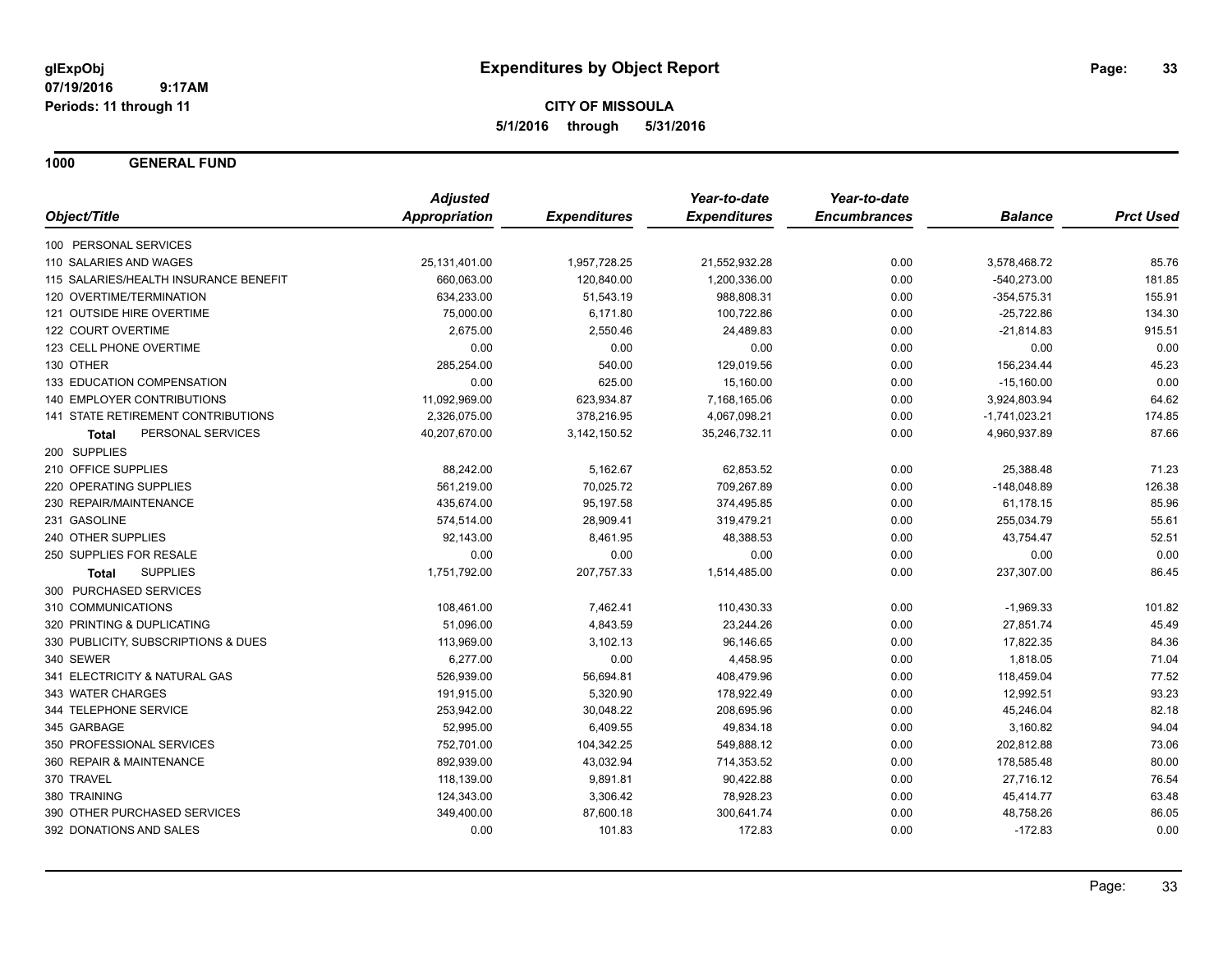**1000 GENERAL FUND**

|                                       | <b>Adjusted</b>      |                     | Year-to-date        | Year-to-date        |                 |                  |
|---------------------------------------|----------------------|---------------------|---------------------|---------------------|-----------------|------------------|
| Object/Title                          | <b>Appropriation</b> | <b>Expenditures</b> | <b>Expenditures</b> | <b>Encumbrances</b> | <b>Balance</b>  | <b>Prct Used</b> |
| 100 PERSONAL SERVICES                 |                      |                     |                     |                     |                 |                  |
| 110 SALARIES AND WAGES                | 25,131,401.00        | 1,957,728.25        | 21,552,932.28       | 0.00                | 3,578,468.72    | 85.76            |
| 115 SALARIES/HEALTH INSURANCE BENEFIT | 660,063.00           | 120,840.00          | 1,200,336.00        | 0.00                | $-540,273.00$   | 181.85           |
| 120 OVERTIME/TERMINATION              | 634,233.00           | 51,543.19           | 988,808.31          | 0.00                | $-354,575.31$   | 155.91           |
| 121 OUTSIDE HIRE OVERTIME             | 75,000.00            | 6,171.80            | 100,722.86          | 0.00                | $-25,722.86$    | 134.30           |
| 122 COURT OVERTIME                    | 2,675.00             | 2,550.46            | 24,489.83           | 0.00                | $-21,814.83$    | 915.51           |
| 123 CELL PHONE OVERTIME               | 0.00                 | 0.00                | 0.00                | 0.00                | 0.00            | 0.00             |
| 130 OTHER                             | 285,254.00           | 540.00              | 129,019.56          | 0.00                | 156,234.44      | 45.23            |
| 133 EDUCATION COMPENSATION            | 0.00                 | 625.00              | 15,160.00           | 0.00                | $-15,160.00$    | 0.00             |
| 140 EMPLOYER CONTRIBUTIONS            | 11,092,969.00        | 623,934.87          | 7,168,165.06        | 0.00                | 3,924,803.94    | 64.62            |
| 141 STATE RETIREMENT CONTRIBUTIONS    | 2,326,075.00         | 378,216.95          | 4,067,098.21        | 0.00                | $-1,741,023.21$ | 174.85           |
| PERSONAL SERVICES<br><b>Total</b>     | 40,207,670.00        | 3,142,150.52        | 35,246,732.11       | 0.00                | 4,960,937.89    | 87.66            |
| 200 SUPPLIES                          |                      |                     |                     |                     |                 |                  |
| 210 OFFICE SUPPLIES                   | 88,242.00            | 5,162.67            | 62,853.52           | 0.00                | 25,388.48       | 71.23            |
| 220 OPERATING SUPPLIES                | 561,219.00           | 70,025.72           | 709,267.89          | 0.00                | $-148,048.89$   | 126.38           |
| 230 REPAIR/MAINTENANCE                | 435,674.00           | 95,197.58           | 374,495.85          | 0.00                | 61,178.15       | 85.96            |
| 231 GASOLINE                          | 574,514.00           | 28,909.41           | 319,479.21          | 0.00                | 255,034.79      | 55.61            |
| 240 OTHER SUPPLIES                    | 92,143.00            | 8,461.95            | 48,388.53           | 0.00                | 43,754.47       | 52.51            |
| 250 SUPPLIES FOR RESALE               | 0.00                 | 0.00                | 0.00                | 0.00                | 0.00            | 0.00             |
| <b>SUPPLIES</b><br>Total              | 1,751,792.00         | 207,757.33          | 1,514,485.00        | 0.00                | 237,307.00      | 86.45            |
| 300 PURCHASED SERVICES                |                      |                     |                     |                     |                 |                  |
| 310 COMMUNICATIONS                    | 108,461.00           | 7,462.41            | 110,430.33          | 0.00                | $-1,969.33$     | 101.82           |
| 320 PRINTING & DUPLICATING            | 51,096.00            | 4,843.59            | 23,244.26           | 0.00                | 27,851.74       | 45.49            |
| 330 PUBLICITY, SUBSCRIPTIONS & DUES   | 113,969.00           | 3,102.13            | 96,146.65           | 0.00                | 17,822.35       | 84.36            |
| 340 SEWER                             | 6,277.00             | 0.00                | 4,458.95            | 0.00                | 1,818.05        | 71.04            |
| 341 ELECTRICITY & NATURAL GAS         | 526,939.00           | 56,694.81           | 408,479.96          | 0.00                | 118,459.04      | 77.52            |
| 343 WATER CHARGES                     | 191,915.00           | 5,320.90            | 178,922.49          | 0.00                | 12,992.51       | 93.23            |
| 344 TELEPHONE SERVICE                 | 253,942.00           | 30,048.22           | 208,695.96          | 0.00                | 45,246.04       | 82.18            |
| 345 GARBAGE                           | 52,995.00            | 6,409.55            | 49,834.18           | 0.00                | 3,160.82        | 94.04            |
| 350 PROFESSIONAL SERVICES             | 752,701.00           | 104,342.25          | 549,888.12          | 0.00                | 202,812.88      | 73.06            |
| 360 REPAIR & MAINTENANCE              | 892,939.00           | 43,032.94           | 714,353.52          | 0.00                | 178,585.48      | 80.00            |
| 370 TRAVEL                            | 118,139.00           | 9,891.81            | 90,422.88           | 0.00                | 27,716.12       | 76.54            |
| 380 TRAINING                          | 124,343.00           | 3,306.42            | 78,928.23           | 0.00                | 45,414.77       | 63.48            |
| 390 OTHER PURCHASED SERVICES          | 349,400.00           | 87,600.18           | 300,641.74          | 0.00                | 48,758.26       | 86.05            |
| 392 DONATIONS AND SALES               | 0.00                 | 101.83              | 172.83              | 0.00                | $-172.83$       | 0.00             |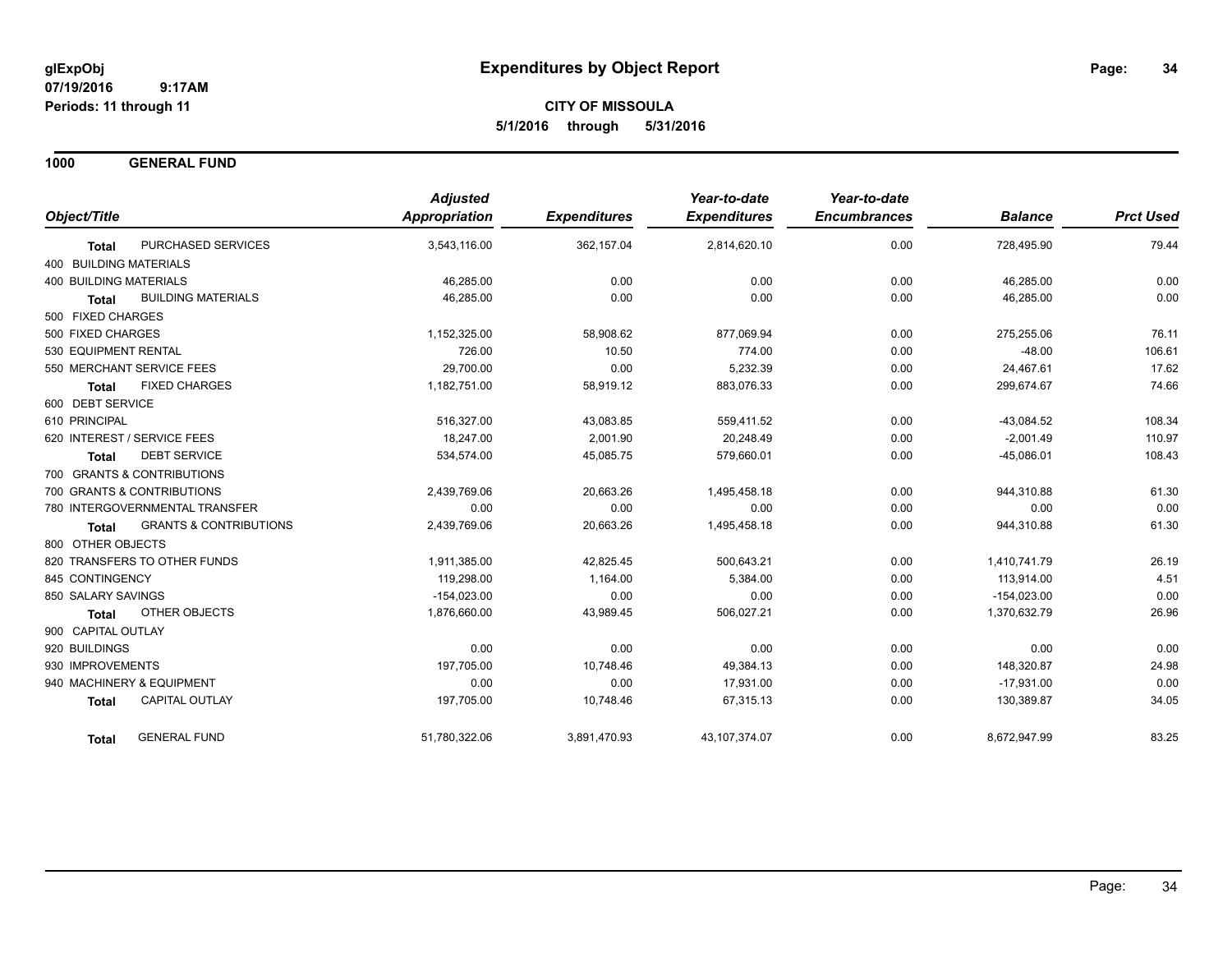**1000 GENERAL FUND**

|                                            | <b>Adjusted</b> |                     | Year-to-date        | Year-to-date        |                |                  |
|--------------------------------------------|-----------------|---------------------|---------------------|---------------------|----------------|------------------|
| Object/Title                               | Appropriation   | <b>Expenditures</b> | <b>Expenditures</b> | <b>Encumbrances</b> | <b>Balance</b> | <b>Prct Used</b> |
| PURCHASED SERVICES<br><b>Total</b>         | 3,543,116.00    | 362,157.04          | 2,814,620.10        | 0.00                | 728,495.90     | 79.44            |
| 400 BUILDING MATERIALS                     |                 |                     |                     |                     |                |                  |
| <b>400 BUILDING MATERIALS</b>              | 46,285.00       | 0.00                | 0.00                | 0.00                | 46,285.00      | 0.00             |
| <b>BUILDING MATERIALS</b><br>Total         | 46,285.00       | 0.00                | 0.00                | 0.00                | 46,285.00      | 0.00             |
| 500 FIXED CHARGES                          |                 |                     |                     |                     |                |                  |
| 500 FIXED CHARGES                          | 1,152,325.00    | 58,908.62           | 877.069.94          | 0.00                | 275,255.06     | 76.11            |
| 530 EQUIPMENT RENTAL                       | 726.00          | 10.50               | 774.00              | 0.00                | $-48.00$       | 106.61           |
| 550 MERCHANT SERVICE FEES                  | 29,700.00       | 0.00                | 5,232.39            | 0.00                | 24,467.61      | 17.62            |
| <b>FIXED CHARGES</b><br><b>Total</b>       | 1,182,751.00    | 58,919.12           | 883,076.33          | 0.00                | 299,674.67     | 74.66            |
| 600 DEBT SERVICE                           |                 |                     |                     |                     |                |                  |
| 610 PRINCIPAL                              | 516,327.00      | 43,083.85           | 559,411.52          | 0.00                | $-43,084.52$   | 108.34           |
| 620 INTEREST / SERVICE FEES                | 18,247.00       | 2,001.90            | 20,248.49           | 0.00                | $-2,001.49$    | 110.97           |
| <b>DEBT SERVICE</b><br><b>Total</b>        | 534,574.00      | 45,085.75           | 579,660.01          | 0.00                | $-45,086.01$   | 108.43           |
| 700 GRANTS & CONTRIBUTIONS                 |                 |                     |                     |                     |                |                  |
| 700 GRANTS & CONTRIBUTIONS                 | 2,439,769.06    | 20,663.26           | 1,495,458.18        | 0.00                | 944,310.88     | 61.30            |
| 780 INTERGOVERNMENTAL TRANSFER             | 0.00            | 0.00                | 0.00                | 0.00                | 0.00           | 0.00             |
| <b>GRANTS &amp; CONTRIBUTIONS</b><br>Total | 2,439,769.06    | 20,663.26           | 1,495,458.18        | 0.00                | 944,310.88     | 61.30            |
| 800 OTHER OBJECTS                          |                 |                     |                     |                     |                |                  |
| 820 TRANSFERS TO OTHER FUNDS               | 1,911,385.00    | 42,825.45           | 500,643.21          | 0.00                | 1,410,741.79   | 26.19            |
| 845 CONTINGENCY                            | 119,298.00      | 1,164.00            | 5,384.00            | 0.00                | 113,914.00     | 4.51             |
| 850 SALARY SAVINGS                         | $-154,023.00$   | 0.00                | 0.00                | 0.00                | $-154,023.00$  | 0.00             |
| <b>OTHER OBJECTS</b><br><b>Total</b>       | 1,876,660.00    | 43,989.45           | 506,027.21          | 0.00                | 1,370,632.79   | 26.96            |
| 900 CAPITAL OUTLAY                         |                 |                     |                     |                     |                |                  |
| 920 BUILDINGS                              | 0.00            | 0.00                | 0.00                | 0.00                | 0.00           | 0.00             |
| 930 IMPROVEMENTS                           | 197,705.00      | 10,748.46           | 49,384.13           | 0.00                | 148,320.87     | 24.98            |
| 940 MACHINERY & EQUIPMENT                  | 0.00            | 0.00                | 17,931.00           | 0.00                | $-17,931.00$   | 0.00             |
| <b>CAPITAL OUTLAY</b><br><b>Total</b>      | 197,705.00      | 10,748.46           | 67,315.13           | 0.00                | 130,389.87     | 34.05            |
| <b>GENERAL FUND</b><br>Total               | 51,780,322.06   | 3,891,470.93        | 43, 107, 374.07     | 0.00                | 8,672,947.99   | 83.25            |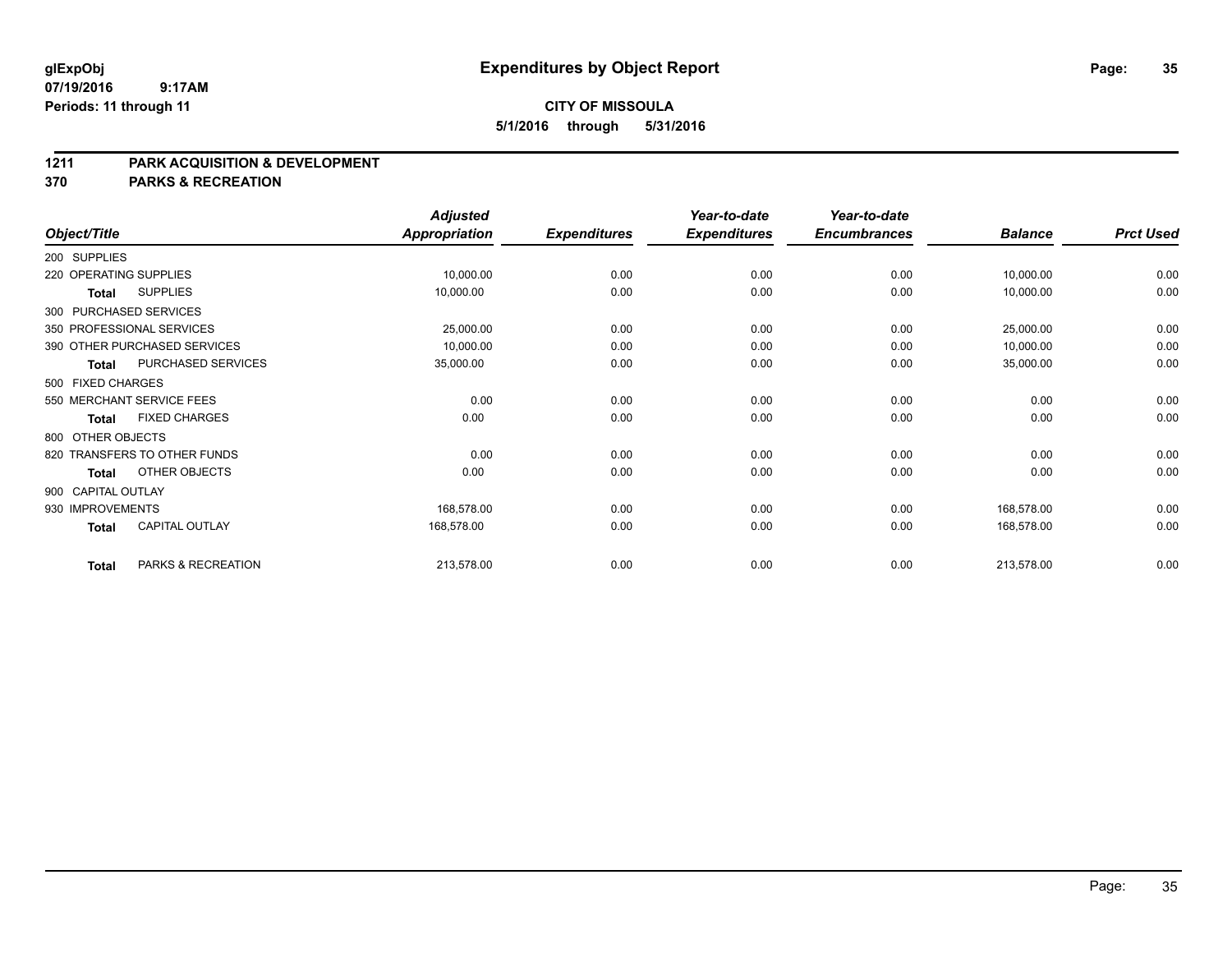# **CITY OF MISSOULA 5/1/2016 through 5/31/2016**

### **1211 PARK ACQUISITION & DEVELOPMENT**

**370 PARKS & RECREATION**

|                           |                              | <b>Adjusted</b>      |                     | Year-to-date        | Year-to-date        |                |                  |
|---------------------------|------------------------------|----------------------|---------------------|---------------------|---------------------|----------------|------------------|
| Object/Title              |                              | <b>Appropriation</b> | <b>Expenditures</b> | <b>Expenditures</b> | <b>Encumbrances</b> | <b>Balance</b> | <b>Prct Used</b> |
| 200 SUPPLIES              |                              |                      |                     |                     |                     |                |                  |
| 220 OPERATING SUPPLIES    |                              | 10,000.00            | 0.00                | 0.00                | 0.00                | 10,000.00      | 0.00             |
| <b>Total</b>              | <b>SUPPLIES</b>              | 10,000.00            | 0.00                | 0.00                | 0.00                | 10,000.00      | 0.00             |
| 300 PURCHASED SERVICES    |                              |                      |                     |                     |                     |                |                  |
| 350 PROFESSIONAL SERVICES |                              | 25,000.00            | 0.00                | 0.00                | 0.00                | 25,000.00      | 0.00             |
|                           | 390 OTHER PURCHASED SERVICES | 10,000.00            | 0.00                | 0.00                | 0.00                | 10,000.00      | 0.00             |
| Total                     | PURCHASED SERVICES           | 35,000.00            | 0.00                | 0.00                | 0.00                | 35,000.00      | 0.00             |
| 500 FIXED CHARGES         |                              |                      |                     |                     |                     |                |                  |
| 550 MERCHANT SERVICE FEES |                              | 0.00                 | 0.00                | 0.00                | 0.00                | 0.00           | 0.00             |
| <b>Total</b>              | <b>FIXED CHARGES</b>         | 0.00                 | 0.00                | 0.00                | 0.00                | 0.00           | 0.00             |
| 800 OTHER OBJECTS         |                              |                      |                     |                     |                     |                |                  |
|                           | 820 TRANSFERS TO OTHER FUNDS | 0.00                 | 0.00                | 0.00                | 0.00                | 0.00           | 0.00             |
| <b>Total</b>              | OTHER OBJECTS                | 0.00                 | 0.00                | 0.00                | 0.00                | 0.00           | 0.00             |
| 900 CAPITAL OUTLAY        |                              |                      |                     |                     |                     |                |                  |
| 930 IMPROVEMENTS          |                              | 168,578.00           | 0.00                | 0.00                | 0.00                | 168,578.00     | 0.00             |
| <b>Total</b>              | <b>CAPITAL OUTLAY</b>        | 168,578.00           | 0.00                | 0.00                | 0.00                | 168,578.00     | 0.00             |
| <b>Total</b>              | PARKS & RECREATION           | 213,578.00           | 0.00                | 0.00                | 0.00                | 213,578.00     | 0.00             |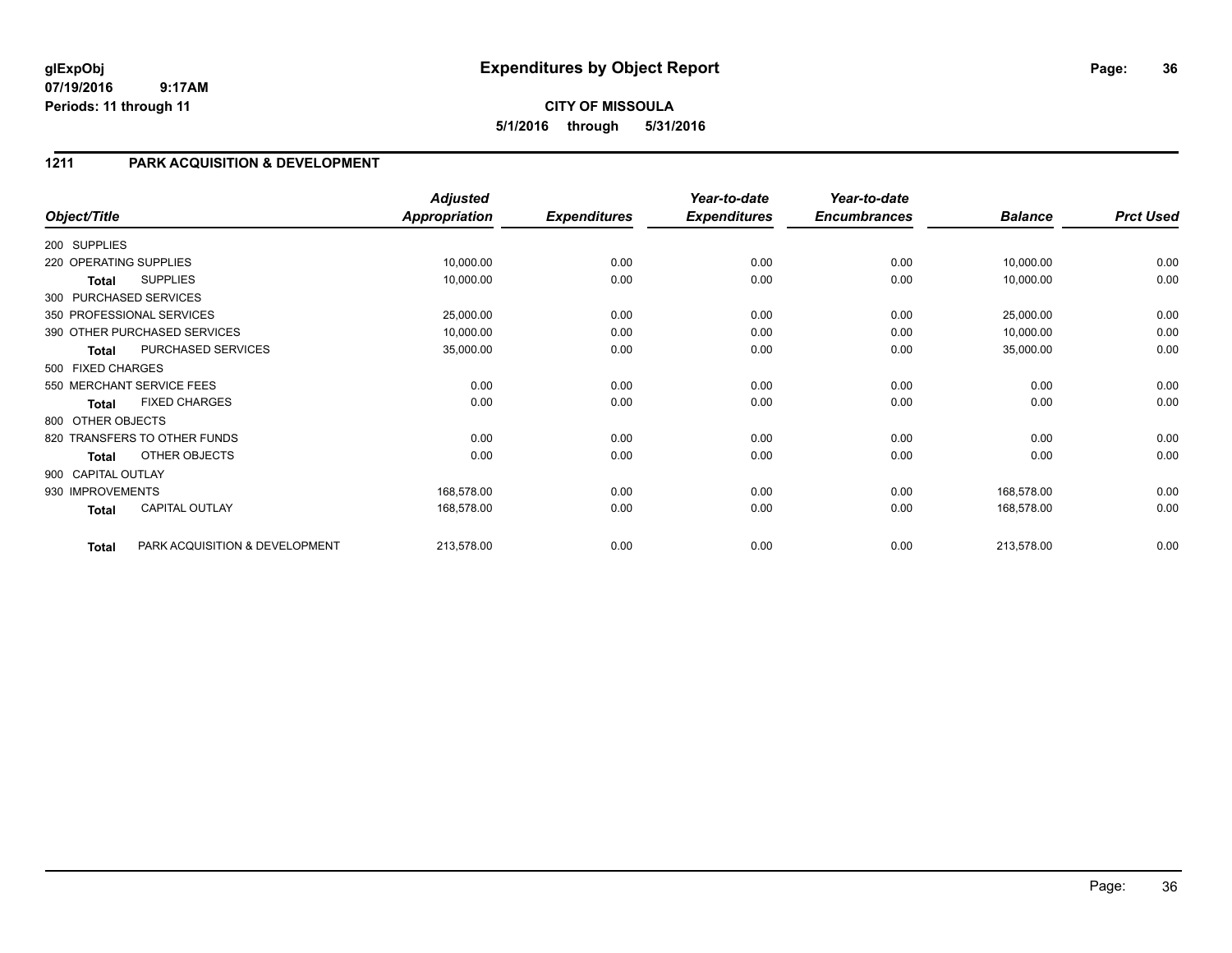# **CITY OF MISSOULA 5/1/2016 through 5/31/2016**

# **1211 PARK ACQUISITION & DEVELOPMENT**

| Object/Title           |                                | <b>Adjusted</b><br><b>Appropriation</b> | <b>Expenditures</b> | Year-to-date<br><b>Expenditures</b> | Year-to-date<br><b>Encumbrances</b> | <b>Balance</b> | <b>Prct Used</b> |
|------------------------|--------------------------------|-----------------------------------------|---------------------|-------------------------------------|-------------------------------------|----------------|------------------|
| 200 SUPPLIES           |                                |                                         |                     |                                     |                                     |                |                  |
| 220 OPERATING SUPPLIES |                                | 10,000.00                               | 0.00                | 0.00                                | 0.00                                | 10,000.00      | 0.00             |
| Total                  | <b>SUPPLIES</b>                | 10,000.00                               | 0.00                | 0.00                                | 0.00                                | 10,000.00      | 0.00             |
|                        | 300 PURCHASED SERVICES         |                                         |                     |                                     |                                     |                |                  |
|                        | 350 PROFESSIONAL SERVICES      | 25,000.00                               | 0.00                | 0.00                                | 0.00                                | 25,000.00      | 0.00             |
|                        | 390 OTHER PURCHASED SERVICES   | 10,000.00                               | 0.00                | 0.00                                | 0.00                                | 10,000.00      | 0.00             |
| Total                  | PURCHASED SERVICES             | 35,000.00                               | 0.00                | 0.00                                | 0.00                                | 35,000.00      | 0.00             |
| 500 FIXED CHARGES      |                                |                                         |                     |                                     |                                     |                |                  |
|                        | 550 MERCHANT SERVICE FEES      | 0.00                                    | 0.00                | 0.00                                | 0.00                                | 0.00           | 0.00             |
| Total                  | <b>FIXED CHARGES</b>           | 0.00                                    | 0.00                | 0.00                                | 0.00                                | 0.00           | 0.00             |
| 800 OTHER OBJECTS      |                                |                                         |                     |                                     |                                     |                |                  |
|                        | 820 TRANSFERS TO OTHER FUNDS   | 0.00                                    | 0.00                | 0.00                                | 0.00                                | 0.00           | 0.00             |
| Total                  | OTHER OBJECTS                  | 0.00                                    | 0.00                | 0.00                                | 0.00                                | 0.00           | 0.00             |
| 900 CAPITAL OUTLAY     |                                |                                         |                     |                                     |                                     |                |                  |
| 930 IMPROVEMENTS       |                                | 168,578.00                              | 0.00                | 0.00                                | 0.00                                | 168,578.00     | 0.00             |
| Total                  | CAPITAL OUTLAY                 | 168,578.00                              | 0.00                | 0.00                                | 0.00                                | 168,578.00     | 0.00             |
| <b>Total</b>           | PARK ACQUISITION & DEVELOPMENT | 213,578.00                              | 0.00                | 0.00                                | 0.00                                | 213,578.00     | 0.00             |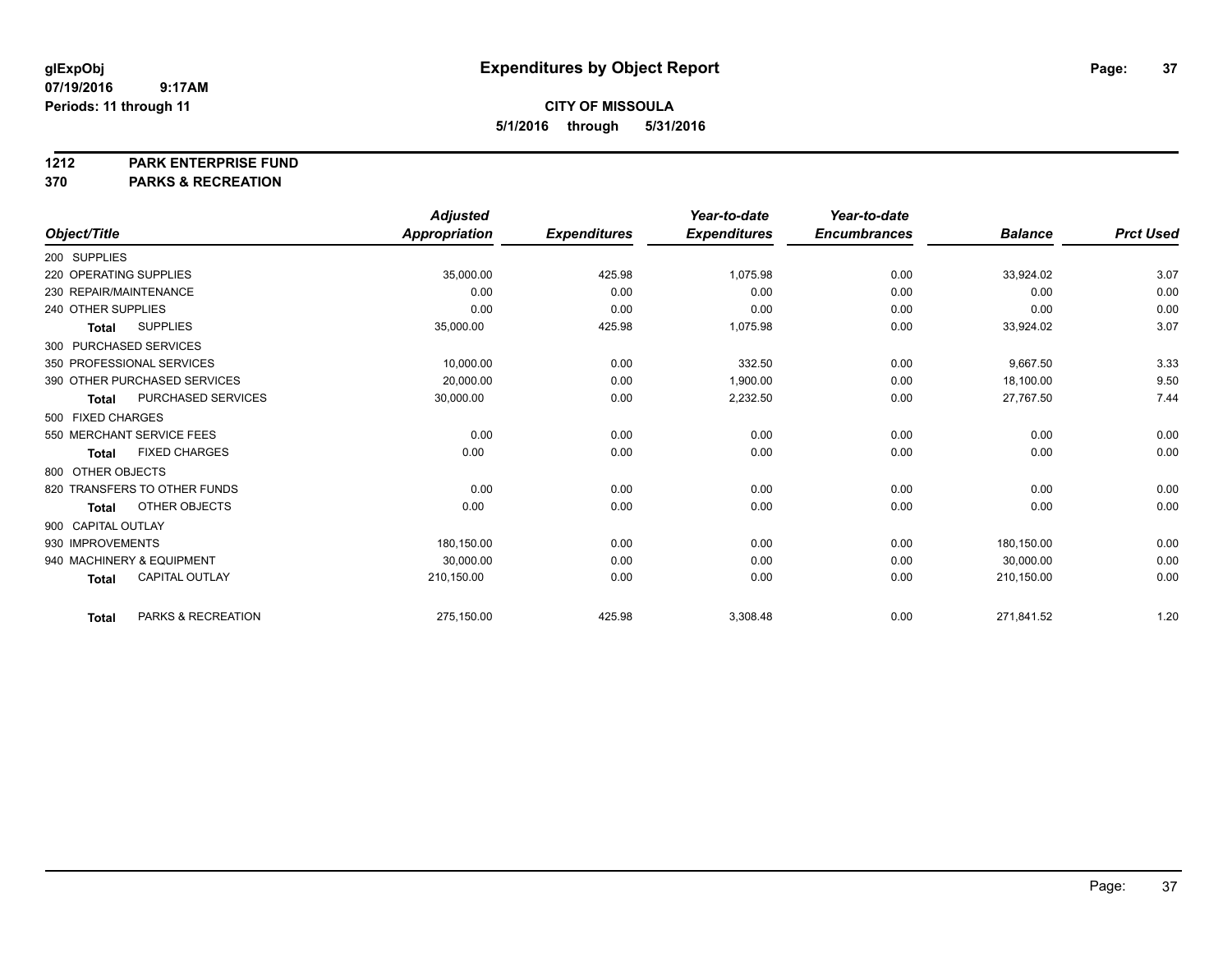#### **1212 PARK ENTERPRISE FUND**

**370 PARKS & RECREATION**

|                           |                              | <b>Adjusted</b> |                     | Year-to-date        | Year-to-date        |                |                  |
|---------------------------|------------------------------|-----------------|---------------------|---------------------|---------------------|----------------|------------------|
| Object/Title              |                              | Appropriation   | <b>Expenditures</b> | <b>Expenditures</b> | <b>Encumbrances</b> | <b>Balance</b> | <b>Prct Used</b> |
| 200 SUPPLIES              |                              |                 |                     |                     |                     |                |                  |
| 220 OPERATING SUPPLIES    |                              | 35,000.00       | 425.98              | 1,075.98            | 0.00                | 33,924.02      | 3.07             |
| 230 REPAIR/MAINTENANCE    |                              | 0.00            | 0.00                | 0.00                | 0.00                | 0.00           | 0.00             |
| 240 OTHER SUPPLIES        |                              | 0.00            | 0.00                | 0.00                | 0.00                | 0.00           | 0.00             |
| <b>Total</b>              | <b>SUPPLIES</b>              | 35,000.00       | 425.98              | 1,075.98            | 0.00                | 33,924.02      | 3.07             |
| 300 PURCHASED SERVICES    |                              |                 |                     |                     |                     |                |                  |
| 350 PROFESSIONAL SERVICES |                              | 10,000.00       | 0.00                | 332.50              | 0.00                | 9.667.50       | 3.33             |
|                           | 390 OTHER PURCHASED SERVICES | 20,000.00       | 0.00                | 1,900.00            | 0.00                | 18,100.00      | 9.50             |
| <b>Total</b>              | PURCHASED SERVICES           | 30,000.00       | 0.00                | 2,232.50            | 0.00                | 27,767.50      | 7.44             |
| 500 FIXED CHARGES         |                              |                 |                     |                     |                     |                |                  |
| 550 MERCHANT SERVICE FEES |                              | 0.00            | 0.00                | 0.00                | 0.00                | 0.00           | 0.00             |
| <b>Total</b>              | <b>FIXED CHARGES</b>         | 0.00            | 0.00                | 0.00                | 0.00                | 0.00           | 0.00             |
| 800 OTHER OBJECTS         |                              |                 |                     |                     |                     |                |                  |
|                           | 820 TRANSFERS TO OTHER FUNDS | 0.00            | 0.00                | 0.00                | 0.00                | 0.00           | 0.00             |
| <b>Total</b>              | OTHER OBJECTS                | 0.00            | 0.00                | 0.00                | 0.00                | 0.00           | 0.00             |
| 900 CAPITAL OUTLAY        |                              |                 |                     |                     |                     |                |                  |
| 930 IMPROVEMENTS          |                              | 180,150.00      | 0.00                | 0.00                | 0.00                | 180.150.00     | 0.00             |
| 940 MACHINERY & EQUIPMENT |                              | 30,000.00       | 0.00                | 0.00                | 0.00                | 30,000.00      | 0.00             |
| <b>Total</b>              | <b>CAPITAL OUTLAY</b>        | 210,150.00      | 0.00                | 0.00                | 0.00                | 210,150.00     | 0.00             |
| <b>Total</b>              | PARKS & RECREATION           | 275,150.00      | 425.98              | 3,308.48            | 0.00                | 271,841.52     | 1.20             |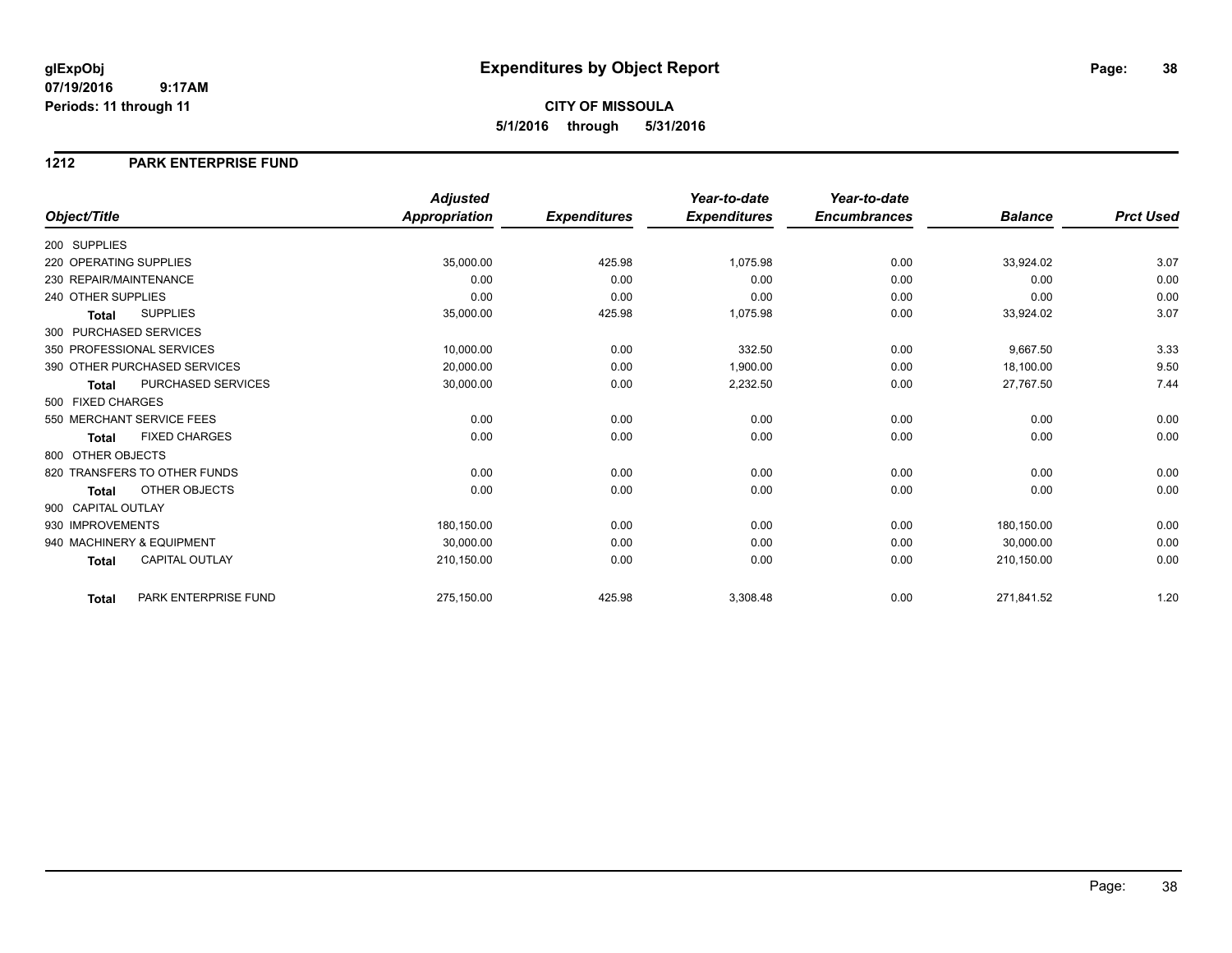## **CITY OF MISSOULA 5/1/2016 through 5/31/2016**

### **1212 PARK ENTERPRISE FUND**

|                        |                              | <b>Adjusted</b>      |                     | Year-to-date        | Year-to-date        |                |                  |
|------------------------|------------------------------|----------------------|---------------------|---------------------|---------------------|----------------|------------------|
| Object/Title           |                              | <b>Appropriation</b> | <b>Expenditures</b> | <b>Expenditures</b> | <b>Encumbrances</b> | <b>Balance</b> | <b>Prct Used</b> |
| 200 SUPPLIES           |                              |                      |                     |                     |                     |                |                  |
| 220 OPERATING SUPPLIES |                              | 35,000.00            | 425.98              | 1,075.98            | 0.00                | 33,924.02      | 3.07             |
| 230 REPAIR/MAINTENANCE |                              | 0.00                 | 0.00                | 0.00                | 0.00                | 0.00           | 0.00             |
| 240 OTHER SUPPLIES     |                              | 0.00                 | 0.00                | 0.00                | 0.00                | 0.00           | 0.00             |
| <b>Total</b>           | <b>SUPPLIES</b>              | 35,000.00            | 425.98              | 1,075.98            | 0.00                | 33,924.02      | 3.07             |
| 300 PURCHASED SERVICES |                              |                      |                     |                     |                     |                |                  |
|                        | 350 PROFESSIONAL SERVICES    | 10,000.00            | 0.00                | 332.50              | 0.00                | 9,667.50       | 3.33             |
|                        | 390 OTHER PURCHASED SERVICES | 20,000.00            | 0.00                | 1,900.00            | 0.00                | 18,100.00      | 9.50             |
| <b>Total</b>           | <b>PURCHASED SERVICES</b>    | 30,000.00            | 0.00                | 2,232.50            | 0.00                | 27,767.50      | 7.44             |
| 500 FIXED CHARGES      |                              |                      |                     |                     |                     |                |                  |
|                        | 550 MERCHANT SERVICE FEES    | 0.00                 | 0.00                | 0.00                | 0.00                | 0.00           | 0.00             |
| <b>Total</b>           | <b>FIXED CHARGES</b>         | 0.00                 | 0.00                | 0.00                | 0.00                | 0.00           | 0.00             |
| 800 OTHER OBJECTS      |                              |                      |                     |                     |                     |                |                  |
|                        | 820 TRANSFERS TO OTHER FUNDS | 0.00                 | 0.00                | 0.00                | 0.00                | 0.00           | 0.00             |
| <b>Total</b>           | OTHER OBJECTS                | 0.00                 | 0.00                | 0.00                | 0.00                | 0.00           | 0.00             |
| 900 CAPITAL OUTLAY     |                              |                      |                     |                     |                     |                |                  |
| 930 IMPROVEMENTS       |                              | 180,150.00           | 0.00                | 0.00                | 0.00                | 180,150.00     | 0.00             |
|                        | 940 MACHINERY & EQUIPMENT    | 30,000.00            | 0.00                | 0.00                | 0.00                | 30,000.00      | 0.00             |
| <b>Total</b>           | <b>CAPITAL OUTLAY</b>        | 210,150.00           | 0.00                | 0.00                | 0.00                | 210,150.00     | 0.00             |
| <b>Total</b>           | PARK ENTERPRISE FUND         | 275,150.00           | 425.98              | 3,308.48            | 0.00                | 271,841.52     | 1.20             |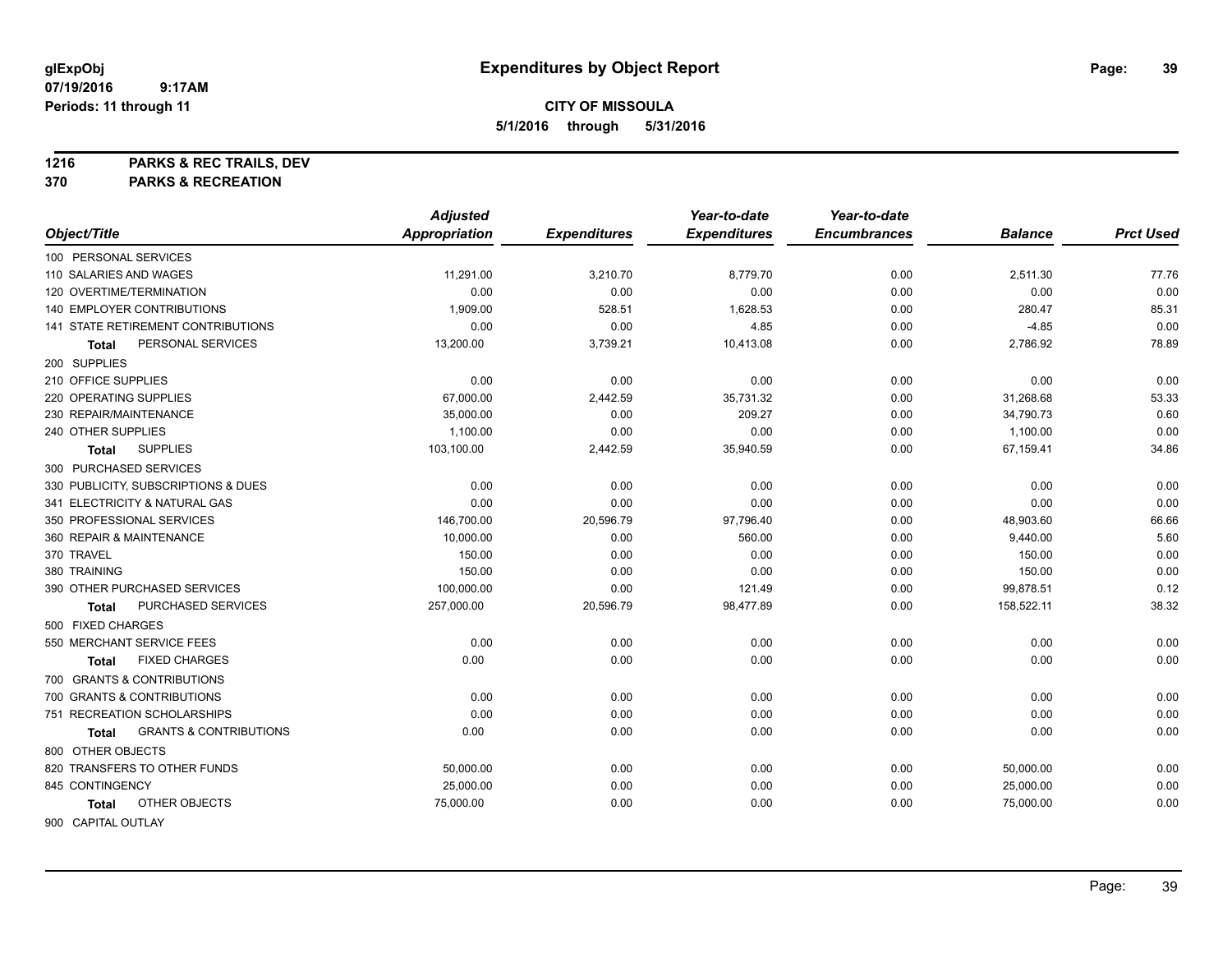**1216 PARKS & REC TRAILS, DEV**

**370 PARKS & RECREATION**

|                                            | <b>Adjusted</b> |                     | Year-to-date        | Year-to-date        |                |                  |
|--------------------------------------------|-----------------|---------------------|---------------------|---------------------|----------------|------------------|
| Object/Title                               | Appropriation   | <b>Expenditures</b> | <b>Expenditures</b> | <b>Encumbrances</b> | <b>Balance</b> | <b>Prct Used</b> |
| 100 PERSONAL SERVICES                      |                 |                     |                     |                     |                |                  |
| 110 SALARIES AND WAGES                     | 11,291.00       | 3,210.70            | 8,779.70            | 0.00                | 2,511.30       | 77.76            |
| 120 OVERTIME/TERMINATION                   | 0.00            | 0.00                | 0.00                | 0.00                | 0.00           | 0.00             |
| 140 EMPLOYER CONTRIBUTIONS                 | 1,909.00        | 528.51              | 1,628.53            | 0.00                | 280.47         | 85.31            |
| <b>141 STATE RETIREMENT CONTRIBUTIONS</b>  | 0.00            | 0.00                | 4.85                | 0.00                | $-4.85$        | 0.00             |
| PERSONAL SERVICES<br><b>Total</b>          | 13,200.00       | 3,739.21            | 10,413.08           | 0.00                | 2,786.92       | 78.89            |
| 200 SUPPLIES                               |                 |                     |                     |                     |                |                  |
| 210 OFFICE SUPPLIES                        | 0.00            | 0.00                | 0.00                | 0.00                | 0.00           | 0.00             |
| 220 OPERATING SUPPLIES                     | 67,000.00       | 2,442.59            | 35,731.32           | 0.00                | 31,268.68      | 53.33            |
| 230 REPAIR/MAINTENANCE                     | 35,000.00       | 0.00                | 209.27              | 0.00                | 34,790.73      | 0.60             |
| 240 OTHER SUPPLIES                         | 1,100.00        | 0.00                | 0.00                | 0.00                | 1,100.00       | 0.00             |
| <b>SUPPLIES</b><br><b>Total</b>            | 103,100.00      | 2,442.59            | 35,940.59           | 0.00                | 67,159.41      | 34.86            |
| 300 PURCHASED SERVICES                     |                 |                     |                     |                     |                |                  |
| 330 PUBLICITY, SUBSCRIPTIONS & DUES        | 0.00            | 0.00                | 0.00                | 0.00                | 0.00           | 0.00             |
| 341 ELECTRICITY & NATURAL GAS              | 0.00            | 0.00                | 0.00                | 0.00                | 0.00           | 0.00             |
| 350 PROFESSIONAL SERVICES                  | 146,700.00      | 20,596.79           | 97,796.40           | 0.00                | 48,903.60      | 66.66            |
| 360 REPAIR & MAINTENANCE                   | 10,000.00       | 0.00                | 560.00              | 0.00                | 9,440.00       | 5.60             |
| 370 TRAVEL                                 | 150.00          | 0.00                | 0.00                | 0.00                | 150.00         | 0.00             |
| 380 TRAINING                               | 150.00          | 0.00                | 0.00                | 0.00                | 150.00         | 0.00             |
| 390 OTHER PURCHASED SERVICES               | 100,000.00      | 0.00                | 121.49              | 0.00                | 99,878.51      | 0.12             |
| PURCHASED SERVICES<br><b>Total</b>         | 257,000.00      | 20,596.79           | 98,477.89           | 0.00                | 158,522.11     | 38.32            |
| 500 FIXED CHARGES                          |                 |                     |                     |                     |                |                  |
| 550 MERCHANT SERVICE FEES                  | 0.00            | 0.00                | 0.00                | 0.00                | 0.00           | 0.00             |
| <b>FIXED CHARGES</b><br><b>Total</b>       | 0.00            | 0.00                | 0.00                | 0.00                | 0.00           | 0.00             |
| 700 GRANTS & CONTRIBUTIONS                 |                 |                     |                     |                     |                |                  |
| 700 GRANTS & CONTRIBUTIONS                 | 0.00            | 0.00                | 0.00                | 0.00                | 0.00           | 0.00             |
| 751 RECREATION SCHOLARSHIPS                | 0.00            | 0.00                | 0.00                | 0.00                | 0.00           | 0.00             |
| <b>GRANTS &amp; CONTRIBUTIONS</b><br>Total | 0.00            | 0.00                | 0.00                | 0.00                | 0.00           | 0.00             |
| 800 OTHER OBJECTS                          |                 |                     |                     |                     |                |                  |
| 820 TRANSFERS TO OTHER FUNDS               | 50,000.00       | 0.00                | 0.00                | 0.00                | 50,000.00      | 0.00             |
| 845 CONTINGENCY                            | 25,000.00       | 0.00                | 0.00                | 0.00                | 25,000.00      | 0.00             |
| OTHER OBJECTS<br>Total                     | 75,000.00       | 0.00                | 0.00                | 0.00                | 75,000.00      | 0.00             |
| 900 CAPITAL OUTLAY                         |                 |                     |                     |                     |                |                  |

Page: 39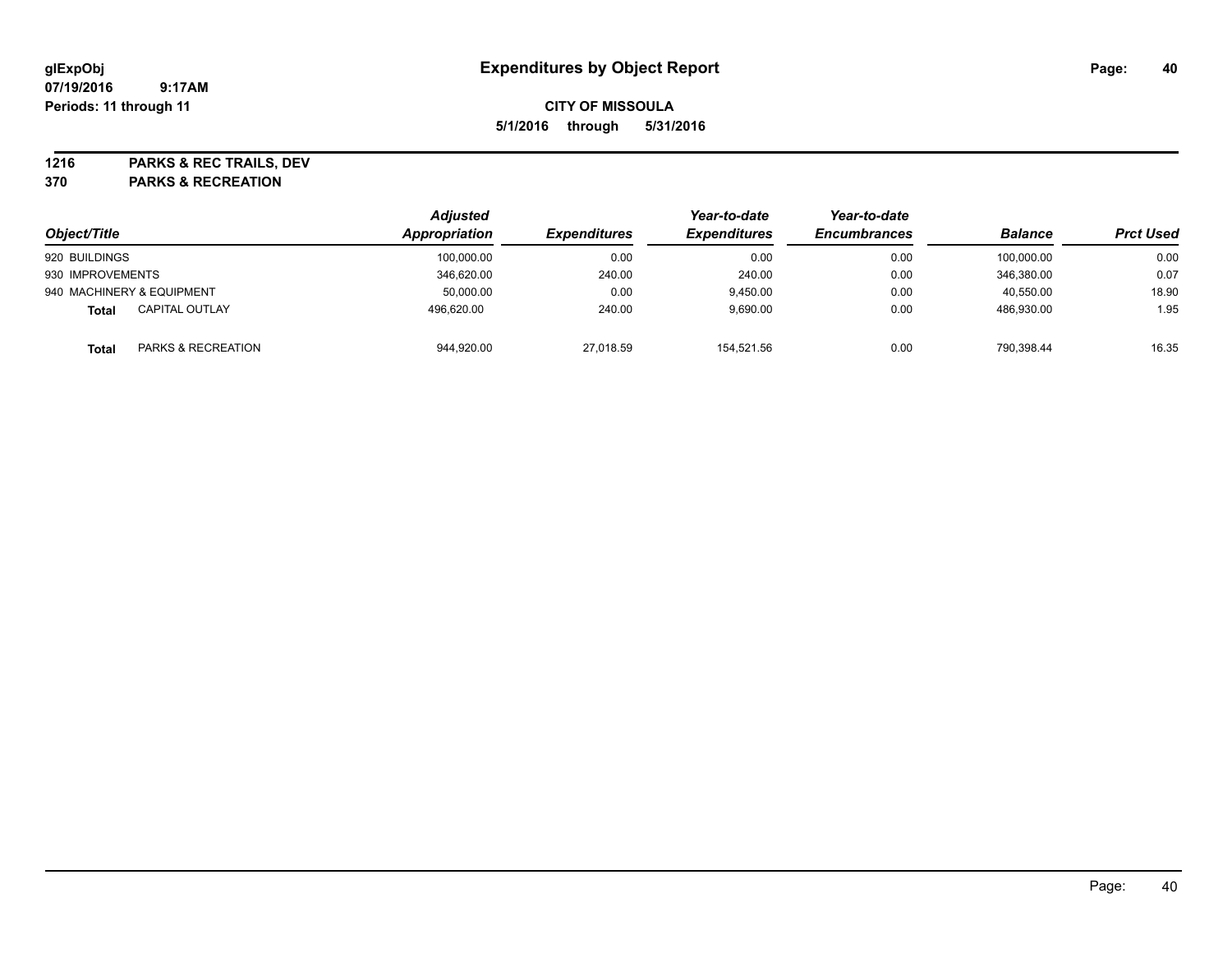**1216 PARKS & REC TRAILS, DEV**

**370 PARKS & RECREATION**

| Object/Title                                  | <b>Adjusted</b><br>Appropriation | <b>Expenditures</b> | Year-to-date<br><b>Expenditures</b> | Year-to-date<br><b>Encumbrances</b> | <b>Balance</b> | <b>Prct Used</b> |
|-----------------------------------------------|----------------------------------|---------------------|-------------------------------------|-------------------------------------|----------------|------------------|
| 920 BUILDINGS                                 | 100,000.00                       | 0.00                | 0.00                                | 0.00                                | 100,000.00     | 0.00             |
| 930 IMPROVEMENTS                              | 346,620.00                       | 240.00              | 240.00                              | 0.00                                | 346,380.00     | 0.07             |
| 940 MACHINERY & EQUIPMENT                     | 50,000.00                        | 0.00                | 9,450.00                            | 0.00                                | 40,550.00      | 18.90            |
| <b>CAPITAL OUTLAY</b><br><b>Total</b>         | 496.620.00                       | 240.00              | 9,690.00                            | 0.00                                | 486.930.00     | 1.95             |
| <b>PARKS &amp; RECREATION</b><br><b>Total</b> | 944,920.00                       | 27,018.59           | 154.521.56                          | 0.00                                | 790.398.44     | 16.35            |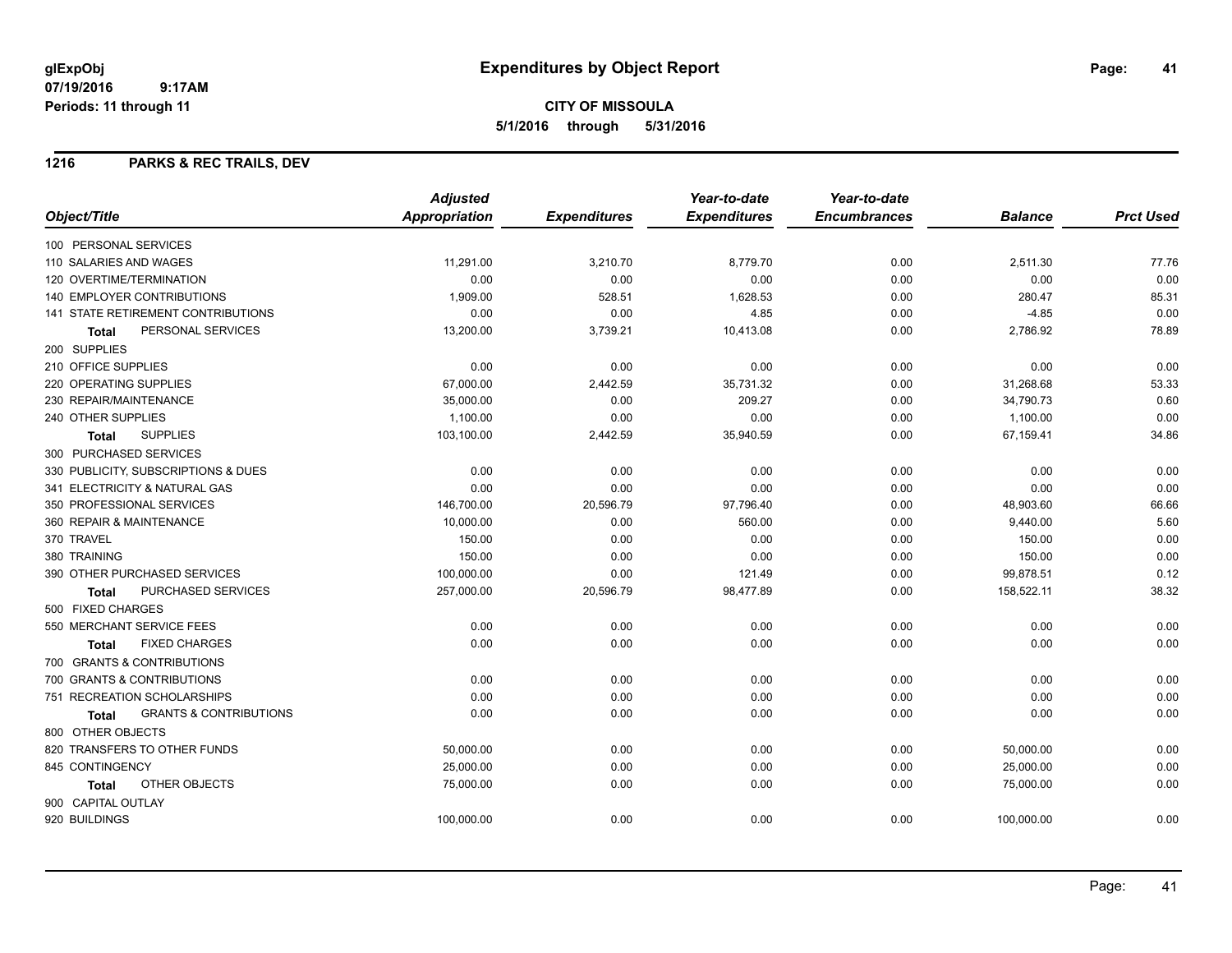### **1216 PARKS & REC TRAILS, DEV**

|                                            | <b>Adjusted</b>      |                     | Year-to-date        | Year-to-date        |                |                  |
|--------------------------------------------|----------------------|---------------------|---------------------|---------------------|----------------|------------------|
| Object/Title                               | <b>Appropriation</b> | <b>Expenditures</b> | <b>Expenditures</b> | <b>Encumbrances</b> | <b>Balance</b> | <b>Prct Used</b> |
| 100 PERSONAL SERVICES                      |                      |                     |                     |                     |                |                  |
| 110 SALARIES AND WAGES                     | 11.291.00            | 3,210.70            | 8,779.70            | 0.00                | 2,511.30       | 77.76            |
| 120 OVERTIME/TERMINATION                   | 0.00                 | 0.00                | 0.00                | 0.00                | 0.00           | 0.00             |
| <b>140 EMPLOYER CONTRIBUTIONS</b>          | 1,909.00             | 528.51              | 1,628.53            | 0.00                | 280.47         | 85.31            |
| <b>141 STATE RETIREMENT CONTRIBUTIONS</b>  | 0.00                 | 0.00                | 4.85                | 0.00                | $-4.85$        | 0.00             |
| PERSONAL SERVICES<br><b>Total</b>          | 13,200.00            | 3,739.21            | 10,413.08           | 0.00                | 2,786.92       | 78.89            |
| 200 SUPPLIES                               |                      |                     |                     |                     |                |                  |
| 210 OFFICE SUPPLIES                        | 0.00                 | 0.00                | 0.00                | 0.00                | 0.00           | 0.00             |
| 220 OPERATING SUPPLIES                     | 67,000.00            | 2,442.59            | 35,731.32           | 0.00                | 31,268.68      | 53.33            |
| 230 REPAIR/MAINTENANCE                     | 35,000.00            | 0.00                | 209.27              | 0.00                | 34,790.73      | 0.60             |
| 240 OTHER SUPPLIES                         | 1,100.00             | 0.00                | 0.00                | 0.00                | 1,100.00       | 0.00             |
| <b>SUPPLIES</b><br><b>Total</b>            | 103,100.00           | 2,442.59            | 35,940.59           | 0.00                | 67,159.41      | 34.86            |
| 300 PURCHASED SERVICES                     |                      |                     |                     |                     |                |                  |
| 330 PUBLICITY, SUBSCRIPTIONS & DUES        | 0.00                 | 0.00                | 0.00                | 0.00                | 0.00           | 0.00             |
| 341 ELECTRICITY & NATURAL GAS              | 0.00                 | 0.00                | 0.00                | 0.00                | 0.00           | 0.00             |
| 350 PROFESSIONAL SERVICES                  | 146,700.00           | 20,596.79           | 97,796.40           | 0.00                | 48,903.60      | 66.66            |
| 360 REPAIR & MAINTENANCE                   | 10,000.00            | 0.00                | 560.00              | 0.00                | 9,440.00       | 5.60             |
| 370 TRAVEL                                 | 150.00               | 0.00                | 0.00                | 0.00                | 150.00         | 0.00             |
| 380 TRAINING                               | 150.00               | 0.00                | 0.00                | 0.00                | 150.00         | 0.00             |
| 390 OTHER PURCHASED SERVICES               | 100,000.00           | 0.00                | 121.49              | 0.00                | 99,878.51      | 0.12             |
| PURCHASED SERVICES<br><b>Total</b>         | 257,000.00           | 20,596.79           | 98,477.89           | 0.00                | 158,522.11     | 38.32            |
| 500 FIXED CHARGES                          |                      |                     |                     |                     |                |                  |
| 550 MERCHANT SERVICE FEES                  | 0.00                 | 0.00                | 0.00                | 0.00                | 0.00           | 0.00             |
| <b>FIXED CHARGES</b><br><b>Total</b>       | 0.00                 | 0.00                | 0.00                | 0.00                | 0.00           | 0.00             |
| 700 GRANTS & CONTRIBUTIONS                 |                      |                     |                     |                     |                |                  |
| 700 GRANTS & CONTRIBUTIONS                 | 0.00                 | 0.00                | 0.00                | 0.00                | 0.00           | 0.00             |
| 751 RECREATION SCHOLARSHIPS                | 0.00                 | 0.00                | 0.00                | 0.00                | 0.00           | 0.00             |
| <b>GRANTS &amp; CONTRIBUTIONS</b><br>Total | 0.00                 | 0.00                | 0.00                | 0.00                | 0.00           | 0.00             |
| 800 OTHER OBJECTS                          |                      |                     |                     |                     |                |                  |
| 820 TRANSFERS TO OTHER FUNDS               | 50,000.00            | 0.00                | 0.00                | 0.00                | 50,000.00      | 0.00             |
| 845 CONTINGENCY                            | 25,000.00            | 0.00                | 0.00                | 0.00                | 25,000.00      | 0.00             |
| OTHER OBJECTS<br>Total                     | 75,000.00            | 0.00                | 0.00                | 0.00                | 75,000.00      | 0.00             |
| 900 CAPITAL OUTLAY                         |                      |                     |                     |                     |                |                  |
| 920 BUILDINGS                              | 100,000.00           | 0.00                | 0.00                | 0.00                | 100,000.00     | 0.00             |
|                                            |                      |                     |                     |                     |                |                  |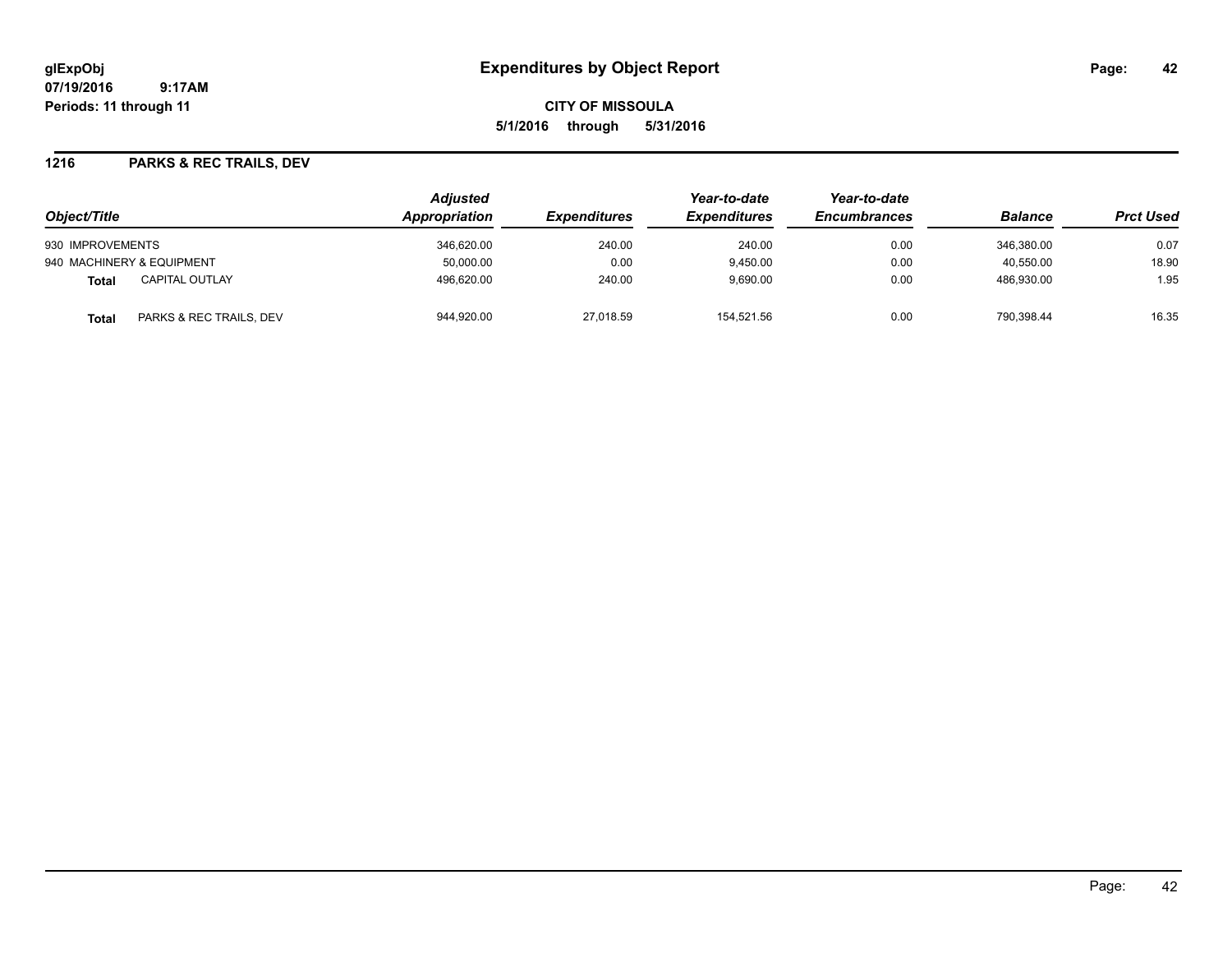**CITY OF MISSOULA 5/1/2016 through 5/31/2016**

### **1216 PARKS & REC TRAILS, DEV**

|                                  | <b>Adjusted</b>      |                            | Year-to-date        | Year-to-date        |                |                  |
|----------------------------------|----------------------|----------------------------|---------------------|---------------------|----------------|------------------|
| Object/Title                     | <b>Appropriation</b> | <i><b>Expenditures</b></i> | <b>Expenditures</b> | <b>Encumbrances</b> | <b>Balance</b> | <b>Prct Used</b> |
| 930 IMPROVEMENTS                 | 346,620.00           | 240.00                     | 240.00              | 0.00                | 346.380.00     | 0.07             |
| 940 MACHINERY & EQUIPMENT        | 50.000.00            | 0.00                       | 9.450.00            | 0.00                | 40.550.00      | 18.90            |
| <b>CAPITAL OUTLAY</b><br>Total   | 496,620.00           | 240.00                     | 9,690.00            | 0.00                | 486,930.00     | 1.95             |
| PARKS & REC TRAILS, DEV<br>Total | 944,920.00           | 27,018.59                  | 154.521.56          | 0.00                | 790.398.44     | 16.35            |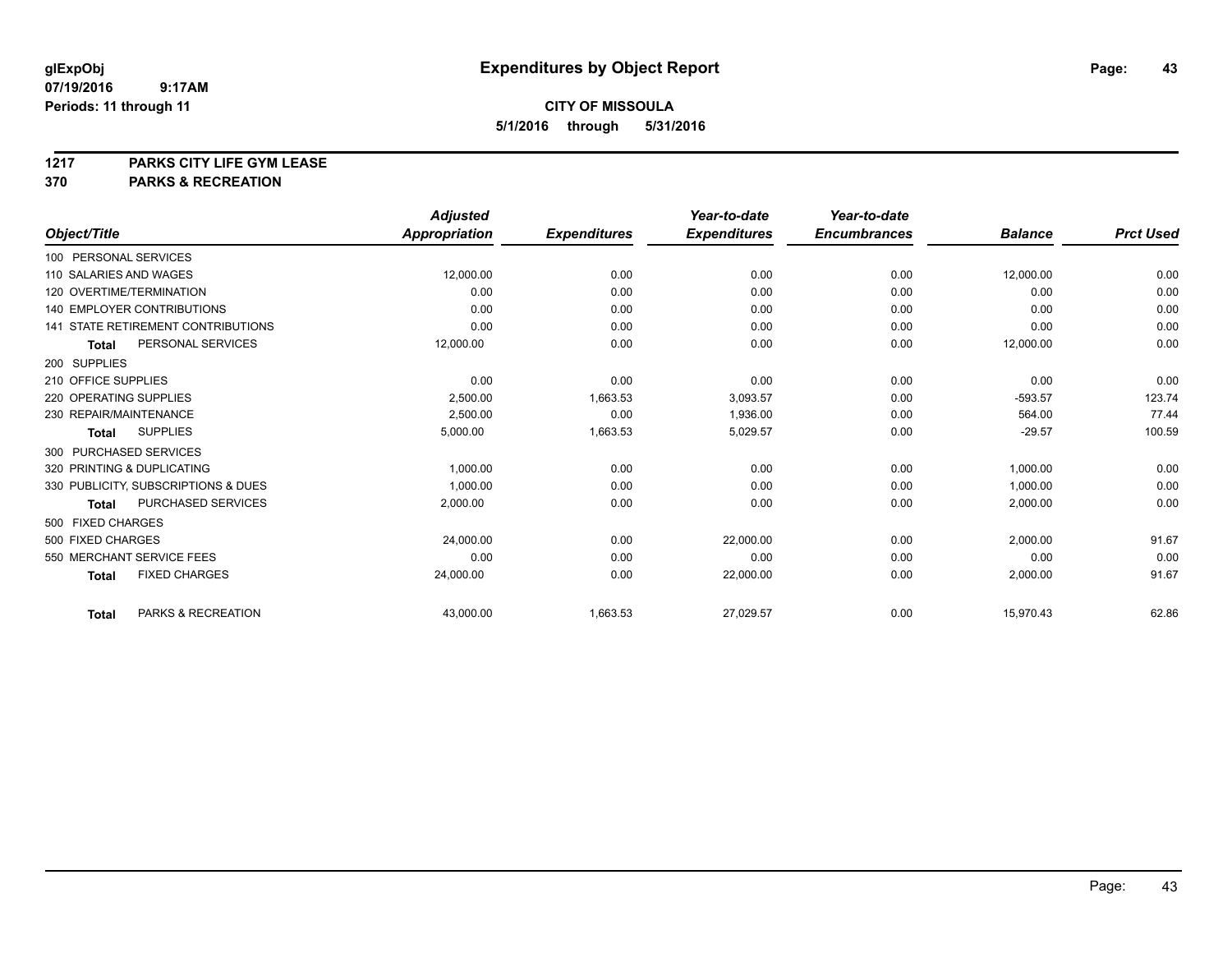# **1217 PARKS CITY LIFE GYM LEASE**

## **370 PARKS & RECREATION**

|                                           | <b>Adjusted</b> |                     | Year-to-date        | Year-to-date        |                |                  |
|-------------------------------------------|-----------------|---------------------|---------------------|---------------------|----------------|------------------|
| Object/Title                              | Appropriation   | <b>Expenditures</b> | <b>Expenditures</b> | <b>Encumbrances</b> | <b>Balance</b> | <b>Prct Used</b> |
| 100 PERSONAL SERVICES                     |                 |                     |                     |                     |                |                  |
| 110 SALARIES AND WAGES                    | 12,000.00       | 0.00                | 0.00                | 0.00                | 12,000.00      | 0.00             |
| 120 OVERTIME/TERMINATION                  | 0.00            | 0.00                | 0.00                | 0.00                | 0.00           | 0.00             |
| <b>140 EMPLOYER CONTRIBUTIONS</b>         | 0.00            | 0.00                | 0.00                | 0.00                | 0.00           | 0.00             |
| <b>141 STATE RETIREMENT CONTRIBUTIONS</b> | 0.00            | 0.00                | 0.00                | 0.00                | 0.00           | 0.00             |
| PERSONAL SERVICES<br><b>Total</b>         | 12,000.00       | 0.00                | 0.00                | 0.00                | 12,000.00      | 0.00             |
| 200 SUPPLIES                              |                 |                     |                     |                     |                |                  |
| 210 OFFICE SUPPLIES                       | 0.00            | 0.00                | 0.00                | 0.00                | 0.00           | 0.00             |
| 220 OPERATING SUPPLIES                    | 2,500.00        | 1,663.53            | 3,093.57            | 0.00                | $-593.57$      | 123.74           |
| 230 REPAIR/MAINTENANCE                    | 2,500.00        | 0.00                | 1,936.00            | 0.00                | 564.00         | 77.44            |
| <b>SUPPLIES</b><br><b>Total</b>           | 5,000.00        | 1,663.53            | 5,029.57            | 0.00                | $-29.57$       | 100.59           |
| 300 PURCHASED SERVICES                    |                 |                     |                     |                     |                |                  |
| 320 PRINTING & DUPLICATING                | 1,000.00        | 0.00                | 0.00                | 0.00                | 1,000.00       | 0.00             |
| 330 PUBLICITY, SUBSCRIPTIONS & DUES       | 1.000.00        | 0.00                | 0.00                | 0.00                | 1,000.00       | 0.00             |
| PURCHASED SERVICES<br><b>Total</b>        | 2,000.00        | 0.00                | 0.00                | 0.00                | 2,000.00       | 0.00             |
| 500 FIXED CHARGES                         |                 |                     |                     |                     |                |                  |
| 500 FIXED CHARGES                         | 24.000.00       | 0.00                | 22.000.00           | 0.00                | 2,000.00       | 91.67            |
| 550 MERCHANT SERVICE FEES                 | 0.00            | 0.00                | 0.00                | 0.00                | 0.00           | 0.00             |
| <b>FIXED CHARGES</b><br><b>Total</b>      | 24,000.00       | 0.00                | 22,000.00           | 0.00                | 2,000.00       | 91.67            |
| PARKS & RECREATION<br><b>Total</b>        | 43,000.00       | 1,663.53            | 27,029.57           | 0.00                | 15,970.43      | 62.86            |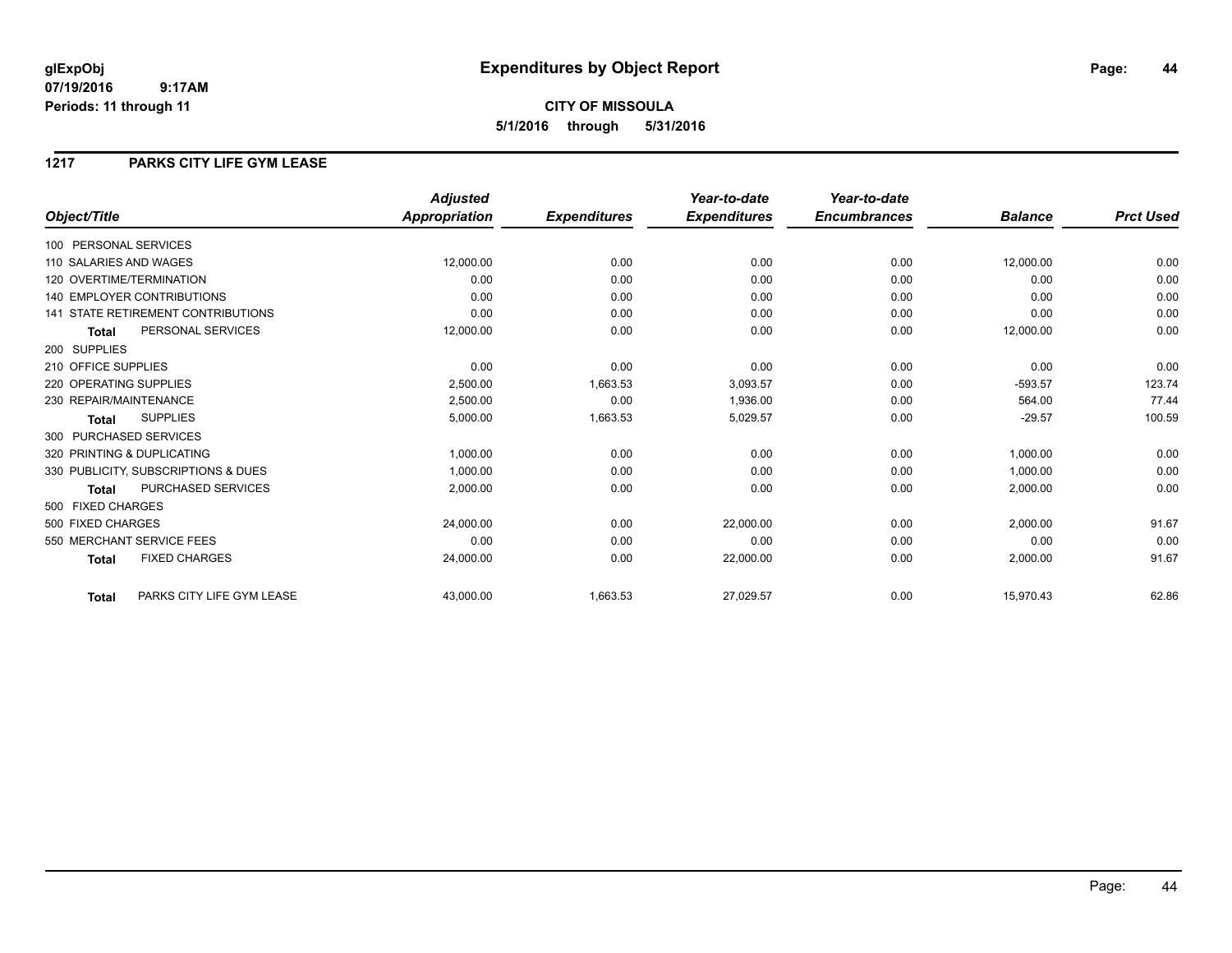## **CITY OF MISSOULA 5/1/2016 through 5/31/2016**

### **1217 PARKS CITY LIFE GYM LEASE**

|                                           | <b>Adjusted</b>      |                     | Year-to-date        | Year-to-date        |                |                  |
|-------------------------------------------|----------------------|---------------------|---------------------|---------------------|----------------|------------------|
| Object/Title                              | <b>Appropriation</b> | <b>Expenditures</b> | <b>Expenditures</b> | <b>Encumbrances</b> | <b>Balance</b> | <b>Prct Used</b> |
| 100 PERSONAL SERVICES                     |                      |                     |                     |                     |                |                  |
| 110 SALARIES AND WAGES                    | 12,000.00            | 0.00                | 0.00                | 0.00                | 12,000.00      | 0.00             |
| 120 OVERTIME/TERMINATION                  | 0.00                 | 0.00                | 0.00                | 0.00                | 0.00           | 0.00             |
| <b>140 EMPLOYER CONTRIBUTIONS</b>         | 0.00                 | 0.00                | 0.00                | 0.00                | 0.00           | 0.00             |
| <b>141 STATE RETIREMENT CONTRIBUTIONS</b> | 0.00                 | 0.00                | 0.00                | 0.00                | 0.00           | 0.00             |
| PERSONAL SERVICES<br><b>Total</b>         | 12,000.00            | 0.00                | 0.00                | 0.00                | 12,000.00      | 0.00             |
| 200 SUPPLIES                              |                      |                     |                     |                     |                |                  |
| 210 OFFICE SUPPLIES                       | 0.00                 | 0.00                | 0.00                | 0.00                | 0.00           | 0.00             |
| 220 OPERATING SUPPLIES                    | 2,500.00             | 1,663.53            | 3,093.57            | 0.00                | $-593.57$      | 123.74           |
| 230 REPAIR/MAINTENANCE                    | 2,500.00             | 0.00                | 1,936.00            | 0.00                | 564.00         | 77.44            |
| <b>SUPPLIES</b><br><b>Total</b>           | 5,000.00             | 1,663.53            | 5,029.57            | 0.00                | $-29.57$       | 100.59           |
| 300 PURCHASED SERVICES                    |                      |                     |                     |                     |                |                  |
| 320 PRINTING & DUPLICATING                | 1,000.00             | 0.00                | 0.00                | 0.00                | 1,000.00       | 0.00             |
| 330 PUBLICITY, SUBSCRIPTIONS & DUES       | 1,000.00             | 0.00                | 0.00                | 0.00                | 1,000.00       | 0.00             |
| PURCHASED SERVICES<br><b>Total</b>        | 2,000.00             | 0.00                | 0.00                | 0.00                | 2,000.00       | 0.00             |
| 500 FIXED CHARGES                         |                      |                     |                     |                     |                |                  |
| 500 FIXED CHARGES                         | 24,000.00            | 0.00                | 22,000.00           | 0.00                | 2,000.00       | 91.67            |
| 550 MERCHANT SERVICE FEES                 | 0.00                 | 0.00                | 0.00                | 0.00                | 0.00           | 0.00             |
| <b>FIXED CHARGES</b><br><b>Total</b>      | 24,000.00            | 0.00                | 22,000.00           | 0.00                | 2,000.00       | 91.67            |
| PARKS CITY LIFE GYM LEASE<br><b>Total</b> | 43,000.00            | 1,663.53            | 27,029.57           | 0.00                | 15,970.43      | 62.86            |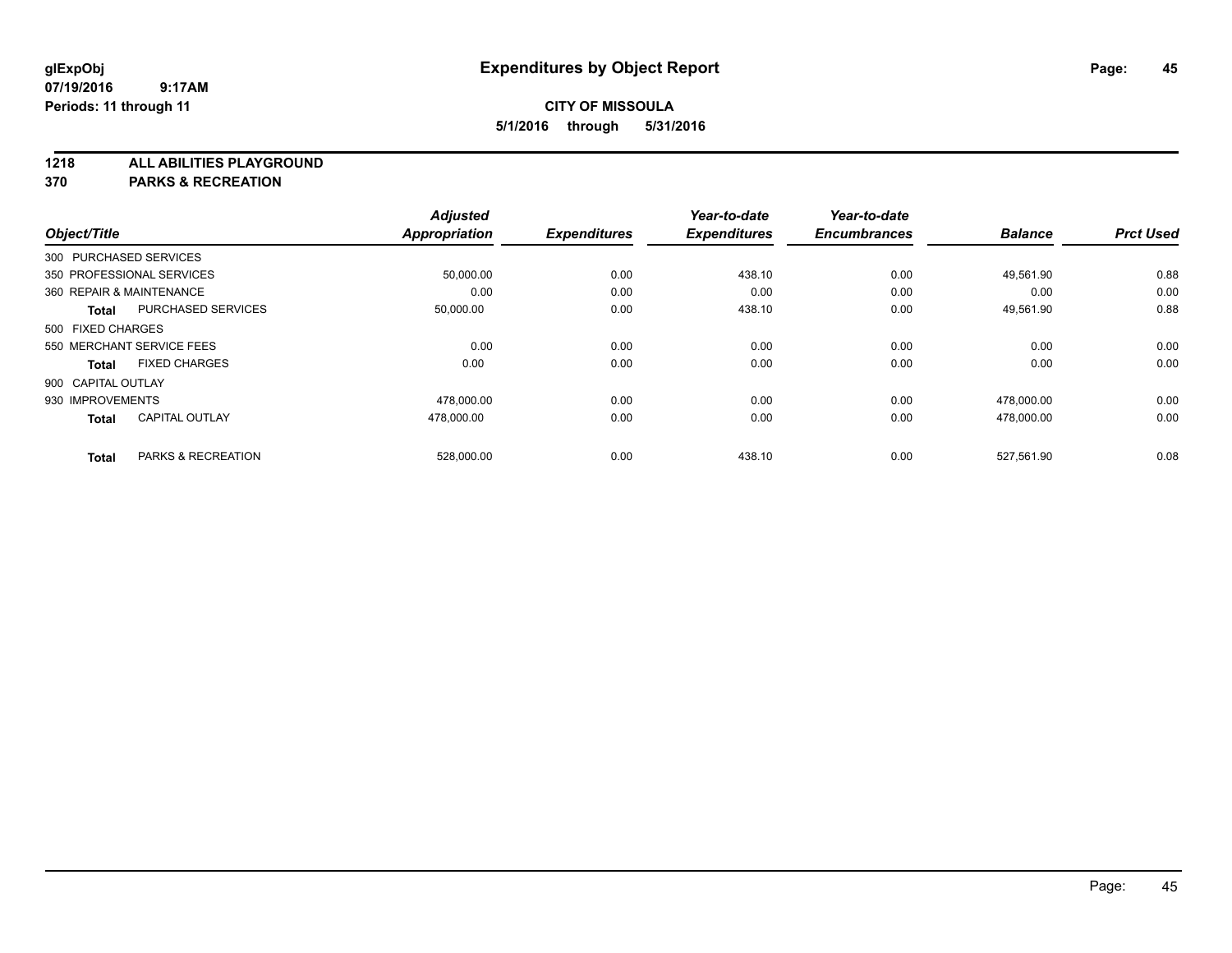**1218 ALL ABILITIES PLAYGROUND**

**370 PARKS & RECREATION**

|                          |                           | <b>Adjusted</b> |                     | Year-to-date        | Year-to-date        |                |                  |
|--------------------------|---------------------------|-----------------|---------------------|---------------------|---------------------|----------------|------------------|
| Object/Title             |                           | Appropriation   | <b>Expenditures</b> | <b>Expenditures</b> | <b>Encumbrances</b> | <b>Balance</b> | <b>Prct Used</b> |
| 300 PURCHASED SERVICES   |                           |                 |                     |                     |                     |                |                  |
|                          | 350 PROFESSIONAL SERVICES | 50,000.00       | 0.00                | 438.10              | 0.00                | 49.561.90      | 0.88             |
| 360 REPAIR & MAINTENANCE |                           | 0.00            | 0.00                | 0.00                | 0.00                | 0.00           | 0.00             |
| <b>Total</b>             | <b>PURCHASED SERVICES</b> | 50,000.00       | 0.00                | 438.10              | 0.00                | 49,561.90      | 0.88             |
| 500 FIXED CHARGES        |                           |                 |                     |                     |                     |                |                  |
|                          | 550 MERCHANT SERVICE FEES | 0.00            | 0.00                | 0.00                | 0.00                | 0.00           | 0.00             |
| <b>Total</b>             | <b>FIXED CHARGES</b>      | 0.00            | 0.00                | 0.00                | 0.00                | 0.00           | 0.00             |
| 900 CAPITAL OUTLAY       |                           |                 |                     |                     |                     |                |                  |
| 930 IMPROVEMENTS         |                           | 478,000.00      | 0.00                | 0.00                | 0.00                | 478,000.00     | 0.00             |
| <b>Total</b>             | <b>CAPITAL OUTLAY</b>     | 478.000.00      | 0.00                | 0.00                | 0.00                | 478.000.00     | 0.00             |
|                          |                           |                 |                     |                     |                     |                |                  |
| <b>Total</b>             | PARKS & RECREATION        | 528,000.00      | 0.00                | 438.10              | 0.00                | 527,561.90     | 0.08             |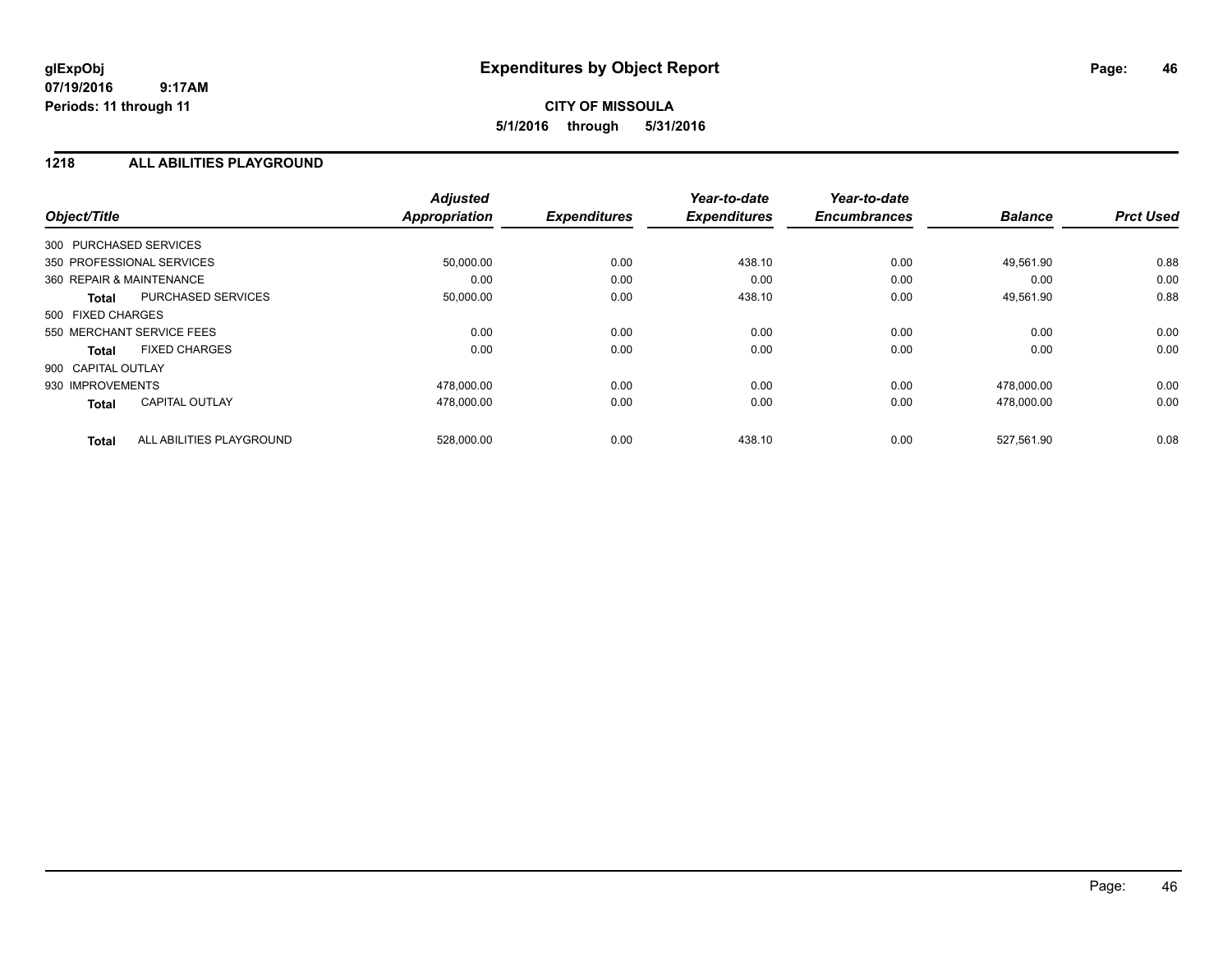## **CITY OF MISSOULA 5/1/2016 through 5/31/2016**

### **1218 ALL ABILITIES PLAYGROUND**

| Object/Title                             | <b>Adjusted</b><br><b>Appropriation</b> | <b>Expenditures</b> | Year-to-date<br><b>Expenditures</b> | Year-to-date<br><b>Encumbrances</b> | <b>Balance</b> | <b>Prct Used</b> |
|------------------------------------------|-----------------------------------------|---------------------|-------------------------------------|-------------------------------------|----------------|------------------|
| 300 PURCHASED SERVICES                   |                                         |                     |                                     |                                     |                |                  |
| 350 PROFESSIONAL SERVICES                | 50,000.00                               | 0.00                | 438.10                              | 0.00                                | 49,561.90      | 0.88             |
| 360 REPAIR & MAINTENANCE                 | 0.00                                    | 0.00                | 0.00                                | 0.00                                | 0.00           | 0.00             |
| PURCHASED SERVICES<br>Total              | 50,000.00                               | 0.00                | 438.10                              | 0.00                                | 49,561.90      | 0.88             |
| 500 FIXED CHARGES                        |                                         |                     |                                     |                                     |                |                  |
| 550 MERCHANT SERVICE FEES                | 0.00                                    | 0.00                | 0.00                                | 0.00                                | 0.00           | 0.00             |
| <b>FIXED CHARGES</b><br>Total            | 0.00                                    | 0.00                | 0.00                                | 0.00                                | 0.00           | 0.00             |
| 900 CAPITAL OUTLAY                       |                                         |                     |                                     |                                     |                |                  |
| 930 IMPROVEMENTS                         | 478.000.00                              | 0.00                | 0.00                                | 0.00                                | 478.000.00     | 0.00             |
| <b>CAPITAL OUTLAY</b><br><b>Total</b>    | 478,000.00                              | 0.00                | 0.00                                | 0.00                                | 478,000.00     | 0.00             |
| ALL ABILITIES PLAYGROUND<br><b>Total</b> | 528,000.00                              | 0.00                | 438.10                              | 0.00                                | 527,561.90     | 0.08             |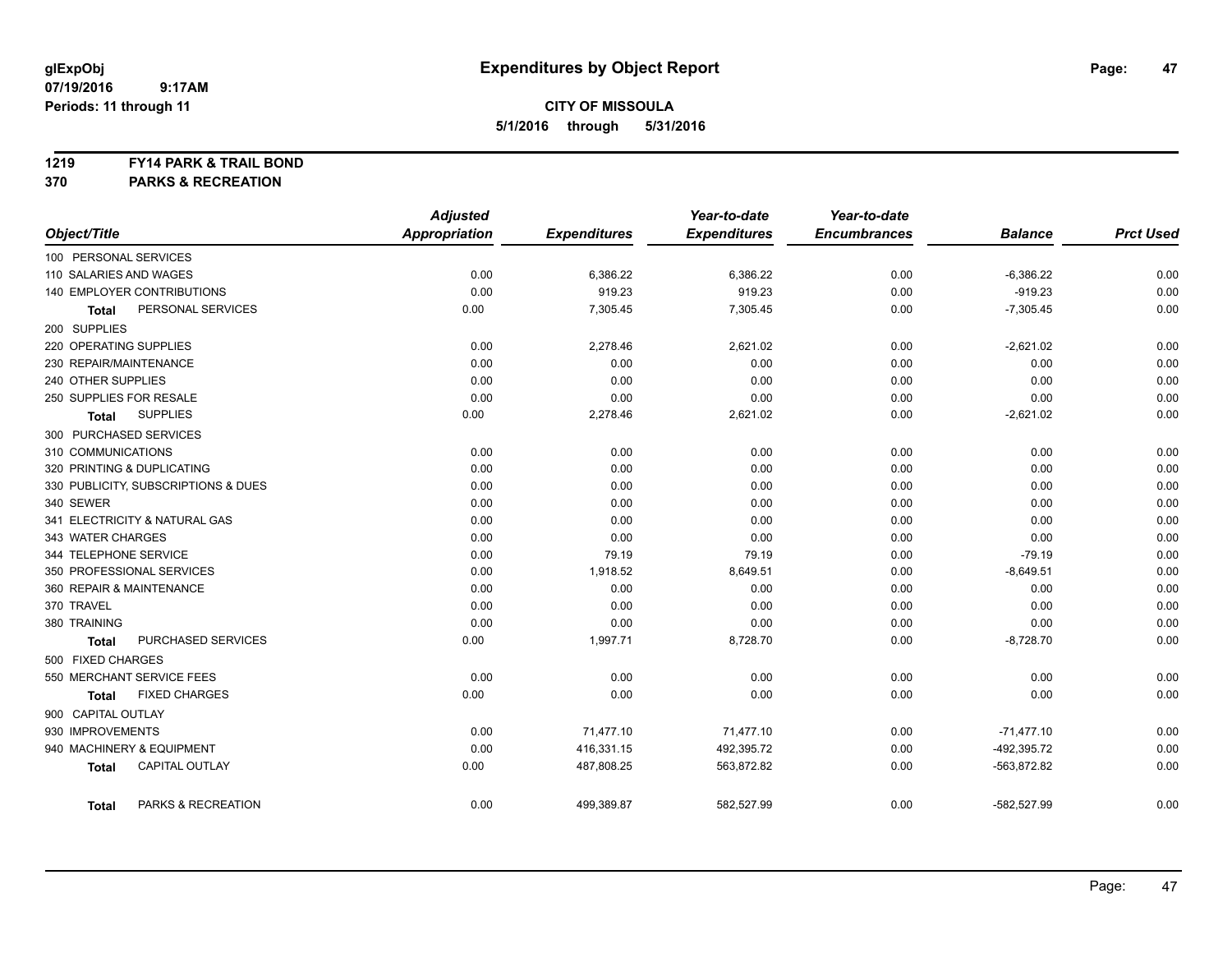### **1219 FY14 PARK & TRAIL BOND**

**370 PARKS & RECREATION**

|                                       | <b>Adjusted</b>      |                     | Year-to-date        | Year-to-date        |                |                  |
|---------------------------------------|----------------------|---------------------|---------------------|---------------------|----------------|------------------|
| Object/Title                          | <b>Appropriation</b> | <b>Expenditures</b> | <b>Expenditures</b> | <b>Encumbrances</b> | <b>Balance</b> | <b>Prct Used</b> |
| 100 PERSONAL SERVICES                 |                      |                     |                     |                     |                |                  |
| 110 SALARIES AND WAGES                | 0.00                 | 6,386.22            | 6,386.22            | 0.00                | $-6,386.22$    | 0.00             |
| 140 EMPLOYER CONTRIBUTIONS            | 0.00                 | 919.23              | 919.23              | 0.00                | $-919.23$      | 0.00             |
| PERSONAL SERVICES<br><b>Total</b>     | 0.00                 | 7,305.45            | 7,305.45            | 0.00                | $-7,305.45$    | 0.00             |
| 200 SUPPLIES                          |                      |                     |                     |                     |                |                  |
| 220 OPERATING SUPPLIES                | 0.00                 | 2,278.46            | 2,621.02            | 0.00                | $-2,621.02$    | 0.00             |
| 230 REPAIR/MAINTENANCE                | 0.00                 | 0.00                | 0.00                | 0.00                | 0.00           | 0.00             |
| 240 OTHER SUPPLIES                    | 0.00                 | 0.00                | 0.00                | 0.00                | 0.00           | 0.00             |
| 250 SUPPLIES FOR RESALE               | 0.00                 | 0.00                | 0.00                | 0.00                | 0.00           | 0.00             |
| <b>SUPPLIES</b><br>Total              | 0.00                 | 2,278.46            | 2,621.02            | 0.00                | $-2,621.02$    | 0.00             |
| 300 PURCHASED SERVICES                |                      |                     |                     |                     |                |                  |
| 310 COMMUNICATIONS                    | 0.00                 | 0.00                | 0.00                | 0.00                | 0.00           | 0.00             |
| 320 PRINTING & DUPLICATING            | 0.00                 | 0.00                | 0.00                | 0.00                | 0.00           | 0.00             |
| 330 PUBLICITY, SUBSCRIPTIONS & DUES   | 0.00                 | 0.00                | 0.00                | 0.00                | 0.00           | 0.00             |
| 340 SEWER                             | 0.00                 | 0.00                | 0.00                | 0.00                | 0.00           | 0.00             |
| 341 ELECTRICITY & NATURAL GAS         | 0.00                 | 0.00                | 0.00                | 0.00                | 0.00           | 0.00             |
| 343 WATER CHARGES                     | 0.00                 | 0.00                | 0.00                | 0.00                | 0.00           | 0.00             |
| 344 TELEPHONE SERVICE                 | 0.00                 | 79.19               | 79.19               | 0.00                | $-79.19$       | 0.00             |
| 350 PROFESSIONAL SERVICES             | 0.00                 | 1,918.52            | 8,649.51            | 0.00                | $-8,649.51$    | 0.00             |
| 360 REPAIR & MAINTENANCE              | 0.00                 | 0.00                | 0.00                | 0.00                | 0.00           | 0.00             |
| 370 TRAVEL                            | 0.00                 | 0.00                | 0.00                | 0.00                | 0.00           | 0.00             |
| 380 TRAINING                          | 0.00                 | 0.00                | 0.00                | 0.00                | 0.00           | 0.00             |
| PURCHASED SERVICES<br><b>Total</b>    | 0.00                 | 1,997.71            | 8,728.70            | 0.00                | $-8,728.70$    | 0.00             |
| 500 FIXED CHARGES                     |                      |                     |                     |                     |                |                  |
| 550 MERCHANT SERVICE FEES             | 0.00                 | 0.00                | 0.00                | 0.00                | 0.00           | 0.00             |
| <b>FIXED CHARGES</b><br>Total         | 0.00                 | 0.00                | 0.00                | 0.00                | 0.00           | 0.00             |
| 900 CAPITAL OUTLAY                    |                      |                     |                     |                     |                |                  |
| 930 IMPROVEMENTS                      | 0.00                 | 71,477.10           | 71,477.10           | 0.00                | $-71,477.10$   | 0.00             |
| 940 MACHINERY & EQUIPMENT             | 0.00                 | 416,331.15          | 492,395.72          | 0.00                | -492,395.72    | 0.00             |
| <b>CAPITAL OUTLAY</b><br><b>Total</b> | 0.00                 | 487,808.25          | 563,872.82          | 0.00                | -563,872.82    | 0.00             |
| PARKS & RECREATION<br><b>Total</b>    | 0.00                 | 499,389.87          | 582,527.99          | 0.00                | $-582,527.99$  | 0.00             |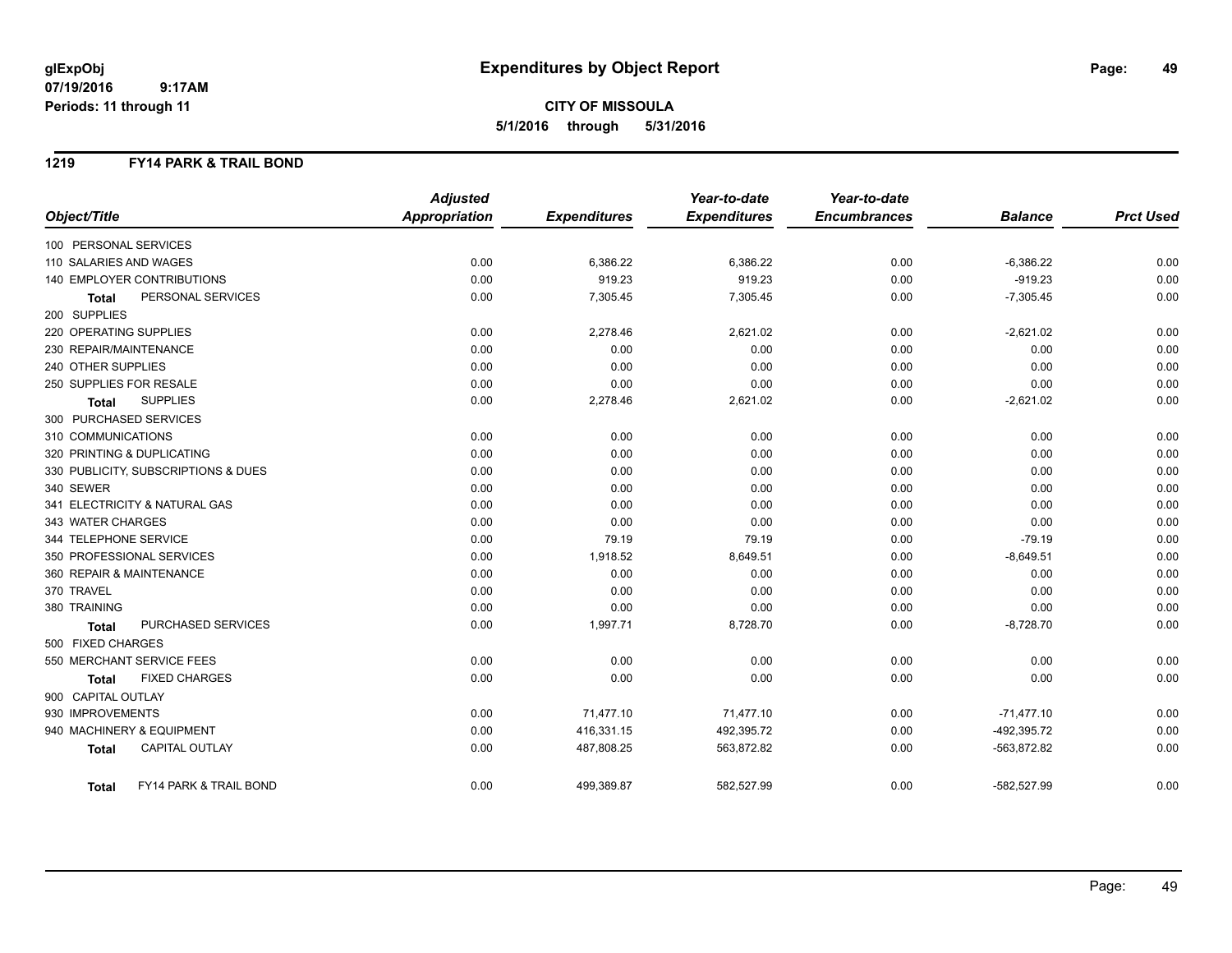## **CITY OF MISSOULA 5/1/2016 through 5/31/2016**

### **1219 FY14 PARK & TRAIL BOND**

|                                        | <b>Adjusted</b>      |                     | Year-to-date        | Year-to-date        |                |                  |
|----------------------------------------|----------------------|---------------------|---------------------|---------------------|----------------|------------------|
| Object/Title                           | <b>Appropriation</b> | <b>Expenditures</b> | <b>Expenditures</b> | <b>Encumbrances</b> | <b>Balance</b> | <b>Prct Used</b> |
| 100 PERSONAL SERVICES                  |                      |                     |                     |                     |                |                  |
| 110 SALARIES AND WAGES                 | 0.00                 | 6,386.22            | 6,386.22            | 0.00                | $-6,386.22$    | 0.00             |
| 140 EMPLOYER CONTRIBUTIONS             | 0.00                 | 919.23              | 919.23              | 0.00                | $-919.23$      | 0.00             |
| PERSONAL SERVICES<br><b>Total</b>      | 0.00                 | 7,305.45            | 7,305.45            | 0.00                | $-7,305.45$    | 0.00             |
| 200 SUPPLIES                           |                      |                     |                     |                     |                |                  |
| 220 OPERATING SUPPLIES                 | 0.00                 | 2,278.46            | 2,621.02            | 0.00                | $-2,621.02$    | 0.00             |
| 230 REPAIR/MAINTENANCE                 | 0.00                 | 0.00                | 0.00                | 0.00                | 0.00           | 0.00             |
| 240 OTHER SUPPLIES                     | 0.00                 | 0.00                | 0.00                | 0.00                | 0.00           | 0.00             |
| 250 SUPPLIES FOR RESALE                | 0.00                 | 0.00                | 0.00                | 0.00                | 0.00           | 0.00             |
| <b>SUPPLIES</b><br>Total               | 0.00                 | 2,278.46            | 2,621.02            | 0.00                | $-2,621.02$    | 0.00             |
| 300 PURCHASED SERVICES                 |                      |                     |                     |                     |                |                  |
| 310 COMMUNICATIONS                     | 0.00                 | 0.00                | 0.00                | 0.00                | 0.00           | 0.00             |
| 320 PRINTING & DUPLICATING             | 0.00                 | 0.00                | 0.00                | 0.00                | 0.00           | 0.00             |
| 330 PUBLICITY, SUBSCRIPTIONS & DUES    | 0.00                 | 0.00                | 0.00                | 0.00                | 0.00           | 0.00             |
| 340 SEWER                              | 0.00                 | 0.00                | 0.00                | 0.00                | 0.00           | 0.00             |
| 341 ELECTRICITY & NATURAL GAS          | 0.00                 | 0.00                | 0.00                | 0.00                | 0.00           | 0.00             |
| 343 WATER CHARGES                      | 0.00                 | 0.00                | 0.00                | 0.00                | 0.00           | 0.00             |
| 344 TELEPHONE SERVICE                  | 0.00                 | 79.19               | 79.19               | 0.00                | $-79.19$       | 0.00             |
| 350 PROFESSIONAL SERVICES              | 0.00                 | 1,918.52            | 8,649.51            | 0.00                | $-8,649.51$    | 0.00             |
| 360 REPAIR & MAINTENANCE               | 0.00                 | 0.00                | 0.00                | 0.00                | 0.00           | 0.00             |
| 370 TRAVEL                             | 0.00                 | 0.00                | 0.00                | 0.00                | 0.00           | 0.00             |
| 380 TRAINING                           | 0.00                 | 0.00                | 0.00                | 0.00                | 0.00           | 0.00             |
| PURCHASED SERVICES<br><b>Total</b>     | 0.00                 | 1,997.71            | 8,728.70            | 0.00                | $-8,728.70$    | 0.00             |
| 500 FIXED CHARGES                      |                      |                     |                     |                     |                |                  |
| 550 MERCHANT SERVICE FEES              | 0.00                 | 0.00                | 0.00                | 0.00                | 0.00           | 0.00             |
| <b>FIXED CHARGES</b><br><b>Total</b>   | 0.00                 | 0.00                | 0.00                | 0.00                | 0.00           | 0.00             |
| 900 CAPITAL OUTLAY                     |                      |                     |                     |                     |                |                  |
| 930 IMPROVEMENTS                       | 0.00                 | 71,477.10           | 71,477.10           | 0.00                | $-71,477.10$   | 0.00             |
| 940 MACHINERY & EQUIPMENT              | 0.00                 | 416,331.15          | 492,395.72          | 0.00                | -492,395.72    | 0.00             |
| <b>CAPITAL OUTLAY</b><br><b>Total</b>  | 0.00                 | 487,808.25          | 563,872.82          | 0.00                | $-563,872.82$  | 0.00             |
| FY14 PARK & TRAIL BOND<br><b>Total</b> | 0.00                 | 499,389.87          | 582,527.99          | 0.00                | $-582,527.99$  | 0.00             |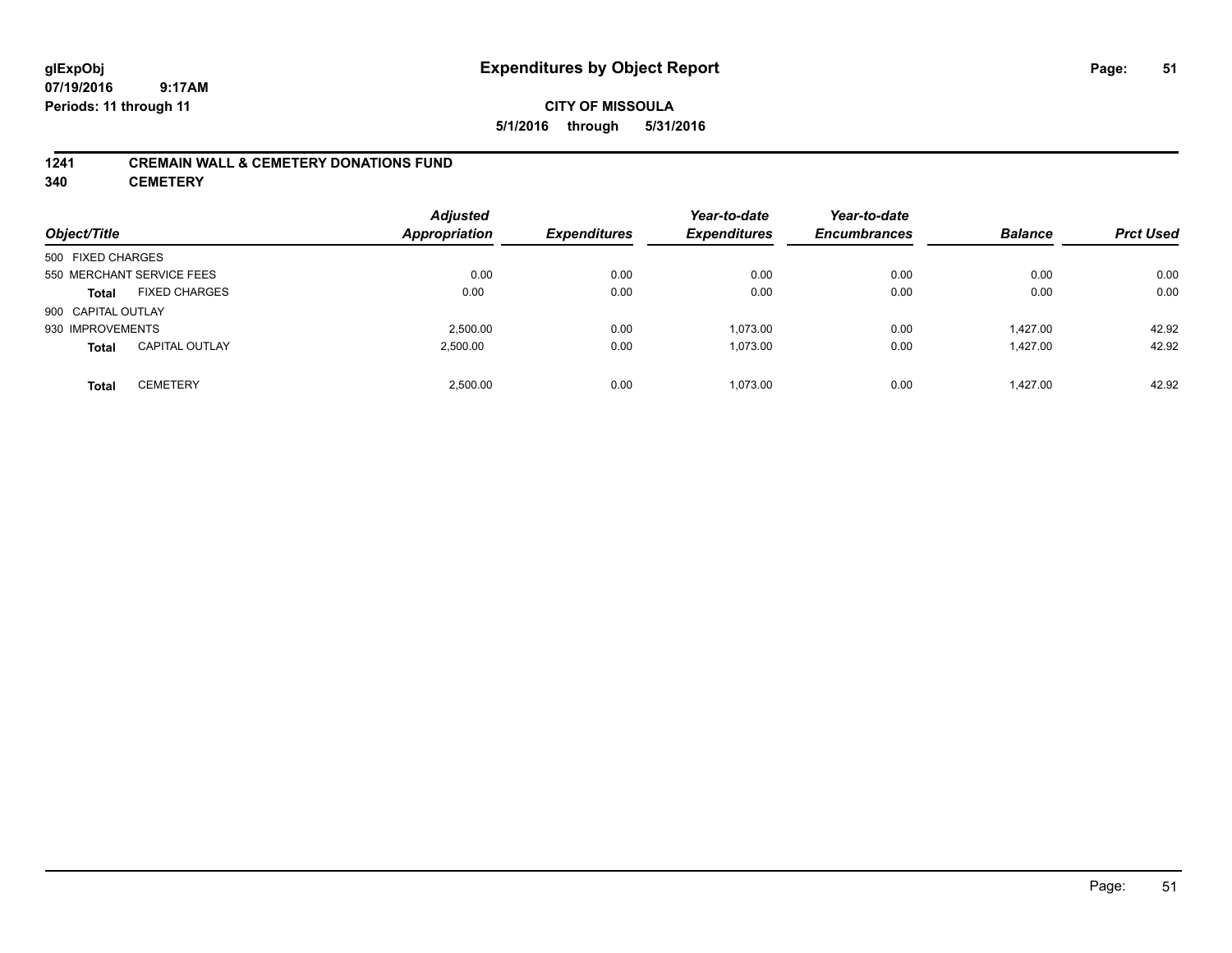## **CITY OF MISSOULA 5/1/2016 through 5/31/2016**

### **1241 CREMAIN WALL & CEMETERY DONATIONS FUND**

**340 CEMETERY**

| Object/Title              |                       | <b>Adjusted</b><br><b>Appropriation</b> | <b>Expenditures</b> | Year-to-date<br><b>Expenditures</b> | Year-to-date<br><b>Encumbrances</b> | <b>Balance</b> | <b>Prct Used</b> |
|---------------------------|-----------------------|-----------------------------------------|---------------------|-------------------------------------|-------------------------------------|----------------|------------------|
| 500 FIXED CHARGES         |                       |                                         |                     |                                     |                                     |                |                  |
| 550 MERCHANT SERVICE FEES |                       | 0.00                                    | 0.00                | 0.00                                | 0.00                                | 0.00           | 0.00             |
| <b>Total</b>              | <b>FIXED CHARGES</b>  | 0.00                                    | 0.00                | 0.00                                | 0.00                                | 0.00           | 0.00             |
| 900 CAPITAL OUTLAY        |                       |                                         |                     |                                     |                                     |                |                  |
| 930 IMPROVEMENTS          |                       | 2.500.00                                | 0.00                | 1.073.00                            | 0.00                                | 1.427.00       | 42.92            |
| <b>Total</b>              | <b>CAPITAL OUTLAY</b> | 2,500.00                                | 0.00                | 1,073.00                            | 0.00                                | 1.427.00       | 42.92            |
| <b>Total</b>              | <b>CEMETERY</b>       | 2.500.00                                | 0.00                | 1.073.00                            | 0.00                                | 1.427.00       | 42.92            |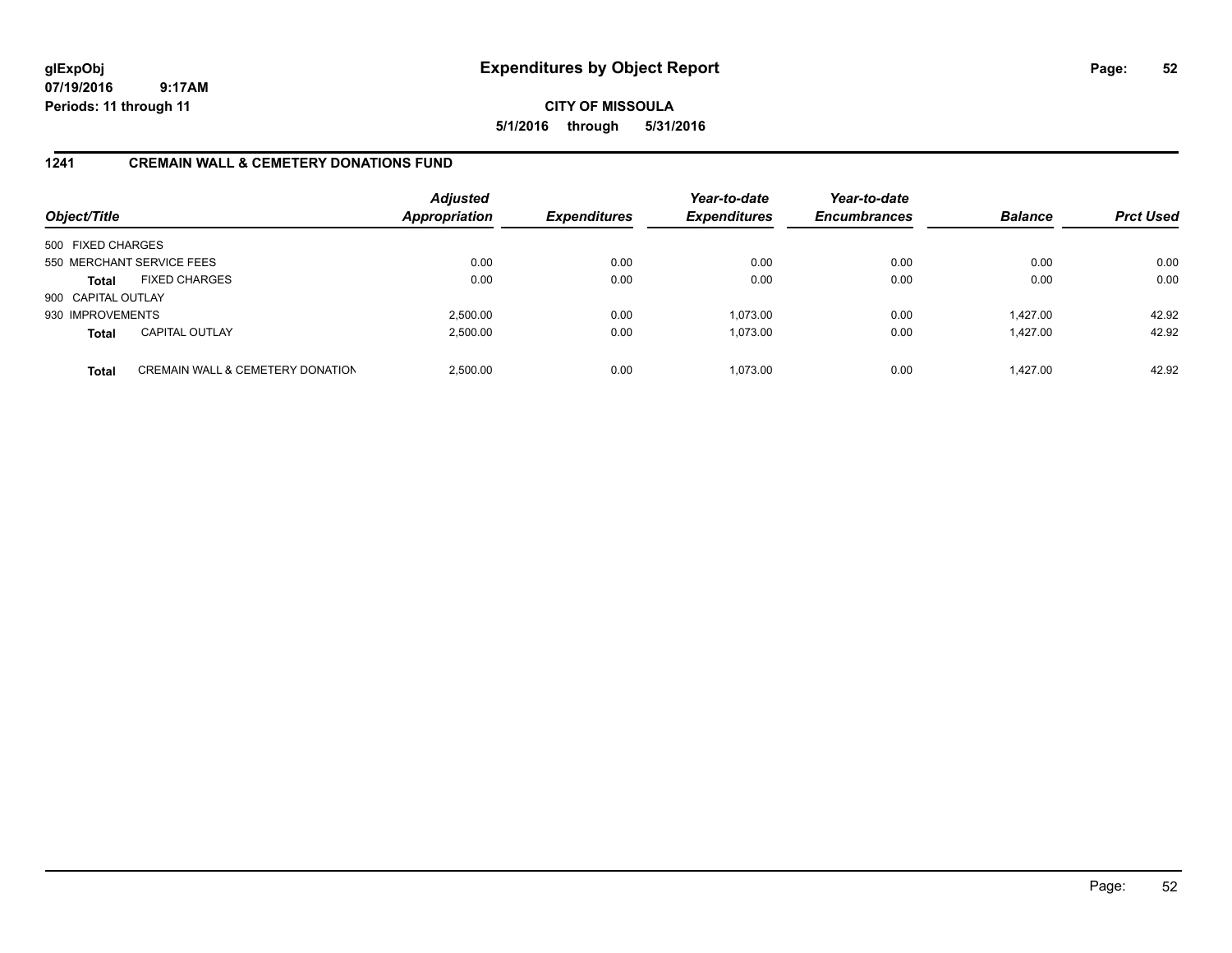**CITY OF MISSOULA 5/1/2016 through 5/31/2016**

### **1241 CREMAIN WALL & CEMETERY DONATIONS FUND**

| Object/Title       |                                             | <b>Adjusted</b><br><b>Appropriation</b> | <b>Expenditures</b> | Year-to-date<br><b>Expenditures</b> | Year-to-date<br><b>Encumbrances</b> | <b>Balance</b> | <b>Prct Used</b> |
|--------------------|---------------------------------------------|-----------------------------------------|---------------------|-------------------------------------|-------------------------------------|----------------|------------------|
| 500 FIXED CHARGES  |                                             |                                         |                     |                                     |                                     |                |                  |
|                    | 550 MERCHANT SERVICE FEES                   | 0.00                                    | 0.00                | 0.00                                | 0.00                                | 0.00           | 0.00             |
| <b>Total</b>       | <b>FIXED CHARGES</b>                        | 0.00                                    | 0.00                | 0.00                                | 0.00                                | 0.00           | 0.00             |
| 900 CAPITAL OUTLAY |                                             |                                         |                     |                                     |                                     |                |                  |
| 930 IMPROVEMENTS   |                                             | 2,500.00                                | 0.00                | 1.073.00                            | 0.00                                | 1.427.00       | 42.92            |
| <b>Total</b>       | <b>CAPITAL OUTLAY</b>                       | 2,500.00                                | 0.00                | 1.073.00                            | 0.00                                | 1,427.00       | 42.92            |
| <b>Total</b>       | <b>CREMAIN WALL &amp; CEMETERY DONATION</b> | 2,500.00                                | 0.00                | 1,073.00                            | 0.00                                | 1.427.00       | 42.92            |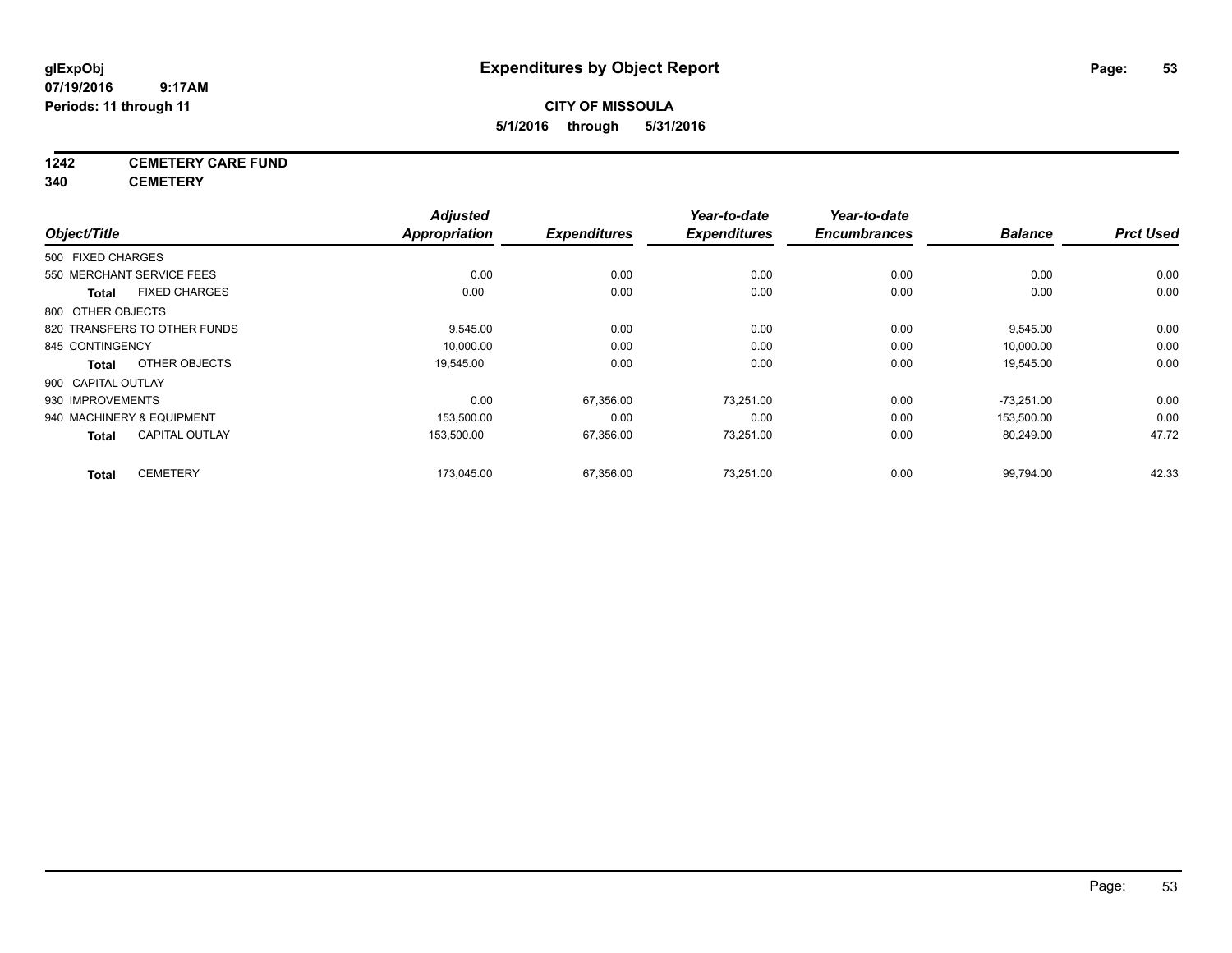## **CITY OF MISSOULA 5/1/2016 through 5/31/2016**

## **1242 CEMETERY CARE FUND**

**340 CEMETERY**

| Object/Title       |                              | <b>Adjusted</b><br>Appropriation | <b>Expenditures</b> | Year-to-date<br><b>Expenditures</b> | Year-to-date<br><b>Encumbrances</b> | <b>Balance</b> | <b>Prct Used</b> |
|--------------------|------------------------------|----------------------------------|---------------------|-------------------------------------|-------------------------------------|----------------|------------------|
|                    |                              |                                  |                     |                                     |                                     |                |                  |
| 500 FIXED CHARGES  |                              |                                  |                     |                                     |                                     |                |                  |
|                    | 550 MERCHANT SERVICE FEES    | 0.00                             | 0.00                | 0.00                                | 0.00                                | 0.00           | 0.00             |
| <b>Total</b>       | <b>FIXED CHARGES</b>         | 0.00                             | 0.00                | 0.00                                | 0.00                                | 0.00           | 0.00             |
| 800 OTHER OBJECTS  |                              |                                  |                     |                                     |                                     |                |                  |
|                    | 820 TRANSFERS TO OTHER FUNDS | 9,545.00                         | 0.00                | 0.00                                | 0.00                                | 9,545.00       | 0.00             |
| 845 CONTINGENCY    |                              | 10,000.00                        | 0.00                | 0.00                                | 0.00                                | 10,000.00      | 0.00             |
| <b>Total</b>       | OTHER OBJECTS                | 19,545.00                        | 0.00                | 0.00                                | 0.00                                | 19,545.00      | 0.00             |
| 900 CAPITAL OUTLAY |                              |                                  |                     |                                     |                                     |                |                  |
| 930 IMPROVEMENTS   |                              | 0.00                             | 67,356.00           | 73,251.00                           | 0.00                                | $-73,251.00$   | 0.00             |
|                    | 940 MACHINERY & EQUIPMENT    | 153,500.00                       | 0.00                | 0.00                                | 0.00                                | 153,500.00     | 0.00             |
| <b>Total</b>       | <b>CAPITAL OUTLAY</b>        | 153,500.00                       | 67,356.00           | 73,251.00                           | 0.00                                | 80,249.00      | 47.72            |
| <b>Total</b>       | <b>CEMETERY</b>              | 173.045.00                       | 67,356.00           | 73.251.00                           | 0.00                                | 99,794.00      | 42.33            |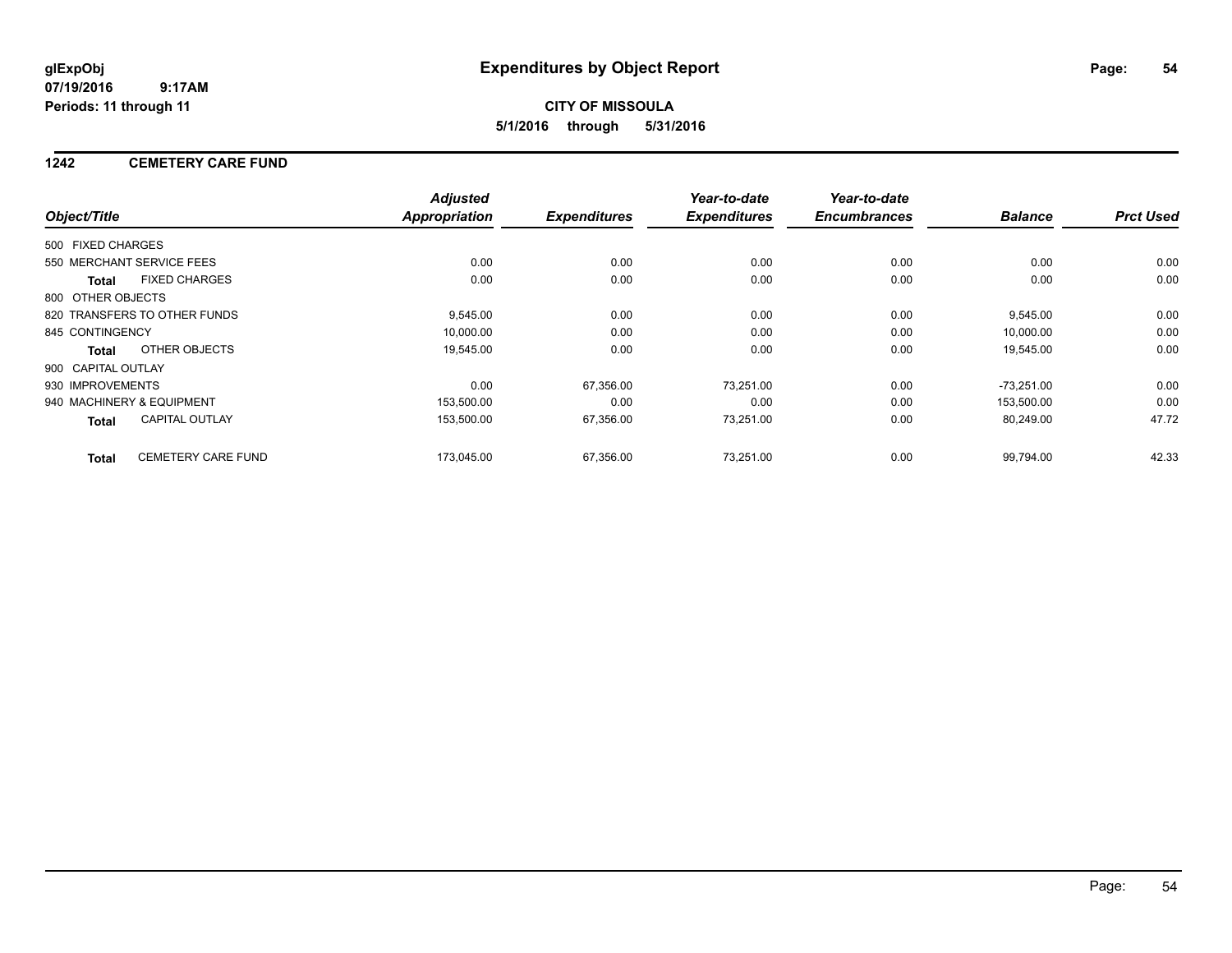**CITY OF MISSOULA 5/1/2016 through 5/31/2016**

### **1242 CEMETERY CARE FUND**

|                    |                              | <b>Adjusted</b>      |                     | Year-to-date        | Year-to-date        |                |                  |
|--------------------|------------------------------|----------------------|---------------------|---------------------|---------------------|----------------|------------------|
| Object/Title       |                              | <b>Appropriation</b> | <b>Expenditures</b> | <b>Expenditures</b> | <b>Encumbrances</b> | <b>Balance</b> | <b>Prct Used</b> |
| 500 FIXED CHARGES  |                              |                      |                     |                     |                     |                |                  |
|                    | 550 MERCHANT SERVICE FEES    | 0.00                 | 0.00                | 0.00                | 0.00                | 0.00           | 0.00             |
| <b>Total</b>       | <b>FIXED CHARGES</b>         | 0.00                 | 0.00                | 0.00                | 0.00                | 0.00           | 0.00             |
| 800 OTHER OBJECTS  |                              |                      |                     |                     |                     |                |                  |
|                    | 820 TRANSFERS TO OTHER FUNDS | 9,545.00             | 0.00                | 0.00                | 0.00                | 9,545.00       | 0.00             |
| 845 CONTINGENCY    |                              | 10.000.00            | 0.00                | 0.00                | 0.00                | 10.000.00      | 0.00             |
| Total              | OTHER OBJECTS                | 19,545.00            | 0.00                | 0.00                | 0.00                | 19,545.00      | 0.00             |
| 900 CAPITAL OUTLAY |                              |                      |                     |                     |                     |                |                  |
| 930 IMPROVEMENTS   |                              | 0.00                 | 67,356.00           | 73,251.00           | 0.00                | $-73,251.00$   | 0.00             |
|                    | 940 MACHINERY & EQUIPMENT    | 153,500.00           | 0.00                | 0.00                | 0.00                | 153,500.00     | 0.00             |
| <b>Total</b>       | <b>CAPITAL OUTLAY</b>        | 153,500.00           | 67,356.00           | 73,251.00           | 0.00                | 80,249.00      | 47.72            |
| <b>Total</b>       | <b>CEMETERY CARE FUND</b>    | 173.045.00           | 67.356.00           | 73.251.00           | 0.00                | 99.794.00      | 42.33            |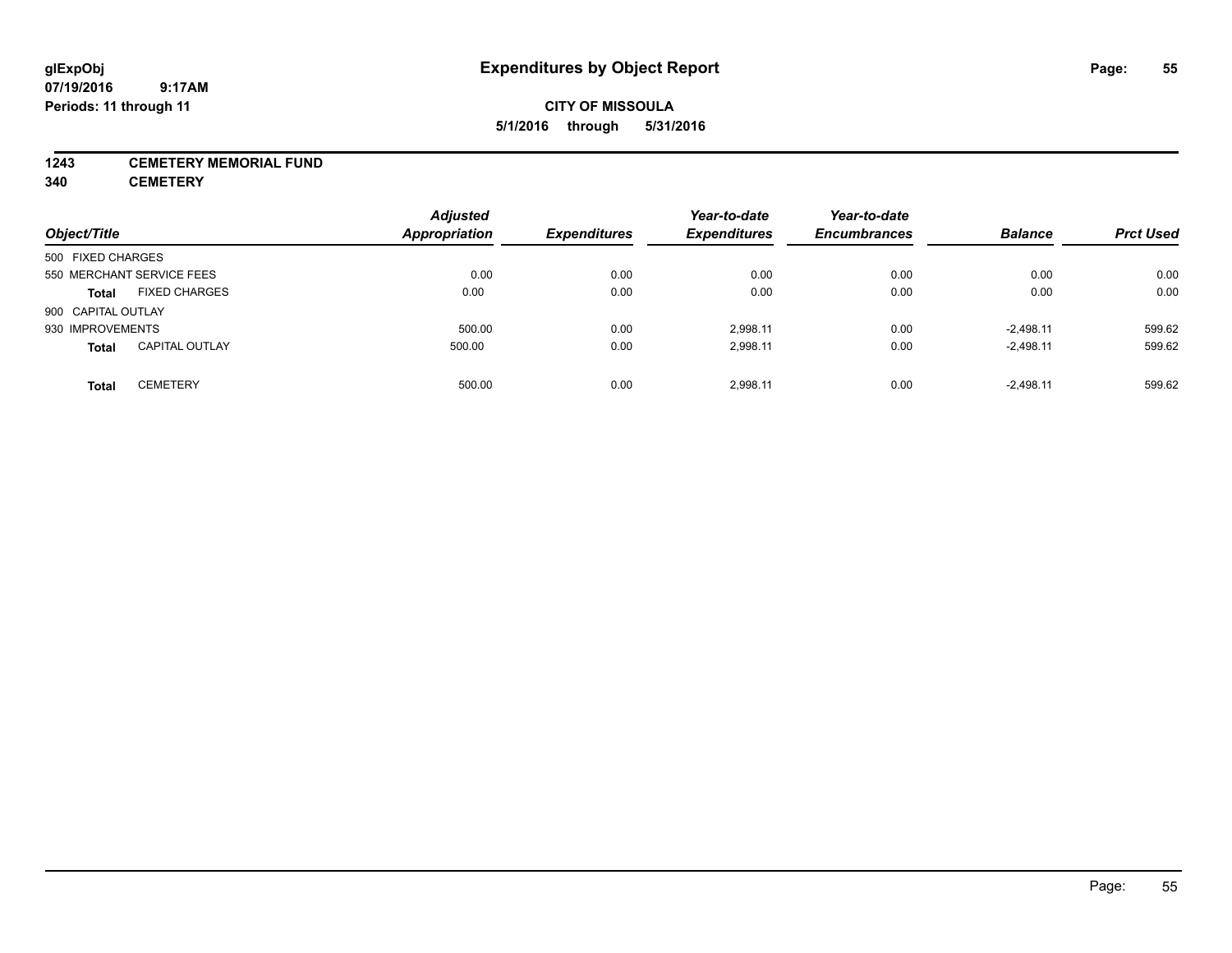## **CITY OF MISSOULA 5/1/2016 through 5/31/2016**

### **1243 CEMETERY MEMORIAL FUND**

**340 CEMETERY**

| Object/Title       |                           | <b>Adjusted</b><br>Appropriation | <b>Expenditures</b> | Year-to-date<br><b>Expenditures</b> | Year-to-date<br><b>Encumbrances</b> | <b>Balance</b> | <b>Prct Used</b> |
|--------------------|---------------------------|----------------------------------|---------------------|-------------------------------------|-------------------------------------|----------------|------------------|
|                    |                           |                                  |                     |                                     |                                     |                |                  |
| 500 FIXED CHARGES  |                           |                                  |                     |                                     |                                     |                |                  |
|                    | 550 MERCHANT SERVICE FEES | 0.00                             | 0.00                | 0.00                                | 0.00                                | 0.00           | 0.00             |
| <b>Total</b>       | <b>FIXED CHARGES</b>      | 0.00                             | 0.00                | 0.00                                | 0.00                                | 0.00           | 0.00             |
| 900 CAPITAL OUTLAY |                           |                                  |                     |                                     |                                     |                |                  |
| 930 IMPROVEMENTS   |                           | 500.00                           | 0.00                | 2.998.11                            | 0.00                                | $-2.498.11$    | 599.62           |
| <b>Total</b>       | <b>CAPITAL OUTLAY</b>     | 500.00                           | 0.00                | 2,998.11                            | 0.00                                | $-2,498.11$    | 599.62           |
| <b>Total</b>       | <b>CEMETERY</b>           | 500.00                           | 0.00                | 2.998.11                            | 0.00                                | $-2.498.11$    | 599.62           |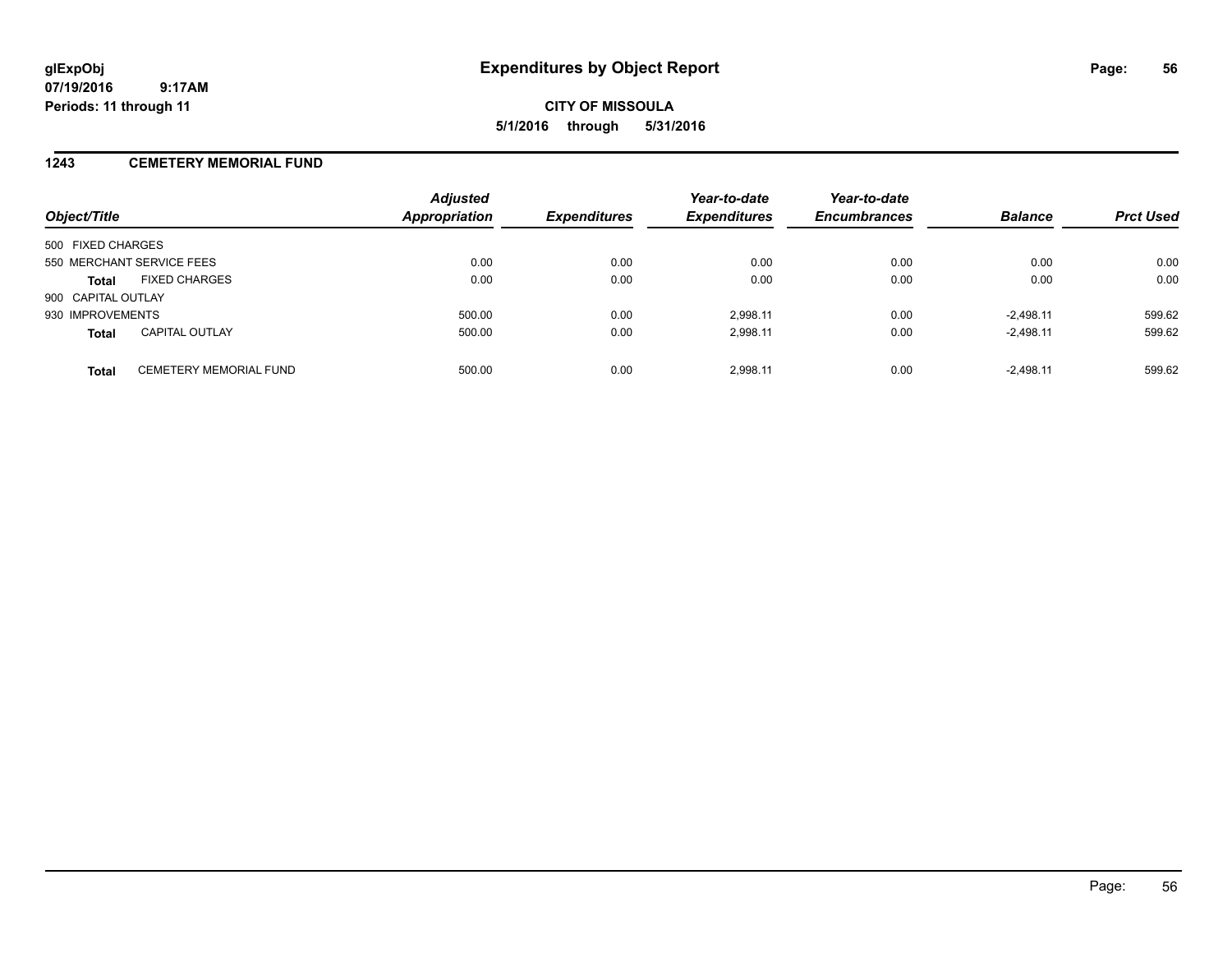### **1243 CEMETERY MEMORIAL FUND**

| Object/Title              |                               | <b>Adjusted</b><br>Appropriation | <b>Expenditures</b> | Year-to-date<br><b>Expenditures</b> | Year-to-date<br><b>Encumbrances</b> | <b>Balance</b> | <b>Prct Used</b> |
|---------------------------|-------------------------------|----------------------------------|---------------------|-------------------------------------|-------------------------------------|----------------|------------------|
| 500 FIXED CHARGES         |                               |                                  |                     |                                     |                                     |                |                  |
| 550 MERCHANT SERVICE FEES |                               | 0.00                             | 0.00                | 0.00                                | 0.00                                | 0.00           | 0.00             |
| <b>Total</b>              | <b>FIXED CHARGES</b>          | 0.00                             | 0.00                | 0.00                                | 0.00                                | 0.00           | 0.00             |
| 900 CAPITAL OUTLAY        |                               |                                  |                     |                                     |                                     |                |                  |
| 930 IMPROVEMENTS          |                               | 500.00                           | 0.00                | 2.998.11                            | 0.00                                | $-2.498.11$    | 599.62           |
| <b>Total</b>              | <b>CAPITAL OUTLAY</b>         | 500.00                           | 0.00                | 2,998.11                            | 0.00                                | $-2,498.11$    | 599.62           |
| <b>Total</b>              | <b>CEMETERY MEMORIAL FUND</b> | 500.00                           | 0.00                | 2.998.11                            | 0.00                                | $-2.498.11$    | 599.62           |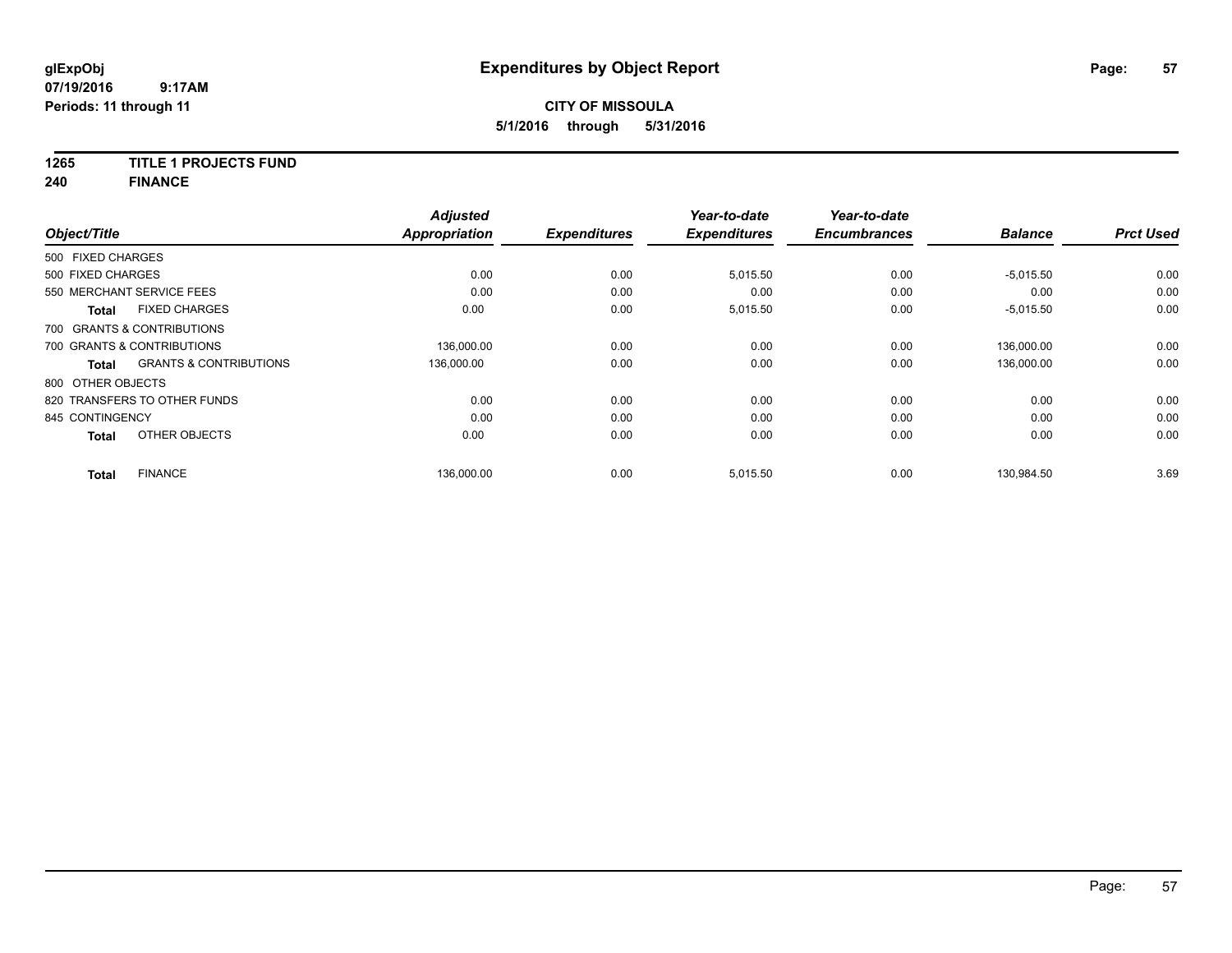## **CITY OF MISSOULA 5/1/2016 through 5/31/2016**

### **1265 TITLE 1 PROJECTS FUND**

**240 FINANCE**

| Object/Title      |                                   | <b>Adjusted</b><br><b>Appropriation</b> | <b>Expenditures</b> | Year-to-date<br><b>Expenditures</b> | Year-to-date<br><b>Encumbrances</b> | <b>Balance</b> | <b>Prct Used</b> |
|-------------------|-----------------------------------|-----------------------------------------|---------------------|-------------------------------------|-------------------------------------|----------------|------------------|
| 500 FIXED CHARGES |                                   |                                         |                     |                                     |                                     |                |                  |
| 500 FIXED CHARGES |                                   | 0.00                                    | 0.00                | 5,015.50                            | 0.00                                | $-5,015.50$    | 0.00             |
|                   | 550 MERCHANT SERVICE FEES         | 0.00                                    | 0.00                | 0.00                                | 0.00                                | 0.00           | 0.00             |
| <b>Total</b>      | <b>FIXED CHARGES</b>              | 0.00                                    | 0.00                | 5,015.50                            | 0.00                                | $-5,015.50$    | 0.00             |
|                   | 700 GRANTS & CONTRIBUTIONS        |                                         |                     |                                     |                                     |                |                  |
|                   | 700 GRANTS & CONTRIBUTIONS        | 136.000.00                              | 0.00                | 0.00                                | 0.00                                | 136.000.00     | 0.00             |
| <b>Total</b>      | <b>GRANTS &amp; CONTRIBUTIONS</b> | 136.000.00                              | 0.00                | 0.00                                | 0.00                                | 136,000.00     | 0.00             |
| 800 OTHER OBJECTS |                                   |                                         |                     |                                     |                                     |                |                  |
|                   | 820 TRANSFERS TO OTHER FUNDS      | 0.00                                    | 0.00                | 0.00                                | 0.00                                | 0.00           | 0.00             |
| 845 CONTINGENCY   |                                   | 0.00                                    | 0.00                | 0.00                                | 0.00                                | 0.00           | 0.00             |
| <b>Total</b>      | OTHER OBJECTS                     | 0.00                                    | 0.00                | 0.00                                | 0.00                                | 0.00           | 0.00             |
| <b>Total</b>      | <b>FINANCE</b>                    | 136,000.00                              | 0.00                | 5,015.50                            | 0.00                                | 130,984.50     | 3.69             |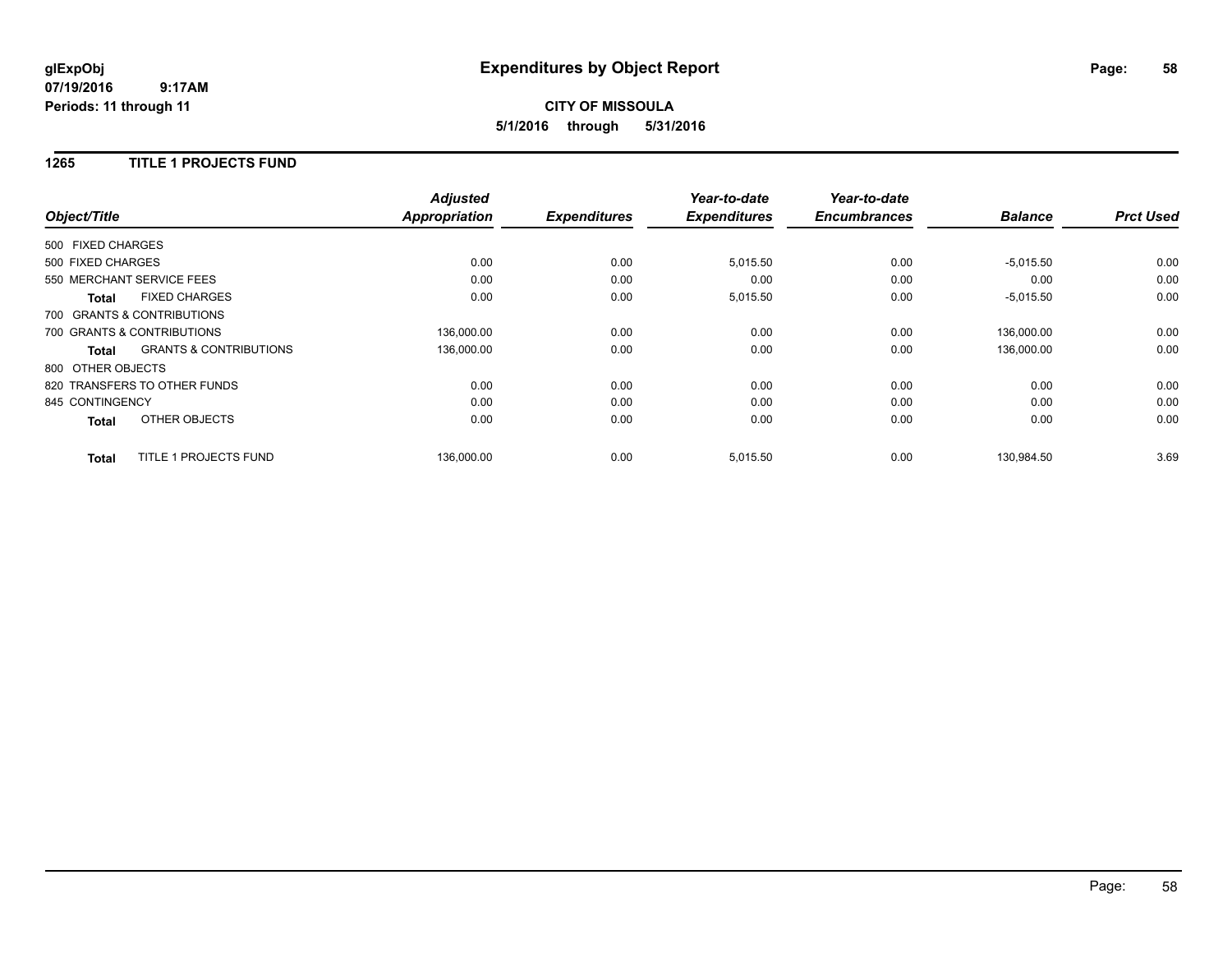## **CITY OF MISSOULA 5/1/2016 through 5/31/2016**

### **1265 TITLE 1 PROJECTS FUND**

|                   |                                   | <b>Adjusted</b>      |                     | Year-to-date        | Year-to-date<br><b>Encumbrances</b> | <b>Balance</b> | <b>Prct Used</b> |
|-------------------|-----------------------------------|----------------------|---------------------|---------------------|-------------------------------------|----------------|------------------|
| Object/Title      |                                   | <b>Appropriation</b> | <b>Expenditures</b> | <b>Expenditures</b> |                                     |                |                  |
| 500 FIXED CHARGES |                                   |                      |                     |                     |                                     |                |                  |
| 500 FIXED CHARGES |                                   | 0.00                 | 0.00                | 5,015.50            | 0.00                                | $-5,015.50$    | 0.00             |
|                   | 550 MERCHANT SERVICE FEES         | 0.00                 | 0.00                | 0.00                | 0.00                                | 0.00           | 0.00             |
| <b>Total</b>      | <b>FIXED CHARGES</b>              | 0.00                 | 0.00                | 5,015.50            | 0.00                                | $-5,015.50$    | 0.00             |
|                   | 700 GRANTS & CONTRIBUTIONS        |                      |                     |                     |                                     |                |                  |
|                   | 700 GRANTS & CONTRIBUTIONS        | 136,000.00           | 0.00                | 0.00                | 0.00                                | 136.000.00     | 0.00             |
| Total             | <b>GRANTS &amp; CONTRIBUTIONS</b> | 136,000.00           | 0.00                | 0.00                | 0.00                                | 136,000.00     | 0.00             |
| 800 OTHER OBJECTS |                                   |                      |                     |                     |                                     |                |                  |
|                   | 820 TRANSFERS TO OTHER FUNDS      | 0.00                 | 0.00                | 0.00                | 0.00                                | 0.00           | 0.00             |
| 845 CONTINGENCY   |                                   | 0.00                 | 0.00                | 0.00                | 0.00                                | 0.00           | 0.00             |
| <b>Total</b>      | OTHER OBJECTS                     | 0.00                 | 0.00                | 0.00                | 0.00                                | 0.00           | 0.00             |
| <b>Total</b>      | TITLE 1 PROJECTS FUND             | 136.000.00           | 0.00                | 5,015.50            | 0.00                                | 130.984.50     | 3.69             |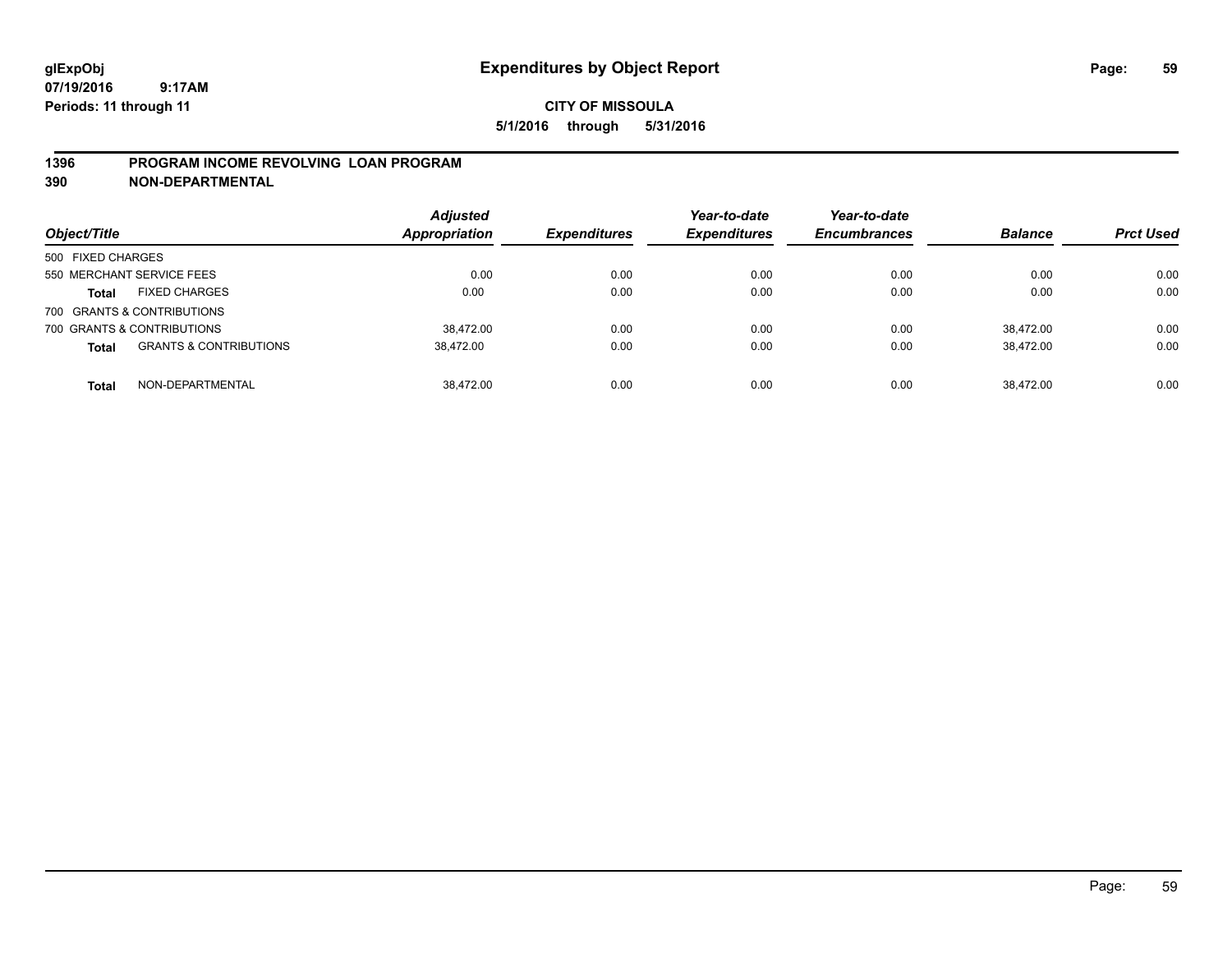### **CITY OF MISSOULA 5/1/2016 through 5/31/2016**

### **1396 PROGRAM INCOME REVOLVING LOAN PROGRAM**

**390 NON-DEPARTMENTAL**

| Object/Title                                      | <b>Adjusted</b><br><b>Appropriation</b> | <b>Expenditures</b> | Year-to-date<br><b>Expenditures</b> | Year-to-date<br><b>Encumbrances</b> | <b>Balance</b> | <b>Prct Used</b> |
|---------------------------------------------------|-----------------------------------------|---------------------|-------------------------------------|-------------------------------------|----------------|------------------|
| 500 FIXED CHARGES                                 |                                         |                     |                                     |                                     |                |                  |
| 550 MERCHANT SERVICE FEES                         | 0.00                                    | 0.00                | 0.00                                | 0.00                                | 0.00           | 0.00             |
| <b>FIXED CHARGES</b><br><b>Total</b>              | 0.00                                    | 0.00                | 0.00                                | 0.00                                | 0.00           | 0.00             |
| 700 GRANTS & CONTRIBUTIONS                        |                                         |                     |                                     |                                     |                |                  |
| 700 GRANTS & CONTRIBUTIONS                        | 38.472.00                               | 0.00                | 0.00                                | 0.00                                | 38.472.00      | 0.00             |
| <b>GRANTS &amp; CONTRIBUTIONS</b><br><b>Total</b> | 38,472.00                               | 0.00                | 0.00                                | 0.00                                | 38,472.00      | 0.00             |
| NON-DEPARTMENTAL<br><b>Total</b>                  | 38.472.00                               | 0.00                | 0.00                                | 0.00                                | 38.472.00      | 0.00             |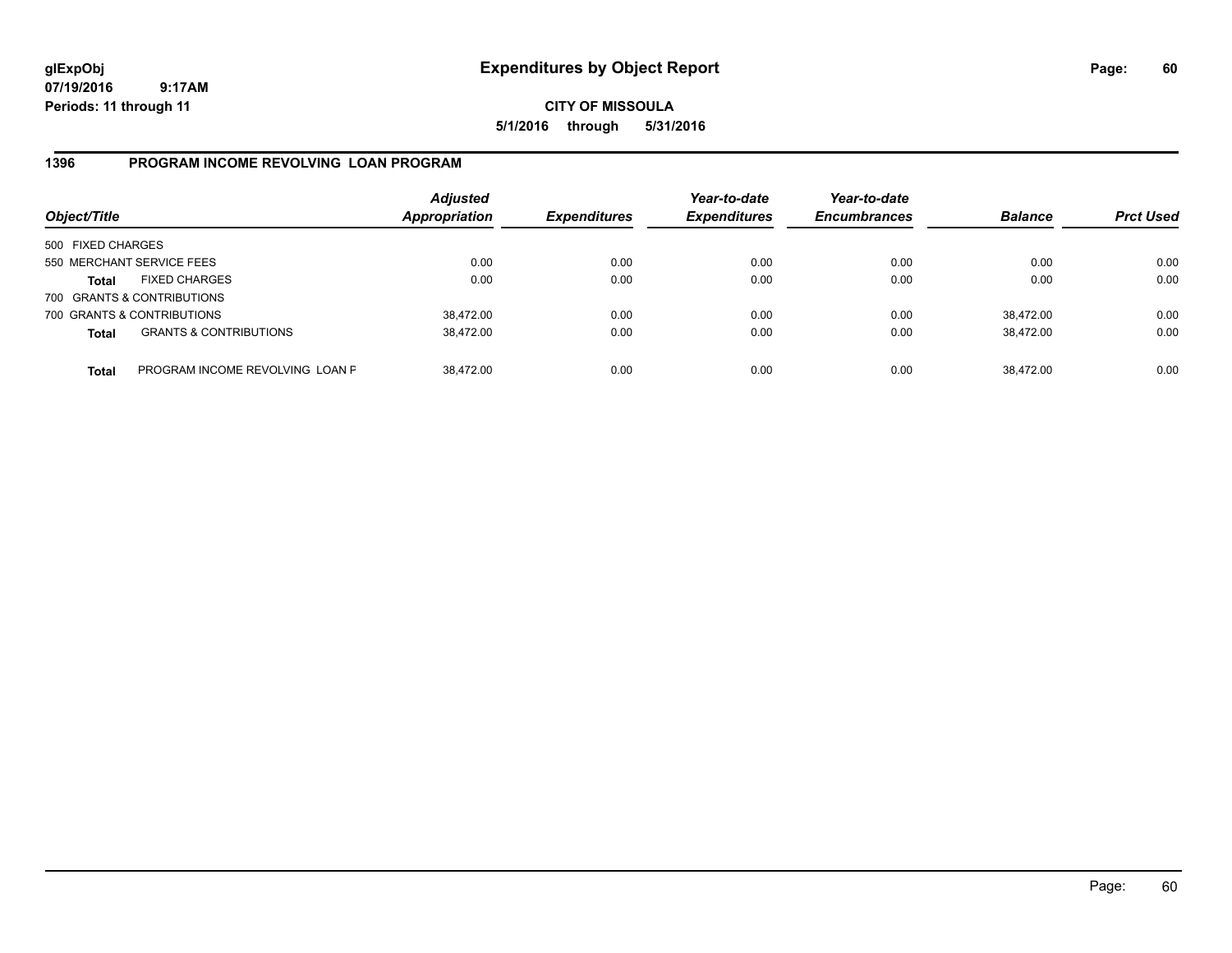## **CITY OF MISSOULA 5/1/2016 through 5/31/2016**

### **1396 PROGRAM INCOME REVOLVING LOAN PROGRAM**

| Object/Title      |                                   | <b>Adjusted</b><br><b>Appropriation</b> | <b>Expenditures</b> | Year-to-date<br><b>Expenditures</b> | Year-to-date<br><b>Encumbrances</b> | <b>Balance</b> | <b>Prct Used</b> |
|-------------------|-----------------------------------|-----------------------------------------|---------------------|-------------------------------------|-------------------------------------|----------------|------------------|
| 500 FIXED CHARGES |                                   |                                         |                     |                                     |                                     |                |                  |
|                   | 550 MERCHANT SERVICE FEES         | 0.00                                    | 0.00                | 0.00                                | 0.00                                | 0.00           | 0.00             |
| Total             | <b>FIXED CHARGES</b>              | 0.00                                    | 0.00                | 0.00                                | 0.00                                | 0.00           | 0.00             |
|                   | 700 GRANTS & CONTRIBUTIONS        |                                         |                     |                                     |                                     |                |                  |
|                   | 700 GRANTS & CONTRIBUTIONS        | 38,472.00                               | 0.00                | 0.00                                | 0.00                                | 38,472.00      | 0.00             |
| <b>Total</b>      | <b>GRANTS &amp; CONTRIBUTIONS</b> | 38,472.00                               | 0.00                | 0.00                                | 0.00                                | 38.472.00      | 0.00             |
| <b>Total</b>      | PROGRAM INCOME REVOLVING LOAN P   | 38,472.00                               | 0.00                | 0.00                                | 0.00                                | 38,472.00      | 0.00             |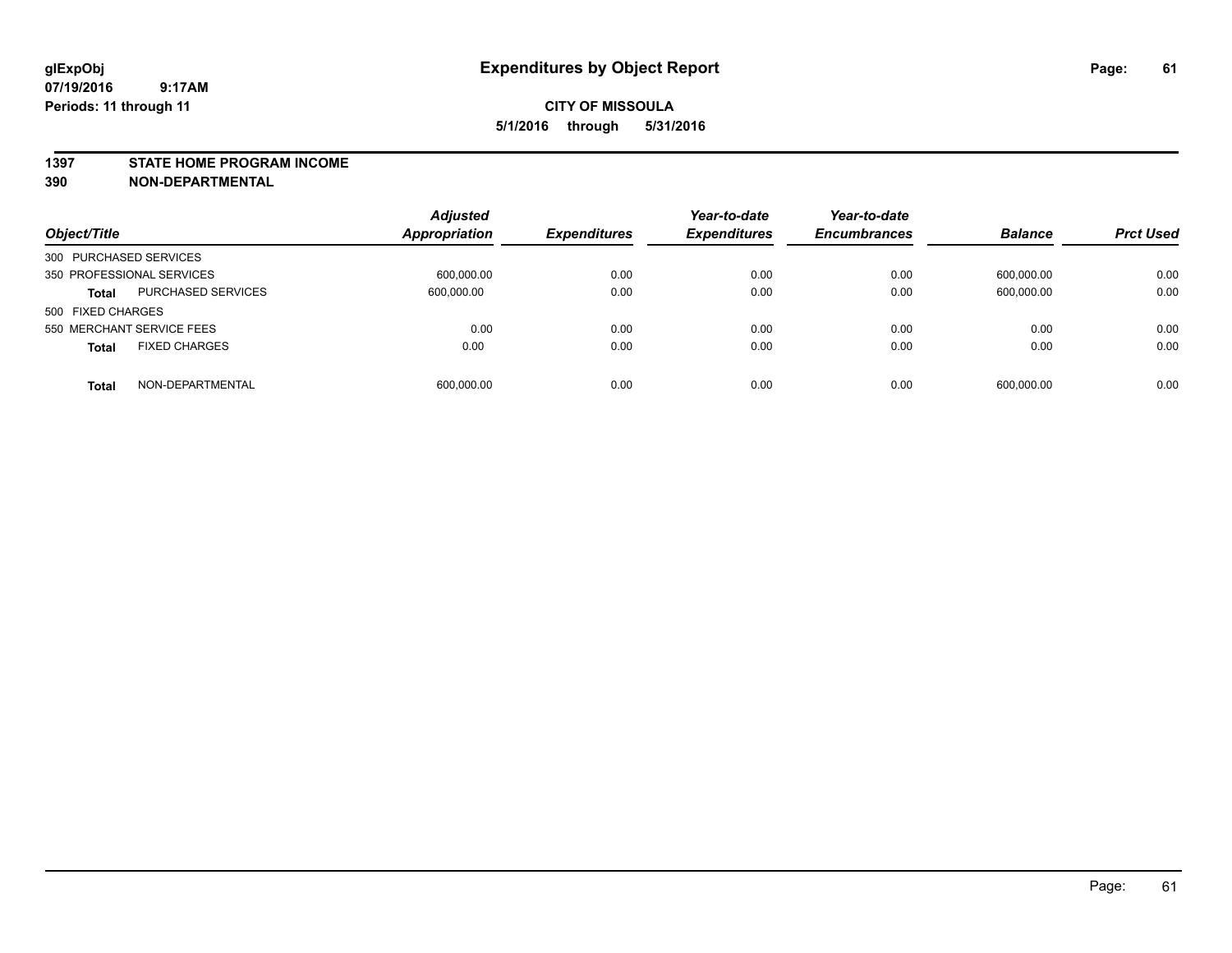#### **1397 STATE HOME PROGRAM INCOME**

**390 NON-DEPARTMENTAL**

| Object/Title                         | <b>Adjusted</b><br><b>Appropriation</b> | <b>Expenditures</b> | Year-to-date<br><b>Expenditures</b> | Year-to-date<br><b>Encumbrances</b> | <b>Balance</b> | <b>Prct Used</b> |
|--------------------------------------|-----------------------------------------|---------------------|-------------------------------------|-------------------------------------|----------------|------------------|
| 300 PURCHASED SERVICES               |                                         |                     |                                     |                                     |                |                  |
| 350 PROFESSIONAL SERVICES            | 600,000.00                              | 0.00                | 0.00                                | 0.00                                | 600,000.00     | 0.00             |
| PURCHASED SERVICES<br><b>Total</b>   | 600,000.00                              | 0.00                | 0.00                                | 0.00                                | 600,000.00     | 0.00             |
| 500 FIXED CHARGES                    |                                         |                     |                                     |                                     |                |                  |
| 550 MERCHANT SERVICE FEES            | 0.00                                    | 0.00                | 0.00                                | 0.00                                | 0.00           | 0.00             |
| <b>FIXED CHARGES</b><br><b>Total</b> | 0.00                                    | 0.00                | 0.00                                | 0.00                                | 0.00           | 0.00             |
| NON-DEPARTMENTAL<br><b>Total</b>     | 600,000.00                              | 0.00                | 0.00                                | 0.00                                | 600,000.00     | 0.00             |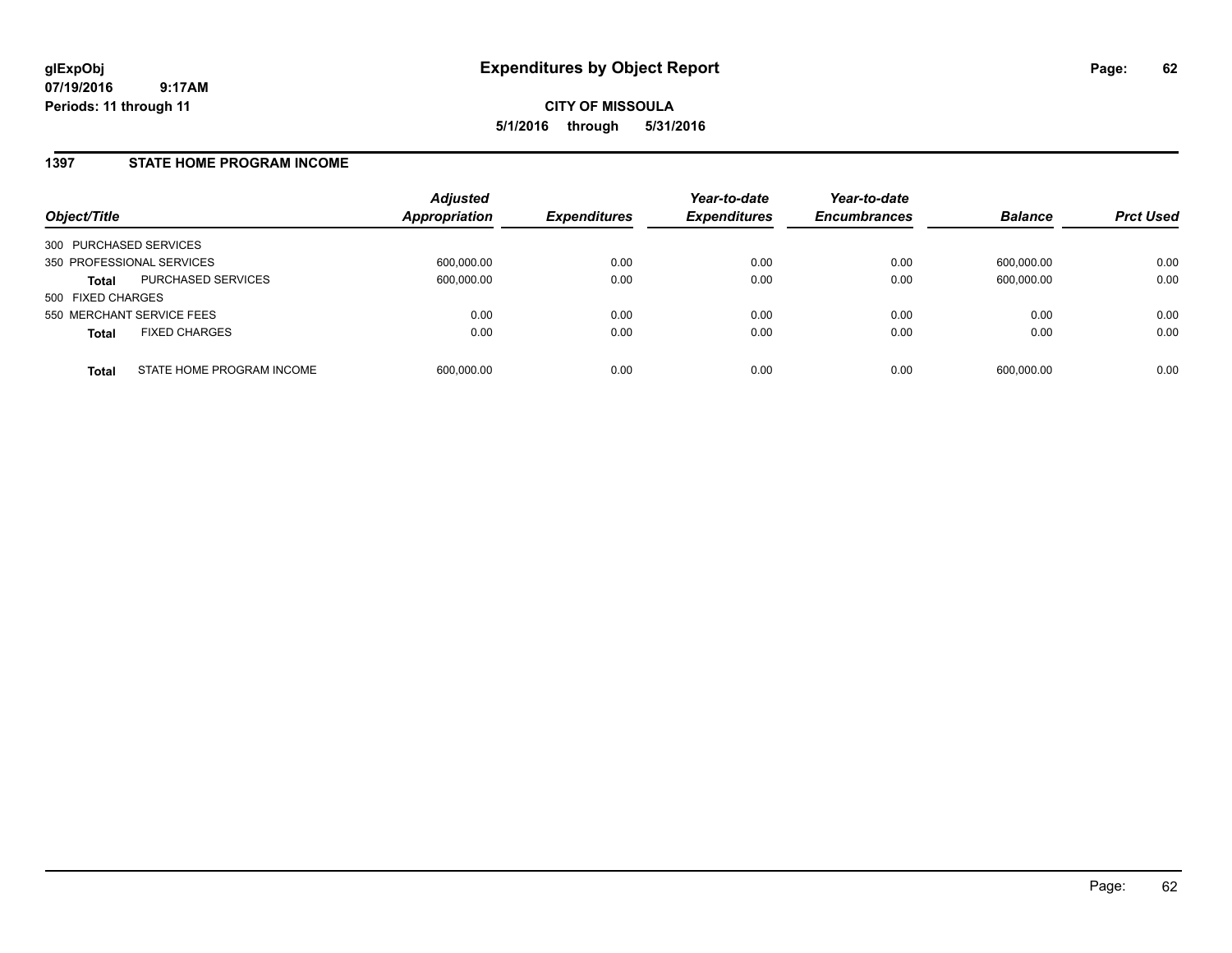### **1397 STATE HOME PROGRAM INCOME**

| Object/Title              |                           | <b>Adjusted</b><br><b>Appropriation</b> | <b>Expenditures</b> | Year-to-date<br><b>Expenditures</b> | Year-to-date<br><b>Encumbrances</b> | <b>Balance</b> | <b>Prct Used</b> |
|---------------------------|---------------------------|-----------------------------------------|---------------------|-------------------------------------|-------------------------------------|----------------|------------------|
| 300 PURCHASED SERVICES    |                           |                                         |                     |                                     |                                     |                |                  |
| 350 PROFESSIONAL SERVICES |                           | 600,000.00                              | 0.00                | 0.00                                | 0.00                                | 600,000.00     | 0.00             |
| <b>Total</b>              | <b>PURCHASED SERVICES</b> | 600,000.00                              | 0.00                | 0.00                                | 0.00                                | 600,000.00     | 0.00             |
| 500 FIXED CHARGES         |                           |                                         |                     |                                     |                                     |                |                  |
| 550 MERCHANT SERVICE FEES |                           | 0.00                                    | 0.00                | 0.00                                | 0.00                                | 0.00           | 0.00             |
| <b>Total</b>              | <b>FIXED CHARGES</b>      | 0.00                                    | 0.00                | 0.00                                | 0.00                                | 0.00           | 0.00             |
| <b>Total</b>              | STATE HOME PROGRAM INCOME | 600,000.00                              | 0.00                | 0.00                                | 0.00                                | 600,000.00     | 0.00             |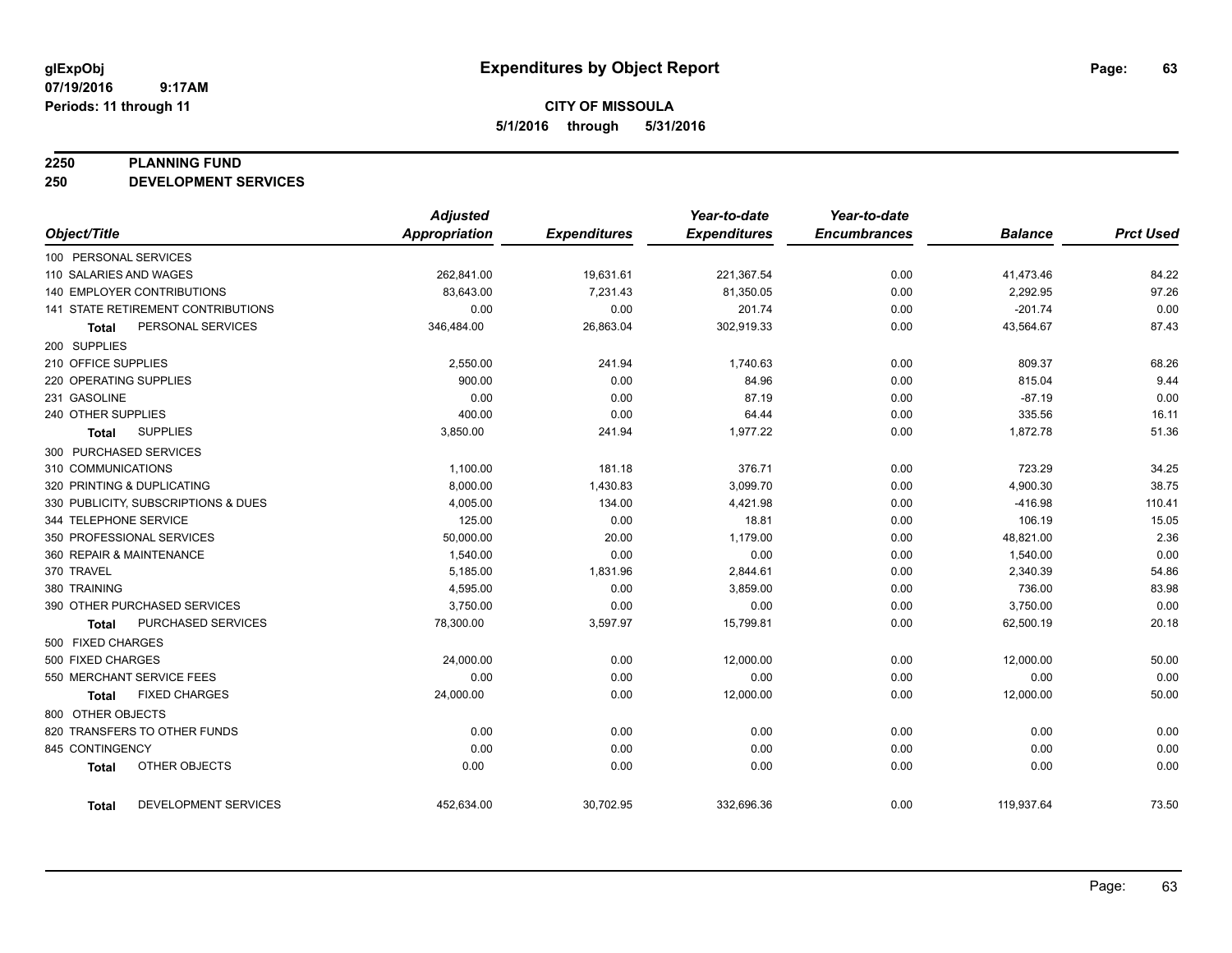**CITY OF MISSOULA 5/1/2016 through 5/31/2016**

#### **2250 PLANNING FUND**

**250 DEVELOPMENT SERVICES**

|                                      | <b>Adjusted</b>      |                     | Year-to-date        | Year-to-date        |                |                  |
|--------------------------------------|----------------------|---------------------|---------------------|---------------------|----------------|------------------|
| Object/Title                         | <b>Appropriation</b> | <b>Expenditures</b> | <b>Expenditures</b> | <b>Encumbrances</b> | <b>Balance</b> | <b>Prct Used</b> |
| 100 PERSONAL SERVICES                |                      |                     |                     |                     |                |                  |
| 110 SALARIES AND WAGES               | 262,841.00           | 19,631.61           | 221,367.54          | 0.00                | 41,473.46      | 84.22            |
| <b>140 EMPLOYER CONTRIBUTIONS</b>    | 83,643.00            | 7,231.43            | 81,350.05           | 0.00                | 2,292.95       | 97.26            |
| 141 STATE RETIREMENT CONTRIBUTIONS   | 0.00                 | 0.00                | 201.74              | 0.00                | $-201.74$      | 0.00             |
| PERSONAL SERVICES<br><b>Total</b>    | 346,484.00           | 26,863.04           | 302,919.33          | 0.00                | 43,564.67      | 87.43            |
| 200 SUPPLIES                         |                      |                     |                     |                     |                |                  |
| 210 OFFICE SUPPLIES                  | 2,550.00             | 241.94              | 1,740.63            | 0.00                | 809.37         | 68.26            |
| 220 OPERATING SUPPLIES               | 900.00               | 0.00                | 84.96               | 0.00                | 815.04         | 9.44             |
| 231 GASOLINE                         | 0.00                 | 0.00                | 87.19               | 0.00                | $-87.19$       | 0.00             |
| 240 OTHER SUPPLIES                   | 400.00               | 0.00                | 64.44               | 0.00                | 335.56         | 16.11            |
| <b>SUPPLIES</b><br><b>Total</b>      | 3,850.00             | 241.94              | 1.977.22            | 0.00                | 1,872.78       | 51.36            |
| 300 PURCHASED SERVICES               |                      |                     |                     |                     |                |                  |
| 310 COMMUNICATIONS                   | 1,100.00             | 181.18              | 376.71              | 0.00                | 723.29         | 34.25            |
| 320 PRINTING & DUPLICATING           | 8,000.00             | 1,430.83            | 3,099.70            | 0.00                | 4,900.30       | 38.75            |
| 330 PUBLICITY, SUBSCRIPTIONS & DUES  | 4,005.00             | 134.00              | 4,421.98            | 0.00                | $-416.98$      | 110.41           |
| 344 TELEPHONE SERVICE                | 125.00               | 0.00                | 18.81               | 0.00                | 106.19         | 15.05            |
| 350 PROFESSIONAL SERVICES            | 50,000.00            | 20.00               | 1,179.00            | 0.00                | 48,821.00      | 2.36             |
| 360 REPAIR & MAINTENANCE             | 1,540.00             | 0.00                | 0.00                | 0.00                | 1,540.00       | 0.00             |
| 370 TRAVEL                           | 5,185.00             | 1,831.96            | 2,844.61            | 0.00                | 2,340.39       | 54.86            |
| 380 TRAINING                         | 4,595.00             | 0.00                | 3,859.00            | 0.00                | 736.00         | 83.98            |
| 390 OTHER PURCHASED SERVICES         | 3,750.00             | 0.00                | 0.00                | 0.00                | 3,750.00       | 0.00             |
| PURCHASED SERVICES<br><b>Total</b>   | 78,300.00            | 3,597.97            | 15,799.81           | 0.00                | 62,500.19      | 20.18            |
| 500 FIXED CHARGES                    |                      |                     |                     |                     |                |                  |
| 500 FIXED CHARGES                    | 24,000.00            | 0.00                | 12,000.00           | 0.00                | 12,000.00      | 50.00            |
| 550 MERCHANT SERVICE FEES            | 0.00                 | 0.00                | 0.00                | 0.00                | 0.00           | 0.00             |
| <b>FIXED CHARGES</b><br><b>Total</b> | 24,000.00            | 0.00                | 12,000.00           | 0.00                | 12,000.00      | 50.00            |
| 800 OTHER OBJECTS                    |                      |                     |                     |                     |                |                  |
| 820 TRANSFERS TO OTHER FUNDS         | 0.00                 | 0.00                | 0.00                | 0.00                | 0.00           | 0.00             |
| 845 CONTINGENCY                      | 0.00                 | 0.00                | 0.00                | 0.00                | 0.00           | 0.00             |
| OTHER OBJECTS<br><b>Total</b>        | 0.00                 | 0.00                | 0.00                | 0.00                | 0.00           | 0.00             |
| DEVELOPMENT SERVICES<br><b>Total</b> | 452,634.00           | 30,702.95           | 332,696.36          | 0.00                | 119,937.64     | 73.50            |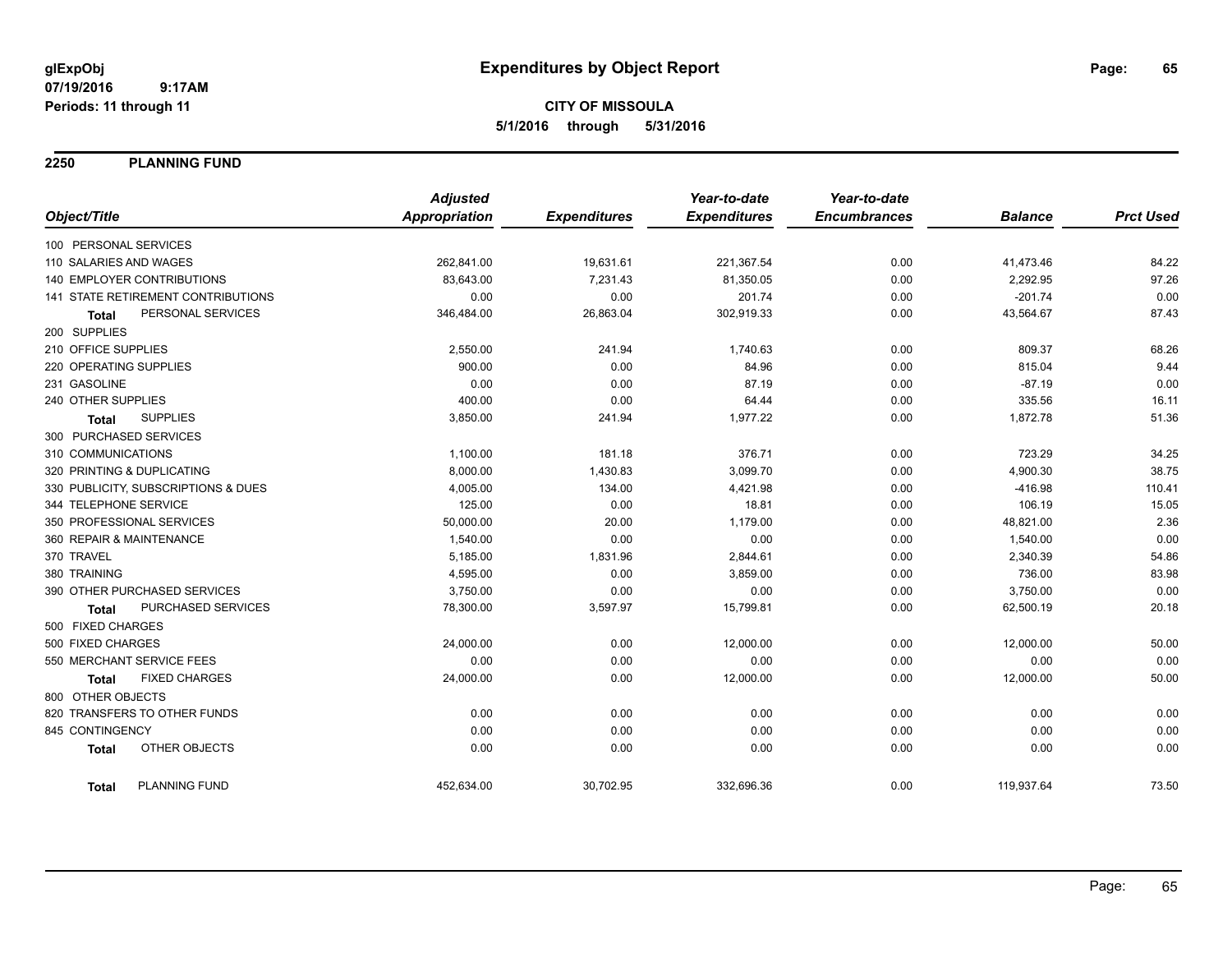## **CITY OF MISSOULA 5/1/2016 through 5/31/2016**

**2250 PLANNING FUND**

|                                      | <b>Adjusted</b>      |                     | Year-to-date        | Year-to-date        |                |                  |
|--------------------------------------|----------------------|---------------------|---------------------|---------------------|----------------|------------------|
| Object/Title                         | <b>Appropriation</b> | <b>Expenditures</b> | <b>Expenditures</b> | <b>Encumbrances</b> | <b>Balance</b> | <b>Prct Used</b> |
| 100 PERSONAL SERVICES                |                      |                     |                     |                     |                |                  |
| 110 SALARIES AND WAGES               | 262,841.00           | 19,631.61           | 221,367.54          | 0.00                | 41,473.46      | 84.22            |
| 140 EMPLOYER CONTRIBUTIONS           | 83,643.00            | 7,231.43            | 81,350.05           | 0.00                | 2,292.95       | 97.26            |
| 141 STATE RETIREMENT CONTRIBUTIONS   | 0.00                 | 0.00                | 201.74              | 0.00                | $-201.74$      | 0.00             |
| PERSONAL SERVICES<br><b>Total</b>    | 346,484.00           | 26,863.04           | 302,919.33          | 0.00                | 43,564.67      | 87.43            |
| 200 SUPPLIES                         |                      |                     |                     |                     |                |                  |
| 210 OFFICE SUPPLIES                  | 2,550.00             | 241.94              | 1,740.63            | 0.00                | 809.37         | 68.26            |
| 220 OPERATING SUPPLIES               | 900.00               | 0.00                | 84.96               | 0.00                | 815.04         | 9.44             |
| 231 GASOLINE                         | 0.00                 | 0.00                | 87.19               | 0.00                | $-87.19$       | 0.00             |
| 240 OTHER SUPPLIES                   | 400.00               | 0.00                | 64.44               | 0.00                | 335.56         | 16.11            |
| <b>SUPPLIES</b><br><b>Total</b>      | 3,850.00             | 241.94              | 1,977.22            | 0.00                | 1,872.78       | 51.36            |
| 300 PURCHASED SERVICES               |                      |                     |                     |                     |                |                  |
| 310 COMMUNICATIONS                   | 1,100.00             | 181.18              | 376.71              | 0.00                | 723.29         | 34.25            |
| 320 PRINTING & DUPLICATING           | 8,000.00             | 1,430.83            | 3,099.70            | 0.00                | 4,900.30       | 38.75            |
| 330 PUBLICITY, SUBSCRIPTIONS & DUES  | 4,005.00             | 134.00              | 4,421.98            | 0.00                | $-416.98$      | 110.41           |
| 344 TELEPHONE SERVICE                | 125.00               | 0.00                | 18.81               | 0.00                | 106.19         | 15.05            |
| 350 PROFESSIONAL SERVICES            | 50,000.00            | 20.00               | 1,179.00            | 0.00                | 48,821.00      | 2.36             |
| 360 REPAIR & MAINTENANCE             | 1,540.00             | 0.00                | 0.00                | 0.00                | 1,540.00       | 0.00             |
| 370 TRAVEL                           | 5,185.00             | 1,831.96            | 2,844.61            | 0.00                | 2,340.39       | 54.86            |
| 380 TRAINING                         | 4,595.00             | 0.00                | 3,859.00            | 0.00                | 736.00         | 83.98            |
| 390 OTHER PURCHASED SERVICES         | 3,750.00             | 0.00                | 0.00                | 0.00                | 3,750.00       | 0.00             |
| PURCHASED SERVICES<br><b>Total</b>   | 78,300.00            | 3,597.97            | 15,799.81           | 0.00                | 62,500.19      | 20.18            |
| 500 FIXED CHARGES                    |                      |                     |                     |                     |                |                  |
| 500 FIXED CHARGES                    | 24,000.00            | 0.00                | 12,000.00           | 0.00                | 12,000.00      | 50.00            |
| 550 MERCHANT SERVICE FEES            | 0.00                 | 0.00                | 0.00                | 0.00                | 0.00           | 0.00             |
| <b>FIXED CHARGES</b><br><b>Total</b> | 24,000.00            | 0.00                | 12,000.00           | 0.00                | 12,000.00      | 50.00            |
| 800 OTHER OBJECTS                    |                      |                     |                     |                     |                |                  |
| 820 TRANSFERS TO OTHER FUNDS         | 0.00                 | 0.00                | 0.00                | 0.00                | 0.00           | 0.00             |
| 845 CONTINGENCY                      | 0.00                 | 0.00                | 0.00                | 0.00                | 0.00           | 0.00             |
| OTHER OBJECTS<br><b>Total</b>        | 0.00                 | 0.00                | 0.00                | 0.00                | 0.00           | 0.00             |
| <b>PLANNING FUND</b><br><b>Total</b> | 452,634.00           | 30,702.95           | 332,696.36          | 0.00                | 119,937.64     | 73.50            |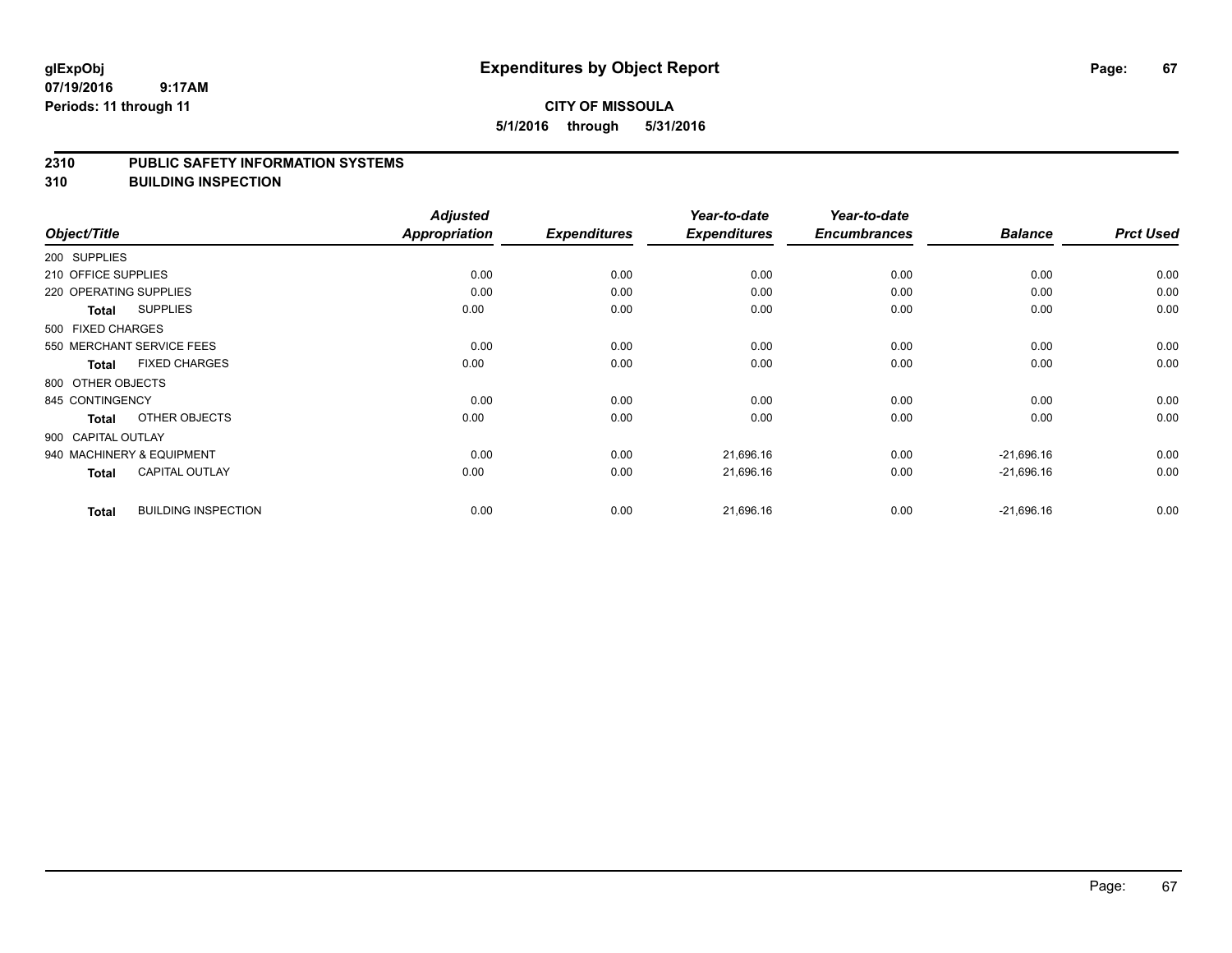### **CITY OF MISSOULA 5/1/2016 through 5/31/2016**

#### **2310 PUBLIC SAFETY INFORMATION SYSTEMS**

**310 BUILDING INSPECTION**

|                        |                            | <b>Adjusted</b>      |                     | Year-to-date        | Year-to-date        |                |                  |
|------------------------|----------------------------|----------------------|---------------------|---------------------|---------------------|----------------|------------------|
| Object/Title           |                            | <b>Appropriation</b> | <b>Expenditures</b> | <b>Expenditures</b> | <b>Encumbrances</b> | <b>Balance</b> | <b>Prct Used</b> |
| 200 SUPPLIES           |                            |                      |                     |                     |                     |                |                  |
| 210 OFFICE SUPPLIES    |                            | 0.00                 | 0.00                | 0.00                | 0.00                | 0.00           | 0.00             |
| 220 OPERATING SUPPLIES |                            | 0.00                 | 0.00                | 0.00                | 0.00                | 0.00           | 0.00             |
| Total                  | <b>SUPPLIES</b>            | 0.00                 | 0.00                | 0.00                | 0.00                | 0.00           | 0.00             |
| 500 FIXED CHARGES      |                            |                      |                     |                     |                     |                |                  |
|                        | 550 MERCHANT SERVICE FEES  | 0.00                 | 0.00                | 0.00                | 0.00                | 0.00           | 0.00             |
| Total                  | <b>FIXED CHARGES</b>       | 0.00                 | 0.00                | 0.00                | 0.00                | 0.00           | 0.00             |
| 800 OTHER OBJECTS      |                            |                      |                     |                     |                     |                |                  |
| 845 CONTINGENCY        |                            | 0.00                 | 0.00                | 0.00                | 0.00                | 0.00           | 0.00             |
| Total                  | OTHER OBJECTS              | 0.00                 | 0.00                | 0.00                | 0.00                | 0.00           | 0.00             |
| 900 CAPITAL OUTLAY     |                            |                      |                     |                     |                     |                |                  |
|                        | 940 MACHINERY & EQUIPMENT  | 0.00                 | 0.00                | 21,696.16           | 0.00                | $-21,696.16$   | 0.00             |
| Total                  | <b>CAPITAL OUTLAY</b>      | 0.00                 | 0.00                | 21,696.16           | 0.00                | $-21,696.16$   | 0.00             |
| <b>Total</b>           | <b>BUILDING INSPECTION</b> | 0.00                 | 0.00                | 21,696.16           | 0.00                | $-21,696.16$   | 0.00             |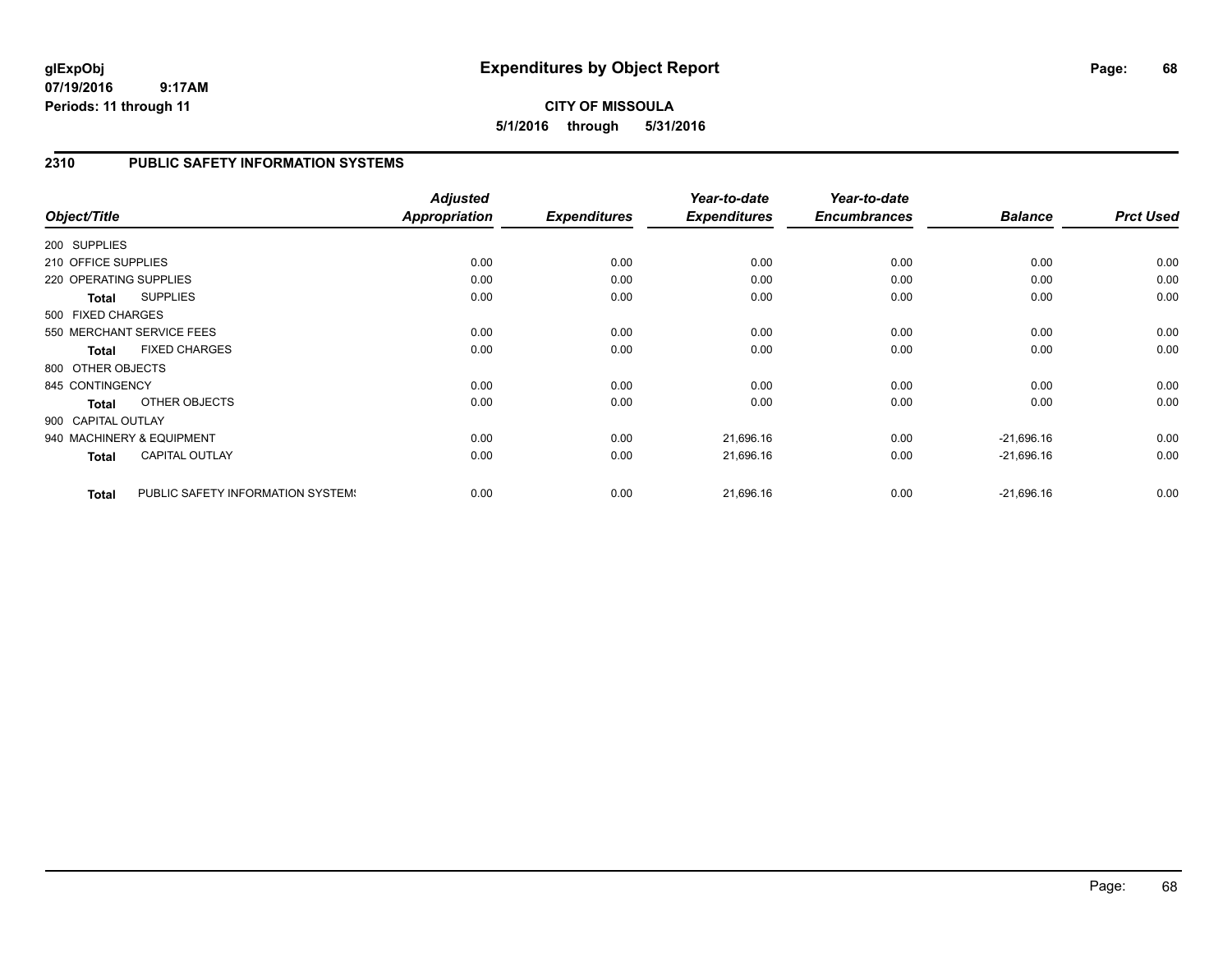## **2310 PUBLIC SAFETY INFORMATION SYSTEMS**

| Object/Title           |                                   | <b>Adjusted</b><br><b>Appropriation</b> | <b>Expenditures</b> | Year-to-date<br><b>Expenditures</b> | Year-to-date<br><b>Encumbrances</b> | <b>Balance</b> | <b>Prct Used</b> |
|------------------------|-----------------------------------|-----------------------------------------|---------------------|-------------------------------------|-------------------------------------|----------------|------------------|
| 200 SUPPLIES           |                                   |                                         |                     |                                     |                                     |                |                  |
| 210 OFFICE SUPPLIES    |                                   | 0.00                                    | 0.00                | 0.00                                | 0.00                                | 0.00           | 0.00             |
| 220 OPERATING SUPPLIES |                                   | 0.00                                    | 0.00                | 0.00                                | 0.00                                | 0.00           | 0.00             |
| <b>Total</b>           | <b>SUPPLIES</b>                   | 0.00                                    | 0.00                | 0.00                                | 0.00                                | 0.00           | 0.00             |
| 500 FIXED CHARGES      |                                   |                                         |                     |                                     |                                     |                |                  |
|                        | 550 MERCHANT SERVICE FEES         | 0.00                                    | 0.00                | 0.00                                | 0.00                                | 0.00           | 0.00             |
| <b>Total</b>           | <b>FIXED CHARGES</b>              | 0.00                                    | 0.00                | 0.00                                | 0.00                                | 0.00           | 0.00             |
| 800 OTHER OBJECTS      |                                   |                                         |                     |                                     |                                     |                |                  |
| 845 CONTINGENCY        |                                   | 0.00                                    | 0.00                | 0.00                                | 0.00                                | 0.00           | 0.00             |
| <b>Total</b>           | OTHER OBJECTS                     | 0.00                                    | 0.00                | 0.00                                | 0.00                                | 0.00           | 0.00             |
| 900 CAPITAL OUTLAY     |                                   |                                         |                     |                                     |                                     |                |                  |
|                        | 940 MACHINERY & EQUIPMENT         | 0.00                                    | 0.00                | 21,696.16                           | 0.00                                | $-21,696.16$   | 0.00             |
| <b>Total</b>           | <b>CAPITAL OUTLAY</b>             | 0.00                                    | 0.00                | 21,696.16                           | 0.00                                | $-21,696.16$   | 0.00             |
| <b>Total</b>           | PUBLIC SAFETY INFORMATION SYSTEM! | 0.00                                    | 0.00                | 21,696.16                           | 0.00                                | $-21,696.16$   | 0.00             |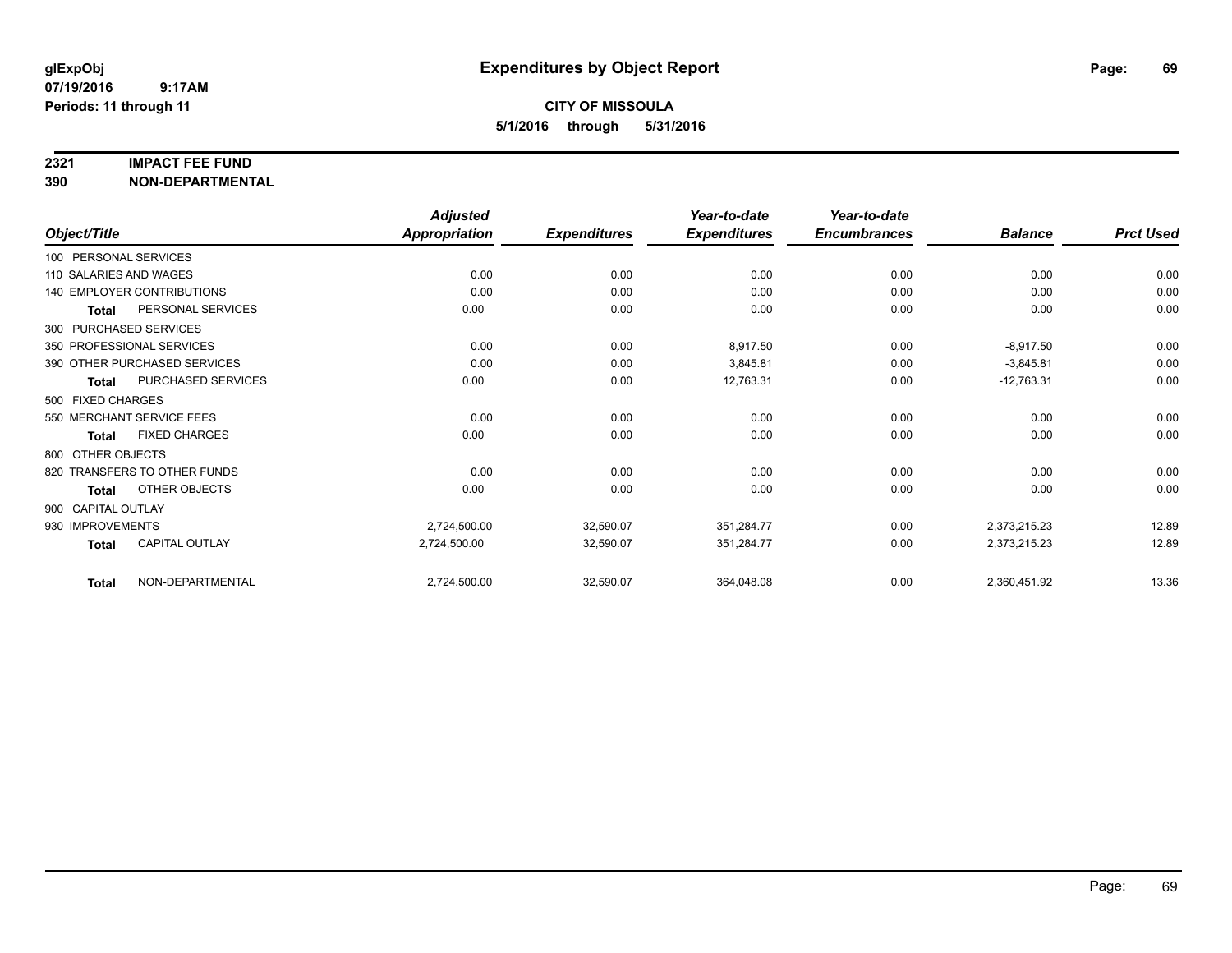#### **2321 IMPACT FEE FUND**

**390 NON-DEPARTMENTAL**

|                        |                                   | <b>Adjusted</b>      |                     | Year-to-date        | Year-to-date        |                |                  |
|------------------------|-----------------------------------|----------------------|---------------------|---------------------|---------------------|----------------|------------------|
| Object/Title           |                                   | <b>Appropriation</b> | <b>Expenditures</b> | <b>Expenditures</b> | <b>Encumbrances</b> | <b>Balance</b> | <b>Prct Used</b> |
| 100 PERSONAL SERVICES  |                                   |                      |                     |                     |                     |                |                  |
| 110 SALARIES AND WAGES |                                   | 0.00                 | 0.00                | 0.00                | 0.00                | 0.00           | 0.00             |
|                        | <b>140 EMPLOYER CONTRIBUTIONS</b> | 0.00                 | 0.00                | 0.00                | 0.00                | 0.00           | 0.00             |
| <b>Total</b>           | PERSONAL SERVICES                 | 0.00                 | 0.00                | 0.00                | 0.00                | 0.00           | 0.00             |
|                        | 300 PURCHASED SERVICES            |                      |                     |                     |                     |                |                  |
|                        | 350 PROFESSIONAL SERVICES         | 0.00                 | 0.00                | 8,917.50            | 0.00                | $-8,917.50$    | 0.00             |
|                        | 390 OTHER PURCHASED SERVICES      | 0.00                 | 0.00                | 3,845.81            | 0.00                | $-3,845.81$    | 0.00             |
| <b>Total</b>           | PURCHASED SERVICES                | 0.00                 | 0.00                | 12,763.31           | 0.00                | $-12,763.31$   | 0.00             |
| 500 FIXED CHARGES      |                                   |                      |                     |                     |                     |                |                  |
|                        | 550 MERCHANT SERVICE FEES         | 0.00                 | 0.00                | 0.00                | 0.00                | 0.00           | 0.00             |
| <b>Total</b>           | <b>FIXED CHARGES</b>              | 0.00                 | 0.00                | 0.00                | 0.00                | 0.00           | 0.00             |
| 800 OTHER OBJECTS      |                                   |                      |                     |                     |                     |                |                  |
|                        | 820 TRANSFERS TO OTHER FUNDS      | 0.00                 | 0.00                | 0.00                | 0.00                | 0.00           | 0.00             |
| Total                  | OTHER OBJECTS                     | 0.00                 | 0.00                | 0.00                | 0.00                | 0.00           | 0.00             |
| 900 CAPITAL OUTLAY     |                                   |                      |                     |                     |                     |                |                  |
| 930 IMPROVEMENTS       |                                   | 2,724,500.00         | 32,590.07           | 351,284.77          | 0.00                | 2,373,215.23   | 12.89            |
| <b>Total</b>           | <b>CAPITAL OUTLAY</b>             | 2,724,500.00         | 32,590.07           | 351,284.77          | 0.00                | 2,373,215.23   | 12.89            |
| Total                  | NON-DEPARTMENTAL                  | 2,724,500.00         | 32,590.07           | 364,048.08          | 0.00                | 2,360,451.92   | 13.36            |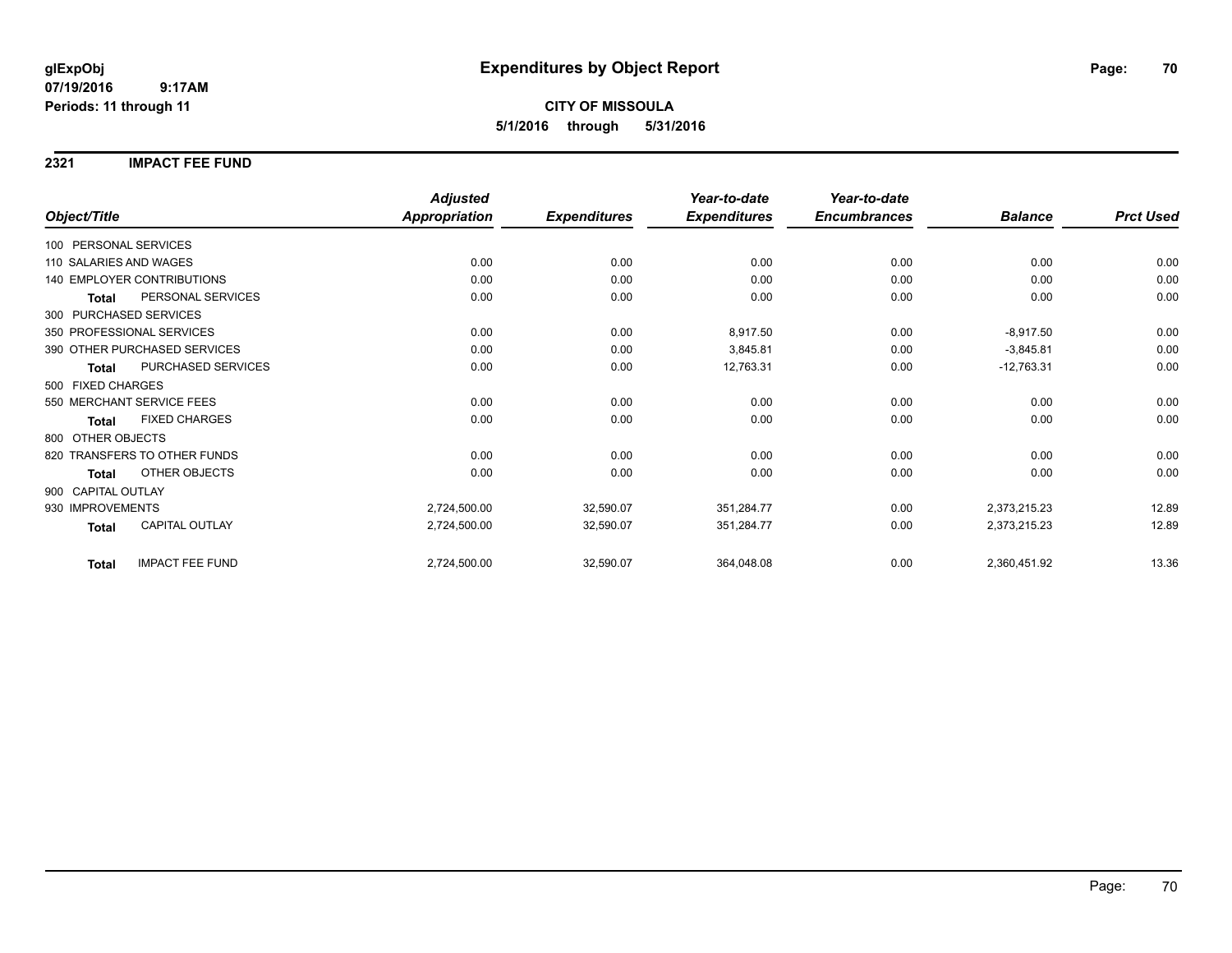### **2321 IMPACT FEE FUND**

|                                        | <b>Adjusted</b>      |                     | Year-to-date        | Year-to-date        |                |                  |
|----------------------------------------|----------------------|---------------------|---------------------|---------------------|----------------|------------------|
| Object/Title                           | <b>Appropriation</b> | <b>Expenditures</b> | <b>Expenditures</b> | <b>Encumbrances</b> | <b>Balance</b> | <b>Prct Used</b> |
| 100 PERSONAL SERVICES                  |                      |                     |                     |                     |                |                  |
| 110 SALARIES AND WAGES                 | 0.00                 | 0.00                | 0.00                | 0.00                | 0.00           | 0.00             |
| <b>140 EMPLOYER CONTRIBUTIONS</b>      | 0.00                 | 0.00                | 0.00                | 0.00                | 0.00           | 0.00             |
| PERSONAL SERVICES<br><b>Total</b>      | 0.00                 | 0.00                | 0.00                | 0.00                | 0.00           | 0.00             |
| 300 PURCHASED SERVICES                 |                      |                     |                     |                     |                |                  |
| 350 PROFESSIONAL SERVICES              | 0.00                 | 0.00                | 8,917.50            | 0.00                | $-8,917.50$    | 0.00             |
| 390 OTHER PURCHASED SERVICES           | 0.00                 | 0.00                | 3,845.81            | 0.00                | $-3,845.81$    | 0.00             |
| PURCHASED SERVICES<br><b>Total</b>     | 0.00                 | 0.00                | 12,763.31           | 0.00                | $-12,763.31$   | 0.00             |
| 500 FIXED CHARGES                      |                      |                     |                     |                     |                |                  |
| 550 MERCHANT SERVICE FEES              | 0.00                 | 0.00                | 0.00                | 0.00                | 0.00           | 0.00             |
| <b>FIXED CHARGES</b><br><b>Total</b>   | 0.00                 | 0.00                | 0.00                | 0.00                | 0.00           | 0.00             |
| 800 OTHER OBJECTS                      |                      |                     |                     |                     |                |                  |
| 820 TRANSFERS TO OTHER FUNDS           | 0.00                 | 0.00                | 0.00                | 0.00                | 0.00           | 0.00             |
| <b>OTHER OBJECTS</b><br><b>Total</b>   | 0.00                 | 0.00                | 0.00                | 0.00                | 0.00           | 0.00             |
| 900 CAPITAL OUTLAY                     |                      |                     |                     |                     |                |                  |
| 930 IMPROVEMENTS                       | 2,724,500.00         | 32,590.07           | 351,284.77          | 0.00                | 2,373,215.23   | 12.89            |
| <b>CAPITAL OUTLAY</b><br><b>Total</b>  | 2,724,500.00         | 32,590.07           | 351,284.77          | 0.00                | 2,373,215.23   | 12.89            |
| <b>IMPACT FEE FUND</b><br><b>Total</b> | 2,724,500.00         | 32,590.07           | 364,048.08          | 0.00                | 2,360,451.92   | 13.36            |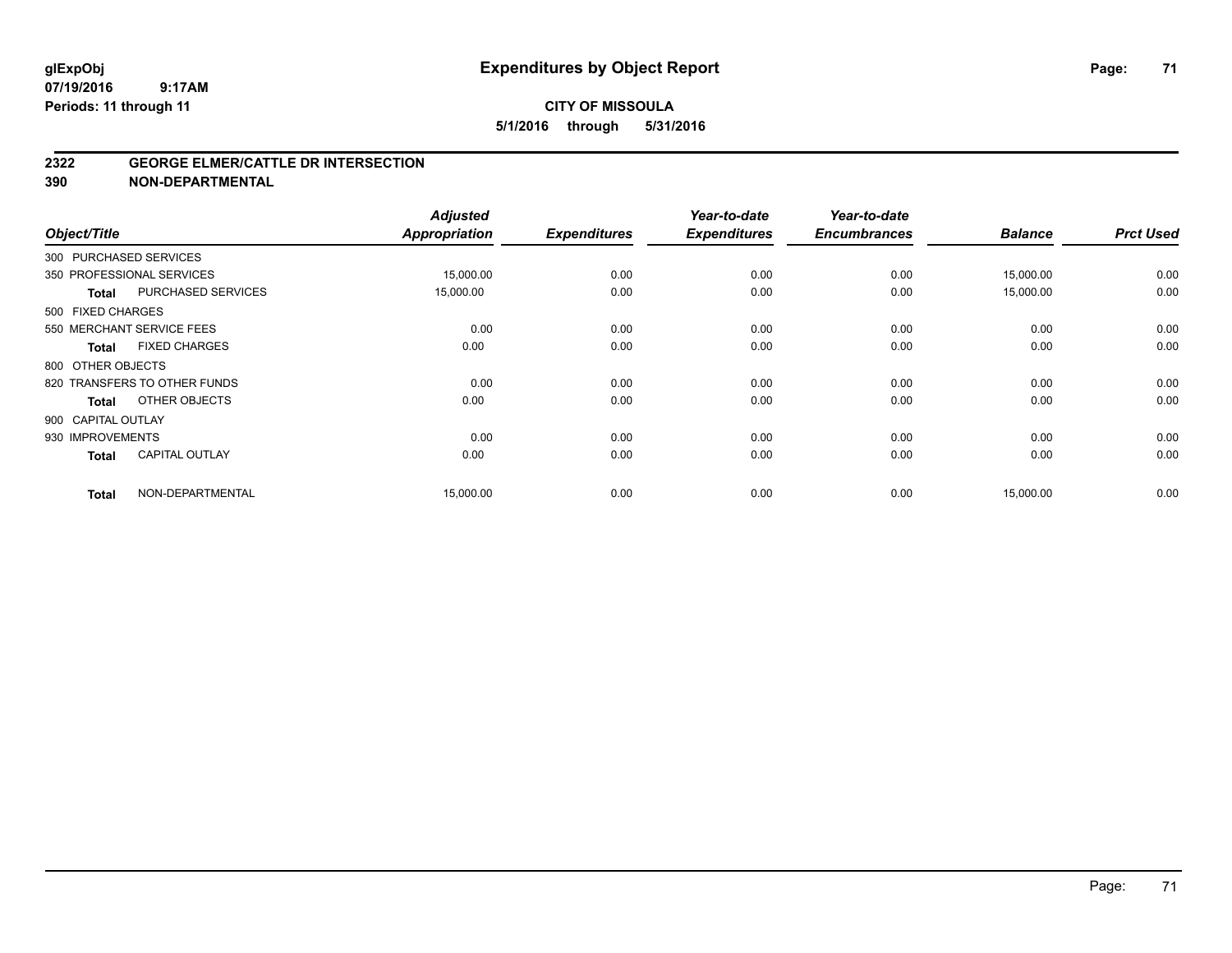#### **2322 GEORGE ELMER/CATTLE DR INTERSECTION**

**390 NON-DEPARTMENTAL**

| Object/Title       |                              | <b>Adjusted</b><br><b>Appropriation</b> | <b>Expenditures</b> | Year-to-date<br><b>Expenditures</b> | Year-to-date<br><b>Encumbrances</b> | <b>Balance</b> | <b>Prct Used</b> |
|--------------------|------------------------------|-----------------------------------------|---------------------|-------------------------------------|-------------------------------------|----------------|------------------|
|                    | 300 PURCHASED SERVICES       |                                         |                     |                                     |                                     |                |                  |
|                    | 350 PROFESSIONAL SERVICES    | 15,000.00                               | 0.00                | 0.00                                | 0.00                                | 15,000.00      | 0.00             |
| <b>Total</b>       | PURCHASED SERVICES           | 15,000.00                               | 0.00                | 0.00                                | 0.00                                | 15,000.00      | 0.00             |
| 500 FIXED CHARGES  |                              |                                         |                     |                                     |                                     |                |                  |
|                    | 550 MERCHANT SERVICE FEES    | 0.00                                    | 0.00                | 0.00                                | 0.00                                | 0.00           | 0.00             |
| <b>Total</b>       | <b>FIXED CHARGES</b>         | 0.00                                    | 0.00                | 0.00                                | 0.00                                | 0.00           | 0.00             |
| 800 OTHER OBJECTS  |                              |                                         |                     |                                     |                                     |                |                  |
|                    | 820 TRANSFERS TO OTHER FUNDS | 0.00                                    | 0.00                | 0.00                                | 0.00                                | 0.00           | 0.00             |
| <b>Total</b>       | OTHER OBJECTS                | 0.00                                    | 0.00                | 0.00                                | 0.00                                | 0.00           | 0.00             |
| 900 CAPITAL OUTLAY |                              |                                         |                     |                                     |                                     |                |                  |
| 930 IMPROVEMENTS   |                              | 0.00                                    | 0.00                | 0.00                                | 0.00                                | 0.00           | 0.00             |
| <b>Total</b>       | <b>CAPITAL OUTLAY</b>        | 0.00                                    | 0.00                | 0.00                                | 0.00                                | 0.00           | 0.00             |
| <b>Total</b>       | NON-DEPARTMENTAL             | 15,000.00                               | 0.00                | 0.00                                | 0.00                                | 15,000.00      | 0.00             |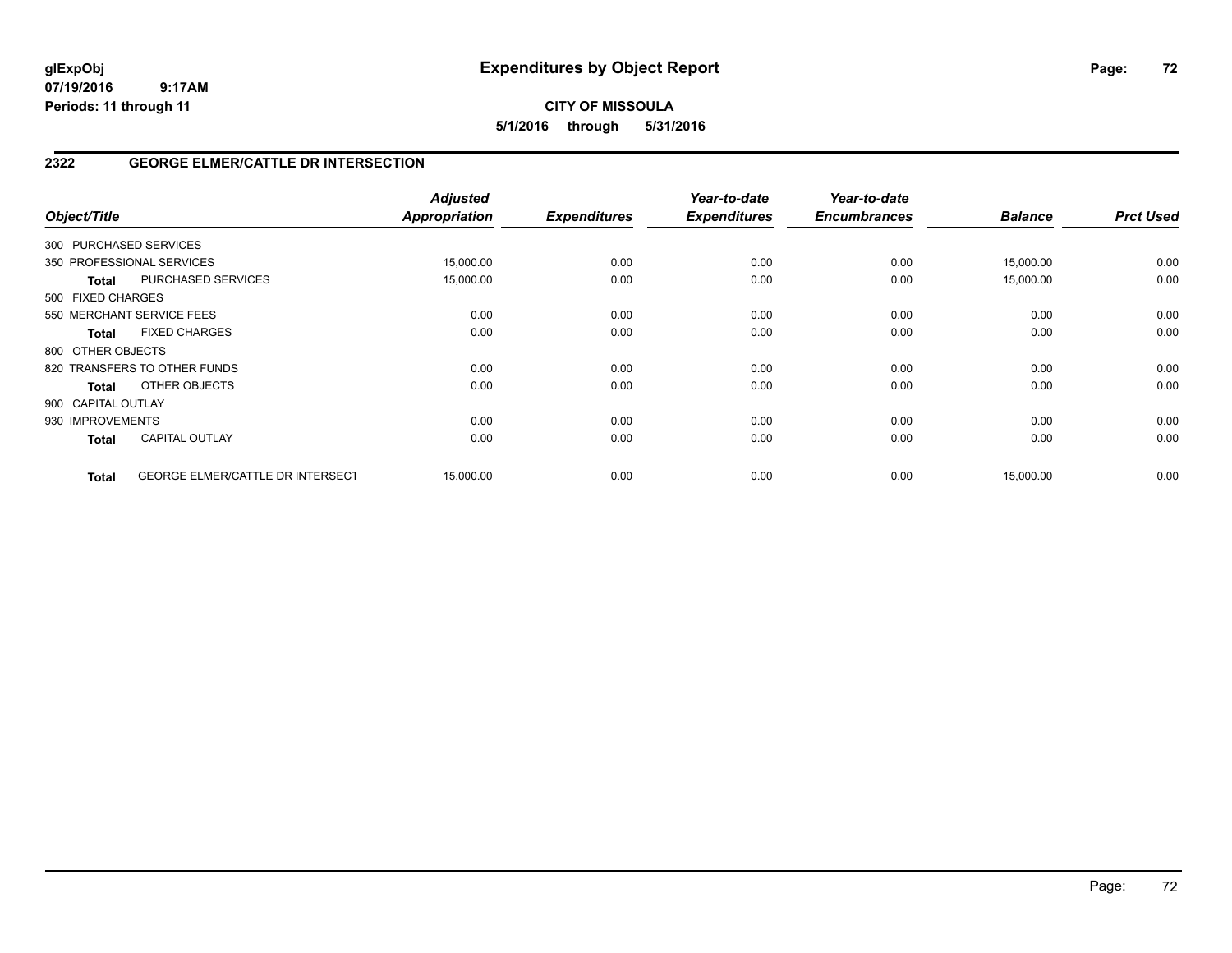**5/1/2016 through 5/31/2016**

## **2322 GEORGE ELMER/CATTLE DR INTERSECTION**

| Object/Title           |                                         | <b>Adjusted</b><br><b>Appropriation</b> | <b>Expenditures</b> | Year-to-date<br><b>Expenditures</b> | Year-to-date<br><b>Encumbrances</b> | <b>Balance</b> | <b>Prct Used</b> |
|------------------------|-----------------------------------------|-----------------------------------------|---------------------|-------------------------------------|-------------------------------------|----------------|------------------|
| 300 PURCHASED SERVICES |                                         |                                         |                     |                                     |                                     |                |                  |
|                        | 350 PROFESSIONAL SERVICES               | 15,000.00                               | 0.00                | 0.00                                | 0.00                                | 15,000.00      | 0.00             |
| <b>Total</b>           | <b>PURCHASED SERVICES</b>               | 15,000.00                               | 0.00                | 0.00                                | 0.00                                | 15,000.00      | 0.00             |
| 500 FIXED CHARGES      |                                         |                                         |                     |                                     |                                     |                |                  |
|                        | 550 MERCHANT SERVICE FEES               | 0.00                                    | 0.00                | 0.00                                | 0.00                                | 0.00           | 0.00             |
| Total                  | <b>FIXED CHARGES</b>                    | 0.00                                    | 0.00                | 0.00                                | 0.00                                | 0.00           | 0.00             |
| 800 OTHER OBJECTS      |                                         |                                         |                     |                                     |                                     |                |                  |
|                        | 820 TRANSFERS TO OTHER FUNDS            | 0.00                                    | 0.00                | 0.00                                | 0.00                                | 0.00           | 0.00             |
| <b>Total</b>           | OTHER OBJECTS                           | 0.00                                    | 0.00                | 0.00                                | 0.00                                | 0.00           | 0.00             |
| 900 CAPITAL OUTLAY     |                                         |                                         |                     |                                     |                                     |                |                  |
| 930 IMPROVEMENTS       |                                         | 0.00                                    | 0.00                | 0.00                                | 0.00                                | 0.00           | 0.00             |
| <b>Total</b>           | <b>CAPITAL OUTLAY</b>                   | 0.00                                    | 0.00                | 0.00                                | 0.00                                | 0.00           | 0.00             |
| <b>Total</b>           | <b>GEORGE ELMER/CATTLE DR INTERSECT</b> | 15,000.00                               | 0.00                | 0.00                                | 0.00                                | 15,000.00      | 0.00             |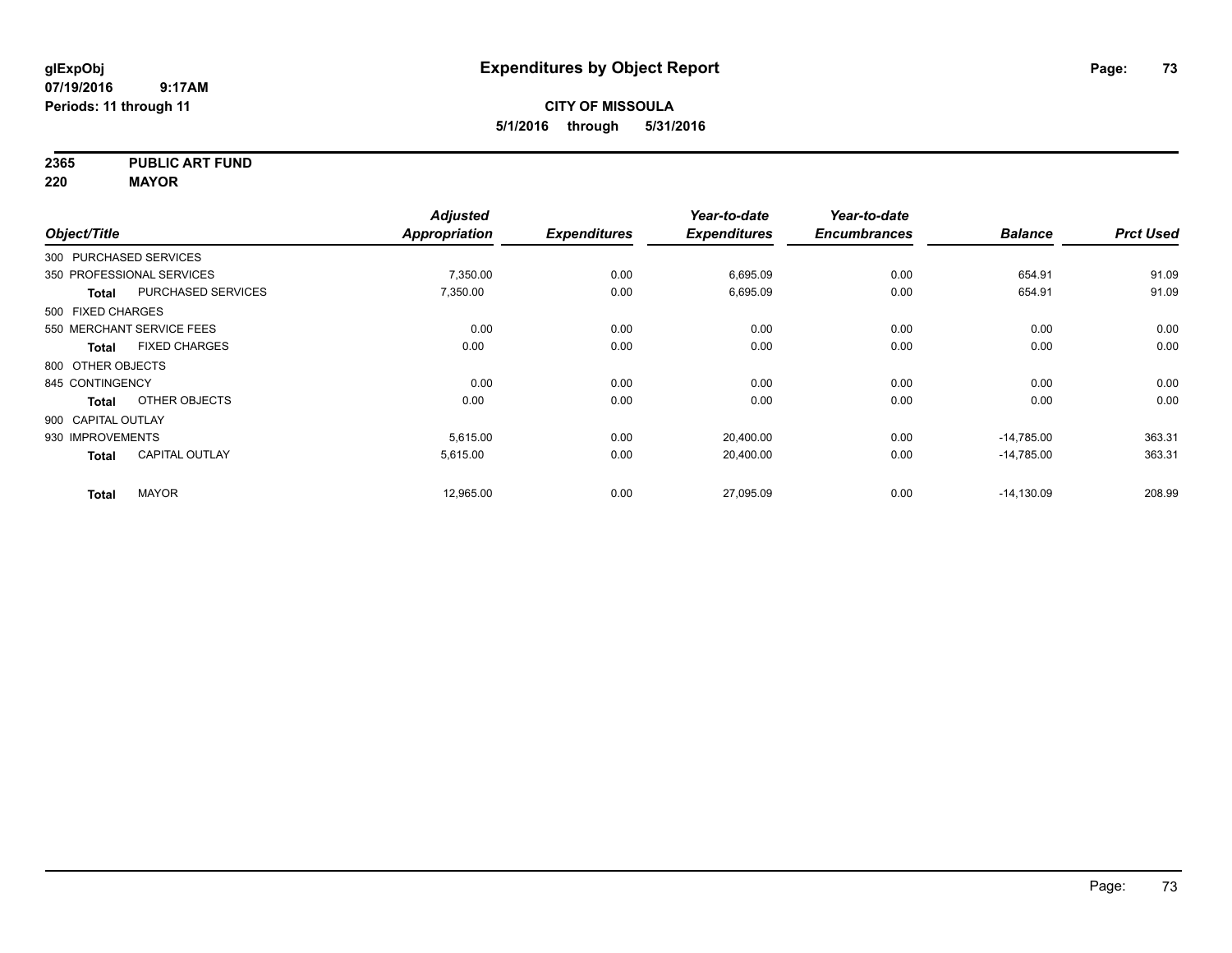**2365 PUBLIC ART FUND**

**220 MAYOR**

|                        |                           | <b>Adjusted</b> |                     | Year-to-date        | Year-to-date        |                |                  |
|------------------------|---------------------------|-----------------|---------------------|---------------------|---------------------|----------------|------------------|
| Object/Title           |                           | Appropriation   | <b>Expenditures</b> | <b>Expenditures</b> | <b>Encumbrances</b> | <b>Balance</b> | <b>Prct Used</b> |
| 300 PURCHASED SERVICES |                           |                 |                     |                     |                     |                |                  |
|                        | 350 PROFESSIONAL SERVICES | 7,350.00        | 0.00                | 6,695.09            | 0.00                | 654.91         | 91.09            |
| <b>Total</b>           | <b>PURCHASED SERVICES</b> | 7,350.00        | 0.00                | 6,695.09            | 0.00                | 654.91         | 91.09            |
| 500 FIXED CHARGES      |                           |                 |                     |                     |                     |                |                  |
|                        | 550 MERCHANT SERVICE FEES | 0.00            | 0.00                | 0.00                | 0.00                | 0.00           | 0.00             |
| Total                  | <b>FIXED CHARGES</b>      | 0.00            | 0.00                | 0.00                | 0.00                | 0.00           | 0.00             |
| 800 OTHER OBJECTS      |                           |                 |                     |                     |                     |                |                  |
| 845 CONTINGENCY        |                           | 0.00            | 0.00                | 0.00                | 0.00                | 0.00           | 0.00             |
| <b>Total</b>           | OTHER OBJECTS             | 0.00            | 0.00                | 0.00                | 0.00                | 0.00           | 0.00             |
| 900 CAPITAL OUTLAY     |                           |                 |                     |                     |                     |                |                  |
| 930 IMPROVEMENTS       |                           | 5,615.00        | 0.00                | 20,400.00           | 0.00                | $-14,785.00$   | 363.31           |
| <b>Total</b>           | <b>CAPITAL OUTLAY</b>     | 5,615.00        | 0.00                | 20,400.00           | 0.00                | $-14,785.00$   | 363.31           |
| <b>Total</b>           | <b>MAYOR</b>              | 12,965.00       | 0.00                | 27,095.09           | 0.00                | $-14,130.09$   | 208.99           |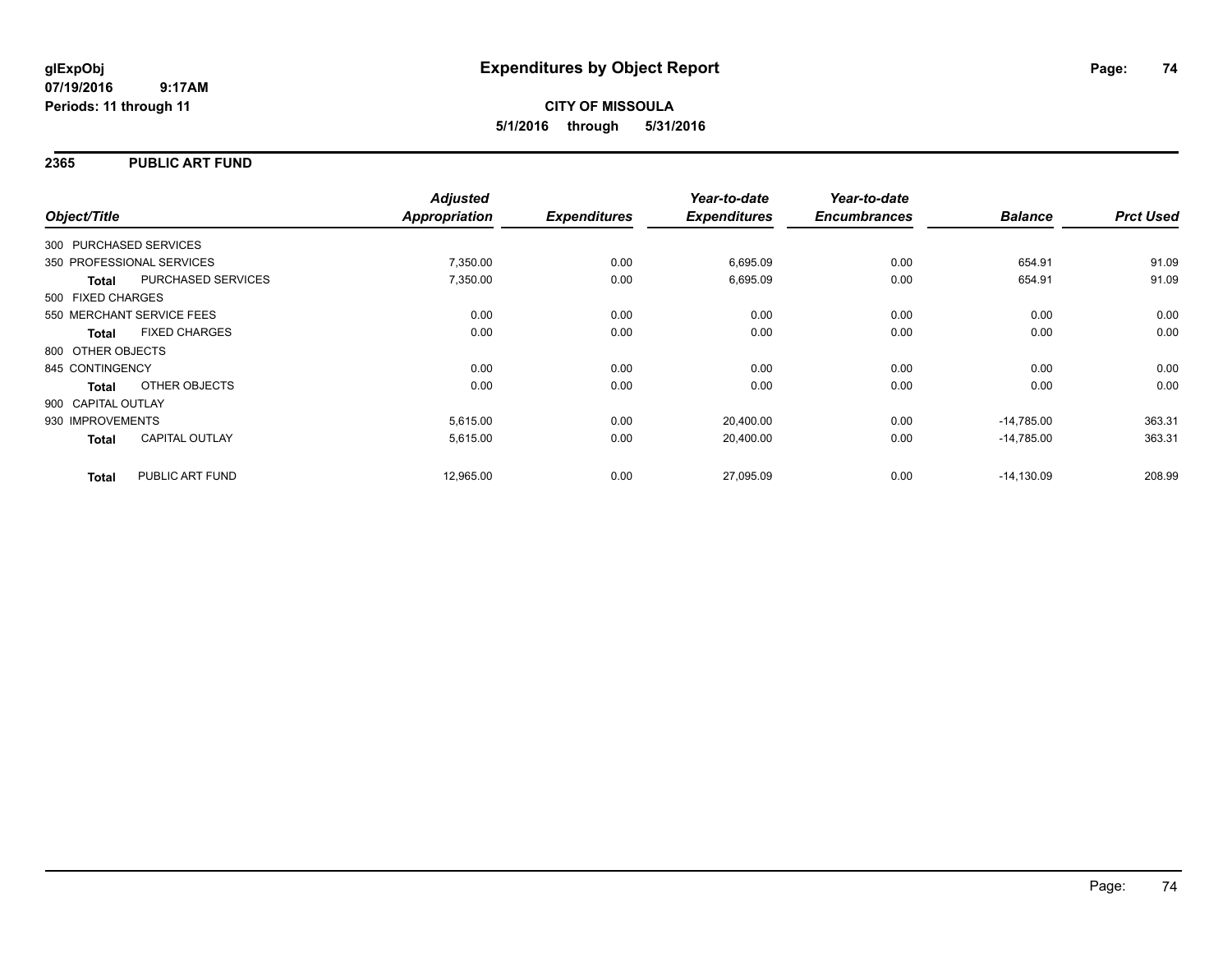#### **2365 PUBLIC ART FUND**

|                        |                           | <b>Adjusted</b>      |                     | Year-to-date        | Year-to-date        |                |                  |
|------------------------|---------------------------|----------------------|---------------------|---------------------|---------------------|----------------|------------------|
| Object/Title           |                           | <b>Appropriation</b> | <b>Expenditures</b> | <b>Expenditures</b> | <b>Encumbrances</b> | <b>Balance</b> | <b>Prct Used</b> |
| 300 PURCHASED SERVICES |                           |                      |                     |                     |                     |                |                  |
|                        | 350 PROFESSIONAL SERVICES | 7,350.00             | 0.00                | 6,695.09            | 0.00                | 654.91         | 91.09            |
| <b>Total</b>           | PURCHASED SERVICES        | 7,350.00             | 0.00                | 6,695.09            | 0.00                | 654.91         | 91.09            |
| 500 FIXED CHARGES      |                           |                      |                     |                     |                     |                |                  |
|                        | 550 MERCHANT SERVICE FEES | 0.00                 | 0.00                | 0.00                | 0.00                | 0.00           | 0.00             |
| <b>Total</b>           | <b>FIXED CHARGES</b>      | 0.00                 | 0.00                | 0.00                | 0.00                | 0.00           | 0.00             |
| 800 OTHER OBJECTS      |                           |                      |                     |                     |                     |                |                  |
| 845 CONTINGENCY        |                           | 0.00                 | 0.00                | 0.00                | 0.00                | 0.00           | 0.00             |
| Total                  | OTHER OBJECTS             | 0.00                 | 0.00                | 0.00                | 0.00                | 0.00           | 0.00             |
| 900 CAPITAL OUTLAY     |                           |                      |                     |                     |                     |                |                  |
| 930 IMPROVEMENTS       |                           | 5,615.00             | 0.00                | 20,400.00           | 0.00                | $-14.785.00$   | 363.31           |
| <b>Total</b>           | <b>CAPITAL OUTLAY</b>     | 5,615.00             | 0.00                | 20,400.00           | 0.00                | $-14.785.00$   | 363.31           |
| <b>Total</b>           | PUBLIC ART FUND           | 12,965.00            | 0.00                | 27,095.09           | 0.00                | $-14,130.09$   | 208.99           |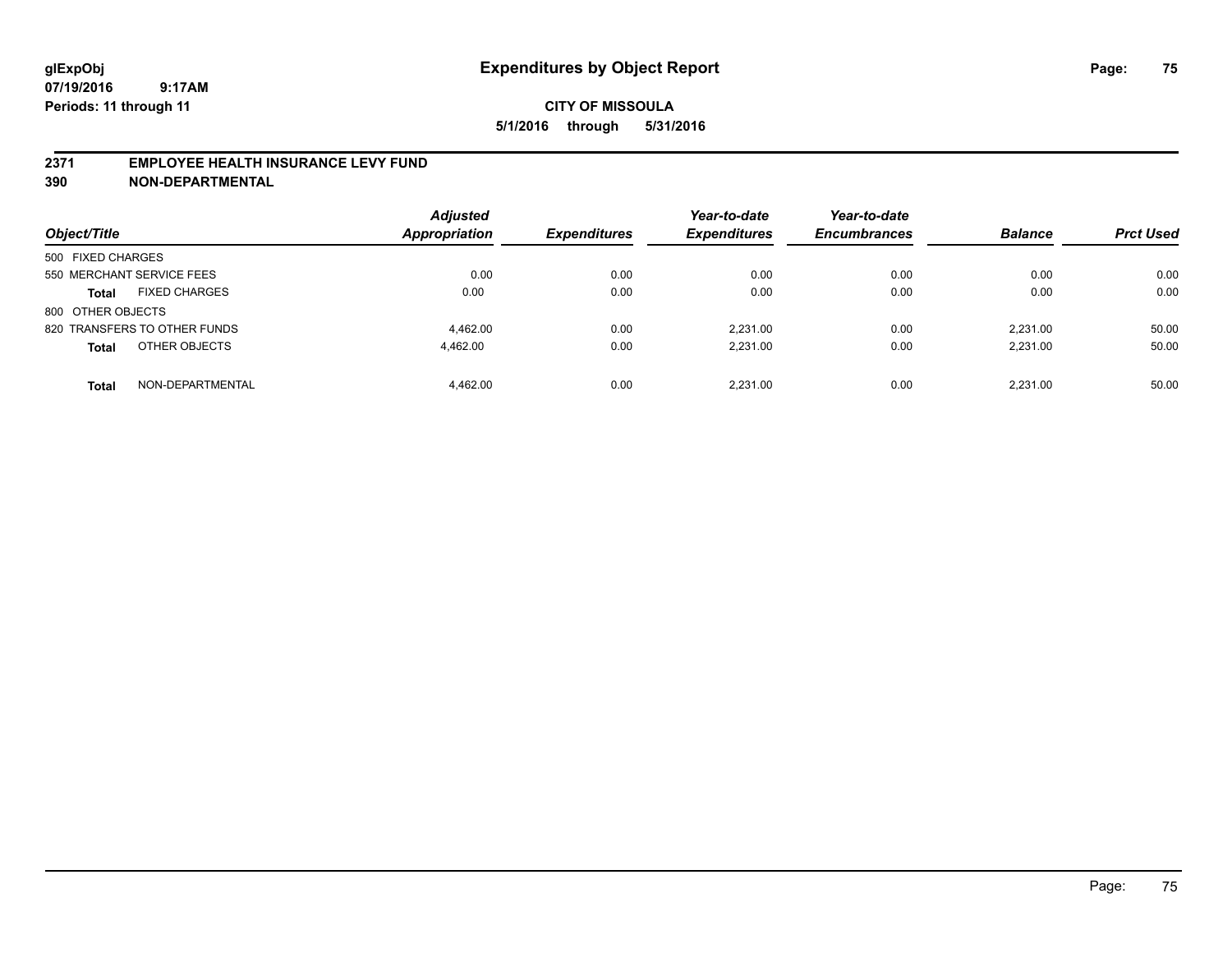#### **2371 EMPLOYEE HEALTH INSURANCE LEVY FUND**

**390 NON-DEPARTMENTAL**

| Object/Title                         | <b>Adjusted</b><br><b>Appropriation</b> | <b>Expenditures</b> | Year-to-date<br><b>Expenditures</b> | Year-to-date<br><b>Encumbrances</b> | <b>Balance</b> | <b>Prct Used</b> |
|--------------------------------------|-----------------------------------------|---------------------|-------------------------------------|-------------------------------------|----------------|------------------|
| 500 FIXED CHARGES                    |                                         |                     |                                     |                                     |                |                  |
| 550 MERCHANT SERVICE FEES            | 0.00                                    | 0.00                | 0.00                                | 0.00                                | 0.00           | 0.00             |
| <b>FIXED CHARGES</b><br><b>Total</b> | 0.00                                    | 0.00                | 0.00                                | 0.00                                | 0.00           | 0.00             |
| 800 OTHER OBJECTS                    |                                         |                     |                                     |                                     |                |                  |
| 820 TRANSFERS TO OTHER FUNDS         | 4.462.00                                | 0.00                | 2.231.00                            | 0.00                                | 2.231.00       | 50.00            |
| OTHER OBJECTS<br><b>Total</b>        | 4,462.00                                | 0.00                | 2,231.00                            | 0.00                                | 2.231.00       | 50.00            |
| NON-DEPARTMENTAL<br><b>Total</b>     | 4.462.00                                | 0.00                | 2.231.00                            | 0.00                                | 2.231.00       | 50.00            |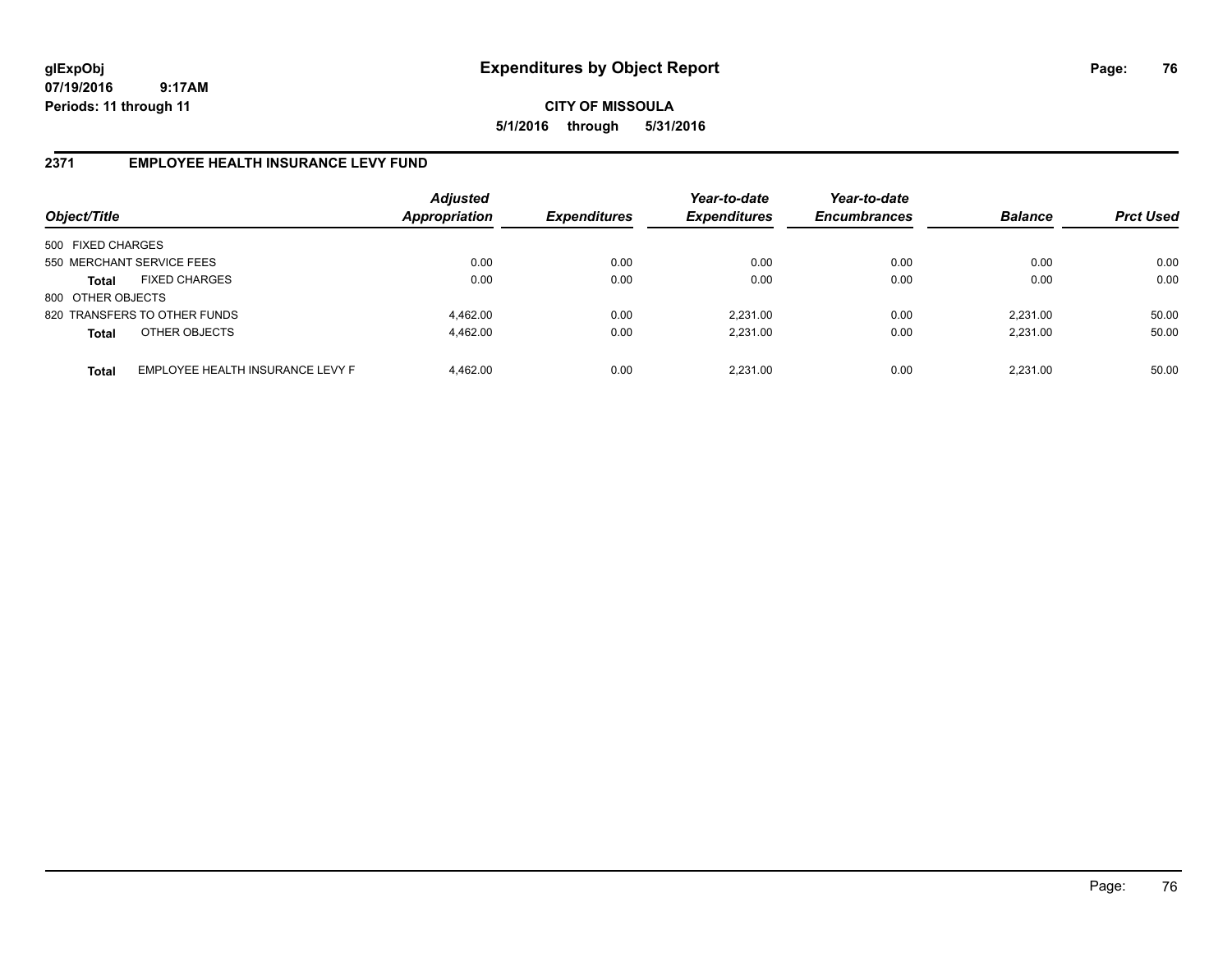# **CITY OF MISSOULA 5/1/2016 through 5/31/2016**

## **2371 EMPLOYEE HEALTH INSURANCE LEVY FUND**

| Object/Title              |                                  | <b>Adjusted</b><br>Appropriation | <b>Expenditures</b> | Year-to-date<br><b>Expenditures</b> | Year-to-date<br><b>Encumbrances</b> | <b>Balance</b> | <b>Prct Used</b> |
|---------------------------|----------------------------------|----------------------------------|---------------------|-------------------------------------|-------------------------------------|----------------|------------------|
| 500 FIXED CHARGES         |                                  |                                  |                     |                                     |                                     |                |                  |
| 550 MERCHANT SERVICE FEES |                                  | 0.00                             | 0.00                | 0.00                                | 0.00                                | 0.00           | 0.00             |
| <b>Total</b>              | <b>FIXED CHARGES</b>             | 0.00                             | 0.00                | 0.00                                | 0.00                                | 0.00           | 0.00             |
| 800 OTHER OBJECTS         |                                  |                                  |                     |                                     |                                     |                |                  |
|                           | 820 TRANSFERS TO OTHER FUNDS     | 4.462.00                         | 0.00                | 2.231.00                            | 0.00                                | 2.231.00       | 50.00            |
| <b>Total</b>              | OTHER OBJECTS                    | 4.462.00                         | 0.00                | 2.231.00                            | 0.00                                | 2,231.00       | 50.00            |
| <b>Total</b>              | EMPLOYEE HEALTH INSURANCE LEVY F | 4.462.00                         | 0.00                | 2,231.00                            | 0.00                                | 2.231.00       | 50.00            |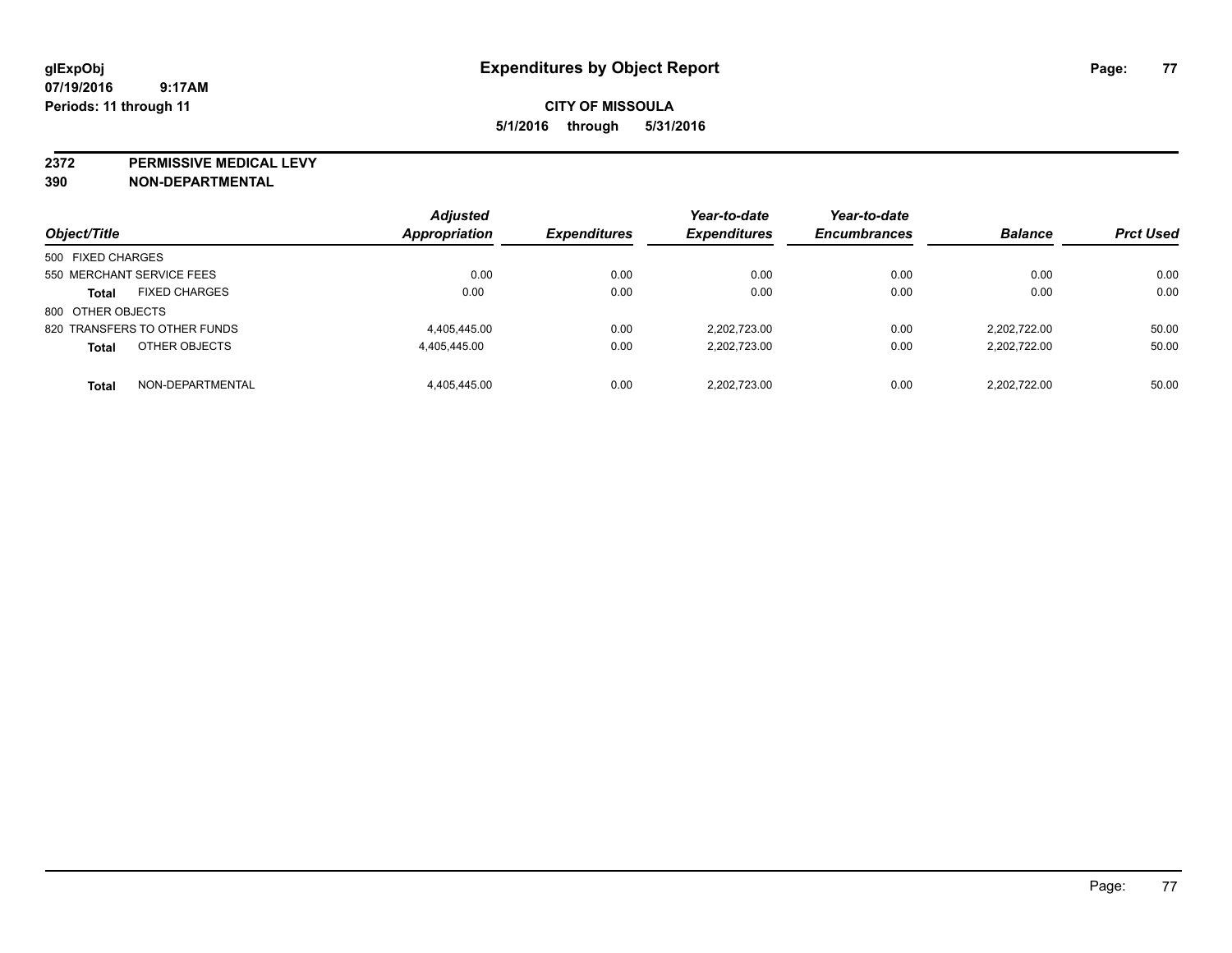**2372 PERMISSIVE MEDICAL LEVY**

**390 NON-DEPARTMENTAL**

| Object/Title                         | <b>Adjusted</b><br><b>Appropriation</b> | <b>Expenditures</b> | Year-to-date<br><b>Expenditures</b> | Year-to-date<br><b>Encumbrances</b> | <b>Balance</b> | <b>Prct Used</b> |
|--------------------------------------|-----------------------------------------|---------------------|-------------------------------------|-------------------------------------|----------------|------------------|
| 500 FIXED CHARGES                    |                                         |                     |                                     |                                     |                |                  |
|                                      |                                         |                     |                                     |                                     |                |                  |
| 550 MERCHANT SERVICE FEES            | 0.00                                    | 0.00                | 0.00                                | 0.00                                | 0.00           | 0.00             |
| <b>FIXED CHARGES</b><br><b>Total</b> | 0.00                                    | 0.00                | 0.00                                | 0.00                                | 0.00           | 0.00             |
| 800 OTHER OBJECTS                    |                                         |                     |                                     |                                     |                |                  |
| 820 TRANSFERS TO OTHER FUNDS         | 4,405,445.00                            | 0.00                | 2.202.723.00                        | 0.00                                | 2.202.722.00   | 50.00            |
| OTHER OBJECTS<br><b>Total</b>        | 4,405,445.00                            | 0.00                | 2.202.723.00                        | 0.00                                | 2,202,722.00   | 50.00            |
| NON-DEPARTMENTAL<br><b>Total</b>     | 4.405.445.00                            | 0.00                | 2,202,723.00                        | 0.00                                | 2.202.722.00   | 50.00            |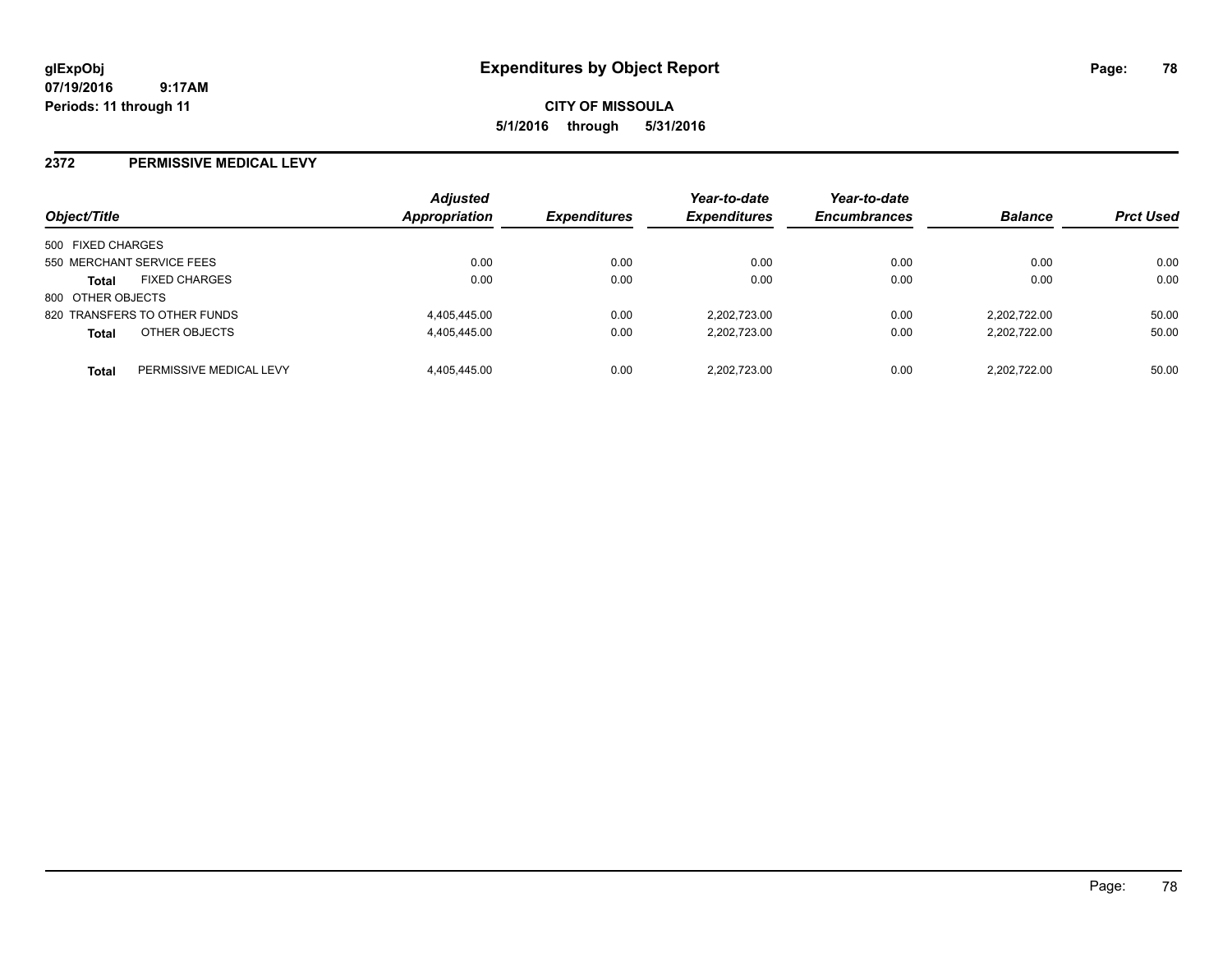**CITY OF MISSOULA 5/1/2016 through 5/31/2016**

#### **2372 PERMISSIVE MEDICAL LEVY**

| Object/Title      |                              | <b>Adjusted</b><br>Appropriation | <b>Expenditures</b> | Year-to-date<br><b>Expenditures</b> | Year-to-date<br><b>Encumbrances</b> | <b>Balance</b> | <b>Prct Used</b> |
|-------------------|------------------------------|----------------------------------|---------------------|-------------------------------------|-------------------------------------|----------------|------------------|
| 500 FIXED CHARGES |                              |                                  |                     |                                     |                                     |                |                  |
|                   | 550 MERCHANT SERVICE FEES    | 0.00                             | 0.00                | 0.00                                | 0.00                                | 0.00           | 0.00             |
| <b>Total</b>      | <b>FIXED CHARGES</b>         | 0.00                             | 0.00                | 0.00                                | 0.00                                | 0.00           | 0.00             |
| 800 OTHER OBJECTS |                              |                                  |                     |                                     |                                     |                |                  |
|                   | 820 TRANSFERS TO OTHER FUNDS | 4,405,445.00                     | 0.00                | 2.202.723.00                        | 0.00                                | 2.202.722.00   | 50.00            |
| <b>Total</b>      | OTHER OBJECTS                | 4,405,445.00                     | 0.00                | 2.202.723.00                        | 0.00                                | 2.202.722.00   | 50.00            |
| <b>Total</b>      | PERMISSIVE MEDICAL LEVY      | 4,405,445.00                     | 0.00                | 2.202.723.00                        | 0.00                                | 2.202.722.00   | 50.00            |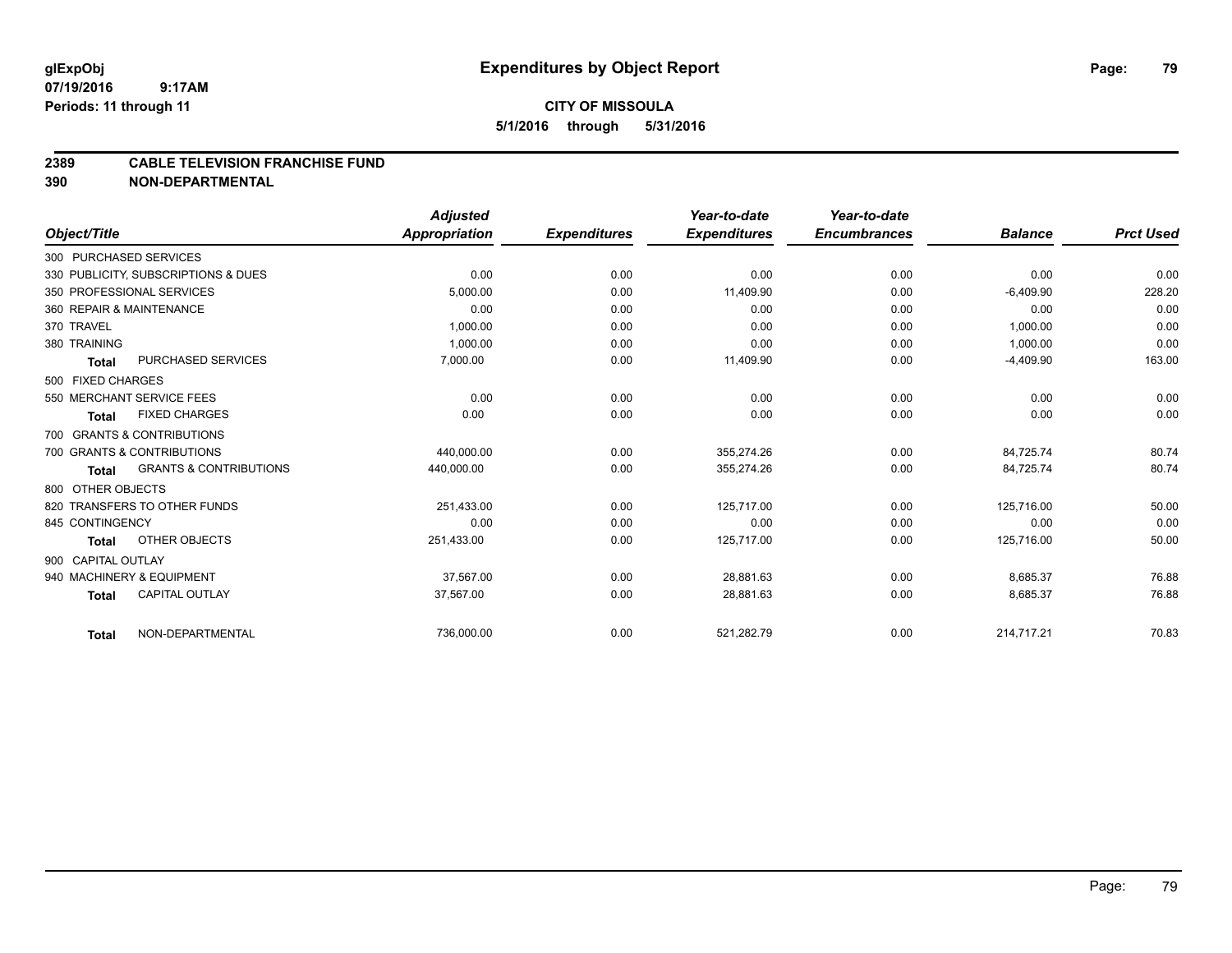## **2389 CABLE TELEVISION FRANCHISE FUND**

**390 NON-DEPARTMENTAL**

|                    |                                     | <b>Adjusted</b> |                     | Year-to-date        | Year-to-date        |                |                  |
|--------------------|-------------------------------------|-----------------|---------------------|---------------------|---------------------|----------------|------------------|
| Object/Title       |                                     | Appropriation   | <b>Expenditures</b> | <b>Expenditures</b> | <b>Encumbrances</b> | <b>Balance</b> | <b>Prct Used</b> |
|                    | 300 PURCHASED SERVICES              |                 |                     |                     |                     |                |                  |
|                    | 330 PUBLICITY, SUBSCRIPTIONS & DUES | 0.00            | 0.00                | 0.00                | 0.00                | 0.00           | 0.00             |
|                    | 350 PROFESSIONAL SERVICES           | 5.000.00        | 0.00                | 11.409.90           | 0.00                | $-6,409.90$    | 228.20           |
|                    | 360 REPAIR & MAINTENANCE            | 0.00            | 0.00                | 0.00                | 0.00                | 0.00           | 0.00             |
| 370 TRAVEL         |                                     | 1,000.00        | 0.00                | 0.00                | 0.00                | 1,000.00       | 0.00             |
| 380 TRAINING       |                                     | 1,000.00        | 0.00                | 0.00                | 0.00                | 1,000.00       | 0.00             |
| <b>Total</b>       | <b>PURCHASED SERVICES</b>           | 7.000.00        | 0.00                | 11,409.90           | 0.00                | $-4,409.90$    | 163.00           |
| 500 FIXED CHARGES  |                                     |                 |                     |                     |                     |                |                  |
|                    | 550 MERCHANT SERVICE FEES           | 0.00            | 0.00                | 0.00                | 0.00                | 0.00           | 0.00             |
| Total              | <b>FIXED CHARGES</b>                | 0.00            | 0.00                | 0.00                | 0.00                | 0.00           | 0.00             |
|                    | 700 GRANTS & CONTRIBUTIONS          |                 |                     |                     |                     |                |                  |
|                    | 700 GRANTS & CONTRIBUTIONS          | 440.000.00      | 0.00                | 355.274.26          | 0.00                | 84,725.74      | 80.74            |
| <b>Total</b>       | <b>GRANTS &amp; CONTRIBUTIONS</b>   | 440,000.00      | 0.00                | 355,274.26          | 0.00                | 84,725.74      | 80.74            |
| 800 OTHER OBJECTS  |                                     |                 |                     |                     |                     |                |                  |
|                    | 820 TRANSFERS TO OTHER FUNDS        | 251,433.00      | 0.00                | 125,717.00          | 0.00                | 125,716.00     | 50.00            |
| 845 CONTINGENCY    |                                     | 0.00            | 0.00                | 0.00                | 0.00                | 0.00           | 0.00             |
| <b>Total</b>       | OTHER OBJECTS                       | 251,433.00      | 0.00                | 125,717.00          | 0.00                | 125,716.00     | 50.00            |
| 900 CAPITAL OUTLAY |                                     |                 |                     |                     |                     |                |                  |
|                    | 940 MACHINERY & EQUIPMENT           | 37.567.00       | 0.00                | 28,881.63           | 0.00                | 8,685.37       | 76.88            |
| <b>Total</b>       | <b>CAPITAL OUTLAY</b>               | 37,567.00       | 0.00                | 28,881.63           | 0.00                | 8,685.37       | 76.88            |
| <b>Total</b>       | NON-DEPARTMENTAL                    | 736,000.00      | 0.00                | 521,282.79          | 0.00                | 214,717.21     | 70.83            |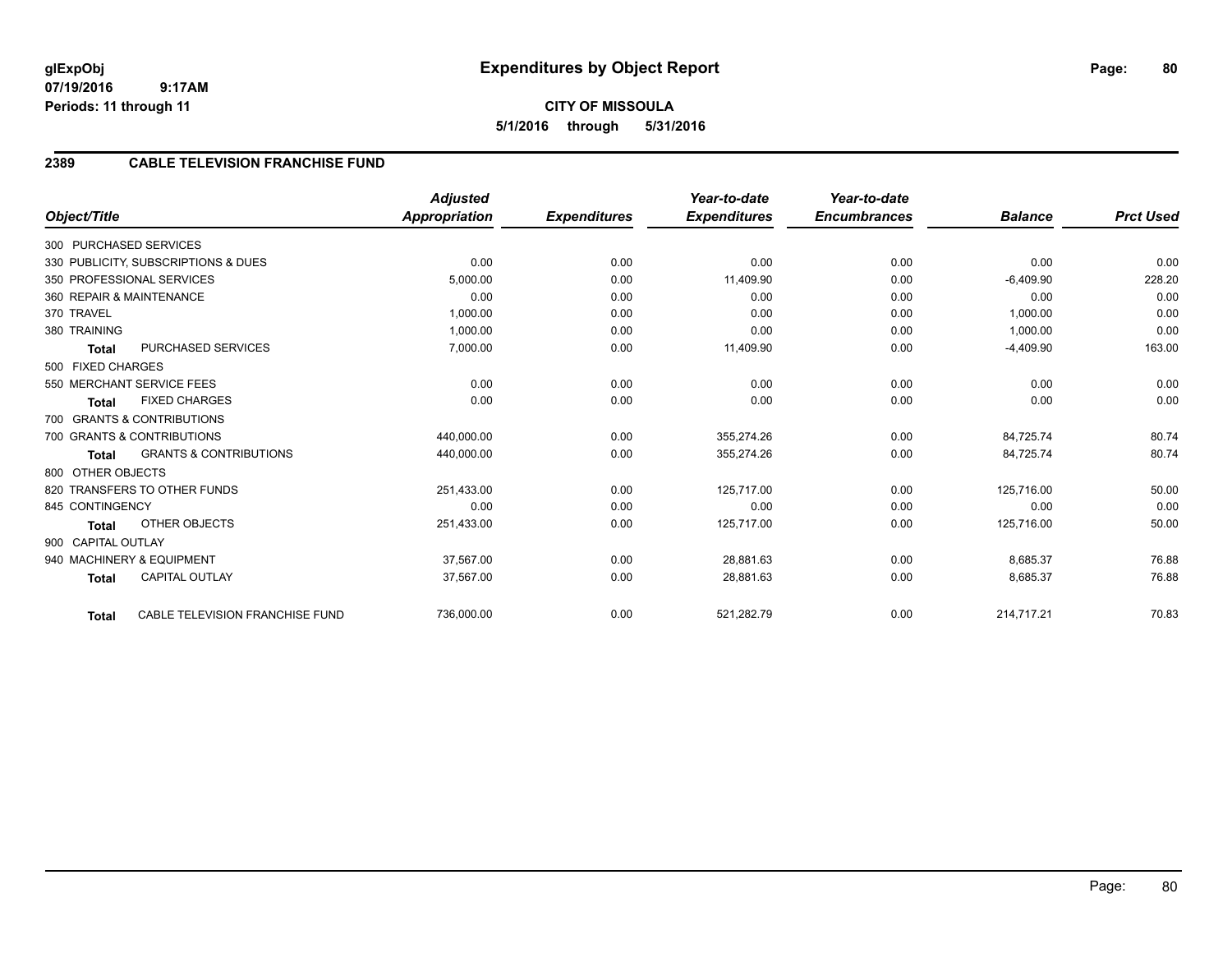# **2389 CABLE TELEVISION FRANCHISE FUND**

|                          |                                     | <b>Adjusted</b>      |                     | Year-to-date        | Year-to-date        |                |                  |
|--------------------------|-------------------------------------|----------------------|---------------------|---------------------|---------------------|----------------|------------------|
| Object/Title             |                                     | <b>Appropriation</b> | <b>Expenditures</b> | <b>Expenditures</b> | <b>Encumbrances</b> | <b>Balance</b> | <b>Prct Used</b> |
| 300 PURCHASED SERVICES   |                                     |                      |                     |                     |                     |                |                  |
|                          | 330 PUBLICITY, SUBSCRIPTIONS & DUES | 0.00                 | 0.00                | 0.00                | 0.00                | 0.00           | 0.00             |
|                          | 350 PROFESSIONAL SERVICES           | 5,000.00             | 0.00                | 11,409.90           | 0.00                | $-6,409.90$    | 228.20           |
| 360 REPAIR & MAINTENANCE |                                     | 0.00                 | 0.00                | 0.00                | 0.00                | 0.00           | 0.00             |
| 370 TRAVEL               |                                     | 1,000.00             | 0.00                | 0.00                | 0.00                | 1,000.00       | 0.00             |
| 380 TRAINING             |                                     | 1,000.00             | 0.00                | 0.00                | 0.00                | 1,000.00       | 0.00             |
| <b>Total</b>             | PURCHASED SERVICES                  | 7,000.00             | 0.00                | 11,409.90           | 0.00                | $-4,409.90$    | 163.00           |
| 500 FIXED CHARGES        |                                     |                      |                     |                     |                     |                |                  |
|                          | 550 MERCHANT SERVICE FEES           | 0.00                 | 0.00                | 0.00                | 0.00                | 0.00           | 0.00             |
| <b>Total</b>             | <b>FIXED CHARGES</b>                | 0.00                 | 0.00                | 0.00                | 0.00                | 0.00           | 0.00             |
|                          | 700 GRANTS & CONTRIBUTIONS          |                      |                     |                     |                     |                |                  |
|                          | 700 GRANTS & CONTRIBUTIONS          | 440,000.00           | 0.00                | 355,274.26          | 0.00                | 84,725.74      | 80.74            |
| <b>Total</b>             | <b>GRANTS &amp; CONTRIBUTIONS</b>   | 440,000.00           | 0.00                | 355,274.26          | 0.00                | 84,725.74      | 80.74            |
| 800 OTHER OBJECTS        |                                     |                      |                     |                     |                     |                |                  |
|                          | 820 TRANSFERS TO OTHER FUNDS        | 251,433.00           | 0.00                | 125,717.00          | 0.00                | 125,716.00     | 50.00            |
| 845 CONTINGENCY          |                                     | 0.00                 | 0.00                | 0.00                | 0.00                | 0.00           | 0.00             |
| <b>Total</b>             | <b>OTHER OBJECTS</b>                | 251,433.00           | 0.00                | 125,717.00          | 0.00                | 125,716.00     | 50.00            |
| 900 CAPITAL OUTLAY       |                                     |                      |                     |                     |                     |                |                  |
|                          | 940 MACHINERY & EQUIPMENT           | 37.567.00            | 0.00                | 28,881.63           | 0.00                | 8,685.37       | 76.88            |
| <b>Total</b>             | <b>CAPITAL OUTLAY</b>               | 37,567.00            | 0.00                | 28,881.63           | 0.00                | 8,685.37       | 76.88            |
| <b>Total</b>             | CABLE TELEVISION FRANCHISE FUND     | 736,000.00           | 0.00                | 521,282.79          | 0.00                | 214,717.21     | 70.83            |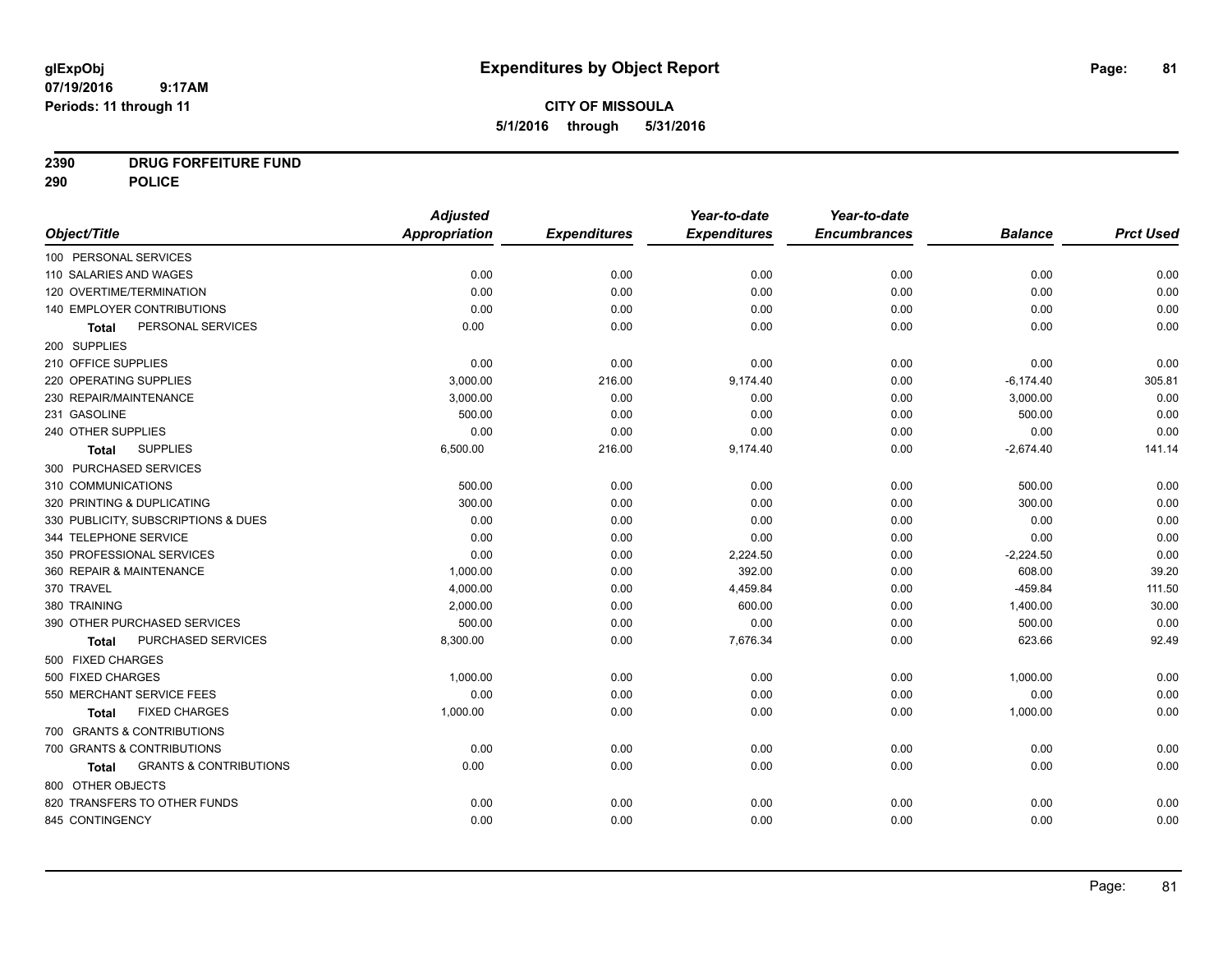# **CITY OF MISSOULA 5/1/2016 through 5/31/2016**

# **2390 DRUG FORFEITURE FUND**

**290 POLICE**

|                                            | <b>Adjusted</b>      |                     | Year-to-date        | Year-to-date        |                |                  |
|--------------------------------------------|----------------------|---------------------|---------------------|---------------------|----------------|------------------|
| Object/Title                               | <b>Appropriation</b> | <b>Expenditures</b> | <b>Expenditures</b> | <b>Encumbrances</b> | <b>Balance</b> | <b>Prct Used</b> |
| 100 PERSONAL SERVICES                      |                      |                     |                     |                     |                |                  |
| 110 SALARIES AND WAGES                     | 0.00                 | 0.00                | 0.00                | 0.00                | 0.00           | 0.00             |
| 120 OVERTIME/TERMINATION                   | 0.00                 | 0.00                | 0.00                | 0.00                | 0.00           | 0.00             |
| 140 EMPLOYER CONTRIBUTIONS                 | 0.00                 | 0.00                | 0.00                | 0.00                | 0.00           | 0.00             |
| PERSONAL SERVICES<br><b>Total</b>          | 0.00                 | 0.00                | 0.00                | 0.00                | 0.00           | 0.00             |
| 200 SUPPLIES                               |                      |                     |                     |                     |                |                  |
| 210 OFFICE SUPPLIES                        | 0.00                 | 0.00                | 0.00                | 0.00                | 0.00           | 0.00             |
| 220 OPERATING SUPPLIES                     | 3,000.00             | 216.00              | 9,174.40            | 0.00                | $-6,174.40$    | 305.81           |
| 230 REPAIR/MAINTENANCE                     | 3,000.00             | 0.00                | 0.00                | 0.00                | 3,000.00       | 0.00             |
| 231 GASOLINE                               | 500.00               | 0.00                | 0.00                | 0.00                | 500.00         | 0.00             |
| 240 OTHER SUPPLIES                         | 0.00                 | 0.00                | 0.00                | 0.00                | 0.00           | 0.00             |
| <b>SUPPLIES</b><br>Total                   | 6,500.00             | 216.00              | 9,174.40            | 0.00                | $-2,674.40$    | 141.14           |
| 300 PURCHASED SERVICES                     |                      |                     |                     |                     |                |                  |
| 310 COMMUNICATIONS                         | 500.00               | 0.00                | 0.00                | 0.00                | 500.00         | 0.00             |
| 320 PRINTING & DUPLICATING                 | 300.00               | 0.00                | 0.00                | 0.00                | 300.00         | 0.00             |
| 330 PUBLICITY, SUBSCRIPTIONS & DUES        | 0.00                 | 0.00                | 0.00                | 0.00                | 0.00           | 0.00             |
| 344 TELEPHONE SERVICE                      | 0.00                 | 0.00                | 0.00                | 0.00                | 0.00           | 0.00             |
| 350 PROFESSIONAL SERVICES                  | 0.00                 | 0.00                | 2,224.50            | 0.00                | $-2,224.50$    | 0.00             |
| 360 REPAIR & MAINTENANCE                   | 1,000.00             | 0.00                | 392.00              | 0.00                | 608.00         | 39.20            |
| 370 TRAVEL                                 | 4,000.00             | 0.00                | 4,459.84            | 0.00                | $-459.84$      | 111.50           |
| 380 TRAINING                               | 2,000.00             | 0.00                | 600.00              | 0.00                | 1,400.00       | 30.00            |
| 390 OTHER PURCHASED SERVICES               | 500.00               | 0.00                | 0.00                | 0.00                | 500.00         | 0.00             |
| PURCHASED SERVICES<br><b>Total</b>         | 8,300.00             | 0.00                | 7,676.34            | 0.00                | 623.66         | 92.49            |
| 500 FIXED CHARGES                          |                      |                     |                     |                     |                |                  |
| 500 FIXED CHARGES                          | 1,000.00             | 0.00                | 0.00                | 0.00                | 1,000.00       | 0.00             |
| 550 MERCHANT SERVICE FEES                  | 0.00                 | 0.00                | 0.00                | 0.00                | 0.00           | 0.00             |
| <b>FIXED CHARGES</b><br><b>Total</b>       | 1,000.00             | 0.00                | 0.00                | 0.00                | 1,000.00       | 0.00             |
| 700 GRANTS & CONTRIBUTIONS                 |                      |                     |                     |                     |                |                  |
| 700 GRANTS & CONTRIBUTIONS                 | 0.00                 | 0.00                | 0.00                | 0.00                | 0.00           | 0.00             |
| <b>GRANTS &amp; CONTRIBUTIONS</b><br>Total | 0.00                 | 0.00                | 0.00                | 0.00                | 0.00           | 0.00             |
| 800 OTHER OBJECTS                          |                      |                     |                     |                     |                |                  |
| 820 TRANSFERS TO OTHER FUNDS               | 0.00                 | 0.00                | 0.00                | 0.00                | 0.00           | 0.00             |
| 845 CONTINGENCY                            | 0.00                 | 0.00                | 0.00                | 0.00                | 0.00           | 0.00             |
|                                            |                      |                     |                     |                     |                |                  |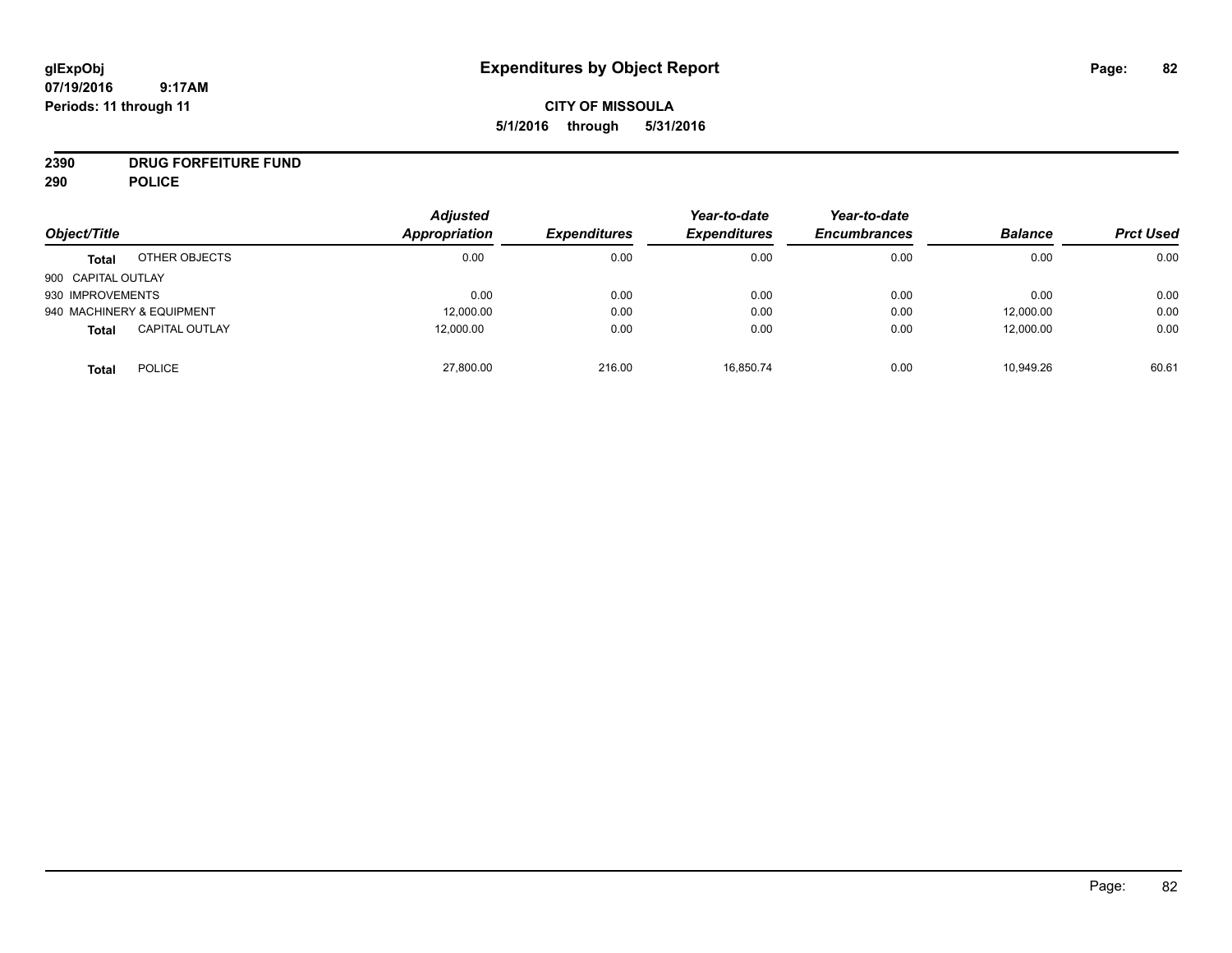# **CITY OF MISSOULA 5/1/2016 through 5/31/2016**

# **2390 DRUG FORFEITURE FUND**

**290 POLICE**

|                    |                           | <b>Adjusted</b> |                     | Year-to-date        | Year-to-date        |                |                  |
|--------------------|---------------------------|-----------------|---------------------|---------------------|---------------------|----------------|------------------|
| Object/Title       |                           | Appropriation   | <b>Expenditures</b> | <b>Expenditures</b> | <b>Encumbrances</b> | <b>Balance</b> | <b>Prct Used</b> |
| <b>Total</b>       | OTHER OBJECTS             | 0.00            | 0.00                | 0.00                | 0.00                | 0.00           | 0.00             |
| 900 CAPITAL OUTLAY |                           |                 |                     |                     |                     |                |                  |
| 930 IMPROVEMENTS   |                           | 0.00            | 0.00                | 0.00                | 0.00                | 0.00           | 0.00             |
|                    | 940 MACHINERY & EQUIPMENT | 12,000.00       | 0.00                | 0.00                | 0.00                | 12,000.00      | 0.00             |
| <b>Total</b>       | <b>CAPITAL OUTLAY</b>     | 12,000.00       | 0.00                | 0.00                | 0.00                | 12,000.00      | 0.00             |
| <b>Total</b>       | <b>POLICE</b>             | 27,800.00       | 216.00              | 16.850.74           | 0.00                | 10,949.26      | 60.61            |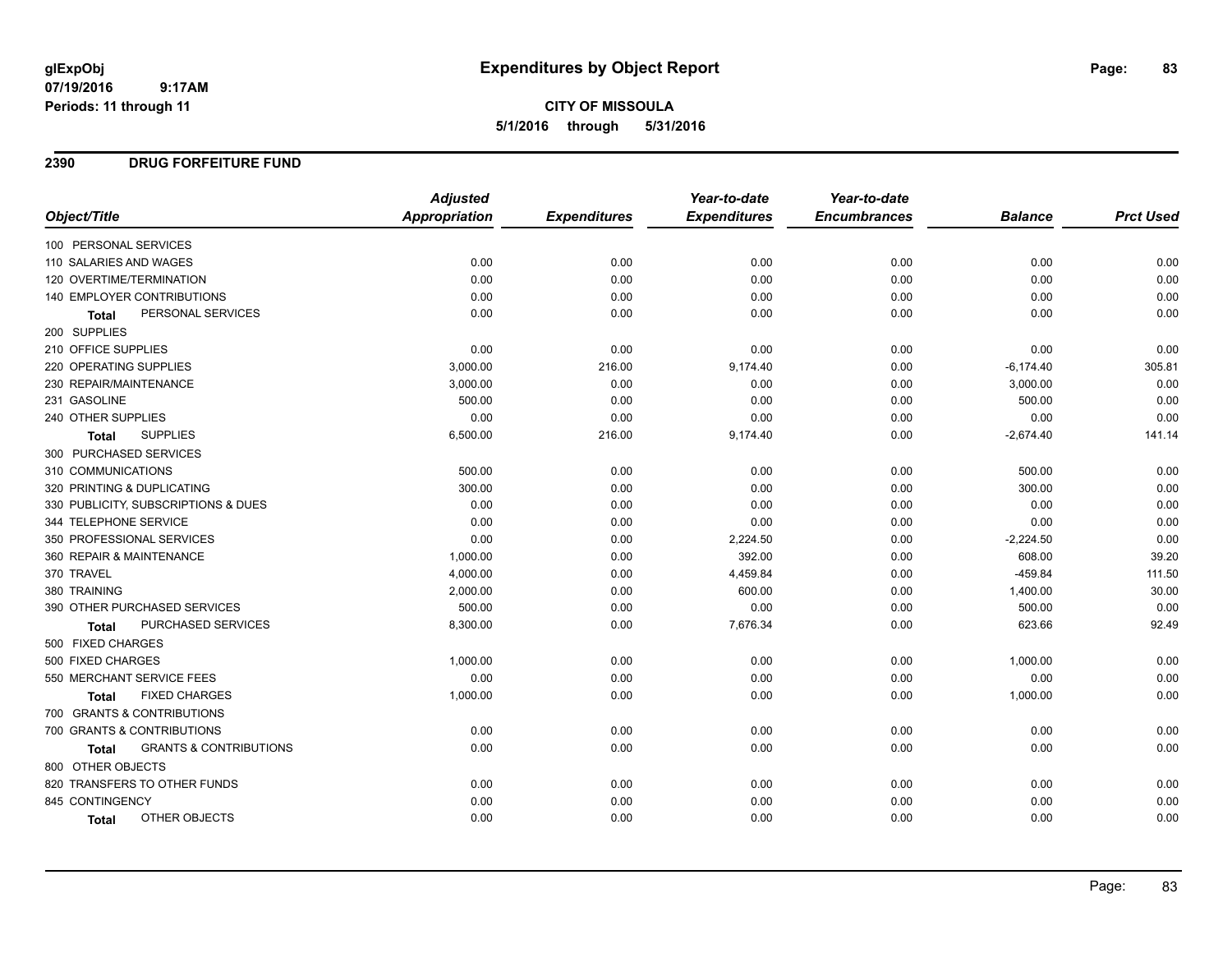# **CITY OF MISSOULA 5/1/2016 through 5/31/2016**

#### **2390 DRUG FORFEITURE FUND**

|                                            | <b>Adjusted</b> |                     | Year-to-date        | Year-to-date        |                |                  |
|--------------------------------------------|-----------------|---------------------|---------------------|---------------------|----------------|------------------|
| Object/Title                               | Appropriation   | <b>Expenditures</b> | <b>Expenditures</b> | <b>Encumbrances</b> | <b>Balance</b> | <b>Prct Used</b> |
| 100 PERSONAL SERVICES                      |                 |                     |                     |                     |                |                  |
| 110 SALARIES AND WAGES                     | 0.00            | 0.00                | 0.00                | 0.00                | 0.00           | 0.00             |
| 120 OVERTIME/TERMINATION                   | 0.00            | 0.00                | 0.00                | 0.00                | 0.00           | 0.00             |
| <b>140 EMPLOYER CONTRIBUTIONS</b>          | 0.00            | 0.00                | 0.00                | 0.00                | 0.00           | 0.00             |
| PERSONAL SERVICES<br><b>Total</b>          | 0.00            | 0.00                | 0.00                | 0.00                | 0.00           | 0.00             |
| 200 SUPPLIES                               |                 |                     |                     |                     |                |                  |
| 210 OFFICE SUPPLIES                        | 0.00            | 0.00                | 0.00                | 0.00                | 0.00           | 0.00             |
| 220 OPERATING SUPPLIES                     | 3,000.00        | 216.00              | 9,174.40            | 0.00                | $-6,174.40$    | 305.81           |
| 230 REPAIR/MAINTENANCE                     | 3,000.00        | 0.00                | 0.00                | 0.00                | 3,000.00       | 0.00             |
| 231 GASOLINE                               | 500.00          | 0.00                | 0.00                | 0.00                | 500.00         | 0.00             |
| 240 OTHER SUPPLIES                         | 0.00            | 0.00                | 0.00                | 0.00                | 0.00           | 0.00             |
| <b>SUPPLIES</b><br>Total                   | 6,500.00        | 216.00              | 9,174.40            | 0.00                | $-2,674.40$    | 141.14           |
| 300 PURCHASED SERVICES                     |                 |                     |                     |                     |                |                  |
| 310 COMMUNICATIONS                         | 500.00          | 0.00                | 0.00                | 0.00                | 500.00         | 0.00             |
| 320 PRINTING & DUPLICATING                 | 300.00          | 0.00                | 0.00                | 0.00                | 300.00         | 0.00             |
| 330 PUBLICITY, SUBSCRIPTIONS & DUES        | 0.00            | 0.00                | 0.00                | 0.00                | 0.00           | 0.00             |
| 344 TELEPHONE SERVICE                      | 0.00            | 0.00                | 0.00                | 0.00                | 0.00           | 0.00             |
| 350 PROFESSIONAL SERVICES                  | 0.00            | 0.00                | 2,224.50            | 0.00                | $-2,224.50$    | 0.00             |
| 360 REPAIR & MAINTENANCE                   | 1,000.00        | 0.00                | 392.00              | 0.00                | 608.00         | 39.20            |
| 370 TRAVEL                                 | 4,000.00        | 0.00                | 4,459.84            | 0.00                | $-459.84$      | 111.50           |
| 380 TRAINING                               | 2,000.00        | 0.00                | 600.00              | 0.00                | 1,400.00       | 30.00            |
| 390 OTHER PURCHASED SERVICES               | 500.00          | 0.00                | 0.00                | 0.00                | 500.00         | 0.00             |
| PURCHASED SERVICES<br><b>Total</b>         | 8,300.00        | 0.00                | 7,676.34            | 0.00                | 623.66         | 92.49            |
| 500 FIXED CHARGES                          |                 |                     |                     |                     |                |                  |
| 500 FIXED CHARGES                          | 1,000.00        | 0.00                | 0.00                | 0.00                | 1,000.00       | 0.00             |
| 550 MERCHANT SERVICE FEES                  | 0.00            | 0.00                | 0.00                | 0.00                | 0.00           | 0.00             |
| <b>FIXED CHARGES</b><br><b>Total</b>       | 1,000.00        | 0.00                | 0.00                | 0.00                | 1,000.00       | 0.00             |
| 700 GRANTS & CONTRIBUTIONS                 |                 |                     |                     |                     |                |                  |
| 700 GRANTS & CONTRIBUTIONS                 | 0.00            | 0.00                | 0.00                | 0.00                | 0.00           | 0.00             |
| <b>GRANTS &amp; CONTRIBUTIONS</b><br>Total | 0.00            | 0.00                | 0.00                | 0.00                | 0.00           | 0.00             |
| 800 OTHER OBJECTS                          |                 |                     |                     |                     |                |                  |
| 820 TRANSFERS TO OTHER FUNDS               | 0.00            | 0.00                | 0.00                | 0.00                | 0.00           | 0.00             |
| 845 CONTINGENCY                            | 0.00            | 0.00                | 0.00                | 0.00                | 0.00           | 0.00             |
| OTHER OBJECTS<br><b>Total</b>              | 0.00            | 0.00                | 0.00                | 0.00                | 0.00           | 0.00             |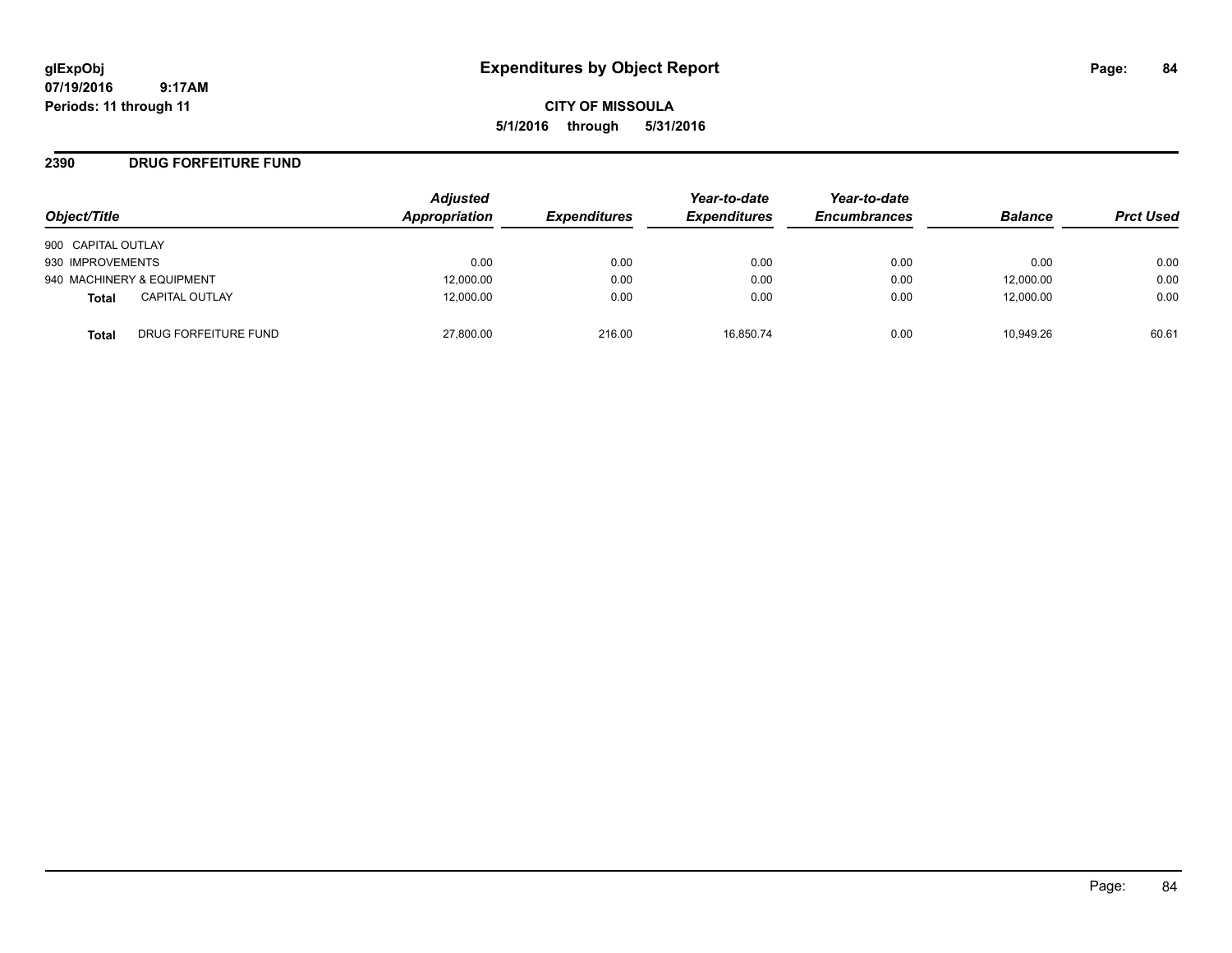**CITY OF MISSOULA 5/1/2016 through 5/31/2016**

#### **2390 DRUG FORFEITURE FUND**

| Object/Title                   | <b>Adjusted</b><br>Appropriation | <b>Expenditures</b> | Year-to-date<br><b>Expenditures</b> | Year-to-date<br><b>Encumbrances</b> | <b>Balance</b> | <b>Prct Used</b> |
|--------------------------------|----------------------------------|---------------------|-------------------------------------|-------------------------------------|----------------|------------------|
| 900 CAPITAL OUTLAY             |                                  |                     |                                     |                                     |                |                  |
| 930 IMPROVEMENTS               | 0.00                             | 0.00                | 0.00                                | 0.00                                | 0.00           | 0.00             |
| 940 MACHINERY & EQUIPMENT      | 12,000.00                        | 0.00                | 0.00                                | 0.00                                | 12,000.00      | 0.00             |
| <b>CAPITAL OUTLAY</b><br>Total | 12,000.00                        | 0.00                | 0.00                                | 0.00                                | 12,000.00      | 0.00             |
| DRUG FORFEITURE FUND<br>Total  | 27,800.00                        | 216.00              | 16.850.74                           | 0.00                                | 10.949.26      | 60.61            |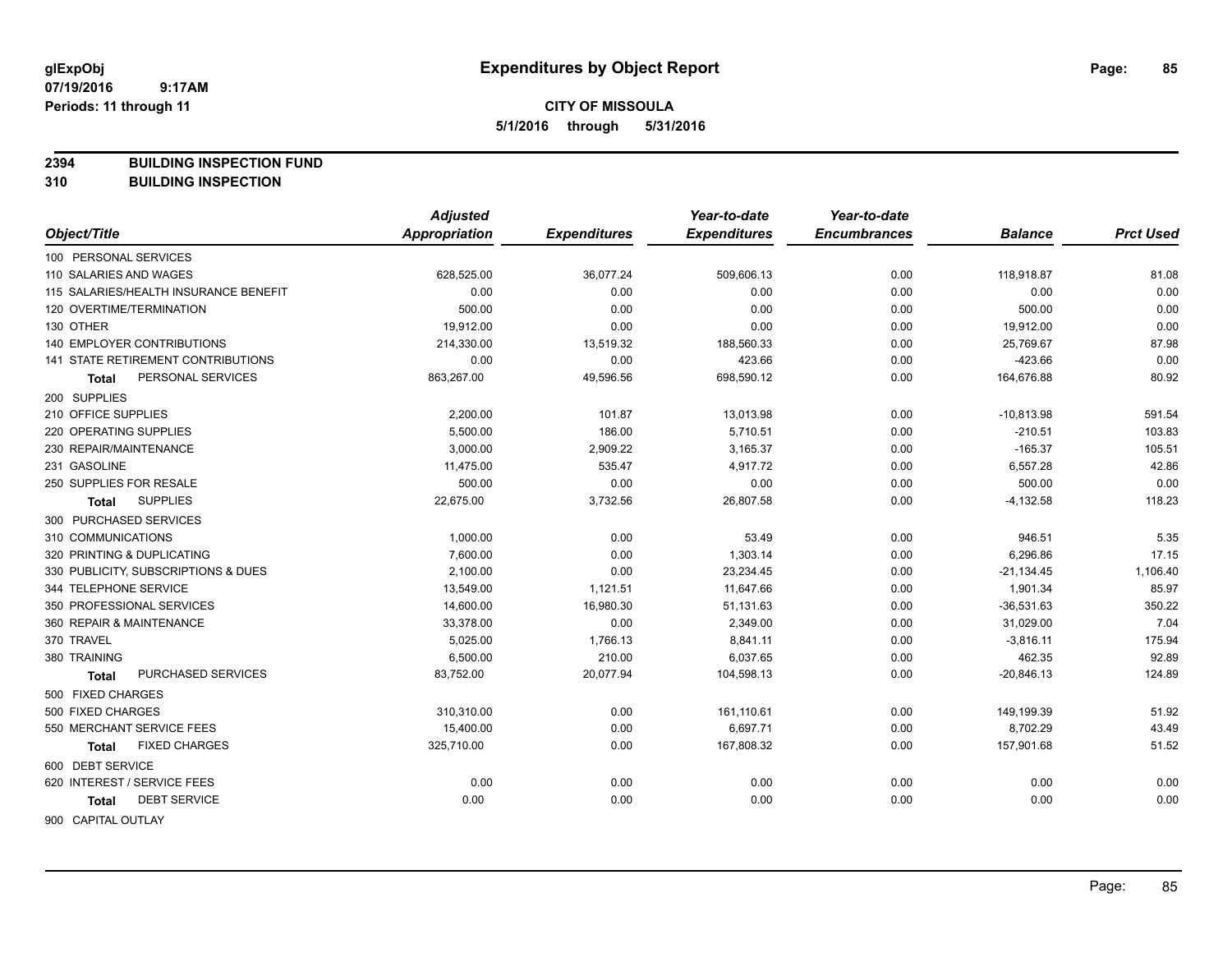**2394 BUILDING INSPECTION FUND**

**310 BUILDING INSPECTION**

|                                       | <b>Adjusted</b> |                     | Year-to-date        | Year-to-date        |                |                  |
|---------------------------------------|-----------------|---------------------|---------------------|---------------------|----------------|------------------|
| Object/Title                          | Appropriation   | <b>Expenditures</b> | <b>Expenditures</b> | <b>Encumbrances</b> | <b>Balance</b> | <b>Prct Used</b> |
| 100 PERSONAL SERVICES                 |                 |                     |                     |                     |                |                  |
| 110 SALARIES AND WAGES                | 628,525.00      | 36,077.24           | 509,606.13          | 0.00                | 118,918.87     | 81.08            |
| 115 SALARIES/HEALTH INSURANCE BENEFIT | 0.00            | 0.00                | 0.00                | 0.00                | 0.00           | 0.00             |
| 120 OVERTIME/TERMINATION              | 500.00          | 0.00                | 0.00                | 0.00                | 500.00         | 0.00             |
| 130 OTHER                             | 19,912.00       | 0.00                | 0.00                | 0.00                | 19,912.00      | 0.00             |
| 140 EMPLOYER CONTRIBUTIONS            | 214,330.00      | 13,519.32           | 188,560.33          | 0.00                | 25,769.67      | 87.98            |
| 141 STATE RETIREMENT CONTRIBUTIONS    | 0.00            | 0.00                | 423.66              | 0.00                | $-423.66$      | 0.00             |
| PERSONAL SERVICES<br><b>Total</b>     | 863,267.00      | 49,596.56           | 698,590.12          | 0.00                | 164,676.88     | 80.92            |
| 200 SUPPLIES                          |                 |                     |                     |                     |                |                  |
| 210 OFFICE SUPPLIES                   | 2,200.00        | 101.87              | 13,013.98           | 0.00                | $-10,813.98$   | 591.54           |
| 220 OPERATING SUPPLIES                | 5,500.00        | 186.00              | 5,710.51            | 0.00                | $-210.51$      | 103.83           |
| 230 REPAIR/MAINTENANCE                | 3,000.00        | 2,909.22            | 3,165.37            | 0.00                | $-165.37$      | 105.51           |
| 231 GASOLINE                          | 11,475.00       | 535.47              | 4,917.72            | 0.00                | 6,557.28       | 42.86            |
| 250 SUPPLIES FOR RESALE               | 500.00          | 0.00                | 0.00                | 0.00                | 500.00         | 0.00             |
| <b>SUPPLIES</b><br>Total              | 22,675.00       | 3,732.56            | 26,807.58           | 0.00                | $-4,132.58$    | 118.23           |
| 300 PURCHASED SERVICES                |                 |                     |                     |                     |                |                  |
| 310 COMMUNICATIONS                    | 1,000.00        | 0.00                | 53.49               | 0.00                | 946.51         | 5.35             |
| 320 PRINTING & DUPLICATING            | 7,600.00        | 0.00                | 1,303.14            | 0.00                | 6,296.86       | 17.15            |
| 330 PUBLICITY, SUBSCRIPTIONS & DUES   | 2,100.00        | 0.00                | 23,234.45           | 0.00                | $-21,134.45$   | 1,106.40         |
| 344 TELEPHONE SERVICE                 | 13,549.00       | 1,121.51            | 11,647.66           | 0.00                | 1,901.34       | 85.97            |
| 350 PROFESSIONAL SERVICES             | 14,600.00       | 16,980.30           | 51,131.63           | 0.00                | $-36,531.63$   | 350.22           |
| 360 REPAIR & MAINTENANCE              | 33,378.00       | 0.00                | 2,349.00            | 0.00                | 31,029.00      | 7.04             |
| 370 TRAVEL                            | 5,025.00        | 1,766.13            | 8,841.11            | 0.00                | $-3,816.11$    | 175.94           |
| 380 TRAINING                          | 6,500.00        | 210.00              | 6,037.65            | 0.00                | 462.35         | 92.89            |
| PURCHASED SERVICES<br>Total           | 83,752.00       | 20,077.94           | 104,598.13          | 0.00                | $-20,846.13$   | 124.89           |
| 500 FIXED CHARGES                     |                 |                     |                     |                     |                |                  |
| 500 FIXED CHARGES                     | 310,310.00      | 0.00                | 161,110.61          | 0.00                | 149,199.39     | 51.92            |
| 550 MERCHANT SERVICE FEES             | 15,400.00       | 0.00                | 6,697.71            | 0.00                | 8,702.29       | 43.49            |
| <b>FIXED CHARGES</b><br>Total         | 325,710.00      | 0.00                | 167,808.32          | 0.00                | 157,901.68     | 51.52            |
| 600 DEBT SERVICE                      |                 |                     |                     |                     |                |                  |
| 620 INTEREST / SERVICE FEES           | 0.00            | 0.00                | 0.00                | 0.00                | 0.00           | 0.00             |
| <b>DEBT SERVICE</b><br><b>Total</b>   | 0.00            | 0.00                | 0.00                | 0.00                | 0.00           | 0.00             |
| <b>OOO CADITAL OLITLAV</b>            |                 |                     |                     |                     |                |                  |

900 CAPITAL OUTLAY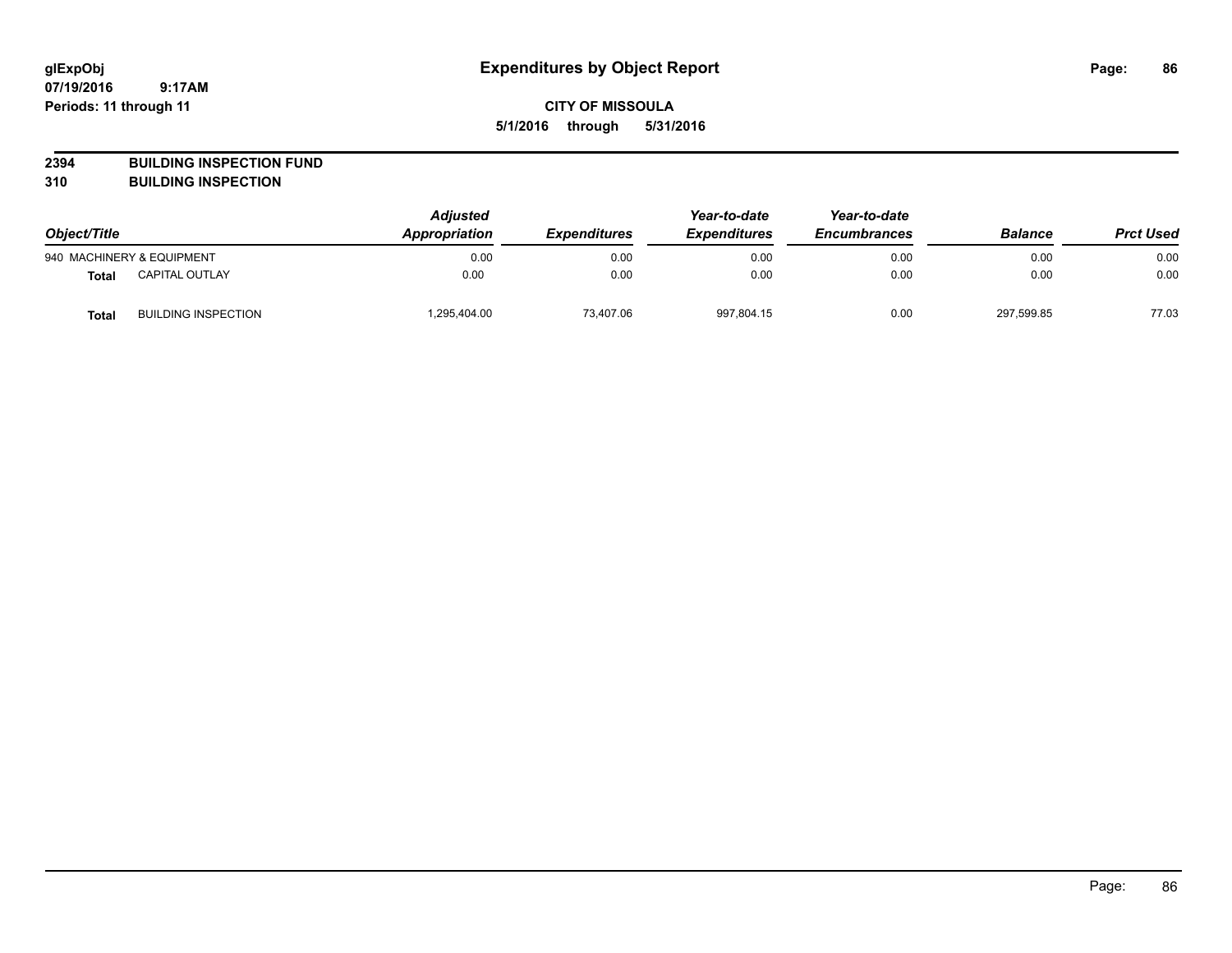**CITY OF MISSOULA 5/1/2016 through 5/31/2016**

**2394 BUILDING INSPECTION FUND**

**310 BUILDING INSPECTION**

| Object/Title |                            | <b>Adjusted</b><br>Appropriation | <b>Expenditures</b> | Year-to-date<br><b>Expenditures</b> | Year-to-date<br><b>Encumbrances</b> | <b>Balance</b> | <b>Prct Used</b> |
|--------------|----------------------------|----------------------------------|---------------------|-------------------------------------|-------------------------------------|----------------|------------------|
|              | 940 MACHINERY & EQUIPMENT  | 0.00                             | 0.00                | 0.00                                | 0.00                                | 0.00           | 0.00             |
| <b>Total</b> | <b>CAPITAL OUTLAY</b>      | 0.00                             | 0.00                | 0.00                                | 0.00                                | 0.00           | 0.00             |
| <b>Total</b> | <b>BUILDING INSPECTION</b> | 1,295,404.00                     | 73.407.06           | 997,804.15                          | 0.00                                | 297,599.85     | 77.03            |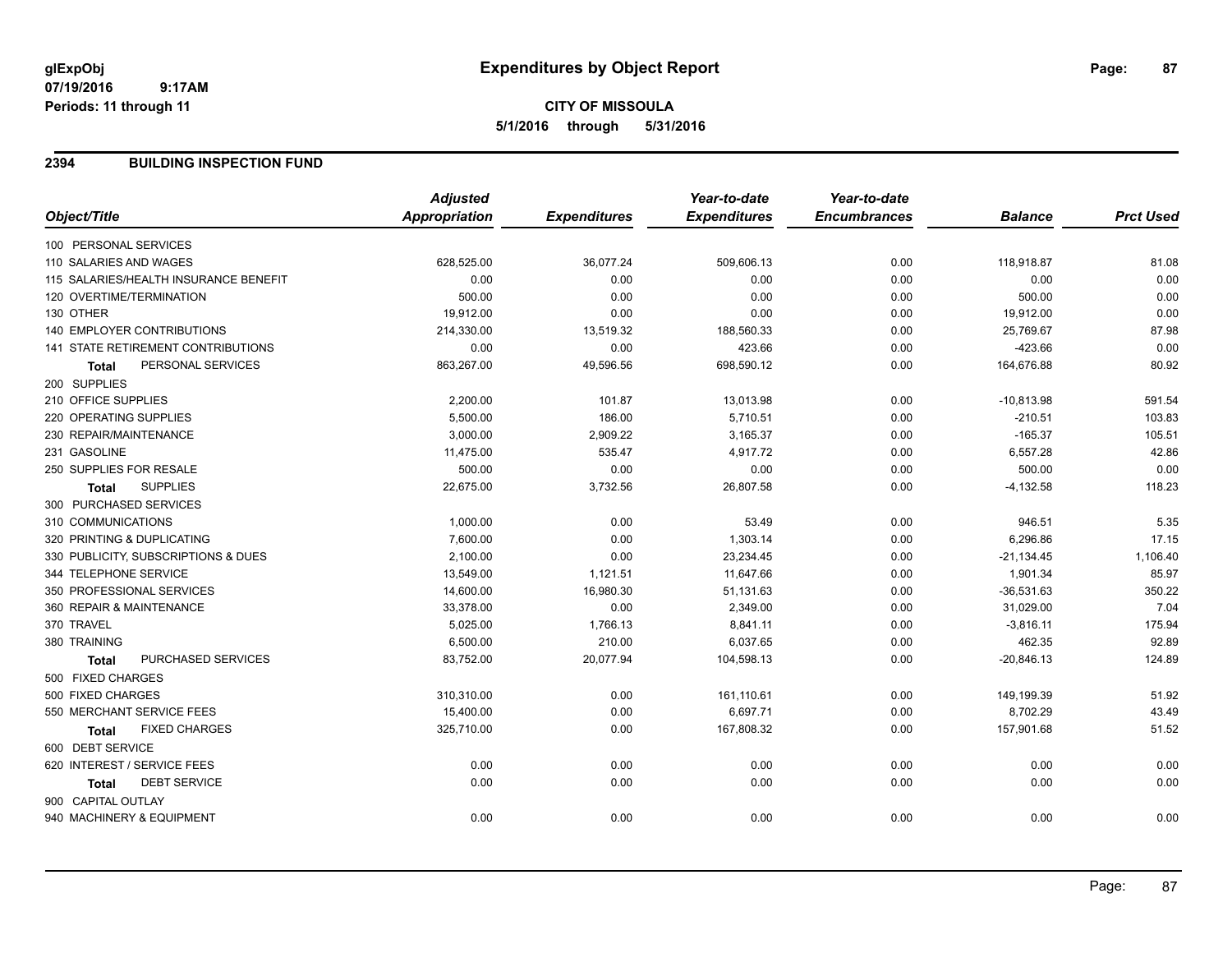# **CITY OF MISSOULA 5/1/2016 through 5/31/2016**

#### **2394 BUILDING INSPECTION FUND**

|                                       | <b>Adjusted</b> |                     | Year-to-date        | Year-to-date        |                |                  |
|---------------------------------------|-----------------|---------------------|---------------------|---------------------|----------------|------------------|
| Object/Title                          | Appropriation   | <b>Expenditures</b> | <b>Expenditures</b> | <b>Encumbrances</b> | <b>Balance</b> | <b>Prct Used</b> |
| 100 PERSONAL SERVICES                 |                 |                     |                     |                     |                |                  |
| 110 SALARIES AND WAGES                | 628,525.00      | 36,077.24           | 509,606.13          | 0.00                | 118,918.87     | 81.08            |
| 115 SALARIES/HEALTH INSURANCE BENEFIT | 0.00            | 0.00                | 0.00                | 0.00                | 0.00           | 0.00             |
| 120 OVERTIME/TERMINATION              | 500.00          | 0.00                | 0.00                | 0.00                | 500.00         | 0.00             |
| 130 OTHER                             | 19,912.00       | 0.00                | 0.00                | 0.00                | 19,912.00      | 0.00             |
| <b>140 EMPLOYER CONTRIBUTIONS</b>     | 214,330.00      | 13,519.32           | 188,560.33          | 0.00                | 25,769.67      | 87.98            |
| 141 STATE RETIREMENT CONTRIBUTIONS    | 0.00            | 0.00                | 423.66              | 0.00                | $-423.66$      | 0.00             |
| PERSONAL SERVICES<br><b>Total</b>     | 863,267.00      | 49,596.56           | 698,590.12          | 0.00                | 164,676.88     | 80.92            |
| 200 SUPPLIES                          |                 |                     |                     |                     |                |                  |
| 210 OFFICE SUPPLIES                   | 2,200.00        | 101.87              | 13,013.98           | 0.00                | $-10,813.98$   | 591.54           |
| 220 OPERATING SUPPLIES                | 5,500.00        | 186.00              | 5,710.51            | 0.00                | $-210.51$      | 103.83           |
| 230 REPAIR/MAINTENANCE                | 3,000.00        | 2,909.22            | 3,165.37            | 0.00                | $-165.37$      | 105.51           |
| 231 GASOLINE                          | 11,475.00       | 535.47              | 4,917.72            | 0.00                | 6,557.28       | 42.86            |
| 250 SUPPLIES FOR RESALE               | 500.00          | 0.00                | 0.00                | 0.00                | 500.00         | 0.00             |
| <b>SUPPLIES</b><br><b>Total</b>       | 22,675.00       | 3,732.56            | 26,807.58           | 0.00                | $-4,132.58$    | 118.23           |
| 300 PURCHASED SERVICES                |                 |                     |                     |                     |                |                  |
| 310 COMMUNICATIONS                    | 1,000.00        | 0.00                | 53.49               | 0.00                | 946.51         | 5.35             |
| 320 PRINTING & DUPLICATING            | 7,600.00        | 0.00                | 1,303.14            | 0.00                | 6,296.86       | 17.15            |
| 330 PUBLICITY, SUBSCRIPTIONS & DUES   | 2,100.00        | 0.00                | 23,234.45           | 0.00                | $-21,134.45$   | 1,106.40         |
| 344 TELEPHONE SERVICE                 | 13,549.00       | 1,121.51            | 11,647.66           | 0.00                | 1,901.34       | 85.97            |
| 350 PROFESSIONAL SERVICES             | 14,600.00       | 16,980.30           | 51,131.63           | 0.00                | $-36,531.63$   | 350.22           |
| 360 REPAIR & MAINTENANCE              | 33,378.00       | 0.00                | 2,349.00            | 0.00                | 31,029.00      | 7.04             |
| 370 TRAVEL                            | 5,025.00        | 1,766.13            | 8,841.11            | 0.00                | $-3,816.11$    | 175.94           |
| 380 TRAINING                          | 6,500.00        | 210.00              | 6,037.65            | 0.00                | 462.35         | 92.89            |
| PURCHASED SERVICES<br><b>Total</b>    | 83,752.00       | 20,077.94           | 104,598.13          | 0.00                | $-20,846.13$   | 124.89           |
| 500 FIXED CHARGES                     |                 |                     |                     |                     |                |                  |
| 500 FIXED CHARGES                     | 310,310.00      | 0.00                | 161,110.61          | 0.00                | 149,199.39     | 51.92            |
| 550 MERCHANT SERVICE FEES             | 15,400.00       | 0.00                | 6,697.71            | 0.00                | 8,702.29       | 43.49            |
| <b>FIXED CHARGES</b><br><b>Total</b>  | 325,710.00      | 0.00                | 167,808.32          | 0.00                | 157,901.68     | 51.52            |
| 600 DEBT SERVICE                      |                 |                     |                     |                     |                |                  |
| 620 INTEREST / SERVICE FEES           | 0.00            | 0.00                | 0.00                | 0.00                | 0.00           | 0.00             |
| <b>DEBT SERVICE</b><br><b>Total</b>   | 0.00            | 0.00                | 0.00                | 0.00                | 0.00           | 0.00             |
| 900 CAPITAL OUTLAY                    |                 |                     |                     |                     |                |                  |
| 940 MACHINERY & EQUIPMENT             | 0.00            | 0.00                | 0.00                | 0.00                | 0.00           | 0.00             |
|                                       |                 |                     |                     |                     |                |                  |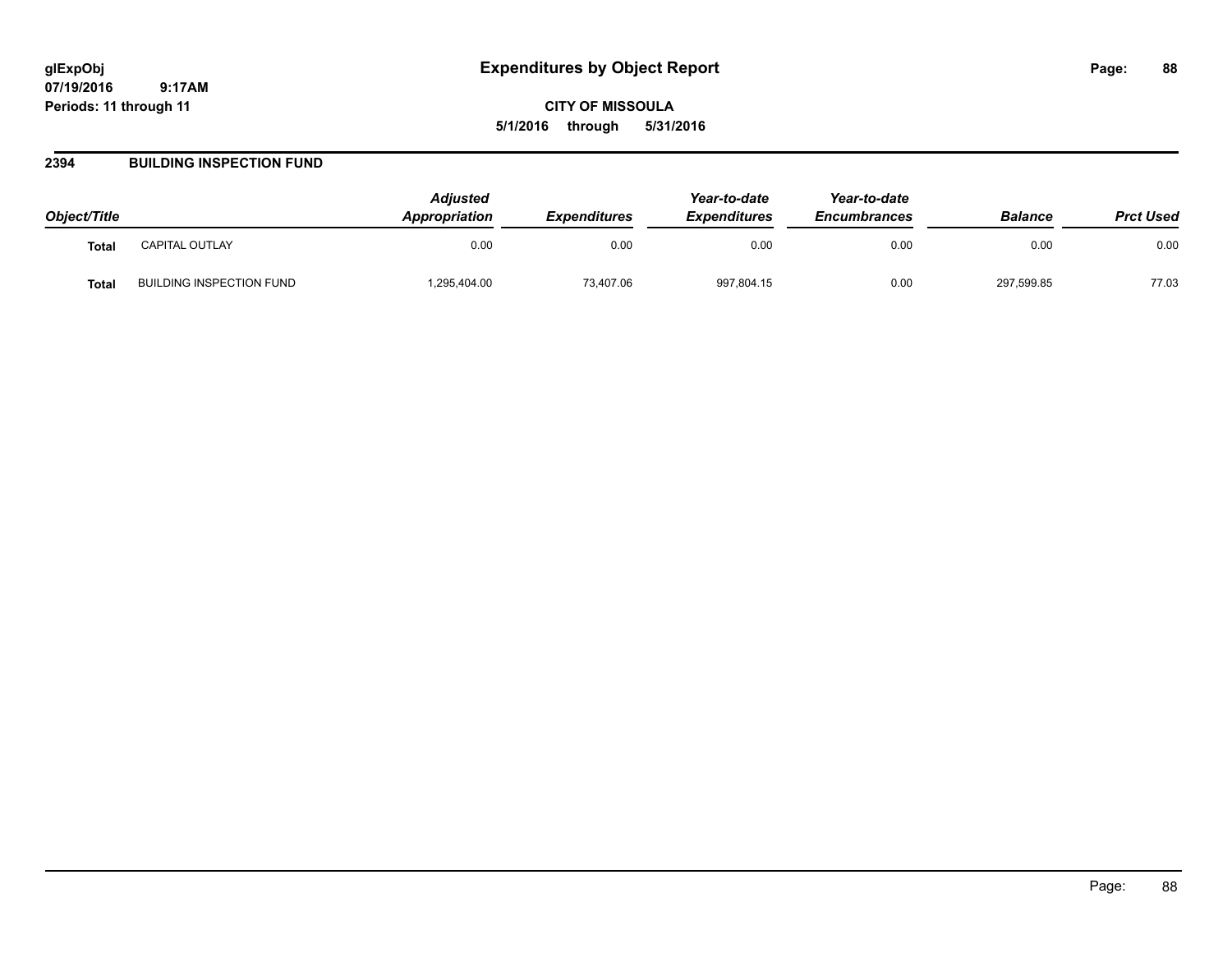**CITY OF MISSOULA 5/1/2016 through 5/31/2016**

#### **2394 BUILDING INSPECTION FUND**

| Object/Title |                          | <b>Adjusted</b><br>Appropriation | <b>Expenditures</b> | Year-to-date<br><b>Expenditures</b> | Year-to-date<br><b>Encumbrances</b> | <b>Balance</b> | <b>Prct Used</b> |
|--------------|--------------------------|----------------------------------|---------------------|-------------------------------------|-------------------------------------|----------------|------------------|
| <b>Total</b> | <b>CAPITAL OUTLAY</b>    | 0.00                             | 0.00                | 0.00                                | 0.00                                | 0.00           | 0.00             |
| <b>Total</b> | BUILDING INSPECTION FUND | 1,295,404.00                     | 73.407.06           | 997,804.15                          | 0.00                                | 297,599.85     | 77.03            |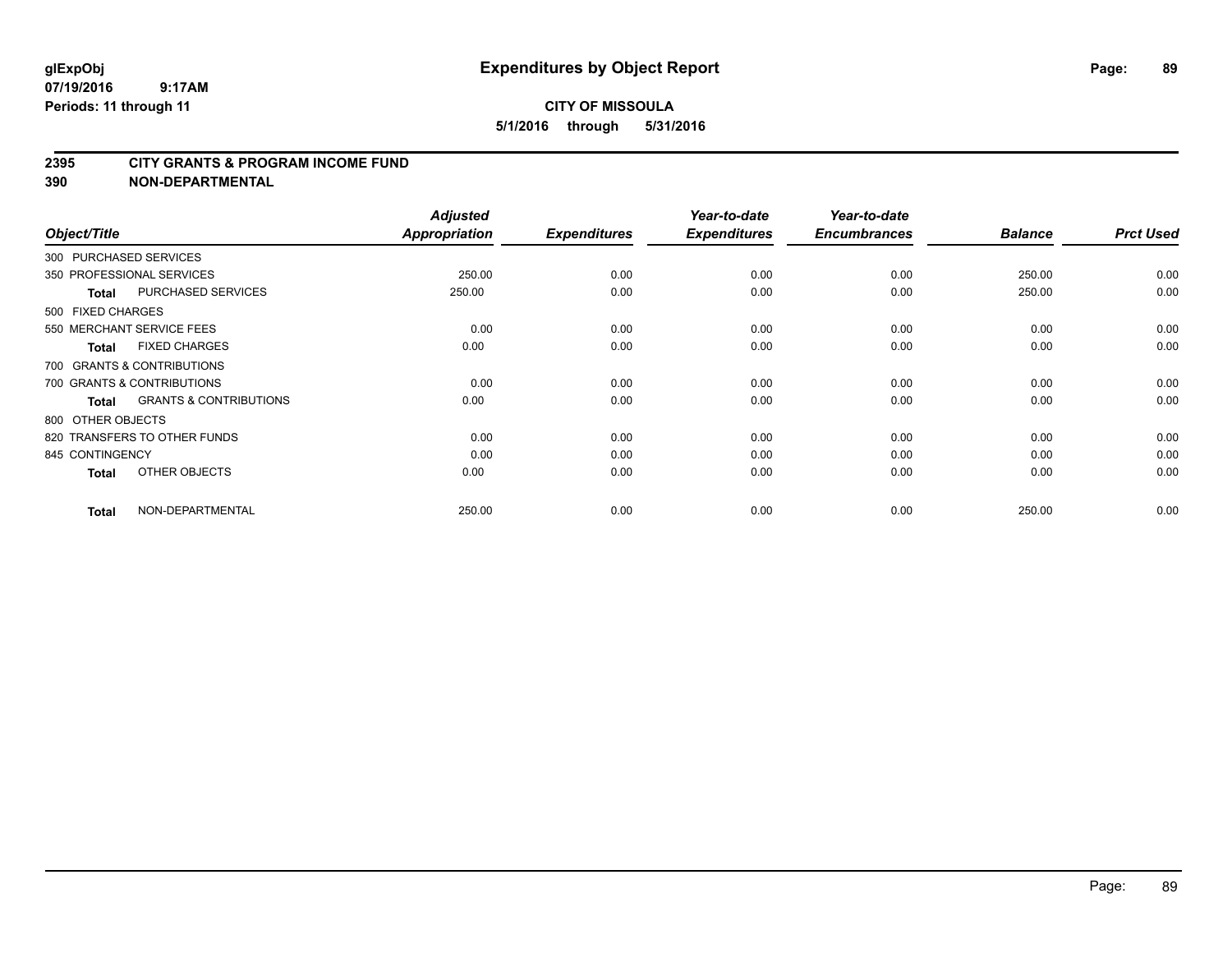#### **2395 CITY GRANTS & PROGRAM INCOME FUND**

**390 NON-DEPARTMENTAL**

| Object/Title           |                                   | <b>Adjusted</b><br><b>Appropriation</b> | <b>Expenditures</b> | Year-to-date<br><b>Expenditures</b> | Year-to-date<br><b>Encumbrances</b> | <b>Balance</b> | <b>Prct Used</b> |
|------------------------|-----------------------------------|-----------------------------------------|---------------------|-------------------------------------|-------------------------------------|----------------|------------------|
| 300 PURCHASED SERVICES |                                   |                                         |                     |                                     |                                     |                |                  |
|                        | 350 PROFESSIONAL SERVICES         | 250.00                                  | 0.00                | 0.00                                | 0.00                                | 250.00         | 0.00             |
| <b>Total</b>           | PURCHASED SERVICES                | 250.00                                  | 0.00                | 0.00                                | 0.00                                | 250.00         | 0.00             |
| 500 FIXED CHARGES      |                                   |                                         |                     |                                     |                                     |                |                  |
|                        | 550 MERCHANT SERVICE FEES         | 0.00                                    | 0.00                | 0.00                                | 0.00                                | 0.00           | 0.00             |
| Total                  | <b>FIXED CHARGES</b>              | 0.00                                    | 0.00                | 0.00                                | 0.00                                | 0.00           | 0.00             |
|                        | 700 GRANTS & CONTRIBUTIONS        |                                         |                     |                                     |                                     |                |                  |
|                        | 700 GRANTS & CONTRIBUTIONS        | 0.00                                    | 0.00                | 0.00                                | 0.00                                | 0.00           | 0.00             |
| Total                  | <b>GRANTS &amp; CONTRIBUTIONS</b> | 0.00                                    | 0.00                | 0.00                                | 0.00                                | 0.00           | 0.00             |
| 800 OTHER OBJECTS      |                                   |                                         |                     |                                     |                                     |                |                  |
|                        | 820 TRANSFERS TO OTHER FUNDS      | 0.00                                    | 0.00                | 0.00                                | 0.00                                | 0.00           | 0.00             |
| 845 CONTINGENCY        |                                   | 0.00                                    | 0.00                | 0.00                                | 0.00                                | 0.00           | 0.00             |
| Total                  | OTHER OBJECTS                     | 0.00                                    | 0.00                | 0.00                                | 0.00                                | 0.00           | 0.00             |
| Total                  | NON-DEPARTMENTAL                  | 250.00                                  | 0.00                | 0.00                                | 0.00                                | 250.00         | 0.00             |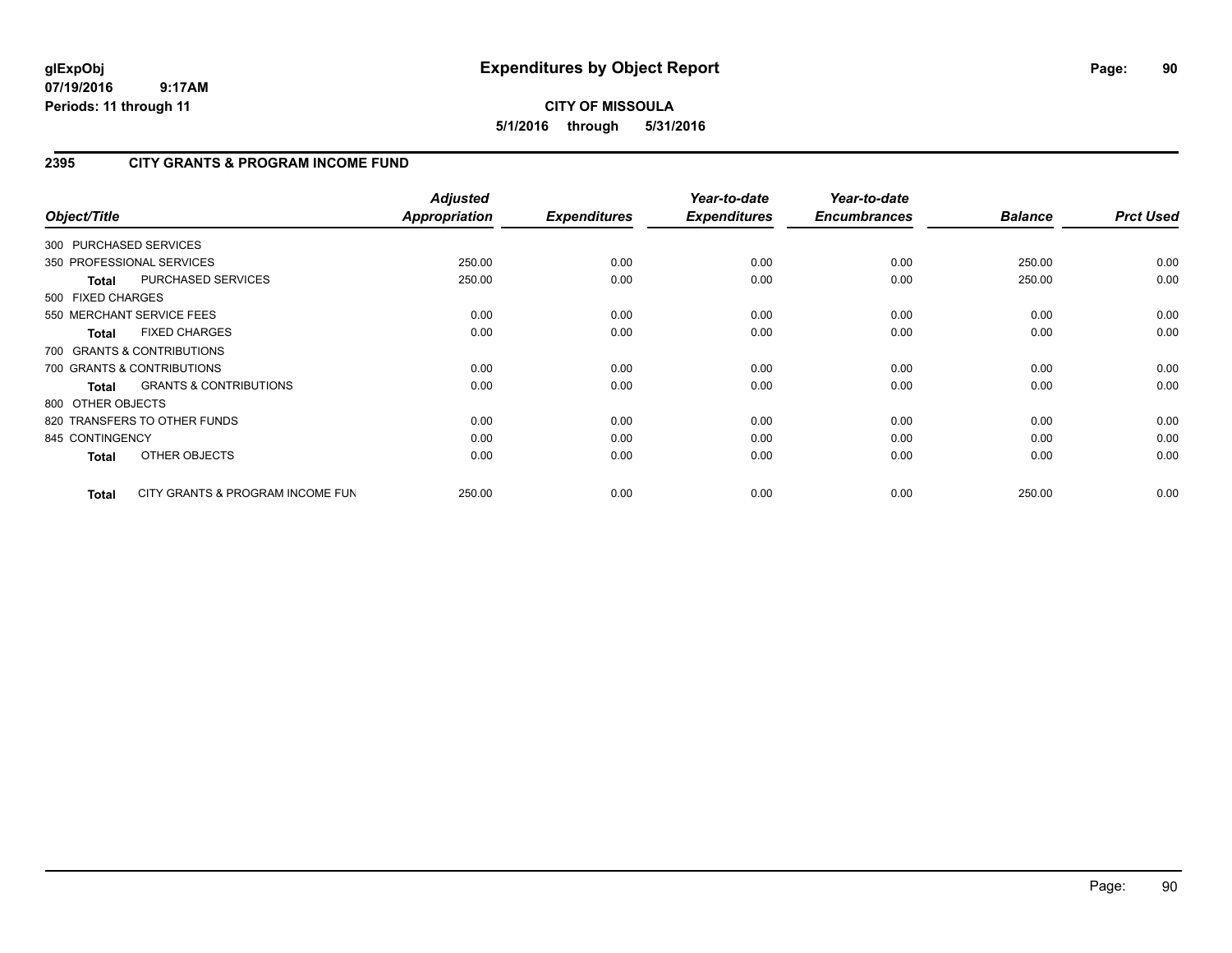# **CITY OF MISSOULA 5/1/2016 through 5/31/2016**

# **2395 CITY GRANTS & PROGRAM INCOME FUND**

| Object/Title           |                                   | <b>Adjusted</b><br><b>Appropriation</b> | <b>Expenditures</b> | Year-to-date<br><b>Expenditures</b> | Year-to-date<br><b>Encumbrances</b> | <b>Balance</b> | <b>Prct Used</b> |
|------------------------|-----------------------------------|-----------------------------------------|---------------------|-------------------------------------|-------------------------------------|----------------|------------------|
| 300 PURCHASED SERVICES |                                   |                                         |                     |                                     |                                     |                |                  |
|                        | 350 PROFESSIONAL SERVICES         | 250.00                                  | 0.00                | 0.00                                | 0.00                                | 250.00         | 0.00             |
| <b>Total</b>           | PURCHASED SERVICES                | 250.00                                  | 0.00                | 0.00                                | 0.00                                | 250.00         | 0.00             |
| 500 FIXED CHARGES      |                                   |                                         |                     |                                     |                                     |                |                  |
|                        | 550 MERCHANT SERVICE FEES         | 0.00                                    | 0.00                | 0.00                                | 0.00                                | 0.00           | 0.00             |
| <b>Total</b>           | <b>FIXED CHARGES</b>              | 0.00                                    | 0.00                | 0.00                                | 0.00                                | 0.00           | 0.00             |
|                        | 700 GRANTS & CONTRIBUTIONS        |                                         |                     |                                     |                                     |                |                  |
|                        | 700 GRANTS & CONTRIBUTIONS        | 0.00                                    | 0.00                | 0.00                                | 0.00                                | 0.00           | 0.00             |
| <b>Total</b>           | <b>GRANTS &amp; CONTRIBUTIONS</b> | 0.00                                    | 0.00                | 0.00                                | 0.00                                | 0.00           | 0.00             |
| 800 OTHER OBJECTS      |                                   |                                         |                     |                                     |                                     |                |                  |
|                        | 820 TRANSFERS TO OTHER FUNDS      | 0.00                                    | 0.00                | 0.00                                | 0.00                                | 0.00           | 0.00             |
| 845 CONTINGENCY        |                                   | 0.00                                    | 0.00                | 0.00                                | 0.00                                | 0.00           | 0.00             |
| <b>Total</b>           | OTHER OBJECTS                     | 0.00                                    | 0.00                | 0.00                                | 0.00                                | 0.00           | 0.00             |
| <b>Total</b>           | CITY GRANTS & PROGRAM INCOME FUN  | 250.00                                  | 0.00                | 0.00                                | 0.00                                | 250.00         | 0.00             |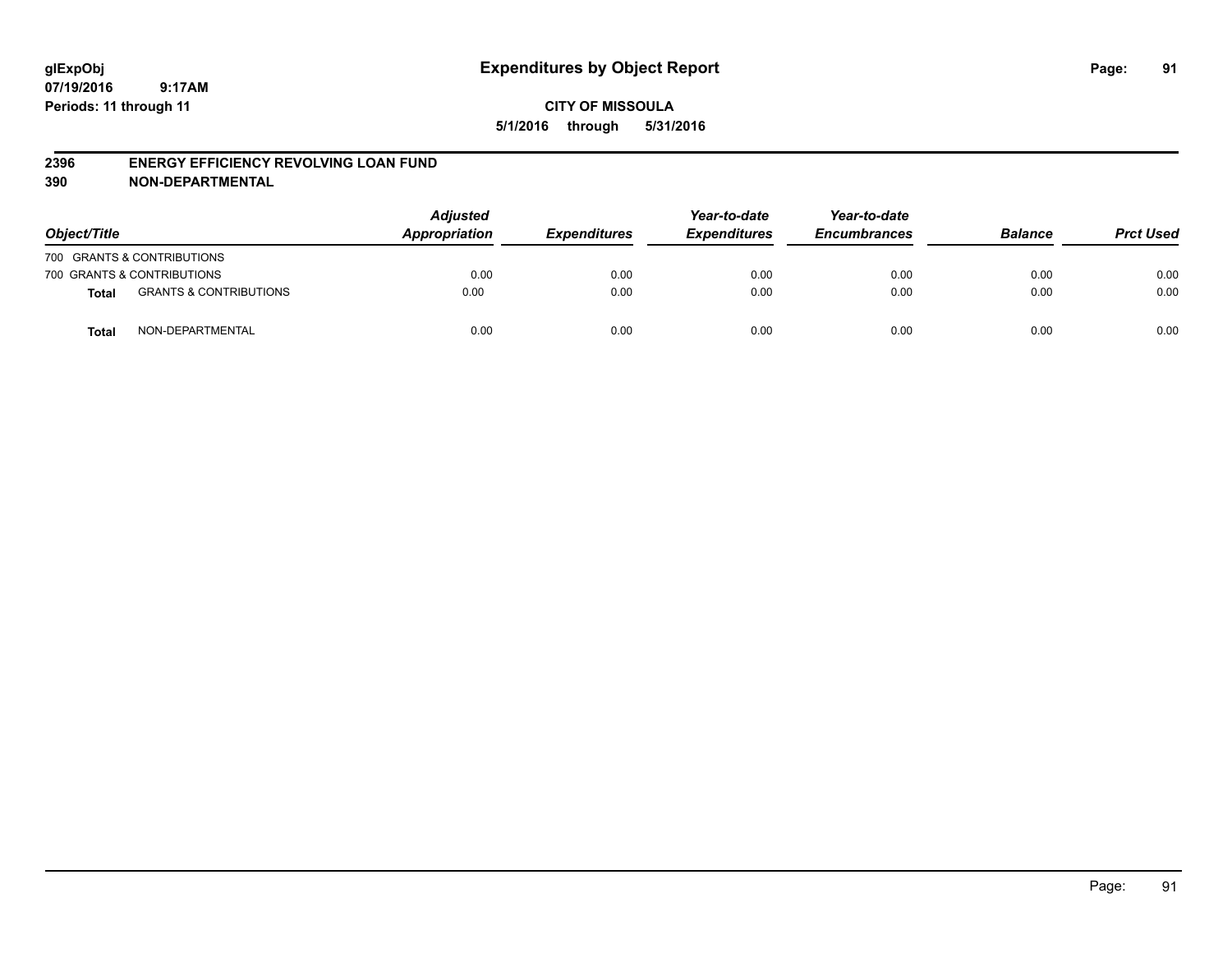#### **2396 ENERGY EFFICIENCY REVOLVING LOAN FUND**

**390 NON-DEPARTMENTAL**

| Object/Title |                                   | <b>Adjusted</b><br>Appropriation | <b>Expenditures</b> | Year-to-date<br><b>Expenditures</b> | Year-to-date<br><b>Encumbrances</b> | <b>Balance</b> | <b>Prct Used</b> |
|--------------|-----------------------------------|----------------------------------|---------------------|-------------------------------------|-------------------------------------|----------------|------------------|
|              | 700 GRANTS & CONTRIBUTIONS        |                                  |                     |                                     |                                     |                |                  |
|              | 700 GRANTS & CONTRIBUTIONS        | 0.00                             | 0.00                | 0.00                                | 0.00                                | 0.00           | 0.00             |
| <b>Total</b> | <b>GRANTS &amp; CONTRIBUTIONS</b> | 0.00                             | 0.00                | 0.00                                | 0.00                                | 0.00           | 0.00             |
| <b>Total</b> | NON-DEPARTMENTAL                  | 0.00                             | 0.00                | 0.00                                | 0.00                                | 0.00           | 0.00             |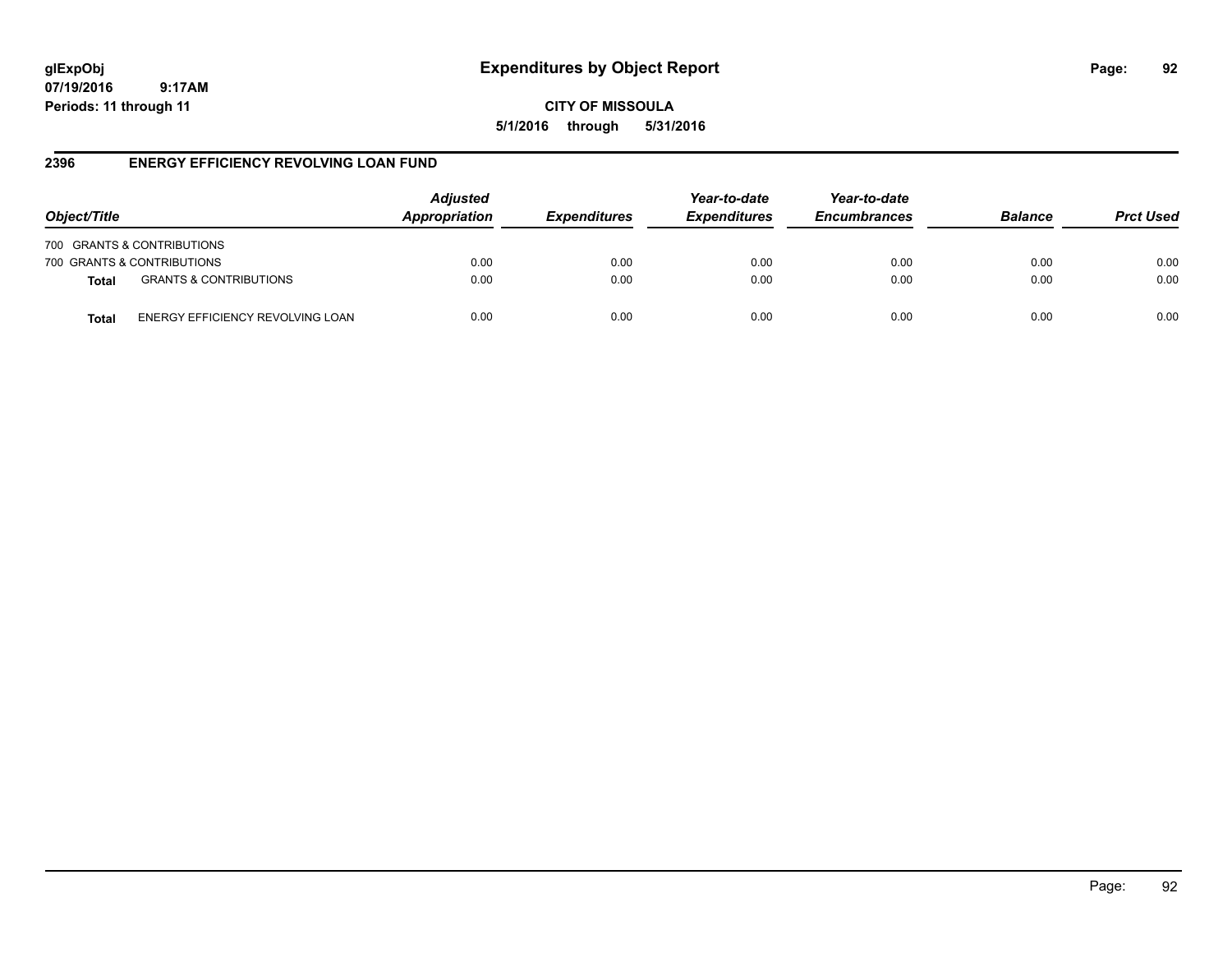# **glExpObj Expenditures by Object Report Page: 92**

**07/19/2016 9:17AM Periods: 11 through 11**

**CITY OF MISSOULA 5/1/2016 through 5/31/2016**

## **2396 ENERGY EFFICIENCY REVOLVING LOAN FUND**

| Object/Title               |                                   | <b>Adjusted</b><br>Appropriation | <b>Expenditures</b> | Year-to-date<br><b>Expenditures</b> | Year-to-date<br><b>Encumbrances</b> | <b>Balance</b> | <b>Prct Used</b> |
|----------------------------|-----------------------------------|----------------------------------|---------------------|-------------------------------------|-------------------------------------|----------------|------------------|
| 700 GRANTS & CONTRIBUTIONS |                                   |                                  |                     |                                     |                                     |                |                  |
| 700 GRANTS & CONTRIBUTIONS |                                   | 0.00                             | 0.00                | 0.00                                | 0.00                                | 0.00           | 0.00             |
| <b>Total</b>               | <b>GRANTS &amp; CONTRIBUTIONS</b> | 0.00                             | 0.00                | 0.00                                | 0.00                                | 0.00           | 0.00             |
| Total                      | ENERGY EFFICIENCY REVOLVING LOAN  | 0.00                             | 0.00                | 0.00                                | 0.00                                | 0.00           | 0.00             |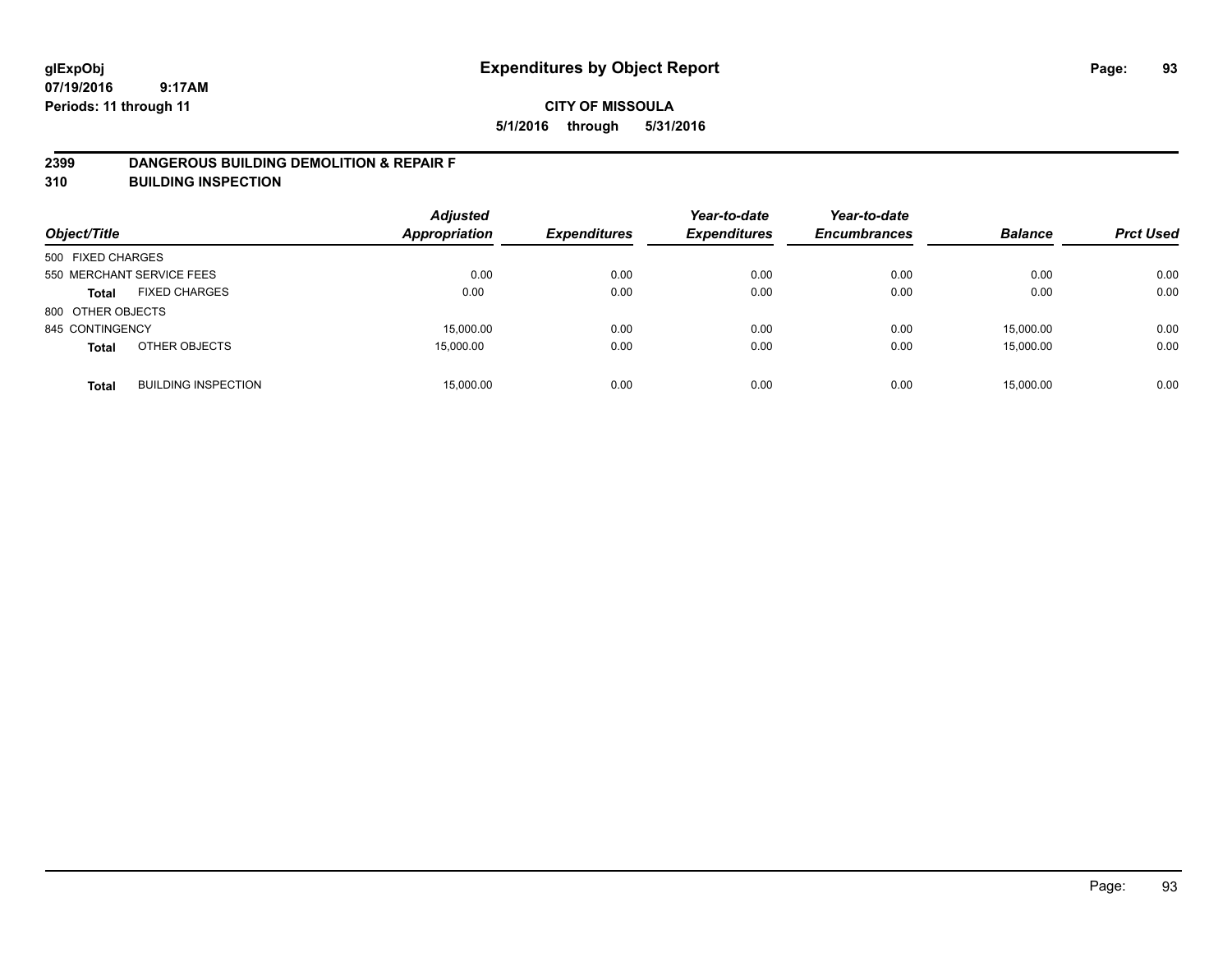#### **2399 DANGEROUS BUILDING DEMOLITION & REPAIR F**

**310 BUILDING INSPECTION**

| Object/Title      |                            | <b>Adjusted</b><br><b>Appropriation</b> | <b>Expenditures</b> | Year-to-date<br><b>Expenditures</b> | Year-to-date<br><b>Encumbrances</b> | <b>Balance</b> | <b>Prct Used</b> |
|-------------------|----------------------------|-----------------------------------------|---------------------|-------------------------------------|-------------------------------------|----------------|------------------|
| 500 FIXED CHARGES |                            |                                         |                     |                                     |                                     |                |                  |
|                   | 550 MERCHANT SERVICE FEES  | 0.00                                    | 0.00                | 0.00                                | 0.00                                | 0.00           | 0.00             |
| <b>Total</b>      | <b>FIXED CHARGES</b>       | 0.00                                    | 0.00                | 0.00                                | 0.00                                | 0.00           | 0.00             |
| 800 OTHER OBJECTS |                            |                                         |                     |                                     |                                     |                |                  |
| 845 CONTINGENCY   |                            | 15,000.00                               | 0.00                | 0.00                                | 0.00                                | 15,000.00      | 0.00             |
| <b>Total</b>      | OTHER OBJECTS              | 15,000.00                               | 0.00                | 0.00                                | 0.00                                | 15,000.00      | 0.00             |
| <b>Total</b>      | <b>BUILDING INSPECTION</b> | 15,000.00                               | 0.00                | 0.00                                | 0.00                                | 15.000.00      | 0.00             |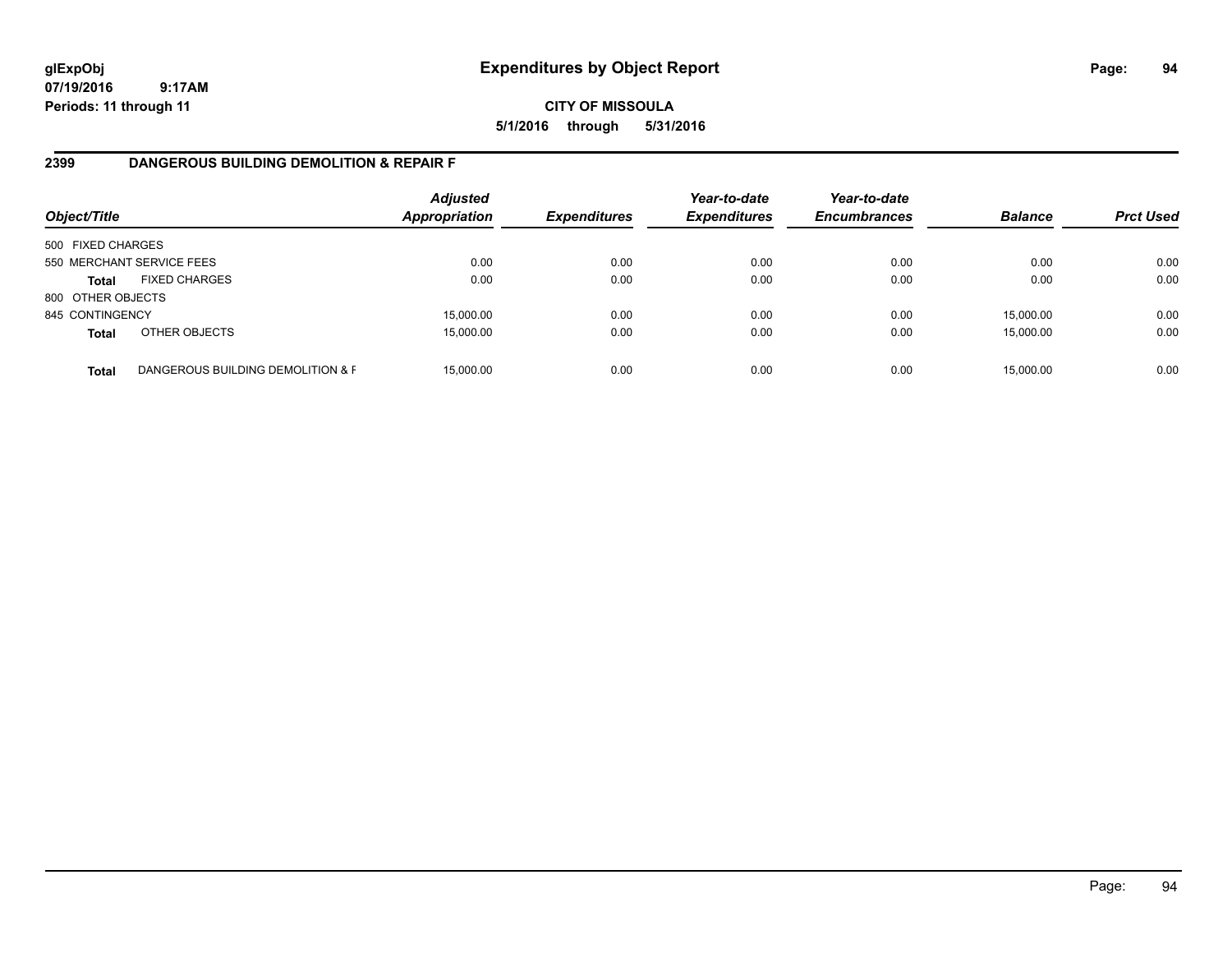**CITY OF MISSOULA 5/1/2016 through 5/31/2016**

## **2399 DANGEROUS BUILDING DEMOLITION & REPAIR F**

| Object/Title      |                                   | <b>Adjusted</b><br><b>Appropriation</b> | <b>Expenditures</b> | Year-to-date<br><b>Expenditures</b> | Year-to-date<br><b>Encumbrances</b> | <b>Balance</b> | <b>Prct Used</b> |
|-------------------|-----------------------------------|-----------------------------------------|---------------------|-------------------------------------|-------------------------------------|----------------|------------------|
| 500 FIXED CHARGES |                                   |                                         |                     |                                     |                                     |                |                  |
|                   | 550 MERCHANT SERVICE FEES         | 0.00                                    | 0.00                | 0.00                                | 0.00                                | 0.00           | 0.00             |
| <b>Total</b>      | <b>FIXED CHARGES</b>              | 0.00                                    | 0.00                | 0.00                                | 0.00                                | 0.00           | 0.00             |
| 800 OTHER OBJECTS |                                   |                                         |                     |                                     |                                     |                |                  |
| 845 CONTINGENCY   |                                   | 15,000.00                               | 0.00                | 0.00                                | 0.00                                | 15,000.00      | 0.00             |
| <b>Total</b>      | OTHER OBJECTS                     | 15,000.00                               | 0.00                | 0.00                                | 0.00                                | 15,000.00      | 0.00             |
| <b>Total</b>      | DANGEROUS BUILDING DEMOLITION & F | 15.000.00                               | 0.00                | 0.00                                | 0.00                                | 15,000.00      | 0.00             |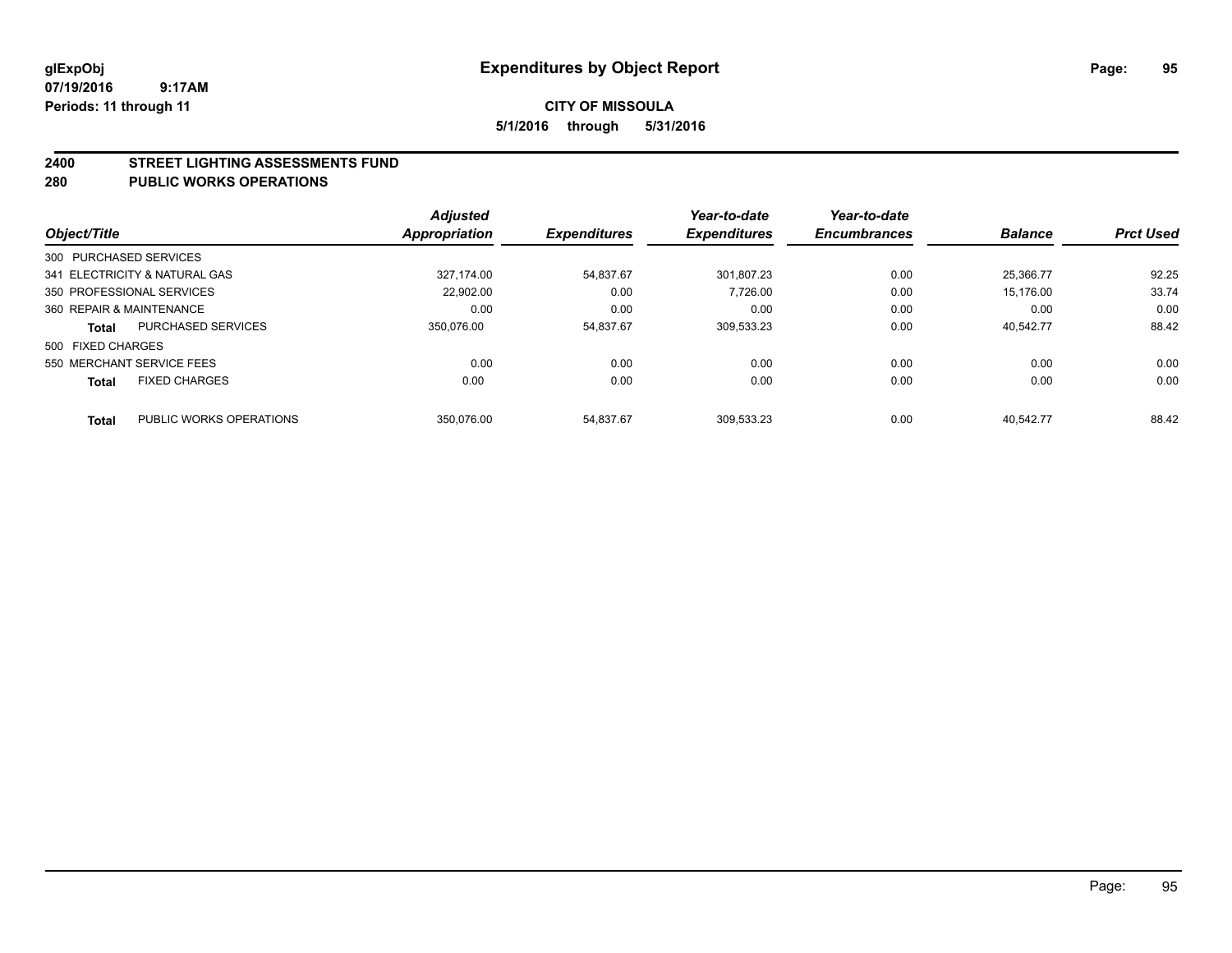#### **2400 STREET LIGHTING ASSESSMENTS FUND**

#### **280 PUBLIC WORKS OPERATIONS**

|                          |                               | <b>Adjusted</b> |                     | Year-to-date        | Year-to-date<br><b>Encumbrances</b> |                |                  |
|--------------------------|-------------------------------|-----------------|---------------------|---------------------|-------------------------------------|----------------|------------------|
| Object/Title             |                               | Appropriation   | <b>Expenditures</b> | <b>Expenditures</b> |                                     | <b>Balance</b> | <b>Prct Used</b> |
| 300 PURCHASED SERVICES   |                               |                 |                     |                     |                                     |                |                  |
|                          | 341 ELECTRICITY & NATURAL GAS | 327.174.00      | 54.837.67           | 301.807.23          | 0.00                                | 25.366.77      | 92.25            |
|                          | 350 PROFESSIONAL SERVICES     | 22.902.00       | 0.00                | 7.726.00            | 0.00                                | 15.176.00      | 33.74            |
| 360 REPAIR & MAINTENANCE |                               | 0.00            | 0.00                | 0.00                | 0.00                                | 0.00           | 0.00             |
| <b>Total</b>             | PURCHASED SERVICES            | 350.076.00      | 54.837.67           | 309,533.23          | 0.00                                | 40.542.77      | 88.42            |
| 500 FIXED CHARGES        |                               |                 |                     |                     |                                     |                |                  |
|                          | 550 MERCHANT SERVICE FEES     | 0.00            | 0.00                | 0.00                | 0.00                                | 0.00           | 0.00             |
| <b>Total</b>             | <b>FIXED CHARGES</b>          | 0.00            | 0.00                | 0.00                | 0.00                                | 0.00           | 0.00             |
| <b>Total</b>             | PUBLIC WORKS OPERATIONS       | 350.076.00      | 54.837.67           | 309.533.23          | 0.00                                | 40.542.77      | 88.42            |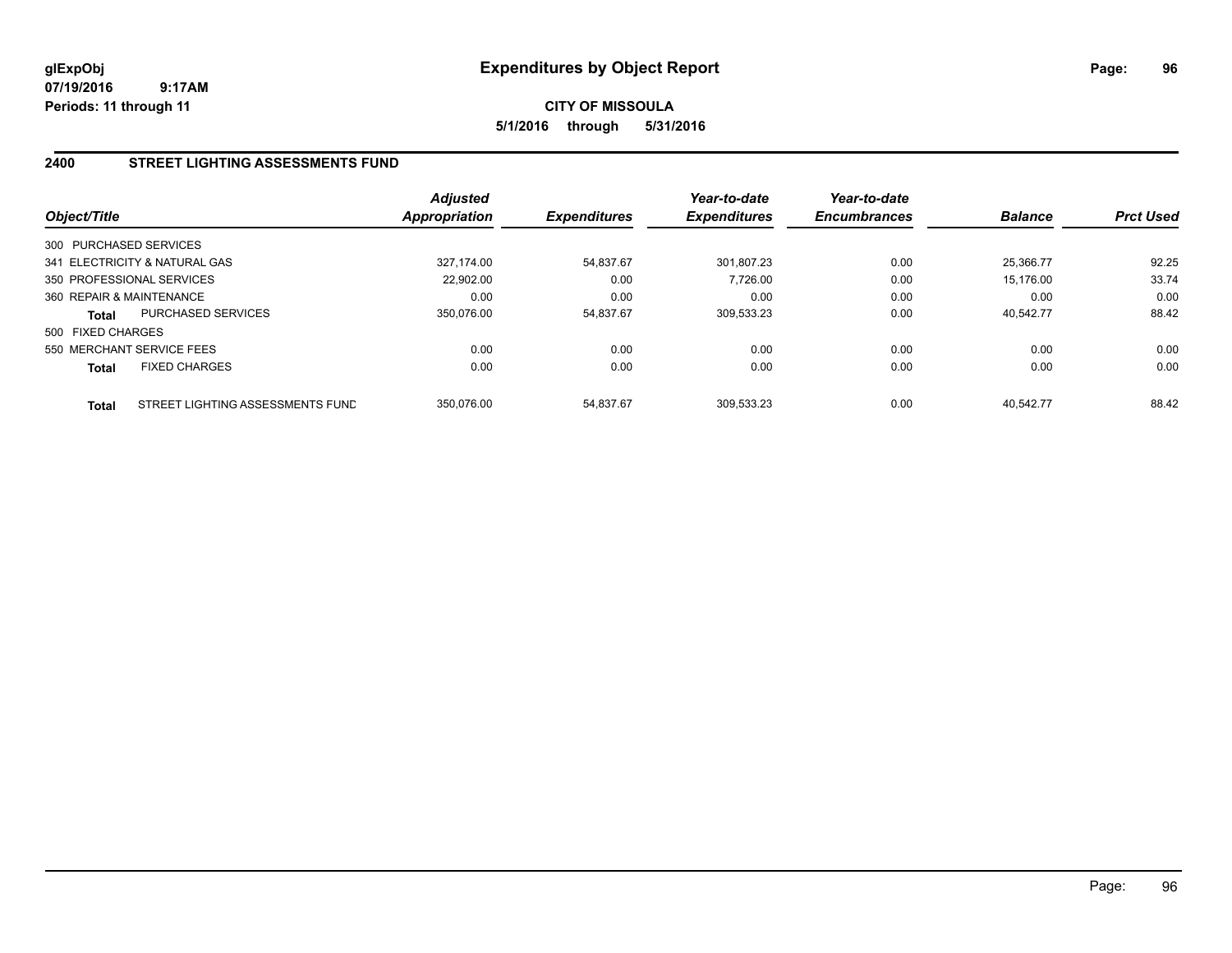# **CITY OF MISSOULA 5/1/2016 through 5/31/2016**

## **2400 STREET LIGHTING ASSESSMENTS FUND**

| Object/Title             |                                  | <b>Adjusted</b><br><b>Appropriation</b> | <b>Expenditures</b> | Year-to-date<br><b>Expenditures</b> | Year-to-date<br><b>Encumbrances</b> | <b>Balance</b> | <b>Prct Used</b> |
|--------------------------|----------------------------------|-----------------------------------------|---------------------|-------------------------------------|-------------------------------------|----------------|------------------|
| 300 PURCHASED SERVICES   |                                  |                                         |                     |                                     |                                     |                |                  |
|                          | 341 ELECTRICITY & NATURAL GAS    | 327.174.00                              | 54,837.67           | 301.807.23                          | 0.00                                | 25.366.77      | 92.25            |
|                          | 350 PROFESSIONAL SERVICES        | 22.902.00                               | 0.00                | 7.726.00                            | 0.00                                | 15.176.00      | 33.74            |
| 360 REPAIR & MAINTENANCE |                                  | 0.00                                    | 0.00                | 0.00                                | 0.00                                | 0.00           | 0.00             |
| Total                    | <b>PURCHASED SERVICES</b>        | 350.076.00                              | 54,837.67           | 309,533.23                          | 0.00                                | 40,542.77      | 88.42            |
| 500 FIXED CHARGES        |                                  |                                         |                     |                                     |                                     |                |                  |
|                          | 550 MERCHANT SERVICE FEES        | 0.00                                    | 0.00                | 0.00                                | 0.00                                | 0.00           | 0.00             |
| <b>Total</b>             | <b>FIXED CHARGES</b>             | 0.00                                    | 0.00                | 0.00                                | 0.00                                | 0.00           | 0.00             |
| Total                    | STREET LIGHTING ASSESSMENTS FUND | 350.076.00                              | 54.837.67           | 309.533.23                          | 0.00                                | 40.542.77      | 88.42            |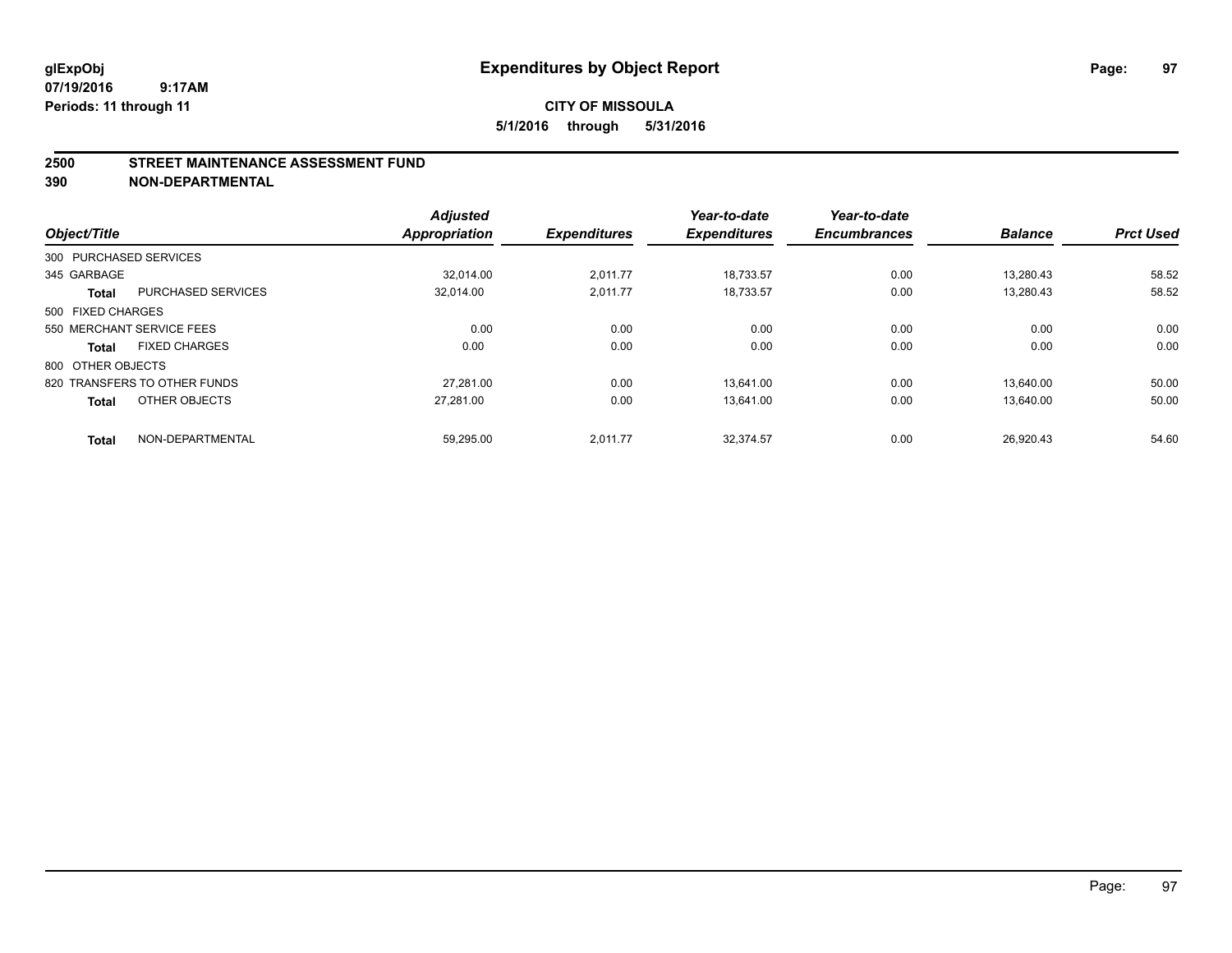#### **2500 STREET MAINTENANCE ASSESSMENT FUND**

**390 NON-DEPARTMENTAL**

| Object/Title      |                              | <b>Adjusted</b><br><b>Appropriation</b> | <b>Expenditures</b> | Year-to-date<br><b>Expenditures</b> | Year-to-date<br><b>Encumbrances</b> | <b>Balance</b> | <b>Prct Used</b> |
|-------------------|------------------------------|-----------------------------------------|---------------------|-------------------------------------|-------------------------------------|----------------|------------------|
|                   | 300 PURCHASED SERVICES       |                                         |                     |                                     |                                     |                |                  |
| 345 GARBAGE       |                              | 32.014.00                               | 2.011.77            | 18,733.57                           | 0.00                                | 13.280.43      | 58.52            |
| <b>Total</b>      | <b>PURCHASED SERVICES</b>    | 32,014.00                               | 2,011.77            | 18,733.57                           | 0.00                                | 13,280.43      | 58.52            |
| 500 FIXED CHARGES |                              |                                         |                     |                                     |                                     |                |                  |
|                   | 550 MERCHANT SERVICE FEES    | 0.00                                    | 0.00                | 0.00                                | 0.00                                | 0.00           | 0.00             |
| <b>Total</b>      | <b>FIXED CHARGES</b>         | 0.00                                    | 0.00                | 0.00                                | 0.00                                | 0.00           | 0.00             |
| 800 OTHER OBJECTS |                              |                                         |                     |                                     |                                     |                |                  |
|                   | 820 TRANSFERS TO OTHER FUNDS | 27.281.00                               | 0.00                | 13.641.00                           | 0.00                                | 13.640.00      | 50.00            |
| <b>Total</b>      | OTHER OBJECTS                | 27,281.00                               | 0.00                | 13,641.00                           | 0.00                                | 13,640.00      | 50.00            |
| <b>Total</b>      | NON-DEPARTMENTAL             | 59,295.00                               | 2,011.77            | 32.374.57                           | 0.00                                | 26.920.43      | 54.60            |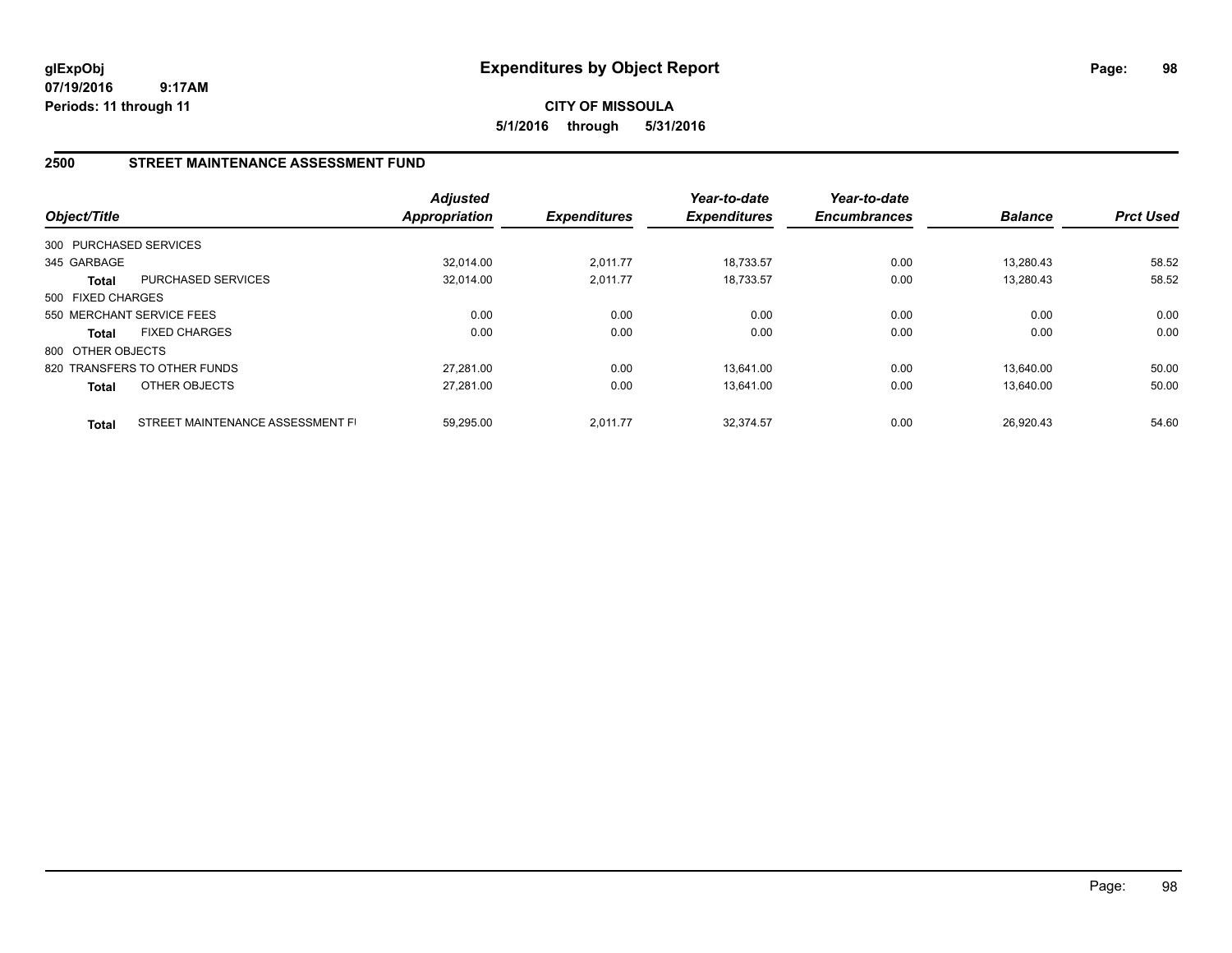**CITY OF MISSOULA 5/1/2016 through 5/31/2016**

## **2500 STREET MAINTENANCE ASSESSMENT FUND**

| Object/Title           |                                  | <b>Adjusted</b><br><b>Appropriation</b> | <b>Expenditures</b> | Year-to-date<br><b>Expenditures</b> | Year-to-date<br><b>Encumbrances</b> | <b>Balance</b> | <b>Prct Used</b> |
|------------------------|----------------------------------|-----------------------------------------|---------------------|-------------------------------------|-------------------------------------|----------------|------------------|
| 300 PURCHASED SERVICES |                                  |                                         |                     |                                     |                                     |                |                  |
| 345 GARBAGE            |                                  | 32.014.00                               | 2,011.77            | 18.733.57                           | 0.00                                | 13.280.43      | 58.52            |
| Total                  | PURCHASED SERVICES               | 32,014.00                               | 2,011.77            | 18,733.57                           | 0.00                                | 13,280.43      | 58.52            |
| 500 FIXED CHARGES      |                                  |                                         |                     |                                     |                                     |                |                  |
|                        | 550 MERCHANT SERVICE FEES        | 0.00                                    | 0.00                | 0.00                                | 0.00                                | 0.00           | 0.00             |
| <b>Total</b>           | <b>FIXED CHARGES</b>             | 0.00                                    | 0.00                | 0.00                                | 0.00                                | 0.00           | 0.00             |
| 800 OTHER OBJECTS      |                                  |                                         |                     |                                     |                                     |                |                  |
|                        | 820 TRANSFERS TO OTHER FUNDS     | 27.281.00                               | 0.00                | 13.641.00                           | 0.00                                | 13.640.00      | 50.00            |
| <b>Total</b>           | OTHER OBJECTS                    | 27,281.00                               | 0.00                | 13,641.00                           | 0.00                                | 13.640.00      | 50.00            |
| <b>Total</b>           | STREET MAINTENANCE ASSESSMENT FI | 59.295.00                               | 2.011.77            | 32.374.57                           | 0.00                                | 26.920.43      | 54.60            |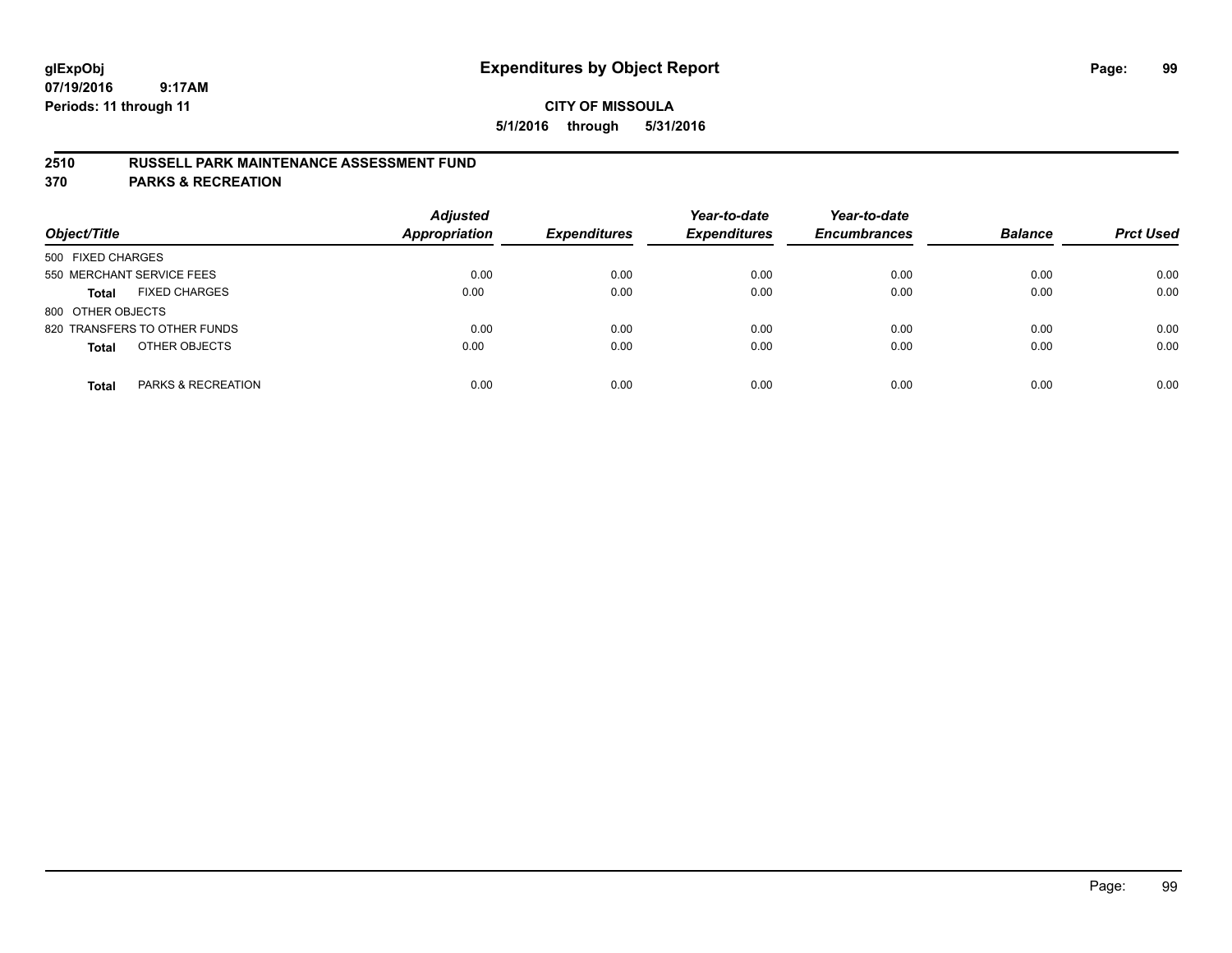## **2510 RUSSELL PARK MAINTENANCE ASSESSMENT FUND**

**370 PARKS & RECREATION**

| Object/Title                         | <b>Adjusted</b><br><b>Appropriation</b> | <b>Expenditures</b> | Year-to-date<br><b>Expenditures</b> | Year-to-date<br><b>Encumbrances</b> | <b>Balance</b> | <b>Prct Used</b> |
|--------------------------------------|-----------------------------------------|---------------------|-------------------------------------|-------------------------------------|----------------|------------------|
| 500 FIXED CHARGES                    |                                         |                     |                                     |                                     |                |                  |
| 550 MERCHANT SERVICE FEES            | 0.00                                    | 0.00                | 0.00                                | 0.00                                | 0.00           | 0.00             |
| <b>FIXED CHARGES</b><br><b>Total</b> | 0.00                                    | 0.00                | 0.00                                | 0.00                                | 0.00           | 0.00             |
| 800 OTHER OBJECTS                    |                                         |                     |                                     |                                     |                |                  |
| 820 TRANSFERS TO OTHER FUNDS         | 0.00                                    | 0.00                | 0.00                                | 0.00                                | 0.00           | 0.00             |
| OTHER OBJECTS<br><b>Total</b>        | 0.00                                    | 0.00                | 0.00                                | 0.00                                | 0.00           | 0.00             |
| PARKS & RECREATION<br><b>Total</b>   | 0.00                                    | 0.00                | 0.00                                | 0.00                                | 0.00           | 0.00             |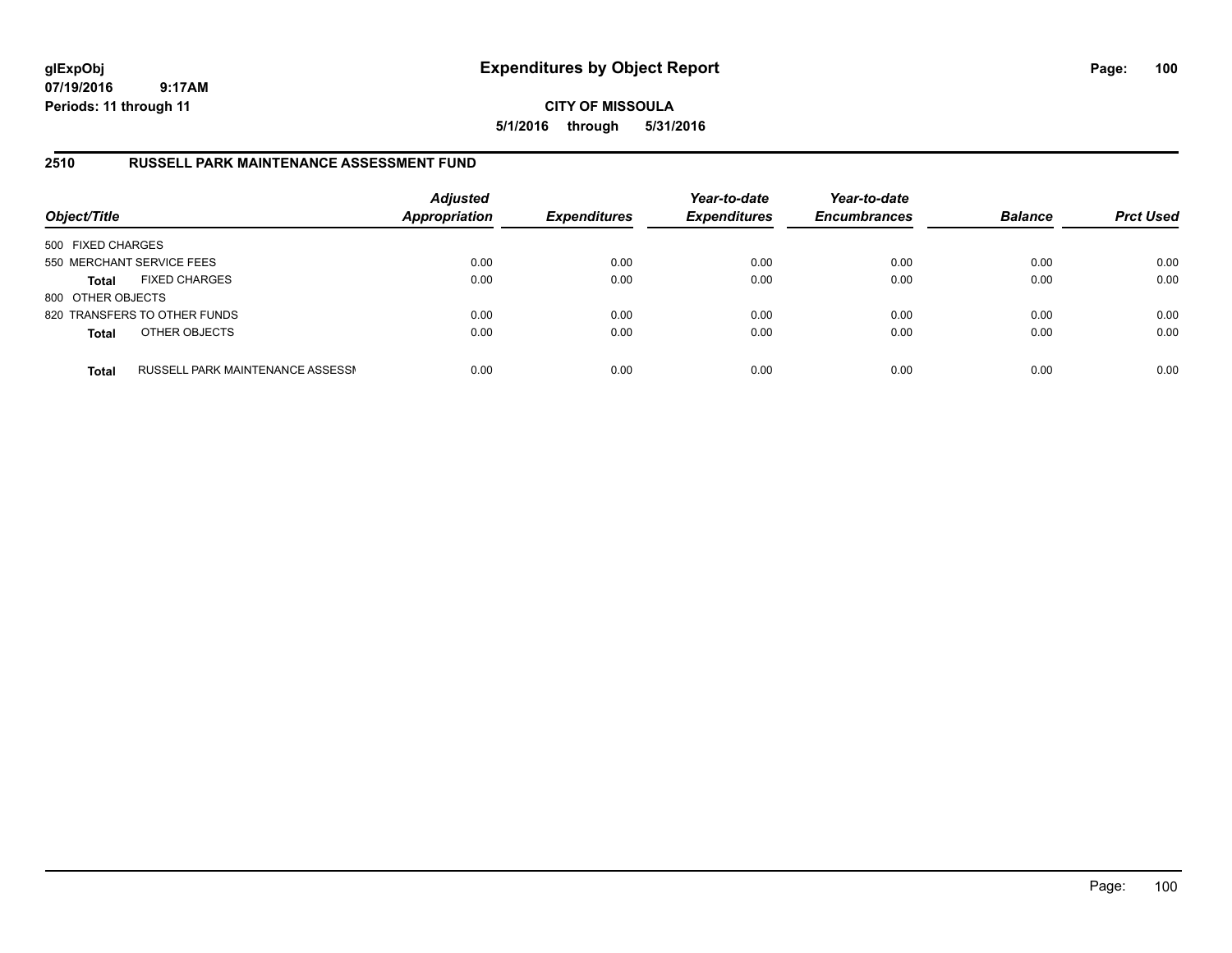**CITY OF MISSOULA 5/1/2016 through 5/31/2016**

## **2510 RUSSELL PARK MAINTENANCE ASSESSMENT FUND**

| Object/Title              |                                  | <b>Adjusted</b><br>Appropriation | <b>Expenditures</b> | Year-to-date<br><b>Expenditures</b> | Year-to-date<br><b>Encumbrances</b> | <b>Balance</b> | <b>Prct Used</b> |
|---------------------------|----------------------------------|----------------------------------|---------------------|-------------------------------------|-------------------------------------|----------------|------------------|
| 500 FIXED CHARGES         |                                  |                                  |                     |                                     |                                     |                |                  |
| 550 MERCHANT SERVICE FEES |                                  | 0.00                             | 0.00                | 0.00                                | 0.00                                | 0.00           | 0.00             |
| <b>Total</b>              | <b>FIXED CHARGES</b>             | 0.00                             | 0.00                | 0.00                                | 0.00                                | 0.00           | 0.00             |
| 800 OTHER OBJECTS         |                                  |                                  |                     |                                     |                                     |                |                  |
|                           | 820 TRANSFERS TO OTHER FUNDS     | 0.00                             | 0.00                | 0.00                                | 0.00                                | 0.00           | 0.00             |
| <b>Total</b>              | OTHER OBJECTS                    | 0.00                             | 0.00                | 0.00                                | 0.00                                | 0.00           | 0.00             |
| <b>Total</b>              | RUSSELL PARK MAINTENANCE ASSESSN | 0.00                             | 0.00                | 0.00                                | 0.00                                | 0.00           | 0.00             |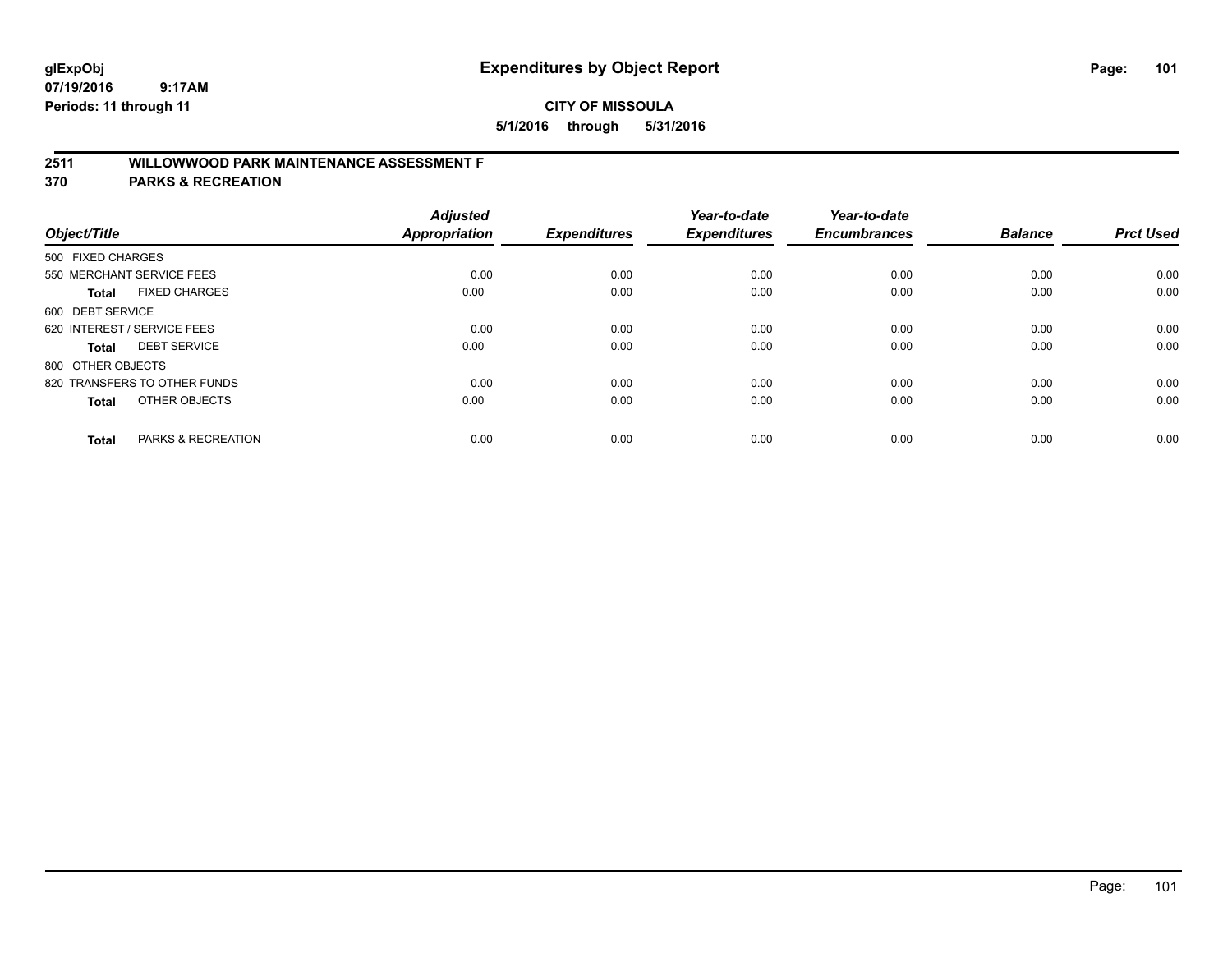# **2511 WILLOWWOOD PARK MAINTENANCE ASSESSMENT F**

**370 PARKS & RECREATION**

| Object/Title                |                               | <b>Adjusted</b><br><b>Appropriation</b> | <b>Expenditures</b> | Year-to-date<br><b>Expenditures</b> | Year-to-date<br><b>Encumbrances</b> | <b>Balance</b> | <b>Prct Used</b> |
|-----------------------------|-------------------------------|-----------------------------------------|---------------------|-------------------------------------|-------------------------------------|----------------|------------------|
| 500 FIXED CHARGES           |                               |                                         |                     |                                     |                                     |                |                  |
|                             | 550 MERCHANT SERVICE FEES     | 0.00                                    | 0.00                | 0.00                                | 0.00                                | 0.00           | 0.00             |
| <b>Total</b>                | <b>FIXED CHARGES</b>          | 0.00                                    | 0.00                | 0.00                                | 0.00                                | 0.00           | 0.00             |
| 600 DEBT SERVICE            |                               |                                         |                     |                                     |                                     |                |                  |
| 620 INTEREST / SERVICE FEES |                               | 0.00                                    | 0.00                | 0.00                                | 0.00                                | 0.00           | 0.00             |
| Total                       | <b>DEBT SERVICE</b>           | 0.00                                    | 0.00                | 0.00                                | 0.00                                | 0.00           | 0.00             |
| 800 OTHER OBJECTS           |                               |                                         |                     |                                     |                                     |                |                  |
|                             | 820 TRANSFERS TO OTHER FUNDS  | 0.00                                    | 0.00                | 0.00                                | 0.00                                | 0.00           | 0.00             |
| Total                       | OTHER OBJECTS                 | 0.00                                    | 0.00                | 0.00                                | 0.00                                | 0.00           | 0.00             |
|                             |                               |                                         |                     |                                     |                                     |                |                  |
| <b>Total</b>                | <b>PARKS &amp; RECREATION</b> | 0.00                                    | 0.00                | 0.00                                | 0.00                                | 0.00           | 0.00             |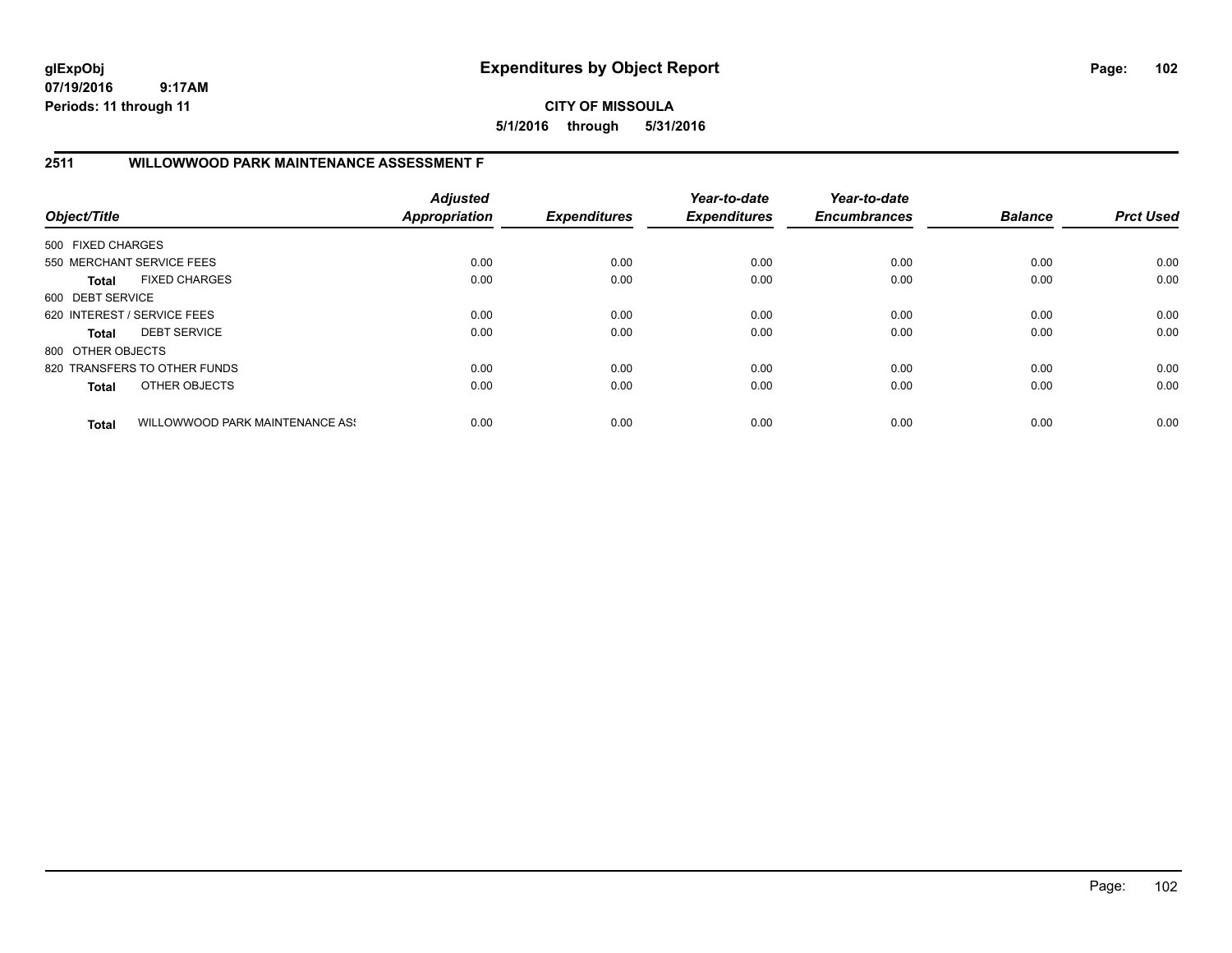**CITY OF MISSOULA 5/1/2016 through 5/31/2016**

## **2511 WILLOWWOOD PARK MAINTENANCE ASSESSMENT F**

| Object/Title      |                                 | <b>Adjusted</b><br>Appropriation | <b>Expenditures</b> | Year-to-date<br><b>Expenditures</b> | Year-to-date<br><b>Encumbrances</b> | <b>Balance</b> | <b>Prct Used</b> |
|-------------------|---------------------------------|----------------------------------|---------------------|-------------------------------------|-------------------------------------|----------------|------------------|
| 500 FIXED CHARGES |                                 |                                  |                     |                                     |                                     |                |                  |
|                   | 550 MERCHANT SERVICE FEES       | 0.00                             | 0.00                | 0.00                                | 0.00                                | 0.00           | 0.00             |
| Total             | <b>FIXED CHARGES</b>            | 0.00                             | 0.00                | 0.00                                | 0.00                                | 0.00           | 0.00             |
| 600 DEBT SERVICE  |                                 |                                  |                     |                                     |                                     |                |                  |
|                   | 620 INTEREST / SERVICE FEES     | 0.00                             | 0.00                | 0.00                                | 0.00                                | 0.00           | 0.00             |
| Total             | <b>DEBT SERVICE</b>             | 0.00                             | 0.00                | 0.00                                | 0.00                                | 0.00           | 0.00             |
| 800 OTHER OBJECTS |                                 |                                  |                     |                                     |                                     |                |                  |
|                   | 820 TRANSFERS TO OTHER FUNDS    | 0.00                             | 0.00                | 0.00                                | 0.00                                | 0.00           | 0.00             |
| <b>Total</b>      | OTHER OBJECTS                   | 0.00                             | 0.00                | 0.00                                | 0.00                                | 0.00           | 0.00             |
| <b>Total</b>      | WILLOWWOOD PARK MAINTENANCE ASS | 0.00                             | 0.00                | 0.00                                | 0.00                                | 0.00           | 0.00             |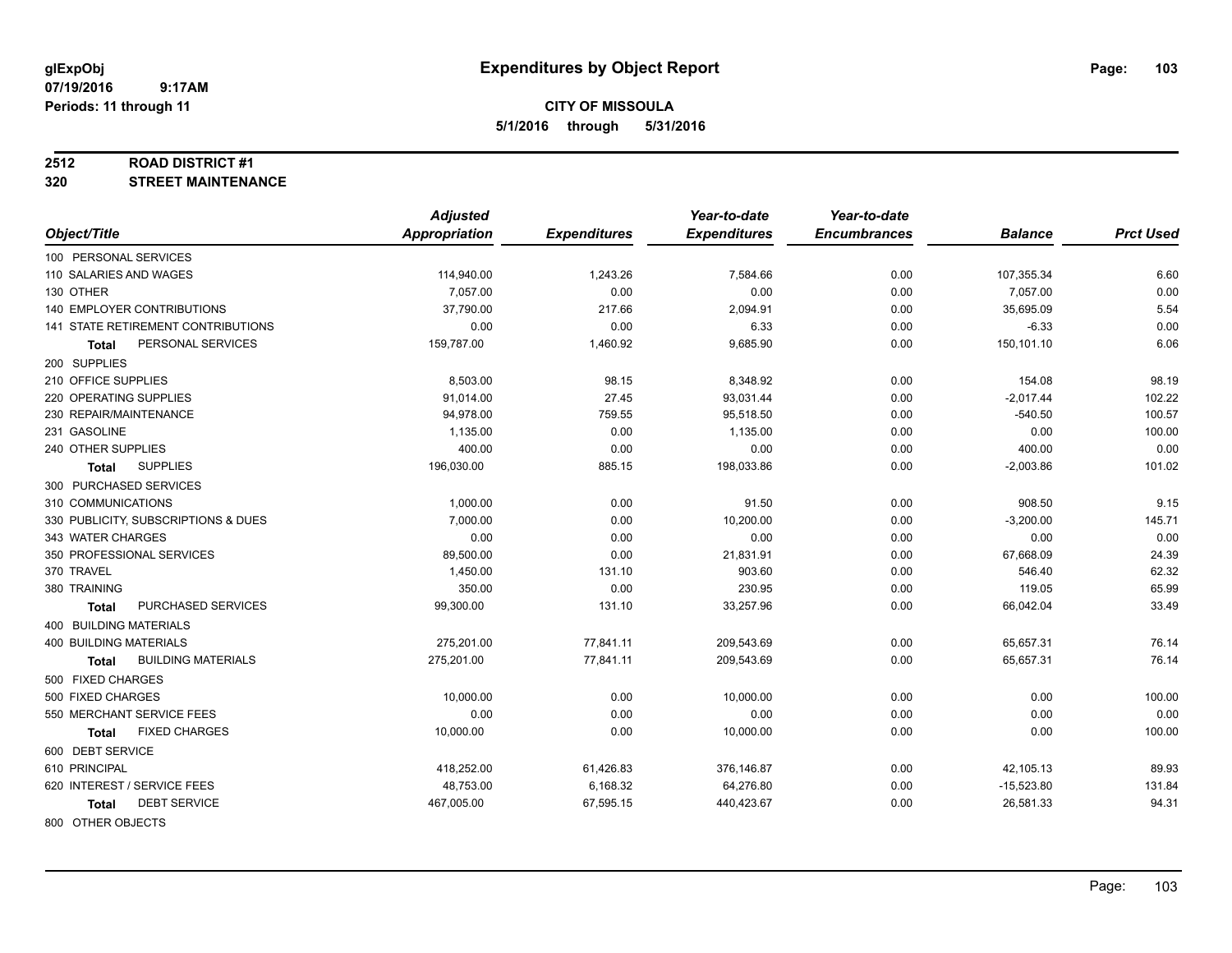## **CITY OF MISSOULA 5/1/2016 through 5/31/2016**

#### **2512 ROAD DISTRICT #1**

**320 STREET MAINTENANCE**

|                                           | <b>Adjusted</b>      |                     | Year-to-date        | Year-to-date        |                |                  |
|-------------------------------------------|----------------------|---------------------|---------------------|---------------------|----------------|------------------|
| Object/Title                              | <b>Appropriation</b> | <b>Expenditures</b> | <b>Expenditures</b> | <b>Encumbrances</b> | <b>Balance</b> | <b>Prct Used</b> |
| 100 PERSONAL SERVICES                     |                      |                     |                     |                     |                |                  |
| 110 SALARIES AND WAGES                    | 114,940.00           | 1,243.26            | 7,584.66            | 0.00                | 107,355.34     | 6.60             |
| 130 OTHER                                 | 7.057.00             | 0.00                | 0.00                | 0.00                | 7,057.00       | 0.00             |
| <b>140 EMPLOYER CONTRIBUTIONS</b>         | 37,790.00            | 217.66              | 2,094.91            | 0.00                | 35,695.09      | 5.54             |
| 141 STATE RETIREMENT CONTRIBUTIONS        | 0.00                 | 0.00                | 6.33                | 0.00                | $-6.33$        | 0.00             |
| PERSONAL SERVICES<br>Total                | 159,787.00           | 1,460.92            | 9,685.90            | 0.00                | 150,101.10     | 6.06             |
| 200 SUPPLIES                              |                      |                     |                     |                     |                |                  |
| 210 OFFICE SUPPLIES                       | 8,503.00             | 98.15               | 8,348.92            | 0.00                | 154.08         | 98.19            |
| 220 OPERATING SUPPLIES                    | 91,014.00            | 27.45               | 93,031.44           | 0.00                | $-2,017.44$    | 102.22           |
| 230 REPAIR/MAINTENANCE                    | 94,978.00            | 759.55              | 95,518.50           | 0.00                | $-540.50$      | 100.57           |
| 231 GASOLINE                              | 1,135.00             | 0.00                | 1,135.00            | 0.00                | 0.00           | 100.00           |
| 240 OTHER SUPPLIES                        | 400.00               | 0.00                | 0.00                | 0.00                | 400.00         | 0.00             |
| <b>SUPPLIES</b><br>Total                  | 196,030.00           | 885.15              | 198,033.86          | 0.00                | $-2,003.86$    | 101.02           |
| 300 PURCHASED SERVICES                    |                      |                     |                     |                     |                |                  |
| 310 COMMUNICATIONS                        | 1,000.00             | 0.00                | 91.50               | 0.00                | 908.50         | 9.15             |
| 330 PUBLICITY, SUBSCRIPTIONS & DUES       | 7.000.00             | 0.00                | 10,200.00           | 0.00                | $-3,200.00$    | 145.71           |
| 343 WATER CHARGES                         | 0.00                 | 0.00                | 0.00                | 0.00                | 0.00           | 0.00             |
| 350 PROFESSIONAL SERVICES                 | 89,500.00            | 0.00                | 21,831.91           | 0.00                | 67,668.09      | 24.39            |
| 370 TRAVEL                                | 1,450.00             | 131.10              | 903.60              | 0.00                | 546.40         | 62.32            |
| 380 TRAINING                              | 350.00               | 0.00                | 230.95              | 0.00                | 119.05         | 65.99            |
| PURCHASED SERVICES<br><b>Total</b>        | 99,300.00            | 131.10              | 33,257.96           | 0.00                | 66,042.04      | 33.49            |
| <b>400 BUILDING MATERIALS</b>             |                      |                     |                     |                     |                |                  |
| <b>400 BUILDING MATERIALS</b>             | 275,201.00           | 77,841.11           | 209,543.69          | 0.00                | 65,657.31      | 76.14            |
| <b>BUILDING MATERIALS</b><br><b>Total</b> | 275,201.00           | 77,841.11           | 209,543.69          | 0.00                | 65,657.31      | 76.14            |
| 500 FIXED CHARGES                         |                      |                     |                     |                     |                |                  |
| 500 FIXED CHARGES                         | 10,000.00            | 0.00                | 10,000.00           | 0.00                | 0.00           | 100.00           |
| 550 MERCHANT SERVICE FEES                 | 0.00                 | 0.00                | 0.00                | 0.00                | 0.00           | 0.00             |
| <b>FIXED CHARGES</b><br>Total             | 10,000.00            | 0.00                | 10,000.00           | 0.00                | 0.00           | 100.00           |
| 600 DEBT SERVICE                          |                      |                     |                     |                     |                |                  |
| 610 PRINCIPAL                             | 418,252.00           | 61,426.83           | 376,146.87          | 0.00                | 42,105.13      | 89.93            |
| 620 INTEREST / SERVICE FEES               | 48,753.00            | 6,168.32            | 64,276.80           | 0.00                | $-15,523.80$   | 131.84           |
| <b>DEBT SERVICE</b><br>Total              | 467,005.00           | 67,595.15           | 440,423.67          | 0.00                | 26,581.33      | 94.31            |
| 800 OTHER OBJECTS                         |                      |                     |                     |                     |                |                  |

Page: 103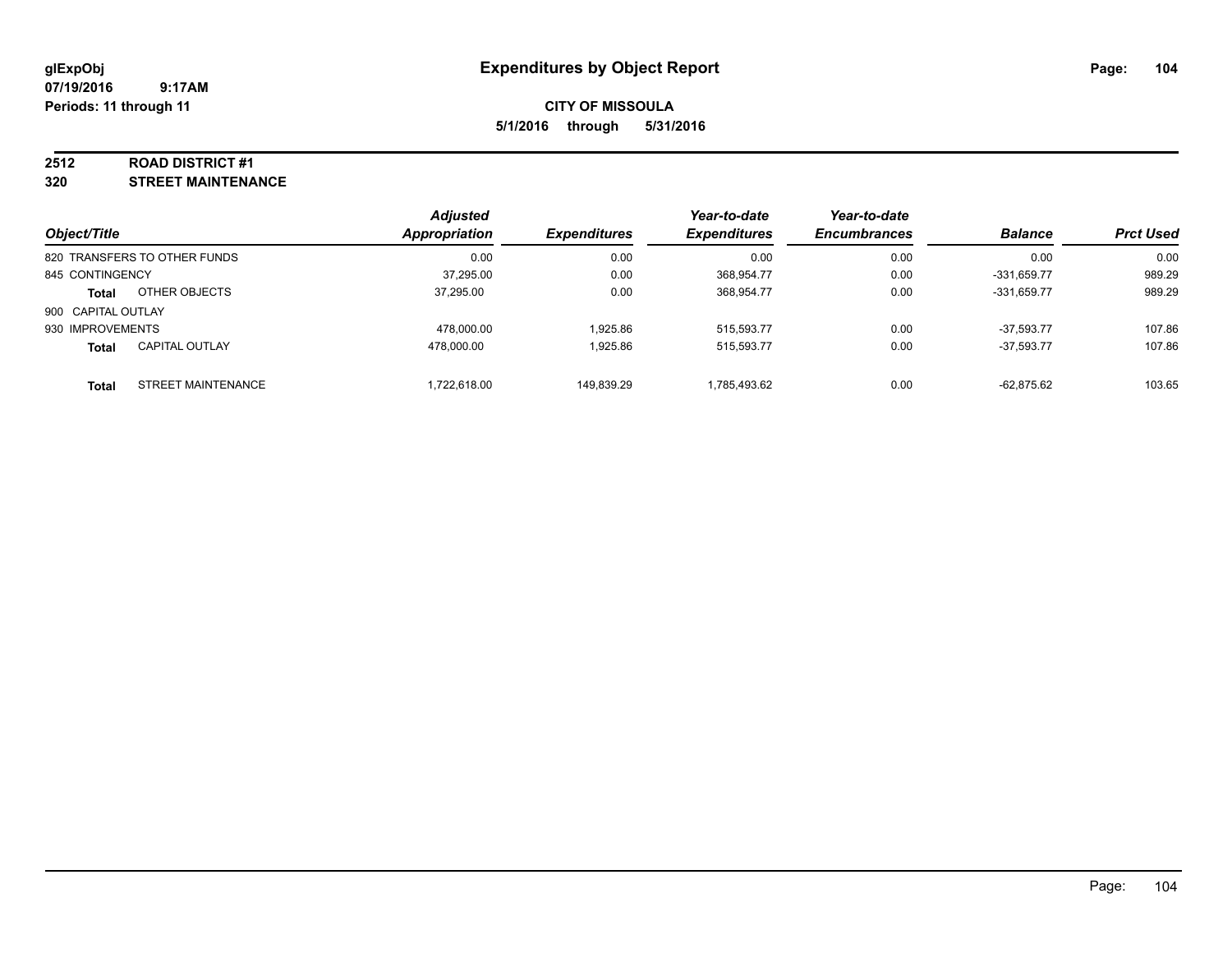#### **2512 ROAD DISTRICT #1**

**320 STREET MAINTENANCE**

| Object/Title       |                              | <b>Adjusted</b><br>Appropriation | <b>Expenditures</b> | Year-to-date<br><b>Expenditures</b> | Year-to-date<br><b>Encumbrances</b> | <b>Balance</b> | <b>Prct Used</b> |
|--------------------|------------------------------|----------------------------------|---------------------|-------------------------------------|-------------------------------------|----------------|------------------|
|                    | 820 TRANSFERS TO OTHER FUNDS | 0.00                             | 0.00                | 0.00                                | 0.00                                | 0.00           | 0.00             |
| 845 CONTINGENCY    |                              | 37,295.00                        | 0.00                | 368.954.77                          | 0.00                                | -331.659.77    | 989.29           |
| <b>Total</b>       | OTHER OBJECTS                | 37.295.00                        | 0.00                | 368.954.77                          | 0.00                                | -331.659.77    | 989.29           |
| 900 CAPITAL OUTLAY |                              |                                  |                     |                                     |                                     |                |                  |
| 930 IMPROVEMENTS   |                              | 478.000.00                       | 1.925.86            | 515,593.77                          | 0.00                                | $-37.593.77$   | 107.86           |
| Total              | <b>CAPITAL OUTLAY</b>        | 478.000.00                       | 1.925.86            | 515,593.77                          | 0.00                                | $-37,593.77$   | 107.86           |
| <b>Total</b>       | STREET MAINTENANCE           | 1,722,618.00                     | 149,839.29          | 1,785,493.62                        | 0.00                                | $-62,875.62$   | 103.65           |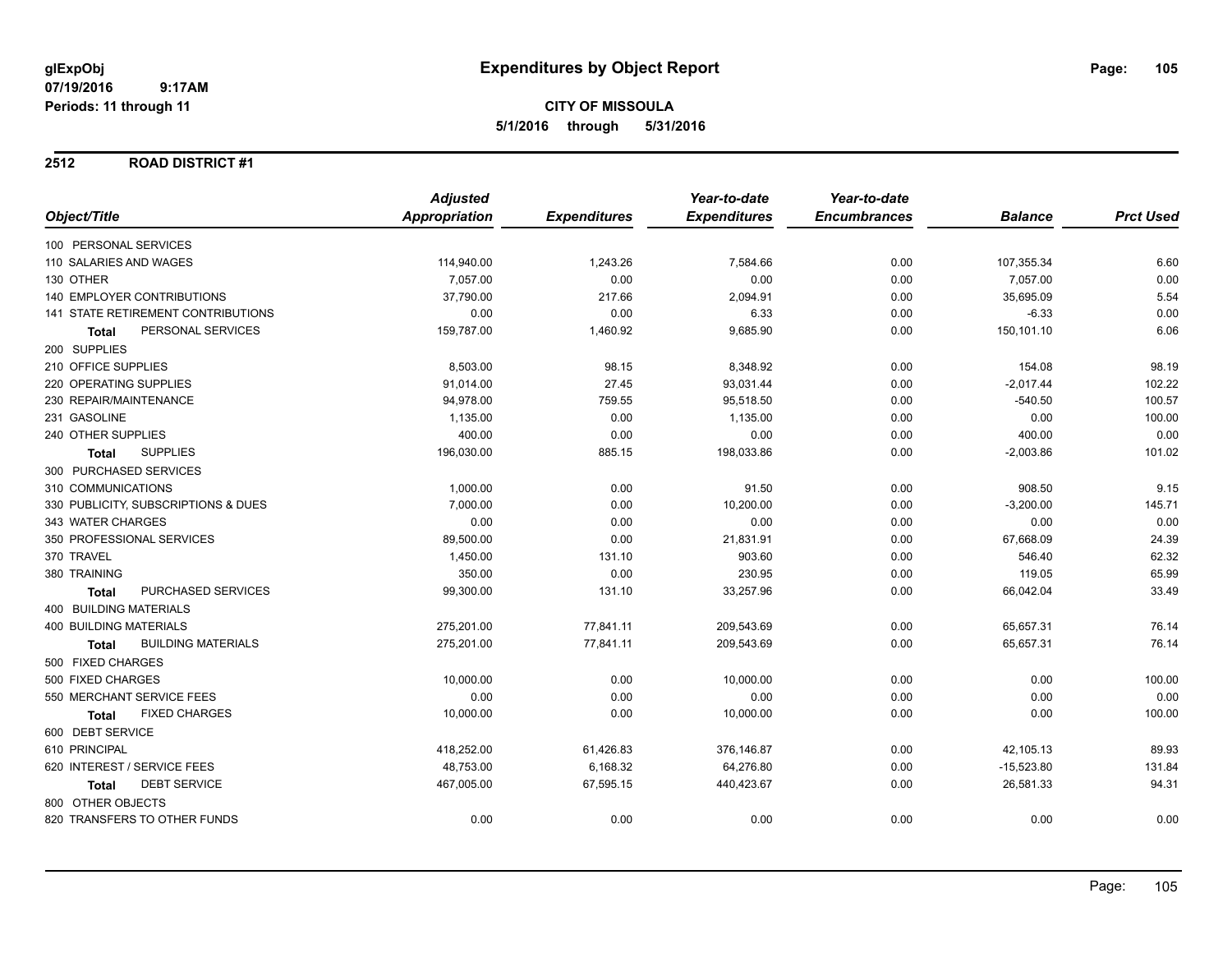#### **2512 ROAD DISTRICT #1**

|                                           | <b>Adjusted</b> |                     | Year-to-date        | Year-to-date        |                |                  |
|-------------------------------------------|-----------------|---------------------|---------------------|---------------------|----------------|------------------|
| Object/Title                              | Appropriation   | <b>Expenditures</b> | <b>Expenditures</b> | <b>Encumbrances</b> | <b>Balance</b> | <b>Prct Used</b> |
| 100 PERSONAL SERVICES                     |                 |                     |                     |                     |                |                  |
| 110 SALARIES AND WAGES                    | 114,940.00      | 1,243.26            | 7,584.66            | 0.00                | 107,355.34     | 6.60             |
| 130 OTHER                                 | 7,057.00        | 0.00                | 0.00                | 0.00                | 7,057.00       | 0.00             |
| <b>140 EMPLOYER CONTRIBUTIONS</b>         | 37,790.00       | 217.66              | 2,094.91            | 0.00                | 35,695.09      | 5.54             |
| 141 STATE RETIREMENT CONTRIBUTIONS        | 0.00            | 0.00                | 6.33                | 0.00                | $-6.33$        | 0.00             |
| PERSONAL SERVICES<br><b>Total</b>         | 159,787.00      | 1,460.92            | 9,685.90            | 0.00                | 150,101.10     | 6.06             |
| 200 SUPPLIES                              |                 |                     |                     |                     |                |                  |
| 210 OFFICE SUPPLIES                       | 8,503.00        | 98.15               | 8,348.92            | 0.00                | 154.08         | 98.19            |
| 220 OPERATING SUPPLIES                    | 91,014.00       | 27.45               | 93,031.44           | 0.00                | $-2,017.44$    | 102.22           |
| 230 REPAIR/MAINTENANCE                    | 94,978.00       | 759.55              | 95,518.50           | 0.00                | $-540.50$      | 100.57           |
| 231 GASOLINE                              | 1,135.00        | 0.00                | 1,135.00            | 0.00                | 0.00           | 100.00           |
| 240 OTHER SUPPLIES                        | 400.00          | 0.00                | 0.00                | 0.00                | 400.00         | 0.00             |
| <b>SUPPLIES</b><br><b>Total</b>           | 196,030.00      | 885.15              | 198,033.86          | 0.00                | $-2,003.86$    | 101.02           |
| 300 PURCHASED SERVICES                    |                 |                     |                     |                     |                |                  |
| 310 COMMUNICATIONS                        | 1,000.00        | 0.00                | 91.50               | 0.00                | 908.50         | 9.15             |
| 330 PUBLICITY, SUBSCRIPTIONS & DUES       | 7,000.00        | 0.00                | 10,200.00           | 0.00                | $-3,200.00$    | 145.71           |
| 343 WATER CHARGES                         | 0.00            | 0.00                | 0.00                | 0.00                | 0.00           | 0.00             |
| 350 PROFESSIONAL SERVICES                 | 89,500.00       | 0.00                | 21,831.91           | 0.00                | 67,668.09      | 24.39            |
| 370 TRAVEL                                | 1,450.00        | 131.10              | 903.60              | 0.00                | 546.40         | 62.32            |
| 380 TRAINING                              | 350.00          | 0.00                | 230.95              | 0.00                | 119.05         | 65.99            |
| PURCHASED SERVICES<br><b>Total</b>        | 99,300.00       | 131.10              | 33,257.96           | 0.00                | 66,042.04      | 33.49            |
| 400 BUILDING MATERIALS                    |                 |                     |                     |                     |                |                  |
| <b>400 BUILDING MATERIALS</b>             | 275,201.00      | 77,841.11           | 209,543.69          | 0.00                | 65,657.31      | 76.14            |
| <b>BUILDING MATERIALS</b><br><b>Total</b> | 275,201.00      | 77,841.11           | 209,543.69          | 0.00                | 65,657.31      | 76.14            |
| 500 FIXED CHARGES                         |                 |                     |                     |                     |                |                  |
| 500 FIXED CHARGES                         | 10,000.00       | 0.00                | 10,000.00           | 0.00                | 0.00           | 100.00           |
| 550 MERCHANT SERVICE FEES                 | 0.00            | 0.00                | 0.00                | 0.00                | 0.00           | 0.00             |
| <b>FIXED CHARGES</b><br><b>Total</b>      | 10,000.00       | 0.00                | 10,000.00           | 0.00                | 0.00           | 100.00           |
| 600 DEBT SERVICE                          |                 |                     |                     |                     |                |                  |
| 610 PRINCIPAL                             | 418,252.00      | 61,426.83           | 376,146.87          | 0.00                | 42,105.13      | 89.93            |
| 620 INTEREST / SERVICE FEES               | 48,753.00       | 6,168.32            | 64,276.80           | 0.00                | $-15,523.80$   | 131.84           |
| <b>DEBT SERVICE</b><br><b>Total</b>       | 467,005.00      | 67,595.15           | 440,423.67          | 0.00                | 26,581.33      | 94.31            |
| 800 OTHER OBJECTS                         |                 |                     |                     |                     |                |                  |
| 820 TRANSFERS TO OTHER FUNDS              | 0.00            | 0.00                | 0.00                | 0.00                | 0.00           | 0.00             |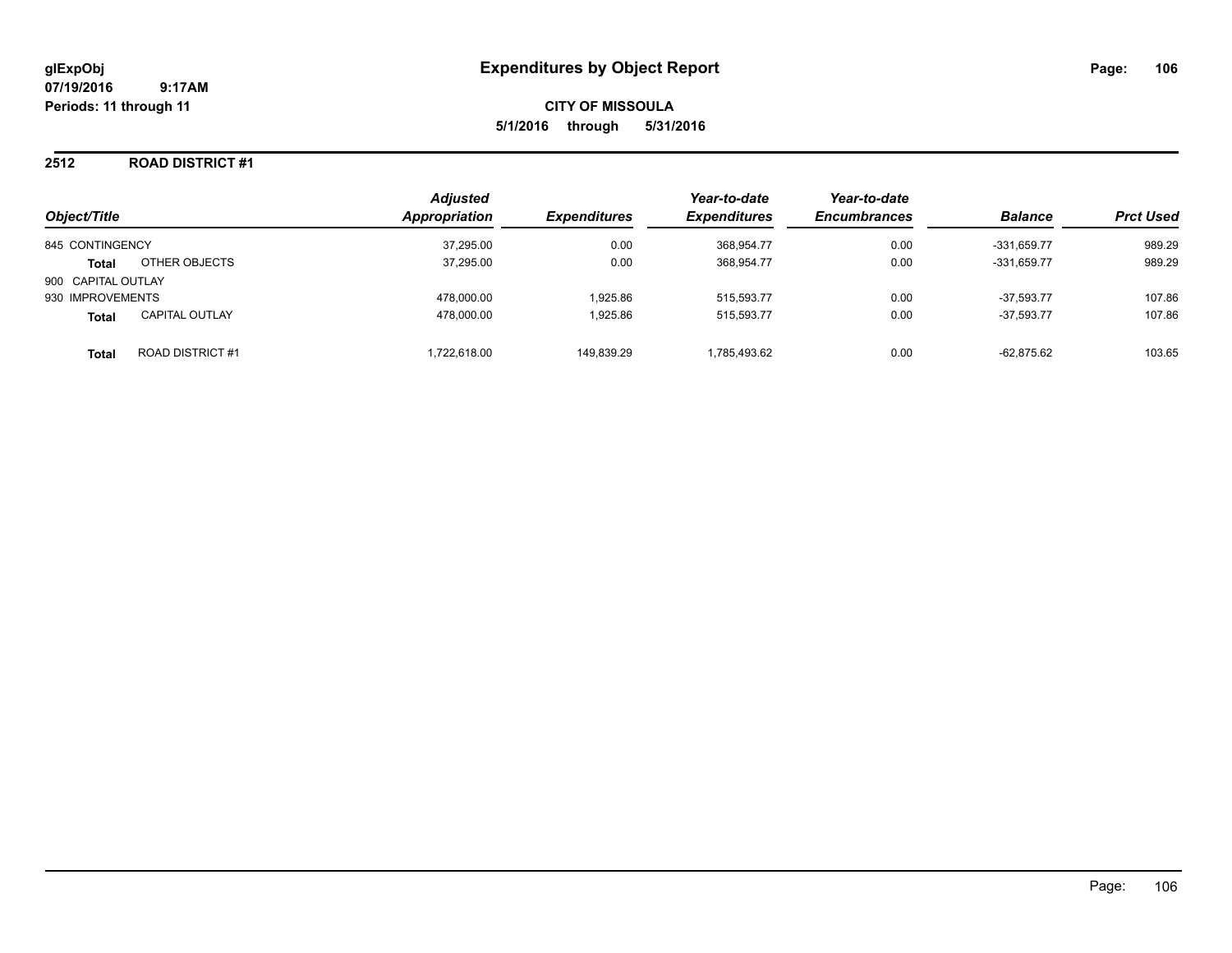#### **2512 ROAD DISTRICT #1**

|                    |                         | <b>Adjusted</b><br>Appropriation |                     | Year-to-date        | Year-to-date<br><b>Encumbrances</b> | <b>Balance</b> | <b>Prct Used</b> |
|--------------------|-------------------------|----------------------------------|---------------------|---------------------|-------------------------------------|----------------|------------------|
| Object/Title       |                         |                                  | <b>Expenditures</b> | <b>Expenditures</b> |                                     |                |                  |
| 845 CONTINGENCY    |                         | 37,295.00                        | 0.00                | 368.954.77          | 0.00                                | -331.659.77    | 989.29           |
| <b>Total</b>       | OTHER OBJECTS           | 37,295.00                        | 0.00                | 368,954.77          | 0.00                                | $-331,659.77$  | 989.29           |
| 900 CAPITAL OUTLAY |                         |                                  |                     |                     |                                     |                |                  |
| 930 IMPROVEMENTS   |                         | 478,000.00                       | 1.925.86            | 515,593.77          | 0.00                                | $-37.593.77$   | 107.86           |
| <b>Total</b>       | <b>CAPITAL OUTLAY</b>   | 478.000.00                       | 1.925.86            | 515.593.77          | 0.00                                | $-37.593.77$   | 107.86           |
| <b>Total</b>       | <b>ROAD DISTRICT #1</b> | 1.722.618.00                     | 149.839.29          | 1.785.493.62        | 0.00                                | $-62.875.62$   | 103.65           |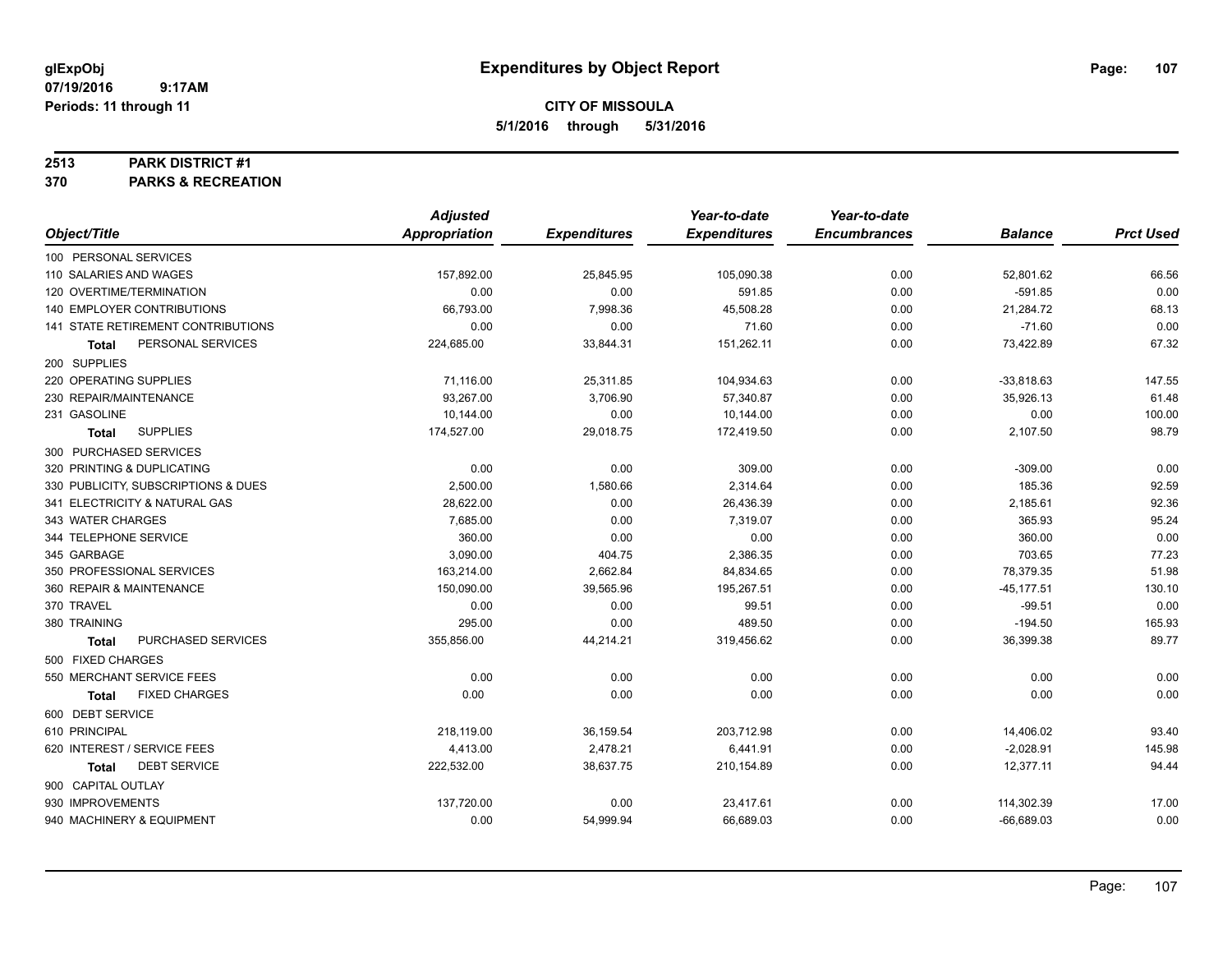## **CITY OF MISSOULA 5/1/2016 through 5/31/2016**

#### **2513 PARK DISTRICT #1**

**370 PARKS & RECREATION**

|                                     | <b>Adjusted</b> |                     | Year-to-date        | Year-to-date        |                |                  |
|-------------------------------------|-----------------|---------------------|---------------------|---------------------|----------------|------------------|
| Object/Title                        | Appropriation   | <b>Expenditures</b> | <b>Expenditures</b> | <b>Encumbrances</b> | <b>Balance</b> | <b>Prct Used</b> |
| 100 PERSONAL SERVICES               |                 |                     |                     |                     |                |                  |
| 110 SALARIES AND WAGES              | 157,892.00      | 25,845.95           | 105,090.38          | 0.00                | 52,801.62      | 66.56            |
| 120 OVERTIME/TERMINATION            | 0.00            | 0.00                | 591.85              | 0.00                | $-591.85$      | 0.00             |
| 140 EMPLOYER CONTRIBUTIONS          | 66,793.00       | 7,998.36            | 45,508.28           | 0.00                | 21,284.72      | 68.13            |
| 141 STATE RETIREMENT CONTRIBUTIONS  | 0.00            | 0.00                | 71.60               | 0.00                | $-71.60$       | 0.00             |
| PERSONAL SERVICES<br>Total          | 224,685.00      | 33,844.31           | 151,262.11          | 0.00                | 73,422.89      | 67.32            |
| 200 SUPPLIES                        |                 |                     |                     |                     |                |                  |
| 220 OPERATING SUPPLIES              | 71,116.00       | 25,311.85           | 104,934.63          | 0.00                | $-33,818.63$   | 147.55           |
| 230 REPAIR/MAINTENANCE              | 93,267.00       | 3,706.90            | 57,340.87           | 0.00                | 35,926.13      | 61.48            |
| 231 GASOLINE                        | 10,144.00       | 0.00                | 10,144.00           | 0.00                | 0.00           | 100.00           |
| <b>SUPPLIES</b><br>Total            | 174,527.00      | 29,018.75           | 172,419.50          | 0.00                | 2,107.50       | 98.79            |
| 300 PURCHASED SERVICES              |                 |                     |                     |                     |                |                  |
| 320 PRINTING & DUPLICATING          | 0.00            | 0.00                | 309.00              | 0.00                | $-309.00$      | 0.00             |
| 330 PUBLICITY, SUBSCRIPTIONS & DUES | 2,500.00        | 1,580.66            | 2.314.64            | 0.00                | 185.36         | 92.59            |
| 341 ELECTRICITY & NATURAL GAS       | 28,622.00       | 0.00                | 26,436.39           | 0.00                | 2,185.61       | 92.36            |
| 343 WATER CHARGES                   | 7,685.00        | 0.00                | 7,319.07            | 0.00                | 365.93         | 95.24            |
| 344 TELEPHONE SERVICE               | 360.00          | 0.00                | 0.00                | 0.00                | 360.00         | 0.00             |
| 345 GARBAGE                         | 3,090.00        | 404.75              | 2,386.35            | 0.00                | 703.65         | 77.23            |
| 350 PROFESSIONAL SERVICES           | 163,214.00      | 2,662.84            | 84,834.65           | 0.00                | 78,379.35      | 51.98            |
| 360 REPAIR & MAINTENANCE            | 150,090.00      | 39,565.96           | 195,267.51          | 0.00                | $-45, 177.51$  | 130.10           |
| 370 TRAVEL                          | 0.00            | 0.00                | 99.51               | 0.00                | $-99.51$       | 0.00             |
| 380 TRAINING                        | 295.00          | 0.00                | 489.50              | 0.00                | $-194.50$      | 165.93           |
| PURCHASED SERVICES<br>Total         | 355,856.00      | 44,214.21           | 319,456.62          | 0.00                | 36,399.38      | 89.77            |
| 500 FIXED CHARGES                   |                 |                     |                     |                     |                |                  |
| 550 MERCHANT SERVICE FEES           | 0.00            | 0.00                | 0.00                | 0.00                | 0.00           | 0.00             |
| <b>FIXED CHARGES</b><br>Total       | 0.00            | 0.00                | 0.00                | 0.00                | 0.00           | 0.00             |
| 600 DEBT SERVICE                    |                 |                     |                     |                     |                |                  |
| 610 PRINCIPAL                       | 218,119.00      | 36,159.54           | 203,712.98          | 0.00                | 14,406.02      | 93.40            |
| 620 INTEREST / SERVICE FEES         | 4,413.00        | 2,478.21            | 6,441.91            | 0.00                | $-2,028.91$    | 145.98           |
| <b>DEBT SERVICE</b><br>Total        | 222,532.00      | 38,637.75           | 210,154.89          | 0.00                | 12,377.11      | 94.44            |
| 900 CAPITAL OUTLAY                  |                 |                     |                     |                     |                |                  |
| 930 IMPROVEMENTS                    | 137,720.00      | 0.00                | 23,417.61           | 0.00                | 114,302.39     | 17.00            |
| 940 MACHINERY & EQUIPMENT           | 0.00            | 54,999.94           | 66,689.03           | 0.00                | $-66,689.03$   | 0.00             |
|                                     |                 |                     |                     |                     |                |                  |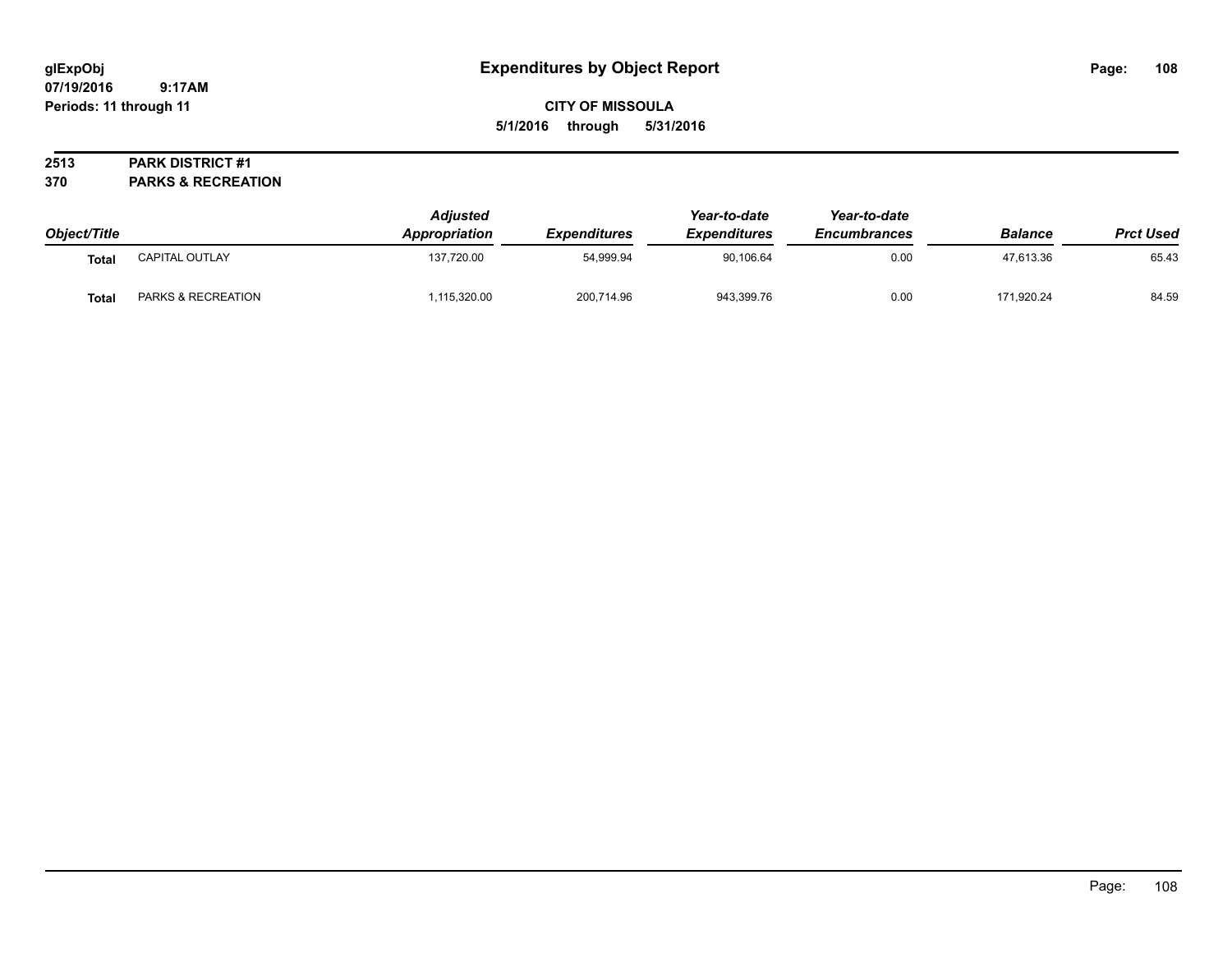# **CITY OF MISSOULA 5/1/2016 through 5/31/2016**

#### **2513 PARK DISTRICT #1**

**370 PARKS & RECREATION**

| Object/Title |                    | <b>Adjusted</b><br>Appropriation | Expenditures | Year-to-date<br><b>Expenditures</b> | Year-to-date<br><b>Encumbrances</b> | <b>Balance</b> | <b>Prct Used</b> |
|--------------|--------------------|----------------------------------|--------------|-------------------------------------|-------------------------------------|----------------|------------------|
| <b>Total</b> | CAPITAL OUTLAY     | 137,720.00                       | 54,999.94    | 90,106.64                           | 0.00                                | 47,613.36      | 65.43            |
| Tota.        | PARKS & RECREATION | ,115,320.00                      | 200,714.96   | 943,399.76                          | 0.00                                | 171.920.24     | 84.59            |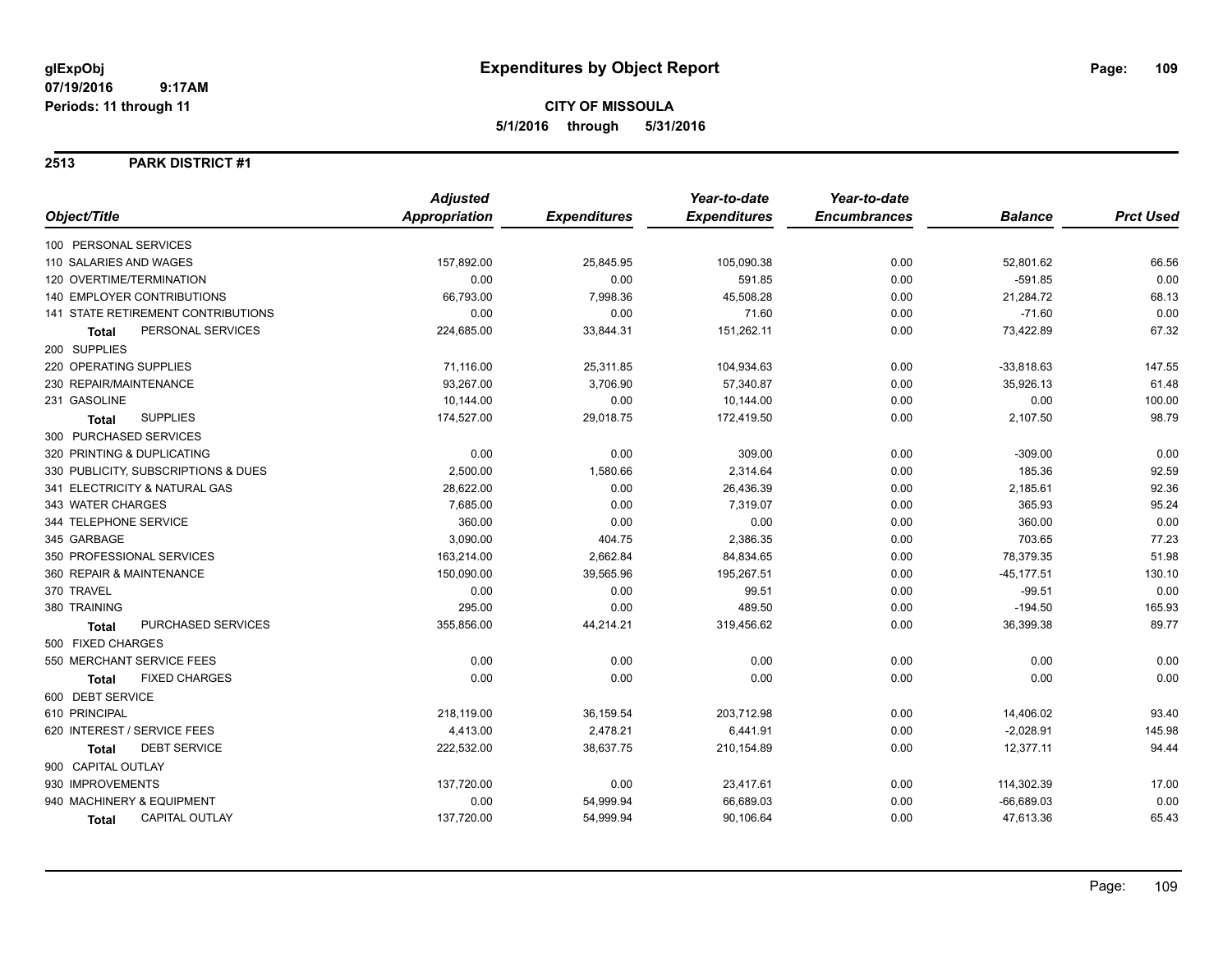## **CITY OF MISSOULA 5/1/2016 through 5/31/2016**

### **2513 PARK DISTRICT #1**

|                                           | <b>Adjusted</b>      |                     | Year-to-date        | Year-to-date        |                |                  |
|-------------------------------------------|----------------------|---------------------|---------------------|---------------------|----------------|------------------|
| Object/Title                              | <b>Appropriation</b> | <b>Expenditures</b> | <b>Expenditures</b> | <b>Encumbrances</b> | <b>Balance</b> | <b>Prct Used</b> |
| 100 PERSONAL SERVICES                     |                      |                     |                     |                     |                |                  |
| 110 SALARIES AND WAGES                    | 157,892.00           | 25,845.95           | 105,090.38          | 0.00                | 52,801.62      | 66.56            |
| 120 OVERTIME/TERMINATION                  | 0.00                 | 0.00                | 591.85              | 0.00                | $-591.85$      | 0.00             |
| 140 EMPLOYER CONTRIBUTIONS                | 66,793.00            | 7,998.36            | 45,508.28           | 0.00                | 21,284.72      | 68.13            |
| <b>141 STATE RETIREMENT CONTRIBUTIONS</b> | 0.00                 | 0.00                | 71.60               | 0.00                | $-71.60$       | 0.00             |
| PERSONAL SERVICES<br><b>Total</b>         | 224,685.00           | 33,844.31           | 151,262.11          | 0.00                | 73,422.89      | 67.32            |
| 200 SUPPLIES                              |                      |                     |                     |                     |                |                  |
| 220 OPERATING SUPPLIES                    | 71,116.00            | 25,311.85           | 104,934.63          | 0.00                | $-33,818.63$   | 147.55           |
| 230 REPAIR/MAINTENANCE                    | 93,267.00            | 3,706.90            | 57,340.87           | 0.00                | 35,926.13      | 61.48            |
| 231 GASOLINE                              | 10,144.00            | 0.00                | 10,144.00           | 0.00                | 0.00           | 100.00           |
| <b>SUPPLIES</b><br><b>Total</b>           | 174,527.00           | 29,018.75           | 172,419.50          | 0.00                | 2,107.50       | 98.79            |
| 300 PURCHASED SERVICES                    |                      |                     |                     |                     |                |                  |
| 320 PRINTING & DUPLICATING                | 0.00                 | 0.00                | 309.00              | 0.00                | $-309.00$      | 0.00             |
| 330 PUBLICITY, SUBSCRIPTIONS & DUES       | 2,500.00             | 1,580.66            | 2,314.64            | 0.00                | 185.36         | 92.59            |
| 341 ELECTRICITY & NATURAL GAS             | 28,622.00            | 0.00                | 26,436.39           | 0.00                | 2,185.61       | 92.36            |
| 343 WATER CHARGES                         | 7,685.00             | 0.00                | 7,319.07            | 0.00                | 365.93         | 95.24            |
| 344 TELEPHONE SERVICE                     | 360.00               | 0.00                | 0.00                | 0.00                | 360.00         | 0.00             |
| 345 GARBAGE                               | 3,090.00             | 404.75              | 2,386.35            | 0.00                | 703.65         | 77.23            |
| 350 PROFESSIONAL SERVICES                 | 163,214.00           | 2,662.84            | 84,834.65           | 0.00                | 78,379.35      | 51.98            |
| 360 REPAIR & MAINTENANCE                  | 150,090.00           | 39,565.96           | 195,267.51          | 0.00                | $-45, 177.51$  | 130.10           |
| 370 TRAVEL                                | 0.00                 | 0.00                | 99.51               | 0.00                | $-99.51$       | 0.00             |
| 380 TRAINING                              | 295.00               | 0.00                | 489.50              | 0.00                | $-194.50$      | 165.93           |
| PURCHASED SERVICES<br><b>Total</b>        | 355,856.00           | 44,214.21           | 319,456.62          | 0.00                | 36,399.38      | 89.77            |
| 500 FIXED CHARGES                         |                      |                     |                     |                     |                |                  |
| 550 MERCHANT SERVICE FEES                 | 0.00                 | 0.00                | 0.00                | 0.00                | 0.00           | 0.00             |
| <b>FIXED CHARGES</b><br><b>Total</b>      | 0.00                 | 0.00                | 0.00                | 0.00                | 0.00           | 0.00             |
| 600 DEBT SERVICE                          |                      |                     |                     |                     |                |                  |
| 610 PRINCIPAL                             | 218,119.00           | 36,159.54           | 203,712.98          | 0.00                | 14,406.02      | 93.40            |
| 620 INTEREST / SERVICE FEES               | 4,413.00             | 2,478.21            | 6,441.91            | 0.00                | $-2,028.91$    | 145.98           |
| <b>DEBT SERVICE</b><br>Total              | 222,532.00           | 38,637.75           | 210,154.89          | 0.00                | 12,377.11      | 94.44            |
| 900 CAPITAL OUTLAY                        |                      |                     |                     |                     |                |                  |
| 930 IMPROVEMENTS                          | 137,720.00           | 0.00                | 23,417.61           | 0.00                | 114,302.39     | 17.00            |
| 940 MACHINERY & EQUIPMENT                 | 0.00                 | 54,999.94           | 66,689.03           | 0.00                | $-66,689.03$   | 0.00             |
| <b>CAPITAL OUTLAY</b><br><b>Total</b>     | 137,720.00           | 54,999.94           | 90,106.64           | 0.00                | 47,613.36      | 65.43            |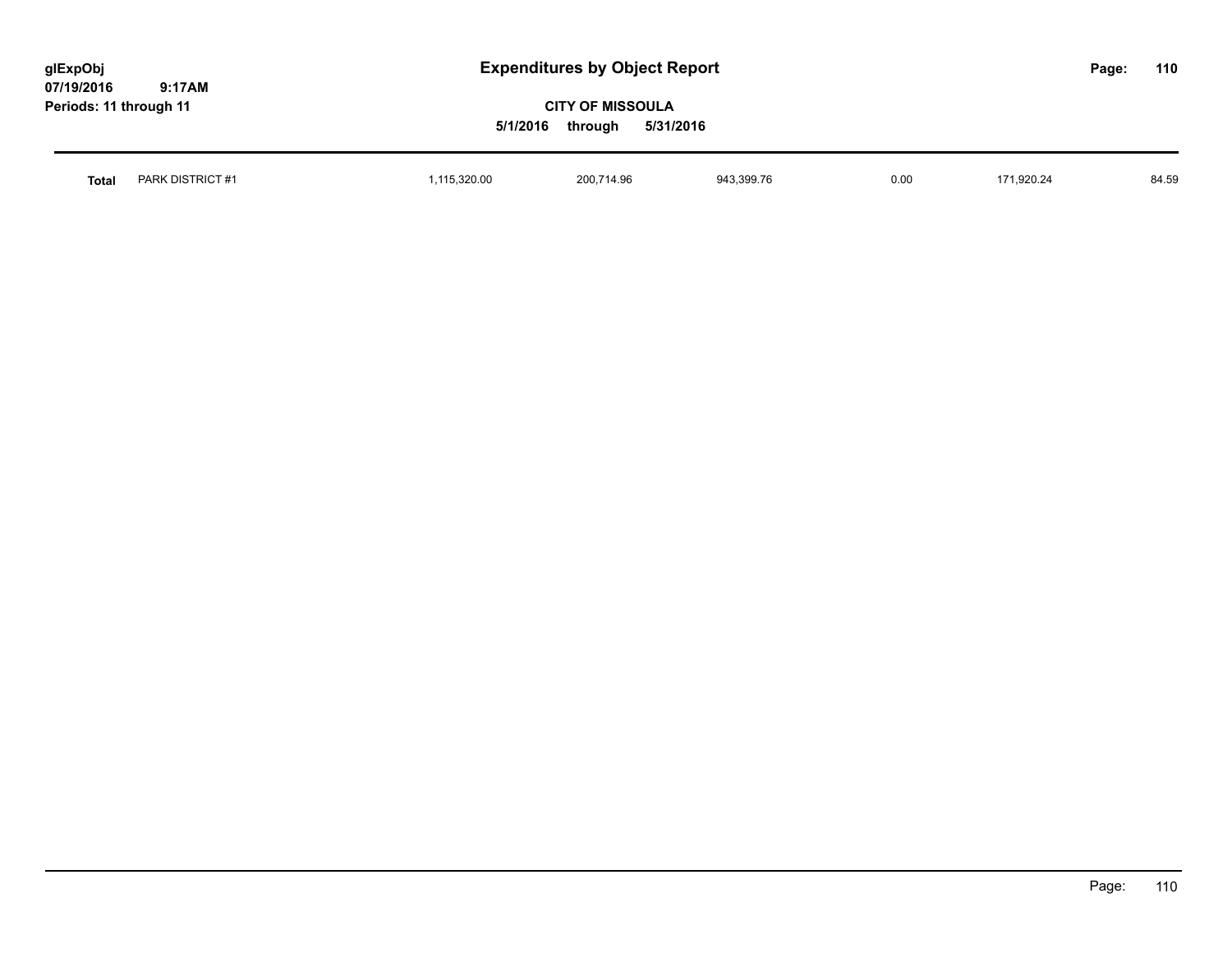| glExpObj<br>07/19/2016<br>9:17AM | <b>Expenditures by Object Report</b>                        |            |            |      |            | Page: | 110   |
|----------------------------------|-------------------------------------------------------------|------------|------------|------|------------|-------|-------|
| Periods: 11 through 11           | <b>CITY OF MISSOULA</b><br>5/31/2016<br>5/1/2016<br>through |            |            |      |            |       |       |
| PARK DISTRICT #1<br><b>Total</b> | 1,115,320.00                                                | 200.714.96 | 943,399.76 | 0.00 | 171.920.24 |       | 84.59 |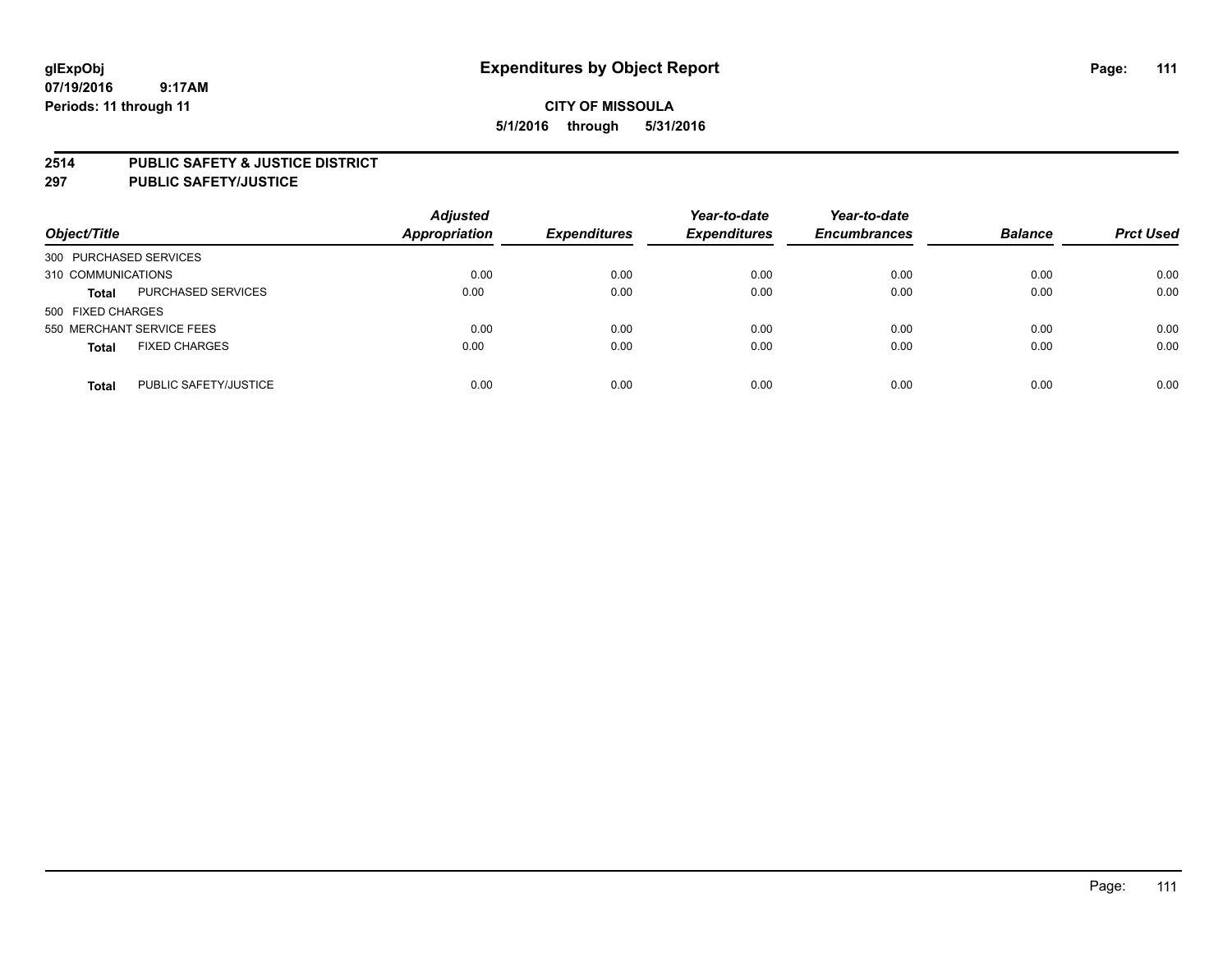### **2514 PUBLIC SAFETY & JUSTICE DISTRICT**

**297 PUBLIC SAFETY/JUSTICE**

| Object/Title                          | <b>Adjusted</b><br><b>Appropriation</b> | <b>Expenditures</b> | Year-to-date<br><b>Expenditures</b> | Year-to-date<br><b>Encumbrances</b> | <b>Balance</b> | <b>Prct Used</b> |
|---------------------------------------|-----------------------------------------|---------------------|-------------------------------------|-------------------------------------|----------------|------------------|
| 300 PURCHASED SERVICES                |                                         |                     |                                     |                                     |                |                  |
| 310 COMMUNICATIONS                    | 0.00                                    | 0.00                | 0.00                                | 0.00                                | 0.00           | 0.00             |
| PURCHASED SERVICES<br><b>Total</b>    | 0.00                                    | 0.00                | 0.00                                | 0.00                                | 0.00           | 0.00             |
| 500 FIXED CHARGES                     |                                         |                     |                                     |                                     |                |                  |
| 550 MERCHANT SERVICE FEES             | 0.00                                    | 0.00                | 0.00                                | 0.00                                | 0.00           | 0.00             |
| <b>FIXED CHARGES</b><br><b>Total</b>  | 0.00                                    | 0.00                | 0.00                                | 0.00                                | 0.00           | 0.00             |
| PUBLIC SAFETY/JUSTICE<br><b>Total</b> | 0.00                                    | 0.00                | 0.00                                | 0.00                                | 0.00           | 0.00             |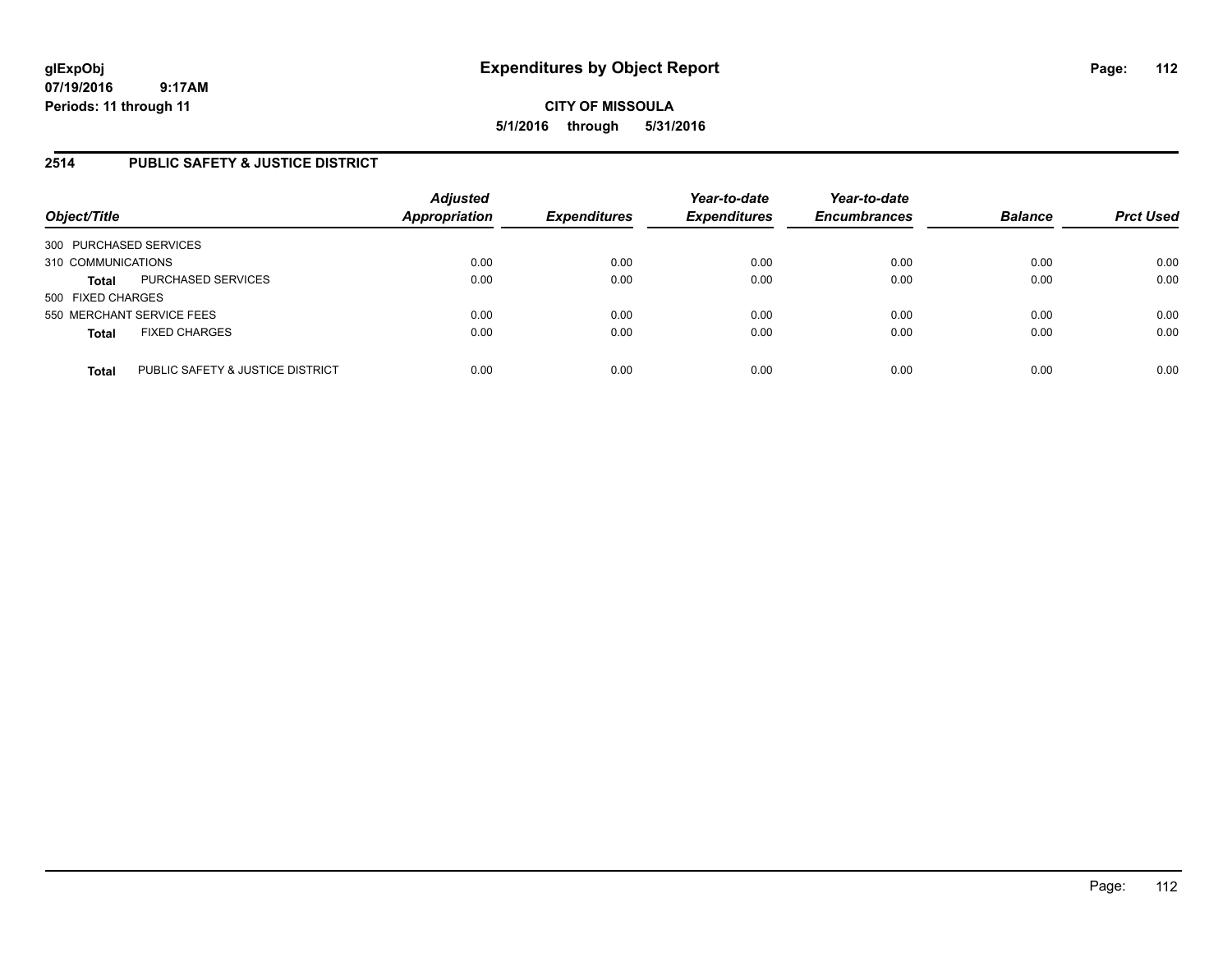**CITY OF MISSOULA 5/1/2016 through 5/31/2016**

### **2514 PUBLIC SAFETY & JUSTICE DISTRICT**

| Object/Title                                     | <b>Adjusted</b><br>Appropriation | <b>Expenditures</b> | Year-to-date<br><b>Expenditures</b> | Year-to-date<br><b>Encumbrances</b> | <b>Balance</b> | <b>Prct Used</b> |
|--------------------------------------------------|----------------------------------|---------------------|-------------------------------------|-------------------------------------|----------------|------------------|
| 300 PURCHASED SERVICES                           |                                  |                     |                                     |                                     |                |                  |
| 310 COMMUNICATIONS                               | 0.00                             | 0.00                | 0.00                                | 0.00                                | 0.00           | 0.00             |
| PURCHASED SERVICES<br><b>Total</b>               | 0.00                             | 0.00                | 0.00                                | 0.00                                | 0.00           | 0.00             |
| 500 FIXED CHARGES                                |                                  |                     |                                     |                                     |                |                  |
| 550 MERCHANT SERVICE FEES                        | 0.00                             | 0.00                | 0.00                                | 0.00                                | 0.00           | 0.00             |
| <b>FIXED CHARGES</b><br><b>Total</b>             | 0.00                             | 0.00                | 0.00                                | 0.00                                | 0.00           | 0.00             |
| PUBLIC SAFETY & JUSTICE DISTRICT<br><b>Total</b> | 0.00                             | 0.00                | 0.00                                | 0.00                                | 0.00           | 0.00             |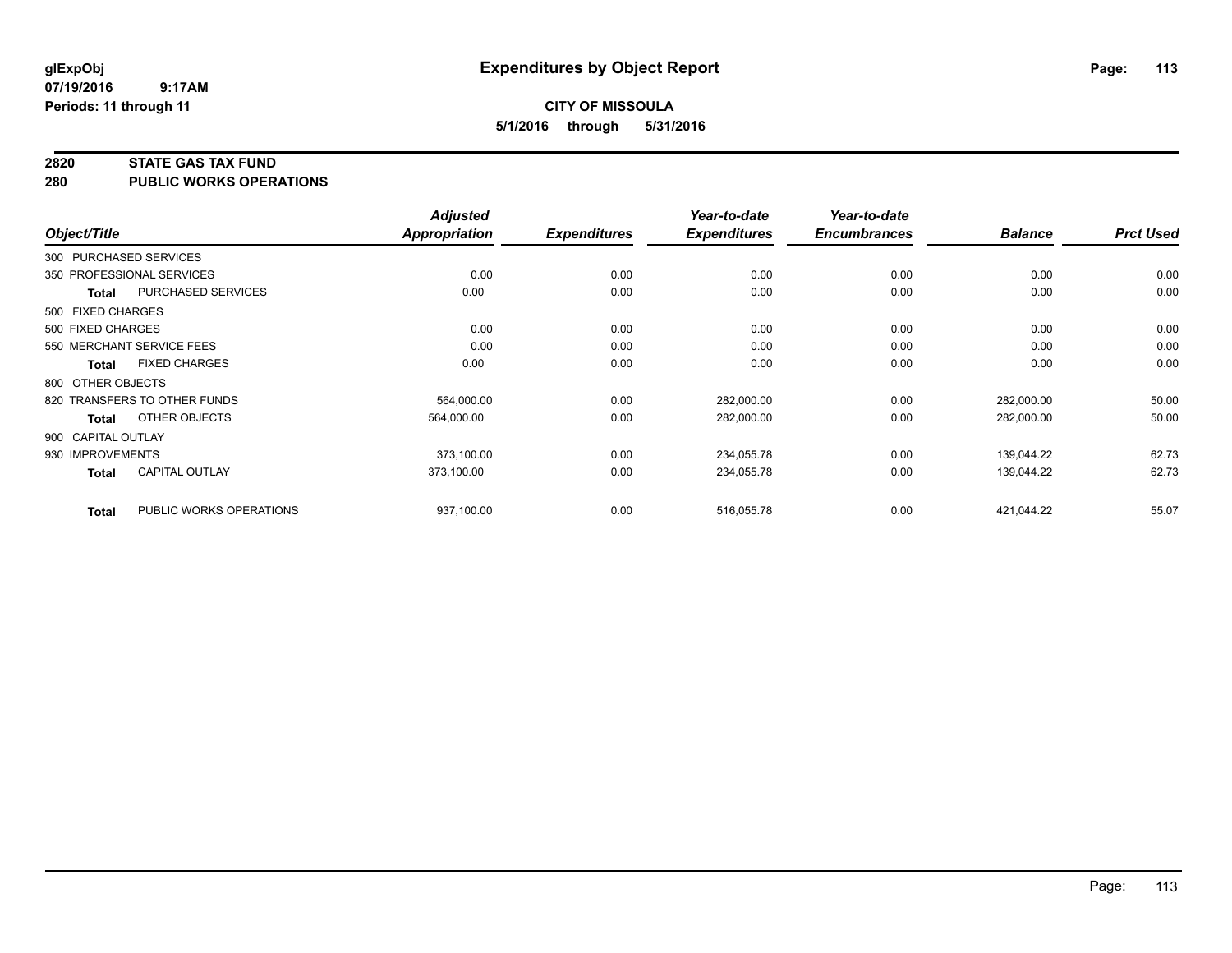#### **2820 STATE GAS TAX FUND**

**280 PUBLIC WORKS OPERATIONS**

|                        |                              | <b>Adjusted</b>      |                     | Year-to-date        | Year-to-date        |                |                  |
|------------------------|------------------------------|----------------------|---------------------|---------------------|---------------------|----------------|------------------|
| Object/Title           |                              | <b>Appropriation</b> | <b>Expenditures</b> | <b>Expenditures</b> | <b>Encumbrances</b> | <b>Balance</b> | <b>Prct Used</b> |
| 300 PURCHASED SERVICES |                              |                      |                     |                     |                     |                |                  |
|                        | 350 PROFESSIONAL SERVICES    | 0.00                 | 0.00                | 0.00                | 0.00                | 0.00           | 0.00             |
| <b>Total</b>           | <b>PURCHASED SERVICES</b>    | 0.00                 | 0.00                | 0.00                | 0.00                | 0.00           | 0.00             |
| 500 FIXED CHARGES      |                              |                      |                     |                     |                     |                |                  |
| 500 FIXED CHARGES      |                              | 0.00                 | 0.00                | 0.00                | 0.00                | 0.00           | 0.00             |
|                        | 550 MERCHANT SERVICE FEES    | 0.00                 | 0.00                | 0.00                | 0.00                | 0.00           | 0.00             |
| <b>Total</b>           | <b>FIXED CHARGES</b>         | 0.00                 | 0.00                | 0.00                | 0.00                | 0.00           | 0.00             |
| 800 OTHER OBJECTS      |                              |                      |                     |                     |                     |                |                  |
|                        | 820 TRANSFERS TO OTHER FUNDS | 564,000.00           | 0.00                | 282,000.00          | 0.00                | 282,000.00     | 50.00            |
| Total                  | OTHER OBJECTS                | 564,000.00           | 0.00                | 282,000.00          | 0.00                | 282,000.00     | 50.00            |
| 900 CAPITAL OUTLAY     |                              |                      |                     |                     |                     |                |                  |
| 930 IMPROVEMENTS       |                              | 373,100.00           | 0.00                | 234,055.78          | 0.00                | 139,044.22     | 62.73            |
| <b>Total</b>           | CAPITAL OUTLAY               | 373,100.00           | 0.00                | 234,055.78          | 0.00                | 139,044.22     | 62.73            |
| <b>Total</b>           | PUBLIC WORKS OPERATIONS      | 937,100.00           | 0.00                | 516,055.78          | 0.00                | 421,044.22     | 55.07            |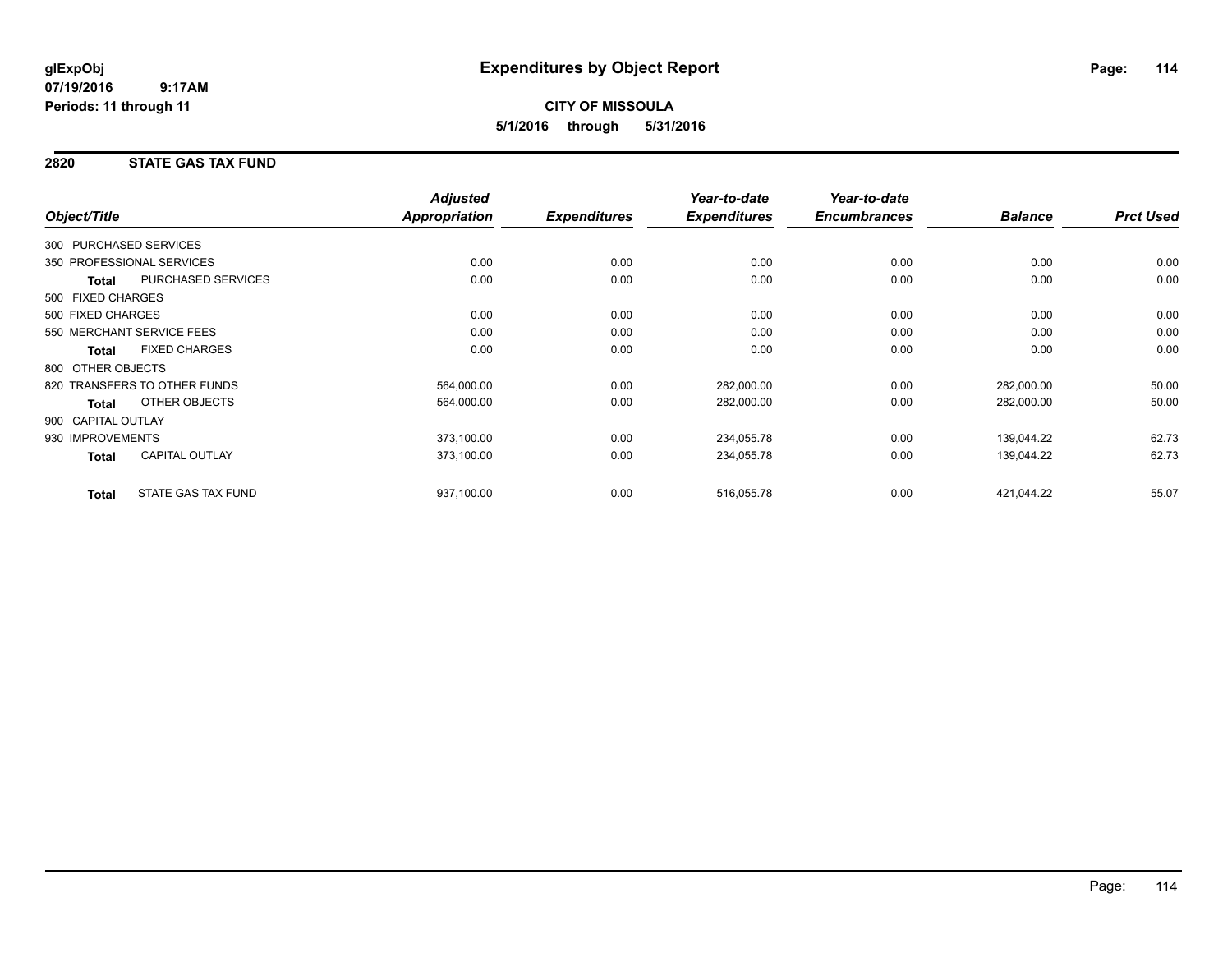## **CITY OF MISSOULA 5/1/2016 through 5/31/2016**

## **2820 STATE GAS TAX FUND**

|                        |                              | <b>Adjusted</b>      |                     | Year-to-date        | Year-to-date        |                |                  |
|------------------------|------------------------------|----------------------|---------------------|---------------------|---------------------|----------------|------------------|
| Object/Title           |                              | <b>Appropriation</b> | <b>Expenditures</b> | <b>Expenditures</b> | <b>Encumbrances</b> | <b>Balance</b> | <b>Prct Used</b> |
| 300 PURCHASED SERVICES |                              |                      |                     |                     |                     |                |                  |
|                        | 350 PROFESSIONAL SERVICES    | 0.00                 | 0.00                | 0.00                | 0.00                | 0.00           | 0.00             |
| Total                  | <b>PURCHASED SERVICES</b>    | 0.00                 | 0.00                | 0.00                | 0.00                | 0.00           | 0.00             |
| 500 FIXED CHARGES      |                              |                      |                     |                     |                     |                |                  |
| 500 FIXED CHARGES      |                              | 0.00                 | 0.00                | 0.00                | 0.00                | 0.00           | 0.00             |
|                        | 550 MERCHANT SERVICE FEES    | 0.00                 | 0.00                | 0.00                | 0.00                | 0.00           | 0.00             |
| <b>Total</b>           | <b>FIXED CHARGES</b>         | 0.00                 | 0.00                | 0.00                | 0.00                | 0.00           | 0.00             |
| 800 OTHER OBJECTS      |                              |                      |                     |                     |                     |                |                  |
|                        | 820 TRANSFERS TO OTHER FUNDS | 564,000.00           | 0.00                | 282,000.00          | 0.00                | 282,000.00     | 50.00            |
| <b>Total</b>           | <b>OTHER OBJECTS</b>         | 564,000.00           | 0.00                | 282,000.00          | 0.00                | 282,000.00     | 50.00            |
| 900 CAPITAL OUTLAY     |                              |                      |                     |                     |                     |                |                  |
| 930 IMPROVEMENTS       |                              | 373,100.00           | 0.00                | 234,055.78          | 0.00                | 139,044.22     | 62.73            |
| <b>Total</b>           | <b>CAPITAL OUTLAY</b>        | 373,100.00           | 0.00                | 234,055.78          | 0.00                | 139,044.22     | 62.73            |
| <b>Total</b>           | <b>STATE GAS TAX FUND</b>    | 937,100.00           | 0.00                | 516,055.78          | 0.00                | 421,044.22     | 55.07            |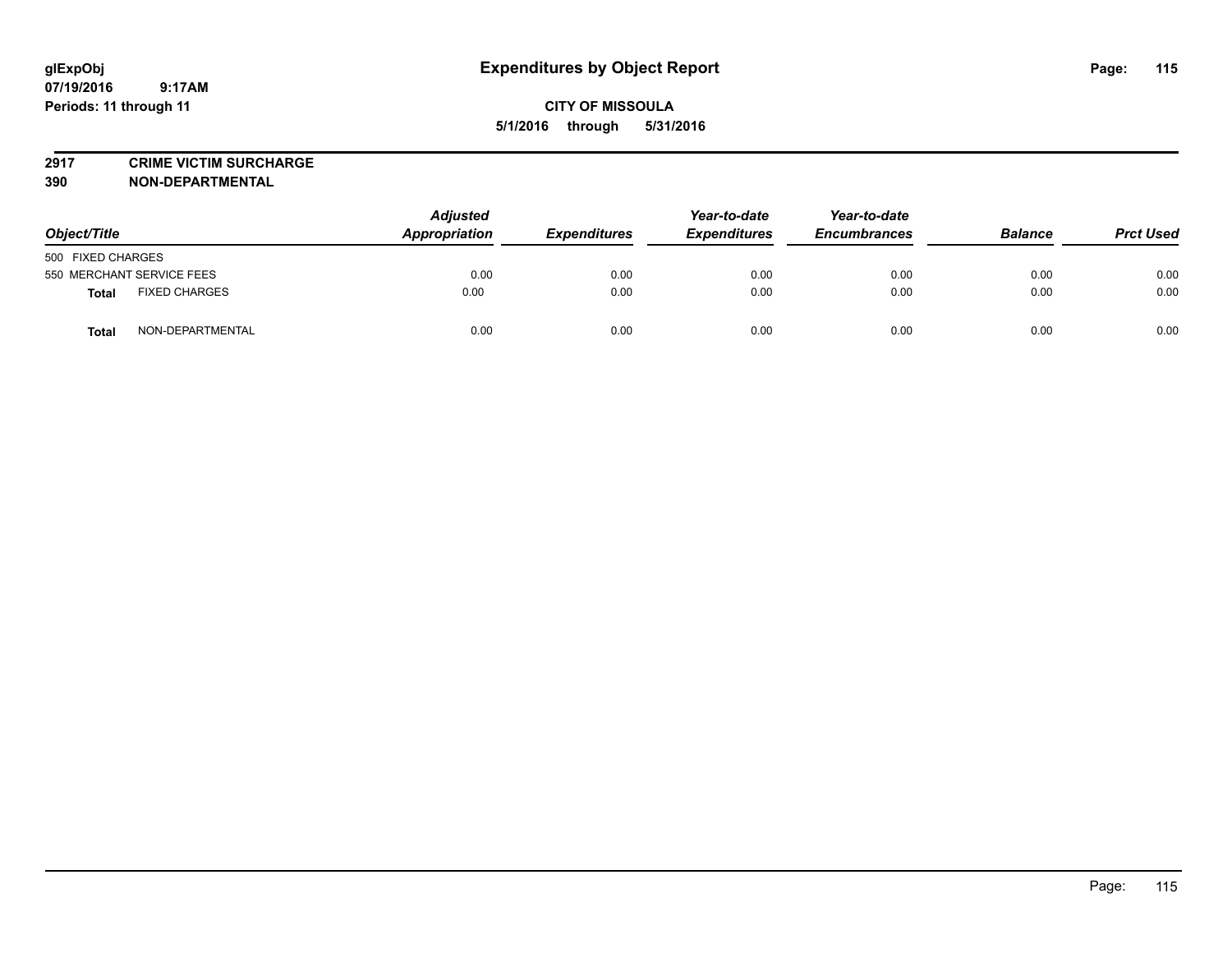## **CITY OF MISSOULA 5/1/2016 through 5/31/2016**

**2917 CRIME VICTIM SURCHARGE**

**390 NON-DEPARTMENTAL**

| Object/Title                         | <b>Adjusted</b><br>Appropriation | <b>Expenditures</b> | Year-to-date<br><b>Expenditures</b> | Year-to-date<br><b>Encumbrances</b> | <b>Balance</b> | <b>Prct Used</b> |
|--------------------------------------|----------------------------------|---------------------|-------------------------------------|-------------------------------------|----------------|------------------|
| 500 FIXED CHARGES                    |                                  |                     |                                     |                                     |                |                  |
| 550 MERCHANT SERVICE FEES            | 0.00                             | 0.00                | 0.00                                | 0.00                                | 0.00           | 0.00             |
| <b>FIXED CHARGES</b><br><b>Total</b> | 0.00                             | 0.00                | 0.00                                | 0.00                                | 0.00           | 0.00             |
| NON-DEPARTMENTAL<br>Total            | 0.00                             | 0.00                | 0.00                                | 0.00                                | 0.00           | 0.00             |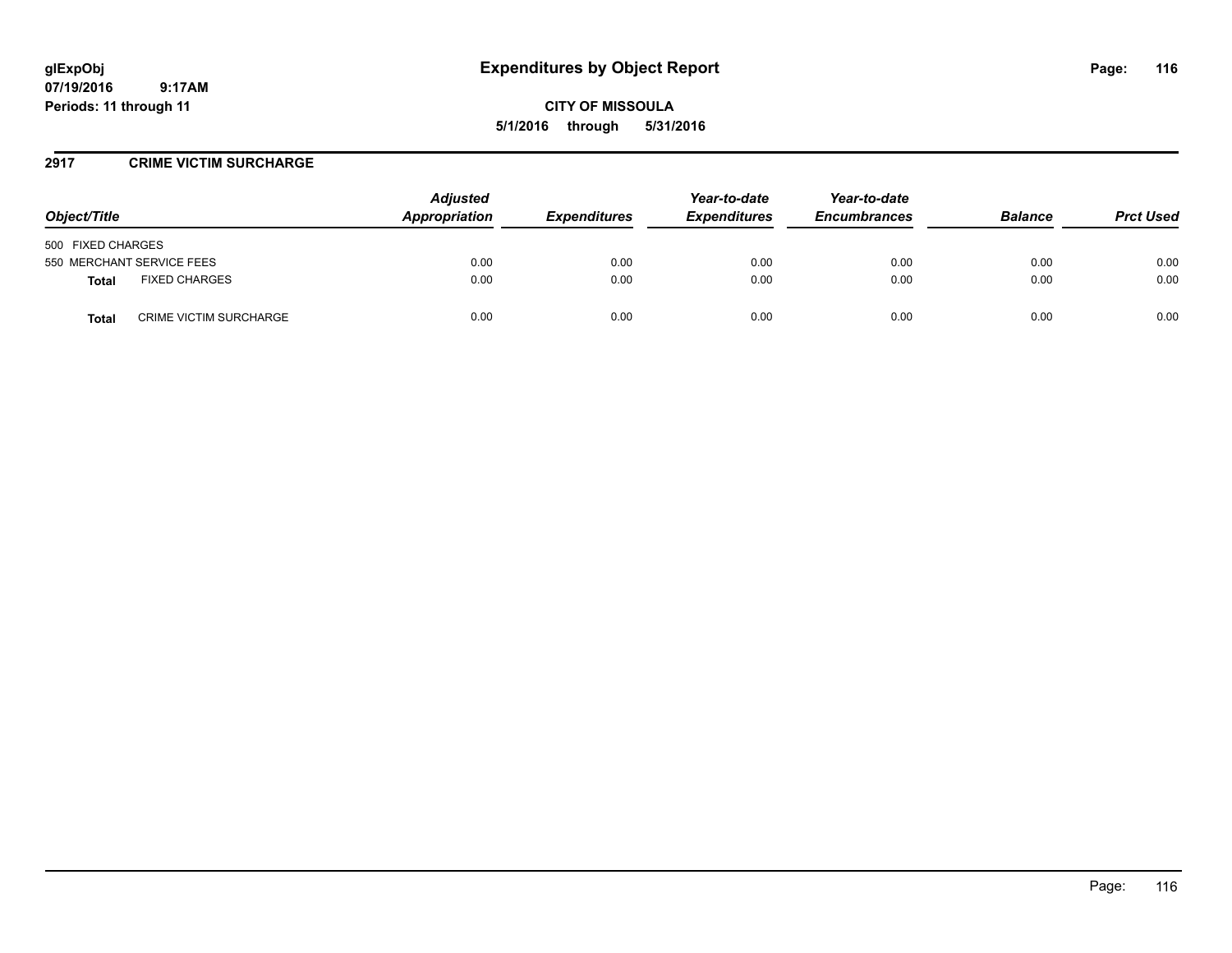# **glExpObj Expenditures by Object Report Page: 116**

**07/19/2016 9:17AM Periods: 11 through 11**

**CITY OF MISSOULA 5/1/2016 through 5/31/2016**

### **2917 CRIME VICTIM SURCHARGE**

| Object/Title                                  | <b>Adjusted</b><br>Appropriation | <b>Expenditures</b> | Year-to-date<br><b>Expenditures</b> | Year-to-date<br><b>Encumbrances</b> | <b>Balance</b> | <b>Prct Used</b> |
|-----------------------------------------------|----------------------------------|---------------------|-------------------------------------|-------------------------------------|----------------|------------------|
| 500 FIXED CHARGES                             |                                  |                     |                                     |                                     |                |                  |
| 550 MERCHANT SERVICE FEES                     | 0.00                             | 0.00                | 0.00                                | 0.00                                | 0.00           | 0.00             |
| <b>FIXED CHARGES</b><br>Total                 | 0.00                             | 0.00                | 0.00                                | 0.00                                | 0.00           | 0.00             |
| <b>CRIME VICTIM SURCHARGE</b><br><b>Total</b> | 0.00                             | 0.00                | 0.00                                | 0.00                                | 0.00           | 0.00             |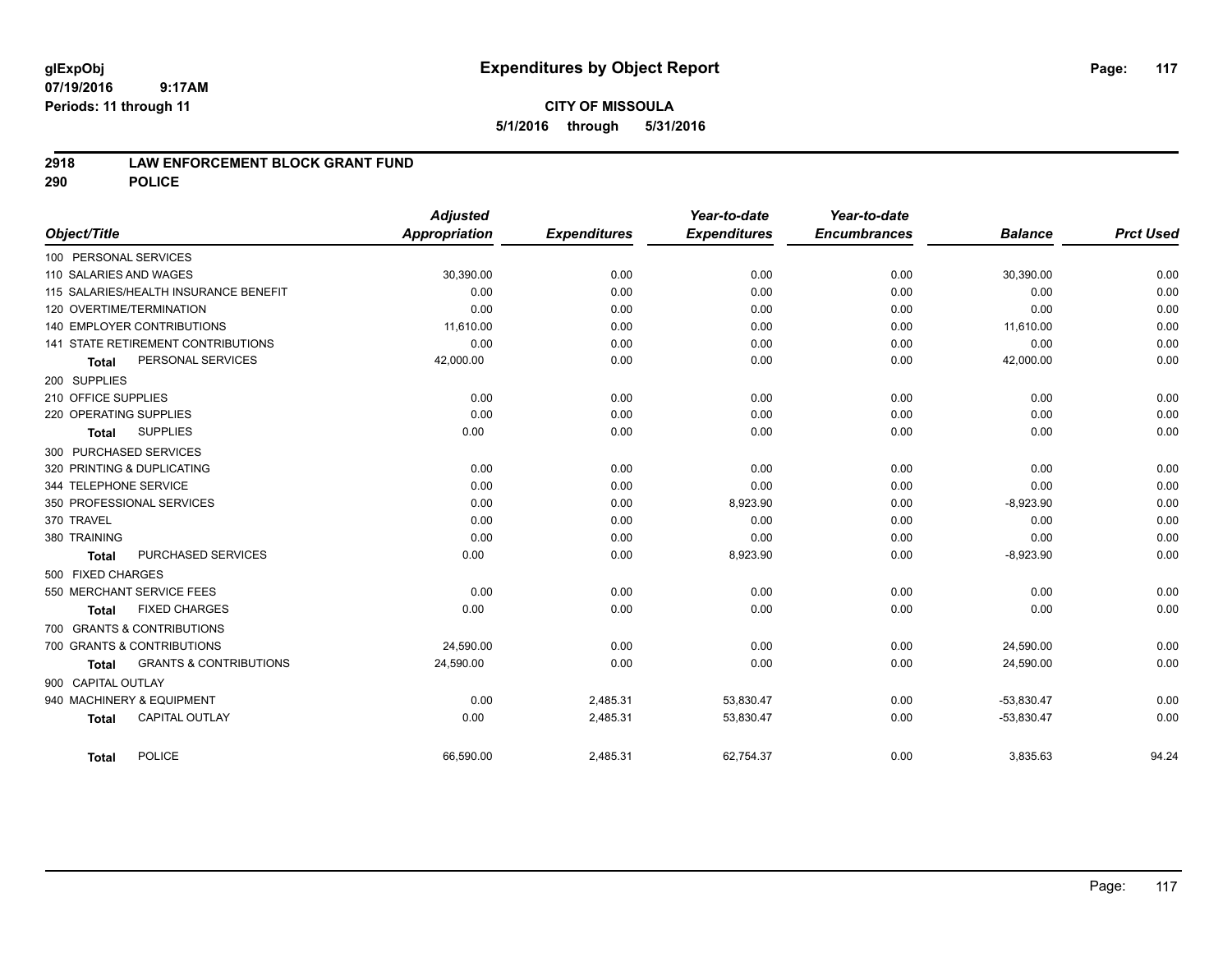## **CITY OF MISSOULA 5/1/2016 through 5/31/2016**

### **2918 LAW ENFORCEMENT BLOCK GRANT FUND**

**290 POLICE**

| Object/Title                      |                                       | <b>Adjusted</b><br>Appropriation | <b>Expenditures</b> | Year-to-date<br><b>Expenditures</b> | Year-to-date<br><b>Encumbrances</b> | <b>Balance</b> | <b>Prct Used</b> |
|-----------------------------------|---------------------------------------|----------------------------------|---------------------|-------------------------------------|-------------------------------------|----------------|------------------|
| 100 PERSONAL SERVICES             |                                       |                                  |                     |                                     |                                     |                |                  |
| 110 SALARIES AND WAGES            |                                       | 30,390.00                        | 0.00                | 0.00                                | 0.00                                | 30,390.00      | 0.00             |
|                                   | 115 SALARIES/HEALTH INSURANCE BENEFIT | 0.00                             | 0.00                | 0.00                                | 0.00                                | 0.00           | 0.00             |
| 120 OVERTIME/TERMINATION          |                                       | 0.00                             | 0.00                | 0.00                                | 0.00                                | 0.00           | 0.00             |
| <b>140 EMPLOYER CONTRIBUTIONS</b> |                                       | 11,610.00                        | 0.00                | 0.00                                | 0.00                                | 11,610.00      | 0.00             |
|                                   | 141 STATE RETIREMENT CONTRIBUTIONS    | 0.00                             | 0.00                | 0.00                                | 0.00                                | 0.00           | 0.00             |
| <b>Total</b>                      | PERSONAL SERVICES                     | 42,000.00                        | 0.00                | 0.00                                | 0.00                                | 42,000.00      | 0.00             |
| 200 SUPPLIES                      |                                       |                                  |                     |                                     |                                     |                |                  |
| 210 OFFICE SUPPLIES               |                                       | 0.00                             | 0.00                | 0.00                                | 0.00                                | 0.00           | 0.00             |
| 220 OPERATING SUPPLIES            |                                       | 0.00                             | 0.00                | 0.00                                | 0.00                                | 0.00           | 0.00             |
| <b>Total</b>                      | <b>SUPPLIES</b>                       | 0.00                             | 0.00                | 0.00                                | 0.00                                | 0.00           | 0.00             |
| 300 PURCHASED SERVICES            |                                       |                                  |                     |                                     |                                     |                |                  |
| 320 PRINTING & DUPLICATING        |                                       | 0.00                             | 0.00                | 0.00                                | 0.00                                | 0.00           | 0.00             |
| 344 TELEPHONE SERVICE             |                                       | 0.00                             | 0.00                | 0.00                                | 0.00                                | 0.00           | 0.00             |
| 350 PROFESSIONAL SERVICES         |                                       | 0.00                             | 0.00                | 8,923.90                            | 0.00                                | $-8,923.90$    | 0.00             |
| 370 TRAVEL                        |                                       | 0.00                             | 0.00                | 0.00                                | 0.00                                | 0.00           | 0.00             |
| 380 TRAINING                      |                                       | 0.00                             | 0.00                | 0.00                                | 0.00                                | 0.00           | 0.00             |
| <b>Total</b>                      | PURCHASED SERVICES                    | 0.00                             | 0.00                | 8,923.90                            | 0.00                                | $-8,923.90$    | 0.00             |
| 500 FIXED CHARGES                 |                                       |                                  |                     |                                     |                                     |                |                  |
| 550 MERCHANT SERVICE FEES         |                                       | 0.00                             | 0.00                | 0.00                                | 0.00                                | 0.00           | 0.00             |
| <b>Total</b>                      | <b>FIXED CHARGES</b>                  | 0.00                             | 0.00                | 0.00                                | 0.00                                | 0.00           | 0.00             |
| 700 GRANTS & CONTRIBUTIONS        |                                       |                                  |                     |                                     |                                     |                |                  |
| 700 GRANTS & CONTRIBUTIONS        |                                       | 24.590.00                        | 0.00                | 0.00                                | 0.00                                | 24,590.00      | 0.00             |
| <b>Total</b>                      | <b>GRANTS &amp; CONTRIBUTIONS</b>     | 24,590.00                        | 0.00                | 0.00                                | 0.00                                | 24,590.00      | 0.00             |
| 900 CAPITAL OUTLAY                |                                       |                                  |                     |                                     |                                     |                |                  |
| 940 MACHINERY & EQUIPMENT         |                                       | 0.00                             | 2,485.31            | 53,830.47                           | 0.00                                | $-53,830.47$   | 0.00             |
| <b>Total</b>                      | <b>CAPITAL OUTLAY</b>                 | 0.00                             | 2,485.31            | 53,830.47                           | 0.00                                | $-53,830.47$   | 0.00             |
| <b>Total</b>                      | <b>POLICE</b>                         | 66,590.00                        | 2,485.31            | 62,754.37                           | 0.00                                | 3,835.63       | 94.24            |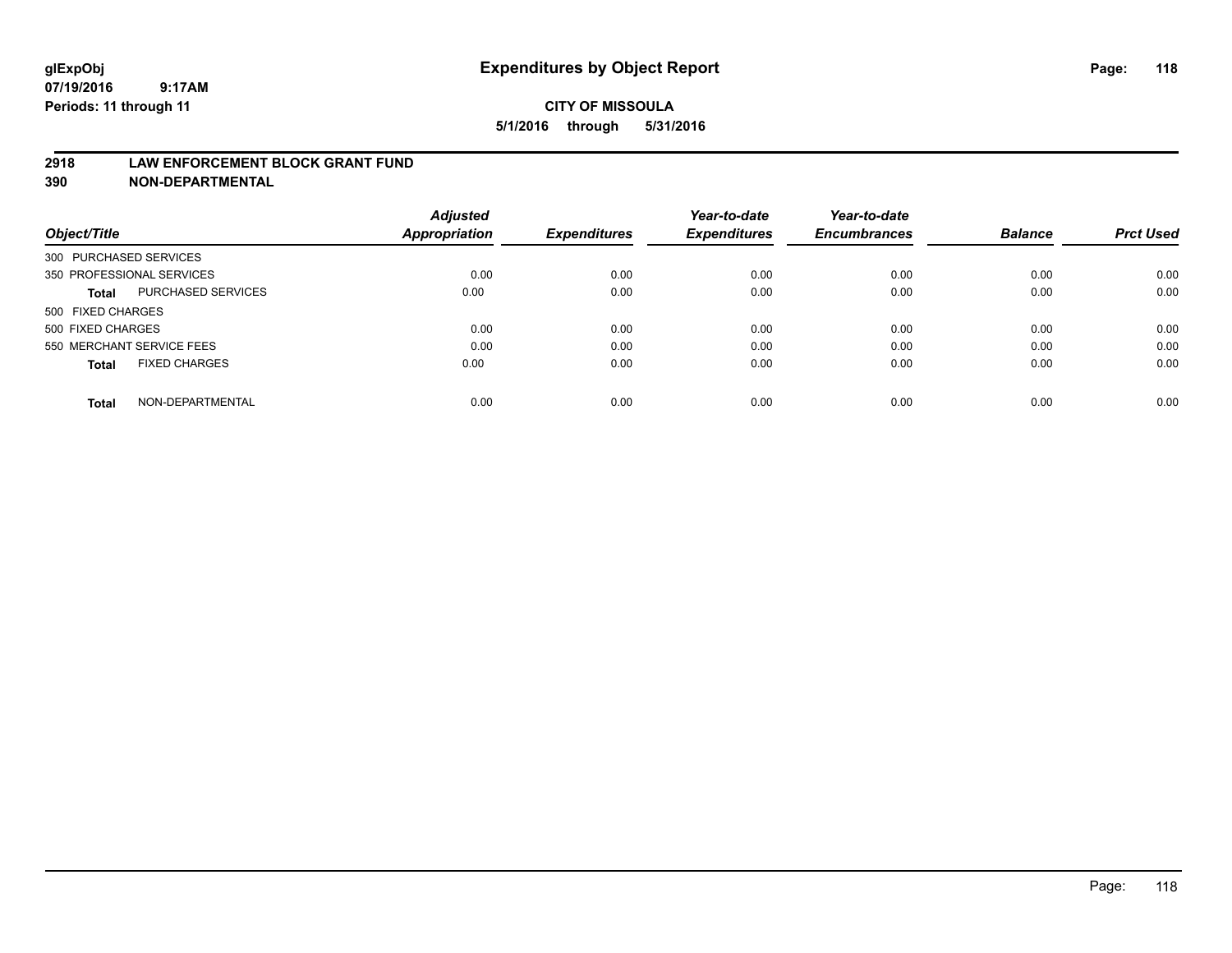#### **2918 LAW ENFORCEMENT BLOCK GRANT FUND**

**390 NON-DEPARTMENTAL**

|                           |                      | <b>Adjusted</b> |                     | Year-to-date        | Year-to-date<br><b>Encumbrances</b> | <b>Balance</b> | <b>Prct Used</b> |
|---------------------------|----------------------|-----------------|---------------------|---------------------|-------------------------------------|----------------|------------------|
| Object/Title              |                      | Appropriation   | <b>Expenditures</b> | <b>Expenditures</b> |                                     |                |                  |
| 300 PURCHASED SERVICES    |                      |                 |                     |                     |                                     |                |                  |
| 350 PROFESSIONAL SERVICES |                      | 0.00            | 0.00                | 0.00                | 0.00                                | 0.00           | 0.00             |
| Total                     | PURCHASED SERVICES   | 0.00            | 0.00                | 0.00                | 0.00                                | 0.00           | 0.00             |
| 500 FIXED CHARGES         |                      |                 |                     |                     |                                     |                |                  |
| 500 FIXED CHARGES         |                      | 0.00            | 0.00                | 0.00                | 0.00                                | 0.00           | 0.00             |
| 550 MERCHANT SERVICE FEES |                      | 0.00            | 0.00                | 0.00                | 0.00                                | 0.00           | 0.00             |
| <b>Total</b>              | <b>FIXED CHARGES</b> | 0.00            | 0.00                | 0.00                | 0.00                                | 0.00           | 0.00             |
| <b>Total</b>              | NON-DEPARTMENTAL     | 0.00            | 0.00                | 0.00                | 0.00                                | 0.00           | 0.00             |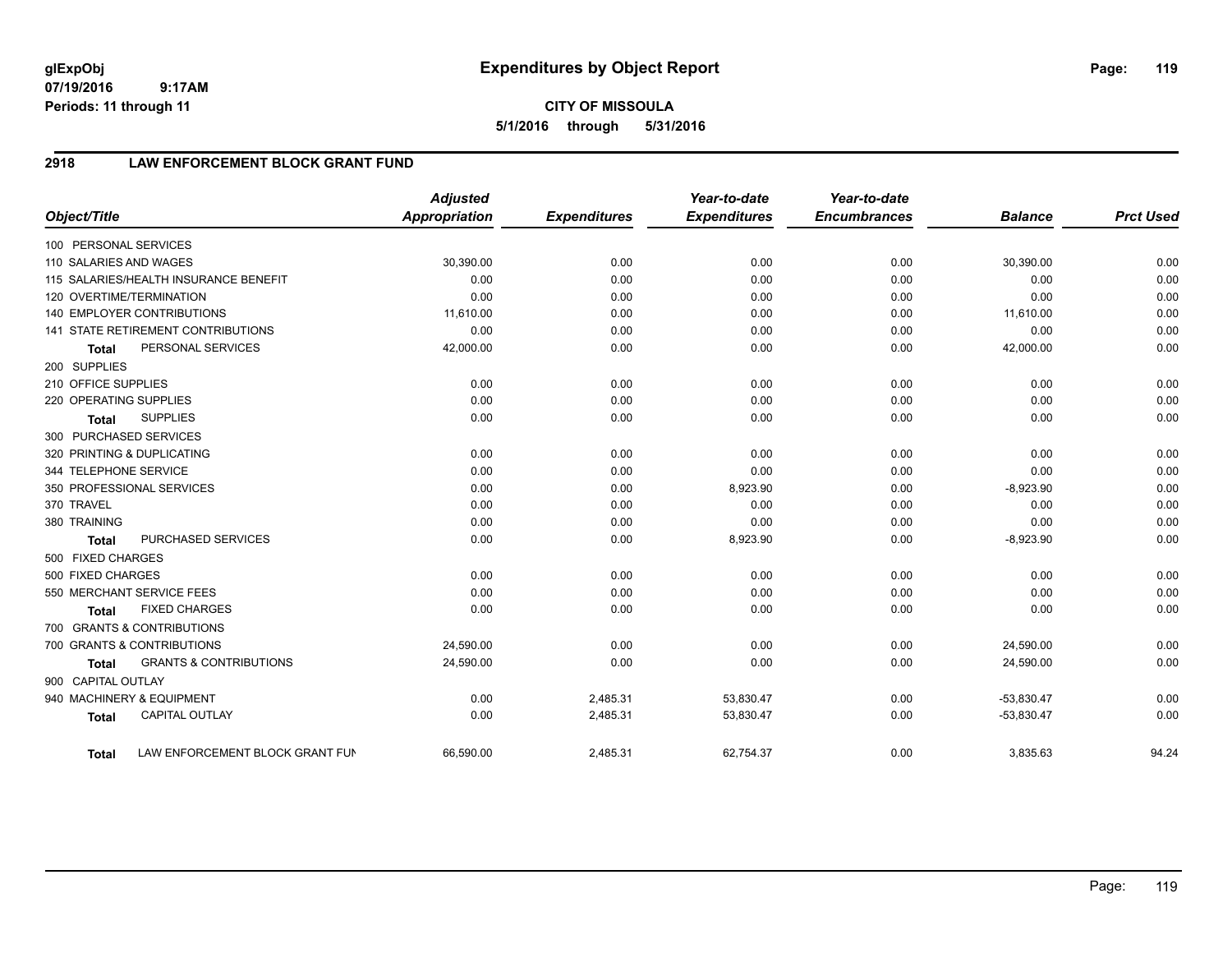## **2918 LAW ENFORCEMENT BLOCK GRANT FUND**

| Object/Title           |                                           | <b>Adjusted</b><br><b>Appropriation</b> | <b>Expenditures</b> | Year-to-date<br><b>Expenditures</b> | Year-to-date<br><b>Encumbrances</b> | <b>Balance</b> | <b>Prct Used</b> |
|------------------------|-------------------------------------------|-----------------------------------------|---------------------|-------------------------------------|-------------------------------------|----------------|------------------|
| 100 PERSONAL SERVICES  |                                           |                                         |                     |                                     |                                     |                |                  |
| 110 SALARIES AND WAGES |                                           | 30,390.00                               | 0.00                | 0.00                                | 0.00                                | 30,390.00      | 0.00             |
|                        | 115 SALARIES/HEALTH INSURANCE BENEFIT     | 0.00                                    | 0.00                | 0.00                                | 0.00                                | 0.00           | 0.00             |
|                        | 120 OVERTIME/TERMINATION                  | 0.00                                    | 0.00                | 0.00                                | 0.00                                | 0.00           | 0.00             |
|                        | 140 EMPLOYER CONTRIBUTIONS                | 11,610.00                               | 0.00                | 0.00                                | 0.00                                | 11,610.00      | 0.00             |
|                        | <b>141 STATE RETIREMENT CONTRIBUTIONS</b> | 0.00                                    | 0.00                | 0.00                                | 0.00                                | 0.00           | 0.00             |
| <b>Total</b>           | PERSONAL SERVICES                         | 42,000.00                               | 0.00                | 0.00                                | 0.00                                | 42,000.00      | 0.00             |
| 200 SUPPLIES           |                                           |                                         |                     |                                     |                                     |                |                  |
| 210 OFFICE SUPPLIES    |                                           | 0.00                                    | 0.00                | 0.00                                | 0.00                                | 0.00           | 0.00             |
| 220 OPERATING SUPPLIES |                                           | 0.00                                    | 0.00                | 0.00                                | 0.00                                | 0.00           | 0.00             |
| <b>Total</b>           | <b>SUPPLIES</b>                           | 0.00                                    | 0.00                | 0.00                                | 0.00                                | 0.00           | 0.00             |
| 300 PURCHASED SERVICES |                                           |                                         |                     |                                     |                                     |                |                  |
|                        | 320 PRINTING & DUPLICATING                | 0.00                                    | 0.00                | 0.00                                | 0.00                                | 0.00           | 0.00             |
| 344 TELEPHONE SERVICE  |                                           | 0.00                                    | 0.00                | 0.00                                | 0.00                                | 0.00           | 0.00             |
|                        | 350 PROFESSIONAL SERVICES                 | 0.00                                    | 0.00                | 8,923.90                            | 0.00                                | $-8,923.90$    | 0.00             |
| 370 TRAVEL             |                                           | 0.00                                    | 0.00                | 0.00                                | 0.00                                | 0.00           | 0.00             |
| 380 TRAINING           |                                           | 0.00                                    | 0.00                | 0.00                                | 0.00                                | 0.00           | 0.00             |
| <b>Total</b>           | PURCHASED SERVICES                        | 0.00                                    | 0.00                | 8,923.90                            | 0.00                                | $-8,923.90$    | 0.00             |
| 500 FIXED CHARGES      |                                           |                                         |                     |                                     |                                     |                |                  |
| 500 FIXED CHARGES      |                                           | 0.00                                    | 0.00                | 0.00                                | 0.00                                | 0.00           | 0.00             |
|                        | 550 MERCHANT SERVICE FEES                 | 0.00                                    | 0.00                | 0.00                                | 0.00                                | 0.00           | 0.00             |
| <b>Total</b>           | <b>FIXED CHARGES</b>                      | 0.00                                    | 0.00                | 0.00                                | 0.00                                | 0.00           | 0.00             |
|                        | 700 GRANTS & CONTRIBUTIONS                |                                         |                     |                                     |                                     |                |                  |
|                        | 700 GRANTS & CONTRIBUTIONS                | 24,590.00                               | 0.00                | 0.00                                | 0.00                                | 24,590.00      | 0.00             |
| <b>Total</b>           | <b>GRANTS &amp; CONTRIBUTIONS</b>         | 24,590.00                               | 0.00                | 0.00                                | 0.00                                | 24,590.00      | 0.00             |
| 900 CAPITAL OUTLAY     |                                           |                                         |                     |                                     |                                     |                |                  |
|                        | 940 MACHINERY & EQUIPMENT                 | 0.00                                    | 2,485.31            | 53,830.47                           | 0.00                                | $-53,830.47$   | 0.00             |
| <b>Total</b>           | <b>CAPITAL OUTLAY</b>                     | 0.00                                    | 2,485.31            | 53,830.47                           | 0.00                                | $-53,830.47$   | 0.00             |
| <b>Total</b>           | LAW ENFORCEMENT BLOCK GRANT FUN           | 66,590.00                               | 2,485.31            | 62,754.37                           | 0.00                                | 3,835.63       | 94.24            |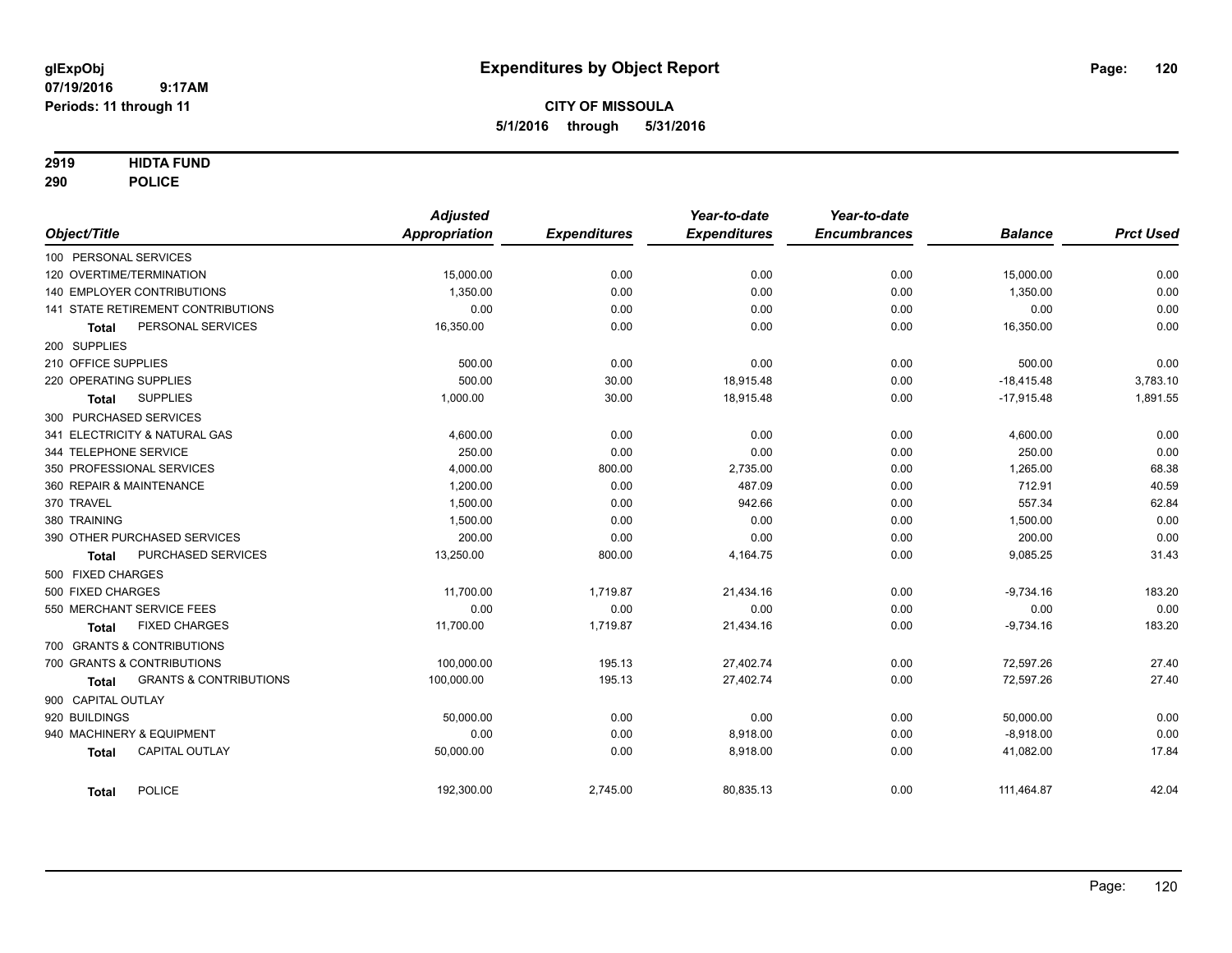### **2919 HIDTA FUND**

**290 POLICE**

|                                            | <b>Adjusted</b>      |                     | Year-to-date        | Year-to-date        |                |                  |
|--------------------------------------------|----------------------|---------------------|---------------------|---------------------|----------------|------------------|
| Object/Title                               | <b>Appropriation</b> | <b>Expenditures</b> | <b>Expenditures</b> | <b>Encumbrances</b> | <b>Balance</b> | <b>Prct Used</b> |
| 100 PERSONAL SERVICES                      |                      |                     |                     |                     |                |                  |
| 120 OVERTIME/TERMINATION                   | 15,000.00            | 0.00                | 0.00                | 0.00                | 15,000.00      | 0.00             |
| 140 EMPLOYER CONTRIBUTIONS                 | 1,350.00             | 0.00                | 0.00                | 0.00                | 1,350.00       | 0.00             |
| 141 STATE RETIREMENT CONTRIBUTIONS         | 0.00                 | 0.00                | 0.00                | 0.00                | 0.00           | 0.00             |
| PERSONAL SERVICES<br><b>Total</b>          | 16,350.00            | 0.00                | 0.00                | 0.00                | 16,350.00      | 0.00             |
| 200 SUPPLIES                               |                      |                     |                     |                     |                |                  |
| 210 OFFICE SUPPLIES                        | 500.00               | 0.00                | 0.00                | 0.00                | 500.00         | 0.00             |
| 220 OPERATING SUPPLIES                     | 500.00               | 30.00               | 18,915.48           | 0.00                | $-18,415.48$   | 3,783.10         |
| <b>SUPPLIES</b><br>Total                   | 1,000.00             | 30.00               | 18,915.48           | 0.00                | $-17,915.48$   | 1,891.55         |
| 300 PURCHASED SERVICES                     |                      |                     |                     |                     |                |                  |
| 341 ELECTRICITY & NATURAL GAS              | 4,600.00             | 0.00                | 0.00                | 0.00                | 4,600.00       | 0.00             |
| 344 TELEPHONE SERVICE                      | 250.00               | 0.00                | 0.00                | 0.00                | 250.00         | 0.00             |
| 350 PROFESSIONAL SERVICES                  | 4,000.00             | 800.00              | 2,735.00            | 0.00                | 1,265.00       | 68.38            |
| 360 REPAIR & MAINTENANCE                   | 1,200.00             | 0.00                | 487.09              | 0.00                | 712.91         | 40.59            |
| 370 TRAVEL                                 | 1.500.00             | 0.00                | 942.66              | 0.00                | 557.34         | 62.84            |
| 380 TRAINING                               | 1,500.00             | 0.00                | 0.00                | 0.00                | 1,500.00       | 0.00             |
| 390 OTHER PURCHASED SERVICES               | 200.00               | 0.00                | 0.00                | 0.00                | 200.00         | 0.00             |
| PURCHASED SERVICES<br><b>Total</b>         | 13,250.00            | 800.00              | 4,164.75            | 0.00                | 9,085.25       | 31.43            |
| 500 FIXED CHARGES                          |                      |                     |                     |                     |                |                  |
| 500 FIXED CHARGES                          | 11,700.00            | 1,719.87            | 21,434.16           | 0.00                | $-9,734.16$    | 183.20           |
| 550 MERCHANT SERVICE FEES                  | 0.00                 | 0.00                | 0.00                | 0.00                | 0.00           | 0.00             |
| <b>FIXED CHARGES</b><br>Total              | 11,700.00            | 1,719.87            | 21,434.16           | 0.00                | $-9,734.16$    | 183.20           |
| 700 GRANTS & CONTRIBUTIONS                 |                      |                     |                     |                     |                |                  |
| 700 GRANTS & CONTRIBUTIONS                 | 100,000.00           | 195.13              | 27,402.74           | 0.00                | 72,597.26      | 27.40            |
| <b>GRANTS &amp; CONTRIBUTIONS</b><br>Total | 100,000.00           | 195.13              | 27,402.74           | 0.00                | 72,597.26      | 27.40            |
| 900 CAPITAL OUTLAY                         |                      |                     |                     |                     |                |                  |
| 920 BUILDINGS                              | 50,000.00            | 0.00                | 0.00                | 0.00                | 50,000.00      | 0.00             |
| 940 MACHINERY & EQUIPMENT                  | 0.00                 | 0.00                | 8,918.00            | 0.00                | $-8,918.00$    | 0.00             |
| <b>CAPITAL OUTLAY</b><br><b>Total</b>      | 50,000.00            | 0.00                | 8,918.00            | 0.00                | 41,082.00      | 17.84            |
| <b>POLICE</b><br><b>Total</b>              | 192,300.00           | 2,745.00            | 80,835.13           | 0.00                | 111,464.87     | 42.04            |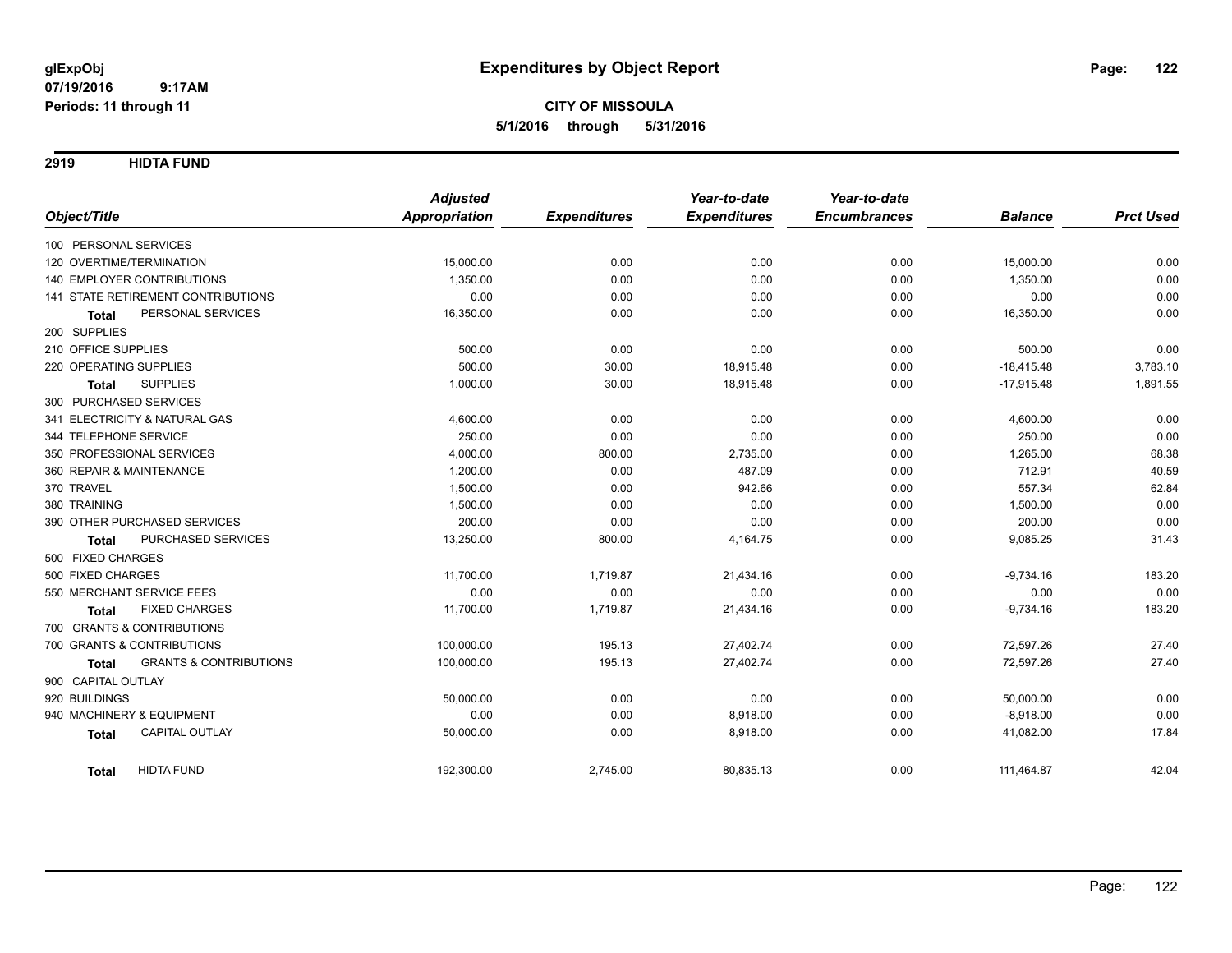**2919 HIDTA FUND**

|                                                   | <b>Adjusted</b>      |                     | Year-to-date        | Year-to-date        |                |                  |
|---------------------------------------------------|----------------------|---------------------|---------------------|---------------------|----------------|------------------|
| Object/Title                                      | <b>Appropriation</b> | <b>Expenditures</b> | <b>Expenditures</b> | <b>Encumbrances</b> | <b>Balance</b> | <b>Prct Used</b> |
| 100 PERSONAL SERVICES                             |                      |                     |                     |                     |                |                  |
| 120 OVERTIME/TERMINATION                          | 15,000.00            | 0.00                | 0.00                | 0.00                | 15,000.00      | 0.00             |
| <b>140 EMPLOYER CONTRIBUTIONS</b>                 | 1,350.00             | 0.00                | 0.00                | 0.00                | 1,350.00       | 0.00             |
| 141 STATE RETIREMENT CONTRIBUTIONS                | 0.00                 | 0.00                | 0.00                | 0.00                | 0.00           | 0.00             |
| PERSONAL SERVICES<br><b>Total</b>                 | 16,350.00            | 0.00                | 0.00                | 0.00                | 16,350.00      | 0.00             |
| 200 SUPPLIES                                      |                      |                     |                     |                     |                |                  |
| 210 OFFICE SUPPLIES                               | 500.00               | 0.00                | 0.00                | 0.00                | 500.00         | 0.00             |
| 220 OPERATING SUPPLIES                            | 500.00               | 30.00               | 18,915.48           | 0.00                | $-18,415.48$   | 3,783.10         |
| <b>SUPPLIES</b><br><b>Total</b>                   | 1,000.00             | 30.00               | 18,915.48           | 0.00                | $-17,915.48$   | 1,891.55         |
| 300 PURCHASED SERVICES                            |                      |                     |                     |                     |                |                  |
| 341 ELECTRICITY & NATURAL GAS                     | 4,600.00             | 0.00                | 0.00                | 0.00                | 4,600.00       | 0.00             |
| 344 TELEPHONE SERVICE                             | 250.00               | 0.00                | 0.00                | 0.00                | 250.00         | 0.00             |
| 350 PROFESSIONAL SERVICES                         | 4,000.00             | 800.00              | 2,735.00            | 0.00                | 1,265.00       | 68.38            |
| 360 REPAIR & MAINTENANCE                          | 1,200.00             | 0.00                | 487.09              | 0.00                | 712.91         | 40.59            |
| 370 TRAVEL                                        | 1,500.00             | 0.00                | 942.66              | 0.00                | 557.34         | 62.84            |
| 380 TRAINING                                      | 1,500.00             | 0.00                | 0.00                | 0.00                | 1,500.00       | 0.00             |
| 390 OTHER PURCHASED SERVICES                      | 200.00               | 0.00                | 0.00                | 0.00                | 200.00         | 0.00             |
| PURCHASED SERVICES<br><b>Total</b>                | 13,250.00            | 800.00              | 4,164.75            | 0.00                | 9,085.25       | 31.43            |
| 500 FIXED CHARGES                                 |                      |                     |                     |                     |                |                  |
| 500 FIXED CHARGES                                 | 11,700.00            | 1,719.87            | 21,434.16           | 0.00                | $-9,734.16$    | 183.20           |
| 550 MERCHANT SERVICE FEES                         | 0.00                 | 0.00                | 0.00                | 0.00                | 0.00           | 0.00             |
| <b>FIXED CHARGES</b><br><b>Total</b>              | 11,700.00            | 1,719.87            | 21,434.16           | 0.00                | $-9,734.16$    | 183.20           |
| 700 GRANTS & CONTRIBUTIONS                        |                      |                     |                     |                     |                |                  |
| 700 GRANTS & CONTRIBUTIONS                        | 100,000.00           | 195.13              | 27,402.74           | 0.00                | 72,597.26      | 27.40            |
| <b>GRANTS &amp; CONTRIBUTIONS</b><br><b>Total</b> | 100,000.00           | 195.13              | 27,402.74           | 0.00                | 72,597.26      | 27.40            |
| 900 CAPITAL OUTLAY                                |                      |                     |                     |                     |                |                  |
| 920 BUILDINGS                                     | 50,000.00            | 0.00                | 0.00                | 0.00                | 50,000.00      | 0.00             |
| 940 MACHINERY & EQUIPMENT                         | 0.00                 | 0.00                | 8,918.00            | 0.00                | $-8,918.00$    | 0.00             |
| <b>CAPITAL OUTLAY</b><br><b>Total</b>             | 50,000.00            | 0.00                | 8,918.00            | 0.00                | 41,082.00      | 17.84            |
| <b>HIDTA FUND</b><br><b>Total</b>                 | 192,300.00           | 2,745.00            | 80,835.13           | 0.00                | 111,464.87     | 42.04            |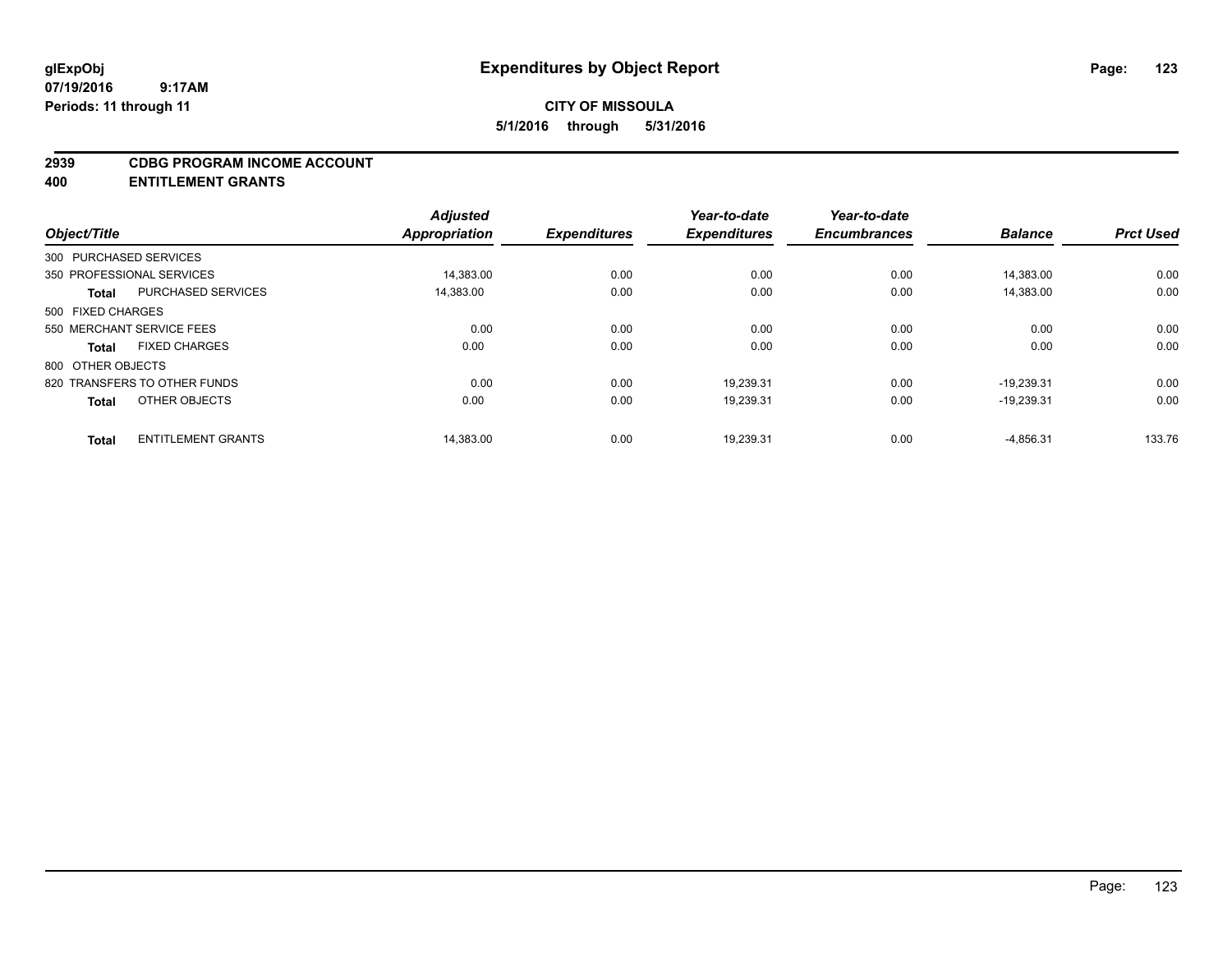#### **2939 CDBG PROGRAM INCOME ACCOUNT**

**400 ENTITLEMENT GRANTS**

| Object/Title           |                              | <b>Adjusted</b><br>Appropriation | <b>Expenditures</b> | Year-to-date<br><b>Expenditures</b> | Year-to-date<br><b>Encumbrances</b> | <b>Balance</b> | <b>Prct Used</b> |
|------------------------|------------------------------|----------------------------------|---------------------|-------------------------------------|-------------------------------------|----------------|------------------|
|                        |                              |                                  |                     |                                     |                                     |                |                  |
| 300 PURCHASED SERVICES |                              |                                  |                     |                                     |                                     |                |                  |
|                        | 350 PROFESSIONAL SERVICES    | 14,383.00                        | 0.00                | 0.00                                | 0.00                                | 14,383.00      | 0.00             |
| <b>Total</b>           | <b>PURCHASED SERVICES</b>    | 14.383.00                        | 0.00                | 0.00                                | 0.00                                | 14,383.00      | 0.00             |
| 500 FIXED CHARGES      |                              |                                  |                     |                                     |                                     |                |                  |
|                        | 550 MERCHANT SERVICE FEES    | 0.00                             | 0.00                | 0.00                                | 0.00                                | 0.00           | 0.00             |
| <b>Total</b>           | <b>FIXED CHARGES</b>         | 0.00                             | 0.00                | 0.00                                | 0.00                                | 0.00           | 0.00             |
| 800 OTHER OBJECTS      |                              |                                  |                     |                                     |                                     |                |                  |
|                        | 820 TRANSFERS TO OTHER FUNDS | 0.00                             | 0.00                | 19.239.31                           | 0.00                                | $-19.239.31$   | 0.00             |
| <b>Total</b>           | OTHER OBJECTS                | 0.00                             | 0.00                | 19,239.31                           | 0.00                                | $-19,239.31$   | 0.00             |
|                        |                              |                                  |                     |                                     |                                     |                |                  |
| <b>Total</b>           | <b>ENTITLEMENT GRANTS</b>    | 14,383.00                        | 0.00                | 19,239.31                           | 0.00                                | $-4,856.31$    | 133.76           |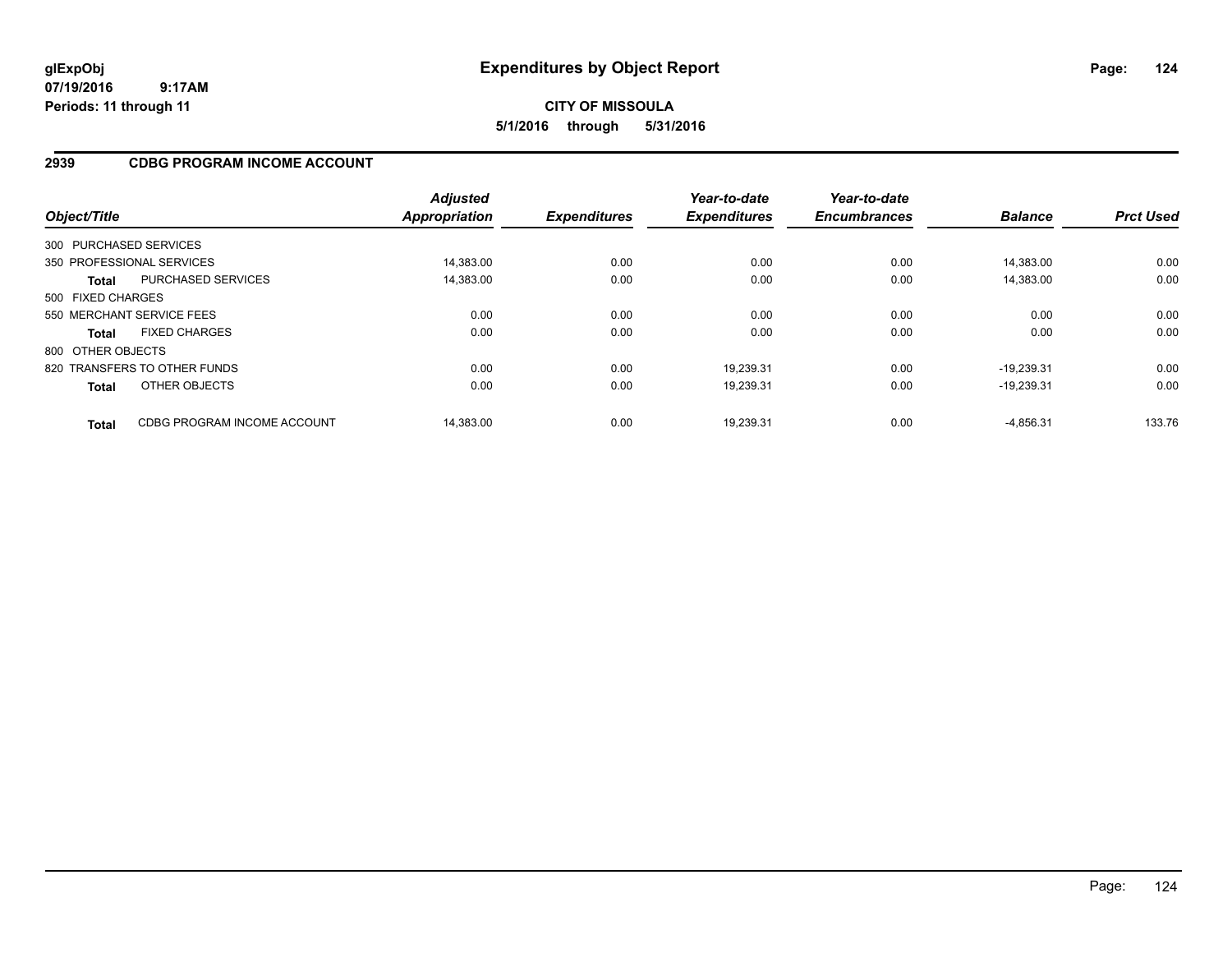**CITY OF MISSOULA 5/1/2016 through 5/31/2016**

### **2939 CDBG PROGRAM INCOME ACCOUNT**

| Object/Title           |                              | <b>Adjusted</b><br><b>Appropriation</b> | <b>Expenditures</b> | Year-to-date<br><b>Expenditures</b> | Year-to-date<br><b>Encumbrances</b> | <b>Balance</b> | <b>Prct Used</b> |
|------------------------|------------------------------|-----------------------------------------|---------------------|-------------------------------------|-------------------------------------|----------------|------------------|
| 300 PURCHASED SERVICES |                              |                                         |                     |                                     |                                     |                |                  |
|                        | 350 PROFESSIONAL SERVICES    | 14.383.00                               | 0.00                | 0.00                                | 0.00                                | 14.383.00      | 0.00             |
| <b>Total</b>           | PURCHASED SERVICES           | 14.383.00                               | 0.00                | 0.00                                | 0.00                                | 14.383.00      | 0.00             |
| 500 FIXED CHARGES      |                              |                                         |                     |                                     |                                     |                |                  |
|                        | 550 MERCHANT SERVICE FEES    | 0.00                                    | 0.00                | 0.00                                | 0.00                                | 0.00           | 0.00             |
| <b>Total</b>           | <b>FIXED CHARGES</b>         | 0.00                                    | 0.00                | 0.00                                | 0.00                                | 0.00           | 0.00             |
| 800 OTHER OBJECTS      |                              |                                         |                     |                                     |                                     |                |                  |
|                        | 820 TRANSFERS TO OTHER FUNDS | 0.00                                    | 0.00                | 19,239.31                           | 0.00                                | $-19.239.31$   | 0.00             |
| <b>Total</b>           | OTHER OBJECTS                | 0.00                                    | 0.00                | 19,239.31                           | 0.00                                | $-19.239.31$   | 0.00             |
| <b>Total</b>           | CDBG PROGRAM INCOME ACCOUNT  | 14.383.00                               | 0.00                | 19.239.31                           | 0.00                                | $-4.856.31$    | 133.76           |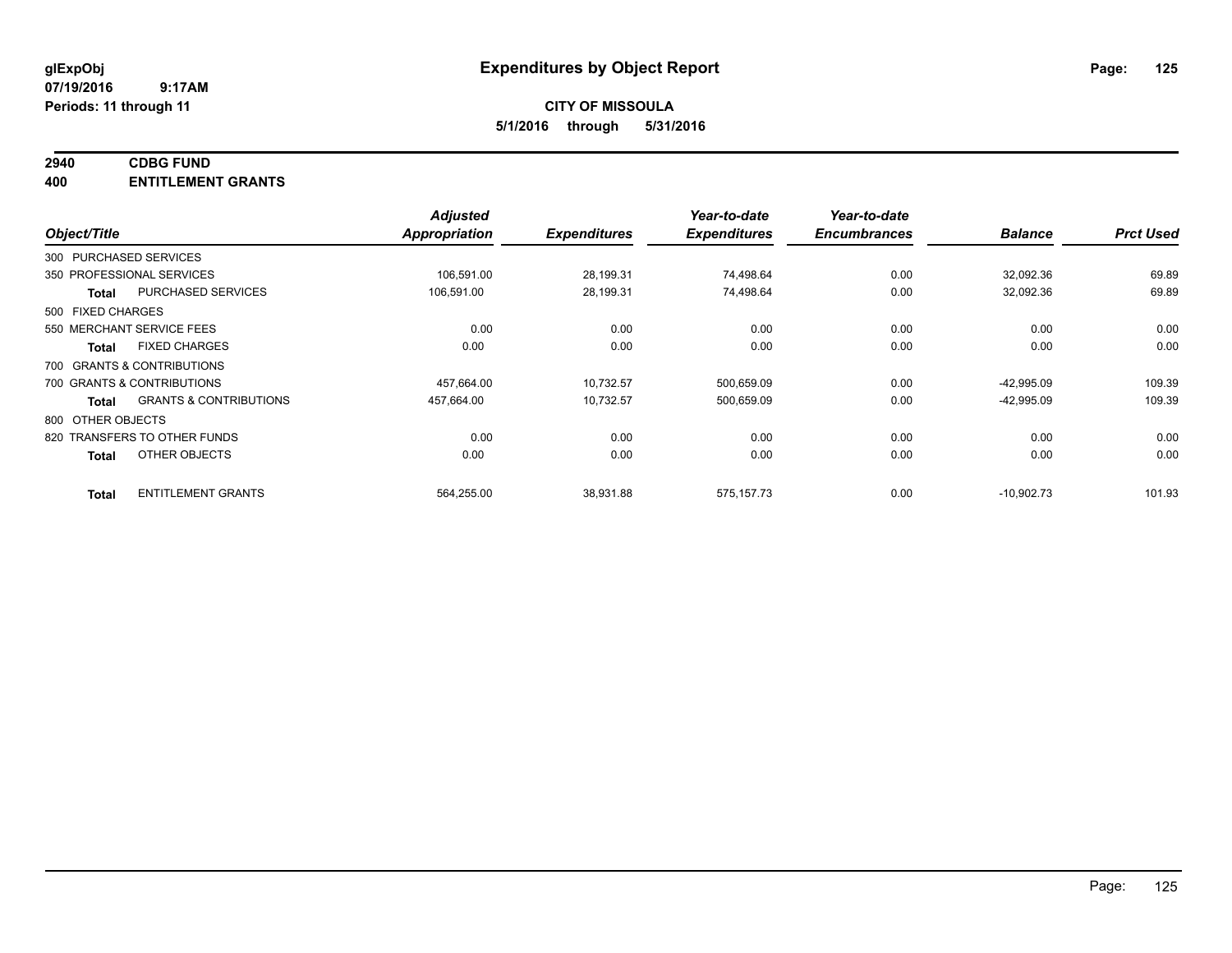#### **2940 CDBG FUND**

**400 ENTITLEMENT GRANTS**

| Object/Title               |                                   | <b>Adjusted</b><br>Appropriation | <b>Expenditures</b> | Year-to-date<br><b>Expenditures</b> | Year-to-date<br><b>Encumbrances</b> | <b>Balance</b> | <b>Prct Used</b> |
|----------------------------|-----------------------------------|----------------------------------|---------------------|-------------------------------------|-------------------------------------|----------------|------------------|
| 300 PURCHASED SERVICES     |                                   |                                  |                     |                                     |                                     |                |                  |
| 350 PROFESSIONAL SERVICES  |                                   | 106,591.00                       | 28,199.31           | 74,498.64                           | 0.00                                | 32,092.36      | 69.89            |
| <b>Total</b>               | <b>PURCHASED SERVICES</b>         | 106,591.00                       | 28,199.31           | 74,498.64                           | 0.00                                | 32,092.36      | 69.89            |
| 500 FIXED CHARGES          |                                   |                                  |                     |                                     |                                     |                |                  |
| 550 MERCHANT SERVICE FEES  |                                   | 0.00                             | 0.00                | 0.00                                | 0.00                                | 0.00           | 0.00             |
| <b>Total</b>               | <b>FIXED CHARGES</b>              | 0.00                             | 0.00                | 0.00                                | 0.00                                | 0.00           | 0.00             |
| 700 GRANTS & CONTRIBUTIONS |                                   |                                  |                     |                                     |                                     |                |                  |
| 700 GRANTS & CONTRIBUTIONS |                                   | 457,664.00                       | 10,732.57           | 500,659.09                          | 0.00                                | $-42,995.09$   | 109.39           |
| Total                      | <b>GRANTS &amp; CONTRIBUTIONS</b> | 457,664.00                       | 10,732.57           | 500,659.09                          | 0.00                                | $-42,995.09$   | 109.39           |
| 800 OTHER OBJECTS          |                                   |                                  |                     |                                     |                                     |                |                  |
|                            | 820 TRANSFERS TO OTHER FUNDS      | 0.00                             | 0.00                | 0.00                                | 0.00                                | 0.00           | 0.00             |
| <b>Total</b>               | OTHER OBJECTS                     | 0.00                             | 0.00                | 0.00                                | 0.00                                | 0.00           | 0.00             |
| <b>Total</b>               | <b>ENTITLEMENT GRANTS</b>         | 564,255.00                       | 38,931.88           | 575, 157. 73                        | 0.00                                | $-10,902.73$   | 101.93           |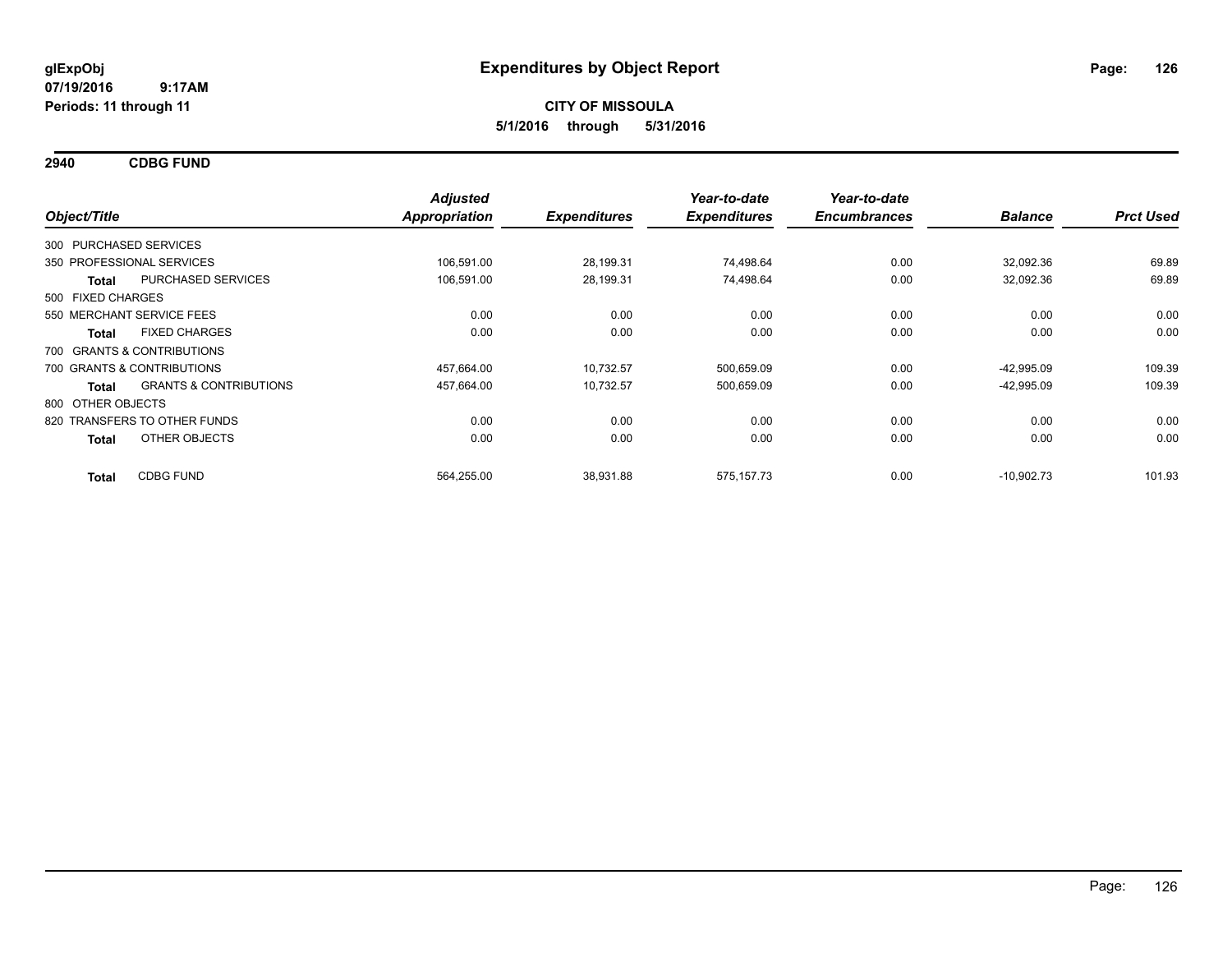**2940 CDBG FUND**

|                   |                                   | <b>Adjusted</b> |                     | Year-to-date        | Year-to-date        |                |                  |
|-------------------|-----------------------------------|-----------------|---------------------|---------------------|---------------------|----------------|------------------|
| Object/Title      |                                   | Appropriation   | <b>Expenditures</b> | <b>Expenditures</b> | <b>Encumbrances</b> | <b>Balance</b> | <b>Prct Used</b> |
|                   | 300 PURCHASED SERVICES            |                 |                     |                     |                     |                |                  |
|                   | 350 PROFESSIONAL SERVICES         | 106,591.00      | 28,199.31           | 74,498.64           | 0.00                | 32,092.36      | 69.89            |
| Total             | <b>PURCHASED SERVICES</b>         | 106,591.00      | 28,199.31           | 74,498.64           | 0.00                | 32,092.36      | 69.89            |
| 500 FIXED CHARGES |                                   |                 |                     |                     |                     |                |                  |
|                   | 550 MERCHANT SERVICE FEES         | 0.00            | 0.00                | 0.00                | 0.00                | 0.00           | 0.00             |
| <b>Total</b>      | <b>FIXED CHARGES</b>              | 0.00            | 0.00                | 0.00                | 0.00                | 0.00           | 0.00             |
|                   | 700 GRANTS & CONTRIBUTIONS        |                 |                     |                     |                     |                |                  |
|                   | 700 GRANTS & CONTRIBUTIONS        | 457,664.00      | 10,732.57           | 500,659.09          | 0.00                | $-42,995.09$   | 109.39           |
| Total             | <b>GRANTS &amp; CONTRIBUTIONS</b> | 457,664.00      | 10,732.57           | 500,659.09          | 0.00                | $-42,995.09$   | 109.39           |
| 800 OTHER OBJECTS |                                   |                 |                     |                     |                     |                |                  |
|                   | 820 TRANSFERS TO OTHER FUNDS      | 0.00            | 0.00                | 0.00                | 0.00                | 0.00           | 0.00             |
| <b>Total</b>      | OTHER OBJECTS                     | 0.00            | 0.00                | 0.00                | 0.00                | 0.00           | 0.00             |
| <b>Total</b>      | <b>CDBG FUND</b>                  | 564,255.00      | 38,931.88           | 575, 157. 73        | 0.00                | $-10,902.73$   | 101.93           |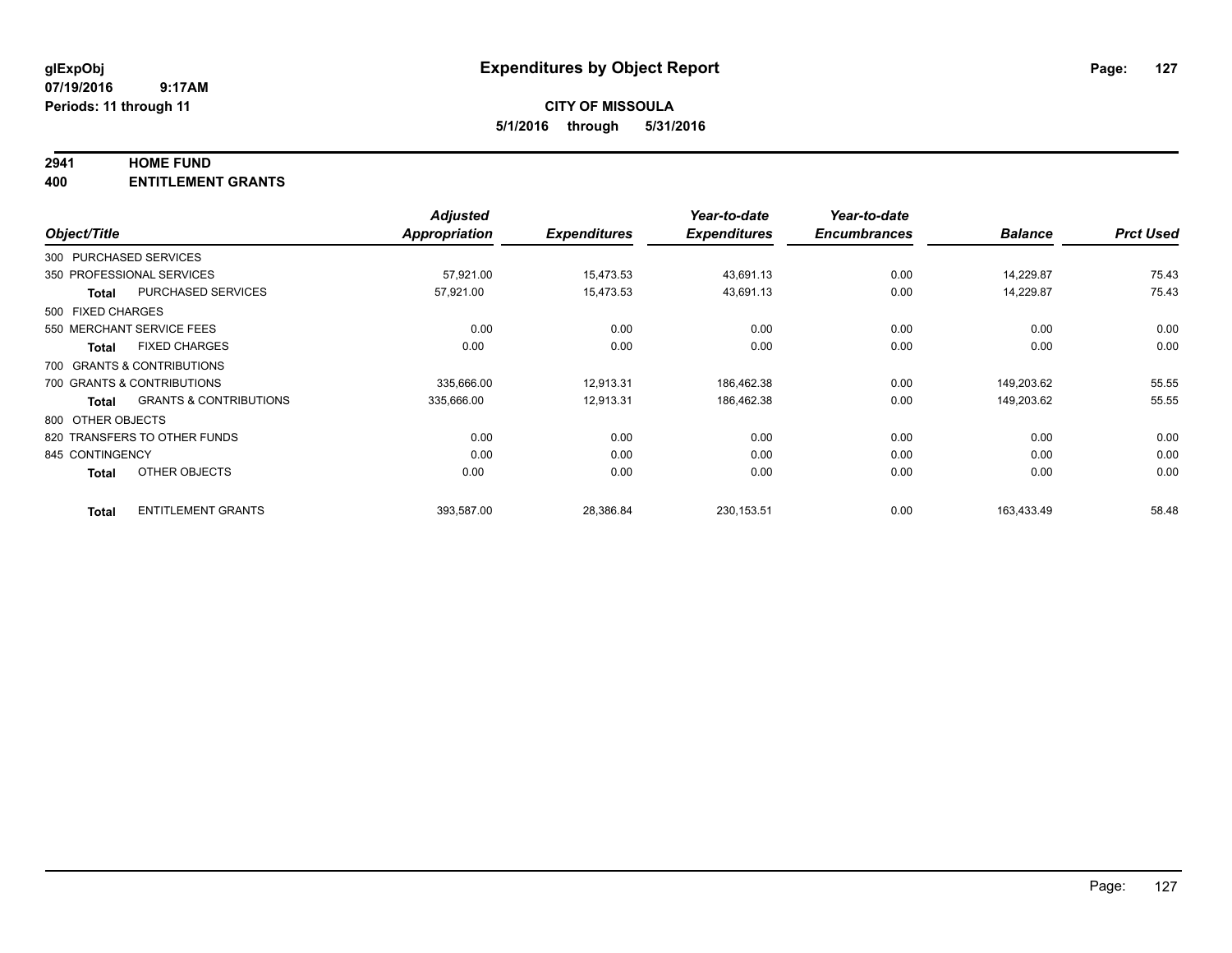#### **2941 HOME FUND**

**400 ENTITLEMENT GRANTS**

| Object/Title      |                                   | <b>Adjusted</b><br>Appropriation | <b>Expenditures</b> | Year-to-date<br><b>Expenditures</b> | Year-to-date<br><b>Encumbrances</b> | <b>Balance</b> | <b>Prct Used</b> |
|-------------------|-----------------------------------|----------------------------------|---------------------|-------------------------------------|-------------------------------------|----------------|------------------|
|                   | 300 PURCHASED SERVICES            |                                  |                     |                                     |                                     |                |                  |
|                   | 350 PROFESSIONAL SERVICES         | 57,921.00                        | 15,473.53           | 43,691.13                           | 0.00                                | 14.229.87      | 75.43            |
| <b>Total</b>      | <b>PURCHASED SERVICES</b>         | 57,921.00                        | 15,473.53           | 43,691.13                           | 0.00                                | 14,229.87      | 75.43            |
| 500 FIXED CHARGES |                                   |                                  |                     |                                     |                                     |                |                  |
|                   | 550 MERCHANT SERVICE FEES         | 0.00                             | 0.00                | 0.00                                | 0.00                                | 0.00           | 0.00             |
| <b>Total</b>      | <b>FIXED CHARGES</b>              | 0.00                             | 0.00                | 0.00                                | 0.00                                | 0.00           | 0.00             |
|                   | 700 GRANTS & CONTRIBUTIONS        |                                  |                     |                                     |                                     |                |                  |
|                   | 700 GRANTS & CONTRIBUTIONS        | 335,666.00                       | 12,913.31           | 186,462.38                          | 0.00                                | 149,203.62     | 55.55            |
| <b>Total</b>      | <b>GRANTS &amp; CONTRIBUTIONS</b> | 335,666.00                       | 12,913.31           | 186,462.38                          | 0.00                                | 149,203.62     | 55.55            |
| 800 OTHER OBJECTS |                                   |                                  |                     |                                     |                                     |                |                  |
|                   | 820 TRANSFERS TO OTHER FUNDS      | 0.00                             | 0.00                | 0.00                                | 0.00                                | 0.00           | 0.00             |
| 845 CONTINGENCY   |                                   | 0.00                             | 0.00                | 0.00                                | 0.00                                | 0.00           | 0.00             |
| <b>Total</b>      | OTHER OBJECTS                     | 0.00                             | 0.00                | 0.00                                | 0.00                                | 0.00           | 0.00             |
| <b>Total</b>      | <b>ENTITLEMENT GRANTS</b>         | 393,587.00                       | 28,386.84           | 230, 153.51                         | 0.00                                | 163,433.49     | 58.48            |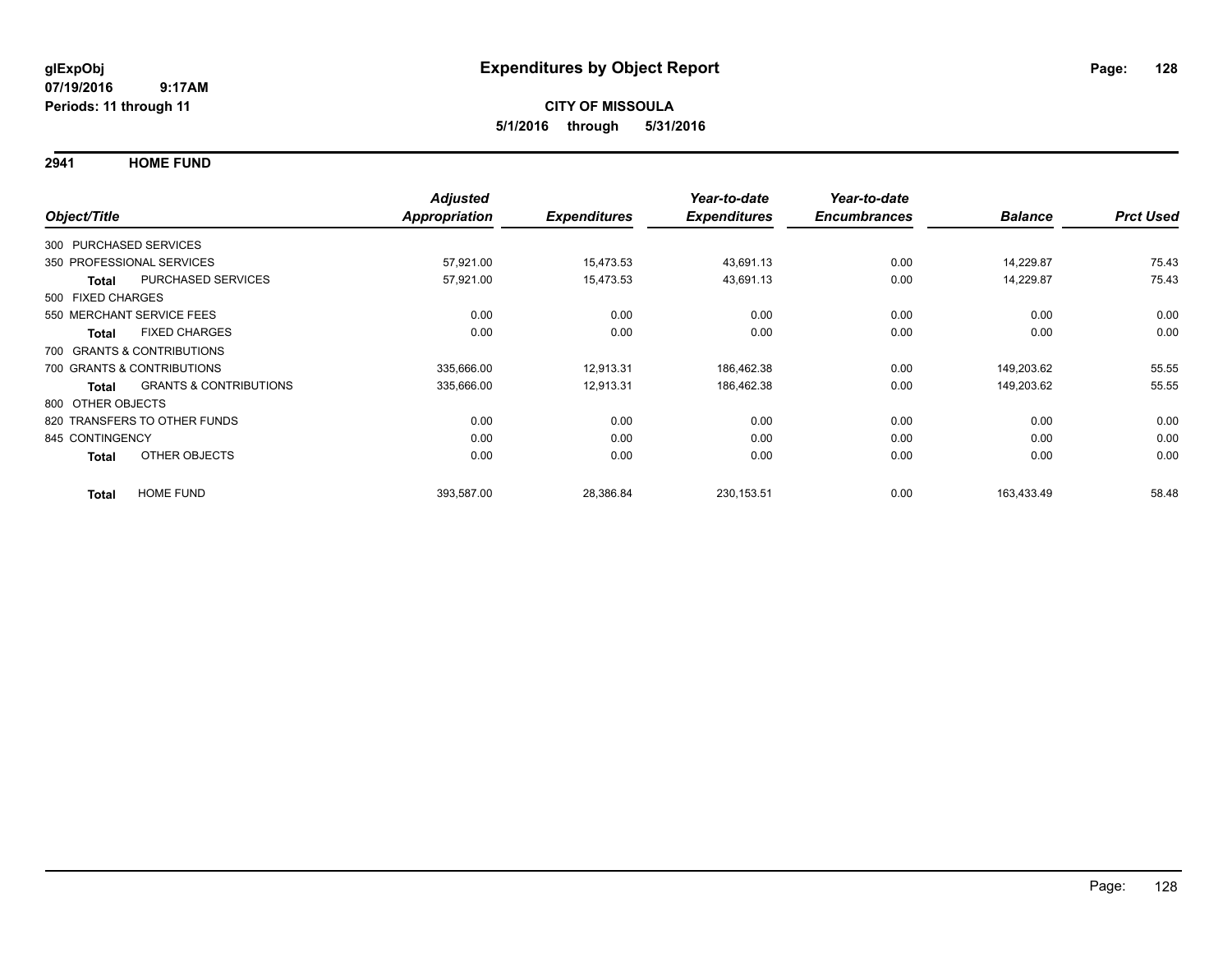**2941 HOME FUND**

|                        |                                   | <b>Adjusted</b>      |                     | Year-to-date        | Year-to-date        |                |                  |
|------------------------|-----------------------------------|----------------------|---------------------|---------------------|---------------------|----------------|------------------|
| Object/Title           |                                   | <b>Appropriation</b> | <b>Expenditures</b> | <b>Expenditures</b> | <b>Encumbrances</b> | <b>Balance</b> | <b>Prct Used</b> |
| 300 PURCHASED SERVICES |                                   |                      |                     |                     |                     |                |                  |
|                        | 350 PROFESSIONAL SERVICES         | 57,921.00            | 15,473.53           | 43,691.13           | 0.00                | 14,229.87      | 75.43            |
| <b>Total</b>           | PURCHASED SERVICES                | 57,921.00            | 15,473.53           | 43,691.13           | 0.00                | 14,229.87      | 75.43            |
| 500 FIXED CHARGES      |                                   |                      |                     |                     |                     |                |                  |
|                        | 550 MERCHANT SERVICE FEES         | 0.00                 | 0.00                | 0.00                | 0.00                | 0.00           | 0.00             |
| <b>Total</b>           | <b>FIXED CHARGES</b>              | 0.00                 | 0.00                | 0.00                | 0.00                | 0.00           | 0.00             |
|                        | 700 GRANTS & CONTRIBUTIONS        |                      |                     |                     |                     |                |                  |
|                        | 700 GRANTS & CONTRIBUTIONS        | 335,666.00           | 12,913.31           | 186,462.38          | 0.00                | 149,203.62     | 55.55            |
| <b>Total</b>           | <b>GRANTS &amp; CONTRIBUTIONS</b> | 335,666.00           | 12,913.31           | 186,462.38          | 0.00                | 149,203.62     | 55.55            |
| 800 OTHER OBJECTS      |                                   |                      |                     |                     |                     |                |                  |
|                        | 820 TRANSFERS TO OTHER FUNDS      | 0.00                 | 0.00                | 0.00                | 0.00                | 0.00           | 0.00             |
| 845 CONTINGENCY        |                                   | 0.00                 | 0.00                | 0.00                | 0.00                | 0.00           | 0.00             |
| <b>Total</b>           | <b>OTHER OBJECTS</b>              | 0.00                 | 0.00                | 0.00                | 0.00                | 0.00           | 0.00             |
| <b>Total</b>           | <b>HOME FUND</b>                  | 393,587.00           | 28,386.84           | 230, 153.51         | 0.00                | 163.433.49     | 58.48            |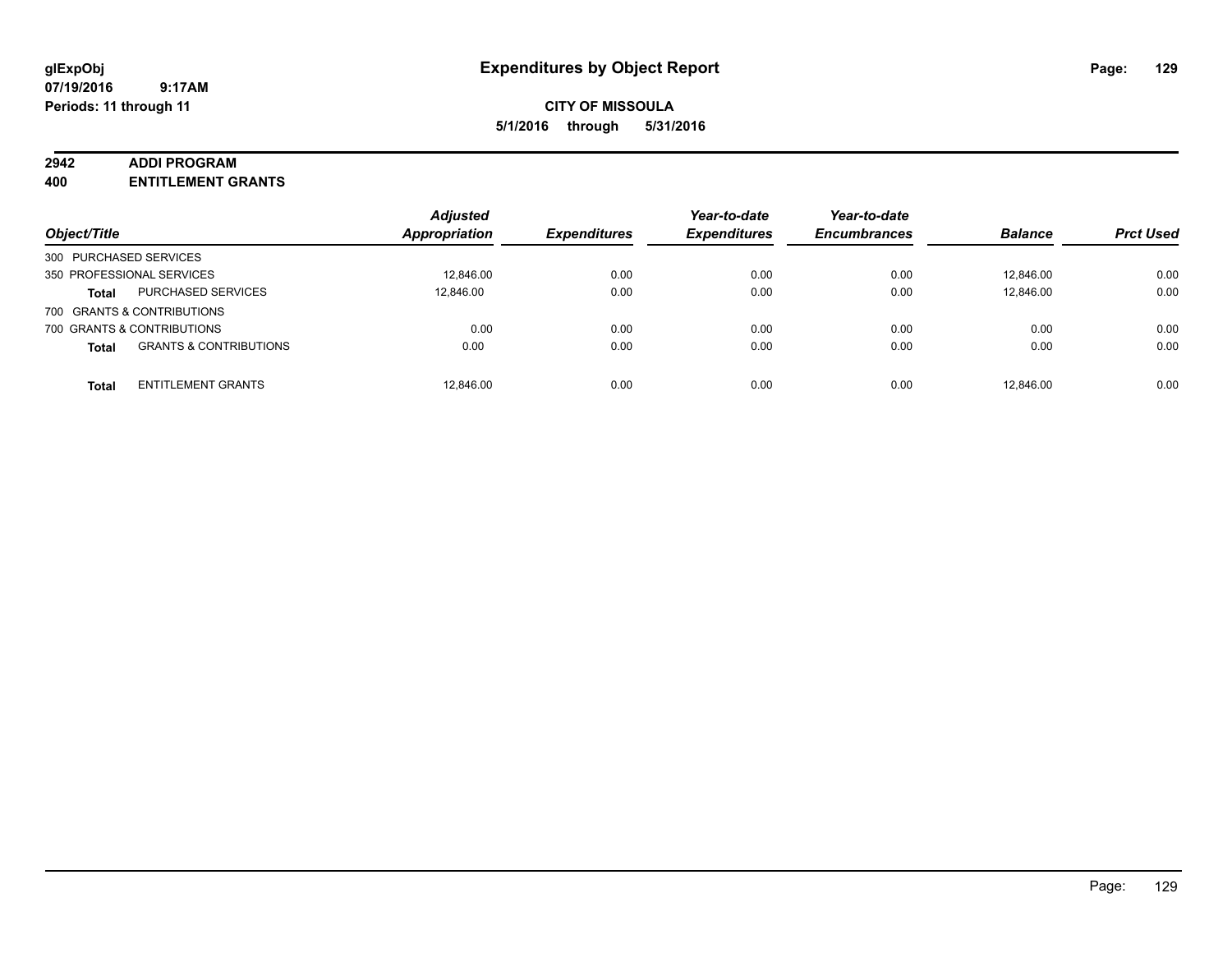#### **2942 ADDI PROGRAM**

**400 ENTITLEMENT GRANTS**

| Object/Title                                      | <b>Adjusted</b><br><b>Appropriation</b> | <b>Expenditures</b> | Year-to-date<br><b>Expenditures</b> | Year-to-date<br><b>Encumbrances</b> | <b>Balance</b> | <b>Prct Used</b> |
|---------------------------------------------------|-----------------------------------------|---------------------|-------------------------------------|-------------------------------------|----------------|------------------|
| 300 PURCHASED SERVICES                            |                                         |                     |                                     |                                     |                |                  |
| 350 PROFESSIONAL SERVICES                         | 12,846.00                               | 0.00                | 0.00                                | 0.00                                | 12.846.00      | 0.00             |
| PURCHASED SERVICES<br><b>Total</b>                | 12,846.00                               | 0.00                | 0.00                                | 0.00                                | 12,846.00      | 0.00             |
| 700 GRANTS & CONTRIBUTIONS                        |                                         |                     |                                     |                                     |                |                  |
| 700 GRANTS & CONTRIBUTIONS                        | 0.00                                    | 0.00                | 0.00                                | 0.00                                | 0.00           | 0.00             |
| <b>GRANTS &amp; CONTRIBUTIONS</b><br><b>Total</b> | 0.00                                    | 0.00                | 0.00                                | 0.00                                | 0.00           | 0.00             |
| <b>ENTITLEMENT GRANTS</b><br><b>Total</b>         | 12.846.00                               | 0.00                | 0.00                                | 0.00                                | 12.846.00      | 0.00             |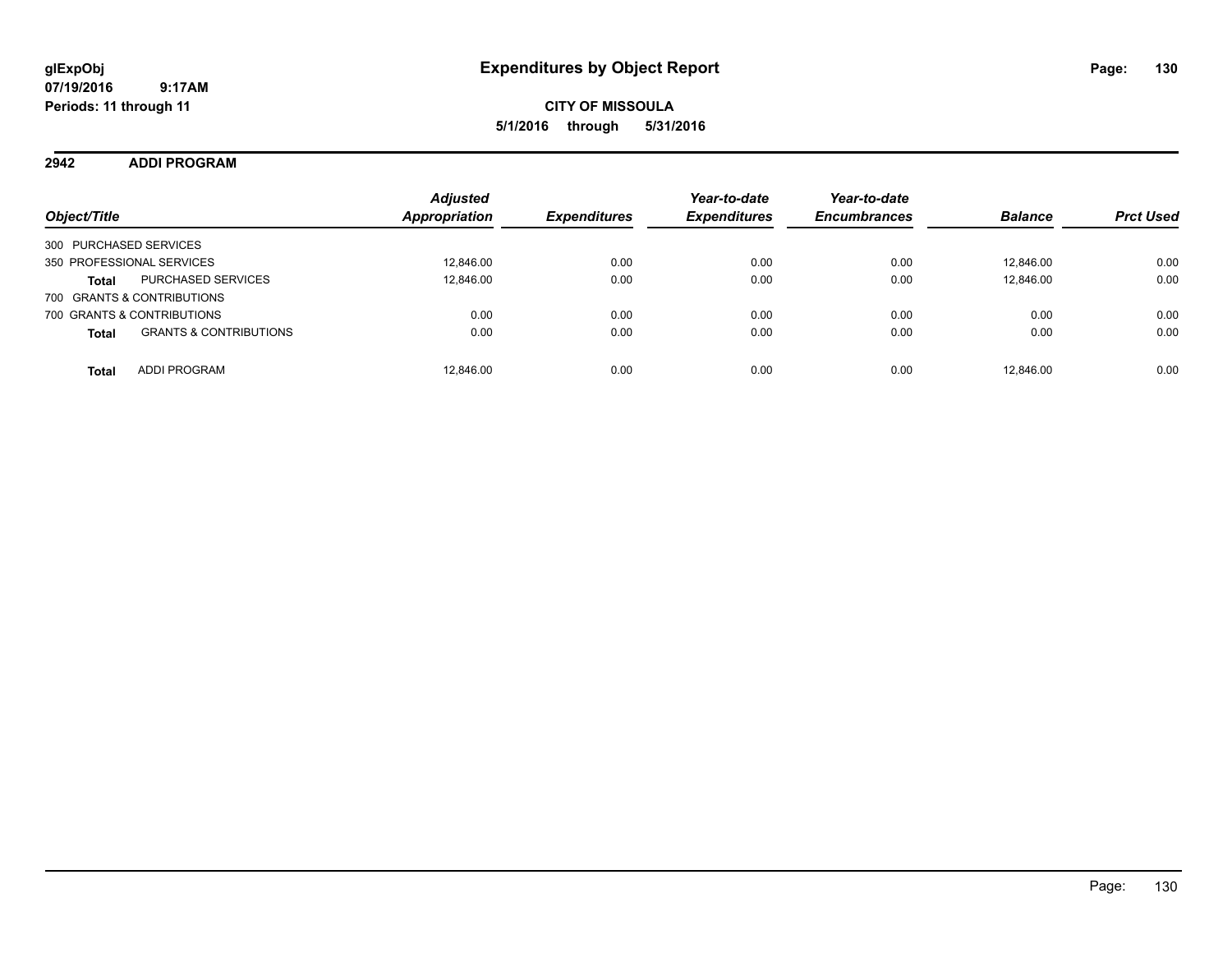### **2942 ADDI PROGRAM**

| Object/Title                                      | <b>Adjusted</b><br>Appropriation | <b>Expenditures</b> | Year-to-date<br><b>Expenditures</b> | Year-to-date<br><b>Encumbrances</b> | <b>Balance</b> | <b>Prct Used</b> |
|---------------------------------------------------|----------------------------------|---------------------|-------------------------------------|-------------------------------------|----------------|------------------|
| 300 PURCHASED SERVICES                            |                                  |                     |                                     |                                     |                |                  |
| 350 PROFESSIONAL SERVICES                         | 12.846.00                        | 0.00                | 0.00                                | 0.00                                | 12.846.00      | 0.00             |
| <b>PURCHASED SERVICES</b><br><b>Total</b>         | 12,846.00                        | 0.00                | 0.00                                | 0.00                                | 12.846.00      | 0.00             |
| 700 GRANTS & CONTRIBUTIONS                        |                                  |                     |                                     |                                     |                |                  |
| 700 GRANTS & CONTRIBUTIONS                        | 0.00                             | 0.00                | 0.00                                | 0.00                                | 0.00           | 0.00             |
| <b>GRANTS &amp; CONTRIBUTIONS</b><br><b>Total</b> | 0.00                             | 0.00                | 0.00                                | 0.00                                | 0.00           | 0.00             |
| ADDI PROGRAM<br><b>Total</b>                      | 12.846.00                        | 0.00                | 0.00                                | 0.00                                | 12.846.00      | 0.00             |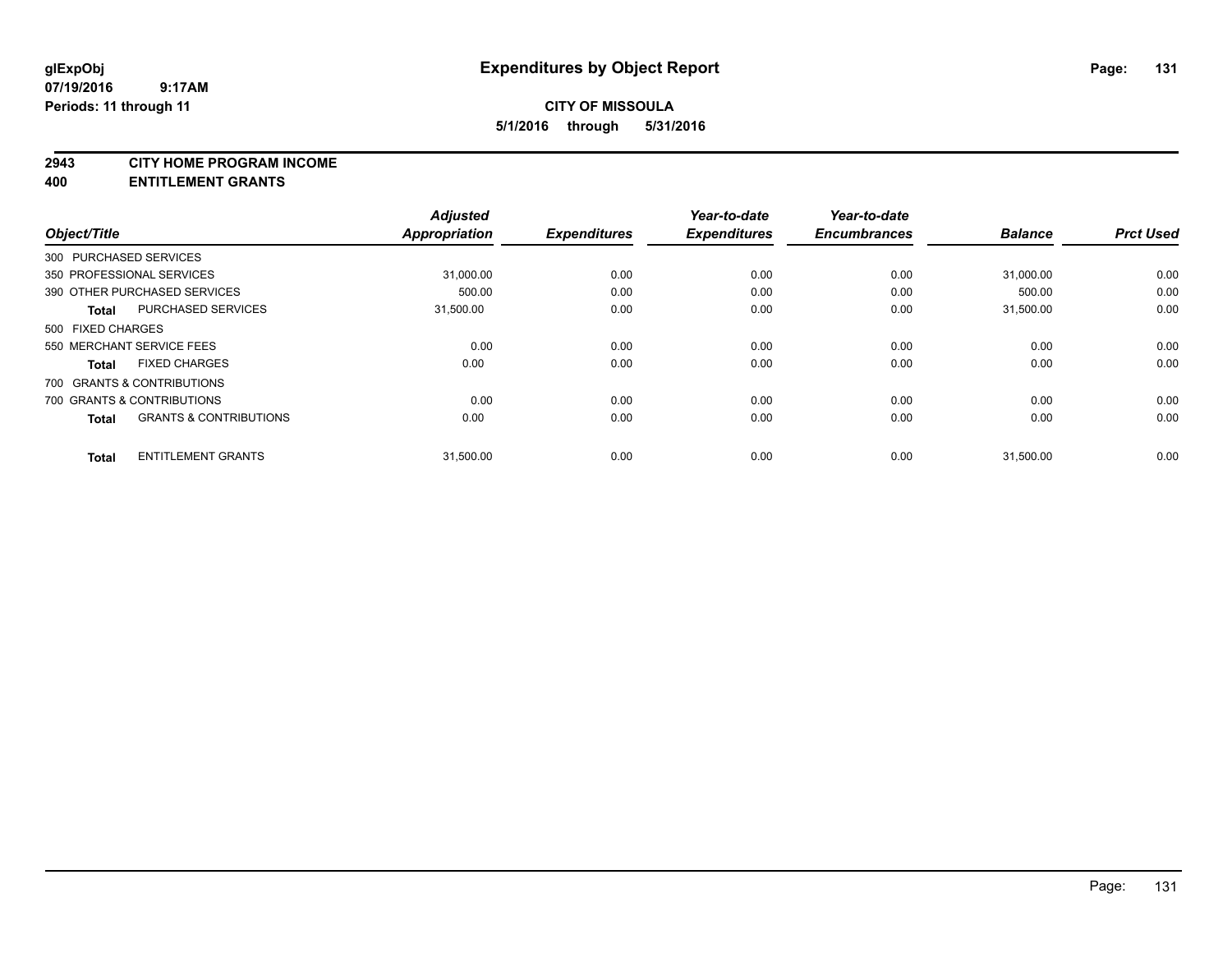#### **2943 CITY HOME PROGRAM INCOME**

#### **400 ENTITLEMENT GRANTS**

| Object/Title      |                                   | <b>Adjusted</b><br>Appropriation | <b>Expenditures</b> | Year-to-date<br><b>Expenditures</b> | Year-to-date<br><b>Encumbrances</b> | <b>Balance</b> | <b>Prct Used</b> |
|-------------------|-----------------------------------|----------------------------------|---------------------|-------------------------------------|-------------------------------------|----------------|------------------|
|                   | 300 PURCHASED SERVICES            |                                  |                     |                                     |                                     |                |                  |
|                   | 350 PROFESSIONAL SERVICES         | 31,000.00                        | 0.00                | 0.00                                | 0.00                                | 31,000.00      | 0.00             |
|                   | 390 OTHER PURCHASED SERVICES      | 500.00                           | 0.00                | 0.00                                | 0.00                                | 500.00         | 0.00             |
| <b>Total</b>      | <b>PURCHASED SERVICES</b>         | 31,500.00                        | 0.00                | 0.00                                | 0.00                                | 31,500.00      | 0.00             |
| 500 FIXED CHARGES |                                   |                                  |                     |                                     |                                     |                |                  |
|                   | 550 MERCHANT SERVICE FEES         | 0.00                             | 0.00                | 0.00                                | 0.00                                | 0.00           | 0.00             |
| <b>Total</b>      | <b>FIXED CHARGES</b>              | 0.00                             | 0.00                | 0.00                                | 0.00                                | 0.00           | 0.00             |
|                   | 700 GRANTS & CONTRIBUTIONS        |                                  |                     |                                     |                                     |                |                  |
|                   | 700 GRANTS & CONTRIBUTIONS        | 0.00                             | 0.00                | 0.00                                | 0.00                                | 0.00           | 0.00             |
| <b>Total</b>      | <b>GRANTS &amp; CONTRIBUTIONS</b> | 0.00                             | 0.00                | 0.00                                | 0.00                                | 0.00           | 0.00             |
| <b>Total</b>      | <b>ENTITLEMENT GRANTS</b>         | 31,500.00                        | 0.00                | 0.00                                | 0.00                                | 31,500.00      | 0.00             |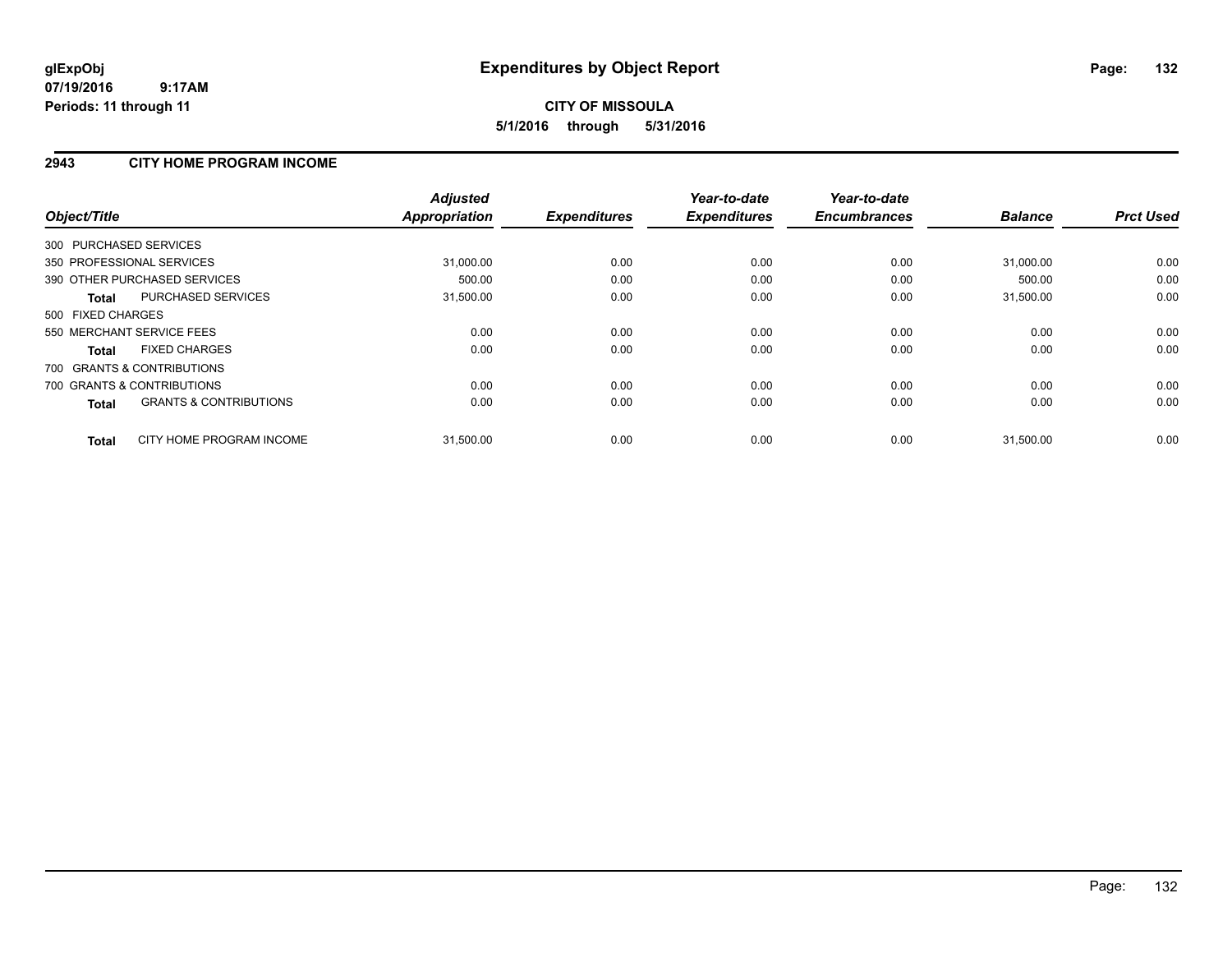### **2943 CITY HOME PROGRAM INCOME**

| Object/Title                                      | <b>Adjusted</b><br><b>Appropriation</b> | <b>Expenditures</b> | Year-to-date<br><b>Expenditures</b> | Year-to-date<br><b>Encumbrances</b> | <b>Balance</b> | <b>Prct Used</b> |
|---------------------------------------------------|-----------------------------------------|---------------------|-------------------------------------|-------------------------------------|----------------|------------------|
| 300 PURCHASED SERVICES                            |                                         |                     |                                     |                                     |                |                  |
| 350 PROFESSIONAL SERVICES                         | 31,000.00                               | 0.00                | 0.00                                | 0.00                                | 31,000.00      | 0.00             |
| 390 OTHER PURCHASED SERVICES                      | 500.00                                  | 0.00                | 0.00                                | 0.00                                | 500.00         | 0.00             |
| PURCHASED SERVICES<br>Total                       | 31,500.00                               | 0.00                | 0.00                                | 0.00                                | 31,500.00      | 0.00             |
| 500 FIXED CHARGES                                 |                                         |                     |                                     |                                     |                |                  |
| 550 MERCHANT SERVICE FEES                         | 0.00                                    | 0.00                | 0.00                                | 0.00                                | 0.00           | 0.00             |
| <b>FIXED CHARGES</b><br><b>Total</b>              | 0.00                                    | 0.00                | 0.00                                | 0.00                                | 0.00           | 0.00             |
| 700 GRANTS & CONTRIBUTIONS                        |                                         |                     |                                     |                                     |                |                  |
| 700 GRANTS & CONTRIBUTIONS                        | 0.00                                    | 0.00                | 0.00                                | 0.00                                | 0.00           | 0.00             |
| <b>GRANTS &amp; CONTRIBUTIONS</b><br><b>Total</b> | 0.00                                    | 0.00                | 0.00                                | 0.00                                | 0.00           | 0.00             |
| CITY HOME PROGRAM INCOME<br><b>Total</b>          | 31,500.00                               | 0.00                | 0.00                                | 0.00                                | 31,500.00      | 0.00             |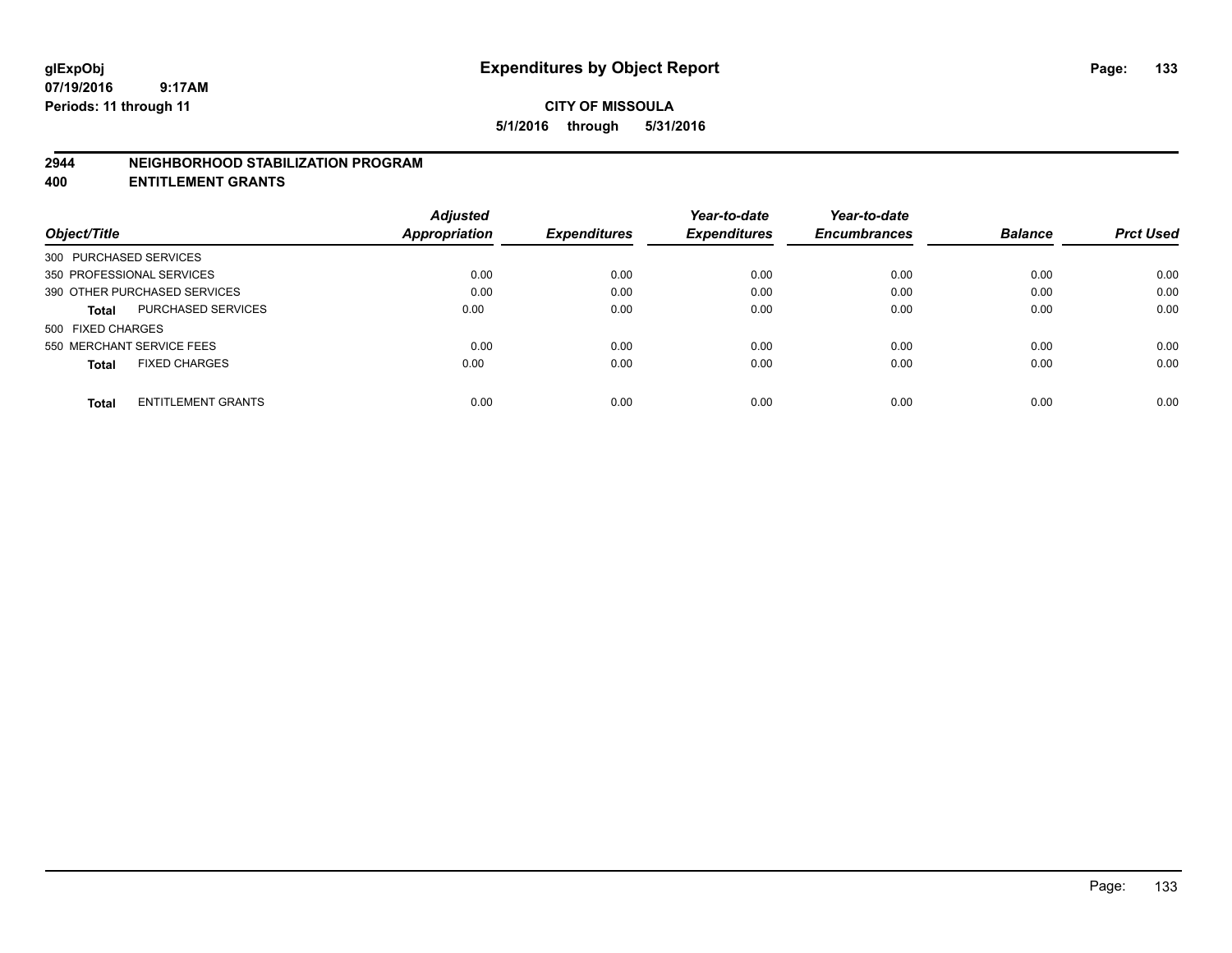#### **2944 NEIGHBORHOOD STABILIZATION PROGRAM**

**400 ENTITLEMENT GRANTS**

|                                           | <b>Adjusted</b>      |                     | Year-to-date        | Year-to-date        |                |                  |
|-------------------------------------------|----------------------|---------------------|---------------------|---------------------|----------------|------------------|
| Object/Title                              | <b>Appropriation</b> | <b>Expenditures</b> | <b>Expenditures</b> | <b>Encumbrances</b> | <b>Balance</b> | <b>Prct Used</b> |
| 300 PURCHASED SERVICES                    |                      |                     |                     |                     |                |                  |
| 350 PROFESSIONAL SERVICES                 | 0.00                 | 0.00                | 0.00                | 0.00                | 0.00           | 0.00             |
| 390 OTHER PURCHASED SERVICES              | 0.00                 | 0.00                | 0.00                | 0.00                | 0.00           | 0.00             |
| <b>PURCHASED SERVICES</b><br><b>Total</b> | 0.00                 | 0.00                | 0.00                | 0.00                | 0.00           | 0.00             |
| 500 FIXED CHARGES                         |                      |                     |                     |                     |                |                  |
| 550 MERCHANT SERVICE FEES                 | 0.00                 | 0.00                | 0.00                | 0.00                | 0.00           | 0.00             |
| <b>FIXED CHARGES</b><br><b>Total</b>      | 0.00                 | 0.00                | 0.00                | 0.00                | 0.00           | 0.00             |
| <b>ENTITLEMENT GRANTS</b><br><b>Total</b> | 0.00                 | 0.00                | 0.00                | 0.00                | 0.00           | 0.00             |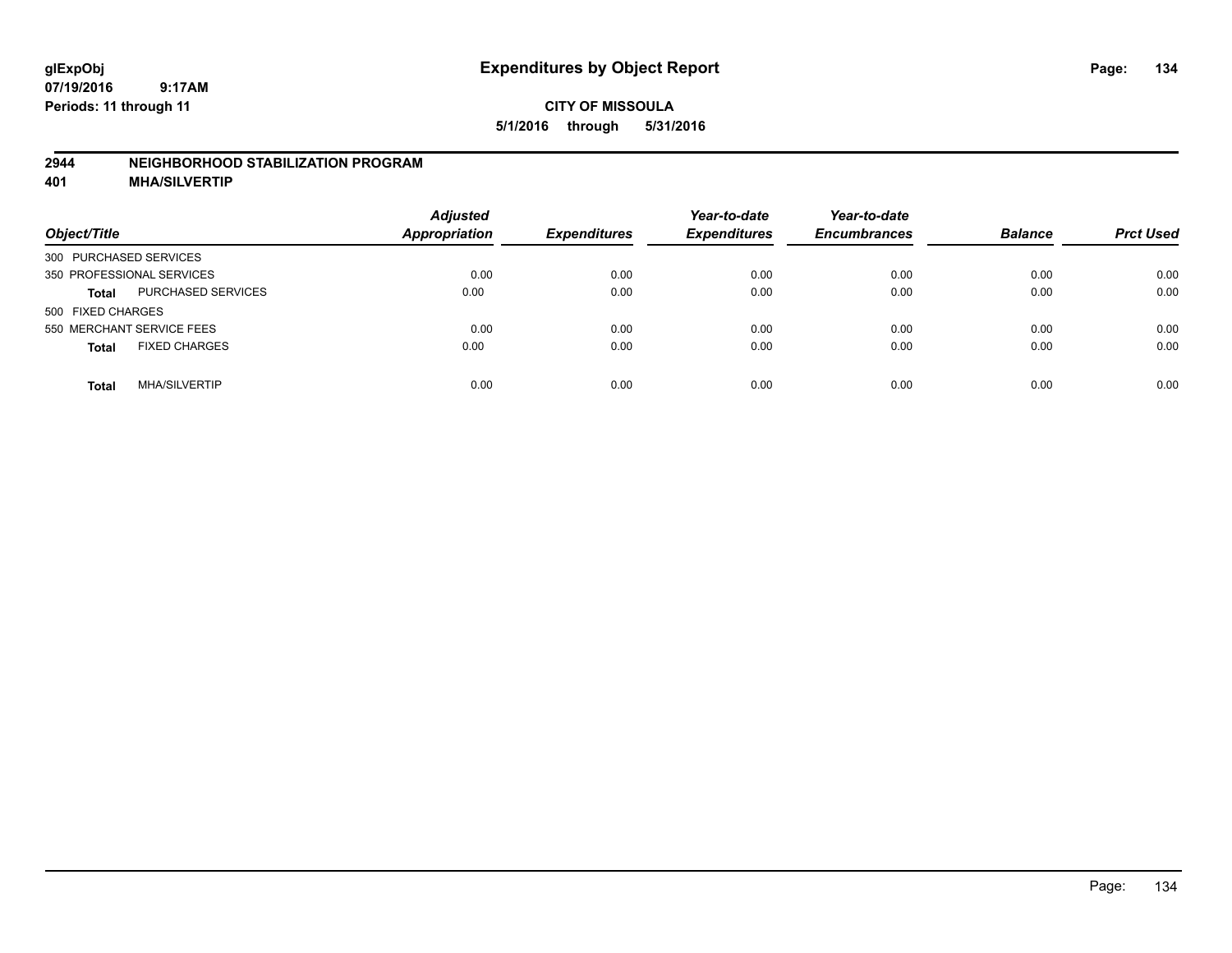### **2944 NEIGHBORHOOD STABILIZATION PROGRAM**

**401 MHA/SILVERTIP**

| Object/Title                              | <b>Adjusted</b><br><b>Appropriation</b> | <b>Expenditures</b> | Year-to-date<br><b>Expenditures</b> | Year-to-date<br><b>Encumbrances</b> | <b>Balance</b> | <b>Prct Used</b> |
|-------------------------------------------|-----------------------------------------|---------------------|-------------------------------------|-------------------------------------|----------------|------------------|
| 300 PURCHASED SERVICES                    |                                         |                     |                                     |                                     |                |                  |
| 350 PROFESSIONAL SERVICES                 | 0.00                                    | 0.00                | 0.00                                | 0.00                                | 0.00           | 0.00             |
| <b>PURCHASED SERVICES</b><br><b>Total</b> | 0.00                                    | 0.00                | 0.00                                | 0.00                                | 0.00           | 0.00             |
| 500 FIXED CHARGES                         |                                         |                     |                                     |                                     |                |                  |
| 550 MERCHANT SERVICE FEES                 | 0.00                                    | 0.00                | 0.00                                | 0.00                                | 0.00           | 0.00             |
| <b>FIXED CHARGES</b><br><b>Total</b>      | 0.00                                    | 0.00                | 0.00                                | 0.00                                | 0.00           | 0.00             |
| <b>MHA/SILVERTIP</b><br>Total             | 0.00                                    | 0.00                | 0.00                                | 0.00                                | 0.00           | 0.00             |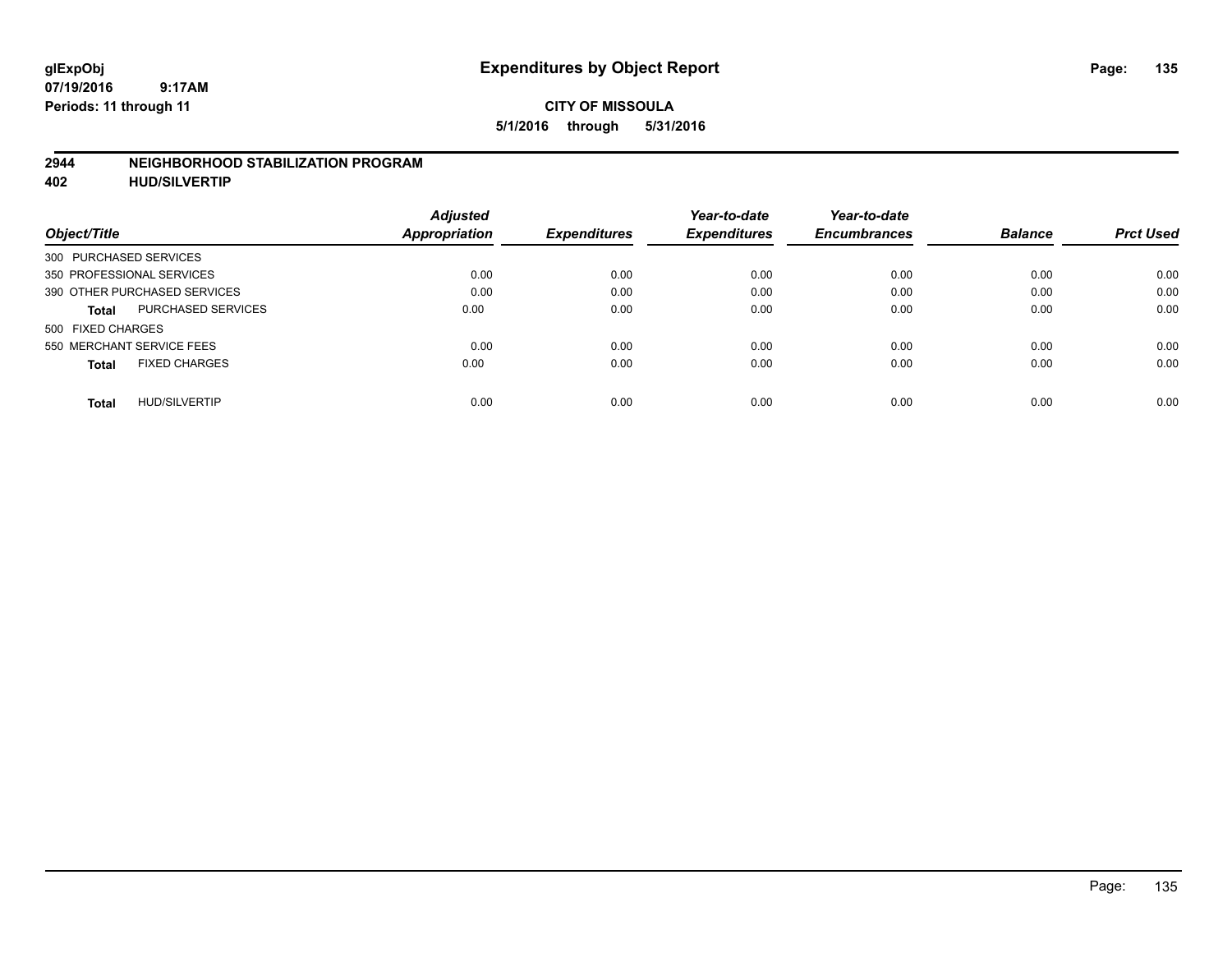#### **2944 NEIGHBORHOOD STABILIZATION PROGRAM**

**402 HUD/SILVERTIP**

| <b>Adjusted</b> |               | Year-to-date        | Year-to-date        |                     | <b>Prct Used</b> |
|-----------------|---------------|---------------------|---------------------|---------------------|------------------|
|                 |               |                     |                     |                     |                  |
|                 |               |                     |                     |                     |                  |
| 0.00            | 0.00          | 0.00                | 0.00                | 0.00                | 0.00             |
| 0.00            | 0.00          | 0.00                | 0.00                | 0.00                | 0.00             |
| 0.00            | 0.00          | 0.00                | 0.00                | 0.00                | 0.00             |
|                 |               |                     |                     |                     |                  |
| 0.00            | 0.00          | 0.00                | 0.00                | 0.00                | 0.00             |
| 0.00            | 0.00          | 0.00                | 0.00                | 0.00                | 0.00             |
| 0.00            | 0.00          | 0.00                | 0.00                | 0.00                | 0.00             |
|                 | Appropriation | <b>Expenditures</b> | <b>Expenditures</b> | <b>Encumbrances</b> | <b>Balance</b>   |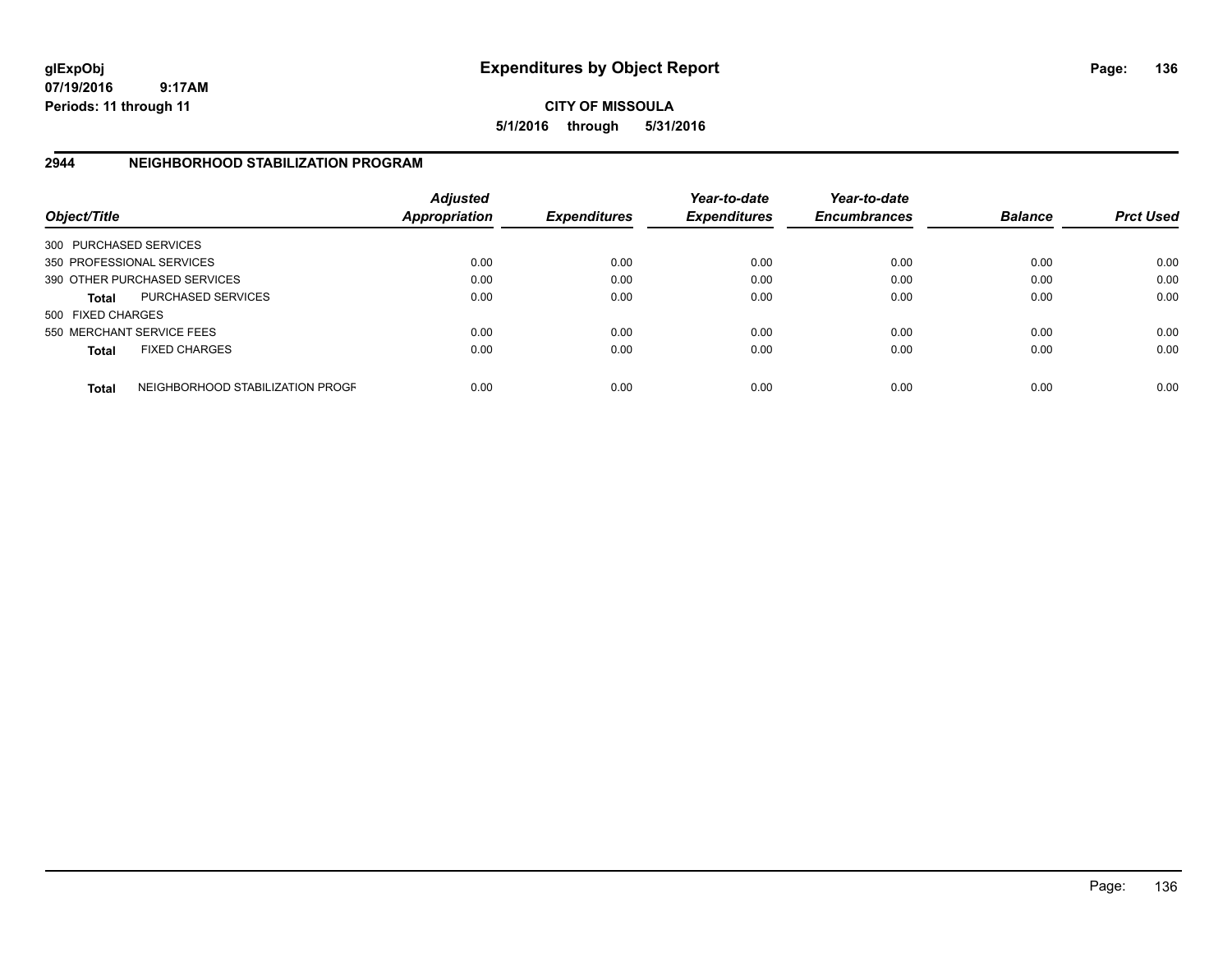**CITY OF MISSOULA 5/1/2016 through 5/31/2016**

## **2944 NEIGHBORHOOD STABILIZATION PROGRAM**

| Object/Title           |                                  | <b>Adjusted</b><br><b>Appropriation</b> | <b>Expenditures</b> | Year-to-date<br><b>Expenditures</b> | Year-to-date<br><b>Encumbrances</b> | <b>Balance</b> | <b>Prct Used</b> |
|------------------------|----------------------------------|-----------------------------------------|---------------------|-------------------------------------|-------------------------------------|----------------|------------------|
| 300 PURCHASED SERVICES |                                  |                                         |                     |                                     |                                     |                |                  |
|                        | 350 PROFESSIONAL SERVICES        | 0.00                                    | 0.00                | 0.00                                | 0.00                                | 0.00           | 0.00             |
|                        | 390 OTHER PURCHASED SERVICES     | 0.00                                    | 0.00                | 0.00                                | 0.00                                | 0.00           | 0.00             |
| <b>Total</b>           | <b>PURCHASED SERVICES</b>        | 0.00                                    | 0.00                | 0.00                                | 0.00                                | 0.00           | 0.00             |
| 500 FIXED CHARGES      |                                  |                                         |                     |                                     |                                     |                |                  |
|                        | 550 MERCHANT SERVICE FEES        | 0.00                                    | 0.00                | 0.00                                | 0.00                                | 0.00           | 0.00             |
| <b>Total</b>           | <b>FIXED CHARGES</b>             | 0.00                                    | 0.00                | 0.00                                | 0.00                                | 0.00           | 0.00             |
| <b>Total</b>           | NEIGHBORHOOD STABILIZATION PROGF | 0.00                                    | 0.00                | 0.00                                | 0.00                                | 0.00           | 0.00             |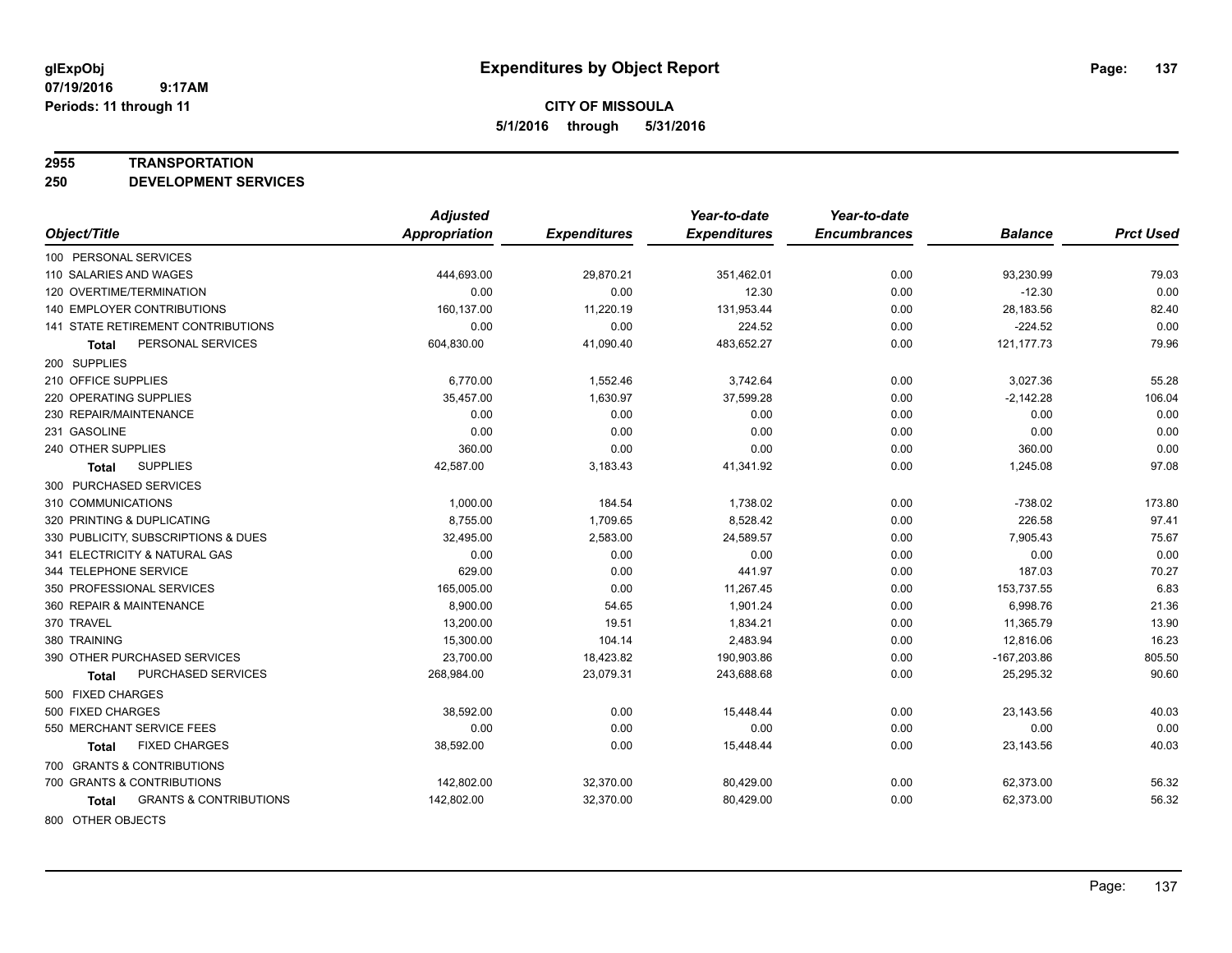#### **2955 TRANSPORTATION**

**250 DEVELOPMENT SERVICES**

|                                            | <b>Adjusted</b>      |                     | Year-to-date        | Year-to-date        |                |                  |
|--------------------------------------------|----------------------|---------------------|---------------------|---------------------|----------------|------------------|
| Object/Title                               | <b>Appropriation</b> | <b>Expenditures</b> | <b>Expenditures</b> | <b>Encumbrances</b> | <b>Balance</b> | <b>Prct Used</b> |
| 100 PERSONAL SERVICES                      |                      |                     |                     |                     |                |                  |
| 110 SALARIES AND WAGES                     | 444,693.00           | 29,870.21           | 351,462.01          | 0.00                | 93,230.99      | 79.03            |
| 120 OVERTIME/TERMINATION                   | 0.00                 | 0.00                | 12.30               | 0.00                | $-12.30$       | 0.00             |
| <b>140 EMPLOYER CONTRIBUTIONS</b>          | 160,137.00           | 11,220.19           | 131,953.44          | 0.00                | 28,183.56      | 82.40            |
| 141 STATE RETIREMENT CONTRIBUTIONS         | 0.00                 | 0.00                | 224.52              | 0.00                | $-224.52$      | 0.00             |
| PERSONAL SERVICES<br><b>Total</b>          | 604,830.00           | 41,090.40           | 483,652.27          | 0.00                | 121, 177. 73   | 79.96            |
| 200 SUPPLIES                               |                      |                     |                     |                     |                |                  |
| 210 OFFICE SUPPLIES                        | 6,770.00             | 1,552.46            | 3,742.64            | 0.00                | 3,027.36       | 55.28            |
| 220 OPERATING SUPPLIES                     | 35,457.00            | 1,630.97            | 37,599.28           | 0.00                | $-2,142.28$    | 106.04           |
| 230 REPAIR/MAINTENANCE                     | 0.00                 | 0.00                | 0.00                | 0.00                | 0.00           | 0.00             |
| 231 GASOLINE                               | 0.00                 | 0.00                | 0.00                | 0.00                | 0.00           | 0.00             |
| 240 OTHER SUPPLIES                         | 360.00               | 0.00                | 0.00                | 0.00                | 360.00         | 0.00             |
| <b>SUPPLIES</b><br>Total                   | 42,587.00            | 3,183.43            | 41,341.92           | 0.00                | 1,245.08       | 97.08            |
| 300 PURCHASED SERVICES                     |                      |                     |                     |                     |                |                  |
| 310 COMMUNICATIONS                         | 1,000.00             | 184.54              | 1,738.02            | 0.00                | $-738.02$      | 173.80           |
| 320 PRINTING & DUPLICATING                 | 8,755.00             | 1,709.65            | 8,528.42            | 0.00                | 226.58         | 97.41            |
| 330 PUBLICITY, SUBSCRIPTIONS & DUES        | 32,495.00            | 2,583.00            | 24,589.57           | 0.00                | 7,905.43       | 75.67            |
| 341 ELECTRICITY & NATURAL GAS              | 0.00                 | 0.00                | 0.00                | 0.00                | 0.00           | 0.00             |
| 344 TELEPHONE SERVICE                      | 629.00               | 0.00                | 441.97              | 0.00                | 187.03         | 70.27            |
| 350 PROFESSIONAL SERVICES                  | 165,005.00           | 0.00                | 11,267.45           | 0.00                | 153,737.55     | 6.83             |
| 360 REPAIR & MAINTENANCE                   | 8,900.00             | 54.65               | 1,901.24            | 0.00                | 6,998.76       | 21.36            |
| 370 TRAVEL                                 | 13,200.00            | 19.51               | 1,834.21            | 0.00                | 11,365.79      | 13.90            |
| 380 TRAINING                               | 15,300.00            | 104.14              | 2,483.94            | 0.00                | 12,816.06      | 16.23            |
| 390 OTHER PURCHASED SERVICES               | 23,700.00            | 18,423.82           | 190,903.86          | 0.00                | $-167,203.86$  | 805.50           |
| PURCHASED SERVICES<br><b>Total</b>         | 268,984.00           | 23,079.31           | 243,688.68          | 0.00                | 25,295.32      | 90.60            |
| 500 FIXED CHARGES                          |                      |                     |                     |                     |                |                  |
| 500 FIXED CHARGES                          | 38,592.00            | 0.00                | 15,448.44           | 0.00                | 23,143.56      | 40.03            |
| 550 MERCHANT SERVICE FEES                  | 0.00                 | 0.00                | 0.00                | 0.00                | 0.00           | 0.00             |
| <b>FIXED CHARGES</b><br>Total              | 38,592.00            | 0.00                | 15,448.44           | 0.00                | 23,143.56      | 40.03            |
| 700 GRANTS & CONTRIBUTIONS                 |                      |                     |                     |                     |                |                  |
| 700 GRANTS & CONTRIBUTIONS                 | 142,802.00           | 32,370.00           | 80,429.00           | 0.00                | 62,373.00      | 56.32            |
| <b>GRANTS &amp; CONTRIBUTIONS</b><br>Total | 142,802.00           | 32,370.00           | 80,429.00           | 0.00                | 62,373.00      | 56.32            |
| 0.00000711500015070                        |                      |                     |                     |                     |                |                  |

800 OTHER OBJECTS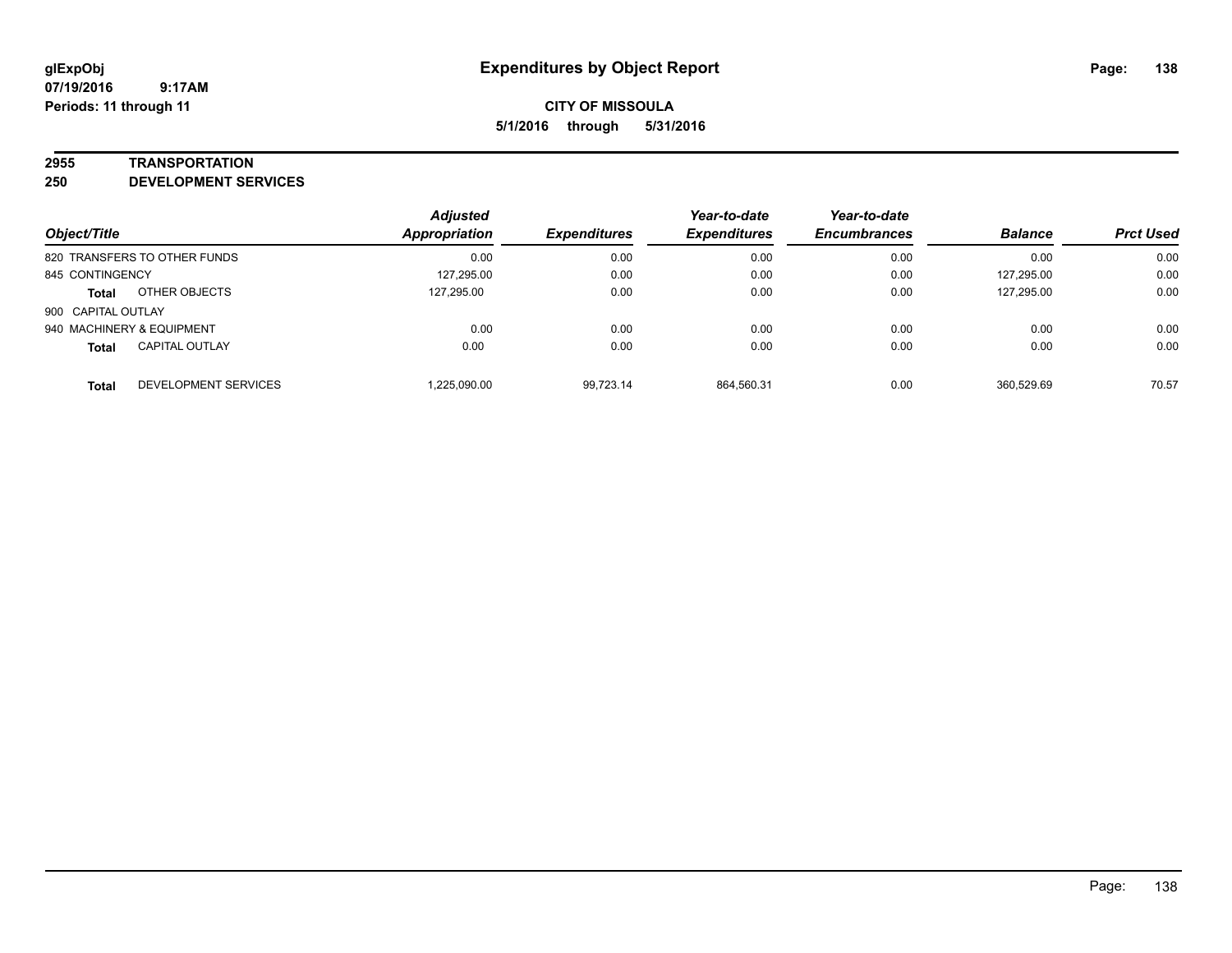#### **2955 TRANSPORTATION**

**250 DEVELOPMENT SERVICES**

| Object/Title                          | <b>Adjusted</b><br><b>Appropriation</b> | <b>Expenditures</b> | Year-to-date<br><b>Expenditures</b> | Year-to-date<br><b>Encumbrances</b> | <b>Balance</b> | <b>Prct Used</b> |
|---------------------------------------|-----------------------------------------|---------------------|-------------------------------------|-------------------------------------|----------------|------------------|
| 820 TRANSFERS TO OTHER FUNDS          | 0.00                                    | 0.00                | 0.00                                | 0.00                                | 0.00           | 0.00             |
| 845 CONTINGENCY                       | 127,295.00                              | 0.00                | 0.00                                | 0.00                                | 127,295.00     | 0.00             |
| OTHER OBJECTS<br><b>Total</b>         | 127.295.00                              | 0.00                | 0.00                                | 0.00                                | 127,295.00     | 0.00             |
| 900 CAPITAL OUTLAY                    |                                         |                     |                                     |                                     |                |                  |
| 940 MACHINERY & EQUIPMENT             | 0.00                                    | 0.00                | 0.00                                | 0.00                                | 0.00           | 0.00             |
| <b>CAPITAL OUTLAY</b><br><b>Total</b> | 0.00                                    | 0.00                | 0.00                                | 0.00                                | 0.00           | 0.00             |
| DEVELOPMENT SERVICES<br><b>Total</b>  | 1,225,090.00                            | 99.723.14           | 864,560.31                          | 0.00                                | 360.529.69     | 70.57            |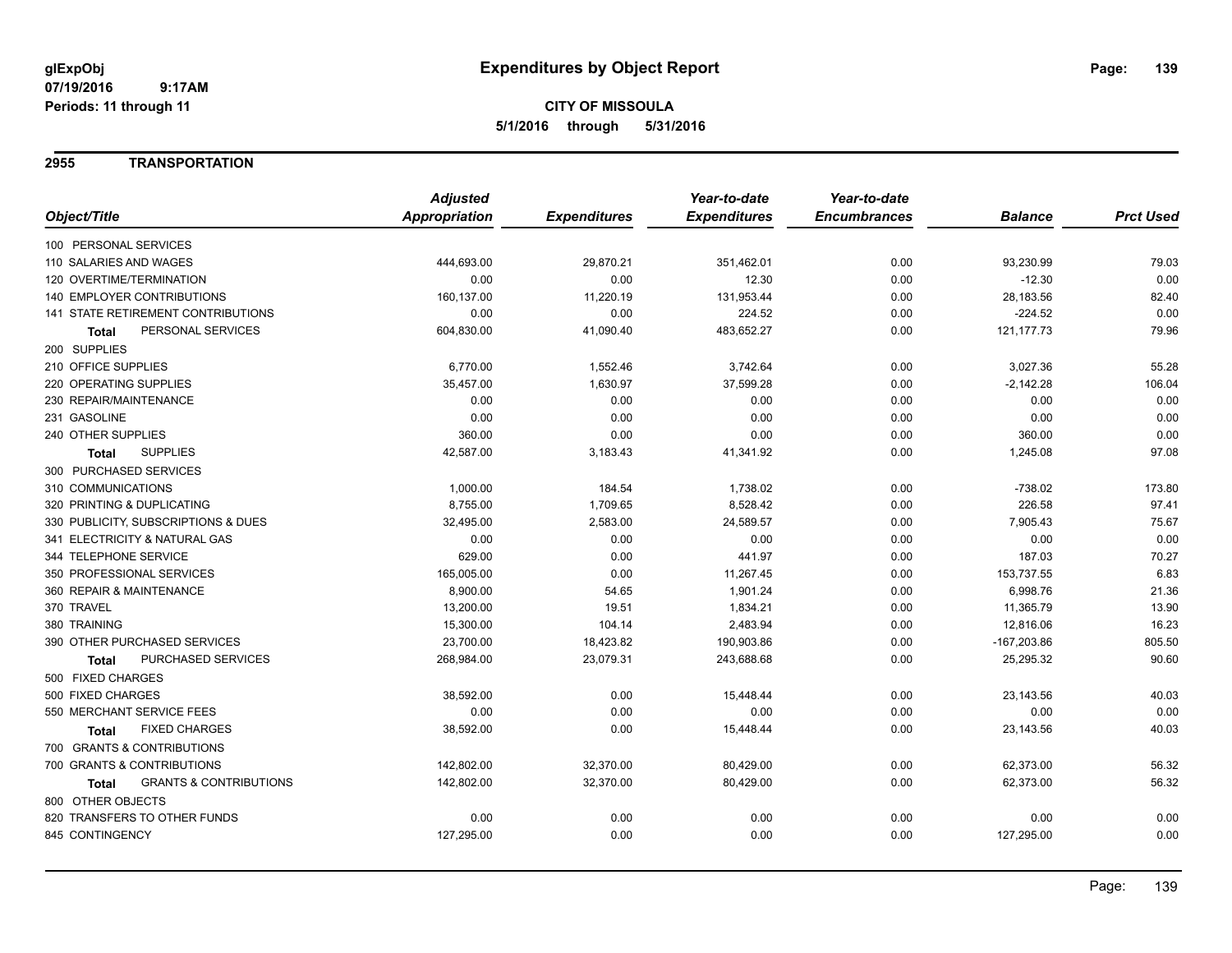### **2955 TRANSPORTATION**

|                                            | <b>Adjusted</b> |                     | Year-to-date        | Year-to-date        |                |                  |
|--------------------------------------------|-----------------|---------------------|---------------------|---------------------|----------------|------------------|
| Object/Title                               | Appropriation   | <b>Expenditures</b> | <b>Expenditures</b> | <b>Encumbrances</b> | <b>Balance</b> | <b>Prct Used</b> |
| 100 PERSONAL SERVICES                      |                 |                     |                     |                     |                |                  |
| 110 SALARIES AND WAGES                     | 444,693.00      | 29,870.21           | 351,462.01          | 0.00                | 93,230.99      | 79.03            |
| 120 OVERTIME/TERMINATION                   | 0.00            | 0.00                | 12.30               | 0.00                | $-12.30$       | 0.00             |
| 140 EMPLOYER CONTRIBUTIONS                 | 160,137.00      | 11,220.19           | 131,953.44          | 0.00                | 28,183.56      | 82.40            |
| 141 STATE RETIREMENT CONTRIBUTIONS         | 0.00            | 0.00                | 224.52              | 0.00                | $-224.52$      | 0.00             |
| PERSONAL SERVICES<br><b>Total</b>          | 604,830.00      | 41,090.40           | 483,652.27          | 0.00                | 121, 177. 73   | 79.96            |
| 200 SUPPLIES                               |                 |                     |                     |                     |                |                  |
| 210 OFFICE SUPPLIES                        | 6,770.00        | 1,552.46            | 3,742.64            | 0.00                | 3,027.36       | 55.28            |
| <b>220 OPERATING SUPPLIES</b>              | 35,457.00       | 1,630.97            | 37,599.28           | 0.00                | $-2,142.28$    | 106.04           |
| 230 REPAIR/MAINTENANCE                     | 0.00            | 0.00                | 0.00                | 0.00                | 0.00           | 0.00             |
| 231 GASOLINE                               | 0.00            | 0.00                | 0.00                | 0.00                | 0.00           | 0.00             |
| 240 OTHER SUPPLIES                         | 360.00          | 0.00                | 0.00                | 0.00                | 360.00         | 0.00             |
| <b>SUPPLIES</b><br>Total                   | 42,587.00       | 3,183.43            | 41,341.92           | 0.00                | 1,245.08       | 97.08            |
| 300 PURCHASED SERVICES                     |                 |                     |                     |                     |                |                  |
| 310 COMMUNICATIONS                         | 1,000.00        | 184.54              | 1,738.02            | 0.00                | $-738.02$      | 173.80           |
| 320 PRINTING & DUPLICATING                 | 8,755.00        | 1,709.65            | 8,528.42            | 0.00                | 226.58         | 97.41            |
| 330 PUBLICITY, SUBSCRIPTIONS & DUES        | 32,495.00       | 2,583.00            | 24,589.57           | 0.00                | 7,905.43       | 75.67            |
| 341 ELECTRICITY & NATURAL GAS              | 0.00            | 0.00                | 0.00                | 0.00                | 0.00           | 0.00             |
| 344 TELEPHONE SERVICE                      | 629.00          | 0.00                | 441.97              | 0.00                | 187.03         | 70.27            |
| 350 PROFESSIONAL SERVICES                  | 165,005.00      | 0.00                | 11,267.45           | 0.00                | 153,737.55     | 6.83             |
| 360 REPAIR & MAINTENANCE                   | 8.900.00        | 54.65               | 1,901.24            | 0.00                | 6,998.76       | 21.36            |
| 370 TRAVEL                                 | 13,200.00       | 19.51               | 1,834.21            | 0.00                | 11,365.79      | 13.90            |
| 380 TRAINING                               | 15,300.00       | 104.14              | 2,483.94            | 0.00                | 12,816.06      | 16.23            |
| 390 OTHER PURCHASED SERVICES               | 23,700.00       | 18,423.82           | 190,903.86          | 0.00                | $-167,203.86$  | 805.50           |
| PURCHASED SERVICES<br>Total                | 268,984.00      | 23,079.31           | 243,688.68          | 0.00                | 25,295.32      | 90.60            |
| 500 FIXED CHARGES                          |                 |                     |                     |                     |                |                  |
| 500 FIXED CHARGES                          | 38,592.00       | 0.00                | 15,448.44           | 0.00                | 23,143.56      | 40.03            |
| 550 MERCHANT SERVICE FEES                  | 0.00            | 0.00                | 0.00                | 0.00                | 0.00           | 0.00             |
| <b>FIXED CHARGES</b><br>Total              | 38,592.00       | 0.00                | 15,448.44           | 0.00                | 23,143.56      | 40.03            |
| 700 GRANTS & CONTRIBUTIONS                 |                 |                     |                     |                     |                |                  |
| 700 GRANTS & CONTRIBUTIONS                 | 142,802.00      | 32,370.00           | 80,429.00           | 0.00                | 62,373.00      | 56.32            |
| <b>GRANTS &amp; CONTRIBUTIONS</b><br>Total | 142,802.00      | 32,370.00           | 80,429.00           | 0.00                | 62,373.00      | 56.32            |
| 800 OTHER OBJECTS                          |                 |                     |                     |                     |                |                  |
| 820 TRANSFERS TO OTHER FUNDS               | 0.00            | 0.00                | 0.00                | 0.00                | 0.00           | 0.00             |
| 845 CONTINGENCY                            | 127,295.00      | 0.00                | 0.00                | 0.00                | 127,295.00     | 0.00             |
|                                            |                 |                     |                     |                     |                |                  |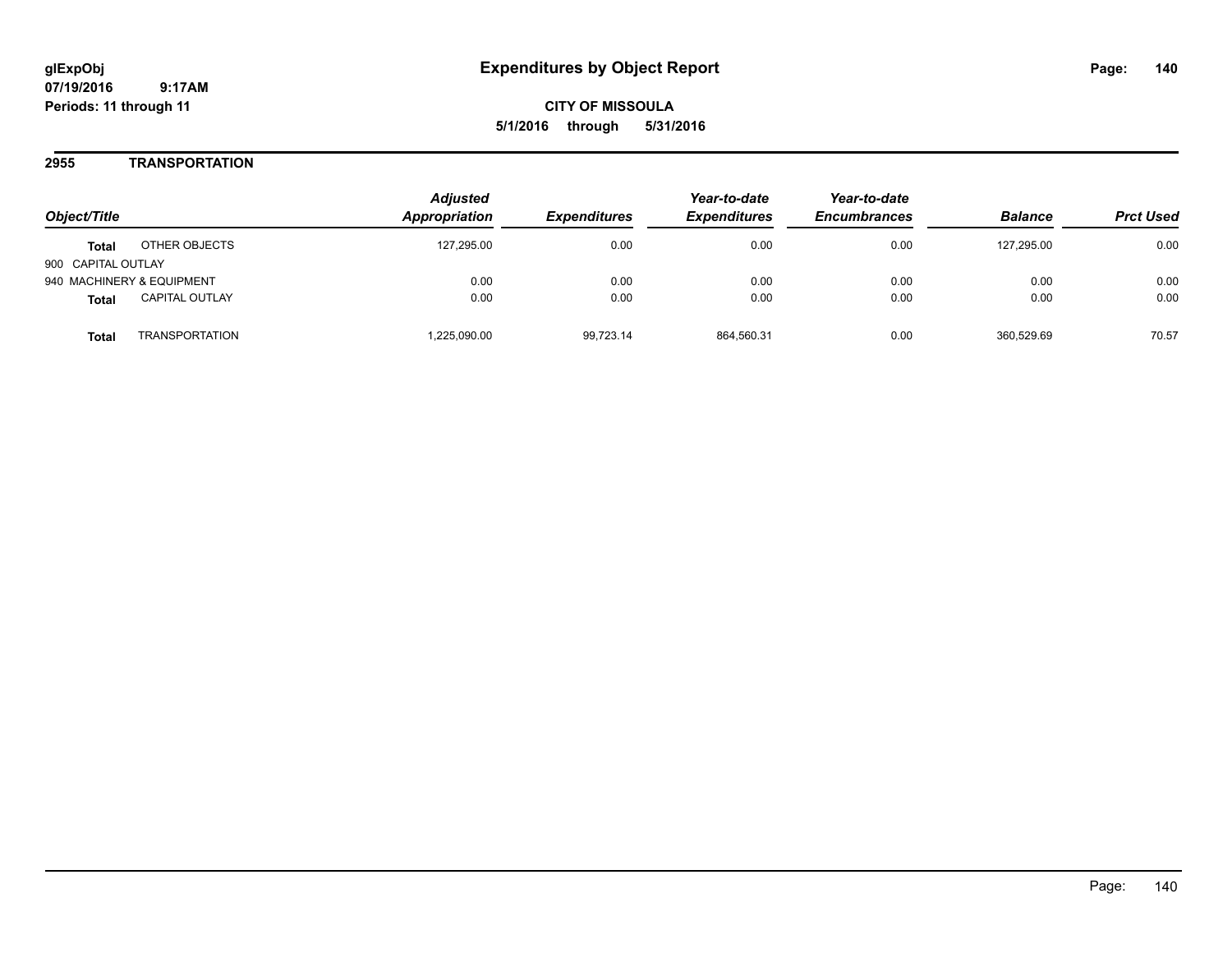**CITY OF MISSOULA 5/1/2016 through 5/31/2016**

### **2955 TRANSPORTATION**

| Obiect/Title                          | <b>Adjusted</b><br><b>Appropriation</b> | <i><b>Expenditures</b></i> | Year-to-date<br><b>Expenditures</b> | Year-to-date<br><b>Encumbrances</b> | <b>Balance</b> | <b>Prct Used</b> |
|---------------------------------------|-----------------------------------------|----------------------------|-------------------------------------|-------------------------------------|----------------|------------------|
| OTHER OBJECTS<br><b>Total</b>         | 127,295.00                              | 0.00                       | 0.00                                | 0.00                                | 127,295.00     | 0.00             |
| 900 CAPITAL OUTLAY                    |                                         |                            |                                     |                                     |                |                  |
| 940 MACHINERY & EQUIPMENT             | 0.00                                    | 0.00                       | 0.00                                | 0.00                                | 0.00           | 0.00             |
| <b>CAPITAL OUTLAY</b><br><b>Total</b> | 0.00                                    | 0.00                       | 0.00                                | 0.00                                | 0.00           | 0.00             |
| TRANSPORTATION<br>Total               | 1,225,090.00                            | 99.723.14                  | 864.560.31                          | 0.00                                | 360.529.69     | 70.57            |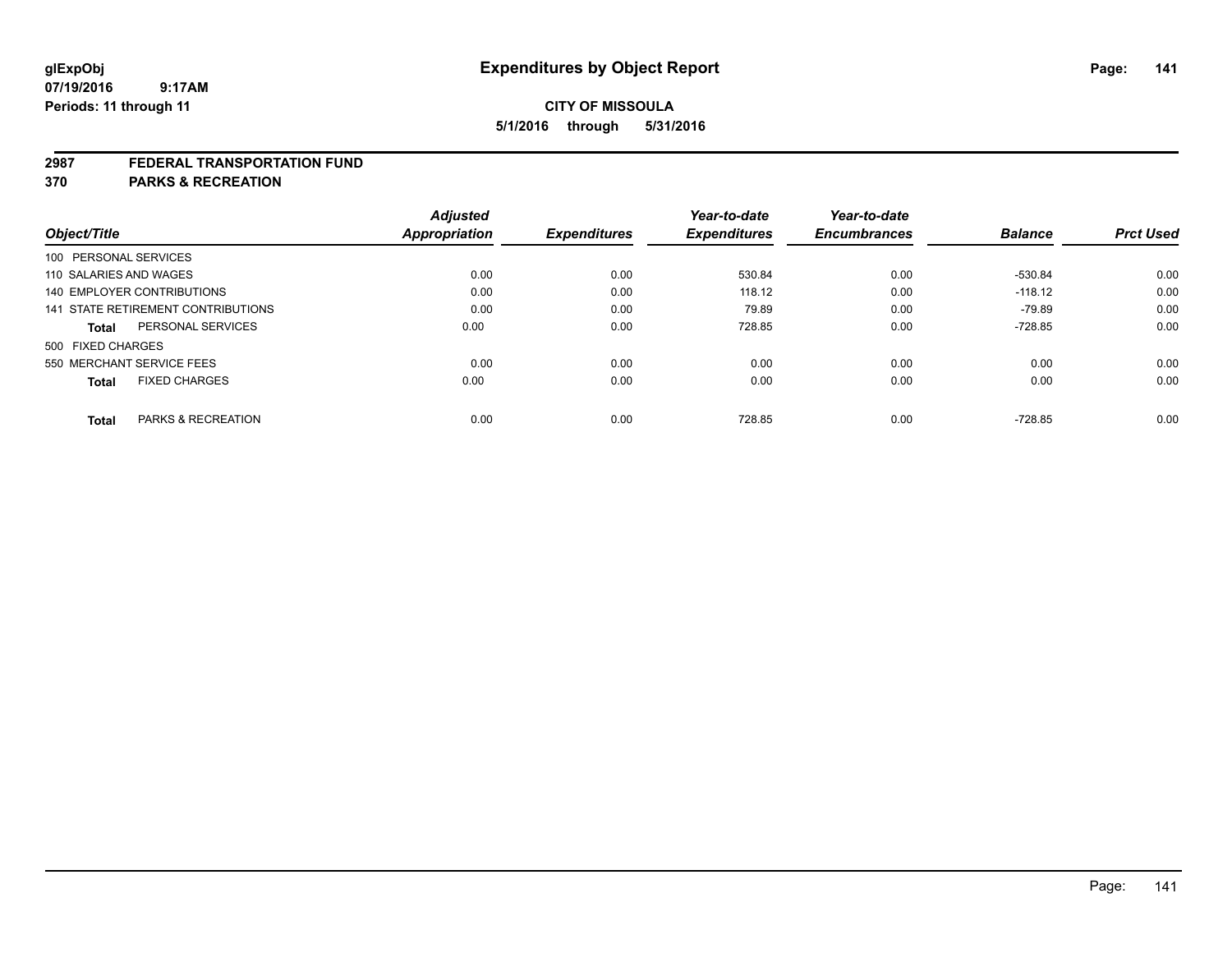#### **2987 FEDERAL TRANSPORTATION FUND**

**370 PARKS & RECREATION**

| Object/Title           |                                    | <b>Adjusted</b><br><b>Appropriation</b> | <b>Expenditures</b> | Year-to-date<br><b>Expenditures</b> | Year-to-date<br><b>Encumbrances</b> | <b>Balance</b> | <b>Prct Used</b> |
|------------------------|------------------------------------|-----------------------------------------|---------------------|-------------------------------------|-------------------------------------|----------------|------------------|
|                        |                                    |                                         |                     |                                     |                                     |                |                  |
| 100 PERSONAL SERVICES  |                                    |                                         |                     |                                     |                                     |                |                  |
| 110 SALARIES AND WAGES |                                    | 0.00                                    | 0.00                | 530.84                              | 0.00                                | -530.84        | 0.00             |
|                        | <b>140 EMPLOYER CONTRIBUTIONS</b>  | 0.00                                    | 0.00                | 118.12                              | 0.00                                | $-118.12$      | 0.00             |
|                        | 141 STATE RETIREMENT CONTRIBUTIONS | 0.00                                    | 0.00                | 79.89                               | 0.00                                | $-79.89$       | 0.00             |
| <b>Total</b>           | PERSONAL SERVICES                  | 0.00                                    | 0.00                | 728.85                              | 0.00                                | $-728.85$      | 0.00             |
| 500 FIXED CHARGES      |                                    |                                         |                     |                                     |                                     |                |                  |
|                        | 550 MERCHANT SERVICE FEES          | 0.00                                    | 0.00                | 0.00                                | 0.00                                | 0.00           | 0.00             |
| <b>Total</b>           | <b>FIXED CHARGES</b>               | 0.00                                    | 0.00                | 0.00                                | 0.00                                | 0.00           | 0.00             |
|                        |                                    |                                         |                     |                                     |                                     |                |                  |
| <b>Total</b>           | PARKS & RECREATION                 | 0.00                                    | 0.00                | 728.85                              | 0.00                                | $-728.85$      | 0.00             |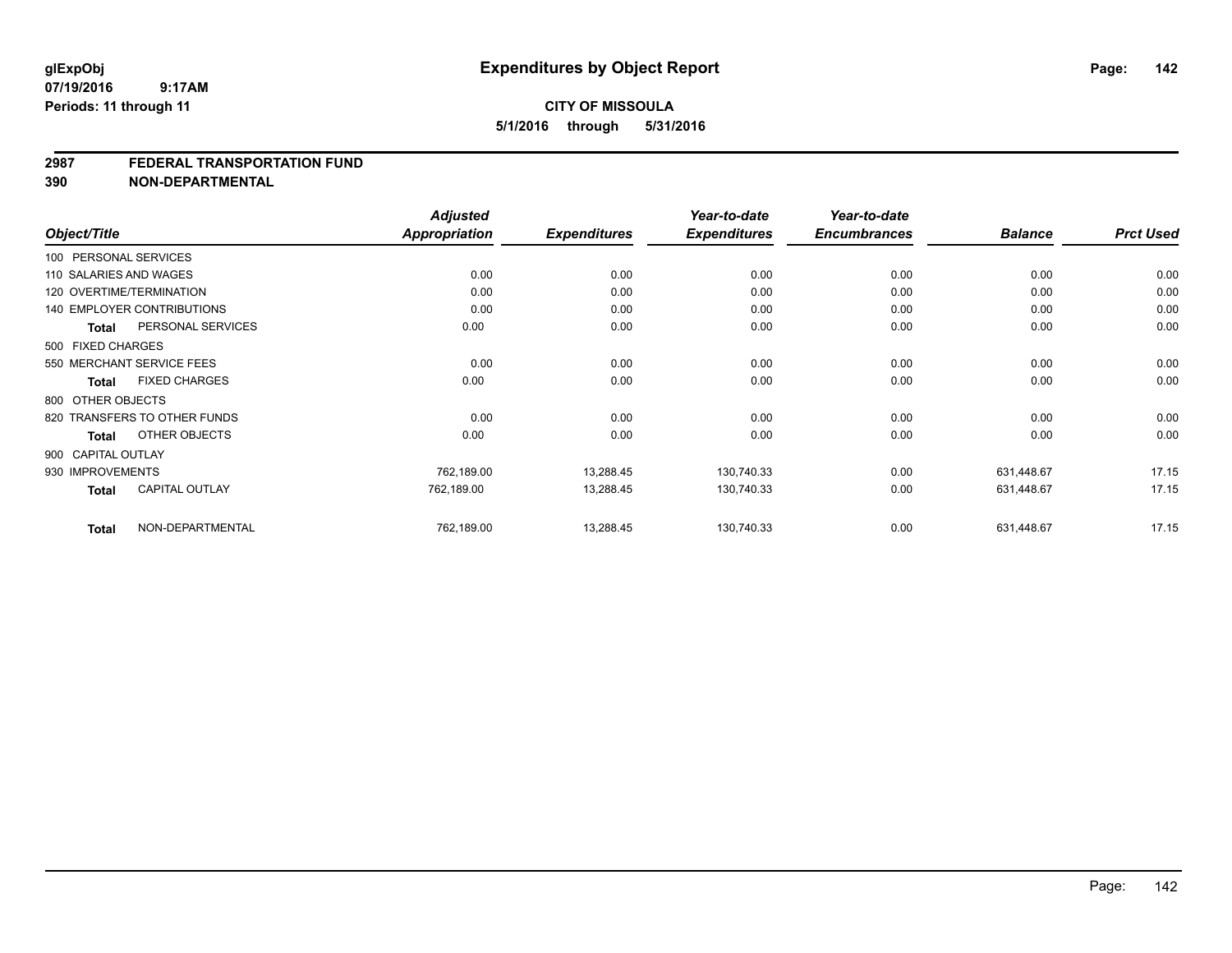#### **2987 FEDERAL TRANSPORTATION FUND**

**390 NON-DEPARTMENTAL**

|                        |                                   | <b>Adjusted</b>      |                     | Year-to-date        | Year-to-date<br><b>Encumbrances</b> |                | <b>Prct Used</b> |
|------------------------|-----------------------------------|----------------------|---------------------|---------------------|-------------------------------------|----------------|------------------|
| Object/Title           |                                   | <b>Appropriation</b> | <b>Expenditures</b> | <b>Expenditures</b> |                                     | <b>Balance</b> |                  |
| 100 PERSONAL SERVICES  |                                   |                      |                     |                     |                                     |                |                  |
| 110 SALARIES AND WAGES |                                   | 0.00                 | 0.00                | 0.00                | 0.00                                | 0.00           | 0.00             |
|                        | 120 OVERTIME/TERMINATION          | 0.00                 | 0.00                | 0.00                | 0.00                                | 0.00           | 0.00             |
|                        | <b>140 EMPLOYER CONTRIBUTIONS</b> | 0.00                 | 0.00                | 0.00                | 0.00                                | 0.00           | 0.00             |
| <b>Total</b>           | PERSONAL SERVICES                 | 0.00                 | 0.00                | 0.00                | 0.00                                | 0.00           | 0.00             |
| 500 FIXED CHARGES      |                                   |                      |                     |                     |                                     |                |                  |
|                        | 550 MERCHANT SERVICE FEES         | 0.00                 | 0.00                | 0.00                | 0.00                                | 0.00           | 0.00             |
| Total                  | <b>FIXED CHARGES</b>              | 0.00                 | 0.00                | 0.00                | 0.00                                | 0.00           | 0.00             |
| 800 OTHER OBJECTS      |                                   |                      |                     |                     |                                     |                |                  |
|                        | 820 TRANSFERS TO OTHER FUNDS      | 0.00                 | 0.00                | 0.00                | 0.00                                | 0.00           | 0.00             |
| <b>Total</b>           | OTHER OBJECTS                     | 0.00                 | 0.00                | 0.00                | 0.00                                | 0.00           | 0.00             |
| 900 CAPITAL OUTLAY     |                                   |                      |                     |                     |                                     |                |                  |
| 930 IMPROVEMENTS       |                                   | 762,189.00           | 13,288.45           | 130,740.33          | 0.00                                | 631,448.67     | 17.15            |
| <b>Total</b>           | <b>CAPITAL OUTLAY</b>             | 762,189.00           | 13,288.45           | 130,740.33          | 0.00                                | 631,448.67     | 17.15            |
| <b>Total</b>           | NON-DEPARTMENTAL                  | 762,189.00           | 13,288.45           | 130,740.33          | 0.00                                | 631,448.67     | 17.15            |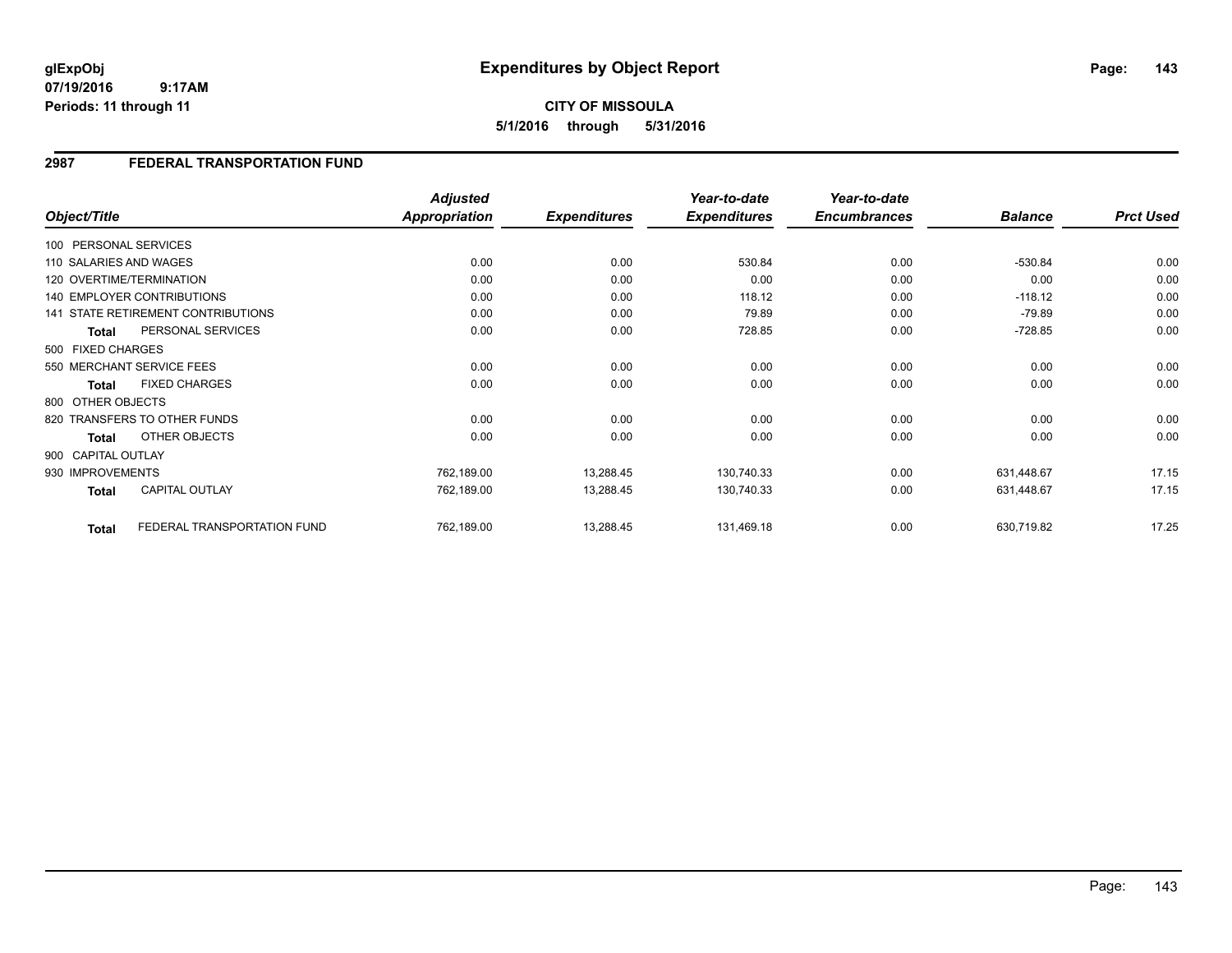### **2987 FEDERAL TRANSPORTATION FUND**

|                        |                                    | <b>Adjusted</b> |                     | Year-to-date        | Year-to-date        |                |                  |
|------------------------|------------------------------------|-----------------|---------------------|---------------------|---------------------|----------------|------------------|
| Object/Title           |                                    | Appropriation   | <b>Expenditures</b> | <b>Expenditures</b> | <b>Encumbrances</b> | <b>Balance</b> | <b>Prct Used</b> |
| 100 PERSONAL SERVICES  |                                    |                 |                     |                     |                     |                |                  |
| 110 SALARIES AND WAGES |                                    | 0.00            | 0.00                | 530.84              | 0.00                | $-530.84$      | 0.00             |
|                        | 120 OVERTIME/TERMINATION           | 0.00            | 0.00                | 0.00                | 0.00                | 0.00           | 0.00             |
|                        | <b>140 EMPLOYER CONTRIBUTIONS</b>  | 0.00            | 0.00                | 118.12              | 0.00                | $-118.12$      | 0.00             |
|                        | 141 STATE RETIREMENT CONTRIBUTIONS | 0.00            | 0.00                | 79.89               | 0.00                | -79.89         | 0.00             |
| <b>Total</b>           | PERSONAL SERVICES                  | 0.00            | 0.00                | 728.85              | 0.00                | $-728.85$      | 0.00             |
| 500 FIXED CHARGES      |                                    |                 |                     |                     |                     |                |                  |
|                        | 550 MERCHANT SERVICE FEES          | 0.00            | 0.00                | 0.00                | 0.00                | 0.00           | 0.00             |
| Total                  | <b>FIXED CHARGES</b>               | 0.00            | 0.00                | 0.00                | 0.00                | 0.00           | 0.00             |
| 800 OTHER OBJECTS      |                                    |                 |                     |                     |                     |                |                  |
|                        | 820 TRANSFERS TO OTHER FUNDS       | 0.00            | 0.00                | 0.00                | 0.00                | 0.00           | 0.00             |
| <b>Total</b>           | OTHER OBJECTS                      | 0.00            | 0.00                | 0.00                | 0.00                | 0.00           | 0.00             |
| 900 CAPITAL OUTLAY     |                                    |                 |                     |                     |                     |                |                  |
| 930 IMPROVEMENTS       |                                    | 762,189.00      | 13,288.45           | 130,740.33          | 0.00                | 631,448.67     | 17.15            |
| Total                  | <b>CAPITAL OUTLAY</b>              | 762,189.00      | 13,288.45           | 130,740.33          | 0.00                | 631,448.67     | 17.15            |
| <b>Total</b>           | FEDERAL TRANSPORTATION FUND        | 762,189.00      | 13,288.45           | 131,469.18          | 0.00                | 630,719.82     | 17.25            |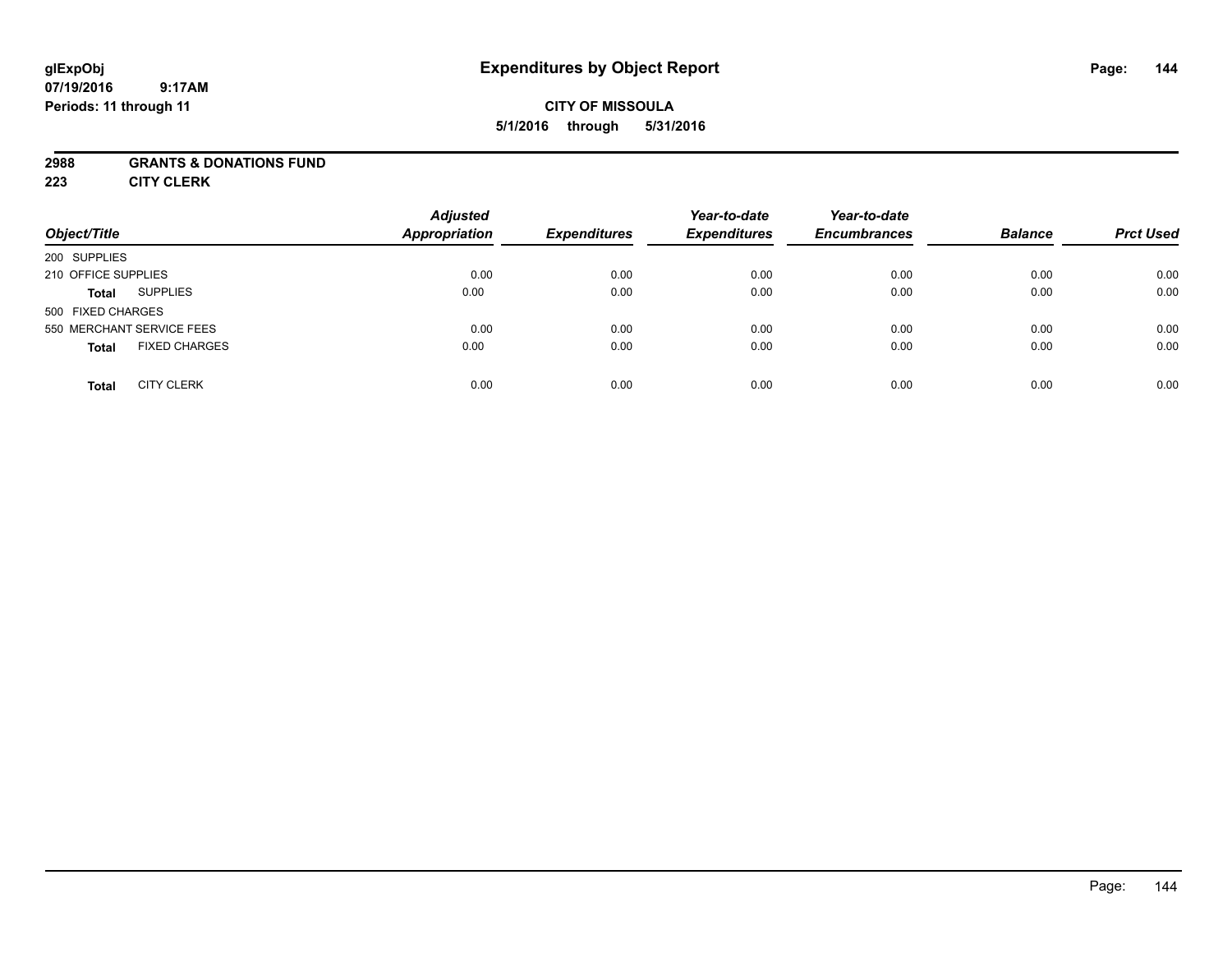### **CITY OF MISSOULA 5/1/2016 through 5/31/2016**

### **2988 GRANTS & DONATIONS FUND**

**223 CITY CLERK**

| Object/Title                         | <b>Adjusted</b><br><b>Appropriation</b> | <b>Expenditures</b> | Year-to-date<br><b>Expenditures</b> | Year-to-date<br><b>Encumbrances</b> | <b>Balance</b> | <b>Prct Used</b> |
|--------------------------------------|-----------------------------------------|---------------------|-------------------------------------|-------------------------------------|----------------|------------------|
| 200 SUPPLIES                         |                                         |                     |                                     |                                     |                |                  |
| 210 OFFICE SUPPLIES                  | 0.00                                    | 0.00                | 0.00                                | 0.00                                | 0.00           | 0.00             |
| <b>SUPPLIES</b><br><b>Total</b>      | 0.00                                    | 0.00                | 0.00                                | 0.00                                | 0.00           | 0.00             |
| 500 FIXED CHARGES                    |                                         |                     |                                     |                                     |                |                  |
| 550 MERCHANT SERVICE FEES            | 0.00                                    | 0.00                | 0.00                                | 0.00                                | 0.00           | 0.00             |
| <b>FIXED CHARGES</b><br><b>Total</b> | 0.00                                    | 0.00                | 0.00                                | 0.00                                | 0.00           | 0.00             |
| <b>CITY CLERK</b><br>Total           | 0.00                                    | 0.00                | 0.00                                | 0.00                                | 0.00           | 0.00             |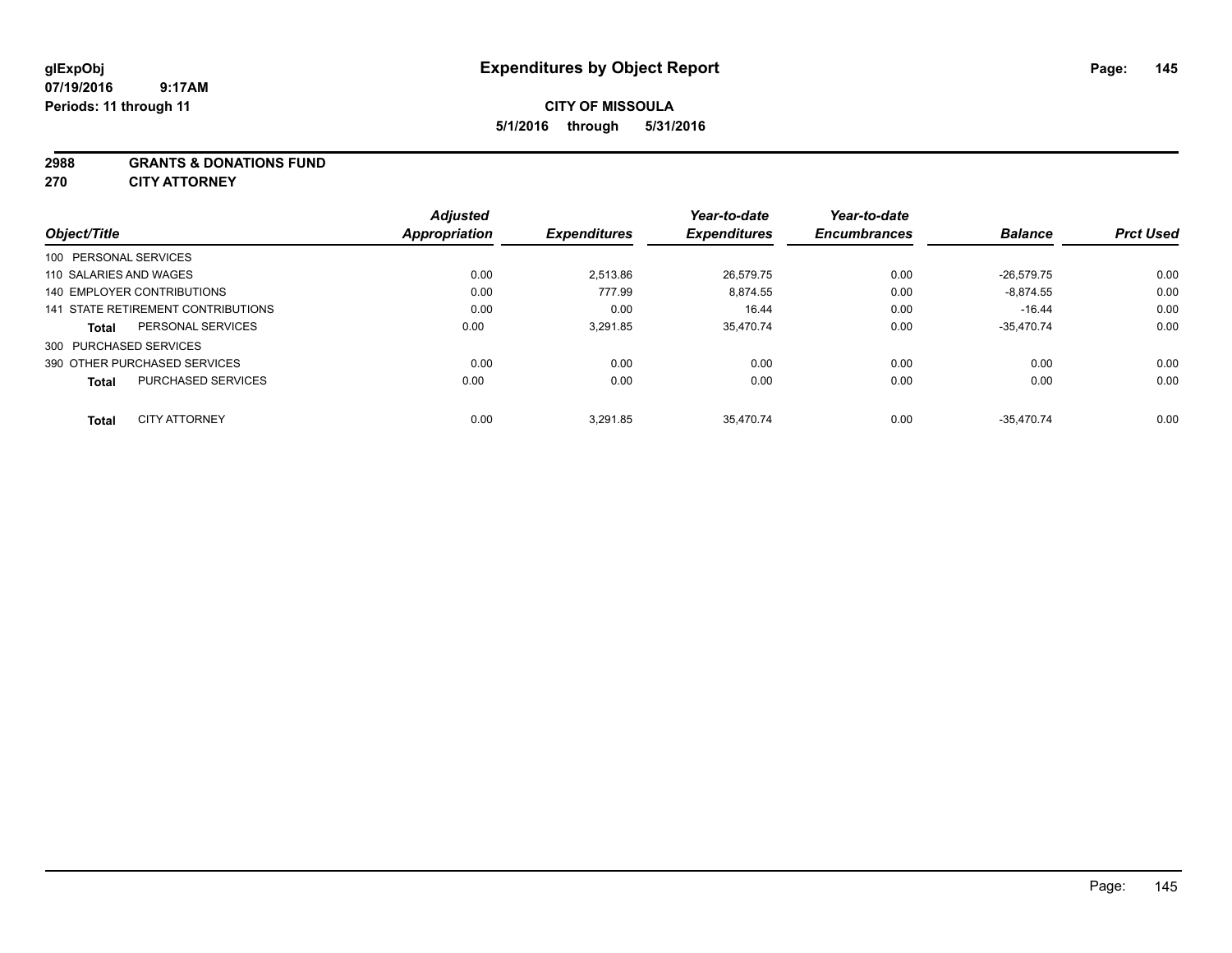# **CITY OF MISSOULA 5/1/2016 through 5/31/2016**

#### **2988 GRANTS & DONATIONS FUND**

**270 CITY ATTORNEY**

| Object/Title                              | <b>Adjusted</b><br><b>Appropriation</b> | <b>Expenditures</b> | Year-to-date<br><b>Expenditures</b> | Year-to-date<br><b>Encumbrances</b> | <b>Balance</b> | <b>Prct Used</b> |
|-------------------------------------------|-----------------------------------------|---------------------|-------------------------------------|-------------------------------------|----------------|------------------|
| 100 PERSONAL SERVICES                     |                                         |                     |                                     |                                     |                |                  |
| 110 SALARIES AND WAGES                    | 0.00                                    | 2,513.86            | 26,579.75                           | 0.00                                | $-26.579.75$   | 0.00             |
| 140 EMPLOYER CONTRIBUTIONS                | 0.00                                    | 777.99              | 8,874.55                            | 0.00                                | $-8.874.55$    | 0.00             |
| 141 STATE RETIREMENT CONTRIBUTIONS        | 0.00                                    | 0.00                | 16.44                               | 0.00                                | $-16.44$       | 0.00             |
| PERSONAL SERVICES<br>Total                | 0.00                                    | 3.291.85            | 35.470.74                           | 0.00                                | $-35.470.74$   | 0.00             |
| 300 PURCHASED SERVICES                    |                                         |                     |                                     |                                     |                |                  |
| 390 OTHER PURCHASED SERVICES              | 0.00                                    | 0.00                | 0.00                                | 0.00                                | 0.00           | 0.00             |
| <b>PURCHASED SERVICES</b><br><b>Total</b> | 0.00                                    | 0.00                | 0.00                                | 0.00                                | 0.00           | 0.00             |
|                                           |                                         |                     |                                     |                                     |                |                  |
| <b>CITY ATTORNEY</b><br><b>Total</b>      | 0.00                                    | 3.291.85            | 35.470.74                           | 0.00                                | $-35.470.74$   | 0.00             |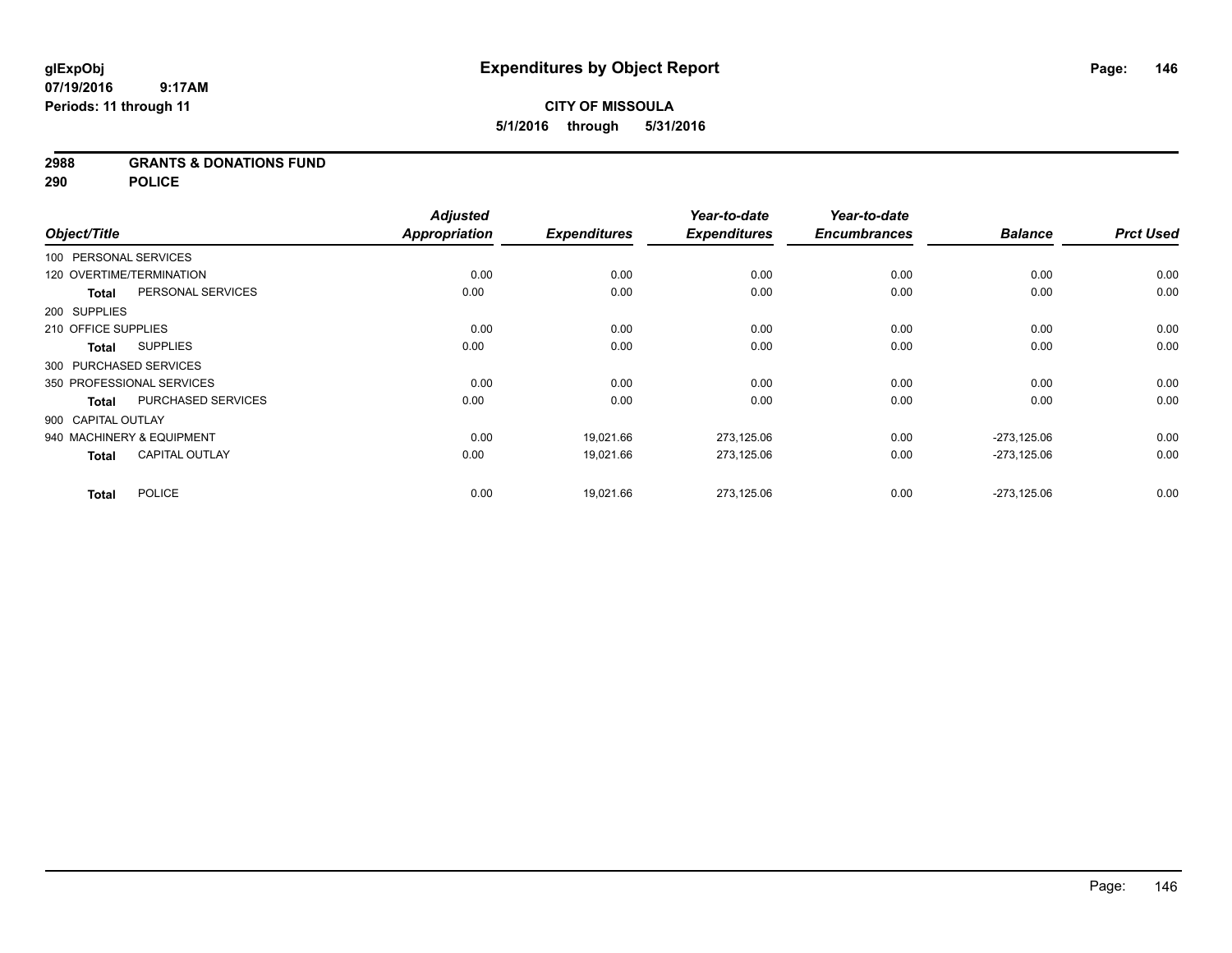# **2988 GRANTS & DONATIONS FUND**

**290 POLICE**

|                     |              |                           | <b>Adjusted</b>      |                     | Year-to-date        | Year-to-date        |                |                  |
|---------------------|--------------|---------------------------|----------------------|---------------------|---------------------|---------------------|----------------|------------------|
| Object/Title        |              |                           | <b>Appropriation</b> | <b>Expenditures</b> | <b>Expenditures</b> | <b>Encumbrances</b> | <b>Balance</b> | <b>Prct Used</b> |
|                     |              | 100 PERSONAL SERVICES     |                      |                     |                     |                     |                |                  |
|                     |              | 120 OVERTIME/TERMINATION  | 0.00                 | 0.00                | 0.00                | 0.00                | 0.00           | 0.00             |
|                     | <b>Total</b> | PERSONAL SERVICES         | 0.00                 | 0.00                | 0.00                | 0.00                | 0.00           | 0.00             |
| 200 SUPPLIES        |              |                           |                      |                     |                     |                     |                |                  |
| 210 OFFICE SUPPLIES |              |                           | 0.00                 | 0.00                | 0.00                | 0.00                | 0.00           | 0.00             |
|                     | <b>Total</b> | <b>SUPPLIES</b>           | 0.00                 | 0.00                | 0.00                | 0.00                | 0.00           | 0.00             |
|                     |              | 300 PURCHASED SERVICES    |                      |                     |                     |                     |                |                  |
|                     |              | 350 PROFESSIONAL SERVICES | 0.00                 | 0.00                | 0.00                | 0.00                | 0.00           | 0.00             |
|                     | <b>Total</b> | PURCHASED SERVICES        | 0.00                 | 0.00                | 0.00                | 0.00                | 0.00           | 0.00             |
| 900 CAPITAL OUTLAY  |              |                           |                      |                     |                     |                     |                |                  |
|                     |              | 940 MACHINERY & EQUIPMENT | 0.00                 | 19,021.66           | 273,125.06          | 0.00                | $-273,125.06$  | 0.00             |
|                     | <b>Total</b> | <b>CAPITAL OUTLAY</b>     | 0.00                 | 19,021.66           | 273,125.06          | 0.00                | $-273.125.06$  | 0.00             |
|                     | <b>Total</b> | <b>POLICE</b>             | 0.00                 | 19,021.66           | 273,125.06          | 0.00                | $-273,125.06$  | 0.00             |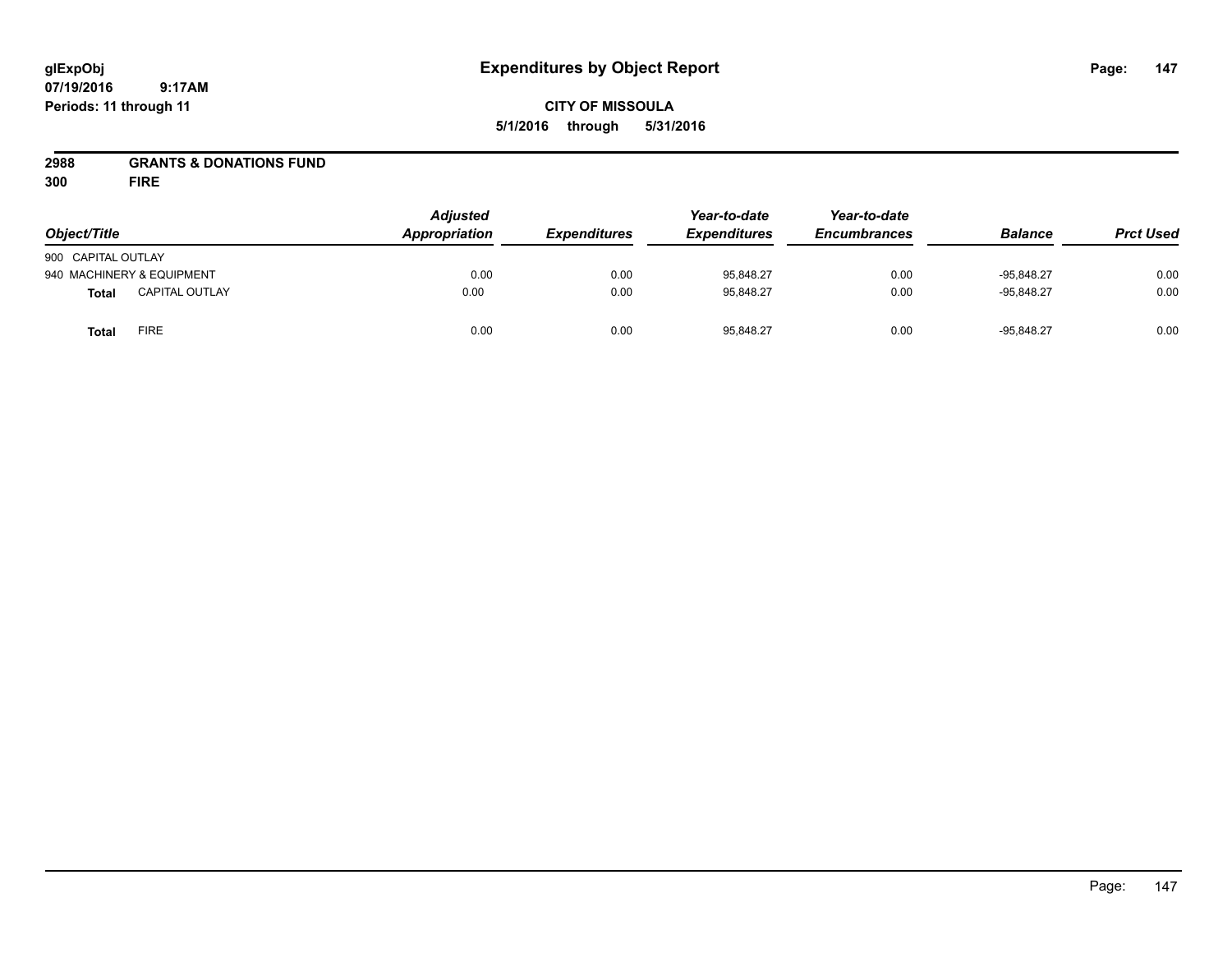# **CITY OF MISSOULA 5/1/2016 through 5/31/2016**

# **2988 GRANTS & DONATIONS FUND**

**300 FIRE**

| Object/Title              |                       | <b>Adjusted</b><br>Appropriation | <b>Expenditures</b> | Year-to-date<br><b>Expenditures</b> | Year-to-date<br><b>Encumbrances</b> | <b>Balance</b> | <b>Prct Used</b> |
|---------------------------|-----------------------|----------------------------------|---------------------|-------------------------------------|-------------------------------------|----------------|------------------|
| 900 CAPITAL OUTLAY        |                       |                                  |                     |                                     |                                     |                |                  |
| 940 MACHINERY & EQUIPMENT |                       | 0.00                             | 0.00                | 95,848.27                           | 0.00                                | $-95.848.27$   | 0.00             |
| <b>Total</b>              | <b>CAPITAL OUTLAY</b> | 0.00                             | 0.00                | 95,848.27                           | 0.00                                | $-95.848.27$   | 0.00             |
| <b>Total</b>              | FIRE                  | 0.00                             | 0.00                | 95,848.27                           | 0.00                                | $-95,848.27$   | 0.00             |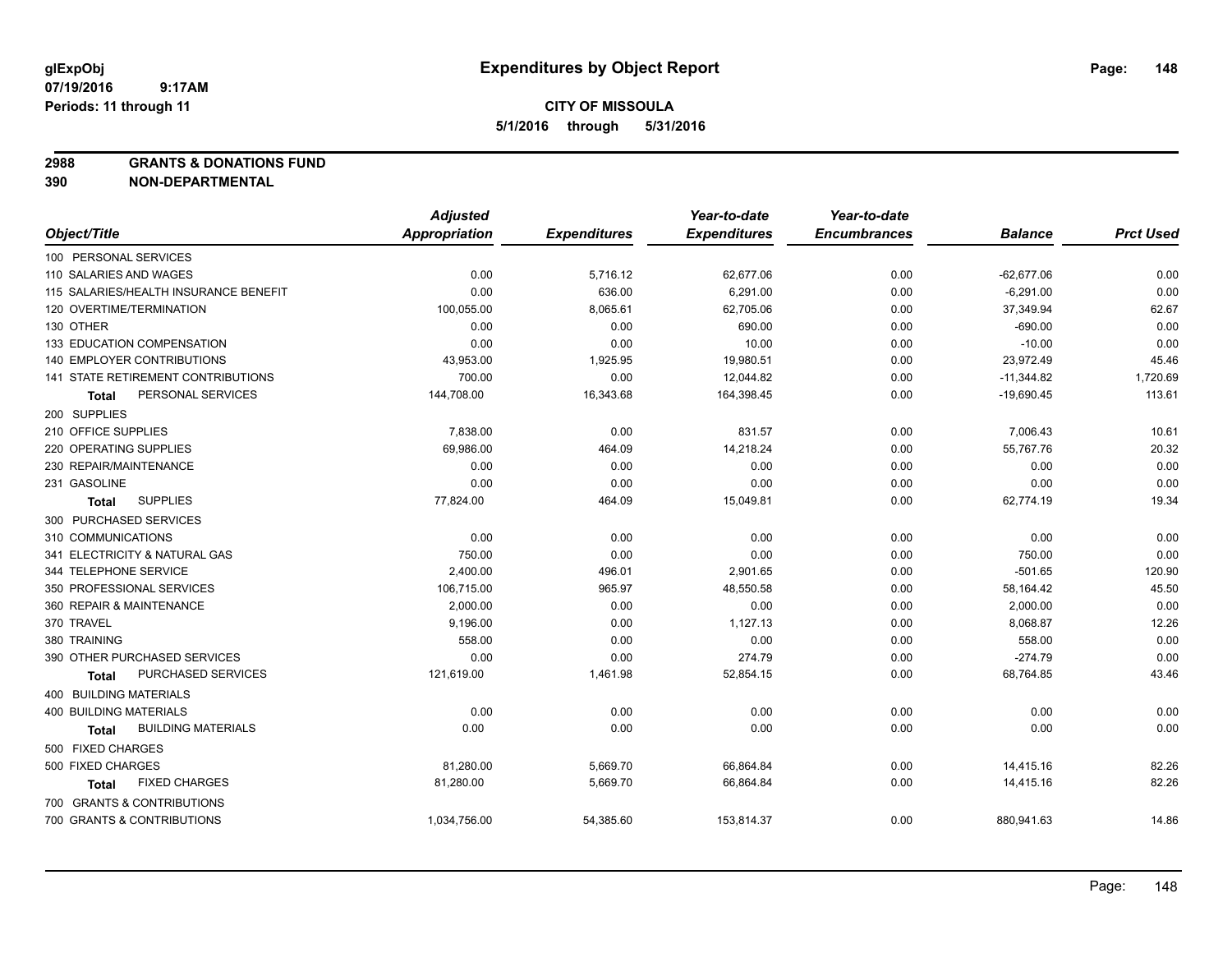**2988 GRANTS & DONATIONS FUND**

|                                           | <b>Adjusted</b>      |                     | Year-to-date        | Year-to-date        |                |                  |
|-------------------------------------------|----------------------|---------------------|---------------------|---------------------|----------------|------------------|
| Object/Title                              | <b>Appropriation</b> | <b>Expenditures</b> | <b>Expenditures</b> | <b>Encumbrances</b> | <b>Balance</b> | <b>Prct Used</b> |
| 100 PERSONAL SERVICES                     |                      |                     |                     |                     |                |                  |
| 110 SALARIES AND WAGES                    | 0.00                 | 5,716.12            | 62,677.06           | 0.00                | $-62,677.06$   | 0.00             |
| 115 SALARIES/HEALTH INSURANCE BENEFIT     | 0.00                 | 636.00              | 6,291.00            | 0.00                | $-6,291.00$    | 0.00             |
| 120 OVERTIME/TERMINATION                  | 100,055.00           | 8,065.61            | 62,705.06           | 0.00                | 37,349.94      | 62.67            |
| 130 OTHER                                 | 0.00                 | 0.00                | 690.00              | 0.00                | $-690.00$      | 0.00             |
| 133 EDUCATION COMPENSATION                | 0.00                 | 0.00                | 10.00               | 0.00                | $-10.00$       | 0.00             |
| 140 EMPLOYER CONTRIBUTIONS                | 43,953.00            | 1,925.95            | 19,980.51           | 0.00                | 23,972.49      | 45.46            |
| 141 STATE RETIREMENT CONTRIBUTIONS        | 700.00               | 0.00                | 12,044.82           | 0.00                | $-11,344.82$   | 1,720.69         |
| PERSONAL SERVICES<br>Total                | 144,708.00           | 16,343.68           | 164,398.45          | 0.00                | $-19,690.45$   | 113.61           |
| 200 SUPPLIES                              |                      |                     |                     |                     |                |                  |
| 210 OFFICE SUPPLIES                       | 7,838.00             | 0.00                | 831.57              | 0.00                | 7,006.43       | 10.61            |
| 220 OPERATING SUPPLIES                    | 69,986.00            | 464.09              | 14,218.24           | 0.00                | 55,767.76      | 20.32            |
| 230 REPAIR/MAINTENANCE                    | 0.00                 | 0.00                | 0.00                | 0.00                | 0.00           | 0.00             |
| 231 GASOLINE                              | 0.00                 | 0.00                | 0.00                | 0.00                | 0.00           | 0.00             |
| <b>SUPPLIES</b><br><b>Total</b>           | 77,824.00            | 464.09              | 15,049.81           | 0.00                | 62,774.19      | 19.34            |
| 300 PURCHASED SERVICES                    |                      |                     |                     |                     |                |                  |
| 310 COMMUNICATIONS                        | 0.00                 | 0.00                | 0.00                | 0.00                | 0.00           | 0.00             |
| 341 ELECTRICITY & NATURAL GAS             | 750.00               | 0.00                | 0.00                | 0.00                | 750.00         | 0.00             |
| 344 TELEPHONE SERVICE                     | 2,400.00             | 496.01              | 2,901.65            | 0.00                | $-501.65$      | 120.90           |
| 350 PROFESSIONAL SERVICES                 | 106,715.00           | 965.97              | 48,550.58           | 0.00                | 58,164.42      | 45.50            |
| 360 REPAIR & MAINTENANCE                  | 2,000.00             | 0.00                | 0.00                | 0.00                | 2,000.00       | 0.00             |
| 370 TRAVEL                                | 9,196.00             | 0.00                | 1,127.13            | 0.00                | 8,068.87       | 12.26            |
| 380 TRAINING                              | 558.00               | 0.00                | 0.00                | 0.00                | 558.00         | 0.00             |
| 390 OTHER PURCHASED SERVICES              | 0.00                 | 0.00                | 274.79              | 0.00                | $-274.79$      | 0.00             |
| PURCHASED SERVICES<br>Total               | 121,619.00           | 1,461.98            | 52,854.15           | 0.00                | 68,764.85      | 43.46            |
| 400 BUILDING MATERIALS                    |                      |                     |                     |                     |                |                  |
| <b>400 BUILDING MATERIALS</b>             | 0.00                 | 0.00                | 0.00                | 0.00                | 0.00           | 0.00             |
| <b>BUILDING MATERIALS</b><br><b>Total</b> | 0.00                 | 0.00                | 0.00                | 0.00                | 0.00           | 0.00             |
| 500 FIXED CHARGES                         |                      |                     |                     |                     |                |                  |
| 500 FIXED CHARGES                         | 81,280.00            | 5,669.70            | 66,864.84           | 0.00                | 14,415.16      | 82.26            |
| <b>FIXED CHARGES</b><br>Total             | 81,280.00            | 5,669.70            | 66,864.84           | 0.00                | 14,415.16      | 82.26            |
| 700 GRANTS & CONTRIBUTIONS                |                      |                     |                     |                     |                |                  |
| 700 GRANTS & CONTRIBUTIONS                | 1,034,756.00         | 54,385.60           | 153,814.37          | 0.00                | 880,941.63     | 14.86            |
|                                           |                      |                     |                     |                     |                |                  |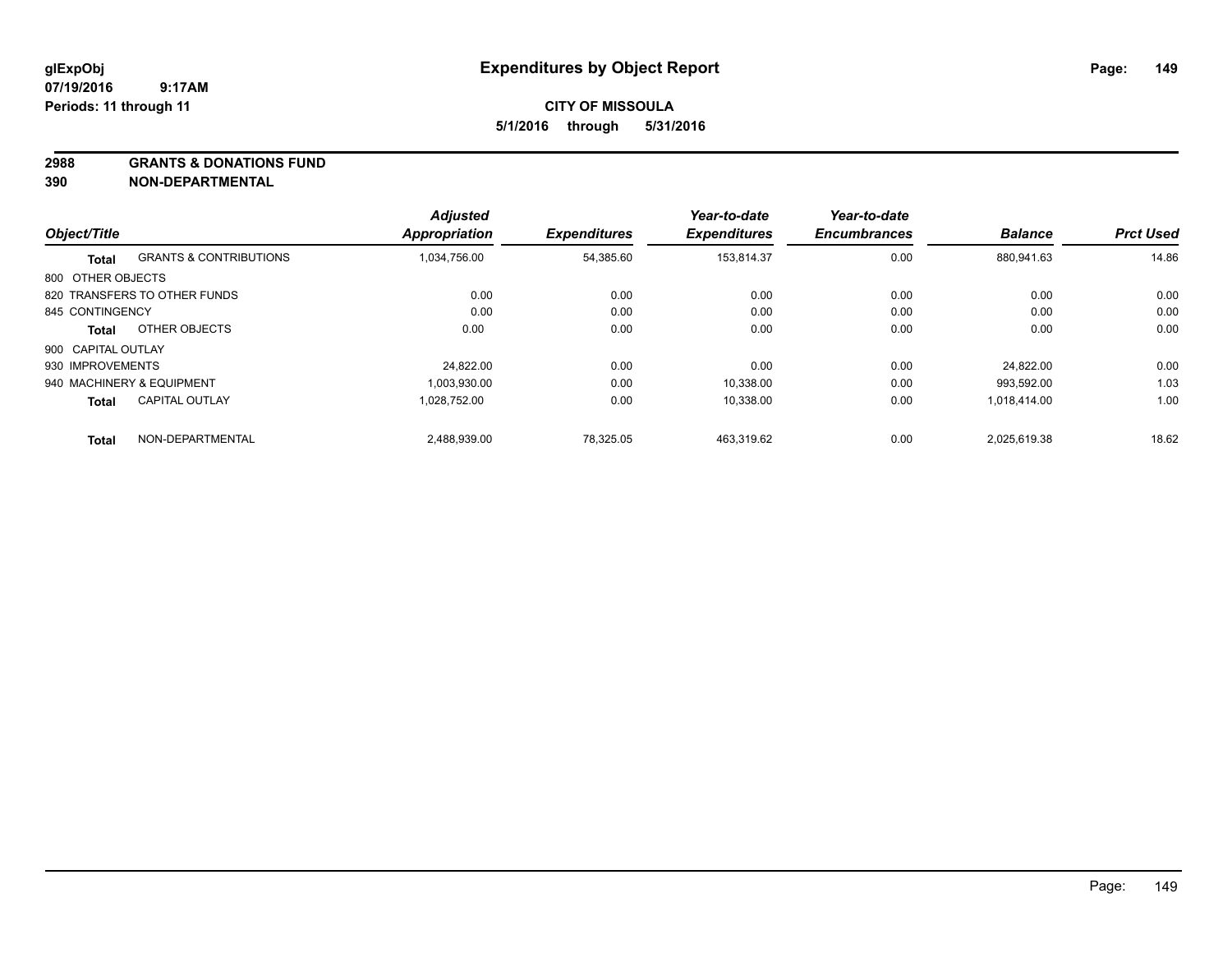#### **2988 GRANTS & DONATIONS FUND**

|                    |                                   | <b>Adjusted</b>      |                     | Year-to-date        | Year-to-date        |                |                  |
|--------------------|-----------------------------------|----------------------|---------------------|---------------------|---------------------|----------------|------------------|
| Object/Title       |                                   | <b>Appropriation</b> | <b>Expenditures</b> | <b>Expenditures</b> | <b>Encumbrances</b> | <b>Balance</b> | <b>Prct Used</b> |
| Total              | <b>GRANTS &amp; CONTRIBUTIONS</b> | 1.034.756.00         | 54,385.60           | 153.814.37          | 0.00                | 880.941.63     | 14.86            |
| 800 OTHER OBJECTS  |                                   |                      |                     |                     |                     |                |                  |
|                    | 820 TRANSFERS TO OTHER FUNDS      | 0.00                 | 0.00                | 0.00                | 0.00                | 0.00           | 0.00             |
| 845 CONTINGENCY    |                                   | 0.00                 | 0.00                | 0.00                | 0.00                | 0.00           | 0.00             |
| Total              | OTHER OBJECTS                     | 0.00                 | 0.00                | 0.00                | 0.00                | 0.00           | 0.00             |
| 900 CAPITAL OUTLAY |                                   |                      |                     |                     |                     |                |                  |
| 930 IMPROVEMENTS   |                                   | 24.822.00            | 0.00                | 0.00                | 0.00                | 24.822.00      | 0.00             |
|                    | 940 MACHINERY & EQUIPMENT         | 1.003.930.00         | 0.00                | 10.338.00           | 0.00                | 993.592.00     | 1.03             |
| <b>Total</b>       | <b>CAPITAL OUTLAY</b>             | 1.028.752.00         | 0.00                | 10,338.00           | 0.00                | 1,018,414.00   | 1.00             |
| <b>Total</b>       | NON-DEPARTMENTAL                  | 2,488,939.00         | 78,325.05           | 463.319.62          | 0.00                | 2.025.619.38   | 18.62            |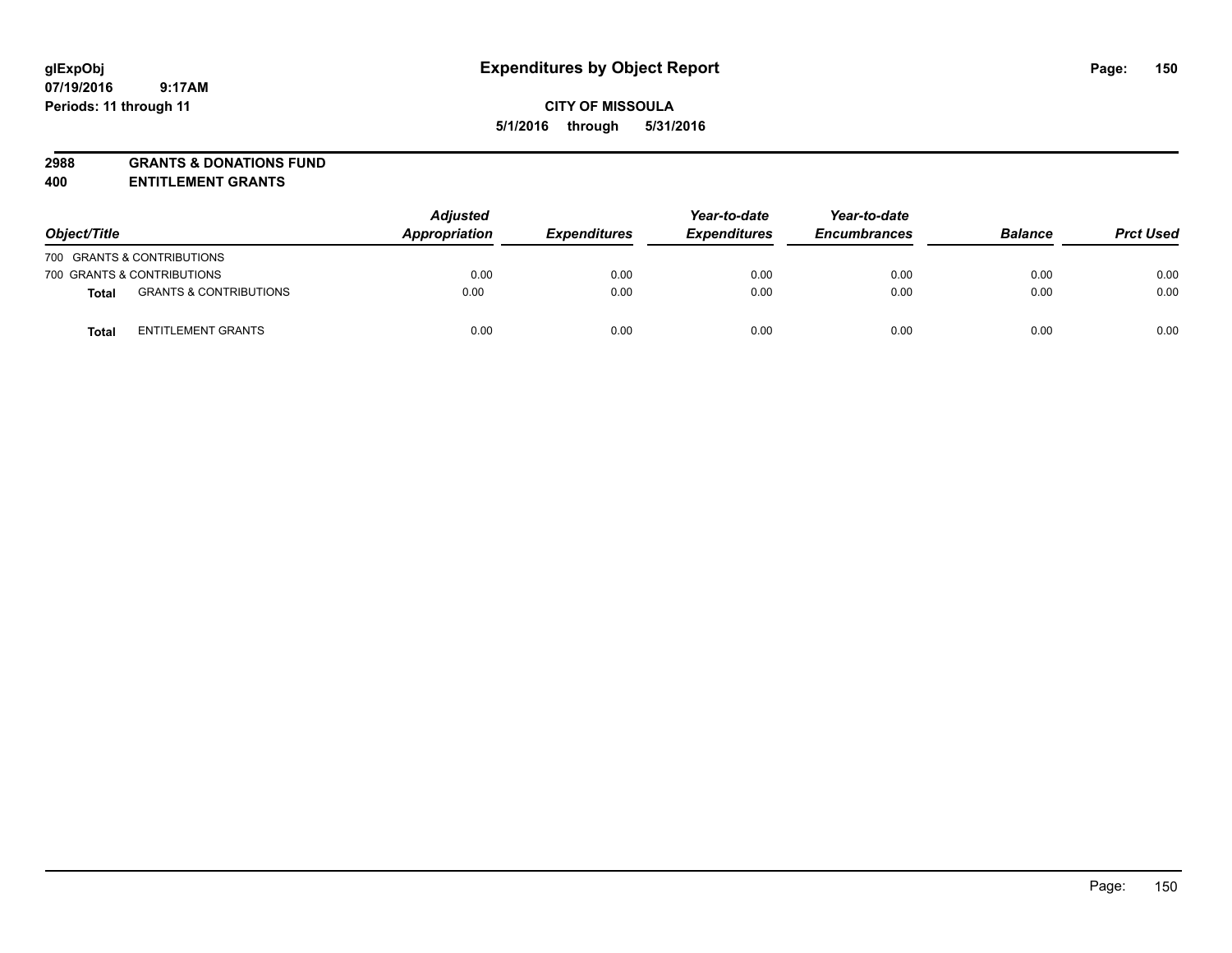# **2988 GRANTS & DONATIONS FUND**

**400 ENTITLEMENT GRANTS**

| Object/Title |                                   | <b>Adjusted</b><br>Appropriation | <b>Expenditures</b> | Year-to-date<br><b>Expenditures</b> | Year-to-date<br><b>Encumbrances</b> | <b>Balance</b> | <b>Prct Used</b> |
|--------------|-----------------------------------|----------------------------------|---------------------|-------------------------------------|-------------------------------------|----------------|------------------|
|              | 700 GRANTS & CONTRIBUTIONS        |                                  |                     |                                     |                                     |                |                  |
|              | 700 GRANTS & CONTRIBUTIONS        | 0.00                             | 0.00                | 0.00                                | 0.00                                | 0.00           | 0.00             |
| <b>Total</b> | <b>GRANTS &amp; CONTRIBUTIONS</b> | 0.00                             | 0.00                | 0.00                                | 0.00                                | 0.00           | 0.00             |
| Total        | <b>ENTITLEMENT GRANTS</b>         | 0.00                             | 0.00                | 0.00                                | 0.00                                | 0.00           | 0.00             |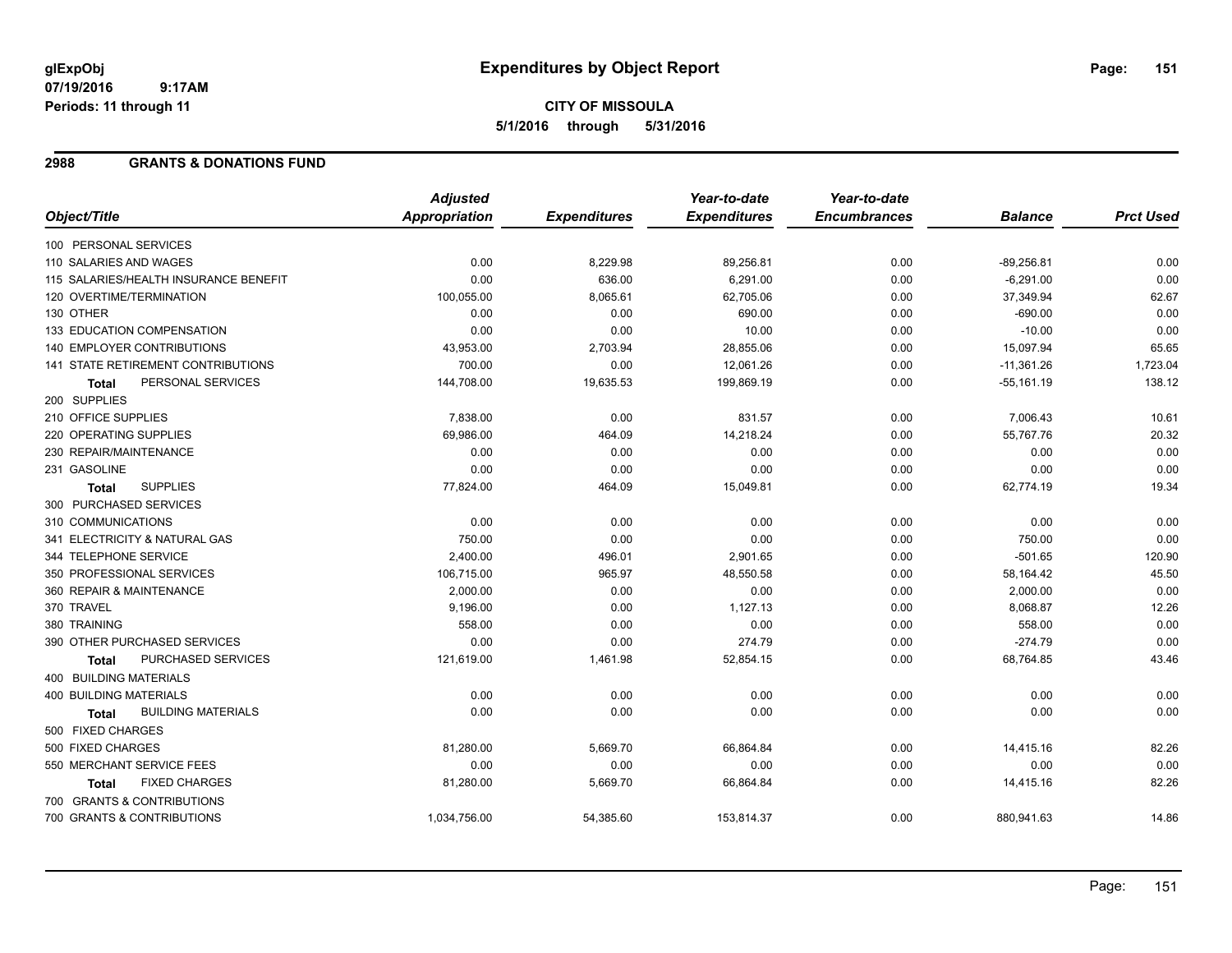# **CITY OF MISSOULA 5/1/2016 through 5/31/2016**

# **2988 GRANTS & DONATIONS FUND**

|                                           | <b>Adjusted</b>      |                     | Year-to-date        | Year-to-date        |                |                  |
|-------------------------------------------|----------------------|---------------------|---------------------|---------------------|----------------|------------------|
| Object/Title                              | <b>Appropriation</b> | <b>Expenditures</b> | <b>Expenditures</b> | <b>Encumbrances</b> | <b>Balance</b> | <b>Prct Used</b> |
| 100 PERSONAL SERVICES                     |                      |                     |                     |                     |                |                  |
| 110 SALARIES AND WAGES                    | 0.00                 | 8,229.98            | 89,256.81           | 0.00                | $-89,256.81$   | 0.00             |
| 115 SALARIES/HEALTH INSURANCE BENEFIT     | 0.00                 | 636.00              | 6,291.00            | 0.00                | $-6,291.00$    | 0.00             |
| 120 OVERTIME/TERMINATION                  | 100,055.00           | 8,065.61            | 62,705.06           | 0.00                | 37,349.94      | 62.67            |
| 130 OTHER                                 | 0.00                 | 0.00                | 690.00              | 0.00                | $-690.00$      | 0.00             |
| 133 EDUCATION COMPENSATION                | 0.00                 | 0.00                | 10.00               | 0.00                | $-10.00$       | 0.00             |
| <b>140 EMPLOYER CONTRIBUTIONS</b>         | 43,953.00            | 2,703.94            | 28,855.06           | 0.00                | 15,097.94      | 65.65            |
| 141 STATE RETIREMENT CONTRIBUTIONS        | 700.00               | 0.00                | 12,061.26           | 0.00                | $-11,361.26$   | 1,723.04         |
| PERSONAL SERVICES<br><b>Total</b>         | 144,708.00           | 19,635.53           | 199,869.19          | 0.00                | $-55,161.19$   | 138.12           |
| 200 SUPPLIES                              |                      |                     |                     |                     |                |                  |
| 210 OFFICE SUPPLIES                       | 7,838.00             | 0.00                | 831.57              | 0.00                | 7,006.43       | 10.61            |
| 220 OPERATING SUPPLIES                    | 69,986.00            | 464.09              | 14,218.24           | 0.00                | 55,767.76      | 20.32            |
| 230 REPAIR/MAINTENANCE                    | 0.00                 | 0.00                | 0.00                | 0.00                | 0.00           | 0.00             |
| 231 GASOLINE                              | 0.00                 | 0.00                | 0.00                | 0.00                | 0.00           | 0.00             |
| <b>SUPPLIES</b><br><b>Total</b>           | 77,824.00            | 464.09              | 15,049.81           | 0.00                | 62,774.19      | 19.34            |
| 300 PURCHASED SERVICES                    |                      |                     |                     |                     |                |                  |
| 310 COMMUNICATIONS                        | 0.00                 | 0.00                | 0.00                | 0.00                | 0.00           | 0.00             |
| 341 ELECTRICITY & NATURAL GAS             | 750.00               | 0.00                | 0.00                | 0.00                | 750.00         | 0.00             |
| 344 TELEPHONE SERVICE                     | 2,400.00             | 496.01              | 2,901.65            | 0.00                | $-501.65$      | 120.90           |
| 350 PROFESSIONAL SERVICES                 | 106,715.00           | 965.97              | 48,550.58           | 0.00                | 58,164.42      | 45.50            |
| 360 REPAIR & MAINTENANCE                  | 2,000.00             | 0.00                | 0.00                | 0.00                | 2,000.00       | 0.00             |
| 370 TRAVEL                                | 9,196.00             | 0.00                | 1,127.13            | 0.00                | 8,068.87       | 12.26            |
| 380 TRAINING                              | 558.00               | 0.00                | 0.00                | 0.00                | 558.00         | 0.00             |
| 390 OTHER PURCHASED SERVICES              | 0.00                 | 0.00                | 274.79              | 0.00                | $-274.79$      | 0.00             |
| <b>PURCHASED SERVICES</b><br><b>Total</b> | 121,619.00           | 1,461.98            | 52,854.15           | 0.00                | 68,764.85      | 43.46            |
| 400 BUILDING MATERIALS                    |                      |                     |                     |                     |                |                  |
| <b>400 BUILDING MATERIALS</b>             | 0.00                 | 0.00                | 0.00                | 0.00                | 0.00           | 0.00             |
| <b>BUILDING MATERIALS</b><br><b>Total</b> | 0.00                 | 0.00                | 0.00                | 0.00                | 0.00           | 0.00             |
| 500 FIXED CHARGES                         |                      |                     |                     |                     |                |                  |
| 500 FIXED CHARGES                         | 81,280.00            | 5,669.70            | 66,864.84           | 0.00                | 14,415.16      | 82.26            |
| 550 MERCHANT SERVICE FEES                 | 0.00                 | 0.00                | 0.00                | 0.00                | 0.00           | 0.00             |
| <b>FIXED CHARGES</b><br>Total             | 81,280.00            | 5,669.70            | 66,864.84           | 0.00                | 14,415.16      | 82.26            |
| 700 GRANTS & CONTRIBUTIONS                |                      |                     |                     |                     |                |                  |
| 700 GRANTS & CONTRIBUTIONS                | 1,034,756.00         | 54,385.60           | 153,814.37          | 0.00                | 880,941.63     | 14.86            |
|                                           |                      |                     |                     |                     |                |                  |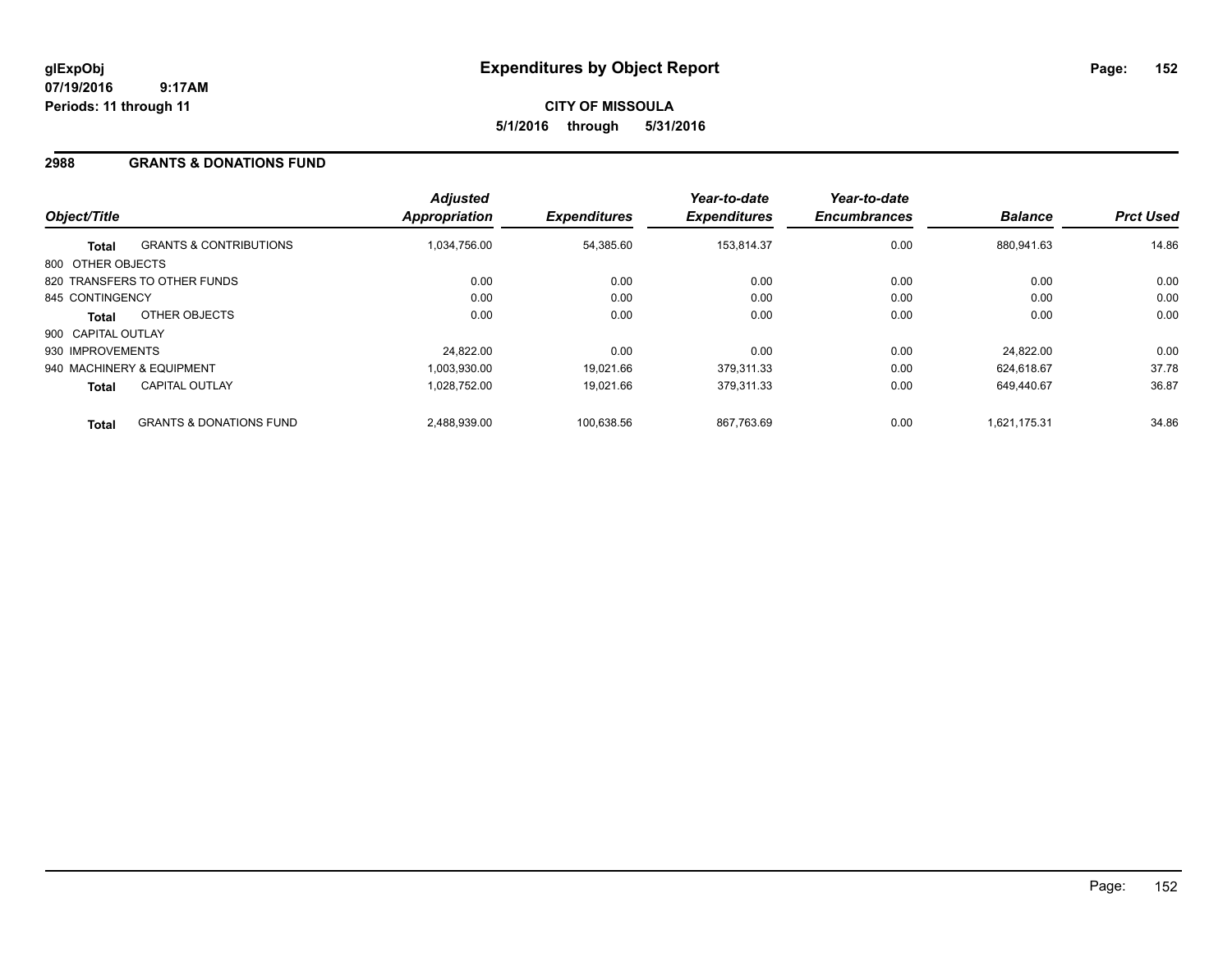# **2988 GRANTS & DONATIONS FUND**

| Object/Title       |                                    | <b>Adjusted</b><br><b>Appropriation</b> | <b>Expenditures</b> | Year-to-date<br><b>Expenditures</b> | Year-to-date<br><b>Encumbrances</b> | <b>Balance</b> | <b>Prct Used</b> |
|--------------------|------------------------------------|-----------------------------------------|---------------------|-------------------------------------|-------------------------------------|----------------|------------------|
| <b>Total</b>       | <b>GRANTS &amp; CONTRIBUTIONS</b>  | 1,034,756.00                            | 54.385.60           | 153.814.37                          | 0.00                                | 880.941.63     | 14.86            |
| 800 OTHER OBJECTS  |                                    |                                         |                     |                                     |                                     |                |                  |
|                    | 820 TRANSFERS TO OTHER FUNDS       | 0.00                                    | 0.00                | 0.00                                | 0.00                                | 0.00           | 0.00             |
| 845 CONTINGENCY    |                                    | 0.00                                    | 0.00                | 0.00                                | 0.00                                | 0.00           | 0.00             |
| Total              | OTHER OBJECTS                      | 0.00                                    | 0.00                | 0.00                                | 0.00                                | 0.00           | 0.00             |
| 900 CAPITAL OUTLAY |                                    |                                         |                     |                                     |                                     |                |                  |
| 930 IMPROVEMENTS   |                                    | 24.822.00                               | 0.00                | 0.00                                | 0.00                                | 24.822.00      | 0.00             |
|                    | 940 MACHINERY & EQUIPMENT          | 1.003.930.00                            | 19.021.66           | 379.311.33                          | 0.00                                | 624.618.67     | 37.78            |
| <b>Total</b>       | <b>CAPITAL OUTLAY</b>              | 1,028,752.00                            | 19,021.66           | 379.311.33                          | 0.00                                | 649.440.67     | 36.87            |
| <b>Total</b>       | <b>GRANTS &amp; DONATIONS FUND</b> | 2,488,939.00                            | 100.638.56          | 867.763.69                          | 0.00                                | 1.621.175.31   | 34.86            |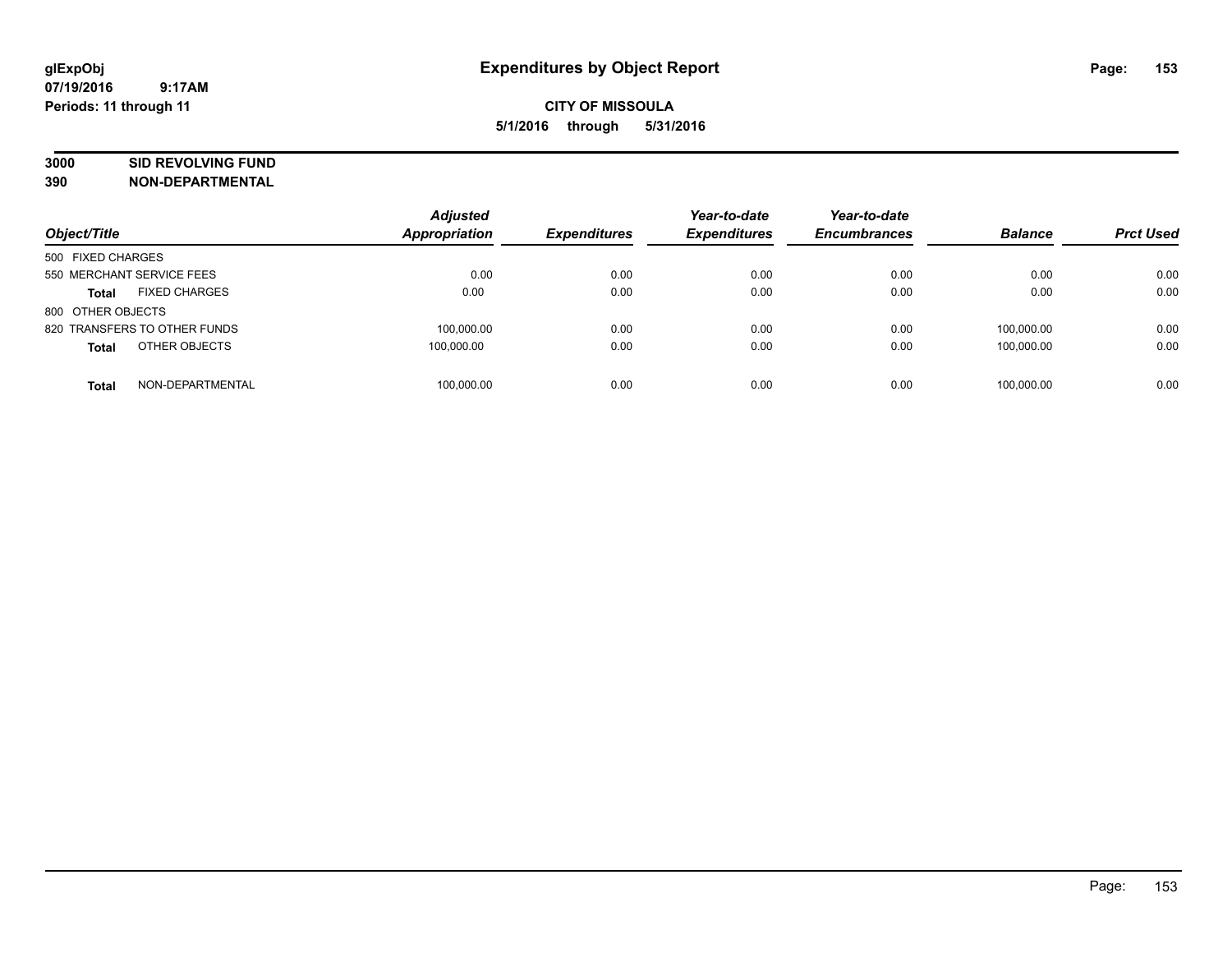# **3000 SID REVOLVING FUND**

| Object/Title                         | <b>Adjusted</b><br><b>Appropriation</b> | <b>Expenditures</b> | Year-to-date<br><b>Expenditures</b> | Year-to-date<br><b>Encumbrances</b> | <b>Balance</b> | <b>Prct Used</b> |
|--------------------------------------|-----------------------------------------|---------------------|-------------------------------------|-------------------------------------|----------------|------------------|
| 500 FIXED CHARGES                    |                                         |                     |                                     |                                     |                |                  |
| 550 MERCHANT SERVICE FEES            | 0.00                                    | 0.00                | 0.00                                | 0.00                                | 0.00           | 0.00             |
| <b>FIXED CHARGES</b><br><b>Total</b> | 0.00                                    | 0.00                | 0.00                                | 0.00                                | 0.00           | 0.00             |
| 800 OTHER OBJECTS                    |                                         |                     |                                     |                                     |                |                  |
| 820 TRANSFERS TO OTHER FUNDS         | 100,000.00                              | 0.00                | 0.00                                | 0.00                                | 100.000.00     | 0.00             |
| OTHER OBJECTS<br><b>Total</b>        | 100.000.00                              | 0.00                | 0.00                                | 0.00                                | 100.000.00     | 0.00             |
| NON-DEPARTMENTAL<br><b>Total</b>     | 100.000.00                              | 0.00                | 0.00                                | 0.00                                | 100.000.00     | 0.00             |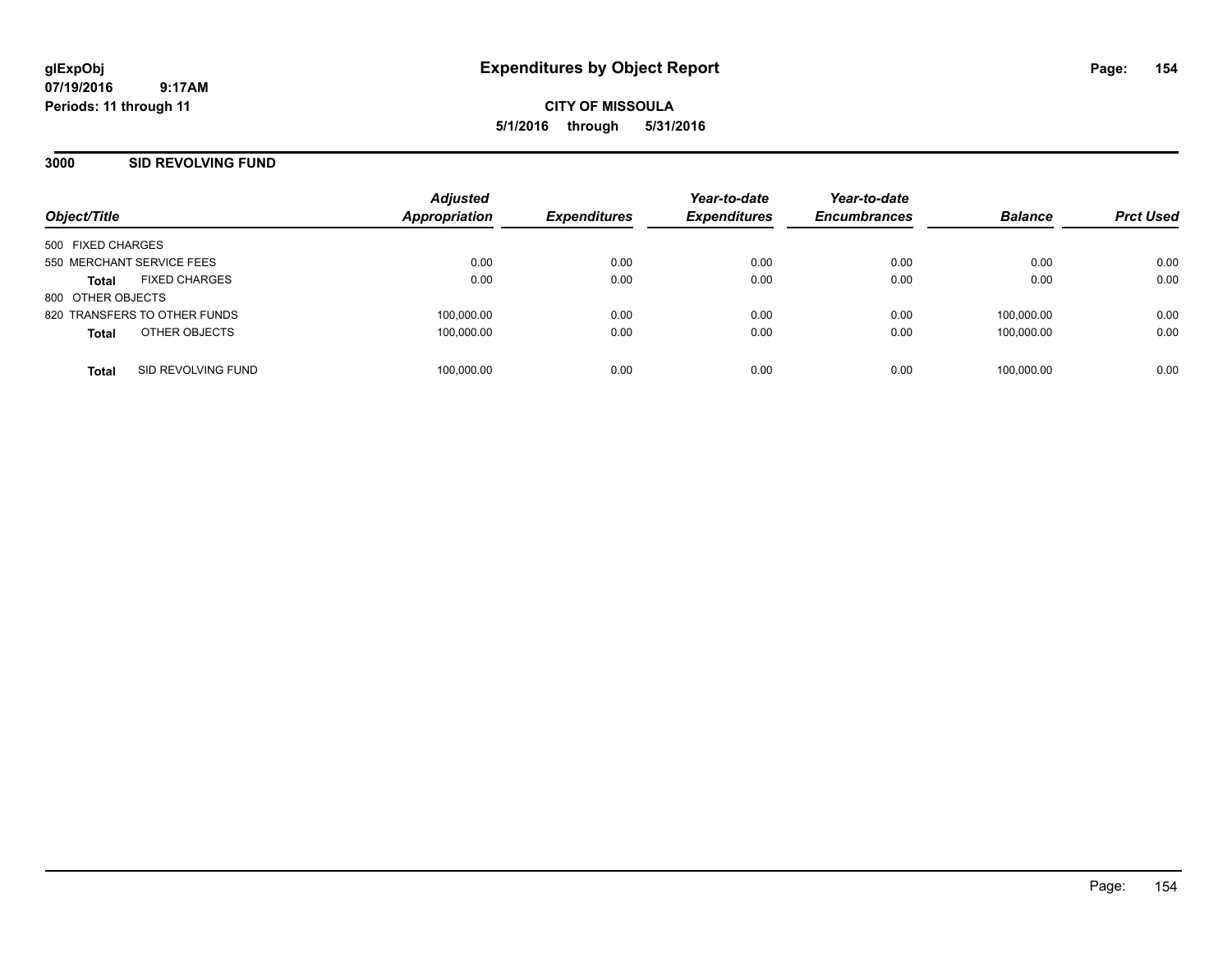**CITY OF MISSOULA 5/1/2016 through 5/31/2016**

# **3000 SID REVOLVING FUND**

| Object/Title                         | <b>Adjusted</b><br><b>Appropriation</b> | <b>Expenditures</b> | Year-to-date<br><b>Expenditures</b> | Year-to-date<br><b>Encumbrances</b> | <b>Balance</b> | <b>Prct Used</b> |
|--------------------------------------|-----------------------------------------|---------------------|-------------------------------------|-------------------------------------|----------------|------------------|
|                                      |                                         |                     |                                     |                                     |                |                  |
| 500 FIXED CHARGES                    |                                         |                     |                                     |                                     |                |                  |
| 550 MERCHANT SERVICE FEES            | 0.00                                    | 0.00                | 0.00                                | 0.00                                | 0.00           | 0.00             |
| <b>FIXED CHARGES</b><br><b>Total</b> | 0.00                                    | 0.00                | 0.00                                | 0.00                                | 0.00           | 0.00             |
| 800 OTHER OBJECTS                    |                                         |                     |                                     |                                     |                |                  |
| 820 TRANSFERS TO OTHER FUNDS         | 100,000.00                              | 0.00                | 0.00                                | 0.00                                | 100,000.00     | 0.00             |
| OTHER OBJECTS<br><b>Total</b>        | 100,000.00                              | 0.00                | 0.00                                | 0.00                                | 100.000.00     | 0.00             |
| SID REVOLVING FUND<br><b>Total</b>   | 100,000.00                              | 0.00                | 0.00                                | 0.00                                | 100.000.00     | 0.00             |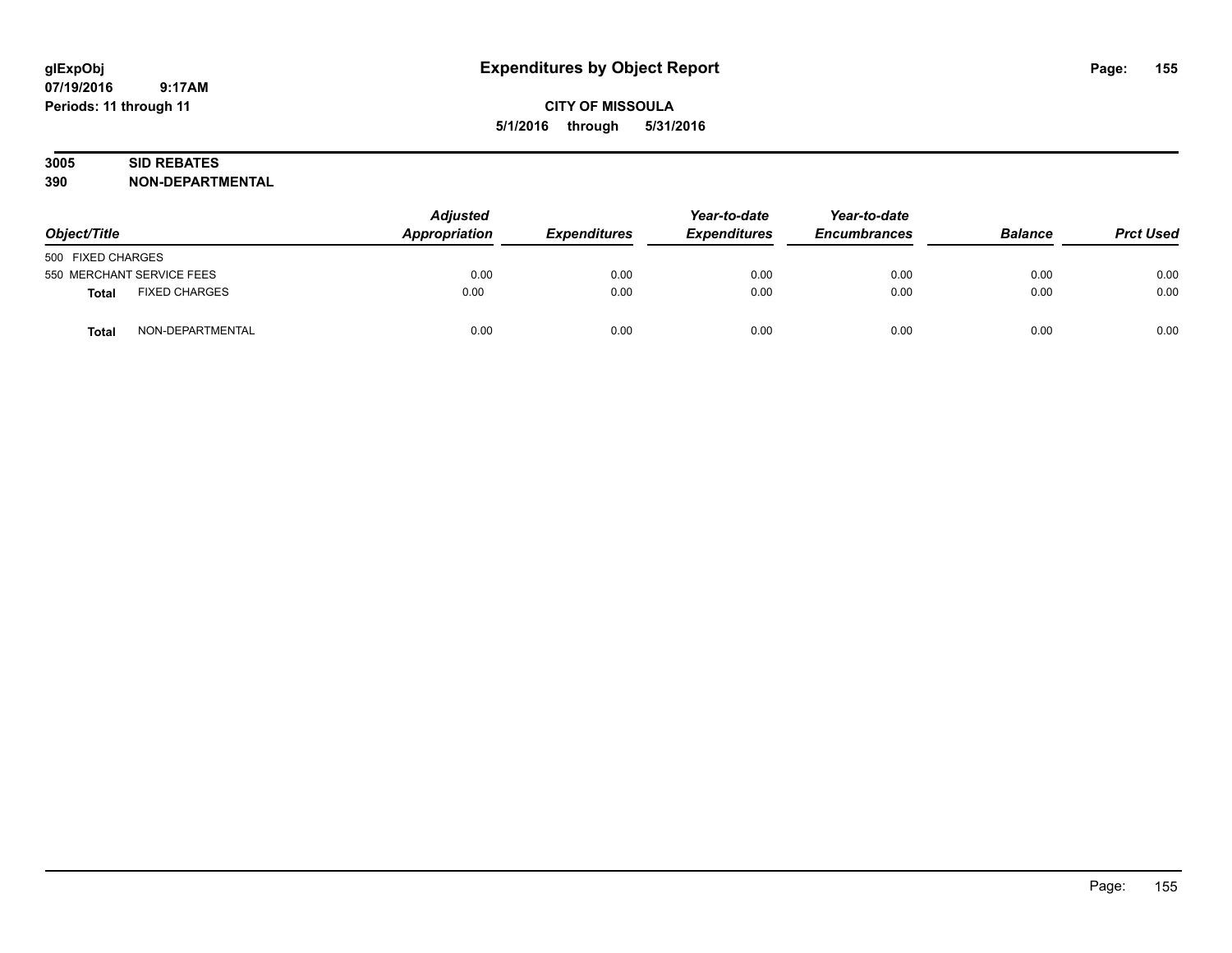# **CITY OF MISSOULA 5/1/2016 through 5/31/2016**

# **3005 SID REBATES**

| Object/Title                         | <b>Adjusted</b><br>Appropriation | <b>Expenditures</b> | Year-to-date<br><b>Expenditures</b> | Year-to-date<br><b>Encumbrances</b> | <b>Balance</b> | <b>Prct Used</b> |
|--------------------------------------|----------------------------------|---------------------|-------------------------------------|-------------------------------------|----------------|------------------|
| 500 FIXED CHARGES                    |                                  |                     |                                     |                                     |                |                  |
| 550 MERCHANT SERVICE FEES            | 0.00                             | 0.00                | 0.00                                | 0.00                                | 0.00           | 0.00             |
| <b>FIXED CHARGES</b><br><b>Total</b> | 0.00                             | 0.00                | 0.00                                | 0.00                                | 0.00           | 0.00             |
| NON-DEPARTMENTAL<br><b>Total</b>     | 0.00                             | 0.00                | 0.00                                | 0.00                                | 0.00           | 0.00             |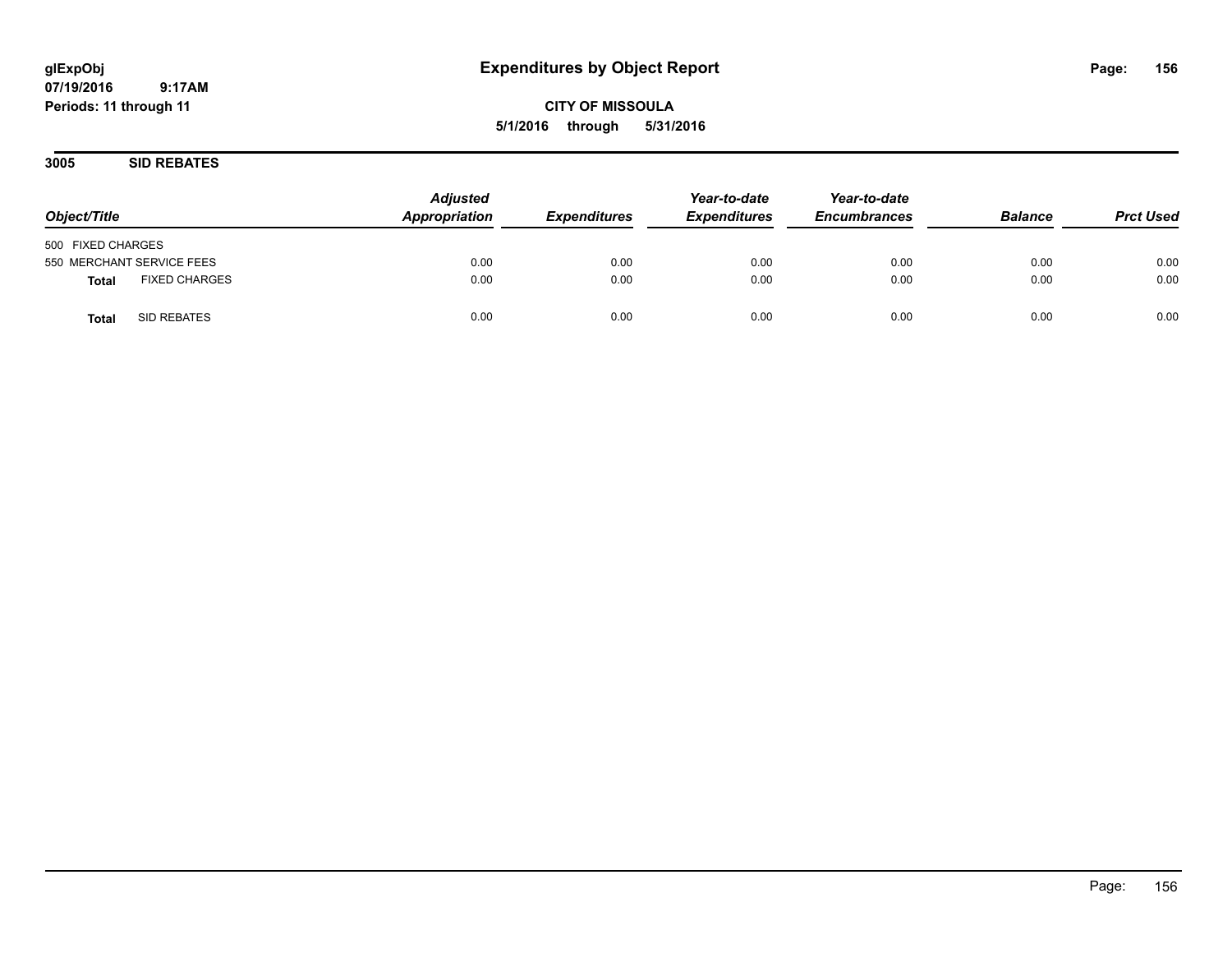**CITY OF MISSOULA 5/1/2016 through 5/31/2016**

**3005 SID REBATES**

| Object/Title                         | <b>Adjusted</b><br>Appropriation | <b>Expenditures</b> | Year-to-date<br><b>Expenditures</b> | Year-to-date<br><b>Encumbrances</b> | <b>Balance</b> | <b>Prct Used</b> |
|--------------------------------------|----------------------------------|---------------------|-------------------------------------|-------------------------------------|----------------|------------------|
| 500 FIXED CHARGES                    |                                  |                     |                                     |                                     |                |                  |
| 550 MERCHANT SERVICE FEES            | 0.00                             | 0.00                | 0.00                                | 0.00                                | 0.00           | 0.00             |
| <b>FIXED CHARGES</b><br><b>Total</b> | 0.00                             | 0.00                | 0.00                                | 0.00                                | 0.00           | 0.00             |
| SID REBATES<br><b>Total</b>          | 0.00                             | 0.00                | 0.00                                | 0.00                                | 0.00           | 0.00             |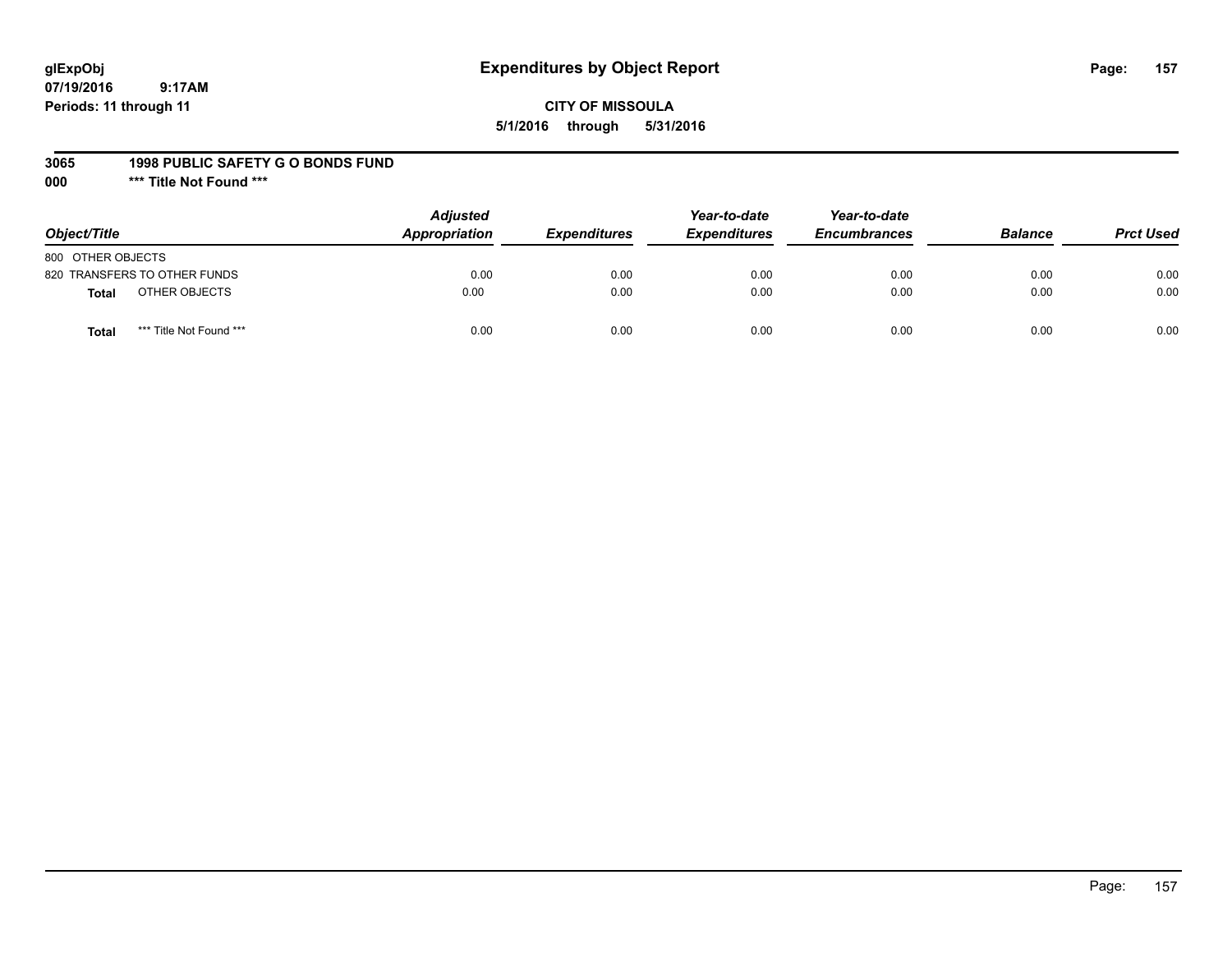# **glExpObj Expenditures by Object Report Page: 157**

**07/19/2016 9:17AM Periods: 11 through 11**

# **CITY OF MISSOULA 5/1/2016 through 5/31/2016**

#### **3065 1998 PUBLIC SAFETY G O BONDS FUND**

**000 \*\*\* Title Not Found \*\*\***

| Object/Title                            | <b>Adjusted</b><br>Appropriation | <b>Expenditures</b> | Year-to-date<br><b>Expenditures</b> | Year-to-date<br><b>Encumbrances</b> | <b>Balance</b> | <b>Prct Used</b> |
|-----------------------------------------|----------------------------------|---------------------|-------------------------------------|-------------------------------------|----------------|------------------|
| 800 OTHER OBJECTS                       |                                  |                     |                                     |                                     |                |                  |
| 820 TRANSFERS TO OTHER FUNDS            | 0.00                             | 0.00                | 0.00                                | 0.00                                | 0.00           | 0.00             |
| OTHER OBJECTS<br><b>Total</b>           | 0.00                             | 0.00                | 0.00                                | 0.00                                | 0.00           | 0.00             |
| *** Title Not Found ***<br><b>Total</b> | 0.00                             | 0.00                | 0.00                                | 0.00                                | 0.00           | 0.00             |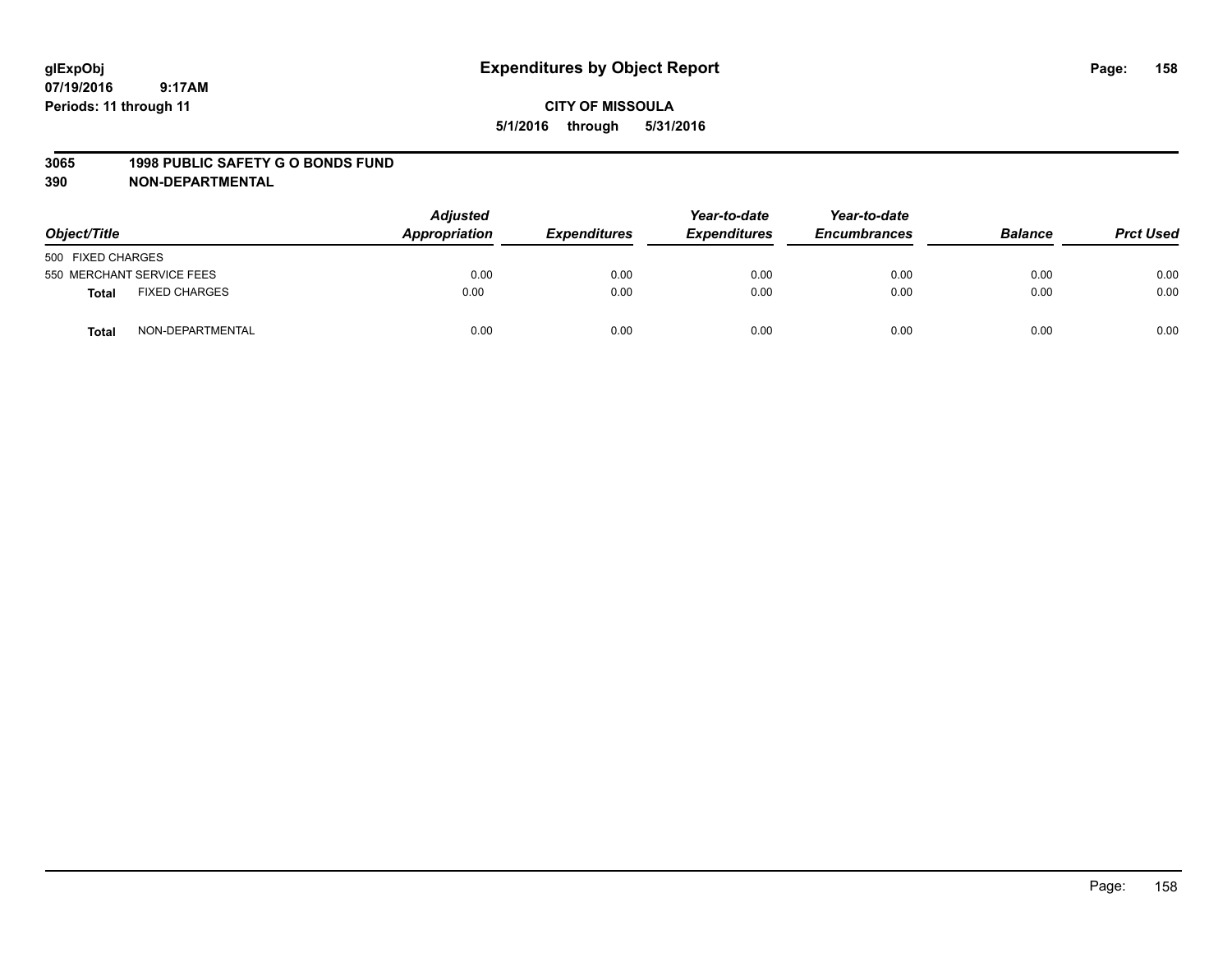#### **3065 1998 PUBLIC SAFETY G O BONDS FUND**

| Object/Title      |                           | <b>Adjusted</b><br>Appropriation | <b>Expenditures</b> | Year-to-date<br><b>Expenditures</b> | Year-to-date<br><b>Encumbrances</b> | <b>Balance</b> | <b>Prct Used</b> |
|-------------------|---------------------------|----------------------------------|---------------------|-------------------------------------|-------------------------------------|----------------|------------------|
| 500 FIXED CHARGES |                           |                                  |                     |                                     |                                     |                |                  |
|                   | 550 MERCHANT SERVICE FEES | 0.00                             | 0.00                | 0.00                                | 0.00                                | 0.00           | 0.00             |
| <b>Total</b>      | <b>FIXED CHARGES</b>      | 0.00                             | 0.00                | 0.00                                | 0.00                                | 0.00           | 0.00             |
| Total             | NON-DEPARTMENTAL          | 0.00                             | 0.00                | 0.00                                | 0.00                                | 0.00           | 0.00             |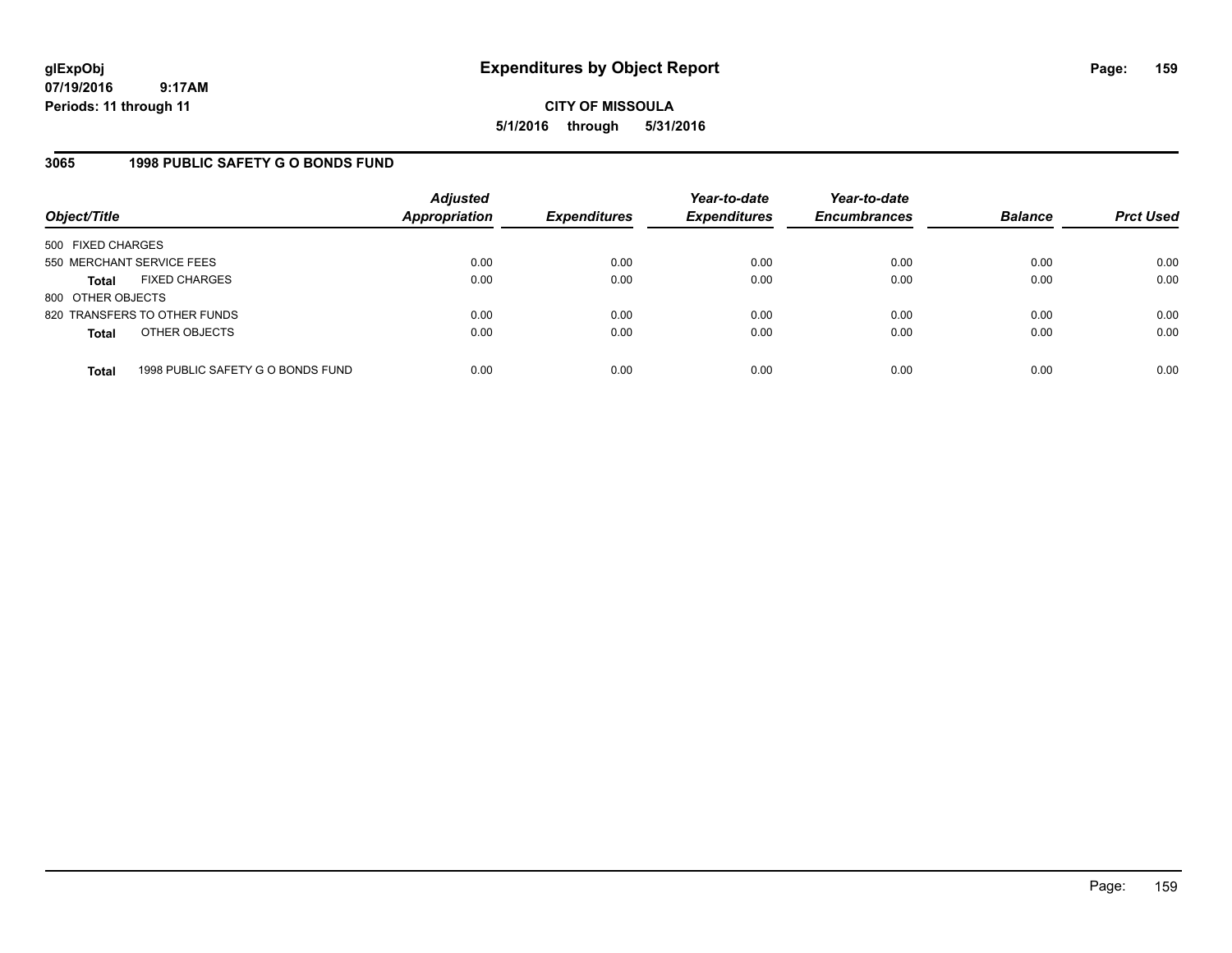**CITY OF MISSOULA 5/1/2016 through 5/31/2016**

# **3065 1998 PUBLIC SAFETY G O BONDS FUND**

| Object/Title              |                                   | <b>Adjusted</b><br>Appropriation | <b>Expenditures</b> | Year-to-date<br><b>Expenditures</b> | Year-to-date<br><b>Encumbrances</b> | <b>Balance</b> | <b>Prct Used</b> |
|---------------------------|-----------------------------------|----------------------------------|---------------------|-------------------------------------|-------------------------------------|----------------|------------------|
| 500 FIXED CHARGES         |                                   |                                  |                     |                                     |                                     |                |                  |
| 550 MERCHANT SERVICE FEES |                                   | 0.00                             | 0.00                | 0.00                                | 0.00                                | 0.00           | 0.00             |
| <b>Total</b>              | <b>FIXED CHARGES</b>              | 0.00                             | 0.00                | 0.00                                | 0.00                                | 0.00           | 0.00             |
| 800 OTHER OBJECTS         |                                   |                                  |                     |                                     |                                     |                |                  |
|                           | 820 TRANSFERS TO OTHER FUNDS      | 0.00                             | 0.00                | 0.00                                | 0.00                                | 0.00           | 0.00             |
| <b>Total</b>              | OTHER OBJECTS                     | 0.00                             | 0.00                | 0.00                                | 0.00                                | 0.00           | 0.00             |
| <b>Total</b>              | 1998 PUBLIC SAFETY G O BONDS FUND | 0.00                             | 0.00                | 0.00                                | 0.00                                | 0.00           | 0.00             |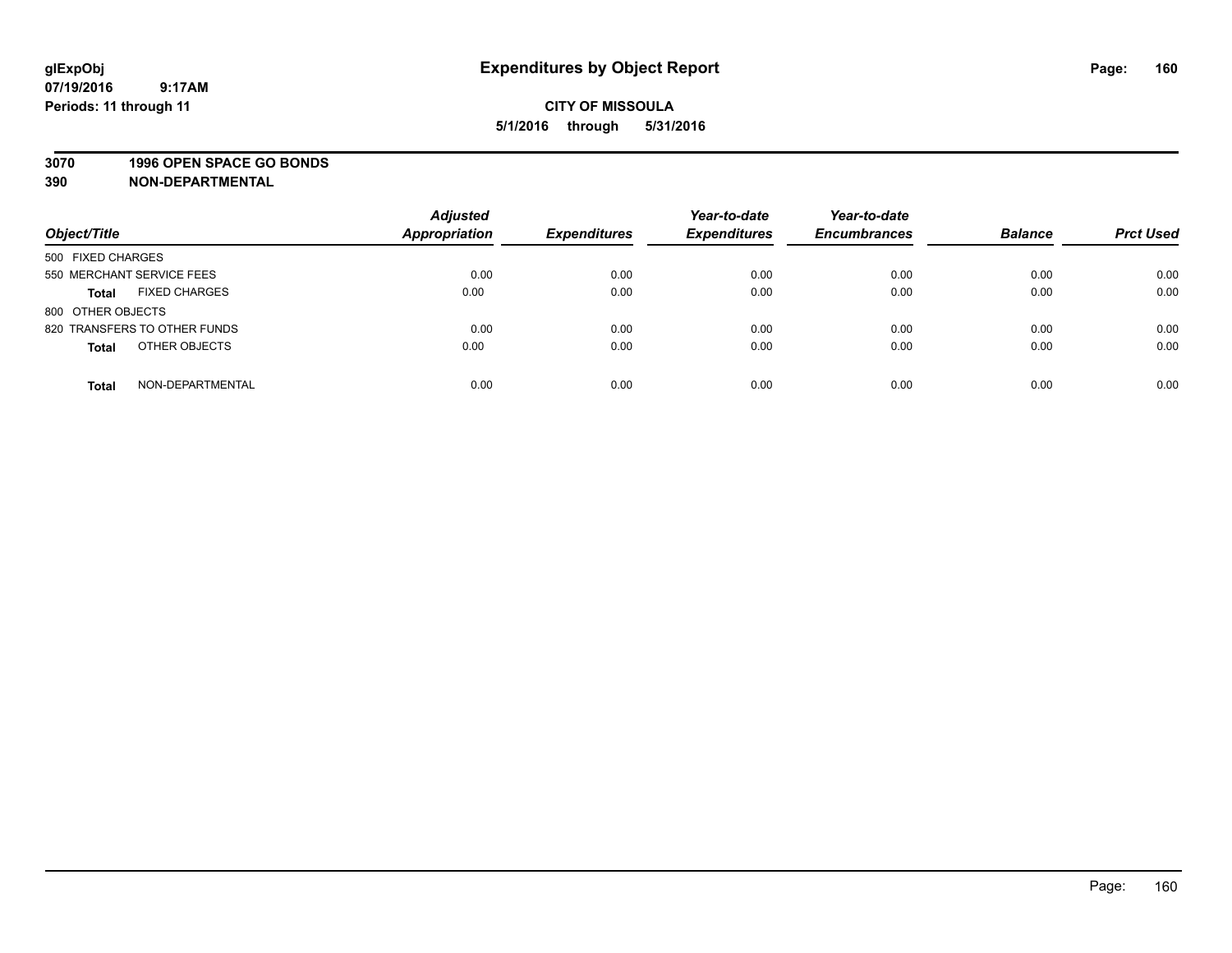# **3070 1996 OPEN SPACE GO BONDS**

| Object/Title                         | <b>Adjusted</b><br>Appropriation | <b>Expenditures</b> | Year-to-date<br><b>Expenditures</b> | Year-to-date<br><b>Encumbrances</b> | <b>Balance</b> | <b>Prct Used</b> |
|--------------------------------------|----------------------------------|---------------------|-------------------------------------|-------------------------------------|----------------|------------------|
| 500 FIXED CHARGES                    |                                  |                     |                                     |                                     |                |                  |
| 550 MERCHANT SERVICE FEES            | 0.00                             | 0.00                | 0.00                                | 0.00                                | 0.00           | 0.00             |
| <b>FIXED CHARGES</b><br><b>Total</b> | 0.00                             | 0.00                | 0.00                                | 0.00                                | 0.00           | 0.00             |
| 800 OTHER OBJECTS                    |                                  |                     |                                     |                                     |                |                  |
| 820 TRANSFERS TO OTHER FUNDS         | 0.00                             | 0.00                | 0.00                                | 0.00                                | 0.00           | 0.00             |
| OTHER OBJECTS<br><b>Total</b>        | 0.00                             | 0.00                | 0.00                                | 0.00                                | 0.00           | 0.00             |
| NON-DEPARTMENTAL<br><b>Total</b>     | 0.00                             | 0.00                | 0.00                                | 0.00                                | 0.00           | 0.00             |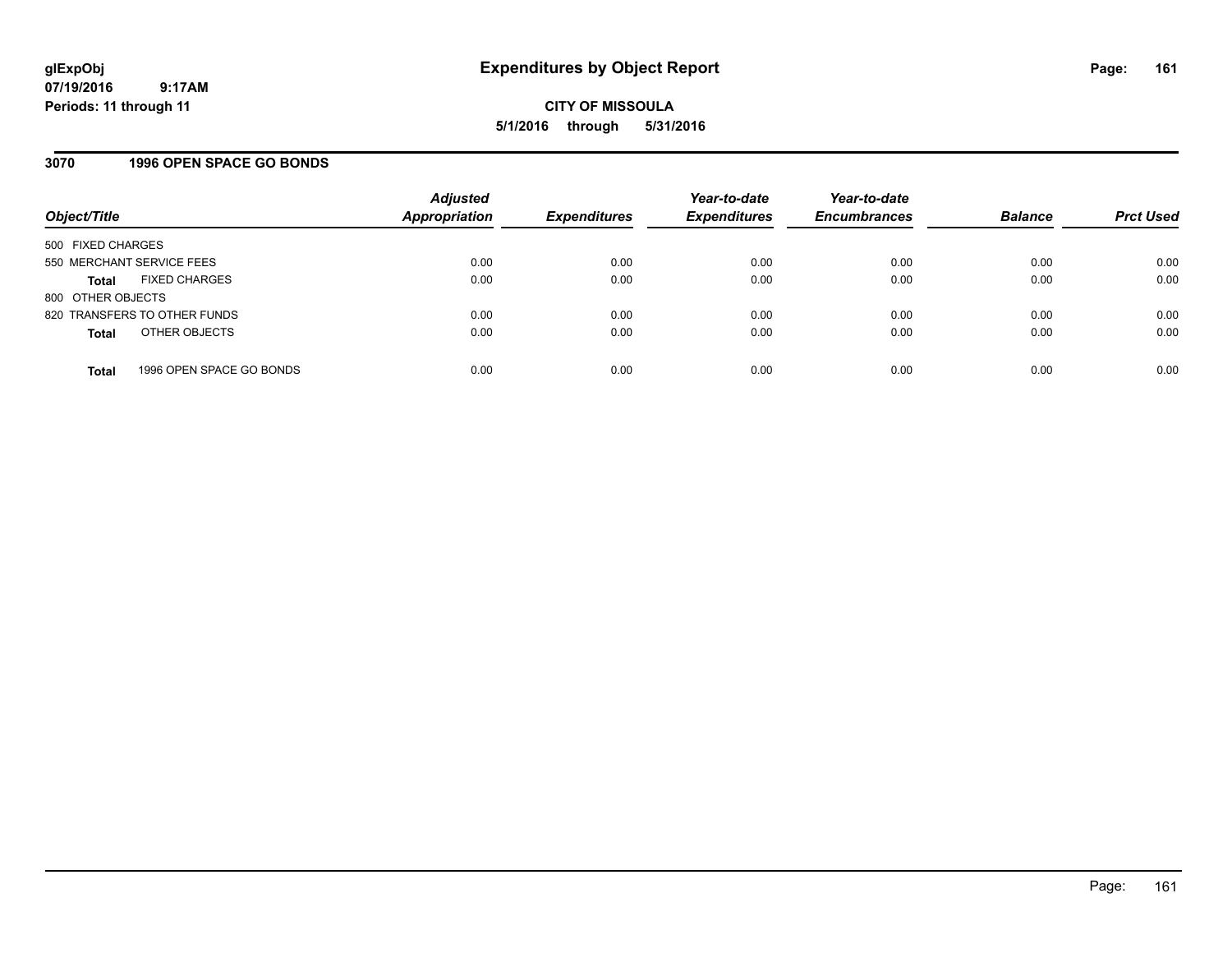# **3070 1996 OPEN SPACE GO BONDS**

| Object/Title              |                              | <b>Adjusted</b><br><b>Appropriation</b> | <b>Expenditures</b> | Year-to-date<br><b>Expenditures</b> | Year-to-date<br><b>Encumbrances</b> | <b>Balance</b> | <b>Prct Used</b> |
|---------------------------|------------------------------|-----------------------------------------|---------------------|-------------------------------------|-------------------------------------|----------------|------------------|
| 500 FIXED CHARGES         |                              |                                         |                     |                                     |                                     |                |                  |
| 550 MERCHANT SERVICE FEES |                              | 0.00                                    | 0.00                | 0.00                                | 0.00                                | 0.00           | 0.00             |
| Total                     | <b>FIXED CHARGES</b>         | 0.00                                    | 0.00                | 0.00                                | 0.00                                | 0.00           | 0.00             |
| 800 OTHER OBJECTS         |                              |                                         |                     |                                     |                                     |                |                  |
|                           | 820 TRANSFERS TO OTHER FUNDS | 0.00                                    | 0.00                | 0.00                                | 0.00                                | 0.00           | 0.00             |
| <b>Total</b>              | OTHER OBJECTS                | 0.00                                    | 0.00                | 0.00                                | 0.00                                | 0.00           | 0.00             |
| <b>Total</b>              | 1996 OPEN SPACE GO BONDS     | 0.00                                    | 0.00                | 0.00                                | 0.00                                | 0.00           | 0.00             |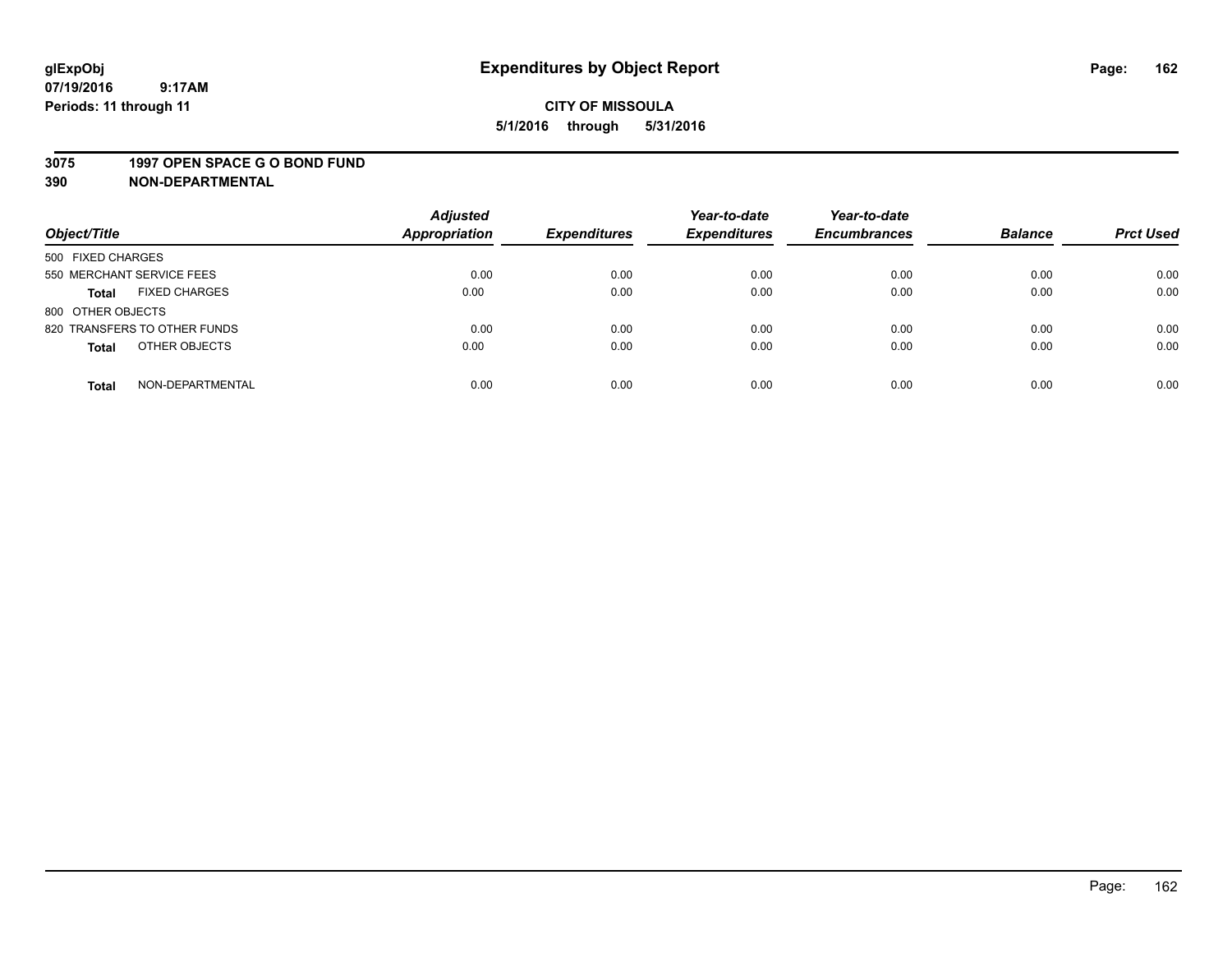#### **3075 1997 OPEN SPACE G O BOND FUND**

| Object/Title                         | <b>Adjusted</b><br>Appropriation | <b>Expenditures</b> | Year-to-date<br><b>Expenditures</b> | Year-to-date<br><b>Encumbrances</b> | <b>Balance</b> | <b>Prct Used</b> |
|--------------------------------------|----------------------------------|---------------------|-------------------------------------|-------------------------------------|----------------|------------------|
| 500 FIXED CHARGES                    |                                  |                     |                                     |                                     |                |                  |
| 550 MERCHANT SERVICE FEES            | 0.00                             | 0.00                | 0.00                                | 0.00                                | 0.00           | 0.00             |
| <b>FIXED CHARGES</b><br><b>Total</b> | 0.00                             | 0.00                | 0.00                                | 0.00                                | 0.00           | 0.00             |
| 800 OTHER OBJECTS                    |                                  |                     |                                     |                                     |                |                  |
| 820 TRANSFERS TO OTHER FUNDS         | 0.00                             | 0.00                | 0.00                                | 0.00                                | 0.00           | 0.00             |
| OTHER OBJECTS<br><b>Total</b>        | 0.00                             | 0.00                | 0.00                                | 0.00                                | 0.00           | 0.00             |
| NON-DEPARTMENTAL<br><b>Total</b>     | 0.00                             | 0.00                | 0.00                                | 0.00                                | 0.00           | 0.00             |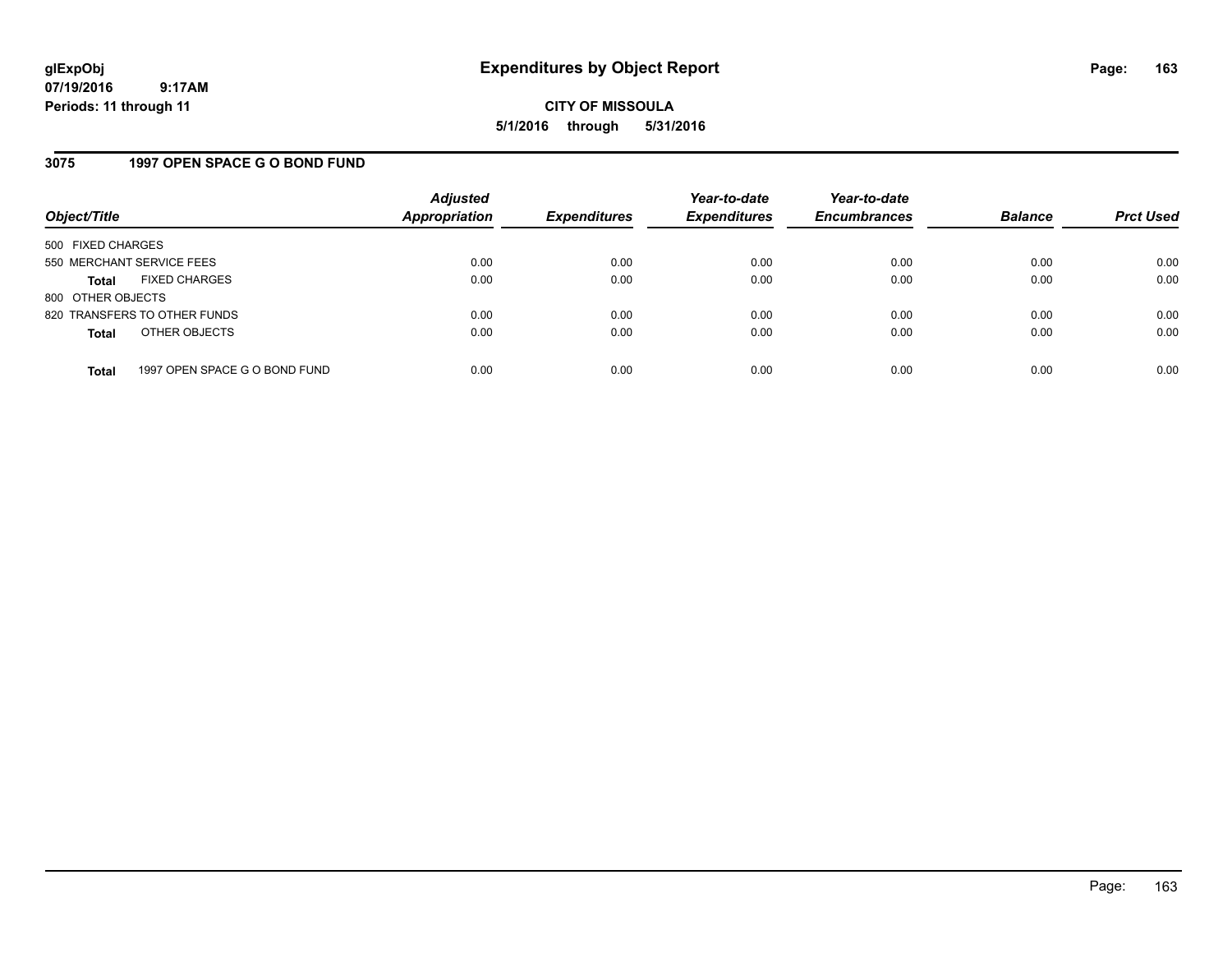**CITY OF MISSOULA 5/1/2016 through 5/31/2016**

# **3075 1997 OPEN SPACE G O BOND FUND**

| Object/Title              |                               | <b>Adjusted</b><br><b>Appropriation</b> | <b>Expenditures</b> | Year-to-date<br><b>Expenditures</b> | Year-to-date<br><b>Encumbrances</b> | <b>Balance</b> | <b>Prct Used</b> |
|---------------------------|-------------------------------|-----------------------------------------|---------------------|-------------------------------------|-------------------------------------|----------------|------------------|
| 500 FIXED CHARGES         |                               |                                         |                     |                                     |                                     |                |                  |
| 550 MERCHANT SERVICE FEES |                               | 0.00                                    | 0.00                | 0.00                                | 0.00                                | 0.00           | 0.00             |
| <b>Total</b>              | <b>FIXED CHARGES</b>          | 0.00                                    | 0.00                | 0.00                                | 0.00                                | 0.00           | 0.00             |
| 800 OTHER OBJECTS         |                               |                                         |                     |                                     |                                     |                |                  |
|                           | 820 TRANSFERS TO OTHER FUNDS  | 0.00                                    | 0.00                | 0.00                                | 0.00                                | 0.00           | 0.00             |
| <b>Total</b>              | OTHER OBJECTS                 | 0.00                                    | 0.00                | 0.00                                | 0.00                                | 0.00           | 0.00             |
| <b>Total</b>              | 1997 OPEN SPACE G O BOND FUND | 0.00                                    | 0.00                | 0.00                                | 0.00                                | 0.00           | 0.00             |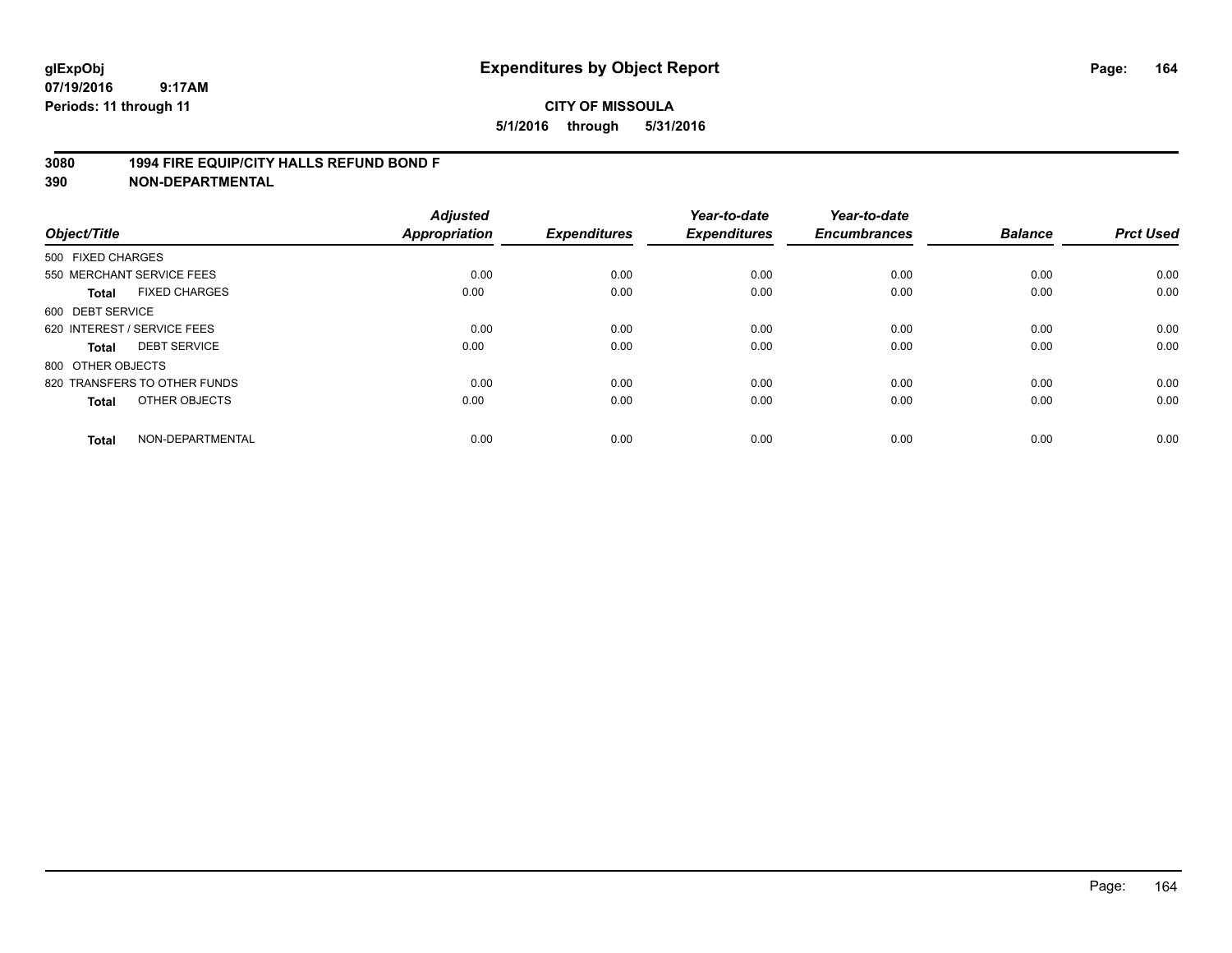# **3080 1994 FIRE EQUIP/CITY HALLS REFUND BOND F**

| Object/Title      |                              | <b>Adjusted</b><br>Appropriation | <b>Expenditures</b> | Year-to-date<br><b>Expenditures</b> | Year-to-date<br><b>Encumbrances</b> | <b>Balance</b> | <b>Prct Used</b> |
|-------------------|------------------------------|----------------------------------|---------------------|-------------------------------------|-------------------------------------|----------------|------------------|
| 500 FIXED CHARGES |                              |                                  |                     |                                     |                                     |                |                  |
|                   | 550 MERCHANT SERVICE FEES    | 0.00                             | 0.00                | 0.00                                | 0.00                                | 0.00           | 0.00             |
| <b>Total</b>      | <b>FIXED CHARGES</b>         | 0.00                             | 0.00                | 0.00                                | 0.00                                | 0.00           | 0.00             |
| 600 DEBT SERVICE  |                              |                                  |                     |                                     |                                     |                |                  |
|                   | 620 INTEREST / SERVICE FEES  | 0.00                             | 0.00                | 0.00                                | 0.00                                | 0.00           | 0.00             |
| Total             | <b>DEBT SERVICE</b>          | 0.00                             | 0.00                | 0.00                                | 0.00                                | 0.00           | 0.00             |
| 800 OTHER OBJECTS |                              |                                  |                     |                                     |                                     |                |                  |
|                   | 820 TRANSFERS TO OTHER FUNDS | 0.00                             | 0.00                | 0.00                                | 0.00                                | 0.00           | 0.00             |
| <b>Total</b>      | OTHER OBJECTS                | 0.00                             | 0.00                | 0.00                                | 0.00                                | 0.00           | 0.00             |
|                   |                              |                                  |                     |                                     |                                     |                |                  |
| <b>Total</b>      | NON-DEPARTMENTAL             | 0.00                             | 0.00                | 0.00                                | 0.00                                | 0.00           | 0.00             |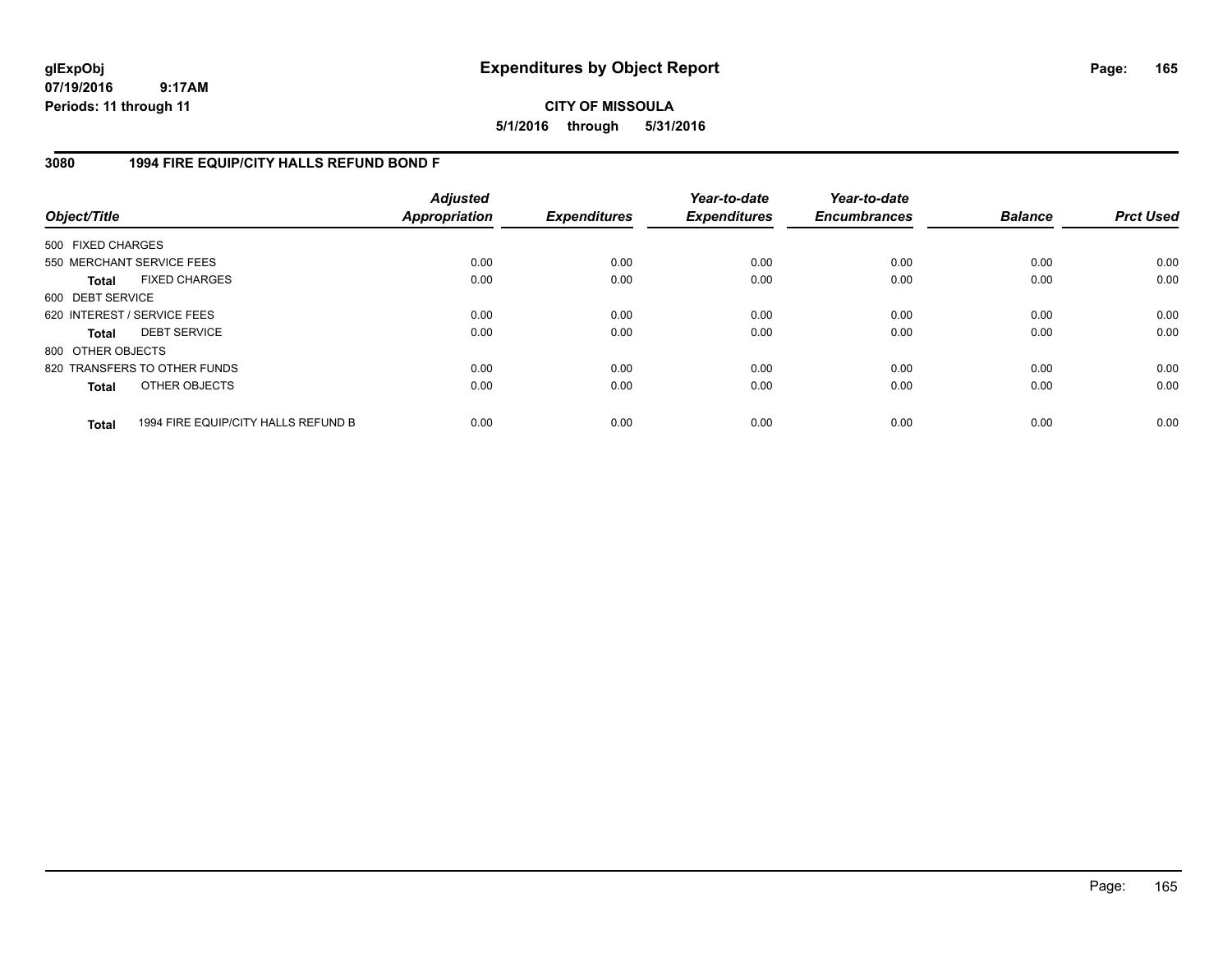**CITY OF MISSOULA 5/1/2016 through 5/31/2016**

# **3080 1994 FIRE EQUIP/CITY HALLS REFUND BOND F**

| Object/Title      |                                     | <b>Adjusted</b><br><b>Appropriation</b> | <b>Expenditures</b> | Year-to-date<br><b>Expenditures</b> | Year-to-date<br><b>Encumbrances</b> | <b>Balance</b> | <b>Prct Used</b> |
|-------------------|-------------------------------------|-----------------------------------------|---------------------|-------------------------------------|-------------------------------------|----------------|------------------|
| 500 FIXED CHARGES |                                     |                                         |                     |                                     |                                     |                |                  |
|                   | 550 MERCHANT SERVICE FEES           | 0.00                                    | 0.00                | 0.00                                | 0.00                                | 0.00           | 0.00             |
| Total             | <b>FIXED CHARGES</b>                | 0.00                                    | 0.00                | 0.00                                | 0.00                                | 0.00           | 0.00             |
| 600 DEBT SERVICE  |                                     |                                         |                     |                                     |                                     |                |                  |
|                   | 620 INTEREST / SERVICE FEES         | 0.00                                    | 0.00                | 0.00                                | 0.00                                | 0.00           | 0.00             |
| <b>Total</b>      | <b>DEBT SERVICE</b>                 | 0.00                                    | 0.00                | 0.00                                | 0.00                                | 0.00           | 0.00             |
| 800 OTHER OBJECTS |                                     |                                         |                     |                                     |                                     |                |                  |
|                   | 820 TRANSFERS TO OTHER FUNDS        | 0.00                                    | 0.00                | 0.00                                | 0.00                                | 0.00           | 0.00             |
| <b>Total</b>      | OTHER OBJECTS                       | 0.00                                    | 0.00                | 0.00                                | 0.00                                | 0.00           | 0.00             |
| <b>Total</b>      | 1994 FIRE EQUIP/CITY HALLS REFUND B | 0.00                                    | 0.00                | 0.00                                | 0.00                                | 0.00           | 0.00             |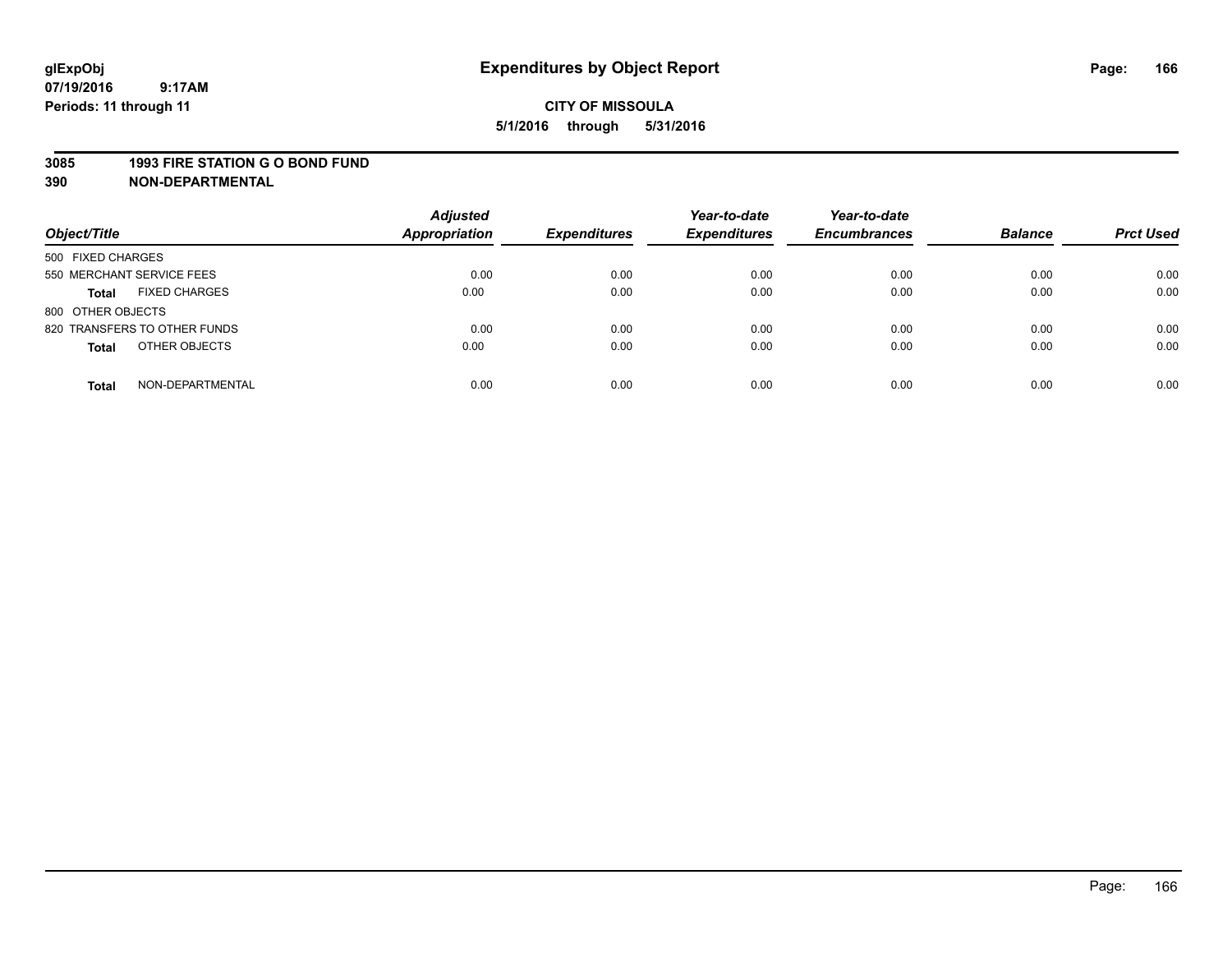#### **3085 1993 FIRE STATION G O BOND FUND**

| Object/Title                         | <b>Adjusted</b><br><b>Appropriation</b> | <b>Expenditures</b> | Year-to-date<br><b>Expenditures</b> | Year-to-date<br><b>Encumbrances</b> | <b>Balance</b> | <b>Prct Used</b> |
|--------------------------------------|-----------------------------------------|---------------------|-------------------------------------|-------------------------------------|----------------|------------------|
| 500 FIXED CHARGES                    |                                         |                     |                                     |                                     |                |                  |
| 550 MERCHANT SERVICE FEES            | 0.00                                    | 0.00                | 0.00                                | 0.00                                | 0.00           | 0.00             |
| <b>FIXED CHARGES</b><br><b>Total</b> | 0.00                                    | 0.00                | 0.00                                | 0.00                                | 0.00           | 0.00             |
| 800 OTHER OBJECTS                    |                                         |                     |                                     |                                     |                |                  |
| 820 TRANSFERS TO OTHER FUNDS         | 0.00                                    | 0.00                | 0.00                                | 0.00                                | 0.00           | 0.00             |
| OTHER OBJECTS<br><b>Total</b>        | 0.00                                    | 0.00                | 0.00                                | 0.00                                | 0.00           | 0.00             |
| NON-DEPARTMENTAL<br><b>Total</b>     | 0.00                                    | 0.00                | 0.00                                | 0.00                                | 0.00           | 0.00             |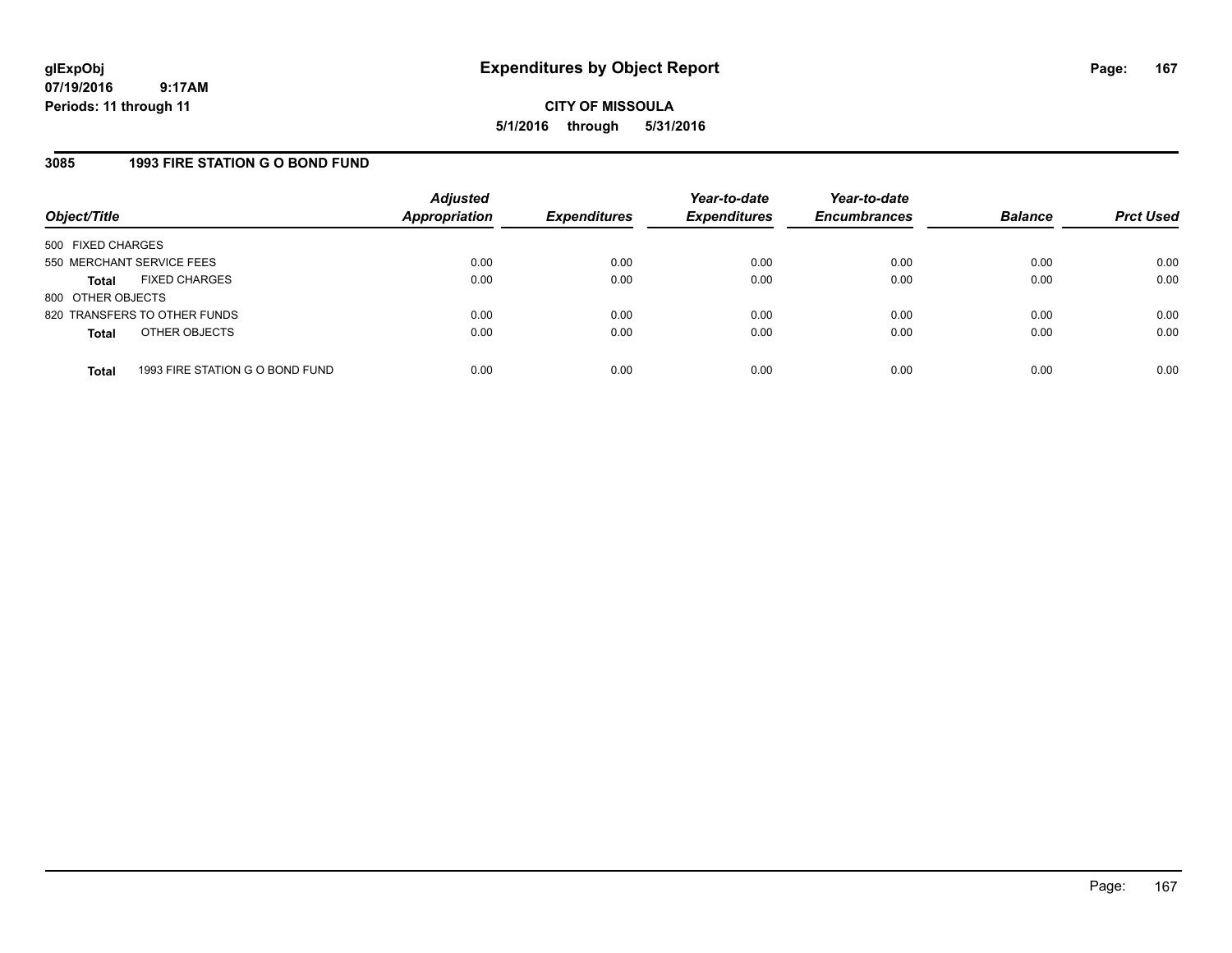**CITY OF MISSOULA 5/1/2016 through 5/31/2016**

# **3085 1993 FIRE STATION G O BOND FUND**

| Object/Title              |                                 | <b>Adjusted</b><br><b>Appropriation</b> | <b>Expenditures</b> | Year-to-date<br><b>Expenditures</b> | Year-to-date<br><b>Encumbrances</b> | <b>Balance</b> | <b>Prct Used</b> |
|---------------------------|---------------------------------|-----------------------------------------|---------------------|-------------------------------------|-------------------------------------|----------------|------------------|
| 500 FIXED CHARGES         |                                 |                                         |                     |                                     |                                     |                |                  |
| 550 MERCHANT SERVICE FEES |                                 | 0.00                                    | 0.00                | 0.00                                | 0.00                                | 0.00           | 0.00             |
| <b>Total</b>              | <b>FIXED CHARGES</b>            | 0.00                                    | 0.00                | 0.00                                | 0.00                                | 0.00           | 0.00             |
| 800 OTHER OBJECTS         |                                 |                                         |                     |                                     |                                     |                |                  |
|                           | 820 TRANSFERS TO OTHER FUNDS    | 0.00                                    | 0.00                | 0.00                                | 0.00                                | 0.00           | 0.00             |
| <b>Total</b>              | OTHER OBJECTS                   | 0.00                                    | 0.00                | 0.00                                | 0.00                                | 0.00           | 0.00             |
| <b>Total</b>              | 1993 FIRE STATION G O BOND FUND | 0.00                                    | 0.00                | 0.00                                | 0.00                                | 0.00           | 0.00             |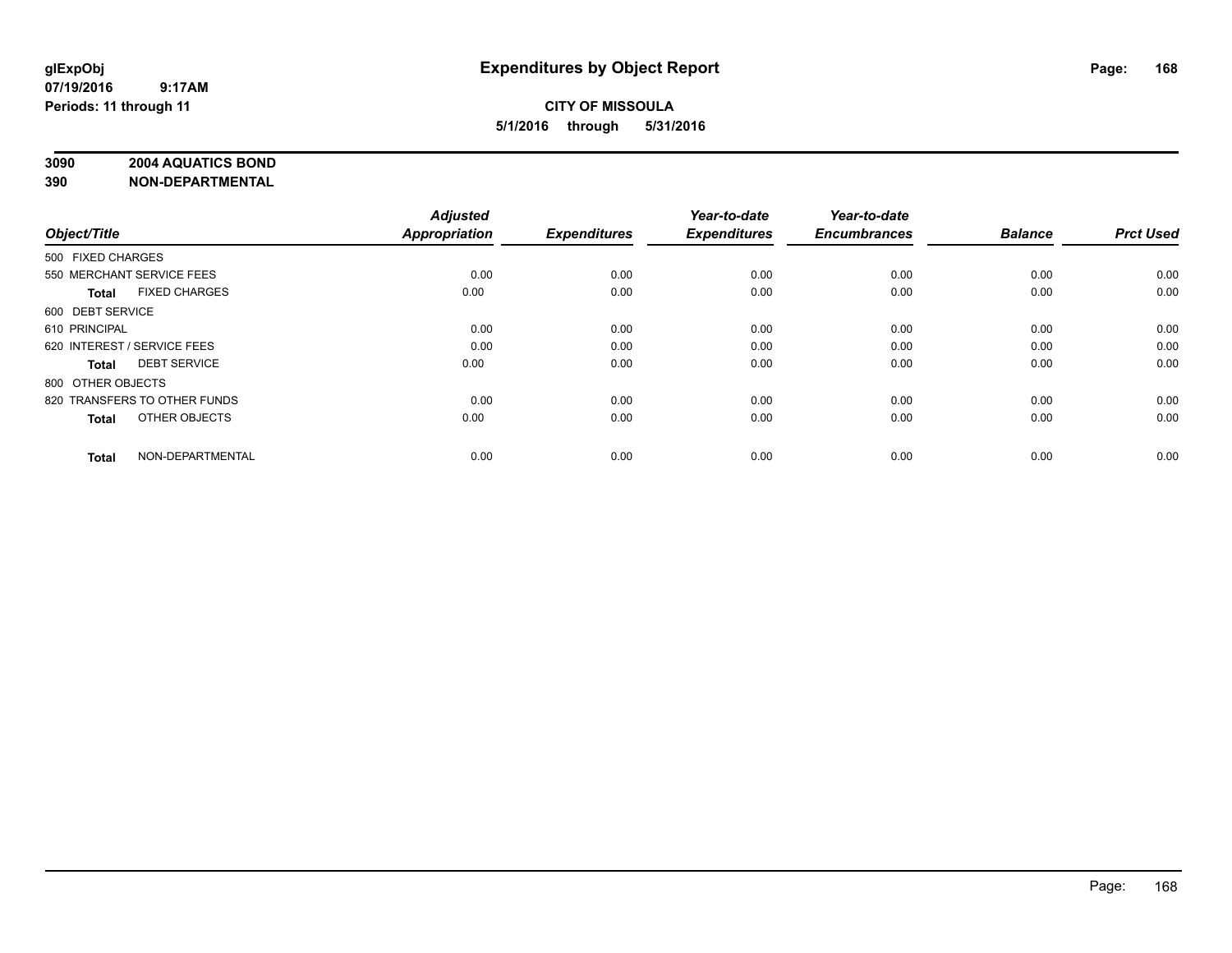# **3090 2004 AQUATICS BOND**

| Object/Title                |                              | <b>Adjusted</b><br><b>Appropriation</b> | <b>Expenditures</b> | Year-to-date<br><b>Expenditures</b> | Year-to-date<br><b>Encumbrances</b> | <b>Balance</b> | <b>Prct Used</b> |
|-----------------------------|------------------------------|-----------------------------------------|---------------------|-------------------------------------|-------------------------------------|----------------|------------------|
|                             |                              |                                         |                     |                                     |                                     |                |                  |
| 500 FIXED CHARGES           |                              |                                         |                     |                                     |                                     |                |                  |
| 550 MERCHANT SERVICE FEES   |                              | 0.00                                    | 0.00                | 0.00                                | 0.00                                | 0.00           | 0.00             |
| <b>Total</b>                | <b>FIXED CHARGES</b>         | 0.00                                    | 0.00                | 0.00                                | 0.00                                | 0.00           | 0.00             |
| 600 DEBT SERVICE            |                              |                                         |                     |                                     |                                     |                |                  |
| 610 PRINCIPAL               |                              | 0.00                                    | 0.00                | 0.00                                | 0.00                                | 0.00           | 0.00             |
| 620 INTEREST / SERVICE FEES |                              | 0.00                                    | 0.00                | 0.00                                | 0.00                                | 0.00           | 0.00             |
| <b>Total</b>                | <b>DEBT SERVICE</b>          | 0.00                                    | 0.00                | 0.00                                | 0.00                                | 0.00           | 0.00             |
| 800 OTHER OBJECTS           |                              |                                         |                     |                                     |                                     |                |                  |
|                             | 820 TRANSFERS TO OTHER FUNDS | 0.00                                    | 0.00                | 0.00                                | 0.00                                | 0.00           | 0.00             |
| <b>Total</b>                | OTHER OBJECTS                | 0.00                                    | 0.00                | 0.00                                | 0.00                                | 0.00           | 0.00             |
|                             |                              |                                         |                     |                                     |                                     |                |                  |
| <b>Total</b>                | NON-DEPARTMENTAL             | 0.00                                    | 0.00                | 0.00                                | 0.00                                | 0.00           | 0.00             |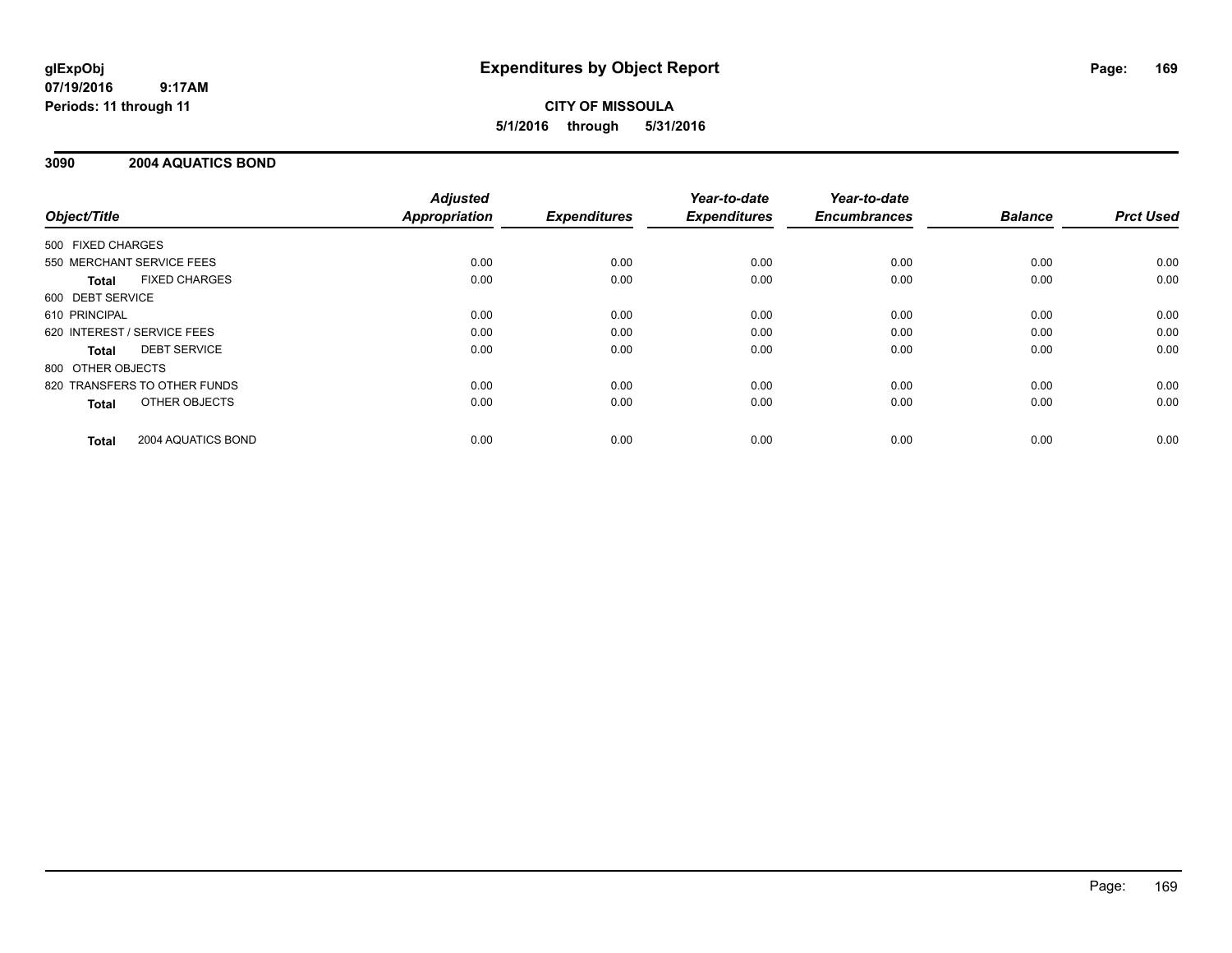# **CITY OF MISSOULA 5/1/2016 through 5/31/2016**

# **3090 2004 AQUATICS BOND**

|                                      | <b>Adjusted</b>      |                     | Year-to-date        | Year-to-date        |                |                  |
|--------------------------------------|----------------------|---------------------|---------------------|---------------------|----------------|------------------|
| Object/Title                         | <b>Appropriation</b> | <b>Expenditures</b> | <b>Expenditures</b> | <b>Encumbrances</b> | <b>Balance</b> | <b>Prct Used</b> |
| 500 FIXED CHARGES                    |                      |                     |                     |                     |                |                  |
| 550 MERCHANT SERVICE FEES            | 0.00                 | 0.00                | 0.00                | 0.00                | 0.00           | 0.00             |
| <b>FIXED CHARGES</b><br><b>Total</b> | 0.00                 | 0.00                | 0.00                | 0.00                | 0.00           | 0.00             |
| 600 DEBT SERVICE                     |                      |                     |                     |                     |                |                  |
| 610 PRINCIPAL                        | 0.00                 | 0.00                | 0.00                | 0.00                | 0.00           | 0.00             |
| 620 INTEREST / SERVICE FEES          | 0.00                 | 0.00                | 0.00                | 0.00                | 0.00           | 0.00             |
| <b>DEBT SERVICE</b><br><b>Total</b>  | 0.00                 | 0.00                | 0.00                | 0.00                | 0.00           | 0.00             |
| 800 OTHER OBJECTS                    |                      |                     |                     |                     |                |                  |
| 820 TRANSFERS TO OTHER FUNDS         | 0.00                 | 0.00                | 0.00                | 0.00                | 0.00           | 0.00             |
| OTHER OBJECTS<br><b>Total</b>        | 0.00                 | 0.00                | 0.00                | 0.00                | 0.00           | 0.00             |
| 2004 AQUATICS BOND<br><b>Total</b>   | 0.00                 | 0.00                | 0.00                | 0.00                | 0.00           | 0.00             |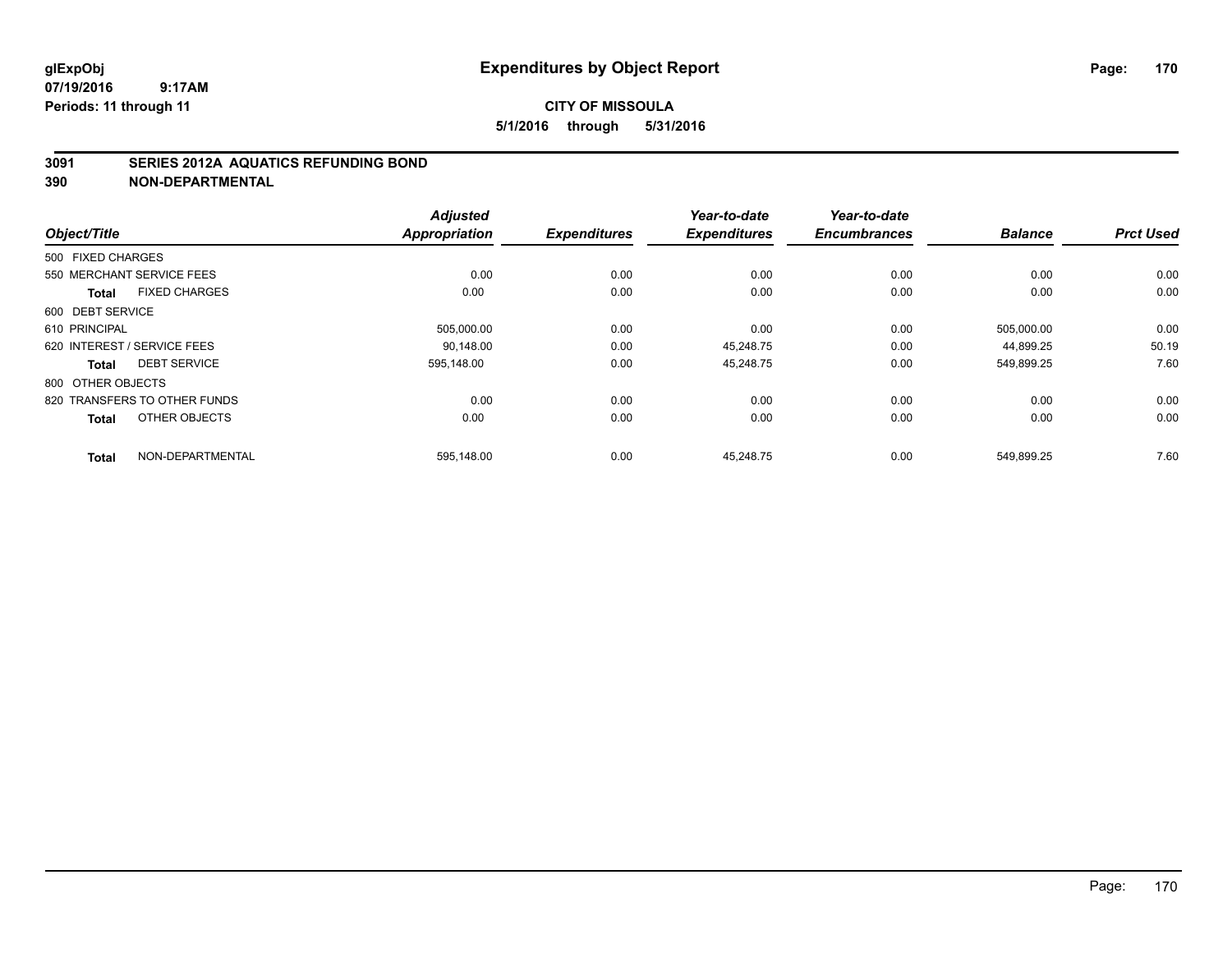# **3091 SERIES 2012A AQUATICS REFUNDING BOND**

|                                      | <b>Adjusted</b> |                     | Year-to-date        | Year-to-date        |                |                  |
|--------------------------------------|-----------------|---------------------|---------------------|---------------------|----------------|------------------|
| Object/Title                         | Appropriation   | <b>Expenditures</b> | <b>Expenditures</b> | <b>Encumbrances</b> | <b>Balance</b> | <b>Prct Used</b> |
| 500 FIXED CHARGES                    |                 |                     |                     |                     |                |                  |
| 550 MERCHANT SERVICE FEES            | 0.00            | 0.00                | 0.00                | 0.00                | 0.00           | 0.00             |
| <b>FIXED CHARGES</b><br><b>Total</b> | 0.00            | 0.00                | 0.00                | 0.00                | 0.00           | 0.00             |
| 600 DEBT SERVICE                     |                 |                     |                     |                     |                |                  |
| 610 PRINCIPAL                        | 505,000.00      | 0.00                | 0.00                | 0.00                | 505,000.00     | 0.00             |
| 620 INTEREST / SERVICE FEES          | 90.148.00       | 0.00                | 45.248.75           | 0.00                | 44,899.25      | 50.19            |
| <b>DEBT SERVICE</b><br><b>Total</b>  | 595.148.00      | 0.00                | 45,248.75           | 0.00                | 549,899.25     | 7.60             |
| 800 OTHER OBJECTS                    |                 |                     |                     |                     |                |                  |
| 820 TRANSFERS TO OTHER FUNDS         | 0.00            | 0.00                | 0.00                | 0.00                | 0.00           | 0.00             |
| OTHER OBJECTS<br><b>Total</b>        | 0.00            | 0.00                | 0.00                | 0.00                | 0.00           | 0.00             |
| NON-DEPARTMENTAL<br><b>Total</b>     | 595,148.00      | 0.00                | 45,248.75           | 0.00                | 549,899.25     | 7.60             |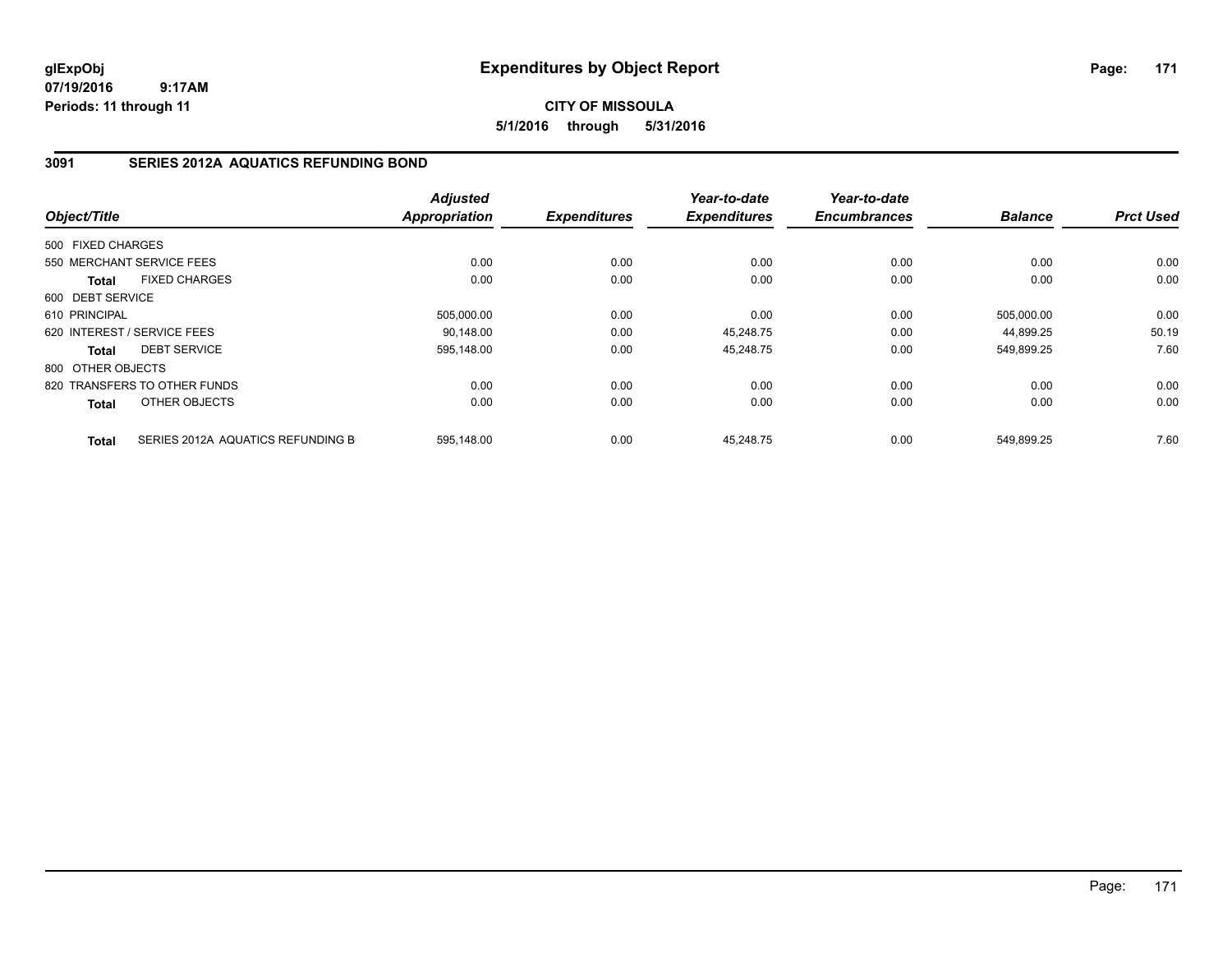**CITY OF MISSOULA 5/1/2016 through 5/31/2016**

# **3091 SERIES 2012A AQUATICS REFUNDING BOND**

| Object/Title      |                                   | <b>Adjusted</b><br><b>Appropriation</b> | <b>Expenditures</b> | Year-to-date<br><b>Expenditures</b> | Year-to-date<br><b>Encumbrances</b> | <b>Balance</b> | <b>Prct Used</b> |
|-------------------|-----------------------------------|-----------------------------------------|---------------------|-------------------------------------|-------------------------------------|----------------|------------------|
|                   |                                   |                                         |                     |                                     |                                     |                |                  |
| 500 FIXED CHARGES |                                   |                                         |                     |                                     |                                     |                |                  |
|                   | 550 MERCHANT SERVICE FEES         | 0.00                                    | 0.00                | 0.00                                | 0.00                                | 0.00           | 0.00             |
| Total             | <b>FIXED CHARGES</b>              | 0.00                                    | 0.00                | 0.00                                | 0.00                                | 0.00           | 0.00             |
| 600 DEBT SERVICE  |                                   |                                         |                     |                                     |                                     |                |                  |
| 610 PRINCIPAL     |                                   | 505,000.00                              | 0.00                | 0.00                                | 0.00                                | 505,000.00     | 0.00             |
|                   | 620 INTEREST / SERVICE FEES       | 90,148.00                               | 0.00                | 45,248.75                           | 0.00                                | 44.899.25      | 50.19            |
| Total             | <b>DEBT SERVICE</b>               | 595,148.00                              | 0.00                | 45,248.75                           | 0.00                                | 549.899.25     | 7.60             |
| 800 OTHER OBJECTS |                                   |                                         |                     |                                     |                                     |                |                  |
|                   | 820 TRANSFERS TO OTHER FUNDS      | 0.00                                    | 0.00                | 0.00                                | 0.00                                | 0.00           | 0.00             |
| <b>Total</b>      | OTHER OBJECTS                     | 0.00                                    | 0.00                | 0.00                                | 0.00                                | 0.00           | 0.00             |
| <b>Total</b>      | SERIES 2012A AQUATICS REFUNDING B | 595,148.00                              | 0.00                | 45,248.75                           | 0.00                                | 549,899.25     | 7.60             |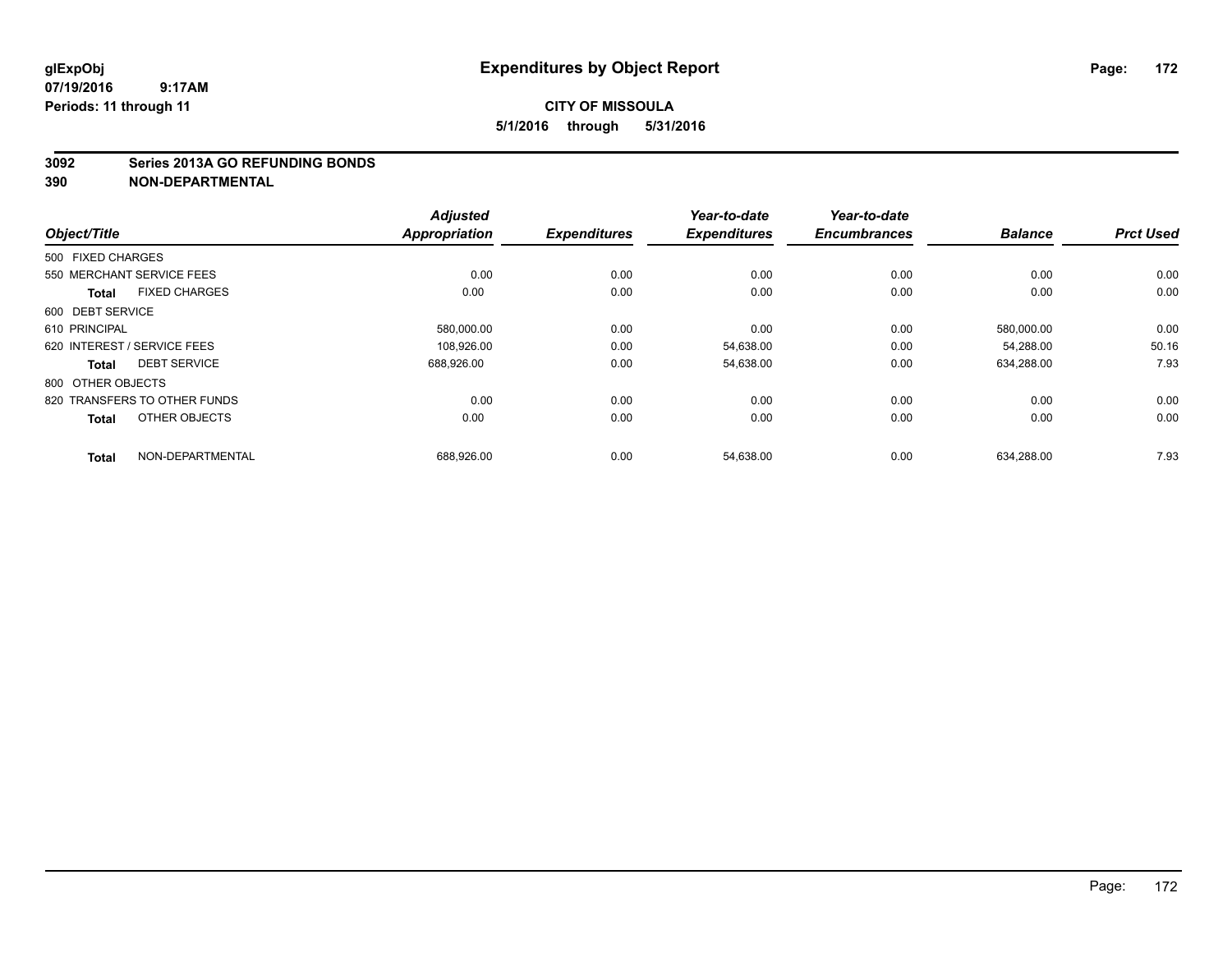#### **3092 Series 2013A GO REFUNDING BONDS**

|                              |                      | <b>Adjusted</b>      |                     | Year-to-date        | Year-to-date        |                |                  |
|------------------------------|----------------------|----------------------|---------------------|---------------------|---------------------|----------------|------------------|
| Object/Title                 |                      | <b>Appropriation</b> | <b>Expenditures</b> | <b>Expenditures</b> | <b>Encumbrances</b> | <b>Balance</b> | <b>Prct Used</b> |
| 500 FIXED CHARGES            |                      |                      |                     |                     |                     |                |                  |
| 550 MERCHANT SERVICE FEES    |                      | 0.00                 | 0.00                | 0.00                | 0.00                | 0.00           | 0.00             |
| <b>Total</b>                 | <b>FIXED CHARGES</b> | 0.00                 | 0.00                | 0.00                | 0.00                | 0.00           | 0.00             |
| 600 DEBT SERVICE             |                      |                      |                     |                     |                     |                |                  |
| 610 PRINCIPAL                |                      | 580,000.00           | 0.00                | 0.00                | 0.00                | 580,000.00     | 0.00             |
| 620 INTEREST / SERVICE FEES  |                      | 108.926.00           | 0.00                | 54.638.00           | 0.00                | 54.288.00      | 50.16            |
| <b>Total</b>                 | <b>DEBT SERVICE</b>  | 688,926.00           | 0.00                | 54,638.00           | 0.00                | 634,288.00     | 7.93             |
| 800 OTHER OBJECTS            |                      |                      |                     |                     |                     |                |                  |
| 820 TRANSFERS TO OTHER FUNDS |                      | 0.00                 | 0.00                | 0.00                | 0.00                | 0.00           | 0.00             |
| <b>Total</b>                 | OTHER OBJECTS        | 0.00                 | 0.00                | 0.00                | 0.00                | 0.00           | 0.00             |
| <b>Total</b>                 | NON-DEPARTMENTAL     | 688,926.00           | 0.00                | 54,638.00           | 0.00                | 634,288.00     | 7.93             |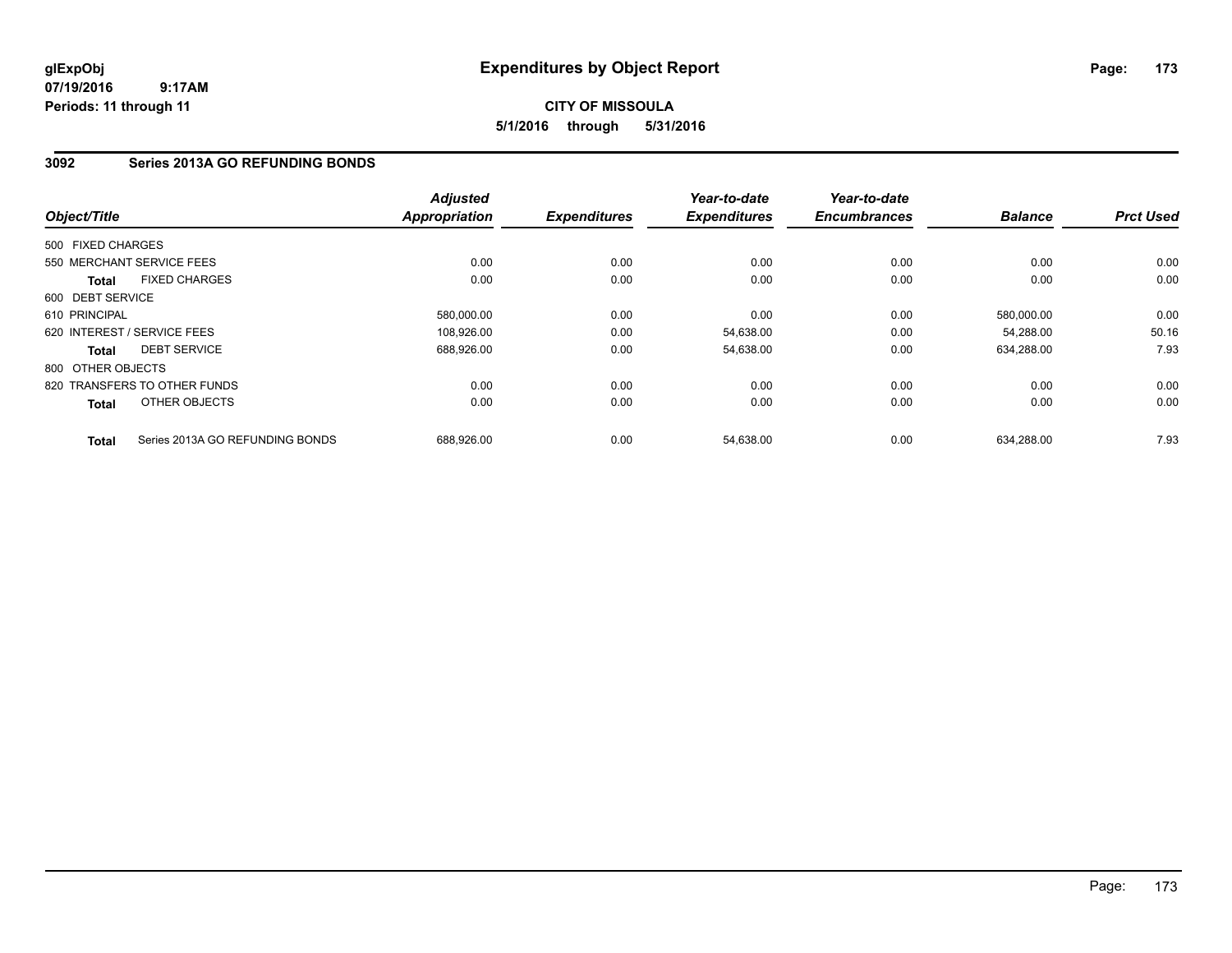# **CITY OF MISSOULA 5/1/2016 through 5/31/2016**

# **3092 Series 2013A GO REFUNDING BONDS**

| Object/Title      |                                 | <b>Adjusted</b><br><b>Appropriation</b> | <b>Expenditures</b> | Year-to-date<br><b>Expenditures</b> | Year-to-date<br><b>Encumbrances</b> | <b>Balance</b> | <b>Prct Used</b> |
|-------------------|---------------------------------|-----------------------------------------|---------------------|-------------------------------------|-------------------------------------|----------------|------------------|
|                   |                                 |                                         |                     |                                     |                                     |                |                  |
| 500 FIXED CHARGES |                                 |                                         |                     |                                     |                                     |                |                  |
|                   | 550 MERCHANT SERVICE FEES       | 0.00                                    | 0.00                | 0.00                                | 0.00                                | 0.00           | 0.00             |
| Total             | <b>FIXED CHARGES</b>            | 0.00                                    | 0.00                | 0.00                                | 0.00                                | 0.00           | 0.00             |
| 600 DEBT SERVICE  |                                 |                                         |                     |                                     |                                     |                |                  |
| 610 PRINCIPAL     |                                 | 580,000.00                              | 0.00                | 0.00                                | 0.00                                | 580,000.00     | 0.00             |
|                   | 620 INTEREST / SERVICE FEES     | 108,926.00                              | 0.00                | 54,638.00                           | 0.00                                | 54.288.00      | 50.16            |
| Total             | <b>DEBT SERVICE</b>             | 688,926.00                              | 0.00                | 54,638.00                           | 0.00                                | 634,288.00     | 7.93             |
| 800 OTHER OBJECTS |                                 |                                         |                     |                                     |                                     |                |                  |
|                   | 820 TRANSFERS TO OTHER FUNDS    | 0.00                                    | 0.00                | 0.00                                | 0.00                                | 0.00           | 0.00             |
| Total             | OTHER OBJECTS                   | 0.00                                    | 0.00                | 0.00                                | 0.00                                | 0.00           | 0.00             |
| <b>Total</b>      | Series 2013A GO REFUNDING BONDS | 688,926.00                              | 0.00                | 54,638.00                           | 0.00                                | 634,288.00     | 7.93             |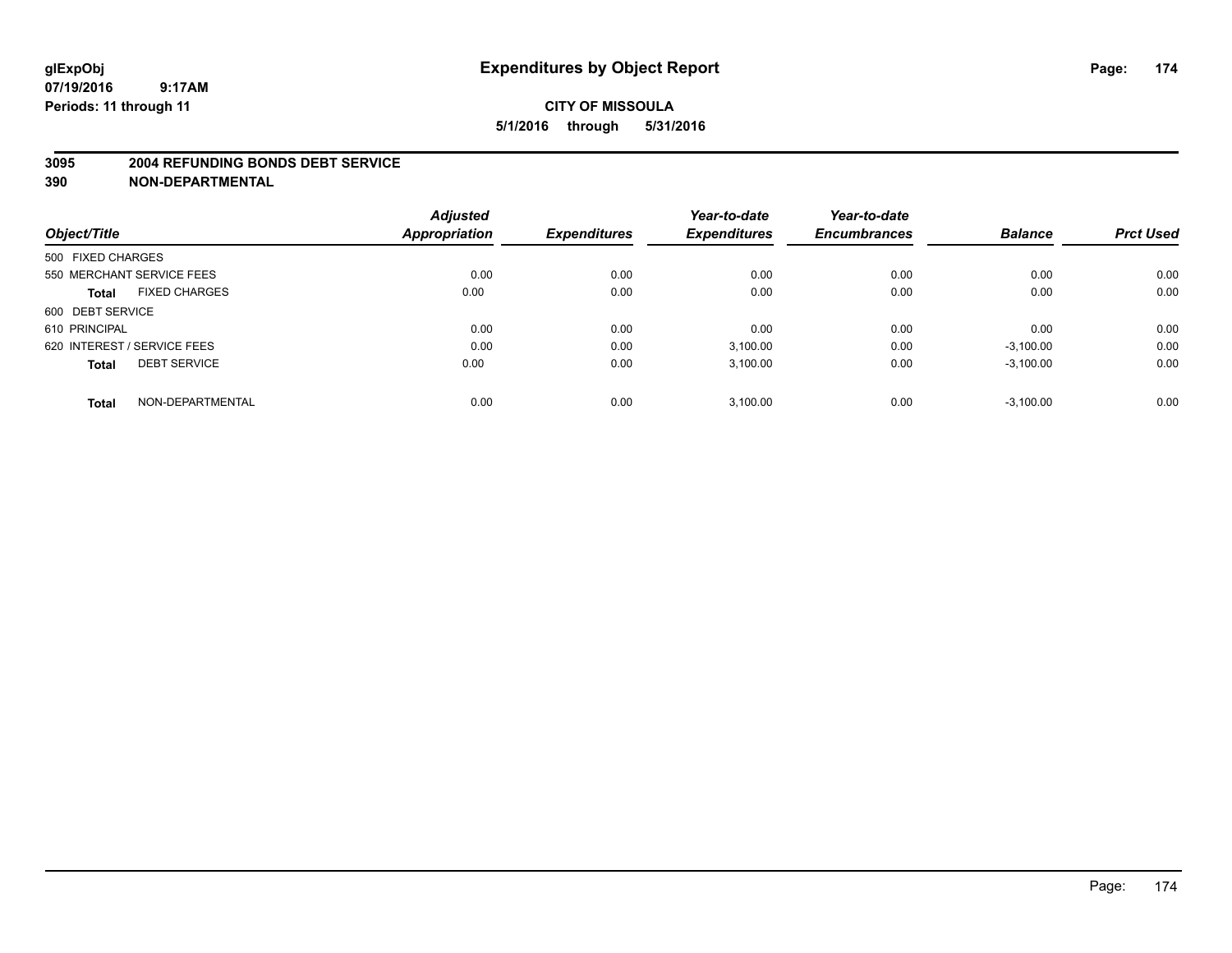#### **3095 2004 REFUNDING BONDS DEBT SERVICE**

|                                      | <b>Adjusted</b><br><b>Appropriation</b> | <b>Expenditures</b> | Year-to-date<br><b>Expenditures</b> | Year-to-date<br><b>Encumbrances</b> | <b>Balance</b> | <b>Prct Used</b> |
|--------------------------------------|-----------------------------------------|---------------------|-------------------------------------|-------------------------------------|----------------|------------------|
| Object/Title                         |                                         |                     |                                     |                                     |                |                  |
| 500 FIXED CHARGES                    |                                         |                     |                                     |                                     |                |                  |
| 550 MERCHANT SERVICE FEES            | 0.00                                    | 0.00                | 0.00                                | 0.00                                | 0.00           | 0.00             |
| <b>FIXED CHARGES</b><br><b>Total</b> | 0.00                                    | 0.00                | 0.00                                | 0.00                                | 0.00           | 0.00             |
| 600 DEBT SERVICE                     |                                         |                     |                                     |                                     |                |                  |
| 610 PRINCIPAL                        | 0.00                                    | 0.00                | 0.00                                | 0.00                                | 0.00           | 0.00             |
| 620 INTEREST / SERVICE FEES          | 0.00                                    | 0.00                | 3,100.00                            | 0.00                                | $-3,100.00$    | 0.00             |
| <b>DEBT SERVICE</b><br><b>Total</b>  | 0.00                                    | 0.00                | 3,100.00                            | 0.00                                | $-3,100.00$    | 0.00             |
| NON-DEPARTMENTAL<br><b>Total</b>     | 0.00                                    | 0.00                | 3,100.00                            | 0.00                                | $-3,100.00$    | 0.00             |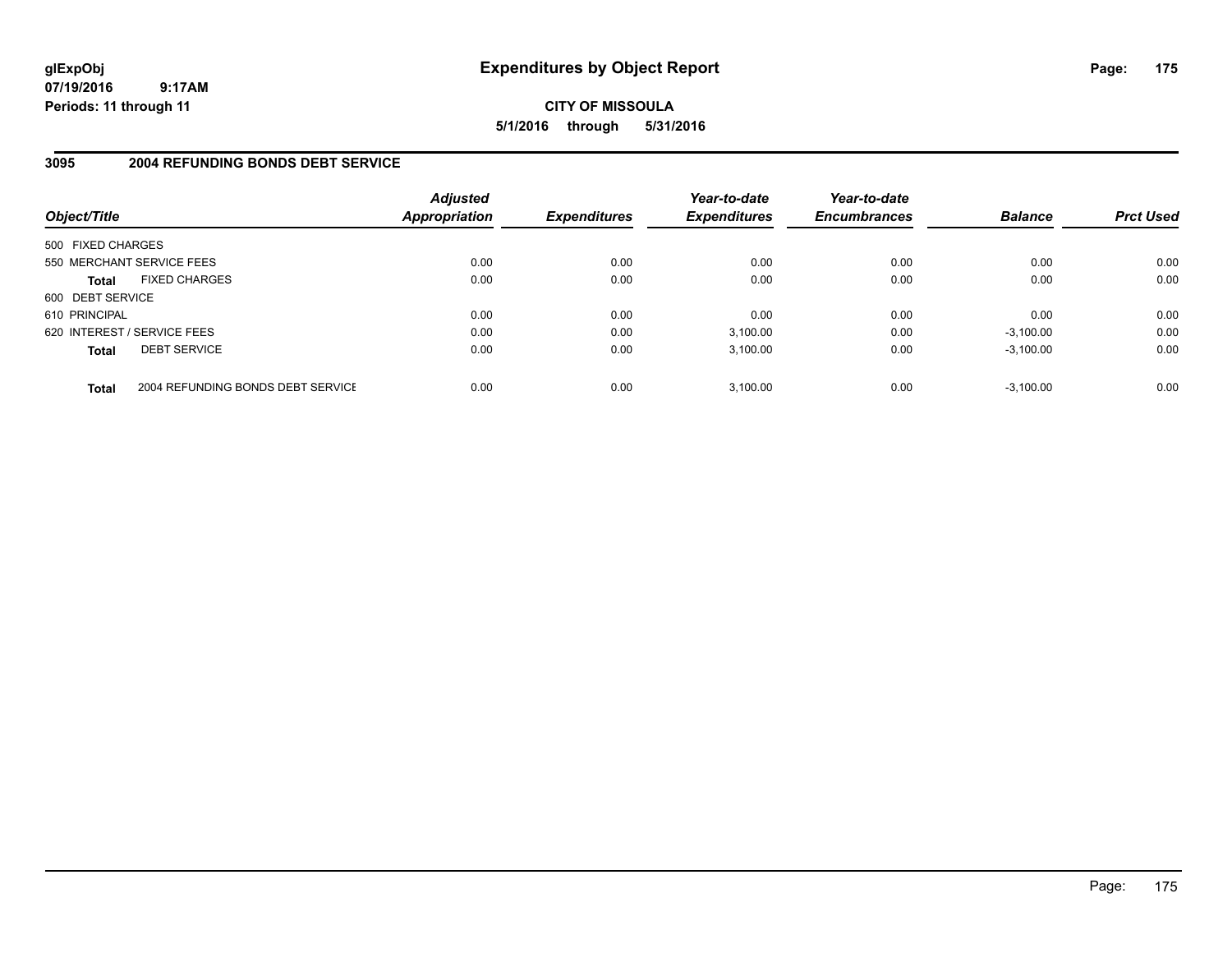**CITY OF MISSOULA 5/1/2016 through 5/31/2016**

# **3095 2004 REFUNDING BONDS DEBT SERVICE**

| Object/Title                |                                   | <b>Adjusted</b><br>Appropriation | <b>Expenditures</b> | Year-to-date<br><b>Expenditures</b> | Year-to-date<br><b>Encumbrances</b> | <b>Balance</b> | <b>Prct Used</b> |
|-----------------------------|-----------------------------------|----------------------------------|---------------------|-------------------------------------|-------------------------------------|----------------|------------------|
| 500 FIXED CHARGES           |                                   |                                  |                     |                                     |                                     |                |                  |
| 550 MERCHANT SERVICE FEES   |                                   | 0.00                             | 0.00                | 0.00                                | 0.00                                | 0.00           | 0.00             |
| <b>Total</b>                | <b>FIXED CHARGES</b>              | 0.00                             | 0.00                | 0.00                                | 0.00                                | 0.00           | 0.00             |
| 600 DEBT SERVICE            |                                   |                                  |                     |                                     |                                     |                |                  |
| 610 PRINCIPAL               |                                   | 0.00                             | 0.00                | 0.00                                | 0.00                                | 0.00           | 0.00             |
| 620 INTEREST / SERVICE FEES |                                   | 0.00                             | 0.00                | 3,100.00                            | 0.00                                | $-3,100.00$    | 0.00             |
| <b>Total</b>                | <b>DEBT SERVICE</b>               | 0.00                             | 0.00                | 3.100.00                            | 0.00                                | $-3.100.00$    | 0.00             |
| <b>Total</b>                | 2004 REFUNDING BONDS DEBT SERVICE | 0.00                             | 0.00                | 3.100.00                            | 0.00                                | $-3.100.00$    | 0.00             |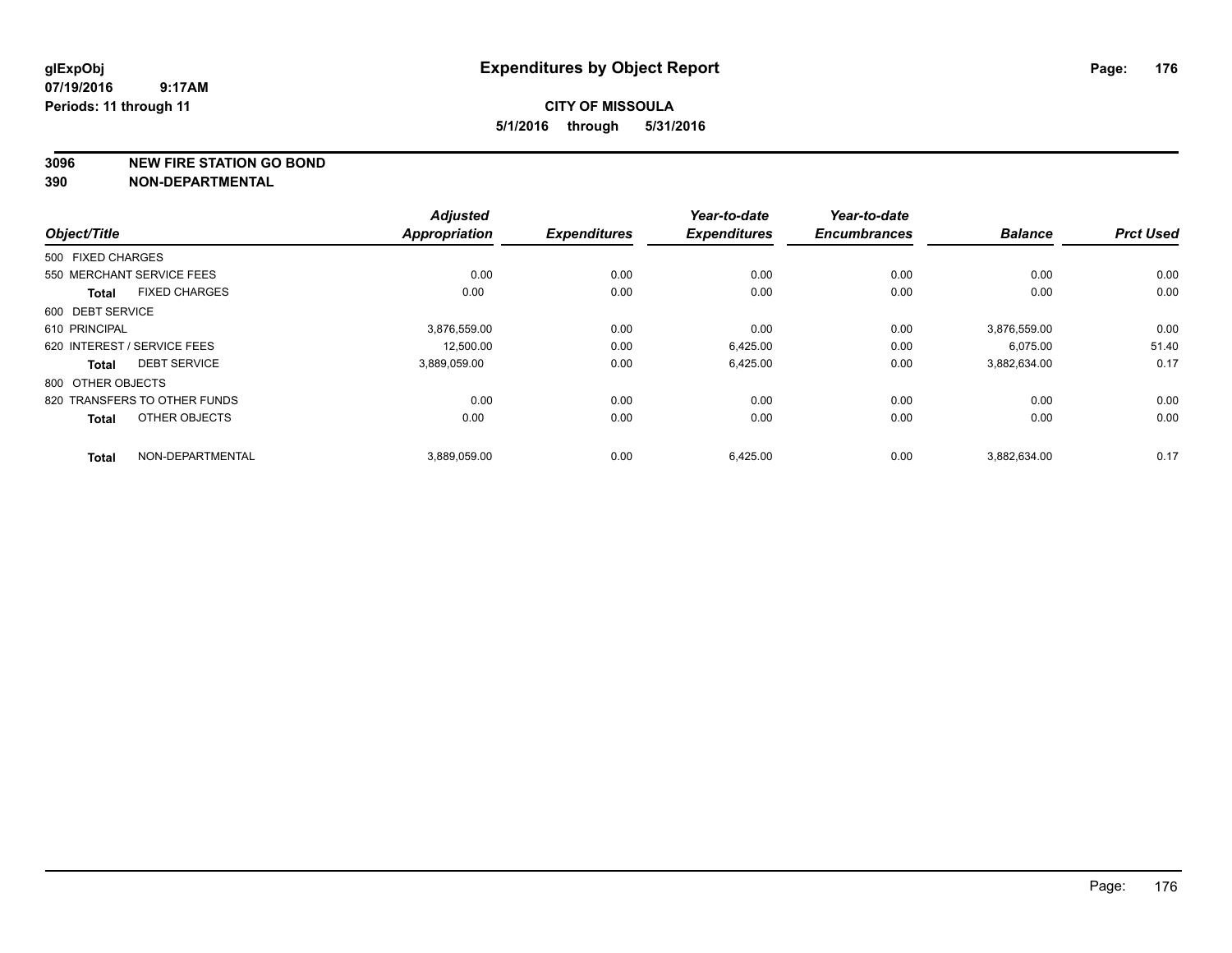#### **3096 NEW FIRE STATION GO BOND**

|                   |                              | <b>Adjusted</b>      |                     | Year-to-date        | Year-to-date        |                |                  |
|-------------------|------------------------------|----------------------|---------------------|---------------------|---------------------|----------------|------------------|
| Object/Title      |                              | <b>Appropriation</b> | <b>Expenditures</b> | <b>Expenditures</b> | <b>Encumbrances</b> | <b>Balance</b> | <b>Prct Used</b> |
| 500 FIXED CHARGES |                              |                      |                     |                     |                     |                |                  |
|                   | 550 MERCHANT SERVICE FEES    | 0.00                 | 0.00                | 0.00                | 0.00                | 0.00           | 0.00             |
| <b>Total</b>      | <b>FIXED CHARGES</b>         | 0.00                 | 0.00                | 0.00                | 0.00                | 0.00           | 0.00             |
| 600 DEBT SERVICE  |                              |                      |                     |                     |                     |                |                  |
| 610 PRINCIPAL     |                              | 3,876,559.00         | 0.00                | 0.00                | 0.00                | 3,876,559.00   | 0.00             |
|                   | 620 INTEREST / SERVICE FEES  | 12,500.00            | 0.00                | 6,425.00            | 0.00                | 6,075.00       | 51.40            |
| Total             | <b>DEBT SERVICE</b>          | 3,889,059.00         | 0.00                | 6,425.00            | 0.00                | 3,882,634.00   | 0.17             |
| 800 OTHER OBJECTS |                              |                      |                     |                     |                     |                |                  |
|                   | 820 TRANSFERS TO OTHER FUNDS | 0.00                 | 0.00                | 0.00                | 0.00                | 0.00           | 0.00             |
| <b>Total</b>      | OTHER OBJECTS                | 0.00                 | 0.00                | 0.00                | 0.00                | 0.00           | 0.00             |
| <b>Total</b>      | NON-DEPARTMENTAL             | 3,889,059.00         | 0.00                | 6,425.00            | 0.00                | 3,882,634.00   | 0.17             |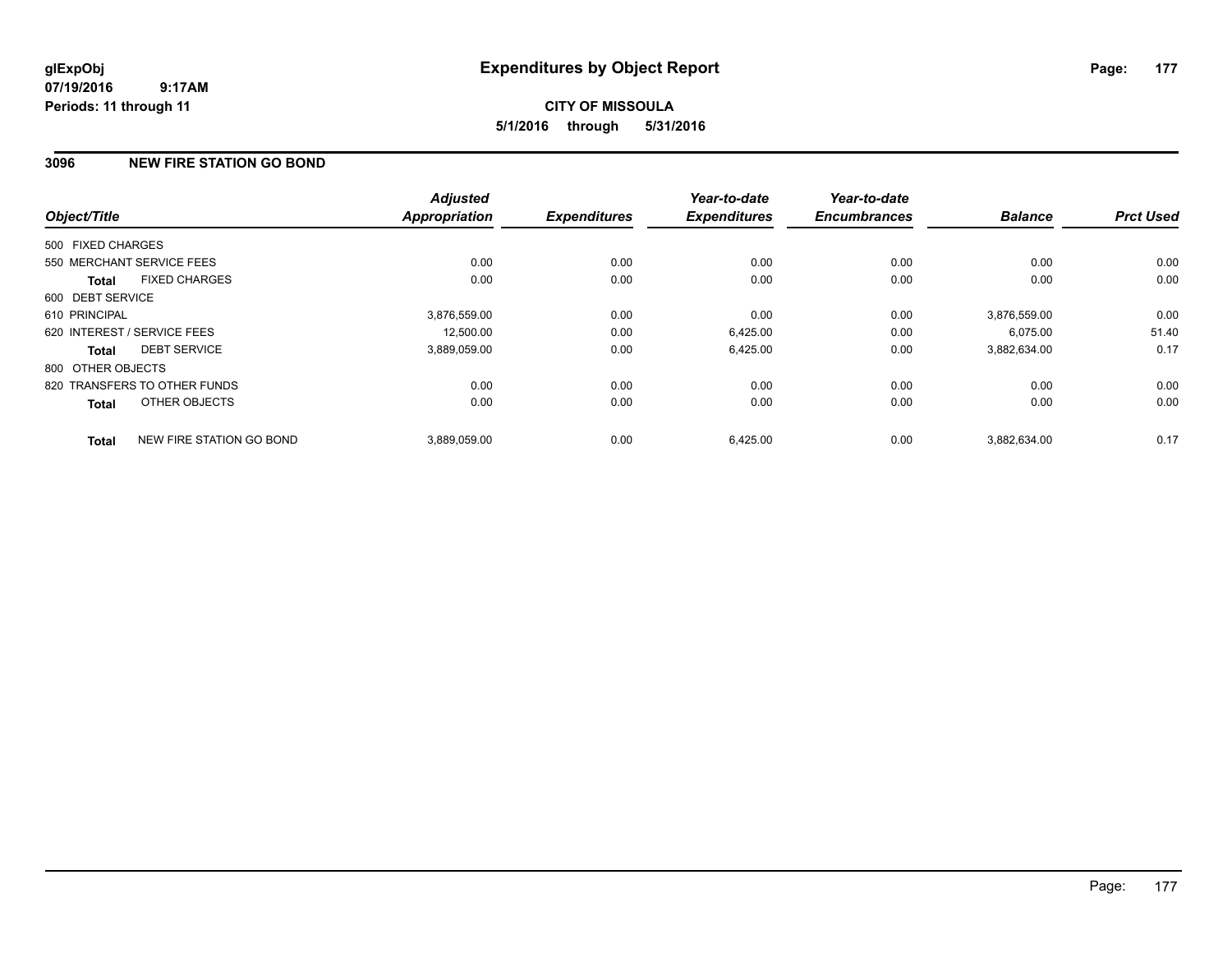# **CITY OF MISSOULA 5/1/2016 through 5/31/2016**

# **3096 NEW FIRE STATION GO BOND**

|                   |                              | <b>Adjusted</b>      |                     | Year-to-date<br><b>Expenditures</b> | Year-to-date<br><b>Encumbrances</b> | <b>Balance</b> | <b>Prct Used</b> |
|-------------------|------------------------------|----------------------|---------------------|-------------------------------------|-------------------------------------|----------------|------------------|
| Object/Title      |                              | <b>Appropriation</b> | <b>Expenditures</b> |                                     |                                     |                |                  |
| 500 FIXED CHARGES |                              |                      |                     |                                     |                                     |                |                  |
|                   | 550 MERCHANT SERVICE FEES    | 0.00                 | 0.00                | 0.00                                | 0.00                                | 0.00           | 0.00             |
| <b>Total</b>      | <b>FIXED CHARGES</b>         | 0.00                 | 0.00                | 0.00                                | 0.00                                | 0.00           | 0.00             |
| 600 DEBT SERVICE  |                              |                      |                     |                                     |                                     |                |                  |
| 610 PRINCIPAL     |                              | 3,876,559.00         | 0.00                | 0.00                                | 0.00                                | 3.876.559.00   | 0.00             |
|                   | 620 INTEREST / SERVICE FEES  | 12,500.00            | 0.00                | 6,425.00                            | 0.00                                | 6,075.00       | 51.40            |
| Total             | <b>DEBT SERVICE</b>          | 3,889,059.00         | 0.00                | 6,425.00                            | 0.00                                | 3,882,634.00   | 0.17             |
| 800 OTHER OBJECTS |                              |                      |                     |                                     |                                     |                |                  |
|                   | 820 TRANSFERS TO OTHER FUNDS | 0.00                 | 0.00                | 0.00                                | 0.00                                | 0.00           | 0.00             |
| Total             | OTHER OBJECTS                | 0.00                 | 0.00                | 0.00                                | 0.00                                | 0.00           | 0.00             |
| <b>Total</b>      | NEW FIRE STATION GO BOND     | 3.889.059.00         | 0.00                | 6,425.00                            | 0.00                                | 3.882.634.00   | 0.17             |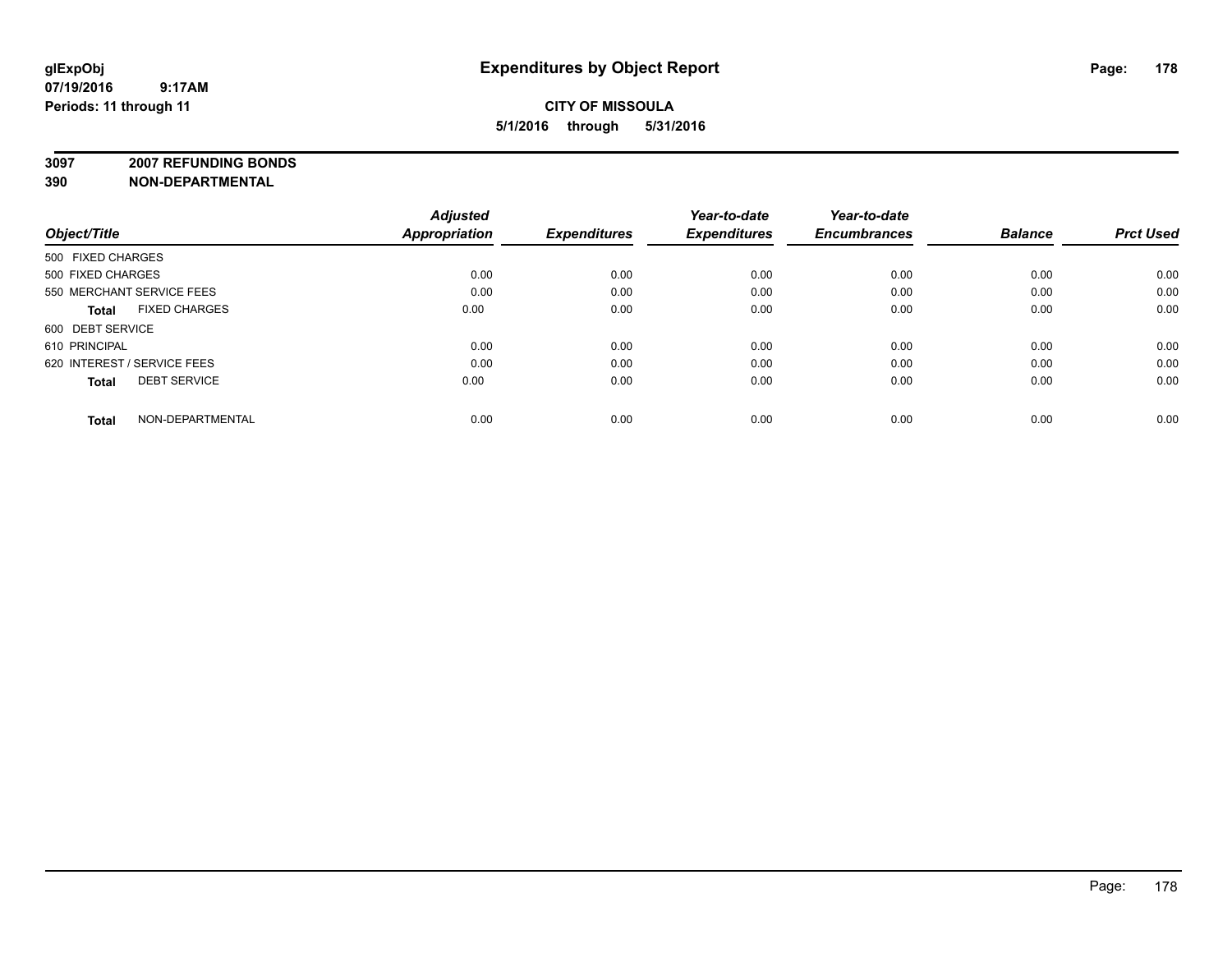**3097 2007 REFUNDING BONDS**

|                             | <b>Adjusted</b>   |                      | Year-to-date        | Year-to-date        |                     | <b>Prct Used</b> |
|-----------------------------|-------------------|----------------------|---------------------|---------------------|---------------------|------------------|
|                             |                   |                      |                     |                     |                     |                  |
|                             |                   |                      |                     |                     |                     |                  |
| 500 FIXED CHARGES           | 0.00              | 0.00                 | 0.00                | 0.00                | 0.00                | 0.00             |
| 550 MERCHANT SERVICE FEES   | 0.00              | 0.00                 | 0.00                | 0.00                | 0.00                | 0.00             |
| <b>FIXED CHARGES</b>        | 0.00              | 0.00                 | 0.00                | 0.00                | 0.00                | 0.00             |
| 600 DEBT SERVICE            |                   |                      |                     |                     |                     |                  |
| 610 PRINCIPAL               | 0.00              | 0.00                 | 0.00                | 0.00                | 0.00                | 0.00             |
| 620 INTEREST / SERVICE FEES | 0.00              | 0.00                 | 0.00                | 0.00                | 0.00                | 0.00             |
| <b>DEBT SERVICE</b>         | 0.00              | 0.00                 | 0.00                | 0.00                | 0.00                | 0.00             |
| NON-DEPARTMENTAL            | 0.00              | 0.00                 | 0.00                | 0.00                | 0.00                | 0.00             |
|                             | 500 FIXED CHARGES | <b>Appropriation</b> | <b>Expenditures</b> | <b>Expenditures</b> | <b>Encumbrances</b> | <b>Balance</b>   |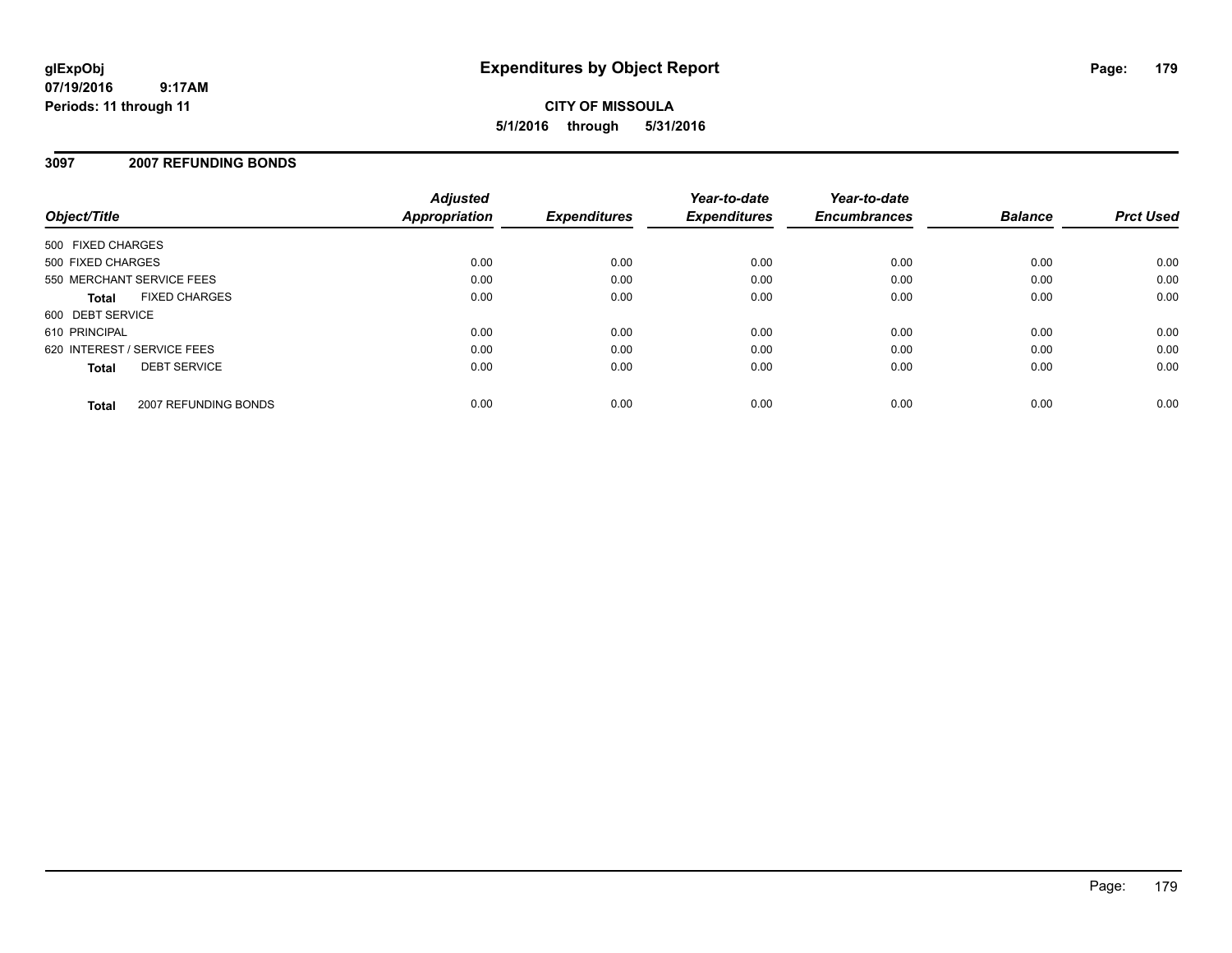**CITY OF MISSOULA 5/1/2016 through 5/31/2016**

# **3097 2007 REFUNDING BONDS**

| Object/Title                |                      | <b>Adjusted</b><br>Appropriation | <b>Expenditures</b> | Year-to-date<br><b>Expenditures</b> | Year-to-date<br><b>Encumbrances</b> | <b>Balance</b> | <b>Prct Used</b> |
|-----------------------------|----------------------|----------------------------------|---------------------|-------------------------------------|-------------------------------------|----------------|------------------|
| 500 FIXED CHARGES           |                      |                                  |                     |                                     |                                     |                |                  |
| 500 FIXED CHARGES           |                      | 0.00                             | 0.00                | 0.00                                | 0.00                                | 0.00           | 0.00             |
| 550 MERCHANT SERVICE FEES   |                      | 0.00                             | 0.00                | 0.00                                | 0.00                                | 0.00           | 0.00             |
| <b>Total</b>                | <b>FIXED CHARGES</b> | 0.00                             | 0.00                | 0.00                                | 0.00                                | 0.00           | 0.00             |
| 600 DEBT SERVICE            |                      |                                  |                     |                                     |                                     |                |                  |
| 610 PRINCIPAL               |                      | 0.00                             | 0.00                | 0.00                                | 0.00                                | 0.00           | 0.00             |
| 620 INTEREST / SERVICE FEES |                      | 0.00                             | 0.00                | 0.00                                | 0.00                                | 0.00           | 0.00             |
| <b>Total</b>                | <b>DEBT SERVICE</b>  | 0.00                             | 0.00                | 0.00                                | 0.00                                | 0.00           | 0.00             |
| <b>Total</b>                | 2007 REFUNDING BONDS | 0.00                             | 0.00                | 0.00                                | 0.00                                | 0.00           | 0.00             |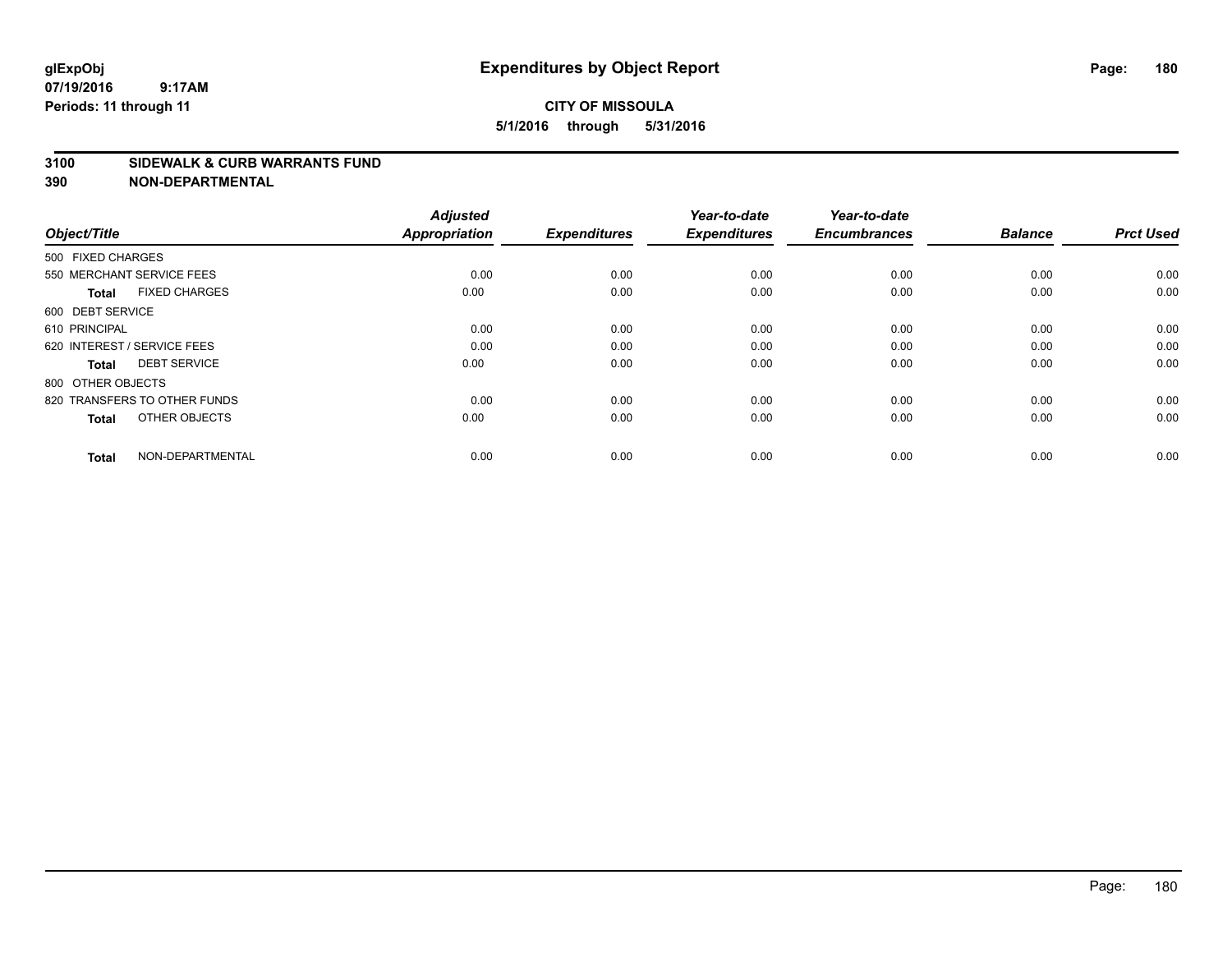# **CITY OF MISSOULA 5/1/2016 through 5/31/2016**

#### **3100 SIDEWALK & CURB WARRANTS FUND**

| Object/Title                         | <b>Adjusted</b><br><b>Appropriation</b> | <b>Expenditures</b> | Year-to-date<br><b>Expenditures</b> | Year-to-date<br><b>Encumbrances</b> | <b>Balance</b> | <b>Prct Used</b> |
|--------------------------------------|-----------------------------------------|---------------------|-------------------------------------|-------------------------------------|----------------|------------------|
| 500 FIXED CHARGES                    |                                         |                     |                                     |                                     |                |                  |
| 550 MERCHANT SERVICE FEES            | 0.00                                    | 0.00                | 0.00                                | 0.00                                | 0.00           | 0.00             |
| <b>FIXED CHARGES</b><br><b>Total</b> | 0.00                                    | 0.00                | 0.00                                | 0.00                                | 0.00           | 0.00             |
| 600 DEBT SERVICE                     |                                         |                     |                                     |                                     |                |                  |
| 610 PRINCIPAL                        | 0.00                                    | 0.00                | 0.00                                | 0.00                                | 0.00           | 0.00             |
| 620 INTEREST / SERVICE FEES          | 0.00                                    | 0.00                | 0.00                                | 0.00                                | 0.00           | 0.00             |
| <b>DEBT SERVICE</b><br><b>Total</b>  | 0.00                                    | 0.00                | 0.00                                | 0.00                                | 0.00           | 0.00             |
| 800 OTHER OBJECTS                    |                                         |                     |                                     |                                     |                |                  |
| 820 TRANSFERS TO OTHER FUNDS         | 0.00                                    | 0.00                | 0.00                                | 0.00                                | 0.00           | 0.00             |
| OTHER OBJECTS<br><b>Total</b>        | 0.00                                    | 0.00                | 0.00                                | 0.00                                | 0.00           | 0.00             |
|                                      |                                         |                     |                                     |                                     |                |                  |
| NON-DEPARTMENTAL<br><b>Total</b>     | 0.00                                    | 0.00                | 0.00                                | 0.00                                | 0.00           | 0.00             |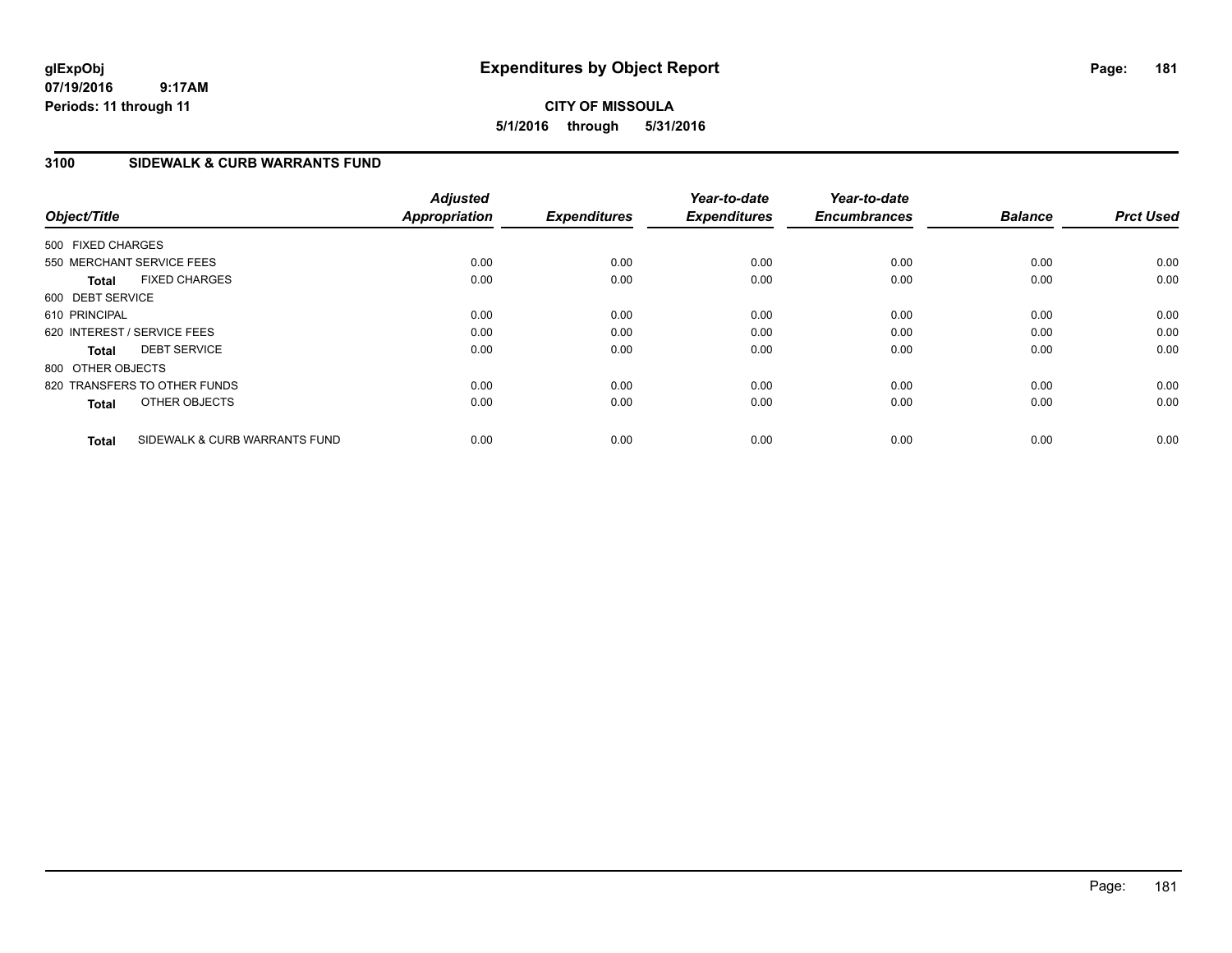## **CITY OF MISSOULA 5/1/2016 through 5/31/2016**

### **3100 SIDEWALK & CURB WARRANTS FUND**

| Object/Title      |                               | <b>Adjusted</b><br><b>Appropriation</b> | <b>Expenditures</b> | Year-to-date<br><b>Expenditures</b> | Year-to-date<br><b>Encumbrances</b> | <b>Balance</b> | <b>Prct Used</b> |
|-------------------|-------------------------------|-----------------------------------------|---------------------|-------------------------------------|-------------------------------------|----------------|------------------|
| 500 FIXED CHARGES |                               |                                         |                     |                                     |                                     |                |                  |
|                   | 550 MERCHANT SERVICE FEES     | 0.00                                    | 0.00                | 0.00                                | 0.00                                | 0.00           | 0.00             |
| <b>Total</b>      | <b>FIXED CHARGES</b>          | 0.00                                    | 0.00                | 0.00                                | 0.00                                | 0.00           | 0.00             |
| 600 DEBT SERVICE  |                               |                                         |                     |                                     |                                     |                |                  |
| 610 PRINCIPAL     |                               | 0.00                                    | 0.00                | 0.00                                | 0.00                                | 0.00           | 0.00             |
|                   | 620 INTEREST / SERVICE FEES   | 0.00                                    | 0.00                | 0.00                                | 0.00                                | 0.00           | 0.00             |
| <b>Total</b>      | <b>DEBT SERVICE</b>           | 0.00                                    | 0.00                | 0.00                                | 0.00                                | 0.00           | 0.00             |
| 800 OTHER OBJECTS |                               |                                         |                     |                                     |                                     |                |                  |
|                   | 820 TRANSFERS TO OTHER FUNDS  | 0.00                                    | 0.00                | 0.00                                | 0.00                                | 0.00           | 0.00             |
| <b>Total</b>      | OTHER OBJECTS                 | 0.00                                    | 0.00                | 0.00                                | 0.00                                | 0.00           | 0.00             |
| <b>Total</b>      | SIDEWALK & CURB WARRANTS FUND | 0.00                                    | 0.00                | 0.00                                | 0.00                                | 0.00           | 0.00             |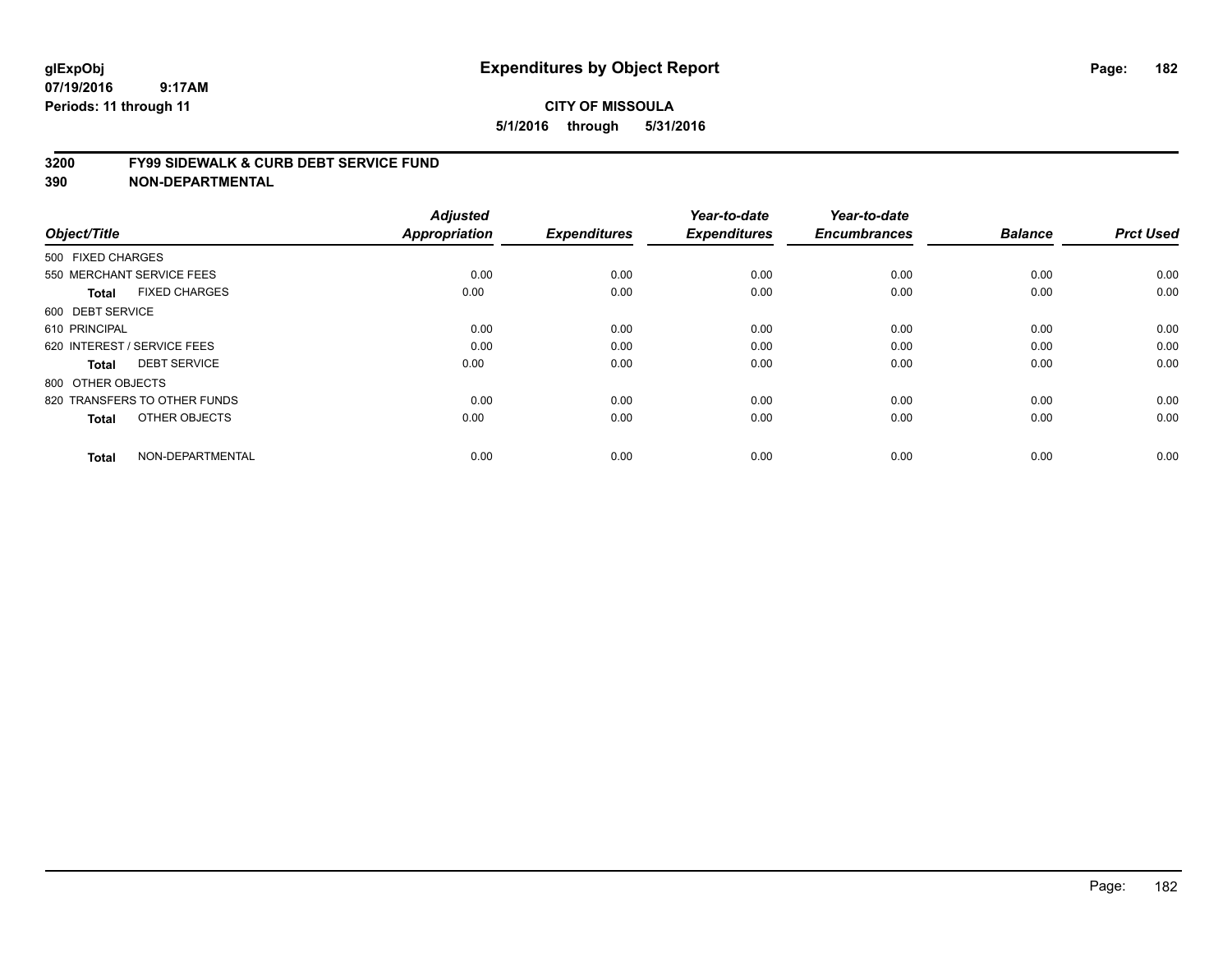#### **3200 FY99 SIDEWALK & CURB DEBT SERVICE FUND**

| Object/Title                         | <b>Adjusted</b><br>Appropriation | <b>Expenditures</b> | Year-to-date<br><b>Expenditures</b> | Year-to-date<br><b>Encumbrances</b> | <b>Balance</b> | <b>Prct Used</b> |
|--------------------------------------|----------------------------------|---------------------|-------------------------------------|-------------------------------------|----------------|------------------|
| 500 FIXED CHARGES                    |                                  |                     |                                     |                                     |                |                  |
|                                      |                                  |                     |                                     |                                     |                |                  |
| 550 MERCHANT SERVICE FEES            | 0.00                             | 0.00                | 0.00                                | 0.00                                | 0.00           | 0.00             |
| <b>FIXED CHARGES</b><br><b>Total</b> | 0.00                             | 0.00                | 0.00                                | 0.00                                | 0.00           | 0.00             |
| 600 DEBT SERVICE                     |                                  |                     |                                     |                                     |                |                  |
| 610 PRINCIPAL                        | 0.00                             | 0.00                | 0.00                                | 0.00                                | 0.00           | 0.00             |
| 620 INTEREST / SERVICE FEES          | 0.00                             | 0.00                | 0.00                                | 0.00                                | 0.00           | 0.00             |
| <b>DEBT SERVICE</b><br><b>Total</b>  | 0.00                             | 0.00                | 0.00                                | 0.00                                | 0.00           | 0.00             |
| 800 OTHER OBJECTS                    |                                  |                     |                                     |                                     |                |                  |
| 820 TRANSFERS TO OTHER FUNDS         | 0.00                             | 0.00                | 0.00                                | 0.00                                | 0.00           | 0.00             |
| OTHER OBJECTS<br><b>Total</b>        | 0.00                             | 0.00                | 0.00                                | 0.00                                | 0.00           | 0.00             |
|                                      |                                  |                     |                                     |                                     |                |                  |
| NON-DEPARTMENTAL<br><b>Total</b>     | 0.00                             | 0.00                | 0.00                                | 0.00                                | 0.00           | 0.00             |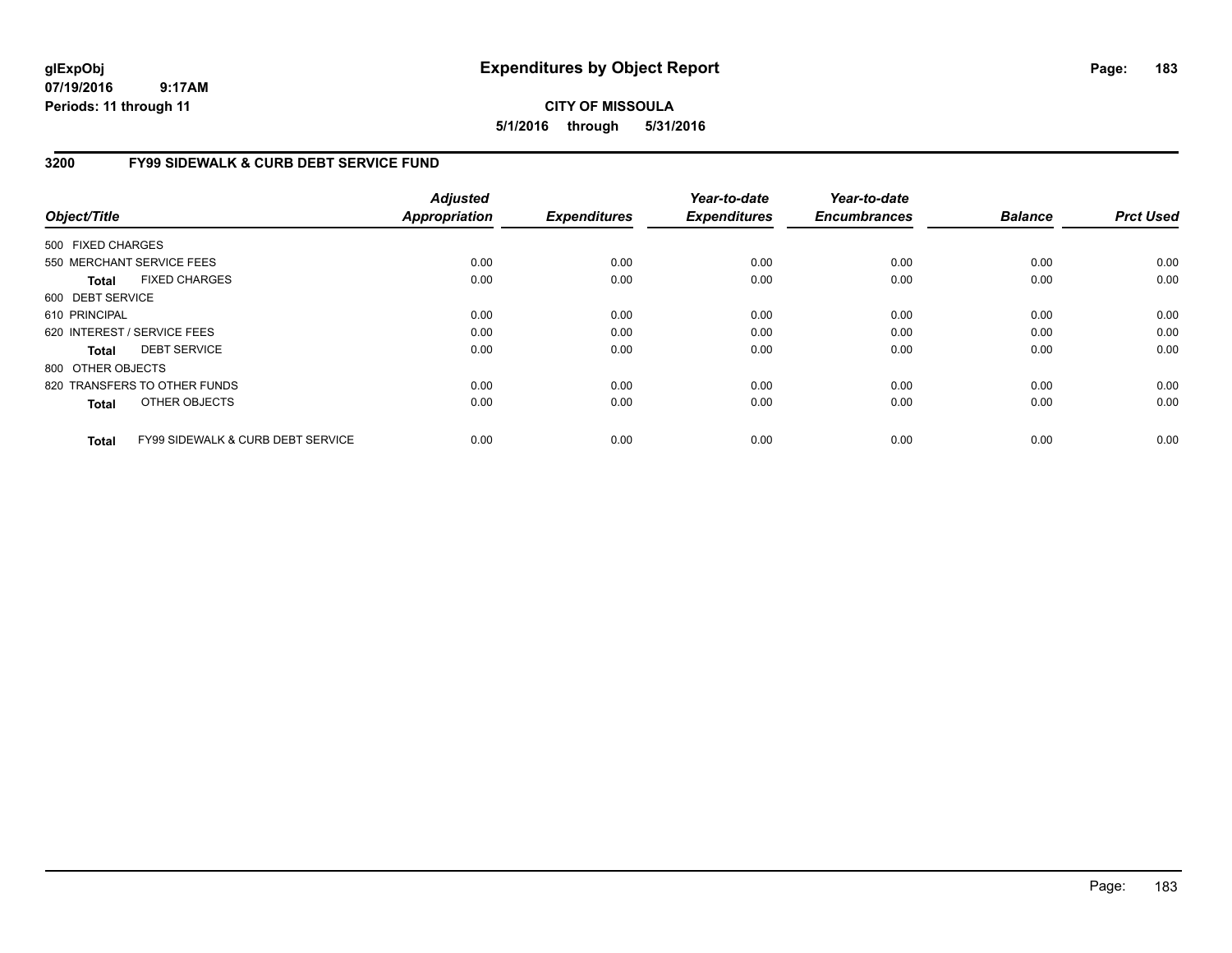## **CITY OF MISSOULA 5/1/2016 through 5/31/2016**

## **3200 FY99 SIDEWALK & CURB DEBT SERVICE FUND**

| Object/Title      |                                              | <b>Adjusted</b><br><b>Appropriation</b> | <b>Expenditures</b> | Year-to-date<br><b>Expenditures</b> | Year-to-date<br><b>Encumbrances</b> | <b>Balance</b> | <b>Prct Used</b> |
|-------------------|----------------------------------------------|-----------------------------------------|---------------------|-------------------------------------|-------------------------------------|----------------|------------------|
| 500 FIXED CHARGES |                                              |                                         |                     |                                     |                                     |                |                  |
|                   | 550 MERCHANT SERVICE FEES                    | 0.00                                    | 0.00                | 0.00                                | 0.00                                | 0.00           | 0.00             |
| Total             | <b>FIXED CHARGES</b>                         | 0.00                                    | 0.00                | 0.00                                | 0.00                                | 0.00           | 0.00             |
| 600 DEBT SERVICE  |                                              |                                         |                     |                                     |                                     |                |                  |
| 610 PRINCIPAL     |                                              | 0.00                                    | 0.00                | 0.00                                | 0.00                                | 0.00           | 0.00             |
|                   | 620 INTEREST / SERVICE FEES                  | 0.00                                    | 0.00                | 0.00                                | 0.00                                | 0.00           | 0.00             |
| Total             | <b>DEBT SERVICE</b>                          | 0.00                                    | 0.00                | 0.00                                | 0.00                                | 0.00           | 0.00             |
| 800 OTHER OBJECTS |                                              |                                         |                     |                                     |                                     |                |                  |
|                   | 820 TRANSFERS TO OTHER FUNDS                 | 0.00                                    | 0.00                | 0.00                                | 0.00                                | 0.00           | 0.00             |
| <b>Total</b>      | OTHER OBJECTS                                | 0.00                                    | 0.00                | 0.00                                | 0.00                                | 0.00           | 0.00             |
| <b>Total</b>      | <b>FY99 SIDEWALK &amp; CURB DEBT SERVICE</b> | 0.00                                    | 0.00                | 0.00                                | 0.00                                | 0.00           | 0.00             |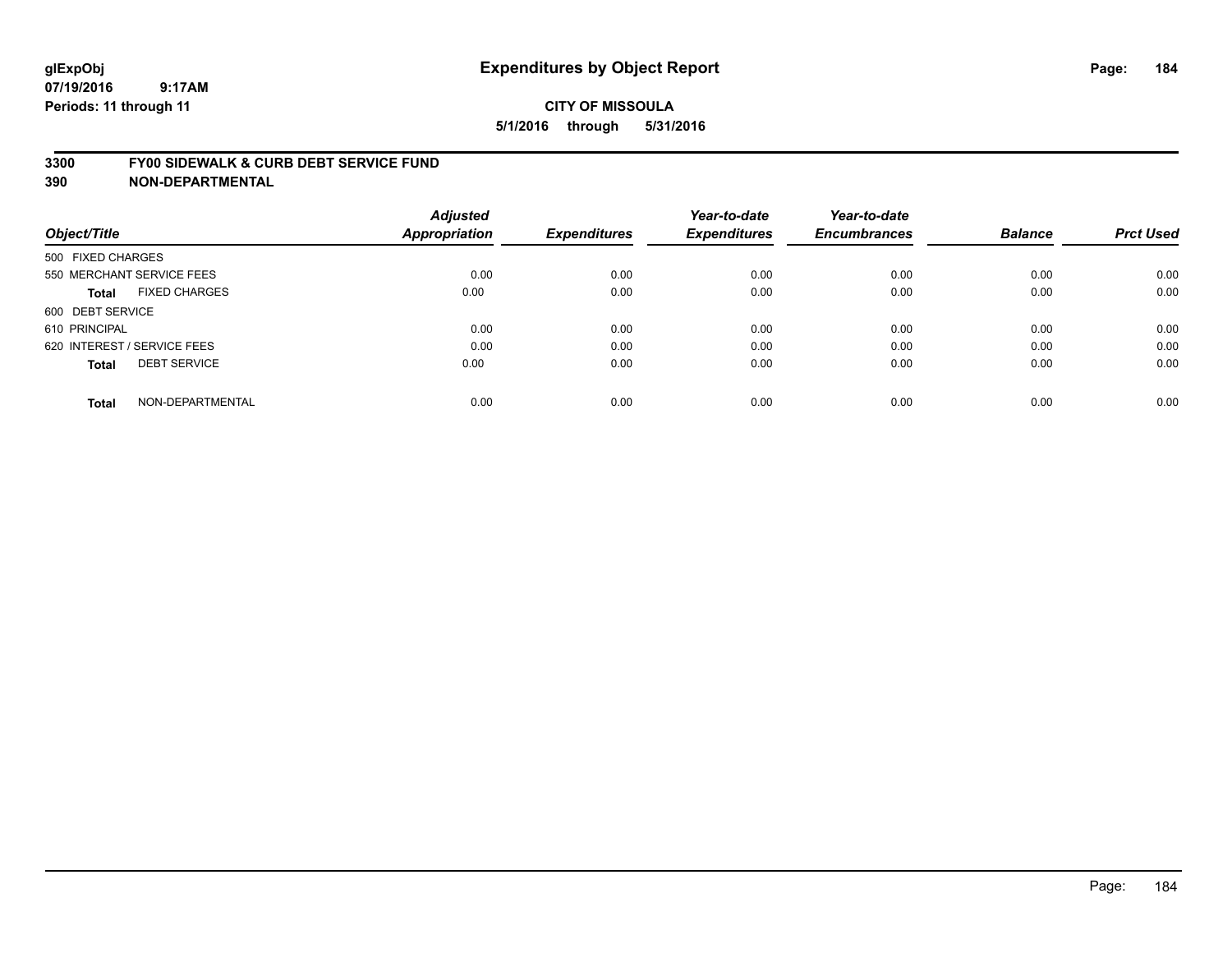#### **3300 FY00 SIDEWALK & CURB DEBT SERVICE FUND**

| Object/Title                |                           | <b>Adjusted</b><br>Appropriation | <b>Expenditures</b> | Year-to-date<br><b>Expenditures</b> | Year-to-date<br><b>Encumbrances</b> | <b>Balance</b> | <b>Prct Used</b> |
|-----------------------------|---------------------------|----------------------------------|---------------------|-------------------------------------|-------------------------------------|----------------|------------------|
| 500 FIXED CHARGES           |                           |                                  |                     |                                     |                                     |                |                  |
|                             | 550 MERCHANT SERVICE FEES | 0.00                             | 0.00                | 0.00                                | 0.00                                | 0.00           | 0.00             |
| <b>Total</b>                | <b>FIXED CHARGES</b>      | 0.00                             | 0.00                | 0.00                                | 0.00                                | 0.00           | 0.00             |
| 600 DEBT SERVICE            |                           |                                  |                     |                                     |                                     |                |                  |
| 610 PRINCIPAL               |                           | 0.00                             | 0.00                | 0.00                                | 0.00                                | 0.00           | 0.00             |
| 620 INTEREST / SERVICE FEES |                           | 0.00                             | 0.00                | 0.00                                | 0.00                                | 0.00           | 0.00             |
| <b>Total</b>                | <b>DEBT SERVICE</b>       | 0.00                             | 0.00                | 0.00                                | 0.00                                | 0.00           | 0.00             |
| <b>Total</b>                | NON-DEPARTMENTAL          | 0.00                             | 0.00                | 0.00                                | 0.00                                | 0.00           | 0.00             |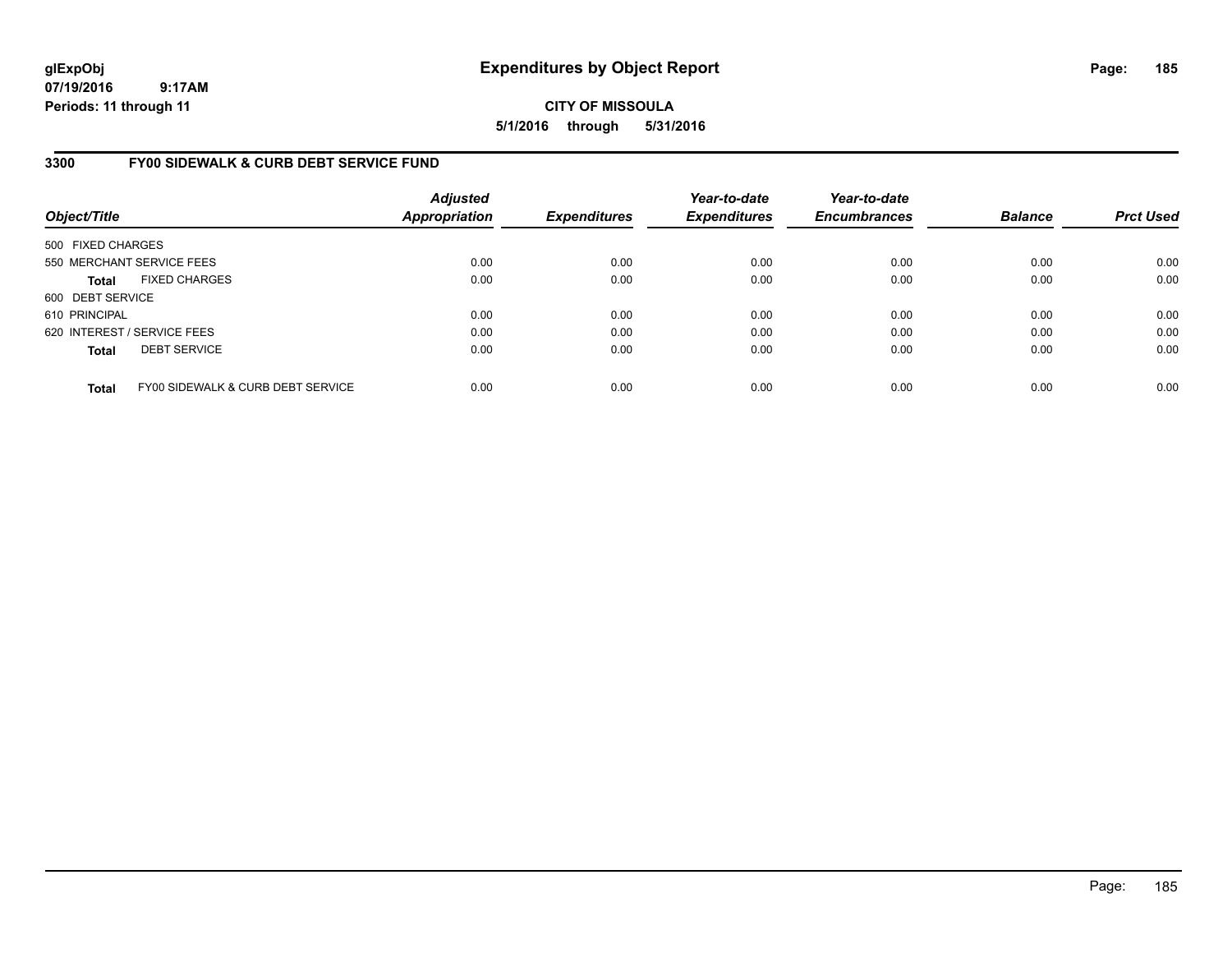**CITY OF MISSOULA 5/1/2016 through 5/31/2016**

### **3300 FY00 SIDEWALK & CURB DEBT SERVICE FUND**

| Object/Title      |                                   | <b>Adjusted</b><br><b>Appropriation</b> | <b>Expenditures</b> | Year-to-date<br><b>Expenditures</b> | Year-to-date<br><b>Encumbrances</b> | <b>Balance</b> | <b>Prct Used</b> |
|-------------------|-----------------------------------|-----------------------------------------|---------------------|-------------------------------------|-------------------------------------|----------------|------------------|
| 500 FIXED CHARGES |                                   |                                         |                     |                                     |                                     |                |                  |
|                   | 550 MERCHANT SERVICE FEES         | 0.00                                    | 0.00                | 0.00                                | 0.00                                | 0.00           | 0.00             |
| <b>Total</b>      | <b>FIXED CHARGES</b>              | 0.00                                    | 0.00                | 0.00                                | 0.00                                | 0.00           | 0.00             |
| 600 DEBT SERVICE  |                                   |                                         |                     |                                     |                                     |                |                  |
| 610 PRINCIPAL     |                                   | 0.00                                    | 0.00                | 0.00                                | 0.00                                | 0.00           | 0.00             |
|                   | 620 INTEREST / SERVICE FEES       | 0.00                                    | 0.00                | 0.00                                | 0.00                                | 0.00           | 0.00             |
| <b>Total</b>      | <b>DEBT SERVICE</b>               | 0.00                                    | 0.00                | 0.00                                | 0.00                                | 0.00           | 0.00             |
| <b>Total</b>      | FY00 SIDEWALK & CURB DEBT SERVICE | 0.00                                    | 0.00                | 0.00                                | 0.00                                | 0.00           | 0.00             |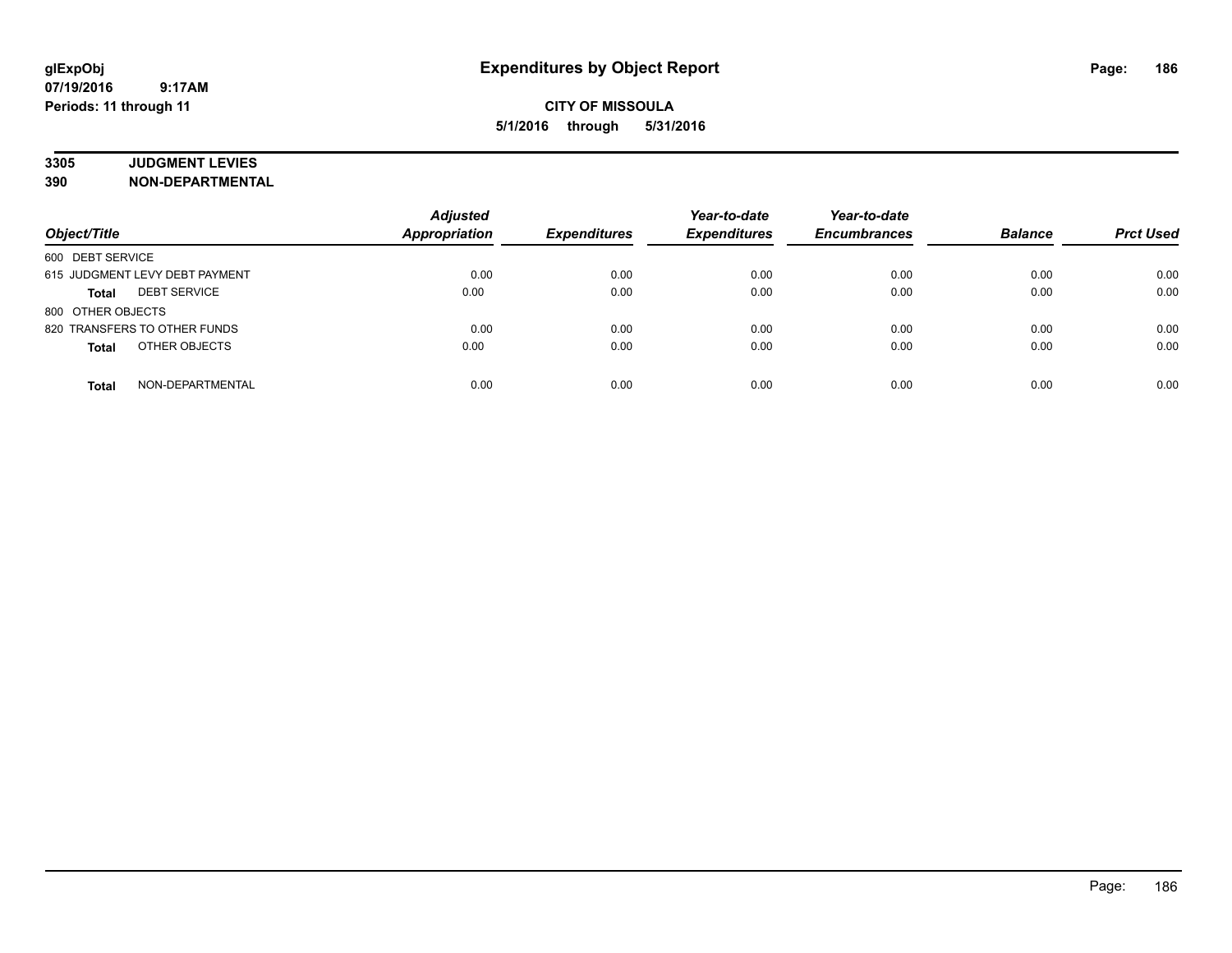# **3305 JUDGMENT LEVIES**

| Object/Title                        | <b>Adjusted</b><br><b>Appropriation</b> | <b>Expenditures</b> | Year-to-date<br><b>Expenditures</b> | Year-to-date<br><b>Encumbrances</b> | <b>Balance</b> | <b>Prct Used</b> |
|-------------------------------------|-----------------------------------------|---------------------|-------------------------------------|-------------------------------------|----------------|------------------|
| 600 DEBT SERVICE                    |                                         |                     |                                     |                                     |                |                  |
| 615 JUDGMENT LEVY DEBT PAYMENT      | 0.00                                    | 0.00                | 0.00                                | 0.00                                | 0.00           | 0.00             |
| <b>DEBT SERVICE</b><br><b>Total</b> | 0.00                                    | 0.00                | 0.00                                | 0.00                                | 0.00           | 0.00             |
| 800 OTHER OBJECTS                   |                                         |                     |                                     |                                     |                |                  |
| 820 TRANSFERS TO OTHER FUNDS        | 0.00                                    | 0.00                | 0.00                                | 0.00                                | 0.00           | 0.00             |
| OTHER OBJECTS<br><b>Total</b>       | 0.00                                    | 0.00                | 0.00                                | 0.00                                | 0.00           | 0.00             |
| NON-DEPARTMENTAL<br><b>Total</b>    | 0.00                                    | 0.00                | 0.00                                | 0.00                                | 0.00           | 0.00             |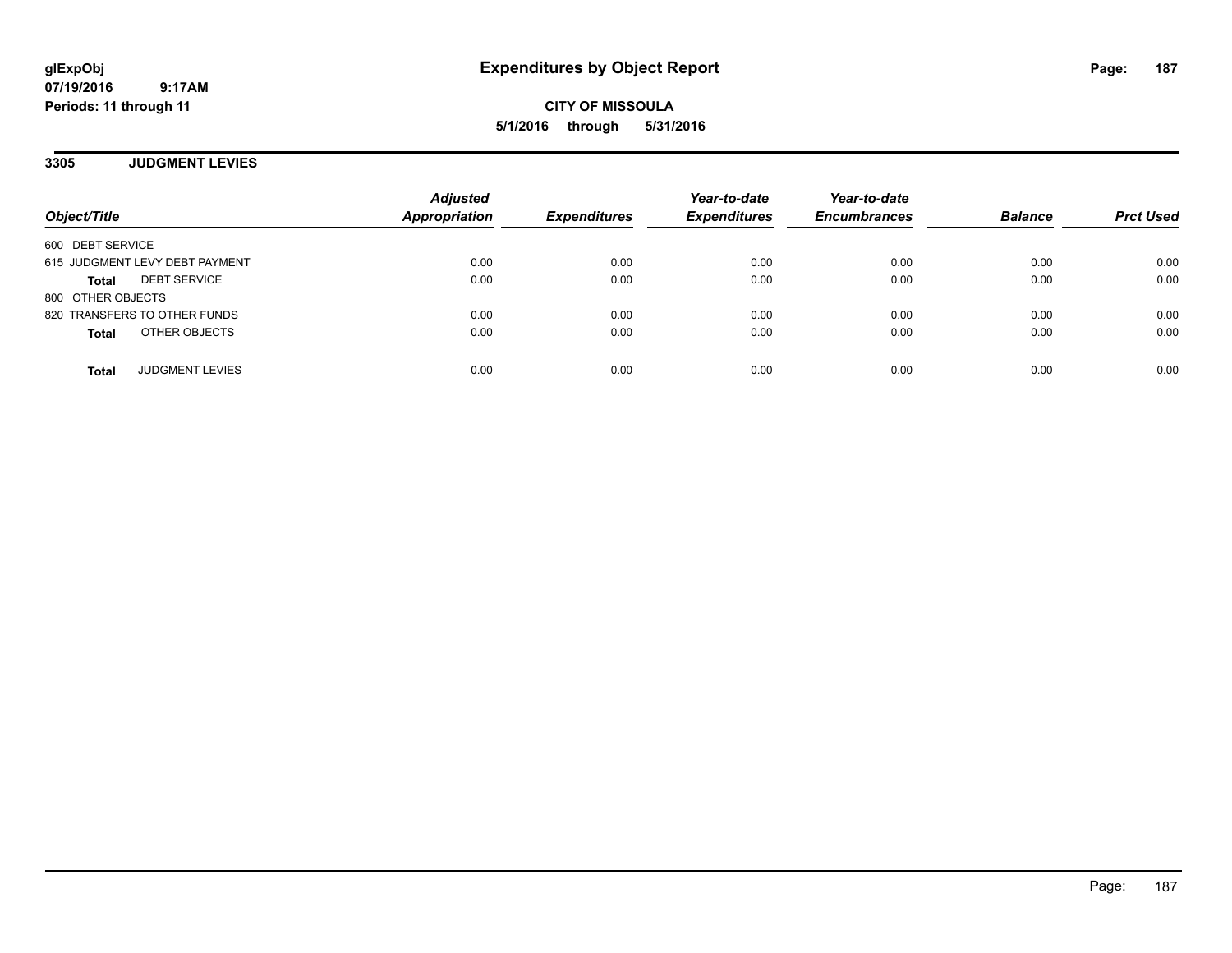**CITY OF MISSOULA 5/1/2016 through 5/31/2016**

**3305 JUDGMENT LEVIES**

| Object/Title                           | <b>Adjusted</b><br><b>Appropriation</b> | <b>Expenditures</b> | Year-to-date<br><b>Expenditures</b> | Year-to-date<br><b>Encumbrances</b> | <b>Balance</b> | <b>Prct Used</b> |
|----------------------------------------|-----------------------------------------|---------------------|-------------------------------------|-------------------------------------|----------------|------------------|
| 600 DEBT SERVICE                       |                                         |                     |                                     |                                     |                |                  |
| 615 JUDGMENT LEVY DEBT PAYMENT         | 0.00                                    | 0.00                | 0.00                                | 0.00                                | 0.00           | 0.00             |
| <b>DEBT SERVICE</b><br>Total           | 0.00                                    | 0.00                | 0.00                                | 0.00                                | 0.00           | 0.00             |
| 800 OTHER OBJECTS                      |                                         |                     |                                     |                                     |                |                  |
| 820 TRANSFERS TO OTHER FUNDS           | 0.00                                    | 0.00                | 0.00                                | 0.00                                | 0.00           | 0.00             |
| OTHER OBJECTS<br><b>Total</b>          | 0.00                                    | 0.00                | 0.00                                | 0.00                                | 0.00           | 0.00             |
| <b>JUDGMENT LEVIES</b><br><b>Total</b> | 0.00                                    | 0.00                | 0.00                                | 0.00                                | 0.00           | 0.00             |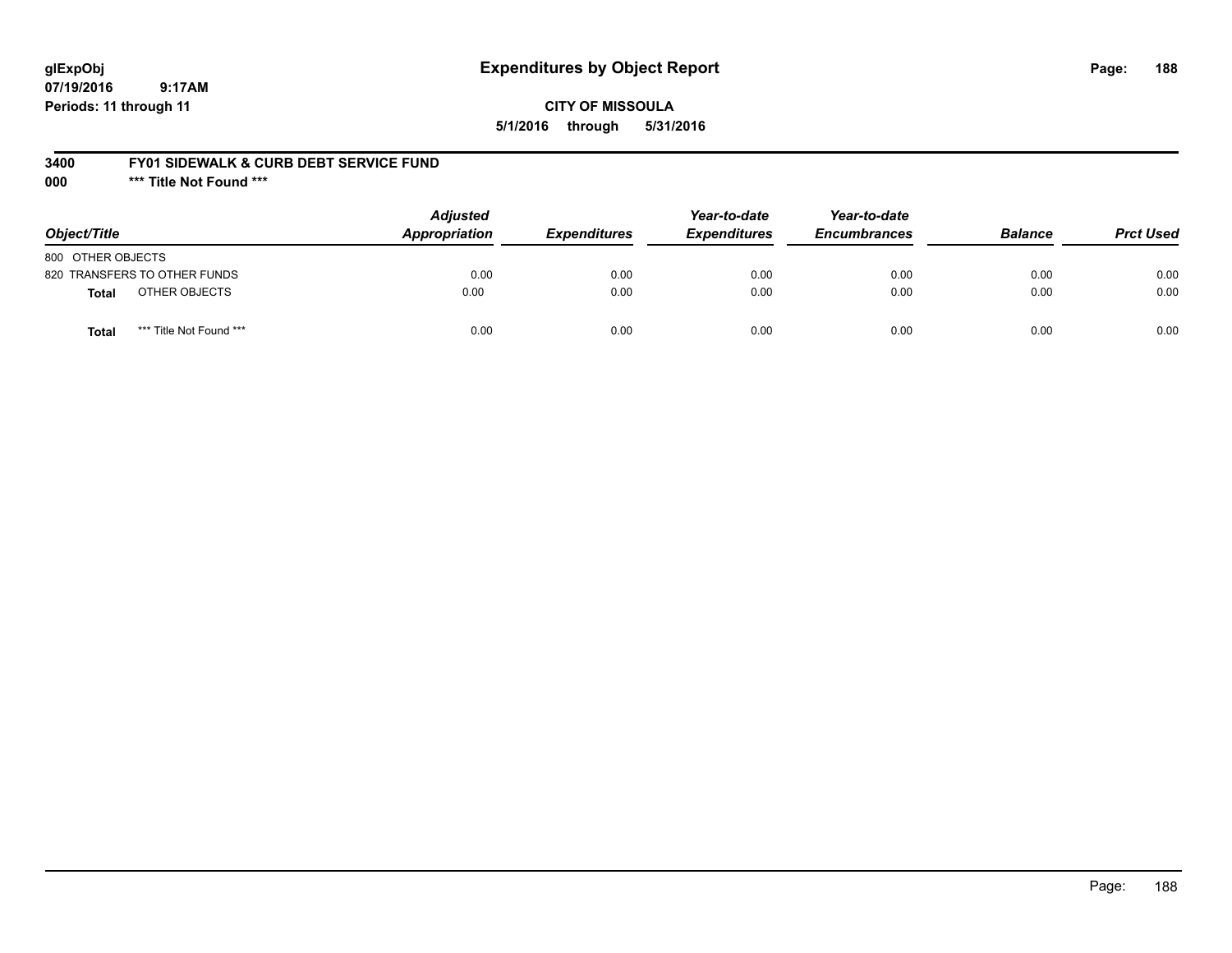## **glExpObj Expenditures by Object Report Page: 188**

**07/19/2016 9:17AM Periods: 11 through 11**

### **CITY OF MISSOULA 5/1/2016 through 5/31/2016**

### **3400 FY01 SIDEWALK & CURB DEBT SERVICE FUND**

**000 \*\*\* Title Not Found \*\*\***

| Object/Title                            | <b>Adjusted</b><br>Appropriation | <b>Expenditures</b> | Year-to-date<br><b>Expenditures</b> | Year-to-date<br><b>Encumbrances</b> | <b>Balance</b> | <b>Prct Used</b> |
|-----------------------------------------|----------------------------------|---------------------|-------------------------------------|-------------------------------------|----------------|------------------|
| 800 OTHER OBJECTS                       |                                  |                     |                                     |                                     |                |                  |
| 820 TRANSFERS TO OTHER FUNDS            | 0.00                             | 0.00                | 0.00                                | 0.00                                | 0.00           | 0.00             |
| OTHER OBJECTS<br>Total                  | 0.00                             | 0.00                | 0.00                                | 0.00                                | 0.00           | 0.00             |
| *** Title Not Found ***<br><b>Total</b> | 0.00                             | 0.00                | 0.00                                | 0.00                                | 0.00           | 0.00             |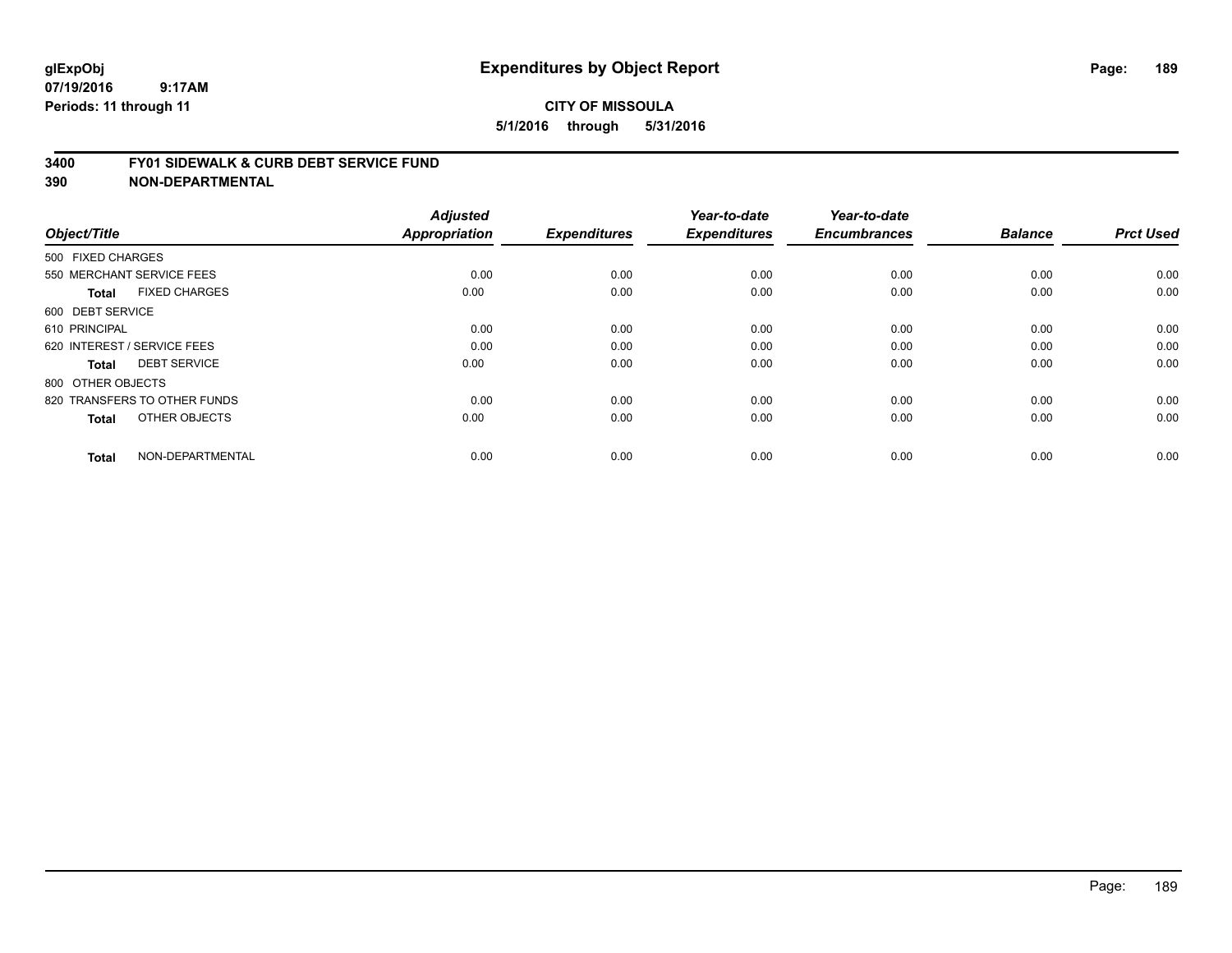#### **3400 FY01 SIDEWALK & CURB DEBT SERVICE FUND**

| Object/Title                         | <b>Adjusted</b><br>Appropriation | <b>Expenditures</b> | Year-to-date<br><b>Expenditures</b> | Year-to-date<br><b>Encumbrances</b> | <b>Balance</b> | <b>Prct Used</b> |
|--------------------------------------|----------------------------------|---------------------|-------------------------------------|-------------------------------------|----------------|------------------|
| 500 FIXED CHARGES                    |                                  |                     |                                     |                                     |                |                  |
| 550 MERCHANT SERVICE FEES            | 0.00                             | 0.00                | 0.00                                | 0.00                                | 0.00           | 0.00             |
| <b>FIXED CHARGES</b><br><b>Total</b> | 0.00                             | 0.00                | 0.00                                | 0.00                                | 0.00           | 0.00             |
| 600 DEBT SERVICE                     |                                  |                     |                                     |                                     |                |                  |
| 610 PRINCIPAL                        | 0.00                             | 0.00                | 0.00                                | 0.00                                | 0.00           | 0.00             |
| 620 INTEREST / SERVICE FEES          | 0.00                             | 0.00                | 0.00                                | 0.00                                | 0.00           | 0.00             |
| <b>DEBT SERVICE</b><br><b>Total</b>  | 0.00                             | 0.00                | 0.00                                | 0.00                                | 0.00           | 0.00             |
| 800 OTHER OBJECTS                    |                                  |                     |                                     |                                     |                |                  |
| 820 TRANSFERS TO OTHER FUNDS         | 0.00                             | 0.00                | 0.00                                | 0.00                                | 0.00           | 0.00             |
| OTHER OBJECTS<br><b>Total</b>        | 0.00                             | 0.00                | 0.00                                | 0.00                                | 0.00           | 0.00             |
|                                      |                                  |                     |                                     |                                     |                |                  |
| NON-DEPARTMENTAL<br><b>Total</b>     | 0.00                             | 0.00                | 0.00                                | 0.00                                | 0.00           | 0.00             |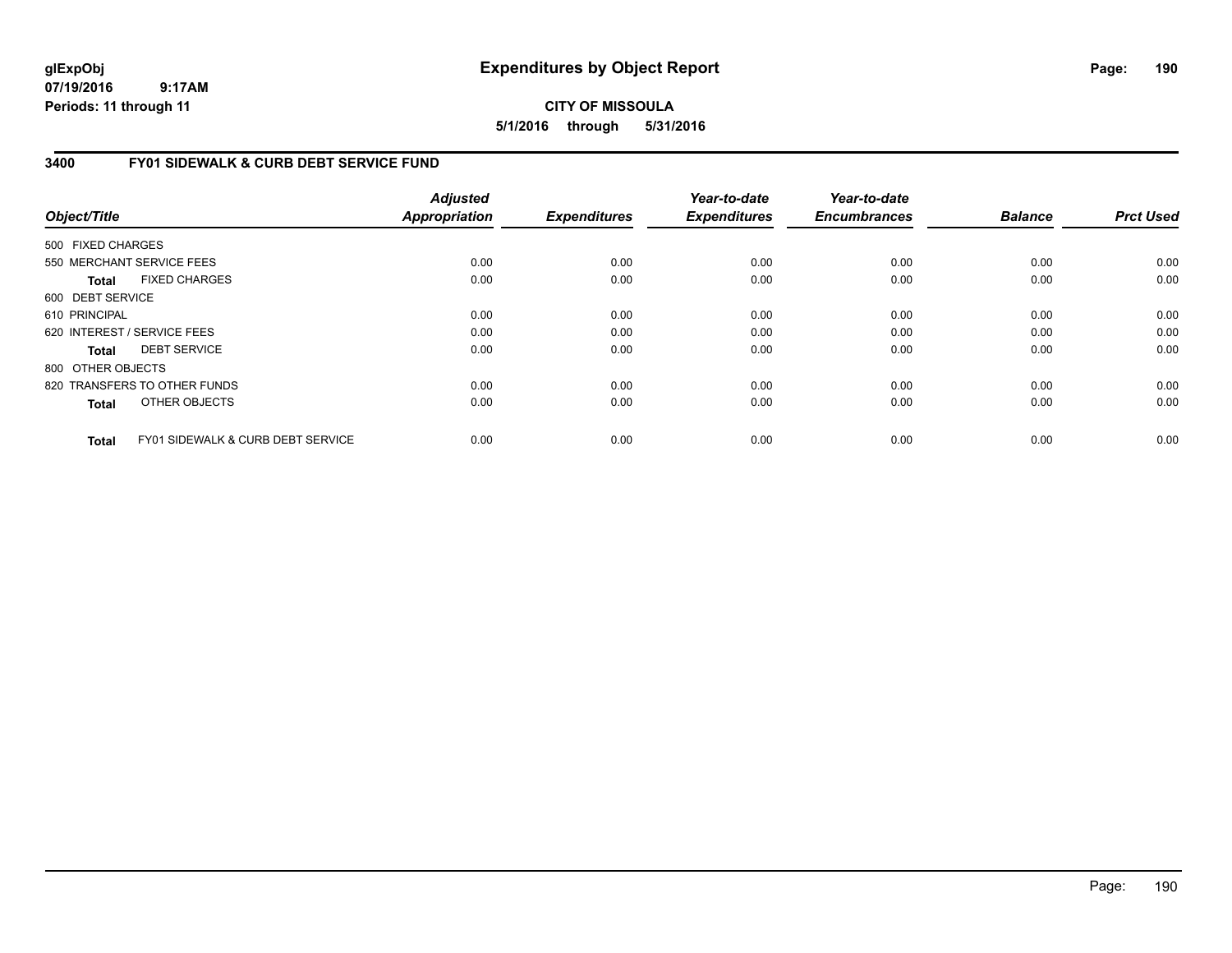**CITY OF MISSOULA 5/1/2016 through 5/31/2016**

### **3400 FY01 SIDEWALK & CURB DEBT SERVICE FUND**

|                   |                                              | <b>Adjusted</b>      |                     | Year-to-date        | Year-to-date        |                |                  |
|-------------------|----------------------------------------------|----------------------|---------------------|---------------------|---------------------|----------------|------------------|
| Object/Title      |                                              | <b>Appropriation</b> | <b>Expenditures</b> | <b>Expenditures</b> | <b>Encumbrances</b> | <b>Balance</b> | <b>Prct Used</b> |
| 500 FIXED CHARGES |                                              |                      |                     |                     |                     |                |                  |
|                   | 550 MERCHANT SERVICE FEES                    | 0.00                 | 0.00                | 0.00                | 0.00                | 0.00           | 0.00             |
| <b>Total</b>      | <b>FIXED CHARGES</b>                         | 0.00                 | 0.00                | 0.00                | 0.00                | 0.00           | 0.00             |
| 600 DEBT SERVICE  |                                              |                      |                     |                     |                     |                |                  |
| 610 PRINCIPAL     |                                              | 0.00                 | 0.00                | 0.00                | 0.00                | 0.00           | 0.00             |
|                   | 620 INTEREST / SERVICE FEES                  | 0.00                 | 0.00                | 0.00                | 0.00                | 0.00           | 0.00             |
| Total             | <b>DEBT SERVICE</b>                          | 0.00                 | 0.00                | 0.00                | 0.00                | 0.00           | 0.00             |
| 800 OTHER OBJECTS |                                              |                      |                     |                     |                     |                |                  |
|                   | 820 TRANSFERS TO OTHER FUNDS                 | 0.00                 | 0.00                | 0.00                | 0.00                | 0.00           | 0.00             |
| <b>Total</b>      | OTHER OBJECTS                                | 0.00                 | 0.00                | 0.00                | 0.00                | 0.00           | 0.00             |
| Total             | <b>FY01 SIDEWALK &amp; CURB DEBT SERVICE</b> | 0.00                 | 0.00                | 0.00                | 0.00                | 0.00           | 0.00             |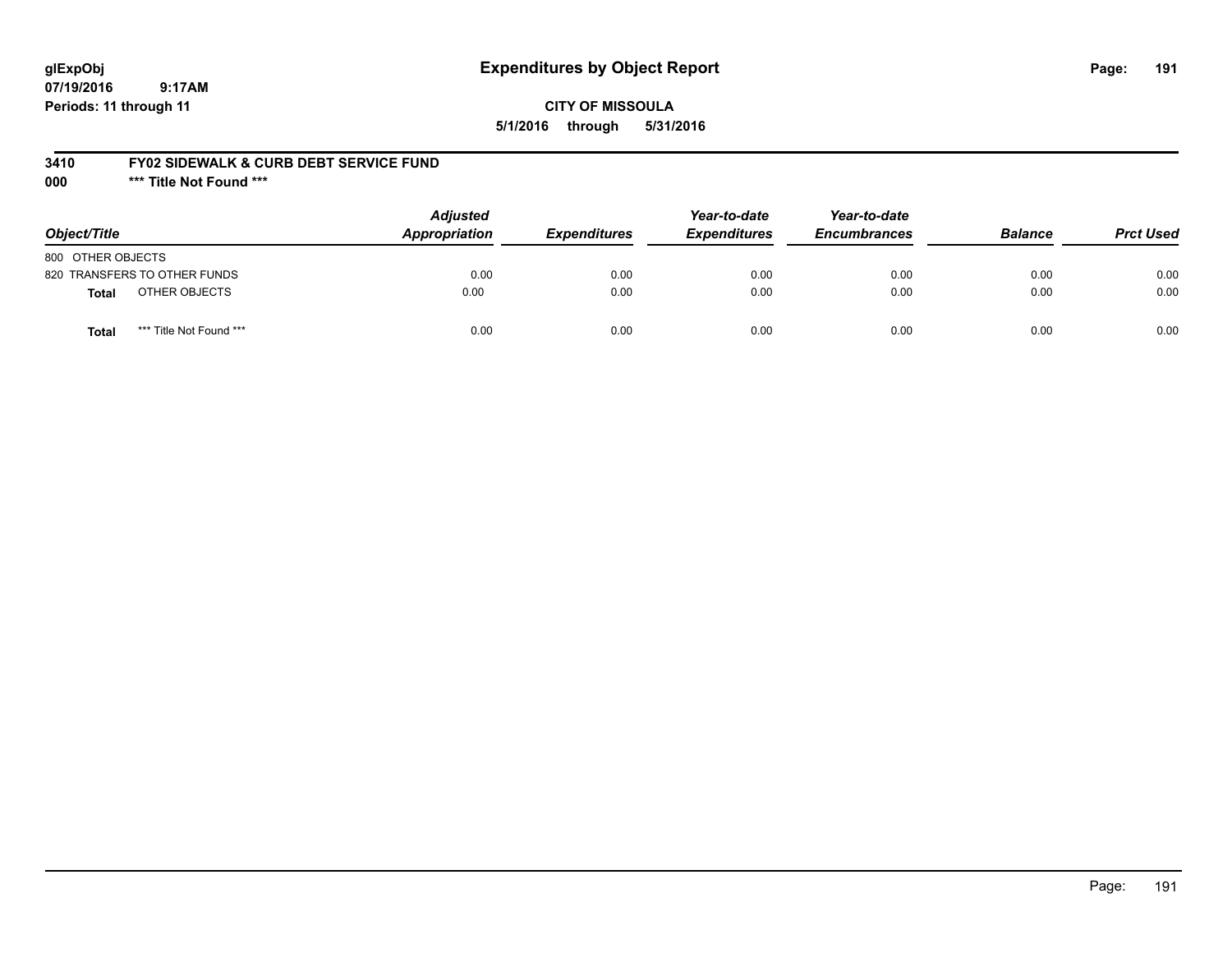## **glExpObj Expenditures by Object Report Page: 191**

**07/19/2016 9:17AM Periods: 11 through 11**

### **CITY OF MISSOULA 5/1/2016 through 5/31/2016**

### **3410 FY02 SIDEWALK & CURB DEBT SERVICE FUND**

**000 \*\*\* Title Not Found \*\*\***

| Object/Title                            | <b>Adjusted</b><br>Appropriation | <b>Expenditures</b> | Year-to-date<br><b>Expenditures</b> | Year-to-date<br><b>Encumbrances</b> | <b>Balance</b> | <b>Prct Used</b> |
|-----------------------------------------|----------------------------------|---------------------|-------------------------------------|-------------------------------------|----------------|------------------|
| 800 OTHER OBJECTS                       |                                  |                     |                                     |                                     |                |                  |
| 820 TRANSFERS TO OTHER FUNDS            | 0.00                             | 0.00                | 0.00                                | 0.00                                | 0.00           | 0.00             |
| OTHER OBJECTS<br>Total                  | 0.00                             | 0.00                | 0.00                                | 0.00                                | 0.00           | 0.00             |
| *** Title Not Found ***<br><b>Total</b> | 0.00                             | 0.00                | 0.00                                | 0.00                                | 0.00           | 0.00             |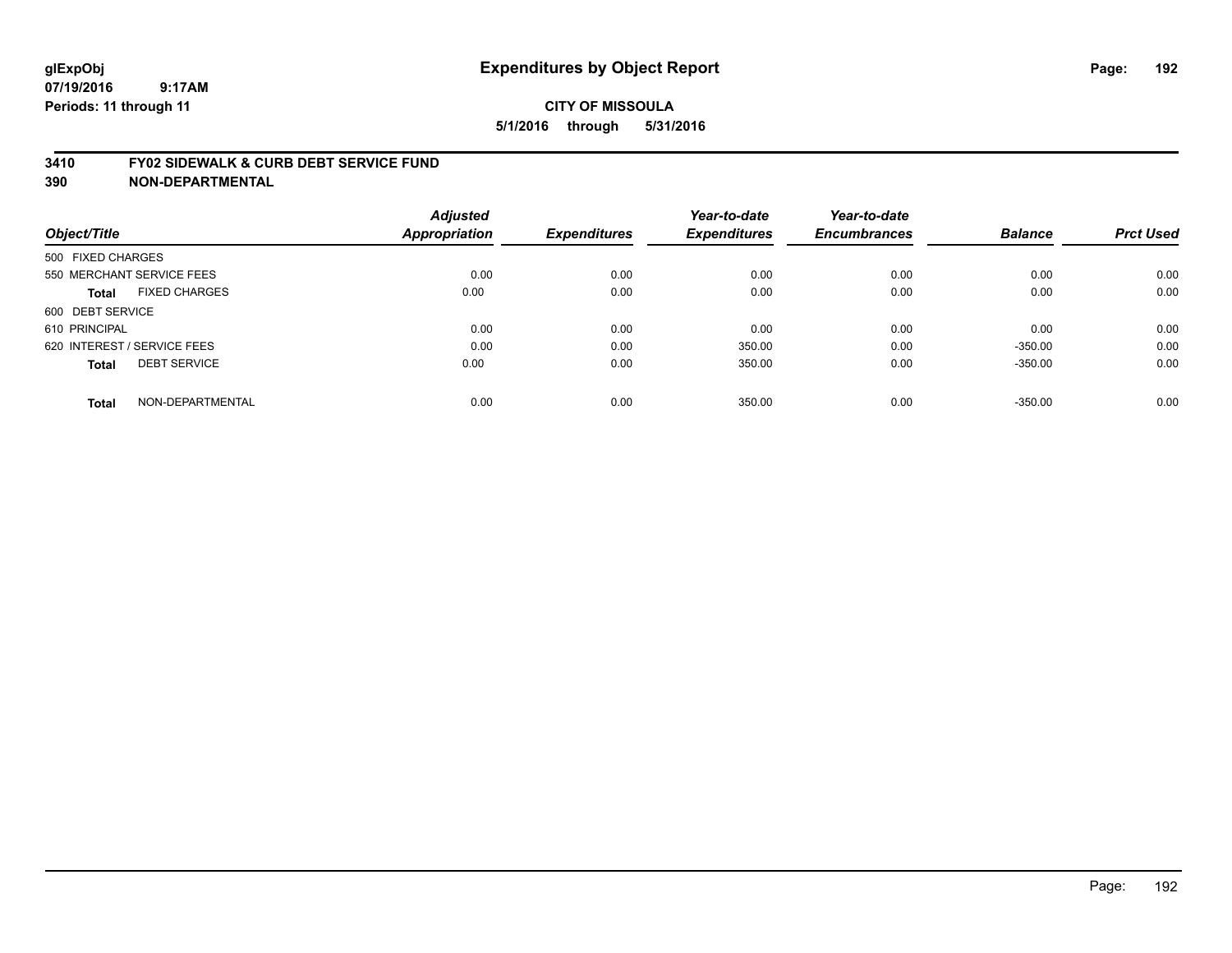### **3410 FY02 SIDEWALK & CURB DEBT SERVICE FUND**

| Object/Title                |                           | <b>Adjusted</b><br><b>Appropriation</b> | <b>Expenditures</b> | Year-to-date<br><b>Expenditures</b> | Year-to-date<br><b>Encumbrances</b> | <b>Balance</b> | <b>Prct Used</b> |
|-----------------------------|---------------------------|-----------------------------------------|---------------------|-------------------------------------|-------------------------------------|----------------|------------------|
|                             |                           |                                         |                     |                                     |                                     |                |                  |
| 500 FIXED CHARGES           |                           |                                         |                     |                                     |                                     |                |                  |
|                             | 550 MERCHANT SERVICE FEES | 0.00                                    | 0.00                | 0.00                                | 0.00                                | 0.00           | 0.00             |
| <b>Total</b>                | <b>FIXED CHARGES</b>      | 0.00                                    | 0.00                | 0.00                                | 0.00                                | 0.00           | 0.00             |
| 600 DEBT SERVICE            |                           |                                         |                     |                                     |                                     |                |                  |
| 610 PRINCIPAL               |                           | 0.00                                    | 0.00                | 0.00                                | 0.00                                | 0.00           | 0.00             |
| 620 INTEREST / SERVICE FEES |                           | 0.00                                    | 0.00                | 350.00                              | 0.00                                | $-350.00$      | 0.00             |
| <b>Total</b>                | <b>DEBT SERVICE</b>       | 0.00                                    | 0.00                | 350.00                              | 0.00                                | $-350.00$      | 0.00             |
| <b>Total</b>                | NON-DEPARTMENTAL          | 0.00                                    | 0.00                | 350.00                              | 0.00                                | $-350.00$      | 0.00             |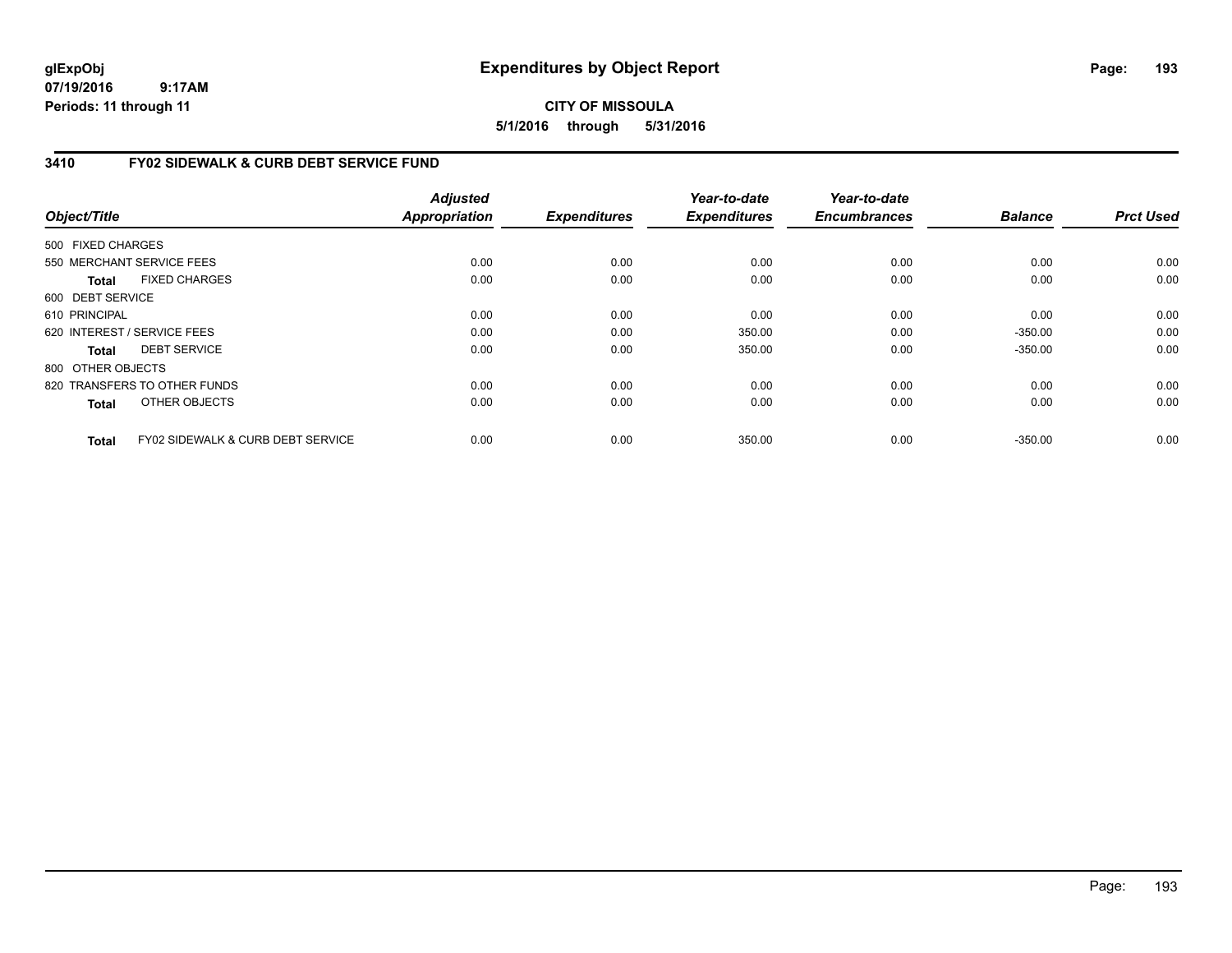**CITY OF MISSOULA 5/1/2016 through 5/31/2016**

### **3410 FY02 SIDEWALK & CURB DEBT SERVICE FUND**

|                   |                                              | <b>Adjusted</b>      |                     | Year-to-date        | Year-to-date        |                |                  |
|-------------------|----------------------------------------------|----------------------|---------------------|---------------------|---------------------|----------------|------------------|
| Object/Title      |                                              | <b>Appropriation</b> | <b>Expenditures</b> | <b>Expenditures</b> | <b>Encumbrances</b> | <b>Balance</b> | <b>Prct Used</b> |
| 500 FIXED CHARGES |                                              |                      |                     |                     |                     |                |                  |
|                   | 550 MERCHANT SERVICE FEES                    | 0.00                 | 0.00                | 0.00                | 0.00                | 0.00           | 0.00             |
| Total             | <b>FIXED CHARGES</b>                         | 0.00                 | 0.00                | 0.00                | 0.00                | 0.00           | 0.00             |
| 600 DEBT SERVICE  |                                              |                      |                     |                     |                     |                |                  |
| 610 PRINCIPAL     |                                              | 0.00                 | 0.00                | 0.00                | 0.00                | 0.00           | 0.00             |
|                   | 620 INTEREST / SERVICE FEES                  | 0.00                 | 0.00                | 350.00              | 0.00                | $-350.00$      | 0.00             |
| Total             | <b>DEBT SERVICE</b>                          | 0.00                 | 0.00                | 350.00              | 0.00                | $-350.00$      | 0.00             |
| 800 OTHER OBJECTS |                                              |                      |                     |                     |                     |                |                  |
|                   | 820 TRANSFERS TO OTHER FUNDS                 | 0.00                 | 0.00                | 0.00                | 0.00                | 0.00           | 0.00             |
| <b>Total</b>      | OTHER OBJECTS                                | 0.00                 | 0.00                | 0.00                | 0.00                | 0.00           | 0.00             |
| Total             | <b>FY02 SIDEWALK &amp; CURB DEBT SERVICE</b> | 0.00                 | 0.00                | 350.00              | 0.00                | $-350.00$      | 0.00             |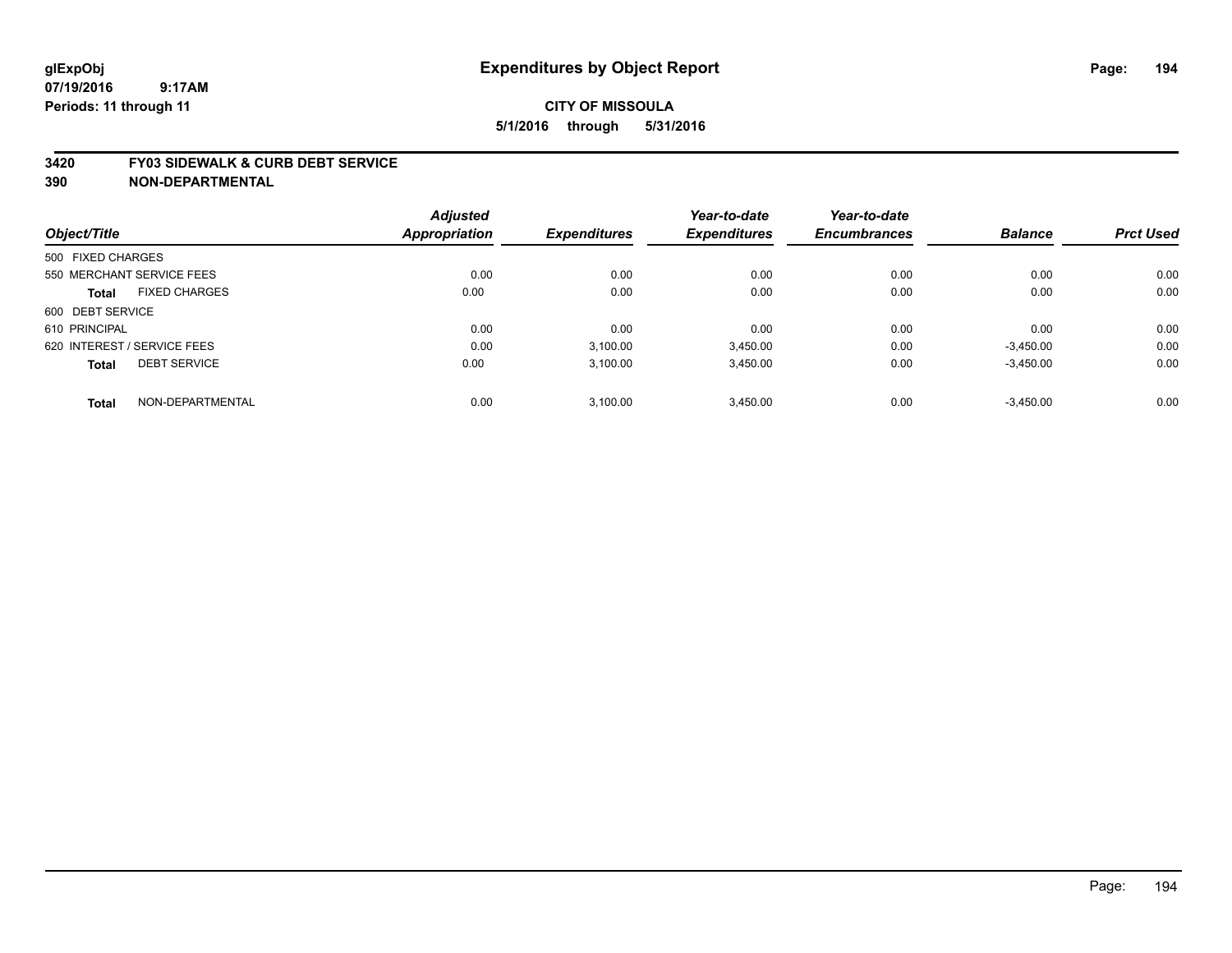#### **3420 FY03 SIDEWALK & CURB DEBT SERVICE**

|                   |                             | <b>Adjusted</b> |                     | Year-to-date        | Year-to-date        |                |                  |
|-------------------|-----------------------------|-----------------|---------------------|---------------------|---------------------|----------------|------------------|
| Object/Title      |                             | Appropriation   | <b>Expenditures</b> | <b>Expenditures</b> | <b>Encumbrances</b> | <b>Balance</b> | <b>Prct Used</b> |
| 500 FIXED CHARGES |                             |                 |                     |                     |                     |                |                  |
|                   | 550 MERCHANT SERVICE FEES   | 0.00            | 0.00                | 0.00                | 0.00                | 0.00           | 0.00             |
| <b>Total</b>      | <b>FIXED CHARGES</b>        | 0.00            | 0.00                | 0.00                | 0.00                | 0.00           | 0.00             |
| 600 DEBT SERVICE  |                             |                 |                     |                     |                     |                |                  |
| 610 PRINCIPAL     |                             | 0.00            | 0.00                | 0.00                | 0.00                | 0.00           | 0.00             |
|                   | 620 INTEREST / SERVICE FEES | 0.00            | 3,100.00            | 3,450.00            | 0.00                | $-3,450.00$    | 0.00             |
| <b>Total</b>      | <b>DEBT SERVICE</b>         | 0.00            | 3.100.00            | 3,450.00            | 0.00                | $-3,450.00$    | 0.00             |
| <b>Total</b>      | NON-DEPARTMENTAL            | 0.00            | 3.100.00            | 3.450.00            | 0.00                | $-3,450.00$    | 0.00             |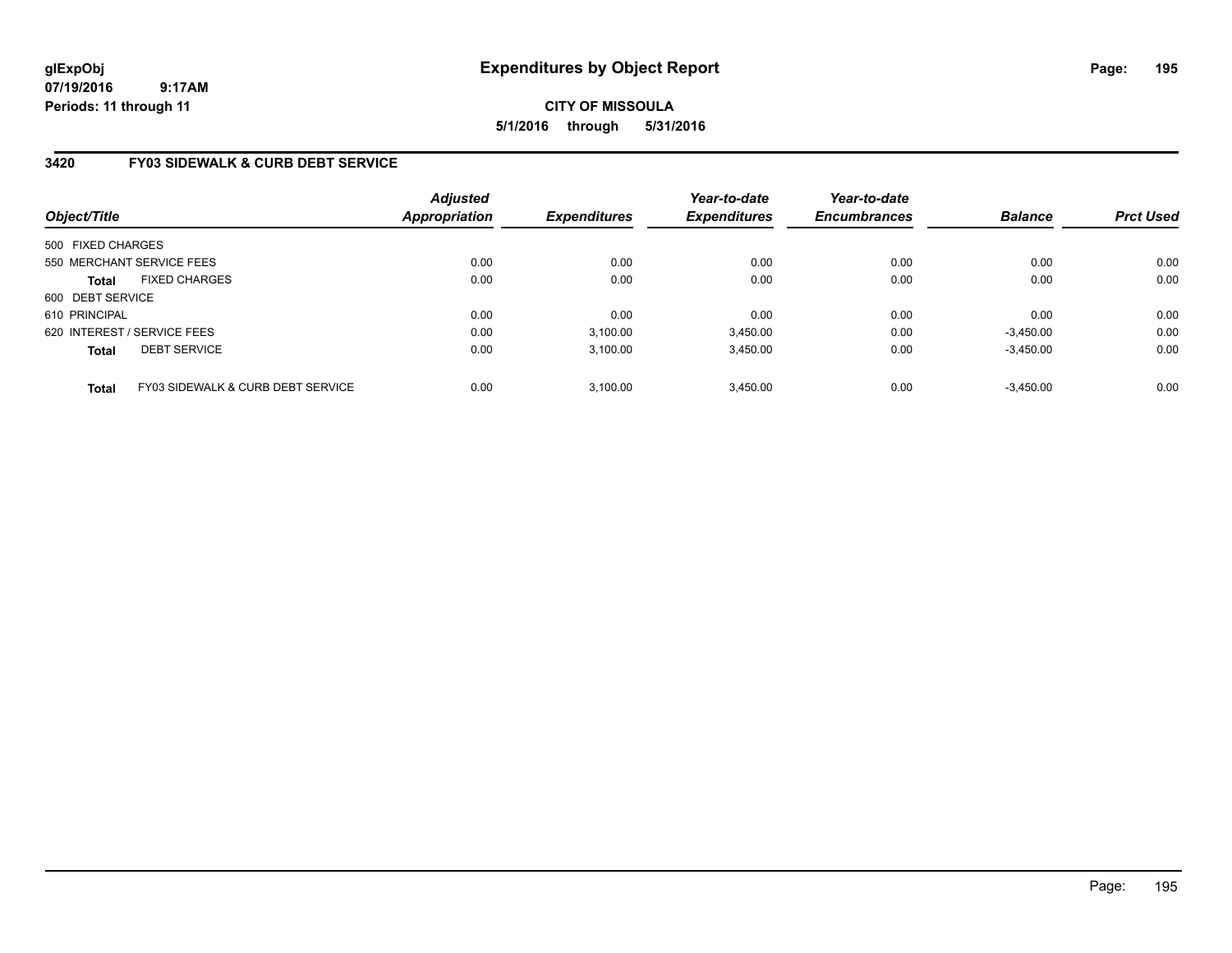## **CITY OF MISSOULA 5/1/2016 through 5/31/2016**

## **3420 FY03 SIDEWALK & CURB DEBT SERVICE**

| Object/Title                |                                              | <b>Adjusted</b><br>Appropriation | <b>Expenditures</b> | Year-to-date<br><b>Expenditures</b> | Year-to-date<br><b>Encumbrances</b> | <b>Balance</b> | <b>Prct Used</b> |
|-----------------------------|----------------------------------------------|----------------------------------|---------------------|-------------------------------------|-------------------------------------|----------------|------------------|
| 500 FIXED CHARGES           |                                              |                                  |                     |                                     |                                     |                |                  |
|                             | 550 MERCHANT SERVICE FEES                    | 0.00                             | 0.00                | 0.00                                | 0.00                                | 0.00           | 0.00             |
| <b>Total</b>                | <b>FIXED CHARGES</b>                         | 0.00                             | 0.00                | 0.00                                | 0.00                                | 0.00           | 0.00             |
| 600 DEBT SERVICE            |                                              |                                  |                     |                                     |                                     |                |                  |
| 610 PRINCIPAL               |                                              | 0.00                             | 0.00                | 0.00                                | 0.00                                | 0.00           | 0.00             |
| 620 INTEREST / SERVICE FEES |                                              | 0.00                             | 3,100.00            | 3.450.00                            | 0.00                                | $-3,450.00$    | 0.00             |
| <b>Total</b>                | <b>DEBT SERVICE</b>                          | 0.00                             | 3,100.00            | 3,450.00                            | 0.00                                | $-3,450.00$    | 0.00             |
| <b>Total</b>                | <b>FY03 SIDEWALK &amp; CURB DEBT SERVICE</b> | 0.00                             | 3,100.00            | 3,450.00                            | 0.00                                | $-3.450.00$    | 0.00             |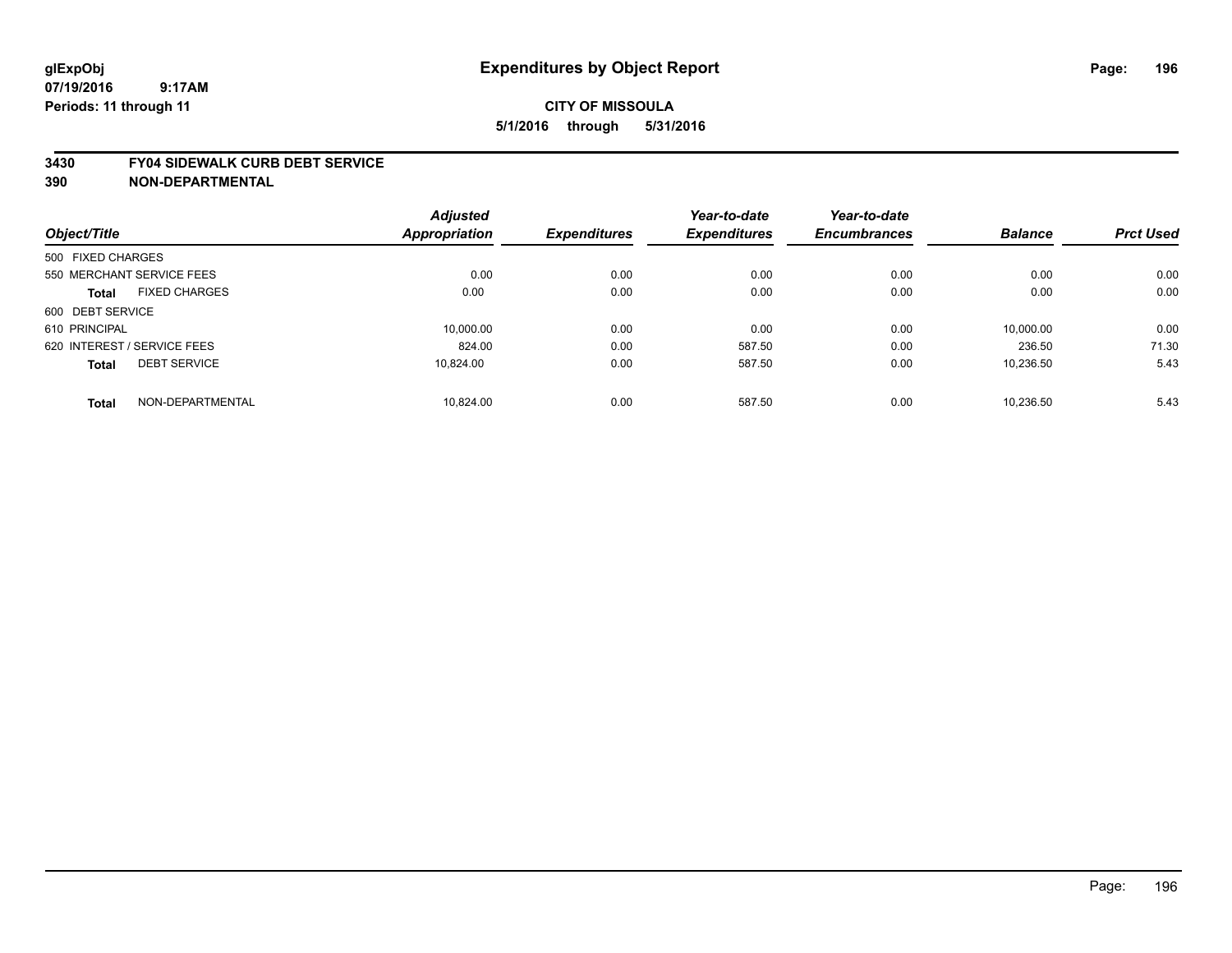#### **3430 FY04 SIDEWALK CURB DEBT SERVICE**

|                             |                           | <b>Adjusted</b> |                     | Year-to-date        | Year-to-date        |                |                  |
|-----------------------------|---------------------------|-----------------|---------------------|---------------------|---------------------|----------------|------------------|
| Object/Title                |                           | Appropriation   | <b>Expenditures</b> | <b>Expenditures</b> | <b>Encumbrances</b> | <b>Balance</b> | <b>Prct Used</b> |
| 500 FIXED CHARGES           |                           |                 |                     |                     |                     |                |                  |
|                             | 550 MERCHANT SERVICE FEES | 0.00            | 0.00                | 0.00                | 0.00                | 0.00           | 0.00             |
| <b>Total</b>                | <b>FIXED CHARGES</b>      | 0.00            | 0.00                | 0.00                | 0.00                | 0.00           | 0.00             |
| 600 DEBT SERVICE            |                           |                 |                     |                     |                     |                |                  |
| 610 PRINCIPAL               |                           | 10.000.00       | 0.00                | 0.00                | 0.00                | 10.000.00      | 0.00             |
| 620 INTEREST / SERVICE FEES |                           | 824.00          | 0.00                | 587.50              | 0.00                | 236.50         | 71.30            |
| <b>Total</b>                | <b>DEBT SERVICE</b>       | 10.824.00       | 0.00                | 587.50              | 0.00                | 10,236.50      | 5.43             |
| <b>Total</b>                | NON-DEPARTMENTAL          | 10.824.00       | 0.00                | 587.50              | 0.00                | 10.236.50      | 5.43             |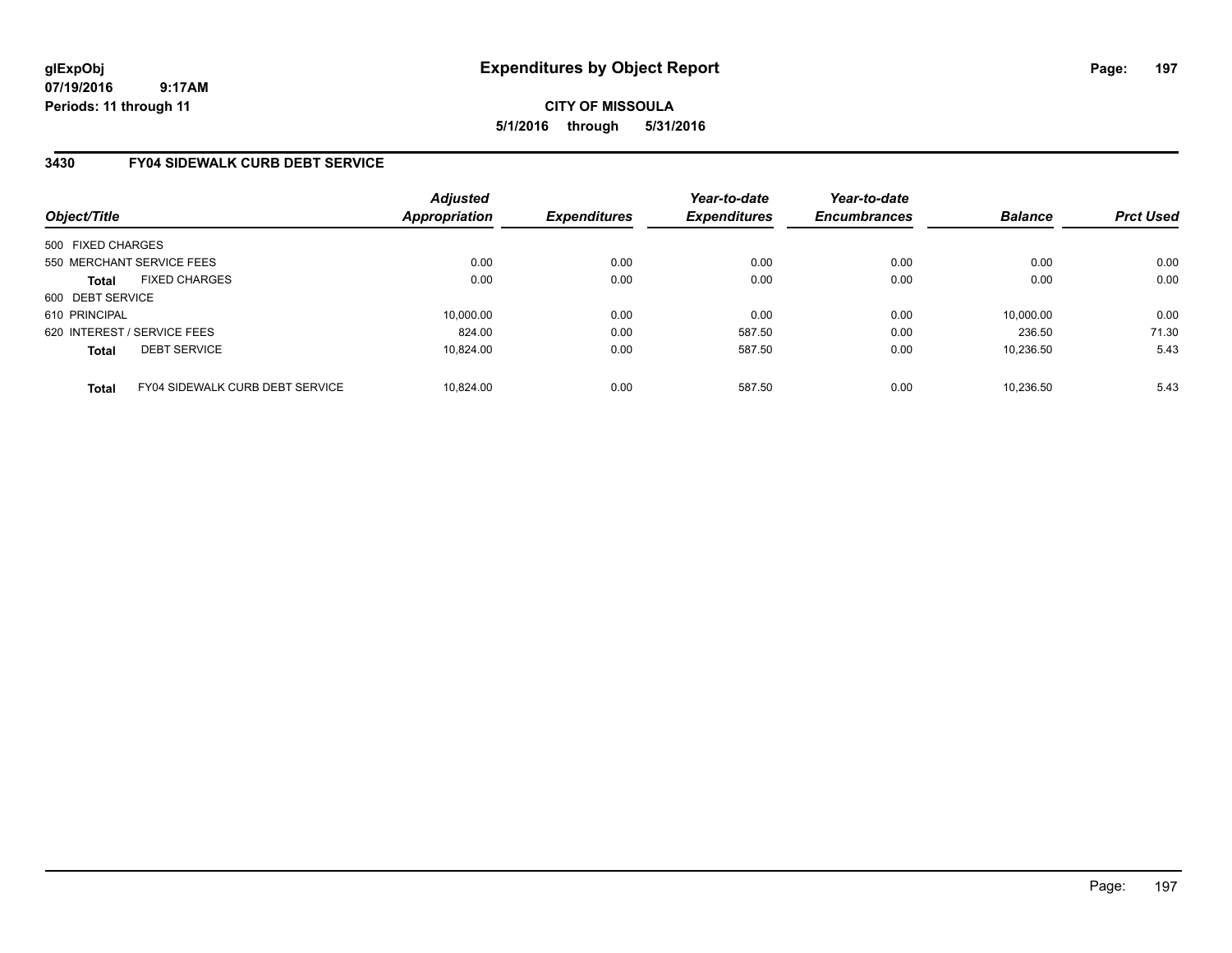**CITY OF MISSOULA 5/1/2016 through 5/31/2016**

### **3430 FY04 SIDEWALK CURB DEBT SERVICE**

| Object/Title      |                                 | <b>Adjusted</b><br>Appropriation | <b>Expenditures</b> | Year-to-date<br><b>Expenditures</b> | Year-to-date<br><b>Encumbrances</b> | <b>Balance</b> | <b>Prct Used</b> |
|-------------------|---------------------------------|----------------------------------|---------------------|-------------------------------------|-------------------------------------|----------------|------------------|
| 500 FIXED CHARGES |                                 |                                  |                     |                                     |                                     |                |                  |
|                   | 550 MERCHANT SERVICE FEES       | 0.00                             | 0.00                | 0.00                                | 0.00                                | 0.00           | 0.00             |
| <b>Total</b>      | <b>FIXED CHARGES</b>            | 0.00                             | 0.00                | 0.00                                | 0.00                                | 0.00           | 0.00             |
| 600 DEBT SERVICE  |                                 |                                  |                     |                                     |                                     |                |                  |
| 610 PRINCIPAL     |                                 | 10.000.00                        | 0.00                | 0.00                                | 0.00                                | 10.000.00      | 0.00             |
|                   | 620 INTEREST / SERVICE FEES     | 824.00                           | 0.00                | 587.50                              | 0.00                                | 236.50         | 71.30            |
| <b>Total</b>      | <b>DEBT SERVICE</b>             | 10.824.00                        | 0.00                | 587.50                              | 0.00                                | 10,236.50      | 5.43             |
| <b>Total</b>      | FY04 SIDEWALK CURB DEBT SERVICE | 10.824.00                        | 0.00                | 587.50                              | 0.00                                | 10.236.50      | 5.43             |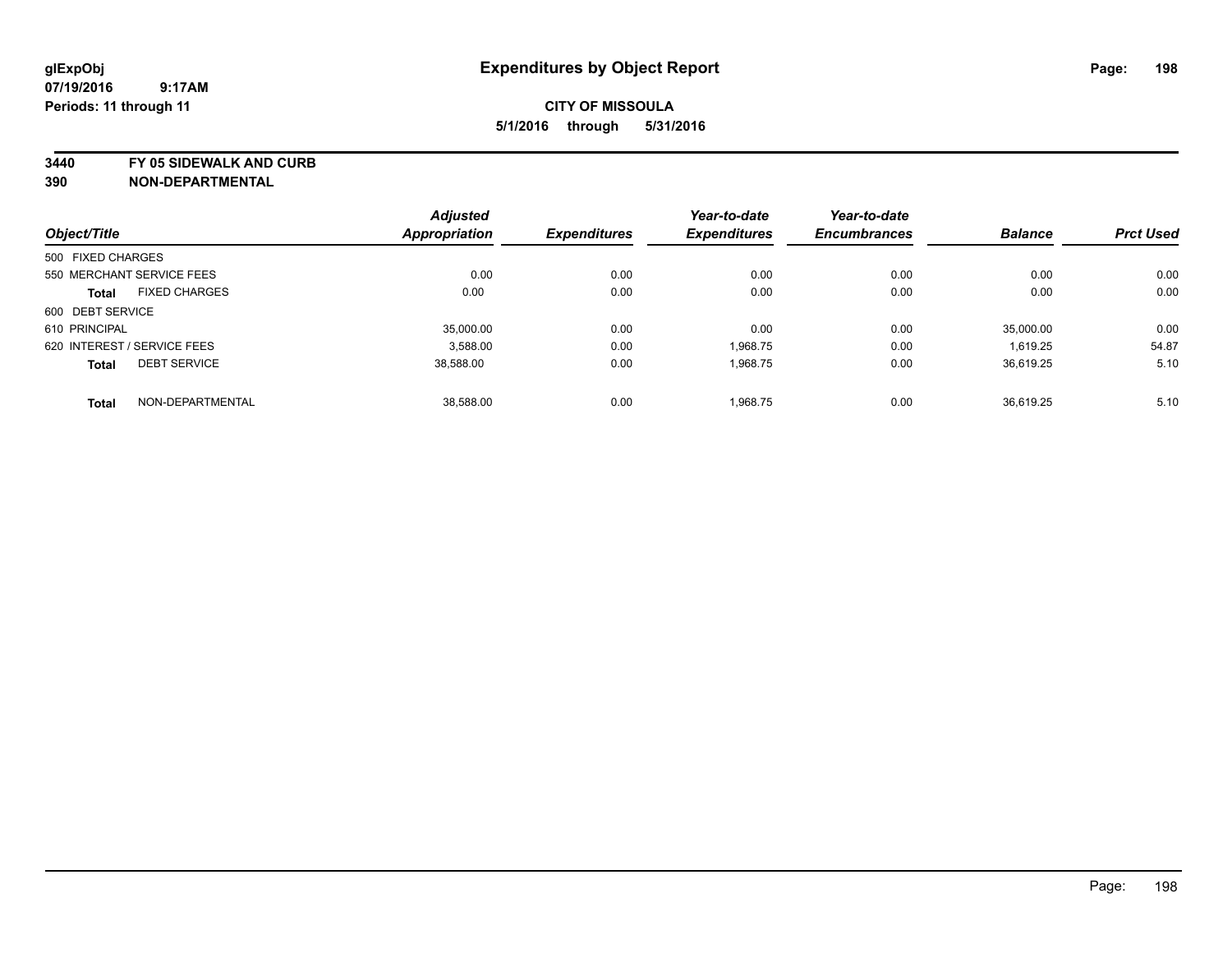**3440 FY 05 SIDEWALK AND CURB**

|                   |                             | <b>Adjusted</b>      |                     | Year-to-date        | Year-to-date        |                |                  |
|-------------------|-----------------------------|----------------------|---------------------|---------------------|---------------------|----------------|------------------|
| Object/Title      |                             | <b>Appropriation</b> | <b>Expenditures</b> | <b>Expenditures</b> | <b>Encumbrances</b> | <b>Balance</b> | <b>Prct Used</b> |
| 500 FIXED CHARGES |                             |                      |                     |                     |                     |                |                  |
|                   | 550 MERCHANT SERVICE FEES   | 0.00                 | 0.00                | 0.00                | 0.00                | 0.00           | 0.00             |
| <b>Total</b>      | <b>FIXED CHARGES</b>        | 0.00                 | 0.00                | 0.00                | 0.00                | 0.00           | 0.00             |
| 600 DEBT SERVICE  |                             |                      |                     |                     |                     |                |                  |
| 610 PRINCIPAL     |                             | 35,000.00            | 0.00                | 0.00                | 0.00                | 35,000.00      | 0.00             |
|                   | 620 INTEREST / SERVICE FEES | 3.588.00             | 0.00                | 1,968.75            | 0.00                | 1,619.25       | 54.87            |
| <b>Total</b>      | <b>DEBT SERVICE</b>         | 38.588.00            | 0.00                | 1,968.75            | 0.00                | 36.619.25      | 5.10             |
| <b>Total</b>      | NON-DEPARTMENTAL            | 38.588.00            | 0.00                | 1.968.75            | 0.00                | 36.619.25      | 5.10             |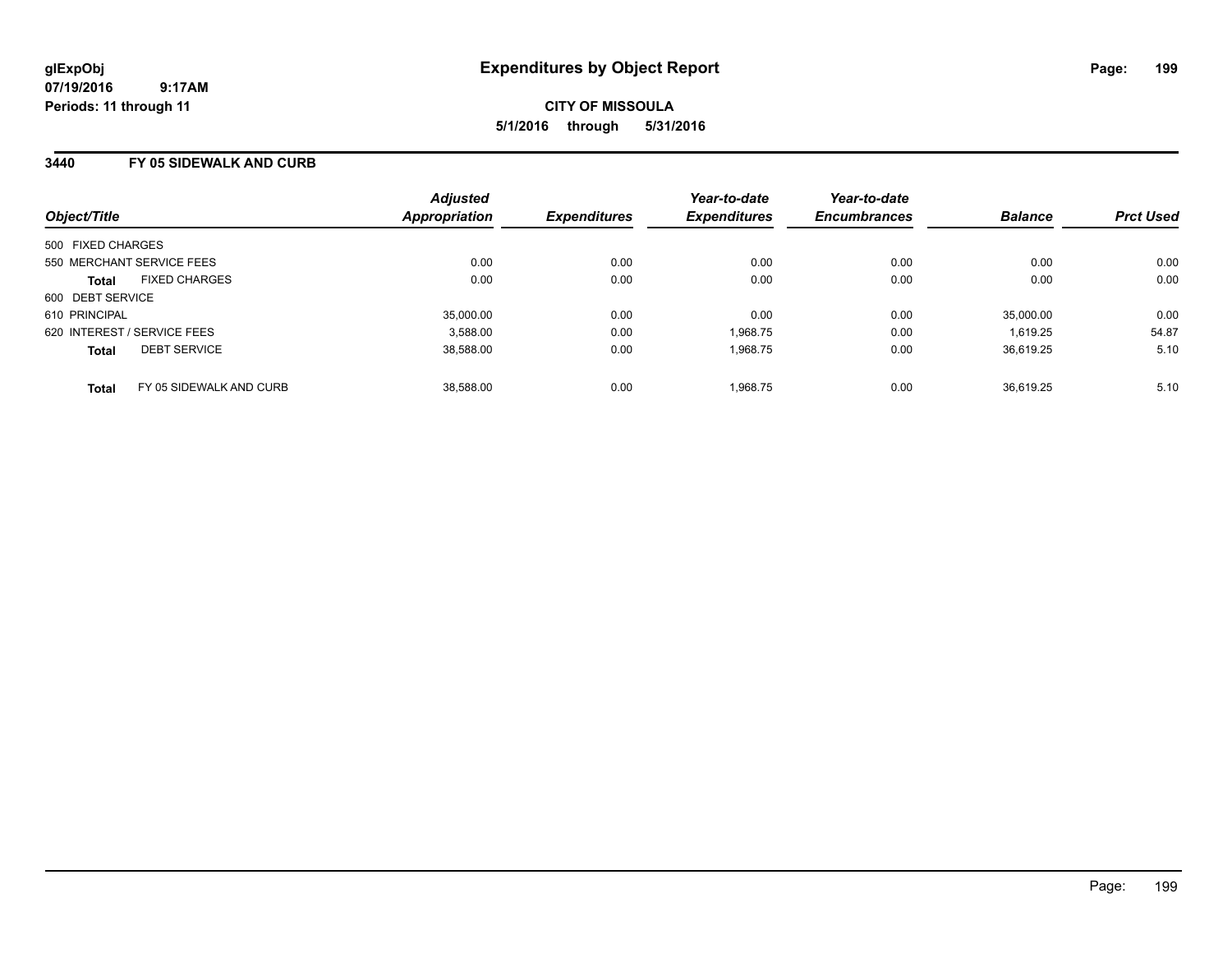**CITY OF MISSOULA 5/1/2016 through 5/31/2016**

### **3440 FY 05 SIDEWALK AND CURB**

| Object/Title                            | <b>Adjusted</b><br><b>Appropriation</b> | <b>Expenditures</b> | Year-to-date<br><b>Expenditures</b> | Year-to-date<br><b>Encumbrances</b> | <b>Balance</b> | <b>Prct Used</b> |
|-----------------------------------------|-----------------------------------------|---------------------|-------------------------------------|-------------------------------------|----------------|------------------|
| 500 FIXED CHARGES                       |                                         |                     |                                     |                                     |                |                  |
| 550 MERCHANT SERVICE FEES               | 0.00                                    | 0.00                | 0.00                                | 0.00                                | 0.00           | 0.00             |
| <b>FIXED CHARGES</b><br><b>Total</b>    | 0.00                                    | 0.00                | 0.00                                | 0.00                                | 0.00           | 0.00             |
| 600 DEBT SERVICE                        |                                         |                     |                                     |                                     |                |                  |
| 610 PRINCIPAL                           | 35,000.00                               | 0.00                | 0.00                                | 0.00                                | 35.000.00      | 0.00             |
| 620 INTEREST / SERVICE FEES             | 3,588.00                                | 0.00                | 1,968.75                            | 0.00                                | 1.619.25       | 54.87            |
| <b>DEBT SERVICE</b><br><b>Total</b>     | 38.588.00                               | 0.00                | 1,968.75                            | 0.00                                | 36.619.25      | 5.10             |
| FY 05 SIDEWALK AND CURB<br><b>Total</b> | 38,588.00                               | 0.00                | 1.968.75                            | 0.00                                | 36.619.25      | 5.10             |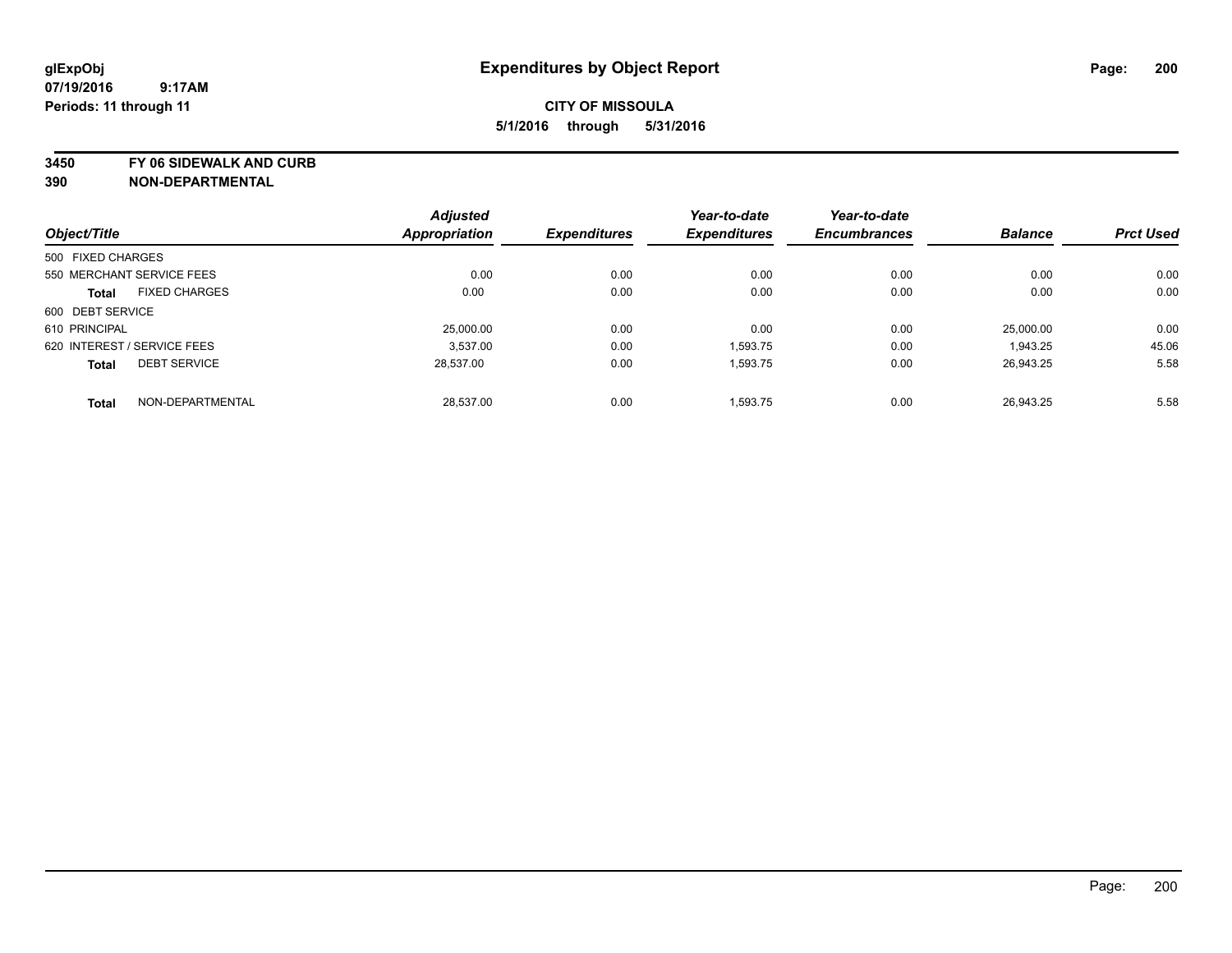**3450 FY 06 SIDEWALK AND CURB**

|                   |                             | <b>Adjusted</b>      |                     | Year-to-date        | Year-to-date        |                |                  |
|-------------------|-----------------------------|----------------------|---------------------|---------------------|---------------------|----------------|------------------|
| Object/Title      |                             | <b>Appropriation</b> | <b>Expenditures</b> | <b>Expenditures</b> | <b>Encumbrances</b> | <b>Balance</b> | <b>Prct Used</b> |
| 500 FIXED CHARGES |                             |                      |                     |                     |                     |                |                  |
|                   | 550 MERCHANT SERVICE FEES   | 0.00                 | 0.00                | 0.00                | 0.00                | 0.00           | 0.00             |
| <b>Total</b>      | <b>FIXED CHARGES</b>        | 0.00                 | 0.00                | 0.00                | 0.00                | 0.00           | 0.00             |
| 600 DEBT SERVICE  |                             |                      |                     |                     |                     |                |                  |
| 610 PRINCIPAL     |                             | 25,000.00            | 0.00                | 0.00                | 0.00                | 25.000.00      | 0.00             |
|                   | 620 INTEREST / SERVICE FEES | 3.537.00             | 0.00                | 1,593.75            | 0.00                | 1,943.25       | 45.06            |
| <b>Total</b>      | <b>DEBT SERVICE</b>         | 28.537.00            | 0.00                | 1,593.75            | 0.00                | 26.943.25      | 5.58             |
| <b>Total</b>      | NON-DEPARTMENTAL            | 28.537.00            | 0.00                | 1.593.75            | 0.00                | 26.943.25      | 5.58             |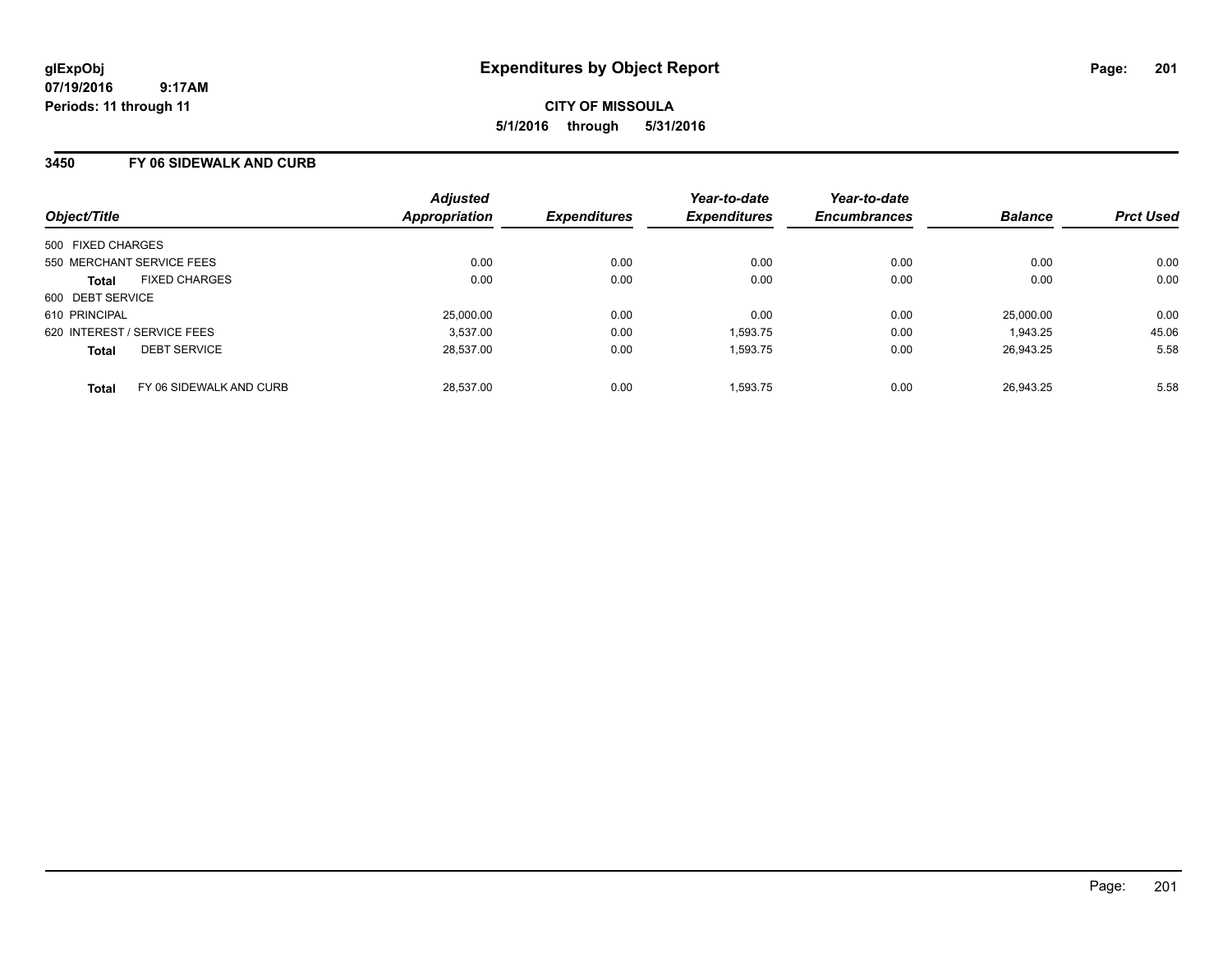### **3450 FY 06 SIDEWALK AND CURB**

| Object/Title                |                         | <b>Adjusted</b><br><b>Appropriation</b> | <b>Expenditures</b> | Year-to-date<br><b>Expenditures</b> | Year-to-date<br><b>Encumbrances</b> | <b>Balance</b> | <b>Prct Used</b> |
|-----------------------------|-------------------------|-----------------------------------------|---------------------|-------------------------------------|-------------------------------------|----------------|------------------|
| 500 FIXED CHARGES           |                         |                                         |                     |                                     |                                     |                |                  |
| 550 MERCHANT SERVICE FEES   |                         | 0.00                                    | 0.00                | 0.00                                | 0.00                                | 0.00           | 0.00             |
| <b>Total</b>                | <b>FIXED CHARGES</b>    | 0.00                                    | 0.00                | 0.00                                | 0.00                                | 0.00           | 0.00             |
| 600 DEBT SERVICE            |                         |                                         |                     |                                     |                                     |                |                  |
| 610 PRINCIPAL               |                         | 25,000.00                               | 0.00                | 0.00                                | 0.00                                | 25.000.00      | 0.00             |
| 620 INTEREST / SERVICE FEES |                         | 3.537.00                                | 0.00                | 1,593.75                            | 0.00                                | 1,943.25       | 45.06            |
| <b>Total</b>                | <b>DEBT SERVICE</b>     | 28.537.00                               | 0.00                | 1.593.75                            | 0.00                                | 26.943.25      | 5.58             |
| <b>Total</b>                | FY 06 SIDEWALK AND CURB | 28.537.00                               | 0.00                | 1.593.75                            | 0.00                                | 26.943.25      | 5.58             |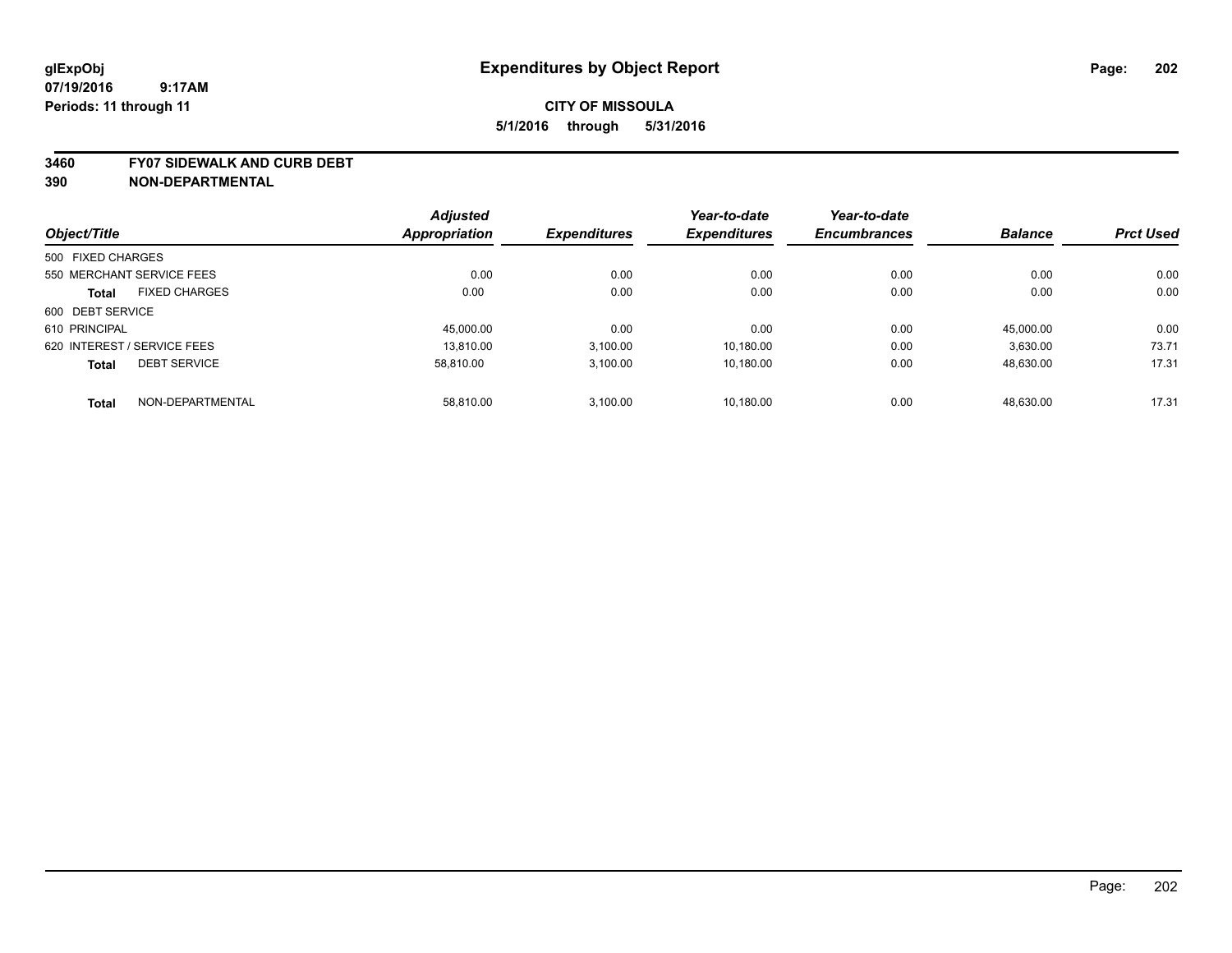#### **3460 FY07 SIDEWALK AND CURB DEBT**

|                             |                      | <b>Adjusted</b> |                     | Year-to-date        | Year-to-date        |                |                  |
|-----------------------------|----------------------|-----------------|---------------------|---------------------|---------------------|----------------|------------------|
| Object/Title                |                      | Appropriation   | <b>Expenditures</b> | <b>Expenditures</b> | <b>Encumbrances</b> | <b>Balance</b> | <b>Prct Used</b> |
| 500 FIXED CHARGES           |                      |                 |                     |                     |                     |                |                  |
| 550 MERCHANT SERVICE FEES   |                      | 0.00            | 0.00                | 0.00                | 0.00                | 0.00           | 0.00             |
| <b>Total</b>                | <b>FIXED CHARGES</b> | 0.00            | 0.00                | 0.00                | 0.00                | 0.00           | 0.00             |
| 600 DEBT SERVICE            |                      |                 |                     |                     |                     |                |                  |
| 610 PRINCIPAL               |                      | 45.000.00       | 0.00                | 0.00                | 0.00                | 45.000.00      | 0.00             |
| 620 INTEREST / SERVICE FEES |                      | 13.810.00       | 3,100.00            | 10.180.00           | 0.00                | 3,630.00       | 73.71            |
| <b>Total</b>                | <b>DEBT SERVICE</b>  | 58.810.00       | 3,100.00            | 10.180.00           | 0.00                | 48,630.00      | 17.31            |
| <b>Total</b>                | NON-DEPARTMENTAL     | 58.810.00       | 3.100.00            | 10.180.00           | 0.00                | 48.630.00      | 17.31            |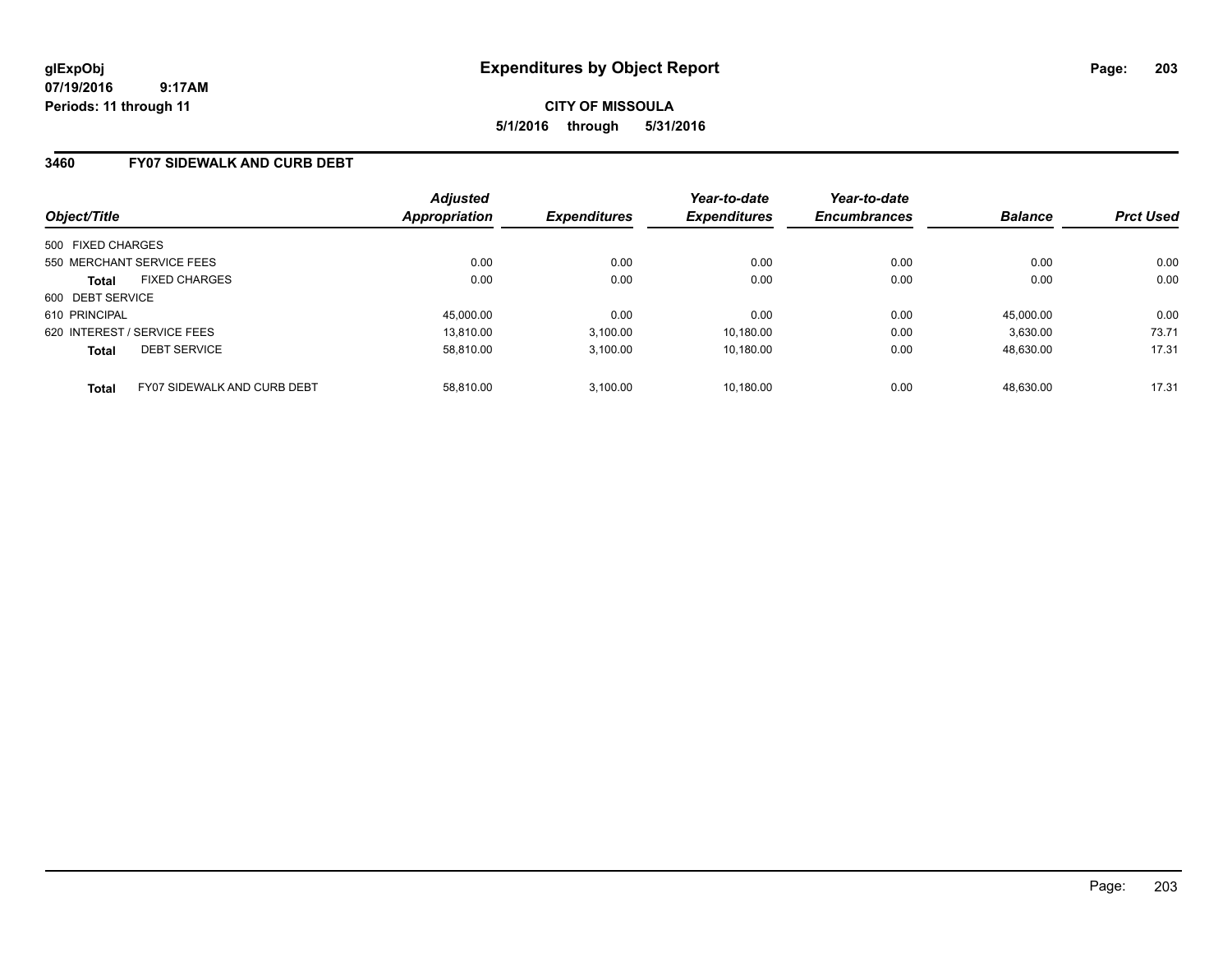**CITY OF MISSOULA 5/1/2016 through 5/31/2016**

### **3460 FY07 SIDEWALK AND CURB DEBT**

| Object/Title                                | <b>Adjusted</b><br>Appropriation | <b>Expenditures</b> | Year-to-date<br><b>Expenditures</b> | Year-to-date<br><b>Encumbrances</b> | <b>Balance</b> | <b>Prct Used</b> |
|---------------------------------------------|----------------------------------|---------------------|-------------------------------------|-------------------------------------|----------------|------------------|
| 500 FIXED CHARGES                           |                                  |                     |                                     |                                     |                |                  |
| 550 MERCHANT SERVICE FEES                   | 0.00                             | 0.00                | 0.00                                | 0.00                                | 0.00           | 0.00             |
| <b>FIXED CHARGES</b><br><b>Total</b>        | 0.00                             | 0.00                | 0.00                                | 0.00                                | 0.00           | 0.00             |
| 600 DEBT SERVICE                            |                                  |                     |                                     |                                     |                |                  |
| 610 PRINCIPAL                               | 45,000.00                        | 0.00                | 0.00                                | 0.00                                | 45.000.00      | 0.00             |
| 620 INTEREST / SERVICE FEES                 | 13.810.00                        | 3,100.00            | 10,180.00                           | 0.00                                | 3,630.00       | 73.71            |
| <b>DEBT SERVICE</b><br><b>Total</b>         | 58.810.00                        | 3.100.00            | 10.180.00                           | 0.00                                | 48.630.00      | 17.31            |
| FY07 SIDEWALK AND CURB DEBT<br><b>Total</b> | 58.810.00                        | 3.100.00            | 10.180.00                           | 0.00                                | 48.630.00      | 17.31            |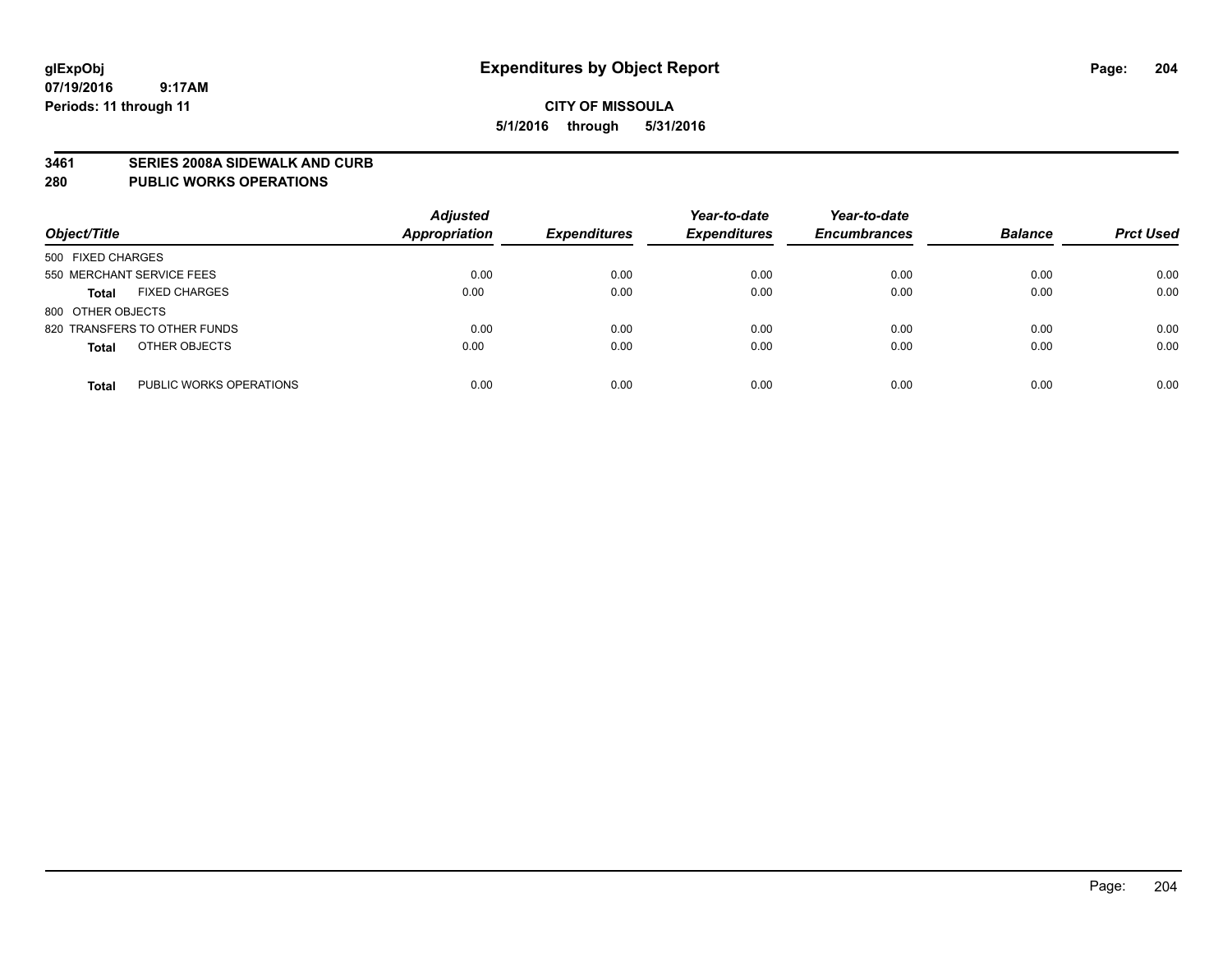#### **3461 SERIES 2008A SIDEWALK AND CURB**

#### **280 PUBLIC WORKS OPERATIONS**

| Object/Title                            | <b>Adjusted</b><br><b>Appropriation</b> | <b>Expenditures</b> | Year-to-date<br><b>Expenditures</b> | Year-to-date<br><b>Encumbrances</b> | <b>Balance</b> | <b>Prct Used</b> |
|-----------------------------------------|-----------------------------------------|---------------------|-------------------------------------|-------------------------------------|----------------|------------------|
| 500 FIXED CHARGES                       |                                         |                     |                                     |                                     |                |                  |
| 550 MERCHANT SERVICE FEES               | 0.00                                    | 0.00                | 0.00                                | 0.00                                | 0.00           | 0.00             |
| <b>FIXED CHARGES</b><br><b>Total</b>    | 0.00                                    | 0.00                | 0.00                                | 0.00                                | 0.00           | 0.00             |
| 800 OTHER OBJECTS                       |                                         |                     |                                     |                                     |                |                  |
| 820 TRANSFERS TO OTHER FUNDS            | 0.00                                    | 0.00                | 0.00                                | 0.00                                | 0.00           | 0.00             |
| OTHER OBJECTS<br><b>Total</b>           | 0.00                                    | 0.00                | 0.00                                | 0.00                                | 0.00           | 0.00             |
| PUBLIC WORKS OPERATIONS<br><b>Total</b> | 0.00                                    | 0.00                | 0.00                                | 0.00                                | 0.00           | 0.00             |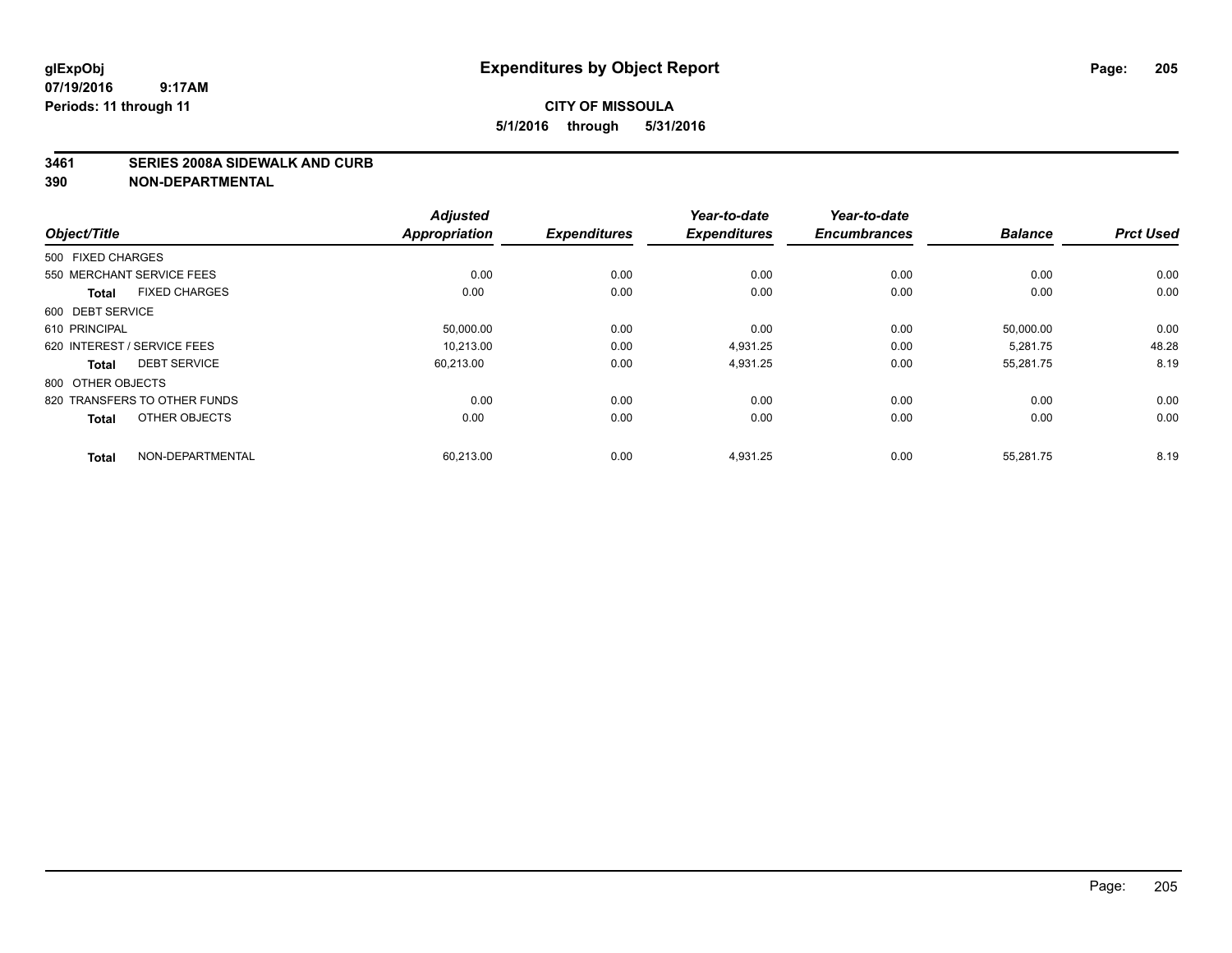#### **3461 SERIES 2008A SIDEWALK AND CURB**

|                                      | <b>Adjusted</b>      |                     | Year-to-date        | Year-to-date        |                |                  |
|--------------------------------------|----------------------|---------------------|---------------------|---------------------|----------------|------------------|
| Object/Title                         | <b>Appropriation</b> | <b>Expenditures</b> | <b>Expenditures</b> | <b>Encumbrances</b> | <b>Balance</b> | <b>Prct Used</b> |
| 500 FIXED CHARGES                    |                      |                     |                     |                     |                |                  |
| 550 MERCHANT SERVICE FEES            | 0.00                 | 0.00                | 0.00                | 0.00                | 0.00           | 0.00             |
| <b>FIXED CHARGES</b><br><b>Total</b> | 0.00                 | 0.00                | 0.00                | 0.00                | 0.00           | 0.00             |
| 600 DEBT SERVICE                     |                      |                     |                     |                     |                |                  |
| 610 PRINCIPAL                        | 50,000.00            | 0.00                | 0.00                | 0.00                | 50,000.00      | 0.00             |
| 620 INTEREST / SERVICE FEES          | 10.213.00            | 0.00                | 4.931.25            | 0.00                | 5.281.75       | 48.28            |
| <b>DEBT SERVICE</b><br><b>Total</b>  | 60,213.00            | 0.00                | 4,931.25            | 0.00                | 55,281.75      | 8.19             |
| 800 OTHER OBJECTS                    |                      |                     |                     |                     |                |                  |
| 820 TRANSFERS TO OTHER FUNDS         | 0.00                 | 0.00                | 0.00                | 0.00                | 0.00           | 0.00             |
| OTHER OBJECTS<br><b>Total</b>        | 0.00                 | 0.00                | 0.00                | 0.00                | 0.00           | 0.00             |
|                                      |                      |                     |                     |                     |                |                  |
| NON-DEPARTMENTAL<br><b>Total</b>     | 60,213.00            | 0.00                | 4,931.25            | 0.00                | 55,281.75      | 8.19             |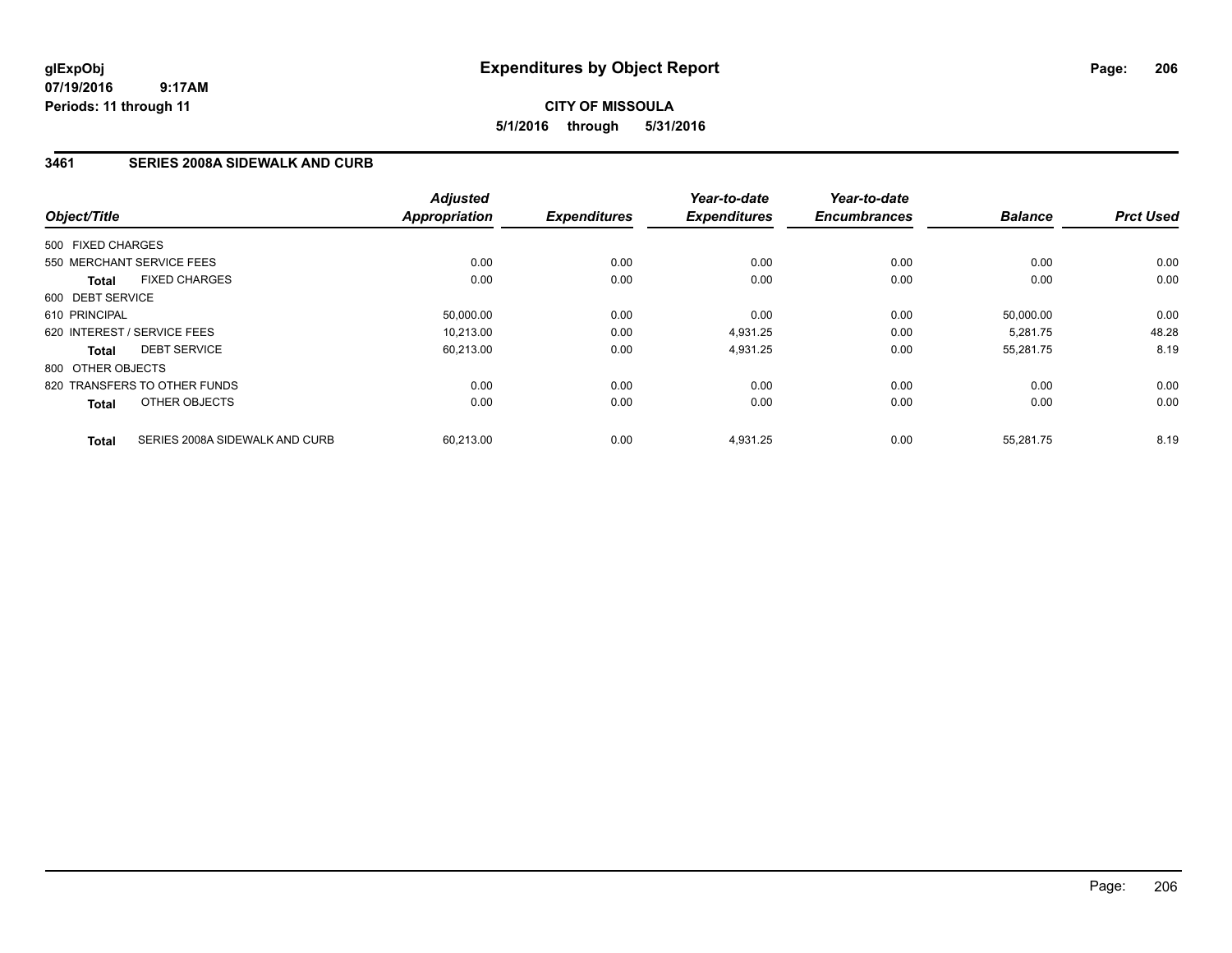## **CITY OF MISSOULA 5/1/2016 through 5/31/2016**

### **3461 SERIES 2008A SIDEWALK AND CURB**

| Object/Title      |                                | <b>Adjusted</b><br>Appropriation | <b>Expenditures</b> | Year-to-date<br><b>Expenditures</b> | Year-to-date<br><b>Encumbrances</b> | <b>Balance</b> | <b>Prct Used</b> |
|-------------------|--------------------------------|----------------------------------|---------------------|-------------------------------------|-------------------------------------|----------------|------------------|
| 500 FIXED CHARGES |                                |                                  |                     |                                     |                                     |                |                  |
|                   | 550 MERCHANT SERVICE FEES      | 0.00                             | 0.00                | 0.00                                | 0.00                                | 0.00           | 0.00             |
|                   |                                |                                  |                     |                                     |                                     |                |                  |
| <b>Total</b>      | <b>FIXED CHARGES</b>           | 0.00                             | 0.00                | 0.00                                | 0.00                                | 0.00           | 0.00             |
| 600 DEBT SERVICE  |                                |                                  |                     |                                     |                                     |                |                  |
| 610 PRINCIPAL     |                                | 50,000.00                        | 0.00                | 0.00                                | 0.00                                | 50,000.00      | 0.00             |
|                   | 620 INTEREST / SERVICE FEES    | 10.213.00                        | 0.00                | 4,931.25                            | 0.00                                | 5,281.75       | 48.28            |
| <b>Total</b>      | <b>DEBT SERVICE</b>            | 60,213.00                        | 0.00                | 4,931.25                            | 0.00                                | 55,281.75      | 8.19             |
| 800 OTHER OBJECTS |                                |                                  |                     |                                     |                                     |                |                  |
|                   | 820 TRANSFERS TO OTHER FUNDS   | 0.00                             | 0.00                | 0.00                                | 0.00                                | 0.00           | 0.00             |
| <b>Total</b>      | OTHER OBJECTS                  | 0.00                             | 0.00                | 0.00                                | 0.00                                | 0.00           | 0.00             |
| <b>Total</b>      | SERIES 2008A SIDEWALK AND CURB | 60,213.00                        | 0.00                | 4,931.25                            | 0.00                                | 55,281.75      | 8.19             |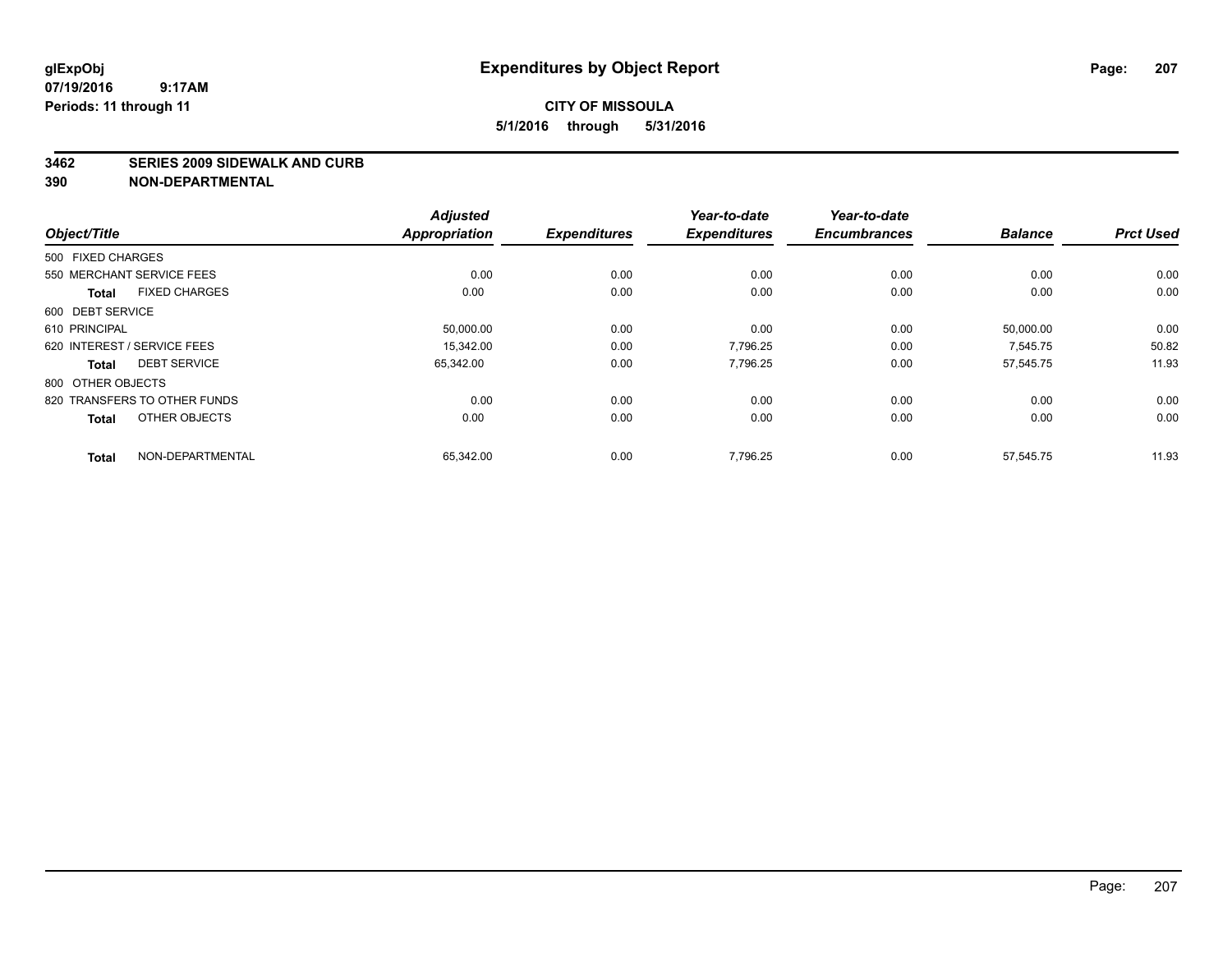#### **3462 SERIES 2009 SIDEWALK AND CURB**

|                                      | <b>Adjusted</b>      |                     | Year-to-date        | Year-to-date        |                |                  |
|--------------------------------------|----------------------|---------------------|---------------------|---------------------|----------------|------------------|
| Object/Title                         | <b>Appropriation</b> | <b>Expenditures</b> | <b>Expenditures</b> | <b>Encumbrances</b> | <b>Balance</b> | <b>Prct Used</b> |
| 500 FIXED CHARGES                    |                      |                     |                     |                     |                |                  |
| 550 MERCHANT SERVICE FEES            | 0.00                 | 0.00                | 0.00                | 0.00                | 0.00           | 0.00             |
| <b>FIXED CHARGES</b><br><b>Total</b> | 0.00                 | 0.00                | 0.00                | 0.00                | 0.00           | 0.00             |
| 600 DEBT SERVICE                     |                      |                     |                     |                     |                |                  |
| 610 PRINCIPAL                        | 50,000.00            | 0.00                | 0.00                | 0.00                | 50,000.00      | 0.00             |
| 620 INTEREST / SERVICE FEES          | 15.342.00            | 0.00                | 7.796.25            | 0.00                | 7.545.75       | 50.82            |
| <b>DEBT SERVICE</b><br><b>Total</b>  | 65,342.00            | 0.00                | 7,796.25            | 0.00                | 57,545.75      | 11.93            |
| 800 OTHER OBJECTS                    |                      |                     |                     |                     |                |                  |
| 820 TRANSFERS TO OTHER FUNDS         | 0.00                 | 0.00                | 0.00                | 0.00                | 0.00           | 0.00             |
| OTHER OBJECTS<br><b>Total</b>        | 0.00                 | 0.00                | 0.00                | 0.00                | 0.00           | 0.00             |
|                                      |                      |                     |                     |                     |                |                  |
| NON-DEPARTMENTAL<br><b>Total</b>     | 65,342.00            | 0.00                | 7,796.25            | 0.00                | 57,545.75      | 11.93            |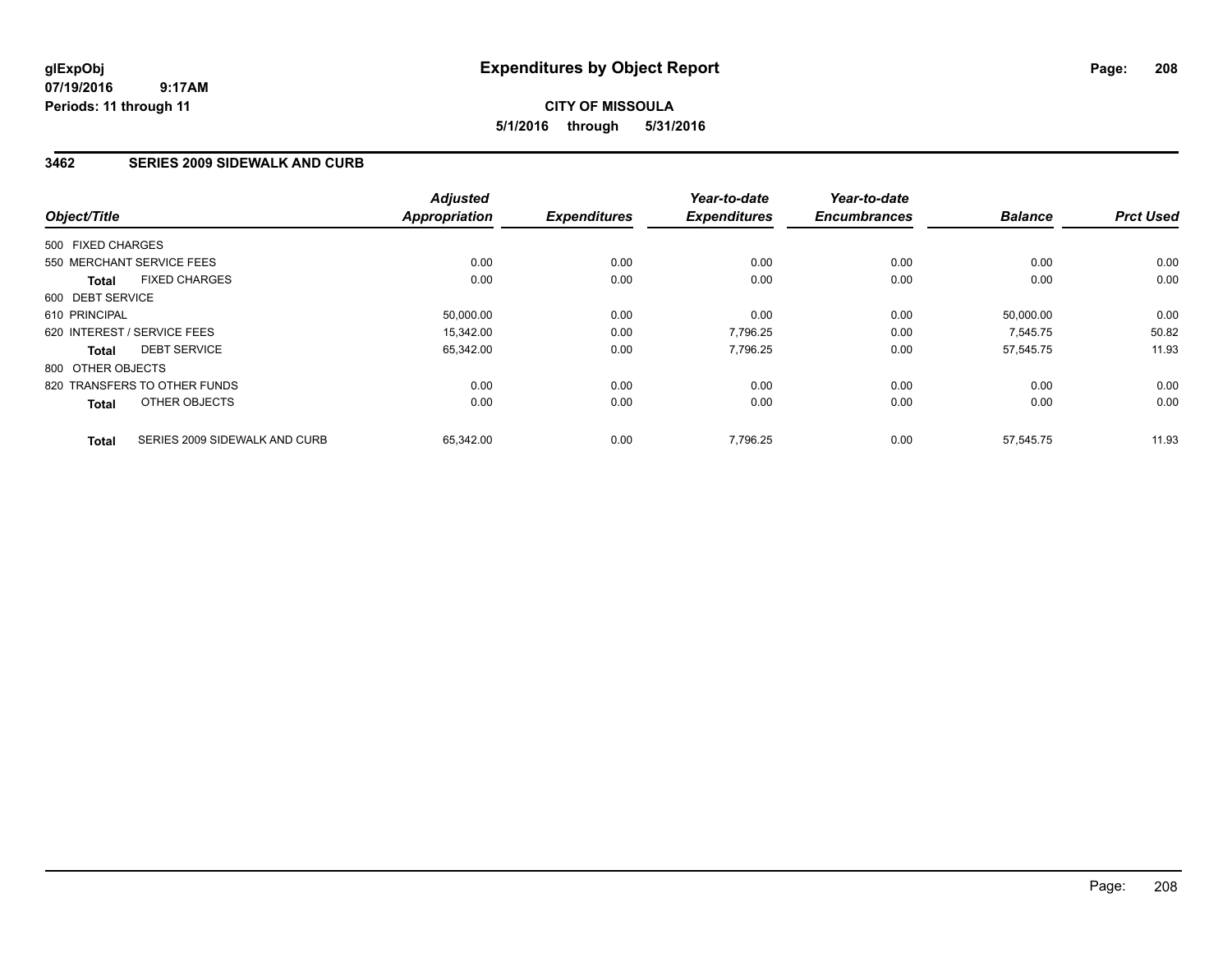## **CITY OF MISSOULA 5/1/2016 through 5/31/2016**

### **3462 SERIES 2009 SIDEWALK AND CURB**

| Object/Title      |                               | <b>Adjusted</b><br><b>Appropriation</b> | <b>Expenditures</b> | Year-to-date<br><b>Expenditures</b> | Year-to-date<br><b>Encumbrances</b> | <b>Balance</b> | <b>Prct Used</b> |
|-------------------|-------------------------------|-----------------------------------------|---------------------|-------------------------------------|-------------------------------------|----------------|------------------|
| 500 FIXED CHARGES |                               |                                         |                     |                                     |                                     |                |                  |
|                   | 550 MERCHANT SERVICE FEES     | 0.00                                    | 0.00                | 0.00                                | 0.00                                | 0.00           | 0.00             |
| <b>Total</b>      | <b>FIXED CHARGES</b>          | 0.00                                    | 0.00                | 0.00                                | 0.00                                | 0.00           | 0.00             |
| 600 DEBT SERVICE  |                               |                                         |                     |                                     |                                     |                |                  |
| 610 PRINCIPAL     |                               | 50,000.00                               | 0.00                | 0.00                                | 0.00                                | 50,000.00      | 0.00             |
|                   | 620 INTEREST / SERVICE FEES   | 15.342.00                               | 0.00                | 7,796.25                            | 0.00                                | 7,545.75       | 50.82            |
| <b>Total</b>      | <b>DEBT SERVICE</b>           | 65,342.00                               | 0.00                | 7,796.25                            | 0.00                                | 57,545.75      | 11.93            |
| 800 OTHER OBJECTS |                               |                                         |                     |                                     |                                     |                |                  |
|                   | 820 TRANSFERS TO OTHER FUNDS  | 0.00                                    | 0.00                | 0.00                                | 0.00                                | 0.00           | 0.00             |
| <b>Total</b>      | OTHER OBJECTS                 | 0.00                                    | 0.00                | 0.00                                | 0.00                                | 0.00           | 0.00             |
| <b>Total</b>      | SERIES 2009 SIDEWALK AND CURB | 65,342.00                               | 0.00                | 7,796.25                            | 0.00                                | 57.545.75      | 11.93            |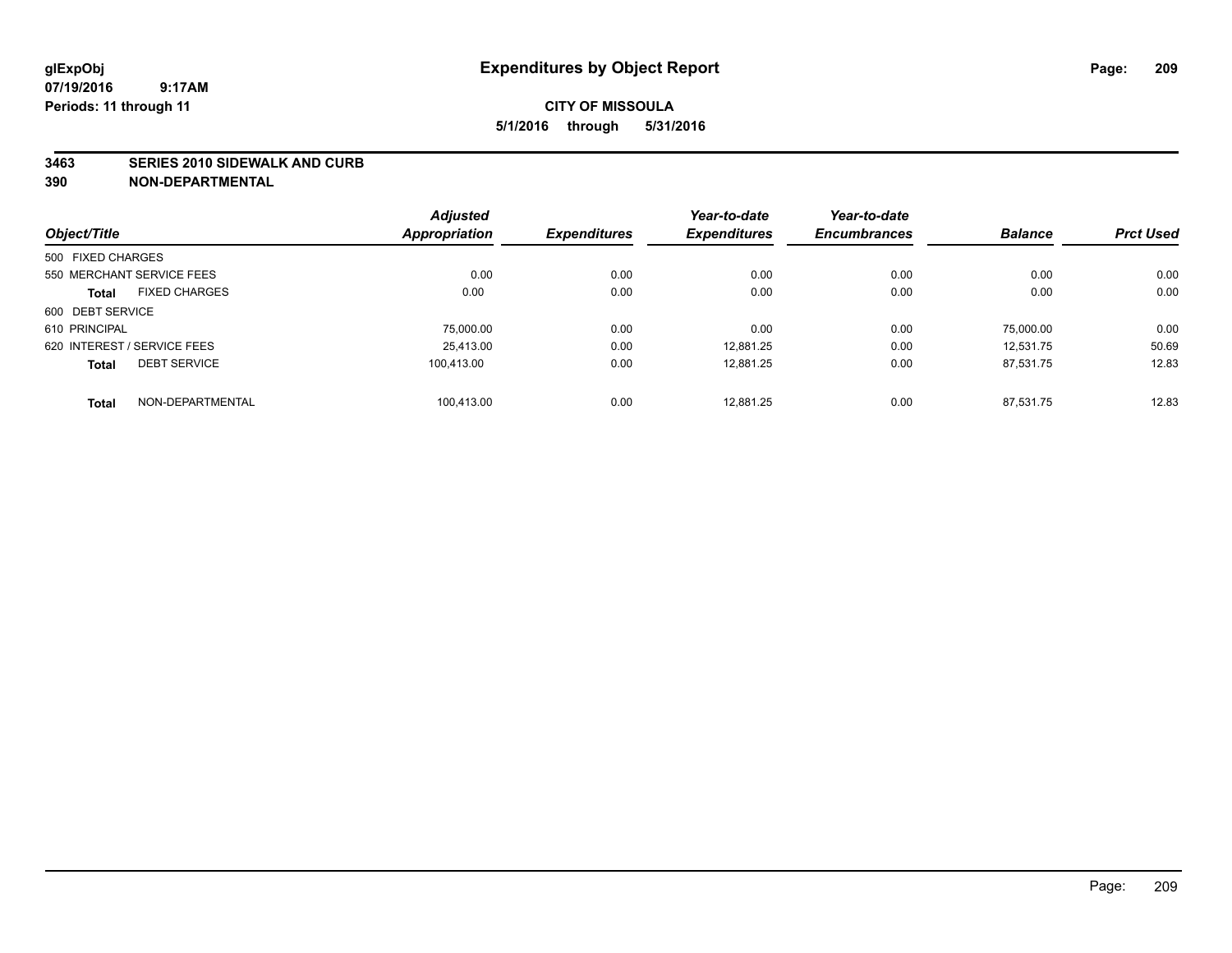#### **3463 SERIES 2010 SIDEWALK AND CURB**

|                             |                      | <b>Adjusted</b>      |                     | Year-to-date        | Year-to-date        |                |                  |
|-----------------------------|----------------------|----------------------|---------------------|---------------------|---------------------|----------------|------------------|
| Object/Title                |                      | <b>Appropriation</b> | <b>Expenditures</b> | <b>Expenditures</b> | <b>Encumbrances</b> | <b>Balance</b> | <b>Prct Used</b> |
| 500 FIXED CHARGES           |                      |                      |                     |                     |                     |                |                  |
| 550 MERCHANT SERVICE FEES   |                      | 0.00                 | 0.00                | 0.00                | 0.00                | 0.00           | 0.00             |
| <b>Total</b>                | <b>FIXED CHARGES</b> | 0.00                 | 0.00                | 0.00                | 0.00                | 0.00           | 0.00             |
| 600 DEBT SERVICE            |                      |                      |                     |                     |                     |                |                  |
| 610 PRINCIPAL               |                      | 75,000.00            | 0.00                | 0.00                | 0.00                | 75.000.00      | 0.00             |
| 620 INTEREST / SERVICE FEES |                      | 25.413.00            | 0.00                | 12.881.25           | 0.00                | 12.531.75      | 50.69            |
| <b>Total</b>                | <b>DEBT SERVICE</b>  | 100.413.00           | 0.00                | 12.881.25           | 0.00                | 87.531.75      | 12.83            |
| <b>Total</b>                | NON-DEPARTMENTAL     | 100.413.00           | 0.00                | 12.881.25           | 0.00                | 87.531.75      | 12.83            |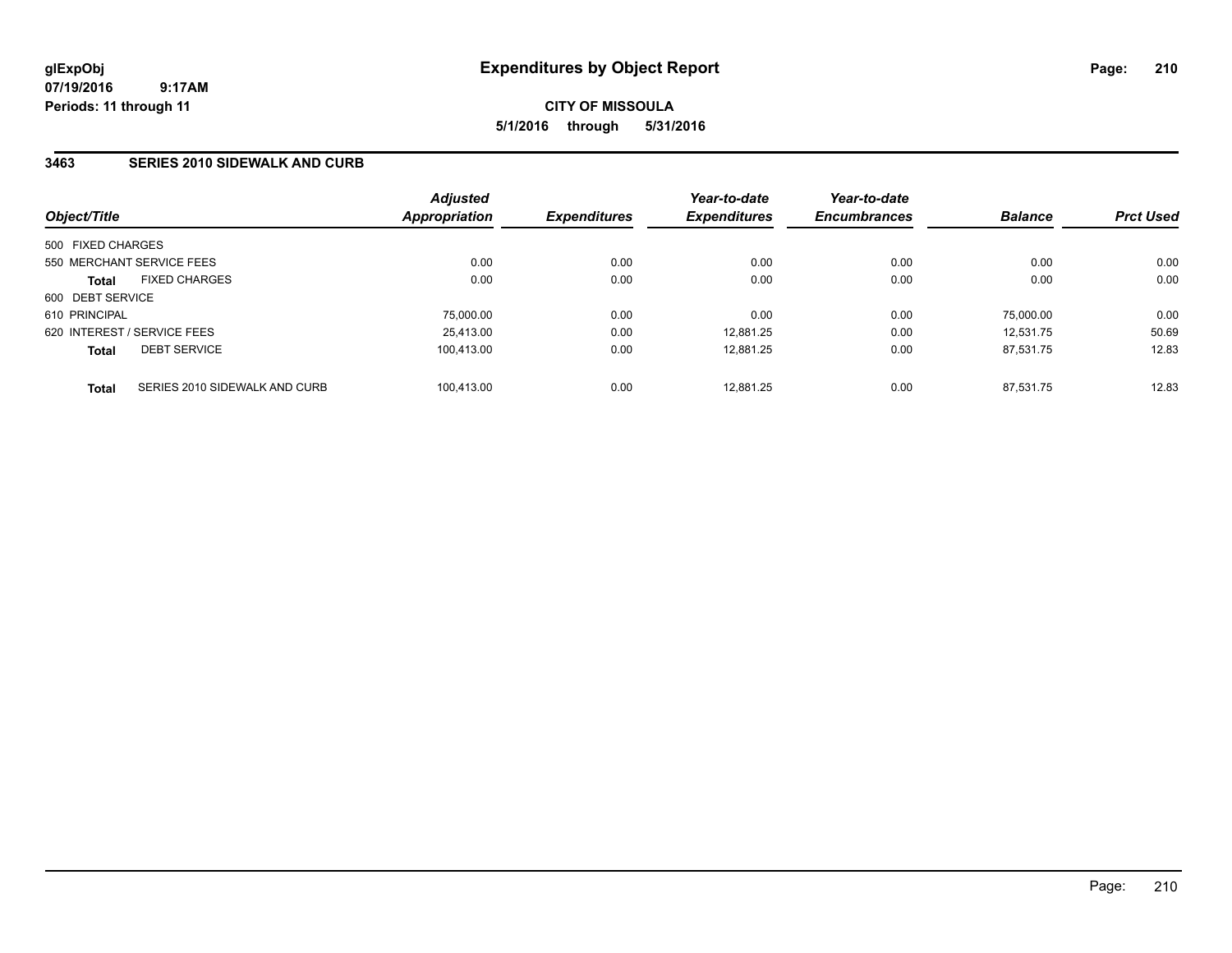**CITY OF MISSOULA 5/1/2016 through 5/31/2016**

### **3463 SERIES 2010 SIDEWALK AND CURB**

| Object/Title      |                               | <b>Adjusted</b><br>Appropriation | <i><b>Expenditures</b></i> | Year-to-date<br><b>Expenditures</b> | Year-to-date<br><b>Encumbrances</b> | <b>Balance</b> | <b>Prct Used</b> |
|-------------------|-------------------------------|----------------------------------|----------------------------|-------------------------------------|-------------------------------------|----------------|------------------|
|                   |                               |                                  |                            |                                     |                                     |                |                  |
| 500 FIXED CHARGES |                               |                                  |                            |                                     |                                     |                |                  |
|                   | 550 MERCHANT SERVICE FEES     | 0.00                             | 0.00                       | 0.00                                | 0.00                                | 0.00           | 0.00             |
| <b>Total</b>      | <b>FIXED CHARGES</b>          | 0.00                             | 0.00                       | 0.00                                | 0.00                                | 0.00           | 0.00             |
| 600 DEBT SERVICE  |                               |                                  |                            |                                     |                                     |                |                  |
| 610 PRINCIPAL     |                               | 75,000.00                        | 0.00                       | 0.00                                | 0.00                                | 75,000.00      | 0.00             |
|                   | 620 INTEREST / SERVICE FEES   | 25,413.00                        | 0.00                       | 12.881.25                           | 0.00                                | 12.531.75      | 50.69            |
| <b>Total</b>      | <b>DEBT SERVICE</b>           | 100.413.00                       | 0.00                       | 12.881.25                           | 0.00                                | 87.531.75      | 12.83            |
| <b>Total</b>      | SERIES 2010 SIDEWALK AND CURB | 100.413.00                       | 0.00                       | 12.881.25                           | 0.00                                | 87.531.75      | 12.83            |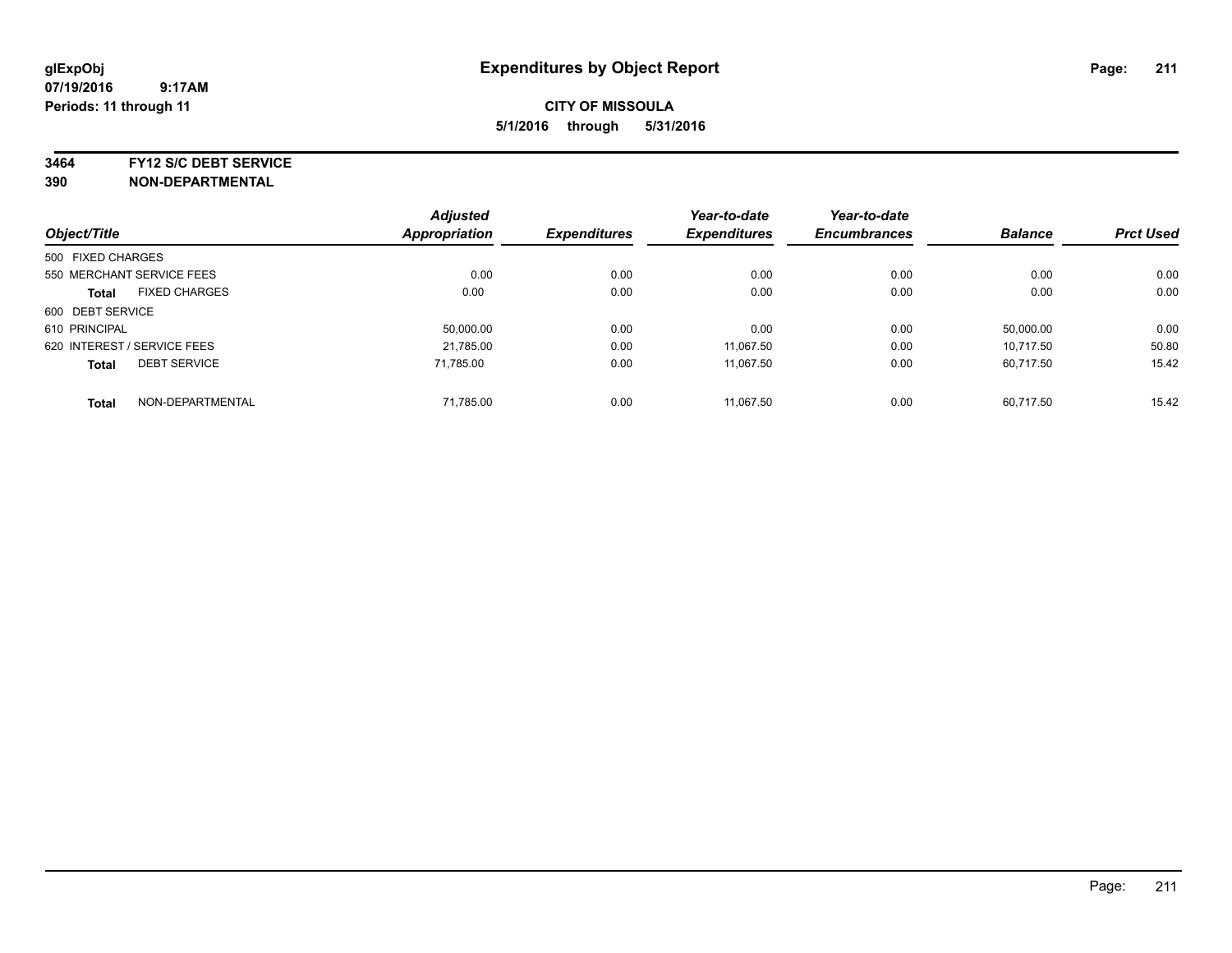**3464 FY12 S/C DEBT SERVICE**

|                             |                           | <b>Adjusted</b>      |                     | Year-to-date        | Year-to-date        |                |                  |
|-----------------------------|---------------------------|----------------------|---------------------|---------------------|---------------------|----------------|------------------|
| Object/Title                |                           | <b>Appropriation</b> | <b>Expenditures</b> | <b>Expenditures</b> | <b>Encumbrances</b> | <b>Balance</b> | <b>Prct Used</b> |
| 500 FIXED CHARGES           |                           |                      |                     |                     |                     |                |                  |
|                             | 550 MERCHANT SERVICE FEES | 0.00                 | 0.00                | 0.00                | 0.00                | 0.00           | 0.00             |
| <b>Total</b>                | <b>FIXED CHARGES</b>      | 0.00                 | 0.00                | 0.00                | 0.00                | 0.00           | 0.00             |
| 600 DEBT SERVICE            |                           |                      |                     |                     |                     |                |                  |
| 610 PRINCIPAL               |                           | 50.000.00            | 0.00                | 0.00                | 0.00                | 50.000.00      | 0.00             |
| 620 INTEREST / SERVICE FEES |                           | 21,785.00            | 0.00                | 11.067.50           | 0.00                | 10.717.50      | 50.80            |
| <b>Total</b>                | <b>DEBT SERVICE</b>       | 71.785.00            | 0.00                | 11.067.50           | 0.00                | 60.717.50      | 15.42            |
| <b>Total</b>                | NON-DEPARTMENTAL          | 71,785.00            | 0.00                | 11.067.50           | 0.00                | 60.717.50      | 15.42            |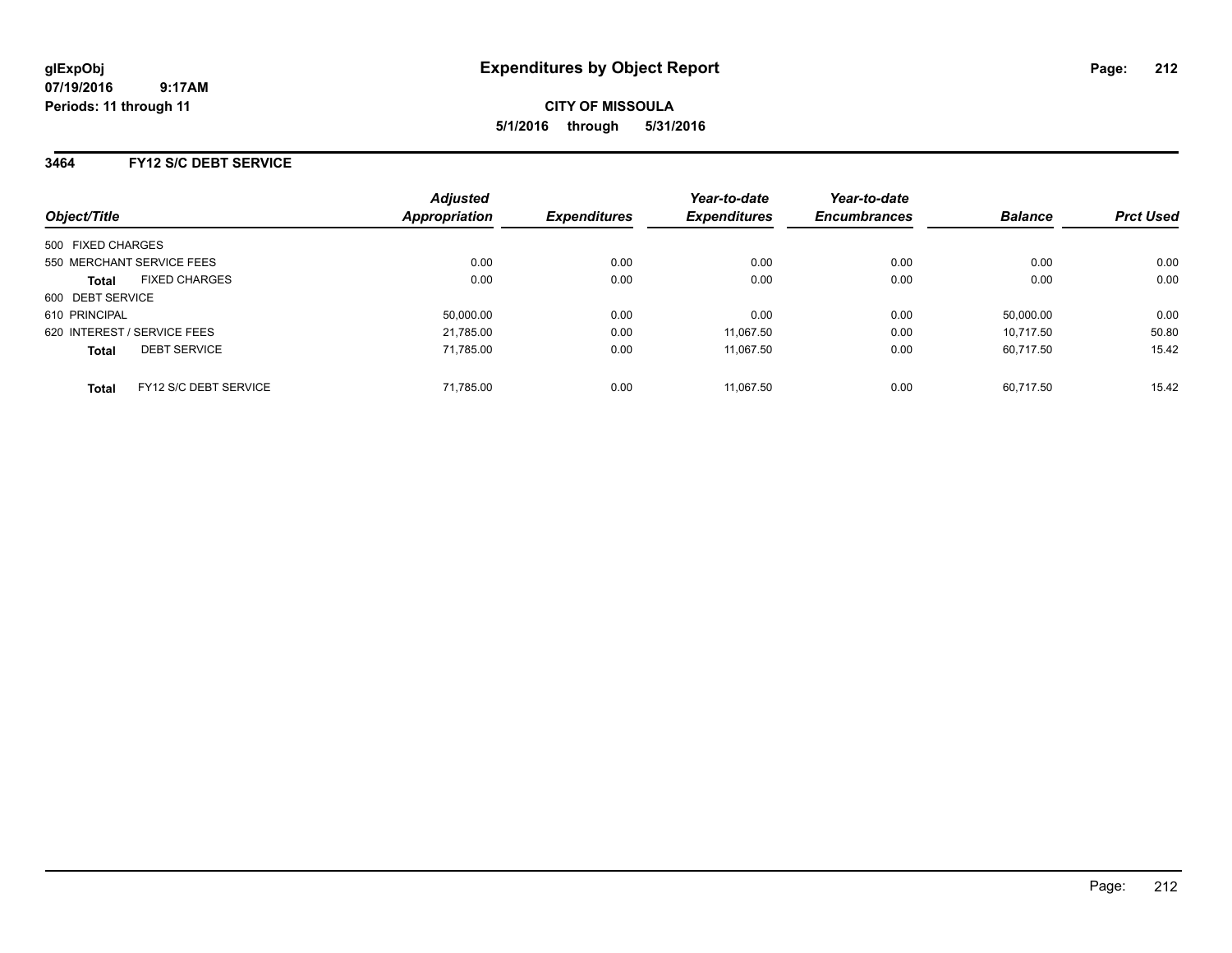**CITY OF MISSOULA 5/1/2016 through 5/31/2016**

### **3464 FY12 S/C DEBT SERVICE**

| Object/Title                |                       | <b>Adjusted</b><br><b>Appropriation</b> | <b>Expenditures</b> | Year-to-date<br><b>Expenditures</b> | Year-to-date<br><b>Encumbrances</b> | <b>Balance</b> | <b>Prct Used</b> |
|-----------------------------|-----------------------|-----------------------------------------|---------------------|-------------------------------------|-------------------------------------|----------------|------------------|
| 500 FIXED CHARGES           |                       |                                         |                     |                                     |                                     |                |                  |
|                             |                       |                                         |                     |                                     |                                     |                |                  |
| 550 MERCHANT SERVICE FEES   |                       | 0.00                                    | 0.00                | 0.00                                | 0.00                                | 0.00           | 0.00             |
| <b>Total</b>                | <b>FIXED CHARGES</b>  | 0.00                                    | 0.00                | 0.00                                | 0.00                                | 0.00           | 0.00             |
| 600 DEBT SERVICE            |                       |                                         |                     |                                     |                                     |                |                  |
| 610 PRINCIPAL               |                       | 50,000.00                               | 0.00                | 0.00                                | 0.00                                | 50.000.00      | 0.00             |
| 620 INTEREST / SERVICE FEES |                       | 21,785.00                               | 0.00                | 11.067.50                           | 0.00                                | 10.717.50      | 50.80            |
| <b>Total</b>                | <b>DEBT SERVICE</b>   | 71.785.00                               | 0.00                | 11.067.50                           | 0.00                                | 60.717.50      | 15.42            |
| <b>Total</b>                | FY12 S/C DEBT SERVICE | 71,785.00                               | 0.00                | 11.067.50                           | 0.00                                | 60.717.50      | 15.42            |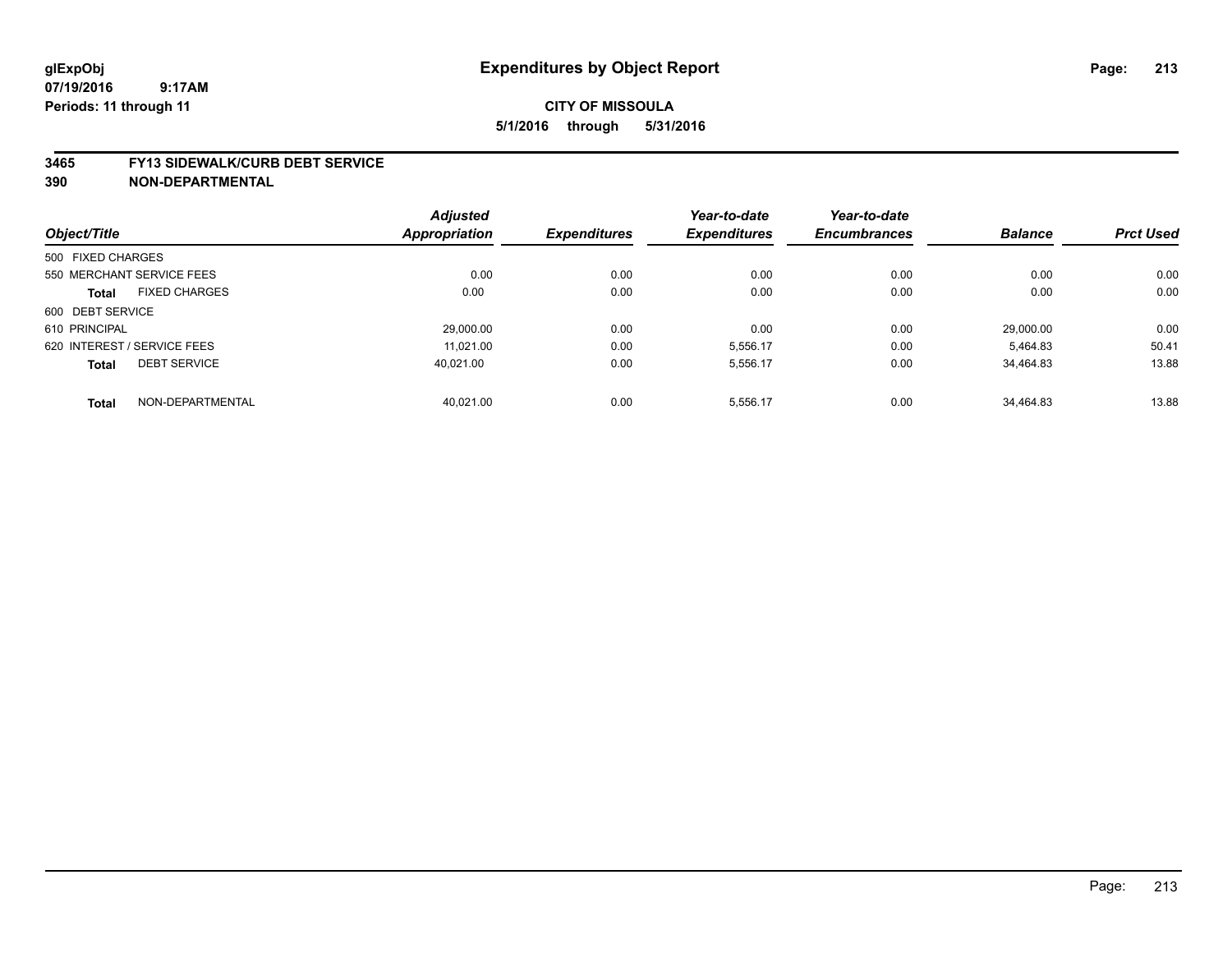#### **3465 FY13 SIDEWALK/CURB DEBT SERVICE**

|                   |                             | <b>Adjusted</b> |                     | Year-to-date        | Year-to-date        |                |                  |
|-------------------|-----------------------------|-----------------|---------------------|---------------------|---------------------|----------------|------------------|
| Object/Title      |                             | Appropriation   | <b>Expenditures</b> | <b>Expenditures</b> | <b>Encumbrances</b> | <b>Balance</b> | <b>Prct Used</b> |
| 500 FIXED CHARGES |                             |                 |                     |                     |                     |                |                  |
|                   | 550 MERCHANT SERVICE FEES   | 0.00            | 0.00                | 0.00                | 0.00                | 0.00           | 0.00             |
| <b>Total</b>      | <b>FIXED CHARGES</b>        | 0.00            | 0.00                | 0.00                | 0.00                | 0.00           | 0.00             |
| 600 DEBT SERVICE  |                             |                 |                     |                     |                     |                |                  |
| 610 PRINCIPAL     |                             | 29.000.00       | 0.00                | 0.00                | 0.00                | 29.000.00      | 0.00             |
|                   | 620 INTEREST / SERVICE FEES | 11.021.00       | 0.00                | 5,556.17            | 0.00                | 5.464.83       | 50.41            |
| <b>Total</b>      | <b>DEBT SERVICE</b>         | 40.021.00       | 0.00                | 5,556.17            | 0.00                | 34,464.83      | 13.88            |
| <b>Total</b>      | NON-DEPARTMENTAL            | 40.021.00       | 0.00                | 5,556.17            | 0.00                | 34.464.83      | 13.88            |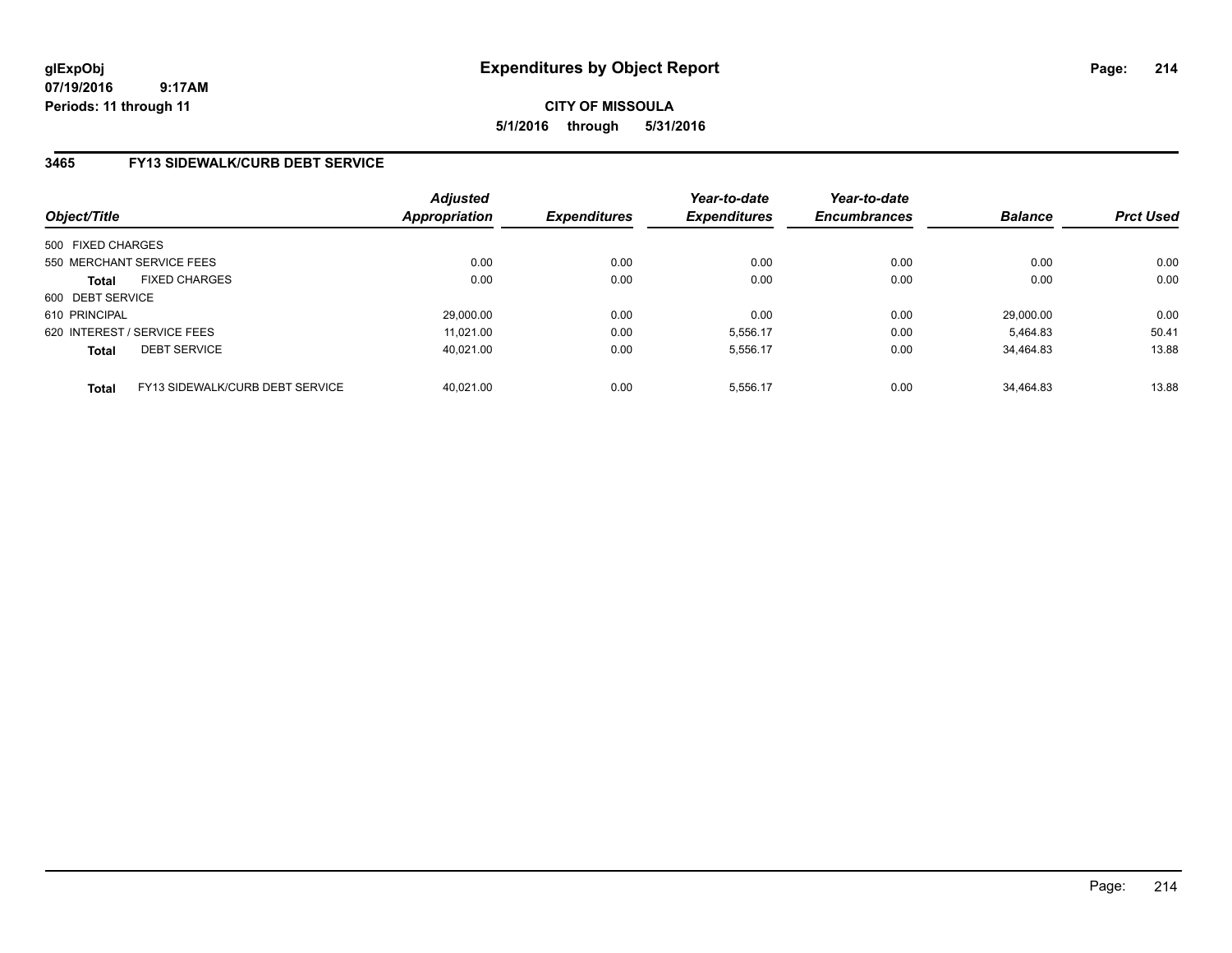## **CITY OF MISSOULA 5/1/2016 through 5/31/2016**

### **3465 FY13 SIDEWALK/CURB DEBT SERVICE**

| Object/Title                |                                 | <b>Adjusted</b><br><b>Appropriation</b> | <b>Expenditures</b> | Year-to-date<br><b>Expenditures</b> | Year-to-date<br><b>Encumbrances</b> | <b>Balance</b> | <b>Prct Used</b> |
|-----------------------------|---------------------------------|-----------------------------------------|---------------------|-------------------------------------|-------------------------------------|----------------|------------------|
| 500 FIXED CHARGES           |                                 |                                         |                     |                                     |                                     |                |                  |
| 550 MERCHANT SERVICE FEES   |                                 | 0.00                                    | 0.00                | 0.00                                | 0.00                                | 0.00           | 0.00             |
| <b>Total</b>                | <b>FIXED CHARGES</b>            | 0.00                                    | 0.00                | 0.00                                | 0.00                                | 0.00           | 0.00             |
| 600 DEBT SERVICE            |                                 |                                         |                     |                                     |                                     |                |                  |
| 610 PRINCIPAL               |                                 | 29,000.00                               | 0.00                | 0.00                                | 0.00                                | 29.000.00      | 0.00             |
| 620 INTEREST / SERVICE FEES |                                 | 11.021.00                               | 0.00                | 5,556.17                            | 0.00                                | 5.464.83       | 50.41            |
| <b>Total</b>                | <b>DEBT SERVICE</b>             | 40.021.00                               | 0.00                | 5.556.17                            | 0.00                                | 34.464.83      | 13.88            |
| <b>Total</b>                | FY13 SIDEWALK/CURB DEBT SERVICE | 40.021.00                               | 0.00                | 5.556.17                            | 0.00                                | 34.464.83      | 13.88            |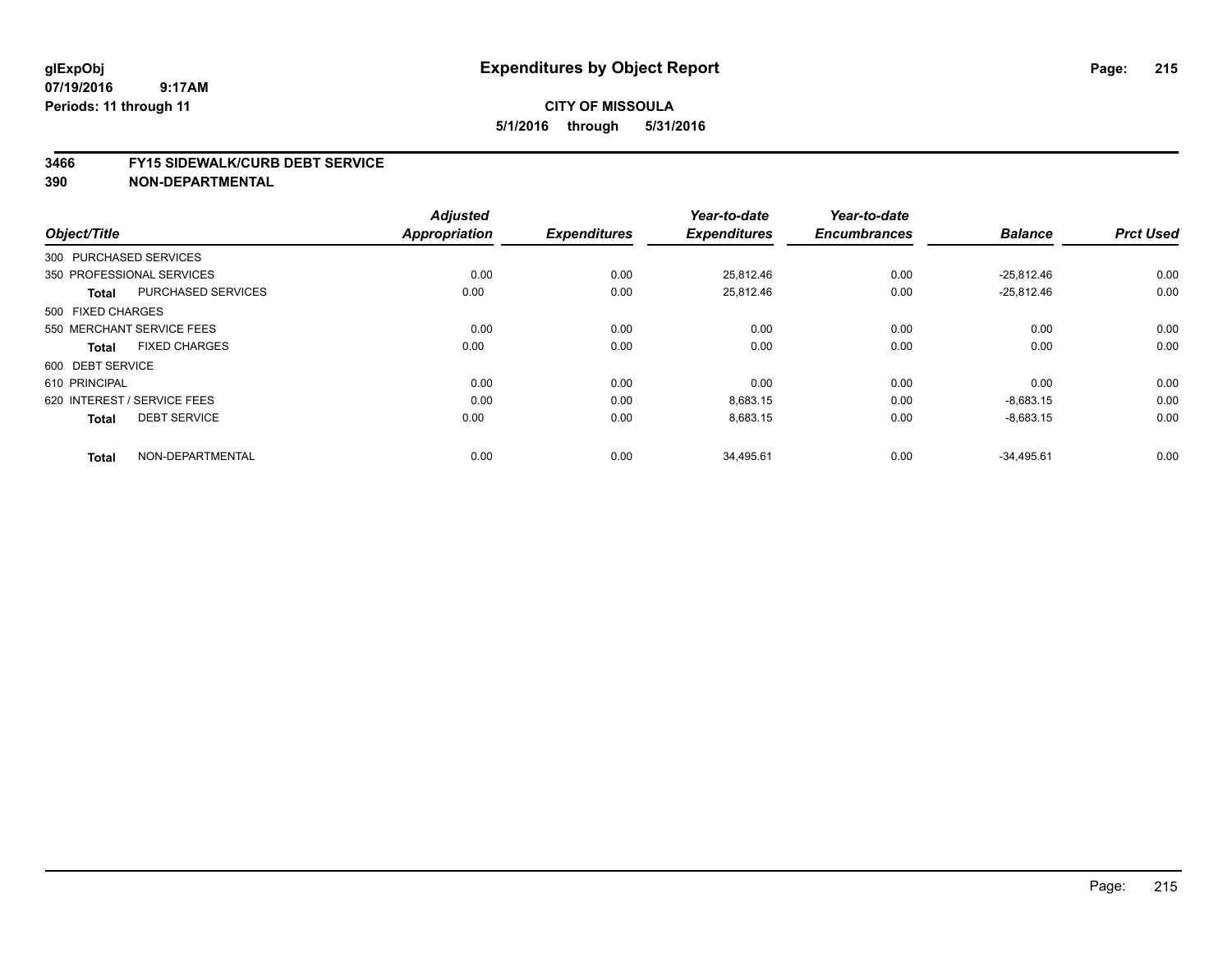## **CITY OF MISSOULA 5/1/2016 through 5/31/2016**

#### **3466 FY15 SIDEWALK/CURB DEBT SERVICE**

|                             |                           | <b>Adjusted</b><br><b>Appropriation</b> |                     | Year-to-date<br><b>Expenditures</b> | Year-to-date<br><b>Encumbrances</b> | <b>Balance</b> | <b>Prct Used</b> |
|-----------------------------|---------------------------|-----------------------------------------|---------------------|-------------------------------------|-------------------------------------|----------------|------------------|
| Object/Title                |                           |                                         | <b>Expenditures</b> |                                     |                                     |                |                  |
| 300 PURCHASED SERVICES      |                           |                                         |                     |                                     |                                     |                |                  |
| 350 PROFESSIONAL SERVICES   |                           | 0.00                                    | 0.00                | 25.812.46                           | 0.00                                | $-25.812.46$   | 0.00             |
| <b>Total</b>                | <b>PURCHASED SERVICES</b> | 0.00                                    | 0.00                | 25,812.46                           | 0.00                                | $-25,812.46$   | 0.00             |
| 500 FIXED CHARGES           |                           |                                         |                     |                                     |                                     |                |                  |
| 550 MERCHANT SERVICE FEES   |                           | 0.00                                    | 0.00                | 0.00                                | 0.00                                | 0.00           | 0.00             |
| <b>Total</b>                | <b>FIXED CHARGES</b>      | 0.00                                    | 0.00                | 0.00                                | 0.00                                | 0.00           | 0.00             |
| 600 DEBT SERVICE            |                           |                                         |                     |                                     |                                     |                |                  |
| 610 PRINCIPAL               |                           | 0.00                                    | 0.00                | 0.00                                | 0.00                                | 0.00           | 0.00             |
| 620 INTEREST / SERVICE FEES |                           | 0.00                                    | 0.00                | 8,683.15                            | 0.00                                | $-8,683.15$    | 0.00             |
| <b>Total</b>                | <b>DEBT SERVICE</b>       | 0.00                                    | 0.00                | 8,683.15                            | 0.00                                | $-8,683.15$    | 0.00             |
| <b>Total</b>                | NON-DEPARTMENTAL          | 0.00                                    | 0.00                | 34,495.61                           | 0.00                                | $-34,495.61$   | 0.00             |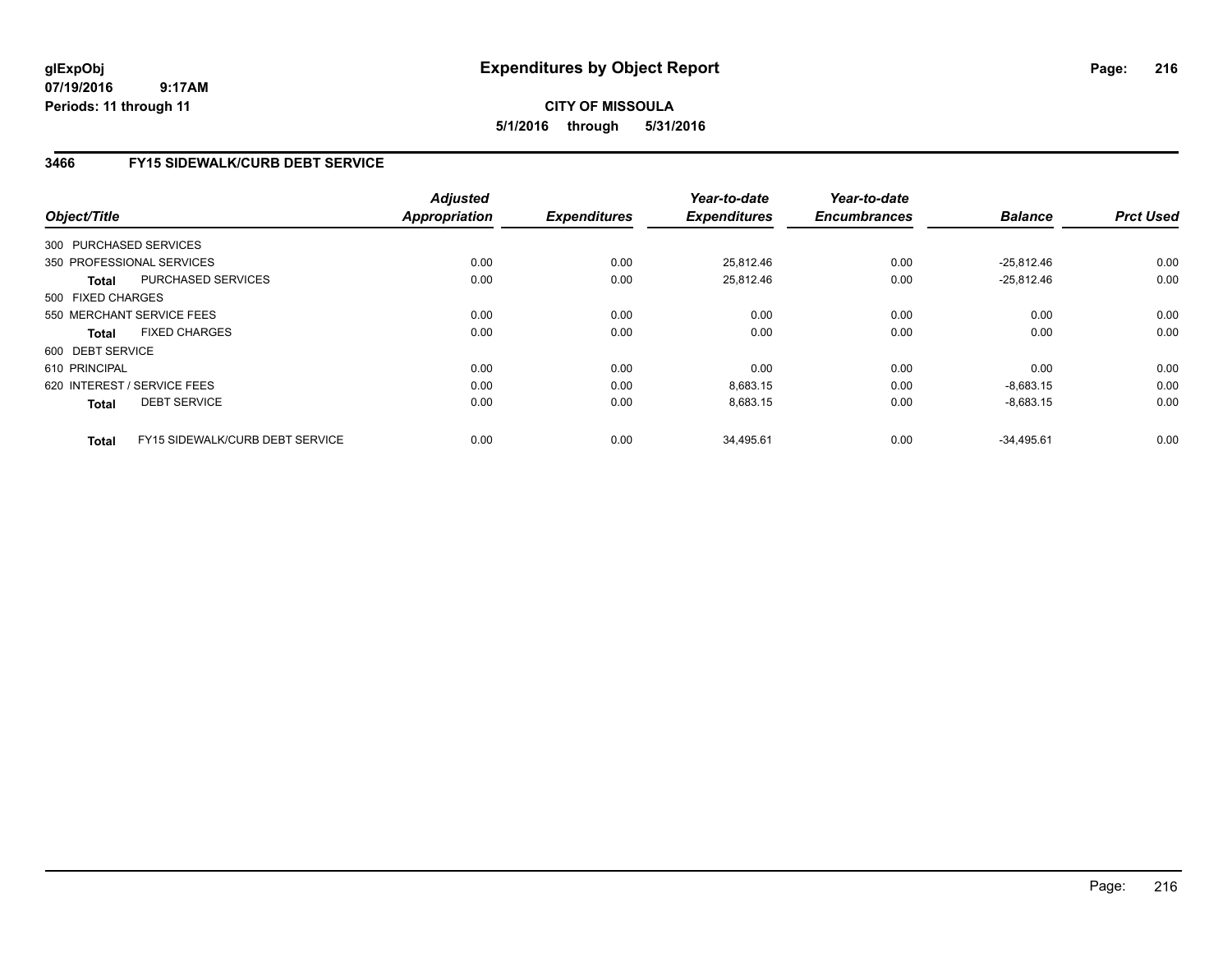## **CITY OF MISSOULA 5/1/2016 through 5/31/2016**

### **3466 FY15 SIDEWALK/CURB DEBT SERVICE**

| Object/Title      |                                 | <b>Adjusted</b><br><b>Appropriation</b> | <b>Expenditures</b> | Year-to-date<br><b>Expenditures</b> | Year-to-date<br><b>Encumbrances</b> | <b>Balance</b> | <b>Prct Used</b> |
|-------------------|---------------------------------|-----------------------------------------|---------------------|-------------------------------------|-------------------------------------|----------------|------------------|
|                   |                                 |                                         |                     |                                     |                                     |                |                  |
|                   | 300 PURCHASED SERVICES          |                                         |                     |                                     |                                     |                |                  |
|                   | 350 PROFESSIONAL SERVICES       | 0.00                                    | 0.00                | 25,812.46                           | 0.00                                | $-25,812.46$   | 0.00             |
| Total             | PURCHASED SERVICES              | 0.00                                    | 0.00                | 25,812.46                           | 0.00                                | $-25,812.46$   | 0.00             |
| 500 FIXED CHARGES |                                 |                                         |                     |                                     |                                     |                |                  |
|                   | 550 MERCHANT SERVICE FEES       | 0.00                                    | 0.00                | 0.00                                | 0.00                                | 0.00           | 0.00             |
| <b>Total</b>      | <b>FIXED CHARGES</b>            | 0.00                                    | 0.00                | 0.00                                | 0.00                                | 0.00           | 0.00             |
| 600 DEBT SERVICE  |                                 |                                         |                     |                                     |                                     |                |                  |
| 610 PRINCIPAL     |                                 | 0.00                                    | 0.00                | 0.00                                | 0.00                                | 0.00           | 0.00             |
|                   | 620 INTEREST / SERVICE FEES     | 0.00                                    | 0.00                | 8,683.15                            | 0.00                                | $-8,683.15$    | 0.00             |
| <b>Total</b>      | <b>DEBT SERVICE</b>             | 0.00                                    | 0.00                | 8,683.15                            | 0.00                                | $-8,683.15$    | 0.00             |
| <b>Total</b>      | FY15 SIDEWALK/CURB DEBT SERVICE | 0.00                                    | 0.00                | 34,495.61                           | 0.00                                | $-34,495.61$   | 0.00             |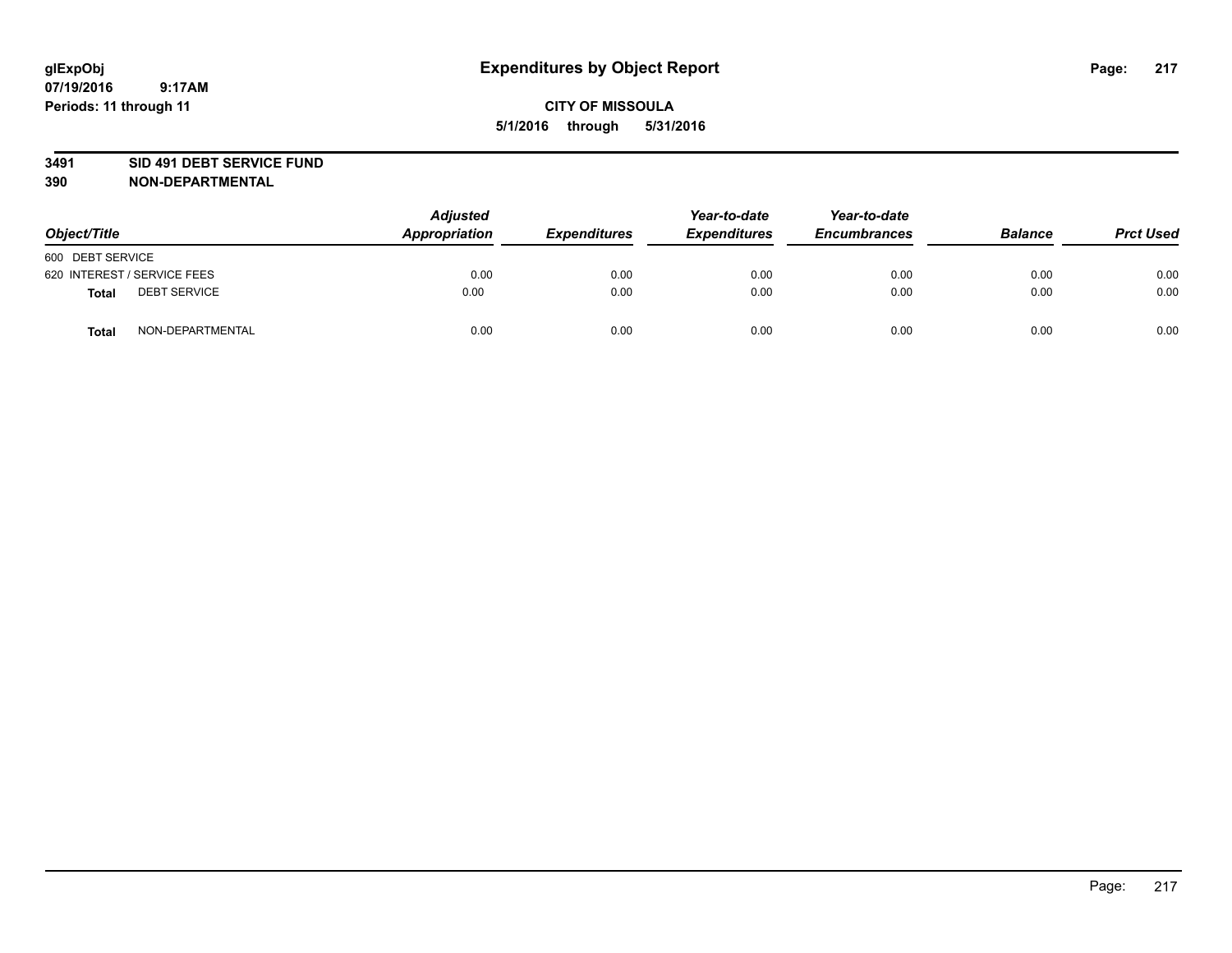#### **3491 SID 491 DEBT SERVICE FUND**

| Object/Title                 | <b>Adjusted</b><br>Appropriation | <b>Expenditures</b> | Year-to-date<br><b>Expenditures</b> | Year-to-date<br><b>Encumbrances</b> | <b>Balance</b> | <b>Prct Used</b> |
|------------------------------|----------------------------------|---------------------|-------------------------------------|-------------------------------------|----------------|------------------|
| 600 DEBT SERVICE             |                                  |                     |                                     |                                     |                |                  |
| 620 INTEREST / SERVICE FEES  | 0.00                             | 0.00                | 0.00                                | 0.00                                | 0.00           | 0.00             |
| <b>DEBT SERVICE</b><br>Total | 0.00                             | 0.00                | 0.00                                | 0.00                                | 0.00           | 0.00             |
| NON-DEPARTMENTAL<br>Total    | 0.00                             | 0.00                | 0.00                                | 0.00                                | 0.00           | 0.00             |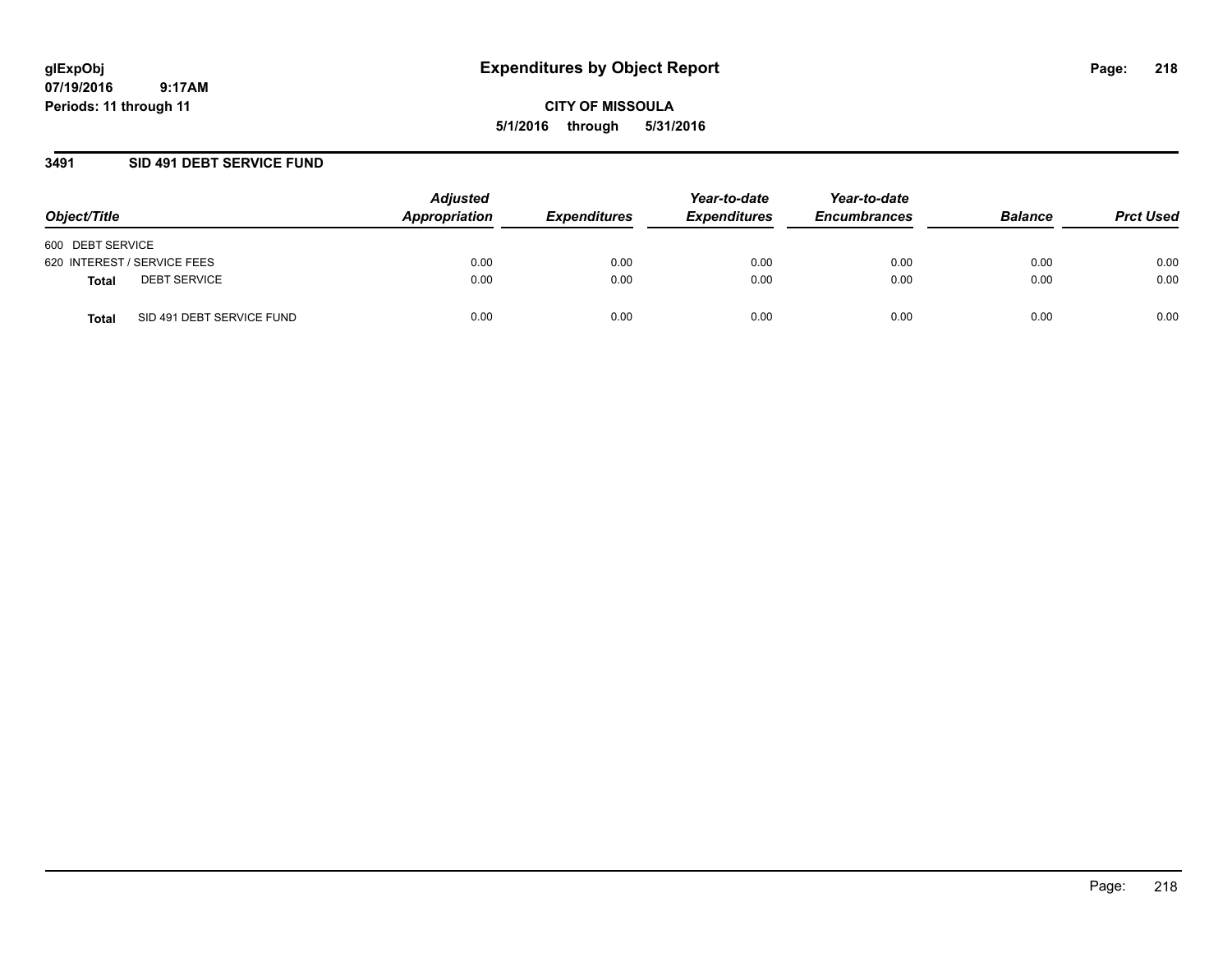**07/19/2016 9:17AM Periods: 11 through 11**

**CITY OF MISSOULA 5/1/2016 through 5/31/2016**

### **3491 SID 491 DEBT SERVICE FUND**

| Object/Title                              | <b>Adjusted</b><br>Appropriation | <b>Expenditures</b> | Year-to-date<br><b>Expenditures</b> | Year-to-date<br><b>Encumbrances</b> | <b>Balance</b> | <b>Prct Used</b> |
|-------------------------------------------|----------------------------------|---------------------|-------------------------------------|-------------------------------------|----------------|------------------|
| 600 DEBT SERVICE                          |                                  |                     |                                     |                                     |                |                  |
| 620 INTEREST / SERVICE FEES               | 0.00                             | 0.00                | 0.00                                | 0.00                                | 0.00           | 0.00             |
| <b>DEBT SERVICE</b><br>Total              | 0.00                             | 0.00                | 0.00                                | 0.00                                | 0.00           | 0.00             |
| SID 491 DEBT SERVICE FUND<br><b>Total</b> | 0.00                             | 0.00                | 0.00                                | 0.00                                | 0.00           | 0.00             |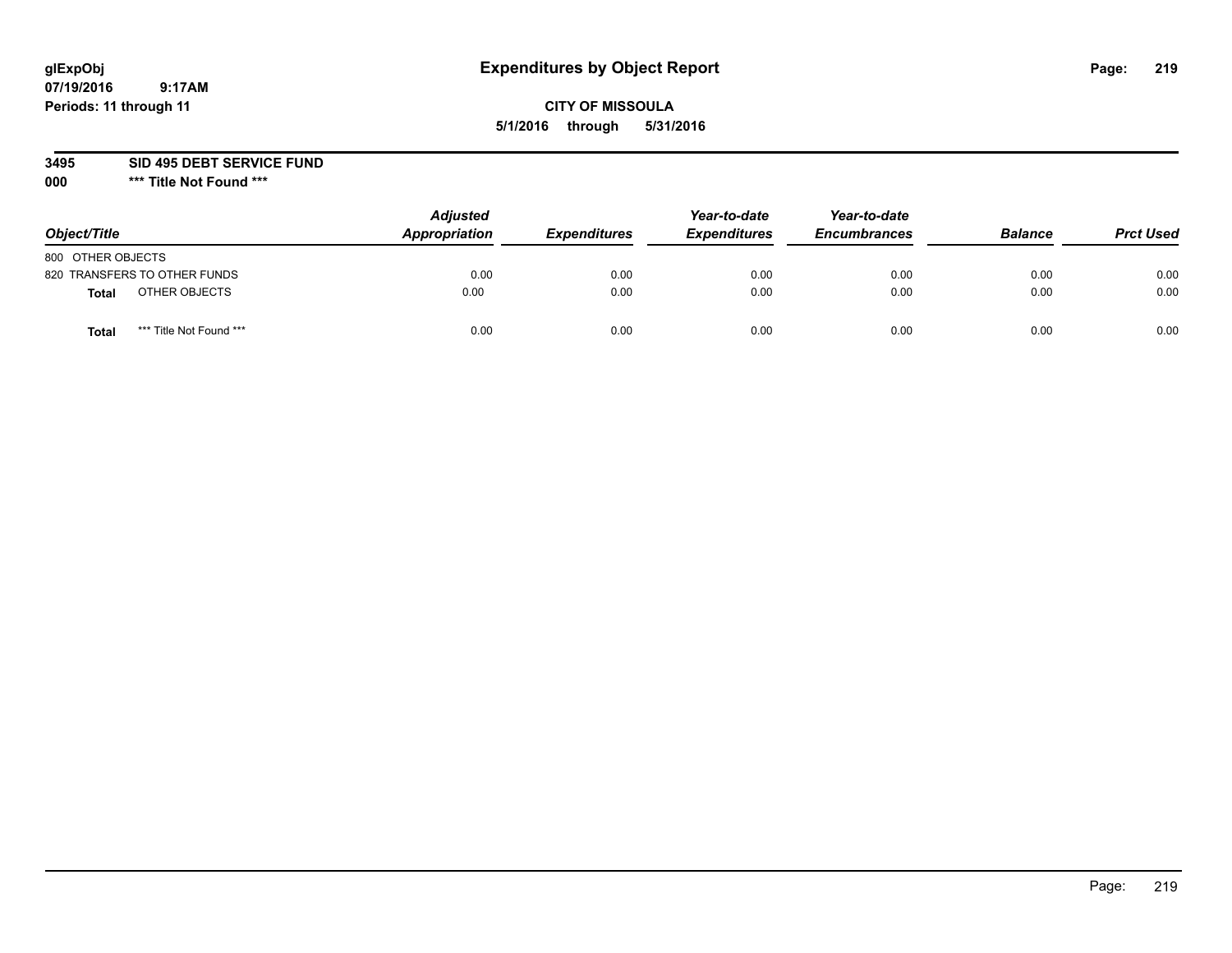## **CITY OF MISSOULA 5/1/2016 through 5/31/2016**

**3495 SID 495 DEBT SERVICE FUND**

| Object/Title      |                              | <b>Adjusted</b><br>Appropriation | <b>Expenditures</b> | Year-to-date<br><b>Expenditures</b> | Year-to-date<br><b>Encumbrances</b> | <b>Balance</b> | <b>Prct Used</b> |
|-------------------|------------------------------|----------------------------------|---------------------|-------------------------------------|-------------------------------------|----------------|------------------|
| 800 OTHER OBJECTS |                              |                                  |                     |                                     |                                     |                |                  |
|                   | 820 TRANSFERS TO OTHER FUNDS | 0.00                             | 0.00                | 0.00                                | 0.00                                | 0.00           | 0.00             |
| Total             | OTHER OBJECTS                | 0.00                             | 0.00                | 0.00                                | 0.00                                | 0.00           | 0.00             |
| Tota              | *** Title Not Found ***      | 0.00                             | 0.00                | 0.00                                | 0.00                                | 0.00           | 0.00             |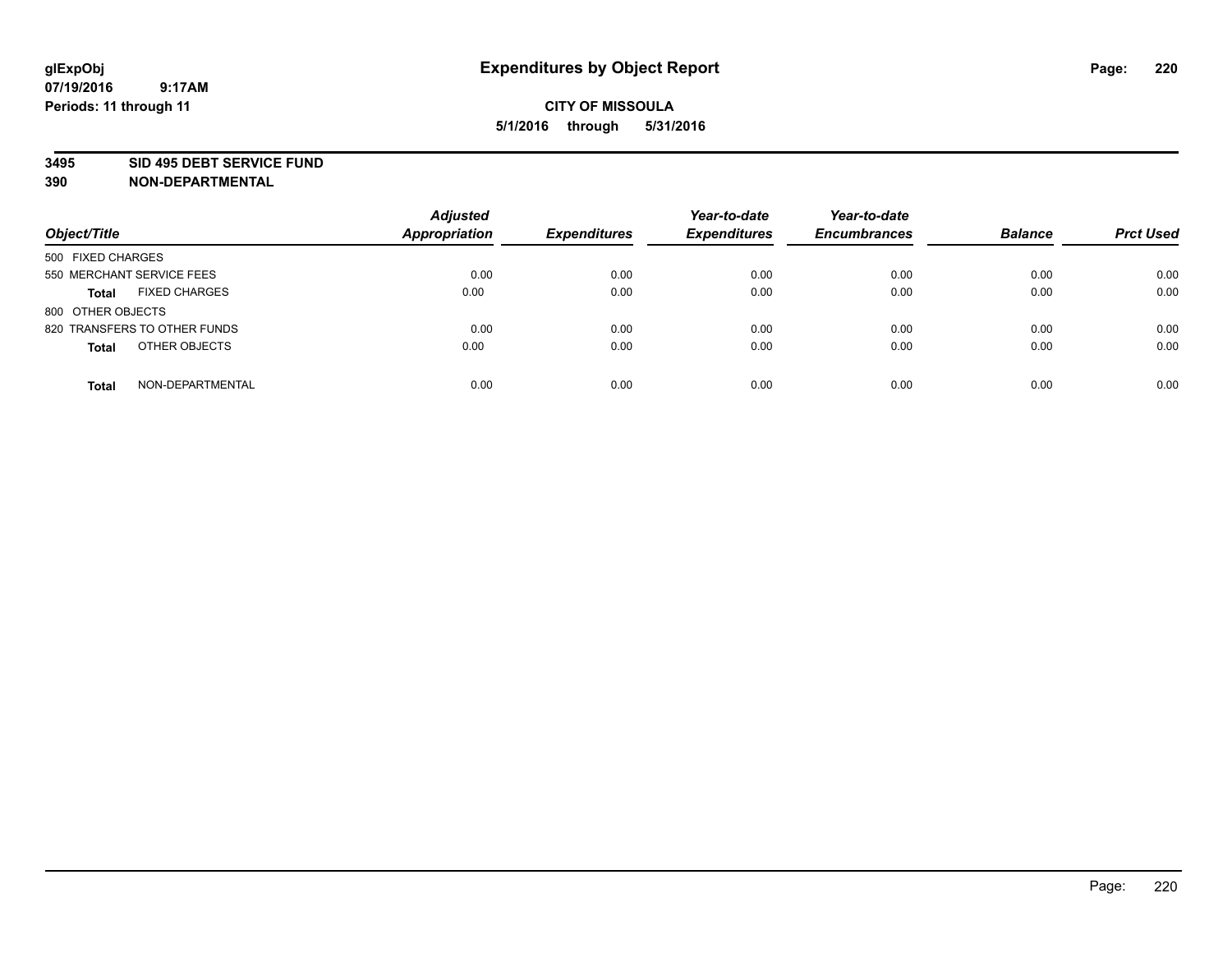#### **3495 SID 495 DEBT SERVICE FUND**

| Object/Title                         | <b>Adjusted</b><br><b>Appropriation</b> | <b>Expenditures</b> | Year-to-date<br><b>Expenditures</b> | Year-to-date<br><b>Encumbrances</b> | <b>Balance</b> | <b>Prct Used</b> |
|--------------------------------------|-----------------------------------------|---------------------|-------------------------------------|-------------------------------------|----------------|------------------|
| 500 FIXED CHARGES                    |                                         |                     |                                     |                                     |                |                  |
| 550 MERCHANT SERVICE FEES            | 0.00                                    | 0.00                | 0.00                                | 0.00                                | 0.00           | 0.00             |
| <b>FIXED CHARGES</b><br><b>Total</b> | 0.00                                    | 0.00                | 0.00                                | 0.00                                | 0.00           | 0.00             |
| 800 OTHER OBJECTS                    |                                         |                     |                                     |                                     |                |                  |
| 820 TRANSFERS TO OTHER FUNDS         | 0.00                                    | 0.00                | 0.00                                | 0.00                                | 0.00           | 0.00             |
| OTHER OBJECTS<br><b>Total</b>        | 0.00                                    | 0.00                | 0.00                                | 0.00                                | 0.00           | 0.00             |
| NON-DEPARTMENTAL<br><b>Total</b>     | 0.00                                    | 0.00                | 0.00                                | 0.00                                | 0.00           | 0.00             |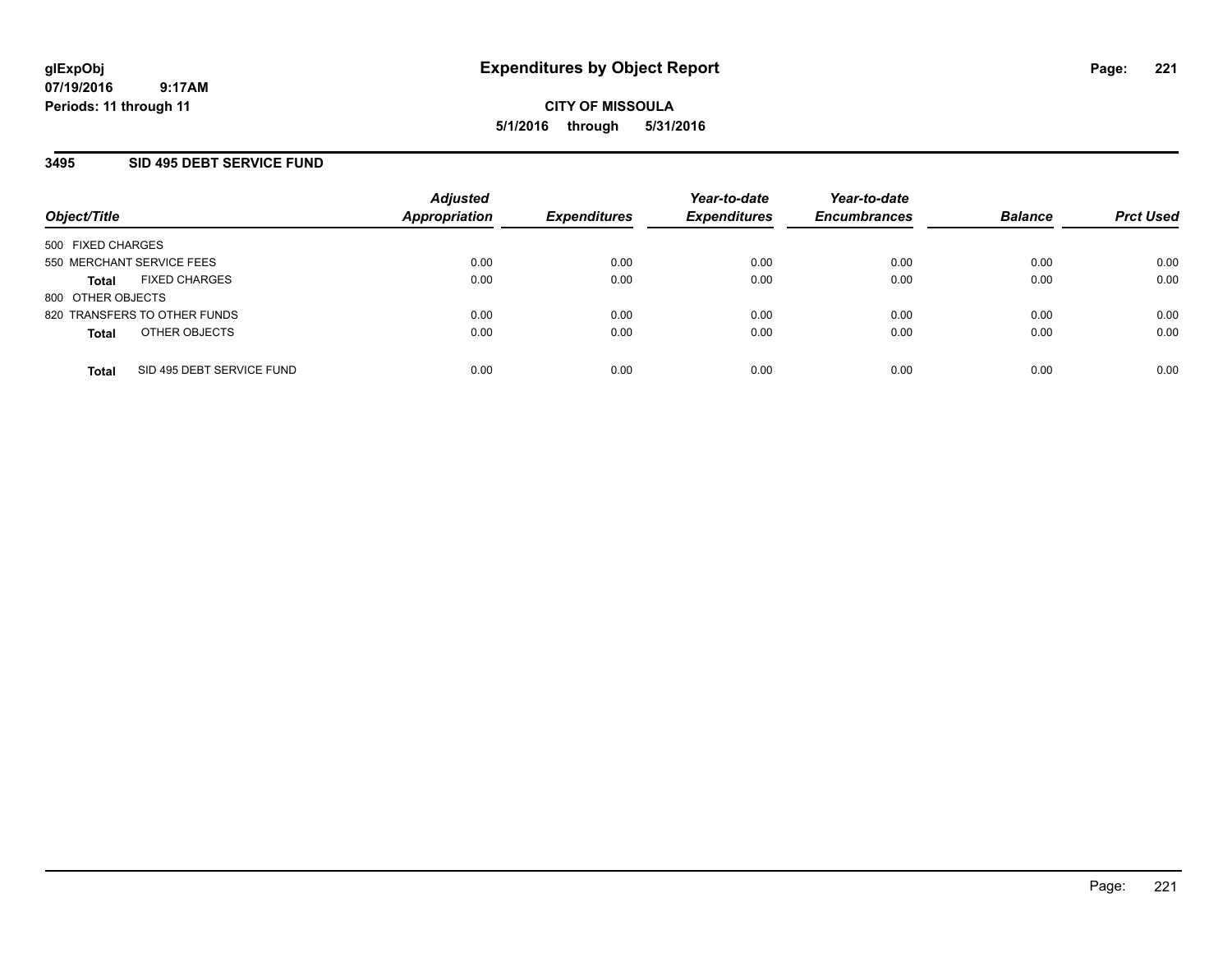### **3495 SID 495 DEBT SERVICE FUND**

| Object/Title                              | <b>Adjusted</b><br><b>Appropriation</b> | <b>Expenditures</b> | Year-to-date<br><b>Expenditures</b> | Year-to-date<br><b>Encumbrances</b> | <b>Balance</b> | <b>Prct Used</b> |
|-------------------------------------------|-----------------------------------------|---------------------|-------------------------------------|-------------------------------------|----------------|------------------|
| 500 FIXED CHARGES                         |                                         |                     |                                     |                                     |                |                  |
| 550 MERCHANT SERVICE FEES                 | 0.00                                    | 0.00                | 0.00                                | 0.00                                | 0.00           | 0.00             |
| <b>FIXED CHARGES</b><br><b>Total</b>      | 0.00                                    | 0.00                | 0.00                                | 0.00                                | 0.00           | 0.00             |
| 800 OTHER OBJECTS                         |                                         |                     |                                     |                                     |                |                  |
| 820 TRANSFERS TO OTHER FUNDS              | 0.00                                    | 0.00                | 0.00                                | 0.00                                | 0.00           | 0.00             |
| OTHER OBJECTS<br><b>Total</b>             | 0.00                                    | 0.00                | 0.00                                | 0.00                                | 0.00           | 0.00             |
| SID 495 DEBT SERVICE FUND<br><b>Total</b> | 0.00                                    | 0.00                | 0.00                                | 0.00                                | 0.00           | 0.00             |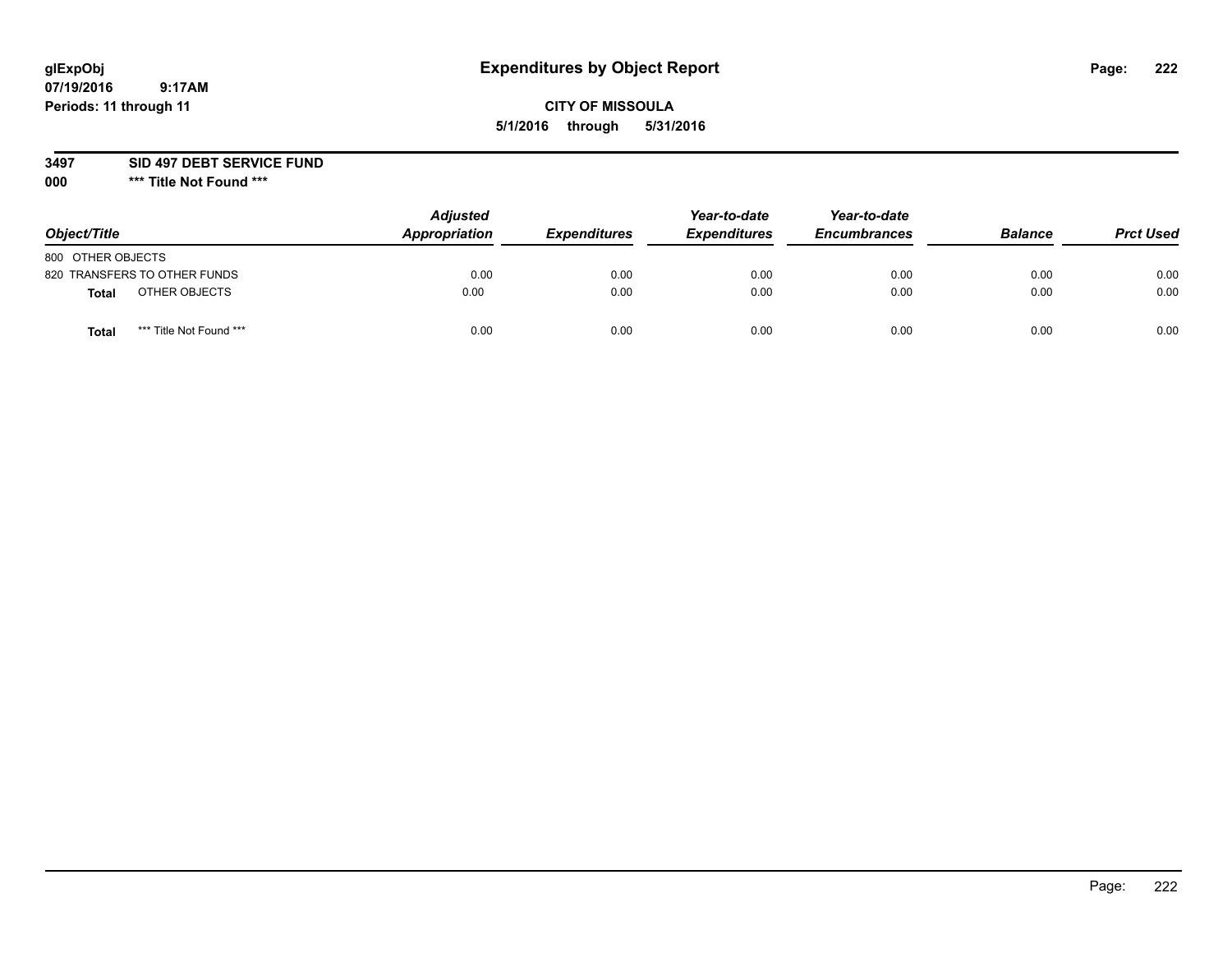## **CITY OF MISSOULA 5/1/2016 through 5/31/2016**

**3497 SID 497 DEBT SERVICE FUND**

| Object/Title                            | <b>Adjusted</b><br>Appropriation | <b>Expenditures</b> | Year-to-date<br><b>Expenditures</b> | Year-to-date<br><b>Encumbrances</b> | <b>Balance</b> | <b>Prct Used</b> |
|-----------------------------------------|----------------------------------|---------------------|-------------------------------------|-------------------------------------|----------------|------------------|
| 800 OTHER OBJECTS                       |                                  |                     |                                     |                                     |                |                  |
| 820 TRANSFERS TO OTHER FUNDS            | 0.00                             | 0.00                | 0.00                                | 0.00                                | 0.00           | 0.00             |
| OTHER OBJECTS<br><b>Total</b>           | 0.00                             | 0.00                | 0.00                                | 0.00                                | 0.00           | 0.00             |
| *** Title Not Found ***<br><b>Total</b> | 0.00                             | 0.00                | 0.00                                | 0.00                                | 0.00           | 0.00             |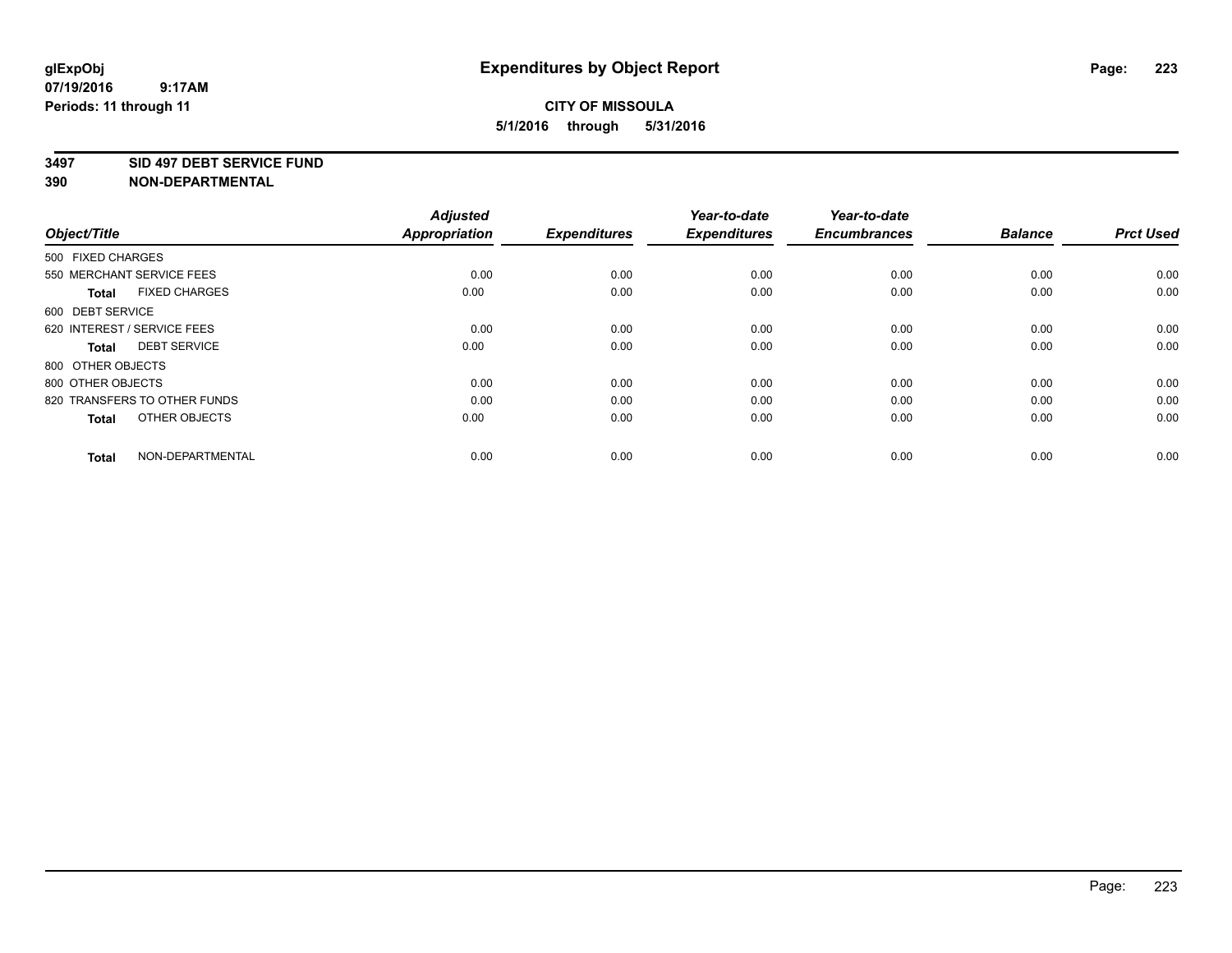#### **3497 SID 497 DEBT SERVICE FUND**

| Object/Title                         | <b>Adjusted</b><br><b>Appropriation</b> | <b>Expenditures</b> | Year-to-date<br><b>Expenditures</b> | Year-to-date<br><b>Encumbrances</b> | <b>Balance</b> | <b>Prct Used</b> |
|--------------------------------------|-----------------------------------------|---------------------|-------------------------------------|-------------------------------------|----------------|------------------|
| 500 FIXED CHARGES                    |                                         |                     |                                     |                                     |                |                  |
| 550 MERCHANT SERVICE FEES            | 0.00                                    | 0.00                | 0.00                                | 0.00                                | 0.00           | 0.00             |
| <b>FIXED CHARGES</b><br><b>Total</b> | 0.00                                    | 0.00                | 0.00                                | 0.00                                | 0.00           | 0.00             |
| 600 DEBT SERVICE                     |                                         |                     |                                     |                                     |                |                  |
| 620 INTEREST / SERVICE FEES          | 0.00                                    | 0.00                | 0.00                                | 0.00                                | 0.00           | 0.00             |
| <b>DEBT SERVICE</b><br><b>Total</b>  | 0.00                                    | 0.00                | 0.00                                | 0.00                                | 0.00           | 0.00             |
| 800 OTHER OBJECTS                    |                                         |                     |                                     |                                     |                |                  |
| 800 OTHER OBJECTS                    | 0.00                                    | 0.00                | 0.00                                | 0.00                                | 0.00           | 0.00             |
| 820 TRANSFERS TO OTHER FUNDS         | 0.00                                    | 0.00                | 0.00                                | 0.00                                | 0.00           | 0.00             |
| OTHER OBJECTS<br><b>Total</b>        | 0.00                                    | 0.00                | 0.00                                | 0.00                                | 0.00           | 0.00             |
|                                      |                                         |                     |                                     |                                     |                |                  |
| NON-DEPARTMENTAL<br><b>Total</b>     | 0.00                                    | 0.00                | 0.00                                | 0.00                                | 0.00           | 0.00             |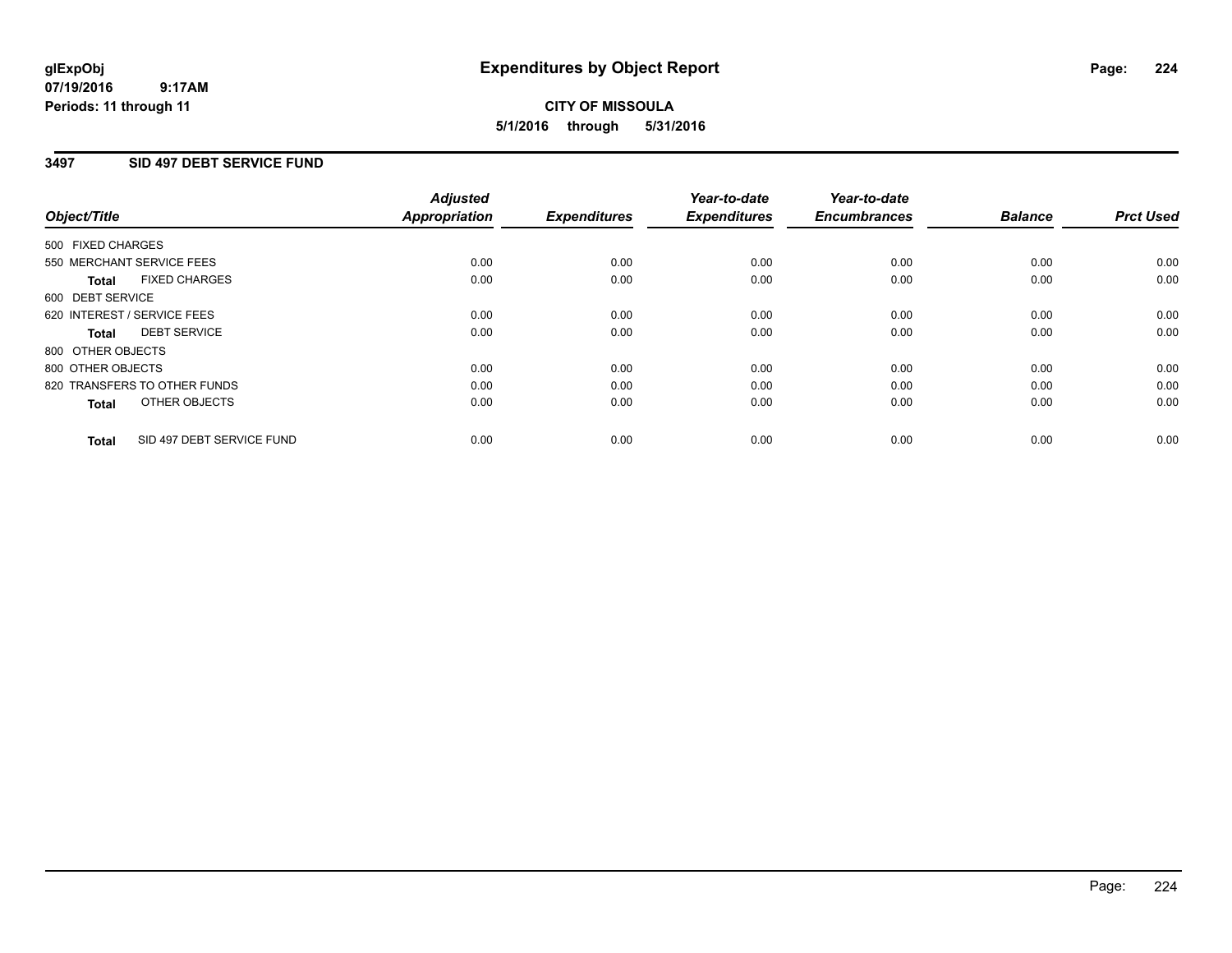#### **07/19/2016 9:17AM Periods: 11 through 11**

## **CITY OF MISSOULA 5/1/2016 through 5/31/2016**

### **3497 SID 497 DEBT SERVICE FUND**

|                                           | <b>Adjusted</b>      | <b>Expenditures</b> | Year-to-date<br><b>Expenditures</b> | Year-to-date<br><b>Encumbrances</b> | <b>Balance</b> | <b>Prct Used</b> |
|-------------------------------------------|----------------------|---------------------|-------------------------------------|-------------------------------------|----------------|------------------|
| Object/Title                              | <b>Appropriation</b> |                     |                                     |                                     |                |                  |
| 500 FIXED CHARGES                         |                      |                     |                                     |                                     |                |                  |
| 550 MERCHANT SERVICE FEES                 | 0.00                 | 0.00                | 0.00                                | 0.00                                | 0.00           | 0.00             |
| <b>FIXED CHARGES</b><br>Total             | 0.00                 | 0.00                | 0.00                                | 0.00                                | 0.00           | 0.00             |
| 600 DEBT SERVICE                          |                      |                     |                                     |                                     |                |                  |
| 620 INTEREST / SERVICE FEES               | 0.00                 | 0.00                | 0.00                                | 0.00                                | 0.00           | 0.00             |
| <b>DEBT SERVICE</b><br>Total              | 0.00                 | 0.00                | 0.00                                | 0.00                                | 0.00           | 0.00             |
| 800 OTHER OBJECTS                         |                      |                     |                                     |                                     |                |                  |
| 800 OTHER OBJECTS                         | 0.00                 | 0.00                | 0.00                                | 0.00                                | 0.00           | 0.00             |
| 820 TRANSFERS TO OTHER FUNDS              | 0.00                 | 0.00                | 0.00                                | 0.00                                | 0.00           | 0.00             |
| OTHER OBJECTS<br><b>Total</b>             | 0.00                 | 0.00                | 0.00                                | 0.00                                | 0.00           | 0.00             |
|                                           |                      |                     |                                     |                                     |                |                  |
| SID 497 DEBT SERVICE FUND<br><b>Total</b> | 0.00                 | 0.00                | 0.00                                | 0.00                                | 0.00           | 0.00             |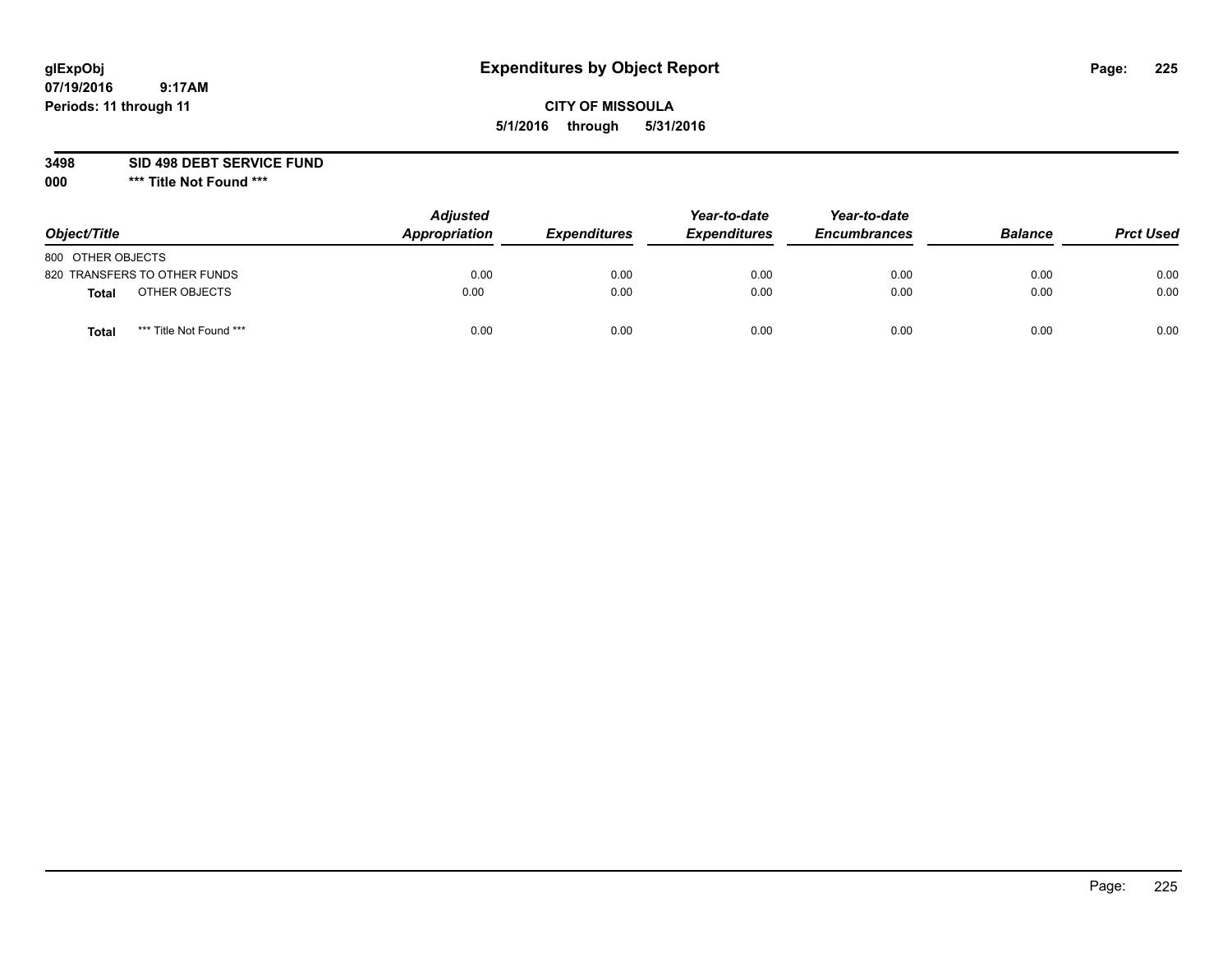## **CITY OF MISSOULA 5/1/2016 through 5/31/2016**

**3498 SID 498 DEBT SERVICE FUND**

| Object/Title                            | <b>Adjusted</b><br>Appropriation | <b>Expenditures</b> | Year-to-date<br><b>Expenditures</b> | Year-to-date<br><b>Encumbrances</b> | <b>Balance</b> | <b>Prct Used</b> |
|-----------------------------------------|----------------------------------|---------------------|-------------------------------------|-------------------------------------|----------------|------------------|
| 800 OTHER OBJECTS                       |                                  |                     |                                     |                                     |                |                  |
| 820 TRANSFERS TO OTHER FUNDS            | 0.00                             | 0.00                | 0.00                                | 0.00                                | 0.00           | 0.00             |
| OTHER OBJECTS<br><b>Total</b>           | 0.00                             | 0.00                | 0.00                                | 0.00                                | 0.00           | 0.00             |
| *** Title Not Found ***<br><b>Total</b> | 0.00                             | 0.00                | 0.00                                | 0.00                                | 0.00           | 0.00             |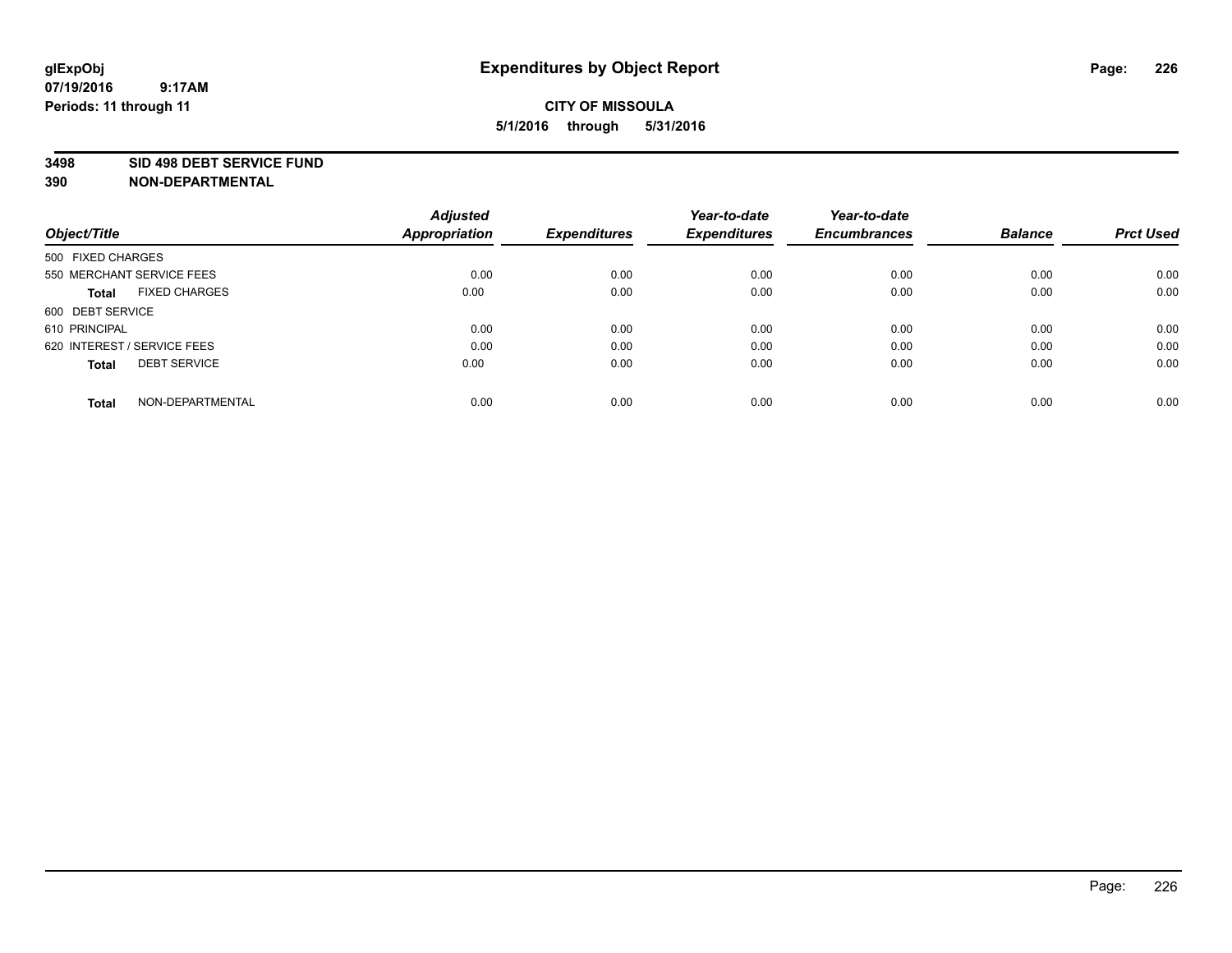#### **3498 SID 498 DEBT SERVICE FUND**

| Object/Title                         | <b>Adjusted</b><br><b>Appropriation</b> | <b>Expenditures</b> | Year-to-date<br><b>Expenditures</b> | Year-to-date<br><b>Encumbrances</b> | <b>Balance</b> | <b>Prct Used</b> |
|--------------------------------------|-----------------------------------------|---------------------|-------------------------------------|-------------------------------------|----------------|------------------|
|                                      |                                         |                     |                                     |                                     |                |                  |
| 500 FIXED CHARGES                    |                                         |                     |                                     |                                     |                |                  |
| 550 MERCHANT SERVICE FEES            | 0.00                                    | 0.00                | 0.00                                | 0.00                                | 0.00           | 0.00             |
| <b>FIXED CHARGES</b><br><b>Total</b> | 0.00                                    | 0.00                | 0.00                                | 0.00                                | 0.00           | 0.00             |
| 600 DEBT SERVICE                     |                                         |                     |                                     |                                     |                |                  |
| 610 PRINCIPAL                        | 0.00                                    | 0.00                | 0.00                                | 0.00                                | 0.00           | 0.00             |
| 620 INTEREST / SERVICE FEES          | 0.00                                    | 0.00                | 0.00                                | 0.00                                | 0.00           | 0.00             |
| <b>DEBT SERVICE</b><br><b>Total</b>  | 0.00                                    | 0.00                | 0.00                                | 0.00                                | 0.00           | 0.00             |
|                                      |                                         |                     |                                     |                                     |                |                  |
| NON-DEPARTMENTAL<br><b>Total</b>     | 0.00                                    | 0.00                | 0.00                                | 0.00                                | 0.00           | 0.00             |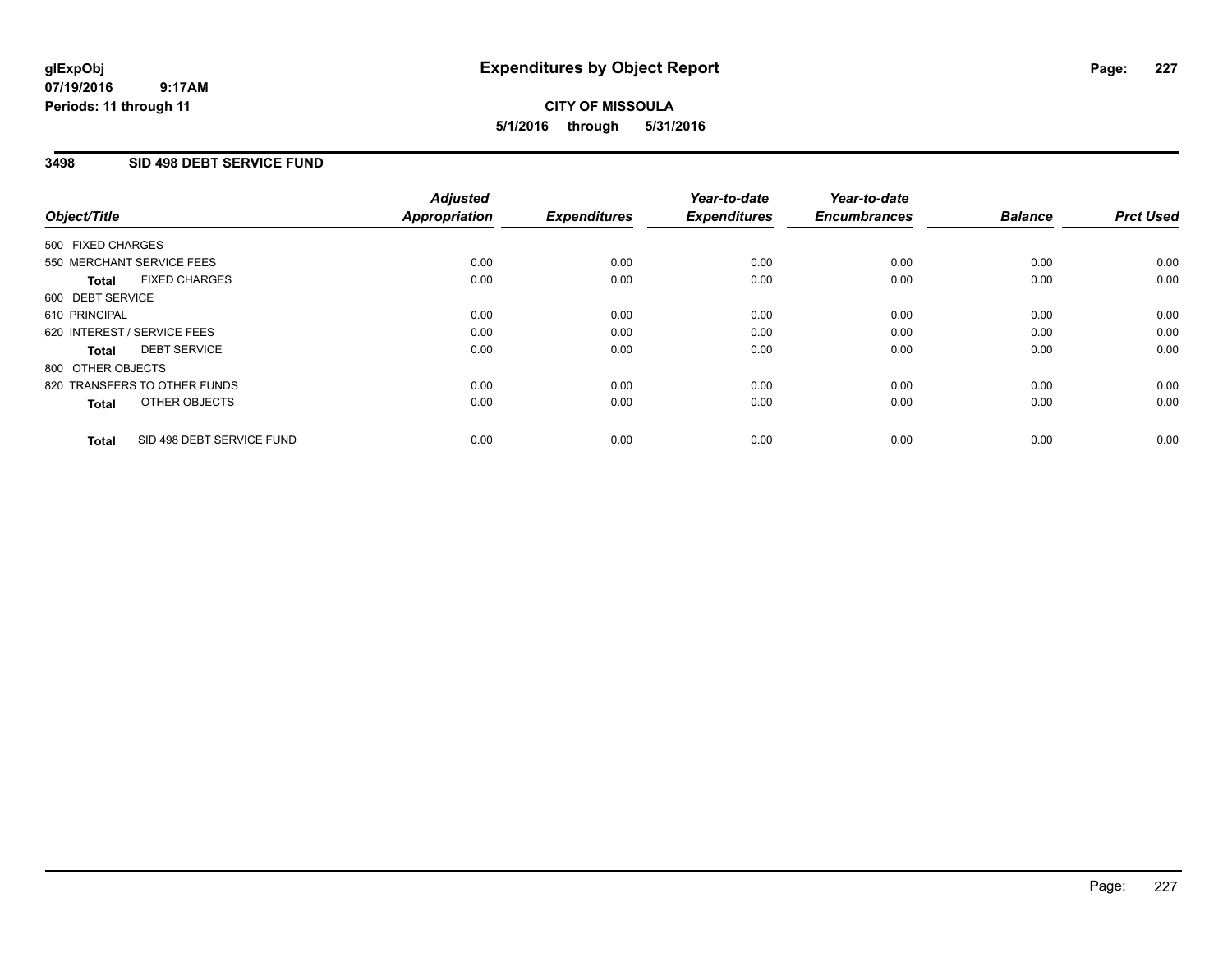#### **07/19/2016 9:17AM Periods: 11 through 11**

## **CITY OF MISSOULA 5/1/2016 through 5/31/2016**

### **3498 SID 498 DEBT SERVICE FUND**

|                   |                              | <b>Adjusted</b>      |                     | Year-to-date        | Year-to-date        |                |                  |
|-------------------|------------------------------|----------------------|---------------------|---------------------|---------------------|----------------|------------------|
| Object/Title      |                              | <b>Appropriation</b> | <b>Expenditures</b> | <b>Expenditures</b> | <b>Encumbrances</b> | <b>Balance</b> | <b>Prct Used</b> |
| 500 FIXED CHARGES |                              |                      |                     |                     |                     |                |                  |
|                   | 550 MERCHANT SERVICE FEES    | 0.00                 | 0.00                | 0.00                | 0.00                | 0.00           | 0.00             |
| <b>Total</b>      | <b>FIXED CHARGES</b>         | 0.00                 | 0.00                | 0.00                | 0.00                | 0.00           | 0.00             |
| 600 DEBT SERVICE  |                              |                      |                     |                     |                     |                |                  |
| 610 PRINCIPAL     |                              | 0.00                 | 0.00                | 0.00                | 0.00                | 0.00           | 0.00             |
|                   | 620 INTEREST / SERVICE FEES  | 0.00                 | 0.00                | 0.00                | 0.00                | 0.00           | 0.00             |
| <b>Total</b>      | <b>DEBT SERVICE</b>          | 0.00                 | 0.00                | 0.00                | 0.00                | 0.00           | 0.00             |
| 800 OTHER OBJECTS |                              |                      |                     |                     |                     |                |                  |
|                   | 820 TRANSFERS TO OTHER FUNDS | 0.00                 | 0.00                | 0.00                | 0.00                | 0.00           | 0.00             |
| <b>Total</b>      | OTHER OBJECTS                | 0.00                 | 0.00                | 0.00                | 0.00                | 0.00           | 0.00             |
| <b>Total</b>      | SID 498 DEBT SERVICE FUND    | 0.00                 | 0.00                | 0.00                | 0.00                | 0.00           | 0.00             |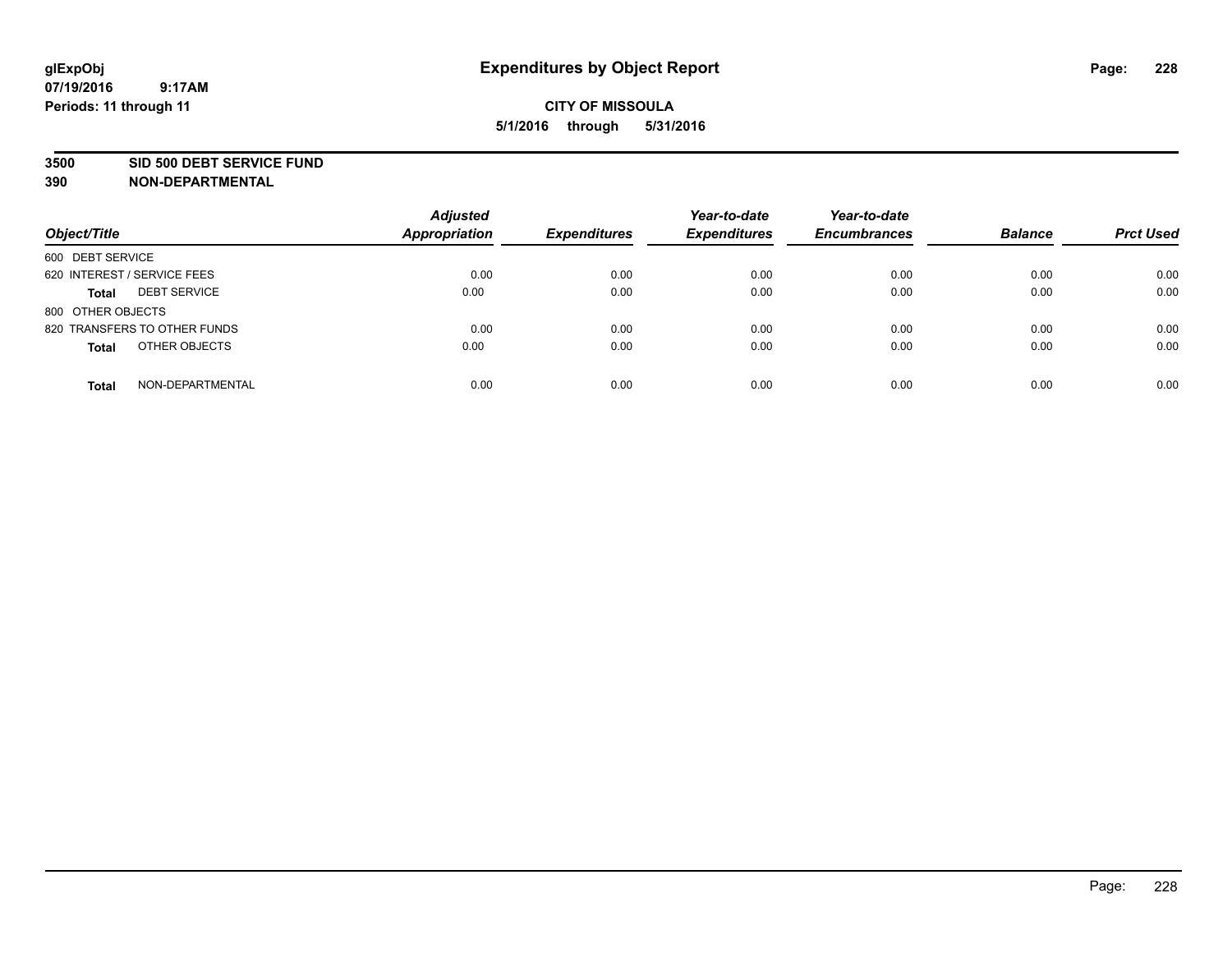#### **3500 SID 500 DEBT SERVICE FUND**

| Object/Title                        | <b>Adjusted</b><br>Appropriation | <b>Expenditures</b> | Year-to-date<br><b>Expenditures</b> | Year-to-date<br><b>Encumbrances</b> | <b>Balance</b> | <b>Prct Used</b> |
|-------------------------------------|----------------------------------|---------------------|-------------------------------------|-------------------------------------|----------------|------------------|
| 600 DEBT SERVICE                    |                                  |                     |                                     |                                     |                |                  |
| 620 INTEREST / SERVICE FEES         | 0.00                             | 0.00                | 0.00                                | 0.00                                | 0.00           | 0.00             |
| <b>DEBT SERVICE</b><br><b>Total</b> | 0.00                             | 0.00                | 0.00                                | 0.00                                | 0.00           | 0.00             |
| 800 OTHER OBJECTS                   |                                  |                     |                                     |                                     |                |                  |
| 820 TRANSFERS TO OTHER FUNDS        | 0.00                             | 0.00                | 0.00                                | 0.00                                | 0.00           | 0.00             |
| OTHER OBJECTS<br><b>Total</b>       | 0.00                             | 0.00                | 0.00                                | 0.00                                | 0.00           | 0.00             |
| NON-DEPARTMENTAL<br><b>Total</b>    | 0.00                             | 0.00                | 0.00                                | 0.00                                | 0.00           | 0.00             |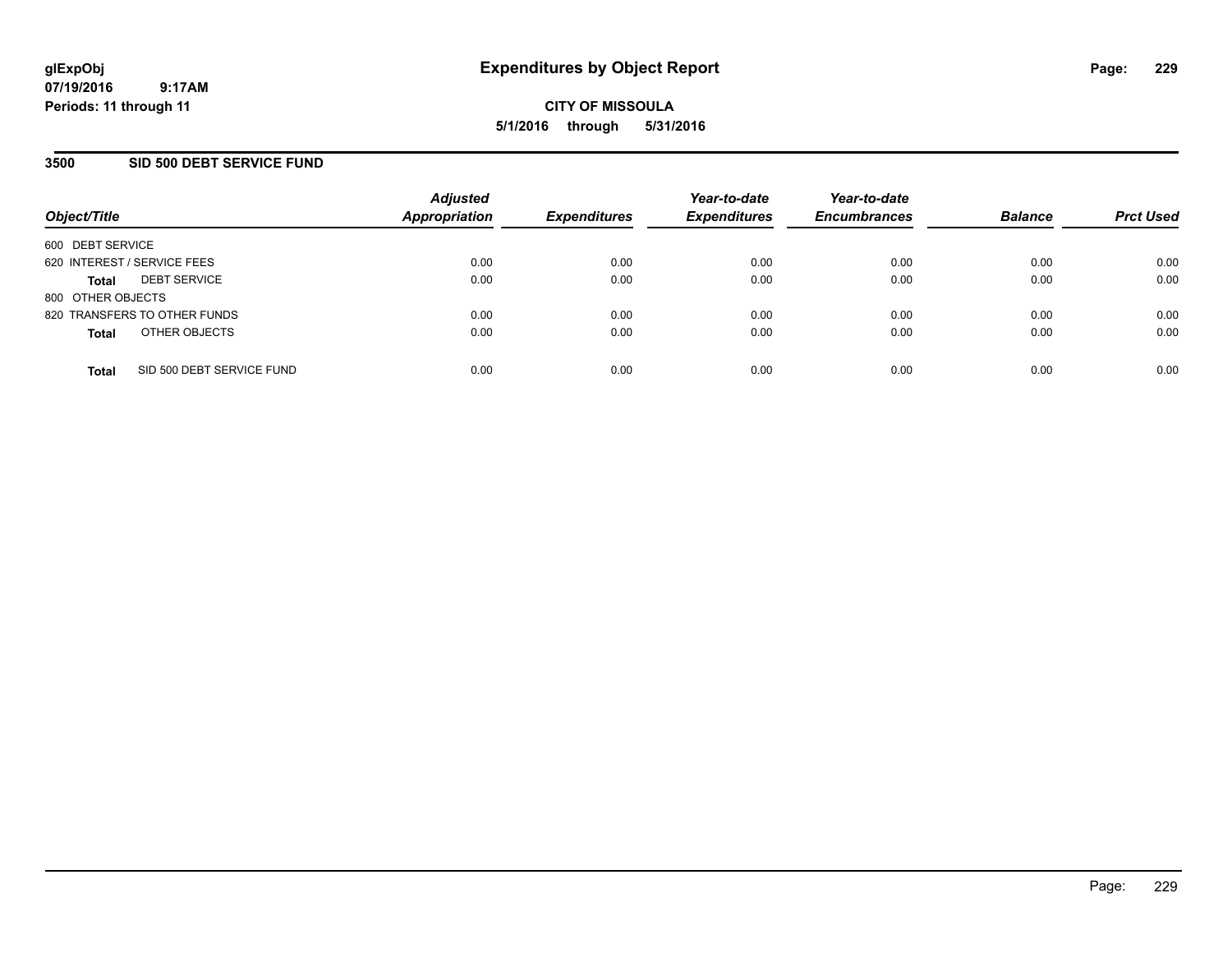### **3500 SID 500 DEBT SERVICE FUND**

| Object/Title                |                              | <b>Adjusted</b><br><b>Appropriation</b> | <b>Expenditures</b> | Year-to-date<br><b>Expenditures</b> | Year-to-date<br><b>Encumbrances</b> | <b>Balance</b> | <b>Prct Used</b> |
|-----------------------------|------------------------------|-----------------------------------------|---------------------|-------------------------------------|-------------------------------------|----------------|------------------|
| 600 DEBT SERVICE            |                              |                                         |                     |                                     |                                     |                |                  |
| 620 INTEREST / SERVICE FEES |                              | 0.00                                    | 0.00                | 0.00                                | 0.00                                | 0.00           | 0.00             |
| <b>Total</b>                | <b>DEBT SERVICE</b>          | 0.00                                    | 0.00                | 0.00                                | 0.00                                | 0.00           | 0.00             |
| 800 OTHER OBJECTS           |                              |                                         |                     |                                     |                                     |                |                  |
|                             | 820 TRANSFERS TO OTHER FUNDS | 0.00                                    | 0.00                | 0.00                                | 0.00                                | 0.00           | 0.00             |
| <b>Total</b>                | OTHER OBJECTS                | 0.00                                    | 0.00                | 0.00                                | 0.00                                | 0.00           | 0.00             |
| <b>Total</b>                | SID 500 DEBT SERVICE FUND    | 0.00                                    | 0.00                | 0.00                                | 0.00                                | 0.00           | 0.00             |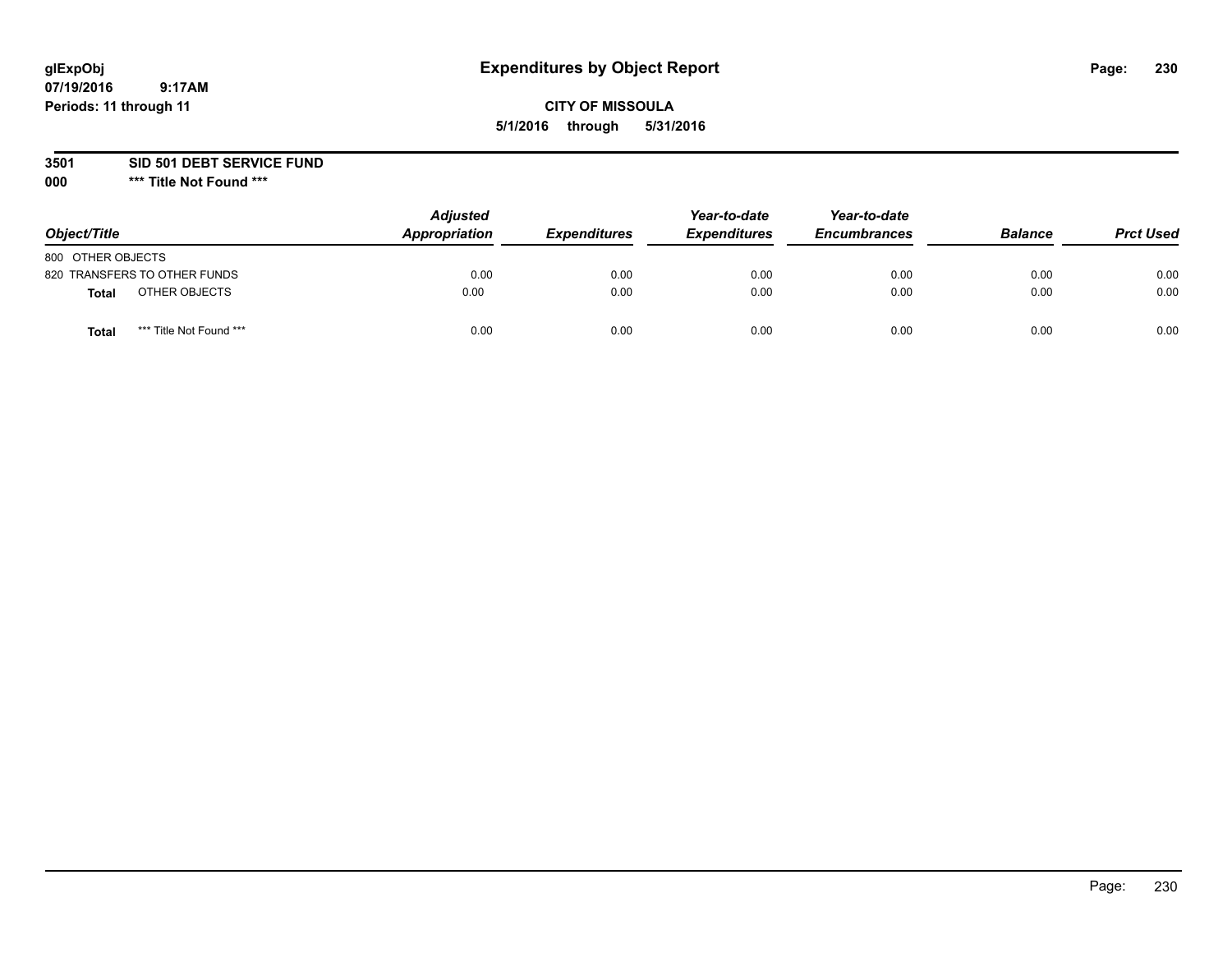## **CITY OF MISSOULA 5/1/2016 through 5/31/2016**

**3501 SID 501 DEBT SERVICE FUND**

| Object/Title                            | <b>Adjusted</b><br>Appropriation | <b>Expenditures</b> | Year-to-date<br><b>Expenditures</b> | Year-to-date<br><b>Encumbrances</b> | <b>Balance</b> | <b>Prct Used</b> |
|-----------------------------------------|----------------------------------|---------------------|-------------------------------------|-------------------------------------|----------------|------------------|
| 800 OTHER OBJECTS                       |                                  |                     |                                     |                                     |                |                  |
| 820 TRANSFERS TO OTHER FUNDS            | 0.00                             | 0.00                | 0.00                                | 0.00                                | 0.00           | 0.00             |
| OTHER OBJECTS<br><b>Total</b>           | 0.00                             | 0.00                | 0.00                                | 0.00                                | 0.00           | 0.00             |
| *** Title Not Found ***<br><b>Total</b> | 0.00                             | 0.00                | 0.00                                | 0.00                                | 0.00           | 0.00             |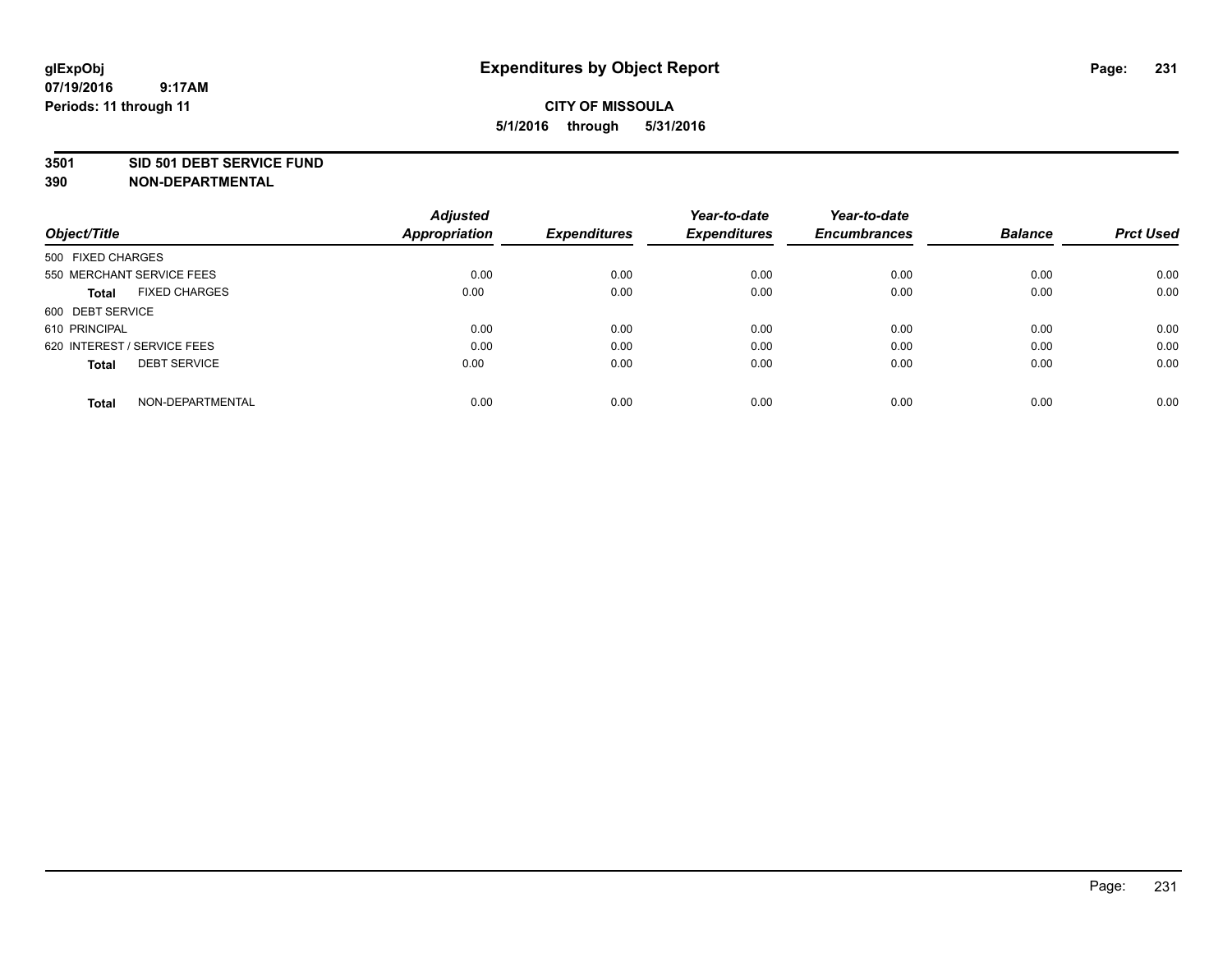#### **3501 SID 501 DEBT SERVICE FUND**

| Object/Title                         | <b>Adjusted</b><br><b>Appropriation</b> | <b>Expenditures</b> | Year-to-date<br><b>Expenditures</b> | Year-to-date<br><b>Encumbrances</b> | <b>Balance</b> | <b>Prct Used</b> |
|--------------------------------------|-----------------------------------------|---------------------|-------------------------------------|-------------------------------------|----------------|------------------|
| 500 FIXED CHARGES                    |                                         |                     |                                     |                                     |                |                  |
| 550 MERCHANT SERVICE FEES            | 0.00                                    | 0.00                | 0.00                                | 0.00                                | 0.00           | 0.00             |
| <b>FIXED CHARGES</b><br><b>Total</b> | 0.00                                    | 0.00                | 0.00                                | 0.00                                | 0.00           | 0.00             |
| 600 DEBT SERVICE                     |                                         |                     |                                     |                                     |                |                  |
| 610 PRINCIPAL                        | 0.00                                    | 0.00                | 0.00                                | 0.00                                | 0.00           | 0.00             |
| 620 INTEREST / SERVICE FEES          | 0.00                                    | 0.00                | 0.00                                | 0.00                                | 0.00           | 0.00             |
| <b>DEBT SERVICE</b><br><b>Total</b>  | 0.00                                    | 0.00                | 0.00                                | 0.00                                | 0.00           | 0.00             |
| NON-DEPARTMENTAL<br><b>Total</b>     | 0.00                                    | 0.00                | 0.00                                | 0.00                                | 0.00           | 0.00             |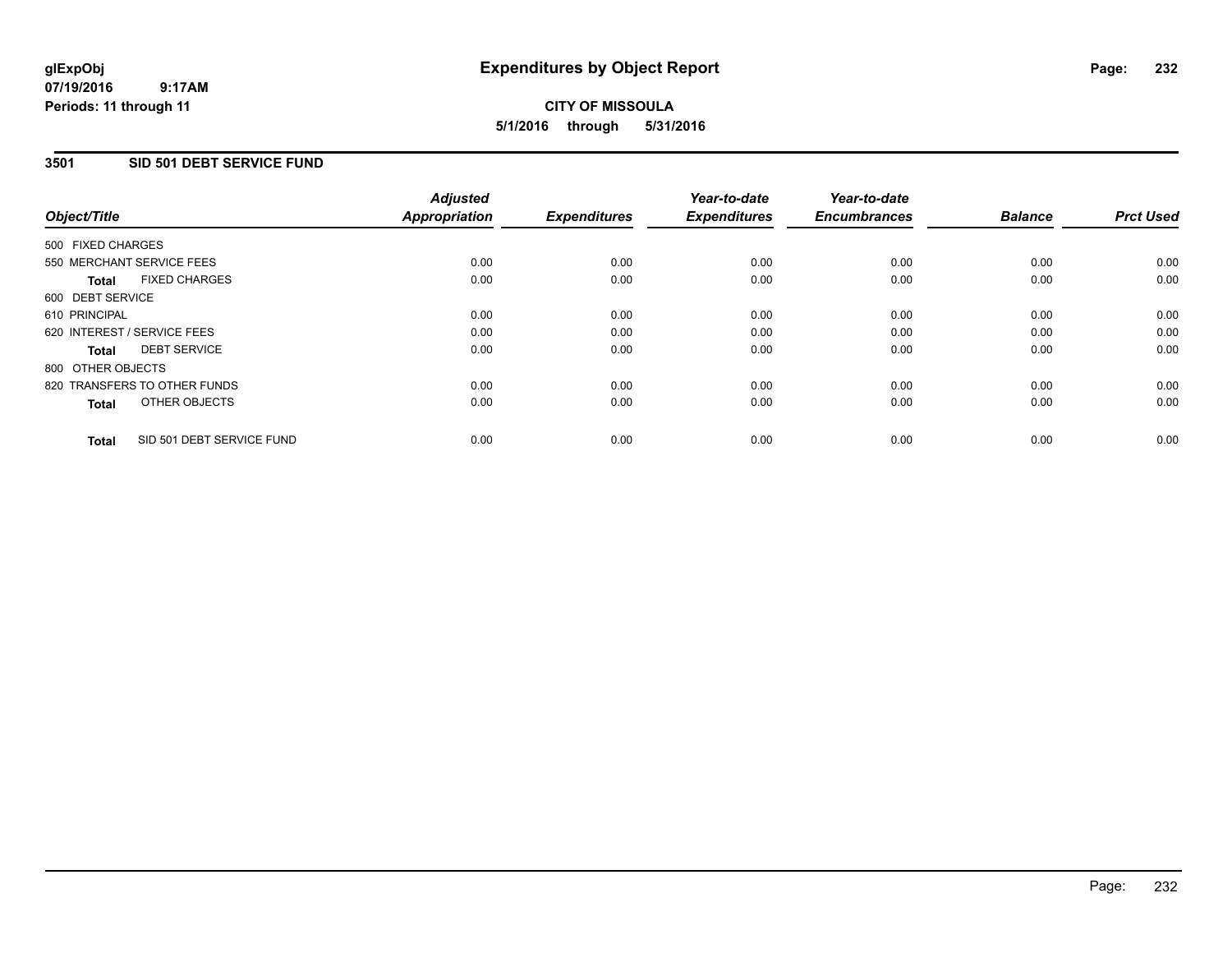### **3501 SID 501 DEBT SERVICE FUND**

|                                           | <b>Adjusted</b>      | <b>Expenditures</b> | Year-to-date<br><b>Expenditures</b> | Year-to-date<br><b>Encumbrances</b> | <b>Balance</b> | <b>Prct Used</b> |
|-------------------------------------------|----------------------|---------------------|-------------------------------------|-------------------------------------|----------------|------------------|
| Object/Title                              | <b>Appropriation</b> |                     |                                     |                                     |                |                  |
| 500 FIXED CHARGES                         |                      |                     |                                     |                                     |                |                  |
| 550 MERCHANT SERVICE FEES                 | 0.00                 | 0.00                | 0.00                                | 0.00                                | 0.00           | 0.00             |
| <b>FIXED CHARGES</b><br><b>Total</b>      | 0.00                 | 0.00                | 0.00                                | 0.00                                | 0.00           | 0.00             |
| 600 DEBT SERVICE                          |                      |                     |                                     |                                     |                |                  |
| 610 PRINCIPAL                             | 0.00                 | 0.00                | 0.00                                | 0.00                                | 0.00           | 0.00             |
| 620 INTEREST / SERVICE FEES               | 0.00                 | 0.00                | 0.00                                | 0.00                                | 0.00           | 0.00             |
| <b>DEBT SERVICE</b><br><b>Total</b>       | 0.00                 | 0.00                | 0.00                                | 0.00                                | 0.00           | 0.00             |
| 800 OTHER OBJECTS                         |                      |                     |                                     |                                     |                |                  |
| 820 TRANSFERS TO OTHER FUNDS              | 0.00                 | 0.00                | 0.00                                | 0.00                                | 0.00           | 0.00             |
| OTHER OBJECTS<br><b>Total</b>             | 0.00                 | 0.00                | 0.00                                | 0.00                                | 0.00           | 0.00             |
| SID 501 DEBT SERVICE FUND<br><b>Total</b> | 0.00                 | 0.00                | 0.00                                | 0.00                                | 0.00           | 0.00             |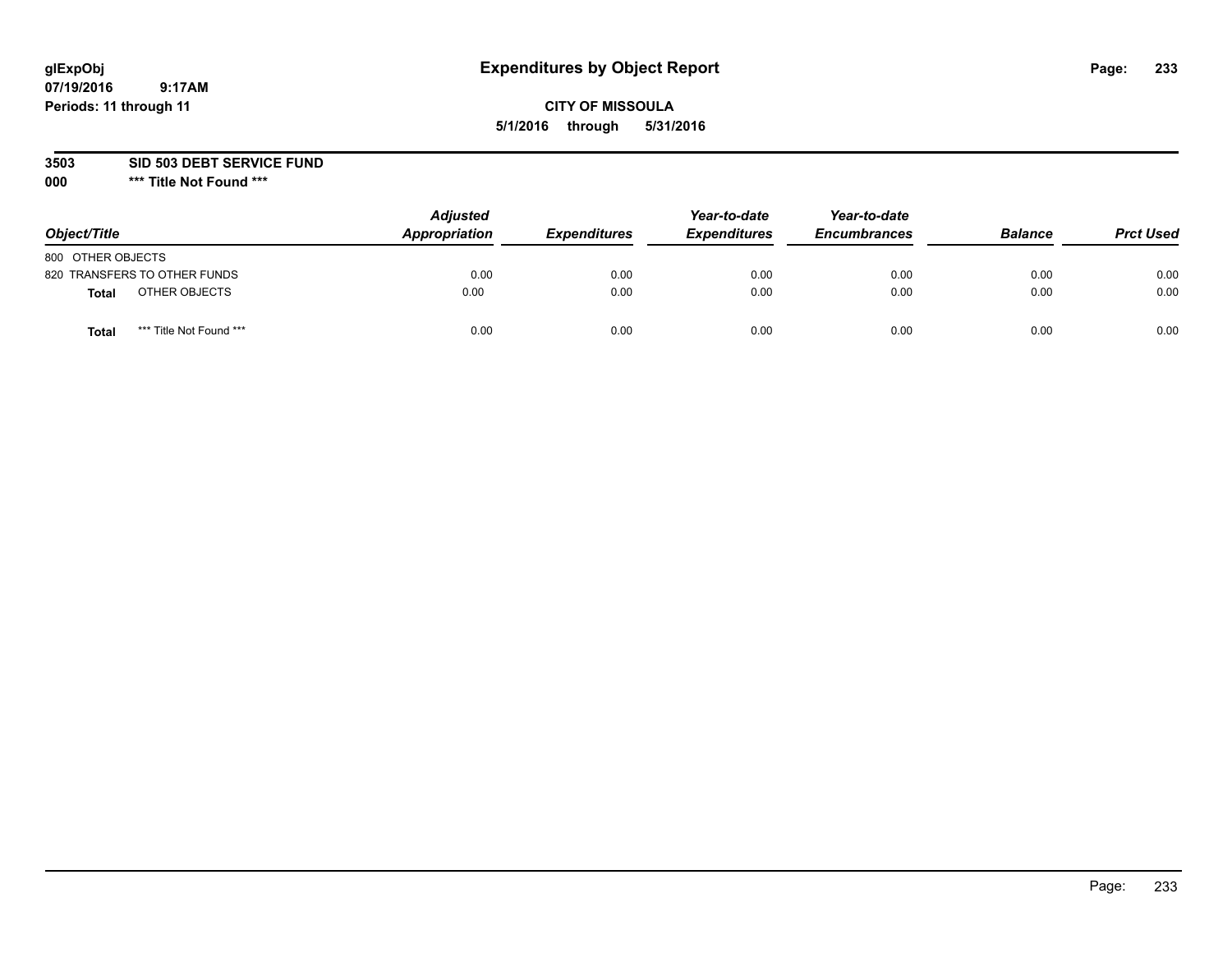## **CITY OF MISSOULA 5/1/2016 through 5/31/2016**

**3503 SID 503 DEBT SERVICE FUND**

| Object/Title                            | <b>Adjusted</b><br>Appropriation | <b>Expenditures</b> | Year-to-date<br><b>Expenditures</b> | Year-to-date<br><b>Encumbrances</b> | <b>Balance</b> | <b>Prct Used</b> |
|-----------------------------------------|----------------------------------|---------------------|-------------------------------------|-------------------------------------|----------------|------------------|
| 800 OTHER OBJECTS                       |                                  |                     |                                     |                                     |                |                  |
| 820 TRANSFERS TO OTHER FUNDS            | 0.00                             | 0.00                | 0.00                                | 0.00                                | 0.00           | 0.00             |
| OTHER OBJECTS<br><b>Total</b>           | 0.00                             | 0.00                | 0.00                                | 0.00                                | 0.00           | 0.00             |
| *** Title Not Found ***<br><b>Total</b> | 0.00                             | 0.00                | 0.00                                | 0.00                                | 0.00           | 0.00             |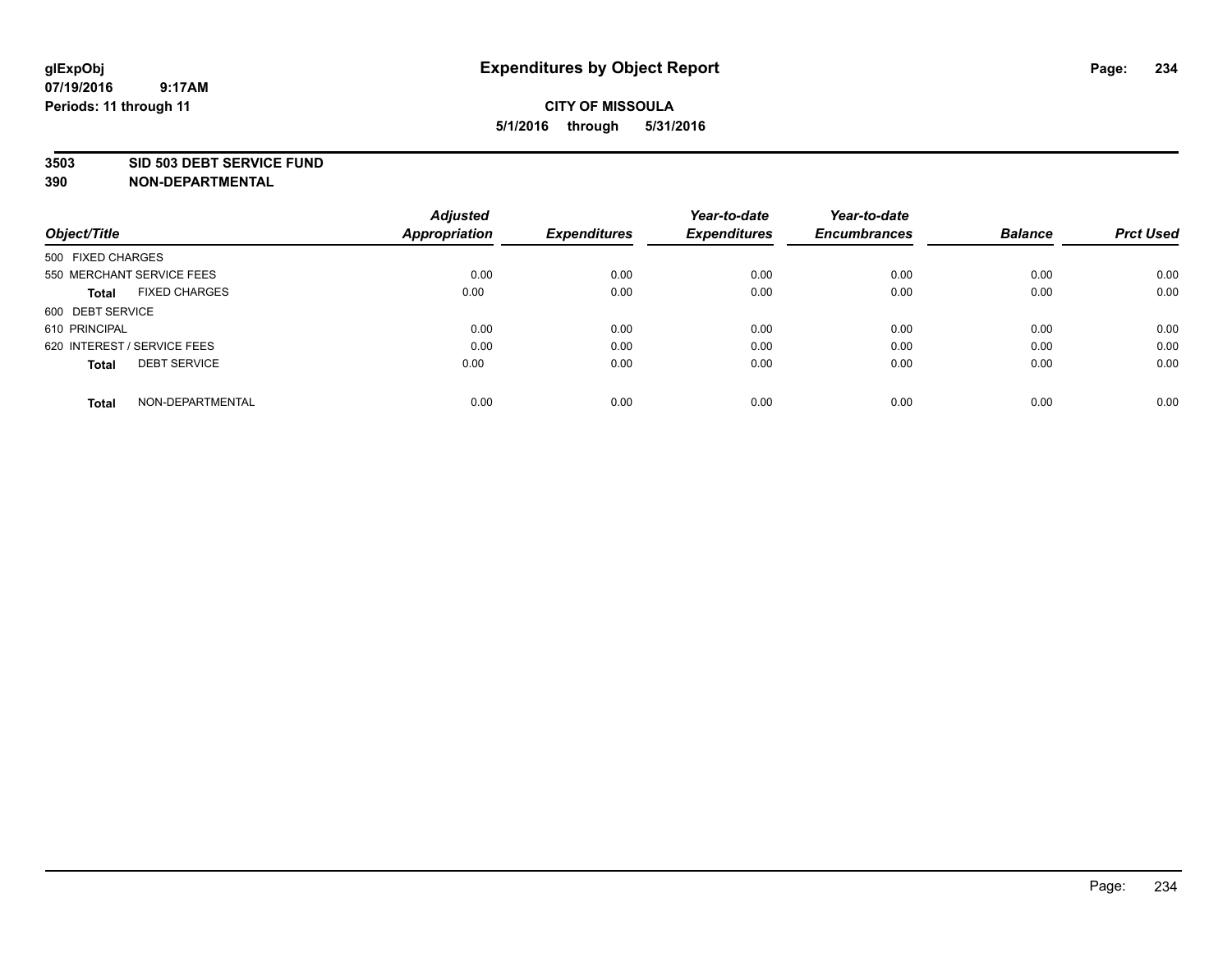#### **3503 SID 503 DEBT SERVICE FUND**

| Object/Title                         | <b>Adjusted</b><br><b>Appropriation</b> | <b>Expenditures</b> | Year-to-date<br><b>Expenditures</b> | Year-to-date<br><b>Encumbrances</b> | <b>Balance</b> | <b>Prct Used</b> |
|--------------------------------------|-----------------------------------------|---------------------|-------------------------------------|-------------------------------------|----------------|------------------|
| 500 FIXED CHARGES                    |                                         |                     |                                     |                                     |                |                  |
| 550 MERCHANT SERVICE FEES            | 0.00                                    | 0.00                | 0.00                                | 0.00                                | 0.00           | 0.00             |
| <b>FIXED CHARGES</b><br><b>Total</b> | 0.00                                    | 0.00                | 0.00                                | 0.00                                | 0.00           | 0.00             |
| 600 DEBT SERVICE                     |                                         |                     |                                     |                                     |                |                  |
| 610 PRINCIPAL                        | 0.00                                    | 0.00                | 0.00                                | 0.00                                | 0.00           | 0.00             |
| 620 INTEREST / SERVICE FEES          | 0.00                                    | 0.00                | 0.00                                | 0.00                                | 0.00           | 0.00             |
| <b>DEBT SERVICE</b><br><b>Total</b>  | 0.00                                    | 0.00                | 0.00                                | 0.00                                | 0.00           | 0.00             |
| NON-DEPARTMENTAL<br><b>Total</b>     | 0.00                                    | 0.00                | 0.00                                | 0.00                                | 0.00           | 0.00             |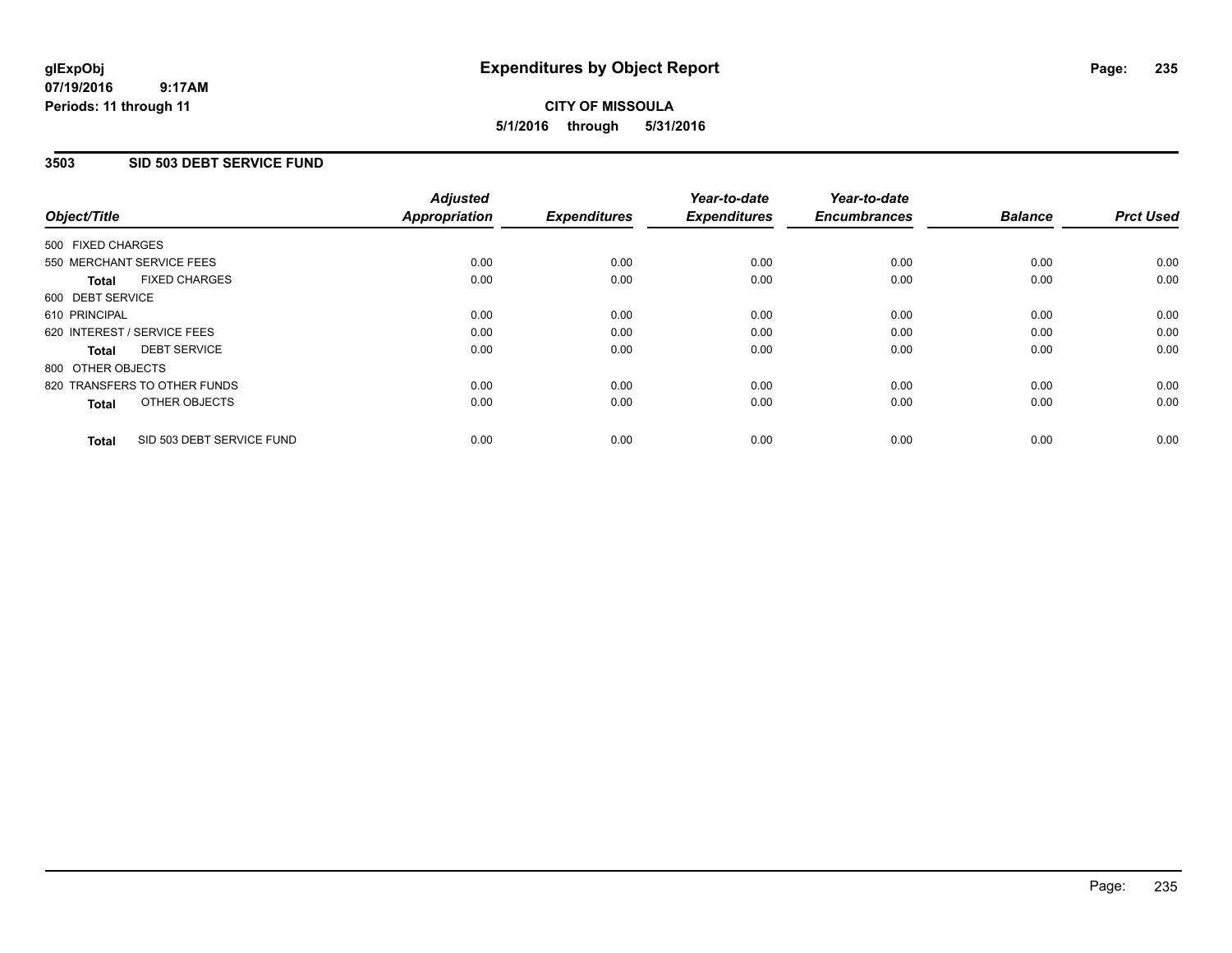#### **07/19/2016 9:17AM Periods: 11 through 11**

# **CITY OF MISSOULA 5/1/2016 through 5/31/2016**

### **3503 SID 503 DEBT SERVICE FUND**

| Object/Title                              | <b>Adjusted</b><br><b>Appropriation</b> | <b>Expenditures</b> | Year-to-date<br><b>Expenditures</b> | Year-to-date<br><b>Encumbrances</b> | <b>Balance</b> | <b>Prct Used</b> |
|-------------------------------------------|-----------------------------------------|---------------------|-------------------------------------|-------------------------------------|----------------|------------------|
|                                           |                                         |                     |                                     |                                     |                |                  |
| 500 FIXED CHARGES                         |                                         |                     |                                     |                                     |                |                  |
| 550 MERCHANT SERVICE FEES                 | 0.00                                    | 0.00                | 0.00                                | 0.00                                | 0.00           | 0.00             |
| <b>FIXED CHARGES</b><br>Total             | 0.00                                    | 0.00                | 0.00                                | 0.00                                | 0.00           | 0.00             |
| 600 DEBT SERVICE                          |                                         |                     |                                     |                                     |                |                  |
| 610 PRINCIPAL                             | 0.00                                    | 0.00                | 0.00                                | 0.00                                | 0.00           | 0.00             |
| 620 INTEREST / SERVICE FEES               | 0.00                                    | 0.00                | 0.00                                | 0.00                                | 0.00           | 0.00             |
| <b>DEBT SERVICE</b><br><b>Total</b>       | 0.00                                    | 0.00                | 0.00                                | 0.00                                | 0.00           | 0.00             |
| 800 OTHER OBJECTS                         |                                         |                     |                                     |                                     |                |                  |
| 820 TRANSFERS TO OTHER FUNDS              | 0.00                                    | 0.00                | 0.00                                | 0.00                                | 0.00           | 0.00             |
| OTHER OBJECTS<br><b>Total</b>             | 0.00                                    | 0.00                | 0.00                                | 0.00                                | 0.00           | 0.00             |
|                                           |                                         |                     |                                     |                                     |                |                  |
| SID 503 DEBT SERVICE FUND<br><b>Total</b> | 0.00                                    | 0.00                | 0.00                                | 0.00                                | 0.00           | 0.00             |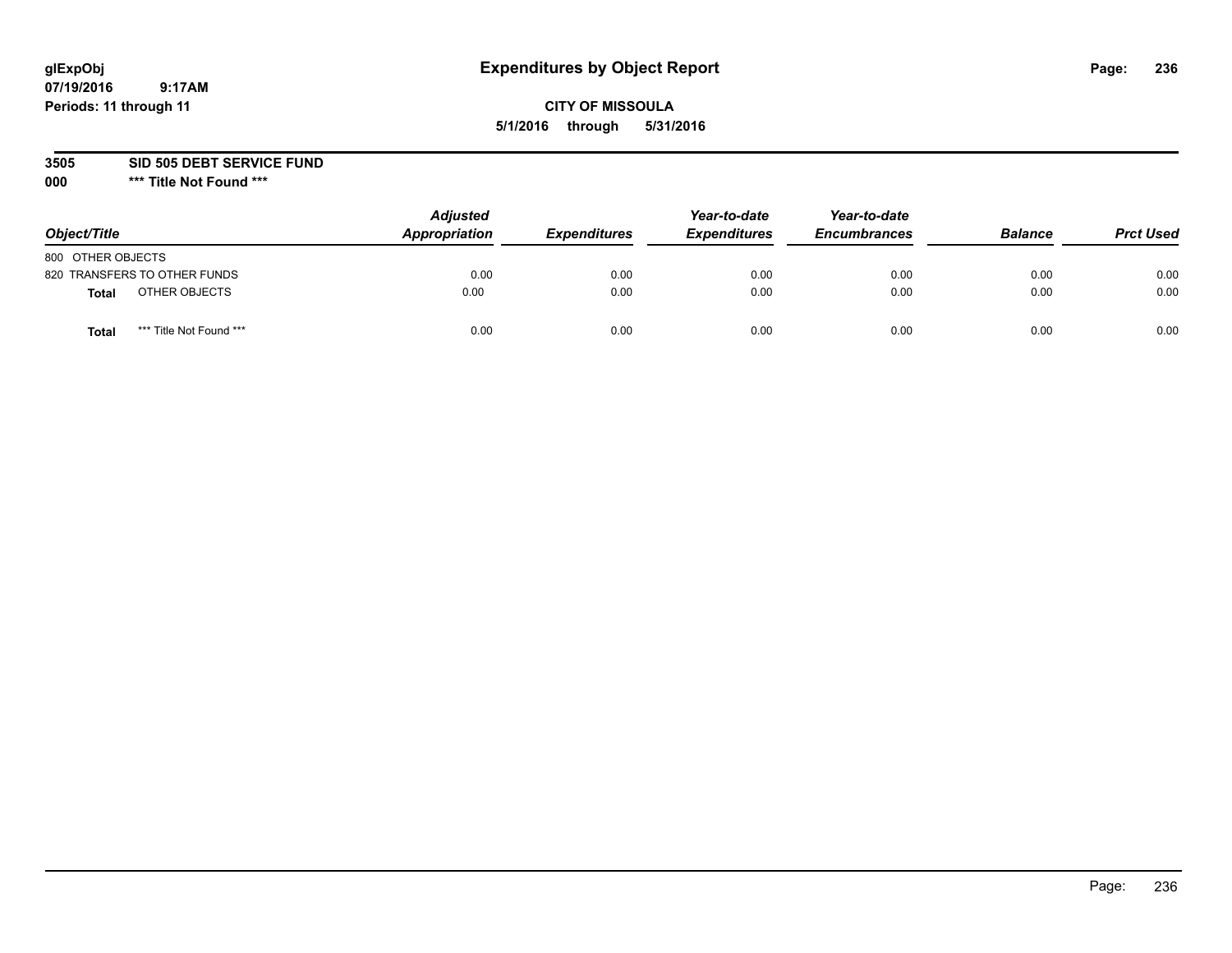## **CITY OF MISSOULA 5/1/2016 through 5/31/2016**

**3505 SID 505 DEBT SERVICE FUND**

| Object/Title                            | <b>Adjusted</b><br>Appropriation | <b>Expenditures</b> | Year-to-date<br><b>Expenditures</b> | Year-to-date<br><b>Encumbrances</b> | <b>Balance</b> | <b>Prct Used</b> |
|-----------------------------------------|----------------------------------|---------------------|-------------------------------------|-------------------------------------|----------------|------------------|
| 800 OTHER OBJECTS                       |                                  |                     |                                     |                                     |                |                  |
| 820 TRANSFERS TO OTHER FUNDS            | 0.00                             | 0.00                | 0.00                                | 0.00                                | 0.00           | 0.00             |
| OTHER OBJECTS<br><b>Total</b>           | 0.00                             | 0.00                | 0.00                                | 0.00                                | 0.00           | 0.00             |
| *** Title Not Found ***<br><b>Total</b> | 0.00                             | 0.00                | 0.00                                | 0.00                                | 0.00           | 0.00             |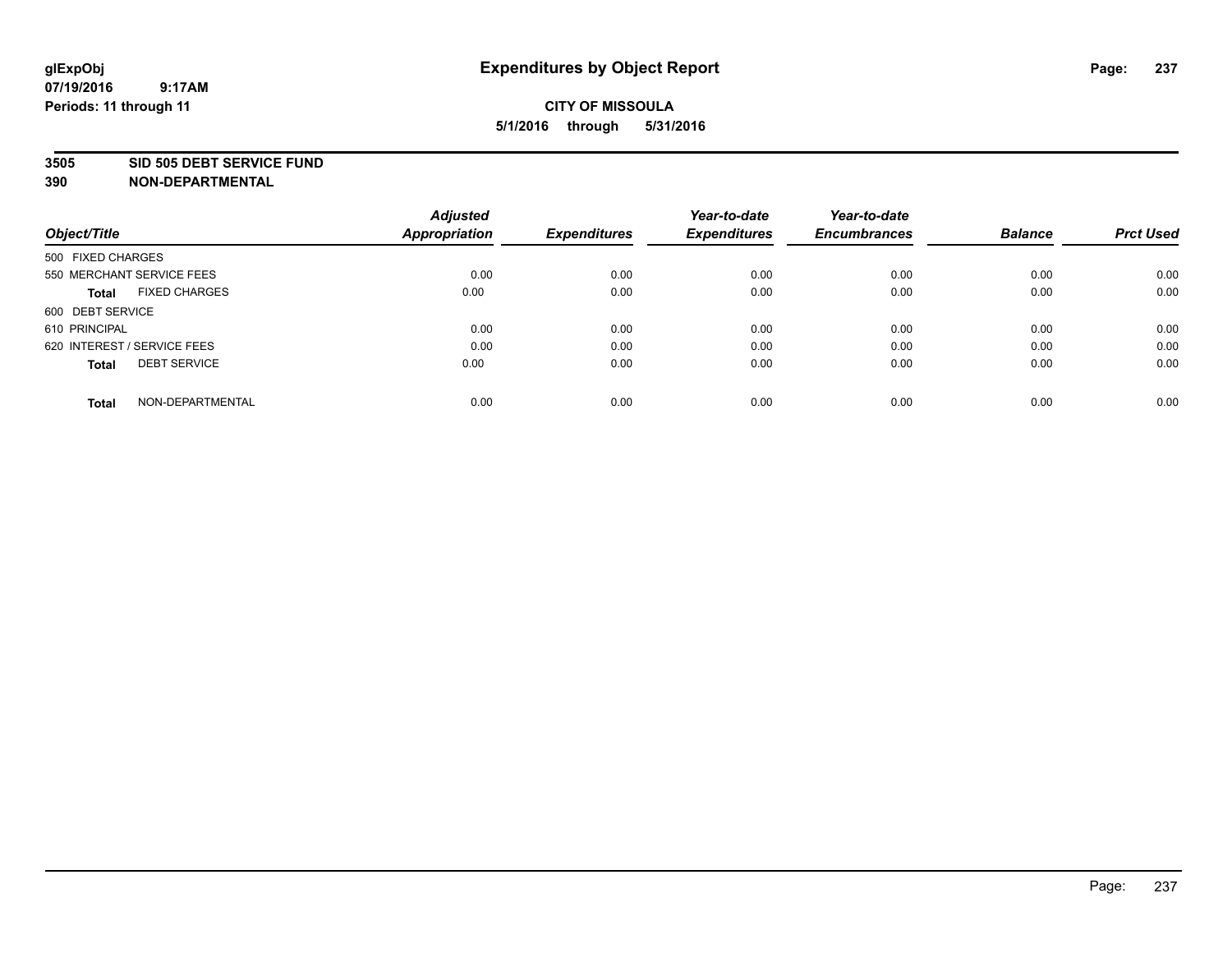#### **3505 SID 505 DEBT SERVICE FUND**

| Object/Title                         | <b>Adjusted</b><br><b>Appropriation</b> | <b>Expenditures</b> | Year-to-date<br><b>Expenditures</b> | Year-to-date<br><b>Encumbrances</b> | <b>Balance</b> | <b>Prct Used</b> |
|--------------------------------------|-----------------------------------------|---------------------|-------------------------------------|-------------------------------------|----------------|------------------|
| 500 FIXED CHARGES                    |                                         |                     |                                     |                                     |                |                  |
| 550 MERCHANT SERVICE FEES            | 0.00                                    | 0.00                | 0.00                                | 0.00                                | 0.00           | 0.00             |
| <b>FIXED CHARGES</b><br><b>Total</b> | 0.00                                    | 0.00                | 0.00                                | 0.00                                | 0.00           | 0.00             |
| 600 DEBT SERVICE                     |                                         |                     |                                     |                                     |                |                  |
| 610 PRINCIPAL                        | 0.00                                    | 0.00                | 0.00                                | 0.00                                | 0.00           | 0.00             |
| 620 INTEREST / SERVICE FEES          | 0.00                                    | 0.00                | 0.00                                | 0.00                                | 0.00           | 0.00             |
| <b>DEBT SERVICE</b><br><b>Total</b>  | 0.00                                    | 0.00                | 0.00                                | 0.00                                | 0.00           | 0.00             |
| NON-DEPARTMENTAL<br><b>Total</b>     | 0.00                                    | 0.00                | 0.00                                | 0.00                                | 0.00           | 0.00             |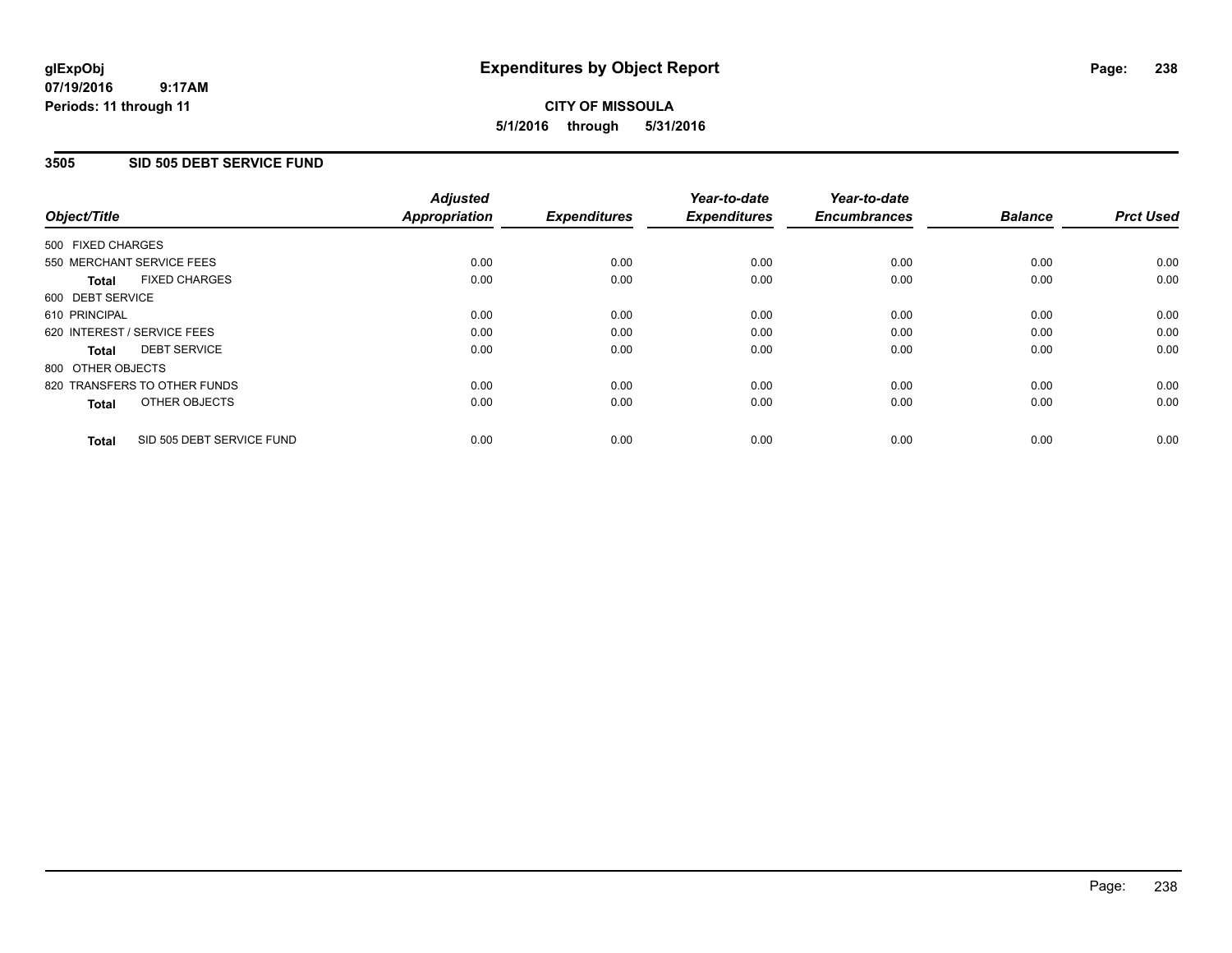#### **07/19/2016 9:17AM Periods: 11 through 11**

# **CITY OF MISSOULA 5/1/2016 through 5/31/2016**

### **3505 SID 505 DEBT SERVICE FUND**

|                   |                              | <b>Adjusted</b>      |                     | Year-to-date        | Year-to-date        |                |                  |
|-------------------|------------------------------|----------------------|---------------------|---------------------|---------------------|----------------|------------------|
| Object/Title      |                              | <b>Appropriation</b> | <b>Expenditures</b> | <b>Expenditures</b> | <b>Encumbrances</b> | <b>Balance</b> | <b>Prct Used</b> |
| 500 FIXED CHARGES |                              |                      |                     |                     |                     |                |                  |
|                   | 550 MERCHANT SERVICE FEES    | 0.00                 | 0.00                | 0.00                | 0.00                | 0.00           | 0.00             |
| <b>Total</b>      | <b>FIXED CHARGES</b>         | 0.00                 | 0.00                | 0.00                | 0.00                | 0.00           | 0.00             |
| 600 DEBT SERVICE  |                              |                      |                     |                     |                     |                |                  |
| 610 PRINCIPAL     |                              | 0.00                 | 0.00                | 0.00                | 0.00                | 0.00           | 0.00             |
|                   | 620 INTEREST / SERVICE FEES  | 0.00                 | 0.00                | 0.00                | 0.00                | 0.00           | 0.00             |
| <b>Total</b>      | <b>DEBT SERVICE</b>          | 0.00                 | 0.00                | 0.00                | 0.00                | 0.00           | 0.00             |
| 800 OTHER OBJECTS |                              |                      |                     |                     |                     |                |                  |
|                   | 820 TRANSFERS TO OTHER FUNDS | 0.00                 | 0.00                | 0.00                | 0.00                | 0.00           | 0.00             |
| <b>Total</b>      | OTHER OBJECTS                | 0.00                 | 0.00                | 0.00                | 0.00                | 0.00           | 0.00             |
| <b>Total</b>      | SID 505 DEBT SERVICE FUND    | 0.00                 | 0.00                | 0.00                | 0.00                | 0.00           | 0.00             |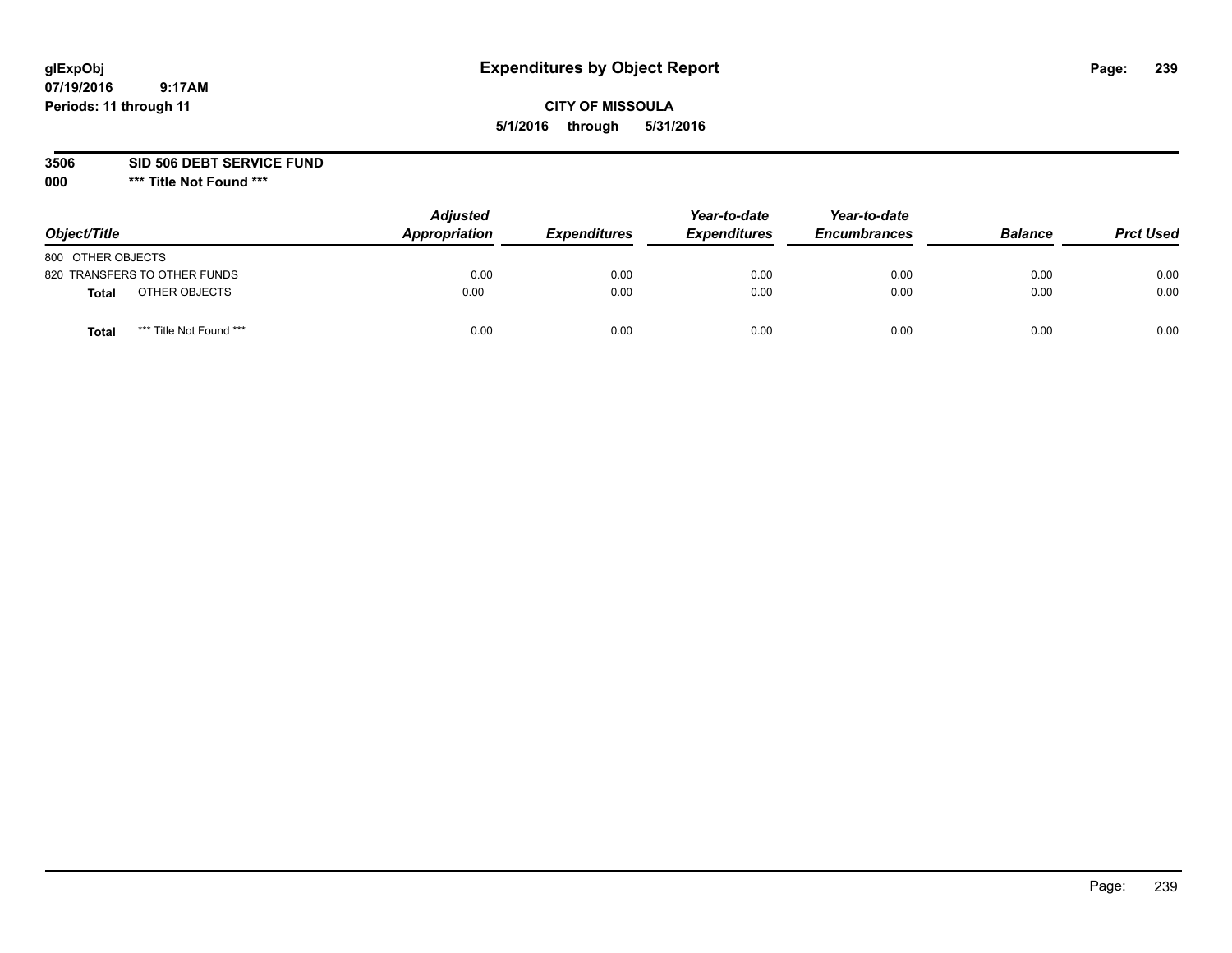## **CITY OF MISSOULA 5/1/2016 through 5/31/2016**

**3506 SID 506 DEBT SERVICE FUND**

| Object/Title      |                              | <b>Adjusted</b><br>Appropriation | <b>Expenditures</b> | Year-to-date<br><b>Expenditures</b> | Year-to-date<br><b>Encumbrances</b> | <b>Balance</b> | <b>Prct Used</b> |
|-------------------|------------------------------|----------------------------------|---------------------|-------------------------------------|-------------------------------------|----------------|------------------|
| 800 OTHER OBJECTS |                              |                                  |                     |                                     |                                     |                |                  |
|                   | 820 TRANSFERS TO OTHER FUNDS | 0.00                             | 0.00                | 0.00                                | 0.00                                | 0.00           | 0.00             |
| Total             | OTHER OBJECTS                | 0.00                             | 0.00                | 0.00                                | 0.00                                | 0.00           | 0.00             |
| Tota              | *** Title Not Found ***      | 0.00                             | 0.00                | 0.00                                | 0.00                                | 0.00           | 0.00             |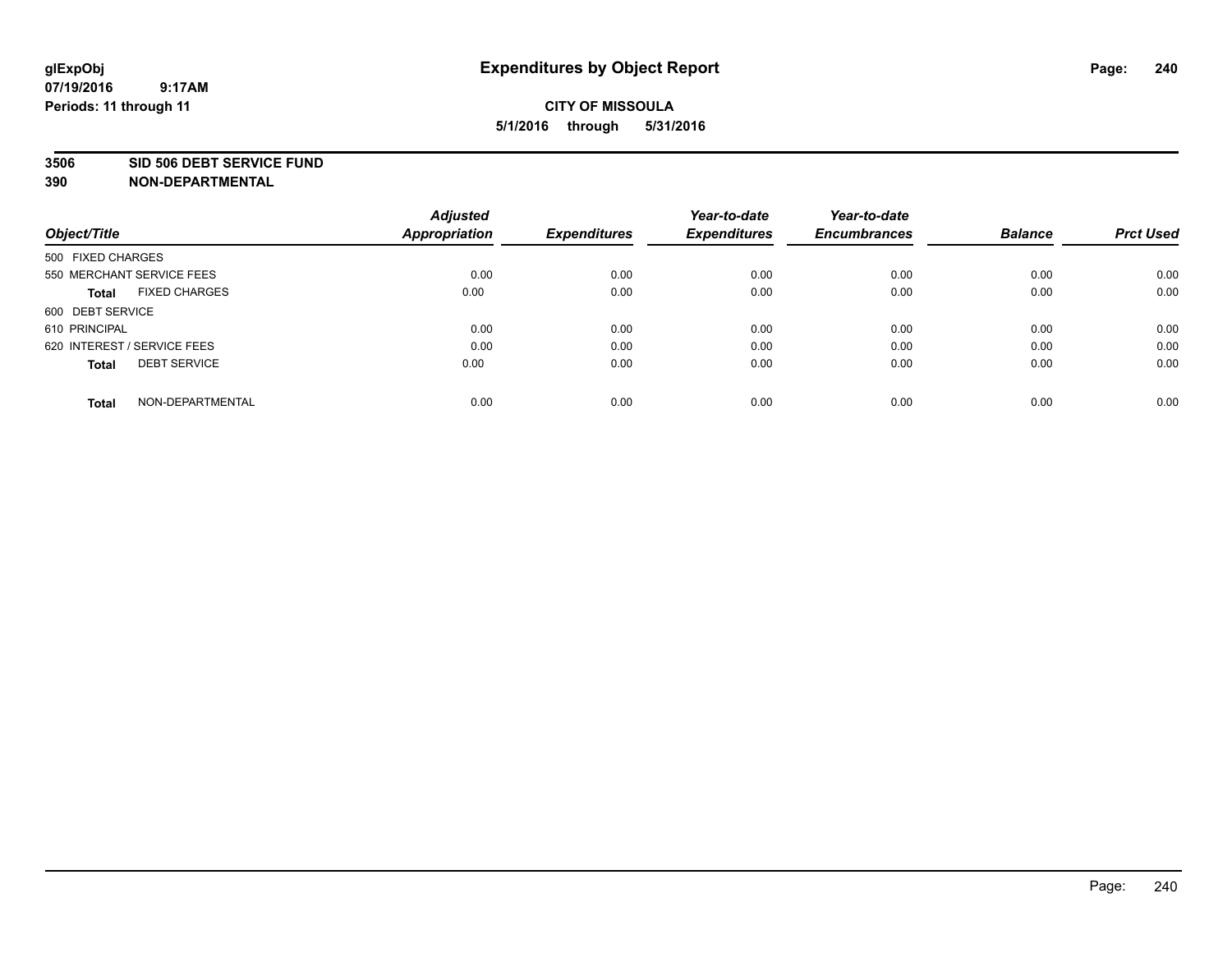#### **3506 SID 506 DEBT SERVICE FUND**

| Object/Title                         | <b>Adjusted</b><br><b>Appropriation</b> | <b>Expenditures</b> | Year-to-date<br><b>Expenditures</b> | Year-to-date<br><b>Encumbrances</b> | <b>Balance</b> | <b>Prct Used</b> |
|--------------------------------------|-----------------------------------------|---------------------|-------------------------------------|-------------------------------------|----------------|------------------|
|                                      |                                         |                     |                                     |                                     |                |                  |
| 500 FIXED CHARGES                    |                                         |                     |                                     |                                     |                |                  |
| 550 MERCHANT SERVICE FEES            | 0.00                                    | 0.00                | 0.00                                | 0.00                                | 0.00           | 0.00             |
| <b>FIXED CHARGES</b><br><b>Total</b> | 0.00                                    | 0.00                | 0.00                                | 0.00                                | 0.00           | 0.00             |
| 600 DEBT SERVICE                     |                                         |                     |                                     |                                     |                |                  |
| 610 PRINCIPAL                        | 0.00                                    | 0.00                | 0.00                                | 0.00                                | 0.00           | 0.00             |
| 620 INTEREST / SERVICE FEES          | 0.00                                    | 0.00                | 0.00                                | 0.00                                | 0.00           | 0.00             |
| <b>DEBT SERVICE</b><br>Total         | 0.00                                    | 0.00                | 0.00                                | 0.00                                | 0.00           | 0.00             |
|                                      |                                         |                     |                                     |                                     |                |                  |
| NON-DEPARTMENTAL<br><b>Total</b>     | 0.00                                    | 0.00                | 0.00                                | 0.00                                | 0.00           | 0.00             |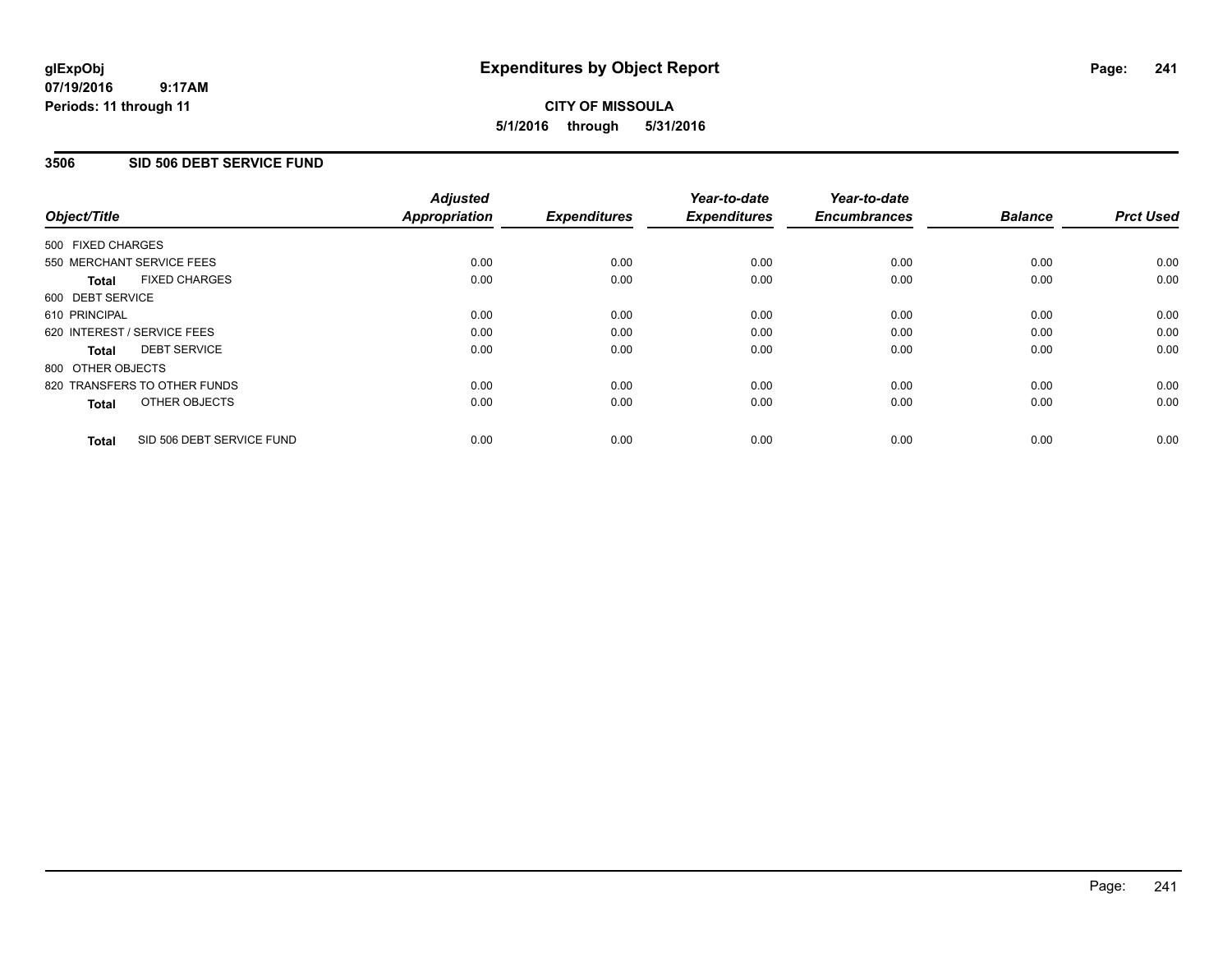#### **07/19/2016 9:17AM Periods: 11 through 11**

## **CITY OF MISSOULA 5/1/2016 through 5/31/2016**

### **3506 SID 506 DEBT SERVICE FUND**

| Object/Title                              | <b>Adjusted</b><br><b>Appropriation</b> | <b>Expenditures</b> | Year-to-date<br><b>Expenditures</b> | Year-to-date<br><b>Encumbrances</b> | <b>Balance</b> | <b>Prct Used</b> |
|-------------------------------------------|-----------------------------------------|---------------------|-------------------------------------|-------------------------------------|----------------|------------------|
|                                           |                                         |                     |                                     |                                     |                |                  |
| 500 FIXED CHARGES                         |                                         |                     |                                     |                                     |                |                  |
| 550 MERCHANT SERVICE FEES                 | 0.00                                    | 0.00                | 0.00                                | 0.00                                | 0.00           | 0.00             |
| <b>FIXED CHARGES</b><br>Total             | 0.00                                    | 0.00                | 0.00                                | 0.00                                | 0.00           | 0.00             |
| 600 DEBT SERVICE                          |                                         |                     |                                     |                                     |                |                  |
| 610 PRINCIPAL                             | 0.00                                    | 0.00                | 0.00                                | 0.00                                | 0.00           | 0.00             |
| 620 INTEREST / SERVICE FEES               | 0.00                                    | 0.00                | 0.00                                | 0.00                                | 0.00           | 0.00             |
| <b>DEBT SERVICE</b><br><b>Total</b>       | 0.00                                    | 0.00                | 0.00                                | 0.00                                | 0.00           | 0.00             |
| 800 OTHER OBJECTS                         |                                         |                     |                                     |                                     |                |                  |
| 820 TRANSFERS TO OTHER FUNDS              | 0.00                                    | 0.00                | 0.00                                | 0.00                                | 0.00           | 0.00             |
| OTHER OBJECTS<br><b>Total</b>             | 0.00                                    | 0.00                | 0.00                                | 0.00                                | 0.00           | 0.00             |
|                                           |                                         |                     |                                     |                                     |                |                  |
| SID 506 DEBT SERVICE FUND<br><b>Total</b> | 0.00                                    | 0.00                | 0.00                                | 0.00                                | 0.00           | 0.00             |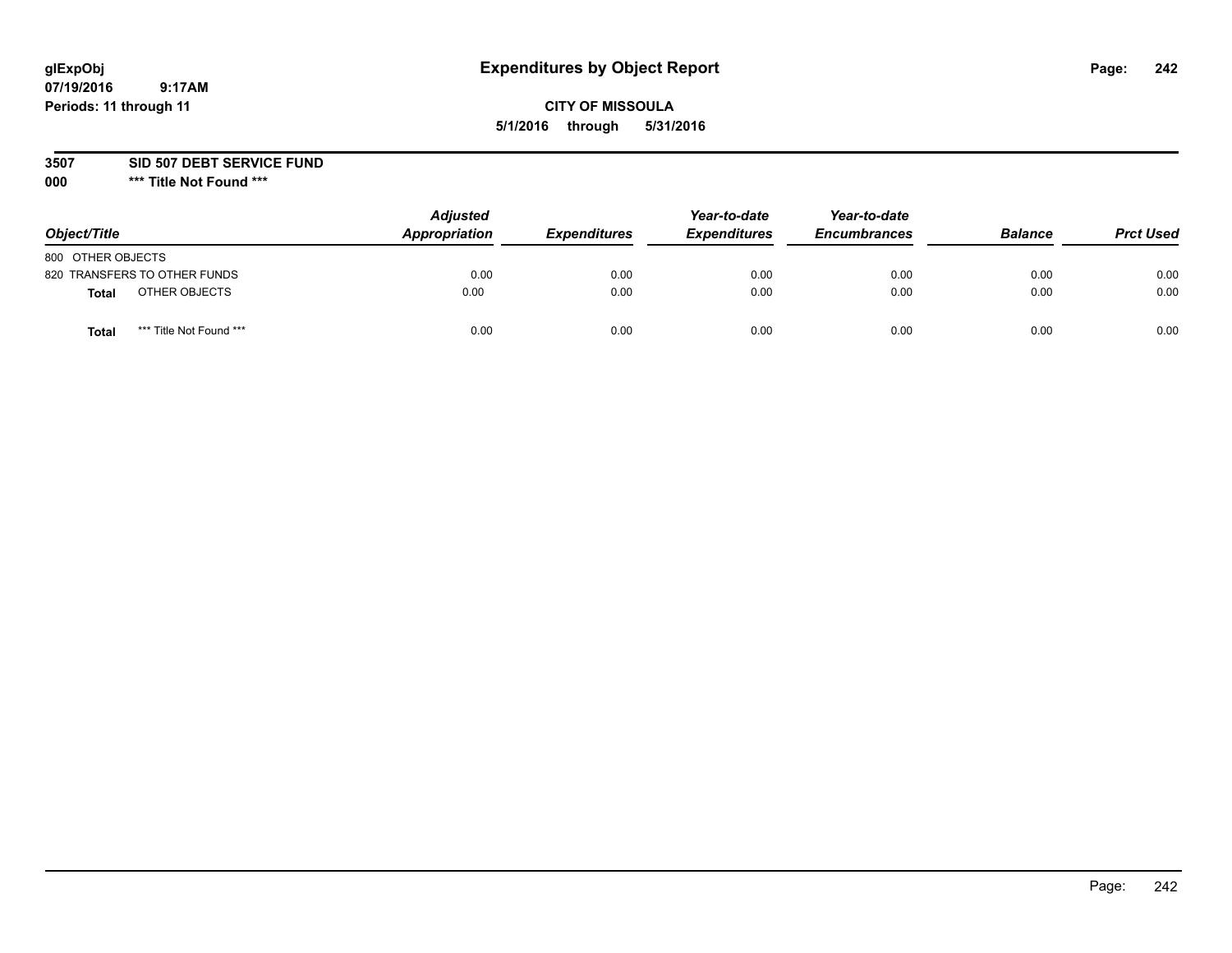## **CITY OF MISSOULA 5/1/2016 through 5/31/2016**

**3507 SID 507 DEBT SERVICE FUND**

| Object/Title      |                              | <b>Adjusted</b><br>Appropriation | <b>Expenditures</b> | Year-to-date<br><b>Expenditures</b> | Year-to-date<br><b>Encumbrances</b> | <b>Balance</b> | <b>Prct Used</b> |
|-------------------|------------------------------|----------------------------------|---------------------|-------------------------------------|-------------------------------------|----------------|------------------|
| 800 OTHER OBJECTS |                              |                                  |                     |                                     |                                     |                |                  |
|                   | 820 TRANSFERS TO OTHER FUNDS | 0.00                             | 0.00                | 0.00                                | 0.00                                | 0.00           | 0.00             |
| Total             | OTHER OBJECTS                | 0.00                             | 0.00                | 0.00                                | 0.00                                | 0.00           | 0.00             |
| Tota              | *** Title Not Found ***      | 0.00                             | 0.00                | 0.00                                | 0.00                                | 0.00           | 0.00             |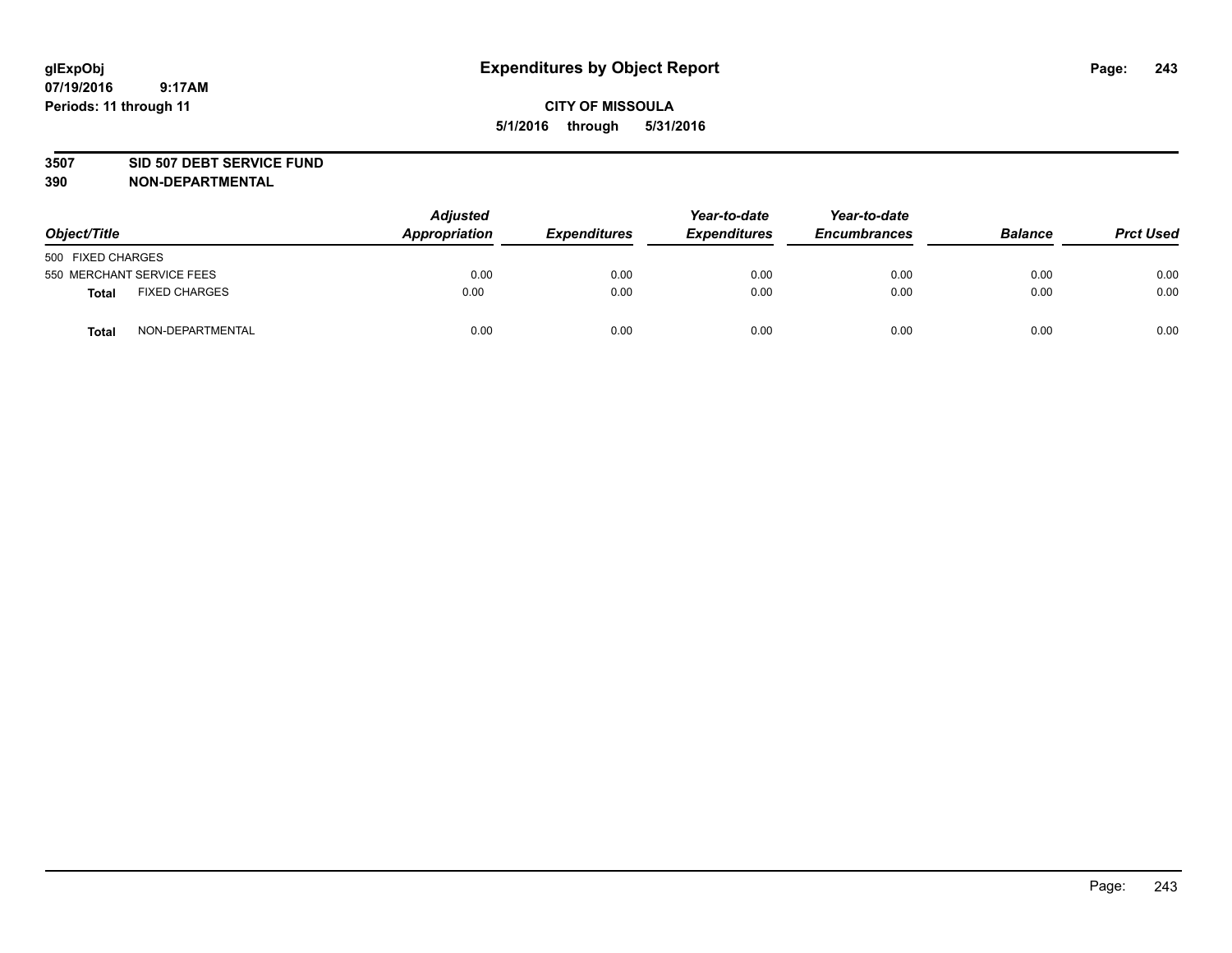#### **3507 SID 507 DEBT SERVICE FUND**

| Object/Title      |                           | <b>Adjusted</b><br>Appropriation | <b>Expenditures</b> | Year-to-date<br><b>Expenditures</b> | Year-to-date<br><b>Encumbrances</b> | <b>Balance</b> | <b>Prct Used</b> |
|-------------------|---------------------------|----------------------------------|---------------------|-------------------------------------|-------------------------------------|----------------|------------------|
| 500 FIXED CHARGES |                           |                                  |                     |                                     |                                     |                |                  |
|                   | 550 MERCHANT SERVICE FEES | 0.00                             | 0.00                | 0.00                                | 0.00                                | 0.00           | 0.00             |
| <b>Total</b>      | <b>FIXED CHARGES</b>      | 0.00                             | 0.00                | 0.00                                | 0.00                                | 0.00           | 0.00             |
| <b>Total</b>      | NON-DEPARTMENTAL          | 0.00                             | 0.00                | 0.00                                | 0.00                                | 0.00           | 0.00             |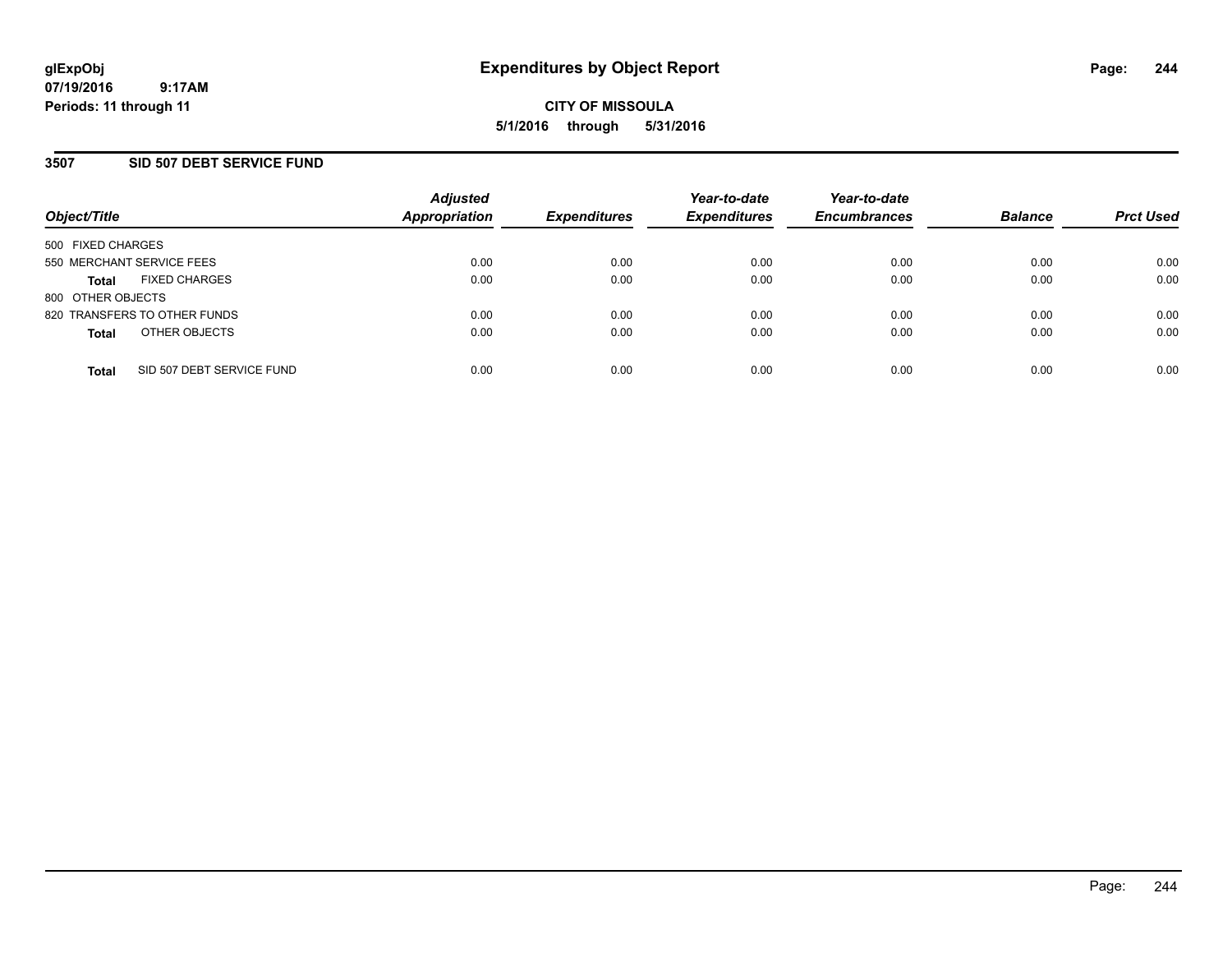### **3507 SID 507 DEBT SERVICE FUND**

| Object/Title                              | <b>Adjusted</b><br><b>Appropriation</b> | <b>Expenditures</b> | Year-to-date<br><b>Expenditures</b> | Year-to-date<br><b>Encumbrances</b> | <b>Balance</b> | <b>Prct Used</b> |
|-------------------------------------------|-----------------------------------------|---------------------|-------------------------------------|-------------------------------------|----------------|------------------|
| 500 FIXED CHARGES                         |                                         |                     |                                     |                                     |                |                  |
| 550 MERCHANT SERVICE FEES                 | 0.00                                    | 0.00                | 0.00                                | 0.00                                | 0.00           | 0.00             |
| <b>FIXED CHARGES</b><br><b>Total</b>      | 0.00                                    | 0.00                | 0.00                                | 0.00                                | 0.00           | 0.00             |
| 800 OTHER OBJECTS                         |                                         |                     |                                     |                                     |                |                  |
| 820 TRANSFERS TO OTHER FUNDS              | 0.00                                    | 0.00                | 0.00                                | 0.00                                | 0.00           | 0.00             |
| OTHER OBJECTS<br><b>Total</b>             | 0.00                                    | 0.00                | 0.00                                | 0.00                                | 0.00           | 0.00             |
| SID 507 DEBT SERVICE FUND<br><b>Total</b> | 0.00                                    | 0.00                | 0.00                                | 0.00                                | 0.00           | 0.00             |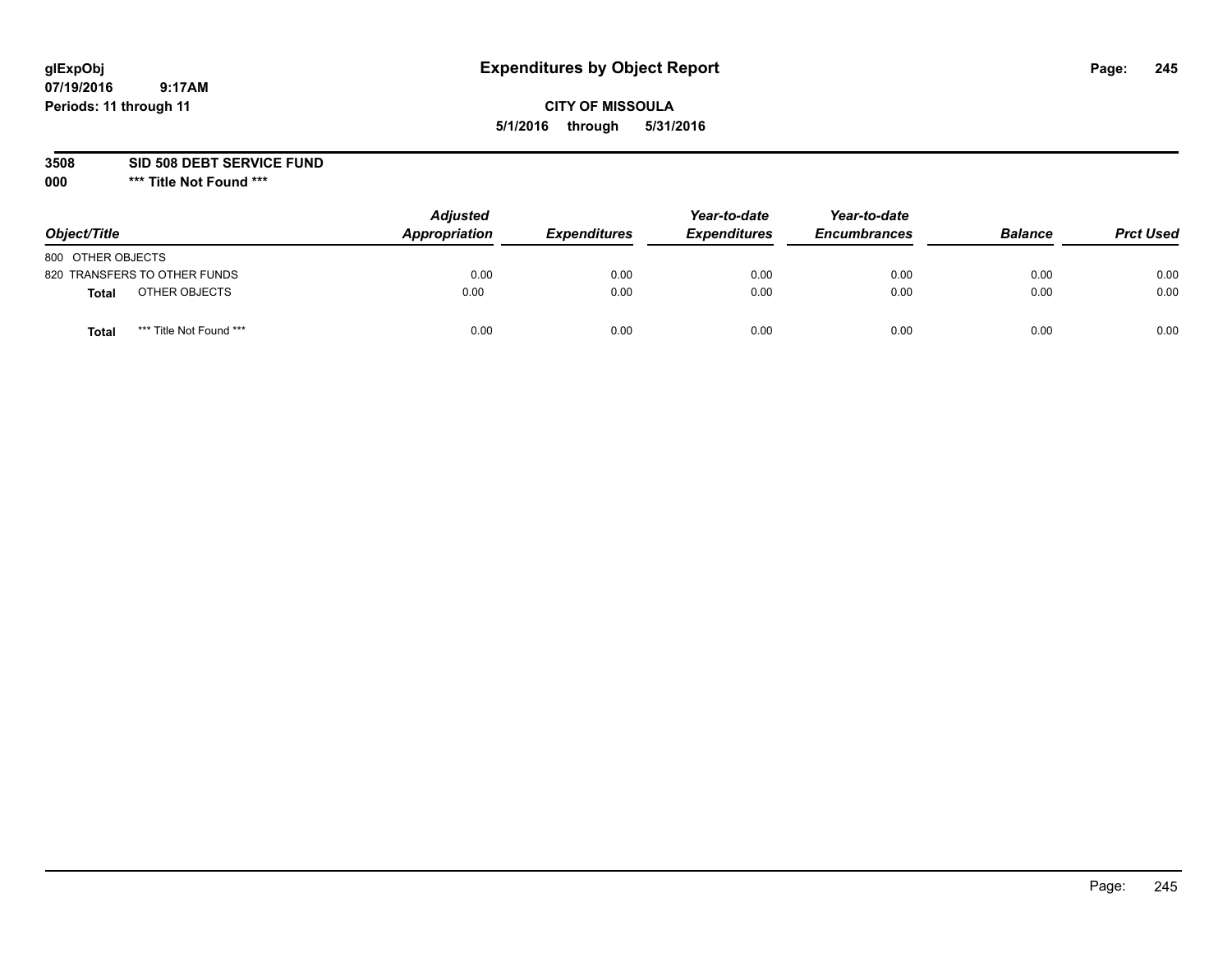### **CITY OF MISSOULA 5/1/2016 through 5/31/2016**

**3508 SID 508 DEBT SERVICE FUND**

| Object/Title                            | <b>Adjusted</b><br>Appropriation | <b>Expenditures</b> | Year-to-date<br><b>Expenditures</b> | Year-to-date<br><b>Encumbrances</b> | <b>Balance</b> | <b>Prct Used</b> |
|-----------------------------------------|----------------------------------|---------------------|-------------------------------------|-------------------------------------|----------------|------------------|
| 800 OTHER OBJECTS                       |                                  |                     |                                     |                                     |                |                  |
| 820 TRANSFERS TO OTHER FUNDS            | 0.00                             | 0.00                | 0.00                                | 0.00                                | 0.00           | 0.00             |
| OTHER OBJECTS<br><b>Total</b>           | 0.00                             | 0.00                | 0.00                                | 0.00                                | 0.00           | 0.00             |
| *** Title Not Found ***<br><b>Total</b> | 0.00                             | 0.00                | 0.00                                | 0.00                                | 0.00           | 0.00             |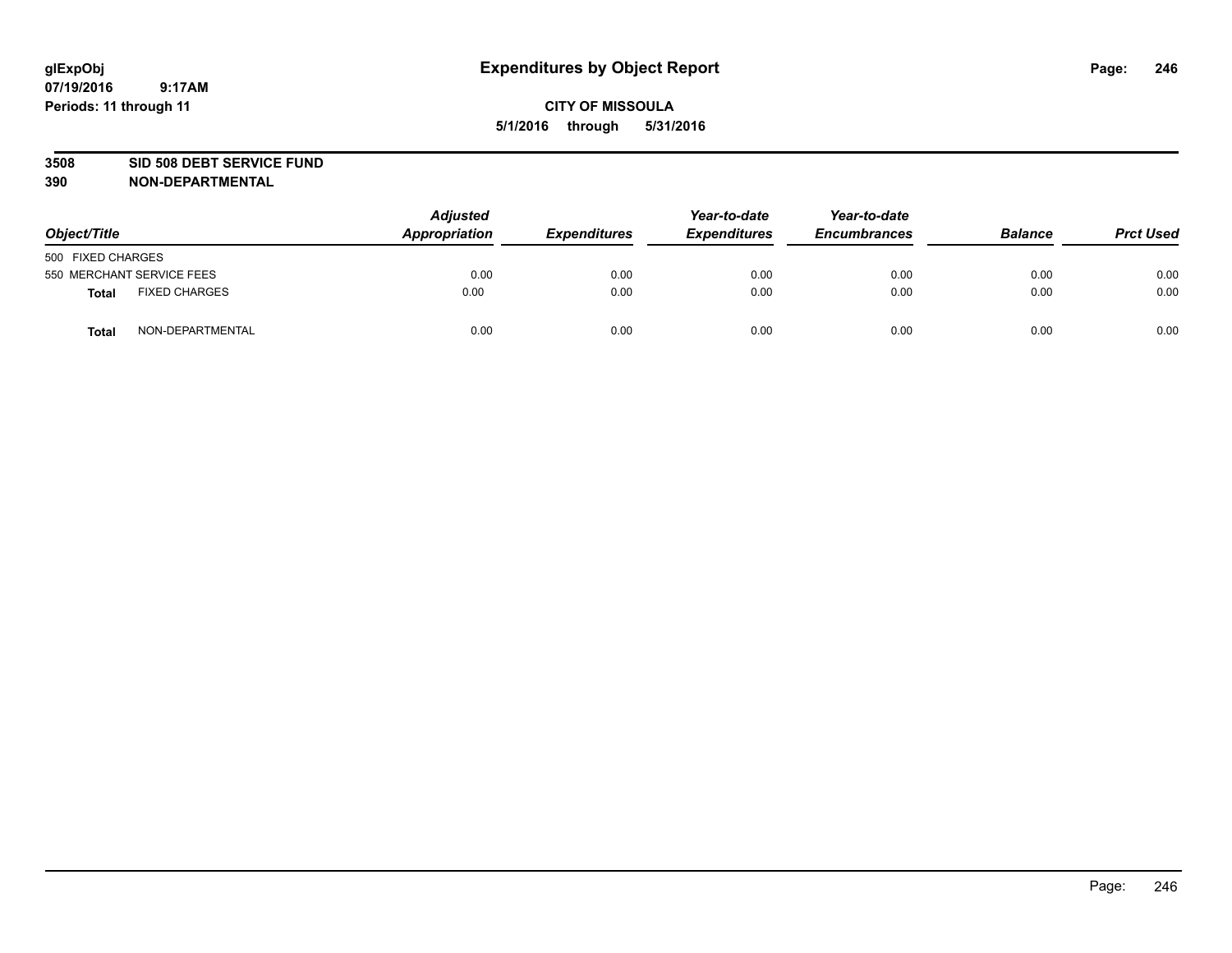#### **3508 SID 508 DEBT SERVICE FUND**

| Object/Title      |                           | <b>Adjusted</b><br>Appropriation | <b>Expenditures</b> | Year-to-date<br><b>Expenditures</b> | Year-to-date<br><b>Encumbrances</b> | <b>Balance</b> | <b>Prct Used</b> |
|-------------------|---------------------------|----------------------------------|---------------------|-------------------------------------|-------------------------------------|----------------|------------------|
| 500 FIXED CHARGES |                           |                                  |                     |                                     |                                     |                |                  |
|                   | 550 MERCHANT SERVICE FEES | 0.00                             | 0.00                | 0.00                                | 0.00                                | 0.00           | 0.00             |
| <b>Total</b>      | <b>FIXED CHARGES</b>      | 0.00                             | 0.00                | 0.00                                | 0.00                                | 0.00           | 0.00             |
| <b>Total</b>      | NON-DEPARTMENTAL          | 0.00                             | 0.00                | 0.00                                | 0.00                                | 0.00           | 0.00             |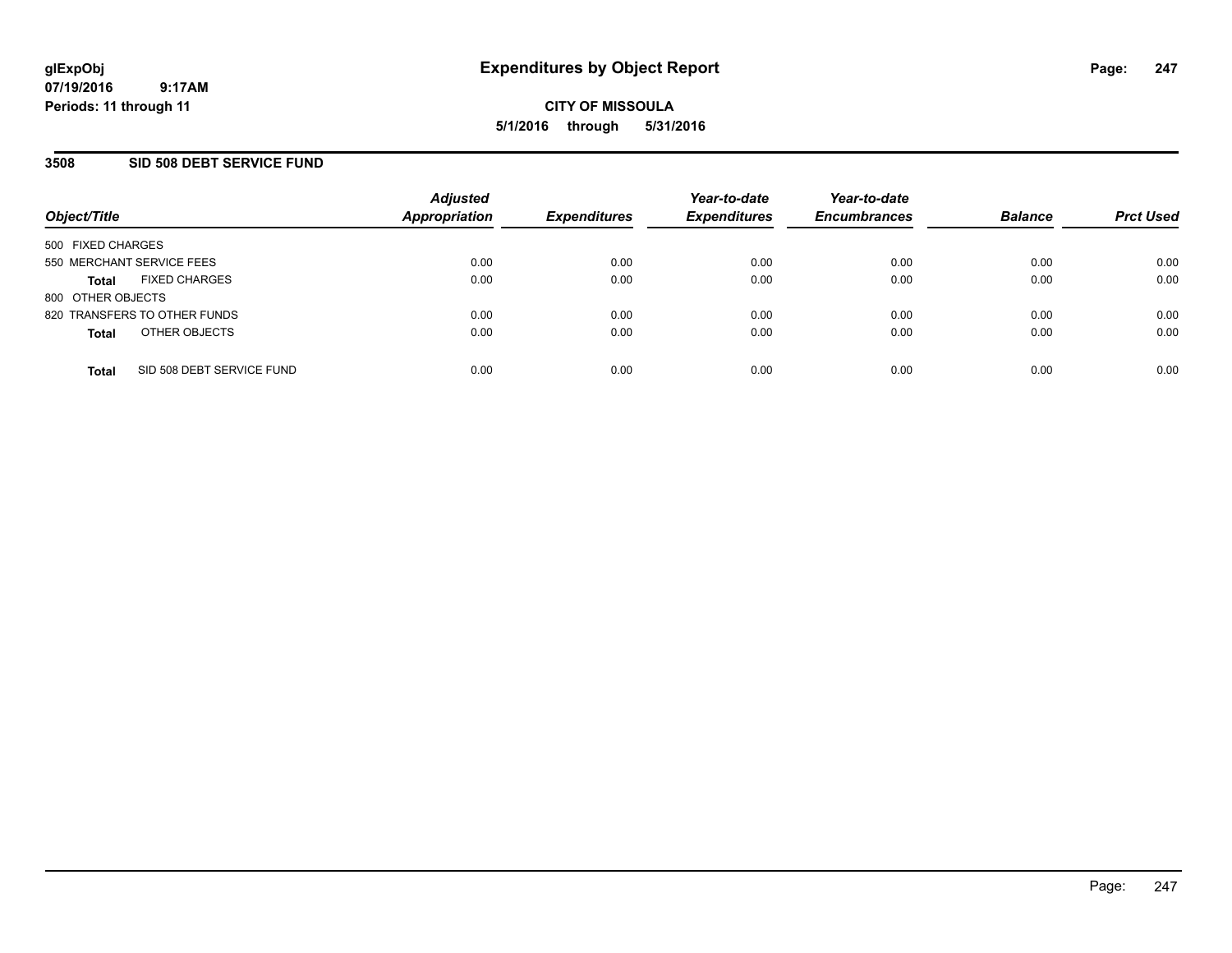### **3508 SID 508 DEBT SERVICE FUND**

| Object/Title                              | <b>Adjusted</b><br><b>Appropriation</b> | <b>Expenditures</b> | Year-to-date<br><b>Expenditures</b> | Year-to-date<br><b>Encumbrances</b> | <b>Balance</b> | <b>Prct Used</b> |
|-------------------------------------------|-----------------------------------------|---------------------|-------------------------------------|-------------------------------------|----------------|------------------|
| 500 FIXED CHARGES                         |                                         |                     |                                     |                                     |                |                  |
| 550 MERCHANT SERVICE FEES                 | 0.00                                    | 0.00                | 0.00                                | 0.00                                | 0.00           | 0.00             |
| <b>FIXED CHARGES</b><br><b>Total</b>      | 0.00                                    | 0.00                | 0.00                                | 0.00                                | 0.00           | 0.00             |
| 800 OTHER OBJECTS                         |                                         |                     |                                     |                                     |                |                  |
| 820 TRANSFERS TO OTHER FUNDS              | 0.00                                    | 0.00                | 0.00                                | 0.00                                | 0.00           | 0.00             |
| OTHER OBJECTS<br><b>Total</b>             | 0.00                                    | 0.00                | 0.00                                | 0.00                                | 0.00           | 0.00             |
| SID 508 DEBT SERVICE FUND<br><b>Total</b> | 0.00                                    | 0.00                | 0.00                                | 0.00                                | 0.00           | 0.00             |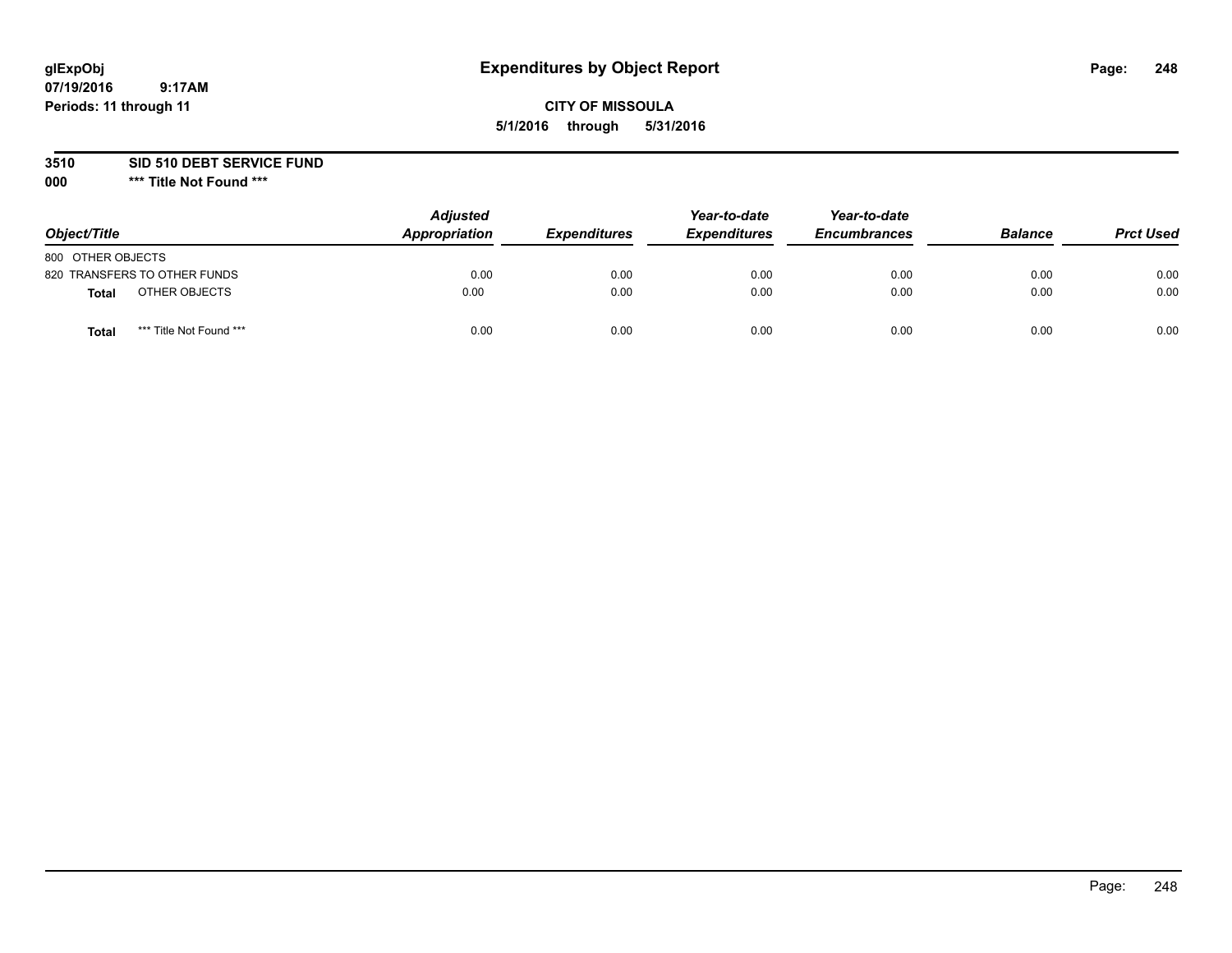## **CITY OF MISSOULA 5/1/2016 through 5/31/2016**

### **3510 SID 510 DEBT SERVICE FUND**

| Object/Title                            | <b>Adjusted</b><br>Appropriation | <b>Expenditures</b> | Year-to-date<br><b>Expenditures</b> | Year-to-date<br><b>Encumbrances</b> | <b>Balance</b> | <b>Prct Used</b> |
|-----------------------------------------|----------------------------------|---------------------|-------------------------------------|-------------------------------------|----------------|------------------|
| 800 OTHER OBJECTS                       |                                  |                     |                                     |                                     |                |                  |
| 820 TRANSFERS TO OTHER FUNDS            | 0.00                             | 0.00                | 0.00                                | 0.00                                | 0.00           | 0.00             |
| OTHER OBJECTS<br><b>Total</b>           | 0.00                             | 0.00                | 0.00                                | 0.00                                | 0.00           | 0.00             |
| *** Title Not Found ***<br><b>Total</b> | 0.00                             | 0.00                | 0.00                                | 0.00                                | 0.00           | 0.00             |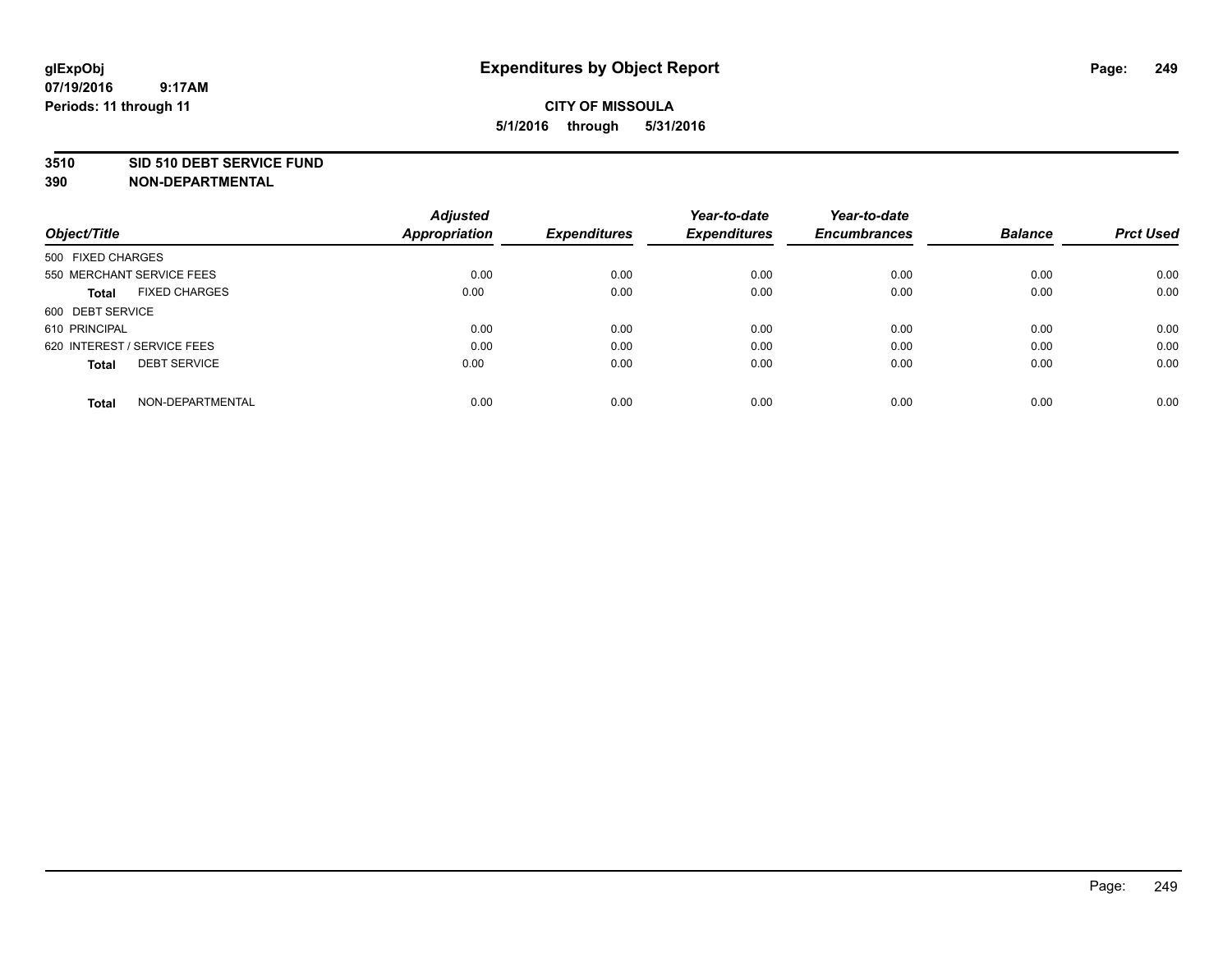#### **3510 SID 510 DEBT SERVICE FUND**

| Object/Title                        | <b>Adjusted</b><br><b>Appropriation</b> | <b>Expenditures</b> | Year-to-date<br><b>Expenditures</b> | Year-to-date<br><b>Encumbrances</b> | <b>Balance</b> | <b>Prct Used</b> |
|-------------------------------------|-----------------------------------------|---------------------|-------------------------------------|-------------------------------------|----------------|------------------|
|                                     |                                         |                     |                                     |                                     |                |                  |
| 500 FIXED CHARGES                   |                                         |                     |                                     |                                     |                |                  |
| 550 MERCHANT SERVICE FEES           | 0.00                                    | 0.00                | 0.00                                | 0.00                                | 0.00           | 0.00             |
| <b>FIXED CHARGES</b><br>Total       | 0.00                                    | 0.00                | 0.00                                | 0.00                                | 0.00           | 0.00             |
| 600 DEBT SERVICE                    |                                         |                     |                                     |                                     |                |                  |
| 610 PRINCIPAL                       | 0.00                                    | 0.00                | 0.00                                | 0.00                                | 0.00           | 0.00             |
| 620 INTEREST / SERVICE FEES         | 0.00                                    | 0.00                | 0.00                                | 0.00                                | 0.00           | 0.00             |
| <b>DEBT SERVICE</b><br><b>Total</b> | 0.00                                    | 0.00                | 0.00                                | 0.00                                | 0.00           | 0.00             |
| NON-DEPARTMENTAL<br><b>Total</b>    | 0.00                                    | 0.00                | 0.00                                | 0.00                                | 0.00           | 0.00             |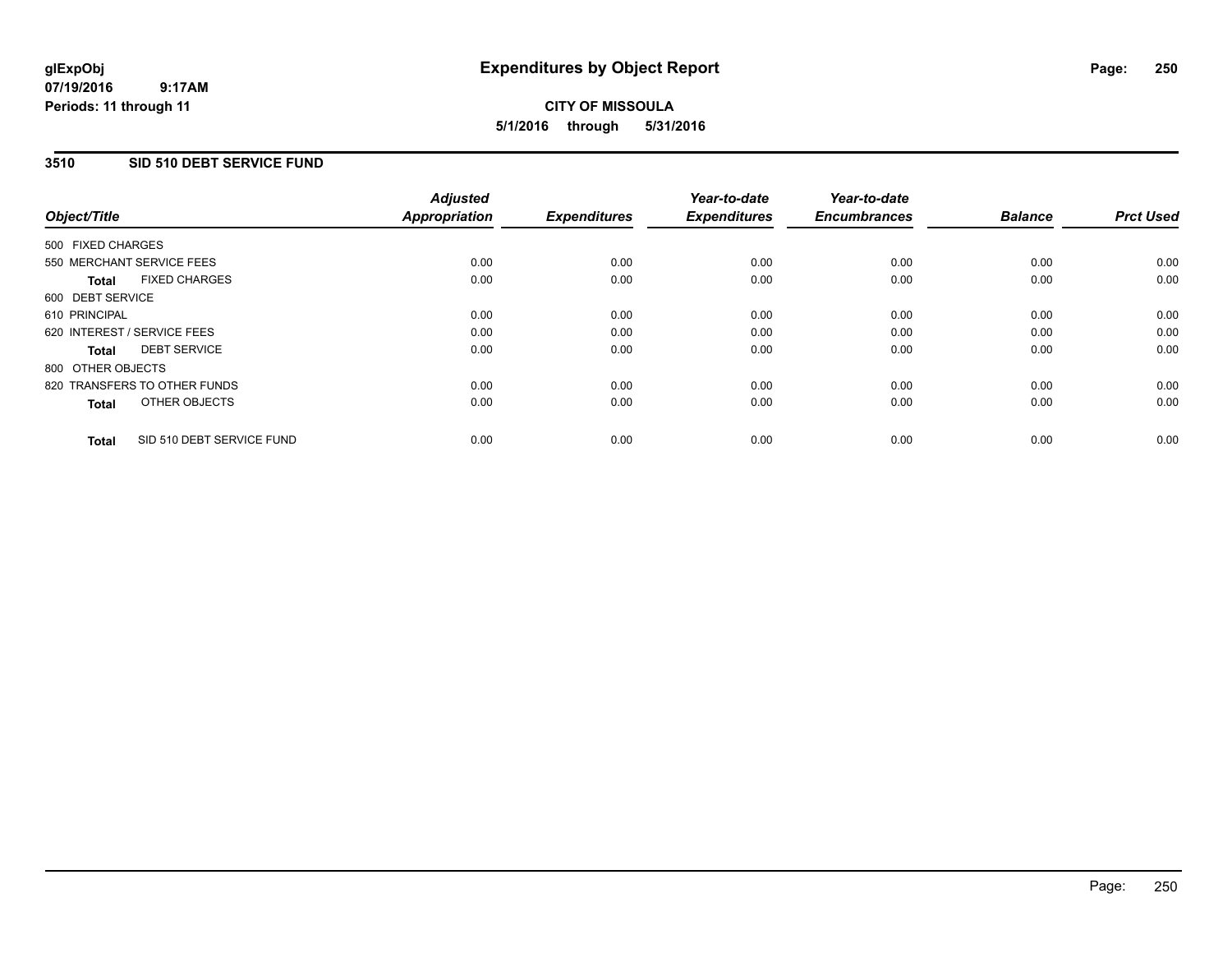#### **07/19/2016 9:17AM Periods: 11 through 11**

# **CITY OF MISSOULA 5/1/2016 through 5/31/2016**

### **3510 SID 510 DEBT SERVICE FUND**

| Object/Title      |                              | <b>Adjusted</b><br><b>Appropriation</b> | <b>Expenditures</b> | Year-to-date<br><b>Expenditures</b> | Year-to-date<br><b>Encumbrances</b> | <b>Balance</b> | <b>Prct Used</b> |
|-------------------|------------------------------|-----------------------------------------|---------------------|-------------------------------------|-------------------------------------|----------------|------------------|
|                   |                              |                                         |                     |                                     |                                     |                |                  |
| 500 FIXED CHARGES |                              |                                         |                     |                                     |                                     |                |                  |
|                   | 550 MERCHANT SERVICE FEES    | 0.00                                    | 0.00                | 0.00                                | 0.00                                | 0.00           | 0.00             |
| <b>Total</b>      | <b>FIXED CHARGES</b>         | 0.00                                    | 0.00                | 0.00                                | 0.00                                | 0.00           | 0.00             |
| 600 DEBT SERVICE  |                              |                                         |                     |                                     |                                     |                |                  |
| 610 PRINCIPAL     |                              | 0.00                                    | 0.00                | 0.00                                | 0.00                                | 0.00           | 0.00             |
|                   | 620 INTEREST / SERVICE FEES  | 0.00                                    | 0.00                | 0.00                                | 0.00                                | 0.00           | 0.00             |
| <b>Total</b>      | <b>DEBT SERVICE</b>          | 0.00                                    | 0.00                | 0.00                                | 0.00                                | 0.00           | 0.00             |
| 800 OTHER OBJECTS |                              |                                         |                     |                                     |                                     |                |                  |
|                   | 820 TRANSFERS TO OTHER FUNDS | 0.00                                    | 0.00                | 0.00                                | 0.00                                | 0.00           | 0.00             |
| <b>Total</b>      | OTHER OBJECTS                | 0.00                                    | 0.00                | 0.00                                | 0.00                                | 0.00           | 0.00             |
| <b>Total</b>      | SID 510 DEBT SERVICE FUND    | 0.00                                    | 0.00                | 0.00                                | 0.00                                | 0.00           | 0.00             |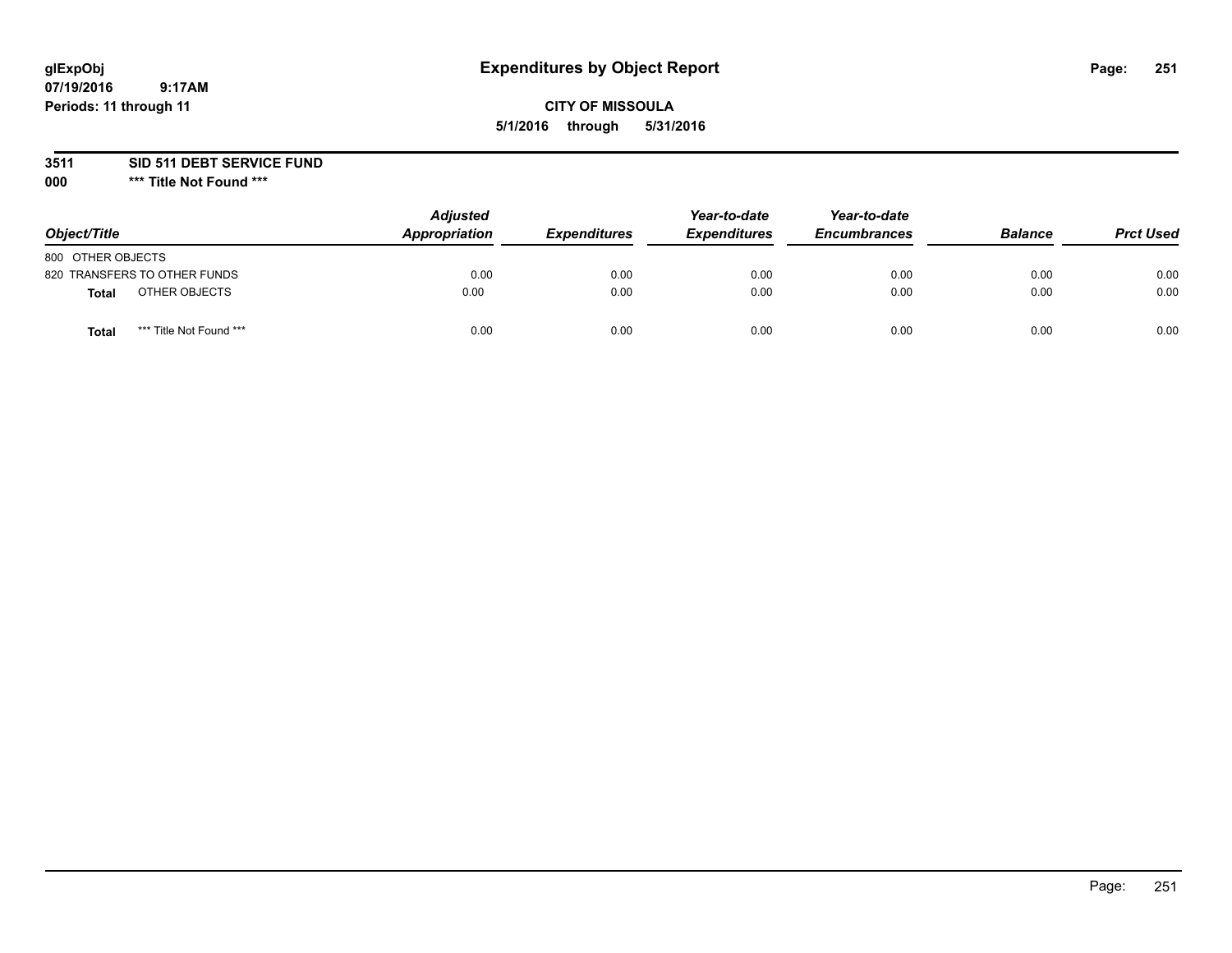## **CITY OF MISSOULA 5/1/2016 through 5/31/2016**

**3511 SID 511 DEBT SERVICE FUND**

| Object/Title                     | <b>Adjusted</b><br>Appropriation | <b>Expenditures</b> | Year-to-date<br><b>Expenditures</b> | Year-to-date<br><b>Encumbrances</b> | <b>Balance</b> | <b>Prct Used</b> |
|----------------------------------|----------------------------------|---------------------|-------------------------------------|-------------------------------------|----------------|------------------|
| 800 OTHER OBJECTS                |                                  |                     |                                     |                                     |                |                  |
| 820 TRANSFERS TO OTHER FUNDS     | 0.00                             | 0.00                | 0.00                                | 0.00                                | 0.00           | 0.00             |
| OTHER OBJECTS<br><b>Total</b>    | 0.00                             | 0.00                | 0.00                                | 0.00                                | 0.00           | 0.00             |
| *** Title Not Found ***<br>Total | 0.00                             | 0.00                | 0.00                                | 0.00                                | 0.00           | 0.00             |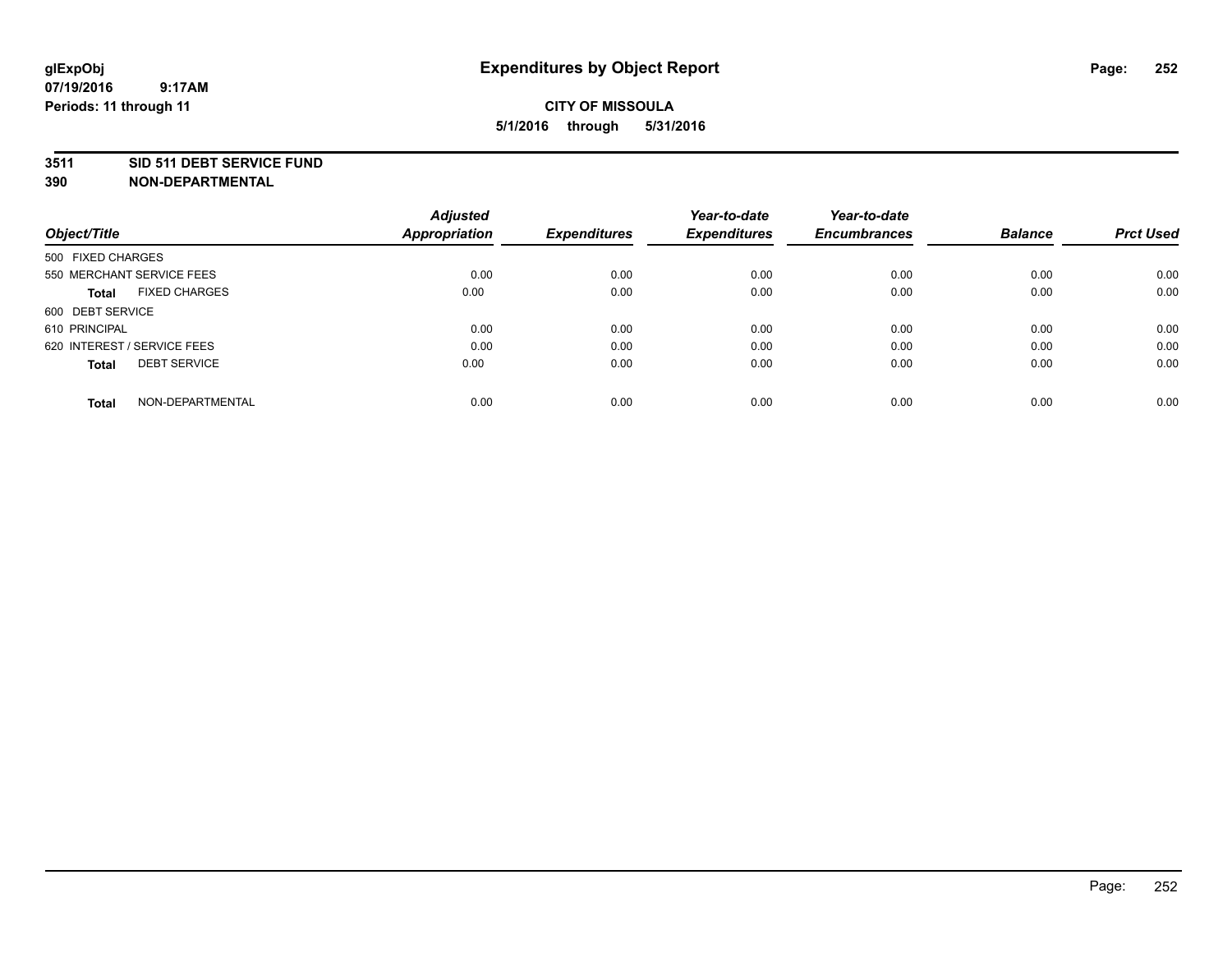#### **3511 SID 511 DEBT SERVICE FUND**

| Object/Title                         | <b>Adjusted</b><br><b>Appropriation</b> | <b>Expenditures</b> | Year-to-date<br><b>Expenditures</b> | Year-to-date<br><b>Encumbrances</b> | <b>Balance</b> | <b>Prct Used</b> |
|--------------------------------------|-----------------------------------------|---------------------|-------------------------------------|-------------------------------------|----------------|------------------|
|                                      |                                         |                     |                                     |                                     |                |                  |
| 500 FIXED CHARGES                    |                                         |                     |                                     |                                     |                |                  |
| 550 MERCHANT SERVICE FEES            | 0.00                                    | 0.00                | 0.00                                | 0.00                                | 0.00           | 0.00             |
| <b>FIXED CHARGES</b><br><b>Total</b> | 0.00                                    | 0.00                | 0.00                                | 0.00                                | 0.00           | 0.00             |
| 600 DEBT SERVICE                     |                                         |                     |                                     |                                     |                |                  |
| 610 PRINCIPAL                        | 0.00                                    | 0.00                | 0.00                                | 0.00                                | 0.00           | 0.00             |
| 620 INTEREST / SERVICE FEES          | 0.00                                    | 0.00                | 0.00                                | 0.00                                | 0.00           | 0.00             |
| <b>DEBT SERVICE</b><br>Total         | 0.00                                    | 0.00                | 0.00                                | 0.00                                | 0.00           | 0.00             |
|                                      |                                         |                     |                                     |                                     |                |                  |
| NON-DEPARTMENTAL<br><b>Total</b>     | 0.00                                    | 0.00                | 0.00                                | 0.00                                | 0.00           | 0.00             |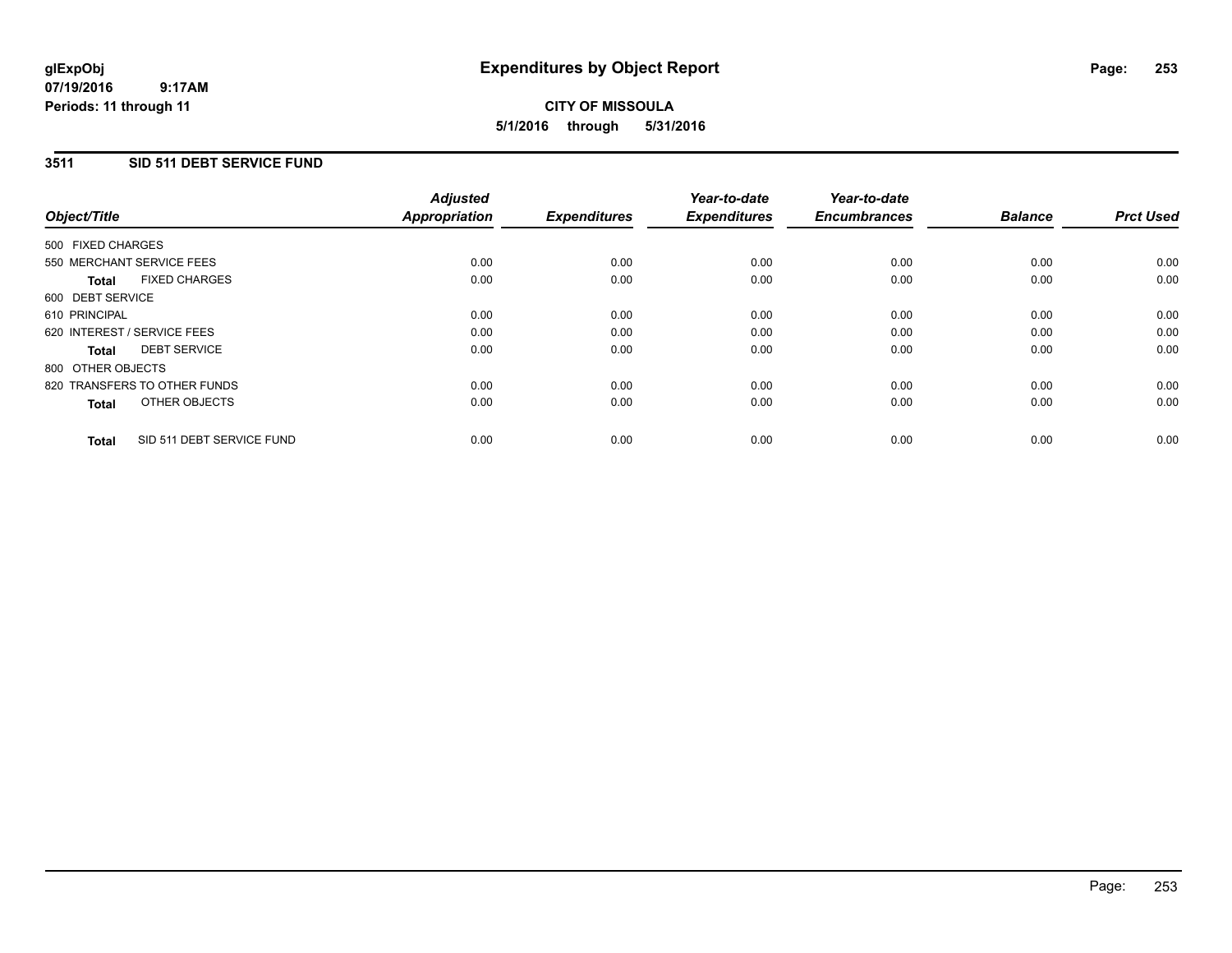### **3511 SID 511 DEBT SERVICE FUND**

| Object/Title      |                              | <b>Adjusted</b><br>Appropriation | <b>Expenditures</b> | Year-to-date<br><b>Expenditures</b> | Year-to-date<br><b>Encumbrances</b> | <b>Balance</b> | <b>Prct Used</b> |
|-------------------|------------------------------|----------------------------------|---------------------|-------------------------------------|-------------------------------------|----------------|------------------|
| 500 FIXED CHARGES |                              |                                  |                     |                                     |                                     |                |                  |
|                   | 550 MERCHANT SERVICE FEES    | 0.00                             | 0.00                | 0.00                                | 0.00                                | 0.00           | 0.00             |
| <b>Total</b>      | <b>FIXED CHARGES</b>         | 0.00                             | 0.00                | 0.00                                | 0.00                                | 0.00           | 0.00             |
| 600 DEBT SERVICE  |                              |                                  |                     |                                     |                                     |                |                  |
| 610 PRINCIPAL     |                              | 0.00                             | 0.00                | 0.00                                | 0.00                                | 0.00           | 0.00             |
|                   | 620 INTEREST / SERVICE FEES  | 0.00                             | 0.00                | 0.00                                | 0.00                                | 0.00           | 0.00             |
| Total             | <b>DEBT SERVICE</b>          | 0.00                             | 0.00                | 0.00                                | 0.00                                | 0.00           | 0.00             |
| 800 OTHER OBJECTS |                              |                                  |                     |                                     |                                     |                |                  |
|                   | 820 TRANSFERS TO OTHER FUNDS | 0.00                             | 0.00                | 0.00                                | 0.00                                | 0.00           | 0.00             |
| <b>Total</b>      | OTHER OBJECTS                | 0.00                             | 0.00                | 0.00                                | 0.00                                | 0.00           | 0.00             |
| <b>Total</b>      | SID 511 DEBT SERVICE FUND    | 0.00                             | 0.00                | 0.00                                | 0.00                                | 0.00           | 0.00             |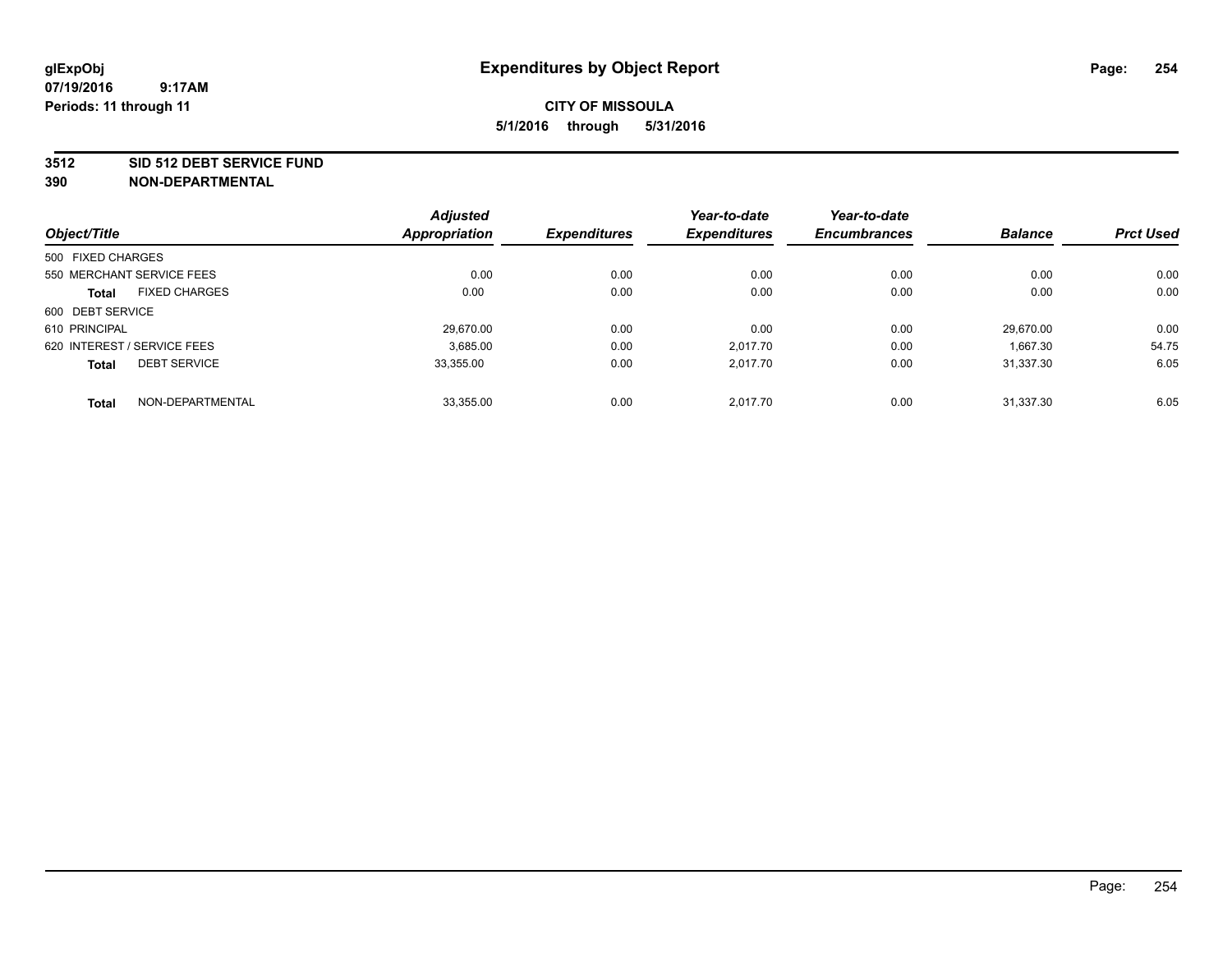### **3512 SID 512 DEBT SERVICE FUND**

|                             |                           | <b>Adjusted</b>      |                     | Year-to-date        | Year-to-date        |                |                  |
|-----------------------------|---------------------------|----------------------|---------------------|---------------------|---------------------|----------------|------------------|
| Object/Title                |                           | <b>Appropriation</b> | <b>Expenditures</b> | <b>Expenditures</b> | <b>Encumbrances</b> | <b>Balance</b> | <b>Prct Used</b> |
| 500 FIXED CHARGES           |                           |                      |                     |                     |                     |                |                  |
|                             | 550 MERCHANT SERVICE FEES | 0.00                 | 0.00                | 0.00                | 0.00                | 0.00           | 0.00             |
| <b>Total</b>                | <b>FIXED CHARGES</b>      | 0.00                 | 0.00                | 0.00                | 0.00                | 0.00           | 0.00             |
| 600 DEBT SERVICE            |                           |                      |                     |                     |                     |                |                  |
| 610 PRINCIPAL               |                           | 29.670.00            | 0.00                | 0.00                | 0.00                | 29.670.00      | 0.00             |
| 620 INTEREST / SERVICE FEES |                           | 3,685.00             | 0.00                | 2.017.70            | 0.00                | 1,667.30       | 54.75            |
| <b>Total</b>                | <b>DEBT SERVICE</b>       | 33.355.00            | 0.00                | 2.017.70            | 0.00                | 31.337.30      | 6.05             |
| <b>Total</b>                | NON-DEPARTMENTAL          | 33,355.00            | 0.00                | 2.017.70            | 0.00                | 31.337.30      | 6.05             |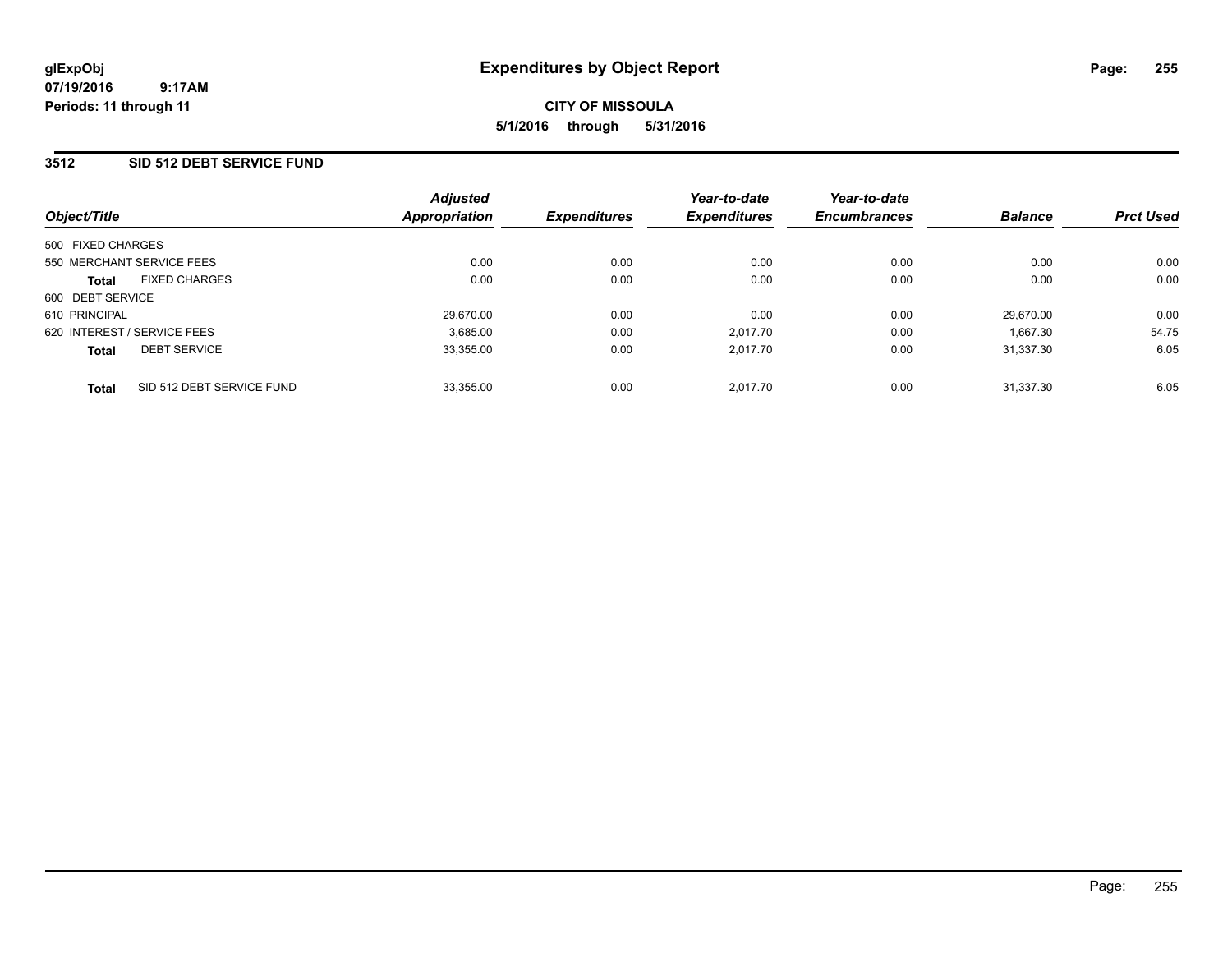### **3512 SID 512 DEBT SERVICE FUND**

| Object/Title                |                           | <b>Adjusted</b><br>Appropriation | <b>Expenditures</b> | Year-to-date<br><b>Expenditures</b> | Year-to-date<br><b>Encumbrances</b> | <b>Balance</b> | <b>Prct Used</b> |
|-----------------------------|---------------------------|----------------------------------|---------------------|-------------------------------------|-------------------------------------|----------------|------------------|
| 500 FIXED CHARGES           |                           |                                  |                     |                                     |                                     |                |                  |
| 550 MERCHANT SERVICE FEES   |                           | 0.00                             | 0.00                | 0.00                                | 0.00                                | 0.00           | 0.00             |
| <b>Total</b>                | <b>FIXED CHARGES</b>      | 0.00                             | 0.00                | 0.00                                | 0.00                                | 0.00           | 0.00             |
| 600 DEBT SERVICE            |                           |                                  |                     |                                     |                                     |                |                  |
| 610 PRINCIPAL               |                           | 29.670.00                        | 0.00                | 0.00                                | 0.00                                | 29.670.00      | 0.00             |
| 620 INTEREST / SERVICE FEES |                           | 3,685.00                         | 0.00                | 2.017.70                            | 0.00                                | 1.667.30       | 54.75            |
| <b>Total</b>                | <b>DEBT SERVICE</b>       | 33,355.00                        | 0.00                | 2.017.70                            | 0.00                                | 31.337.30      | 6.05             |
| <b>Total</b>                | SID 512 DEBT SERVICE FUND | 33,355.00                        | 0.00                | 2.017.70                            | 0.00                                | 31.337.30      | 6.05             |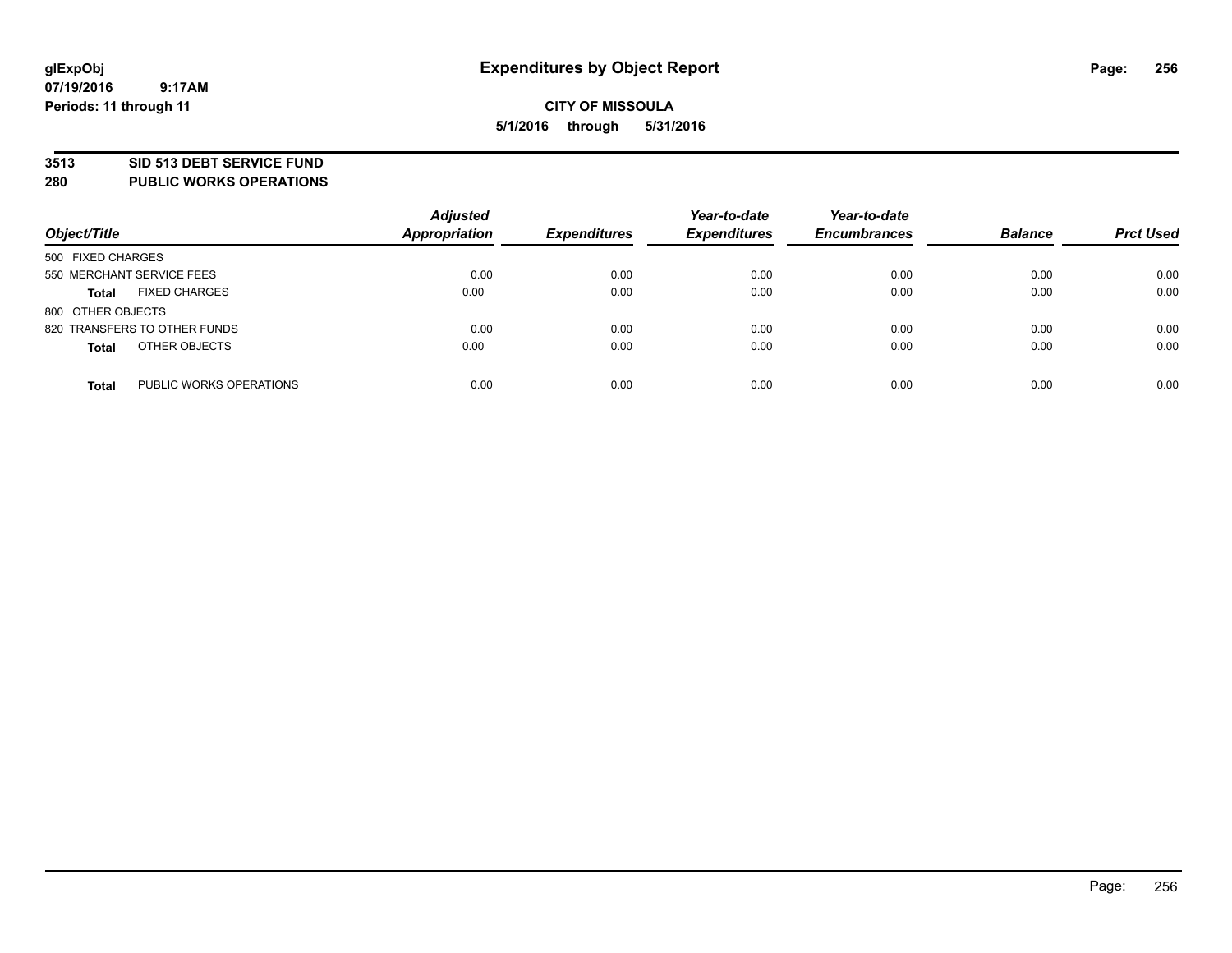### **3513 SID 513 DEBT SERVICE FUND**

**280 PUBLIC WORKS OPERATIONS**

| Object/Title                            | <b>Adjusted</b><br><b>Appropriation</b> | <b>Expenditures</b> | Year-to-date<br><b>Expenditures</b> | Year-to-date<br><b>Encumbrances</b> | <b>Balance</b> | <b>Prct Used</b> |
|-----------------------------------------|-----------------------------------------|---------------------|-------------------------------------|-------------------------------------|----------------|------------------|
| 500 FIXED CHARGES                       |                                         |                     |                                     |                                     |                |                  |
| 550 MERCHANT SERVICE FEES               | 0.00                                    | 0.00                | 0.00                                | 0.00                                | 0.00           | 0.00             |
| <b>FIXED CHARGES</b><br><b>Total</b>    | 0.00                                    | 0.00                | 0.00                                | 0.00                                | 0.00           | 0.00             |
| 800 OTHER OBJECTS                       |                                         |                     |                                     |                                     |                |                  |
| 820 TRANSFERS TO OTHER FUNDS            | 0.00                                    | 0.00                | 0.00                                | 0.00                                | 0.00           | 0.00             |
| OTHER OBJECTS<br><b>Total</b>           | 0.00                                    | 0.00                | 0.00                                | 0.00                                | 0.00           | 0.00             |
| PUBLIC WORKS OPERATIONS<br><b>Total</b> | 0.00                                    | 0.00                | 0.00                                | 0.00                                | 0.00           | 0.00             |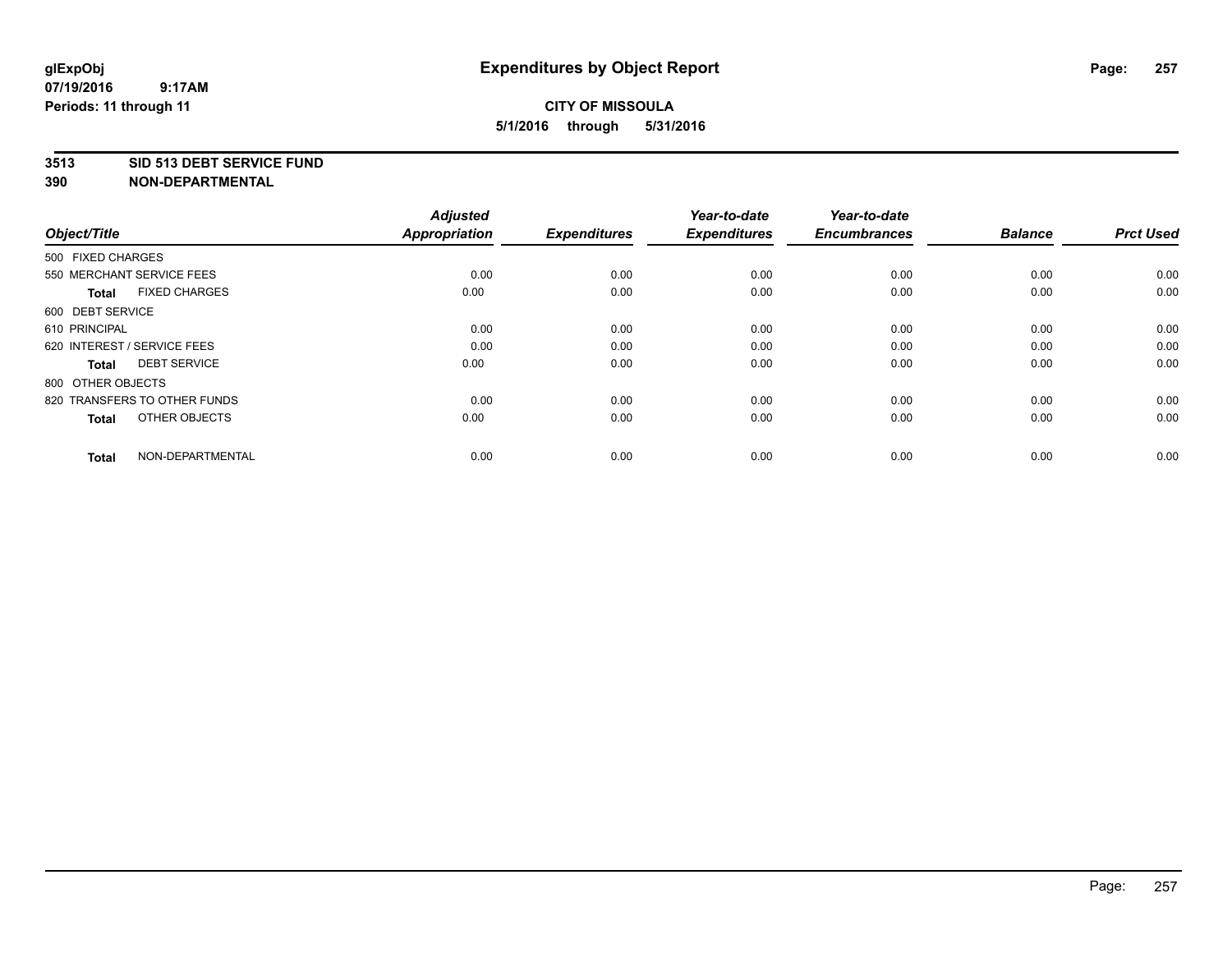### **3513 SID 513 DEBT SERVICE FUND**

| Object/Title                         | <b>Adjusted</b><br>Appropriation | <b>Expenditures</b> | Year-to-date<br><b>Expenditures</b> | Year-to-date<br><b>Encumbrances</b> | <b>Balance</b> | <b>Prct Used</b> |
|--------------------------------------|----------------------------------|---------------------|-------------------------------------|-------------------------------------|----------------|------------------|
| 500 FIXED CHARGES                    |                                  |                     |                                     |                                     |                |                  |
| 550 MERCHANT SERVICE FEES            | 0.00                             | 0.00                | 0.00                                | 0.00                                | 0.00           | 0.00             |
| <b>FIXED CHARGES</b><br><b>Total</b> | 0.00                             | 0.00                | 0.00                                | 0.00                                | 0.00           | 0.00             |
| 600 DEBT SERVICE                     |                                  |                     |                                     |                                     |                |                  |
| 610 PRINCIPAL                        | 0.00                             | 0.00                | 0.00                                | 0.00                                | 0.00           | 0.00             |
| 620 INTEREST / SERVICE FEES          | 0.00                             | 0.00                | 0.00                                | 0.00                                | 0.00           | 0.00             |
| <b>DEBT SERVICE</b><br><b>Total</b>  | 0.00                             | 0.00                | 0.00                                | 0.00                                | 0.00           | 0.00             |
| 800 OTHER OBJECTS                    |                                  |                     |                                     |                                     |                |                  |
| 820 TRANSFERS TO OTHER FUNDS         | 0.00                             | 0.00                | 0.00                                | 0.00                                | 0.00           | 0.00             |
| OTHER OBJECTS<br><b>Total</b>        | 0.00                             | 0.00                | 0.00                                | 0.00                                | 0.00           | 0.00             |
|                                      |                                  |                     |                                     |                                     |                |                  |
| NON-DEPARTMENTAL<br><b>Total</b>     | 0.00                             | 0.00                | 0.00                                | 0.00                                | 0.00           | 0.00             |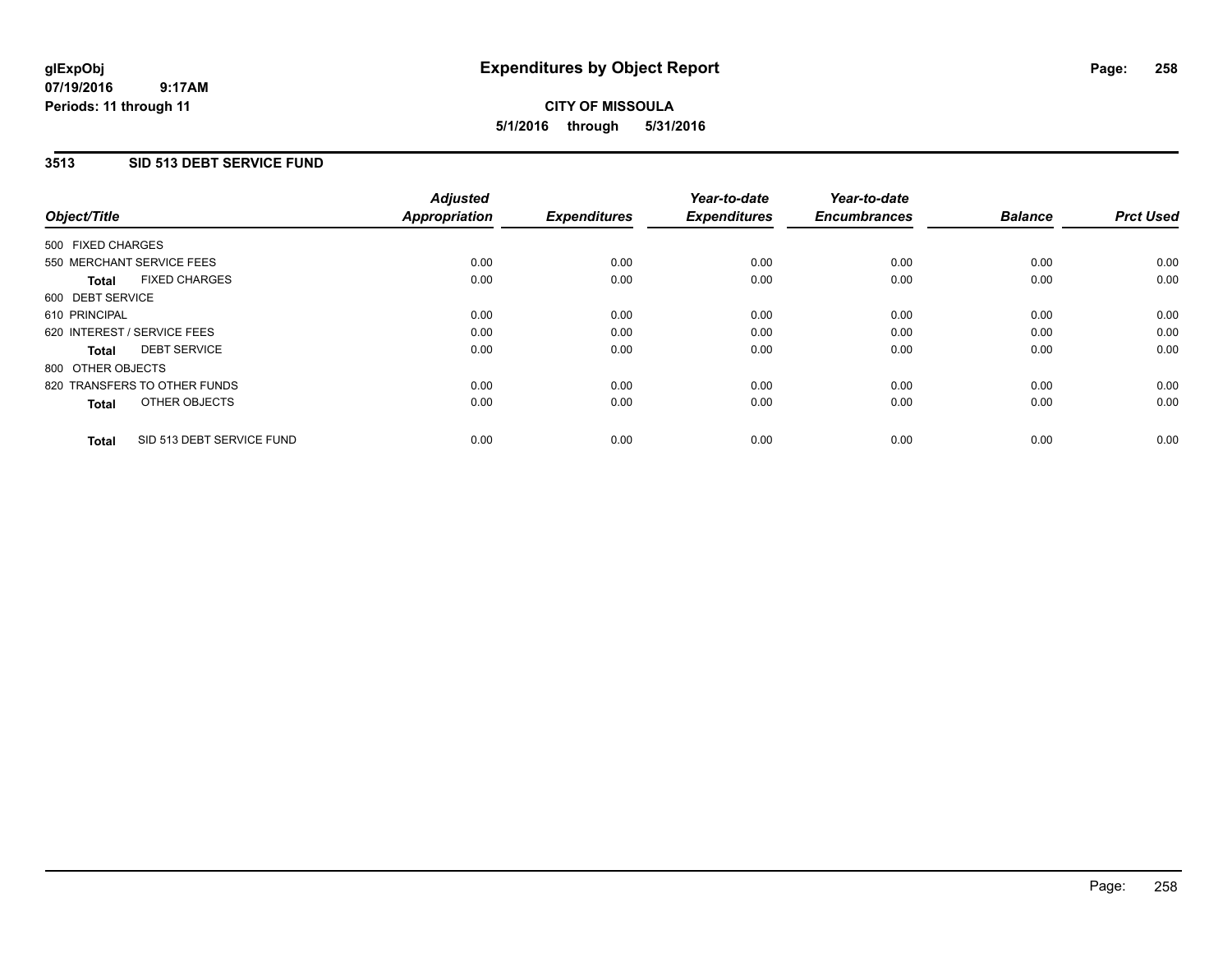### **07/19/2016 9:17AM Periods: 11 through 11**

# **CITY OF MISSOULA 5/1/2016 through 5/31/2016**

### **3513 SID 513 DEBT SERVICE FUND**

| Object/Title                              | <b>Adjusted</b><br><b>Appropriation</b> | <b>Expenditures</b> | Year-to-date<br><b>Expenditures</b> | Year-to-date<br><b>Encumbrances</b> | <b>Balance</b> | <b>Prct Used</b> |
|-------------------------------------------|-----------------------------------------|---------------------|-------------------------------------|-------------------------------------|----------------|------------------|
|                                           |                                         |                     |                                     |                                     |                |                  |
| 500 FIXED CHARGES                         |                                         |                     |                                     |                                     |                |                  |
| 550 MERCHANT SERVICE FEES                 | 0.00                                    | 0.00                | 0.00                                | 0.00                                | 0.00           | 0.00             |
| <b>FIXED CHARGES</b><br>Total             | 0.00                                    | 0.00                | 0.00                                | 0.00                                | 0.00           | 0.00             |
| 600 DEBT SERVICE                          |                                         |                     |                                     |                                     |                |                  |
| 610 PRINCIPAL                             | 0.00                                    | 0.00                | 0.00                                | 0.00                                | 0.00           | 0.00             |
| 620 INTEREST / SERVICE FEES               | 0.00                                    | 0.00                | 0.00                                | 0.00                                | 0.00           | 0.00             |
| <b>DEBT SERVICE</b><br><b>Total</b>       | 0.00                                    | 0.00                | 0.00                                | 0.00                                | 0.00           | 0.00             |
| 800 OTHER OBJECTS                         |                                         |                     |                                     |                                     |                |                  |
| 820 TRANSFERS TO OTHER FUNDS              | 0.00                                    | 0.00                | 0.00                                | 0.00                                | 0.00           | 0.00             |
| OTHER OBJECTS<br><b>Total</b>             | 0.00                                    | 0.00                | 0.00                                | 0.00                                | 0.00           | 0.00             |
|                                           |                                         |                     |                                     |                                     |                |                  |
| SID 513 DEBT SERVICE FUND<br><b>Total</b> | 0.00                                    | 0.00                | 0.00                                | 0.00                                | 0.00           | 0.00             |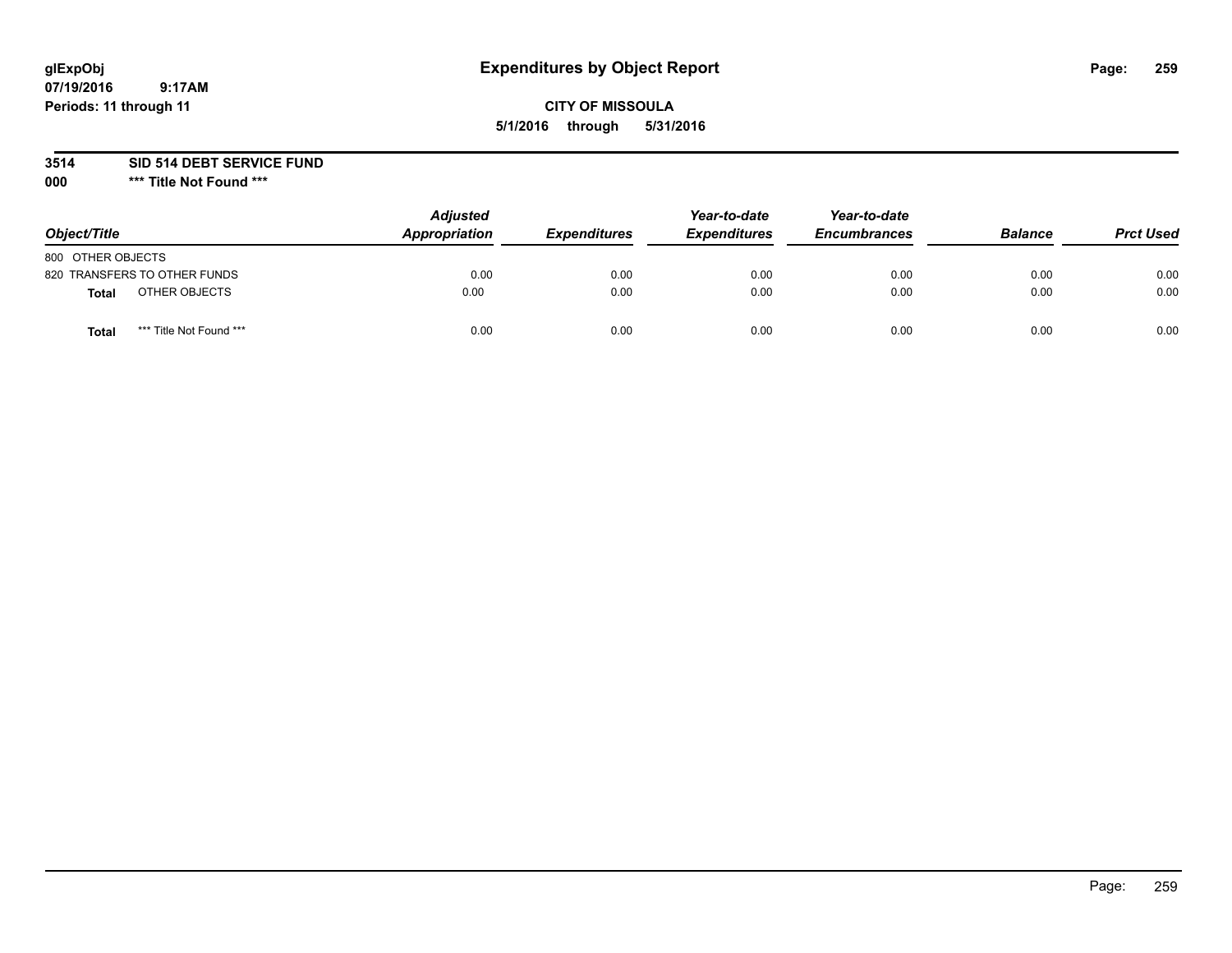# **glExpObj Expenditures by Object Report Page: 259**

### **CITY OF MISSOULA 5/1/2016 through 5/31/2016**

**3514 SID 514 DEBT SERVICE FUND**

**000 \*\*\* Title Not Found \*\*\***

| Object/Title                     | <b>Adjusted</b><br>Appropriation | <b>Expenditures</b> | Year-to-date<br><b>Expenditures</b> | Year-to-date<br><b>Encumbrances</b> | <b>Balance</b> | <b>Prct Used</b> |
|----------------------------------|----------------------------------|---------------------|-------------------------------------|-------------------------------------|----------------|------------------|
| 800 OTHER OBJECTS                |                                  |                     |                                     |                                     |                |                  |
| 820 TRANSFERS TO OTHER FUNDS     | 0.00                             | 0.00                | 0.00                                | 0.00                                | 0.00           | 0.00             |
| OTHER OBJECTS<br><b>Total</b>    | 0.00                             | 0.00                | 0.00                                | 0.00                                | 0.00           | 0.00             |
| *** Title Not Found ***<br>Total | 0.00                             | 0.00                | 0.00                                | 0.00                                | 0.00           | 0.00             |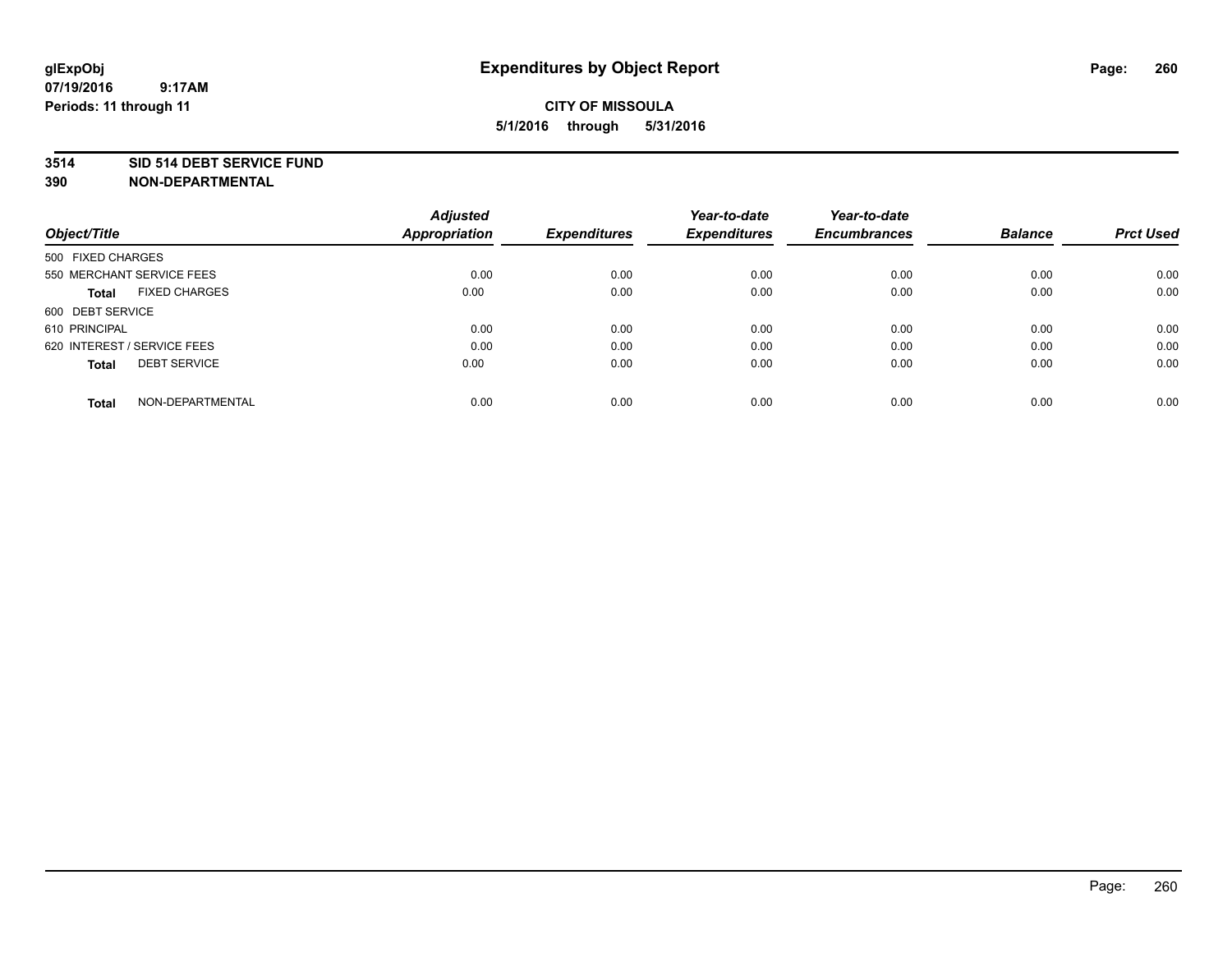### **3514 SID 514 DEBT SERVICE FUND**

| Object/Title                         | <b>Adjusted</b><br><b>Appropriation</b> | <b>Expenditures</b> | Year-to-date<br><b>Expenditures</b> | Year-to-date<br><b>Encumbrances</b> | <b>Balance</b> | <b>Prct Used</b> |
|--------------------------------------|-----------------------------------------|---------------------|-------------------------------------|-------------------------------------|----------------|------------------|
|                                      |                                         |                     |                                     |                                     |                |                  |
| 500 FIXED CHARGES                    |                                         |                     |                                     |                                     |                |                  |
| 550 MERCHANT SERVICE FEES            | 0.00                                    | 0.00                | 0.00                                | 0.00                                | 0.00           | 0.00             |
| <b>FIXED CHARGES</b><br><b>Total</b> | 0.00                                    | 0.00                | 0.00                                | 0.00                                | 0.00           | 0.00             |
| 600 DEBT SERVICE                     |                                         |                     |                                     |                                     |                |                  |
| 610 PRINCIPAL                        | 0.00                                    | 0.00                | 0.00                                | 0.00                                | 0.00           | 0.00             |
| 620 INTEREST / SERVICE FEES          | 0.00                                    | 0.00                | 0.00                                | 0.00                                | 0.00           | 0.00             |
| <b>DEBT SERVICE</b><br><b>Total</b>  | 0.00                                    | 0.00                | 0.00                                | 0.00                                | 0.00           | 0.00             |
|                                      |                                         |                     |                                     |                                     |                |                  |
| NON-DEPARTMENTAL<br><b>Total</b>     | 0.00                                    | 0.00                | 0.00                                | 0.00                                | 0.00           | 0.00             |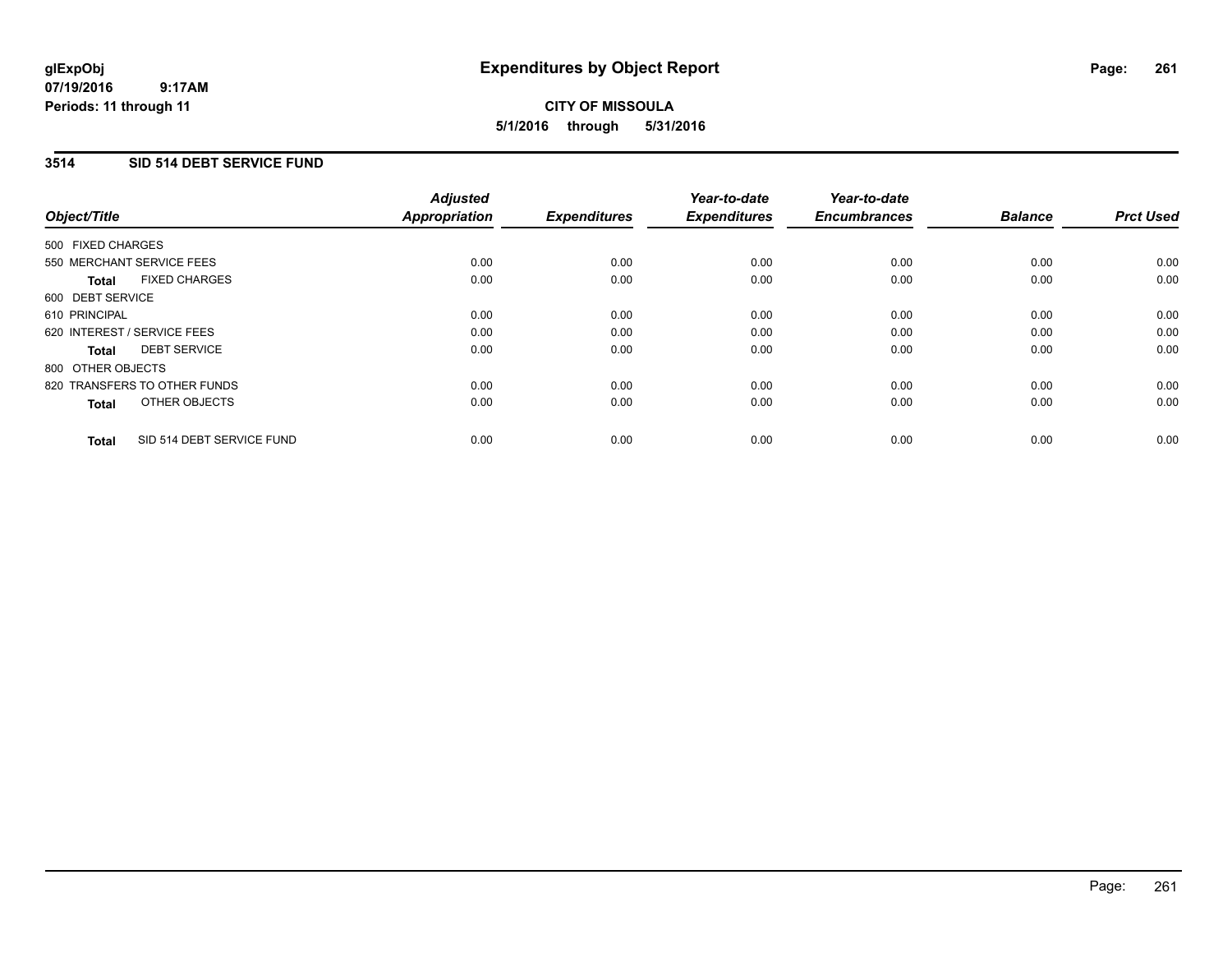### **3514 SID 514 DEBT SERVICE FUND**

| Object/Title                              | <b>Adjusted</b><br><b>Appropriation</b> | <b>Expenditures</b> | Year-to-date<br><b>Expenditures</b> | Year-to-date<br><b>Encumbrances</b> | <b>Balance</b> | <b>Prct Used</b> |
|-------------------------------------------|-----------------------------------------|---------------------|-------------------------------------|-------------------------------------|----------------|------------------|
| 500 FIXED CHARGES                         |                                         |                     |                                     |                                     |                |                  |
| 550 MERCHANT SERVICE FEES                 | 0.00                                    | 0.00                | 0.00                                | 0.00                                | 0.00           | 0.00             |
| <b>FIXED CHARGES</b><br><b>Total</b>      | 0.00                                    | 0.00                | 0.00                                | 0.00                                | 0.00           | 0.00             |
| 600 DEBT SERVICE                          |                                         |                     |                                     |                                     |                |                  |
| 610 PRINCIPAL                             | 0.00                                    | 0.00                | 0.00                                | 0.00                                | 0.00           | 0.00             |
| 620 INTEREST / SERVICE FEES               | 0.00                                    | 0.00                | 0.00                                | 0.00                                | 0.00           | 0.00             |
| <b>DEBT SERVICE</b><br><b>Total</b>       | 0.00                                    | 0.00                | 0.00                                | 0.00                                | 0.00           | 0.00             |
| 800 OTHER OBJECTS                         |                                         |                     |                                     |                                     |                |                  |
| 820 TRANSFERS TO OTHER FUNDS              | 0.00                                    | 0.00                | 0.00                                | 0.00                                | 0.00           | 0.00             |
| OTHER OBJECTS<br><b>Total</b>             | 0.00                                    | 0.00                | 0.00                                | 0.00                                | 0.00           | 0.00             |
| SID 514 DEBT SERVICE FUND<br><b>Total</b> | 0.00                                    | 0.00                | 0.00                                | 0.00                                | 0.00           | 0.00             |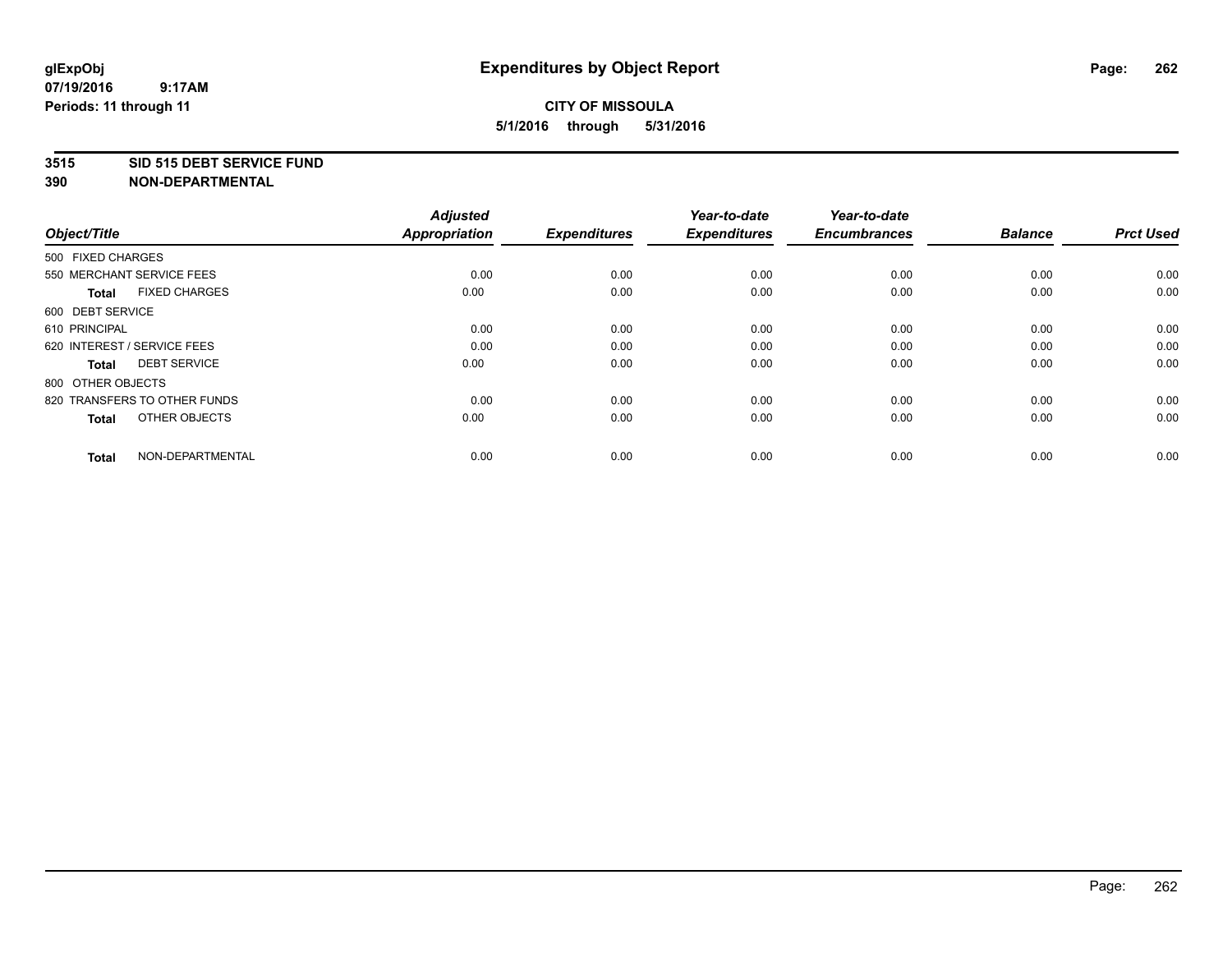### **3515 SID 515 DEBT SERVICE FUND**

| Object/Title                         | <b>Adjusted</b><br><b>Appropriation</b> | <b>Expenditures</b> | Year-to-date<br><b>Expenditures</b> | Year-to-date<br><b>Encumbrances</b> | <b>Balance</b> | <b>Prct Used</b> |
|--------------------------------------|-----------------------------------------|---------------------|-------------------------------------|-------------------------------------|----------------|------------------|
| 500 FIXED CHARGES                    |                                         |                     |                                     |                                     |                |                  |
| 550 MERCHANT SERVICE FEES            | 0.00                                    | 0.00                | 0.00                                | 0.00                                | 0.00           | 0.00             |
| <b>FIXED CHARGES</b><br><b>Total</b> | 0.00                                    | 0.00                | 0.00                                | 0.00                                | 0.00           | 0.00             |
| 600 DEBT SERVICE                     |                                         |                     |                                     |                                     |                |                  |
| 610 PRINCIPAL                        | 0.00                                    | 0.00                | 0.00                                | 0.00                                | 0.00           | 0.00             |
| 620 INTEREST / SERVICE FEES          | 0.00                                    | 0.00                | 0.00                                | 0.00                                | 0.00           | 0.00             |
| <b>DEBT SERVICE</b><br><b>Total</b>  | 0.00                                    | 0.00                | 0.00                                | 0.00                                | 0.00           | 0.00             |
| 800 OTHER OBJECTS                    |                                         |                     |                                     |                                     |                |                  |
| 820 TRANSFERS TO OTHER FUNDS         | 0.00                                    | 0.00                | 0.00                                | 0.00                                | 0.00           | 0.00             |
| OTHER OBJECTS<br><b>Total</b>        | 0.00                                    | 0.00                | 0.00                                | 0.00                                | 0.00           | 0.00             |
|                                      |                                         |                     |                                     |                                     |                |                  |
| NON-DEPARTMENTAL<br><b>Total</b>     | 0.00                                    | 0.00                | 0.00                                | 0.00                                | 0.00           | 0.00             |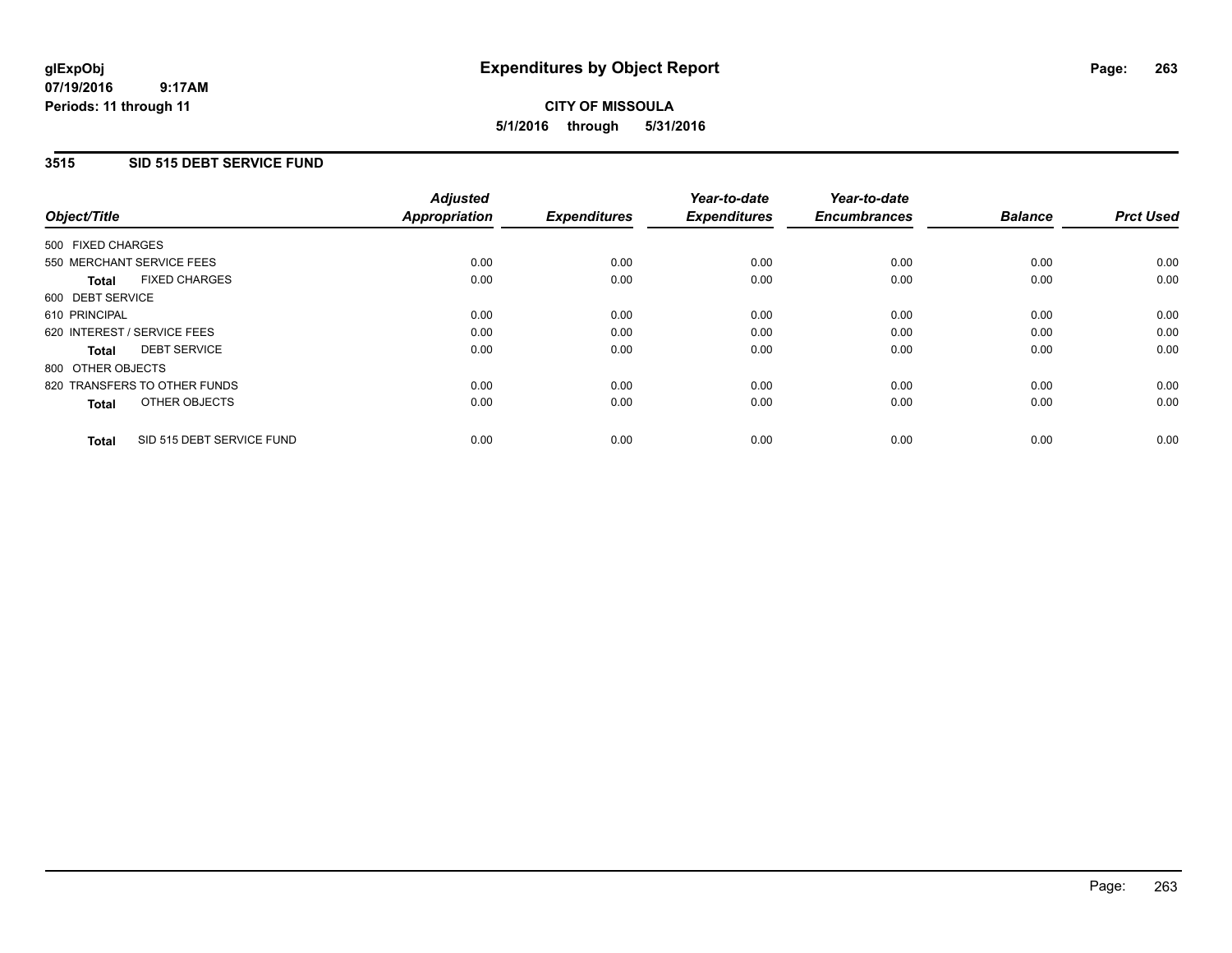### **3515 SID 515 DEBT SERVICE FUND**

| Object/Title      |                              | <b>Adjusted</b><br>Appropriation | <b>Expenditures</b> | Year-to-date<br><b>Expenditures</b> | Year-to-date<br><b>Encumbrances</b> | <b>Balance</b> | <b>Prct Used</b> |
|-------------------|------------------------------|----------------------------------|---------------------|-------------------------------------|-------------------------------------|----------------|------------------|
| 500 FIXED CHARGES |                              |                                  |                     |                                     |                                     |                |                  |
|                   | 550 MERCHANT SERVICE FEES    | 0.00                             | 0.00                | 0.00                                | 0.00                                | 0.00           | 0.00             |
| <b>Total</b>      | <b>FIXED CHARGES</b>         | 0.00                             | 0.00                | 0.00                                | 0.00                                | 0.00           | 0.00             |
| 600 DEBT SERVICE  |                              |                                  |                     |                                     |                                     |                |                  |
| 610 PRINCIPAL     |                              | 0.00                             | 0.00                | 0.00                                | 0.00                                | 0.00           | 0.00             |
|                   | 620 INTEREST / SERVICE FEES  | 0.00                             | 0.00                | 0.00                                | 0.00                                | 0.00           | 0.00             |
| Total             | <b>DEBT SERVICE</b>          | 0.00                             | 0.00                | 0.00                                | 0.00                                | 0.00           | 0.00             |
| 800 OTHER OBJECTS |                              |                                  |                     |                                     |                                     |                |                  |
|                   | 820 TRANSFERS TO OTHER FUNDS | 0.00                             | 0.00                | 0.00                                | 0.00                                | 0.00           | 0.00             |
| <b>Total</b>      | OTHER OBJECTS                | 0.00                             | 0.00                | 0.00                                | 0.00                                | 0.00           | 0.00             |
| <b>Total</b>      | SID 515 DEBT SERVICE FUND    | 0.00                             | 0.00                | 0.00                                | 0.00                                | 0.00           | 0.00             |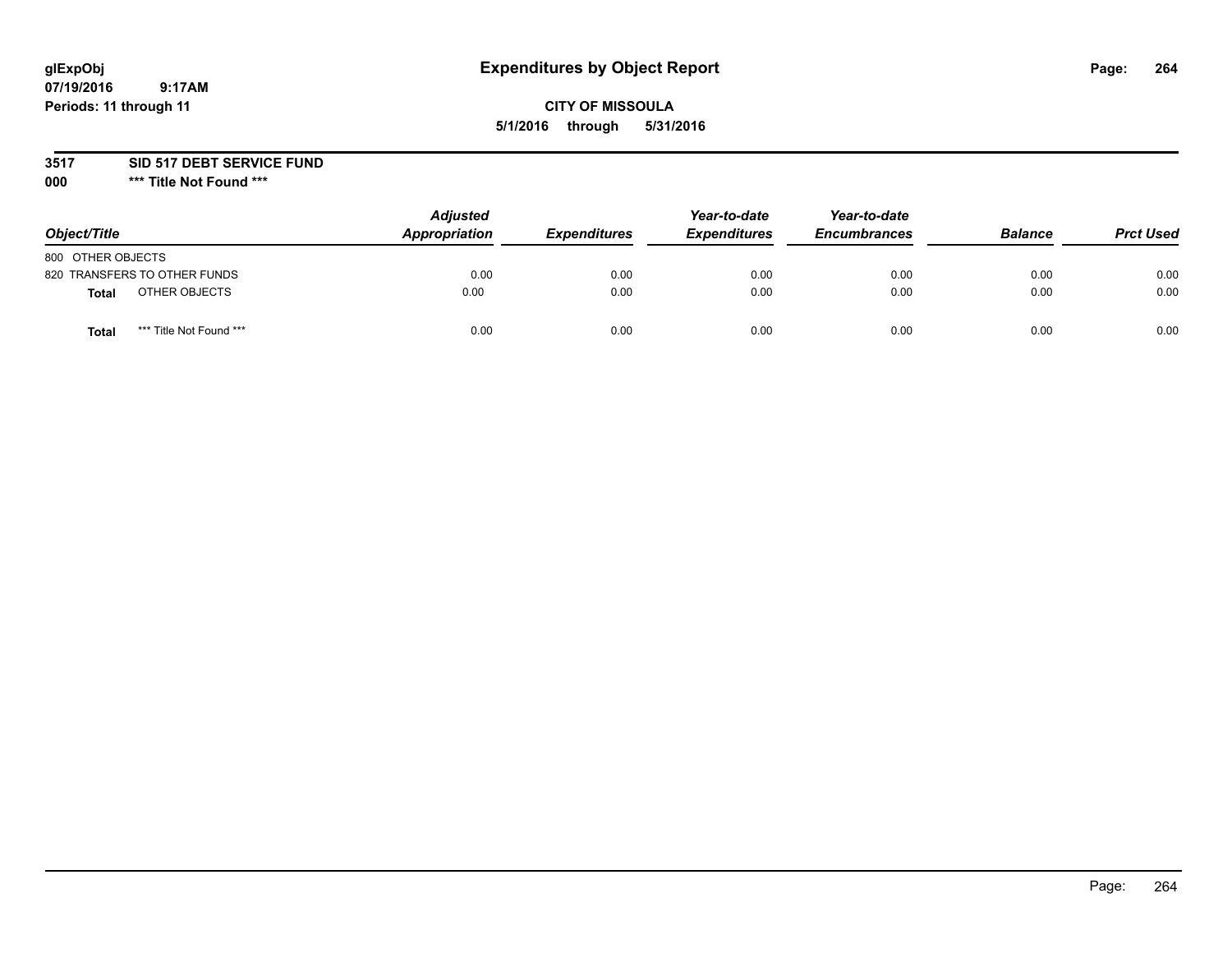# **glExpObj Expenditures by Object Report Page: 264**

### **CITY OF MISSOULA 5/1/2016 through 5/31/2016**

### **3517 SID 517 DEBT SERVICE FUND**

**000 \*\*\* Title Not Found \*\*\***

| Object/Title                            | <b>Adjusted</b><br>Appropriation | <b>Expenditures</b> | Year-to-date<br><b>Expenditures</b> | Year-to-date<br><b>Encumbrances</b> | <b>Balance</b> | <b>Prct Used</b> |
|-----------------------------------------|----------------------------------|---------------------|-------------------------------------|-------------------------------------|----------------|------------------|
| 800 OTHER OBJECTS                       |                                  |                     |                                     |                                     |                |                  |
| 820 TRANSFERS TO OTHER FUNDS            | 0.00                             | 0.00                | 0.00                                | 0.00                                | 0.00           | 0.00             |
| OTHER OBJECTS<br>Total                  | 0.00                             | 0.00                | 0.00                                | 0.00                                | 0.00           | 0.00             |
| *** Title Not Found ***<br><b>Total</b> | 0.00                             | 0.00                | 0.00                                | 0.00                                | 0.00           | 0.00             |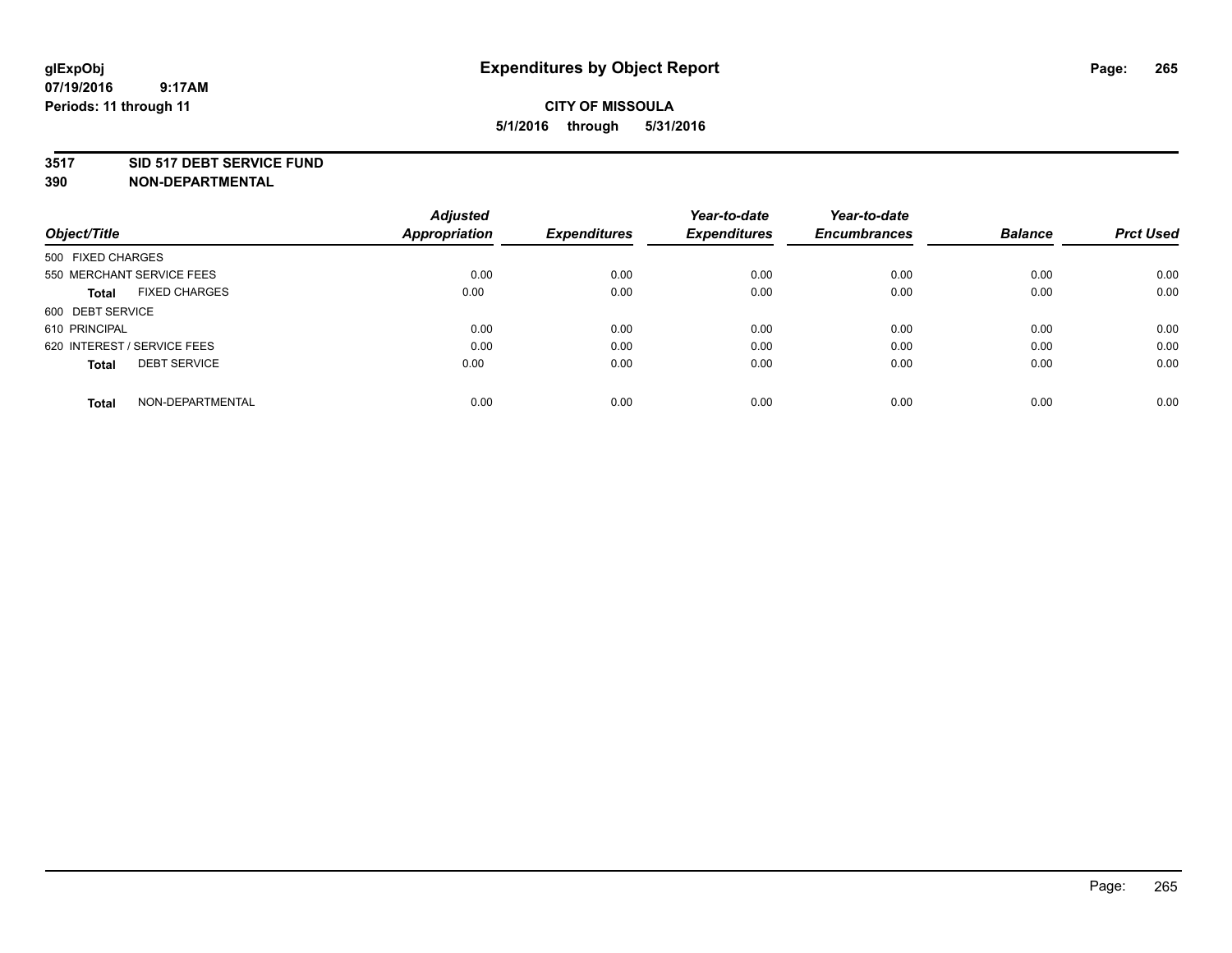### **3517 SID 517 DEBT SERVICE FUND**

| Object/Title                         | <b>Adjusted</b><br><b>Appropriation</b> | <b>Expenditures</b> | Year-to-date<br><b>Expenditures</b> | Year-to-date<br><b>Encumbrances</b> | <b>Balance</b> | <b>Prct Used</b> |
|--------------------------------------|-----------------------------------------|---------------------|-------------------------------------|-------------------------------------|----------------|------------------|
|                                      |                                         |                     |                                     |                                     |                |                  |
| 500 FIXED CHARGES                    |                                         |                     |                                     |                                     |                |                  |
| 550 MERCHANT SERVICE FEES            | 0.00                                    | 0.00                | 0.00                                | 0.00                                | 0.00           | 0.00             |
| <b>FIXED CHARGES</b><br><b>Total</b> | 0.00                                    | 0.00                | 0.00                                | 0.00                                | 0.00           | 0.00             |
| 600 DEBT SERVICE                     |                                         |                     |                                     |                                     |                |                  |
| 610 PRINCIPAL                        | 0.00                                    | 0.00                | 0.00                                | 0.00                                | 0.00           | 0.00             |
| 620 INTEREST / SERVICE FEES          | 0.00                                    | 0.00                | 0.00                                | 0.00                                | 0.00           | 0.00             |
| <b>DEBT SERVICE</b><br><b>Total</b>  | 0.00                                    | 0.00                | 0.00                                | 0.00                                | 0.00           | 0.00             |
| NON-DEPARTMENTAL<br><b>Total</b>     | 0.00                                    | 0.00                | 0.00                                | 0.00                                | 0.00           | 0.00             |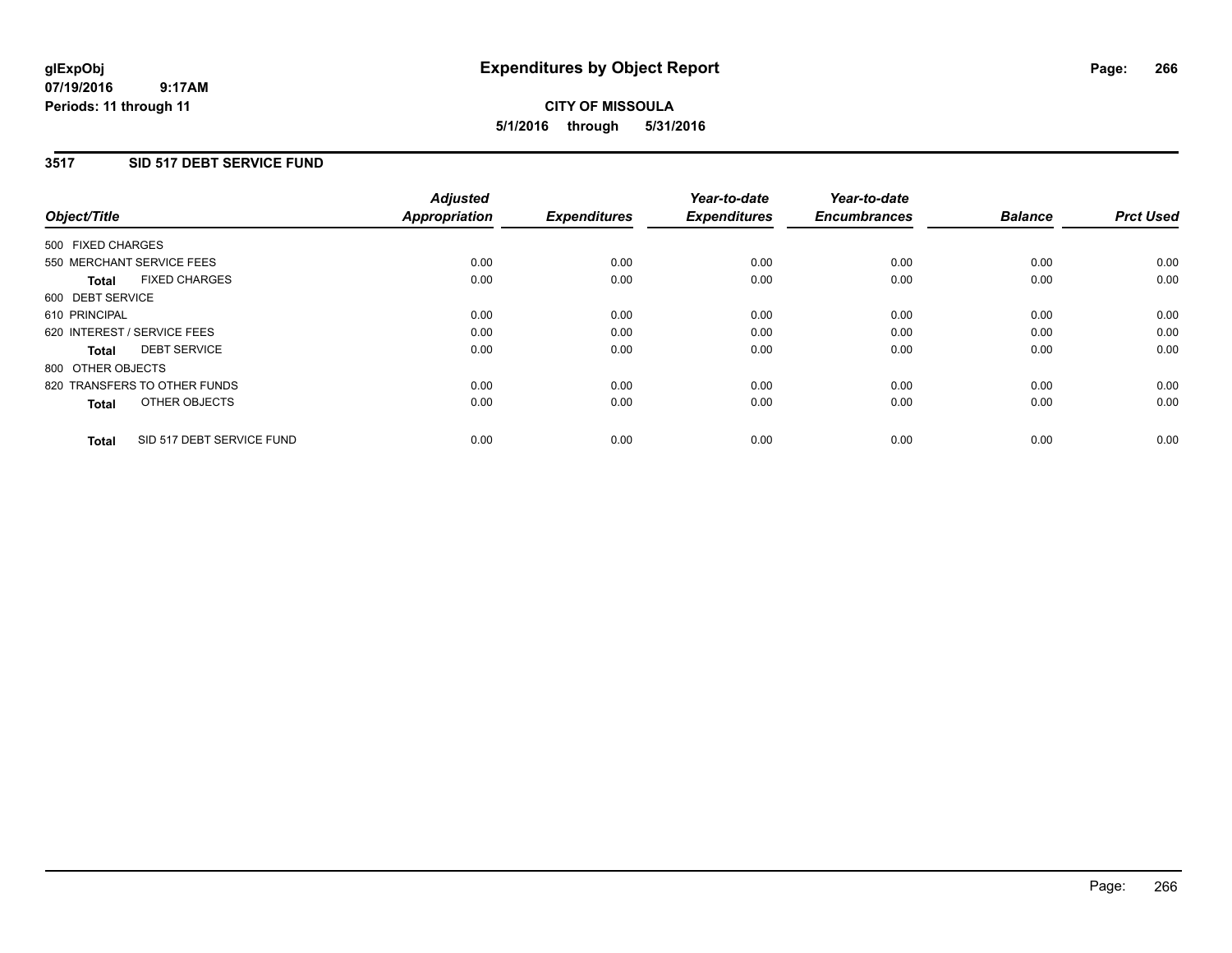### **3517 SID 517 DEBT SERVICE FUND**

| Object/Title                              | <b>Adjusted</b><br><b>Appropriation</b> | <b>Expenditures</b> | Year-to-date<br><b>Expenditures</b> | Year-to-date<br><b>Encumbrances</b> | <b>Balance</b> | <b>Prct Used</b> |
|-------------------------------------------|-----------------------------------------|---------------------|-------------------------------------|-------------------------------------|----------------|------------------|
|                                           |                                         |                     |                                     |                                     |                |                  |
| 500 FIXED CHARGES                         |                                         |                     |                                     |                                     |                |                  |
| 550 MERCHANT SERVICE FEES                 | 0.00                                    | 0.00                | 0.00                                | 0.00                                | 0.00           | 0.00             |
| <b>FIXED CHARGES</b><br>Total             | 0.00                                    | 0.00                | 0.00                                | 0.00                                | 0.00           | 0.00             |
| 600 DEBT SERVICE                          |                                         |                     |                                     |                                     |                |                  |
| 610 PRINCIPAL                             | 0.00                                    | 0.00                | 0.00                                | 0.00                                | 0.00           | 0.00             |
| 620 INTEREST / SERVICE FEES               | 0.00                                    | 0.00                | 0.00                                | 0.00                                | 0.00           | 0.00             |
| <b>DEBT SERVICE</b><br><b>Total</b>       | 0.00                                    | 0.00                | 0.00                                | 0.00                                | 0.00           | 0.00             |
| 800 OTHER OBJECTS                         |                                         |                     |                                     |                                     |                |                  |
| 820 TRANSFERS TO OTHER FUNDS              | 0.00                                    | 0.00                | 0.00                                | 0.00                                | 0.00           | 0.00             |
| OTHER OBJECTS<br><b>Total</b>             | 0.00                                    | 0.00                | 0.00                                | 0.00                                | 0.00           | 0.00             |
|                                           |                                         |                     |                                     |                                     |                |                  |
| SID 517 DEBT SERVICE FUND<br><b>Total</b> | 0.00                                    | 0.00                | 0.00                                | 0.00                                | 0.00           | 0.00             |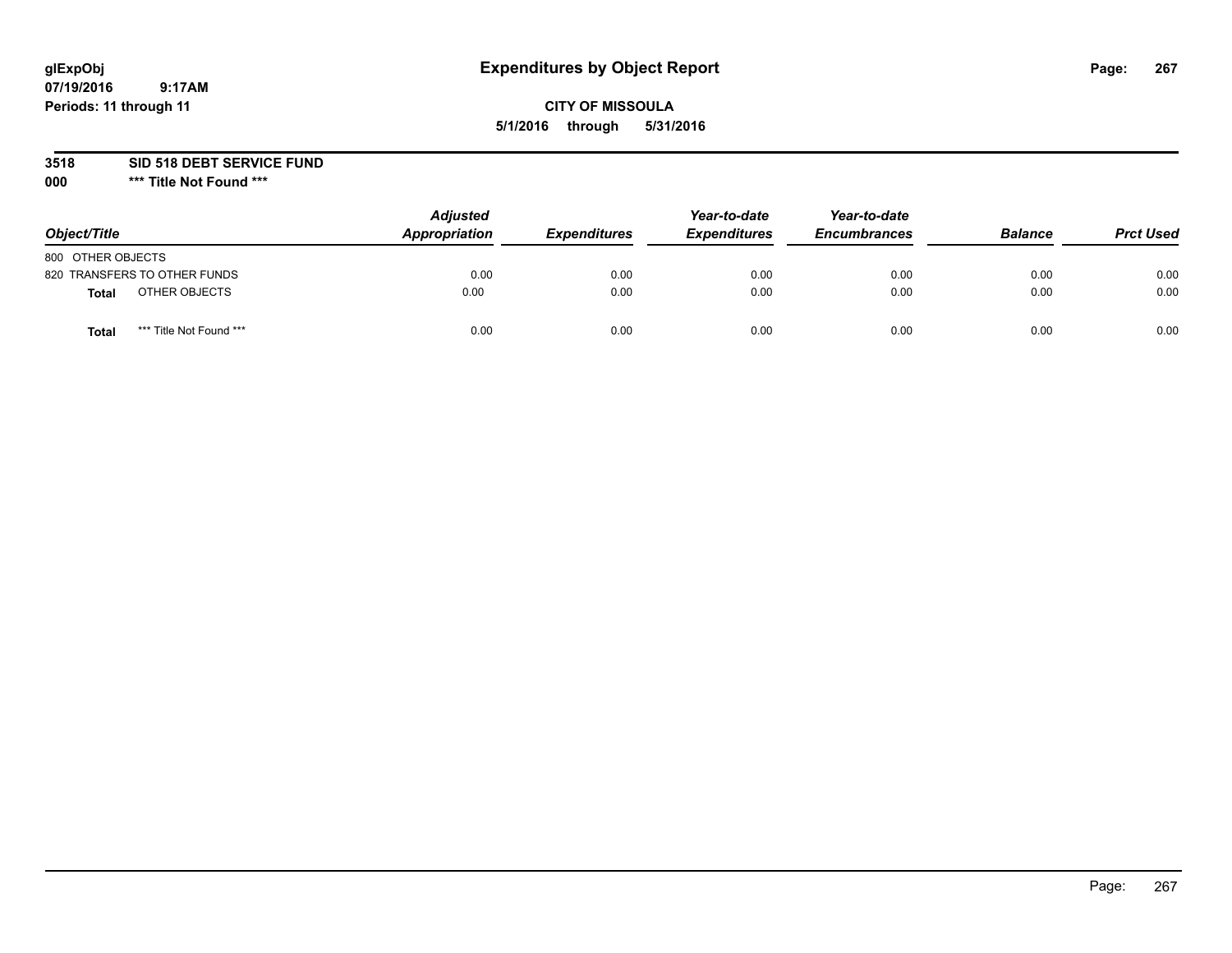# **glExpObj Expenditures by Object Report Page: 267**

### **CITY OF MISSOULA 5/1/2016 through 5/31/2016**

**3518 SID 518 DEBT SERVICE FUND**

**000 \*\*\* Title Not Found \*\*\***

| Object/Title                            | <b>Adjusted</b><br>Appropriation | <b>Expenditures</b> | Year-to-date<br><b>Expenditures</b> | Year-to-date<br><b>Encumbrances</b> | <b>Balance</b> | <b>Prct Used</b> |
|-----------------------------------------|----------------------------------|---------------------|-------------------------------------|-------------------------------------|----------------|------------------|
| 800 OTHER OBJECTS                       |                                  |                     |                                     |                                     |                |                  |
| 820 TRANSFERS TO OTHER FUNDS            | 0.00                             | 0.00                | 0.00                                | 0.00                                | 0.00           | 0.00             |
| OTHER OBJECTS<br><b>Total</b>           | 0.00                             | 0.00                | 0.00                                | 0.00                                | 0.00           | 0.00             |
| *** Title Not Found ***<br><b>Total</b> | 0.00                             | 0.00                | 0.00                                | 0.00                                | 0.00           | 0.00             |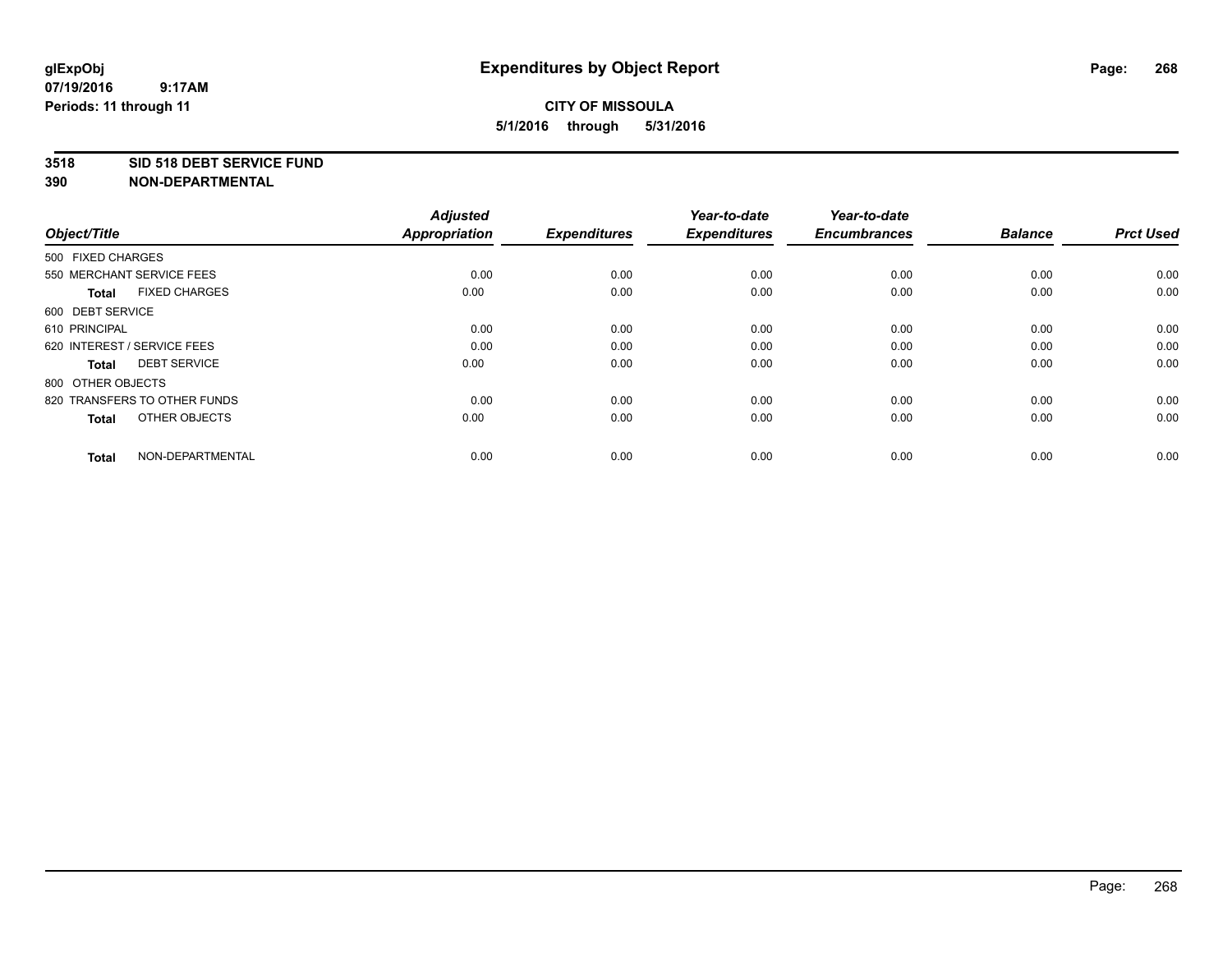### **3518 SID 518 DEBT SERVICE FUND**

| Object/Title                         | <b>Adjusted</b><br><b>Appropriation</b> | <b>Expenditures</b> | Year-to-date<br><b>Expenditures</b> | Year-to-date<br><b>Encumbrances</b> | <b>Balance</b> | <b>Prct Used</b> |
|--------------------------------------|-----------------------------------------|---------------------|-------------------------------------|-------------------------------------|----------------|------------------|
| 500 FIXED CHARGES                    |                                         |                     |                                     |                                     |                |                  |
| 550 MERCHANT SERVICE FEES            | 0.00                                    | 0.00                | 0.00                                | 0.00                                | 0.00           | 0.00             |
| <b>FIXED CHARGES</b><br><b>Total</b> | 0.00                                    | 0.00                | 0.00                                | 0.00                                | 0.00           | 0.00             |
| 600 DEBT SERVICE                     |                                         |                     |                                     |                                     |                |                  |
| 610 PRINCIPAL                        | 0.00                                    | 0.00                | 0.00                                | 0.00                                | 0.00           | 0.00             |
| 620 INTEREST / SERVICE FEES          | 0.00                                    | 0.00                | 0.00                                | 0.00                                | 0.00           | 0.00             |
| <b>DEBT SERVICE</b><br><b>Total</b>  | 0.00                                    | 0.00                | 0.00                                | 0.00                                | 0.00           | 0.00             |
| 800 OTHER OBJECTS                    |                                         |                     |                                     |                                     |                |                  |
| 820 TRANSFERS TO OTHER FUNDS         | 0.00                                    | 0.00                | 0.00                                | 0.00                                | 0.00           | 0.00             |
| OTHER OBJECTS<br><b>Total</b>        | 0.00                                    | 0.00                | 0.00                                | 0.00                                | 0.00           | 0.00             |
|                                      |                                         |                     |                                     |                                     |                |                  |
| NON-DEPARTMENTAL<br><b>Total</b>     | 0.00                                    | 0.00                | 0.00                                | 0.00                                | 0.00           | 0.00             |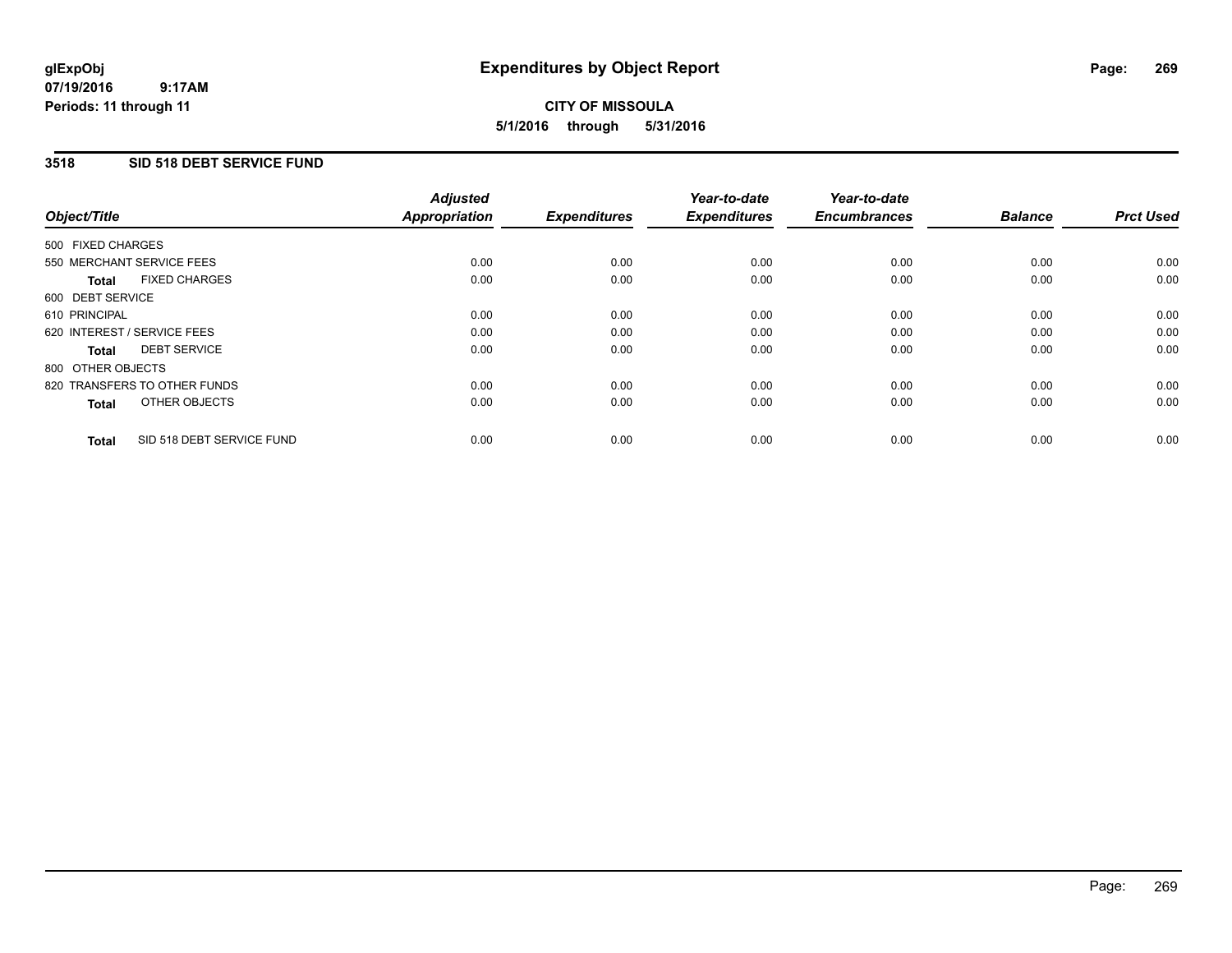### **3518 SID 518 DEBT SERVICE FUND**

| Object/Title                              | <b>Adjusted</b><br><b>Appropriation</b> | <b>Expenditures</b> | Year-to-date<br><b>Expenditures</b> | Year-to-date<br><b>Encumbrances</b> | <b>Balance</b> | <b>Prct Used</b> |
|-------------------------------------------|-----------------------------------------|---------------------|-------------------------------------|-------------------------------------|----------------|------------------|
|                                           |                                         |                     |                                     |                                     |                |                  |
| 500 FIXED CHARGES                         |                                         |                     |                                     |                                     |                |                  |
| 550 MERCHANT SERVICE FEES                 | 0.00                                    | 0.00                | 0.00                                | 0.00                                | 0.00           | 0.00             |
| <b>FIXED CHARGES</b><br>Total             | 0.00                                    | 0.00                | 0.00                                | 0.00                                | 0.00           | 0.00             |
| 600 DEBT SERVICE                          |                                         |                     |                                     |                                     |                |                  |
| 610 PRINCIPAL                             | 0.00                                    | 0.00                | 0.00                                | 0.00                                | 0.00           | 0.00             |
| 620 INTEREST / SERVICE FEES               | 0.00                                    | 0.00                | 0.00                                | 0.00                                | 0.00           | 0.00             |
| <b>DEBT SERVICE</b><br><b>Total</b>       | 0.00                                    | 0.00                | 0.00                                | 0.00                                | 0.00           | 0.00             |
| 800 OTHER OBJECTS                         |                                         |                     |                                     |                                     |                |                  |
| 820 TRANSFERS TO OTHER FUNDS              | 0.00                                    | 0.00                | 0.00                                | 0.00                                | 0.00           | 0.00             |
| OTHER OBJECTS<br><b>Total</b>             | 0.00                                    | 0.00                | 0.00                                | 0.00                                | 0.00           | 0.00             |
|                                           |                                         |                     |                                     |                                     |                |                  |
| SID 518 DEBT SERVICE FUND<br><b>Total</b> | 0.00                                    | 0.00                | 0.00                                | 0.00                                | 0.00           | 0.00             |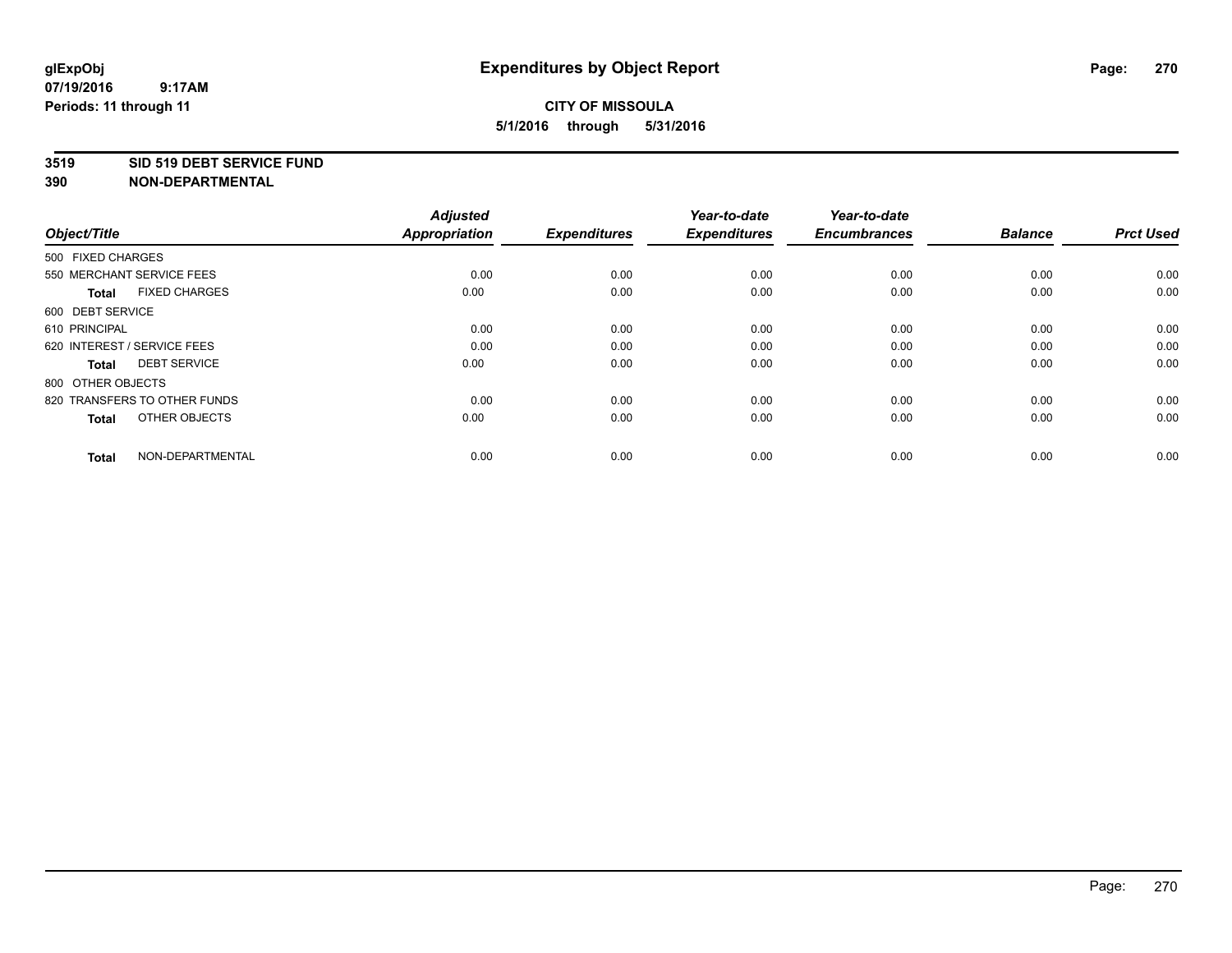### **3519 SID 519 DEBT SERVICE FUND**

| Object/Title                         | <b>Adjusted</b><br><b>Appropriation</b> | <b>Expenditures</b> | Year-to-date<br><b>Expenditures</b> | Year-to-date<br><b>Encumbrances</b> | <b>Balance</b> | <b>Prct Used</b> |
|--------------------------------------|-----------------------------------------|---------------------|-------------------------------------|-------------------------------------|----------------|------------------|
| 500 FIXED CHARGES                    |                                         |                     |                                     |                                     |                |                  |
| 550 MERCHANT SERVICE FEES            | 0.00                                    | 0.00                | 0.00                                | 0.00                                | 0.00           | 0.00             |
| <b>FIXED CHARGES</b><br><b>Total</b> | 0.00                                    | 0.00                | 0.00                                | 0.00                                | 0.00           | 0.00             |
| 600 DEBT SERVICE                     |                                         |                     |                                     |                                     |                |                  |
| 610 PRINCIPAL                        | 0.00                                    | 0.00                | 0.00                                | 0.00                                | 0.00           | 0.00             |
| 620 INTEREST / SERVICE FEES          | 0.00                                    | 0.00                | 0.00                                | 0.00                                | 0.00           | 0.00             |
| <b>DEBT SERVICE</b><br><b>Total</b>  | 0.00                                    | 0.00                | 0.00                                | 0.00                                | 0.00           | 0.00             |
| 800 OTHER OBJECTS                    |                                         |                     |                                     |                                     |                |                  |
| 820 TRANSFERS TO OTHER FUNDS         | 0.00                                    | 0.00                | 0.00                                | 0.00                                | 0.00           | 0.00             |
| OTHER OBJECTS<br><b>Total</b>        | 0.00                                    | 0.00                | 0.00                                | 0.00                                | 0.00           | 0.00             |
|                                      |                                         |                     |                                     |                                     |                |                  |
| NON-DEPARTMENTAL<br><b>Total</b>     | 0.00                                    | 0.00                | 0.00                                | 0.00                                | 0.00           | 0.00             |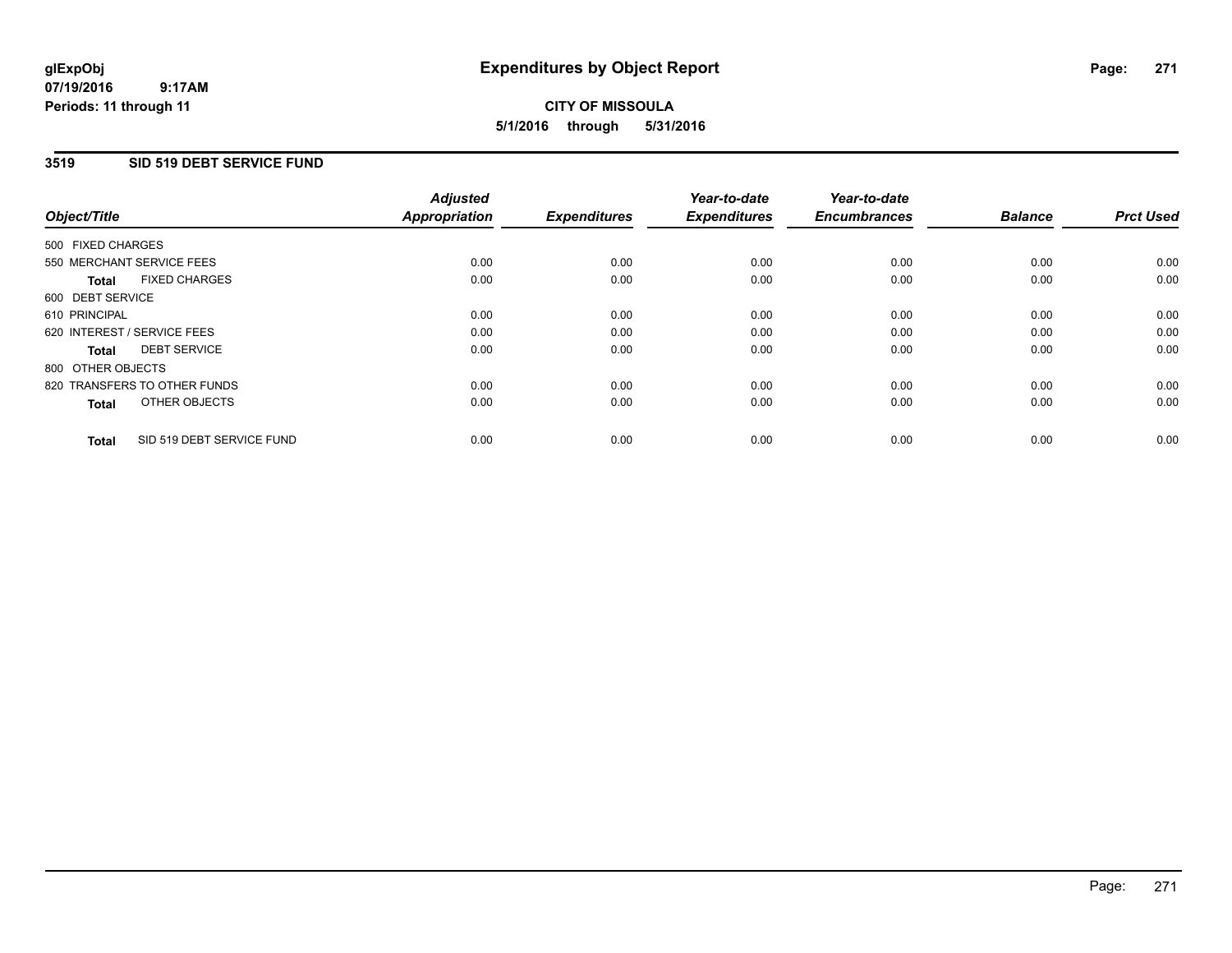### **07/19/2016 9:17AM Periods: 11 through 11**

# **CITY OF MISSOULA 5/1/2016 through 5/31/2016**

### **3519 SID 519 DEBT SERVICE FUND**

| Object/Title                              | <b>Adjusted</b><br><b>Appropriation</b> | <b>Expenditures</b> | Year-to-date<br><b>Expenditures</b> | Year-to-date<br><b>Encumbrances</b> | <b>Balance</b> | <b>Prct Used</b> |
|-------------------------------------------|-----------------------------------------|---------------------|-------------------------------------|-------------------------------------|----------------|------------------|
|                                           |                                         |                     |                                     |                                     |                |                  |
| 500 FIXED CHARGES                         |                                         |                     |                                     |                                     |                |                  |
| 550 MERCHANT SERVICE FEES                 | 0.00                                    | 0.00                | 0.00                                | 0.00                                | 0.00           | 0.00             |
| <b>FIXED CHARGES</b><br>Total             | 0.00                                    | 0.00                | 0.00                                | 0.00                                | 0.00           | 0.00             |
| 600 DEBT SERVICE                          |                                         |                     |                                     |                                     |                |                  |
| 610 PRINCIPAL                             | 0.00                                    | 0.00                | 0.00                                | 0.00                                | 0.00           | 0.00             |
| 620 INTEREST / SERVICE FEES               | 0.00                                    | 0.00                | 0.00                                | 0.00                                | 0.00           | 0.00             |
| <b>DEBT SERVICE</b><br><b>Total</b>       | 0.00                                    | 0.00                | 0.00                                | 0.00                                | 0.00           | 0.00             |
| 800 OTHER OBJECTS                         |                                         |                     |                                     |                                     |                |                  |
| 820 TRANSFERS TO OTHER FUNDS              | 0.00                                    | 0.00                | 0.00                                | 0.00                                | 0.00           | 0.00             |
| OTHER OBJECTS<br><b>Total</b>             | 0.00                                    | 0.00                | 0.00                                | 0.00                                | 0.00           | 0.00             |
|                                           |                                         |                     |                                     |                                     |                |                  |
| SID 519 DEBT SERVICE FUND<br><b>Total</b> | 0.00                                    | 0.00                | 0.00                                | 0.00                                | 0.00           | 0.00             |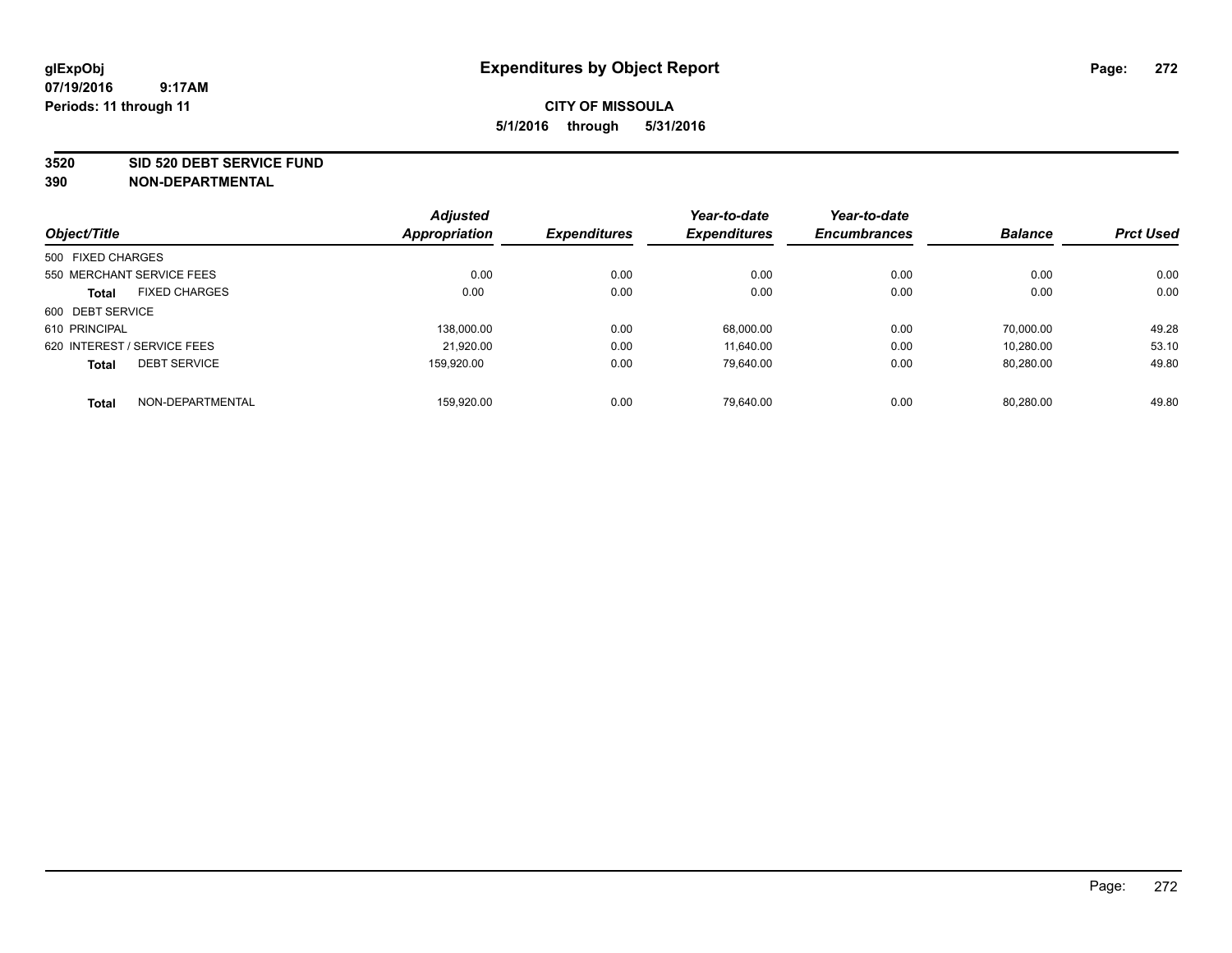#### **3520 SID 520 DEBT SERVICE FUND**

|                   |                             | <b>Adjusted</b> |                     | Year-to-date        | Year-to-date        |                |                  |
|-------------------|-----------------------------|-----------------|---------------------|---------------------|---------------------|----------------|------------------|
| Object/Title      |                             | Appropriation   | <b>Expenditures</b> | <b>Expenditures</b> | <b>Encumbrances</b> | <b>Balance</b> | <b>Prct Used</b> |
| 500 FIXED CHARGES |                             |                 |                     |                     |                     |                |                  |
|                   | 550 MERCHANT SERVICE FEES   | 0.00            | 0.00                | 0.00                | 0.00                | 0.00           | 0.00             |
| <b>Total</b>      | <b>FIXED CHARGES</b>        | 0.00            | 0.00                | 0.00                | 0.00                | 0.00           | 0.00             |
| 600 DEBT SERVICE  |                             |                 |                     |                     |                     |                |                  |
| 610 PRINCIPAL     |                             | 138.000.00      | 0.00                | 68.000.00           | 0.00                | 70.000.00      | 49.28            |
|                   | 620 INTEREST / SERVICE FEES | 21,920.00       | 0.00                | 11.640.00           | 0.00                | 10,280.00      | 53.10            |
| <b>Total</b>      | <b>DEBT SERVICE</b>         | 159.920.00      | 0.00                | 79,640.00           | 0.00                | 80,280.00      | 49.80            |
| <b>Total</b>      | NON-DEPARTMENTAL            | 159.920.00      | 0.00                | 79.640.00           | 0.00                | 80.280.00      | 49.80            |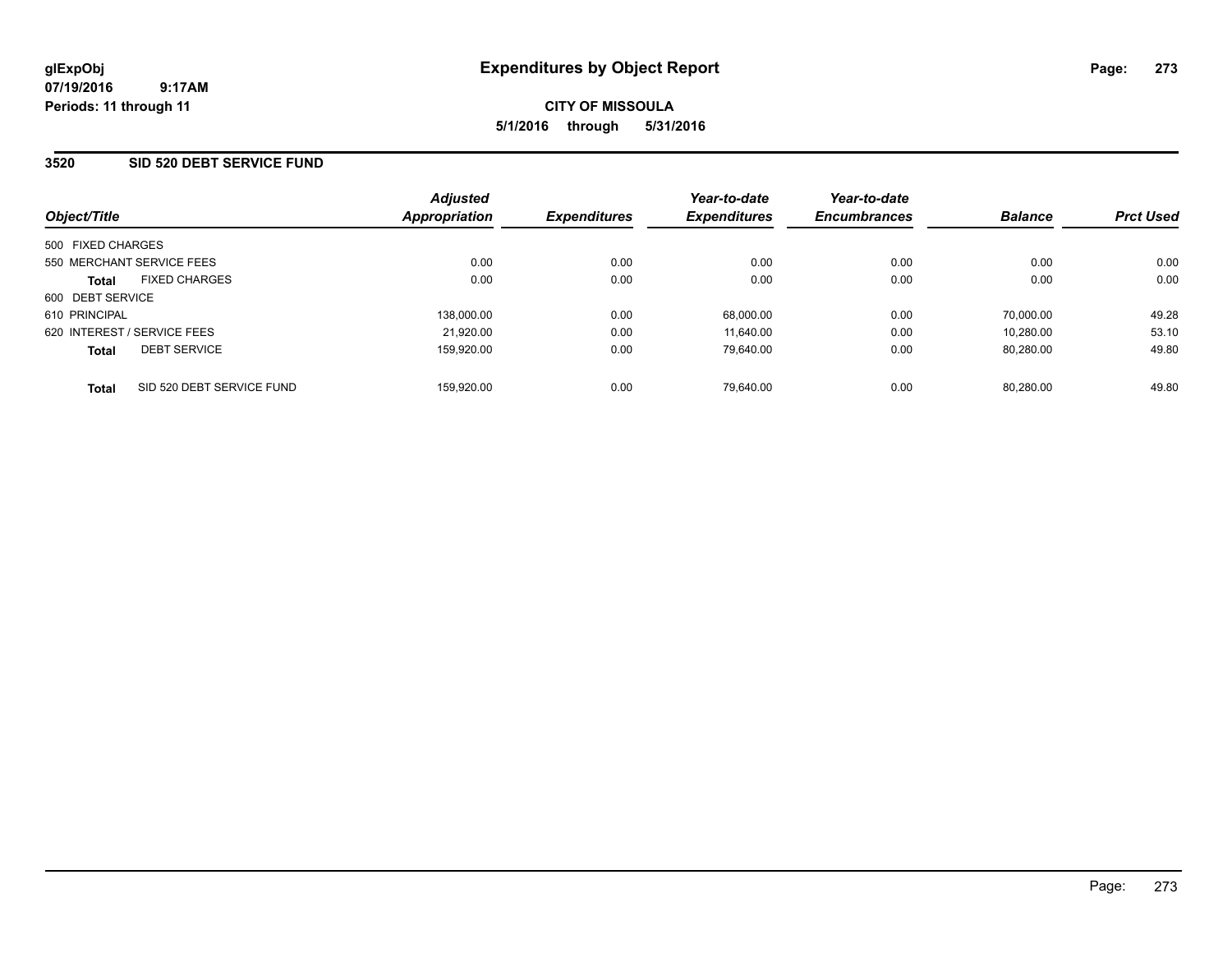### **3520 SID 520 DEBT SERVICE FUND**

| Object/Title                              | <b>Adjusted</b><br>Appropriation | <b>Expenditures</b> | Year-to-date<br><b>Expenditures</b> | Year-to-date<br><b>Encumbrances</b> | <b>Balance</b> | <b>Prct Used</b> |
|-------------------------------------------|----------------------------------|---------------------|-------------------------------------|-------------------------------------|----------------|------------------|
| 500 FIXED CHARGES                         |                                  |                     |                                     |                                     |                |                  |
| 550 MERCHANT SERVICE FEES                 | 0.00                             | 0.00                | 0.00                                | 0.00                                | 0.00           | 0.00             |
| <b>FIXED CHARGES</b><br><b>Total</b>      | 0.00                             | 0.00                | 0.00                                | 0.00                                | 0.00           | 0.00             |
| 600 DEBT SERVICE                          |                                  |                     |                                     |                                     |                |                  |
| 610 PRINCIPAL                             | 138.000.00                       | 0.00                | 68.000.00                           | 0.00                                | 70.000.00      | 49.28            |
| 620 INTEREST / SERVICE FEES               | 21,920.00                        | 0.00                | 11.640.00                           | 0.00                                | 10.280.00      | 53.10            |
| <b>DEBT SERVICE</b><br><b>Total</b>       | 159.920.00                       | 0.00                | 79.640.00                           | 0.00                                | 80.280.00      | 49.80            |
| SID 520 DEBT SERVICE FUND<br><b>Total</b> | 159.920.00                       | 0.00                | 79.640.00                           | 0.00                                | 80.280.00      | 49.80            |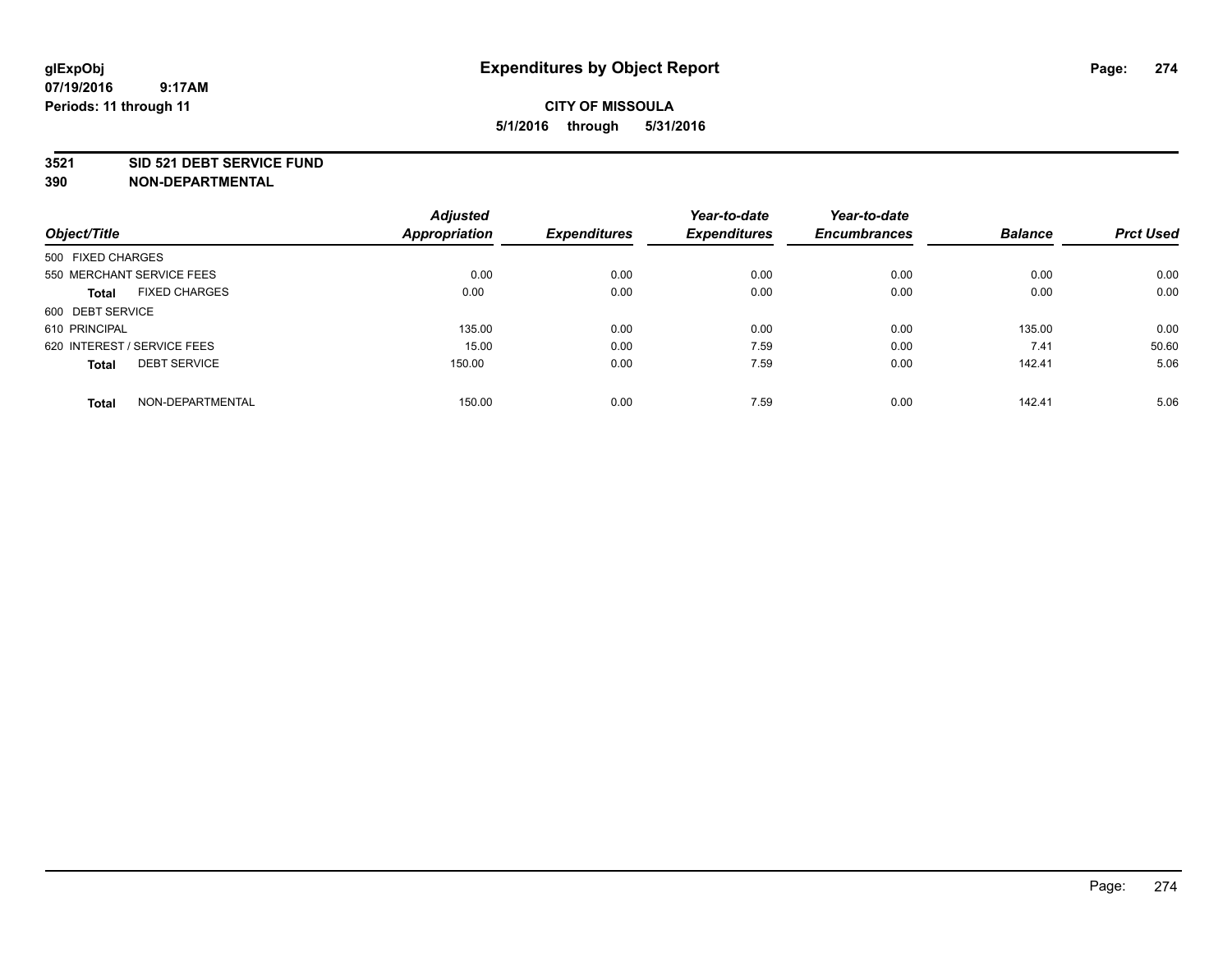### **3521 SID 521 DEBT SERVICE FUND**

|                                      | <b>Adjusted</b>      |                     | Year-to-date        | Year-to-date        |                |                  |
|--------------------------------------|----------------------|---------------------|---------------------|---------------------|----------------|------------------|
| Object/Title                         | <b>Appropriation</b> | <b>Expenditures</b> | <b>Expenditures</b> | <b>Encumbrances</b> | <b>Balance</b> | <b>Prct Used</b> |
| 500 FIXED CHARGES                    |                      |                     |                     |                     |                |                  |
| 550 MERCHANT SERVICE FEES            | 0.00                 | 0.00                | 0.00                | 0.00                | 0.00           | 0.00             |
| <b>FIXED CHARGES</b><br><b>Total</b> | 0.00                 | 0.00                | 0.00                | 0.00                | 0.00           | 0.00             |
| 600 DEBT SERVICE                     |                      |                     |                     |                     |                |                  |
| 610 PRINCIPAL                        | 135.00               | 0.00                | 0.00                | 0.00                | 135.00         | 0.00             |
| 620 INTEREST / SERVICE FEES          | 15.00                | 0.00                | 7.59                | 0.00                | 7.41           | 50.60            |
| <b>DEBT SERVICE</b><br><b>Total</b>  | 150.00               | 0.00                | 7.59                | 0.00                | 142.41         | 5.06             |
| NON-DEPARTMENTAL<br><b>Total</b>     | 150.00               | 0.00                | 7.59                | 0.00                | 142.41         | 5.06             |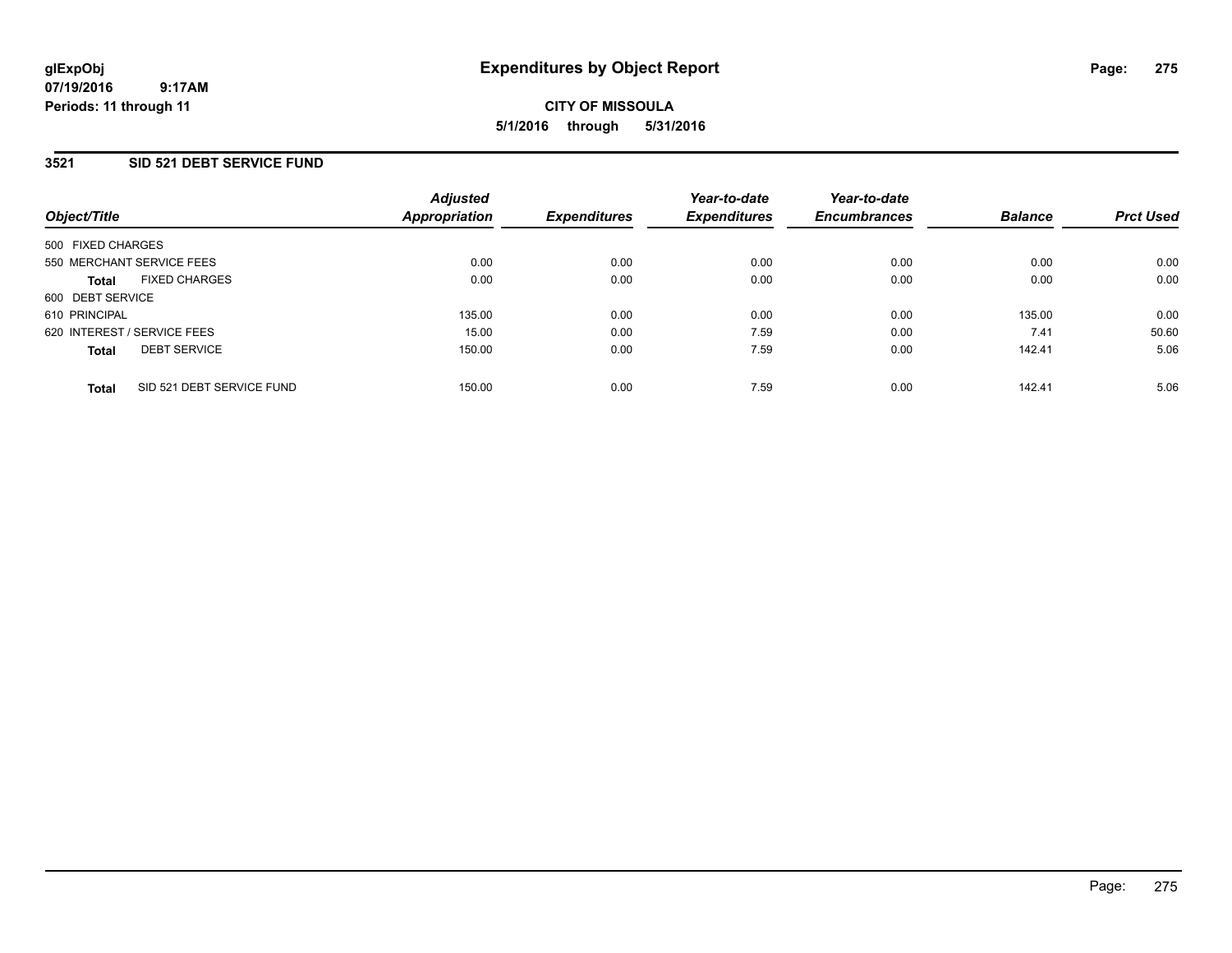### **3521 SID 521 DEBT SERVICE FUND**

| Object/Title                              | <b>Adjusted</b><br>Appropriation | <b>Expenditures</b> | Year-to-date<br><b>Expenditures</b> | Year-to-date<br><b>Encumbrances</b> | <b>Balance</b> | <b>Prct Used</b> |
|-------------------------------------------|----------------------------------|---------------------|-------------------------------------|-------------------------------------|----------------|------------------|
| 500 FIXED CHARGES                         |                                  |                     |                                     |                                     |                |                  |
| 550 MERCHANT SERVICE FEES                 | 0.00                             | 0.00                | 0.00                                | 0.00                                | 0.00           | 0.00             |
| <b>FIXED CHARGES</b><br><b>Total</b>      | 0.00                             | 0.00                | 0.00                                | 0.00                                | 0.00           | 0.00             |
| 600 DEBT SERVICE                          |                                  |                     |                                     |                                     |                |                  |
| 610 PRINCIPAL                             | 135.00                           | 0.00                | 0.00                                | 0.00                                | 135.00         | 0.00             |
| 620 INTEREST / SERVICE FEES               | 15.00                            | 0.00                | 7.59                                | 0.00                                | 7.41           | 50.60            |
| <b>DEBT SERVICE</b><br><b>Total</b>       | 150.00                           | 0.00                | 7.59                                | 0.00                                | 142.41         | 5.06             |
| SID 521 DEBT SERVICE FUND<br><b>Total</b> | 150.00                           | 0.00                | 7.59                                | 0.00                                | 142.41         | 5.06             |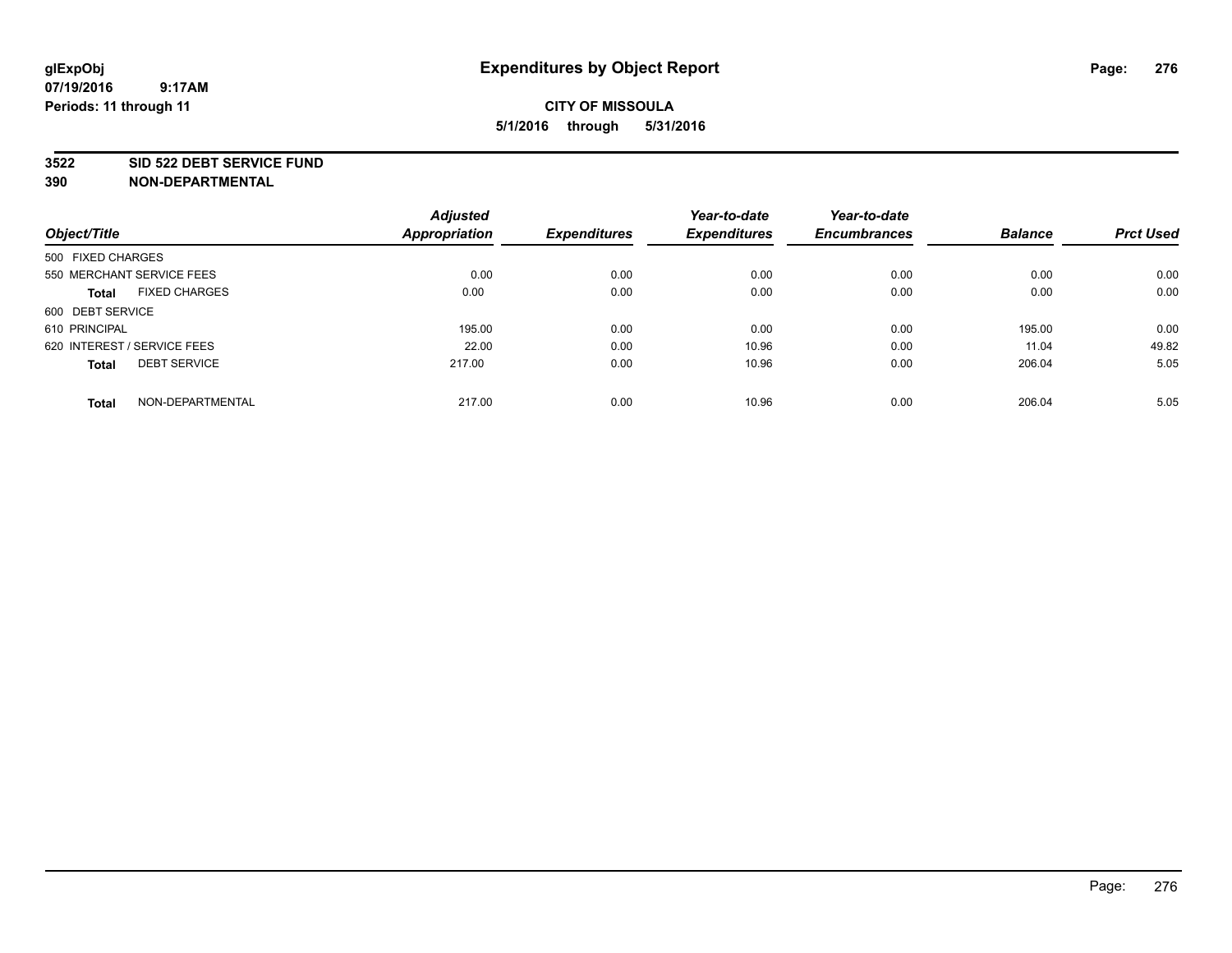#### **3522 SID 522 DEBT SERVICE FUND**

| Object/Title                         | <b>Adjusted</b><br>Appropriation | <b>Expenditures</b> | Year-to-date<br><b>Expenditures</b> | Year-to-date<br><b>Encumbrances</b> | <b>Balance</b> | <b>Prct Used</b> |
|--------------------------------------|----------------------------------|---------------------|-------------------------------------|-------------------------------------|----------------|------------------|
| 500 FIXED CHARGES                    |                                  |                     |                                     |                                     |                |                  |
| 550 MERCHANT SERVICE FEES            | 0.00                             | 0.00                | 0.00                                | 0.00                                | 0.00           | 0.00             |
| <b>FIXED CHARGES</b><br><b>Total</b> | 0.00                             | 0.00                | 0.00                                | 0.00                                | 0.00           | 0.00             |
| 600 DEBT SERVICE                     |                                  |                     |                                     |                                     |                |                  |
| 610 PRINCIPAL                        | 195.00                           | 0.00                | 0.00                                | 0.00                                | 195.00         | 0.00             |
| 620 INTEREST / SERVICE FEES          | 22.00                            | 0.00                | 10.96                               | 0.00                                | 11.04          | 49.82            |
| <b>DEBT SERVICE</b><br><b>Total</b>  | 217.00                           | 0.00                | 10.96                               | 0.00                                | 206.04         | 5.05             |
| NON-DEPARTMENTAL<br><b>Total</b>     | 217.00                           | 0.00                | 10.96                               | 0.00                                | 206.04         | 5.05             |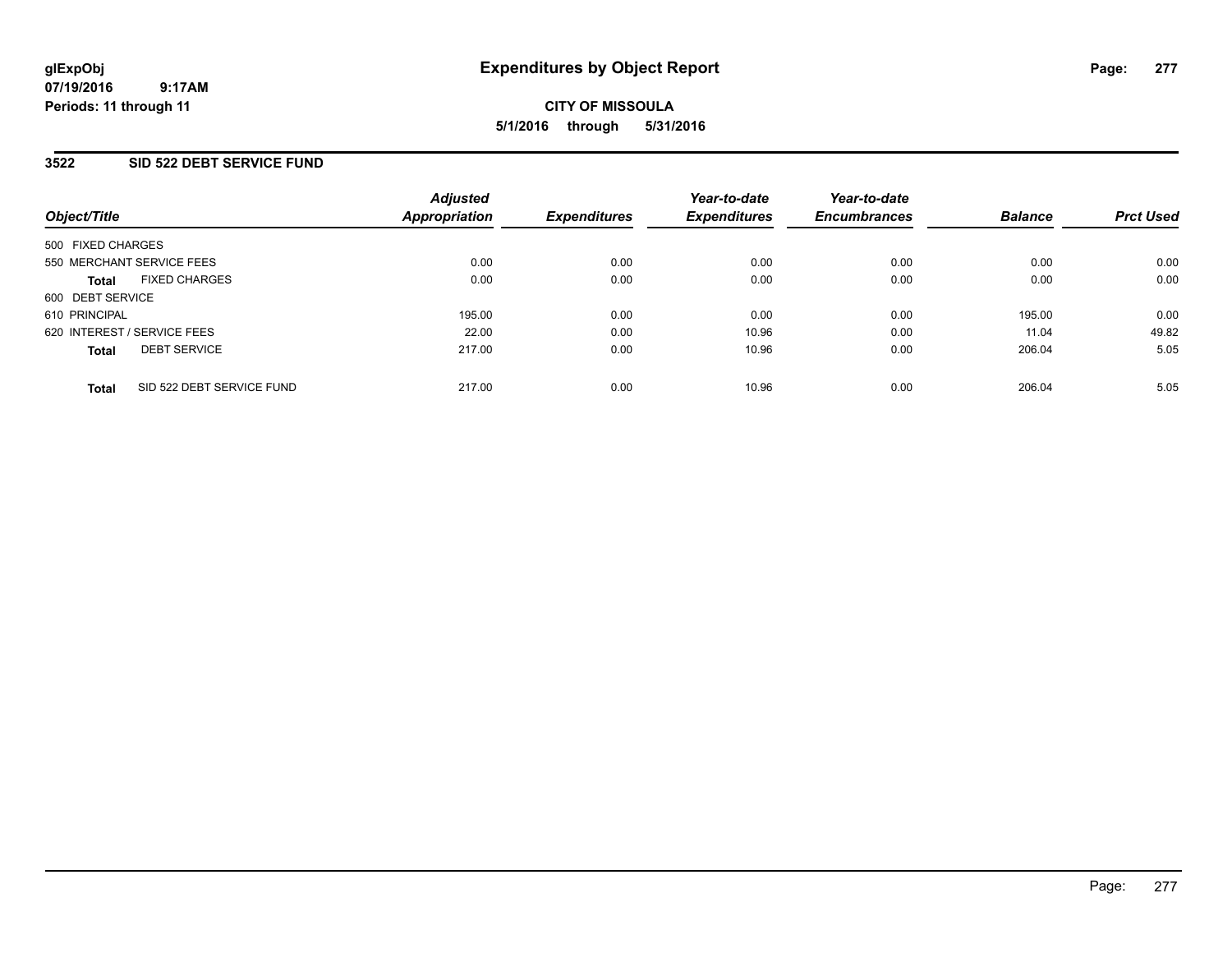**07/19/2016 9:17AM Periods: 11 through 11**

# **CITY OF MISSOULA 5/1/2016 through 5/31/2016**

### **3522 SID 522 DEBT SERVICE FUND**

| Object/Title                              | <b>Adjusted</b><br>Appropriation | <b>Expenditures</b> | Year-to-date<br><b>Expenditures</b> | Year-to-date<br><b>Encumbrances</b> | <b>Balance</b> | <b>Prct Used</b> |
|-------------------------------------------|----------------------------------|---------------------|-------------------------------------|-------------------------------------|----------------|------------------|
| 500 FIXED CHARGES                         |                                  |                     |                                     |                                     |                |                  |
| 550 MERCHANT SERVICE FEES                 | 0.00                             | 0.00                | 0.00                                | 0.00                                | 0.00           | 0.00             |
| <b>FIXED CHARGES</b><br><b>Total</b>      | 0.00                             | 0.00                | 0.00                                | 0.00                                | 0.00           | 0.00             |
| 600 DEBT SERVICE                          |                                  |                     |                                     |                                     |                |                  |
| 610 PRINCIPAL                             | 195.00                           | 0.00                | 0.00                                | 0.00                                | 195.00         | 0.00             |
| 620 INTEREST / SERVICE FEES               | 22.00                            | 0.00                | 10.96                               | 0.00                                | 11.04          | 49.82            |
| <b>DEBT SERVICE</b><br><b>Total</b>       | 217.00                           | 0.00                | 10.96                               | 0.00                                | 206.04         | 5.05             |
| SID 522 DEBT SERVICE FUND<br><b>Total</b> | 217.00                           | 0.00                | 10.96                               | 0.00                                | 206.04         | 5.05             |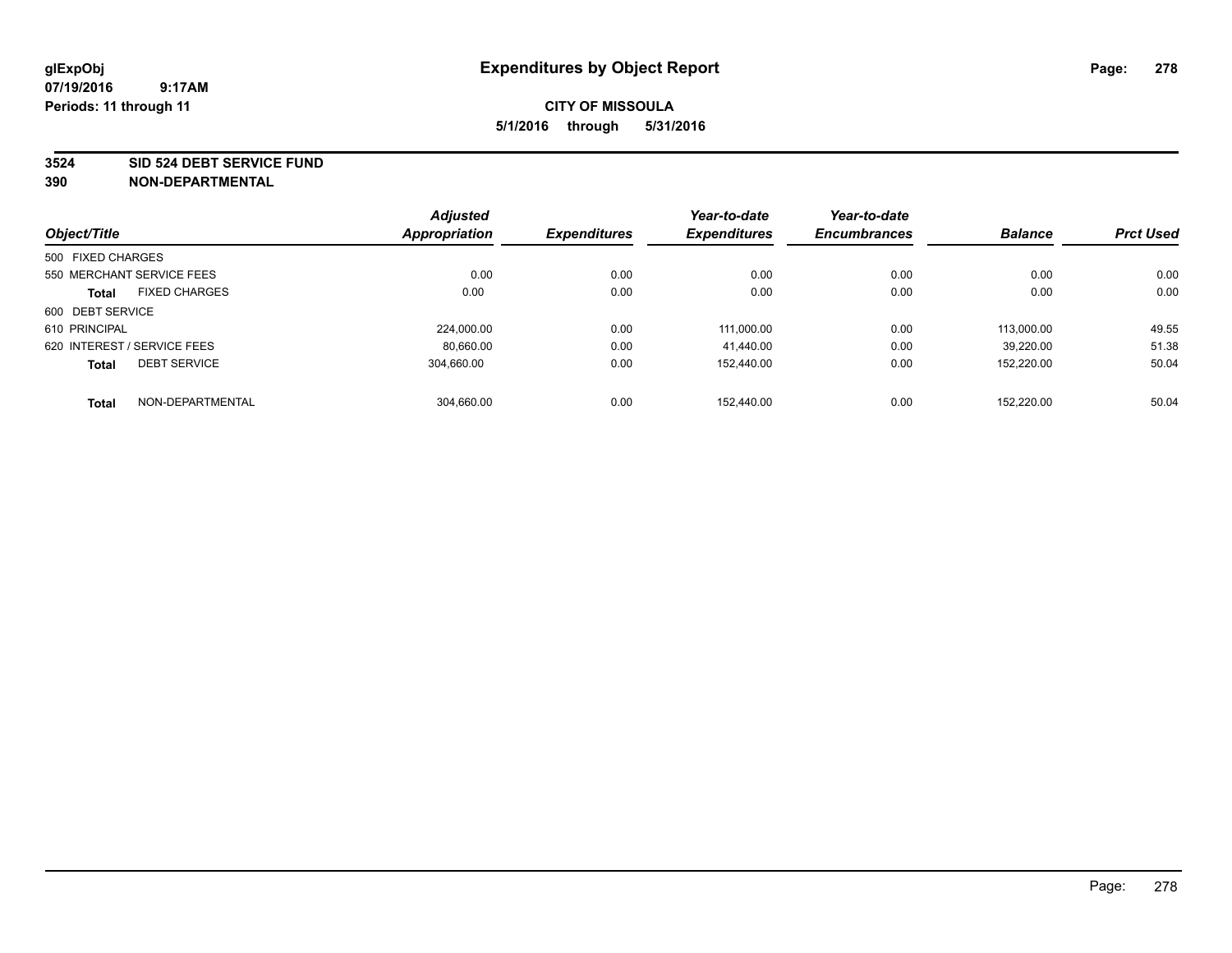#### **3524 SID 524 DEBT SERVICE FUND**

| Object/Title                |                           | <b>Adjusted</b><br>Appropriation | <b>Expenditures</b> | Year-to-date<br><b>Expenditures</b> | Year-to-date<br><b>Encumbrances</b> | <b>Balance</b> | <b>Prct Used</b> |
|-----------------------------|---------------------------|----------------------------------|---------------------|-------------------------------------|-------------------------------------|----------------|------------------|
|                             |                           |                                  |                     |                                     |                                     |                |                  |
| 500 FIXED CHARGES           |                           |                                  |                     |                                     |                                     |                |                  |
|                             | 550 MERCHANT SERVICE FEES | 0.00                             | 0.00                | 0.00                                | 0.00                                | 0.00           | 0.00             |
| <b>Total</b>                | <b>FIXED CHARGES</b>      | 0.00                             | 0.00                | 0.00                                | 0.00                                | 0.00           | 0.00             |
| 600 DEBT SERVICE            |                           |                                  |                     |                                     |                                     |                |                  |
| 610 PRINCIPAL               |                           | 224.000.00                       | 0.00                | 111.000.00                          | 0.00                                | 113.000.00     | 49.55            |
| 620 INTEREST / SERVICE FEES |                           | 80,660.00                        | 0.00                | 41.440.00                           | 0.00                                | 39.220.00      | 51.38            |
| <b>Total</b>                | <b>DEBT SERVICE</b>       | 304.660.00                       | 0.00                | 152.440.00                          | 0.00                                | 152,220.00     | 50.04            |
| <b>Total</b>                | NON-DEPARTMENTAL          | 304,660.00                       | 0.00                | 152.440.00                          | 0.00                                | 152.220.00     | 50.04            |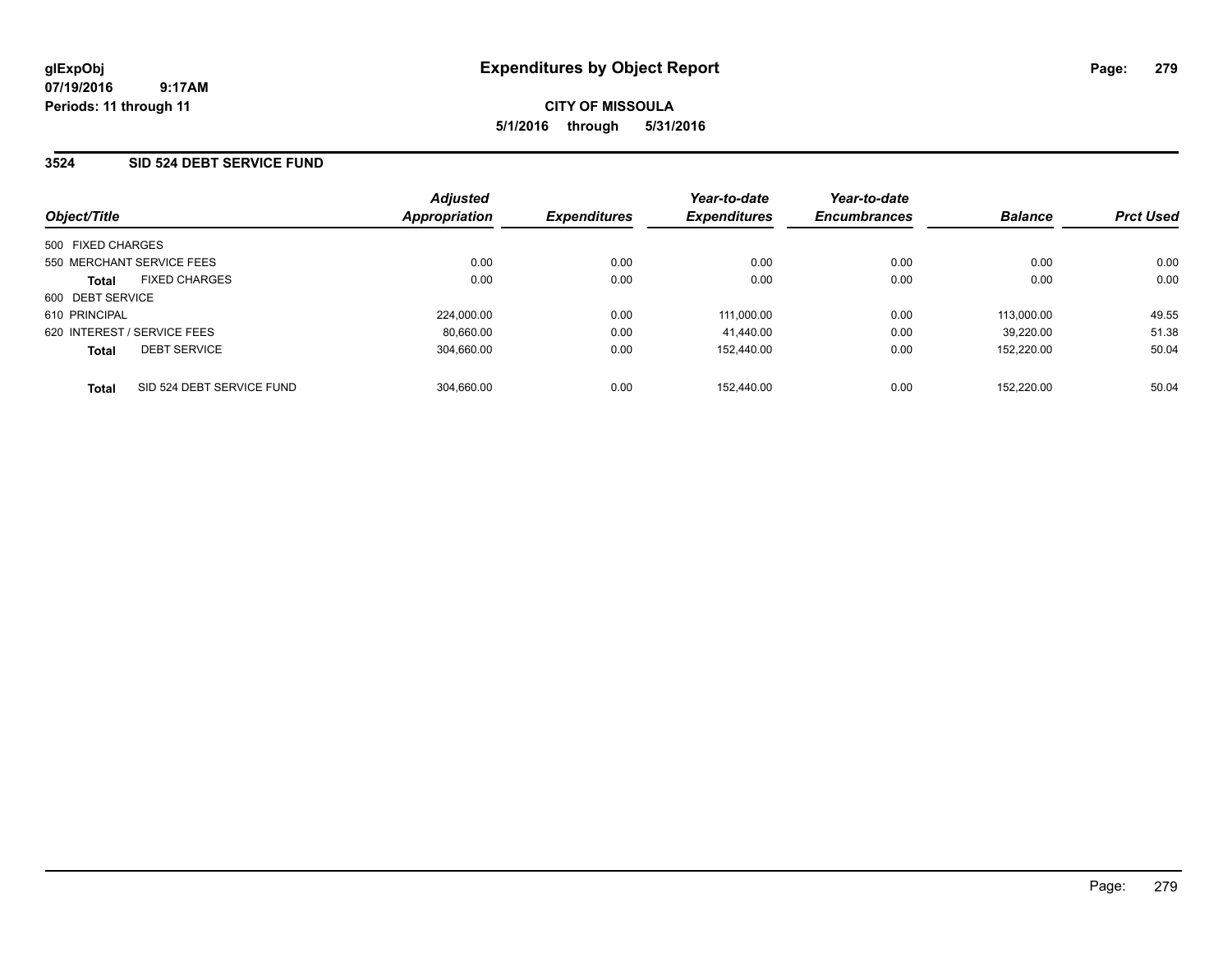### **3524 SID 524 DEBT SERVICE FUND**

| Object/Title                              | <b>Adjusted</b><br>Appropriation | <b>Expenditures</b> | Year-to-date<br><b>Expenditures</b> | Year-to-date<br><b>Encumbrances</b> | <b>Balance</b> | <b>Prct Used</b> |
|-------------------------------------------|----------------------------------|---------------------|-------------------------------------|-------------------------------------|----------------|------------------|
| 500 FIXED CHARGES                         |                                  |                     |                                     |                                     |                |                  |
| 550 MERCHANT SERVICE FEES                 | 0.00                             | 0.00                | 0.00                                | 0.00                                | 0.00           | 0.00             |
| <b>FIXED CHARGES</b><br><b>Total</b>      | 0.00                             | 0.00                | 0.00                                | 0.00                                | 0.00           | 0.00             |
| 600 DEBT SERVICE                          |                                  |                     |                                     |                                     |                |                  |
| 610 PRINCIPAL                             | 224.000.00                       | 0.00                | 111.000.00                          | 0.00                                | 113.000.00     | 49.55            |
| 620 INTEREST / SERVICE FEES               | 80.660.00                        | 0.00                | 41.440.00                           | 0.00                                | 39.220.00      | 51.38            |
| <b>DEBT SERVICE</b><br><b>Total</b>       | 304.660.00                       | 0.00                | 152.440.00                          | 0.00                                | 152.220.00     | 50.04            |
| SID 524 DEBT SERVICE FUND<br><b>Total</b> | 304.660.00                       | 0.00                | 152.440.00                          | 0.00                                | 152.220.00     | 50.04            |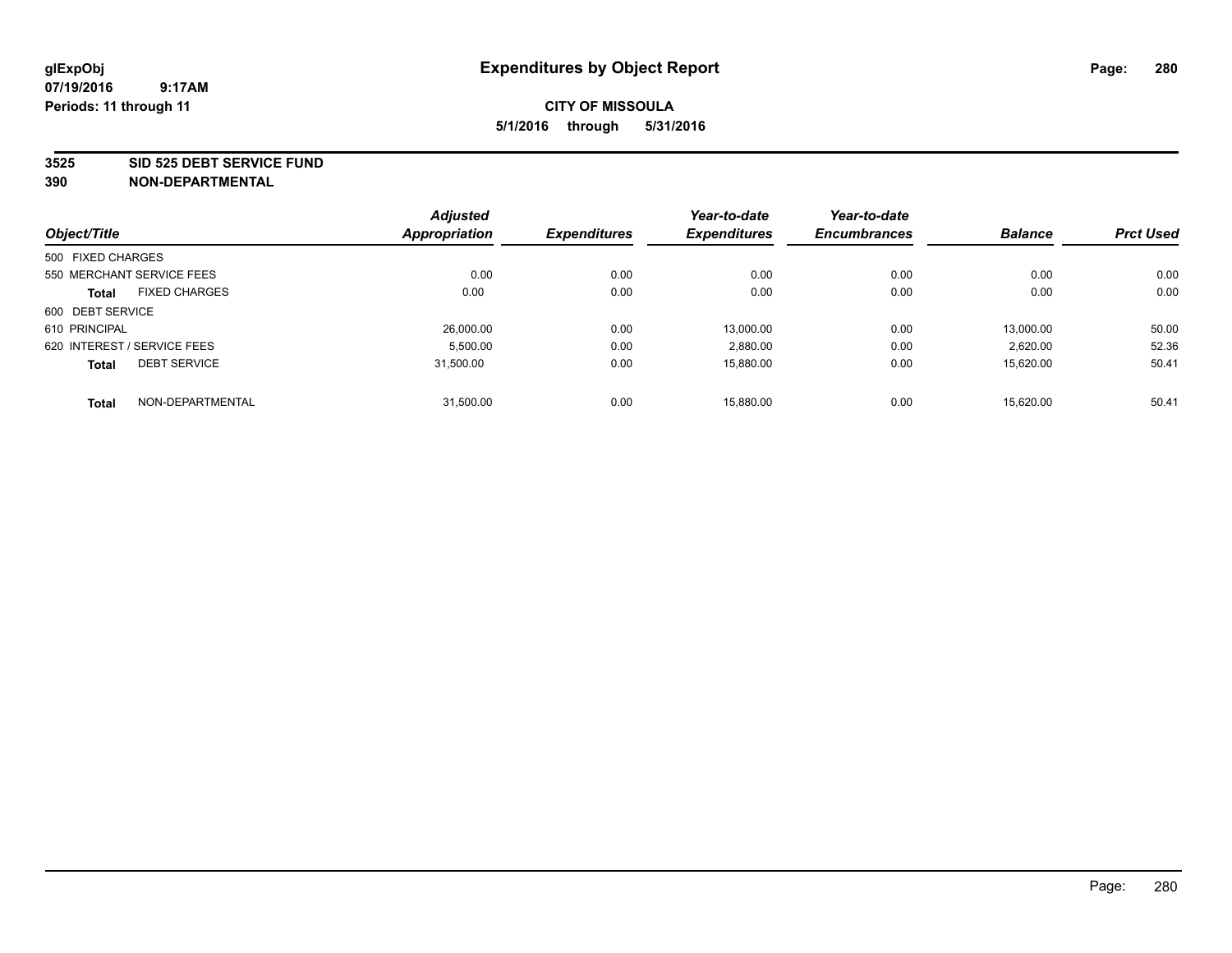#### **3525 SID 525 DEBT SERVICE FUND**

|                             |                           | <b>Adjusted</b>      |                     | Year-to-date        | Year-to-date        |                |                  |
|-----------------------------|---------------------------|----------------------|---------------------|---------------------|---------------------|----------------|------------------|
| Object/Title                |                           | <b>Appropriation</b> | <b>Expenditures</b> | <b>Expenditures</b> | <b>Encumbrances</b> | <b>Balance</b> | <b>Prct Used</b> |
| 500 FIXED CHARGES           |                           |                      |                     |                     |                     |                |                  |
|                             | 550 MERCHANT SERVICE FEES | 0.00                 | 0.00                | 0.00                | 0.00                | 0.00           | 0.00             |
| <b>Total</b>                | <b>FIXED CHARGES</b>      | 0.00                 | 0.00                | 0.00                | 0.00                | 0.00           | 0.00             |
| 600 DEBT SERVICE            |                           |                      |                     |                     |                     |                |                  |
| 610 PRINCIPAL               |                           | 26,000.00            | 0.00                | 13.000.00           | 0.00                | 13.000.00      | 50.00            |
| 620 INTEREST / SERVICE FEES |                           | 5,500.00             | 0.00                | 2,880.00            | 0.00                | 2,620.00       | 52.36            |
| <b>Total</b>                | <b>DEBT SERVICE</b>       | 31.500.00            | 0.00                | 15.880.00           | 0.00                | 15.620.00      | 50.41            |
| <b>Total</b>                | NON-DEPARTMENTAL          | 31,500.00            | 0.00                | 15.880.00           | 0.00                | 15.620.00      | 50.41            |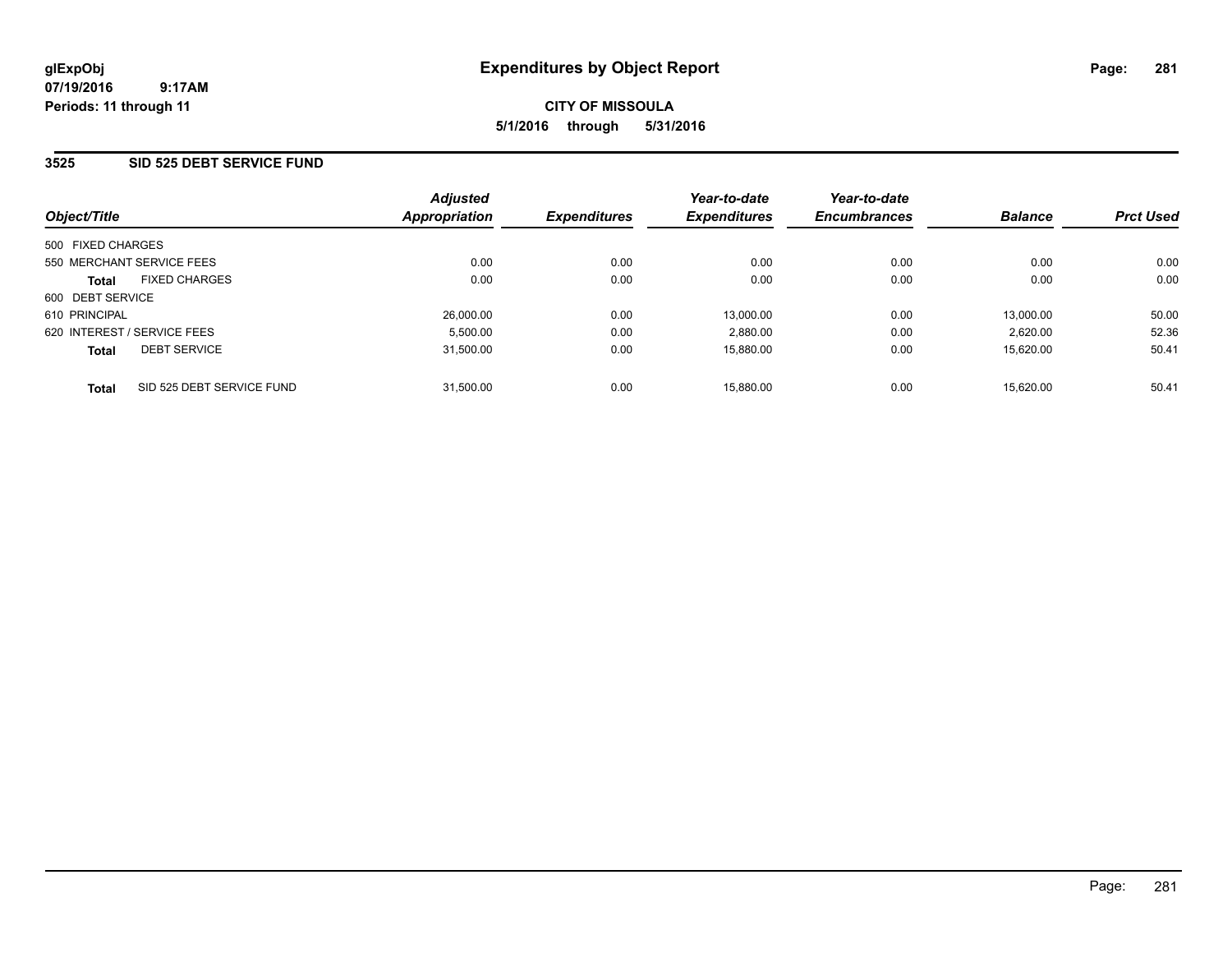### **3525 SID 525 DEBT SERVICE FUND**

| Object/Title                              | <b>Adjusted</b><br><b>Appropriation</b> | <b>Expenditures</b> | Year-to-date<br><b>Expenditures</b> | Year-to-date<br><b>Encumbrances</b> | <b>Balance</b> | <b>Prct Used</b> |
|-------------------------------------------|-----------------------------------------|---------------------|-------------------------------------|-------------------------------------|----------------|------------------|
| 500 FIXED CHARGES                         |                                         |                     |                                     |                                     |                |                  |
| 550 MERCHANT SERVICE FEES                 | 0.00                                    | 0.00                | 0.00                                | 0.00                                | 0.00           | 0.00             |
| <b>FIXED CHARGES</b><br><b>Total</b>      | 0.00                                    | 0.00                | 0.00                                | 0.00                                | 0.00           | 0.00             |
| 600 DEBT SERVICE                          |                                         |                     |                                     |                                     |                |                  |
| 610 PRINCIPAL                             | 26,000.00                               | 0.00                | 13,000.00                           | 0.00                                | 13,000.00      | 50.00            |
| 620 INTEREST / SERVICE FEES               | 5,500.00                                | 0.00                | 2,880.00                            | 0.00                                | 2.620.00       | 52.36            |
| <b>DEBT SERVICE</b><br><b>Total</b>       | 31,500.00                               | 0.00                | 15,880.00                           | 0.00                                | 15.620.00      | 50.41            |
| SID 525 DEBT SERVICE FUND<br><b>Total</b> | 31.500.00                               | 0.00                | 15.880.00                           | 0.00                                | 15.620.00      | 50.41            |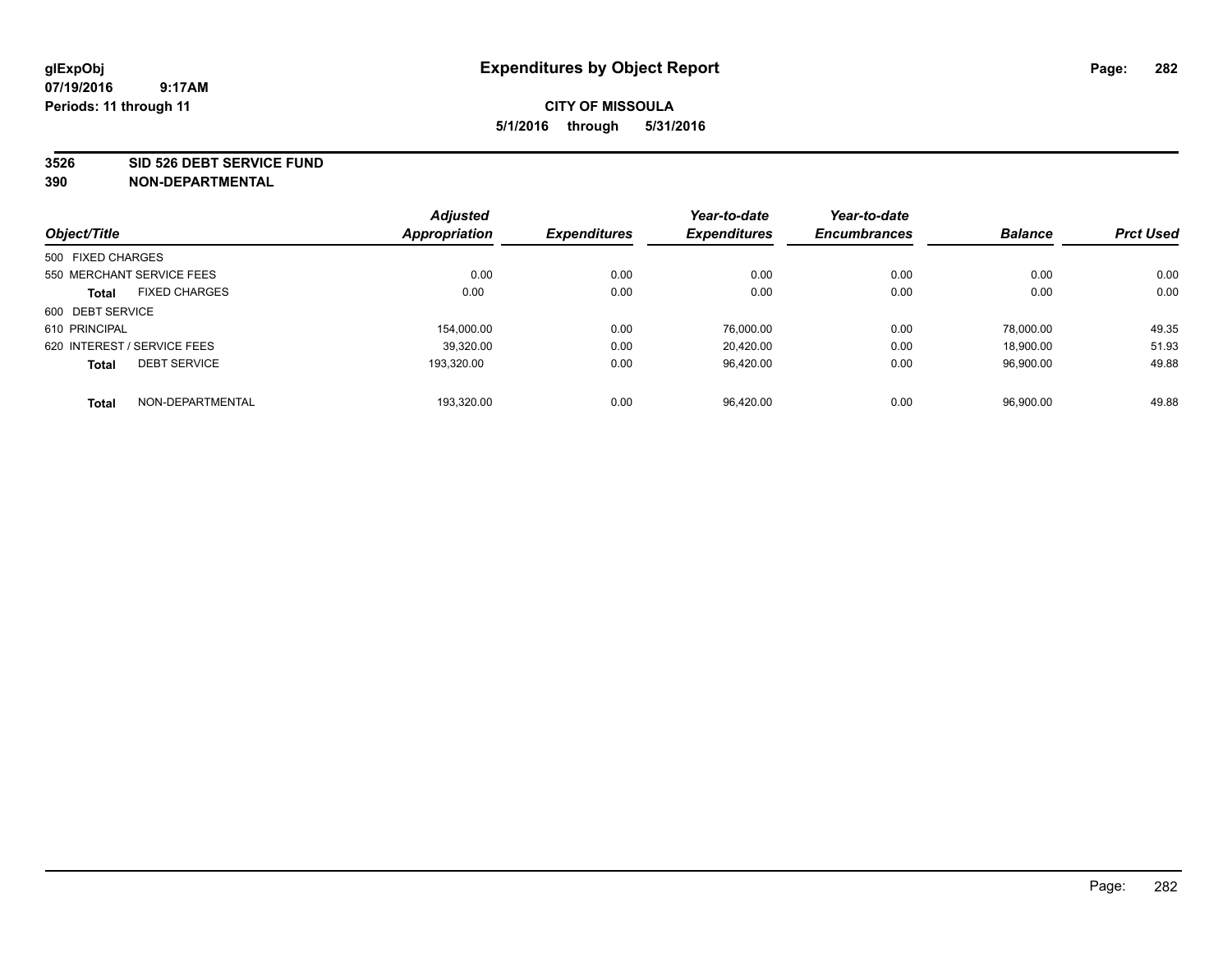#### **3526 SID 526 DEBT SERVICE FUND**

| Object/Title                |                      | <b>Adjusted</b><br>Appropriation | <b>Expenditures</b> | Year-to-date<br><b>Expenditures</b> | Year-to-date<br><b>Encumbrances</b> | <b>Balance</b> | <b>Prct Used</b> |
|-----------------------------|----------------------|----------------------------------|---------------------|-------------------------------------|-------------------------------------|----------------|------------------|
|                             |                      |                                  |                     |                                     |                                     |                |                  |
| 500 FIXED CHARGES           |                      |                                  |                     |                                     |                                     |                |                  |
| 550 MERCHANT SERVICE FEES   |                      | 0.00                             | 0.00                | 0.00                                | 0.00                                | 0.00           | 0.00             |
| <b>Total</b>                | <b>FIXED CHARGES</b> | 0.00                             | 0.00                | 0.00                                | 0.00                                | 0.00           | 0.00             |
| 600 DEBT SERVICE            |                      |                                  |                     |                                     |                                     |                |                  |
| 610 PRINCIPAL               |                      | 154.000.00                       | 0.00                | 76.000.00                           | 0.00                                | 78.000.00      | 49.35            |
| 620 INTEREST / SERVICE FEES |                      | 39,320.00                        | 0.00                | 20,420.00                           | 0.00                                | 18,900.00      | 51.93            |
| <b>Total</b>                | <b>DEBT SERVICE</b>  | 193.320.00                       | 0.00                | 96.420.00                           | 0.00                                | 96.900.00      | 49.88            |
| <b>Total</b>                | NON-DEPARTMENTAL     | 193,320.00                       | 0.00                | 96.420.00                           | 0.00                                | 96.900.00      | 49.88            |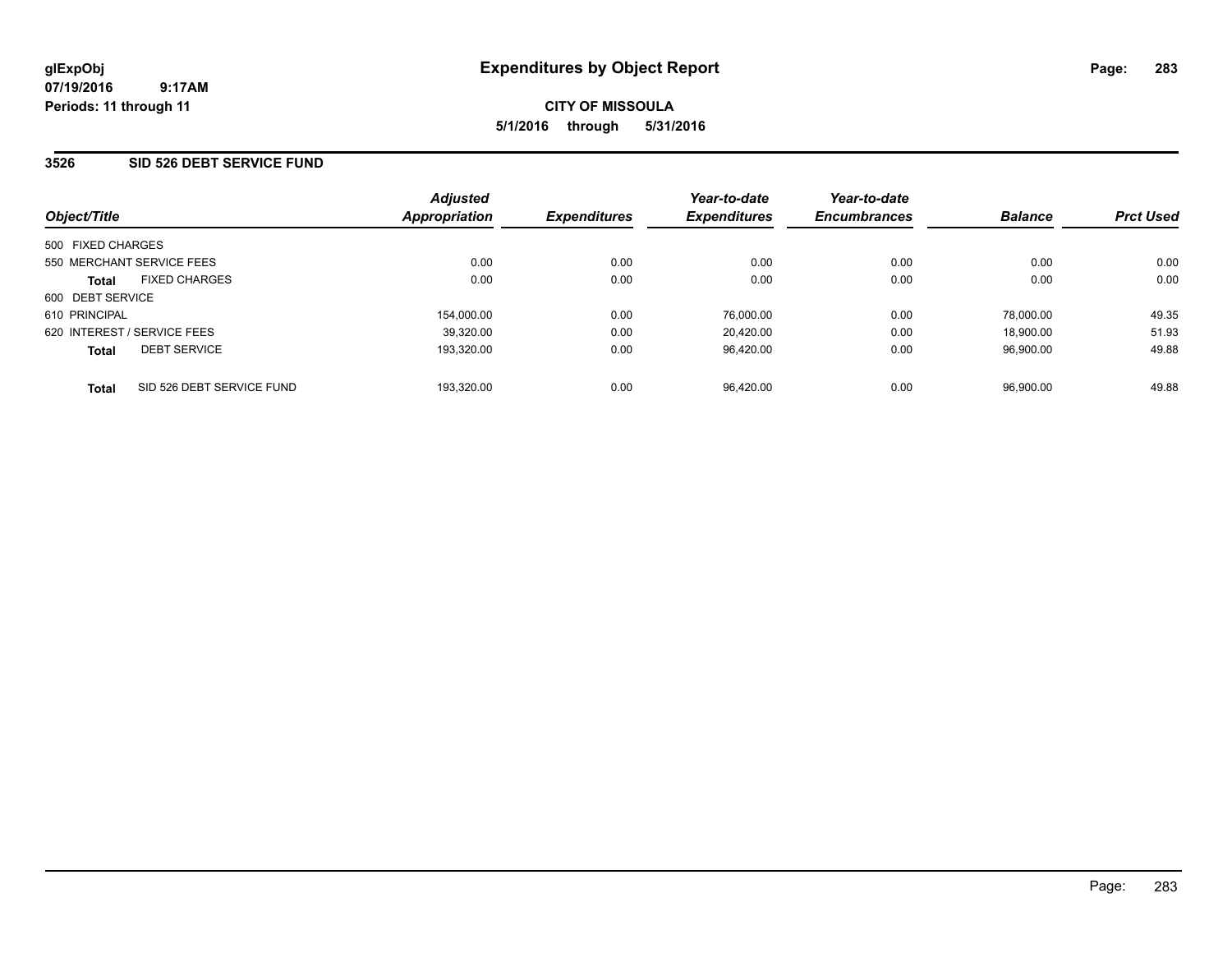### **3526 SID 526 DEBT SERVICE FUND**

| Object/Title                              | <b>Adjusted</b><br>Appropriation | <b>Expenditures</b> | Year-to-date<br><b>Expenditures</b> | Year-to-date<br><b>Encumbrances</b> | <b>Balance</b> | <b>Prct Used</b> |
|-------------------------------------------|----------------------------------|---------------------|-------------------------------------|-------------------------------------|----------------|------------------|
| 500 FIXED CHARGES                         |                                  |                     |                                     |                                     |                |                  |
| 550 MERCHANT SERVICE FEES                 | 0.00                             | 0.00                | 0.00                                | 0.00                                | 0.00           | 0.00             |
| <b>FIXED CHARGES</b><br><b>Total</b>      | 0.00                             | 0.00                | 0.00                                | 0.00                                | 0.00           | 0.00             |
| 600 DEBT SERVICE                          |                                  |                     |                                     |                                     |                |                  |
| 610 PRINCIPAL                             | 154.000.00                       | 0.00                | 76.000.00                           | 0.00                                | 78.000.00      | 49.35            |
| 620 INTEREST / SERVICE FEES               | 39,320.00                        | 0.00                | 20.420.00                           | 0.00                                | 18.900.00      | 51.93            |
| <b>DEBT SERVICE</b><br><b>Total</b>       | 193,320.00                       | 0.00                | 96.420.00                           | 0.00                                | 96.900.00      | 49.88            |
| SID 526 DEBT SERVICE FUND<br><b>Total</b> | 193.320.00                       | 0.00                | 96.420.00                           | 0.00                                | 96.900.00      | 49.88            |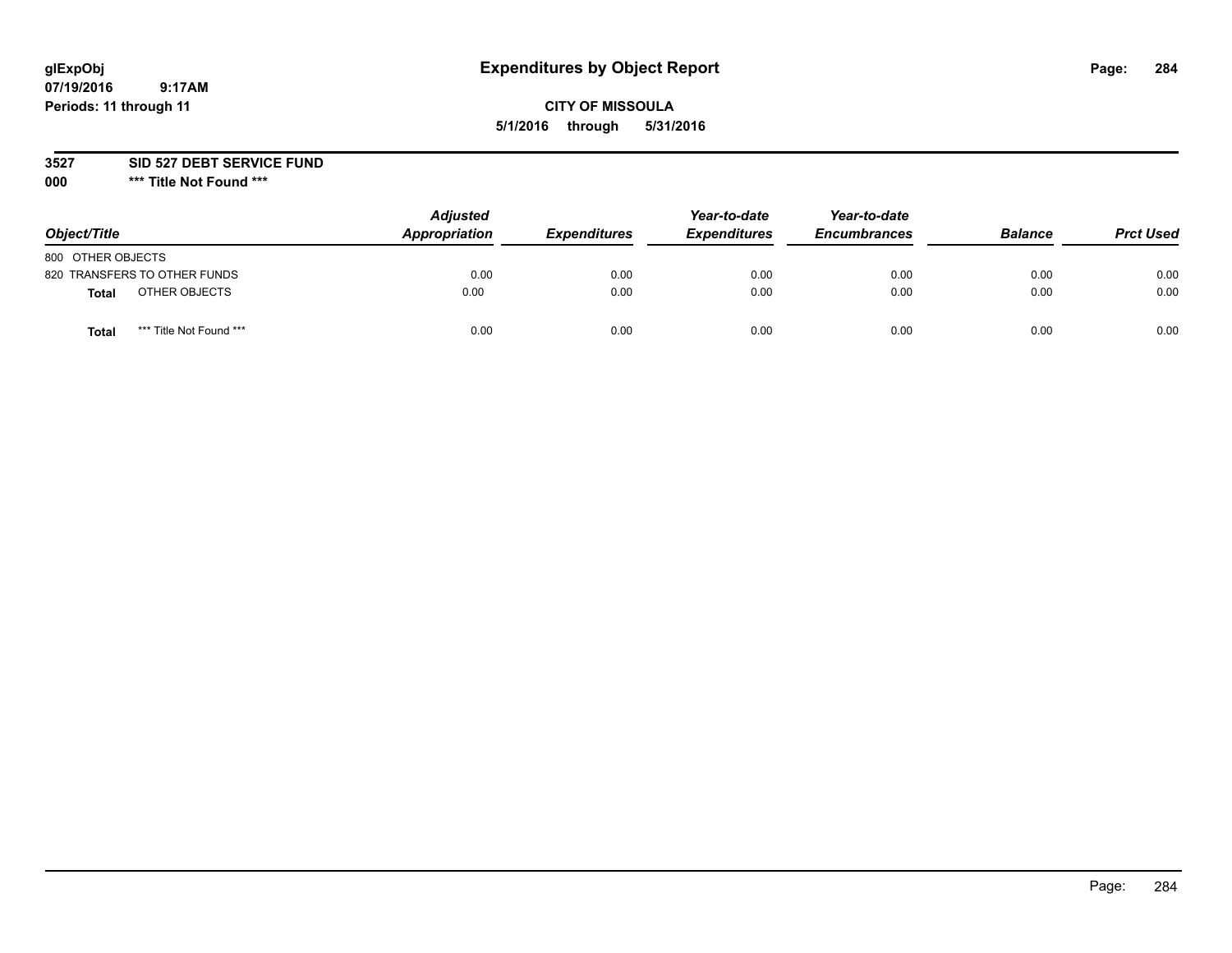# **glExpObj Expenditures by Object Report Page: 284**

### **CITY OF MISSOULA 5/1/2016 through 5/31/2016**

**3527 SID 527 DEBT SERVICE FUND**

**000 \*\*\* Title Not Found \*\*\***

| Object/Title      |                              | <b>Adjusted</b><br>Appropriation | <b>Expenditures</b> | Year-to-date<br><b>Expenditures</b> | Year-to-date<br><b>Encumbrances</b> | <b>Balance</b> | <b>Prct Used</b> |
|-------------------|------------------------------|----------------------------------|---------------------|-------------------------------------|-------------------------------------|----------------|------------------|
| 800 OTHER OBJECTS |                              |                                  |                     |                                     |                                     |                |                  |
|                   | 820 TRANSFERS TO OTHER FUNDS | 0.00                             | 0.00                | 0.00                                | 0.00                                | 0.00           | 0.00             |
| Total             | OTHER OBJECTS                | 0.00                             | 0.00                | 0.00                                | 0.00                                | 0.00           | 0.00             |
| Tota              | *** Title Not Found ***      | 0.00                             | 0.00                | 0.00                                | 0.00                                | 0.00           | 0.00             |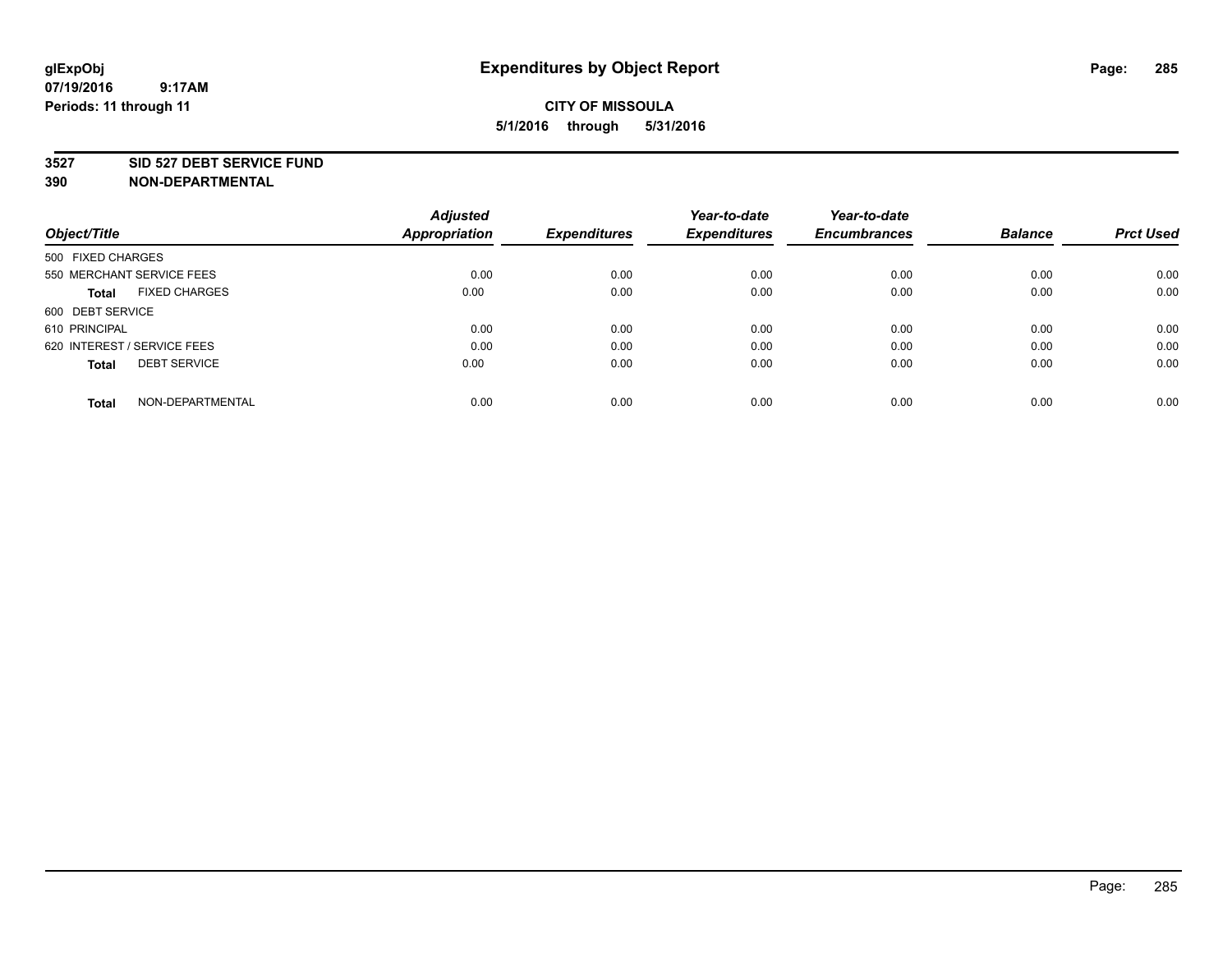### **3527 SID 527 DEBT SERVICE FUND**

| Object/Title                         | <b>Adjusted</b><br><b>Appropriation</b> | <b>Expenditures</b> | Year-to-date<br><b>Expenditures</b> | Year-to-date<br><b>Encumbrances</b> | <b>Balance</b> | <b>Prct Used</b> |
|--------------------------------------|-----------------------------------------|---------------------|-------------------------------------|-------------------------------------|----------------|------------------|
|                                      |                                         |                     |                                     |                                     |                |                  |
| 500 FIXED CHARGES                    |                                         |                     |                                     |                                     |                |                  |
| 550 MERCHANT SERVICE FEES            | 0.00                                    | 0.00                | 0.00                                | 0.00                                | 0.00           | 0.00             |
| <b>FIXED CHARGES</b><br><b>Total</b> | 0.00                                    | 0.00                | 0.00                                | 0.00                                | 0.00           | 0.00             |
| 600 DEBT SERVICE                     |                                         |                     |                                     |                                     |                |                  |
| 610 PRINCIPAL                        | 0.00                                    | 0.00                | 0.00                                | 0.00                                | 0.00           | 0.00             |
| 620 INTEREST / SERVICE FEES          | 0.00                                    | 0.00                | 0.00                                | 0.00                                | 0.00           | 0.00             |
| <b>DEBT SERVICE</b><br><b>Total</b>  | 0.00                                    | 0.00                | 0.00                                | 0.00                                | 0.00           | 0.00             |
|                                      |                                         |                     |                                     |                                     |                |                  |
| NON-DEPARTMENTAL<br><b>Total</b>     | 0.00                                    | 0.00                | 0.00                                | 0.00                                | 0.00           | 0.00             |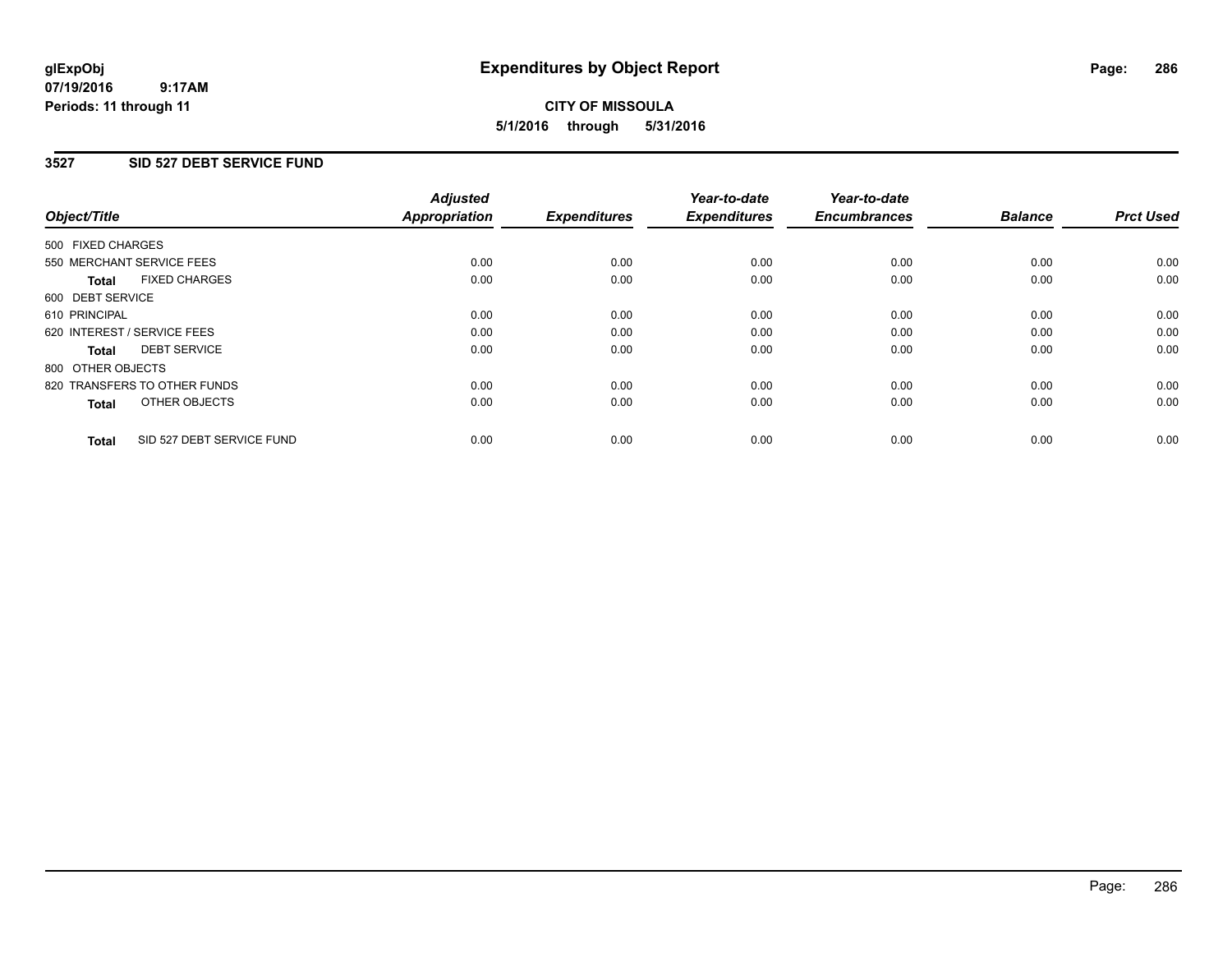### **07/19/2016 9:17AM Periods: 11 through 11**

# **CITY OF MISSOULA 5/1/2016 through 5/31/2016**

### **3527 SID 527 DEBT SERVICE FUND**

| Object/Title                              | <b>Adjusted</b><br><b>Appropriation</b> | <b>Expenditures</b> | Year-to-date<br><b>Expenditures</b> | Year-to-date<br><b>Encumbrances</b> | <b>Balance</b> | <b>Prct Used</b> |
|-------------------------------------------|-----------------------------------------|---------------------|-------------------------------------|-------------------------------------|----------------|------------------|
|                                           |                                         |                     |                                     |                                     |                |                  |
| 500 FIXED CHARGES                         |                                         |                     |                                     |                                     |                |                  |
| 550 MERCHANT SERVICE FEES                 | 0.00                                    | 0.00                | 0.00                                | 0.00                                | 0.00           | 0.00             |
| <b>FIXED CHARGES</b><br>Total             | 0.00                                    | 0.00                | 0.00                                | 0.00                                | 0.00           | 0.00             |
| 600 DEBT SERVICE                          |                                         |                     |                                     |                                     |                |                  |
| 610 PRINCIPAL                             | 0.00                                    | 0.00                | 0.00                                | 0.00                                | 0.00           | 0.00             |
| 620 INTEREST / SERVICE FEES               | 0.00                                    | 0.00                | 0.00                                | 0.00                                | 0.00           | 0.00             |
| <b>DEBT SERVICE</b><br><b>Total</b>       | 0.00                                    | 0.00                | 0.00                                | 0.00                                | 0.00           | 0.00             |
| 800 OTHER OBJECTS                         |                                         |                     |                                     |                                     |                |                  |
| 820 TRANSFERS TO OTHER FUNDS              | 0.00                                    | 0.00                | 0.00                                | 0.00                                | 0.00           | 0.00             |
| OTHER OBJECTS<br><b>Total</b>             | 0.00                                    | 0.00                | 0.00                                | 0.00                                | 0.00           | 0.00             |
|                                           |                                         |                     |                                     |                                     |                |                  |
| SID 527 DEBT SERVICE FUND<br><b>Total</b> | 0.00                                    | 0.00                | 0.00                                | 0.00                                | 0.00           | 0.00             |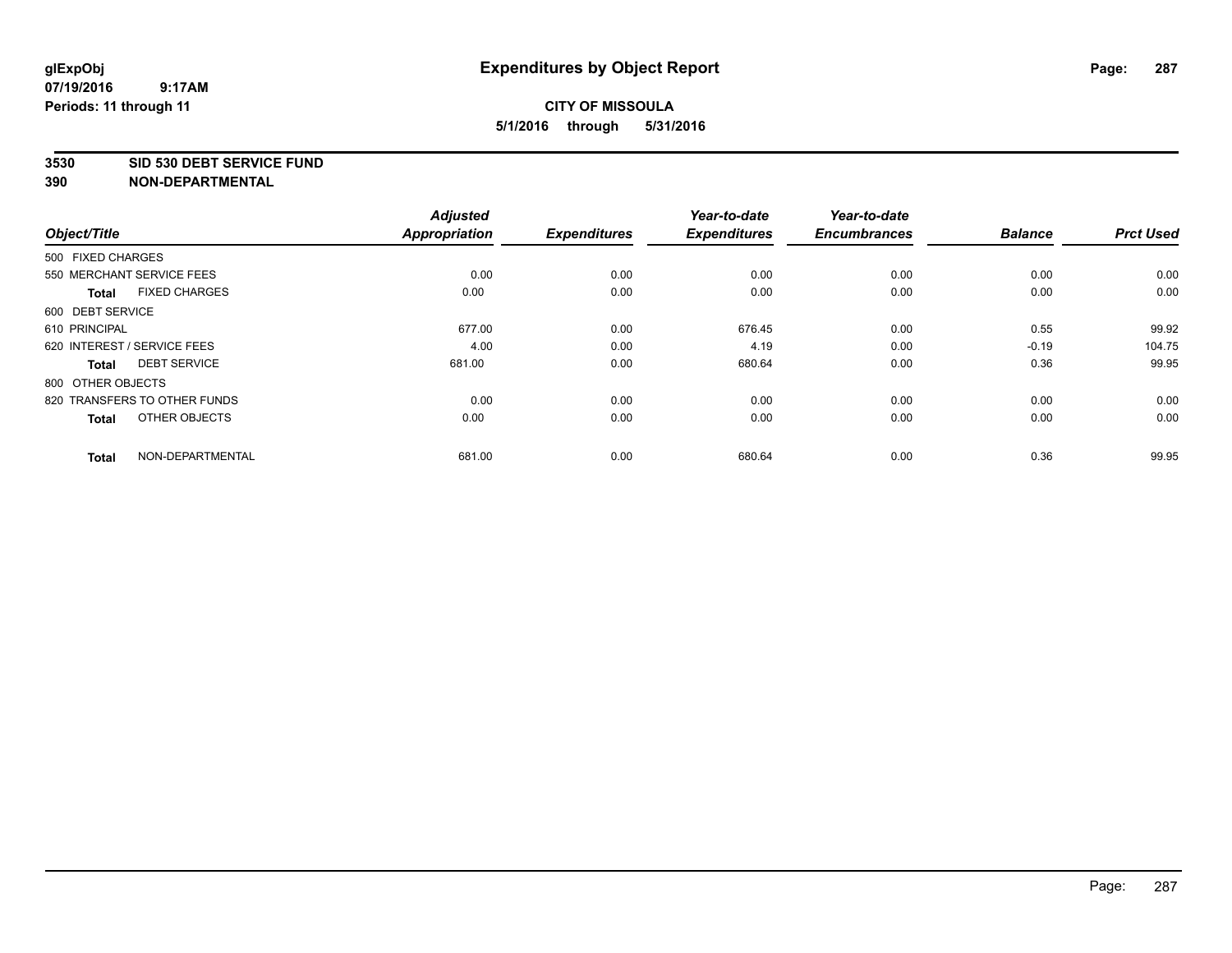#### **3530 SID 530 DEBT SERVICE FUND**

| Object/Title      |                              | <b>Adjusted</b><br>Appropriation | <b>Expenditures</b> | Year-to-date<br><b>Expenditures</b> | Year-to-date<br><b>Encumbrances</b> | <b>Balance</b> | <b>Prct Used</b> |
|-------------------|------------------------------|----------------------------------|---------------------|-------------------------------------|-------------------------------------|----------------|------------------|
|                   |                              |                                  |                     |                                     |                                     |                |                  |
| 500 FIXED CHARGES |                              |                                  |                     |                                     |                                     |                |                  |
|                   | 550 MERCHANT SERVICE FEES    | 0.00                             | 0.00                | 0.00                                | 0.00                                | 0.00           | 0.00             |
| <b>Total</b>      | <b>FIXED CHARGES</b>         | 0.00                             | 0.00                | 0.00                                | 0.00                                | 0.00           | 0.00             |
| 600 DEBT SERVICE  |                              |                                  |                     |                                     |                                     |                |                  |
| 610 PRINCIPAL     |                              | 677.00                           | 0.00                | 676.45                              | 0.00                                | 0.55           | 99.92            |
|                   | 620 INTEREST / SERVICE FEES  | 4.00                             | 0.00                | 4.19                                | 0.00                                | $-0.19$        | 104.75           |
| <b>Total</b>      | <b>DEBT SERVICE</b>          | 681.00                           | 0.00                | 680.64                              | 0.00                                | 0.36           | 99.95            |
| 800 OTHER OBJECTS |                              |                                  |                     |                                     |                                     |                |                  |
|                   | 820 TRANSFERS TO OTHER FUNDS | 0.00                             | 0.00                | 0.00                                | 0.00                                | 0.00           | 0.00             |
| <b>Total</b>      | OTHER OBJECTS                | 0.00                             | 0.00                | 0.00                                | 0.00                                | 0.00           | 0.00             |
| <b>Total</b>      | NON-DEPARTMENTAL             | 681.00                           | 0.00                | 680.64                              | 0.00                                | 0.36           | 99.95            |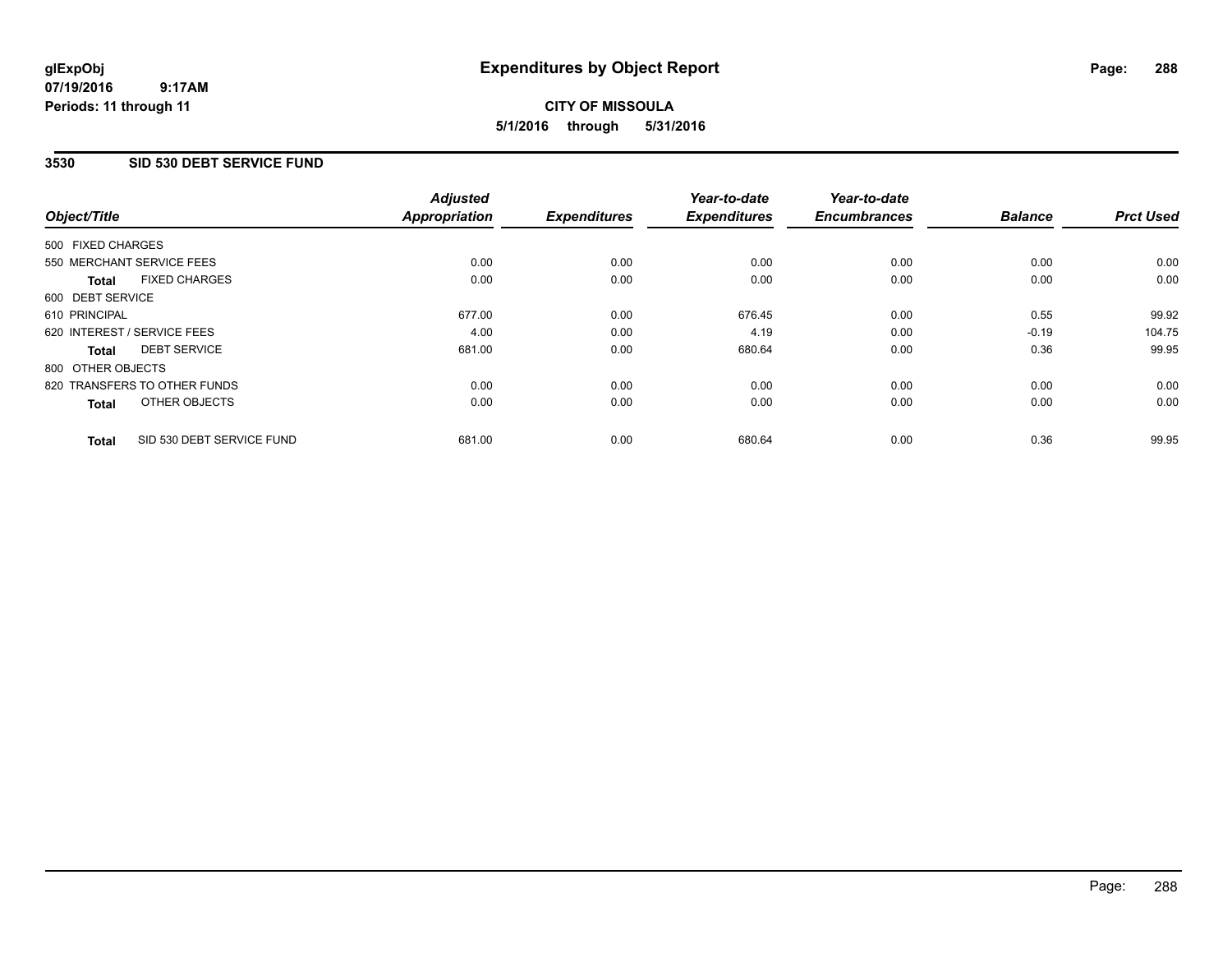### **07/19/2016 9:17AM Periods: 11 through 11**

# **CITY OF MISSOULA 5/1/2016 through 5/31/2016**

### **3530 SID 530 DEBT SERVICE FUND**

| Object/Title      |                              | <b>Adjusted</b><br><b>Appropriation</b> | <b>Expenditures</b> | Year-to-date<br><b>Expenditures</b> | Year-to-date<br><b>Encumbrances</b> | <b>Balance</b> | <b>Prct Used</b> |
|-------------------|------------------------------|-----------------------------------------|---------------------|-------------------------------------|-------------------------------------|----------------|------------------|
|                   |                              |                                         |                     |                                     |                                     |                |                  |
| 500 FIXED CHARGES |                              |                                         |                     |                                     |                                     |                |                  |
|                   | 550 MERCHANT SERVICE FEES    | 0.00                                    | 0.00                | 0.00                                | 0.00                                | 0.00           | 0.00             |
| <b>Total</b>      | <b>FIXED CHARGES</b>         | 0.00                                    | 0.00                | 0.00                                | 0.00                                | 0.00           | 0.00             |
| 600 DEBT SERVICE  |                              |                                         |                     |                                     |                                     |                |                  |
| 610 PRINCIPAL     |                              | 677.00                                  | 0.00                | 676.45                              | 0.00                                | 0.55           | 99.92            |
|                   | 620 INTEREST / SERVICE FEES  | 4.00                                    | 0.00                | 4.19                                | 0.00                                | $-0.19$        | 104.75           |
| Total             | <b>DEBT SERVICE</b>          | 681.00                                  | 0.00                | 680.64                              | 0.00                                | 0.36           | 99.95            |
| 800 OTHER OBJECTS |                              |                                         |                     |                                     |                                     |                |                  |
|                   | 820 TRANSFERS TO OTHER FUNDS | 0.00                                    | 0.00                | 0.00                                | 0.00                                | 0.00           | 0.00             |
| <b>Total</b>      | OTHER OBJECTS                | 0.00                                    | 0.00                | 0.00                                | 0.00                                | 0.00           | 0.00             |
| <b>Total</b>      | SID 530 DEBT SERVICE FUND    | 681.00                                  | 0.00                | 680.64                              | 0.00                                | 0.36           | 99.95            |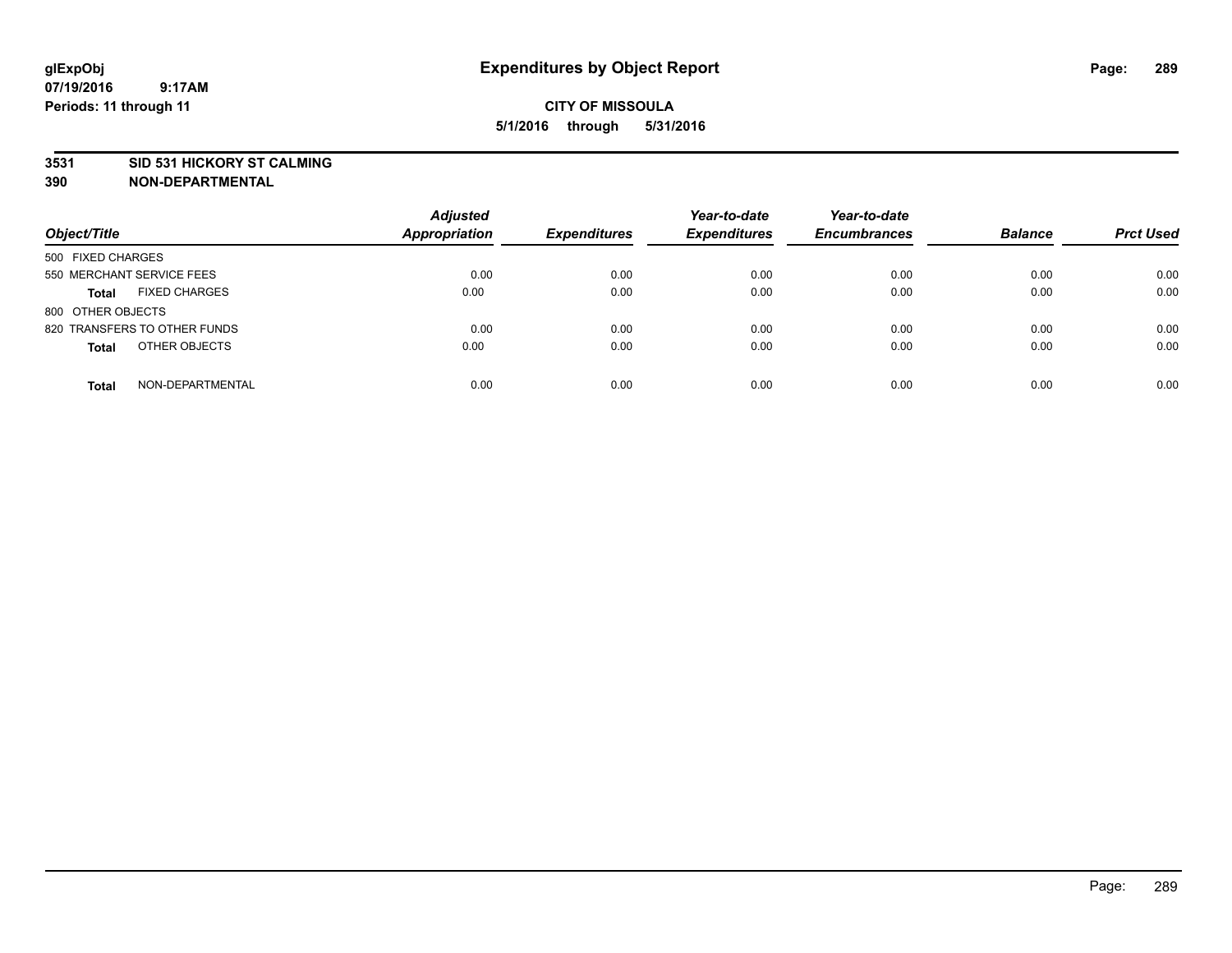#### **3531 SID 531 HICKORY ST CALMING**

| Object/Title                         | <b>Adjusted</b><br><b>Appropriation</b> | <b>Expenditures</b> | Year-to-date<br><b>Expenditures</b> | Year-to-date<br><b>Encumbrances</b> | <b>Balance</b> | <b>Prct Used</b> |
|--------------------------------------|-----------------------------------------|---------------------|-------------------------------------|-------------------------------------|----------------|------------------|
|                                      |                                         |                     |                                     |                                     |                |                  |
| 500 FIXED CHARGES                    |                                         |                     |                                     |                                     |                |                  |
| 550 MERCHANT SERVICE FEES            | 0.00                                    | 0.00                | 0.00                                | 0.00                                | 0.00           | 0.00             |
| <b>FIXED CHARGES</b><br><b>Total</b> | 0.00                                    | 0.00                | 0.00                                | 0.00                                | 0.00           | 0.00             |
| 800 OTHER OBJECTS                    |                                         |                     |                                     |                                     |                |                  |
| 820 TRANSFERS TO OTHER FUNDS         | 0.00                                    | 0.00                | 0.00                                | 0.00                                | 0.00           | 0.00             |
| OTHER OBJECTS<br><b>Total</b>        | 0.00                                    | 0.00                | 0.00                                | 0.00                                | 0.00           | 0.00             |
|                                      |                                         |                     |                                     |                                     |                |                  |
| NON-DEPARTMENTAL<br><b>Total</b>     | 0.00                                    | 0.00                | 0.00                                | 0.00                                | 0.00           | 0.00             |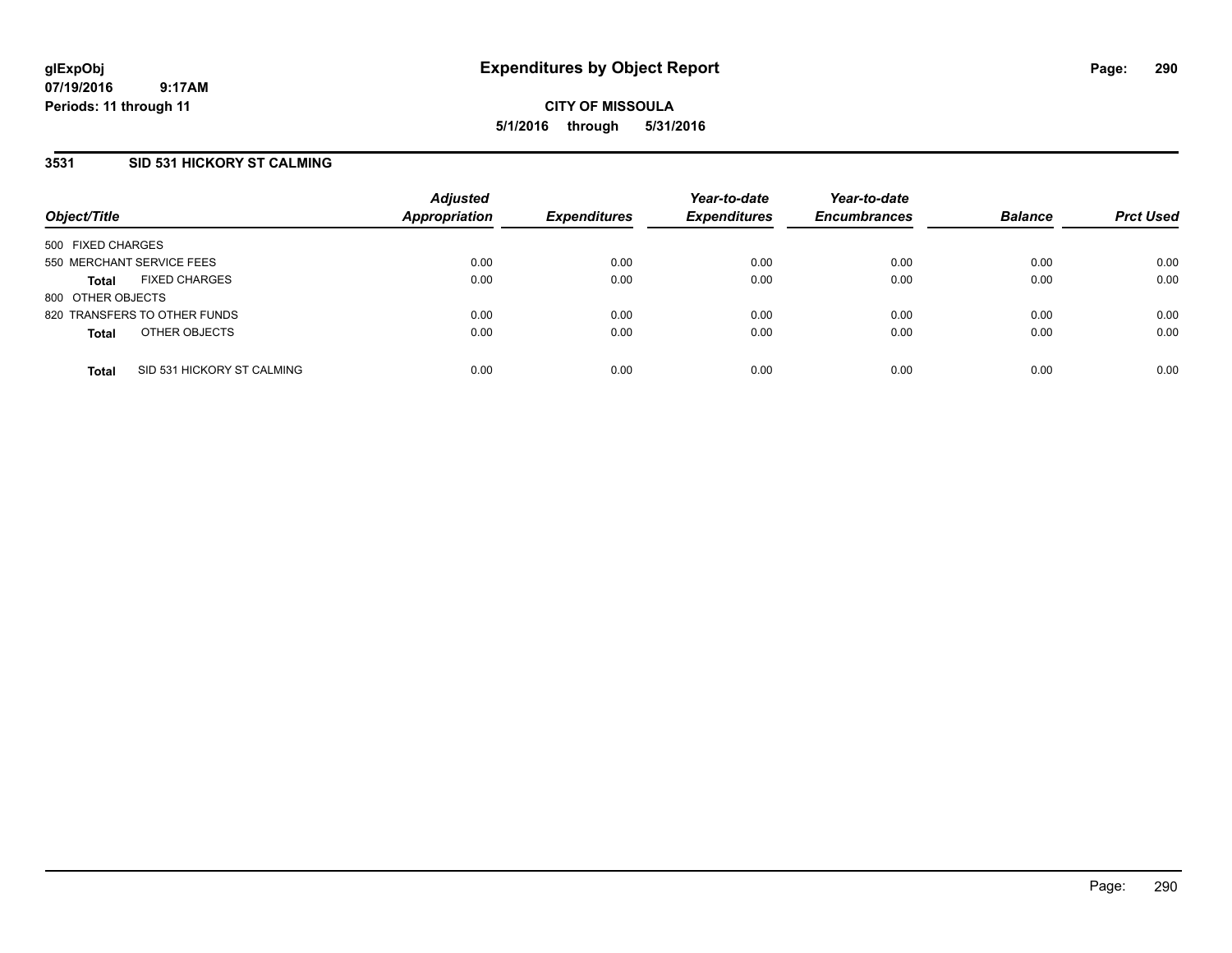## **3531 SID 531 HICKORY ST CALMING**

| Object/Title              |                              | <b>Adjusted</b><br><b>Appropriation</b> | <b>Expenditures</b> | Year-to-date<br><b>Expenditures</b> | Year-to-date<br><b>Encumbrances</b> | <b>Balance</b> | <b>Prct Used</b> |
|---------------------------|------------------------------|-----------------------------------------|---------------------|-------------------------------------|-------------------------------------|----------------|------------------|
| 500 FIXED CHARGES         |                              |                                         |                     |                                     |                                     |                |                  |
| 550 MERCHANT SERVICE FEES |                              | 0.00                                    | 0.00                | 0.00                                | 0.00                                | 0.00           | 0.00             |
| <b>Total</b>              | <b>FIXED CHARGES</b>         | 0.00                                    | 0.00                | 0.00                                | 0.00                                | 0.00           | 0.00             |
| 800 OTHER OBJECTS         |                              |                                         |                     |                                     |                                     |                |                  |
|                           | 820 TRANSFERS TO OTHER FUNDS | 0.00                                    | 0.00                | 0.00                                | 0.00                                | 0.00           | 0.00             |
| <b>Total</b>              | OTHER OBJECTS                | 0.00                                    | 0.00                | 0.00                                | 0.00                                | 0.00           | 0.00             |
| <b>Total</b>              | SID 531 HICKORY ST CALMING   | 0.00                                    | 0.00                | 0.00                                | 0.00                                | 0.00           | 0.00             |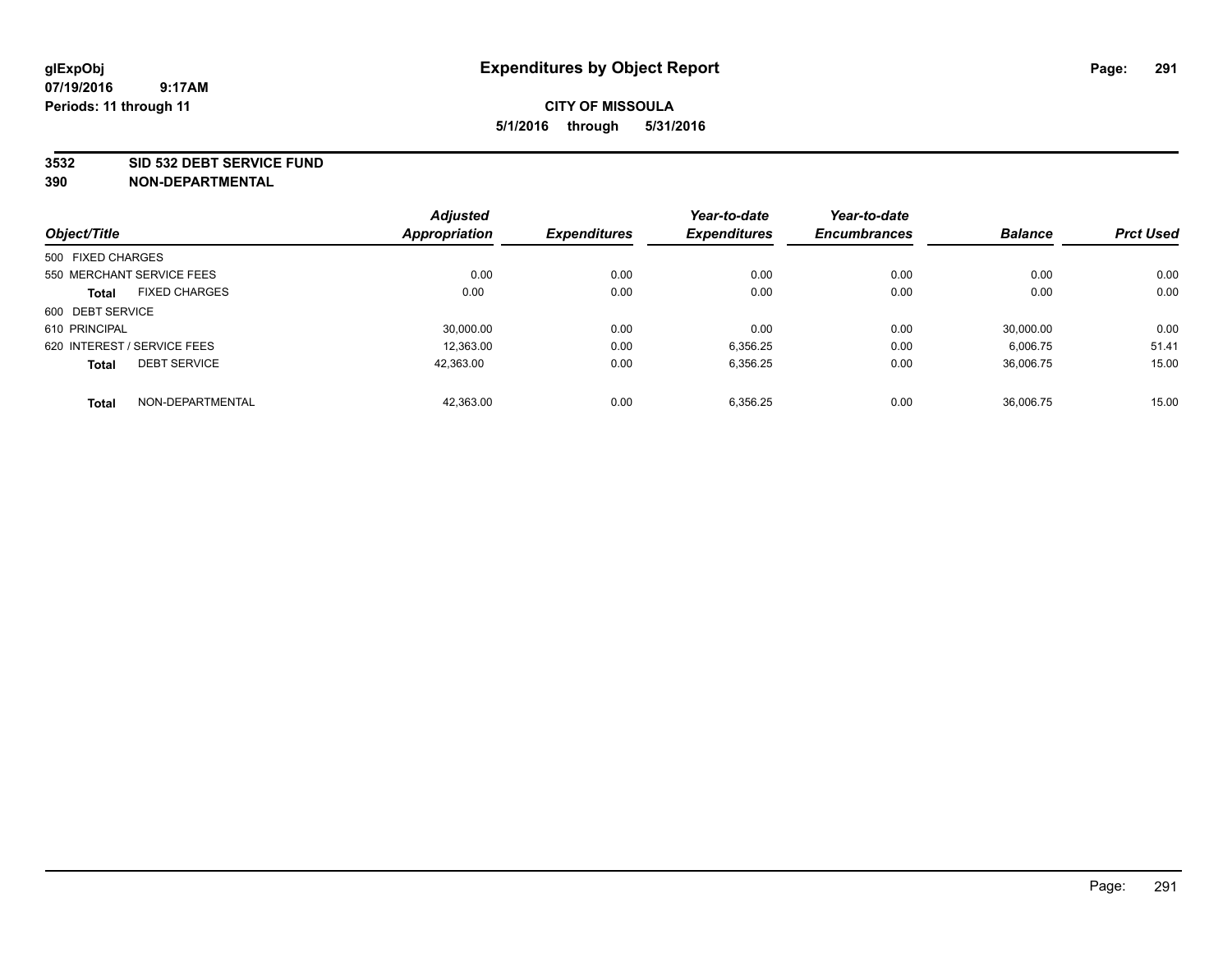#### **3532 SID 532 DEBT SERVICE FUND**

|                                      | <b>Adjusted</b> |                     | Year-to-date        | Year-to-date        |                |                  |
|--------------------------------------|-----------------|---------------------|---------------------|---------------------|----------------|------------------|
| Object/Title                         | Appropriation   | <b>Expenditures</b> | <b>Expenditures</b> | <b>Encumbrances</b> | <b>Balance</b> | <b>Prct Used</b> |
| 500 FIXED CHARGES                    |                 |                     |                     |                     |                |                  |
| 550 MERCHANT SERVICE FEES            | 0.00            | 0.00                | 0.00                | 0.00                | 0.00           | 0.00             |
| <b>FIXED CHARGES</b><br><b>Total</b> | 0.00            | 0.00                | 0.00                | 0.00                | 0.00           | 0.00             |
| 600 DEBT SERVICE                     |                 |                     |                     |                     |                |                  |
| 610 PRINCIPAL                        | 30.000.00       | 0.00                | 0.00                | 0.00                | 30.000.00      | 0.00             |
| 620 INTEREST / SERVICE FEES          | 12.363.00       | 0.00                | 6,356.25            | 0.00                | 6,006.75       | 51.41            |
| <b>DEBT SERVICE</b><br><b>Total</b>  | 42,363.00       | 0.00                | 6,356.25            | 0.00                | 36,006.75      | 15.00            |
| NON-DEPARTMENTAL<br><b>Total</b>     | 42,363.00       | 0.00                | 6,356.25            | 0.00                | 36.006.75      | 15.00            |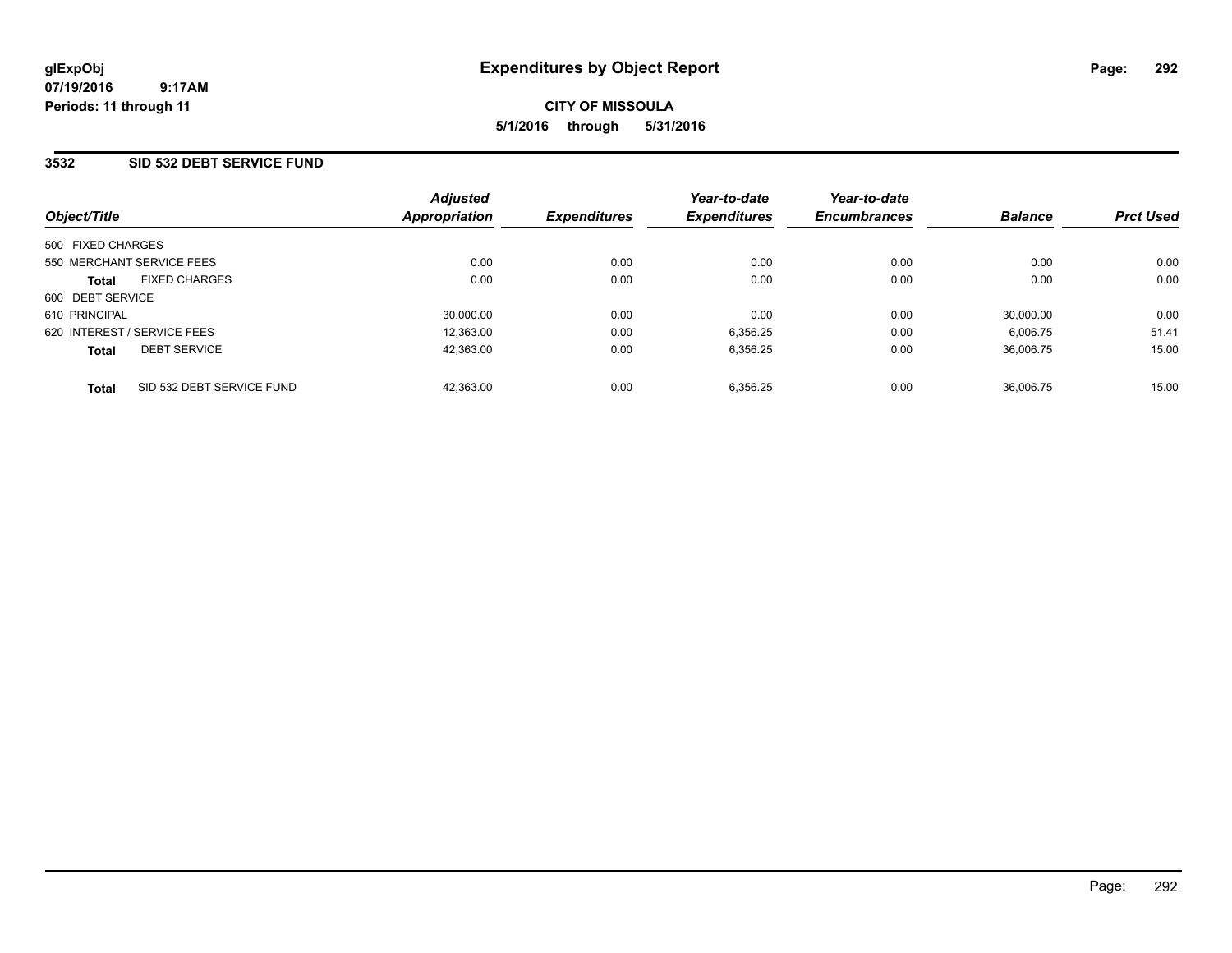## **3532 SID 532 DEBT SERVICE FUND**

| Object/Title                              | <b>Adjusted</b><br>Appropriation | <b>Expenditures</b> | Year-to-date<br><b>Expenditures</b> | Year-to-date<br><b>Encumbrances</b> | <b>Balance</b> | <b>Prct Used</b> |
|-------------------------------------------|----------------------------------|---------------------|-------------------------------------|-------------------------------------|----------------|------------------|
| 500 FIXED CHARGES                         |                                  |                     |                                     |                                     |                |                  |
| 550 MERCHANT SERVICE FEES                 | 0.00                             | 0.00                | 0.00                                | 0.00                                | 0.00           | 0.00             |
| <b>FIXED CHARGES</b><br><b>Total</b>      | 0.00                             | 0.00                | 0.00                                | 0.00                                | 0.00           | 0.00             |
| 600 DEBT SERVICE                          |                                  |                     |                                     |                                     |                |                  |
| 610 PRINCIPAL                             | 30,000.00                        | 0.00                | 0.00                                | 0.00                                | 30.000.00      | 0.00             |
| 620 INTEREST / SERVICE FEES               | 12.363.00                        | 0.00                | 6.356.25                            | 0.00                                | 6.006.75       | 51.41            |
| <b>DEBT SERVICE</b><br><b>Total</b>       | 42.363.00                        | 0.00                | 6,356.25                            | 0.00                                | 36.006.75      | 15.00            |
| SID 532 DEBT SERVICE FUND<br><b>Total</b> | 42.363.00                        | 0.00                | 6.356.25                            | 0.00                                | 36.006.75      | 15.00            |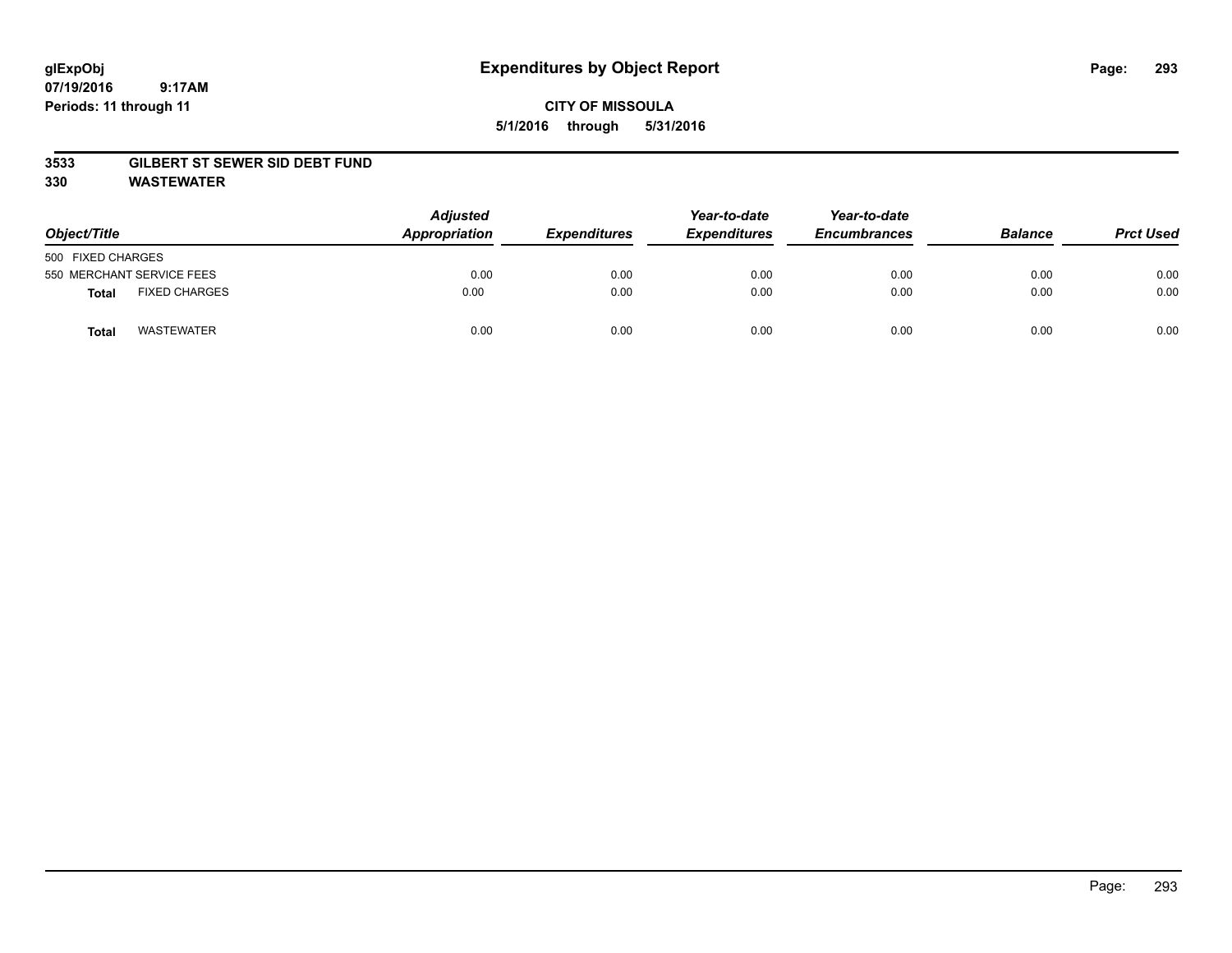# **CITY OF MISSOULA 5/1/2016 through 5/31/2016**

#### **3533 GILBERT ST SEWER SID DEBT FUND**

**330 WASTEWATER**

| Object/Title                         | <b>Adjusted</b><br>Appropriation | <b>Expenditures</b> | Year-to-date<br><b>Expenditures</b> | Year-to-date<br><b>Encumbrances</b> | <b>Balance</b> | <b>Prct Used</b> |
|--------------------------------------|----------------------------------|---------------------|-------------------------------------|-------------------------------------|----------------|------------------|
| 500 FIXED CHARGES                    |                                  |                     |                                     |                                     |                |                  |
| 550 MERCHANT SERVICE FEES            | 0.00                             | 0.00                | 0.00                                | 0.00                                | 0.00           | 0.00             |
| <b>FIXED CHARGES</b><br><b>Total</b> | 0.00                             | 0.00                | 0.00                                | 0.00                                | 0.00           | 0.00             |
| <b>WASTEWATER</b><br>Total           | 0.00                             | 0.00                | 0.00                                | 0.00                                | 0.00           | 0.00             |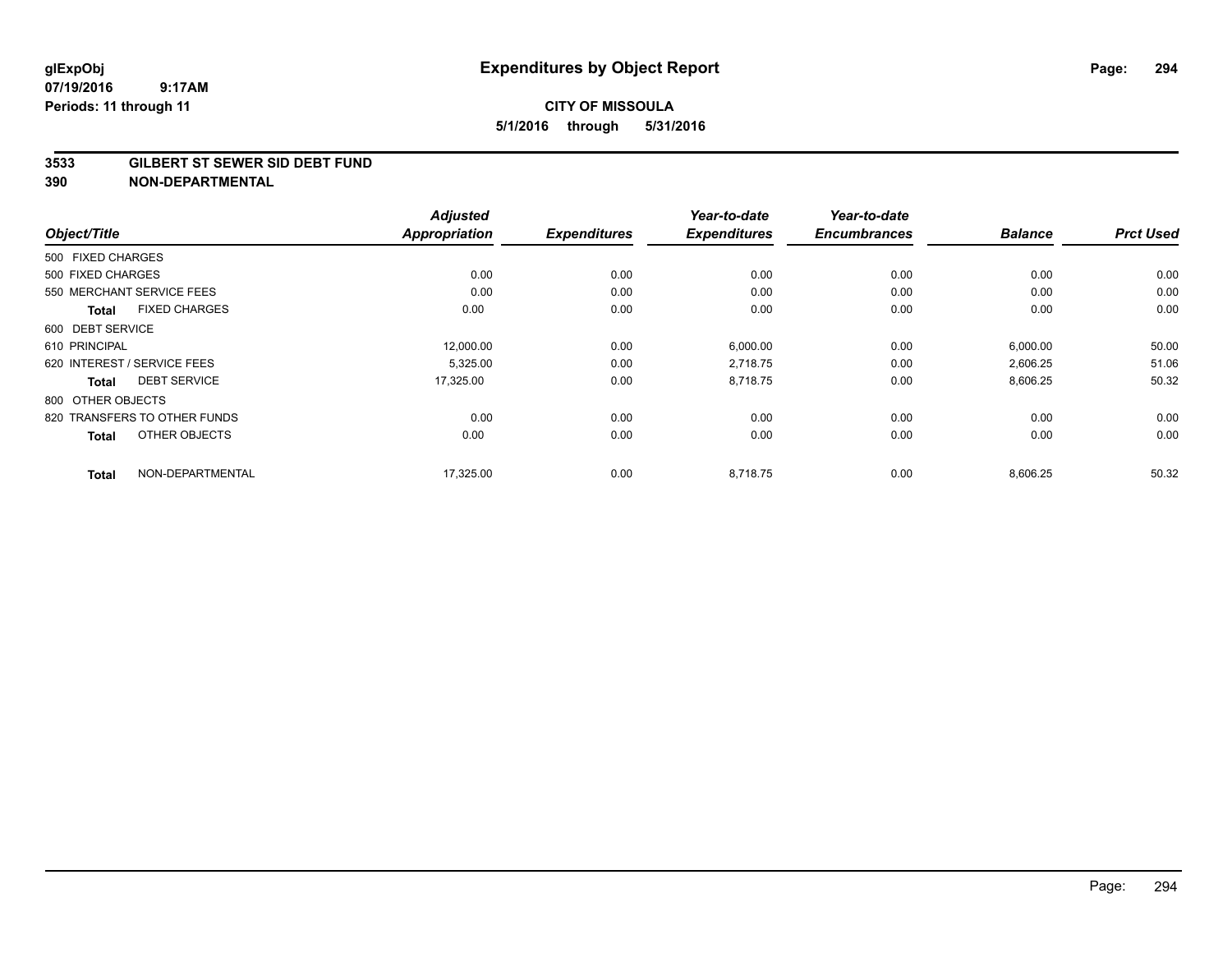#### **3533 GILBERT ST SEWER SID DEBT FUND**

|                                      | <b>Adjusted</b>      |                     | Year-to-date        | Year-to-date        |                |                  |
|--------------------------------------|----------------------|---------------------|---------------------|---------------------|----------------|------------------|
| Object/Title                         | <b>Appropriation</b> | <b>Expenditures</b> | <b>Expenditures</b> | <b>Encumbrances</b> | <b>Balance</b> | <b>Prct Used</b> |
| 500 FIXED CHARGES                    |                      |                     |                     |                     |                |                  |
| 500 FIXED CHARGES                    | 0.00                 | 0.00                | 0.00                | 0.00                | 0.00           | 0.00             |
| 550 MERCHANT SERVICE FEES            | 0.00                 | 0.00                | 0.00                | 0.00                | 0.00           | 0.00             |
| <b>FIXED CHARGES</b><br><b>Total</b> | 0.00                 | 0.00                | 0.00                | 0.00                | 0.00           | 0.00             |
| 600 DEBT SERVICE                     |                      |                     |                     |                     |                |                  |
| 610 PRINCIPAL                        | 12,000.00            | 0.00                | 6,000.00            | 0.00                | 6,000.00       | 50.00            |
| 620 INTEREST / SERVICE FEES          | 5,325.00             | 0.00                | 2,718.75            | 0.00                | 2,606.25       | 51.06            |
| <b>DEBT SERVICE</b><br>Total         | 17,325.00            | 0.00                | 8,718.75            | 0.00                | 8,606.25       | 50.32            |
| 800 OTHER OBJECTS                    |                      |                     |                     |                     |                |                  |
| 820 TRANSFERS TO OTHER FUNDS         | 0.00                 | 0.00                | 0.00                | 0.00                | 0.00           | 0.00             |
| OTHER OBJECTS<br><b>Total</b>        | 0.00                 | 0.00                | 0.00                | 0.00                | 0.00           | 0.00             |
| NON-DEPARTMENTAL<br><b>Total</b>     | 17,325.00            | 0.00                | 8.718.75            | 0.00                | 8,606.25       | 50.32            |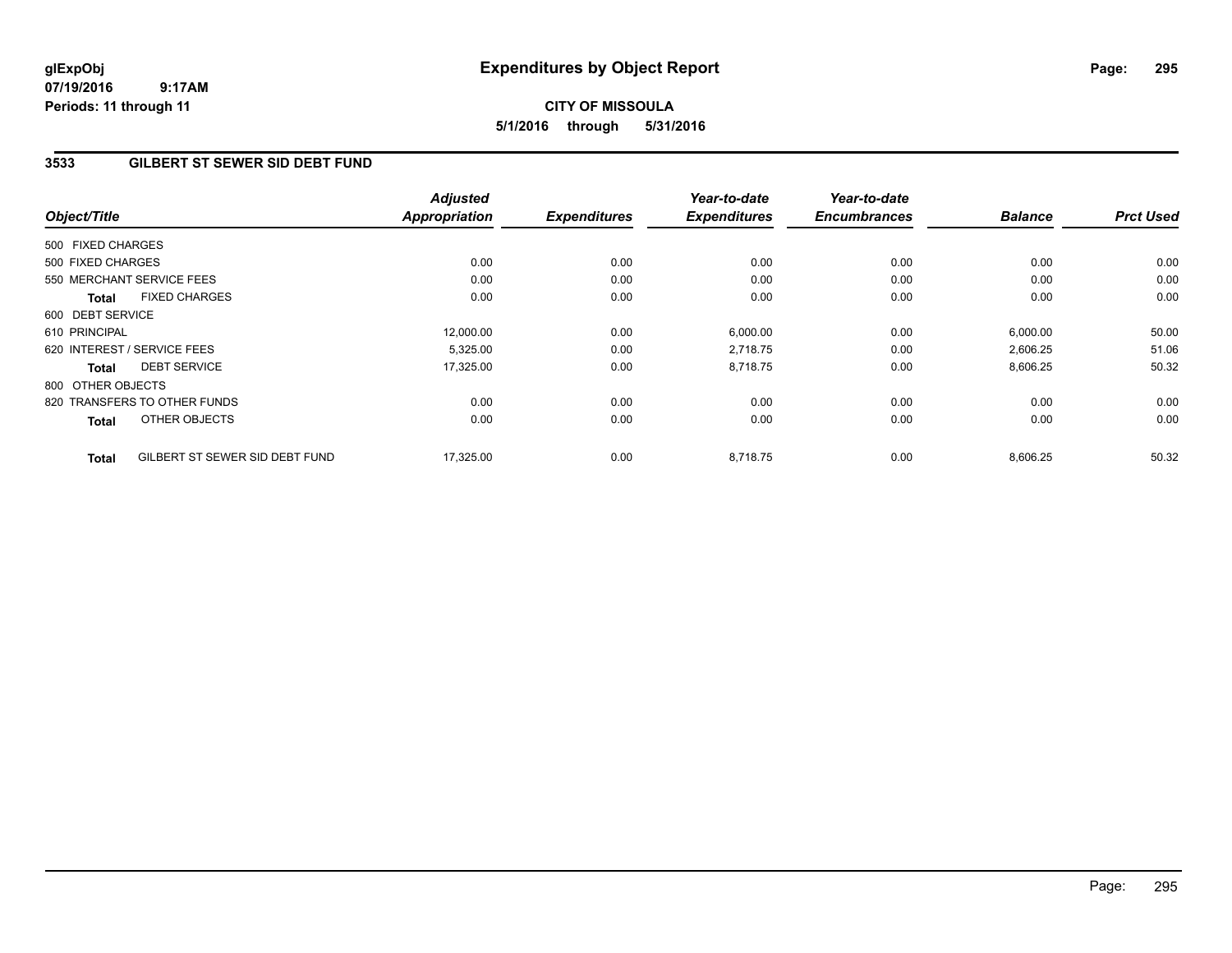# **CITY OF MISSOULA 5/1/2016 through 5/31/2016**

## **3533 GILBERT ST SEWER SID DEBT FUND**

| Object/Title      |                                | <b>Adjusted</b><br><b>Appropriation</b> | <b>Expenditures</b> | Year-to-date<br><b>Expenditures</b> | Year-to-date<br><b>Encumbrances</b> | <b>Balance</b> | <b>Prct Used</b> |
|-------------------|--------------------------------|-----------------------------------------|---------------------|-------------------------------------|-------------------------------------|----------------|------------------|
| 500 FIXED CHARGES |                                |                                         |                     |                                     |                                     |                |                  |
| 500 FIXED CHARGES |                                | 0.00                                    | 0.00                | 0.00                                | 0.00                                | 0.00           | 0.00             |
|                   | 550 MERCHANT SERVICE FEES      | 0.00                                    | 0.00                | 0.00                                | 0.00                                | 0.00           | 0.00             |
| Total             | <b>FIXED CHARGES</b>           | 0.00                                    | 0.00                | 0.00                                | 0.00                                | 0.00           | 0.00             |
| 600 DEBT SERVICE  |                                |                                         |                     |                                     |                                     |                |                  |
| 610 PRINCIPAL     |                                | 12,000.00                               | 0.00                | 6,000.00                            | 0.00                                | 6,000.00       | 50.00            |
|                   | 620 INTEREST / SERVICE FEES    | 5,325.00                                | 0.00                | 2,718.75                            | 0.00                                | 2,606.25       | 51.06            |
| <b>Total</b>      | <b>DEBT SERVICE</b>            | 17,325.00                               | 0.00                | 8,718.75                            | 0.00                                | 8,606.25       | 50.32            |
| 800 OTHER OBJECTS |                                |                                         |                     |                                     |                                     |                |                  |
|                   | 820 TRANSFERS TO OTHER FUNDS   | 0.00                                    | 0.00                | 0.00                                | 0.00                                | 0.00           | 0.00             |
| <b>Total</b>      | OTHER OBJECTS                  | 0.00                                    | 0.00                | 0.00                                | 0.00                                | 0.00           | 0.00             |
| <b>Total</b>      | GILBERT ST SEWER SID DEBT FUND | 17,325.00                               | 0.00                | 8,718.75                            | 0.00                                | 8,606.25       | 50.32            |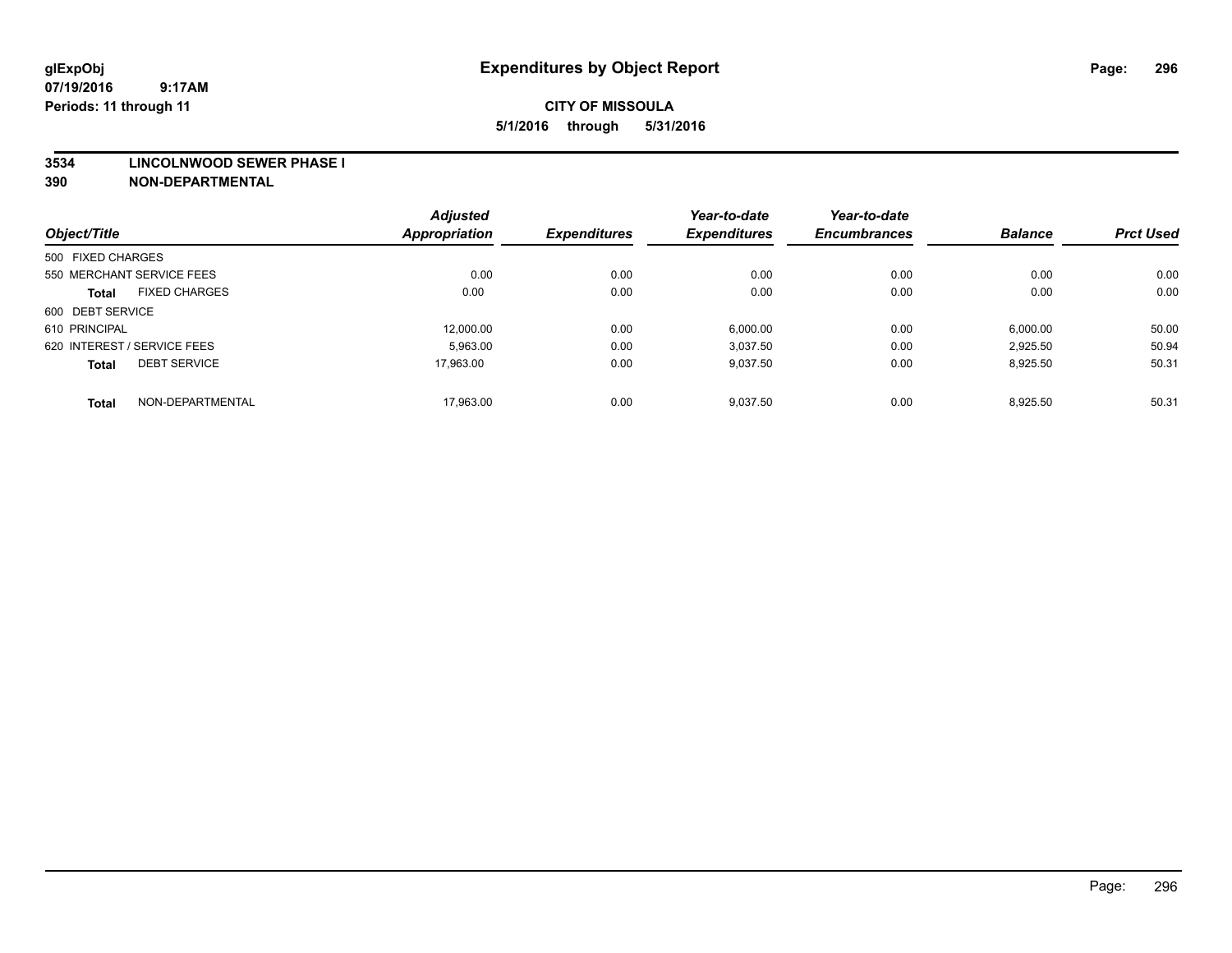#### **3534 LINCOLNWOOD SEWER PHASE I**

| Object/Title                |                      | <b>Adjusted</b><br><b>Appropriation</b> | <b>Expenditures</b> | Year-to-date<br><b>Expenditures</b> | Year-to-date<br><b>Encumbrances</b> | <b>Balance</b> | <b>Prct Used</b> |
|-----------------------------|----------------------|-----------------------------------------|---------------------|-------------------------------------|-------------------------------------|----------------|------------------|
|                             |                      |                                         |                     |                                     |                                     |                |                  |
| 500 FIXED CHARGES           |                      |                                         |                     |                                     |                                     |                |                  |
| 550 MERCHANT SERVICE FEES   |                      | 0.00                                    | 0.00                | 0.00                                | 0.00                                | 0.00           | 0.00             |
| <b>Total</b>                | <b>FIXED CHARGES</b> | 0.00                                    | 0.00                | 0.00                                | 0.00                                | 0.00           | 0.00             |
| 600 DEBT SERVICE            |                      |                                         |                     |                                     |                                     |                |                  |
| 610 PRINCIPAL               |                      | 12.000.00                               | 0.00                | 6,000.00                            | 0.00                                | 6,000.00       | 50.00            |
| 620 INTEREST / SERVICE FEES |                      | 5,963.00                                | 0.00                | 3,037.50                            | 0.00                                | 2,925.50       | 50.94            |
| <b>Total</b>                | <b>DEBT SERVICE</b>  | 17.963.00                               | 0.00                | 9,037.50                            | 0.00                                | 8,925.50       | 50.31            |
| <b>Total</b>                | NON-DEPARTMENTAL     | 17,963.00                               | 0.00                | 9,037.50                            | 0.00                                | 8,925.50       | 50.31            |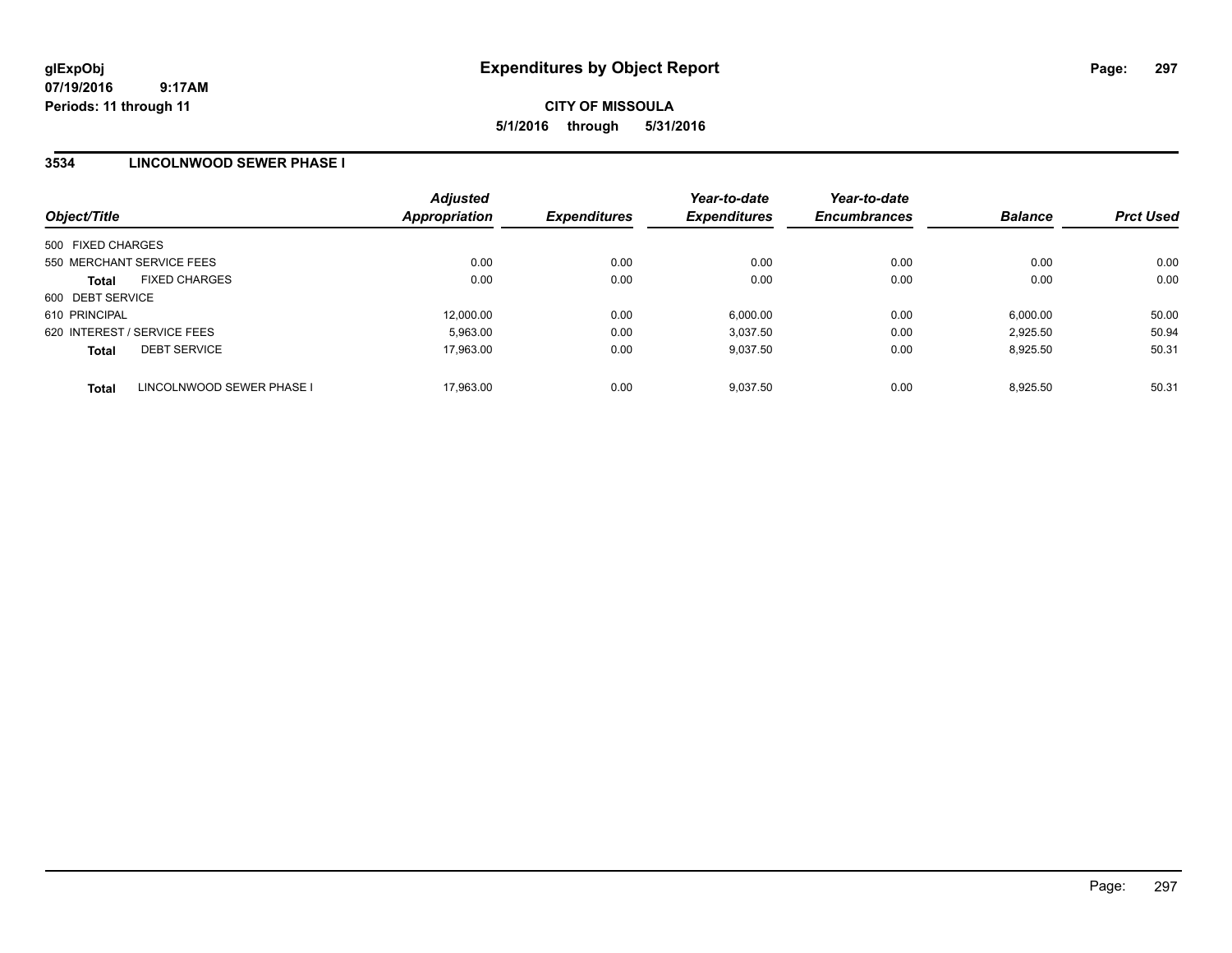# **CITY OF MISSOULA 5/1/2016 through 5/31/2016**

## **3534 LINCOLNWOOD SEWER PHASE I**

| Object/Title      |                             | <b>Adjusted</b><br><b>Appropriation</b> | <b>Expenditures</b> | Year-to-date<br><b>Expenditures</b> | Year-to-date<br><b>Encumbrances</b> | <b>Balance</b> | <b>Prct Used</b> |
|-------------------|-----------------------------|-----------------------------------------|---------------------|-------------------------------------|-------------------------------------|----------------|------------------|
| 500 FIXED CHARGES |                             |                                         |                     |                                     |                                     |                |                  |
|                   | 550 MERCHANT SERVICE FEES   | 0.00                                    | 0.00                | 0.00                                | 0.00                                | 0.00           | 0.00             |
| <b>Total</b>      | <b>FIXED CHARGES</b>        | 0.00                                    | 0.00                | 0.00                                | 0.00                                | 0.00           | 0.00             |
| 600 DEBT SERVICE  |                             |                                         |                     |                                     |                                     |                |                  |
| 610 PRINCIPAL     |                             | 12.000.00                               | 0.00                | 6.000.00                            | 0.00                                | 6,000.00       | 50.00            |
|                   | 620 INTEREST / SERVICE FEES | 5.963.00                                | 0.00                | 3.037.50                            | 0.00                                | 2.925.50       | 50.94            |
| <b>Total</b>      | <b>DEBT SERVICE</b>         | 17.963.00                               | 0.00                | 9.037.50                            | 0.00                                | 8.925.50       | 50.31            |
| <b>Total</b>      | LINCOLNWOOD SEWER PHASE I   | 17.963.00                               | 0.00                | 9.037.50                            | 0.00                                | 8.925.50       | 50.31            |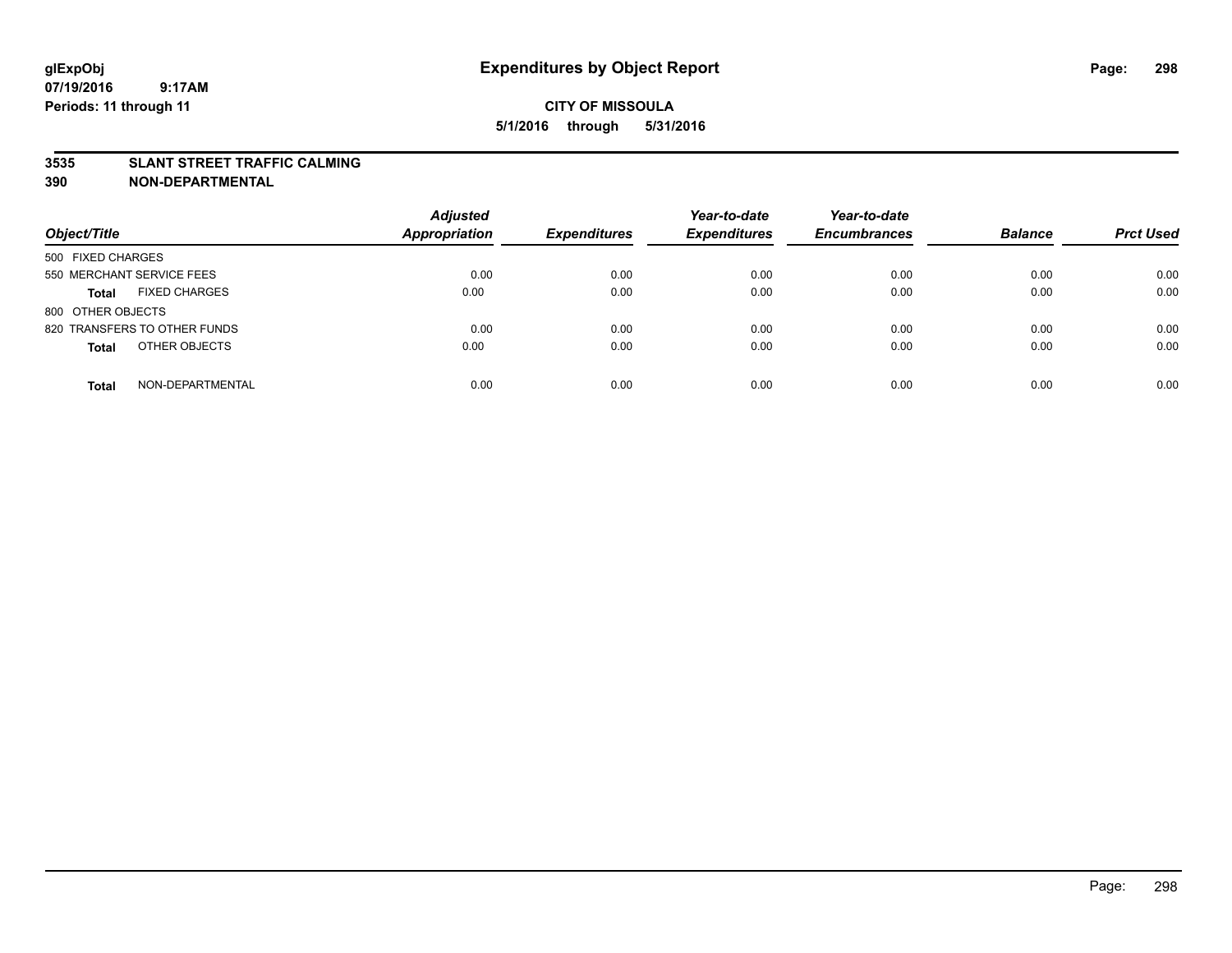#### **3535 SLANT STREET TRAFFIC CALMING**

| Object/Title                         | <b>Adjusted</b><br><b>Appropriation</b> | <b>Expenditures</b> | Year-to-date<br><b>Expenditures</b> | Year-to-date<br><b>Encumbrances</b> | <b>Balance</b> | <b>Prct Used</b> |
|--------------------------------------|-----------------------------------------|---------------------|-------------------------------------|-------------------------------------|----------------|------------------|
|                                      |                                         |                     |                                     |                                     |                |                  |
| 500 FIXED CHARGES                    |                                         |                     |                                     |                                     |                |                  |
| 550 MERCHANT SERVICE FEES            | 0.00                                    | 0.00                | 0.00                                | 0.00                                | 0.00           | 0.00             |
| <b>FIXED CHARGES</b><br><b>Total</b> | 0.00                                    | 0.00                | 0.00                                | 0.00                                | 0.00           | 0.00             |
| 800 OTHER OBJECTS                    |                                         |                     |                                     |                                     |                |                  |
| 820 TRANSFERS TO OTHER FUNDS         | 0.00                                    | 0.00                | 0.00                                | 0.00                                | 0.00           | 0.00             |
| OTHER OBJECTS<br><b>Total</b>        | 0.00                                    | 0.00                | 0.00                                | 0.00                                | 0.00           | 0.00             |
|                                      |                                         |                     |                                     |                                     |                |                  |
| NON-DEPARTMENTAL<br><b>Total</b>     | 0.00                                    | 0.00                | 0.00                                | 0.00                                | 0.00           | 0.00             |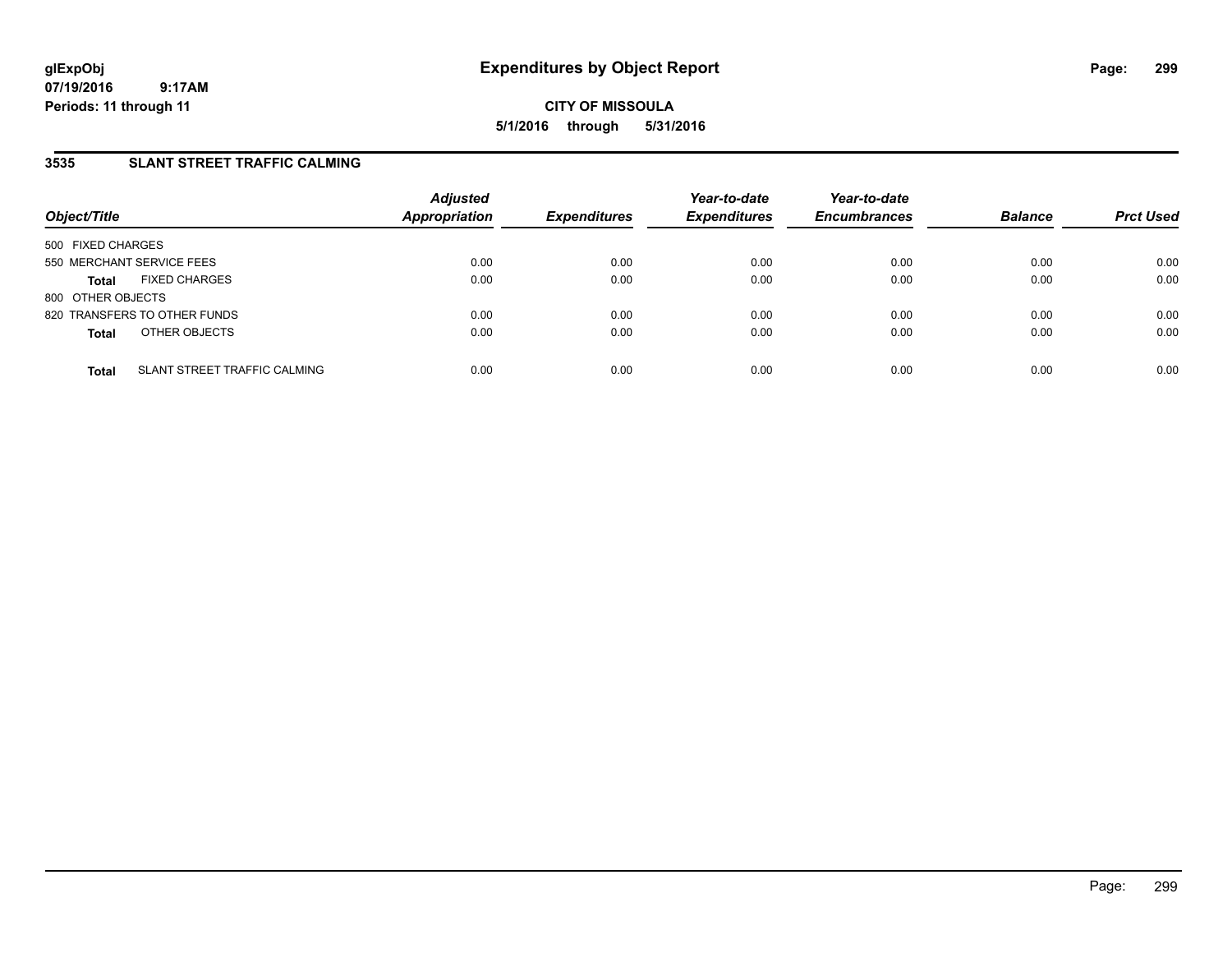**CITY OF MISSOULA 5/1/2016 through 5/31/2016**

## **3535 SLANT STREET TRAFFIC CALMING**

| Object/Title              |                              | <b>Adjusted</b><br><b>Appropriation</b> | <b>Expenditures</b> | Year-to-date<br><b>Expenditures</b> | Year-to-date<br><b>Encumbrances</b> | <b>Balance</b> | <b>Prct Used</b> |
|---------------------------|------------------------------|-----------------------------------------|---------------------|-------------------------------------|-------------------------------------|----------------|------------------|
| 500 FIXED CHARGES         |                              |                                         |                     |                                     |                                     |                |                  |
| 550 MERCHANT SERVICE FEES |                              | 0.00                                    | 0.00                | 0.00                                | 0.00                                | 0.00           | 0.00             |
| <b>Total</b>              | <b>FIXED CHARGES</b>         | 0.00                                    | 0.00                | 0.00                                | 0.00                                | 0.00           | 0.00             |
| 800 OTHER OBJECTS         |                              |                                         |                     |                                     |                                     |                |                  |
|                           | 820 TRANSFERS TO OTHER FUNDS | 0.00                                    | 0.00                | 0.00                                | 0.00                                | 0.00           | 0.00             |
| <b>Total</b>              | OTHER OBJECTS                | 0.00                                    | 0.00                | 0.00                                | 0.00                                | 0.00           | 0.00             |
| <b>Total</b>              | SLANT STREET TRAFFIC CALMING | 0.00                                    | 0.00                | 0.00                                | 0.00                                | 0.00           | 0.00             |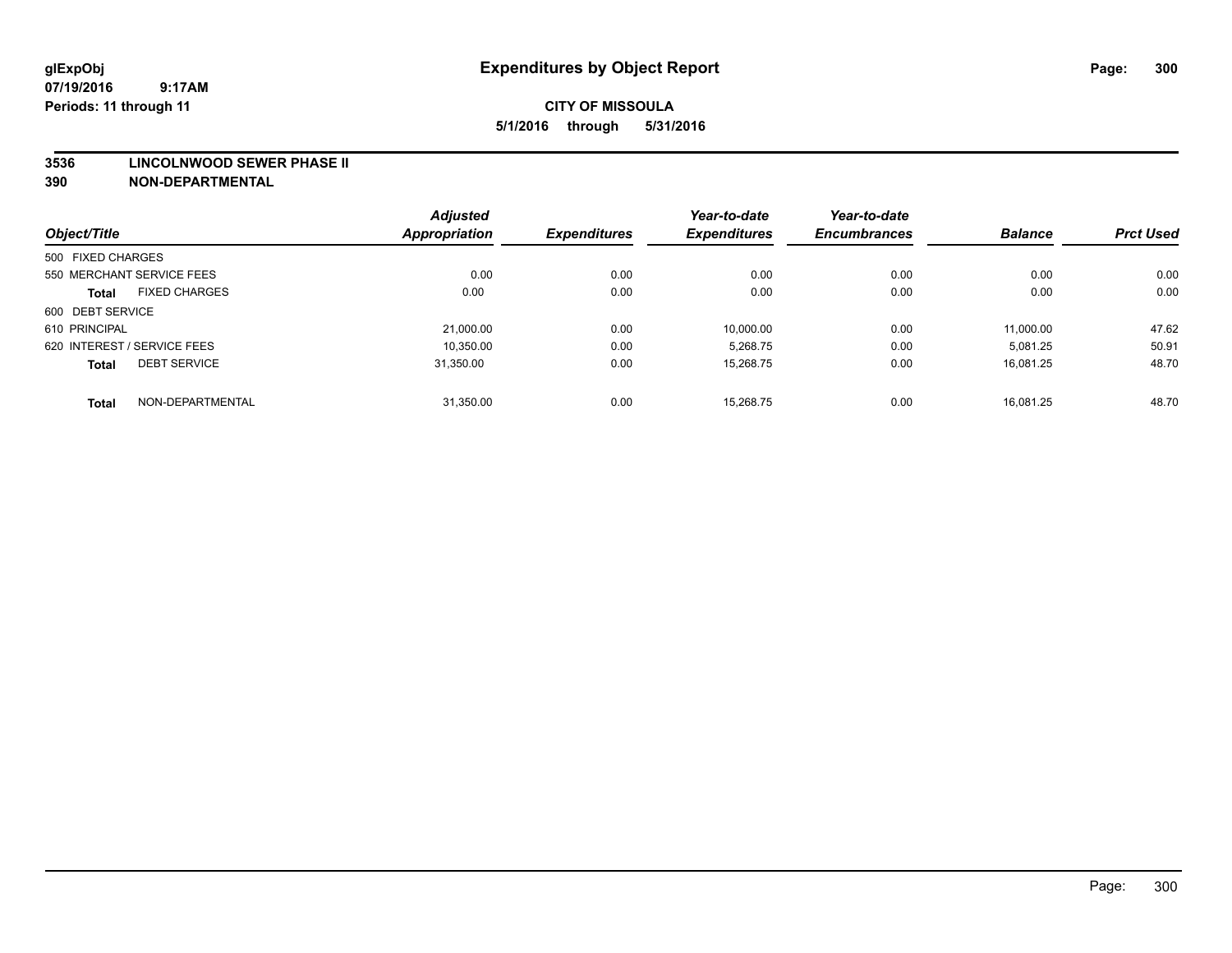#### **3536 LINCOLNWOOD SEWER PHASE II**

|                             |                      | <b>Adjusted</b> |                     | Year-to-date        | Year-to-date        |                |                  |
|-----------------------------|----------------------|-----------------|---------------------|---------------------|---------------------|----------------|------------------|
| Object/Title                |                      | Appropriation   | <b>Expenditures</b> | <b>Expenditures</b> | <b>Encumbrances</b> | <b>Balance</b> | <b>Prct Used</b> |
| 500 FIXED CHARGES           |                      |                 |                     |                     |                     |                |                  |
| 550 MERCHANT SERVICE FEES   |                      | 0.00            | 0.00                | 0.00                | 0.00                | 0.00           | 0.00             |
| <b>Total</b>                | <b>FIXED CHARGES</b> | 0.00            | 0.00                | 0.00                | 0.00                | 0.00           | 0.00             |
| 600 DEBT SERVICE            |                      |                 |                     |                     |                     |                |                  |
| 610 PRINCIPAL               |                      | 21,000.00       | 0.00                | 10,000.00           | 0.00                | 11,000.00      | 47.62            |
| 620 INTEREST / SERVICE FEES |                      | 10,350.00       | 0.00                | 5,268.75            | 0.00                | 5,081.25       | 50.91            |
| <b>Total</b>                | <b>DEBT SERVICE</b>  | 31.350.00       | 0.00                | 15.268.75           | 0.00                | 16.081.25      | 48.70            |
| <b>Total</b>                | NON-DEPARTMENTAL     | 31,350.00       | 0.00                | 15.268.75           | 0.00                | 16.081.25      | 48.70            |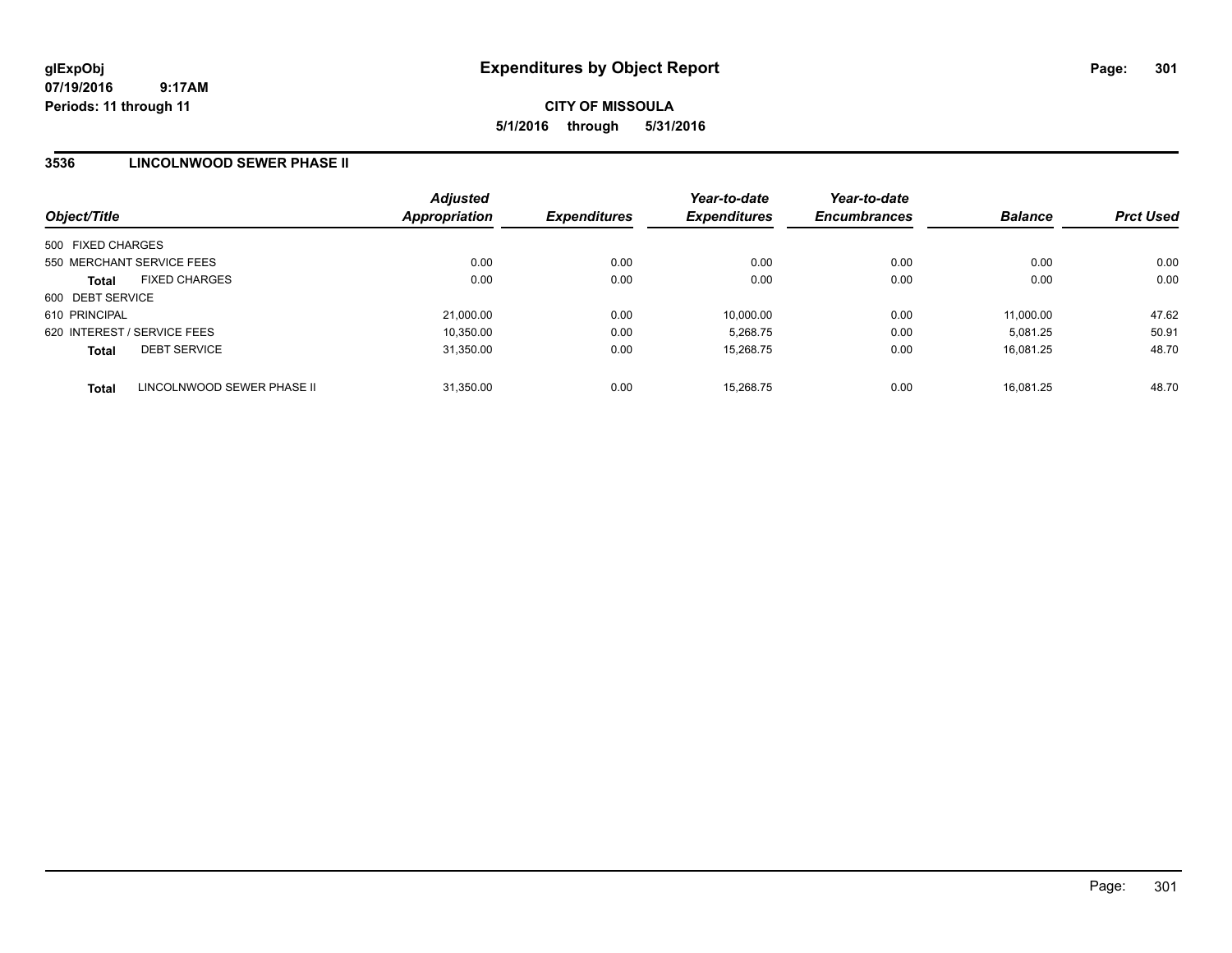## **3536 LINCOLNWOOD SEWER PHASE II**

| Object/Title                               | <b>Adjusted</b><br><b>Appropriation</b> | <b>Expenditures</b> | Year-to-date<br><b>Expenditures</b> | Year-to-date<br><b>Encumbrances</b> | <b>Balance</b> | <b>Prct Used</b> |
|--------------------------------------------|-----------------------------------------|---------------------|-------------------------------------|-------------------------------------|----------------|------------------|
| 500 FIXED CHARGES                          |                                         |                     |                                     |                                     |                |                  |
| 550 MERCHANT SERVICE FEES                  | 0.00                                    | 0.00                | 0.00                                | 0.00                                | 0.00           | 0.00             |
| <b>FIXED CHARGES</b><br><b>Total</b>       | 0.00                                    | 0.00                | 0.00                                | 0.00                                | 0.00           | 0.00             |
| 600 DEBT SERVICE                           |                                         |                     |                                     |                                     |                |                  |
| 610 PRINCIPAL                              | 21,000.00                               | 0.00                | 10.000.00                           | 0.00                                | 11.000.00      | 47.62            |
| 620 INTEREST / SERVICE FEES                | 10,350.00                               | 0.00                | 5,268.75                            | 0.00                                | 5.081.25       | 50.91            |
| <b>DEBT SERVICE</b><br><b>Total</b>        | 31.350.00                               | 0.00                | 15.268.75                           | 0.00                                | 16.081.25      | 48.70            |
| LINCOLNWOOD SEWER PHASE II<br><b>Total</b> | 31.350.00                               | 0.00                | 15.268.75                           | 0.00                                | 16.081.25      | 48.70            |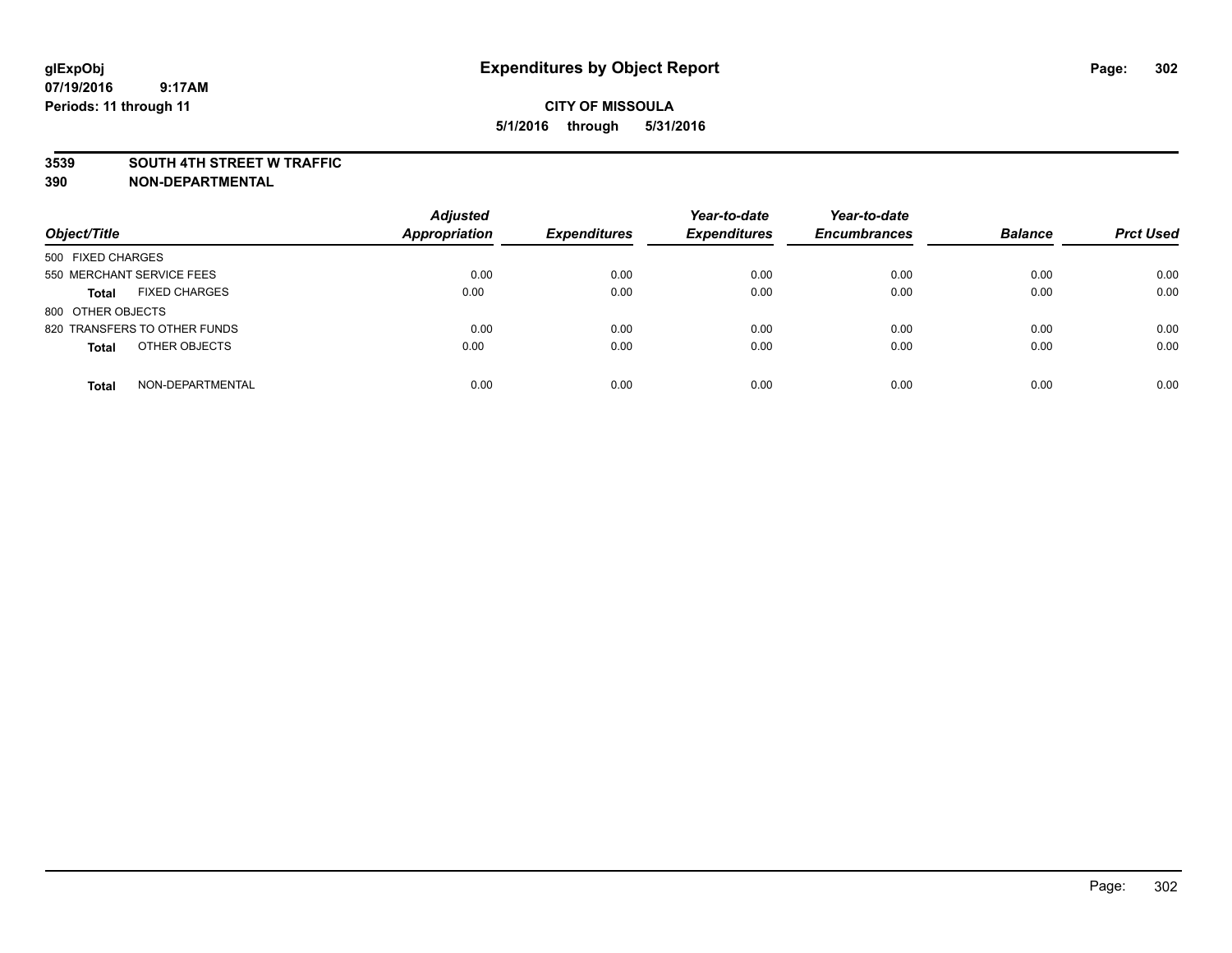#### **3539 SOUTH 4TH STREET W TRAFFIC**

| Object/Title                         | <b>Adjusted</b><br><b>Appropriation</b> | <b>Expenditures</b> | Year-to-date<br><b>Expenditures</b> | Year-to-date<br><b>Encumbrances</b> | <b>Balance</b> | <b>Prct Used</b> |
|--------------------------------------|-----------------------------------------|---------------------|-------------------------------------|-------------------------------------|----------------|------------------|
| 500 FIXED CHARGES                    |                                         |                     |                                     |                                     |                |                  |
| 550 MERCHANT SERVICE FEES            | 0.00                                    | 0.00                | 0.00                                | 0.00                                | 0.00           | 0.00             |
| <b>FIXED CHARGES</b><br><b>Total</b> | 0.00                                    | 0.00                | 0.00                                | 0.00                                | 0.00           | 0.00             |
| 800 OTHER OBJECTS                    |                                         |                     |                                     |                                     |                |                  |
| 820 TRANSFERS TO OTHER FUNDS         | 0.00                                    | 0.00                | 0.00                                | 0.00                                | 0.00           | 0.00             |
| OTHER OBJECTS<br><b>Total</b>        | 0.00                                    | 0.00                | 0.00                                | 0.00                                | 0.00           | 0.00             |
| NON-DEPARTMENTAL<br><b>Total</b>     | 0.00                                    | 0.00                | 0.00                                | 0.00                                | 0.00           | 0.00             |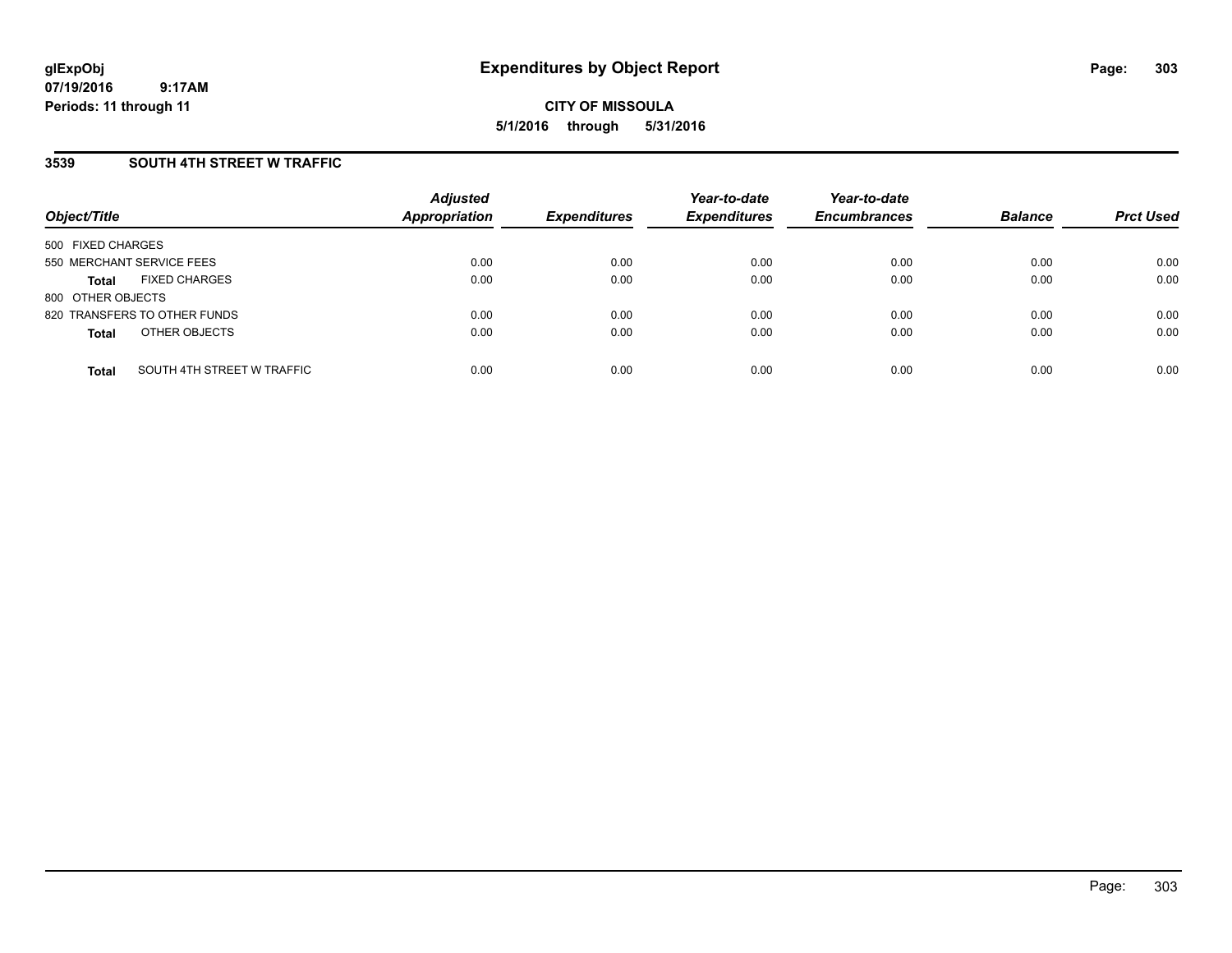**CITY OF MISSOULA 5/1/2016 through 5/31/2016**

## **3539 SOUTH 4TH STREET W TRAFFIC**

| Object/Title              |                              | <b>Adjusted</b><br><b>Appropriation</b> | <b>Expenditures</b> | Year-to-date<br><b>Expenditures</b> | Year-to-date<br><b>Encumbrances</b> | <b>Balance</b> | <b>Prct Used</b> |
|---------------------------|------------------------------|-----------------------------------------|---------------------|-------------------------------------|-------------------------------------|----------------|------------------|
| 500 FIXED CHARGES         |                              |                                         |                     |                                     |                                     |                |                  |
| 550 MERCHANT SERVICE FEES |                              | 0.00                                    | 0.00                | 0.00                                | 0.00                                | 0.00           | 0.00             |
| <b>Total</b>              | <b>FIXED CHARGES</b>         | 0.00                                    | 0.00                | 0.00                                | 0.00                                | 0.00           | 0.00             |
| 800 OTHER OBJECTS         |                              |                                         |                     |                                     |                                     |                |                  |
|                           | 820 TRANSFERS TO OTHER FUNDS | 0.00                                    | 0.00                | 0.00                                | 0.00                                | 0.00           | 0.00             |
| <b>Total</b>              | OTHER OBJECTS                | 0.00                                    | 0.00                | 0.00                                | 0.00                                | 0.00           | 0.00             |
| <b>Total</b>              | SOUTH 4TH STREET W TRAFFIC   | 0.00                                    | 0.00                | 0.00                                | 0.00                                | 0.00           | 0.00             |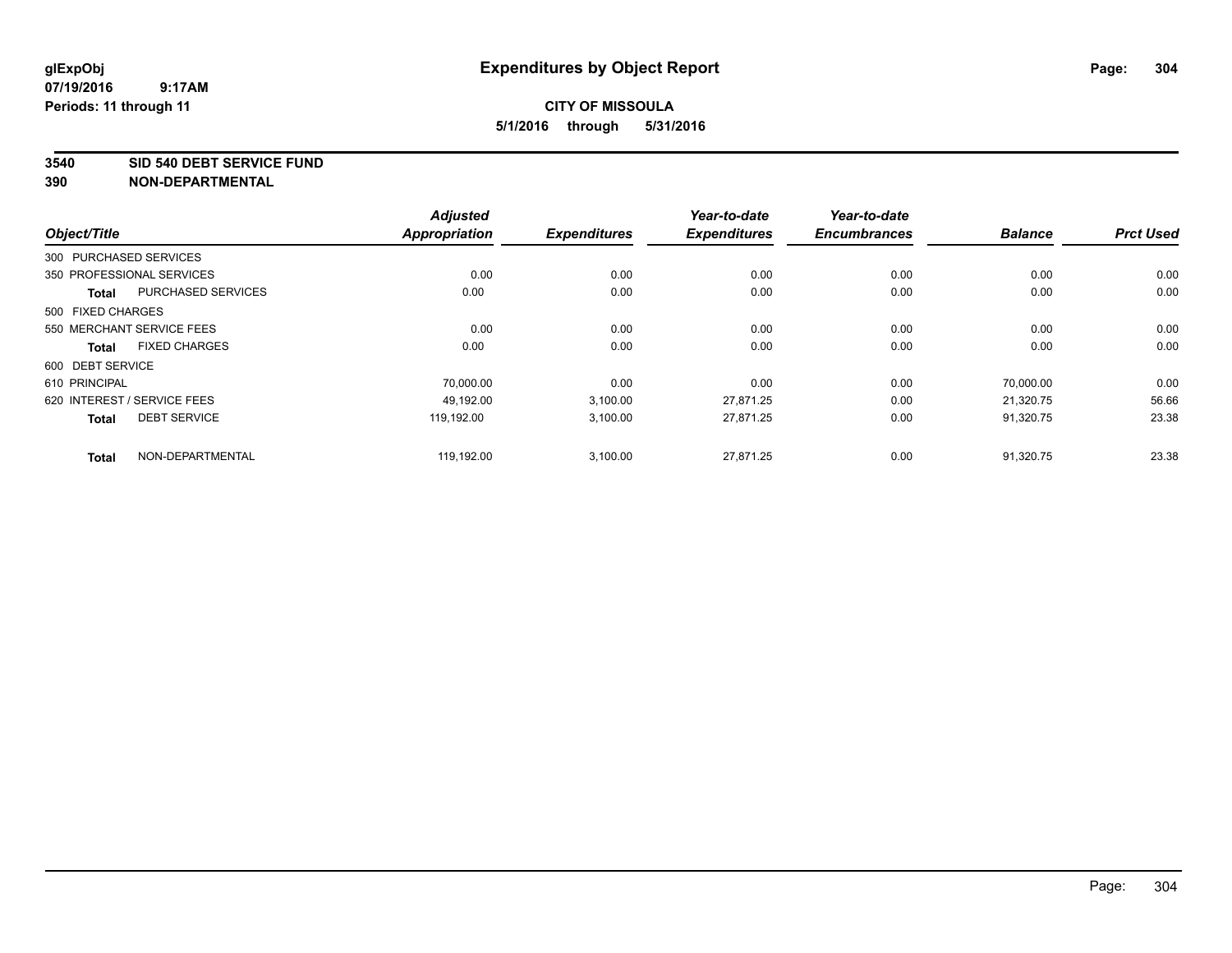#### **3540 SID 540 DEBT SERVICE FUND**

|                                      |                           | <b>Adjusted</b>      |                     | Year-to-date        | Year-to-date        |                |                  |
|--------------------------------------|---------------------------|----------------------|---------------------|---------------------|---------------------|----------------|------------------|
| Object/Title                         |                           | <b>Appropriation</b> | <b>Expenditures</b> | <b>Expenditures</b> | <b>Encumbrances</b> | <b>Balance</b> | <b>Prct Used</b> |
| 300 PURCHASED SERVICES               |                           |                      |                     |                     |                     |                |                  |
| 350 PROFESSIONAL SERVICES            |                           | 0.00                 | 0.00                | 0.00                | 0.00                | 0.00           | 0.00             |
| <b>Total</b>                         | <b>PURCHASED SERVICES</b> | 0.00                 | 0.00                | 0.00                | 0.00                | 0.00           | 0.00             |
| 500 FIXED CHARGES                    |                           |                      |                     |                     |                     |                |                  |
| 550 MERCHANT SERVICE FEES            |                           | 0.00                 | 0.00                | 0.00                | 0.00                | 0.00           | 0.00             |
| <b>FIXED CHARGES</b><br><b>Total</b> |                           | 0.00                 | 0.00                | 0.00                | 0.00                | 0.00           | 0.00             |
| 600 DEBT SERVICE                     |                           |                      |                     |                     |                     |                |                  |
| 610 PRINCIPAL                        |                           | 70,000.00            | 0.00                | 0.00                | 0.00                | 70.000.00      | 0.00             |
| 620 INTEREST / SERVICE FEES          |                           | 49.192.00            | 3,100.00            | 27.871.25           | 0.00                | 21.320.75      | 56.66            |
| <b>DEBT SERVICE</b><br><b>Total</b>  |                           | 119.192.00           | 3,100.00            | 27,871.25           | 0.00                | 91,320.75      | 23.38            |
| <b>Total</b>                         | NON-DEPARTMENTAL          | 119,192.00           | 3,100.00            | 27,871.25           | 0.00                | 91,320.75      | 23.38            |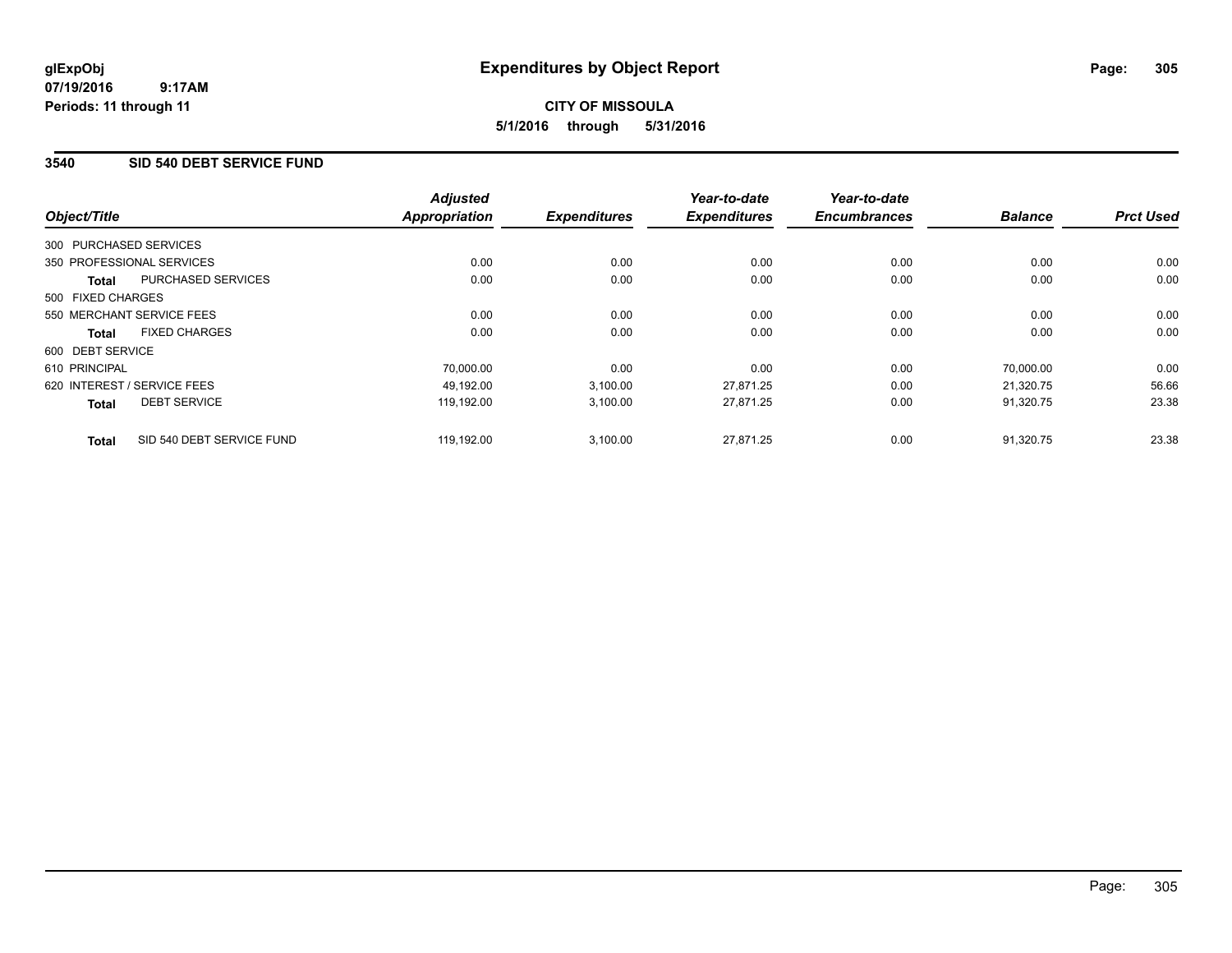# **CITY OF MISSOULA 5/1/2016 through 5/31/2016**

## **3540 SID 540 DEBT SERVICE FUND**

|                   |                             | <b>Adjusted</b>      |                     | Year-to-date        | Year-to-date        |                |                  |
|-------------------|-----------------------------|----------------------|---------------------|---------------------|---------------------|----------------|------------------|
| Object/Title      |                             | <b>Appropriation</b> | <b>Expenditures</b> | <b>Expenditures</b> | <b>Encumbrances</b> | <b>Balance</b> | <b>Prct Used</b> |
|                   | 300 PURCHASED SERVICES      |                      |                     |                     |                     |                |                  |
|                   | 350 PROFESSIONAL SERVICES   | 0.00                 | 0.00                | 0.00                | 0.00                | 0.00           | 0.00             |
| <b>Total</b>      | PURCHASED SERVICES          | 0.00                 | 0.00                | 0.00                | 0.00                | 0.00           | 0.00             |
| 500 FIXED CHARGES |                             |                      |                     |                     |                     |                |                  |
|                   | 550 MERCHANT SERVICE FEES   | 0.00                 | 0.00                | 0.00                | 0.00                | 0.00           | 0.00             |
| Total             | <b>FIXED CHARGES</b>        | 0.00                 | 0.00                | 0.00                | 0.00                | 0.00           | 0.00             |
| 600 DEBT SERVICE  |                             |                      |                     |                     |                     |                |                  |
| 610 PRINCIPAL     |                             | 70.000.00            | 0.00                | 0.00                | 0.00                | 70.000.00      | 0.00             |
|                   | 620 INTEREST / SERVICE FEES | 49,192.00            | 3,100.00            | 27,871.25           | 0.00                | 21,320.75      | 56.66            |
| <b>Total</b>      | <b>DEBT SERVICE</b>         | 119.192.00           | 3,100.00            | 27,871.25           | 0.00                | 91.320.75      | 23.38            |
| <b>Total</b>      | SID 540 DEBT SERVICE FUND   | 119.192.00           | 3,100.00            | 27.871.25           | 0.00                | 91.320.75      | 23.38            |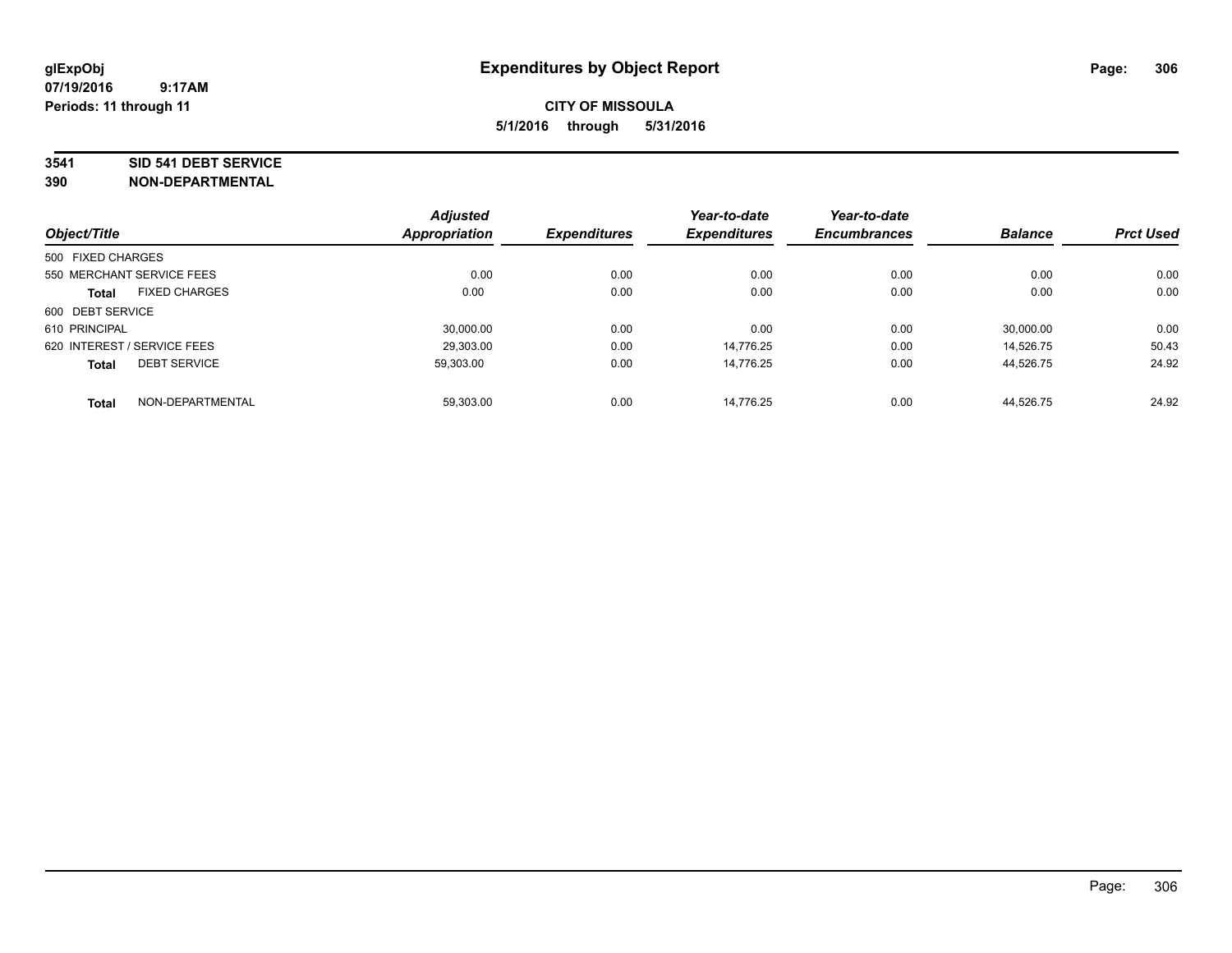#### **3541 SID 541 DEBT SERVICE**

|                   |                             | <b>Adjusted</b>      |                     | Year-to-date        | Year-to-date        |                |                  |
|-------------------|-----------------------------|----------------------|---------------------|---------------------|---------------------|----------------|------------------|
| Object/Title      |                             | <b>Appropriation</b> | <b>Expenditures</b> | <b>Expenditures</b> | <b>Encumbrances</b> | <b>Balance</b> | <b>Prct Used</b> |
| 500 FIXED CHARGES |                             |                      |                     |                     |                     |                |                  |
|                   | 550 MERCHANT SERVICE FEES   | 0.00                 | 0.00                | 0.00                | 0.00                | 0.00           | 0.00             |
| <b>Total</b>      | <b>FIXED CHARGES</b>        | 0.00                 | 0.00                | 0.00                | 0.00                | 0.00           | 0.00             |
| 600 DEBT SERVICE  |                             |                      |                     |                     |                     |                |                  |
| 610 PRINCIPAL     |                             | 30.000.00            | 0.00                | 0.00                | 0.00                | 30.000.00      | 0.00             |
|                   | 620 INTEREST / SERVICE FEES | 29,303.00            | 0.00                | 14.776.25           | 0.00                | 14.526.75      | 50.43            |
| <b>Total</b>      | <b>DEBT SERVICE</b>         | 59.303.00            | 0.00                | 14.776.25           | 0.00                | 44.526.75      | 24.92            |
| <b>Total</b>      | NON-DEPARTMENTAL            | 59,303.00            | 0.00                | 14.776.25           | 0.00                | 44.526.75      | 24.92            |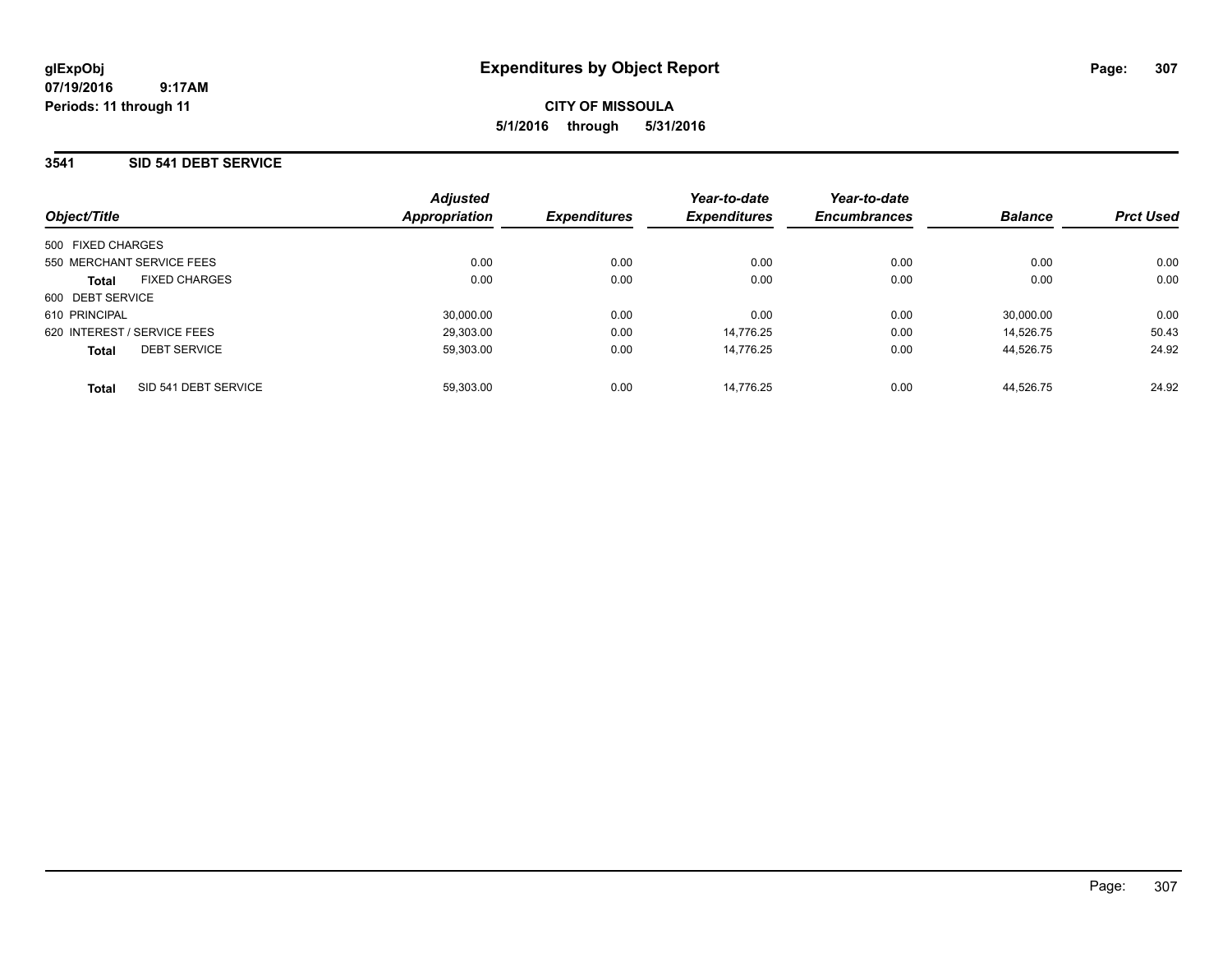**CITY OF MISSOULA 5/1/2016 through 5/31/2016**

## **3541 SID 541 DEBT SERVICE**

| Object/Title                |                      | <b>Adjusted</b><br><b>Appropriation</b> | <b>Expenditures</b> | Year-to-date<br><b>Expenditures</b> | Year-to-date<br><b>Encumbrances</b> | <b>Balance</b> | <b>Prct Used</b> |
|-----------------------------|----------------------|-----------------------------------------|---------------------|-------------------------------------|-------------------------------------|----------------|------------------|
| 500 FIXED CHARGES           |                      |                                         |                     |                                     |                                     |                |                  |
| 550 MERCHANT SERVICE FEES   |                      | 0.00                                    | 0.00                | 0.00                                | 0.00                                | 0.00           | 0.00             |
| Total                       | <b>FIXED CHARGES</b> | 0.00                                    | 0.00                | 0.00                                | 0.00                                | 0.00           | 0.00             |
| 600 DEBT SERVICE            |                      |                                         |                     |                                     |                                     |                |                  |
| 610 PRINCIPAL               |                      | 30,000.00                               | 0.00                | 0.00                                | 0.00                                | 30,000.00      | 0.00             |
| 620 INTEREST / SERVICE FEES |                      | 29.303.00                               | 0.00                | 14.776.25                           | 0.00                                | 14.526.75      | 50.43            |
| <b>Total</b>                | <b>DEBT SERVICE</b>  | 59.303.00                               | 0.00                | 14.776.25                           | 0.00                                | 44.526.75      | 24.92            |
| <b>Total</b>                | SID 541 DEBT SERVICE | 59.303.00                               | 0.00                | 14.776.25                           | 0.00                                | 44.526.75      | 24.92            |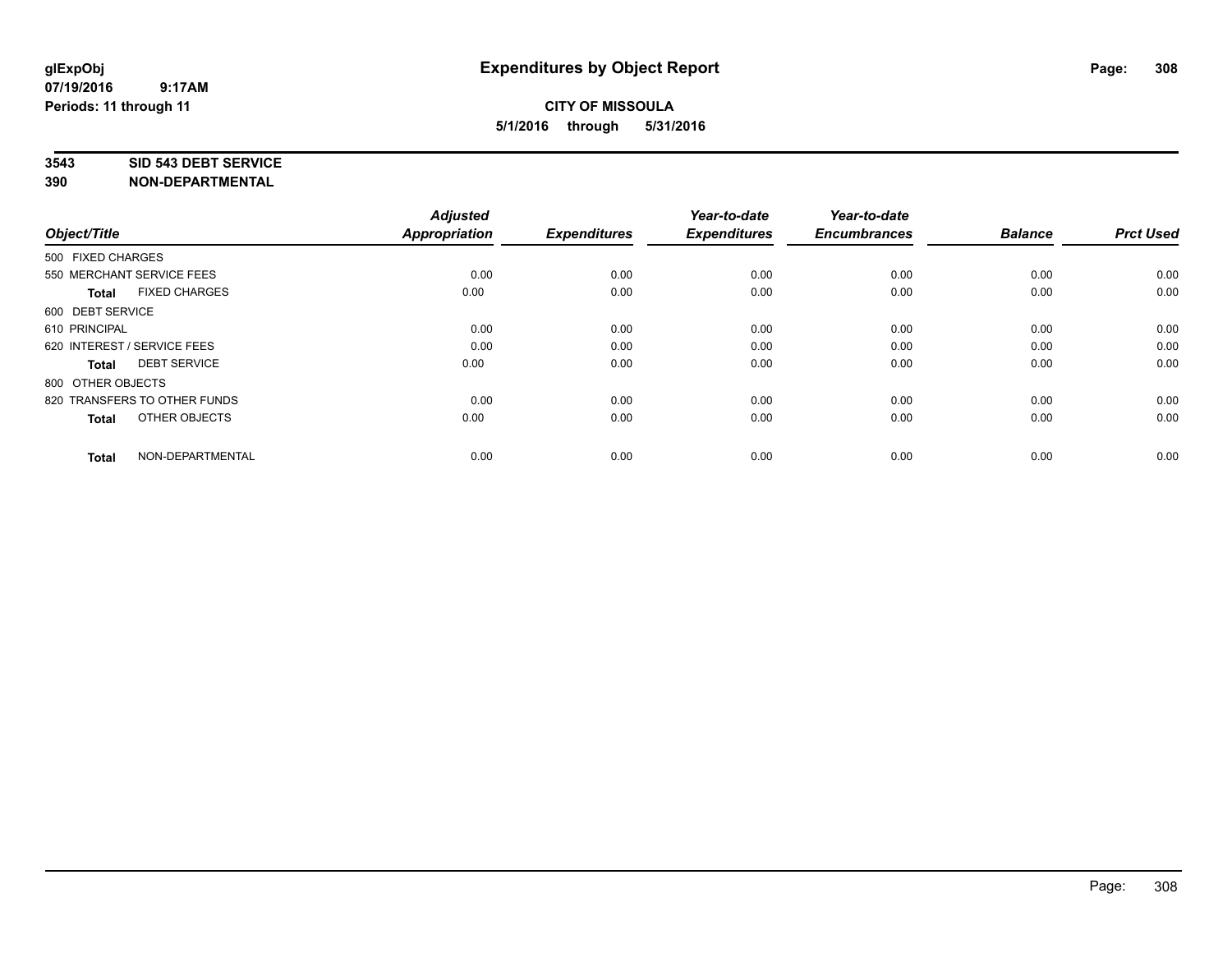#### **3543 SID 543 DEBT SERVICE**

| Object/Title                |                              | <b>Adjusted</b><br><b>Appropriation</b> | <b>Expenditures</b> | Year-to-date<br><b>Expenditures</b> | Year-to-date<br><b>Encumbrances</b> | <b>Balance</b> | <b>Prct Used</b> |
|-----------------------------|------------------------------|-----------------------------------------|---------------------|-------------------------------------|-------------------------------------|----------------|------------------|
|                             |                              |                                         |                     |                                     |                                     |                |                  |
| 500 FIXED CHARGES           |                              |                                         |                     |                                     |                                     |                |                  |
| 550 MERCHANT SERVICE FEES   |                              | 0.00                                    | 0.00                | 0.00                                | 0.00                                | 0.00           | 0.00             |
| <b>Total</b>                | <b>FIXED CHARGES</b>         | 0.00                                    | 0.00                | 0.00                                | 0.00                                | 0.00           | 0.00             |
| 600 DEBT SERVICE            |                              |                                         |                     |                                     |                                     |                |                  |
| 610 PRINCIPAL               |                              | 0.00                                    | 0.00                | 0.00                                | 0.00                                | 0.00           | 0.00             |
| 620 INTEREST / SERVICE FEES |                              | 0.00                                    | 0.00                | 0.00                                | 0.00                                | 0.00           | 0.00             |
| <b>Total</b>                | <b>DEBT SERVICE</b>          | 0.00                                    | 0.00                | 0.00                                | 0.00                                | 0.00           | 0.00             |
| 800 OTHER OBJECTS           |                              |                                         |                     |                                     |                                     |                |                  |
|                             | 820 TRANSFERS TO OTHER FUNDS | 0.00                                    | 0.00                | 0.00                                | 0.00                                | 0.00           | 0.00             |
| <b>Total</b>                | OTHER OBJECTS                | 0.00                                    | 0.00                | 0.00                                | 0.00                                | 0.00           | 0.00             |
|                             |                              |                                         |                     |                                     |                                     |                |                  |
| <b>Total</b>                | NON-DEPARTMENTAL             | 0.00                                    | 0.00                | 0.00                                | 0.00                                | 0.00           | 0.00             |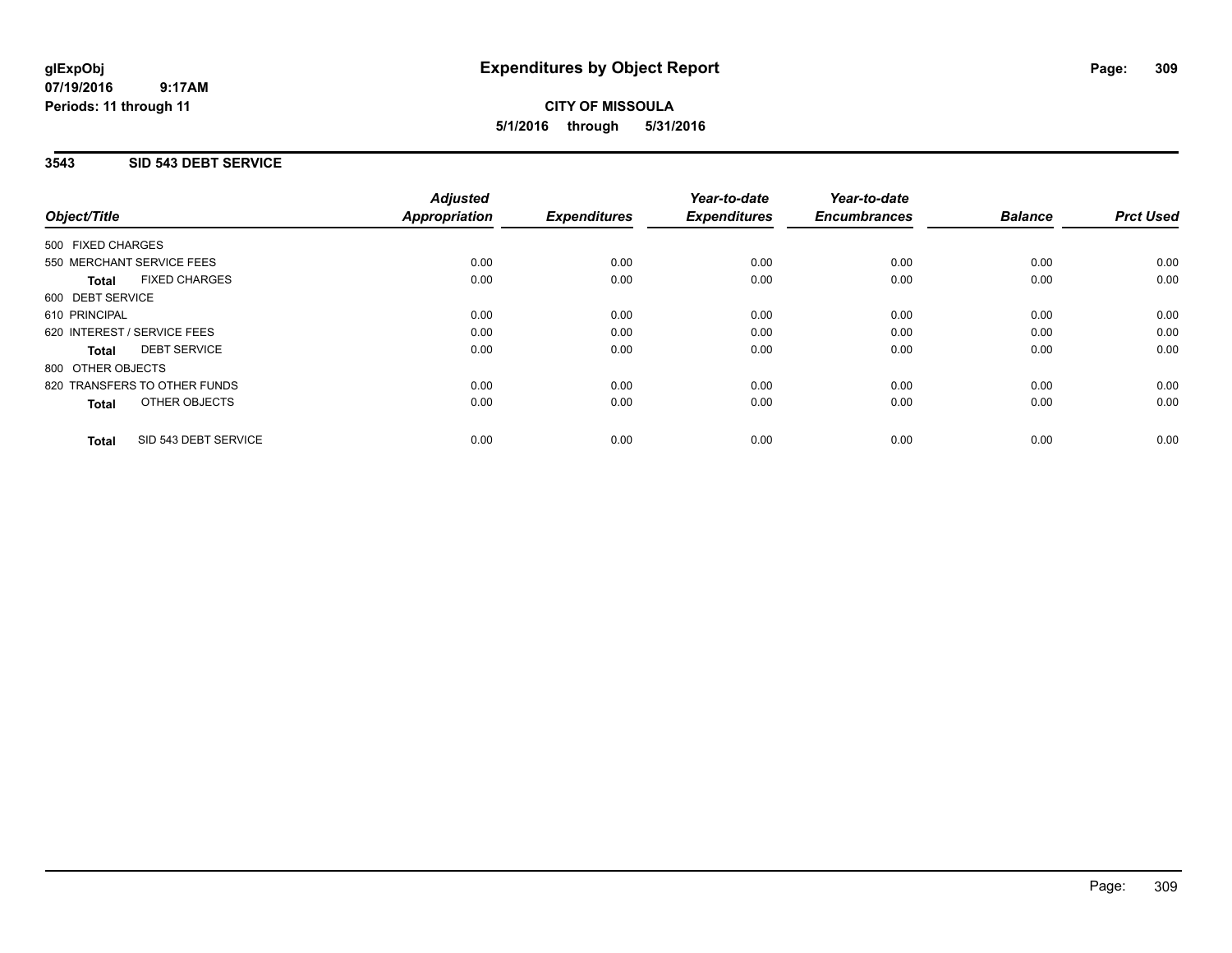# **CITY OF MISSOULA 5/1/2016 through 5/31/2016**

## **3543 SID 543 DEBT SERVICE**

|                                      | <b>Adjusted</b>      |                     | Year-to-date        | Year-to-date<br><b>Encumbrances</b> | <b>Balance</b> | <b>Prct Used</b> |
|--------------------------------------|----------------------|---------------------|---------------------|-------------------------------------|----------------|------------------|
| Object/Title                         | <b>Appropriation</b> | <b>Expenditures</b> | <b>Expenditures</b> |                                     |                |                  |
| 500 FIXED CHARGES                    |                      |                     |                     |                                     |                |                  |
| 550 MERCHANT SERVICE FEES            | 0.00                 | 0.00                | 0.00                | 0.00                                | 0.00           | 0.00             |
| <b>FIXED CHARGES</b><br><b>Total</b> | 0.00                 | 0.00                | 0.00                | 0.00                                | 0.00           | 0.00             |
| 600 DEBT SERVICE                     |                      |                     |                     |                                     |                |                  |
| 610 PRINCIPAL                        | 0.00                 | 0.00                | 0.00                | 0.00                                | 0.00           | 0.00             |
| 620 INTEREST / SERVICE FEES          | 0.00                 | 0.00                | 0.00                | 0.00                                | 0.00           | 0.00             |
| <b>DEBT SERVICE</b><br><b>Total</b>  | 0.00                 | 0.00                | 0.00                | 0.00                                | 0.00           | 0.00             |
| 800 OTHER OBJECTS                    |                      |                     |                     |                                     |                |                  |
| 820 TRANSFERS TO OTHER FUNDS         | 0.00                 | 0.00                | 0.00                | 0.00                                | 0.00           | 0.00             |
| <b>OTHER OBJECTS</b><br><b>Total</b> | 0.00                 | 0.00                | 0.00                | 0.00                                | 0.00           | 0.00             |
| SID 543 DEBT SERVICE<br><b>Total</b> | 0.00                 | 0.00                | 0.00                | 0.00                                | 0.00           | 0.00             |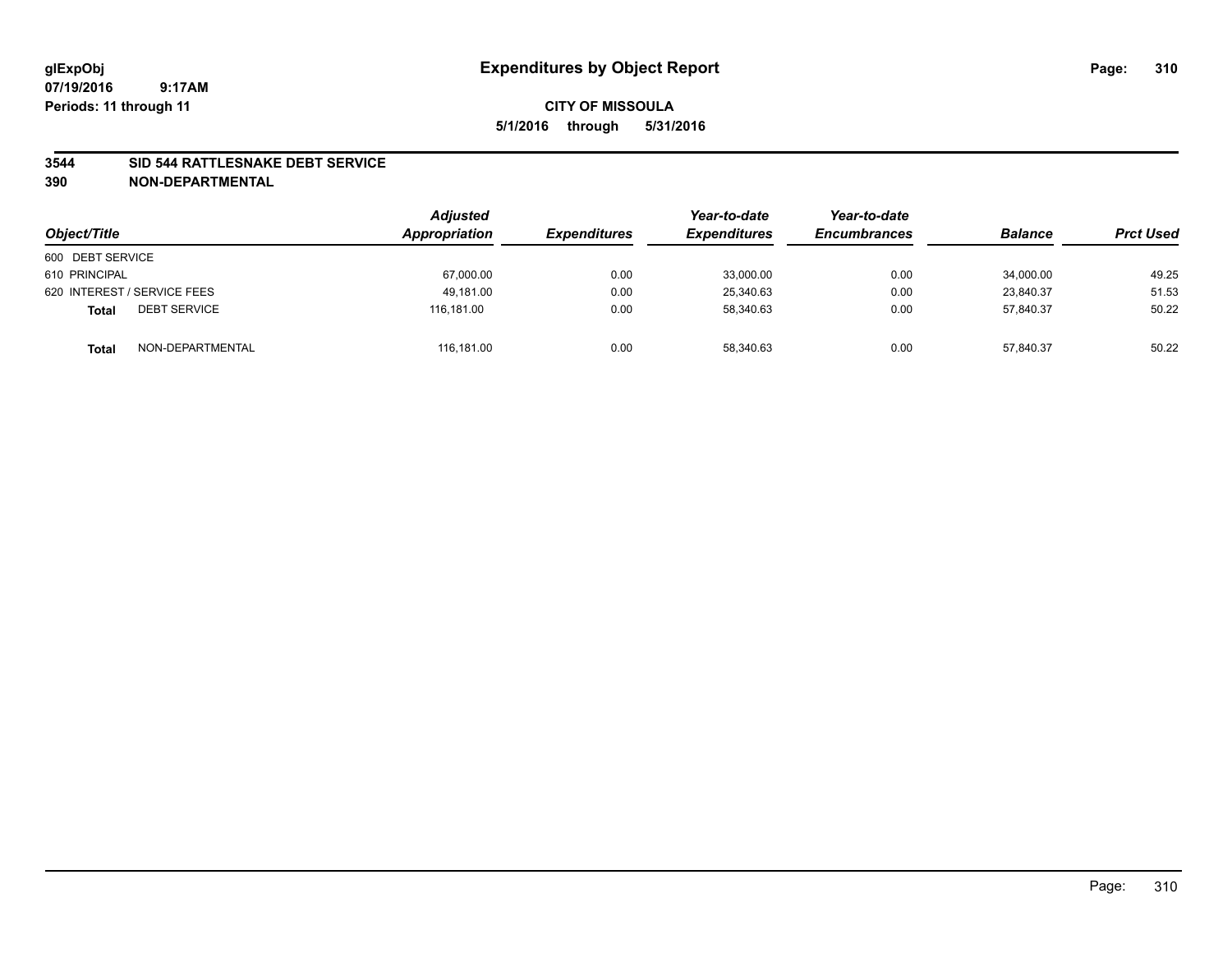#### **3544 SID 544 RATTLESNAKE DEBT SERVICE**

| Object/Title                        | <b>Adjusted</b><br>Appropriation | <b>Expenditures</b> | Year-to-date<br><b>Expenditures</b> | Year-to-date<br><b>Encumbrances</b> | <b>Balance</b> | <b>Prct Used</b> |
|-------------------------------------|----------------------------------|---------------------|-------------------------------------|-------------------------------------|----------------|------------------|
| 600 DEBT SERVICE                    |                                  |                     |                                     |                                     |                |                  |
| 610 PRINCIPAL                       | 67,000.00                        | 0.00                | 33,000.00                           | 0.00                                | 34,000.00      | 49.25            |
| 620 INTEREST / SERVICE FEES         | 49.181.00                        | 0.00                | 25.340.63                           | 0.00                                | 23.840.37      | 51.53            |
| <b>DEBT SERVICE</b><br><b>Total</b> | 116.181.00                       | 0.00                | 58,340.63                           | 0.00                                | 57,840.37      | 50.22            |
| NON-DEPARTMENTAL<br><b>Total</b>    | 116,181.00                       | 0.00                | 58,340.63                           | 0.00                                | 57,840.37      | 50.22            |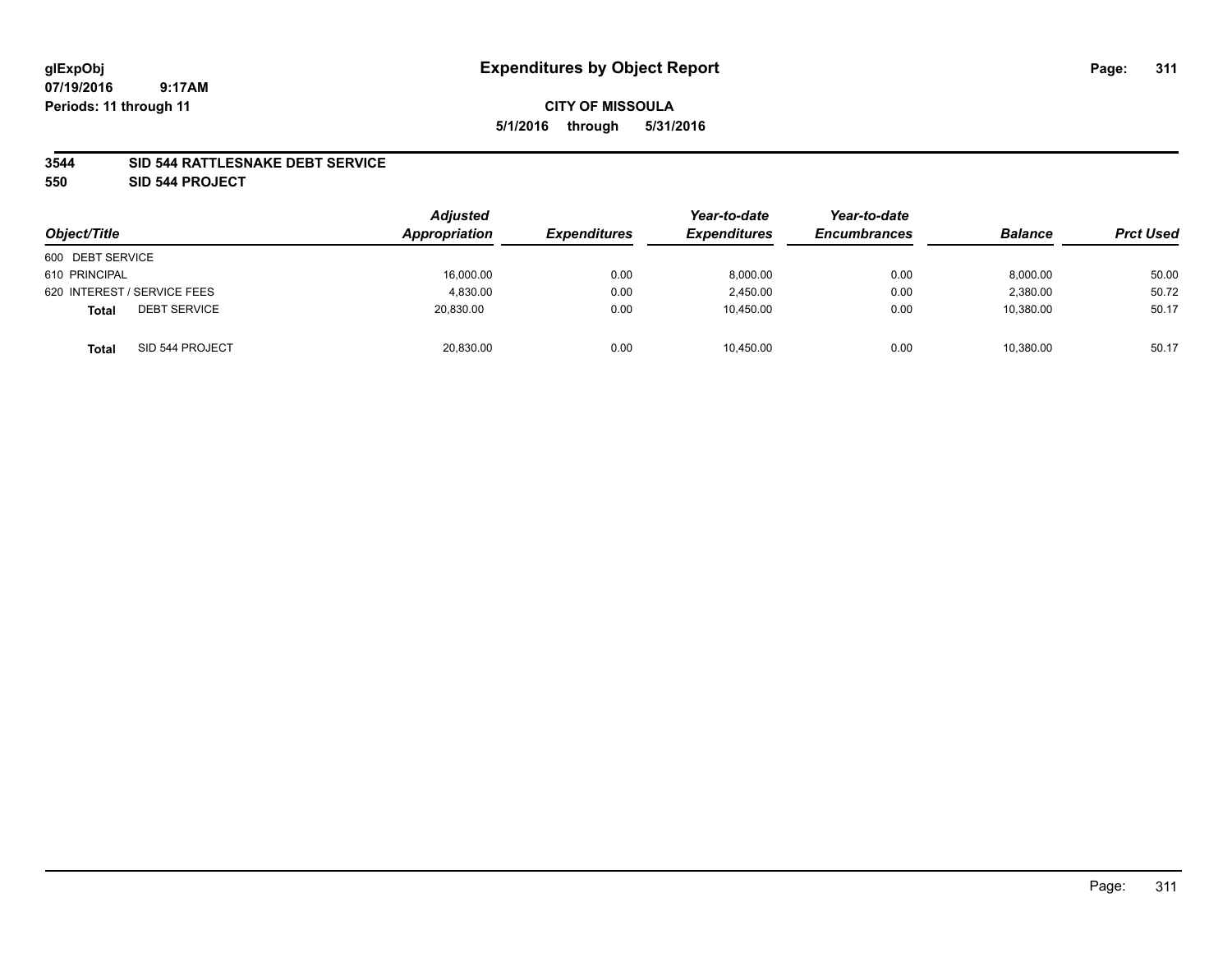# **07/19/2016**

 **9:17AM Periods: 11 through 11**

# **CITY OF MISSOULA 5/1/2016 through 5/31/2016**

## **3544 SID 544 RATTLESNAKE DEBT SERVICE**

**550 SID 544 PROJECT**

| Object/Title                        | <b>Adjusted</b><br>Appropriation | <b>Expenditures</b> | Year-to-date<br><b>Expenditures</b> | Year-to-date<br><b>Encumbrances</b> | <b>Balance</b> | <b>Prct Used</b> |
|-------------------------------------|----------------------------------|---------------------|-------------------------------------|-------------------------------------|----------------|------------------|
| 600 DEBT SERVICE                    |                                  |                     |                                     |                                     |                |                  |
| 610 PRINCIPAL                       | 16,000.00                        | 0.00                | 8,000.00                            | 0.00                                | 8,000.00       | 50.00            |
| 620 INTEREST / SERVICE FEES         | 4.830.00                         | 0.00                | 2.450.00                            | 0.00                                | 2.380.00       | 50.72            |
| <b>DEBT SERVICE</b><br><b>Total</b> | 20,830.00                        | 0.00                | 10,450.00                           | 0.00                                | 10,380.00      | 50.17            |
| SID 544 PROJECT<br>Total            | 20,830.00                        | 0.00                | 10,450.00                           | 0.00                                | 10,380.00      | 50.17            |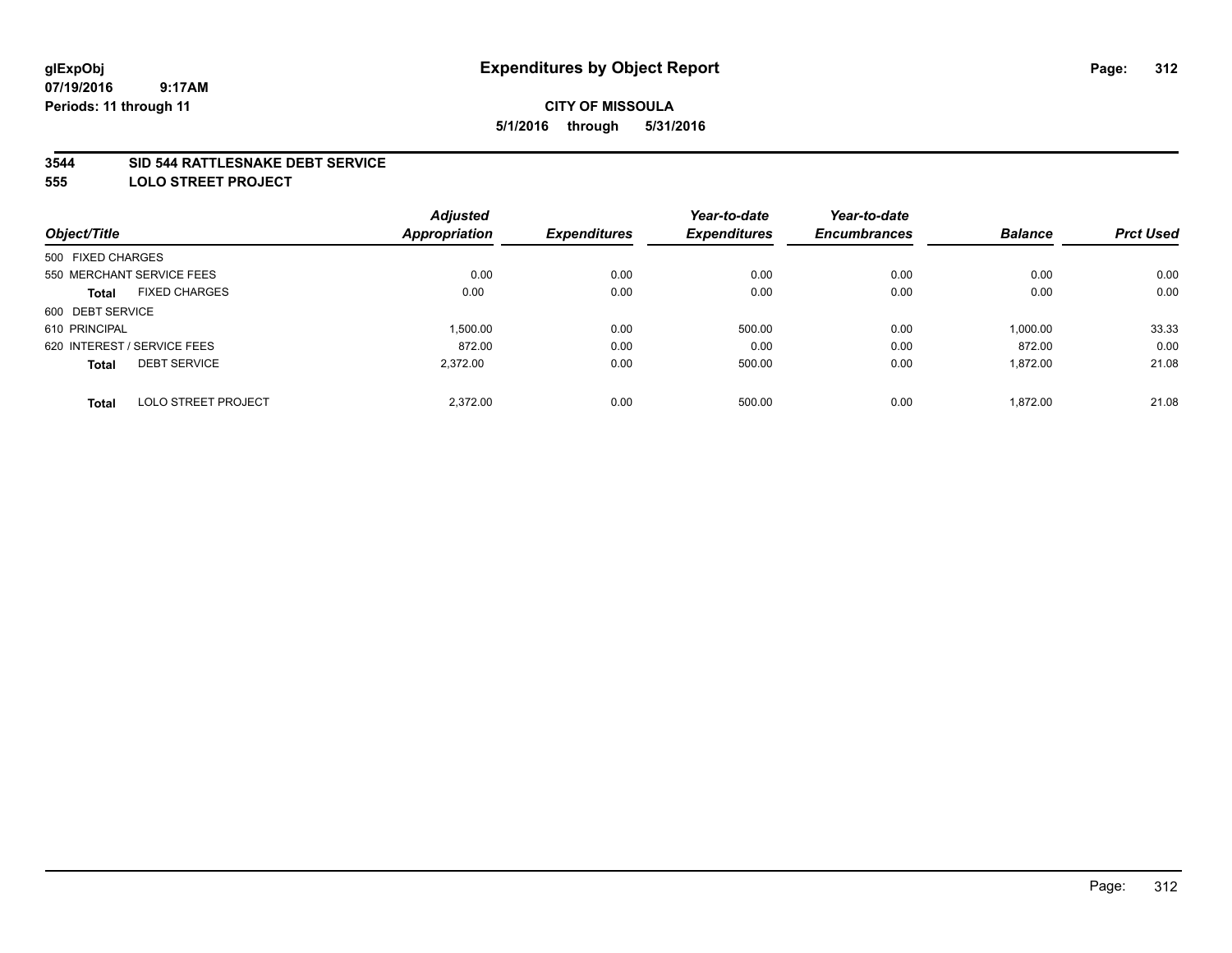#### **3544 SID 544 RATTLESNAKE DEBT SERVICE**

**555 LOLO STREET PROJECT**

|                                            | <b>Adjusted</b>      |                     | Year-to-date        | Year-to-date        |                |                  |
|--------------------------------------------|----------------------|---------------------|---------------------|---------------------|----------------|------------------|
| Object/Title                               | <b>Appropriation</b> | <b>Expenditures</b> | <b>Expenditures</b> | <b>Encumbrances</b> | <b>Balance</b> | <b>Prct Used</b> |
| 500 FIXED CHARGES                          |                      |                     |                     |                     |                |                  |
| 550 MERCHANT SERVICE FEES                  | 0.00                 | 0.00                | 0.00                | 0.00                | 0.00           | 0.00             |
| <b>FIXED CHARGES</b><br><b>Total</b>       | 0.00                 | 0.00                | 0.00                | 0.00                | 0.00           | 0.00             |
| 600 DEBT SERVICE                           |                      |                     |                     |                     |                |                  |
| 610 PRINCIPAL                              | 1,500.00             | 0.00                | 500.00              | 0.00                | 1,000.00       | 33.33            |
| 620 INTEREST / SERVICE FEES                | 872.00               | 0.00                | 0.00                | 0.00                | 872.00         | 0.00             |
| <b>DEBT SERVICE</b><br><b>Total</b>        | 2.372.00             | 0.00                | 500.00              | 0.00                | 1,872.00       | 21.08            |
| <b>LOLO STREET PROJECT</b><br><b>Total</b> | 2.372.00             | 0.00                | 500.00              | 0.00                | 1.872.00       | 21.08            |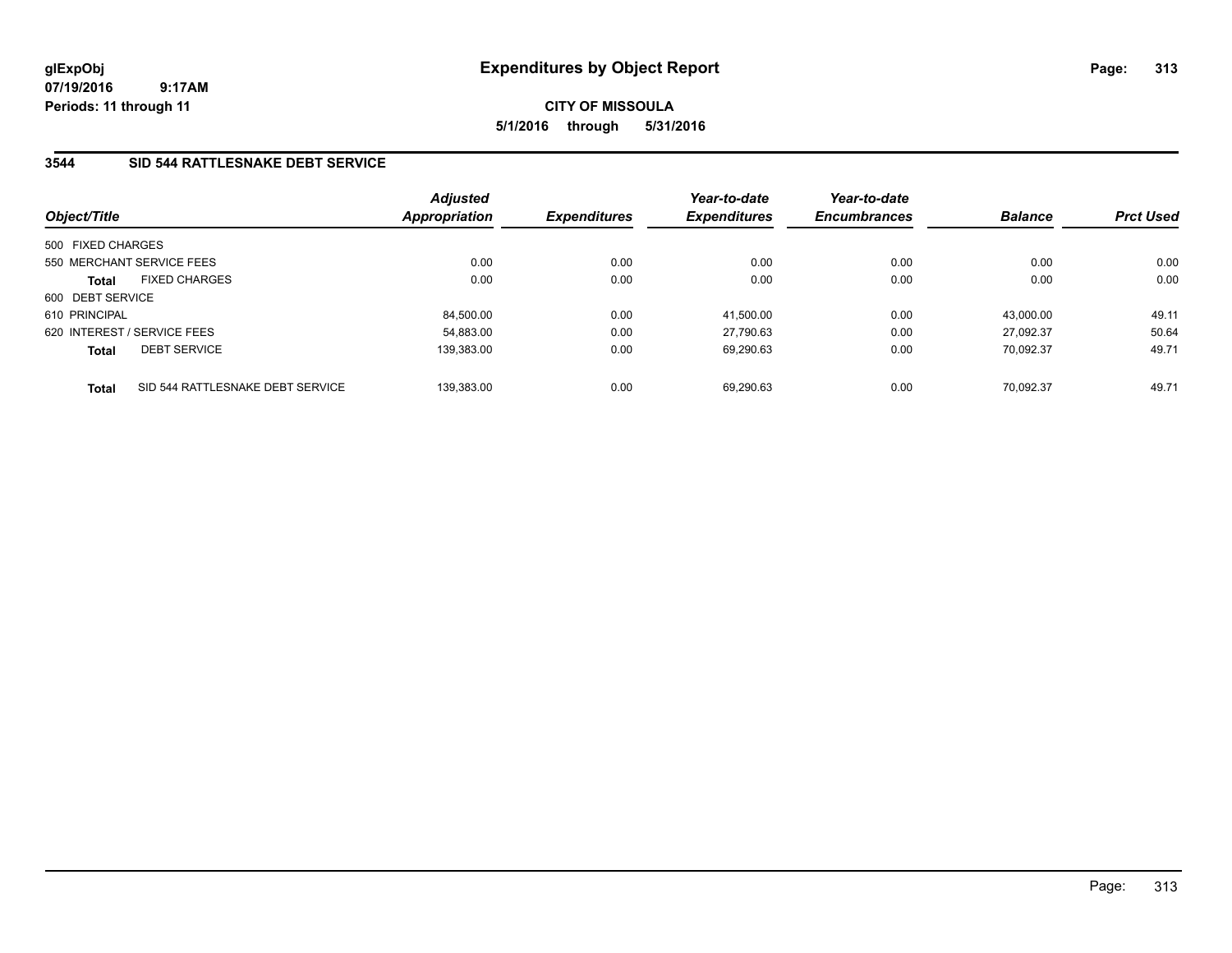**CITY OF MISSOULA 5/1/2016 through 5/31/2016**

## **3544 SID 544 RATTLESNAKE DEBT SERVICE**

| Object/Title                |                                  | <b>Adjusted</b><br><b>Appropriation</b> | <b>Expenditures</b> | Year-to-date<br><b>Expenditures</b> | Year-to-date<br><b>Encumbrances</b> | <b>Balance</b> | <b>Prct Used</b> |
|-----------------------------|----------------------------------|-----------------------------------------|---------------------|-------------------------------------|-------------------------------------|----------------|------------------|
| 500 FIXED CHARGES           |                                  |                                         |                     |                                     |                                     |                |                  |
| 550 MERCHANT SERVICE FEES   |                                  | 0.00                                    | 0.00                | 0.00                                | 0.00                                | 0.00           | 0.00             |
| <b>Total</b>                | <b>FIXED CHARGES</b>             | 0.00                                    | 0.00                | 0.00                                | 0.00                                | 0.00           | 0.00             |
| 600 DEBT SERVICE            |                                  |                                         |                     |                                     |                                     |                |                  |
| 610 PRINCIPAL               |                                  | 84,500.00                               | 0.00                | 41.500.00                           | 0.00                                | 43.000.00      | 49.11            |
| 620 INTEREST / SERVICE FEES |                                  | 54.883.00                               | 0.00                | 27.790.63                           | 0.00                                | 27.092.37      | 50.64            |
| <b>Total</b>                | <b>DEBT SERVICE</b>              | 139.383.00                              | 0.00                | 69.290.63                           | 0.00                                | 70.092.37      | 49.71            |
| <b>Total</b>                | SID 544 RATTLESNAKE DEBT SERVICE | 139.383.00                              | 0.00                | 69.290.63                           | 0.00                                | 70.092.37      | 49.71            |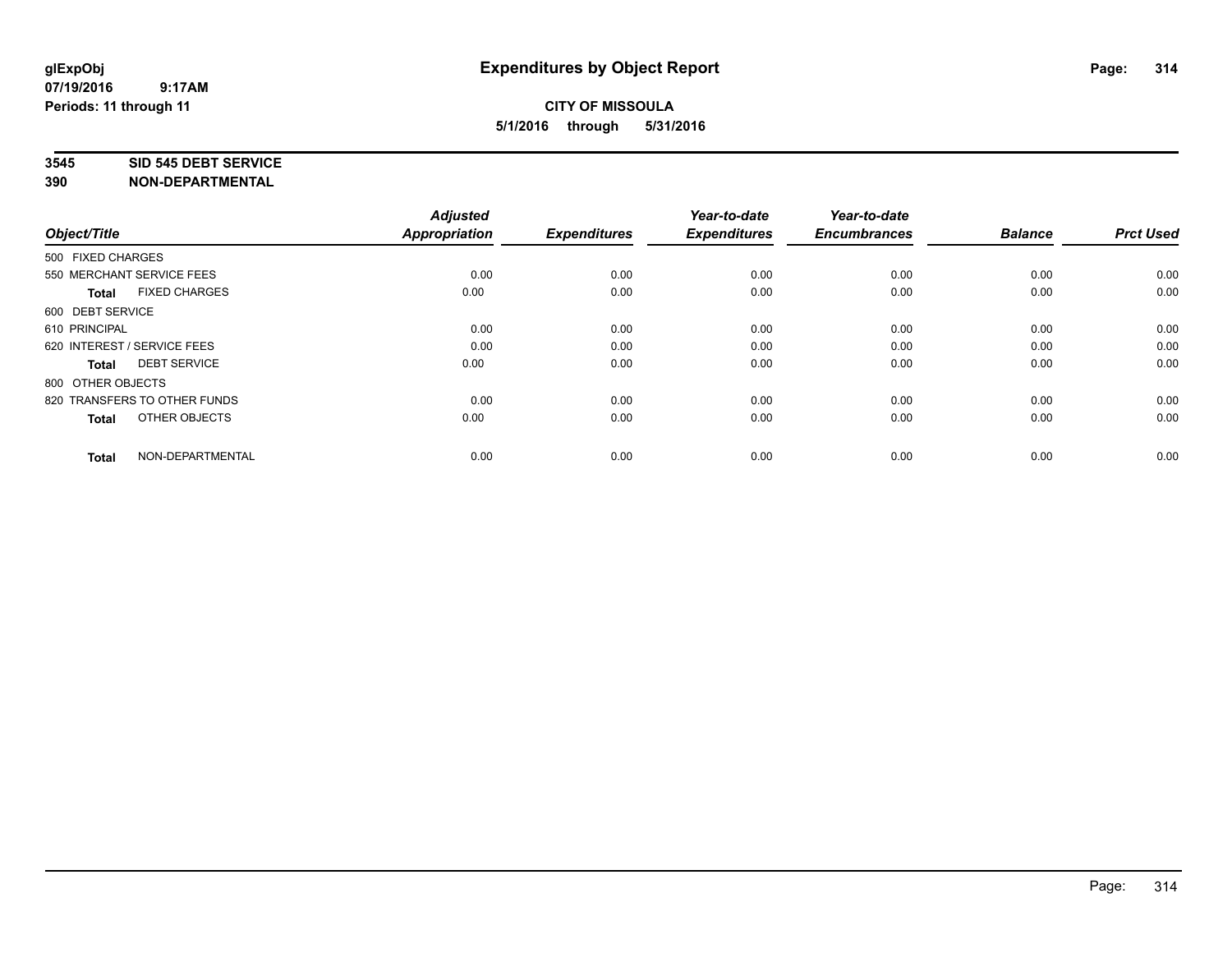#### **3545 SID 545 DEBT SERVICE**

| Object/Title                         | <b>Adjusted</b><br><b>Appropriation</b> | <b>Expenditures</b> | Year-to-date<br><b>Expenditures</b> | Year-to-date<br><b>Encumbrances</b> | <b>Balance</b> | <b>Prct Used</b> |
|--------------------------------------|-----------------------------------------|---------------------|-------------------------------------|-------------------------------------|----------------|------------------|
| 500 FIXED CHARGES                    |                                         |                     |                                     |                                     |                |                  |
| 550 MERCHANT SERVICE FEES            | 0.00                                    | 0.00                | 0.00                                | 0.00                                | 0.00           | 0.00             |
| <b>FIXED CHARGES</b><br><b>Total</b> | 0.00                                    | 0.00                | 0.00                                | 0.00                                | 0.00           | 0.00             |
| 600 DEBT SERVICE                     |                                         |                     |                                     |                                     |                |                  |
| 610 PRINCIPAL                        | 0.00                                    | 0.00                | 0.00                                | 0.00                                | 0.00           | 0.00             |
| 620 INTEREST / SERVICE FEES          | 0.00                                    | 0.00                | 0.00                                | 0.00                                | 0.00           | 0.00             |
| <b>DEBT SERVICE</b><br><b>Total</b>  | 0.00                                    | 0.00                | 0.00                                | 0.00                                | 0.00           | 0.00             |
| 800 OTHER OBJECTS                    |                                         |                     |                                     |                                     |                |                  |
| 820 TRANSFERS TO OTHER FUNDS         | 0.00                                    | 0.00                | 0.00                                | 0.00                                | 0.00           | 0.00             |
| OTHER OBJECTS<br><b>Total</b>        | 0.00                                    | 0.00                | 0.00                                | 0.00                                | 0.00           | 0.00             |
|                                      |                                         |                     |                                     |                                     |                |                  |
| NON-DEPARTMENTAL<br><b>Total</b>     | 0.00                                    | 0.00                | 0.00                                | 0.00                                | 0.00           | 0.00             |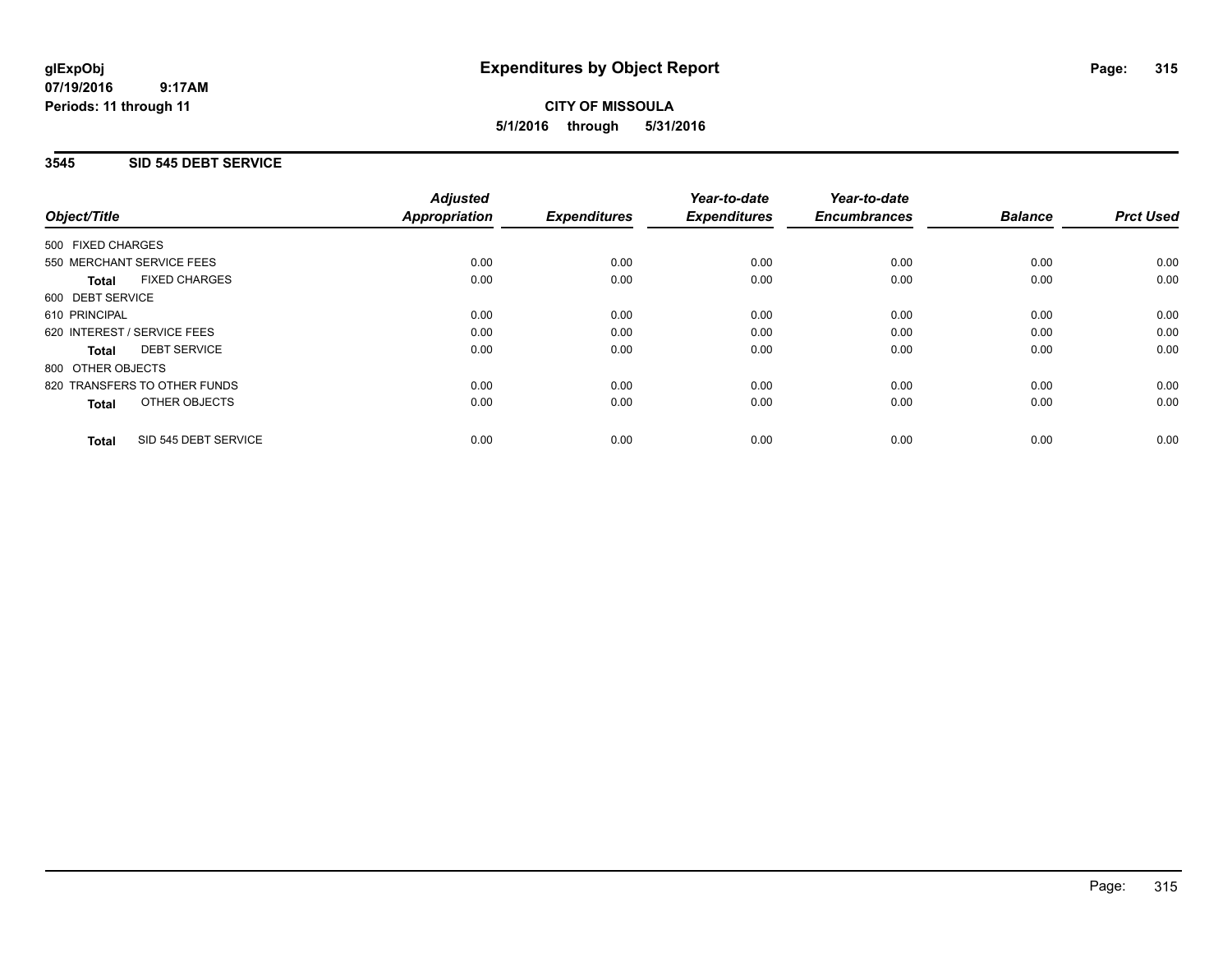**CITY OF MISSOULA 5/1/2016 through 5/31/2016**

## **3545 SID 545 DEBT SERVICE**

|                                      | <b>Adjusted</b>      |                     | Year-to-date        | Year-to-date        |                |                  |
|--------------------------------------|----------------------|---------------------|---------------------|---------------------|----------------|------------------|
| Object/Title                         | <b>Appropriation</b> | <b>Expenditures</b> | <b>Expenditures</b> | <b>Encumbrances</b> | <b>Balance</b> | <b>Prct Used</b> |
| 500 FIXED CHARGES                    |                      |                     |                     |                     |                |                  |
| 550 MERCHANT SERVICE FEES            | 0.00                 | 0.00                | 0.00                | 0.00                | 0.00           | 0.00             |
| <b>FIXED CHARGES</b><br><b>Total</b> | 0.00                 | 0.00                | 0.00                | 0.00                | 0.00           | 0.00             |
| 600 DEBT SERVICE                     |                      |                     |                     |                     |                |                  |
| 610 PRINCIPAL                        | 0.00                 | 0.00                | 0.00                | 0.00                | 0.00           | 0.00             |
| 620 INTEREST / SERVICE FEES          | 0.00                 | 0.00                | 0.00                | 0.00                | 0.00           | 0.00             |
| <b>DEBT SERVICE</b><br><b>Total</b>  | 0.00                 | 0.00                | 0.00                | 0.00                | 0.00           | 0.00             |
| 800 OTHER OBJECTS                    |                      |                     |                     |                     |                |                  |
| 820 TRANSFERS TO OTHER FUNDS         | 0.00                 | 0.00                | 0.00                | 0.00                | 0.00           | 0.00             |
| <b>OTHER OBJECTS</b><br><b>Total</b> | 0.00                 | 0.00                | 0.00                | 0.00                | 0.00           | 0.00             |
| SID 545 DEBT SERVICE<br><b>Total</b> | 0.00                 | 0.00                | 0.00                | 0.00                | 0.00           | 0.00             |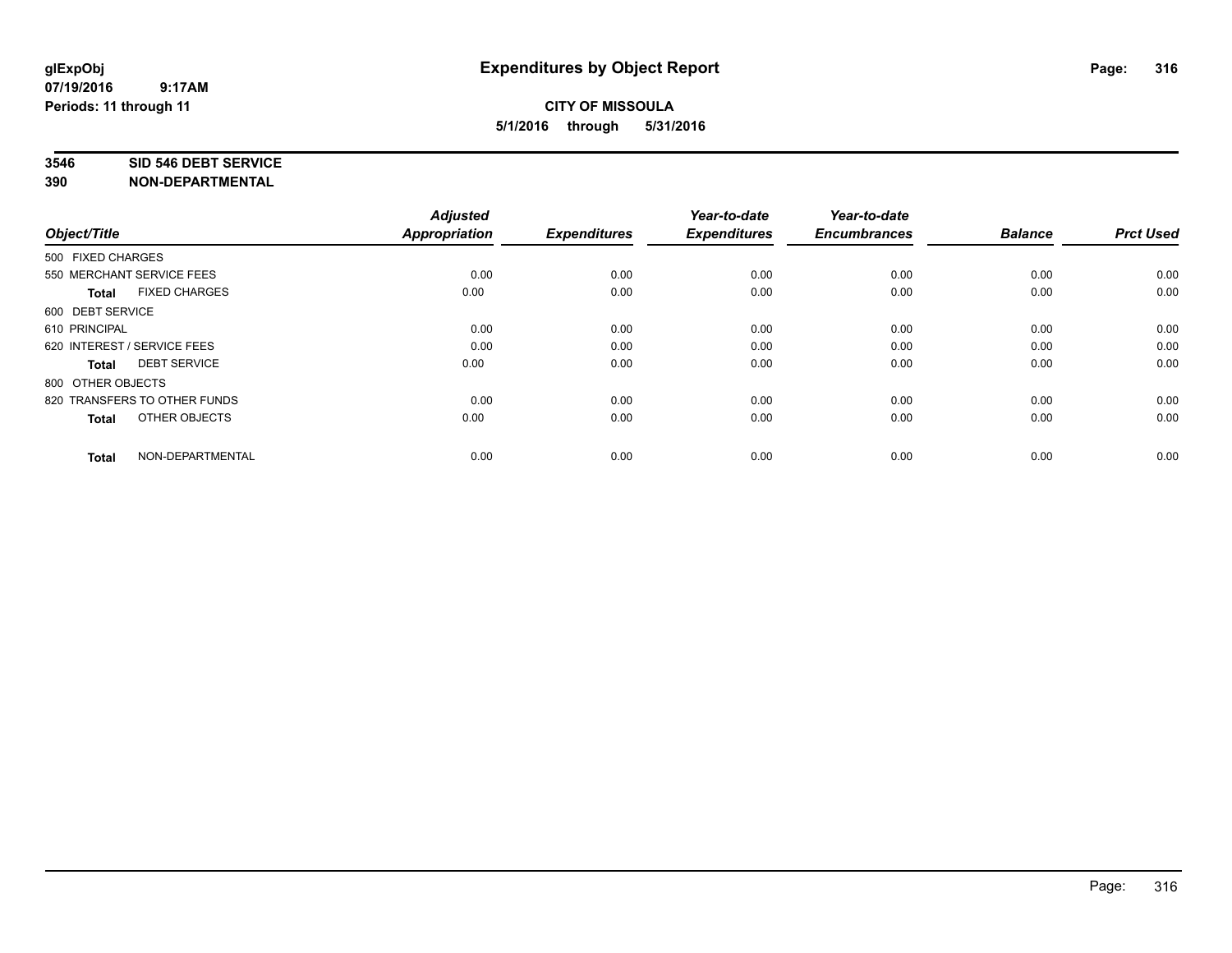#### **3546 SID 546 DEBT SERVICE**

| Object/Title                         | <b>Adjusted</b><br><b>Appropriation</b> | <b>Expenditures</b> | Year-to-date<br><b>Expenditures</b> | Year-to-date<br><b>Encumbrances</b> | <b>Balance</b> | <b>Prct Used</b> |
|--------------------------------------|-----------------------------------------|---------------------|-------------------------------------|-------------------------------------|----------------|------------------|
| 500 FIXED CHARGES                    |                                         |                     |                                     |                                     |                |                  |
| 550 MERCHANT SERVICE FEES            | 0.00                                    | 0.00                | 0.00                                | 0.00                                | 0.00           | 0.00             |
| <b>FIXED CHARGES</b><br><b>Total</b> | 0.00                                    | 0.00                | 0.00                                | 0.00                                | 0.00           | 0.00             |
| 600 DEBT SERVICE                     |                                         |                     |                                     |                                     |                |                  |
| 610 PRINCIPAL                        | 0.00                                    | 0.00                | 0.00                                | 0.00                                | 0.00           | 0.00             |
| 620 INTEREST / SERVICE FEES          | 0.00                                    | 0.00                | 0.00                                | 0.00                                | 0.00           | 0.00             |
| <b>DEBT SERVICE</b><br><b>Total</b>  | 0.00                                    | 0.00                | 0.00                                | 0.00                                | 0.00           | 0.00             |
| 800 OTHER OBJECTS                    |                                         |                     |                                     |                                     |                |                  |
| 820 TRANSFERS TO OTHER FUNDS         | 0.00                                    | 0.00                | 0.00                                | 0.00                                | 0.00           | 0.00             |
| OTHER OBJECTS<br><b>Total</b>        | 0.00                                    | 0.00                | 0.00                                | 0.00                                | 0.00           | 0.00             |
|                                      |                                         |                     |                                     |                                     |                |                  |
| NON-DEPARTMENTAL<br><b>Total</b>     | 0.00                                    | 0.00                | 0.00                                | 0.00                                | 0.00           | 0.00             |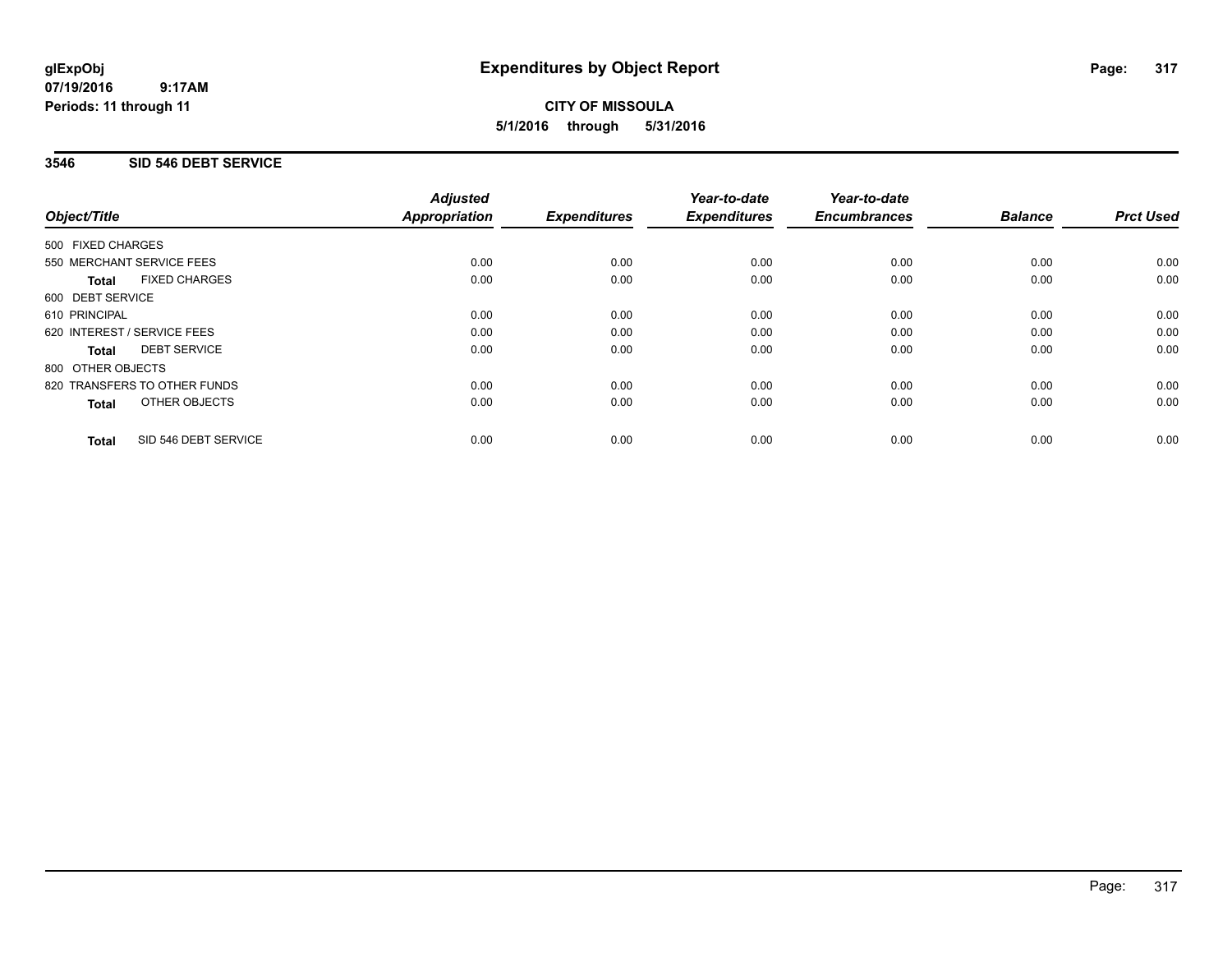**CITY OF MISSOULA 5/1/2016 through 5/31/2016**

## **3546 SID 546 DEBT SERVICE**

|                                      | <b>Adjusted</b>      |                     | Year-to-date        | Year-to-date<br><b>Encumbrances</b> | <b>Balance</b> | <b>Prct Used</b> |
|--------------------------------------|----------------------|---------------------|---------------------|-------------------------------------|----------------|------------------|
| Object/Title                         | <b>Appropriation</b> | <b>Expenditures</b> | <b>Expenditures</b> |                                     |                |                  |
| 500 FIXED CHARGES                    |                      |                     |                     |                                     |                |                  |
| 550 MERCHANT SERVICE FEES            | 0.00                 | 0.00                | 0.00                | 0.00                                | 0.00           | 0.00             |
| <b>FIXED CHARGES</b><br><b>Total</b> | 0.00                 | 0.00                | 0.00                | 0.00                                | 0.00           | 0.00             |
| 600 DEBT SERVICE                     |                      |                     |                     |                                     |                |                  |
| 610 PRINCIPAL                        | 0.00                 | 0.00                | 0.00                | 0.00                                | 0.00           | 0.00             |
| 620 INTEREST / SERVICE FEES          | 0.00                 | 0.00                | 0.00                | 0.00                                | 0.00           | 0.00             |
| <b>DEBT SERVICE</b><br><b>Total</b>  | 0.00                 | 0.00                | 0.00                | 0.00                                | 0.00           | 0.00             |
| 800 OTHER OBJECTS                    |                      |                     |                     |                                     |                |                  |
| 820 TRANSFERS TO OTHER FUNDS         | 0.00                 | 0.00                | 0.00                | 0.00                                | 0.00           | 0.00             |
| <b>OTHER OBJECTS</b><br><b>Total</b> | 0.00                 | 0.00                | 0.00                | 0.00                                | 0.00           | 0.00             |
| SID 546 DEBT SERVICE<br><b>Total</b> | 0.00                 | 0.00                | 0.00                | 0.00                                | 0.00           | 0.00             |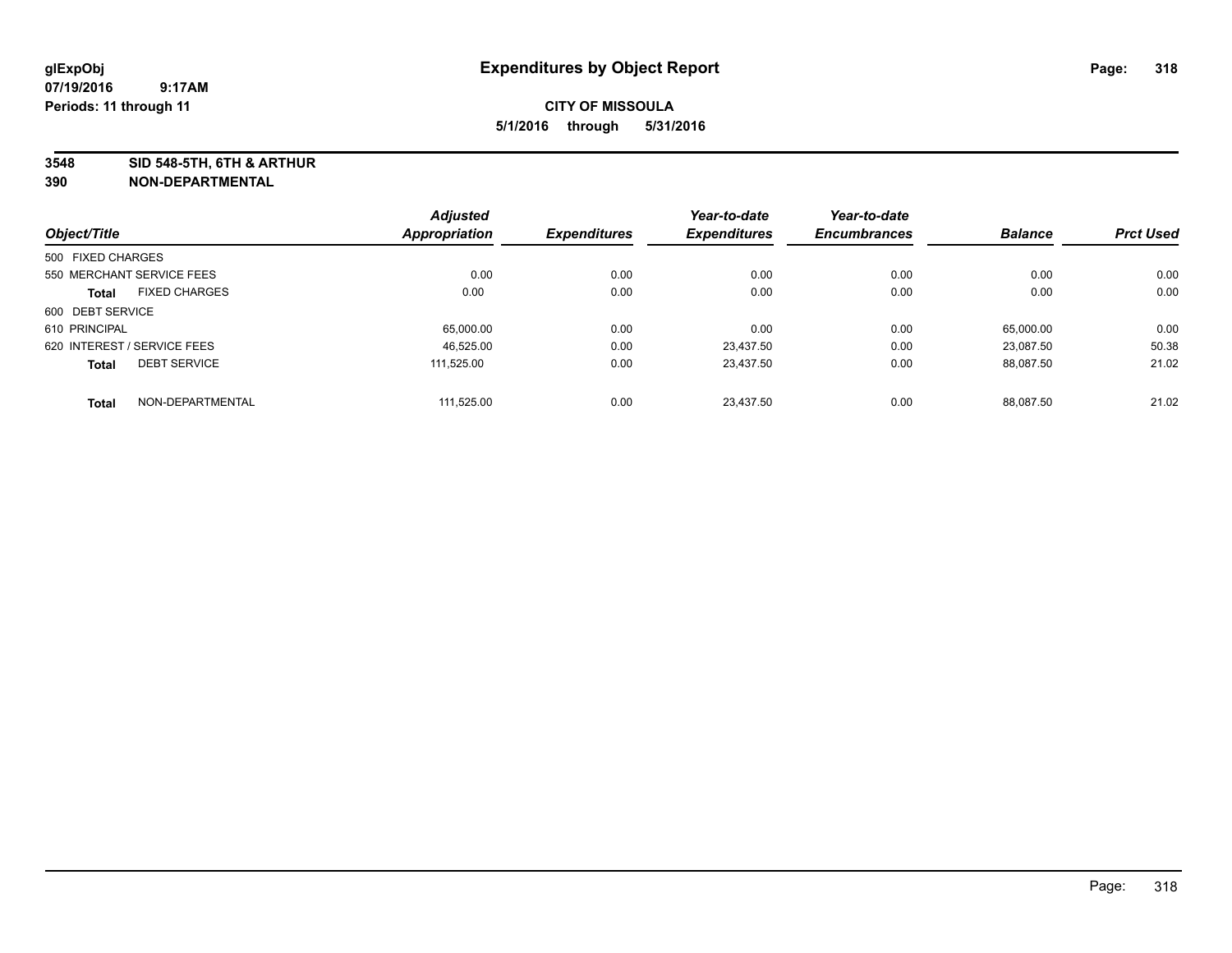**3548 SID 548-5TH, 6TH & ARTHUR**

|                                      | <b>Adjusted</b>      |                     | Year-to-date        | Year-to-date        |                |                  |
|--------------------------------------|----------------------|---------------------|---------------------|---------------------|----------------|------------------|
| Object/Title                         | <b>Appropriation</b> | <b>Expenditures</b> | <b>Expenditures</b> | <b>Encumbrances</b> | <b>Balance</b> | <b>Prct Used</b> |
| 500 FIXED CHARGES                    |                      |                     |                     |                     |                |                  |
| 550 MERCHANT SERVICE FEES            | 0.00                 | 0.00                | 0.00                | 0.00                | 0.00           | 0.00             |
| <b>FIXED CHARGES</b><br><b>Total</b> | 0.00                 | 0.00                | 0.00                | 0.00                | 0.00           | 0.00             |
| 600 DEBT SERVICE                     |                      |                     |                     |                     |                |                  |
| 610 PRINCIPAL                        | 65.000.00            | 0.00                | 0.00                | 0.00                | 65.000.00      | 0.00             |
| 620 INTEREST / SERVICE FEES          | 46,525.00            | 0.00                | 23.437.50           | 0.00                | 23.087.50      | 50.38            |
| <b>DEBT SERVICE</b><br><b>Total</b>  | 111.525.00           | 0.00                | 23.437.50           | 0.00                | 88.087.50      | 21.02            |
| NON-DEPARTMENTAL<br><b>Total</b>     | 111.525.00           | 0.00                | 23.437.50           | 0.00                | 88.087.50      | 21.02            |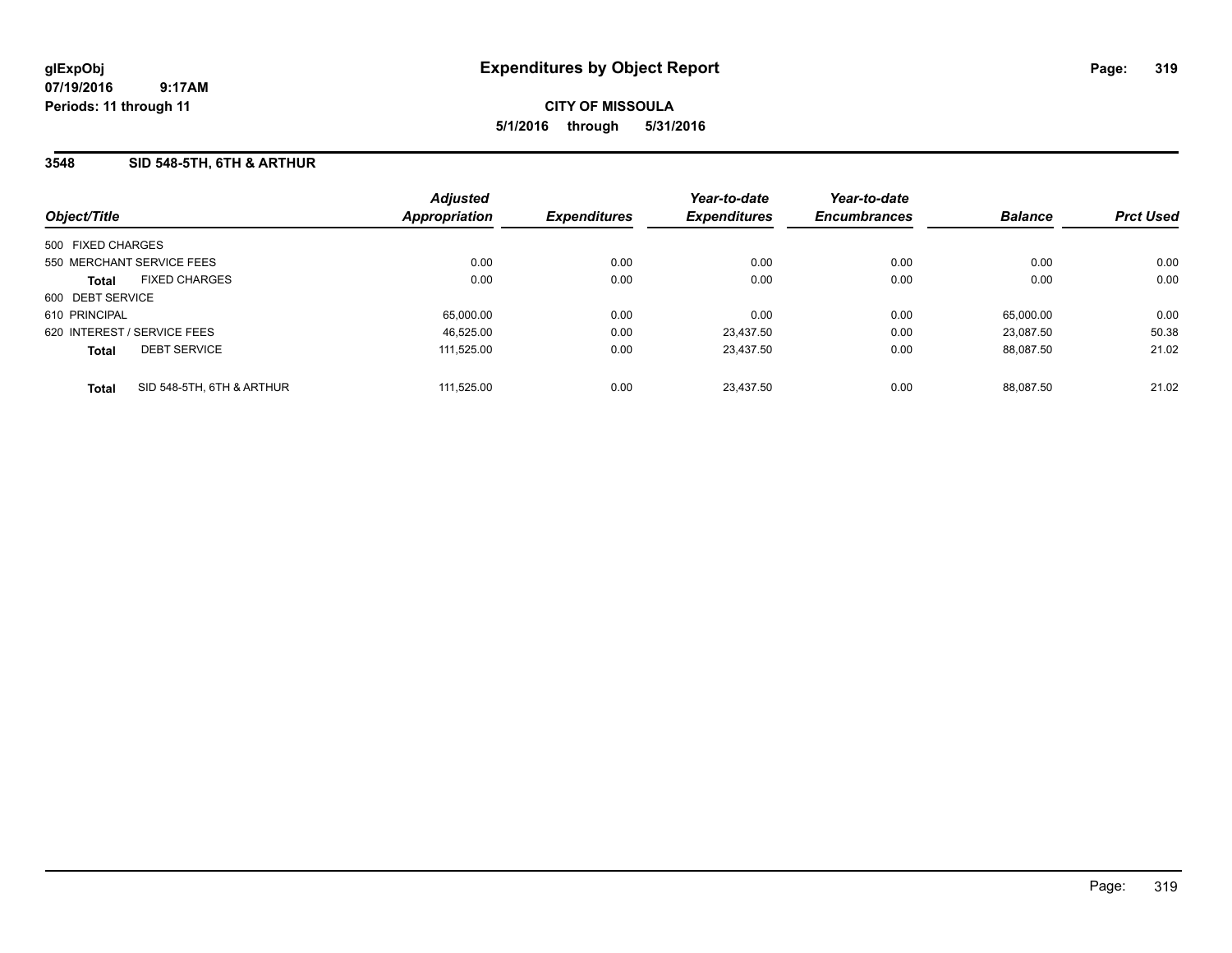**CITY OF MISSOULA 5/1/2016 through 5/31/2016**

## **3548 SID 548-5TH, 6TH & ARTHUR**

| Object/Title      |                             | <b>Adjusted</b><br><b>Appropriation</b> | <b>Expenditures</b> | Year-to-date<br><b>Expenditures</b> | Year-to-date<br><b>Encumbrances</b> | <b>Balance</b> | <b>Prct Used</b> |
|-------------------|-----------------------------|-----------------------------------------|---------------------|-------------------------------------|-------------------------------------|----------------|------------------|
| 500 FIXED CHARGES |                             |                                         |                     |                                     |                                     |                |                  |
|                   | 550 MERCHANT SERVICE FEES   | 0.00                                    | 0.00                | 0.00                                | 0.00                                | 0.00           | 0.00             |
| <b>Total</b>      | <b>FIXED CHARGES</b>        | 0.00                                    | 0.00                | 0.00                                | 0.00                                | 0.00           | 0.00             |
| 600 DEBT SERVICE  |                             |                                         |                     |                                     |                                     |                |                  |
| 610 PRINCIPAL     |                             | 65,000.00                               | 0.00                | 0.00                                | 0.00                                | 65,000.00      | 0.00             |
|                   | 620 INTEREST / SERVICE FEES | 46.525.00                               | 0.00                | 23.437.50                           | 0.00                                | 23.087.50      | 50.38            |
| <b>Total</b>      | <b>DEBT SERVICE</b>         | 111.525.00                              | 0.00                | 23,437.50                           | 0.00                                | 88.087.50      | 21.02            |
| <b>Total</b>      | SID 548-5TH, 6TH & ARTHUR   | 111.525.00                              | 0.00                | 23.437.50                           | 0.00                                | 88.087.50      | 21.02            |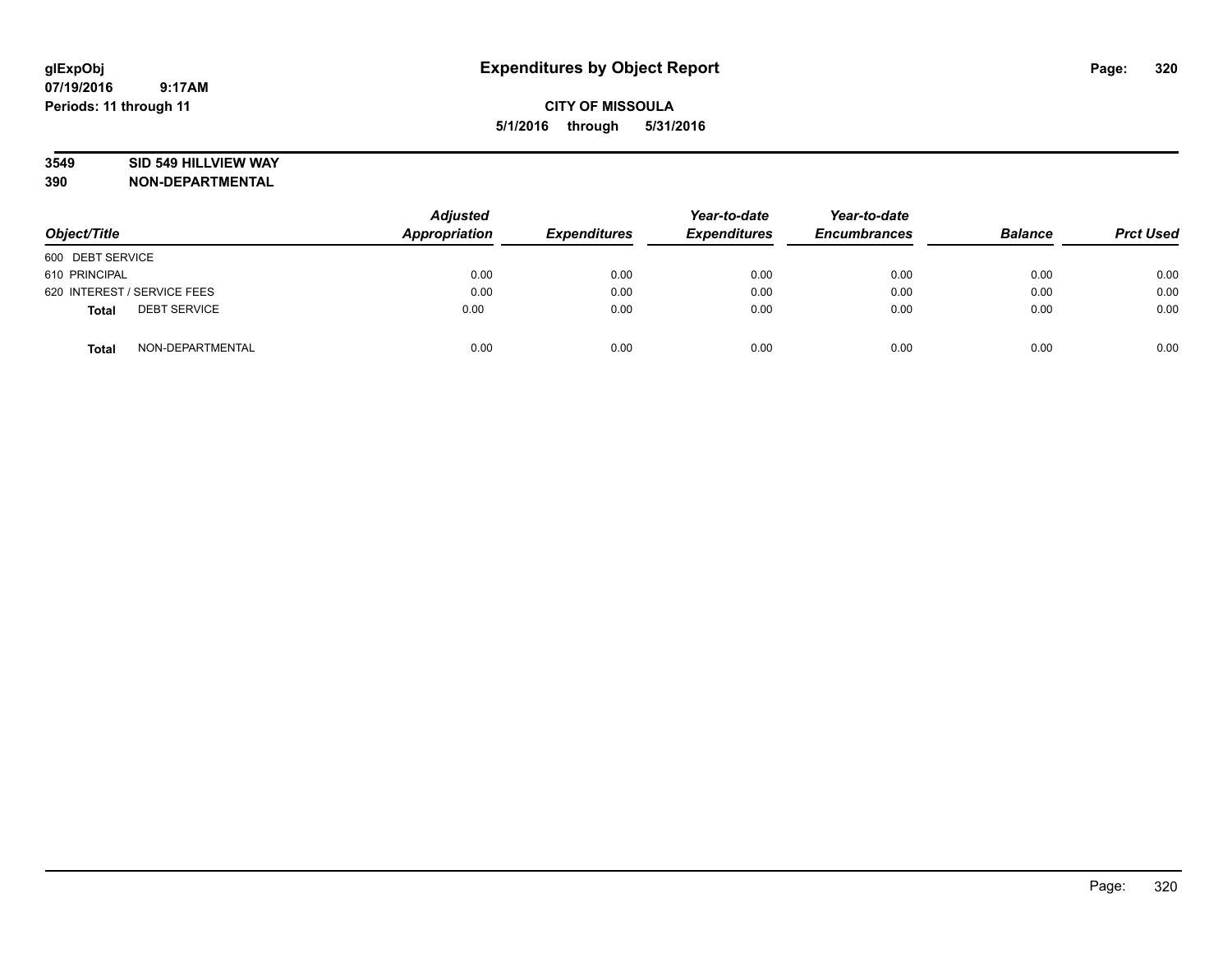## **3549 SID 549 HILLVIEW WAY**

| Object/Title                        | <b>Adjusted</b><br><b>Appropriation</b> | <b>Expenditures</b> | Year-to-date<br><b>Expenditures</b> | Year-to-date<br><b>Encumbrances</b> | <b>Balance</b> | <b>Prct Used</b> |
|-------------------------------------|-----------------------------------------|---------------------|-------------------------------------|-------------------------------------|----------------|------------------|
| 600 DEBT SERVICE                    |                                         |                     |                                     |                                     |                |                  |
| 610 PRINCIPAL                       | 0.00                                    | 0.00                | 0.00                                | 0.00                                | 0.00           | 0.00             |
| 620 INTEREST / SERVICE FEES         | 0.00                                    | 0.00                | 0.00                                | 0.00                                | 0.00           | 0.00             |
| <b>DEBT SERVICE</b><br><b>Total</b> | 0.00                                    | 0.00                | 0.00                                | 0.00                                | 0.00           | 0.00             |
| NON-DEPARTMENTAL<br><b>Total</b>    | 0.00                                    | 0.00                | 0.00                                | 0.00                                | 0.00           | 0.00             |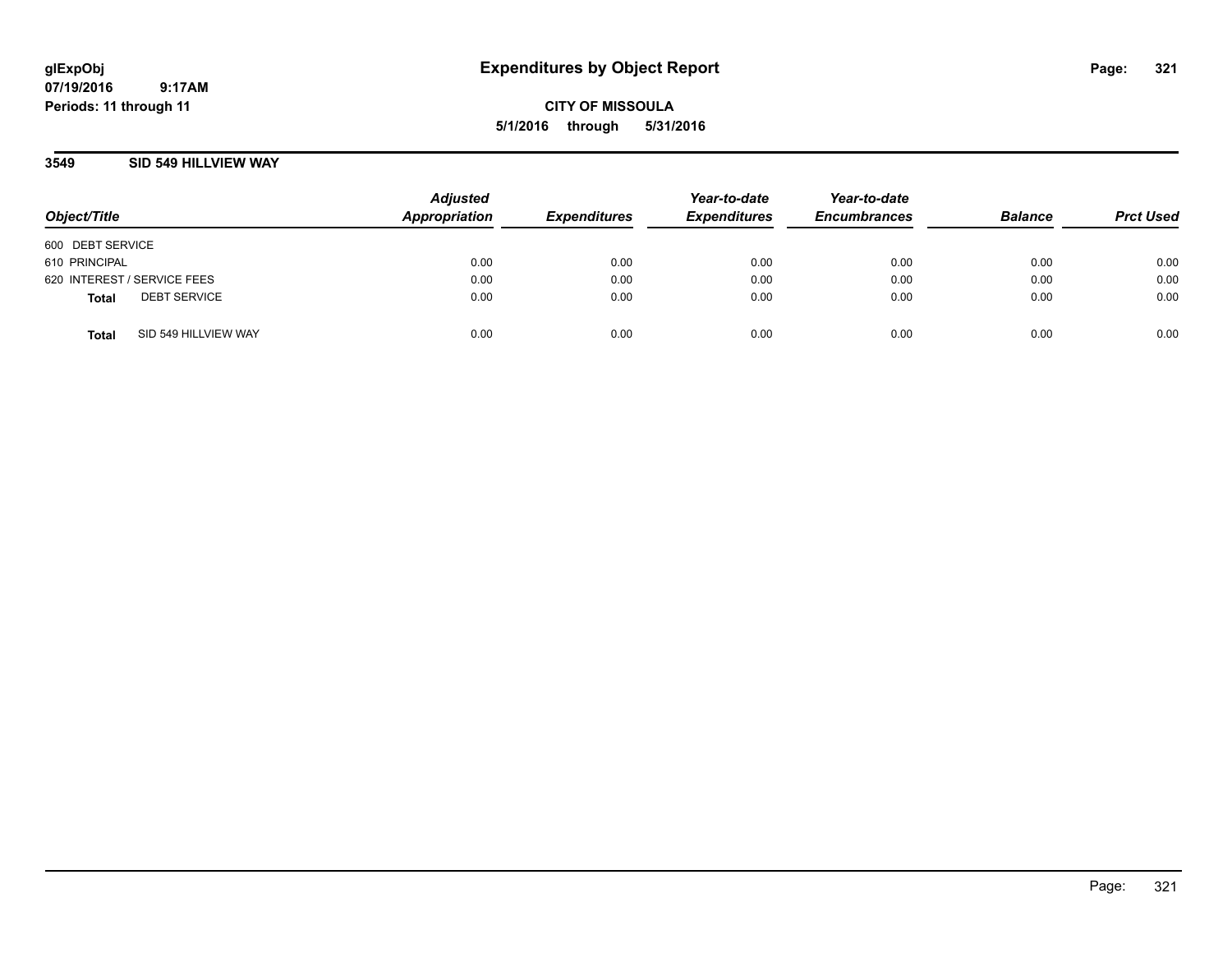**CITY OF MISSOULA 5/1/2016 through 5/31/2016**

## **3549 SID 549 HILLVIEW WAY**

| Object/Title                |                      | <b>Adjusted</b><br><b>Appropriation</b> | <b>Expenditures</b> | Year-to-date<br><b>Expenditures</b> | Year-to-date<br><b>Encumbrances</b> | <b>Balance</b> | <b>Prct Used</b> |
|-----------------------------|----------------------|-----------------------------------------|---------------------|-------------------------------------|-------------------------------------|----------------|------------------|
| 600 DEBT SERVICE            |                      |                                         |                     |                                     |                                     |                |                  |
| 610 PRINCIPAL               |                      | 0.00                                    | 0.00                | 0.00                                | 0.00                                | 0.00           | 0.00             |
| 620 INTEREST / SERVICE FEES |                      | 0.00                                    | 0.00                | 0.00                                | 0.00                                | 0.00           | 0.00             |
| <b>Total</b>                | <b>DEBT SERVICE</b>  | 0.00                                    | 0.00                | 0.00                                | 0.00                                | 0.00           | 0.00             |
| <b>Total</b>                | SID 549 HILLVIEW WAY | 0.00                                    | 0.00                | 0.00                                | 0.00                                | 0.00           | 0.00             |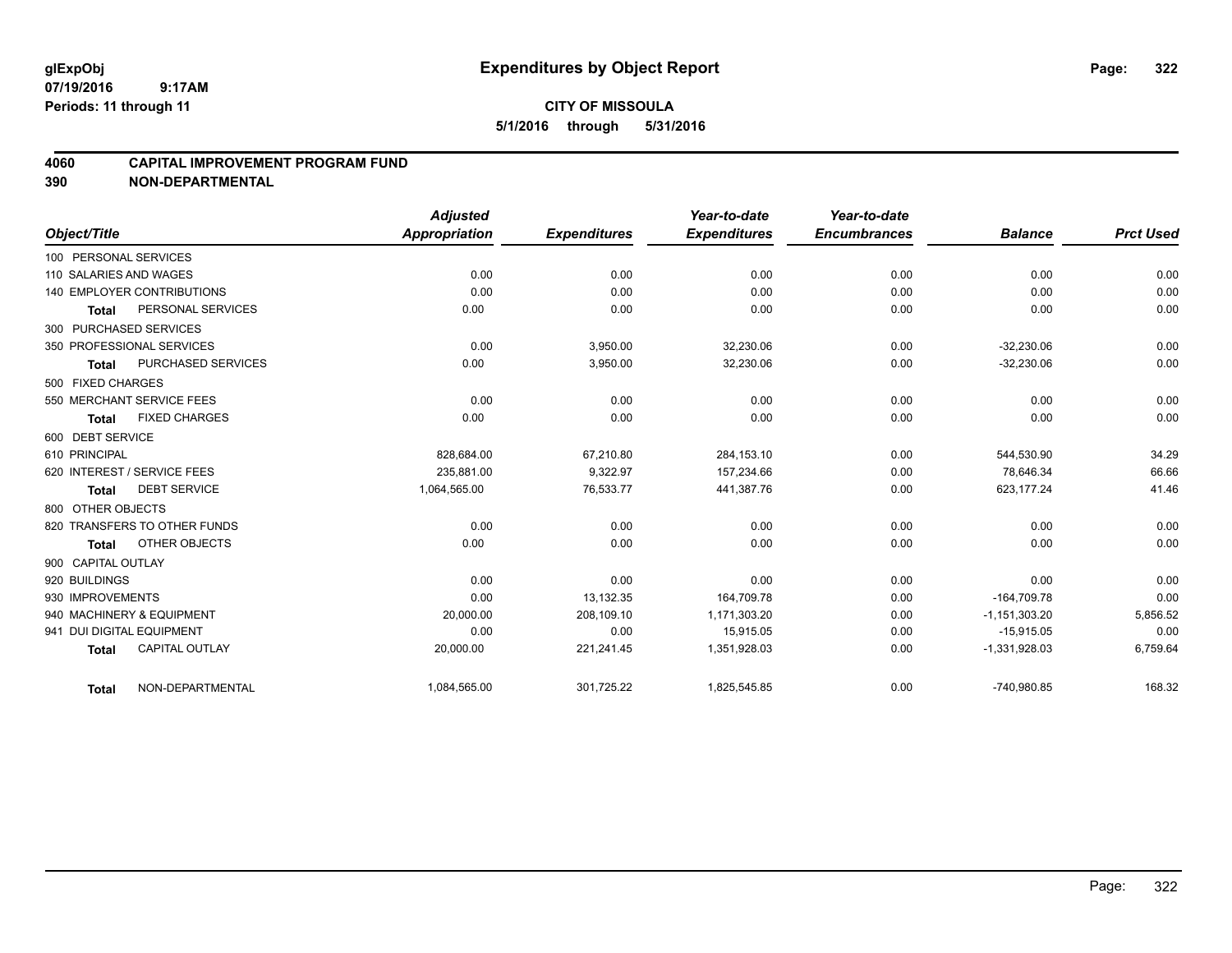## **4060 CAPITAL IMPROVEMENT PROGRAM FUND**

|                           |                                   | <b>Adjusted</b>      |                     | Year-to-date        | Year-to-date        |                   |                  |
|---------------------------|-----------------------------------|----------------------|---------------------|---------------------|---------------------|-------------------|------------------|
| Object/Title              |                                   | <b>Appropriation</b> | <b>Expenditures</b> | <b>Expenditures</b> | <b>Encumbrances</b> | <b>Balance</b>    | <b>Prct Used</b> |
| 100 PERSONAL SERVICES     |                                   |                      |                     |                     |                     |                   |                  |
| 110 SALARIES AND WAGES    |                                   | 0.00                 | 0.00                | 0.00                | 0.00                | 0.00              | 0.00             |
|                           | <b>140 EMPLOYER CONTRIBUTIONS</b> | 0.00                 | 0.00                | 0.00                | 0.00                | 0.00              | 0.00             |
| <b>Total</b>              | PERSONAL SERVICES                 | 0.00                 | 0.00                | 0.00                | 0.00                | 0.00              | 0.00             |
| 300 PURCHASED SERVICES    |                                   |                      |                     |                     |                     |                   |                  |
|                           | 350 PROFESSIONAL SERVICES         | 0.00                 | 3,950.00            | 32,230.06           | 0.00                | $-32.230.06$      | 0.00             |
| <b>Total</b>              | <b>PURCHASED SERVICES</b>         | 0.00                 | 3,950.00            | 32,230.06           | 0.00                | $-32,230.06$      | 0.00             |
| 500 FIXED CHARGES         |                                   |                      |                     |                     |                     |                   |                  |
|                           | 550 MERCHANT SERVICE FEES         | 0.00                 | 0.00                | 0.00                | 0.00                | 0.00              | 0.00             |
| <b>Total</b>              | <b>FIXED CHARGES</b>              | 0.00                 | 0.00                | 0.00                | 0.00                | 0.00              | 0.00             |
| 600 DEBT SERVICE          |                                   |                      |                     |                     |                     |                   |                  |
| 610 PRINCIPAL             |                                   | 828,684.00           | 67,210.80           | 284,153.10          | 0.00                | 544,530.90        | 34.29            |
|                           | 620 INTEREST / SERVICE FEES       | 235.881.00           | 9.322.97            | 157.234.66          | 0.00                | 78.646.34         | 66.66            |
| <b>Total</b>              | <b>DEBT SERVICE</b>               | 1,064,565.00         | 76,533.77           | 441,387.76          | 0.00                | 623,177.24        | 41.46            |
| 800 OTHER OBJECTS         |                                   |                      |                     |                     |                     |                   |                  |
|                           | 820 TRANSFERS TO OTHER FUNDS      | 0.00                 | 0.00                | 0.00                | 0.00                | 0.00              | 0.00             |
| <b>Total</b>              | OTHER OBJECTS                     | 0.00                 | 0.00                | 0.00                | 0.00                | 0.00              | 0.00             |
| 900 CAPITAL OUTLAY        |                                   |                      |                     |                     |                     |                   |                  |
| 920 BUILDINGS             |                                   | 0.00                 | 0.00                | 0.00                | 0.00                | 0.00              | 0.00             |
| 930 IMPROVEMENTS          |                                   | 0.00                 | 13,132.35           | 164,709.78          | 0.00                | $-164,709.78$     | 0.00             |
|                           | 940 MACHINERY & EQUIPMENT         | 20,000.00            | 208,109.10          | 1,171,303.20        | 0.00                | $-1, 151, 303.20$ | 5,856.52         |
| 941 DUI DIGITAL EQUIPMENT |                                   | 0.00                 | 0.00                | 15.915.05           | 0.00                | $-15,915.05$      | 0.00             |
| <b>Total</b>              | <b>CAPITAL OUTLAY</b>             | 20,000.00            | 221,241.45          | 1,351,928.03        | 0.00                | $-1,331,928.03$   | 6,759.64         |
| <b>Total</b>              | NON-DEPARTMENTAL                  | 1,084,565.00         | 301,725.22          | 1,825,545.85        | 0.00                | -740,980.85       | 168.32           |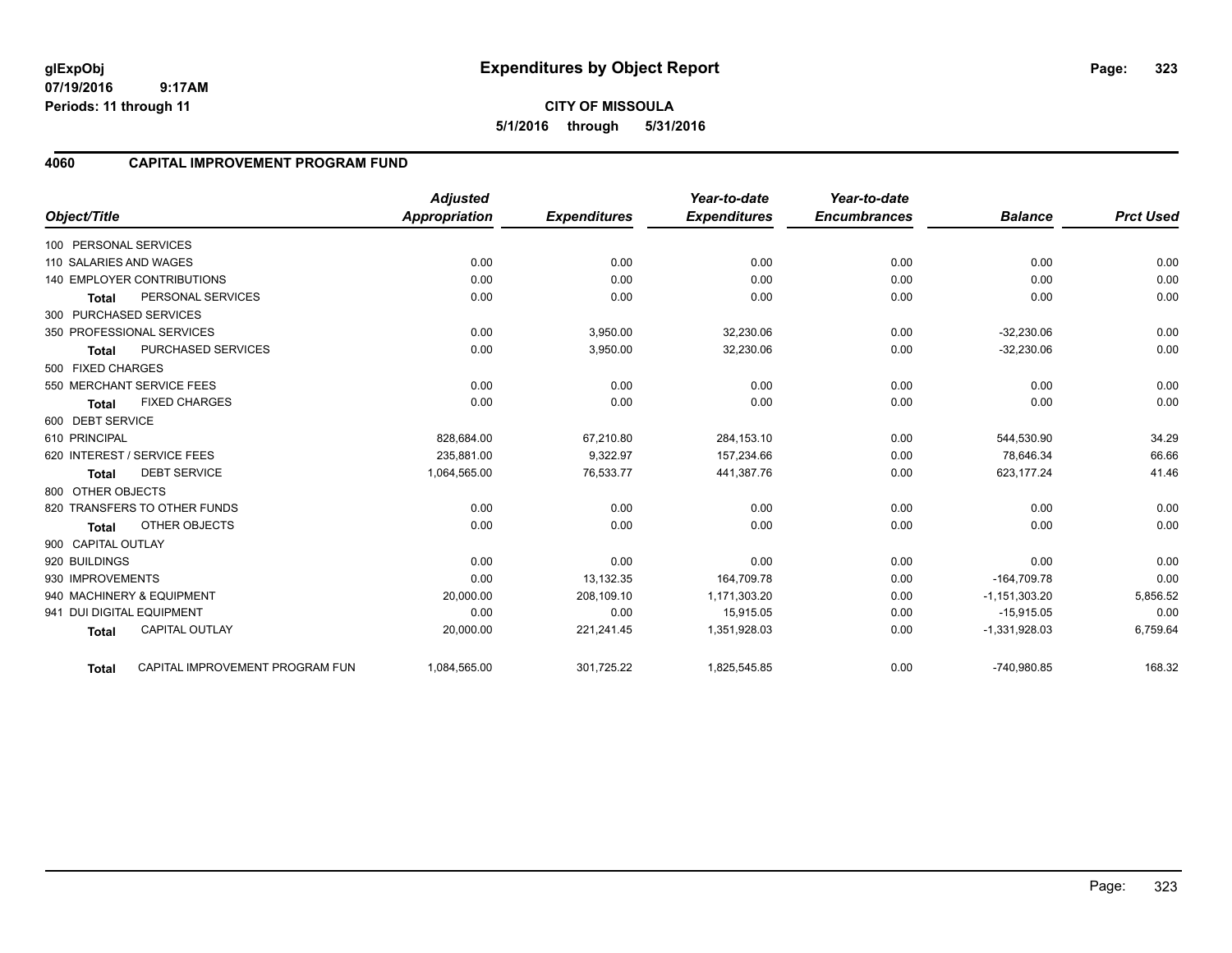# **4060 CAPITAL IMPROVEMENT PROGRAM FUND**

|                                                 | <b>Adjusted</b> |                     | Year-to-date        | Year-to-date        |                 | <b>Prct Used</b> |
|-------------------------------------------------|-----------------|---------------------|---------------------|---------------------|-----------------|------------------|
| Object/Title                                    | Appropriation   | <b>Expenditures</b> | <b>Expenditures</b> | <b>Encumbrances</b> | <b>Balance</b>  |                  |
| 100 PERSONAL SERVICES                           |                 |                     |                     |                     |                 |                  |
| 110 SALARIES AND WAGES                          | 0.00            | 0.00                | 0.00                | 0.00                | 0.00            | 0.00             |
| <b>140 EMPLOYER CONTRIBUTIONS</b>               | 0.00            | 0.00                | 0.00                | 0.00                | 0.00            | 0.00             |
| PERSONAL SERVICES<br><b>Total</b>               | 0.00            | 0.00                | 0.00                | 0.00                | 0.00            | 0.00             |
| 300 PURCHASED SERVICES                          |                 |                     |                     |                     |                 |                  |
| 350 PROFESSIONAL SERVICES                       | 0.00            | 3,950.00            | 32,230.06           | 0.00                | $-32,230.06$    | 0.00             |
| PURCHASED SERVICES<br>Total                     | 0.00            | 3,950.00            | 32,230.06           | 0.00                | $-32,230.06$    | 0.00             |
| 500 FIXED CHARGES                               |                 |                     |                     |                     |                 |                  |
| 550 MERCHANT SERVICE FEES                       | 0.00            | 0.00                | 0.00                | 0.00                | 0.00            | 0.00             |
| <b>FIXED CHARGES</b><br>Total                   | 0.00            | 0.00                | 0.00                | 0.00                | 0.00            | 0.00             |
| 600 DEBT SERVICE                                |                 |                     |                     |                     |                 |                  |
| 610 PRINCIPAL                                   | 828,684.00      | 67,210.80           | 284,153.10          | 0.00                | 544,530.90      | 34.29            |
| 620 INTEREST / SERVICE FEES                     | 235.881.00      | 9,322.97            | 157,234.66          | 0.00                | 78.646.34       | 66.66            |
| <b>DEBT SERVICE</b><br><b>Total</b>             | 1,064,565.00    | 76,533.77           | 441,387.76          | 0.00                | 623,177.24      | 41.46            |
| 800 OTHER OBJECTS                               |                 |                     |                     |                     |                 |                  |
| 820 TRANSFERS TO OTHER FUNDS                    | 0.00            | 0.00                | 0.00                | 0.00                | 0.00            | 0.00             |
| OTHER OBJECTS<br><b>Total</b>                   | 0.00            | 0.00                | 0.00                | 0.00                | 0.00            | 0.00             |
| 900 CAPITAL OUTLAY                              |                 |                     |                     |                     |                 |                  |
| 920 BUILDINGS                                   | 0.00            | 0.00                | 0.00                | 0.00                | 0.00            | 0.00             |
| 930 IMPROVEMENTS                                | 0.00            | 13,132.35           | 164,709.78          | 0.00                | $-164,709.78$   | 0.00             |
| 940 MACHINERY & EQUIPMENT                       | 20,000.00       | 208,109.10          | 1,171,303.20        | 0.00                | $-1,151,303.20$ | 5,856.52         |
| 941 DUI DIGITAL EQUIPMENT                       | 0.00            | 0.00                | 15,915.05           | 0.00                | $-15,915.05$    | 0.00             |
| <b>CAPITAL OUTLAY</b><br><b>Total</b>           | 20,000.00       | 221,241.45          | 1,351,928.03        | 0.00                | $-1,331,928.03$ | 6,759.64         |
| CAPITAL IMPROVEMENT PROGRAM FUN<br><b>Total</b> | 1,084,565.00    | 301,725.22          | 1,825,545.85        | 0.00                | -740,980.85     | 168.32           |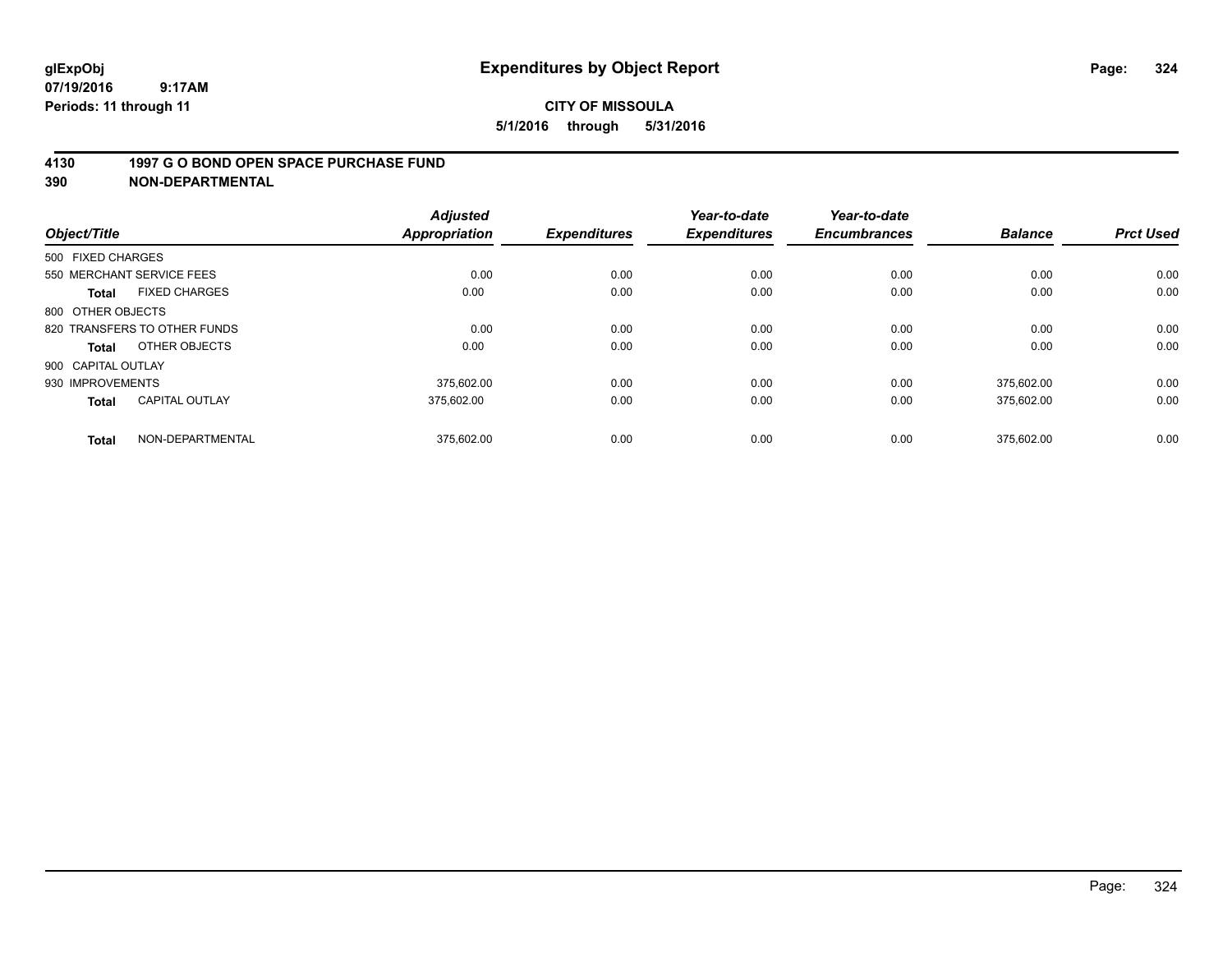#### **4130 1997 G O BOND OPEN SPACE PURCHASE FUND**

| Object/Title              |                              | <b>Adjusted</b><br><b>Appropriation</b> | <b>Expenditures</b> | Year-to-date<br><b>Expenditures</b> | Year-to-date<br><b>Encumbrances</b> | <b>Balance</b> | <b>Prct Used</b> |
|---------------------------|------------------------------|-----------------------------------------|---------------------|-------------------------------------|-------------------------------------|----------------|------------------|
| 500 FIXED CHARGES         |                              |                                         |                     |                                     |                                     |                |                  |
| 550 MERCHANT SERVICE FEES |                              | 0.00                                    | 0.00                | 0.00                                | 0.00                                | 0.00           | 0.00             |
| <b>Total</b>              | <b>FIXED CHARGES</b>         | 0.00                                    | 0.00                | 0.00                                | 0.00                                | 0.00           | 0.00             |
| 800 OTHER OBJECTS         |                              |                                         |                     |                                     |                                     |                |                  |
|                           | 820 TRANSFERS TO OTHER FUNDS | 0.00                                    | 0.00                | 0.00                                | 0.00                                | 0.00           | 0.00             |
| Total                     | OTHER OBJECTS                | 0.00                                    | 0.00                | 0.00                                | 0.00                                | 0.00           | 0.00             |
| 900 CAPITAL OUTLAY        |                              |                                         |                     |                                     |                                     |                |                  |
| 930 IMPROVEMENTS          |                              | 375.602.00                              | 0.00                | 0.00                                | 0.00                                | 375.602.00     | 0.00             |
| <b>Total</b>              | <b>CAPITAL OUTLAY</b>        | 375.602.00                              | 0.00                | 0.00                                | 0.00                                | 375,602.00     | 0.00             |
| <b>Total</b>              | NON-DEPARTMENTAL             | 375.602.00                              | 0.00                | 0.00                                | 0.00                                | 375.602.00     | 0.00             |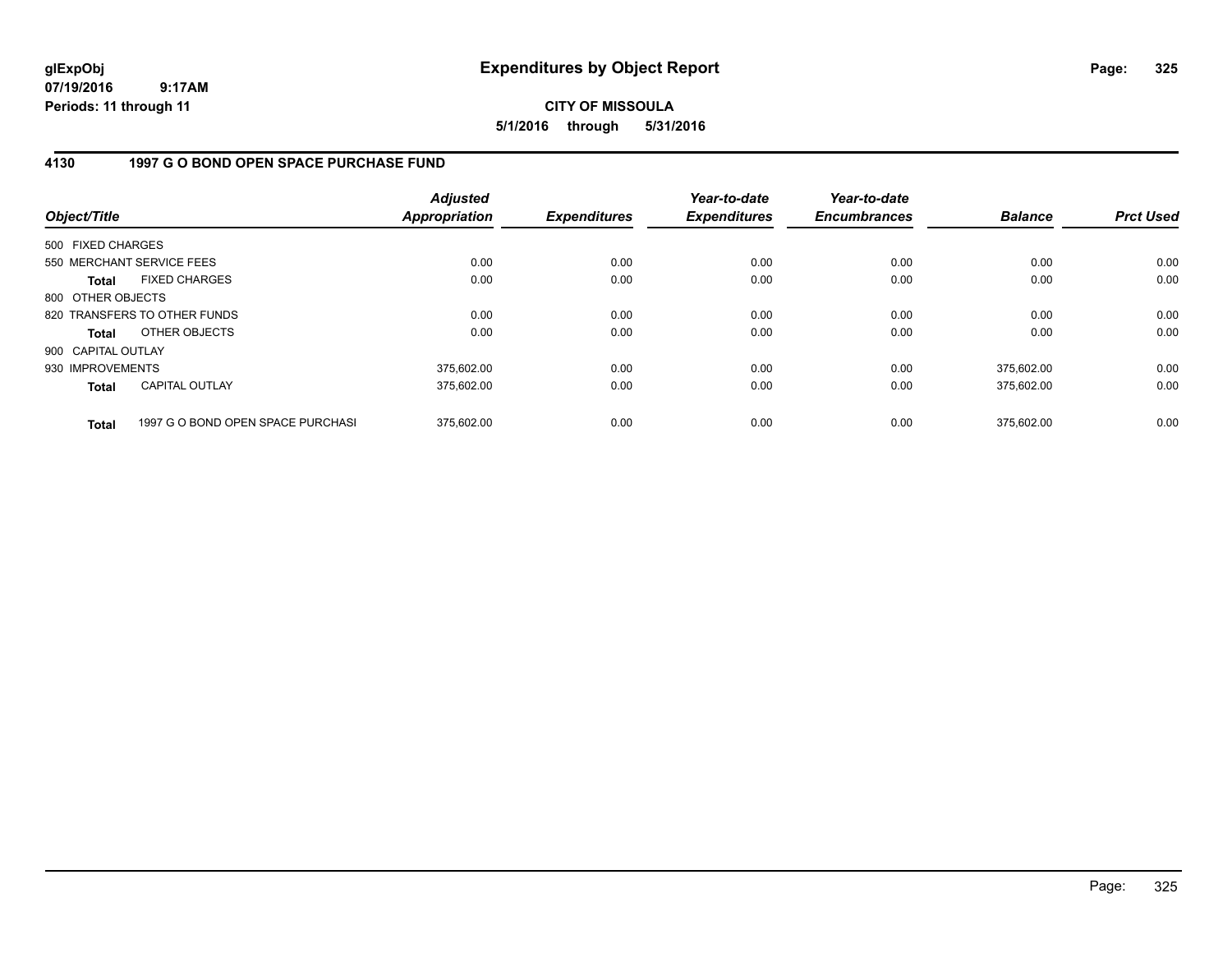**CITY OF MISSOULA 5/1/2016 through 5/31/2016**

### **4130 1997 G O BOND OPEN SPACE PURCHASE FUND**

| Object/Title       |                                   | <b>Adjusted</b><br>Appropriation | <b>Expenditures</b> | Year-to-date<br><b>Expenditures</b> | Year-to-date<br><b>Encumbrances</b> | <b>Balance</b> | <b>Prct Used</b> |
|--------------------|-----------------------------------|----------------------------------|---------------------|-------------------------------------|-------------------------------------|----------------|------------------|
| 500 FIXED CHARGES  |                                   |                                  |                     |                                     |                                     |                |                  |
|                    | 550 MERCHANT SERVICE FEES         | 0.00                             | 0.00                | 0.00                                | 0.00                                | 0.00           | 0.00             |
| <b>Total</b>       | <b>FIXED CHARGES</b>              | 0.00                             | 0.00                | 0.00                                | 0.00                                | 0.00           | 0.00             |
| 800 OTHER OBJECTS  |                                   |                                  |                     |                                     |                                     |                |                  |
|                    | 820 TRANSFERS TO OTHER FUNDS      | 0.00                             | 0.00                | 0.00                                | 0.00                                | 0.00           | 0.00             |
| Total              | OTHER OBJECTS                     | 0.00                             | 0.00                | 0.00                                | 0.00                                | 0.00           | 0.00             |
| 900 CAPITAL OUTLAY |                                   |                                  |                     |                                     |                                     |                |                  |
| 930 IMPROVEMENTS   |                                   | 375.602.00                       | 0.00                | 0.00                                | 0.00                                | 375.602.00     | 0.00             |
| <b>Total</b>       | <b>CAPITAL OUTLAY</b>             | 375.602.00                       | 0.00                | 0.00                                | 0.00                                | 375.602.00     | 0.00             |
| <b>Total</b>       | 1997 G O BOND OPEN SPACE PURCHASI | 375.602.00                       | 0.00                | 0.00                                | 0.00                                | 375.602.00     | 0.00             |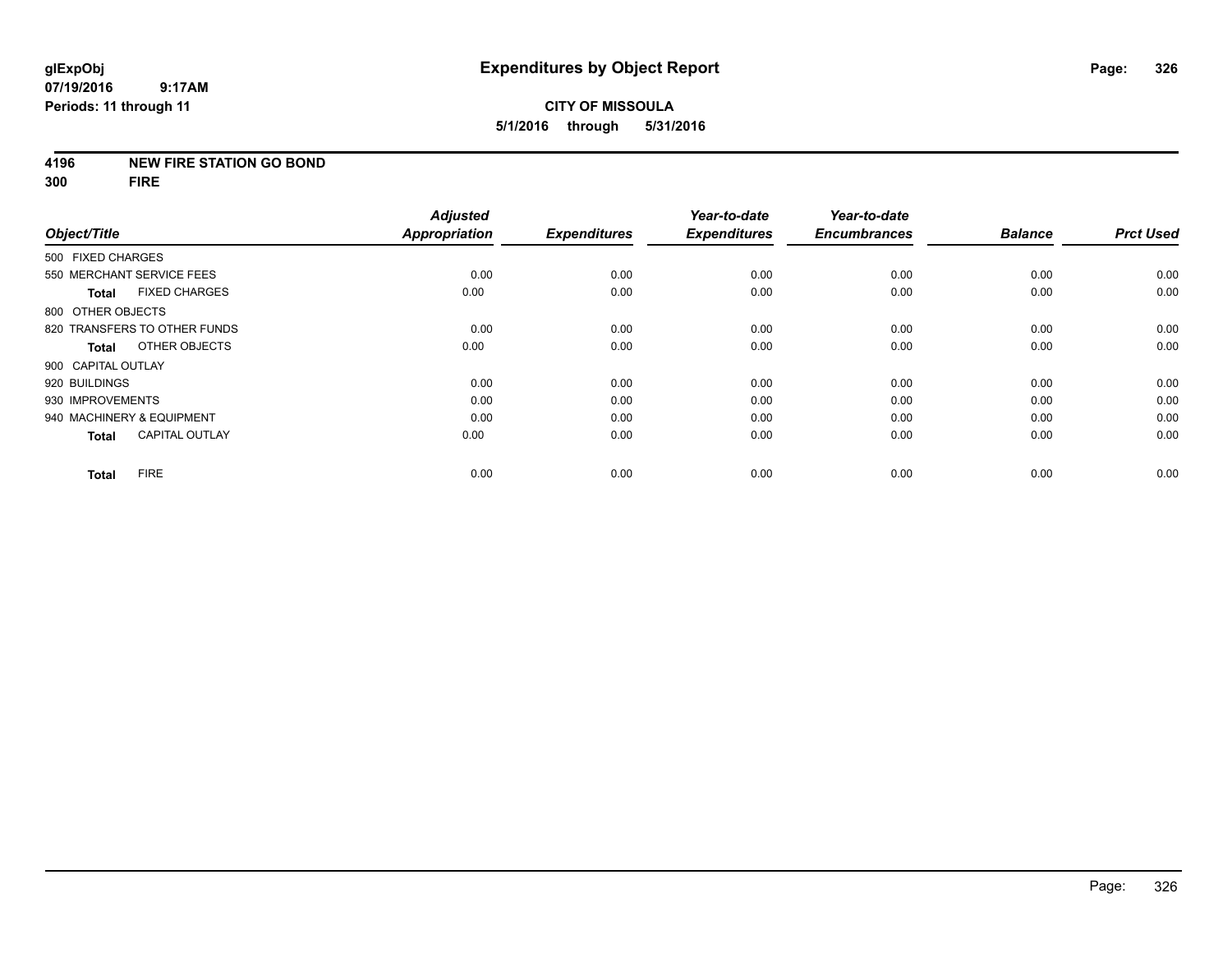### **4196 NEW FIRE STATION GO BOND**

**300 FIRE**

|                                       | <b>Adjusted</b>      |                     | Year-to-date        | Year-to-date        |                |                  |
|---------------------------------------|----------------------|---------------------|---------------------|---------------------|----------------|------------------|
| Object/Title                          | <b>Appropriation</b> | <b>Expenditures</b> | <b>Expenditures</b> | <b>Encumbrances</b> | <b>Balance</b> | <b>Prct Used</b> |
| 500 FIXED CHARGES                     |                      |                     |                     |                     |                |                  |
| 550 MERCHANT SERVICE FEES             | 0.00                 | 0.00                | 0.00                | 0.00                | 0.00           | 0.00             |
| <b>FIXED CHARGES</b><br><b>Total</b>  | 0.00                 | 0.00                | 0.00                | 0.00                | 0.00           | 0.00             |
| 800 OTHER OBJECTS                     |                      |                     |                     |                     |                |                  |
| 820 TRANSFERS TO OTHER FUNDS          | 0.00                 | 0.00                | 0.00                | 0.00                | 0.00           | 0.00             |
| OTHER OBJECTS<br><b>Total</b>         | 0.00                 | 0.00                | 0.00                | 0.00                | 0.00           | 0.00             |
| 900 CAPITAL OUTLAY                    |                      |                     |                     |                     |                |                  |
| 920 BUILDINGS                         | 0.00                 | 0.00                | 0.00                | 0.00                | 0.00           | 0.00             |
| 930 IMPROVEMENTS                      | 0.00                 | 0.00                | 0.00                | 0.00                | 0.00           | 0.00             |
| 940 MACHINERY & EQUIPMENT             | 0.00                 | 0.00                | 0.00                | 0.00                | 0.00           | 0.00             |
| <b>CAPITAL OUTLAY</b><br><b>Total</b> | 0.00                 | 0.00                | 0.00                | 0.00                | 0.00           | 0.00             |
| <b>FIRE</b><br><b>Total</b>           | 0.00                 | 0.00                | 0.00                | 0.00                | 0.00           | 0.00             |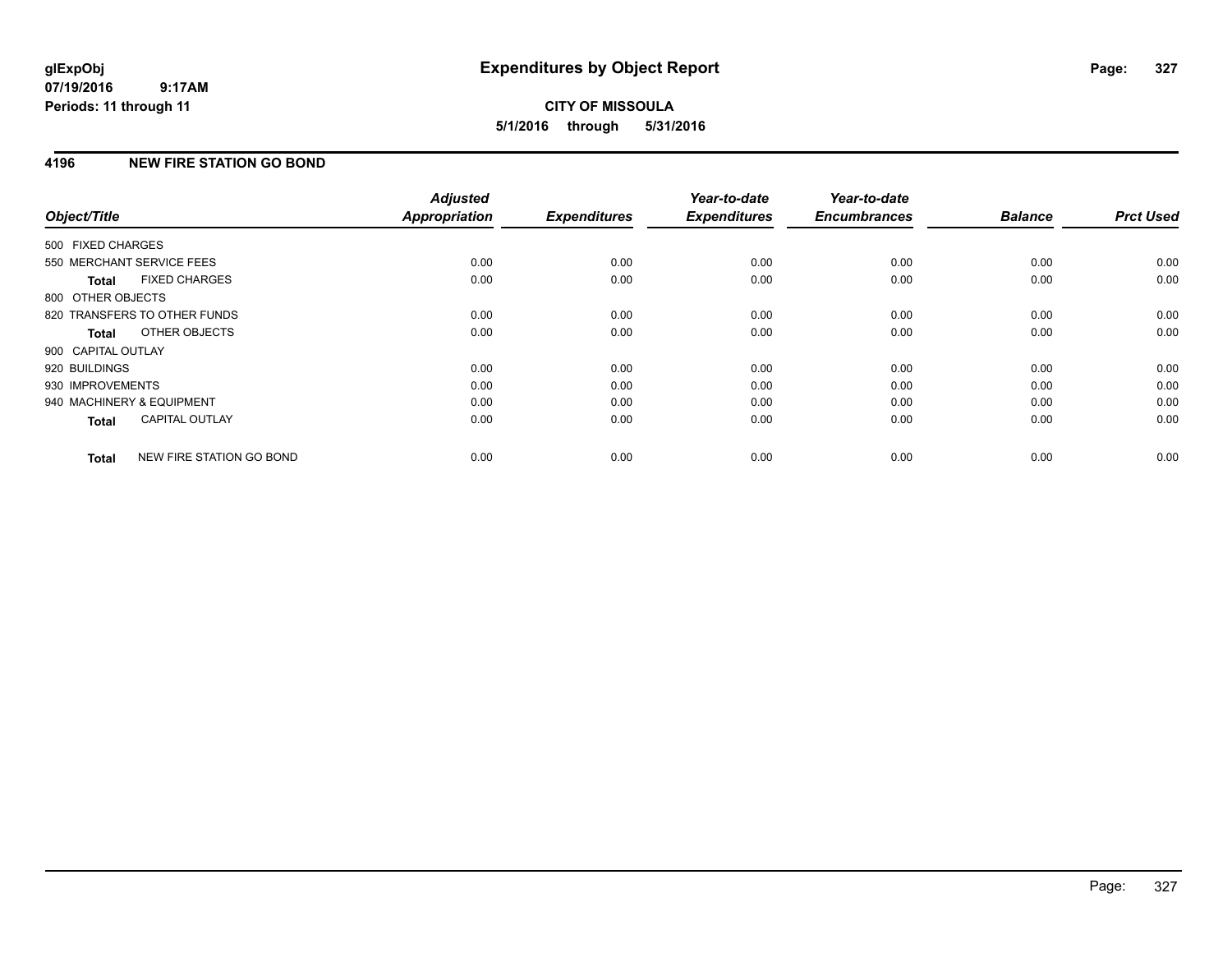# **CITY OF MISSOULA 5/1/2016 through 5/31/2016**

## **4196 NEW FIRE STATION GO BOND**

| Object/Title                 |                          | <b>Adjusted</b><br><b>Appropriation</b> | <b>Expenditures</b> | Year-to-date<br><b>Expenditures</b> | Year-to-date<br><b>Encumbrances</b> | <b>Balance</b> | <b>Prct Used</b> |
|------------------------------|--------------------------|-----------------------------------------|---------------------|-------------------------------------|-------------------------------------|----------------|------------------|
| 500 FIXED CHARGES            |                          |                                         |                     |                                     |                                     |                |                  |
| 550 MERCHANT SERVICE FEES    |                          | 0.00                                    | 0.00                | 0.00                                | 0.00                                | 0.00           | 0.00             |
| <b>Total</b>                 | <b>FIXED CHARGES</b>     | 0.00                                    | 0.00                | 0.00                                | 0.00                                | 0.00           | 0.00             |
| 800 OTHER OBJECTS            |                          |                                         |                     |                                     |                                     |                |                  |
| 820 TRANSFERS TO OTHER FUNDS |                          | 0.00                                    | 0.00                | 0.00                                | 0.00                                | 0.00           | 0.00             |
| Total                        | OTHER OBJECTS            | 0.00                                    | 0.00                | 0.00                                | 0.00                                | 0.00           | 0.00             |
| 900 CAPITAL OUTLAY           |                          |                                         |                     |                                     |                                     |                |                  |
| 920 BUILDINGS                |                          | 0.00                                    | 0.00                | 0.00                                | 0.00                                | 0.00           | 0.00             |
| 930 IMPROVEMENTS             |                          | 0.00                                    | 0.00                | 0.00                                | 0.00                                | 0.00           | 0.00             |
| 940 MACHINERY & EQUIPMENT    |                          | 0.00                                    | 0.00                | 0.00                                | 0.00                                | 0.00           | 0.00             |
| Total                        | <b>CAPITAL OUTLAY</b>    | 0.00                                    | 0.00                | 0.00                                | 0.00                                | 0.00           | 0.00             |
| <b>Total</b>                 | NEW FIRE STATION GO BOND | 0.00                                    | 0.00                | 0.00                                | 0.00                                | 0.00           | 0.00             |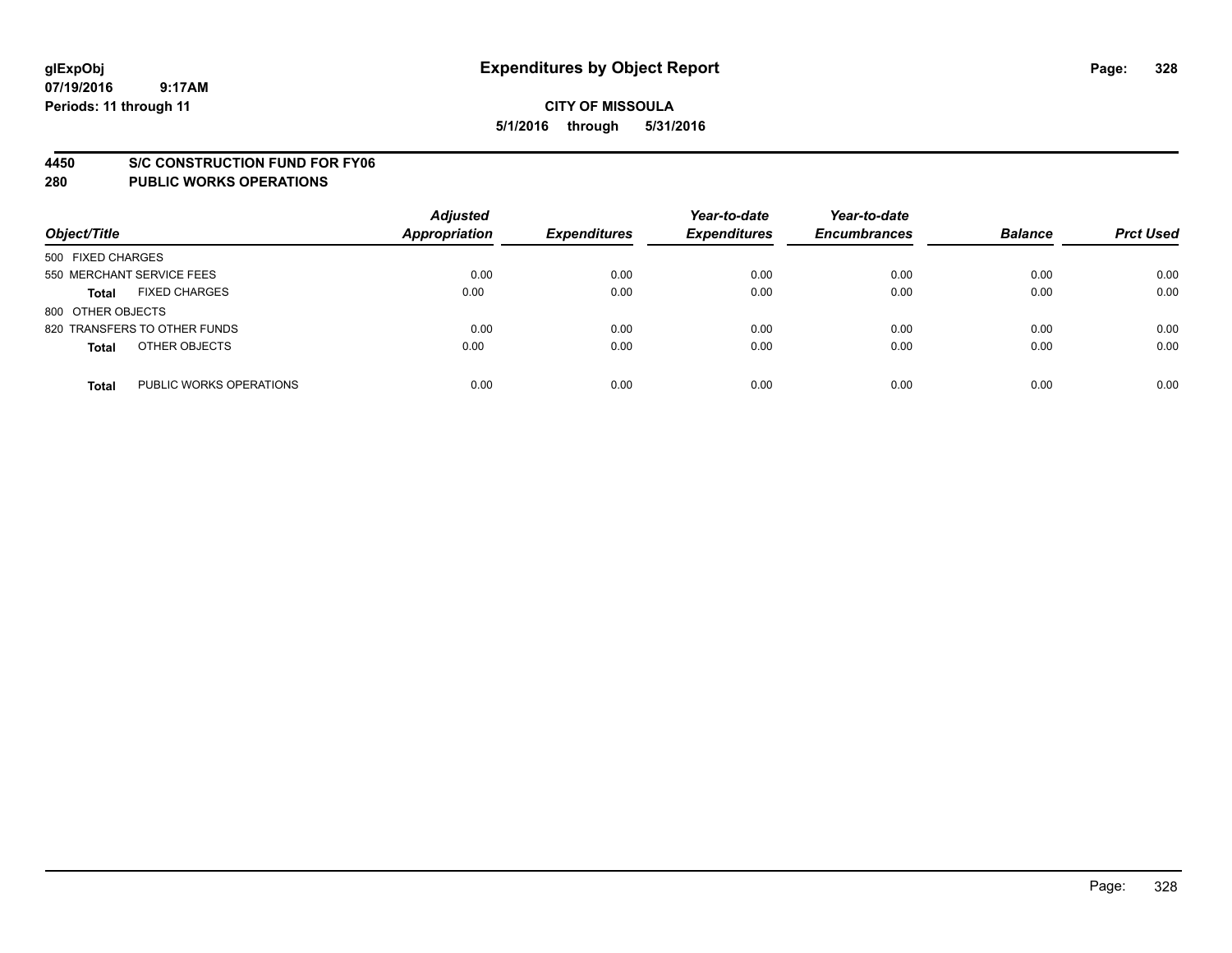#### **4450 S/C CONSTRUCTION FUND FOR FY06**

| Object/Title              |                              | <b>Adjusted</b><br><b>Appropriation</b> | <b>Expenditures</b> | Year-to-date<br><b>Expenditures</b> | Year-to-date<br><b>Encumbrances</b> | <b>Balance</b> | <b>Prct Used</b> |
|---------------------------|------------------------------|-----------------------------------------|---------------------|-------------------------------------|-------------------------------------|----------------|------------------|
| 500 FIXED CHARGES         |                              |                                         |                     |                                     |                                     |                |                  |
| 550 MERCHANT SERVICE FEES |                              | 0.00                                    | 0.00                | 0.00                                | 0.00                                | 0.00           | 0.00             |
| <b>Total</b>              | <b>FIXED CHARGES</b>         | 0.00                                    | 0.00                | 0.00                                | 0.00                                | 0.00           | 0.00             |
| 800 OTHER OBJECTS         |                              |                                         |                     |                                     |                                     |                |                  |
|                           | 820 TRANSFERS TO OTHER FUNDS | 0.00                                    | 0.00                | 0.00                                | 0.00                                | 0.00           | 0.00             |
| <b>Total</b>              | OTHER OBJECTS                | 0.00                                    | 0.00                | 0.00                                | 0.00                                | 0.00           | 0.00             |
| <b>Total</b>              | PUBLIC WORKS OPERATIONS      | 0.00                                    | 0.00                | 0.00                                | 0.00                                | 0.00           | 0.00             |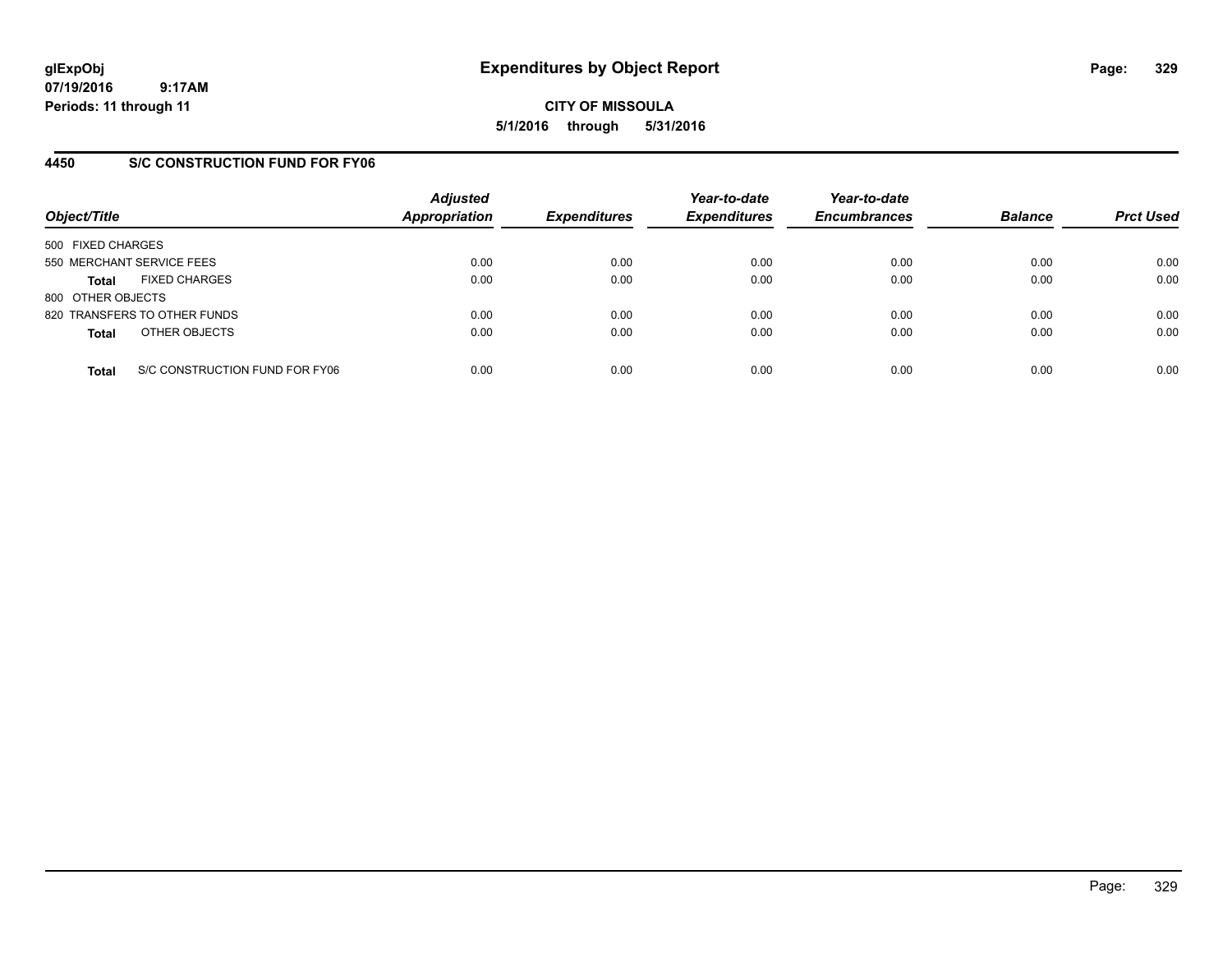**CITY OF MISSOULA 5/1/2016 through 5/31/2016**

## **4450 S/C CONSTRUCTION FUND FOR FY06**

| Object/Title                         |                                | <b>Adjusted</b><br><b>Appropriation</b> | <b>Expenditures</b> | Year-to-date<br><b>Expenditures</b> | Year-to-date<br><b>Encumbrances</b> | <b>Balance</b> | <b>Prct Used</b> |
|--------------------------------------|--------------------------------|-----------------------------------------|---------------------|-------------------------------------|-------------------------------------|----------------|------------------|
| 500 FIXED CHARGES                    |                                |                                         |                     |                                     |                                     |                |                  |
| 550 MERCHANT SERVICE FEES            |                                | 0.00                                    | 0.00                | 0.00                                | 0.00                                | 0.00           | 0.00             |
| <b>FIXED CHARGES</b><br><b>Total</b> |                                | 0.00                                    | 0.00                | 0.00                                | 0.00                                | 0.00           | 0.00             |
| 800 OTHER OBJECTS                    |                                |                                         |                     |                                     |                                     |                |                  |
| 820 TRANSFERS TO OTHER FUNDS         |                                | 0.00                                    | 0.00                | 0.00                                | 0.00                                | 0.00           | 0.00             |
| OTHER OBJECTS<br><b>Total</b>        |                                | 0.00                                    | 0.00                | 0.00                                | 0.00                                | 0.00           | 0.00             |
| <b>Total</b>                         | S/C CONSTRUCTION FUND FOR FY06 | 0.00                                    | 0.00                | 0.00                                | 0.00                                | 0.00           | 0.00             |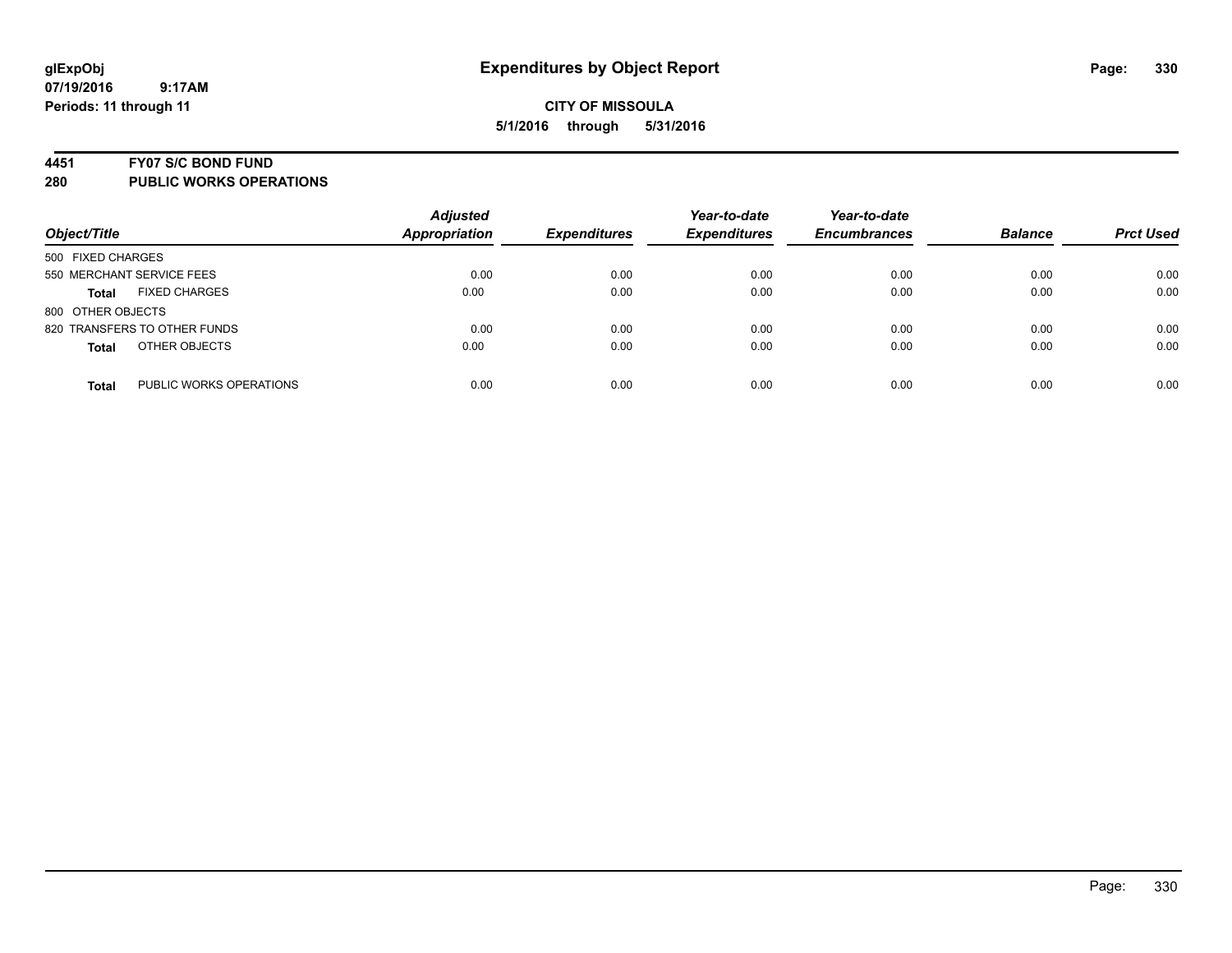#### **4451 FY07 S/C BOND FUND**

| Object/Title                            | <b>Adjusted</b><br><b>Appropriation</b> | <b>Expenditures</b> | Year-to-date<br><b>Expenditures</b> | Year-to-date<br><b>Encumbrances</b> | <b>Balance</b> | <b>Prct Used</b> |
|-----------------------------------------|-----------------------------------------|---------------------|-------------------------------------|-------------------------------------|----------------|------------------|
| 500 FIXED CHARGES                       |                                         |                     |                                     |                                     |                |                  |
| 550 MERCHANT SERVICE FEES               | 0.00                                    | 0.00                | 0.00                                | 0.00                                | 0.00           | 0.00             |
| <b>FIXED CHARGES</b><br><b>Total</b>    | 0.00                                    | 0.00                | 0.00                                | 0.00                                | 0.00           | 0.00             |
| 800 OTHER OBJECTS                       |                                         |                     |                                     |                                     |                |                  |
| 820 TRANSFERS TO OTHER FUNDS            | 0.00                                    | 0.00                | 0.00                                | 0.00                                | 0.00           | 0.00             |
| OTHER OBJECTS<br><b>Total</b>           | 0.00                                    | 0.00                | 0.00                                | 0.00                                | 0.00           | 0.00             |
| PUBLIC WORKS OPERATIONS<br><b>Total</b> | 0.00                                    | 0.00                | 0.00                                | 0.00                                | 0.00           | 0.00             |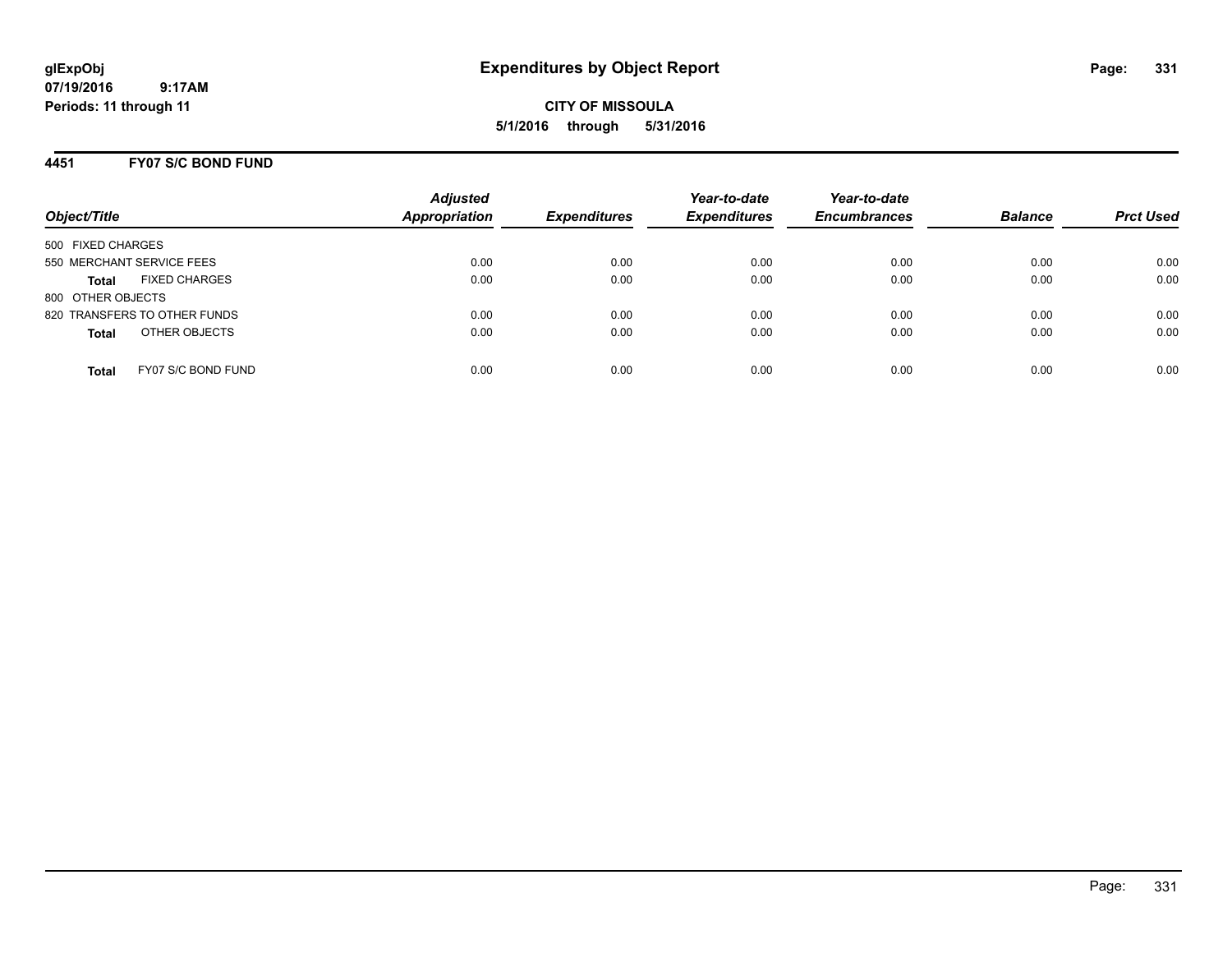**CITY OF MISSOULA 5/1/2016 through 5/31/2016**

### **4451 FY07 S/C BOND FUND**

| Object/Title                         | <b>Adjusted</b><br><b>Appropriation</b> | <b>Expenditures</b> | Year-to-date<br><b>Expenditures</b> | Year-to-date<br><b>Encumbrances</b> | <b>Balance</b> | <b>Prct Used</b> |
|--------------------------------------|-----------------------------------------|---------------------|-------------------------------------|-------------------------------------|----------------|------------------|
| 500 FIXED CHARGES                    |                                         |                     |                                     |                                     |                |                  |
| 550 MERCHANT SERVICE FEES            | 0.00                                    | 0.00                | 0.00                                | 0.00                                | 0.00           | 0.00             |
| <b>FIXED CHARGES</b><br><b>Total</b> | 0.00                                    | 0.00                | 0.00                                | 0.00                                | 0.00           | 0.00             |
| 800 OTHER OBJECTS                    |                                         |                     |                                     |                                     |                |                  |
| 820 TRANSFERS TO OTHER FUNDS         | 0.00                                    | 0.00                | 0.00                                | 0.00                                | 0.00           | 0.00             |
| OTHER OBJECTS<br><b>Total</b>        | 0.00                                    | 0.00                | 0.00                                | 0.00                                | 0.00           | 0.00             |
| FY07 S/C BOND FUND<br>Total          | 0.00                                    | 0.00                | 0.00                                | 0.00                                | 0.00           | 0.00             |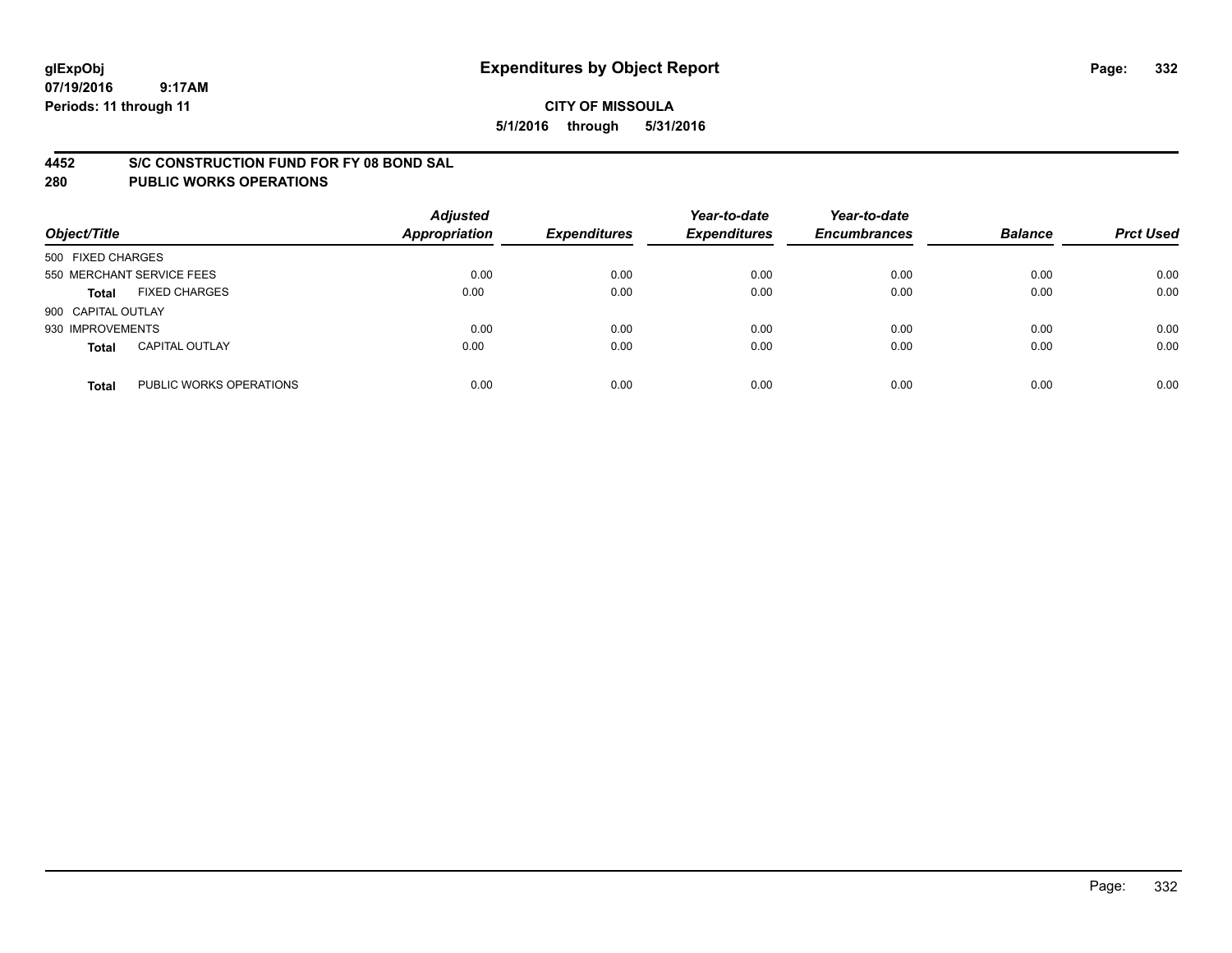### **4452 S/C CONSTRUCTION FUND FOR FY 08 BOND SAL**

| Object/Title       |                           | <b>Adjusted</b><br><b>Appropriation</b> | <b>Expenditures</b> | Year-to-date<br><b>Expenditures</b> | Year-to-date<br><b>Encumbrances</b> | <b>Balance</b> | <b>Prct Used</b> |
|--------------------|---------------------------|-----------------------------------------|---------------------|-------------------------------------|-------------------------------------|----------------|------------------|
| 500 FIXED CHARGES  |                           |                                         |                     |                                     |                                     |                |                  |
|                    | 550 MERCHANT SERVICE FEES | 0.00                                    | 0.00                | 0.00                                | 0.00                                | 0.00           | 0.00             |
| <b>Total</b>       | <b>FIXED CHARGES</b>      | 0.00                                    | 0.00                | 0.00                                | 0.00                                | 0.00           | 0.00             |
| 900 CAPITAL OUTLAY |                           |                                         |                     |                                     |                                     |                |                  |
| 930 IMPROVEMENTS   |                           | 0.00                                    | 0.00                | 0.00                                | 0.00                                | 0.00           | 0.00             |
| <b>Total</b>       | <b>CAPITAL OUTLAY</b>     | 0.00                                    | 0.00                | 0.00                                | 0.00                                | 0.00           | 0.00             |
| <b>Total</b>       | PUBLIC WORKS OPERATIONS   | 0.00                                    | 0.00                | 0.00                                | 0.00                                | 0.00           | 0.00             |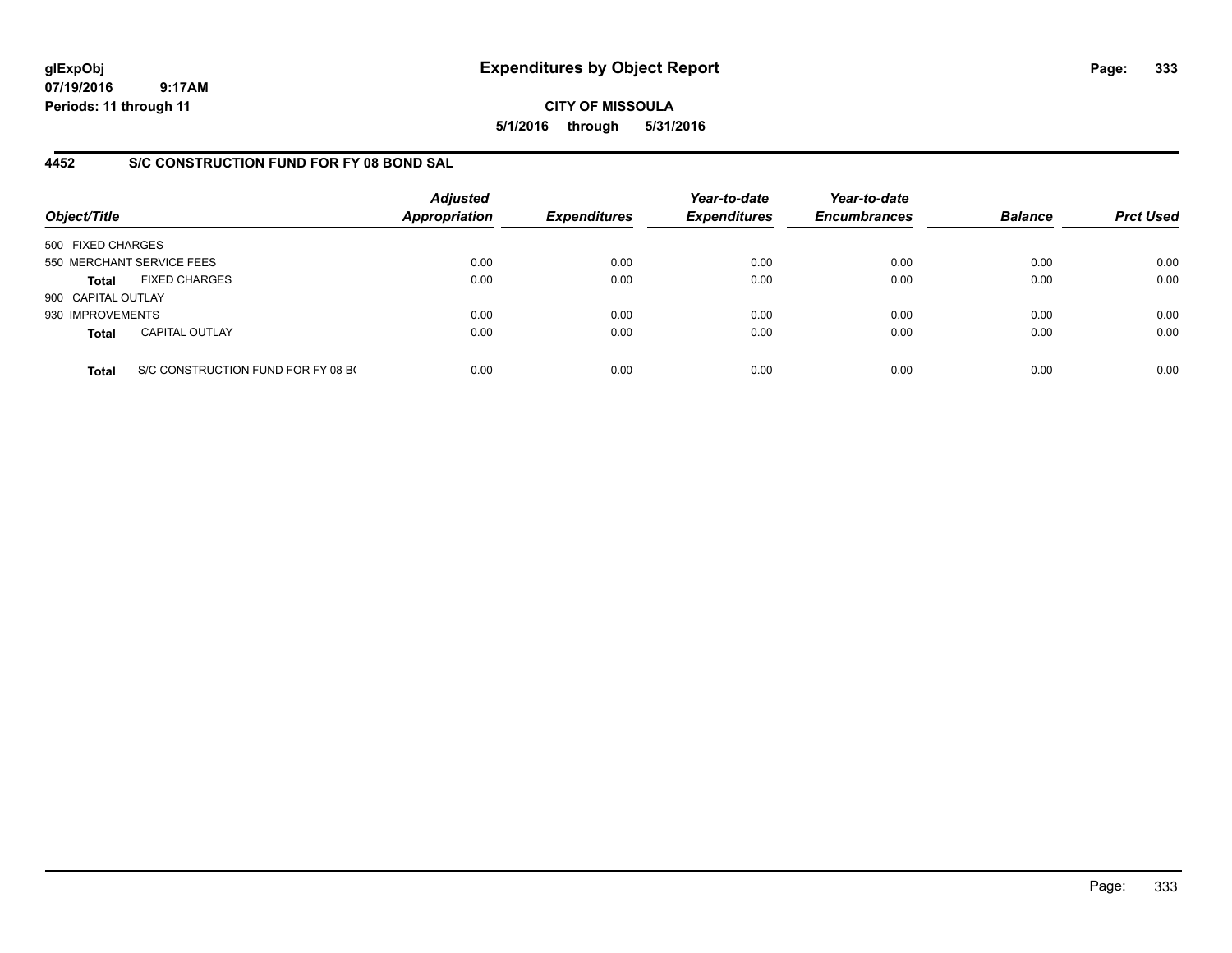**CITY OF MISSOULA 5/1/2016 through 5/31/2016**

## **4452 S/C CONSTRUCTION FUND FOR FY 08 BOND SAL**

| Object/Title       |                                    | <b>Adjusted</b><br><b>Appropriation</b> | <b>Expenditures</b> | Year-to-date<br><b>Expenditures</b> | Year-to-date<br><b>Encumbrances</b> | <b>Balance</b> | <b>Prct Used</b> |
|--------------------|------------------------------------|-----------------------------------------|---------------------|-------------------------------------|-------------------------------------|----------------|------------------|
| 500 FIXED CHARGES  |                                    |                                         |                     |                                     |                                     |                |                  |
|                    | 550 MERCHANT SERVICE FEES          | 0.00                                    | 0.00                | 0.00                                | 0.00                                | 0.00           | 0.00             |
| Total              | <b>FIXED CHARGES</b>               | 0.00                                    | 0.00                | 0.00                                | 0.00                                | 0.00           | 0.00             |
| 900 CAPITAL OUTLAY |                                    |                                         |                     |                                     |                                     |                |                  |
| 930 IMPROVEMENTS   |                                    | 0.00                                    | 0.00                | 0.00                                | 0.00                                | 0.00           | 0.00             |
| <b>Total</b>       | <b>CAPITAL OUTLAY</b>              | 0.00                                    | 0.00                | 0.00                                | 0.00                                | 0.00           | 0.00             |
| <b>Total</b>       | S/C CONSTRUCTION FUND FOR FY 08 BO | 0.00                                    | 0.00                | 0.00                                | 0.00                                | 0.00           | 0.00             |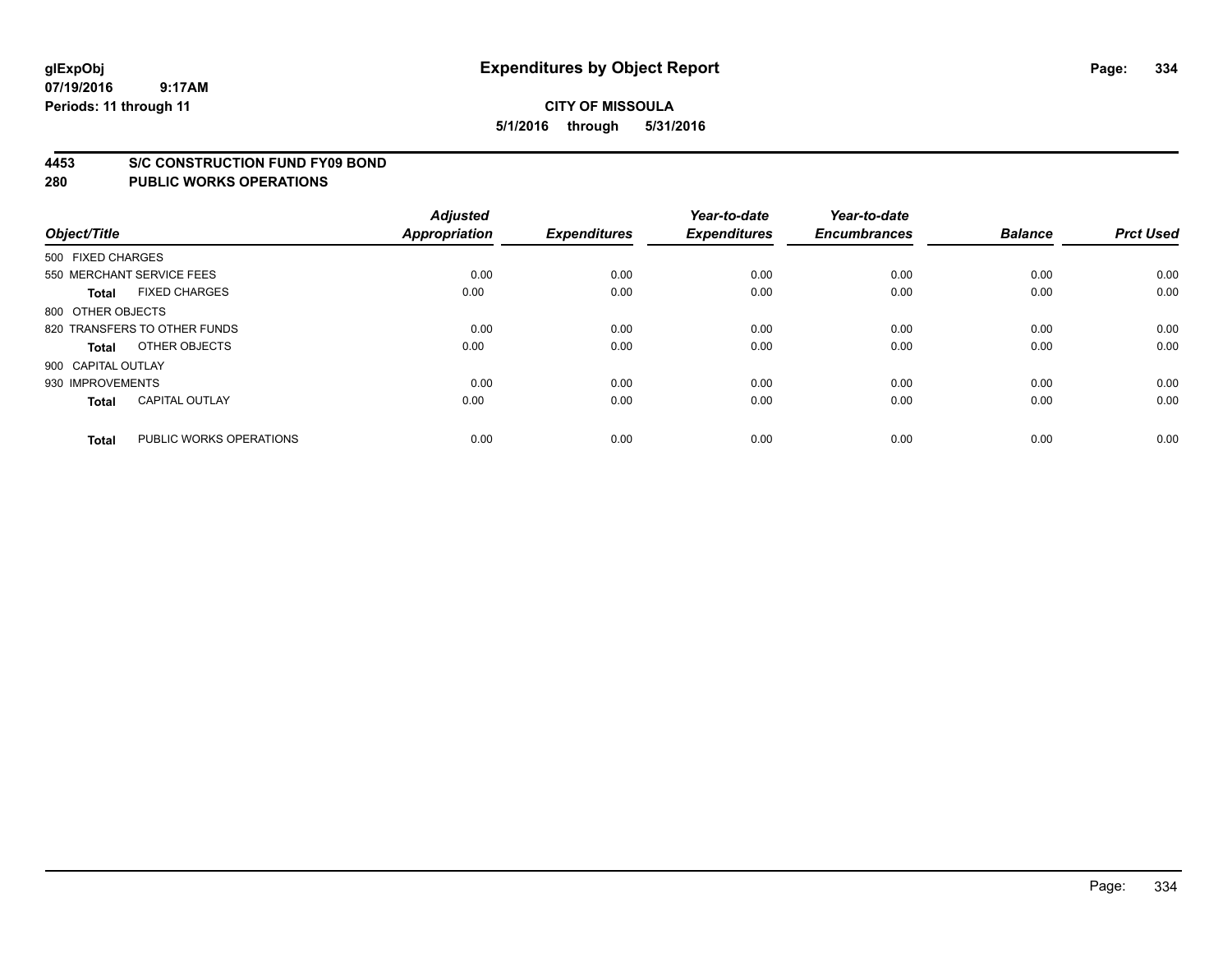#### **4453 S/C CONSTRUCTION FUND FY09 BOND**

| Object/Title       |                              | <b>Adjusted</b><br><b>Appropriation</b> | <b>Expenditures</b> | Year-to-date<br><b>Expenditures</b> | Year-to-date<br><b>Encumbrances</b> | <b>Balance</b> | <b>Prct Used</b> |
|--------------------|------------------------------|-----------------------------------------|---------------------|-------------------------------------|-------------------------------------|----------------|------------------|
| 500 FIXED CHARGES  |                              |                                         |                     |                                     |                                     |                |                  |
|                    | 550 MERCHANT SERVICE FEES    | 0.00                                    | 0.00                | 0.00                                | 0.00                                | 0.00           | 0.00             |
| <b>Total</b>       | <b>FIXED CHARGES</b>         | 0.00                                    | 0.00                | 0.00                                | 0.00                                | 0.00           | 0.00             |
| 800 OTHER OBJECTS  |                              |                                         |                     |                                     |                                     |                |                  |
|                    | 820 TRANSFERS TO OTHER FUNDS | 0.00                                    | 0.00                | 0.00                                | 0.00                                | 0.00           | 0.00             |
| <b>Total</b>       | OTHER OBJECTS                | 0.00                                    | 0.00                | 0.00                                | 0.00                                | 0.00           | 0.00             |
| 900 CAPITAL OUTLAY |                              |                                         |                     |                                     |                                     |                |                  |
| 930 IMPROVEMENTS   |                              | 0.00                                    | 0.00                | 0.00                                | 0.00                                | 0.00           | 0.00             |
| <b>Total</b>       | <b>CAPITAL OUTLAY</b>        | 0.00                                    | 0.00                | 0.00                                | 0.00                                | 0.00           | 0.00             |
| <b>Total</b>       | PUBLIC WORKS OPERATIONS      | 0.00                                    | 0.00                | 0.00                                | 0.00                                | 0.00           | 0.00             |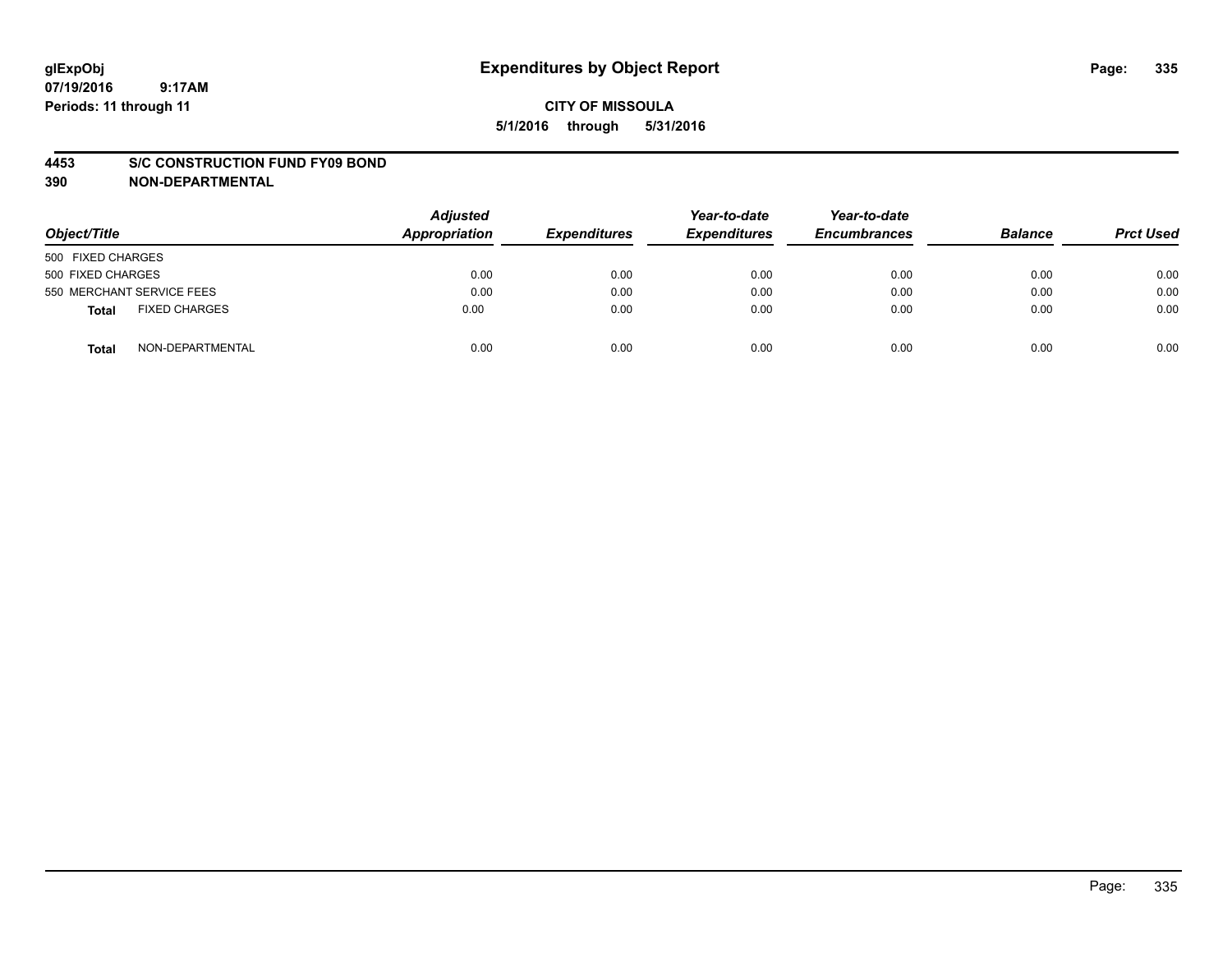#### **4453 S/C CONSTRUCTION FUND FY09 BOND**

**390 NON-DEPARTMENTAL**

| Object/Title                  | <b>Adjusted</b><br>Appropriation | <b>Expenditures</b> | Year-to-date<br><b>Expenditures</b> | Year-to-date<br><b>Encumbrances</b> | <b>Balance</b> | <b>Prct Used</b> |
|-------------------------------|----------------------------------|---------------------|-------------------------------------|-------------------------------------|----------------|------------------|
| 500 FIXED CHARGES             |                                  |                     |                                     |                                     |                |                  |
| 500 FIXED CHARGES             | 0.00                             | 0.00                | 0.00                                | 0.00                                | 0.00           | 0.00             |
| 550 MERCHANT SERVICE FEES     | 0.00                             | 0.00                | 0.00                                | 0.00                                | 0.00           | 0.00             |
| <b>FIXED CHARGES</b><br>Total | 0.00                             | 0.00                | 0.00                                | 0.00                                | 0.00           | 0.00             |
| NON-DEPARTMENTAL<br>Total     | 0.00                             | 0.00                | 0.00                                | 0.00                                | 0.00           | 0.00             |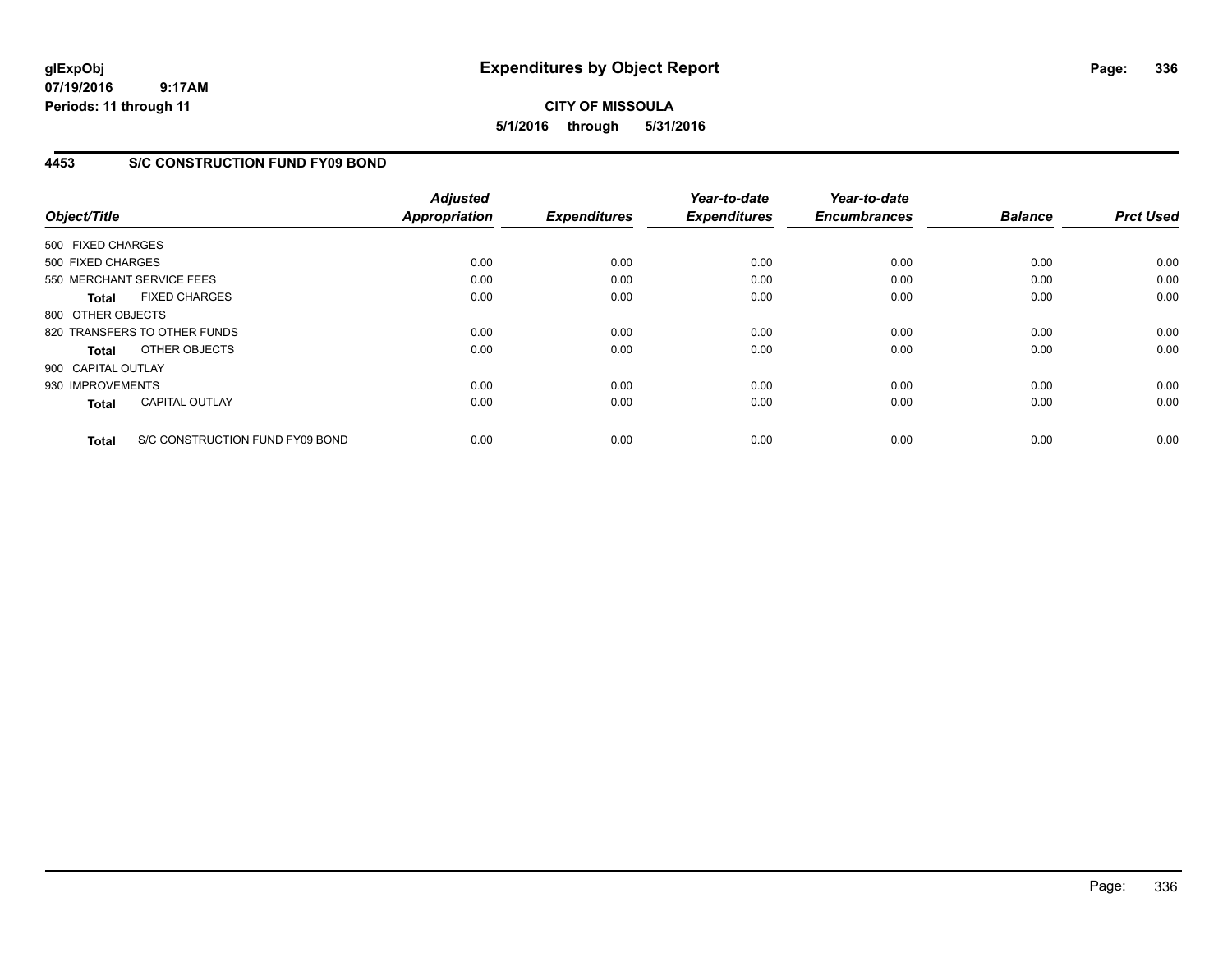**CITY OF MISSOULA 5/1/2016 through 5/31/2016**

## **4453 S/C CONSTRUCTION FUND FY09 BOND**

| Object/Title       |                                 | <b>Adjusted</b><br><b>Appropriation</b> | <b>Expenditures</b> | Year-to-date<br><b>Expenditures</b> | Year-to-date<br><b>Encumbrances</b> | <b>Balance</b> | <b>Prct Used</b> |
|--------------------|---------------------------------|-----------------------------------------|---------------------|-------------------------------------|-------------------------------------|----------------|------------------|
| 500 FIXED CHARGES  |                                 |                                         |                     |                                     |                                     |                |                  |
| 500 FIXED CHARGES  |                                 | 0.00                                    | 0.00                | 0.00                                | 0.00                                | 0.00           | 0.00             |
|                    | 550 MERCHANT SERVICE FEES       | 0.00                                    | 0.00                | 0.00                                | 0.00                                | 0.00           | 0.00             |
| <b>Total</b>       | <b>FIXED CHARGES</b>            | 0.00                                    | 0.00                | 0.00                                | 0.00                                | 0.00           | 0.00             |
| 800 OTHER OBJECTS  |                                 |                                         |                     |                                     |                                     |                |                  |
|                    | 820 TRANSFERS TO OTHER FUNDS    | 0.00                                    | 0.00                | 0.00                                | 0.00                                | 0.00           | 0.00             |
| Total              | OTHER OBJECTS                   | 0.00                                    | 0.00                | 0.00                                | 0.00                                | 0.00           | 0.00             |
| 900 CAPITAL OUTLAY |                                 |                                         |                     |                                     |                                     |                |                  |
| 930 IMPROVEMENTS   |                                 | 0.00                                    | 0.00                | 0.00                                | 0.00                                | 0.00           | 0.00             |
| <b>Total</b>       | <b>CAPITAL OUTLAY</b>           | 0.00                                    | 0.00                | 0.00                                | 0.00                                | 0.00           | 0.00             |
| <b>Total</b>       | S/C CONSTRUCTION FUND FY09 BOND | 0.00                                    | 0.00                | 0.00                                | 0.00                                | 0.00           | 0.00             |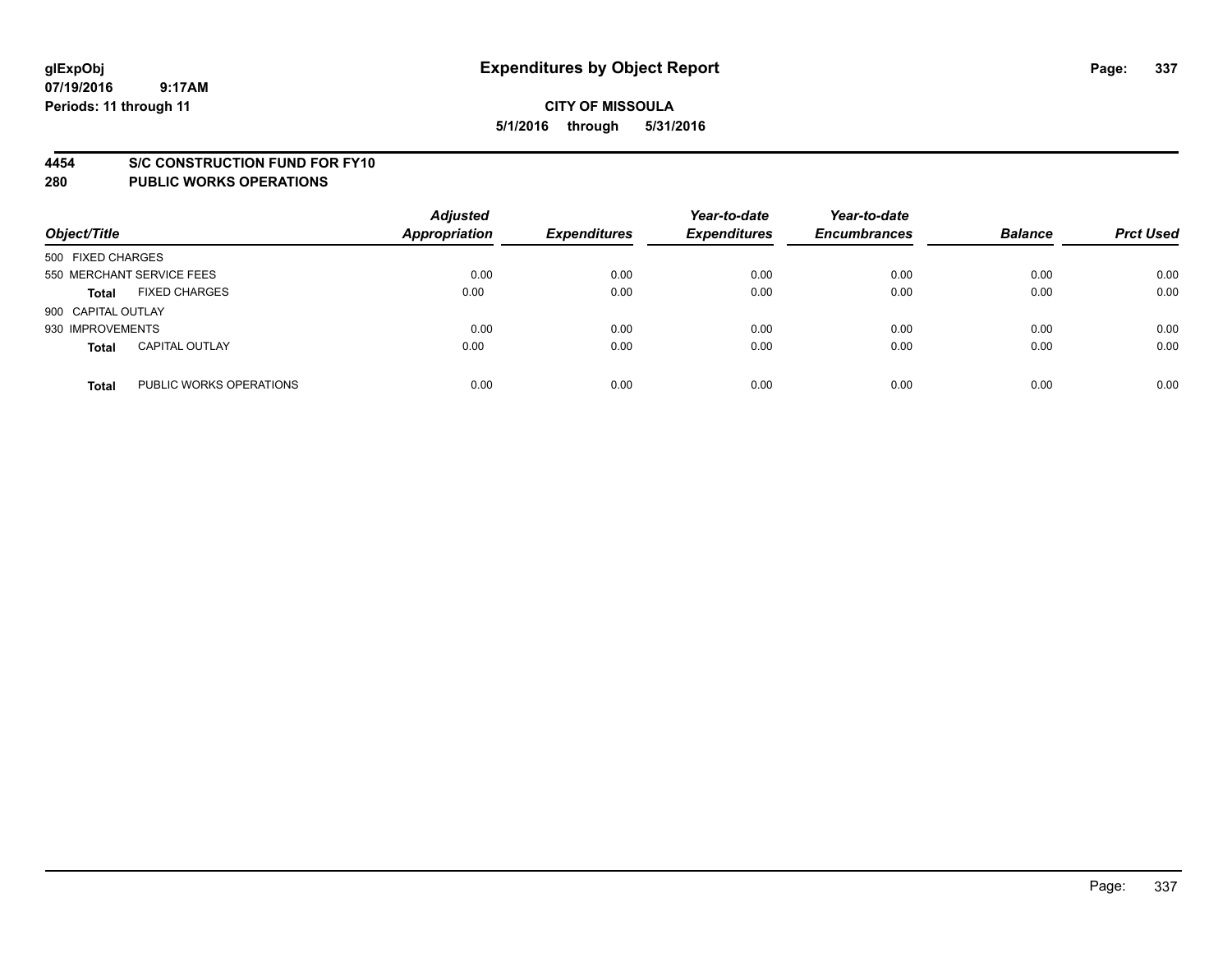#### **4454 S/C CONSTRUCTION FUND FOR FY10**

| Object/Title       |                           | <b>Adjusted</b><br><b>Appropriation</b> | <b>Expenditures</b> | Year-to-date<br><b>Expenditures</b> | Year-to-date<br><b>Encumbrances</b> | <b>Balance</b> | <b>Prct Used</b> |
|--------------------|---------------------------|-----------------------------------------|---------------------|-------------------------------------|-------------------------------------|----------------|------------------|
| 500 FIXED CHARGES  |                           |                                         |                     |                                     |                                     |                |                  |
|                    | 550 MERCHANT SERVICE FEES | 0.00                                    | 0.00                | 0.00                                | 0.00                                | 0.00           | 0.00             |
| <b>Total</b>       | <b>FIXED CHARGES</b>      | 0.00                                    | 0.00                | 0.00                                | 0.00                                | 0.00           | 0.00             |
| 900 CAPITAL OUTLAY |                           |                                         |                     |                                     |                                     |                |                  |
| 930 IMPROVEMENTS   |                           | 0.00                                    | 0.00                | 0.00                                | 0.00                                | 0.00           | 0.00             |
| <b>Total</b>       | <b>CAPITAL OUTLAY</b>     | 0.00                                    | 0.00                | 0.00                                | 0.00                                | 0.00           | 0.00             |
| <b>Total</b>       | PUBLIC WORKS OPERATIONS   | 0.00                                    | 0.00                | 0.00                                | 0.00                                | 0.00           | 0.00             |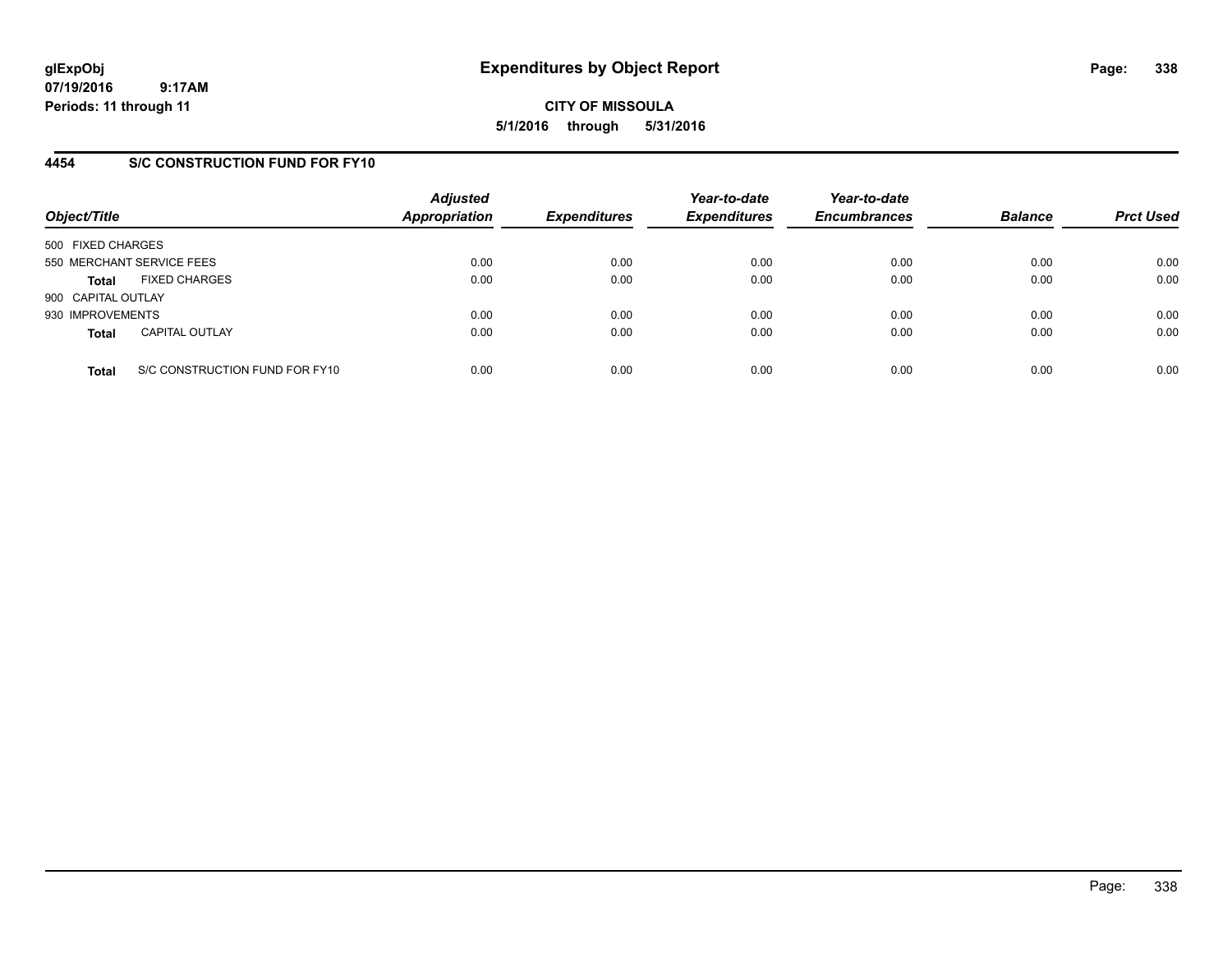**CITY OF MISSOULA 5/1/2016 through 5/31/2016**

### **4454 S/C CONSTRUCTION FUND FOR FY10**

| Object/Title       |                                | <b>Adjusted</b><br><b>Appropriation</b> | <b>Expenditures</b> | Year-to-date<br><b>Expenditures</b> | Year-to-date<br><b>Encumbrances</b> | <b>Balance</b> | <b>Prct Used</b> |
|--------------------|--------------------------------|-----------------------------------------|---------------------|-------------------------------------|-------------------------------------|----------------|------------------|
| 500 FIXED CHARGES  |                                |                                         |                     |                                     |                                     |                |                  |
|                    | 550 MERCHANT SERVICE FEES      | 0.00                                    | 0.00                | 0.00                                | 0.00                                | 0.00           | 0.00             |
| <b>Total</b>       | <b>FIXED CHARGES</b>           | 0.00                                    | 0.00                | 0.00                                | 0.00                                | 0.00           | 0.00             |
| 900 CAPITAL OUTLAY |                                |                                         |                     |                                     |                                     |                |                  |
| 930 IMPROVEMENTS   |                                | 0.00                                    | 0.00                | 0.00                                | 0.00                                | 0.00           | 0.00             |
| <b>Total</b>       | <b>CAPITAL OUTLAY</b>          | 0.00                                    | 0.00                | 0.00                                | 0.00                                | 0.00           | 0.00             |
| <b>Total</b>       | S/C CONSTRUCTION FUND FOR FY10 | 0.00                                    | 0.00                | 0.00                                | 0.00                                | 0.00           | 0.00             |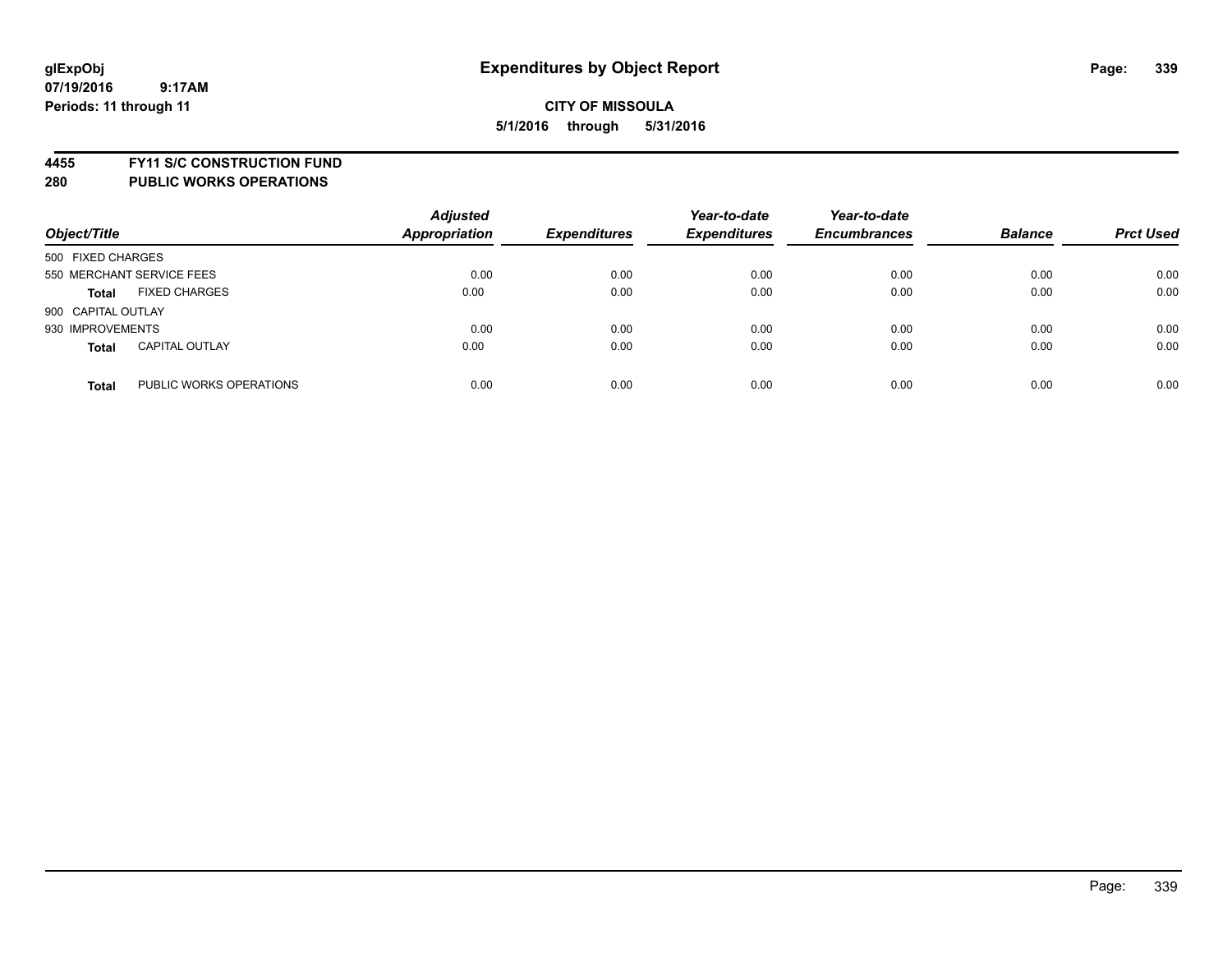**4455 FY11 S/C CONSTRUCTION FUND**

| Object/Title       |                           | <b>Adjusted</b><br><b>Appropriation</b> | <b>Expenditures</b> | Year-to-date<br><b>Expenditures</b> | Year-to-date<br><b>Encumbrances</b> | <b>Balance</b> | <b>Prct Used</b> |
|--------------------|---------------------------|-----------------------------------------|---------------------|-------------------------------------|-------------------------------------|----------------|------------------|
| 500 FIXED CHARGES  |                           |                                         |                     |                                     |                                     |                |                  |
|                    | 550 MERCHANT SERVICE FEES | 0.00                                    | 0.00                | 0.00                                | 0.00                                | 0.00           | 0.00             |
| <b>Total</b>       | <b>FIXED CHARGES</b>      | 0.00                                    | 0.00                | 0.00                                | 0.00                                | 0.00           | 0.00             |
| 900 CAPITAL OUTLAY |                           |                                         |                     |                                     |                                     |                |                  |
| 930 IMPROVEMENTS   |                           | 0.00                                    | 0.00                | 0.00                                | 0.00                                | 0.00           | 0.00             |
| <b>Total</b>       | <b>CAPITAL OUTLAY</b>     | 0.00                                    | 0.00                | 0.00                                | 0.00                                | 0.00           | 0.00             |
| <b>Total</b>       | PUBLIC WORKS OPERATIONS   | 0.00                                    | 0.00                | 0.00                                | 0.00                                | 0.00           | 0.00             |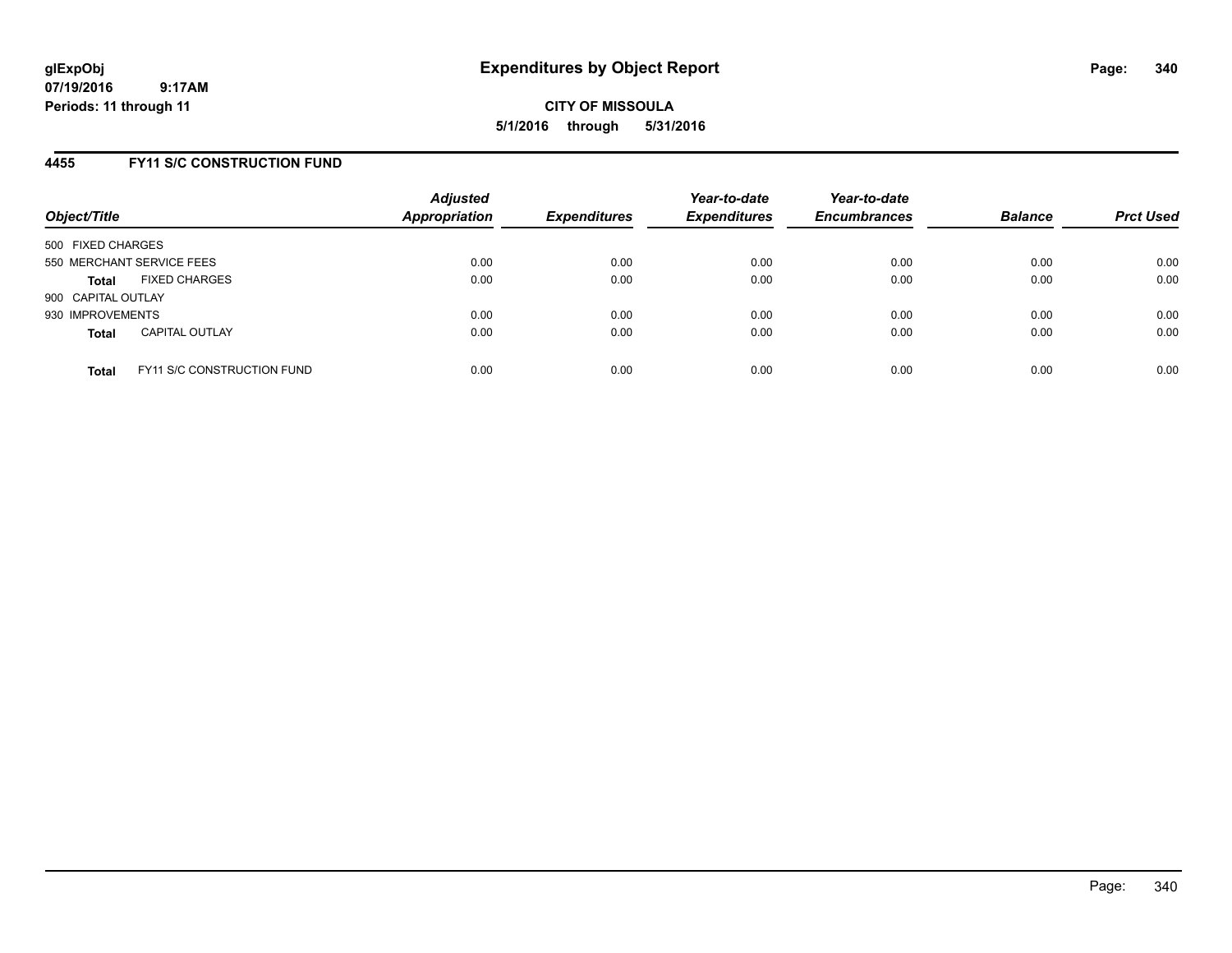**CITY OF MISSOULA 5/1/2016 through 5/31/2016**

### **4455 FY11 S/C CONSTRUCTION FUND**

| Object/Title              |                                   | <b>Adjusted</b><br>Appropriation | <b>Expenditures</b> | Year-to-date<br><b>Expenditures</b> | Year-to-date<br><b>Encumbrances</b> | <b>Balance</b> | <b>Prct Used</b> |
|---------------------------|-----------------------------------|----------------------------------|---------------------|-------------------------------------|-------------------------------------|----------------|------------------|
| 500 FIXED CHARGES         |                                   |                                  |                     |                                     |                                     |                |                  |
| 550 MERCHANT SERVICE FEES |                                   | 0.00                             | 0.00                | 0.00                                | 0.00                                | 0.00           | 0.00             |
| <b>Total</b>              | <b>FIXED CHARGES</b>              | 0.00                             | 0.00                | 0.00                                | 0.00                                | 0.00           | 0.00             |
| 900 CAPITAL OUTLAY        |                                   |                                  |                     |                                     |                                     |                |                  |
| 930 IMPROVEMENTS          |                                   | 0.00                             | 0.00                | 0.00                                | 0.00                                | 0.00           | 0.00             |
| <b>Total</b>              | <b>CAPITAL OUTLAY</b>             | 0.00                             | 0.00                | 0.00                                | 0.00                                | 0.00           | 0.00             |
| <b>Total</b>              | <b>FY11 S/C CONSTRUCTION FUND</b> | 0.00                             | 0.00                | 0.00                                | 0.00                                | 0.00           | 0.00             |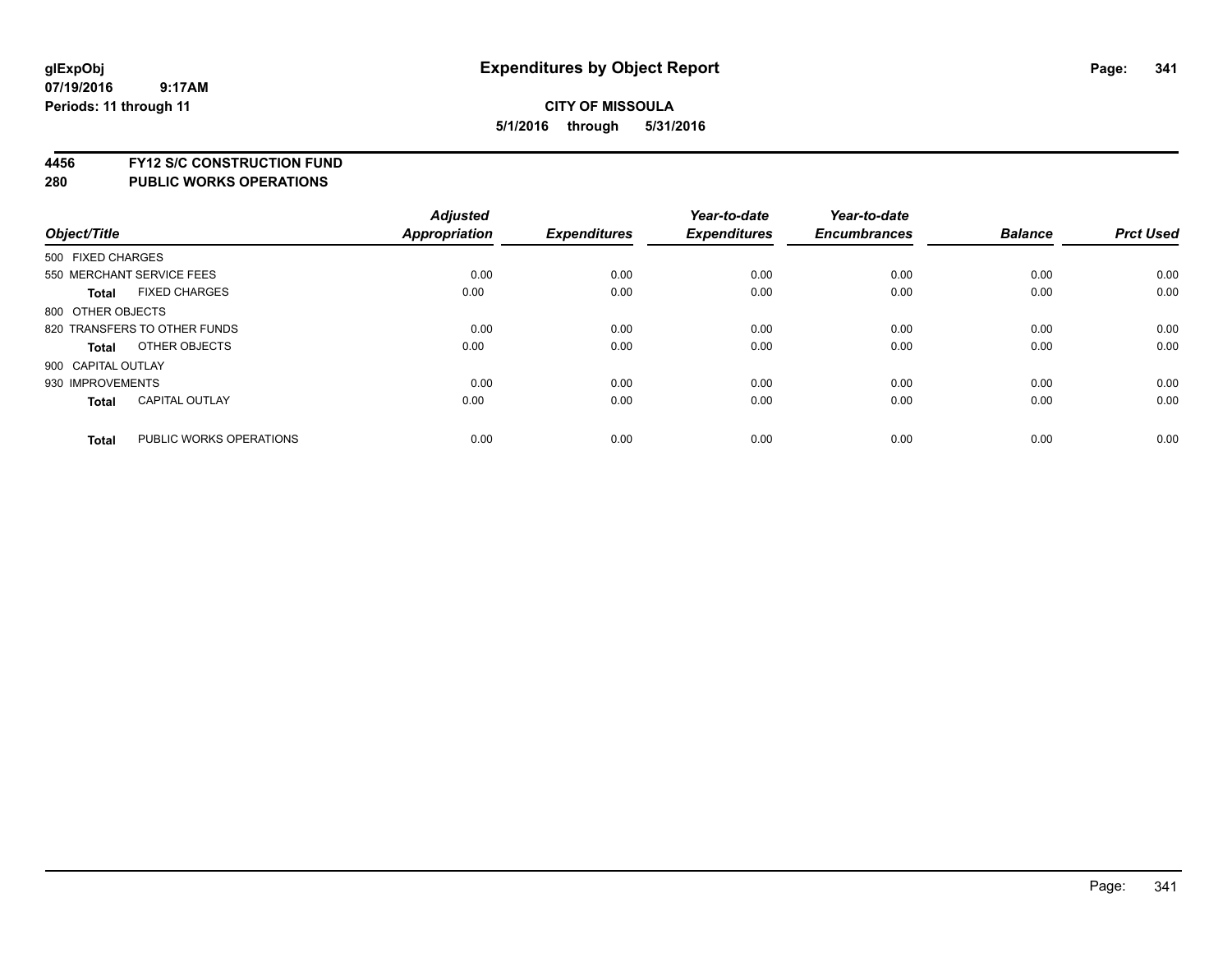**4456 FY12 S/C CONSTRUCTION FUND**

|                    |                              | <b>Adjusted</b> |                     | Year-to-date        | Year-to-date        |                |                  |
|--------------------|------------------------------|-----------------|---------------------|---------------------|---------------------|----------------|------------------|
| Object/Title       |                              | Appropriation   | <b>Expenditures</b> | <b>Expenditures</b> | <b>Encumbrances</b> | <b>Balance</b> | <b>Prct Used</b> |
| 500 FIXED CHARGES  |                              |                 |                     |                     |                     |                |                  |
|                    | 550 MERCHANT SERVICE FEES    | 0.00            | 0.00                | 0.00                | 0.00                | 0.00           | 0.00             |
| <b>Total</b>       | <b>FIXED CHARGES</b>         | 0.00            | 0.00                | 0.00                | 0.00                | 0.00           | 0.00             |
| 800 OTHER OBJECTS  |                              |                 |                     |                     |                     |                |                  |
|                    | 820 TRANSFERS TO OTHER FUNDS | 0.00            | 0.00                | 0.00                | 0.00                | 0.00           | 0.00             |
| Total              | OTHER OBJECTS                | 0.00            | 0.00                | 0.00                | 0.00                | 0.00           | 0.00             |
| 900 CAPITAL OUTLAY |                              |                 |                     |                     |                     |                |                  |
| 930 IMPROVEMENTS   |                              | 0.00            | 0.00                | 0.00                | 0.00                | 0.00           | 0.00             |
| Total              | <b>CAPITAL OUTLAY</b>        | 0.00            | 0.00                | 0.00                | 0.00                | 0.00           | 0.00             |
| <b>Total</b>       | PUBLIC WORKS OPERATIONS      | 0.00            | 0.00                | 0.00                | 0.00                | 0.00           | 0.00             |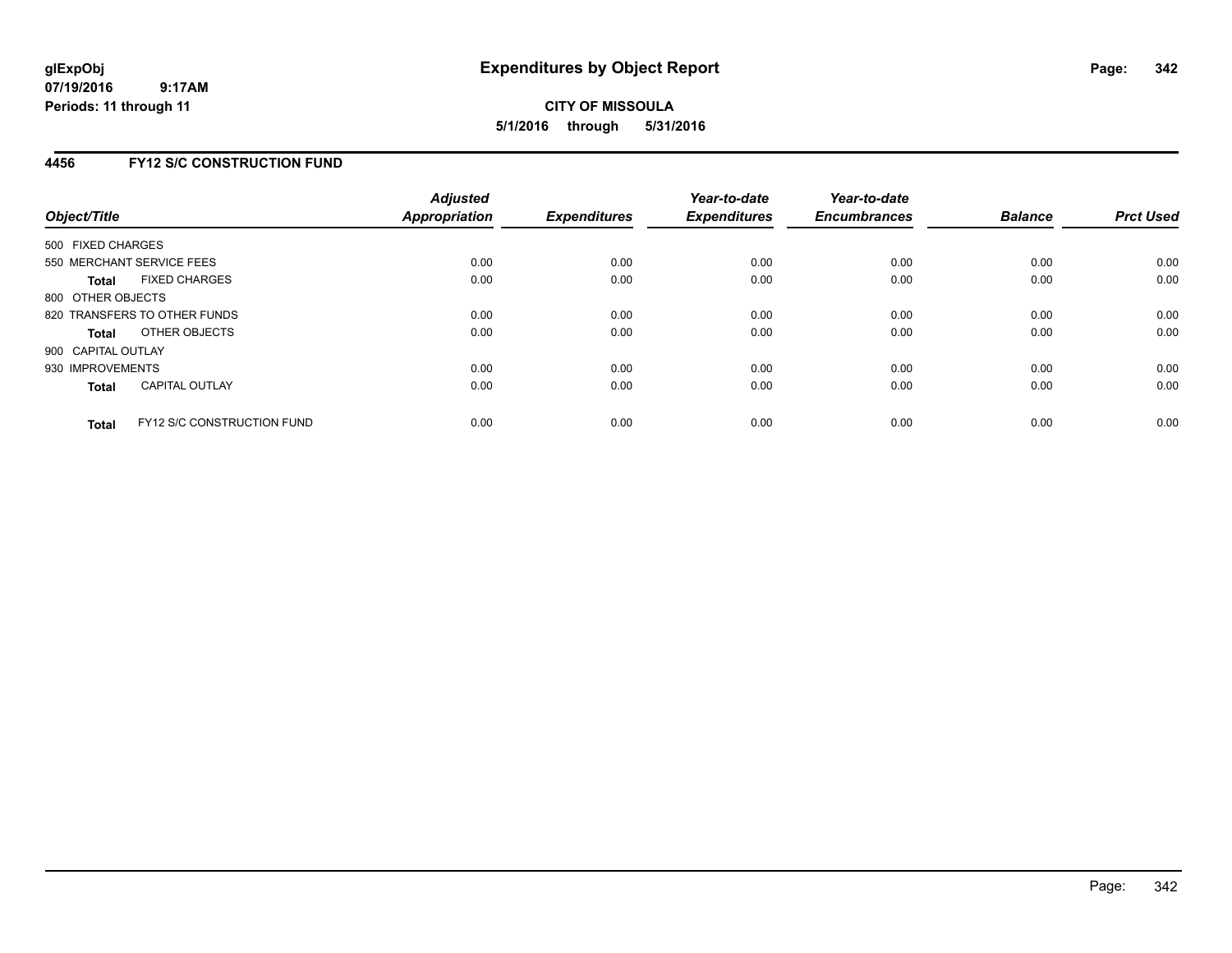## **4456 FY12 S/C CONSTRUCTION FUND**

| Object/Title       |                                   | <b>Adjusted</b><br><b>Appropriation</b> | <b>Expenditures</b> | Year-to-date<br><b>Expenditures</b> | Year-to-date<br><b>Encumbrances</b> | <b>Balance</b> | <b>Prct Used</b> |
|--------------------|-----------------------------------|-----------------------------------------|---------------------|-------------------------------------|-------------------------------------|----------------|------------------|
| 500 FIXED CHARGES  |                                   |                                         |                     |                                     |                                     |                |                  |
|                    | 550 MERCHANT SERVICE FEES         | 0.00                                    | 0.00                | 0.00                                | 0.00                                | 0.00           | 0.00             |
| <b>Total</b>       | <b>FIXED CHARGES</b>              | 0.00                                    | 0.00                | 0.00                                | 0.00                                | 0.00           | 0.00             |
| 800 OTHER OBJECTS  |                                   |                                         |                     |                                     |                                     |                |                  |
|                    | 820 TRANSFERS TO OTHER FUNDS      | 0.00                                    | 0.00                | 0.00                                | 0.00                                | 0.00           | 0.00             |
| <b>Total</b>       | OTHER OBJECTS                     | 0.00                                    | 0.00                | 0.00                                | 0.00                                | 0.00           | 0.00             |
| 900 CAPITAL OUTLAY |                                   |                                         |                     |                                     |                                     |                |                  |
| 930 IMPROVEMENTS   |                                   | 0.00                                    | 0.00                | 0.00                                | 0.00                                | 0.00           | 0.00             |
| Total              | <b>CAPITAL OUTLAY</b>             | 0.00                                    | 0.00                | 0.00                                | 0.00                                | 0.00           | 0.00             |
| <b>Total</b>       | <b>FY12 S/C CONSTRUCTION FUND</b> | 0.00                                    | 0.00                | 0.00                                | 0.00                                | 0.00           | 0.00             |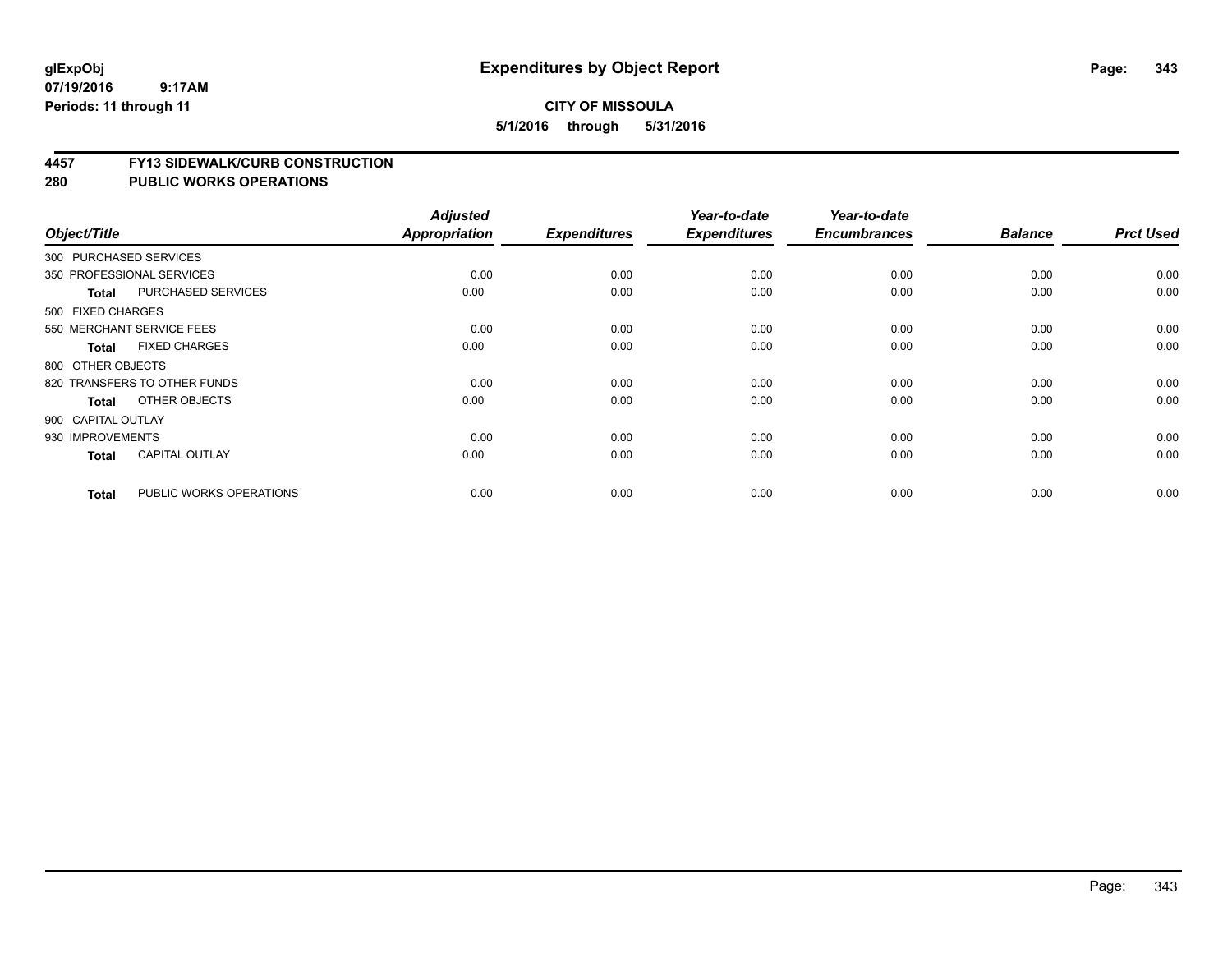#### **4457 FY13 SIDEWALK/CURB CONSTRUCTION**

| Object/Title       |                              | <b>Adjusted</b><br>Appropriation | <b>Expenditures</b> | Year-to-date<br><b>Expenditures</b> | Year-to-date<br><b>Encumbrances</b> | <b>Balance</b> | <b>Prct Used</b> |
|--------------------|------------------------------|----------------------------------|---------------------|-------------------------------------|-------------------------------------|----------------|------------------|
|                    | 300 PURCHASED SERVICES       |                                  |                     |                                     |                                     |                |                  |
|                    | 350 PROFESSIONAL SERVICES    | 0.00                             | 0.00                | 0.00                                |                                     | 0.00           | 0.00             |
|                    |                              |                                  |                     |                                     | 0.00                                |                |                  |
| <b>Total</b>       | <b>PURCHASED SERVICES</b>    | 0.00                             | 0.00                | 0.00                                | 0.00                                | 0.00           | 0.00             |
| 500 FIXED CHARGES  |                              |                                  |                     |                                     |                                     |                |                  |
|                    | 550 MERCHANT SERVICE FEES    | 0.00                             | 0.00                | 0.00                                | 0.00                                | 0.00           | 0.00             |
| Total              | <b>FIXED CHARGES</b>         | 0.00                             | 0.00                | 0.00                                | 0.00                                | 0.00           | 0.00             |
| 800 OTHER OBJECTS  |                              |                                  |                     |                                     |                                     |                |                  |
|                    | 820 TRANSFERS TO OTHER FUNDS | 0.00                             | 0.00                | 0.00                                | 0.00                                | 0.00           | 0.00             |
| Total              | OTHER OBJECTS                | 0.00                             | 0.00                | 0.00                                | 0.00                                | 0.00           | 0.00             |
| 900 CAPITAL OUTLAY |                              |                                  |                     |                                     |                                     |                |                  |
| 930 IMPROVEMENTS   |                              | 0.00                             | 0.00                | 0.00                                | 0.00                                | 0.00           | 0.00             |
| <b>Total</b>       | <b>CAPITAL OUTLAY</b>        | 0.00                             | 0.00                | 0.00                                | 0.00                                | 0.00           | 0.00             |
| <b>Total</b>       | PUBLIC WORKS OPERATIONS      | 0.00                             | 0.00                | 0.00                                | 0.00                                | 0.00           | 0.00             |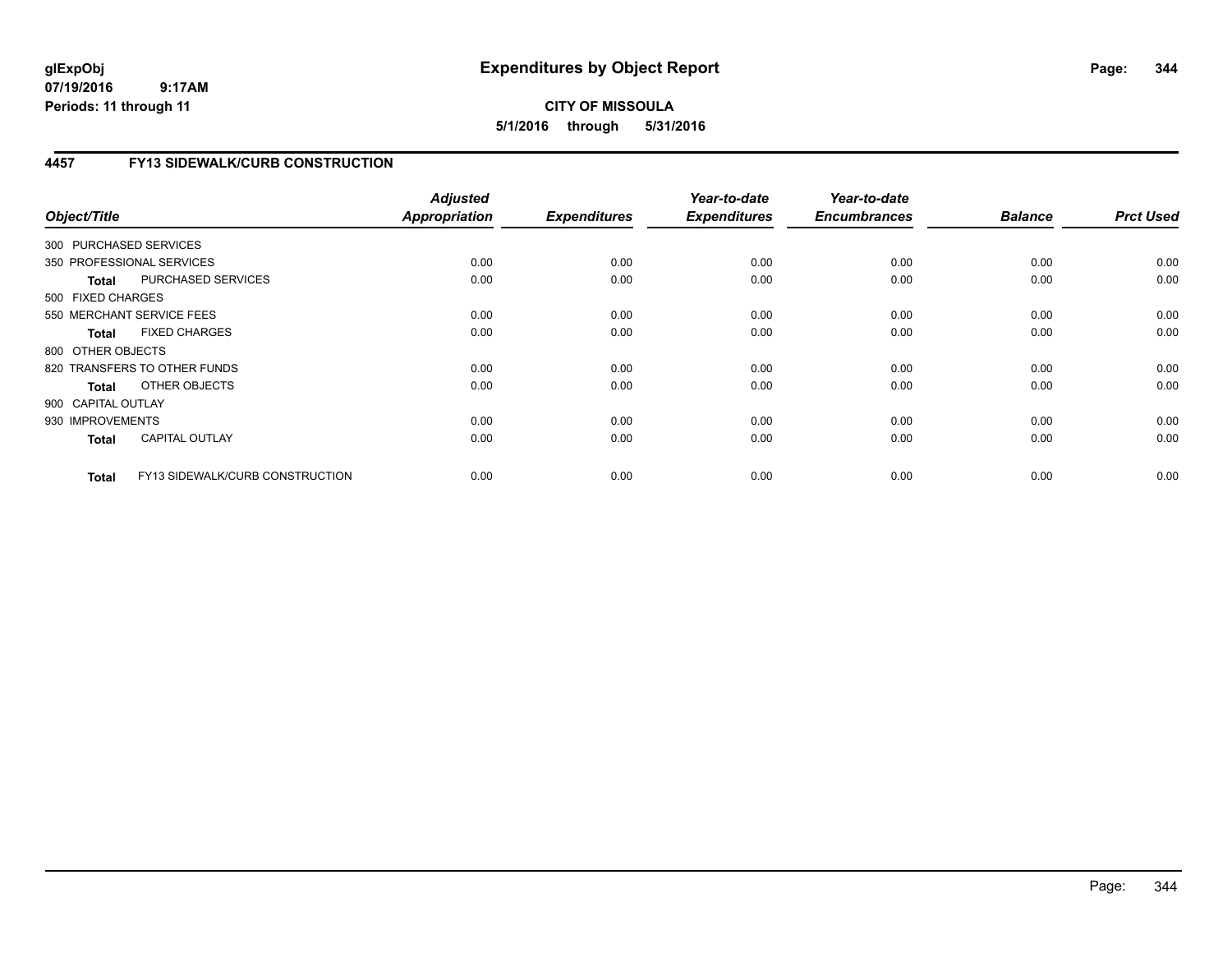# **CITY OF MISSOULA 5/1/2016 through 5/31/2016**

# **4457 FY13 SIDEWALK/CURB CONSTRUCTION**

| Object/Title           |                                 | <b>Adjusted</b><br><b>Appropriation</b> | <b>Expenditures</b> | Year-to-date<br><b>Expenditures</b> | Year-to-date<br><b>Encumbrances</b> | <b>Balance</b> | <b>Prct Used</b> |
|------------------------|---------------------------------|-----------------------------------------|---------------------|-------------------------------------|-------------------------------------|----------------|------------------|
| 300 PURCHASED SERVICES |                                 |                                         |                     |                                     |                                     |                |                  |
|                        | 350 PROFESSIONAL SERVICES       | 0.00                                    | 0.00                | 0.00                                | 0.00                                | 0.00           | 0.00             |
| <b>Total</b>           | PURCHASED SERVICES              | 0.00                                    | 0.00                | 0.00                                | 0.00                                | 0.00           | 0.00             |
| 500 FIXED CHARGES      |                                 |                                         |                     |                                     |                                     |                |                  |
|                        | 550 MERCHANT SERVICE FEES       | 0.00                                    | 0.00                | 0.00                                | 0.00                                | 0.00           | 0.00             |
| <b>Total</b>           | <b>FIXED CHARGES</b>            | 0.00                                    | 0.00                | 0.00                                | 0.00                                | 0.00           | 0.00             |
| 800 OTHER OBJECTS      |                                 |                                         |                     |                                     |                                     |                |                  |
|                        | 820 TRANSFERS TO OTHER FUNDS    | 0.00                                    | 0.00                | 0.00                                | 0.00                                | 0.00           | 0.00             |
| Total                  | OTHER OBJECTS                   | 0.00                                    | 0.00                | 0.00                                | 0.00                                | 0.00           | 0.00             |
| 900 CAPITAL OUTLAY     |                                 |                                         |                     |                                     |                                     |                |                  |
| 930 IMPROVEMENTS       |                                 | 0.00                                    | 0.00                | 0.00                                | 0.00                                | 0.00           | 0.00             |
| <b>Total</b>           | <b>CAPITAL OUTLAY</b>           | 0.00                                    | 0.00                | 0.00                                | 0.00                                | 0.00           | 0.00             |
| <b>Total</b>           | FY13 SIDEWALK/CURB CONSTRUCTION | 0.00                                    | 0.00                | 0.00                                | 0.00                                | 0.00           | 0.00             |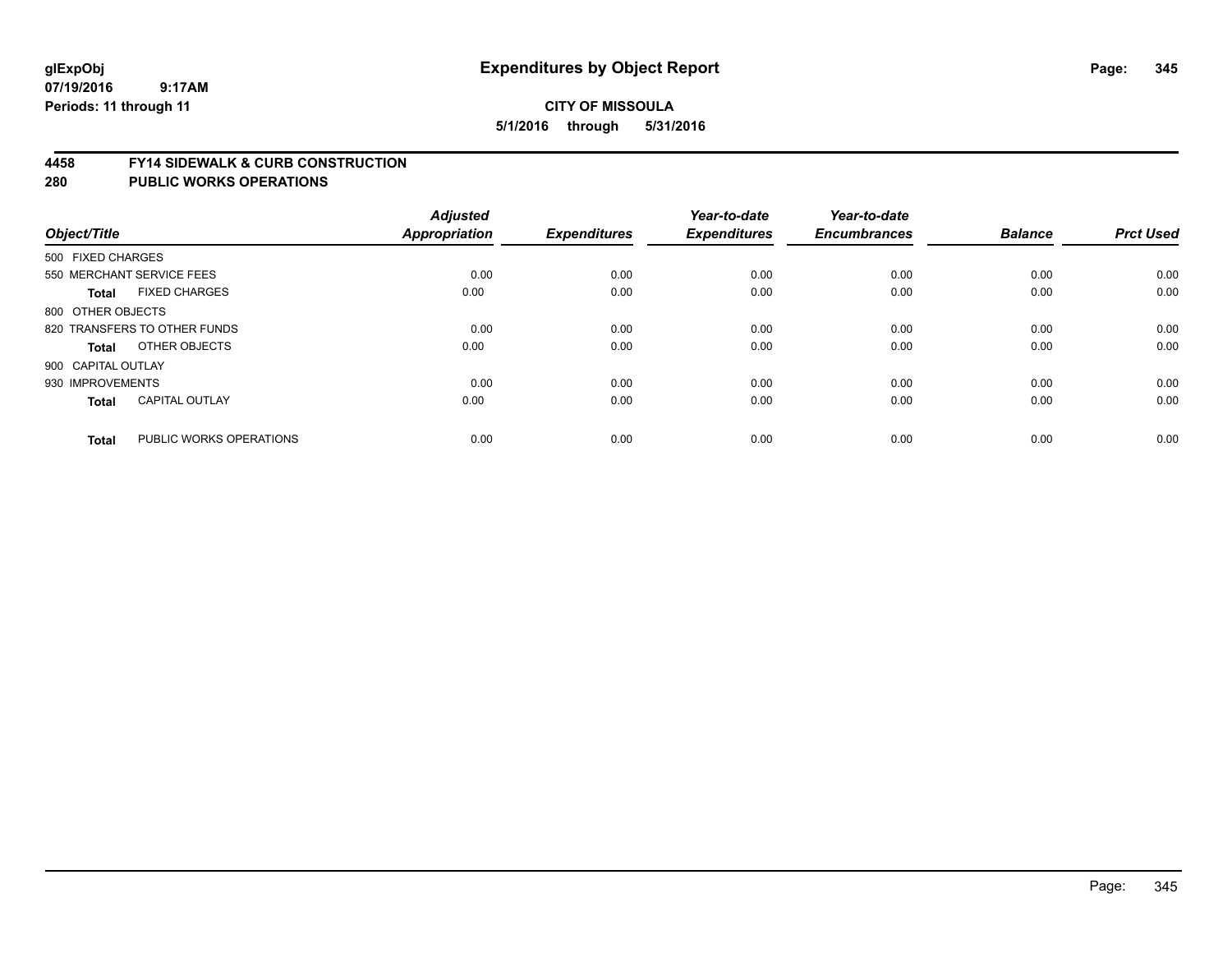#### **4458 FY14 SIDEWALK & CURB CONSTRUCTION**

| Object/Title       |                              | <b>Adjusted</b><br><b>Appropriation</b> | <b>Expenditures</b> | Year-to-date<br><b>Expenditures</b> | Year-to-date<br><b>Encumbrances</b> | <b>Balance</b> | <b>Prct Used</b> |
|--------------------|------------------------------|-----------------------------------------|---------------------|-------------------------------------|-------------------------------------|----------------|------------------|
| 500 FIXED CHARGES  |                              |                                         |                     |                                     |                                     |                |                  |
|                    | 550 MERCHANT SERVICE FEES    | 0.00                                    | 0.00                | 0.00                                | 0.00                                | 0.00           | 0.00             |
| <b>Total</b>       | <b>FIXED CHARGES</b>         | 0.00                                    | 0.00                | 0.00                                | 0.00                                | 0.00           | 0.00             |
| 800 OTHER OBJECTS  |                              |                                         |                     |                                     |                                     |                |                  |
|                    | 820 TRANSFERS TO OTHER FUNDS | 0.00                                    | 0.00                | 0.00                                | 0.00                                | 0.00           | 0.00             |
| Total              | OTHER OBJECTS                | 0.00                                    | 0.00                | 0.00                                | 0.00                                | 0.00           | 0.00             |
| 900 CAPITAL OUTLAY |                              |                                         |                     |                                     |                                     |                |                  |
| 930 IMPROVEMENTS   |                              | 0.00                                    | 0.00                | 0.00                                | 0.00                                | 0.00           | 0.00             |
| <b>Total</b>       | <b>CAPITAL OUTLAY</b>        | 0.00                                    | 0.00                | 0.00                                | 0.00                                | 0.00           | 0.00             |
| <b>Total</b>       | PUBLIC WORKS OPERATIONS      | 0.00                                    | 0.00                | 0.00                                | 0.00                                | 0.00           | 0.00             |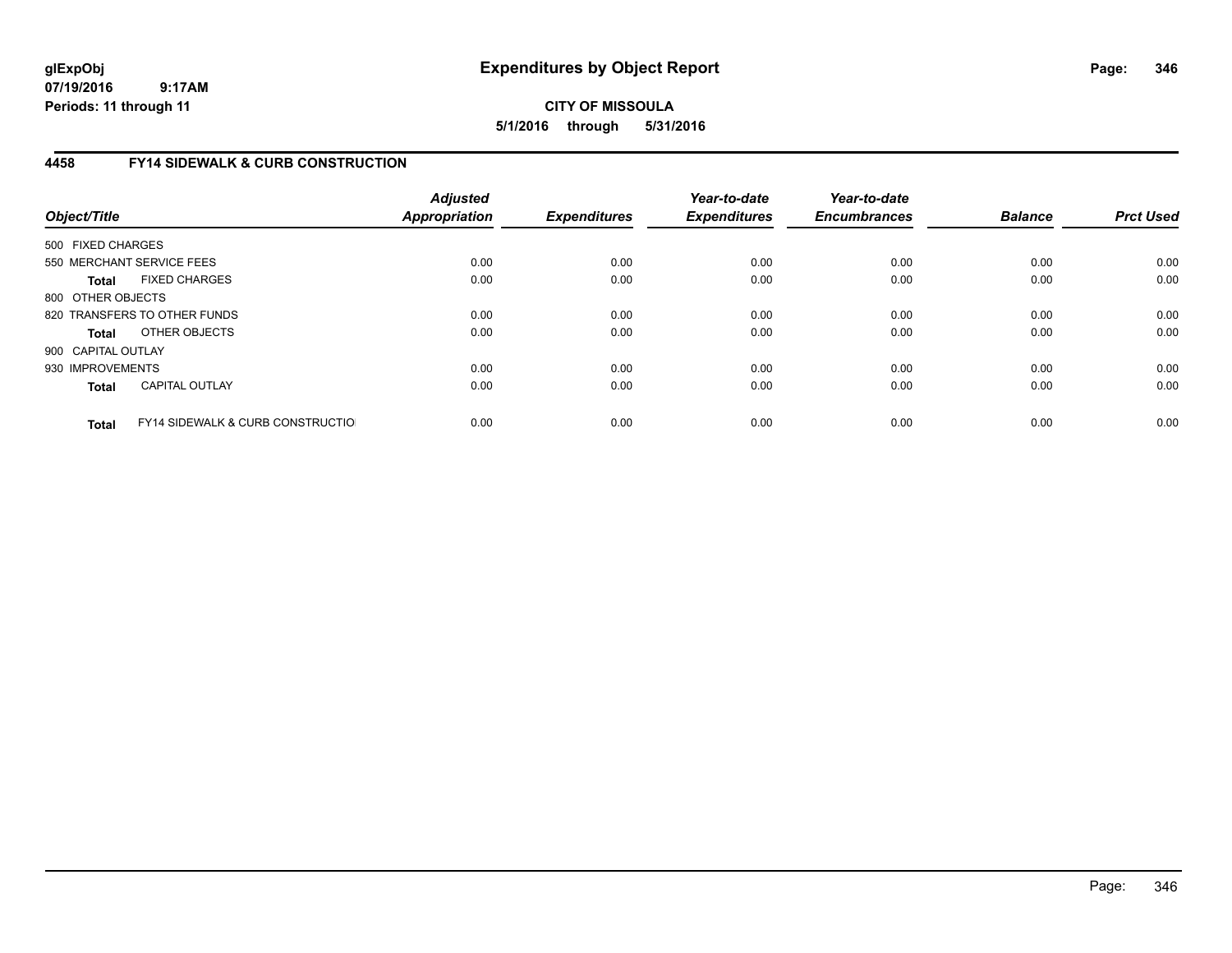# **CITY OF MISSOULA 5/1/2016 through 5/31/2016**

# **4458 FY14 SIDEWALK & CURB CONSTRUCTION**

| Object/Title       |                                              | <b>Adjusted</b><br>Appropriation | <b>Expenditures</b> | Year-to-date<br><b>Expenditures</b> | Year-to-date<br><b>Encumbrances</b> | <b>Balance</b> | <b>Prct Used</b> |
|--------------------|----------------------------------------------|----------------------------------|---------------------|-------------------------------------|-------------------------------------|----------------|------------------|
| 500 FIXED CHARGES  |                                              |                                  |                     |                                     |                                     |                |                  |
|                    | 550 MERCHANT SERVICE FEES                    | 0.00                             | 0.00                | 0.00                                | 0.00                                | 0.00           | 0.00             |
| <b>Total</b>       | <b>FIXED CHARGES</b>                         | 0.00                             | 0.00                | 0.00                                | 0.00                                | 0.00           | 0.00             |
| 800 OTHER OBJECTS  |                                              |                                  |                     |                                     |                                     |                |                  |
|                    | 820 TRANSFERS TO OTHER FUNDS                 | 0.00                             | 0.00                | 0.00                                | 0.00                                | 0.00           | 0.00             |
| <b>Total</b>       | OTHER OBJECTS                                | 0.00                             | 0.00                | 0.00                                | 0.00                                | 0.00           | 0.00             |
| 900 CAPITAL OUTLAY |                                              |                                  |                     |                                     |                                     |                |                  |
| 930 IMPROVEMENTS   |                                              | 0.00                             | 0.00                | 0.00                                | 0.00                                | 0.00           | 0.00             |
| Total              | <b>CAPITAL OUTLAY</b>                        | 0.00                             | 0.00                | 0.00                                | 0.00                                | 0.00           | 0.00             |
| <b>Total</b>       | <b>FY14 SIDEWALK &amp; CURB CONSTRUCTIOL</b> | 0.00                             | 0.00                | 0.00                                | 0.00                                | 0.00           | 0.00             |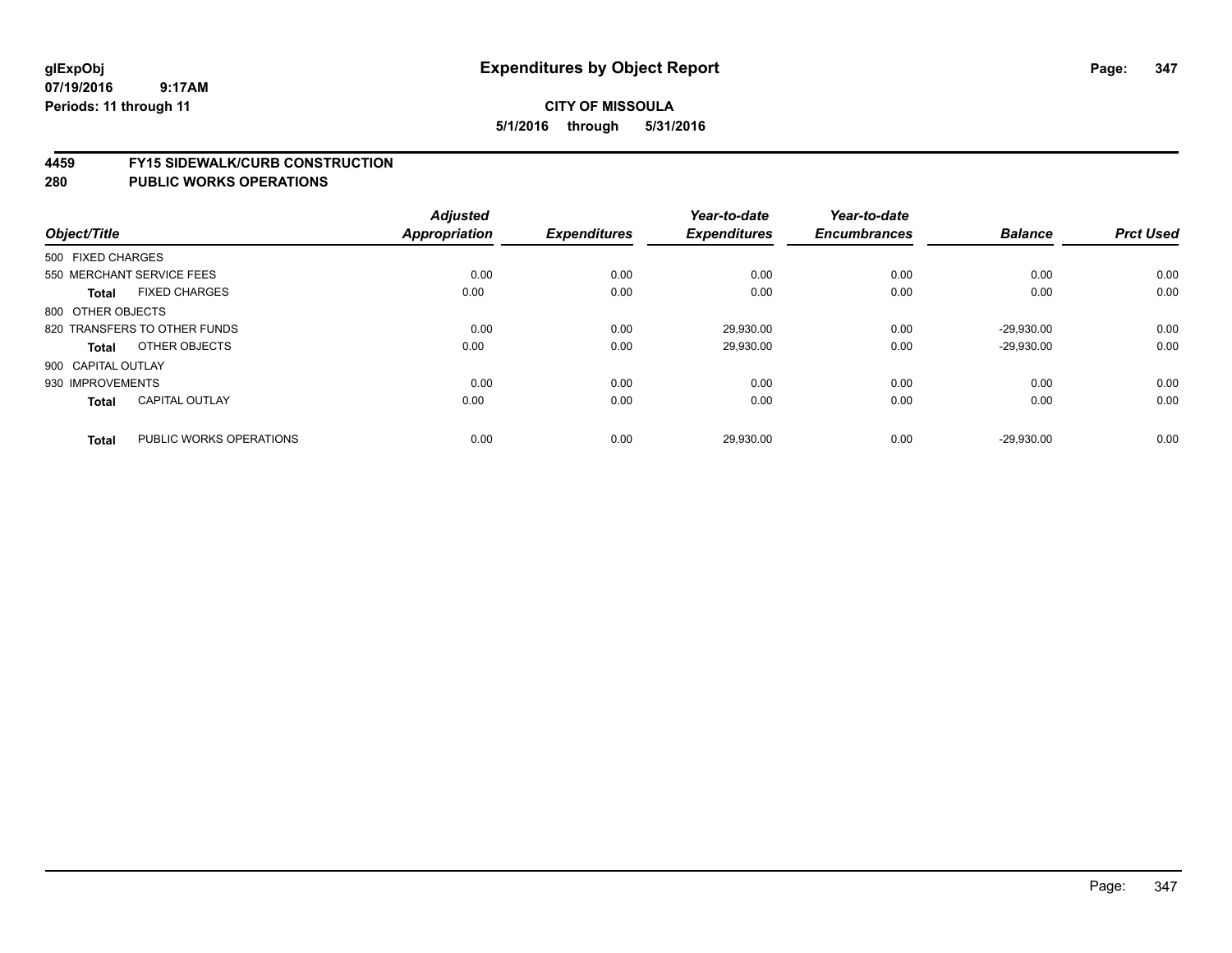#### **4459 FY15 SIDEWALK/CURB CONSTRUCTION**

| Object/Title       |                              | <b>Adjusted</b><br>Appropriation | <b>Expenditures</b> | Year-to-date<br><b>Expenditures</b> | Year-to-date<br><b>Encumbrances</b> | <b>Balance</b> | <b>Prct Used</b> |
|--------------------|------------------------------|----------------------------------|---------------------|-------------------------------------|-------------------------------------|----------------|------------------|
| 500 FIXED CHARGES  |                              |                                  |                     |                                     |                                     |                |                  |
|                    | 550 MERCHANT SERVICE FEES    | 0.00                             | 0.00                | 0.00                                | 0.00                                | 0.00           | 0.00             |
| <b>Total</b>       | <b>FIXED CHARGES</b>         | 0.00                             | 0.00                | 0.00                                | 0.00                                | 0.00           | 0.00             |
| 800 OTHER OBJECTS  |                              |                                  |                     |                                     |                                     |                |                  |
|                    | 820 TRANSFERS TO OTHER FUNDS | 0.00                             | 0.00                | 29.930.00                           | 0.00                                | $-29.930.00$   | 0.00             |
| Total              | OTHER OBJECTS                | 0.00                             | 0.00                | 29,930.00                           | 0.00                                | $-29,930.00$   | 0.00             |
| 900 CAPITAL OUTLAY |                              |                                  |                     |                                     |                                     |                |                  |
| 930 IMPROVEMENTS   |                              | 0.00                             | 0.00                | 0.00                                | 0.00                                | 0.00           | 0.00             |
| Total              | <b>CAPITAL OUTLAY</b>        | 0.00                             | 0.00                | 0.00                                | 0.00                                | 0.00           | 0.00             |
| <b>Total</b>       | PUBLIC WORKS OPERATIONS      | 0.00                             | 0.00                | 29,930.00                           | 0.00                                | $-29,930.00$   | 0.00             |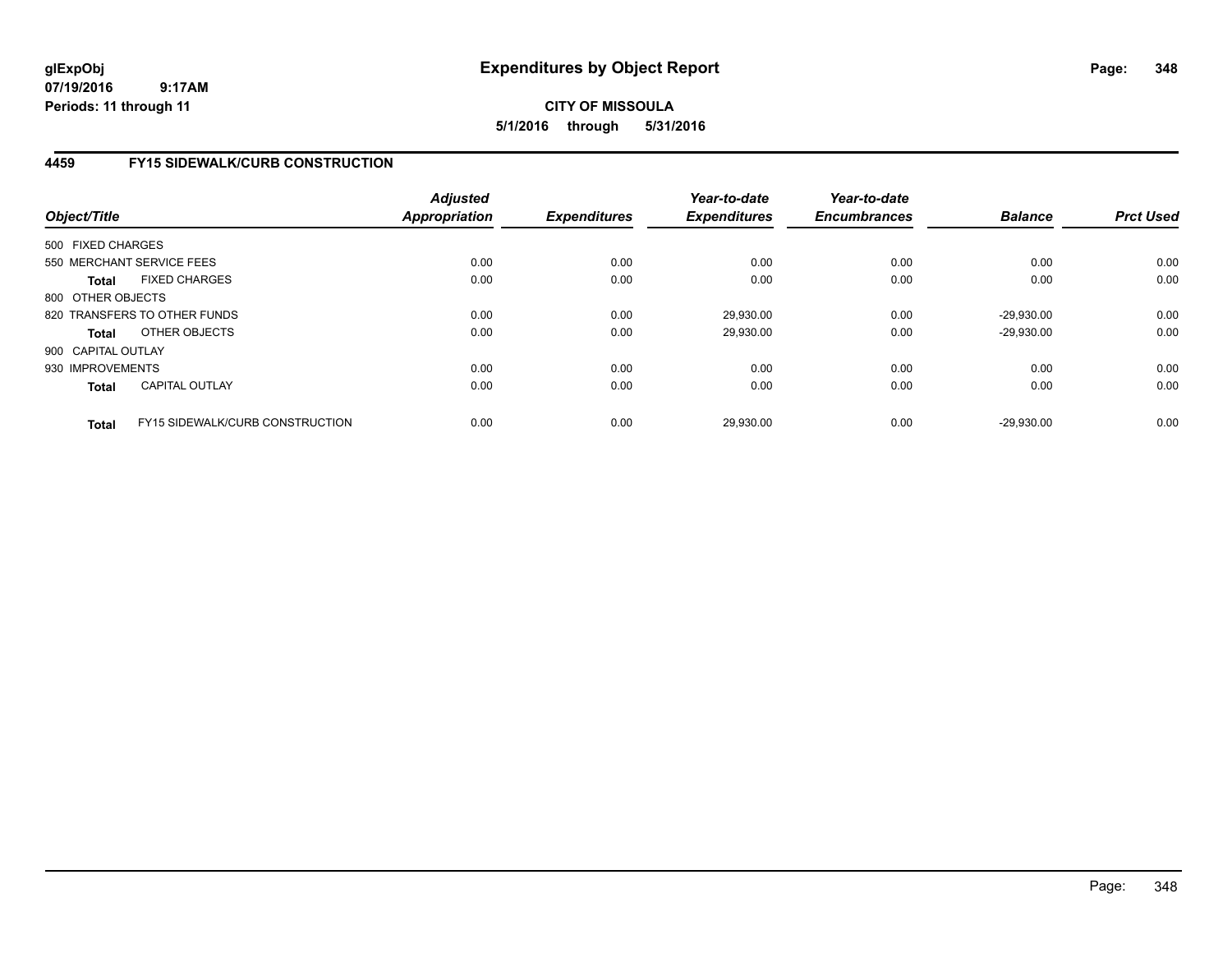# **CITY OF MISSOULA 5/1/2016 through 5/31/2016**

# **4459 FY15 SIDEWALK/CURB CONSTRUCTION**

| Object/Title       |                                        | <b>Adjusted</b><br><b>Appropriation</b> | <b>Expenditures</b> | Year-to-date<br><b>Expenditures</b> | Year-to-date<br><b>Encumbrances</b> | <b>Balance</b> | <b>Prct Used</b> |
|--------------------|----------------------------------------|-----------------------------------------|---------------------|-------------------------------------|-------------------------------------|----------------|------------------|
| 500 FIXED CHARGES  |                                        |                                         |                     |                                     |                                     |                |                  |
|                    | 550 MERCHANT SERVICE FEES              | 0.00                                    | 0.00                | 0.00                                | 0.00                                | 0.00           | 0.00             |
| <b>Total</b>       | <b>FIXED CHARGES</b>                   | 0.00                                    | 0.00                | 0.00                                | 0.00                                | 0.00           | 0.00             |
| 800 OTHER OBJECTS  |                                        |                                         |                     |                                     |                                     |                |                  |
|                    | 820 TRANSFERS TO OTHER FUNDS           | 0.00                                    | 0.00                | 29.930.00                           | 0.00                                | $-29.930.00$   | 0.00             |
| <b>Total</b>       | OTHER OBJECTS                          | 0.00                                    | 0.00                | 29.930.00                           | 0.00                                | $-29.930.00$   | 0.00             |
| 900 CAPITAL OUTLAY |                                        |                                         |                     |                                     |                                     |                |                  |
| 930 IMPROVEMENTS   |                                        | 0.00                                    | 0.00                | 0.00                                | 0.00                                | 0.00           | 0.00             |
| <b>Total</b>       | <b>CAPITAL OUTLAY</b>                  | 0.00                                    | 0.00                | 0.00                                | 0.00                                | 0.00           | 0.00             |
| <b>Total</b>       | <b>FY15 SIDEWALK/CURB CONSTRUCTION</b> | 0.00                                    | 0.00                | 29.930.00                           | 0.00                                | $-29.930.00$   | 0.00             |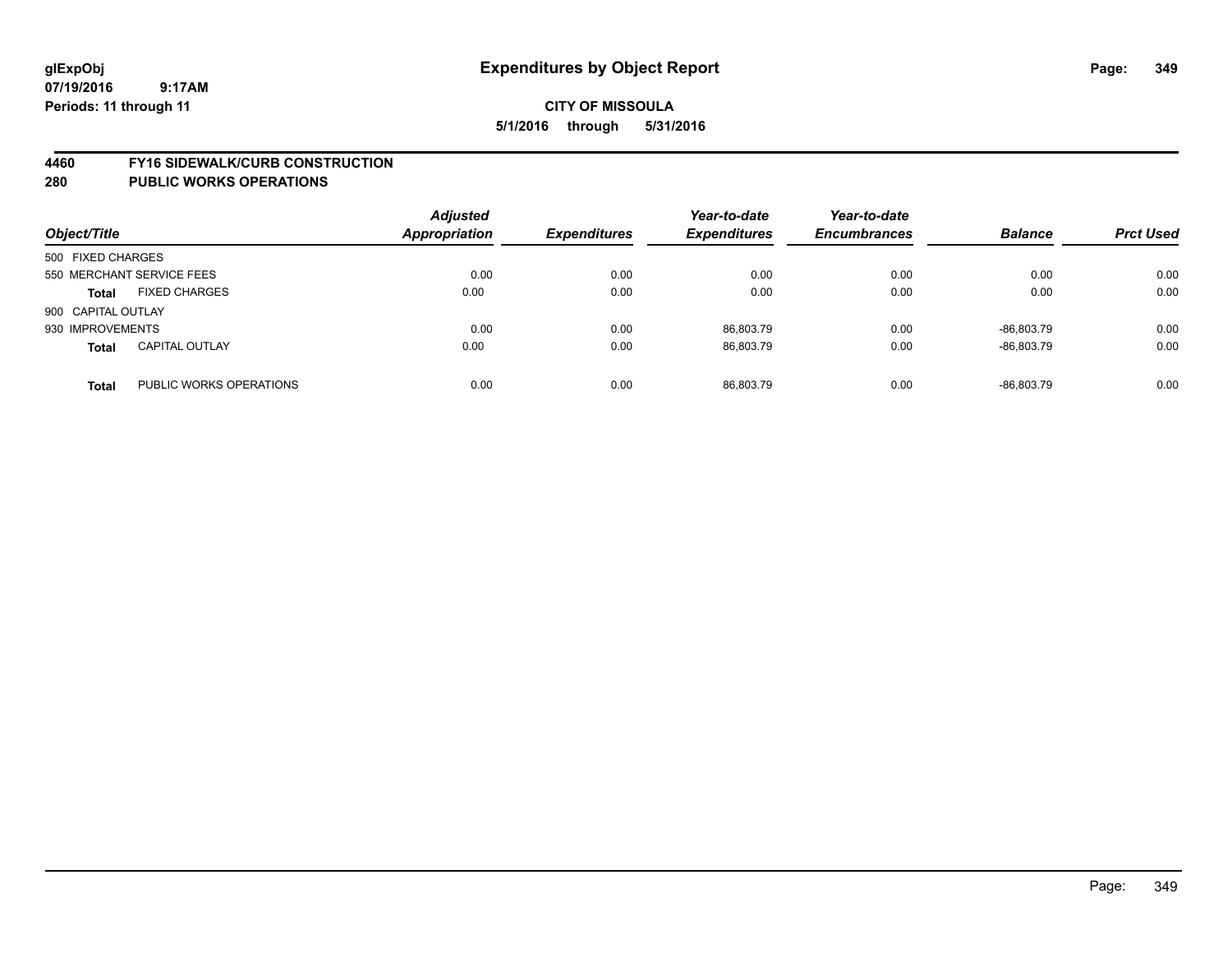#### **4460 FY16 SIDEWALK/CURB CONSTRUCTION**

| Object/Title       |                           | <b>Adjusted</b><br><b>Appropriation</b> | <b>Expenditures</b> | Year-to-date<br><b>Expenditures</b> | Year-to-date<br><b>Encumbrances</b> | <b>Balance</b> | <b>Prct Used</b> |
|--------------------|---------------------------|-----------------------------------------|---------------------|-------------------------------------|-------------------------------------|----------------|------------------|
| 500 FIXED CHARGES  |                           |                                         |                     |                                     |                                     |                |                  |
|                    | 550 MERCHANT SERVICE FEES | 0.00                                    | 0.00                | 0.00                                | 0.00                                | 0.00           | 0.00             |
| <b>Total</b>       | <b>FIXED CHARGES</b>      | 0.00                                    | 0.00                | 0.00                                | 0.00                                | 0.00           | 0.00             |
| 900 CAPITAL OUTLAY |                           |                                         |                     |                                     |                                     |                |                  |
| 930 IMPROVEMENTS   |                           | 0.00                                    | 0.00                | 86,803.79                           | 0.00                                | -86.803.79     | 0.00             |
| <b>Total</b>       | <b>CAPITAL OUTLAY</b>     | 0.00                                    | 0.00                | 86,803.79                           | 0.00                                | -86.803.79     | 0.00             |
| <b>Total</b>       | PUBLIC WORKS OPERATIONS   | 0.00                                    | 0.00                | 86.803.79                           | 0.00                                | -86.803.79     | 0.00             |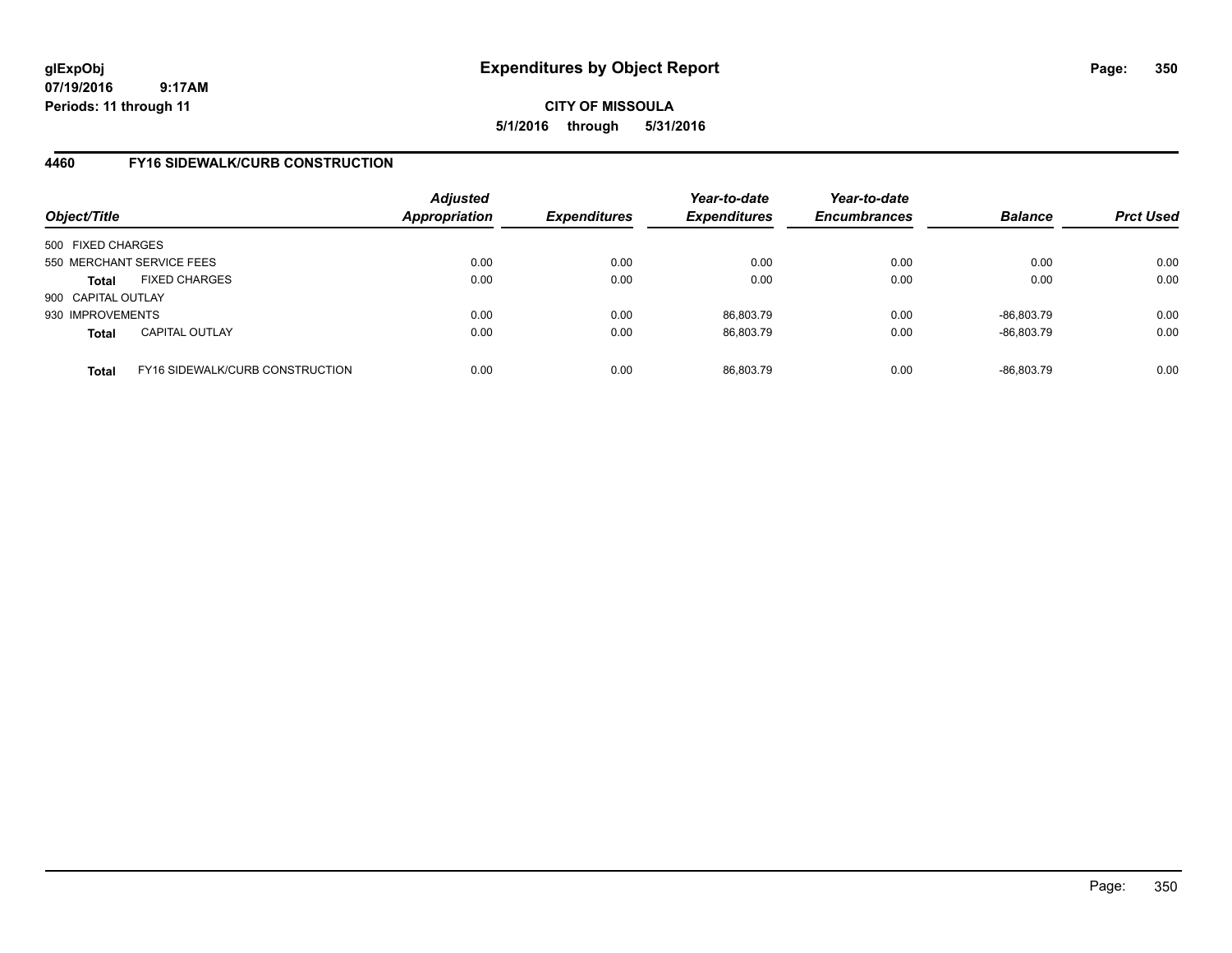**CITY OF MISSOULA 5/1/2016 through 5/31/2016**

## **4460 FY16 SIDEWALK/CURB CONSTRUCTION**

| Object/Title       |                                        | <b>Adjusted</b><br><b>Appropriation</b> | <b>Expenditures</b> | Year-to-date<br><b>Expenditures</b> | Year-to-date<br><b>Encumbrances</b> | <b>Balance</b> | <b>Prct Used</b> |
|--------------------|----------------------------------------|-----------------------------------------|---------------------|-------------------------------------|-------------------------------------|----------------|------------------|
| 500 FIXED CHARGES  |                                        |                                         |                     |                                     |                                     |                |                  |
|                    | 550 MERCHANT SERVICE FEES              | 0.00                                    | 0.00                | 0.00                                | 0.00                                | 0.00           | 0.00             |
| Total              | <b>FIXED CHARGES</b>                   | 0.00                                    | 0.00                | 0.00                                | 0.00                                | 0.00           | 0.00             |
| 900 CAPITAL OUTLAY |                                        |                                         |                     |                                     |                                     |                |                  |
| 930 IMPROVEMENTS   |                                        | 0.00                                    | 0.00                | 86.803.79                           | 0.00                                | -86.803.79     | 0.00             |
| <b>Total</b>       | <b>CAPITAL OUTLAY</b>                  | 0.00                                    | 0.00                | 86,803.79                           | 0.00                                | -86,803.79     | 0.00             |
| <b>Total</b>       | <b>FY16 SIDEWALK/CURB CONSTRUCTION</b> | 0.00                                    | 0.00                | 86,803.79                           | 0.00                                | -86,803.79     | 0.00             |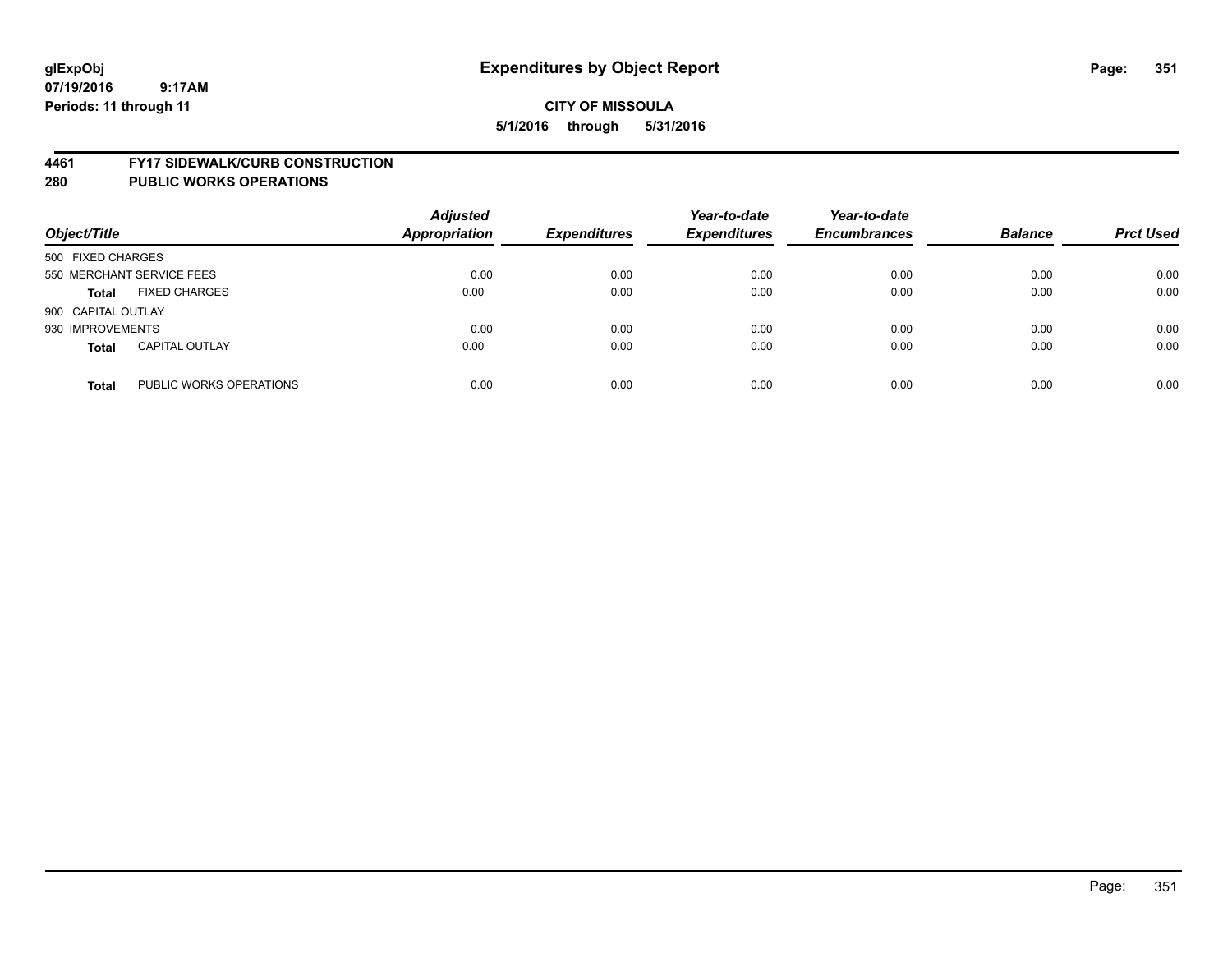#### **4461 FY17 SIDEWALK/CURB CONSTRUCTION**

| Object/Title       |                           | <b>Adjusted</b><br><b>Appropriation</b> | <b>Expenditures</b> | Year-to-date<br><b>Expenditures</b> | Year-to-date<br><b>Encumbrances</b> | <b>Balance</b> | <b>Prct Used</b> |
|--------------------|---------------------------|-----------------------------------------|---------------------|-------------------------------------|-------------------------------------|----------------|------------------|
| 500 FIXED CHARGES  |                           |                                         |                     |                                     |                                     |                |                  |
|                    | 550 MERCHANT SERVICE FEES | 0.00                                    | 0.00                | 0.00                                | 0.00                                | 0.00           | 0.00             |
| <b>Total</b>       | <b>FIXED CHARGES</b>      | 0.00                                    | 0.00                | 0.00                                | 0.00                                | 0.00           | 0.00             |
| 900 CAPITAL OUTLAY |                           |                                         |                     |                                     |                                     |                |                  |
| 930 IMPROVEMENTS   |                           | 0.00                                    | 0.00                | 0.00                                | 0.00                                | 0.00           | 0.00             |
| <b>Total</b>       | <b>CAPITAL OUTLAY</b>     | 0.00                                    | 0.00                | 0.00                                | 0.00                                | 0.00           | 0.00             |
| <b>Total</b>       | PUBLIC WORKS OPERATIONS   | 0.00                                    | 0.00                | 0.00                                | 0.00                                | 0.00           | 0.00             |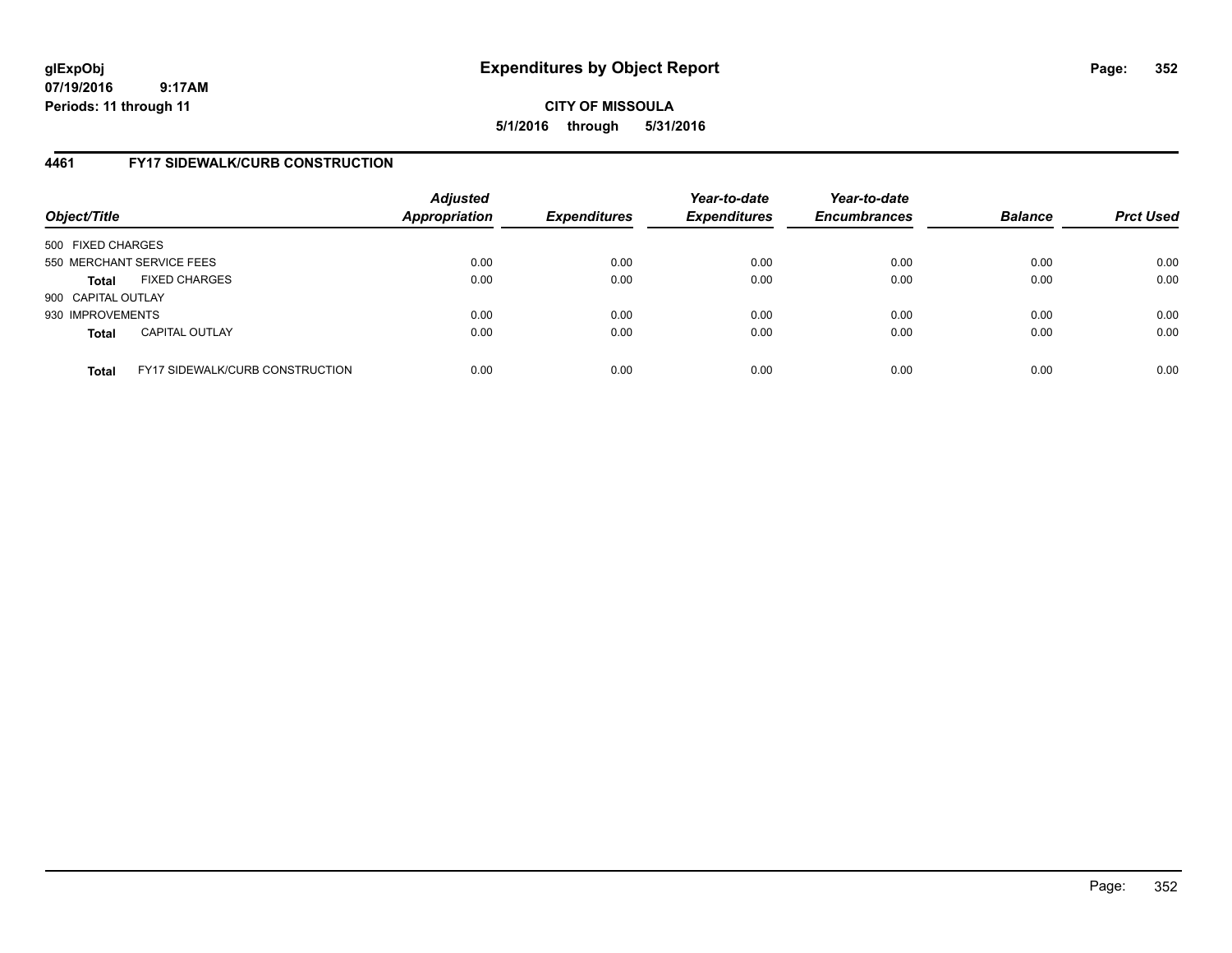**CITY OF MISSOULA 5/1/2016 through 5/31/2016**

## **4461 FY17 SIDEWALK/CURB CONSTRUCTION**

| Object/Title       |                                        | <b>Adjusted</b><br><b>Appropriation</b> | <b>Expenditures</b> | Year-to-date<br><b>Expenditures</b> | Year-to-date<br><b>Encumbrances</b> | <b>Balance</b> | <b>Prct Used</b> |
|--------------------|----------------------------------------|-----------------------------------------|---------------------|-------------------------------------|-------------------------------------|----------------|------------------|
| 500 FIXED CHARGES  |                                        |                                         |                     |                                     |                                     |                |                  |
|                    | 550 MERCHANT SERVICE FEES              | 0.00                                    | 0.00                | 0.00                                | 0.00                                | 0.00           | 0.00             |
| <b>Total</b>       | <b>FIXED CHARGES</b>                   | 0.00                                    | 0.00                | 0.00                                | 0.00                                | 0.00           | 0.00             |
| 900 CAPITAL OUTLAY |                                        |                                         |                     |                                     |                                     |                |                  |
| 930 IMPROVEMENTS   |                                        | 0.00                                    | 0.00                | 0.00                                | 0.00                                | 0.00           | 0.00             |
| <b>Total</b>       | <b>CAPITAL OUTLAY</b>                  | 0.00                                    | 0.00                | 0.00                                | 0.00                                | 0.00           | 0.00             |
| <b>Total</b>       | <b>FY17 SIDEWALK/CURB CONSTRUCTION</b> | 0.00                                    | 0.00                | 0.00                                | 0.00                                | 0.00           | 0.00             |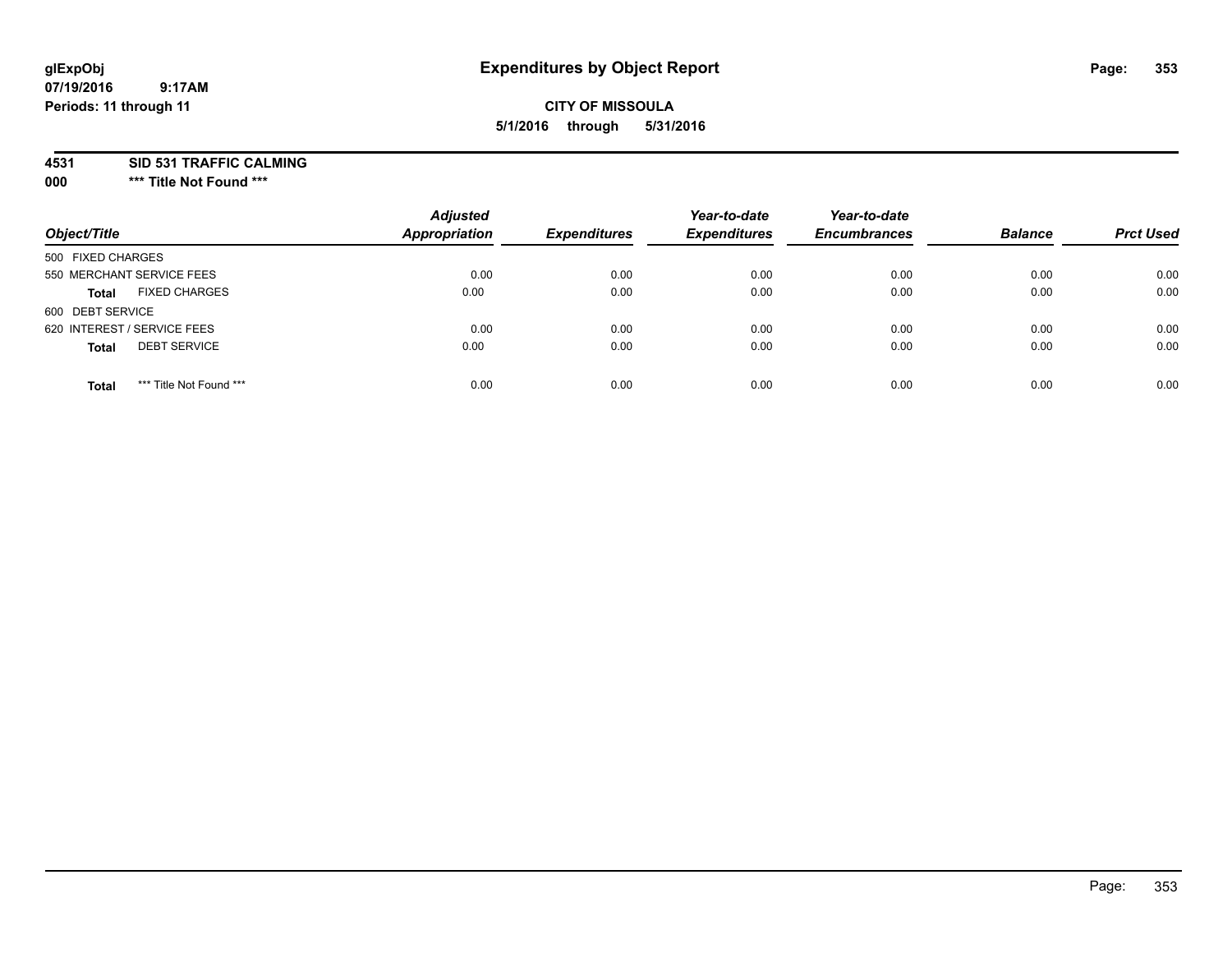## **CITY OF MISSOULA 5/1/2016 through 5/31/2016**

**4531 SID 531 TRAFFIC CALMING**

**000 \*\*\* Title Not Found \*\*\***

| Object/Title                            | <b>Adjusted</b><br>Appropriation | <b>Expenditures</b> | Year-to-date<br><b>Expenditures</b> | Year-to-date<br><b>Encumbrances</b> | <b>Balance</b> | <b>Prct Used</b> |
|-----------------------------------------|----------------------------------|---------------------|-------------------------------------|-------------------------------------|----------------|------------------|
| 500 FIXED CHARGES                       |                                  |                     |                                     |                                     |                |                  |
| 550 MERCHANT SERVICE FEES               | 0.00                             | 0.00                | 0.00                                | 0.00                                | 0.00           | 0.00             |
| <b>FIXED CHARGES</b><br><b>Total</b>    | 0.00                             | 0.00                | 0.00                                | 0.00                                | 0.00           | 0.00             |
| 600 DEBT SERVICE                        |                                  |                     |                                     |                                     |                |                  |
| 620 INTEREST / SERVICE FEES             | 0.00                             | 0.00                | 0.00                                | 0.00                                | 0.00           | 0.00             |
| <b>DEBT SERVICE</b><br><b>Total</b>     | 0.00                             | 0.00                | 0.00                                | 0.00                                | 0.00           | 0.00             |
| *** Title Not Found ***<br><b>Total</b> | 0.00                             | 0.00                | 0.00                                | 0.00                                | 0.00           | 0.00             |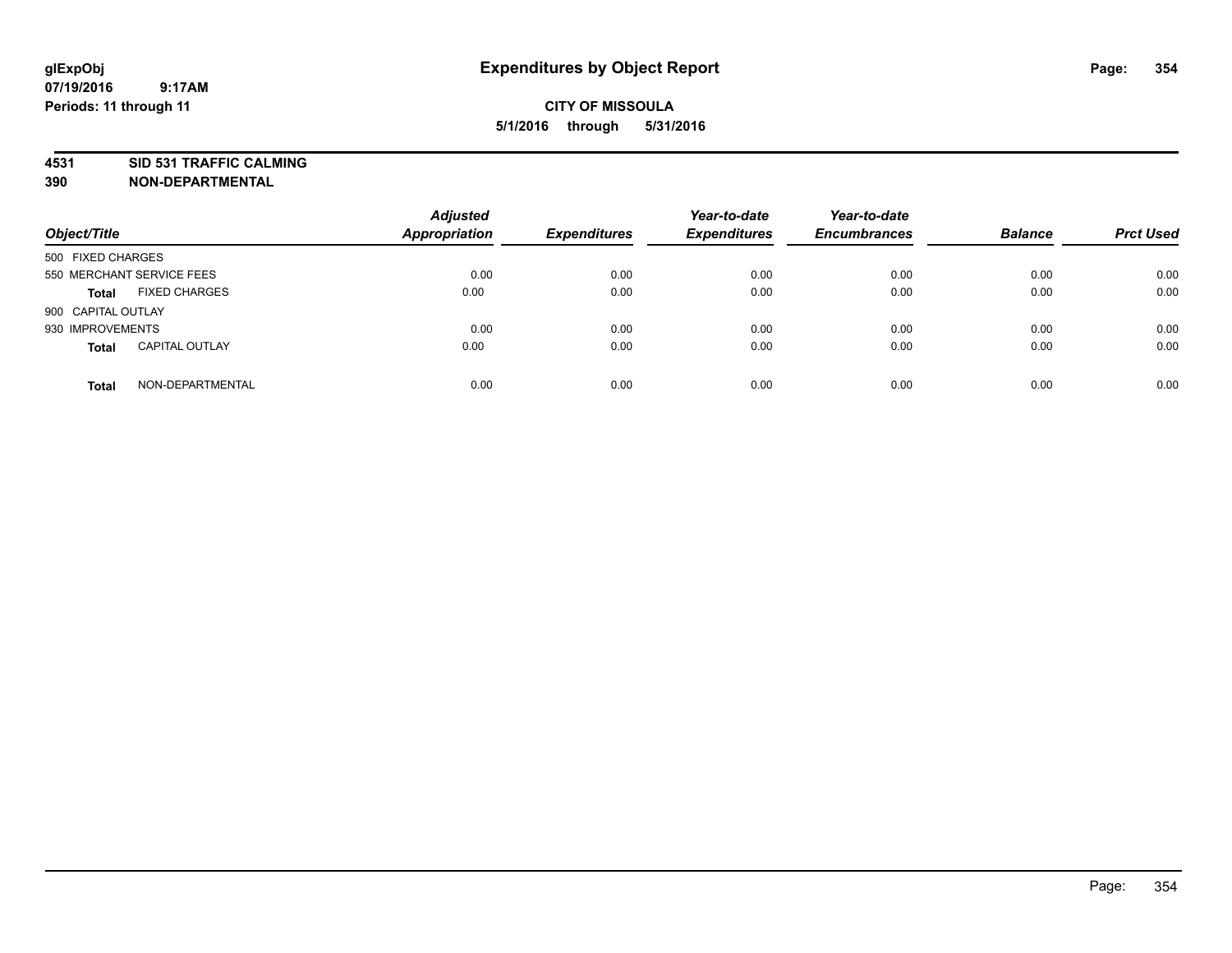# **4531 SID 531 TRAFFIC CALMING**

**390 NON-DEPARTMENTAL**

| Object/Title              |                       | <b>Adjusted</b><br><b>Appropriation</b> | <b>Expenditures</b> | Year-to-date<br><b>Expenditures</b> | Year-to-date<br><b>Encumbrances</b> | <b>Balance</b> | <b>Prct Used</b> |
|---------------------------|-----------------------|-----------------------------------------|---------------------|-------------------------------------|-------------------------------------|----------------|------------------|
| 500 FIXED CHARGES         |                       |                                         |                     |                                     |                                     |                |                  |
| 550 MERCHANT SERVICE FEES |                       | 0.00                                    | 0.00                | 0.00                                | 0.00                                | 0.00           | 0.00             |
| <b>Total</b>              | <b>FIXED CHARGES</b>  | 0.00                                    | 0.00                | 0.00                                | 0.00                                | 0.00           | 0.00             |
| 900 CAPITAL OUTLAY        |                       |                                         |                     |                                     |                                     |                |                  |
| 930 IMPROVEMENTS          |                       | 0.00                                    | 0.00                | 0.00                                | 0.00                                | 0.00           | 0.00             |
| Total                     | <b>CAPITAL OUTLAY</b> | 0.00                                    | 0.00                | 0.00                                | 0.00                                | 0.00           | 0.00             |
| <b>Total</b>              | NON-DEPARTMENTAL      | 0.00                                    | 0.00                | 0.00                                | 0.00                                | 0.00           | 0.00             |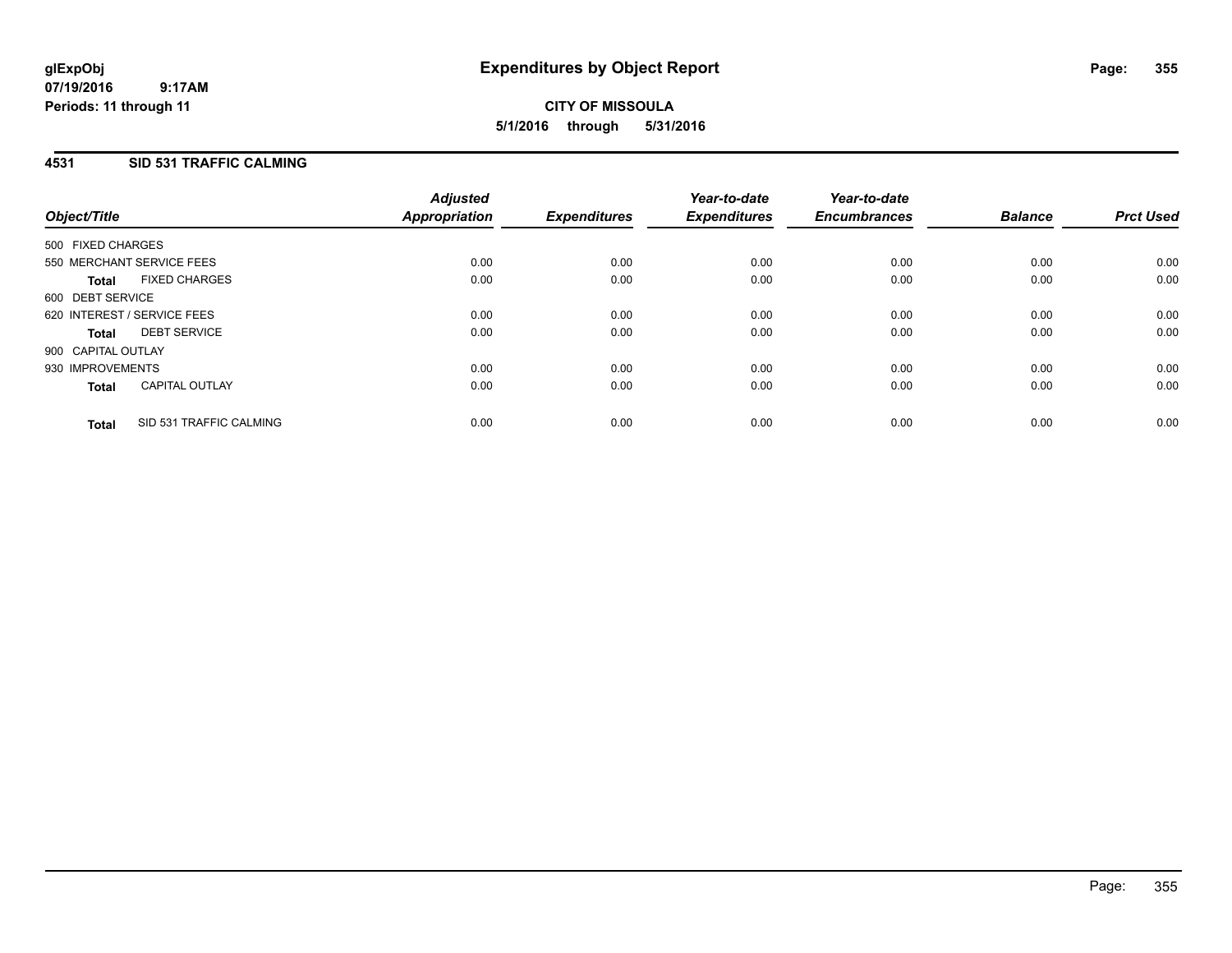**CITY OF MISSOULA 5/1/2016 through 5/31/2016**

### **4531 SID 531 TRAFFIC CALMING**

| Object/Title       |                             | <b>Adjusted</b><br>Appropriation | <b>Expenditures</b> | Year-to-date<br><b>Expenditures</b> | Year-to-date<br><b>Encumbrances</b> | <b>Balance</b> | <b>Prct Used</b> |
|--------------------|-----------------------------|----------------------------------|---------------------|-------------------------------------|-------------------------------------|----------------|------------------|
|                    |                             |                                  |                     |                                     |                                     |                |                  |
| 500 FIXED CHARGES  |                             |                                  |                     |                                     |                                     |                |                  |
|                    | 550 MERCHANT SERVICE FEES   | 0.00                             | 0.00                | 0.00                                | 0.00                                | 0.00           | 0.00             |
| Total              | <b>FIXED CHARGES</b>        | 0.00                             | 0.00                | 0.00                                | 0.00                                | 0.00           | 0.00             |
| 600 DEBT SERVICE   |                             |                                  |                     |                                     |                                     |                |                  |
|                    | 620 INTEREST / SERVICE FEES | 0.00                             | 0.00                | 0.00                                | 0.00                                | 0.00           | 0.00             |
| <b>Total</b>       | <b>DEBT SERVICE</b>         | 0.00                             | 0.00                | 0.00                                | 0.00                                | 0.00           | 0.00             |
| 900 CAPITAL OUTLAY |                             |                                  |                     |                                     |                                     |                |                  |
| 930 IMPROVEMENTS   |                             | 0.00                             | 0.00                | 0.00                                | 0.00                                | 0.00           | 0.00             |
| <b>Total</b>       | <b>CAPITAL OUTLAY</b>       | 0.00                             | 0.00                | 0.00                                | 0.00                                | 0.00           | 0.00             |
| <b>Total</b>       | SID 531 TRAFFIC CALMING     | 0.00                             | 0.00                | 0.00                                | 0.00                                | 0.00           | 0.00             |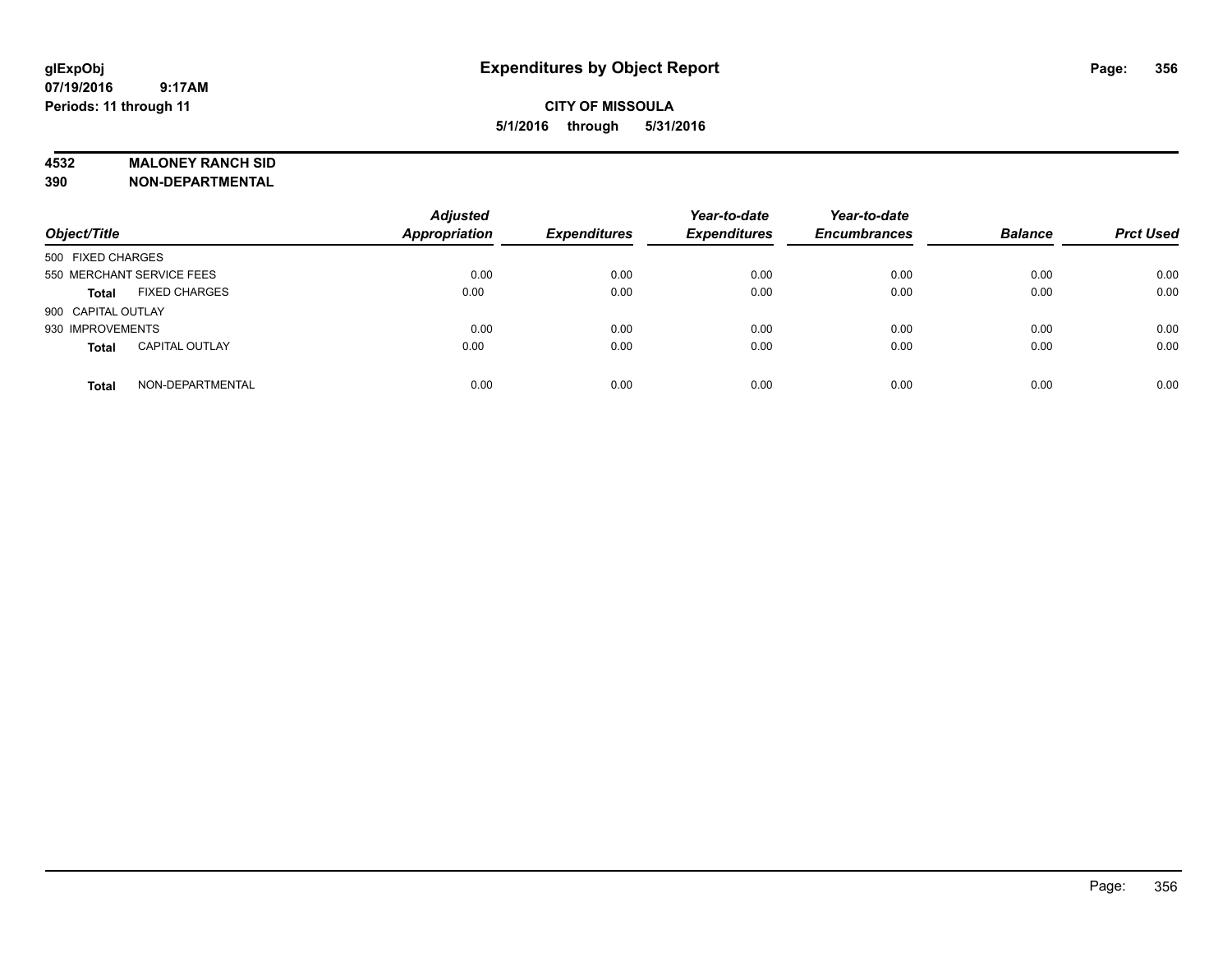#### **4532 MALONEY RANCH SID**

**390 NON-DEPARTMENTAL**

| Object/Title              |                       | <b>Adjusted</b><br><b>Appropriation</b> | <b>Expenditures</b> | Year-to-date<br><b>Expenditures</b> | Year-to-date<br><b>Encumbrances</b> | <b>Balance</b> | <b>Prct Used</b> |
|---------------------------|-----------------------|-----------------------------------------|---------------------|-------------------------------------|-------------------------------------|----------------|------------------|
| 500 FIXED CHARGES         |                       |                                         |                     |                                     |                                     |                |                  |
| 550 MERCHANT SERVICE FEES |                       | 0.00                                    | 0.00                | 0.00                                | 0.00                                | 0.00           | 0.00             |
| <b>Total</b>              | <b>FIXED CHARGES</b>  | 0.00                                    | 0.00                | 0.00                                | 0.00                                | 0.00           | 0.00             |
| 900 CAPITAL OUTLAY        |                       |                                         |                     |                                     |                                     |                |                  |
| 930 IMPROVEMENTS          |                       | 0.00                                    | 0.00                | 0.00                                | 0.00                                | 0.00           | 0.00             |
| <b>Total</b>              | <b>CAPITAL OUTLAY</b> | 0.00                                    | 0.00                | 0.00                                | 0.00                                | 0.00           | 0.00             |
| <b>Total</b>              | NON-DEPARTMENTAL      | 0.00                                    | 0.00                | 0.00                                | 0.00                                | 0.00           | 0.00             |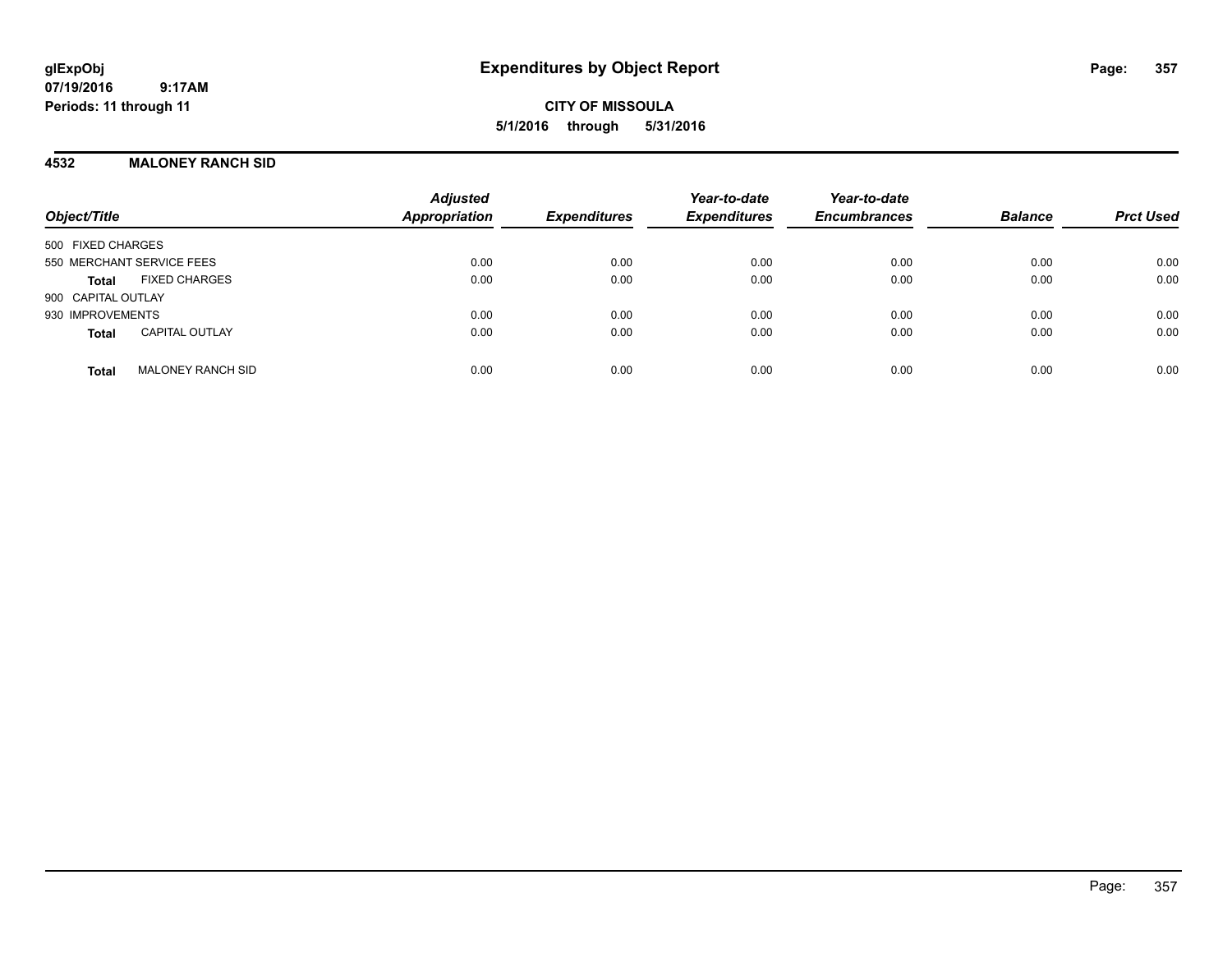**CITY OF MISSOULA 5/1/2016 through 5/31/2016**

#### **4532 MALONEY RANCH SID**

| Object/Title                             | <b>Adjusted</b><br><b>Appropriation</b> | <b>Expenditures</b> | Year-to-date<br><b>Expenditures</b> | Year-to-date<br><b>Encumbrances</b> | <b>Balance</b> | <b>Prct Used</b> |
|------------------------------------------|-----------------------------------------|---------------------|-------------------------------------|-------------------------------------|----------------|------------------|
| 500 FIXED CHARGES                        |                                         |                     |                                     |                                     |                |                  |
| 550 MERCHANT SERVICE FEES                | 0.00                                    | 0.00                | 0.00                                | 0.00                                | 0.00           | 0.00             |
| <b>FIXED CHARGES</b><br><b>Total</b>     | 0.00                                    | 0.00                | 0.00                                | 0.00                                | 0.00           | 0.00             |
| 900 CAPITAL OUTLAY                       |                                         |                     |                                     |                                     |                |                  |
| 930 IMPROVEMENTS                         | 0.00                                    | 0.00                | 0.00                                | 0.00                                | 0.00           | 0.00             |
| <b>CAPITAL OUTLAY</b><br><b>Total</b>    | 0.00                                    | 0.00                | 0.00                                | 0.00                                | 0.00           | 0.00             |
| <b>MALONEY RANCH SID</b><br><b>Total</b> | 0.00                                    | 0.00                | 0.00                                | 0.00                                | 0.00           | 0.00             |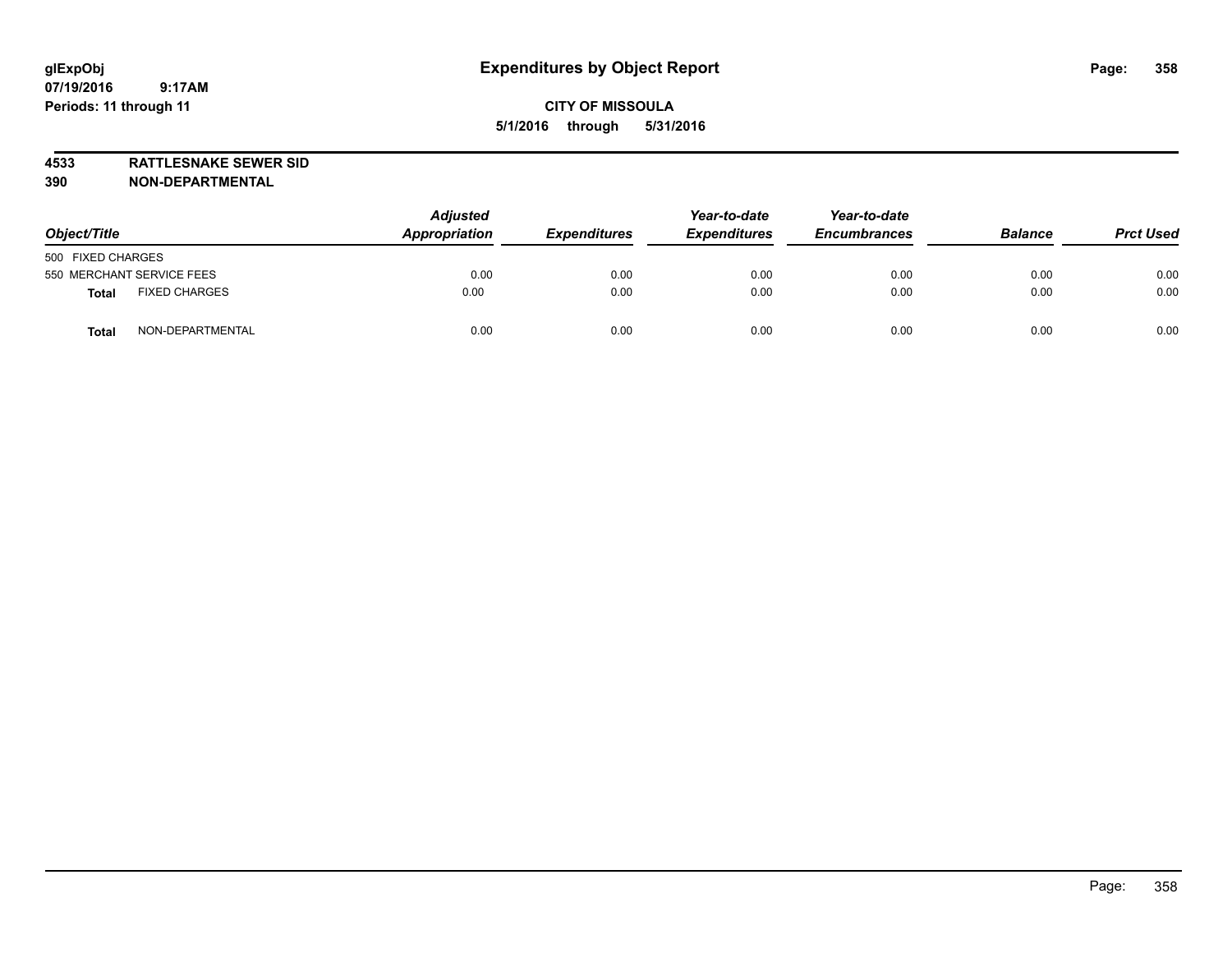**4533 RATTLESNAKE SEWER SID**

**390 NON-DEPARTMENTAL**

| Object/Title                         | <b>Adjusted</b><br>Appropriation | <b>Expenditures</b> | Year-to-date<br><b>Expenditures</b> | Year-to-date<br><b>Encumbrances</b> | <b>Balance</b> | <b>Prct Used</b> |
|--------------------------------------|----------------------------------|---------------------|-------------------------------------|-------------------------------------|----------------|------------------|
| 500 FIXED CHARGES                    |                                  |                     |                                     |                                     |                |                  |
| 550 MERCHANT SERVICE FEES            | 0.00                             | 0.00                | 0.00                                | 0.00                                | 0.00           | 0.00             |
| <b>FIXED CHARGES</b><br><b>Total</b> | 0.00                             | 0.00                | 0.00                                | 0.00                                | 0.00           | 0.00             |
| NON-DEPARTMENTAL<br><b>Total</b>     | 0.00                             | 0.00                | 0.00                                | 0.00                                | 0.00           | 0.00             |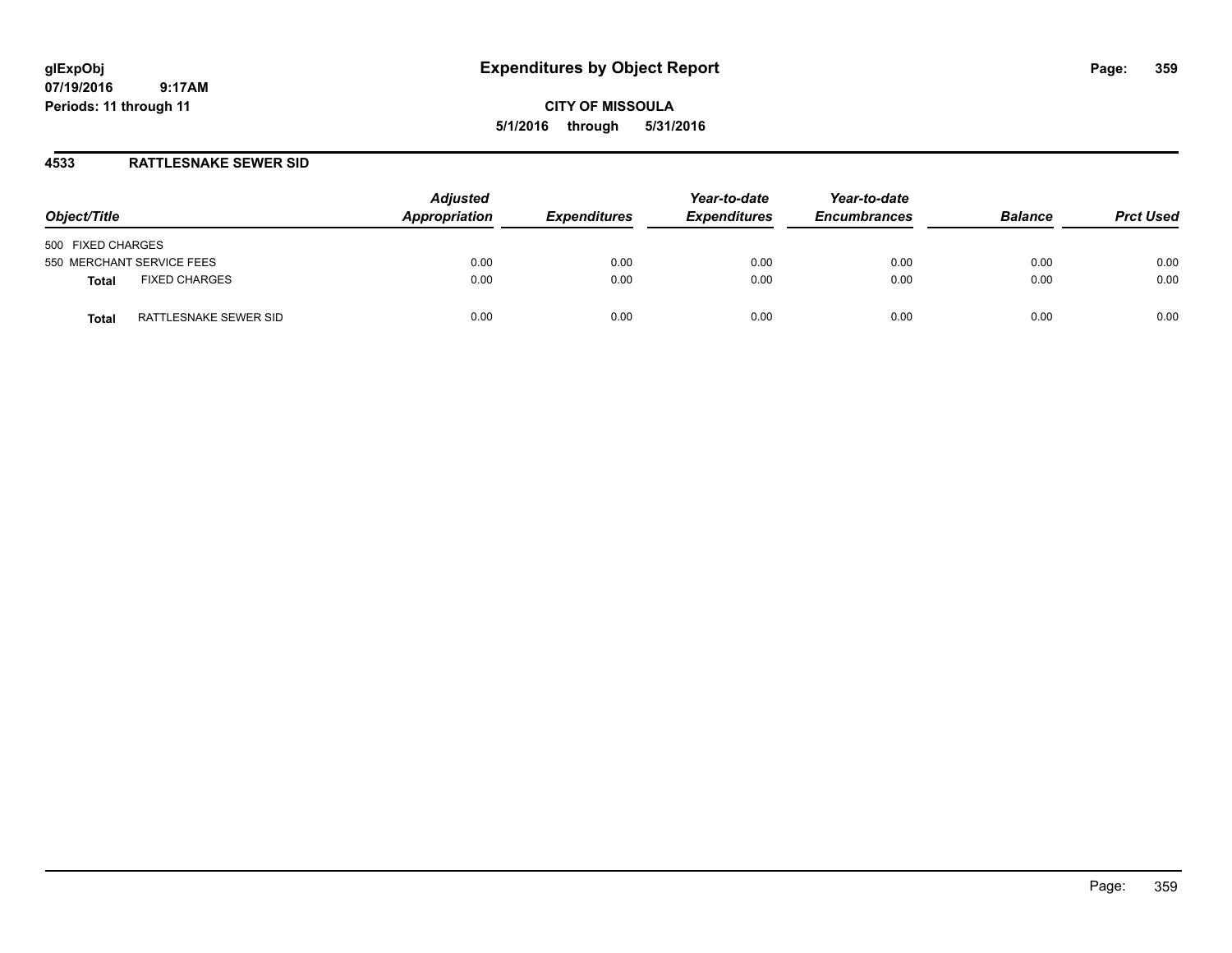**CITY OF MISSOULA 5/1/2016 through 5/31/2016**

### **4533 RATTLESNAKE SEWER SID**

| Object/Title                   | <b>Adjusted</b><br>Appropriation | <b>Expenditures</b> | Year-to-date<br><b>Expenditures</b> | Year-to-date<br><b>Encumbrances</b> | <b>Balance</b> | <b>Prct Used</b> |
|--------------------------------|----------------------------------|---------------------|-------------------------------------|-------------------------------------|----------------|------------------|
| 500 FIXED CHARGES              |                                  |                     |                                     |                                     |                |                  |
| 550 MERCHANT SERVICE FEES      | 0.00                             | 0.00                | 0.00                                | 0.00                                | 0.00           | 0.00             |
| <b>FIXED CHARGES</b><br>Total  | 0.00                             | 0.00                | 0.00                                | 0.00                                | 0.00           | 0.00             |
| RATTLESNAKE SEWER SID<br>Total | 0.00                             | 0.00                | 0.00                                | 0.00                                | 0.00           | 0.00             |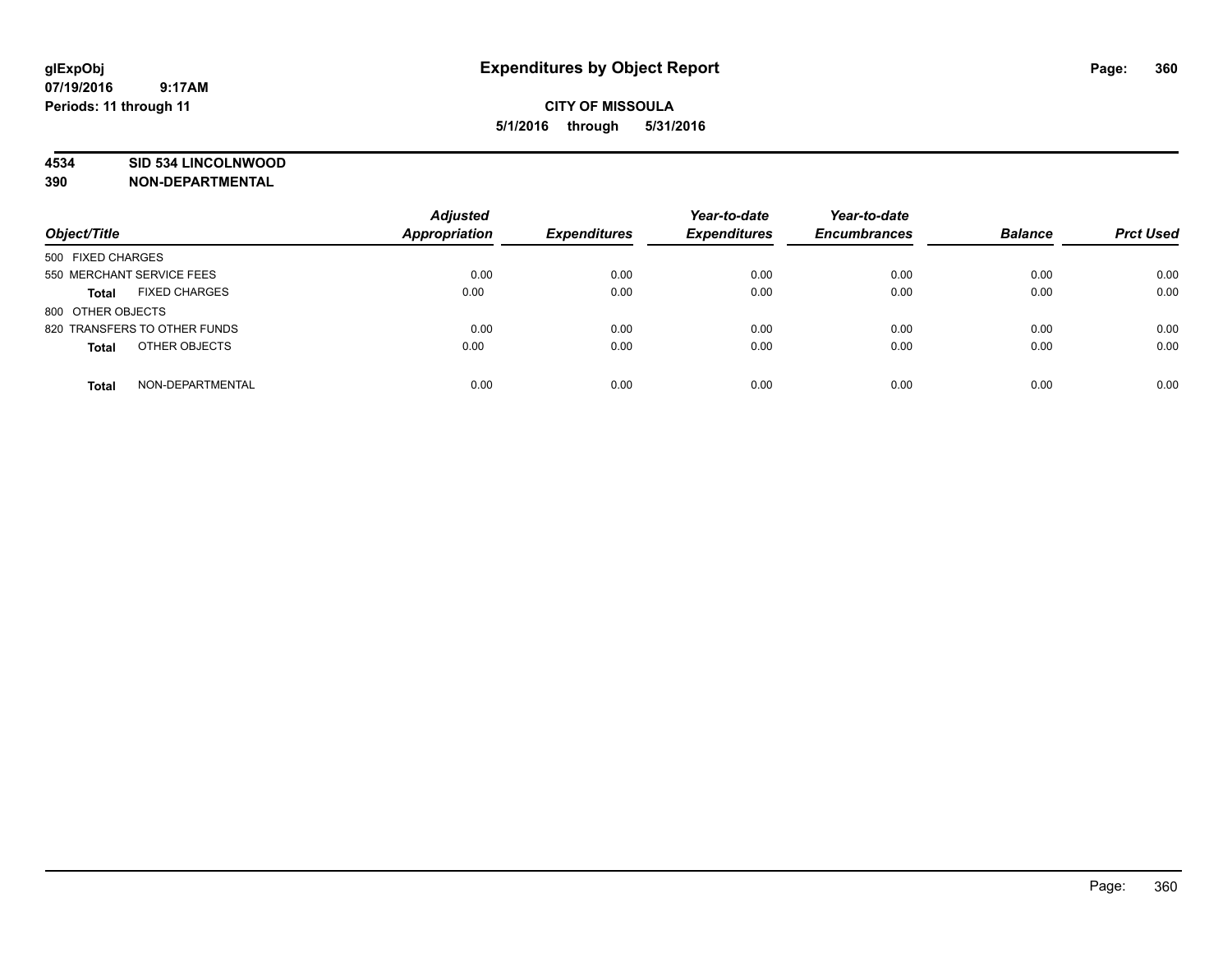### **4534 SID 534 LINCOLNWOOD**

**390 NON-DEPARTMENTAL**

| Object/Title                         | <b>Adjusted</b><br>Appropriation | <b>Expenditures</b> | Year-to-date<br><b>Expenditures</b> | Year-to-date<br><b>Encumbrances</b> | <b>Balance</b> | <b>Prct Used</b> |
|--------------------------------------|----------------------------------|---------------------|-------------------------------------|-------------------------------------|----------------|------------------|
| 500 FIXED CHARGES                    |                                  |                     |                                     |                                     |                |                  |
| 550 MERCHANT SERVICE FEES            | 0.00                             | 0.00                | 0.00                                | 0.00                                | 0.00           | 0.00             |
| <b>FIXED CHARGES</b><br><b>Total</b> | 0.00                             | 0.00                | 0.00                                | 0.00                                | 0.00           | 0.00             |
| 800 OTHER OBJECTS                    |                                  |                     |                                     |                                     |                |                  |
| 820 TRANSFERS TO OTHER FUNDS         | 0.00                             | 0.00                | 0.00                                | 0.00                                | 0.00           | 0.00             |
| OTHER OBJECTS<br><b>Total</b>        | 0.00                             | 0.00                | 0.00                                | 0.00                                | 0.00           | 0.00             |
| NON-DEPARTMENTAL<br><b>Total</b>     | 0.00                             | 0.00                | 0.00                                | 0.00                                | 0.00           | 0.00             |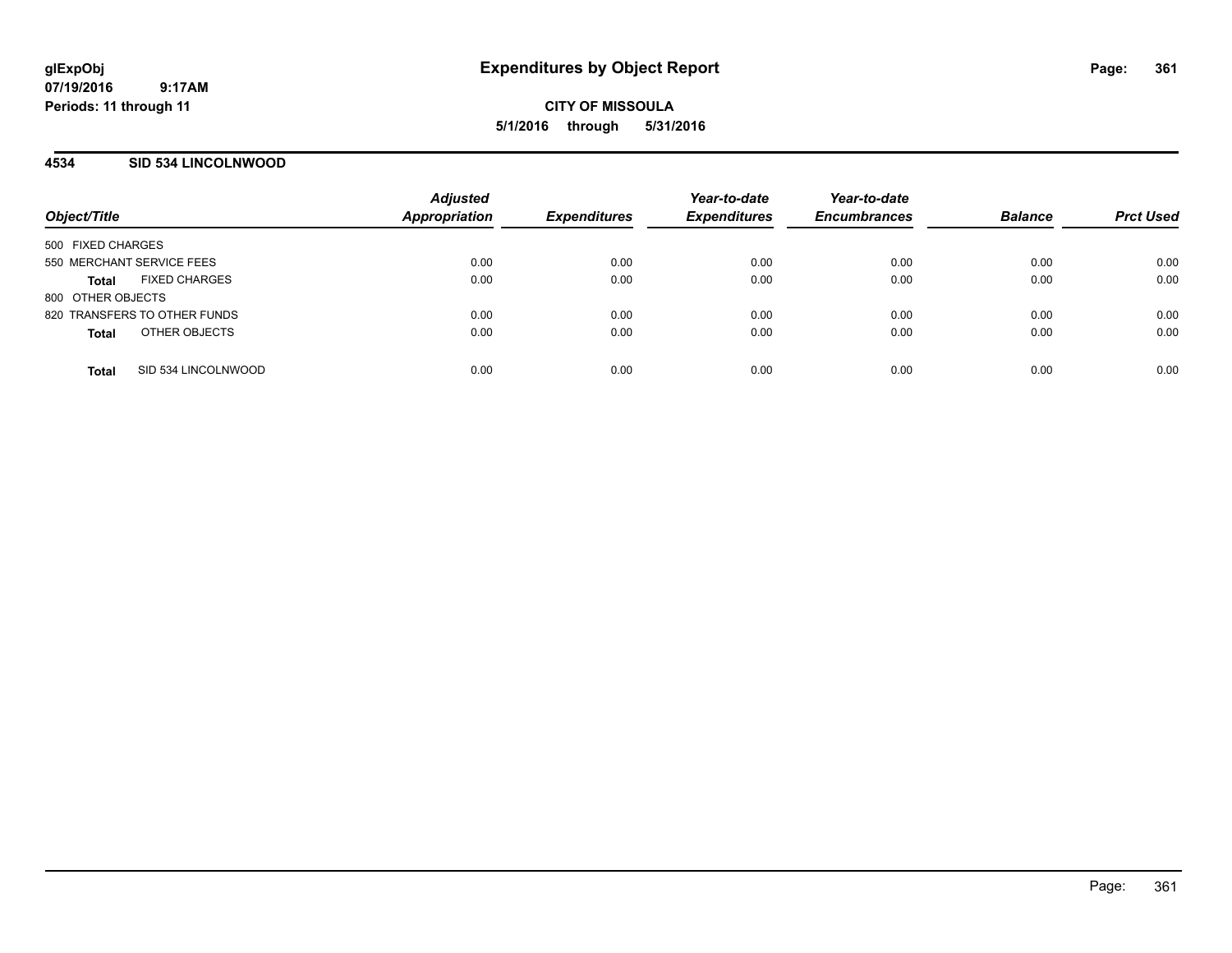**CITY OF MISSOULA 5/1/2016 through 5/31/2016**

## **4534 SID 534 LINCOLNWOOD**

| Object/Title                         | <b>Adjusted</b><br><b>Appropriation</b> | <b>Expenditures</b> | Year-to-date<br><b>Expenditures</b> | Year-to-date<br><b>Encumbrances</b> | <b>Balance</b> | <b>Prct Used</b> |
|--------------------------------------|-----------------------------------------|---------------------|-------------------------------------|-------------------------------------|----------------|------------------|
| 500 FIXED CHARGES                    |                                         |                     |                                     |                                     |                |                  |
| 550 MERCHANT SERVICE FEES            | 0.00                                    | 0.00                | 0.00                                | 0.00                                | 0.00           | 0.00             |
| <b>FIXED CHARGES</b><br><b>Total</b> | 0.00                                    | 0.00                | 0.00                                | 0.00                                | 0.00           | 0.00             |
| 800 OTHER OBJECTS                    |                                         |                     |                                     |                                     |                |                  |
| 820 TRANSFERS TO OTHER FUNDS         | 0.00                                    | 0.00                | 0.00                                | 0.00                                | 0.00           | 0.00             |
| OTHER OBJECTS<br><b>Total</b>        | 0.00                                    | 0.00                | 0.00                                | 0.00                                | 0.00           | 0.00             |
| SID 534 LINCOLNWOOD<br><b>Total</b>  | 0.00                                    | 0.00                | 0.00                                | 0.00                                | 0.00           | 0.00             |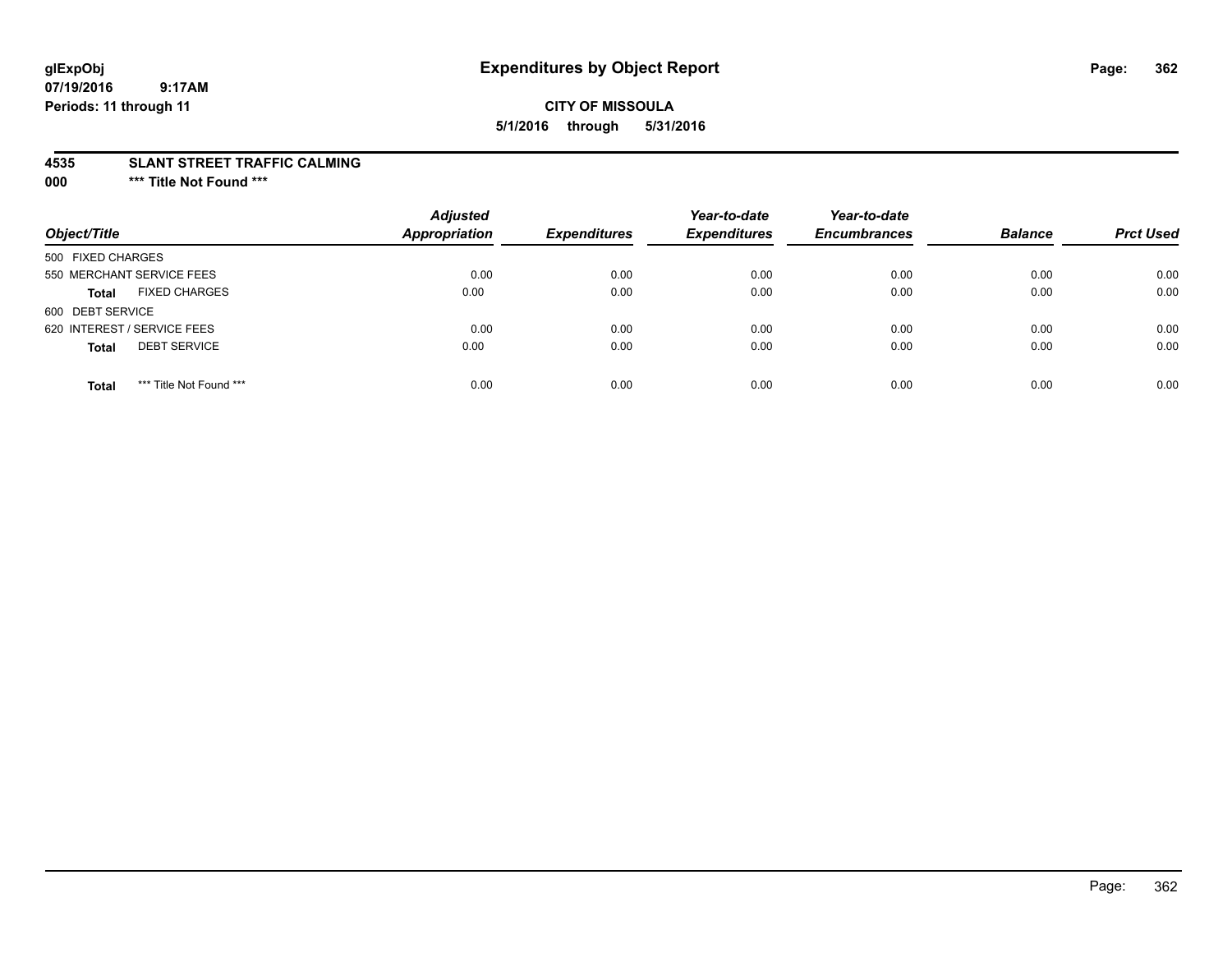## **CITY OF MISSOULA 5/1/2016 through 5/31/2016**

#### **4535 SLANT STREET TRAFFIC CALMING**

**000 \*\*\* Title Not Found \*\*\***

| Object/Title                            | <b>Adjusted</b><br><b>Appropriation</b> | <b>Expenditures</b> | Year-to-date<br><b>Expenditures</b> | Year-to-date<br><b>Encumbrances</b> | <b>Balance</b> | <b>Prct Used</b> |
|-----------------------------------------|-----------------------------------------|---------------------|-------------------------------------|-------------------------------------|----------------|------------------|
| 500 FIXED CHARGES                       |                                         |                     |                                     |                                     |                |                  |
| 550 MERCHANT SERVICE FEES               | 0.00                                    | 0.00                | 0.00                                | 0.00                                | 0.00           | 0.00             |
| <b>FIXED CHARGES</b><br><b>Total</b>    | 0.00                                    | 0.00                | 0.00                                | 0.00                                | 0.00           | 0.00             |
| 600 DEBT SERVICE                        |                                         |                     |                                     |                                     |                |                  |
| 620 INTEREST / SERVICE FEES             | 0.00                                    | 0.00                | 0.00                                | 0.00                                | 0.00           | 0.00             |
| <b>DEBT SERVICE</b><br><b>Total</b>     | 0.00                                    | 0.00                | 0.00                                | 0.00                                | 0.00           | 0.00             |
| *** Title Not Found ***<br><b>Total</b> | 0.00                                    | 0.00                | 0.00                                | 0.00                                | 0.00           | 0.00             |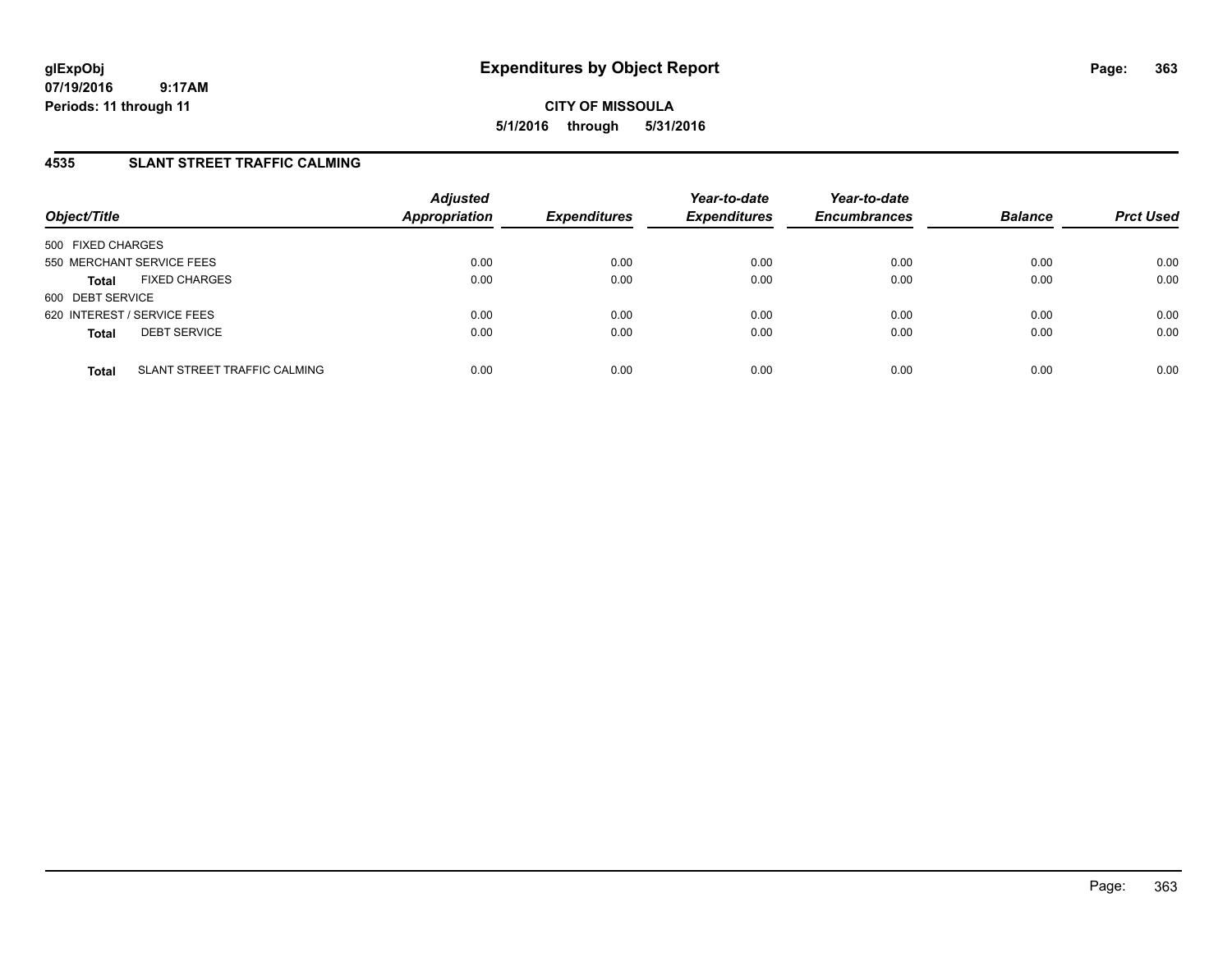**CITY OF MISSOULA 5/1/2016 through 5/31/2016**

## **4535 SLANT STREET TRAFFIC CALMING**

| Object/Title                                 | <b>Adjusted</b><br><b>Appropriation</b> | <b>Expenditures</b> | Year-to-date<br><b>Expenditures</b> | Year-to-date<br><b>Encumbrances</b> | <b>Balance</b> | <b>Prct Used</b> |
|----------------------------------------------|-----------------------------------------|---------------------|-------------------------------------|-------------------------------------|----------------|------------------|
| 500 FIXED CHARGES                            |                                         |                     |                                     |                                     |                |                  |
| 550 MERCHANT SERVICE FEES                    | 0.00                                    | 0.00                | 0.00                                | 0.00                                | 0.00           | 0.00             |
| <b>FIXED CHARGES</b><br><b>Total</b>         | 0.00                                    | 0.00                | 0.00                                | 0.00                                | 0.00           | 0.00             |
| 600 DEBT SERVICE                             |                                         |                     |                                     |                                     |                |                  |
| 620 INTEREST / SERVICE FEES                  | 0.00                                    | 0.00                | 0.00                                | 0.00                                | 0.00           | 0.00             |
| <b>DEBT SERVICE</b><br><b>Total</b>          | 0.00                                    | 0.00                | 0.00                                | 0.00                                | 0.00           | 0.00             |
|                                              |                                         |                     |                                     |                                     |                |                  |
| SLANT STREET TRAFFIC CALMING<br><b>Total</b> | 0.00                                    | 0.00                | 0.00                                | 0.00                                | 0.00           | 0.00             |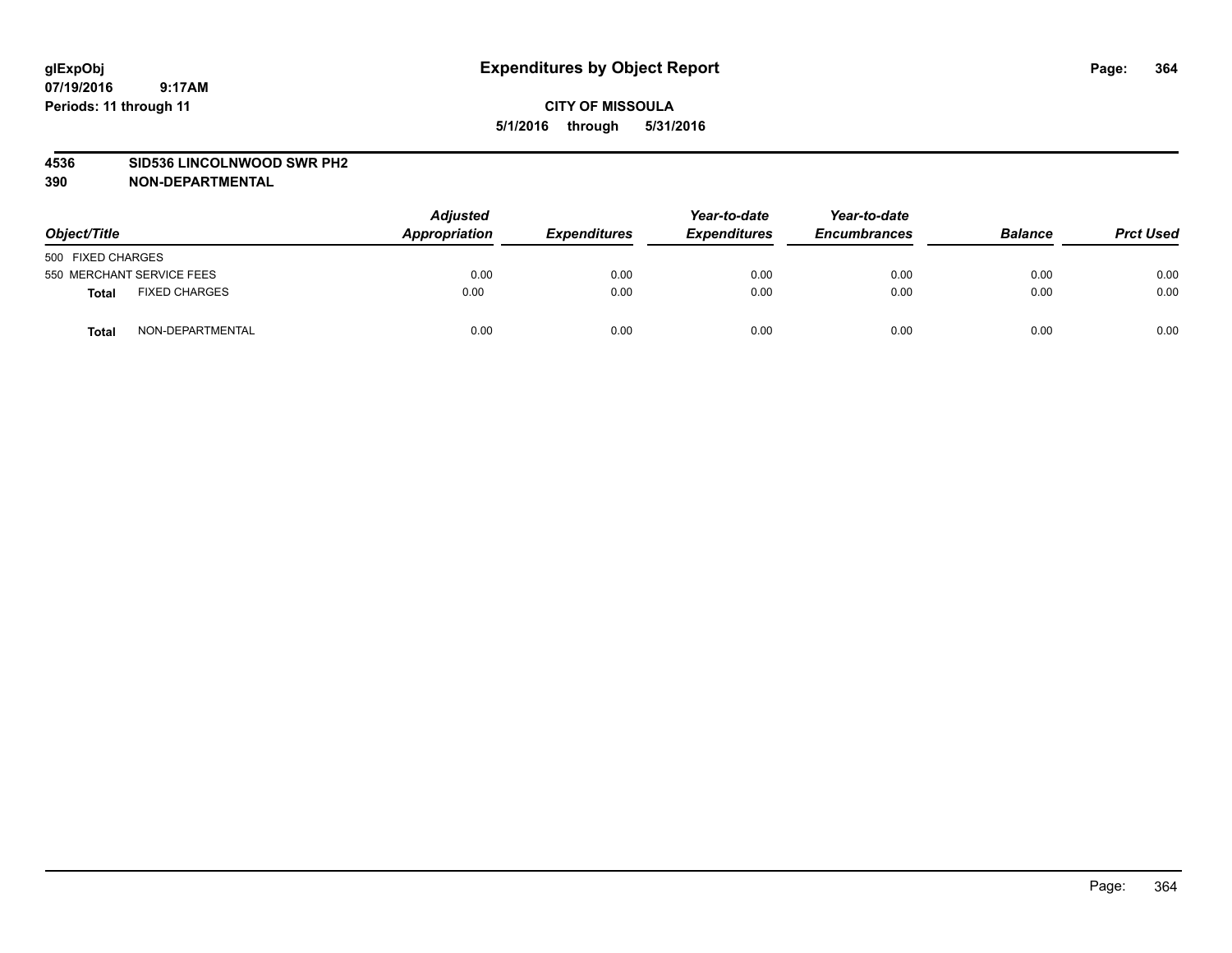#### **4536 SID536 LINCOLNWOOD SWR PH2**

| Object/Title                         | <b>Adjusted</b><br>Appropriation | <b>Expenditures</b> | Year-to-date<br><b>Expenditures</b> | Year-to-date<br><b>Encumbrances</b> | <b>Balance</b> | <b>Prct Used</b> |
|--------------------------------------|----------------------------------|---------------------|-------------------------------------|-------------------------------------|----------------|------------------|
| 500 FIXED CHARGES                    |                                  |                     |                                     |                                     |                |                  |
| 550 MERCHANT SERVICE FEES            | 0.00                             | 0.00                | 0.00                                | 0.00                                | 0.00           | 0.00             |
| <b>FIXED CHARGES</b><br><b>Total</b> | 0.00                             | 0.00                | 0.00                                | 0.00                                | 0.00           | 0.00             |
| NON-DEPARTMENTAL<br><b>Total</b>     | 0.00                             | 0.00                | 0.00                                | 0.00                                | 0.00           | 0.00             |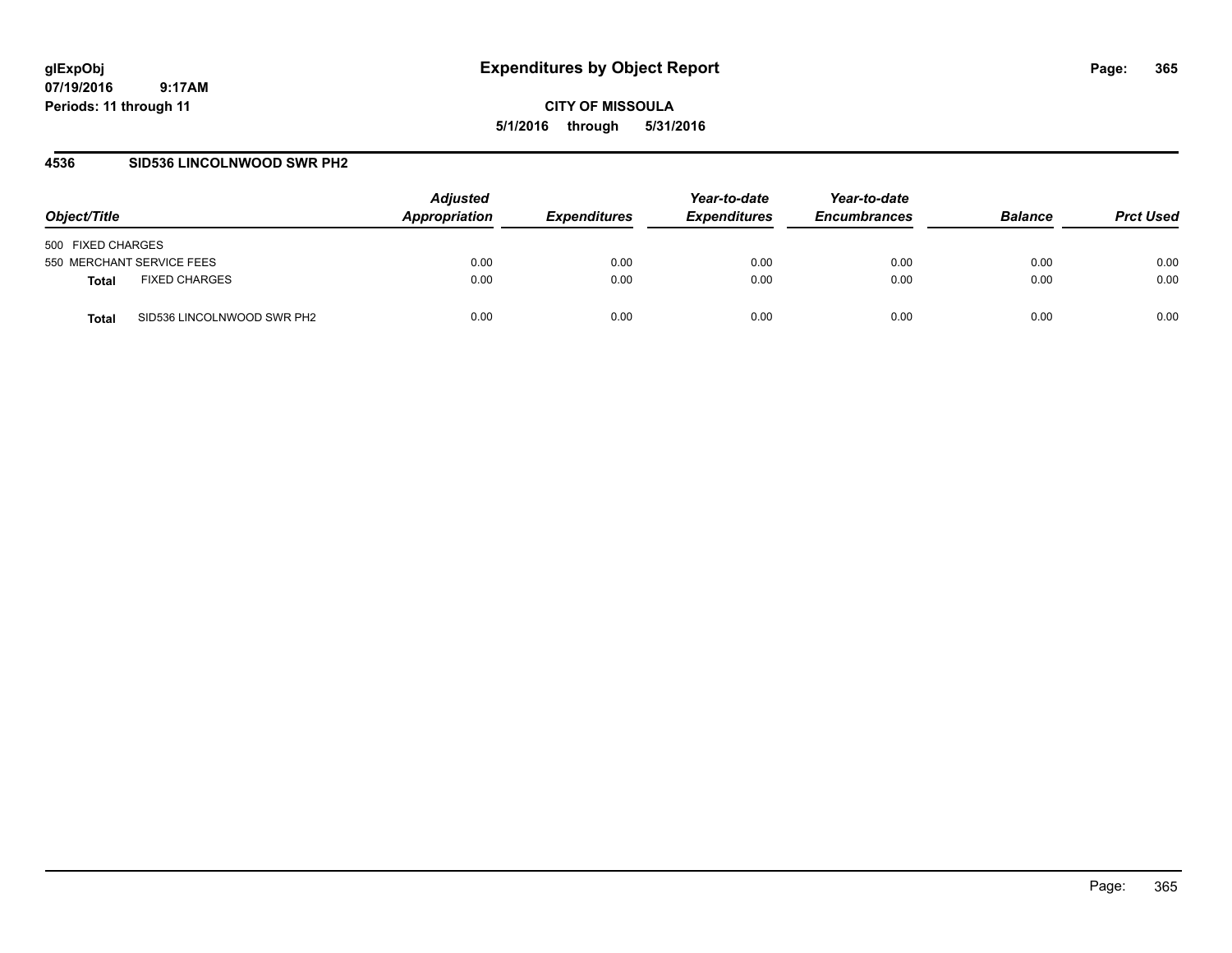**CITY OF MISSOULA 5/1/2016 through 5/31/2016**

#### **4536 SID536 LINCOLNWOOD SWR PH2**

| Object/Title                         | <b>Adjusted</b><br>Appropriation | <b>Expenditures</b> | Year-to-date<br><b>Expenditures</b> | Year-to-date<br><b>Encumbrances</b> | <b>Balance</b> | <b>Prct Used</b> |
|--------------------------------------|----------------------------------|---------------------|-------------------------------------|-------------------------------------|----------------|------------------|
| 500 FIXED CHARGES                    |                                  |                     |                                     |                                     |                |                  |
| 550 MERCHANT SERVICE FEES            | 0.00                             | 0.00                | 0.00                                | 0.00                                | 0.00           | 0.00             |
| <b>FIXED CHARGES</b><br><b>Total</b> | 0.00                             | 0.00                | 0.00                                | 0.00                                | 0.00           | 0.00             |
| SID536 LINCOLNWOOD SWR PH2<br>Total  | 0.00                             | 0.00                | 0.00                                | 0.00                                | 0.00           | 0.00             |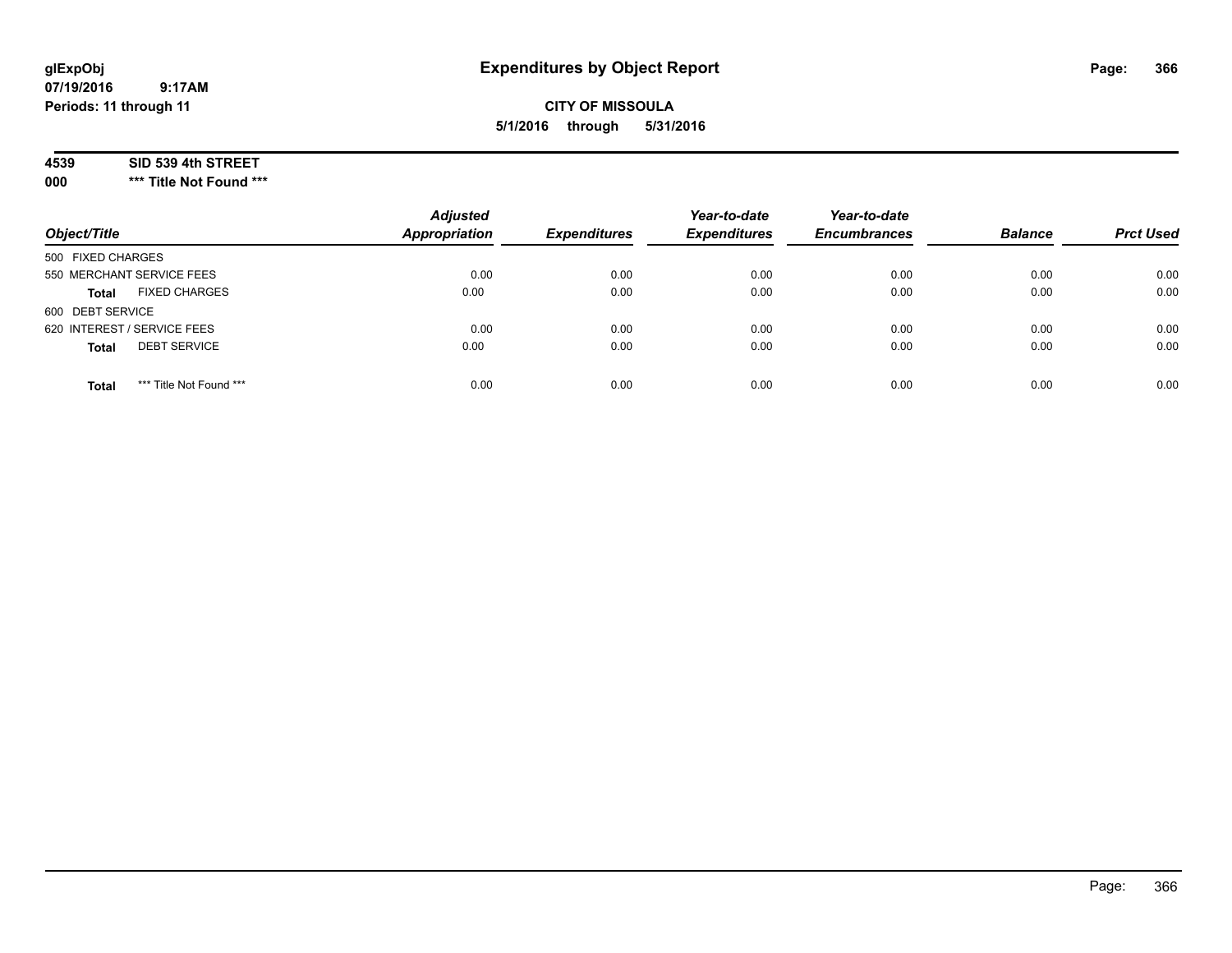# **CITY OF MISSOULA 5/1/2016 through 5/31/2016**

## **4539 SID 539 4th STREET**

**000 \*\*\* Title Not Found \*\*\***

| Object/Title                            | <b>Adjusted</b><br><b>Appropriation</b> | <b>Expenditures</b> | Year-to-date<br><b>Expenditures</b> | Year-to-date<br><b>Encumbrances</b> | <b>Balance</b> | <b>Prct Used</b> |
|-----------------------------------------|-----------------------------------------|---------------------|-------------------------------------|-------------------------------------|----------------|------------------|
| 500 FIXED CHARGES                       |                                         |                     |                                     |                                     |                |                  |
| 550 MERCHANT SERVICE FEES               | 0.00                                    | 0.00                | 0.00                                | 0.00                                | 0.00           | 0.00             |
| <b>FIXED CHARGES</b><br><b>Total</b>    | 0.00                                    | 0.00                | 0.00                                | 0.00                                | 0.00           | 0.00             |
| 600 DEBT SERVICE                        |                                         |                     |                                     |                                     |                |                  |
| 620 INTEREST / SERVICE FEES             | 0.00                                    | 0.00                | 0.00                                | 0.00                                | 0.00           | 0.00             |
| <b>DEBT SERVICE</b><br><b>Total</b>     | 0.00                                    | 0.00                | 0.00                                | 0.00                                | 0.00           | 0.00             |
| *** Title Not Found ***<br><b>Total</b> | 0.00                                    | 0.00                | 0.00                                | 0.00                                | 0.00           | 0.00             |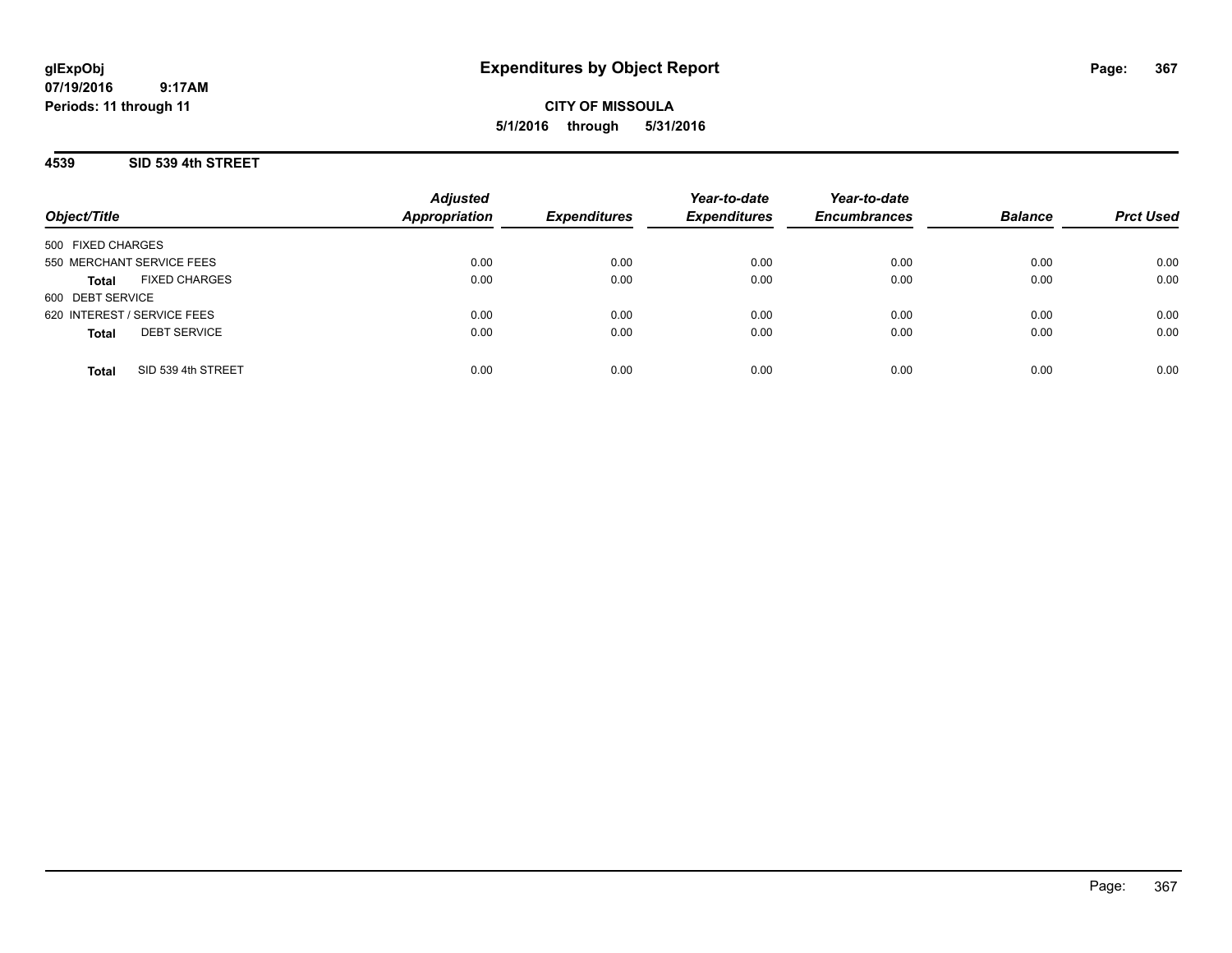**CITY OF MISSOULA 5/1/2016 through 5/31/2016**

## **4539 SID 539 4th STREET**

| Object/Title                         | <b>Adjusted</b><br><b>Appropriation</b> | <b>Expenditures</b> | Year-to-date<br><b>Expenditures</b> | Year-to-date<br><b>Encumbrances</b> | <b>Balance</b> | <b>Prct Used</b> |
|--------------------------------------|-----------------------------------------|---------------------|-------------------------------------|-------------------------------------|----------------|------------------|
| 500 FIXED CHARGES                    |                                         |                     |                                     |                                     |                |                  |
| 550 MERCHANT SERVICE FEES            | 0.00                                    | 0.00                | 0.00                                | 0.00                                | 0.00           | 0.00             |
| <b>FIXED CHARGES</b><br><b>Total</b> | 0.00                                    | 0.00                | 0.00                                | 0.00                                | 0.00           | 0.00             |
| 600 DEBT SERVICE                     |                                         |                     |                                     |                                     |                |                  |
| 620 INTEREST / SERVICE FEES          | 0.00                                    | 0.00                | 0.00                                | 0.00                                | 0.00           | 0.00             |
| <b>DEBT SERVICE</b><br><b>Total</b>  | 0.00                                    | 0.00                | 0.00                                | 0.00                                | 0.00           | 0.00             |
| SID 539 4th STREET<br><b>Total</b>   | 0.00                                    | 0.00                | 0.00                                | 0.00                                | 0.00           | 0.00             |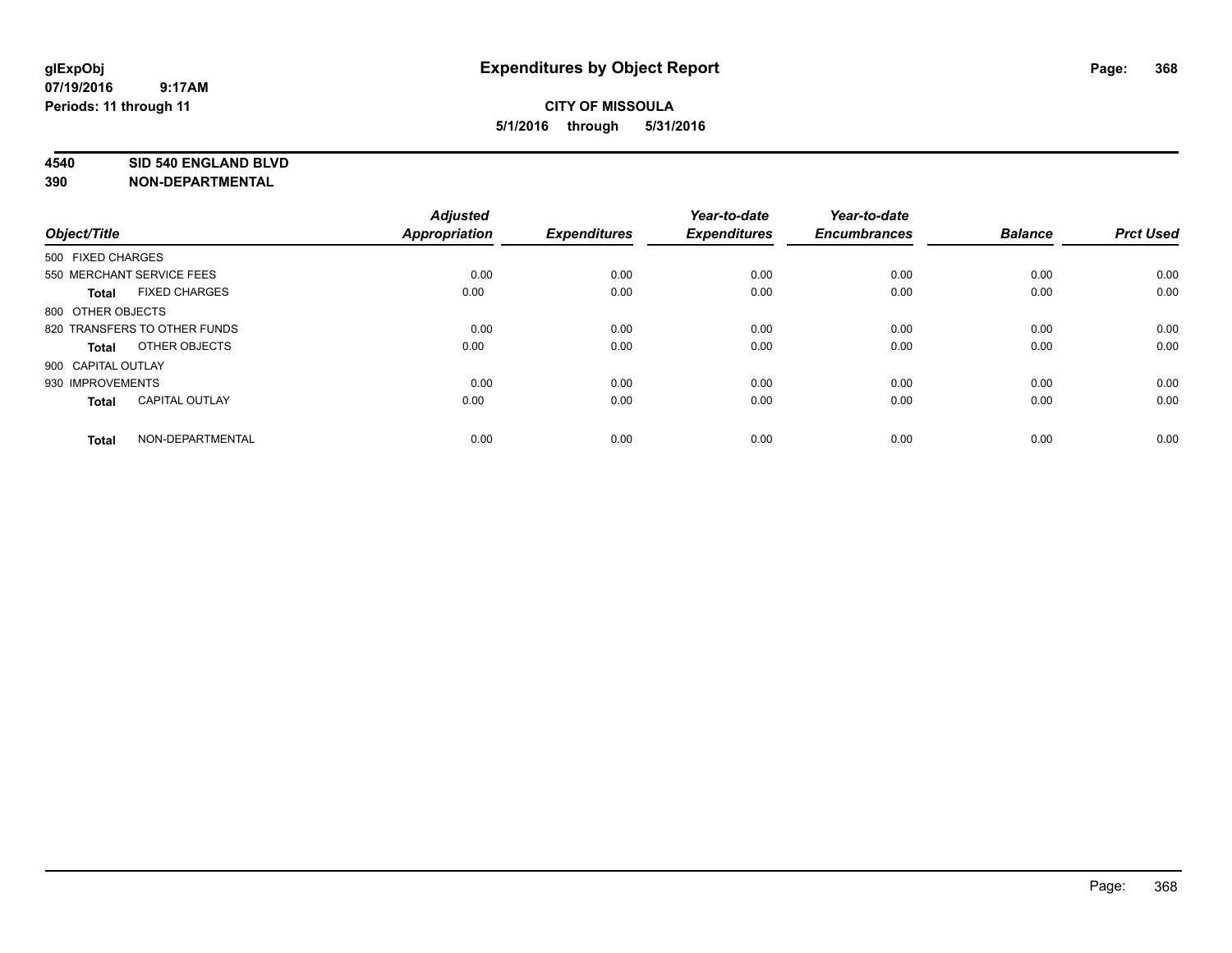#### **4540 SID 540 ENGLAND BLVD**

| Object/Title                 |                       | <b>Adjusted</b><br><b>Appropriation</b> | <b>Expenditures</b> | Year-to-date<br><b>Expenditures</b> | Year-to-date<br><b>Encumbrances</b> | <b>Balance</b> | <b>Prct Used</b> |
|------------------------------|-----------------------|-----------------------------------------|---------------------|-------------------------------------|-------------------------------------|----------------|------------------|
| 500 FIXED CHARGES            |                       |                                         |                     |                                     |                                     |                |                  |
| 550 MERCHANT SERVICE FEES    |                       | 0.00                                    | 0.00                | 0.00                                | 0.00                                | 0.00           | 0.00             |
| <b>Total</b>                 | <b>FIXED CHARGES</b>  | 0.00                                    | 0.00                | 0.00                                | 0.00                                | 0.00           | 0.00             |
| 800 OTHER OBJECTS            |                       |                                         |                     |                                     |                                     |                |                  |
| 820 TRANSFERS TO OTHER FUNDS |                       | 0.00                                    | 0.00                | 0.00                                | 0.00                                | 0.00           | 0.00             |
| Total                        | OTHER OBJECTS         | 0.00                                    | 0.00                | 0.00                                | 0.00                                | 0.00           | 0.00             |
| 900 CAPITAL OUTLAY           |                       |                                         |                     |                                     |                                     |                |                  |
| 930 IMPROVEMENTS             |                       | 0.00                                    | 0.00                | 0.00                                | 0.00                                | 0.00           | 0.00             |
| Total                        | <b>CAPITAL OUTLAY</b> | 0.00                                    | 0.00                | 0.00                                | 0.00                                | 0.00           | 0.00             |
| <b>Total</b>                 | NON-DEPARTMENTAL      | 0.00                                    | 0.00                | 0.00                                | 0.00                                | 0.00           | 0.00             |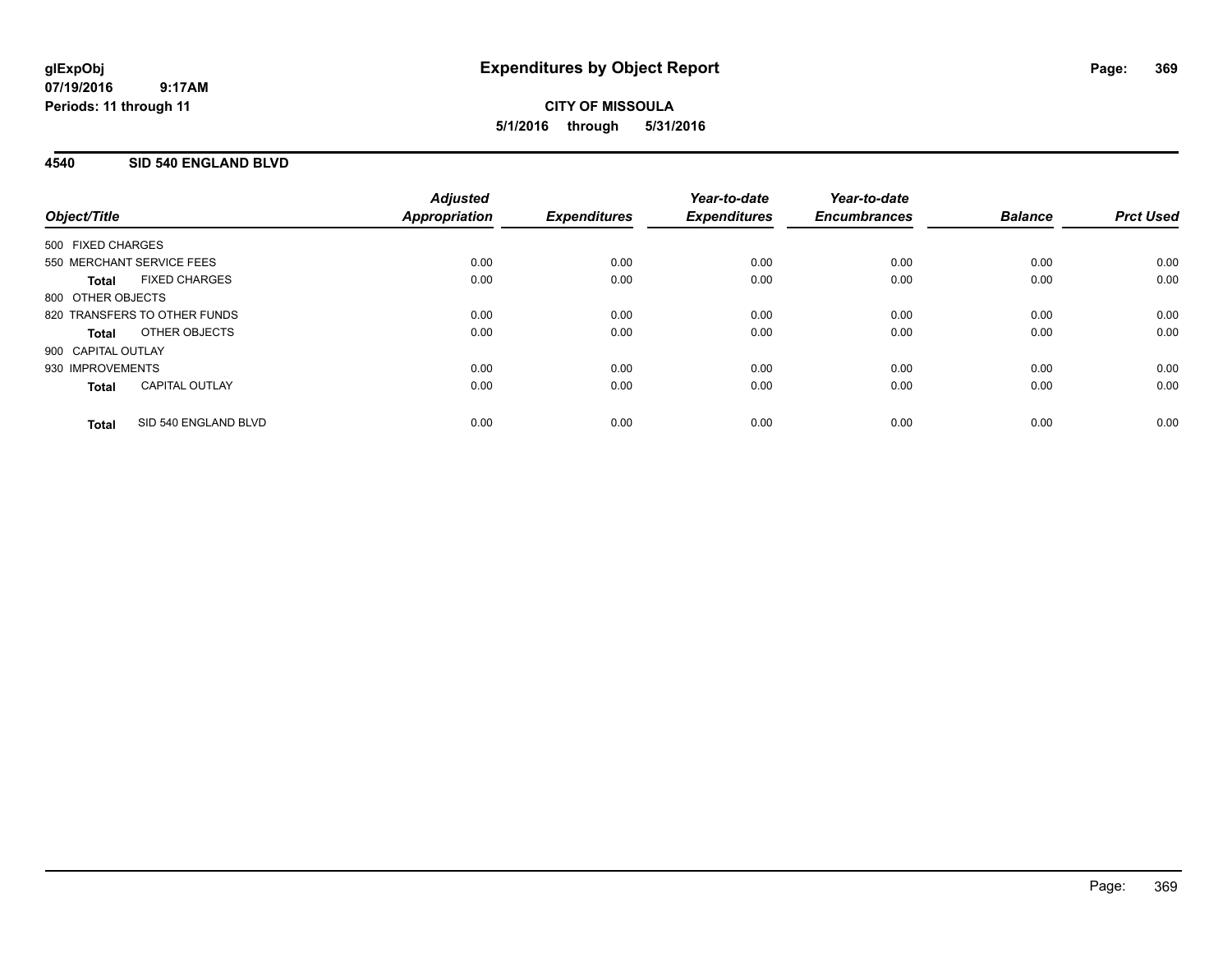# **CITY OF MISSOULA 5/1/2016 through 5/31/2016**

## **4540 SID 540 ENGLAND BLVD**

| Object/Title       |                              | <b>Adjusted</b><br>Appropriation | <b>Expenditures</b> | Year-to-date<br><b>Expenditures</b> | Year-to-date<br><b>Encumbrances</b> | <b>Balance</b> | <b>Prct Used</b> |
|--------------------|------------------------------|----------------------------------|---------------------|-------------------------------------|-------------------------------------|----------------|------------------|
| 500 FIXED CHARGES  |                              |                                  |                     |                                     |                                     |                |                  |
|                    | 550 MERCHANT SERVICE FEES    | 0.00                             | 0.00                | 0.00                                | 0.00                                | 0.00           | 0.00             |
| <b>Total</b>       | <b>FIXED CHARGES</b>         | 0.00                             | 0.00                | 0.00                                | 0.00                                | 0.00           | 0.00             |
| 800 OTHER OBJECTS  |                              |                                  |                     |                                     |                                     |                |                  |
|                    | 820 TRANSFERS TO OTHER FUNDS | 0.00                             | 0.00                | 0.00                                | 0.00                                | 0.00           | 0.00             |
| <b>Total</b>       | OTHER OBJECTS                | 0.00                             | 0.00                | 0.00                                | 0.00                                | 0.00           | 0.00             |
| 900 CAPITAL OUTLAY |                              |                                  |                     |                                     |                                     |                |                  |
| 930 IMPROVEMENTS   |                              | 0.00                             | 0.00                | 0.00                                | 0.00                                | 0.00           | 0.00             |
| <b>Total</b>       | <b>CAPITAL OUTLAY</b>        | 0.00                             | 0.00                | 0.00                                | 0.00                                | 0.00           | 0.00             |
| <b>Total</b>       | SID 540 ENGLAND BLVD         | 0.00                             | 0.00                | 0.00                                | 0.00                                | 0.00           | 0.00             |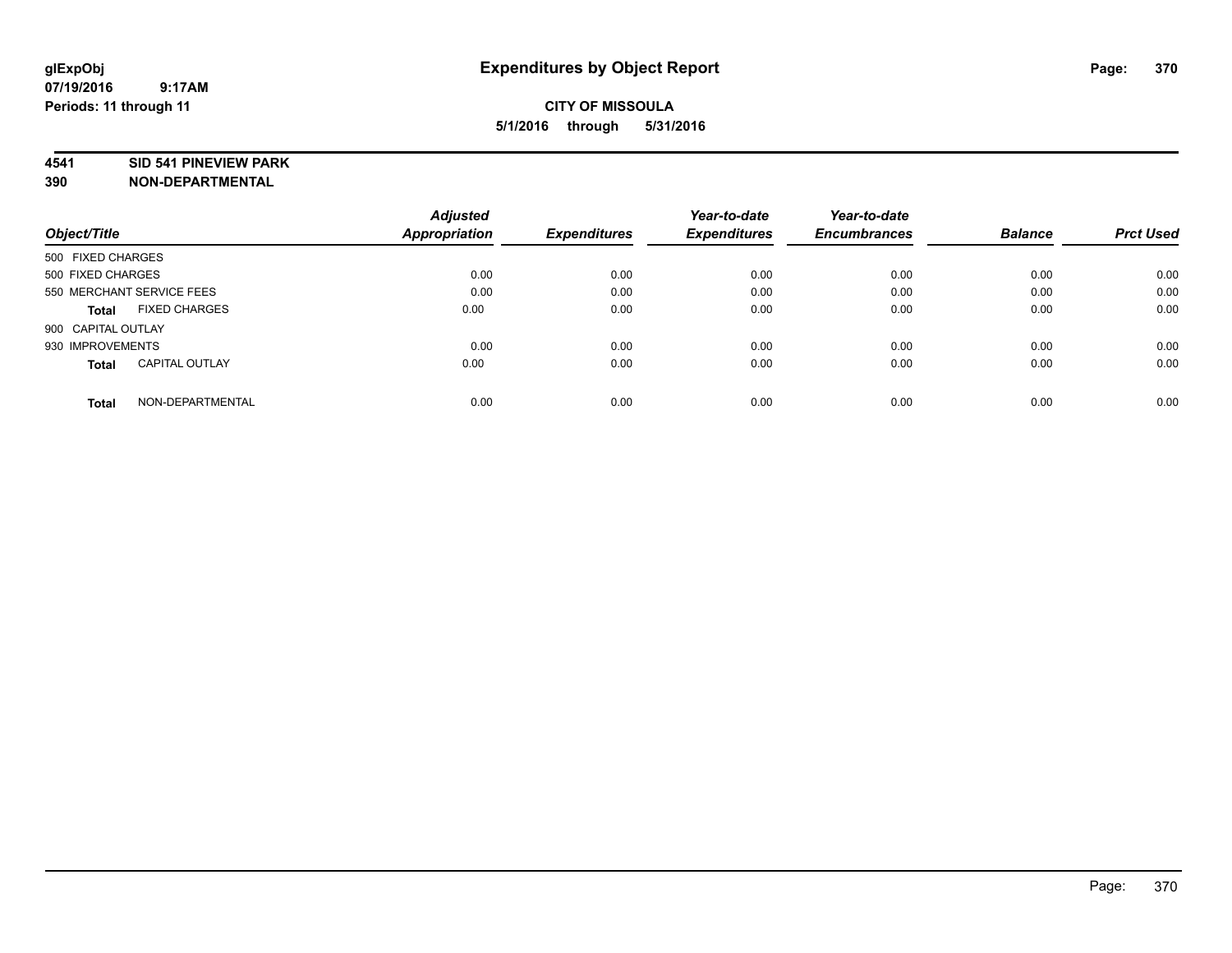#### **4541 SID 541 PINEVIEW PARK**

|                                       | <b>Adjusted</b> |                     | Year-to-date        | Year-to-date        |                |                  |
|---------------------------------------|-----------------|---------------------|---------------------|---------------------|----------------|------------------|
| Object/Title                          | Appropriation   | <b>Expenditures</b> | <b>Expenditures</b> | <b>Encumbrances</b> | <b>Balance</b> | <b>Prct Used</b> |
| 500 FIXED CHARGES                     |                 |                     |                     |                     |                |                  |
| 500 FIXED CHARGES                     | 0.00            | 0.00                | 0.00                | 0.00                | 0.00           | 0.00             |
| 550 MERCHANT SERVICE FEES             | 0.00            | 0.00                | 0.00                | 0.00                | 0.00           | 0.00             |
| <b>FIXED CHARGES</b><br>Total         | 0.00            | 0.00                | 0.00                | 0.00                | 0.00           | 0.00             |
| 900 CAPITAL OUTLAY                    |                 |                     |                     |                     |                |                  |
| 930 IMPROVEMENTS                      | 0.00            | 0.00                | 0.00                | 0.00                | 0.00           | 0.00             |
| <b>CAPITAL OUTLAY</b><br><b>Total</b> | 0.00            | 0.00                | 0.00                | 0.00                | 0.00           | 0.00             |
| NON-DEPARTMENTAL<br><b>Total</b>      | 0.00            | 0.00                | 0.00                | 0.00                | 0.00           | 0.00             |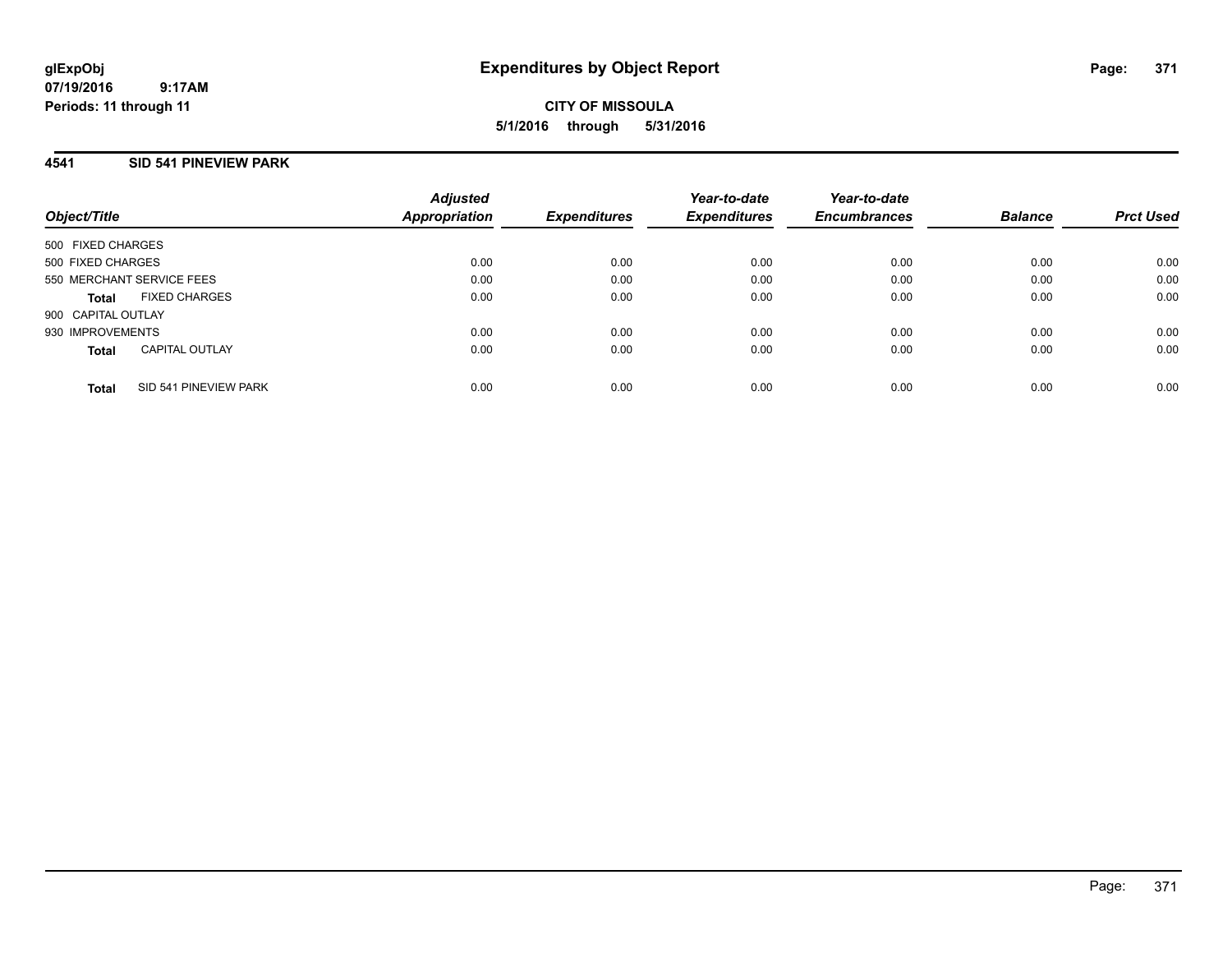**CITY OF MISSOULA 5/1/2016 through 5/31/2016**

## **4541 SID 541 PINEVIEW PARK**

| Object/Title       |                           | <b>Adjusted</b><br><b>Appropriation</b> | <b>Expenditures</b> | Year-to-date<br><b>Expenditures</b> | Year-to-date<br><b>Encumbrances</b> | <b>Balance</b> | <b>Prct Used</b> |
|--------------------|---------------------------|-----------------------------------------|---------------------|-------------------------------------|-------------------------------------|----------------|------------------|
| 500 FIXED CHARGES  |                           |                                         |                     |                                     |                                     |                |                  |
| 500 FIXED CHARGES  |                           | 0.00                                    | 0.00                | 0.00                                | 0.00                                | 0.00           | 0.00             |
|                    | 550 MERCHANT SERVICE FEES | 0.00                                    | 0.00                | 0.00                                | 0.00                                | 0.00           | 0.00             |
| Total              | <b>FIXED CHARGES</b>      | 0.00                                    | 0.00                | 0.00                                | 0.00                                | 0.00           | 0.00             |
| 900 CAPITAL OUTLAY |                           |                                         |                     |                                     |                                     |                |                  |
| 930 IMPROVEMENTS   |                           | 0.00                                    | 0.00                | 0.00                                | 0.00                                | 0.00           | 0.00             |
| <b>Total</b>       | <b>CAPITAL OUTLAY</b>     | 0.00                                    | 0.00                | 0.00                                | 0.00                                | 0.00           | 0.00             |
| <b>Total</b>       | SID 541 PINEVIEW PARK     | 0.00                                    | 0.00                | 0.00                                | 0.00                                | 0.00           | 0.00             |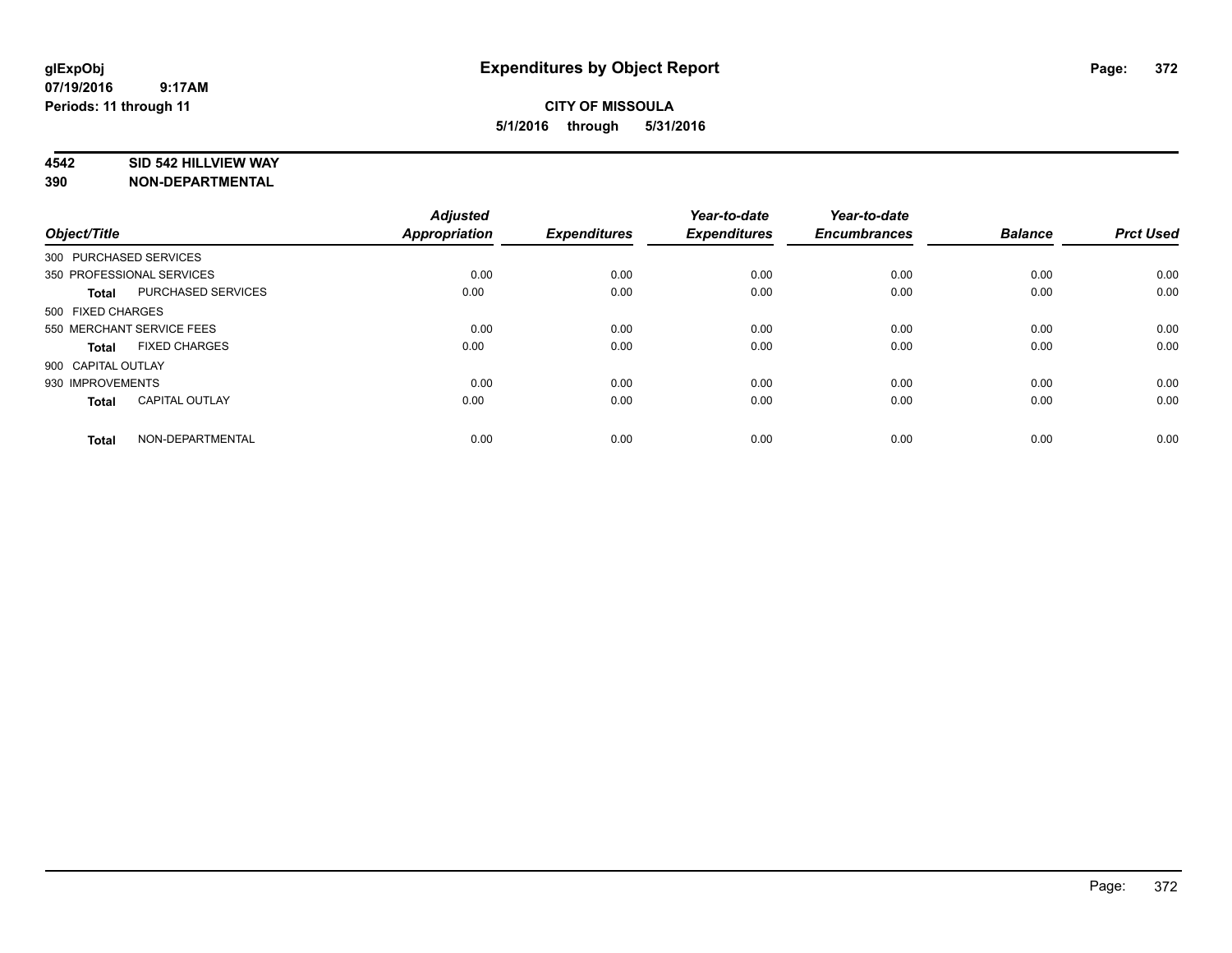#### **4542 SID 542 HILLVIEW WAY**

| Object/Title       |                           | <b>Adjusted</b><br><b>Appropriation</b> | <b>Expenditures</b> | Year-to-date<br><b>Expenditures</b> | Year-to-date<br><b>Encumbrances</b> | <b>Balance</b> | <b>Prct Used</b> |
|--------------------|---------------------------|-----------------------------------------|---------------------|-------------------------------------|-------------------------------------|----------------|------------------|
|                    | 300 PURCHASED SERVICES    |                                         |                     |                                     |                                     |                |                  |
|                    | 350 PROFESSIONAL SERVICES | 0.00                                    | 0.00                | 0.00                                | 0.00                                | 0.00           | 0.00             |
| <b>Total</b>       | <b>PURCHASED SERVICES</b> | 0.00                                    | 0.00                | 0.00                                | 0.00                                | 0.00           | 0.00             |
| 500 FIXED CHARGES  |                           |                                         |                     |                                     |                                     |                |                  |
|                    | 550 MERCHANT SERVICE FEES | 0.00                                    | 0.00                | 0.00                                | 0.00                                | 0.00           | 0.00             |
| Total              | <b>FIXED CHARGES</b>      | 0.00                                    | 0.00                | 0.00                                | 0.00                                | 0.00           | 0.00             |
| 900 CAPITAL OUTLAY |                           |                                         |                     |                                     |                                     |                |                  |
| 930 IMPROVEMENTS   |                           | 0.00                                    | 0.00                | 0.00                                | 0.00                                | 0.00           | 0.00             |
| Total              | <b>CAPITAL OUTLAY</b>     | 0.00                                    | 0.00                | 0.00                                | 0.00                                | 0.00           | 0.00             |
| <b>Total</b>       | NON-DEPARTMENTAL          | 0.00                                    | 0.00                | 0.00                                | 0.00                                | 0.00           | 0.00             |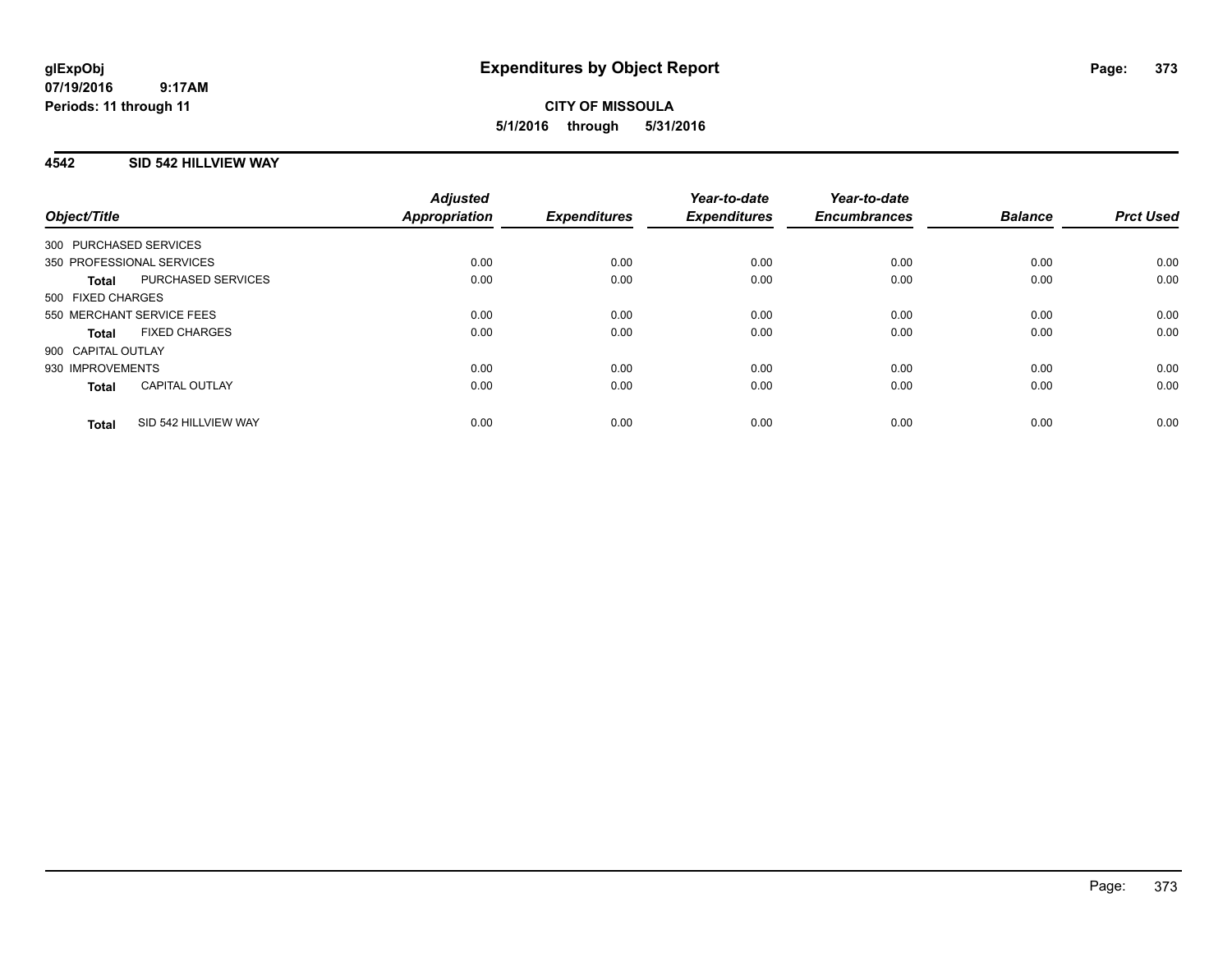## **4542 SID 542 HILLVIEW WAY**

| Object/Title              |                       | <b>Adjusted</b><br><b>Appropriation</b> | <b>Expenditures</b> | Year-to-date<br><b>Expenditures</b> | Year-to-date<br><b>Encumbrances</b> | <b>Balance</b> | <b>Prct Used</b> |
|---------------------------|-----------------------|-----------------------------------------|---------------------|-------------------------------------|-------------------------------------|----------------|------------------|
| 300 PURCHASED SERVICES    |                       |                                         |                     |                                     |                                     |                |                  |
| 350 PROFESSIONAL SERVICES |                       | 0.00                                    | 0.00                | 0.00                                | 0.00                                | 0.00           | 0.00             |
| <b>Total</b>              | PURCHASED SERVICES    | 0.00                                    | 0.00                | 0.00                                | 0.00                                | 0.00           | 0.00             |
| 500 FIXED CHARGES         |                       |                                         |                     |                                     |                                     |                |                  |
| 550 MERCHANT SERVICE FEES |                       | 0.00                                    | 0.00                | 0.00                                | 0.00                                | 0.00           | 0.00             |
| <b>Total</b>              | <b>FIXED CHARGES</b>  | 0.00                                    | 0.00                | 0.00                                | 0.00                                | 0.00           | 0.00             |
| 900 CAPITAL OUTLAY        |                       |                                         |                     |                                     |                                     |                |                  |
| 930 IMPROVEMENTS          |                       | 0.00                                    | 0.00                | 0.00                                | 0.00                                | 0.00           | 0.00             |
| <b>Total</b>              | <b>CAPITAL OUTLAY</b> | 0.00                                    | 0.00                | 0.00                                | 0.00                                | 0.00           | 0.00             |
| <b>Total</b>              | SID 542 HILLVIEW WAY  | 0.00                                    | 0.00                | 0.00                                | 0.00                                | 0.00           | 0.00             |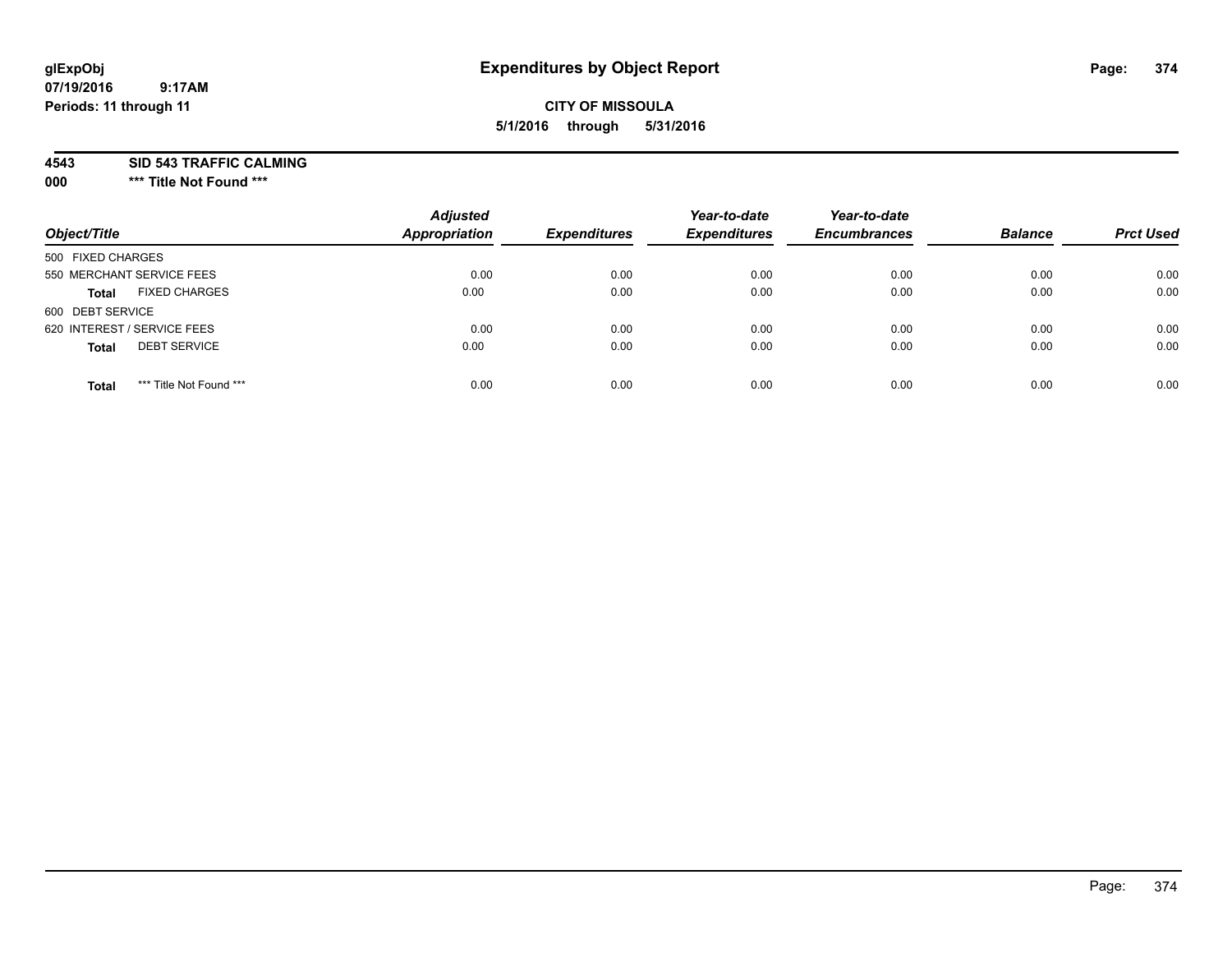## **CITY OF MISSOULA 5/1/2016 through 5/31/2016**

**4543 SID 543 TRAFFIC CALMING**

**000 \*\*\* Title Not Found \*\*\***

| Object/Title                            | <b>Adjusted</b><br>Appropriation | <b>Expenditures</b> | Year-to-date<br><b>Expenditures</b> | Year-to-date<br><b>Encumbrances</b> | <b>Balance</b> | <b>Prct Used</b> |
|-----------------------------------------|----------------------------------|---------------------|-------------------------------------|-------------------------------------|----------------|------------------|
| 500 FIXED CHARGES                       |                                  |                     |                                     |                                     |                |                  |
| 550 MERCHANT SERVICE FEES               | 0.00                             | 0.00                | 0.00                                | 0.00                                | 0.00           | 0.00             |
| <b>FIXED CHARGES</b><br><b>Total</b>    | 0.00                             | 0.00                | 0.00                                | 0.00                                | 0.00           | 0.00             |
| 600 DEBT SERVICE                        |                                  |                     |                                     |                                     |                |                  |
| 620 INTEREST / SERVICE FEES             | 0.00                             | 0.00                | 0.00                                | 0.00                                | 0.00           | 0.00             |
| <b>DEBT SERVICE</b><br><b>Total</b>     | 0.00                             | 0.00                | 0.00                                | 0.00                                | 0.00           | 0.00             |
| *** Title Not Found ***<br><b>Total</b> | 0.00                             | 0.00                | 0.00                                | 0.00                                | 0.00           | 0.00             |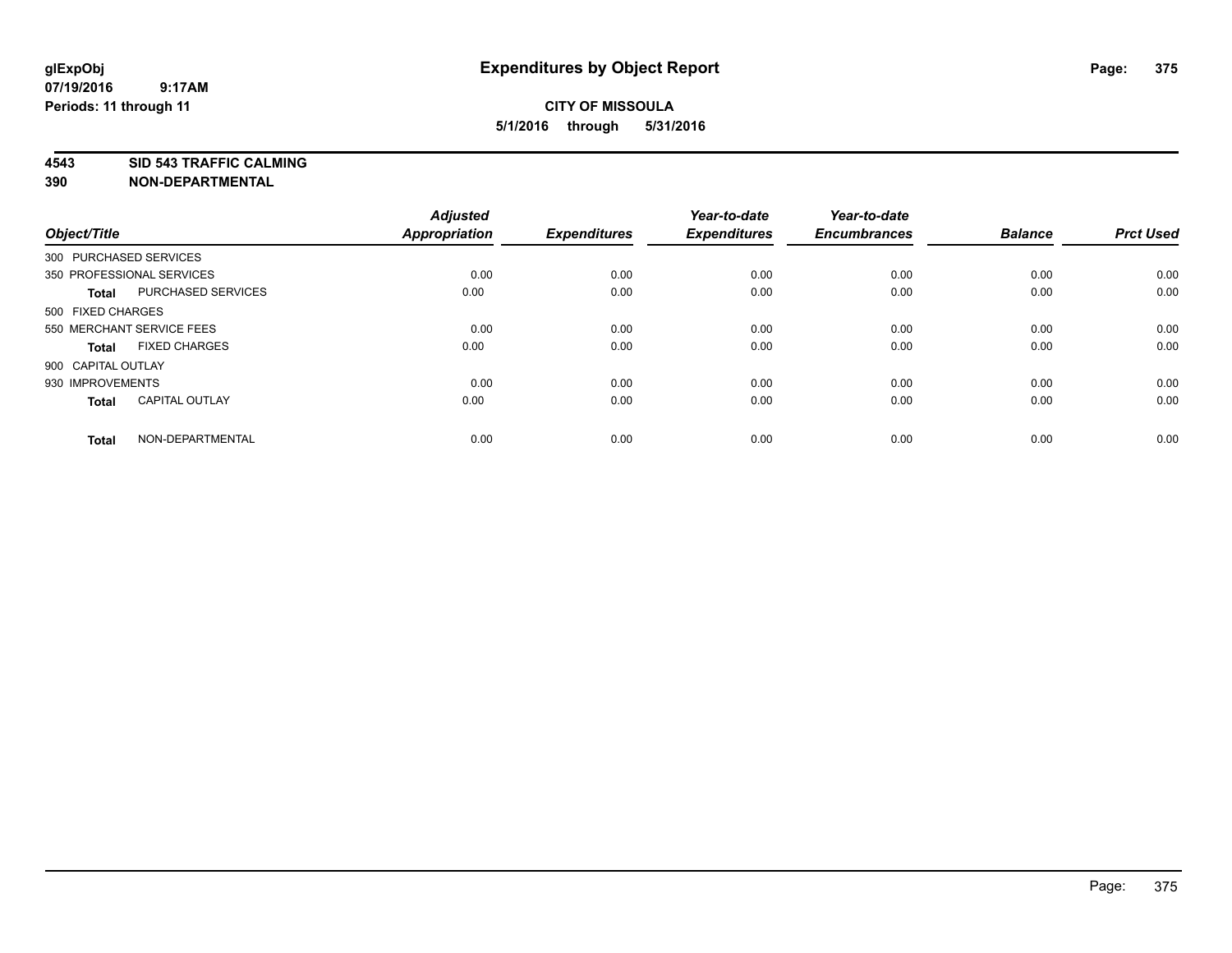**4543 SID 543 TRAFFIC CALMING**

| Object/Title       |                           | <b>Adjusted</b><br><b>Appropriation</b> | <b>Expenditures</b> | Year-to-date<br><b>Expenditures</b> | Year-to-date<br><b>Encumbrances</b> | <b>Balance</b> | <b>Prct Used</b> |
|--------------------|---------------------------|-----------------------------------------|---------------------|-------------------------------------|-------------------------------------|----------------|------------------|
|                    | 300 PURCHASED SERVICES    |                                         |                     |                                     |                                     |                |                  |
|                    | 350 PROFESSIONAL SERVICES | 0.00                                    | 0.00                | 0.00                                | 0.00                                | 0.00           | 0.00             |
| <b>Total</b>       | <b>PURCHASED SERVICES</b> | 0.00                                    | 0.00                | 0.00                                | 0.00                                | 0.00           | 0.00             |
| 500 FIXED CHARGES  |                           |                                         |                     |                                     |                                     |                |                  |
|                    | 550 MERCHANT SERVICE FEES | 0.00                                    | 0.00                | 0.00                                | 0.00                                | 0.00           | 0.00             |
| Total              | <b>FIXED CHARGES</b>      | 0.00                                    | 0.00                | 0.00                                | 0.00                                | 0.00           | 0.00             |
| 900 CAPITAL OUTLAY |                           |                                         |                     |                                     |                                     |                |                  |
| 930 IMPROVEMENTS   |                           | 0.00                                    | 0.00                | 0.00                                | 0.00                                | 0.00           | 0.00             |
| Total              | <b>CAPITAL OUTLAY</b>     | 0.00                                    | 0.00                | 0.00                                | 0.00                                | 0.00           | 0.00             |
| <b>Total</b>       | NON-DEPARTMENTAL          | 0.00                                    | 0.00                | 0.00                                | 0.00                                | 0.00           | 0.00             |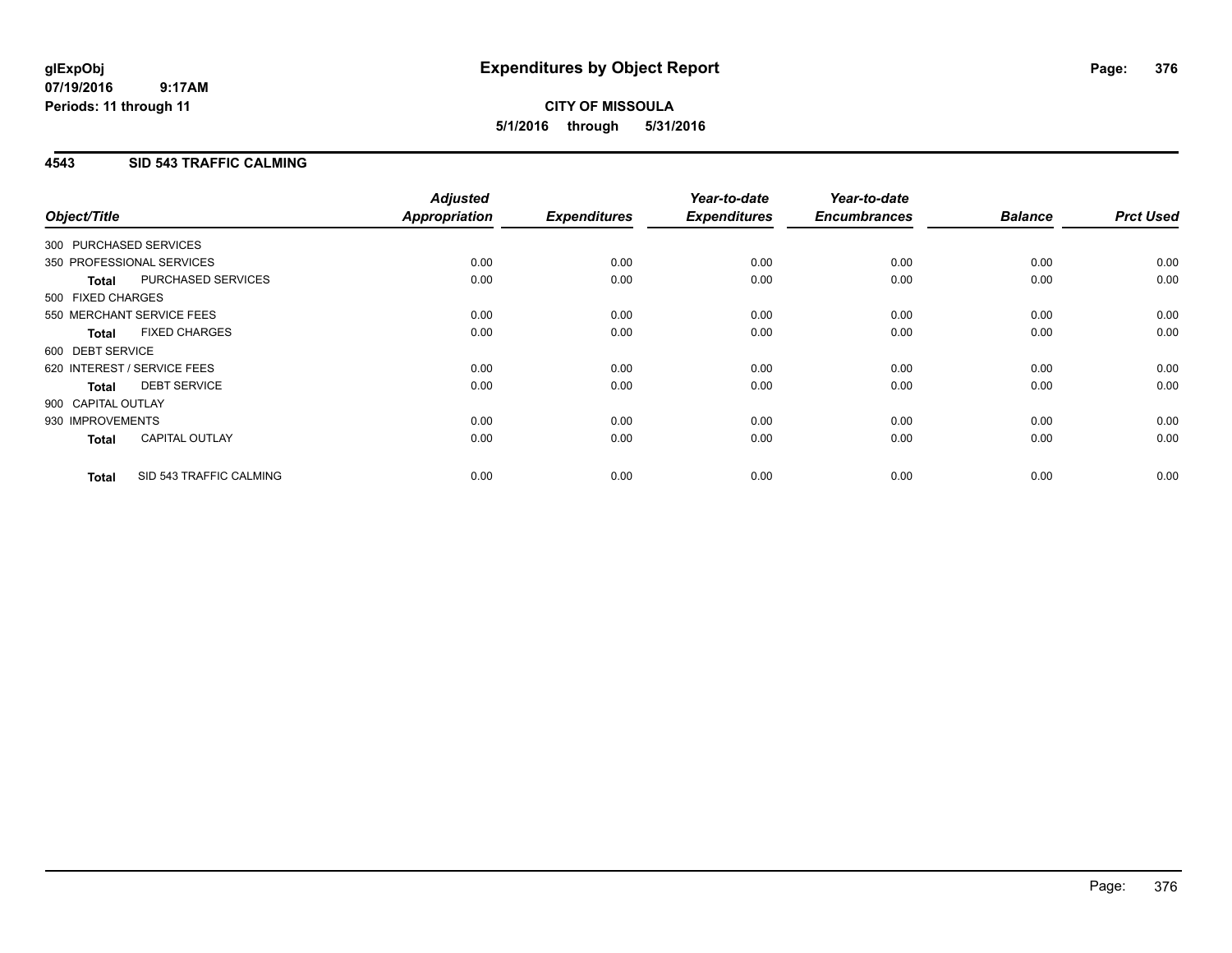# **CITY OF MISSOULA 5/1/2016 through 5/31/2016**

## **4543 SID 543 TRAFFIC CALMING**

| Object/Title           |                             | <b>Adjusted</b><br>Appropriation | <b>Expenditures</b> | Year-to-date<br><b>Expenditures</b> | Year-to-date<br><b>Encumbrances</b> | <b>Balance</b> | <b>Prct Used</b> |
|------------------------|-----------------------------|----------------------------------|---------------------|-------------------------------------|-------------------------------------|----------------|------------------|
| 300 PURCHASED SERVICES |                             |                                  |                     |                                     |                                     |                |                  |
|                        | 350 PROFESSIONAL SERVICES   | 0.00                             | 0.00                | 0.00                                | 0.00                                | 0.00           | 0.00             |
| <b>Total</b>           | PURCHASED SERVICES          | 0.00                             | 0.00                | 0.00                                | 0.00                                | 0.00           | 0.00             |
| 500 FIXED CHARGES      |                             |                                  |                     |                                     |                                     |                |                  |
|                        | 550 MERCHANT SERVICE FEES   | 0.00                             | 0.00                | 0.00                                | 0.00                                | 0.00           | 0.00             |
| <b>Total</b>           | <b>FIXED CHARGES</b>        | 0.00                             | 0.00                | 0.00                                | 0.00                                | 0.00           | 0.00             |
| 600 DEBT SERVICE       |                             |                                  |                     |                                     |                                     |                |                  |
|                        | 620 INTEREST / SERVICE FEES | 0.00                             | 0.00                | 0.00                                | 0.00                                | 0.00           | 0.00             |
| Total                  | <b>DEBT SERVICE</b>         | 0.00                             | 0.00                | 0.00                                | 0.00                                | 0.00           | 0.00             |
| 900 CAPITAL OUTLAY     |                             |                                  |                     |                                     |                                     |                |                  |
| 930 IMPROVEMENTS       |                             | 0.00                             | 0.00                | 0.00                                | 0.00                                | 0.00           | 0.00             |
| <b>Total</b>           | <b>CAPITAL OUTLAY</b>       | 0.00                             | 0.00                | 0.00                                | 0.00                                | 0.00           | 0.00             |
| <b>Total</b>           | SID 543 TRAFFIC CALMING     | 0.00                             | 0.00                | 0.00                                | 0.00                                | 0.00           | 0.00             |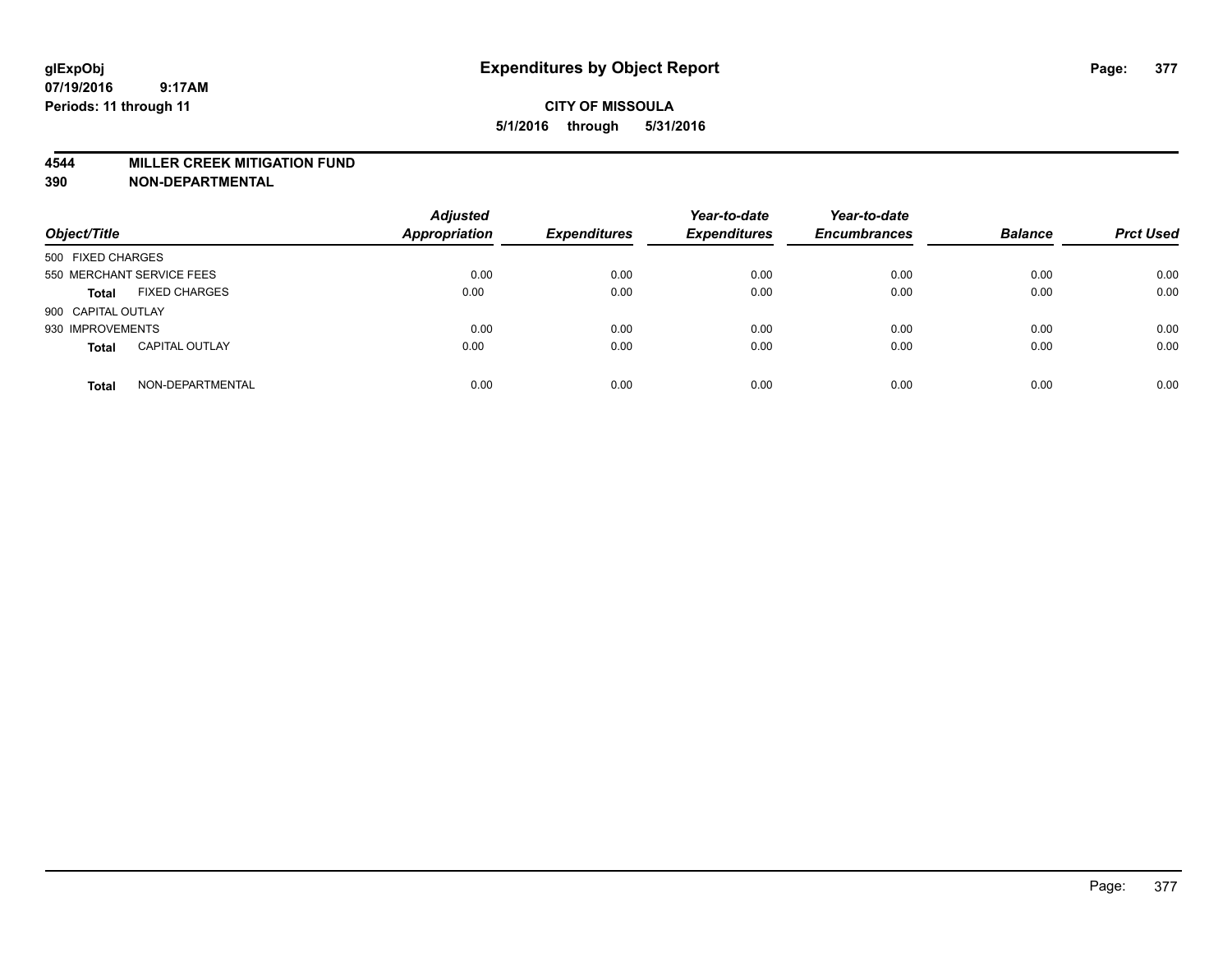#### **4544 MILLER CREEK MITIGATION FUND**

| Object/Title                          | <b>Adjusted</b><br><b>Appropriation</b> | <b>Expenditures</b> | Year-to-date<br><b>Expenditures</b> | Year-to-date<br><b>Encumbrances</b> | <b>Balance</b> | <b>Prct Used</b> |
|---------------------------------------|-----------------------------------------|---------------------|-------------------------------------|-------------------------------------|----------------|------------------|
| 500 FIXED CHARGES                     |                                         |                     |                                     |                                     |                |                  |
| 550 MERCHANT SERVICE FEES             | 0.00                                    | 0.00                | 0.00                                | 0.00                                | 0.00           | 0.00             |
| <b>FIXED CHARGES</b><br><b>Total</b>  | 0.00                                    | 0.00                | 0.00                                | 0.00                                | 0.00           | 0.00             |
| 900 CAPITAL OUTLAY                    |                                         |                     |                                     |                                     |                |                  |
| 930 IMPROVEMENTS                      | 0.00                                    | 0.00                | 0.00                                | 0.00                                | 0.00           | 0.00             |
| <b>CAPITAL OUTLAY</b><br><b>Total</b> | 0.00                                    | 0.00                | 0.00                                | 0.00                                | 0.00           | 0.00             |
| NON-DEPARTMENTAL<br><b>Total</b>      | 0.00                                    | 0.00                | 0.00                                | 0.00                                | 0.00           | 0.00             |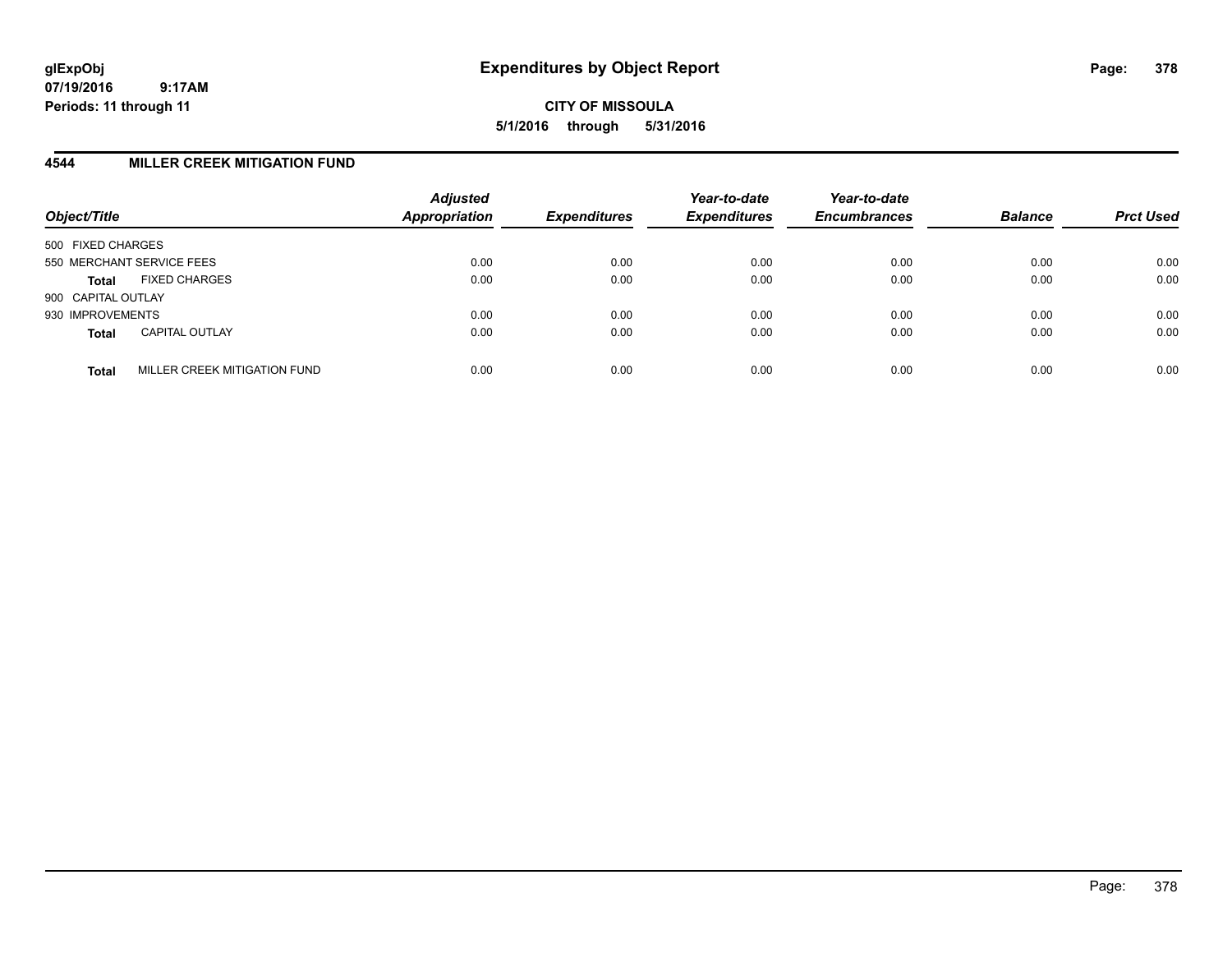**CITY OF MISSOULA 5/1/2016 through 5/31/2016**

## **4544 MILLER CREEK MITIGATION FUND**

| Object/Title                                 | <b>Adjusted</b><br>Appropriation | <b>Expenditures</b> | Year-to-date<br><b>Expenditures</b> | Year-to-date<br><b>Encumbrances</b> | <b>Balance</b> | <b>Prct Used</b> |
|----------------------------------------------|----------------------------------|---------------------|-------------------------------------|-------------------------------------|----------------|------------------|
| 500 FIXED CHARGES                            |                                  |                     |                                     |                                     |                |                  |
| 550 MERCHANT SERVICE FEES                    | 0.00                             | 0.00                | 0.00                                | 0.00                                | 0.00           | 0.00             |
| <b>FIXED CHARGES</b><br><b>Total</b>         | 0.00                             | 0.00                | 0.00                                | 0.00                                | 0.00           | 0.00             |
| 900 CAPITAL OUTLAY                           |                                  |                     |                                     |                                     |                |                  |
| 930 IMPROVEMENTS                             | 0.00                             | 0.00                | 0.00                                | 0.00                                | 0.00           | 0.00             |
| <b>CAPITAL OUTLAY</b><br><b>Total</b>        | 0.00                             | 0.00                | 0.00                                | 0.00                                | 0.00           | 0.00             |
| MILLER CREEK MITIGATION FUND<br><b>Total</b> | 0.00                             | 0.00                | 0.00                                | 0.00                                | 0.00           | 0.00             |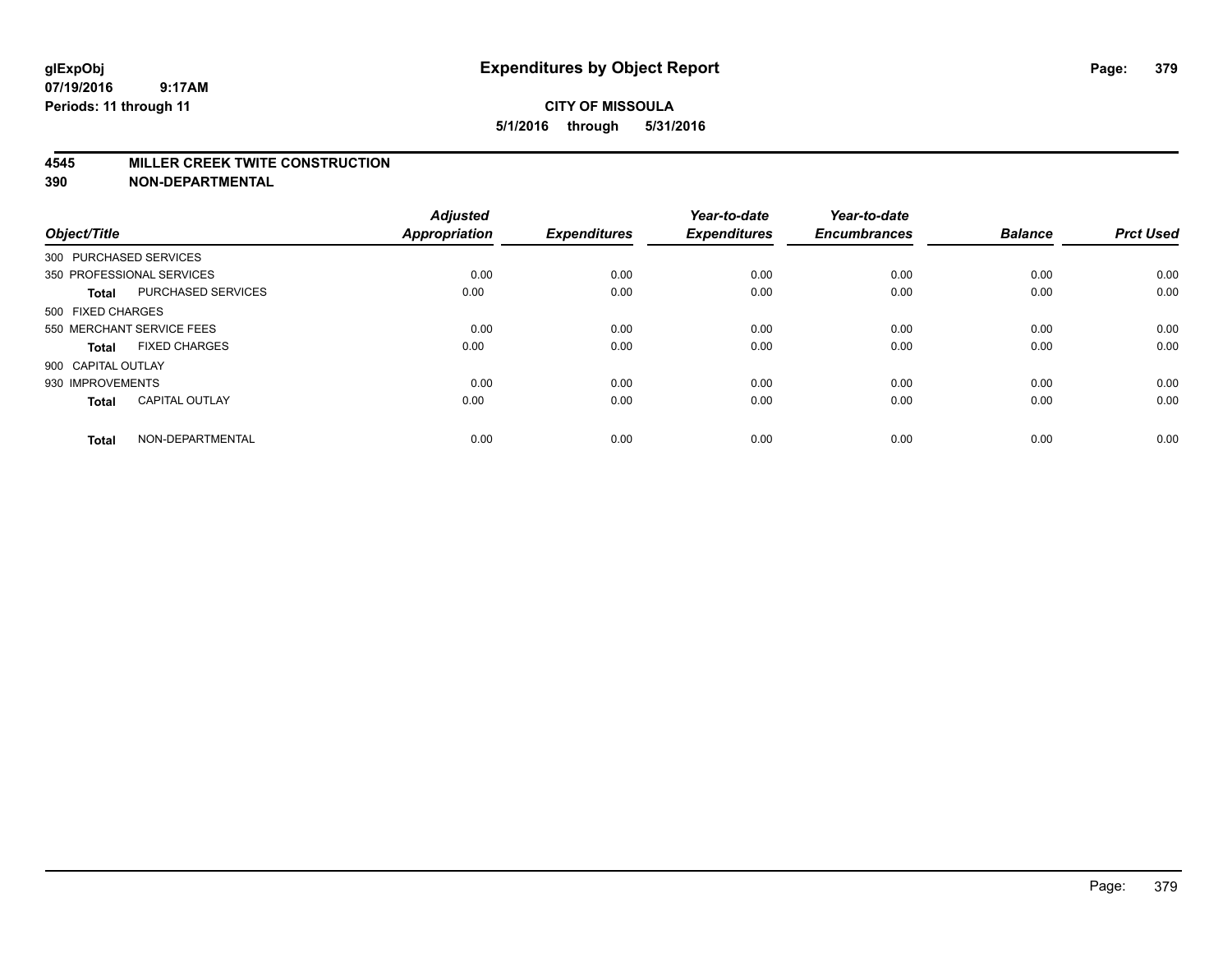#### **4545 MILLER CREEK TWITE CONSTRUCTION**

| Object/Title       |                           | <b>Adjusted</b><br><b>Appropriation</b> | <b>Expenditures</b> | Year-to-date<br><b>Expenditures</b> | Year-to-date<br><b>Encumbrances</b> | <b>Balance</b> | <b>Prct Used</b> |
|--------------------|---------------------------|-----------------------------------------|---------------------|-------------------------------------|-------------------------------------|----------------|------------------|
|                    | 300 PURCHASED SERVICES    |                                         |                     |                                     |                                     |                |                  |
|                    | 350 PROFESSIONAL SERVICES | 0.00                                    | 0.00                | 0.00                                | 0.00                                | 0.00           | 0.00             |
| <b>Total</b>       | <b>PURCHASED SERVICES</b> | 0.00                                    | 0.00                | 0.00                                | 0.00                                | 0.00           | 0.00             |
| 500 FIXED CHARGES  |                           |                                         |                     |                                     |                                     |                |                  |
|                    | 550 MERCHANT SERVICE FEES | 0.00                                    | 0.00                | 0.00                                | 0.00                                | 0.00           | 0.00             |
| Total              | <b>FIXED CHARGES</b>      | 0.00                                    | 0.00                | 0.00                                | 0.00                                | 0.00           | 0.00             |
| 900 CAPITAL OUTLAY |                           |                                         |                     |                                     |                                     |                |                  |
| 930 IMPROVEMENTS   |                           | 0.00                                    | 0.00                | 0.00                                | 0.00                                | 0.00           | 0.00             |
| Total              | <b>CAPITAL OUTLAY</b>     | 0.00                                    | 0.00                | 0.00                                | 0.00                                | 0.00           | 0.00             |
| <b>Total</b>       | NON-DEPARTMENTAL          | 0.00                                    | 0.00                | 0.00                                | 0.00                                | 0.00           | 0.00             |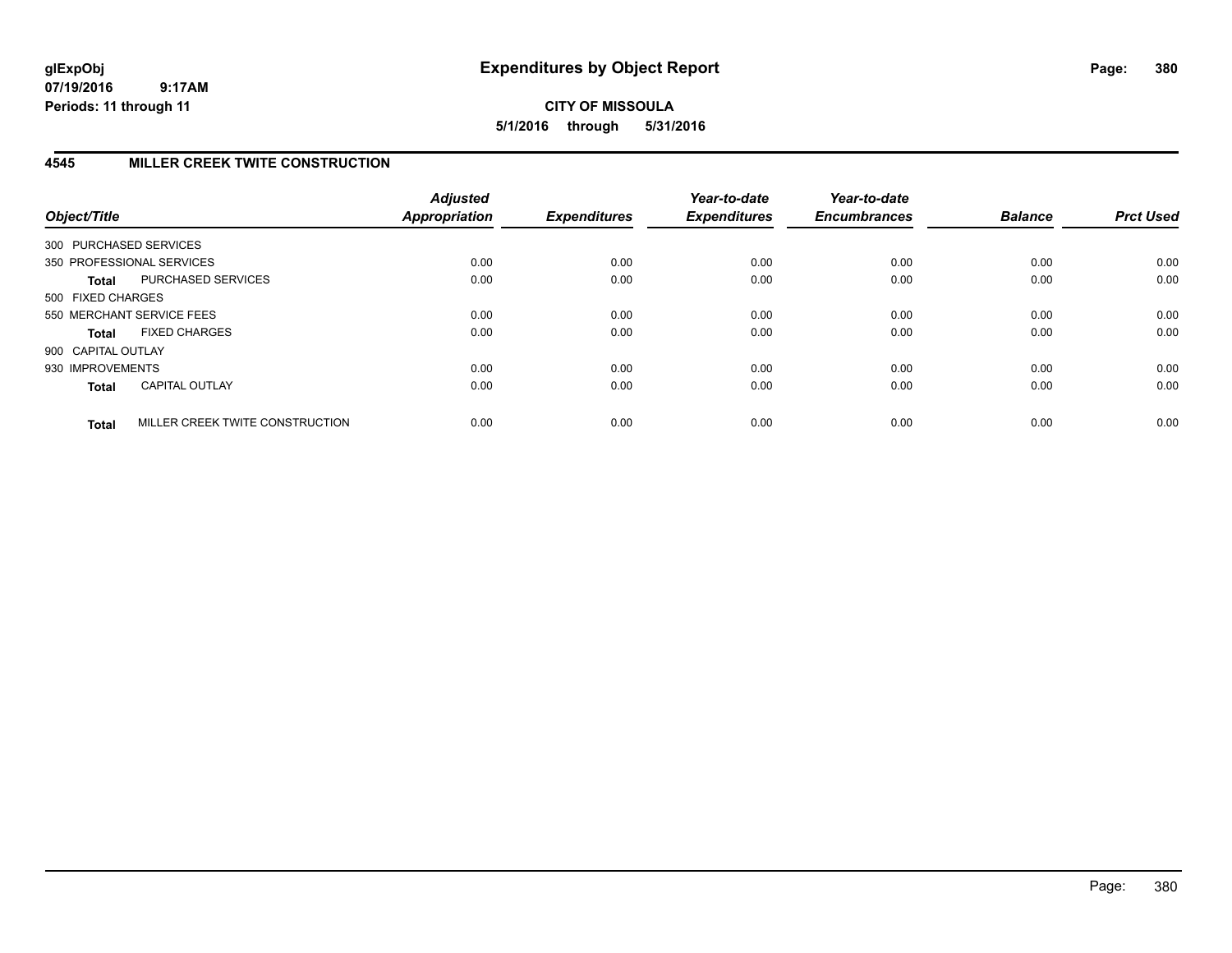# **CITY OF MISSOULA 5/1/2016 through 5/31/2016**

# **4545 MILLER CREEK TWITE CONSTRUCTION**

| Object/Title           |                                 | <b>Adjusted</b><br><b>Appropriation</b> | <b>Expenditures</b> | Year-to-date<br><b>Expenditures</b> | Year-to-date<br><b>Encumbrances</b> | <b>Balance</b> | <b>Prct Used</b> |
|------------------------|---------------------------------|-----------------------------------------|---------------------|-------------------------------------|-------------------------------------|----------------|------------------|
| 300 PURCHASED SERVICES |                                 |                                         |                     |                                     |                                     |                |                  |
|                        | 350 PROFESSIONAL SERVICES       | 0.00                                    | 0.00                | 0.00                                | 0.00                                | 0.00           | 0.00             |
| <b>Total</b>           | <b>PURCHASED SERVICES</b>       | 0.00                                    | 0.00                | 0.00                                | 0.00                                | 0.00           | 0.00             |
| 500 FIXED CHARGES      |                                 |                                         |                     |                                     |                                     |                |                  |
|                        | 550 MERCHANT SERVICE FEES       | 0.00                                    | 0.00                | 0.00                                | 0.00                                | 0.00           | 0.00             |
| <b>Total</b>           | <b>FIXED CHARGES</b>            | 0.00                                    | 0.00                | 0.00                                | 0.00                                | 0.00           | 0.00             |
| 900 CAPITAL OUTLAY     |                                 |                                         |                     |                                     |                                     |                |                  |
| 930 IMPROVEMENTS       |                                 | 0.00                                    | 0.00                | 0.00                                | 0.00                                | 0.00           | 0.00             |
| <b>Total</b>           | <b>CAPITAL OUTLAY</b>           | 0.00                                    | 0.00                | 0.00                                | 0.00                                | 0.00           | 0.00             |
| <b>Total</b>           | MILLER CREEK TWITE CONSTRUCTION | 0.00                                    | 0.00                | 0.00                                | 0.00                                | 0.00           | 0.00             |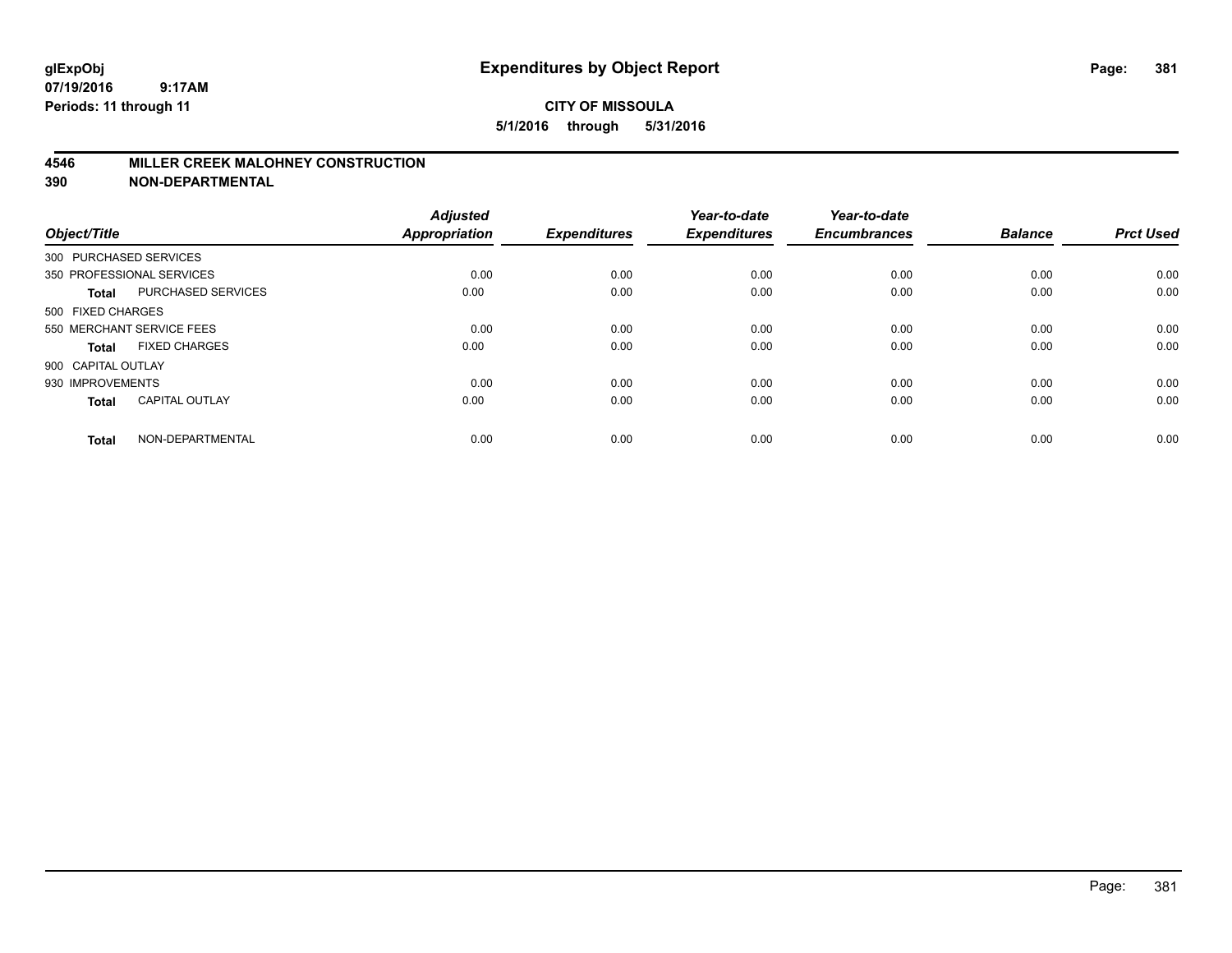## **4546 MILLER CREEK MALOHNEY CONSTRUCTION**

| Object/Title           |                           | <b>Adjusted</b><br><b>Appropriation</b> | <b>Expenditures</b> | Year-to-date<br><b>Expenditures</b> | Year-to-date<br><b>Encumbrances</b> | <b>Balance</b> | <b>Prct Used</b> |
|------------------------|---------------------------|-----------------------------------------|---------------------|-------------------------------------|-------------------------------------|----------------|------------------|
| 300 PURCHASED SERVICES |                           |                                         |                     |                                     |                                     |                |                  |
|                        | 350 PROFESSIONAL SERVICES | 0.00                                    | 0.00                | 0.00                                | 0.00                                | 0.00           | 0.00             |
| <b>Total</b>           | <b>PURCHASED SERVICES</b> | 0.00                                    | 0.00                | 0.00                                | 0.00                                | 0.00           | 0.00             |
| 500 FIXED CHARGES      |                           |                                         |                     |                                     |                                     |                |                  |
|                        | 550 MERCHANT SERVICE FEES | 0.00                                    | 0.00                | 0.00                                | 0.00                                | 0.00           | 0.00             |
| Total                  | <b>FIXED CHARGES</b>      | 0.00                                    | 0.00                | 0.00                                | 0.00                                | 0.00           | 0.00             |
| 900 CAPITAL OUTLAY     |                           |                                         |                     |                                     |                                     |                |                  |
| 930 IMPROVEMENTS       |                           | 0.00                                    | 0.00                | 0.00                                | 0.00                                | 0.00           | 0.00             |
| Total                  | <b>CAPITAL OUTLAY</b>     | 0.00                                    | 0.00                | 0.00                                | 0.00                                | 0.00           | 0.00             |
| <b>Total</b>           | NON-DEPARTMENTAL          | 0.00                                    | 0.00                | 0.00                                | 0.00                                | 0.00           | 0.00             |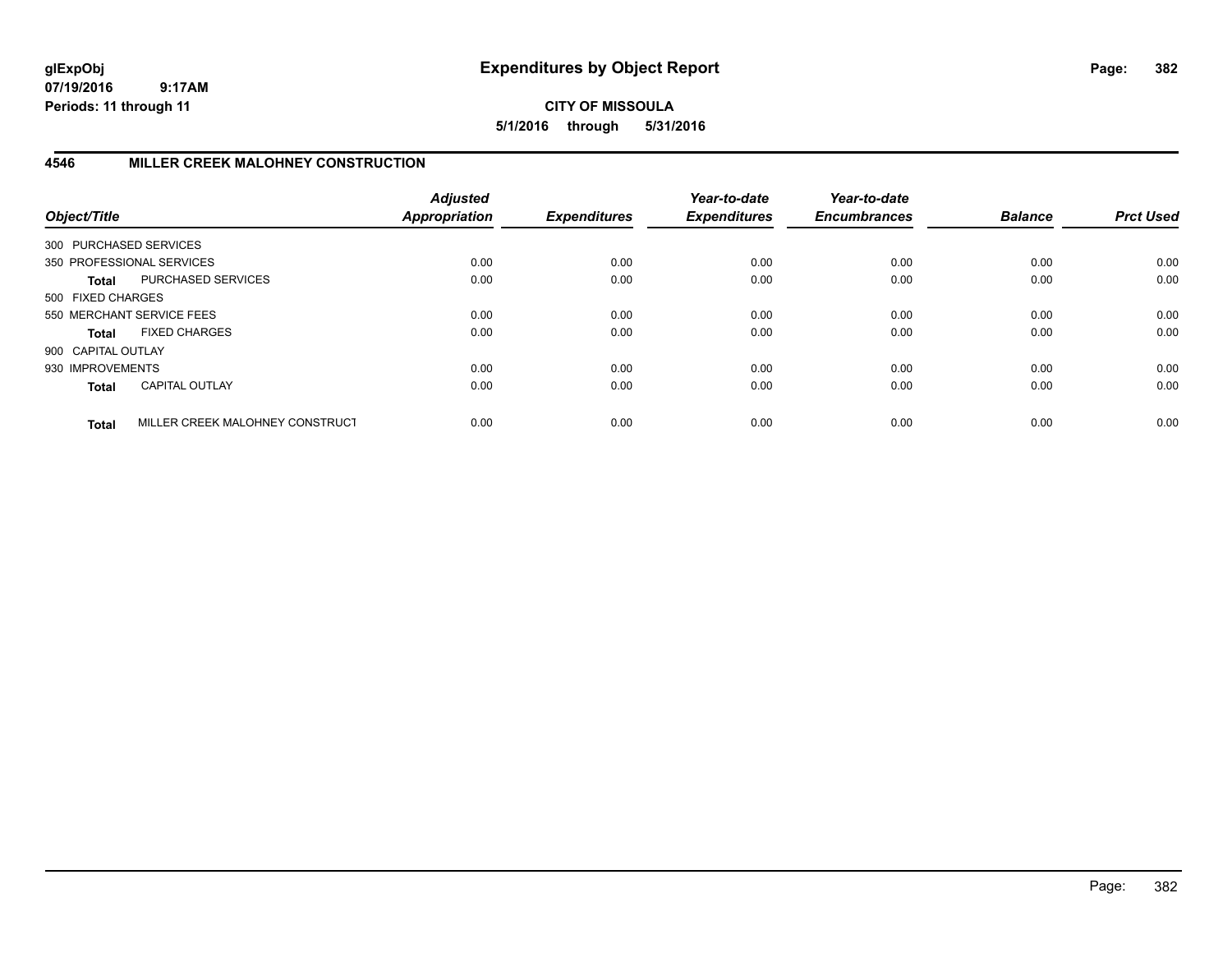## **CITY OF MISSOULA 5/1/2016 through 5/31/2016**

# **4546 MILLER CREEK MALOHNEY CONSTRUCTION**

| Object/Title           |                                 | <b>Adjusted</b><br><b>Appropriation</b> | <b>Expenditures</b> | Year-to-date<br><b>Expenditures</b> | Year-to-date<br><b>Encumbrances</b> | <b>Balance</b> | <b>Prct Used</b> |
|------------------------|---------------------------------|-----------------------------------------|---------------------|-------------------------------------|-------------------------------------|----------------|------------------|
| 300 PURCHASED SERVICES |                                 |                                         |                     |                                     |                                     |                |                  |
|                        | 350 PROFESSIONAL SERVICES       | 0.00                                    | 0.00                | 0.00                                | 0.00                                | 0.00           | 0.00             |
| Total                  | PURCHASED SERVICES              | 0.00                                    | 0.00                | 0.00                                | 0.00                                | 0.00           | 0.00             |
| 500 FIXED CHARGES      |                                 |                                         |                     |                                     |                                     |                |                  |
|                        | 550 MERCHANT SERVICE FEES       | 0.00                                    | 0.00                | 0.00                                | 0.00                                | 0.00           | 0.00             |
| Total                  | <b>FIXED CHARGES</b>            | 0.00                                    | 0.00                | 0.00                                | 0.00                                | 0.00           | 0.00             |
| 900 CAPITAL OUTLAY     |                                 |                                         |                     |                                     |                                     |                |                  |
| 930 IMPROVEMENTS       |                                 | 0.00                                    | 0.00                | 0.00                                | 0.00                                | 0.00           | 0.00             |
| <b>Total</b>           | <b>CAPITAL OUTLAY</b>           | 0.00                                    | 0.00                | 0.00                                | 0.00                                | 0.00           | 0.00             |
| <b>Total</b>           | MILLER CREEK MALOHNEY CONSTRUCT | 0.00                                    | 0.00                | 0.00                                | 0.00                                | 0.00           | 0.00             |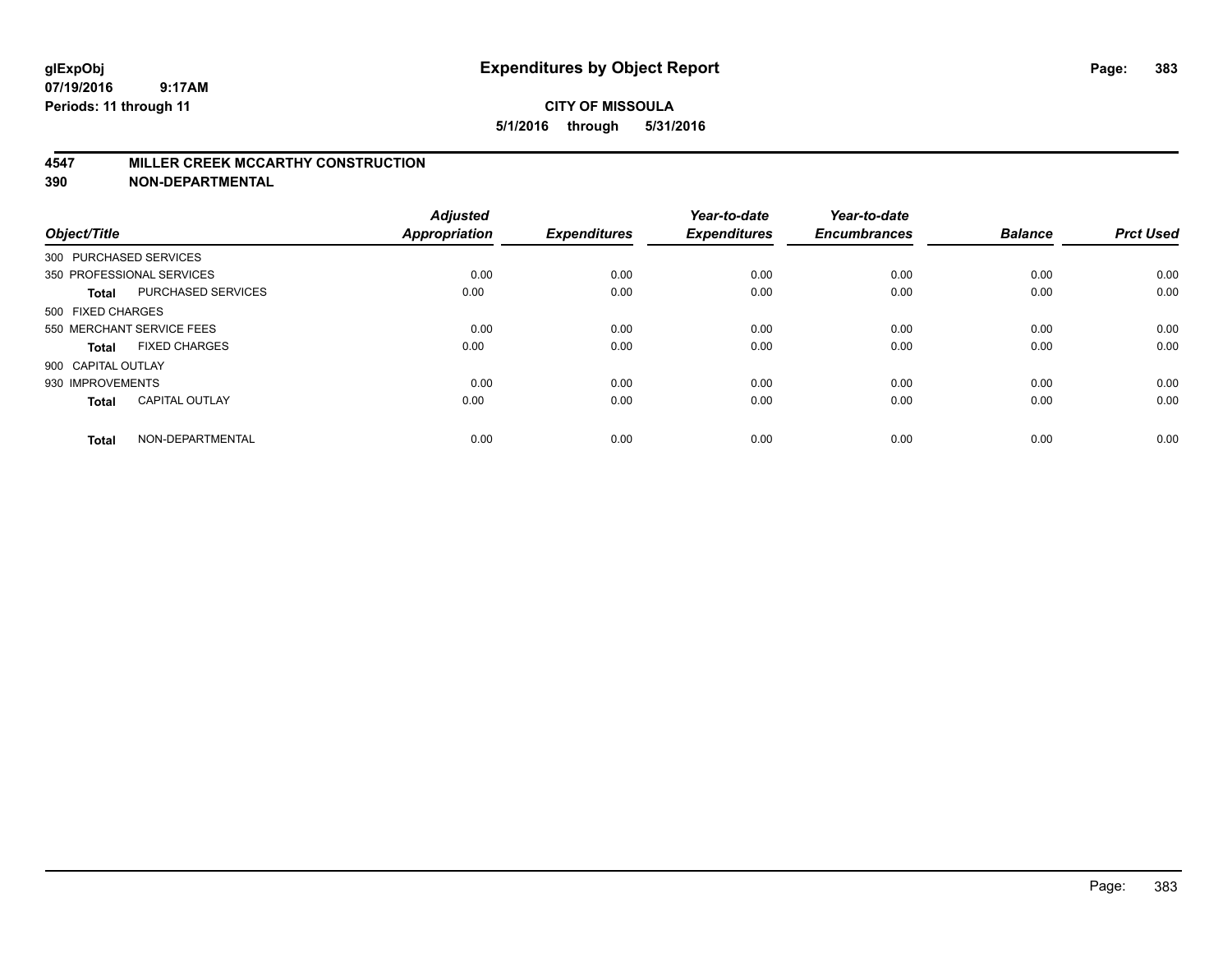#### **4547 MILLER CREEK MCCARTHY CONSTRUCTION**

| Object/Title           |                           | <b>Adjusted</b><br><b>Appropriation</b> | <b>Expenditures</b> | Year-to-date<br><b>Expenditures</b> | Year-to-date<br><b>Encumbrances</b> | <b>Balance</b> | <b>Prct Used</b> |
|------------------------|---------------------------|-----------------------------------------|---------------------|-------------------------------------|-------------------------------------|----------------|------------------|
| 300 PURCHASED SERVICES |                           |                                         |                     |                                     |                                     |                |                  |
|                        | 350 PROFESSIONAL SERVICES | 0.00                                    | 0.00                | 0.00                                | 0.00                                | 0.00           | 0.00             |
| <b>Total</b>           | <b>PURCHASED SERVICES</b> | 0.00                                    | 0.00                | 0.00                                | 0.00                                | 0.00           | 0.00             |
| 500 FIXED CHARGES      |                           |                                         |                     |                                     |                                     |                |                  |
|                        | 550 MERCHANT SERVICE FEES | 0.00                                    | 0.00                | 0.00                                | 0.00                                | 0.00           | 0.00             |
| Total                  | <b>FIXED CHARGES</b>      | 0.00                                    | 0.00                | 0.00                                | 0.00                                | 0.00           | 0.00             |
| 900 CAPITAL OUTLAY     |                           |                                         |                     |                                     |                                     |                |                  |
| 930 IMPROVEMENTS       |                           | 0.00                                    | 0.00                | 0.00                                | 0.00                                | 0.00           | 0.00             |
| Total                  | <b>CAPITAL OUTLAY</b>     | 0.00                                    | 0.00                | 0.00                                | 0.00                                | 0.00           | 0.00             |
| <b>Total</b>           | NON-DEPARTMENTAL          | 0.00                                    | 0.00                | 0.00                                | 0.00                                | 0.00           | 0.00             |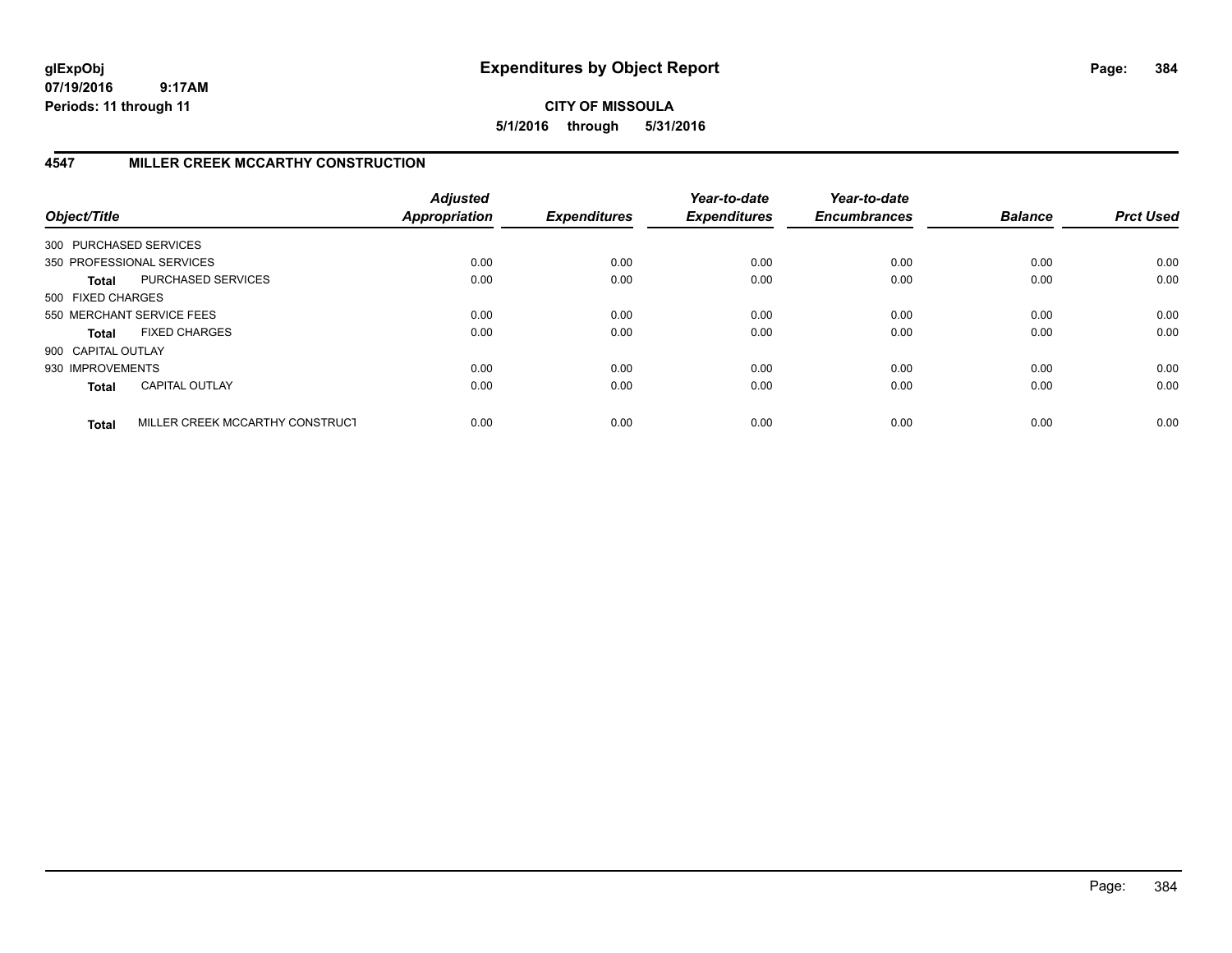**CITY OF MISSOULA 5/1/2016 through 5/31/2016**

# **4547 MILLER CREEK MCCARTHY CONSTRUCTION**

| Object/Title           |                                 | <b>Adjusted</b><br><b>Appropriation</b> | <b>Expenditures</b> | Year-to-date<br><b>Expenditures</b> | Year-to-date<br><b>Encumbrances</b> | <b>Balance</b> | <b>Prct Used</b> |
|------------------------|---------------------------------|-----------------------------------------|---------------------|-------------------------------------|-------------------------------------|----------------|------------------|
| 300 PURCHASED SERVICES |                                 |                                         |                     |                                     |                                     |                |                  |
|                        | 350 PROFESSIONAL SERVICES       | 0.00                                    | 0.00                | 0.00                                | 0.00                                | 0.00           | 0.00             |
| Total                  | PURCHASED SERVICES              | 0.00                                    | 0.00                | 0.00                                | 0.00                                | 0.00           | 0.00             |
| 500 FIXED CHARGES      |                                 |                                         |                     |                                     |                                     |                |                  |
|                        | 550 MERCHANT SERVICE FEES       | 0.00                                    | 0.00                | 0.00                                | 0.00                                | 0.00           | 0.00             |
| Total                  | <b>FIXED CHARGES</b>            | 0.00                                    | 0.00                | 0.00                                | 0.00                                | 0.00           | 0.00             |
| 900 CAPITAL OUTLAY     |                                 |                                         |                     |                                     |                                     |                |                  |
| 930 IMPROVEMENTS       |                                 | 0.00                                    | 0.00                | 0.00                                | 0.00                                | 0.00           | 0.00             |
| <b>Total</b>           | <b>CAPITAL OUTLAY</b>           | 0.00                                    | 0.00                | 0.00                                | 0.00                                | 0.00           | 0.00             |
| <b>Total</b>           | MILLER CREEK MCCARTHY CONSTRUCT | 0.00                                    | 0.00                | 0.00                                | 0.00                                | 0.00           | 0.00             |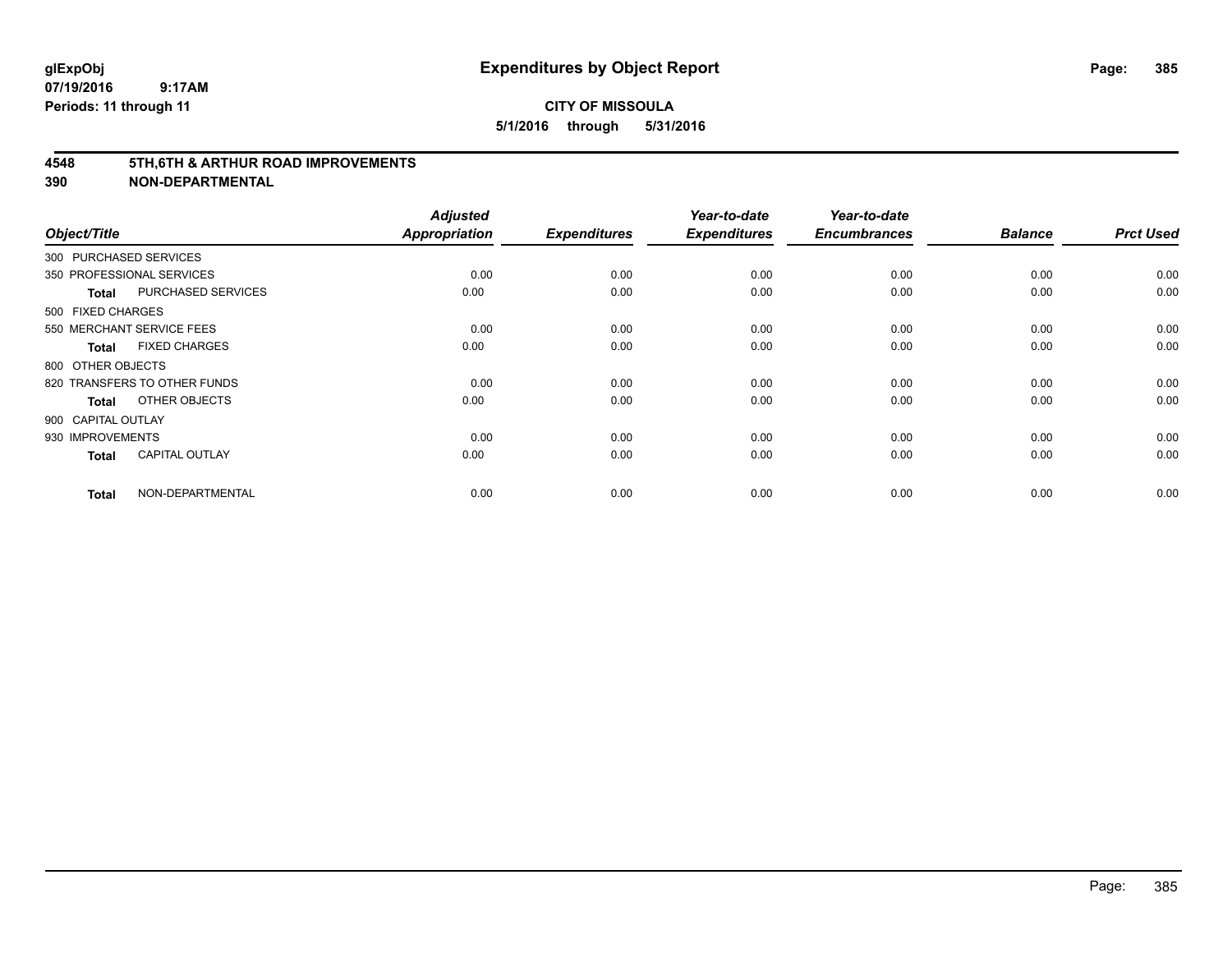#### **4548 5TH,6TH & ARTHUR ROAD IMPROVEMENTS**

| Object/Title           |                              | <b>Adjusted</b><br><b>Appropriation</b> | <b>Expenditures</b> | Year-to-date<br><b>Expenditures</b> | Year-to-date<br><b>Encumbrances</b> | <b>Balance</b> | <b>Prct Used</b> |
|------------------------|------------------------------|-----------------------------------------|---------------------|-------------------------------------|-------------------------------------|----------------|------------------|
| 300 PURCHASED SERVICES |                              |                                         |                     |                                     |                                     |                |                  |
|                        | 350 PROFESSIONAL SERVICES    | 0.00                                    | 0.00                | 0.00                                | 0.00                                | 0.00           | 0.00             |
| <b>Total</b>           | <b>PURCHASED SERVICES</b>    | 0.00                                    | 0.00                | 0.00                                | 0.00                                | 0.00           | 0.00             |
| 500 FIXED CHARGES      |                              |                                         |                     |                                     |                                     |                |                  |
|                        | 550 MERCHANT SERVICE FEES    | 0.00                                    | 0.00                | 0.00                                | 0.00                                | 0.00           | 0.00             |
| <b>Total</b>           | <b>FIXED CHARGES</b>         | 0.00                                    | 0.00                | 0.00                                | 0.00                                | 0.00           | 0.00             |
| 800 OTHER OBJECTS      |                              |                                         |                     |                                     |                                     |                |                  |
|                        | 820 TRANSFERS TO OTHER FUNDS | 0.00                                    | 0.00                | 0.00                                | 0.00                                | 0.00           | 0.00             |
| Total                  | OTHER OBJECTS                | 0.00                                    | 0.00                | 0.00                                | 0.00                                | 0.00           | 0.00             |
| 900 CAPITAL OUTLAY     |                              |                                         |                     |                                     |                                     |                |                  |
| 930 IMPROVEMENTS       |                              | 0.00                                    | 0.00                | 0.00                                | 0.00                                | 0.00           | 0.00             |
| <b>Total</b>           | <b>CAPITAL OUTLAY</b>        | 0.00                                    | 0.00                | 0.00                                | 0.00                                | 0.00           | 0.00             |
| <b>Total</b>           | NON-DEPARTMENTAL             | 0.00                                    | 0.00                | 0.00                                | 0.00                                | 0.00           | 0.00             |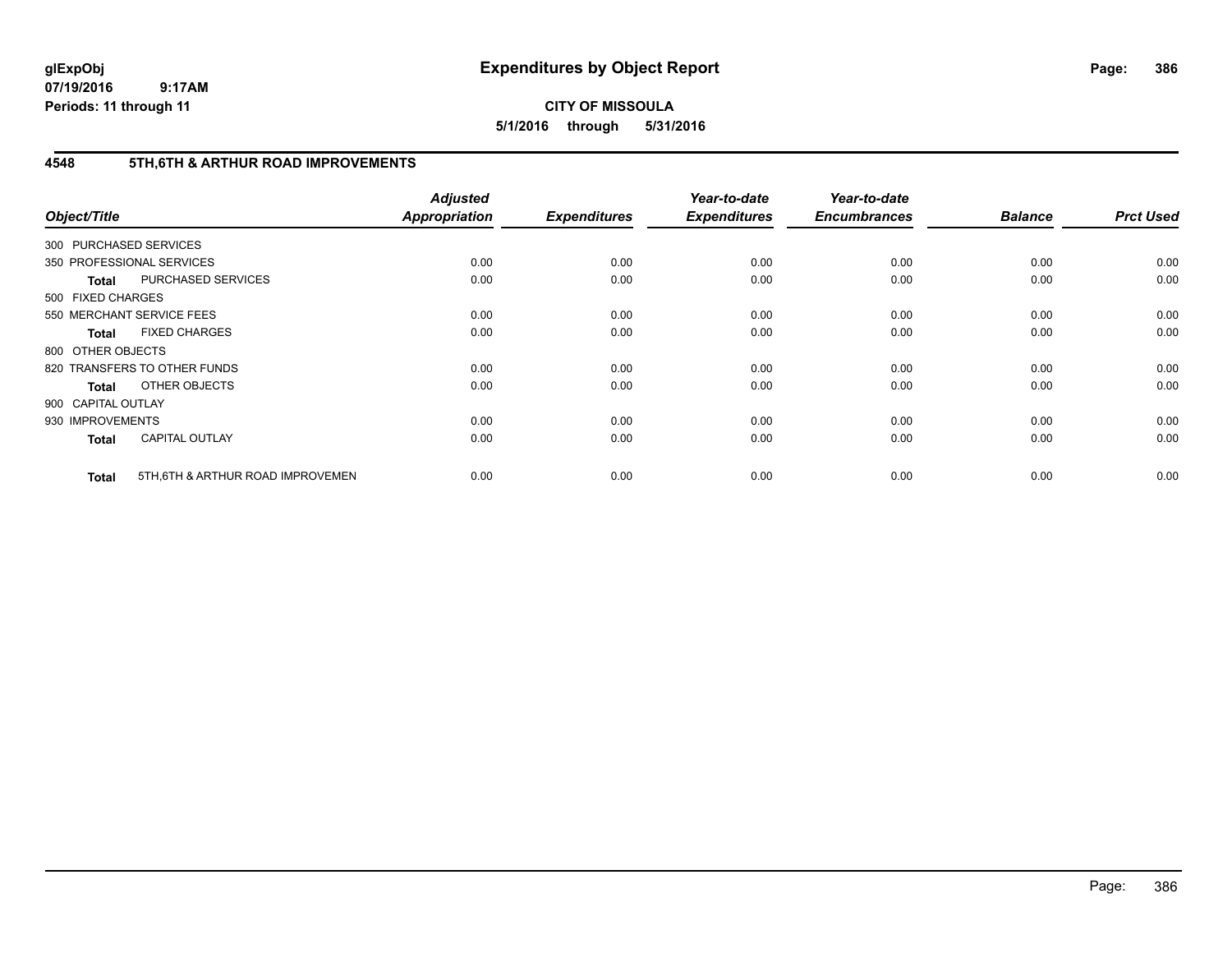**CITY OF MISSOULA 5/1/2016 through 5/31/2016**

# **4548 5TH,6TH & ARTHUR ROAD IMPROVEMENTS**

| Object/Title           |                                   | <b>Adjusted</b><br><b>Appropriation</b> | <b>Expenditures</b> | Year-to-date<br><b>Expenditures</b> | Year-to-date<br><b>Encumbrances</b> | <b>Balance</b> | <b>Prct Used</b> |
|------------------------|-----------------------------------|-----------------------------------------|---------------------|-------------------------------------|-------------------------------------|----------------|------------------|
| 300 PURCHASED SERVICES |                                   |                                         |                     |                                     |                                     |                |                  |
|                        | 350 PROFESSIONAL SERVICES         | 0.00                                    | 0.00                | 0.00                                | 0.00                                | 0.00           | 0.00             |
| <b>Total</b>           | PURCHASED SERVICES                | 0.00                                    | 0.00                | 0.00                                | 0.00                                | 0.00           | 0.00             |
| 500 FIXED CHARGES      |                                   |                                         |                     |                                     |                                     |                |                  |
|                        | 550 MERCHANT SERVICE FEES         | 0.00                                    | 0.00                | 0.00                                | 0.00                                | 0.00           | 0.00             |
| <b>Total</b>           | <b>FIXED CHARGES</b>              | 0.00                                    | 0.00                | 0.00                                | 0.00                                | 0.00           | 0.00             |
| 800 OTHER OBJECTS      |                                   |                                         |                     |                                     |                                     |                |                  |
|                        | 820 TRANSFERS TO OTHER FUNDS      | 0.00                                    | 0.00                | 0.00                                | 0.00                                | 0.00           | 0.00             |
| <b>Total</b>           | OTHER OBJECTS                     | 0.00                                    | 0.00                | 0.00                                | 0.00                                | 0.00           | 0.00             |
| 900 CAPITAL OUTLAY     |                                   |                                         |                     |                                     |                                     |                |                  |
| 930 IMPROVEMENTS       |                                   | 0.00                                    | 0.00                | 0.00                                | 0.00                                | 0.00           | 0.00             |
| <b>Total</b>           | <b>CAPITAL OUTLAY</b>             | 0.00                                    | 0.00                | 0.00                                | 0.00                                | 0.00           | 0.00             |
| <b>Total</b>           | 5TH, 6TH & ARTHUR ROAD IMPROVEMEN | 0.00                                    | 0.00                | 0.00                                | 0.00                                | 0.00           | 0.00             |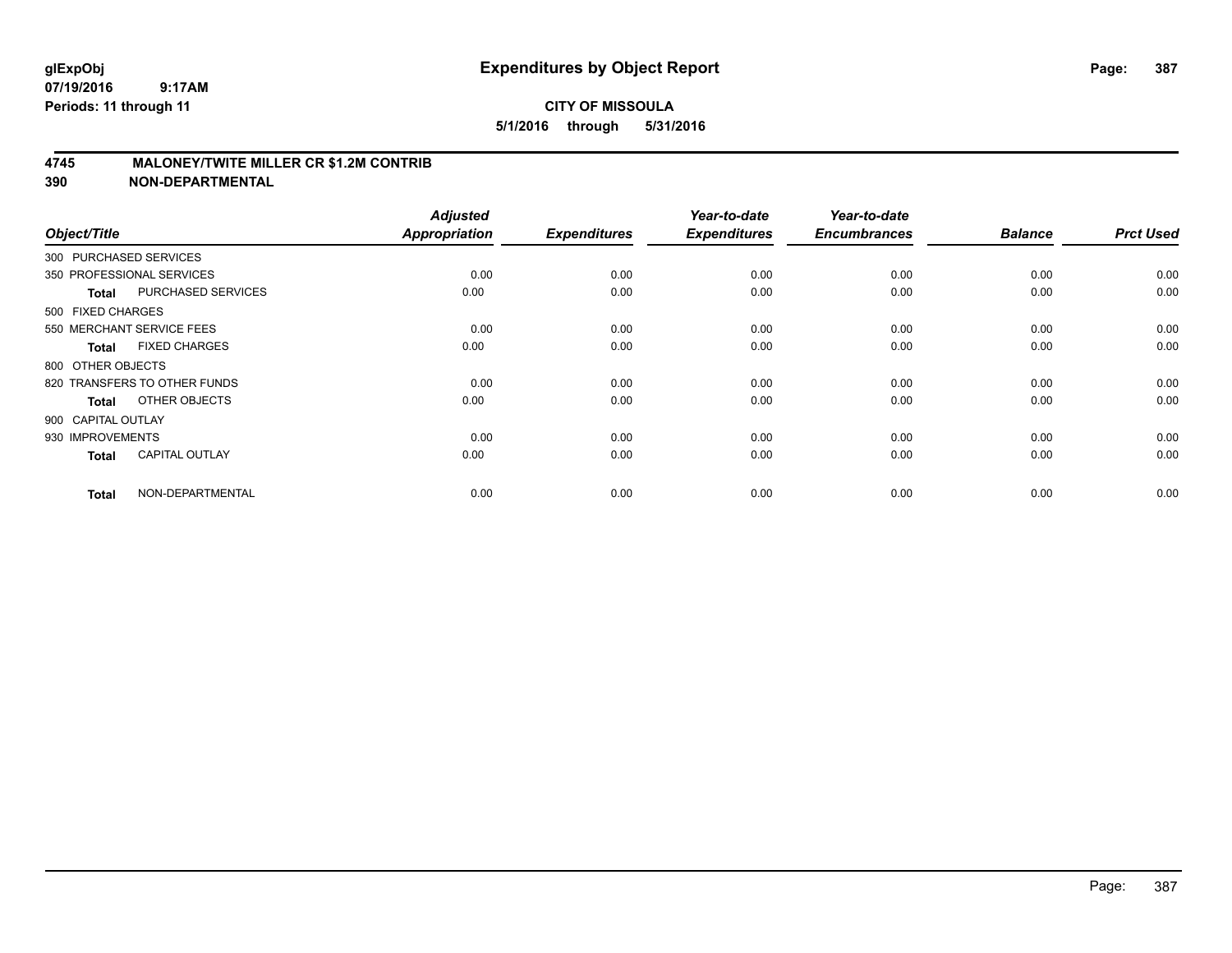## **4745 MALONEY/TWITE MILLER CR \$1.2M CONTRIB**

| Object/Title           |                              | <b>Adjusted</b><br><b>Appropriation</b> | <b>Expenditures</b> | Year-to-date<br><b>Expenditures</b> | Year-to-date<br><b>Encumbrances</b> | <b>Balance</b> | <b>Prct Used</b> |
|------------------------|------------------------------|-----------------------------------------|---------------------|-------------------------------------|-------------------------------------|----------------|------------------|
| 300 PURCHASED SERVICES |                              |                                         |                     |                                     |                                     |                |                  |
|                        | 350 PROFESSIONAL SERVICES    | 0.00                                    | 0.00                | 0.00                                | 0.00                                | 0.00           | 0.00             |
| <b>Total</b>           | <b>PURCHASED SERVICES</b>    | 0.00                                    | 0.00                | 0.00                                | 0.00                                | 0.00           | 0.00             |
| 500 FIXED CHARGES      |                              |                                         |                     |                                     |                                     |                |                  |
|                        | 550 MERCHANT SERVICE FEES    | 0.00                                    | 0.00                | 0.00                                | 0.00                                | 0.00           | 0.00             |
| <b>Total</b>           | <b>FIXED CHARGES</b>         | 0.00                                    | 0.00                | 0.00                                | 0.00                                | 0.00           | 0.00             |
| 800 OTHER OBJECTS      |                              |                                         |                     |                                     |                                     |                |                  |
|                        | 820 TRANSFERS TO OTHER FUNDS | 0.00                                    | 0.00                | 0.00                                | 0.00                                | 0.00           | 0.00             |
| <b>Total</b>           | OTHER OBJECTS                | 0.00                                    | 0.00                | 0.00                                | 0.00                                | 0.00           | 0.00             |
| 900 CAPITAL OUTLAY     |                              |                                         |                     |                                     |                                     |                |                  |
| 930 IMPROVEMENTS       |                              | 0.00                                    | 0.00                | 0.00                                | 0.00                                | 0.00           | 0.00             |
| <b>Total</b>           | <b>CAPITAL OUTLAY</b>        | 0.00                                    | 0.00                | 0.00                                | 0.00                                | 0.00           | 0.00             |
| <b>Total</b>           | NON-DEPARTMENTAL             | 0.00                                    | 0.00                | 0.00                                | 0.00                                | 0.00           | 0.00             |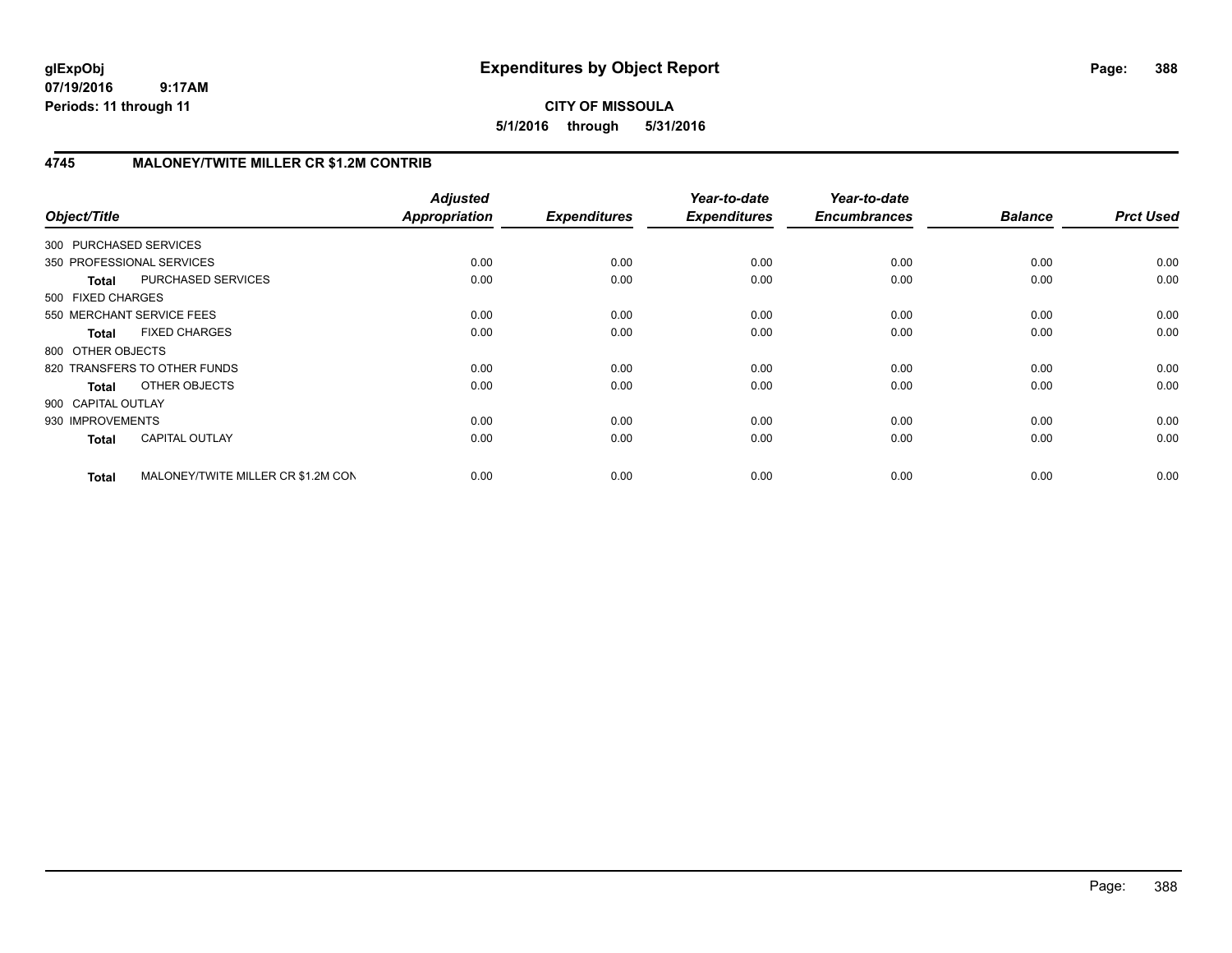# **CITY OF MISSOULA 5/1/2016 through 5/31/2016**

# **4745 MALONEY/TWITE MILLER CR \$1.2M CONTRIB**

| Object/Title           |                                    | <b>Adjusted</b><br><b>Appropriation</b> | <b>Expenditures</b> | Year-to-date<br><b>Expenditures</b> | Year-to-date<br><b>Encumbrances</b> | <b>Balance</b> | <b>Prct Used</b> |
|------------------------|------------------------------------|-----------------------------------------|---------------------|-------------------------------------|-------------------------------------|----------------|------------------|
| 300 PURCHASED SERVICES |                                    |                                         |                     |                                     |                                     |                |                  |
|                        | 350 PROFESSIONAL SERVICES          | 0.00                                    | 0.00                | 0.00                                | 0.00                                | 0.00           | 0.00             |
| <b>Total</b>           | PURCHASED SERVICES                 | 0.00                                    | 0.00                | 0.00                                | 0.00                                | 0.00           | 0.00             |
| 500 FIXED CHARGES      |                                    |                                         |                     |                                     |                                     |                |                  |
|                        | 550 MERCHANT SERVICE FEES          | 0.00                                    | 0.00                | 0.00                                | 0.00                                | 0.00           | 0.00             |
| <b>Total</b>           | <b>FIXED CHARGES</b>               | 0.00                                    | 0.00                | 0.00                                | 0.00                                | 0.00           | 0.00             |
| 800 OTHER OBJECTS      |                                    |                                         |                     |                                     |                                     |                |                  |
|                        | 820 TRANSFERS TO OTHER FUNDS       | 0.00                                    | 0.00                | 0.00                                | 0.00                                | 0.00           | 0.00             |
| <b>Total</b>           | OTHER OBJECTS                      | 0.00                                    | 0.00                | 0.00                                | 0.00                                | 0.00           | 0.00             |
| 900 CAPITAL OUTLAY     |                                    |                                         |                     |                                     |                                     |                |                  |
| 930 IMPROVEMENTS       |                                    | 0.00                                    | 0.00                | 0.00                                | 0.00                                | 0.00           | 0.00             |
| <b>Total</b>           | <b>CAPITAL OUTLAY</b>              | 0.00                                    | 0.00                | 0.00                                | 0.00                                | 0.00           | 0.00             |
| <b>Total</b>           | MALONEY/TWITE MILLER CR \$1.2M CON | 0.00                                    | 0.00                | 0.00                                | 0.00                                | 0.00           | 0.00             |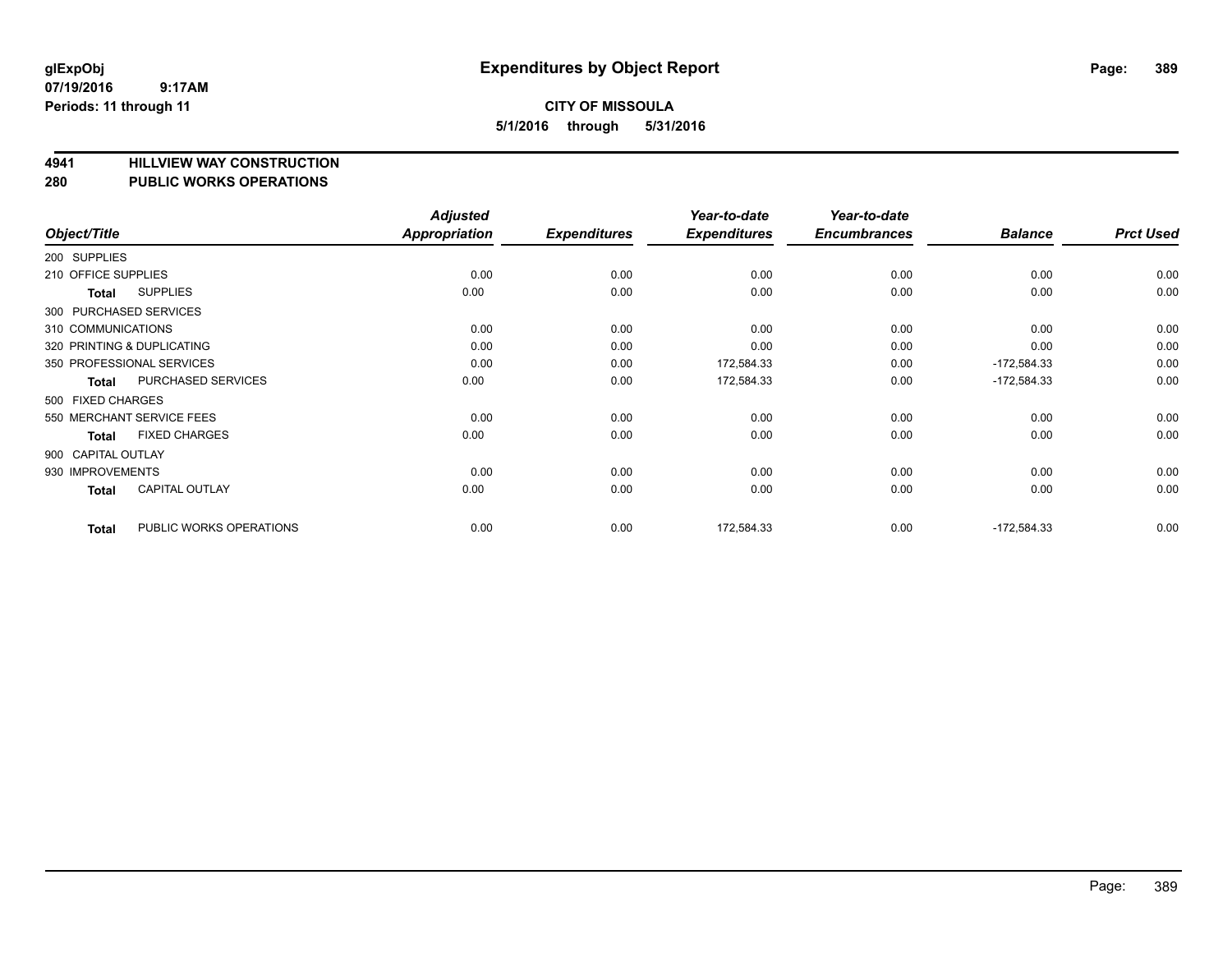## **4941 HILLVIEW WAY CONSTRUCTION**

#### **280 PUBLIC WORKS OPERATIONS**

| Object/Title        |                            | <b>Adjusted</b><br><b>Appropriation</b> | <b>Expenditures</b> | Year-to-date<br><b>Expenditures</b> | Year-to-date<br><b>Encumbrances</b> | <b>Balance</b> | <b>Prct Used</b> |
|---------------------|----------------------------|-----------------------------------------|---------------------|-------------------------------------|-------------------------------------|----------------|------------------|
| 200 SUPPLIES        |                            |                                         |                     |                                     |                                     |                |                  |
| 210 OFFICE SUPPLIES |                            | 0.00                                    | 0.00                | 0.00                                | 0.00                                | 0.00           | 0.00             |
| Total               | <b>SUPPLIES</b>            | 0.00                                    | 0.00                | 0.00                                | 0.00                                | 0.00           | 0.00             |
|                     | 300 PURCHASED SERVICES     |                                         |                     |                                     |                                     |                |                  |
| 310 COMMUNICATIONS  |                            | 0.00                                    | 0.00                | 0.00                                | 0.00                                | 0.00           | 0.00             |
|                     | 320 PRINTING & DUPLICATING | 0.00                                    | 0.00                | 0.00                                | 0.00                                | 0.00           | 0.00             |
|                     | 350 PROFESSIONAL SERVICES  | 0.00                                    | 0.00                | 172,584.33                          | 0.00                                | $-172,584.33$  | 0.00             |
| Total               | PURCHASED SERVICES         | 0.00                                    | 0.00                | 172,584.33                          | 0.00                                | $-172,584.33$  | 0.00             |
| 500 FIXED CHARGES   |                            |                                         |                     |                                     |                                     |                |                  |
|                     | 550 MERCHANT SERVICE FEES  | 0.00                                    | 0.00                | 0.00                                | 0.00                                | 0.00           | 0.00             |
| Total               | <b>FIXED CHARGES</b>       | 0.00                                    | 0.00                | 0.00                                | 0.00                                | 0.00           | 0.00             |
| 900 CAPITAL OUTLAY  |                            |                                         |                     |                                     |                                     |                |                  |
| 930 IMPROVEMENTS    |                            | 0.00                                    | 0.00                | 0.00                                | 0.00                                | 0.00           | 0.00             |
| Total               | <b>CAPITAL OUTLAY</b>      | 0.00                                    | 0.00                | 0.00                                | 0.00                                | 0.00           | 0.00             |
| <b>Total</b>        | PUBLIC WORKS OPERATIONS    | 0.00                                    | 0.00                | 172,584.33                          | 0.00                                | $-172,584.33$  | 0.00             |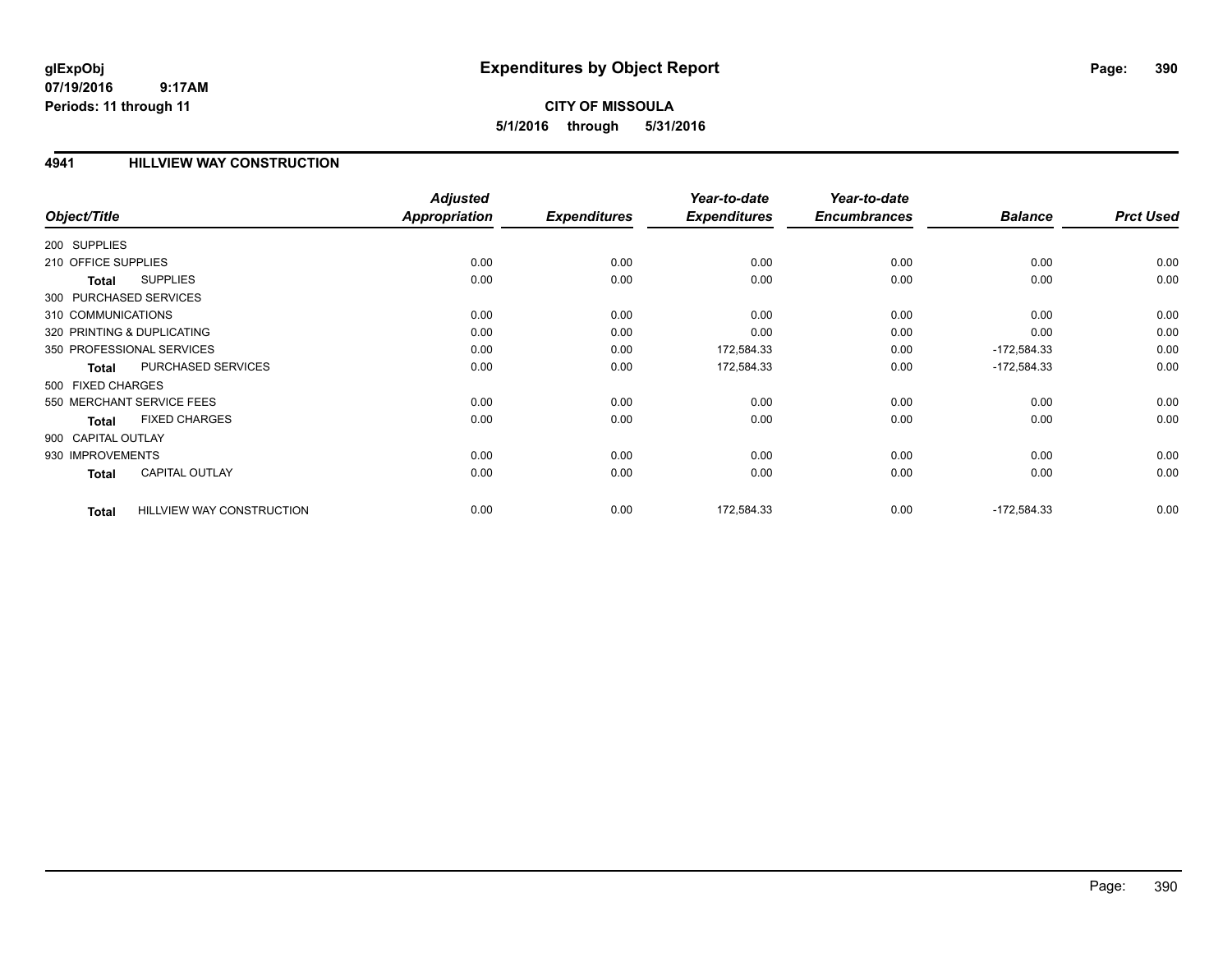# **CITY OF MISSOULA 5/1/2016 through 5/31/2016**

#### **4941 HILLVIEW WAY CONSTRUCTION**

|                        |                                  | <b>Adjusted</b> |                     | Year-to-date        | Year-to-date        |                |                  |
|------------------------|----------------------------------|-----------------|---------------------|---------------------|---------------------|----------------|------------------|
| Object/Title           |                                  | Appropriation   | <b>Expenditures</b> | <b>Expenditures</b> | <b>Encumbrances</b> | <b>Balance</b> | <b>Prct Used</b> |
| 200 SUPPLIES           |                                  |                 |                     |                     |                     |                |                  |
| 210 OFFICE SUPPLIES    |                                  | 0.00            | 0.00                | 0.00                | 0.00                | 0.00           | 0.00             |
| Total                  | <b>SUPPLIES</b>                  | 0.00            | 0.00                | 0.00                | 0.00                | 0.00           | 0.00             |
| 300 PURCHASED SERVICES |                                  |                 |                     |                     |                     |                |                  |
| 310 COMMUNICATIONS     |                                  | 0.00            | 0.00                | 0.00                | 0.00                | 0.00           | 0.00             |
|                        | 320 PRINTING & DUPLICATING       | 0.00            | 0.00                | 0.00                | 0.00                | 0.00           | 0.00             |
|                        | 350 PROFESSIONAL SERVICES        | 0.00            | 0.00                | 172,584.33          | 0.00                | $-172,584.33$  | 0.00             |
| Total                  | PURCHASED SERVICES               | 0.00            | 0.00                | 172,584.33          | 0.00                | $-172,584.33$  | 0.00             |
| 500 FIXED CHARGES      |                                  |                 |                     |                     |                     |                |                  |
|                        | 550 MERCHANT SERVICE FEES        | 0.00            | 0.00                | 0.00                | 0.00                | 0.00           | 0.00             |
| <b>Total</b>           | <b>FIXED CHARGES</b>             | 0.00            | 0.00                | 0.00                | 0.00                | 0.00           | 0.00             |
| 900 CAPITAL OUTLAY     |                                  |                 |                     |                     |                     |                |                  |
| 930 IMPROVEMENTS       |                                  | 0.00            | 0.00                | 0.00                | 0.00                | 0.00           | 0.00             |
| Total                  | <b>CAPITAL OUTLAY</b>            | 0.00            | 0.00                | 0.00                | 0.00                | 0.00           | 0.00             |
| <b>Total</b>           | <b>HILLVIEW WAY CONSTRUCTION</b> | 0.00            | 0.00                | 172,584.33          | 0.00                | $-172,584.33$  | 0.00             |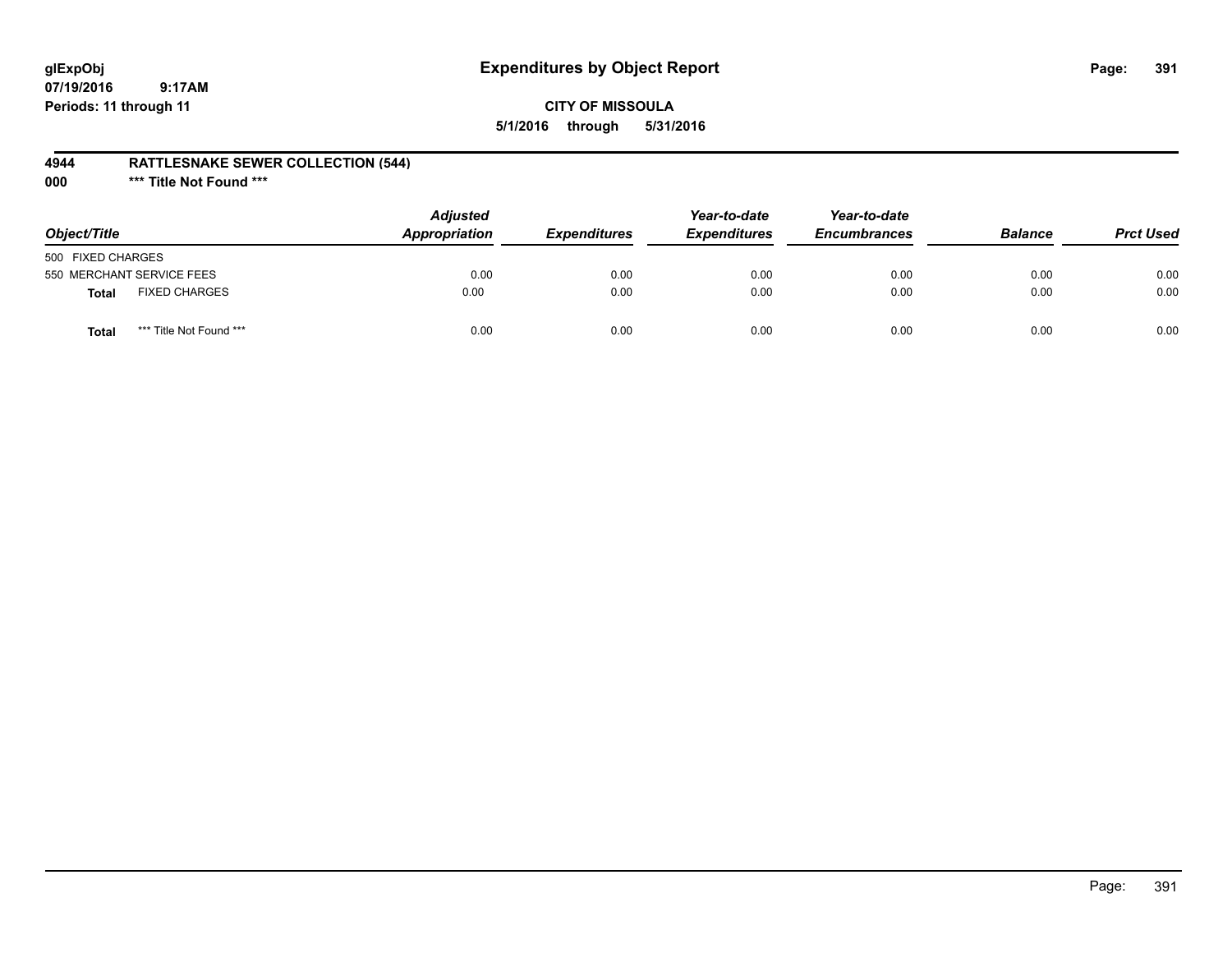# **glExpObj Expenditures by Object Report Page: 391**

**07/19/2016 9:17AM Periods: 11 through 11**

## **CITY OF MISSOULA 5/1/2016 through 5/31/2016**

## **4944 RATTLESNAKE SEWER COLLECTION (544)**

**000 \*\*\* Title Not Found \*\*\***

| Object/Title              |                         | <b>Adjusted</b><br>Appropriation | <b>Expenditures</b> | Year-to-date<br><b>Expenditures</b> | Year-to-date<br><b>Encumbrances</b> | <b>Balance</b> | <b>Prct Used</b> |
|---------------------------|-------------------------|----------------------------------|---------------------|-------------------------------------|-------------------------------------|----------------|------------------|
| 500 FIXED CHARGES         |                         |                                  |                     |                                     |                                     |                |                  |
| 550 MERCHANT SERVICE FEES |                         | 0.00                             | 0.00                | 0.00                                | 0.00                                | 0.00           | 0.00             |
| <b>Total</b>              | <b>FIXED CHARGES</b>    | 0.00                             | 0.00                | 0.00                                | 0.00                                | 0.00           | 0.00             |
| Total                     | *** Title Not Found *** | 0.00                             | 0.00                | 0.00                                | 0.00                                | 0.00           | 0.00             |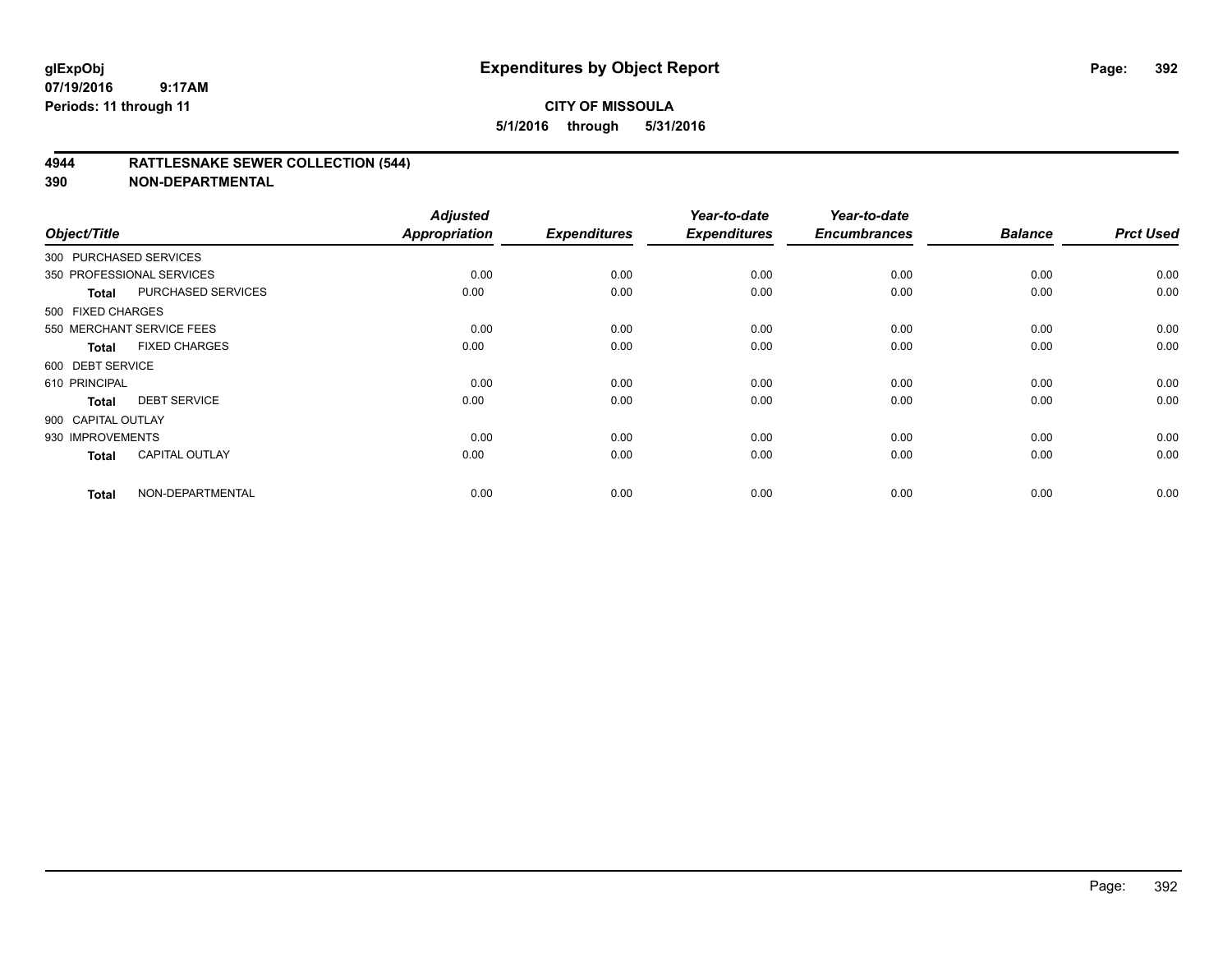## **4944 RATTLESNAKE SEWER COLLECTION (544)**

| Object/Title           |                           | <b>Adjusted</b><br><b>Appropriation</b> | <b>Expenditures</b> | Year-to-date<br><b>Expenditures</b> | Year-to-date<br><b>Encumbrances</b> | <b>Balance</b> | <b>Prct Used</b> |
|------------------------|---------------------------|-----------------------------------------|---------------------|-------------------------------------|-------------------------------------|----------------|------------------|
| 300 PURCHASED SERVICES |                           |                                         |                     |                                     |                                     |                |                  |
|                        | 350 PROFESSIONAL SERVICES | 0.00                                    | 0.00                | 0.00                                | 0.00                                | 0.00           | 0.00             |
| Total                  | PURCHASED SERVICES        | 0.00                                    | 0.00                | 0.00                                | 0.00                                | 0.00           | 0.00             |
| 500 FIXED CHARGES      |                           |                                         |                     |                                     |                                     |                |                  |
|                        | 550 MERCHANT SERVICE FEES | 0.00                                    | 0.00                | 0.00                                | 0.00                                | 0.00           | 0.00             |
| Total                  | <b>FIXED CHARGES</b>      | 0.00                                    | 0.00                | 0.00                                | 0.00                                | 0.00           | 0.00             |
| 600 DEBT SERVICE       |                           |                                         |                     |                                     |                                     |                |                  |
| 610 PRINCIPAL          |                           | 0.00                                    | 0.00                | 0.00                                | 0.00                                | 0.00           | 0.00             |
| <b>Total</b>           | <b>DEBT SERVICE</b>       | 0.00                                    | 0.00                | 0.00                                | 0.00                                | 0.00           | 0.00             |
| 900 CAPITAL OUTLAY     |                           |                                         |                     |                                     |                                     |                |                  |
| 930 IMPROVEMENTS       |                           | 0.00                                    | 0.00                | 0.00                                | 0.00                                | 0.00           | 0.00             |
| <b>Total</b>           | <b>CAPITAL OUTLAY</b>     | 0.00                                    | 0.00                | 0.00                                | 0.00                                | 0.00           | 0.00             |
| <b>Total</b>           | NON-DEPARTMENTAL          | 0.00                                    | 0.00                | 0.00                                | 0.00                                | 0.00           | 0.00             |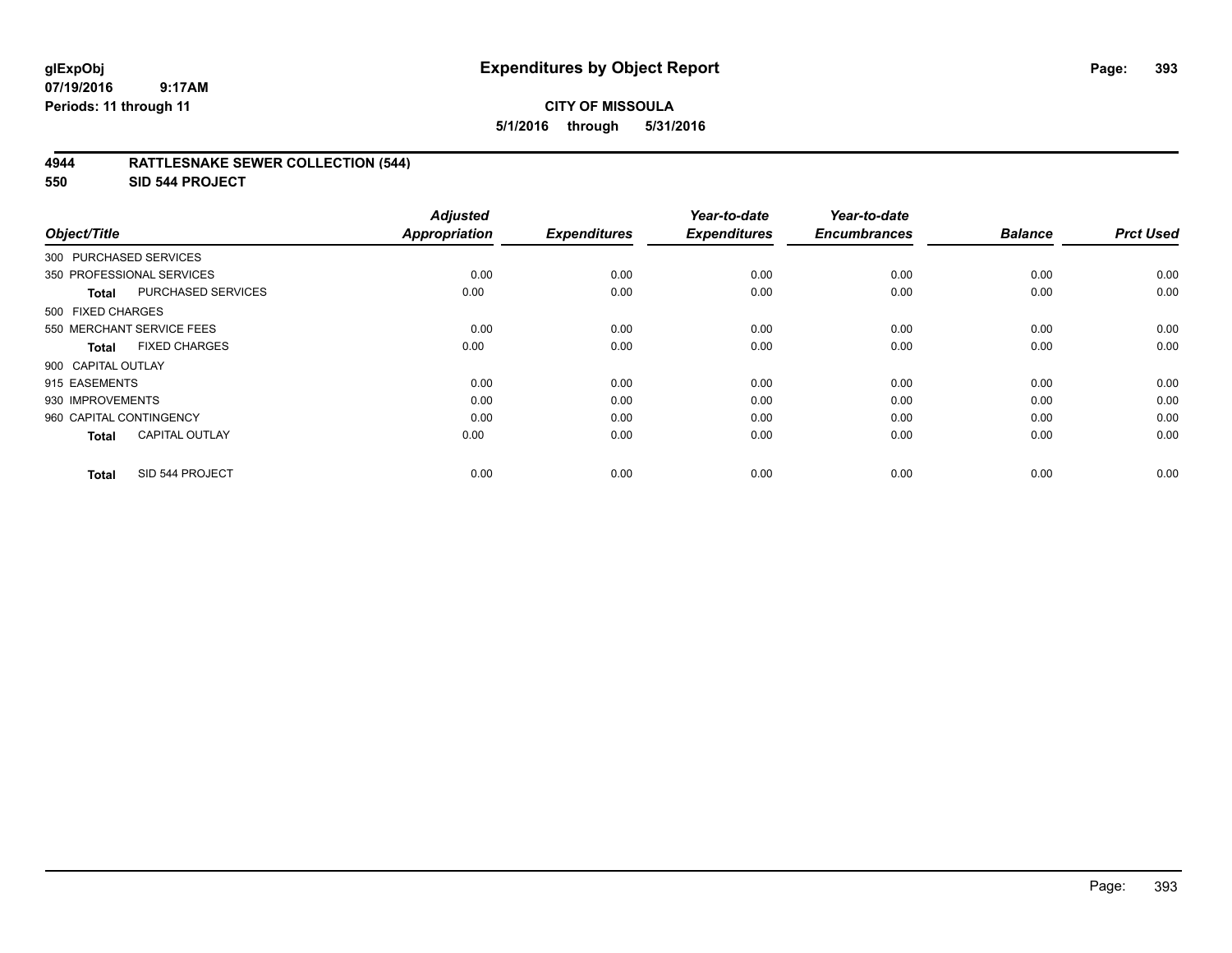## **4944 RATTLESNAKE SEWER COLLECTION (544)**

**550 SID 544 PROJECT**

| Object/Title              |                           | <b>Adjusted</b><br><b>Appropriation</b> | <b>Expenditures</b> | Year-to-date<br><b>Expenditures</b> | Year-to-date<br><b>Encumbrances</b> | <b>Balance</b> | <b>Prct Used</b> |
|---------------------------|---------------------------|-----------------------------------------|---------------------|-------------------------------------|-------------------------------------|----------------|------------------|
| 300 PURCHASED SERVICES    |                           |                                         |                     |                                     |                                     |                |                  |
| 350 PROFESSIONAL SERVICES |                           | 0.00                                    | 0.00                | 0.00                                | 0.00                                | 0.00           | 0.00             |
| Total                     | <b>PURCHASED SERVICES</b> | 0.00                                    | 0.00                | 0.00                                | 0.00                                | 0.00           | 0.00             |
| 500 FIXED CHARGES         |                           |                                         |                     |                                     |                                     |                |                  |
| 550 MERCHANT SERVICE FEES |                           | 0.00                                    | 0.00                | 0.00                                | 0.00                                | 0.00           | 0.00             |
| <b>Total</b>              | <b>FIXED CHARGES</b>      | 0.00                                    | 0.00                | 0.00                                | 0.00                                | 0.00           | 0.00             |
| 900 CAPITAL OUTLAY        |                           |                                         |                     |                                     |                                     |                |                  |
| 915 EASEMENTS             |                           | 0.00                                    | 0.00                | 0.00                                | 0.00                                | 0.00           | 0.00             |
| 930 IMPROVEMENTS          |                           | 0.00                                    | 0.00                | 0.00                                | 0.00                                | 0.00           | 0.00             |
| 960 CAPITAL CONTINGENCY   |                           | 0.00                                    | 0.00                | 0.00                                | 0.00                                | 0.00           | 0.00             |
| <b>Total</b>              | <b>CAPITAL OUTLAY</b>     | 0.00                                    | 0.00                | 0.00                                | 0.00                                | 0.00           | 0.00             |
| <b>Total</b>              | SID 544 PROJECT           | 0.00                                    | 0.00                | 0.00                                | 0.00                                | 0.00           | 0.00             |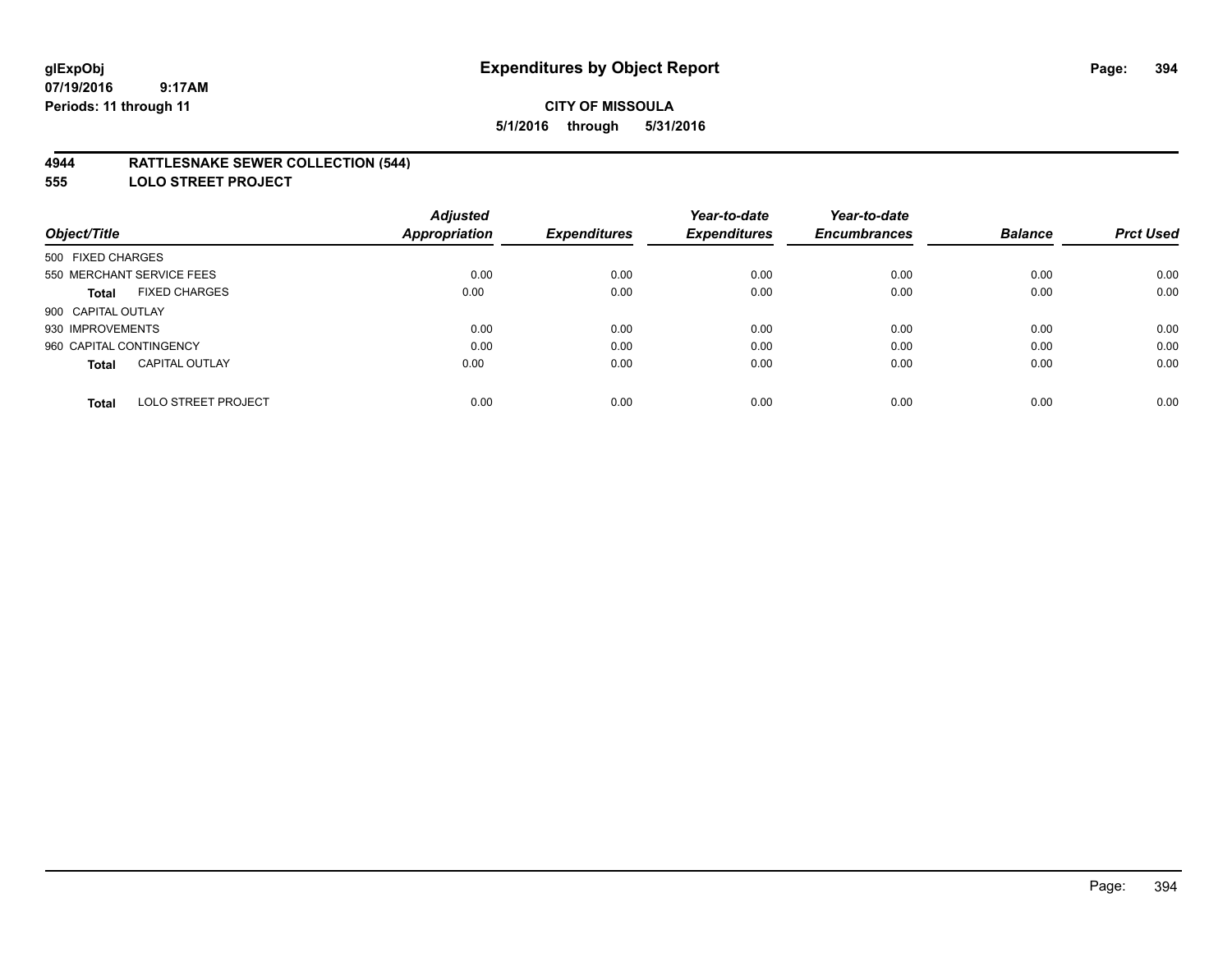## **4944 RATTLESNAKE SEWER COLLECTION (544)**

**555 LOLO STREET PROJECT**

|                                            | <b>Adjusted</b>      |                     | Year-to-date        | Year-to-date        |                |                  |
|--------------------------------------------|----------------------|---------------------|---------------------|---------------------|----------------|------------------|
| Object/Title                               | <b>Appropriation</b> | <b>Expenditures</b> | <b>Expenditures</b> | <b>Encumbrances</b> | <b>Balance</b> | <b>Prct Used</b> |
| 500 FIXED CHARGES                          |                      |                     |                     |                     |                |                  |
| 550 MERCHANT SERVICE FEES                  | 0.00                 | 0.00                | 0.00                | 0.00                | 0.00           | 0.00             |
| <b>FIXED CHARGES</b><br><b>Total</b>       | 0.00                 | 0.00                | 0.00                | 0.00                | 0.00           | 0.00             |
| 900 CAPITAL OUTLAY                         |                      |                     |                     |                     |                |                  |
| 930 IMPROVEMENTS                           | 0.00                 | 0.00                | 0.00                | 0.00                | 0.00           | 0.00             |
| 960 CAPITAL CONTINGENCY                    | 0.00                 | 0.00                | 0.00                | 0.00                | 0.00           | 0.00             |
| <b>CAPITAL OUTLAY</b><br><b>Total</b>      | 0.00                 | 0.00                | 0.00                | 0.00                | 0.00           | 0.00             |
| <b>LOLO STREET PROJECT</b><br><b>Total</b> | 0.00                 | 0.00                | 0.00                | 0.00                | 0.00           | 0.00             |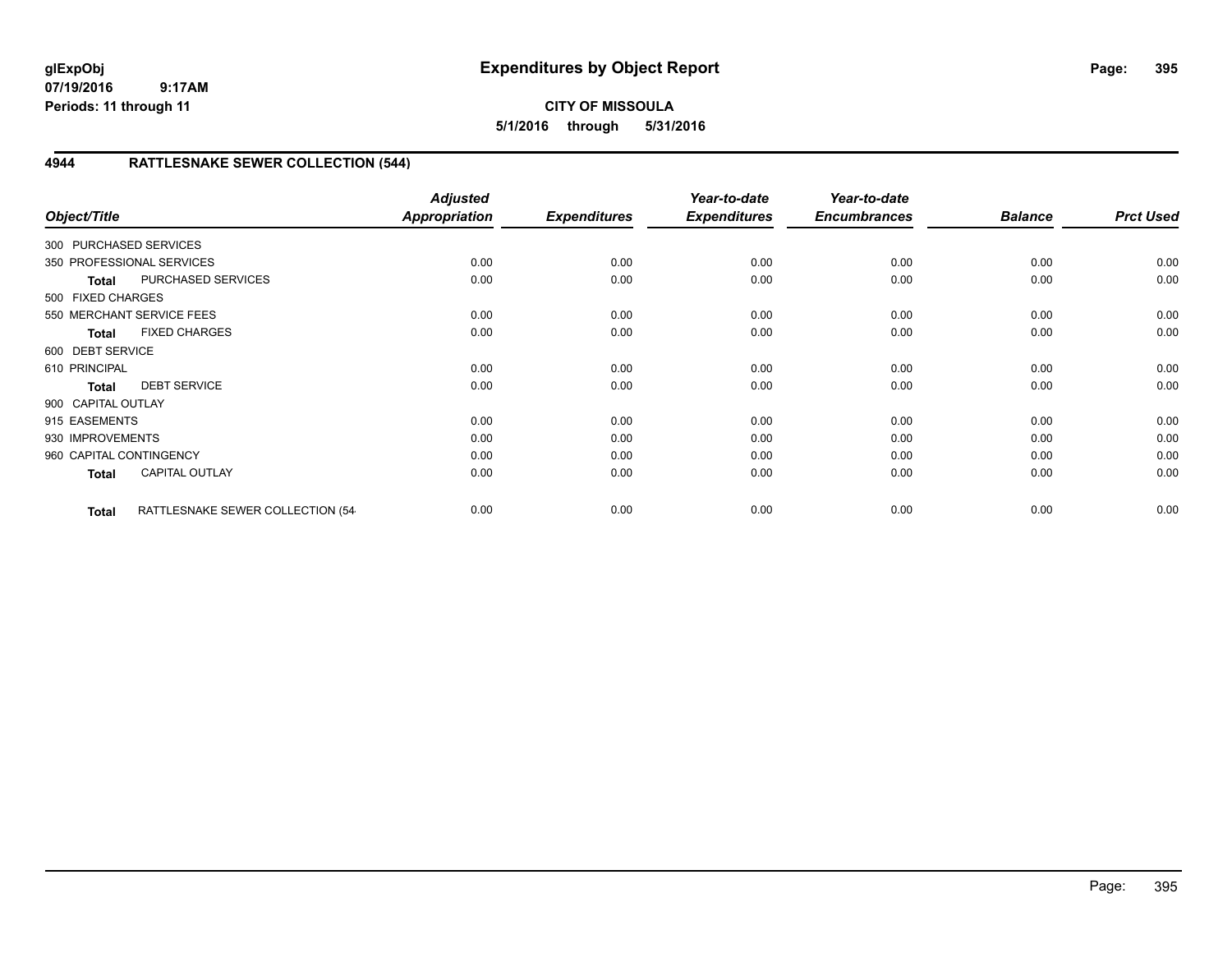**CITY OF MISSOULA 5/1/2016 through 5/31/2016**

# **4944 RATTLESNAKE SEWER COLLECTION (544)**

| Object/Title            |                                  | <b>Adjusted</b><br><b>Appropriation</b> | <b>Expenditures</b> | Year-to-date<br><b>Expenditures</b> | Year-to-date<br><b>Encumbrances</b> | <b>Balance</b> | <b>Prct Used</b> |
|-------------------------|----------------------------------|-----------------------------------------|---------------------|-------------------------------------|-------------------------------------|----------------|------------------|
| 300 PURCHASED SERVICES  |                                  |                                         |                     |                                     |                                     |                |                  |
|                         | 350 PROFESSIONAL SERVICES        | 0.00                                    | 0.00                | 0.00                                | 0.00                                | 0.00           | 0.00             |
| <b>Total</b>            | PURCHASED SERVICES               | 0.00                                    | 0.00                | 0.00                                | 0.00                                | 0.00           | 0.00             |
| 500 FIXED CHARGES       |                                  |                                         |                     |                                     |                                     |                |                  |
|                         | 550 MERCHANT SERVICE FEES        | 0.00                                    | 0.00                | 0.00                                | 0.00                                | 0.00           | 0.00             |
| <b>Total</b>            | <b>FIXED CHARGES</b>             | 0.00                                    | 0.00                | 0.00                                | 0.00                                | 0.00           | 0.00             |
| 600 DEBT SERVICE        |                                  |                                         |                     |                                     |                                     |                |                  |
| 610 PRINCIPAL           |                                  | 0.00                                    | 0.00                | 0.00                                | 0.00                                | 0.00           | 0.00             |
| <b>Total</b>            | <b>DEBT SERVICE</b>              | 0.00                                    | 0.00                | 0.00                                | 0.00                                | 0.00           | 0.00             |
| 900 CAPITAL OUTLAY      |                                  |                                         |                     |                                     |                                     |                |                  |
| 915 EASEMENTS           |                                  | 0.00                                    | 0.00                | 0.00                                | 0.00                                | 0.00           | 0.00             |
| 930 IMPROVEMENTS        |                                  | 0.00                                    | 0.00                | 0.00                                | 0.00                                | 0.00           | 0.00             |
| 960 CAPITAL CONTINGENCY |                                  | 0.00                                    | 0.00                | 0.00                                | 0.00                                | 0.00           | 0.00             |
| Total                   | <b>CAPITAL OUTLAY</b>            | 0.00                                    | 0.00                | 0.00                                | 0.00                                | 0.00           | 0.00             |
| <b>Total</b>            | RATTLESNAKE SEWER COLLECTION (54 | 0.00                                    | 0.00                | 0.00                                | 0.00                                | 0.00           | 0.00             |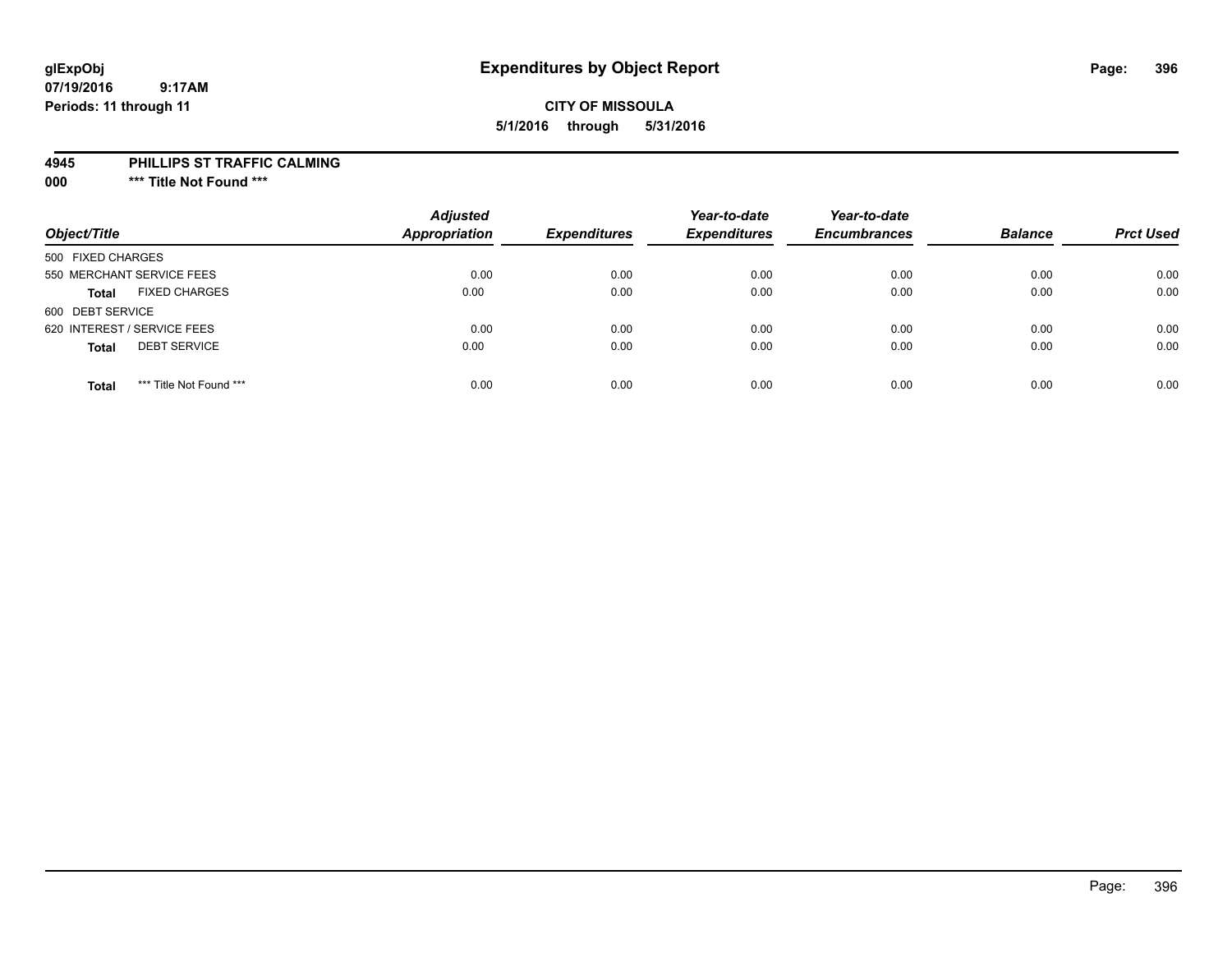## **CITY OF MISSOULA 5/1/2016 through 5/31/2016**

#### **4945 PHILLIPS ST TRAFFIC CALMING**

**000 \*\*\* Title Not Found \*\*\***

| Object/Title                            | <b>Adjusted</b><br><b>Appropriation</b> | <b>Expenditures</b> | Year-to-date<br><b>Expenditures</b> | Year-to-date<br><b>Encumbrances</b> | <b>Balance</b> | <b>Prct Used</b> |
|-----------------------------------------|-----------------------------------------|---------------------|-------------------------------------|-------------------------------------|----------------|------------------|
| 500 FIXED CHARGES                       |                                         |                     |                                     |                                     |                |                  |
| 550 MERCHANT SERVICE FEES               | 0.00                                    | 0.00                | 0.00                                | 0.00                                | 0.00           | 0.00             |
| <b>FIXED CHARGES</b><br><b>Total</b>    | 0.00                                    | 0.00                | 0.00                                | 0.00                                | 0.00           | 0.00             |
| 600 DEBT SERVICE                        |                                         |                     |                                     |                                     |                |                  |
| 620 INTEREST / SERVICE FEES             | 0.00                                    | 0.00                | 0.00                                | 0.00                                | 0.00           | 0.00             |
| <b>DEBT SERVICE</b><br><b>Total</b>     | 0.00                                    | 0.00                | 0.00                                | 0.00                                | 0.00           | 0.00             |
| *** Title Not Found ***<br><b>Total</b> | 0.00                                    | 0.00                | 0.00                                | 0.00                                | 0.00           | 0.00             |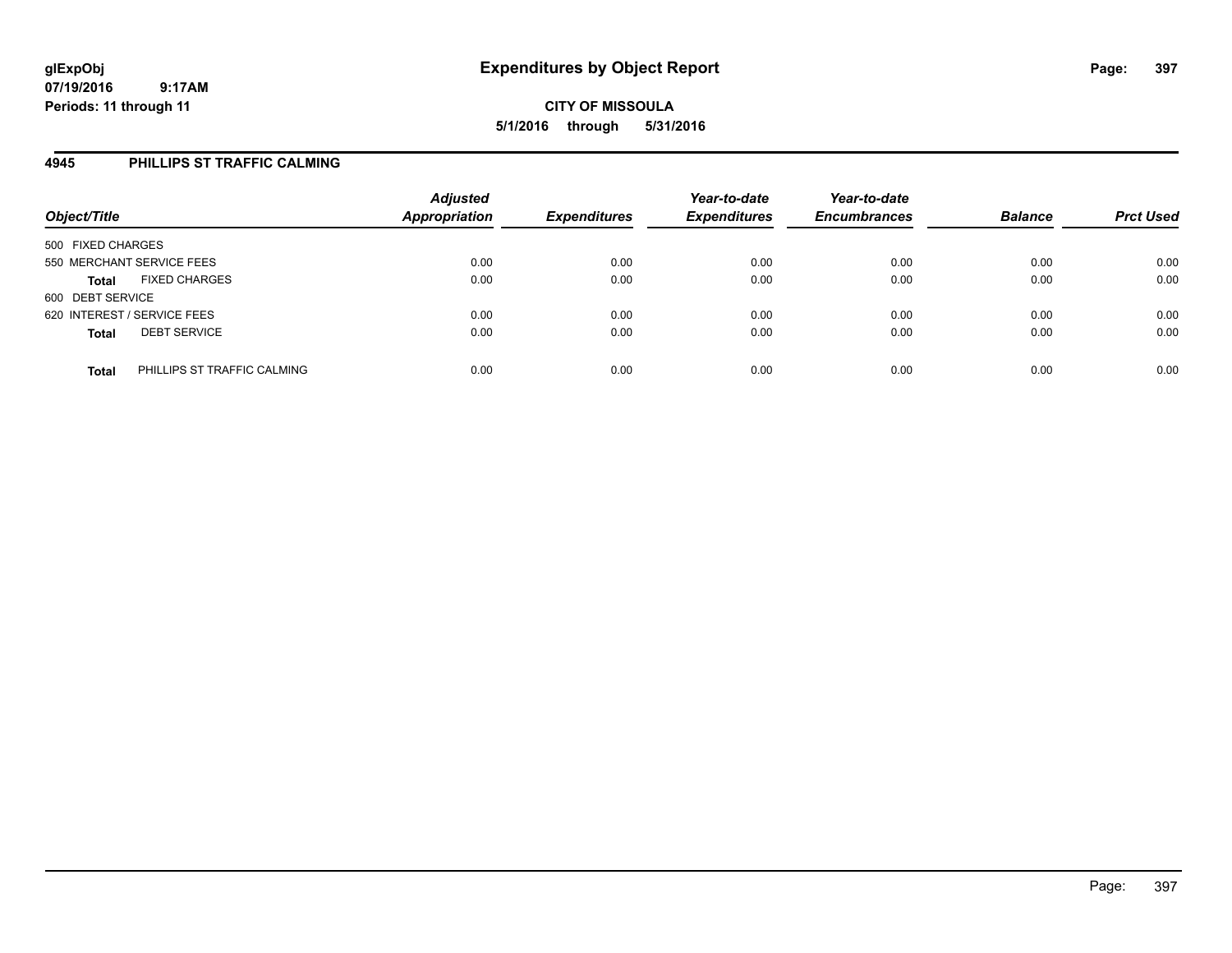#### **4945 PHILLIPS ST TRAFFIC CALMING**

| Object/Title                                | <b>Adjusted</b><br><b>Appropriation</b> | <b>Expenditures</b> | Year-to-date<br><b>Expenditures</b> | Year-to-date<br><b>Encumbrances</b> | <b>Balance</b> | <b>Prct Used</b> |
|---------------------------------------------|-----------------------------------------|---------------------|-------------------------------------|-------------------------------------|----------------|------------------|
| 500 FIXED CHARGES                           |                                         |                     |                                     |                                     |                |                  |
| 550 MERCHANT SERVICE FEES                   | 0.00                                    | 0.00                | 0.00                                | 0.00                                | 0.00           | 0.00             |
| <b>FIXED CHARGES</b><br><b>Total</b>        | 0.00                                    | 0.00                | 0.00                                | 0.00                                | 0.00           | 0.00             |
| 600 DEBT SERVICE                            |                                         |                     |                                     |                                     |                |                  |
| 620 INTEREST / SERVICE FEES                 | 0.00                                    | 0.00                | 0.00                                | 0.00                                | 0.00           | 0.00             |
| <b>DEBT SERVICE</b><br><b>Total</b>         | 0.00                                    | 0.00                | 0.00                                | 0.00                                | 0.00           | 0.00             |
| PHILLIPS ST TRAFFIC CALMING<br><b>Total</b> | 0.00                                    | 0.00                | 0.00                                | 0.00                                | 0.00           | 0.00             |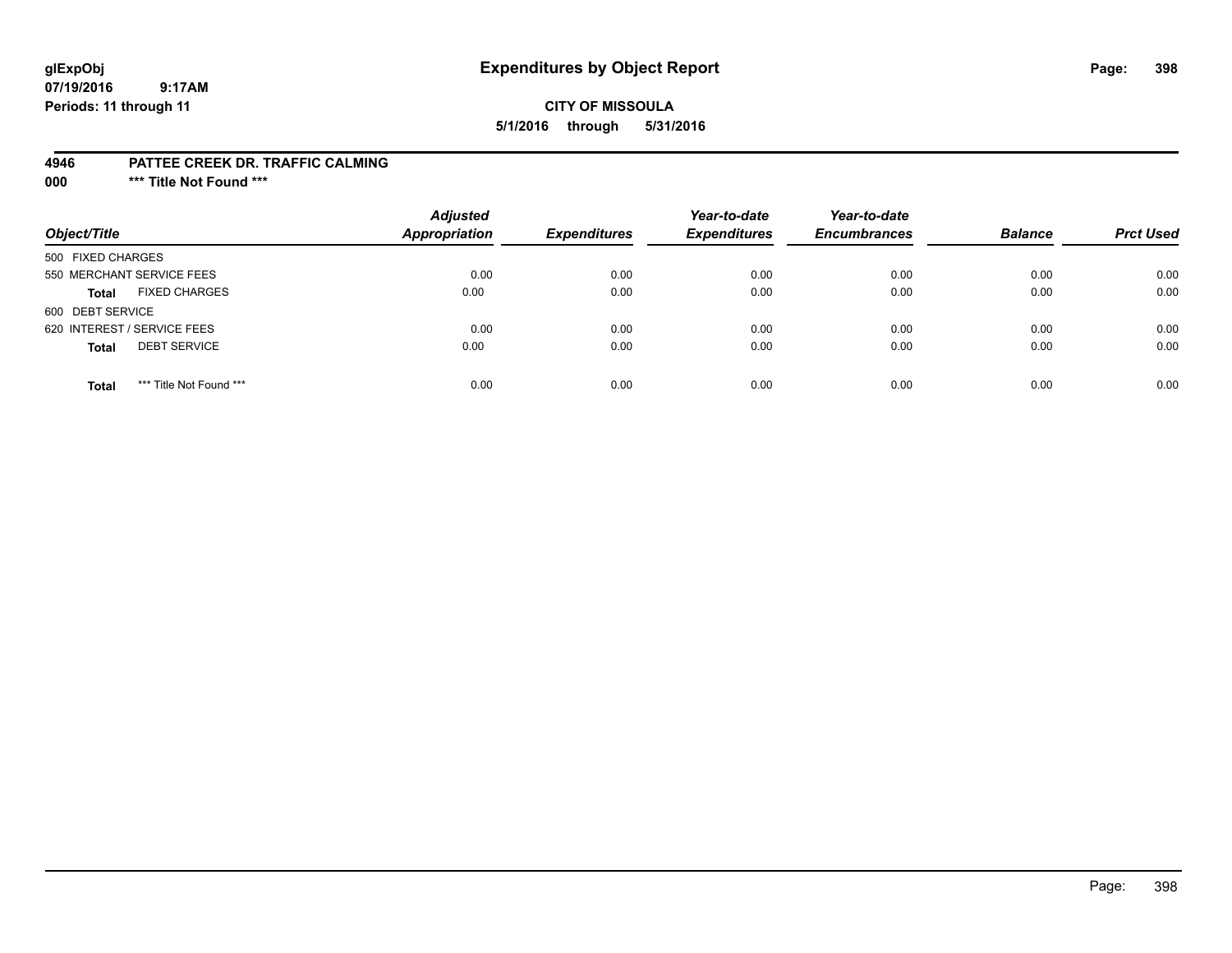## **glExpObj Expenditures by Object Report Page: 398**

#### **07/19/2016 9:17AM Periods: 11 through 11**

#### **CITY OF MISSOULA 5/1/2016 through 5/31/2016**

#### **4946 PATTEE CREEK DR. TRAFFIC CALMING**

**000 \*\*\* Title Not Found \*\*\***

| Object/Title                            | <b>Adjusted</b><br>Appropriation | <b>Expenditures</b> | Year-to-date<br><b>Expenditures</b> | Year-to-date<br><b>Encumbrances</b> | <b>Balance</b> | <b>Prct Used</b> |
|-----------------------------------------|----------------------------------|---------------------|-------------------------------------|-------------------------------------|----------------|------------------|
| 500 FIXED CHARGES                       |                                  |                     |                                     |                                     |                |                  |
| 550 MERCHANT SERVICE FEES               | 0.00                             | 0.00                | 0.00                                | 0.00                                | 0.00           | 0.00             |
| <b>FIXED CHARGES</b><br><b>Total</b>    | 0.00                             | 0.00                | 0.00                                | 0.00                                | 0.00           | 0.00             |
| 600 DEBT SERVICE                        |                                  |                     |                                     |                                     |                |                  |
| 620 INTEREST / SERVICE FEES             | 0.00                             | 0.00                | 0.00                                | 0.00                                | 0.00           | 0.00             |
| <b>DEBT SERVICE</b><br><b>Total</b>     | 0.00                             | 0.00                | 0.00                                | 0.00                                | 0.00           | 0.00             |
| *** Title Not Found ***<br><b>Total</b> | 0.00                             | 0.00                | 0.00                                | 0.00                                | 0.00           | 0.00             |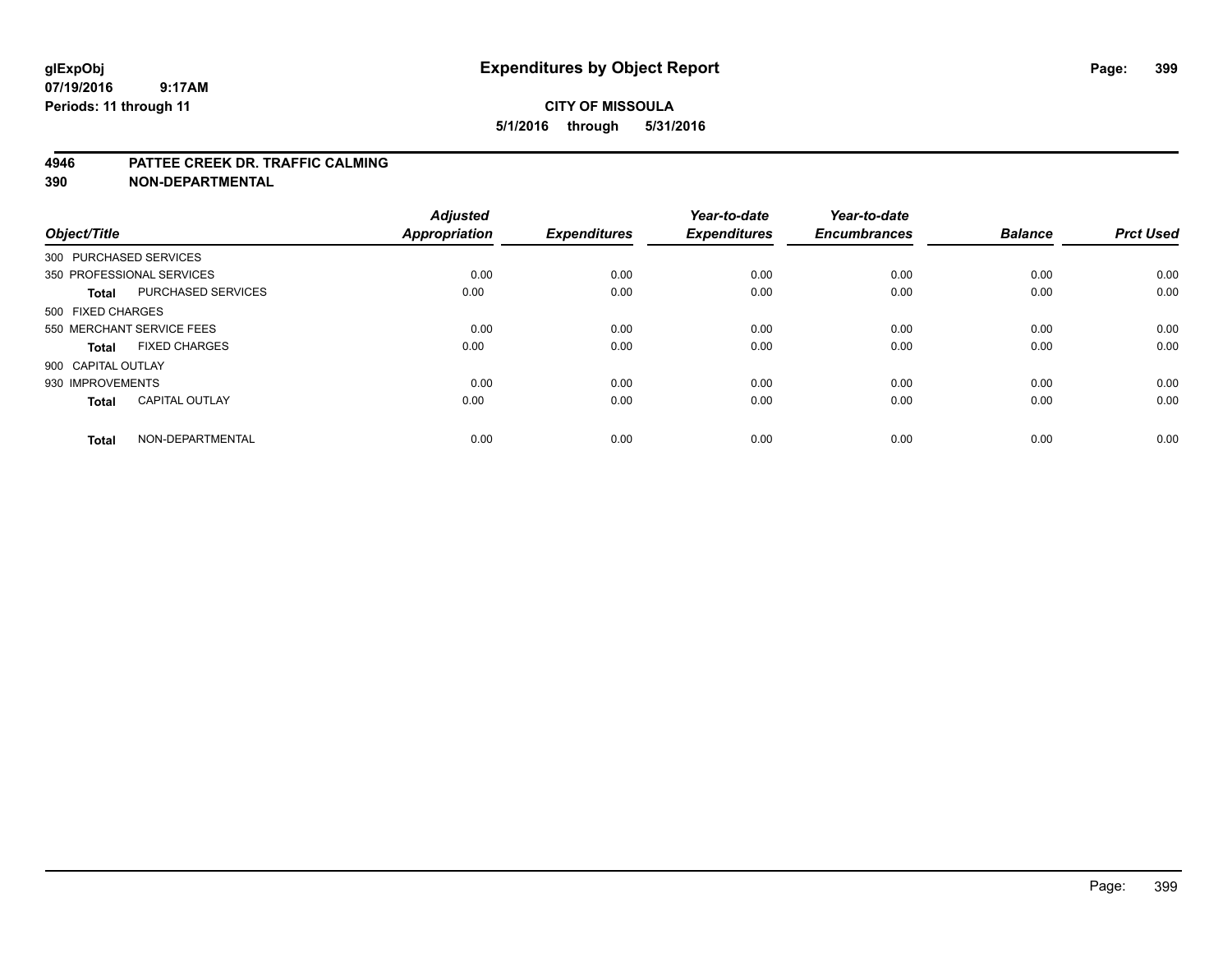#### **4946 PATTEE CREEK DR. TRAFFIC CALMING**

**390 NON-DEPARTMENTAL**

| Object/Title           |                           | <b>Adjusted</b><br><b>Appropriation</b> | <b>Expenditures</b> | Year-to-date<br><b>Expenditures</b> | Year-to-date<br><b>Encumbrances</b> | <b>Balance</b> | <b>Prct Used</b> |
|------------------------|---------------------------|-----------------------------------------|---------------------|-------------------------------------|-------------------------------------|----------------|------------------|
| 300 PURCHASED SERVICES |                           |                                         |                     |                                     |                                     |                |                  |
|                        | 350 PROFESSIONAL SERVICES | 0.00                                    | 0.00                | 0.00                                | 0.00                                | 0.00           | 0.00             |
| <b>Total</b>           | <b>PURCHASED SERVICES</b> | 0.00                                    | 0.00                | 0.00                                | 0.00                                | 0.00           | 0.00             |
| 500 FIXED CHARGES      |                           |                                         |                     |                                     |                                     |                |                  |
|                        | 550 MERCHANT SERVICE FEES | 0.00                                    | 0.00                | 0.00                                | 0.00                                | 0.00           | 0.00             |
| Total                  | <b>FIXED CHARGES</b>      | 0.00                                    | 0.00                | 0.00                                | 0.00                                | 0.00           | 0.00             |
| 900 CAPITAL OUTLAY     |                           |                                         |                     |                                     |                                     |                |                  |
| 930 IMPROVEMENTS       |                           | 0.00                                    | 0.00                | 0.00                                | 0.00                                | 0.00           | 0.00             |
| Total                  | <b>CAPITAL OUTLAY</b>     | 0.00                                    | 0.00                | 0.00                                | 0.00                                | 0.00           | 0.00             |
| <b>Total</b>           | NON-DEPARTMENTAL          | 0.00                                    | 0.00                | 0.00                                | 0.00                                | 0.00           | 0.00             |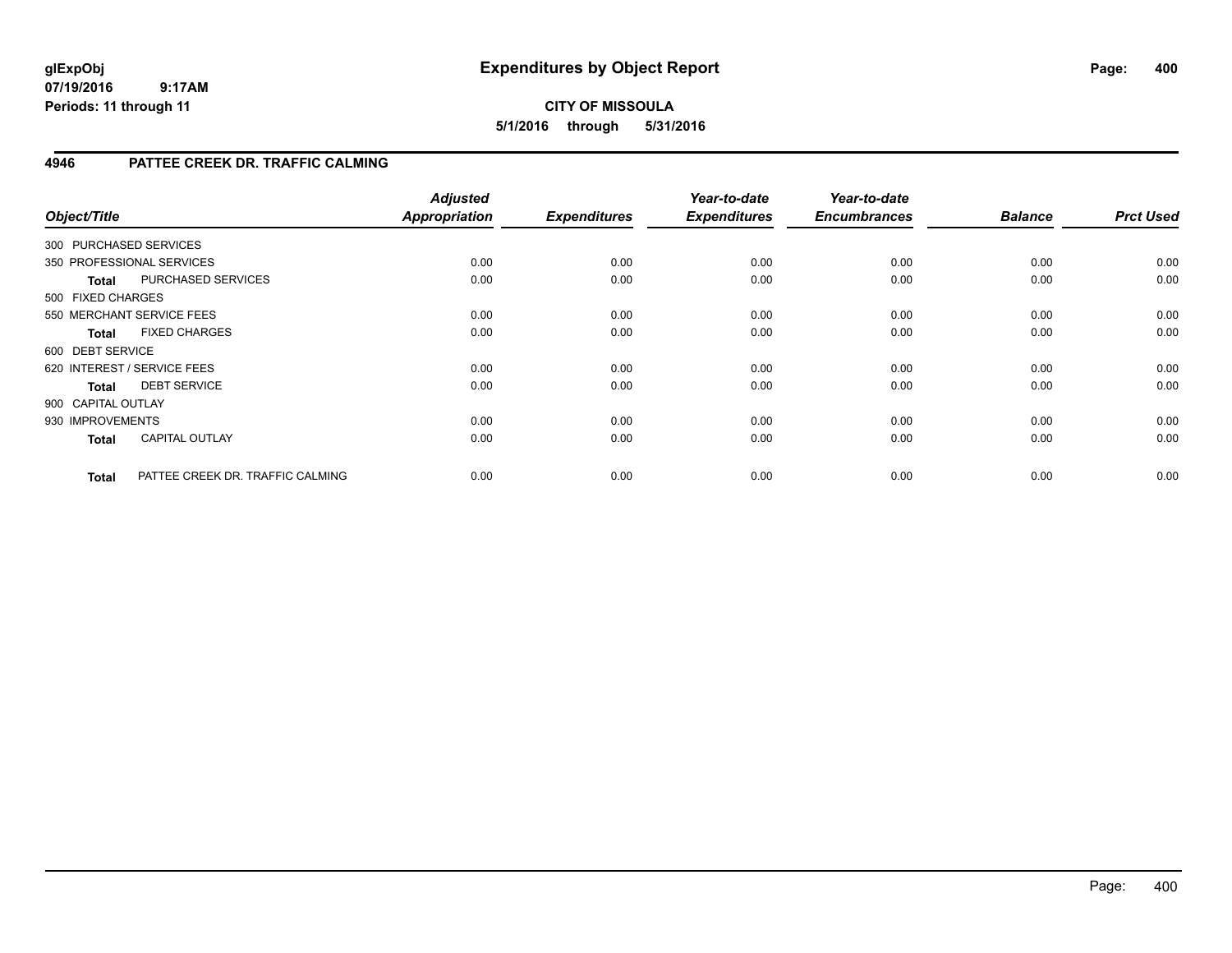### **CITY OF MISSOULA 5/1/2016 through 5/31/2016**

#### **4946 PATTEE CREEK DR. TRAFFIC CALMING**

| Object/Title                |                                  | <b>Adjusted</b><br><b>Appropriation</b> | <b>Expenditures</b> | Year-to-date<br><b>Expenditures</b> | Year-to-date<br><b>Encumbrances</b> | <b>Balance</b> | <b>Prct Used</b> |
|-----------------------------|----------------------------------|-----------------------------------------|---------------------|-------------------------------------|-------------------------------------|----------------|------------------|
| 300 PURCHASED SERVICES      |                                  |                                         |                     |                                     |                                     |                |                  |
| 350 PROFESSIONAL SERVICES   |                                  | 0.00                                    | 0.00                | 0.00                                | 0.00                                | 0.00           | 0.00             |
| <b>Total</b>                | PURCHASED SERVICES               | 0.00                                    | 0.00                | 0.00                                | 0.00                                | 0.00           | 0.00             |
| 500 FIXED CHARGES           |                                  |                                         |                     |                                     |                                     |                |                  |
| 550 MERCHANT SERVICE FEES   |                                  | 0.00                                    | 0.00                | 0.00                                | 0.00                                | 0.00           | 0.00             |
| <b>Total</b>                | <b>FIXED CHARGES</b>             | 0.00                                    | 0.00                | 0.00                                | 0.00                                | 0.00           | 0.00             |
| 600 DEBT SERVICE            |                                  |                                         |                     |                                     |                                     |                |                  |
| 620 INTEREST / SERVICE FEES |                                  | 0.00                                    | 0.00                | 0.00                                | 0.00                                | 0.00           | 0.00             |
| <b>Total</b>                | <b>DEBT SERVICE</b>              | 0.00                                    | 0.00                | 0.00                                | 0.00                                | 0.00           | 0.00             |
| 900 CAPITAL OUTLAY          |                                  |                                         |                     |                                     |                                     |                |                  |
| 930 IMPROVEMENTS            |                                  | 0.00                                    | 0.00                | 0.00                                | 0.00                                | 0.00           | 0.00             |
| <b>Total</b>                | <b>CAPITAL OUTLAY</b>            | 0.00                                    | 0.00                | 0.00                                | 0.00                                | 0.00           | 0.00             |
| <b>Total</b>                | PATTEE CREEK DR. TRAFFIC CALMING | 0.00                                    | 0.00                | 0.00                                | 0.00                                | 0.00           | 0.00             |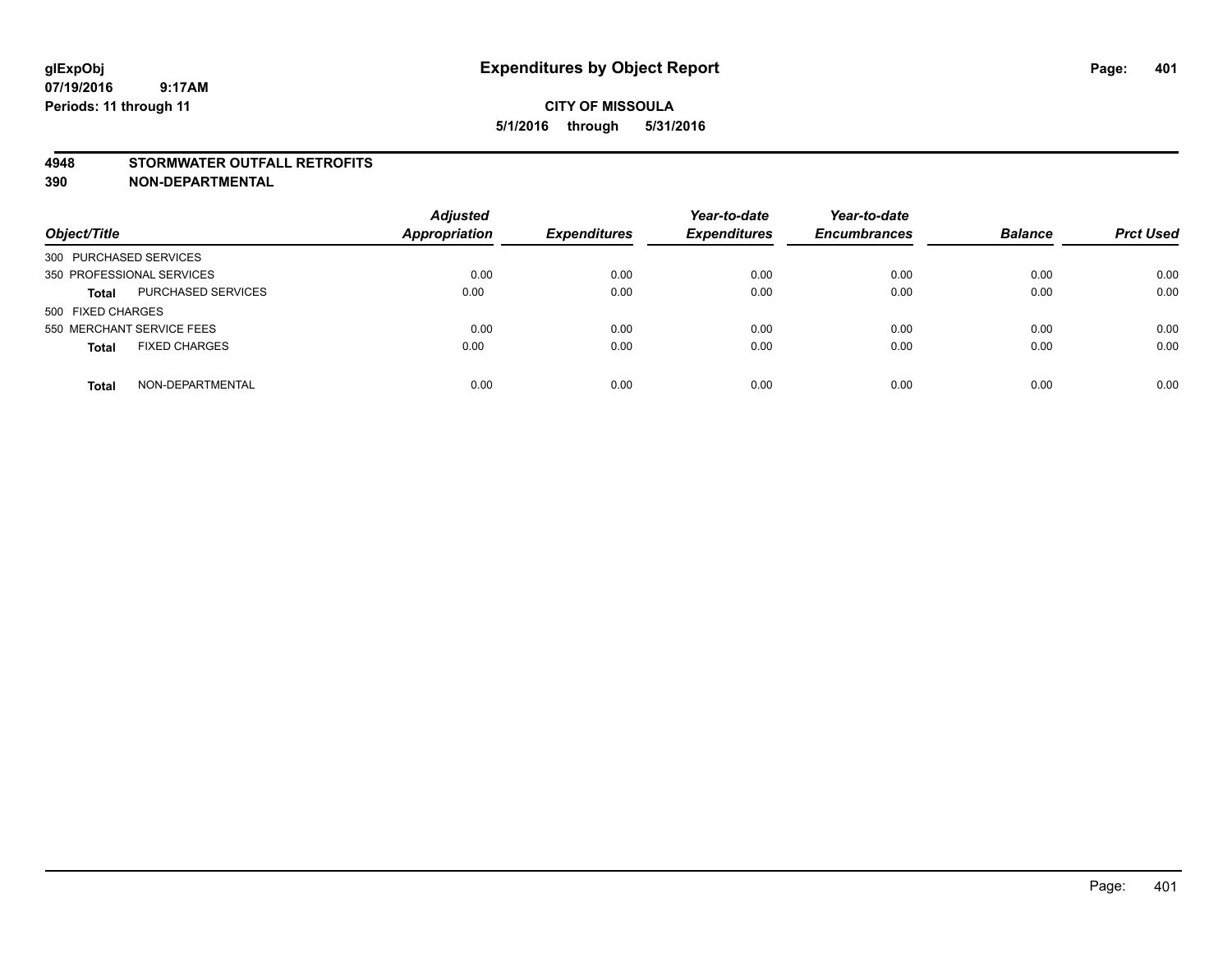#### **4948 STORMWATER OUTFALL RETROFITS**

**390 NON-DEPARTMENTAL**

| Object/Title                              | <b>Adjusted</b><br><b>Appropriation</b> | <b>Expenditures</b> | Year-to-date<br><b>Expenditures</b> | Year-to-date<br><b>Encumbrances</b> | <b>Balance</b> | <b>Prct Used</b> |
|-------------------------------------------|-----------------------------------------|---------------------|-------------------------------------|-------------------------------------|----------------|------------------|
| 300 PURCHASED SERVICES                    |                                         |                     |                                     |                                     |                |                  |
| 350 PROFESSIONAL SERVICES                 | 0.00                                    | 0.00                | 0.00                                | 0.00                                | 0.00           | 0.00             |
| <b>PURCHASED SERVICES</b><br><b>Total</b> | 0.00                                    | 0.00                | 0.00                                | 0.00                                | 0.00           | 0.00             |
| 500 FIXED CHARGES                         |                                         |                     |                                     |                                     |                |                  |
| 550 MERCHANT SERVICE FEES                 | 0.00                                    | 0.00                | 0.00                                | 0.00                                | 0.00           | 0.00             |
| <b>FIXED CHARGES</b><br><b>Total</b>      | 0.00                                    | 0.00                | 0.00                                | 0.00                                | 0.00           | 0.00             |
| NON-DEPARTMENTAL<br><b>Total</b>          | 0.00                                    | 0.00                | 0.00                                | 0.00                                | 0.00           | 0.00             |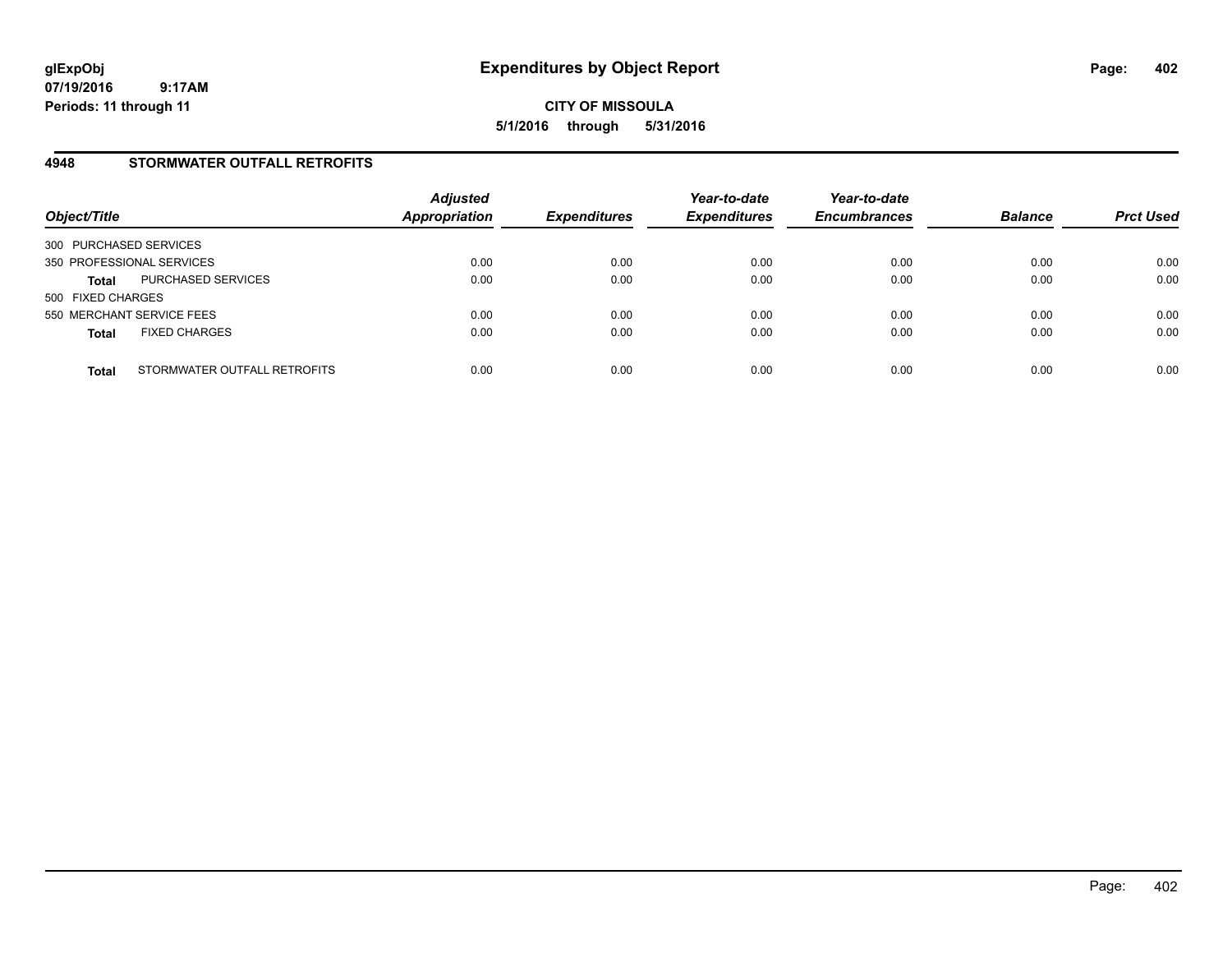**CITY OF MISSOULA 5/1/2016 through 5/31/2016**

#### **4948 STORMWATER OUTFALL RETROFITS**

| Object/Title              |                              | <b>Adjusted</b><br><b>Appropriation</b> | <b>Expenditures</b> | Year-to-date<br><b>Expenditures</b> | Year-to-date<br><b>Encumbrances</b> | <b>Balance</b> | <b>Prct Used</b> |
|---------------------------|------------------------------|-----------------------------------------|---------------------|-------------------------------------|-------------------------------------|----------------|------------------|
| 300 PURCHASED SERVICES    |                              |                                         |                     |                                     |                                     |                |                  |
| 350 PROFESSIONAL SERVICES |                              | 0.00                                    | 0.00                | 0.00                                | 0.00                                | 0.00           | 0.00             |
| <b>Total</b>              | PURCHASED SERVICES           | 0.00                                    | 0.00                | 0.00                                | 0.00                                | 0.00           | 0.00             |
| 500 FIXED CHARGES         |                              |                                         |                     |                                     |                                     |                |                  |
| 550 MERCHANT SERVICE FEES |                              | 0.00                                    | 0.00                | 0.00                                | 0.00                                | 0.00           | 0.00             |
| <b>Total</b>              | <b>FIXED CHARGES</b>         | 0.00                                    | 0.00                | 0.00                                | 0.00                                | 0.00           | 0.00             |
| <b>Total</b>              | STORMWATER OUTFALL RETROFITS | 0.00                                    | 0.00                | 0.00                                | 0.00                                | 0.00           | 0.00             |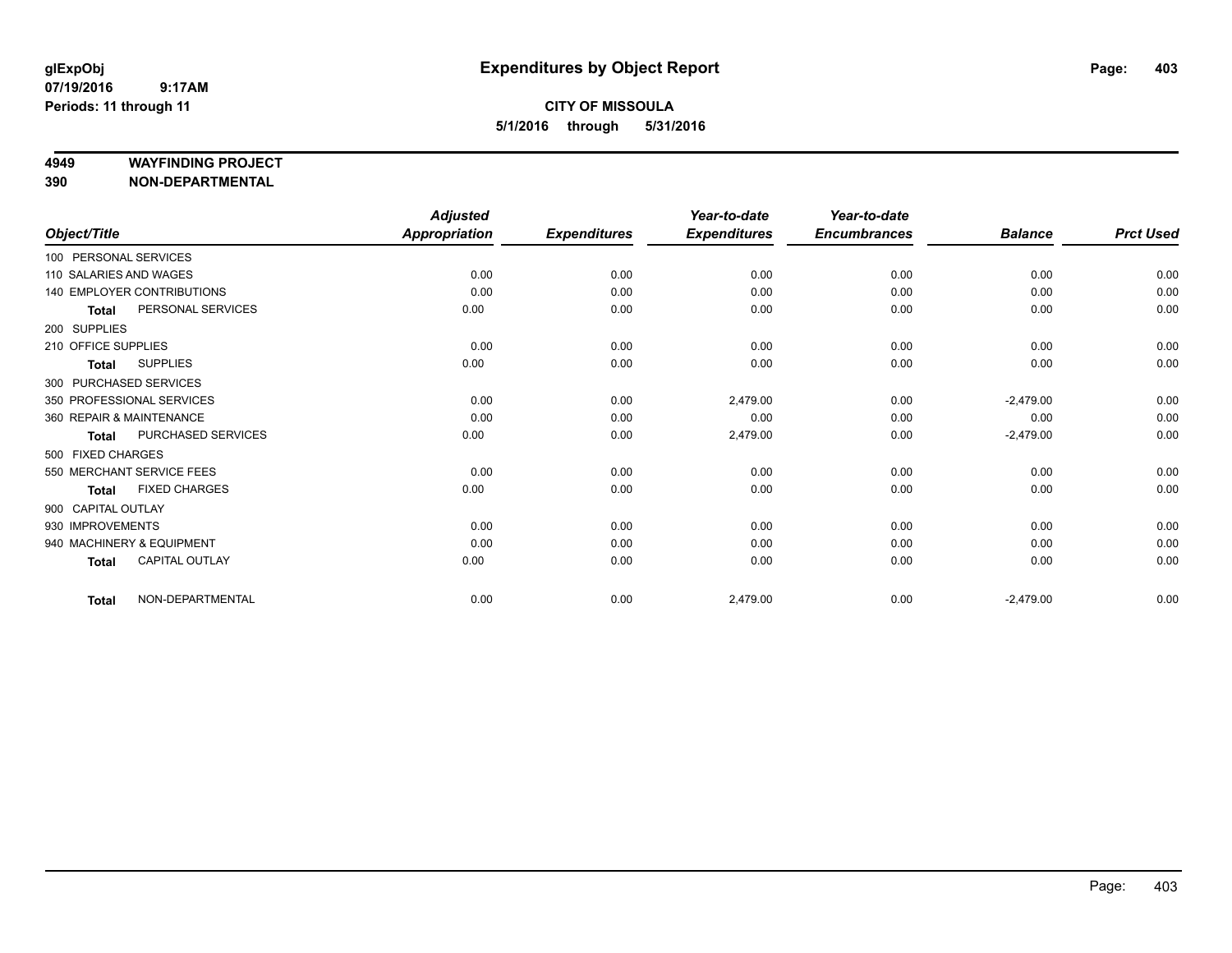#### **4949 WAYFINDING PROJECT**

**390 NON-DEPARTMENTAL**

|                        |                                   | <b>Adjusted</b> |                     | Year-to-date        | Year-to-date        |                |                  |
|------------------------|-----------------------------------|-----------------|---------------------|---------------------|---------------------|----------------|------------------|
| Object/Title           |                                   | Appropriation   | <b>Expenditures</b> | <b>Expenditures</b> | <b>Encumbrances</b> | <b>Balance</b> | <b>Prct Used</b> |
| 100 PERSONAL SERVICES  |                                   |                 |                     |                     |                     |                |                  |
| 110 SALARIES AND WAGES |                                   | 0.00            | 0.00                | 0.00                | 0.00                | 0.00           | 0.00             |
|                        | <b>140 EMPLOYER CONTRIBUTIONS</b> | 0.00            | 0.00                | 0.00                | 0.00                | 0.00           | 0.00             |
| <b>Total</b>           | PERSONAL SERVICES                 | 0.00            | 0.00                | 0.00                | 0.00                | 0.00           | 0.00             |
| 200 SUPPLIES           |                                   |                 |                     |                     |                     |                |                  |
| 210 OFFICE SUPPLIES    |                                   | 0.00            | 0.00                | 0.00                | 0.00                | 0.00           | 0.00             |
| <b>Total</b>           | <b>SUPPLIES</b>                   | 0.00            | 0.00                | 0.00                | 0.00                | 0.00           | 0.00             |
|                        | 300 PURCHASED SERVICES            |                 |                     |                     |                     |                |                  |
|                        | 350 PROFESSIONAL SERVICES         | 0.00            | 0.00                | 2,479.00            | 0.00                | $-2,479.00$    | 0.00             |
|                        | 360 REPAIR & MAINTENANCE          | 0.00            | 0.00                | 0.00                | 0.00                | 0.00           | 0.00             |
| <b>Total</b>           | PURCHASED SERVICES                | 0.00            | 0.00                | 2,479.00            | 0.00                | $-2,479.00$    | 0.00             |
| 500 FIXED CHARGES      |                                   |                 |                     |                     |                     |                |                  |
|                        | 550 MERCHANT SERVICE FEES         | 0.00            | 0.00                | 0.00                | 0.00                | 0.00           | 0.00             |
| <b>Total</b>           | <b>FIXED CHARGES</b>              | 0.00            | 0.00                | 0.00                | 0.00                | 0.00           | 0.00             |
| 900 CAPITAL OUTLAY     |                                   |                 |                     |                     |                     |                |                  |
| 930 IMPROVEMENTS       |                                   | 0.00            | 0.00                | 0.00                | 0.00                | 0.00           | 0.00             |
|                        | 940 MACHINERY & EQUIPMENT         | 0.00            | 0.00                | 0.00                | 0.00                | 0.00           | 0.00             |
| <b>Total</b>           | <b>CAPITAL OUTLAY</b>             | 0.00            | 0.00                | 0.00                | 0.00                | 0.00           | 0.00             |
| <b>Total</b>           | NON-DEPARTMENTAL                  | 0.00            | 0.00                | 2,479.00            | 0.00                | $-2,479.00$    | 0.00             |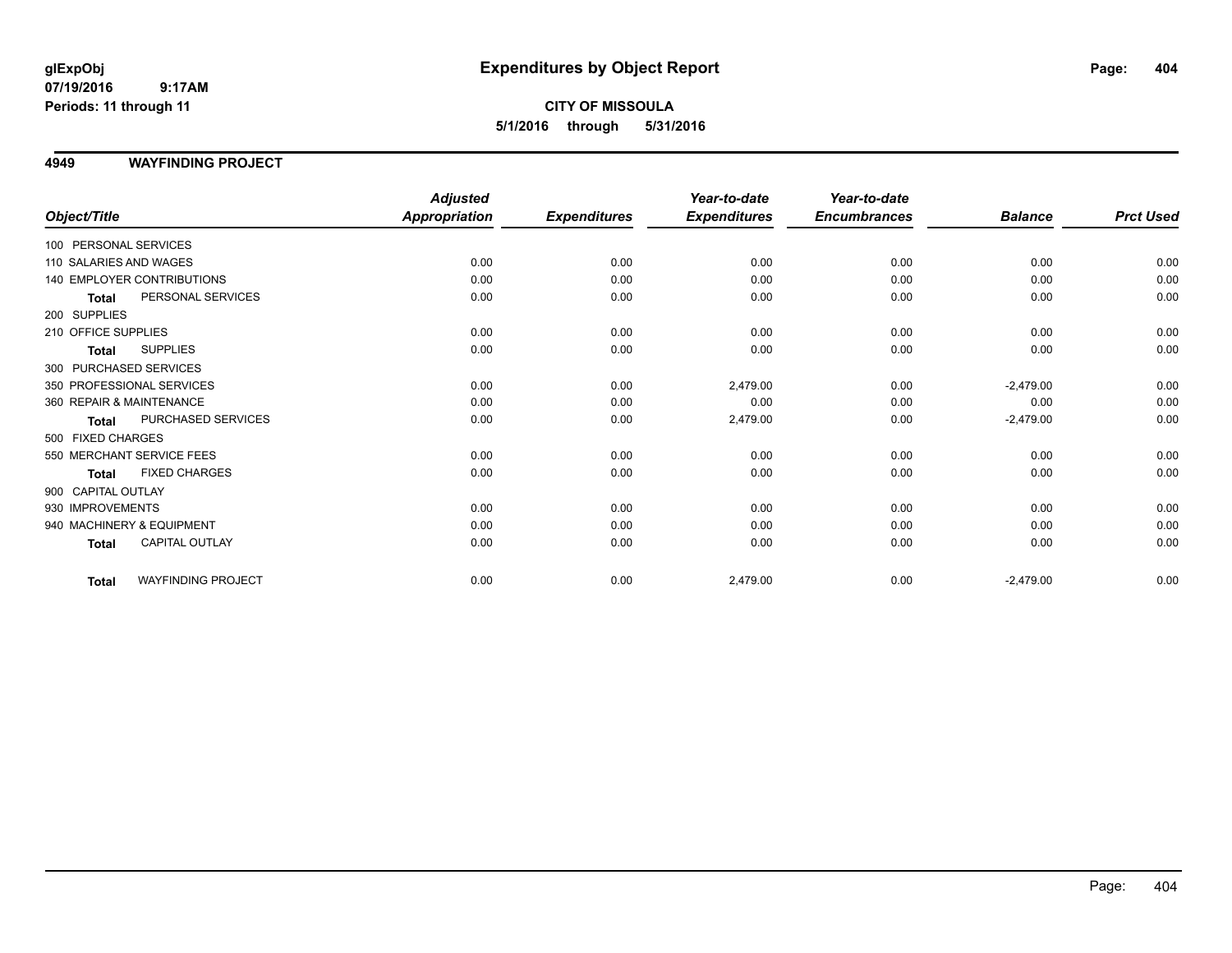### **CITY OF MISSOULA 5/1/2016 through 5/31/2016**

#### **4949 WAYFINDING PROJECT**

|                                           | <b>Adjusted</b>      |                     | Year-to-date        | Year-to-date        |                |                  |
|-------------------------------------------|----------------------|---------------------|---------------------|---------------------|----------------|------------------|
| Object/Title                              | <b>Appropriation</b> | <b>Expenditures</b> | <b>Expenditures</b> | <b>Encumbrances</b> | <b>Balance</b> | <b>Prct Used</b> |
| 100 PERSONAL SERVICES                     |                      |                     |                     |                     |                |                  |
| 110 SALARIES AND WAGES                    | 0.00                 | 0.00                | 0.00                | 0.00                | 0.00           | 0.00             |
| 140 EMPLOYER CONTRIBUTIONS                | 0.00                 | 0.00                | 0.00                | 0.00                | 0.00           | 0.00             |
| PERSONAL SERVICES<br><b>Total</b>         | 0.00                 | 0.00                | 0.00                | 0.00                | 0.00           | 0.00             |
| 200 SUPPLIES                              |                      |                     |                     |                     |                |                  |
| 210 OFFICE SUPPLIES                       | 0.00                 | 0.00                | 0.00                | 0.00                | 0.00           | 0.00             |
| <b>SUPPLIES</b><br>Total                  | 0.00                 | 0.00                | 0.00                | 0.00                | 0.00           | 0.00             |
| 300 PURCHASED SERVICES                    |                      |                     |                     |                     |                |                  |
| 350 PROFESSIONAL SERVICES                 | 0.00                 | 0.00                | 2,479.00            | 0.00                | $-2,479.00$    | 0.00             |
| 360 REPAIR & MAINTENANCE                  | 0.00                 | 0.00                | 0.00                | 0.00                | 0.00           | 0.00             |
| PURCHASED SERVICES<br><b>Total</b>        | 0.00                 | 0.00                | 2,479.00            | 0.00                | $-2,479.00$    | 0.00             |
| 500 FIXED CHARGES                         |                      |                     |                     |                     |                |                  |
| 550 MERCHANT SERVICE FEES                 | 0.00                 | 0.00                | 0.00                | 0.00                | 0.00           | 0.00             |
| <b>FIXED CHARGES</b><br><b>Total</b>      | 0.00                 | 0.00                | 0.00                | 0.00                | 0.00           | 0.00             |
| 900 CAPITAL OUTLAY                        |                      |                     |                     |                     |                |                  |
| 930 IMPROVEMENTS                          | 0.00                 | 0.00                | 0.00                | 0.00                | 0.00           | 0.00             |
| 940 MACHINERY & EQUIPMENT                 | 0.00                 | 0.00                | 0.00                | 0.00                | 0.00           | 0.00             |
| <b>CAPITAL OUTLAY</b><br><b>Total</b>     | 0.00                 | 0.00                | 0.00                | 0.00                | 0.00           | 0.00             |
| <b>WAYFINDING PROJECT</b><br><b>Total</b> | 0.00                 | 0.00                | 2,479.00            | 0.00                | $-2,479.00$    | 0.00             |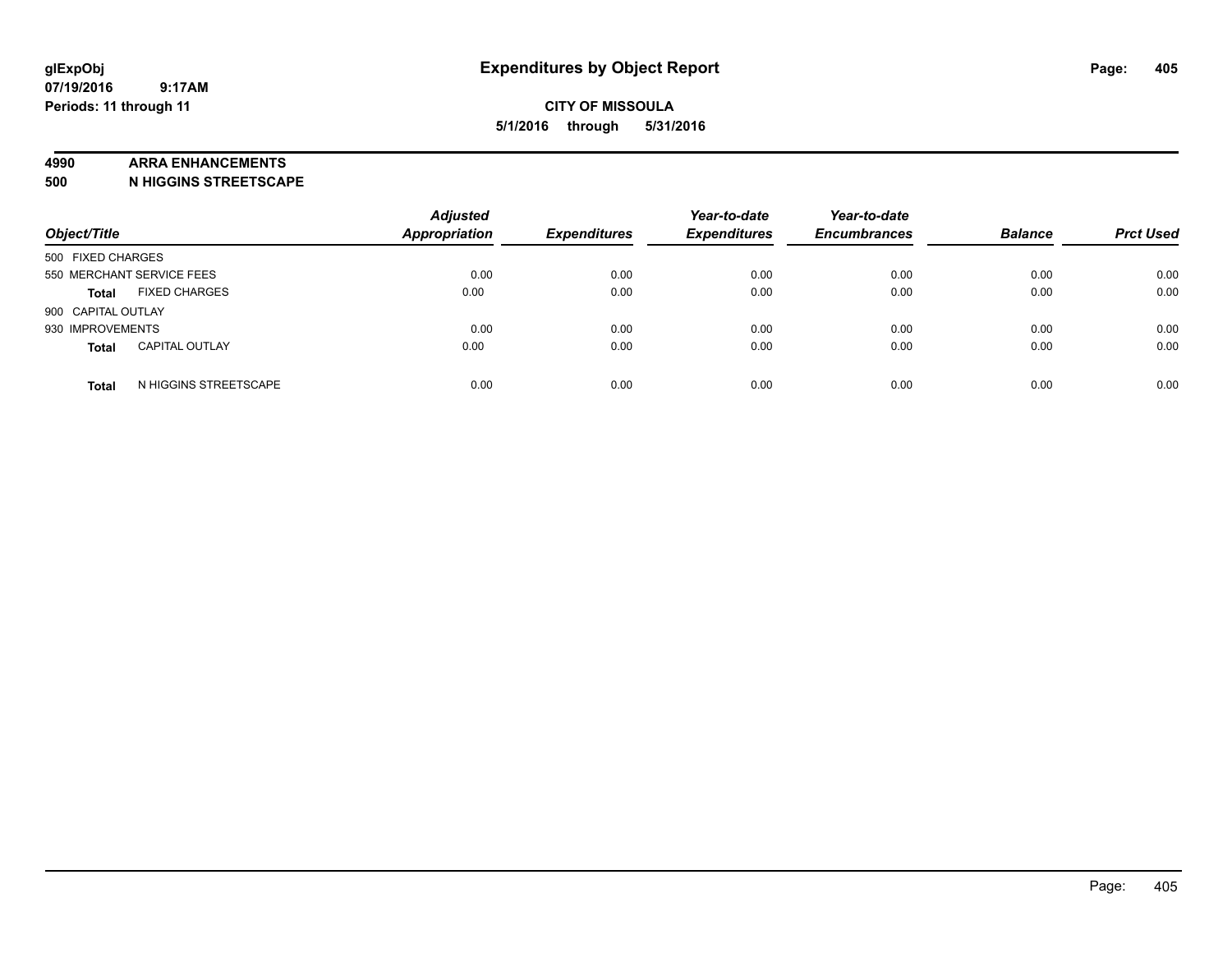#### **4990 ARRA ENHANCEMENTS**

**500 N HIGGINS STREETSCAPE**

| Object/Title                          | <b>Adjusted</b><br><b>Appropriation</b> | <b>Expenditures</b> | Year-to-date<br><b>Expenditures</b> | Year-to-date<br><b>Encumbrances</b> | <b>Balance</b> | <b>Prct Used</b> |
|---------------------------------------|-----------------------------------------|---------------------|-------------------------------------|-------------------------------------|----------------|------------------|
| 500 FIXED CHARGES                     |                                         |                     |                                     |                                     |                |                  |
| 550 MERCHANT SERVICE FEES             | 0.00                                    | 0.00                | 0.00                                | 0.00                                | 0.00           | 0.00             |
| <b>FIXED CHARGES</b><br><b>Total</b>  | 0.00                                    | 0.00                | 0.00                                | 0.00                                | 0.00           | 0.00             |
| 900 CAPITAL OUTLAY                    |                                         |                     |                                     |                                     |                |                  |
| 930 IMPROVEMENTS                      | 0.00                                    | 0.00                | 0.00                                | 0.00                                | 0.00           | 0.00             |
| <b>CAPITAL OUTLAY</b><br><b>Total</b> | 0.00                                    | 0.00                | 0.00                                | 0.00                                | 0.00           | 0.00             |
| N HIGGINS STREETSCAPE<br><b>Total</b> | 0.00                                    | 0.00                | 0.00                                | 0.00                                | 0.00           | 0.00             |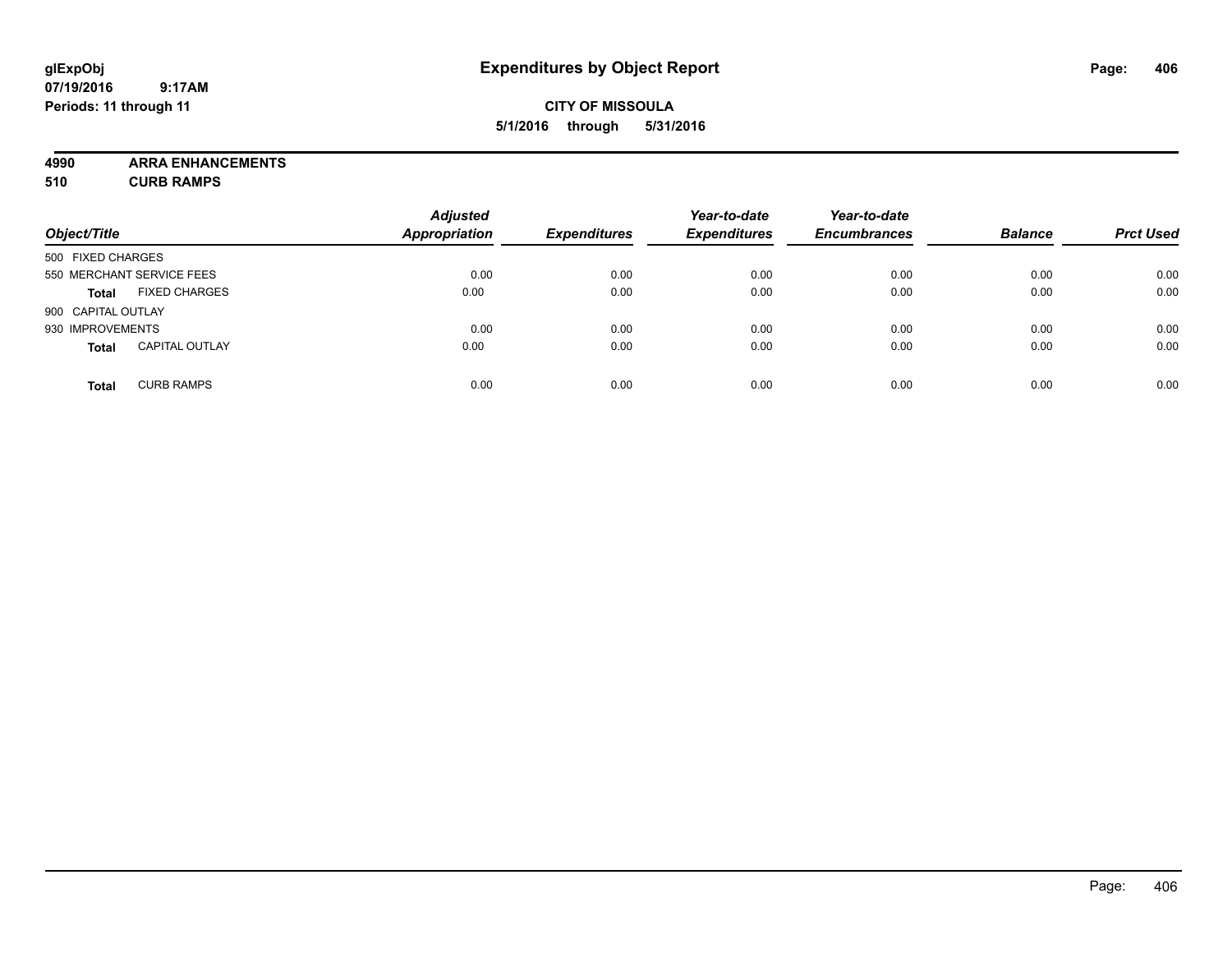#### **CITY OF MISSOULA 5/1/2016 through 5/31/2016**

**4990 ARRA ENHANCEMENTS**

**510 CURB RAMPS**

| Object/Title       |                           | <b>Adjusted</b><br><b>Appropriation</b> | <b>Expenditures</b> | Year-to-date<br><b>Expenditures</b> | Year-to-date<br><b>Encumbrances</b> | <b>Balance</b> | <b>Prct Used</b> |
|--------------------|---------------------------|-----------------------------------------|---------------------|-------------------------------------|-------------------------------------|----------------|------------------|
| 500 FIXED CHARGES  |                           |                                         |                     |                                     |                                     |                |                  |
|                    | 550 MERCHANT SERVICE FEES | 0.00                                    | 0.00                | 0.00                                | 0.00                                | 0.00           | 0.00             |
| <b>Total</b>       | <b>FIXED CHARGES</b>      | 0.00                                    | 0.00                | 0.00                                | 0.00                                | 0.00           | 0.00             |
| 900 CAPITAL OUTLAY |                           |                                         |                     |                                     |                                     |                |                  |
| 930 IMPROVEMENTS   |                           | 0.00                                    | 0.00                | 0.00                                | 0.00                                | 0.00           | 0.00             |
| <b>Total</b>       | <b>CAPITAL OUTLAY</b>     | 0.00                                    | 0.00                | 0.00                                | 0.00                                | 0.00           | 0.00             |
| <b>Total</b>       | <b>CURB RAMPS</b>         | 0.00                                    | 0.00                | 0.00                                | 0.00                                | 0.00           | 0.00             |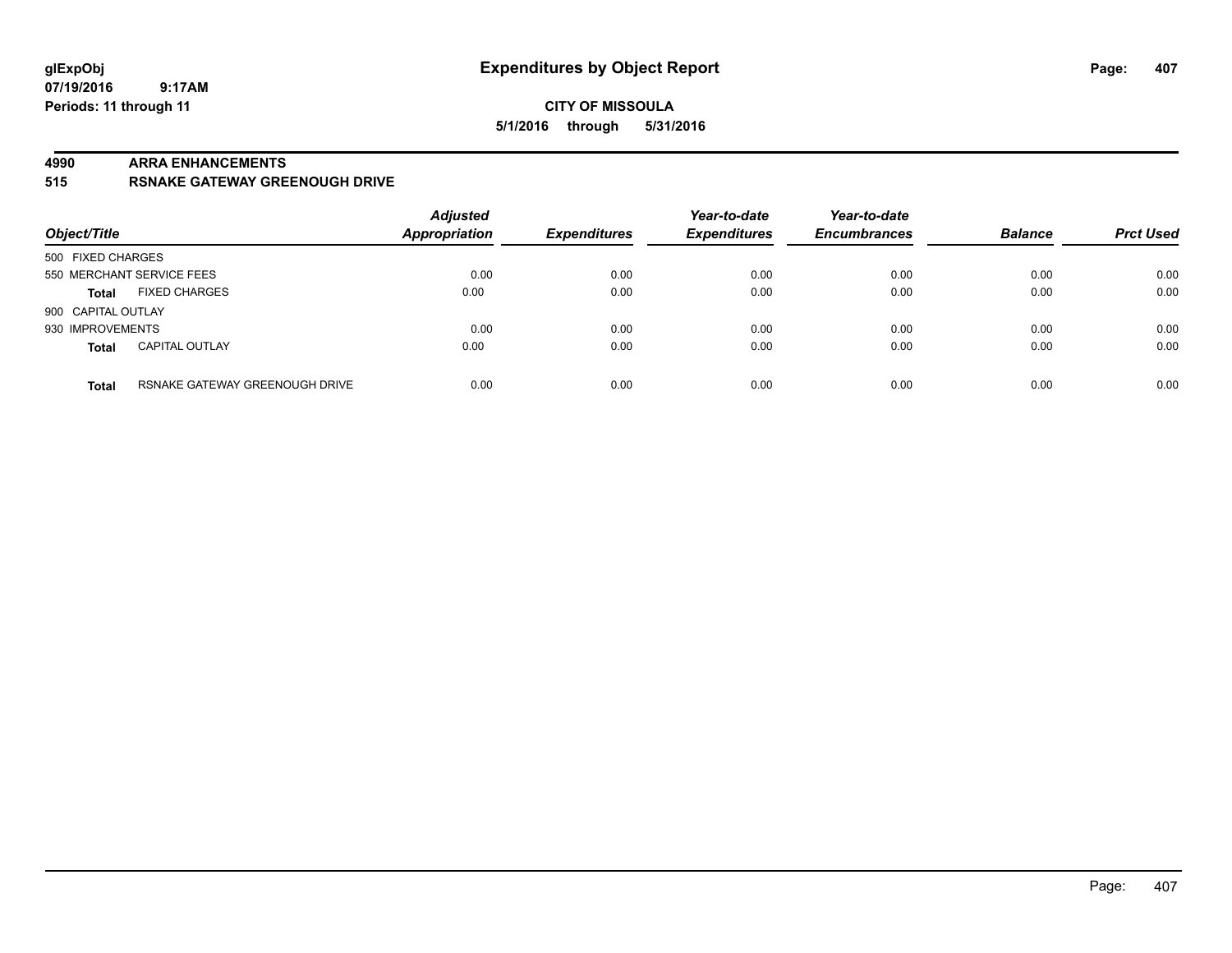#### **4990 ARRA ENHANCEMENTS**

**515 RSNAKE GATEWAY GREENOUGH DRIVE**

| Object/Title       |                                | <b>Adjusted</b><br><b>Appropriation</b> | <b>Expenditures</b> | Year-to-date<br><b>Expenditures</b> | Year-to-date<br><b>Encumbrances</b> | <b>Balance</b> | <b>Prct Used</b> |
|--------------------|--------------------------------|-----------------------------------------|---------------------|-------------------------------------|-------------------------------------|----------------|------------------|
| 500 FIXED CHARGES  |                                |                                         |                     |                                     |                                     |                |                  |
|                    | 550 MERCHANT SERVICE FEES      | 0.00                                    | 0.00                | 0.00                                | 0.00                                | 0.00           | 0.00             |
| <b>Total</b>       | <b>FIXED CHARGES</b>           | 0.00                                    | 0.00                | 0.00                                | 0.00                                | 0.00           | 0.00             |
| 900 CAPITAL OUTLAY |                                |                                         |                     |                                     |                                     |                |                  |
| 930 IMPROVEMENTS   |                                | 0.00                                    | 0.00                | 0.00                                | 0.00                                | 0.00           | 0.00             |
| <b>Total</b>       | <b>CAPITAL OUTLAY</b>          | 0.00                                    | 0.00                | 0.00                                | 0.00                                | 0.00           | 0.00             |
| <b>Total</b>       | RSNAKE GATEWAY GREENOUGH DRIVE | 0.00                                    | 0.00                | 0.00                                | 0.00                                | 0.00           | 0.00             |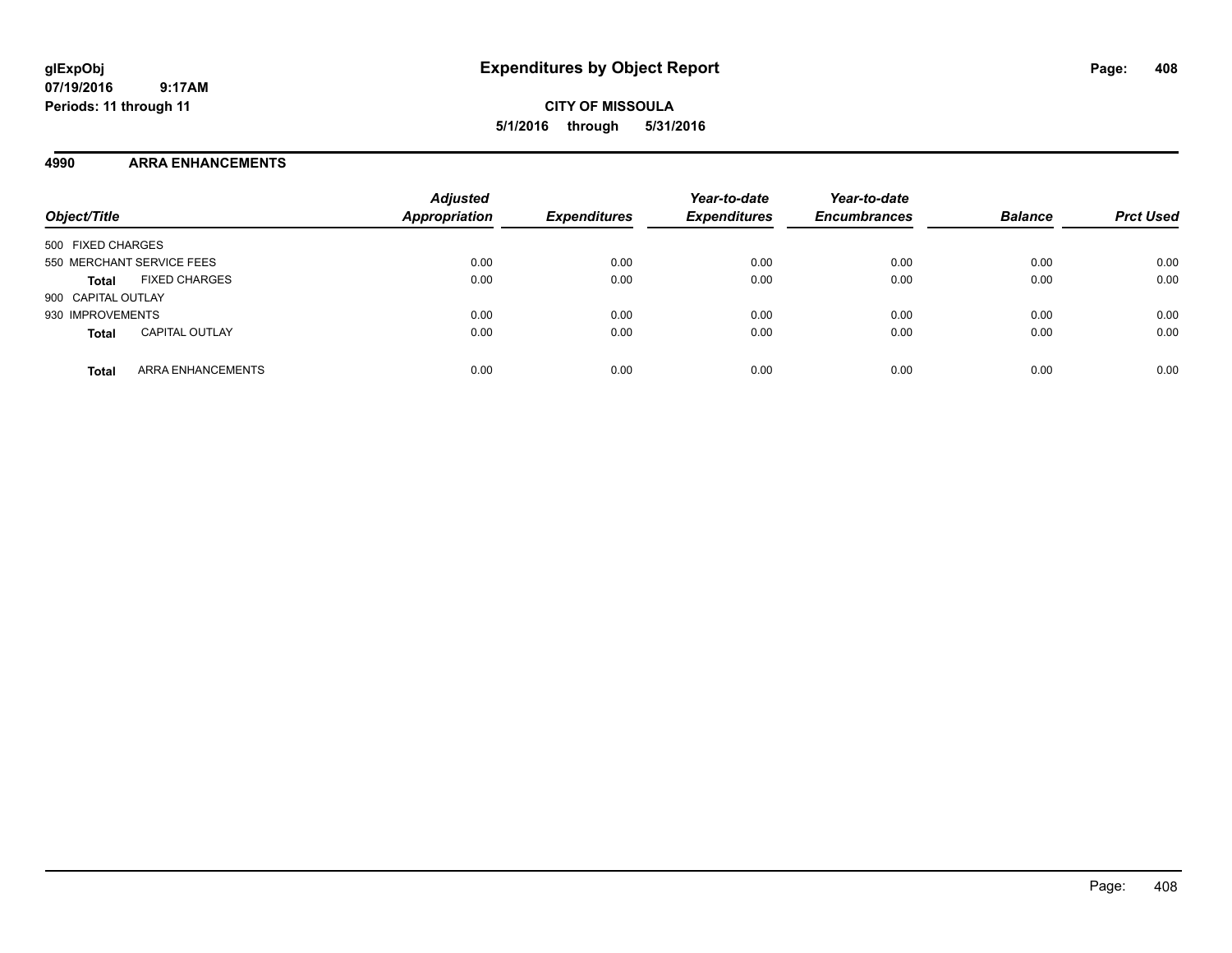**CITY OF MISSOULA 5/1/2016 through 5/31/2016**

#### **4990 ARRA ENHANCEMENTS**

| Object/Title                             | <b>Adjusted</b><br><b>Appropriation</b> | <b>Expenditures</b> | Year-to-date<br><b>Expenditures</b> | Year-to-date<br><b>Encumbrances</b> | <b>Balance</b> | <b>Prct Used</b> |
|------------------------------------------|-----------------------------------------|---------------------|-------------------------------------|-------------------------------------|----------------|------------------|
| 500 FIXED CHARGES                        |                                         |                     |                                     |                                     |                |                  |
| 550 MERCHANT SERVICE FEES                | 0.00                                    | 0.00                | 0.00                                | 0.00                                | 0.00           | 0.00             |
| <b>FIXED CHARGES</b><br><b>Total</b>     | 0.00                                    | 0.00                | 0.00                                | 0.00                                | 0.00           | 0.00             |
| 900 CAPITAL OUTLAY                       |                                         |                     |                                     |                                     |                |                  |
| 930 IMPROVEMENTS                         | 0.00                                    | 0.00                | 0.00                                | 0.00                                | 0.00           | 0.00             |
| <b>CAPITAL OUTLAY</b><br><b>Total</b>    | 0.00                                    | 0.00                | 0.00                                | 0.00                                | 0.00           | 0.00             |
| <b>ARRA ENHANCEMENTS</b><br><b>Total</b> | 0.00                                    | 0.00                | 0.00                                | 0.00                                | 0.00           | 0.00             |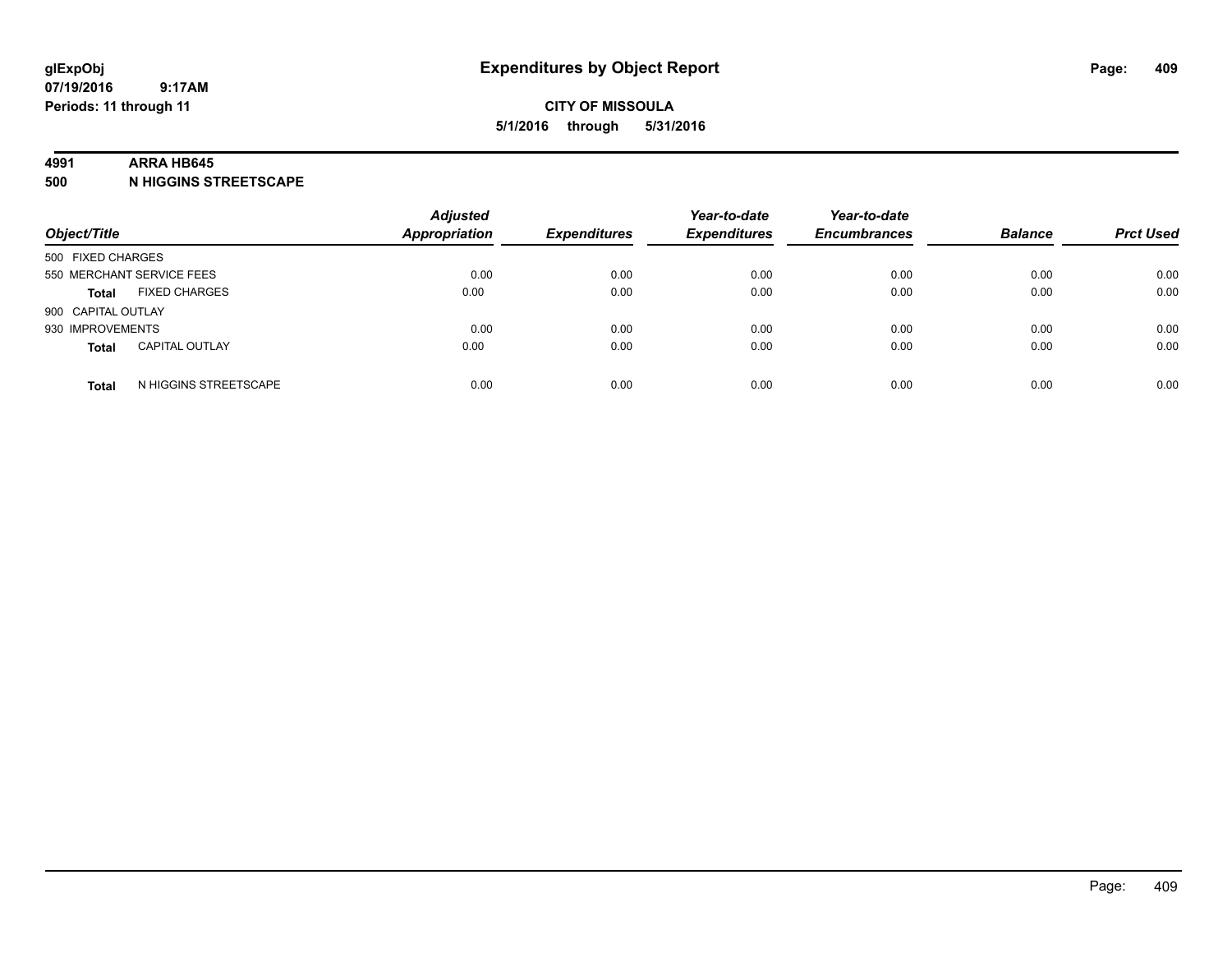#### **4991 ARRA HB645**

**500 N HIGGINS STREETSCAPE**

| Object/Title              |                       | <b>Adjusted</b><br><b>Appropriation</b> | <b>Expenditures</b> | Year-to-date<br><b>Expenditures</b> | Year-to-date<br><b>Encumbrances</b> | <b>Balance</b> | <b>Prct Used</b> |
|---------------------------|-----------------------|-----------------------------------------|---------------------|-------------------------------------|-------------------------------------|----------------|------------------|
| 500 FIXED CHARGES         |                       |                                         |                     |                                     |                                     |                |                  |
| 550 MERCHANT SERVICE FEES |                       | 0.00                                    | 0.00                | 0.00                                | 0.00                                | 0.00           | 0.00             |
| <b>Total</b>              | <b>FIXED CHARGES</b>  | 0.00                                    | 0.00                | 0.00                                | 0.00                                | 0.00           | 0.00             |
| 900 CAPITAL OUTLAY        |                       |                                         |                     |                                     |                                     |                |                  |
| 930 IMPROVEMENTS          |                       | 0.00                                    | 0.00                | 0.00                                | 0.00                                | 0.00           | 0.00             |
| <b>Total</b>              | <b>CAPITAL OUTLAY</b> | 0.00                                    | 0.00                | 0.00                                | 0.00                                | 0.00           | 0.00             |
| <b>Total</b>              | N HIGGINS STREETSCAPE | 0.00                                    | 0.00                | 0.00                                | 0.00                                | 0.00           | 0.00             |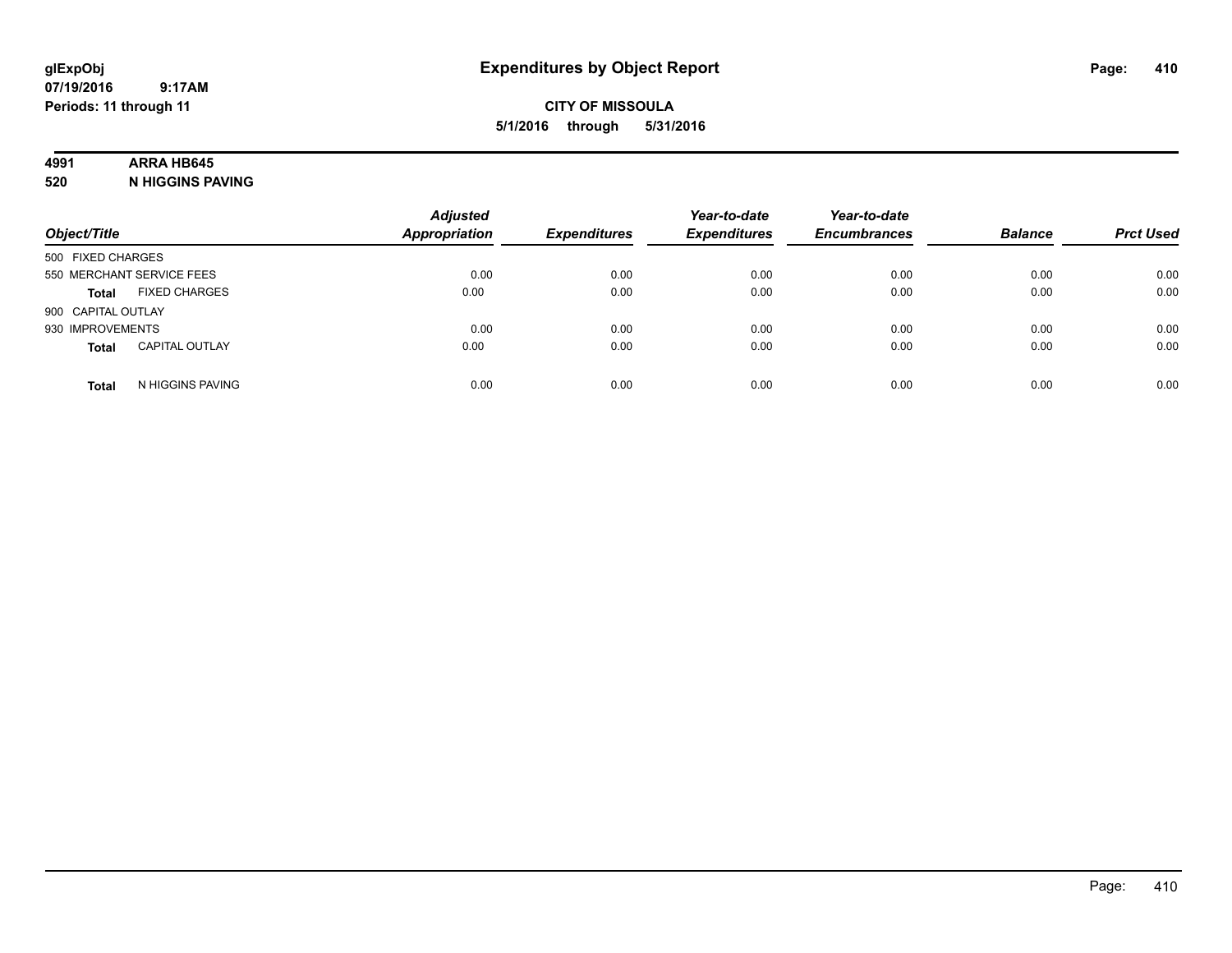#### **CITY OF MISSOULA 5/1/2016 through 5/31/2016**

### **4991 ARRA HB645**

**520 N HIGGINS PAVING**

| Object/Title       |                           | <b>Adjusted</b><br><b>Appropriation</b> | <b>Expenditures</b> | Year-to-date<br><b>Expenditures</b> | Year-to-date<br><b>Encumbrances</b> | <b>Balance</b> | <b>Prct Used</b> |
|--------------------|---------------------------|-----------------------------------------|---------------------|-------------------------------------|-------------------------------------|----------------|------------------|
| 500 FIXED CHARGES  |                           |                                         |                     |                                     |                                     |                |                  |
|                    | 550 MERCHANT SERVICE FEES | 0.00                                    | 0.00                | 0.00                                | 0.00                                | 0.00           | 0.00             |
| <b>Total</b>       | <b>FIXED CHARGES</b>      | 0.00                                    | 0.00                | 0.00                                | 0.00                                | 0.00           | 0.00             |
| 900 CAPITAL OUTLAY |                           |                                         |                     |                                     |                                     |                |                  |
| 930 IMPROVEMENTS   |                           | 0.00                                    | 0.00                | 0.00                                | 0.00                                | 0.00           | 0.00             |
| <b>Total</b>       | <b>CAPITAL OUTLAY</b>     | 0.00                                    | 0.00                | 0.00                                | 0.00                                | 0.00           | 0.00             |
| <b>Total</b>       | N HIGGINS PAVING          | 0.00                                    | 0.00                | 0.00                                | 0.00                                | 0.00           | 0.00             |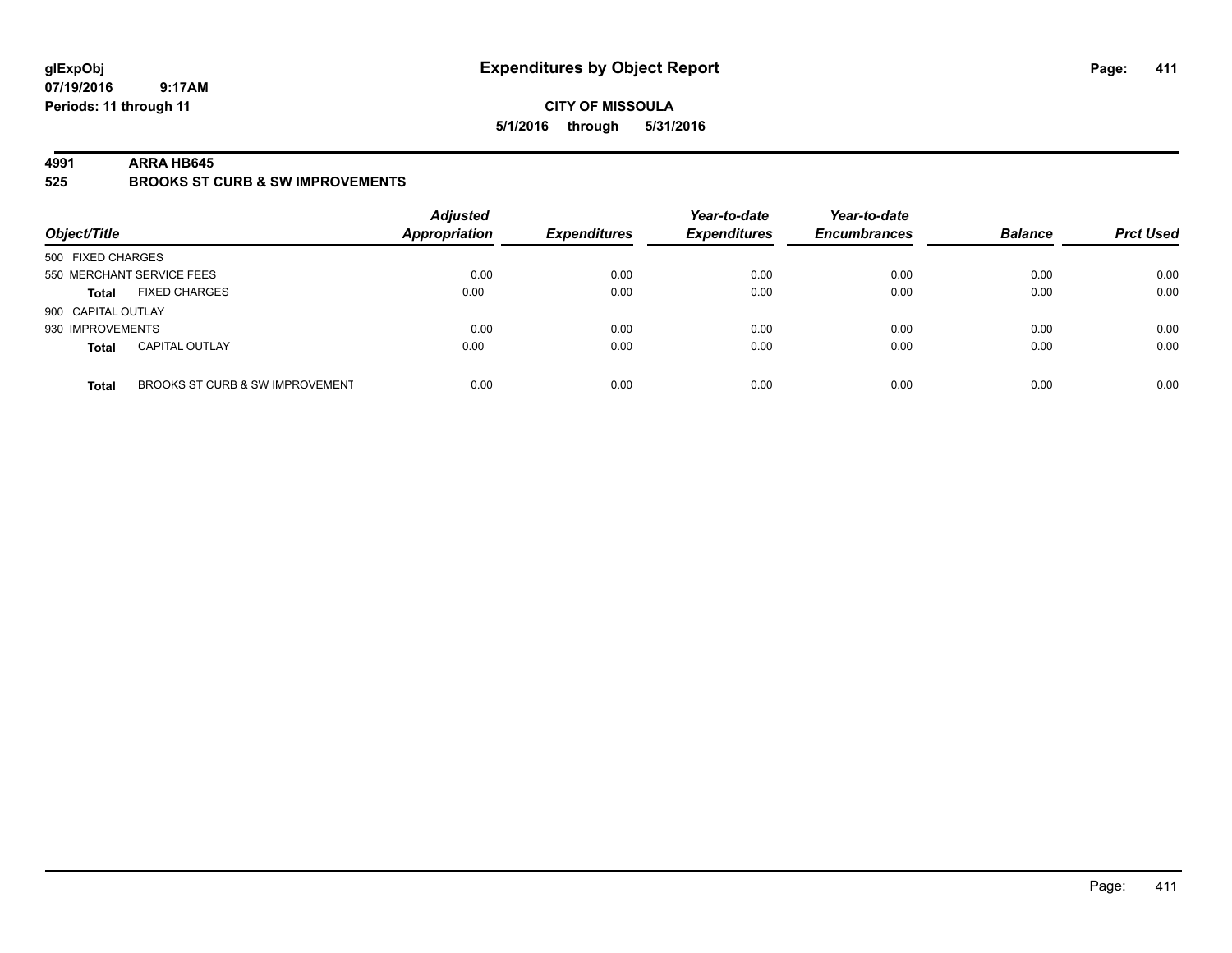#### **CITY OF MISSOULA 5/1/2016 through 5/31/2016**

#### **4991 ARRA HB645**

**525 BROOKS ST CURB & SW IMPROVEMENTS**

| Object/Title       |                                 | <b>Adjusted</b><br><b>Appropriation</b> | <b>Expenditures</b> | Year-to-date<br><b>Expenditures</b> | Year-to-date<br><b>Encumbrances</b> | <b>Balance</b> | <b>Prct Used</b> |
|--------------------|---------------------------------|-----------------------------------------|---------------------|-------------------------------------|-------------------------------------|----------------|------------------|
| 500 FIXED CHARGES  |                                 |                                         |                     |                                     |                                     |                |                  |
|                    | 550 MERCHANT SERVICE FEES       | 0.00                                    | 0.00                | 0.00                                | 0.00                                | 0.00           | 0.00             |
| <b>Total</b>       | <b>FIXED CHARGES</b>            | 0.00                                    | 0.00                | 0.00                                | 0.00                                | 0.00           | 0.00             |
| 900 CAPITAL OUTLAY |                                 |                                         |                     |                                     |                                     |                |                  |
| 930 IMPROVEMENTS   |                                 | 0.00                                    | 0.00                | 0.00                                | 0.00                                | 0.00           | 0.00             |
| <b>Total</b>       | <b>CAPITAL OUTLAY</b>           | 0.00                                    | 0.00                | 0.00                                | 0.00                                | 0.00           | 0.00             |
| <b>Total</b>       | BROOKS ST CURB & SW IMPROVEMENT | 0.00                                    | 0.00                | 0.00                                | 0.00                                | 0.00           | 0.00             |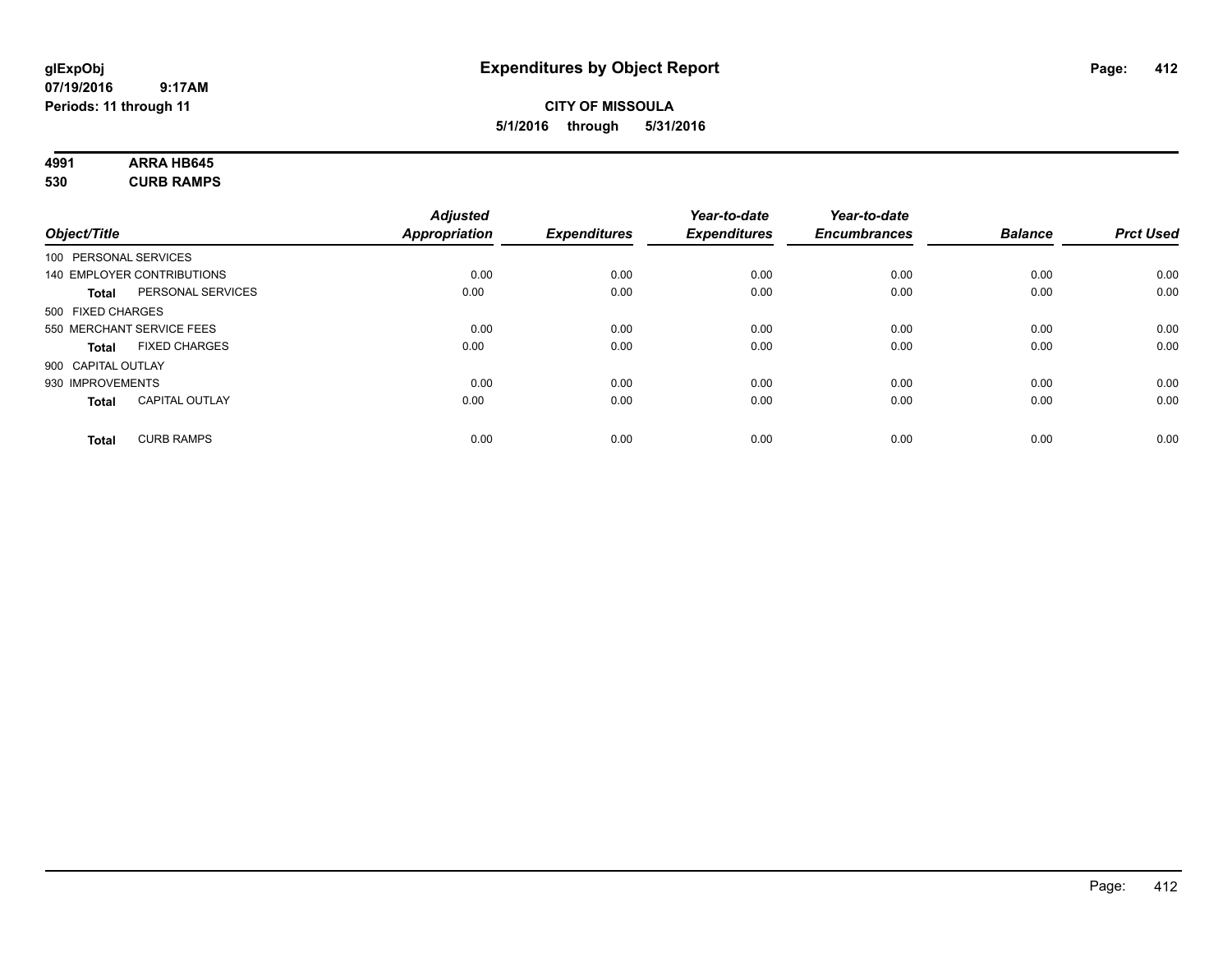#### **CITY OF MISSOULA 5/1/2016 through 5/31/2016**

# **4991 ARRA HB645**

**530 CURB RAMPS**

| Object/Title                          | <b>Adjusted</b><br>Appropriation | <b>Expenditures</b> | Year-to-date<br><b>Expenditures</b> | Year-to-date<br><b>Encumbrances</b> | <b>Balance</b> | <b>Prct Used</b> |
|---------------------------------------|----------------------------------|---------------------|-------------------------------------|-------------------------------------|----------------|------------------|
|                                       |                                  |                     |                                     |                                     |                |                  |
| 100 PERSONAL SERVICES                 |                                  |                     |                                     |                                     |                |                  |
| 140 EMPLOYER CONTRIBUTIONS            | 0.00                             | 0.00                | 0.00                                | 0.00                                | 0.00           | 0.00             |
| PERSONAL SERVICES<br><b>Total</b>     | 0.00                             | 0.00                | 0.00                                | 0.00                                | 0.00           | 0.00             |
| 500 FIXED CHARGES                     |                                  |                     |                                     |                                     |                |                  |
| 550 MERCHANT SERVICE FEES             | 0.00                             | 0.00                | 0.00                                | 0.00                                | 0.00           | 0.00             |
| <b>FIXED CHARGES</b><br><b>Total</b>  | 0.00                             | 0.00                | 0.00                                | 0.00                                | 0.00           | 0.00             |
| 900 CAPITAL OUTLAY                    |                                  |                     |                                     |                                     |                |                  |
| 930 IMPROVEMENTS                      | 0.00                             | 0.00                | 0.00                                | 0.00                                | 0.00           | 0.00             |
| <b>CAPITAL OUTLAY</b><br><b>Total</b> | 0.00                             | 0.00                | 0.00                                | 0.00                                | 0.00           | 0.00             |
| <b>CURB RAMPS</b><br><b>Total</b>     | 0.00                             | 0.00                | 0.00                                | 0.00                                | 0.00           | 0.00             |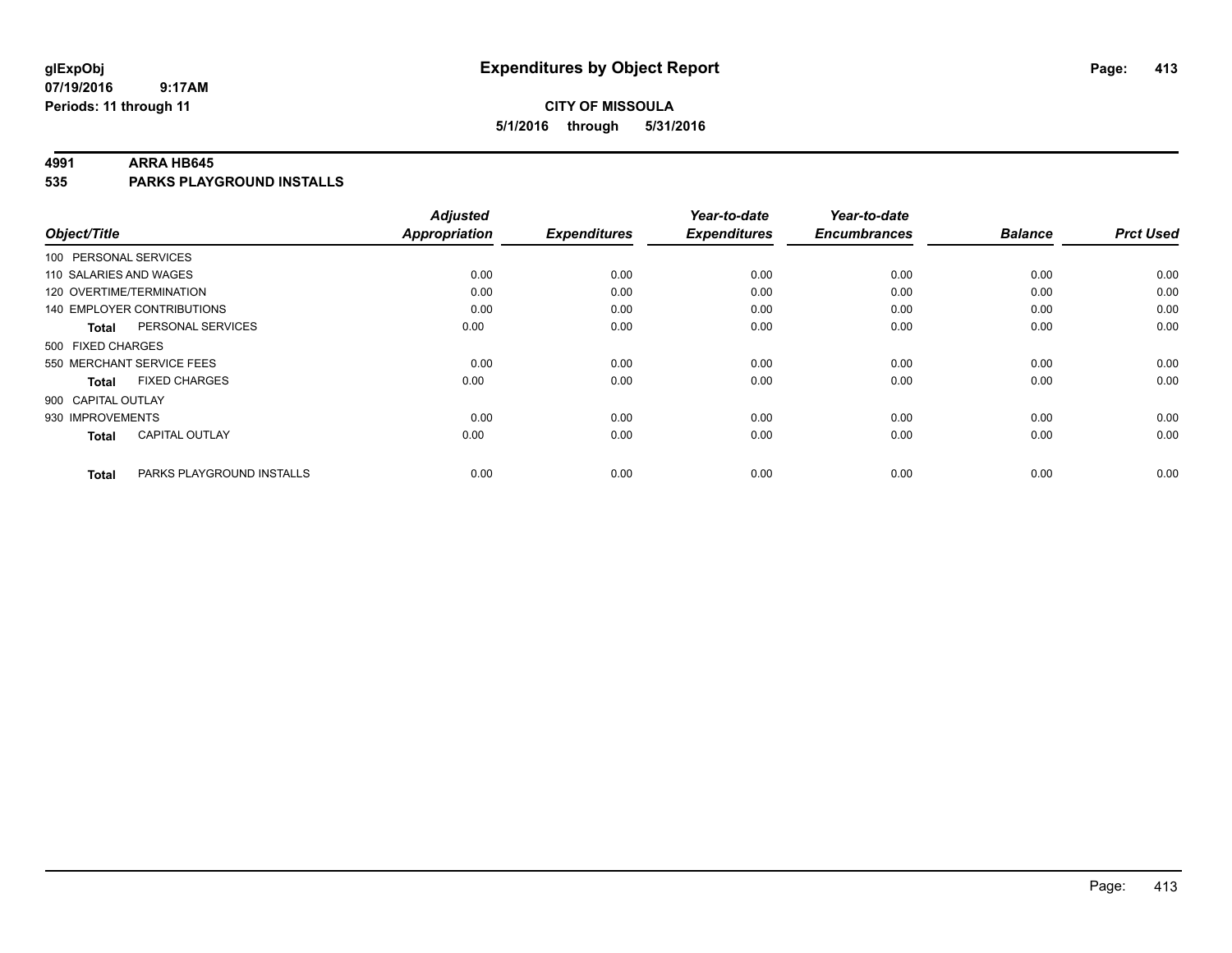#### **CITY OF MISSOULA 5/1/2016 through 5/31/2016**

#### **4991 ARRA HB645**

**535 PARKS PLAYGROUND INSTALLS**

| Object/Title              |                                   | <b>Adjusted</b><br><b>Appropriation</b> | <b>Expenditures</b> | Year-to-date<br><b>Expenditures</b> | Year-to-date<br><b>Encumbrances</b> | <b>Balance</b> | <b>Prct Used</b> |
|---------------------------|-----------------------------------|-----------------------------------------|---------------------|-------------------------------------|-------------------------------------|----------------|------------------|
|                           |                                   |                                         |                     |                                     |                                     |                |                  |
| 100 PERSONAL SERVICES     |                                   |                                         |                     |                                     |                                     |                |                  |
| 110 SALARIES AND WAGES    |                                   | 0.00                                    | 0.00                | 0.00                                | 0.00                                | 0.00           | 0.00             |
| 120 OVERTIME/TERMINATION  |                                   | 0.00                                    | 0.00                | 0.00                                | 0.00                                | 0.00           | 0.00             |
|                           | <b>140 EMPLOYER CONTRIBUTIONS</b> | 0.00                                    | 0.00                | 0.00                                | 0.00                                | 0.00           | 0.00             |
| <b>Total</b>              | PERSONAL SERVICES                 | 0.00                                    | 0.00                | 0.00                                | 0.00                                | 0.00           | 0.00             |
| 500 FIXED CHARGES         |                                   |                                         |                     |                                     |                                     |                |                  |
| 550 MERCHANT SERVICE FEES |                                   | 0.00                                    | 0.00                | 0.00                                | 0.00                                | 0.00           | 0.00             |
| <b>Total</b>              | <b>FIXED CHARGES</b>              | 0.00                                    | 0.00                | 0.00                                | 0.00                                | 0.00           | 0.00             |
| 900 CAPITAL OUTLAY        |                                   |                                         |                     |                                     |                                     |                |                  |
| 930 IMPROVEMENTS          |                                   | 0.00                                    | 0.00                | 0.00                                | 0.00                                | 0.00           | 0.00             |
| <b>Total</b>              | <b>CAPITAL OUTLAY</b>             | 0.00                                    | 0.00                | 0.00                                | 0.00                                | 0.00           | 0.00             |
| <b>Total</b>              | PARKS PLAYGROUND INSTALLS         | 0.00                                    | 0.00                | 0.00                                | 0.00                                | 0.00           | 0.00             |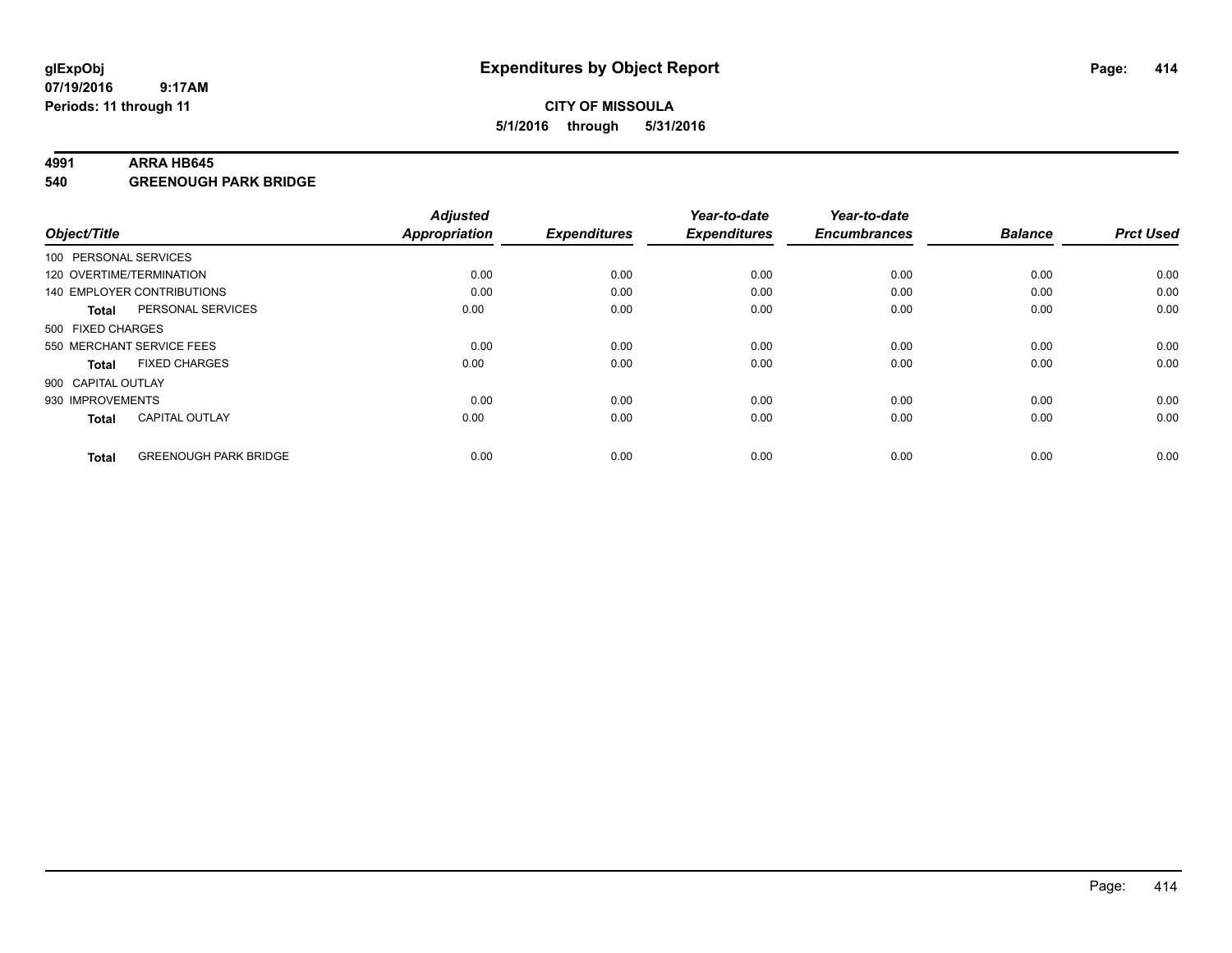#### **4991 ARRA HB645**

**540 GREENOUGH PARK BRIDGE**

| Object/Title      |                                   | <b>Adjusted</b><br><b>Appropriation</b> | <b>Expenditures</b> | Year-to-date<br><b>Expenditures</b> | Year-to-date<br><b>Encumbrances</b> | <b>Balance</b> | <b>Prct Used</b> |
|-------------------|-----------------------------------|-----------------------------------------|---------------------|-------------------------------------|-------------------------------------|----------------|------------------|
|                   | 100 PERSONAL SERVICES             |                                         |                     |                                     |                                     |                |                  |
|                   | 120 OVERTIME/TERMINATION          | 0.00                                    | 0.00                | 0.00                                | 0.00                                | 0.00           | 0.00             |
|                   | <b>140 EMPLOYER CONTRIBUTIONS</b> | 0.00                                    | 0.00                | 0.00                                | 0.00                                | 0.00           | 0.00             |
| <b>Total</b>      | PERSONAL SERVICES                 | 0.00                                    | 0.00                | 0.00                                | 0.00                                | 0.00           | 0.00             |
| 500 FIXED CHARGES |                                   |                                         |                     |                                     |                                     |                |                  |
|                   | 550 MERCHANT SERVICE FEES         | 0.00                                    | 0.00                | 0.00                                | 0.00                                | 0.00           | 0.00             |
| <b>Total</b>      | <b>FIXED CHARGES</b>              | 0.00                                    | 0.00                | 0.00                                | 0.00                                | 0.00           | 0.00             |
|                   | 900 CAPITAL OUTLAY                |                                         |                     |                                     |                                     |                |                  |
| 930 IMPROVEMENTS  |                                   | 0.00                                    | 0.00                | 0.00                                | 0.00                                | 0.00           | 0.00             |
| <b>Total</b>      | <b>CAPITAL OUTLAY</b>             | 0.00                                    | 0.00                | 0.00                                | 0.00                                | 0.00           | 0.00             |
| <b>Total</b>      | <b>GREENOUGH PARK BRIDGE</b>      | 0.00                                    | 0.00                | 0.00                                | 0.00                                | 0.00           | 0.00             |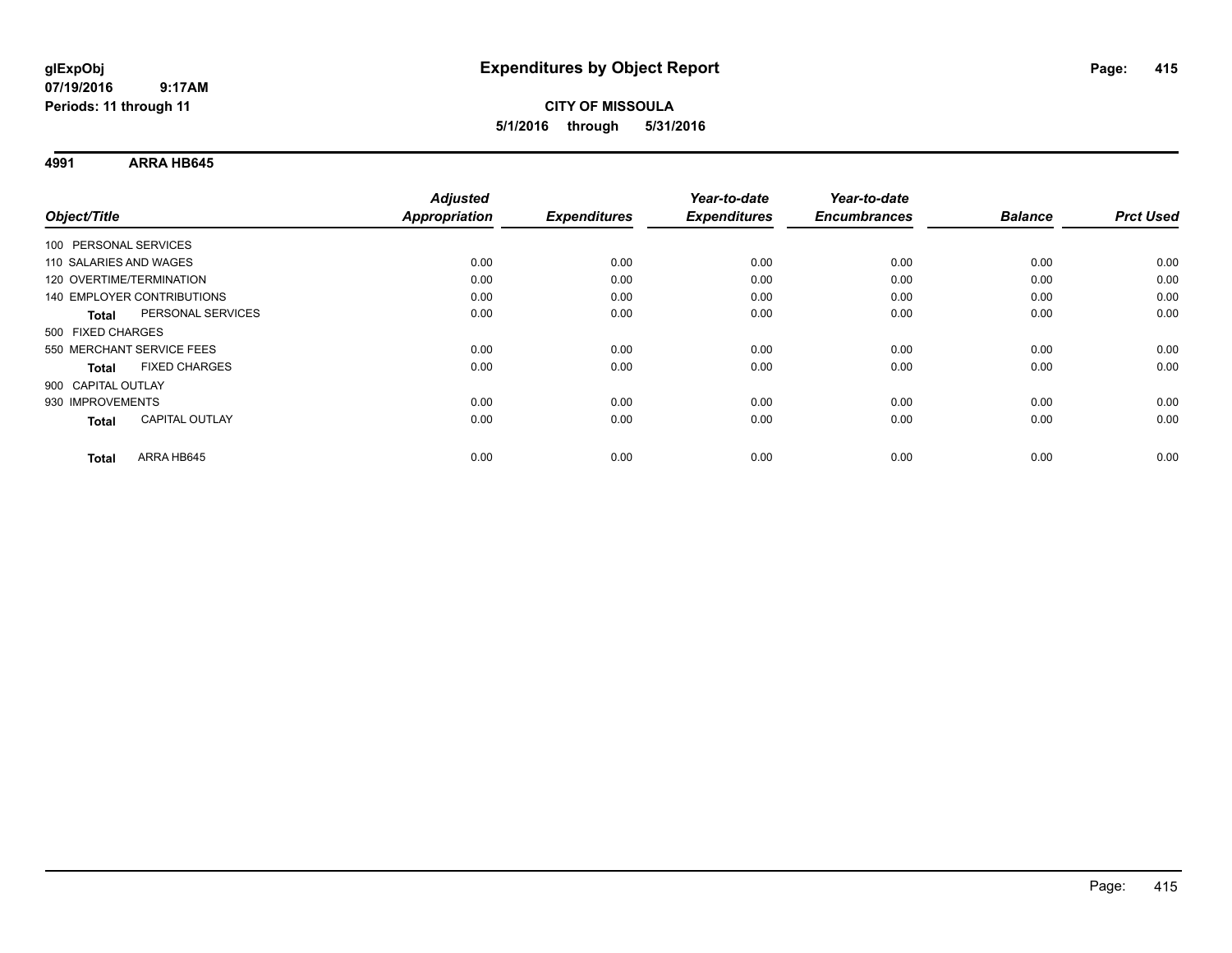**4991 ARRA HB645**

|                                       | <b>Adjusted</b>      |                     | Year-to-date        | Year-to-date        |                |                  |
|---------------------------------------|----------------------|---------------------|---------------------|---------------------|----------------|------------------|
| Object/Title                          | <b>Appropriation</b> | <b>Expenditures</b> | <b>Expenditures</b> | <b>Encumbrances</b> | <b>Balance</b> | <b>Prct Used</b> |
| 100 PERSONAL SERVICES                 |                      |                     |                     |                     |                |                  |
| 110 SALARIES AND WAGES                | 0.00                 | 0.00                | 0.00                | 0.00                | 0.00           | 0.00             |
| 120 OVERTIME/TERMINATION              | 0.00                 | 0.00                | 0.00                | 0.00                | 0.00           | 0.00             |
| 140 EMPLOYER CONTRIBUTIONS            | 0.00                 | 0.00                | 0.00                | 0.00                | 0.00           | 0.00             |
| PERSONAL SERVICES<br><b>Total</b>     | 0.00                 | 0.00                | 0.00                | 0.00                | 0.00           | 0.00             |
| 500 FIXED CHARGES                     |                      |                     |                     |                     |                |                  |
| 550 MERCHANT SERVICE FEES             | 0.00                 | 0.00                | 0.00                | 0.00                | 0.00           | 0.00             |
| <b>FIXED CHARGES</b><br><b>Total</b>  | 0.00                 | 0.00                | 0.00                | 0.00                | 0.00           | 0.00             |
| 900 CAPITAL OUTLAY                    |                      |                     |                     |                     |                |                  |
| 930 IMPROVEMENTS                      | 0.00                 | 0.00                | 0.00                | 0.00                | 0.00           | 0.00             |
| <b>CAPITAL OUTLAY</b><br><b>Total</b> | 0.00                 | 0.00                | 0.00                | 0.00                | 0.00           | 0.00             |
| ARRA HB645<br><b>Total</b>            | 0.00                 | 0.00                | 0.00                | 0.00                | 0.00           | 0.00             |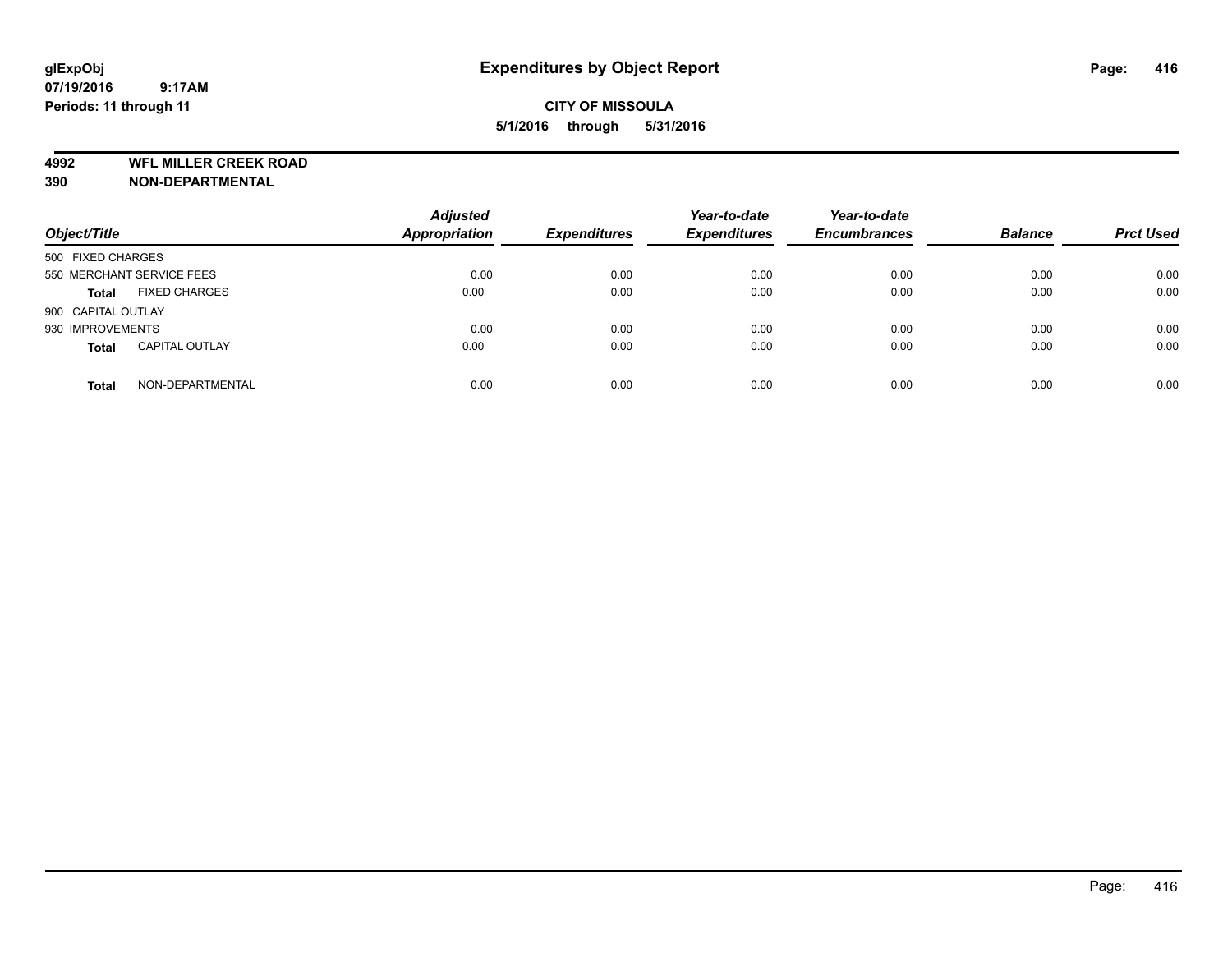**4992 WFL MILLER CREEK ROAD**

**390 NON-DEPARTMENTAL**

| Object/Title       |                           | <b>Adjusted</b><br><b>Appropriation</b> | <b>Expenditures</b> | Year-to-date<br><b>Expenditures</b> | Year-to-date<br><b>Encumbrances</b> | <b>Balance</b> | <b>Prct Used</b> |
|--------------------|---------------------------|-----------------------------------------|---------------------|-------------------------------------|-------------------------------------|----------------|------------------|
| 500 FIXED CHARGES  |                           |                                         |                     |                                     |                                     |                |                  |
|                    | 550 MERCHANT SERVICE FEES | 0.00                                    | 0.00                | 0.00                                | 0.00                                | 0.00           | 0.00             |
| <b>Total</b>       | <b>FIXED CHARGES</b>      | 0.00                                    | 0.00                | 0.00                                | 0.00                                | 0.00           | 0.00             |
| 900 CAPITAL OUTLAY |                           |                                         |                     |                                     |                                     |                |                  |
| 930 IMPROVEMENTS   |                           | 0.00                                    | 0.00                | 0.00                                | 0.00                                | 0.00           | 0.00             |
| <b>Total</b>       | <b>CAPITAL OUTLAY</b>     | 0.00                                    | 0.00                | 0.00                                | 0.00                                | 0.00           | 0.00             |
| <b>Total</b>       | NON-DEPARTMENTAL          | 0.00                                    | 0.00                | 0.00                                | 0.00                                | 0.00           | 0.00             |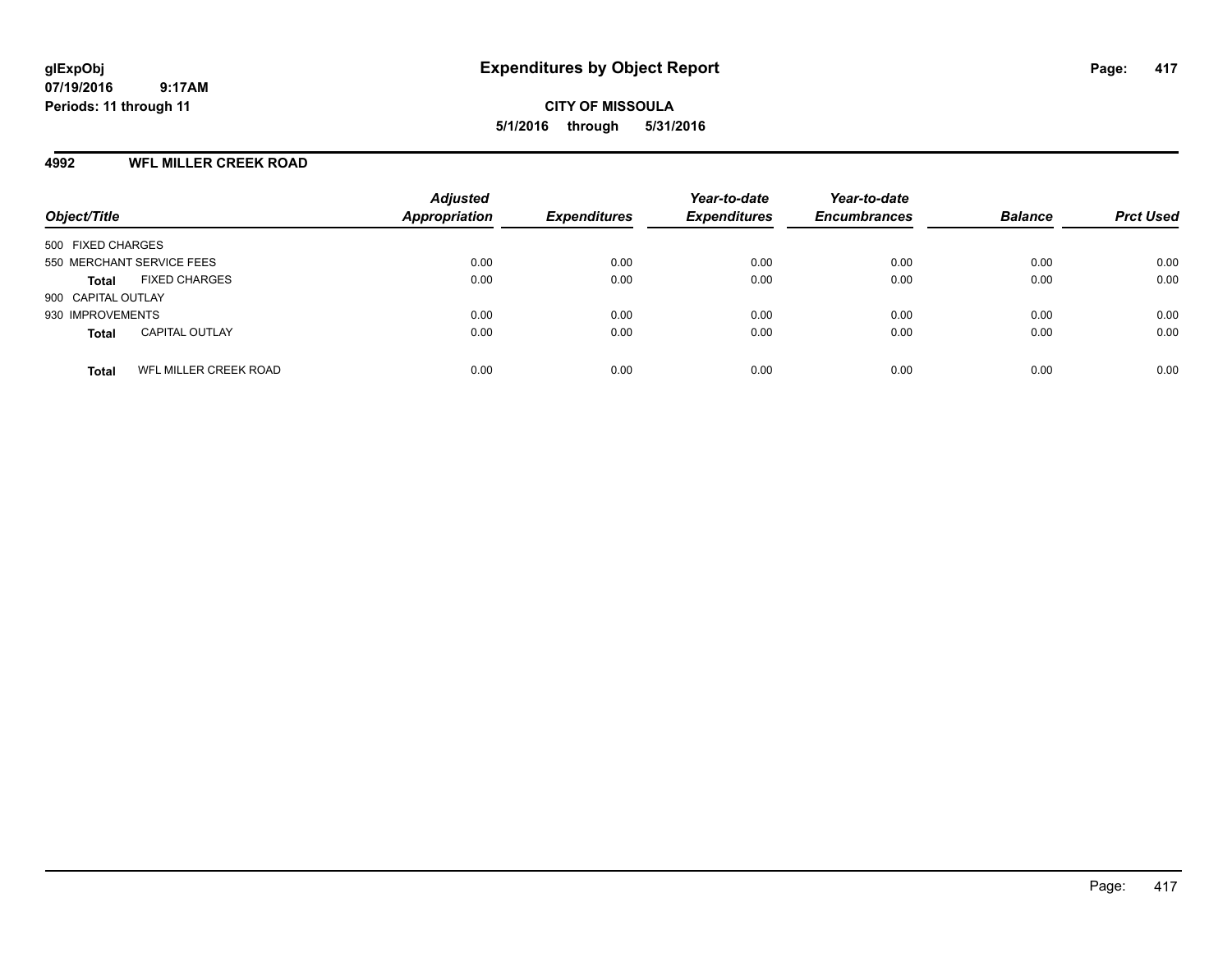**CITY OF MISSOULA 5/1/2016 through 5/31/2016**

#### **4992 WFL MILLER CREEK ROAD**

| Object/Title                          | <b>Adjusted</b><br><b>Appropriation</b> | <b>Expenditures</b> | Year-to-date<br><b>Expenditures</b> | Year-to-date<br><b>Encumbrances</b> | <b>Balance</b> | <b>Prct Used</b> |
|---------------------------------------|-----------------------------------------|---------------------|-------------------------------------|-------------------------------------|----------------|------------------|
| 500 FIXED CHARGES                     |                                         |                     |                                     |                                     |                |                  |
| 550 MERCHANT SERVICE FEES             | 0.00                                    | 0.00                | 0.00                                | 0.00                                | 0.00           | 0.00             |
| <b>FIXED CHARGES</b><br>Total         | 0.00                                    | 0.00                | 0.00                                | 0.00                                | 0.00           | 0.00             |
| 900 CAPITAL OUTLAY                    |                                         |                     |                                     |                                     |                |                  |
| 930 IMPROVEMENTS                      | 0.00                                    | 0.00                | 0.00                                | 0.00                                | 0.00           | 0.00             |
| <b>CAPITAL OUTLAY</b><br><b>Total</b> | 0.00                                    | 0.00                | 0.00                                | 0.00                                | 0.00           | 0.00             |
| WFL MILLER CREEK ROAD<br><b>Total</b> | 0.00                                    | 0.00                | 0.00                                | 0.00                                | 0.00           | 0.00             |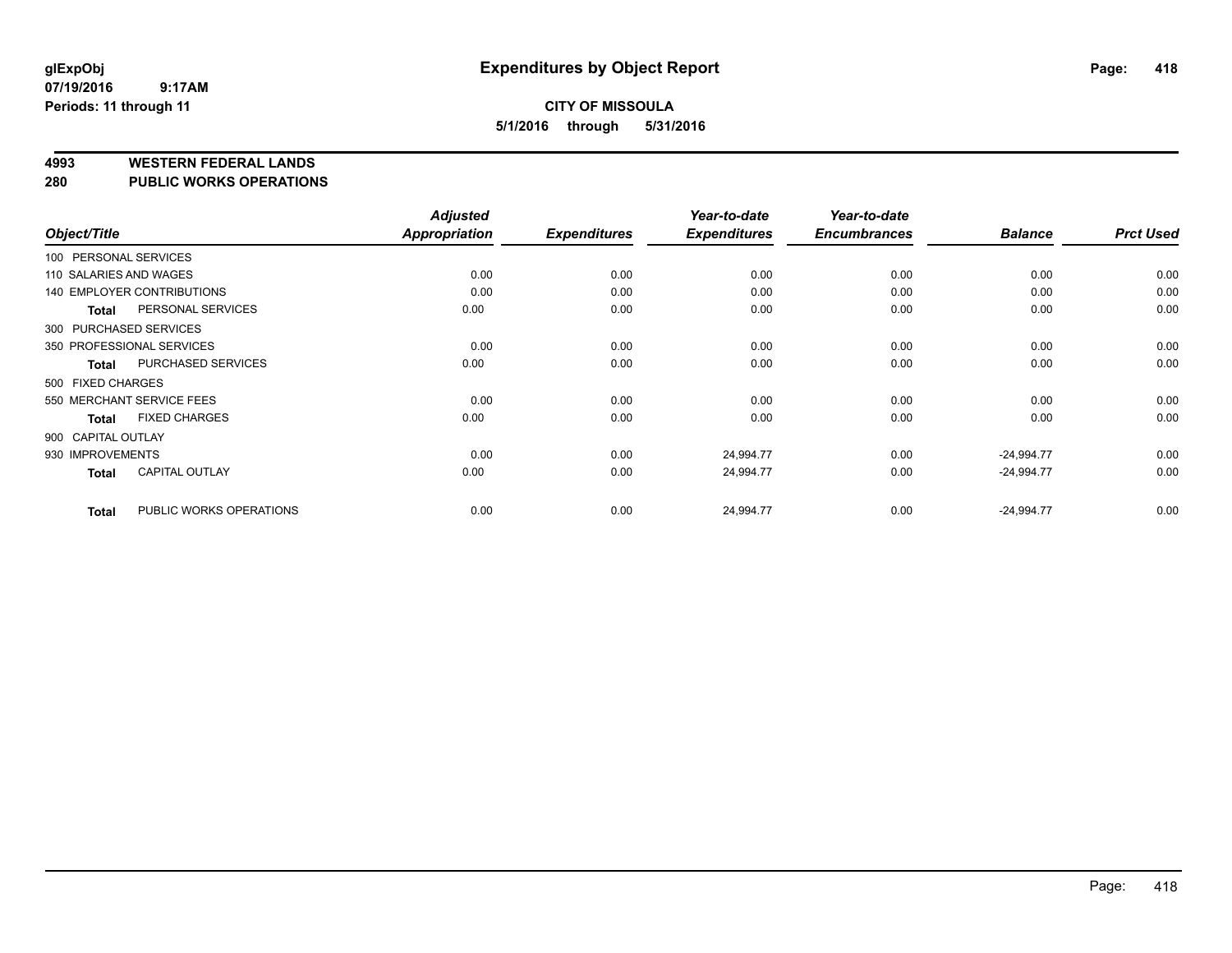#### **4993 WESTERN FEDERAL LANDS**

#### **280 PUBLIC WORKS OPERATIONS**

|                        |                                   | <b>Adjusted</b> |                     | Year-to-date        | Year-to-date        |                |                  |
|------------------------|-----------------------------------|-----------------|---------------------|---------------------|---------------------|----------------|------------------|
| Object/Title           |                                   | Appropriation   | <b>Expenditures</b> | <b>Expenditures</b> | <b>Encumbrances</b> | <b>Balance</b> | <b>Prct Used</b> |
| 100 PERSONAL SERVICES  |                                   |                 |                     |                     |                     |                |                  |
| 110 SALARIES AND WAGES |                                   | 0.00            | 0.00                | 0.00                | 0.00                | 0.00           | 0.00             |
|                        | <b>140 EMPLOYER CONTRIBUTIONS</b> | 0.00            | 0.00                | 0.00                | 0.00                | 0.00           | 0.00             |
| <b>Total</b>           | PERSONAL SERVICES                 | 0.00            | 0.00                | 0.00                | 0.00                | 0.00           | 0.00             |
|                        | 300 PURCHASED SERVICES            |                 |                     |                     |                     |                |                  |
|                        | 350 PROFESSIONAL SERVICES         | 0.00            | 0.00                | 0.00                | 0.00                | 0.00           | 0.00             |
| Total                  | PURCHASED SERVICES                | 0.00            | 0.00                | 0.00                | 0.00                | 0.00           | 0.00             |
| 500 FIXED CHARGES      |                                   |                 |                     |                     |                     |                |                  |
|                        | 550 MERCHANT SERVICE FEES         | 0.00            | 0.00                | 0.00                | 0.00                | 0.00           | 0.00             |
| <b>Total</b>           | <b>FIXED CHARGES</b>              | 0.00            | 0.00                | 0.00                | 0.00                | 0.00           | 0.00             |
| 900 CAPITAL OUTLAY     |                                   |                 |                     |                     |                     |                |                  |
| 930 IMPROVEMENTS       |                                   | 0.00            | 0.00                | 24,994.77           | 0.00                | $-24,994.77$   | 0.00             |
| <b>Total</b>           | <b>CAPITAL OUTLAY</b>             | 0.00            | 0.00                | 24,994.77           | 0.00                | $-24,994.77$   | 0.00             |
| <b>Total</b>           | PUBLIC WORKS OPERATIONS           | 0.00            | 0.00                | 24,994.77           | 0.00                | $-24,994.77$   | 0.00             |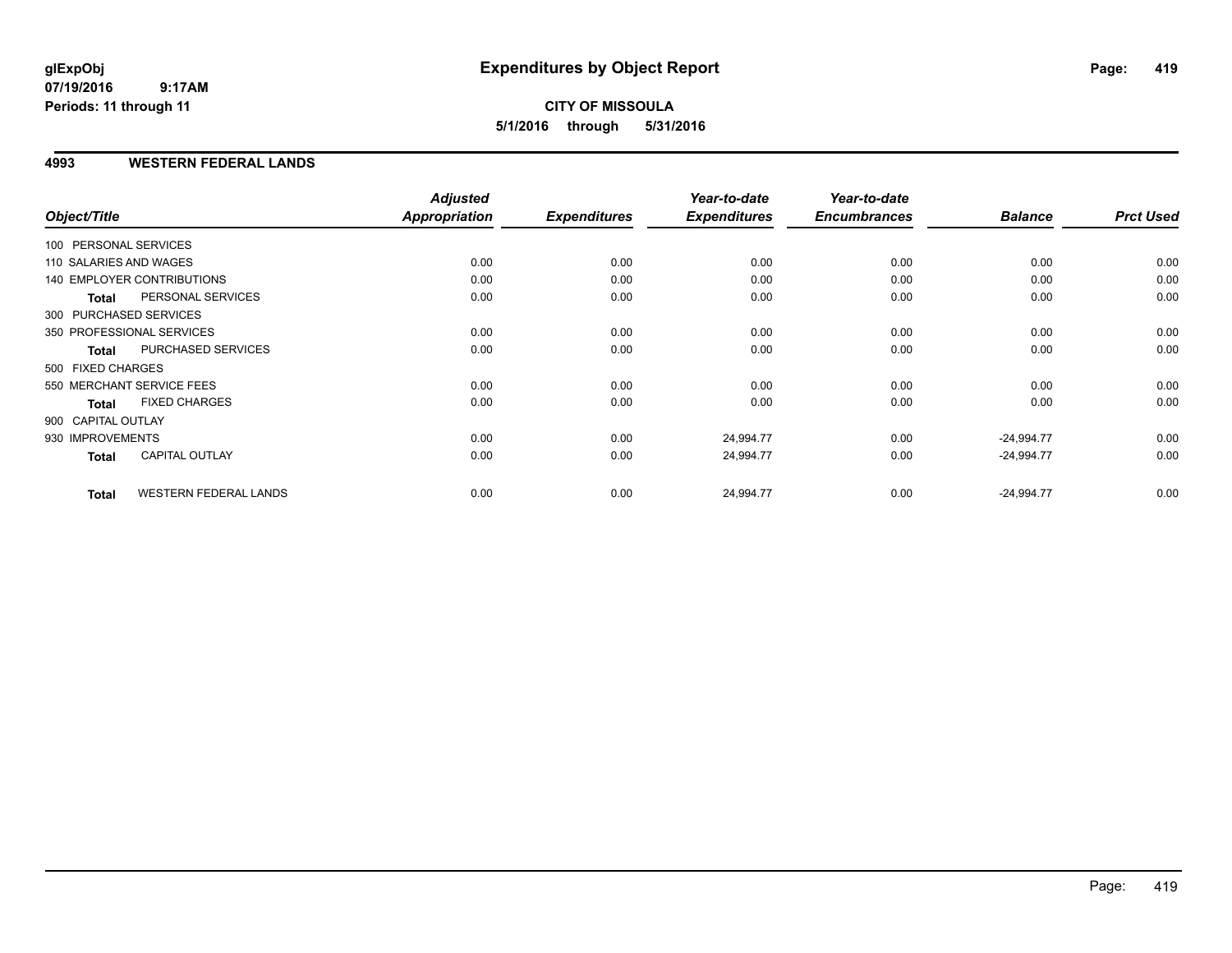### **CITY OF MISSOULA 5/1/2016 through 5/31/2016**

#### **4993 WESTERN FEDERAL LANDS**

|                        |                                   | <b>Adjusted</b> |                     | Year-to-date        | Year-to-date        |                |                  |
|------------------------|-----------------------------------|-----------------|---------------------|---------------------|---------------------|----------------|------------------|
| Object/Title           |                                   | Appropriation   | <b>Expenditures</b> | <b>Expenditures</b> | <b>Encumbrances</b> | <b>Balance</b> | <b>Prct Used</b> |
| 100 PERSONAL SERVICES  |                                   |                 |                     |                     |                     |                |                  |
| 110 SALARIES AND WAGES |                                   | 0.00            | 0.00                | 0.00                | 0.00                | 0.00           | 0.00             |
|                        | <b>140 EMPLOYER CONTRIBUTIONS</b> | 0.00            | 0.00                | 0.00                | 0.00                | 0.00           | 0.00             |
| <b>Total</b>           | PERSONAL SERVICES                 | 0.00            | 0.00                | 0.00                | 0.00                | 0.00           | 0.00             |
|                        | 300 PURCHASED SERVICES            |                 |                     |                     |                     |                |                  |
|                        | 350 PROFESSIONAL SERVICES         | 0.00            | 0.00                | 0.00                | 0.00                | 0.00           | 0.00             |
| Total                  | PURCHASED SERVICES                | 0.00            | 0.00                | 0.00                | 0.00                | 0.00           | 0.00             |
| 500 FIXED CHARGES      |                                   |                 |                     |                     |                     |                |                  |
|                        | 550 MERCHANT SERVICE FEES         | 0.00            | 0.00                | 0.00                | 0.00                | 0.00           | 0.00             |
| <b>Total</b>           | <b>FIXED CHARGES</b>              | 0.00            | 0.00                | 0.00                | 0.00                | 0.00           | 0.00             |
| 900 CAPITAL OUTLAY     |                                   |                 |                     |                     |                     |                |                  |
| 930 IMPROVEMENTS       |                                   | 0.00            | 0.00                | 24,994.77           | 0.00                | $-24,994.77$   | 0.00             |
| <b>Total</b>           | CAPITAL OUTLAY                    | 0.00            | 0.00                | 24,994.77           | 0.00                | $-24,994.77$   | 0.00             |
| <b>Total</b>           | <b>WESTERN FEDERAL LANDS</b>      | 0.00            | 0.00                | 24,994.77           | 0.00                | $-24,994.77$   | 0.00             |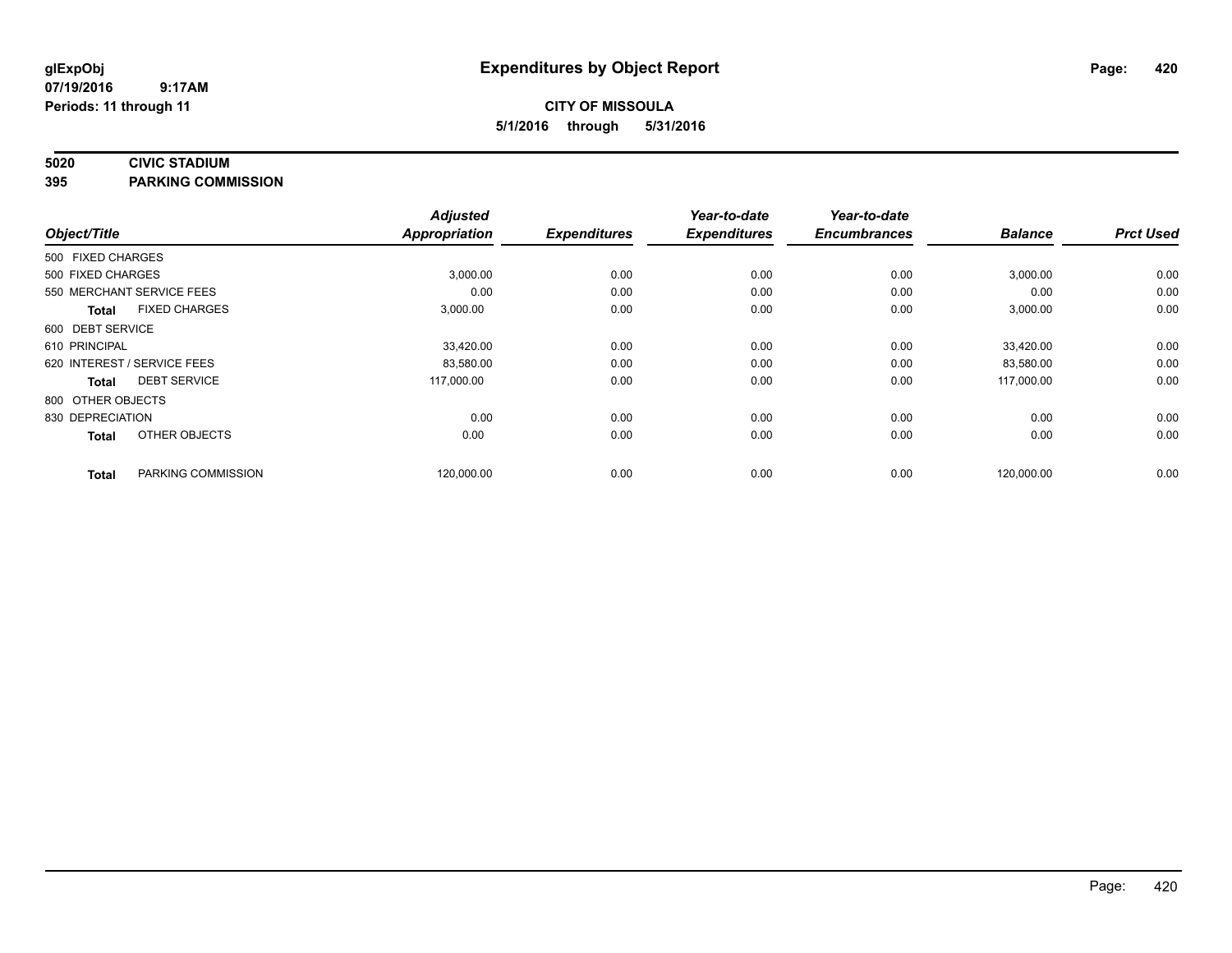#### **5020 CIVIC STADIUM**

**395 PARKING COMMISSION**

| Object/Title      |                             | <b>Adjusted</b><br>Appropriation | <b>Expenditures</b> | Year-to-date<br><b>Expenditures</b> | Year-to-date<br><b>Encumbrances</b> | <b>Balance</b> | <b>Prct Used</b> |
|-------------------|-----------------------------|----------------------------------|---------------------|-------------------------------------|-------------------------------------|----------------|------------------|
|                   |                             |                                  |                     |                                     |                                     |                |                  |
| 500 FIXED CHARGES |                             |                                  |                     |                                     |                                     |                |                  |
| 500 FIXED CHARGES |                             | 3,000.00                         | 0.00                | 0.00                                | 0.00                                | 3,000.00       | 0.00             |
|                   | 550 MERCHANT SERVICE FEES   | 0.00                             | 0.00                | 0.00                                | 0.00                                | 0.00           | 0.00             |
| <b>Total</b>      | <b>FIXED CHARGES</b>        | 3,000.00                         | 0.00                | 0.00                                | 0.00                                | 3,000.00       | 0.00             |
| 600 DEBT SERVICE  |                             |                                  |                     |                                     |                                     |                |                  |
| 610 PRINCIPAL     |                             | 33,420.00                        | 0.00                | 0.00                                | 0.00                                | 33,420.00      | 0.00             |
|                   | 620 INTEREST / SERVICE FEES | 83,580.00                        | 0.00                | 0.00                                | 0.00                                | 83,580.00      | 0.00             |
| <b>Total</b>      | <b>DEBT SERVICE</b>         | 117,000.00                       | 0.00                | 0.00                                | 0.00                                | 117,000.00     | 0.00             |
| 800 OTHER OBJECTS |                             |                                  |                     |                                     |                                     |                |                  |
| 830 DEPRECIATION  |                             | 0.00                             | 0.00                | 0.00                                | 0.00                                | 0.00           | 0.00             |
| <b>Total</b>      | OTHER OBJECTS               | 0.00                             | 0.00                | 0.00                                | 0.00                                | 0.00           | 0.00             |
| <b>Total</b>      | PARKING COMMISSION          | 120,000.00                       | 0.00                | 0.00                                | 0.00                                | 120,000.00     | 0.00             |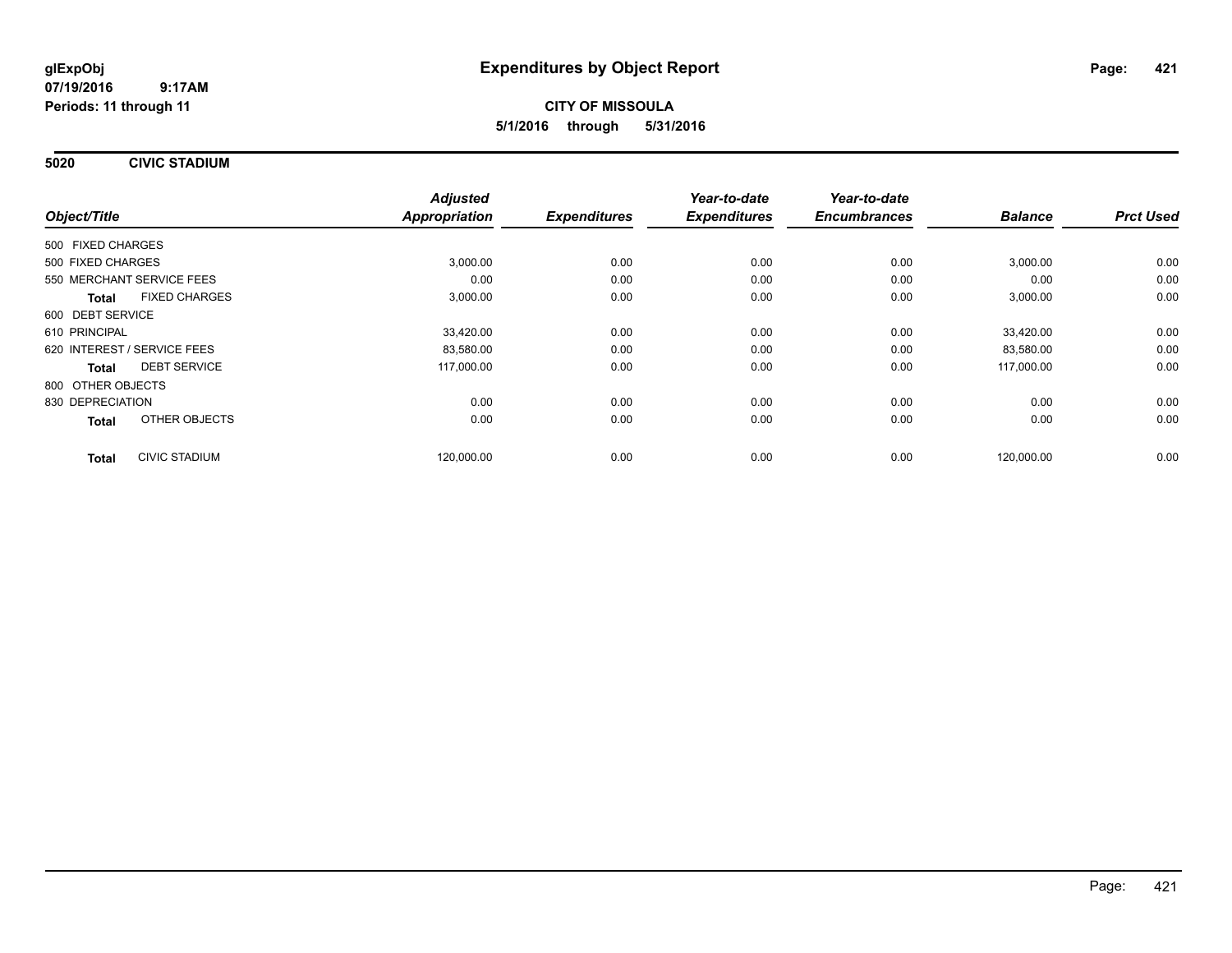**5020 CIVIC STADIUM**

|                                      | <b>Adjusted</b> |                     | Year-to-date        | Year-to-date        |                |                  |
|--------------------------------------|-----------------|---------------------|---------------------|---------------------|----------------|------------------|
| Object/Title                         | Appropriation   | <b>Expenditures</b> | <b>Expenditures</b> | <b>Encumbrances</b> | <b>Balance</b> | <b>Prct Used</b> |
| 500 FIXED CHARGES                    |                 |                     |                     |                     |                |                  |
| 500 FIXED CHARGES                    | 3,000.00        | 0.00                | 0.00                | 0.00                | 3,000.00       | 0.00             |
| 550 MERCHANT SERVICE FEES            | 0.00            | 0.00                | 0.00                | 0.00                | 0.00           | 0.00             |
| <b>FIXED CHARGES</b><br><b>Total</b> | 3,000.00        | 0.00                | 0.00                | 0.00                | 3,000.00       | 0.00             |
| 600 DEBT SERVICE                     |                 |                     |                     |                     |                |                  |
| 610 PRINCIPAL                        | 33,420.00       | 0.00                | 0.00                | 0.00                | 33.420.00      | 0.00             |
| 620 INTEREST / SERVICE FEES          | 83,580.00       | 0.00                | 0.00                | 0.00                | 83,580.00      | 0.00             |
| <b>DEBT SERVICE</b><br>Total         | 117,000.00      | 0.00                | 0.00                | 0.00                | 117,000.00     | 0.00             |
| 800 OTHER OBJECTS                    |                 |                     |                     |                     |                |                  |
| 830 DEPRECIATION                     | 0.00            | 0.00                | 0.00                | 0.00                | 0.00           | 0.00             |
| OTHER OBJECTS<br><b>Total</b>        | 0.00            | 0.00                | 0.00                | 0.00                | 0.00           | 0.00             |
| <b>CIVIC STADIUM</b><br><b>Total</b> | 120,000.00      | 0.00                | 0.00                | 0.00                | 120,000.00     | 0.00             |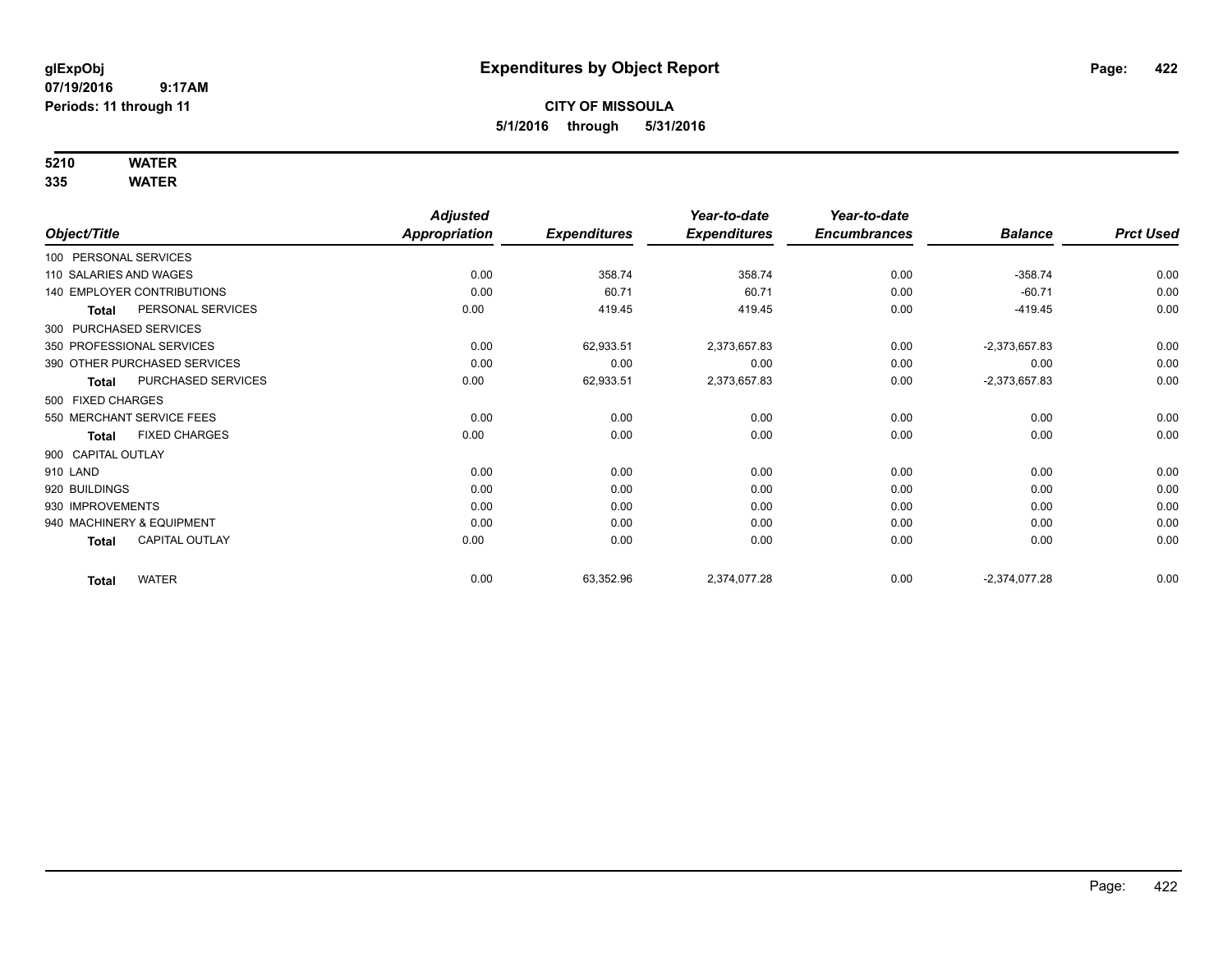# **5210 WATER**

|                                       | <b>Adjusted</b> |                     | Year-to-date        | Year-to-date        |                 |                  |
|---------------------------------------|-----------------|---------------------|---------------------|---------------------|-----------------|------------------|
| Object/Title                          | Appropriation   | <b>Expenditures</b> | <b>Expenditures</b> | <b>Encumbrances</b> | <b>Balance</b>  | <b>Prct Used</b> |
| 100 PERSONAL SERVICES                 |                 |                     |                     |                     |                 |                  |
| 110 SALARIES AND WAGES                | 0.00            | 358.74              | 358.74              | 0.00                | $-358.74$       | 0.00             |
| <b>140 EMPLOYER CONTRIBUTIONS</b>     | 0.00            | 60.71               | 60.71               | 0.00                | $-60.71$        | 0.00             |
| PERSONAL SERVICES<br><b>Total</b>     | 0.00            | 419.45              | 419.45              | 0.00                | $-419.45$       | 0.00             |
| 300 PURCHASED SERVICES                |                 |                     |                     |                     |                 |                  |
| 350 PROFESSIONAL SERVICES             | 0.00            | 62,933.51           | 2,373,657.83        | 0.00                | $-2,373,657.83$ | 0.00             |
| 390 OTHER PURCHASED SERVICES          | 0.00            | 0.00                | 0.00                | 0.00                | 0.00            | 0.00             |
| PURCHASED SERVICES<br><b>Total</b>    | 0.00            | 62,933.51           | 2,373,657.83        | 0.00                | $-2,373,657.83$ | 0.00             |
| 500 FIXED CHARGES                     |                 |                     |                     |                     |                 |                  |
| 550 MERCHANT SERVICE FEES             | 0.00            | 0.00                | 0.00                | 0.00                | 0.00            | 0.00             |
| <b>FIXED CHARGES</b><br><b>Total</b>  | 0.00            | 0.00                | 0.00                | 0.00                | 0.00            | 0.00             |
| 900 CAPITAL OUTLAY                    |                 |                     |                     |                     |                 |                  |
| 910 LAND                              | 0.00            | 0.00                | 0.00                | 0.00                | 0.00            | 0.00             |
| 920 BUILDINGS                         | 0.00            | 0.00                | 0.00                | 0.00                | 0.00            | 0.00             |
| 930 IMPROVEMENTS                      | 0.00            | 0.00                | 0.00                | 0.00                | 0.00            | 0.00             |
| 940 MACHINERY & EQUIPMENT             | 0.00            | 0.00                | 0.00                | 0.00                | 0.00            | 0.00             |
| <b>CAPITAL OUTLAY</b><br><b>Total</b> | 0.00            | 0.00                | 0.00                | 0.00                | 0.00            | 0.00             |
| <b>WATER</b><br><b>Total</b>          | 0.00            | 63,352.96           | 2,374,077.28        | 0.00                | $-2,374,077.28$ | 0.00             |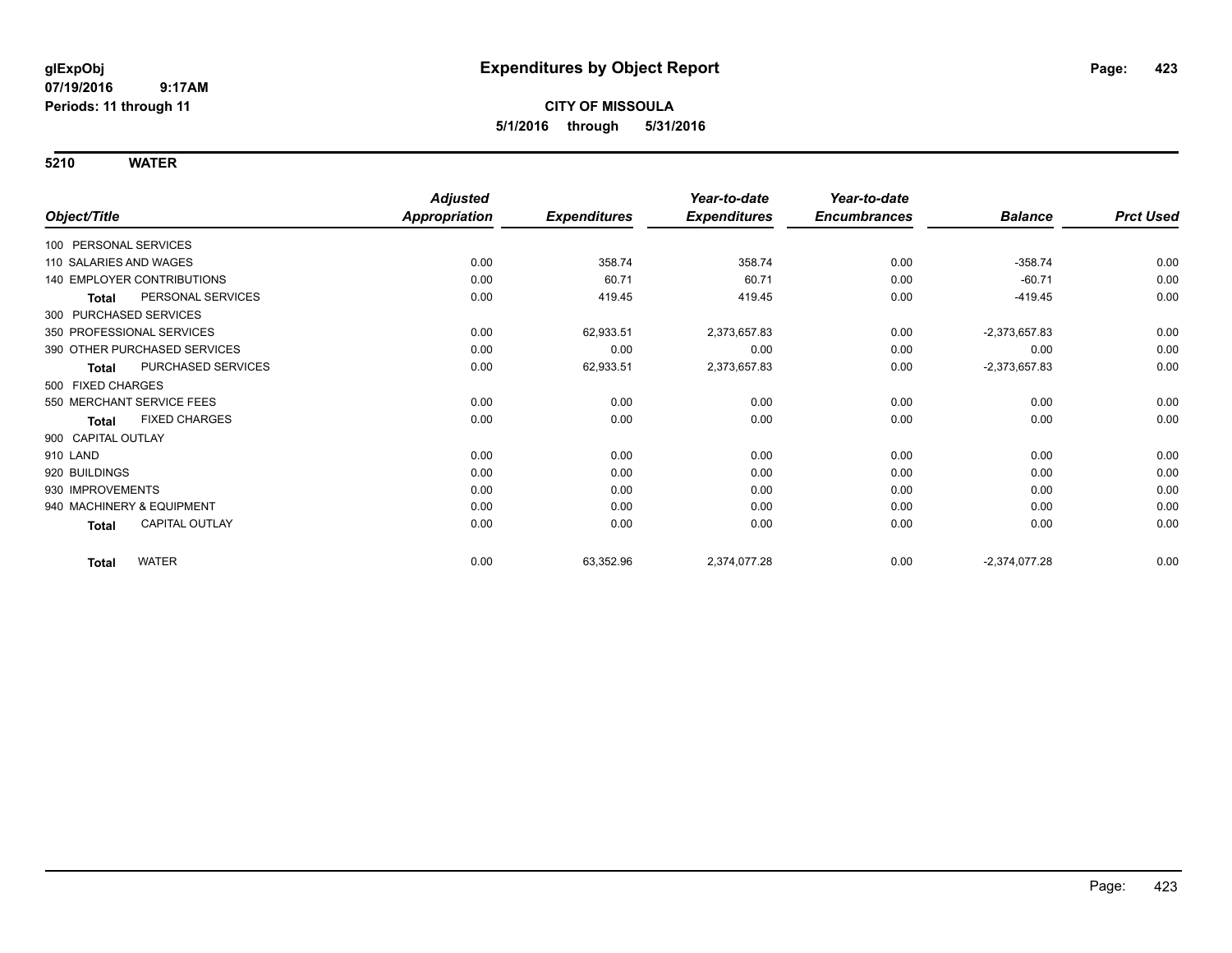|                                       | <b>Adjusted</b>      |                     | Year-to-date        | Year-to-date        |                 |                  |
|---------------------------------------|----------------------|---------------------|---------------------|---------------------|-----------------|------------------|
| Object/Title                          | <b>Appropriation</b> | <b>Expenditures</b> | <b>Expenditures</b> | <b>Encumbrances</b> | <b>Balance</b>  | <b>Prct Used</b> |
| 100 PERSONAL SERVICES                 |                      |                     |                     |                     |                 |                  |
| 110 SALARIES AND WAGES                | 0.00                 | 358.74              | 358.74              | 0.00                | $-358.74$       | 0.00             |
| 140 EMPLOYER CONTRIBUTIONS            | 0.00                 | 60.71               | 60.71               | 0.00                | $-60.71$        | 0.00             |
| PERSONAL SERVICES<br><b>Total</b>     | 0.00                 | 419.45              | 419.45              | 0.00                | $-419.45$       | 0.00             |
| 300 PURCHASED SERVICES                |                      |                     |                     |                     |                 |                  |
| 350 PROFESSIONAL SERVICES             | 0.00                 | 62,933.51           | 2,373,657.83        | 0.00                | $-2,373,657.83$ | 0.00             |
| 390 OTHER PURCHASED SERVICES          | 0.00                 | 0.00                | 0.00                | 0.00                | 0.00            | 0.00             |
| PURCHASED SERVICES<br><b>Total</b>    | 0.00                 | 62,933.51           | 2,373,657.83        | 0.00                | $-2,373,657.83$ | 0.00             |
| 500 FIXED CHARGES                     |                      |                     |                     |                     |                 |                  |
| 550 MERCHANT SERVICE FEES             | 0.00                 | 0.00                | 0.00                | 0.00                | 0.00            | 0.00             |
| <b>FIXED CHARGES</b><br><b>Total</b>  | 0.00                 | 0.00                | 0.00                | 0.00                | 0.00            | 0.00             |
| 900 CAPITAL OUTLAY                    |                      |                     |                     |                     |                 |                  |
| 910 LAND                              | 0.00                 | 0.00                | 0.00                | 0.00                | 0.00            | 0.00             |
| 920 BUILDINGS                         | 0.00                 | 0.00                | 0.00                | 0.00                | 0.00            | 0.00             |
| 930 IMPROVEMENTS                      | 0.00                 | 0.00                | 0.00                | 0.00                | 0.00            | 0.00             |
| 940 MACHINERY & EQUIPMENT             | 0.00                 | 0.00                | 0.00                | 0.00                | 0.00            | 0.00             |
| <b>CAPITAL OUTLAY</b><br><b>Total</b> | 0.00                 | 0.00                | 0.00                | 0.00                | 0.00            | 0.00             |
| <b>WATER</b><br><b>Total</b>          | 0.00                 | 63,352.96           | 2,374,077.28        | 0.00                | $-2,374,077.28$ | 0.00             |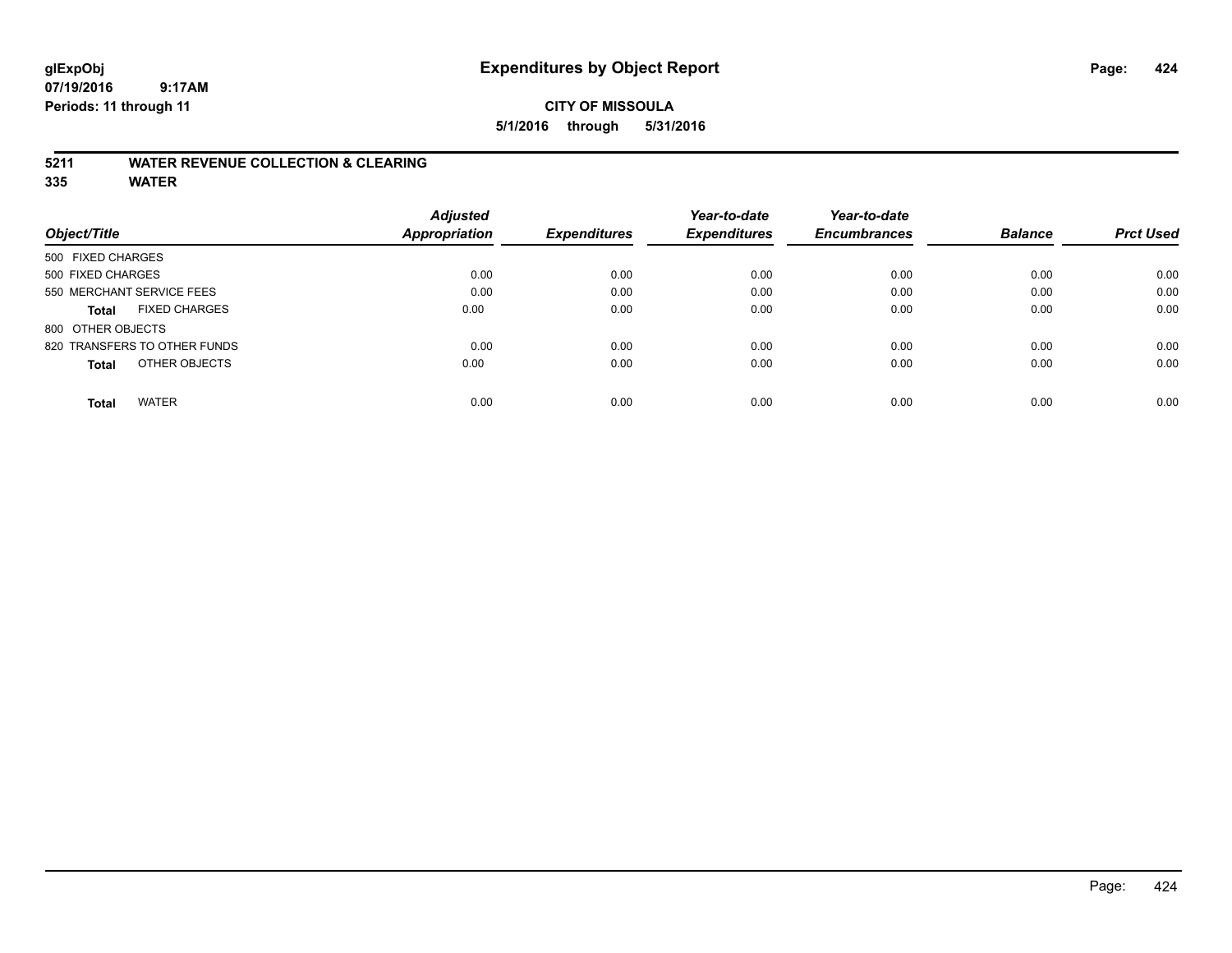#### **5211 WATER REVENUE COLLECTION & CLEARING**

|                                      | <b>Adjusted</b> |                     | Year-to-date        | Year-to-date        |                |                  |
|--------------------------------------|-----------------|---------------------|---------------------|---------------------|----------------|------------------|
| Object/Title                         | Appropriation   | <b>Expenditures</b> | <b>Expenditures</b> | <b>Encumbrances</b> | <b>Balance</b> | <b>Prct Used</b> |
| 500 FIXED CHARGES                    |                 |                     |                     |                     |                |                  |
| 500 FIXED CHARGES                    | 0.00            | 0.00                | 0.00                | 0.00                | 0.00           | 0.00             |
| 550 MERCHANT SERVICE FEES            | 0.00            | 0.00                | 0.00                | 0.00                | 0.00           | 0.00             |
| <b>FIXED CHARGES</b><br><b>Total</b> | 0.00            | 0.00                | 0.00                | 0.00                | 0.00           | 0.00             |
| 800 OTHER OBJECTS                    |                 |                     |                     |                     |                |                  |
| 820 TRANSFERS TO OTHER FUNDS         | 0.00            | 0.00                | 0.00                | 0.00                | 0.00           | 0.00             |
| OTHER OBJECTS<br><b>Total</b>        | 0.00            | 0.00                | 0.00                | 0.00                | 0.00           | 0.00             |
| <b>WATER</b><br><b>Total</b>         | 0.00            | 0.00                | 0.00                | 0.00                | 0.00           | 0.00             |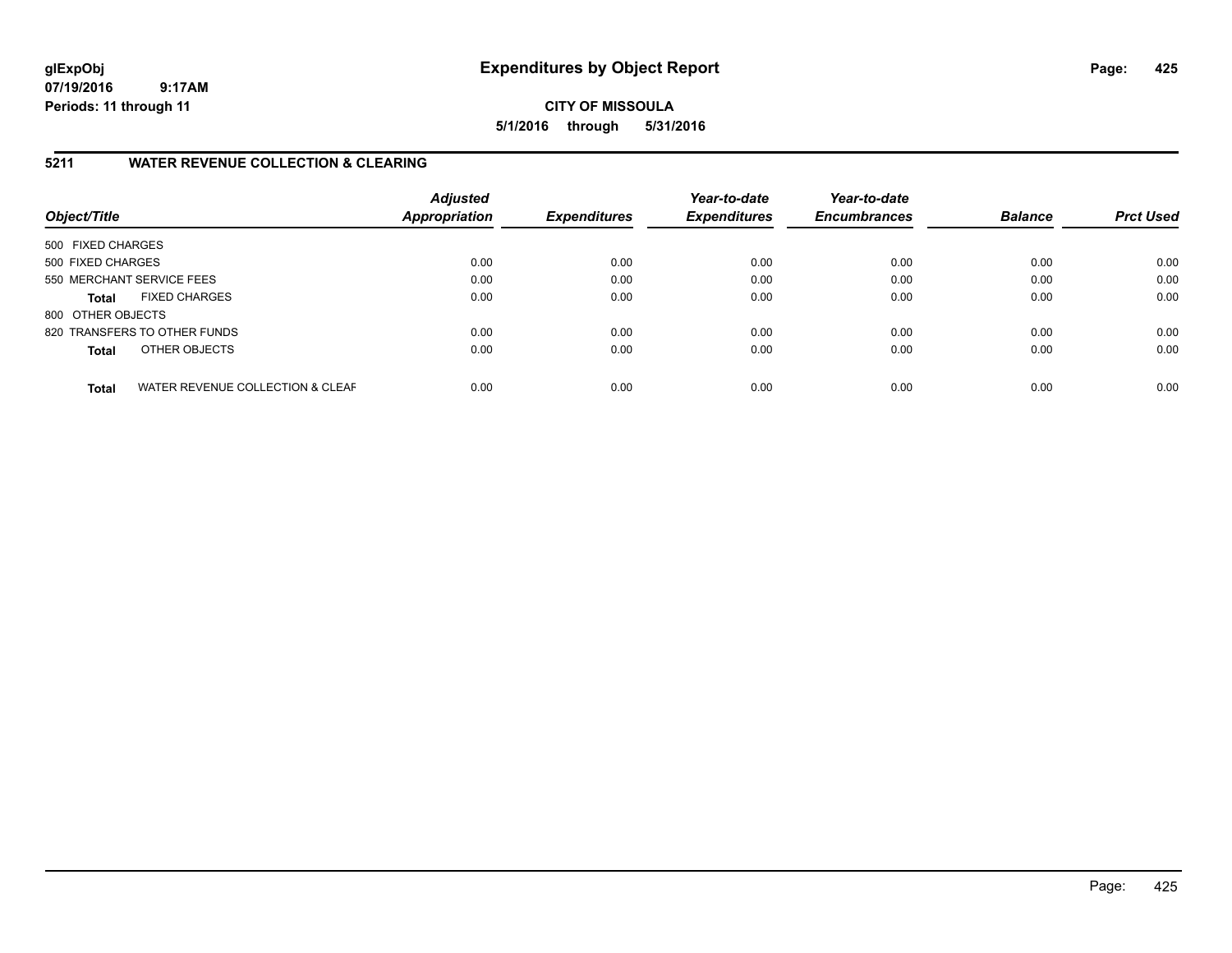**CITY OF MISSOULA 5/1/2016 through 5/31/2016**

#### **5211 WATER REVENUE COLLECTION & CLEARING**

| Object/Title              |                                  | <b>Adjusted</b><br>Appropriation | <b>Expenditures</b> | Year-to-date<br><b>Expenditures</b> | Year-to-date<br><b>Encumbrances</b> | <b>Balance</b> | <b>Prct Used</b> |
|---------------------------|----------------------------------|----------------------------------|---------------------|-------------------------------------|-------------------------------------|----------------|------------------|
| 500 FIXED CHARGES         |                                  |                                  |                     |                                     |                                     |                |                  |
| 500 FIXED CHARGES         |                                  | 0.00                             | 0.00                | 0.00                                | 0.00                                | 0.00           | 0.00             |
| 550 MERCHANT SERVICE FEES |                                  | 0.00                             | 0.00                | 0.00                                | 0.00                                | 0.00           | 0.00             |
| <b>Total</b>              | <b>FIXED CHARGES</b>             | 0.00                             | 0.00                | 0.00                                | 0.00                                | 0.00           | 0.00             |
| 800 OTHER OBJECTS         |                                  |                                  |                     |                                     |                                     |                |                  |
|                           | 820 TRANSFERS TO OTHER FUNDS     | 0.00                             | 0.00                | 0.00                                | 0.00                                | 0.00           | 0.00             |
| <b>Total</b>              | OTHER OBJECTS                    | 0.00                             | 0.00                | 0.00                                | 0.00                                | 0.00           | 0.00             |
| <b>Total</b>              | WATER REVENUE COLLECTION & CLEAF | 0.00                             | 0.00                | 0.00                                | 0.00                                | 0.00           | 0.00             |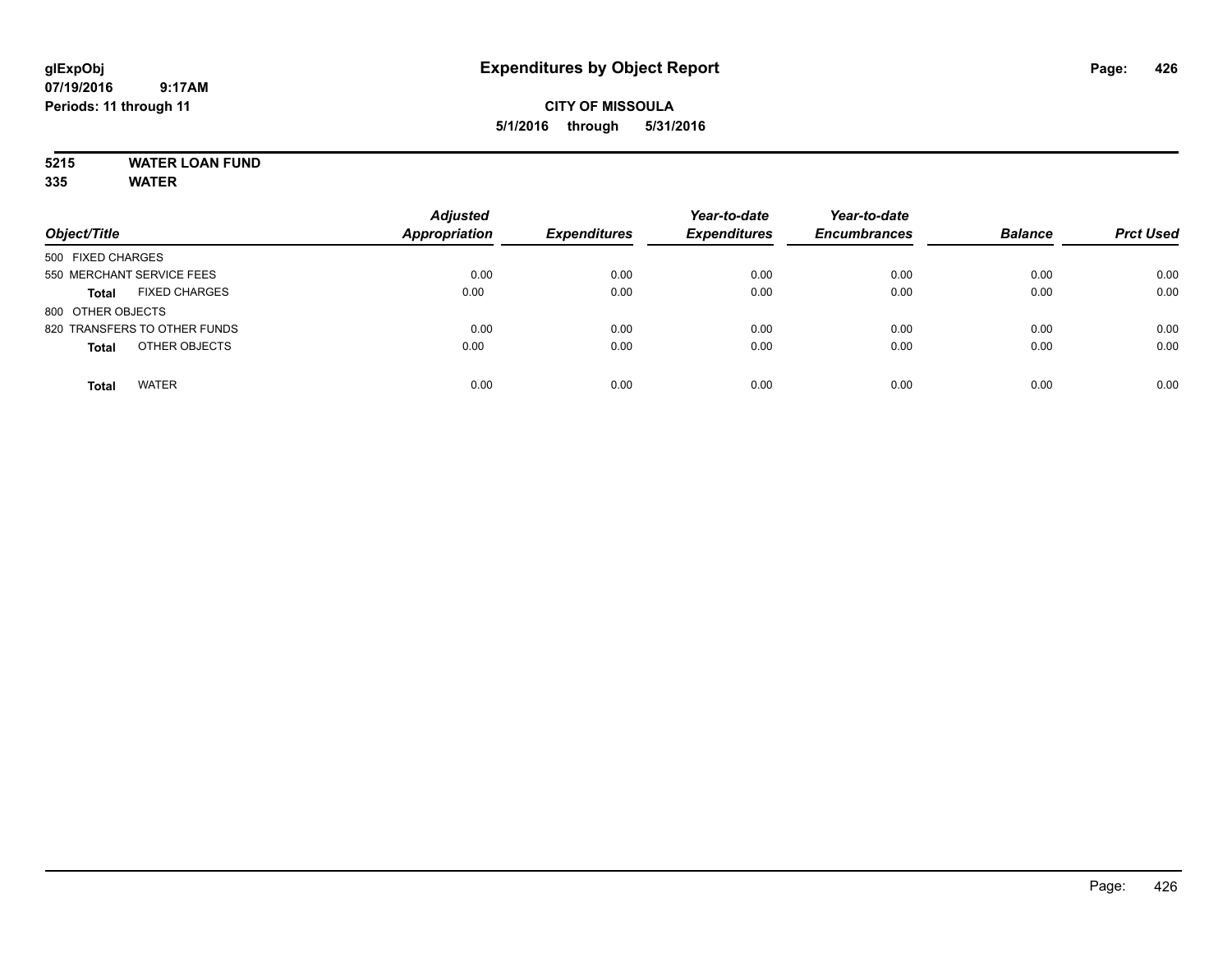# **5215 WATER LOAN FUND**

|                                      | <b>Adjusted</b>      |                     | Year-to-date        | Year-to-date        |                |                  |
|--------------------------------------|----------------------|---------------------|---------------------|---------------------|----------------|------------------|
| Object/Title                         | <b>Appropriation</b> | <b>Expenditures</b> | <b>Expenditures</b> | <b>Encumbrances</b> | <b>Balance</b> | <b>Prct Used</b> |
| 500 FIXED CHARGES                    |                      |                     |                     |                     |                |                  |
| 550 MERCHANT SERVICE FEES            | 0.00                 | 0.00                | 0.00                | 0.00                | 0.00           | 0.00             |
| <b>FIXED CHARGES</b><br><b>Total</b> | 0.00                 | 0.00                | 0.00                | 0.00                | 0.00           | 0.00             |
| 800 OTHER OBJECTS                    |                      |                     |                     |                     |                |                  |
| 820 TRANSFERS TO OTHER FUNDS         | 0.00                 | 0.00                | 0.00                | 0.00                | 0.00           | 0.00             |
| OTHER OBJECTS<br><b>Total</b>        | 0.00                 | 0.00                | 0.00                | 0.00                | 0.00           | 0.00             |
| <b>WATER</b><br><b>Total</b>         | 0.00                 | 0.00                | 0.00                | 0.00                | 0.00           | 0.00             |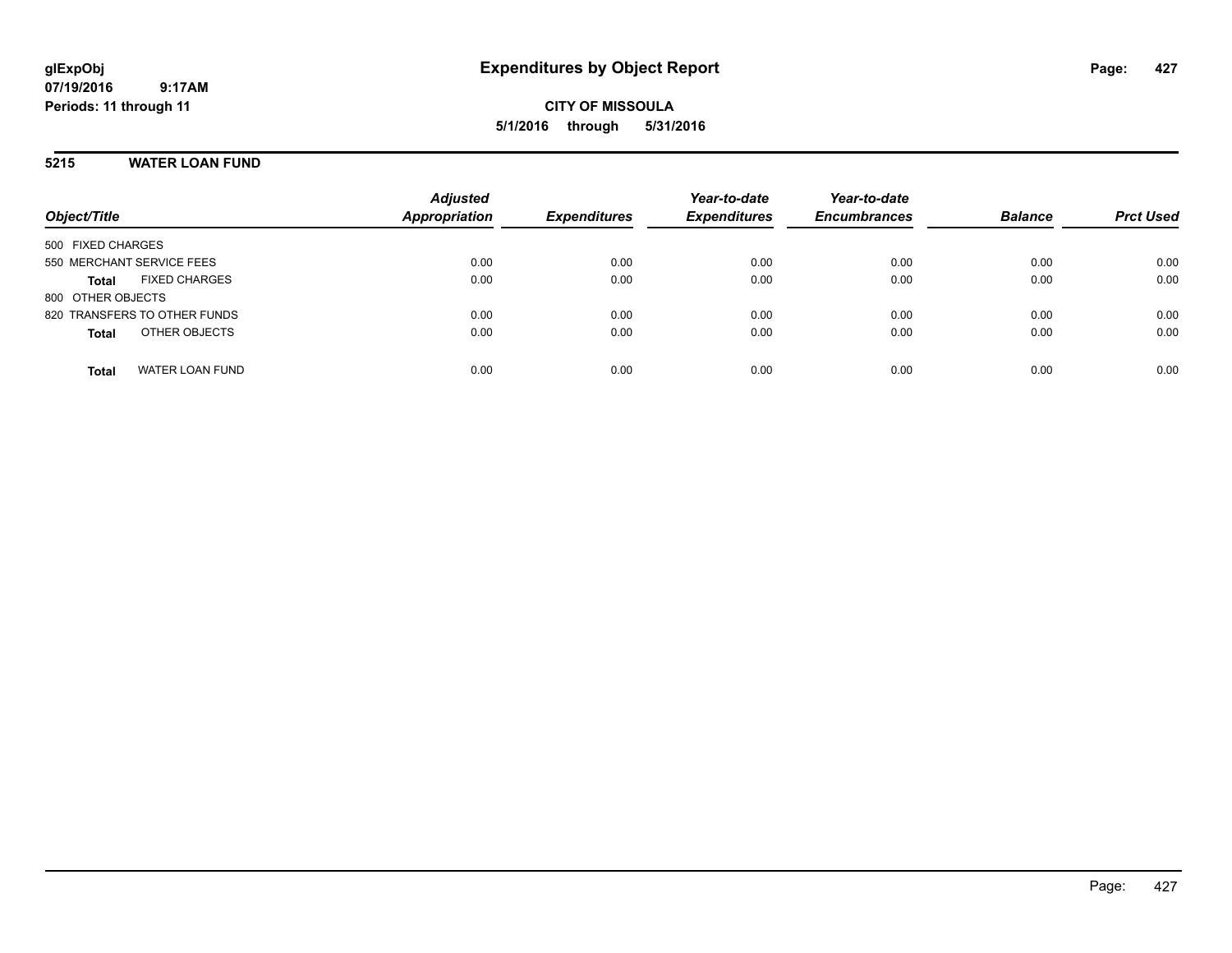**CITY OF MISSOULA 5/1/2016 through 5/31/2016**

#### **5215 WATER LOAN FUND**

| Object/Title                         | <b>Adjusted</b><br><b>Appropriation</b> | <b>Expenditures</b> | Year-to-date<br><b>Expenditures</b> | Year-to-date<br><b>Encumbrances</b> | <b>Balance</b> | <b>Prct Used</b> |
|--------------------------------------|-----------------------------------------|---------------------|-------------------------------------|-------------------------------------|----------------|------------------|
| 500 FIXED CHARGES                    |                                         |                     |                                     |                                     |                |                  |
| 550 MERCHANT SERVICE FEES            | 0.00                                    | 0.00                | 0.00                                | 0.00                                | 0.00           | 0.00             |
| <b>FIXED CHARGES</b><br><b>Total</b> | 0.00                                    | 0.00                | 0.00                                | 0.00                                | 0.00           | 0.00             |
| 800 OTHER OBJECTS                    |                                         |                     |                                     |                                     |                |                  |
| 820 TRANSFERS TO OTHER FUNDS         | 0.00                                    | 0.00                | 0.00                                | 0.00                                | 0.00           | 0.00             |
| OTHER OBJECTS<br><b>Total</b>        | 0.00                                    | 0.00                | 0.00                                | 0.00                                | 0.00           | 0.00             |
|                                      |                                         |                     |                                     |                                     |                |                  |
| <b>WATER LOAN FUND</b><br>Total      | 0.00                                    | 0.00                | 0.00                                | 0.00                                | 0.00           | 0.00             |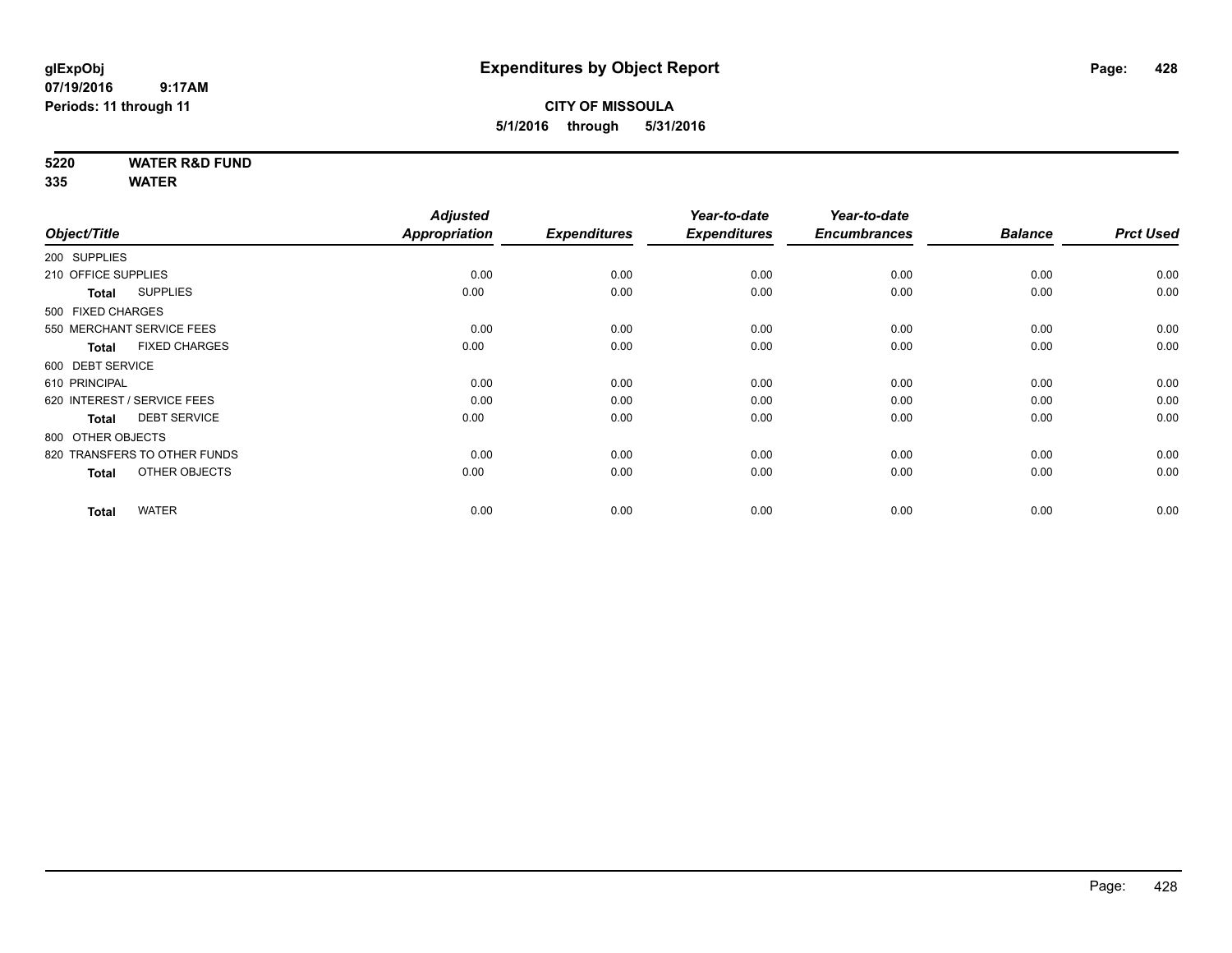#### **CITY OF MISSOULA 5/1/2016 through 5/31/2016**

**5220 WATER R&D FUND**

|                                      | <b>Adjusted</b>                                                                                                                                                                                                                                                |                       | Year-to-date                | Year-to-date                |                             |                        |
|--------------------------------------|----------------------------------------------------------------------------------------------------------------------------------------------------------------------------------------------------------------------------------------------------------------|-----------------------|-----------------------------|-----------------------------|-----------------------------|------------------------|
|                                      |                                                                                                                                                                                                                                                                |                       |                             |                             |                             | <b>Prct Used</b>       |
|                                      |                                                                                                                                                                                                                                                                |                       |                             |                             |                             |                        |
|                                      | 0.00                                                                                                                                                                                                                                                           | 0.00                  | 0.00                        | 0.00                        | 0.00                        | 0.00                   |
| <b>SUPPLIES</b><br><b>Total</b>      | 0.00                                                                                                                                                                                                                                                           | 0.00                  | 0.00                        | 0.00                        | 0.00                        | 0.00                   |
|                                      |                                                                                                                                                                                                                                                                |                       |                             |                             |                             |                        |
|                                      | 0.00                                                                                                                                                                                                                                                           | 0.00                  | 0.00                        | 0.00                        | 0.00                        | 0.00                   |
| <b>FIXED CHARGES</b><br><b>Total</b> | 0.00                                                                                                                                                                                                                                                           | 0.00                  | 0.00                        | 0.00                        | 0.00                        | 0.00                   |
|                                      |                                                                                                                                                                                                                                                                |                       |                             |                             |                             |                        |
|                                      | 0.00                                                                                                                                                                                                                                                           | 0.00                  | 0.00                        | 0.00                        | 0.00                        | 0.00                   |
|                                      | 0.00                                                                                                                                                                                                                                                           | 0.00                  | 0.00                        | 0.00                        | 0.00                        | 0.00                   |
| <b>DEBT SERVICE</b><br><b>Total</b>  | 0.00                                                                                                                                                                                                                                                           | 0.00                  | 0.00                        | 0.00                        | 0.00                        | 0.00                   |
|                                      |                                                                                                                                                                                                                                                                |                       |                             |                             |                             |                        |
|                                      | 0.00                                                                                                                                                                                                                                                           | 0.00                  | 0.00                        | 0.00                        | 0.00                        | 0.00                   |
| OTHER OBJECTS<br><b>Total</b>        | 0.00                                                                                                                                                                                                                                                           | 0.00                  | 0.00                        | 0.00                        | 0.00                        | 0.00                   |
|                                      |                                                                                                                                                                                                                                                                |                       |                             |                             |                             | 0.00                   |
|                                      | Object/Title<br>200 SUPPLIES<br>210 OFFICE SUPPLIES<br>500 FIXED CHARGES<br>550 MERCHANT SERVICE FEES<br>600 DEBT SERVICE<br>610 PRINCIPAL<br>620 INTEREST / SERVICE FEES<br>800 OTHER OBJECTS<br>820 TRANSFERS TO OTHER FUNDS<br><b>WATER</b><br><b>Total</b> | Appropriation<br>0.00 | <b>Expenditures</b><br>0.00 | <b>Expenditures</b><br>0.00 | <b>Encumbrances</b><br>0.00 | <b>Balance</b><br>0.00 |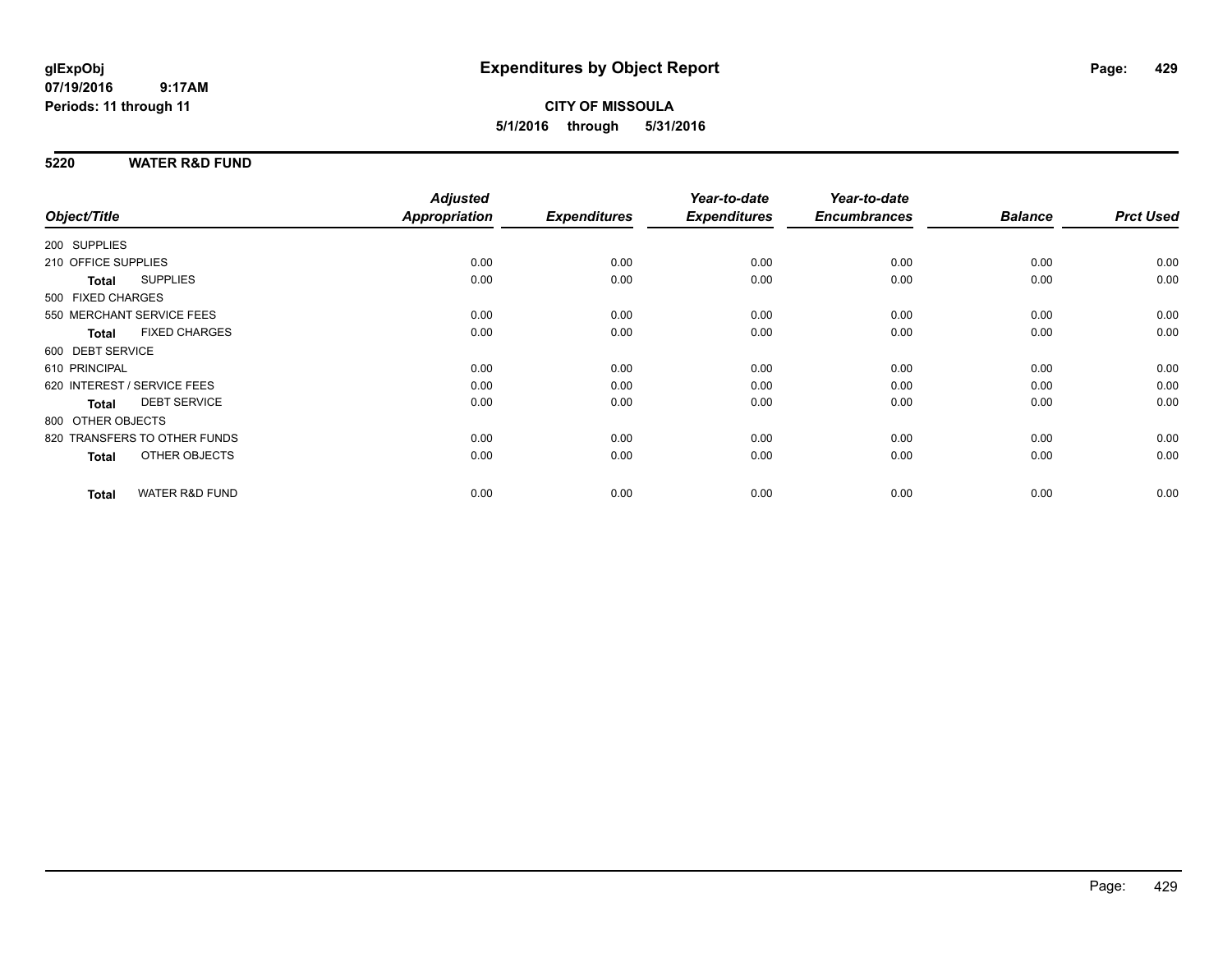**CITY OF MISSOULA 5/1/2016 through 5/31/2016**

#### **5220 WATER R&D FUND**

|                                           | <b>Adjusted</b> |                     | Year-to-date        | Year-to-date        |                |                  |
|-------------------------------------------|-----------------|---------------------|---------------------|---------------------|----------------|------------------|
| Object/Title                              | Appropriation   | <b>Expenditures</b> | <b>Expenditures</b> | <b>Encumbrances</b> | <b>Balance</b> | <b>Prct Used</b> |
| 200 SUPPLIES                              |                 |                     |                     |                     |                |                  |
| 210 OFFICE SUPPLIES                       | 0.00            | 0.00                | 0.00                | 0.00                | 0.00           | 0.00             |
| <b>SUPPLIES</b><br>Total                  | 0.00            | 0.00                | 0.00                | 0.00                | 0.00           | 0.00             |
| 500 FIXED CHARGES                         |                 |                     |                     |                     |                |                  |
| 550 MERCHANT SERVICE FEES                 | 0.00            | 0.00                | 0.00                | 0.00                | 0.00           | 0.00             |
| <b>FIXED CHARGES</b><br>Total             | 0.00            | 0.00                | 0.00                | 0.00                | 0.00           | 0.00             |
| 600 DEBT SERVICE                          |                 |                     |                     |                     |                |                  |
| 610 PRINCIPAL                             | 0.00            | 0.00                | 0.00                | 0.00                | 0.00           | 0.00             |
| 620 INTEREST / SERVICE FEES               | 0.00            | 0.00                | 0.00                | 0.00                | 0.00           | 0.00             |
| <b>DEBT SERVICE</b><br><b>Total</b>       | 0.00            | 0.00                | 0.00                | 0.00                | 0.00           | 0.00             |
| 800 OTHER OBJECTS                         |                 |                     |                     |                     |                |                  |
| 820 TRANSFERS TO OTHER FUNDS              | 0.00            | 0.00                | 0.00                | 0.00                | 0.00           | 0.00             |
| OTHER OBJECTS<br>Total                    | 0.00            | 0.00                | 0.00                | 0.00                | 0.00           | 0.00             |
|                                           |                 |                     |                     |                     |                |                  |
| <b>WATER R&amp;D FUND</b><br><b>Total</b> | 0.00            | 0.00                | 0.00                | 0.00                | 0.00           | 0.00             |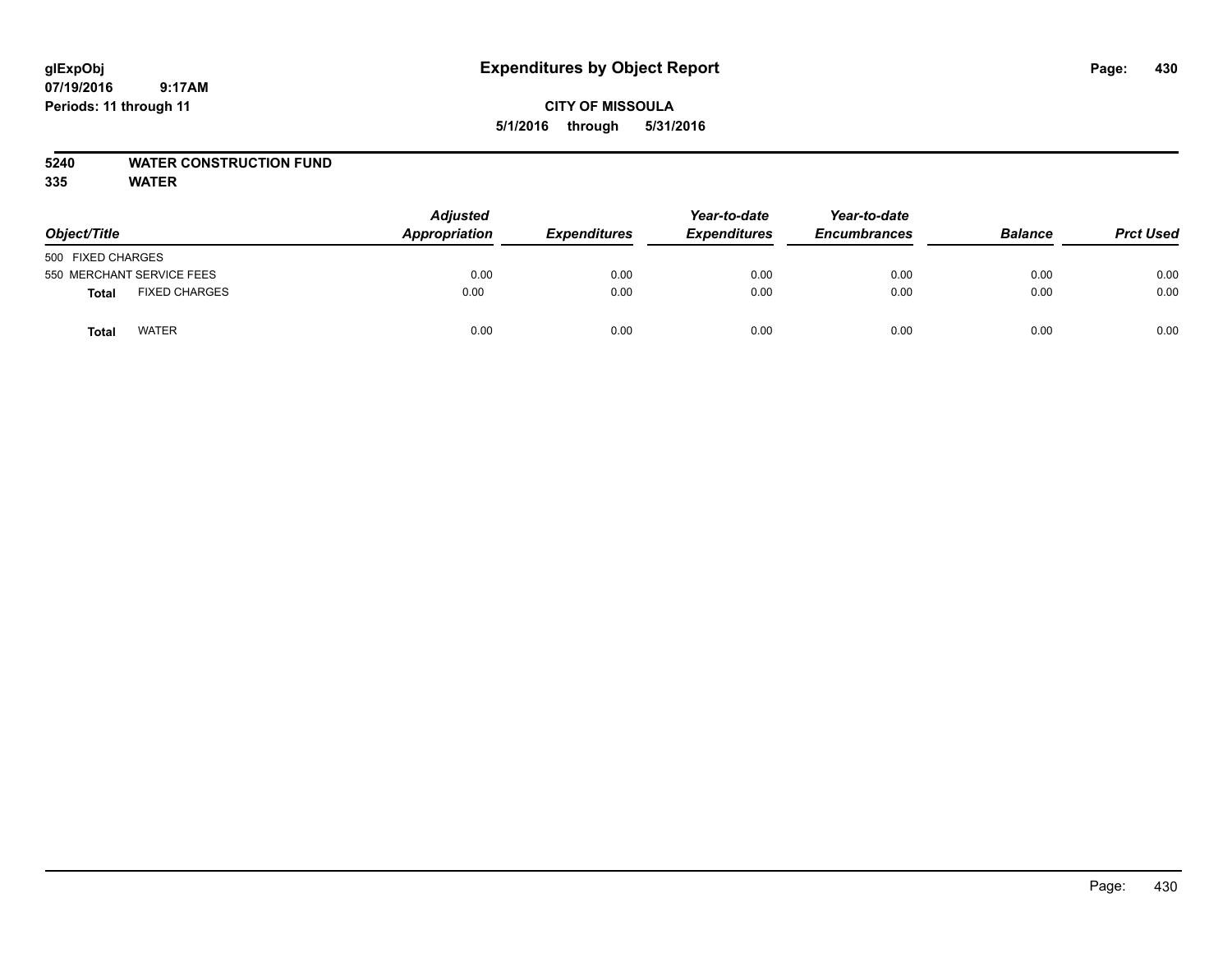#### **CITY OF MISSOULA 5/1/2016 through 5/31/2016**

#### **5240 WATER CONSTRUCTION FUND**

| Object/Title                         | <b>Adjusted</b><br>Appropriation | <b>Expenditures</b> | Year-to-date<br><b>Expenditures</b> | Year-to-date<br><b>Encumbrances</b> | <b>Balance</b> | <b>Prct Used</b> |
|--------------------------------------|----------------------------------|---------------------|-------------------------------------|-------------------------------------|----------------|------------------|
| 500 FIXED CHARGES                    |                                  |                     |                                     |                                     |                |                  |
| 550 MERCHANT SERVICE FEES            | 0.00                             | 0.00                | 0.00                                | 0.00                                | 0.00           | 0.00             |
| <b>FIXED CHARGES</b><br><b>Total</b> | 0.00                             | 0.00                | 0.00                                | 0.00                                | 0.00           | 0.00             |
| <b>WATER</b><br>Total                | 0.00                             | 0.00                | 0.00                                | 0.00                                | 0.00           | 0.00             |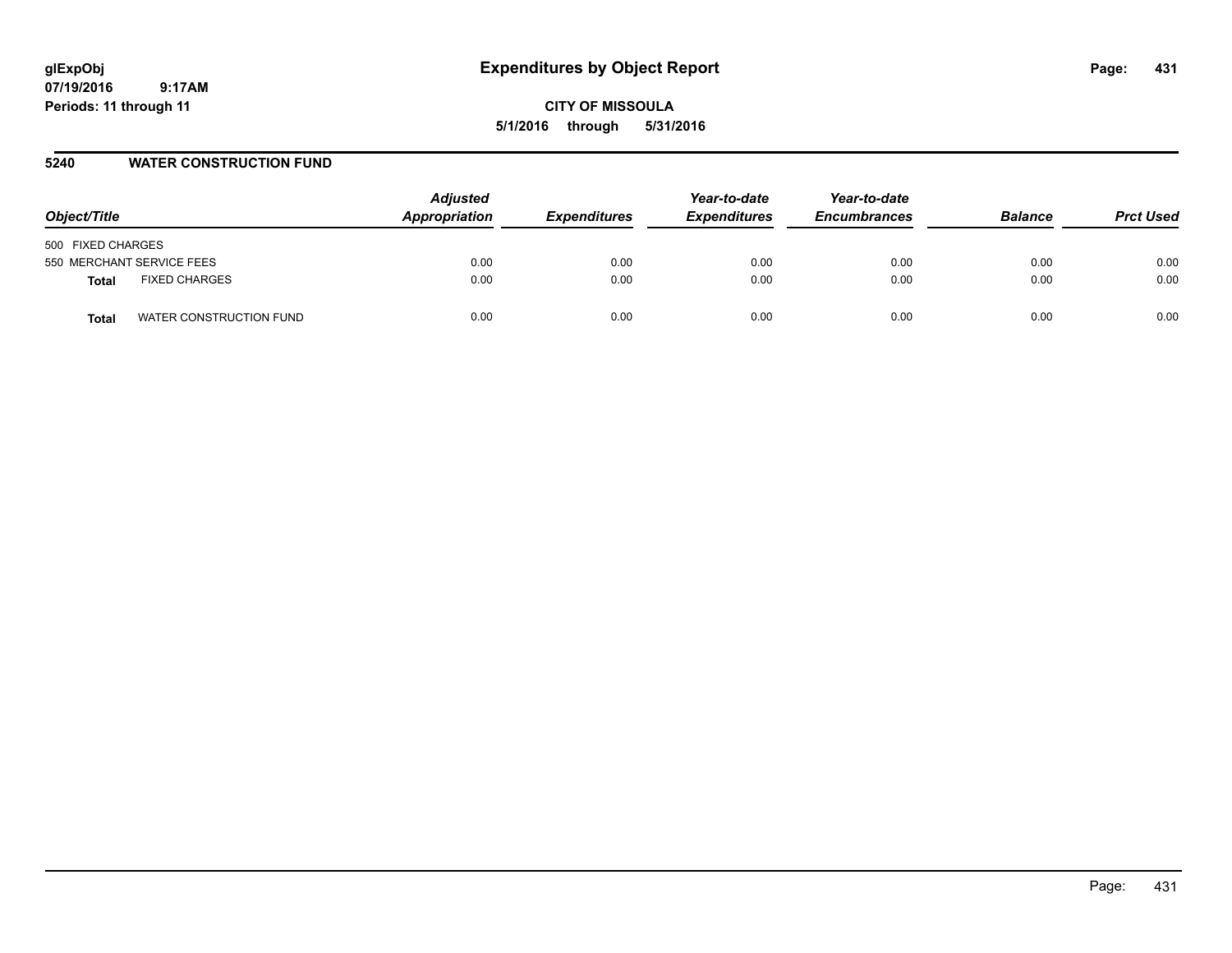# **glExpObj Expenditures by Object Report Page: 431**

**07/19/2016 9:17AM Periods: 11 through 11**

**CITY OF MISSOULA 5/1/2016 through 5/31/2016**

#### **5240 WATER CONSTRUCTION FUND**

| Object/Title                     | <b>Adjusted</b><br>Appropriation | <b>Expenditures</b> | Year-to-date<br><b>Expenditures</b> | Year-to-date<br><b>Encumbrances</b> | <b>Balance</b> | <b>Prct Used</b> |
|----------------------------------|----------------------------------|---------------------|-------------------------------------|-------------------------------------|----------------|------------------|
| 500 FIXED CHARGES                |                                  |                     |                                     |                                     |                |                  |
| 550 MERCHANT SERVICE FEES        | 0.00                             | 0.00                | 0.00                                | 0.00                                | 0.00           | 0.00             |
| <b>FIXED CHARGES</b><br>Total    | 0.00                             | 0.00                | 0.00                                | 0.00                                | 0.00           | 0.00             |
| WATER CONSTRUCTION FUND<br>Total | 0.00                             | 0.00                | 0.00                                | 0.00                                | 0.00           | 0.00             |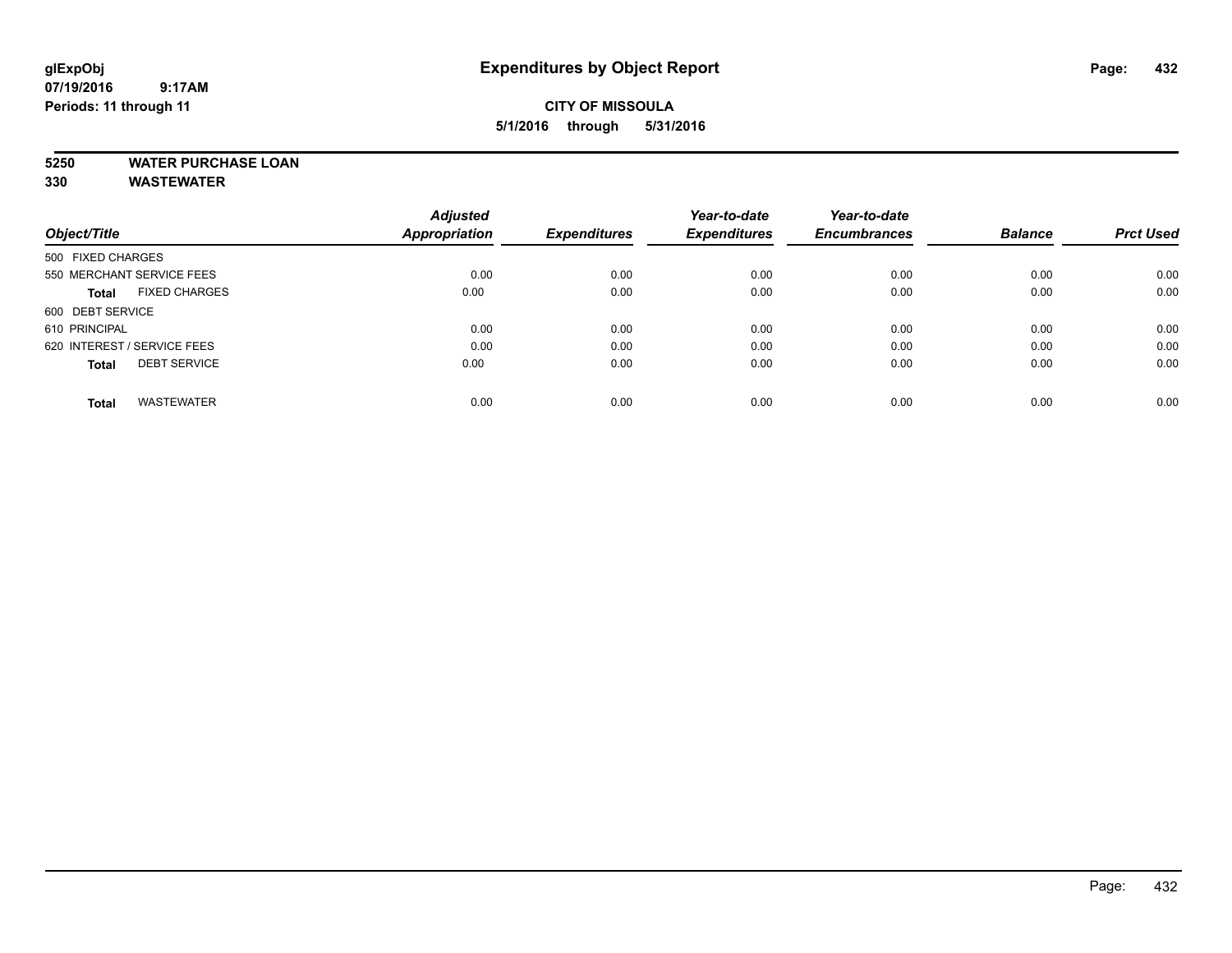#### **CITY OF MISSOULA 5/1/2016 through 5/31/2016**

# **5250 WATER PURCHASE LOAN**

**330 WASTEWATER**

|                                      | <b>Adjusted</b> |                     | Year-to-date        | Year-to-date        |                |                  |
|--------------------------------------|-----------------|---------------------|---------------------|---------------------|----------------|------------------|
| Object/Title                         | Appropriation   | <b>Expenditures</b> | <b>Expenditures</b> | <b>Encumbrances</b> | <b>Balance</b> | <b>Prct Used</b> |
| 500 FIXED CHARGES                    |                 |                     |                     |                     |                |                  |
| 550 MERCHANT SERVICE FEES            | 0.00            | 0.00                | 0.00                | 0.00                | 0.00           | 0.00             |
| <b>FIXED CHARGES</b><br><b>Total</b> | 0.00            | 0.00                | 0.00                | 0.00                | 0.00           | 0.00             |
| 600 DEBT SERVICE                     |                 |                     |                     |                     |                |                  |
| 610 PRINCIPAL                        | 0.00            | 0.00                | 0.00                | 0.00                | 0.00           | 0.00             |
| 620 INTEREST / SERVICE FEES          | 0.00            | 0.00                | 0.00                | 0.00                | 0.00           | 0.00             |
| <b>DEBT SERVICE</b><br><b>Total</b>  | 0.00            | 0.00                | 0.00                | 0.00                | 0.00           | 0.00             |
| <b>WASTEWATER</b><br>Total           | 0.00            | 0.00                | 0.00                | 0.00                | 0.00           | 0.00             |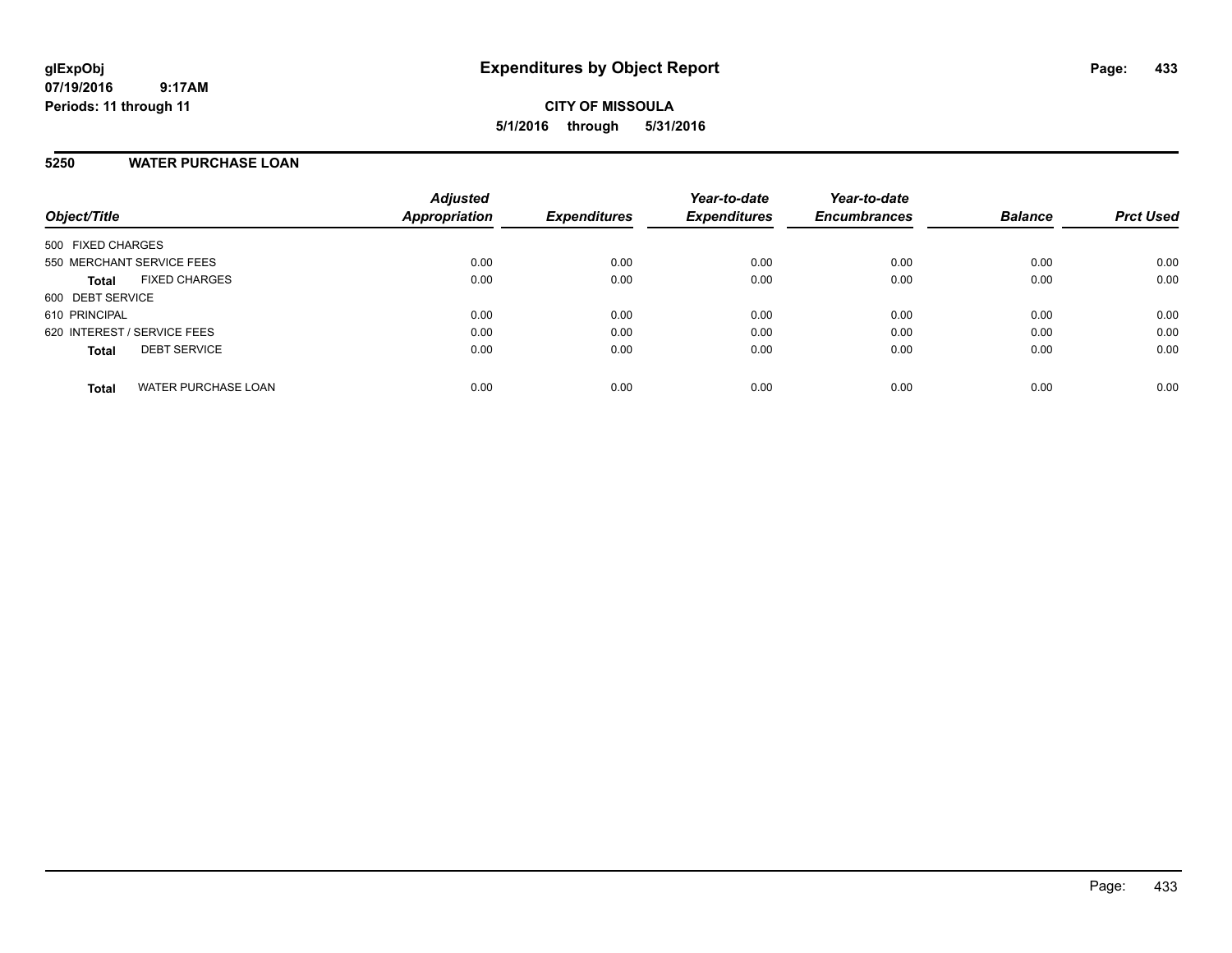### **5250 WATER PURCHASE LOAN**

| Object/Title                               | <b>Adjusted</b><br><b>Appropriation</b> | <b>Expenditures</b> | Year-to-date<br><b>Expenditures</b> | Year-to-date<br><b>Encumbrances</b> | <b>Balance</b> | <b>Prct Used</b> |
|--------------------------------------------|-----------------------------------------|---------------------|-------------------------------------|-------------------------------------|----------------|------------------|
| 500 FIXED CHARGES                          |                                         |                     |                                     |                                     |                |                  |
| 550 MERCHANT SERVICE FEES                  | 0.00                                    | 0.00                | 0.00                                | 0.00                                | 0.00           | 0.00             |
| <b>FIXED CHARGES</b><br><b>Total</b>       | 0.00                                    | 0.00                | 0.00                                | 0.00                                | 0.00           | 0.00             |
| 600 DEBT SERVICE                           |                                         |                     |                                     |                                     |                |                  |
| 610 PRINCIPAL                              | 0.00                                    | 0.00                | 0.00                                | 0.00                                | 0.00           | 0.00             |
| 620 INTEREST / SERVICE FEES                | 0.00                                    | 0.00                | 0.00                                | 0.00                                | 0.00           | 0.00             |
| <b>DEBT SERVICE</b><br><b>Total</b>        | 0.00                                    | 0.00                | 0.00                                | 0.00                                | 0.00           | 0.00             |
| <b>WATER PURCHASE LOAN</b><br><b>Total</b> | 0.00                                    | 0.00                | 0.00                                | 0.00                                | 0.00           | 0.00             |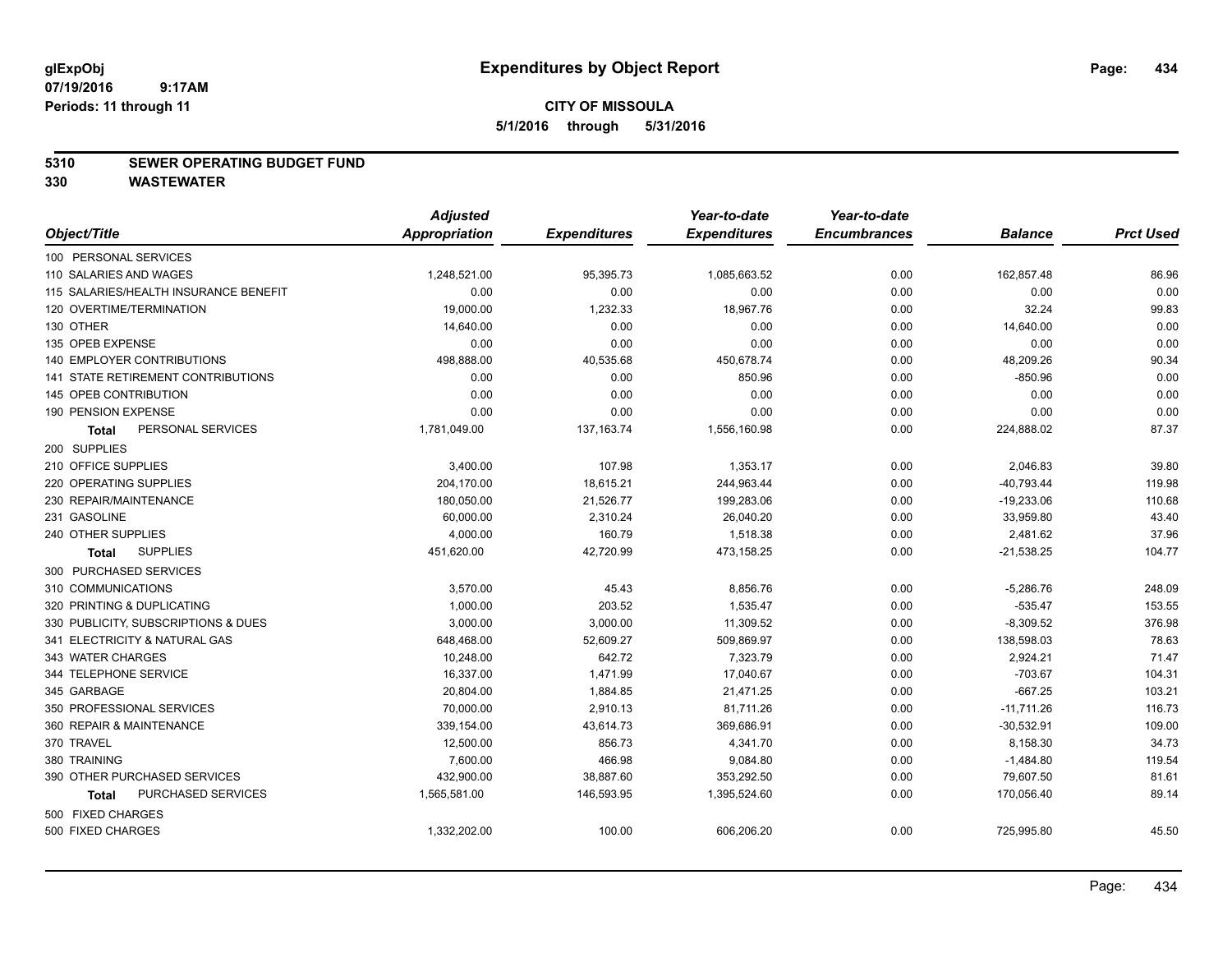#### **5310 SEWER OPERATING BUDGET FUND**

|                                       | <b>Adjusted</b> |                     | Year-to-date        | Year-to-date        |                |                  |
|---------------------------------------|-----------------|---------------------|---------------------|---------------------|----------------|------------------|
| Object/Title                          | Appropriation   | <b>Expenditures</b> | <b>Expenditures</b> | <b>Encumbrances</b> | <b>Balance</b> | <b>Prct Used</b> |
| 100 PERSONAL SERVICES                 |                 |                     |                     |                     |                |                  |
| 110 SALARIES AND WAGES                | 1,248,521.00    | 95,395.73           | 1,085,663.52        | 0.00                | 162,857.48     | 86.96            |
| 115 SALARIES/HEALTH INSURANCE BENEFIT | 0.00            | 0.00                | 0.00                | 0.00                | 0.00           | 0.00             |
| 120 OVERTIME/TERMINATION              | 19,000.00       | 1,232.33            | 18,967.76           | 0.00                | 32.24          | 99.83            |
| 130 OTHER                             | 14,640.00       | 0.00                | 0.00                | 0.00                | 14,640.00      | 0.00             |
| 135 OPEB EXPENSE                      | 0.00            | 0.00                | 0.00                | 0.00                | 0.00           | 0.00             |
| <b>140 EMPLOYER CONTRIBUTIONS</b>     | 498,888.00      | 40,535.68           | 450,678.74          | 0.00                | 48,209.26      | 90.34            |
| 141 STATE RETIREMENT CONTRIBUTIONS    | 0.00            | 0.00                | 850.96              | 0.00                | $-850.96$      | 0.00             |
| 145 OPEB CONTRIBUTION                 | 0.00            | 0.00                | 0.00                | 0.00                | 0.00           | 0.00             |
| 190 PENSION EXPENSE                   | 0.00            | 0.00                | 0.00                | 0.00                | 0.00           | 0.00             |
| PERSONAL SERVICES<br><b>Total</b>     | 1,781,049.00    | 137, 163. 74        | 1,556,160.98        | 0.00                | 224,888.02     | 87.37            |
| 200 SUPPLIES                          |                 |                     |                     |                     |                |                  |
| 210 OFFICE SUPPLIES                   | 3,400.00        | 107.98              | 1,353.17            | 0.00                | 2,046.83       | 39.80            |
| 220 OPERATING SUPPLIES                | 204,170.00      | 18,615.21           | 244,963.44          | 0.00                | $-40,793.44$   | 119.98           |
| 230 REPAIR/MAINTENANCE                | 180,050.00      | 21,526.77           | 199,283.06          | 0.00                | $-19,233.06$   | 110.68           |
| 231 GASOLINE                          | 60,000.00       | 2,310.24            | 26,040.20           | 0.00                | 33,959.80      | 43.40            |
| 240 OTHER SUPPLIES                    | 4,000.00        | 160.79              | 1,518.38            | 0.00                | 2,481.62       | 37.96            |
| <b>SUPPLIES</b><br>Total              | 451,620.00      | 42,720.99           | 473,158.25          | 0.00                | $-21,538.25$   | 104.77           |
| 300 PURCHASED SERVICES                |                 |                     |                     |                     |                |                  |
| 310 COMMUNICATIONS                    | 3,570.00        | 45.43               | 8,856.76            | 0.00                | $-5,286.76$    | 248.09           |
| 320 PRINTING & DUPLICATING            | 1.000.00        | 203.52              | 1.535.47            | 0.00                | $-535.47$      | 153.55           |
| 330 PUBLICITY, SUBSCRIPTIONS & DUES   | 3,000.00        | 3,000.00            | 11,309.52           | 0.00                | $-8,309.52$    | 376.98           |
| 341 ELECTRICITY & NATURAL GAS         | 648,468.00      | 52,609.27           | 509,869.97          | 0.00                | 138,598.03     | 78.63            |
| 343 WATER CHARGES                     | 10,248.00       | 642.72              | 7,323.79            | 0.00                | 2,924.21       | 71.47            |
| 344 TELEPHONE SERVICE                 | 16,337.00       | 1.471.99            | 17,040.67           | 0.00                | $-703.67$      | 104.31           |
| 345 GARBAGE                           | 20,804.00       | 1,884.85            | 21,471.25           | 0.00                | $-667.25$      | 103.21           |
| 350 PROFESSIONAL SERVICES             | 70,000.00       | 2,910.13            | 81,711.26           | 0.00                | $-11,711.26$   | 116.73           |
| 360 REPAIR & MAINTENANCE              | 339,154.00      | 43,614.73           | 369,686.91          | 0.00                | $-30,532.91$   | 109.00           |
| 370 TRAVEL                            | 12,500.00       | 856.73              | 4,341.70            | 0.00                | 8,158.30       | 34.73            |
| 380 TRAINING                          | 7,600.00        | 466.98              | 9,084.80            | 0.00                | $-1,484.80$    | 119.54           |
| 390 OTHER PURCHASED SERVICES          | 432,900.00      | 38,887.60           | 353,292.50          | 0.00                | 79,607.50      | 81.61            |
| PURCHASED SERVICES<br><b>Total</b>    | 1,565,581.00    | 146,593.95          | 1,395,524.60        | 0.00                | 170,056.40     | 89.14            |
| 500 FIXED CHARGES                     |                 |                     |                     |                     |                |                  |
| 500 FIXED CHARGES                     | 1,332,202.00    | 100.00              | 606,206.20          | 0.00                | 725,995.80     | 45.50            |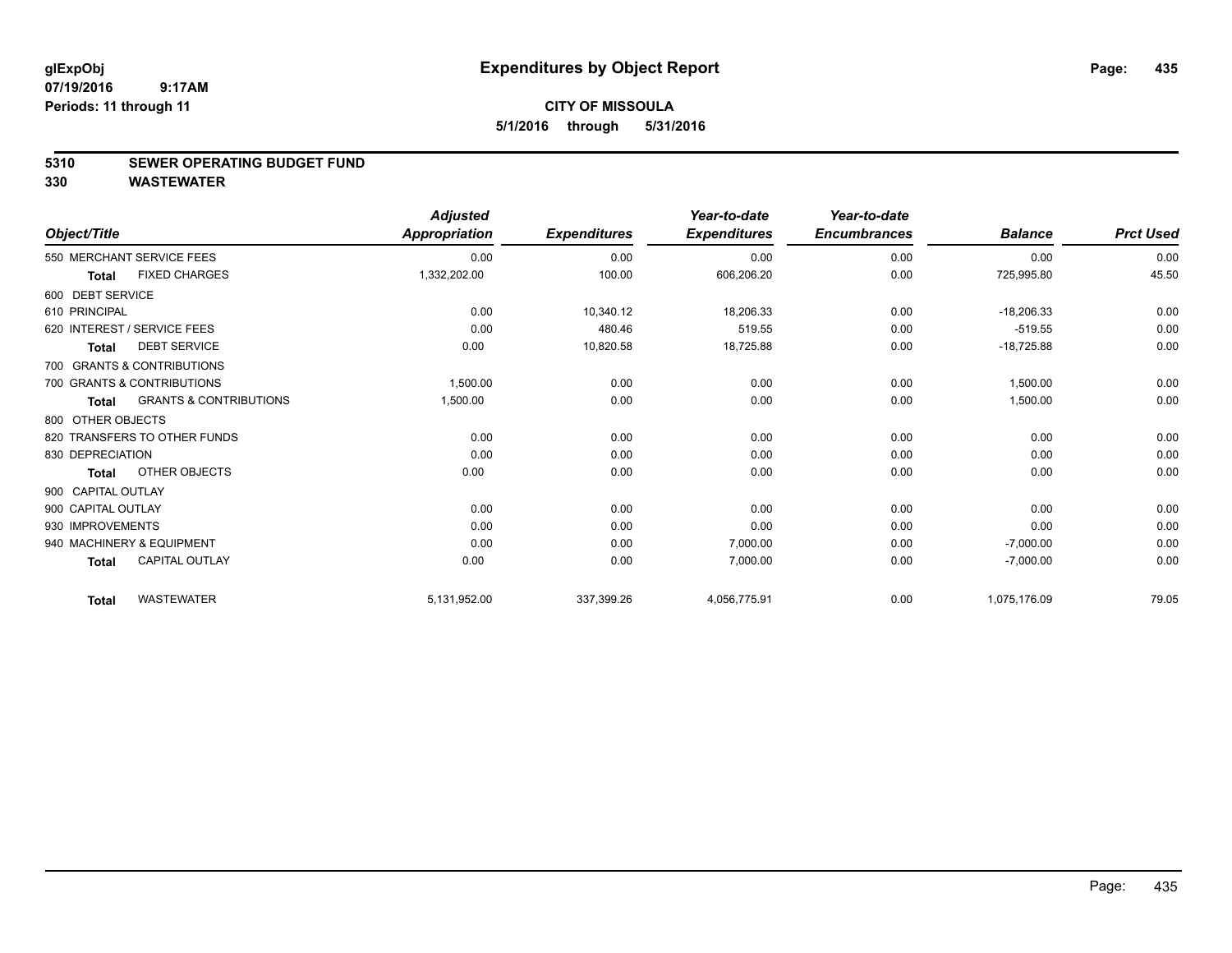### **5310 SEWER OPERATING BUDGET FUND**

| Object/Title       |                                   | <b>Adjusted</b><br><b>Appropriation</b> | <b>Expenditures</b> | Year-to-date<br><b>Expenditures</b> | Year-to-date<br><b>Encumbrances</b> | <b>Balance</b> | <b>Prct Used</b> |
|--------------------|-----------------------------------|-----------------------------------------|---------------------|-------------------------------------|-------------------------------------|----------------|------------------|
|                    | 550 MERCHANT SERVICE FEES         | 0.00                                    | 0.00                | 0.00                                | 0.00                                | 0.00           | 0.00             |
| <b>Total</b>       | <b>FIXED CHARGES</b>              | 1,332,202.00                            | 100.00              | 606,206.20                          | 0.00                                | 725,995.80     | 45.50            |
| 600 DEBT SERVICE   |                                   |                                         |                     |                                     |                                     |                |                  |
| 610 PRINCIPAL      |                                   | 0.00                                    | 10,340.12           | 18,206.33                           | 0.00                                | $-18,206.33$   | 0.00             |
|                    | 620 INTEREST / SERVICE FEES       | 0.00                                    | 480.46              | 519.55                              | 0.00                                | $-519.55$      | 0.00             |
| <b>Total</b>       | <b>DEBT SERVICE</b>               | 0.00                                    | 10,820.58           | 18,725.88                           | 0.00                                | $-18,725.88$   | 0.00             |
|                    | 700 GRANTS & CONTRIBUTIONS        |                                         |                     |                                     |                                     |                |                  |
|                    | 700 GRANTS & CONTRIBUTIONS        | 1,500.00                                | 0.00                | 0.00                                | 0.00                                | 1.500.00       | 0.00             |
| Total              | <b>GRANTS &amp; CONTRIBUTIONS</b> | 1,500.00                                | 0.00                | 0.00                                | 0.00                                | 1,500.00       | 0.00             |
| 800 OTHER OBJECTS  |                                   |                                         |                     |                                     |                                     |                |                  |
|                    | 820 TRANSFERS TO OTHER FUNDS      | 0.00                                    | 0.00                | 0.00                                | 0.00                                | 0.00           | 0.00             |
| 830 DEPRECIATION   |                                   | 0.00                                    | 0.00                | 0.00                                | 0.00                                | 0.00           | 0.00             |
| Total              | OTHER OBJECTS                     | 0.00                                    | 0.00                | 0.00                                | 0.00                                | 0.00           | 0.00             |
| 900 CAPITAL OUTLAY |                                   |                                         |                     |                                     |                                     |                |                  |
| 900 CAPITAL OUTLAY |                                   | 0.00                                    | 0.00                | 0.00                                | 0.00                                | 0.00           | 0.00             |
| 930 IMPROVEMENTS   |                                   | 0.00                                    | 0.00                | 0.00                                | 0.00                                | 0.00           | 0.00             |
|                    | 940 MACHINERY & EQUIPMENT         | 0.00                                    | 0.00                | 7,000.00                            | 0.00                                | $-7,000.00$    | 0.00             |
| <b>Total</b>       | <b>CAPITAL OUTLAY</b>             | 0.00                                    | 0.00                | 7,000.00                            | 0.00                                | $-7,000.00$    | 0.00             |
| <b>Total</b>       | <b>WASTEWATER</b>                 | 5,131,952.00                            | 337,399.26          | 4,056,775.91                        | 0.00                                | 1,075,176.09   | 79.05            |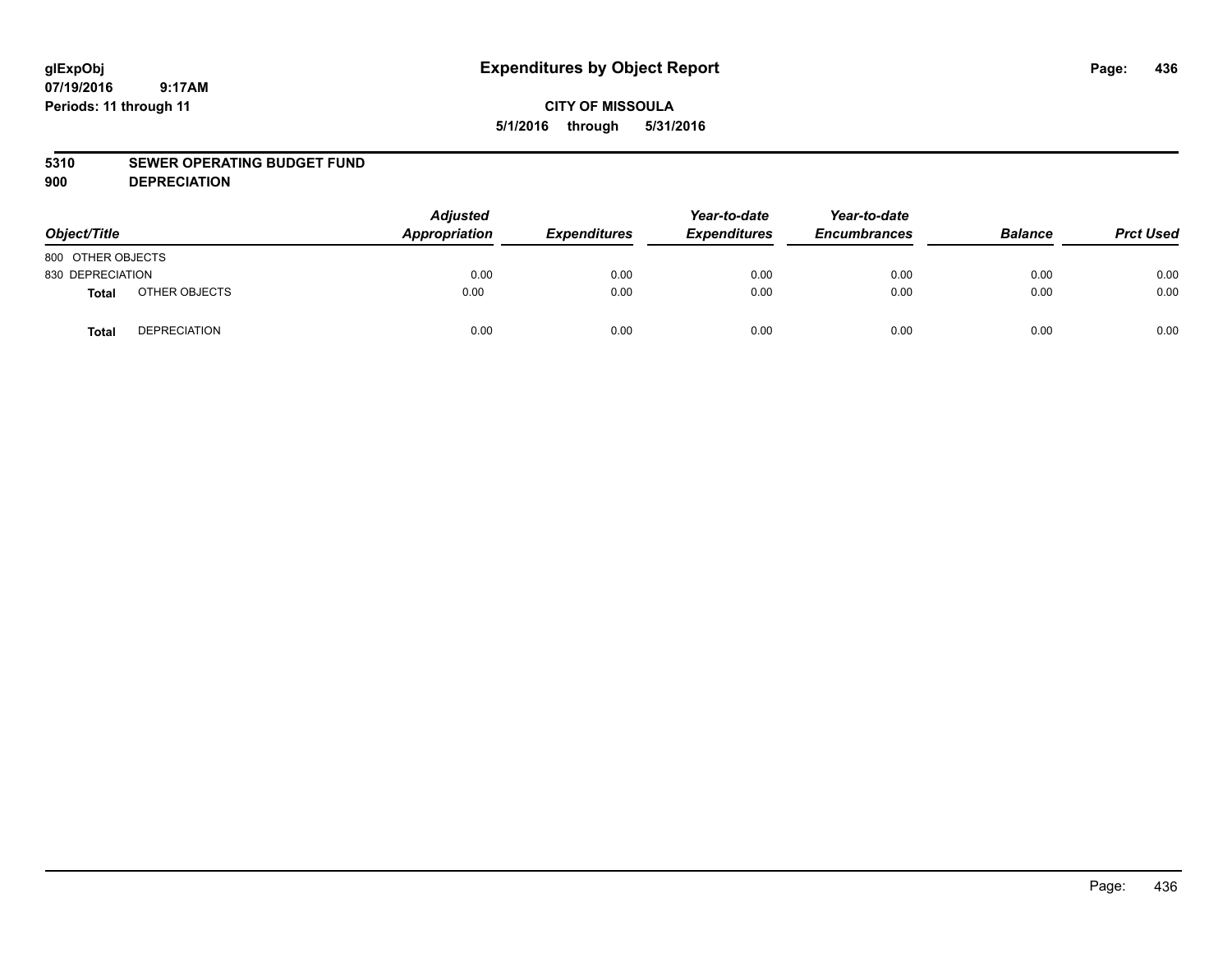## **CITY OF MISSOULA 5/1/2016 through 5/31/2016**

#### **5310 SEWER OPERATING BUDGET FUND**

**900 DEPRECIATION**

| Object/Title      |                     | <b>Adjusted</b><br>Appropriation | <b>Expenditures</b> | Year-to-date<br><b>Expenditures</b> | Year-to-date<br><b>Encumbrances</b> | <b>Balance</b> | <b>Prct Used</b> |
|-------------------|---------------------|----------------------------------|---------------------|-------------------------------------|-------------------------------------|----------------|------------------|
| 800 OTHER OBJECTS |                     |                                  |                     |                                     |                                     |                |                  |
| 830 DEPRECIATION  |                     | 0.00                             | 0.00                | 0.00                                | 0.00                                | 0.00           | 0.00             |
| Total             | OTHER OBJECTS       | 0.00                             | 0.00                | 0.00                                | 0.00                                | 0.00           | 0.00             |
| <b>Total</b>      | <b>DEPRECIATION</b> | 0.00                             | 0.00                | 0.00                                | 0.00                                | 0.00           | 0.00             |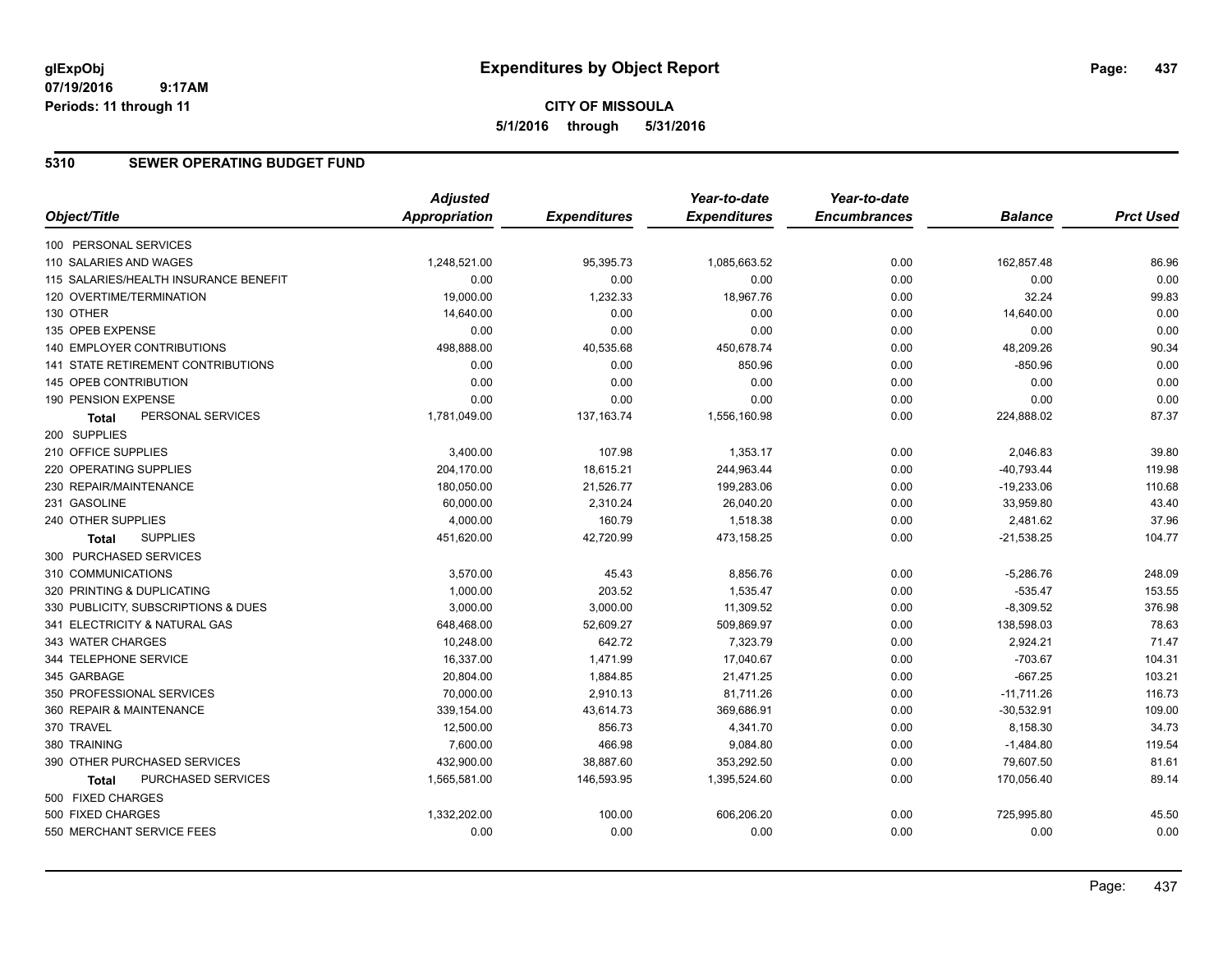# **CITY OF MISSOULA 5/1/2016 through 5/31/2016**

### **5310 SEWER OPERATING BUDGET FUND**

|                                           | <b>Adjusted</b>      |                     | Year-to-date        | Year-to-date        |                |                  |
|-------------------------------------------|----------------------|---------------------|---------------------|---------------------|----------------|------------------|
| Object/Title                              | <b>Appropriation</b> | <b>Expenditures</b> | <b>Expenditures</b> | <b>Encumbrances</b> | <b>Balance</b> | <b>Prct Used</b> |
| 100 PERSONAL SERVICES                     |                      |                     |                     |                     |                |                  |
| 110 SALARIES AND WAGES                    | 1,248,521.00         | 95,395.73           | 1,085,663.52        | 0.00                | 162,857.48     | 86.96            |
| 115 SALARIES/HEALTH INSURANCE BENEFIT     | 0.00                 | 0.00                | 0.00                | 0.00                | 0.00           | 0.00             |
| 120 OVERTIME/TERMINATION                  | 19,000.00            | 1,232.33            | 18,967.76           | 0.00                | 32.24          | 99.83            |
| 130 OTHER                                 | 14,640.00            | 0.00                | 0.00                | 0.00                | 14,640.00      | 0.00             |
| 135 OPEB EXPENSE                          | 0.00                 | 0.00                | 0.00                | 0.00                | 0.00           | 0.00             |
| 140 EMPLOYER CONTRIBUTIONS                | 498,888.00           | 40,535.68           | 450,678.74          | 0.00                | 48,209.26      | 90.34            |
| <b>141 STATE RETIREMENT CONTRIBUTIONS</b> | 0.00                 | 0.00                | 850.96              | 0.00                | $-850.96$      | 0.00             |
| 145 OPEB CONTRIBUTION                     | 0.00                 | 0.00                | 0.00                | 0.00                | 0.00           | 0.00             |
| 190 PENSION EXPENSE                       | 0.00                 | 0.00                | 0.00                | 0.00                | 0.00           | 0.00             |
| PERSONAL SERVICES<br><b>Total</b>         | 1,781,049.00         | 137, 163. 74        | 1,556,160.98        | 0.00                | 224,888.02     | 87.37            |
| 200 SUPPLIES                              |                      |                     |                     |                     |                |                  |
| 210 OFFICE SUPPLIES                       | 3,400.00             | 107.98              | 1,353.17            | 0.00                | 2,046.83       | 39.80            |
| 220 OPERATING SUPPLIES                    | 204,170.00           | 18,615.21           | 244,963.44          | 0.00                | $-40,793.44$   | 119.98           |
| 230 REPAIR/MAINTENANCE                    | 180,050.00           | 21,526.77           | 199,283.06          | 0.00                | $-19,233.06$   | 110.68           |
| 231 GASOLINE                              | 60,000.00            | 2,310.24            | 26,040.20           | 0.00                | 33,959.80      | 43.40            |
| 240 OTHER SUPPLIES                        | 4,000.00             | 160.79              | 1,518.38            | 0.00                | 2,481.62       | 37.96            |
| <b>SUPPLIES</b><br>Total                  | 451,620.00           | 42,720.99           | 473,158.25          | 0.00                | $-21,538.25$   | 104.77           |
| 300 PURCHASED SERVICES                    |                      |                     |                     |                     |                |                  |
| 310 COMMUNICATIONS                        | 3,570.00             | 45.43               | 8.856.76            | 0.00                | $-5,286.76$    | 248.09           |
| 320 PRINTING & DUPLICATING                | 1,000.00             | 203.52              | 1,535.47            | 0.00                | $-535.47$      | 153.55           |
| 330 PUBLICITY, SUBSCRIPTIONS & DUES       | 3,000.00             | 3,000.00            | 11,309.52           | 0.00                | $-8,309.52$    | 376.98           |
| 341 ELECTRICITY & NATURAL GAS             | 648,468.00           | 52,609.27           | 509,869.97          | 0.00                | 138,598.03     | 78.63            |
| 343 WATER CHARGES                         | 10,248.00            | 642.72              | 7,323.79            | 0.00                | 2,924.21       | 71.47            |
| 344 TELEPHONE SERVICE                     | 16,337.00            | 1,471.99            | 17,040.67           | 0.00                | $-703.67$      | 104.31           |
| 345 GARBAGE                               | 20,804.00            | 1,884.85            | 21,471.25           | 0.00                | $-667.25$      | 103.21           |
| 350 PROFESSIONAL SERVICES                 | 70,000.00            | 2,910.13            | 81.711.26           | 0.00                | $-11,711.26$   | 116.73           |
| 360 REPAIR & MAINTENANCE                  | 339,154.00           | 43,614.73           | 369,686.91          | 0.00                | $-30,532.91$   | 109.00           |
| 370 TRAVEL                                | 12,500.00            | 856.73              | 4,341.70            | 0.00                | 8,158.30       | 34.73            |
| 380 TRAINING                              | 7,600.00             | 466.98              | 9,084.80            | 0.00                | $-1,484.80$    | 119.54           |
| 390 OTHER PURCHASED SERVICES              | 432,900.00           | 38,887.60           | 353,292.50          | 0.00                | 79,607.50      | 81.61            |
| PURCHASED SERVICES<br>Total               | 1,565,581.00         | 146,593.95          | 1,395,524.60        | 0.00                | 170,056.40     | 89.14            |
| 500 FIXED CHARGES                         |                      |                     |                     |                     |                |                  |
| 500 FIXED CHARGES                         | 1,332,202.00         | 100.00              | 606,206.20          | 0.00                | 725,995.80     | 45.50            |
| 550 MERCHANT SERVICE FEES                 | 0.00                 | 0.00                | 0.00                | 0.00                | 0.00           | 0.00             |
|                                           |                      |                     |                     |                     |                |                  |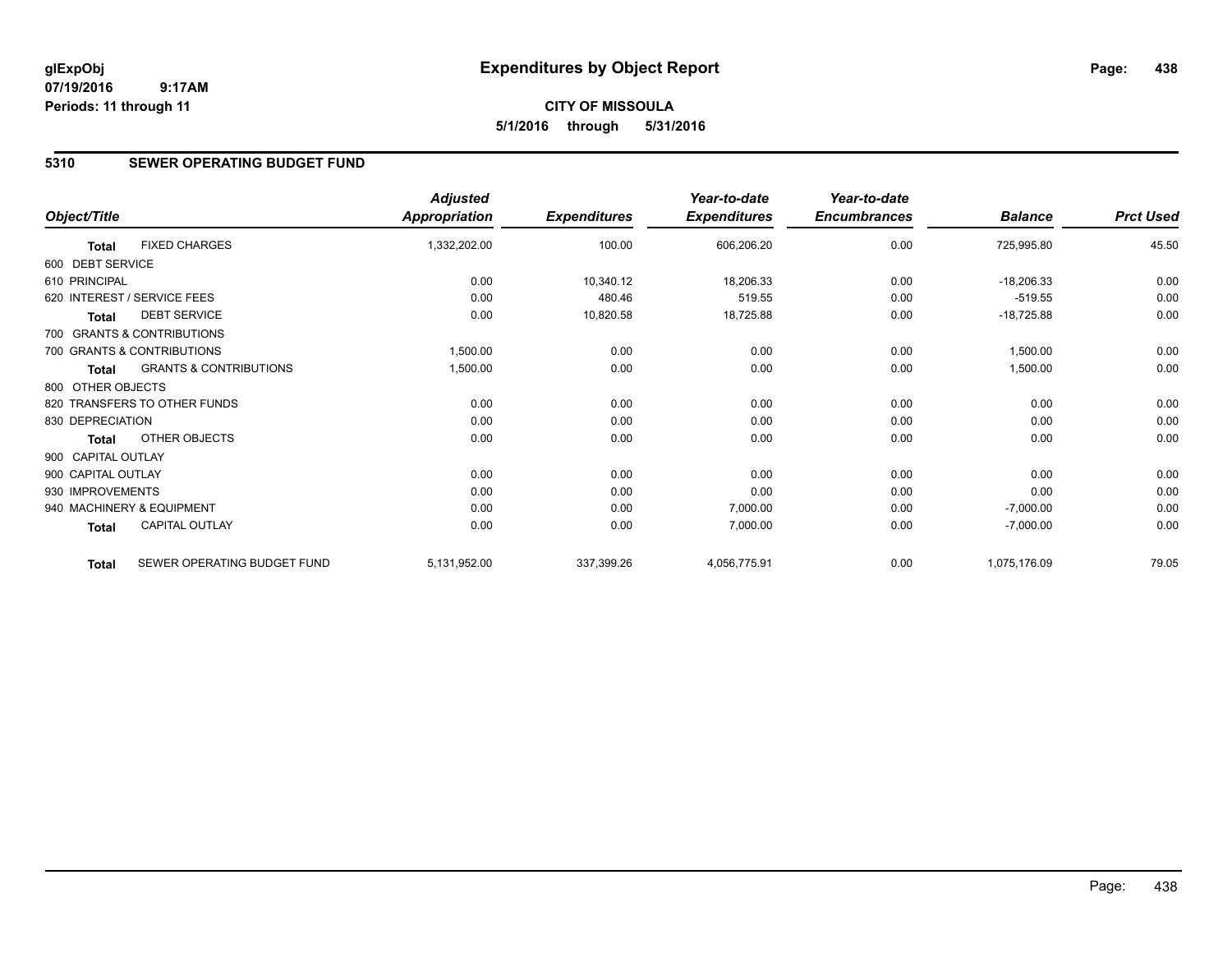### **5310 SEWER OPERATING BUDGET FUND**

|                    |                                   | <b>Adjusted</b>      |                     | Year-to-date        | Year-to-date        |                |                  |
|--------------------|-----------------------------------|----------------------|---------------------|---------------------|---------------------|----------------|------------------|
| Object/Title       |                                   | <b>Appropriation</b> | <b>Expenditures</b> | <b>Expenditures</b> | <b>Encumbrances</b> | <b>Balance</b> | <b>Prct Used</b> |
| <b>Total</b>       | <b>FIXED CHARGES</b>              | 1,332,202.00         | 100.00              | 606,206.20          | 0.00                | 725,995.80     | 45.50            |
| 600 DEBT SERVICE   |                                   |                      |                     |                     |                     |                |                  |
| 610 PRINCIPAL      |                                   | 0.00                 | 10,340.12           | 18,206.33           | 0.00                | $-18,206.33$   | 0.00             |
|                    | 620 INTEREST / SERVICE FEES       | 0.00                 | 480.46              | 519.55              | 0.00                | $-519.55$      | 0.00             |
| <b>Total</b>       | <b>DEBT SERVICE</b>               | 0.00                 | 10,820.58           | 18,725.88           | 0.00                | $-18,725.88$   | 0.00             |
|                    | 700 GRANTS & CONTRIBUTIONS        |                      |                     |                     |                     |                |                  |
|                    | 700 GRANTS & CONTRIBUTIONS        | 1,500.00             | 0.00                | 0.00                | 0.00                | 1,500.00       | 0.00             |
| Total              | <b>GRANTS &amp; CONTRIBUTIONS</b> | 1,500.00             | 0.00                | 0.00                | 0.00                | 1,500.00       | 0.00             |
| 800 OTHER OBJECTS  |                                   |                      |                     |                     |                     |                |                  |
|                    | 820 TRANSFERS TO OTHER FUNDS      | 0.00                 | 0.00                | 0.00                | 0.00                | 0.00           | 0.00             |
| 830 DEPRECIATION   |                                   | 0.00                 | 0.00                | 0.00                | 0.00                | 0.00           | 0.00             |
| Total              | OTHER OBJECTS                     | 0.00                 | 0.00                | 0.00                | 0.00                | 0.00           | 0.00             |
| 900 CAPITAL OUTLAY |                                   |                      |                     |                     |                     |                |                  |
| 900 CAPITAL OUTLAY |                                   | 0.00                 | 0.00                | 0.00                | 0.00                | 0.00           | 0.00             |
| 930 IMPROVEMENTS   |                                   | 0.00                 | 0.00                | 0.00                | 0.00                | 0.00           | 0.00             |
|                    | 940 MACHINERY & EQUIPMENT         | 0.00                 | 0.00                | 7,000.00            | 0.00                | $-7,000.00$    | 0.00             |
| Total              | <b>CAPITAL OUTLAY</b>             | 0.00                 | 0.00                | 7,000.00            | 0.00                | $-7,000.00$    | 0.00             |
| <b>Total</b>       | SEWER OPERATING BUDGET FUND       | 5,131,952.00         | 337,399.26          | 4,056,775.91        | 0.00                | 1,075,176.09   | 79.05            |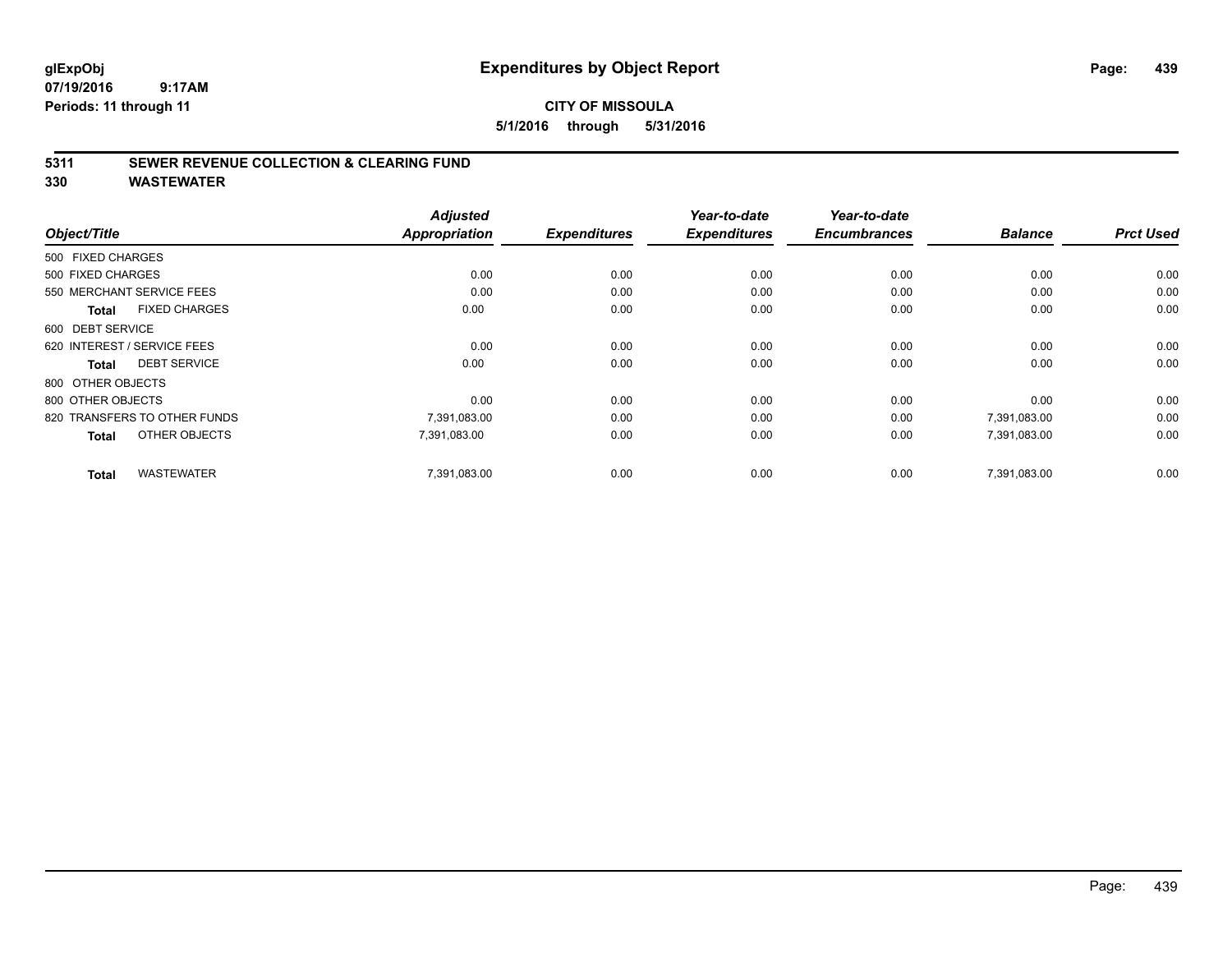**5/1/2016 through 5/31/2016**

### **5311 SEWER REVENUE COLLECTION & CLEARING FUND**

| Object/Title                         | <b>Adjusted</b><br><b>Appropriation</b> | <b>Expenditures</b> | Year-to-date<br><b>Expenditures</b> | Year-to-date<br><b>Encumbrances</b> | <b>Balance</b> | <b>Prct Used</b> |
|--------------------------------------|-----------------------------------------|---------------------|-------------------------------------|-------------------------------------|----------------|------------------|
|                                      |                                         |                     |                                     |                                     |                |                  |
| 500 FIXED CHARGES                    |                                         |                     |                                     |                                     |                |                  |
| 500 FIXED CHARGES                    | 0.00                                    | 0.00                | 0.00                                | 0.00                                | 0.00           | 0.00             |
| 550 MERCHANT SERVICE FEES            | 0.00                                    | 0.00                | 0.00                                | 0.00                                | 0.00           | 0.00             |
| <b>FIXED CHARGES</b><br><b>Total</b> | 0.00                                    | 0.00                | 0.00                                | 0.00                                | 0.00           | 0.00             |
| 600 DEBT SERVICE                     |                                         |                     |                                     |                                     |                |                  |
| 620 INTEREST / SERVICE FEES          | 0.00                                    | 0.00                | 0.00                                | 0.00                                | 0.00           | 0.00             |
| <b>DEBT SERVICE</b><br><b>Total</b>  | 0.00                                    | 0.00                | 0.00                                | 0.00                                | 0.00           | 0.00             |
| 800 OTHER OBJECTS                    |                                         |                     |                                     |                                     |                |                  |
| 800 OTHER OBJECTS                    | 0.00                                    | 0.00                | 0.00                                | 0.00                                | 0.00           | 0.00             |
| 820 TRANSFERS TO OTHER FUNDS         | 7,391,083.00                            | 0.00                | 0.00                                | 0.00                                | 7,391,083.00   | 0.00             |
| OTHER OBJECTS<br><b>Total</b>        | 7,391,083.00                            | 0.00                | 0.00                                | 0.00                                | 7,391,083.00   | 0.00             |
| <b>WASTEWATER</b><br><b>Total</b>    | 7,391,083.00                            | 0.00                | 0.00                                | 0.00                                | 7,391,083.00   | 0.00             |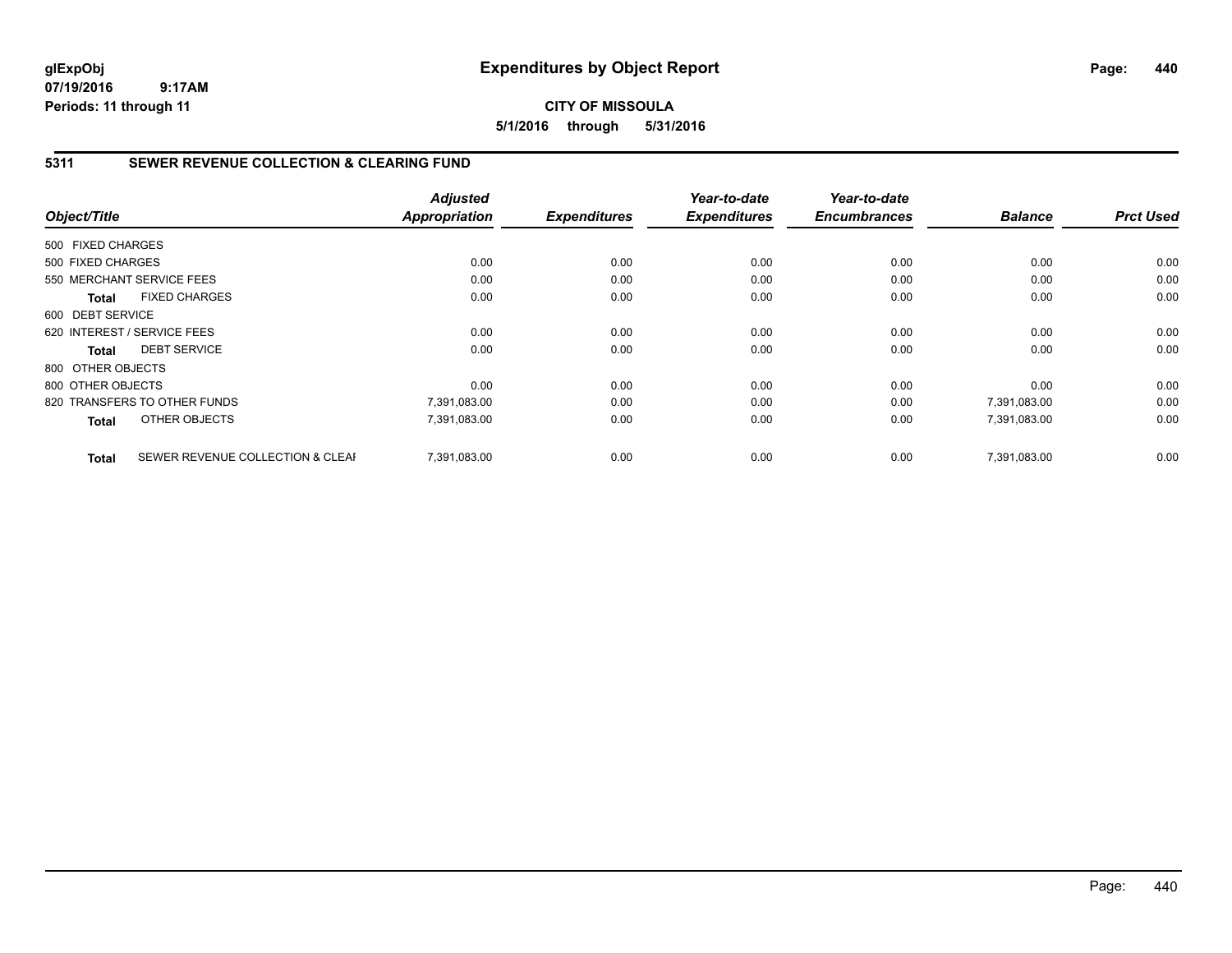# **CITY OF MISSOULA 5/1/2016 through 5/31/2016**

### **5311 SEWER REVENUE COLLECTION & CLEARING FUND**

|                   |                                  | <b>Adjusted</b>      |                     | Year-to-date        | Year-to-date        |                |                  |
|-------------------|----------------------------------|----------------------|---------------------|---------------------|---------------------|----------------|------------------|
| Object/Title      |                                  | <b>Appropriation</b> | <b>Expenditures</b> | <b>Expenditures</b> | <b>Encumbrances</b> | <b>Balance</b> | <b>Prct Used</b> |
| 500 FIXED CHARGES |                                  |                      |                     |                     |                     |                |                  |
| 500 FIXED CHARGES |                                  | 0.00                 | 0.00                | 0.00                | 0.00                | 0.00           | 0.00             |
|                   | 550 MERCHANT SERVICE FEES        | 0.00                 | 0.00                | 0.00                | 0.00                | 0.00           | 0.00             |
| <b>Total</b>      | <b>FIXED CHARGES</b>             | 0.00                 | 0.00                | 0.00                | 0.00                | 0.00           | 0.00             |
| 600 DEBT SERVICE  |                                  |                      |                     |                     |                     |                |                  |
|                   | 620 INTEREST / SERVICE FEES      | 0.00                 | 0.00                | 0.00                | 0.00                | 0.00           | 0.00             |
| Total             | <b>DEBT SERVICE</b>              | 0.00                 | 0.00                | 0.00                | 0.00                | 0.00           | 0.00             |
| 800 OTHER OBJECTS |                                  |                      |                     |                     |                     |                |                  |
| 800 OTHER OBJECTS |                                  | 0.00                 | 0.00                | 0.00                | 0.00                | 0.00           | 0.00             |
|                   | 820 TRANSFERS TO OTHER FUNDS     | 7,391,083.00         | 0.00                | 0.00                | 0.00                | 7,391,083.00   | 0.00             |
| <b>Total</b>      | OTHER OBJECTS                    | 7,391,083.00         | 0.00                | 0.00                | 0.00                | 7,391,083.00   | 0.00             |
| <b>Total</b>      | SEWER REVENUE COLLECTION & CLEAF | 7.391.083.00         | 0.00                | 0.00                | 0.00                | 7,391,083.00   | 0.00             |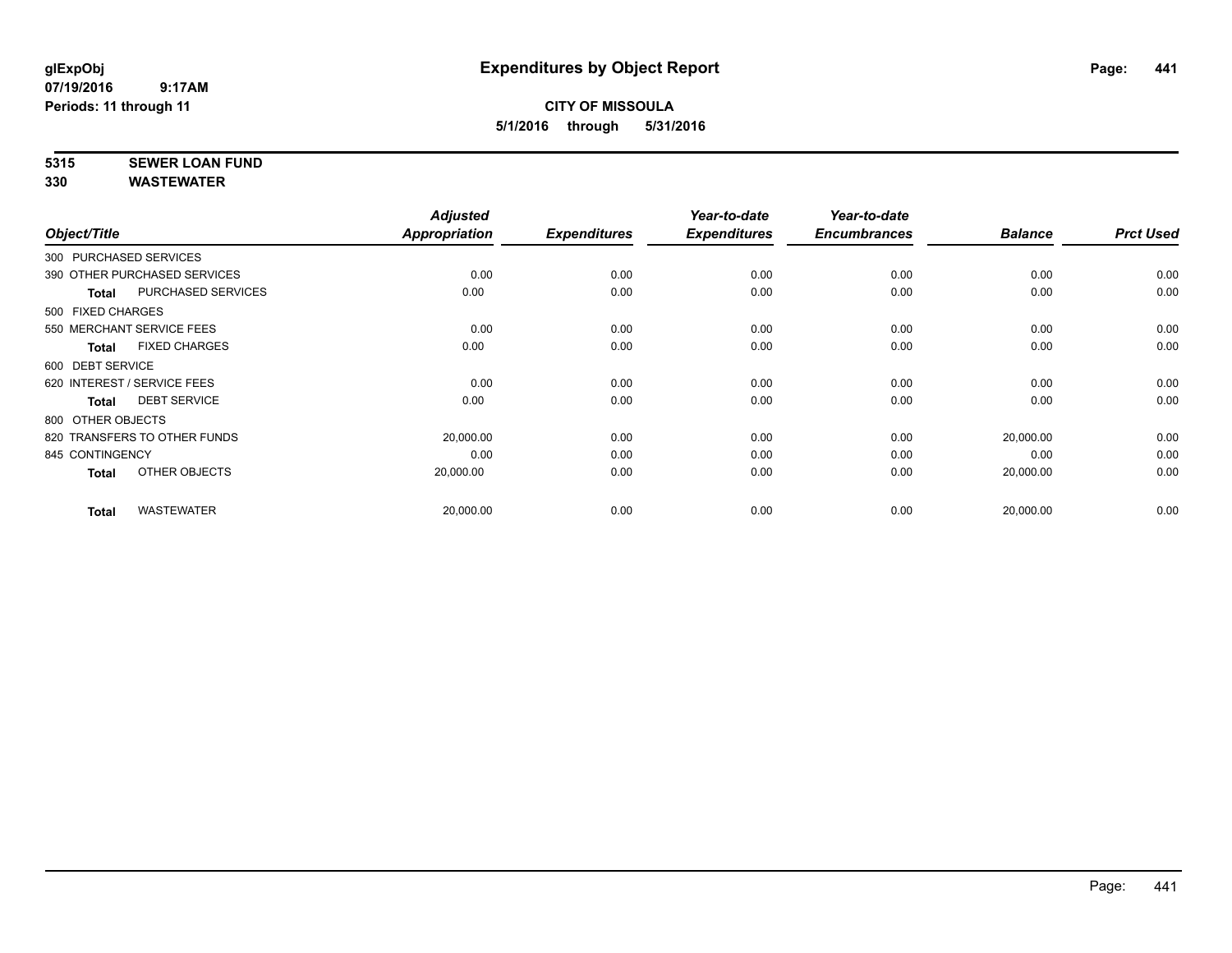# **5315 SEWER LOAN FUND**

| Object/Title                |                              | <b>Adjusted</b><br>Appropriation | <b>Expenditures</b> | Year-to-date<br><b>Expenditures</b> | Year-to-date<br><b>Encumbrances</b> | <b>Balance</b> | <b>Prct Used</b> |
|-----------------------------|------------------------------|----------------------------------|---------------------|-------------------------------------|-------------------------------------|----------------|------------------|
|                             |                              |                                  |                     |                                     |                                     |                |                  |
| 300 PURCHASED SERVICES      |                              |                                  |                     |                                     |                                     |                |                  |
|                             | 390 OTHER PURCHASED SERVICES | 0.00                             | 0.00                | 0.00                                | 0.00                                | 0.00           | 0.00             |
| <b>Total</b>                | <b>PURCHASED SERVICES</b>    | 0.00                             | 0.00                | 0.00                                | 0.00                                | 0.00           | 0.00             |
| 500 FIXED CHARGES           |                              |                                  |                     |                                     |                                     |                |                  |
| 550 MERCHANT SERVICE FEES   |                              | 0.00                             | 0.00                | 0.00                                | 0.00                                | 0.00           | 0.00             |
| Total                       | <b>FIXED CHARGES</b>         | 0.00                             | 0.00                | 0.00                                | 0.00                                | 0.00           | 0.00             |
| 600 DEBT SERVICE            |                              |                                  |                     |                                     |                                     |                |                  |
| 620 INTEREST / SERVICE FEES |                              | 0.00                             | 0.00                | 0.00                                | 0.00                                | 0.00           | 0.00             |
| Total                       | <b>DEBT SERVICE</b>          | 0.00                             | 0.00                | 0.00                                | 0.00                                | 0.00           | 0.00             |
| 800 OTHER OBJECTS           |                              |                                  |                     |                                     |                                     |                |                  |
|                             | 820 TRANSFERS TO OTHER FUNDS | 20,000.00                        | 0.00                | 0.00                                | 0.00                                | 20,000.00      | 0.00             |
| 845 CONTINGENCY             |                              | 0.00                             | 0.00                | 0.00                                | 0.00                                | 0.00           | 0.00             |
| <b>Total</b>                | OTHER OBJECTS                | 20,000.00                        | 0.00                | 0.00                                | 0.00                                | 20,000.00      | 0.00             |
| <b>Total</b>                | <b>WASTEWATER</b>            | 20,000.00                        | 0.00                | 0.00                                | 0.00                                | 20,000.00      | 0.00             |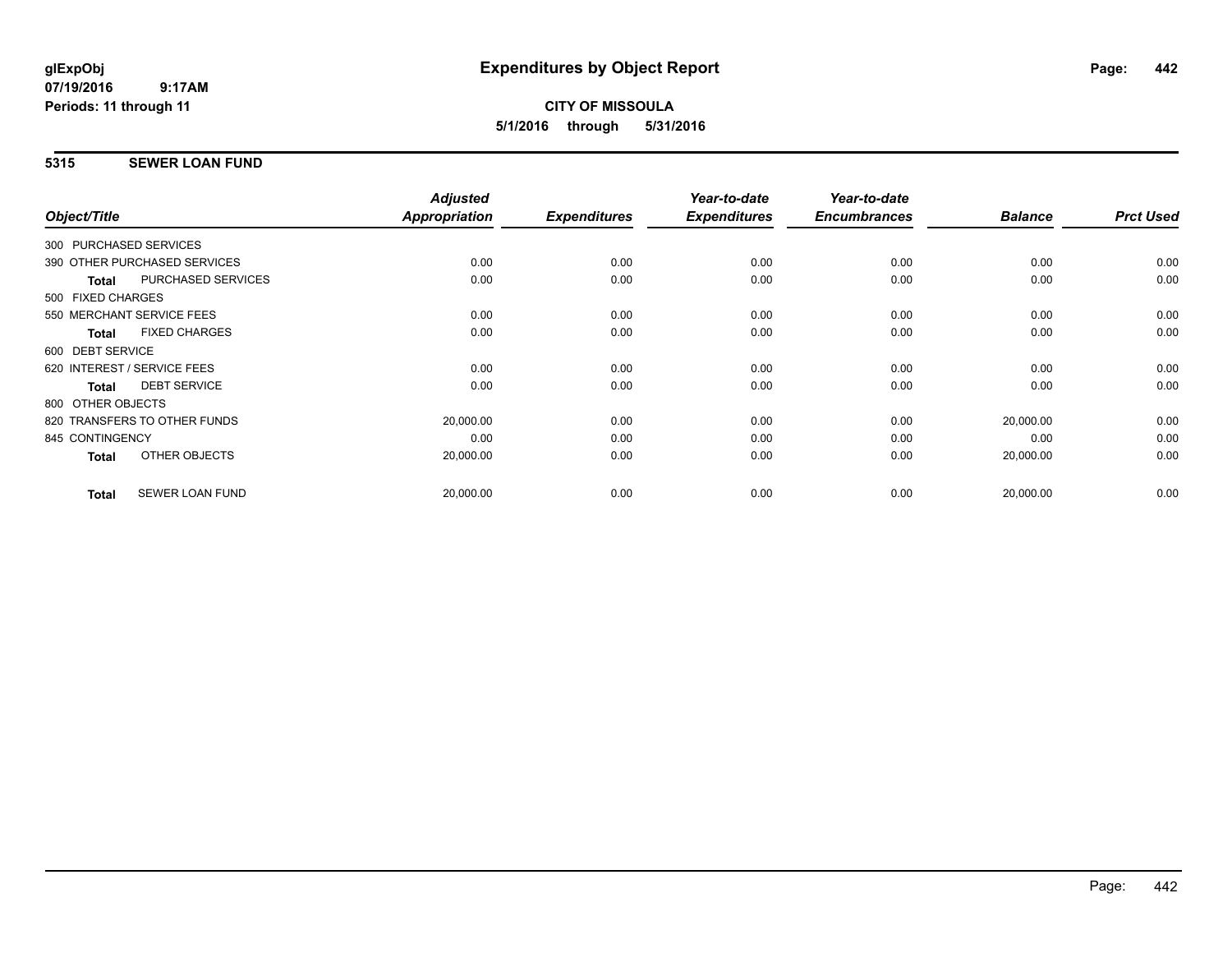### **5315 SEWER LOAN FUND**

| Object/Title           |                              | <b>Adjusted</b><br>Appropriation | <b>Expenditures</b> | Year-to-date<br><b>Expenditures</b> | Year-to-date<br><b>Encumbrances</b> | <b>Balance</b> | <b>Prct Used</b> |
|------------------------|------------------------------|----------------------------------|---------------------|-------------------------------------|-------------------------------------|----------------|------------------|
| 300 PURCHASED SERVICES |                              |                                  |                     |                                     |                                     |                |                  |
|                        | 390 OTHER PURCHASED SERVICES | 0.00                             | 0.00                | 0.00                                | 0.00                                | 0.00           | 0.00             |
| <b>Total</b>           | <b>PURCHASED SERVICES</b>    | 0.00                             | 0.00                | 0.00                                | 0.00                                | 0.00           | 0.00             |
| 500 FIXED CHARGES      |                              |                                  |                     |                                     |                                     |                |                  |
|                        | 550 MERCHANT SERVICE FEES    | 0.00                             | 0.00                | 0.00                                | 0.00                                | 0.00           | 0.00             |
| <b>Total</b>           | <b>FIXED CHARGES</b>         | 0.00                             | 0.00                | 0.00                                | 0.00                                | 0.00           | 0.00             |
| 600 DEBT SERVICE       |                              |                                  |                     |                                     |                                     |                |                  |
|                        | 620 INTEREST / SERVICE FEES  | 0.00                             | 0.00                | 0.00                                | 0.00                                | 0.00           | 0.00             |
| <b>Total</b>           | <b>DEBT SERVICE</b>          | 0.00                             | 0.00                | 0.00                                | 0.00                                | 0.00           | 0.00             |
| 800 OTHER OBJECTS      |                              |                                  |                     |                                     |                                     |                |                  |
|                        | 820 TRANSFERS TO OTHER FUNDS | 20,000.00                        | 0.00                | 0.00                                | 0.00                                | 20,000.00      | 0.00             |
| 845 CONTINGENCY        |                              | 0.00                             | 0.00                | 0.00                                | 0.00                                | 0.00           | 0.00             |
| Total                  | OTHER OBJECTS                | 20,000.00                        | 0.00                | 0.00                                | 0.00                                | 20,000.00      | 0.00             |
| <b>Total</b>           | <b>SEWER LOAN FUND</b>       | 20,000.00                        | 0.00                | 0.00                                | 0.00                                | 20,000.00      | 0.00             |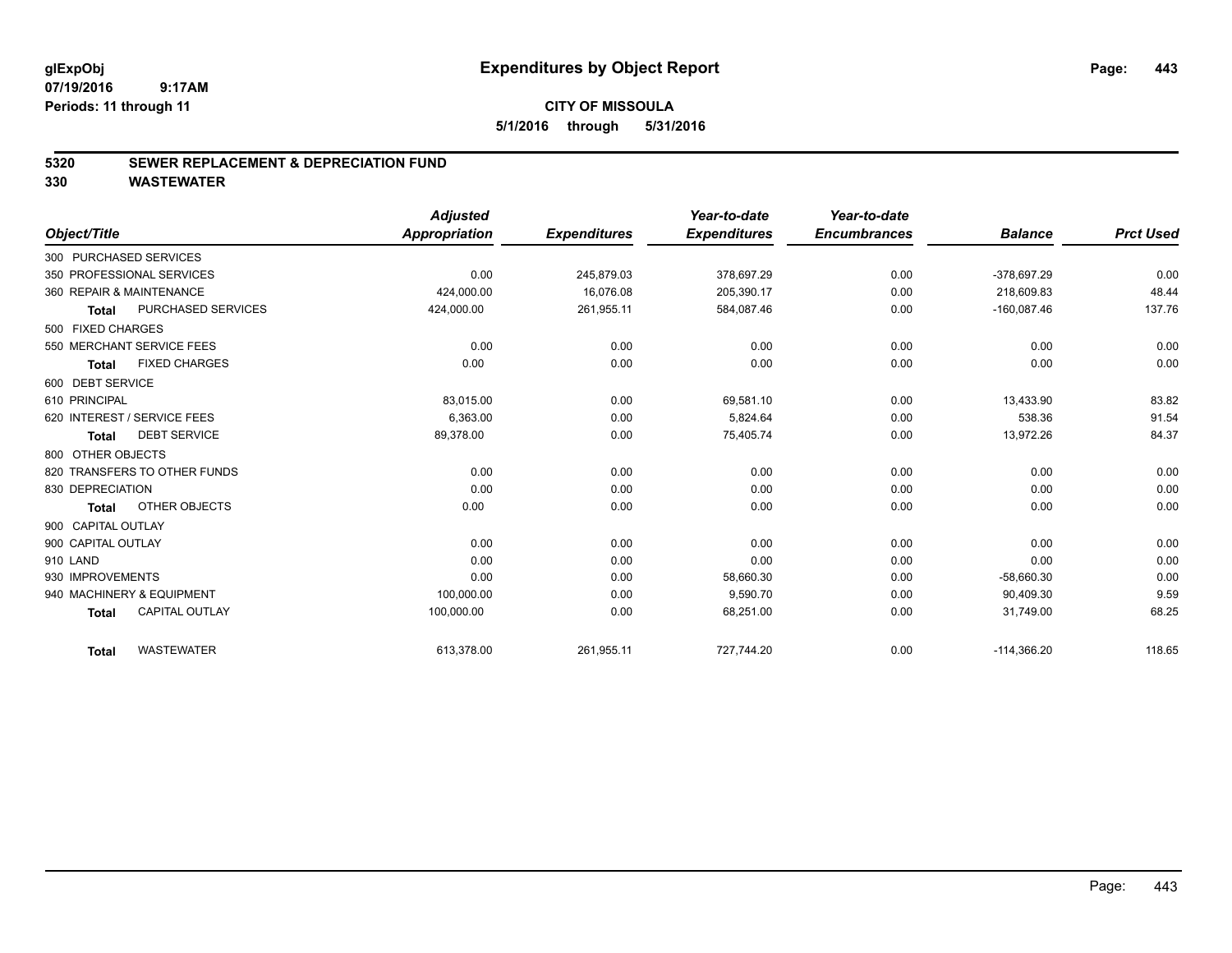### **5320 SEWER REPLACEMENT & DEPRECIATION FUND**

|                              |                       | <b>Adjusted</b>      |                     | Year-to-date        | Year-to-date        |                |                  |
|------------------------------|-----------------------|----------------------|---------------------|---------------------|---------------------|----------------|------------------|
| Object/Title                 |                       | <b>Appropriation</b> | <b>Expenditures</b> | <b>Expenditures</b> | <b>Encumbrances</b> | <b>Balance</b> | <b>Prct Used</b> |
| 300 PURCHASED SERVICES       |                       |                      |                     |                     |                     |                |                  |
| 350 PROFESSIONAL SERVICES    |                       | 0.00                 | 245,879.03          | 378,697.29          | 0.00                | -378,697.29    | 0.00             |
| 360 REPAIR & MAINTENANCE     |                       | 424,000.00           | 16.076.08           | 205.390.17          | 0.00                | 218.609.83     | 48.44            |
| <b>Total</b>                 | PURCHASED SERVICES    | 424,000.00           | 261,955.11          | 584,087.46          | 0.00                | $-160,087.46$  | 137.76           |
| 500 FIXED CHARGES            |                       |                      |                     |                     |                     |                |                  |
| 550 MERCHANT SERVICE FEES    |                       | 0.00                 | 0.00                | 0.00                | 0.00                | 0.00           | 0.00             |
| <b>Total</b>                 | <b>FIXED CHARGES</b>  | 0.00                 | 0.00                | 0.00                | 0.00                | 0.00           | 0.00             |
| 600 DEBT SERVICE             |                       |                      |                     |                     |                     |                |                  |
| 610 PRINCIPAL                |                       | 83,015.00            | 0.00                | 69,581.10           | 0.00                | 13.433.90      | 83.82            |
| 620 INTEREST / SERVICE FEES  |                       | 6,363.00             | 0.00                | 5,824.64            | 0.00                | 538.36         | 91.54            |
| Total                        | <b>DEBT SERVICE</b>   | 89,378.00            | 0.00                | 75,405.74           | 0.00                | 13,972.26      | 84.37            |
| 800 OTHER OBJECTS            |                       |                      |                     |                     |                     |                |                  |
| 820 TRANSFERS TO OTHER FUNDS |                       | 0.00                 | 0.00                | 0.00                | 0.00                | 0.00           | 0.00             |
| 830 DEPRECIATION             |                       | 0.00                 | 0.00                | 0.00                | 0.00                | 0.00           | 0.00             |
| <b>Total</b>                 | OTHER OBJECTS         | 0.00                 | 0.00                | 0.00                | 0.00                | 0.00           | 0.00             |
| 900 CAPITAL OUTLAY           |                       |                      |                     |                     |                     |                |                  |
| 900 CAPITAL OUTLAY           |                       | 0.00                 | 0.00                | 0.00                | 0.00                | 0.00           | 0.00             |
| 910 LAND                     |                       | 0.00                 | 0.00                | 0.00                | 0.00                | 0.00           | 0.00             |
| 930 IMPROVEMENTS             |                       | 0.00                 | 0.00                | 58,660.30           | 0.00                | $-58,660.30$   | 0.00             |
| 940 MACHINERY & EQUIPMENT    |                       | 100,000.00           | 0.00                | 9,590.70            | 0.00                | 90,409.30      | 9.59             |
| <b>Total</b>                 | <b>CAPITAL OUTLAY</b> | 100,000.00           | 0.00                | 68,251.00           | 0.00                | 31,749.00      | 68.25            |
| <b>Total</b>                 | <b>WASTEWATER</b>     | 613,378.00           | 261,955.11          | 727,744.20          | 0.00                | $-114,366.20$  | 118.65           |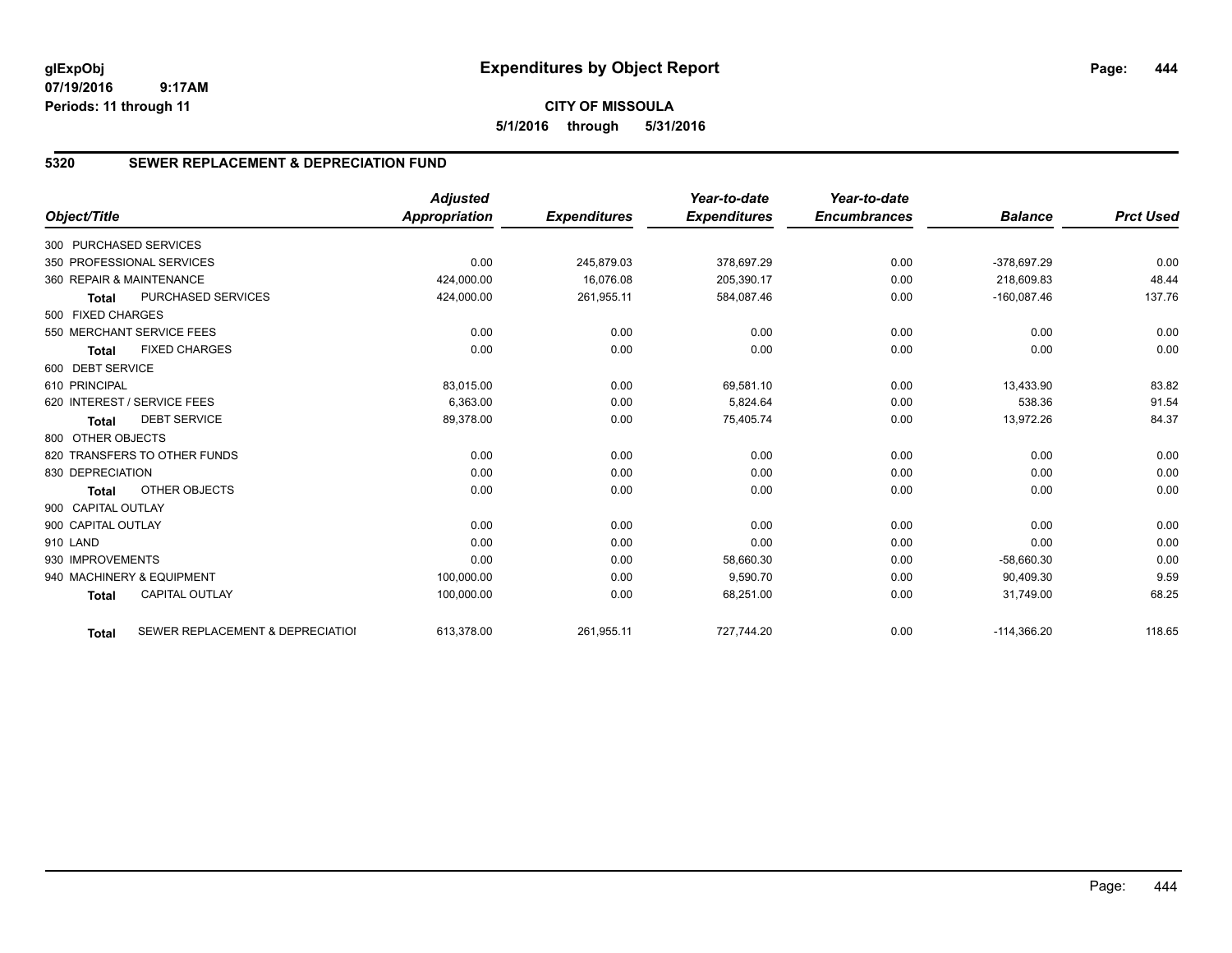# **CITY OF MISSOULA 5/1/2016 through 5/31/2016**

# **5320 SEWER REPLACEMENT & DEPRECIATION FUND**

|                        |                                  | <b>Adjusted</b>      |                     | Year-to-date        | Year-to-date        |                |                  |
|------------------------|----------------------------------|----------------------|---------------------|---------------------|---------------------|----------------|------------------|
| Object/Title           |                                  | <b>Appropriation</b> | <b>Expenditures</b> | <b>Expenditures</b> | <b>Encumbrances</b> | <b>Balance</b> | <b>Prct Used</b> |
| 300 PURCHASED SERVICES |                                  |                      |                     |                     |                     |                |                  |
|                        | 350 PROFESSIONAL SERVICES        | 0.00                 | 245,879.03          | 378,697.29          | 0.00                | $-378,697.29$  | 0.00             |
|                        | 360 REPAIR & MAINTENANCE         | 424,000.00           | 16,076.08           | 205,390.17          | 0.00                | 218.609.83     | 48.44            |
| <b>Total</b>           | <b>PURCHASED SERVICES</b>        | 424,000.00           | 261,955.11          | 584,087.46          | 0.00                | $-160,087.46$  | 137.76           |
| 500 FIXED CHARGES      |                                  |                      |                     |                     |                     |                |                  |
|                        | 550 MERCHANT SERVICE FEES        | 0.00                 | 0.00                | 0.00                | 0.00                | 0.00           | 0.00             |
| <b>Total</b>           | <b>FIXED CHARGES</b>             | 0.00                 | 0.00                | 0.00                | 0.00                | 0.00           | 0.00             |
| 600 DEBT SERVICE       |                                  |                      |                     |                     |                     |                |                  |
| 610 PRINCIPAL          |                                  | 83,015.00            | 0.00                | 69,581.10           | 0.00                | 13,433.90      | 83.82            |
|                        | 620 INTEREST / SERVICE FEES      | 6,363.00             | 0.00                | 5,824.64            | 0.00                | 538.36         | 91.54            |
| <b>Total</b>           | <b>DEBT SERVICE</b>              | 89,378.00            | 0.00                | 75,405.74           | 0.00                | 13,972.26      | 84.37            |
| 800 OTHER OBJECTS      |                                  |                      |                     |                     |                     |                |                  |
|                        | 820 TRANSFERS TO OTHER FUNDS     | 0.00                 | 0.00                | 0.00                | 0.00                | 0.00           | 0.00             |
| 830 DEPRECIATION       |                                  | 0.00                 | 0.00                | 0.00                | 0.00                | 0.00           | 0.00             |
| <b>Total</b>           | OTHER OBJECTS                    | 0.00                 | 0.00                | 0.00                | 0.00                | 0.00           | 0.00             |
| 900 CAPITAL OUTLAY     |                                  |                      |                     |                     |                     |                |                  |
| 900 CAPITAL OUTLAY     |                                  | 0.00                 | 0.00                | 0.00                | 0.00                | 0.00           | 0.00             |
| 910 LAND               |                                  | 0.00                 | 0.00                | 0.00                | 0.00                | 0.00           | 0.00             |
| 930 IMPROVEMENTS       |                                  | 0.00                 | 0.00                | 58,660.30           | 0.00                | $-58,660.30$   | 0.00             |
|                        | 940 MACHINERY & EQUIPMENT        | 100,000.00           | 0.00                | 9,590.70            | 0.00                | 90,409.30      | 9.59             |
| <b>Total</b>           | <b>CAPITAL OUTLAY</b>            | 100,000.00           | 0.00                | 68,251.00           | 0.00                | 31,749.00      | 68.25            |
| <b>Total</b>           | SEWER REPLACEMENT & DEPRECIATION | 613,378.00           | 261,955.11          | 727,744.20          | 0.00                | $-114,366.20$  | 118.65           |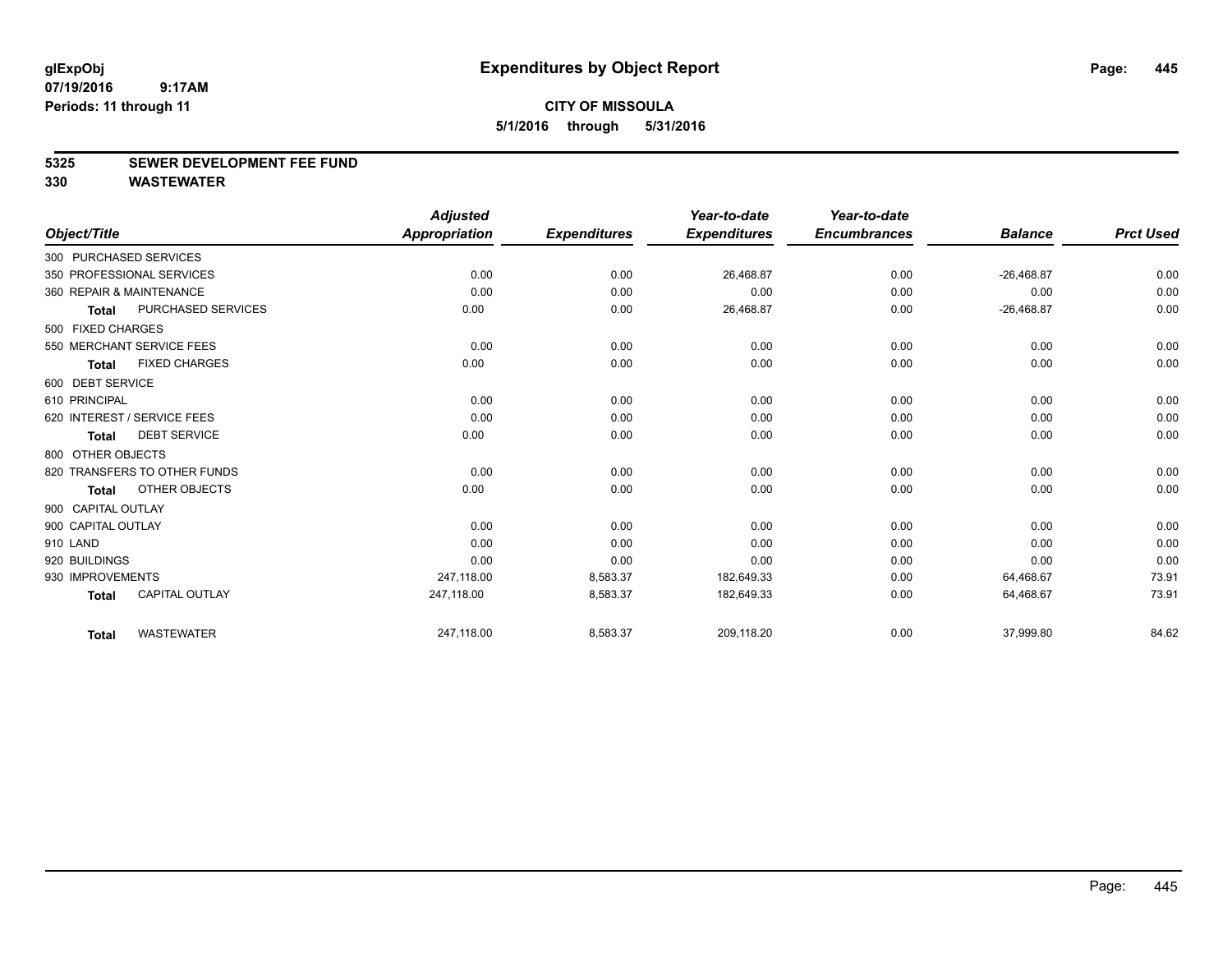#### **5325 SEWER DEVELOPMENT FEE FUND**

|                    |                              | <b>Adjusted</b>      |                     | Year-to-date        | Year-to-date        |                |                  |
|--------------------|------------------------------|----------------------|---------------------|---------------------|---------------------|----------------|------------------|
| Object/Title       |                              | <b>Appropriation</b> | <b>Expenditures</b> | <b>Expenditures</b> | <b>Encumbrances</b> | <b>Balance</b> | <b>Prct Used</b> |
|                    | 300 PURCHASED SERVICES       |                      |                     |                     |                     |                |                  |
|                    | 350 PROFESSIONAL SERVICES    | 0.00                 | 0.00                | 26,468.87           | 0.00                | $-26,468.87$   | 0.00             |
|                    | 360 REPAIR & MAINTENANCE     | 0.00                 | 0.00                | 0.00                | 0.00                | 0.00           | 0.00             |
| Total              | PURCHASED SERVICES           | 0.00                 | 0.00                | 26,468.87           | 0.00                | $-26,468.87$   | 0.00             |
| 500 FIXED CHARGES  |                              |                      |                     |                     |                     |                |                  |
|                    | 550 MERCHANT SERVICE FEES    | 0.00                 | 0.00                | 0.00                | 0.00                | 0.00           | 0.00             |
| <b>Total</b>       | <b>FIXED CHARGES</b>         | 0.00                 | 0.00                | 0.00                | 0.00                | 0.00           | 0.00             |
| 600 DEBT SERVICE   |                              |                      |                     |                     |                     |                |                  |
| 610 PRINCIPAL      |                              | 0.00                 | 0.00                | 0.00                | 0.00                | 0.00           | 0.00             |
|                    | 620 INTEREST / SERVICE FEES  | 0.00                 | 0.00                | 0.00                | 0.00                | 0.00           | 0.00             |
| <b>Total</b>       | <b>DEBT SERVICE</b>          | 0.00                 | 0.00                | 0.00                | 0.00                | 0.00           | 0.00             |
| 800 OTHER OBJECTS  |                              |                      |                     |                     |                     |                |                  |
|                    | 820 TRANSFERS TO OTHER FUNDS | 0.00                 | 0.00                | 0.00                | 0.00                | 0.00           | 0.00             |
| Total              | OTHER OBJECTS                | 0.00                 | 0.00                | 0.00                | 0.00                | 0.00           | 0.00             |
| 900 CAPITAL OUTLAY |                              |                      |                     |                     |                     |                |                  |
| 900 CAPITAL OUTLAY |                              | 0.00                 | 0.00                | 0.00                | 0.00                | 0.00           | 0.00             |
| 910 LAND           |                              | 0.00                 | 0.00                | 0.00                | 0.00                | 0.00           | 0.00             |
| 920 BUILDINGS      |                              | 0.00                 | 0.00                | 0.00                | 0.00                | 0.00           | 0.00             |
| 930 IMPROVEMENTS   |                              | 247,118.00           | 8,583.37            | 182,649.33          | 0.00                | 64,468.67      | 73.91            |
| <b>Total</b>       | <b>CAPITAL OUTLAY</b>        | 247,118.00           | 8,583.37            | 182,649.33          | 0.00                | 64,468.67      | 73.91            |
| <b>Total</b>       | <b>WASTEWATER</b>            | 247,118.00           | 8,583.37            | 209,118.20          | 0.00                | 37,999.80      | 84.62            |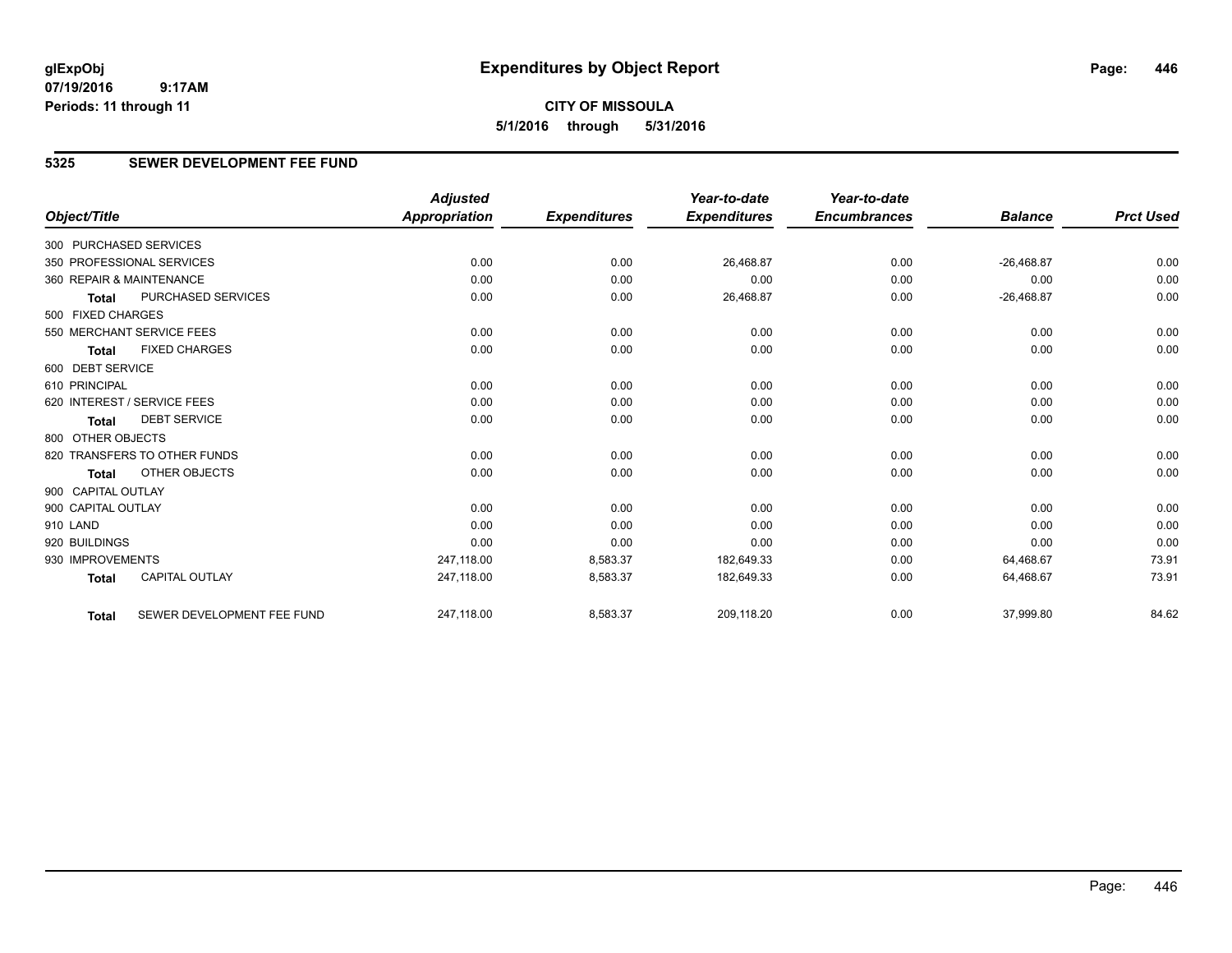# **CITY OF MISSOULA 5/1/2016 through 5/31/2016**

### **5325 SEWER DEVELOPMENT FEE FUND**

|                        |                              | <b>Adjusted</b>      |                     | Year-to-date        | Year-to-date        |                |                  |
|------------------------|------------------------------|----------------------|---------------------|---------------------|---------------------|----------------|------------------|
| Object/Title           |                              | <b>Appropriation</b> | <b>Expenditures</b> | <b>Expenditures</b> | <b>Encumbrances</b> | <b>Balance</b> | <b>Prct Used</b> |
| 300 PURCHASED SERVICES |                              |                      |                     |                     |                     |                |                  |
|                        | 350 PROFESSIONAL SERVICES    | 0.00                 | 0.00                | 26,468.87           | 0.00                | $-26,468.87$   | 0.00             |
|                        | 360 REPAIR & MAINTENANCE     | 0.00                 | 0.00                | 0.00                | 0.00                | 0.00           | 0.00             |
| <b>Total</b>           | <b>PURCHASED SERVICES</b>    | 0.00                 | 0.00                | 26,468.87           | 0.00                | $-26,468.87$   | 0.00             |
| 500 FIXED CHARGES      |                              |                      |                     |                     |                     |                |                  |
|                        | 550 MERCHANT SERVICE FEES    | 0.00                 | 0.00                | 0.00                | 0.00                | 0.00           | 0.00             |
| <b>Total</b>           | <b>FIXED CHARGES</b>         | 0.00                 | 0.00                | 0.00                | 0.00                | 0.00           | 0.00             |
| 600 DEBT SERVICE       |                              |                      |                     |                     |                     |                |                  |
| 610 PRINCIPAL          |                              | 0.00                 | 0.00                | 0.00                | 0.00                | 0.00           | 0.00             |
|                        | 620 INTEREST / SERVICE FEES  | 0.00                 | 0.00                | 0.00                | 0.00                | 0.00           | 0.00             |
| <b>Total</b>           | <b>DEBT SERVICE</b>          | 0.00                 | 0.00                | 0.00                | 0.00                | 0.00           | 0.00             |
| 800 OTHER OBJECTS      |                              |                      |                     |                     |                     |                |                  |
|                        | 820 TRANSFERS TO OTHER FUNDS | 0.00                 | 0.00                | 0.00                | 0.00                | 0.00           | 0.00             |
| <b>Total</b>           | OTHER OBJECTS                | 0.00                 | 0.00                | 0.00                | 0.00                | 0.00           | 0.00             |
| 900 CAPITAL OUTLAY     |                              |                      |                     |                     |                     |                |                  |
| 900 CAPITAL OUTLAY     |                              | 0.00                 | 0.00                | 0.00                | 0.00                | 0.00           | 0.00             |
| 910 LAND               |                              | 0.00                 | 0.00                | 0.00                | 0.00                | 0.00           | 0.00             |
| 920 BUILDINGS          |                              | 0.00                 | 0.00                | 0.00                | 0.00                | 0.00           | 0.00             |
| 930 IMPROVEMENTS       |                              | 247.118.00           | 8,583.37            | 182,649.33          | 0.00                | 64,468.67      | 73.91            |
| <b>Total</b>           | <b>CAPITAL OUTLAY</b>        | 247,118.00           | 8,583.37            | 182,649.33          | 0.00                | 64,468.67      | 73.91            |
| Total                  | SEWER DEVELOPMENT FEE FUND   | 247,118.00           | 8,583.37            | 209,118.20          | 0.00                | 37,999.80      | 84.62            |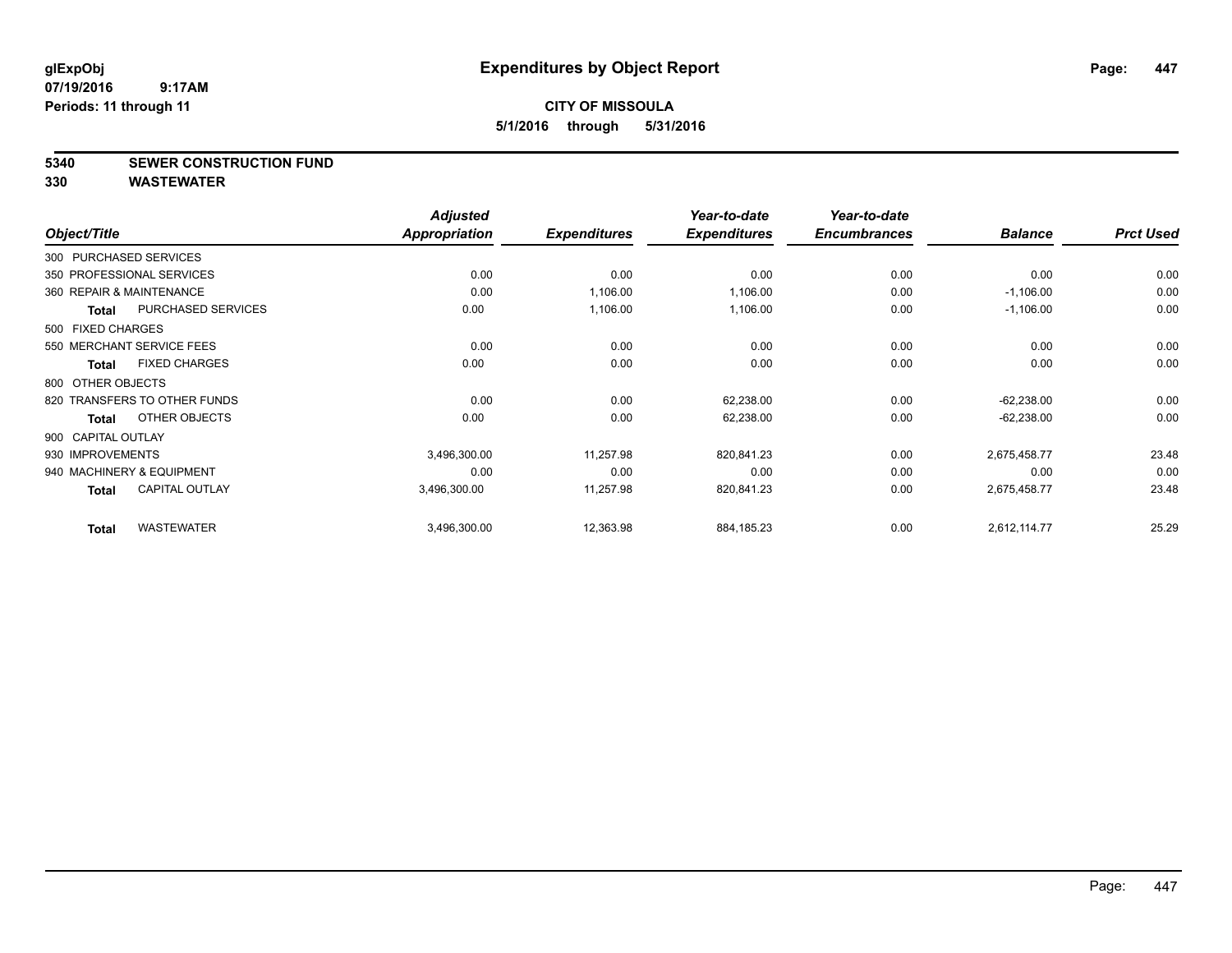**5340 SEWER CONSTRUCTION FUND**

|                    |                              | <b>Adjusted</b>      |                     | Year-to-date        | Year-to-date        |                |                  |
|--------------------|------------------------------|----------------------|---------------------|---------------------|---------------------|----------------|------------------|
| Object/Title       |                              | <b>Appropriation</b> | <b>Expenditures</b> | <b>Expenditures</b> | <b>Encumbrances</b> | <b>Balance</b> | <b>Prct Used</b> |
|                    | 300 PURCHASED SERVICES       |                      |                     |                     |                     |                |                  |
|                    | 350 PROFESSIONAL SERVICES    | 0.00                 | 0.00                | 0.00                | 0.00                | 0.00           | 0.00             |
|                    | 360 REPAIR & MAINTENANCE     | 0.00                 | 1,106.00            | 1,106.00            | 0.00                | $-1,106.00$    | 0.00             |
| Total              | <b>PURCHASED SERVICES</b>    | 0.00                 | 1,106.00            | 1,106.00            | 0.00                | $-1,106.00$    | 0.00             |
| 500 FIXED CHARGES  |                              |                      |                     |                     |                     |                |                  |
|                    | 550 MERCHANT SERVICE FEES    | 0.00                 | 0.00                | 0.00                | 0.00                | 0.00           | 0.00             |
| Total              | <b>FIXED CHARGES</b>         | 0.00                 | 0.00                | 0.00                | 0.00                | 0.00           | 0.00             |
| 800 OTHER OBJECTS  |                              |                      |                     |                     |                     |                |                  |
|                    | 820 TRANSFERS TO OTHER FUNDS | 0.00                 | 0.00                | 62,238.00           | 0.00                | $-62,238.00$   | 0.00             |
| Total              | OTHER OBJECTS                | 0.00                 | 0.00                | 62,238.00           | 0.00                | $-62,238.00$   | 0.00             |
| 900 CAPITAL OUTLAY |                              |                      |                     |                     |                     |                |                  |
| 930 IMPROVEMENTS   |                              | 3,496,300.00         | 11,257.98           | 820,841.23          | 0.00                | 2,675,458.77   | 23.48            |
|                    | 940 MACHINERY & EQUIPMENT    | 0.00                 | 0.00                | 0.00                | 0.00                | 0.00           | 0.00             |
| Total              | <b>CAPITAL OUTLAY</b>        | 3,496,300.00         | 11,257.98           | 820,841.23          | 0.00                | 2,675,458.77   | 23.48            |
| <b>Total</b>       | <b>WASTEWATER</b>            | 3,496,300.00         | 12,363.98           | 884,185.23          | 0.00                | 2,612,114.77   | 25.29            |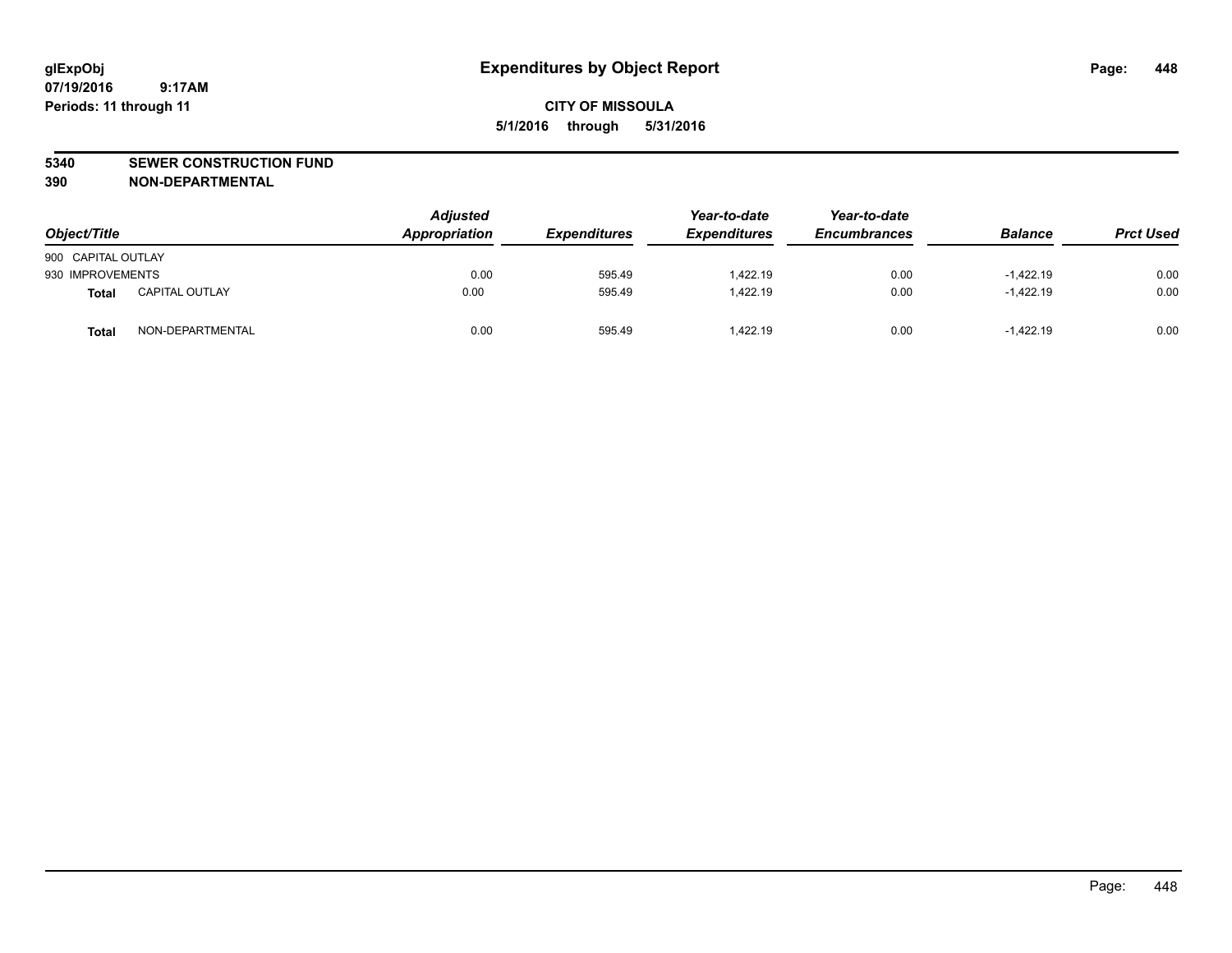#### **5340 SEWER CONSTRUCTION FUND**

**390 NON-DEPARTMENTAL**

| Object/Title       |                       | <b>Adjusted</b><br>Appropriation | <b>Expenditures</b> | Year-to-date<br><b>Expenditures</b> | Year-to-date<br><b>Encumbrances</b> | <b>Balance</b> | <b>Prct Used</b> |
|--------------------|-----------------------|----------------------------------|---------------------|-------------------------------------|-------------------------------------|----------------|------------------|
| 900 CAPITAL OUTLAY |                       |                                  |                     |                                     |                                     |                |                  |
| 930 IMPROVEMENTS   |                       | 0.00                             | 595.49              | 1,422.19                            | 0.00                                | $-1,422.19$    | 0.00             |
| <b>Total</b>       | <b>CAPITAL OUTLAY</b> | 0.00                             | 595.49              | 1.422.19                            | 0.00                                | $-1.422.19$    | 0.00             |
| Total              | NON-DEPARTMENTAL      | 0.00                             | 595.49              | 1.422.19                            | 0.00                                | $-1.422.19$    | 0.00             |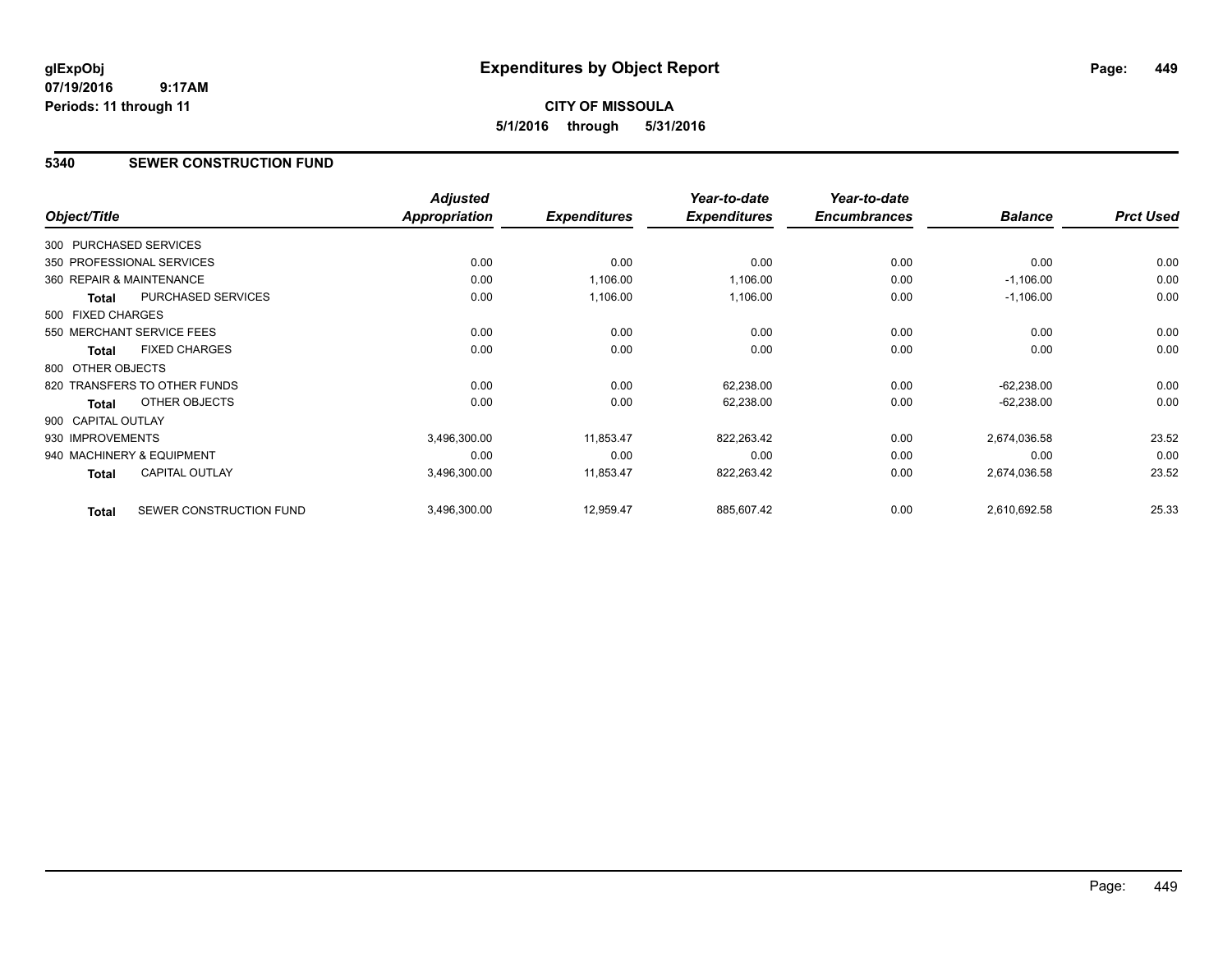**CITY OF MISSOULA 5/1/2016 through 5/31/2016**

### **5340 SEWER CONSTRUCTION FUND**

|                        |                              | <b>Adjusted</b>      |                     | Year-to-date        | Year-to-date        |                |                  |
|------------------------|------------------------------|----------------------|---------------------|---------------------|---------------------|----------------|------------------|
| Object/Title           |                              | <b>Appropriation</b> | <b>Expenditures</b> | <b>Expenditures</b> | <b>Encumbrances</b> | <b>Balance</b> | <b>Prct Used</b> |
| 300 PURCHASED SERVICES |                              |                      |                     |                     |                     |                |                  |
|                        | 350 PROFESSIONAL SERVICES    | 0.00                 | 0.00                | 0.00                | 0.00                | 0.00           | 0.00             |
|                        | 360 REPAIR & MAINTENANCE     | 0.00                 | 1,106.00            | 1,106.00            | 0.00                | $-1,106.00$    | 0.00             |
| <b>Total</b>           | <b>PURCHASED SERVICES</b>    | 0.00                 | 1,106.00            | 1,106.00            | 0.00                | $-1,106.00$    | 0.00             |
| 500 FIXED CHARGES      |                              |                      |                     |                     |                     |                |                  |
|                        | 550 MERCHANT SERVICE FEES    | 0.00                 | 0.00                | 0.00                | 0.00                | 0.00           | 0.00             |
| <b>Total</b>           | <b>FIXED CHARGES</b>         | 0.00                 | 0.00                | 0.00                | 0.00                | 0.00           | 0.00             |
| 800 OTHER OBJECTS      |                              |                      |                     |                     |                     |                |                  |
|                        | 820 TRANSFERS TO OTHER FUNDS | 0.00                 | 0.00                | 62,238.00           | 0.00                | $-62,238.00$   | 0.00             |
| Total                  | OTHER OBJECTS                | 0.00                 | 0.00                | 62,238.00           | 0.00                | $-62,238.00$   | 0.00             |
| 900 CAPITAL OUTLAY     |                              |                      |                     |                     |                     |                |                  |
| 930 IMPROVEMENTS       |                              | 3,496,300.00         | 11,853.47           | 822,263.42          | 0.00                | 2,674,036.58   | 23.52            |
|                        | 940 MACHINERY & EQUIPMENT    | 0.00                 | 0.00                | 0.00                | 0.00                | 0.00           | 0.00             |
| <b>Total</b>           | <b>CAPITAL OUTLAY</b>        | 3,496,300.00         | 11,853.47           | 822,263.42          | 0.00                | 2,674,036.58   | 23.52            |
| <b>Total</b>           | SEWER CONSTRUCTION FUND      | 3,496,300.00         | 12,959.47           | 885,607.42          | 0.00                | 2,610,692.58   | 25.33            |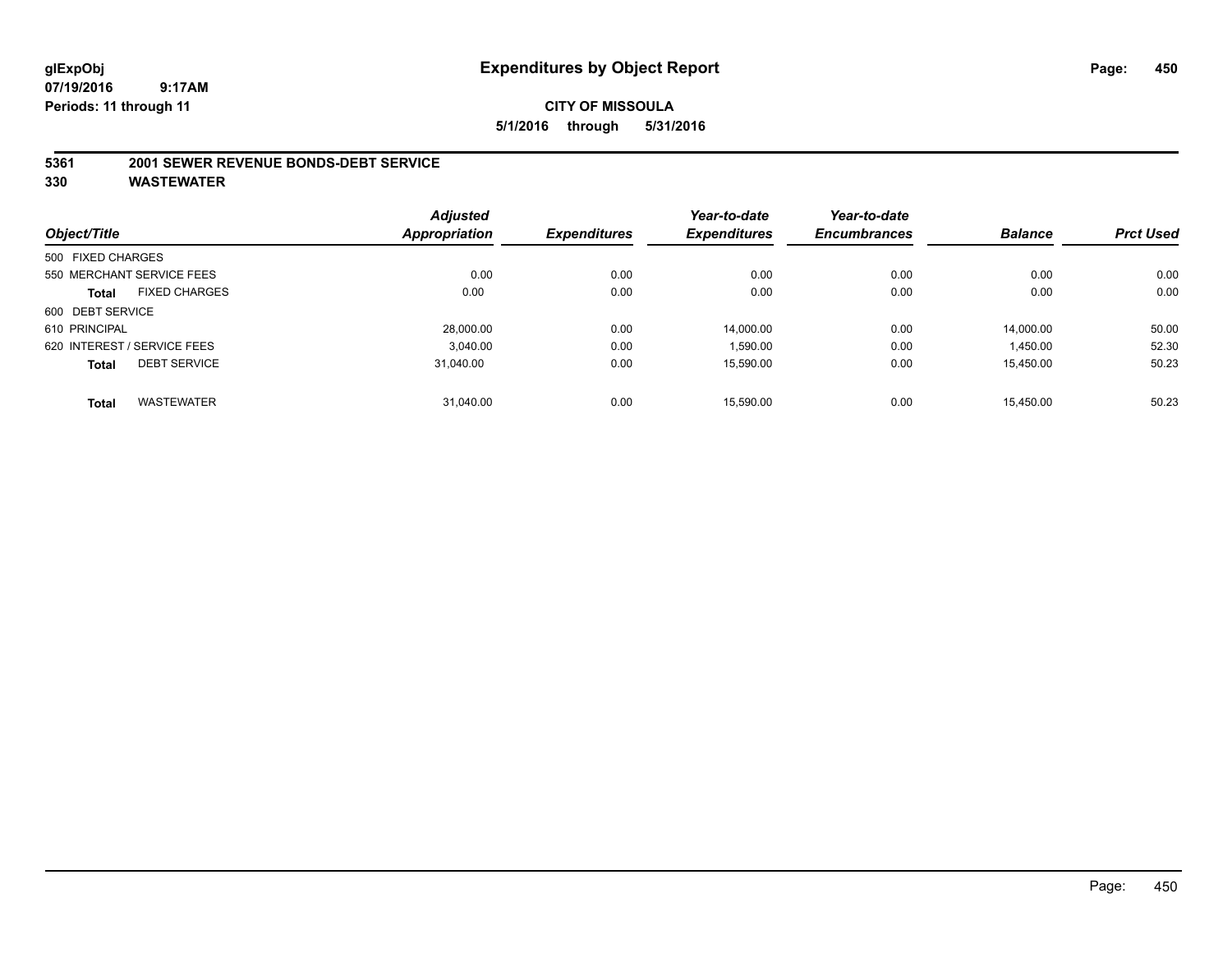### **CITY OF MISSOULA 5/1/2016 through 5/31/2016**

#### **5361 2001 SEWER REVENUE BONDS-DEBT SERVICE**

|                   |                             | <b>Adjusted</b> |                     | Year-to-date        | Year-to-date        |                |                  |
|-------------------|-----------------------------|-----------------|---------------------|---------------------|---------------------|----------------|------------------|
| Object/Title      |                             | Appropriation   | <b>Expenditures</b> | <b>Expenditures</b> | <b>Encumbrances</b> | <b>Balance</b> | <b>Prct Used</b> |
| 500 FIXED CHARGES |                             |                 |                     |                     |                     |                |                  |
|                   | 550 MERCHANT SERVICE FEES   | 0.00            | 0.00                | 0.00                | 0.00                | 0.00           | 0.00             |
| <b>Total</b>      | <b>FIXED CHARGES</b>        | 0.00            | 0.00                | 0.00                | 0.00                | 0.00           | 0.00             |
| 600 DEBT SERVICE  |                             |                 |                     |                     |                     |                |                  |
| 610 PRINCIPAL     |                             | 28,000.00       | 0.00                | 14,000.00           | 0.00                | 14,000.00      | 50.00            |
|                   | 620 INTEREST / SERVICE FEES | 3.040.00        | 0.00                | 1,590.00            | 0.00                | 1,450.00       | 52.30            |
| <b>Total</b>      | <b>DEBT SERVICE</b>         | 31.040.00       | 0.00                | 15,590.00           | 0.00                | 15,450.00      | 50.23            |
| <b>Total</b>      | <b>WASTEWATER</b>           | 31.040.00       | 0.00                | 15.590.00           | 0.00                | 15.450.00      | 50.23            |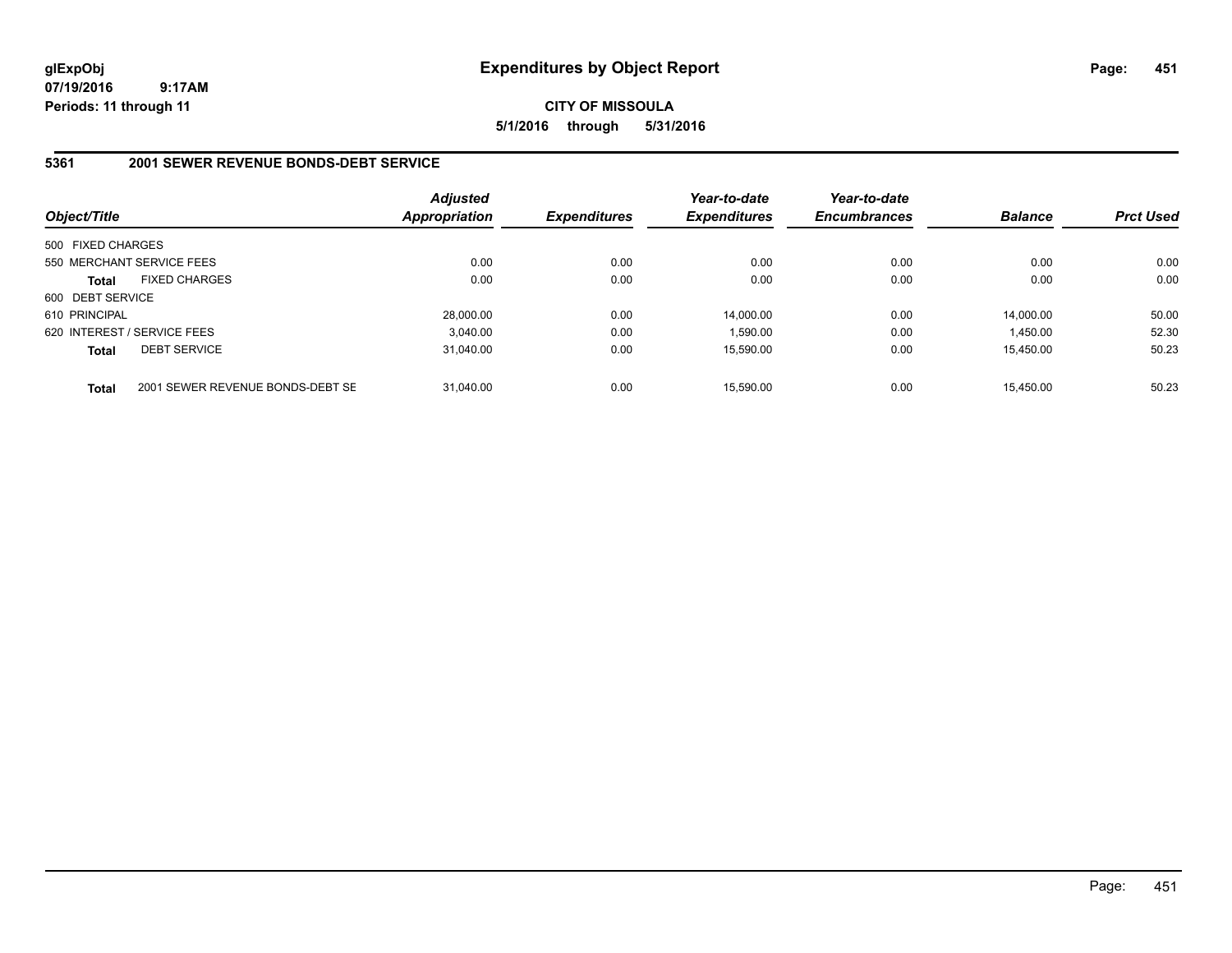# **CITY OF MISSOULA 5/1/2016 through 5/31/2016**

### **5361 2001 SEWER REVENUE BONDS-DEBT SERVICE**

| Object/Title      |                                  | <b>Adjusted</b><br><b>Appropriation</b> | <b>Expenditures</b> | Year-to-date<br><b>Expenditures</b> | Year-to-date<br><b>Encumbrances</b> | <b>Balance</b> | <b>Prct Used</b> |
|-------------------|----------------------------------|-----------------------------------------|---------------------|-------------------------------------|-------------------------------------|----------------|------------------|
| 500 FIXED CHARGES |                                  |                                         |                     |                                     |                                     |                |                  |
|                   | 550 MERCHANT SERVICE FEES        | 0.00                                    | 0.00                | 0.00                                | 0.00                                | 0.00           | 0.00             |
| <b>Total</b>      | <b>FIXED CHARGES</b>             | 0.00                                    | 0.00                | 0.00                                | 0.00                                | 0.00           | 0.00             |
| 600 DEBT SERVICE  |                                  |                                         |                     |                                     |                                     |                |                  |
| 610 PRINCIPAL     |                                  | 28,000.00                               | 0.00                | 14.000.00                           | 0.00                                | 14.000.00      | 50.00            |
|                   | 620 INTEREST / SERVICE FEES      | 3.040.00                                | 0.00                | 1.590.00                            | 0.00                                | 1.450.00       | 52.30            |
| <b>Total</b>      | <b>DEBT SERVICE</b>              | 31.040.00                               | 0.00                | 15.590.00                           | 0.00                                | 15.450.00      | 50.23            |
| <b>Total</b>      | 2001 SEWER REVENUE BONDS-DEBT SE | 31.040.00                               | 0.00                | 15.590.00                           | 0.00                                | 15.450.00      | 50.23            |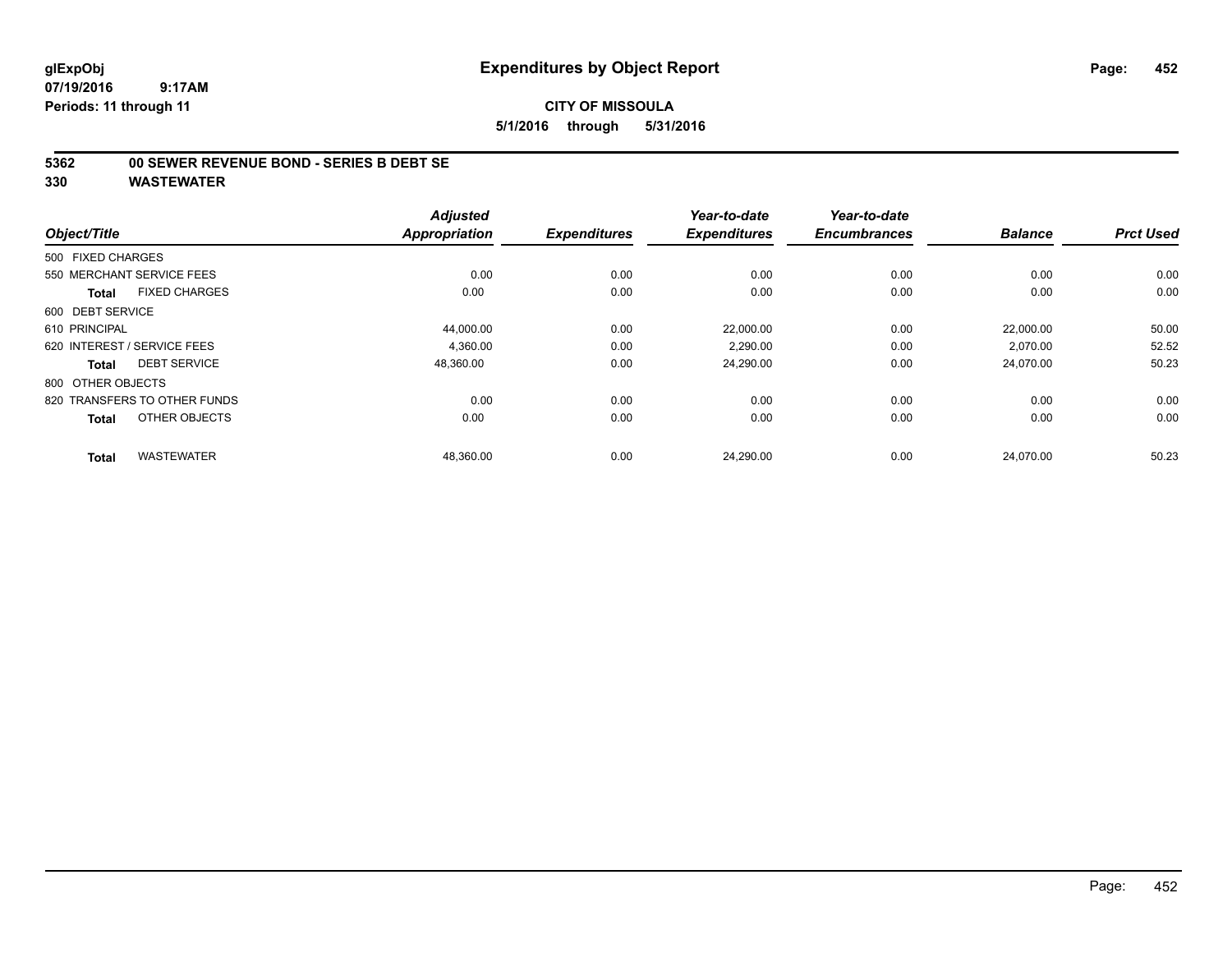### **5362 00 SEWER REVENUE BOND - SERIES B DEBT SE**

|                              |                      | <b>Adjusted</b>      |                     | Year-to-date        | Year-to-date        |                |                  |
|------------------------------|----------------------|----------------------|---------------------|---------------------|---------------------|----------------|------------------|
| Object/Title                 |                      | <b>Appropriation</b> | <b>Expenditures</b> | <b>Expenditures</b> | <b>Encumbrances</b> | <b>Balance</b> | <b>Prct Used</b> |
| 500 FIXED CHARGES            |                      |                      |                     |                     |                     |                |                  |
| 550 MERCHANT SERVICE FEES    |                      | 0.00                 | 0.00                | 0.00                | 0.00                | 0.00           | 0.00             |
| Total                        | <b>FIXED CHARGES</b> | 0.00                 | 0.00                | 0.00                | 0.00                | 0.00           | 0.00             |
| 600 DEBT SERVICE             |                      |                      |                     |                     |                     |                |                  |
| 610 PRINCIPAL                |                      | 44,000.00            | 0.00                | 22,000.00           | 0.00                | 22,000.00      | 50.00            |
| 620 INTEREST / SERVICE FEES  |                      | 4.360.00             | 0.00                | 2.290.00            | 0.00                | 2,070.00       | 52.52            |
| Total                        | <b>DEBT SERVICE</b>  | 48,360.00            | 0.00                | 24,290.00           | 0.00                | 24,070.00      | 50.23            |
| 800 OTHER OBJECTS            |                      |                      |                     |                     |                     |                |                  |
| 820 TRANSFERS TO OTHER FUNDS |                      | 0.00                 | 0.00                | 0.00                | 0.00                | 0.00           | 0.00             |
| <b>Total</b>                 | OTHER OBJECTS        | 0.00                 | 0.00                | 0.00                | 0.00                | 0.00           | 0.00             |
| <b>Total</b>                 | <b>WASTEWATER</b>    | 48,360.00            | 0.00                | 24.290.00           | 0.00                | 24.070.00      | 50.23            |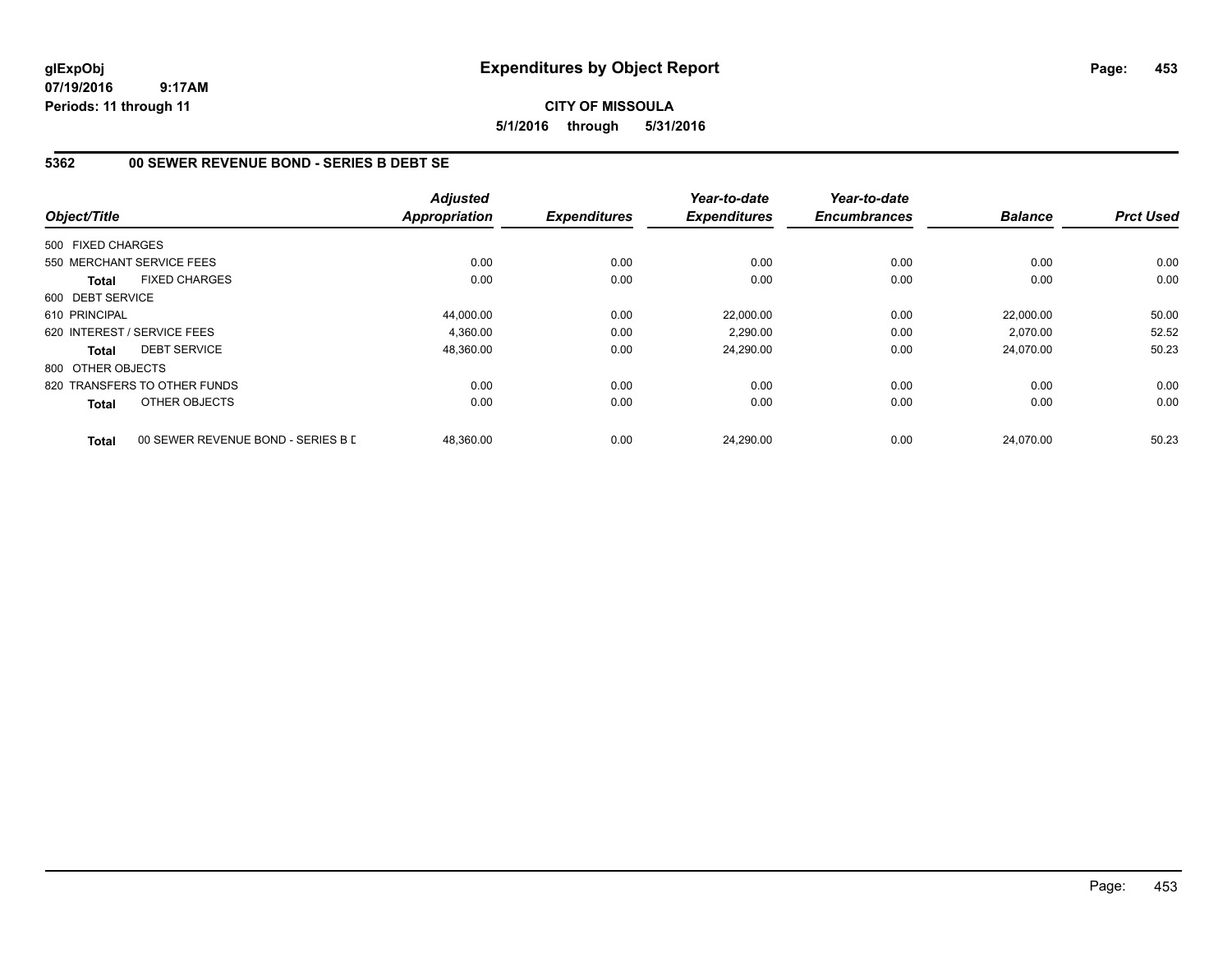# **CITY OF MISSOULA 5/1/2016 through 5/31/2016**

# **5362 00 SEWER REVENUE BOND - SERIES B DEBT SE**

|                   |                                    | <b>Adjusted</b> |                     | Year-to-date        | Year-to-date        |                |                  |
|-------------------|------------------------------------|-----------------|---------------------|---------------------|---------------------|----------------|------------------|
| Object/Title      |                                    | Appropriation   | <b>Expenditures</b> | <b>Expenditures</b> | <b>Encumbrances</b> | <b>Balance</b> | <b>Prct Used</b> |
| 500 FIXED CHARGES |                                    |                 |                     |                     |                     |                |                  |
|                   | 550 MERCHANT SERVICE FEES          | 0.00            | 0.00                | 0.00                | 0.00                | 0.00           | 0.00             |
| <b>Total</b>      | <b>FIXED CHARGES</b>               | 0.00            | 0.00                | 0.00                | 0.00                | 0.00           | 0.00             |
| 600 DEBT SERVICE  |                                    |                 |                     |                     |                     |                |                  |
| 610 PRINCIPAL     |                                    | 44,000.00       | 0.00                | 22.000.00           | 0.00                | 22,000.00      | 50.00            |
|                   | 620 INTEREST / SERVICE FEES        | 4.360.00        | 0.00                | 2,290.00            | 0.00                | 2.070.00       | 52.52            |
| <b>Total</b>      | <b>DEBT SERVICE</b>                | 48,360.00       | 0.00                | 24,290.00           | 0.00                | 24,070.00      | 50.23            |
| 800 OTHER OBJECTS |                                    |                 |                     |                     |                     |                |                  |
|                   | 820 TRANSFERS TO OTHER FUNDS       | 0.00            | 0.00                | 0.00                | 0.00                | 0.00           | 0.00             |
| Total             | OTHER OBJECTS                      | 0.00            | 0.00                | 0.00                | 0.00                | 0.00           | 0.00             |
| <b>Total</b>      | 00 SEWER REVENUE BOND - SERIES B L | 48.360.00       | 0.00                | 24,290.00           | 0.00                | 24.070.00      | 50.23            |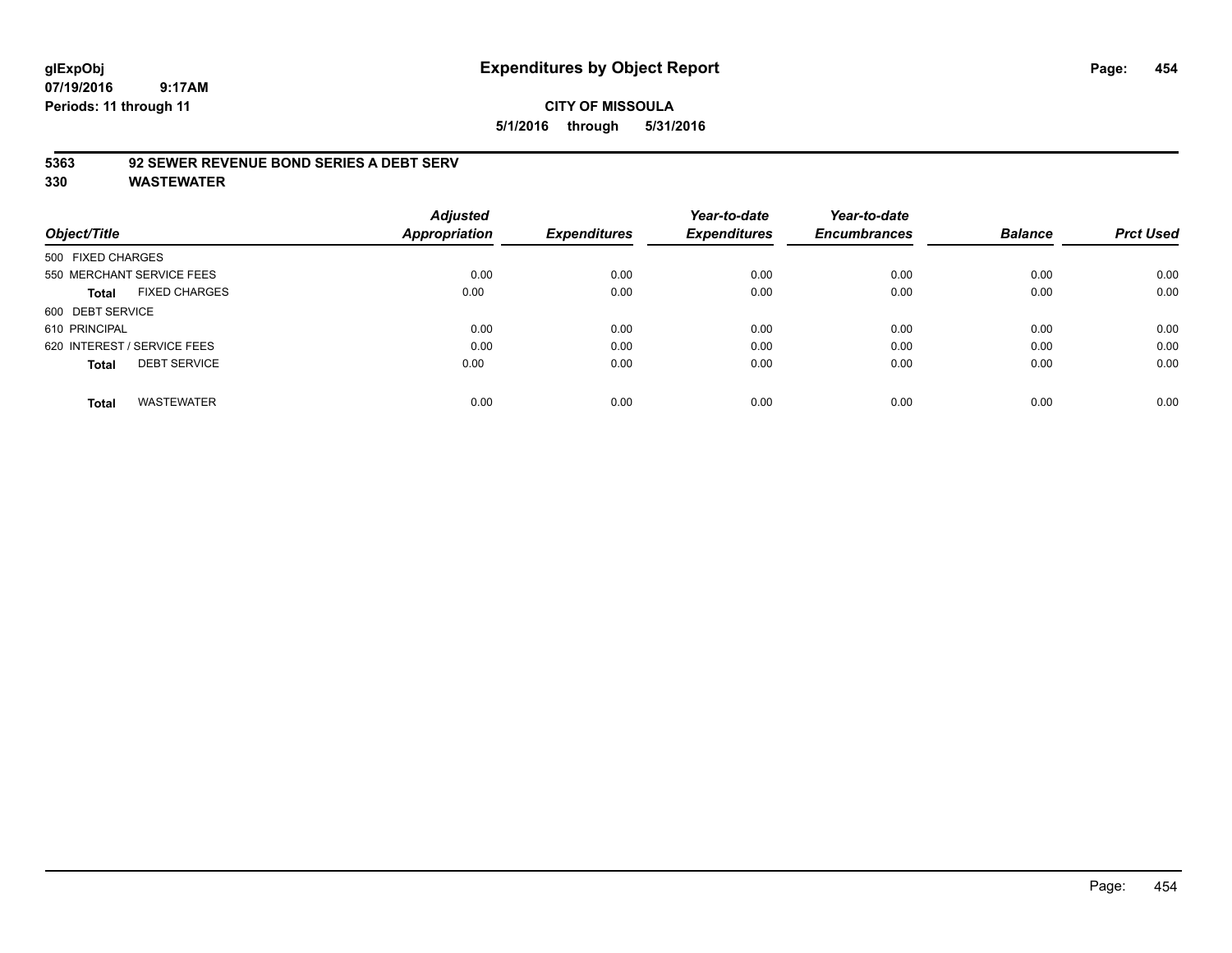# **glExpObj Expenditures by Object Report Page: 454**

**07/19/2016 9:17AM Periods: 11 through 11**

### **5363 92 SEWER REVENUE BOND SERIES A DEBT SERV**

| Object/Title                        | <b>Adjusted</b><br><b>Appropriation</b> | <b>Expenditures</b> | Year-to-date<br><b>Expenditures</b> | Year-to-date<br><b>Encumbrances</b> | <b>Balance</b> | <b>Prct Used</b> |
|-------------------------------------|-----------------------------------------|---------------------|-------------------------------------|-------------------------------------|----------------|------------------|
|                                     |                                         |                     |                                     |                                     |                |                  |
| 500 FIXED CHARGES                   |                                         |                     |                                     |                                     |                |                  |
| 550 MERCHANT SERVICE FEES           | 0.00                                    | 0.00                | 0.00                                | 0.00                                | 0.00           | 0.00             |
| <b>FIXED CHARGES</b><br>Total       | 0.00                                    | 0.00                | 0.00                                | 0.00                                | 0.00           | 0.00             |
| 600 DEBT SERVICE                    |                                         |                     |                                     |                                     |                |                  |
| 610 PRINCIPAL                       | 0.00                                    | 0.00                | 0.00                                | 0.00                                | 0.00           | 0.00             |
| 620 INTEREST / SERVICE FEES         | 0.00                                    | 0.00                | 0.00                                | 0.00                                | 0.00           | 0.00             |
| <b>DEBT SERVICE</b><br><b>Total</b> | 0.00                                    | 0.00                | 0.00                                | 0.00                                | 0.00           | 0.00             |
| <b>WASTEWATER</b><br><b>Total</b>   | 0.00                                    | 0.00                | 0.00                                | 0.00                                | 0.00           | 0.00             |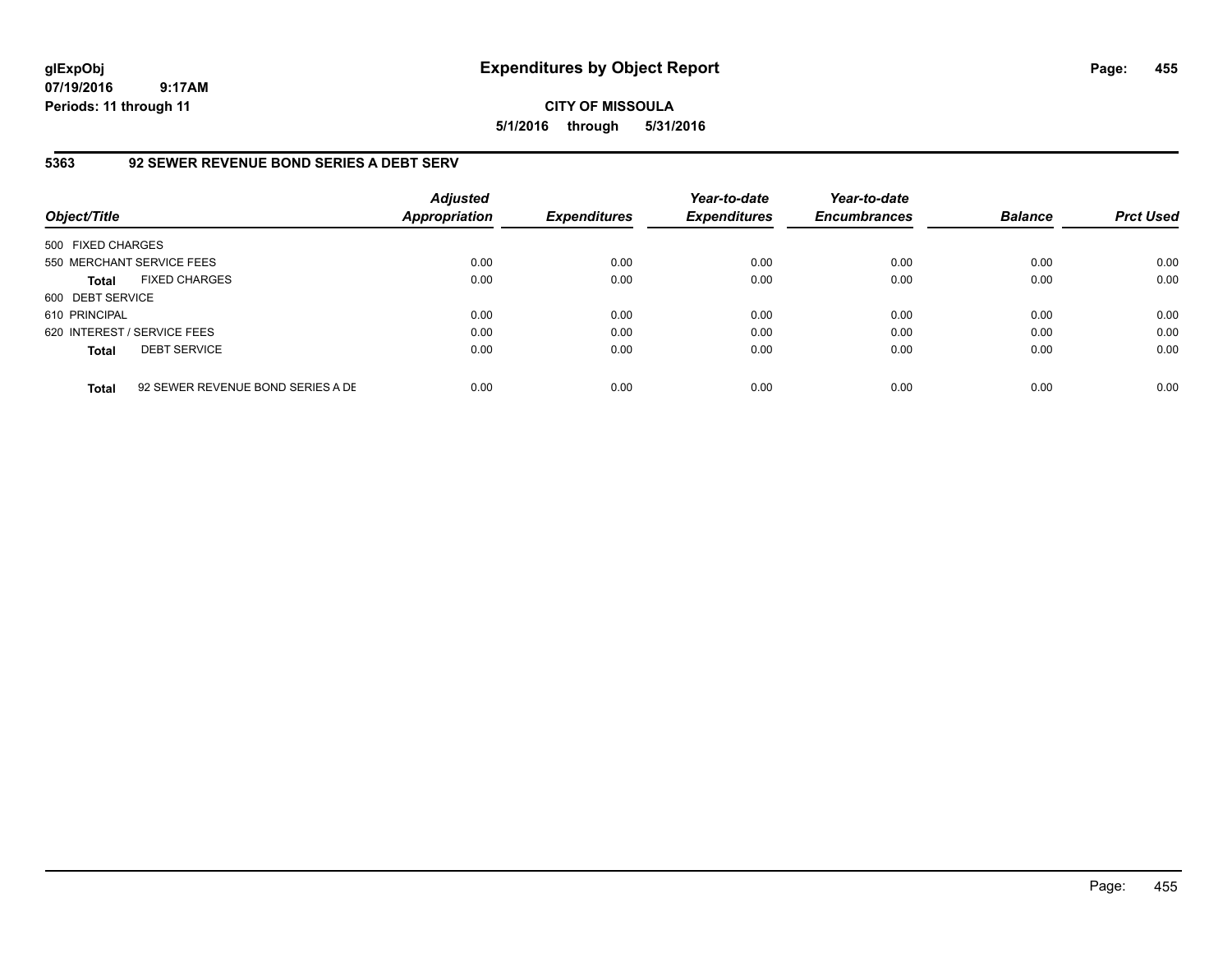**CITY OF MISSOULA 5/1/2016 through 5/31/2016**

### **5363 92 SEWER REVENUE BOND SERIES A DEBT SERV**

| Object/Title                |                                   | <b>Adjusted</b><br>Appropriation | <b>Expenditures</b> | Year-to-date<br><b>Expenditures</b> | Year-to-date<br><b>Encumbrances</b> | <b>Balance</b> | <b>Prct Used</b> |
|-----------------------------|-----------------------------------|----------------------------------|---------------------|-------------------------------------|-------------------------------------|----------------|------------------|
| 500 FIXED CHARGES           |                                   |                                  |                     |                                     |                                     |                |                  |
| 550 MERCHANT SERVICE FEES   |                                   | 0.00                             | 0.00                | 0.00                                | 0.00                                | 0.00           | 0.00             |
| <b>Total</b>                | <b>FIXED CHARGES</b>              | 0.00                             | 0.00                | 0.00                                | 0.00                                | 0.00           | 0.00             |
| 600 DEBT SERVICE            |                                   |                                  |                     |                                     |                                     |                |                  |
| 610 PRINCIPAL               |                                   | 0.00                             | 0.00                | 0.00                                | 0.00                                | 0.00           | 0.00             |
| 620 INTEREST / SERVICE FEES |                                   | 0.00                             | 0.00                | 0.00                                | 0.00                                | 0.00           | 0.00             |
| <b>Total</b>                | <b>DEBT SERVICE</b>               | 0.00                             | 0.00                | 0.00                                | 0.00                                | 0.00           | 0.00             |
| <b>Total</b>                | 92 SEWER REVENUE BOND SERIES A DE | 0.00                             | 0.00                | 0.00                                | 0.00                                | 0.00           | 0.00             |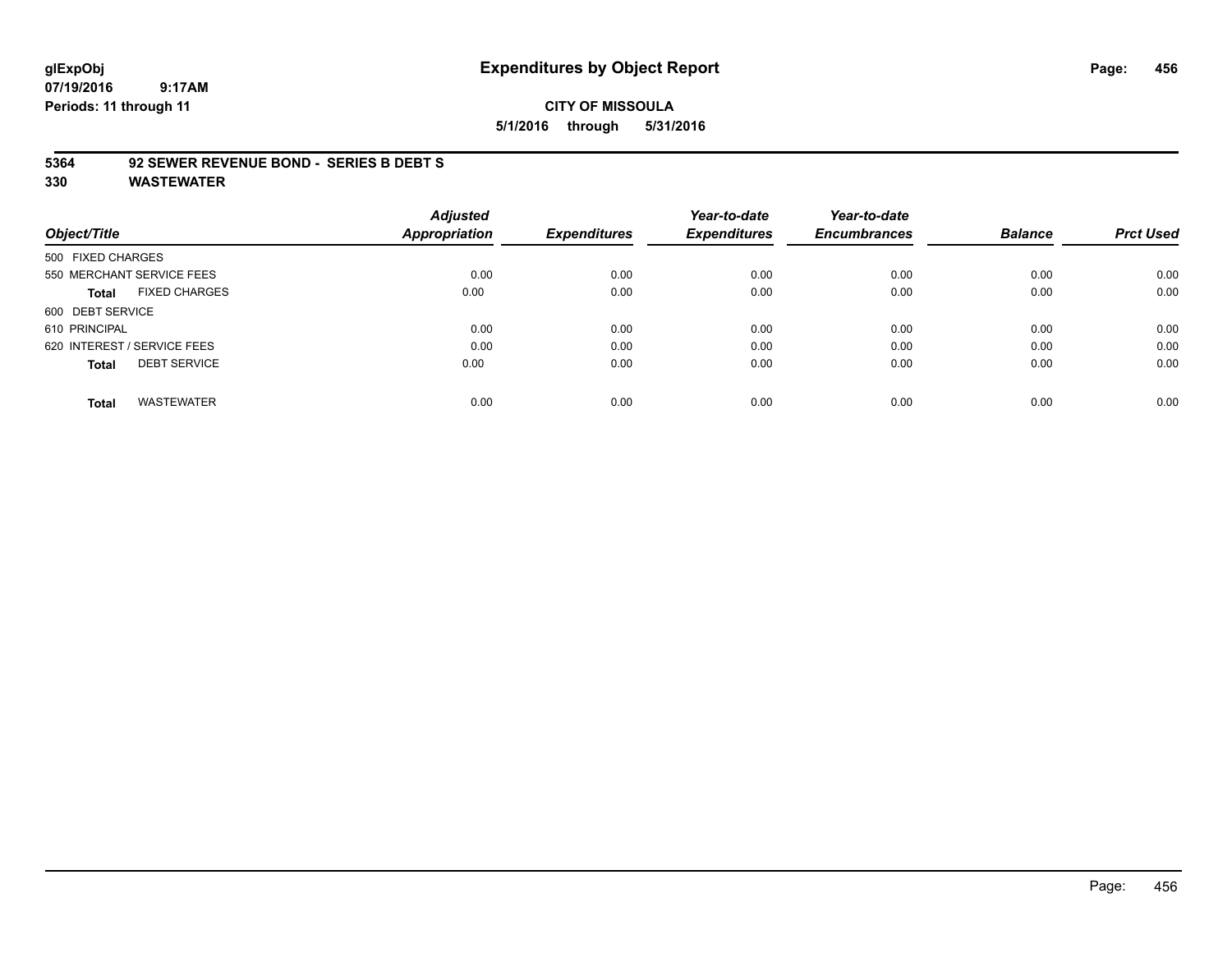# **glExpObj Expenditures by Object Report Page: 456**

**07/19/2016 9:17AM Periods: 11 through 11**

# **CITY OF MISSOULA 5/1/2016 through 5/31/2016**

#### **5364 92 SEWER REVENUE BOND - SERIES B DEBT S**

| Object/Title                |                           | <b>Adjusted</b><br>Appropriation | <b>Expenditures</b> | Year-to-date<br><b>Expenditures</b> | Year-to-date<br><b>Encumbrances</b> | <b>Balance</b> | <b>Prct Used</b> |
|-----------------------------|---------------------------|----------------------------------|---------------------|-------------------------------------|-------------------------------------|----------------|------------------|
| 500 FIXED CHARGES           |                           |                                  |                     |                                     |                                     |                |                  |
|                             | 550 MERCHANT SERVICE FEES | 0.00                             | 0.00                | 0.00                                | 0.00                                | 0.00           | 0.00             |
| Total                       | <b>FIXED CHARGES</b>      | 0.00                             | 0.00                | 0.00                                | 0.00                                | 0.00           | 0.00             |
| 600 DEBT SERVICE            |                           |                                  |                     |                                     |                                     |                |                  |
| 610 PRINCIPAL               |                           | 0.00                             | 0.00                | 0.00                                | 0.00                                | 0.00           | 0.00             |
| 620 INTEREST / SERVICE FEES |                           | 0.00                             | 0.00                | 0.00                                | 0.00                                | 0.00           | 0.00             |
| <b>Total</b>                | <b>DEBT SERVICE</b>       | 0.00                             | 0.00                | 0.00                                | 0.00                                | 0.00           | 0.00             |
| <b>Total</b>                | <b>WASTEWATER</b>         | 0.00                             | 0.00                | 0.00                                | 0.00                                | 0.00           | 0.00             |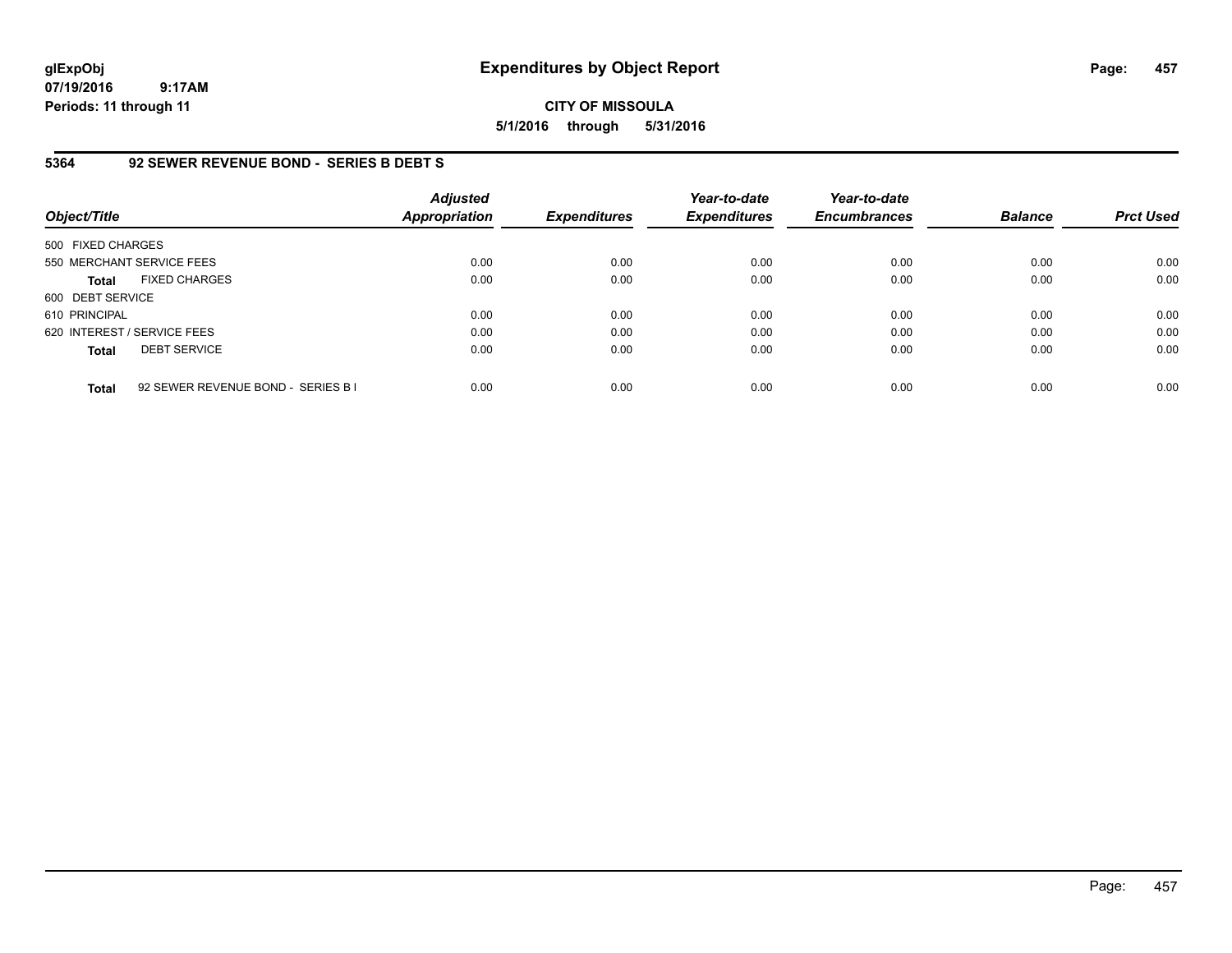**CITY OF MISSOULA 5/1/2016 through 5/31/2016**

### **5364 92 SEWER REVENUE BOND - SERIES B DEBT S**

| Object/Title                |                                    | <b>Adjusted</b><br><b>Appropriation</b> | <b>Expenditures</b> | Year-to-date<br><b>Expenditures</b> | Year-to-date<br><b>Encumbrances</b> | <b>Balance</b> | <b>Prct Used</b> |
|-----------------------------|------------------------------------|-----------------------------------------|---------------------|-------------------------------------|-------------------------------------|----------------|------------------|
| 500 FIXED CHARGES           |                                    |                                         |                     |                                     |                                     |                |                  |
|                             | 550 MERCHANT SERVICE FEES          | 0.00                                    | 0.00                | 0.00                                | 0.00                                | 0.00           | 0.00             |
| <b>Total</b>                | <b>FIXED CHARGES</b>               | 0.00                                    | 0.00                | 0.00                                | 0.00                                | 0.00           | 0.00             |
| 600 DEBT SERVICE            |                                    |                                         |                     |                                     |                                     |                |                  |
| 610 PRINCIPAL               |                                    | 0.00                                    | 0.00                | 0.00                                | 0.00                                | 0.00           | 0.00             |
| 620 INTEREST / SERVICE FEES |                                    | 0.00                                    | 0.00                | 0.00                                | 0.00                                | 0.00           | 0.00             |
| <b>Total</b>                | <b>DEBT SERVICE</b>                | 0.00                                    | 0.00                | 0.00                                | 0.00                                | 0.00           | 0.00             |
| <b>Total</b>                | 92 SEWER REVENUE BOND - SERIES B I | 0.00                                    | 0.00                | 0.00                                | 0.00                                | 0.00           | 0.00             |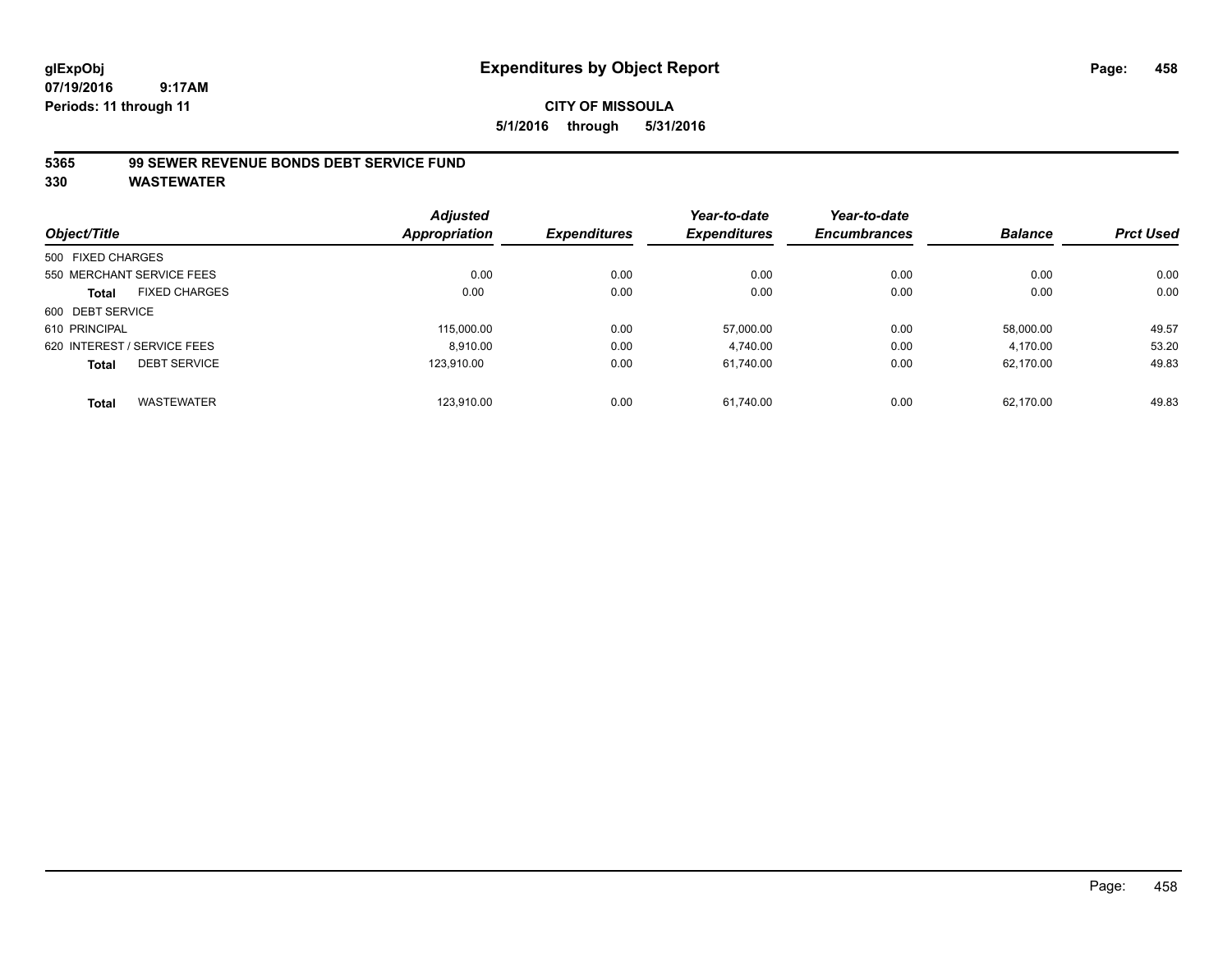# **CITY OF MISSOULA 5/1/2016 through 5/31/2016**

### **5365 99 SEWER REVENUE BONDS DEBT SERVICE FUND**

|                   |                             | <b>Adjusted</b> |                     | Year-to-date        | Year-to-date        |                |                  |
|-------------------|-----------------------------|-----------------|---------------------|---------------------|---------------------|----------------|------------------|
| Object/Title      |                             | Appropriation   | <b>Expenditures</b> | <b>Expenditures</b> | <b>Encumbrances</b> | <b>Balance</b> | <b>Prct Used</b> |
| 500 FIXED CHARGES |                             |                 |                     |                     |                     |                |                  |
|                   | 550 MERCHANT SERVICE FEES   | 0.00            | 0.00                | 0.00                | 0.00                | 0.00           | 0.00             |
| <b>Total</b>      | <b>FIXED CHARGES</b>        | 0.00            | 0.00                | 0.00                | 0.00                | 0.00           | 0.00             |
| 600 DEBT SERVICE  |                             |                 |                     |                     |                     |                |                  |
| 610 PRINCIPAL     |                             | 115.000.00      | 0.00                | 57.000.00           | 0.00                | 58.000.00      | 49.57            |
|                   | 620 INTEREST / SERVICE FEES | 8.910.00        | 0.00                | 4,740.00            | 0.00                | 4,170.00       | 53.20            |
| <b>Total</b>      | <b>DEBT SERVICE</b>         | 123.910.00      | 0.00                | 61,740.00           | 0.00                | 62,170.00      | 49.83            |
| <b>Total</b>      | <b>WASTEWATER</b>           | 123.910.00      | 0.00                | 61.740.00           | 0.00                | 62.170.00      | 49.83            |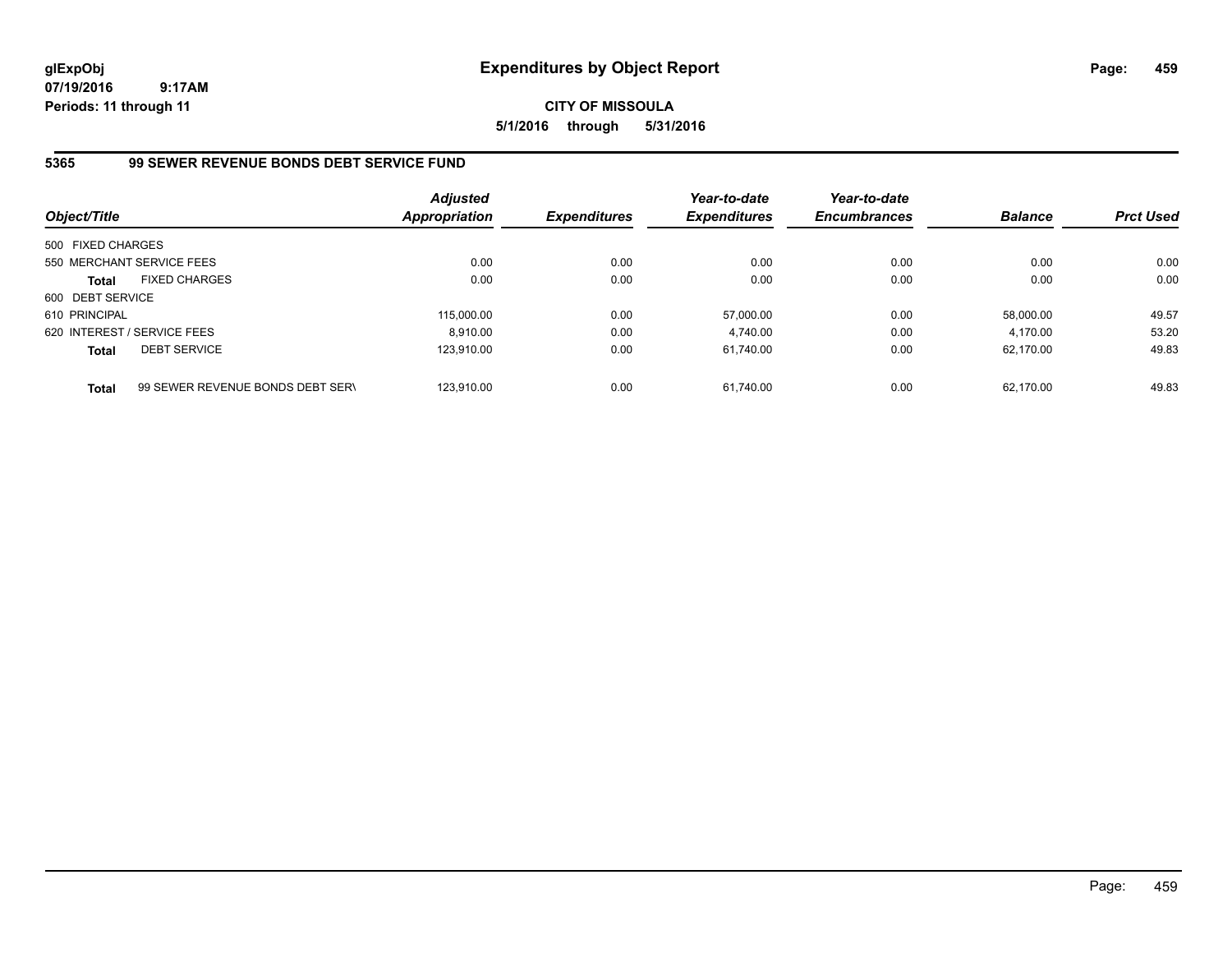# **CITY OF MISSOULA 5/1/2016 through 5/31/2016**

# **5365 99 SEWER REVENUE BONDS DEBT SERVICE FUND**

| Object/Title                |                                  | <b>Adjusted</b><br><b>Appropriation</b> | <b>Expenditures</b> | Year-to-date<br><b>Expenditures</b> | Year-to-date<br><b>Encumbrances</b> | <b>Balance</b> | <b>Prct Used</b> |
|-----------------------------|----------------------------------|-----------------------------------------|---------------------|-------------------------------------|-------------------------------------|----------------|------------------|
| 500 FIXED CHARGES           |                                  |                                         |                     |                                     |                                     |                |                  |
|                             | 550 MERCHANT SERVICE FEES        | 0.00                                    | 0.00                | 0.00                                | 0.00                                | 0.00           | 0.00             |
| <b>Total</b>                | <b>FIXED CHARGES</b>             | 0.00                                    | 0.00                | 0.00                                | 0.00                                | 0.00           | 0.00             |
| 600 DEBT SERVICE            |                                  |                                         |                     |                                     |                                     |                |                  |
| 610 PRINCIPAL               |                                  | 115,000.00                              | 0.00                | 57.000.00                           | 0.00                                | 58.000.00      | 49.57            |
| 620 INTEREST / SERVICE FEES |                                  | 8.910.00                                | 0.00                | 4.740.00                            | 0.00                                | 4.170.00       | 53.20            |
| <b>Total</b>                | <b>DEBT SERVICE</b>              | 123.910.00                              | 0.00                | 61.740.00                           | 0.00                                | 62.170.00      | 49.83            |
| <b>Total</b>                | 99 SEWER REVENUE BONDS DEBT SERV | 123.910.00                              | 0.00                | 61.740.00                           | 0.00                                | 62.170.00      | 49.83            |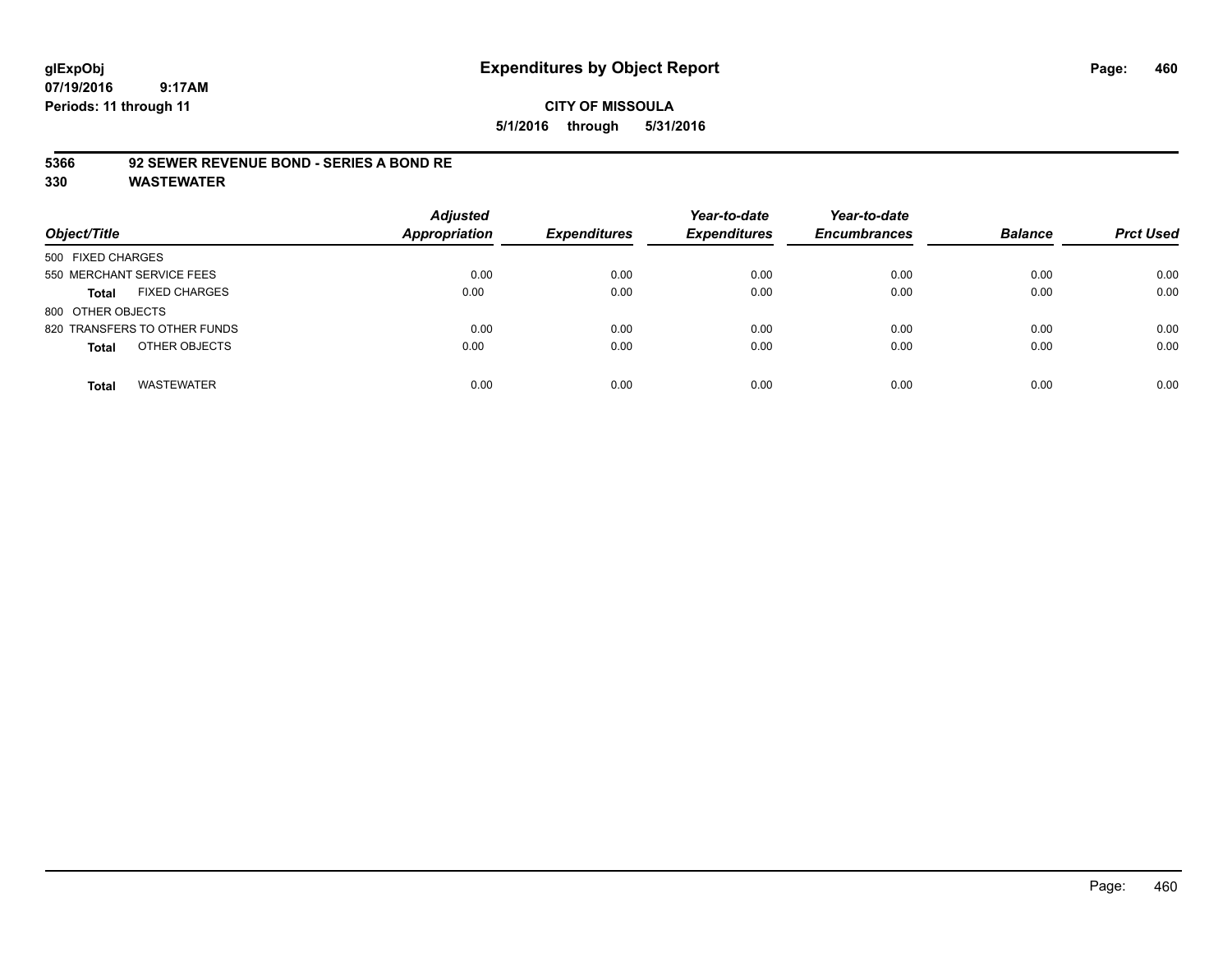### **CITY OF MISSOULA 5/1/2016 through 5/31/2016**

### **5366 92 SEWER REVENUE BOND - SERIES A BOND RE**

| Object/Title                         | <b>Adjusted</b><br><b>Appropriation</b> | <b>Expenditures</b> | Year-to-date<br><b>Expenditures</b> | Year-to-date<br><b>Encumbrances</b> | <b>Balance</b> | <b>Prct Used</b> |
|--------------------------------------|-----------------------------------------|---------------------|-------------------------------------|-------------------------------------|----------------|------------------|
| 500 FIXED CHARGES                    |                                         |                     |                                     |                                     |                |                  |
| 550 MERCHANT SERVICE FEES            | 0.00                                    | 0.00                | 0.00                                | 0.00                                | 0.00           | 0.00             |
| <b>FIXED CHARGES</b><br><b>Total</b> | 0.00                                    | 0.00                | 0.00                                | 0.00                                | 0.00           | 0.00             |
| 800 OTHER OBJECTS                    |                                         |                     |                                     |                                     |                |                  |
| 820 TRANSFERS TO OTHER FUNDS         | 0.00                                    | 0.00                | 0.00                                | 0.00                                | 0.00           | 0.00             |
| OTHER OBJECTS<br><b>Total</b>        | 0.00                                    | 0.00                | 0.00                                | 0.00                                | 0.00           | 0.00             |
| <b>WASTEWATER</b><br><b>Total</b>    | 0.00                                    | 0.00                | 0.00                                | 0.00                                | 0.00           | 0.00             |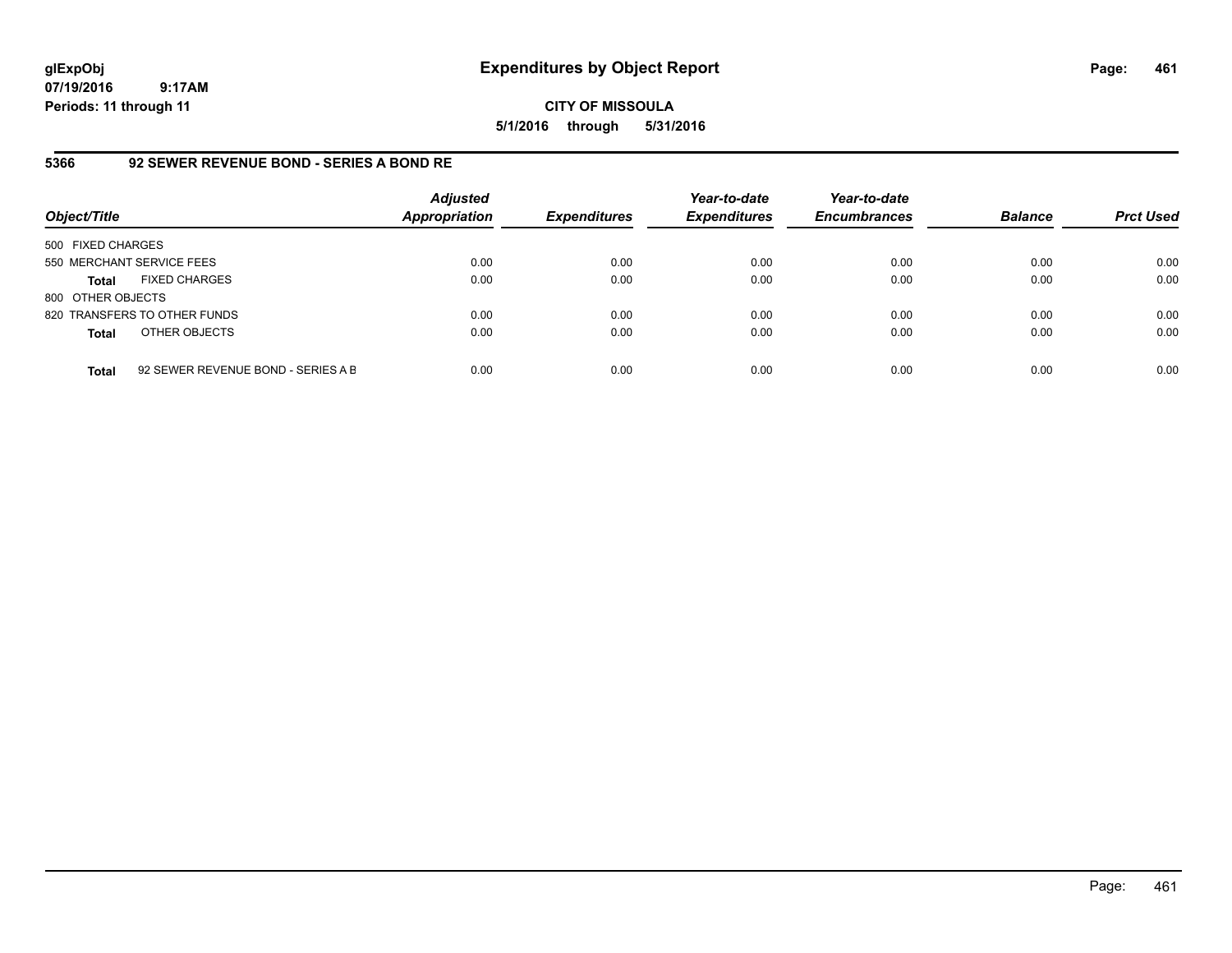**CITY OF MISSOULA 5/1/2016 through 5/31/2016**

### **5366 92 SEWER REVENUE BOND - SERIES A BOND RE**

| Object/Title              |                                    | <b>Adjusted</b><br><b>Appropriation</b> | <b>Expenditures</b> | Year-to-date<br><b>Expenditures</b> | Year-to-date<br><b>Encumbrances</b> | <b>Balance</b> | <b>Prct Used</b> |
|---------------------------|------------------------------------|-----------------------------------------|---------------------|-------------------------------------|-------------------------------------|----------------|------------------|
| 500 FIXED CHARGES         |                                    |                                         |                     |                                     |                                     |                |                  |
| 550 MERCHANT SERVICE FEES |                                    | 0.00                                    | 0.00                | 0.00                                | 0.00                                | 0.00           | 0.00             |
| Total                     | <b>FIXED CHARGES</b>               | 0.00                                    | 0.00                | 0.00                                | 0.00                                | 0.00           | 0.00             |
| 800 OTHER OBJECTS         |                                    |                                         |                     |                                     |                                     |                |                  |
|                           | 820 TRANSFERS TO OTHER FUNDS       | 0.00                                    | 0.00                | 0.00                                | 0.00                                | 0.00           | 0.00             |
| <b>Total</b>              | OTHER OBJECTS                      | 0.00                                    | 0.00                | 0.00                                | 0.00                                | 0.00           | 0.00             |
| <b>Total</b>              | 92 SEWER REVENUE BOND - SERIES A B | 0.00                                    | 0.00                | 0.00                                | 0.00                                | 0.00           | 0.00             |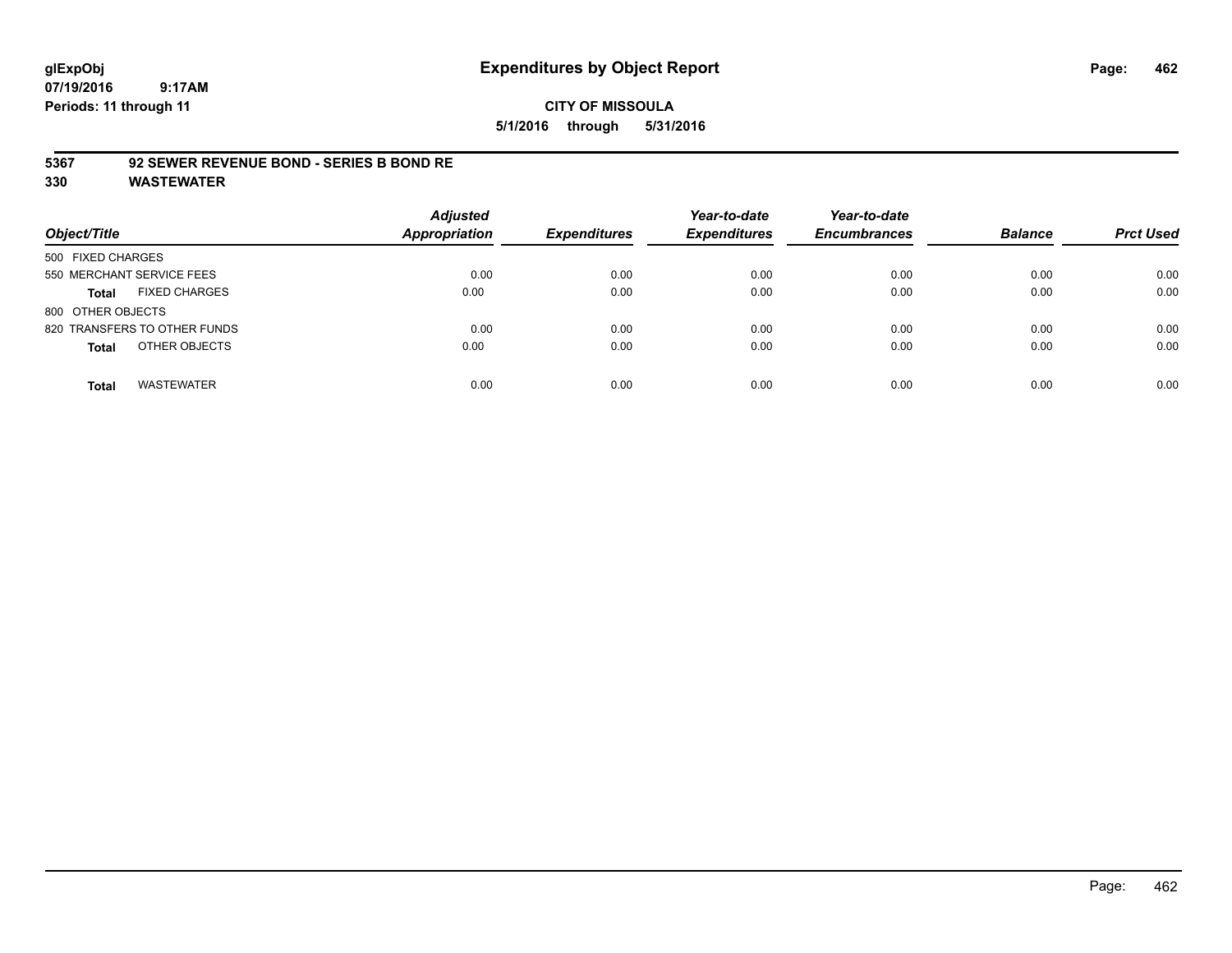### **CITY OF MISSOULA 5/1/2016 through 5/31/2016**

### **5367 92 SEWER REVENUE BOND - SERIES B BOND RE**

| Object/Title                         | <b>Adjusted</b><br><b>Appropriation</b> | <b>Expenditures</b> | Year-to-date<br><b>Expenditures</b> | Year-to-date<br><b>Encumbrances</b> | <b>Balance</b> | <b>Prct Used</b> |
|--------------------------------------|-----------------------------------------|---------------------|-------------------------------------|-------------------------------------|----------------|------------------|
| 500 FIXED CHARGES                    |                                         |                     |                                     |                                     |                |                  |
| 550 MERCHANT SERVICE FEES            | 0.00                                    | 0.00                | 0.00                                | 0.00                                | 0.00           | 0.00             |
| <b>FIXED CHARGES</b><br><b>Total</b> | 0.00                                    | 0.00                | 0.00                                | 0.00                                | 0.00           | 0.00             |
| 800 OTHER OBJECTS                    |                                         |                     |                                     |                                     |                |                  |
| 820 TRANSFERS TO OTHER FUNDS         | 0.00                                    | 0.00                | 0.00                                | 0.00                                | 0.00           | 0.00             |
| OTHER OBJECTS<br><b>Total</b>        | 0.00                                    | 0.00                | 0.00                                | 0.00                                | 0.00           | 0.00             |
| <b>WASTEWATER</b><br><b>Total</b>    | 0.00                                    | 0.00                | 0.00                                | 0.00                                | 0.00           | 0.00             |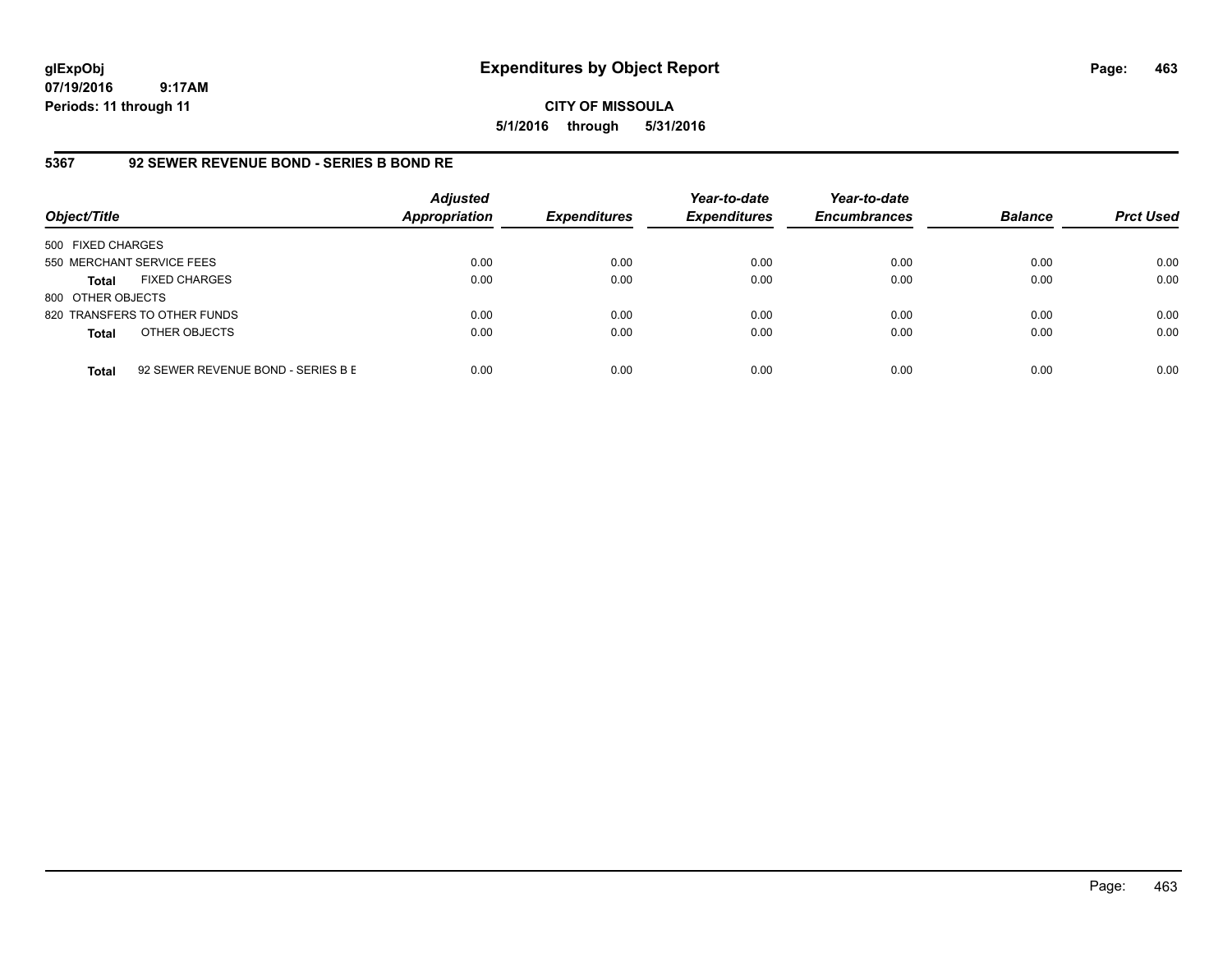# **CITY OF MISSOULA 5/1/2016 through 5/31/2016**

# **5367 92 SEWER REVENUE BOND - SERIES B BOND RE**

| Object/Title              |                                    | <b>Adjusted</b><br><b>Appropriation</b> | <b>Expenditures</b> | Year-to-date<br><b>Expenditures</b> | Year-to-date<br><b>Encumbrances</b> | <b>Balance</b> | <b>Prct Used</b> |
|---------------------------|------------------------------------|-----------------------------------------|---------------------|-------------------------------------|-------------------------------------|----------------|------------------|
| 500 FIXED CHARGES         |                                    |                                         |                     |                                     |                                     |                |                  |
| 550 MERCHANT SERVICE FEES |                                    | 0.00                                    | 0.00                | 0.00                                | 0.00                                | 0.00           | 0.00             |
| <b>Total</b>              | <b>FIXED CHARGES</b>               | 0.00                                    | 0.00                | 0.00                                | 0.00                                | 0.00           | 0.00             |
| 800 OTHER OBJECTS         |                                    |                                         |                     |                                     |                                     |                |                  |
|                           | 820 TRANSFERS TO OTHER FUNDS       | 0.00                                    | 0.00                | 0.00                                | 0.00                                | 0.00           | 0.00             |
| <b>Total</b>              | OTHER OBJECTS                      | 0.00                                    | 0.00                | 0.00                                | 0.00                                | 0.00           | 0.00             |
| <b>Total</b>              | 92 SEWER REVENUE BOND - SERIES B E | 0.00                                    | 0.00                | 0.00                                | 0.00                                | 0.00           | 0.00             |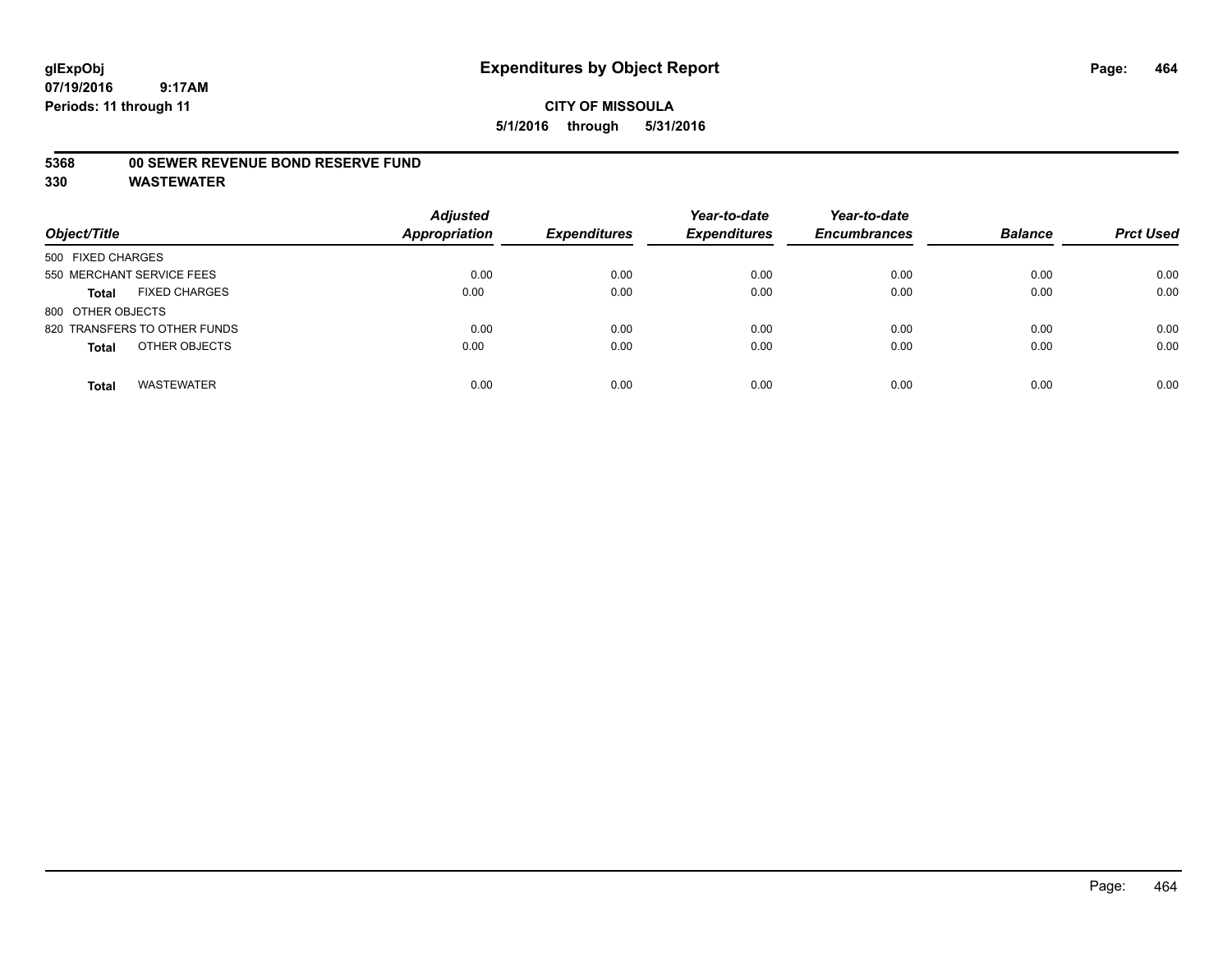### **5368 00 SEWER REVENUE BOND RESERVE FUND**

| Object/Title                         | <b>Adjusted</b><br><b>Appropriation</b> | <b>Expenditures</b> | Year-to-date<br><b>Expenditures</b> | Year-to-date<br><b>Encumbrances</b> | <b>Balance</b> | <b>Prct Used</b> |
|--------------------------------------|-----------------------------------------|---------------------|-------------------------------------|-------------------------------------|----------------|------------------|
| 500 FIXED CHARGES                    |                                         |                     |                                     |                                     |                |                  |
| 550 MERCHANT SERVICE FEES            | 0.00                                    | 0.00                | 0.00                                | 0.00                                | 0.00           | 0.00             |
| <b>FIXED CHARGES</b><br><b>Total</b> | 0.00                                    | 0.00                | 0.00                                | 0.00                                | 0.00           | 0.00             |
| 800 OTHER OBJECTS                    |                                         |                     |                                     |                                     |                |                  |
| 820 TRANSFERS TO OTHER FUNDS         | 0.00                                    | 0.00                | 0.00                                | 0.00                                | 0.00           | 0.00             |
| OTHER OBJECTS<br><b>Total</b>        | 0.00                                    | 0.00                | 0.00                                | 0.00                                | 0.00           | 0.00             |
| <b>WASTEWATER</b><br><b>Total</b>    | 0.00                                    | 0.00                | 0.00                                | 0.00                                | 0.00           | 0.00             |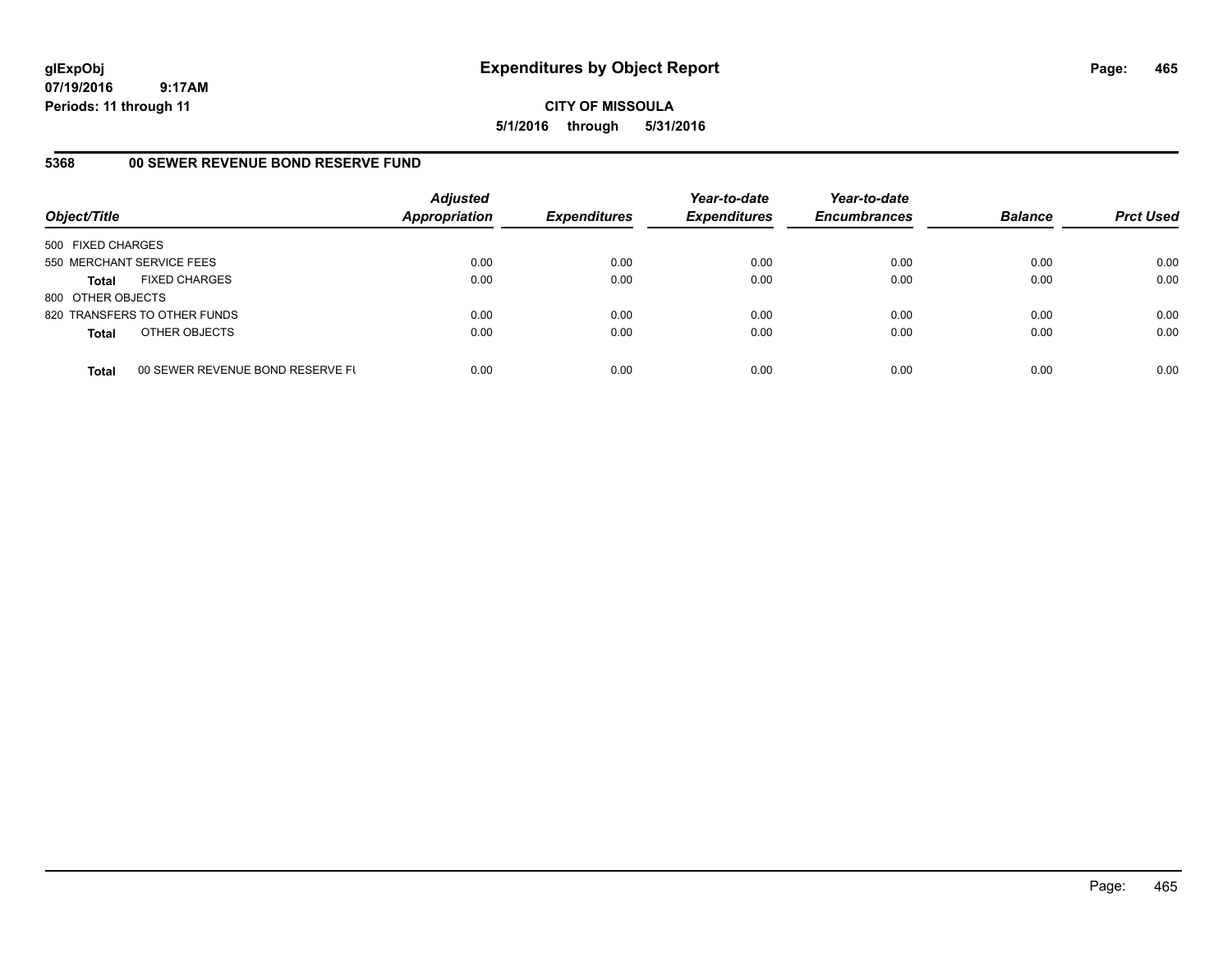**CITY OF MISSOULA 5/1/2016 through 5/31/2016**

# **5368 00 SEWER REVENUE BOND RESERVE FUND**

| Object/Title              |                                  | <b>Adjusted</b><br><b>Appropriation</b> | <b>Expenditures</b> | Year-to-date<br><b>Expenditures</b> | Year-to-date<br><b>Encumbrances</b> | <b>Balance</b> | <b>Prct Used</b> |
|---------------------------|----------------------------------|-----------------------------------------|---------------------|-------------------------------------|-------------------------------------|----------------|------------------|
| 500 FIXED CHARGES         |                                  |                                         |                     |                                     |                                     |                |                  |
| 550 MERCHANT SERVICE FEES |                                  | 0.00                                    | 0.00                | 0.00                                | 0.00                                | 0.00           | 0.00             |
| <b>Total</b>              | <b>FIXED CHARGES</b>             | 0.00                                    | 0.00                | 0.00                                | 0.00                                | 0.00           | 0.00             |
| 800 OTHER OBJECTS         |                                  |                                         |                     |                                     |                                     |                |                  |
|                           | 820 TRANSFERS TO OTHER FUNDS     | 0.00                                    | 0.00                | 0.00                                | 0.00                                | 0.00           | 0.00             |
| <b>Total</b>              | OTHER OBJECTS                    | 0.00                                    | 0.00                | 0.00                                | 0.00                                | 0.00           | 0.00             |
| <b>Total</b>              | 00 SEWER REVENUE BOND RESERVE FL | 0.00                                    | 0.00                | 0.00                                | 0.00                                | 0.00           | 0.00             |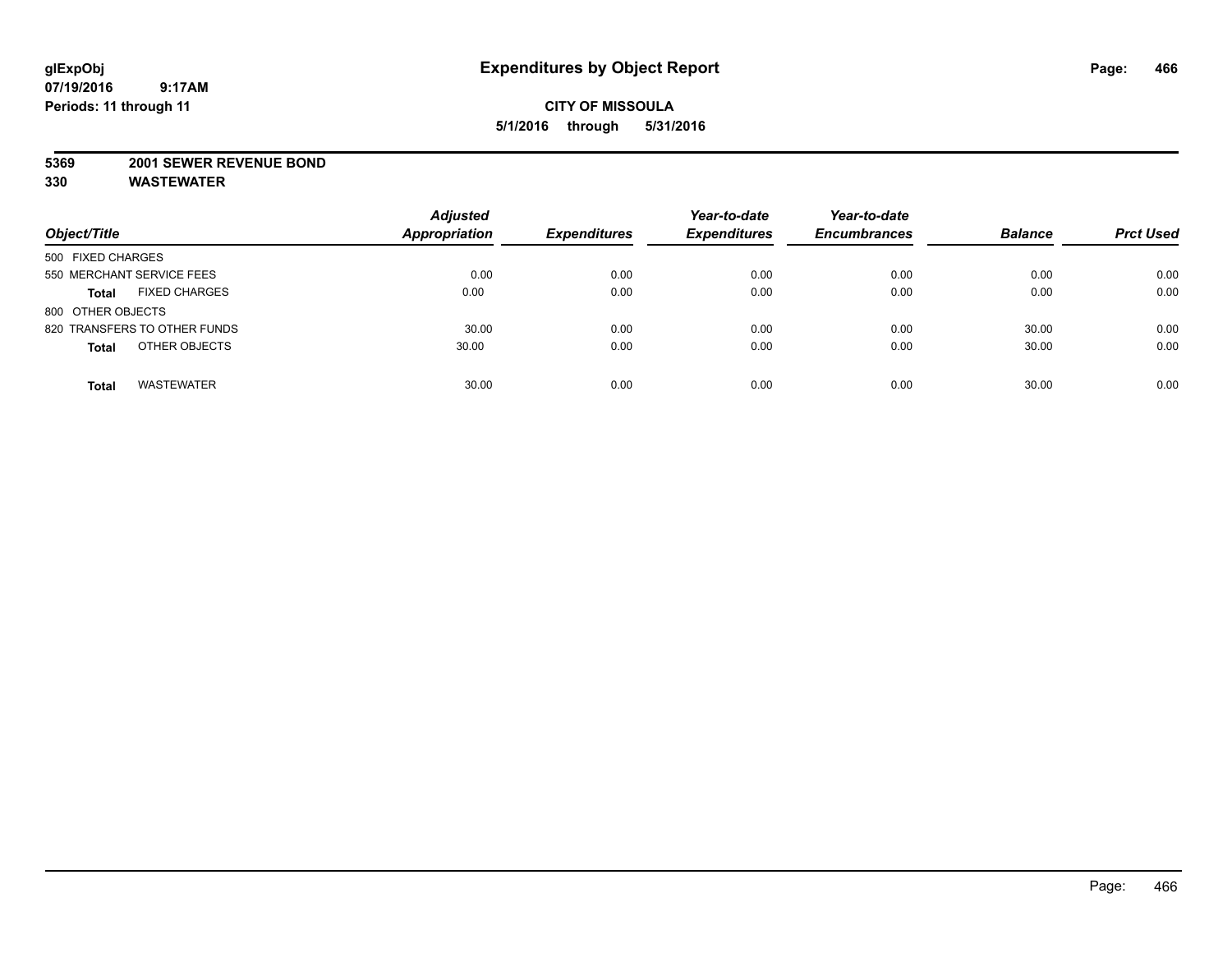## **CITY OF MISSOULA 5/1/2016 through 5/31/2016**

#### **5369 2001 SEWER REVENUE BOND**

| Object/Title                         | <b>Adjusted</b><br><b>Appropriation</b> | <b>Expenditures</b> | Year-to-date<br><b>Expenditures</b> | Year-to-date<br><b>Encumbrances</b> | <b>Balance</b> | <b>Prct Used</b> |
|--------------------------------------|-----------------------------------------|---------------------|-------------------------------------|-------------------------------------|----------------|------------------|
| 500 FIXED CHARGES                    |                                         |                     |                                     |                                     |                |                  |
| 550 MERCHANT SERVICE FEES            | 0.00                                    | 0.00                | 0.00                                | 0.00                                | 0.00           | 0.00             |
| <b>FIXED CHARGES</b><br><b>Total</b> | 0.00                                    | 0.00                | 0.00                                | 0.00                                | 0.00           | 0.00             |
| 800 OTHER OBJECTS                    |                                         |                     |                                     |                                     |                |                  |
| 820 TRANSFERS TO OTHER FUNDS         | 30.00                                   | 0.00                | 0.00                                | 0.00                                | 30.00          | 0.00             |
| OTHER OBJECTS<br><b>Total</b>        | 30.00                                   | 0.00                | 0.00                                | 0.00                                | 30.00          | 0.00             |
| <b>WASTEWATER</b><br><b>Total</b>    | 30.00                                   | 0.00                | 0.00                                | 0.00                                | 30.00          | 0.00             |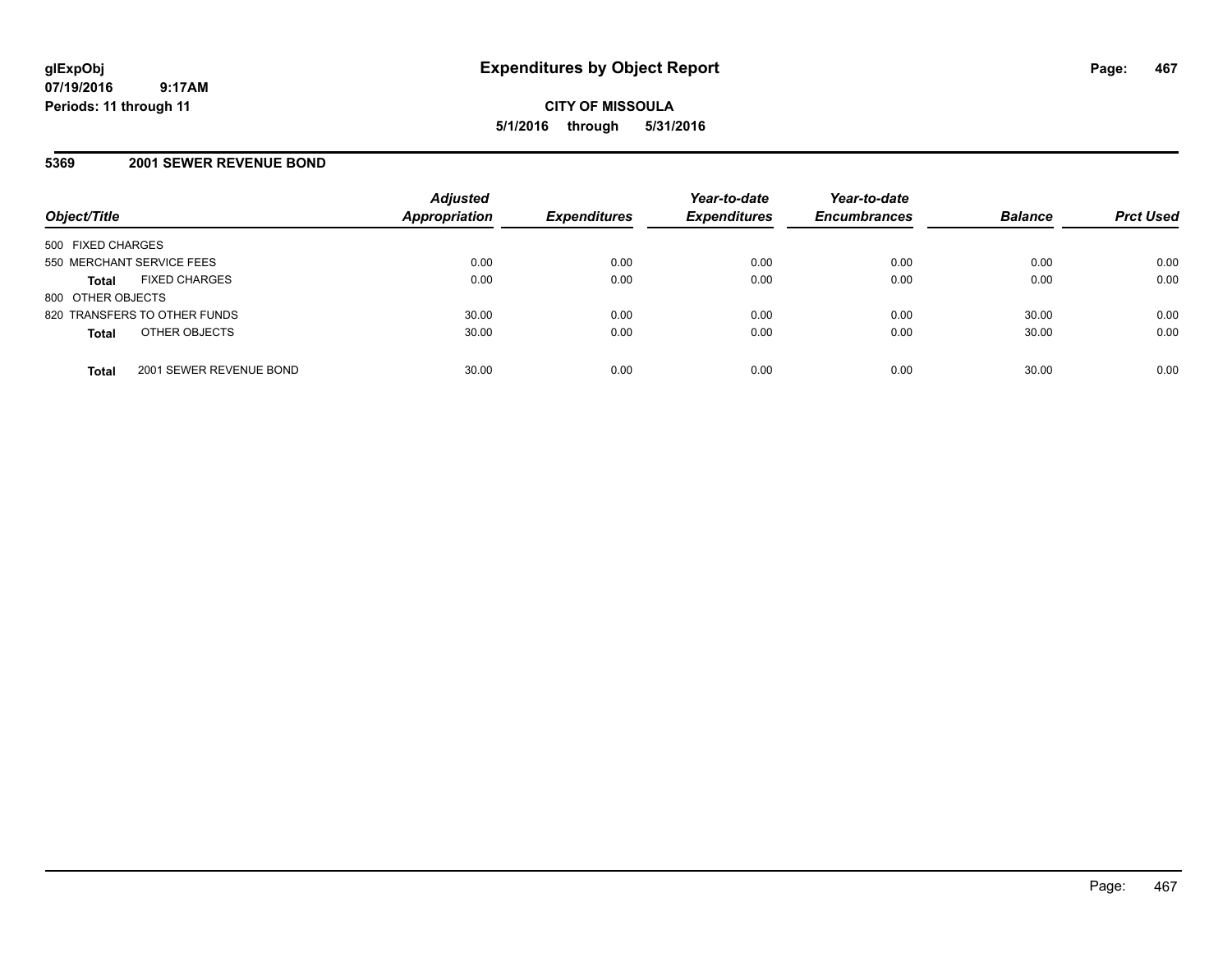### **5369 2001 SEWER REVENUE BOND**

| Object/Title                            | <b>Adjusted</b><br>Appropriation | <b>Expenditures</b> | Year-to-date<br><b>Expenditures</b> | Year-to-date<br><b>Encumbrances</b> | <b>Balance</b> | <b>Prct Used</b> |
|-----------------------------------------|----------------------------------|---------------------|-------------------------------------|-------------------------------------|----------------|------------------|
| 500 FIXED CHARGES                       |                                  |                     |                                     |                                     |                |                  |
| 550 MERCHANT SERVICE FEES               | 0.00                             | 0.00                | 0.00                                | 0.00                                | 0.00           | 0.00             |
| <b>FIXED CHARGES</b><br><b>Total</b>    | 0.00                             | 0.00                | 0.00                                | 0.00                                | 0.00           | 0.00             |
| 800 OTHER OBJECTS                       |                                  |                     |                                     |                                     |                |                  |
| 820 TRANSFERS TO OTHER FUNDS            | 30.00                            | 0.00                | 0.00                                | 0.00                                | 30.00          | 0.00             |
| OTHER OBJECTS<br><b>Total</b>           | 30.00                            | 0.00                | 0.00                                | 0.00                                | 30.00          | 0.00             |
| 2001 SEWER REVENUE BOND<br><b>Total</b> | 30.00                            | 0.00                | 0.00                                | 0.00                                | 30.00          | 0.00             |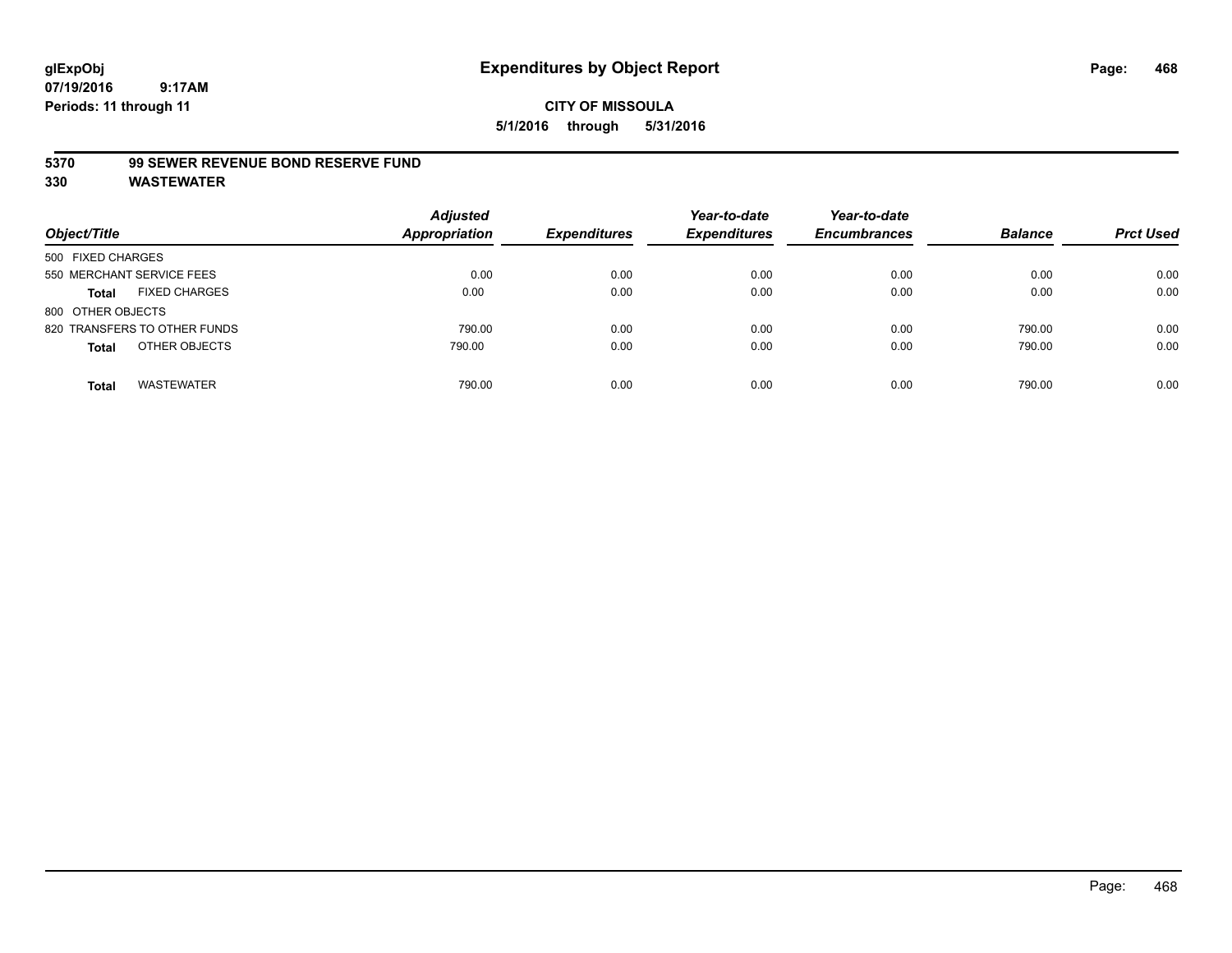#### **5370 99 SEWER REVENUE BOND RESERVE FUND**

| Object/Title                         | <b>Adjusted</b><br><b>Appropriation</b> | <b>Expenditures</b> | Year-to-date<br><b>Expenditures</b> | Year-to-date<br><b>Encumbrances</b> | <b>Balance</b> | <b>Prct Used</b> |
|--------------------------------------|-----------------------------------------|---------------------|-------------------------------------|-------------------------------------|----------------|------------------|
| 500 FIXED CHARGES                    |                                         |                     |                                     |                                     |                |                  |
| 550 MERCHANT SERVICE FEES            | 0.00                                    | 0.00                | 0.00                                | 0.00                                | 0.00           | 0.00             |
| <b>FIXED CHARGES</b><br><b>Total</b> | 0.00                                    | 0.00                | 0.00                                | 0.00                                | 0.00           | 0.00             |
| 800 OTHER OBJECTS                    |                                         |                     |                                     |                                     |                |                  |
| 820 TRANSFERS TO OTHER FUNDS         | 790.00                                  | 0.00                | 0.00                                | 0.00                                | 790.00         | 0.00             |
| OTHER OBJECTS<br><b>Total</b>        | 790.00                                  | 0.00                | 0.00                                | 0.00                                | 790.00         | 0.00             |
| <b>WASTEWATER</b><br>Total           | 790.00                                  | 0.00                | 0.00                                | 0.00                                | 790.00         | 0.00             |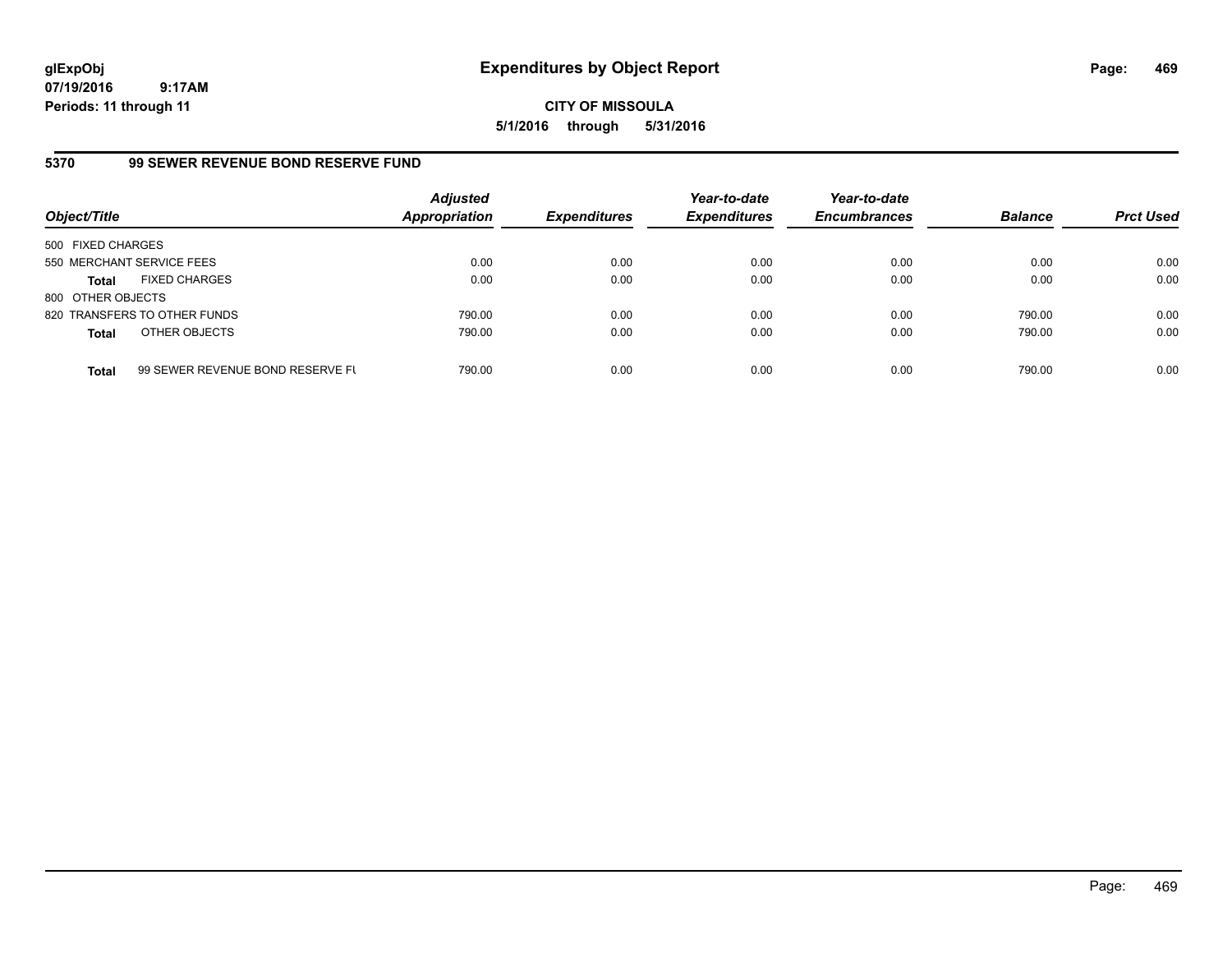**CITY OF MISSOULA 5/1/2016 through 5/31/2016**

## **5370 99 SEWER REVENUE BOND RESERVE FUND**

| Object/Title              |                                  | <b>Adjusted</b><br><b>Appropriation</b> | <b>Expenditures</b> | Year-to-date<br><b>Expenditures</b> | Year-to-date<br><b>Encumbrances</b> | <b>Balance</b> | <b>Prct Used</b> |
|---------------------------|----------------------------------|-----------------------------------------|---------------------|-------------------------------------|-------------------------------------|----------------|------------------|
| 500 FIXED CHARGES         |                                  |                                         |                     |                                     |                                     |                |                  |
| 550 MERCHANT SERVICE FEES |                                  | 0.00                                    | 0.00                | 0.00                                | 0.00                                | 0.00           | 0.00             |
| Total                     | <b>FIXED CHARGES</b>             | 0.00                                    | 0.00                | 0.00                                | 0.00                                | 0.00           | 0.00             |
| 800 OTHER OBJECTS         |                                  |                                         |                     |                                     |                                     |                |                  |
|                           | 820 TRANSFERS TO OTHER FUNDS     | 790.00                                  | 0.00                | 0.00                                | 0.00                                | 790.00         | 0.00             |
| <b>Total</b>              | OTHER OBJECTS                    | 790.00                                  | 0.00                | 0.00                                | 0.00                                | 790.00         | 0.00             |
| <b>Total</b>              | 99 SEWER REVENUE BOND RESERVE FL | 790.00                                  | 0.00                | 0.00                                | 0.00                                | 790.00         | 0.00             |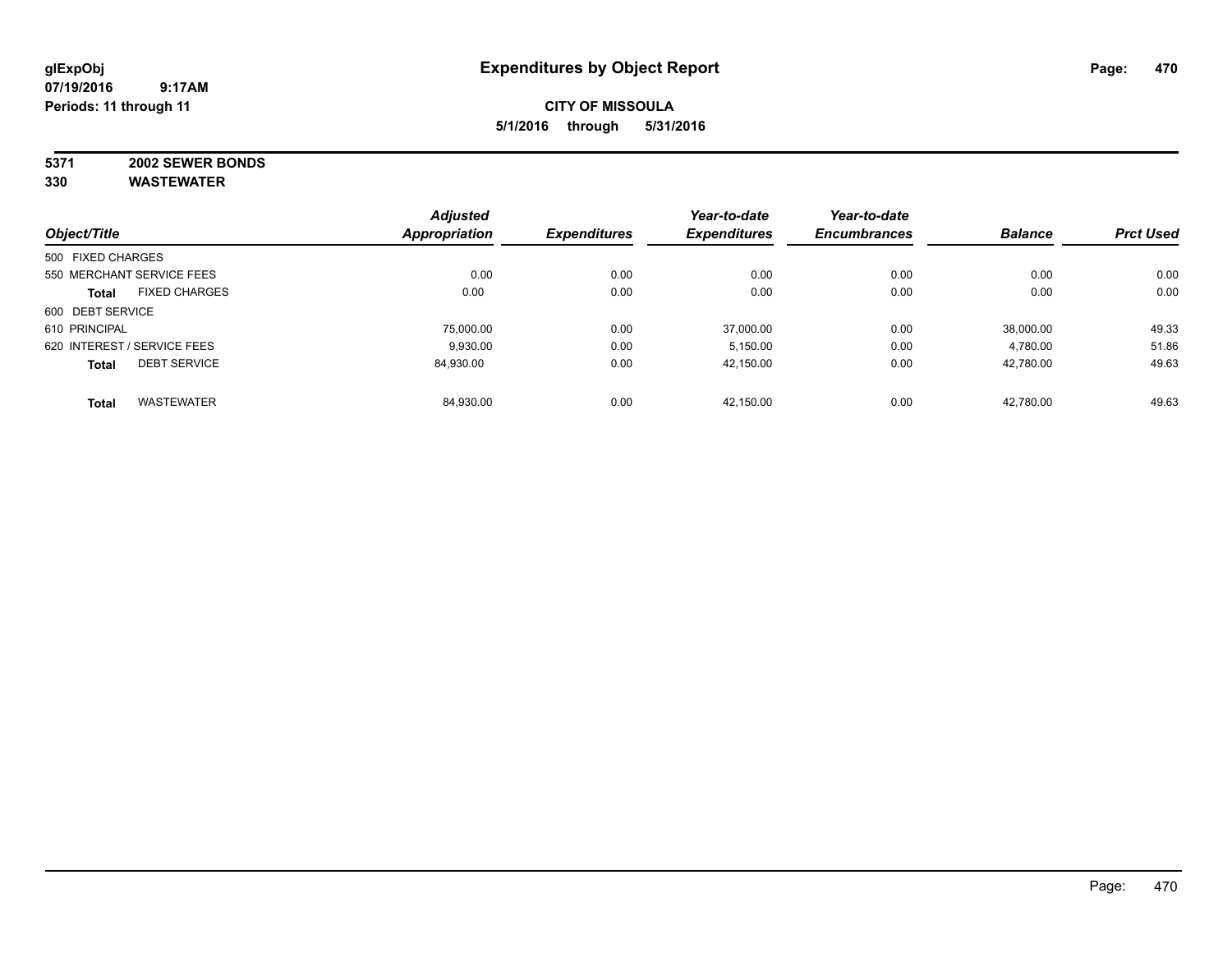## **CITY OF MISSOULA 5/1/2016 through 5/31/2016**

# **5371 2002 SEWER BONDS**

| Object/Title      |                             | <b>Adjusted</b>      | <b>Expenditures</b> | Year-to-date<br><b>Expenditures</b> | Year-to-date<br><b>Encumbrances</b> | <b>Balance</b> |                  |
|-------------------|-----------------------------|----------------------|---------------------|-------------------------------------|-------------------------------------|----------------|------------------|
|                   |                             | <b>Appropriation</b> |                     |                                     |                                     |                | <b>Prct Used</b> |
| 500 FIXED CHARGES |                             |                      |                     |                                     |                                     |                |                  |
|                   | 550 MERCHANT SERVICE FEES   | 0.00                 | 0.00                | 0.00                                | 0.00                                | 0.00           | 0.00             |
| <b>Total</b>      | <b>FIXED CHARGES</b>        | 0.00                 | 0.00                | 0.00                                | 0.00                                | 0.00           | 0.00             |
| 600 DEBT SERVICE  |                             |                      |                     |                                     |                                     |                |                  |
| 610 PRINCIPAL     |                             | 75.000.00            | 0.00                | 37.000.00                           | 0.00                                | 38.000.00      | 49.33            |
|                   | 620 INTEREST / SERVICE FEES | 9.930.00             | 0.00                | 5,150.00                            | 0.00                                | 4,780.00       | 51.86            |
| <b>Total</b>      | <b>DEBT SERVICE</b>         | 84.930.00            | 0.00                | 42,150.00                           | 0.00                                | 42,780.00      | 49.63            |
| <b>Total</b>      | <b>WASTEWATER</b>           | 84,930.00            | 0.00                | 42.150.00                           | 0.00                                | 42,780.00      | 49.63            |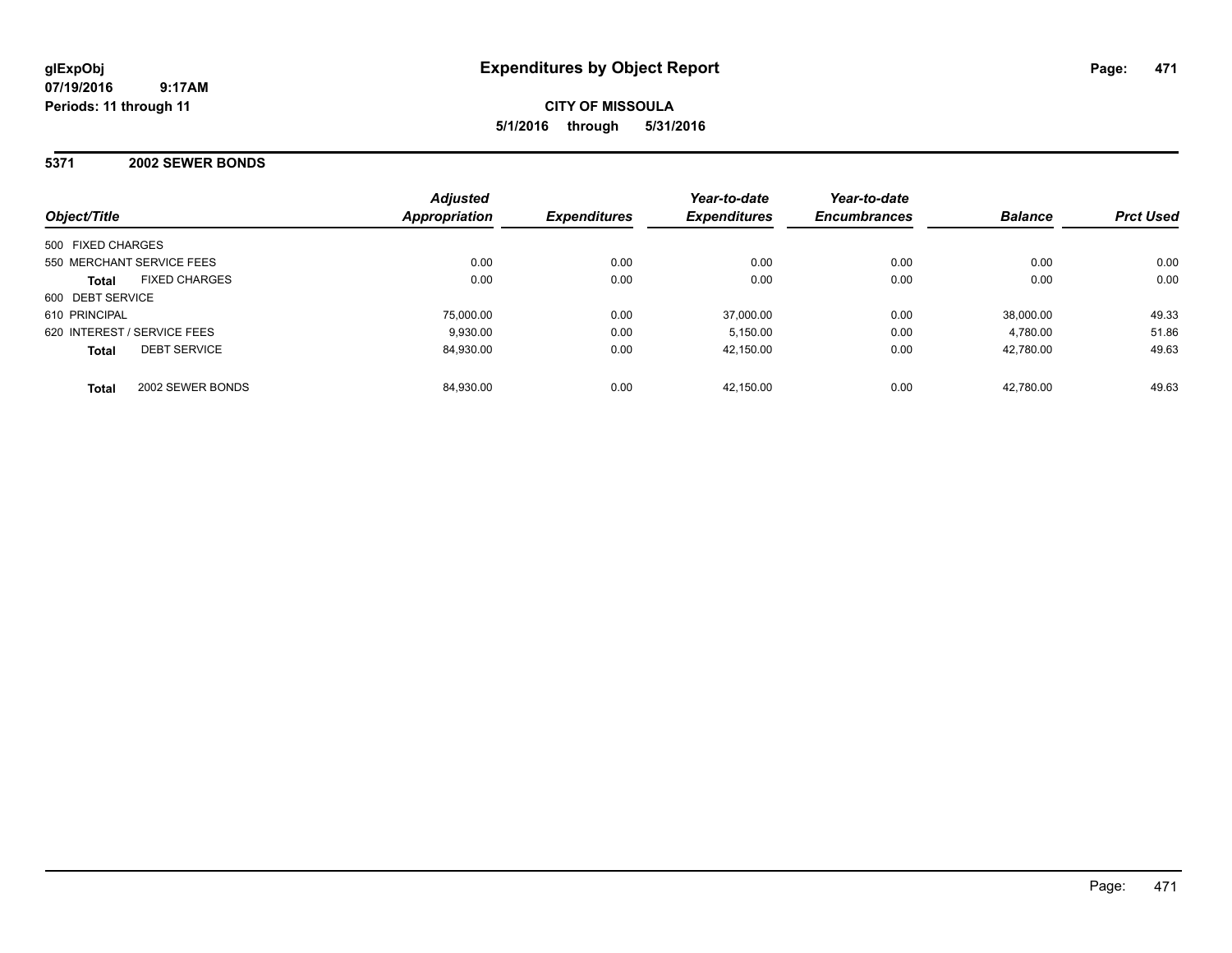## **CITY OF MISSOULA 5/1/2016 through 5/31/2016**

#### **5371 2002 SEWER BONDS**

| Object/Title                         | <b>Adjusted</b><br>Appropriation | <b>Expenditures</b> | Year-to-date<br><b>Expenditures</b> | Year-to-date<br><b>Encumbrances</b> | <b>Balance</b> | <b>Prct Used</b> |
|--------------------------------------|----------------------------------|---------------------|-------------------------------------|-------------------------------------|----------------|------------------|
| 500 FIXED CHARGES                    |                                  |                     |                                     |                                     |                |                  |
| 550 MERCHANT SERVICE FEES            | 0.00                             | 0.00                | 0.00                                | 0.00                                | 0.00           | 0.00             |
| <b>FIXED CHARGES</b><br><b>Total</b> | 0.00                             | 0.00                | 0.00                                | 0.00                                | 0.00           | 0.00             |
| 600 DEBT SERVICE                     |                                  |                     |                                     |                                     |                |                  |
| 610 PRINCIPAL                        | 75,000.00                        | 0.00                | 37,000.00                           | 0.00                                | 38.000.00      | 49.33            |
| 620 INTEREST / SERVICE FEES          | 9.930.00                         | 0.00                | 5.150.00                            | 0.00                                | 4.780.00       | 51.86            |
| <b>DEBT SERVICE</b><br><b>Total</b>  | 84,930.00                        | 0.00                | 42,150.00                           | 0.00                                | 42.780.00      | 49.63            |
| 2002 SEWER BONDS<br><b>Total</b>     | 84.930.00                        | 0.00                | 42.150.00                           | 0.00                                | 42.780.00      | 49.63            |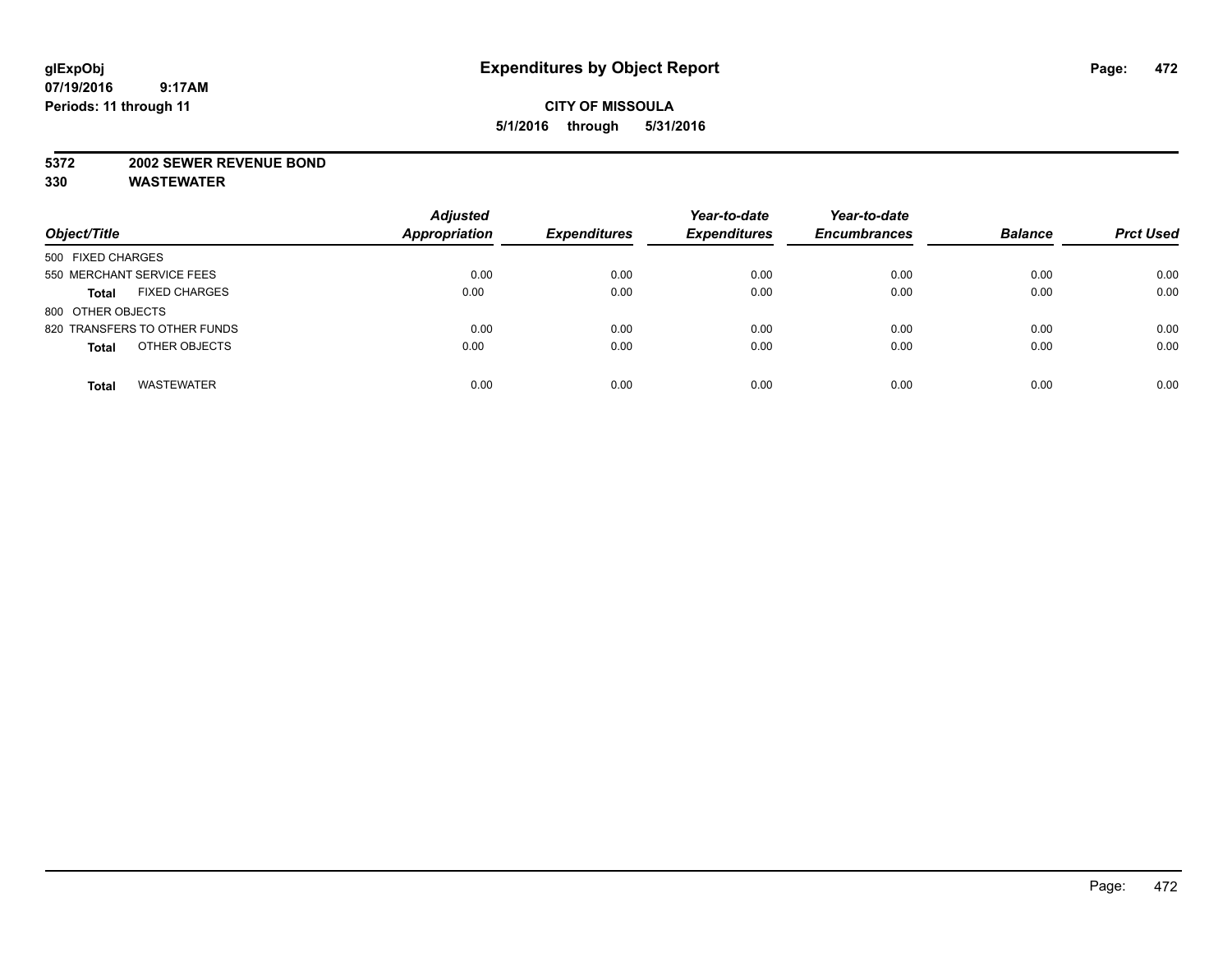#### **5372 2002 SEWER REVENUE BOND**

| Object/Title                         | <b>Adjusted</b><br><b>Appropriation</b> | <b>Expenditures</b> | Year-to-date<br><b>Expenditures</b> | Year-to-date<br><b>Encumbrances</b> | <b>Balance</b> | <b>Prct Used</b> |
|--------------------------------------|-----------------------------------------|---------------------|-------------------------------------|-------------------------------------|----------------|------------------|
| 500 FIXED CHARGES                    |                                         |                     |                                     |                                     |                |                  |
| 550 MERCHANT SERVICE FEES            | 0.00                                    | 0.00                | 0.00                                | 0.00                                | 0.00           | 0.00             |
| <b>FIXED CHARGES</b><br><b>Total</b> | 0.00                                    | 0.00                | 0.00                                | 0.00                                | 0.00           | 0.00             |
| 800 OTHER OBJECTS                    |                                         |                     |                                     |                                     |                |                  |
| 820 TRANSFERS TO OTHER FUNDS         | 0.00                                    | 0.00                | 0.00                                | 0.00                                | 0.00           | 0.00             |
| OTHER OBJECTS<br><b>Total</b>        | 0.00                                    | 0.00                | 0.00                                | 0.00                                | 0.00           | 0.00             |
| <b>WASTEWATER</b><br><b>Total</b>    | 0.00                                    | 0.00                | 0.00                                | 0.00                                | 0.00           | 0.00             |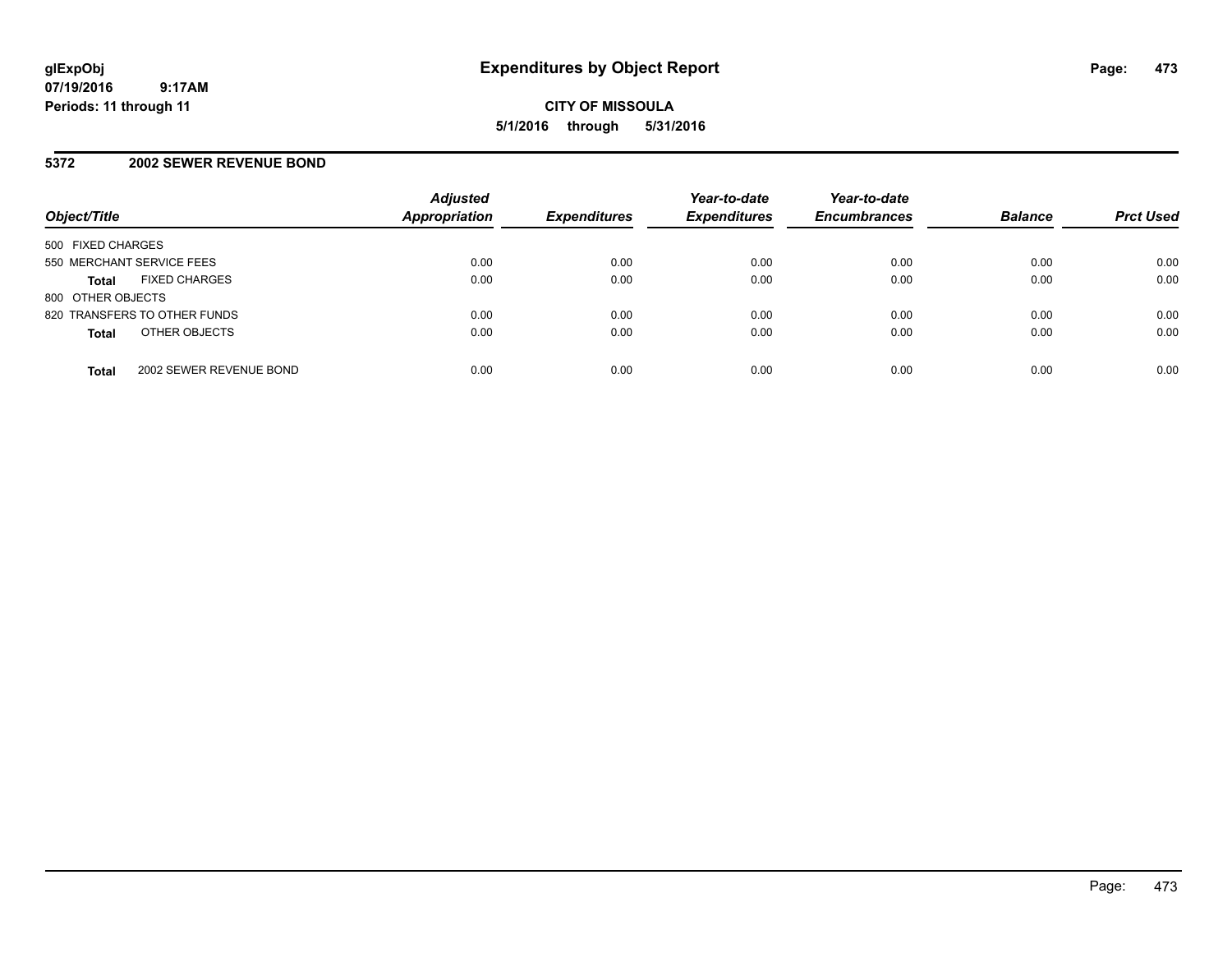#### **5372 2002 SEWER REVENUE BOND**

| Object/Title                            | <b>Adjusted</b><br><b>Appropriation</b> | <b>Expenditures</b> | Year-to-date<br><b>Expenditures</b> | Year-to-date<br><b>Encumbrances</b> | <b>Balance</b> | <b>Prct Used</b> |
|-----------------------------------------|-----------------------------------------|---------------------|-------------------------------------|-------------------------------------|----------------|------------------|
| 500 FIXED CHARGES                       |                                         |                     |                                     |                                     |                |                  |
| 550 MERCHANT SERVICE FEES               | 0.00                                    | 0.00                | 0.00                                | 0.00                                | 0.00           | 0.00             |
| <b>FIXED CHARGES</b><br><b>Total</b>    | 0.00                                    | 0.00                | 0.00                                | 0.00                                | 0.00           | 0.00             |
| 800 OTHER OBJECTS                       |                                         |                     |                                     |                                     |                |                  |
| 820 TRANSFERS TO OTHER FUNDS            | 0.00                                    | 0.00                | 0.00                                | 0.00                                | 0.00           | 0.00             |
| OTHER OBJECTS<br><b>Total</b>           | 0.00                                    | 0.00                | 0.00                                | 0.00                                | 0.00           | 0.00             |
| 2002 SEWER REVENUE BOND<br><b>Total</b> | 0.00                                    | 0.00                | 0.00                                | 0.00                                | 0.00           | 0.00             |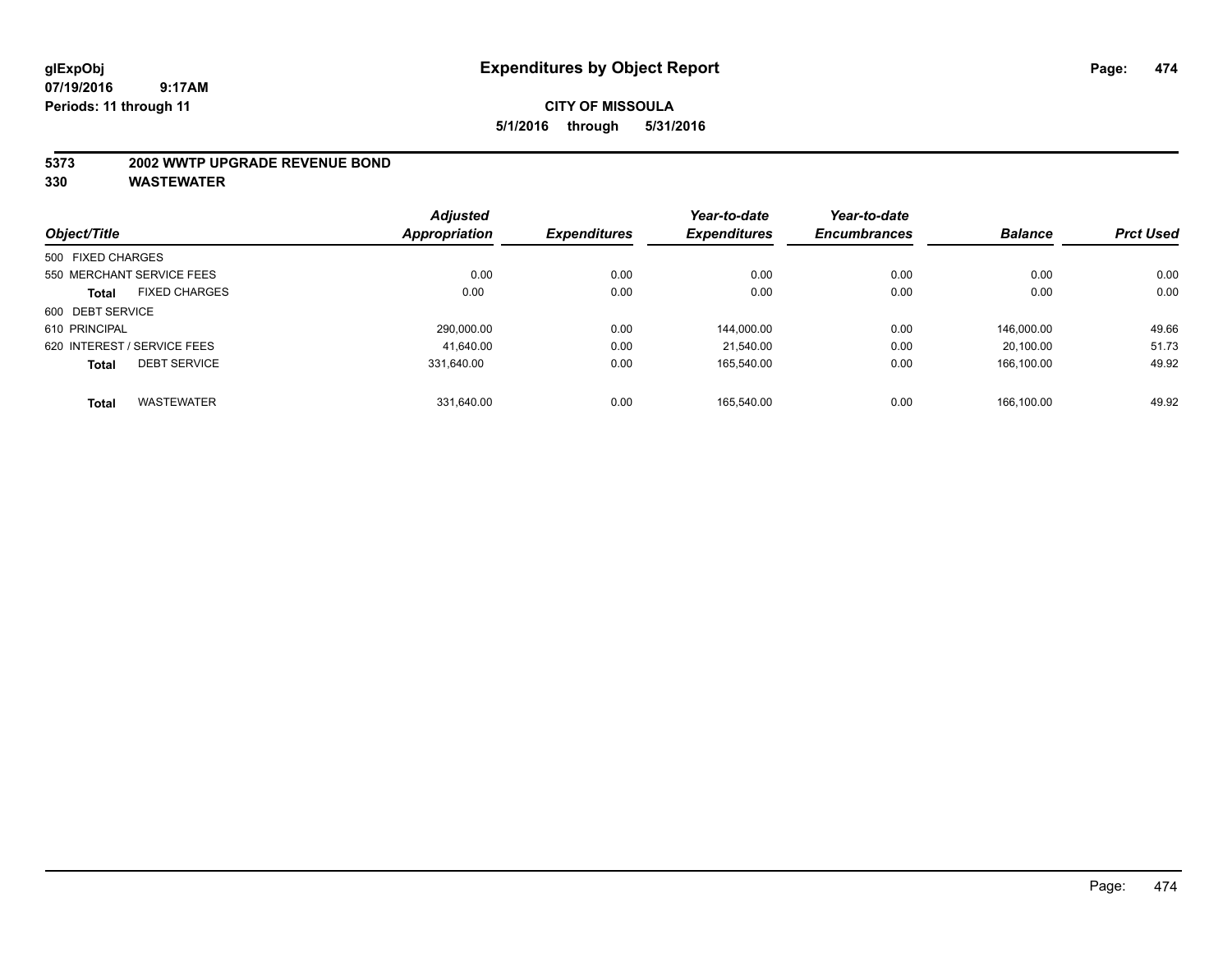#### **5373 2002 WWTP UPGRADE REVENUE BOND**

| Object/Title      |                             | <b>Adjusted</b> | <b>Expenditures</b> | Year-to-date<br><b>Expenditures</b> | Year-to-date        | <b>Balance</b> | <b>Prct Used</b> |
|-------------------|-----------------------------|-----------------|---------------------|-------------------------------------|---------------------|----------------|------------------|
|                   |                             | Appropriation   |                     |                                     | <b>Encumbrances</b> |                |                  |
| 500 FIXED CHARGES |                             |                 |                     |                                     |                     |                |                  |
|                   | 550 MERCHANT SERVICE FEES   | 0.00            | 0.00                | 0.00                                | 0.00                | 0.00           | 0.00             |
| <b>Total</b>      | <b>FIXED CHARGES</b>        | 0.00            | 0.00                | 0.00                                | 0.00                | 0.00           | 0.00             |
| 600 DEBT SERVICE  |                             |                 |                     |                                     |                     |                |                  |
| 610 PRINCIPAL     |                             | 290.000.00      | 0.00                | 144.000.00                          | 0.00                | 146.000.00     | 49.66            |
|                   | 620 INTEREST / SERVICE FEES | 41.640.00       | 0.00                | 21.540.00                           | 0.00                | 20.100.00      | 51.73            |
| <b>Total</b>      | <b>DEBT SERVICE</b>         | 331.640.00      | 0.00                | 165.540.00                          | 0.00                | 166.100.00     | 49.92            |
| <b>Total</b>      | <b>WASTEWATER</b>           | 331.640.00      | 0.00                | 165.540.00                          | 0.00                | 166.100.00     | 49.92            |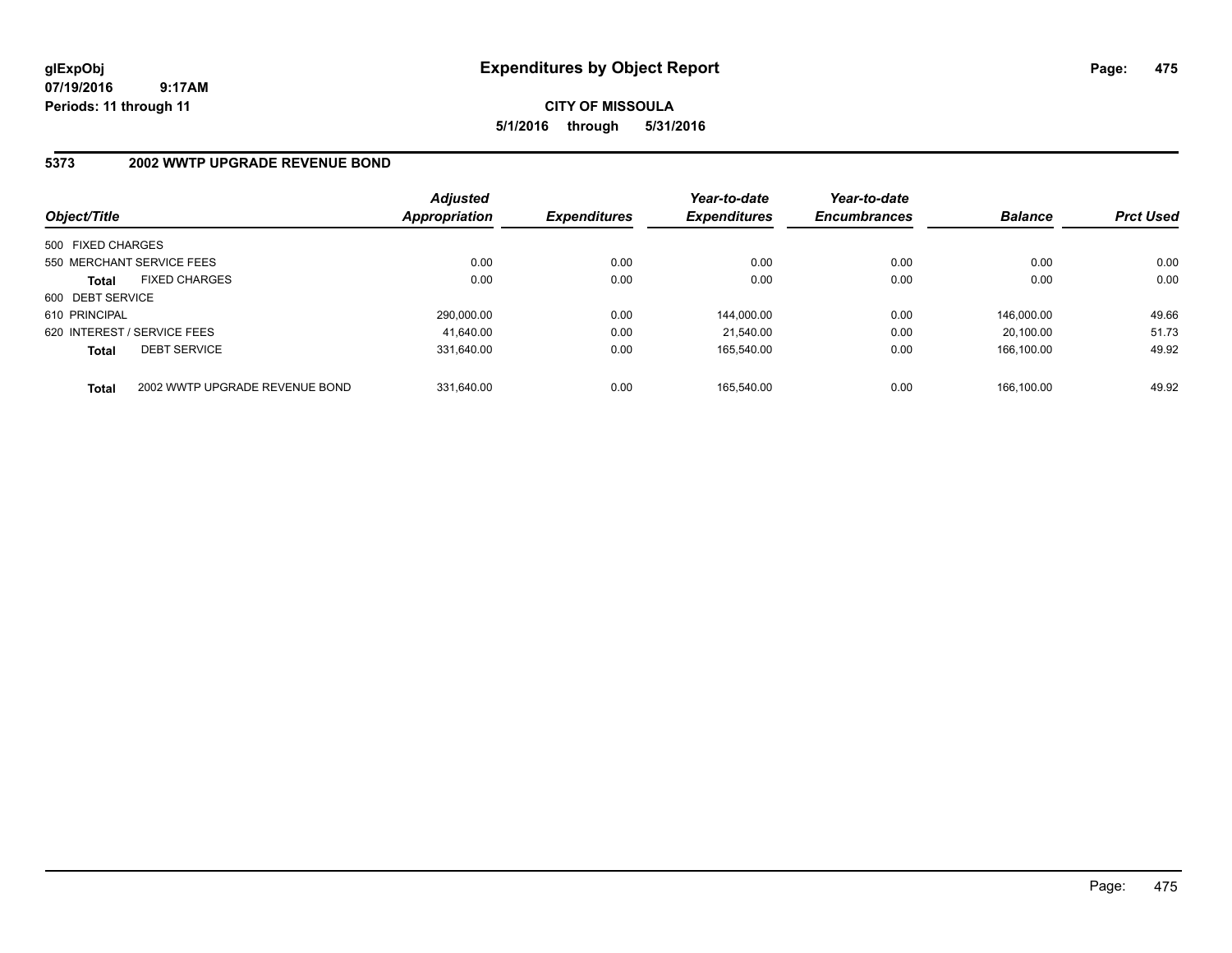**CITY OF MISSOULA 5/1/2016 through 5/31/2016**

## **5373 2002 WWTP UPGRADE REVENUE BOND**

| Object/Title      |                                | <b>Adjusted</b><br>Appropriation | <b>Expenditures</b> | Year-to-date<br><b>Expenditures</b> | Year-to-date<br><b>Encumbrances</b> | <b>Balance</b> | <b>Prct Used</b> |
|-------------------|--------------------------------|----------------------------------|---------------------|-------------------------------------|-------------------------------------|----------------|------------------|
| 500 FIXED CHARGES |                                |                                  |                     |                                     |                                     |                |                  |
|                   | 550 MERCHANT SERVICE FEES      | 0.00                             | 0.00                | 0.00                                | 0.00                                | 0.00           | 0.00             |
| <b>Total</b>      | <b>FIXED CHARGES</b>           | 0.00                             | 0.00                | 0.00                                | 0.00                                | 0.00           | 0.00             |
| 600 DEBT SERVICE  |                                |                                  |                     |                                     |                                     |                |                  |
| 610 PRINCIPAL     |                                | 290.000.00                       | 0.00                | 144.000.00                          | 0.00                                | 146.000.00     | 49.66            |
|                   | 620 INTEREST / SERVICE FEES    | 41.640.00                        | 0.00                | 21.540.00                           | 0.00                                | 20.100.00      | 51.73            |
| <b>Total</b>      | <b>DEBT SERVICE</b>            | 331.640.00                       | 0.00                | 165.540.00                          | 0.00                                | 166.100.00     | 49.92            |
| <b>Total</b>      | 2002 WWTP UPGRADE REVENUE BOND | 331.640.00                       | 0.00                | 165.540.00                          | 0.00                                | 166.100.00     | 49.92            |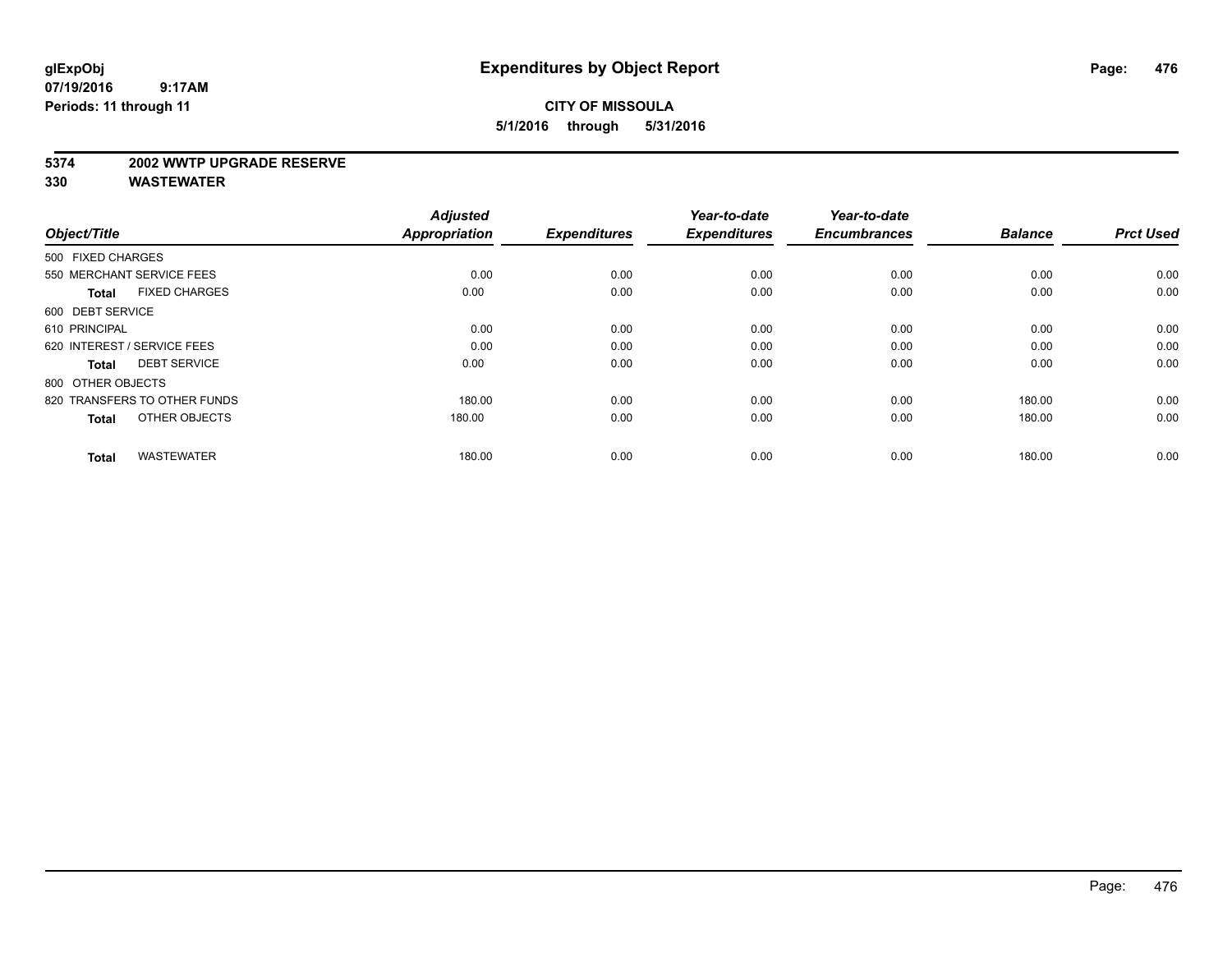#### **5374 2002 WWTP UPGRADE RESERVE**

| Object/Title                         | <b>Adjusted</b><br><b>Appropriation</b> | <b>Expenditures</b> | Year-to-date<br><b>Expenditures</b> | Year-to-date<br><b>Encumbrances</b> | <b>Balance</b> | <b>Prct Used</b> |
|--------------------------------------|-----------------------------------------|---------------------|-------------------------------------|-------------------------------------|----------------|------------------|
| 500 FIXED CHARGES                    |                                         |                     |                                     |                                     |                |                  |
| 550 MERCHANT SERVICE FEES            | 0.00                                    | 0.00                | 0.00                                | 0.00                                | 0.00           | 0.00             |
| <b>FIXED CHARGES</b><br><b>Total</b> | 0.00                                    | 0.00                | 0.00                                | 0.00                                | 0.00           | 0.00             |
| 600 DEBT SERVICE                     |                                         |                     |                                     |                                     |                |                  |
| 610 PRINCIPAL                        | 0.00                                    | 0.00                | 0.00                                | 0.00                                | 0.00           | 0.00             |
| 620 INTEREST / SERVICE FEES          | 0.00                                    | 0.00                | 0.00                                | 0.00                                | 0.00           | 0.00             |
| <b>DEBT SERVICE</b><br><b>Total</b>  | 0.00                                    | 0.00                | 0.00                                | 0.00                                | 0.00           | 0.00             |
| 800 OTHER OBJECTS                    |                                         |                     |                                     |                                     |                |                  |
| 820 TRANSFERS TO OTHER FUNDS         | 180.00                                  | 0.00                | 0.00                                | 0.00                                | 180.00         | 0.00             |
| OTHER OBJECTS<br><b>Total</b>        | 180.00                                  | 0.00                | 0.00                                | 0.00                                | 180.00         | 0.00             |
|                                      |                                         |                     |                                     |                                     |                |                  |
| <b>WASTEWATER</b><br><b>Total</b>    | 180.00                                  | 0.00                | 0.00                                | 0.00                                | 180.00         | 0.00             |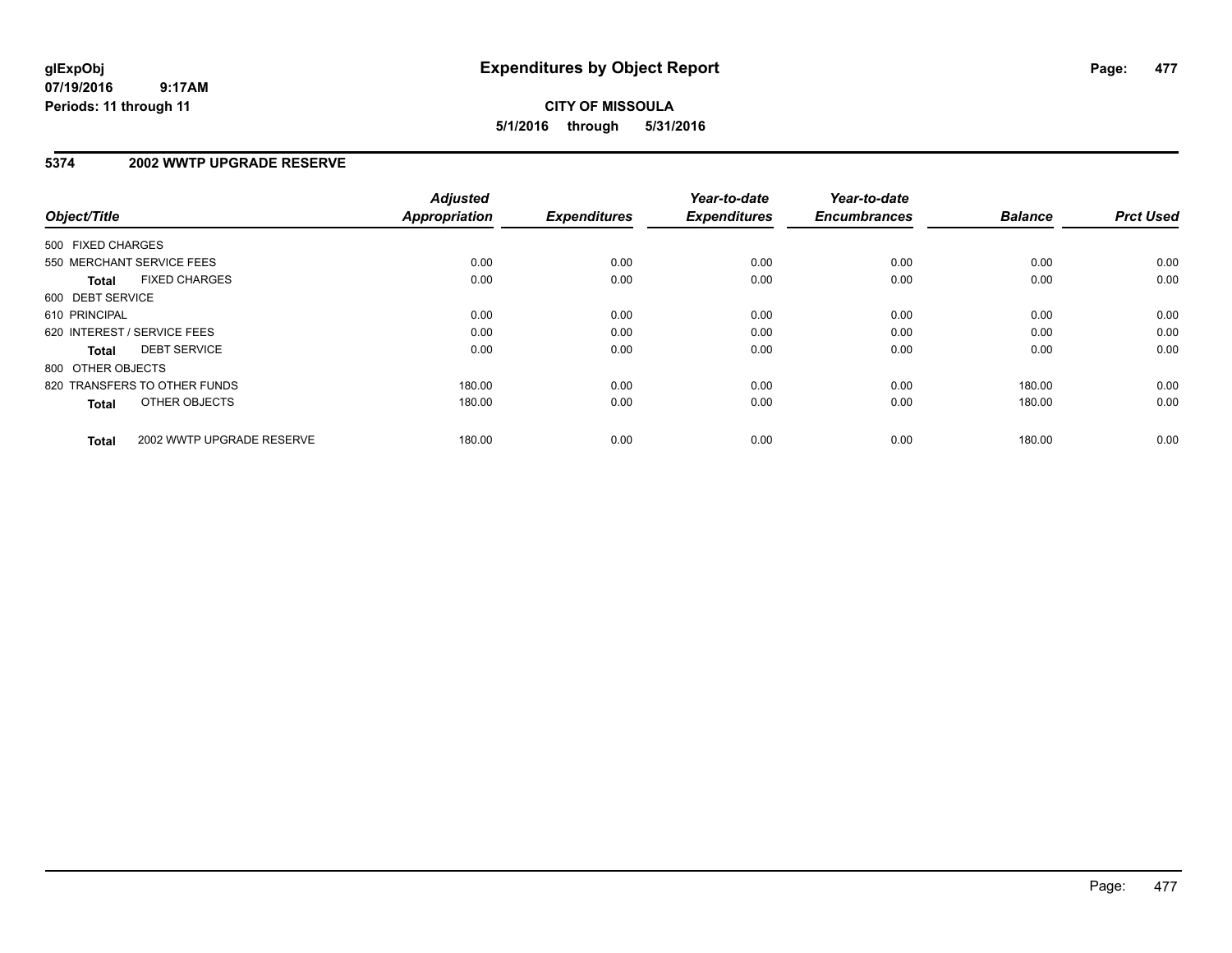## **CITY OF MISSOULA 5/1/2016 through 5/31/2016**

#### **5374 2002 WWTP UPGRADE RESERVE**

| Object/Title      |                              | <b>Adjusted</b><br><b>Appropriation</b> | <b>Expenditures</b> | Year-to-date<br><b>Expenditures</b> | Year-to-date<br><b>Encumbrances</b> | <b>Balance</b> | <b>Prct Used</b> |
|-------------------|------------------------------|-----------------------------------------|---------------------|-------------------------------------|-------------------------------------|----------------|------------------|
| 500 FIXED CHARGES |                              |                                         |                     |                                     |                                     |                |                  |
|                   | 550 MERCHANT SERVICE FEES    | 0.00                                    | 0.00                | 0.00                                | 0.00                                | 0.00           | 0.00             |
| <b>Total</b>      | <b>FIXED CHARGES</b>         | 0.00                                    | 0.00                | 0.00                                | 0.00                                | 0.00           | 0.00             |
| 600 DEBT SERVICE  |                              |                                         |                     |                                     |                                     |                |                  |
| 610 PRINCIPAL     |                              | 0.00                                    | 0.00                | 0.00                                | 0.00                                | 0.00           | 0.00             |
|                   | 620 INTEREST / SERVICE FEES  | 0.00                                    | 0.00                | 0.00                                | 0.00                                | 0.00           | 0.00             |
| Total             | <b>DEBT SERVICE</b>          | 0.00                                    | 0.00                | 0.00                                | 0.00                                | 0.00           | 0.00             |
| 800 OTHER OBJECTS |                              |                                         |                     |                                     |                                     |                |                  |
|                   | 820 TRANSFERS TO OTHER FUNDS | 180.00                                  | 0.00                | 0.00                                | 0.00                                | 180.00         | 0.00             |
| <b>Total</b>      | OTHER OBJECTS                | 180.00                                  | 0.00                | 0.00                                | 0.00                                | 180.00         | 0.00             |
| <b>Total</b>      | 2002 WWTP UPGRADE RESERVE    | 180.00                                  | 0.00                | 0.00                                | 0.00                                | 180.00         | 0.00             |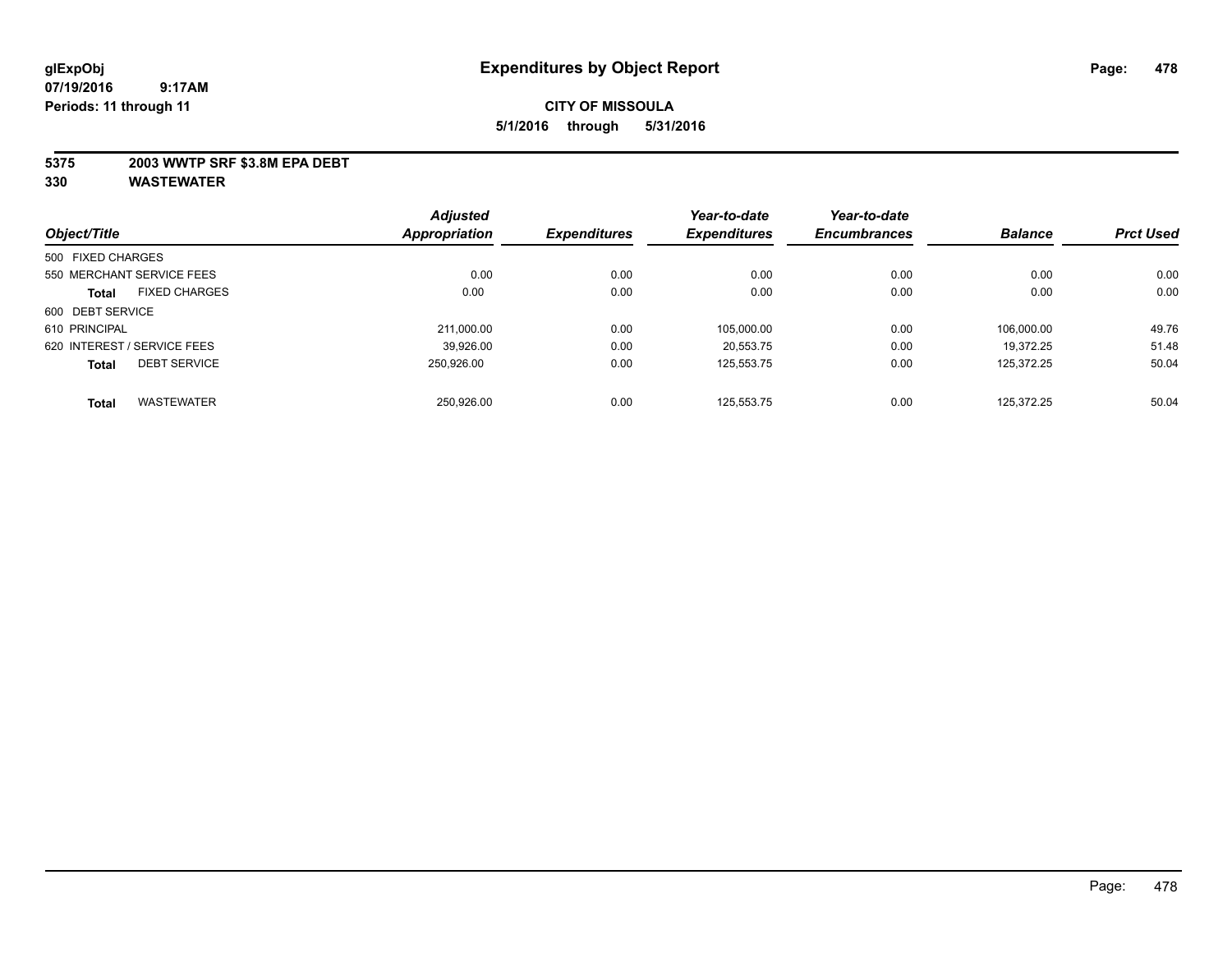#### **5375 2003 WWTP SRF \$3.8M EPA DEBT**

| Object/Title      |                             | <b>Adjusted</b> | <b>Expenditures</b> | Year-to-date<br><b>Expenditures</b> | Year-to-date<br><b>Encumbrances</b> | <b>Balance</b> | <b>Prct Used</b> |
|-------------------|-----------------------------|-----------------|---------------------|-------------------------------------|-------------------------------------|----------------|------------------|
|                   |                             | Appropriation   |                     |                                     |                                     |                |                  |
| 500 FIXED CHARGES |                             |                 |                     |                                     |                                     |                |                  |
|                   | 550 MERCHANT SERVICE FEES   | 0.00            | 0.00                | 0.00                                | 0.00                                | 0.00           | 0.00             |
| <b>Total</b>      | <b>FIXED CHARGES</b>        | 0.00            | 0.00                | 0.00                                | 0.00                                | 0.00           | 0.00             |
| 600 DEBT SERVICE  |                             |                 |                     |                                     |                                     |                |                  |
| 610 PRINCIPAL     |                             | 211,000.00      | 0.00                | 105,000.00                          | 0.00                                | 106.000.00     | 49.76            |
|                   | 620 INTEREST / SERVICE FEES | 39.926.00       | 0.00                | 20.553.75                           | 0.00                                | 19.372.25      | 51.48            |
| <b>Total</b>      | <b>DEBT SERVICE</b>         | 250.926.00      | 0.00                | 125,553.75                          | 0.00                                | 125.372.25     | 50.04            |
| <b>Total</b>      | <b>WASTEWATER</b>           | 250.926.00      | 0.00                | 125.553.75                          | 0.00                                | 125.372.25     | 50.04            |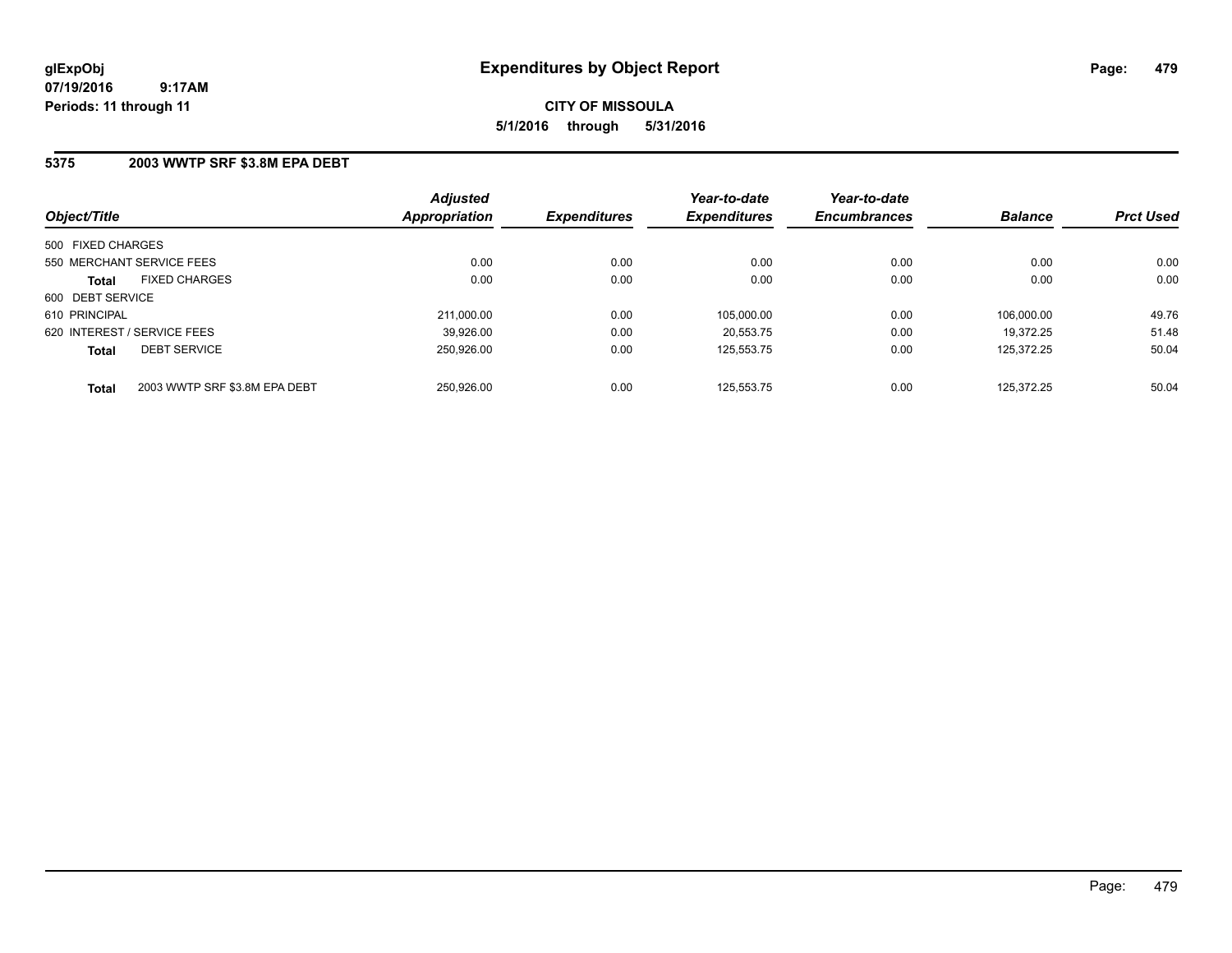#### **5375 2003 WWTP SRF \$3.8M EPA DEBT**

| Object/Title                                  | <b>Adjusted</b><br><b>Appropriation</b> | <b>Expenditures</b> | Year-to-date<br><b>Expenditures</b> | Year-to-date<br><b>Encumbrances</b> | <b>Balance</b> | <b>Prct Used</b> |
|-----------------------------------------------|-----------------------------------------|---------------------|-------------------------------------|-------------------------------------|----------------|------------------|
| 500 FIXED CHARGES                             |                                         |                     |                                     |                                     |                |                  |
| 550 MERCHANT SERVICE FEES                     | 0.00                                    | 0.00                | 0.00                                | 0.00                                | 0.00           | 0.00             |
| <b>FIXED CHARGES</b><br><b>Total</b>          | 0.00                                    | 0.00                | 0.00                                | 0.00                                | 0.00           | 0.00             |
| 600 DEBT SERVICE                              |                                         |                     |                                     |                                     |                |                  |
| 610 PRINCIPAL                                 | 211.000.00                              | 0.00                | 105.000.00                          | 0.00                                | 106.000.00     | 49.76            |
| 620 INTEREST / SERVICE FEES                   | 39,926.00                               | 0.00                | 20.553.75                           | 0.00                                | 19.372.25      | 51.48            |
| <b>DEBT SERVICE</b><br><b>Total</b>           | 250.926.00                              | 0.00                | 125.553.75                          | 0.00                                | 125.372.25     | 50.04            |
| 2003 WWTP SRF \$3.8M EPA DEBT<br><b>Total</b> | 250.926.00                              | 0.00                | 125.553.75                          | 0.00                                | 125.372.25     | 50.04            |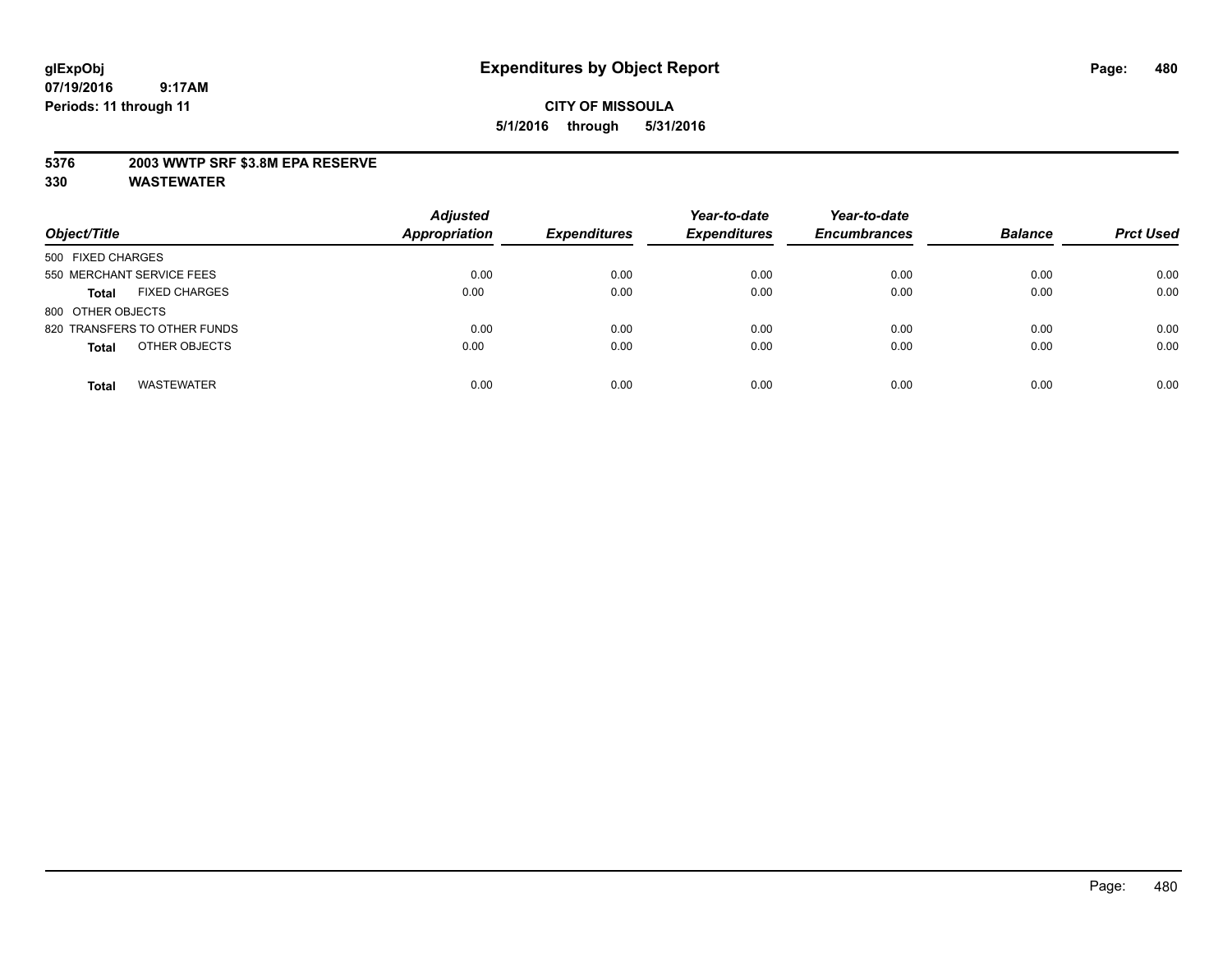#### **5376 2003 WWTP SRF \$3.8M EPA RESERVE**

| Object/Title                         | <b>Adjusted</b><br><b>Appropriation</b> | <b>Expenditures</b> | Year-to-date<br><b>Expenditures</b> | Year-to-date<br><b>Encumbrances</b> | <b>Balance</b> | <b>Prct Used</b> |
|--------------------------------------|-----------------------------------------|---------------------|-------------------------------------|-------------------------------------|----------------|------------------|
| 500 FIXED CHARGES                    |                                         |                     |                                     |                                     |                |                  |
| 550 MERCHANT SERVICE FEES            | 0.00                                    | 0.00                | 0.00                                | 0.00                                | 0.00           | 0.00             |
| <b>FIXED CHARGES</b><br><b>Total</b> | 0.00                                    | 0.00                | 0.00                                | 0.00                                | 0.00           | 0.00             |
| 800 OTHER OBJECTS                    |                                         |                     |                                     |                                     |                |                  |
| 820 TRANSFERS TO OTHER FUNDS         | 0.00                                    | 0.00                | 0.00                                | 0.00                                | 0.00           | 0.00             |
| OTHER OBJECTS<br><b>Total</b>        | 0.00                                    | 0.00                | 0.00                                | 0.00                                | 0.00           | 0.00             |
| <b>WASTEWATER</b><br><b>Total</b>    | 0.00                                    | 0.00                | 0.00                                | 0.00                                | 0.00           | 0.00             |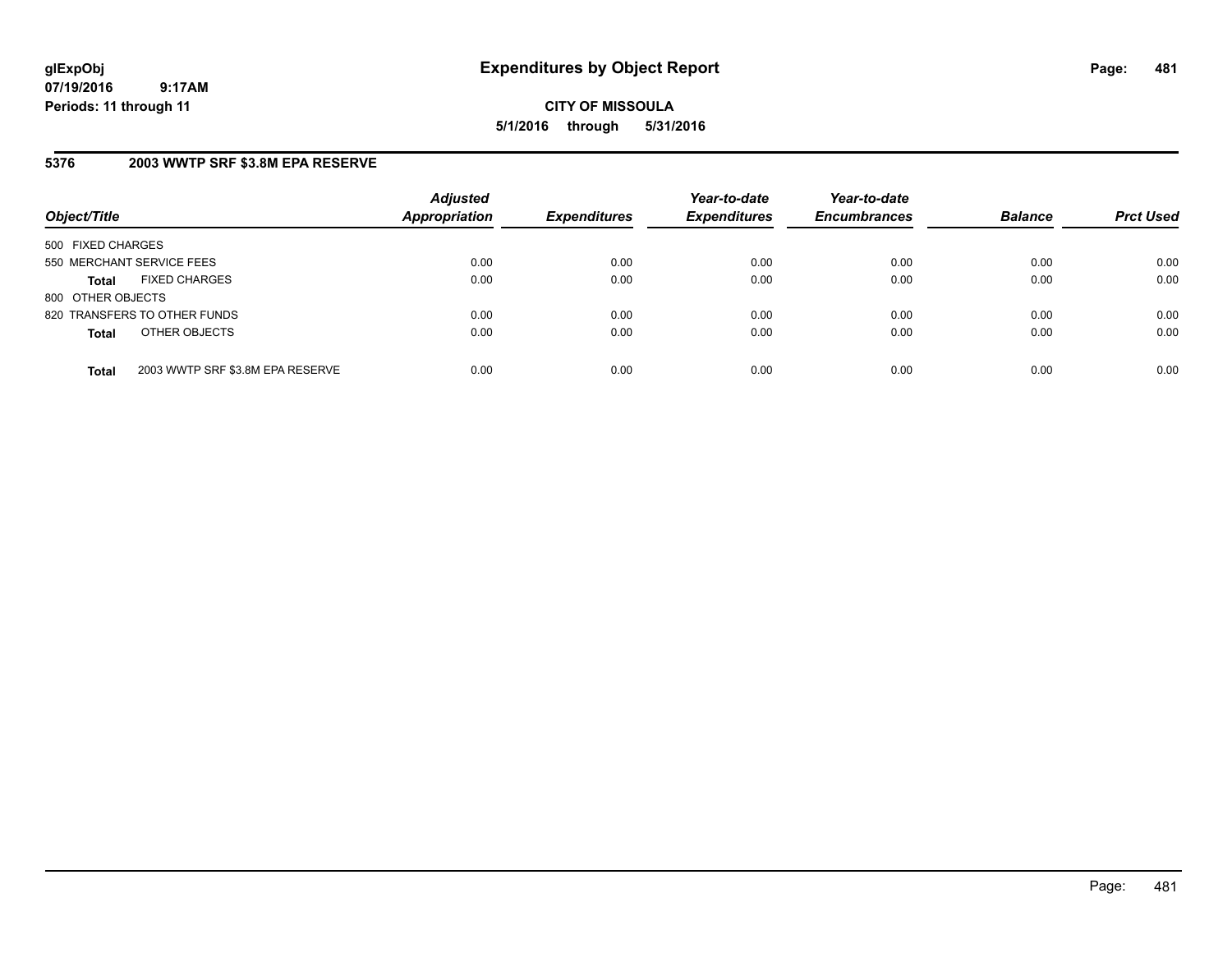**CITY OF MISSOULA 5/1/2016 through 5/31/2016**

## **5376 2003 WWTP SRF \$3.8M EPA RESERVE**

| Object/Title              |                                  | <b>Adjusted</b><br><b>Appropriation</b> | <b>Expenditures</b> | Year-to-date<br><b>Expenditures</b> | Year-to-date<br><b>Encumbrances</b> | <b>Balance</b> | <b>Prct Used</b> |
|---------------------------|----------------------------------|-----------------------------------------|---------------------|-------------------------------------|-------------------------------------|----------------|------------------|
| 500 FIXED CHARGES         |                                  |                                         |                     |                                     |                                     |                |                  |
| 550 MERCHANT SERVICE FEES |                                  | 0.00                                    | 0.00                | 0.00                                | 0.00                                | 0.00           | 0.00             |
| <b>Total</b>              | <b>FIXED CHARGES</b>             | 0.00                                    | 0.00                | 0.00                                | 0.00                                | 0.00           | 0.00             |
| 800 OTHER OBJECTS         |                                  |                                         |                     |                                     |                                     |                |                  |
|                           | 820 TRANSFERS TO OTHER FUNDS     | 0.00                                    | 0.00                | 0.00                                | 0.00                                | 0.00           | 0.00             |
| <b>Total</b>              | OTHER OBJECTS                    | 0.00                                    | 0.00                | 0.00                                | 0.00                                | 0.00           | 0.00             |
| <b>Total</b>              | 2003 WWTP SRF \$3.8M EPA RESERVE | 0.00                                    | 0.00                | 0.00                                | 0.00                                | 0.00           | 0.00             |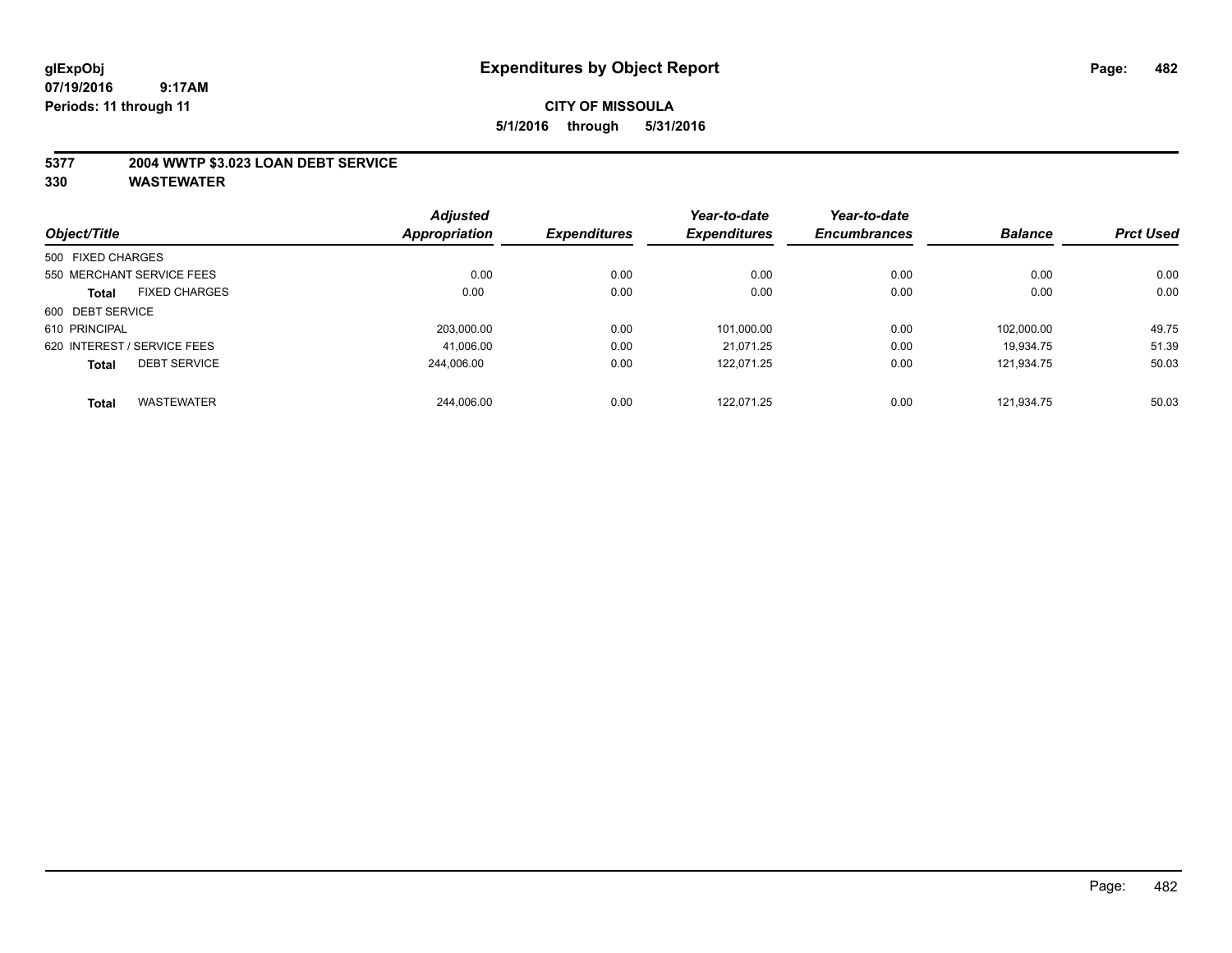#### **5377 2004 WWTP \$3.023 LOAN DEBT SERVICE**

|                   |                             | <b>Adjusted</b> |                     | Year-to-date        | Year-to-date        |                |                  |
|-------------------|-----------------------------|-----------------|---------------------|---------------------|---------------------|----------------|------------------|
| Object/Title      |                             | Appropriation   | <b>Expenditures</b> | <b>Expenditures</b> | <b>Encumbrances</b> | <b>Balance</b> | <b>Prct Used</b> |
| 500 FIXED CHARGES |                             |                 |                     |                     |                     |                |                  |
|                   | 550 MERCHANT SERVICE FEES   | 0.00            | 0.00                | 0.00                | 0.00                | 0.00           | 0.00             |
| <b>Total</b>      | <b>FIXED CHARGES</b>        | 0.00            | 0.00                | 0.00                | 0.00                | 0.00           | 0.00             |
| 600 DEBT SERVICE  |                             |                 |                     |                     |                     |                |                  |
| 610 PRINCIPAL     |                             | 203.000.00      | 0.00                | 101.000.00          | 0.00                | 102.000.00     | 49.75            |
|                   | 620 INTEREST / SERVICE FEES | 41,006.00       | 0.00                | 21.071.25           | 0.00                | 19.934.75      | 51.39            |
| <b>Total</b>      | <b>DEBT SERVICE</b>         | 244.006.00      | 0.00                | 122.071.25          | 0.00                | 121.934.75     | 50.03            |
| <b>Total</b>      | <b>WASTEWATER</b>           | 244.006.00      | 0.00                | 122.071.25          | 0.00                | 121.934.75     | 50.03            |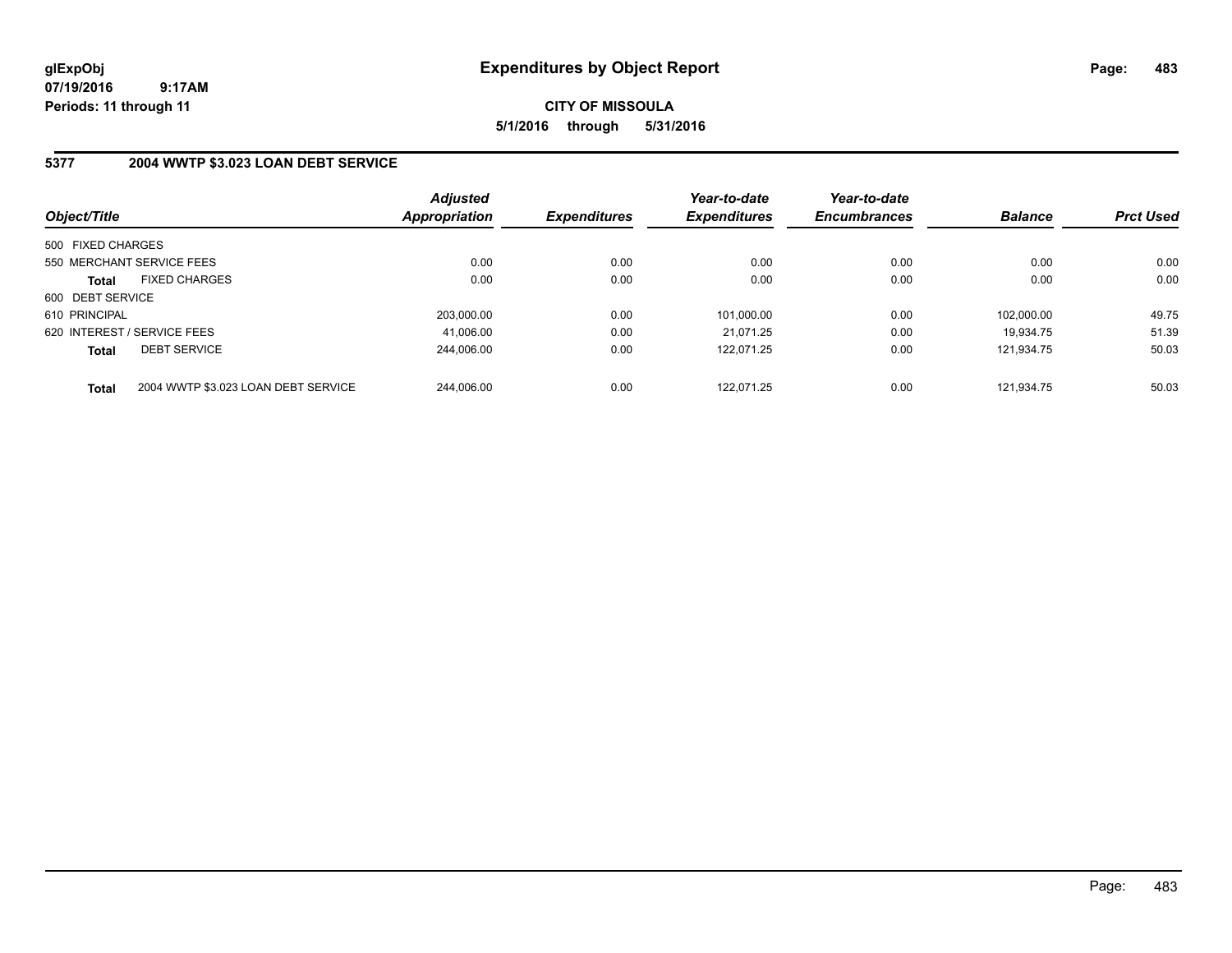**CITY OF MISSOULA 5/1/2016 through 5/31/2016**

## **5377 2004 WWTP \$3.023 LOAN DEBT SERVICE**

| Object/Title      |                                     | <b>Adjusted</b><br><b>Appropriation</b> | <b>Expenditures</b> | Year-to-date<br><b>Expenditures</b> | Year-to-date<br><b>Encumbrances</b> | <b>Balance</b> | <b>Prct Used</b> |
|-------------------|-------------------------------------|-----------------------------------------|---------------------|-------------------------------------|-------------------------------------|----------------|------------------|
| 500 FIXED CHARGES |                                     |                                         |                     |                                     |                                     |                |                  |
|                   | 550 MERCHANT SERVICE FEES           | 0.00                                    | 0.00                | 0.00                                | 0.00                                | 0.00           | 0.00             |
| <b>Total</b>      | <b>FIXED CHARGES</b>                | 0.00                                    | 0.00                | 0.00                                | 0.00                                | 0.00           | 0.00             |
| 600 DEBT SERVICE  |                                     |                                         |                     |                                     |                                     |                |                  |
| 610 PRINCIPAL     |                                     | 203,000.00                              | 0.00                | 101,000.00                          | 0.00                                | 102.000.00     | 49.75            |
|                   | 620 INTEREST / SERVICE FEES         | 41.006.00                               | 0.00                | 21.071.25                           | 0.00                                | 19.934.75      | 51.39            |
| <b>Total</b>      | <b>DEBT SERVICE</b>                 | 244.006.00                              | 0.00                | 122.071.25                          | 0.00                                | 121.934.75     | 50.03            |
| <b>Total</b>      | 2004 WWTP \$3.023 LOAN DEBT SERVICE | 244.006.00                              | 0.00                | 122.071.25                          | 0.00                                | 121.934.75     | 50.03            |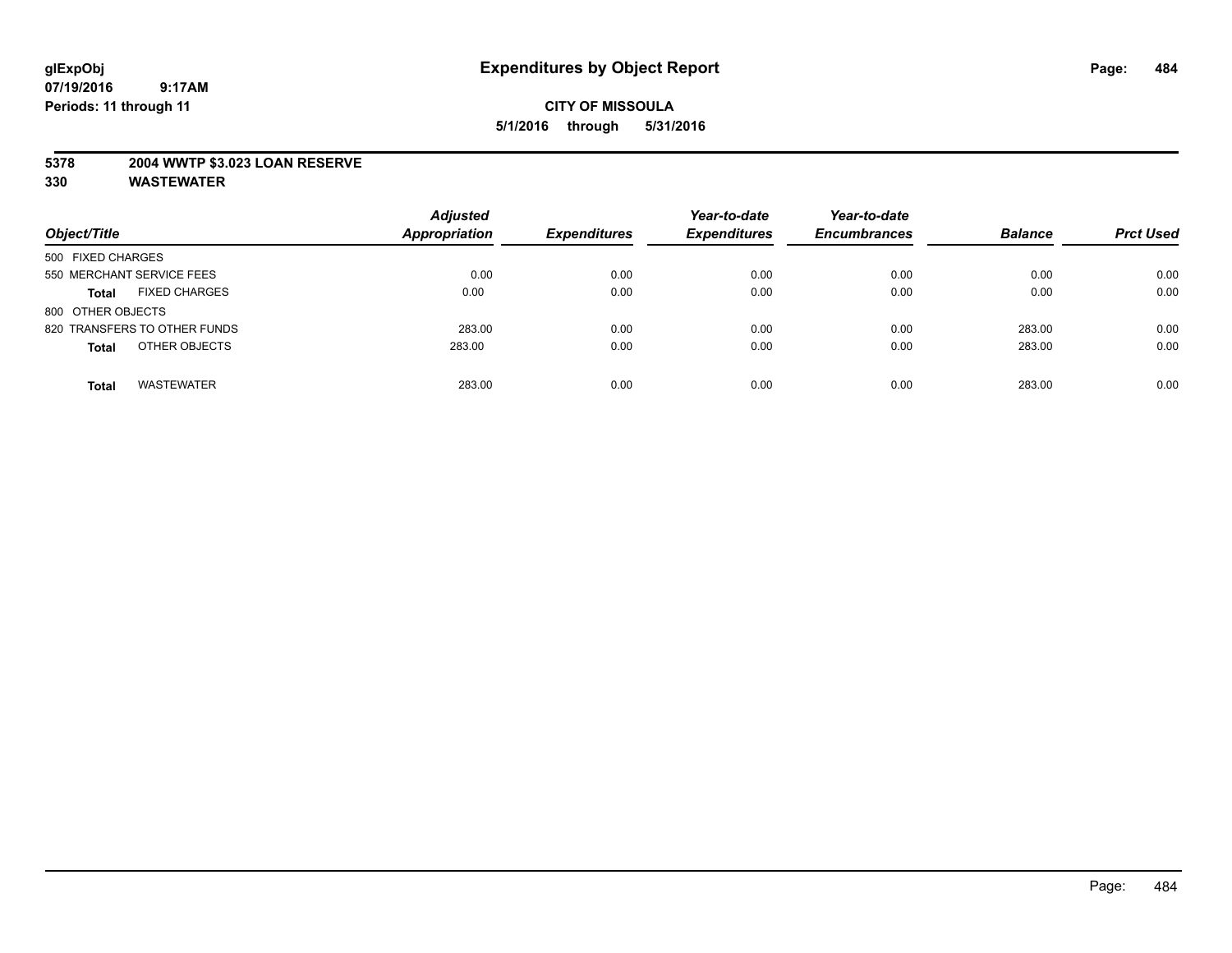#### **5378 2004 WWTP \$3.023 LOAN RESERVE**

| Object/Title                         | <b>Adjusted</b><br><b>Appropriation</b> | <b>Expenditures</b> | Year-to-date<br><b>Expenditures</b> | Year-to-date<br><b>Encumbrances</b> | <b>Balance</b> | <b>Prct Used</b> |
|--------------------------------------|-----------------------------------------|---------------------|-------------------------------------|-------------------------------------|----------------|------------------|
| 500 FIXED CHARGES                    |                                         |                     |                                     |                                     |                |                  |
| 550 MERCHANT SERVICE FEES            | 0.00                                    | 0.00                | 0.00                                | 0.00                                | 0.00           | 0.00             |
| <b>FIXED CHARGES</b><br><b>Total</b> | 0.00                                    | 0.00                | 0.00                                | 0.00                                | 0.00           | 0.00             |
| 800 OTHER OBJECTS                    |                                         |                     |                                     |                                     |                |                  |
| 820 TRANSFERS TO OTHER FUNDS         | 283.00                                  | 0.00                | 0.00                                | 0.00                                | 283.00         | 0.00             |
| OTHER OBJECTS<br><b>Total</b>        | 283.00                                  | 0.00                | 0.00                                | 0.00                                | 283.00         | 0.00             |
| <b>WASTEWATER</b><br>Total           | 283.00                                  | 0.00                | 0.00                                | 0.00                                | 283.00         | 0.00             |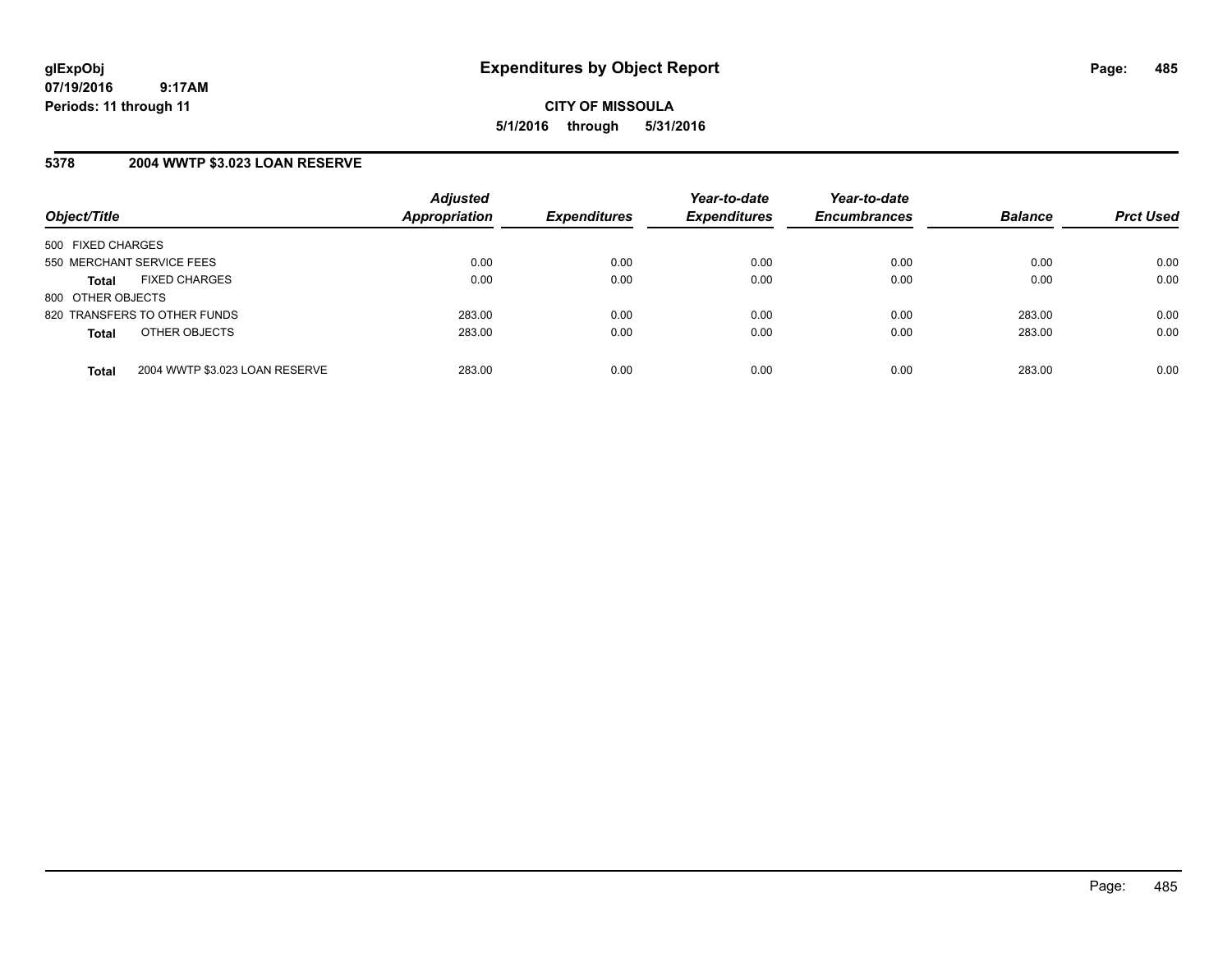#### **5378 2004 WWTP \$3.023 LOAN RESERVE**

| Object/Title                 |                                | <b>Adjusted</b><br>Appropriation | <b>Expenditures</b> | Year-to-date<br><b>Expenditures</b> | Year-to-date<br><b>Encumbrances</b> | <b>Balance</b> | <b>Prct Used</b> |
|------------------------------|--------------------------------|----------------------------------|---------------------|-------------------------------------|-------------------------------------|----------------|------------------|
| 500 FIXED CHARGES            |                                |                                  |                     |                                     |                                     |                |                  |
| 550 MERCHANT SERVICE FEES    |                                | 0.00                             | 0.00                | 0.00                                | 0.00                                | 0.00           | 0.00             |
| <b>Total</b>                 | <b>FIXED CHARGES</b>           | 0.00                             | 0.00                | 0.00                                | 0.00                                | 0.00           | 0.00             |
| 800 OTHER OBJECTS            |                                |                                  |                     |                                     |                                     |                |                  |
| 820 TRANSFERS TO OTHER FUNDS |                                | 283.00                           | 0.00                | 0.00                                | 0.00                                | 283.00         | 0.00             |
| <b>Total</b>                 | OTHER OBJECTS                  | 283.00                           | 0.00                | 0.00                                | 0.00                                | 283.00         | 0.00             |
|                              |                                |                                  |                     |                                     |                                     |                |                  |
| <b>Total</b>                 | 2004 WWTP \$3.023 LOAN RESERVE | 283.00                           | 0.00                | 0.00                                | 0.00                                | 283.00         | 0.00             |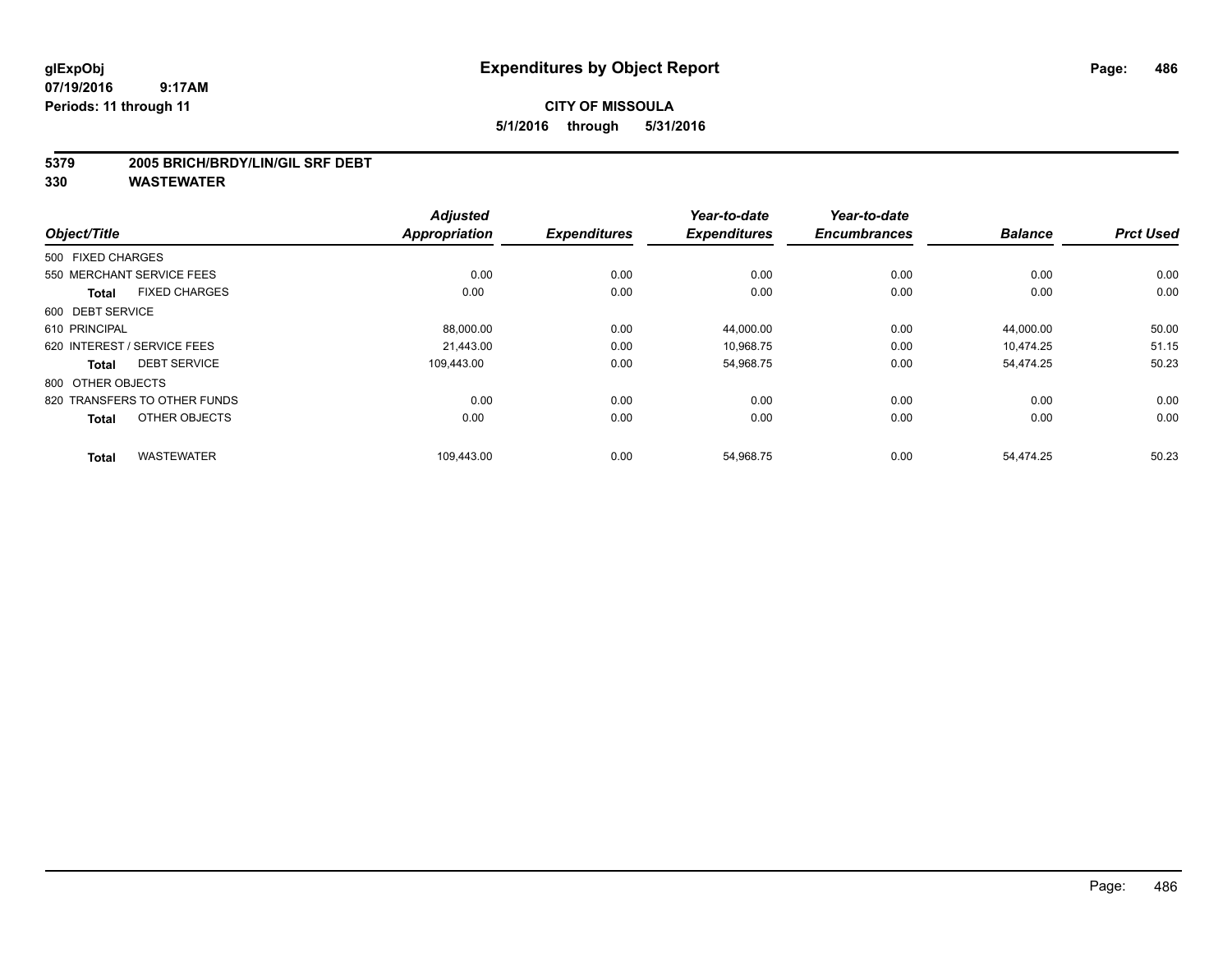## **CITY OF MISSOULA 5/1/2016 through 5/31/2016**

#### **5379 2005 BRICH/BRDY/LIN/GIL SRF DEBT**

|                              |                      | <b>Adjusted</b>      |                     | Year-to-date        | Year-to-date        |                |                  |
|------------------------------|----------------------|----------------------|---------------------|---------------------|---------------------|----------------|------------------|
| Object/Title                 |                      | <b>Appropriation</b> | <b>Expenditures</b> | <b>Expenditures</b> | <b>Encumbrances</b> | <b>Balance</b> | <b>Prct Used</b> |
| 500 FIXED CHARGES            |                      |                      |                     |                     |                     |                |                  |
| 550 MERCHANT SERVICE FEES    |                      | 0.00                 | 0.00                | 0.00                | 0.00                | 0.00           | 0.00             |
| <b>Total</b>                 | <b>FIXED CHARGES</b> | 0.00                 | 0.00                | 0.00                | 0.00                | 0.00           | 0.00             |
| 600 DEBT SERVICE             |                      |                      |                     |                     |                     |                |                  |
| 610 PRINCIPAL                |                      | 88,000.00            | 0.00                | 44,000.00           | 0.00                | 44,000.00      | 50.00            |
| 620 INTEREST / SERVICE FEES  |                      | 21.443.00            | 0.00                | 10.968.75           | 0.00                | 10.474.25      | 51.15            |
| <b>Total</b>                 | <b>DEBT SERVICE</b>  | 109,443.00           | 0.00                | 54,968.75           | 0.00                | 54,474.25      | 50.23            |
| 800 OTHER OBJECTS            |                      |                      |                     |                     |                     |                |                  |
| 820 TRANSFERS TO OTHER FUNDS |                      | 0.00                 | 0.00                | 0.00                | 0.00                | 0.00           | 0.00             |
| <b>Total</b>                 | OTHER OBJECTS        | 0.00                 | 0.00                | 0.00                | 0.00                | 0.00           | 0.00             |
| <b>Total</b>                 | <b>WASTEWATER</b>    | 109,443.00           | 0.00                | 54,968.75           | 0.00                | 54,474.25      | 50.23            |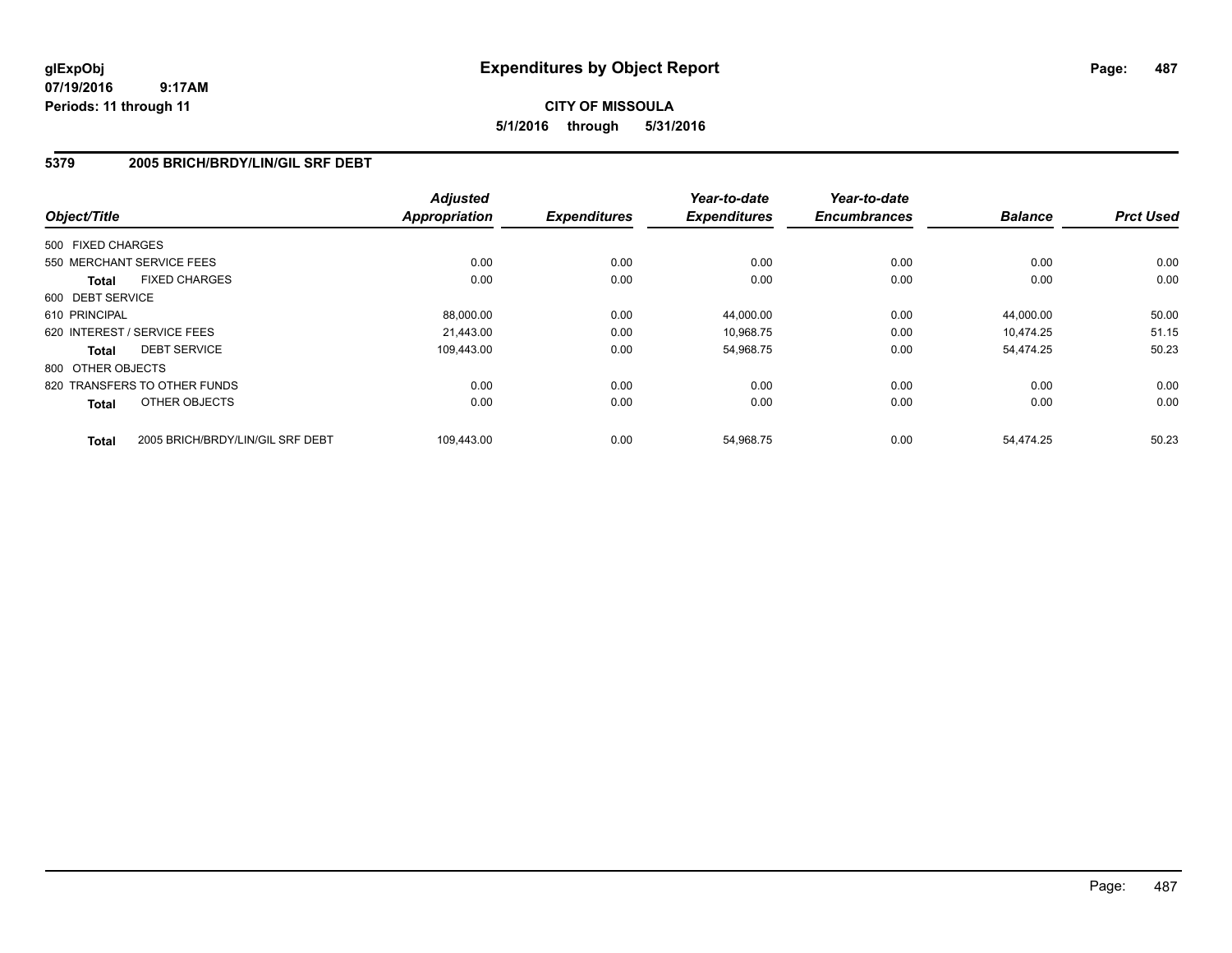## **CITY OF MISSOULA 5/1/2016 through 5/31/2016**

#### **5379 2005 BRICH/BRDY/LIN/GIL SRF DEBT**

| Object/Title      |                                  | <b>Adjusted</b><br><b>Appropriation</b> | <b>Expenditures</b> | Year-to-date<br><b>Expenditures</b> | Year-to-date<br><b>Encumbrances</b> | <b>Balance</b> | <b>Prct Used</b> |
|-------------------|----------------------------------|-----------------------------------------|---------------------|-------------------------------------|-------------------------------------|----------------|------------------|
| 500 FIXED CHARGES |                                  |                                         |                     |                                     |                                     |                |                  |
|                   |                                  |                                         |                     |                                     |                                     |                |                  |
|                   | 550 MERCHANT SERVICE FEES        | 0.00                                    | 0.00                | 0.00                                | 0.00                                | 0.00           | 0.00             |
| <b>Total</b>      | <b>FIXED CHARGES</b>             | 0.00                                    | 0.00                | 0.00                                | 0.00                                | 0.00           | 0.00             |
| 600 DEBT SERVICE  |                                  |                                         |                     |                                     |                                     |                |                  |
| 610 PRINCIPAL     |                                  | 88,000.00                               | 0.00                | 44,000.00                           | 0.00                                | 44,000.00      | 50.00            |
|                   | 620 INTEREST / SERVICE FEES      | 21,443.00                               | 0.00                | 10,968.75                           | 0.00                                | 10.474.25      | 51.15            |
| <b>Total</b>      | <b>DEBT SERVICE</b>              | 109.443.00                              | 0.00                | 54,968.75                           | 0.00                                | 54,474.25      | 50.23            |
| 800 OTHER OBJECTS |                                  |                                         |                     |                                     |                                     |                |                  |
|                   | 820 TRANSFERS TO OTHER FUNDS     | 0.00                                    | 0.00                | 0.00                                | 0.00                                | 0.00           | 0.00             |
| Total             | OTHER OBJECTS                    | 0.00                                    | 0.00                | 0.00                                | 0.00                                | 0.00           | 0.00             |
| <b>Total</b>      | 2005 BRICH/BRDY/LIN/GIL SRF DEBT | 109,443.00                              | 0.00                | 54,968.75                           | 0.00                                | 54.474.25      | 50.23            |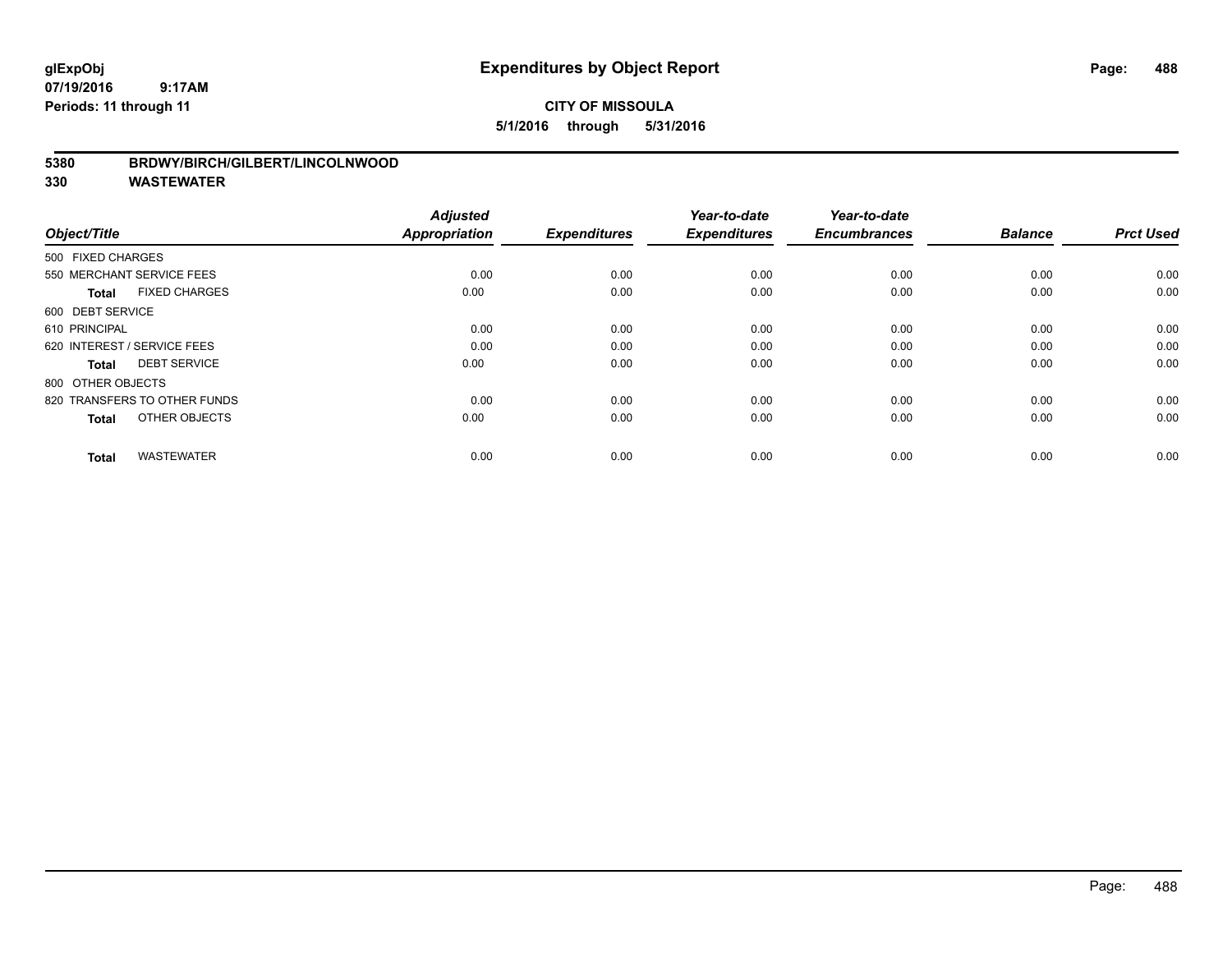## **CITY OF MISSOULA 5/1/2016 through 5/31/2016**

#### **5380 BRDWY/BIRCH/GILBERT/LINCOLNWOOD**

| Object/Title                         | <b>Adjusted</b><br><b>Appropriation</b> | <b>Expenditures</b> | Year-to-date<br><b>Expenditures</b> | Year-to-date<br><b>Encumbrances</b> | <b>Balance</b> | <b>Prct Used</b> |
|--------------------------------------|-----------------------------------------|---------------------|-------------------------------------|-------------------------------------|----------------|------------------|
| 500 FIXED CHARGES                    |                                         |                     |                                     |                                     |                |                  |
| 550 MERCHANT SERVICE FEES            | 0.00                                    | 0.00                | 0.00                                | 0.00                                | 0.00           | 0.00             |
| <b>FIXED CHARGES</b><br><b>Total</b> | 0.00                                    | 0.00                | 0.00                                | 0.00                                | 0.00           | 0.00             |
| 600 DEBT SERVICE                     |                                         |                     |                                     |                                     |                |                  |
| 610 PRINCIPAL                        | 0.00                                    | 0.00                | 0.00                                | 0.00                                | 0.00           | 0.00             |
| 620 INTEREST / SERVICE FEES          | 0.00                                    | 0.00                | 0.00                                | 0.00                                | 0.00           | 0.00             |
| <b>DEBT SERVICE</b><br><b>Total</b>  | 0.00                                    | 0.00                | 0.00                                | 0.00                                | 0.00           | 0.00             |
| 800 OTHER OBJECTS                    |                                         |                     |                                     |                                     |                |                  |
| 820 TRANSFERS TO OTHER FUNDS         | 0.00                                    | 0.00                | 0.00                                | 0.00                                | 0.00           | 0.00             |
| OTHER OBJECTS<br><b>Total</b>        | 0.00                                    | 0.00                | 0.00                                | 0.00                                | 0.00           | 0.00             |
|                                      |                                         |                     |                                     |                                     |                |                  |
| <b>WASTEWATER</b><br><b>Total</b>    | 0.00                                    | 0.00                | 0.00                                | 0.00                                | 0.00           | 0.00             |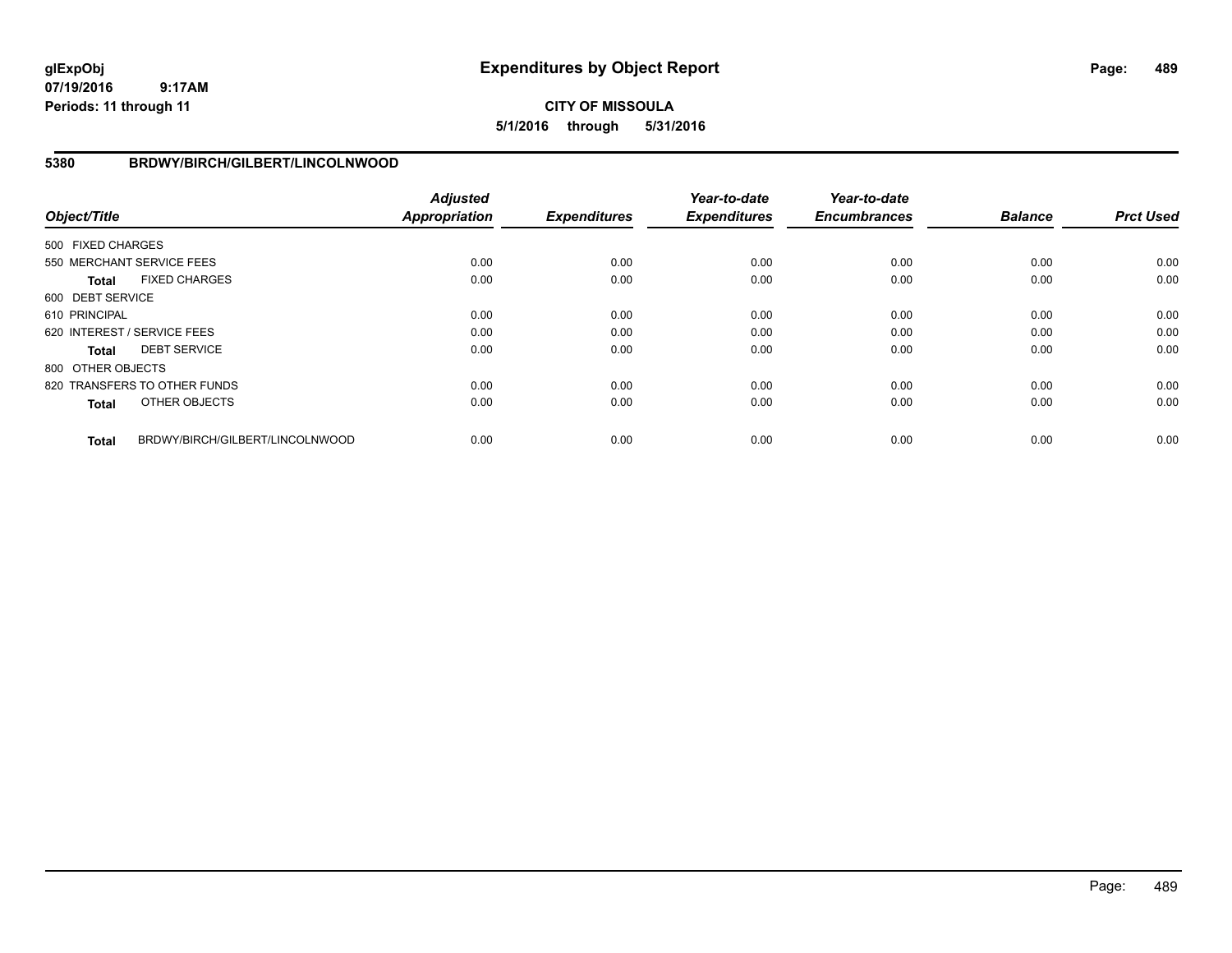## **CITY OF MISSOULA 5/1/2016 through 5/31/2016**

#### **5380 BRDWY/BIRCH/GILBERT/LINCOLNWOOD**

| Object/Title      |                                 | <b>Adjusted</b><br><b>Appropriation</b> | <b>Expenditures</b> | Year-to-date<br><b>Expenditures</b> | Year-to-date<br><b>Encumbrances</b> | <b>Balance</b> | <b>Prct Used</b> |
|-------------------|---------------------------------|-----------------------------------------|---------------------|-------------------------------------|-------------------------------------|----------------|------------------|
| 500 FIXED CHARGES |                                 |                                         |                     |                                     |                                     |                |                  |
|                   | 550 MERCHANT SERVICE FEES       | 0.00                                    | 0.00                | 0.00                                | 0.00                                | 0.00           | 0.00             |
| <b>Total</b>      | <b>FIXED CHARGES</b>            | 0.00                                    | 0.00                | 0.00                                | 0.00                                | 0.00           | 0.00             |
| 600 DEBT SERVICE  |                                 |                                         |                     |                                     |                                     |                |                  |
| 610 PRINCIPAL     |                                 | 0.00                                    | 0.00                | 0.00                                | 0.00                                | 0.00           | 0.00             |
|                   | 620 INTEREST / SERVICE FEES     | 0.00                                    | 0.00                | 0.00                                | 0.00                                | 0.00           | 0.00             |
| <b>Total</b>      | <b>DEBT SERVICE</b>             | 0.00                                    | 0.00                | 0.00                                | 0.00                                | 0.00           | 0.00             |
| 800 OTHER OBJECTS |                                 |                                         |                     |                                     |                                     |                |                  |
|                   | 820 TRANSFERS TO OTHER FUNDS    | 0.00                                    | 0.00                | 0.00                                | 0.00                                | 0.00           | 0.00             |
| <b>Total</b>      | OTHER OBJECTS                   | 0.00                                    | 0.00                | 0.00                                | 0.00                                | 0.00           | 0.00             |
| <b>Total</b>      | BRDWY/BIRCH/GILBERT/LINCOLNWOOD | 0.00                                    | 0.00                | 0.00                                | 0.00                                | 0.00           | 0.00             |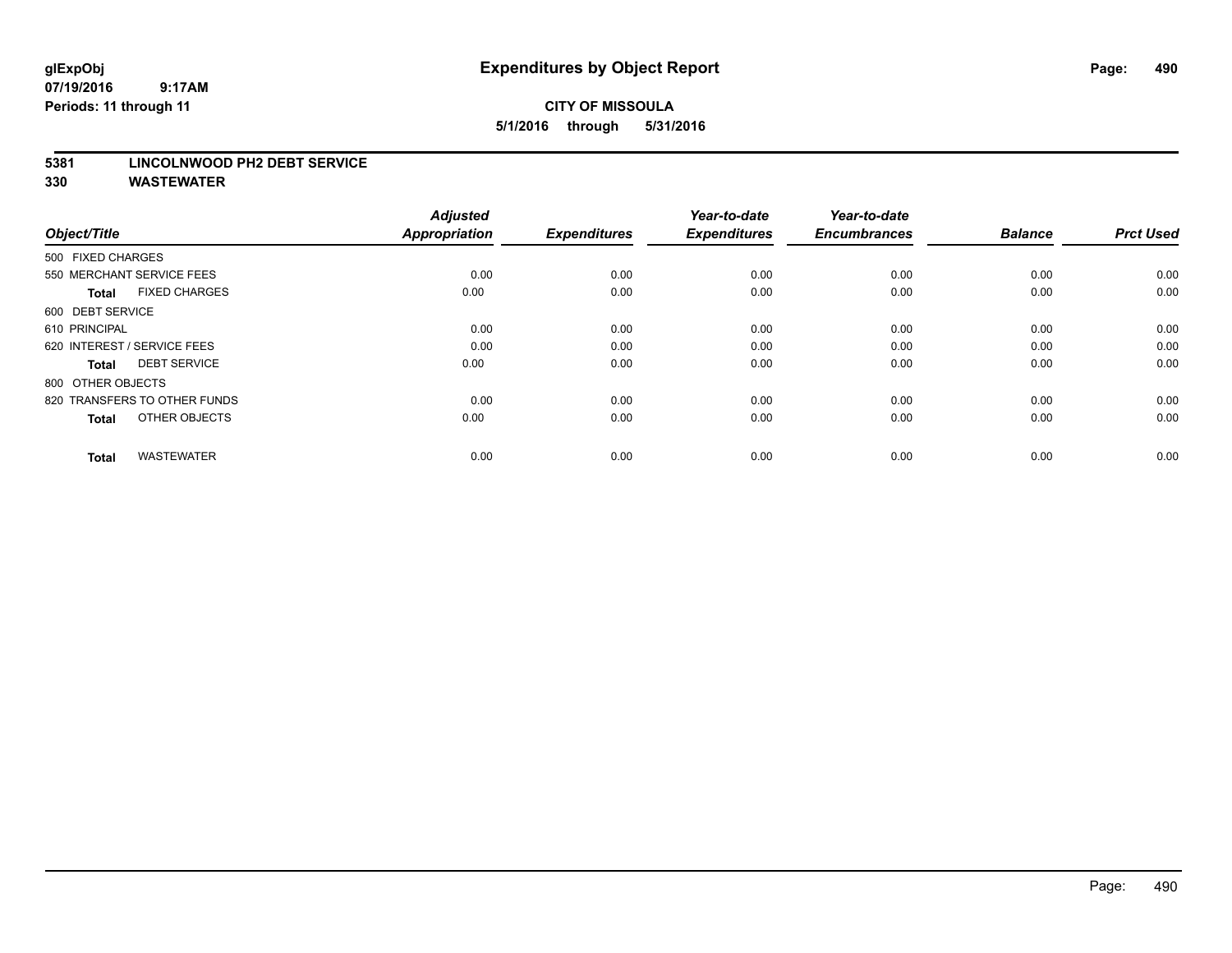## **CITY OF MISSOULA 5/1/2016 through 5/31/2016**

#### **5381 LINCOLNWOOD PH2 DEBT SERVICE**

| Object/Title                         | <b>Adjusted</b><br><b>Appropriation</b> | <b>Expenditures</b> | Year-to-date<br><b>Expenditures</b> | Year-to-date<br><b>Encumbrances</b> | <b>Balance</b> | <b>Prct Used</b> |
|--------------------------------------|-----------------------------------------|---------------------|-------------------------------------|-------------------------------------|----------------|------------------|
| 500 FIXED CHARGES                    |                                         |                     |                                     |                                     |                |                  |
| 550 MERCHANT SERVICE FEES            | 0.00                                    | 0.00                | 0.00                                | 0.00                                | 0.00           | 0.00             |
| <b>FIXED CHARGES</b><br><b>Total</b> | 0.00                                    | 0.00                | 0.00                                | 0.00                                | 0.00           | 0.00             |
| 600 DEBT SERVICE                     |                                         |                     |                                     |                                     |                |                  |
| 610 PRINCIPAL                        | 0.00                                    | 0.00                | 0.00                                | 0.00                                | 0.00           | 0.00             |
| 620 INTEREST / SERVICE FEES          | 0.00                                    | 0.00                | 0.00                                | 0.00                                | 0.00           | 0.00             |
| <b>DEBT SERVICE</b><br><b>Total</b>  | 0.00                                    | 0.00                | 0.00                                | 0.00                                | 0.00           | 0.00             |
| 800 OTHER OBJECTS                    |                                         |                     |                                     |                                     |                |                  |
| 820 TRANSFERS TO OTHER FUNDS         | 0.00                                    | 0.00                | 0.00                                | 0.00                                | 0.00           | 0.00             |
| OTHER OBJECTS<br><b>Total</b>        | 0.00                                    | 0.00                | 0.00                                | 0.00                                | 0.00           | 0.00             |
|                                      |                                         |                     |                                     |                                     |                |                  |
| <b>WASTEWATER</b><br><b>Total</b>    | 0.00                                    | 0.00                | 0.00                                | 0.00                                | 0.00           | 0.00             |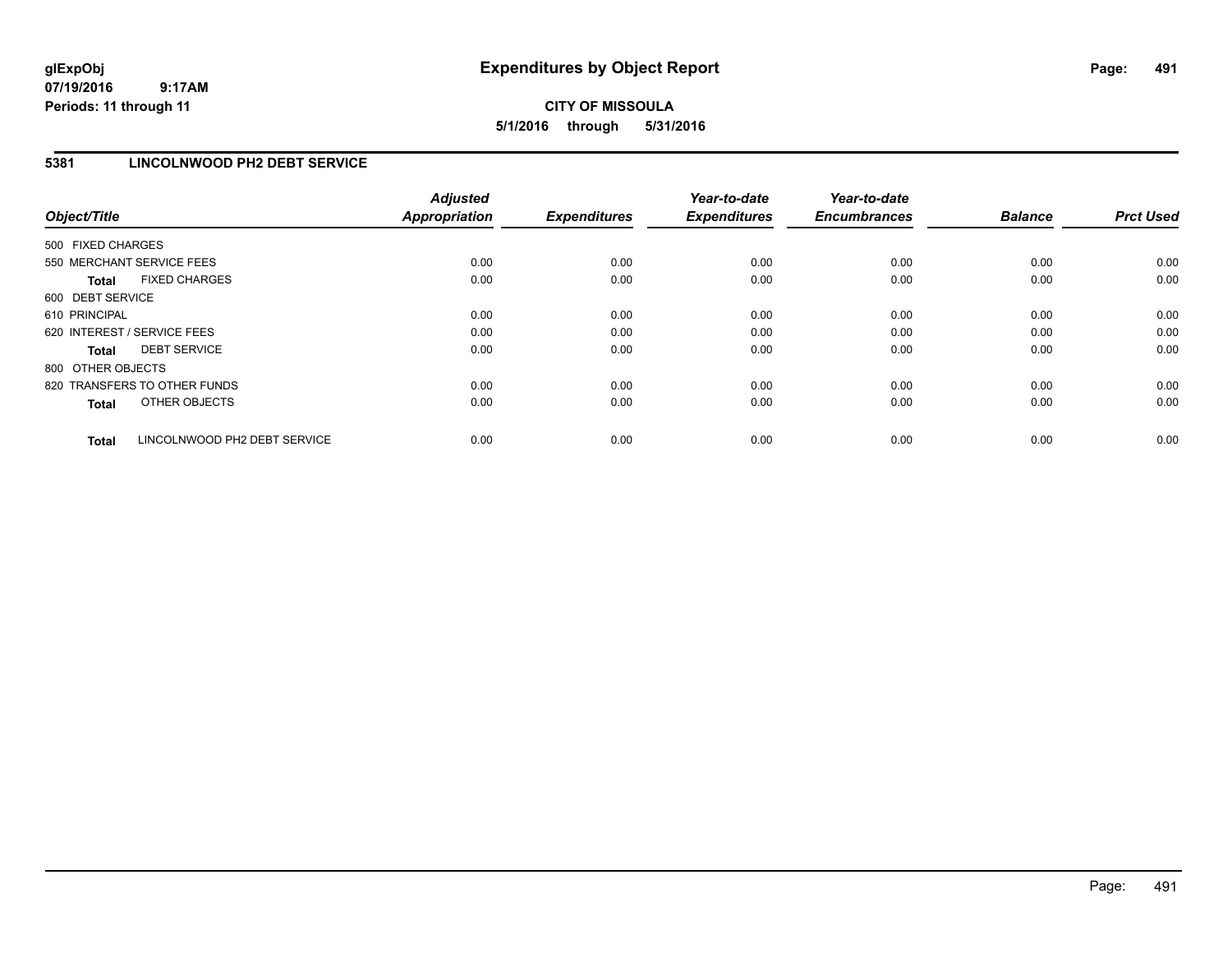## **CITY OF MISSOULA 5/1/2016 through 5/31/2016**

## **5381 LINCOLNWOOD PH2 DEBT SERVICE**

| Object/Title                 |                              | <b>Adjusted</b><br><b>Appropriation</b> | <b>Expenditures</b> | Year-to-date<br><b>Expenditures</b> | Year-to-date<br><b>Encumbrances</b> | <b>Balance</b> | <b>Prct Used</b> |
|------------------------------|------------------------------|-----------------------------------------|---------------------|-------------------------------------|-------------------------------------|----------------|------------------|
| 500 FIXED CHARGES            |                              |                                         |                     |                                     |                                     |                |                  |
| 550 MERCHANT SERVICE FEES    |                              | 0.00                                    | 0.00                | 0.00                                | 0.00                                | 0.00           | 0.00             |
| <b>Total</b>                 | <b>FIXED CHARGES</b>         | 0.00                                    | 0.00                | 0.00                                | 0.00                                | 0.00           | 0.00             |
| 600 DEBT SERVICE             |                              |                                         |                     |                                     |                                     |                |                  |
| 610 PRINCIPAL                |                              | 0.00                                    | 0.00                | 0.00                                | 0.00                                | 0.00           | 0.00             |
| 620 INTEREST / SERVICE FEES  |                              | 0.00                                    | 0.00                | 0.00                                | 0.00                                | 0.00           | 0.00             |
| Total                        | <b>DEBT SERVICE</b>          | 0.00                                    | 0.00                | 0.00                                | 0.00                                | 0.00           | 0.00             |
| 800 OTHER OBJECTS            |                              |                                         |                     |                                     |                                     |                |                  |
| 820 TRANSFERS TO OTHER FUNDS |                              | 0.00                                    | 0.00                | 0.00                                | 0.00                                | 0.00           | 0.00             |
| <b>Total</b>                 | OTHER OBJECTS                | 0.00                                    | 0.00                | 0.00                                | 0.00                                | 0.00           | 0.00             |
| <b>Total</b>                 | LINCOLNWOOD PH2 DEBT SERVICE | 0.00                                    | 0.00                | 0.00                                | 0.00                                | 0.00           | 0.00             |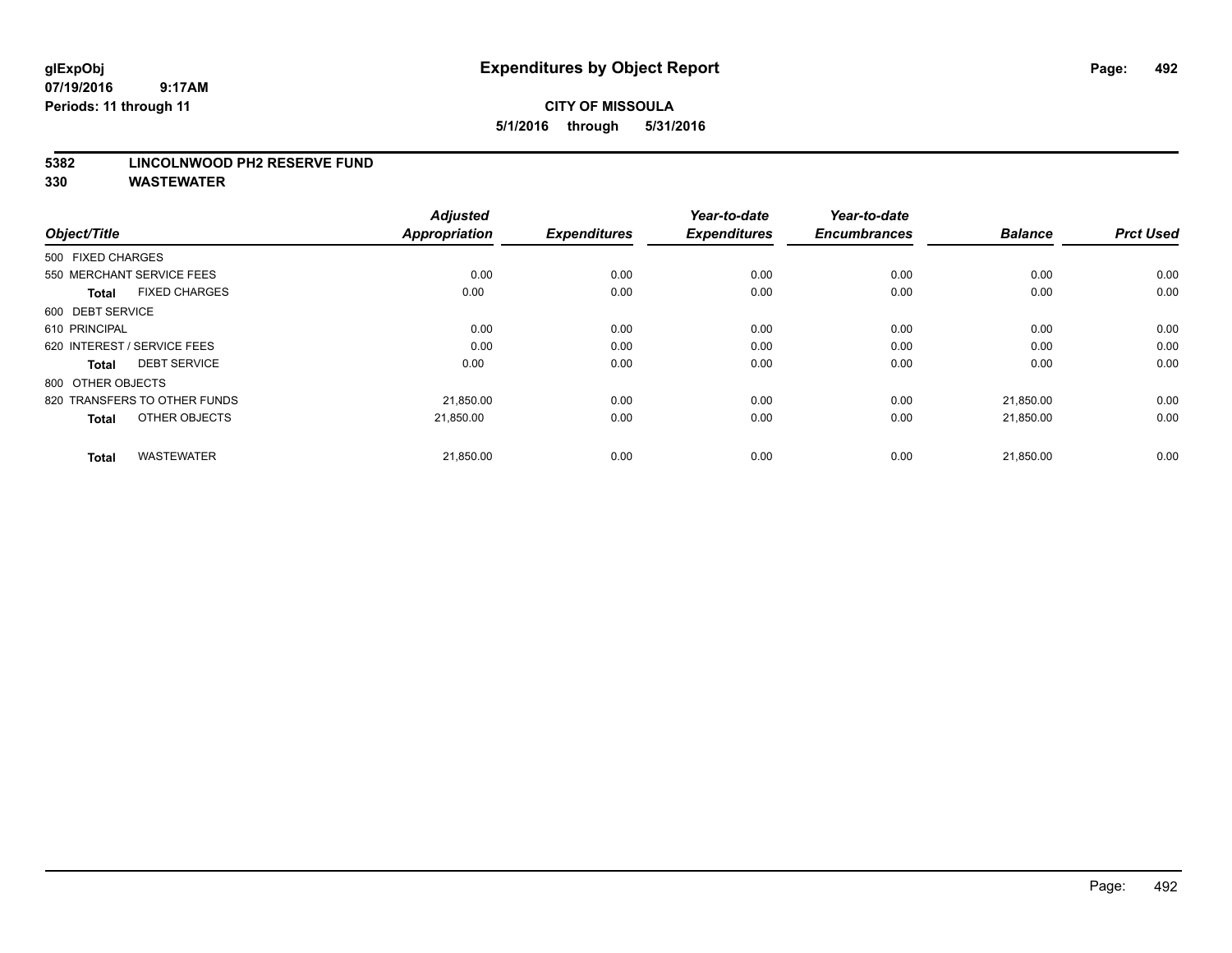## **CITY OF MISSOULA 5/1/2016 through 5/31/2016**

#### **5382 LINCOLNWOOD PH2 RESERVE FUND**

| Object/Title                         | <b>Adjusted</b><br><b>Appropriation</b> | <b>Expenditures</b> | Year-to-date<br><b>Expenditures</b> | Year-to-date<br><b>Encumbrances</b> | <b>Balance</b> | <b>Prct Used</b> |
|--------------------------------------|-----------------------------------------|---------------------|-------------------------------------|-------------------------------------|----------------|------------------|
| 500 FIXED CHARGES                    |                                         |                     |                                     |                                     |                |                  |
| 550 MERCHANT SERVICE FEES            | 0.00                                    | 0.00                | 0.00                                | 0.00                                | 0.00           | 0.00             |
| <b>FIXED CHARGES</b><br><b>Total</b> | 0.00                                    | 0.00                | 0.00                                | 0.00                                | 0.00           | 0.00             |
| 600 DEBT SERVICE                     |                                         |                     |                                     |                                     |                |                  |
| 610 PRINCIPAL                        | 0.00                                    | 0.00                | 0.00                                | 0.00                                | 0.00           | 0.00             |
| 620 INTEREST / SERVICE FEES          | 0.00                                    | 0.00                | 0.00                                | 0.00                                | 0.00           | 0.00             |
| <b>DEBT SERVICE</b><br><b>Total</b>  | 0.00                                    | 0.00                | 0.00                                | 0.00                                | 0.00           | 0.00             |
| 800 OTHER OBJECTS                    |                                         |                     |                                     |                                     |                |                  |
| 820 TRANSFERS TO OTHER FUNDS         | 21,850.00                               | 0.00                | 0.00                                | 0.00                                | 21,850.00      | 0.00             |
| OTHER OBJECTS<br><b>Total</b>        | 21.850.00                               | 0.00                | 0.00                                | 0.00                                | 21,850.00      | 0.00             |
|                                      |                                         |                     |                                     |                                     |                |                  |
| <b>WASTEWATER</b><br><b>Total</b>    | 21,850.00                               | 0.00                | 0.00                                | 0.00                                | 21,850.00      | 0.00             |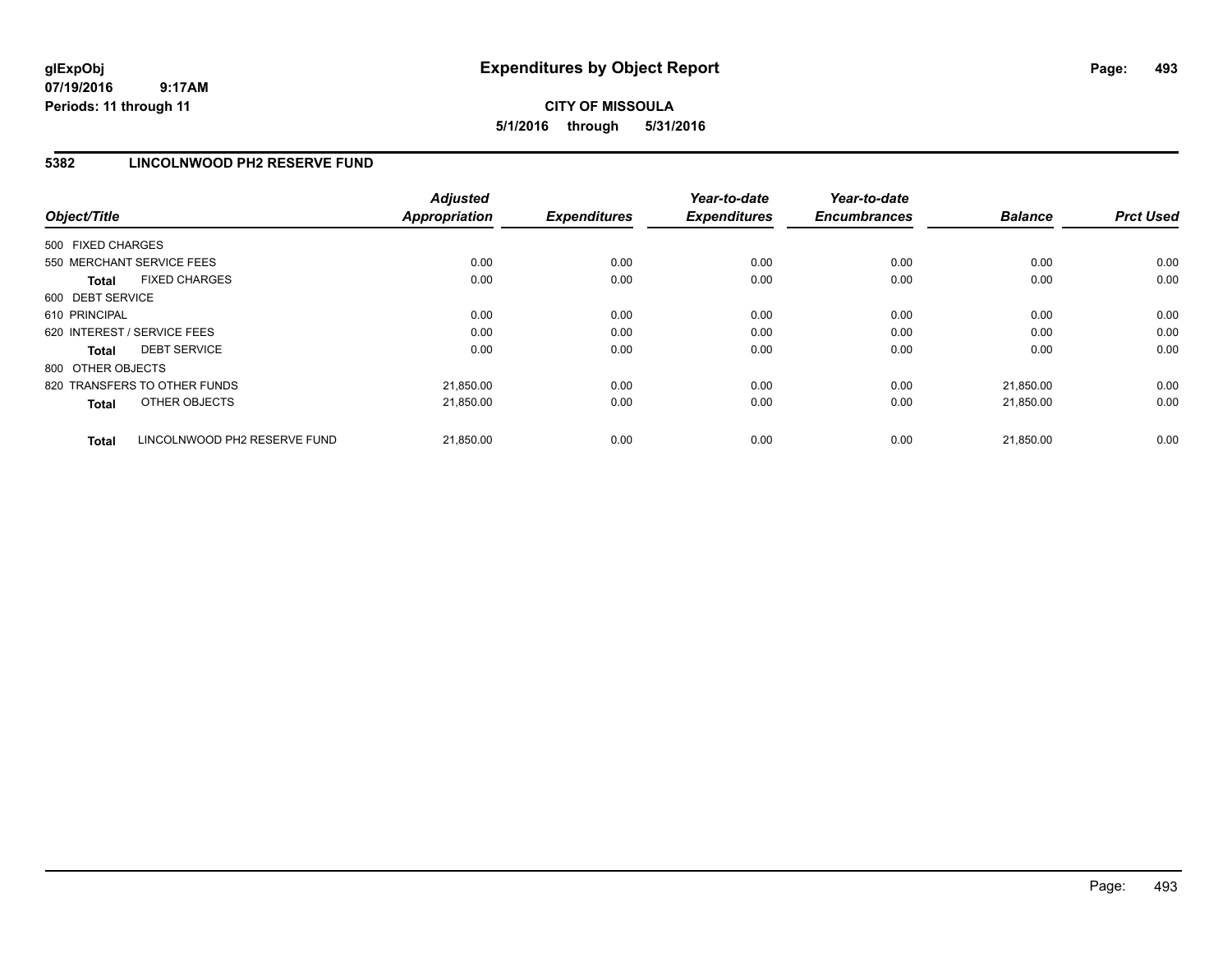## **CITY OF MISSOULA 5/1/2016 through 5/31/2016**

## **5382 LINCOLNWOOD PH2 RESERVE FUND**

| Object/Title                                 | <b>Adjusted</b><br><b>Appropriation</b> | <b>Expenditures</b> | Year-to-date<br><b>Expenditures</b> | Year-to-date<br><b>Encumbrances</b> | <b>Balance</b> | <b>Prct Used</b> |
|----------------------------------------------|-----------------------------------------|---------------------|-------------------------------------|-------------------------------------|----------------|------------------|
| 500 FIXED CHARGES                            |                                         |                     |                                     |                                     |                |                  |
| 550 MERCHANT SERVICE FEES                    | 0.00                                    | 0.00                | 0.00                                | 0.00                                | 0.00           | 0.00             |
| <b>FIXED CHARGES</b><br><b>Total</b>         | 0.00                                    | 0.00                | 0.00                                | 0.00                                | 0.00           | 0.00             |
| 600 DEBT SERVICE                             |                                         |                     |                                     |                                     |                |                  |
| 610 PRINCIPAL                                | 0.00                                    | 0.00                | 0.00                                | 0.00                                | 0.00           | 0.00             |
| 620 INTEREST / SERVICE FEES                  | 0.00                                    | 0.00                | 0.00                                | 0.00                                | 0.00           | 0.00             |
| <b>DEBT SERVICE</b><br><b>Total</b>          | 0.00                                    | 0.00                | 0.00                                | 0.00                                | 0.00           | 0.00             |
| 800 OTHER OBJECTS                            |                                         |                     |                                     |                                     |                |                  |
| 820 TRANSFERS TO OTHER FUNDS                 | 21,850.00                               | 0.00                | 0.00                                | 0.00                                | 21.850.00      | 0.00             |
| OTHER OBJECTS<br><b>Total</b>                | 21,850.00                               | 0.00                | 0.00                                | 0.00                                | 21,850.00      | 0.00             |
| LINCOLNWOOD PH2 RESERVE FUND<br><b>Total</b> | 21,850.00                               | 0.00                | 0.00                                | 0.00                                | 21.850.00      | 0.00             |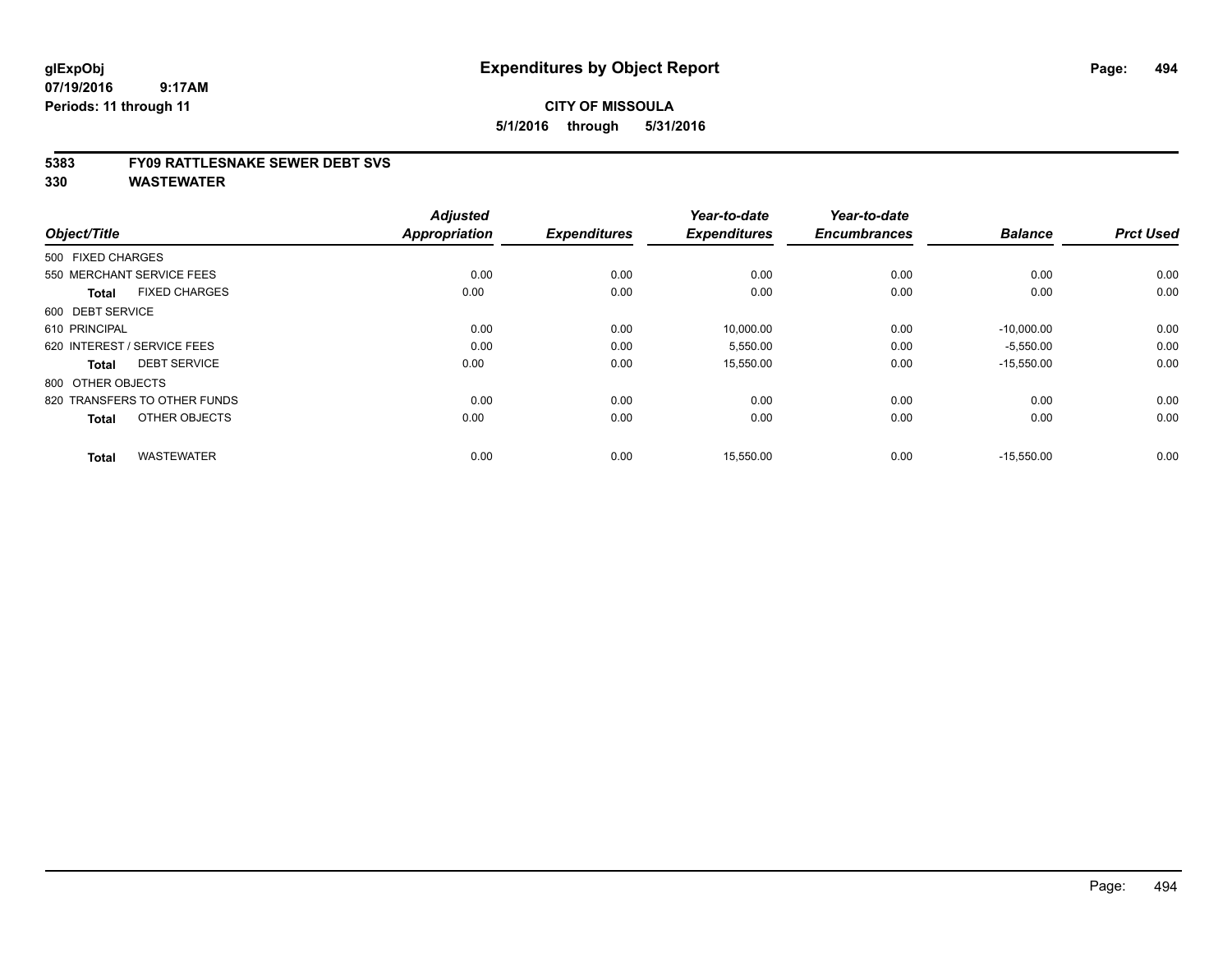#### **CITY OF MISSOULA 5/1/2016 through 5/31/2016**

#### **5383 FY09 RATTLESNAKE SEWER DEBT SVS**

| Object/Title                         | <b>Adjusted</b><br><b>Appropriation</b> | <b>Expenditures</b> | Year-to-date<br><b>Expenditures</b> | Year-to-date<br><b>Encumbrances</b> | <b>Balance</b> | <b>Prct Used</b> |
|--------------------------------------|-----------------------------------------|---------------------|-------------------------------------|-------------------------------------|----------------|------------------|
| 500 FIXED CHARGES                    |                                         |                     |                                     |                                     |                |                  |
| 550 MERCHANT SERVICE FEES            | 0.00                                    | 0.00                | 0.00                                | 0.00                                | 0.00           | 0.00             |
| <b>FIXED CHARGES</b><br><b>Total</b> | 0.00                                    | 0.00                | 0.00                                | 0.00                                | 0.00           | 0.00             |
| 600 DEBT SERVICE                     |                                         |                     |                                     |                                     |                |                  |
| 610 PRINCIPAL                        | 0.00                                    | 0.00                | 10,000.00                           | 0.00                                | $-10,000.00$   | 0.00             |
| 620 INTEREST / SERVICE FEES          | 0.00                                    | 0.00                | 5,550.00                            | 0.00                                | $-5,550.00$    | 0.00             |
| <b>DEBT SERVICE</b><br><b>Total</b>  | 0.00                                    | 0.00                | 15,550.00                           | 0.00                                | $-15,550.00$   | 0.00             |
| 800 OTHER OBJECTS                    |                                         |                     |                                     |                                     |                |                  |
| 820 TRANSFERS TO OTHER FUNDS         | 0.00                                    | 0.00                | 0.00                                | 0.00                                | 0.00           | 0.00             |
| OTHER OBJECTS<br><b>Total</b>        | 0.00                                    | 0.00                | 0.00                                | 0.00                                | 0.00           | 0.00             |
| <b>WASTEWATER</b><br><b>Total</b>    | 0.00                                    | 0.00                | 15,550.00                           | 0.00                                | $-15,550.00$   | 0.00             |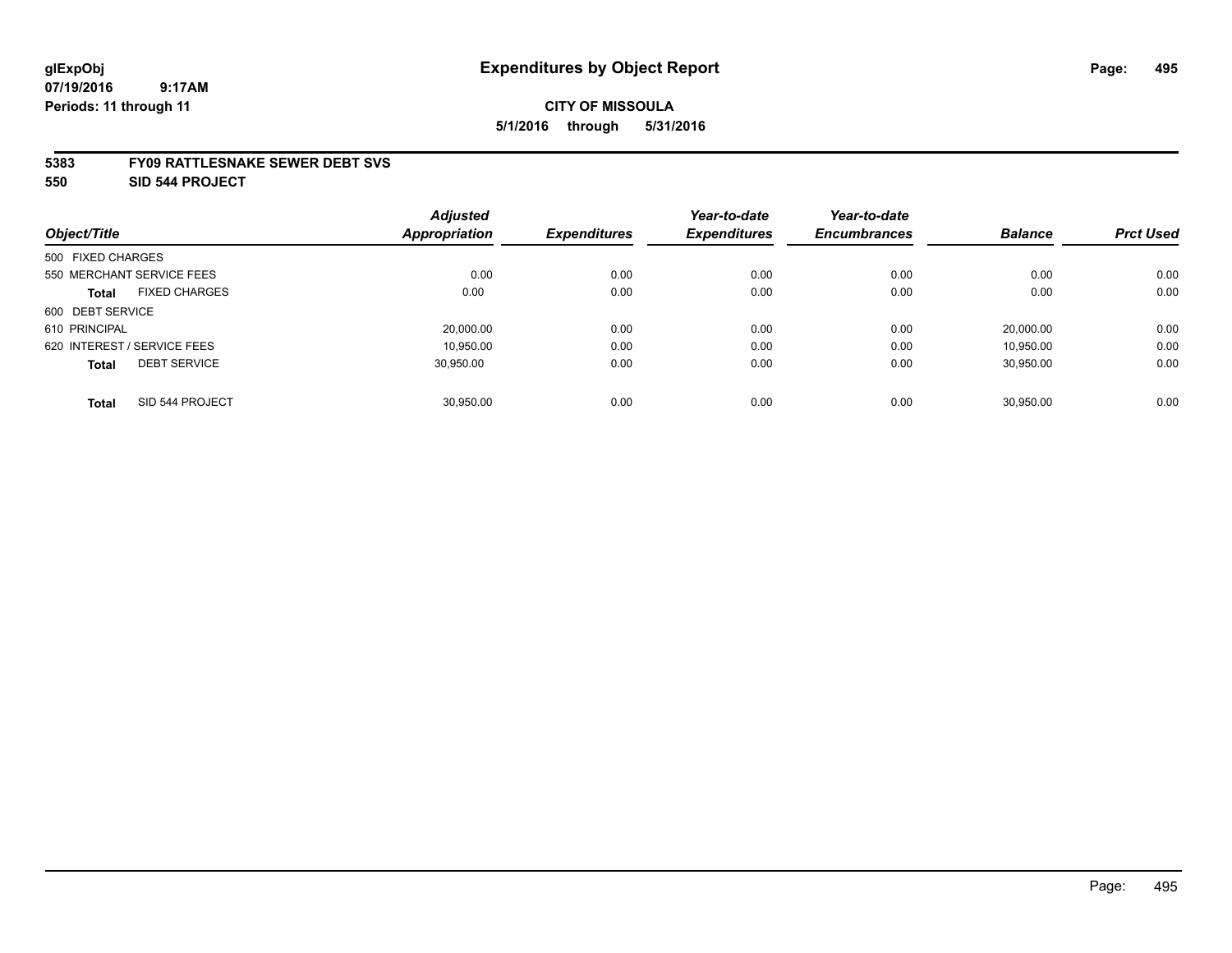## **CITY OF MISSOULA 5/1/2016 through 5/31/2016**

#### **5383 FY09 RATTLESNAKE SEWER DEBT SVS**

**550 SID 544 PROJECT**

|                   |                             | <b>Adjusted</b> |                     | Year-to-date        | Year-to-date        |                |                  |
|-------------------|-----------------------------|-----------------|---------------------|---------------------|---------------------|----------------|------------------|
| Object/Title      |                             | Appropriation   | <b>Expenditures</b> | <b>Expenditures</b> | <b>Encumbrances</b> | <b>Balance</b> | <b>Prct Used</b> |
| 500 FIXED CHARGES |                             |                 |                     |                     |                     |                |                  |
|                   | 550 MERCHANT SERVICE FEES   | 0.00            | 0.00                | 0.00                | 0.00                | 0.00           | 0.00             |
| <b>Total</b>      | <b>FIXED CHARGES</b>        | 0.00            | 0.00                | 0.00                | 0.00                | 0.00           | 0.00             |
| 600 DEBT SERVICE  |                             |                 |                     |                     |                     |                |                  |
| 610 PRINCIPAL     |                             | 20,000.00       | 0.00                | 0.00                | 0.00                | 20.000.00      | 0.00             |
|                   | 620 INTEREST / SERVICE FEES | 10.950.00       | 0.00                | 0.00                | 0.00                | 10.950.00      | 0.00             |
| <b>Total</b>      | <b>DEBT SERVICE</b>         | 30.950.00       | 0.00                | 0.00                | 0.00                | 30,950.00      | 0.00             |
| <b>Total</b>      | SID 544 PROJECT             | 30.950.00       | 0.00                | 0.00                | 0.00                | 30.950.00      | 0.00             |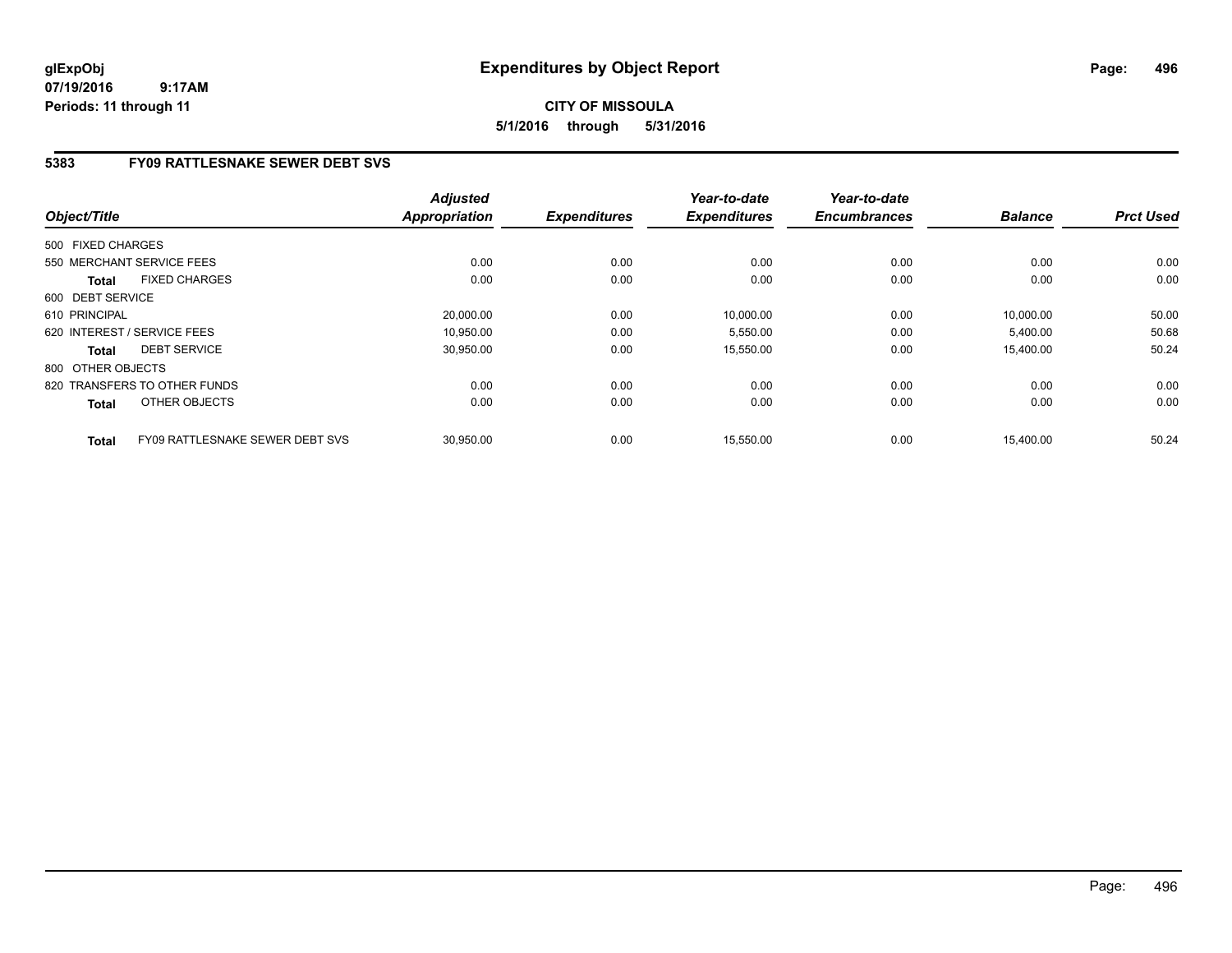## **CITY OF MISSOULA 5/1/2016 through 5/31/2016**

## **5383 FY09 RATTLESNAKE SEWER DEBT SVS**

| Object/Title                         |                                 | <b>Adjusted</b><br><b>Appropriation</b> | <b>Expenditures</b> | Year-to-date<br><b>Expenditures</b> | Year-to-date<br><b>Encumbrances</b> | <b>Balance</b> | <b>Prct Used</b> |
|--------------------------------------|---------------------------------|-----------------------------------------|---------------------|-------------------------------------|-------------------------------------|----------------|------------------|
|                                      |                                 |                                         |                     |                                     |                                     |                |                  |
| 500 FIXED CHARGES                    |                                 |                                         |                     |                                     |                                     |                |                  |
| 550 MERCHANT SERVICE FEES            |                                 | 0.00                                    | 0.00                | 0.00                                | 0.00                                | 0.00           | 0.00             |
| <b>FIXED CHARGES</b><br><b>Total</b> |                                 | 0.00                                    | 0.00                | 0.00                                | 0.00                                | 0.00           | 0.00             |
| 600 DEBT SERVICE                     |                                 |                                         |                     |                                     |                                     |                |                  |
| 610 PRINCIPAL                        |                                 | 20,000.00                               | 0.00                | 10,000.00                           | 0.00                                | 10.000.00      | 50.00            |
| 620 INTEREST / SERVICE FEES          |                                 | 10.950.00                               | 0.00                | 5,550.00                            | 0.00                                | 5,400.00       | 50.68            |
| <b>DEBT SERVICE</b><br><b>Total</b>  |                                 | 30,950.00                               | 0.00                | 15,550.00                           | 0.00                                | 15,400.00      | 50.24            |
| 800 OTHER OBJECTS                    |                                 |                                         |                     |                                     |                                     |                |                  |
| 820 TRANSFERS TO OTHER FUNDS         |                                 | 0.00                                    | 0.00                | 0.00                                | 0.00                                | 0.00           | 0.00             |
| OTHER OBJECTS<br><b>Total</b>        |                                 | 0.00                                    | 0.00                | 0.00                                | 0.00                                | 0.00           | 0.00             |
| <b>Total</b>                         | FY09 RATTLESNAKE SEWER DEBT SVS | 30,950.00                               | 0.00                | 15,550.00                           | 0.00                                | 15,400.00      | 50.24            |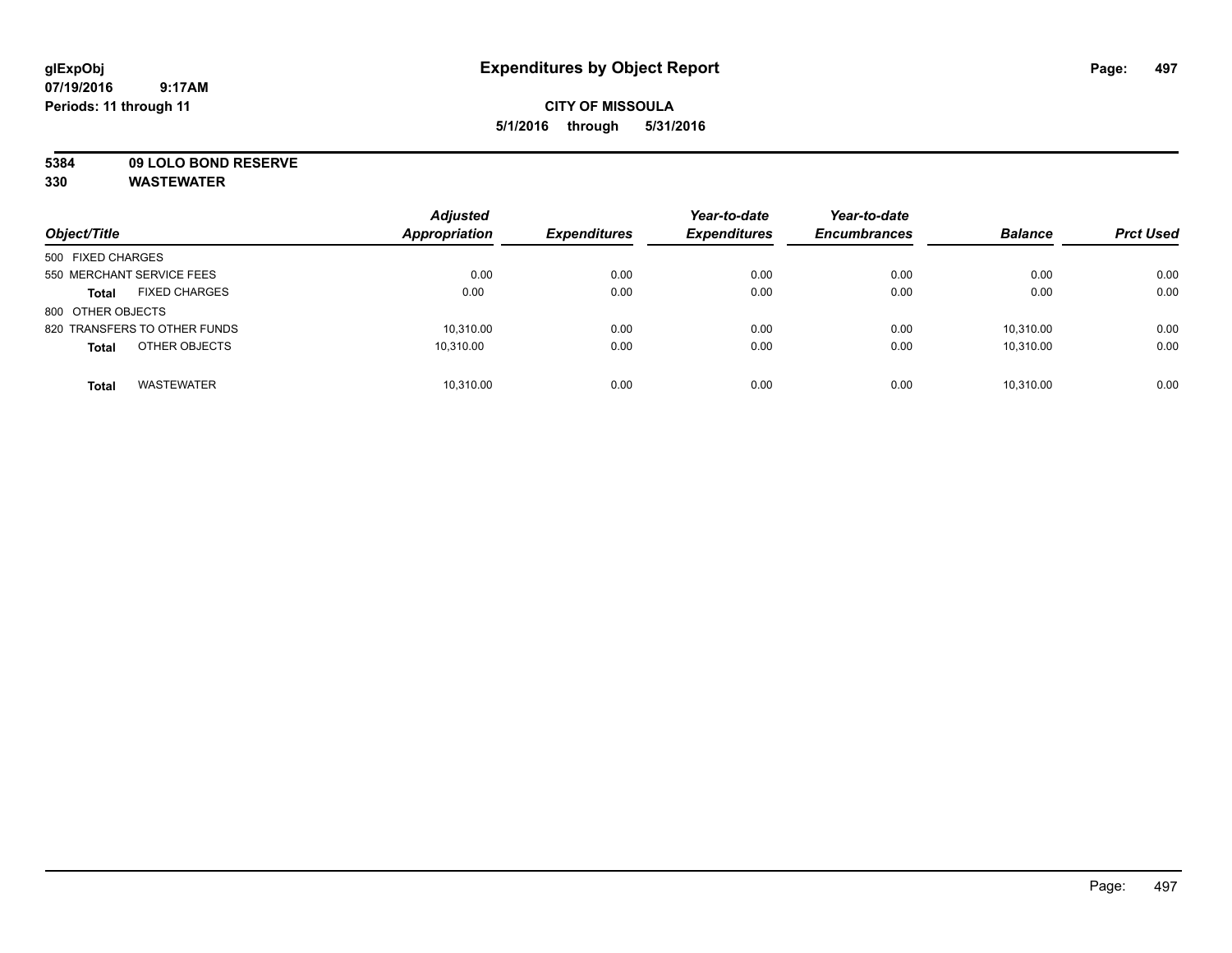## **CITY OF MISSOULA 5/1/2016 through 5/31/2016**

**5384 09 LOLO BOND RESERVE**

| Object/Title                         | <b>Adjusted</b><br><b>Appropriation</b> | <b>Expenditures</b> | Year-to-date<br><b>Expenditures</b> | Year-to-date<br><b>Encumbrances</b> | <b>Balance</b> | <b>Prct Used</b> |
|--------------------------------------|-----------------------------------------|---------------------|-------------------------------------|-------------------------------------|----------------|------------------|
| 500 FIXED CHARGES                    |                                         |                     |                                     |                                     |                |                  |
| 550 MERCHANT SERVICE FEES            | 0.00                                    | 0.00                | 0.00                                | 0.00                                | 0.00           | 0.00             |
| <b>FIXED CHARGES</b><br><b>Total</b> | 0.00                                    | 0.00                | 0.00                                | 0.00                                | 0.00           | 0.00             |
| 800 OTHER OBJECTS                    |                                         |                     |                                     |                                     |                |                  |
| 820 TRANSFERS TO OTHER FUNDS         | 10,310.00                               | 0.00                | 0.00                                | 0.00                                | 10.310.00      | 0.00             |
| OTHER OBJECTS<br><b>Total</b>        | 10.310.00                               | 0.00                | 0.00                                | 0.00                                | 10.310.00      | 0.00             |
| <b>WASTEWATER</b><br><b>Total</b>    | 10,310.00                               | 0.00                | 0.00                                | 0.00                                | 10.310.00      | 0.00             |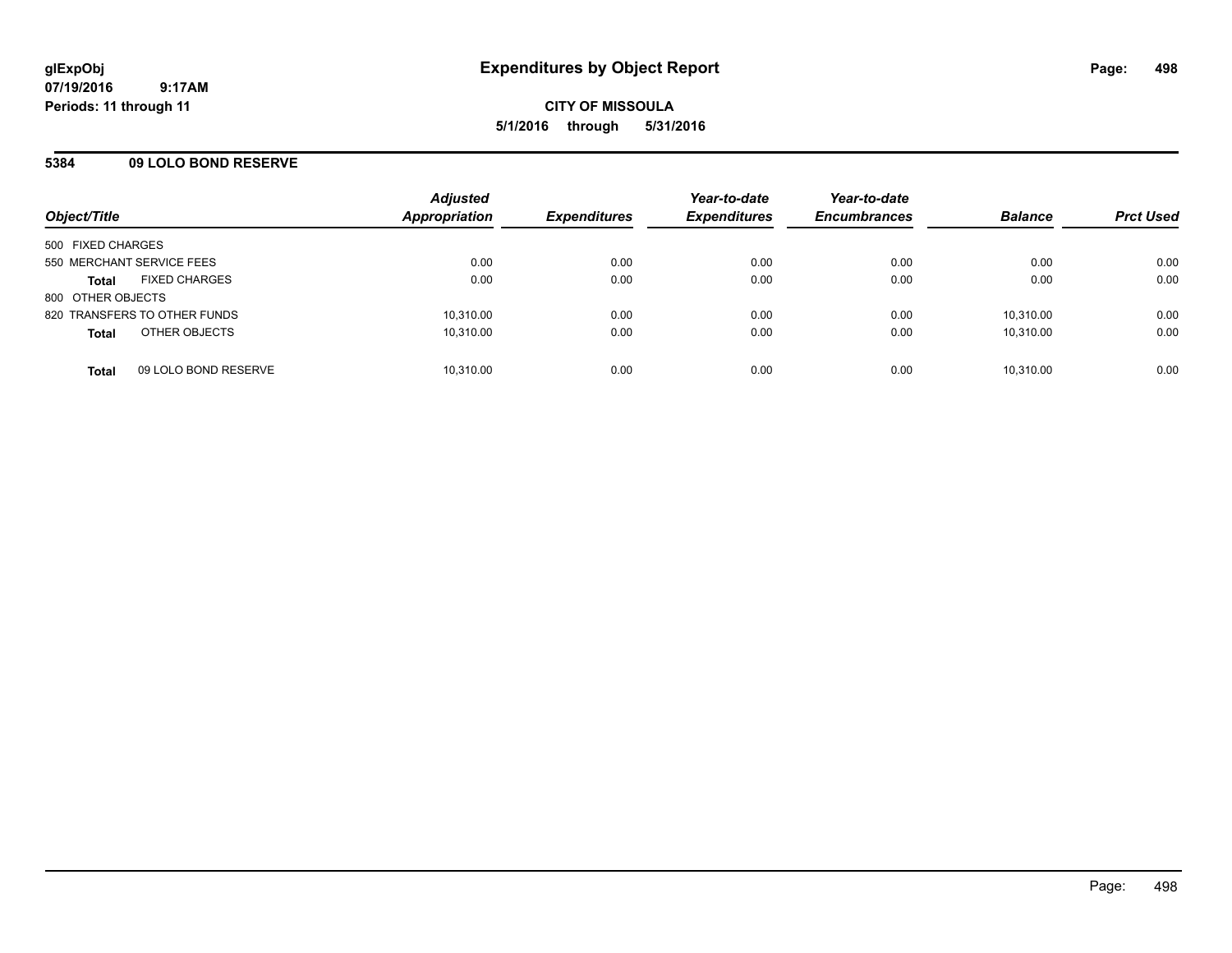#### **5384 09 LOLO BOND RESERVE**

| Object/Title                         | <b>Adjusted</b><br>Appropriation | <b>Expenditures</b> | Year-to-date<br><b>Expenditures</b> | Year-to-date<br><b>Encumbrances</b> | <b>Balance</b> | <b>Prct Used</b> |
|--------------------------------------|----------------------------------|---------------------|-------------------------------------|-------------------------------------|----------------|------------------|
| 500 FIXED CHARGES                    |                                  |                     |                                     |                                     |                |                  |
| 550 MERCHANT SERVICE FEES            | 0.00                             | 0.00                | 0.00                                | 0.00                                | 0.00           | 0.00             |
| <b>FIXED CHARGES</b><br><b>Total</b> | 0.00                             | 0.00                | 0.00                                | 0.00                                | 0.00           | 0.00             |
| 800 OTHER OBJECTS                    |                                  |                     |                                     |                                     |                |                  |
| 820 TRANSFERS TO OTHER FUNDS         | 10,310.00                        | 0.00                | 0.00                                | 0.00                                | 10,310.00      | 0.00             |
| OTHER OBJECTS<br><b>Total</b>        | 10.310.00                        | 0.00                | 0.00                                | 0.00                                | 10.310.00      | 0.00             |
| 09 LOLO BOND RESERVE<br><b>Total</b> | 10,310.00                        | 0.00                | 0.00                                | 0.00                                | 10,310.00      | 0.00             |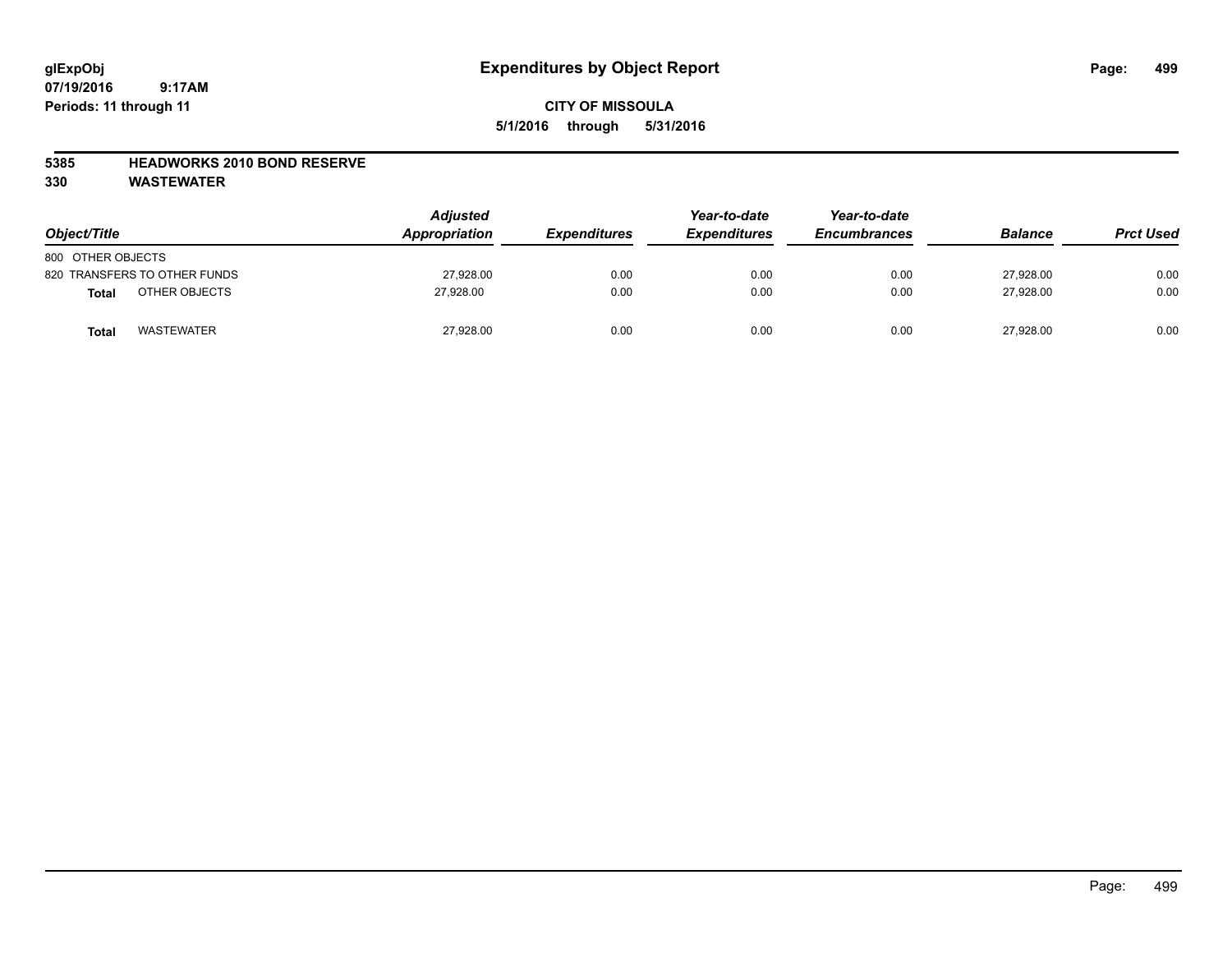## **CITY OF MISSOULA 5/1/2016 through 5/31/2016**

#### **5385 HEADWORKS 2010 BOND RESERVE**

| Object/Title                  | <b>Adjusted</b><br>Appropriation | <b>Expenditures</b> | Year-to-date<br><b>Expenditures</b> | Year-to-date<br><b>Encumbrances</b> | <b>Balance</b> | <b>Prct Used</b> |
|-------------------------------|----------------------------------|---------------------|-------------------------------------|-------------------------------------|----------------|------------------|
| 800 OTHER OBJECTS             |                                  |                     |                                     |                                     |                |                  |
| 820 TRANSFERS TO OTHER FUNDS  | 27,928.00                        | 0.00                | 0.00                                | 0.00                                | 27.928.00      | 0.00             |
| OTHER OBJECTS<br><b>Total</b> | 27,928.00                        | 0.00                | 0.00                                | 0.00                                | 27,928.00      | 0.00             |
| <b>WASTEWATER</b><br>Total    | 27,928.00                        | 0.00                | 0.00                                | 0.00                                | 27,928.00      | 0.00             |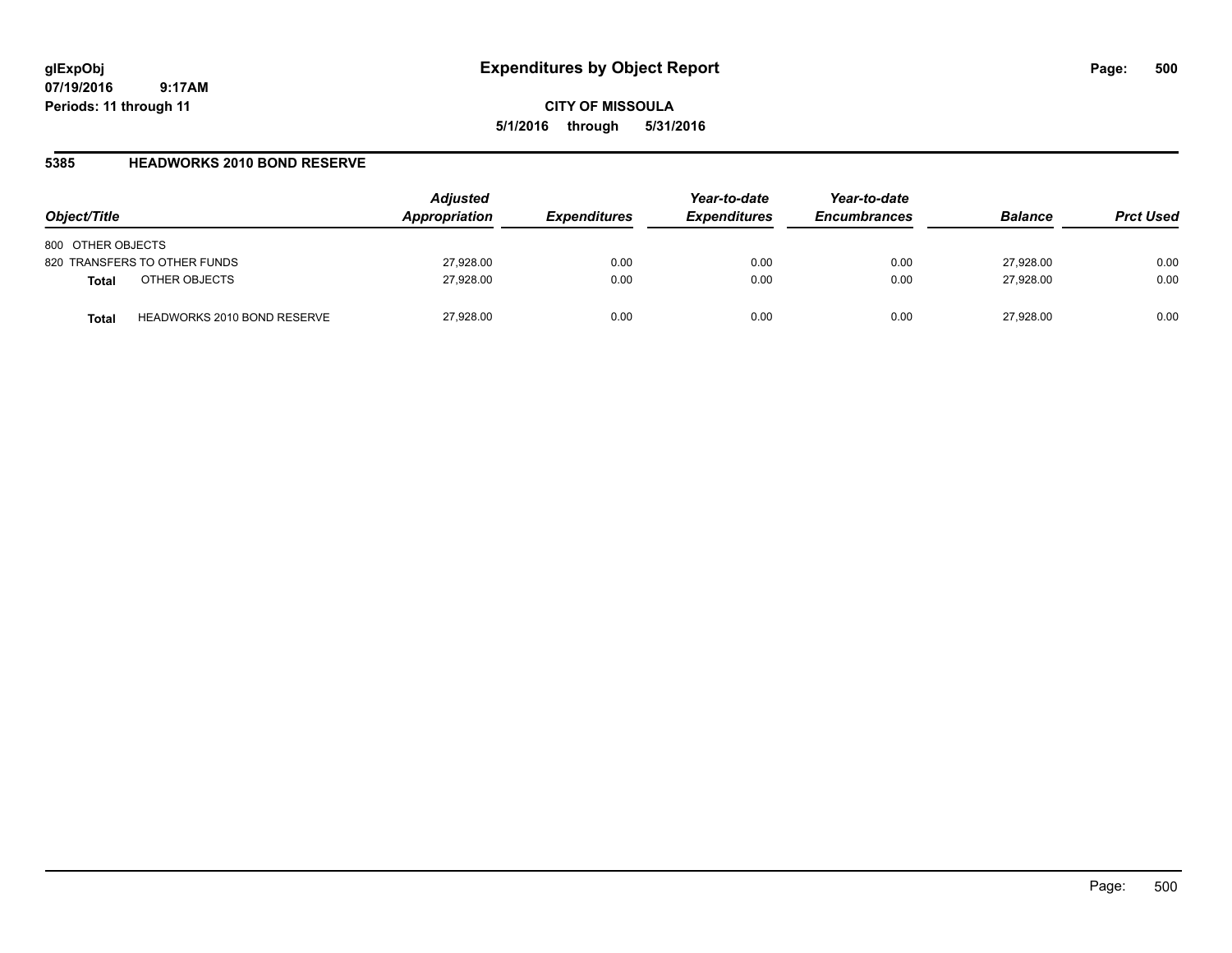**CITY OF MISSOULA 5/1/2016 through 5/31/2016**

#### **5385 HEADWORKS 2010 BOND RESERVE**

| Object/Title                                | <b>Adjusted</b><br>Appropriation | <b>Expenditures</b> | Year-to-date<br><b>Expenditures</b> | Year-to-date<br><b>Encumbrances</b> | <b>Balance</b> | <b>Prct Used</b> |
|---------------------------------------------|----------------------------------|---------------------|-------------------------------------|-------------------------------------|----------------|------------------|
| 800 OTHER OBJECTS                           |                                  |                     |                                     |                                     |                |                  |
| 820 TRANSFERS TO OTHER FUNDS                | 27,928.00                        | 0.00                | 0.00                                | 0.00                                | 27,928.00      | 0.00             |
| OTHER OBJECTS<br><b>Total</b>               | 27,928.00                        | 0.00                | 0.00                                | 0.00                                | 27,928.00      | 0.00             |
| <b>HEADWORKS 2010 BOND RESERVE</b><br>Total | 27,928.00                        | 0.00                | 0.00                                | 0.00                                | 27.928.00      | 0.00             |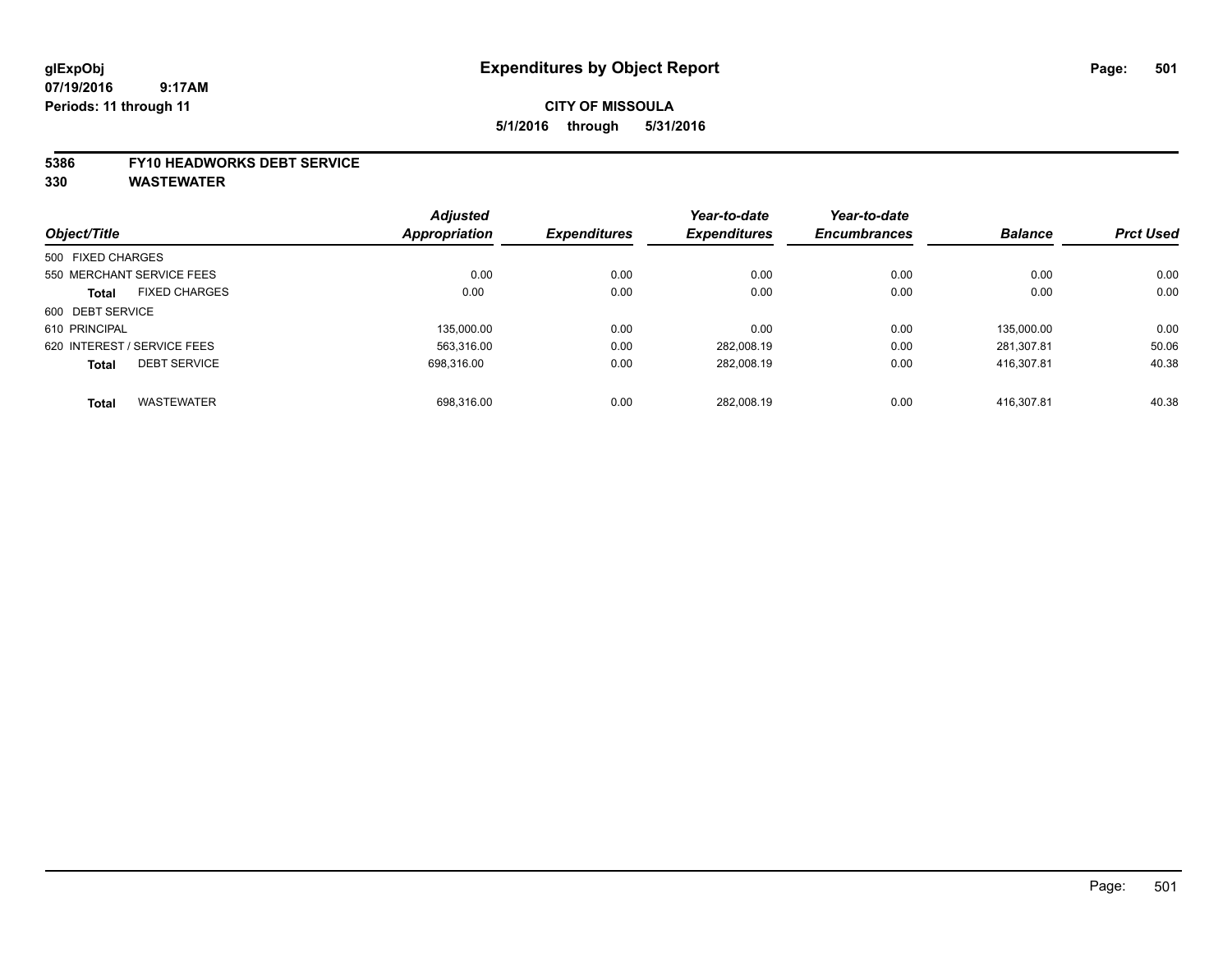## **CITY OF MISSOULA 5/1/2016 through 5/31/2016**

#### **5386 FY10 HEADWORKS DEBT SERVICE**

|                   |                             | <b>Adjusted</b> |                     | Year-to-date        | Year-to-date        |                |                  |
|-------------------|-----------------------------|-----------------|---------------------|---------------------|---------------------|----------------|------------------|
| Object/Title      |                             | Appropriation   | <b>Expenditures</b> | <b>Expenditures</b> | <b>Encumbrances</b> | <b>Balance</b> | <b>Prct Used</b> |
| 500 FIXED CHARGES |                             |                 |                     |                     |                     |                |                  |
|                   | 550 MERCHANT SERVICE FEES   | 0.00            | 0.00                | 0.00                | 0.00                | 0.00           | 0.00             |
| <b>Total</b>      | <b>FIXED CHARGES</b>        | 0.00            | 0.00                | 0.00                | 0.00                | 0.00           | 0.00             |
| 600 DEBT SERVICE  |                             |                 |                     |                     |                     |                |                  |
| 610 PRINCIPAL     |                             | 135.000.00      | 0.00                | 0.00                | 0.00                | 135.000.00     | 0.00             |
|                   | 620 INTEREST / SERVICE FEES | 563.316.00      | 0.00                | 282.008.19          | 0.00                | 281.307.81     | 50.06            |
| <b>Total</b>      | <b>DEBT SERVICE</b>         | 698.316.00      | 0.00                | 282,008.19          | 0.00                | 416.307.81     | 40.38            |
| <b>Total</b>      | <b>WASTEWATER</b>           | 698.316.00      | 0.00                | 282.008.19          | 0.00                | 416.307.81     | 40.38            |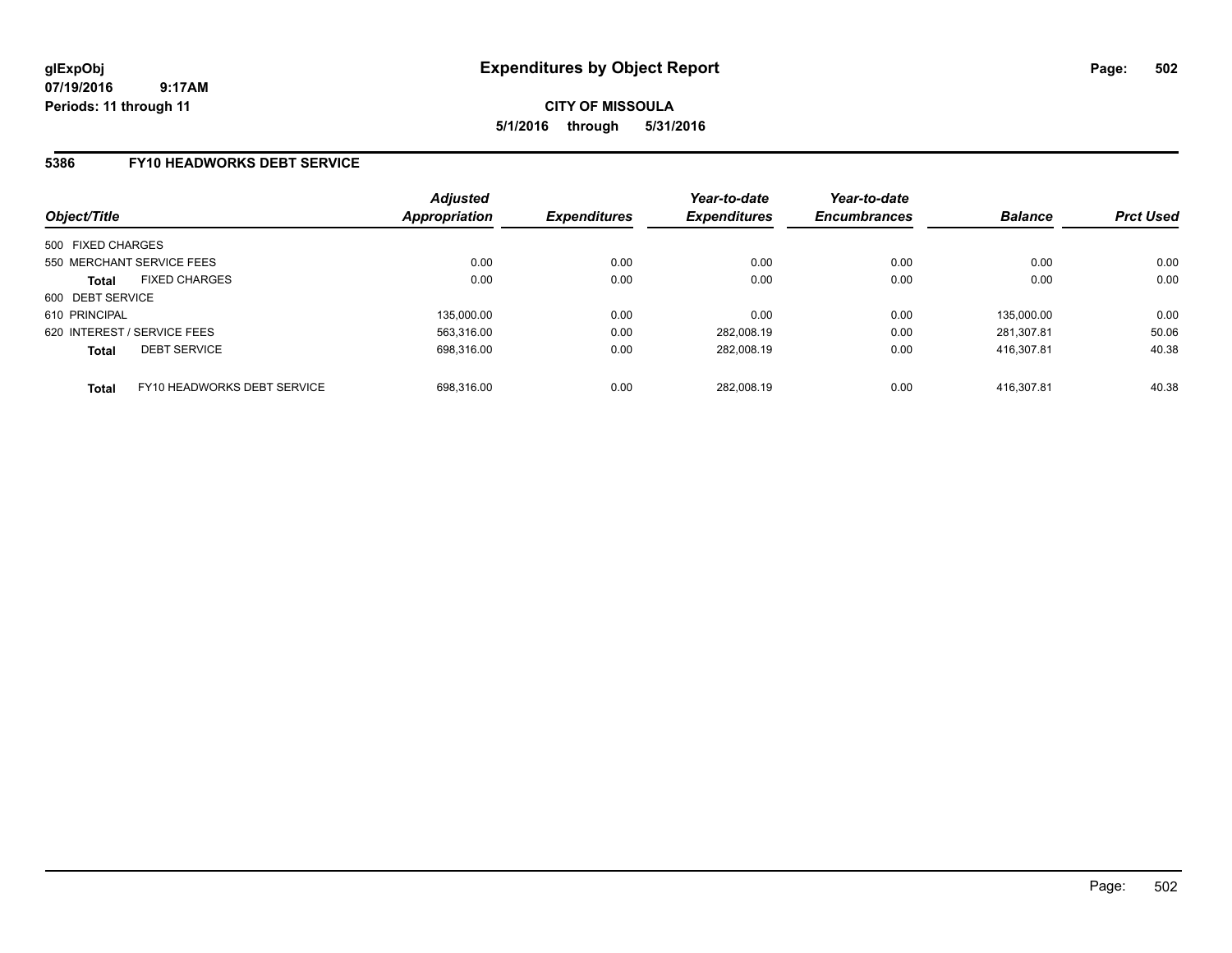#### **5386 FY10 HEADWORKS DEBT SERVICE**

| Object/Title                                | <b>Adjusted</b><br>Appropriation | <b>Expenditures</b> | Year-to-date<br><b>Expenditures</b> | Year-to-date<br><b>Encumbrances</b> | <b>Balance</b> | <b>Prct Used</b> |
|---------------------------------------------|----------------------------------|---------------------|-------------------------------------|-------------------------------------|----------------|------------------|
| 500 FIXED CHARGES                           |                                  |                     |                                     |                                     |                |                  |
| 550 MERCHANT SERVICE FEES                   | 0.00                             | 0.00                | 0.00                                | 0.00                                | 0.00           | 0.00             |
| <b>FIXED CHARGES</b><br><b>Total</b>        | 0.00                             | 0.00                | 0.00                                | 0.00                                | 0.00           | 0.00             |
| 600 DEBT SERVICE                            |                                  |                     |                                     |                                     |                |                  |
| 610 PRINCIPAL                               | 135,000.00                       | 0.00                | 0.00                                | 0.00                                | 135.000.00     | 0.00             |
| 620 INTEREST / SERVICE FEES                 | 563.316.00                       | 0.00                | 282.008.19                          | 0.00                                | 281.307.81     | 50.06            |
| <b>DEBT SERVICE</b><br><b>Total</b>         | 698.316.00                       | 0.00                | 282.008.19                          | 0.00                                | 416.307.81     | 40.38            |
| FY10 HEADWORKS DEBT SERVICE<br><b>Total</b> | 698.316.00                       | 0.00                | 282.008.19                          | 0.00                                | 416.307.81     | 40.38            |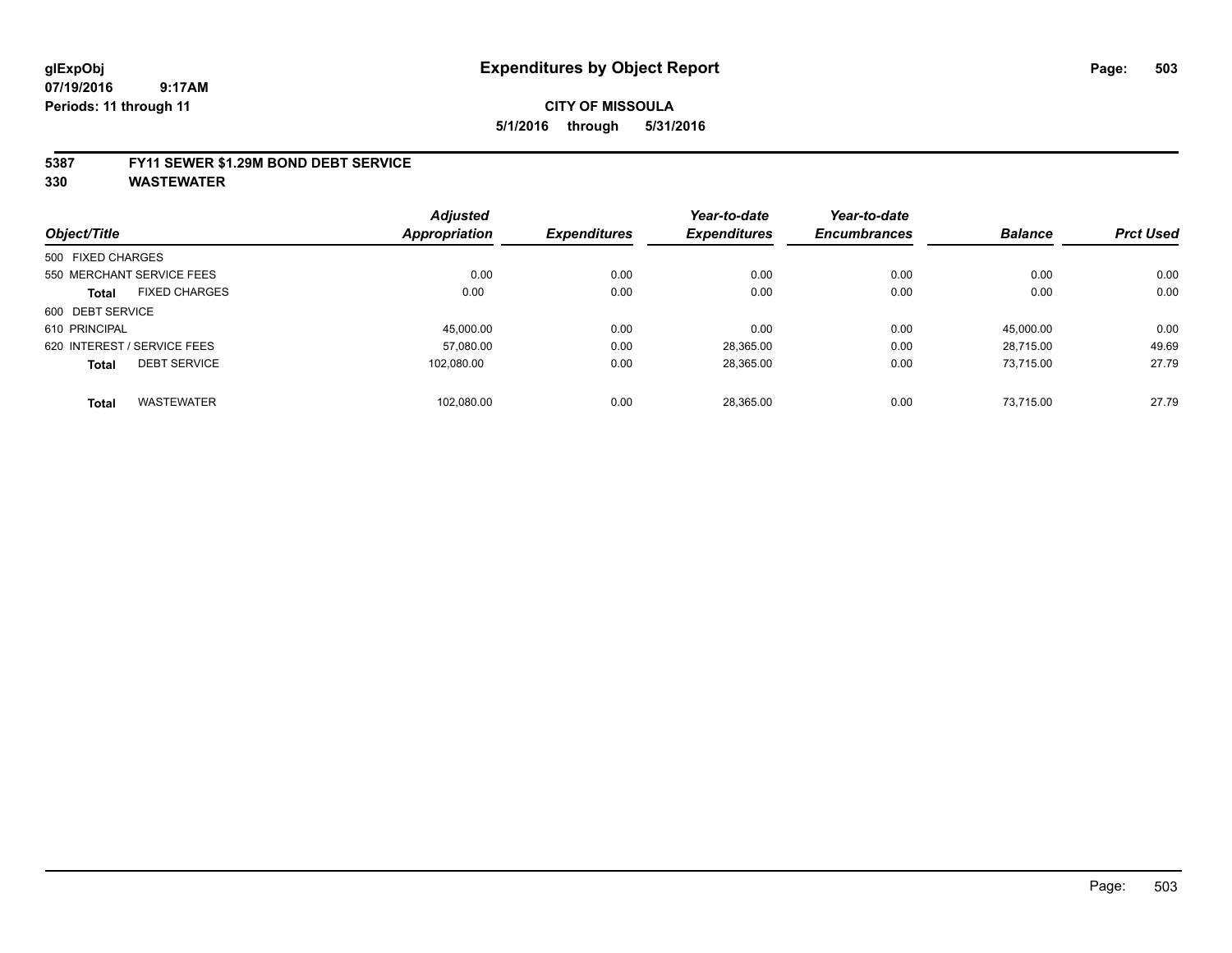## **CITY OF MISSOULA 5/1/2016 through 5/31/2016**

#### **5387 FY11 SEWER \$1.29M BOND DEBT SERVICE**

| Object/Title      |                             | <b>Adjusted</b><br>Appropriation | <b>Expenditures</b> | Year-to-date<br><b>Expenditures</b> | Year-to-date<br><b>Encumbrances</b> | <b>Balance</b> | <b>Prct Used</b> |
|-------------------|-----------------------------|----------------------------------|---------------------|-------------------------------------|-------------------------------------|----------------|------------------|
|                   |                             |                                  |                     |                                     |                                     |                |                  |
| 500 FIXED CHARGES |                             |                                  |                     |                                     |                                     |                |                  |
|                   | 550 MERCHANT SERVICE FEES   | 0.00                             | 0.00                | 0.00                                | 0.00                                | 0.00           | 0.00             |
| <b>Total</b>      | <b>FIXED CHARGES</b>        | 0.00                             | 0.00                | 0.00                                | 0.00                                | 0.00           | 0.00             |
| 600 DEBT SERVICE  |                             |                                  |                     |                                     |                                     |                |                  |
| 610 PRINCIPAL     |                             | 45.000.00                        | 0.00                | 0.00                                | 0.00                                | 45.000.00      | 0.00             |
|                   | 620 INTEREST / SERVICE FEES | 57.080.00                        | 0.00                | 28,365.00                           | 0.00                                | 28,715.00      | 49.69            |
| <b>Total</b>      | <b>DEBT SERVICE</b>         | 102.080.00                       | 0.00                | 28,365.00                           | 0.00                                | 73,715.00      | 27.79            |
| <b>Total</b>      | <b>WASTEWATER</b>           | 102.080.00                       | 0.00                | 28.365.00                           | 0.00                                | 73.715.00      | 27.79            |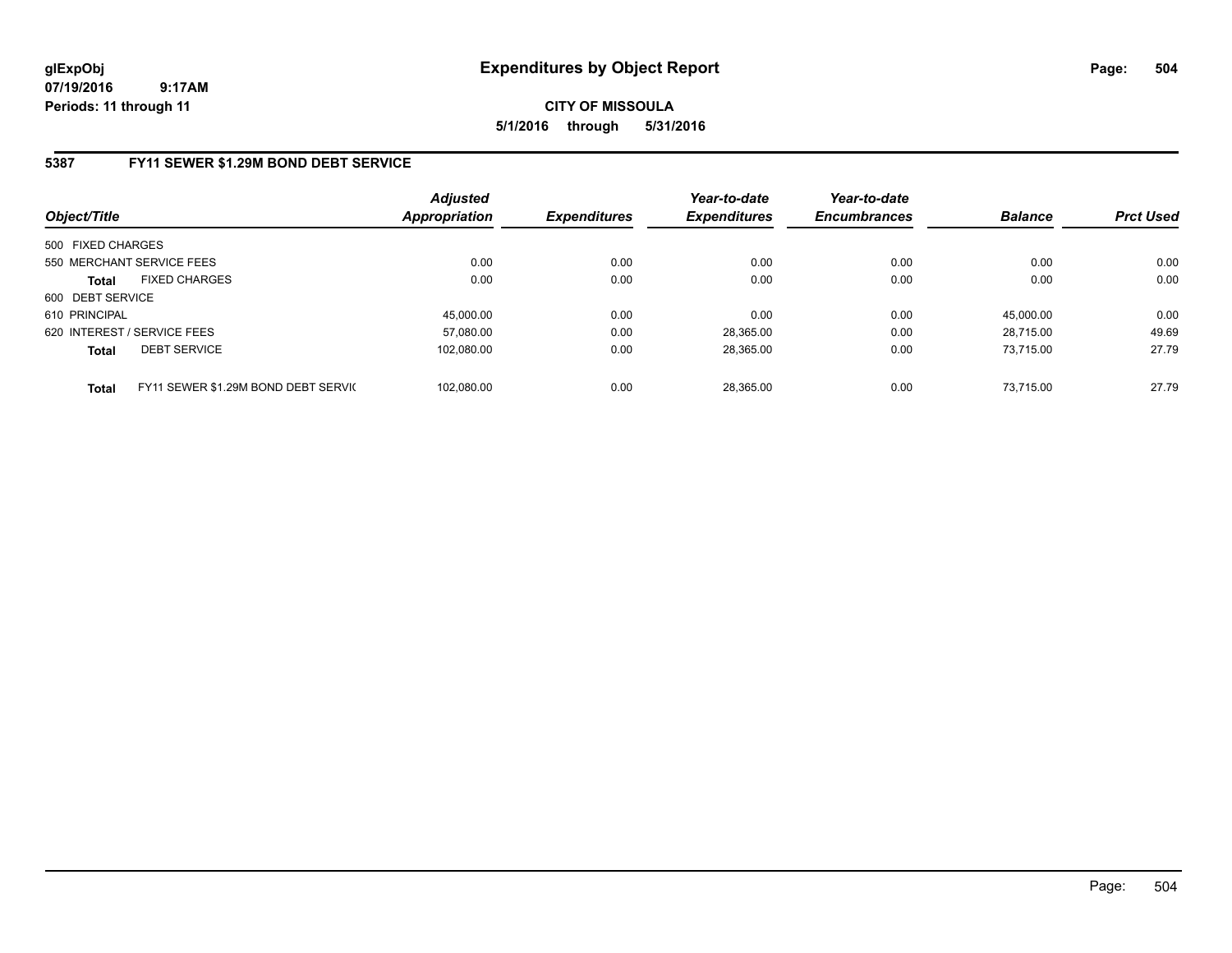## **CITY OF MISSOULA 5/1/2016 through 5/31/2016**

## **5387 FY11 SEWER \$1.29M BOND DEBT SERVICE**

| Object/Title                                        | <b>Adjusted</b><br><b>Appropriation</b> | <b>Expenditures</b> | Year-to-date<br><b>Expenditures</b> | Year-to-date<br><b>Encumbrances</b> | <b>Balance</b> | <b>Prct Used</b> |
|-----------------------------------------------------|-----------------------------------------|---------------------|-------------------------------------|-------------------------------------|----------------|------------------|
| 500 FIXED CHARGES                                   |                                         |                     |                                     |                                     |                |                  |
| 550 MERCHANT SERVICE FEES                           | 0.00                                    | 0.00                | 0.00                                | 0.00                                | 0.00           | 0.00             |
| <b>FIXED CHARGES</b><br><b>Total</b>                | 0.00                                    | 0.00                | 0.00                                | 0.00                                | 0.00           | 0.00             |
| 600 DEBT SERVICE                                    |                                         |                     |                                     |                                     |                |                  |
| 610 PRINCIPAL                                       | 45.000.00                               | 0.00                | 0.00                                | 0.00                                | 45.000.00      | 0.00             |
| 620 INTEREST / SERVICE FEES                         | 57,080.00                               | 0.00                | 28,365.00                           | 0.00                                | 28.715.00      | 49.69            |
| <b>DEBT SERVICE</b><br><b>Total</b>                 | 102.080.00                              | 0.00                | 28.365.00                           | 0.00                                | 73.715.00      | 27.79            |
| FY11 SEWER \$1.29M BOND DEBT SERVIC<br><b>Total</b> | 102.080.00                              | 0.00                | 28.365.00                           | 0.00                                | 73.715.00      | 27.79            |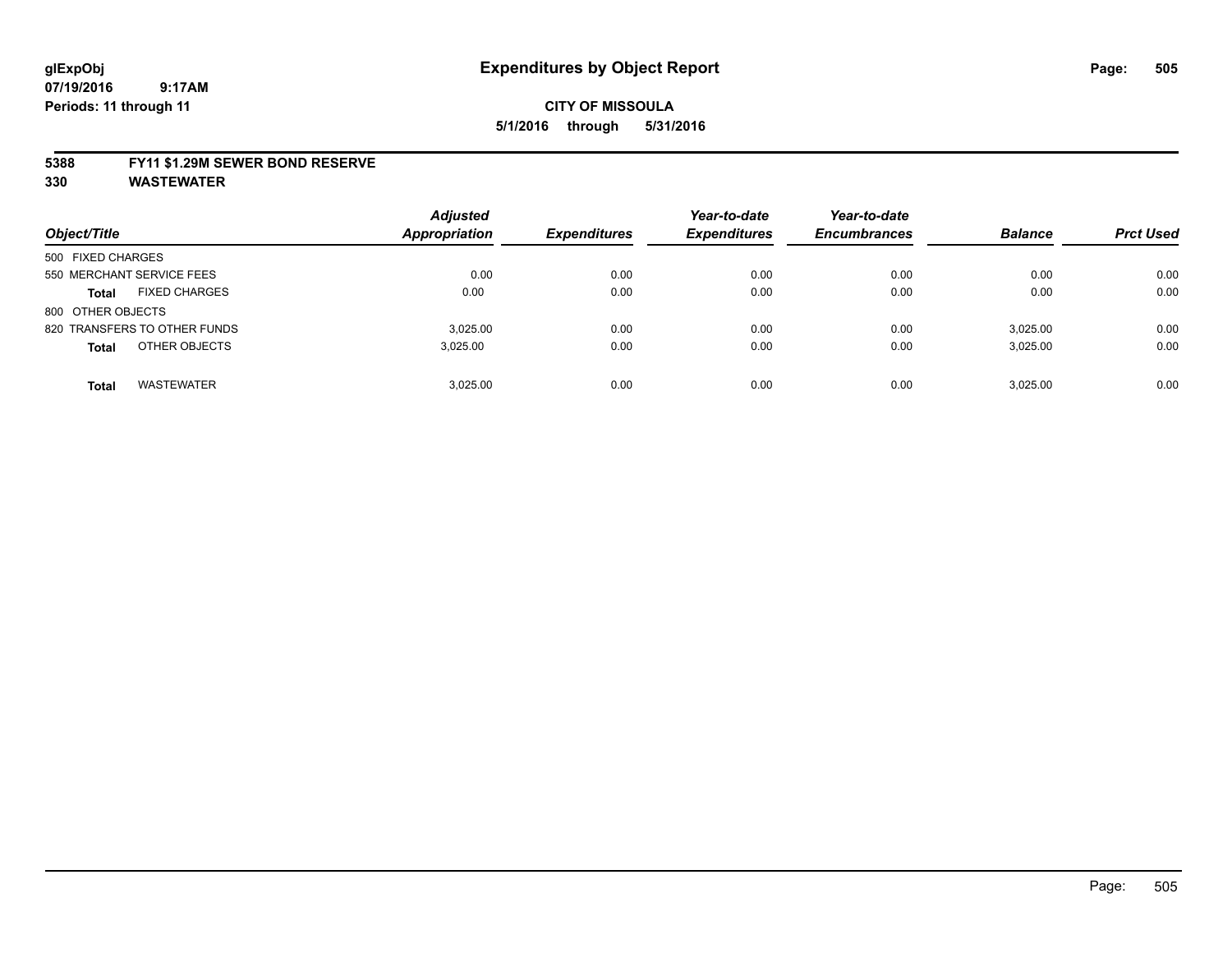#### **5388 FY11 \$1.29M SEWER BOND RESERVE**

**330 WASTEWATER**

| Object/Title                         | <b>Adjusted</b><br><b>Appropriation</b> | <b>Expenditures</b> | Year-to-date<br><b>Expenditures</b> | Year-to-date<br><b>Encumbrances</b> | <b>Balance</b> | <b>Prct Used</b> |
|--------------------------------------|-----------------------------------------|---------------------|-------------------------------------|-------------------------------------|----------------|------------------|
| 500 FIXED CHARGES                    |                                         |                     |                                     |                                     |                |                  |
| 550 MERCHANT SERVICE FEES            | 0.00                                    | 0.00                | 0.00                                | 0.00                                | 0.00           | 0.00             |
| <b>FIXED CHARGES</b><br><b>Total</b> | 0.00                                    | 0.00                | 0.00                                | 0.00                                | 0.00           | 0.00             |
| 800 OTHER OBJECTS                    |                                         |                     |                                     |                                     |                |                  |
| 820 TRANSFERS TO OTHER FUNDS         | 3.025.00                                | 0.00                | 0.00                                | 0.00                                | 3,025.00       | 0.00             |
| OTHER OBJECTS<br><b>Total</b>        | 3.025.00                                | 0.00                | 0.00                                | 0.00                                | 3,025.00       | 0.00             |
| <b>WASTEWATER</b><br><b>Total</b>    | 3.025.00                                | 0.00                | 0.00                                | 0.00                                | 3.025.00       | 0.00             |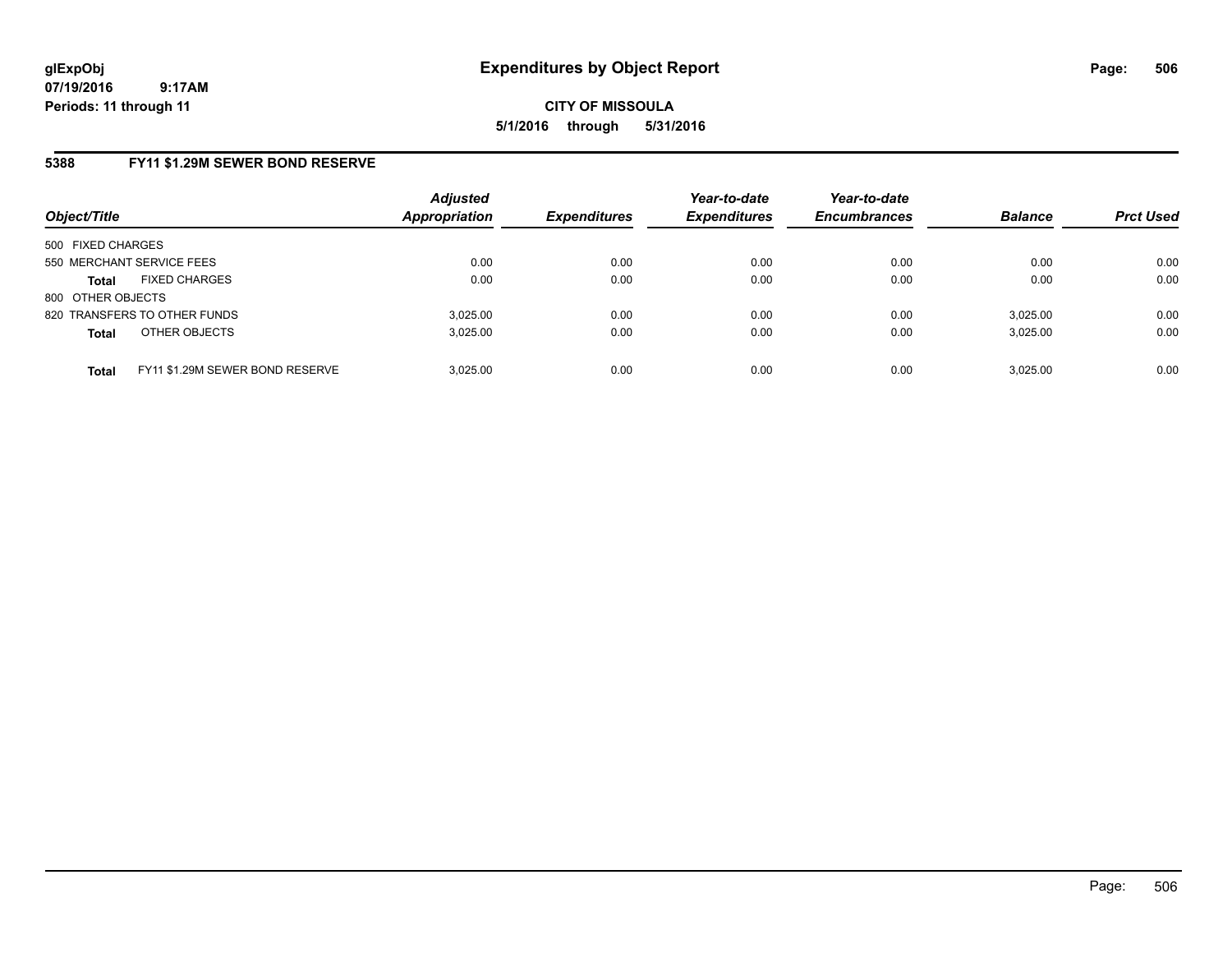**CITY OF MISSOULA 5/1/2016 through 5/31/2016**

### **5388 FY11 \$1.29M SEWER BOND RESERVE**

| Object/Title              |                                 | <b>Adjusted</b><br><b>Appropriation</b> | <b>Expenditures</b> | Year-to-date<br><b>Expenditures</b> | Year-to-date<br><b>Encumbrances</b> | <b>Balance</b> | <b>Prct Used</b> |
|---------------------------|---------------------------------|-----------------------------------------|---------------------|-------------------------------------|-------------------------------------|----------------|------------------|
| 500 FIXED CHARGES         |                                 |                                         |                     |                                     |                                     |                |                  |
| 550 MERCHANT SERVICE FEES |                                 | 0.00                                    | 0.00                | 0.00                                | 0.00                                | 0.00           | 0.00             |
| <b>Total</b>              | <b>FIXED CHARGES</b>            | 0.00                                    | 0.00                | 0.00                                | 0.00                                | 0.00           | 0.00             |
| 800 OTHER OBJECTS         |                                 |                                         |                     |                                     |                                     |                |                  |
|                           | 820 TRANSFERS TO OTHER FUNDS    | 3,025.00                                | 0.00                | 0.00                                | 0.00                                | 3.025.00       | 0.00             |
| <b>Total</b>              | OTHER OBJECTS                   | 3.025.00                                | 0.00                | 0.00                                | 0.00                                | 3,025.00       | 0.00             |
| <b>Total</b>              | FY11 \$1.29M SEWER BOND RESERVE | 3.025.00                                | 0.00                | 0.00                                | 0.00                                | 3.025.00       | 0.00             |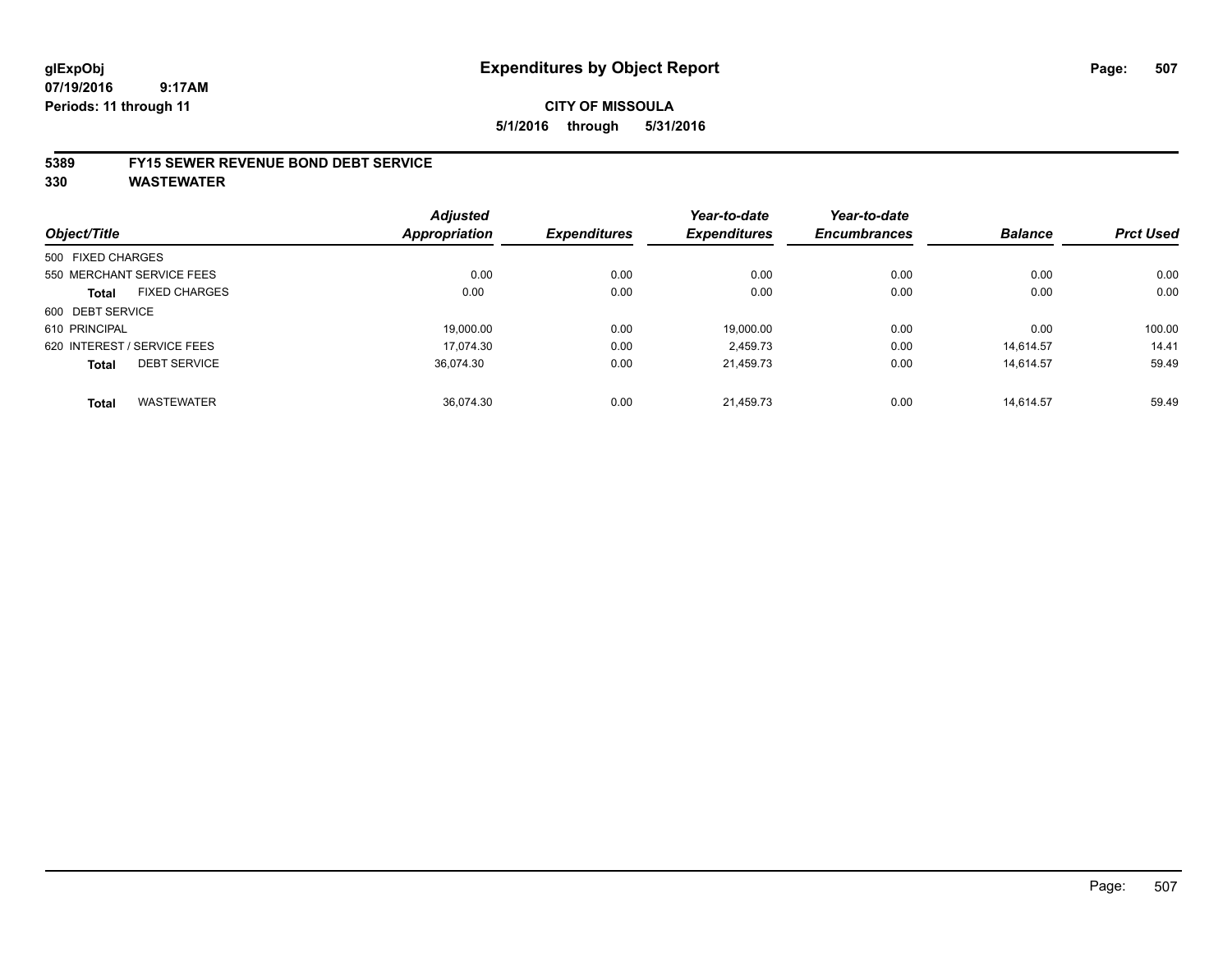#### **5389 FY15 SEWER REVENUE BOND DEBT SERVICE**

**330 WASTEWATER**

|                   |                             | <b>Adjusted</b> |                     | Year-to-date        | Year-to-date        |                |                  |
|-------------------|-----------------------------|-----------------|---------------------|---------------------|---------------------|----------------|------------------|
| Object/Title      |                             | Appropriation   | <b>Expenditures</b> | <b>Expenditures</b> | <b>Encumbrances</b> | <b>Balance</b> | <b>Prct Used</b> |
| 500 FIXED CHARGES |                             |                 |                     |                     |                     |                |                  |
|                   | 550 MERCHANT SERVICE FEES   | 0.00            | 0.00                | 0.00                | 0.00                | 0.00           | 0.00             |
| Total             | <b>FIXED CHARGES</b>        | 0.00            | 0.00                | 0.00                | 0.00                | 0.00           | 0.00             |
| 600 DEBT SERVICE  |                             |                 |                     |                     |                     |                |                  |
| 610 PRINCIPAL     |                             | 19.000.00       | 0.00                | 19,000.00           | 0.00                | 0.00           | 100.00           |
|                   | 620 INTEREST / SERVICE FEES | 17.074.30       | 0.00                | 2.459.73            | 0.00                | 14.614.57      | 14.41            |
| <b>Total</b>      | <b>DEBT SERVICE</b>         | 36,074.30       | 0.00                | 21,459.73           | 0.00                | 14,614.57      | 59.49            |
| <b>Total</b>      | <b>WASTEWATER</b>           | 36.074.30       | 0.00                | 21.459.73           | 0.00                | 14.614.57      | 59.49            |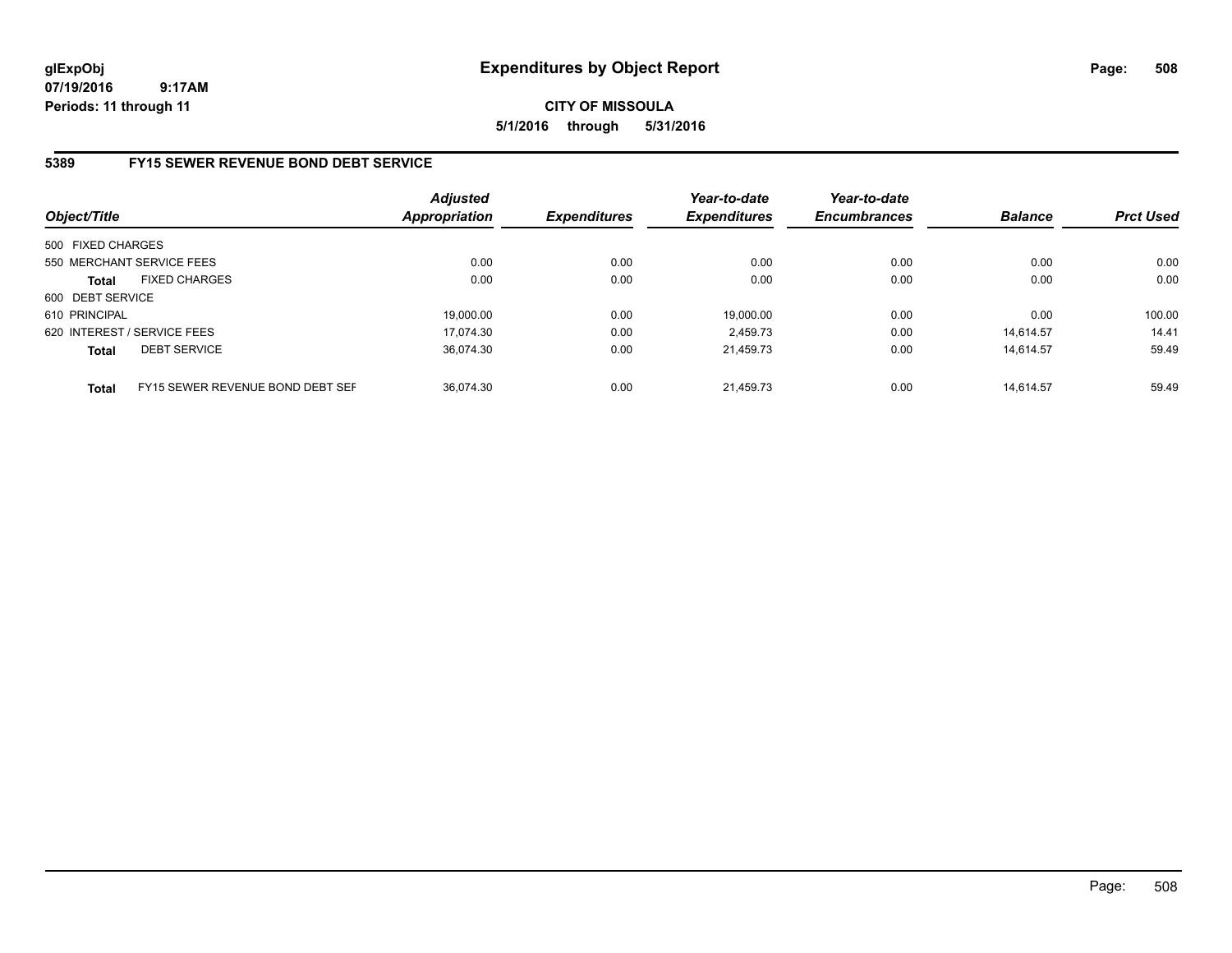**CITY OF MISSOULA 5/1/2016 through 5/31/2016**

### **5389 FY15 SEWER REVENUE BOND DEBT SERVICE**

| Object/Title      |                                  | <b>Adjusted</b><br><b>Appropriation</b> | <b>Expenditures</b> | Year-to-date<br><b>Expenditures</b> | Year-to-date<br><b>Encumbrances</b> | <b>Balance</b> | <b>Prct Used</b> |
|-------------------|----------------------------------|-----------------------------------------|---------------------|-------------------------------------|-------------------------------------|----------------|------------------|
| 500 FIXED CHARGES |                                  |                                         |                     |                                     |                                     |                |                  |
|                   | 550 MERCHANT SERVICE FEES        | 0.00                                    | 0.00                | 0.00                                | 0.00                                | 0.00           | 0.00             |
| <b>Total</b>      | <b>FIXED CHARGES</b>             | 0.00                                    | 0.00                | 0.00                                | 0.00                                | 0.00           | 0.00             |
| 600 DEBT SERVICE  |                                  |                                         |                     |                                     |                                     |                |                  |
| 610 PRINCIPAL     |                                  | 19,000.00                               | 0.00                | 19.000.00                           | 0.00                                | 0.00           | 100.00           |
|                   | 620 INTEREST / SERVICE FEES      | 17.074.30                               | 0.00                | 2.459.73                            | 0.00                                | 14.614.57      | 14.41            |
| <b>Total</b>      | <b>DEBT SERVICE</b>              | 36.074.30                               | 0.00                | 21.459.73                           | 0.00                                | 14.614.57      | 59.49            |
| <b>Total</b>      | FY15 SEWER REVENUE BOND DEBT SEF | 36.074.30                               | 0.00                | 21.459.73                           | 0.00                                | 14.614.57      | 59.49            |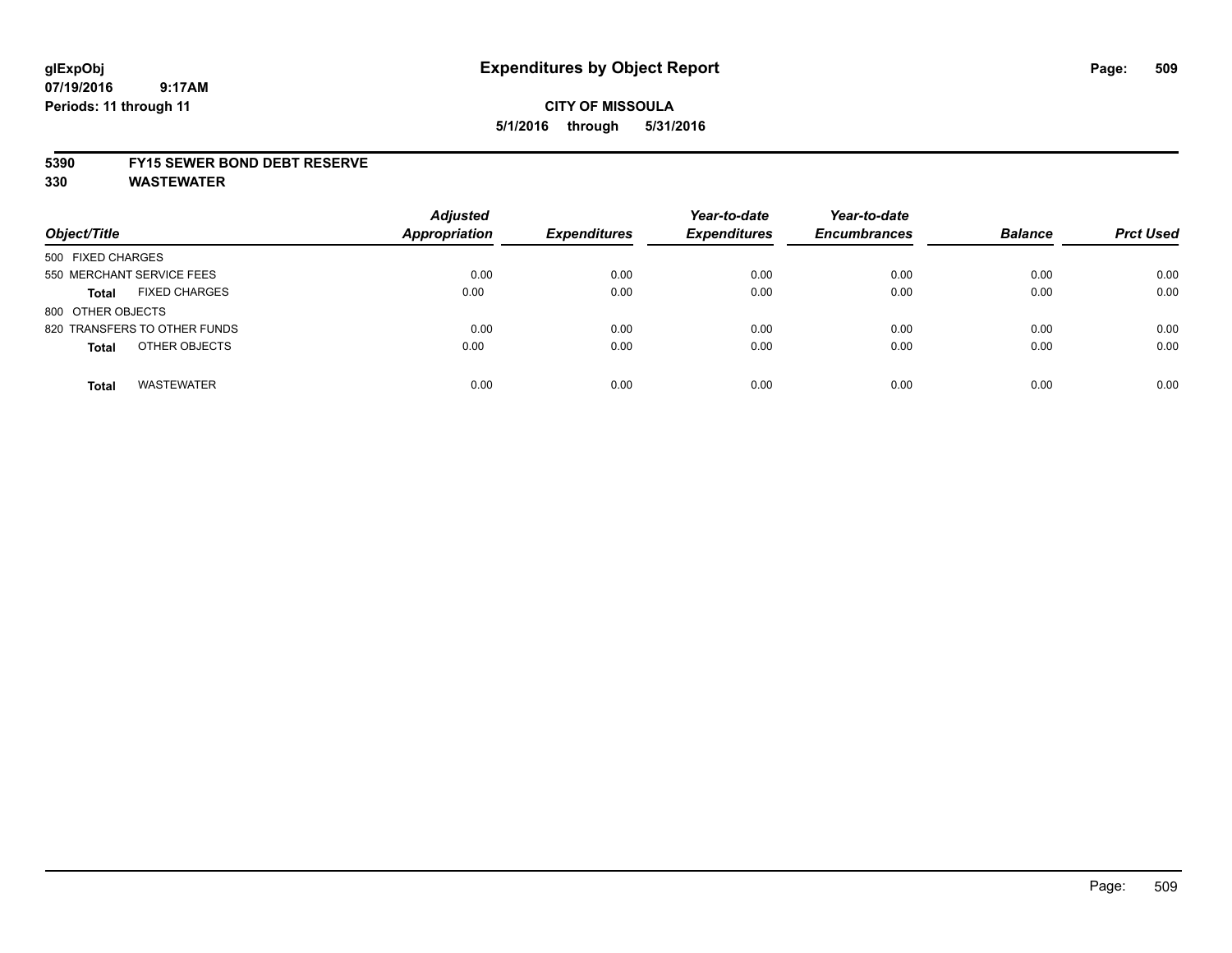## **CITY OF MISSOULA 5/1/2016 through 5/31/2016**

#### **5390 FY15 SEWER BOND DEBT RESERVE**

**330 WASTEWATER**

| Object/Title                         | <b>Adjusted</b><br><b>Appropriation</b> | <b>Expenditures</b> | Year-to-date<br><b>Expenditures</b> | Year-to-date<br><b>Encumbrances</b> | <b>Balance</b> | <b>Prct Used</b> |
|--------------------------------------|-----------------------------------------|---------------------|-------------------------------------|-------------------------------------|----------------|------------------|
| 500 FIXED CHARGES                    |                                         |                     |                                     |                                     |                |                  |
| 550 MERCHANT SERVICE FEES            | 0.00                                    | 0.00                | 0.00                                | 0.00                                | 0.00           | 0.00             |
| <b>FIXED CHARGES</b><br><b>Total</b> | 0.00                                    | 0.00                | 0.00                                | 0.00                                | 0.00           | 0.00             |
| 800 OTHER OBJECTS                    |                                         |                     |                                     |                                     |                |                  |
| 820 TRANSFERS TO OTHER FUNDS         | 0.00                                    | 0.00                | 0.00                                | 0.00                                | 0.00           | 0.00             |
| OTHER OBJECTS<br><b>Total</b>        | 0.00                                    | 0.00                | 0.00                                | 0.00                                | 0.00           | 0.00             |
| <b>WASTEWATER</b><br><b>Total</b>    | 0.00                                    | 0.00                | 0.00                                | 0.00                                | 0.00           | 0.00             |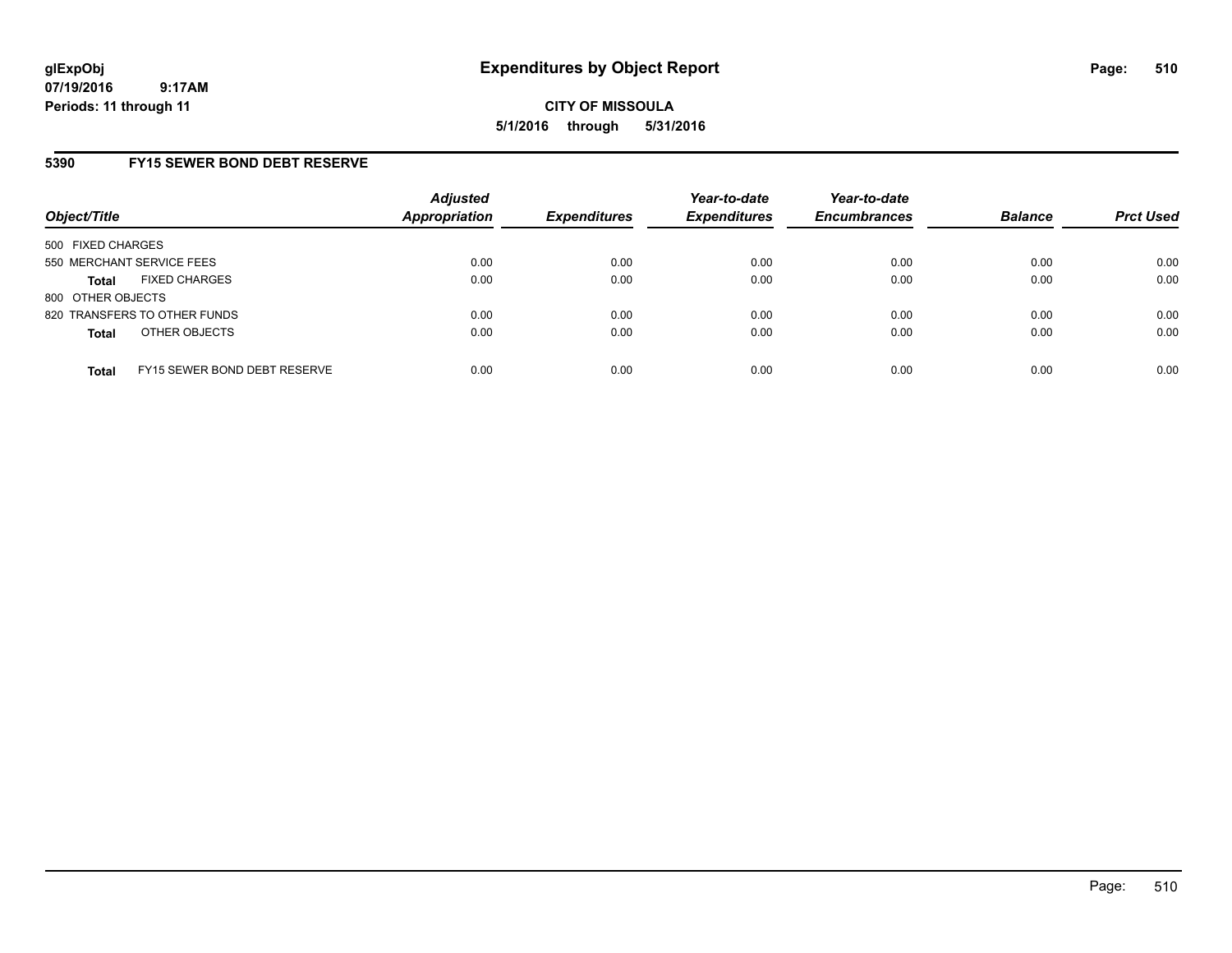**CITY OF MISSOULA 5/1/2016 through 5/31/2016**

### **5390 FY15 SEWER BOND DEBT RESERVE**

| Object/Title              |                              | <b>Adjusted</b><br>Appropriation | <b>Expenditures</b> | Year-to-date<br><b>Expenditures</b> | Year-to-date<br><b>Encumbrances</b> | <b>Balance</b> | <b>Prct Used</b> |
|---------------------------|------------------------------|----------------------------------|---------------------|-------------------------------------|-------------------------------------|----------------|------------------|
| 500 FIXED CHARGES         |                              |                                  |                     |                                     |                                     |                |                  |
| 550 MERCHANT SERVICE FEES |                              | 0.00                             | 0.00                | 0.00                                | 0.00                                | 0.00           | 0.00             |
| <b>Total</b>              | <b>FIXED CHARGES</b>         | 0.00                             | 0.00                | 0.00                                | 0.00                                | 0.00           | 0.00             |
| 800 OTHER OBJECTS         |                              |                                  |                     |                                     |                                     |                |                  |
|                           | 820 TRANSFERS TO OTHER FUNDS | 0.00                             | 0.00                | 0.00                                | 0.00                                | 0.00           | 0.00             |
| <b>Total</b>              | OTHER OBJECTS                | 0.00                             | 0.00                | 0.00                                | 0.00                                | 0.00           | 0.00             |
| <b>Total</b>              | FY15 SEWER BOND DEBT RESERVE | 0.00                             | 0.00                | 0.00                                | 0.00                                | 0.00           | 0.00             |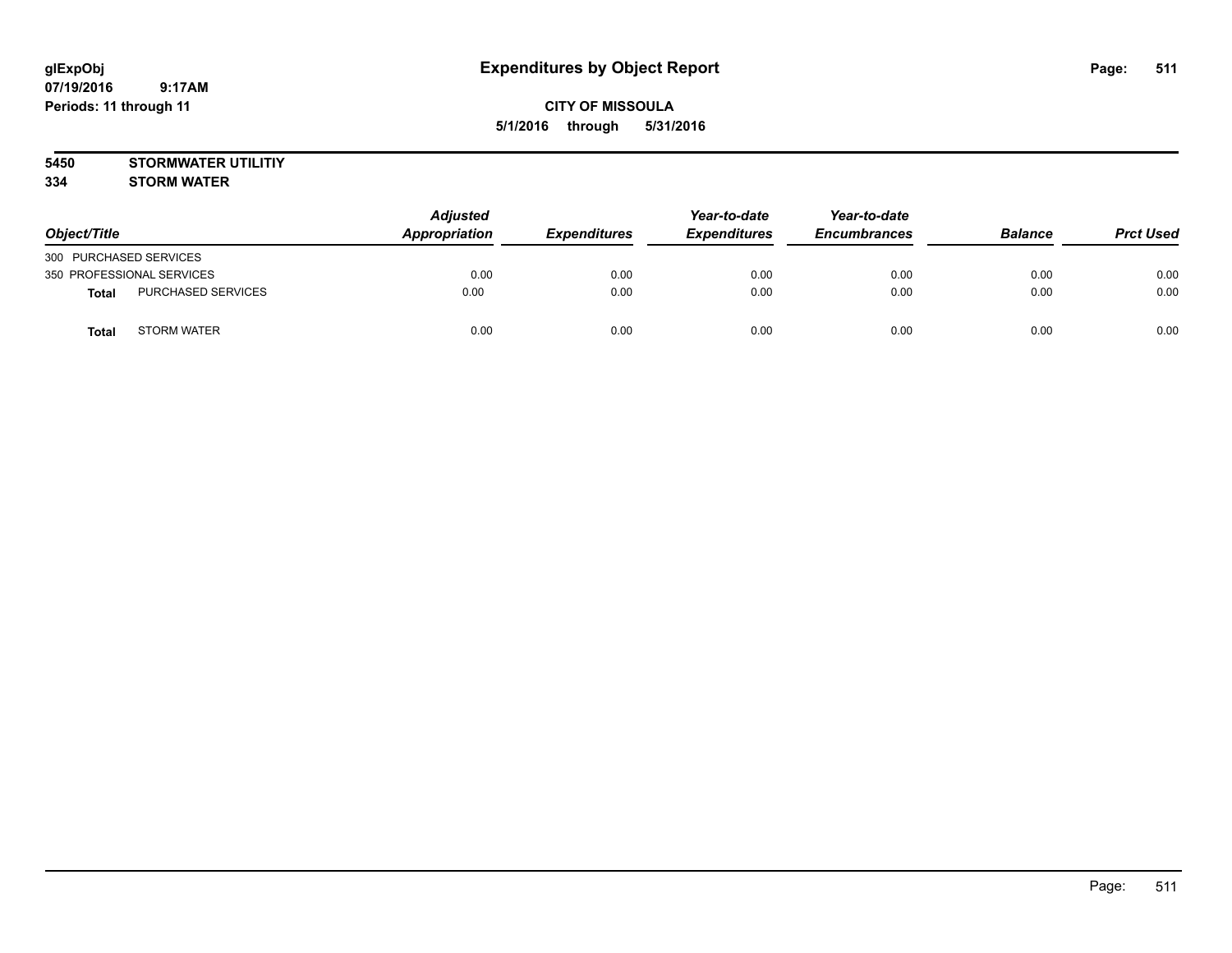## **CITY OF MISSOULA 5/1/2016 through 5/31/2016**

**5450 STORMWATER UTILITIY**

**334 STORM WATER**

| Object/Title              |                    | <b>Adjusted</b><br>Appropriation | <b>Expenditures</b> | Year-to-date<br><b>Expenditures</b> | Year-to-date<br><b>Encumbrances</b> | <b>Balance</b> | <b>Prct Used</b> |
|---------------------------|--------------------|----------------------------------|---------------------|-------------------------------------|-------------------------------------|----------------|------------------|
| 300 PURCHASED SERVICES    |                    |                                  |                     |                                     |                                     |                |                  |
| 350 PROFESSIONAL SERVICES |                    | 0.00                             | 0.00                | 0.00                                | 0.00                                | 0.00           | 0.00             |
| <b>Total</b>              | PURCHASED SERVICES | 0.00                             | 0.00                | 0.00                                | 0.00                                | 0.00           | 0.00             |
| Tota <sub>l</sub>         | <b>STORM WATER</b> | 0.00                             | 0.00                | 0.00                                | 0.00                                | 0.00           | 0.00             |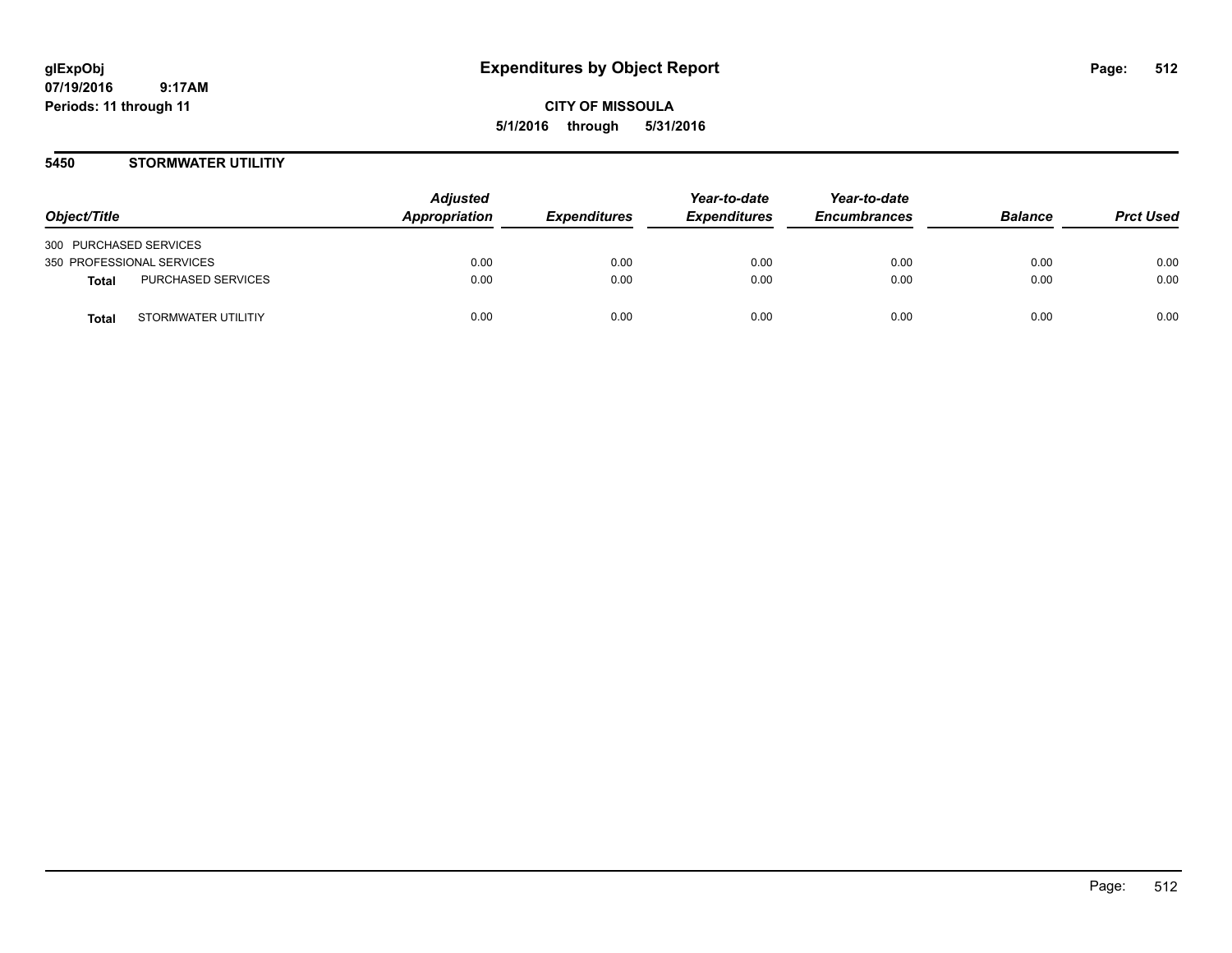**CITY OF MISSOULA 5/1/2016 through 5/31/2016**

### **5450 STORMWATER UTILITIY**

| Object/Title                        | <b>Adjusted</b><br>Appropriation | <b>Expenditures</b> | Year-to-date<br><b>Expenditures</b> | Year-to-date<br><b>Encumbrances</b> | <b>Balance</b> | <b>Prct Used</b> |
|-------------------------------------|----------------------------------|---------------------|-------------------------------------|-------------------------------------|----------------|------------------|
| 300 PURCHASED SERVICES              |                                  |                     |                                     |                                     |                |                  |
| 350 PROFESSIONAL SERVICES           | 0.00                             | 0.00                | 0.00                                | 0.00                                | 0.00           | 0.00             |
| PURCHASED SERVICES<br>Total         | 0.00                             | 0.00                | 0.00                                | 0.00                                | 0.00           | 0.00             |
| STORMWATER UTILITIY<br><b>Total</b> | 0.00                             | 0.00                | 0.00                                | 0.00                                | 0.00           | 0.00             |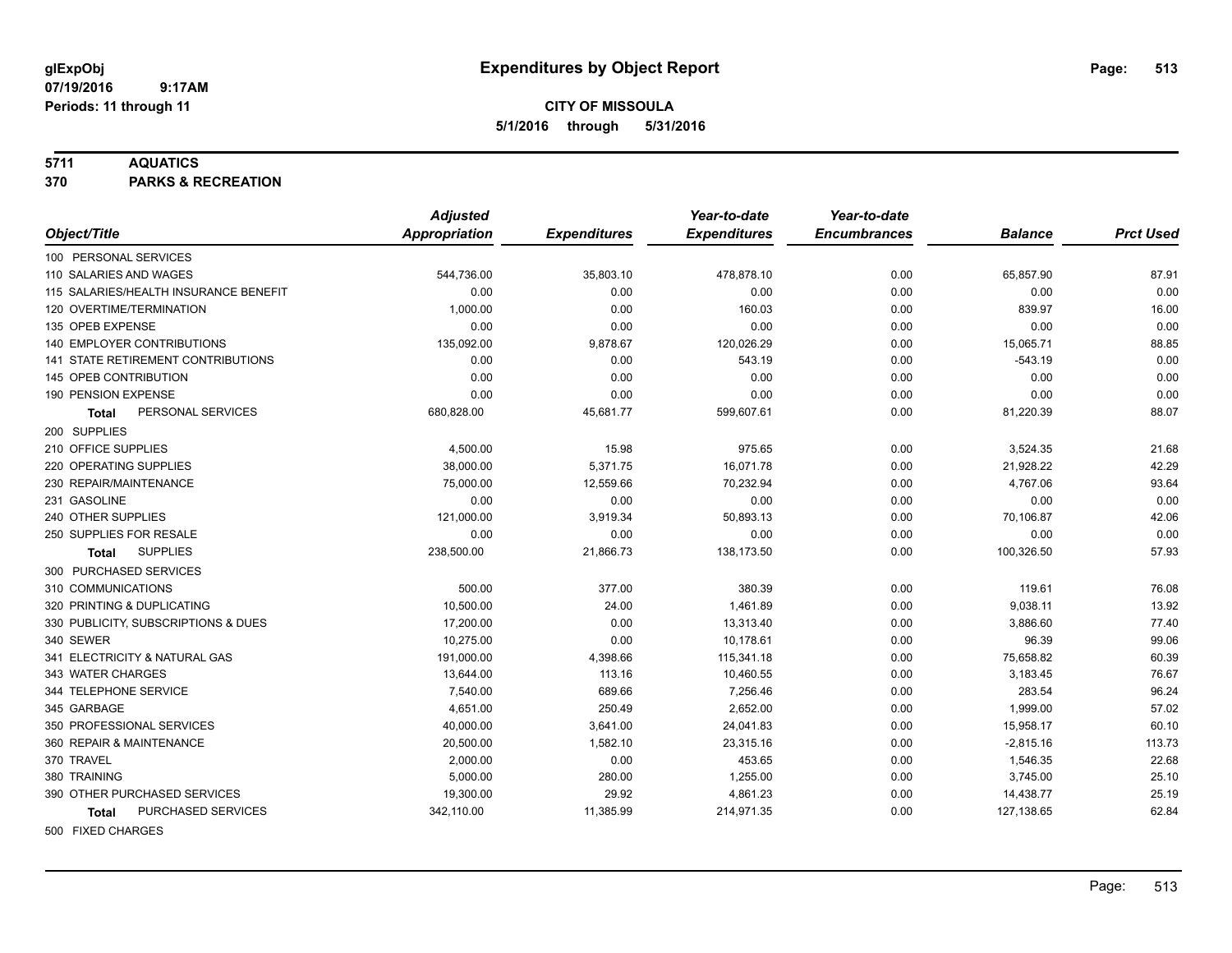#### **5711 AQUATICS**

**370 PARKS & RECREATION**

|                                       | <b>Adjusted</b> |                     | Year-to-date        | Year-to-date        |                |                  |
|---------------------------------------|-----------------|---------------------|---------------------|---------------------|----------------|------------------|
| Object/Title                          | Appropriation   | <b>Expenditures</b> | <b>Expenditures</b> | <b>Encumbrances</b> | <b>Balance</b> | <b>Prct Used</b> |
| 100 PERSONAL SERVICES                 |                 |                     |                     |                     |                |                  |
| 110 SALARIES AND WAGES                | 544,736.00      | 35,803.10           | 478,878.10          | 0.00                | 65,857.90      | 87.91            |
| 115 SALARIES/HEALTH INSURANCE BENEFIT | 0.00            | 0.00                | 0.00                | 0.00                | 0.00           | 0.00             |
| 120 OVERTIME/TERMINATION              | 1,000.00        | 0.00                | 160.03              | 0.00                | 839.97         | 16.00            |
| 135 OPEB EXPENSE                      | 0.00            | 0.00                | 0.00                | 0.00                | 0.00           | 0.00             |
| 140 EMPLOYER CONTRIBUTIONS            | 135,092.00      | 9,878.67            | 120,026.29          | 0.00                | 15,065.71      | 88.85            |
| 141 STATE RETIREMENT CONTRIBUTIONS    | 0.00            | 0.00                | 543.19              | 0.00                | $-543.19$      | 0.00             |
| 145 OPEB CONTRIBUTION                 | 0.00            | 0.00                | 0.00                | 0.00                | 0.00           | 0.00             |
| 190 PENSION EXPENSE                   | 0.00            | 0.00                | 0.00                | 0.00                | 0.00           | 0.00             |
| PERSONAL SERVICES<br>Total            | 680,828.00      | 45,681.77           | 599,607.61          | 0.00                | 81,220.39      | 88.07            |
| 200 SUPPLIES                          |                 |                     |                     |                     |                |                  |
| 210 OFFICE SUPPLIES                   | 4,500.00        | 15.98               | 975.65              | 0.00                | 3,524.35       | 21.68            |
| 220 OPERATING SUPPLIES                | 38,000.00       | 5,371.75            | 16,071.78           | 0.00                | 21,928.22      | 42.29            |
| 230 REPAIR/MAINTENANCE                | 75,000.00       | 12,559.66           | 70,232.94           | 0.00                | 4,767.06       | 93.64            |
| 231 GASOLINE                          | 0.00            | 0.00                | 0.00                | 0.00                | 0.00           | 0.00             |
| 240 OTHER SUPPLIES                    | 121,000.00      | 3,919.34            | 50,893.13           | 0.00                | 70,106.87      | 42.06            |
| 250 SUPPLIES FOR RESALE               | 0.00            | 0.00                | 0.00                | 0.00                | 0.00           | 0.00             |
| <b>SUPPLIES</b><br><b>Total</b>       | 238,500.00      | 21,866.73           | 138,173.50          | 0.00                | 100,326.50     | 57.93            |
| 300 PURCHASED SERVICES                |                 |                     |                     |                     |                |                  |
| 310 COMMUNICATIONS                    | 500.00          | 377.00              | 380.39              | 0.00                | 119.61         | 76.08            |
| 320 PRINTING & DUPLICATING            | 10,500.00       | 24.00               | 1,461.89            | 0.00                | 9,038.11       | 13.92            |
| 330 PUBLICITY, SUBSCRIPTIONS & DUES   | 17.200.00       | 0.00                | 13,313.40           | 0.00                | 3,886.60       | 77.40            |
| 340 SEWER                             | 10,275.00       | 0.00                | 10,178.61           | 0.00                | 96.39          | 99.06            |
| 341 ELECTRICITY & NATURAL GAS         | 191,000.00      | 4,398.66            | 115,341.18          | 0.00                | 75,658.82      | 60.39            |
| 343 WATER CHARGES                     | 13,644.00       | 113.16              | 10,460.55           | 0.00                | 3,183.45       | 76.67            |
| 344 TELEPHONE SERVICE                 | 7,540.00        | 689.66              | 7,256.46            | 0.00                | 283.54         | 96.24            |
| 345 GARBAGE                           | 4,651.00        | 250.49              | 2,652.00            | 0.00                | 1,999.00       | 57.02            |
| 350 PROFESSIONAL SERVICES             | 40,000.00       | 3,641.00            | 24,041.83           | 0.00                | 15,958.17      | 60.10            |
| 360 REPAIR & MAINTENANCE              | 20,500.00       | 1,582.10            | 23,315.16           | 0.00                | $-2,815.16$    | 113.73           |
| 370 TRAVEL                            | 2,000.00        | 0.00                | 453.65              | 0.00                | 1,546.35       | 22.68            |
| 380 TRAINING                          | 5,000.00        | 280.00              | 1,255.00            | 0.00                | 3,745.00       | 25.10            |
| 390 OTHER PURCHASED SERVICES          | 19,300.00       | 29.92               | 4,861.23            | 0.00                | 14,438.77      | 25.19            |
| PURCHASED SERVICES<br>Total           | 342,110.00      | 11,385.99           | 214,971.35          | 0.00                | 127,138.65     | 62.84            |
| 500 FIXED CHARGES                     |                 |                     |                     |                     |                |                  |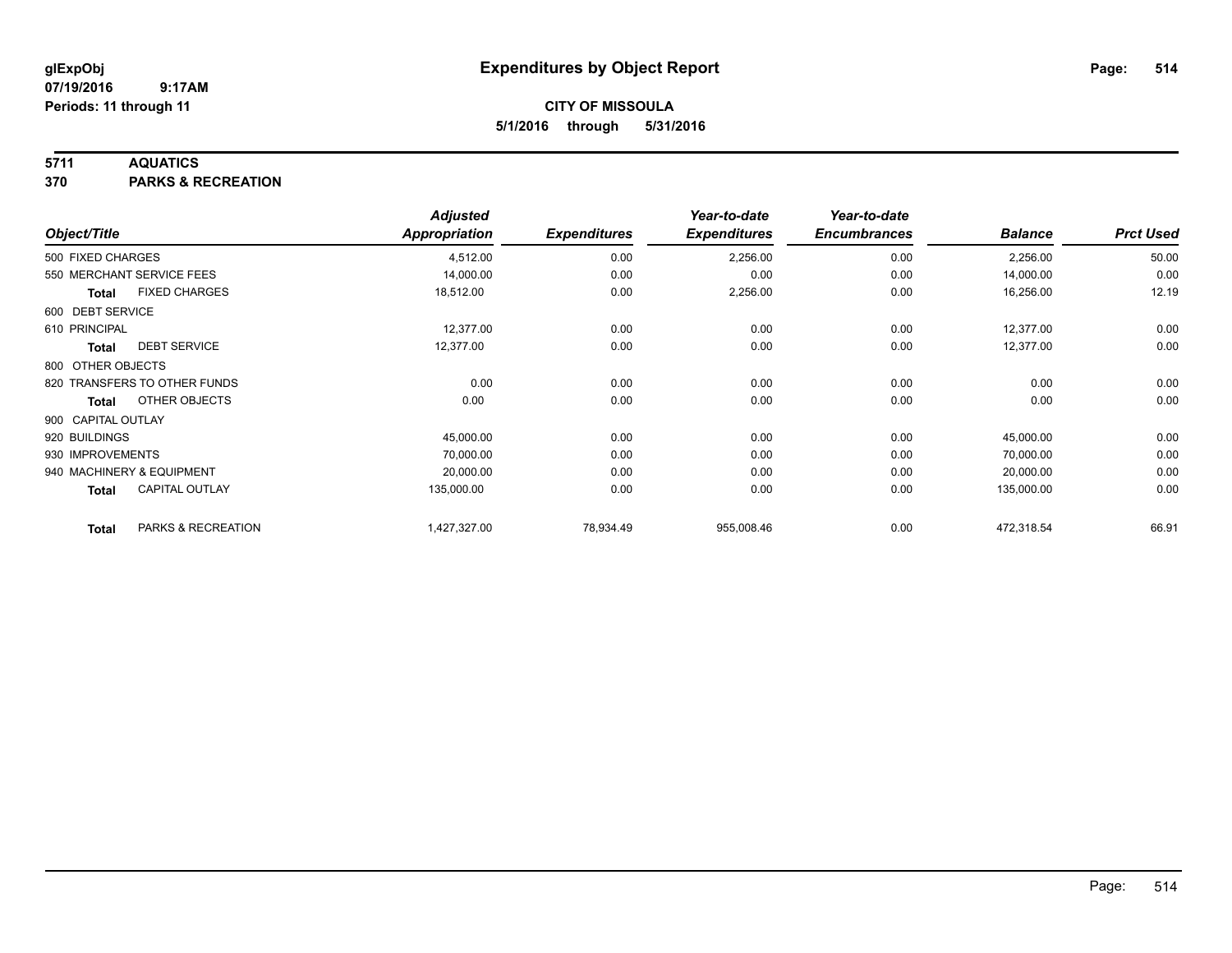### **5711 AQUATICS**

**370 PARKS & RECREATION**

|                    |                              | <b>Adjusted</b>      |                     | Year-to-date<br><b>Expenditures</b> | Year-to-date<br><b>Encumbrances</b> | <b>Balance</b> | <b>Prct Used</b> |
|--------------------|------------------------------|----------------------|---------------------|-------------------------------------|-------------------------------------|----------------|------------------|
| Object/Title       |                              | <b>Appropriation</b> | <b>Expenditures</b> |                                     |                                     |                |                  |
| 500 FIXED CHARGES  |                              | 4,512.00             | 0.00                | 2,256.00                            | 0.00                                | 2,256.00       | 50.00            |
|                    | 550 MERCHANT SERVICE FEES    | 14,000.00            | 0.00                | 0.00                                | 0.00                                | 14,000.00      | 0.00             |
| Total              | <b>FIXED CHARGES</b>         | 18,512.00            | 0.00                | 2,256.00                            | 0.00                                | 16,256.00      | 12.19            |
| 600 DEBT SERVICE   |                              |                      |                     |                                     |                                     |                |                  |
| 610 PRINCIPAL      |                              | 12,377.00            | 0.00                | 0.00                                | 0.00                                | 12,377.00      | 0.00             |
| Total              | <b>DEBT SERVICE</b>          | 12,377.00            | 0.00                | 0.00                                | 0.00                                | 12,377.00      | 0.00             |
| 800 OTHER OBJECTS  |                              |                      |                     |                                     |                                     |                |                  |
|                    | 820 TRANSFERS TO OTHER FUNDS | 0.00                 | 0.00                | 0.00                                | 0.00                                | 0.00           | 0.00             |
| <b>Total</b>       | OTHER OBJECTS                | 0.00                 | 0.00                | 0.00                                | 0.00                                | 0.00           | 0.00             |
| 900 CAPITAL OUTLAY |                              |                      |                     |                                     |                                     |                |                  |
| 920 BUILDINGS      |                              | 45,000.00            | 0.00                | 0.00                                | 0.00                                | 45,000.00      | 0.00             |
| 930 IMPROVEMENTS   |                              | 70,000.00            | 0.00                | 0.00                                | 0.00                                | 70,000.00      | 0.00             |
|                    | 940 MACHINERY & EQUIPMENT    | 20,000.00            | 0.00                | 0.00                                | 0.00                                | 20,000.00      | 0.00             |
| <b>Total</b>       | <b>CAPITAL OUTLAY</b>        | 135,000.00           | 0.00                | 0.00                                | 0.00                                | 135,000.00     | 0.00             |
| <b>Total</b>       | PARKS & RECREATION           | 1,427,327.00         | 78,934.49           | 955,008.46                          | 0.00                                | 472,318.54     | 66.91            |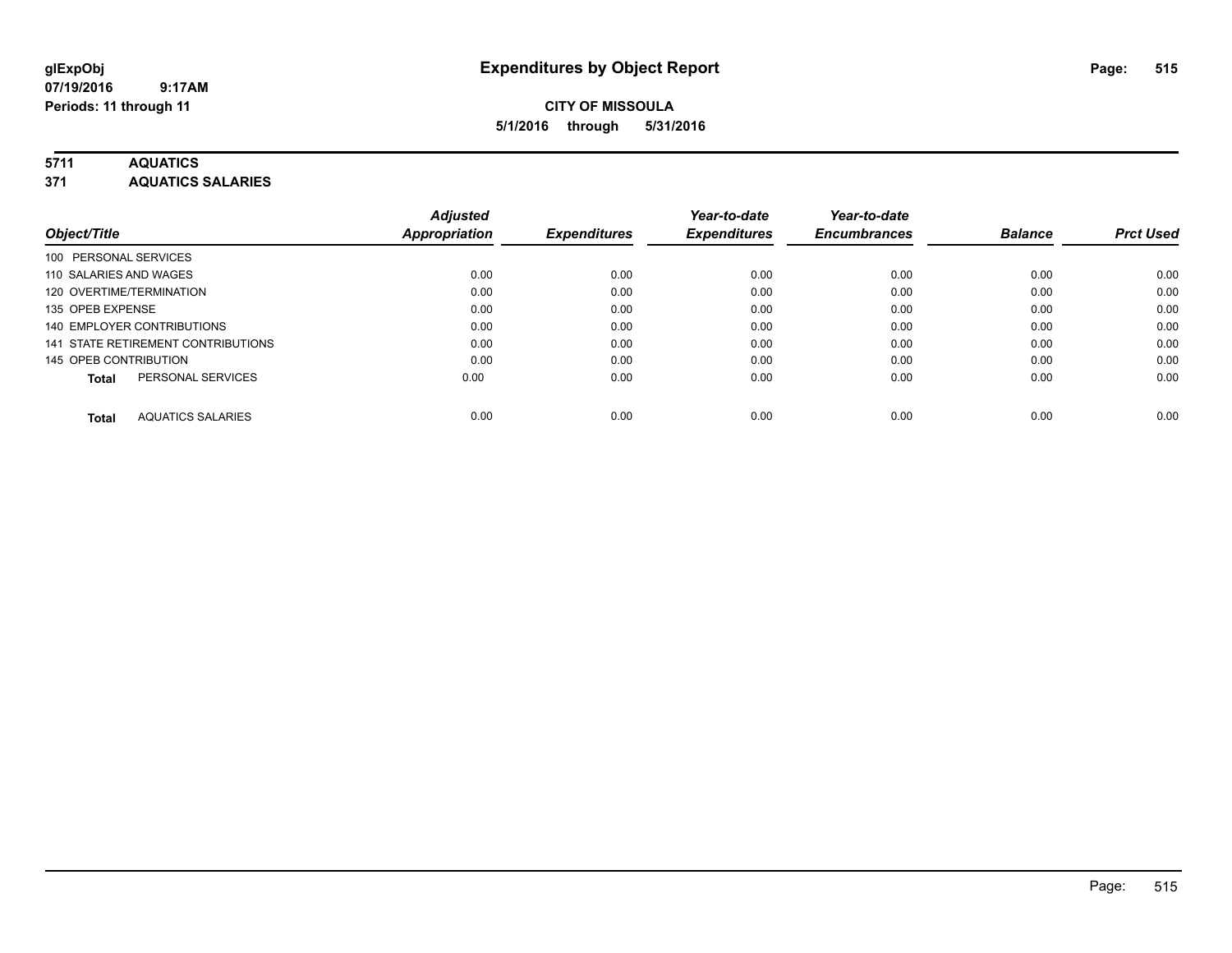## **CITY OF MISSOULA 5/1/2016 through 5/31/2016**

### **5711 AQUATICS**

**371 AQUATICS SALARIES**

|                                    | <b>Adjusted</b> |                     | Year-to-date        | Year-to-date        |                |                  |
|------------------------------------|-----------------|---------------------|---------------------|---------------------|----------------|------------------|
| Object/Title                       | Appropriation   | <b>Expenditures</b> | <b>Expenditures</b> | <b>Encumbrances</b> | <b>Balance</b> | <b>Prct Used</b> |
| 100 PERSONAL SERVICES              |                 |                     |                     |                     |                |                  |
| 110 SALARIES AND WAGES             | 0.00            | 0.00                | 0.00                | 0.00                | 0.00           | 0.00             |
| 120 OVERTIME/TERMINATION           | 0.00            | 0.00                | 0.00                | 0.00                | 0.00           | 0.00             |
| 135 OPEB EXPENSE                   | 0.00            | 0.00                | 0.00                | 0.00                | 0.00           | 0.00             |
| 140 EMPLOYER CONTRIBUTIONS         | 0.00            | 0.00                | 0.00                | 0.00                | 0.00           | 0.00             |
| 141 STATE RETIREMENT CONTRIBUTIONS | 0.00            | 0.00                | 0.00                | 0.00                | 0.00           | 0.00             |
| 145 OPEB CONTRIBUTION              | 0.00            | 0.00                | 0.00                | 0.00                | 0.00           | 0.00             |
| PERSONAL SERVICES<br><b>Total</b>  | 0.00            | 0.00                | 0.00                | 0.00                | 0.00           | 0.00             |
| <b>AQUATICS SALARIES</b><br>Total  | 0.00            | 0.00                | 0.00                | 0.00                | 0.00           | 0.00             |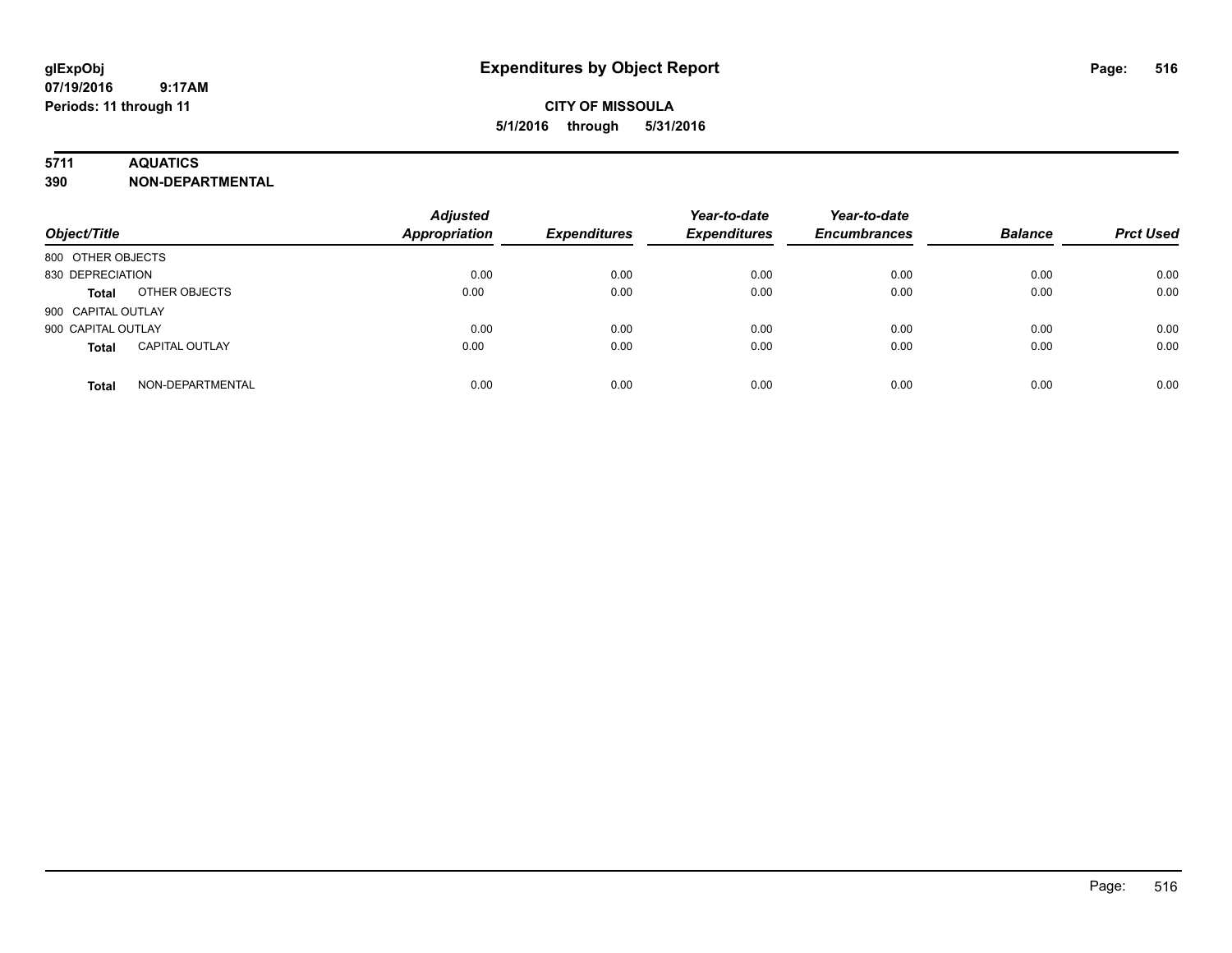# **CITY OF MISSOULA 5/1/2016 through 5/31/2016**

### **5711 AQUATICS**

**390 NON-DEPARTMENTAL**

| Object/Title                          | <b>Adjusted</b><br><b>Appropriation</b> | <b>Expenditures</b> | Year-to-date<br><b>Expenditures</b> | Year-to-date<br><b>Encumbrances</b> | <b>Balance</b> | <b>Prct Used</b> |
|---------------------------------------|-----------------------------------------|---------------------|-------------------------------------|-------------------------------------|----------------|------------------|
| 800 OTHER OBJECTS                     |                                         |                     |                                     |                                     |                |                  |
| 830 DEPRECIATION                      | 0.00                                    | 0.00                | 0.00                                | 0.00                                | 0.00           | 0.00             |
| OTHER OBJECTS<br><b>Total</b>         | 0.00                                    | 0.00                | 0.00                                | 0.00                                | 0.00           | 0.00             |
| 900 CAPITAL OUTLAY                    |                                         |                     |                                     |                                     |                |                  |
| 900 CAPITAL OUTLAY                    | 0.00                                    | 0.00                | 0.00                                | 0.00                                | 0.00           | 0.00             |
| <b>CAPITAL OUTLAY</b><br><b>Total</b> | 0.00                                    | 0.00                | 0.00                                | 0.00                                | 0.00           | 0.00             |
| NON-DEPARTMENTAL<br><b>Total</b>      | 0.00                                    | 0.00                | 0.00                                | 0.00                                | 0.00           | 0.00             |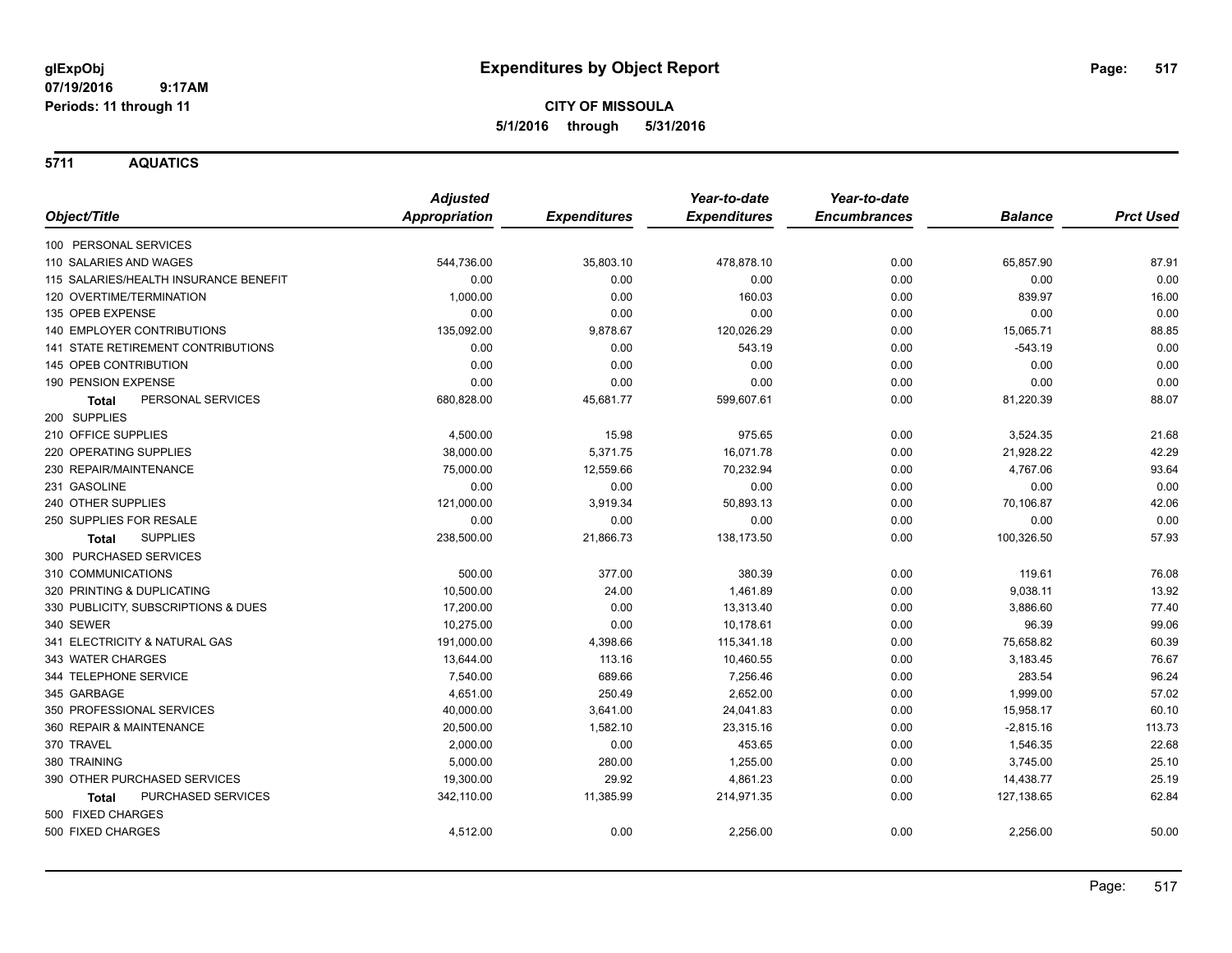**5711 AQUATICS**

|                                           | <b>Adjusted</b>      |                     | Year-to-date        | Year-to-date        |                |                  |
|-------------------------------------------|----------------------|---------------------|---------------------|---------------------|----------------|------------------|
| Object/Title                              | <b>Appropriation</b> | <b>Expenditures</b> | <b>Expenditures</b> | <b>Encumbrances</b> | <b>Balance</b> | <b>Prct Used</b> |
| 100 PERSONAL SERVICES                     |                      |                     |                     |                     |                |                  |
| 110 SALARIES AND WAGES                    | 544,736.00           | 35,803.10           | 478,878.10          | 0.00                | 65,857.90      | 87.91            |
| 115 SALARIES/HEALTH INSURANCE BENEFIT     | 0.00                 | 0.00                | 0.00                | 0.00                | 0.00           | 0.00             |
| 120 OVERTIME/TERMINATION                  | 1,000.00             | 0.00                | 160.03              | 0.00                | 839.97         | 16.00            |
| 135 OPEB EXPENSE                          | 0.00                 | 0.00                | 0.00                | 0.00                | 0.00           | 0.00             |
| 140 EMPLOYER CONTRIBUTIONS                | 135,092.00           | 9,878.67            | 120,026.29          | 0.00                | 15,065.71      | 88.85            |
| <b>141 STATE RETIREMENT CONTRIBUTIONS</b> | 0.00                 | 0.00                | 543.19              | 0.00                | $-543.19$      | 0.00             |
| 145 OPEB CONTRIBUTION                     | 0.00                 | 0.00                | 0.00                | 0.00                | 0.00           | 0.00             |
| 190 PENSION EXPENSE                       | 0.00                 | 0.00                | 0.00                | 0.00                | 0.00           | 0.00             |
| PERSONAL SERVICES<br><b>Total</b>         | 680,828.00           | 45,681.77           | 599,607.61          | 0.00                | 81,220.39      | 88.07            |
| 200 SUPPLIES                              |                      |                     |                     |                     |                |                  |
| 210 OFFICE SUPPLIES                       | 4,500.00             | 15.98               | 975.65              | 0.00                | 3,524.35       | 21.68            |
| 220 OPERATING SUPPLIES                    | 38,000.00            | 5,371.75            | 16,071.78           | 0.00                | 21,928.22      | 42.29            |
| 230 REPAIR/MAINTENANCE                    | 75,000.00            | 12,559.66           | 70,232.94           | 0.00                | 4,767.06       | 93.64            |
| 231 GASOLINE                              | 0.00                 | 0.00                | 0.00                | 0.00                | 0.00           | 0.00             |
| 240 OTHER SUPPLIES                        | 121,000.00           | 3,919.34            | 50,893.13           | 0.00                | 70,106.87      | 42.06            |
| 250 SUPPLIES FOR RESALE                   | 0.00                 | 0.00                | 0.00                | 0.00                | 0.00           | 0.00             |
| <b>SUPPLIES</b><br><b>Total</b>           | 238,500.00           | 21,866.73           | 138,173.50          | 0.00                | 100,326.50     | 57.93            |
| 300 PURCHASED SERVICES                    |                      |                     |                     |                     |                |                  |
| 310 COMMUNICATIONS                        | 500.00               | 377.00              | 380.39              | 0.00                | 119.61         | 76.08            |
| 320 PRINTING & DUPLICATING                | 10.500.00            | 24.00               | 1,461.89            | 0.00                | 9,038.11       | 13.92            |
| 330 PUBLICITY, SUBSCRIPTIONS & DUES       | 17,200.00            | 0.00                | 13,313.40           | 0.00                | 3,886.60       | 77.40            |
| 340 SEWER                                 | 10,275.00            | 0.00                | 10,178.61           | 0.00                | 96.39          | 99.06            |
| 341 ELECTRICITY & NATURAL GAS             | 191,000.00           | 4,398.66            | 115,341.18          | 0.00                | 75,658.82      | 60.39            |
| 343 WATER CHARGES                         | 13,644.00            | 113.16              | 10,460.55           | 0.00                | 3,183.45       | 76.67            |
| 344 TELEPHONE SERVICE                     | 7,540.00             | 689.66              | 7,256.46            | 0.00                | 283.54         | 96.24            |
| 345 GARBAGE                               | 4,651.00             | 250.49              | 2,652.00            | 0.00                | 1,999.00       | 57.02            |
| 350 PROFESSIONAL SERVICES                 | 40,000.00            | 3,641.00            | 24,041.83           | 0.00                | 15,958.17      | 60.10            |
| 360 REPAIR & MAINTENANCE                  | 20,500.00            | 1,582.10            | 23,315.16           | 0.00                | $-2,815.16$    | 113.73           |
| 370 TRAVEL                                | 2,000.00             | 0.00                | 453.65              | 0.00                | 1,546.35       | 22.68            |
| 380 TRAINING                              | 5,000.00             | 280.00              | 1,255.00            | 0.00                | 3,745.00       | 25.10            |
| 390 OTHER PURCHASED SERVICES              | 19,300.00            | 29.92               | 4,861.23            | 0.00                | 14,438.77      | 25.19            |
| <b>PURCHASED SERVICES</b><br><b>Total</b> | 342,110.00           | 11,385.99           | 214,971.35          | 0.00                | 127,138.65     | 62.84            |
| 500 FIXED CHARGES                         |                      |                     |                     |                     |                |                  |
| 500 FIXED CHARGES                         | 4,512.00             | 0.00                | 2,256.00            | 0.00                | 2,256.00       | 50.00            |
|                                           |                      |                     |                     |                     |                |                  |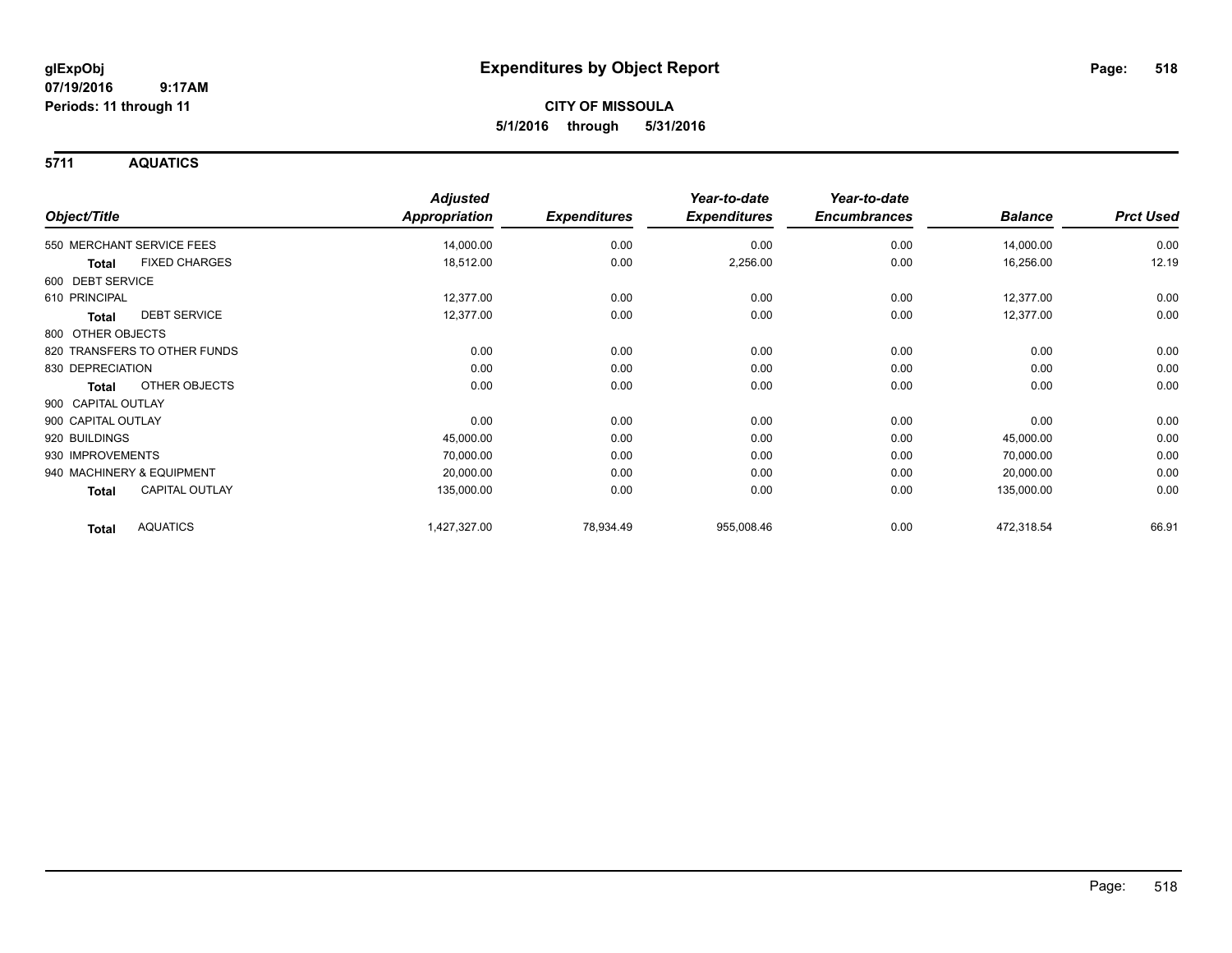**5711 AQUATICS**

| Object/Title                    | <b>Adjusted</b><br><b>Appropriation</b> | <b>Expenditures</b> | Year-to-date<br><b>Expenditures</b> | Year-to-date<br><b>Encumbrances</b> | <b>Balance</b> | <b>Prct Used</b> |
|---------------------------------|-----------------------------------------|---------------------|-------------------------------------|-------------------------------------|----------------|------------------|
|                                 |                                         |                     |                                     |                                     |                |                  |
| 550 MERCHANT SERVICE FEES       | 14,000.00                               | 0.00                | 0.00                                | 0.00                                | 14,000.00      | 0.00             |
| <b>FIXED CHARGES</b><br>Total   | 18,512.00                               | 0.00                | 2,256.00                            | 0.00                                | 16,256.00      | 12.19            |
| 600 DEBT SERVICE                |                                         |                     |                                     |                                     |                |                  |
| 610 PRINCIPAL                   | 12,377.00                               | 0.00                | 0.00                                | 0.00                                | 12,377.00      | 0.00             |
| <b>DEBT SERVICE</b><br>Total    | 12,377.00                               | 0.00                | 0.00                                | 0.00                                | 12,377.00      | 0.00             |
| 800 OTHER OBJECTS               |                                         |                     |                                     |                                     |                |                  |
| 820 TRANSFERS TO OTHER FUNDS    | 0.00                                    | 0.00                | 0.00                                | 0.00                                | 0.00           | 0.00             |
| 830 DEPRECIATION                | 0.00                                    | 0.00                | 0.00                                | 0.00                                | 0.00           | 0.00             |
| <b>OTHER OBJECTS</b><br>Total   | 0.00                                    | 0.00                | 0.00                                | 0.00                                | 0.00           | 0.00             |
| 900 CAPITAL OUTLAY              |                                         |                     |                                     |                                     |                |                  |
| 900 CAPITAL OUTLAY              | 0.00                                    | 0.00                | 0.00                                | 0.00                                | 0.00           | 0.00             |
| 920 BUILDINGS                   | 45,000.00                               | 0.00                | 0.00                                | 0.00                                | 45,000.00      | 0.00             |
| 930 IMPROVEMENTS                | 70,000.00                               | 0.00                | 0.00                                | 0.00                                | 70,000.00      | 0.00             |
| 940 MACHINERY & EQUIPMENT       | 20,000.00                               | 0.00                | 0.00                                | 0.00                                | 20,000.00      | 0.00             |
| <b>CAPITAL OUTLAY</b><br>Total  | 135,000.00                              | 0.00                | 0.00                                | 0.00                                | 135,000.00     | 0.00             |
| <b>AQUATICS</b><br><b>Total</b> | 1,427,327.00                            | 78,934.49           | 955,008.46                          | 0.00                                | 472,318.54     | 66.91            |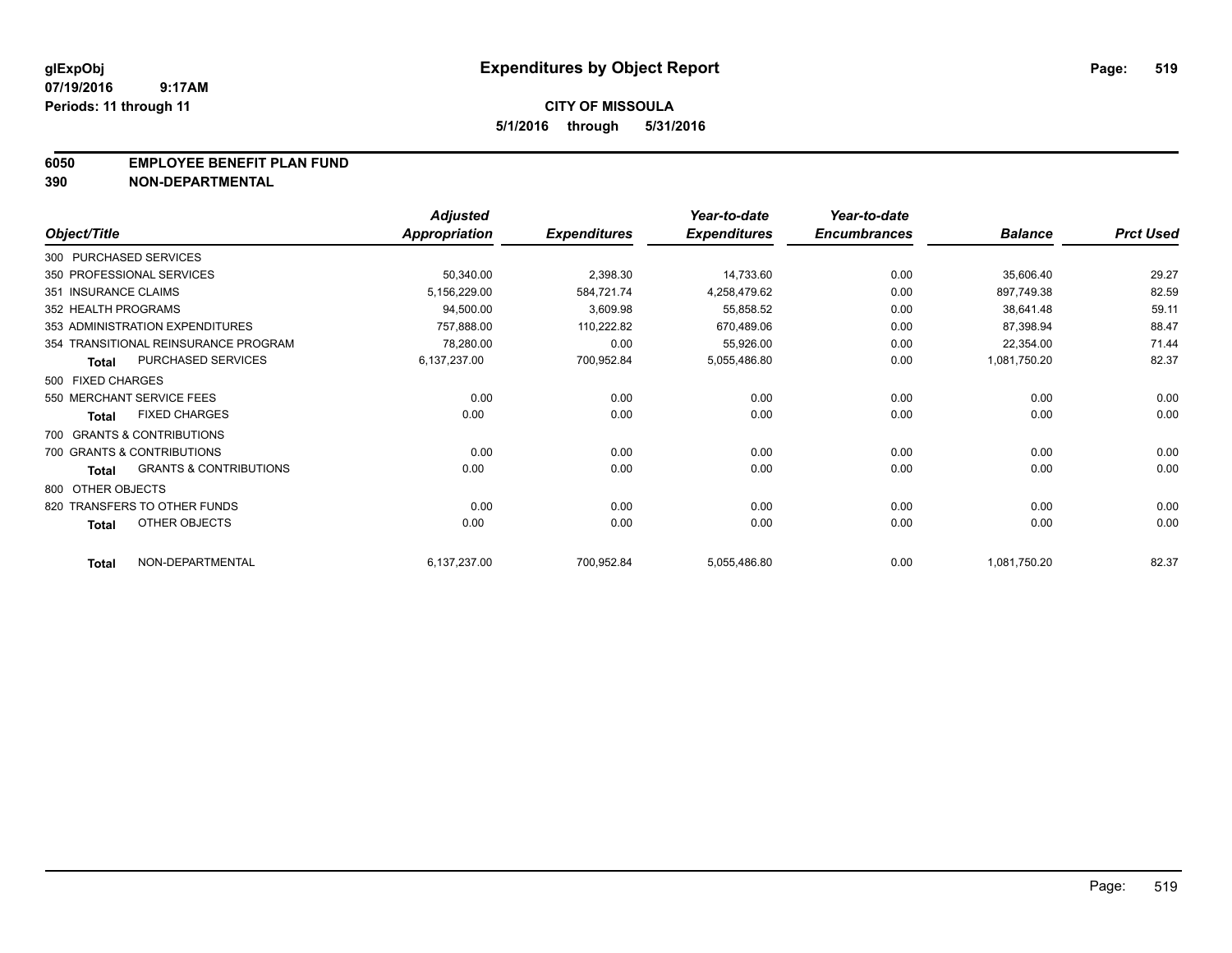#### **6050 EMPLOYEE BENEFIT PLAN FUND**

**390 NON-DEPARTMENTAL**

|                      |                                      | <b>Adjusted</b> |                     | Year-to-date        | Year-to-date        |                |                  |
|----------------------|--------------------------------------|-----------------|---------------------|---------------------|---------------------|----------------|------------------|
| Object/Title         |                                      | Appropriation   | <b>Expenditures</b> | <b>Expenditures</b> | <b>Encumbrances</b> | <b>Balance</b> | <b>Prct Used</b> |
|                      | 300 PURCHASED SERVICES               |                 |                     |                     |                     |                |                  |
|                      | 350 PROFESSIONAL SERVICES            | 50,340.00       | 2,398.30            | 14,733.60           | 0.00                | 35,606.40      | 29.27            |
| 351 INSURANCE CLAIMS |                                      | 5,156,229.00    | 584,721.74          | 4,258,479.62        | 0.00                | 897,749.38     | 82.59            |
| 352 HEALTH PROGRAMS  |                                      | 94,500.00       | 3,609.98            | 55,858.52           | 0.00                | 38,641.48      | 59.11            |
|                      | 353 ADMINISTRATION EXPENDITURES      | 757,888.00      | 110,222.82          | 670,489.06          | 0.00                | 87,398.94      | 88.47            |
|                      | 354 TRANSITIONAL REINSURANCE PROGRAM | 78,280.00       | 0.00                | 55,926.00           | 0.00                | 22,354.00      | 71.44            |
| <b>Total</b>         | PURCHASED SERVICES                   | 6,137,237.00    | 700,952.84          | 5,055,486.80        | 0.00                | 1,081,750.20   | 82.37            |
| 500 FIXED CHARGES    |                                      |                 |                     |                     |                     |                |                  |
|                      | 550 MERCHANT SERVICE FEES            | 0.00            | 0.00                | 0.00                | 0.00                | 0.00           | 0.00             |
| <b>Total</b>         | <b>FIXED CHARGES</b>                 | 0.00            | 0.00                | 0.00                | 0.00                | 0.00           | 0.00             |
|                      | 700 GRANTS & CONTRIBUTIONS           |                 |                     |                     |                     |                |                  |
|                      | 700 GRANTS & CONTRIBUTIONS           | 0.00            | 0.00                | 0.00                | 0.00                | 0.00           | 0.00             |
| <b>Total</b>         | <b>GRANTS &amp; CONTRIBUTIONS</b>    | 0.00            | 0.00                | 0.00                | 0.00                | 0.00           | 0.00             |
| 800 OTHER OBJECTS    |                                      |                 |                     |                     |                     |                |                  |
|                      | 820 TRANSFERS TO OTHER FUNDS         | 0.00            | 0.00                | 0.00                | 0.00                | 0.00           | 0.00             |
| <b>Total</b>         | OTHER OBJECTS                        | 0.00            | 0.00                | 0.00                | 0.00                | 0.00           | 0.00             |
| <b>Total</b>         | NON-DEPARTMENTAL                     | 6,137,237.00    | 700,952.84          | 5,055,486.80        | 0.00                | 1,081,750.20   | 82.37            |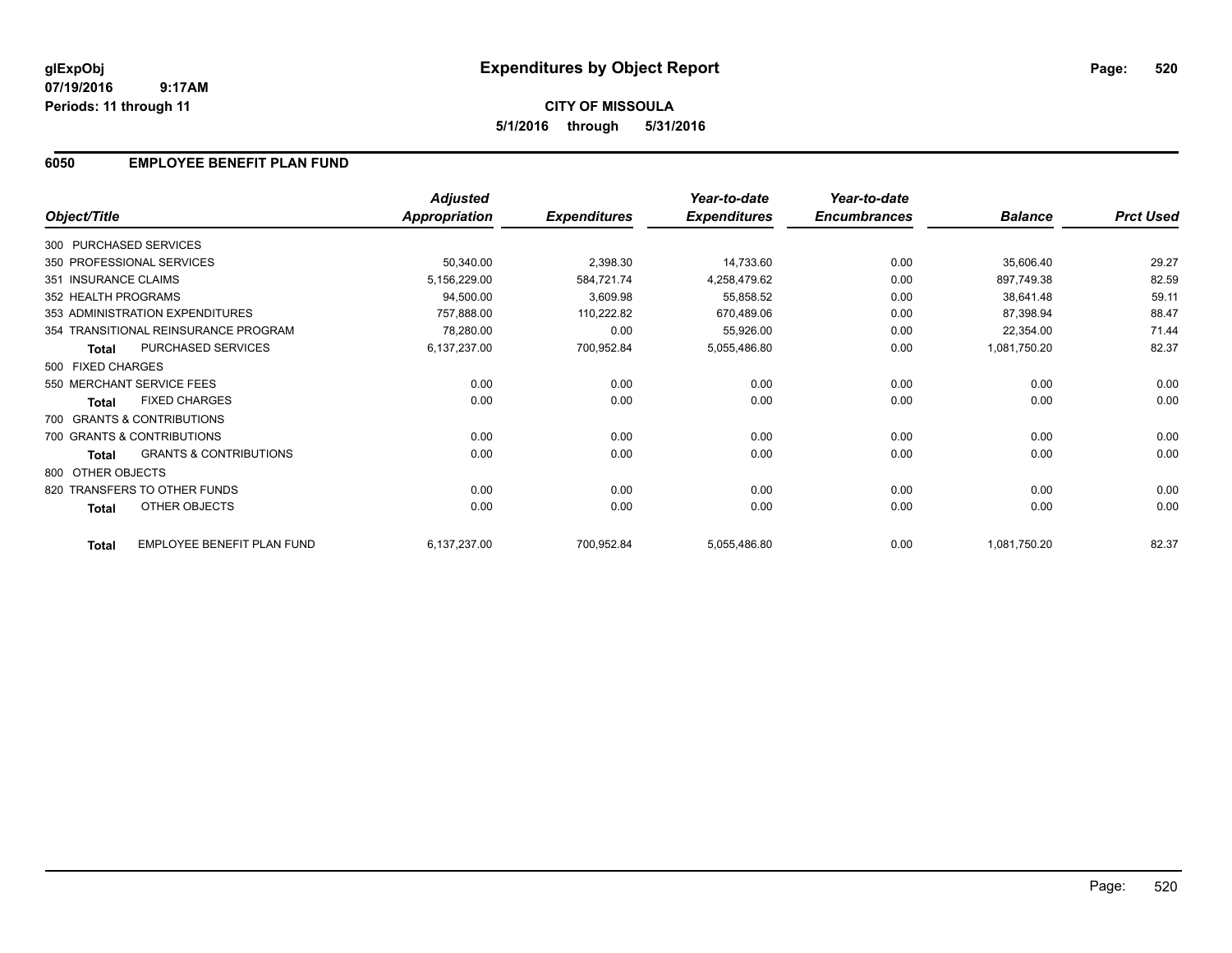# **CITY OF MISSOULA 5/1/2016 through 5/31/2016**

## **6050 EMPLOYEE BENEFIT PLAN FUND**

|                        |                                      | <b>Adjusted</b> |                     | Year-to-date        | Year-to-date        |                |                  |
|------------------------|--------------------------------------|-----------------|---------------------|---------------------|---------------------|----------------|------------------|
| Object/Title           |                                      | Appropriation   | <b>Expenditures</b> | <b>Expenditures</b> | <b>Encumbrances</b> | <b>Balance</b> | <b>Prct Used</b> |
| 300 PURCHASED SERVICES |                                      |                 |                     |                     |                     |                |                  |
|                        | 350 PROFESSIONAL SERVICES            | 50,340.00       | 2,398.30            | 14,733.60           | 0.00                | 35,606.40      | 29.27            |
| 351 INSURANCE CLAIMS   |                                      | 5,156,229.00    | 584,721.74          | 4,258,479.62        | 0.00                | 897,749.38     | 82.59            |
| 352 HEALTH PROGRAMS    |                                      | 94,500.00       | 3,609.98            | 55,858.52           | 0.00                | 38,641.48      | 59.11            |
|                        | 353 ADMINISTRATION EXPENDITURES      | 757,888.00      | 110,222.82          | 670,489.06          | 0.00                | 87,398.94      | 88.47            |
|                        | 354 TRANSITIONAL REINSURANCE PROGRAM | 78,280.00       | 0.00                | 55,926.00           | 0.00                | 22,354.00      | 71.44            |
| <b>Total</b>           | PURCHASED SERVICES                   | 6,137,237.00    | 700,952.84          | 5,055,486.80        | 0.00                | 1,081,750.20   | 82.37            |
| 500 FIXED CHARGES      |                                      |                 |                     |                     |                     |                |                  |
|                        | 550 MERCHANT SERVICE FEES            | 0.00            | 0.00                | 0.00                | 0.00                | 0.00           | 0.00             |
| <b>Total</b>           | <b>FIXED CHARGES</b>                 | 0.00            | 0.00                | 0.00                | 0.00                | 0.00           | 0.00             |
|                        | 700 GRANTS & CONTRIBUTIONS           |                 |                     |                     |                     |                |                  |
|                        | 700 GRANTS & CONTRIBUTIONS           | 0.00            | 0.00                | 0.00                | 0.00                | 0.00           | 0.00             |
| <b>Total</b>           | <b>GRANTS &amp; CONTRIBUTIONS</b>    | 0.00            | 0.00                | 0.00                | 0.00                | 0.00           | 0.00             |
| 800 OTHER OBJECTS      |                                      |                 |                     |                     |                     |                |                  |
|                        | 820 TRANSFERS TO OTHER FUNDS         | 0.00            | 0.00                | 0.00                | 0.00                | 0.00           | 0.00             |
| Total                  | OTHER OBJECTS                        | 0.00            | 0.00                | 0.00                | 0.00                | 0.00           | 0.00             |
| <b>Total</b>           | EMPLOYEE BENEFIT PLAN FUND           | 6,137,237.00    | 700,952.84          | 5,055,486.80        | 0.00                | 1,081,750.20   | 82.37            |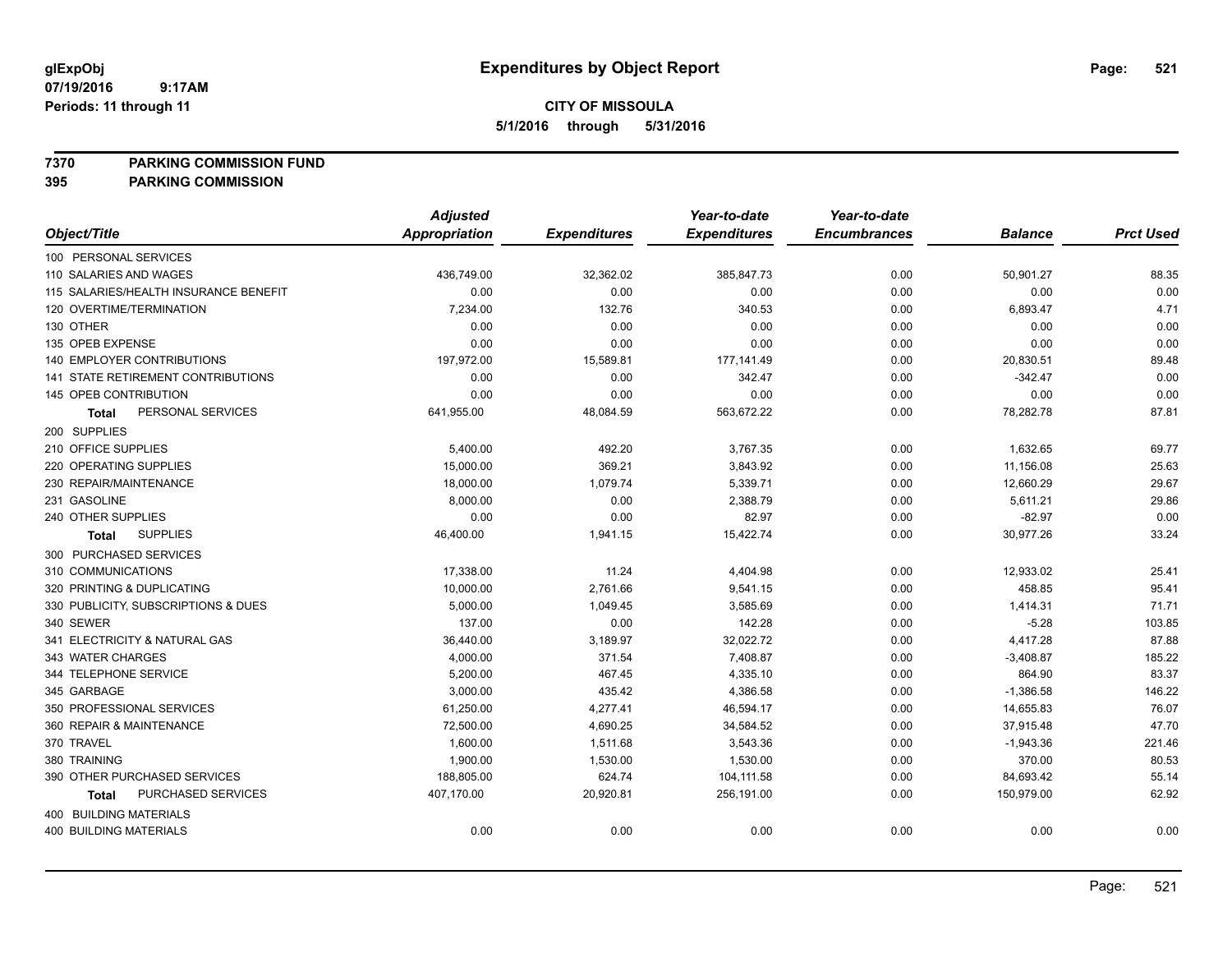**7370 PARKING COMMISSION FUND**

|                                       | <b>Adjusted</b> |                     | Year-to-date        | Year-to-date        |                |                  |
|---------------------------------------|-----------------|---------------------|---------------------|---------------------|----------------|------------------|
| Object/Title                          | Appropriation   | <b>Expenditures</b> | <b>Expenditures</b> | <b>Encumbrances</b> | <b>Balance</b> | <b>Prct Used</b> |
| 100 PERSONAL SERVICES                 |                 |                     |                     |                     |                |                  |
| 110 SALARIES AND WAGES                | 436,749.00      | 32,362.02           | 385,847.73          | 0.00                | 50,901.27      | 88.35            |
| 115 SALARIES/HEALTH INSURANCE BENEFIT | 0.00            | 0.00                | 0.00                | 0.00                | 0.00           | 0.00             |
| 120 OVERTIME/TERMINATION              | 7,234.00        | 132.76              | 340.53              | 0.00                | 6,893.47       | 4.71             |
| 130 OTHER                             | 0.00            | 0.00                | 0.00                | 0.00                | 0.00           | 0.00             |
| 135 OPEB EXPENSE                      | 0.00            | 0.00                | 0.00                | 0.00                | 0.00           | 0.00             |
| <b>140 EMPLOYER CONTRIBUTIONS</b>     | 197,972.00      | 15,589.81           | 177,141.49          | 0.00                | 20,830.51      | 89.48            |
| 141 STATE RETIREMENT CONTRIBUTIONS    | 0.00            | 0.00                | 342.47              | 0.00                | $-342.47$      | 0.00             |
| 145 OPEB CONTRIBUTION                 | 0.00            | 0.00                | 0.00                | 0.00                | 0.00           | 0.00             |
| PERSONAL SERVICES<br>Total            | 641,955.00      | 48,084.59           | 563,672.22          | 0.00                | 78,282.78      | 87.81            |
| 200 SUPPLIES                          |                 |                     |                     |                     |                |                  |
| 210 OFFICE SUPPLIES                   | 5,400.00        | 492.20              | 3,767.35            | 0.00                | 1,632.65       | 69.77            |
| 220 OPERATING SUPPLIES                | 15,000.00       | 369.21              | 3,843.92            | 0.00                | 11,156.08      | 25.63            |
| 230 REPAIR/MAINTENANCE                | 18,000.00       | 1,079.74            | 5,339.71            | 0.00                | 12,660.29      | 29.67            |
| 231 GASOLINE                          | 8,000.00        | 0.00                | 2,388.79            | 0.00                | 5,611.21       | 29.86            |
| 240 OTHER SUPPLIES                    | 0.00            | 0.00                | 82.97               | 0.00                | $-82.97$       | 0.00             |
| <b>SUPPLIES</b><br>Total              | 46,400.00       | 1,941.15            | 15,422.74           | 0.00                | 30,977.26      | 33.24            |
| 300 PURCHASED SERVICES                |                 |                     |                     |                     |                |                  |
| 310 COMMUNICATIONS                    | 17,338.00       | 11.24               | 4,404.98            | 0.00                | 12,933.02      | 25.41            |
| 320 PRINTING & DUPLICATING            | 10,000.00       | 2,761.66            | 9,541.15            | 0.00                | 458.85         | 95.41            |
| 330 PUBLICITY, SUBSCRIPTIONS & DUES   | 5,000.00        | 1,049.45            | 3,585.69            | 0.00                | 1,414.31       | 71.71            |
| 340 SEWER                             | 137.00          | 0.00                | 142.28              | 0.00                | $-5.28$        | 103.85           |
| 341 ELECTRICITY & NATURAL GAS         | 36,440.00       | 3,189.97            | 32,022.72           | 0.00                | 4,417.28       | 87.88            |
| 343 WATER CHARGES                     | 4,000.00        | 371.54              | 7,408.87            | 0.00                | $-3,408.87$    | 185.22           |
| 344 TELEPHONE SERVICE                 | 5,200.00        | 467.45              | 4,335.10            | 0.00                | 864.90         | 83.37            |
| 345 GARBAGE                           | 3,000.00        | 435.42              | 4,386.58            | 0.00                | $-1,386.58$    | 146.22           |
| 350 PROFESSIONAL SERVICES             | 61,250.00       | 4,277.41            | 46,594.17           | 0.00                | 14,655.83      | 76.07            |
| 360 REPAIR & MAINTENANCE              | 72,500.00       | 4,690.25            | 34,584.52           | 0.00                | 37,915.48      | 47.70            |
| 370 TRAVEL                            | 1,600.00        | 1,511.68            | 3,543.36            | 0.00                | $-1,943.36$    | 221.46           |
| 380 TRAINING                          | 1,900.00        | 1,530.00            | 1,530.00            | 0.00                | 370.00         | 80.53            |
| 390 OTHER PURCHASED SERVICES          | 188,805.00      | 624.74              | 104,111.58          | 0.00                | 84,693.42      | 55.14            |
| PURCHASED SERVICES<br>Total           | 407,170.00      | 20,920.81           | 256,191.00          | 0.00                | 150,979.00     | 62.92            |
| <b>400 BUILDING MATERIALS</b>         |                 |                     |                     |                     |                |                  |
| <b>400 BUILDING MATERIALS</b>         | 0.00            | 0.00                | 0.00                | 0.00                | 0.00           | 0.00             |
|                                       |                 |                     |                     |                     |                |                  |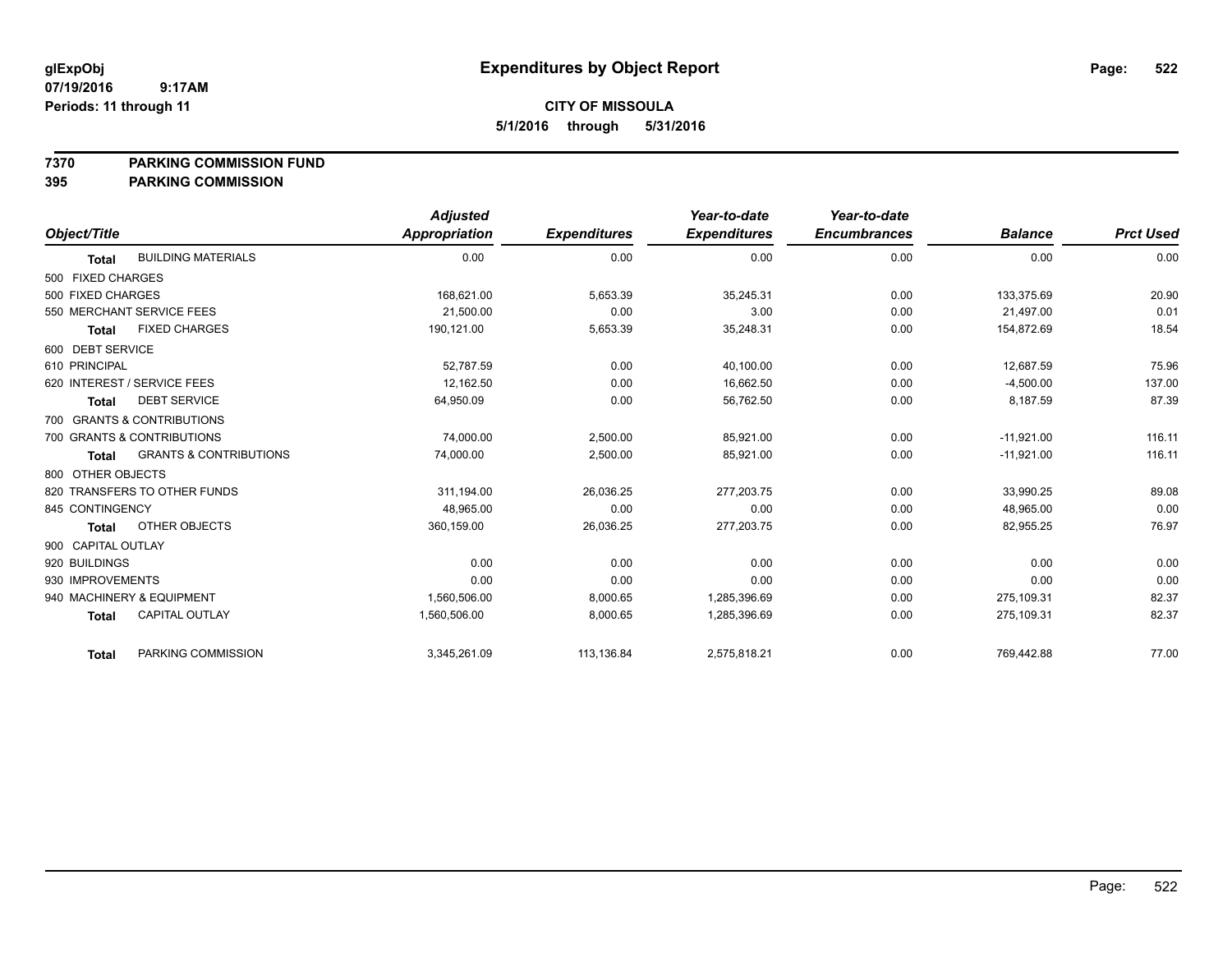#### **7370 PARKING COMMISSION FUND**

|                                                   | <b>Adjusted</b> |                     | Year-to-date        | Year-to-date        |                |                  |
|---------------------------------------------------|-----------------|---------------------|---------------------|---------------------|----------------|------------------|
| Object/Title                                      | Appropriation   | <b>Expenditures</b> | <b>Expenditures</b> | <b>Encumbrances</b> | <b>Balance</b> | <b>Prct Used</b> |
| <b>BUILDING MATERIALS</b><br><b>Total</b>         | 0.00            | 0.00                | 0.00                | 0.00                | 0.00           | 0.00             |
| 500 FIXED CHARGES                                 |                 |                     |                     |                     |                |                  |
| 500 FIXED CHARGES                                 | 168,621.00      | 5,653.39            | 35,245.31           | 0.00                | 133,375.69     | 20.90            |
| 550 MERCHANT SERVICE FEES                         | 21,500.00       | 0.00                | 3.00                | 0.00                | 21,497.00      | 0.01             |
| <b>FIXED CHARGES</b><br><b>Total</b>              | 190,121.00      | 5,653.39            | 35,248.31           | 0.00                | 154,872.69     | 18.54            |
| 600 DEBT SERVICE                                  |                 |                     |                     |                     |                |                  |
| 610 PRINCIPAL                                     | 52,787.59       | 0.00                | 40,100.00           | 0.00                | 12,687.59      | 75.96            |
| 620 INTEREST / SERVICE FEES                       | 12,162.50       | 0.00                | 16,662.50           | 0.00                | $-4,500.00$    | 137.00           |
| <b>DEBT SERVICE</b><br><b>Total</b>               | 64,950.09       | 0.00                | 56,762.50           | 0.00                | 8,187.59       | 87.39            |
| 700 GRANTS & CONTRIBUTIONS                        |                 |                     |                     |                     |                |                  |
| 700 GRANTS & CONTRIBUTIONS                        | 74,000.00       | 2,500.00            | 85,921.00           | 0.00                | $-11,921.00$   | 116.11           |
| <b>GRANTS &amp; CONTRIBUTIONS</b><br><b>Total</b> | 74,000.00       | 2,500.00            | 85,921.00           | 0.00                | $-11,921.00$   | 116.11           |
| 800 OTHER OBJECTS                                 |                 |                     |                     |                     |                |                  |
| 820 TRANSFERS TO OTHER FUNDS                      | 311,194.00      | 26,036.25           | 277,203.75          | 0.00                | 33,990.25      | 89.08            |
| 845 CONTINGENCY                                   | 48,965.00       | 0.00                | 0.00                | 0.00                | 48,965.00      | 0.00             |
| OTHER OBJECTS<br><b>Total</b>                     | 360,159.00      | 26,036.25           | 277,203.75          | 0.00                | 82,955.25      | 76.97            |
| 900 CAPITAL OUTLAY                                |                 |                     |                     |                     |                |                  |
| 920 BUILDINGS                                     | 0.00            | 0.00                | 0.00                | 0.00                | 0.00           | 0.00             |
| 930 IMPROVEMENTS                                  | 0.00            | 0.00                | 0.00                | 0.00                | 0.00           | 0.00             |
| 940 MACHINERY & EQUIPMENT                         | 1,560,506.00    | 8,000.65            | 1,285,396.69        | 0.00                | 275,109.31     | 82.37            |
| <b>CAPITAL OUTLAY</b><br><b>Total</b>             | 1,560,506.00    | 8,000.65            | 1,285,396.69        | 0.00                | 275,109.31     | 82.37            |
| PARKING COMMISSION<br><b>Total</b>                | 3,345,261.09    | 113,136.84          | 2,575,818.21        | 0.00                | 769,442.88     | 77.00            |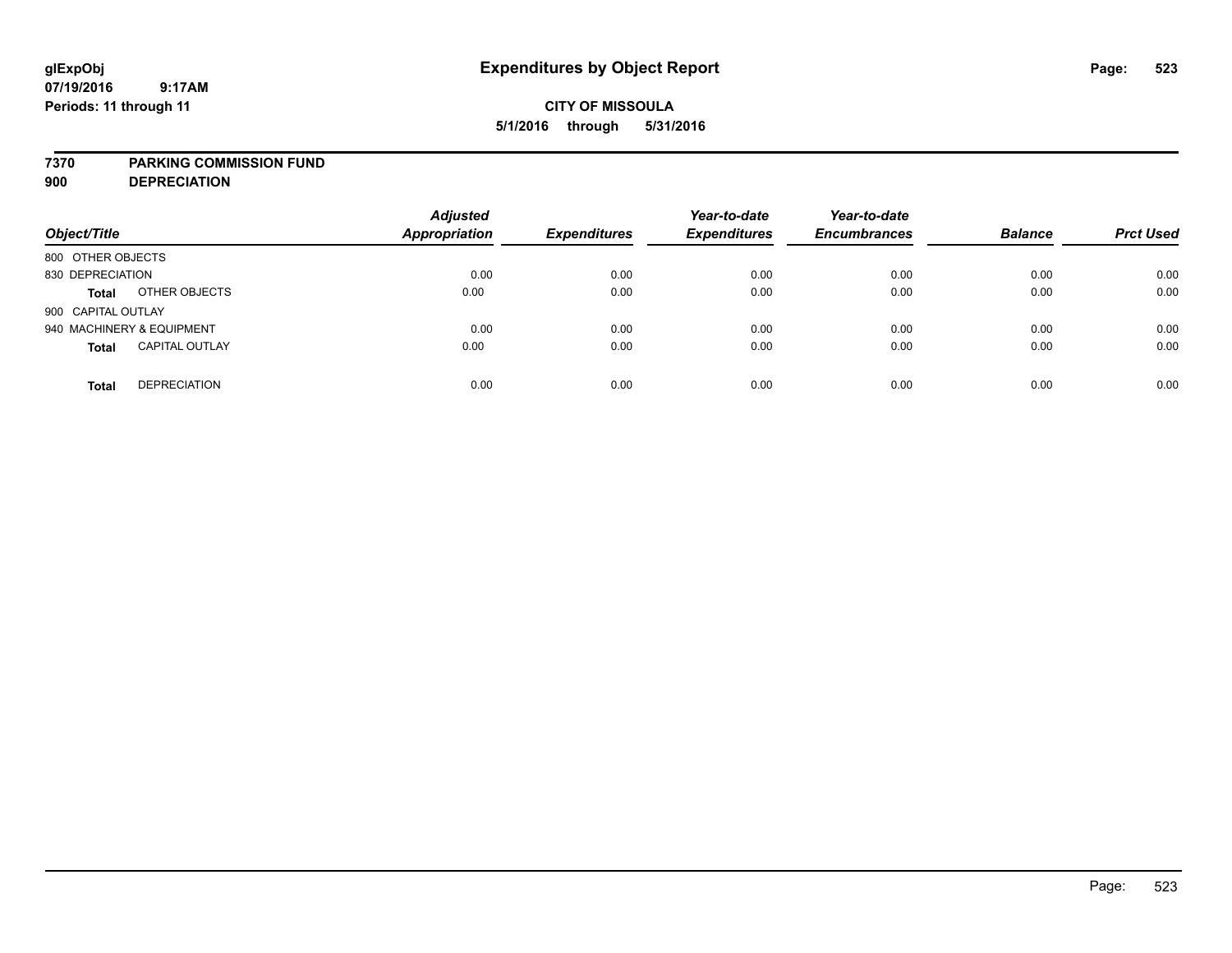## **CITY OF MISSOULA 5/1/2016 through 5/31/2016**

#### **7370 PARKING COMMISSION FUND**

**900 DEPRECIATION**

| Object/Title                          | <b>Adjusted</b><br><b>Appropriation</b> | <b>Expenditures</b> | Year-to-date<br><b>Expenditures</b> | Year-to-date<br><b>Encumbrances</b> | <b>Balance</b> | <b>Prct Used</b> |
|---------------------------------------|-----------------------------------------|---------------------|-------------------------------------|-------------------------------------|----------------|------------------|
| 800 OTHER OBJECTS                     |                                         |                     |                                     |                                     |                |                  |
| 830 DEPRECIATION                      | 0.00                                    | 0.00                | 0.00                                | 0.00                                | 0.00           | 0.00             |
| OTHER OBJECTS<br><b>Total</b>         | 0.00                                    | 0.00                | 0.00                                | 0.00                                | 0.00           | 0.00             |
| 900 CAPITAL OUTLAY                    |                                         |                     |                                     |                                     |                |                  |
| 940 MACHINERY & EQUIPMENT             | 0.00                                    | 0.00                | 0.00                                | 0.00                                | 0.00           | 0.00             |
| <b>CAPITAL OUTLAY</b><br><b>Total</b> | 0.00                                    | 0.00                | 0.00                                | 0.00                                | 0.00           | 0.00             |
| <b>DEPRECIATION</b><br><b>Total</b>   | 0.00                                    | 0.00                | 0.00                                | 0.00                                | 0.00           | 0.00             |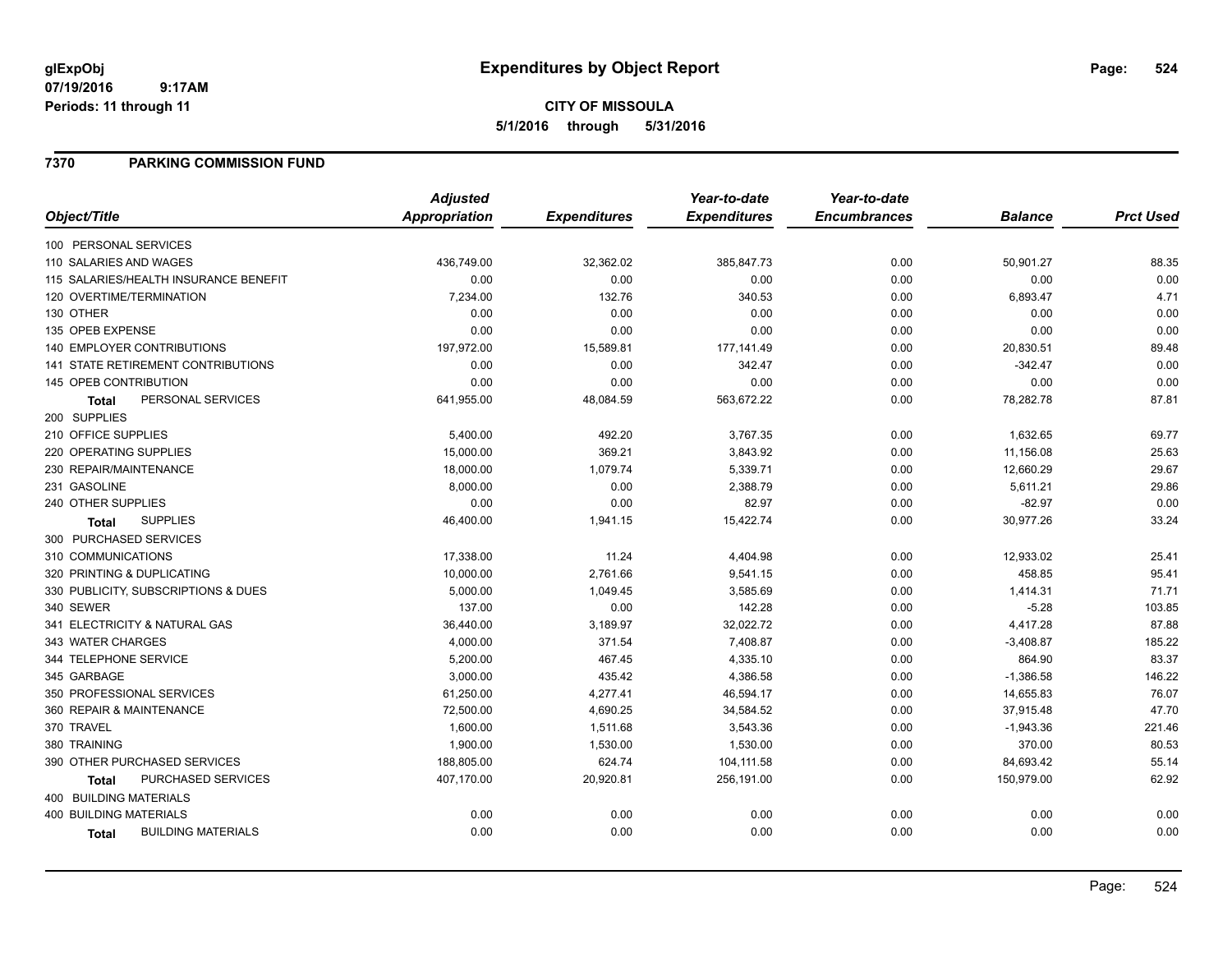**CITY OF MISSOULA 5/1/2016 through 5/31/2016**

### **7370 PARKING COMMISSION FUND**

|                                           | <b>Adjusted</b>      |                     | Year-to-date        | Year-to-date        |                |                  |
|-------------------------------------------|----------------------|---------------------|---------------------|---------------------|----------------|------------------|
| Object/Title                              | <b>Appropriation</b> | <b>Expenditures</b> | <b>Expenditures</b> | <b>Encumbrances</b> | <b>Balance</b> | <b>Prct Used</b> |
| 100 PERSONAL SERVICES                     |                      |                     |                     |                     |                |                  |
| 110 SALARIES AND WAGES                    | 436,749.00           | 32,362.02           | 385,847.73          | 0.00                | 50,901.27      | 88.35            |
| 115 SALARIES/HEALTH INSURANCE BENEFIT     | 0.00                 | 0.00                | 0.00                | 0.00                | 0.00           | 0.00             |
| 120 OVERTIME/TERMINATION                  | 7,234.00             | 132.76              | 340.53              | 0.00                | 6,893.47       | 4.71             |
| 130 OTHER                                 | 0.00                 | 0.00                | 0.00                | 0.00                | 0.00           | 0.00             |
| 135 OPEB EXPENSE                          | 0.00                 | 0.00                | 0.00                | 0.00                | 0.00           | 0.00             |
| 140 EMPLOYER CONTRIBUTIONS                | 197,972.00           | 15,589.81           | 177,141.49          | 0.00                | 20,830.51      | 89.48            |
| <b>141 STATE RETIREMENT CONTRIBUTIONS</b> | 0.00                 | 0.00                | 342.47              | 0.00                | $-342.47$      | 0.00             |
| 145 OPEB CONTRIBUTION                     | 0.00                 | 0.00                | 0.00                | 0.00                | 0.00           | 0.00             |
| PERSONAL SERVICES<br><b>Total</b>         | 641,955.00           | 48,084.59           | 563,672.22          | 0.00                | 78,282.78      | 87.81            |
| 200 SUPPLIES                              |                      |                     |                     |                     |                |                  |
| 210 OFFICE SUPPLIES                       | 5,400.00             | 492.20              | 3,767.35            | 0.00                | 1,632.65       | 69.77            |
| 220 OPERATING SUPPLIES                    | 15,000.00            | 369.21              | 3,843.92            | 0.00                | 11,156.08      | 25.63            |
| 230 REPAIR/MAINTENANCE                    | 18,000.00            | 1,079.74            | 5,339.71            | 0.00                | 12,660.29      | 29.67            |
| 231 GASOLINE                              | 8,000.00             | 0.00                | 2,388.79            | 0.00                | 5,611.21       | 29.86            |
| 240 OTHER SUPPLIES                        | 0.00                 | 0.00                | 82.97               | 0.00                | $-82.97$       | 0.00             |
| <b>SUPPLIES</b><br><b>Total</b>           | 46,400.00            | 1,941.15            | 15,422.74           | 0.00                | 30,977.26      | 33.24            |
| 300 PURCHASED SERVICES                    |                      |                     |                     |                     |                |                  |
| 310 COMMUNICATIONS                        | 17,338.00            | 11.24               | 4,404.98            | 0.00                | 12,933.02      | 25.41            |
| 320 PRINTING & DUPLICATING                | 10,000.00            | 2,761.66            | 9,541.15            | 0.00                | 458.85         | 95.41            |
| 330 PUBLICITY, SUBSCRIPTIONS & DUES       | 5,000.00             | 1,049.45            | 3,585.69            | 0.00                | 1,414.31       | 71.71            |
| 340 SEWER                                 | 137.00               | 0.00                | 142.28              | 0.00                | $-5.28$        | 103.85           |
| 341 ELECTRICITY & NATURAL GAS             | 36,440.00            | 3,189.97            | 32,022.72           | 0.00                | 4,417.28       | 87.88            |
| 343 WATER CHARGES                         | 4,000.00             | 371.54              | 7,408.87            | 0.00                | $-3,408.87$    | 185.22           |
| 344 TELEPHONE SERVICE                     | 5,200.00             | 467.45              | 4,335.10            | 0.00                | 864.90         | 83.37            |
| 345 GARBAGE                               | 3,000.00             | 435.42              | 4,386.58            | 0.00                | $-1,386.58$    | 146.22           |
| 350 PROFESSIONAL SERVICES                 | 61,250.00            | 4,277.41            | 46,594.17           | 0.00                | 14,655.83      | 76.07            |
| 360 REPAIR & MAINTENANCE                  | 72,500.00            | 4,690.25            | 34,584.52           | 0.00                | 37,915.48      | 47.70            |
| 370 TRAVEL                                | 1,600.00             | 1,511.68            | 3,543.36            | 0.00                | $-1,943.36$    | 221.46           |
| 380 TRAINING                              | 1,900.00             | 1,530.00            | 1,530.00            | 0.00                | 370.00         | 80.53            |
| 390 OTHER PURCHASED SERVICES              | 188,805.00           | 624.74              | 104,111.58          | 0.00                | 84,693.42      | 55.14            |
| <b>PURCHASED SERVICES</b><br>Total        | 407,170.00           | 20,920.81           | 256,191.00          | 0.00                | 150,979.00     | 62.92            |
| 400 BUILDING MATERIALS                    |                      |                     |                     |                     |                |                  |
| <b>400 BUILDING MATERIALS</b>             | 0.00                 | 0.00                | 0.00                | 0.00                | 0.00           | 0.00             |
| <b>BUILDING MATERIALS</b><br><b>Total</b> | 0.00                 | 0.00                | 0.00                | 0.00                | 0.00           | 0.00             |
|                                           |                      |                     |                     |                     |                |                  |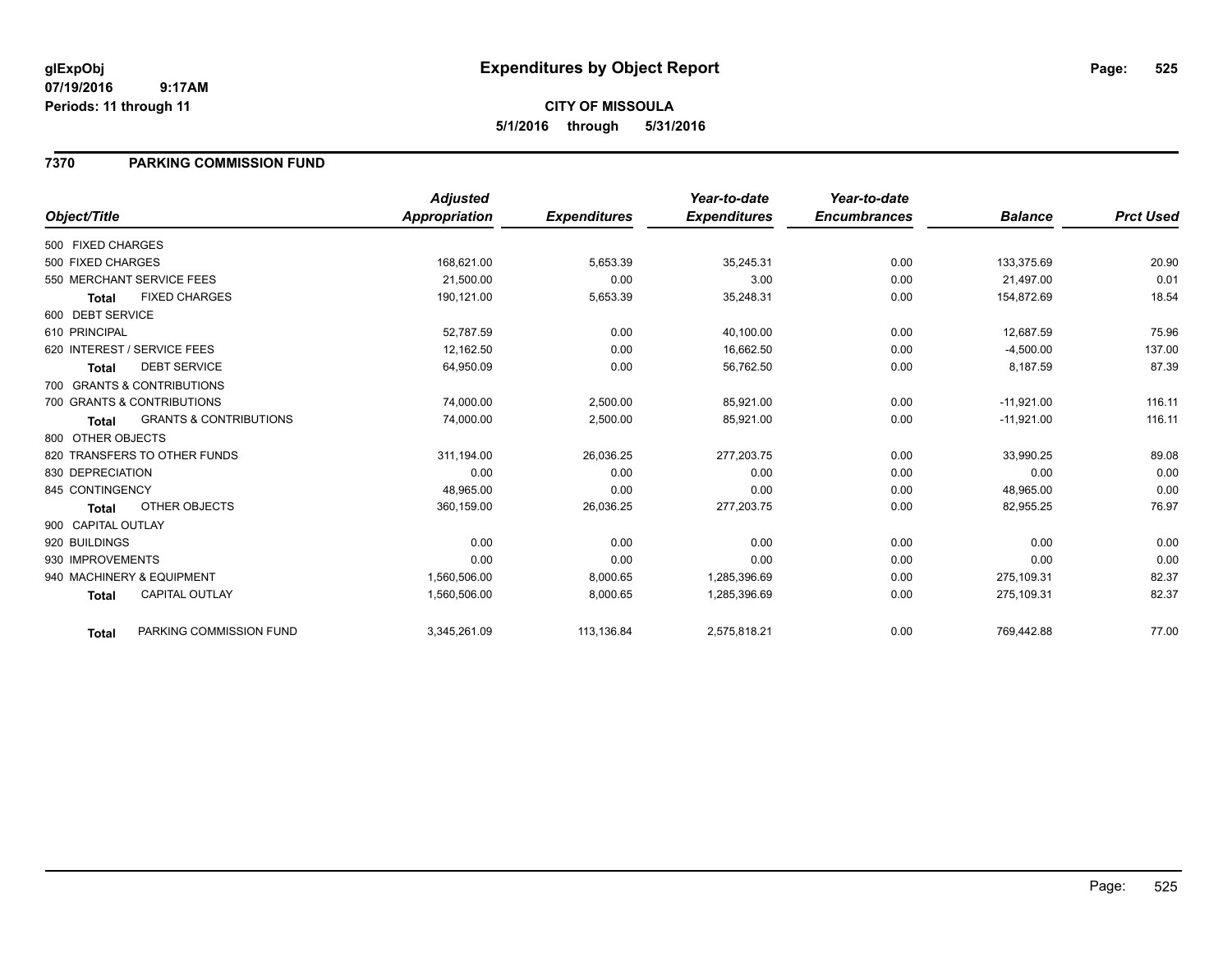## **CITY OF MISSOULA 5/1/2016 through 5/31/2016**

### **7370 PARKING COMMISSION FUND**

|                    |                                   | <b>Adjusted</b> |                     | Year-to-date        | Year-to-date        |                |                  |
|--------------------|-----------------------------------|-----------------|---------------------|---------------------|---------------------|----------------|------------------|
| Object/Title       |                                   | Appropriation   | <b>Expenditures</b> | <b>Expenditures</b> | <b>Encumbrances</b> | <b>Balance</b> | <b>Prct Used</b> |
| 500 FIXED CHARGES  |                                   |                 |                     |                     |                     |                |                  |
| 500 FIXED CHARGES  |                                   | 168,621.00      | 5,653.39            | 35,245.31           | 0.00                | 133,375.69     | 20.90            |
|                    | 550 MERCHANT SERVICE FEES         | 21,500.00       | 0.00                | 3.00                | 0.00                | 21,497.00      | 0.01             |
| <b>Total</b>       | <b>FIXED CHARGES</b>              | 190,121.00      | 5,653.39            | 35,248.31           | 0.00                | 154,872.69     | 18.54            |
| 600 DEBT SERVICE   |                                   |                 |                     |                     |                     |                |                  |
| 610 PRINCIPAL      |                                   | 52,787.59       | 0.00                | 40,100.00           | 0.00                | 12,687.59      | 75.96            |
|                    | 620 INTEREST / SERVICE FEES       | 12,162.50       | 0.00                | 16,662.50           | 0.00                | $-4,500.00$    | 137.00           |
| <b>Total</b>       | <b>DEBT SERVICE</b>               | 64,950.09       | 0.00                | 56,762.50           | 0.00                | 8,187.59       | 87.39            |
|                    | 700 GRANTS & CONTRIBUTIONS        |                 |                     |                     |                     |                |                  |
|                    | 700 GRANTS & CONTRIBUTIONS        | 74,000.00       | 2,500.00            | 85,921.00           | 0.00                | $-11,921.00$   | 116.11           |
| <b>Total</b>       | <b>GRANTS &amp; CONTRIBUTIONS</b> | 74,000.00       | 2,500.00            | 85,921.00           | 0.00                | $-11,921.00$   | 116.11           |
| 800 OTHER OBJECTS  |                                   |                 |                     |                     |                     |                |                  |
|                    | 820 TRANSFERS TO OTHER FUNDS      | 311,194.00      | 26,036.25           | 277,203.75          | 0.00                | 33,990.25      | 89.08            |
| 830 DEPRECIATION   |                                   | 0.00            | 0.00                | 0.00                | 0.00                | 0.00           | 0.00             |
| 845 CONTINGENCY    |                                   | 48,965.00       | 0.00                | 0.00                | 0.00                | 48,965.00      | 0.00             |
| Total              | OTHER OBJECTS                     | 360,159.00      | 26,036.25           | 277,203.75          | 0.00                | 82,955.25      | 76.97            |
| 900 CAPITAL OUTLAY |                                   |                 |                     |                     |                     |                |                  |
| 920 BUILDINGS      |                                   | 0.00            | 0.00                | 0.00                | 0.00                | 0.00           | 0.00             |
| 930 IMPROVEMENTS   |                                   | 0.00            | 0.00                | 0.00                | 0.00                | 0.00           | 0.00             |
|                    | 940 MACHINERY & EQUIPMENT         | 1,560,506.00    | 8,000.65            | 1,285,396.69        | 0.00                | 275.109.31     | 82.37            |
| <b>Total</b>       | <b>CAPITAL OUTLAY</b>             | 1,560,506.00    | 8,000.65            | 1,285,396.69        | 0.00                | 275,109.31     | 82.37            |
| <b>Total</b>       | PARKING COMMISSION FUND           | 3,345,261.09    | 113,136.84          | 2,575,818.21        | 0.00                | 769,442.88     | 77.00            |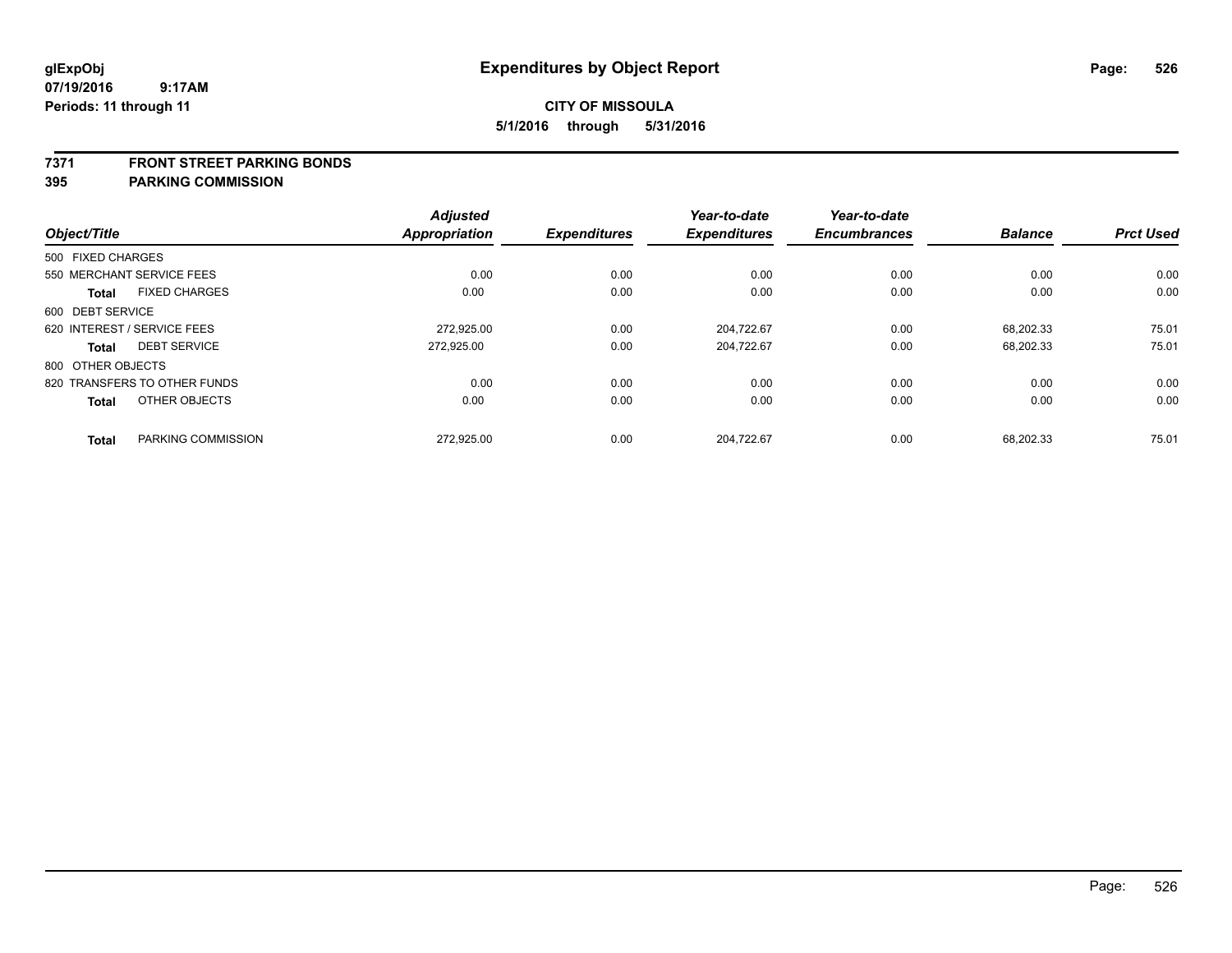#### **7371 FRONT STREET PARKING BONDS**

| Object/Title      |                              | <b>Adjusted</b><br><b>Appropriation</b> | <b>Expenditures</b> | Year-to-date<br><b>Expenditures</b> | Year-to-date<br><b>Encumbrances</b> | <b>Balance</b> | <b>Prct Used</b> |
|-------------------|------------------------------|-----------------------------------------|---------------------|-------------------------------------|-------------------------------------|----------------|------------------|
| 500 FIXED CHARGES |                              |                                         |                     |                                     |                                     |                |                  |
|                   | 550 MERCHANT SERVICE FEES    | 0.00                                    | 0.00                | 0.00                                | 0.00                                | 0.00           | 0.00             |
| <b>Total</b>      | <b>FIXED CHARGES</b>         | 0.00                                    | 0.00                | 0.00                                | 0.00                                | 0.00           | 0.00             |
| 600 DEBT SERVICE  |                              |                                         |                     |                                     |                                     |                |                  |
|                   | 620 INTEREST / SERVICE FEES  | 272.925.00                              | 0.00                | 204.722.67                          | 0.00                                | 68.202.33      | 75.01            |
| <b>Total</b>      | <b>DEBT SERVICE</b>          | 272.925.00                              | 0.00                | 204,722.67                          | 0.00                                | 68,202.33      | 75.01            |
| 800 OTHER OBJECTS |                              |                                         |                     |                                     |                                     |                |                  |
|                   | 820 TRANSFERS TO OTHER FUNDS | 0.00                                    | 0.00                | 0.00                                | 0.00                                | 0.00           | 0.00             |
| <b>Total</b>      | OTHER OBJECTS                | 0.00                                    | 0.00                | 0.00                                | 0.00                                | 0.00           | 0.00             |
| <b>Total</b>      | PARKING COMMISSION           | 272,925.00                              | 0.00                | 204.722.67                          | 0.00                                | 68.202.33      | 75.01            |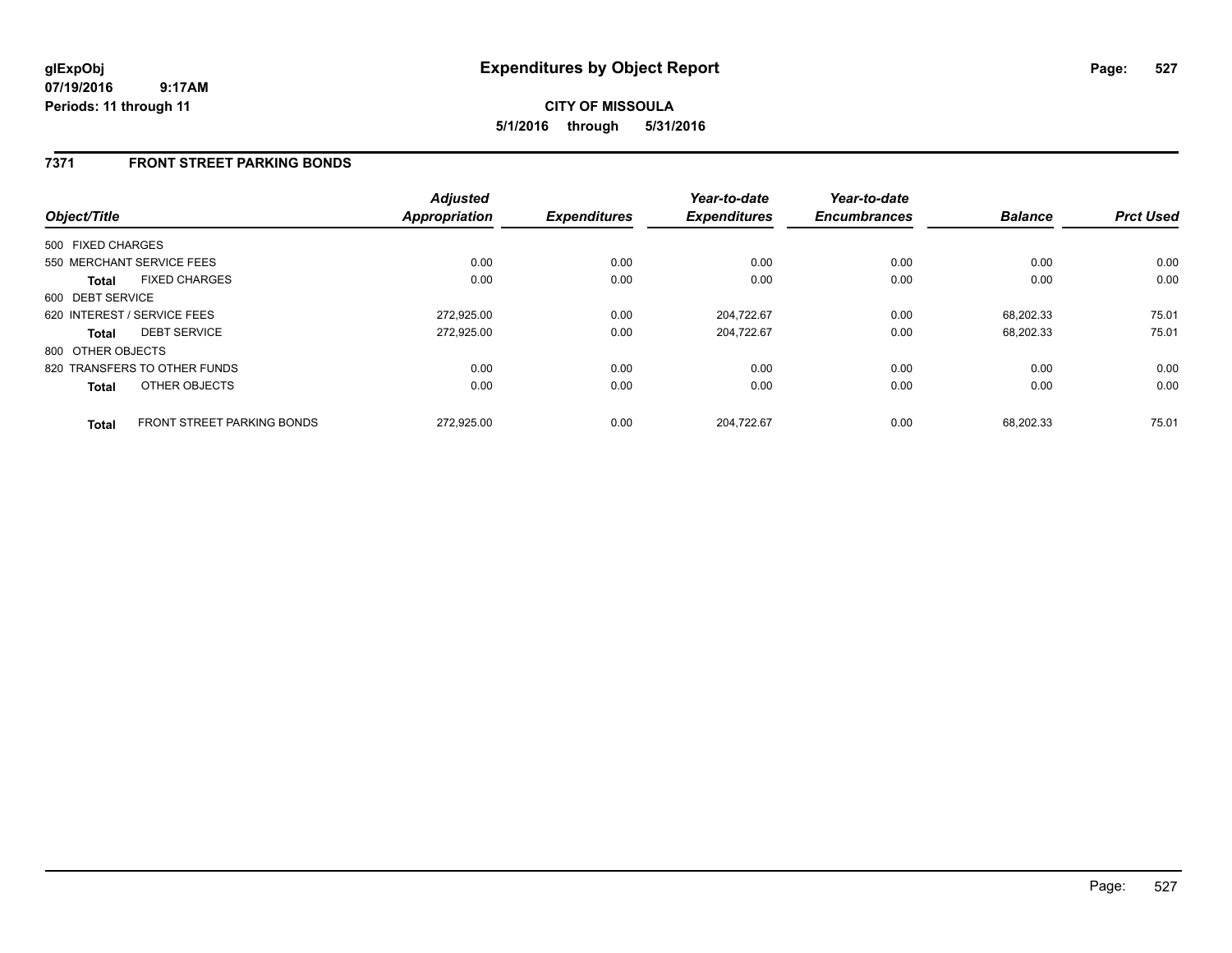## **CITY OF MISSOULA 5/1/2016 through 5/31/2016**

### **7371 FRONT STREET PARKING BONDS**

| Object/Title      |                                   | <b>Adjusted</b><br><b>Appropriation</b> | <b>Expenditures</b> | Year-to-date<br><b>Expenditures</b> | Year-to-date<br><b>Encumbrances</b> | <b>Balance</b> | <b>Prct Used</b> |
|-------------------|-----------------------------------|-----------------------------------------|---------------------|-------------------------------------|-------------------------------------|----------------|------------------|
| 500 FIXED CHARGES |                                   |                                         |                     |                                     |                                     |                |                  |
|                   | 550 MERCHANT SERVICE FEES         | 0.00                                    | 0.00                | 0.00                                | 0.00                                | 0.00           | 0.00             |
| <b>Total</b>      | <b>FIXED CHARGES</b>              | 0.00                                    | 0.00                | 0.00                                | 0.00                                | 0.00           | 0.00             |
| 600 DEBT SERVICE  |                                   |                                         |                     |                                     |                                     |                |                  |
|                   | 620 INTEREST / SERVICE FEES       | 272,925.00                              | 0.00                | 204,722.67                          | 0.00                                | 68.202.33      | 75.01            |
| <b>Total</b>      | <b>DEBT SERVICE</b>               | 272,925.00                              | 0.00                | 204.722.67                          | 0.00                                | 68.202.33      | 75.01            |
| 800 OTHER OBJECTS |                                   |                                         |                     |                                     |                                     |                |                  |
|                   | 820 TRANSFERS TO OTHER FUNDS      | 0.00                                    | 0.00                | 0.00                                | 0.00                                | 0.00           | 0.00             |
| <b>Total</b>      | OTHER OBJECTS                     | 0.00                                    | 0.00                | 0.00                                | 0.00                                | 0.00           | 0.00             |
| <b>Total</b>      | <b>FRONT STREET PARKING BONDS</b> | 272.925.00                              | 0.00                | 204.722.67                          | 0.00                                | 68.202.33      | 75.01            |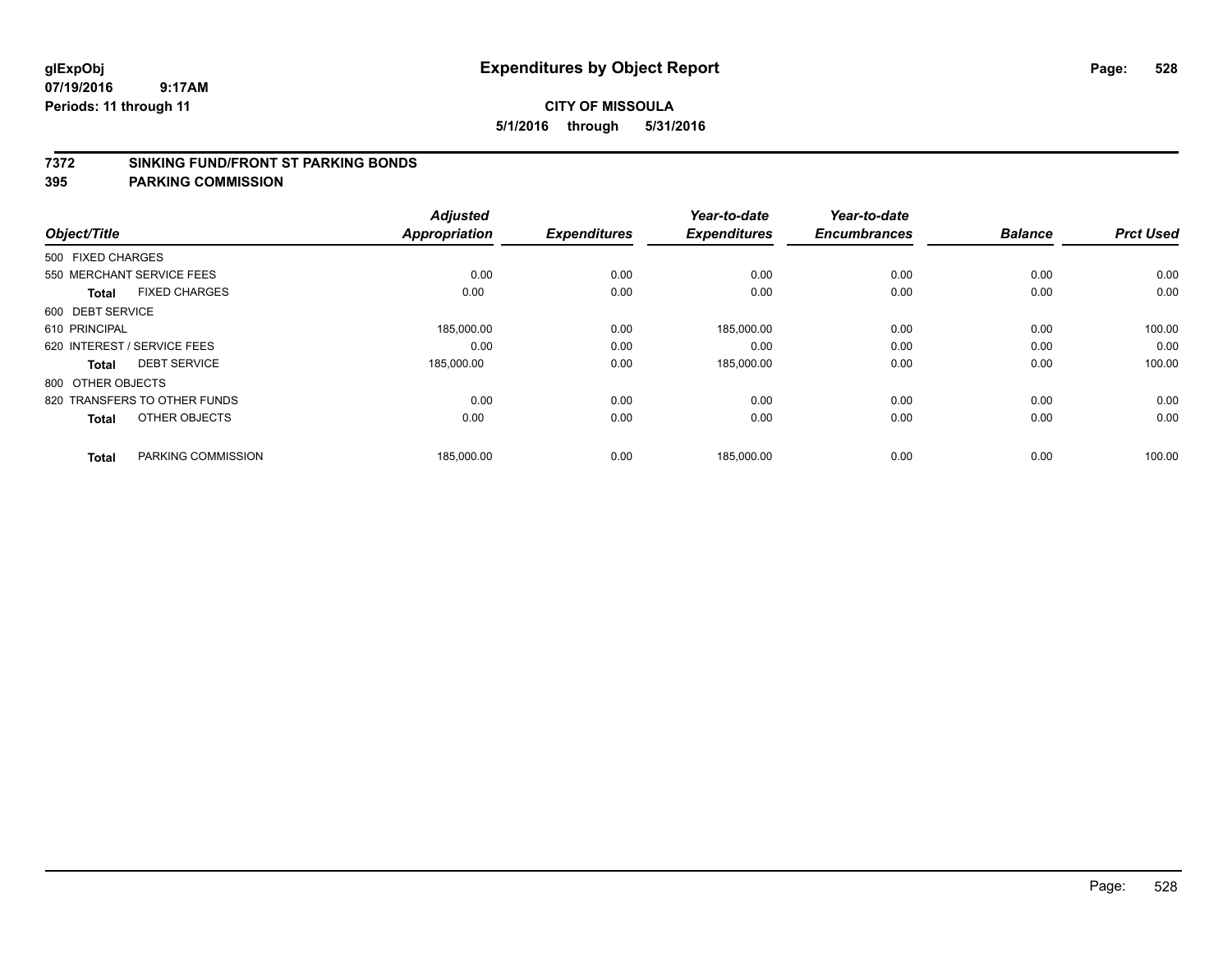#### **7372 SINKING FUND/FRONT ST PARKING BONDS**

| Object/Title                |                              | <b>Adjusted</b><br><b>Appropriation</b> | <b>Expenditures</b> | Year-to-date<br><b>Expenditures</b> | Year-to-date<br><b>Encumbrances</b> | <b>Balance</b> | <b>Prct Used</b> |
|-----------------------------|------------------------------|-----------------------------------------|---------------------|-------------------------------------|-------------------------------------|----------------|------------------|
|                             |                              |                                         |                     |                                     |                                     |                |                  |
| 500 FIXED CHARGES           |                              |                                         |                     |                                     |                                     |                |                  |
| 550 MERCHANT SERVICE FEES   |                              | 0.00                                    | 0.00                | 0.00                                | 0.00                                | 0.00           | 0.00             |
| <b>Total</b>                | <b>FIXED CHARGES</b>         | 0.00                                    | 0.00                | 0.00                                | 0.00                                | 0.00           | 0.00             |
| 600 DEBT SERVICE            |                              |                                         |                     |                                     |                                     |                |                  |
| 610 PRINCIPAL               |                              | 185,000.00                              | 0.00                | 185,000.00                          | 0.00                                | 0.00           | 100.00           |
| 620 INTEREST / SERVICE FEES |                              | 0.00                                    | 0.00                | 0.00                                | 0.00                                | 0.00           | 0.00             |
| Total                       | <b>DEBT SERVICE</b>          | 185,000.00                              | 0.00                | 185,000.00                          | 0.00                                | 0.00           | 100.00           |
| 800 OTHER OBJECTS           |                              |                                         |                     |                                     |                                     |                |                  |
|                             | 820 TRANSFERS TO OTHER FUNDS | 0.00                                    | 0.00                | 0.00                                | 0.00                                | 0.00           | 0.00             |
| <b>Total</b>                | OTHER OBJECTS                | 0.00                                    | 0.00                | 0.00                                | 0.00                                | 0.00           | 0.00             |
|                             |                              |                                         |                     |                                     |                                     |                |                  |
| <b>Total</b>                | PARKING COMMISSION           | 185,000.00                              | 0.00                | 185,000.00                          | 0.00                                | 0.00           | 100.00           |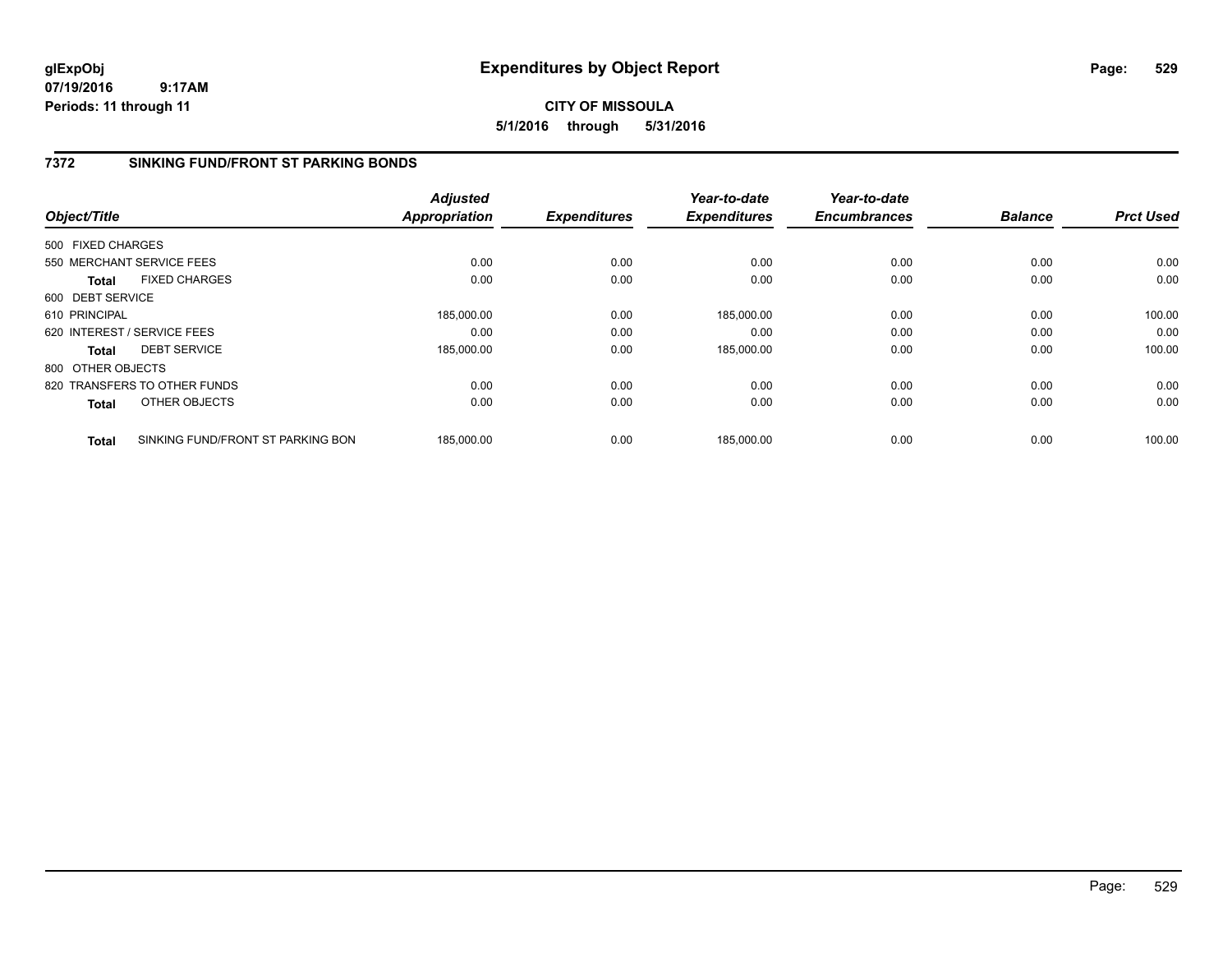**CITY OF MISSOULA 5/1/2016 through 5/31/2016**

### **7372 SINKING FUND/FRONT ST PARKING BONDS**

|                   |                                   | <b>Adjusted</b>      |                     | Year-to-date        | Year-to-date        |                |                  |
|-------------------|-----------------------------------|----------------------|---------------------|---------------------|---------------------|----------------|------------------|
| Object/Title      |                                   | <b>Appropriation</b> | <b>Expenditures</b> | <b>Expenditures</b> | <b>Encumbrances</b> | <b>Balance</b> | <b>Prct Used</b> |
| 500 FIXED CHARGES |                                   |                      |                     |                     |                     |                |                  |
|                   | 550 MERCHANT SERVICE FEES         | 0.00                 | 0.00                | 0.00                | 0.00                | 0.00           | 0.00             |
| <b>Total</b>      | <b>FIXED CHARGES</b>              | 0.00                 | 0.00                | 0.00                | 0.00                | 0.00           | 0.00             |
| 600 DEBT SERVICE  |                                   |                      |                     |                     |                     |                |                  |
| 610 PRINCIPAL     |                                   | 185,000.00           | 0.00                | 185.000.00          | 0.00                | 0.00           | 100.00           |
|                   | 620 INTEREST / SERVICE FEES       | 0.00                 | 0.00                | 0.00                | 0.00                | 0.00           | 0.00             |
| <b>Total</b>      | <b>DEBT SERVICE</b>               | 185,000.00           | 0.00                | 185,000.00          | 0.00                | 0.00           | 100.00           |
| 800 OTHER OBJECTS |                                   |                      |                     |                     |                     |                |                  |
|                   | 820 TRANSFERS TO OTHER FUNDS      | 0.00                 | 0.00                | 0.00                | 0.00                | 0.00           | 0.00             |
| Total             | OTHER OBJECTS                     | 0.00                 | 0.00                | 0.00                | 0.00                | 0.00           | 0.00             |
| <b>Total</b>      | SINKING FUND/FRONT ST PARKING BON | 185.000.00           | 0.00                | 185.000.00          | 0.00                | 0.00           | 100.00           |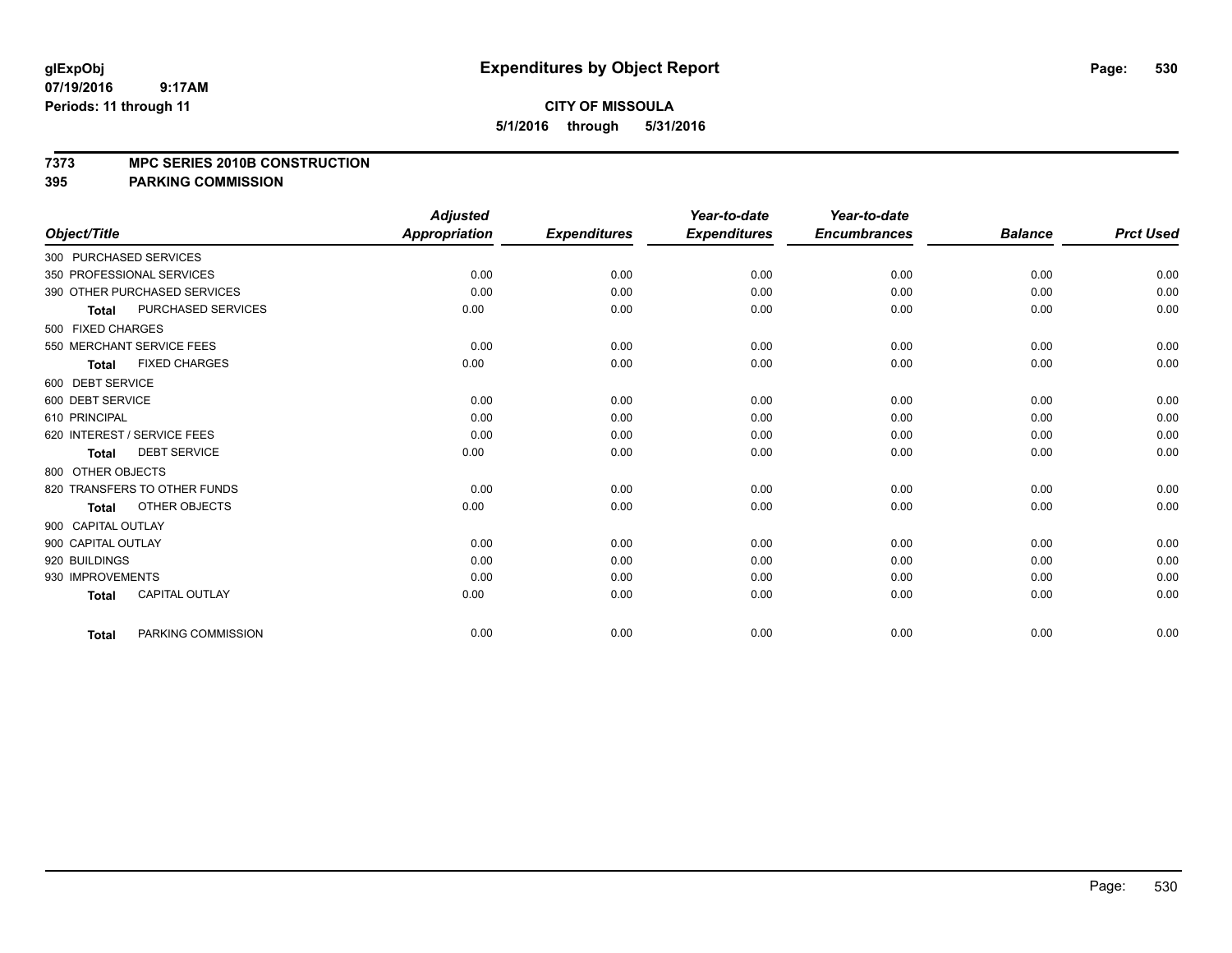#### **7373 MPC SERIES 2010B CONSTRUCTION**

|                             |                              | <b>Adjusted</b>      |                     | Year-to-date        | Year-to-date        |                |                  |
|-----------------------------|------------------------------|----------------------|---------------------|---------------------|---------------------|----------------|------------------|
| Object/Title                |                              | <b>Appropriation</b> | <b>Expenditures</b> | <b>Expenditures</b> | <b>Encumbrances</b> | <b>Balance</b> | <b>Prct Used</b> |
| 300 PURCHASED SERVICES      |                              |                      |                     |                     |                     |                |                  |
| 350 PROFESSIONAL SERVICES   |                              | 0.00                 | 0.00                | 0.00                | 0.00                | 0.00           | 0.00             |
|                             | 390 OTHER PURCHASED SERVICES | 0.00                 | 0.00                | 0.00                | 0.00                | 0.00           | 0.00             |
| <b>Total</b>                | PURCHASED SERVICES           | 0.00                 | 0.00                | 0.00                | 0.00                | 0.00           | 0.00             |
| 500 FIXED CHARGES           |                              |                      |                     |                     |                     |                |                  |
|                             | 550 MERCHANT SERVICE FEES    | 0.00                 | 0.00                | 0.00                | 0.00                | 0.00           | 0.00             |
| Total                       | <b>FIXED CHARGES</b>         | 0.00                 | 0.00                | 0.00                | 0.00                | 0.00           | 0.00             |
| 600 DEBT SERVICE            |                              |                      |                     |                     |                     |                |                  |
| 600 DEBT SERVICE            |                              | 0.00                 | 0.00                | 0.00                | 0.00                | 0.00           | 0.00             |
| 610 PRINCIPAL               |                              | 0.00                 | 0.00                | 0.00                | 0.00                | 0.00           | 0.00             |
| 620 INTEREST / SERVICE FEES |                              | 0.00                 | 0.00                | 0.00                | 0.00                | 0.00           | 0.00             |
| <b>Total</b>                | <b>DEBT SERVICE</b>          | 0.00                 | 0.00                | 0.00                | 0.00                | 0.00           | 0.00             |
| 800 OTHER OBJECTS           |                              |                      |                     |                     |                     |                |                  |
|                             | 820 TRANSFERS TO OTHER FUNDS | 0.00                 | 0.00                | 0.00                | 0.00                | 0.00           | 0.00             |
| <b>Total</b>                | OTHER OBJECTS                | 0.00                 | 0.00                | 0.00                | 0.00                | 0.00           | 0.00             |
| 900 CAPITAL OUTLAY          |                              |                      |                     |                     |                     |                |                  |
| 900 CAPITAL OUTLAY          |                              | 0.00                 | 0.00                | 0.00                | 0.00                | 0.00           | 0.00             |
| 920 BUILDINGS               |                              | 0.00                 | 0.00                | 0.00                | 0.00                | 0.00           | 0.00             |
| 930 IMPROVEMENTS            |                              | 0.00                 | 0.00                | 0.00                | 0.00                | 0.00           | 0.00             |
| <b>Total</b>                | <b>CAPITAL OUTLAY</b>        | 0.00                 | 0.00                | 0.00                | 0.00                | 0.00           | 0.00             |
| <b>Total</b>                | PARKING COMMISSION           | 0.00                 | 0.00                | 0.00                | 0.00                | 0.00           | 0.00             |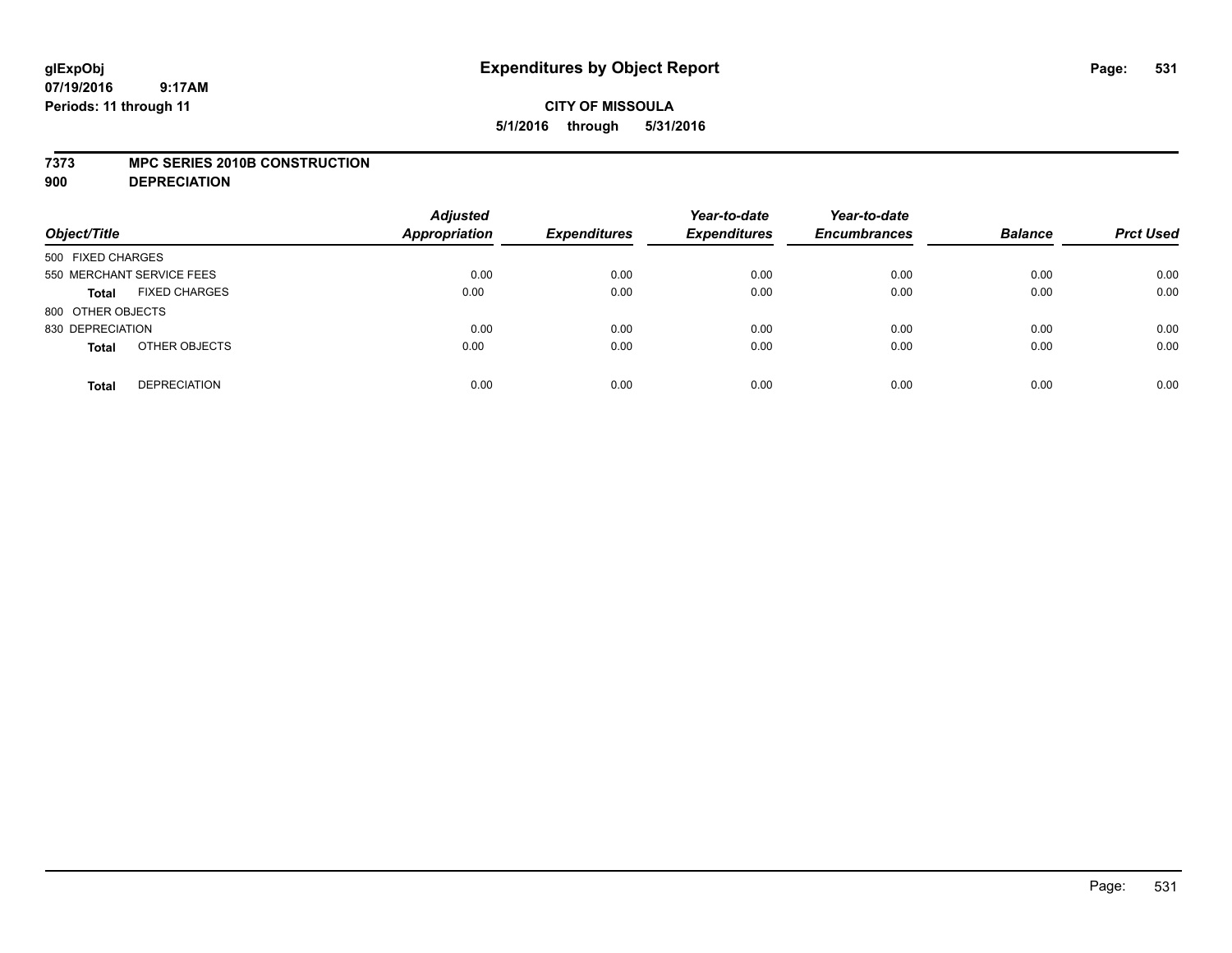## **CITY OF MISSOULA 5/1/2016 through 5/31/2016**

#### **7373 MPC SERIES 2010B CONSTRUCTION**

**900 DEPRECIATION**

| Object/Title                         | <b>Adjusted</b><br><b>Appropriation</b> | <b>Expenditures</b> | Year-to-date<br><b>Expenditures</b> | Year-to-date<br><b>Encumbrances</b> | <b>Balance</b> | <b>Prct Used</b> |
|--------------------------------------|-----------------------------------------|---------------------|-------------------------------------|-------------------------------------|----------------|------------------|
| 500 FIXED CHARGES                    |                                         |                     |                                     |                                     |                |                  |
| 550 MERCHANT SERVICE FEES            | 0.00                                    | 0.00                | 0.00                                | 0.00                                | 0.00           | 0.00             |
| <b>FIXED CHARGES</b><br><b>Total</b> | 0.00                                    | 0.00                | 0.00                                | 0.00                                | 0.00           | 0.00             |
| 800 OTHER OBJECTS                    |                                         |                     |                                     |                                     |                |                  |
| 830 DEPRECIATION                     | 0.00                                    | 0.00                | 0.00                                | 0.00                                | 0.00           | 0.00             |
| OTHER OBJECTS<br><b>Total</b>        | 0.00                                    | 0.00                | 0.00                                | 0.00                                | 0.00           | 0.00             |
| <b>DEPRECIATION</b><br><b>Total</b>  | 0.00                                    | 0.00                | 0.00                                | 0.00                                | 0.00           | 0.00             |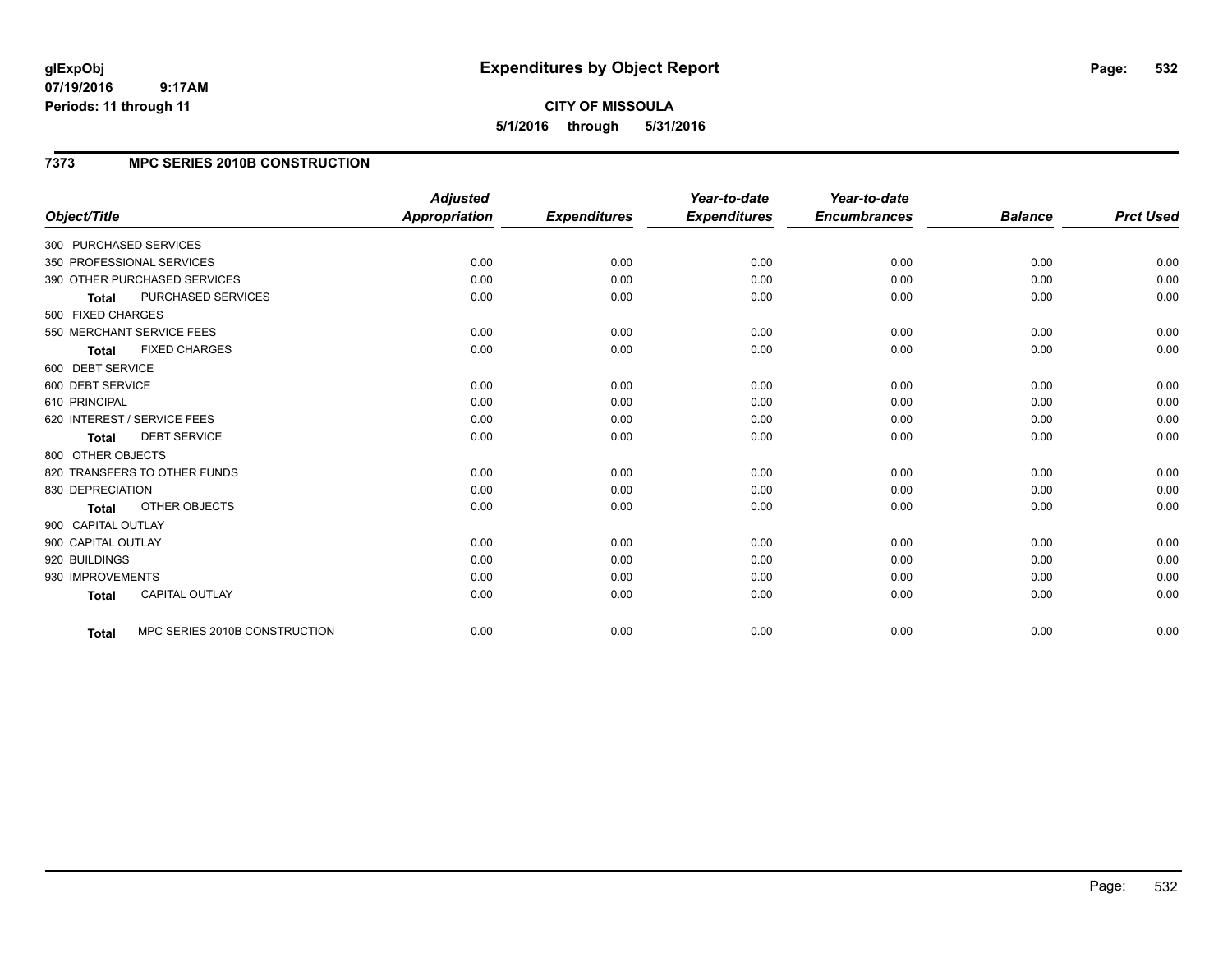# **CITY OF MISSOULA 5/1/2016 through 5/31/2016**

## **7373 MPC SERIES 2010B CONSTRUCTION**

| Object/Title           |                               | <b>Adjusted</b><br>Appropriation | <b>Expenditures</b> | Year-to-date<br><b>Expenditures</b> | Year-to-date<br><b>Encumbrances</b> | <b>Balance</b> | <b>Prct Used</b> |
|------------------------|-------------------------------|----------------------------------|---------------------|-------------------------------------|-------------------------------------|----------------|------------------|
| 300 PURCHASED SERVICES |                               |                                  |                     |                                     |                                     |                |                  |
|                        | 350 PROFESSIONAL SERVICES     | 0.00                             | 0.00                | 0.00                                | 0.00                                | 0.00           | 0.00             |
|                        | 390 OTHER PURCHASED SERVICES  | 0.00                             | 0.00                | 0.00                                | 0.00                                | 0.00           | 0.00             |
| <b>Total</b>           | <b>PURCHASED SERVICES</b>     | 0.00                             | 0.00                | 0.00                                | 0.00                                | 0.00           | 0.00             |
| 500 FIXED CHARGES      |                               |                                  |                     |                                     |                                     |                |                  |
|                        | 550 MERCHANT SERVICE FEES     | 0.00                             | 0.00                | 0.00                                | 0.00                                | 0.00           | 0.00             |
| <b>Total</b>           | <b>FIXED CHARGES</b>          | 0.00                             | 0.00                | 0.00                                | 0.00                                | 0.00           | 0.00             |
| 600 DEBT SERVICE       |                               |                                  |                     |                                     |                                     |                |                  |
| 600 DEBT SERVICE       |                               | 0.00                             | 0.00                | 0.00                                | 0.00                                | 0.00           | 0.00             |
| 610 PRINCIPAL          |                               | 0.00                             | 0.00                | 0.00                                | 0.00                                | 0.00           | 0.00             |
|                        | 620 INTEREST / SERVICE FEES   | 0.00                             | 0.00                | 0.00                                | 0.00                                | 0.00           | 0.00             |
| <b>Total</b>           | <b>DEBT SERVICE</b>           | 0.00                             | 0.00                | 0.00                                | 0.00                                | 0.00           | 0.00             |
| 800 OTHER OBJECTS      |                               |                                  |                     |                                     |                                     |                |                  |
|                        | 820 TRANSFERS TO OTHER FUNDS  | 0.00                             | 0.00                | 0.00                                | 0.00                                | 0.00           | 0.00             |
| 830 DEPRECIATION       |                               | 0.00                             | 0.00                | 0.00                                | 0.00                                | 0.00           | 0.00             |
| <b>Total</b>           | <b>OTHER OBJECTS</b>          | 0.00                             | 0.00                | 0.00                                | 0.00                                | 0.00           | 0.00             |
| 900 CAPITAL OUTLAY     |                               |                                  |                     |                                     |                                     |                |                  |
| 900 CAPITAL OUTLAY     |                               | 0.00                             | 0.00                | 0.00                                | 0.00                                | 0.00           | 0.00             |
| 920 BUILDINGS          |                               | 0.00                             | 0.00                | 0.00                                | 0.00                                | 0.00           | 0.00             |
| 930 IMPROVEMENTS       |                               | 0.00                             | 0.00                | 0.00                                | 0.00                                | 0.00           | 0.00             |
| <b>Total</b>           | <b>CAPITAL OUTLAY</b>         | 0.00                             | 0.00                | 0.00                                | 0.00                                | 0.00           | 0.00             |
| Total                  | MPC SERIES 2010B CONSTRUCTION | 0.00                             | 0.00                | 0.00                                | 0.00                                | 0.00           | 0.00             |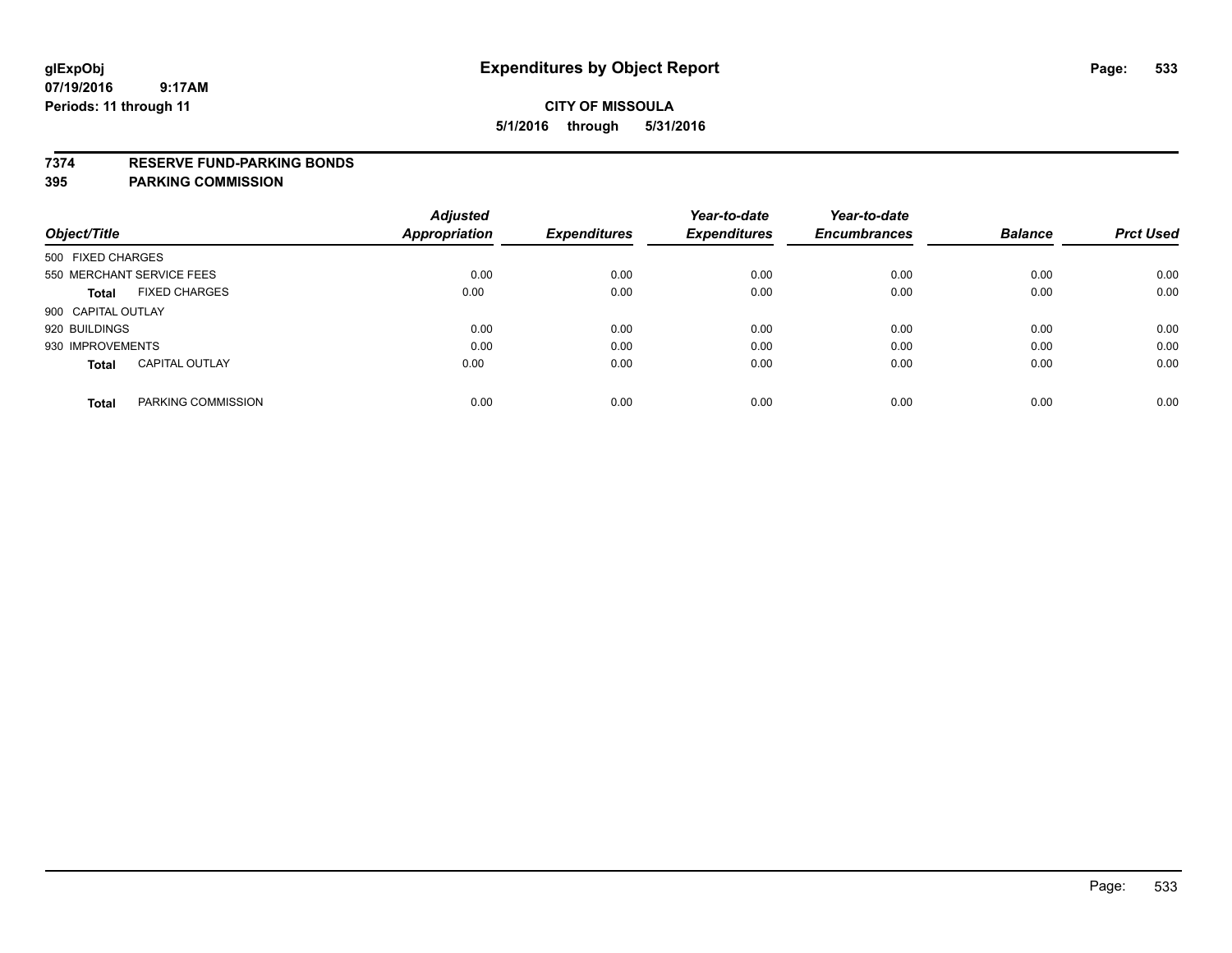#### **7374 RESERVE FUND-PARKING BONDS**

| Object/Title              |                       | <b>Adjusted</b><br>Appropriation | <b>Expenditures</b> | Year-to-date<br><b>Expenditures</b> | Year-to-date<br><b>Encumbrances</b> | <b>Balance</b> | <b>Prct Used</b> |
|---------------------------|-----------------------|----------------------------------|---------------------|-------------------------------------|-------------------------------------|----------------|------------------|
| 500 FIXED CHARGES         |                       |                                  |                     |                                     |                                     |                |                  |
| 550 MERCHANT SERVICE FEES |                       | 0.00                             | 0.00                | 0.00                                | 0.00                                | 0.00           | 0.00             |
| Total                     | <b>FIXED CHARGES</b>  | 0.00                             | 0.00                | 0.00                                | 0.00                                | 0.00           | 0.00             |
| 900 CAPITAL OUTLAY        |                       |                                  |                     |                                     |                                     |                |                  |
| 920 BUILDINGS             |                       | 0.00                             | 0.00                | 0.00                                | 0.00                                | 0.00           | 0.00             |
| 930 IMPROVEMENTS          |                       | 0.00                             | 0.00                | 0.00                                | 0.00                                | 0.00           | 0.00             |
| <b>Total</b>              | <b>CAPITAL OUTLAY</b> | 0.00                             | 0.00                | 0.00                                | 0.00                                | 0.00           | 0.00             |
| <b>Total</b>              | PARKING COMMISSION    | 0.00                             | 0.00                | 0.00                                | 0.00                                | 0.00           | 0.00             |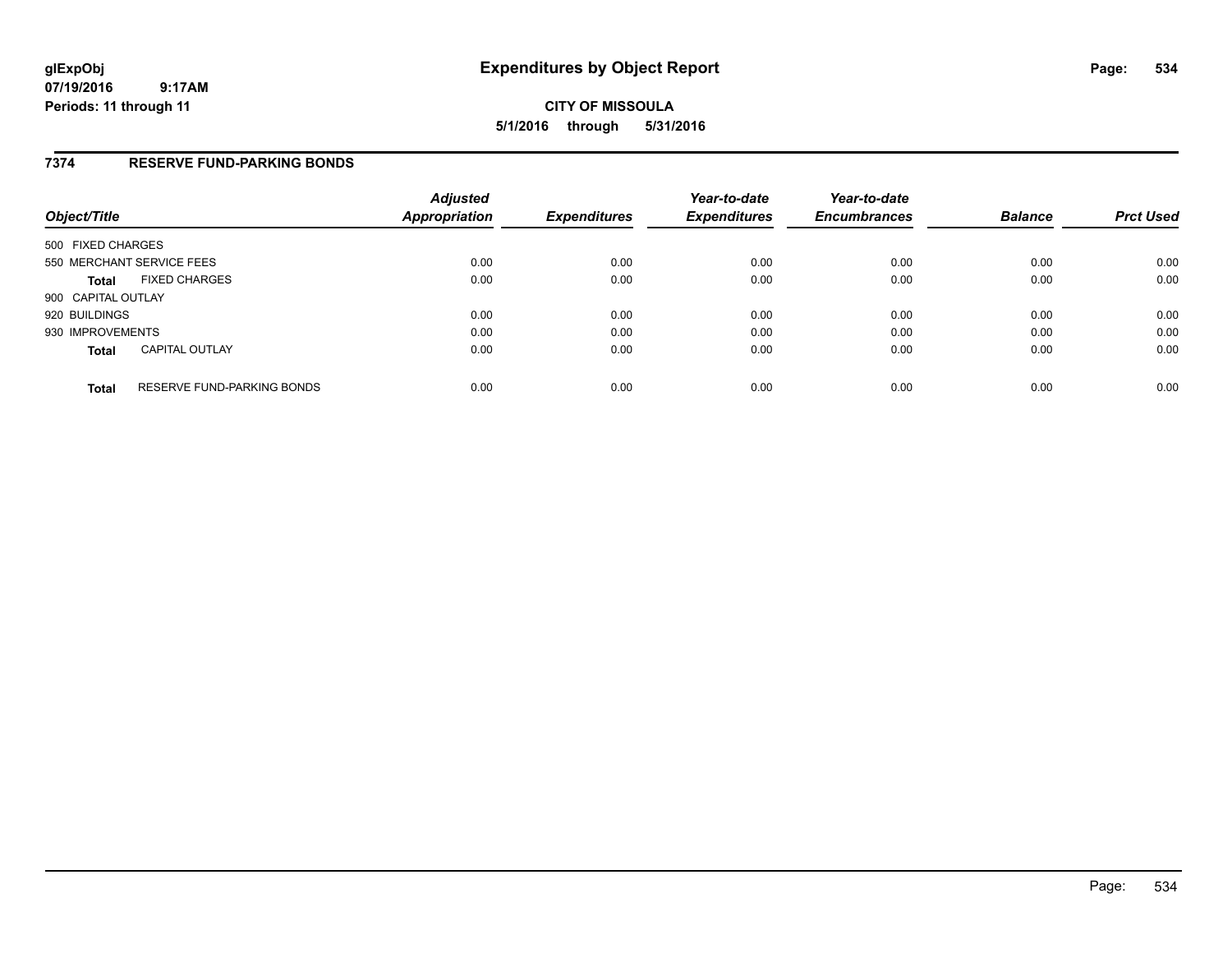**CITY OF MISSOULA 5/1/2016 through 5/31/2016**

### **7374 RESERVE FUND-PARKING BONDS**

| Object/Title       |                                   | <b>Adjusted</b><br>Appropriation | <b>Expenditures</b> | Year-to-date<br><b>Expenditures</b> | Year-to-date<br><b>Encumbrances</b> | <b>Balance</b> | <b>Prct Used</b> |
|--------------------|-----------------------------------|----------------------------------|---------------------|-------------------------------------|-------------------------------------|----------------|------------------|
| 500 FIXED CHARGES  |                                   |                                  |                     |                                     |                                     |                |                  |
|                    | 550 MERCHANT SERVICE FEES         | 0.00                             | 0.00                | 0.00                                | 0.00                                | 0.00           | 0.00             |
| <b>Total</b>       | <b>FIXED CHARGES</b>              | 0.00                             | 0.00                | 0.00                                | 0.00                                | 0.00           | 0.00             |
| 900 CAPITAL OUTLAY |                                   |                                  |                     |                                     |                                     |                |                  |
| 920 BUILDINGS      |                                   | 0.00                             | 0.00                | 0.00                                | 0.00                                | 0.00           | 0.00             |
| 930 IMPROVEMENTS   |                                   | 0.00                             | 0.00                | 0.00                                | 0.00                                | 0.00           | 0.00             |
| <b>Total</b>       | <b>CAPITAL OUTLAY</b>             | 0.00                             | 0.00                | 0.00                                | 0.00                                | 0.00           | 0.00             |
| <b>Total</b>       | <b>RESERVE FUND-PARKING BONDS</b> | 0.00                             | 0.00                | 0.00                                | 0.00                                | 0.00           | 0.00             |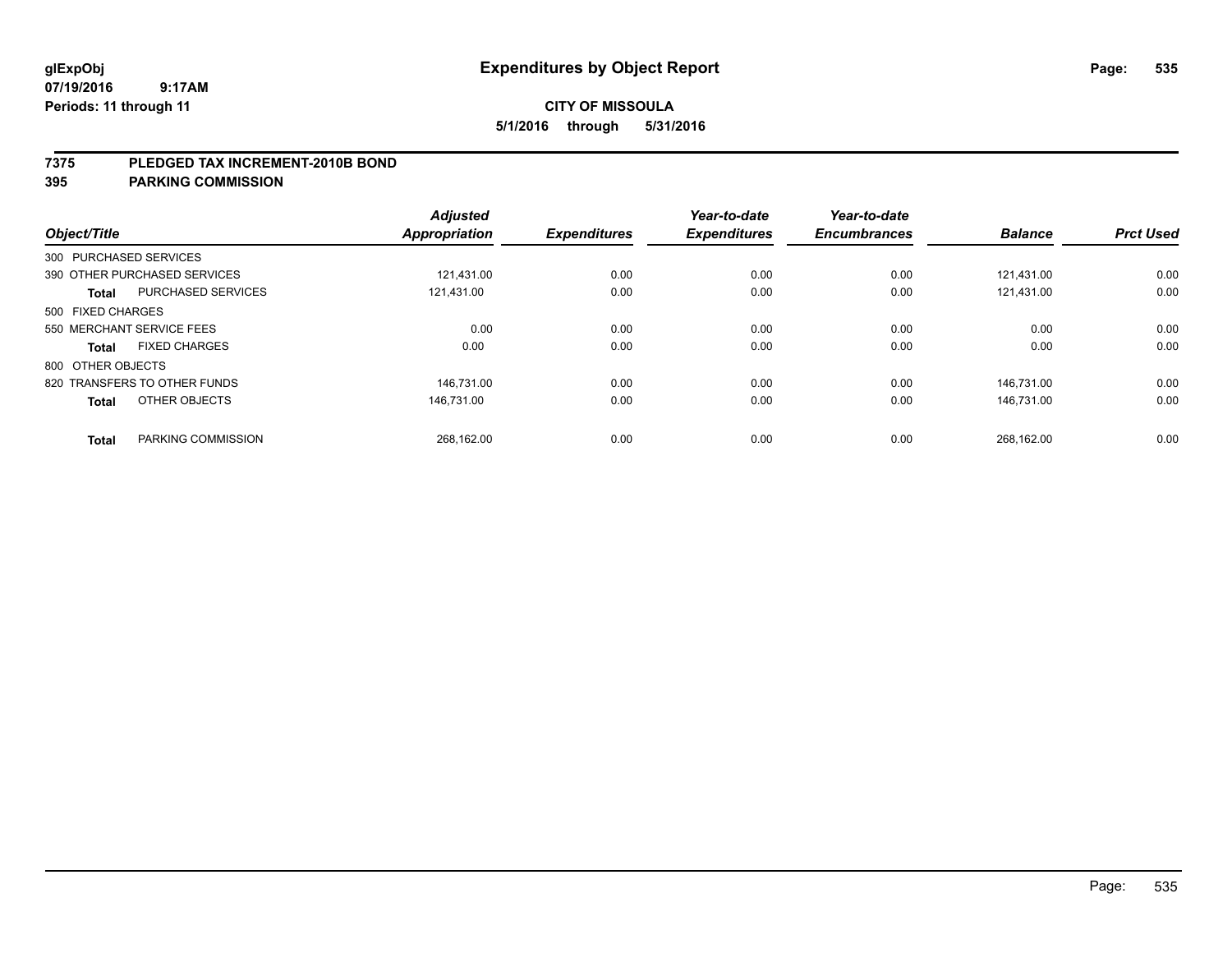#### **7375 PLEDGED TAX INCREMENT-2010B BOND**

| Object/Title           |                              | <b>Adjusted</b><br>Appropriation | <b>Expenditures</b> | Year-to-date<br><b>Expenditures</b> | Year-to-date<br><b>Encumbrances</b> | <b>Balance</b> | <b>Prct Used</b> |
|------------------------|------------------------------|----------------------------------|---------------------|-------------------------------------|-------------------------------------|----------------|------------------|
| 300 PURCHASED SERVICES |                              |                                  |                     |                                     |                                     |                |                  |
|                        | 390 OTHER PURCHASED SERVICES | 121.431.00                       | 0.00                | 0.00                                | 0.00                                | 121.431.00     | 0.00             |
| <b>Total</b>           | <b>PURCHASED SERVICES</b>    | 121,431.00                       | 0.00                | 0.00                                | 0.00                                | 121,431.00     | 0.00             |
| 500 FIXED CHARGES      |                              |                                  |                     |                                     |                                     |                |                  |
|                        | 550 MERCHANT SERVICE FEES    | 0.00                             | 0.00                | 0.00                                | 0.00                                | 0.00           | 0.00             |
| Total                  | <b>FIXED CHARGES</b>         | 0.00                             | 0.00                | 0.00                                | 0.00                                | 0.00           | 0.00             |
| 800 OTHER OBJECTS      |                              |                                  |                     |                                     |                                     |                |                  |
|                        | 820 TRANSFERS TO OTHER FUNDS | 146.731.00                       | 0.00                | 0.00                                | 0.00                                | 146.731.00     | 0.00             |
| <b>Total</b>           | OTHER OBJECTS                | 146.731.00                       | 0.00                | 0.00                                | 0.00                                | 146.731.00     | 0.00             |
|                        |                              |                                  |                     |                                     |                                     |                |                  |
| <b>Total</b>           | PARKING COMMISSION           | 268.162.00                       | 0.00                | 0.00                                | 0.00                                | 268,162.00     | 0.00             |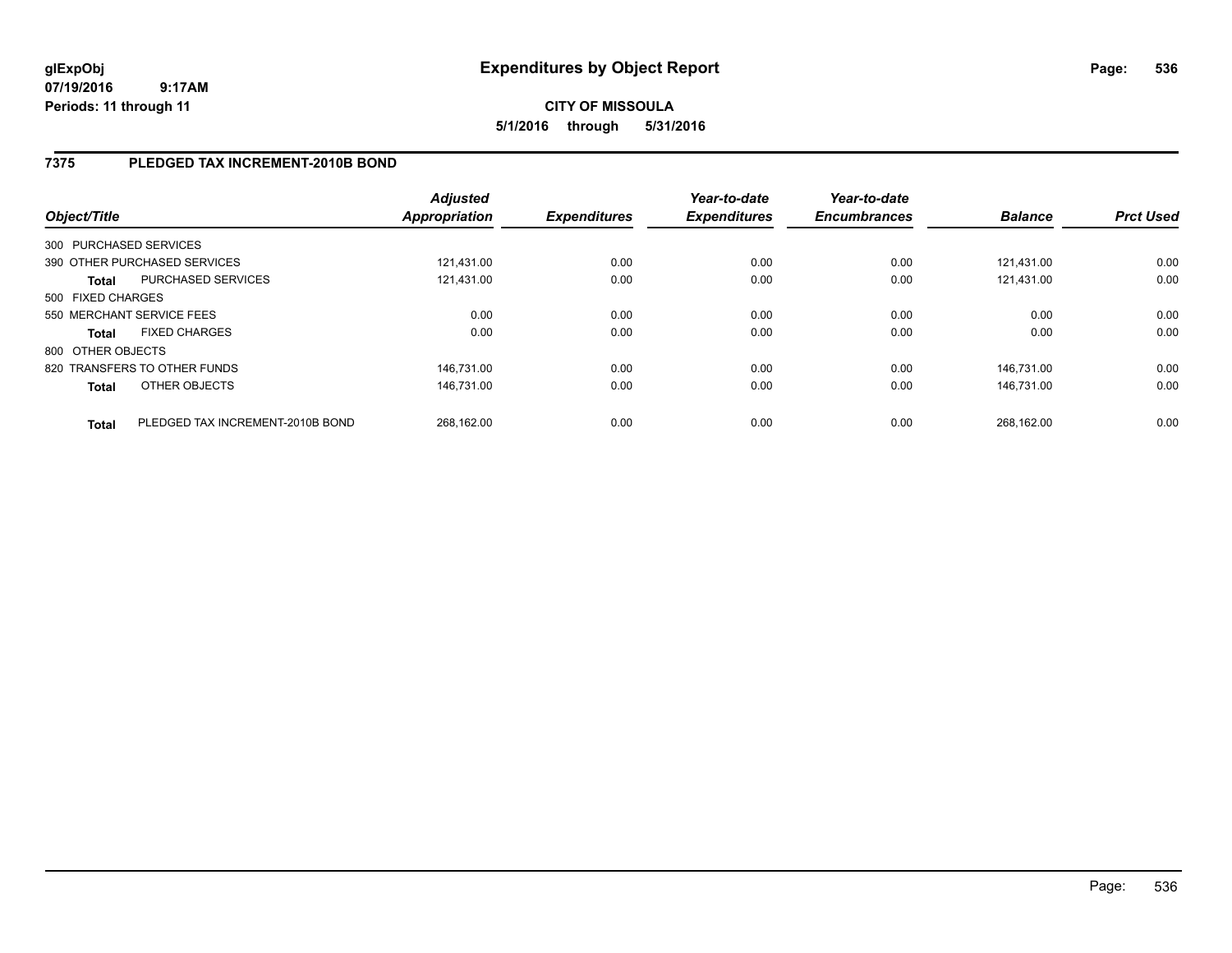## **7375 PLEDGED TAX INCREMENT-2010B BOND**

| Object/Title      |                                  | <b>Adjusted</b><br>Appropriation | <b>Expenditures</b> | Year-to-date<br><b>Expenditures</b> | Year-to-date<br><b>Encumbrances</b> | <b>Balance</b> | <b>Prct Used</b> |
|-------------------|----------------------------------|----------------------------------|---------------------|-------------------------------------|-------------------------------------|----------------|------------------|
|                   | 300 PURCHASED SERVICES           |                                  |                     |                                     |                                     |                |                  |
|                   | 390 OTHER PURCHASED SERVICES     | 121.431.00                       | 0.00                | 0.00                                | 0.00                                | 121.431.00     | 0.00             |
| <b>Total</b>      | PURCHASED SERVICES               | 121.431.00                       | 0.00                | 0.00                                | 0.00                                | 121.431.00     | 0.00             |
| 500 FIXED CHARGES |                                  |                                  |                     |                                     |                                     |                |                  |
|                   | 550 MERCHANT SERVICE FEES        | 0.00                             | 0.00                | 0.00                                | 0.00                                | 0.00           | 0.00             |
| <b>Total</b>      | <b>FIXED CHARGES</b>             | 0.00                             | 0.00                | 0.00                                | 0.00                                | 0.00           | 0.00             |
| 800 OTHER OBJECTS |                                  |                                  |                     |                                     |                                     |                |                  |
|                   | 820 TRANSFERS TO OTHER FUNDS     | 146.731.00                       | 0.00                | 0.00                                | 0.00                                | 146.731.00     | 0.00             |
| <b>Total</b>      | OTHER OBJECTS                    | 146.731.00                       | 0.00                | 0.00                                | 0.00                                | 146.731.00     | 0.00             |
| <b>Total</b>      | PLEDGED TAX INCREMENT-2010B BOND | 268.162.00                       | 0.00                | 0.00                                | 0.00                                | 268.162.00     | 0.00             |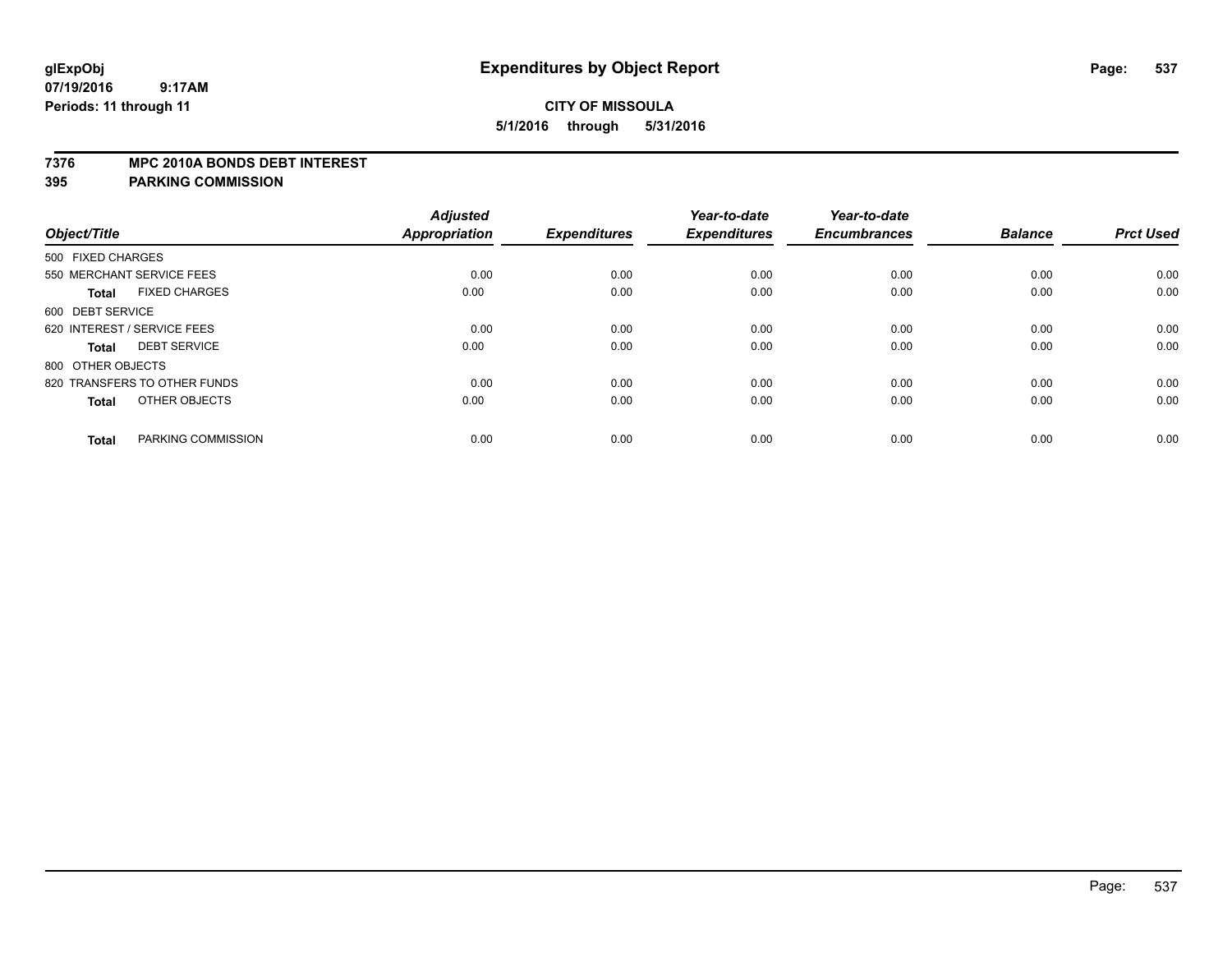#### **7376 MPC 2010A BONDS DEBT INTEREST**

| Object/Title                         | <b>Adjusted</b><br>Appropriation | <b>Expenditures</b> | Year-to-date<br><b>Expenditures</b> | Year-to-date<br><b>Encumbrances</b> | <b>Balance</b> | <b>Prct Used</b> |
|--------------------------------------|----------------------------------|---------------------|-------------------------------------|-------------------------------------|----------------|------------------|
|                                      |                                  |                     |                                     |                                     |                |                  |
| 500 FIXED CHARGES                    |                                  |                     |                                     |                                     |                |                  |
| 550 MERCHANT SERVICE FEES            | 0.00                             | 0.00                | 0.00                                | 0.00                                | 0.00           | 0.00             |
| <b>FIXED CHARGES</b><br><b>Total</b> | 0.00                             | 0.00                | 0.00                                | 0.00                                | 0.00           | 0.00             |
| 600 DEBT SERVICE                     |                                  |                     |                                     |                                     |                |                  |
| 620 INTEREST / SERVICE FEES          | 0.00                             | 0.00                | 0.00                                | 0.00                                | 0.00           | 0.00             |
| <b>DEBT SERVICE</b><br><b>Total</b>  | 0.00                             | 0.00                | 0.00                                | 0.00                                | 0.00           | 0.00             |
| 800 OTHER OBJECTS                    |                                  |                     |                                     |                                     |                |                  |
| 820 TRANSFERS TO OTHER FUNDS         | 0.00                             | 0.00                | 0.00                                | 0.00                                | 0.00           | 0.00             |
| OTHER OBJECTS<br><b>Total</b>        | 0.00                             | 0.00                | 0.00                                | 0.00                                | 0.00           | 0.00             |
| PARKING COMMISSION<br><b>Total</b>   | 0.00                             | 0.00                | 0.00                                | 0.00                                | 0.00           | 0.00             |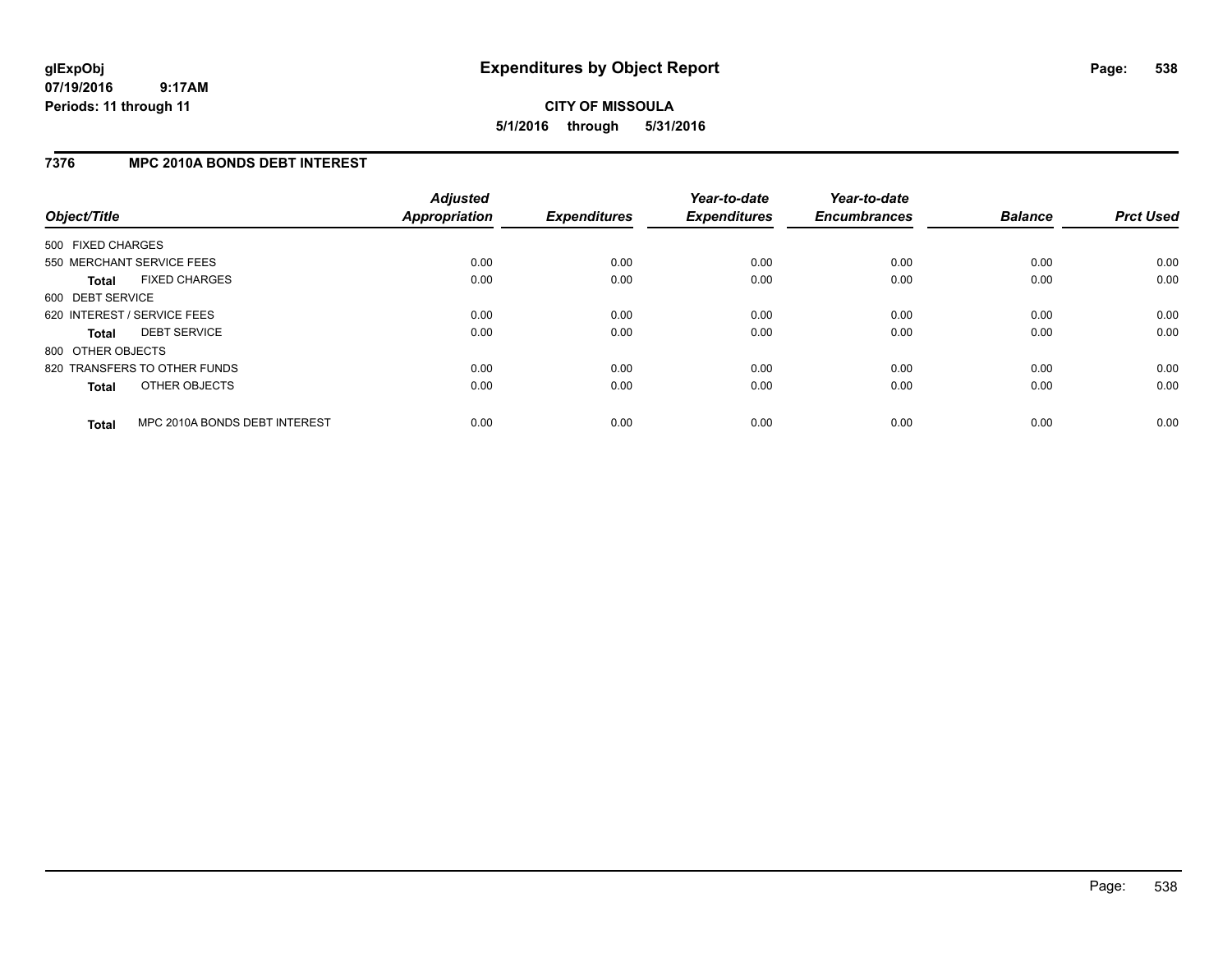**CITY OF MISSOULA 5/1/2016 through 5/31/2016**

## **7376 MPC 2010A BONDS DEBT INTEREST**

| Object/Title      |                               | <b>Adjusted</b><br>Appropriation | <b>Expenditures</b> | Year-to-date<br><b>Expenditures</b> | Year-to-date<br><b>Encumbrances</b> | <b>Balance</b> | <b>Prct Used</b> |
|-------------------|-------------------------------|----------------------------------|---------------------|-------------------------------------|-------------------------------------|----------------|------------------|
| 500 FIXED CHARGES |                               |                                  |                     |                                     |                                     |                |                  |
|                   | 550 MERCHANT SERVICE FEES     | 0.00                             | 0.00                | 0.00                                | 0.00                                | 0.00           | 0.00             |
| <b>Total</b>      | <b>FIXED CHARGES</b>          | 0.00                             | 0.00                | 0.00                                | 0.00                                | 0.00           | 0.00             |
| 600 DEBT SERVICE  |                               |                                  |                     |                                     |                                     |                |                  |
|                   | 620 INTEREST / SERVICE FEES   | 0.00                             | 0.00                | 0.00                                | 0.00                                | 0.00           | 0.00             |
| <b>Total</b>      | <b>DEBT SERVICE</b>           | 0.00                             | 0.00                | 0.00                                | 0.00                                | 0.00           | 0.00             |
| 800 OTHER OBJECTS |                               |                                  |                     |                                     |                                     |                |                  |
|                   | 820 TRANSFERS TO OTHER FUNDS  | 0.00                             | 0.00                | 0.00                                | 0.00                                | 0.00           | 0.00             |
| <b>Total</b>      | OTHER OBJECTS                 | 0.00                             | 0.00                | 0.00                                | 0.00                                | 0.00           | 0.00             |
| <b>Total</b>      | MPC 2010A BONDS DEBT INTEREST | 0.00                             | 0.00                | 0.00                                | 0.00                                | 0.00           | 0.00             |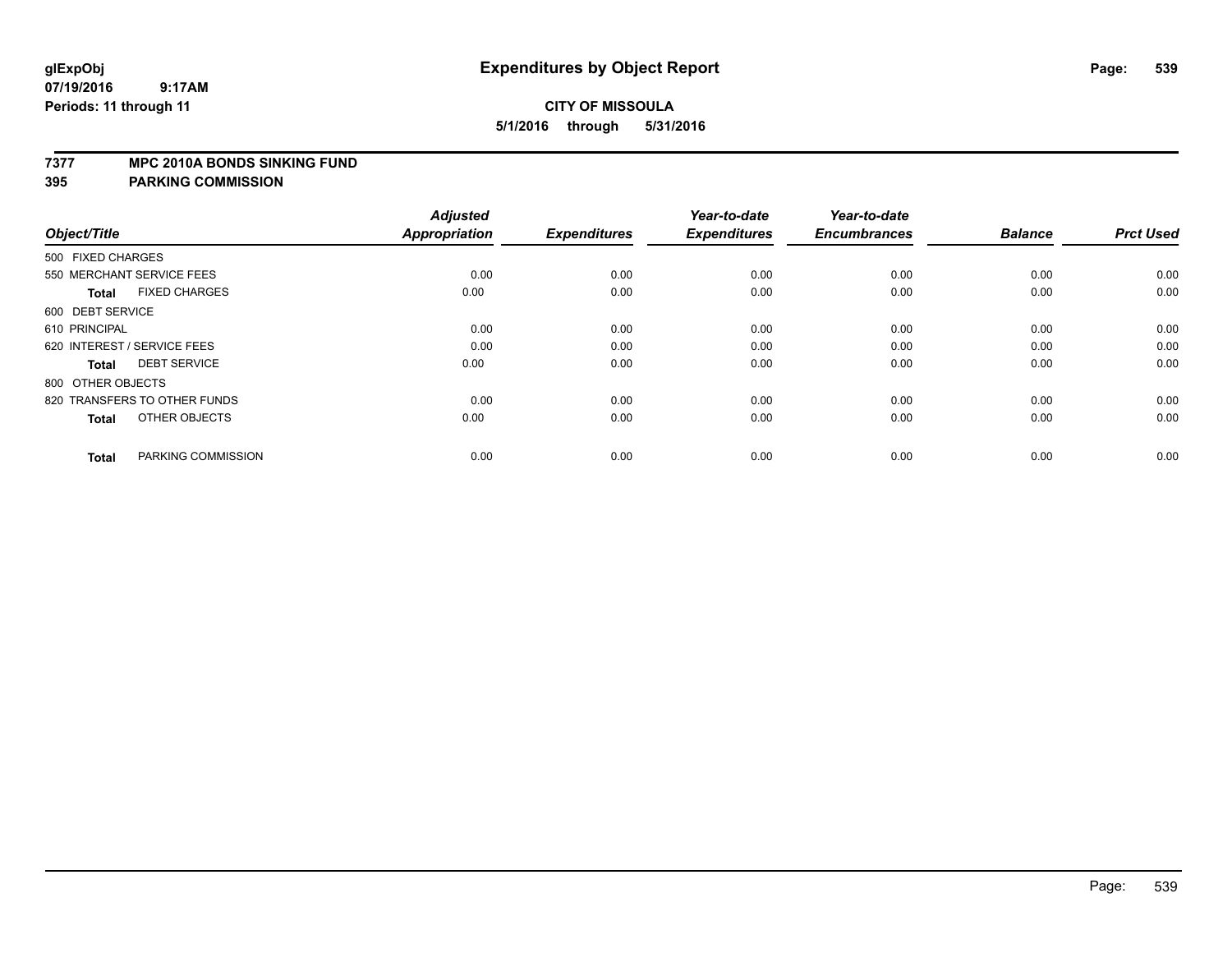#### **7377 MPC 2010A BONDS SINKING FUND**

| Object/Title                         | <b>Adjusted</b><br><b>Appropriation</b> | <b>Expenditures</b> | Year-to-date<br><b>Expenditures</b> | Year-to-date<br><b>Encumbrances</b> | <b>Balance</b> | <b>Prct Used</b> |
|--------------------------------------|-----------------------------------------|---------------------|-------------------------------------|-------------------------------------|----------------|------------------|
| 500 FIXED CHARGES                    |                                         |                     |                                     |                                     |                |                  |
| 550 MERCHANT SERVICE FEES            | 0.00                                    | 0.00                | 0.00                                | 0.00                                | 0.00           | 0.00             |
| <b>FIXED CHARGES</b><br><b>Total</b> | 0.00                                    | 0.00                | 0.00                                | 0.00                                | 0.00           | 0.00             |
| 600 DEBT SERVICE                     |                                         |                     |                                     |                                     |                |                  |
| 610 PRINCIPAL                        | 0.00                                    | 0.00                | 0.00                                | 0.00                                | 0.00           | 0.00             |
| 620 INTEREST / SERVICE FEES          | 0.00                                    | 0.00                | 0.00                                | 0.00                                | 0.00           | 0.00             |
| <b>DEBT SERVICE</b><br><b>Total</b>  | 0.00                                    | 0.00                | 0.00                                | 0.00                                | 0.00           | 0.00             |
| 800 OTHER OBJECTS                    |                                         |                     |                                     |                                     |                |                  |
| 820 TRANSFERS TO OTHER FUNDS         | 0.00                                    | 0.00                | 0.00                                | 0.00                                | 0.00           | 0.00             |
| OTHER OBJECTS<br><b>Total</b>        | 0.00                                    | 0.00                | 0.00                                | 0.00                                | 0.00           | 0.00             |
|                                      |                                         |                     |                                     |                                     |                |                  |
| PARKING COMMISSION<br><b>Total</b>   | 0.00                                    | 0.00                | 0.00                                | 0.00                                | 0.00           | 0.00             |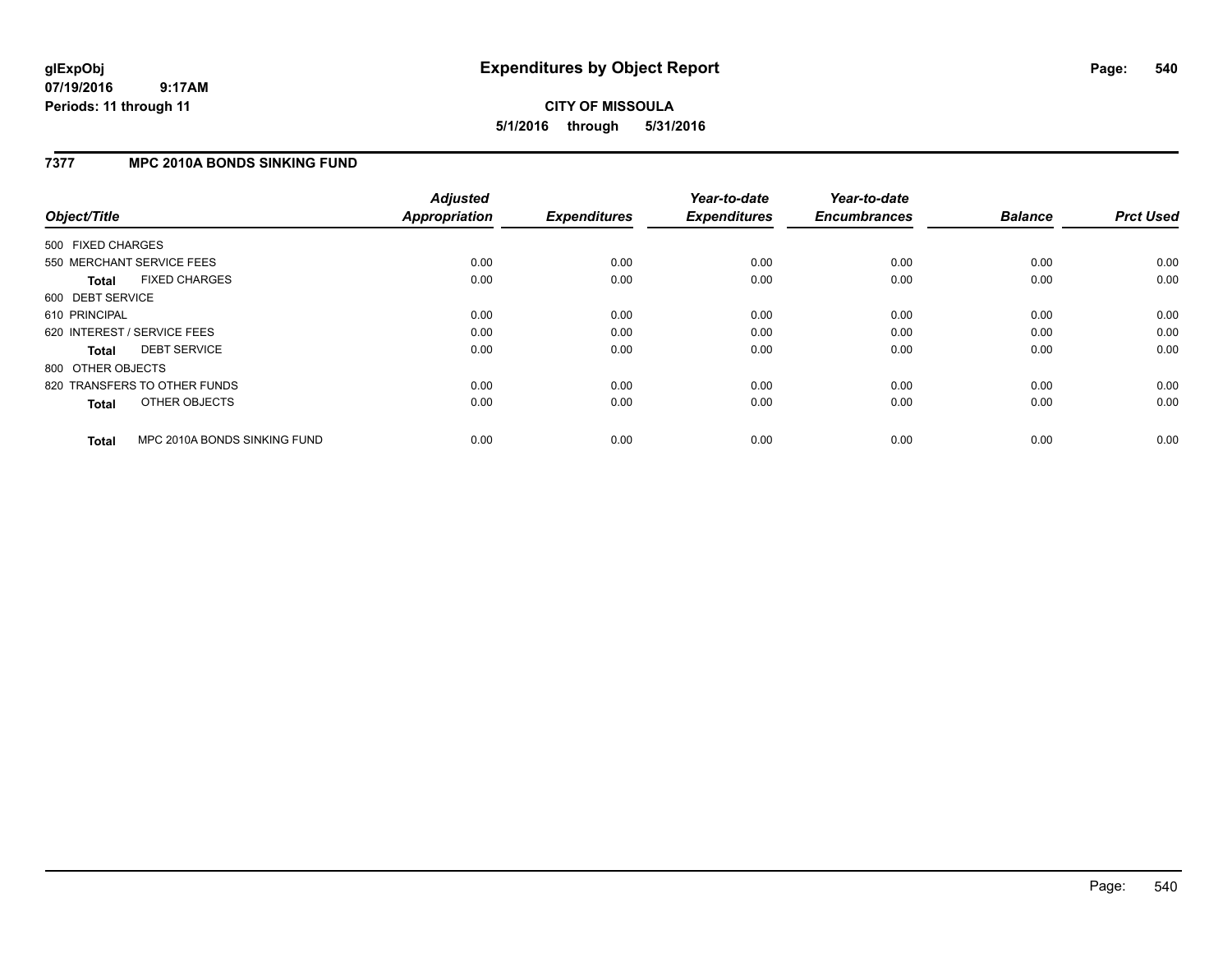# **CITY OF MISSOULA 5/1/2016 through 5/31/2016**

### **7377 MPC 2010A BONDS SINKING FUND**

| Object/Title      |                              | <b>Adjusted</b><br><b>Appropriation</b> | <b>Expenditures</b> | Year-to-date<br><b>Expenditures</b> | Year-to-date<br><b>Encumbrances</b> | <b>Balance</b> | <b>Prct Used</b> |
|-------------------|------------------------------|-----------------------------------------|---------------------|-------------------------------------|-------------------------------------|----------------|------------------|
| 500 FIXED CHARGES |                              |                                         |                     |                                     |                                     |                |                  |
|                   | 550 MERCHANT SERVICE FEES    | 0.00                                    | 0.00                | 0.00                                | 0.00                                | 0.00           | 0.00             |
| <b>Total</b>      | <b>FIXED CHARGES</b>         | 0.00                                    | 0.00                | 0.00                                | 0.00                                | 0.00           | 0.00             |
| 600 DEBT SERVICE  |                              |                                         |                     |                                     |                                     |                |                  |
| 610 PRINCIPAL     |                              | 0.00                                    | 0.00                | 0.00                                | 0.00                                | 0.00           | 0.00             |
|                   | 620 INTEREST / SERVICE FEES  | 0.00                                    | 0.00                | 0.00                                | 0.00                                | 0.00           | 0.00             |
| Total             | <b>DEBT SERVICE</b>          | 0.00                                    | 0.00                | 0.00                                | 0.00                                | 0.00           | 0.00             |
| 800 OTHER OBJECTS |                              |                                         |                     |                                     |                                     |                |                  |
|                   | 820 TRANSFERS TO OTHER FUNDS | 0.00                                    | 0.00                | 0.00                                | 0.00                                | 0.00           | 0.00             |
| <b>Total</b>      | OTHER OBJECTS                | 0.00                                    | 0.00                | 0.00                                | 0.00                                | 0.00           | 0.00             |
| <b>Total</b>      | MPC 2010A BONDS SINKING FUND | 0.00                                    | 0.00                | 0.00                                | 0.00                                | 0.00           | 0.00             |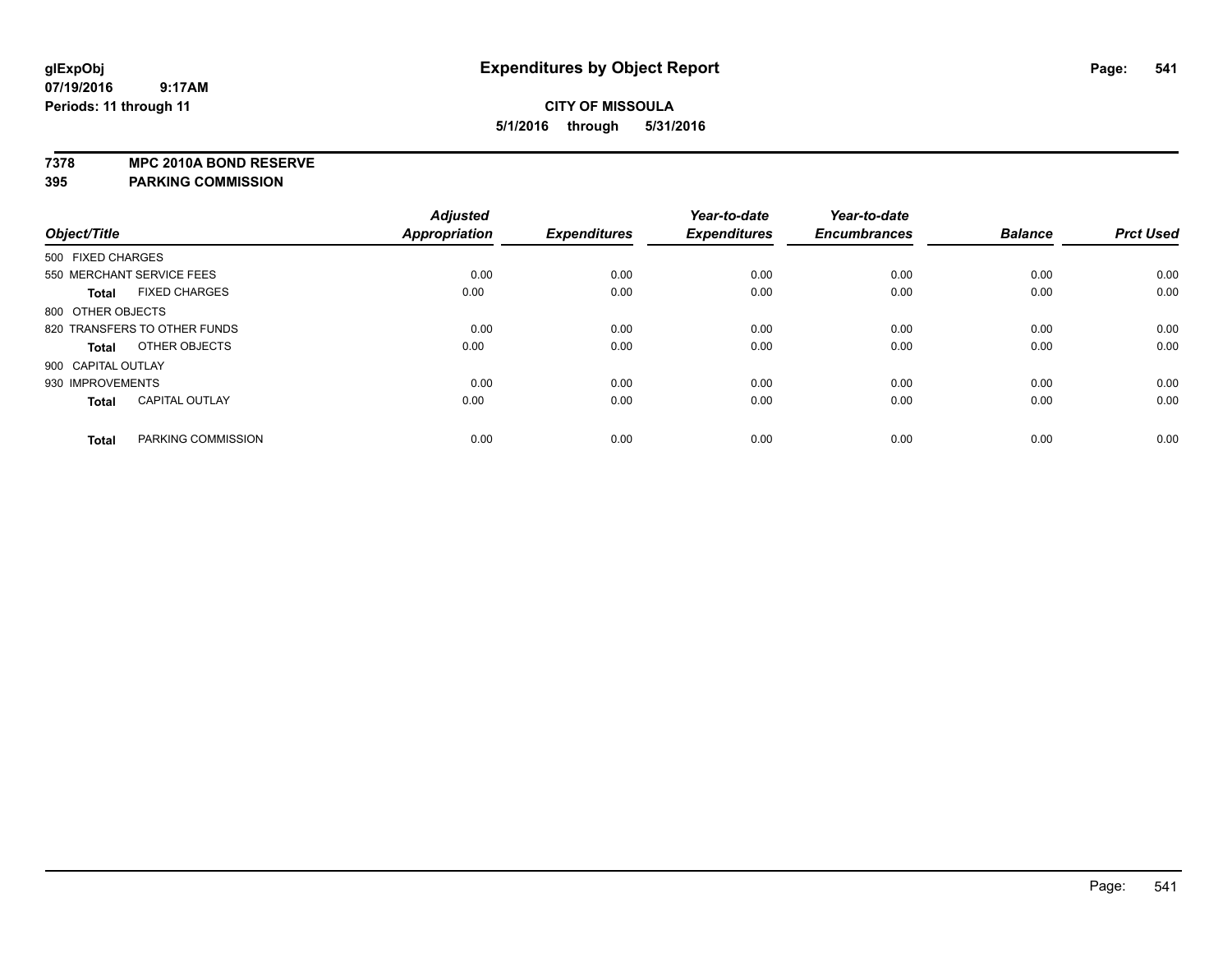**7378 MPC 2010A BOND RESERVE**

**395 PARKING COMMISSION**

|                              |                       | <b>Adjusted</b> |                     | Year-to-date        | Year-to-date        |                |                  |
|------------------------------|-----------------------|-----------------|---------------------|---------------------|---------------------|----------------|------------------|
| Object/Title                 |                       | Appropriation   | <b>Expenditures</b> | <b>Expenditures</b> | <b>Encumbrances</b> | <b>Balance</b> | <b>Prct Used</b> |
| 500 FIXED CHARGES            |                       |                 |                     |                     |                     |                |                  |
| 550 MERCHANT SERVICE FEES    |                       | 0.00            | 0.00                | 0.00                | 0.00                | 0.00           | 0.00             |
| <b>Total</b>                 | <b>FIXED CHARGES</b>  | 0.00            | 0.00                | 0.00                | 0.00                | 0.00           | 0.00             |
| 800 OTHER OBJECTS            |                       |                 |                     |                     |                     |                |                  |
| 820 TRANSFERS TO OTHER FUNDS |                       | 0.00            | 0.00                | 0.00                | 0.00                | 0.00           | 0.00             |
| <b>Total</b>                 | OTHER OBJECTS         | 0.00            | 0.00                | 0.00                | 0.00                | 0.00           | 0.00             |
| 900 CAPITAL OUTLAY           |                       |                 |                     |                     |                     |                |                  |
| 930 IMPROVEMENTS             |                       | 0.00            | 0.00                | 0.00                | 0.00                | 0.00           | 0.00             |
| <b>Total</b>                 | <b>CAPITAL OUTLAY</b> | 0.00            | 0.00                | 0.00                | 0.00                | 0.00           | 0.00             |
| <b>Total</b>                 | PARKING COMMISSION    | 0.00            | 0.00                | 0.00                | 0.00                | 0.00           | 0.00             |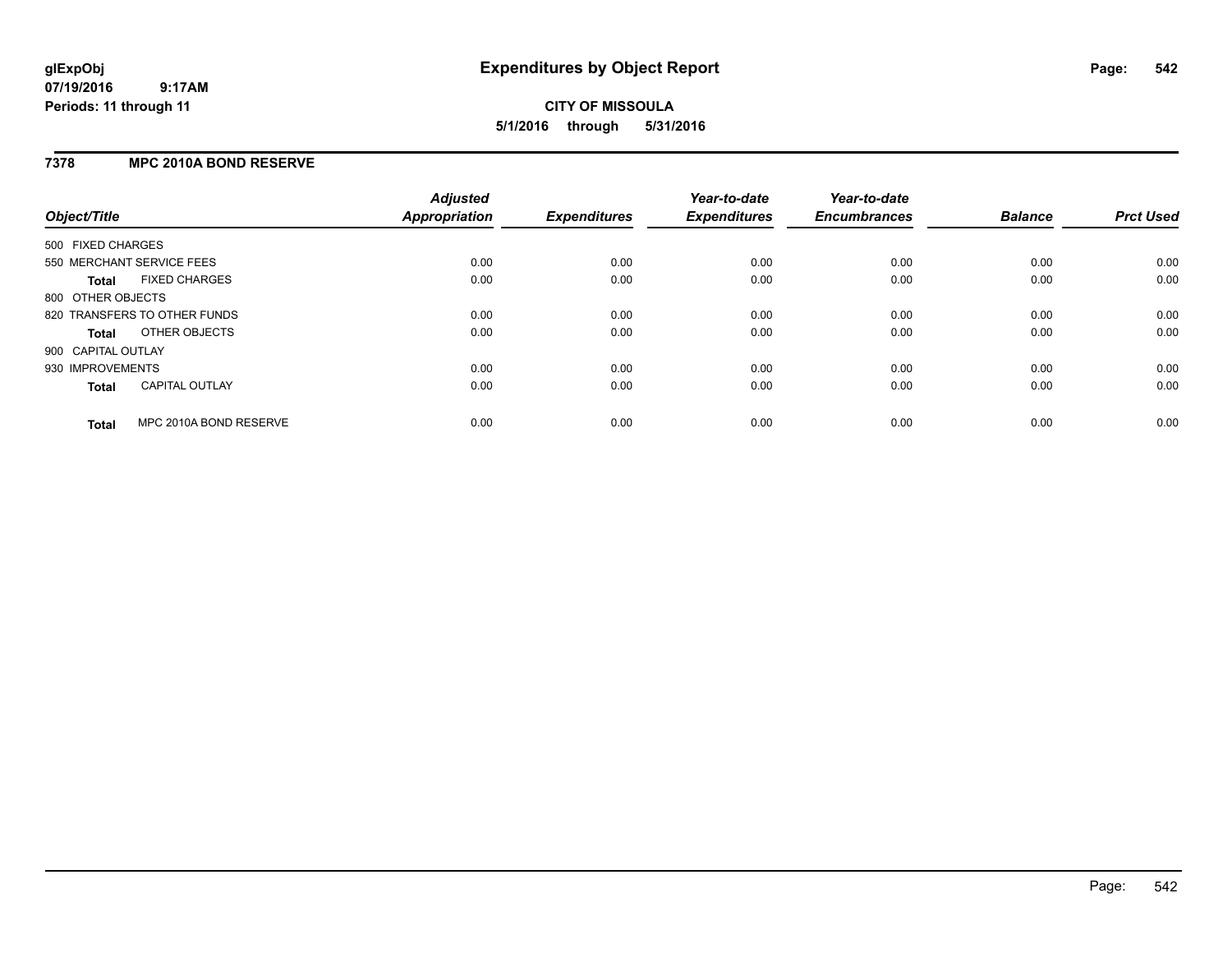## **7378 MPC 2010A BOND RESERVE**

| Object/Title       |                              | <b>Adjusted</b><br><b>Appropriation</b> | <b>Expenditures</b> | Year-to-date<br><b>Expenditures</b> | Year-to-date<br><b>Encumbrances</b> | <b>Balance</b> | <b>Prct Used</b> |
|--------------------|------------------------------|-----------------------------------------|---------------------|-------------------------------------|-------------------------------------|----------------|------------------|
| 500 FIXED CHARGES  |                              |                                         |                     |                                     |                                     |                |                  |
|                    | 550 MERCHANT SERVICE FEES    | 0.00                                    | 0.00                | 0.00                                | 0.00                                | 0.00           | 0.00             |
| <b>Total</b>       | <b>FIXED CHARGES</b>         | 0.00                                    | 0.00                | 0.00                                | 0.00                                | 0.00           | 0.00             |
| 800 OTHER OBJECTS  |                              |                                         |                     |                                     |                                     |                |                  |
|                    | 820 TRANSFERS TO OTHER FUNDS | 0.00                                    | 0.00                | 0.00                                | 0.00                                | 0.00           | 0.00             |
| <b>Total</b>       | OTHER OBJECTS                | 0.00                                    | 0.00                | 0.00                                | 0.00                                | 0.00           | 0.00             |
| 900 CAPITAL OUTLAY |                              |                                         |                     |                                     |                                     |                |                  |
| 930 IMPROVEMENTS   |                              | 0.00                                    | 0.00                | 0.00                                | 0.00                                | 0.00           | 0.00             |
| Total              | <b>CAPITAL OUTLAY</b>        | 0.00                                    | 0.00                | 0.00                                | 0.00                                | 0.00           | 0.00             |
| <b>Total</b>       | MPC 2010A BOND RESERVE       | 0.00                                    | 0.00                | 0.00                                | 0.00                                | 0.00           | 0.00             |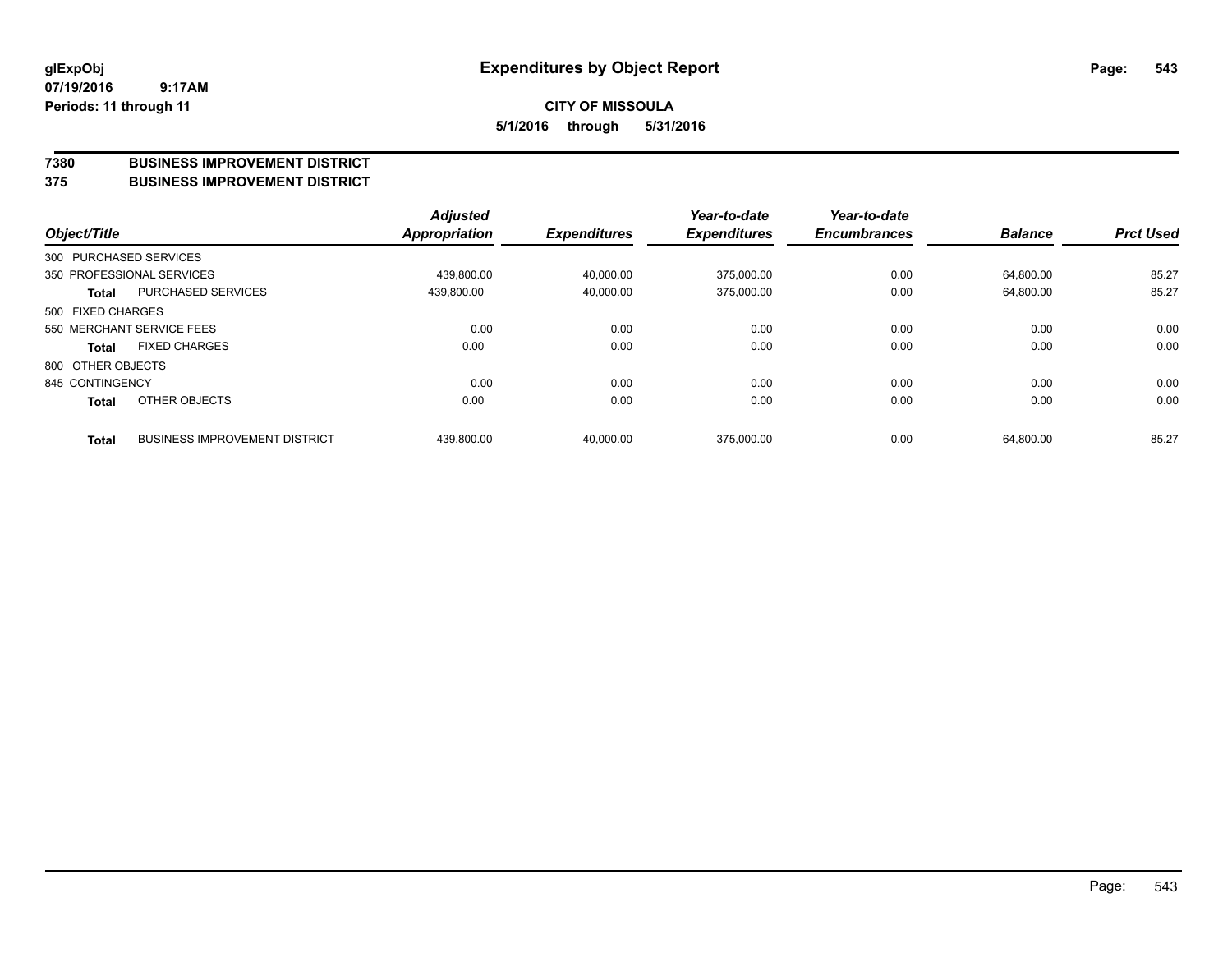#### **7380 BUSINESS IMPROVEMENT DISTRICT**

**375 BUSINESS IMPROVEMENT DISTRICT**

| Object/Title      |                                      | <b>Adjusted</b><br>Appropriation | <b>Expenditures</b> | Year-to-date<br><b>Expenditures</b> | Year-to-date<br><b>Encumbrances</b> | <b>Balance</b> | <b>Prct Used</b> |
|-------------------|--------------------------------------|----------------------------------|---------------------|-------------------------------------|-------------------------------------|----------------|------------------|
|                   | 300 PURCHASED SERVICES               |                                  |                     |                                     |                                     |                |                  |
|                   | 350 PROFESSIONAL SERVICES            | 439.800.00                       | 40.000.00           | 375.000.00                          | 0.00                                | 64.800.00      | 85.27            |
| <b>Total</b>      | <b>PURCHASED SERVICES</b>            | 439,800.00                       | 40,000.00           | 375,000.00                          | 0.00                                | 64,800.00      | 85.27            |
| 500 FIXED CHARGES |                                      |                                  |                     |                                     |                                     |                |                  |
|                   | 550 MERCHANT SERVICE FEES            | 0.00                             | 0.00                | 0.00                                | 0.00                                | 0.00           | 0.00             |
| Total             | <b>FIXED CHARGES</b>                 | 0.00                             | 0.00                | 0.00                                | 0.00                                | 0.00           | 0.00             |
| 800 OTHER OBJECTS |                                      |                                  |                     |                                     |                                     |                |                  |
| 845 CONTINGENCY   |                                      | 0.00                             | 0.00                | 0.00                                | 0.00                                | 0.00           | 0.00             |
| <b>Total</b>      | OTHER OBJECTS                        | 0.00                             | 0.00                | 0.00                                | 0.00                                | 0.00           | 0.00             |
| <b>Total</b>      | <b>BUSINESS IMPROVEMENT DISTRICT</b> | 439,800.00                       | 40.000.00           | 375.000.00                          | 0.00                                | 64.800.00      | 85.27            |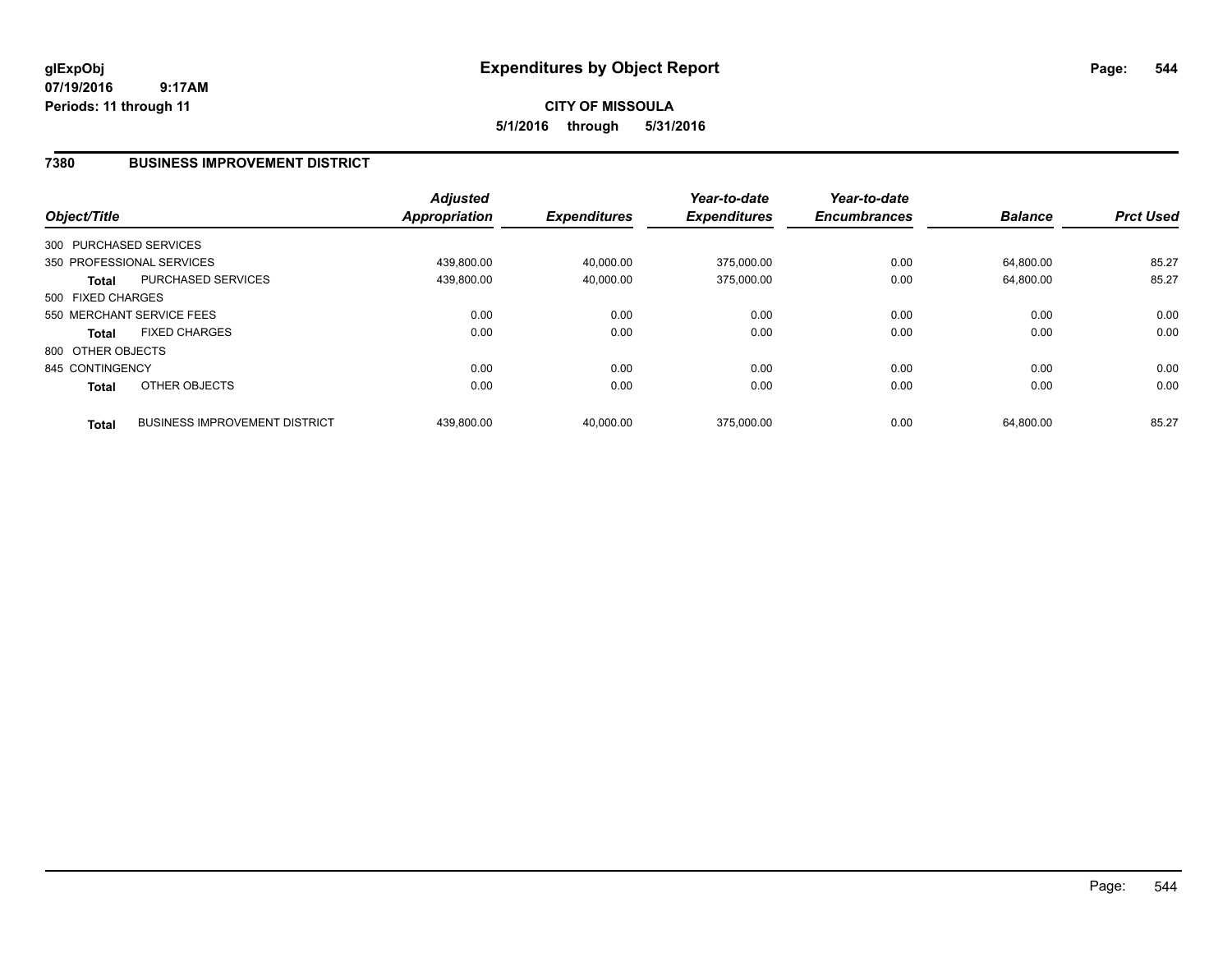**CITY OF MISSOULA 5/1/2016 through 5/31/2016**

## **7380 BUSINESS IMPROVEMENT DISTRICT**

| Object/Title           |                                      | <b>Adjusted</b><br><b>Appropriation</b> | <b>Expenditures</b> | Year-to-date<br><b>Expenditures</b> | Year-to-date<br><b>Encumbrances</b> | <b>Balance</b> | <b>Prct Used</b> |
|------------------------|--------------------------------------|-----------------------------------------|---------------------|-------------------------------------|-------------------------------------|----------------|------------------|
|                        |                                      |                                         |                     |                                     |                                     |                |                  |
| 300 PURCHASED SERVICES |                                      |                                         |                     |                                     |                                     |                |                  |
|                        | 350 PROFESSIONAL SERVICES            | 439.800.00                              | 40,000.00           | 375,000.00                          | 0.00                                | 64.800.00      | 85.27            |
| Total                  | PURCHASED SERVICES                   | 439,800.00                              | 40,000.00           | 375,000.00                          | 0.00                                | 64.800.00      | 85.27            |
| 500 FIXED CHARGES      |                                      |                                         |                     |                                     |                                     |                |                  |
|                        | 550 MERCHANT SERVICE FEES            | 0.00                                    | 0.00                | 0.00                                | 0.00                                | 0.00           | 0.00             |
| <b>Total</b>           | <b>FIXED CHARGES</b>                 | 0.00                                    | 0.00                | 0.00                                | 0.00                                | 0.00           | 0.00             |
| 800 OTHER OBJECTS      |                                      |                                         |                     |                                     |                                     |                |                  |
| 845 CONTINGENCY        |                                      | 0.00                                    | 0.00                | 0.00                                | 0.00                                | 0.00           | 0.00             |
| <b>Total</b>           | OTHER OBJECTS                        | 0.00                                    | 0.00                | 0.00                                | 0.00                                | 0.00           | 0.00             |
| <b>Total</b>           | <b>BUSINESS IMPROVEMENT DISTRICT</b> | 439.800.00                              | 40.000.00           | 375.000.00                          | 0.00                                | 64.800.00      | 85.27            |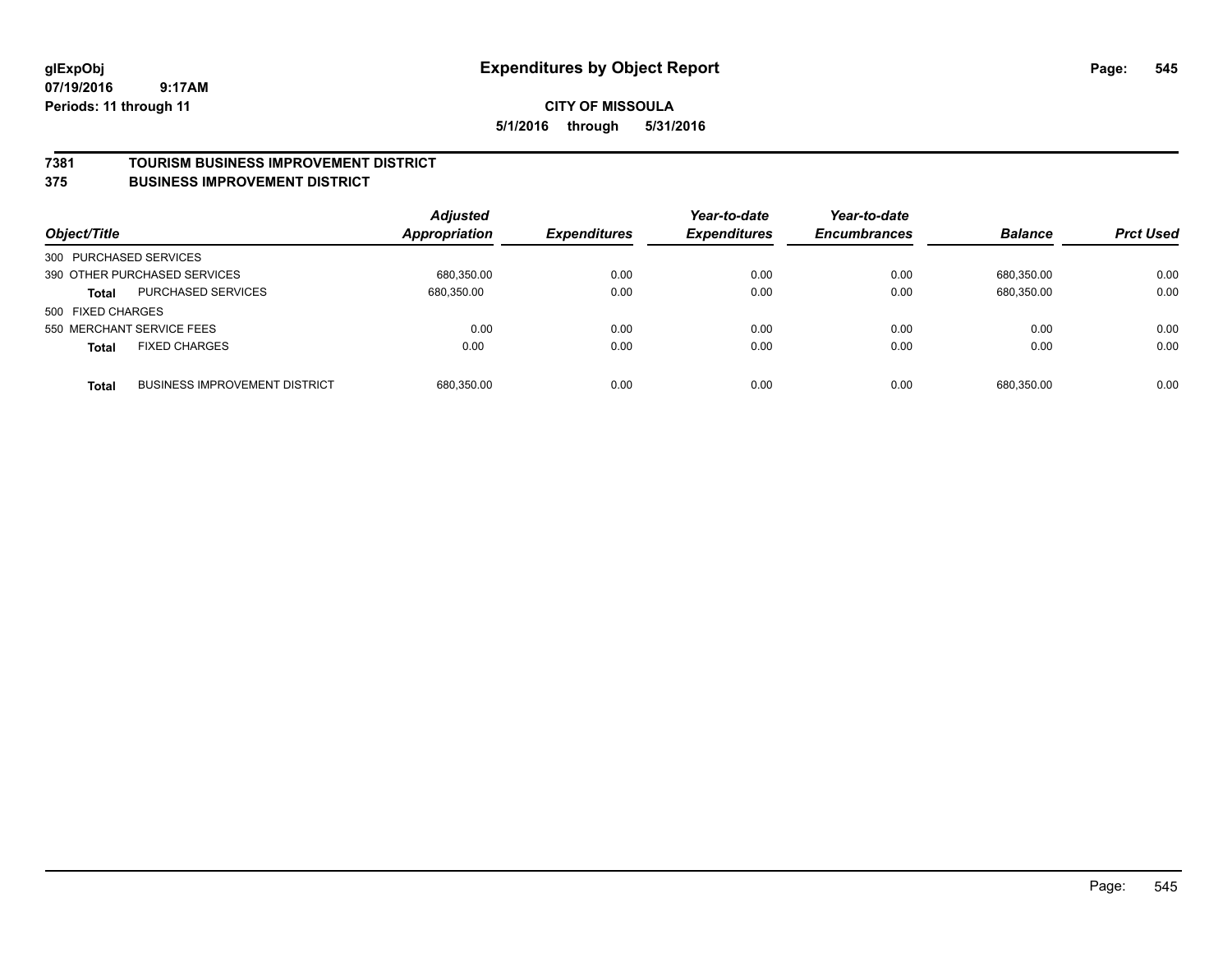#### **7381 TOURISM BUSINESS IMPROVEMENT DISTRICT**

#### **375 BUSINESS IMPROVEMENT DISTRICT**

| Object/Title           |                                      | <b>Adjusted</b><br><b>Appropriation</b> | <b>Expenditures</b> | Year-to-date<br><b>Expenditures</b> | Year-to-date<br><b>Encumbrances</b> | <b>Balance</b> | <b>Prct Used</b> |
|------------------------|--------------------------------------|-----------------------------------------|---------------------|-------------------------------------|-------------------------------------|----------------|------------------|
| 300 PURCHASED SERVICES |                                      |                                         |                     |                                     |                                     |                |                  |
|                        | 390 OTHER PURCHASED SERVICES         | 680,350.00                              | 0.00                | 0.00                                | 0.00                                | 680.350.00     | 0.00             |
| <b>Total</b>           | <b>PURCHASED SERVICES</b>            | 680,350.00                              | 0.00                | 0.00                                | 0.00                                | 680,350.00     | 0.00             |
| 500 FIXED CHARGES      |                                      |                                         |                     |                                     |                                     |                |                  |
|                        | 550 MERCHANT SERVICE FEES            | 0.00                                    | 0.00                | 0.00                                | 0.00                                | 0.00           | 0.00             |
| <b>Total</b>           | <b>FIXED CHARGES</b>                 | 0.00                                    | 0.00                | 0.00                                | 0.00                                | 0.00           | 0.00             |
| <b>Total</b>           | <b>BUSINESS IMPROVEMENT DISTRICT</b> | 680,350.00                              | 0.00                | 0.00                                | 0.00                                | 680.350.00     | 0.00             |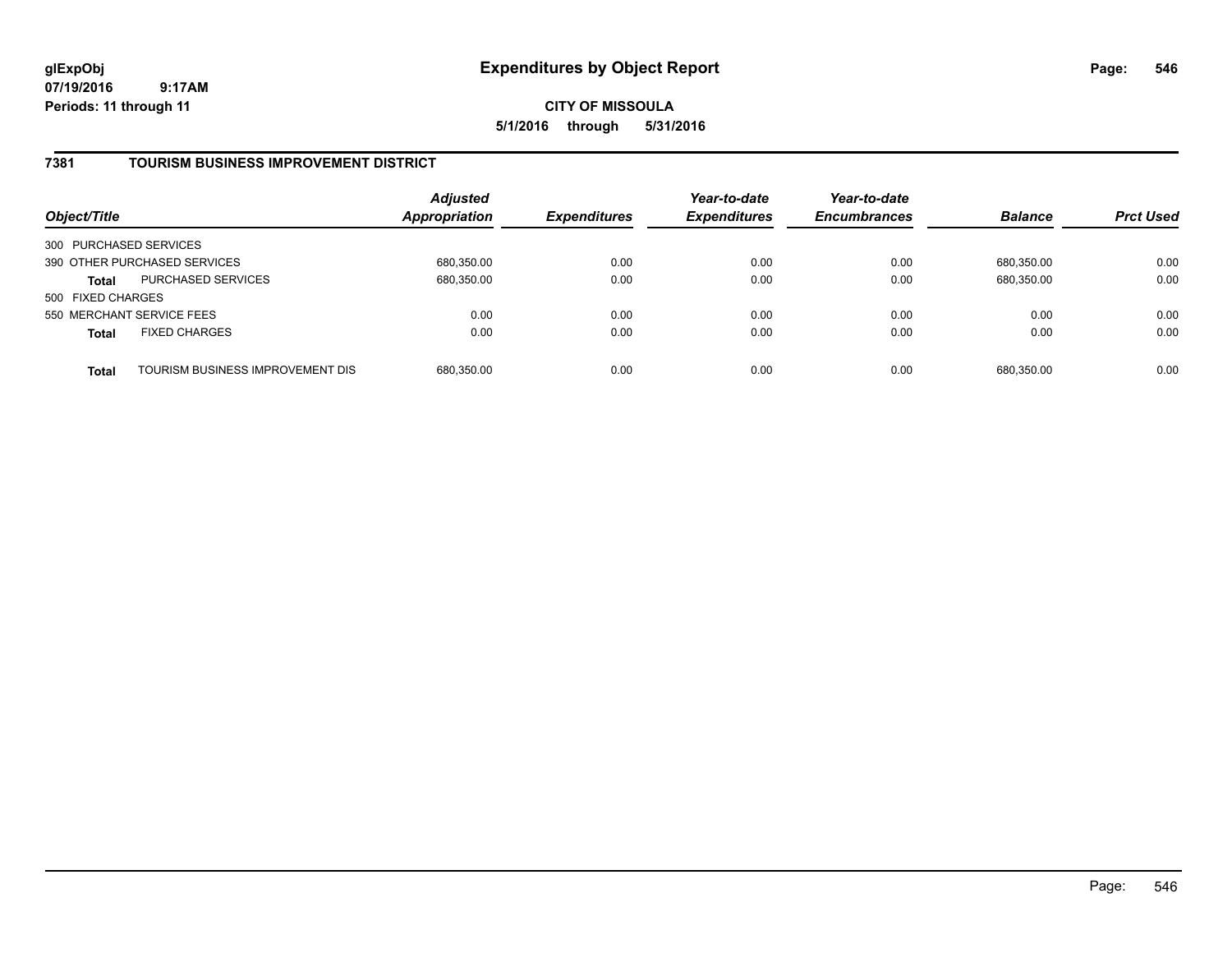**CITY OF MISSOULA 5/1/2016 through 5/31/2016**

## **7381 TOURISM BUSINESS IMPROVEMENT DISTRICT**

| Object/Title              |                                  | <b>Adjusted</b><br>Appropriation | <b>Expenditures</b> | Year-to-date<br><b>Expenditures</b> | Year-to-date<br><b>Encumbrances</b> | <b>Balance</b> | <b>Prct Used</b> |
|---------------------------|----------------------------------|----------------------------------|---------------------|-------------------------------------|-------------------------------------|----------------|------------------|
| 300 PURCHASED SERVICES    |                                  |                                  |                     |                                     |                                     |                |                  |
|                           | 390 OTHER PURCHASED SERVICES     | 680,350.00                       | 0.00                | 0.00                                | 0.00                                | 680.350.00     | 0.00             |
| <b>Total</b>              | <b>PURCHASED SERVICES</b>        | 680,350.00                       | 0.00                | 0.00                                | 0.00                                | 680,350.00     | 0.00             |
| 500 FIXED CHARGES         |                                  |                                  |                     |                                     |                                     |                |                  |
| 550 MERCHANT SERVICE FEES |                                  | 0.00                             | 0.00                | 0.00                                | 0.00                                | 0.00           | 0.00             |
| <b>Total</b>              | <b>FIXED CHARGES</b>             | 0.00                             | 0.00                | 0.00                                | 0.00                                | 0.00           | 0.00             |
| <b>Total</b>              | TOURISM BUSINESS IMPROVEMENT DIS | 680,350.00                       | 0.00                | 0.00                                | 0.00                                | 680,350.00     | 0.00             |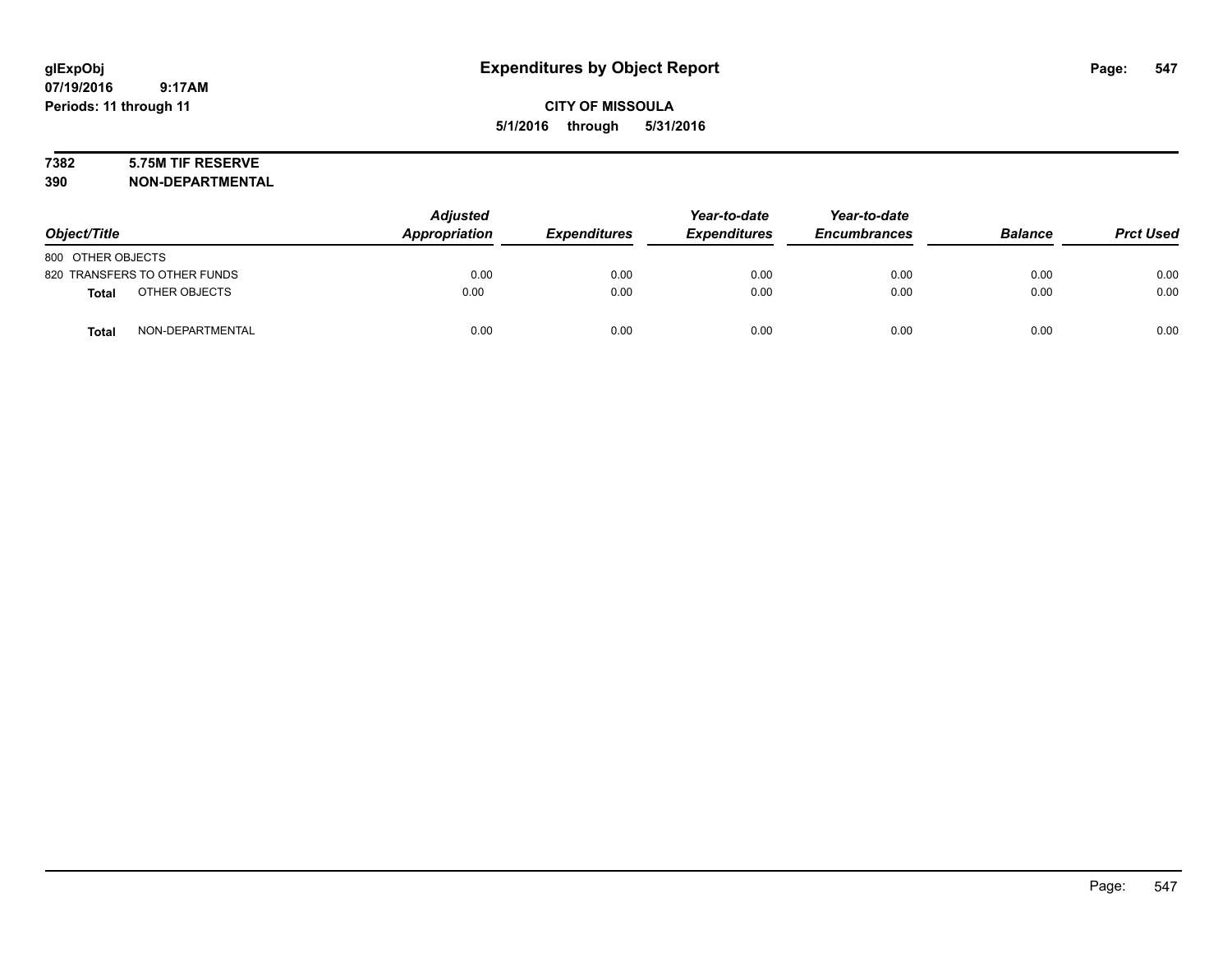## **7382 5.75M TIF RESERVE**

**390 NON-DEPARTMENTAL**

| Object/Title                     | <b>Adjusted</b><br>Appropriation | <b>Expenditures</b> | Year-to-date<br><b>Expenditures</b> | Year-to-date<br><b>Encumbrances</b> | <b>Balance</b> | <b>Prct Used</b> |
|----------------------------------|----------------------------------|---------------------|-------------------------------------|-------------------------------------|----------------|------------------|
| 800 OTHER OBJECTS                |                                  |                     |                                     |                                     |                |                  |
| 820 TRANSFERS TO OTHER FUNDS     | 0.00                             | 0.00                | 0.00                                | 0.00                                | 0.00           | 0.00             |
| OTHER OBJECTS<br><b>Total</b>    | 0.00                             | 0.00                | 0.00                                | 0.00                                | 0.00           | 0.00             |
| NON-DEPARTMENTAL<br><b>Total</b> | 0.00                             | 0.00                | 0.00                                | 0.00                                | 0.00           | 0.00             |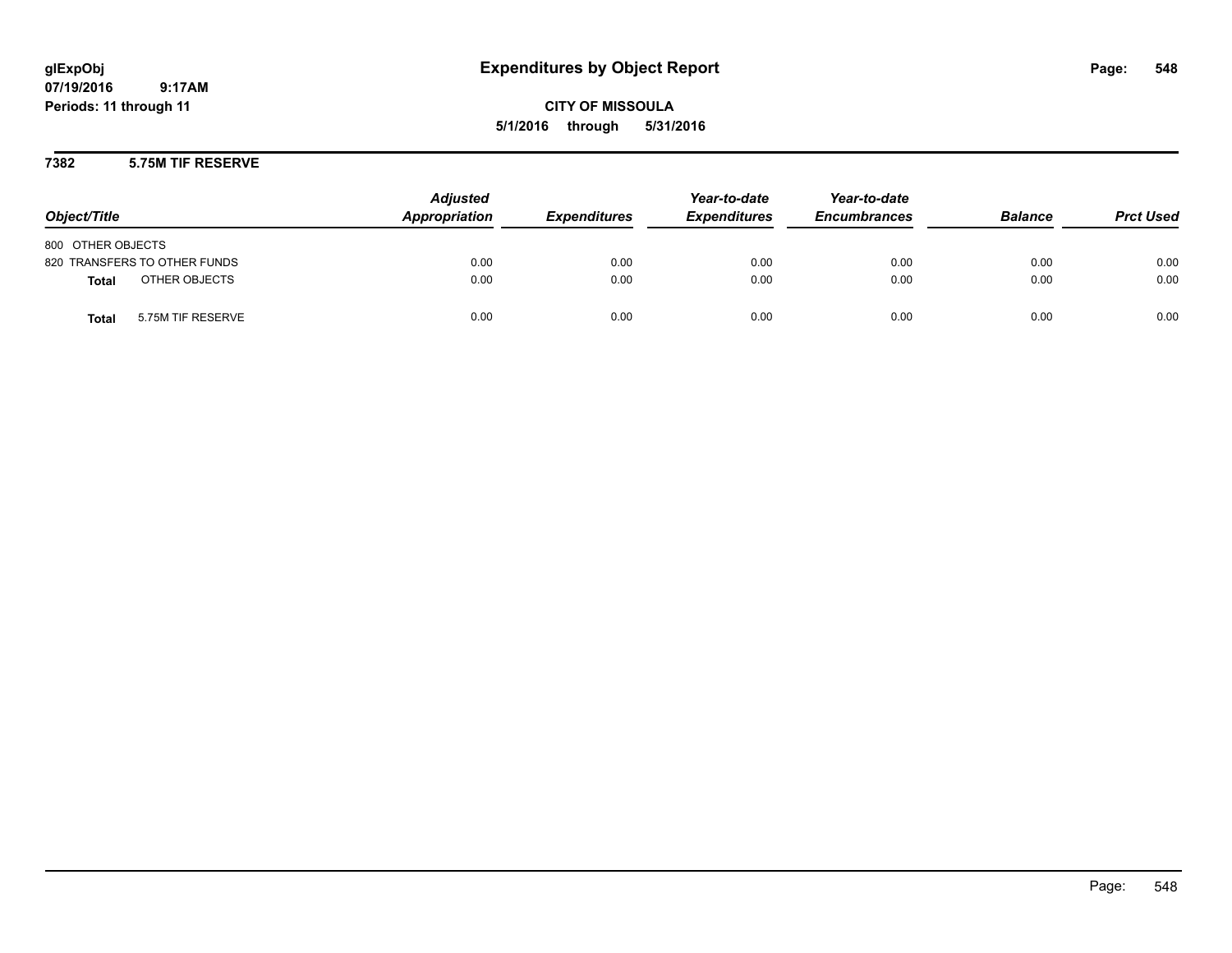**CITY OF MISSOULA 5/1/2016 through 5/31/2016**

## **7382 5.75M TIF RESERVE**

| Object/Title                      | <b>Adjusted</b><br>Appropriation | <b>Expenditures</b> | Year-to-date<br><b>Expenditures</b> | Year-to-date<br><b>Encumbrances</b> | <b>Balance</b> | <b>Prct Used</b> |
|-----------------------------------|----------------------------------|---------------------|-------------------------------------|-------------------------------------|----------------|------------------|
| 800 OTHER OBJECTS                 |                                  |                     |                                     |                                     |                |                  |
| 820 TRANSFERS TO OTHER FUNDS      | 0.00                             | 0.00                | 0.00                                | 0.00                                | 0.00           | 0.00             |
| OTHER OBJECTS<br><b>Total</b>     | 0.00                             | 0.00                | 0.00                                | 0.00                                | 0.00           | 0.00             |
| 5.75M TIF RESERVE<br><b>Total</b> | 0.00                             | 0.00                | 0.00                                | 0.00                                | 0.00           | 0.00             |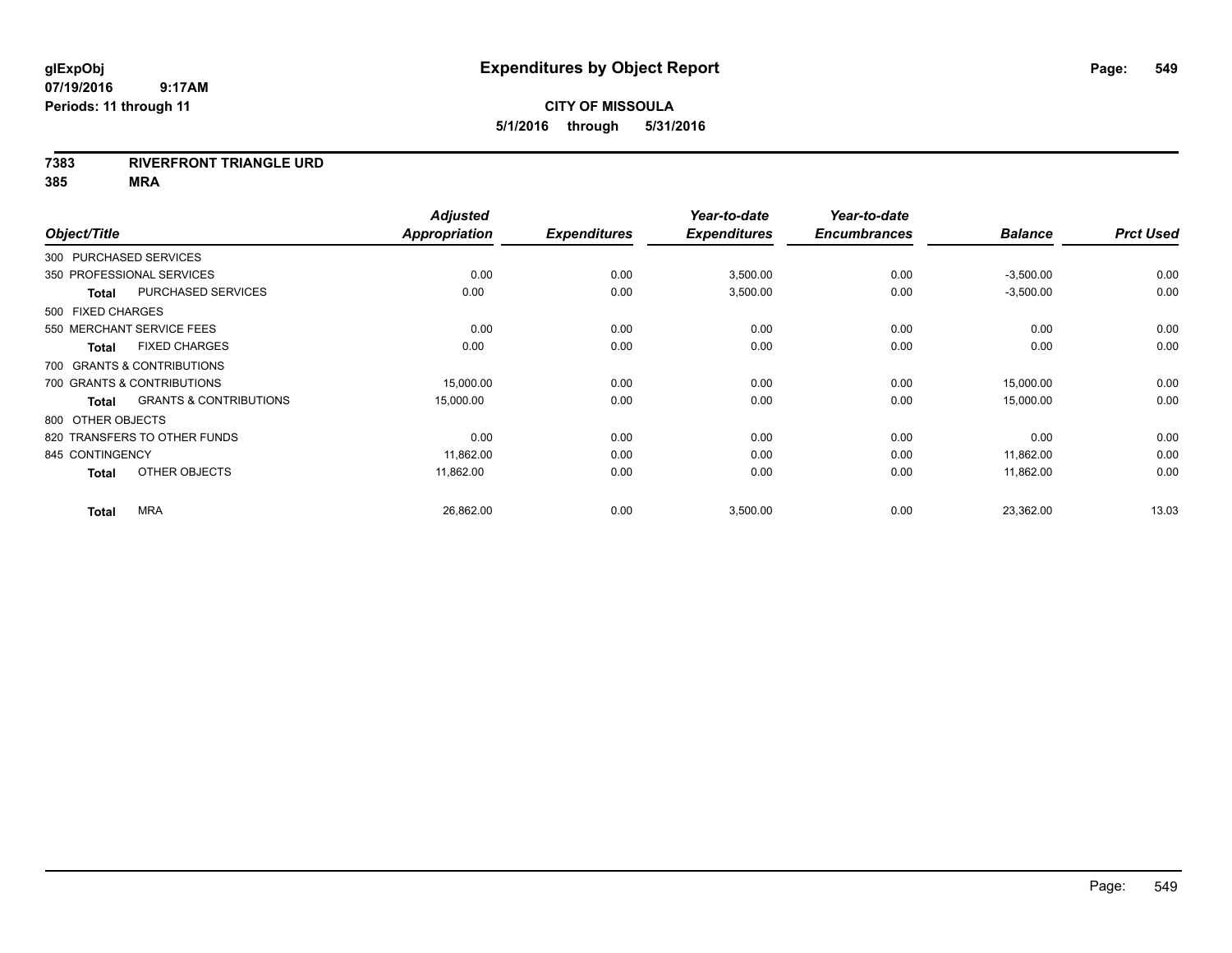## **7383 RIVERFRONT TRIANGLE URD**

| Object/Title               |                                   | <b>Adjusted</b><br>Appropriation | <b>Expenditures</b> | Year-to-date<br><b>Expenditures</b> | Year-to-date<br><b>Encumbrances</b> | <b>Balance</b> | <b>Prct Used</b> |
|----------------------------|-----------------------------------|----------------------------------|---------------------|-------------------------------------|-------------------------------------|----------------|------------------|
| 300 PURCHASED SERVICES     |                                   |                                  |                     |                                     |                                     |                |                  |
| 350 PROFESSIONAL SERVICES  |                                   | 0.00                             | 0.00                | 3,500.00                            | 0.00                                | $-3,500.00$    | 0.00             |
| <b>Total</b>               | PURCHASED SERVICES                | 0.00                             | 0.00                | 3,500.00                            | 0.00                                | $-3,500.00$    | 0.00             |
| 500 FIXED CHARGES          |                                   |                                  |                     |                                     |                                     |                |                  |
| 550 MERCHANT SERVICE FEES  |                                   | 0.00                             | 0.00                | 0.00                                | 0.00                                | 0.00           | 0.00             |
| <b>Total</b>               | <b>FIXED CHARGES</b>              | 0.00                             | 0.00                | 0.00                                | 0.00                                | 0.00           | 0.00             |
| 700 GRANTS & CONTRIBUTIONS |                                   |                                  |                     |                                     |                                     |                |                  |
| 700 GRANTS & CONTRIBUTIONS |                                   | 15,000.00                        | 0.00                | 0.00                                | 0.00                                | 15,000.00      | 0.00             |
| <b>Total</b>               | <b>GRANTS &amp; CONTRIBUTIONS</b> | 15,000.00                        | 0.00                | 0.00                                | 0.00                                | 15,000.00      | 0.00             |
| 800 OTHER OBJECTS          |                                   |                                  |                     |                                     |                                     |                |                  |
|                            | 820 TRANSFERS TO OTHER FUNDS      | 0.00                             | 0.00                | 0.00                                | 0.00                                | 0.00           | 0.00             |
| 845 CONTINGENCY            |                                   | 11,862.00                        | 0.00                | 0.00                                | 0.00                                | 11,862.00      | 0.00             |
| <b>Total</b>               | OTHER OBJECTS                     | 11,862.00                        | 0.00                | 0.00                                | 0.00                                | 11,862.00      | 0.00             |
| <b>Total</b>               | <b>MRA</b>                        | 26,862.00                        | 0.00                | 3,500.00                            | 0.00                                | 23,362.00      | 13.03            |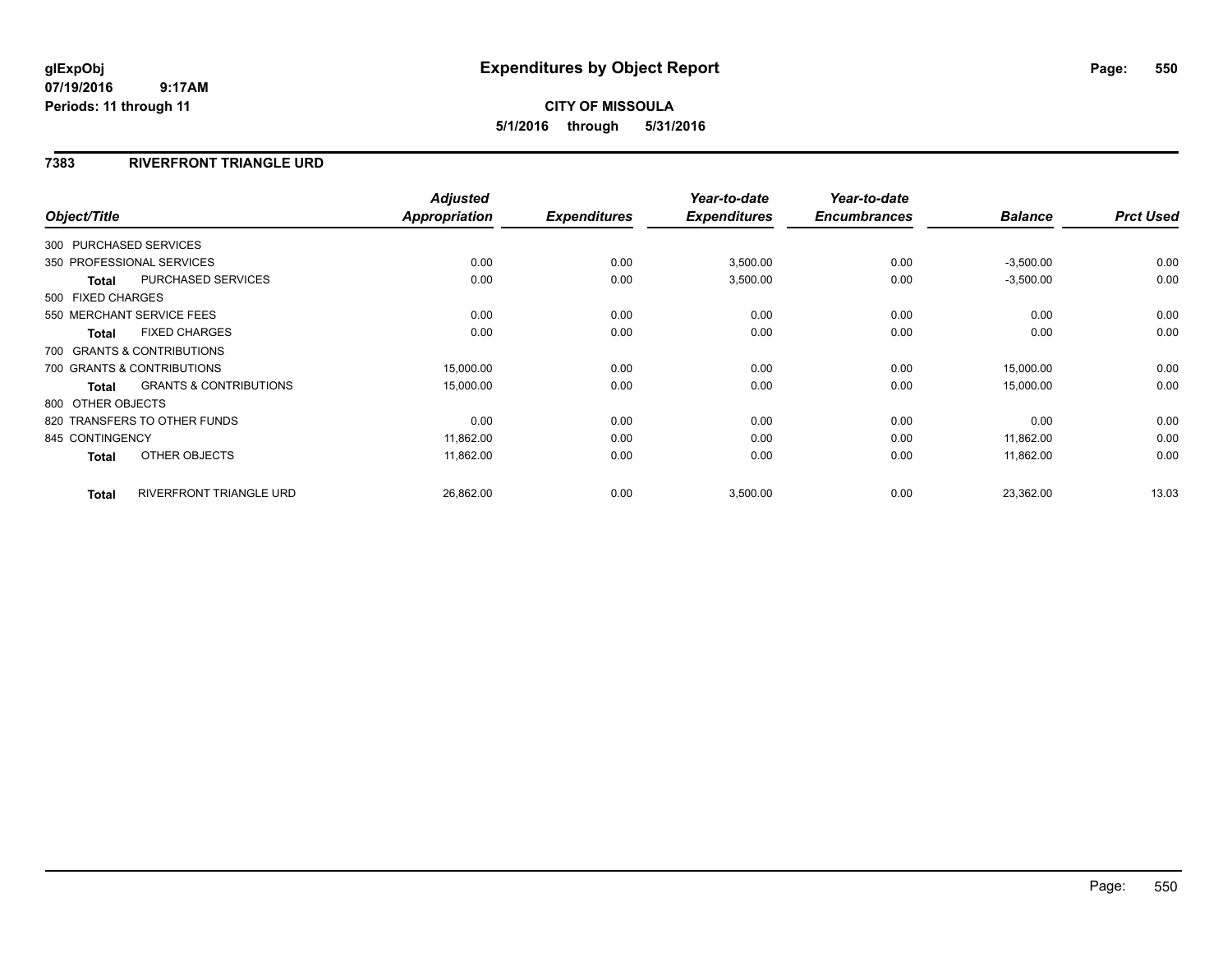## **CITY OF MISSOULA 5/1/2016 through 5/31/2016**

## **7383 RIVERFRONT TRIANGLE URD**

|                 |                                                | <b>Adjusted</b>      |                     | Year-to-date        | Year-to-date        |                |                  |
|-----------------|------------------------------------------------|----------------------|---------------------|---------------------|---------------------|----------------|------------------|
| Object/Title    |                                                | <b>Appropriation</b> | <b>Expenditures</b> | <b>Expenditures</b> | <b>Encumbrances</b> | <b>Balance</b> | <b>Prct Used</b> |
|                 | 300 PURCHASED SERVICES                         |                      |                     |                     |                     |                |                  |
|                 | 350 PROFESSIONAL SERVICES                      | 0.00                 | 0.00                | 3,500.00            | 0.00                | $-3,500.00$    | 0.00             |
|                 | <b>PURCHASED SERVICES</b><br><b>Total</b>      | 0.00                 | 0.00                | 3,500.00            | 0.00                | $-3,500.00$    | 0.00             |
|                 | 500 FIXED CHARGES                              |                      |                     |                     |                     |                |                  |
|                 | 550 MERCHANT SERVICE FEES                      | 0.00                 | 0.00                | 0.00                | 0.00                | 0.00           | 0.00             |
|                 | <b>FIXED CHARGES</b><br><b>Total</b>           | 0.00                 | 0.00                | 0.00                | 0.00                | 0.00           | 0.00             |
|                 | 700 GRANTS & CONTRIBUTIONS                     |                      |                     |                     |                     |                |                  |
|                 | 700 GRANTS & CONTRIBUTIONS                     | 15,000.00            | 0.00                | 0.00                | 0.00                | 15,000.00      | 0.00             |
|                 | <b>GRANTS &amp; CONTRIBUTIONS</b><br>Total     | 15,000.00            | 0.00                | 0.00                | 0.00                | 15,000.00      | 0.00             |
|                 | 800 OTHER OBJECTS                              |                      |                     |                     |                     |                |                  |
|                 | 820 TRANSFERS TO OTHER FUNDS                   | 0.00                 | 0.00                | 0.00                | 0.00                | 0.00           | 0.00             |
| 845 CONTINGENCY |                                                | 11,862.00            | 0.00                | 0.00                | 0.00                | 11,862.00      | 0.00             |
|                 | OTHER OBJECTS<br>Total                         | 11,862.00            | 0.00                | 0.00                | 0.00                | 11,862.00      | 0.00             |
|                 | <b>RIVERFRONT TRIANGLE URD</b><br><b>Total</b> | 26,862.00            | 0.00                | 3,500.00            | 0.00                | 23,362.00      | 13.03            |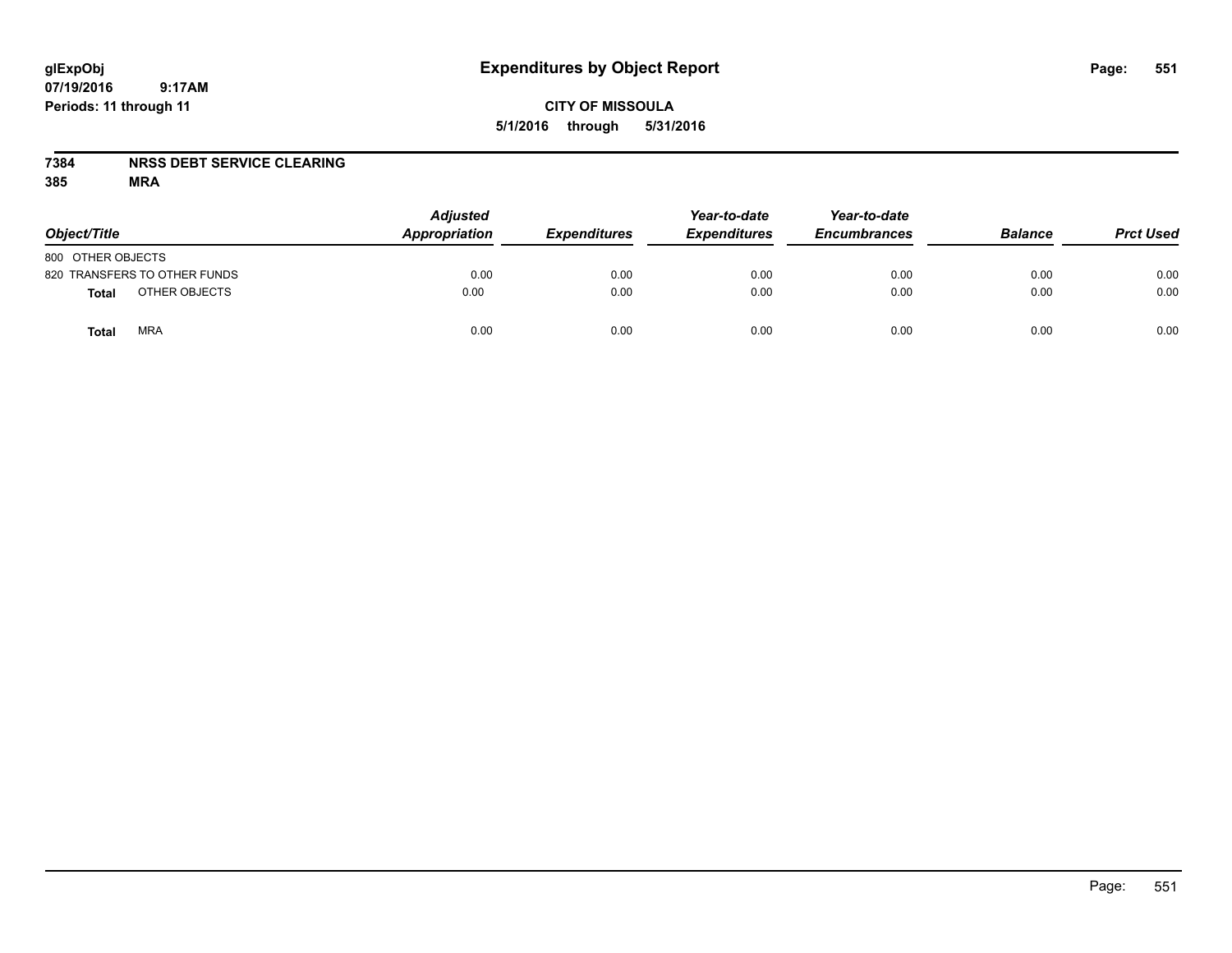## **CITY OF MISSOULA 5/1/2016 through 5/31/2016**

## **7384 NRSS DEBT SERVICE CLEARING**

| Object/Title                  | <b>Adjusted</b><br>Appropriation | <b>Expenditures</b> | Year-to-date<br><b>Expenditures</b> | Year-to-date<br><b>Encumbrances</b> | <b>Balance</b> | <b>Prct Used</b> |
|-------------------------------|----------------------------------|---------------------|-------------------------------------|-------------------------------------|----------------|------------------|
| 800 OTHER OBJECTS             |                                  |                     |                                     |                                     |                |                  |
| 820 TRANSFERS TO OTHER FUNDS  | 0.00                             | 0.00                | 0.00                                | 0.00                                | 0.00           | 0.00             |
| OTHER OBJECTS<br><b>Total</b> | 0.00                             | 0.00                | 0.00                                | 0.00                                | 0.00           | 0.00             |
| <b>MRA</b><br>Total           | 0.00                             | 0.00                | 0.00                                | 0.00                                | 0.00           | 0.00             |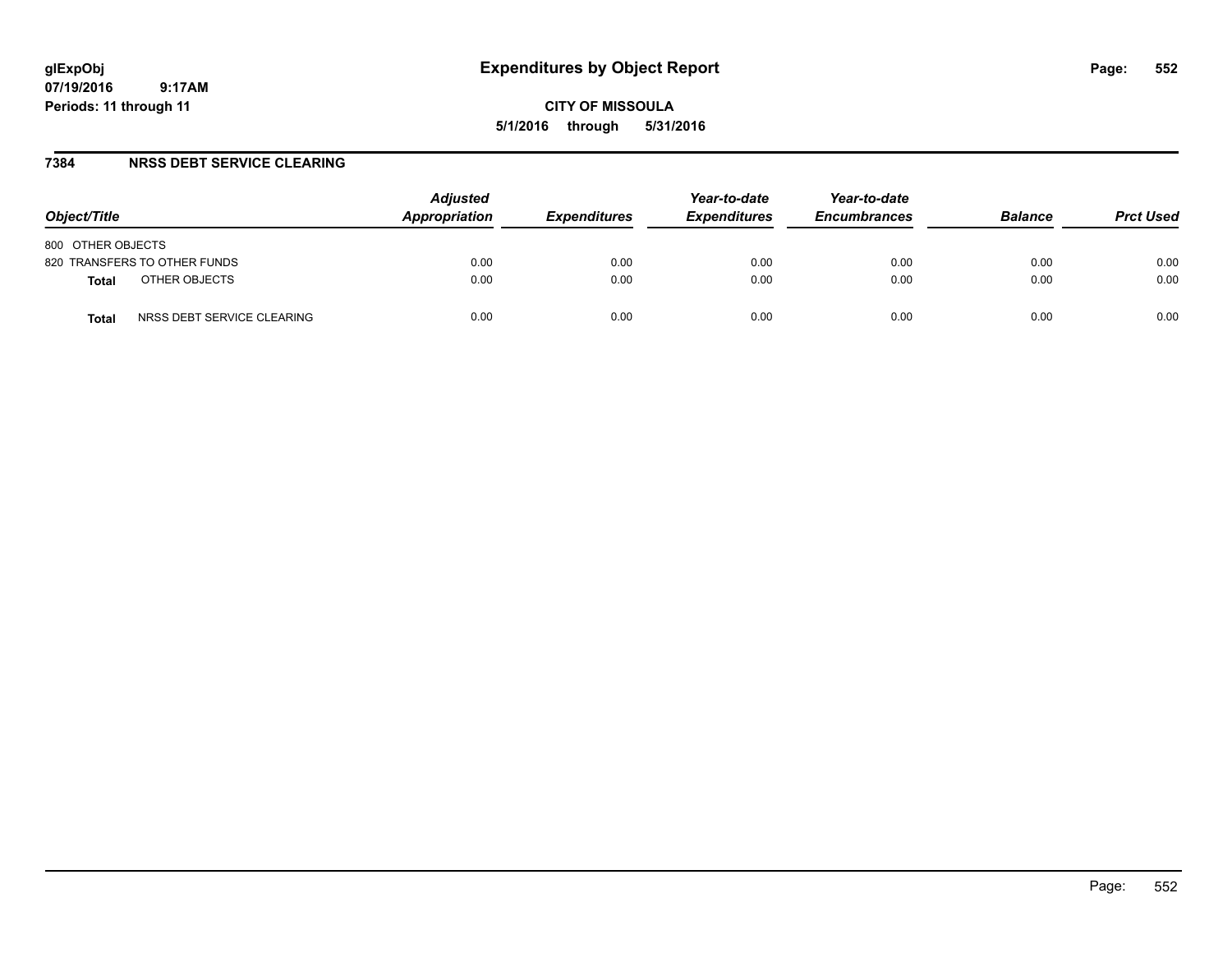**CITY OF MISSOULA 5/1/2016 through 5/31/2016**

## **7384 NRSS DEBT SERVICE CLEARING**

| Object/Title                        | <b>Adjusted</b><br>Appropriation | <b>Expenditures</b> | Year-to-date<br><b>Expenditures</b> | Year-to-date<br><b>Encumbrances</b> | <b>Balance</b> | <b>Prct Used</b> |
|-------------------------------------|----------------------------------|---------------------|-------------------------------------|-------------------------------------|----------------|------------------|
| 800 OTHER OBJECTS                   |                                  |                     |                                     |                                     |                |                  |
| 820 TRANSFERS TO OTHER FUNDS        | 0.00                             | 0.00                | 0.00                                | 0.00                                | 0.00           | 0.00             |
| OTHER OBJECTS<br><b>Total</b>       | 0.00                             | 0.00                | 0.00                                | 0.00                                | 0.00           | 0.00             |
| NRSS DEBT SERVICE CLEARING<br>Total | 0.00                             | 0.00                | 0.00                                | 0.00                                | 0.00           | 0.00             |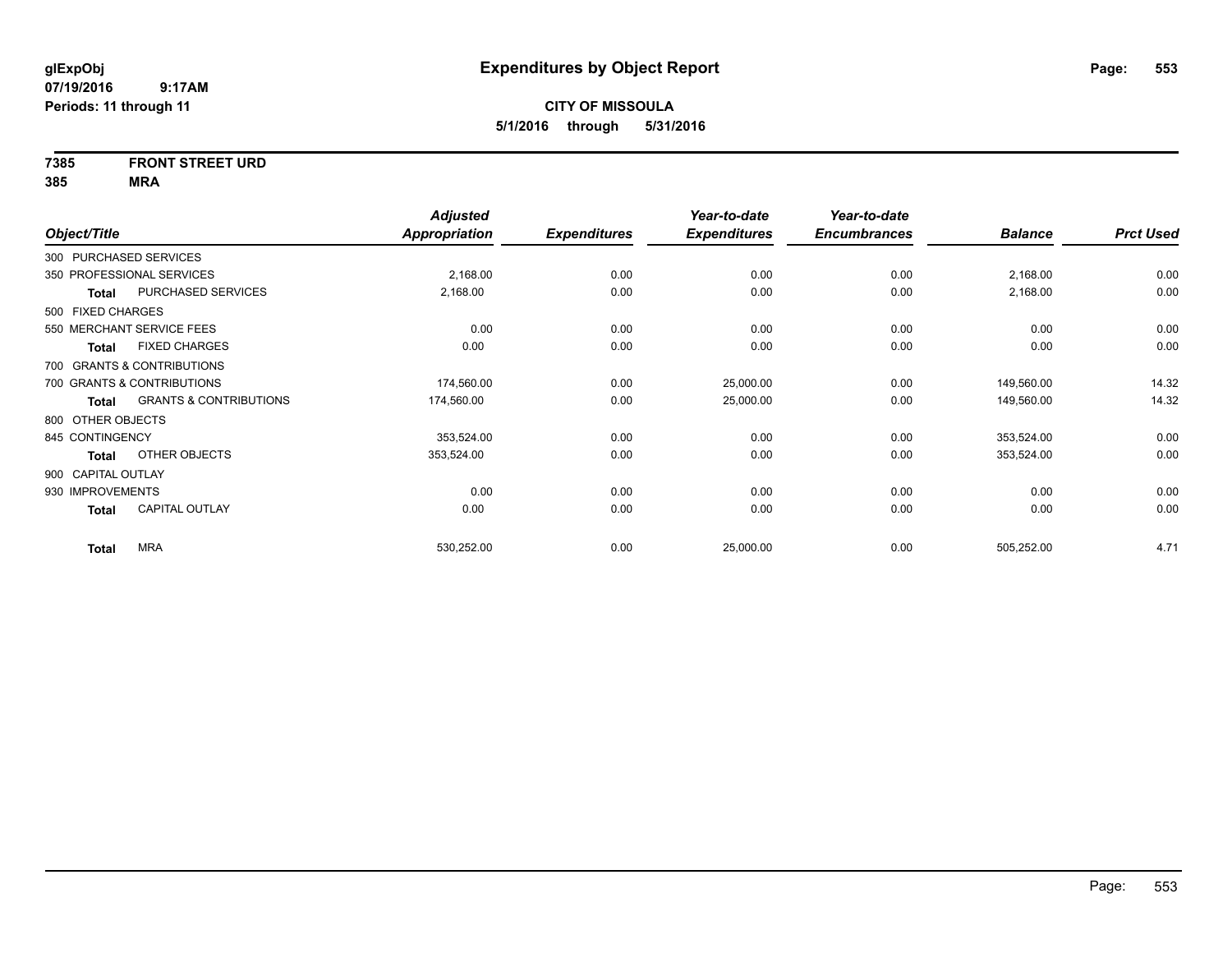# **7385 FRONT STREET URD**

|                    |                                   | <b>Adjusted</b>      |                     | Year-to-date        | Year-to-date        |                |                  |
|--------------------|-----------------------------------|----------------------|---------------------|---------------------|---------------------|----------------|------------------|
| Object/Title       |                                   | <b>Appropriation</b> | <b>Expenditures</b> | <b>Expenditures</b> | <b>Encumbrances</b> | <b>Balance</b> | <b>Prct Used</b> |
|                    | 300 PURCHASED SERVICES            |                      |                     |                     |                     |                |                  |
|                    | 350 PROFESSIONAL SERVICES         | 2,168.00             | 0.00                | 0.00                | 0.00                | 2,168.00       | 0.00             |
| Total              | PURCHASED SERVICES                | 2,168.00             | 0.00                | 0.00                | 0.00                | 2,168.00       | 0.00             |
| 500 FIXED CHARGES  |                                   |                      |                     |                     |                     |                |                  |
|                    | 550 MERCHANT SERVICE FEES         | 0.00                 | 0.00                | 0.00                | 0.00                | 0.00           | 0.00             |
| <b>Total</b>       | <b>FIXED CHARGES</b>              | 0.00                 | 0.00                | 0.00                | 0.00                | 0.00           | 0.00             |
|                    | 700 GRANTS & CONTRIBUTIONS        |                      |                     |                     |                     |                |                  |
|                    | 700 GRANTS & CONTRIBUTIONS        | 174,560.00           | 0.00                | 25,000.00           | 0.00                | 149,560.00     | 14.32            |
| Total              | <b>GRANTS &amp; CONTRIBUTIONS</b> | 174,560.00           | 0.00                | 25,000.00           | 0.00                | 149,560.00     | 14.32            |
| 800 OTHER OBJECTS  |                                   |                      |                     |                     |                     |                |                  |
| 845 CONTINGENCY    |                                   | 353,524.00           | 0.00                | 0.00                | 0.00                | 353,524.00     | 0.00             |
| Total              | OTHER OBJECTS                     | 353,524.00           | 0.00                | 0.00                | 0.00                | 353,524.00     | 0.00             |
| 900 CAPITAL OUTLAY |                                   |                      |                     |                     |                     |                |                  |
| 930 IMPROVEMENTS   |                                   | 0.00                 | 0.00                | 0.00                | 0.00                | 0.00           | 0.00             |
| <b>Total</b>       | <b>CAPITAL OUTLAY</b>             | 0.00                 | 0.00                | 0.00                | 0.00                | 0.00           | 0.00             |
| <b>Total</b>       | <b>MRA</b>                        | 530,252.00           | 0.00                | 25,000.00           | 0.00                | 505,252.00     | 4.71             |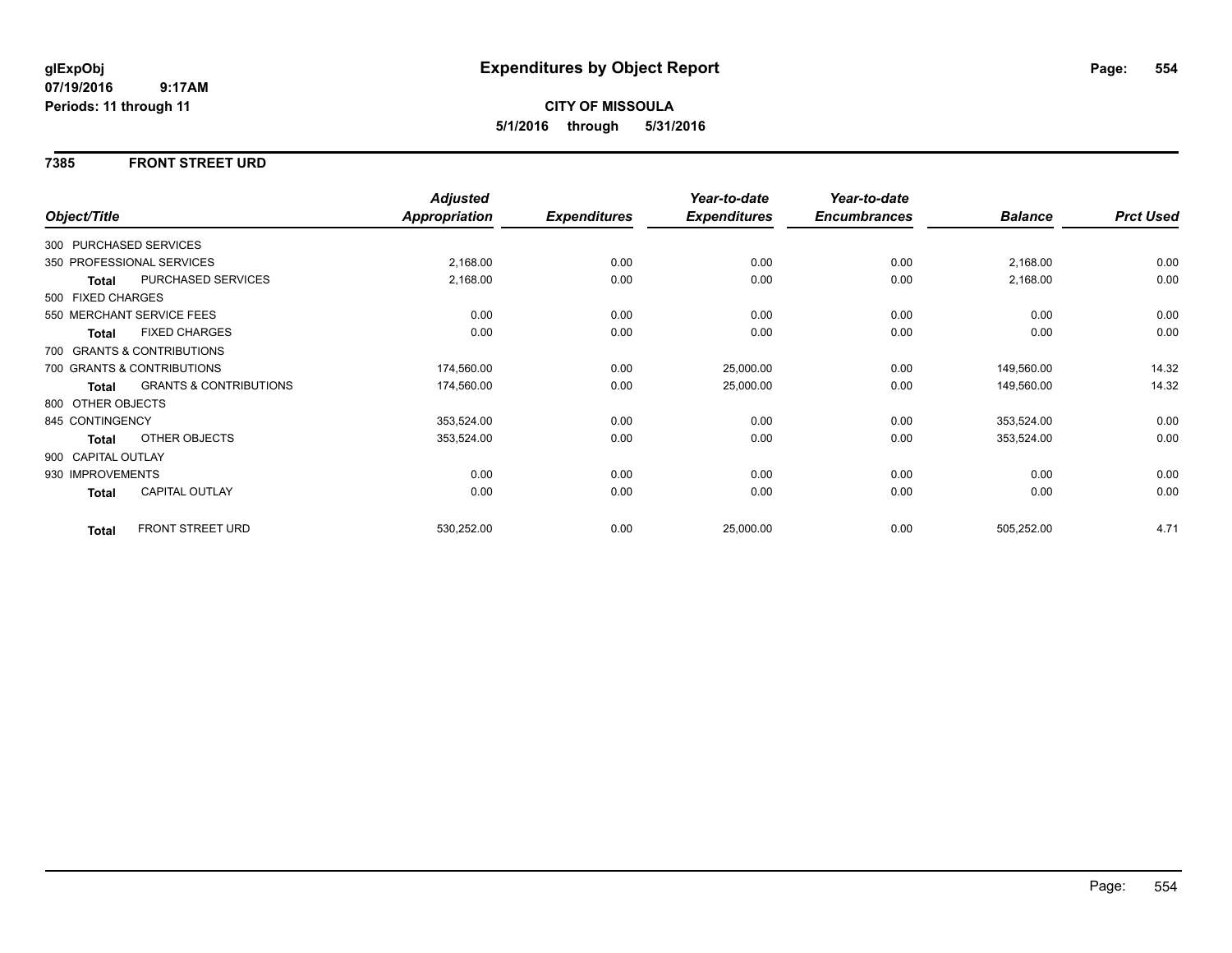## **7385 FRONT STREET URD**

|                        |                                   | <b>Adjusted</b> |                     | Year-to-date        | Year-to-date        |                |                  |
|------------------------|-----------------------------------|-----------------|---------------------|---------------------|---------------------|----------------|------------------|
| Object/Title           |                                   | Appropriation   | <b>Expenditures</b> | <b>Expenditures</b> | <b>Encumbrances</b> | <b>Balance</b> | <b>Prct Used</b> |
| 300 PURCHASED SERVICES |                                   |                 |                     |                     |                     |                |                  |
|                        | 350 PROFESSIONAL SERVICES         | 2,168.00        | 0.00                | 0.00                | 0.00                | 2,168.00       | 0.00             |
| Total                  | PURCHASED SERVICES                | 2,168.00        | 0.00                | 0.00                | 0.00                | 2,168.00       | 0.00             |
| 500 FIXED CHARGES      |                                   |                 |                     |                     |                     |                |                  |
|                        | 550 MERCHANT SERVICE FEES         | 0.00            | 0.00                | 0.00                | 0.00                | 0.00           | 0.00             |
| <b>Total</b>           | <b>FIXED CHARGES</b>              | 0.00            | 0.00                | 0.00                | 0.00                | 0.00           | 0.00             |
|                        | 700 GRANTS & CONTRIBUTIONS        |                 |                     |                     |                     |                |                  |
|                        | 700 GRANTS & CONTRIBUTIONS        | 174,560.00      | 0.00                | 25,000.00           | 0.00                | 149,560.00     | 14.32            |
| Total                  | <b>GRANTS &amp; CONTRIBUTIONS</b> | 174,560.00      | 0.00                | 25,000.00           | 0.00                | 149,560.00     | 14.32            |
| 800 OTHER OBJECTS      |                                   |                 |                     |                     |                     |                |                  |
| 845 CONTINGENCY        |                                   | 353,524.00      | 0.00                | 0.00                | 0.00                | 353,524.00     | 0.00             |
| <b>Total</b>           | OTHER OBJECTS                     | 353,524.00      | 0.00                | 0.00                | 0.00                | 353,524.00     | 0.00             |
| 900 CAPITAL OUTLAY     |                                   |                 |                     |                     |                     |                |                  |
| 930 IMPROVEMENTS       |                                   | 0.00            | 0.00                | 0.00                | 0.00                | 0.00           | 0.00             |
| Total                  | CAPITAL OUTLAY                    | 0.00            | 0.00                | 0.00                | 0.00                | 0.00           | 0.00             |
| <b>Total</b>           | FRONT STREET URD                  | 530,252.00      | 0.00                | 25,000.00           | 0.00                | 505,252.00     | 4.71             |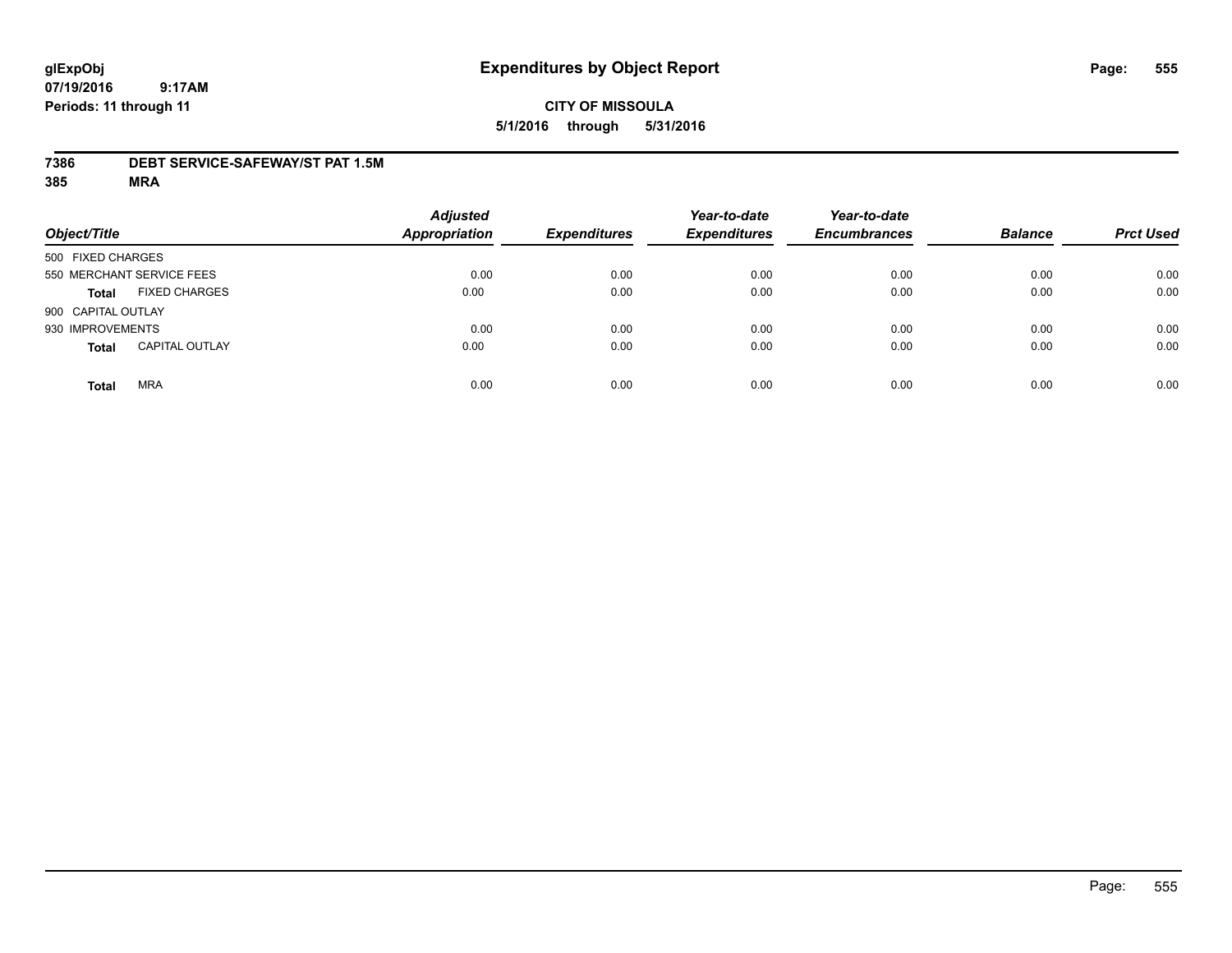## **CITY OF MISSOULA 5/1/2016 through 5/31/2016**

## **7386 DEBT SERVICE-SAFEWAY/ST PAT 1.5M**

| Object/Title               |                       | <b>Adjusted</b><br><b>Appropriation</b> | <b>Expenditures</b> | Year-to-date<br><b>Expenditures</b> | Year-to-date<br><b>Encumbrances</b> | <b>Balance</b> | <b>Prct Used</b> |
|----------------------------|-----------------------|-----------------------------------------|---------------------|-------------------------------------|-------------------------------------|----------------|------------------|
| 500 FIXED CHARGES          |                       |                                         |                     |                                     |                                     |                |                  |
| 550 MERCHANT SERVICE FEES  |                       | 0.00                                    | 0.00                | 0.00                                | 0.00                                | 0.00           | 0.00             |
| <b>Total</b>               | <b>FIXED CHARGES</b>  | 0.00                                    | 0.00                | 0.00                                | 0.00                                | 0.00           | 0.00             |
| 900 CAPITAL OUTLAY         |                       |                                         |                     |                                     |                                     |                |                  |
| 930 IMPROVEMENTS           |                       | 0.00                                    | 0.00                | 0.00                                | 0.00                                | 0.00           | 0.00             |
| <b>Total</b>               | <b>CAPITAL OUTLAY</b> | 0.00                                    | 0.00                | 0.00                                | 0.00                                | 0.00           | 0.00             |
| <b>MRA</b><br><b>Total</b> |                       | 0.00                                    | 0.00                | 0.00                                | 0.00                                | 0.00           | 0.00             |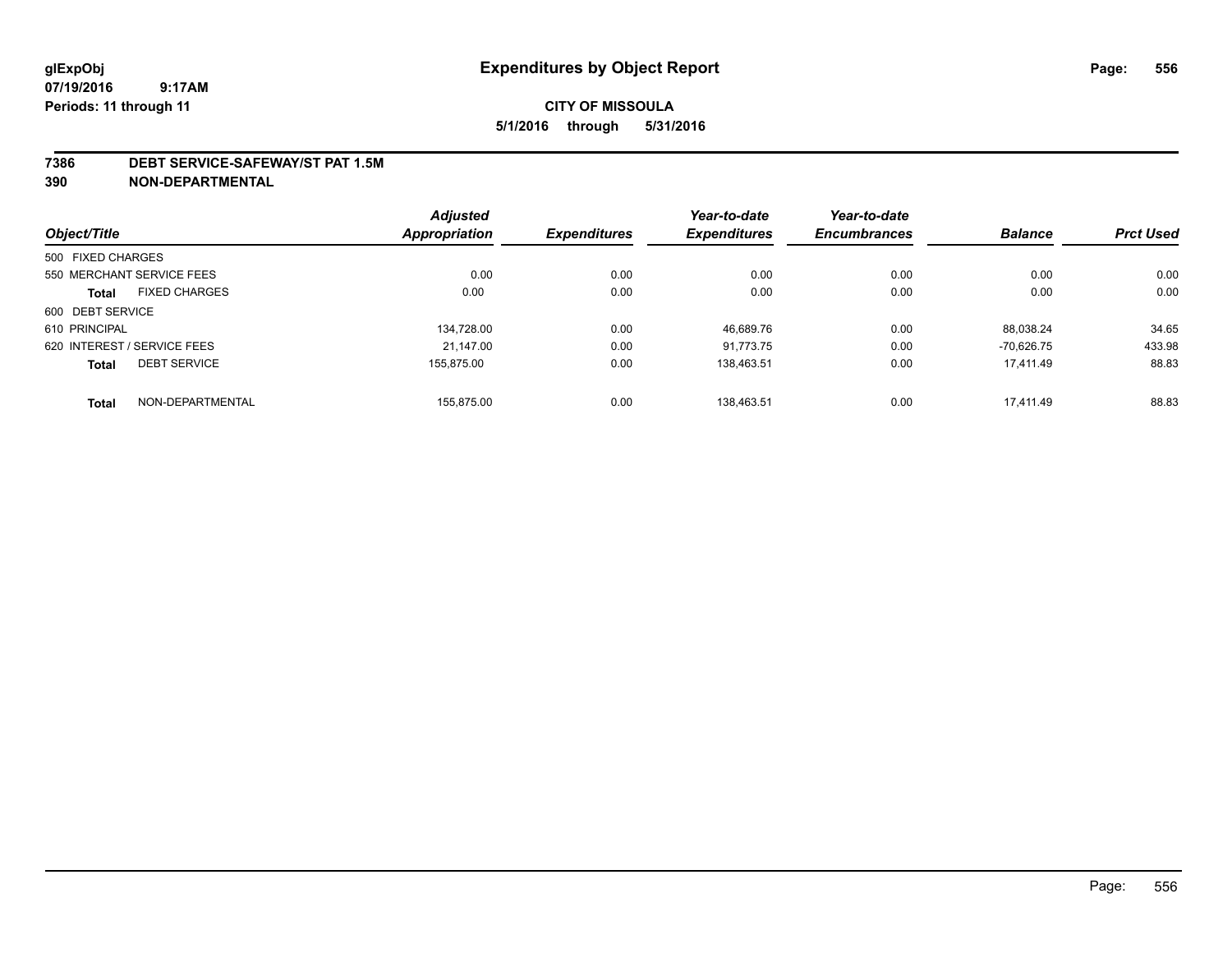### **7386 DEBT SERVICE-SAFEWAY/ST PAT 1.5M**

**390 NON-DEPARTMENTAL**

|                                     | <b>Adjusted</b>      |                     | Year-to-date        | Year-to-date        |                |                  |
|-------------------------------------|----------------------|---------------------|---------------------|---------------------|----------------|------------------|
| Object/Title                        | <b>Appropriation</b> | <b>Expenditures</b> | <b>Expenditures</b> | <b>Encumbrances</b> | <b>Balance</b> | <b>Prct Used</b> |
| 500 FIXED CHARGES                   |                      |                     |                     |                     |                |                  |
| 550 MERCHANT SERVICE FEES           | 0.00                 | 0.00                | 0.00                | 0.00                | 0.00           | 0.00             |
| <b>FIXED CHARGES</b><br>Total       | 0.00                 | 0.00                | 0.00                | 0.00                | 0.00           | 0.00             |
| 600 DEBT SERVICE                    |                      |                     |                     |                     |                |                  |
| 610 PRINCIPAL                       | 134,728.00           | 0.00                | 46.689.76           | 0.00                | 88.038.24      | 34.65            |
| 620 INTEREST / SERVICE FEES         | 21.147.00            | 0.00                | 91.773.75           | 0.00                | $-70.626.75$   | 433.98           |
| <b>DEBT SERVICE</b><br><b>Total</b> | 155.875.00           | 0.00                | 138.463.51          | 0.00                | 17.411.49      | 88.83            |
| NON-DEPARTMENTAL<br><b>Total</b>    | 155.875.00           | 0.00                | 138.463.51          | 0.00                | 17.411.49      | 88.83            |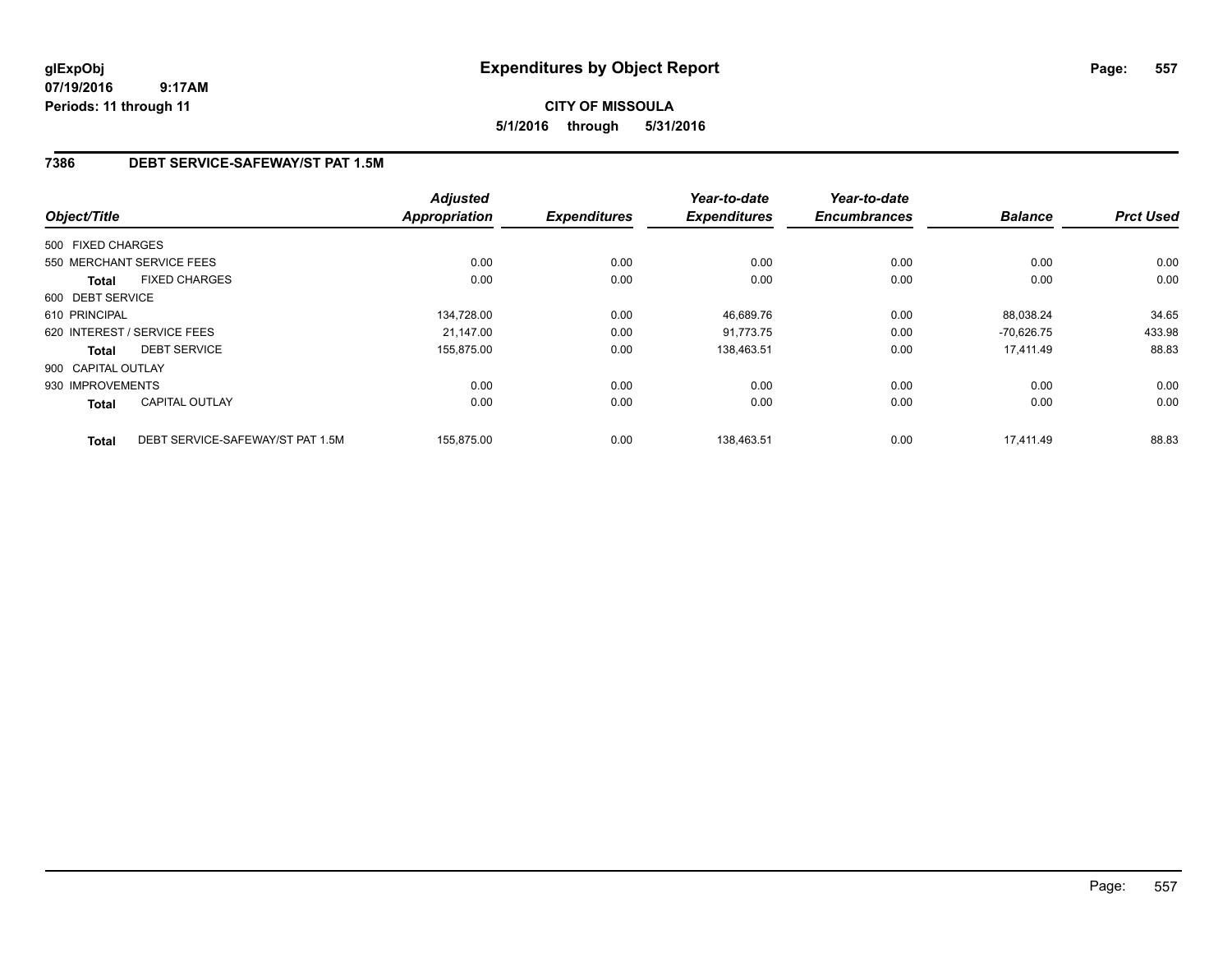## **CITY OF MISSOULA 5/1/2016 through 5/31/2016**

## **7386 DEBT SERVICE-SAFEWAY/ST PAT 1.5M**

|                    |                                  | <b>Adjusted</b> |                     | Year-to-date        | Year-to-date        |                |                  |
|--------------------|----------------------------------|-----------------|---------------------|---------------------|---------------------|----------------|------------------|
| Object/Title       |                                  | Appropriation   | <b>Expenditures</b> | <b>Expenditures</b> | <b>Encumbrances</b> | <b>Balance</b> | <b>Prct Used</b> |
| 500 FIXED CHARGES  |                                  |                 |                     |                     |                     |                |                  |
|                    | 550 MERCHANT SERVICE FEES        | 0.00            | 0.00                | 0.00                | 0.00                | 0.00           | 0.00             |
| Total              | <b>FIXED CHARGES</b>             | 0.00            | 0.00                | 0.00                | 0.00                | 0.00           | 0.00             |
| 600 DEBT SERVICE   |                                  |                 |                     |                     |                     |                |                  |
| 610 PRINCIPAL      |                                  | 134,728.00      | 0.00                | 46,689.76           | 0.00                | 88.038.24      | 34.65            |
|                    | 620 INTEREST / SERVICE FEES      | 21.147.00       | 0.00                | 91.773.75           | 0.00                | $-70.626.75$   | 433.98           |
| Total              | <b>DEBT SERVICE</b>              | 155,875.00      | 0.00                | 138.463.51          | 0.00                | 17,411.49      | 88.83            |
| 900 CAPITAL OUTLAY |                                  |                 |                     |                     |                     |                |                  |
| 930 IMPROVEMENTS   |                                  | 0.00            | 0.00                | 0.00                | 0.00                | 0.00           | 0.00             |
| Total              | <b>CAPITAL OUTLAY</b>            | 0.00            | 0.00                | 0.00                | 0.00                | 0.00           | 0.00             |
| <b>Total</b>       | DEBT SERVICE-SAFEWAY/ST PAT 1.5M | 155,875.00      | 0.00                | 138,463.51          | 0.00                | 17,411.49      | 88.83            |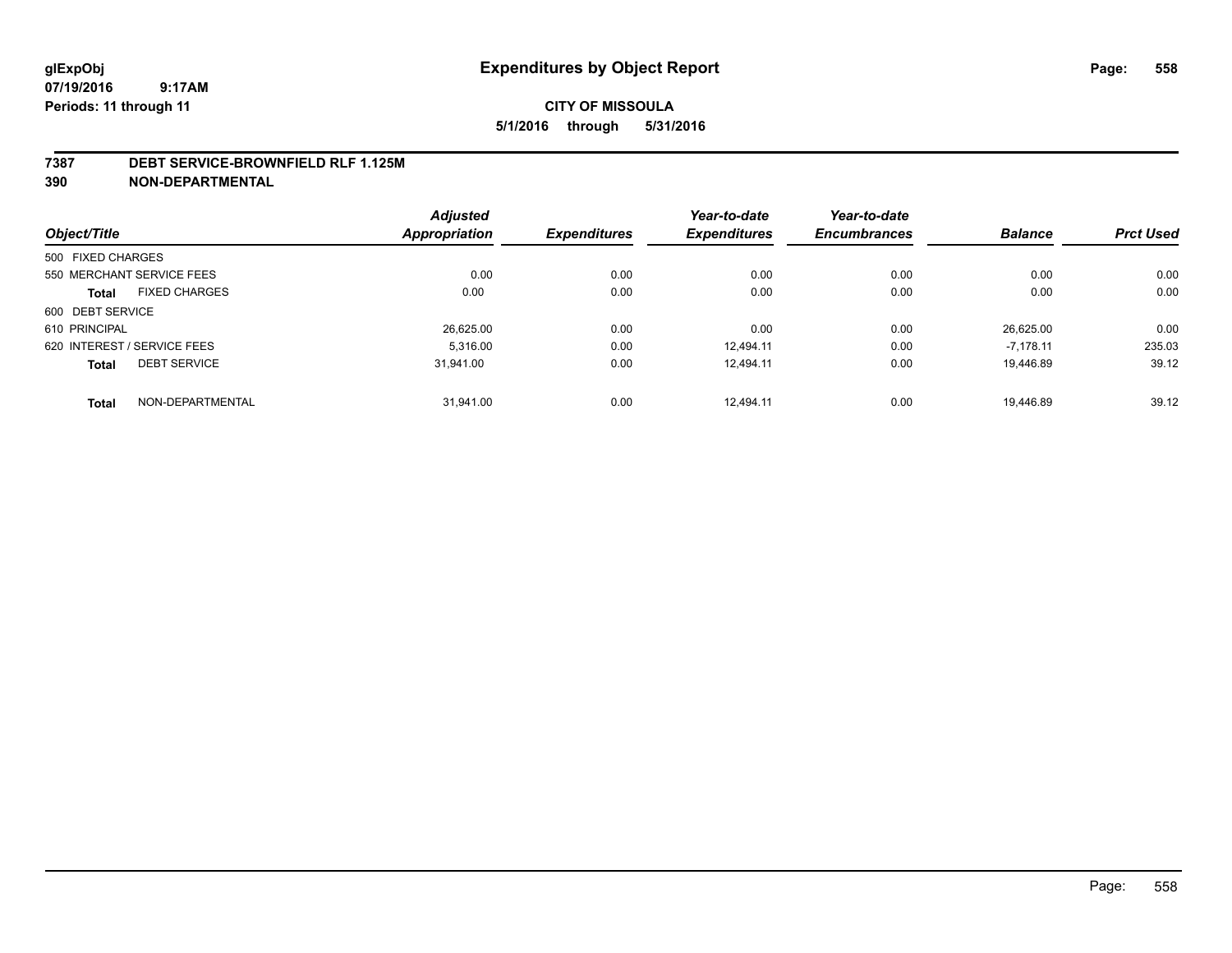#### **7387 DEBT SERVICE-BROWNFIELD RLF 1.125M**

**390 NON-DEPARTMENTAL**

|                                     | <b>Adjusted</b> |                     | Year-to-date        | Year-to-date        |                |                  |
|-------------------------------------|-----------------|---------------------|---------------------|---------------------|----------------|------------------|
| Object/Title                        | Appropriation   | <b>Expenditures</b> | <b>Expenditures</b> | <b>Encumbrances</b> | <b>Balance</b> | <b>Prct Used</b> |
| 500 FIXED CHARGES                   |                 |                     |                     |                     |                |                  |
| 550 MERCHANT SERVICE FEES           | 0.00            | 0.00                | 0.00                | 0.00                | 0.00           | 0.00             |
| <b>FIXED CHARGES</b><br>Total       | 0.00            | 0.00                | 0.00                | 0.00                | 0.00           | 0.00             |
| 600 DEBT SERVICE                    |                 |                     |                     |                     |                |                  |
| 610 PRINCIPAL                       | 26.625.00       | 0.00                | 0.00                | 0.00                | 26.625.00      | 0.00             |
| 620 INTEREST / SERVICE FEES         | 5.316.00        | 0.00                | 12.494.11           | 0.00                | $-7.178.11$    | 235.03           |
| <b>DEBT SERVICE</b><br><b>Total</b> | 31.941.00       | 0.00                | 12.494.11           | 0.00                | 19.446.89      | 39.12            |
| NON-DEPARTMENTAL<br><b>Total</b>    | 31.941.00       | 0.00                | 12.494.11           | 0.00                | 19.446.89      | 39.12            |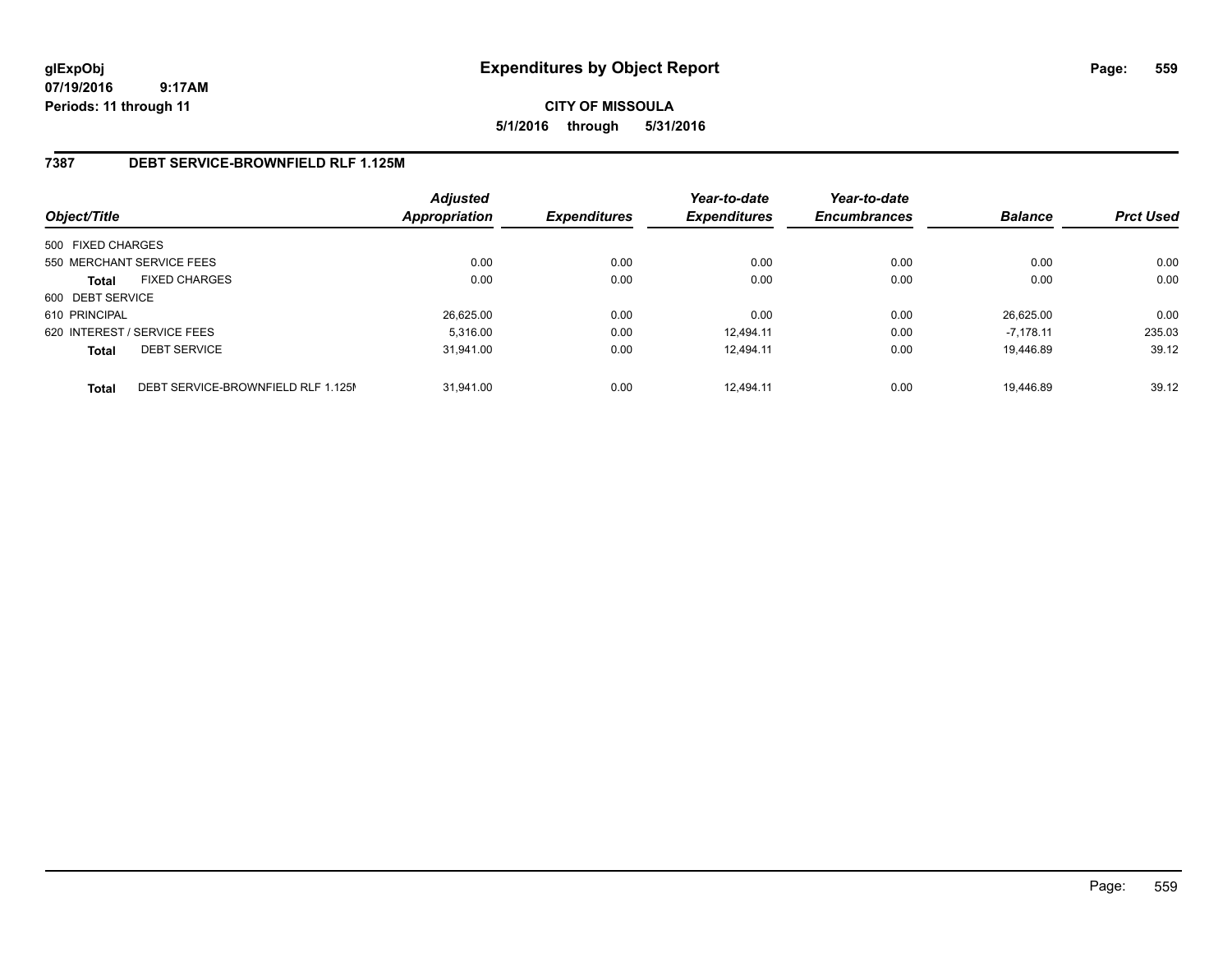**CITY OF MISSOULA 5/1/2016 through 5/31/2016**

## **7387 DEBT SERVICE-BROWNFIELD RLF 1.125M**

| Object/Title                |                                    | <b>Adjusted</b><br><b>Appropriation</b> | <b>Expenditures</b> | Year-to-date<br><b>Expenditures</b> | Year-to-date<br><b>Encumbrances</b> | <b>Balance</b> | <b>Prct Used</b> |
|-----------------------------|------------------------------------|-----------------------------------------|---------------------|-------------------------------------|-------------------------------------|----------------|------------------|
| 500 FIXED CHARGES           |                                    |                                         |                     |                                     |                                     |                |                  |
| 550 MERCHANT SERVICE FEES   |                                    | 0.00                                    | 0.00                | 0.00                                | 0.00                                | 0.00           | 0.00             |
| <b>Total</b>                | <b>FIXED CHARGES</b>               | 0.00                                    | 0.00                | 0.00                                | 0.00                                | 0.00           | 0.00             |
| 600 DEBT SERVICE            |                                    |                                         |                     |                                     |                                     |                |                  |
| 610 PRINCIPAL               |                                    | 26.625.00                               | 0.00                | 0.00                                | 0.00                                | 26.625.00      | 0.00             |
| 620 INTEREST / SERVICE FEES |                                    | 5.316.00                                | 0.00                | 12.494.11                           | 0.00                                | $-7.178.11$    | 235.03           |
| <b>Total</b>                | <b>DEBT SERVICE</b>                | 31,941.00                               | 0.00                | 12.494.11                           | 0.00                                | 19.446.89      | 39.12            |
| <b>Total</b>                | DEBT SERVICE-BROWNFIELD RLF 1.125M | 31.941.00                               | 0.00                | 12.494.11                           | 0.00                                | 19.446.89      | 39.12            |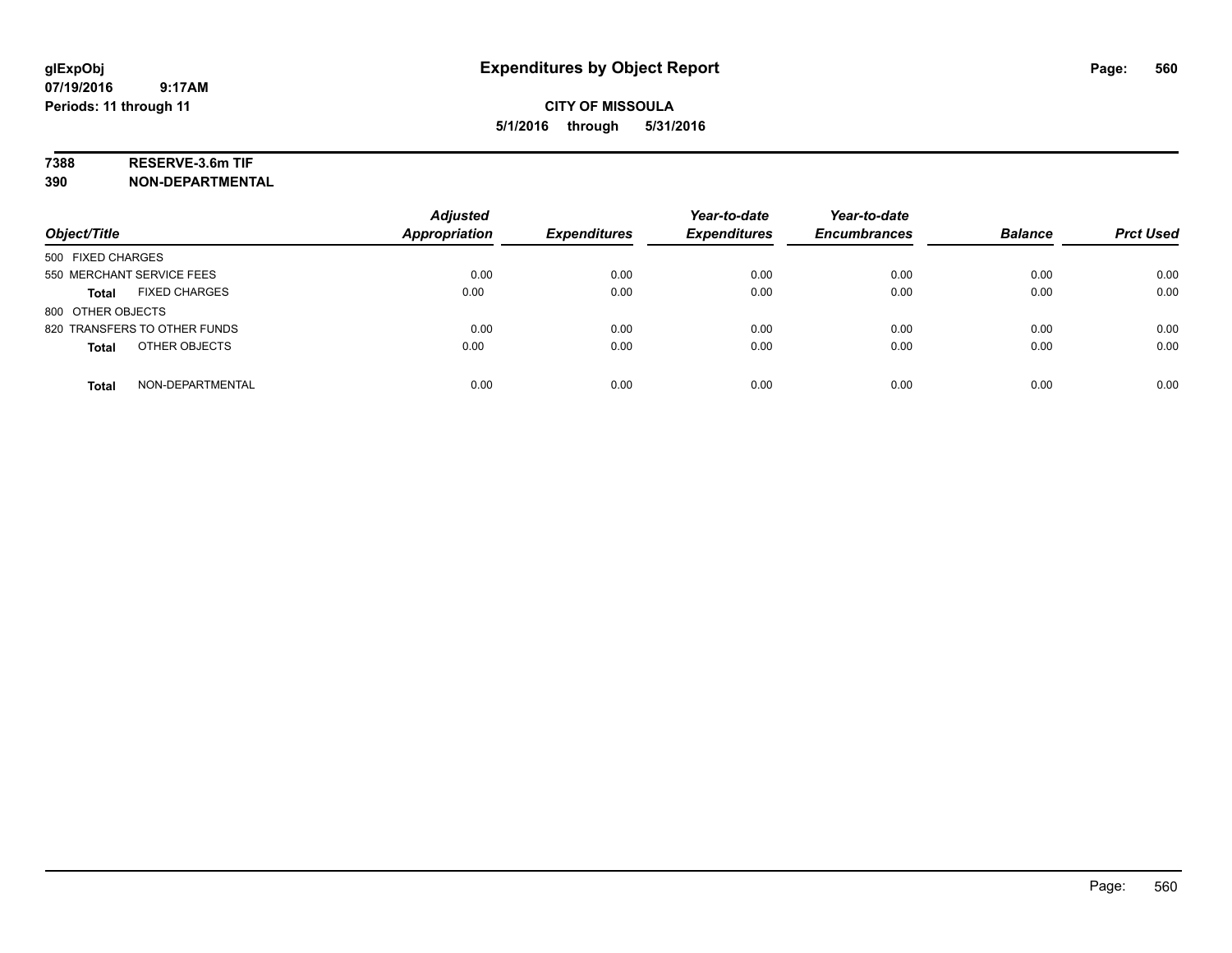## **7388 RESERVE-3.6m TIF**

**390 NON-DEPARTMENTAL**

| Object/Title                     | <b>Adjusted</b><br><b>Appropriation</b> | <b>Expenditures</b> | Year-to-date<br><b>Expenditures</b> | Year-to-date<br><b>Encumbrances</b> | <b>Balance</b> | <b>Prct Used</b> |
|----------------------------------|-----------------------------------------|---------------------|-------------------------------------|-------------------------------------|----------------|------------------|
| 500 FIXED CHARGES                |                                         |                     |                                     |                                     |                |                  |
| 550 MERCHANT SERVICE FEES        | 0.00                                    | 0.00                | 0.00                                | 0.00                                | 0.00           | 0.00             |
| <b>FIXED CHARGES</b><br>Total    | 0.00                                    | 0.00                | 0.00                                | 0.00                                | 0.00           | 0.00             |
| 800 OTHER OBJECTS                |                                         |                     |                                     |                                     |                |                  |
| 820 TRANSFERS TO OTHER FUNDS     | 0.00                                    | 0.00                | 0.00                                | 0.00                                | 0.00           | 0.00             |
| OTHER OBJECTS<br><b>Total</b>    | 0.00                                    | 0.00                | 0.00                                | 0.00                                | 0.00           | 0.00             |
| NON-DEPARTMENTAL<br><b>Total</b> | 0.00                                    | 0.00                | 0.00                                | 0.00                                | 0.00           | 0.00             |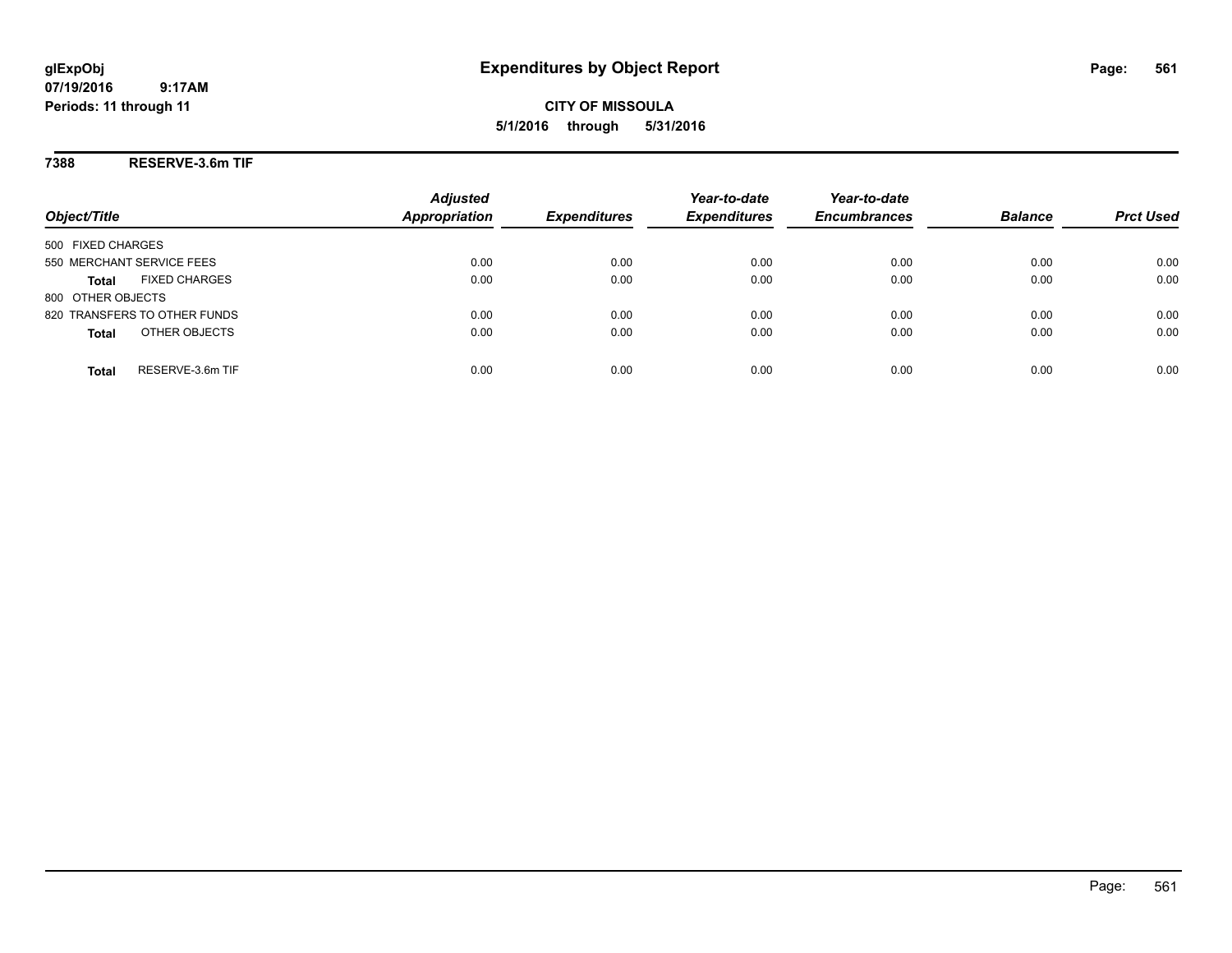**CITY OF MISSOULA 5/1/2016 through 5/31/2016**

**7388 RESERVE-3.6m TIF**

| Object/Title                         | <b>Adjusted</b><br><b>Appropriation</b> | <b>Expenditures</b> | Year-to-date<br><b>Expenditures</b> | Year-to-date<br><b>Encumbrances</b> | <b>Balance</b> | <b>Prct Used</b> |
|--------------------------------------|-----------------------------------------|---------------------|-------------------------------------|-------------------------------------|----------------|------------------|
| 500 FIXED CHARGES                    |                                         |                     |                                     |                                     |                |                  |
| 550 MERCHANT SERVICE FEES            | 0.00                                    | 0.00                | 0.00                                | 0.00                                | 0.00           | 0.00             |
| <b>FIXED CHARGES</b><br><b>Total</b> | 0.00                                    | 0.00                | 0.00                                | 0.00                                | 0.00           | 0.00             |
| 800 OTHER OBJECTS                    |                                         |                     |                                     |                                     |                |                  |
| 820 TRANSFERS TO OTHER FUNDS         | 0.00                                    | 0.00                | 0.00                                | 0.00                                | 0.00           | 0.00             |
| OTHER OBJECTS<br><b>Total</b>        | 0.00                                    | 0.00                | 0.00                                | 0.00                                | 0.00           | 0.00             |
| RESERVE-3.6m TIF<br>Total            | 0.00                                    | 0.00                | 0.00                                | 0.00                                | 0.00           | 0.00             |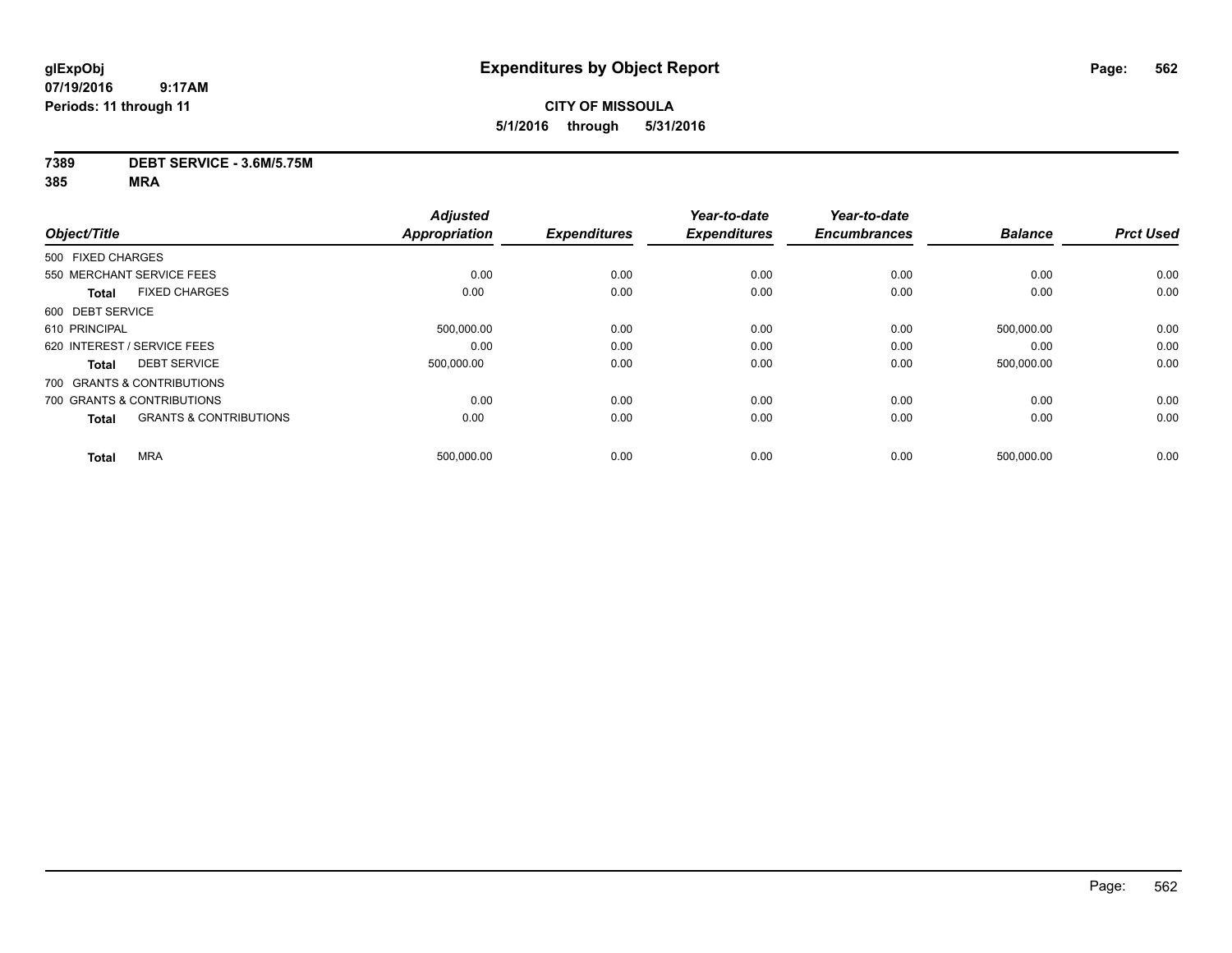## **CITY OF MISSOULA 5/1/2016 through 5/31/2016**

## **7389 DEBT SERVICE - 3.6M/5.75M**

|                                   | <b>Adjusted</b> |                                    | Year-to-date                | Year-to-date                |                             |                              |
|-----------------------------------|-----------------|------------------------------------|-----------------------------|-----------------------------|-----------------------------|------------------------------|
|                                   |                 |                                    |                             |                             |                             | <b>Prct Used</b>             |
| 500 FIXED CHARGES                 |                 |                                    |                             |                             |                             |                              |
| 550 MERCHANT SERVICE FEES         | 0.00            | 0.00                               | 0.00                        | 0.00                        | 0.00                        | 0.00                         |
| <b>FIXED CHARGES</b>              | 0.00            | 0.00                               | 0.00                        | 0.00                        | 0.00                        | 0.00                         |
|                                   |                 |                                    |                             |                             |                             |                              |
|                                   | 500,000.00      | 0.00                               | 0.00                        | 0.00                        | 500,000.00                  | 0.00                         |
| 620 INTEREST / SERVICE FEES       | 0.00            | 0.00                               | 0.00                        | 0.00                        | 0.00                        | 0.00                         |
| <b>DEBT SERVICE</b>               | 500.000.00      | 0.00                               | 0.00                        | 0.00                        | 500.000.00                  | 0.00                         |
| 700 GRANTS & CONTRIBUTIONS        |                 |                                    |                             |                             |                             |                              |
| 700 GRANTS & CONTRIBUTIONS        | 0.00            | 0.00                               | 0.00                        | 0.00                        | 0.00                        | 0.00                         |
| <b>GRANTS &amp; CONTRIBUTIONS</b> | 0.00            | 0.00                               | 0.00                        | 0.00                        | 0.00                        | 0.00                         |
| <b>MRA</b>                        |                 |                                    |                             |                             |                             | 0.00                         |
|                                   |                 | <b>Appropriation</b><br>500,000.00 | <b>Expenditures</b><br>0.00 | <b>Expenditures</b><br>0.00 | <b>Encumbrances</b><br>0.00 | <b>Balance</b><br>500,000.00 |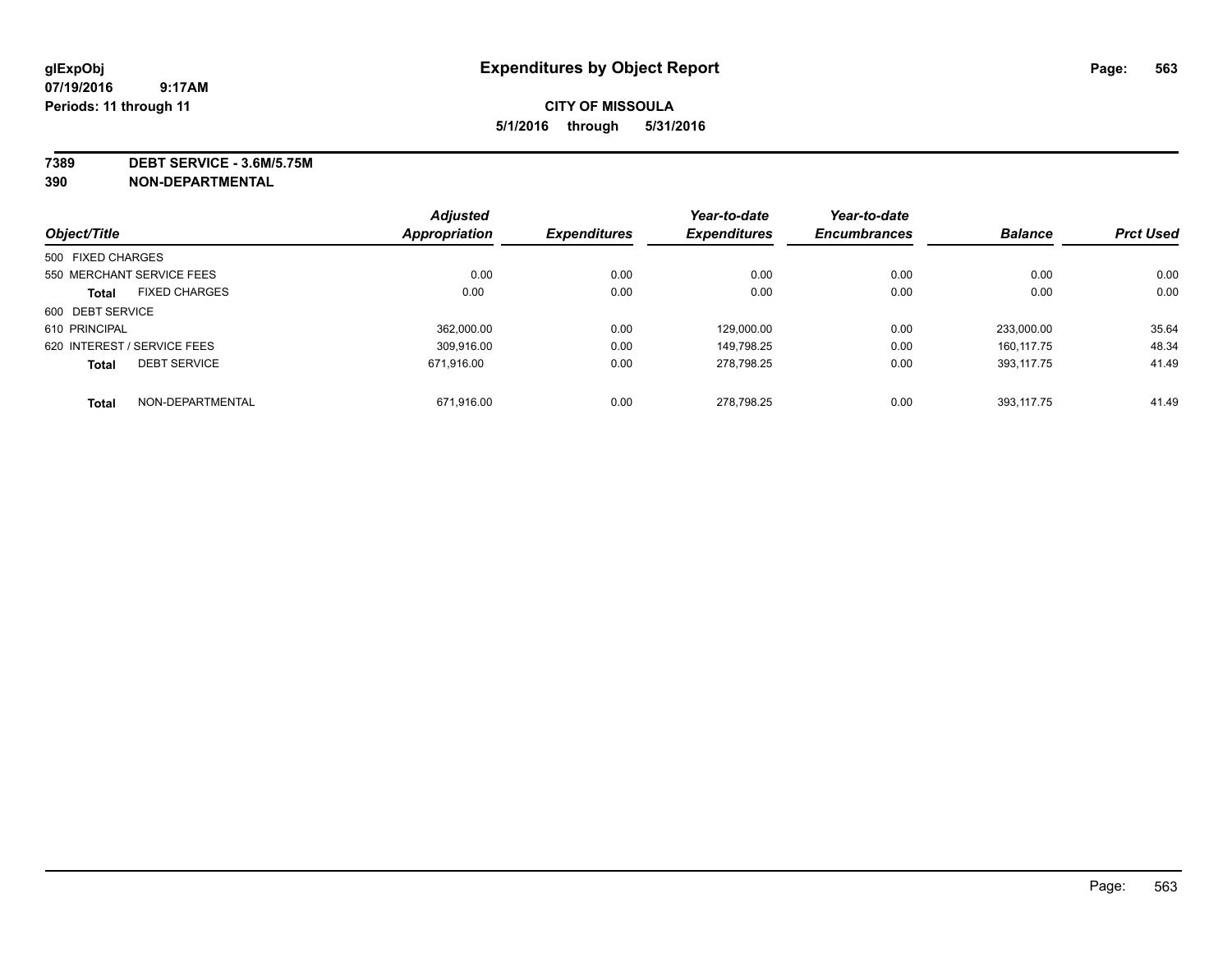## **CITY OF MISSOULA 5/1/2016 through 5/31/2016**

**7389 DEBT SERVICE - 3.6M/5.75M**

**390 NON-DEPARTMENTAL**

|                             |                      | <b>Adjusted</b> |                     | Year-to-date        | Year-to-date        |                |                  |
|-----------------------------|----------------------|-----------------|---------------------|---------------------|---------------------|----------------|------------------|
| Object/Title                |                      | Appropriation   | <b>Expenditures</b> | <b>Expenditures</b> | <b>Encumbrances</b> | <b>Balance</b> | <b>Prct Used</b> |
| 500 FIXED CHARGES           |                      |                 |                     |                     |                     |                |                  |
| 550 MERCHANT SERVICE FEES   |                      | 0.00            | 0.00                | 0.00                | 0.00                | 0.00           | 0.00             |
| <b>Total</b>                | <b>FIXED CHARGES</b> | 0.00            | 0.00                | 0.00                | 0.00                | 0.00           | 0.00             |
| 600 DEBT SERVICE            |                      |                 |                     |                     |                     |                |                  |
| 610 PRINCIPAL               |                      | 362.000.00      | 0.00                | 129.000.00          | 0.00                | 233.000.00     | 35.64            |
| 620 INTEREST / SERVICE FEES |                      | 309.916.00      | 0.00                | 149.798.25          | 0.00                | 160.117.75     | 48.34            |
| <b>Total</b>                | <b>DEBT SERVICE</b>  | 671.916.00      | 0.00                | 278,798.25          | 0.00                | 393.117.75     | 41.49            |
| <b>Total</b>                | NON-DEPARTMENTAL     | 671.916.00      | 0.00                | 278.798.25          | 0.00                | 393.117.75     | 41.49            |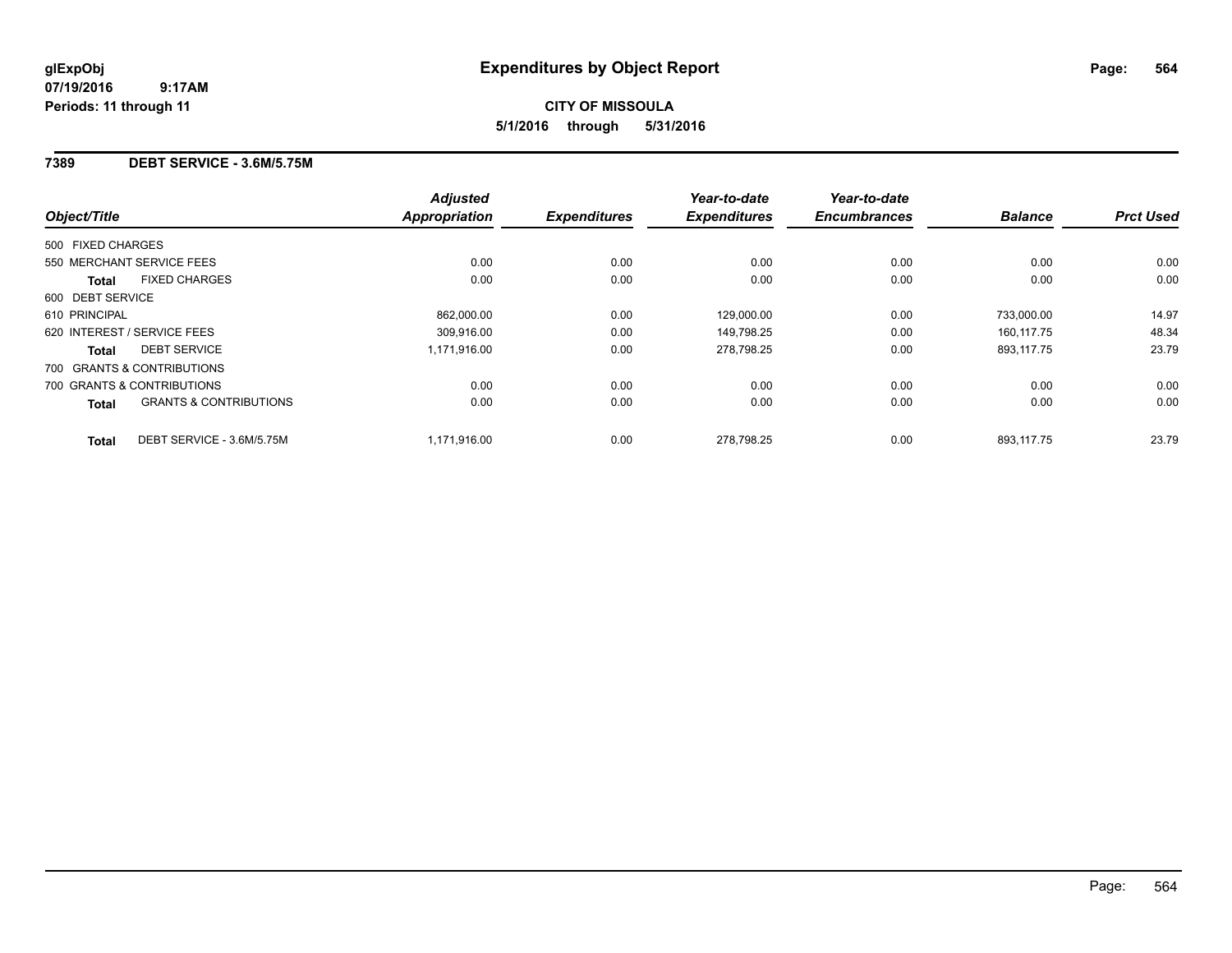## **7389 DEBT SERVICE - 3.6M/5.75M**

| Object/Title                                      | <b>Adjusted</b><br><b>Appropriation</b> | <b>Expenditures</b> | Year-to-date<br><b>Expenditures</b> | Year-to-date<br><b>Encumbrances</b> | <b>Balance</b> | <b>Prct Used</b> |
|---------------------------------------------------|-----------------------------------------|---------------------|-------------------------------------|-------------------------------------|----------------|------------------|
| 500 FIXED CHARGES                                 |                                         |                     |                                     |                                     |                |                  |
| 550 MERCHANT SERVICE FEES                         | 0.00                                    | 0.00                | 0.00                                | 0.00                                | 0.00           | 0.00             |
| <b>FIXED CHARGES</b><br><b>Total</b>              | 0.00                                    | 0.00                | 0.00                                | 0.00                                | 0.00           | 0.00             |
| 600 DEBT SERVICE                                  |                                         |                     |                                     |                                     |                |                  |
| 610 PRINCIPAL                                     | 862,000.00                              | 0.00                | 129,000.00                          | 0.00                                | 733,000.00     | 14.97            |
| 620 INTEREST / SERVICE FEES                       | 309.916.00                              | 0.00                | 149,798.25                          | 0.00                                | 160.117.75     | 48.34            |
| <b>DEBT SERVICE</b><br><b>Total</b>               | 1,171,916.00                            | 0.00                | 278.798.25                          | 0.00                                | 893.117.75     | 23.79            |
| 700 GRANTS & CONTRIBUTIONS                        |                                         |                     |                                     |                                     |                |                  |
| 700 GRANTS & CONTRIBUTIONS                        | 0.00                                    | 0.00                | 0.00                                | 0.00                                | 0.00           | 0.00             |
| <b>GRANTS &amp; CONTRIBUTIONS</b><br><b>Total</b> | 0.00                                    | 0.00                | 0.00                                | 0.00                                | 0.00           | 0.00             |
| DEBT SERVICE - 3.6M/5.75M<br><b>Total</b>         | 1,171,916.00                            | 0.00                | 278,798.25                          | 0.00                                | 893,117.75     | 23.79            |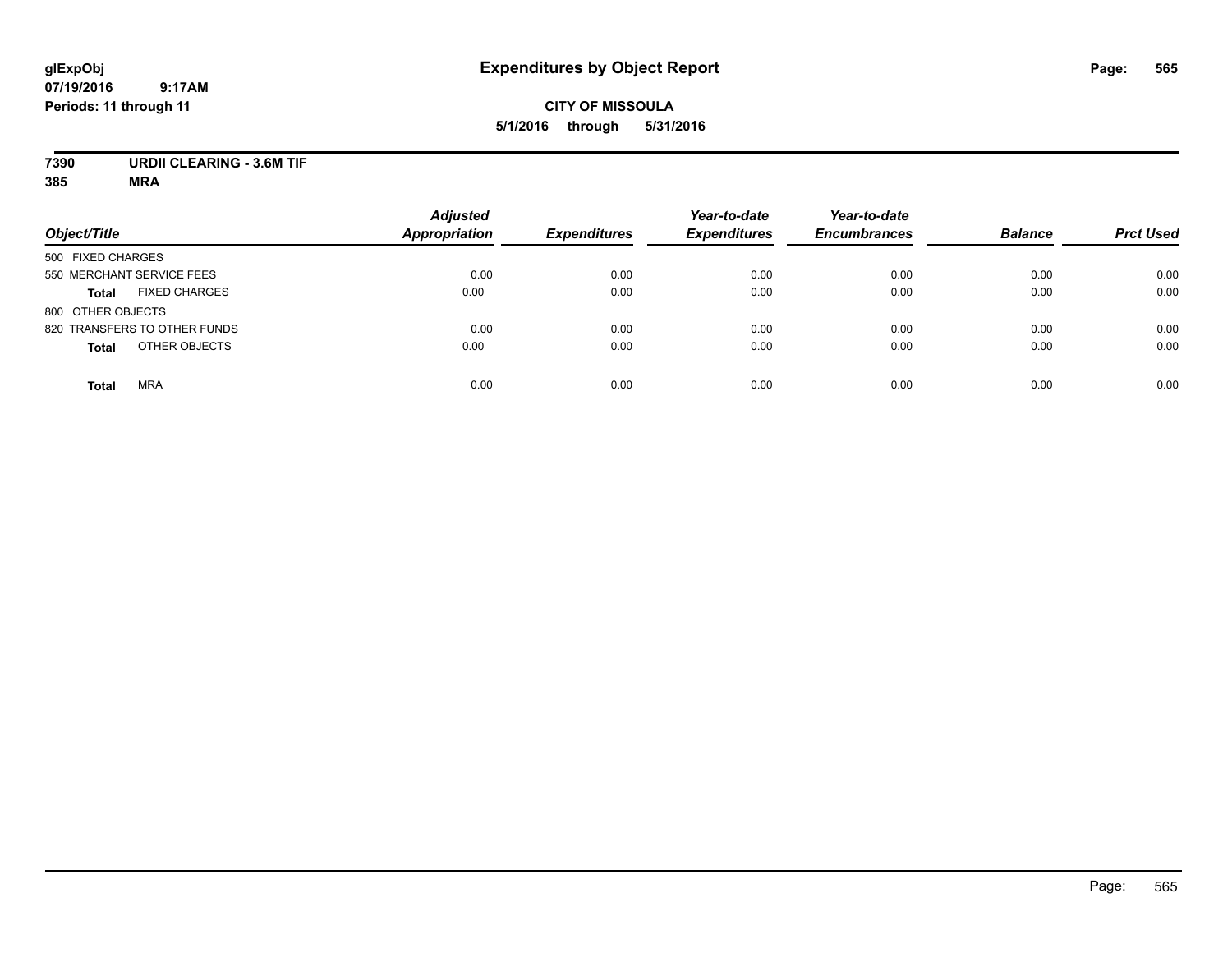## **CITY OF MISSOULA 5/1/2016 through 5/31/2016**

## **7390 URDII CLEARING - 3.6M TIF**

| Object/Title                         | <b>Adjusted</b><br><b>Appropriation</b> | <b>Expenditures</b> | Year-to-date<br><b>Expenditures</b> | Year-to-date<br><b>Encumbrances</b> | <b>Balance</b> | <b>Prct Used</b> |
|--------------------------------------|-----------------------------------------|---------------------|-------------------------------------|-------------------------------------|----------------|------------------|
| 500 FIXED CHARGES                    |                                         |                     |                                     |                                     |                |                  |
| 550 MERCHANT SERVICE FEES            | 0.00                                    | 0.00                | 0.00                                | 0.00                                | 0.00           | 0.00             |
| <b>FIXED CHARGES</b><br><b>Total</b> | 0.00                                    | 0.00                | 0.00                                | 0.00                                | 0.00           | 0.00             |
| 800 OTHER OBJECTS                    |                                         |                     |                                     |                                     |                |                  |
| 820 TRANSFERS TO OTHER FUNDS         | 0.00                                    | 0.00                | 0.00                                | 0.00                                | 0.00           | 0.00             |
| OTHER OBJECTS<br><b>Total</b>        | 0.00                                    | 0.00                | 0.00                                | 0.00                                | 0.00           | 0.00             |
| <b>MRA</b><br><b>Total</b>           | 0.00                                    | 0.00                | 0.00                                | 0.00                                | 0.00           | 0.00             |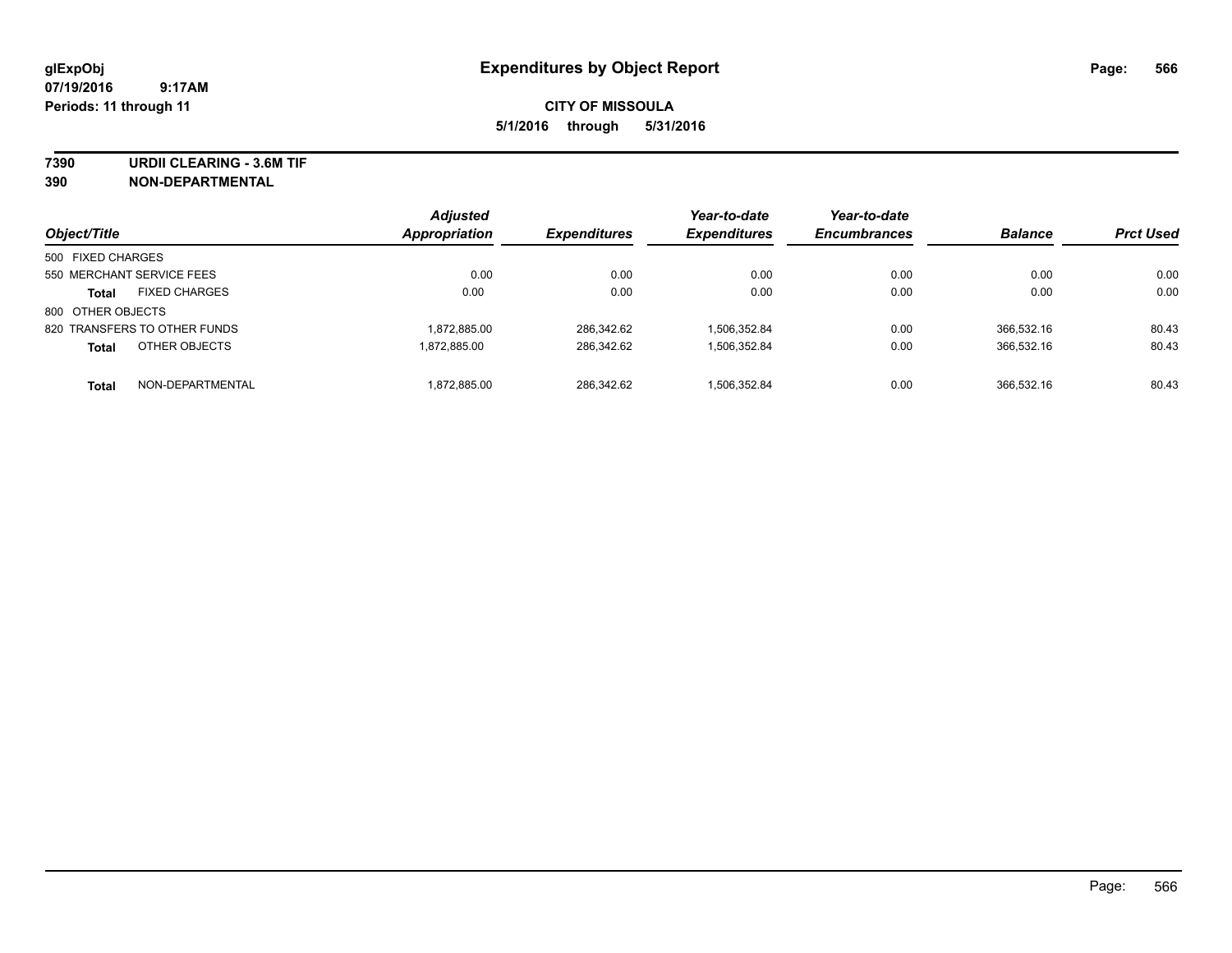**7390 URDII CLEARING - 3.6M TIF**

**390 NON-DEPARTMENTAL**

| Object/Title                 |                      | <b>Adjusted</b><br><b>Appropriation</b> | <b>Expenditures</b> | Year-to-date<br><b>Expenditures</b> | Year-to-date<br><b>Encumbrances</b> | <b>Balance</b> | <b>Prct Used</b> |
|------------------------------|----------------------|-----------------------------------------|---------------------|-------------------------------------|-------------------------------------|----------------|------------------|
| 500 FIXED CHARGES            |                      |                                         |                     |                                     |                                     |                |                  |
| 550 MERCHANT SERVICE FEES    |                      | 0.00                                    | 0.00                | 0.00                                | 0.00                                | 0.00           | 0.00             |
| <b>Total</b>                 | <b>FIXED CHARGES</b> | 0.00                                    | 0.00                | 0.00                                | 0.00                                | 0.00           | 0.00             |
| 800 OTHER OBJECTS            |                      |                                         |                     |                                     |                                     |                |                  |
| 820 TRANSFERS TO OTHER FUNDS |                      | 1,872,885.00                            | 286.342.62          | 1,506,352.84                        | 0.00                                | 366.532.16     | 80.43            |
| <b>Total</b>                 | OTHER OBJECTS        | 1.872.885.00                            | 286.342.62          | 1,506,352.84                        | 0.00                                | 366,532.16     | 80.43            |
| <b>Total</b>                 | NON-DEPARTMENTAL     | 1,872,885.00                            | 286.342.62          | 1.506.352.84                        | 0.00                                | 366.532.16     | 80.43            |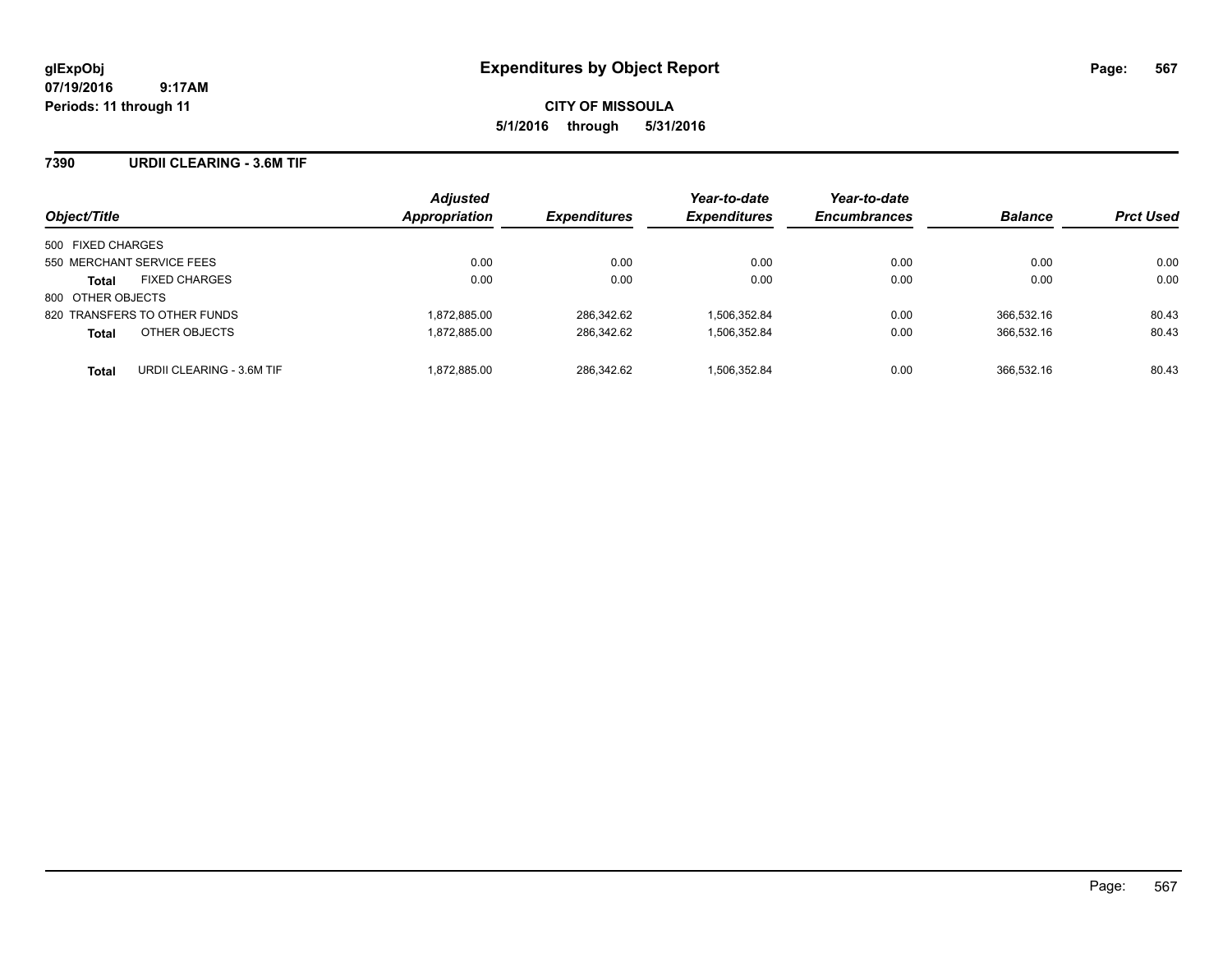**CITY OF MISSOULA 5/1/2016 through 5/31/2016**

## **7390 URDII CLEARING - 3.6M TIF**

| Object/Title                              | <b>Adjusted</b><br>Appropriation | <b>Expenditures</b> | Year-to-date<br><b>Expenditures</b> | Year-to-date<br><b>Encumbrances</b> | <b>Balance</b> | <b>Prct Used</b> |
|-------------------------------------------|----------------------------------|---------------------|-------------------------------------|-------------------------------------|----------------|------------------|
| 500 FIXED CHARGES                         |                                  |                     |                                     |                                     |                |                  |
| 550 MERCHANT SERVICE FEES                 | 0.00                             | 0.00                | 0.00                                | 0.00                                | 0.00           | 0.00             |
| <b>FIXED CHARGES</b><br><b>Total</b>      | 0.00                             | 0.00                | 0.00                                | 0.00                                | 0.00           | 0.00             |
| 800 OTHER OBJECTS                         |                                  |                     |                                     |                                     |                |                  |
| 820 TRANSFERS TO OTHER FUNDS              | 1.872.885.00                     | 286.342.62          | 1.506.352.84                        | 0.00                                | 366.532.16     | 80.43            |
| OTHER OBJECTS<br><b>Total</b>             | 1,872,885.00                     | 286,342.62          | 1,506,352.84                        | 0.00                                | 366,532.16     | 80.43            |
| URDII CLEARING - 3.6M TIF<br><b>Total</b> | 1.872.885.00                     | 286.342.62          | 1.506.352.84                        | 0.00                                | 366.532.16     | 80.43            |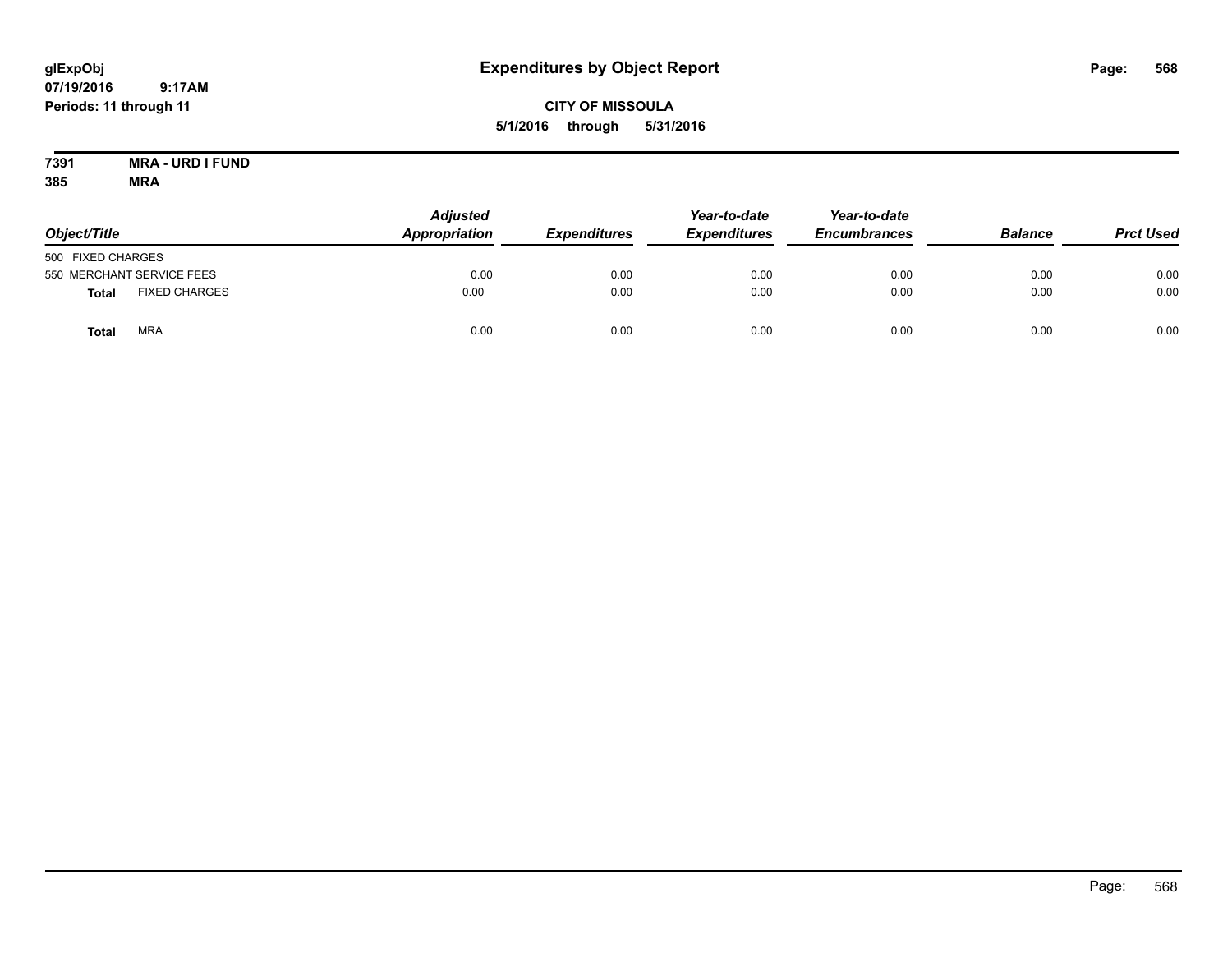**glExpObj Expenditures by Object Report Page: 568** 

**07/19/2016 9:17AM Periods: 11 through 11**

**CITY OF MISSOULA 5/1/2016 through 5/31/2016**

**7391 MRA - URD I FUND 385 MRA**

| Object/Title                  | <b>Adjusted</b><br>Appropriation | <b>Expenditures</b> | Year-to-date<br><b>Expenditures</b> | Year-to-date<br><b>Encumbrances</b> | <b>Balance</b> | <b>Prct Used</b> |
|-------------------------------|----------------------------------|---------------------|-------------------------------------|-------------------------------------|----------------|------------------|
| 500 FIXED CHARGES             |                                  |                     |                                     |                                     |                |                  |
| 550 MERCHANT SERVICE FEES     | 0.00                             | 0.00                | 0.00                                | 0.00                                | 0.00           | 0.00             |
| <b>FIXED CHARGES</b><br>Total | 0.00                             | 0.00                | 0.00                                | 0.00                                | 0.00           | 0.00             |
| <b>MRA</b><br><b>Total</b>    | 0.00                             | 0.00                | 0.00                                | 0.00                                | 0.00           | 0.00             |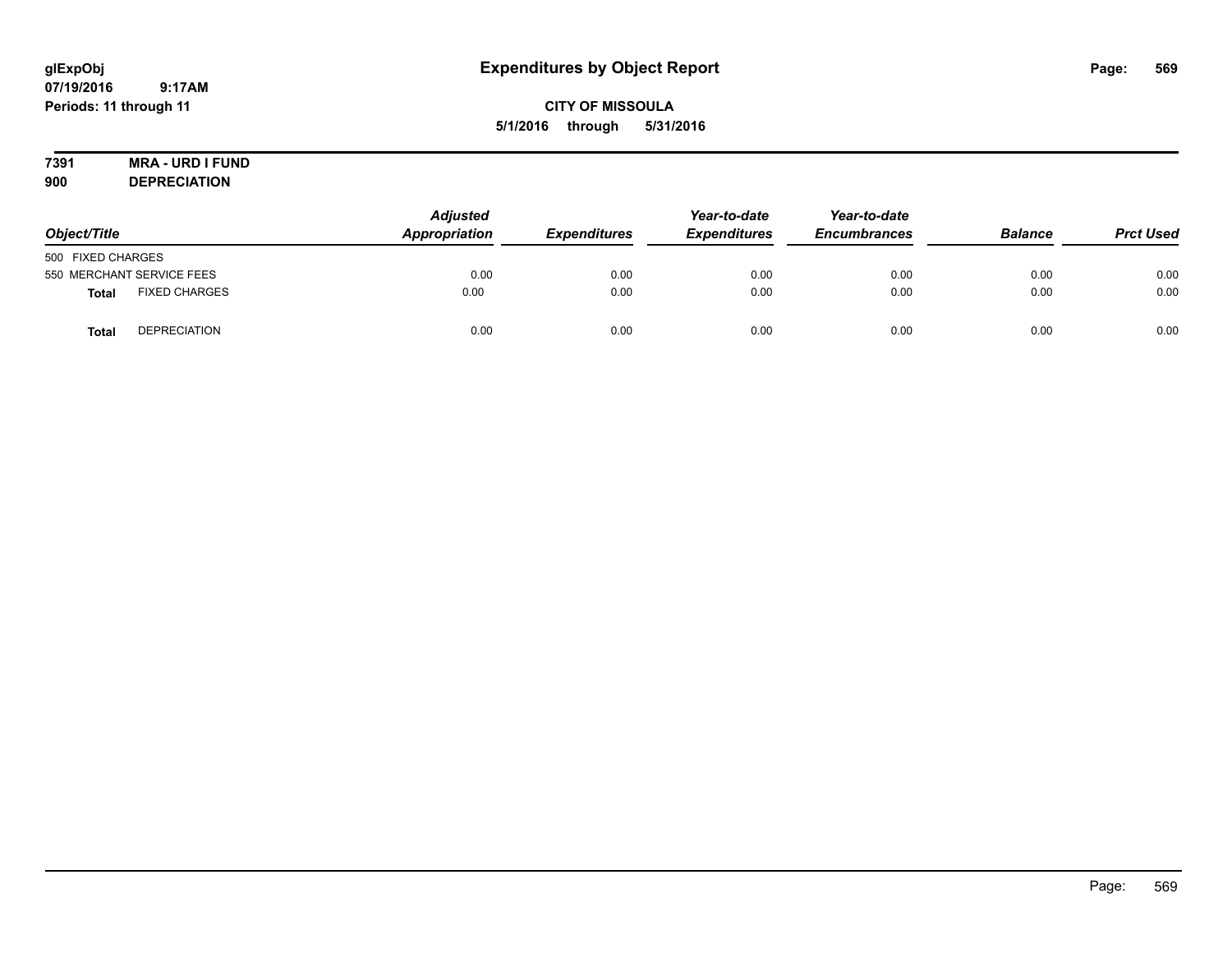## **CITY OF MISSOULA 5/1/2016 through 5/31/2016**

# **7391 MRA - URD I FUND**

**900 DEPRECIATION**

| Object/Title                         | <b>Adjusted</b><br>Appropriation | <b>Expenditures</b> | Year-to-date<br><b>Expenditures</b> | Year-to-date<br><b>Encumbrances</b> | <b>Balance</b> | <b>Prct Used</b> |
|--------------------------------------|----------------------------------|---------------------|-------------------------------------|-------------------------------------|----------------|------------------|
| 500 FIXED CHARGES                    |                                  |                     |                                     |                                     |                |                  |
| 550 MERCHANT SERVICE FEES            | 0.00                             | 0.00                | 0.00                                | 0.00                                | 0.00           | 0.00             |
| <b>FIXED CHARGES</b><br><b>Total</b> | 0.00                             | 0.00                | 0.00                                | 0.00                                | 0.00           | 0.00             |
| <b>DEPRECIATION</b><br>Total         | 0.00                             | 0.00                | 0.00                                | 0.00                                | 0.00           | 0.00             |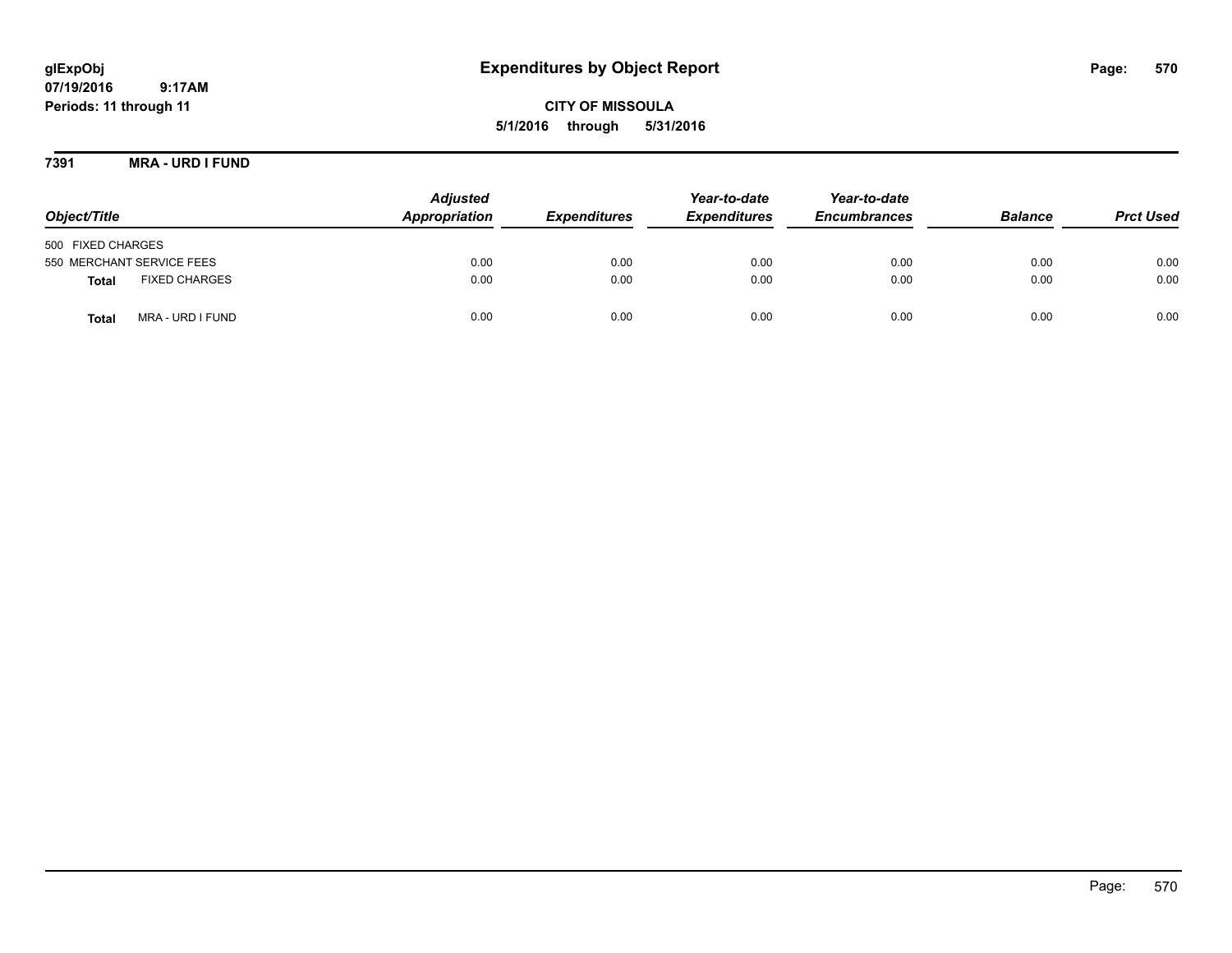# **glExpObj Expenditures by Object Report Page: 570**

**07/19/2016 9:17AM Periods: 11 through 11**

**5/1/2016 through 5/31/2016**

**7391 MRA - URD I FUND**

| Object/Title                         | <b>Adjusted</b><br>Appropriation | <b>Expenditures</b> | Year-to-date<br><b>Expenditures</b> | Year-to-date<br><b>Encumbrances</b> | <b>Balance</b> | <b>Prct Used</b> |
|--------------------------------------|----------------------------------|---------------------|-------------------------------------|-------------------------------------|----------------|------------------|
| 500 FIXED CHARGES                    |                                  |                     |                                     |                                     |                |                  |
| 550 MERCHANT SERVICE FEES            | 0.00                             | 0.00                | 0.00                                | 0.00                                | 0.00           | 0.00             |
| <b>FIXED CHARGES</b><br><b>Total</b> | 0.00                             | 0.00                | 0.00                                | 0.00                                | 0.00           | 0.00             |
| MRA - URD I FUND<br><b>Total</b>     | 0.00                             | 0.00                | 0.00                                | 0.00                                | 0.00           | 0.00             |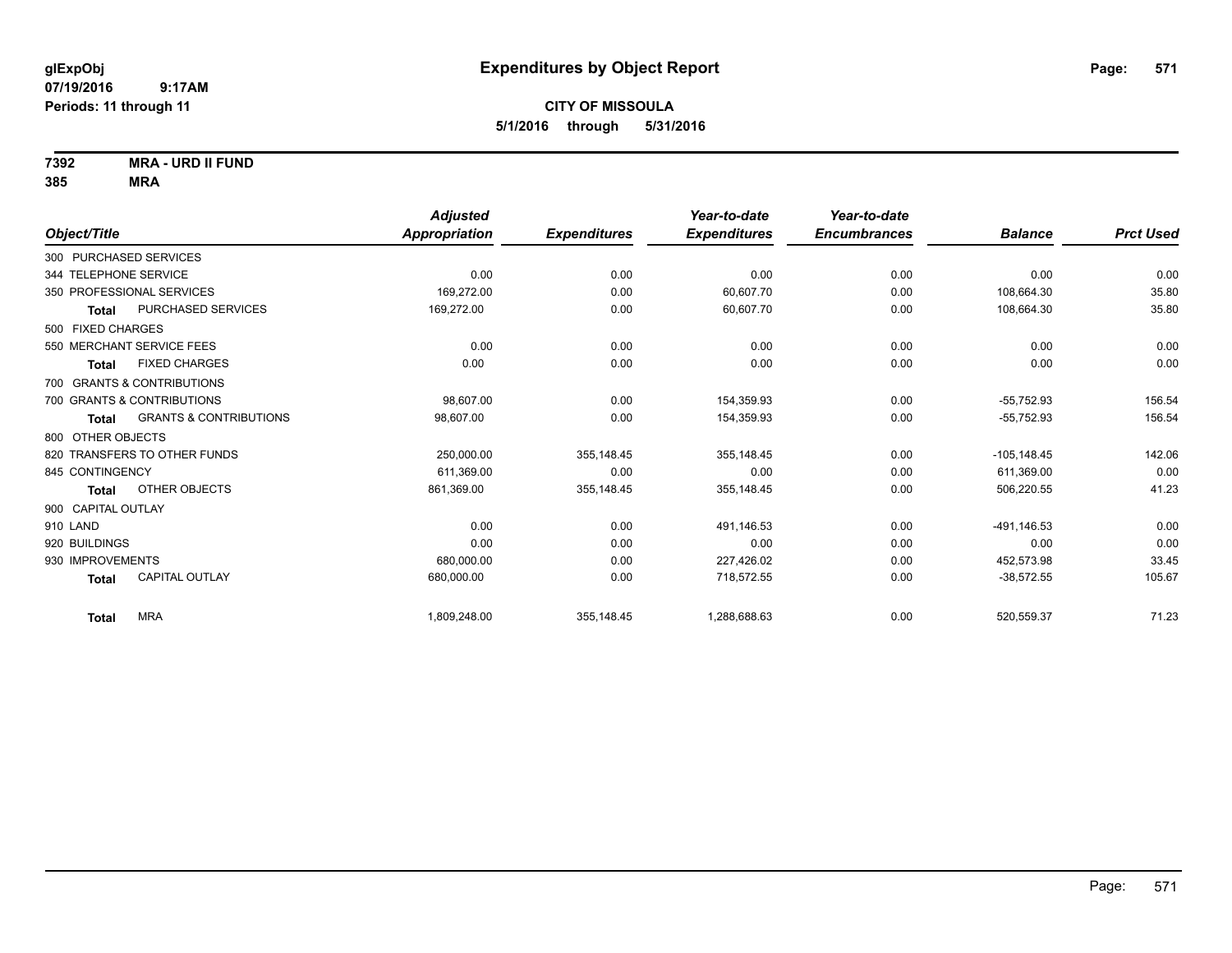**7392 MRA - URD II FUND**

|                                            | <b>Adjusted</b>      |                     | Year-to-date        | Year-to-date        |                |                  |
|--------------------------------------------|----------------------|---------------------|---------------------|---------------------|----------------|------------------|
| Object/Title                               | <b>Appropriation</b> | <b>Expenditures</b> | <b>Expenditures</b> | <b>Encumbrances</b> | <b>Balance</b> | <b>Prct Used</b> |
| 300 PURCHASED SERVICES                     |                      |                     |                     |                     |                |                  |
| 344 TELEPHONE SERVICE                      | 0.00                 | 0.00                | 0.00                | 0.00                | 0.00           | 0.00             |
| 350 PROFESSIONAL SERVICES                  | 169.272.00           | 0.00                | 60,607.70           | 0.00                | 108.664.30     | 35.80            |
| PURCHASED SERVICES<br>Total                | 169,272.00           | 0.00                | 60,607.70           | 0.00                | 108,664.30     | 35.80            |
| 500 FIXED CHARGES                          |                      |                     |                     |                     |                |                  |
| 550 MERCHANT SERVICE FEES                  | 0.00                 | 0.00                | 0.00                | 0.00                | 0.00           | 0.00             |
| <b>FIXED CHARGES</b><br><b>Total</b>       | 0.00                 | 0.00                | 0.00                | 0.00                | 0.00           | 0.00             |
| 700 GRANTS & CONTRIBUTIONS                 |                      |                     |                     |                     |                |                  |
| 700 GRANTS & CONTRIBUTIONS                 | 98.607.00            | 0.00                | 154,359.93          | 0.00                | $-55,752.93$   | 156.54           |
| <b>GRANTS &amp; CONTRIBUTIONS</b><br>Total | 98,607.00            | 0.00                | 154,359.93          | 0.00                | $-55,752.93$   | 156.54           |
| 800 OTHER OBJECTS                          |                      |                     |                     |                     |                |                  |
| 820 TRANSFERS TO OTHER FUNDS               | 250,000.00           | 355,148.45          | 355,148.45          | 0.00                | $-105, 148.45$ | 142.06           |
| 845 CONTINGENCY                            | 611,369.00           | 0.00                | 0.00                | 0.00                | 611,369.00     | 0.00             |
| OTHER OBJECTS<br>Total                     | 861,369.00           | 355,148.45          | 355,148.45          | 0.00                | 506,220.55     | 41.23            |
| 900 CAPITAL OUTLAY                         |                      |                     |                     |                     |                |                  |
| 910 LAND                                   | 0.00                 | 0.00                | 491,146.53          | 0.00                | $-491, 146.53$ | 0.00             |
| 920 BUILDINGS                              | 0.00                 | 0.00                | 0.00                | 0.00                | 0.00           | 0.00             |
| 930 IMPROVEMENTS                           | 680,000.00           | 0.00                | 227,426.02          | 0.00                | 452,573.98     | 33.45            |
| <b>CAPITAL OUTLAY</b><br><b>Total</b>      | 680,000.00           | 0.00                | 718,572.55          | 0.00                | $-38,572.55$   | 105.67           |
| <b>MRA</b><br><b>Total</b>                 | 1,809,248.00         | 355,148.45          | 1,288,688.63        | 0.00                | 520,559.37     | 71.23            |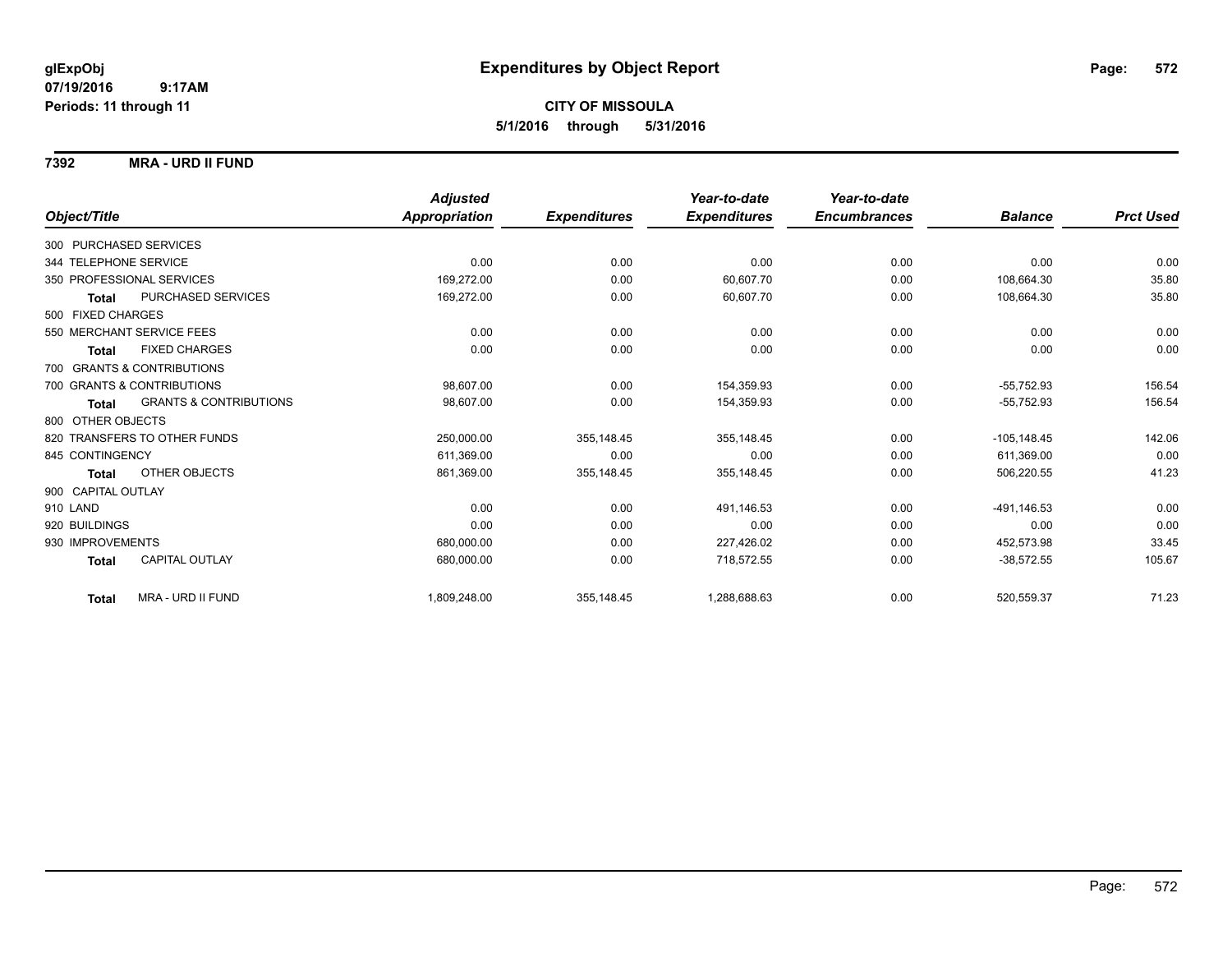## **CITY OF MISSOULA 5/1/2016 through 5/31/2016**

## **7392 MRA - URD II FUND**

|                           |                                   | <b>Adjusted</b> |                     | Year-to-date        | Year-to-date        |                |                  |
|---------------------------|-----------------------------------|-----------------|---------------------|---------------------|---------------------|----------------|------------------|
| Object/Title              |                                   | Appropriation   | <b>Expenditures</b> | <b>Expenditures</b> | <b>Encumbrances</b> | <b>Balance</b> | <b>Prct Used</b> |
| 300 PURCHASED SERVICES    |                                   |                 |                     |                     |                     |                |                  |
| 344 TELEPHONE SERVICE     |                                   | 0.00            | 0.00                | 0.00                | 0.00                | 0.00           | 0.00             |
| 350 PROFESSIONAL SERVICES |                                   | 169,272.00      | 0.00                | 60,607.70           | 0.00                | 108,664.30     | 35.80            |
| <b>Total</b>              | PURCHASED SERVICES                | 169,272.00      | 0.00                | 60,607.70           | 0.00                | 108,664.30     | 35.80            |
| 500 FIXED CHARGES         |                                   |                 |                     |                     |                     |                |                  |
| 550 MERCHANT SERVICE FEES |                                   | 0.00            | 0.00                | 0.00                | 0.00                | 0.00           | 0.00             |
| Total                     | <b>FIXED CHARGES</b>              | 0.00            | 0.00                | 0.00                | 0.00                | 0.00           | 0.00             |
|                           | 700 GRANTS & CONTRIBUTIONS        |                 |                     |                     |                     |                |                  |
|                           | 700 GRANTS & CONTRIBUTIONS        | 98,607.00       | 0.00                | 154,359.93          | 0.00                | $-55,752.93$   | 156.54           |
| <b>Total</b>              | <b>GRANTS &amp; CONTRIBUTIONS</b> | 98,607.00       | 0.00                | 154,359.93          | 0.00                | $-55,752.93$   | 156.54           |
| 800 OTHER OBJECTS         |                                   |                 |                     |                     |                     |                |                  |
|                           | 820 TRANSFERS TO OTHER FUNDS      | 250,000.00      | 355,148.45          | 355,148.45          | 0.00                | $-105, 148.45$ | 142.06           |
| 845 CONTINGENCY           |                                   | 611.369.00      | 0.00                | 0.00                | 0.00                | 611.369.00     | 0.00             |
| <b>Total</b>              | <b>OTHER OBJECTS</b>              | 861,369.00      | 355,148.45          | 355,148.45          | 0.00                | 506,220.55     | 41.23            |
| 900 CAPITAL OUTLAY        |                                   |                 |                     |                     |                     |                |                  |
| 910 LAND                  |                                   | 0.00            | 0.00                | 491,146.53          | 0.00                | -491,146.53    | 0.00             |
| 920 BUILDINGS             |                                   | 0.00            | 0.00                | 0.00                | 0.00                | 0.00           | 0.00             |
| 930 IMPROVEMENTS          |                                   | 680,000.00      | 0.00                | 227,426.02          | 0.00                | 452,573.98     | 33.45            |
| <b>Total</b>              | CAPITAL OUTLAY                    | 680.000.00      | 0.00                | 718.572.55          | 0.00                | $-38,572.55$   | 105.67           |
| <b>Total</b>              | MRA - URD II FUND                 | 1,809,248.00    | 355,148.45          | 1,288,688.63        | 0.00                | 520,559.37     | 71.23            |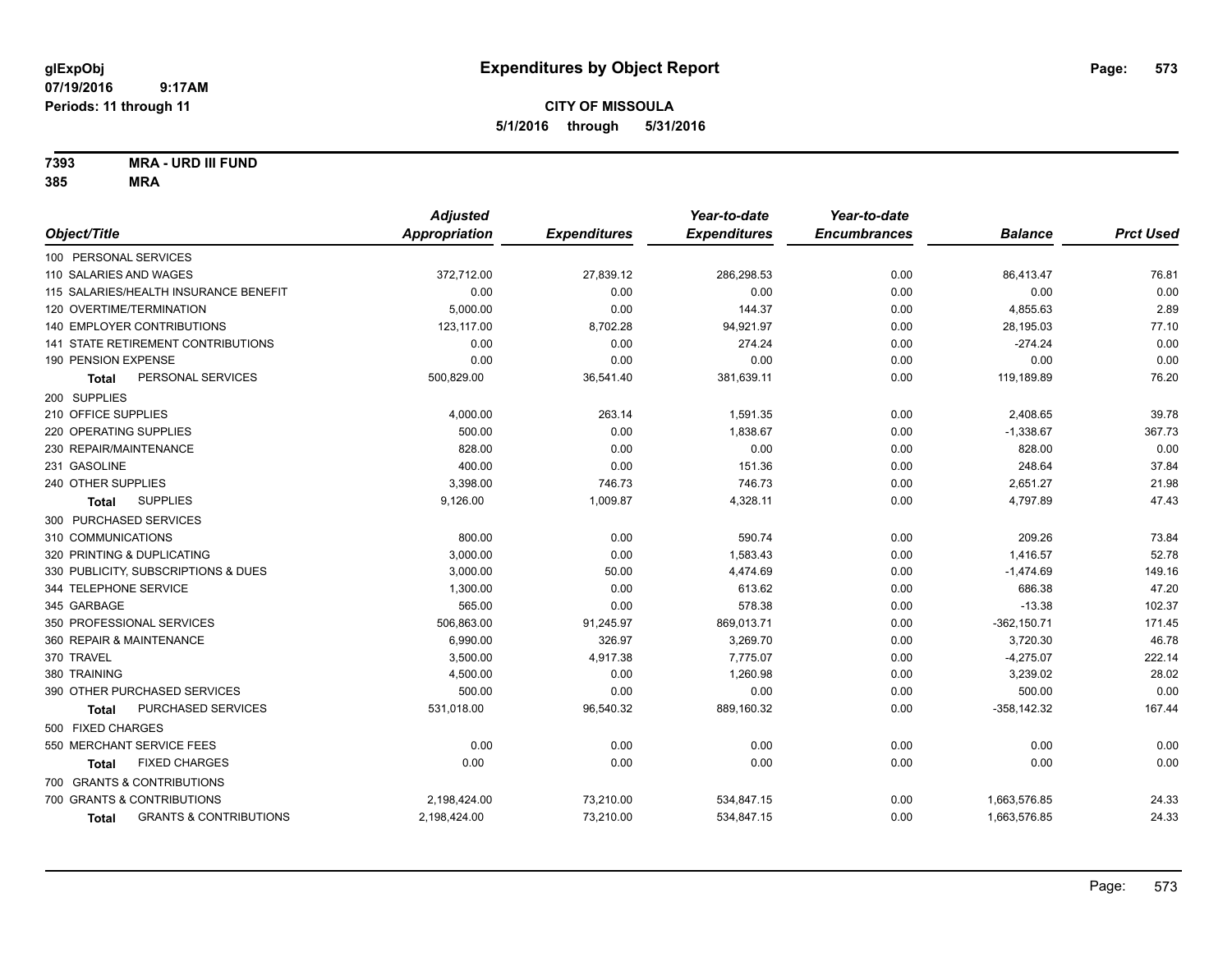**7393 MRA - URD III FUND**

|                                            | <b>Adjusted</b> |                     | Year-to-date        | Year-to-date        |                |                  |
|--------------------------------------------|-----------------|---------------------|---------------------|---------------------|----------------|------------------|
| Object/Title                               | Appropriation   | <b>Expenditures</b> | <b>Expenditures</b> | <b>Encumbrances</b> | <b>Balance</b> | <b>Prct Used</b> |
| 100 PERSONAL SERVICES                      |                 |                     |                     |                     |                |                  |
| 110 SALARIES AND WAGES                     | 372,712.00      | 27,839.12           | 286,298.53          | 0.00                | 86,413.47      | 76.81            |
| 115 SALARIES/HEALTH INSURANCE BENEFIT      | 0.00            | 0.00                | 0.00                | 0.00                | 0.00           | 0.00             |
| 120 OVERTIME/TERMINATION                   | 5,000.00        | 0.00                | 144.37              | 0.00                | 4,855.63       | 2.89             |
| <b>140 EMPLOYER CONTRIBUTIONS</b>          | 123,117.00      | 8,702.28            | 94,921.97           | 0.00                | 28,195.03      | 77.10            |
| 141 STATE RETIREMENT CONTRIBUTIONS         | 0.00            | 0.00                | 274.24              | 0.00                | $-274.24$      | 0.00             |
| 190 PENSION EXPENSE                        | 0.00            | 0.00                | 0.00                | 0.00                | 0.00           | 0.00             |
| PERSONAL SERVICES<br><b>Total</b>          | 500,829.00      | 36,541.40           | 381,639.11          | 0.00                | 119,189.89     | 76.20            |
| 200 SUPPLIES                               |                 |                     |                     |                     |                |                  |
| 210 OFFICE SUPPLIES                        | 4,000.00        | 263.14              | 1,591.35            | 0.00                | 2,408.65       | 39.78            |
| 220 OPERATING SUPPLIES                     | 500.00          | 0.00                | 1,838.67            | 0.00                | $-1,338.67$    | 367.73           |
| 230 REPAIR/MAINTENANCE                     | 828.00          | 0.00                | 0.00                | 0.00                | 828.00         | 0.00             |
| 231 GASOLINE                               | 400.00          | 0.00                | 151.36              | 0.00                | 248.64         | 37.84            |
| 240 OTHER SUPPLIES                         | 3,398.00        | 746.73              | 746.73              | 0.00                | 2,651.27       | 21.98            |
| <b>SUPPLIES</b><br>Total                   | 9,126.00        | 1,009.87            | 4,328.11            | 0.00                | 4,797.89       | 47.43            |
| 300 PURCHASED SERVICES                     |                 |                     |                     |                     |                |                  |
| 310 COMMUNICATIONS                         | 800.00          | 0.00                | 590.74              | 0.00                | 209.26         | 73.84            |
| 320 PRINTING & DUPLICATING                 | 3,000.00        | 0.00                | 1,583.43            | 0.00                | 1,416.57       | 52.78            |
| 330 PUBLICITY, SUBSCRIPTIONS & DUES        | 3,000.00        | 50.00               | 4,474.69            | 0.00                | $-1,474.69$    | 149.16           |
| 344 TELEPHONE SERVICE                      | 1,300.00        | 0.00                | 613.62              | 0.00                | 686.38         | 47.20            |
| 345 GARBAGE                                | 565.00          | 0.00                | 578.38              | 0.00                | $-13.38$       | 102.37           |
| 350 PROFESSIONAL SERVICES                  | 506,863.00      | 91,245.97           | 869,013.71          | 0.00                | $-362, 150.71$ | 171.45           |
| 360 REPAIR & MAINTENANCE                   | 6,990.00        | 326.97              | 3,269.70            | 0.00                | 3,720.30       | 46.78            |
| 370 TRAVEL                                 | 3,500.00        | 4,917.38            | 7,775.07            | 0.00                | $-4,275.07$    | 222.14           |
| 380 TRAINING                               | 4,500.00        | 0.00                | 1,260.98            | 0.00                | 3,239.02       | 28.02            |
| 390 OTHER PURCHASED SERVICES               | 500.00          | 0.00                | 0.00                | 0.00                | 500.00         | 0.00             |
| PURCHASED SERVICES<br><b>Total</b>         | 531,018.00      | 96,540.32           | 889,160.32          | 0.00                | $-358,142.32$  | 167.44           |
| 500 FIXED CHARGES                          |                 |                     |                     |                     |                |                  |
| 550 MERCHANT SERVICE FEES                  | 0.00            | 0.00                | 0.00                | 0.00                | 0.00           | 0.00             |
| <b>FIXED CHARGES</b><br>Total              | 0.00            | 0.00                | 0.00                | 0.00                | 0.00           | 0.00             |
| 700 GRANTS & CONTRIBUTIONS                 |                 |                     |                     |                     |                |                  |
| 700 GRANTS & CONTRIBUTIONS                 | 2,198,424.00    | 73,210.00           | 534,847.15          | 0.00                | 1,663,576.85   | 24.33            |
| <b>GRANTS &amp; CONTRIBUTIONS</b><br>Total | 2,198,424.00    | 73,210.00           | 534,847.15          | 0.00                | 1,663,576.85   | 24.33            |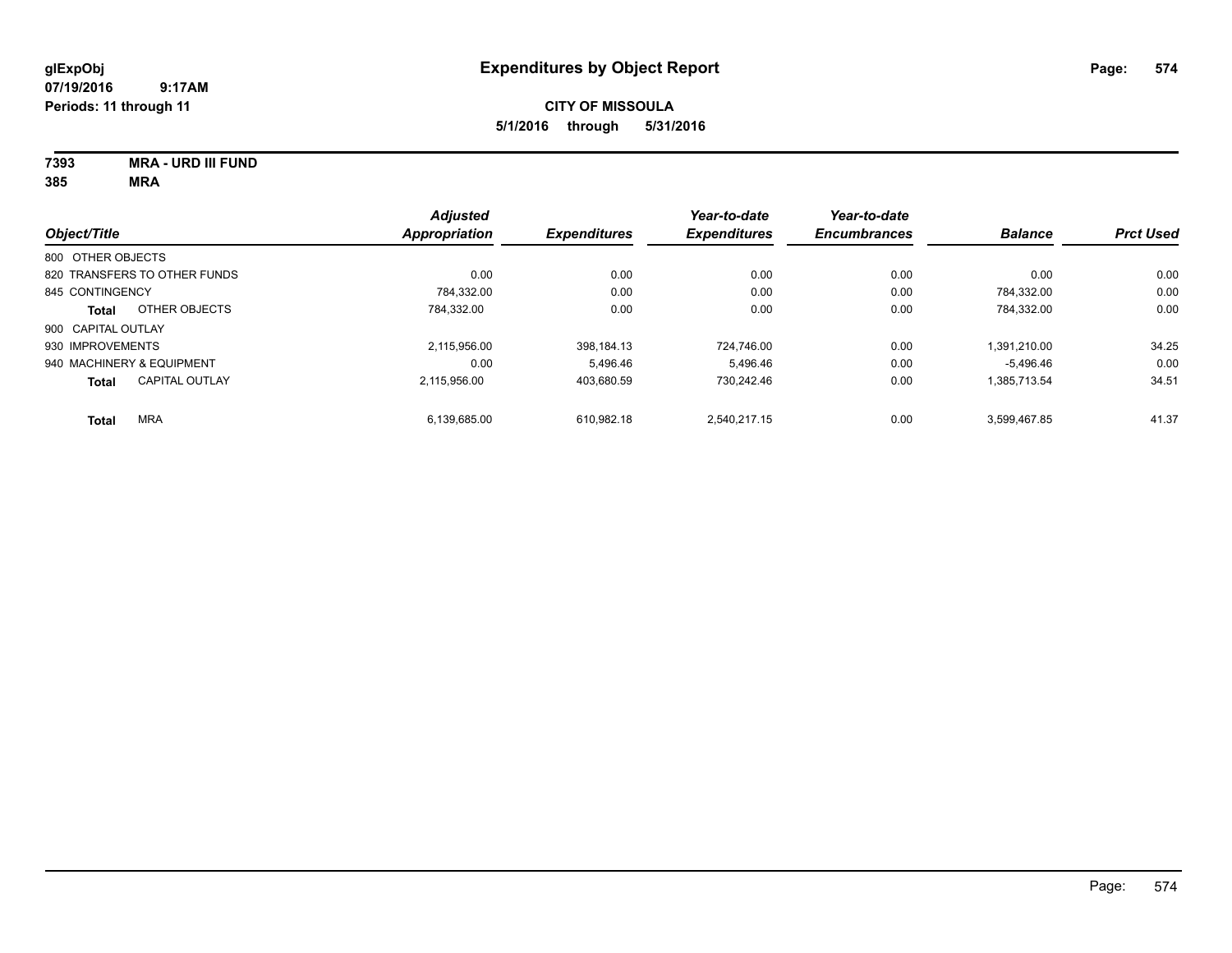**7393 MRA - URD III FUND**

| Object/Title              |                              | <b>Adjusted</b><br><b>Appropriation</b> | <b>Expenditures</b> | Year-to-date<br><b>Expenditures</b> | Year-to-date<br><b>Encumbrances</b> | <b>Balance</b> | <b>Prct Used</b> |
|---------------------------|------------------------------|-----------------------------------------|---------------------|-------------------------------------|-------------------------------------|----------------|------------------|
|                           |                              |                                         |                     |                                     |                                     |                |                  |
| 800 OTHER OBJECTS         |                              |                                         |                     |                                     |                                     |                |                  |
|                           | 820 TRANSFERS TO OTHER FUNDS | 0.00                                    | 0.00                | 0.00                                | 0.00                                | 0.00           | 0.00             |
| 845 CONTINGENCY           |                              | 784.332.00                              | 0.00                | 0.00                                | 0.00                                | 784.332.00     | 0.00             |
| <b>Total</b>              | OTHER OBJECTS                | 784.332.00                              | 0.00                | 0.00                                | 0.00                                | 784.332.00     | 0.00             |
| 900 CAPITAL OUTLAY        |                              |                                         |                     |                                     |                                     |                |                  |
| 930 IMPROVEMENTS          |                              | 2.115.956.00                            | 398.184.13          | 724.746.00                          | 0.00                                | 1.391.210.00   | 34.25            |
| 940 MACHINERY & EQUIPMENT |                              | 0.00                                    | 5.496.46            | 5.496.46                            | 0.00                                | $-5.496.46$    | 0.00             |
| <b>Total</b>              | <b>CAPITAL OUTLAY</b>        | 2.115.956.00                            | 403.680.59          | 730.242.46                          | 0.00                                | 1,385,713.54   | 34.51            |
| <b>Total</b>              | <b>MRA</b>                   | 6,139,685.00                            | 610.982.18          | 2,540,217.15                        | 0.00                                | 3.599.467.85   | 41.37            |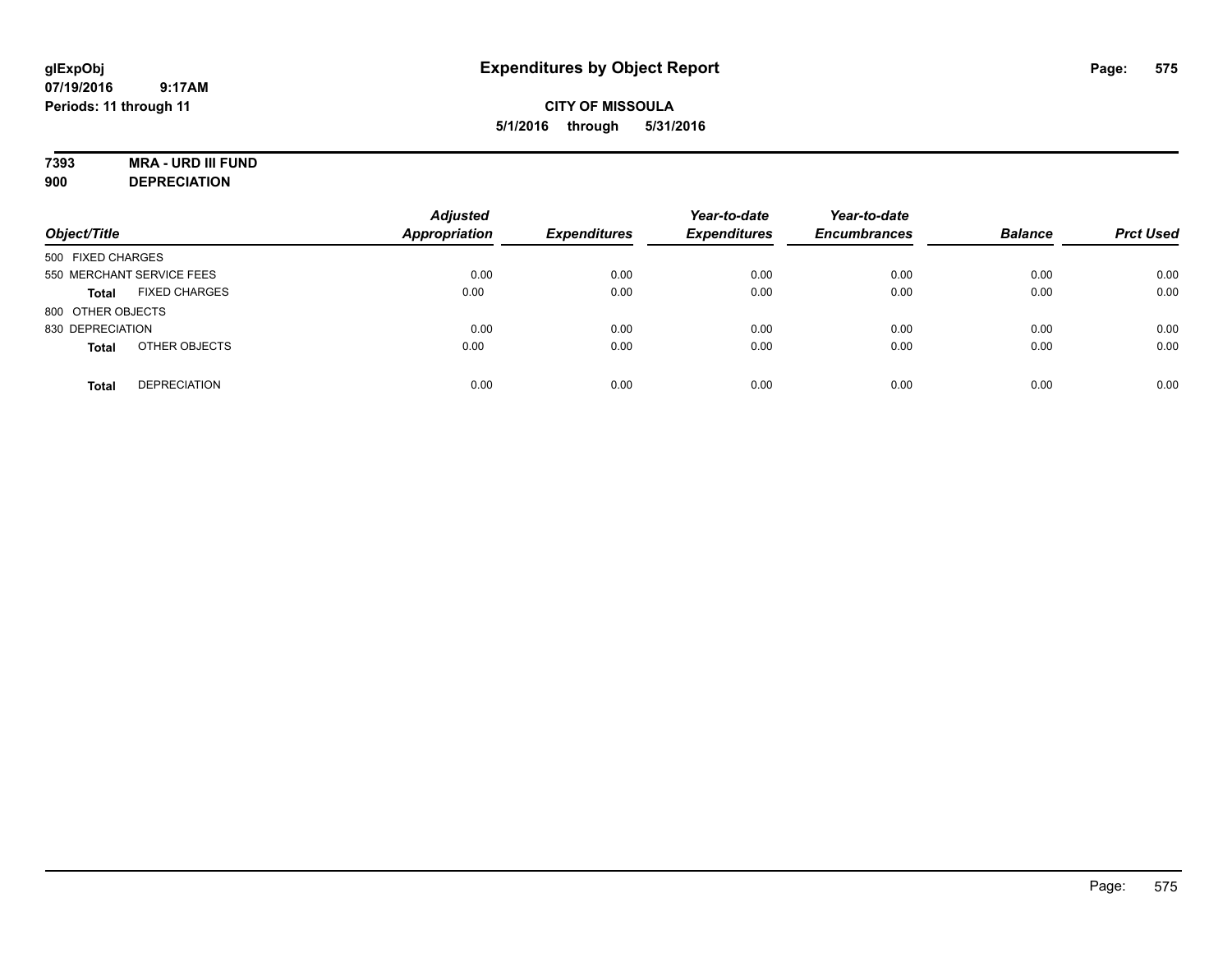## **7393 MRA - URD III FUND**

**900 DEPRECIATION**

| Object/Title                         | <b>Adjusted</b><br><b>Appropriation</b> | <b>Expenditures</b> | Year-to-date<br><b>Expenditures</b> | Year-to-date<br><b>Encumbrances</b> | <b>Balance</b> | <b>Prct Used</b> |
|--------------------------------------|-----------------------------------------|---------------------|-------------------------------------|-------------------------------------|----------------|------------------|
| 500 FIXED CHARGES                    |                                         |                     |                                     |                                     |                |                  |
| 550 MERCHANT SERVICE FEES            | 0.00                                    | 0.00                | 0.00                                | 0.00                                | 0.00           | 0.00             |
| <b>FIXED CHARGES</b><br><b>Total</b> | 0.00                                    | 0.00                | 0.00                                | 0.00                                | 0.00           | 0.00             |
| 800 OTHER OBJECTS                    |                                         |                     |                                     |                                     |                |                  |
| 830 DEPRECIATION                     | 0.00                                    | 0.00                | 0.00                                | 0.00                                | 0.00           | 0.00             |
| OTHER OBJECTS<br><b>Total</b>        | 0.00                                    | 0.00                | 0.00                                | 0.00                                | 0.00           | 0.00             |
| <b>DEPRECIATION</b><br><b>Total</b>  | 0.00                                    | 0.00                | 0.00                                | 0.00                                | 0.00           | 0.00             |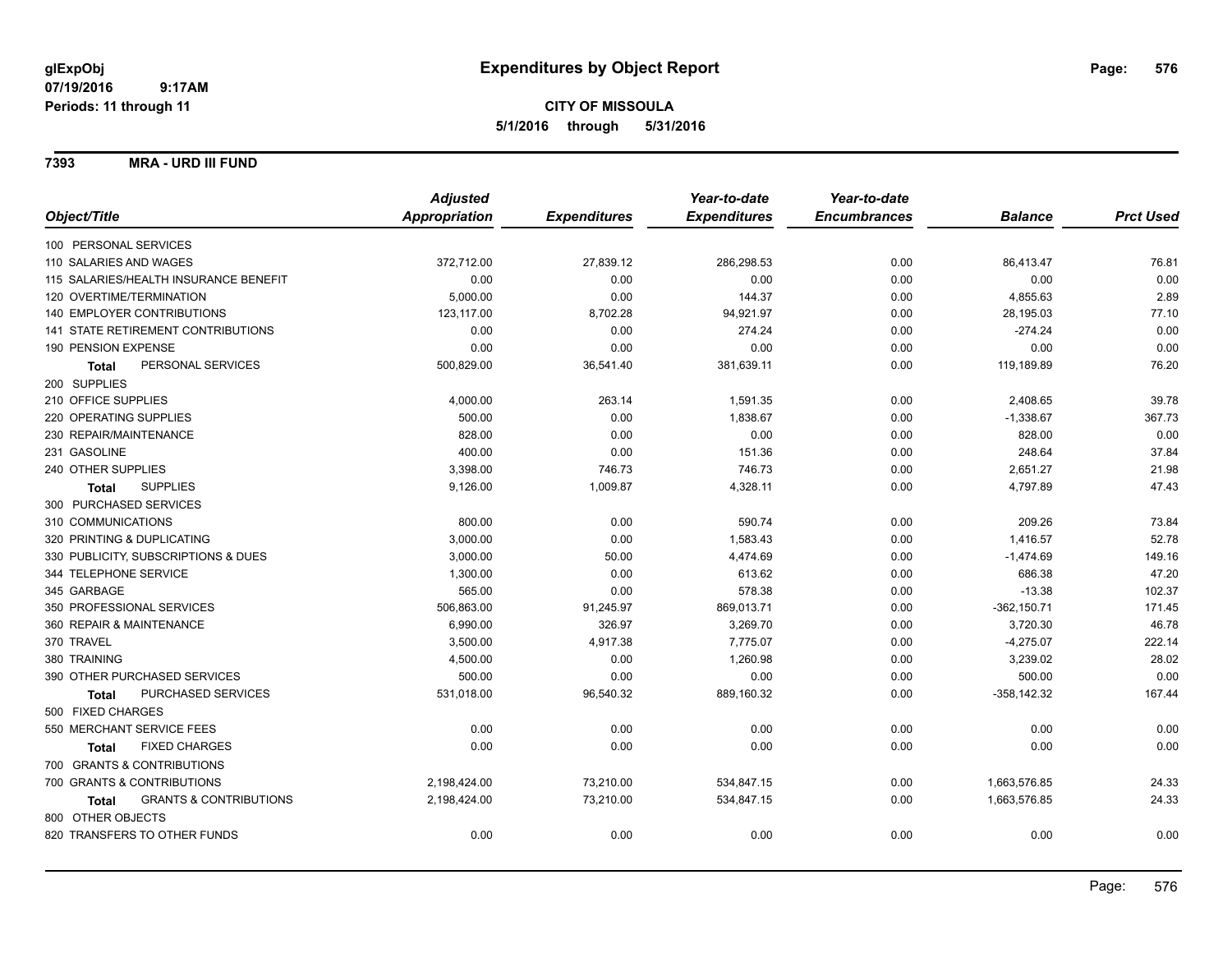## **CITY OF MISSOULA 5/1/2016 through 5/31/2016**

**7393 MRA - URD III FUND**

|                                                   | <b>Adjusted</b> |                     | Year-to-date        | Year-to-date        |                |                  |
|---------------------------------------------------|-----------------|---------------------|---------------------|---------------------|----------------|------------------|
| Object/Title                                      | Appropriation   | <b>Expenditures</b> | <b>Expenditures</b> | <b>Encumbrances</b> | <b>Balance</b> | <b>Prct Used</b> |
| 100 PERSONAL SERVICES                             |                 |                     |                     |                     |                |                  |
| 110 SALARIES AND WAGES                            | 372,712.00      | 27,839.12           | 286,298.53          | 0.00                | 86,413.47      | 76.81            |
| 115 SALARIES/HEALTH INSURANCE BENEFIT             | 0.00            | 0.00                | 0.00                | 0.00                | 0.00           | 0.00             |
| 120 OVERTIME/TERMINATION                          | 5,000.00        | 0.00                | 144.37              | 0.00                | 4,855.63       | 2.89             |
| 140 EMPLOYER CONTRIBUTIONS                        | 123,117.00      | 8,702.28            | 94,921.97           | 0.00                | 28,195.03      | 77.10            |
| 141 STATE RETIREMENT CONTRIBUTIONS                | 0.00            | 0.00                | 274.24              | 0.00                | $-274.24$      | 0.00             |
| 190 PENSION EXPENSE                               | 0.00            | 0.00                | 0.00                | 0.00                | 0.00           | 0.00             |
| PERSONAL SERVICES<br>Total                        | 500,829.00      | 36,541.40           | 381,639.11          | 0.00                | 119,189.89     | 76.20            |
| 200 SUPPLIES                                      |                 |                     |                     |                     |                |                  |
| 210 OFFICE SUPPLIES                               | 4,000.00        | 263.14              | 1,591.35            | 0.00                | 2,408.65       | 39.78            |
| 220 OPERATING SUPPLIES                            | 500.00          | 0.00                | 1,838.67            | 0.00                | $-1,338.67$    | 367.73           |
| 230 REPAIR/MAINTENANCE                            | 828.00          | 0.00                | 0.00                | 0.00                | 828.00         | 0.00             |
| 231 GASOLINE                                      | 400.00          | 0.00                | 151.36              | 0.00                | 248.64         | 37.84            |
| 240 OTHER SUPPLIES                                | 3,398.00        | 746.73              | 746.73              | 0.00                | 2,651.27       | 21.98            |
| <b>SUPPLIES</b><br>Total                          | 9,126.00        | 1,009.87            | 4,328.11            | 0.00                | 4,797.89       | 47.43            |
| 300 PURCHASED SERVICES                            |                 |                     |                     |                     |                |                  |
| 310 COMMUNICATIONS                                | 800.00          | 0.00                | 590.74              | 0.00                | 209.26         | 73.84            |
| 320 PRINTING & DUPLICATING                        | 3,000.00        | 0.00                | 1,583.43            | 0.00                | 1,416.57       | 52.78            |
| 330 PUBLICITY, SUBSCRIPTIONS & DUES               | 3,000.00        | 50.00               | 4,474.69            | 0.00                | $-1,474.69$    | 149.16           |
| 344 TELEPHONE SERVICE                             | 1,300.00        | 0.00                | 613.62              | 0.00                | 686.38         | 47.20            |
| 345 GARBAGE                                       | 565.00          | 0.00                | 578.38              | 0.00                | $-13.38$       | 102.37           |
| 350 PROFESSIONAL SERVICES                         | 506,863.00      | 91,245.97           | 869,013.71          | 0.00                | $-362, 150.71$ | 171.45           |
| 360 REPAIR & MAINTENANCE                          | 6,990.00        | 326.97              | 3,269.70            | 0.00                | 3,720.30       | 46.78            |
| 370 TRAVEL                                        | 3,500.00        | 4,917.38            | 7,775.07            | 0.00                | $-4,275.07$    | 222.14           |
| 380 TRAINING                                      | 4,500.00        | 0.00                | 1,260.98            | 0.00                | 3,239.02       | 28.02            |
| 390 OTHER PURCHASED SERVICES                      | 500.00          | 0.00                | 0.00                | 0.00                | 500.00         | 0.00             |
| PURCHASED SERVICES<br><b>Total</b>                | 531,018.00      | 96,540.32           | 889,160.32          | 0.00                | $-358, 142.32$ | 167.44           |
| 500 FIXED CHARGES                                 |                 |                     |                     |                     |                |                  |
| 550 MERCHANT SERVICE FEES                         | 0.00            | 0.00                | 0.00                | 0.00                | 0.00           | 0.00             |
| <b>FIXED CHARGES</b><br><b>Total</b>              | 0.00            | 0.00                | 0.00                | 0.00                | 0.00           | 0.00             |
| 700 GRANTS & CONTRIBUTIONS                        |                 |                     |                     |                     |                |                  |
| 700 GRANTS & CONTRIBUTIONS                        | 2,198,424.00    | 73,210.00           | 534,847.15          | 0.00                | 1,663,576.85   | 24.33            |
| <b>GRANTS &amp; CONTRIBUTIONS</b><br><b>Total</b> | 2,198,424.00    | 73,210.00           | 534,847.15          | 0.00                | 1,663,576.85   | 24.33            |
| 800 OTHER OBJECTS                                 |                 |                     |                     |                     |                |                  |
| 820 TRANSFERS TO OTHER FUNDS                      | 0.00            | 0.00                | 0.00                | 0.00                | 0.00           | 0.00             |
|                                                   |                 |                     |                     |                     |                |                  |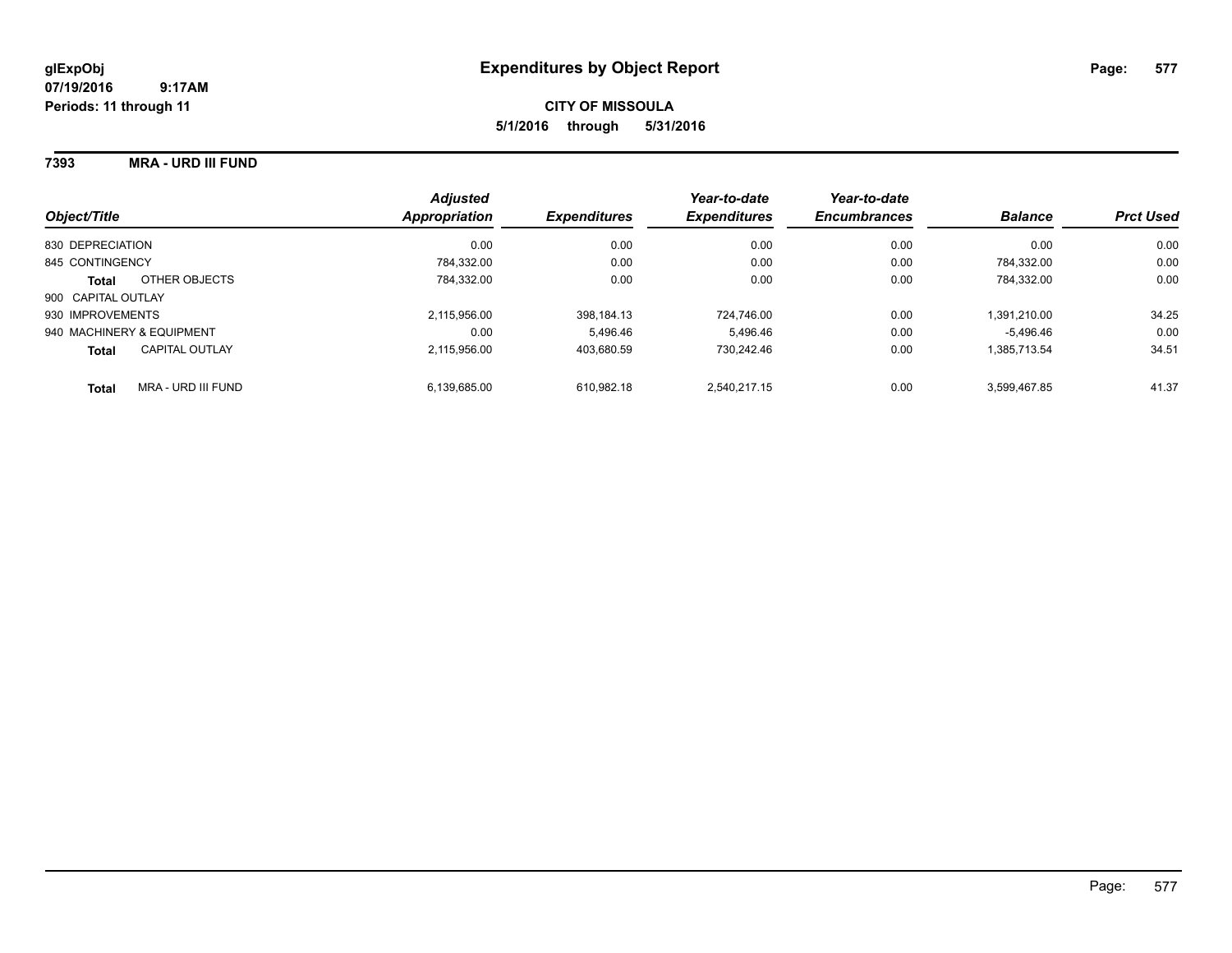## **CITY OF MISSOULA 5/1/2016 through 5/31/2016**

#### **7393 MRA - URD III FUND**

| Object/Title                          | <b>Adjusted</b><br>Appropriation | <b>Expenditures</b> | Year-to-date<br><b>Expenditures</b> | Year-to-date<br><b>Encumbrances</b> | <b>Balance</b> | <b>Prct Used</b> |
|---------------------------------------|----------------------------------|---------------------|-------------------------------------|-------------------------------------|----------------|------------------|
|                                       |                                  |                     |                                     |                                     |                |                  |
| 830 DEPRECIATION                      | 0.00                             | 0.00                | 0.00                                | 0.00                                | 0.00           | 0.00             |
| 845 CONTINGENCY                       | 784.332.00                       | 0.00                | 0.00                                | 0.00                                | 784.332.00     | 0.00             |
| OTHER OBJECTS<br><b>Total</b>         | 784.332.00                       | 0.00                | 0.00                                | 0.00                                | 784.332.00     | 0.00             |
| 900 CAPITAL OUTLAY                    |                                  |                     |                                     |                                     |                |                  |
| 930 IMPROVEMENTS                      | 2,115,956.00                     | 398.184.13          | 724.746.00                          | 0.00                                | 1.391.210.00   | 34.25            |
| 940 MACHINERY & EQUIPMENT             | 0.00                             | 5.496.46            | 5.496.46                            | 0.00                                | $-5.496.46$    | 0.00             |
| <b>CAPITAL OUTLAY</b><br><b>Total</b> | 2.115.956.00                     | 403.680.59          | 730.242.46                          | 0.00                                | 1.385.713.54   | 34.51            |
| MRA - URD III FUND<br><b>Total</b>    | 6.139.685.00                     | 610.982.18          | 2.540.217.15                        | 0.00                                | 3.599.467.85   | 41.37            |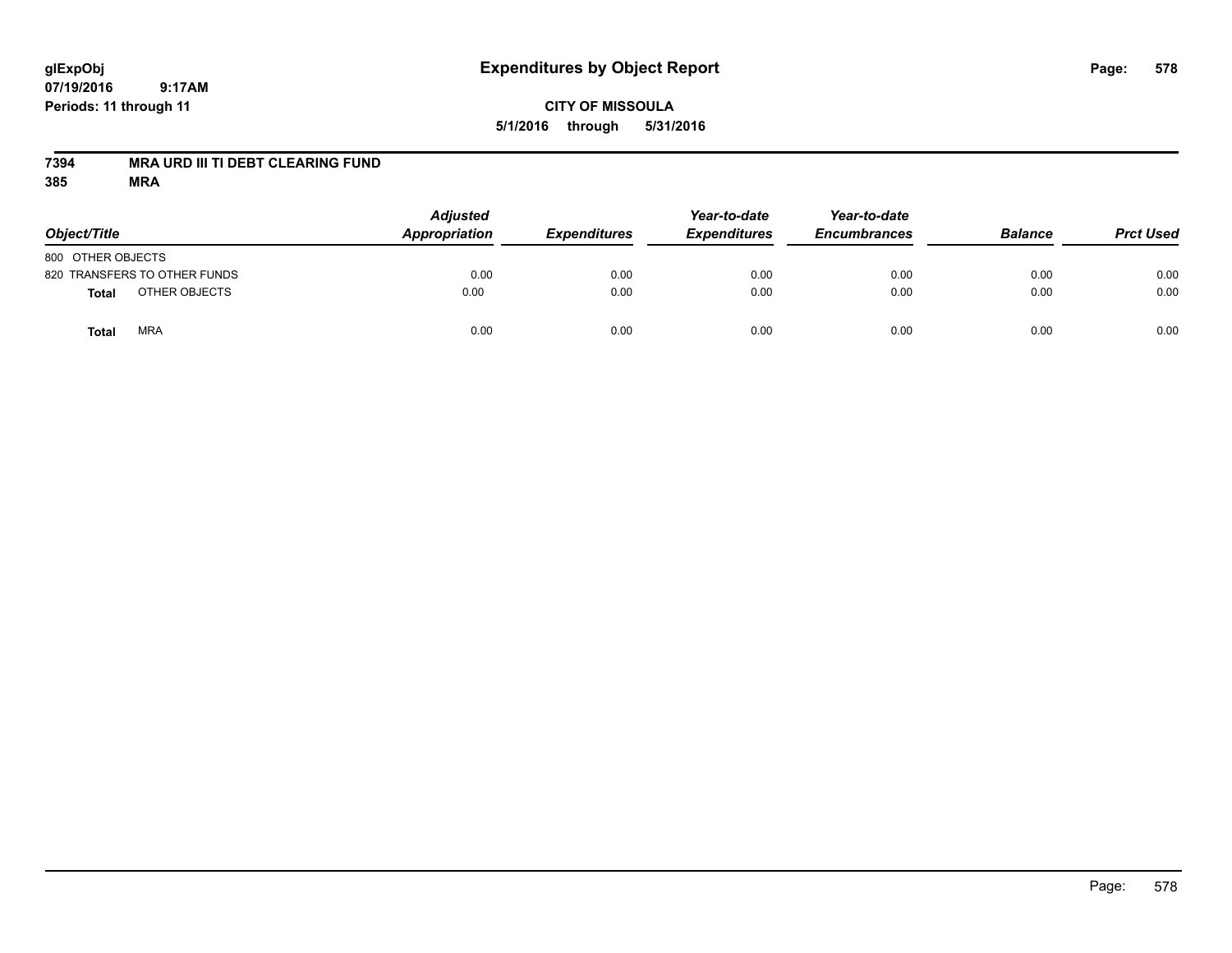## **CITY OF MISSOULA 5/1/2016 through 5/31/2016**

### **7394 MRA URD III TI DEBT CLEARING FUND**

| Object/Title                  | <b>Adjusted</b><br>Appropriation | <b>Expenditures</b> | Year-to-date<br><b>Expenditures</b> | Year-to-date<br><b>Encumbrances</b> | <b>Balance</b> | <b>Prct Used</b> |
|-------------------------------|----------------------------------|---------------------|-------------------------------------|-------------------------------------|----------------|------------------|
| 800 OTHER OBJECTS             |                                  |                     |                                     |                                     |                |                  |
| 820 TRANSFERS TO OTHER FUNDS  | 0.00                             | 0.00                | 0.00                                | 0.00                                | 0.00           | 0.00             |
| OTHER OBJECTS<br><b>Total</b> | 0.00                             | 0.00                | 0.00                                | 0.00                                | 0.00           | 0.00             |
| <b>MRA</b><br>Total           | 0.00                             | 0.00                | 0.00                                | 0.00                                | 0.00           | 0.00             |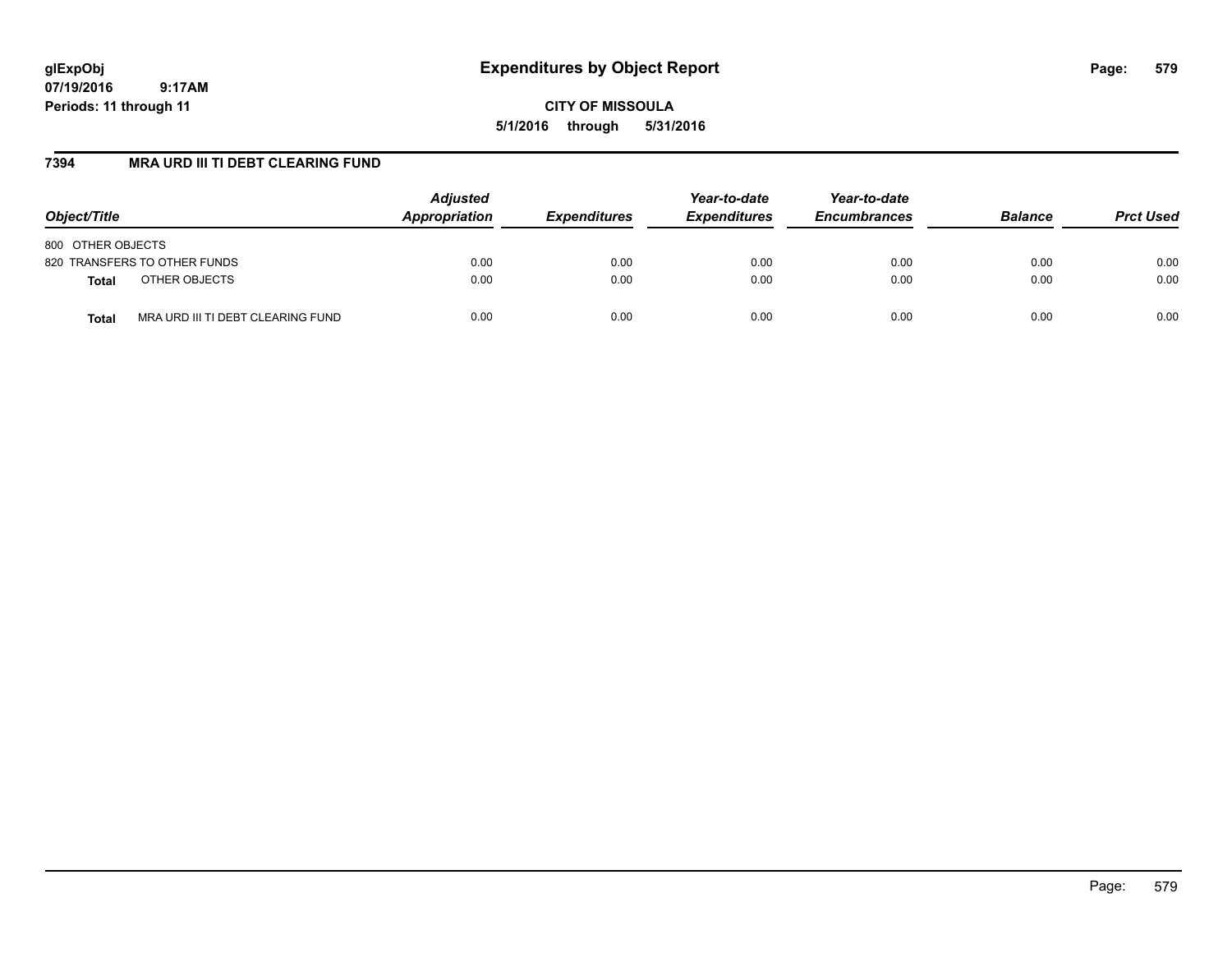# **glExpObj Expenditures by Object Report Page: 579**

**07/19/2016 9:17AM Periods: 11 through 11**

**CITY OF MISSOULA 5/1/2016 through 5/31/2016**

#### **7394 MRA URD III TI DEBT CLEARING FUND**

| Object/Title                                      | <b>Adjusted</b><br>Appropriation | <i><b>Expenditures</b></i> | Year-to-date<br><b>Expenditures</b> | Year-to-date<br><b>Encumbrances</b> | <b>Balance</b> | <b>Prct Used</b> |
|---------------------------------------------------|----------------------------------|----------------------------|-------------------------------------|-------------------------------------|----------------|------------------|
| 800 OTHER OBJECTS                                 |                                  |                            |                                     |                                     |                |                  |
| 820 TRANSFERS TO OTHER FUNDS                      | 0.00                             | 0.00                       | 0.00                                | 0.00                                | 0.00           | 0.00             |
| OTHER OBJECTS<br><b>Total</b>                     | 0.00                             | 0.00                       | 0.00                                | 0.00                                | 0.00           | 0.00             |
| MRA URD III TI DEBT CLEARING FUND<br><b>Total</b> | 0.00                             | 0.00                       | 0.00                                | 0.00                                | 0.00           | 0.00             |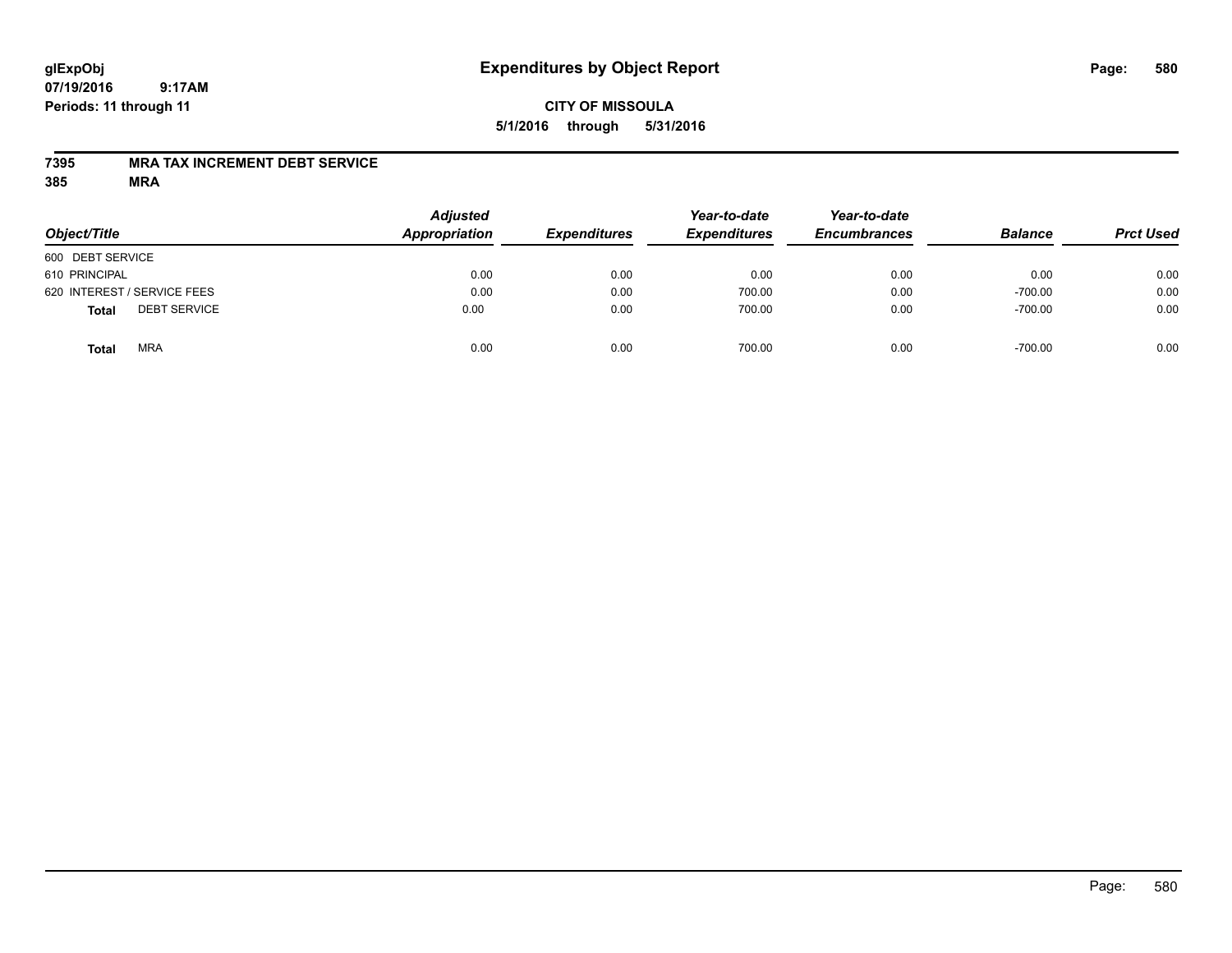## **CITY OF MISSOULA 5/1/2016 through 5/31/2016**

#### **7395 MRA TAX INCREMENT DEBT SERVICE**

| Object/Title                        | <b>Adjusted</b><br>Appropriation | <b>Expenditures</b> | Year-to-date<br><b>Expenditures</b> | Year-to-date<br><b>Encumbrances</b> | <b>Balance</b> | <b>Prct Used</b> |
|-------------------------------------|----------------------------------|---------------------|-------------------------------------|-------------------------------------|----------------|------------------|
| 600 DEBT SERVICE                    |                                  |                     |                                     |                                     |                |                  |
| 610 PRINCIPAL                       | 0.00                             | 0.00                | 0.00                                | 0.00                                | 0.00           | 0.00             |
| 620 INTEREST / SERVICE FEES         | 0.00                             | 0.00                | 700.00                              | 0.00                                | $-700.00$      | 0.00             |
| <b>DEBT SERVICE</b><br><b>Total</b> | 0.00                             | 0.00                | 700.00                              | 0.00                                | $-700.00$      | 0.00             |
| <b>MRA</b><br>Total                 | 0.00                             | 0.00                | 700.00                              | 0.00                                | $-700.00$      | 0.00             |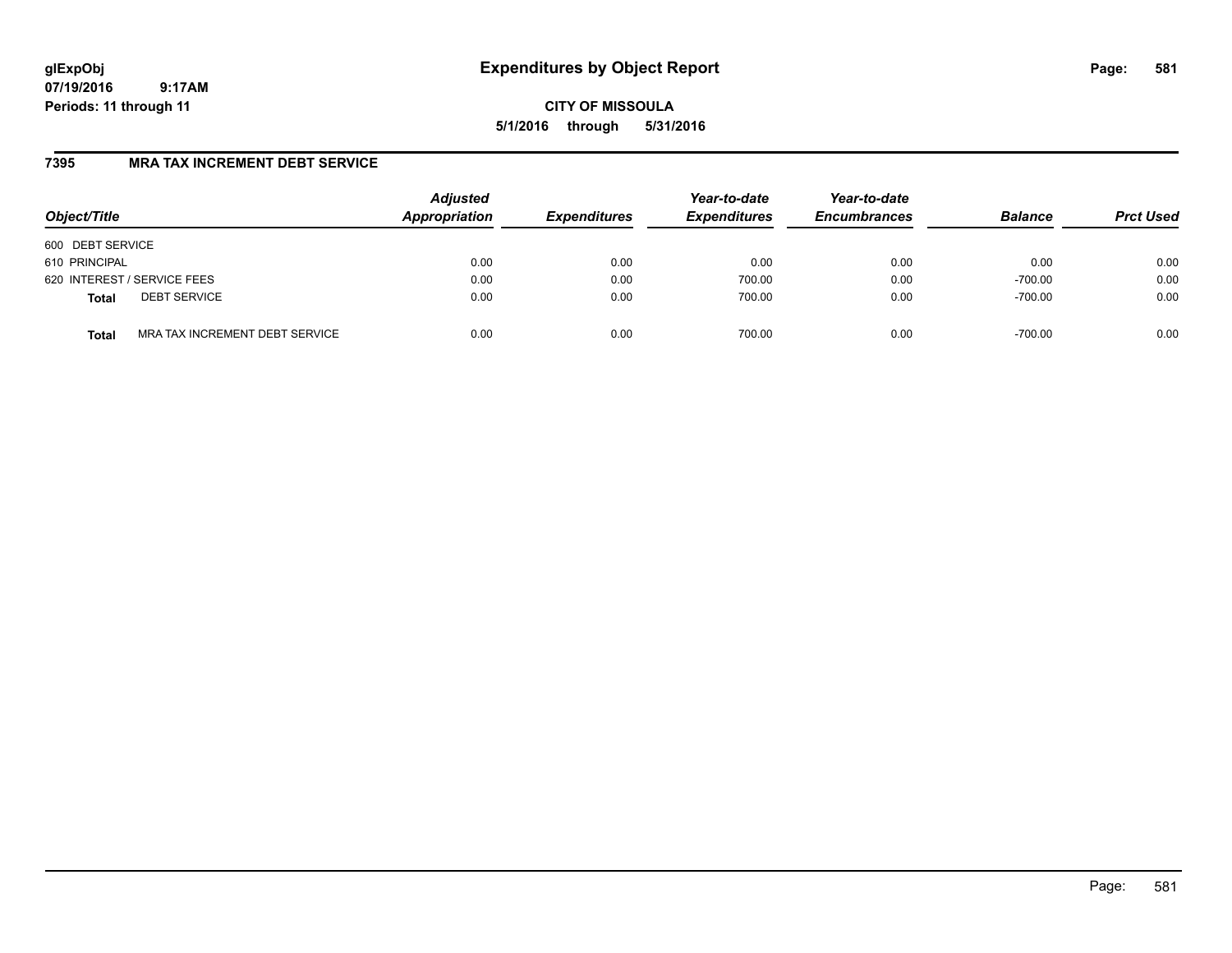# **glExpObj Expenditures by Object Report Page: 581**

**07/19/2016 9:17AM Periods: 11 through 11**

**CITY OF MISSOULA 5/1/2016 through 5/31/2016**

## **7395 MRA TAX INCREMENT DEBT SERVICE**

| Object/Title     |                                | <b>Adjusted</b><br>Appropriation | <b>Expenditures</b> | Year-to-date<br><b>Expenditures</b> | Year-to-date<br><b>Encumbrances</b> | <b>Balance</b> | <b>Prct Used</b> |
|------------------|--------------------------------|----------------------------------|---------------------|-------------------------------------|-------------------------------------|----------------|------------------|
| 600 DEBT SERVICE |                                |                                  |                     |                                     |                                     |                |                  |
| 610 PRINCIPAL    |                                | 0.00                             | 0.00                | 0.00                                | 0.00                                | 0.00           | 0.00             |
|                  | 620 INTEREST / SERVICE FEES    | 0.00                             | 0.00                | 700.00                              | 0.00                                | $-700.00$      | 0.00             |
| <b>Total</b>     | <b>DEBT SERVICE</b>            | 0.00                             | 0.00                | 700.00                              | 0.00                                | $-700.00$      | 0.00             |
| <b>Total</b>     | MRA TAX INCREMENT DEBT SERVICE | 0.00                             | 0.00                | 700.00                              | 0.00                                | $-700.00$      | 0.00             |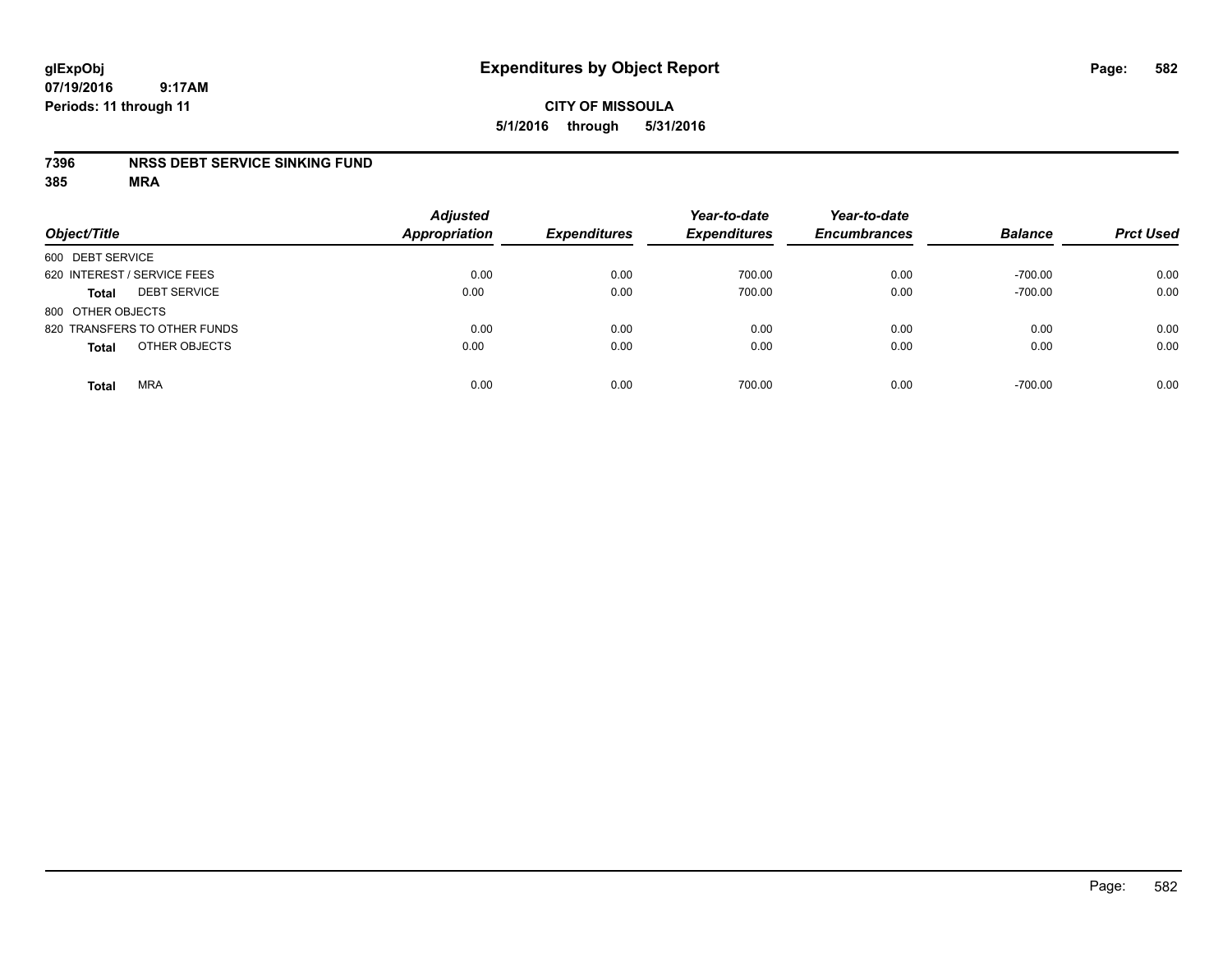## **CITY OF MISSOULA 5/1/2016 through 5/31/2016**

#### **7396 NRSS DEBT SERVICE SINKING FUND**

| Object/Title                        | <b>Adjusted</b><br><b>Appropriation</b> | <b>Expenditures</b> | Year-to-date<br><b>Expenditures</b> | Year-to-date<br><b>Encumbrances</b> | <b>Balance</b> | <b>Prct Used</b> |
|-------------------------------------|-----------------------------------------|---------------------|-------------------------------------|-------------------------------------|----------------|------------------|
| 600 DEBT SERVICE                    |                                         |                     |                                     |                                     |                |                  |
| 620 INTEREST / SERVICE FEES         | 0.00                                    | 0.00                | 700.00                              | 0.00                                | $-700.00$      | 0.00             |
| <b>DEBT SERVICE</b><br><b>Total</b> | 0.00                                    | 0.00                | 700.00                              | 0.00                                | $-700.00$      | 0.00             |
| 800 OTHER OBJECTS                   |                                         |                     |                                     |                                     |                |                  |
| 820 TRANSFERS TO OTHER FUNDS        | 0.00                                    | 0.00                | 0.00                                | 0.00                                | 0.00           | 0.00             |
| OTHER OBJECTS<br><b>Total</b>       | 0.00                                    | 0.00                | 0.00                                | 0.00                                | 0.00           | 0.00             |
| <b>MRA</b><br><b>Total</b>          | 0.00                                    | 0.00                | 700.00                              | 0.00                                | $-700.00$      | 0.00             |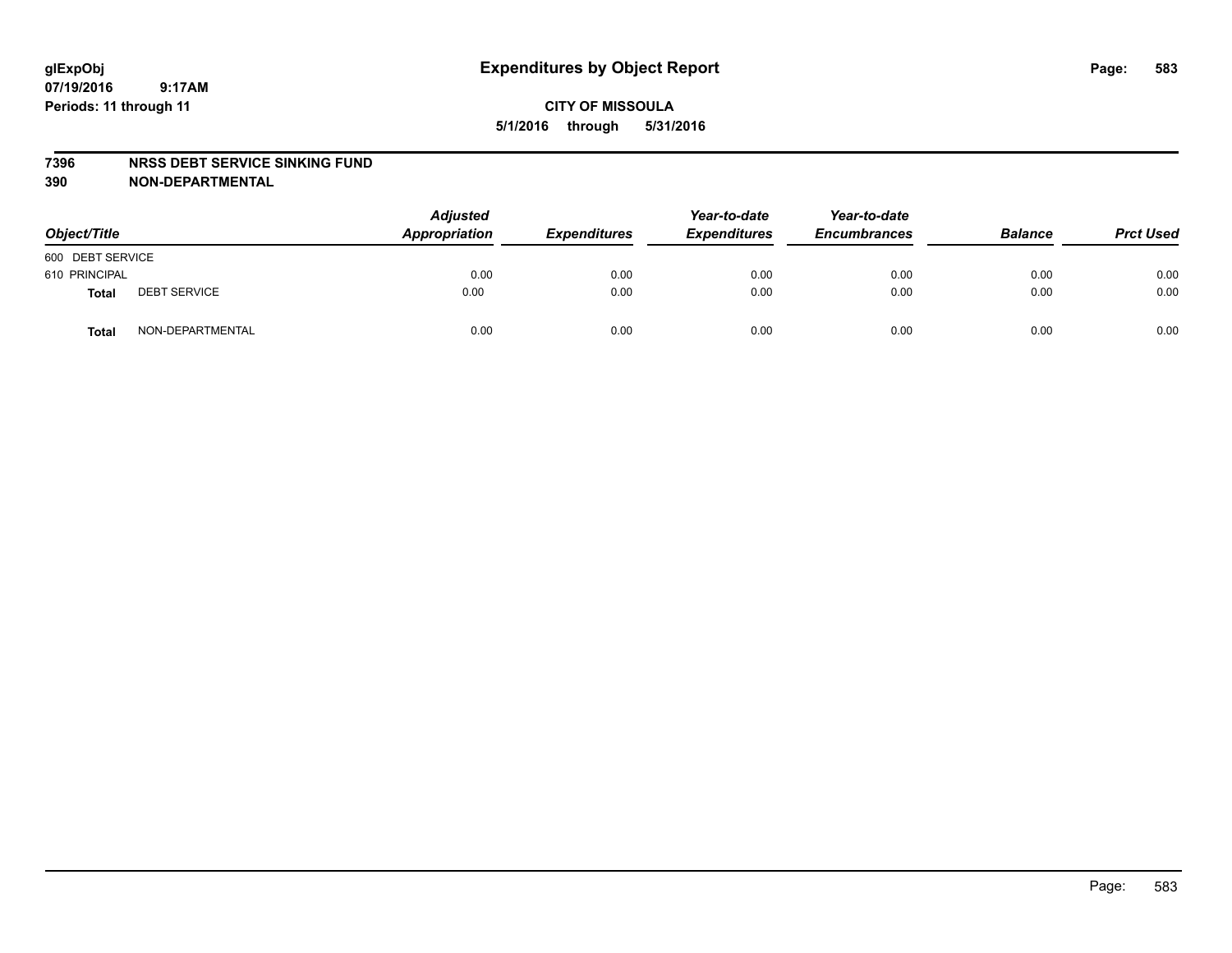#### **7396 NRSS DEBT SERVICE SINKING FUND**

**390 NON-DEPARTMENTAL**

| Object/Title     |                     | <b>Adjusted</b><br>Appropriation | <b>Expenditures</b> | Year-to-date<br><b>Expenditures</b> | Year-to-date<br><b>Encumbrances</b> | <b>Balance</b> | <b>Prct Used</b> |
|------------------|---------------------|----------------------------------|---------------------|-------------------------------------|-------------------------------------|----------------|------------------|
| 600 DEBT SERVICE |                     |                                  |                     |                                     |                                     |                |                  |
| 610 PRINCIPAL    |                     | 0.00                             | 0.00                | 0.00                                | 0.00                                | 0.00           | 0.00             |
| Total            | <b>DEBT SERVICE</b> | 0.00                             | 0.00                | 0.00                                | 0.00                                | 0.00           | 0.00             |
| Total            | NON-DEPARTMENTAL    | 0.00                             | 0.00                | 0.00                                | 0.00                                | 0.00           | 0.00             |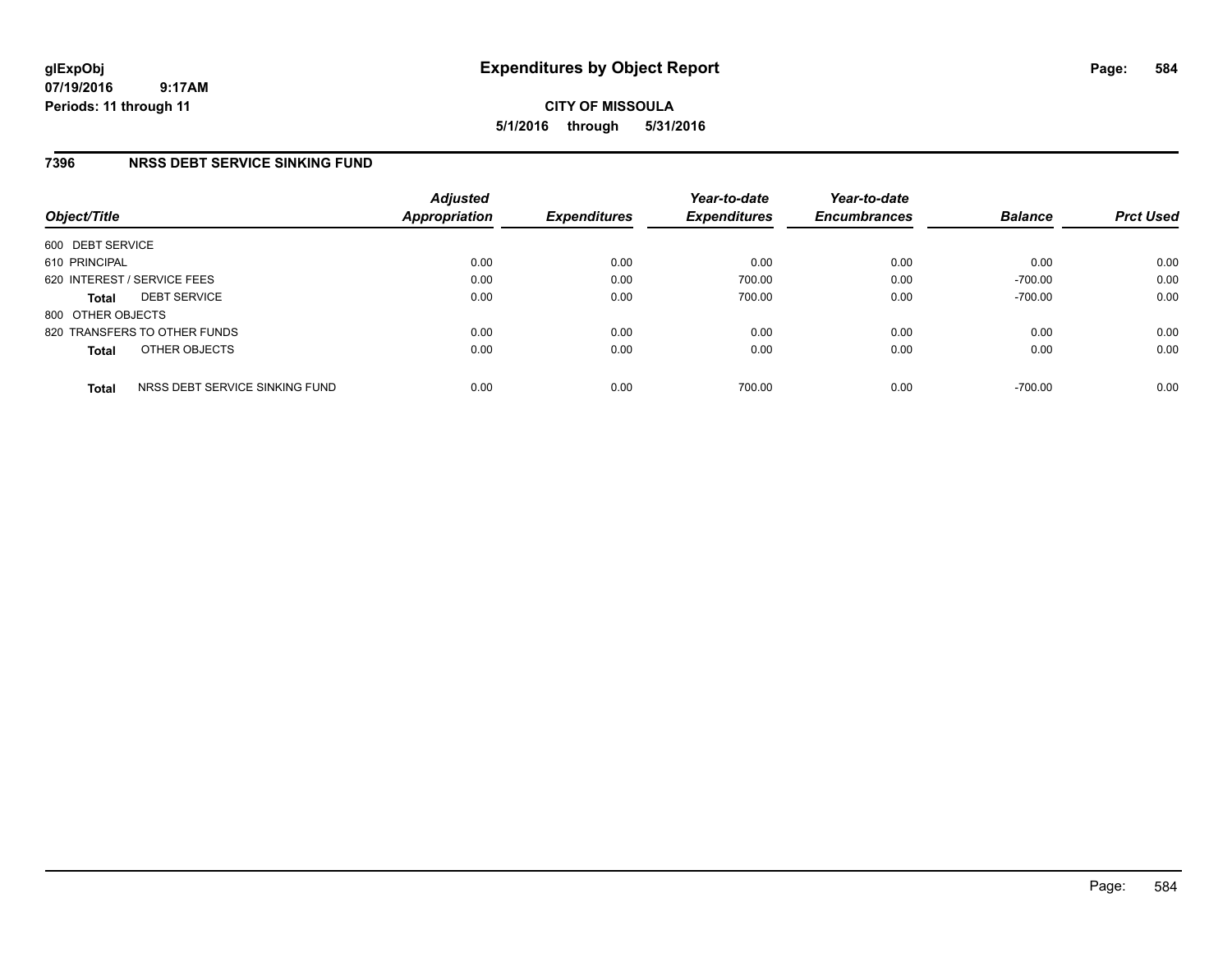**CITY OF MISSOULA 5/1/2016 through 5/31/2016**

### **7396 NRSS DEBT SERVICE SINKING FUND**

| Object/Title      |                                | <b>Adjusted</b><br><b>Appropriation</b> | <b>Expenditures</b> | Year-to-date<br><b>Expenditures</b> | Year-to-date<br><b>Encumbrances</b> | <b>Balance</b> | <b>Prct Used</b> |
|-------------------|--------------------------------|-----------------------------------------|---------------------|-------------------------------------|-------------------------------------|----------------|------------------|
| 600 DEBT SERVICE  |                                |                                         |                     |                                     |                                     |                |                  |
| 610 PRINCIPAL     |                                | 0.00                                    | 0.00                | 0.00                                | 0.00                                | 0.00           | 0.00             |
|                   | 620 INTEREST / SERVICE FEES    | 0.00                                    | 0.00                | 700.00                              | 0.00                                | $-700.00$      | 0.00             |
| <b>Total</b>      | <b>DEBT SERVICE</b>            | 0.00                                    | 0.00                | 700.00                              | 0.00                                | $-700.00$      | 0.00             |
| 800 OTHER OBJECTS |                                |                                         |                     |                                     |                                     |                |                  |
|                   | 820 TRANSFERS TO OTHER FUNDS   | 0.00                                    | 0.00                | 0.00                                | 0.00                                | 0.00           | 0.00             |
| <b>Total</b>      | OTHER OBJECTS                  | 0.00                                    | 0.00                | 0.00                                | 0.00                                | 0.00           | 0.00             |
| <b>Total</b>      | NRSS DEBT SERVICE SINKING FUND | 0.00                                    | 0.00                | 700.00                              | 0.00                                | $-700.00$      | 0.00             |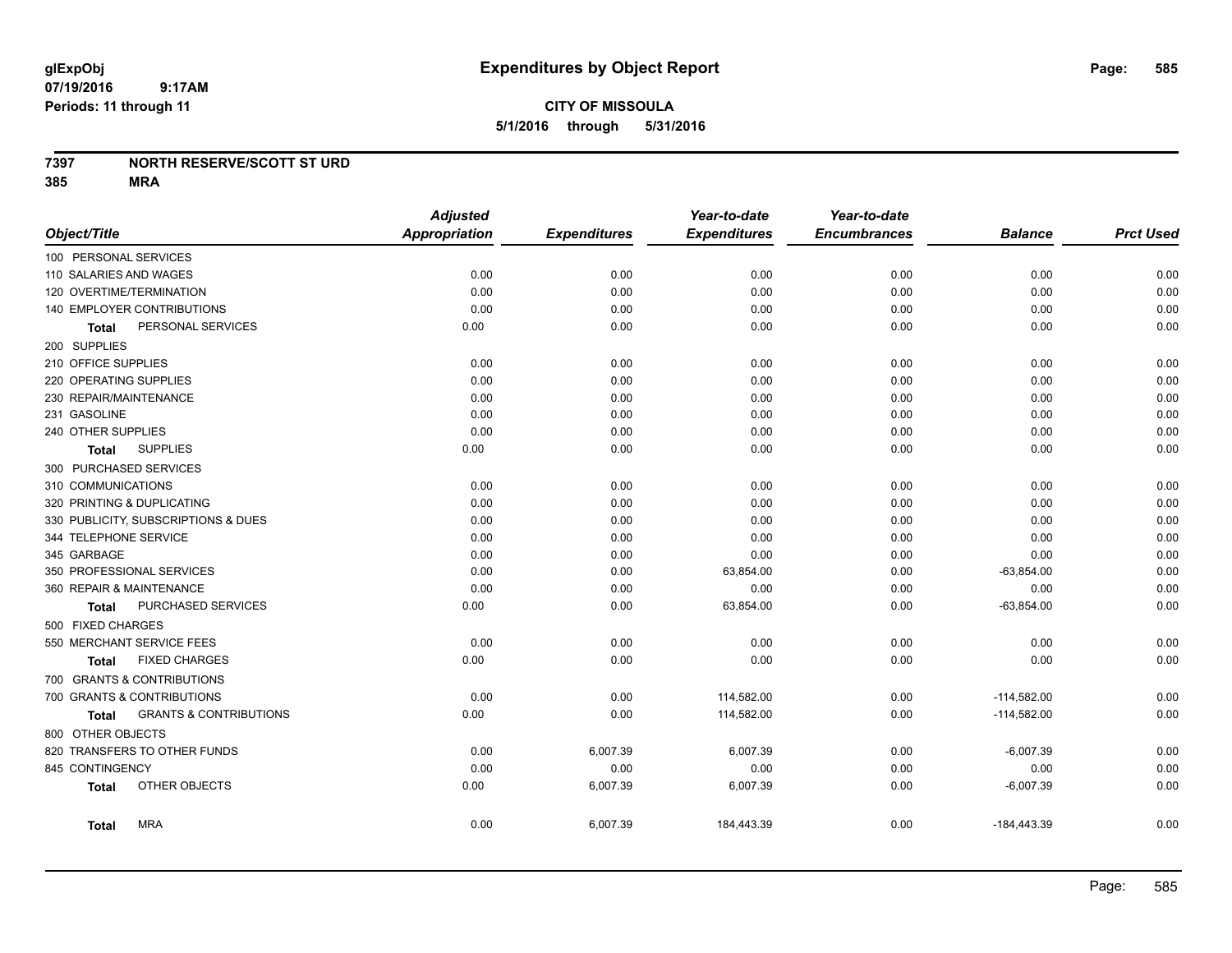## **CITY OF MISSOULA 5/1/2016 through 5/31/2016**

#### **7397 NORTH RESERVE/SCOTT ST URD**

|                     |                                     | <b>Adjusted</b>      |                     | Year-to-date        | Year-to-date        |                |                  |
|---------------------|-------------------------------------|----------------------|---------------------|---------------------|---------------------|----------------|------------------|
| Object/Title        |                                     | <b>Appropriation</b> | <b>Expenditures</b> | <b>Expenditures</b> | <b>Encumbrances</b> | <b>Balance</b> | <b>Prct Used</b> |
|                     | 100 PERSONAL SERVICES               |                      |                     |                     |                     |                |                  |
|                     | 110 SALARIES AND WAGES              | 0.00                 | 0.00                | 0.00                | 0.00                | 0.00           | 0.00             |
|                     | 120 OVERTIME/TERMINATION            | 0.00                 | 0.00                | 0.00                | 0.00                | 0.00           | 0.00             |
|                     | 140 EMPLOYER CONTRIBUTIONS          | 0.00                 | 0.00                | 0.00                | 0.00                | 0.00           | 0.00             |
| Total               | PERSONAL SERVICES                   | 0.00                 | 0.00                | 0.00                | 0.00                | 0.00           | 0.00             |
| 200 SUPPLIES        |                                     |                      |                     |                     |                     |                |                  |
| 210 OFFICE SUPPLIES |                                     | 0.00                 | 0.00                | 0.00                | 0.00                | 0.00           | 0.00             |
|                     | 220 OPERATING SUPPLIES              | 0.00                 | 0.00                | 0.00                | 0.00                | 0.00           | 0.00             |
|                     | 230 REPAIR/MAINTENANCE              | 0.00                 | 0.00                | 0.00                | 0.00                | 0.00           | 0.00             |
| 231 GASOLINE        |                                     | 0.00                 | 0.00                | 0.00                | 0.00                | 0.00           | 0.00             |
| 240 OTHER SUPPLIES  |                                     | 0.00                 | 0.00                | 0.00                | 0.00                | 0.00           | 0.00             |
| Total               | <b>SUPPLIES</b>                     | 0.00                 | 0.00                | 0.00                | 0.00                | 0.00           | 0.00             |
|                     | 300 PURCHASED SERVICES              |                      |                     |                     |                     |                |                  |
| 310 COMMUNICATIONS  |                                     | 0.00                 | 0.00                | 0.00                | 0.00                | 0.00           | 0.00             |
|                     | 320 PRINTING & DUPLICATING          | 0.00                 | 0.00                | 0.00                | 0.00                | 0.00           | 0.00             |
|                     | 330 PUBLICITY, SUBSCRIPTIONS & DUES | 0.00                 | 0.00                | 0.00                | 0.00                | 0.00           | 0.00             |
|                     | 344 TELEPHONE SERVICE               | 0.00                 | 0.00                | 0.00                | 0.00                | 0.00           | 0.00             |
| 345 GARBAGE         |                                     | 0.00                 | 0.00                | 0.00                | 0.00                | 0.00           | 0.00             |
|                     | 350 PROFESSIONAL SERVICES           | 0.00                 | 0.00                | 63,854.00           | 0.00                | $-63,854.00$   | 0.00             |
|                     | 360 REPAIR & MAINTENANCE            | 0.00                 | 0.00                | 0.00                | 0.00                | 0.00           | 0.00             |
| <b>Total</b>        | PURCHASED SERVICES                  | 0.00                 | 0.00                | 63,854.00           | 0.00                | $-63,854.00$   | 0.00             |
| 500 FIXED CHARGES   |                                     |                      |                     |                     |                     |                |                  |
|                     | 550 MERCHANT SERVICE FEES           | 0.00                 | 0.00                | 0.00                | 0.00                | 0.00           | 0.00             |
| Total               | <b>FIXED CHARGES</b>                | 0.00                 | 0.00                | 0.00                | 0.00                | 0.00           | 0.00             |
|                     | 700 GRANTS & CONTRIBUTIONS          |                      |                     |                     |                     |                |                  |
|                     | 700 GRANTS & CONTRIBUTIONS          | 0.00                 | 0.00                | 114,582.00          | 0.00                | $-114,582.00$  | 0.00             |
| Total               | <b>GRANTS &amp; CONTRIBUTIONS</b>   | 0.00                 | 0.00                | 114,582.00          | 0.00                | $-114,582.00$  | 0.00             |
| 800 OTHER OBJECTS   |                                     |                      |                     |                     |                     |                |                  |
|                     | 820 TRANSFERS TO OTHER FUNDS        | 0.00                 | 6,007.39            | 6,007.39            | 0.00                | $-6,007.39$    | 0.00             |
| 845 CONTINGENCY     |                                     | 0.00                 | 0.00                | 0.00                | 0.00                | 0.00           | 0.00             |
| <b>Total</b>        | OTHER OBJECTS                       | 0.00                 | 6,007.39            | 6,007.39            | 0.00                | $-6,007.39$    | 0.00             |
| Total               | <b>MRA</b>                          | 0.00                 | 6,007.39            | 184,443.39          | 0.00                | $-184,443.39$  | 0.00             |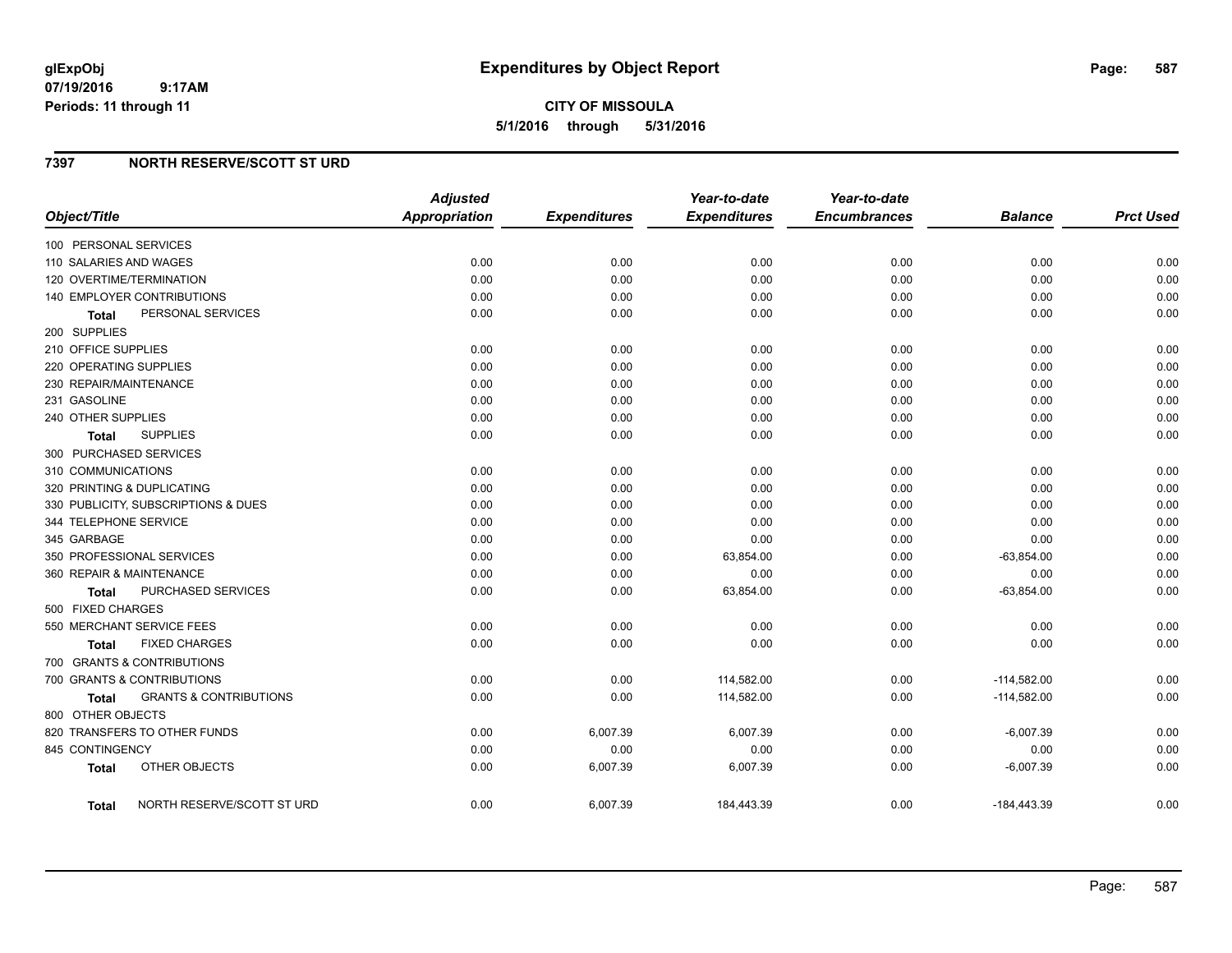#### **7397 NORTH RESERVE/SCOTT ST URD**

| Object/Title                               | <b>Adjusted</b><br><b>Appropriation</b> | <b>Expenditures</b> | Year-to-date<br><b>Expenditures</b> | Year-to-date<br><b>Encumbrances</b> | <b>Balance</b> | <b>Prct Used</b> |
|--------------------------------------------|-----------------------------------------|---------------------|-------------------------------------|-------------------------------------|----------------|------------------|
| 100 PERSONAL SERVICES                      |                                         |                     |                                     |                                     |                |                  |
| 110 SALARIES AND WAGES                     | 0.00                                    | 0.00                | 0.00                                | 0.00                                | 0.00           | 0.00             |
| 120 OVERTIME/TERMINATION                   | 0.00                                    | 0.00                | 0.00                                | 0.00                                | 0.00           | 0.00             |
| 140 EMPLOYER CONTRIBUTIONS                 | 0.00                                    | 0.00                | 0.00                                | 0.00                                | 0.00           | 0.00             |
| PERSONAL SERVICES<br><b>Total</b>          | 0.00                                    | 0.00                | 0.00                                | 0.00                                | 0.00           | 0.00             |
| 200 SUPPLIES                               |                                         |                     |                                     |                                     |                |                  |
| 210 OFFICE SUPPLIES                        | 0.00                                    | 0.00                | 0.00                                | 0.00                                | 0.00           | 0.00             |
| 220 OPERATING SUPPLIES                     | 0.00                                    | 0.00                | 0.00                                | 0.00                                | 0.00           | 0.00             |
| 230 REPAIR/MAINTENANCE                     | 0.00                                    | 0.00                | 0.00                                | 0.00                                | 0.00           | 0.00             |
| 231 GASOLINE                               | 0.00                                    | 0.00                | 0.00                                | 0.00                                | 0.00           | 0.00             |
| 240 OTHER SUPPLIES                         | 0.00                                    | 0.00                | 0.00                                | 0.00                                | 0.00           | 0.00             |
| <b>SUPPLIES</b><br>Total                   | 0.00                                    | 0.00                | 0.00                                | 0.00                                | 0.00           | 0.00             |
| 300 PURCHASED SERVICES                     |                                         |                     |                                     |                                     |                |                  |
| 310 COMMUNICATIONS                         | 0.00                                    | 0.00                | 0.00                                | 0.00                                | 0.00           | 0.00             |
| 320 PRINTING & DUPLICATING                 | 0.00                                    | 0.00                | 0.00                                | 0.00                                | 0.00           | 0.00             |
| 330 PUBLICITY, SUBSCRIPTIONS & DUES        | 0.00                                    | 0.00                | 0.00                                | 0.00                                | 0.00           | 0.00             |
| 344 TELEPHONE SERVICE                      | 0.00                                    | 0.00                | 0.00                                | 0.00                                | 0.00           | 0.00             |
| 345 GARBAGE                                | 0.00                                    | 0.00                | 0.00                                | 0.00                                | 0.00           | 0.00             |
| 350 PROFESSIONAL SERVICES                  | 0.00                                    | 0.00                | 63,854.00                           | 0.00                                | $-63,854.00$   | 0.00             |
| 360 REPAIR & MAINTENANCE                   | 0.00                                    | 0.00                | 0.00                                | 0.00                                | 0.00           | 0.00             |
| PURCHASED SERVICES<br><b>Total</b>         | 0.00                                    | 0.00                | 63,854.00                           | 0.00                                | $-63,854.00$   | 0.00             |
| 500 FIXED CHARGES                          |                                         |                     |                                     |                                     |                |                  |
| 550 MERCHANT SERVICE FEES                  | 0.00                                    | 0.00                | 0.00                                | 0.00                                | 0.00           | 0.00             |
| <b>FIXED CHARGES</b><br>Total              | 0.00                                    | 0.00                | 0.00                                | 0.00                                | 0.00           | 0.00             |
| 700 GRANTS & CONTRIBUTIONS                 |                                         |                     |                                     |                                     |                |                  |
| 700 GRANTS & CONTRIBUTIONS                 | 0.00                                    | 0.00                | 114,582.00                          | 0.00                                | $-114,582.00$  | 0.00             |
| <b>GRANTS &amp; CONTRIBUTIONS</b><br>Total | 0.00                                    | 0.00                | 114,582.00                          | 0.00                                | $-114,582.00$  | 0.00             |
| 800 OTHER OBJECTS                          |                                         |                     |                                     |                                     |                |                  |
| 820 TRANSFERS TO OTHER FUNDS               | 0.00                                    | 6,007.39            | 6.007.39                            | 0.00                                | $-6,007.39$    | 0.00             |
| 845 CONTINGENCY                            | 0.00                                    | 0.00                | 0.00                                | 0.00                                | 0.00           | 0.00             |
| OTHER OBJECTS<br><b>Total</b>              | 0.00                                    | 6,007.39            | 6,007.39                            | 0.00                                | $-6,007.39$    | 0.00             |
| NORTH RESERVE/SCOTT ST URD<br>Total        | 0.00                                    | 6,007.39            | 184,443.39                          | 0.00                                | $-184,443.39$  | 0.00             |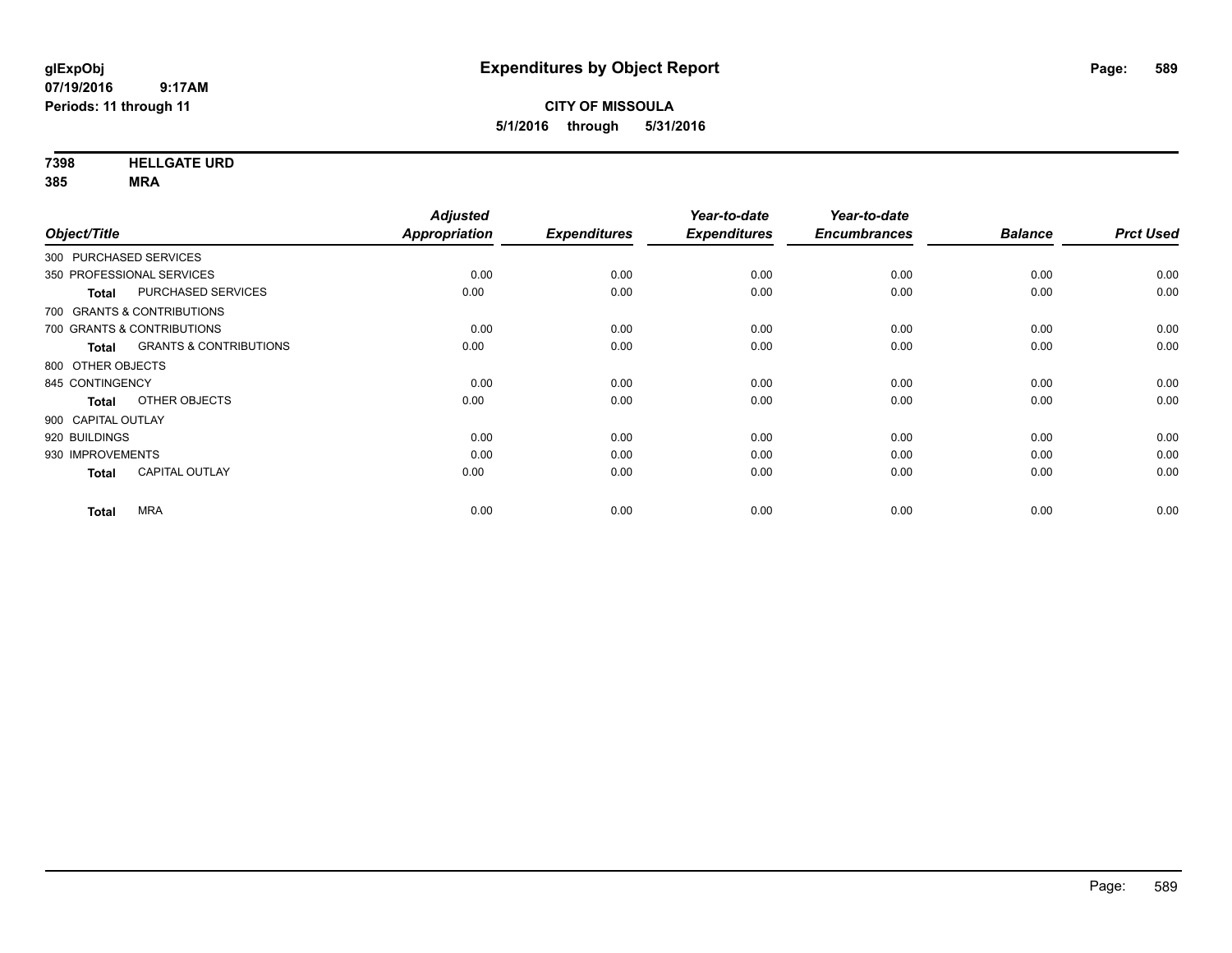**7398 HELLGATE URD**

|                                   | <b>Adjusted</b> |                       | Year-to-date                | Year-to-date                |                             |                        |
|-----------------------------------|-----------------|-----------------------|-----------------------------|-----------------------------|-----------------------------|------------------------|
|                                   |                 |                       |                             |                             |                             | <b>Prct Used</b>       |
| 300 PURCHASED SERVICES            |                 |                       |                             |                             |                             |                        |
| 350 PROFESSIONAL SERVICES         | 0.00            | 0.00                  | 0.00                        | 0.00                        | 0.00                        | 0.00                   |
| PURCHASED SERVICES                | 0.00            | 0.00                  | 0.00                        | 0.00                        | 0.00                        | 0.00                   |
| 700 GRANTS & CONTRIBUTIONS        |                 |                       |                             |                             |                             |                        |
| 700 GRANTS & CONTRIBUTIONS        | 0.00            | 0.00                  | 0.00                        | 0.00                        | 0.00                        | 0.00                   |
| <b>GRANTS &amp; CONTRIBUTIONS</b> | 0.00            | 0.00                  | 0.00                        | 0.00                        | 0.00                        | 0.00                   |
| 800 OTHER OBJECTS                 |                 |                       |                             |                             |                             |                        |
| 845 CONTINGENCY                   | 0.00            | 0.00                  | 0.00                        | 0.00                        | 0.00                        | 0.00                   |
| OTHER OBJECTS                     | 0.00            | 0.00                  | 0.00                        | 0.00                        | 0.00                        | 0.00                   |
| 900 CAPITAL OUTLAY                |                 |                       |                             |                             |                             |                        |
|                                   | 0.00            | 0.00                  | 0.00                        | 0.00                        | 0.00                        | 0.00                   |
| 930 IMPROVEMENTS                  | 0.00            | 0.00                  | 0.00                        | 0.00                        | 0.00                        | 0.00                   |
| <b>CAPITAL OUTLAY</b>             | 0.00            | 0.00                  | 0.00                        | 0.00                        | 0.00                        | 0.00                   |
|                                   |                 |                       |                             |                             |                             | 0.00                   |
|                                   | <b>MRA</b>      | Appropriation<br>0.00 | <b>Expenditures</b><br>0.00 | <b>Expenditures</b><br>0.00 | <b>Encumbrances</b><br>0.00 | <b>Balance</b><br>0.00 |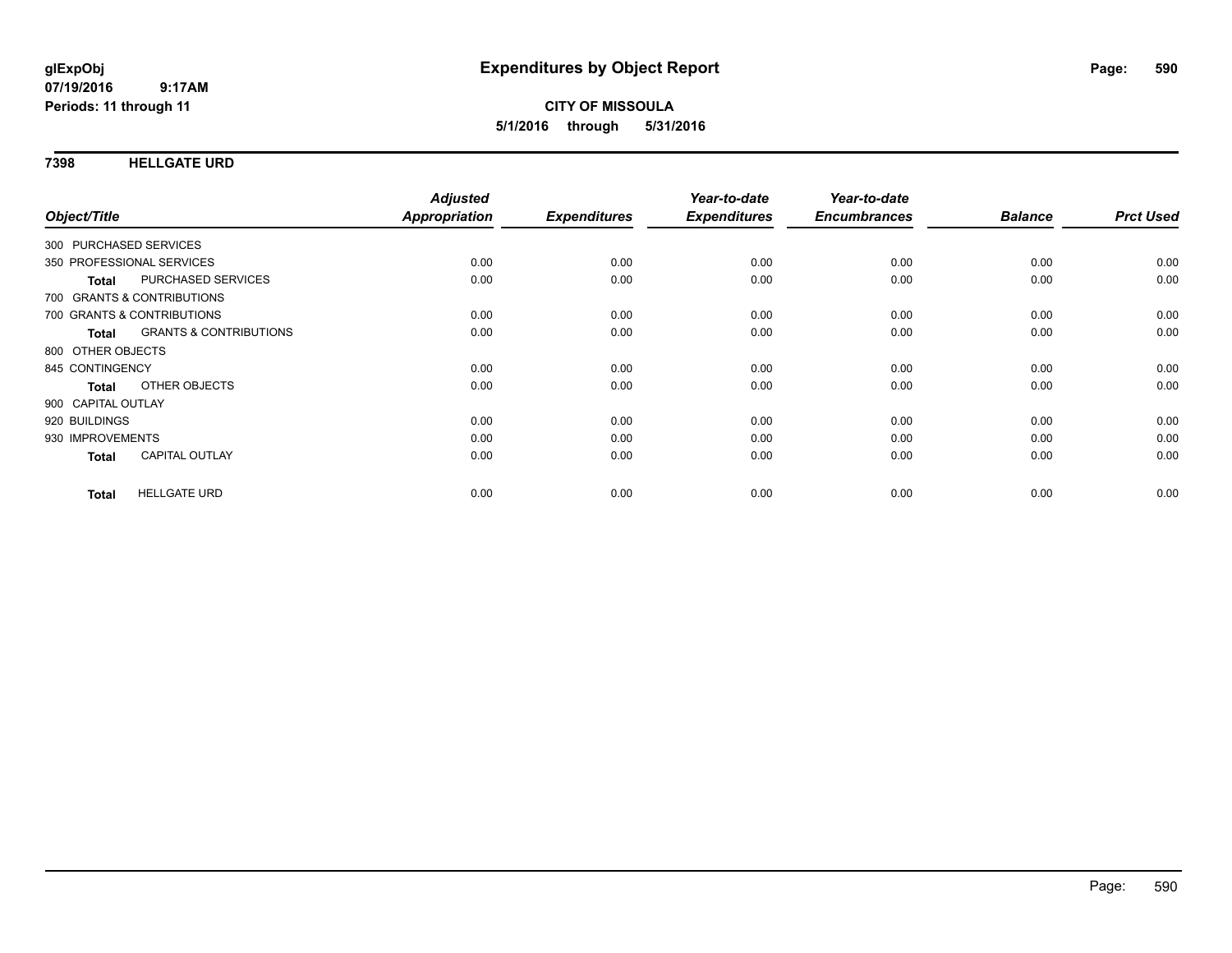#### **7398 HELLGATE URD**

| Object/Title           |                                   | <b>Adjusted</b><br><b>Appropriation</b> | <b>Expenditures</b> | Year-to-date<br><b>Expenditures</b> | Year-to-date<br><b>Encumbrances</b> | <b>Balance</b> | <b>Prct Used</b> |
|------------------------|-----------------------------------|-----------------------------------------|---------------------|-------------------------------------|-------------------------------------|----------------|------------------|
| 300 PURCHASED SERVICES |                                   |                                         |                     |                                     |                                     |                |                  |
|                        | 350 PROFESSIONAL SERVICES         | 0.00                                    | 0.00                | 0.00                                | 0.00                                | 0.00           | 0.00             |
| <b>Total</b>           | PURCHASED SERVICES                | 0.00                                    | 0.00                | 0.00                                | 0.00                                | 0.00           | 0.00             |
|                        | 700 GRANTS & CONTRIBUTIONS        |                                         |                     |                                     |                                     |                |                  |
|                        | 700 GRANTS & CONTRIBUTIONS        | 0.00                                    | 0.00                | 0.00                                | 0.00                                | 0.00           | 0.00             |
| Total                  | <b>GRANTS &amp; CONTRIBUTIONS</b> | 0.00                                    | 0.00                | 0.00                                | 0.00                                | 0.00           | 0.00             |
| 800 OTHER OBJECTS      |                                   |                                         |                     |                                     |                                     |                |                  |
| 845 CONTINGENCY        |                                   | 0.00                                    | 0.00                | 0.00                                | 0.00                                | 0.00           | 0.00             |
| <b>Total</b>           | OTHER OBJECTS                     | 0.00                                    | 0.00                | 0.00                                | 0.00                                | 0.00           | 0.00             |
| 900 CAPITAL OUTLAY     |                                   |                                         |                     |                                     |                                     |                |                  |
| 920 BUILDINGS          |                                   | 0.00                                    | 0.00                | 0.00                                | 0.00                                | 0.00           | 0.00             |
| 930 IMPROVEMENTS       |                                   | 0.00                                    | 0.00                | 0.00                                | 0.00                                | 0.00           | 0.00             |
| <b>Total</b>           | <b>CAPITAL OUTLAY</b>             | 0.00                                    | 0.00                | 0.00                                | 0.00                                | 0.00           | 0.00             |
| <b>Total</b>           | <b>HELLGATE URD</b>               | 0.00                                    | 0.00                | 0.00                                | 0.00                                | 0.00           | 0.00             |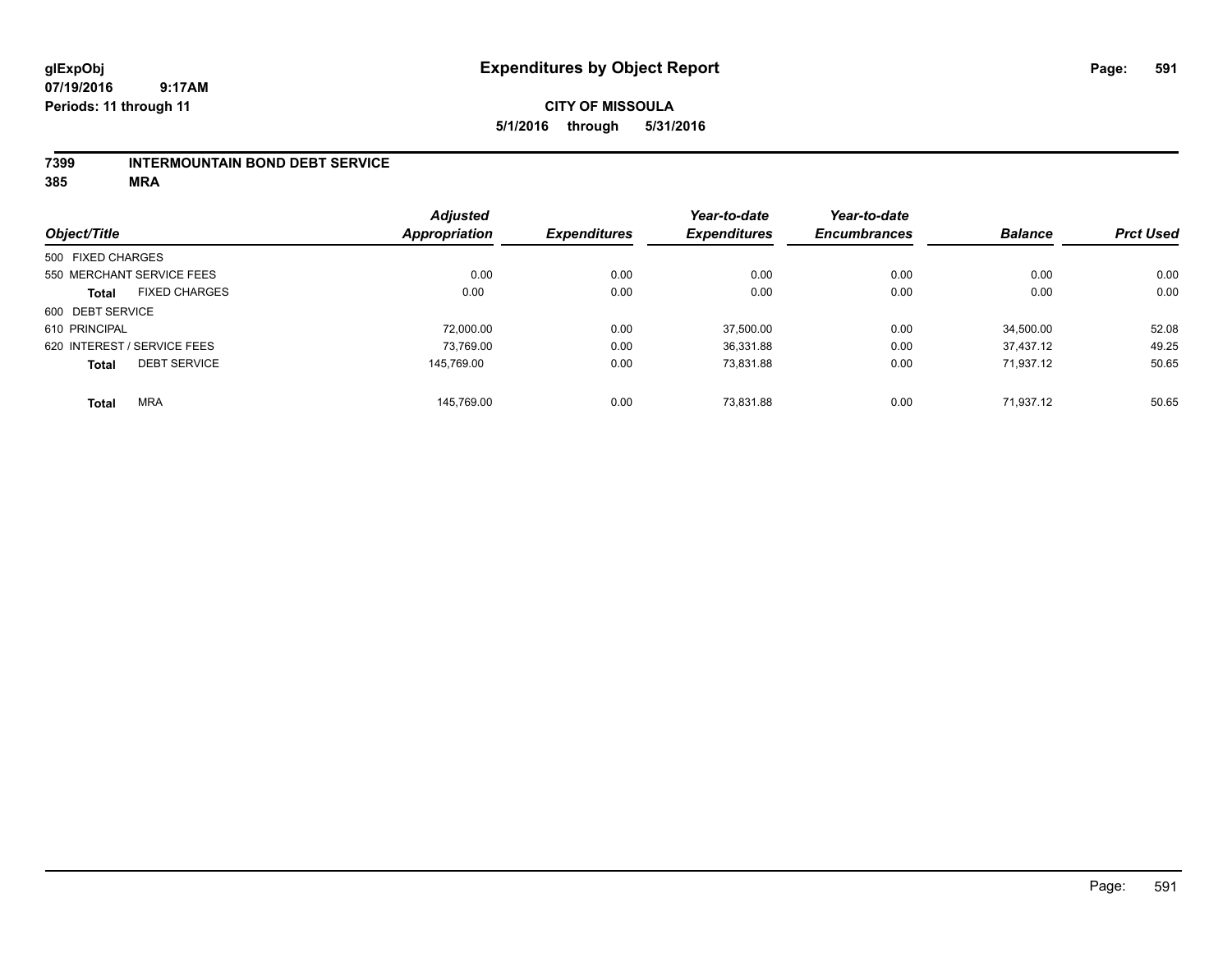## **CITY OF MISSOULA 5/1/2016 through 5/31/2016**

#### **7399 INTERMOUNTAIN BOND DEBT SERVICE**

|                   |                             | <b>Adjusted</b> |                     | Year-to-date        | Year-to-date        |                |                  |
|-------------------|-----------------------------|-----------------|---------------------|---------------------|---------------------|----------------|------------------|
| Object/Title      |                             | Appropriation   | <b>Expenditures</b> | <b>Expenditures</b> | <b>Encumbrances</b> | <b>Balance</b> | <b>Prct Used</b> |
| 500 FIXED CHARGES |                             |                 |                     |                     |                     |                |                  |
|                   | 550 MERCHANT SERVICE FEES   | 0.00            | 0.00                | 0.00                | 0.00                | 0.00           | 0.00             |
| <b>Total</b>      | <b>FIXED CHARGES</b>        | 0.00            | 0.00                | 0.00                | 0.00                | 0.00           | 0.00             |
| 600 DEBT SERVICE  |                             |                 |                     |                     |                     |                |                  |
| 610 PRINCIPAL     |                             | 72,000.00       | 0.00                | 37,500.00           | 0.00                | 34.500.00      | 52.08            |
|                   | 620 INTEREST / SERVICE FEES | 73,769.00       | 0.00                | 36,331.88           | 0.00                | 37.437.12      | 49.25            |
| <b>Total</b>      | <b>DEBT SERVICE</b>         | 145.769.00      | 0.00                | 73,831.88           | 0.00                | 71.937.12      | 50.65            |
| <b>Total</b>      | <b>MRA</b>                  | 145.769.00      | 0.00                | 73.831.88           | 0.00                | 71.937.12      | 50.65            |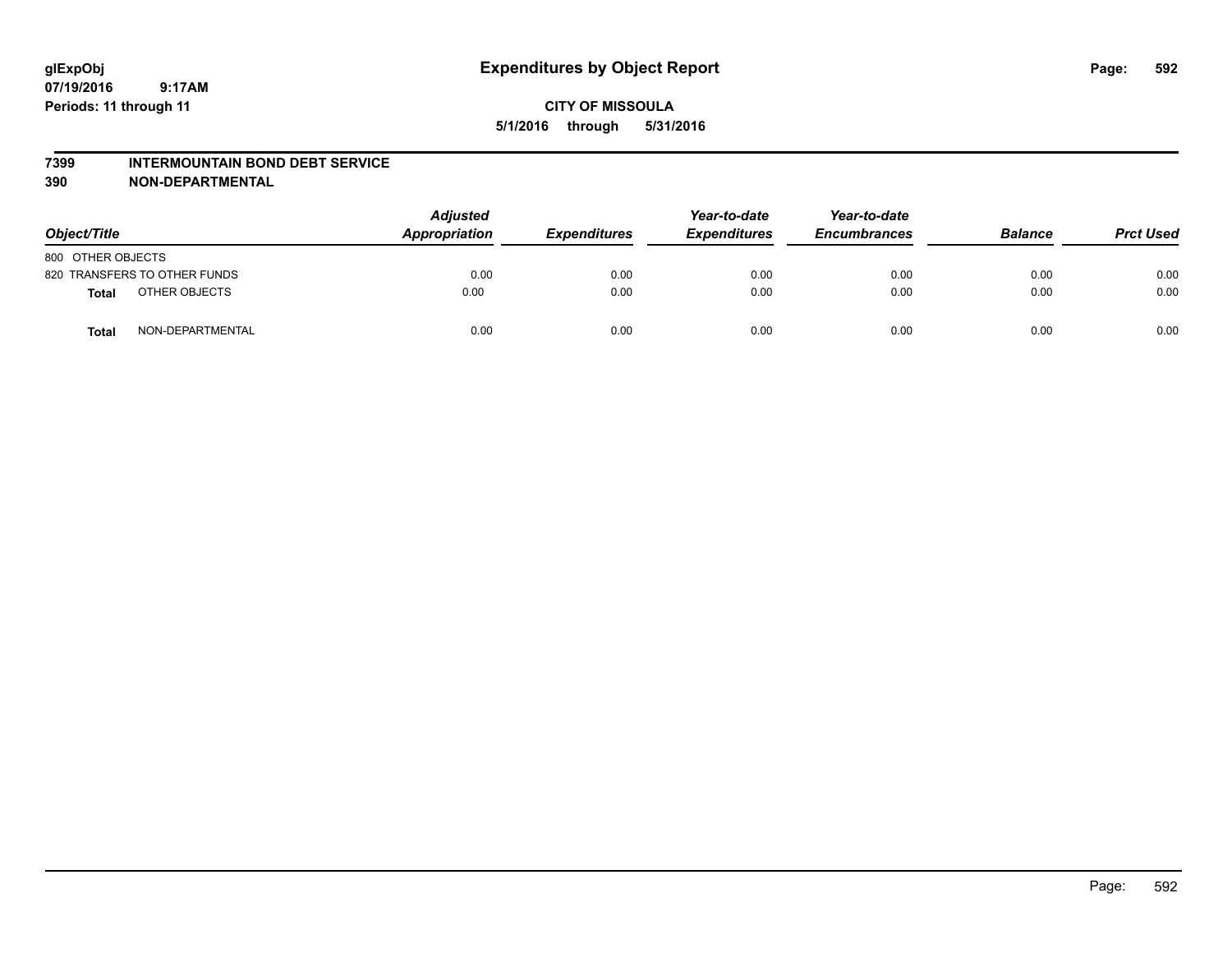#### **7399 INTERMOUNTAIN BOND DEBT SERVICE**

**390 NON-DEPARTMENTAL**

| Object/Title      |                              | <b>Adjusted</b><br>Appropriation | <b>Expenditures</b> | Year-to-date<br><b>Expenditures</b> | Year-to-date<br><b>Encumbrances</b> | <b>Balance</b> | <b>Prct Used</b> |
|-------------------|------------------------------|----------------------------------|---------------------|-------------------------------------|-------------------------------------|----------------|------------------|
| 800 OTHER OBJECTS |                              |                                  |                     |                                     |                                     |                |                  |
|                   | 820 TRANSFERS TO OTHER FUNDS | 0.00                             | 0.00                | 0.00                                | 0.00                                | 0.00           | 0.00             |
| Total             | OTHER OBJECTS                | 0.00                             | 0.00                | 0.00                                | 0.00                                | 0.00           | 0.00             |
| <b>Total</b>      | NON-DEPARTMENTAL             | 0.00                             | 0.00                | 0.00                                | 0.00                                | 0.00           | 0.00             |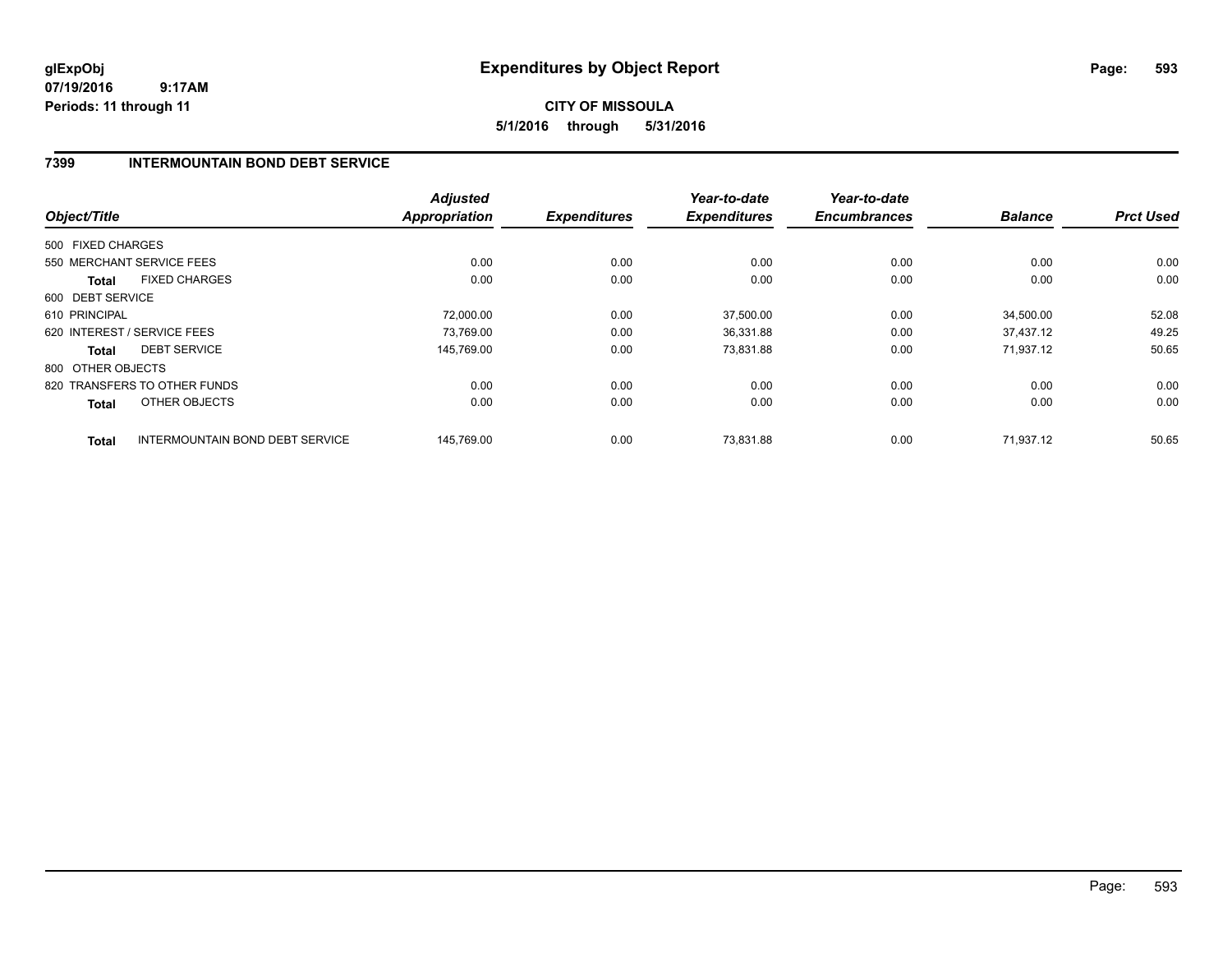## **CITY OF MISSOULA 5/1/2016 through 5/31/2016**

## **7399 INTERMOUNTAIN BOND DEBT SERVICE**

|                   |                                        | <b>Adjusted</b>      |                     | Year-to-date        | Year-to-date        |                |                  |
|-------------------|----------------------------------------|----------------------|---------------------|---------------------|---------------------|----------------|------------------|
| Object/Title      |                                        | <b>Appropriation</b> | <b>Expenditures</b> | <b>Expenditures</b> | <b>Encumbrances</b> | <b>Balance</b> | <b>Prct Used</b> |
| 500 FIXED CHARGES |                                        |                      |                     |                     |                     |                |                  |
|                   | 550 MERCHANT SERVICE FEES              | 0.00                 | 0.00                | 0.00                | 0.00                | 0.00           | 0.00             |
| <b>Total</b>      | <b>FIXED CHARGES</b>                   | 0.00                 | 0.00                | 0.00                | 0.00                | 0.00           | 0.00             |
| 600 DEBT SERVICE  |                                        |                      |                     |                     |                     |                |                  |
| 610 PRINCIPAL     |                                        | 72,000.00            | 0.00                | 37,500.00           | 0.00                | 34,500.00      | 52.08            |
|                   | 620 INTEREST / SERVICE FEES            | 73.769.00            | 0.00                | 36,331.88           | 0.00                | 37.437.12      | 49.25            |
| <b>Total</b>      | <b>DEBT SERVICE</b>                    | 145,769.00           | 0.00                | 73,831.88           | 0.00                | 71,937.12      | 50.65            |
| 800 OTHER OBJECTS |                                        |                      |                     |                     |                     |                |                  |
|                   | 820 TRANSFERS TO OTHER FUNDS           | 0.00                 | 0.00                | 0.00                | 0.00                | 0.00           | 0.00             |
| Total             | OTHER OBJECTS                          | 0.00                 | 0.00                | 0.00                | 0.00                | 0.00           | 0.00             |
| <b>Total</b>      | <b>INTERMOUNTAIN BOND DEBT SERVICE</b> | 145.769.00           | 0.00                | 73.831.88           | 0.00                | 71.937.12      | 50.65            |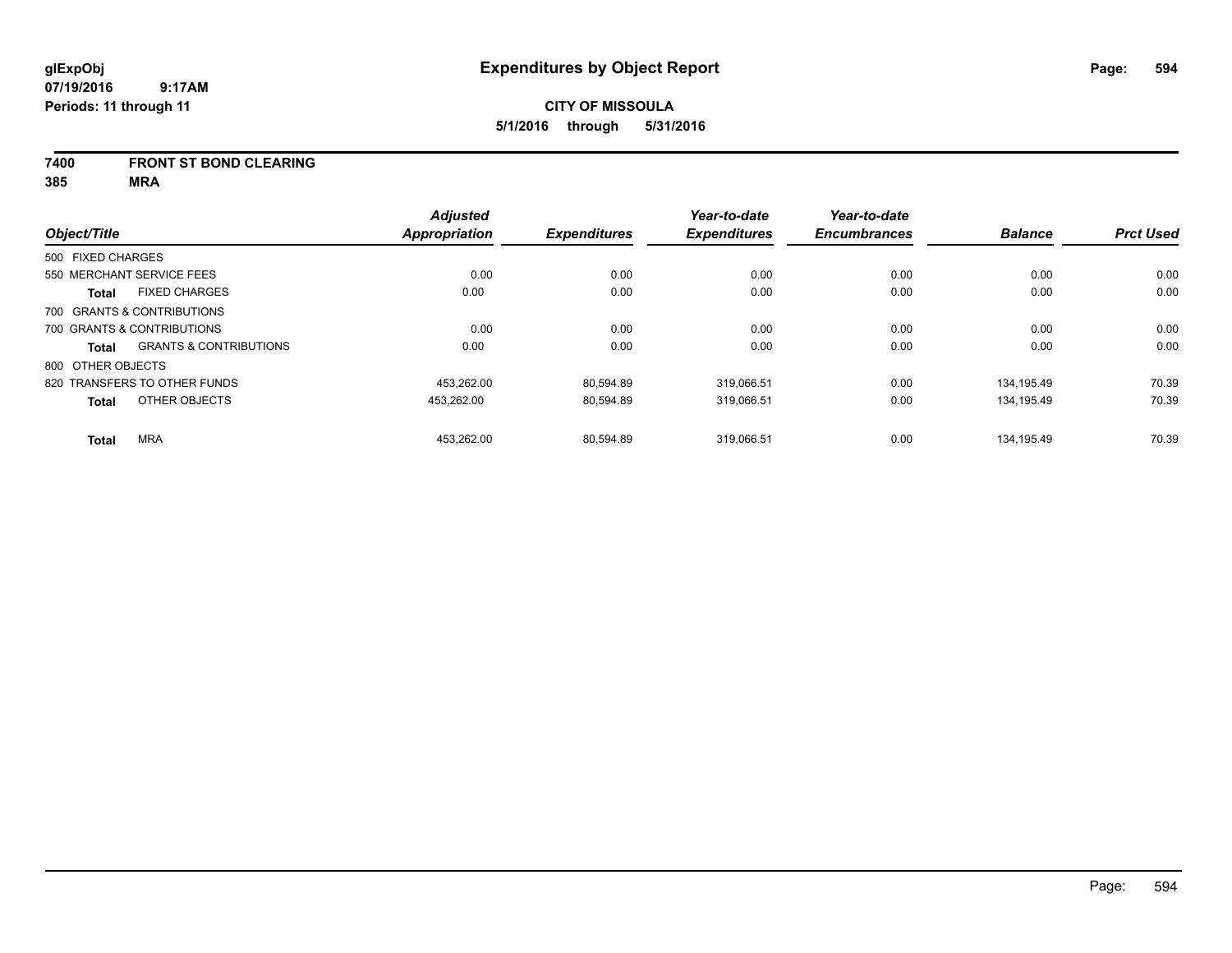#### **7400 FRONT ST BOND CLEARING**

|                   |                                   | <b>Adjusted</b>      |                     | Year-to-date        | Year-to-date        |                |                  |
|-------------------|-----------------------------------|----------------------|---------------------|---------------------|---------------------|----------------|------------------|
| Object/Title      |                                   | <b>Appropriation</b> | <b>Expenditures</b> | <b>Expenditures</b> | <b>Encumbrances</b> | <b>Balance</b> | <b>Prct Used</b> |
| 500 FIXED CHARGES |                                   |                      |                     |                     |                     |                |                  |
|                   | 550 MERCHANT SERVICE FEES         | 0.00                 | 0.00                | 0.00                | 0.00                | 0.00           | 0.00             |
| <b>Total</b>      | <b>FIXED CHARGES</b>              | 0.00                 | 0.00                | 0.00                | 0.00                | 0.00           | 0.00             |
|                   | 700 GRANTS & CONTRIBUTIONS        |                      |                     |                     |                     |                |                  |
|                   | 700 GRANTS & CONTRIBUTIONS        | 0.00                 | 0.00                | 0.00                | 0.00                | 0.00           | 0.00             |
| Total             | <b>GRANTS &amp; CONTRIBUTIONS</b> | 0.00                 | 0.00                | 0.00                | 0.00                | 0.00           | 0.00             |
| 800 OTHER OBJECTS |                                   |                      |                     |                     |                     |                |                  |
|                   | 820 TRANSFERS TO OTHER FUNDS      | 453.262.00           | 80.594.89           | 319.066.51          | 0.00                | 134.195.49     | 70.39            |
| <b>Total</b>      | OTHER OBJECTS                     | 453,262.00           | 80,594.89           | 319,066.51          | 0.00                | 134,195.49     | 70.39            |
| <b>Total</b>      | <b>MRA</b>                        | 453.262.00           | 80.594.89           | 319.066.51          | 0.00                | 134.195.49     | 70.39            |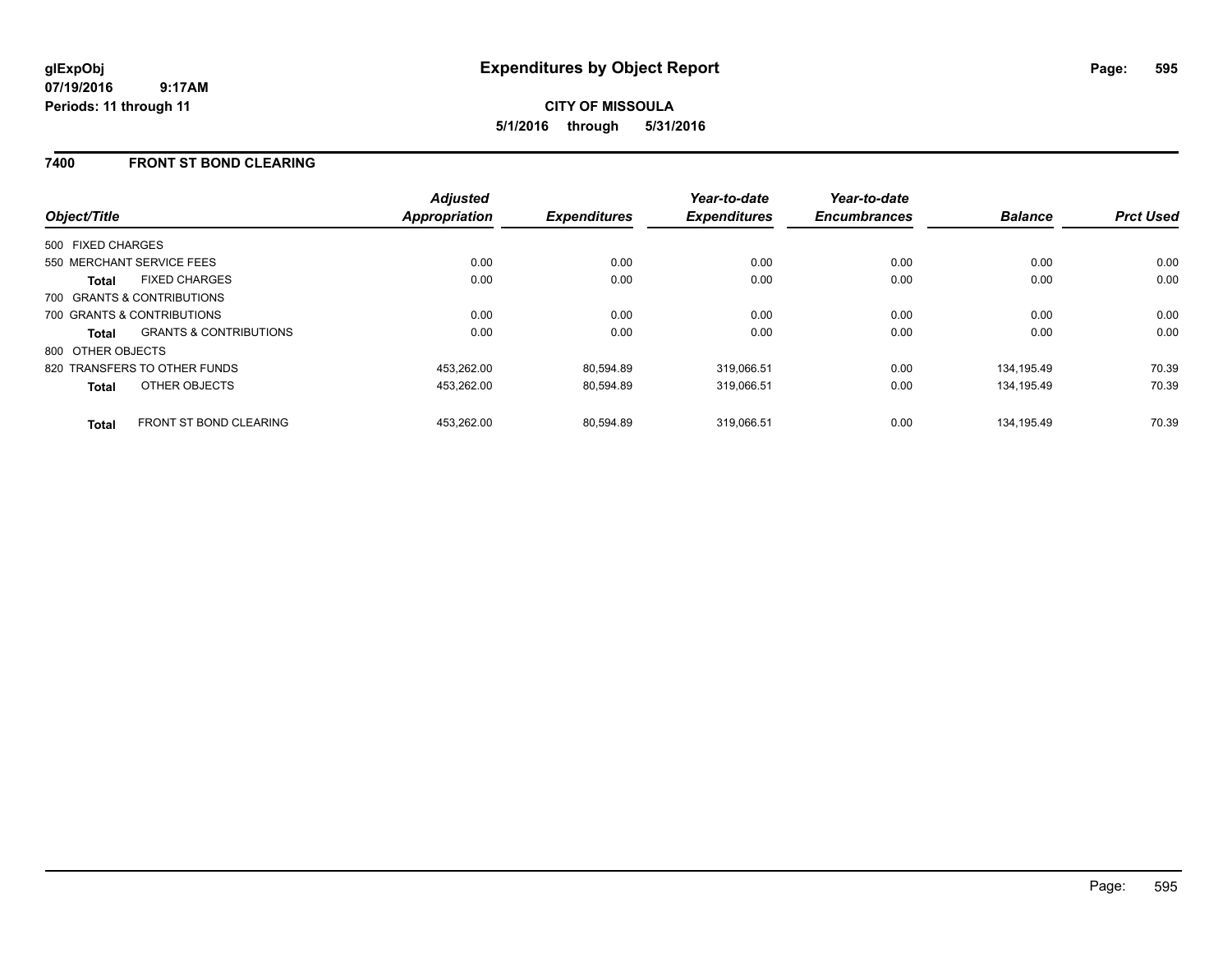### **7400 FRONT ST BOND CLEARING**

| Object/Title                                      | <b>Adjusted</b><br><b>Appropriation</b> | <b>Expenditures</b> | Year-to-date<br><b>Expenditures</b> | Year-to-date<br><b>Encumbrances</b> | <b>Balance</b> | <b>Prct Used</b> |
|---------------------------------------------------|-----------------------------------------|---------------------|-------------------------------------|-------------------------------------|----------------|------------------|
| 500 FIXED CHARGES                                 |                                         |                     |                                     |                                     |                |                  |
| 550 MERCHANT SERVICE FEES                         | 0.00                                    | 0.00                | 0.00                                | 0.00                                | 0.00           | 0.00             |
| <b>FIXED CHARGES</b><br><b>Total</b>              | 0.00                                    | 0.00                | 0.00                                | 0.00                                | 0.00           | 0.00             |
| 700 GRANTS & CONTRIBUTIONS                        |                                         |                     |                                     |                                     |                |                  |
| 700 GRANTS & CONTRIBUTIONS                        | 0.00                                    | 0.00                | 0.00                                | 0.00                                | 0.00           | 0.00             |
| <b>GRANTS &amp; CONTRIBUTIONS</b><br><b>Total</b> | 0.00                                    | 0.00                | 0.00                                | 0.00                                | 0.00           | 0.00             |
| 800 OTHER OBJECTS                                 |                                         |                     |                                     |                                     |                |                  |
| 820 TRANSFERS TO OTHER FUNDS                      | 453,262.00                              | 80,594.89           | 319,066.51                          | 0.00                                | 134,195.49     | 70.39            |
| OTHER OBJECTS<br><b>Total</b>                     | 453.262.00                              | 80,594.89           | 319.066.51                          | 0.00                                | 134.195.49     | 70.39            |
| <b>FRONT ST BOND CLEARING</b><br><b>Total</b>     | 453.262.00                              | 80.594.89           | 319.066.51                          | 0.00                                | 134.195.49     | 70.39            |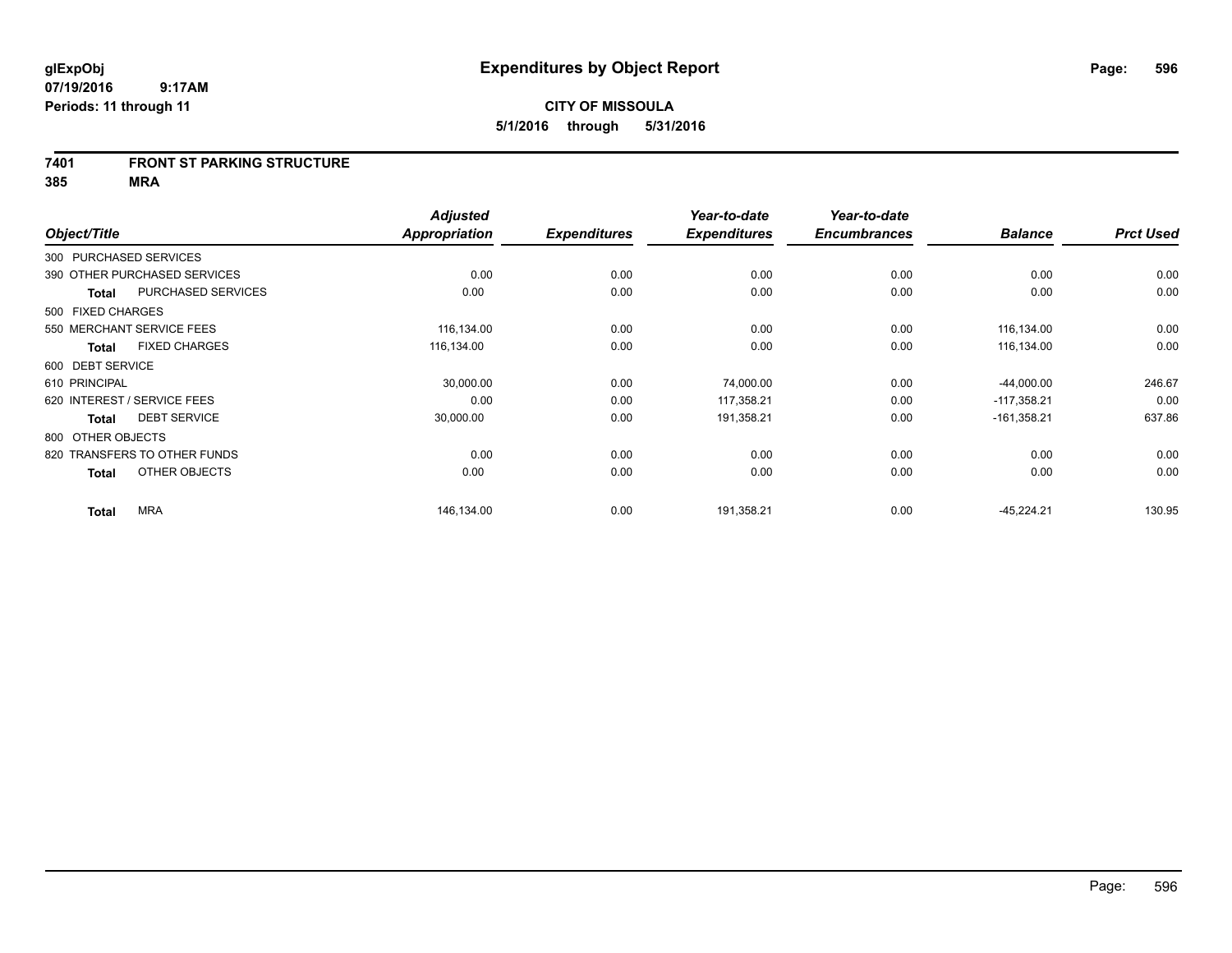#### **7401 FRONT ST PARKING STRUCTURE**

|                        |                              | <b>Adjusted</b> |                     | Year-to-date        | Year-to-date        |                |                  |
|------------------------|------------------------------|-----------------|---------------------|---------------------|---------------------|----------------|------------------|
| Object/Title           |                              | Appropriation   | <b>Expenditures</b> | <b>Expenditures</b> | <b>Encumbrances</b> | <b>Balance</b> | <b>Prct Used</b> |
| 300 PURCHASED SERVICES |                              |                 |                     |                     |                     |                |                  |
|                        | 390 OTHER PURCHASED SERVICES | 0.00            | 0.00                | 0.00                | 0.00                | 0.00           | 0.00             |
| <b>Total</b>           | PURCHASED SERVICES           | 0.00            | 0.00                | 0.00                | 0.00                | 0.00           | 0.00             |
| 500 FIXED CHARGES      |                              |                 |                     |                     |                     |                |                  |
|                        | 550 MERCHANT SERVICE FEES    | 116,134.00      | 0.00                | 0.00                | 0.00                | 116,134.00     | 0.00             |
| <b>Total</b>           | <b>FIXED CHARGES</b>         | 116,134.00      | 0.00                | 0.00                | 0.00                | 116,134.00     | 0.00             |
| 600 DEBT SERVICE       |                              |                 |                     |                     |                     |                |                  |
| 610 PRINCIPAL          |                              | 30,000.00       | 0.00                | 74,000.00           | 0.00                | $-44,000.00$   | 246.67           |
|                        | 620 INTEREST / SERVICE FEES  | 0.00            | 0.00                | 117,358.21          | 0.00                | $-117,358.21$  | 0.00             |
| <b>Total</b>           | <b>DEBT SERVICE</b>          | 30,000.00       | 0.00                | 191,358.21          | 0.00                | $-161,358.21$  | 637.86           |
| 800 OTHER OBJECTS      |                              |                 |                     |                     |                     |                |                  |
|                        | 820 TRANSFERS TO OTHER FUNDS | 0.00            | 0.00                | 0.00                | 0.00                | 0.00           | 0.00             |
| <b>Total</b>           | OTHER OBJECTS                | 0.00            | 0.00                | 0.00                | 0.00                | 0.00           | 0.00             |
| <b>Total</b>           | <b>MRA</b>                   | 146,134.00      | 0.00                | 191,358.21          | 0.00                | $-45,224.21$   | 130.95           |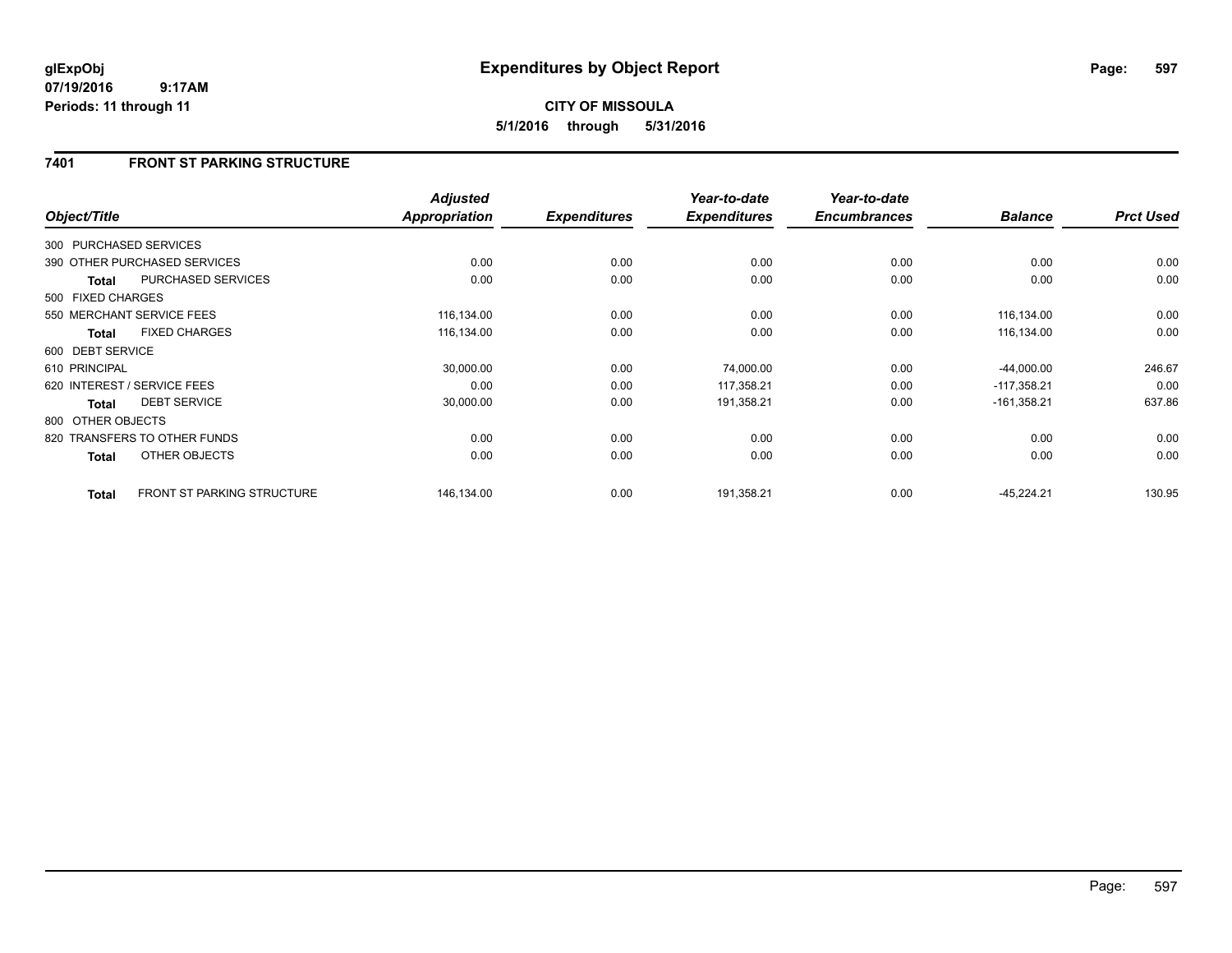## **7401 FRONT ST PARKING STRUCTURE**

| Object/Title           |                                   | <b>Adjusted</b><br>Appropriation | <b>Expenditures</b> | Year-to-date<br><b>Expenditures</b> | Year-to-date<br><b>Encumbrances</b> | <b>Balance</b> | <b>Prct Used</b> |
|------------------------|-----------------------------------|----------------------------------|---------------------|-------------------------------------|-------------------------------------|----------------|------------------|
| 300 PURCHASED SERVICES |                                   |                                  |                     |                                     |                                     |                |                  |
|                        | 390 OTHER PURCHASED SERVICES      | 0.00                             | 0.00                | 0.00                                | 0.00                                | 0.00           | 0.00             |
| <b>Total</b>           | PURCHASED SERVICES                | 0.00                             | 0.00                | 0.00                                | 0.00                                | 0.00           | 0.00             |
| 500 FIXED CHARGES      |                                   |                                  |                     |                                     |                                     |                |                  |
|                        | 550 MERCHANT SERVICE FEES         | 116,134.00                       | 0.00                | 0.00                                | 0.00                                | 116,134.00     | 0.00             |
| <b>Total</b>           | <b>FIXED CHARGES</b>              | 116,134.00                       | 0.00                | 0.00                                | 0.00                                | 116,134.00     | 0.00             |
| 600 DEBT SERVICE       |                                   |                                  |                     |                                     |                                     |                |                  |
| 610 PRINCIPAL          |                                   | 30,000.00                        | 0.00                | 74,000.00                           | 0.00                                | $-44,000.00$   | 246.67           |
|                        | 620 INTEREST / SERVICE FEES       | 0.00                             | 0.00                | 117,358.21                          | 0.00                                | $-117,358.21$  | 0.00             |
| <b>Total</b>           | <b>DEBT SERVICE</b>               | 30,000.00                        | 0.00                | 191,358.21                          | 0.00                                | $-161,358.21$  | 637.86           |
| 800 OTHER OBJECTS      |                                   |                                  |                     |                                     |                                     |                |                  |
|                        | 820 TRANSFERS TO OTHER FUNDS      | 0.00                             | 0.00                | 0.00                                | 0.00                                | 0.00           | 0.00             |
| Total                  | OTHER OBJECTS                     | 0.00                             | 0.00                | 0.00                                | 0.00                                | 0.00           | 0.00             |
| <b>Total</b>           | <b>FRONT ST PARKING STRUCTURE</b> | 146,134.00                       | 0.00                | 191,358.21                          | 0.00                                | $-45,224.21$   | 130.95           |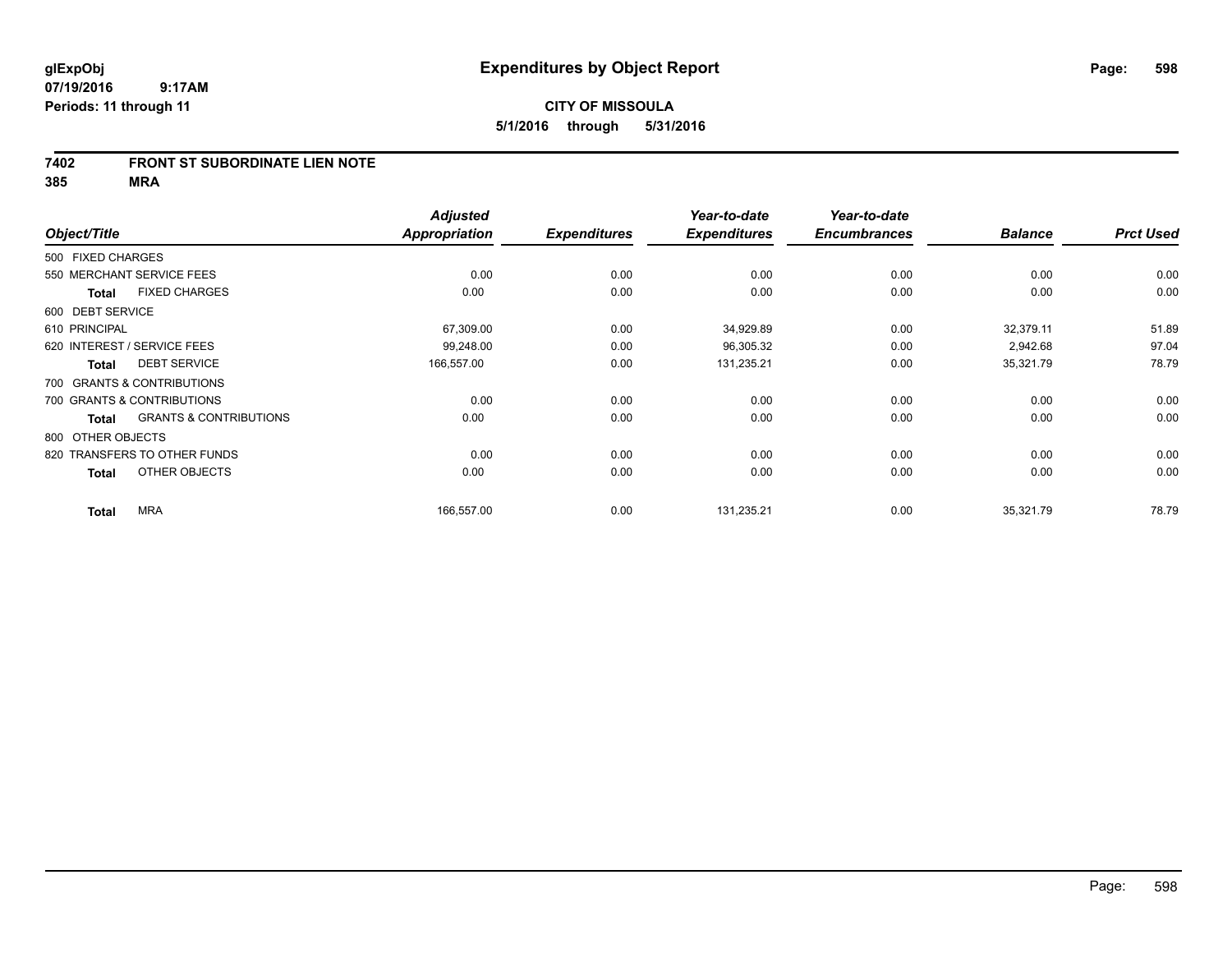#### **7402 FRONT ST SUBORDINATE LIEN NOTE**

|                   |                                   | <b>Adjusted</b> |                     | Year-to-date        | Year-to-date        |                |                  |
|-------------------|-----------------------------------|-----------------|---------------------|---------------------|---------------------|----------------|------------------|
| Object/Title      |                                   | Appropriation   | <b>Expenditures</b> | <b>Expenditures</b> | <b>Encumbrances</b> | <b>Balance</b> | <b>Prct Used</b> |
| 500 FIXED CHARGES |                                   |                 |                     |                     |                     |                |                  |
|                   | 550 MERCHANT SERVICE FEES         | 0.00            | 0.00                | 0.00                | 0.00                | 0.00           | 0.00             |
| <b>Total</b>      | <b>FIXED CHARGES</b>              | 0.00            | 0.00                | 0.00                | 0.00                | 0.00           | 0.00             |
| 600 DEBT SERVICE  |                                   |                 |                     |                     |                     |                |                  |
| 610 PRINCIPAL     |                                   | 67,309.00       | 0.00                | 34,929.89           | 0.00                | 32,379.11      | 51.89            |
|                   | 620 INTEREST / SERVICE FEES       | 99,248.00       | 0.00                | 96,305.32           | 0.00                | 2,942.68       | 97.04            |
| <b>Total</b>      | <b>DEBT SERVICE</b>               | 166,557.00      | 0.00                | 131,235.21          | 0.00                | 35,321.79      | 78.79            |
|                   | 700 GRANTS & CONTRIBUTIONS        |                 |                     |                     |                     |                |                  |
|                   | 700 GRANTS & CONTRIBUTIONS        | 0.00            | 0.00                | 0.00                | 0.00                | 0.00           | 0.00             |
| <b>Total</b>      | <b>GRANTS &amp; CONTRIBUTIONS</b> | 0.00            | 0.00                | 0.00                | 0.00                | 0.00           | 0.00             |
| 800 OTHER OBJECTS |                                   |                 |                     |                     |                     |                |                  |
|                   | 820 TRANSFERS TO OTHER FUNDS      | 0.00            | 0.00                | 0.00                | 0.00                | 0.00           | 0.00             |
| <b>Total</b>      | OTHER OBJECTS                     | 0.00            | 0.00                | 0.00                | 0.00                | 0.00           | 0.00             |
| <b>Total</b>      | <b>MRA</b>                        | 166,557.00      | 0.00                | 131,235.21          | 0.00                | 35,321.79      | 78.79            |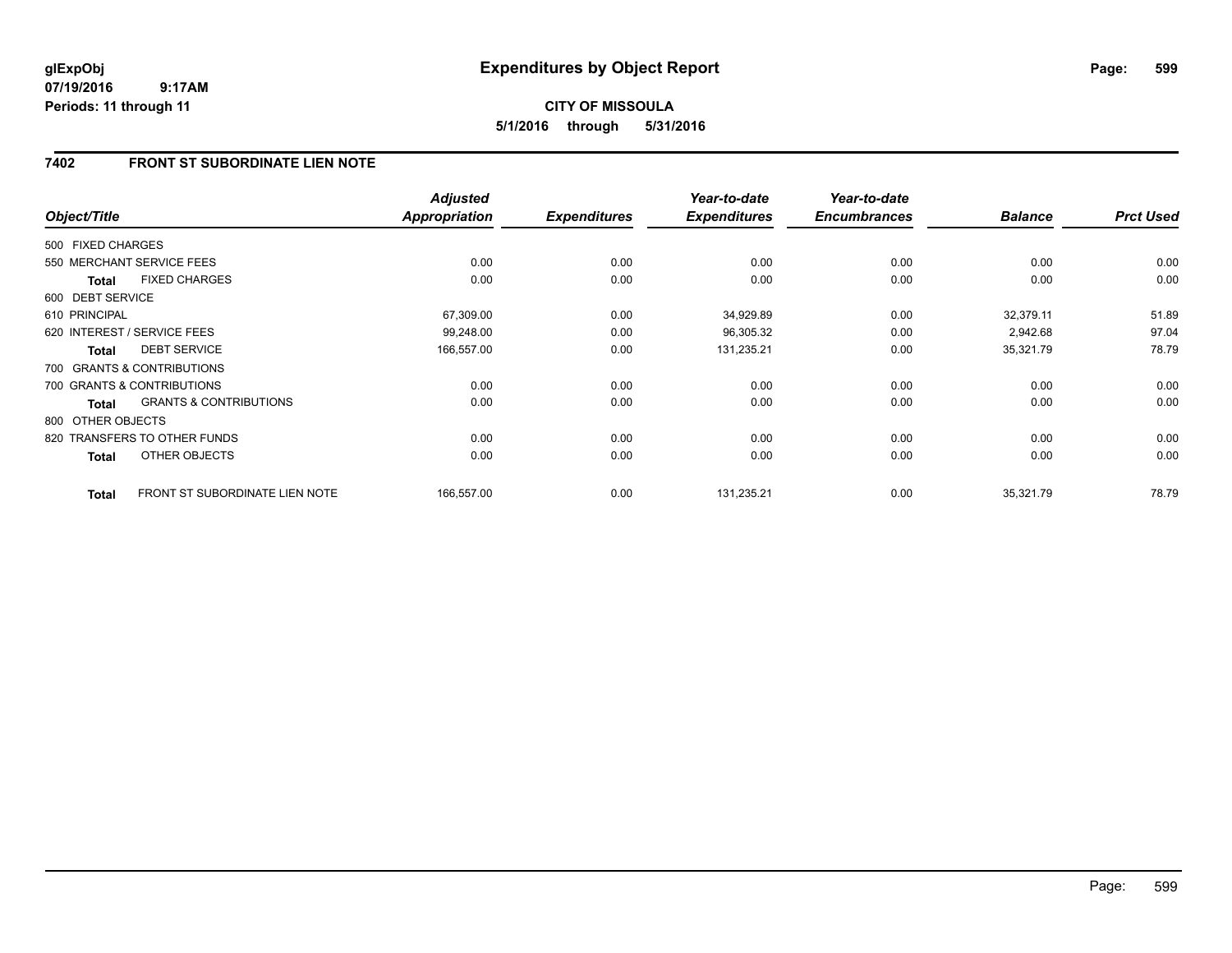## **7402 FRONT ST SUBORDINATE LIEN NOTE**

| Object/Title      |                                   | <b>Adjusted</b><br><b>Appropriation</b> | <b>Expenditures</b> | Year-to-date<br><b>Expenditures</b> | Year-to-date<br><b>Encumbrances</b> | <b>Balance</b> | <b>Prct Used</b> |
|-------------------|-----------------------------------|-----------------------------------------|---------------------|-------------------------------------|-------------------------------------|----------------|------------------|
| 500 FIXED CHARGES |                                   |                                         |                     |                                     |                                     |                |                  |
|                   | 550 MERCHANT SERVICE FEES         | 0.00                                    | 0.00                | 0.00                                | 0.00                                | 0.00           | 0.00             |
| <b>Total</b>      | <b>FIXED CHARGES</b>              | 0.00                                    | 0.00                | 0.00                                | 0.00                                | 0.00           | 0.00             |
| 600 DEBT SERVICE  |                                   |                                         |                     |                                     |                                     |                |                  |
| 610 PRINCIPAL     |                                   | 67,309.00                               | 0.00                | 34,929.89                           | 0.00                                | 32,379.11      | 51.89            |
|                   | 620 INTEREST / SERVICE FEES       | 99,248.00                               | 0.00                | 96,305.32                           | 0.00                                | 2,942.68       | 97.04            |
| <b>Total</b>      | <b>DEBT SERVICE</b>               | 166,557.00                              | 0.00                | 131,235.21                          | 0.00                                | 35,321.79      | 78.79            |
|                   | 700 GRANTS & CONTRIBUTIONS        |                                         |                     |                                     |                                     |                |                  |
|                   | 700 GRANTS & CONTRIBUTIONS        | 0.00                                    | 0.00                | 0.00                                | 0.00                                | 0.00           | 0.00             |
| <b>Total</b>      | <b>GRANTS &amp; CONTRIBUTIONS</b> | 0.00                                    | 0.00                | 0.00                                | 0.00                                | 0.00           | 0.00             |
| 800 OTHER OBJECTS |                                   |                                         |                     |                                     |                                     |                |                  |
|                   | 820 TRANSFERS TO OTHER FUNDS      | 0.00                                    | 0.00                | 0.00                                | 0.00                                | 0.00           | 0.00             |
| Total             | OTHER OBJECTS                     | 0.00                                    | 0.00                | 0.00                                | 0.00                                | 0.00           | 0.00             |
| <b>Total</b>      | FRONT ST SUBORDINATE LIEN NOTE    | 166,557.00                              | 0.00                | 131,235.21                          | 0.00                                | 35,321.79      | 78.79            |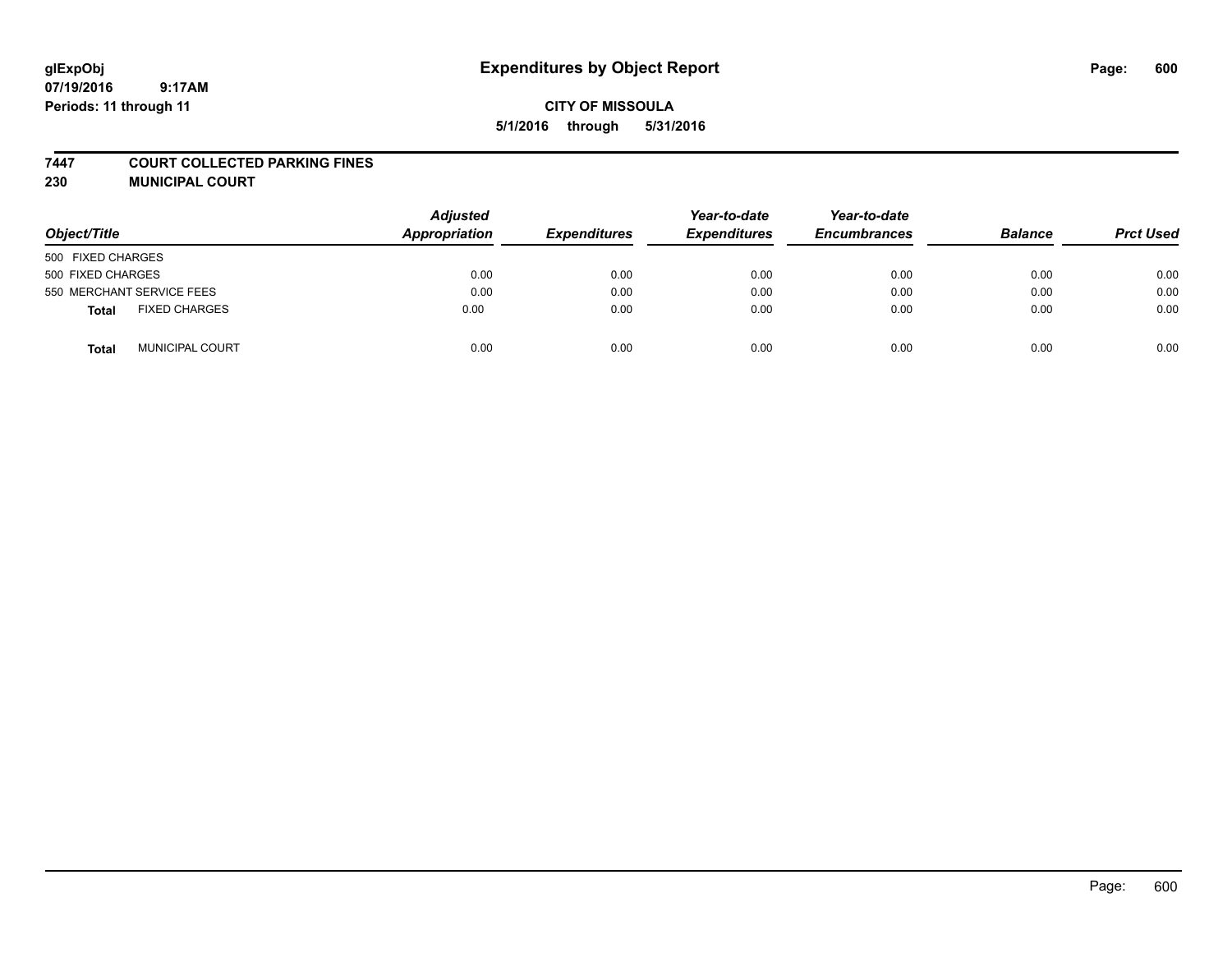# **glExpObj Expenditures by Object Report Page: 600**

## **CITY OF MISSOULA 5/1/2016 through 5/31/2016**

#### **7447 COURT COLLECTED PARKING FINES**

**230 MUNICIPAL COURT**

| Object/Title                         | <b>Adjusted</b><br><b>Appropriation</b> | <b>Expenditures</b> | Year-to-date<br><b>Expenditures</b> | Year-to-date<br><b>Encumbrances</b> | <b>Balance</b> | <b>Prct Used</b> |
|--------------------------------------|-----------------------------------------|---------------------|-------------------------------------|-------------------------------------|----------------|------------------|
| 500 FIXED CHARGES                    |                                         |                     |                                     |                                     |                |                  |
| 500 FIXED CHARGES                    | 0.00                                    | 0.00                | 0.00                                | 0.00                                | 0.00           | 0.00             |
| 550 MERCHANT SERVICE FEES            | 0.00                                    | 0.00                | 0.00                                | 0.00                                | 0.00           | 0.00             |
| <b>FIXED CHARGES</b><br><b>Total</b> | 0.00                                    | 0.00                | 0.00                                | 0.00                                | 0.00           | 0.00             |
| <b>MUNICIPAL COURT</b><br>Total      | 0.00                                    | 0.00                | 0.00                                | 0.00                                | 0.00           | 0.00             |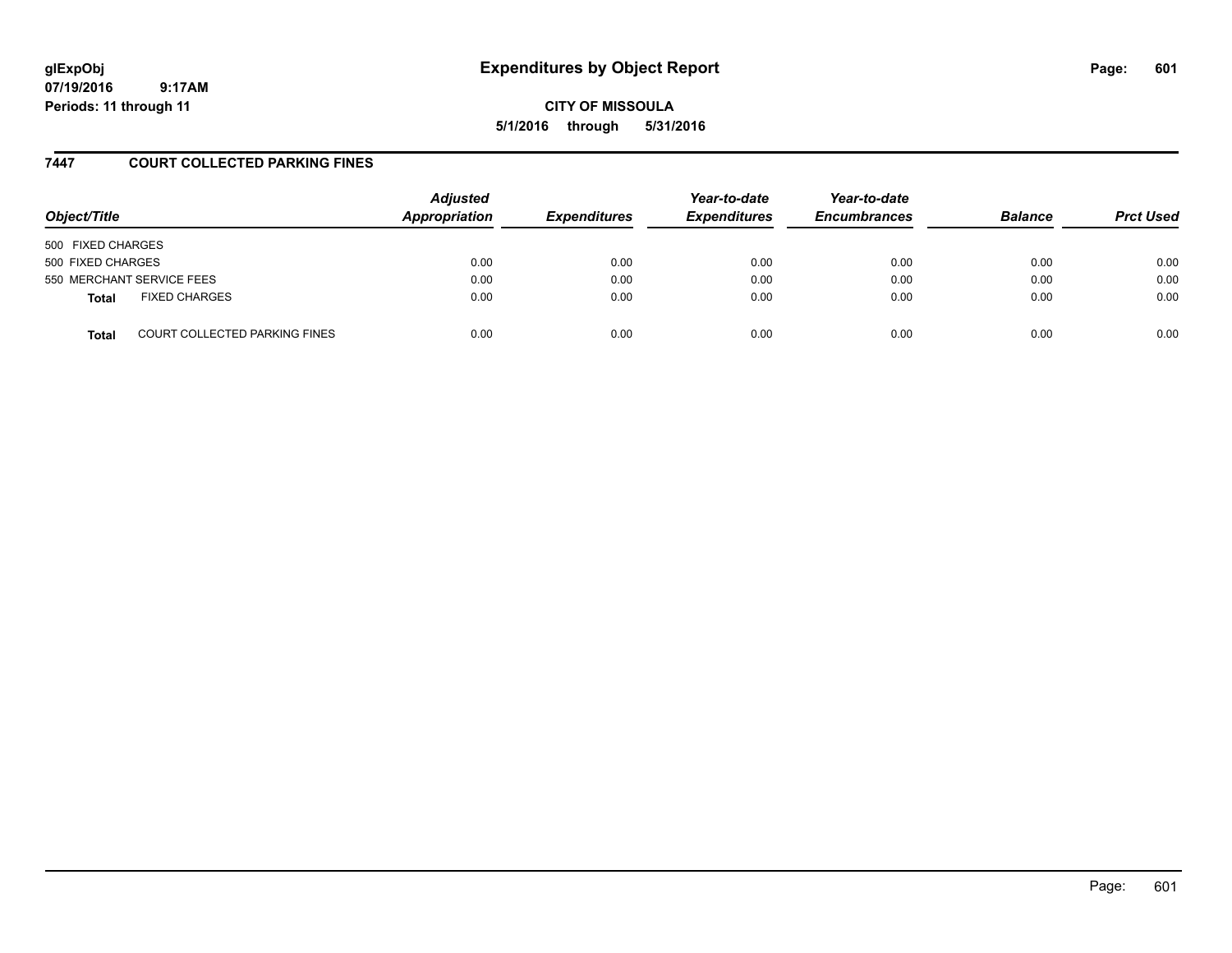# **glExpObj Expenditures by Object Report Page: 601**

**07/19/2016 9:17AM Periods: 11 through 11**

**CITY OF MISSOULA 5/1/2016 through 5/31/2016**

### **7447 COURT COLLECTED PARKING FINES**

| Object/Title      |                               | <b>Adjusted</b><br>Appropriation | <b>Expenditures</b> | Year-to-date<br><b>Expenditures</b> | Year-to-date<br><b>Encumbrances</b> | <b>Balance</b> | <b>Prct Used</b> |
|-------------------|-------------------------------|----------------------------------|---------------------|-------------------------------------|-------------------------------------|----------------|------------------|
| 500 FIXED CHARGES |                               |                                  |                     |                                     |                                     |                |                  |
| 500 FIXED CHARGES |                               | 0.00                             | 0.00                | 0.00                                | 0.00                                | 0.00           | 0.00             |
|                   | 550 MERCHANT SERVICE FEES     | 0.00                             | 0.00                | 0.00                                | 0.00                                | 0.00           | 0.00             |
| <b>Total</b>      | <b>FIXED CHARGES</b>          | 0.00                             | 0.00                | 0.00                                | 0.00                                | 0.00           | 0.00             |
| <b>Total</b>      | COURT COLLECTED PARKING FINES | 0.00                             | 0.00                | 0.00                                | 0.00                                | 0.00           | 0.00             |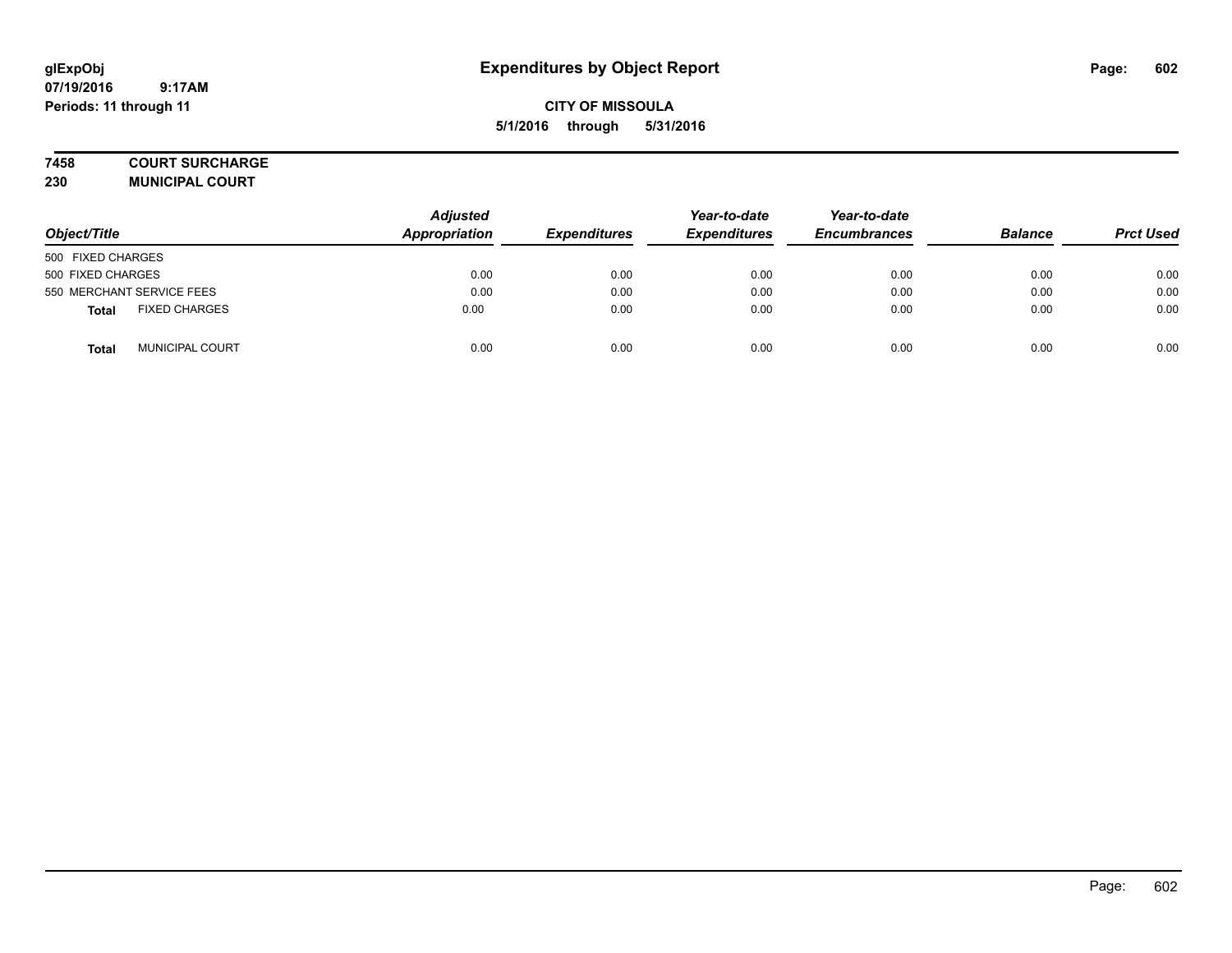## **CITY OF MISSOULA 5/1/2016 through 5/31/2016**

#### **7458 COURT SURCHARGE**

**230 MUNICIPAL COURT**

| Object/Title                         | <b>Adjusted</b><br>Appropriation | <b>Expenditures</b> | Year-to-date<br><b>Expenditures</b> | Year-to-date<br><b>Encumbrances</b> | <b>Balance</b> | <b>Prct Used</b> |
|--------------------------------------|----------------------------------|---------------------|-------------------------------------|-------------------------------------|----------------|------------------|
| 500 FIXED CHARGES                    |                                  |                     |                                     |                                     |                |                  |
| 500 FIXED CHARGES                    | 0.00                             | 0.00                | 0.00                                | 0.00                                | 0.00           | 0.00             |
| 550 MERCHANT SERVICE FEES            | 0.00                             | 0.00                | 0.00                                | 0.00                                | 0.00           | 0.00             |
| <b>FIXED CHARGES</b><br><b>Total</b> | 0.00                             | 0.00                | 0.00                                | 0.00                                | 0.00           | 0.00             |
| <b>MUNICIPAL COURT</b><br>Total      | 0.00                             | 0.00                | 0.00                                | 0.00                                | 0.00           | 0.00             |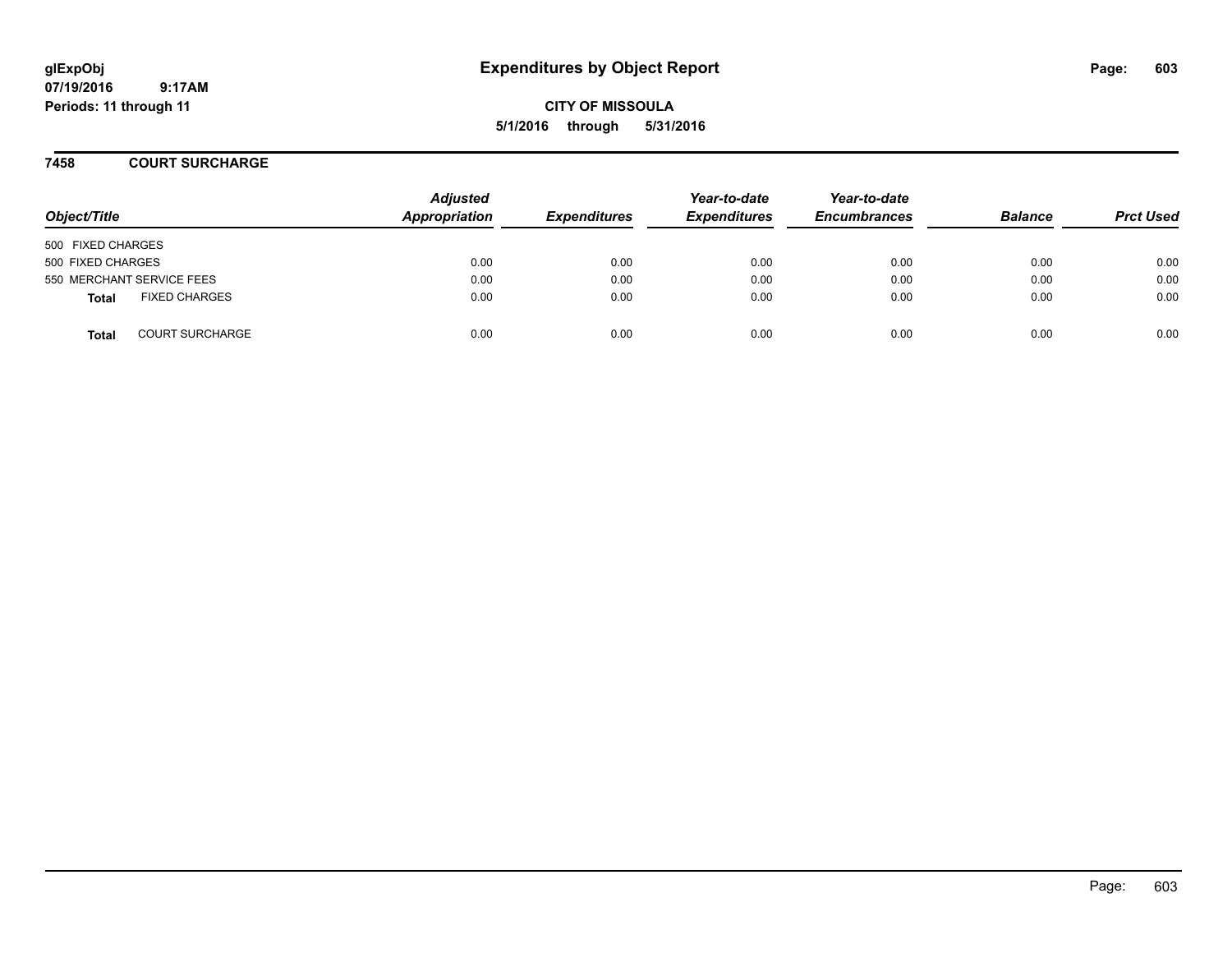# **glExpObj Expenditures by Object Report Page: 603**

**07/19/2016 9:17AM Periods: 11 through 11**

**CITY OF MISSOULA 5/1/2016 through 5/31/2016**

#### **7458 COURT SURCHARGE**

| Object/Title      |                           | <b>Adjusted</b><br>Appropriation | <b>Expenditures</b> | Year-to-date<br><b>Expenditures</b> | Year-to-date<br><b>Encumbrances</b> | <b>Balance</b> | <b>Prct Used</b> |
|-------------------|---------------------------|----------------------------------|---------------------|-------------------------------------|-------------------------------------|----------------|------------------|
| 500 FIXED CHARGES |                           |                                  |                     |                                     |                                     |                |                  |
| 500 FIXED CHARGES |                           | 0.00                             | 0.00                | 0.00                                | 0.00                                | 0.00           | 0.00             |
|                   | 550 MERCHANT SERVICE FEES | 0.00                             | 0.00                | 0.00                                | 0.00                                | 0.00           | 0.00             |
| <b>Total</b>      | <b>FIXED CHARGES</b>      | 0.00                             | 0.00                | 0.00                                | 0.00                                | 0.00           | 0.00             |
| Total             | <b>COURT SURCHARGE</b>    | 0.00                             | 0.00                | 0.00                                | 0.00                                | 0.00           | 0.00             |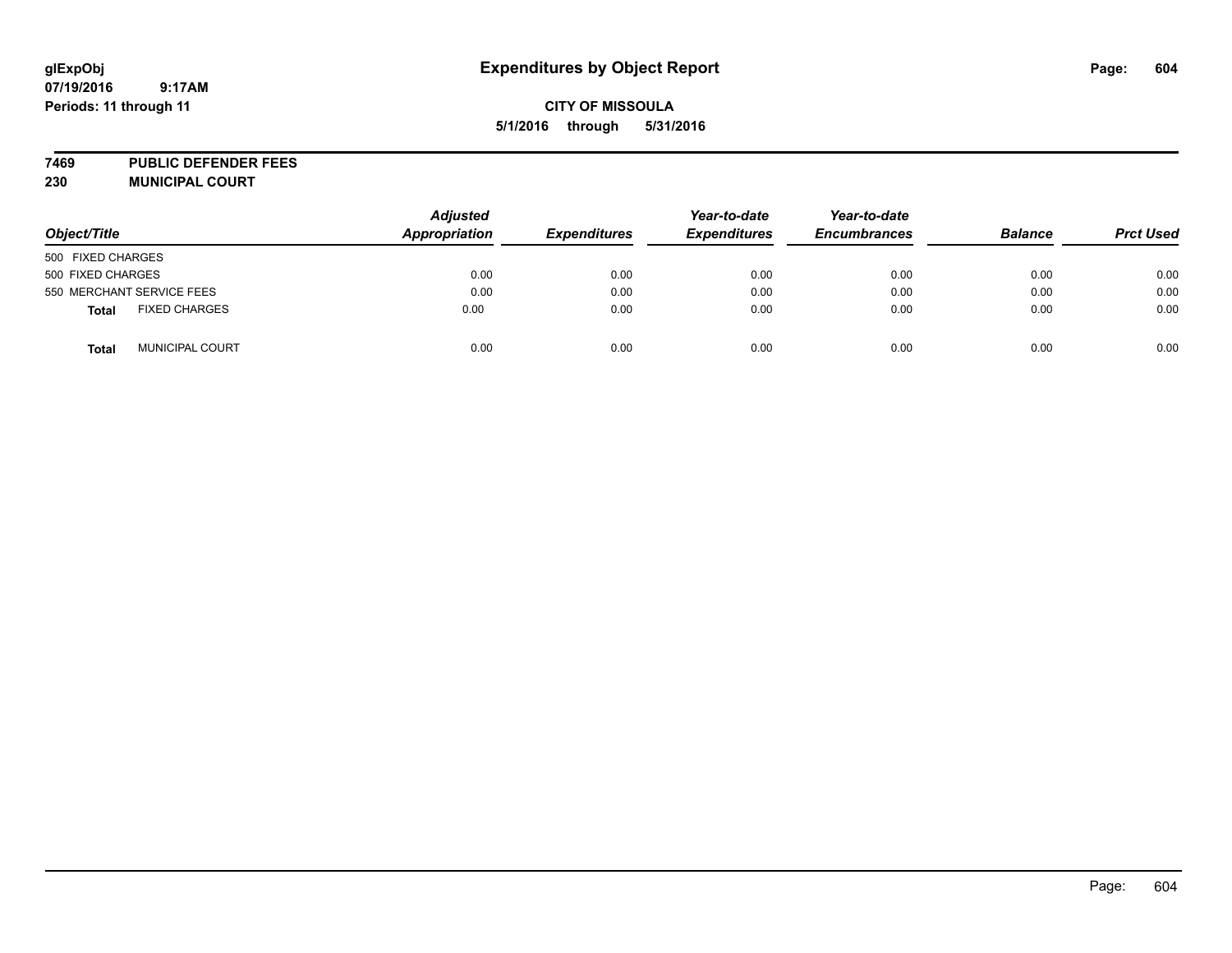## **CITY OF MISSOULA 5/1/2016 through 5/31/2016**

**7469 PUBLIC DEFENDER FEES**

| Object/Title                           | <b>Adjusted</b><br><b>Appropriation</b> | <b>Expenditures</b> | Year-to-date<br><b>Expenditures</b> | Year-to-date<br><b>Encumbrances</b> | <b>Balance</b> | <b>Prct Used</b> |
|----------------------------------------|-----------------------------------------|---------------------|-------------------------------------|-------------------------------------|----------------|------------------|
| 500 FIXED CHARGES                      |                                         |                     |                                     |                                     |                |                  |
| 500 FIXED CHARGES                      | 0.00                                    | 0.00                | 0.00                                | 0.00                                | 0.00           | 0.00             |
| 550 MERCHANT SERVICE FEES              | 0.00                                    | 0.00                | 0.00                                | 0.00                                | 0.00           | 0.00             |
| <b>FIXED CHARGES</b><br><b>Total</b>   | 0.00                                    | 0.00                | 0.00                                | 0.00                                | 0.00           | 0.00             |
| <b>MUNICIPAL COURT</b><br><b>Total</b> | 0.00                                    | 0.00                | 0.00                                | 0.00                                | 0.00           | 0.00             |

**230 MUNICIPAL COURT**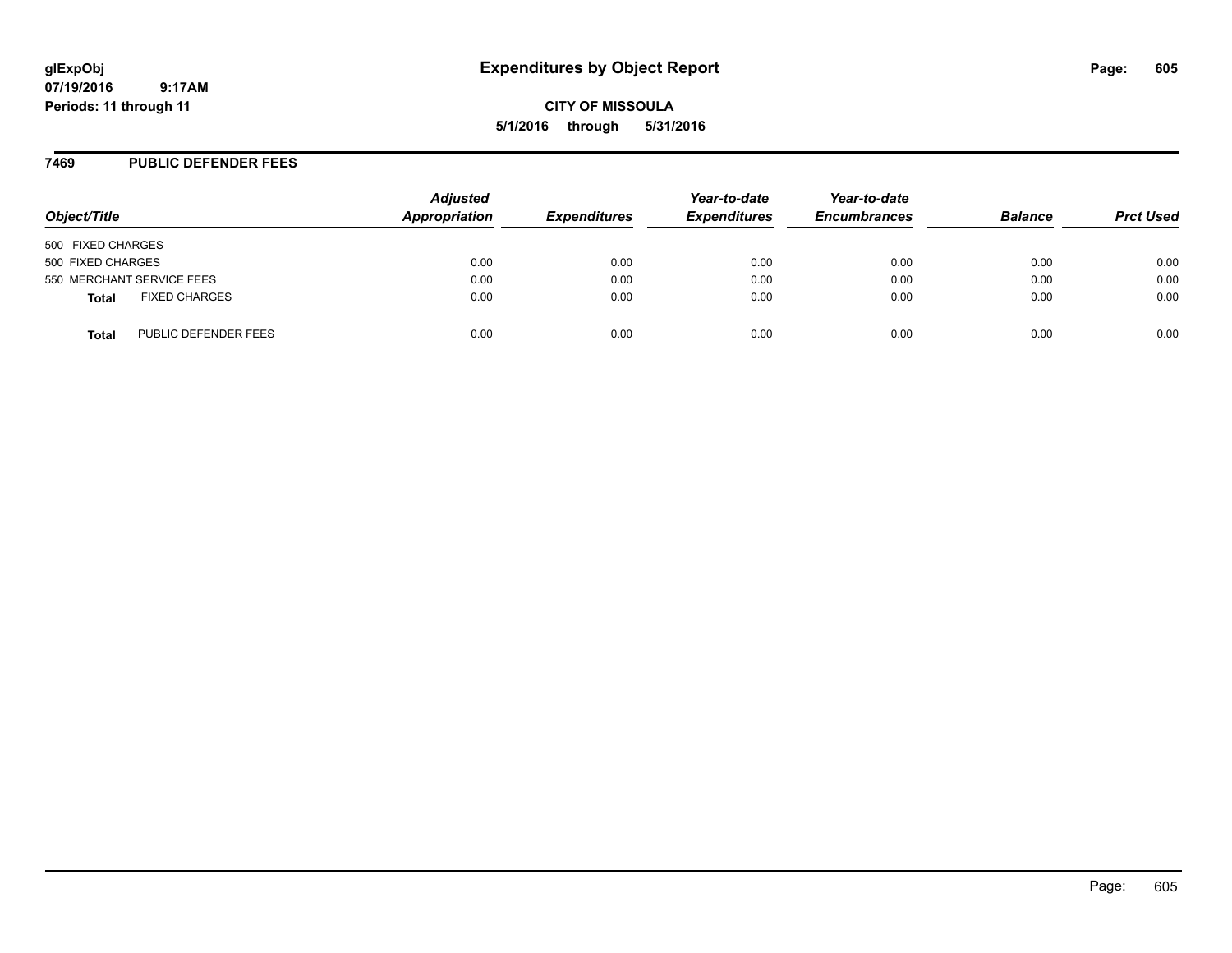# **glExpObj Expenditures by Object Report Page: 605**

**07/19/2016 9:17AM Periods: 11 through 11**

**CITY OF MISSOULA 5/1/2016 through 5/31/2016**

#### **7469 PUBLIC DEFENDER FEES**

| Object/Title                         | <b>Adjusted</b><br>Appropriation | <b>Expenditures</b> | Year-to-date<br><b>Expenditures</b> | Year-to-date<br><b>Encumbrances</b> | <b>Balance</b> | <b>Prct Used</b> |
|--------------------------------------|----------------------------------|---------------------|-------------------------------------|-------------------------------------|----------------|------------------|
| 500 FIXED CHARGES                    |                                  |                     |                                     |                                     |                |                  |
| 500 FIXED CHARGES                    | 0.00                             | 0.00                | 0.00                                | 0.00                                | 0.00           | 0.00             |
| 550 MERCHANT SERVICE FEES            | 0.00                             | 0.00                | 0.00                                | 0.00                                | 0.00           | 0.00             |
| <b>FIXED CHARGES</b><br><b>Total</b> | 0.00                             | 0.00                | 0.00                                | 0.00                                | 0.00           | 0.00             |
| PUBLIC DEFENDER FEES<br>Total        | 0.00                             | 0.00                | 0.00                                | 0.00                                | 0.00           | 0.00             |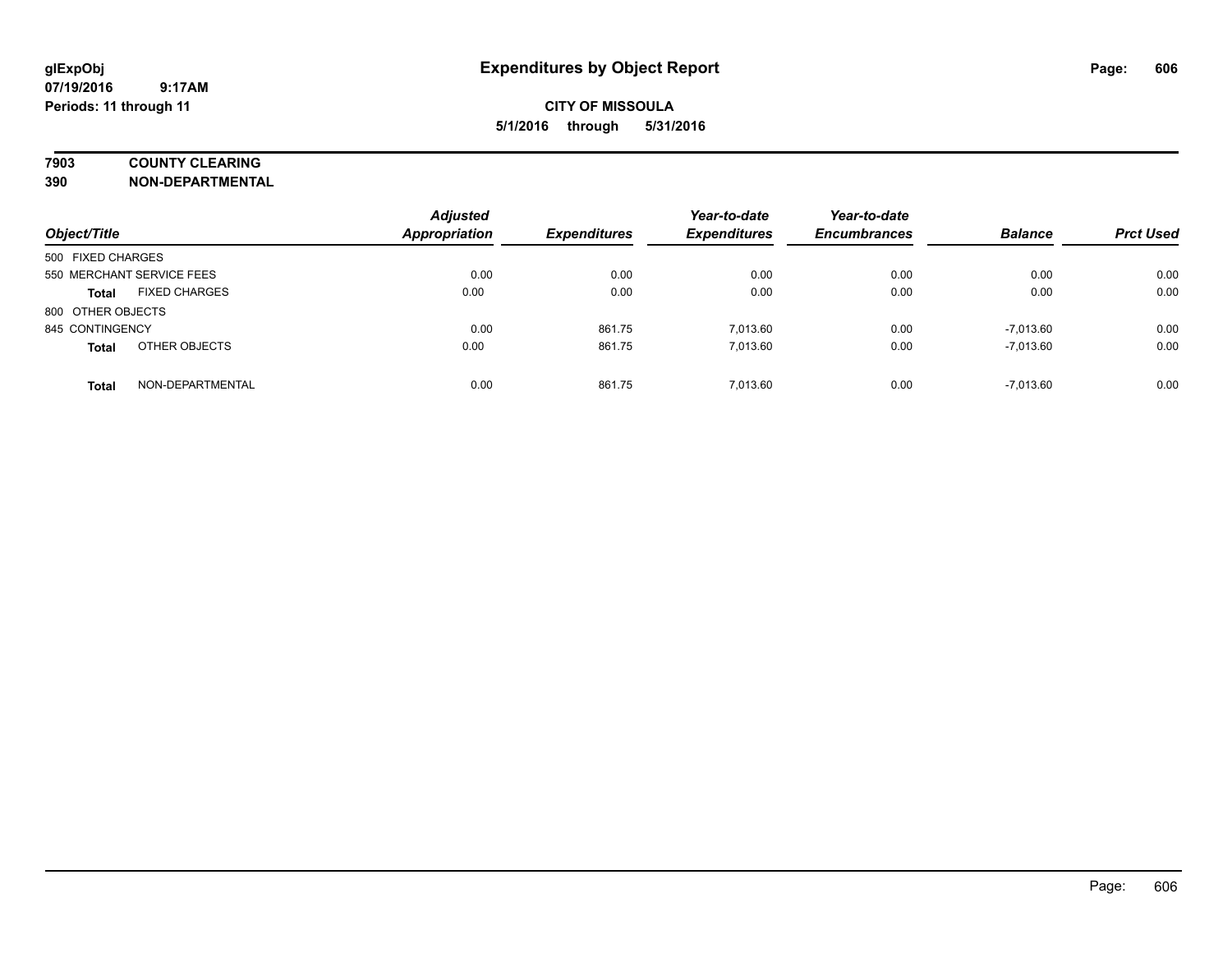## **7903 COUNTY CLEARING**

**390 NON-DEPARTMENTAL**

| Object/Title      |                           | <b>Adjusted</b><br><b>Appropriation</b> | <b>Expenditures</b> | Year-to-date<br><b>Expenditures</b> | Year-to-date<br><b>Encumbrances</b> | <b>Balance</b> | <b>Prct Used</b> |
|-------------------|---------------------------|-----------------------------------------|---------------------|-------------------------------------|-------------------------------------|----------------|------------------|
| 500 FIXED CHARGES |                           |                                         |                     |                                     |                                     |                |                  |
|                   | 550 MERCHANT SERVICE FEES | 0.00                                    | 0.00                | 0.00                                | 0.00                                | 0.00           | 0.00             |
| <b>Total</b>      | <b>FIXED CHARGES</b>      | 0.00                                    | 0.00                | 0.00                                | 0.00                                | 0.00           | 0.00             |
| 800 OTHER OBJECTS |                           |                                         |                     |                                     |                                     |                |                  |
| 845 CONTINGENCY   |                           | 0.00                                    | 861.75              | 7.013.60                            | 0.00                                | $-7.013.60$    | 0.00             |
| <b>Total</b>      | OTHER OBJECTS             | 0.00                                    | 861.75              | 7.013.60                            | 0.00                                | $-7,013.60$    | 0.00             |
| <b>Total</b>      | NON-DEPARTMENTAL          | 0.00                                    | 861.75              | 7.013.60                            | 0.00                                | $-7.013.60$    | 0.00             |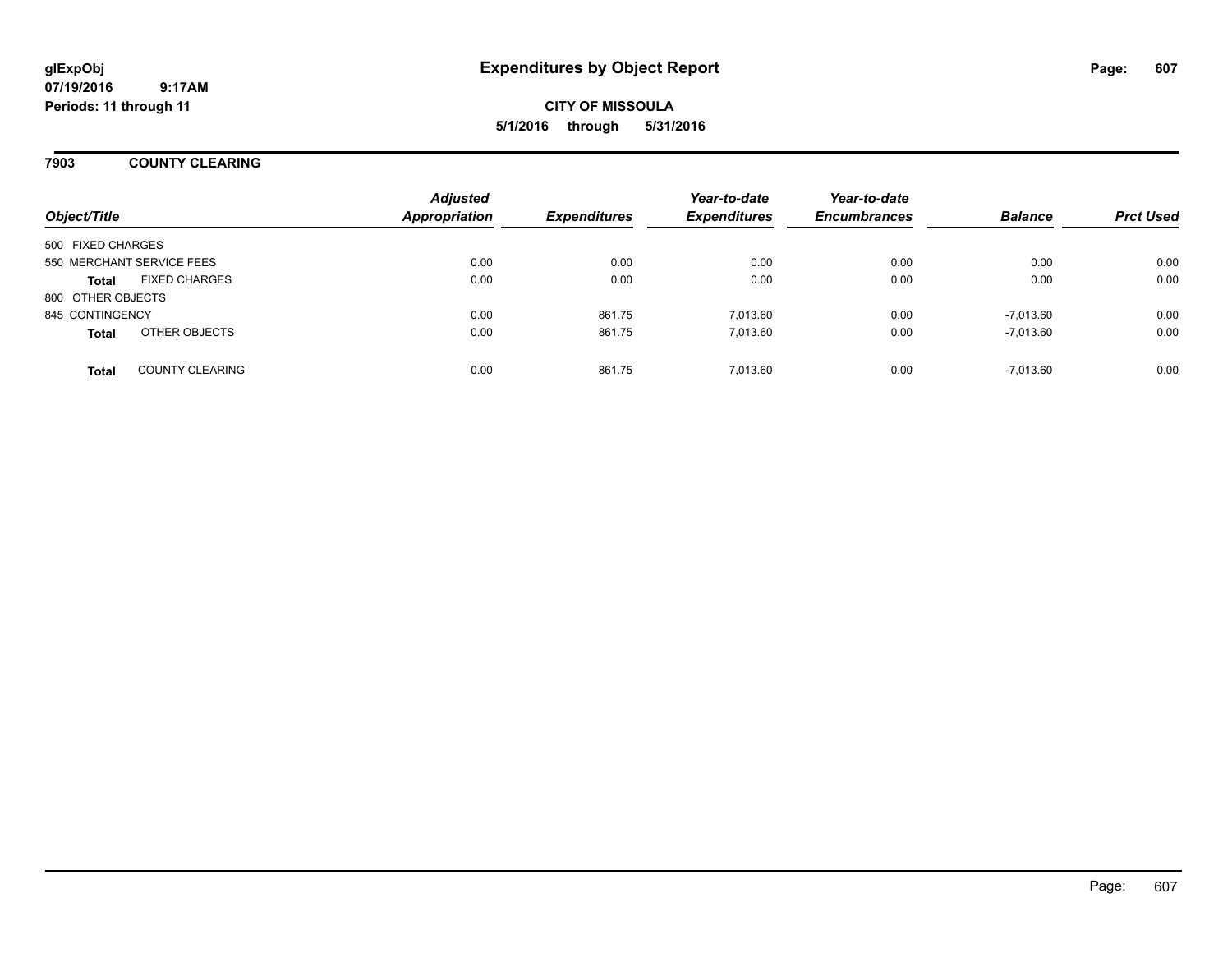**CITY OF MISSOULA 5/1/2016 through 5/31/2016**

#### **7903 COUNTY CLEARING**

| Object/Title              |                        | <b>Adjusted</b><br><b>Appropriation</b> | <b>Expenditures</b> | Year-to-date<br><b>Expenditures</b> | Year-to-date<br><b>Encumbrances</b> | <b>Balance</b> | <b>Prct Used</b> |
|---------------------------|------------------------|-----------------------------------------|---------------------|-------------------------------------|-------------------------------------|----------------|------------------|
| 500 FIXED CHARGES         |                        |                                         |                     |                                     |                                     |                |                  |
| 550 MERCHANT SERVICE FEES |                        | 0.00                                    | 0.00                | 0.00                                | 0.00                                | 0.00           | 0.00             |
| <b>Total</b>              | <b>FIXED CHARGES</b>   | 0.00                                    | 0.00                | 0.00                                | 0.00                                | 0.00           | 0.00             |
| 800 OTHER OBJECTS         |                        |                                         |                     |                                     |                                     |                |                  |
| 845 CONTINGENCY           |                        | 0.00                                    | 861.75              | 7.013.60                            | 0.00                                | $-7.013.60$    | 0.00             |
| <b>Total</b>              | OTHER OBJECTS          | 0.00                                    | 861.75              | 7.013.60                            | 0.00                                | $-7,013.60$    | 0.00             |
| <b>Total</b>              | <b>COUNTY CLEARING</b> | 0.00                                    | 861.75              | 7.013.60                            | 0.00                                | $-7,013.60$    | 0.00             |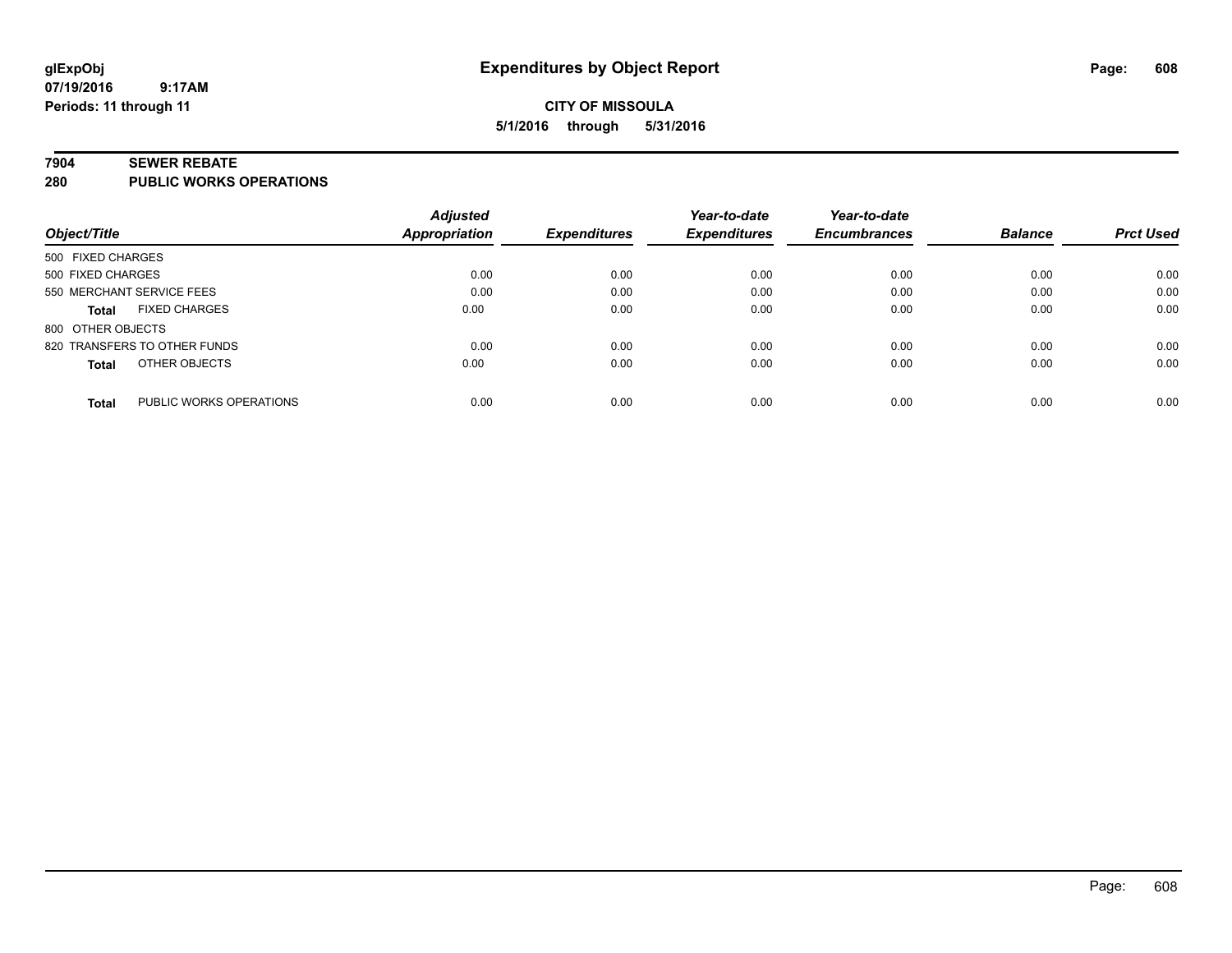#### **7904 SEWER REBATE**

**280 PUBLIC WORKS OPERATIONS**

|                                         | <b>Adjusted</b>      |                     | Year-to-date        | Year-to-date        |                |                  |
|-----------------------------------------|----------------------|---------------------|---------------------|---------------------|----------------|------------------|
| Object/Title                            | <b>Appropriation</b> | <b>Expenditures</b> | <b>Expenditures</b> | <b>Encumbrances</b> | <b>Balance</b> | <b>Prct Used</b> |
| 500 FIXED CHARGES                       |                      |                     |                     |                     |                |                  |
| 500 FIXED CHARGES                       |                      | 0.00<br>0.00        | 0.00                | 0.00                | 0.00           | 0.00             |
| 550 MERCHANT SERVICE FEES               |                      | 0.00<br>0.00        | 0.00                | 0.00                | 0.00           | 0.00             |
| <b>FIXED CHARGES</b><br><b>Total</b>    | 0.00                 | 0.00                | 0.00                | 0.00                | 0.00           | 0.00             |
| 800 OTHER OBJECTS                       |                      |                     |                     |                     |                |                  |
| 820 TRANSFERS TO OTHER FUNDS            |                      | 0.00<br>0.00        | 0.00                | 0.00                | 0.00           | 0.00             |
| OTHER OBJECTS<br><b>Total</b>           | 0.00                 | 0.00                | 0.00                | 0.00                | 0.00           | 0.00             |
| PUBLIC WORKS OPERATIONS<br><b>Total</b> |                      | 0.00<br>0.00        | 0.00                | 0.00                | 0.00           | 0.00             |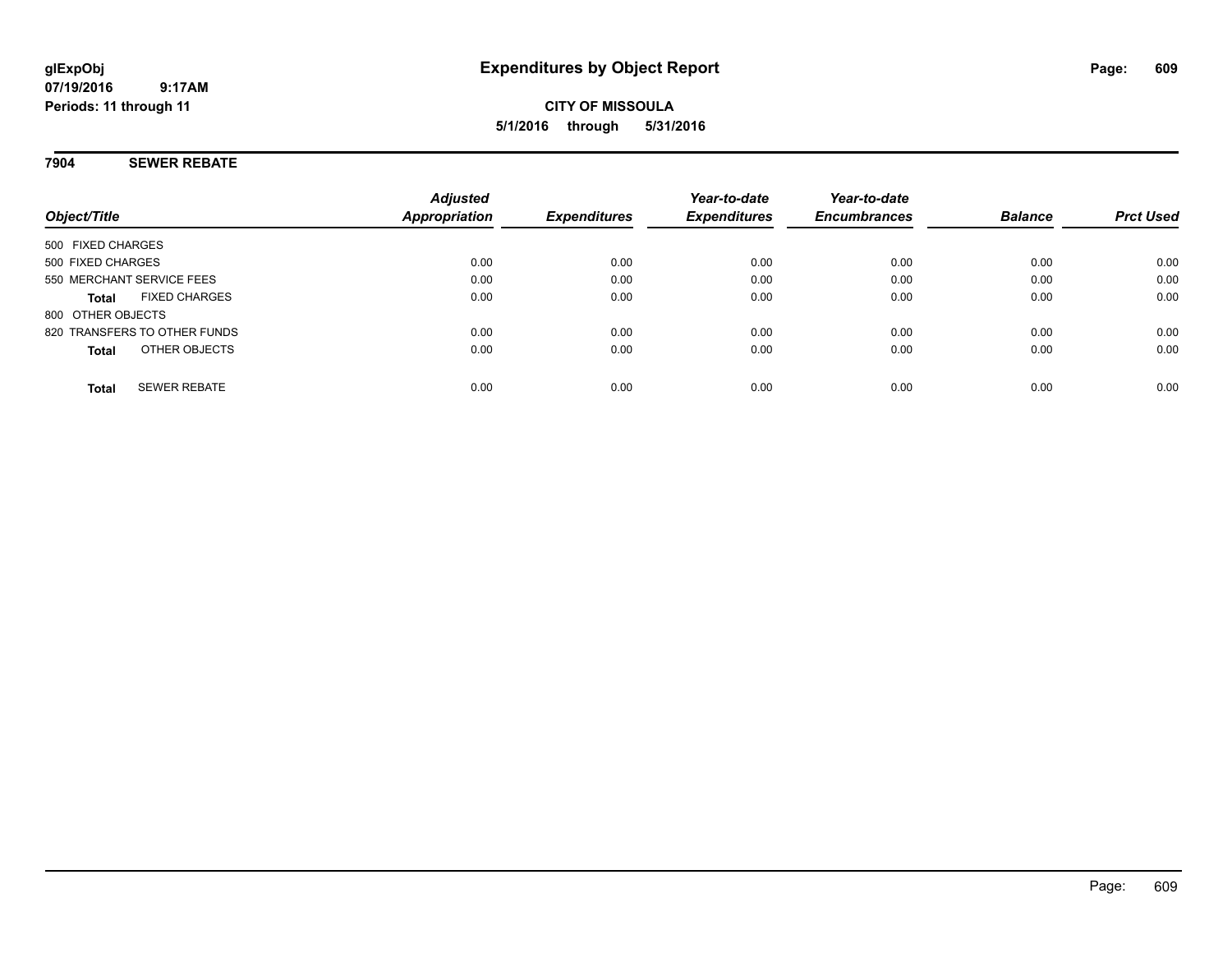#### **7904 SEWER REBATE**

| Object/Title                         | <b>Adjusted</b><br>Appropriation | <b>Expenditures</b> | Year-to-date<br><b>Expenditures</b> | Year-to-date<br><b>Encumbrances</b> | <b>Balance</b> | <b>Prct Used</b> |
|--------------------------------------|----------------------------------|---------------------|-------------------------------------|-------------------------------------|----------------|------------------|
| 500 FIXED CHARGES                    |                                  |                     |                                     |                                     |                |                  |
| 500 FIXED CHARGES                    | 0.00                             | 0.00                | 0.00                                | 0.00                                | 0.00           | 0.00             |
| 550 MERCHANT SERVICE FEES            | 0.00                             | 0.00                | 0.00                                | 0.00                                | 0.00           | 0.00             |
| <b>FIXED CHARGES</b><br><b>Total</b> | 0.00                             | 0.00                | 0.00                                | 0.00                                | 0.00           | 0.00             |
| 800 OTHER OBJECTS                    |                                  |                     |                                     |                                     |                |                  |
| 820 TRANSFERS TO OTHER FUNDS         | 0.00                             | 0.00                | 0.00                                | 0.00                                | 0.00           | 0.00             |
| OTHER OBJECTS<br><b>Total</b>        | 0.00                             | 0.00                | 0.00                                | 0.00                                | 0.00           | 0.00             |
| <b>SEWER REBATE</b><br><b>Total</b>  | 0.00                             | 0.00                | 0.00                                | 0.00                                | 0.00           | 0.00             |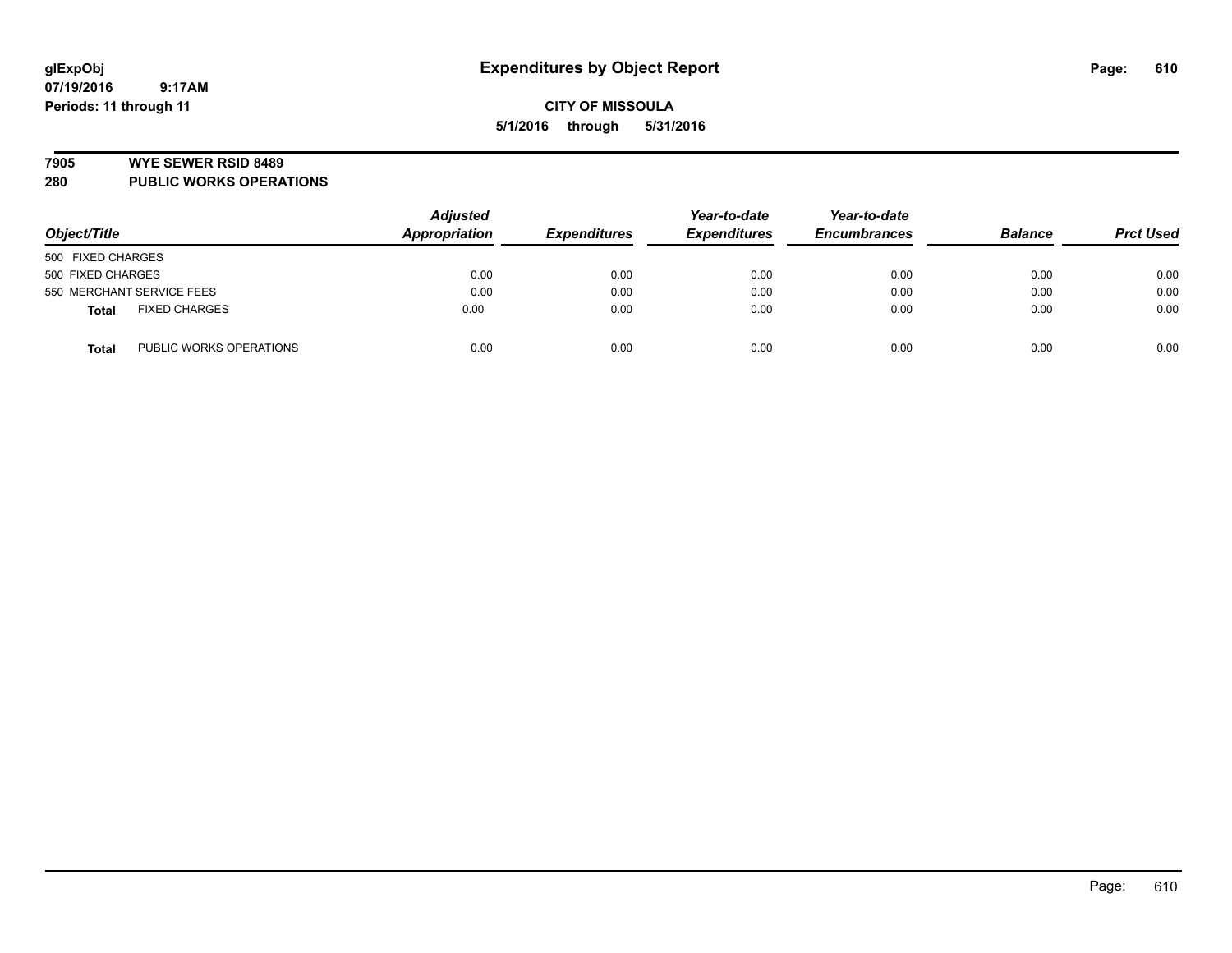#### **7905 WYE SEWER RSID 8489**

**280 PUBLIC WORKS OPERATIONS**

| Object/Title                            | <b>Adjusted</b><br>Appropriation | <b>Expenditures</b> | Year-to-date<br><b>Expenditures</b> | Year-to-date<br><b>Encumbrances</b> | <b>Balance</b> | <b>Prct Used</b> |
|-----------------------------------------|----------------------------------|---------------------|-------------------------------------|-------------------------------------|----------------|------------------|
| 500 FIXED CHARGES                       |                                  |                     |                                     |                                     |                |                  |
| 500 FIXED CHARGES                       | 0.00                             | 0.00                | 0.00                                | 0.00                                | 0.00           | 0.00             |
| 550 MERCHANT SERVICE FEES               | 0.00                             | 0.00                | 0.00                                | 0.00                                | 0.00           | 0.00             |
| <b>FIXED CHARGES</b><br><b>Total</b>    | 0.00                             | 0.00                | 0.00                                | 0.00                                | 0.00           | 0.00             |
| PUBLIC WORKS OPERATIONS<br><b>Total</b> | 0.00                             | 0.00                | 0.00                                | 0.00                                | 0.00           | 0.00             |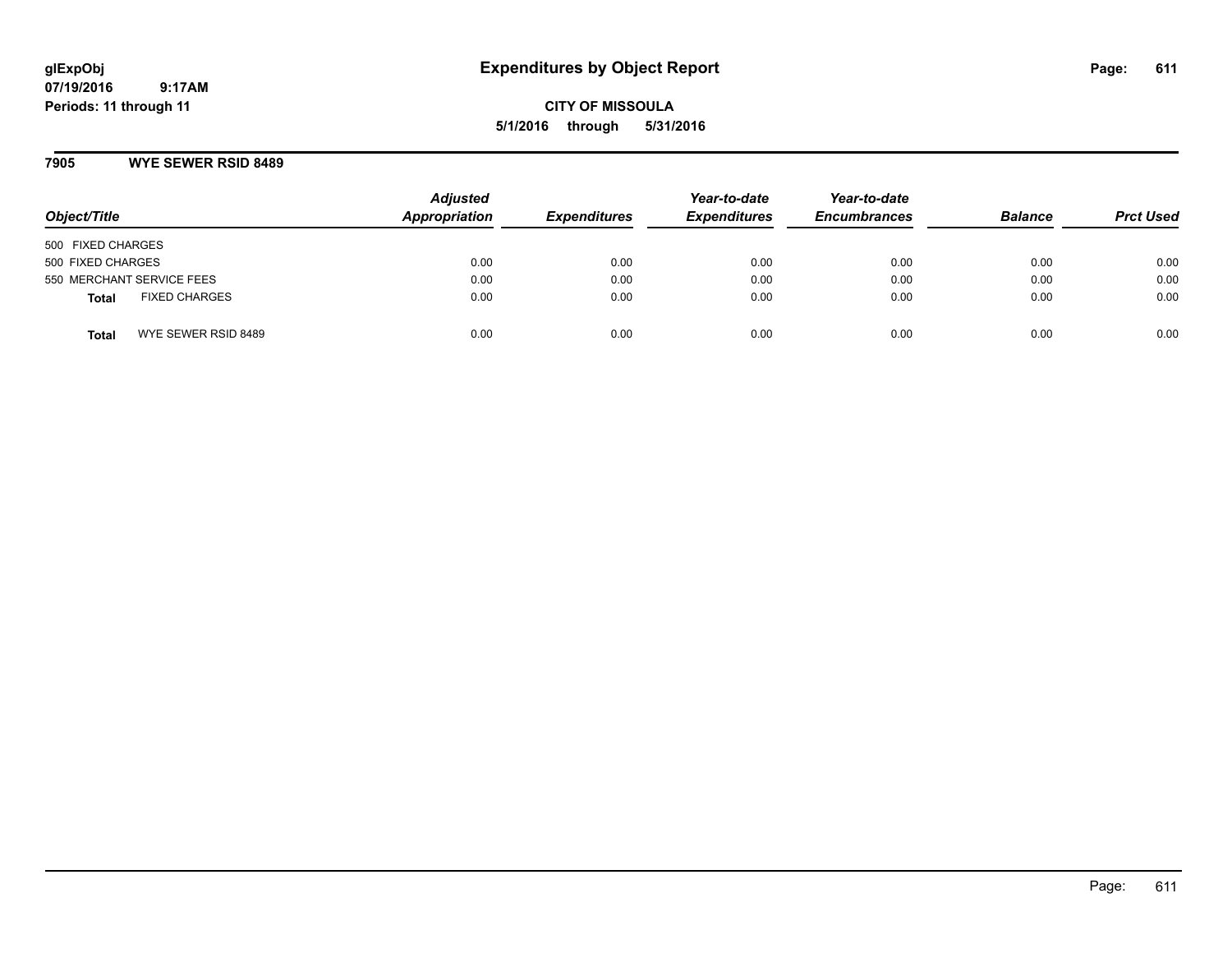# **glExpObj Expenditures by Object Report Page: 611**

**07/19/2016 9:17AM Periods: 11 through 11**

**CITY OF MISSOULA 5/1/2016 through 5/31/2016**

#### **7905 WYE SEWER RSID 8489**

| Object/Title                         | <b>Adjusted</b><br>Appropriation | <b>Expenditures</b> | Year-to-date<br><b>Expenditures</b> | Year-to-date<br><b>Encumbrances</b> | <b>Balance</b> | <b>Prct Used</b> |
|--------------------------------------|----------------------------------|---------------------|-------------------------------------|-------------------------------------|----------------|------------------|
| 500 FIXED CHARGES                    |                                  |                     |                                     |                                     |                |                  |
| 500 FIXED CHARGES                    | 0.00                             | 0.00                | 0.00                                | 0.00                                | 0.00           | 0.00             |
| 550 MERCHANT SERVICE FEES            | 0.00                             | 0.00                | 0.00                                | 0.00                                | 0.00           | 0.00             |
| <b>FIXED CHARGES</b><br><b>Total</b> | 0.00                             | 0.00                | 0.00                                | 0.00                                | 0.00           | 0.00             |
| WYE SEWER RSID 8489<br><b>Total</b>  | 0.00                             | 0.00                | 0.00                                | 0.00                                | 0.00           | 0.00             |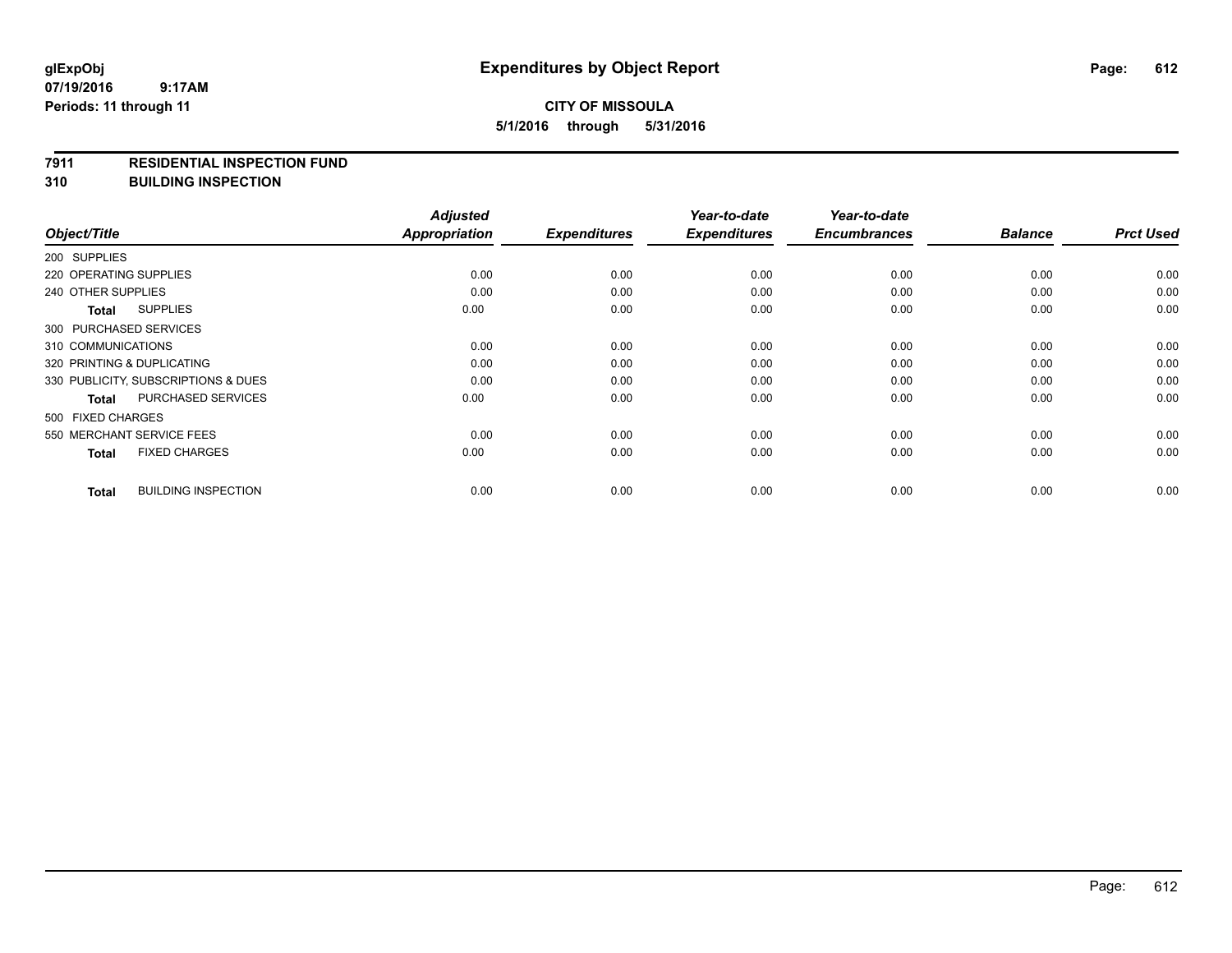## **CITY OF MISSOULA 5/1/2016 through 5/31/2016**

#### **7911 RESIDENTIAL INSPECTION FUND**

**310 BUILDING INSPECTION**

|                            |                                     | <b>Adjusted</b>      |                     | Year-to-date        | Year-to-date        |                |                  |
|----------------------------|-------------------------------------|----------------------|---------------------|---------------------|---------------------|----------------|------------------|
| Object/Title               |                                     | <b>Appropriation</b> | <b>Expenditures</b> | <b>Expenditures</b> | <b>Encumbrances</b> | <b>Balance</b> | <b>Prct Used</b> |
| 200 SUPPLIES               |                                     |                      |                     |                     |                     |                |                  |
| 220 OPERATING SUPPLIES     |                                     | 0.00                 | 0.00                | 0.00                | 0.00                | 0.00           | 0.00             |
| 240 OTHER SUPPLIES         |                                     | 0.00                 | 0.00                | 0.00                | 0.00                | 0.00           | 0.00             |
| <b>Total</b>               | <b>SUPPLIES</b>                     | 0.00                 | 0.00                | 0.00                | 0.00                | 0.00           | 0.00             |
| 300 PURCHASED SERVICES     |                                     |                      |                     |                     |                     |                |                  |
| 310 COMMUNICATIONS         |                                     | 0.00                 | 0.00                | 0.00                | 0.00                | 0.00           | 0.00             |
| 320 PRINTING & DUPLICATING |                                     | 0.00                 | 0.00                | 0.00                | 0.00                | 0.00           | 0.00             |
|                            | 330 PUBLICITY, SUBSCRIPTIONS & DUES | 0.00                 | 0.00                | 0.00                | 0.00                | 0.00           | 0.00             |
| <b>Total</b>               | PURCHASED SERVICES                  | 0.00                 | 0.00                | 0.00                | 0.00                | 0.00           | 0.00             |
| 500 FIXED CHARGES          |                                     |                      |                     |                     |                     |                |                  |
| 550 MERCHANT SERVICE FEES  |                                     | 0.00                 | 0.00                | 0.00                | 0.00                | 0.00           | 0.00             |
| <b>Total</b>               | <b>FIXED CHARGES</b>                | 0.00                 | 0.00                | 0.00                | 0.00                | 0.00           | 0.00             |
| <b>Total</b>               | <b>BUILDING INSPECTION</b>          | 0.00                 | 0.00                | 0.00                | 0.00                | 0.00           | 0.00             |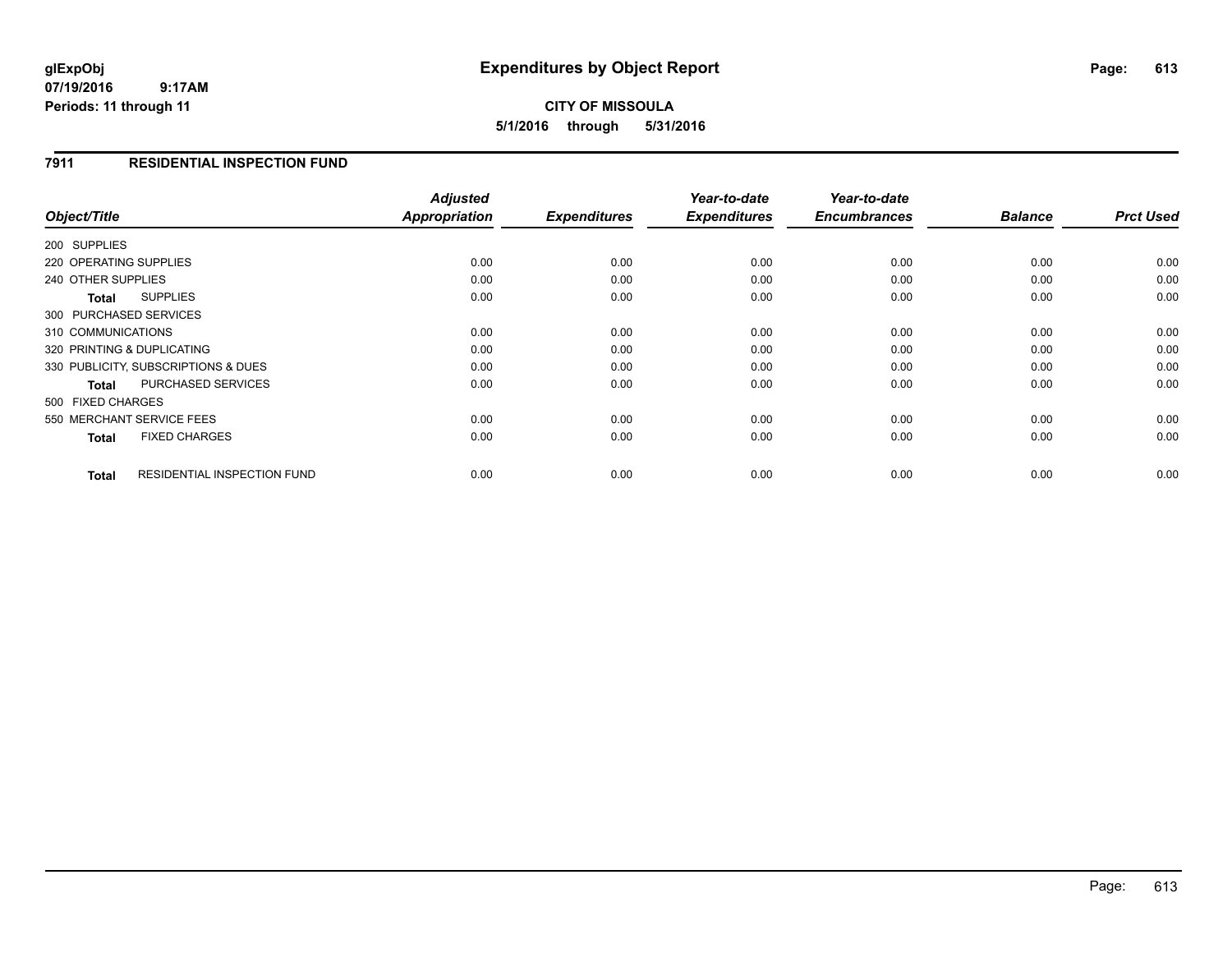**07/19/2016 9:17AM Periods: 11 through 11**

## **CITY OF MISSOULA 5/1/2016 through 5/31/2016**

### **7911 RESIDENTIAL INSPECTION FUND**

| Object/Title                                       | <b>Adjusted</b><br>Appropriation | <b>Expenditures</b> | Year-to-date<br><b>Expenditures</b> | Year-to-date<br><b>Encumbrances</b> | <b>Balance</b> | <b>Prct Used</b> |
|----------------------------------------------------|----------------------------------|---------------------|-------------------------------------|-------------------------------------|----------------|------------------|
|                                                    |                                  |                     |                                     |                                     |                |                  |
| 200 SUPPLIES                                       |                                  |                     |                                     |                                     |                |                  |
| 220 OPERATING SUPPLIES                             | 0.00                             | 0.00                | 0.00                                | 0.00                                | 0.00           | 0.00             |
| 240 OTHER SUPPLIES                                 | 0.00                             | 0.00                | 0.00                                | 0.00                                | 0.00           | 0.00             |
| <b>SUPPLIES</b><br>Total                           | 0.00                             | 0.00                | 0.00                                | 0.00                                | 0.00           | 0.00             |
| 300 PURCHASED SERVICES                             |                                  |                     |                                     |                                     |                |                  |
| 310 COMMUNICATIONS                                 | 0.00                             | 0.00                | 0.00                                | 0.00                                | 0.00           | 0.00             |
| 320 PRINTING & DUPLICATING                         | 0.00                             | 0.00                | 0.00                                | 0.00                                | 0.00           | 0.00             |
| 330 PUBLICITY, SUBSCRIPTIONS & DUES                | 0.00                             | 0.00                | 0.00                                | 0.00                                | 0.00           | 0.00             |
| <b>PURCHASED SERVICES</b><br><b>Total</b>          | 0.00                             | 0.00                | 0.00                                | 0.00                                | 0.00           | 0.00             |
| 500 FIXED CHARGES                                  |                                  |                     |                                     |                                     |                |                  |
| 550 MERCHANT SERVICE FEES                          | 0.00                             | 0.00                | 0.00                                | 0.00                                | 0.00           | 0.00             |
| <b>FIXED CHARGES</b><br><b>Total</b>               | 0.00                             | 0.00                | 0.00                                | 0.00                                | 0.00           | 0.00             |
| <b>RESIDENTIAL INSPECTION FUND</b><br><b>Total</b> | 0.00                             | 0.00                | 0.00                                | 0.00                                | 0.00           | 0.00             |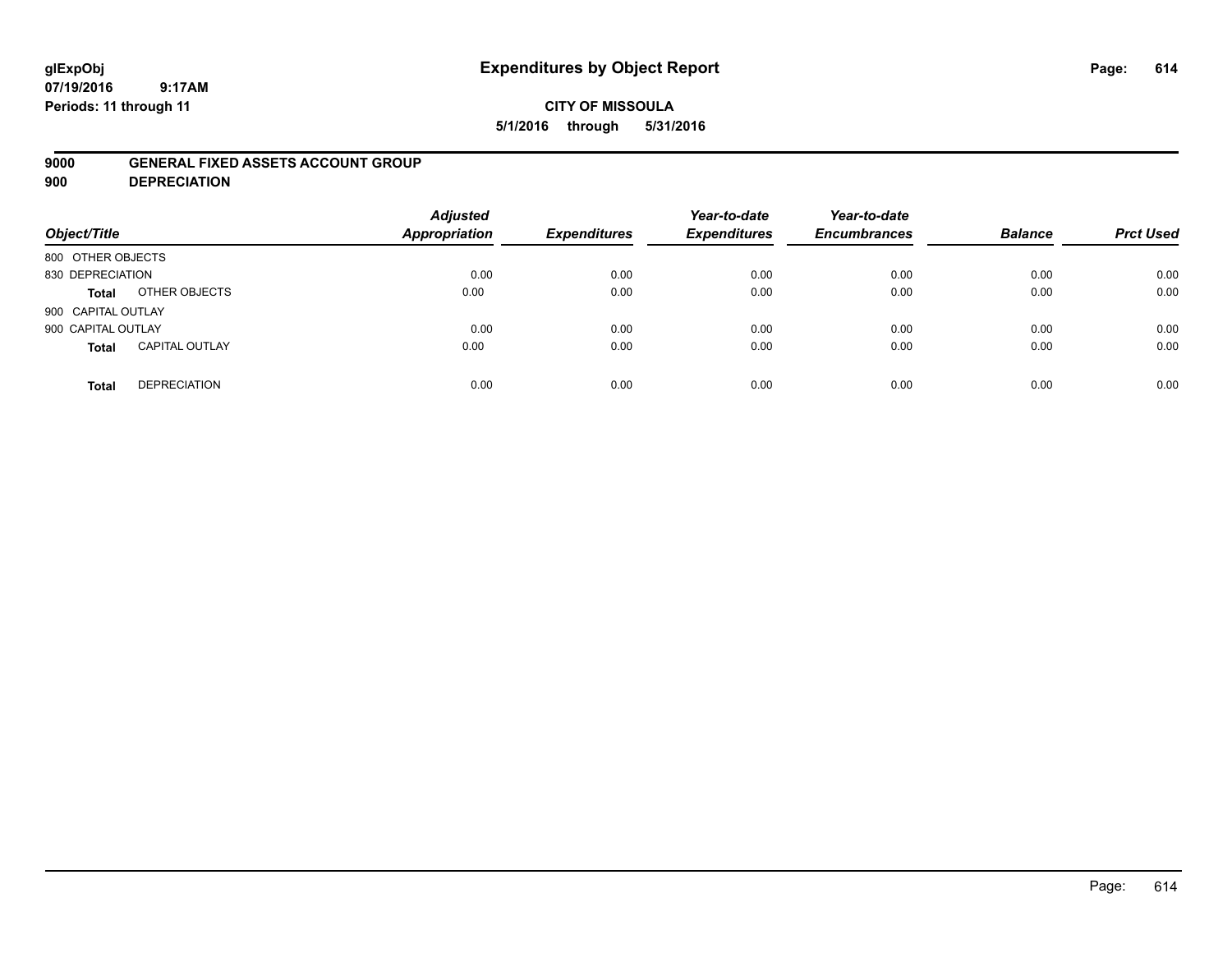# **glExpObj Expenditures by Object Report Page: 614**

**07/19/2016 9:17AM Periods: 11 through 11**

### **9000 GENERAL FIXED ASSETS ACCOUNT GROUP**

**900 DEPRECIATION**

| Object/Title                          | <b>Adjusted</b><br><b>Appropriation</b> | <b>Expenditures</b> | Year-to-date<br><b>Expenditures</b> | Year-to-date<br><b>Encumbrances</b> | <b>Balance</b> | <b>Prct Used</b> |
|---------------------------------------|-----------------------------------------|---------------------|-------------------------------------|-------------------------------------|----------------|------------------|
| 800 OTHER OBJECTS                     |                                         |                     |                                     |                                     |                |                  |
| 830 DEPRECIATION                      | 0.00                                    | 0.00                | 0.00                                | 0.00                                | 0.00           | 0.00             |
| OTHER OBJECTS<br>Total                | 0.00                                    | 0.00                | 0.00                                | 0.00                                | 0.00           | 0.00             |
| 900 CAPITAL OUTLAY                    |                                         |                     |                                     |                                     |                |                  |
| 900 CAPITAL OUTLAY                    | 0.00                                    | 0.00                | 0.00                                | 0.00                                | 0.00           | 0.00             |
| <b>CAPITAL OUTLAY</b><br><b>Total</b> | 0.00                                    | 0.00                | 0.00                                | 0.00                                | 0.00           | 0.00             |
| <b>DEPRECIATION</b><br><b>Total</b>   | 0.00                                    | 0.00                | 0.00                                | 0.00                                | 0.00           | 0.00             |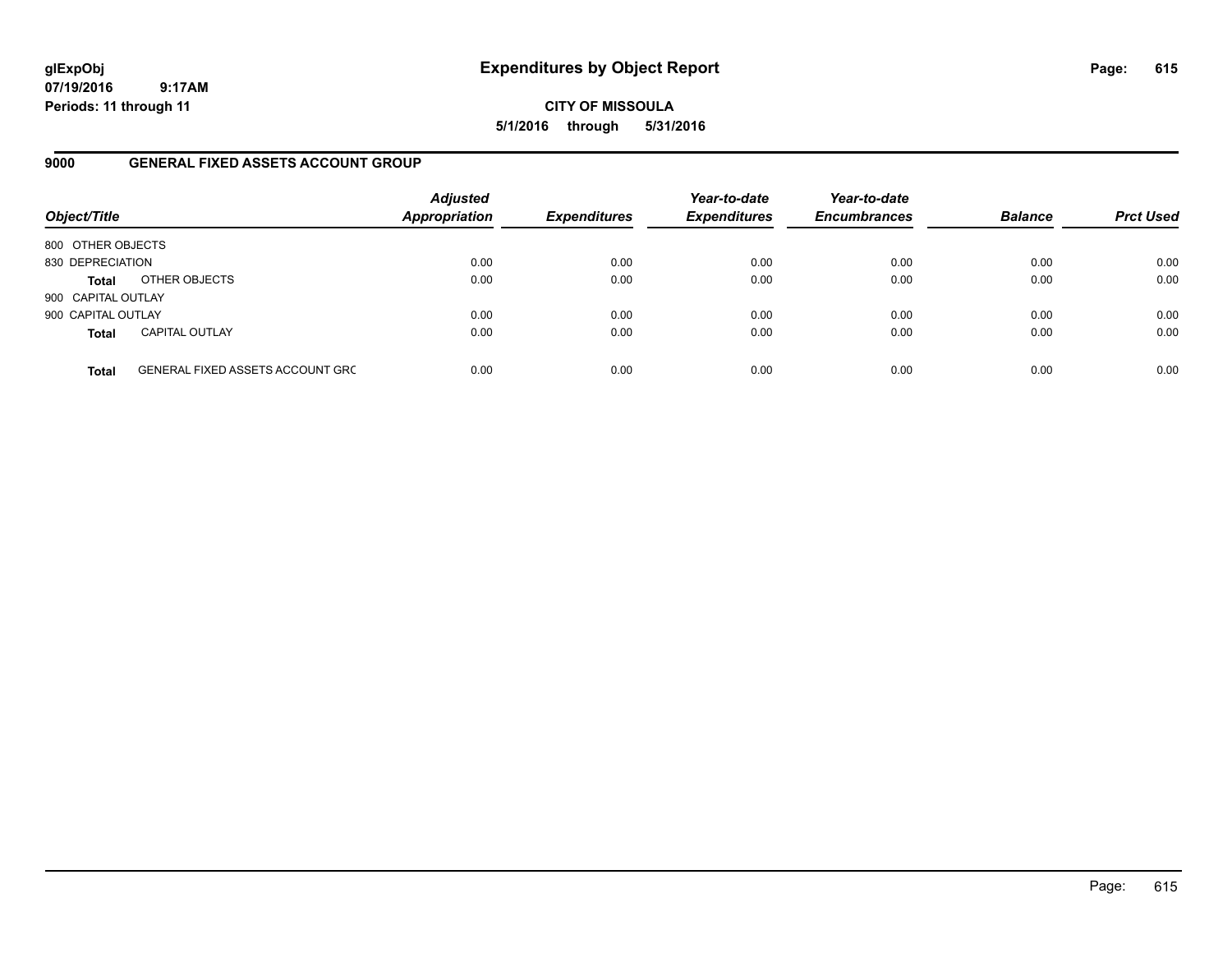**07/19/2016 9:17AM Periods: 11 through 11**

**CITY OF MISSOULA 5/1/2016 through 5/31/2016**

### **9000 GENERAL FIXED ASSETS ACCOUNT GROUP**

| Object/Title       |                                         | <b>Adjusted</b><br><b>Appropriation</b> | <b>Expenditures</b> | Year-to-date<br><b>Expenditures</b> | Year-to-date<br><b>Encumbrances</b> | <b>Balance</b> | <b>Prct Used</b> |
|--------------------|-----------------------------------------|-----------------------------------------|---------------------|-------------------------------------|-------------------------------------|----------------|------------------|
| 800 OTHER OBJECTS  |                                         |                                         |                     |                                     |                                     |                |                  |
| 830 DEPRECIATION   |                                         | 0.00                                    | 0.00                | 0.00                                | 0.00                                | 0.00           | 0.00             |
| <b>Total</b>       | OTHER OBJECTS                           | 0.00                                    | 0.00                | 0.00                                | 0.00                                | 0.00           | 0.00             |
| 900 CAPITAL OUTLAY |                                         |                                         |                     |                                     |                                     |                |                  |
| 900 CAPITAL OUTLAY |                                         | 0.00                                    | 0.00                | 0.00                                | 0.00                                | 0.00           | 0.00             |
| <b>Total</b>       | <b>CAPITAL OUTLAY</b>                   | 0.00                                    | 0.00                | 0.00                                | 0.00                                | 0.00           | 0.00             |
| <b>Total</b>       | <b>GENERAL FIXED ASSETS ACCOUNT GRC</b> | 0.00                                    | 0.00                | 0.00                                | 0.00                                | 0.00           | 0.00             |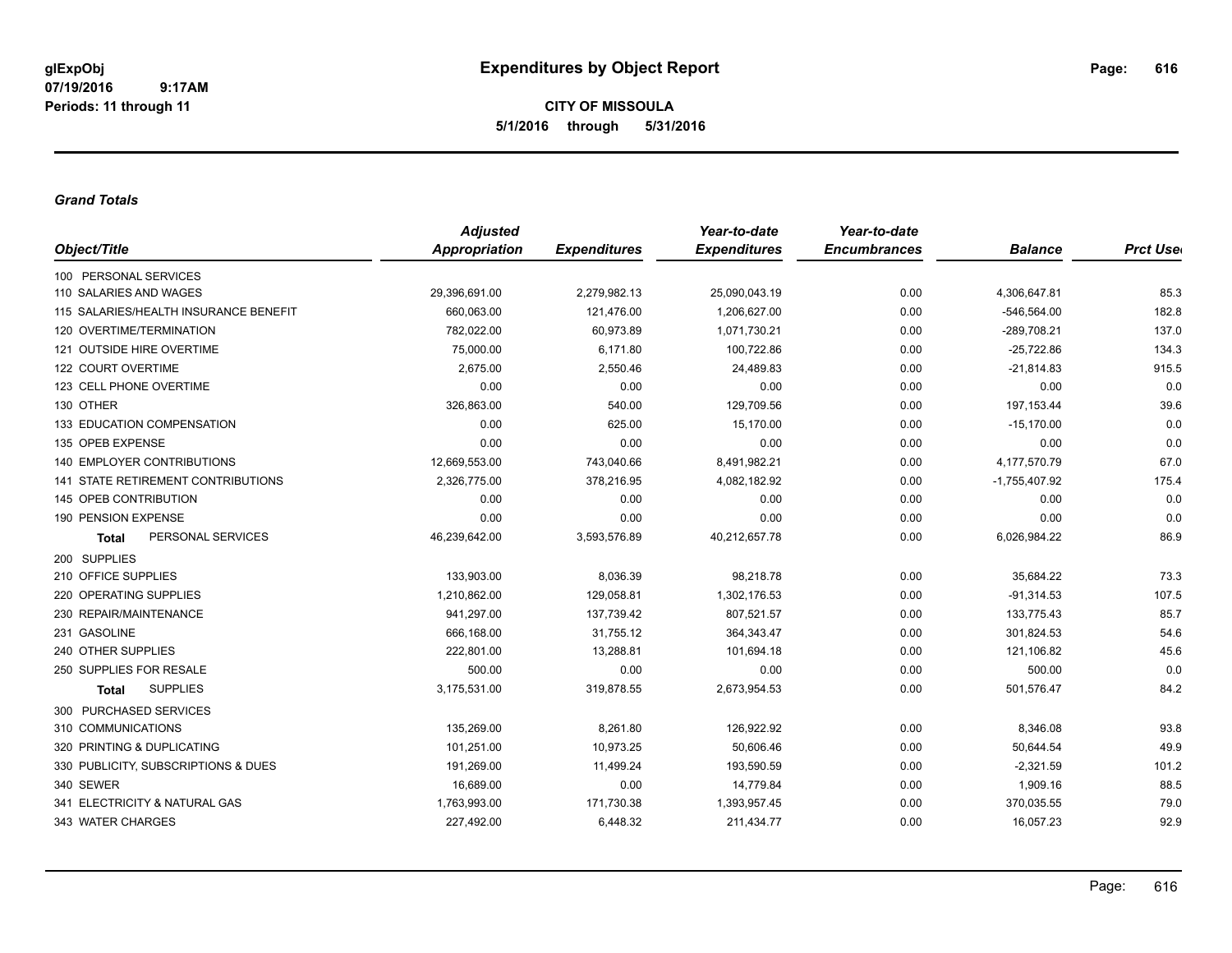**CITY OF MISSOULA 5/1/2016 through 5/31/2016**

#### *Grand Totals*

|                                           | <b>Adjusted</b>      |                     | Year-to-date        | Year-to-date        |                 |                  |
|-------------------------------------------|----------------------|---------------------|---------------------|---------------------|-----------------|------------------|
| Object/Title                              | <b>Appropriation</b> | <b>Expenditures</b> | <b>Expenditures</b> | <b>Encumbrances</b> | <b>Balance</b>  | <b>Prct User</b> |
| 100 PERSONAL SERVICES                     |                      |                     |                     |                     |                 |                  |
| 110 SALARIES AND WAGES                    | 29,396,691.00        | 2,279,982.13        | 25,090,043.19       | 0.00                | 4,306,647.81    | 85.3             |
| 115 SALARIES/HEALTH INSURANCE BENEFIT     | 660,063.00           | 121,476.00          | 1,206,627.00        | 0.00                | $-546,564.00$   | 182.8            |
| 120 OVERTIME/TERMINATION                  | 782,022.00           | 60,973.89           | 1,071,730.21        | 0.00                | -289,708.21     | 137.0            |
| 121 OUTSIDE HIRE OVERTIME                 | 75,000.00            | 6,171.80            | 100,722.86          | 0.00                | $-25,722.86$    | 134.3            |
| 122 COURT OVERTIME                        | 2,675.00             | 2,550.46            | 24,489.83           | 0.00                | $-21,814.83$    | 915.5            |
| 123 CELL PHONE OVERTIME                   | 0.00                 | 0.00                | 0.00                | 0.00                | 0.00            | 0.0              |
| 130 OTHER                                 | 326,863.00           | 540.00              | 129,709.56          | 0.00                | 197, 153.44     | 39.6             |
| 133 EDUCATION COMPENSATION                | 0.00                 | 625.00              | 15,170.00           | 0.00                | $-15,170.00$    | 0.0              |
| 135 OPEB EXPENSE                          | 0.00                 | 0.00                | 0.00                | 0.00                | 0.00            | 0.0              |
| <b>140 EMPLOYER CONTRIBUTIONS</b>         | 12,669,553.00        | 743,040.66          | 8,491,982.21        | 0.00                | 4,177,570.79    | 67.0             |
| <b>141 STATE RETIREMENT CONTRIBUTIONS</b> | 2,326,775.00         | 378,216.95          | 4,082,182.92        | 0.00                | $-1,755,407.92$ | 175.4            |
| 145 OPEB CONTRIBUTION                     | 0.00                 | 0.00                | 0.00                | 0.00                | 0.00            | 0.0              |
| 190 PENSION EXPENSE                       | 0.00                 | 0.00                | 0.00                | 0.00                | 0.00            | 0.0              |
| PERSONAL SERVICES<br><b>Total</b>         | 46,239,642.00        | 3,593,576.89        | 40,212,657.78       | 0.00                | 6,026,984.22    | 86.9             |
| 200 SUPPLIES                              |                      |                     |                     |                     |                 |                  |
| 210 OFFICE SUPPLIES                       | 133,903.00           | 8,036.39            | 98,218.78           | 0.00                | 35,684.22       | 73.3             |
| 220 OPERATING SUPPLIES                    | 1,210,862.00         | 129,058.81          | 1,302,176.53        | 0.00                | $-91,314.53$    | 107.5            |
| 230 REPAIR/MAINTENANCE                    | 941,297.00           | 137,739.42          | 807,521.57          | 0.00                | 133,775.43      | 85.7             |
| 231 GASOLINE                              | 666,168.00           | 31,755.12           | 364,343.47          | 0.00                | 301,824.53      | 54.6             |
| 240 OTHER SUPPLIES                        | 222,801.00           | 13,288.81           | 101,694.18          | 0.00                | 121,106.82      | 45.6             |
| 250 SUPPLIES FOR RESALE                   | 500.00               | 0.00                | 0.00                | 0.00                | 500.00          | 0.0              |
| <b>SUPPLIES</b><br><b>Total</b>           | 3,175,531.00         | 319,878.55          | 2,673,954.53        | 0.00                | 501,576.47      | 84.2             |
| 300 PURCHASED SERVICES                    |                      |                     |                     |                     |                 |                  |
| 310 COMMUNICATIONS                        | 135.269.00           | 8,261.80            | 126,922.92          | 0.00                | 8,346.08        | 93.8             |
| 320 PRINTING & DUPLICATING                | 101,251.00           | 10,973.25           | 50,606.46           | 0.00                | 50,644.54       | 49.9             |
| 330 PUBLICITY, SUBSCRIPTIONS & DUES       | 191,269.00           | 11,499.24           | 193,590.59          | 0.00                | $-2,321.59$     | 101.2            |
| 340 SEWER                                 | 16,689.00            | 0.00                | 14,779.84           | 0.00                | 1,909.16        | 88.5             |
| 341 ELECTRICITY & NATURAL GAS             | 1,763,993.00         | 171,730.38          | 1,393,957.45        | 0.00                | 370,035.55      | 79.0             |
| 343 WATER CHARGES                         | 227,492.00           | 6,448.32            | 211,434.77          | 0.00                | 16,057.23       | 92.9             |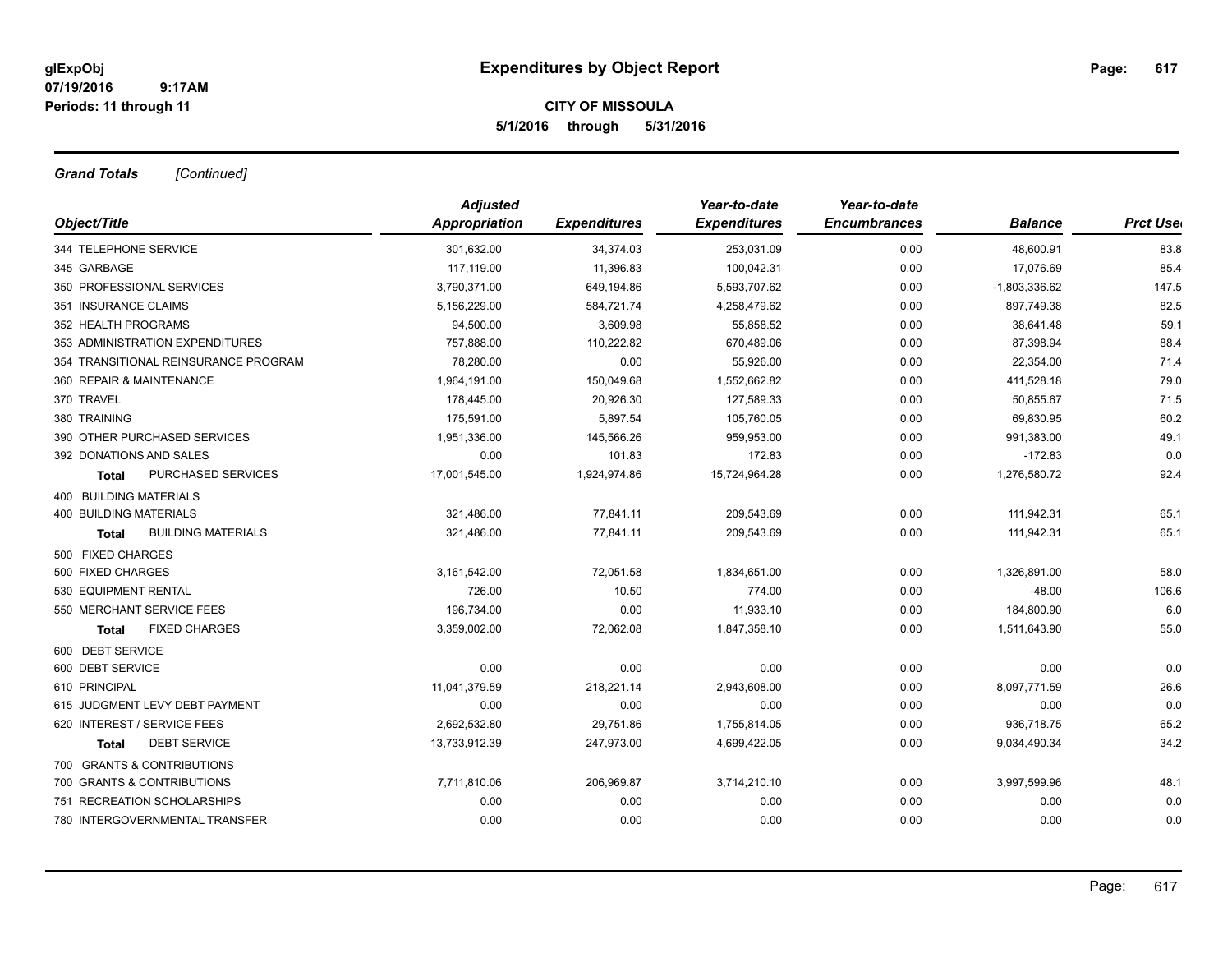## **CITY OF MISSOULA 5/1/2016 through 5/31/2016**

*Grand Totals [Continued]*

|                                           | <b>Adjusted</b> |                     | Year-to-date        | Year-to-date        |                 |                  |
|-------------------------------------------|-----------------|---------------------|---------------------|---------------------|-----------------|------------------|
| Object/Title                              | Appropriation   | <b>Expenditures</b> | <b>Expenditures</b> | <b>Encumbrances</b> | <b>Balance</b>  | <b>Prct Uset</b> |
| 344 TELEPHONE SERVICE                     | 301.632.00      | 34,374.03           | 253,031.09          | 0.00                | 48,600.91       | 83.8             |
| 345 GARBAGE                               | 117,119.00      | 11,396.83           | 100,042.31          | 0.00                | 17,076.69       | 85.4             |
| 350 PROFESSIONAL SERVICES                 | 3,790,371.00    | 649,194.86          | 5,593,707.62        | 0.00                | $-1,803,336.62$ | 147.5            |
| 351 INSURANCE CLAIMS                      | 5,156,229.00    | 584,721.74          | 4,258,479.62        | 0.00                | 897,749.38      | 82.5             |
| 352 HEALTH PROGRAMS                       | 94,500.00       | 3,609.98            | 55,858.52           | 0.00                | 38,641.48       | 59.1             |
| 353 ADMINISTRATION EXPENDITURES           | 757,888.00      | 110,222.82          | 670,489.06          | 0.00                | 87,398.94       | 88.4             |
| 354 TRANSITIONAL REINSURANCE PROGRAM      | 78,280.00       | 0.00                | 55,926.00           | 0.00                | 22,354.00       | 71.4             |
| 360 REPAIR & MAINTENANCE                  | 1,964,191.00    | 150,049.68          | 1,552,662.82        | 0.00                | 411,528.18      | 79.0             |
| 370 TRAVEL                                | 178,445.00      | 20,926.30           | 127,589.33          | 0.00                | 50,855.67       | 71.5             |
| 380 TRAINING                              | 175,591.00      | 5,897.54            | 105,760.05          | 0.00                | 69,830.95       | 60.2             |
| 390 OTHER PURCHASED SERVICES              | 1,951,336.00    | 145,566.26          | 959,953.00          | 0.00                | 991,383.00      | 49.1             |
| 392 DONATIONS AND SALES                   | 0.00            | 101.83              | 172.83              | 0.00                | $-172.83$       | 0.0              |
| PURCHASED SERVICES<br>Total               | 17,001,545.00   | 1,924,974.86        | 15,724,964.28       | 0.00                | 1,276,580.72    | 92.4             |
| <b>400 BUILDING MATERIALS</b>             |                 |                     |                     |                     |                 |                  |
| <b>400 BUILDING MATERIALS</b>             | 321,486.00      | 77,841.11           | 209,543.69          | 0.00                | 111,942.31      | 65.1             |
| <b>BUILDING MATERIALS</b><br><b>Total</b> | 321,486.00      | 77,841.11           | 209,543.69          | 0.00                | 111,942.31      | 65.1             |
| 500 FIXED CHARGES                         |                 |                     |                     |                     |                 |                  |
| 500 FIXED CHARGES                         | 3,161,542.00    | 72,051.58           | 1,834,651.00        | 0.00                | 1,326,891.00    | 58.0             |
| 530 EQUIPMENT RENTAL                      | 726.00          | 10.50               | 774.00              | 0.00                | $-48.00$        | 106.6            |
| 550 MERCHANT SERVICE FEES                 | 196,734.00      | 0.00                | 11,933.10           | 0.00                | 184,800.90      | 6.0              |
| <b>FIXED CHARGES</b><br><b>Total</b>      | 3,359,002.00    | 72,062.08           | 1,847,358.10        | 0.00                | 1,511,643.90    | 55.0             |
| 600 DEBT SERVICE                          |                 |                     |                     |                     |                 |                  |
| 600 DEBT SERVICE                          | 0.00            | 0.00                | 0.00                | 0.00                | 0.00            | 0.0              |
| 610 PRINCIPAL                             | 11,041,379.59   | 218,221.14          | 2,943,608.00        | 0.00                | 8,097,771.59    | 26.6             |
| 615 JUDGMENT LEVY DEBT PAYMENT            | 0.00            | 0.00                | 0.00                | 0.00                | 0.00            | 0.0              |
| 620 INTEREST / SERVICE FEES               | 2,692,532.80    | 29,751.86           | 1,755,814.05        | 0.00                | 936,718.75      | 65.2             |
| <b>DEBT SERVICE</b><br>Total              | 13,733,912.39   | 247,973.00          | 4,699,422.05        | 0.00                | 9,034,490.34    | 34.2             |
| 700 GRANTS & CONTRIBUTIONS                |                 |                     |                     |                     |                 |                  |
| 700 GRANTS & CONTRIBUTIONS                | 7,711,810.06    | 206,969.87          | 3,714,210.10        | 0.00                | 3,997,599.96    | 48.1             |
| 751 RECREATION SCHOLARSHIPS               | 0.00            | 0.00                | 0.00                | 0.00                | 0.00            | 0.0              |
| 780 INTERGOVERNMENTAL TRANSFER            | 0.00            | 0.00                | 0.00                | 0.00                | 0.00            | 0.0              |